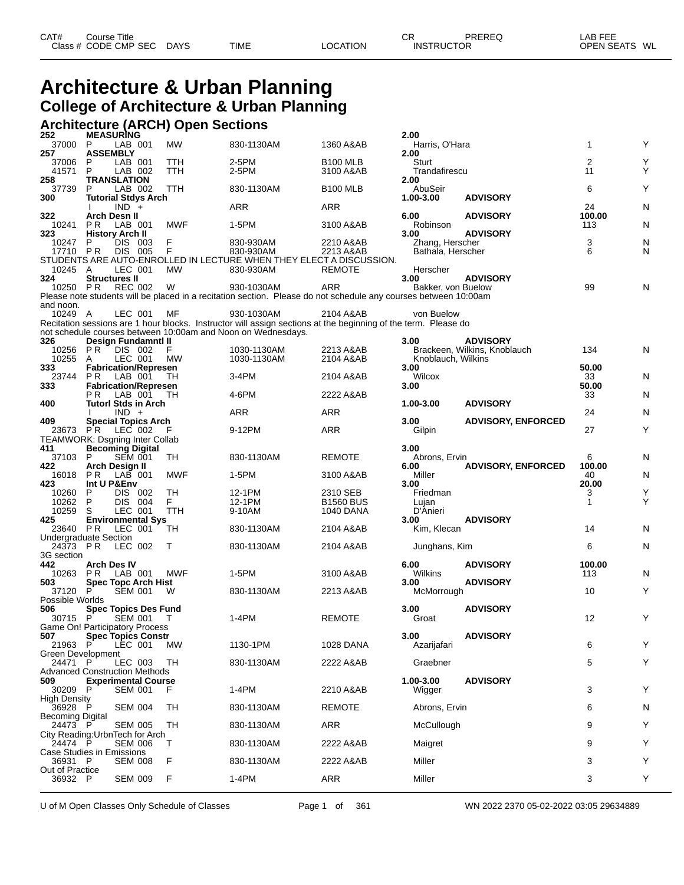# **Architecture & Urban Planning College of Architecture & Urban Planning**

### **Architecture (ARCH) Open Sections 252 MEASURING 2.00**

| ZJZ                                          | <b>MEASURING</b>           |                    |                             |                  |                                                                                                                 |                               | Z.UU                                 |                              |                |        |
|----------------------------------------------|----------------------------|--------------------|-----------------------------|------------------|-----------------------------------------------------------------------------------------------------------------|-------------------------------|--------------------------------------|------------------------------|----------------|--------|
| 37000 P                                      |                            | LAB 001            |                             | <b>MW</b>        | 830-1130AM                                                                                                      | 1360 A&AB                     | Harris, O'Hara                       |                              | 1              | Υ      |
| 257<br>37006                                 | <b>ASSEMBLY</b><br>P       | LAB 001            |                             | TTH              | 2-5PM                                                                                                           | <b>B100 MLB</b>               | 2.00<br>Sturt                        |                              | $\overline{c}$ | Υ      |
| 41571                                        | P                          | LAB 002            |                             | TTH              | 2-5PM                                                                                                           | 3100 A&AB                     | Trandafirescu                        |                              | 11             | Υ      |
| 258<br>37739                                 | <b>TRANSLATION</b><br>P    | LAB 002            |                             | TTH              | 830-1130AM                                                                                                      | <b>B100 MLB</b>               | 2.00<br>AbuSeir                      |                              | 6              | Υ      |
| 300                                          |                            |                    | <b>Tutorial Stdys Arch</b>  |                  |                                                                                                                 |                               | 1.00-3.00                            | <b>ADVISORY</b>              |                |        |
|                                              |                            | $IND +$            |                             |                  | ARR                                                                                                             | ARR                           |                                      |                              | 24             | N      |
| 322<br>10241                                 | <b>Arch Desn II</b><br>P R | LAB 001            |                             | <b>MWF</b>       | 1-5PM                                                                                                           | 3100 A&AB                     | 6.00<br>Robinson                     | <b>ADVISORY</b>              | 100.00<br>113  | N      |
| 323                                          | <b>History Arch II</b>     |                    |                             |                  |                                                                                                                 |                               | 3.00                                 | <b>ADVISORY</b>              |                |        |
| 10247<br>17710 PR                            | P                          | DIS 003<br>DIS 005 |                             | F<br>F           | 830-930AM<br>830-930AM                                                                                          | 2210 A&AB<br>2213 A&AB        | Zhang, Herscher<br>Bathala, Herscher |                              | 3<br>6         | N<br>N |
|                                              |                            |                    |                             |                  | STUDENTS ARE AUTO-ENROLLED IN LECTURE WHEN THEY ELECT A DISCUSSION.                                             |                               |                                      |                              |                |        |
| 10245 A<br>324                               | <b>Structures II</b>       | LEC 001            |                             | <b>MW</b>        | 830-930AM                                                                                                       | <b>REMOTE</b>                 | Herscher<br>3.00                     | <b>ADVISORY</b>              |                |        |
| 10250 PR                                     |                            | <b>REC 002</b>     |                             | W                | 930-1030AM                                                                                                      | ARR                           | Bakker, von Buelow                   |                              | 99             | N      |
|                                              |                            |                    |                             |                  | Please note students will be placed in a recitation section. Please do not schedule any courses between 10:00am |                               |                                      |                              |                |        |
| and noon.<br>10249 A                         |                            | LEC 001            |                             | MF               | 930-1030AM                                                                                                      | 2104 A&AB                     | von Buelow                           |                              |                |        |
|                                              |                            |                    |                             |                  | Recitation sessions are 1 hour blocks. Instructor will assign sections at the beginning of the term. Please do  |                               |                                      |                              |                |        |
| 326                                          |                            |                    | Design Fundamntl II         |                  | not schedule courses between 10:00am and Noon on Wednesdays.                                                    |                               | 3.00                                 | <b>ADVISORY</b>              |                |        |
| 10256                                        | PR.                        | DIS 002            |                             | F                | 1030-1130AM                                                                                                     | 2213 A&AB                     |                                      | Brackeen, Wilkins, Knoblauch | 134            | N      |
| 10255<br>333                                 | A                          | LEC 001            | <b>Fabrication/Represen</b> | MW               | 1030-1130AM                                                                                                     | 2104 A&AB                     | Knoblauch, Wilkins<br>3.00           |                              | 50.00          |        |
| 23744                                        | PR.                        | LAB 001            |                             | TH               | 3-4PM                                                                                                           | 2104 A&AB                     | Wilcox                               |                              | 33             | N      |
| 333                                          | P R                        | LAB 001            | <b>Fabrication/Represen</b> | TH               | 4-6PM                                                                                                           | 2222 A&AB                     | 3.00                                 |                              | 50.00<br>33    | N      |
| 400                                          |                            |                    | <b>Tutorl Stds in Arch</b>  |                  |                                                                                                                 |                               | 1.00-3.00                            | <b>ADVISORY</b>              |                |        |
| 409                                          |                            | $IND +$            | <b>Special Topics Arch</b>  |                  | ARR                                                                                                             | ARR                           | 3.00                                 | <b>ADVISORY, ENFORCED</b>    | 24             | N      |
| 23673                                        | PR LEC 002                 |                    |                             | F                | 9-12PM                                                                                                          | ARR                           | Gilpin                               |                              | 27             | Υ      |
| <b>TEAMWORK: Dsgning Inter Collab</b><br>411 | <b>Becoming Digital</b>    |                    |                             |                  |                                                                                                                 |                               | 3.00                                 |                              |                |        |
| 37103                                        | P                          | <b>SEM 001</b>     |                             | TH               | 830-1130AM                                                                                                      | <b>REMOTE</b>                 | Abrons, Ervin                        |                              | 6              | N      |
| 422                                          | Arch Design II             |                    |                             |                  |                                                                                                                 |                               | 6.00                                 | <b>ADVISORY, ENFORCED</b>    | 100.00         |        |
| 16018<br>423                                 | P R<br>Int U P&Env         | $LAB$ 001          |                             | <b>MWF</b>       | 1-5PM                                                                                                           | 3100 A&AB                     | Miller<br>3.00                       |                              | 40<br>20.00    | N      |
| 10260                                        | P                          | DIS 002            |                             | TH               | 12-1PM                                                                                                          | 2310 SEB                      | Friedman                             |                              | 3              | Υ      |
| 10262<br>10259                               | P<br>S                     | DIS 004<br>LEC 001 |                             | F.<br><b>TTH</b> | 12-1PM<br>9-10AM                                                                                                | <b>B1560 BUS</b><br>1040 DANA | Lujan<br>D'Anieri                    |                              | $\mathbf{1}$   | Υ      |
| 425                                          |                            |                    | <b>Environmental Sys</b>    |                  |                                                                                                                 |                               | 3.00                                 | <b>ADVISORY</b>              |                |        |
| 23640 PR<br><b>Undergraduate Section</b>     |                            | LEC 001            |                             | TН               | 830-1130AM                                                                                                      | 2104 A&AB                     | Kim, Klecan                          |                              | 14             | N      |
| 24373 PR                                     |                            | LEC 002            |                             | Т                | 830-1130AM                                                                                                      | 2104 A&AB                     | Junghans, Kim                        |                              | 6              | N      |
| 3G section<br>442                            | <b>Arch Des IV</b>         |                    |                             |                  |                                                                                                                 |                               | 6.00                                 | <b>ADVISORY</b>              | 100.00         |        |
| 10263                                        | PR.                        | LAB 001            |                             | MWF              | 1-5PM                                                                                                           | 3100 A&AB                     | Wilkins                              |                              | 113            | N      |
| 503<br>37120                                 | P                          | <b>SEM 001</b>     | <b>Spec Topc Arch Hist</b>  | W                | 830-1130AM                                                                                                      | 2213 A&AB                     | 3.00<br>McMorrough                   | <b>ADVISORY</b>              | 10             | Υ      |
| Possible Worlds                              |                            |                    |                             |                  |                                                                                                                 |                               |                                      |                              |                |        |
| 506<br>30715                                 | P                          | <b>SEM 001</b>     | <b>Spec Topics Des Fund</b> | $\top$           | 1-4PM                                                                                                           | <b>REMOTE</b>                 | 3.00<br>Groat                        | <b>ADVISORY</b>              | 12             | Υ      |
| Game On! Participatory Process               |                            |                    |                             |                  |                                                                                                                 |                               |                                      |                              |                |        |
| 507                                          |                            |                    | <b>Spec Topics Constr</b>   |                  |                                                                                                                 |                               | 3.00                                 | <b>ADVISORY</b>              |                |        |
| 21963 P<br>Green Development                 |                            | LEC 001            |                             | <b>MW</b>        | 1130-1PM                                                                                                        | 1028 DANA                     | Azarijafari                          |                              | 6              | Υ      |
| 24471 P                                      |                            | LEC 003            |                             | TН               | 830-1130AM                                                                                                      | 2222 A&AB                     | Graebner                             |                              | 5              | Y      |
| <b>Advanced Construction Methods</b><br>509  |                            |                    | <b>Experimental Course</b>  |                  |                                                                                                                 |                               | 1.00-3.00                            | <b>ADVISORY</b>              |                |        |
| 30209                                        | P                          | <b>SEM 001</b>     |                             | F                | 1-4PM                                                                                                           | 2210 A&AB                     | Wigger                               |                              | 3              | Y      |
| High Density<br>36928 P                      |                            | <b>SEM 004</b>     |                             | TН               | 830-1130AM                                                                                                      | <b>REMOTE</b>                 | Abrons, Ervin                        |                              | 6              | N      |
| <b>Becoming Digital</b>                      |                            |                    |                             |                  |                                                                                                                 |                               |                                      |                              |                |        |
| 24473 P<br>City Reading: Urbn Tech for Arch  |                            | <b>SEM 005</b>     |                             | TН               | 830-1130AM                                                                                                      | ARR                           | McCullough                           |                              | 9              | Υ      |
| 24474 P                                      |                            | <b>SEM 006</b>     |                             | T                | 830-1130AM                                                                                                      | 2222 A&AB                     | Maigret                              |                              | 9              | Υ      |
| Case Studies in Emissions<br>36931 P         |                            | <b>SEM 008</b>     |                             | F                | 830-1130AM                                                                                                      | 2222 A&AB                     | Miller                               |                              | 3              | Υ      |
| Out of Practice                              |                            |                    |                             |                  |                                                                                                                 |                               |                                      |                              |                |        |
| 36932 P                                      |                            | <b>SEM 009</b>     |                             | F                | 1-4PM                                                                                                           | ARR                           | Miller                               |                              | 3              | Y      |
|                                              |                            |                    |                             |                  |                                                                                                                 |                               |                                      |                              |                |        |

U of M Open Classes Only Schedule of Classes Page 1 of 361 WN 2022 2370 05-02-2022 03:05 29634889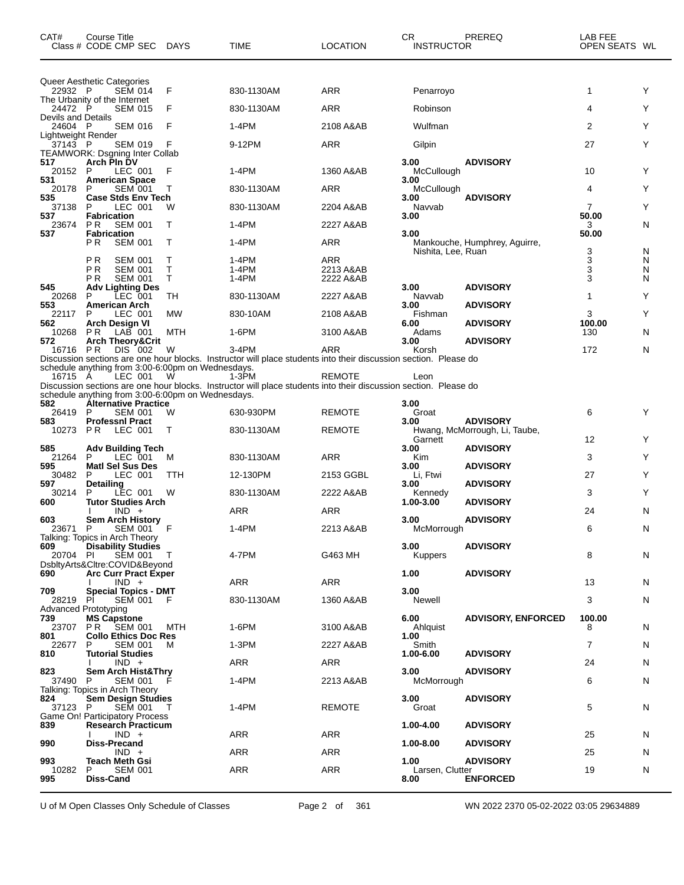| CAT#                          | Course Title<br>Class # CODE CMP SEC                                                        | DAYS         | <b>TIME</b>                                                                                                               | <b>LOCATION</b>        | СR<br><b>INSTRUCTOR</b>    | PREREQ                        | LAB FEE<br>OPEN SEATS WL |        |
|-------------------------------|---------------------------------------------------------------------------------------------|--------------|---------------------------------------------------------------------------------------------------------------------------|------------------------|----------------------------|-------------------------------|--------------------------|--------|
| 22932 P                       | Queer Aesthetic Categories<br><b>SEM 014</b>                                                | F            | 830-1130AM                                                                                                                | ARR                    | Penarroyo                  |                               | 1                        | Y      |
| 24472 P                       | The Urbanity of the Internet<br><b>SEM 015</b>                                              | F            | 830-1130AM                                                                                                                | <b>ARR</b>             | Robinson                   |                               | 4                        | Υ      |
| <b>Devils and Details</b>     |                                                                                             |              |                                                                                                                           |                        |                            |                               |                          |        |
| 24604 P<br>Lightweight Render | <b>SEM 016</b>                                                                              | F            | $1-4PM$                                                                                                                   | 2108 A&AB              | Wulfman                    |                               | 2                        | Y      |
| 37143 P                       | <b>SEM 019</b><br><b>TEAMWORK: Dsgning Inter Collab</b>                                     | F            | 9-12PM                                                                                                                    | ARR                    | Gilpin                     |                               | 27                       | Y      |
| 517<br>20152 P<br>531         | Arch Pin DV<br>LEC 001<br><b>American Space</b>                                             | F            | 1-4PM                                                                                                                     | 1360 A&AB              | 3.00<br>McCullough<br>3.00 | <b>ADVISORY</b>               | 10                       | Y      |
| 20178<br>535                  | <b>SEM 001</b><br>P<br><b>Case Stds Env Tech</b>                                            |              | 830-1130AM                                                                                                                | <b>ARR</b>             | McCullough<br>3.00         | <b>ADVISORY</b>               | 4                        | Υ      |
| 37138<br>537                  | P<br>LEC 001<br><b>Fabrication</b>                                                          | W            | 830-1130AM                                                                                                                | 2204 A&AB              | Navvab<br>3.00             |                               | $\overline{7}$<br>50.00  | Y      |
| 23674<br>537                  | <b>PR</b><br><b>SEM 001</b>                                                                 | Τ            | 1-4PM                                                                                                                     | 2227 A&AB              | 3.00                       |                               | 3<br>50.00               | N      |
|                               | <b>Fabrication</b><br>P <sub>R</sub><br><b>SEM 001</b>                                      | $\mathsf{T}$ | 1-4PM                                                                                                                     | <b>ARR</b>             | Nishita, Lee, Ruan         | Mankouche, Humphrey, Aguirre, | 3                        | N      |
|                               | P <sub>R</sub><br><b>SEM 001</b>                                                            | т            | $1-4PM$                                                                                                                   | <b>ARR</b>             |                            |                               | 3                        | N      |
|                               | ΡR<br><b>SEM 001</b><br>P R<br><b>SEM 001</b>                                               | Т<br>Τ       | 1-4PM<br>1-4PM                                                                                                            | 2213 A&AB<br>2222 A&AB |                            |                               | 3<br>3                   | N<br>N |
| 545<br>20268                  | <b>Adv Lighting Des</b><br>LEC 001<br>P                                                     | TH           | 830-1130AM                                                                                                                | 2227 A&AB              | 3.00<br>Navvab             | <b>ADVISORY</b>               | 1                        | Υ      |
| 553<br>22117                  | <b>American Arch</b><br>P<br>LEC 001                                                        | <b>MW</b>    | 830-10AM                                                                                                                  | 2108 A&AB              | 3.00<br>Fishman            | <b>ADVISORY</b>               | 3                        | Y      |
| 562<br>10268                  | Arch Design VI<br>P R<br>LAB 001                                                            | MTH          | 1-6PM                                                                                                                     | 3100 A&AB              | 6.00<br>Adams              | <b>ADVISORY</b>               | 100.00<br>130            | N      |
| 572<br>16716 PR               | <b>Arch Theory&amp;Crit</b><br>DIS 002                                                      | W            | $3-4PM$                                                                                                                   | ARR                    | 3.00<br>Korsh              | <b>ADVISORY</b>               | 172                      | N      |
|                               | schedule anything from 3:00-6:00pm on Wednesdays.                                           |              | Discussion sections are one hour blocks. Instructor will place students into their discussion section. Please do          |                        |                            |                               |                          |        |
| 16715 A<br>582                | LEC 001<br>schedule anything from 3:00-6:00pm on Wednesdays.<br><b>Alternative Practice</b> | W            | 1-3PM<br>Discussion sections are one hour blocks. Instructor will place students into their discussion section. Please do | <b>REMOTE</b>          | Leon<br>3.00               |                               |                          |        |
| 26419                         | P<br><b>SEM 001</b>                                                                         | W            | 630-930PM                                                                                                                 | <b>REMOTE</b>          | Groat                      | <b>ADVISORY</b>               | 6                        | Y      |
| 583<br>10273 PR               | <b>Professni Pract</b><br>LEC 001                                                           | $\top$       | 830-1130AM                                                                                                                | <b>REMOTE</b>          | 3.00<br>Garnett            | Hwang, McMorrough, Li, Taube, | 12                       | Y      |
| 585<br>21264                  | <b>Adv Building Tech</b><br>LEC 001<br>P                                                    | M            | 830-1130AM                                                                                                                | <b>ARR</b>             | 3.00<br>Kim                | <b>ADVISORY</b>               | 3                        | Υ      |
| 595<br>30482                  | <b>Matl Sel Sus Des</b><br>P<br>LEC 001                                                     | TTH          | 12-130PM                                                                                                                  | 2153 GGBL              | 3.00<br>Li, Ftwi           | <b>ADVISORY</b>               | 27                       | Y      |
| 597<br>30214                  | Detailing<br>LEC 001<br>P                                                                   | W            | 830-1130AM                                                                                                                | 2222 A&AB              | 3.00<br>Kennedy            | <b>ADVISORY</b>               | 3                        | Y      |
| 600                           | <b>Tutor Studies Arch</b><br>$IND +$                                                        |              | ARR                                                                                                                       | <b>ARR</b>             | 1.00-3.00                  | <b>ADVISORY</b>               | 24                       | N      |
| 603<br>23671 P                | <b>Sem Arch History</b><br>SEM 001 F                                                        |              | 1-4PM                                                                                                                     | 2213 A&AB              | 3.00<br>McMorrough         | <b>ADVISORY</b>               | 6                        | N      |
| 609                           | Talking: Topics in Arch Theory<br><b>Disability Studies</b>                                 |              |                                                                                                                           |                        | 3.00                       | <b>ADVISORY</b>               |                          |        |
| 20704 PI                      | SEM 001<br>DsbltyArts&Cltre:COVID&Beyond                                                    |              | 4-7PM                                                                                                                     | G463 MH                | <b>Kuppers</b>             |                               | 8                        | N      |
| 690                           | <b>Arc Curr Pract Exper</b><br>$IND +$                                                      |              | ARR                                                                                                                       | ARR                    | 1.00                       | <b>ADVISORY</b>               | 13                       | N      |
| 709<br>28219 PI               | <b>Special Topics - DMT</b><br><b>SEM 001</b>                                               | F            | 830-1130AM                                                                                                                | 1360 A&AB              | 3.00<br>Newell             |                               | 3                        | N      |
| 739<br>23707                  | <b>Advanced Prototyping</b><br><b>MS Capstone</b><br>SEM 001<br>P R                         | MTH          | 1-6PM                                                                                                                     | 3100 A&AB              | 6.00<br>Ahlquist           | <b>ADVISORY, ENFORCED</b>     | 100.00<br>8              | N      |
| 801<br>22677                  | <b>Collo Ethics Doc Res</b><br><b>SEM 001</b><br>P                                          | м            | 1-3PM                                                                                                                     | 2227 A&AB              | 1.00<br>Smith              |                               | 7                        | N      |
| 810                           | <b>Tutorial Studies</b><br>$IND +$                                                          |              | ARR                                                                                                                       | ARR                    | 1.00-6.00                  | <b>ADVISORY</b>               | 24                       | N      |
| 823<br>37490 P                | <b>Sem Arch Hist&amp;Thry</b><br>SEM 001<br>Talking: Topics in Arch Theory                  |              | 1-4PM                                                                                                                     | 2213 A&AB              | 3.00<br>McMorrough         | <b>ADVISORY</b>               | 6                        | N      |
| 824<br>37123 P                | <b>Sem Design Studies</b><br>SEM 001<br>Game On! Participatory Process                      | $\top$       | 1-4PM                                                                                                                     | <b>REMOTE</b>          | 3.00<br>Groat              | <b>ADVISORY</b>               | 5                        | N      |
| 839                           | <b>Research Practicum</b><br>$IND +$                                                        |              | <b>ARR</b>                                                                                                                | ARR                    | 1.00-4.00                  | <b>ADVISORY</b>               | 25                       | N      |
| 990                           | <b>Diss-Precand</b><br>$IND +$                                                              |              | <b>ARR</b>                                                                                                                | ARR                    | 1.00-8.00                  | <b>ADVISORY</b>               | 25                       | N      |
| 993<br>10282                  | <b>Teach Meth Gsi</b><br><b>SEM 001</b><br>P                                                |              | <b>ARR</b>                                                                                                                | ARR                    | 1.00                       | <b>ADVISORY</b>               | 19                       | N      |
| 995                           | Diss-Cand                                                                                   |              |                                                                                                                           |                        | Larsen, Clutter<br>8.00    | <b>ENFORCED</b>               |                          |        |

U of M Open Classes Only Schedule of Classes Page 2 of 361 WN 2022 2370 05-02-2022 03:05 29634889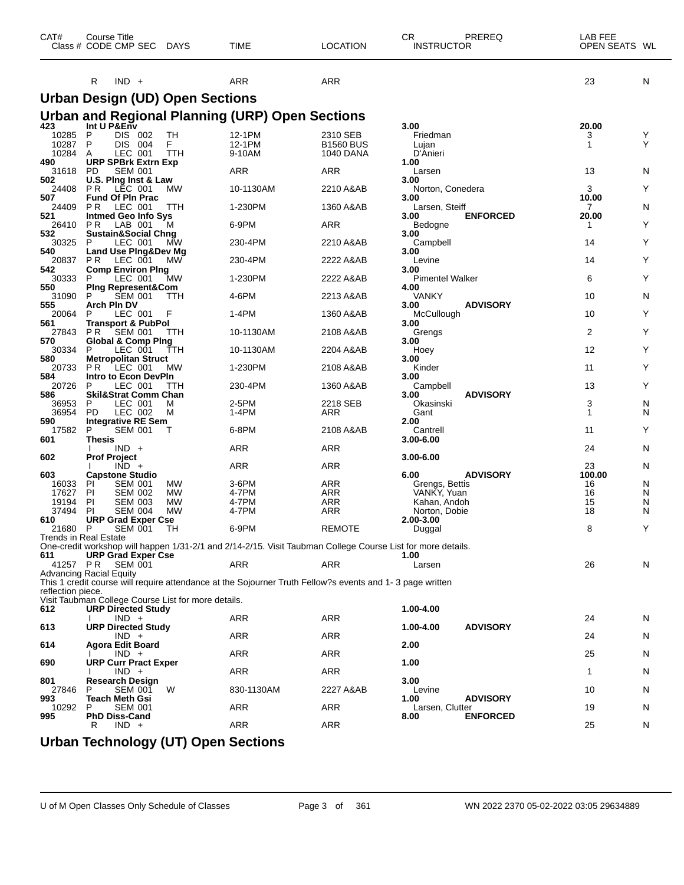| CAT#              | <b>Course Title</b><br>Class # CODE CMP SEC                                      | <b>DAYS</b> | <b>TIME</b>                                                                                                 | <b>LOCATION</b>              | СR<br><b>INSTRUCTOR</b>        | PREREQ          | LAB FEE<br>OPEN SEATS WL |        |
|-------------------|----------------------------------------------------------------------------------|-------------|-------------------------------------------------------------------------------------------------------------|------------------------------|--------------------------------|-----------------|--------------------------|--------|
|                   | $IND +$<br>R                                                                     |             | ARR                                                                                                         | <b>ARR</b>                   |                                |                 | 23                       | N      |
|                   | <b>Urban Design (UD) Open Sections</b>                                           |             |                                                                                                             |                              |                                |                 |                          |        |
|                   |                                                                                  |             | Urban and Regional Planning (URP) Open Sections                                                             |                              |                                |                 |                          |        |
| 423               | Int U P&Env                                                                      |             |                                                                                                             |                              | 3.00                           |                 | 20.00                    |        |
| 10285<br>10287    | P<br>DIS 002<br>P<br>DIS.<br>-004                                                | TН<br>F     | 12-1PM<br>12-1PM                                                                                            | 2310 SEB<br><b>B1560 BUS</b> | Friedman<br>Lujan              |                 | 3<br>1                   | Y<br>Y |
| 10284<br>490      | LEC 001<br>A<br><b>URP SPBrk Extrn Exp</b>                                       | TTH         | 9-10AM                                                                                                      | <b>1040 DANA</b>             | D'Anieri<br>1.00               |                 |                          |        |
| 31618             | <b>PD</b><br><b>SEM 001</b>                                                      |             | ARR                                                                                                         | ARR                          | Larsen                         |                 | 13                       | N      |
| 502<br>24408      | U.S. Ping Inst & Law<br>P R<br>LEC 001                                           | МW          | 10-1130AM                                                                                                   | 2210 A&AB                    | 3.00<br>Norton, Conedera       |                 | 3                        | Y      |
| 507<br>24409      | <b>Fund Of PIn Prac</b><br>P R<br>LEC 001                                        | TTH         | 1-230PM                                                                                                     | 1360 A&AB                    | 3.00<br>Larsen, Steiff         |                 | 10.00<br>$\mathbf{7}$    | N      |
| 521               | <b>Intmed Geo Info Sys</b>                                                       |             |                                                                                                             |                              | 3.00                           | <b>ENFORCED</b> | 20.00                    |        |
| 26410<br>532      | P R<br>LAB 001<br><b>Sustain&amp;Social Chng</b>                                 | м           | 6-9PM                                                                                                       | <b>ARR</b>                   | Bedogne<br>3.00                |                 | 1                        | Y      |
| 30325<br>540      | P<br>LEC 001<br>Land Use Ping&Dev Mg                                             | MW          | 230-4PM                                                                                                     | 2210 A&AB                    | Campbell<br>3.00               |                 | 14                       | Y      |
| 20837             | LEC 001<br>P R                                                                   | <b>MW</b>   | 230-4PM                                                                                                     | 2222 A&AB                    | Levine                         |                 | 14                       | Y      |
| 542<br>30333      | <b>Comp Environ Ping</b><br>LEC 001<br>P                                         | МW          | 1-230PM                                                                                                     | 2222 A&AB                    | 3.00<br><b>Pimentel Walker</b> |                 | 6                        | Y      |
| 550<br>31090      | <b>Ping Represent&amp;Com</b><br>P<br><b>SEM 001</b>                             | ттн         | 4-6PM                                                                                                       | 2213 A&AB                    | 4.00<br><b>VANKY</b>           |                 | 10                       | N      |
| 555<br>20064      | Arch Pln DV<br>LEC 001<br>Р                                                      | F           | 1-4PM                                                                                                       | 1360 A&AB                    | 3.00<br>McCullough             | <b>ADVISORY</b> | 10                       | Y      |
| 561               | <b>Transport &amp; PubPol</b>                                                    |             |                                                                                                             |                              | 3.00                           |                 |                          |        |
| 27843<br>570      | P R<br><b>SEM 001</b><br>Global & Comp Ping                                      | TTH         | 10-1130AM                                                                                                   | 2108 A&AB                    | Grengs<br>3.00                 |                 | 2                        | Y      |
| 30334<br>580      | P<br>LEC 001<br><b>Metropolitan Struct</b>                                       | ттн         | 10-1130AM                                                                                                   | 2204 A&AB                    | Hoey<br>3.00                   |                 | 12                       | Y      |
| 20733             | P R<br>LEC 001                                                                   | MW          | 1-230PM                                                                                                     | 2108 A&AB                    | Kinder                         |                 | 11                       | Υ      |
| 584<br>20726      | Intro to Econ DevPIn<br>P<br>LEC 001                                             | ттн         | 230-4PM                                                                                                     | 1360 A&AB                    | 3.00<br>Campbell               |                 | 13                       | Y      |
| 586<br>36953      | <b>Skil&amp;Strat Comm Chan</b><br>P<br>LEC 001                                  | M           | 2-5PM                                                                                                       | 2218 SEB                     | 3.00<br>Okasinski              | <b>ADVISORY</b> | 3                        | N      |
| 36954             | PD<br>LEC 002                                                                    | М           | 1-4PM                                                                                                       | ARR                          | Gant                           |                 | 1                        | N      |
| 590<br>17582      | <b>Integrative RE Sem</b><br>P<br><b>SEM 001</b>                                 | т           | 6-8PM                                                                                                       | 2108 A&AB                    | 2.00<br>Cantrell               |                 | 11                       | Y      |
| 601               | Thesis<br>$IND +$                                                                |             | ARR                                                                                                         | ARR                          | 3.00-6.00                      |                 | 24                       | N      |
| 602               | <b>Prof Project</b>                                                              |             |                                                                                                             |                              | 3.00-6.00                      |                 |                          |        |
| 603               | $IND +$<br><b>Capstone Studio</b>                                                |             | ARR                                                                                                         | <b>ARR</b>                   | 6.00                           | <b>ADVISORY</b> | 23<br>100.00             | N      |
| 16033<br>17627    | <b>SEM 001</b><br>ΡI<br>PI<br>SEM 002                                            | МW<br>МW    | 3-6PM<br>4-7PM                                                                                              | ARR<br><b>ARR</b>            | Grengs, Bettis<br>VANKY, Yuan  |                 | 16<br>16                 | N<br>N |
| 19194             | PI<br><b>SEM 003</b>                                                             | МW          | 4-7PM                                                                                                       | ARR                          | Kahan, Andoh                   |                 | 15                       | N      |
| 37494             | PI<br><b>SEM 004</b>                                                             | <b>MW</b>   | 4-7PM                                                                                                       | ARR                          | Norton, Dobie                  |                 | 18                       | N      |
| 610<br>21680      | <b>URP Grad Exper Cse</b><br>P<br><b>SEM 001</b>                                 | TH          | 6-9PM                                                                                                       | <b>REMOTE</b>                | 2.00-3.00<br>Duggal            |                 | 8                        | Y      |
|                   | Trends in Real Estate                                                            |             |                                                                                                             |                              |                                |                 |                          |        |
| 611               | <b>URP Grad Exper Cse</b>                                                        |             | One-credit workshop will happen 1/31-2/1 and 2/14-2/15. Visit Taubman College Course List for more details. |                              | 1.00                           |                 |                          |        |
|                   | 41257 PR SEM 001<br><b>Advancing Racial Equity</b>                               |             | ARR                                                                                                         | ARR                          | Larsen                         |                 | 26                       | N      |
| reflection piece. |                                                                                  |             | This 1 credit course will require attendance at the Sojourner Truth Fellow?s events and 1-3 page written    |                              |                                |                 |                          |        |
| 612               | Visit Taubman College Course List for more details.<br><b>URP Directed Study</b> |             |                                                                                                             |                              | 1.00-4.00                      |                 |                          |        |
| 613               | $IND +$<br><b>URP Directed Study</b>                                             |             | ARR                                                                                                         | ARR                          | 1.00-4.00                      | <b>ADVISORY</b> | 24                       | N      |
|                   | $IND +$                                                                          |             | ARR                                                                                                         | ARR                          |                                |                 | 24                       | N      |
| 614               | <b>Agora Edit Board</b><br>$IND +$                                               |             | ARR                                                                                                         | ARR                          | 2.00                           |                 | 25                       | N      |
| 690               | <b>URP Curr Pract Exper</b><br>$IND +$                                           |             | ARR                                                                                                         | ARR                          | 1.00                           |                 | 1                        | N      |
| 801               | <b>Research Design</b>                                                           |             |                                                                                                             |                              | 3.00                           |                 |                          |        |
| 27846<br>993      | <b>SEM 001</b><br>P<br>Teach Meth Gsi                                            | W           | 830-1130AM                                                                                                  | 2227 A&AB                    | Levine<br>1.00                 | <b>ADVISORY</b> | 10                       | N      |
| 10292<br>995      | <b>SEM 001</b><br>P<br><b>PhD Diss-Cand</b>                                      |             | ARR                                                                                                         | ARR                          | Larsen, Clutter<br>8.00        | <b>ENFORCED</b> | 19                       | N      |
|                   | $IND +$<br>R                                                                     |             | ARR                                                                                                         | ARR                          |                                |                 | 25                       | N      |
|                   | Lirhan Technology (LIT) Onen Sections                                            |             |                                                                                                             |                              |                                |                 |                          |        |

**Urban Technology (UT) Open Sections**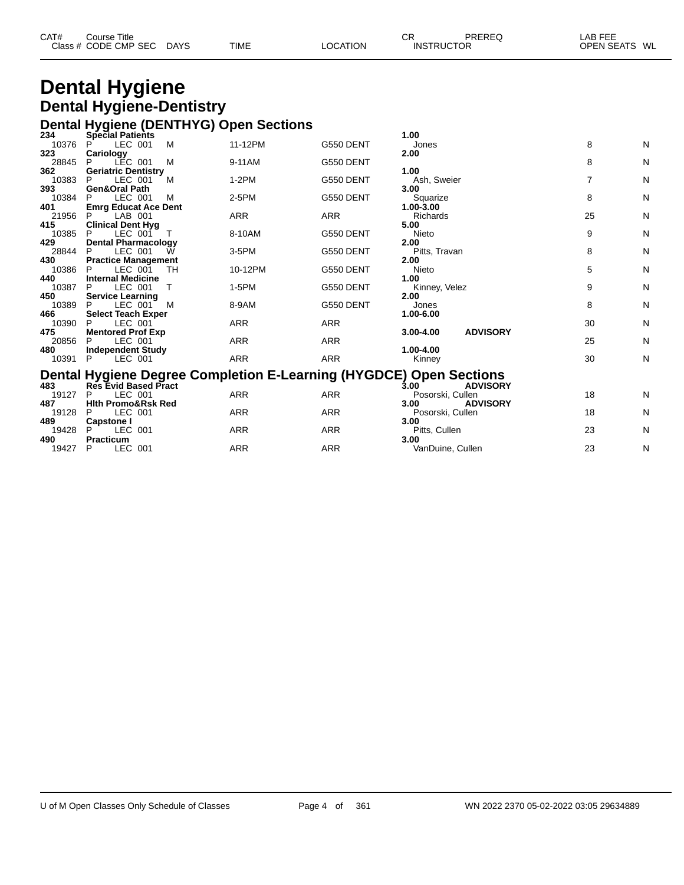| CAT# | ourse Titleٽ         |             |             |          | СR                | PREREQ | LAB FEE       |  |
|------|----------------------|-------------|-------------|----------|-------------------|--------|---------------|--|
|      | Class # CODE CMP SEC | <b>DAYS</b> | <b>TIME</b> | LOCATION | <b>INSTRUCTOR</b> |        | OPEN SEATS WL |  |
|      |                      |             |             |          |                   |        |               |  |

### **Dental Hygiene Dental Hygiene-Dentistry Dental Hygiene (DENTHYG) Open Sections**

| 234          | <b>Special Patients</b>                                            |            |            | 1.00                             |    |   |
|--------------|--------------------------------------------------------------------|------------|------------|----------------------------------|----|---|
| 10376        | LEC 001<br>M                                                       | 11-12PM    | G550 DENT  | Jones                            | 8  | Ν |
| 323          | Cariology                                                          |            |            | 2.00                             |    |   |
| 28845        | M<br>P<br>LEC 001                                                  | 9-11AM     | G550 DENT  |                                  | 8  | Ν |
| 362          | <b>Geriatric Dentistry</b>                                         |            |            | 1.00                             |    |   |
| 10383        | LEC 001<br>P<br>М                                                  | $1-2PM$    | G550 DENT  | Ash, Sweier                      | 7  | Ν |
| 393          | Gen&Oral Path                                                      |            |            | 3.00                             |    |   |
| 10384        | LEC 001<br>M                                                       | 2-5PM      | G550 DENT  | Squarize                         | 8  | N |
| 401          | <b>Emrg Educat Ace Dent</b>                                        |            |            | 1.00-3.00                        |    |   |
| 21956        | LAB 001                                                            | ARR        | <b>ARR</b> | Richards                         | 25 | Ν |
| 415          | <b>Clinical Dent Hyg</b>                                           |            |            | 5.00                             |    |   |
| 10385        | LEC 001<br>P                                                       | 8-10AM     | G550 DENT  | Nieto                            | 9  | N |
| 429          | <b>Dental Pharmacology</b>                                         |            |            | 2.00                             |    |   |
| 28844        | LEC 001<br>P<br>W                                                  | 3-5PM      | G550 DENT  | Pitts, Travan                    | 8  | N |
| 430          | <b>Practice Management</b>                                         |            |            | 2.00                             |    |   |
| 10386        | LEC 001<br>TН<br>P                                                 | 10-12PM    | G550 DENT  | Nieto                            | 5  | N |
| 440          | <b>Internal Medicine</b>                                           |            |            | 1.00                             |    |   |
| 10387        | LEC 001<br>P<br>т                                                  | 1-5PM      | G550 DENT  | Kinney, Velez                    | 9  | N |
| 450          | <b>Service Learning</b>                                            |            |            | 2.00                             |    |   |
| 10389<br>466 | LEC 001<br>M                                                       | 8-9AM      | G550 DENT  | Jones<br>1.00-6.00               | 8  | N |
| 10390        | <b>Select Teach Exper</b><br>LEC 001                               | <b>ARR</b> | <b>ARR</b> |                                  | 30 | N |
| 475          | <b>Mentored Prof Exp</b>                                           |            |            | <b>ADVISORY</b><br>$3.00 - 4.00$ |    |   |
| 20856        | LEC 001                                                            | <b>ARR</b> | <b>ARR</b> |                                  | 25 | N |
| 480          | <b>Independent Study</b>                                           |            |            | 1.00-4.00                        |    |   |
| 10391        | LEC 001<br>P                                                       | <b>ARR</b> | <b>ARR</b> | Kinney                           | 30 | N |
|              |                                                                    |            |            |                                  |    |   |
|              | Dental Hygiene Degree Completion E-Learning (HYGDCE) Open Sections |            |            |                                  |    |   |
| 483          | <b>Res Evid Based Pract</b>                                        |            |            | 3.00<br><b>ADVISORY</b>          |    |   |
| 19127        | LEC 001<br>P                                                       | <b>ARR</b> | <b>ARR</b> | Posorski, Cullen                 | 18 | N |
| 487          | <b>Hith Promo&amp;Rsk Red</b>                                      |            |            | <b>ADVISORY</b><br>3.00          |    |   |
| 19128        | LEC 001<br>P                                                       | <b>ARR</b> | <b>ARR</b> | Posorski, Cullen                 | 18 | N |
| 489          | <b>Capstone I</b>                                                  |            |            | 3.00                             |    |   |
| 19428        | LEC 001<br>P                                                       | ARR        | <b>ARR</b> | Pitts, Cullen                    | 23 | N |
| 490          | <b>Practicum</b>                                                   |            |            | 3.00                             |    |   |
| 19427        | LEC 001<br>P                                                       | ARR        | <b>ARR</b> | VanDuine, Cullen                 | 23 | N |
|              |                                                                    |            |            |                                  |    |   |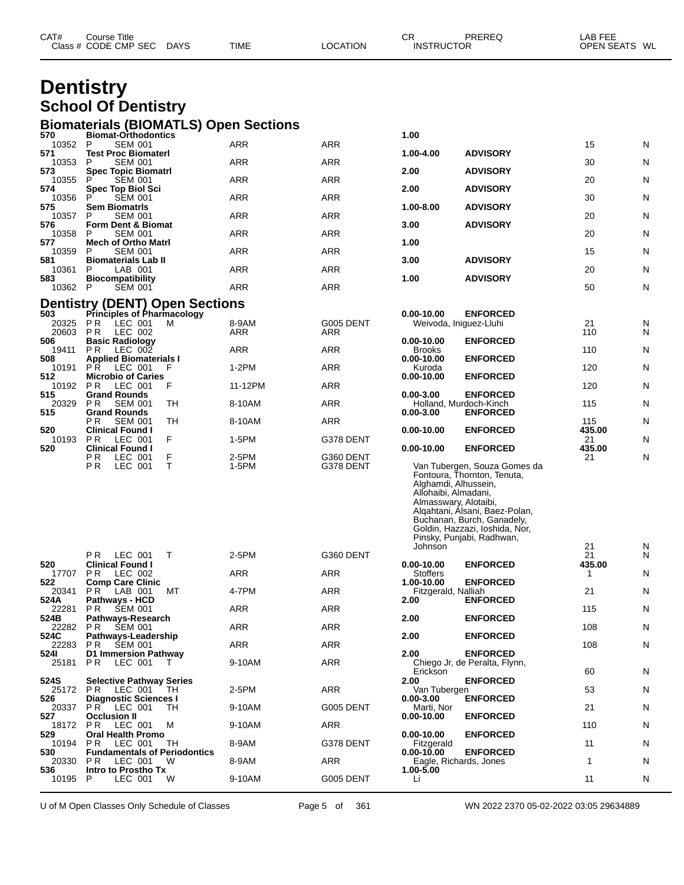|                  | <b>Dentistry</b>                                         |          |            |           |                                                                                  |                                                                                                                                                                                            |              |              |
|------------------|----------------------------------------------------------|----------|------------|-----------|----------------------------------------------------------------------------------|--------------------------------------------------------------------------------------------------------------------------------------------------------------------------------------------|--------------|--------------|
|                  | <b>School Of Dentistry</b>                               |          |            |           |                                                                                  |                                                                                                                                                                                            |              |              |
|                  | <b>Biomaterials (BIOMATLS) Open Sections</b>             |          |            |           |                                                                                  |                                                                                                                                                                                            |              |              |
| 570<br>10352     | <b>Biomat-Orthodontics</b><br>P<br><b>SEM 001</b>        |          | ARR        | ARR       | 1.00                                                                             |                                                                                                                                                                                            | 15           | N            |
| 571<br>10353     | <b>Test Proc Biomaterl</b><br><b>SEM 001</b><br>P        |          | <b>ARR</b> | ARR       | 1.00-4.00                                                                        | <b>ADVISORY</b>                                                                                                                                                                            | 30           | N            |
| 573<br>10355     | <b>Spec Topic Biomatri</b><br><b>SEM 001</b>             |          | <b>ARR</b> | ARR       | 2.00                                                                             | <b>ADVISORY</b>                                                                                                                                                                            | 20           | N            |
| 574<br>10356     | <b>Spec Top Biol Sci</b><br>P<br><b>SEM 001</b>          |          | <b>ARR</b> | ARR       | 2.00                                                                             | <b>ADVISORY</b>                                                                                                                                                                            | 30           | N            |
| 575<br>10357     | <b>Sem Biomatris</b><br>P<br><b>SEM 001</b>              |          | <b>ARR</b> | ARR       | $1.00 - 8.00$                                                                    | <b>ADVISORY</b>                                                                                                                                                                            | 20           | N            |
| 576<br>10358     | Form Dent & Biomat<br><b>SEM 001</b><br>P                |          | <b>ARR</b> | ARR       | 3.00                                                                             | <b>ADVISORY</b>                                                                                                                                                                            | 20           | N            |
| 577<br>10359     | <b>Mech of Ortho Matri</b><br>P<br><b>SEM 001</b>        |          | <b>ARR</b> | ARR       | 1.00                                                                             |                                                                                                                                                                                            | 15           | N            |
| 581<br>10361     | <b>Biomaterials Lab II</b><br>LAB 001<br>P               |          | <b>ARR</b> | ARR       | 3.00                                                                             | <b>ADVISORY</b>                                                                                                                                                                            | 20           | N            |
| 583<br>10362     | <b>Biocompatibility</b><br><b>SEM 001</b><br>P           |          | <b>ARR</b> | ARR       | 1.00                                                                             | <b>ADVISORY</b>                                                                                                                                                                            | 50           | N            |
|                  | <b>Dentistry (DENT) Open Sections</b>                    |          |            |           |                                                                                  |                                                                                                                                                                                            |              |              |
| 503<br>20325     | <b>Principles of Pharmacology</b><br>PR.<br>LEC 001      | м        | 8-9AM      | G005 DENT | 0.00-10.00                                                                       | <b>ENFORCED</b>                                                                                                                                                                            | 21           | N            |
| 20603<br>506     | P R<br>LEC 002<br><b>Basic Radiology</b>                 |          | ARR        | ARR       | $0.00 - 10.00$                                                                   | Weivoda, Iniguez-Lluhi<br><b>ENFORCED</b>                                                                                                                                                  | 110          | N            |
| 19411            | PR.<br>LEC 002                                           |          | ARR        | ARR       | <b>Brooks</b>                                                                    |                                                                                                                                                                                            | 110          | N            |
| 508<br>10191     | <b>Applied Biomaterials I</b><br>PR.<br>LEC 001          | F        | $1-2PM$    | ARR       | 0.00-10.00<br>Kuroda                                                             | <b>ENFORCED</b>                                                                                                                                                                            | 120          | N            |
| 512<br>10192     | <b>Microbio of Caries</b><br>PR<br>LEC 001               | F        | 11-12PM    | ARR       | $0.00 - 10.00$                                                                   | <b>ENFORCED</b>                                                                                                                                                                            | 120          | N            |
| 515<br>20329     | <b>Grand Rounds</b><br>PR.<br><b>SEM 001</b>             | TH       | 8-10AM     | ARR       | $0.00 - 3.00$                                                                    | <b>ENFORCED</b><br>Holland, Murdoch-Kinch                                                                                                                                                  | 115          | N            |
| 515              | <b>Grand Rounds</b><br>РR<br><b>SEM 001</b>              | TН       | 8-10AM     | ARR       | $0.00 - 3.00$                                                                    | <b>ENFORCED</b>                                                                                                                                                                            | 115          | N            |
| 520<br>10193     | <b>Clinical Found I</b><br>PR<br>LEC 001                 | F        | 1-5PM      | G378 DENT | 0.00-10.00                                                                       | <b>ENFORCED</b>                                                                                                                                                                            | 435.00<br>21 | N            |
| 520              | <b>Clinical Found I</b><br>P R<br>LEC 001                | F        | 2-5PM      | G360 DENT | $0.00 - 10.00$                                                                   | <b>ENFORCED</b>                                                                                                                                                                            | 435.00<br>21 | N            |
|                  | P R<br>LEC 001                                           | т        | 1-5PM      | G378 DENT | Alghamdi, Alhussein,<br>Allohaibi, Almadani,<br>Almasswary, Alotaibi,<br>Johnson | Van Tubergen, Souza Gomes da<br>Fontoura, Thornton, Tenuta,<br>Algahtani, Alsani, Baez-Polan,<br>Buchanan, Burch, Ganadely,<br>Goldin, Hazzazi, Ioshida, Nor,<br>Pinsky, Punjabi, Radhwan, | 21           | N            |
| 520              | PR LEC 001 T<br><b>Clinical Found I</b>                  |          | 2-5PM      | G360 DENT | 0.00-10.00                                                                       | <b>ENFORCED</b>                                                                                                                                                                            | 21<br>435.00 | N            |
| 17707<br>522     | PR.<br>LEC 002<br><b>Comp Care Clinic</b>                |          | ARR        | ARR       | <b>Stoffers</b><br>1.00-10.00                                                    | <b>ENFORCED</b>                                                                                                                                                                            | 1            | N            |
| 20341<br>524A    | PR.<br>LAB 001<br><b>Pathways - HCD</b>                  | МT       | 4-7PM      | ARR       | Fitzgerald, Nalliah<br>2.00                                                      | <b>ENFORCED</b>                                                                                                                                                                            | 21           | $\mathsf{N}$ |
| 22281            | <b>SEM 001</b><br>PR.<br>Pathways-Research               |          | ARR        | ARR       | 2.00                                                                             |                                                                                                                                                                                            | 115          | N            |
| 524B<br>22282    | PR.<br>SEM 001                                           |          | ARR        | ARR       |                                                                                  | <b>ENFORCED</b>                                                                                                                                                                            | 108          | N            |
| 524C<br>22283    | Pathways-Leadership<br><b>SEM 001</b><br>PR.             |          | <b>ARR</b> | ARR       | 2.00                                                                             | <b>ENFORCED</b>                                                                                                                                                                            | 108          | N            |
| 5241<br>25181 PR | <b>D1 Immersion Pathway</b><br>LEC 001                   | $\top$   | 9-10AM     | ARR       | 2.00                                                                             | <b>ENFORCED</b><br>Chiego Jr, de Peralta, Flynn,                                                                                                                                           |              |              |
| 524S             | <b>Selective Pathway Series</b>                          |          |            |           | Erickson<br>2.00                                                                 | <b>ENFORCED</b>                                                                                                                                                                            | 60           | N            |
| 526              | 25172 PR LEC 001<br><b>Diagnostic Sciences I</b>         | TH.      | 2-5PM      | ARR       | Van Tubergen<br>0.00-3.00                                                        | <b>ENFORCED</b>                                                                                                                                                                            | 53           | N            |
| 20337<br>527     | <b>PR LEC 001</b><br><b>Occlusion II</b>                 | TH       | 9-10AM     | G005 DENT | Marti, Nor<br>0.00-10.00                                                         | <b>ENFORCED</b>                                                                                                                                                                            | 21           | N            |
| 18172 PR<br>529  | LEC 001<br>Oral Health Promo                             | M        | 9-10AM     | ARR       | $0.00 - 10.00$                                                                   | <b>ENFORCED</b>                                                                                                                                                                            | 110          | N            |
| 10194<br>530     | <b>PR LEC 001</b><br><b>Fundamentals of Periodontics</b> | TH       | 8-9AM      | G378 DENT | Fitzgerald<br>0.00-10.00                                                         | <b>ENFORCED</b>                                                                                                                                                                            | 11           | N            |
| 20330 PR<br>536  | LEC 001<br>Intro to Prostho Tx                           | <b>W</b> | 8-9AM      | ARR       | 1.00-5.00                                                                        | Eagle, Richards, Jones                                                                                                                                                                     | $\mathbf{1}$ | N            |
| 10195 P          | LEC 001                                                  | W        | 9-10AM     | G005 DENT | Li                                                                               |                                                                                                                                                                                            | 11           | N            |

CAT# Course Title Case CR PREREQ LAB FEE

Class # CODE CMP SEC DAYS TIME LOCATION INSTRUCTOR OPEN SEATS WL

U of M Open Classes Only Schedule of Classes Page 5 of 361 WN 2022 2370 05-02-2022 03:05 29634889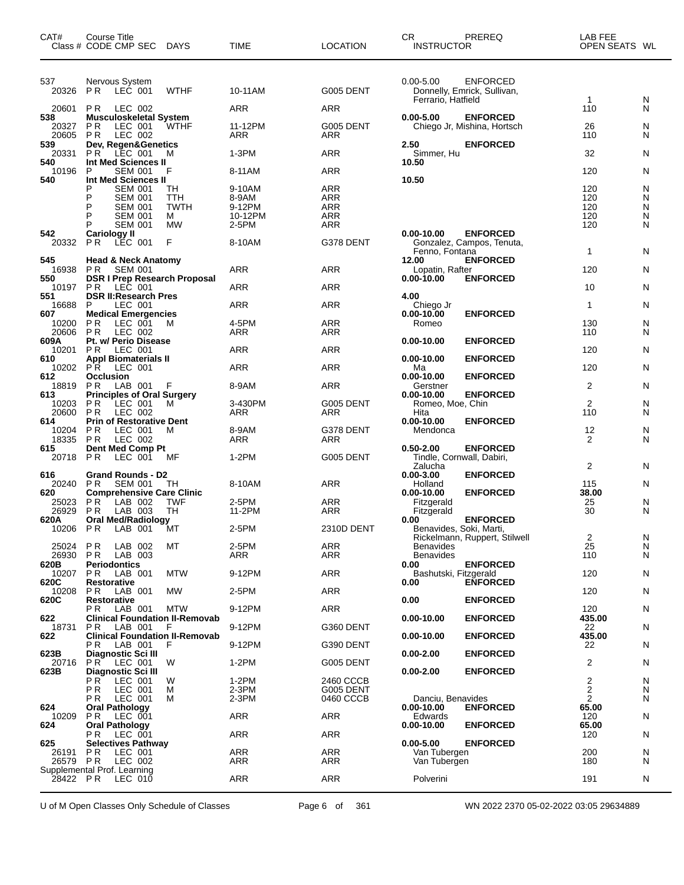| CAT#              | Course Title<br>Class # CODE CMP SEC<br>DAYS                                     | <b>TIME</b>       | <b>LOCATION</b>          | CR.<br>PREREQ<br><b>INSTRUCTOR</b>                              | LAB FEE<br>OPEN SEATS WL |        |
|-------------------|----------------------------------------------------------------------------------|-------------------|--------------------------|-----------------------------------------------------------------|--------------------------|--------|
| 537               | Nervous System                                                                   |                   |                          | $0.00 - 5.00$<br>ENFORCED                                       |                          |        |
| 20326             | P R<br>LEC 001<br><b>WTHF</b>                                                    | 10-11AM           | G005 DENT                | Donnelly, Emrick, Sullivan,<br>Ferrario, Hatfield               | $\mathbf{1}$             | N      |
| 20601             | <b>PR</b><br>LEC 002                                                             | ARR               | <b>ARR</b>               |                                                                 | 110                      | N      |
| 538<br>20327      | <b>Musculoskeletal System</b><br>P R<br>LEC 001<br><b>WTHF</b>                   | 11-12PM           | G005 DENT                | $0.00 - 5.00$<br><b>ENFORCED</b><br>Chiego Jr, Mishina, Hortsch | 26                       | N      |
| 20605<br>539      | <b>PR</b><br>LEC 002<br>Dev, Regen&Genetics                                      | ARR               | ARR                      | 2.50<br><b>ENFORCED</b>                                         | 110                      | N      |
| 20331             | P R<br>LEC 001<br>м                                                              | $1-3PM$           | <b>ARR</b>               | Simmer, Hu                                                      | 32                       | N      |
| 540<br>10196      | Int Med Sciences II<br>P<br><b>SEM 001</b><br>F                                  | 8-11AM            | ARR                      | 10.50                                                           | 120                      | N      |
| 540               | <b>Int Med Sciences II</b><br><b>SEM 001</b><br>TН<br>P                          | 9-10AM            | <b>ARR</b>               | 10.50                                                           | 120                      | N      |
|                   | P<br><b>SEM 001</b><br>TTH                                                       | 8-9AM             | ARR                      |                                                                 | 120                      | N      |
|                   | P<br><b>TWTH</b><br><b>SEM 001</b><br>P<br><b>SEM 001</b><br>м                   | 9-12PM<br>10-12PM | <b>ARR</b><br><b>ARR</b> |                                                                 | 120<br>120               | N<br>N |
|                   | P<br><b>SEM 001</b><br>МW                                                        | 2-5PM             | ARR                      |                                                                 | 120                      | N      |
| 542               | <b>Cariology II</b><br>F                                                         |                   |                          | $0.00 - 10.00$<br><b>ENFORCED</b>                               |                          |        |
| 20332             | <b>PR</b><br>LEC 001                                                             | 8-10AM            | G378 DENT                | Gonzalez, Campos, Tenuta,<br>Fenno, Fontana                     | 1                        | N      |
| 545<br>16938      | <b>Head &amp; Neck Anatomy</b><br>P R<br><b>SEM 001</b>                          | ARR               | <b>ARR</b>               | 12.00<br><b>ENFORCED</b><br>Lopatin, Rafter                     | 120                      | N      |
| 550<br>10197      | <b>DSR I Prep Research Proposal</b><br>LEC 001                                   |                   | ARR                      | $0.00 - 10.00$<br><b>ENFORCED</b>                               | 10                       | N      |
| 551               | P R<br><b>DSR II: Research Pres</b>                                              | ARR               |                          | 4.00                                                            |                          |        |
| 16688<br>607      | P<br>LEC 001<br><b>Medical Emergencies</b>                                       | ARR               | ARR                      | Chiego Jr<br><b>ENFORCED</b><br>$0.00 - 10.00$                  | $\mathbf{1}$             | N      |
| 10200             | <b>PR</b><br>LEC 001<br>M                                                        | 4-5PM             | <b>ARR</b>               | Romeo                                                           | 130                      | N      |
| 20606<br>609A     | <b>PR</b><br>LEC 002<br>Pt. w/ Perio Disease                                     | ARR               | ARR                      | $0.00 - 10.00$<br><b>ENFORCED</b>                               | 110                      | N      |
| 10201             | P R<br>LEC 001                                                                   | ARR               | <b>ARR</b>               |                                                                 | 120                      | N      |
| 610<br>10202      | <b>Appl Biomaterials II</b><br>P R<br>LEC 001                                    | ARR               | <b>ARR</b>               | $0.00 - 10.00$<br><b>ENFORCED</b><br>Ma                         | 120                      | N      |
| 612<br>18819      | <b>Occlusion</b><br>P R<br>LAB 001<br>F                                          | 8-9AM             | ARR                      | $0.00 - 10.00$<br><b>ENFORCED</b><br>Gerstner                   | 2                        | N      |
| 613               | <b>Principles of Oral Surgery</b>                                                |                   |                          | $0.00 - 10.00$<br><b>ENFORCED</b>                               |                          |        |
| 10203<br>20600    | P R<br>LEC 001<br>M<br><b>PR</b><br>LEC 002                                      | 3-430PM<br>ARR    | G005 DENT<br>ARR         | Romeo, Moe, Chin<br>Hita                                        | 2<br>110                 | N<br>N |
| 614               | <b>Prin of Restorative Dent</b>                                                  |                   |                          | $0.00 - 10.00$<br><b>ENFORCED</b>                               |                          |        |
| 10204<br>18335    | P R<br>LEC 001<br>м<br><b>PR</b><br>LEC 002                                      | 8-9AM<br>ARR      | G378 DENT<br>ARR         | Mendonca                                                        | 12<br>2                  | N<br>N |
| 615<br>20718 PR   | Dent Med Comp Pt<br>LEC 001<br>MF                                                | $1-2PM$           | G005 DENT                | <b>ENFORCED</b><br>$0.50 - 2.00$<br>Tindle, Cornwall, Dabiri,   |                          |        |
| 616               | <b>Grand Rounds - D2</b>                                                         |                   |                          | Zalucha<br>$0.00 - 3.00$<br><b>ENFORCED</b>                     | 2                        | N      |
| 20240             | P R<br><b>SEM 001</b><br>TH                                                      | 8-10AM            | <b>ARR</b>               | Holland                                                         | 115                      | N      |
| 620<br>25023      | <b>Comprehensive Care Clinic</b><br>LAB 002<br>P R<br><b>TWF</b>                 | 2-5PM             | ARR                      | <b>ENFORCED</b><br>$0.00 - 10.00$<br>Fitzgerald                 | 38.00<br>25              | N      |
| 26929<br>620A     | TH<br>P R<br>LAB 003<br><b>Oral Med/Radiology</b>                                | 11-2PM            | ARR                      | Fitzgerald<br>0.00<br><b>ENFORCED</b>                           | 30                       | N      |
|                   | 10206 PR LAB 001<br>ĬМТ                                                          | 2-5PM             | 2310D DENT               | Benavides, Soki, Marti,                                         |                          |        |
| 25024             | P R<br>LAB 002<br>МT                                                             | 2-5PM             | ARR                      | Rickelmann, Ruppert, Stilwell<br><b>Benavides</b>               | $\overline{c}$<br>25     | N<br>N |
| 26930 PR          | LAB 003                                                                          | ARR               | ARR                      | <b>Benavides</b>                                                | 110                      | N      |
| 620B<br>10207     | <b>Periodontics</b><br><b>MTW</b><br>P R<br>LAB 001                              | 9-12PM            | ARR                      | 0.00<br><b>ENFORCED</b><br>Bashutski, Fitzgerald                | 120                      | N      |
| 620C<br>10208     | <b>Restorative</b><br>P R<br>LAB 001<br>МW                                       | 2-5PM             | ARR                      | <b>ENFORCED</b><br>0.00                                         | 120                      | N      |
| 620C              | <b>Restorative</b>                                                               |                   |                          | <b>ENFORCED</b><br>0.00                                         |                          |        |
| 622               | P <sub>R</sub><br>LAB 001<br><b>MTW</b><br><b>Clinical Foundation II-Removab</b> | 9-12PM            | ARR                      | $0.00 - 10.00$<br><b>ENFORCED</b>                               | 120<br>435.00            | N      |
| 18731<br>622      | P R<br>LAB 001<br>F<br><b>Clinical Foundation II-Removab</b>                     | 9-12PM            | G360 DENT                | <b>ENFORCED</b><br>$0.00 - 10.00$                               | 22<br>435.00             | N      |
|                   | РR<br>LAB 001<br>F                                                               | 9-12PM            | G390 DENT                |                                                                 | 22                       | N      |
| 623B<br>20716     | Diagnostic Sci III<br>P R<br>LEC 001<br>W                                        | $1-2PM$           | <b>G005 DENT</b>         | $0.00 - 2.00$<br><b>ENFORCED</b>                                | 2                        | N      |
| 623B              | Diagnostic Sci III<br>РR<br>LEC 001<br>W                                         | $1-2PM$           | 2460 CCCB                | $0.00 - 2.00$<br><b>ENFORCED</b>                                |                          | N      |
|                   | P R<br>LEC 001<br>М                                                              | 2-3PM             | G005 DENT                |                                                                 | $\frac{2}{2}$            | N      |
| 624               | P R<br>LEC 001<br>м<br><b>Oral Pathology</b>                                     | 2-3PM             | 0460 CCCB                | Danciu, Benavides<br>$0.00 - 10.00$<br><b>ENFORCED</b>          | $\overline{2}$<br>65.00  | N      |
| 10209             | P R<br>LEC 001                                                                   | ARR               | ARR                      | Edwards                                                         | 120                      | N      |
| 624               | <b>Oral Pathology</b><br>РR<br>LEC 001                                           | ARR               | ARR                      | $0.00 - 10.00$<br><b>ENFORCED</b>                               | 65.00<br>120             | N      |
| 625               | <b>Selectives Pathway</b>                                                        |                   |                          | $0.00 - 5.00$<br><b>ENFORCED</b>                                |                          |        |
| 26191<br>26579 PR | P R<br>LEC 001<br>LEC 002                                                        | ARR<br>ARR        | <b>ARR</b><br>ARR        | Van Tubergen<br>Van Tubergen                                    | 200<br>180               | N<br>N |
| 28422 PR          | Supplemental Prof. Learning<br>LEC 010                                           | <b>ARR</b>        | <b>ARR</b>               | Polverini                                                       | 191                      | N      |
|                   |                                                                                  |                   |                          |                                                                 |                          |        |

U of M Open Classes Only Schedule of Classes Page 6 of 361 WN 2022 2370 05-02-2022 03:05 29634889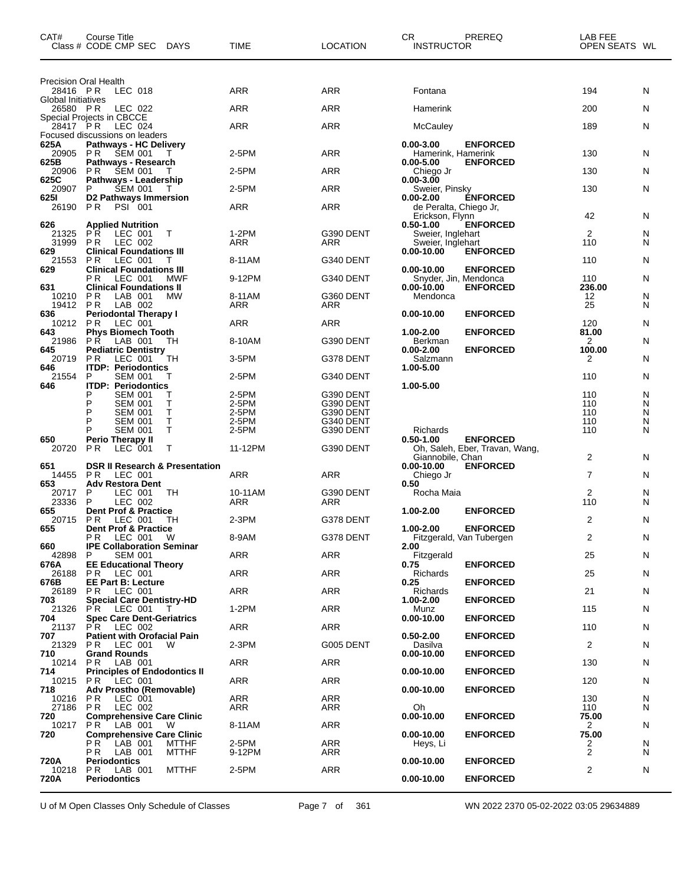| CAT#                           | Course Title<br>Class # CODE CMP SEC<br>DAYS                          | <b>TIME</b>    | LOCATION               | CR<br><b>INSTRUCTOR</b>                   | PREREQ                         | LAB FEE<br>OPEN SEATS WL |        |
|--------------------------------|-----------------------------------------------------------------------|----------------|------------------------|-------------------------------------------|--------------------------------|--------------------------|--------|
| <b>Precision Oral Health</b>   |                                                                       |                |                        |                                           |                                |                          |        |
| 28416 PR<br>Global Initiatives | LEC 018                                                               | ARR            | <b>ARR</b>             | Fontana                                   |                                | 194                      | N      |
| 26580 PR                       | LEC 022<br>Special Projects in CBCCE                                  | ARR            | ARR                    | Hamerink                                  |                                | 200                      | N      |
| 28417 PR                       | LEC 024<br>Focused discussions on leaders                             | ARR            | ARR                    | McCauley                                  |                                | 189                      | N      |
| 625A<br>20905                  | <b>Pathways - HC Delivery</b><br>P R<br><b>SEM 001</b><br>Т           | 2-5PM          | ARR                    | 0.00-3.00<br>Hamerink, Hamerink           | <b>ENFORCED</b>                | 130                      | N      |
| 625B                           | Pathways - Research                                                   |                |                        | 0.00-5.00                                 | <b>ENFORCED</b>                |                          |        |
| 20906<br>625C                  | <b>SEM 001</b><br>P R<br>Т<br>Pathways - Leadership                   | 2-5PM          | <b>ARR</b>             | Chiego Jr<br>0.00-3.00                    |                                | 130                      | N      |
| 20907<br>625I                  | P<br><b>SEM 001</b><br>D2 Pathways Immersion                          | 2-5PM          | ARR                    | Sweier, Pinsky<br>0.00-2.00               | <b>ÉNFORCED</b>                | 130                      | N      |
| 26190                          | PSI 001<br>P <sub>R</sub>                                             | ARR            | ARR                    | de Peralta, Chiego Jr,<br>Erickson, Flynn |                                | 42                       | N      |
| 626<br>21325                   | <b>Applied Nutrition</b><br>P <sub>R</sub><br>LEC 001<br>T            | 1-2PM          | G390 DENT              | 0.50-1.00<br>Sweier, Inglehart            | <b>ENFORCED</b>                | 2                        | N      |
| 31999                          | P R<br>LEC 002                                                        | ARR            | ARR                    | Sweier, Inglehart                         |                                | 110                      | N      |
| 629<br>21553                   | <b>Clinical Foundations III</b><br>LEC 001<br>P R<br>Т                | 8-11AM         | G340 DENT              | 0.00-10.00                                | <b>ENFORCED</b>                | 110                      | N      |
| 629                            | <b>Clinical Foundations III</b><br>LEC 001<br>P R<br>MWF              | 9-12PM         | G340 DENT              | 0.00-10.00<br>Snyder, Jin, Mendonca       | <b>ENFORCED</b>                | 110                      | N      |
| 631<br>10210                   | <b>Clinical Foundations II</b><br>P R<br>LAB 001<br><b>MW</b>         | 8-11AM         | G360 DENT              | 0.00-10.00<br>Mendonca                    | <b>ENFORCED</b>                | 236.00<br>12             | N      |
| 19412                          | <b>PR</b><br>LAB 002                                                  | ARR            | ARR                    |                                           |                                | 25                       | N      |
| 636<br>10212                   | <b>Periodontal Therapy I</b><br>P R<br>LEC 001                        | ARR            | ARR                    | $0.00 - 10.00$                            | <b>ENFORCED</b>                | 120                      | N      |
| 643<br>21986                   | <b>Phys Biomech Tooth</b><br>LAB 001<br><b>PR</b><br>TН               | 8-10AM         | G390 DENT              | 1.00-2.00<br>Berkman                      | <b>ENFORCED</b>                | 81.00<br>2               | N      |
| 645<br>20719                   | <b>Pediatric Dentistry</b><br><b>PR</b><br>LEC 001<br>TН              | 3-5PM          | G378 DENT              | 0.00-2.00<br>Salzmann                     | <b>ENFORCED</b>                | 100.00<br>2              | N      |
| 646<br>21554                   | <b>ITDP: Periodontics</b><br>P<br><b>SEM 001</b>                      | 2-5PM          | G340 DENT              | 1.00-5.00                                 |                                | 110                      | N      |
| 646                            | <b>ITDP: Periodontics</b><br>Р                                        |                |                        | 1.00-5.00                                 |                                |                          |        |
|                                | <b>SEM 001</b><br>т<br>Т<br>P<br><b>SEM 001</b>                       | 2-5PM<br>2-5PM | G390 DENT<br>G390 DENT |                                           |                                | 110<br>110               | N<br>N |
|                                | P<br>т<br><b>SEM 001</b><br>P<br>Τ<br><b>SEM 001</b>                  | 2-5PM<br>2-5PM | G390 DENT<br>G340 DENT |                                           |                                | 110<br>110               | N<br>N |
| 650                            | T<br>Р<br><b>SEM 001</b><br><b>Perio Therapy II</b>                   | 2-5PM          | G390 DENT              | Richards<br>0.50-1.00                     | <b>ENFORCED</b>                | 110                      | N      |
| 20720                          | т<br>P <sub>R</sub><br>LEC 001                                        | 11-12PM        | G390 DENT              |                                           | Oh, Saleh, Eber, Travan, Wang, | 2                        |        |
| 651                            | <b>DSR II Research &amp; Presentation</b>                             |                |                        | Giannobile, Chan<br>0.00-10.00            | <b>ENFORCED</b>                |                          | N      |
| 14455<br>653                   | P <sub>R</sub><br>LEC 001<br><b>Adv Restora Dent</b>                  | ARR            | ARR                    | Chiego Jr<br>0.50                         |                                | $\overline{7}$           | N      |
| 20717<br>23336                 | P<br>LEC 001<br>TН<br>P<br>LEC 002                                    | 10-11AM<br>ARR | G390 DENT<br>ARR       | Rocha Maia                                |                                | 2<br>110                 | N<br>N |
| 655<br>20715                   | <b>Dent Prof &amp; Practice</b><br><b>PR</b><br>LEC 001<br>TН         | 2-3PM          | G378 DENT              | 1.00-2.00                                 | <b>ENFORCED</b>                | 2                        | N      |
| 655                            | Dent Prof & Practice<br><b>PR LEC 001 W</b>                           | 8-9AM          | G378 DENT              | 1.00-2.00                                 | <b>ENFORCED</b>                | 2                        |        |
| 660                            | <b>IPE Collaboration Seminar</b>                                      |                |                        | 2.00                                      | Fitzgerald, Van Tubergen       |                          | N      |
| 42898<br>676A                  | <b>SEM 001</b><br>P.<br><b>EE Educational Theory</b>                  | ARR            | ARR                    | Fitzgerald<br>0.75                        | <b>ENFORCED</b>                | 25                       | N      |
| 26188<br>676B                  | <b>PR LEC 001</b><br><b>EE Part B: Lecture</b>                        | ARR            | ARR                    | Richards<br>0.25                          | <b>ENFORCED</b>                | 25                       | N      |
| 26189<br>703                   | <b>PR LEC 001</b><br><b>Special Care Dentistry-HD</b>                 | ARR            | ARR                    | Richards<br>1.00-2.00                     | <b>ENFORCED</b>                | 21                       | N      |
| 21326                          | PR LEC 001<br>$\top$                                                  | $1-2PM$        | ARR                    | Munz                                      |                                | 115                      | N      |
| 704<br>21137                   | <b>Spec Care Dent-Geriatrics</b><br>PR LEC 002                        | ARR            | ARR                    | 0.00-10.00                                | <b>ENFORCED</b>                | 110                      | N      |
| 707<br>21329                   | <b>Patient with Orofacial Pain</b><br>PR.<br>LEC 001<br>W             | 2-3PM          | G005 DENT              | $0.50 - 2.00$<br>Dasilva                  | <b>ENFORCED</b>                | 2                        | N      |
| 710<br>10214                   | <b>Grand Rounds</b><br><b>PR</b> LAB 001                              | ARR            | ARR                    | $0.00 - 10.00$                            | <b>ENFORCED</b>                | 130                      | N      |
| 714<br>10215                   | <b>Principles of Endodontics II</b><br>PR.<br>LEC 001                 | ARR            | ARR                    | $0.00 - 10.00$                            | <b>ENFORCED</b>                | 120                      | N      |
| 718                            | Adv Prostho (Removable)                                               |                |                        | $0.00 - 10.00$                            | <b>ENFORCED</b>                |                          |        |
| 10216<br>27186                 | P <sub>R</sub><br>LEC 001<br><b>PR</b><br>LEC 002                     | ARR<br>ARR     | ARR<br>ARR             | Oh                                        |                                | 130<br>110               | N<br>N |
| 720<br>10217                   | <b>Comprehensive Care Clinic</b><br><b>PR</b> LAB 001<br>W            | 8-11AM         | ARR                    | 0.00-10.00                                | <b>ENFORCED</b>                | 75.00<br>$\mathbf{2}$    | N      |
| 720                            | <b>Comprehensive Care Clinic</b><br><b>PR</b> LAB 001<br><b>MTTHF</b> | 2-5PM          | ARR                    | $0.00 - 10.00$<br>Heys, Li                | <b>ENFORCED</b>                | 75.00<br>2               | N      |
| 720A                           | <b>PR</b> LAB 001<br><b>MTTHF</b><br><b>Periodontics</b>              | 9-12PM         | ARR                    | $0.00 - 10.00$                            | <b>ENFORCED</b>                | 2                        | N      |
| 10218                          | <b>PR</b> LAB 001<br>MTTHF                                            | 2-5PM          | ARR                    |                                           |                                | 2                        | N      |
| 720A                           | <b>Periodontics</b>                                                   |                |                        | $0.00 - 10.00$                            | <b>ENFORCED</b>                |                          |        |

U of M Open Classes Only Schedule of Classes Page 7 of 361 WN 2022 2370 05-02-2022 03:05 29634889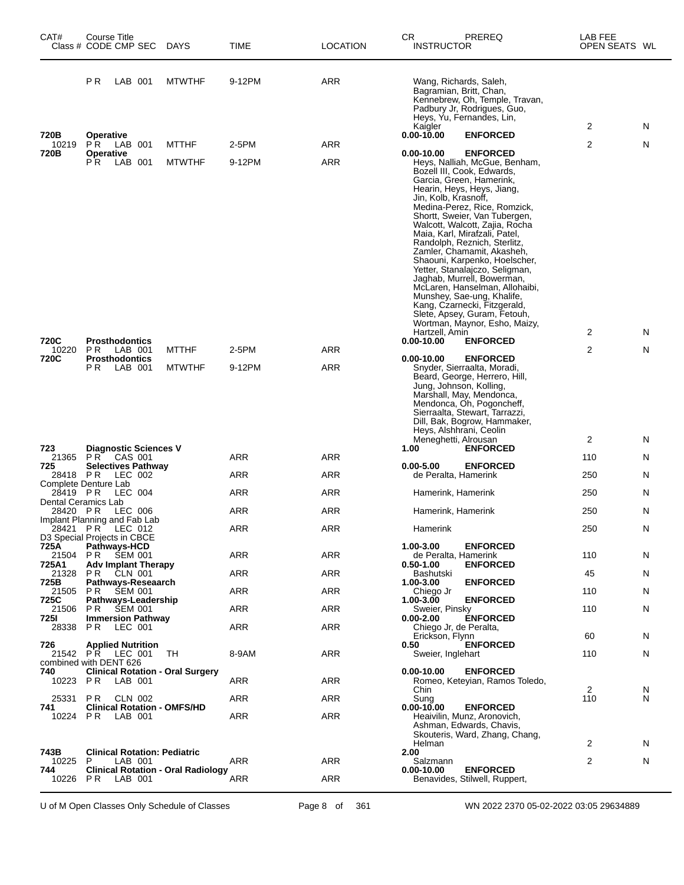| CAT#            | Course Title<br>Class # CODE CMP SEC                                         | DAYS          | TIME   | <b>LOCATION</b> | CR<br>PREREQ<br><b>INSTRUCTOR</b>                                                                                                                                                                                                                                                                                                                                                                                                                                                                                                                                                                                 | LAB FEE<br>OPEN SEATS WL |        |
|-----------------|------------------------------------------------------------------------------|---------------|--------|-----------------|-------------------------------------------------------------------------------------------------------------------------------------------------------------------------------------------------------------------------------------------------------------------------------------------------------------------------------------------------------------------------------------------------------------------------------------------------------------------------------------------------------------------------------------------------------------------------------------------------------------------|--------------------------|--------|
|                 | P R<br>LAB 001                                                               | <b>MTWTHF</b> | 9-12PM | ARR             | Wang, Richards, Saleh,<br>Bagramian, Britt, Chan,<br>Kennebrew, Oh, Temple, Travan,<br>Padbury Jr, Rodrigues, Guo,<br>Heys, Yu, Fernandes, Lin,                                                                                                                                                                                                                                                                                                                                                                                                                                                                   |                          |        |
| 720B            | <b>Operative</b>                                                             |               |        |                 | Kaigler<br>$0.00 - 10.00$<br><b>ENFORCED</b>                                                                                                                                                                                                                                                                                                                                                                                                                                                                                                                                                                      | 2                        | N      |
| 10219<br>720B   | PR.<br>LAB 001<br><b>Operative</b>                                           | <b>MTTHF</b>  | 2-5PM  | ARR             | $0.00 - 10.00$<br><b>ENFORCED</b>                                                                                                                                                                                                                                                                                                                                                                                                                                                                                                                                                                                 | 2                        | Ν      |
|                 | PR.<br>LAB 001                                                               | <b>MTWTHF</b> | 9-12PM | ARR             | Heys, Nalliah, McGue, Benham,<br>Bozell III, Cook, Edwards,<br>Garcia, Green, Hamerink,<br>Hearin, Heys, Heys, Jiang,<br>Jin, Kolb, Krasnoff,<br>Medina-Perez, Rice, Romzick,<br>Shortt, Sweier, Van Tubergen,<br>Walcott, Walcott, Zajia, Rocha<br>Maia, Karl, Mirafzali, Patel,<br>Randolph, Reznich, Sterlitz,<br>Zamler, Chamamit, Akasheh,<br>Shaouni, Karpenko, Hoelscher,<br>Yetter, Stanalajczo, Seligman,<br>Jaghab, Murrell, Bowerman,<br>McLaren, Hanselman, Allohaibi,<br>Munshey, Sae-ung, Khalife,<br>Kang, Czarnecki, Fitzgerald,<br>Slete, Apsey, Guram, Fetouh,<br>Wortman, Maynor, Esho, Maizy, |                          |        |
| 720C            | <b>Prosthodontics</b>                                                        |               |        |                 | Hartzell, Amin<br>$0.00 - 10.00$<br><b>ENFORCED</b>                                                                                                                                                                                                                                                                                                                                                                                                                                                                                                                                                               | 2                        | N      |
| 10220<br>720C   | PR.<br>LAB 001                                                               | <b>MTTHF</b>  | 2-5PM  | ARR             | $0.00 - 10.00$<br><b>ENFORCED</b>                                                                                                                                                                                                                                                                                                                                                                                                                                                                                                                                                                                 | 2                        | Ν      |
|                 | <b>Prosthodontics</b><br>P R<br>LAB 001                                      | <b>MTWTHF</b> | 9-12PM | ARR             | Snyder, Sierraalta, Moradi,<br>Beard, George, Herrero, Hill,<br>Jung, Johnson, Kolling,<br>Marshall, May, Mendonca,<br>Mendonca, Oh, Pogoncheff,<br>Sierraalta, Stewart, Tarrazzi,<br>Dill, Bak, Bogrow, Hammaker,<br>Heys, Alshhrani, Ceolin<br>Meneghetti, Alrousan                                                                                                                                                                                                                                                                                                                                             | 2                        | N      |
| 723             | <b>Diagnostic Sciences V</b>                                                 |               |        |                 | 1.00<br><b>ENFORCED</b>                                                                                                                                                                                                                                                                                                                                                                                                                                                                                                                                                                                           |                          |        |
| 21365<br>725    | PR CAS 001<br><b>Selectives Pathway</b>                                      |               | ARR    | ARR             | $0.00 - 5.00$<br><b>ENFORCED</b>                                                                                                                                                                                                                                                                                                                                                                                                                                                                                                                                                                                  | 110                      | N      |
|                 | 28418 PR LEC 002<br>Complete Denture Lab                                     |               | ARR    | ARR             | de Peralta, Hamerink                                                                                                                                                                                                                                                                                                                                                                                                                                                                                                                                                                                              | 250                      | N      |
| 28419 PR        | LEC 004<br>Dental Ceramics Lab                                               |               | ARR    | ARR             | Hamerink, Hamerink                                                                                                                                                                                                                                                                                                                                                                                                                                                                                                                                                                                                | 250                      | N      |
| 28420 PR        | LEC 006                                                                      |               | ARR    | <b>ARR</b>      | Hamerink, Hamerink                                                                                                                                                                                                                                                                                                                                                                                                                                                                                                                                                                                                | 250                      | N      |
| 28421 PR        | Implant Planning and Fab Lab<br>LEC 012                                      |               | ARR    | <b>ARR</b>      | Hamerink                                                                                                                                                                                                                                                                                                                                                                                                                                                                                                                                                                                                          | 250                      | N      |
| 725A            | D3 Special Projects in CBCE<br><b>Pathways-HCD</b>                           |               |        |                 | 1.00-3.00<br><b>ENFORCED</b>                                                                                                                                                                                                                                                                                                                                                                                                                                                                                                                                                                                      |                          |        |
| 21504<br>725A1  | PR<br><b>SEM 001</b><br><b>Adv Implant Therapy</b>                           |               | ARR    | ARR             | de Peralta, Hamerink<br><b>ENFORCED</b><br>$0.50 - 1.00$                                                                                                                                                                                                                                                                                                                                                                                                                                                                                                                                                          | 110                      | N      |
| 21328           | PR.<br>CLN 001                                                               |               | ARR    | ARR             | Bashutski                                                                                                                                                                                                                                                                                                                                                                                                                                                                                                                                                                                                         | 45                       | N      |
| 725B<br>21505   | Pathways-Reseaarch<br>PR.<br><b>SEM 001</b>                                  |               | ARR    | ARR             | 1.00-3.00<br><b>ENFORCED</b><br>Chiego Jr                                                                                                                                                                                                                                                                                                                                                                                                                                                                                                                                                                         | 110                      | N      |
| 725C<br>21506   | Pathways-Leadership<br><b>SEM 001</b><br>PR.                                 |               | ARR    | ARR             | <b>ENFORCED</b><br>1.00-3.00<br>Sweier, Pinsky                                                                                                                                                                                                                                                                                                                                                                                                                                                                                                                                                                    | 110                      | N      |
| 725I<br>28338   | <b>Immersion Pathway</b><br>LEC 001<br>PR.                                   |               | ARR    | ARR             | <b>ENFORCED</b><br>$0.00 - 2.00$<br>Chiego Jr, de Peralta,                                                                                                                                                                                                                                                                                                                                                                                                                                                                                                                                                        |                          |        |
|                 |                                                                              |               |        |                 | Erickson, Flynn                                                                                                                                                                                                                                                                                                                                                                                                                                                                                                                                                                                                   | 60                       | N      |
| 726             | <b>Applied Nutrition</b><br>21542 PR LEC 001                                 | TH            | 8-9AM  | ARR             | <b>ENFORCED</b><br>0.50<br>Sweier, Inglehart                                                                                                                                                                                                                                                                                                                                                                                                                                                                                                                                                                      | 110                      | N      |
| 740<br>10223 PR | combined with DENT 626<br><b>Clinical Rotation - Oral Surgery</b><br>LAB 001 |               | ARR    | ARR             | <b>ENFORCED</b><br>$0.00 - 10.00$<br>Romeo, Keteyian, Ramos Toledo,                                                                                                                                                                                                                                                                                                                                                                                                                                                                                                                                               |                          |        |
| 25331           | <b>PR</b><br>CLN 002                                                         |               | ARR    | ARR             | Chin<br>Sung                                                                                                                                                                                                                                                                                                                                                                                                                                                                                                                                                                                                      | 2<br>110                 | N<br>N |
| 741<br>10224    | <b>Clinical Rotation - OMFS/HD</b><br>P R<br>LAB 001                         |               | ARR    | ARR             | $0.00 - 10.00$<br><b>ENFORCED</b><br>Heaivilin, Munz, Aronovich,<br>Ashman, Edwards, Chavis,<br>Skouteris, Ward, Zhang, Chang,                                                                                                                                                                                                                                                                                                                                                                                                                                                                                    |                          |        |
|                 |                                                                              |               |        |                 | Helman                                                                                                                                                                                                                                                                                                                                                                                                                                                                                                                                                                                                            | 2                        | N      |
| 743B<br>10225   | <b>Clinical Rotation: Pediatric</b><br>P<br>LAB 001                          |               | ARR    | ARR             | 2.00<br>Salzmann                                                                                                                                                                                                                                                                                                                                                                                                                                                                                                                                                                                                  | 2                        | N      |
| 744<br>10226    | <b>Clinical Rotation - Oral Radiology</b><br>PR<br>LAB 001                   |               | ARR    | ARR             | $0.00 - 10.00$<br><b>ENFORCED</b><br>Benavides, Stilwell, Ruppert,                                                                                                                                                                                                                                                                                                                                                                                                                                                                                                                                                |                          |        |

U of M Open Classes Only Schedule of Classes Page 8 of 361 WN 2022 2370 05-02-2022 03:05 29634889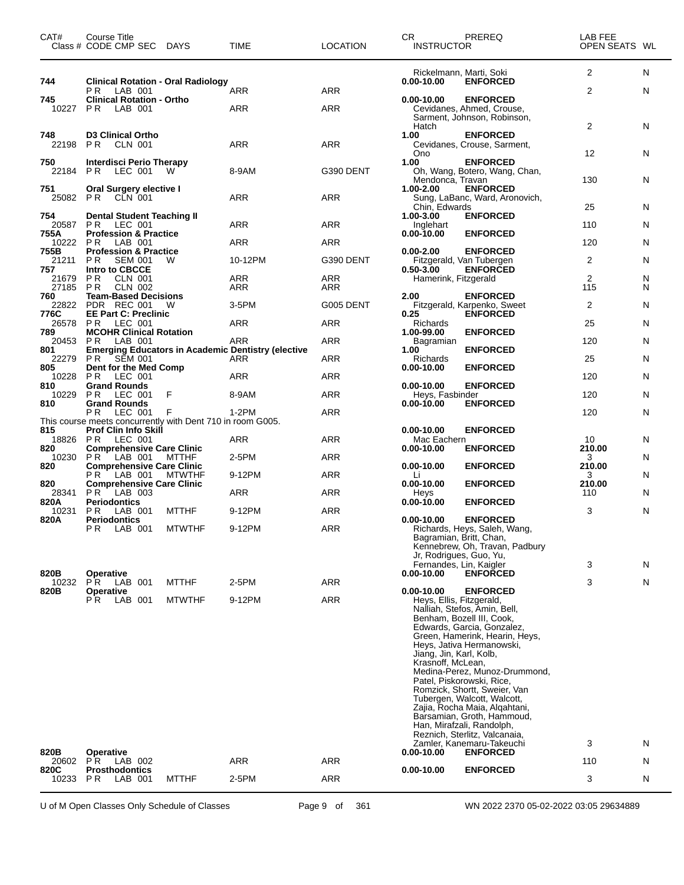| CAT#                 | Course Title<br>Class # CODE CMP SEC                                                               | DAYS          | TIME                                                             | LOCATION   | <b>CR</b><br><b>INSTRUCTOR</b>                                                             | PREREQ                                                                                                                                                                                                                                                                                                                                                                                                                                                           | LAB FEE<br>OPEN SEATS WL |        |
|----------------------|----------------------------------------------------------------------------------------------------|---------------|------------------------------------------------------------------|------------|--------------------------------------------------------------------------------------------|------------------------------------------------------------------------------------------------------------------------------------------------------------------------------------------------------------------------------------------------------------------------------------------------------------------------------------------------------------------------------------------------------------------------------------------------------------------|--------------------------|--------|
| 744                  | <b>Clinical Rotation - Oral Radiology</b><br>LAB 001<br>P R                                        |               | ARR                                                              | <b>ARR</b> | $0.00 - 10.00$                                                                             | Rickelmann, Marti, Soki<br><b>ENFORCED</b>                                                                                                                                                                                                                                                                                                                                                                                                                       | 2<br>$\overline{2}$      | N<br>N |
| 745<br>10227         | <b>Clinical Rotation - Ortho</b><br>LAB 001<br>P R                                                 |               | ARR                                                              | ARR        | $0.00 - 10.00$                                                                             | <b>ENFORCED</b><br>Cevidanes, Ahmed, Crouse,<br>Sarment, Johnson, Robinson,                                                                                                                                                                                                                                                                                                                                                                                      |                          |        |
| 748<br>22198         | <b>D3 Clinical Ortho</b><br>PR.<br>CLN 001                                                         |               | <b>ARR</b>                                                       | <b>ARR</b> | Hatch<br>1.00<br>Ono                                                                       | <b>ENFORCED</b><br>Cevidanes, Crouse, Sarment,                                                                                                                                                                                                                                                                                                                                                                                                                   | 2<br>12                  | N<br>N |
| 750<br>22184         | Interdisci Perio Therapy<br><b>PR</b><br>LEC 001                                                   | w             | 8-9AM                                                            | G390 DENT  | 1.00<br>Mendonca, Travan                                                                   | <b>ENFORCED</b><br>Oh, Wang, Botero, Wang, Chan,                                                                                                                                                                                                                                                                                                                                                                                                                 | 130                      | N      |
| 751<br>25082         | <b>Oral Surgery elective I</b><br>P R<br>CLN 001                                                   |               | ARR                                                              | ARR        | 1.00-2.00<br>Chin, Edwards                                                                 | <b>ENFORCED</b><br>Sung, LaBanc, Ward, Aronovich,                                                                                                                                                                                                                                                                                                                                                                                                                | 25                       | N.     |
| 754<br>20587         | <b>Dental Student Teaching II</b><br>PR.<br>LEC 001                                                |               | ARR                                                              | ARR        | 1.00-3.00<br>Inglehart                                                                     | <b>ENFORCED</b>                                                                                                                                                                                                                                                                                                                                                                                                                                                  | 110                      | N      |
| 755A<br>10222        | <b>Profession &amp; Practice</b><br>LAB 001<br>PR.                                                 |               | ARR                                                              | ARR        | $0.00 - 10.00$                                                                             | <b>ENFORCED</b>                                                                                                                                                                                                                                                                                                                                                                                                                                                  | 120                      | N      |
| 755B<br>21211<br>757 | <b>Profession &amp; Practice</b><br>P <sub>R</sub><br><b>SEM 001</b><br>Intro to CBCCE             | W             | 10-12PM                                                          | G390 DENT  | $0.00 - 2.00$<br>$0.50 - 3.00$                                                             | <b>ENFORCED</b><br>Fitzgerald, Van Tubergen<br><b>ENFORCED</b>                                                                                                                                                                                                                                                                                                                                                                                                   | 2                        | N      |
| 21679<br>27185       | PR.<br>CLN 001<br><b>CLN 002</b><br>P R                                                            |               | <b>ARR</b><br>ARR                                                | ARR<br>ARR | Hamerink, Fitzgerald                                                                       |                                                                                                                                                                                                                                                                                                                                                                                                                                                                  | 2<br>115                 | N<br>N |
| 760<br>22822<br>776C | <b>Team-Based Decisions</b><br>PDR REC 001<br><b>EE Part C: Preclinic</b>                          | W             | 3-5PM                                                            | G005 DENT  | 2.00<br>0.25                                                                               | <b>ENFORCED</b><br>Fitzgerald, Karpenko, Sweet<br><b>ENFORCED</b>                                                                                                                                                                                                                                                                                                                                                                                                | 2                        | N      |
| 26578<br>789         | <b>PR LEC 001</b><br><b>MCOHR Clinical Rotation</b>                                                |               | ARR                                                              | ARR        | Richards<br>1.00-99.00                                                                     | <b>ENFORCED</b>                                                                                                                                                                                                                                                                                                                                                                                                                                                  | 25                       | N      |
| 20453<br>801         | LAB 001<br>PR.                                                                                     |               | ARR<br><b>Emerging Educators in Academic Dentistry (elective</b> | ARR        | Bagramian<br>1.00                                                                          | <b>ENFORCED</b>                                                                                                                                                                                                                                                                                                                                                                                                                                                  | 120                      | N      |
| 22279<br>805         | P R<br><b>SEM 001</b><br>Dent for the Med Comp                                                     |               | ARR                                                              | ARR        | Richards<br>$0.00 - 10.00$                                                                 | <b>ENFORCED</b>                                                                                                                                                                                                                                                                                                                                                                                                                                                  | 25                       | N      |
| 10228<br>810         | PR<br>LEC 001<br><b>Grand Rounds</b>                                                               |               | ARR                                                              | ARR        | $0.00 - 10.00$                                                                             | <b>ENFORCED</b>                                                                                                                                                                                                                                                                                                                                                                                                                                                  | 120                      | N      |
| 10229                | PR.<br>LEC 001                                                                                     | F             | 8-9AM                                                            | ARR        | Heys, Fasbinder                                                                            |                                                                                                                                                                                                                                                                                                                                                                                                                                                                  | 120                      | N      |
| 810                  | <b>Grand Rounds</b><br>РR<br>LEC 001<br>This course meets concurrently with Dent 710 in room G005. | F             | $1-2PM$                                                          | <b>ARR</b> | $0.00 - 10.00$                                                                             | <b>ENFORCED</b>                                                                                                                                                                                                                                                                                                                                                                                                                                                  | 120                      | N      |
| 815<br>18826 PR      | Prof Clin Info Skill<br>LEC 001                                                                    |               | ARR                                                              | <b>ARR</b> | 0.00-10.00<br>Mac Eachern                                                                  | <b>ENFORCED</b>                                                                                                                                                                                                                                                                                                                                                                                                                                                  | 10                       | N      |
| 820<br>10230         | <b>Comprehensive Care Clinic</b><br>LAB 001<br>PR                                                  | <b>MTTHF</b>  | 2-5PM                                                            | ARR        | $0.00 - 10.00$                                                                             | <b>ENFORCED</b>                                                                                                                                                                                                                                                                                                                                                                                                                                                  | 210.00<br>3              | N      |
| 820                  | <b>Comprehensive Care Clinic</b><br>LAB 001<br>P R                                                 | <b>MTWTHF</b> | 9-12PM                                                           | ARR        | $0.00 - 10.00$<br>Li                                                                       | <b>ENFORCED</b>                                                                                                                                                                                                                                                                                                                                                                                                                                                  | 210.00<br>3              | N      |
| 820<br>28341         | <b>Comprehensive Care Clinic</b><br>P R<br>LAB 003                                                 |               | <b>ARR</b>                                                       | <b>ARR</b> | $0.00 - 10.00$<br>Heys                                                                     | <b>ENFORCED</b>                                                                                                                                                                                                                                                                                                                                                                                                                                                  | 210.00<br>110            | N      |
| 820A<br>10231        | <b>Periodontics</b><br>PR.<br>LAB 001                                                              | <b>MTTHF</b>  | 9-12PM                                                           | ARR        | $0.00 - 10.00$                                                                             | <b>ENFORCED</b>                                                                                                                                                                                                                                                                                                                                                                                                                                                  | 3                        | N      |
| 820A                 | Periodontics<br><b>PR</b> LAB 001                                                                  | <b>MTWTHF</b> | 9-12PM                                                           | <b>ARR</b> | $0.00 - 10.00$<br>Jr, Rodrigues, Guo, Yu,                                                  | <b>ENFORCED</b><br>Richards, Heys, Saleh, Wang,<br>Bagramian, Britt, Chan,<br>Kennebrew, Oh, Travan, Padbury                                                                                                                                                                                                                                                                                                                                                     |                          |        |
| 820B                 | <b>Operative</b>                                                                                   |               |                                                                  |            | Fernandes, Lin, Kaigler<br>$0.00 - 10.00$                                                  | <b>ENFORCED</b>                                                                                                                                                                                                                                                                                                                                                                                                                                                  | 3                        | N      |
| 10232<br>820B        | P <sub>R</sub><br>LAB 001<br><b>Operative</b>                                                      | <b>MTTHF</b>  | 2-5PM                                                            | ARR        | $0.00 - 10.00$                                                                             | <b>ENFORCED</b>                                                                                                                                                                                                                                                                                                                                                                                                                                                  | 3                        | N      |
| 820B                 | P R<br>LAB 001<br><b>Operative</b>                                                                 | <b>MTWTHF</b> | 9-12PM                                                           | <b>ARR</b> | Heys, Ellis, Fitzgerald,<br>Jiang, Jin, Karl, Kolb,<br>Krasnoff, McLean,<br>$0.00 - 10.00$ | Nalliah, Stefos, Amin, Bell,<br>Benham, Bozell III, Cook,<br>Edwards, Garcia, Gonzalez,<br>Green, Hamerink, Hearin, Heys,<br>Heys, Jativa Hermanowski,<br>Medina-Perez, Munoz-Drummond,<br>Patel, Piskorowski, Rice,<br>Romzick, Shortt, Sweier, Van<br>Tubergen, Walcott, Walcott,<br>Zajia, Rocha Maia, Algahtani,<br>Barsamian, Groth, Hammoud,<br>Han, Mirafzali, Randolph,<br>Reznich, Sterlitz, Valcanaia,<br>Zamler, Kanemaru-Takeuchi<br><b>ENFORCED</b> | 3                        | N      |
| 20602                | PR.<br>LAB 002                                                                                     |               | <b>ARR</b>                                                       | <b>ARR</b> |                                                                                            |                                                                                                                                                                                                                                                                                                                                                                                                                                                                  | 110                      | N      |
| 820C<br>10233        | <b>Prosthodontics</b><br>LAB 001<br>PR.                                                            | <b>MTTHF</b>  | 2-5PM                                                            | ARR        | $0.00 - 10.00$                                                                             | <b>ENFORCED</b>                                                                                                                                                                                                                                                                                                                                                                                                                                                  | 3                        | N      |

U of M Open Classes Only Schedule of Classes Page 9 of 361 WN 2022 2370 05-02-2022 03:05 29634889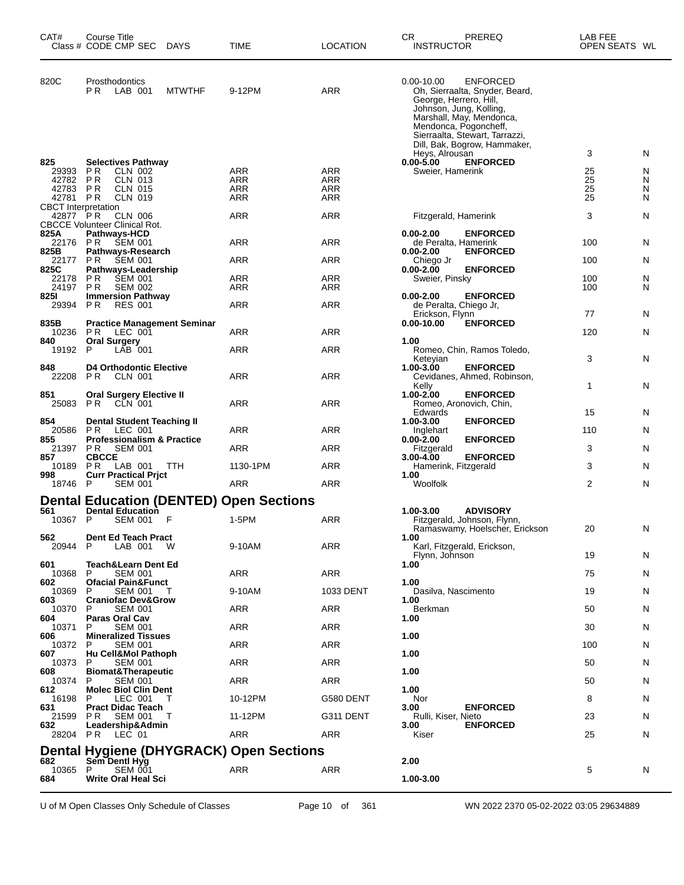| CAT#                                   | Course Title<br>Class # CODE CMP SEC                      | DAYS          | TIME                                           | <b>LOCATION</b>   | CR.<br>PREREQ<br><b>INSTRUCTOR</b>                                                                                                                                                                                                              | LAB FEE<br>OPEN SEATS WL |        |
|----------------------------------------|-----------------------------------------------------------|---------------|------------------------------------------------|-------------------|-------------------------------------------------------------------------------------------------------------------------------------------------------------------------------------------------------------------------------------------------|--------------------------|--------|
| 820C                                   | Prosthodontics<br>P R<br>LAB 001                          | <b>MTWTHF</b> | 9-12PM                                         | ARR               | $0.00 - 10.00$<br><b>ENFORCED</b><br>Oh, Sierraalta, Snyder, Beard,<br>George, Herrero, Hill,<br>Johnson, Jung, Kolling,<br>Marshall, May, Mendonca,<br>Mendonca, Pogoncheff,<br>Sierraalta, Stewart, Tarrazzi,<br>Dill, Bak, Bogrow, Hammaker, |                          |        |
|                                        |                                                           |               |                                                |                   | Heys, Alrousan                                                                                                                                                                                                                                  | 3                        | N      |
| 825<br>29393                           | <b>Selectives Pathway</b><br>CLN 002<br>P R               |               | ARR                                            | ARR               | <b>ENFORCED</b><br>$0.00 - 5.00$<br>Sweier, Hamerink                                                                                                                                                                                            | 25                       | N      |
| 42782<br>42783                         | P R<br><b>CLN 013</b><br>P <sub>R</sub><br><b>CLN 015</b> |               | ARR<br><b>ARR</b>                              | ARR<br><b>ARR</b> |                                                                                                                                                                                                                                                 | 25<br>25                 | N<br>N |
| 42781                                  | P R<br>CLN 019                                            |               | ARR                                            | <b>ARR</b>        |                                                                                                                                                                                                                                                 | 25                       | N      |
| <b>CBCT</b> Interpretation<br>42877 PR | <b>CLN 006</b>                                            |               | <b>ARR</b>                                     | ARR               | Fitzgerald, Hamerink                                                                                                                                                                                                                            | 3                        | N      |
| 825A                                   | <b>CBCCE Volunteer Clinical Rot.</b><br>Pathways-HCD      |               |                                                |                   | $0.00 - 2.00$<br><b>ENFORCED</b>                                                                                                                                                                                                                |                          |        |
| 22176                                  | P R<br><b>SEM 001</b>                                     |               | ARR                                            | ARR               | de Peralta, Hamerink                                                                                                                                                                                                                            | 100                      | N      |
| 825B<br>22177                          | Pathways-Research<br>P R<br><b>SEM 001</b>                |               | <b>ARR</b>                                     | ARR               | <b>ENFORCED</b><br>$0.00 - 2.00$<br>Chiego Jr                                                                                                                                                                                                   | 100                      | N      |
| 825C<br>22178                          | Pathways-Leadership<br>ΡR<br><b>SEM 001</b>               |               | ARR                                            | <b>ARR</b>        | $0.00 - 2.00$<br><b>ENFORCED</b><br>Sweier, Pinsky                                                                                                                                                                                              | 100                      | N      |
| 24197                                  | <b>SEM 002</b><br>P R                                     |               | ARR                                            | ARR               |                                                                                                                                                                                                                                                 | 100                      | N      |
| 8251<br>29394                          | <b>Immersion Pathway</b><br>ΡR<br><b>RES 001</b>          |               | ARR                                            | <b>ARR</b>        | $0.00 - 2.00$<br><b>ENFORCED</b><br>de Peralta, Chiego Jr,                                                                                                                                                                                      |                          |        |
| 835B                                   | <b>Practice Management Seminar</b>                        |               |                                                |                   | Erickson, Flynn<br>0.00-10.00<br><b>ENFORCED</b>                                                                                                                                                                                                | 77                       | N      |
| 10236                                  | P R<br>LEC 001                                            |               | ARR                                            | ARR               |                                                                                                                                                                                                                                                 | 120                      | N      |
| 840<br>19192                           | Oral Surgery<br>LAB 001<br>P                              |               | <b>ARR</b>                                     | ARR               | 1.00<br>Romeo, Chin, Ramos Toledo,                                                                                                                                                                                                              |                          |        |
| 848                                    | <b>D4 Orthodontic Elective</b>                            |               |                                                |                   | Keteyian<br><b>ENFORCED</b><br>1.00-3.00                                                                                                                                                                                                        | 3                        | N      |
| 22208                                  | P <sub>R</sub><br>CLN 001                                 |               | <b>ARR</b>                                     | ARR               | Cevidanes, Ahmed, Robinson,                                                                                                                                                                                                                     |                          |        |
| 851                                    | <b>Oral Surgery Elective II</b>                           |               |                                                |                   | Kelly<br>1.00-2.00<br><b>ENFORCED</b>                                                                                                                                                                                                           | 1                        | N      |
| 25083                                  | <b>CLN 001</b><br>P R                                     |               | <b>ARR</b>                                     | ARR               | Romeo, Aronovich, Chin,<br>Edwards                                                                                                                                                                                                              | 15                       | N      |
| 854                                    | <b>Dental Student Teaching II</b>                         |               |                                                |                   | <b>ENFORCED</b><br>1.00-3.00                                                                                                                                                                                                                    |                          |        |
| 20586<br>855                           | PR.<br>LEC 001<br><b>Professionalism &amp; Practice</b>   |               | ARR                                            | ARR               | Inglehart<br><b>ENFORCED</b><br>$0.00 - 2.00$                                                                                                                                                                                                   | 110                      | N      |
| 21397<br>857                           | P R<br><b>SEM 001</b><br><b>CBCCE</b>                     |               | <b>ARR</b>                                     | ARR               | Fitzgerald<br>3.00-4.00<br><b>ENFORCED</b>                                                                                                                                                                                                      | 3                        | N      |
| 10189                                  | P R<br>LAB 001                                            | <b>TTH</b>    | 1130-1PM                                       | ARR               | Hamerink, Fitzgerald                                                                                                                                                                                                                            | 3                        | N      |
| 998<br>18746                           | <b>Curr Practical Prict</b><br><b>SEM 001</b><br>P        |               | ARR                                            | ARR               | 1.00<br>Woolfolk                                                                                                                                                                                                                                | 2                        | N      |
|                                        |                                                           |               | <b>Dental Education (DENTED) Open Sections</b> |                   |                                                                                                                                                                                                                                                 |                          |        |
| 561                                    | <b>Dental Education</b>                                   |               |                                                |                   | 1.00-3.00<br><b>ADVISORY</b>                                                                                                                                                                                                                    |                          |        |
| 10367 P                                | <b>SEM 001</b>                                            | F             | 1-5PM                                          | ARR               | Fitzgerald, Johnson, Flynn,<br>Ramaswamy, Hoelscher, Erickson                                                                                                                                                                                   | 20                       | N      |
| 562<br>20944                           | <b>Dent Ed Teach Pract</b><br>LAB 001<br>P                | w             | 9-10AM                                         | ARR               | 1.00<br>Karl, Fitzgerald, Erickson,                                                                                                                                                                                                             |                          |        |
|                                        |                                                           |               |                                                |                   | Flynn, Johnson                                                                                                                                                                                                                                  | 19                       | N      |
| 601<br>10368                           | Teach&Learn Dent Ed<br><b>SEM 001</b><br>P                |               | ARR                                            | ARR               | 1.00                                                                                                                                                                                                                                            | 75                       | N      |
| 602<br>10369                           | <b>Ofacial Pain&amp;Funct</b><br>P<br><b>SEM 001</b>      | т             | 9-10AM                                         | 1033 DENT         | 1.00<br>Dasilva, Nascimento                                                                                                                                                                                                                     | 19                       | N      |
| 603                                    | <b>Craniofac Dev&amp;Grow</b>                             |               |                                                |                   | 1.00                                                                                                                                                                                                                                            |                          |        |
| 10370<br>604                           | <b>SEM 001</b><br>P<br>Paras Oral Cav                     |               | ARR                                            | <b>ARR</b>        | Berkman<br>1.00                                                                                                                                                                                                                                 | 50                       | N      |
| 10371<br>606                           | <b>SEM 001</b><br>Р<br><b>Mineralized Tissues</b>         |               | ARR                                            | ARR               | 1.00                                                                                                                                                                                                                                            | 30                       | N      |
| 10372                                  | <b>SEM 001</b><br>P                                       |               | ARR                                            | <b>ARR</b>        |                                                                                                                                                                                                                                                 | 100                      | N      |
| 607<br>10373                           | Hu Cell&Mol Pathoph<br>P<br>SEM 001                       |               | ARR                                            | <b>ARR</b>        | 1.00                                                                                                                                                                                                                                            | 50                       | N      |
| 608<br>10374                           | <b>Biomat&amp;Therapeutic</b><br><b>SEM 001</b><br>P      |               | ARR                                            | ARR               | 1.00                                                                                                                                                                                                                                            | 50                       | N      |
| 612                                    | <b>Molec Biol Clin Dent</b>                               |               |                                                |                   | 1.00                                                                                                                                                                                                                                            |                          |        |
| 16198<br>631                           | P<br>LEC 001<br><b>Pract Didac Teach</b>                  | т             | 10-12PM                                        | G580 DENT         | Nor<br><b>ENFORCED</b><br>3.00                                                                                                                                                                                                                  | 8                        | N      |
| 21599<br>632                           | P R<br>SEM 001<br>Leadership&Admin                        | T             | 11-12PM                                        | G311 DENT         | Rulli, Kiser, Nieto<br><b>ENFORCED</b><br>3.00                                                                                                                                                                                                  | 23                       | N      |
|                                        | 28204 PR LEC 01                                           |               | <b>ARR</b>                                     | <b>ARR</b>        | Kiser                                                                                                                                                                                                                                           | 25                       | N      |
|                                        |                                                           |               | Dental Hygiene (DHYGRACK) Open Sections        |                   |                                                                                                                                                                                                                                                 |                          |        |
| 682<br>10365                           | Sem Dentl Hyg<br>P<br><b>SEM 001</b>                      |               | ARR                                            | ARR               | 2.00                                                                                                                                                                                                                                            | 5                        | N      |
| 684                                    | <b>Write Oral Heal Sci</b>                                |               |                                                |                   | 1.00-3.00                                                                                                                                                                                                                                       |                          |        |

U of M Open Classes Only Schedule of Classes Page 10 of 361 WN 2022 2370 05-02-2022 03:05 29634889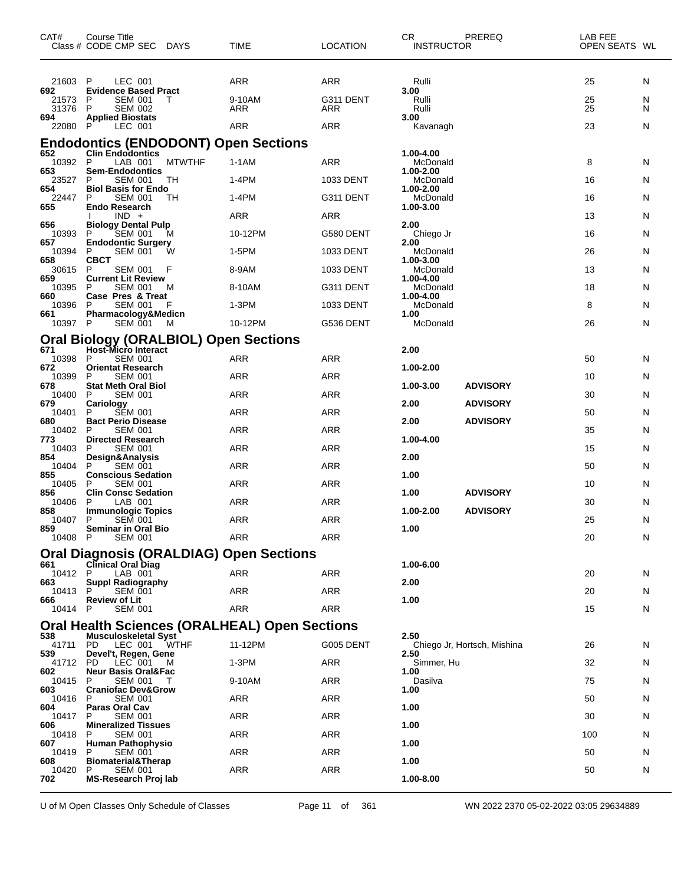| CAT#            | <b>Course Title</b><br>Class # CODE CMP SEC DAYS                                    | TIME       | <b>LOCATION</b> | CR.<br><b>INSTRUCTOR</b> | PREREQ                      | LAB FEE<br>OPEN SEATS WL |   |
|-----------------|-------------------------------------------------------------------------------------|------------|-----------------|--------------------------|-----------------------------|--------------------------|---|
| 21603           | LEC 001<br>P                                                                        | <b>ARR</b> | <b>ARR</b>      | Rulli                    |                             | 25                       | N |
| 692<br>21573    | <b>Evidence Based Pract</b><br><b>SEM 001</b><br>P<br>Т                             | 9-10AM     | G311 DENT       | 3.00<br>Rulli            |                             | 25                       | N |
| 31376<br>694    | P<br><b>SEM 002</b><br><b>Applied Biostats</b>                                      | <b>ARR</b> | ARR             | Rulli<br>3.00            |                             | 25                       | N |
| 22080           | LEC 001                                                                             | <b>ARR</b> | <b>ARR</b>      | Kavanagh                 |                             | 23                       | N |
| 652             | <b>Endodontics (ENDODONT) Open Sections</b><br><b>Clin Endodontics</b>              |            |                 | 1.00-4.00                |                             |                          |   |
| 10392 P<br>653  | <b>MTWTHF</b><br>LAB 001<br><b>Sem-Endodontics</b>                                  | $1-1AM$    | <b>ARR</b>      | McDonald<br>1.00-2.00    |                             | 8                        | N |
| 23527<br>654    | P<br><b>SEM 001</b><br>TH<br><b>Biol Basis for Endo</b>                             | 1-4PM      | 1033 DENT       | McDonald<br>1.00-2.00    |                             | 16                       | N |
| 22447<br>655    | P<br><b>SEM 001</b><br>TН<br><b>Endo Research</b>                                   | 1-4PM      | G311 DENT       | McDonald<br>1.00-3.00    |                             | 16                       | N |
| 656             | $IND +$<br><b>Biology Dental Pulp</b>                                               | ARR        | <b>ARR</b>      | 2.00                     |                             | 13                       | N |
| 10393<br>657    | <b>SEM 001</b><br>P<br>М<br><b>Endodontic Surgery</b>                               | 10-12PM    | G580 DENT       | Chiego Jr<br>2.00        |                             | 16                       | N |
| 10394<br>658    | P<br>SEM 001<br>w<br><b>CBCT</b>                                                    | 1-5PM      | 1033 DENT       | McDonald<br>1.00-3.00    |                             | 26                       | N |
| 30615<br>659    | P<br><b>SEM 001</b><br>F<br><b>Current Lit Review</b>                               | 8-9AM      | 1033 DENT       | McDonald<br>1.00-4.00    |                             | 13                       | N |
| 10395<br>660    | <b>SEM 001</b><br>P<br>м<br>Case Pres & Treat                                       | 8-10AM     | G311 DENT       | McDonald<br>1.00-4.00    |                             | 18                       | N |
| 10396<br>661    | P<br><b>SEM 001</b><br>Pharmacology&Medicn                                          | 1-3PM      | 1033 DENT       | McDonald<br>1.00         |                             | 8                        | N |
| 10397 P         | <b>SEM 001</b><br>M                                                                 | 10-12PM    | G536 DENT       | McDonald                 |                             | 26                       | N |
| 671             | <b>Oral Biology (ORALBIOL) Open Sections</b><br>Host-Micro Interact                 |            |                 | 2.00                     |                             |                          |   |
| 10398           | <b>SEM 001</b><br>P                                                                 | ARR        | ARR             |                          |                             | 50                       | N |
| 672<br>10399    | <b>Orientat Research</b><br><b>SEM 001</b><br>P                                     | ARR        | <b>ARR</b>      | 1.00-2.00                |                             | 10                       | N |
| 678<br>10400    | <b>Stat Meth Oral Biol</b><br><b>SEM 001</b><br>P                                   | ARR        | <b>ARR</b>      | 1.00-3.00                | <b>ADVISORY</b>             | 30                       | N |
| 679<br>10401    | Cariology<br><b>SEM 001</b><br>P                                                    | ARR        | <b>ARR</b>      | 2.00                     | <b>ADVISORY</b>             | 50                       | N |
| 680<br>10402    | <b>Bact Perio Disease</b><br>P<br><b>SEM 001</b>                                    | ARR        | <b>ARR</b>      | 2.00                     | <b>ADVISORY</b>             | 35                       | N |
| 773<br>10403    | <b>Directed Research</b><br><b>SEM 001</b><br>P                                     | ARR        | <b>ARR</b>      | 1.00-4.00                |                             | 15                       | N |
| 854<br>10404    | Design&Analysis<br>P<br><b>SEM 001</b>                                              | ARR        | <b>ARR</b>      | 2.00                     |                             | 50                       | N |
| 855<br>10405    | <b>Conscious Sedation</b><br><b>SEM 001</b><br>P                                    | <b>ARR</b> | <b>ARR</b>      | 1.00                     |                             | 10                       | N |
| 856<br>10406    | <b>Clin Consc Sedation</b><br>P<br>LAB 001                                          | ARR        | <b>ARR</b>      | 1.00                     | <b>ADVISORY</b>             | 30                       | N |
| 858<br>10407    | <b>Immunologic Topics</b><br>P<br><b>SEM 001</b>                                    | <b>ARR</b> | <b>ARR</b>      | 1.00-2.00                | <b>ADVISORY</b>             | 25                       | N |
| 859<br>10408 P  | Seminar in Oral Bio<br><b>SEM 001</b>                                               | <b>ARR</b> | <b>ARR</b>      | 1.00                     |                             | 20                       | N |
|                 | <b>Oral Diagnosis (ORALDIAG) Open Sections</b>                                      |            |                 |                          |                             |                          |   |
| 661<br>10412 P  | <b>Clinical Oral Diag</b>                                                           | ARR        | ARR             | 1.00-6.00                |                             | 20                       |   |
| 663             | LAB 001<br><b>Suppl Radiography</b>                                                 |            |                 | 2.00                     |                             |                          | N |
| 10413<br>666    | P<br><b>SEM 001</b><br><b>Review of Lit</b>                                         | <b>ARR</b> | <b>ARR</b>      | 1.00                     |                             | 20                       | N |
| 10414 P         | <b>SEM 001</b>                                                                      | <b>ARR</b> | ARR             |                          |                             | 15                       | N |
| 538             | <b>Oral Health Sciences (ORALHEAL) Open Sections</b><br><b>Musculoskeletal Syst</b> |            |                 | 2.50                     |                             |                          |   |
| 41711<br>539    | PD.<br>LEC 001<br>WTHF<br>Devel't, Regen, Gene                                      | 11-12PM    | G005 DENT       | 2.50                     | Chiego Jr, Hortsch, Mishina | 26                       | N |
| 41712 PD<br>602 | LEC 001<br>M<br><b>Neur Basis Oral&amp;Fac</b>                                      | $1-3PM$    | ARR             | Simmer, Hu<br>1.00       |                             | 32                       | N |
| 10415<br>603    | <b>SEM 001</b><br>P<br>T<br><b>Craniofac Dev&amp;Grow</b>                           | 9-10AM     | ARR             | Dasilva<br>1.00          |                             | 75                       | N |
| 10416<br>604    | P<br><b>SEM 001</b><br>Paras Oral Cav                                               | ARR        | <b>ARR</b>      | 1.00                     |                             | 50                       | N |
| 10417<br>606    | <b>SEM 001</b><br>P<br><b>Mineralized Tissues</b>                                   | ARR        | ARR             | 1.00                     |                             | 30                       | N |
| 10418<br>607    | <b>SEM 001</b><br>P<br><b>Human Pathophysio</b>                                     | ARR        | ARR             | 1.00                     |                             | 100                      | N |
| 10419           | P<br><b>SEM 001</b>                                                                 | <b>ARR</b> | <b>ARR</b>      |                          |                             | 50                       | N |
| 608<br>10420    | <b>Biomaterial&amp;Therap</b><br><b>SEM 001</b><br>P                                | ARR        | ARR             | 1.00                     |                             | 50                       | N |
| 702             | <b>MS-Research Proj lab</b>                                                         |            |                 | 1.00-8.00                |                             |                          |   |

U of M Open Classes Only Schedule of Classes Page 11 of 361 WN 2022 2370 05-02-2022 03:05 29634889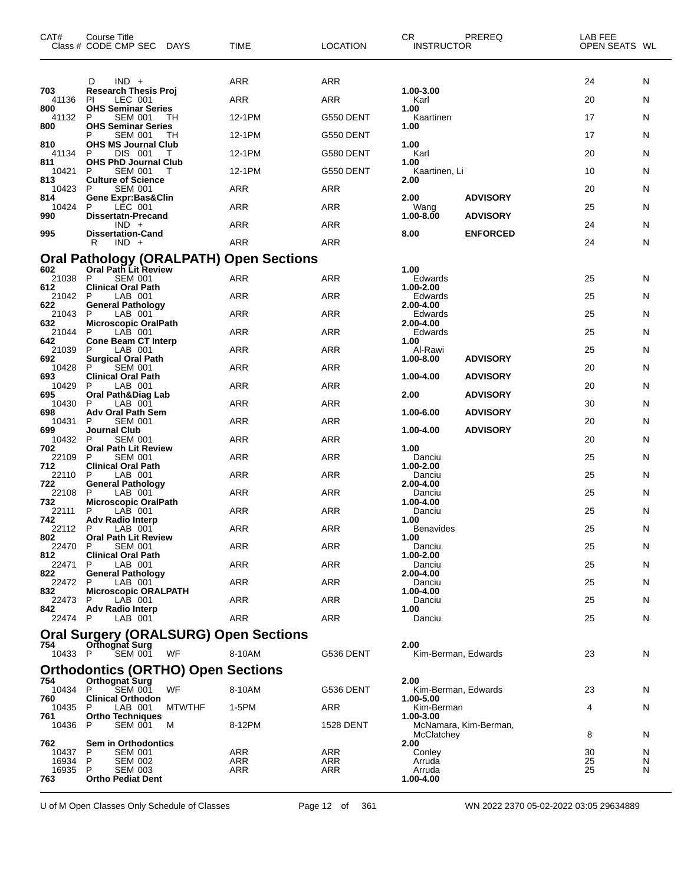| CAT#           | Course Title<br>Class # CODE CMP SEC DAYS                              | <b>TIME</b>       | <b>LOCATION</b>  | CR<br><b>INSTRUCTOR</b> | PREREQ                | LAB FEE<br>OPEN SEATS WL |        |
|----------------|------------------------------------------------------------------------|-------------------|------------------|-------------------------|-----------------------|--------------------------|--------|
|                | $IND +$<br>D                                                           | ARR               | <b>ARR</b>       |                         |                       | 24                       | N      |
| 703<br>41136   | <b>Research Thesis Proj</b><br>LEC 001<br>PI                           | ARR               | ARR              | 1.00-3.00<br>Karl       |                       | 20                       | N      |
| 800<br>41132   | <b>OHS Seminar Series</b><br>P<br><b>SEM 001</b><br>TН                 | 12-1PM            | G550 DENT        | 1.00<br>Kaartinen       |                       | 17                       | N      |
| 800            | <b>OHS Seminar Series</b><br><b>SEM 001</b><br>TH<br>P                 | 12-1PM            | G550 DENT        | 1.00                    |                       | 17                       | N      |
| 810<br>41134   | <b>OHS MS Journal Club</b><br>DIS 001<br>P<br>Т                        | 12-1PM            | G580 DENT        | 1.00<br>Karl            |                       | 20                       | N      |
| 811<br>10421   | <b>OHS PhD Journal Club</b><br><b>SEM 001</b><br>P<br>т                | 12-1PM            | G550 DENT        | 1.00<br>Kaartinen, Li   |                       | 10                       | N      |
| 813<br>10423   | <b>Culture of Science</b><br>P<br><b>SEM 001</b>                       | ARR               | <b>ARR</b>       | 2.00                    |                       | 20                       | N      |
| 814<br>10424   | <b>Gene Expr:Bas&amp;Clin</b><br>LÉC 001<br>P                          | <b>ARR</b>        | <b>ARR</b>       | 2.00<br>Wang            | <b>ADVISORY</b>       | 25                       | N      |
| 990            | <b>Dissertatn-Precand</b>                                              | <b>ARR</b>        | ARR              | 1.00-8.00               | <b>ADVISORY</b>       |                          |        |
| 995            | $IND +$<br><b>Dissertation-Cand</b>                                    |                   |                  | 8.00                    | <b>ENFORCED</b>       | 24                       | N      |
|                | R<br>$IND +$                                                           | <b>ARR</b>        | <b>ARR</b>       |                         |                       | 24                       | N      |
| 602            | <b>Oral Pathology (ORALPATH) Open Sections</b><br>Oral Path Lit Review |                   |                  | 1.00                    |                       |                          |        |
| 21038<br>612   | P<br><b>SEM 001</b><br><b>Clinical Oral Path</b>                       | ARR               | <b>ARR</b>       | Edwards<br>1.00-2.00    |                       | 25                       | N      |
| 21042 P<br>622 | LAB 001<br><b>General Pathology</b>                                    | <b>ARR</b>        | <b>ARR</b>       | Edwards<br>2.00-4.00    |                       | 25                       | N      |
| 21043<br>632   | P<br>LAB 001<br><b>Microscopic OralPath</b>                            | <b>ARR</b>        | <b>ARR</b>       | Edwards<br>2.00-4.00    |                       | 25                       | N      |
| 21044<br>642   | LAB 001<br>P<br><b>Cone Beam CT Interp</b>                             | ARR               | ARR              | Edwards<br>1.00         |                       | 25                       | N      |
| 21039<br>692   | LAB 001<br>P<br><b>Surgical Oral Path</b>                              | <b>ARR</b>        | <b>ARR</b>       | Al-Rawi<br>1.00-8.00    | <b>ADVISORY</b>       | 25                       | N      |
| 10428<br>693   | <b>SEM 001</b><br>P<br><b>Clinical Oral Path</b>                       | ARR               | ARR              | 1.00-4.00               | <b>ADVISORY</b>       | 20                       | N      |
| 10429<br>695   | P<br>LAB 001<br><b>Oral Path&amp;Diag Lab</b>                          | ARR               | ARR              | 2.00                    | <b>ADVISORY</b>       | 20                       | N      |
| 10430<br>698   | P<br>LAB 001<br><b>Adv Oral Path Sem</b>                               | <b>ARR</b>        | <b>ARR</b>       | 1.00-6.00               | <b>ADVISORY</b>       | 30                       | N      |
| 10431          | <b>SEM 001</b><br>P                                                    | ARR               | <b>ARR</b>       |                         |                       | 20                       | N      |
| 699<br>10432   | Journal Club<br>P<br><b>SEM 001</b>                                    | ARR               | ARR              | 1.00-4.00               | <b>ADVISORY</b>       | 20                       | N      |
| 702<br>22109   | <b>Oral Path Lit Review</b><br><b>SEM 001</b><br>P                     | <b>ARR</b>        | <b>ARR</b>       | 1.00<br>Danciu          |                       | 25                       | N      |
| 712<br>22110   | <b>Clinical Oral Path</b><br>LAB 001<br>P                              | ARR               | <b>ARR</b>       | 1.00-2.00<br>Danciu     |                       | 25                       | N      |
| 722<br>22108   | <b>General Pathology</b><br>P<br>LAB 001                               | <b>ARR</b>        | <b>ARR</b>       | 2.00-4.00<br>Danciu     |                       | 25                       | N      |
| 732<br>22111   | <b>Microscopic OralPath</b><br>P<br>LAB 001                            | <b>ARR</b>        | <b>ARR</b>       | 1.00-4.00<br>Danciu     |                       | 25                       | N      |
| 742<br>22112 P | <b>Adv Radio Interp</b><br>LAB 001                                     | <b>ARR</b>        | ARR              | 1.00<br>Benavides       |                       | 25                       | N      |
| 802<br>22470   | <b>Oral Path Lit Review</b><br>P.<br><b>SEM 001</b>                    | ARR               | ARR              | 1.00<br>Danciu          |                       | 25                       | N      |
| 812<br>22471   | <b>Clinical Oral Path</b><br>LAB 001<br>P                              | <b>ARR</b>        | <b>ARR</b>       | 1.00-2.00<br>Danciu     |                       | 25                       | N      |
| 822<br>22472   | <b>General Pathology</b><br>LAB 001<br>P                               | ARR               | ARR              | 2.00-4.00<br>Danciu     |                       | 25                       | N      |
| 832<br>22473   | <b>Microscopic ORALPATH</b><br>LAB 001<br>P                            | ARR               | ARR              | 1.00-4.00<br>Danciu     |                       | 25                       | N      |
| 842.           | <b>Adv Radio Interp</b>                                                | ARR               | <b>ARR</b>       | 1.00                    |                       |                          |        |
| 22474 P        | LAB 001<br><b>Oral Surgery (ORALSURG) Open Sections</b>                |                   |                  | Danciu                  |                       | 25                       | N      |
| 754            | <b>Orthognat Surg</b>                                                  |                   |                  | 2.00                    |                       |                          |        |
| 10433 P        | <b>SEM 001</b><br>WF                                                   | 8-10AM            | G536 DENT        |                         | Kim-Berman, Edwards   | 23                       | N      |
| 754            | <b>Orthodontics (ORTHO) Open Sections</b><br><b>Orthognat Surg</b>     |                   |                  | 2.00                    |                       |                          |        |
| 10434 P<br>760 | <b>WF</b><br><b>SEM 001</b><br><b>Clinical Orthodon</b>                | 8-10AM            | G536 DENT        | 1.00-5.00               | Kim-Berman, Edwards   | 23                       | N      |
| 10435<br>761   | LAB 001<br><b>MTWTHF</b><br>P.<br><b>Ortho Techniques</b>              | 1-5PM             | ARR              | Kim-Berman<br>1.00-3.00 |                       | 4                        | N      |
| 10436          | <b>SEM 001</b><br>P<br>M                                               | 8-12PM            | <b>1528 DENT</b> | McClatchey              | McNamara, Kim-Berman, | 8                        | N      |
| 762<br>10437   | <b>Sem in Orthodontics</b><br>P<br><b>SEM 001</b>                      | ARR               | <b>ARR</b>       | 2.00<br>Conley          |                       | 30                       | N      |
| 16934<br>16935 | P<br><b>SEM 002</b><br>P<br><b>SEM 003</b>                             | ARR<br><b>ARR</b> | ARR<br>ARR       | Arruda<br>Arruda        |                       | 25<br>25                 | N<br>N |
| 763            | <b>Ortho Pediat Dent</b>                                               |                   |                  | 1.00-4.00               |                       |                          |        |

U of M Open Classes Only Schedule of Classes Page 12 of 361 WN 2022 2370 05-02-2022 03:05 29634889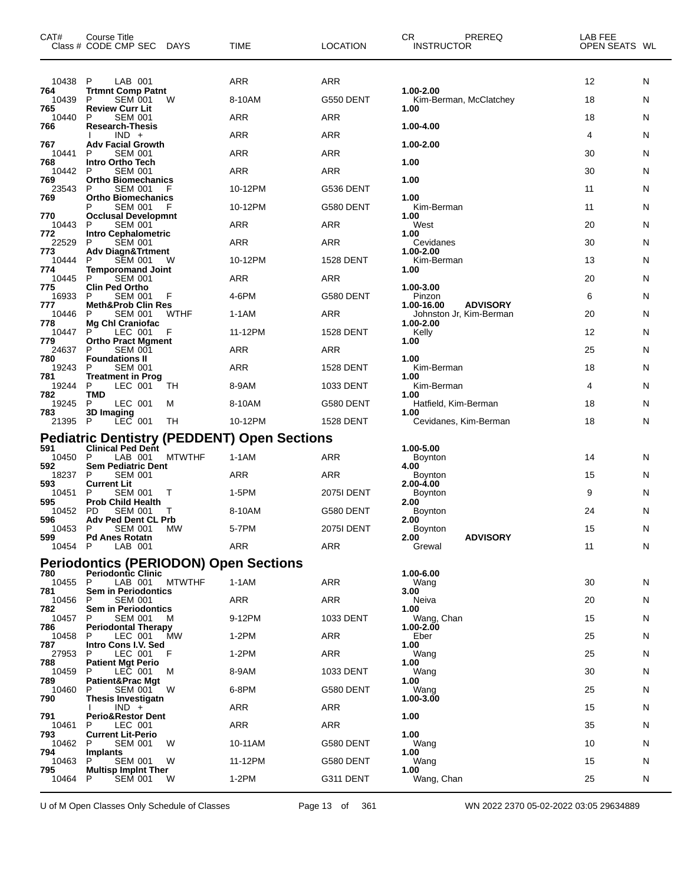| CAT#           | Course Title<br>Class # CODE CMP SEC DAYS                   | TIME       | <b>LOCATION</b>   | CR<br>PREREQ<br><b>INSTRUCTOR</b>       | LAB FEE<br>OPEN SEATS WL |    |
|----------------|-------------------------------------------------------------|------------|-------------------|-----------------------------------------|--------------------------|----|
| 10438          | LAB 001<br>P                                                | ARR        | <b>ARR</b>        |                                         | 12                       | N  |
| 764<br>10439   | <b>Trtmnt Comp Patnt</b><br>P<br><b>SEM 001</b><br>W        | 8-10AM     | G550 DENT         | 1.00-2.00<br>Kim-Berman, McClatchey     | 18                       | N  |
| 765<br>10440   | <b>Review Curr Lit</b><br>P<br><b>SEM 001</b>               | ARR        | <b>ARR</b>        | 1.00                                    | 18                       | N  |
| 766            | <b>Research-Thesis</b><br>$IND +$                           | ARR        | ARR               | 1.00-4.00                               | 4                        | N  |
| 767<br>10441   | <b>Adv Facial Growth</b><br><b>SEM 001</b><br>P             | ARR        | <b>ARR</b>        | 1.00-2.00                               | 30                       | N  |
| 768<br>10442   | <b>Intro Ortho Tech</b><br>P<br><b>SEM 001</b>              | ARR        | <b>ARR</b>        | 1.00                                    | 30                       | N  |
| 769<br>23543   | <b>Ortho Biomechanics</b><br>P<br>SEM 001                   | 10-12PM    | G536 DENT         | 1.00                                    | 11                       | N  |
| 769            | <b>Ortho Biomechanics</b><br><b>SEM 001</b><br>P<br>F       | 10-12PM    | G580 DENT         | 1.00<br>Kim-Berman                      | 11                       | N  |
| 770            | <b>Occlusal Developmnt</b>                                  |            |                   | 1.00                                    |                          |    |
| 10443<br>772   | P<br><b>SEM 001</b><br><b>Intro Cephalometric</b>           | ARR        | ARR               | West<br>1.00                            | 20                       | N  |
| 22529<br>773   | P<br><b>SEM 001</b><br><b>Adv Diagn&amp;Trtment</b>         | ARR        | ARR               | Cevidanes<br>1.00-2.00                  | 30                       | N  |
| 10444<br>774   | <b>SEM 001</b><br>W<br>P<br><b>Temporomand Joint</b>        | 10-12PM    | <b>1528 DENT</b>  | Kim-Berman<br>1.00                      | 13                       | N  |
| 10445<br>775   | P<br><b>SEM 001</b><br><b>Clin Ped Ortho</b>                | ARR        | <b>ARR</b>        | 1.00-3.00                               | 20                       | N  |
| 16933<br>777   | P<br><b>SEM 001</b><br>F<br><b>Meth&amp;Prob Clin Res</b>   | 4-6PM      | G580 DENT         | Pinzon<br><b>ADVISORY</b><br>1.00-16.00 | 6                        | N  |
| 10446          | <b>SEM 001</b><br><b>WTHF</b><br>P                          | $1-1AM$    | <b>ARR</b>        | Johnston Jr, Kim-Berman                 | 20                       | N  |
| 778<br>10447   | <b>Mg Chl Craniofac</b><br>P<br>LEC 001<br>F                | 11-12PM    | <b>1528 DENT</b>  | 1.00-2.00<br>Kelly                      | 12                       | N  |
| 779<br>24637   | <b>Ortho Pract Mgment</b><br>P<br><b>SEM 001</b>            | ARR        | ARR               | 1.00                                    | 25                       | N  |
| 780<br>19243   | <b>Foundations II</b><br><b>SEM 001</b><br>P                | ARR        | <b>1528 DENT</b>  | 1.00<br>Kim-Berman                      | 18                       | N  |
| 781<br>19244   | Treatment in Prog<br>P<br>TН<br>LEC 001                     | 8-9AM      | 1033 DENT         | 1.00<br>Kim-Berman                      | 4                        | N  |
| 782<br>19245   | TMD<br>P<br>LEC 001<br>м                                    | 8-10AM     | G580 DENT         | 1.00<br>Hatfield, Kim-Berman            | 18                       | N  |
| 783<br>21395   | 3D Imaging<br>$LEC$ 001<br>- P<br>TН                        | 10-12PM    | <b>1528 DENT</b>  | 1.00<br>Cevidanes, Kim-Berman           | 18                       | N  |
|                | <b>Pediatric Dentistry (PEDDENT) Open Sections</b>          |            |                   |                                         |                          |    |
| 591            | <b>Clinical Ped Dent</b>                                    |            |                   | 1.00-5.00                               |                          |    |
| 10450<br>592   | <b>MTWTHF</b><br>-P<br>LAB 001<br><b>Sem Pediatric Dent</b> | $1-1AM$    | <b>ARR</b>        | Boynton<br>4.00                         | 14                       | N. |
| 18237<br>593   | P<br><b>SEM 001</b><br><b>Current Lit</b>                   | ARR        | <b>ARR</b>        | Boynton<br>2.00-4.00                    | 15                       | N. |
| 10451<br>595   | P<br>SEM 001<br>т<br><b>Prob Child Health</b>               | 1-5PM      | <b>2075I DENT</b> | Boynton<br>2.00                         | 9                        | N  |
| 10452<br>596   | <b>PD</b><br><b>SEM 001</b><br><b>Adv Ped Dent CL Prb</b>   | 8-10AM     | G580 DENT         | Boynton<br>2.00                         | 24                       | N  |
| 10453 P<br>599 | <b>SEM 001</b><br><b>MW</b><br><b>Pd Anes Rotatn</b>        | 5-7PM      | 2075I DENT        | Boynton<br><b>ADVISORY</b><br>2.00      | 15                       | N  |
| 10454 P        | LAB 001                                                     | <b>ARR</b> | ARR               | Grewal                                  | 11                       | N  |
|                | <b>Periodontics (PERIODON) Open Sections</b>                |            |                   |                                         |                          |    |
| 780<br>10455 P | <b>Periodontic Clinic</b><br><b>MTWTHF</b><br>LAB 001       | $1-1AM$    | ARR               | 1.00-6.00<br>Wang                       | 30                       | N  |
| 781<br>10456   | <b>Sem in Periodontics</b><br><b>SEM 001</b><br>P           | ARR        | ARR               | 3.00<br>Neiva                           | 20                       | N  |
| 782<br>10457   | Sem in Periodontics<br>P<br>SEM 001<br>м                    | 9-12PM     | 1033 DENT         | 1.00<br>Wang, Chan                      | 15                       | N. |
| 786<br>10458   | <b>Periodontal Therapy</b><br>LEC 001<br>MW<br>P.           | $1-2PM$    | ARR               | 1.00-2.00<br>Eber                       | 25                       | N  |
| 787<br>27953   | Intro Cons I.V. Sed<br>LEC 001<br>P<br>-F                   | $1-2PM$    | ARR               | 1.00<br>Wang                            | 25                       | N  |
| 788<br>10459   | <b>Patient Mgt Perio</b><br>LEC 001<br>P<br>м               | 8-9AM      | 1033 DENT         | 1.00<br>Wang                            | 30                       | N  |
| 789            | <b>Patient&amp;Prac Mgt</b>                                 |            |                   | 1.00                                    |                          |    |
| 10460<br>790   | SEM 001<br>P<br>W<br>Thesis Investigatn                     | 6-8PM      | G580 DENT         | Wang<br>1.00-3.00                       | 25                       | N  |
| 791            | $IND +$<br><b>Perio&amp;Restor Dent</b>                     | <b>ARR</b> | ARR               | 1.00                                    | 15                       | N  |
| 10461<br>793   | LEC 001<br>P<br><b>Current Lit-Perio</b>                    | ARR        | ARR               | 1.00                                    | 35                       | N  |
| 10462<br>794   | <b>SEM 001</b><br>P<br>W<br>Implants                        | 10-11AM    | G580 DENT         | Wang<br>1.00                            | 10                       | N  |
| 10463<br>795   | SEM 001<br>W<br>P<br><b>Multisp Implnt Ther</b>             | 11-12PM    | G580 DENT         | Wang<br>1.00                            | 15                       | N  |
| 10464          | P<br><b>SEM 001</b><br>W                                    | $1-2PM$    | G311 DENT         | Wang, Chan                              | 25                       | N  |

U of M Open Classes Only Schedule of Classes Page 13 of 361 WN 2022 2370 05-02-2022 03:05 29634889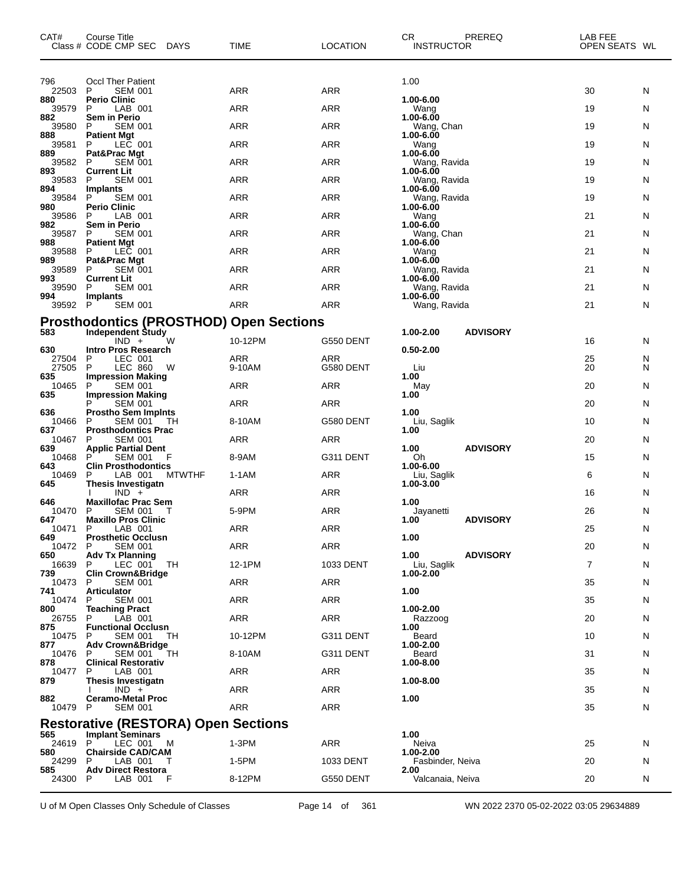| CAT#           | Course Title<br>Class # CODE CMP SEC DAYS                   | TIME       | <b>LOCATION</b> | CR<br>PREREQ<br><b>INSTRUCTOR</b> | LAB FEE<br>OPEN SEATS WL |   |
|----------------|-------------------------------------------------------------|------------|-----------------|-----------------------------------|--------------------------|---|
| 796            | <b>Occl Ther Patient</b>                                    |            |                 | 1.00                              |                          |   |
| 22503<br>880   | P<br><b>SEM 001</b><br><b>Perio Clinic</b>                  | ARR        | <b>ARR</b>      | 1.00-6.00                         | 30                       | N |
| 39579<br>882   | P<br>LAB 001<br>Sem in Perio                                | ARR        | ARR             | Wang<br>$1.00 - 6.00$             | 19                       | N |
| 39580          | <b>SEM 001</b><br>P<br><b>Patient Mgt</b>                   | ARR        | ARR             | Wang, Chan                        | 19                       | N |
| 888<br>39581   | P<br>LEC 001                                                | ARR        | ARR             | 1.00-6.00<br>Wang                 | 19                       | N |
| 889<br>39582   | Pat&Prac Mgt<br>P<br><b>SEM 001</b>                         | ARR        | ARR             | 1.00-6.00<br>Wang, Ravida         | 19                       | N |
| 893<br>39583   | <b>Current Lit</b><br><b>SEM 001</b><br>P                   | ARR        | ARR             | 1.00-6.00<br>Wang, Ravida         | 19                       | N |
| 894<br>39584   | Implants<br>P<br><b>SEM 001</b>                             | <b>ARR</b> | <b>ARR</b>      | 1.00-6.00<br>Wang, Ravida         | 19                       | N |
| 980<br>39586   | <b>Perio Clinic</b><br>P<br>LAB 001                         | ARR        | ARR             | 1.00-6.00<br>Wang                 | 21                       | N |
| 982            | Sem in Perio                                                |            |                 | 1.00-6.00                         |                          |   |
| 39587<br>988   | <b>SEM 001</b><br>P<br><b>Patient Mgt</b>                   | ARR        | ARR             | Wang, Chan<br>1.00-6.00           | 21                       | N |
| 39588<br>989   | P<br>LEC 001<br>Pat&Prac Mgt                                | ARR        | ARR             | Wang<br>1.00-6.00                 | 21                       | N |
| 39589<br>993   | P<br><b>SEM 001</b><br><b>Current Lit</b>                   | ARR        | ARR             | Wang, Ravida<br>1.00-6.00         | 21                       | N |
| 39590<br>994   | <b>SEM 001</b><br>P<br><b>Implants</b>                      | ARR        | ARR             | Wang, Ravida<br>1.00-6.00         | 21                       | N |
| 39592          | P<br><b>SEM 001</b>                                         | <b>ARR</b> | <b>ARR</b>      | Wang, Ravida                      | 21                       | N |
|                | <b>Prosthodontics (PROSTHOD) Open Sections</b>              |            |                 |                                   |                          |   |
| 583            | Independent Study<br>$IND +$<br>W                           | 10-12PM    | G550 DENT       | <b>ADVISORY</b><br>1.00-2.00      | 16                       | N |
| 630<br>27504   | Intro Pros Research<br>LEC 001<br>P                         | <b>ARR</b> | ARR             | $0.50 - 2.00$                     | 25                       | N |
| 27505<br>635   | <b>LEC 860</b><br>P<br>W<br><b>Impression Making</b>        | 9-10AM     | G580 DENT       | Liu<br>1.00                       | 20                       | N |
| 10465<br>635   | P<br><b>SEM 001</b><br><b>Impression Making</b>             | <b>ARR</b> | ARR             | May<br>1.00                       | 20                       | N |
| 636            | <b>SEM 001</b><br><b>Prostho Sem Impints</b>                | ARR        | ARR             | 1.00                              | 20                       | N |
| 10466          | P<br><b>SEM 001</b><br>TН                                   | 8-10AM     | G580 DENT       | Liu, Saglik                       | 10                       | N |
| 637<br>10467   | <b>Prosthodontics Prac</b><br>P<br><b>SEM 001</b>           | <b>ARR</b> | ARR             | 1.00                              | 20                       | N |
| 639<br>10468   | <b>Applic Partial Dent</b><br>P<br><b>SEM 001</b><br>F      | 8-9AM      | G311 DENT       | <b>ADVISORY</b><br>1.00<br>Oh     | 15                       | N |
| 643<br>10469   | <b>Clin Prosthodontics</b><br>P<br>LAB 001<br><b>MTWTHF</b> | 1-1AM      | ARR             | 1.00-6.00<br>Liu, Saglik          | 6                        | N |
| 645            | <b>Thesis Investigatn</b><br>$IND +$                        | <b>ARR</b> | <b>ARR</b>      | 1.00-3.00                         | 16                       | N |
| 646<br>10470   | <b>Maxillofac Prac Sem</b><br>P<br><b>SEM 001</b>           | 5-9PM      | ARR             | 1.00<br>Jayanetti                 | 26                       | N |
| 647            | <b>Maxillo Pros Clinic</b>                                  |            |                 | <b>ADVISORY</b><br>1.00           |                          |   |
| 10471 P<br>649 | LAB 001<br><b>Prosthetic Occlusn</b>                        | ARR        | ARR             | 1.00                              | 25                       | N |
| 10472<br>650   | <b>SEM 001</b><br>P.<br><b>Adv Tx Planning</b>              | ARR        | ARR             | 1.00<br><b>ADVISORY</b>           | 20                       | N |
| 16639<br>739   | P<br>LEC 001<br>TH<br><b>Clin Crown&amp;Bridge</b>          | 12-1PM     | 1033 DENT       | Liu, Saglik<br>1.00-2.00          | $\overline{7}$           | N |
| 10473<br>741   | P<br><b>SEM 001</b><br><b>Articulator</b>                   | ARR        | ARR             | 1.00                              | 35                       | N |
| 10474<br>800   | <b>SEM 001</b><br>P<br><b>Teaching Pract</b>                | <b>ARR</b> | ARR             | 1.00-2.00                         | 35                       | N |
| 26755          | P<br>LAB 001                                                | ARR        | ARR             | <b>Razzoog</b>                    | 20                       | N |
| 875<br>10475   | <b>Functional Occlusn</b><br><b>SEM 001</b><br>P<br>TH      | 10-12PM    | G311 DENT       | 1.00<br>Beard                     | 10                       | N |
| 877<br>10476   | <b>Adv Crown&amp;Bridge</b><br>P<br>SEM 001<br>TН           | 8-10AM     | G311 DENT       | 1.00-2.00<br>Beard                | 31                       | N |
| 878<br>10477   | <b>Clinical Restorativ</b><br>P<br>LAB 001                  | ARR        | ARR             | 1.00-8.00                         | 35                       | N |
| 879            | <b>Thesis Investigatn</b><br>$IND +$                        | ARR        | ARR             | 1.00-8.00                         | 35                       | N |
| 882<br>10479   | <b>Ceramo-Metal Proc</b><br>P<br><b>SEM 001</b>             | <b>ARR</b> | ARR             | 1.00                              | 35                       | N |
|                | <b>Restorative (RESTORA) Open Sections</b>                  |            |                 |                                   |                          |   |
| 565            | <b>Implant Seminars</b>                                     |            |                 | 1.00                              |                          |   |
| 24619<br>580   | LEC 001<br>м<br>P.<br><b>Chairside CAD/CAM</b>              | $1-3PM$    | ARR             | Neiva<br>1.00-2.00                | 25                       | N |
| 24299<br>585   | P<br>LAB 001<br>T<br><b>Adv Direct Restora</b>              | 1-5PM      | 1033 DENT       | Fasbinder, Neiva<br>2.00          | 20                       | N |
| 24300          | P<br>LAB 001<br>F                                           | 8-12PM     | G550 DENT       | Valcanaia, Neiva                  | 20                       | N |

U of M Open Classes Only Schedule of Classes Page 14 of 361 WN 2022 2370 05-02-2022 03:05 29634889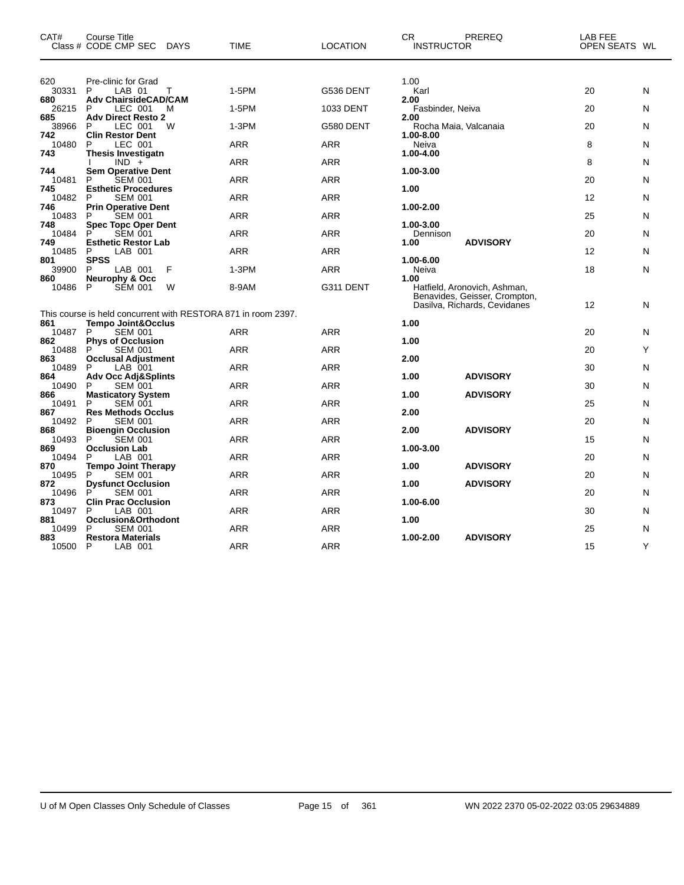| CAT#                | Course Title<br>Class # CODE CMP SEC<br>DAYS                                                   | <b>TIME</b> | <b>LOCATION</b> | CR.<br><b>INSTRUCTOR</b>                                             | PREREQ                        | LAB FEE<br>OPEN SEATS WL |   |
|---------------------|------------------------------------------------------------------------------------------------|-------------|-----------------|----------------------------------------------------------------------|-------------------------------|--------------------------|---|
| 620<br>30331<br>680 | Pre-clinic for Grad<br>P<br>LAB 01<br>т<br><b>Adv ChairsideCAD/CAM</b>                         | 1-5PM       | G536 DENT       | 1.00<br>Karl<br>2.00                                                 |                               | 20                       | N |
| 26215               | P<br>LEC 001<br>M                                                                              | 1-5PM       | 1033 DENT       | Fasbinder, Neiva                                                     |                               | 20                       | N |
| 685<br>38966        | <b>Adv Direct Resto 2</b><br>P<br>LEC 001<br>W                                                 | $1-3PM$     | G580 DENT       | 2.00<br>Rocha Maia, Valcanaia                                        |                               | 20                       | N |
| 742<br>10480<br>743 | <b>Clin Restor Dent</b><br>P<br>LEC 001                                                        | <b>ARR</b>  | <b>ARR</b>      | 1.00-8.00<br>Neiva                                                   |                               | 8                        | N |
|                     | <b>Thesis Investigatn</b><br>$IND +$                                                           | <b>ARR</b>  | <b>ARR</b>      | 1.00-4.00                                                            |                               | 8                        | N |
| 744<br>10481        | <b>Sem Operative Dent</b><br>P<br><b>SEM 001</b>                                               | ARR         | <b>ARR</b>      | 1.00-3.00                                                            |                               | 20                       | N |
| 745<br>10482        | <b>Esthetic Procedures</b><br>P<br><b>SEM 001</b>                                              | <b>ARR</b>  | <b>ARR</b>      | 1.00                                                                 |                               | $12 \overline{ }$        | N |
| 746<br>10483        | <b>Prin Operative Dent</b><br><b>SEM 001</b><br>P                                              | <b>ARR</b>  | <b>ARR</b>      | 1.00-2.00                                                            |                               | 25                       | N |
| 748<br>10484        | <b>Spec Topc Oper Dent</b><br>P<br><b>SEM 001</b>                                              | <b>ARR</b>  | <b>ARR</b>      | 1.00-3.00<br>Dennison                                                |                               | 20                       | N |
| 749<br>10485        | <b>Esthetic Restor Lab</b><br>P<br>LAB 001                                                     | <b>ARR</b>  | <b>ARR</b>      | 1.00                                                                 | <b>ADVISORY</b>               | $12 \overline{ }$        | N |
| 801<br>39900        | <b>SPSS</b><br>P<br>LAB 001<br>F                                                               | $1-3PM$     | <b>ARR</b>      | 1.00-6.00<br>Neiva                                                   |                               | 18                       | N |
| 860<br>10486        | <b>Neurophy &amp; Occ</b><br>SÉM 001<br>P<br>W                                                 | 8-9AM       | G311 DENT       | 1.00<br>Hatfield, Aronovich, Ashman,<br>Dasilva, Richards, Cevidanes | Benavides, Geisser, Crompton, | $12 \overline{ }$        | N |
| 861                 | This course is held concurrent with RESTORA 871 in room 2397.<br><b>Tempo Joint&amp;Occlus</b> |             |                 | 1.00                                                                 |                               |                          |   |
| 10487               | P<br><b>SEM 001</b>                                                                            | <b>ARR</b>  | <b>ARR</b>      |                                                                      |                               | 20                       | N |
| 862<br>10488        | <b>Phys of Occlusion</b><br>P<br><b>SEM 001</b>                                                | <b>ARR</b>  | <b>ARR</b>      | 1.00                                                                 |                               | 20                       | Υ |
| 863<br>10489        | <b>Occlusal Adjustment</b><br>P<br>LAB 001                                                     | ARR         | ARR             | 2.00                                                                 |                               | 30                       | N |
| 864                 | <b>Adv Occ Adj&amp;Splints</b>                                                                 |             |                 | 1.00                                                                 | <b>ADVISORY</b>               |                          |   |
| 10490<br>866        | P<br><b>SEM 001</b><br><b>Masticatory System</b>                                               | ARR         | ARR             | 1.00                                                                 | <b>ADVISORY</b>               | 30                       | N |
| 10491               | P<br><b>SEM 001</b>                                                                            | ARR         | ARR             |                                                                      |                               | 25                       | N |
| 867<br>10492        | <b>Res Methods Occlus</b><br><b>SEM 001</b><br>P                                               | <b>ARR</b>  | ARR             | 2.00                                                                 |                               | 20                       | N |
| 868<br>10493        | <b>Bioengin Occlusion</b><br><b>SEM 001</b><br>P                                               | <b>ARR</b>  | ARR             | 2.00                                                                 | <b>ADVISORY</b>               | 15                       | N |
| 869                 | <b>Occlusion Lab</b>                                                                           |             |                 | 1.00-3.00                                                            |                               |                          |   |
| 10494<br>870        | P<br>LAB 001<br><b>Tempo Joint Therapy</b>                                                     | <b>ARR</b>  | <b>ARR</b>      | 1.00                                                                 | <b>ADVISORY</b>               | 20                       | N |
| 10495<br>872        | P<br><b>SEM 001</b><br><b>Dysfunct Occlusion</b>                                               | ARR         | <b>ARR</b>      | 1.00                                                                 | <b>ADVISORY</b>               | 20                       | N |
| 10496               | P<br><b>SEM 001</b>                                                                            | <b>ARR</b>  | <b>ARR</b>      |                                                                      |                               | 20                       | N |
| 873<br>10497        | <b>Clin Prac Occlusion</b><br>LAB 001<br>P                                                     | <b>ARR</b>  | <b>ARR</b>      | 1.00-6.00                                                            |                               | 30                       | N |
| 881<br>10499        | Occlusion&Orthodont<br>P<br><b>SEM 001</b>                                                     | <b>ARR</b>  | <b>ARR</b>      | 1.00                                                                 |                               | 25                       | N |
| 883                 | <b>Restora Materials</b>                                                                       |             |                 | 1.00-2.00                                                            | <b>ADVISORY</b>               |                          |   |
| 10500               | P<br>LAB 001                                                                                   | <b>ARR</b>  | <b>ARR</b>      |                                                                      |                               | 15                       | Y |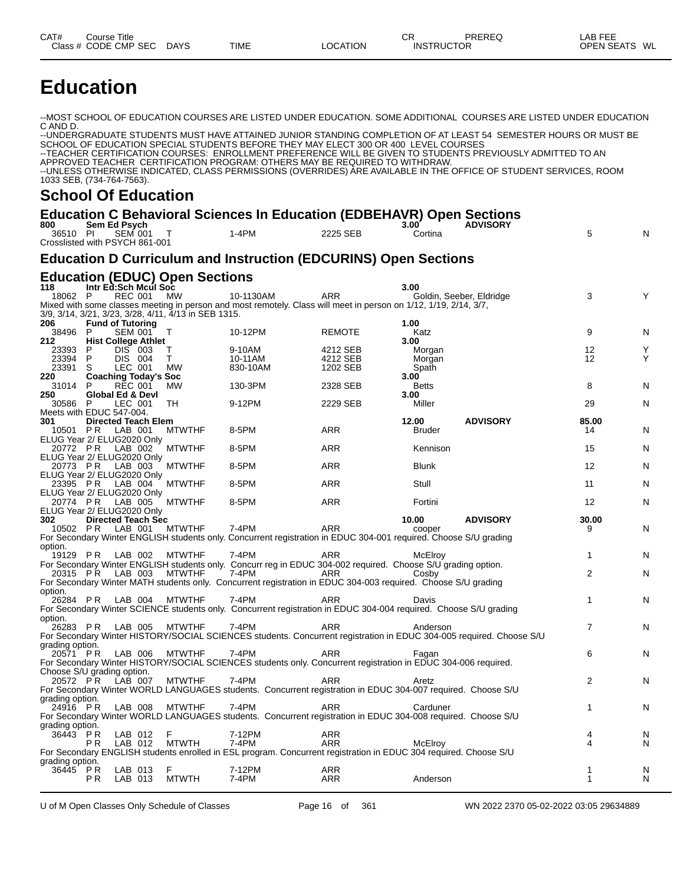# **Education**

--MOST SCHOOL OF EDUCATION COURSES ARE LISTED UNDER EDUCATION. SOME ADDITIONAL COURSES ARE LISTED UNDER EDUCATION C AND D.

--UNDERGRADUATE STUDENTS MUST HAVE ATTAINED JUNIOR STANDING COMPLETION OF AT LEAST 54 SEMESTER HOURS OR MUST BE SCHOOL OF EDUCATION SPECIAL STUDENTS BEFORE THEY MAY ELECT 300 OR 400 LEVEL COURSES --TEACHER CERTIFICATION COURSES: ENROLLMENT PREFERENCE WILL BE GIVEN TO STUDENTS PREVIOUSLY ADMITTED TO AN APPROVED TEACHER CERTIFICATION PROGRAM: OTHERS MAY BE REQUIRED TO WITHDRAW. --UNLESS OTHERWISE INDICATED, CLASS PERMISSIONS (OVERRIDES) ARE AVAILABLE IN THE OFFICE OF STUDENT SERVICES, ROOM 1033 SEB, (734-764-7563).

#### **School Of Education**

#### **Education C Behavioral Sciences In Education (EDBEHAVR) Open Sections**

| Sem Ed Psych<br>$1-4PM$<br>2225 SEB<br>5<br>N<br>36510 PI<br>SEM 001<br>Cortina<br>$\top$<br>Crosslisted with PSYCH 861-001<br><b>Education D Curriculum and Instruction (EDCURINS) Open Sections</b><br><b>Education (EDUC) Open Sections</b><br>Intr Ed:Sch Mcul Soc<br>3.00<br>118<br>18062 P<br><b>REC 001</b><br><b>ARR</b><br>3<br>MW<br>10-1130AM<br>Goldin, Seeber, Eldridge<br>Υ<br>Mixed with some classes meeting in person and most remotely. Class will meet in person on 1/12, 1/19, 2/14, 3/7,<br>3/9, 3/14, 3/21, 3/23, 3/28, 4/11, 4/13 in SEB 1315.<br>206<br><b>Fund of Tutoring</b><br>1.00<br>38496 P<br>9<br><b>SEM 001</b><br>10-12PM<br><b>REMOTE</b><br>Katz<br>Т<br>N<br><b>Hist College Athlet</b><br>3.00<br>212.<br>P<br><b>DIS 003</b><br>9-10AM<br>4212 SEB<br>12<br>23393<br>т<br>Morgan<br>Y<br>P<br>DIS 004<br>12<br>23394<br>T.<br>10-11AM<br>4212 SEB<br>Y<br>Morgan<br>S<br>23391<br>LEC 001<br><b>MW</b><br>830-10AM<br>1202 SEB<br>Spath<br>220<br><b>Coaching Today's Soc</b><br>3.00<br>31014<br>P<br><b>REC 001</b><br>130-3PM<br>2328 SEB<br>8<br>MW<br><b>Betts</b><br>N<br>250<br>Global Ed & Devl<br>3.00<br>30586 P<br>LEC 001<br>9-12PM<br>2229 SEB<br>Miller<br>29<br>TH<br>N<br>Meets with EDUC 547-004.<br><b>Directed Teach Elem</b><br>12.00<br><b>ADVISORY</b><br>85.00<br>301<br>10501 PR<br>LAB 001<br>8-5PM<br><b>ARR</b><br><b>MTWTHF</b><br><b>Bruder</b><br>14<br>N<br>ELUG Year 2/ ELUG2020 Only<br>20772 PR<br><b>ARR</b><br>LAB 002<br><b>MTWTHF</b><br>8-5PM<br>Kennison<br>15<br>N<br>ELUG Year 2/ ELUG2020 Only<br>20773 PR LAB 003<br>8-5PM<br><b>ARR</b><br>12<br><b>MTWTHF</b><br><b>Blunk</b><br>N<br>ELUG Year 2/ ELUG2020 Only<br>23395 PR LAB 004<br>Stull<br><b>MTWTHF</b><br>8-5PM<br><b>ARR</b><br>11<br>N<br>ELUG Year 2/ ELUG2020 Only<br>20774 PR<br><b>ARR</b><br>12<br><b>MTWTHF</b><br>8-5PM<br>Fortini<br>N<br>LAB 005<br>ELUG Year 2/ ELUG2020 Only<br><b>Directed Teach Sec</b><br>10.00<br><b>ADVISORY</b><br>30.00<br>302<br>7-4PM<br><b>ARR</b><br>10502 PR<br>LAB 001<br><b>MTWTHF</b><br>N<br>cooper<br>9<br>For Secondary Winter ENGLISH students only. Concurrent registration in EDUC 304-001 required. Choose S/U grading<br>option.<br>19129 PR LAB 002<br><b>MTWTHF</b><br>7-4PM<br><b>ARR</b><br>1<br>McElroy<br>N<br>For Secondary Winter ENGLISH students only. Concurr reg in EDUC 304-002 reguired. Choose S/U grading option.<br>20315 PR LAB 003<br>$\overline{2}$<br>7-4PM<br><b>MTWTHF</b><br>ARR<br>Cosby<br>N<br>For Secondary Winter MATH students only. Concurrent registration in EDUC 304-003 required. Choose S/U grading<br>option.<br>26284 PR LAB 004<br>7-4PM<br>1<br><b>MTWTHF</b><br>ARR<br>N<br>Davis<br>For Secondary Winter SCIENCE students only. Concurrent registration in EDUC 304-004 required. Choose S/U grading<br>option.<br>26283 PR LAB 005<br><b>MTWTHF</b><br>$7-4PM$<br><b>ARR</b><br>7<br>Anderson<br>N<br>For Secondary Winter HISTORY/SOCIAL SCIENCES students. Concurrent registration in EDUC 304-005 required. Choose S/U<br>grading option.<br><b>MTWTHF</b><br>6<br>20571 PR<br>LAB 006<br>7-4PM<br>ARR<br>N<br>Fagan<br>For Secondary Winter HISTORY/SOCIAL SCIENCES students only. Concurrent registration in EDUC 304-006 required.<br>Choose S/U grading option.<br>7-4PM<br>2<br>20572 PR<br>LAB 007<br><b>MTWTHF</b><br><b>ARR</b><br>N<br>Aretz<br>For Secondary Winter WORLD LANGUAGES students. Concurrent registration in EDUC 304-007 required. Choose S/U<br>grading option.<br>24916 PR<br>LAB 008<br><b>MTWTHF</b><br>7-4PM<br><b>ARR</b><br>$\mathbf{1}$<br>N<br>Carduner<br>For Secondary Winter WORLD LANGUAGES students. Concurrent registration in EDUC 304-008 required. Choose S/U<br>grading option.<br>36443 PR<br>F<br>LAB 012<br>7-12PM<br><b>ARR</b><br>4<br>N<br>4<br>LAB 012<br><b>MTWTH</b><br>7-4PM<br><b>ARR</b><br>P R<br>McElroy<br>N<br>For Secondary ENGLISH students enrolled in ESL program. Concurrent registration in EDUC 304 required. Choose S/U<br>grading option.<br>36445 PR<br>F<br>7-12PM<br><b>ARR</b><br>LAB 013<br>N<br>1<br>P <sub>R</sub><br>LAB 013<br><b>MTWTH</b><br>7-4PM<br><b>ARR</b><br>N<br>1<br>Anderson |     |  |  | Education C Benavioral Sciences in Education (EDBEHAVR) Open Sections |                |                 |  |
|----------------------------------------------------------------------------------------------------------------------------------------------------------------------------------------------------------------------------------------------------------------------------------------------------------------------------------------------------------------------------------------------------------------------------------------------------------------------------------------------------------------------------------------------------------------------------------------------------------------------------------------------------------------------------------------------------------------------------------------------------------------------------------------------------------------------------------------------------------------------------------------------------------------------------------------------------------------------------------------------------------------------------------------------------------------------------------------------------------------------------------------------------------------------------------------------------------------------------------------------------------------------------------------------------------------------------------------------------------------------------------------------------------------------------------------------------------------------------------------------------------------------------------------------------------------------------------------------------------------------------------------------------------------------------------------------------------------------------------------------------------------------------------------------------------------------------------------------------------------------------------------------------------------------------------------------------------------------------------------------------------------------------------------------------------------------------------------------------------------------------------------------------------------------------------------------------------------------------------------------------------------------------------------------------------------------------------------------------------------------------------------------------------------------------------------------------------------------------------------------------------------------------------------------------------------------------------------------------------------------------------------------------------------------------------------------------------------------------------------------------------------------------------------------------------------------------------------------------------------------------------------------------------------------------------------------------------------------------------------------------------------------------------------------------------------------------------------------------------------------------------------------------------------------------------------------------------------------------------------------------------------------------------------------------------------------------------------------------------------------------------------------------------------------------------------------------------------------------------------------------------------------------------------------------------------------------------------------------------------------------------------------------------------------------------------------------------------------------------------------------------------------------------------------------------------------------------------------------------------------------------------------------------------------------------------------------------------------------------------------------------------------------------------------------------------------------------------------------------------------------------------------------------------------------------------------------------------------|-----|--|--|-----------------------------------------------------------------------|----------------|-----------------|--|
|                                                                                                                                                                                                                                                                                                                                                                                                                                                                                                                                                                                                                                                                                                                                                                                                                                                                                                                                                                                                                                                                                                                                                                                                                                                                                                                                                                                                                                                                                                                                                                                                                                                                                                                                                                                                                                                                                                                                                                                                                                                                                                                                                                                                                                                                                                                                                                                                                                                                                                                                                                                                                                                                                                                                                                                                                                                                                                                                                                                                                                                                                                                                                                                                                                                                                                                                                                                                                                                                                                                                                                                                                                                                                                                                                                                                                                                                                                                                                                                                                                                                                                                                                                                                                      | 800 |  |  |                                                                       | $3.00^{\circ}$ | <b>ADVISORY</b> |  |
|                                                                                                                                                                                                                                                                                                                                                                                                                                                                                                                                                                                                                                                                                                                                                                                                                                                                                                                                                                                                                                                                                                                                                                                                                                                                                                                                                                                                                                                                                                                                                                                                                                                                                                                                                                                                                                                                                                                                                                                                                                                                                                                                                                                                                                                                                                                                                                                                                                                                                                                                                                                                                                                                                                                                                                                                                                                                                                                                                                                                                                                                                                                                                                                                                                                                                                                                                                                                                                                                                                                                                                                                                                                                                                                                                                                                                                                                                                                                                                                                                                                                                                                                                                                                                      |     |  |  |                                                                       |                |                 |  |
|                                                                                                                                                                                                                                                                                                                                                                                                                                                                                                                                                                                                                                                                                                                                                                                                                                                                                                                                                                                                                                                                                                                                                                                                                                                                                                                                                                                                                                                                                                                                                                                                                                                                                                                                                                                                                                                                                                                                                                                                                                                                                                                                                                                                                                                                                                                                                                                                                                                                                                                                                                                                                                                                                                                                                                                                                                                                                                                                                                                                                                                                                                                                                                                                                                                                                                                                                                                                                                                                                                                                                                                                                                                                                                                                                                                                                                                                                                                                                                                                                                                                                                                                                                                                                      |     |  |  |                                                                       |                |                 |  |
|                                                                                                                                                                                                                                                                                                                                                                                                                                                                                                                                                                                                                                                                                                                                                                                                                                                                                                                                                                                                                                                                                                                                                                                                                                                                                                                                                                                                                                                                                                                                                                                                                                                                                                                                                                                                                                                                                                                                                                                                                                                                                                                                                                                                                                                                                                                                                                                                                                                                                                                                                                                                                                                                                                                                                                                                                                                                                                                                                                                                                                                                                                                                                                                                                                                                                                                                                                                                                                                                                                                                                                                                                                                                                                                                                                                                                                                                                                                                                                                                                                                                                                                                                                                                                      |     |  |  |                                                                       |                |                 |  |
|                                                                                                                                                                                                                                                                                                                                                                                                                                                                                                                                                                                                                                                                                                                                                                                                                                                                                                                                                                                                                                                                                                                                                                                                                                                                                                                                                                                                                                                                                                                                                                                                                                                                                                                                                                                                                                                                                                                                                                                                                                                                                                                                                                                                                                                                                                                                                                                                                                                                                                                                                                                                                                                                                                                                                                                                                                                                                                                                                                                                                                                                                                                                                                                                                                                                                                                                                                                                                                                                                                                                                                                                                                                                                                                                                                                                                                                                                                                                                                                                                                                                                                                                                                                                                      |     |  |  |                                                                       |                |                 |  |
|                                                                                                                                                                                                                                                                                                                                                                                                                                                                                                                                                                                                                                                                                                                                                                                                                                                                                                                                                                                                                                                                                                                                                                                                                                                                                                                                                                                                                                                                                                                                                                                                                                                                                                                                                                                                                                                                                                                                                                                                                                                                                                                                                                                                                                                                                                                                                                                                                                                                                                                                                                                                                                                                                                                                                                                                                                                                                                                                                                                                                                                                                                                                                                                                                                                                                                                                                                                                                                                                                                                                                                                                                                                                                                                                                                                                                                                                                                                                                                                                                                                                                                                                                                                                                      |     |  |  |                                                                       |                |                 |  |
|                                                                                                                                                                                                                                                                                                                                                                                                                                                                                                                                                                                                                                                                                                                                                                                                                                                                                                                                                                                                                                                                                                                                                                                                                                                                                                                                                                                                                                                                                                                                                                                                                                                                                                                                                                                                                                                                                                                                                                                                                                                                                                                                                                                                                                                                                                                                                                                                                                                                                                                                                                                                                                                                                                                                                                                                                                                                                                                                                                                                                                                                                                                                                                                                                                                                                                                                                                                                                                                                                                                                                                                                                                                                                                                                                                                                                                                                                                                                                                                                                                                                                                                                                                                                                      |     |  |  |                                                                       |                |                 |  |
|                                                                                                                                                                                                                                                                                                                                                                                                                                                                                                                                                                                                                                                                                                                                                                                                                                                                                                                                                                                                                                                                                                                                                                                                                                                                                                                                                                                                                                                                                                                                                                                                                                                                                                                                                                                                                                                                                                                                                                                                                                                                                                                                                                                                                                                                                                                                                                                                                                                                                                                                                                                                                                                                                                                                                                                                                                                                                                                                                                                                                                                                                                                                                                                                                                                                                                                                                                                                                                                                                                                                                                                                                                                                                                                                                                                                                                                                                                                                                                                                                                                                                                                                                                                                                      |     |  |  |                                                                       |                |                 |  |
|                                                                                                                                                                                                                                                                                                                                                                                                                                                                                                                                                                                                                                                                                                                                                                                                                                                                                                                                                                                                                                                                                                                                                                                                                                                                                                                                                                                                                                                                                                                                                                                                                                                                                                                                                                                                                                                                                                                                                                                                                                                                                                                                                                                                                                                                                                                                                                                                                                                                                                                                                                                                                                                                                                                                                                                                                                                                                                                                                                                                                                                                                                                                                                                                                                                                                                                                                                                                                                                                                                                                                                                                                                                                                                                                                                                                                                                                                                                                                                                                                                                                                                                                                                                                                      |     |  |  |                                                                       |                |                 |  |
|                                                                                                                                                                                                                                                                                                                                                                                                                                                                                                                                                                                                                                                                                                                                                                                                                                                                                                                                                                                                                                                                                                                                                                                                                                                                                                                                                                                                                                                                                                                                                                                                                                                                                                                                                                                                                                                                                                                                                                                                                                                                                                                                                                                                                                                                                                                                                                                                                                                                                                                                                                                                                                                                                                                                                                                                                                                                                                                                                                                                                                                                                                                                                                                                                                                                                                                                                                                                                                                                                                                                                                                                                                                                                                                                                                                                                                                                                                                                                                                                                                                                                                                                                                                                                      |     |  |  |                                                                       |                |                 |  |
|                                                                                                                                                                                                                                                                                                                                                                                                                                                                                                                                                                                                                                                                                                                                                                                                                                                                                                                                                                                                                                                                                                                                                                                                                                                                                                                                                                                                                                                                                                                                                                                                                                                                                                                                                                                                                                                                                                                                                                                                                                                                                                                                                                                                                                                                                                                                                                                                                                                                                                                                                                                                                                                                                                                                                                                                                                                                                                                                                                                                                                                                                                                                                                                                                                                                                                                                                                                                                                                                                                                                                                                                                                                                                                                                                                                                                                                                                                                                                                                                                                                                                                                                                                                                                      |     |  |  |                                                                       |                |                 |  |
|                                                                                                                                                                                                                                                                                                                                                                                                                                                                                                                                                                                                                                                                                                                                                                                                                                                                                                                                                                                                                                                                                                                                                                                                                                                                                                                                                                                                                                                                                                                                                                                                                                                                                                                                                                                                                                                                                                                                                                                                                                                                                                                                                                                                                                                                                                                                                                                                                                                                                                                                                                                                                                                                                                                                                                                                                                                                                                                                                                                                                                                                                                                                                                                                                                                                                                                                                                                                                                                                                                                                                                                                                                                                                                                                                                                                                                                                                                                                                                                                                                                                                                                                                                                                                      |     |  |  |                                                                       |                |                 |  |
|                                                                                                                                                                                                                                                                                                                                                                                                                                                                                                                                                                                                                                                                                                                                                                                                                                                                                                                                                                                                                                                                                                                                                                                                                                                                                                                                                                                                                                                                                                                                                                                                                                                                                                                                                                                                                                                                                                                                                                                                                                                                                                                                                                                                                                                                                                                                                                                                                                                                                                                                                                                                                                                                                                                                                                                                                                                                                                                                                                                                                                                                                                                                                                                                                                                                                                                                                                                                                                                                                                                                                                                                                                                                                                                                                                                                                                                                                                                                                                                                                                                                                                                                                                                                                      |     |  |  |                                                                       |                |                 |  |
|                                                                                                                                                                                                                                                                                                                                                                                                                                                                                                                                                                                                                                                                                                                                                                                                                                                                                                                                                                                                                                                                                                                                                                                                                                                                                                                                                                                                                                                                                                                                                                                                                                                                                                                                                                                                                                                                                                                                                                                                                                                                                                                                                                                                                                                                                                                                                                                                                                                                                                                                                                                                                                                                                                                                                                                                                                                                                                                                                                                                                                                                                                                                                                                                                                                                                                                                                                                                                                                                                                                                                                                                                                                                                                                                                                                                                                                                                                                                                                                                                                                                                                                                                                                                                      |     |  |  |                                                                       |                |                 |  |
|                                                                                                                                                                                                                                                                                                                                                                                                                                                                                                                                                                                                                                                                                                                                                                                                                                                                                                                                                                                                                                                                                                                                                                                                                                                                                                                                                                                                                                                                                                                                                                                                                                                                                                                                                                                                                                                                                                                                                                                                                                                                                                                                                                                                                                                                                                                                                                                                                                                                                                                                                                                                                                                                                                                                                                                                                                                                                                                                                                                                                                                                                                                                                                                                                                                                                                                                                                                                                                                                                                                                                                                                                                                                                                                                                                                                                                                                                                                                                                                                                                                                                                                                                                                                                      |     |  |  |                                                                       |                |                 |  |
|                                                                                                                                                                                                                                                                                                                                                                                                                                                                                                                                                                                                                                                                                                                                                                                                                                                                                                                                                                                                                                                                                                                                                                                                                                                                                                                                                                                                                                                                                                                                                                                                                                                                                                                                                                                                                                                                                                                                                                                                                                                                                                                                                                                                                                                                                                                                                                                                                                                                                                                                                                                                                                                                                                                                                                                                                                                                                                                                                                                                                                                                                                                                                                                                                                                                                                                                                                                                                                                                                                                                                                                                                                                                                                                                                                                                                                                                                                                                                                                                                                                                                                                                                                                                                      |     |  |  |                                                                       |                |                 |  |
|                                                                                                                                                                                                                                                                                                                                                                                                                                                                                                                                                                                                                                                                                                                                                                                                                                                                                                                                                                                                                                                                                                                                                                                                                                                                                                                                                                                                                                                                                                                                                                                                                                                                                                                                                                                                                                                                                                                                                                                                                                                                                                                                                                                                                                                                                                                                                                                                                                                                                                                                                                                                                                                                                                                                                                                                                                                                                                                                                                                                                                                                                                                                                                                                                                                                                                                                                                                                                                                                                                                                                                                                                                                                                                                                                                                                                                                                                                                                                                                                                                                                                                                                                                                                                      |     |  |  |                                                                       |                |                 |  |
|                                                                                                                                                                                                                                                                                                                                                                                                                                                                                                                                                                                                                                                                                                                                                                                                                                                                                                                                                                                                                                                                                                                                                                                                                                                                                                                                                                                                                                                                                                                                                                                                                                                                                                                                                                                                                                                                                                                                                                                                                                                                                                                                                                                                                                                                                                                                                                                                                                                                                                                                                                                                                                                                                                                                                                                                                                                                                                                                                                                                                                                                                                                                                                                                                                                                                                                                                                                                                                                                                                                                                                                                                                                                                                                                                                                                                                                                                                                                                                                                                                                                                                                                                                                                                      |     |  |  |                                                                       |                |                 |  |
|                                                                                                                                                                                                                                                                                                                                                                                                                                                                                                                                                                                                                                                                                                                                                                                                                                                                                                                                                                                                                                                                                                                                                                                                                                                                                                                                                                                                                                                                                                                                                                                                                                                                                                                                                                                                                                                                                                                                                                                                                                                                                                                                                                                                                                                                                                                                                                                                                                                                                                                                                                                                                                                                                                                                                                                                                                                                                                                                                                                                                                                                                                                                                                                                                                                                                                                                                                                                                                                                                                                                                                                                                                                                                                                                                                                                                                                                                                                                                                                                                                                                                                                                                                                                                      |     |  |  |                                                                       |                |                 |  |
|                                                                                                                                                                                                                                                                                                                                                                                                                                                                                                                                                                                                                                                                                                                                                                                                                                                                                                                                                                                                                                                                                                                                                                                                                                                                                                                                                                                                                                                                                                                                                                                                                                                                                                                                                                                                                                                                                                                                                                                                                                                                                                                                                                                                                                                                                                                                                                                                                                                                                                                                                                                                                                                                                                                                                                                                                                                                                                                                                                                                                                                                                                                                                                                                                                                                                                                                                                                                                                                                                                                                                                                                                                                                                                                                                                                                                                                                                                                                                                                                                                                                                                                                                                                                                      |     |  |  |                                                                       |                |                 |  |
|                                                                                                                                                                                                                                                                                                                                                                                                                                                                                                                                                                                                                                                                                                                                                                                                                                                                                                                                                                                                                                                                                                                                                                                                                                                                                                                                                                                                                                                                                                                                                                                                                                                                                                                                                                                                                                                                                                                                                                                                                                                                                                                                                                                                                                                                                                                                                                                                                                                                                                                                                                                                                                                                                                                                                                                                                                                                                                                                                                                                                                                                                                                                                                                                                                                                                                                                                                                                                                                                                                                                                                                                                                                                                                                                                                                                                                                                                                                                                                                                                                                                                                                                                                                                                      |     |  |  |                                                                       |                |                 |  |
|                                                                                                                                                                                                                                                                                                                                                                                                                                                                                                                                                                                                                                                                                                                                                                                                                                                                                                                                                                                                                                                                                                                                                                                                                                                                                                                                                                                                                                                                                                                                                                                                                                                                                                                                                                                                                                                                                                                                                                                                                                                                                                                                                                                                                                                                                                                                                                                                                                                                                                                                                                                                                                                                                                                                                                                                                                                                                                                                                                                                                                                                                                                                                                                                                                                                                                                                                                                                                                                                                                                                                                                                                                                                                                                                                                                                                                                                                                                                                                                                                                                                                                                                                                                                                      |     |  |  |                                                                       |                |                 |  |
|                                                                                                                                                                                                                                                                                                                                                                                                                                                                                                                                                                                                                                                                                                                                                                                                                                                                                                                                                                                                                                                                                                                                                                                                                                                                                                                                                                                                                                                                                                                                                                                                                                                                                                                                                                                                                                                                                                                                                                                                                                                                                                                                                                                                                                                                                                                                                                                                                                                                                                                                                                                                                                                                                                                                                                                                                                                                                                                                                                                                                                                                                                                                                                                                                                                                                                                                                                                                                                                                                                                                                                                                                                                                                                                                                                                                                                                                                                                                                                                                                                                                                                                                                                                                                      |     |  |  |                                                                       |                |                 |  |
|                                                                                                                                                                                                                                                                                                                                                                                                                                                                                                                                                                                                                                                                                                                                                                                                                                                                                                                                                                                                                                                                                                                                                                                                                                                                                                                                                                                                                                                                                                                                                                                                                                                                                                                                                                                                                                                                                                                                                                                                                                                                                                                                                                                                                                                                                                                                                                                                                                                                                                                                                                                                                                                                                                                                                                                                                                                                                                                                                                                                                                                                                                                                                                                                                                                                                                                                                                                                                                                                                                                                                                                                                                                                                                                                                                                                                                                                                                                                                                                                                                                                                                                                                                                                                      |     |  |  |                                                                       |                |                 |  |
|                                                                                                                                                                                                                                                                                                                                                                                                                                                                                                                                                                                                                                                                                                                                                                                                                                                                                                                                                                                                                                                                                                                                                                                                                                                                                                                                                                                                                                                                                                                                                                                                                                                                                                                                                                                                                                                                                                                                                                                                                                                                                                                                                                                                                                                                                                                                                                                                                                                                                                                                                                                                                                                                                                                                                                                                                                                                                                                                                                                                                                                                                                                                                                                                                                                                                                                                                                                                                                                                                                                                                                                                                                                                                                                                                                                                                                                                                                                                                                                                                                                                                                                                                                                                                      |     |  |  |                                                                       |                |                 |  |
|                                                                                                                                                                                                                                                                                                                                                                                                                                                                                                                                                                                                                                                                                                                                                                                                                                                                                                                                                                                                                                                                                                                                                                                                                                                                                                                                                                                                                                                                                                                                                                                                                                                                                                                                                                                                                                                                                                                                                                                                                                                                                                                                                                                                                                                                                                                                                                                                                                                                                                                                                                                                                                                                                                                                                                                                                                                                                                                                                                                                                                                                                                                                                                                                                                                                                                                                                                                                                                                                                                                                                                                                                                                                                                                                                                                                                                                                                                                                                                                                                                                                                                                                                                                                                      |     |  |  |                                                                       |                |                 |  |
|                                                                                                                                                                                                                                                                                                                                                                                                                                                                                                                                                                                                                                                                                                                                                                                                                                                                                                                                                                                                                                                                                                                                                                                                                                                                                                                                                                                                                                                                                                                                                                                                                                                                                                                                                                                                                                                                                                                                                                                                                                                                                                                                                                                                                                                                                                                                                                                                                                                                                                                                                                                                                                                                                                                                                                                                                                                                                                                                                                                                                                                                                                                                                                                                                                                                                                                                                                                                                                                                                                                                                                                                                                                                                                                                                                                                                                                                                                                                                                                                                                                                                                                                                                                                                      |     |  |  |                                                                       |                |                 |  |
|                                                                                                                                                                                                                                                                                                                                                                                                                                                                                                                                                                                                                                                                                                                                                                                                                                                                                                                                                                                                                                                                                                                                                                                                                                                                                                                                                                                                                                                                                                                                                                                                                                                                                                                                                                                                                                                                                                                                                                                                                                                                                                                                                                                                                                                                                                                                                                                                                                                                                                                                                                                                                                                                                                                                                                                                                                                                                                                                                                                                                                                                                                                                                                                                                                                                                                                                                                                                                                                                                                                                                                                                                                                                                                                                                                                                                                                                                                                                                                                                                                                                                                                                                                                                                      |     |  |  |                                                                       |                |                 |  |
|                                                                                                                                                                                                                                                                                                                                                                                                                                                                                                                                                                                                                                                                                                                                                                                                                                                                                                                                                                                                                                                                                                                                                                                                                                                                                                                                                                                                                                                                                                                                                                                                                                                                                                                                                                                                                                                                                                                                                                                                                                                                                                                                                                                                                                                                                                                                                                                                                                                                                                                                                                                                                                                                                                                                                                                                                                                                                                                                                                                                                                                                                                                                                                                                                                                                                                                                                                                                                                                                                                                                                                                                                                                                                                                                                                                                                                                                                                                                                                                                                                                                                                                                                                                                                      |     |  |  |                                                                       |                |                 |  |
|                                                                                                                                                                                                                                                                                                                                                                                                                                                                                                                                                                                                                                                                                                                                                                                                                                                                                                                                                                                                                                                                                                                                                                                                                                                                                                                                                                                                                                                                                                                                                                                                                                                                                                                                                                                                                                                                                                                                                                                                                                                                                                                                                                                                                                                                                                                                                                                                                                                                                                                                                                                                                                                                                                                                                                                                                                                                                                                                                                                                                                                                                                                                                                                                                                                                                                                                                                                                                                                                                                                                                                                                                                                                                                                                                                                                                                                                                                                                                                                                                                                                                                                                                                                                                      |     |  |  |                                                                       |                |                 |  |
|                                                                                                                                                                                                                                                                                                                                                                                                                                                                                                                                                                                                                                                                                                                                                                                                                                                                                                                                                                                                                                                                                                                                                                                                                                                                                                                                                                                                                                                                                                                                                                                                                                                                                                                                                                                                                                                                                                                                                                                                                                                                                                                                                                                                                                                                                                                                                                                                                                                                                                                                                                                                                                                                                                                                                                                                                                                                                                                                                                                                                                                                                                                                                                                                                                                                                                                                                                                                                                                                                                                                                                                                                                                                                                                                                                                                                                                                                                                                                                                                                                                                                                                                                                                                                      |     |  |  |                                                                       |                |                 |  |
|                                                                                                                                                                                                                                                                                                                                                                                                                                                                                                                                                                                                                                                                                                                                                                                                                                                                                                                                                                                                                                                                                                                                                                                                                                                                                                                                                                                                                                                                                                                                                                                                                                                                                                                                                                                                                                                                                                                                                                                                                                                                                                                                                                                                                                                                                                                                                                                                                                                                                                                                                                                                                                                                                                                                                                                                                                                                                                                                                                                                                                                                                                                                                                                                                                                                                                                                                                                                                                                                                                                                                                                                                                                                                                                                                                                                                                                                                                                                                                                                                                                                                                                                                                                                                      |     |  |  |                                                                       |                |                 |  |
|                                                                                                                                                                                                                                                                                                                                                                                                                                                                                                                                                                                                                                                                                                                                                                                                                                                                                                                                                                                                                                                                                                                                                                                                                                                                                                                                                                                                                                                                                                                                                                                                                                                                                                                                                                                                                                                                                                                                                                                                                                                                                                                                                                                                                                                                                                                                                                                                                                                                                                                                                                                                                                                                                                                                                                                                                                                                                                                                                                                                                                                                                                                                                                                                                                                                                                                                                                                                                                                                                                                                                                                                                                                                                                                                                                                                                                                                                                                                                                                                                                                                                                                                                                                                                      |     |  |  |                                                                       |                |                 |  |
|                                                                                                                                                                                                                                                                                                                                                                                                                                                                                                                                                                                                                                                                                                                                                                                                                                                                                                                                                                                                                                                                                                                                                                                                                                                                                                                                                                                                                                                                                                                                                                                                                                                                                                                                                                                                                                                                                                                                                                                                                                                                                                                                                                                                                                                                                                                                                                                                                                                                                                                                                                                                                                                                                                                                                                                                                                                                                                                                                                                                                                                                                                                                                                                                                                                                                                                                                                                                                                                                                                                                                                                                                                                                                                                                                                                                                                                                                                                                                                                                                                                                                                                                                                                                                      |     |  |  |                                                                       |                |                 |  |
|                                                                                                                                                                                                                                                                                                                                                                                                                                                                                                                                                                                                                                                                                                                                                                                                                                                                                                                                                                                                                                                                                                                                                                                                                                                                                                                                                                                                                                                                                                                                                                                                                                                                                                                                                                                                                                                                                                                                                                                                                                                                                                                                                                                                                                                                                                                                                                                                                                                                                                                                                                                                                                                                                                                                                                                                                                                                                                                                                                                                                                                                                                                                                                                                                                                                                                                                                                                                                                                                                                                                                                                                                                                                                                                                                                                                                                                                                                                                                                                                                                                                                                                                                                                                                      |     |  |  |                                                                       |                |                 |  |
|                                                                                                                                                                                                                                                                                                                                                                                                                                                                                                                                                                                                                                                                                                                                                                                                                                                                                                                                                                                                                                                                                                                                                                                                                                                                                                                                                                                                                                                                                                                                                                                                                                                                                                                                                                                                                                                                                                                                                                                                                                                                                                                                                                                                                                                                                                                                                                                                                                                                                                                                                                                                                                                                                                                                                                                                                                                                                                                                                                                                                                                                                                                                                                                                                                                                                                                                                                                                                                                                                                                                                                                                                                                                                                                                                                                                                                                                                                                                                                                                                                                                                                                                                                                                                      |     |  |  |                                                                       |                |                 |  |
|                                                                                                                                                                                                                                                                                                                                                                                                                                                                                                                                                                                                                                                                                                                                                                                                                                                                                                                                                                                                                                                                                                                                                                                                                                                                                                                                                                                                                                                                                                                                                                                                                                                                                                                                                                                                                                                                                                                                                                                                                                                                                                                                                                                                                                                                                                                                                                                                                                                                                                                                                                                                                                                                                                                                                                                                                                                                                                                                                                                                                                                                                                                                                                                                                                                                                                                                                                                                                                                                                                                                                                                                                                                                                                                                                                                                                                                                                                                                                                                                                                                                                                                                                                                                                      |     |  |  |                                                                       |                |                 |  |
|                                                                                                                                                                                                                                                                                                                                                                                                                                                                                                                                                                                                                                                                                                                                                                                                                                                                                                                                                                                                                                                                                                                                                                                                                                                                                                                                                                                                                                                                                                                                                                                                                                                                                                                                                                                                                                                                                                                                                                                                                                                                                                                                                                                                                                                                                                                                                                                                                                                                                                                                                                                                                                                                                                                                                                                                                                                                                                                                                                                                                                                                                                                                                                                                                                                                                                                                                                                                                                                                                                                                                                                                                                                                                                                                                                                                                                                                                                                                                                                                                                                                                                                                                                                                                      |     |  |  |                                                                       |                |                 |  |
|                                                                                                                                                                                                                                                                                                                                                                                                                                                                                                                                                                                                                                                                                                                                                                                                                                                                                                                                                                                                                                                                                                                                                                                                                                                                                                                                                                                                                                                                                                                                                                                                                                                                                                                                                                                                                                                                                                                                                                                                                                                                                                                                                                                                                                                                                                                                                                                                                                                                                                                                                                                                                                                                                                                                                                                                                                                                                                                                                                                                                                                                                                                                                                                                                                                                                                                                                                                                                                                                                                                                                                                                                                                                                                                                                                                                                                                                                                                                                                                                                                                                                                                                                                                                                      |     |  |  |                                                                       |                |                 |  |
|                                                                                                                                                                                                                                                                                                                                                                                                                                                                                                                                                                                                                                                                                                                                                                                                                                                                                                                                                                                                                                                                                                                                                                                                                                                                                                                                                                                                                                                                                                                                                                                                                                                                                                                                                                                                                                                                                                                                                                                                                                                                                                                                                                                                                                                                                                                                                                                                                                                                                                                                                                                                                                                                                                                                                                                                                                                                                                                                                                                                                                                                                                                                                                                                                                                                                                                                                                                                                                                                                                                                                                                                                                                                                                                                                                                                                                                                                                                                                                                                                                                                                                                                                                                                                      |     |  |  |                                                                       |                |                 |  |
|                                                                                                                                                                                                                                                                                                                                                                                                                                                                                                                                                                                                                                                                                                                                                                                                                                                                                                                                                                                                                                                                                                                                                                                                                                                                                                                                                                                                                                                                                                                                                                                                                                                                                                                                                                                                                                                                                                                                                                                                                                                                                                                                                                                                                                                                                                                                                                                                                                                                                                                                                                                                                                                                                                                                                                                                                                                                                                                                                                                                                                                                                                                                                                                                                                                                                                                                                                                                                                                                                                                                                                                                                                                                                                                                                                                                                                                                                                                                                                                                                                                                                                                                                                                                                      |     |  |  |                                                                       |                |                 |  |
|                                                                                                                                                                                                                                                                                                                                                                                                                                                                                                                                                                                                                                                                                                                                                                                                                                                                                                                                                                                                                                                                                                                                                                                                                                                                                                                                                                                                                                                                                                                                                                                                                                                                                                                                                                                                                                                                                                                                                                                                                                                                                                                                                                                                                                                                                                                                                                                                                                                                                                                                                                                                                                                                                                                                                                                                                                                                                                                                                                                                                                                                                                                                                                                                                                                                                                                                                                                                                                                                                                                                                                                                                                                                                                                                                                                                                                                                                                                                                                                                                                                                                                                                                                                                                      |     |  |  |                                                                       |                |                 |  |
|                                                                                                                                                                                                                                                                                                                                                                                                                                                                                                                                                                                                                                                                                                                                                                                                                                                                                                                                                                                                                                                                                                                                                                                                                                                                                                                                                                                                                                                                                                                                                                                                                                                                                                                                                                                                                                                                                                                                                                                                                                                                                                                                                                                                                                                                                                                                                                                                                                                                                                                                                                                                                                                                                                                                                                                                                                                                                                                                                                                                                                                                                                                                                                                                                                                                                                                                                                                                                                                                                                                                                                                                                                                                                                                                                                                                                                                                                                                                                                                                                                                                                                                                                                                                                      |     |  |  |                                                                       |                |                 |  |
|                                                                                                                                                                                                                                                                                                                                                                                                                                                                                                                                                                                                                                                                                                                                                                                                                                                                                                                                                                                                                                                                                                                                                                                                                                                                                                                                                                                                                                                                                                                                                                                                                                                                                                                                                                                                                                                                                                                                                                                                                                                                                                                                                                                                                                                                                                                                                                                                                                                                                                                                                                                                                                                                                                                                                                                                                                                                                                                                                                                                                                                                                                                                                                                                                                                                                                                                                                                                                                                                                                                                                                                                                                                                                                                                                                                                                                                                                                                                                                                                                                                                                                                                                                                                                      |     |  |  |                                                                       |                |                 |  |
|                                                                                                                                                                                                                                                                                                                                                                                                                                                                                                                                                                                                                                                                                                                                                                                                                                                                                                                                                                                                                                                                                                                                                                                                                                                                                                                                                                                                                                                                                                                                                                                                                                                                                                                                                                                                                                                                                                                                                                                                                                                                                                                                                                                                                                                                                                                                                                                                                                                                                                                                                                                                                                                                                                                                                                                                                                                                                                                                                                                                                                                                                                                                                                                                                                                                                                                                                                                                                                                                                                                                                                                                                                                                                                                                                                                                                                                                                                                                                                                                                                                                                                                                                                                                                      |     |  |  |                                                                       |                |                 |  |
|                                                                                                                                                                                                                                                                                                                                                                                                                                                                                                                                                                                                                                                                                                                                                                                                                                                                                                                                                                                                                                                                                                                                                                                                                                                                                                                                                                                                                                                                                                                                                                                                                                                                                                                                                                                                                                                                                                                                                                                                                                                                                                                                                                                                                                                                                                                                                                                                                                                                                                                                                                                                                                                                                                                                                                                                                                                                                                                                                                                                                                                                                                                                                                                                                                                                                                                                                                                                                                                                                                                                                                                                                                                                                                                                                                                                                                                                                                                                                                                                                                                                                                                                                                                                                      |     |  |  |                                                                       |                |                 |  |
|                                                                                                                                                                                                                                                                                                                                                                                                                                                                                                                                                                                                                                                                                                                                                                                                                                                                                                                                                                                                                                                                                                                                                                                                                                                                                                                                                                                                                                                                                                                                                                                                                                                                                                                                                                                                                                                                                                                                                                                                                                                                                                                                                                                                                                                                                                                                                                                                                                                                                                                                                                                                                                                                                                                                                                                                                                                                                                                                                                                                                                                                                                                                                                                                                                                                                                                                                                                                                                                                                                                                                                                                                                                                                                                                                                                                                                                                                                                                                                                                                                                                                                                                                                                                                      |     |  |  |                                                                       |                |                 |  |
|                                                                                                                                                                                                                                                                                                                                                                                                                                                                                                                                                                                                                                                                                                                                                                                                                                                                                                                                                                                                                                                                                                                                                                                                                                                                                                                                                                                                                                                                                                                                                                                                                                                                                                                                                                                                                                                                                                                                                                                                                                                                                                                                                                                                                                                                                                                                                                                                                                                                                                                                                                                                                                                                                                                                                                                                                                                                                                                                                                                                                                                                                                                                                                                                                                                                                                                                                                                                                                                                                                                                                                                                                                                                                                                                                                                                                                                                                                                                                                                                                                                                                                                                                                                                                      |     |  |  |                                                                       |                |                 |  |
|                                                                                                                                                                                                                                                                                                                                                                                                                                                                                                                                                                                                                                                                                                                                                                                                                                                                                                                                                                                                                                                                                                                                                                                                                                                                                                                                                                                                                                                                                                                                                                                                                                                                                                                                                                                                                                                                                                                                                                                                                                                                                                                                                                                                                                                                                                                                                                                                                                                                                                                                                                                                                                                                                                                                                                                                                                                                                                                                                                                                                                                                                                                                                                                                                                                                                                                                                                                                                                                                                                                                                                                                                                                                                                                                                                                                                                                                                                                                                                                                                                                                                                                                                                                                                      |     |  |  |                                                                       |                |                 |  |
|                                                                                                                                                                                                                                                                                                                                                                                                                                                                                                                                                                                                                                                                                                                                                                                                                                                                                                                                                                                                                                                                                                                                                                                                                                                                                                                                                                                                                                                                                                                                                                                                                                                                                                                                                                                                                                                                                                                                                                                                                                                                                                                                                                                                                                                                                                                                                                                                                                                                                                                                                                                                                                                                                                                                                                                                                                                                                                                                                                                                                                                                                                                                                                                                                                                                                                                                                                                                                                                                                                                                                                                                                                                                                                                                                                                                                                                                                                                                                                                                                                                                                                                                                                                                                      |     |  |  |                                                                       |                |                 |  |
|                                                                                                                                                                                                                                                                                                                                                                                                                                                                                                                                                                                                                                                                                                                                                                                                                                                                                                                                                                                                                                                                                                                                                                                                                                                                                                                                                                                                                                                                                                                                                                                                                                                                                                                                                                                                                                                                                                                                                                                                                                                                                                                                                                                                                                                                                                                                                                                                                                                                                                                                                                                                                                                                                                                                                                                                                                                                                                                                                                                                                                                                                                                                                                                                                                                                                                                                                                                                                                                                                                                                                                                                                                                                                                                                                                                                                                                                                                                                                                                                                                                                                                                                                                                                                      |     |  |  |                                                                       |                |                 |  |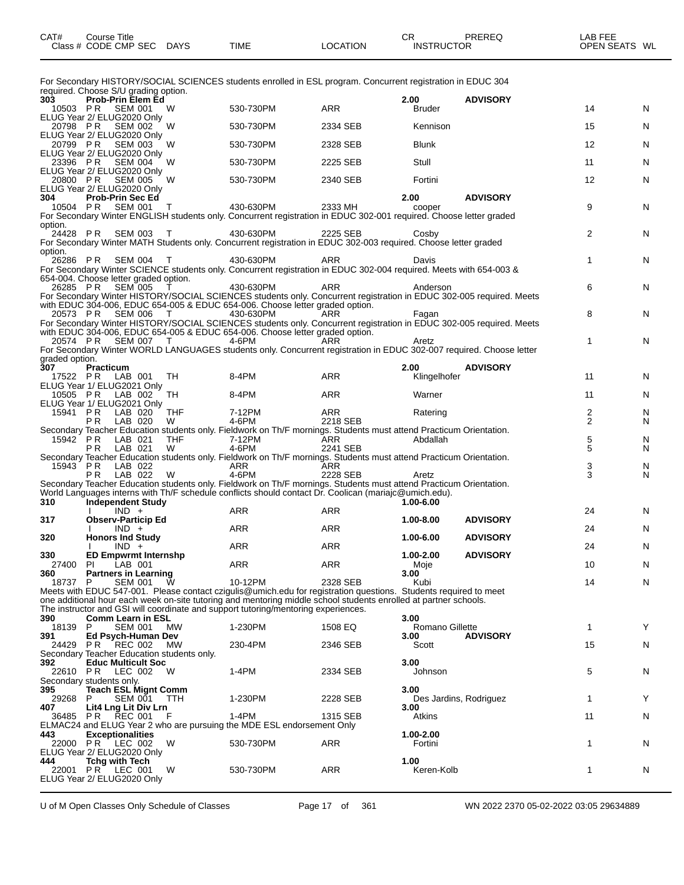| CAT#           | <b>Course Title</b><br>Class # CODE CMP SEC DAYS |                |            | <b>TIME</b>                                                                                                         | <b>LOCATION</b> | CR.<br><b>INSTRUCTOR</b> | <b>PREREQ</b>   | LAB FEE<br>OPEN SEATS WL |   |
|----------------|--------------------------------------------------|----------------|------------|---------------------------------------------------------------------------------------------------------------------|-----------------|--------------------------|-----------------|--------------------------|---|
|                |                                                  |                |            | For Secondary HISTORY/SOCIAL SCIENCES students enrolled in ESL program. Concurrent registration in EDUC 304         |                 |                          |                 |                          |   |
|                | required. Choose S/U grading option.             |                |            |                                                                                                                     |                 |                          |                 |                          |   |
| 303            | Prob-Prin Elem Ed                                |                |            |                                                                                                                     |                 | 2.00                     | <b>ADVISORY</b> |                          |   |
|                | 10503 PR SEM 001<br>ELUG Year 2/ ELUG2020 Only   |                | W          | 530-730PM                                                                                                           | <b>ARR</b>      | <b>Bruder</b>            |                 | 14                       | N |
|                | 20798 PR SEM 002                                 |                | W          | 530-730PM                                                                                                           | 2334 SEB        | Kennison                 |                 | 15                       | N |
|                | ELUG Year 2/ ELUG2020 Only                       |                |            |                                                                                                                     |                 |                          |                 |                          |   |
|                | 20799 PR SEM 003                                 |                | W          | 530-730PM                                                                                                           | 2328 SEB        | <b>Blunk</b>             |                 | 12                       | N |
|                | ELUG Year 2/ ELUG2020 Only                       |                |            |                                                                                                                     |                 |                          |                 |                          |   |
| 23396 PR       |                                                  | <b>SEM 004</b> | W          | 530-730PM                                                                                                           | 2225 SEB        | Stull                    |                 | 11                       | N |
|                | ELUG Year 2/ ELUG2020 Only                       |                |            |                                                                                                                     |                 |                          |                 |                          |   |
| 20800 PR       |                                                  | SEM 005        | W          | 530-730PM                                                                                                           | 2340 SEB        | Fortini                  |                 | 12                       | N |
|                | ELUG Year 2/ ELUG2020 Only                       |                |            |                                                                                                                     |                 |                          |                 |                          |   |
| 304            | <b>Prob-Prin Sec Ed</b>                          |                |            |                                                                                                                     |                 | 2.00                     | <b>ADVISORY</b> |                          |   |
|                | 10504 PR SEM 001                                 |                | $\top$     | 430-630PM                                                                                                           | 2333 MH         | cooper                   |                 | 9                        | N |
|                |                                                  |                |            | For Secondary Winter ENGLISH students only. Concurrent registration in EDUC 302-001 required. Choose letter graded  |                 |                          |                 |                          |   |
| option.        |                                                  |                |            |                                                                                                                     |                 |                          |                 |                          |   |
| 24428 PR       |                                                  | <b>SEM 003</b> | $\top$     | 430-630PM                                                                                                           | 2225 SEB        | Cosby                    |                 | 2                        | N |
|                |                                                  |                |            | For Secondary Winter MATH Students only. Concurrent registration in EDUC 302-003 required. Choose letter graded     |                 |                          |                 |                          |   |
| option.        |                                                  |                |            |                                                                                                                     |                 |                          |                 |                          |   |
| 26286 PR       |                                                  | SEM 004 T      |            | 430-630PM                                                                                                           | <b>ARR</b>      | Davis                    |                 | $\mathbf{1}$             | N |
|                |                                                  |                |            | For Secondary Winter SCIENCE students only. Concurrent registration in EDUC 302-004 required. Meets with 654-003 &  |                 |                          |                 |                          |   |
|                | 654-004. Choose letter graded option.            |                |            |                                                                                                                     |                 |                          |                 |                          |   |
|                | 26285 PR SEM 005                                 |                |            | 430-630PM                                                                                                           | <b>ARR</b>      | Anderson                 |                 | 6                        | N |
|                |                                                  |                |            | For Secondary Winter HISTORY/SOCIAL SCIENCES students only. Concurrent registration in EDUC 302-005 required. Meets |                 |                          |                 |                          |   |
|                | 20573 PR SEM 006                                 |                | $\top$     | with EDUC 304-006, EDUC 654-005 & EDUC 654-006. Choose letter graded option.<br>430-630PM                           | ARR             | Fagan                    |                 | 8                        | N |
|                |                                                  |                |            | For Secondary Winter HISTORY/SOCIAL SCIENCES students only. Concurrent registration in EDUC 302-005 required. Meets |                 |                          |                 |                          |   |
|                |                                                  |                |            | with EDUC 304-006, EDUC 654-005 & EDUC 654-006. Choose letter graded option.                                        |                 |                          |                 |                          |   |
|                | 20574 PR SEM 007 T                               |                |            | 4-6PM                                                                                                               | ARR             | Aretz                    |                 | $\mathbf{1}$             | N |
|                |                                                  |                |            | For Secondary Winter WORLD LANGUAGES students only. Concurrent registration in EDUC 302-007 required. Choose letter |                 |                          |                 |                          |   |
| graded option. |                                                  |                |            |                                                                                                                     |                 |                          |                 |                          |   |
| 307            | <b>Practicum</b>                                 |                |            |                                                                                                                     |                 | 2.00                     | <b>ADVISORY</b> |                          |   |
| 17522 PR       |                                                  | LAB 001        | <b>TH</b>  | 8-4PM                                                                                                               | <b>ARR</b>      | Klingelhofer             |                 | 11                       | N |
|                | ELUG Year 1/ ELUG2021 Only                       |                |            |                                                                                                                     |                 |                          |                 |                          |   |
| 10505 PR       |                                                  | LAB 002        | TH         | 8-4PM                                                                                                               | <b>ARR</b>      | Warner                   |                 | 11                       | N |
|                | ELUG Year 1/ ELUG2021 Only                       |                |            |                                                                                                                     |                 |                          |                 |                          |   |
| 15941 PR       |                                                  | LAB 020        | <b>THF</b> | 7-12PM                                                                                                              | <b>ARR</b>      | Ratering                 |                 | 2                        | N |
|                | <b>PR</b>                                        | LAB 020        | W          | 4-6PM                                                                                                               | 2218 SEB        |                          |                 | $\overline{2}$           | N |

|            |                                            |            | Secondary Teacher Education students only. Fieldwork on Th/F mornings. Students must attend Practicum Orientation. |            |                        |                 |               |              |
|------------|--------------------------------------------|------------|--------------------------------------------------------------------------------------------------------------------|------------|------------------------|-----------------|---------------|--------------|
| $15943$ PR | LAB 022                                    |            | ARR                                                                                                                | <b>ARR</b> |                        |                 | $\frac{3}{3}$ | N            |
|            | PR.<br>LAB 022                             | W          | 4-6PM                                                                                                              | 2228 SEB   | Aretz                  |                 |               | N            |
|            |                                            |            | Secondary Teacher Education students only. Fieldwork on Th/F mornings. Students must attend Practicum Orientation. |            |                        |                 |               |              |
|            |                                            |            | World Languages interns with Th/F schedule conflicts should contact Dr. Coolican (mariajc@umich.edu).              |            |                        |                 |               |              |
| 310        | <b>Independent Study</b>                   |            |                                                                                                                    |            | $1.00 - 6.00$          |                 |               |              |
|            | $IND +$                                    |            | <b>ARR</b>                                                                                                         | <b>ARR</b> |                        |                 | 24            | N            |
| 317        | <b>Observ-Particip Ed</b>                  |            |                                                                                                                    |            | 1.00-8.00              | <b>ADVISORY</b> |               |              |
|            | $IND +$                                    |            | <b>ARR</b>                                                                                                         | <b>ARR</b> |                        |                 | 24            | N            |
| 320        | <b>Honors Ind Study</b>                    |            |                                                                                                                    |            | 1.00-6.00              | <b>ADVISORY</b> |               |              |
|            | $IND +$                                    |            | <b>ARR</b>                                                                                                         | <b>ARR</b> |                        |                 | 24            | N            |
| 330        | <b>ED Empwrmt Internshp</b>                |            |                                                                                                                    |            | 1.00-2.00              | <b>ADVISORY</b> |               |              |
| 27400      | LAB 001<br>PI                              |            | <b>ARR</b>                                                                                                         | <b>ARR</b> | Moje                   |                 | 10            | N            |
| 360        | <b>Partners in Learning</b>                |            |                                                                                                                    |            | 3.00                   |                 |               |              |
| 18737 P    | <b>SEM 001</b>                             | W          | 10-12PM                                                                                                            | 2328 SEB   | Kubi                   |                 | 14            | N            |
|            |                                            |            | Meets with EDUC 547-001. Please contact czigulis@umich.edu for registration questions. Students required to meet   |            |                        |                 |               |              |
|            |                                            |            | one additional hour each week on-site tutoring and mentoring middle school students enrolled at partner schools.   |            |                        |                 |               |              |
|            |                                            |            | The instructor and GSI will coordinate and support tutoring/mentoring experiences.                                 |            |                        |                 |               |              |
| 390        | <b>Comm Learn in ESL</b>                   |            |                                                                                                                    |            | 3.00                   |                 |               |              |
| 18139      | <b>SEM 001</b><br>P                        | MW         | 1-230PM                                                                                                            | 1508 EQ    | Romano Gillette        |                 | 1             | Y            |
| 391        | Ed Psych-Human Dev                         |            |                                                                                                                    |            | 3.00                   | <b>ADVISORY</b> |               |              |
|            | 24429 PR REC 002                           | <b>MW</b>  | 230-4PM                                                                                                            | 2346 SEB   | Scott                  |                 | 15            | N            |
|            | Secondary Teacher Education students only. |            |                                                                                                                    |            |                        |                 |               |              |
| 392        | <b>Educ Multicult Soc</b>                  |            |                                                                                                                    |            | 3.00                   |                 |               |              |
|            | 22610 PR LEC 002                           | W          | $1-4PM$                                                                                                            | 2334 SEB   | Johnson                |                 | 5             | $\mathsf{N}$ |
|            | Secondary students only.                   |            |                                                                                                                    |            |                        |                 |               |              |
| 395        | <b>Teach ESL Mignt Comm</b>                |            |                                                                                                                    |            | 3.00                   |                 |               |              |
| 29268      | <b>SEM 001</b><br>P                        | <b>TTH</b> | 1-230PM                                                                                                            | 2228 SEB   | Des Jardins, Rodriguez |                 | 1             | Υ            |
| 407        | Lit4 Lng Lit Div Lrn                       |            |                                                                                                                    |            | 3.00                   |                 |               |              |
|            | 36485 PR REC 001                           | F          | $1-4PM$                                                                                                            | 1315 SEB   | Atkins                 |                 | 11            | $\mathsf{N}$ |
|            |                                            |            | ELMAC24 and ELUG Year 2 who are pursuing the MDE ESL endorsement Only                                              |            |                        |                 |               |              |
| 443        | <b>Exceptionalities</b>                    |            |                                                                                                                    |            | 1.00-2.00              |                 |               |              |
|            | 22000 PR LEC 002                           | W          | 530-730PM                                                                                                          | <b>ARR</b> | Fortini                |                 | 1             | N            |
|            | ELUG Year 2/ ELUG2020 Only                 |            |                                                                                                                    |            |                        |                 |               |              |
| 444        | <b>Tchg with Tech</b>                      |            |                                                                                                                    |            | 1.00                   |                 |               |              |
|            | 22001 PR LEC 001                           | W          | 530-730PM                                                                                                          | <b>ARR</b> | Keren-Kolb             |                 | 1             | N            |
|            | ELUG Year 2/ ELUG2020 Only                 |            |                                                                                                                    |            |                        |                 |               |              |
|            |                                            |            |                                                                                                                    |            |                        |                 |               |              |

15942 P.R. LAB 021 THF 7-12PM ARR Abdallah 5 N P R LAB 021 W 4-6PM 2241 SEB 5 N

Secondary Teacher Education students only. Fieldwork on Th/F mornings. Students must attend Practicum Orientation.

U of M Open Classes Only Schedule of Classes Page 17 of 361 WN 2022 2370 05-02-2022 03:05 29634889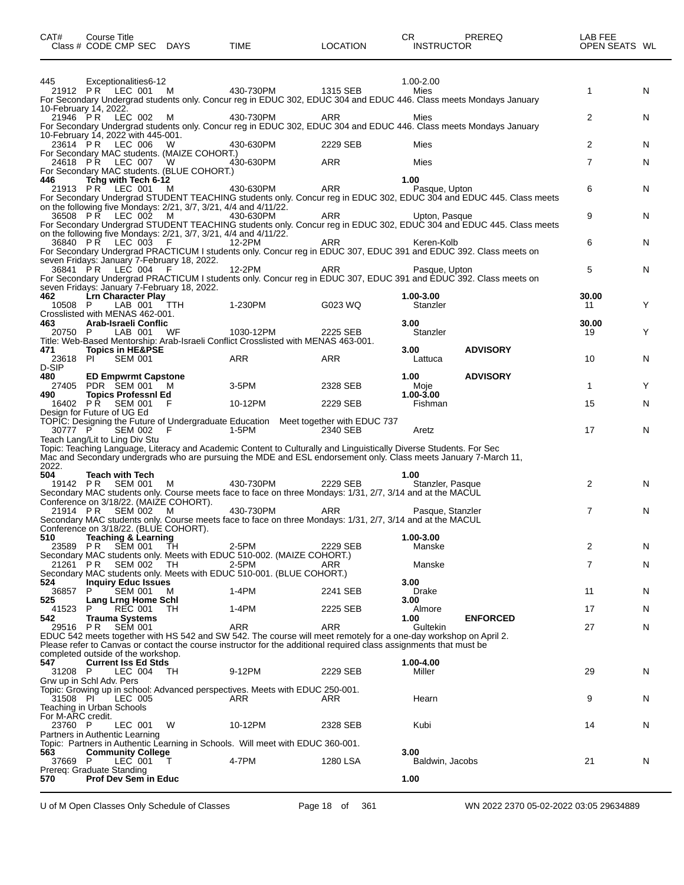| CAT#                          | <b>Course Title</b><br>Class # CODE CMP SEC DAYS                                                                       |          | TIME                                                                                                                                                                                                                                          | <b>LOCATION</b> | CR.<br><b>INSTRUCTOR</b> | PREREQ                                                                                                             | LAB FEE<br>OPEN SEATS WL |   |
|-------------------------------|------------------------------------------------------------------------------------------------------------------------|----------|-----------------------------------------------------------------------------------------------------------------------------------------------------------------------------------------------------------------------------------------------|-----------------|--------------------------|--------------------------------------------------------------------------------------------------------------------|--------------------------|---|
| 445                           | Exceptionalities 6-12                                                                                                  |          |                                                                                                                                                                                                                                               |                 | 1.00-2.00                |                                                                                                                    |                          |   |
|                               | 21912 PR LEC 001 M<br>10-February 14, 2022.                                                                            |          | 430-730PM<br>For Secondary Undergrad students only. Concur reg in EDUC 302, EDUC 304 and EDUC 446. Class meets Mondays January                                                                                                                | 1315 SEB        | Mies                     |                                                                                                                    | $\mathbf{1}$             | N |
|                               | 21946 PR LEC 002 M<br>10-February 14, 2022 with 445-001.                                                               |          | 430-730PM<br>For Secondary Undergrad students only. Concur reg in EDUC 302, EDUC 304 and EDUC 446. Class meets Mondays January                                                                                                                | ARR             | Mies                     |                                                                                                                    | 2                        | N |
|                               | 23614 PR LEC 006                                                                                                       | <b>W</b> | 430-630PM                                                                                                                                                                                                                                     | 2229 SEB        | Mies                     |                                                                                                                    | $\overline{2}$           | N |
|                               | For Secondary MAC students. (MAIZE COHORT.)<br>24618 PR LEC 007<br>For Secondary MAC students. (BLUE COHORT.)          | <b>W</b> | 430-630PM                                                                                                                                                                                                                                     | <b>ARR</b>      | Mies                     |                                                                                                                    | $\overline{7}$           | N |
| 446                           | Tchg with Tech 6-12<br>21913 PR LEC 001 M                                                                              |          | 430-630PM                                                                                                                                                                                                                                     | ARR             | 1.00<br>Pasque, Upton    | For Secondary Undergrad STUDENT TEACHING students only. Concur reg in EDUC 302, EDUC 304 and EDUC 445. Class meets | 6                        | N |
|                               | on the following five Mondays: 2/21, 3/7, 3/21, 4/4 and 4/11/22.<br>36508 PR LEC 002 M                                 |          | 430-630PM                                                                                                                                                                                                                                     | ARR             | Upton, Pasque            | For Secondary Undergrad STUDENT TEACHING students only. Concur reg in EDUC 302, EDUC 304 and EDUC 445. Class meets | 9                        | N |
|                               | on the following five Mondays: 2/21, 3/7, 3/21, 4/4 and 4/11/22.<br>36840 PR LEC 003                                   | - F      | 12-2PM<br>For Secondary Undergrad PRACTICUM I students only. Concur reg in EDUC 307, EDUC 391 and EDUC 392. Class meets on                                                                                                                    | ARR             | Keren-Kolb               |                                                                                                                    | 6                        | N |
|                               | seven Fridays: January 7-February 18, 2022.<br>36841 PR LEC 004                                                        |          | 12-2PM<br>For Secondary Undergrad PRACTICUM I students only. Concur reg in EDUC 307, EDUC 391 and EDUC 392. Class meets on                                                                                                                    | <b>ARR</b>      | Pasque, Upton            |                                                                                                                    | 5                        | N |
| 462<br>10508 P                | seven Fridays: January 7-February 18, 2022.<br><b>Lrn Character Play</b><br>LAB 001<br>Crosslisted with MENAS 462-001. | TTH      | 1-230PM                                                                                                                                                                                                                                       | G023 WQ         | 1.00-3.00<br>Stanzler    |                                                                                                                    | 30.00<br>-11             | Y |
| 463<br>20750 P                | Arab-Israeli Conflic<br>LAB 001                                                                                        | WF       | 1030-12PM<br>Title: Web-Based Mentorship: Arab-Israeli Conflict Crosslisted with MENAS 463-001.                                                                                                                                               | 2225 SEB        | 3.00<br>Stanzler         |                                                                                                                    | 30.00<br>19              | Y |
| 471<br>23618 PI<br>D-SIP      | <b>Topics in HE&amp;PSE</b><br><b>SEM 001</b>                                                                          |          | ARR                                                                                                                                                                                                                                           | <b>ARR</b>      | 3.00<br>Lattuca          | <b>ADVISORY</b>                                                                                                    | 10                       | N |
| 480                           | <b>ED Empwrmt Capstone</b><br>27405 PDR SEM 001 M                                                                      |          | 3-5PM                                                                                                                                                                                                                                         | 2328 SEB        | 1.00<br>Moje             | <b>ADVISORY</b>                                                                                                    | $\mathbf{1}$             | Y |
| 490                           | <b>Topics Professni Ed</b><br>16402 PR SEM 001<br>Design for Future of UG Ed                                           | - F      | 10-12PM                                                                                                                                                                                                                                       | 2229 SEB        | 1.00-3.00<br>Fishman     |                                                                                                                    | 15                       | N |
| 30777 P                       | SEM 002 F<br>Teach Lang/Lit to Ling Div Stu                                                                            |          | TOPIC: Designing the Future of Undergraduate Education Meet together with EDUC 737<br>1-5PM                                                                                                                                                   | 2340 SEB        | Aretz                    |                                                                                                                    | 17                       | N |
| 2022.                         |                                                                                                                        |          | Topic: Teaching Language, Literacy and Academic Content to Culturally and Linguistically Diverse Students. For Sec<br>Mac and Secondary undergrads who are pursuing the MDE and ESL endorsement only. Class meets January 7-March 11,         |                 |                          |                                                                                                                    |                          |   |
| 504                           | <b>Teach with Tech</b><br>19142 PR SEM 001 M<br>Conference on 3/18/22. (MAIZE COHORT).                                 |          | 430-730PM<br>Secondary MAC students only. Course meets face to face on three Mondays: 1/31, 2/7, 3/14 and at the MACUL                                                                                                                        | 2229 SEB        | 1.00<br>Stanzler, Pasque |                                                                                                                    | $\overline{2}$           | N |
|                               | 21914 PR SEM 002 M<br>Conference on 3/18/22. (BLUE COHORT).                                                            |          | 430-730PM<br>Secondary MAC students only. Course meets face to face on three Mondays: 1/31, 2/7, 3/14 and at the MACUL                                                                                                                        | <b>ARR</b>      | Pasque, Stanzler         |                                                                                                                    | $\overline{7}$           | N |
| 510<br>23589 PR               | Teaching & Learning<br>SEM 001                                                                                         | TH       | 2-5PM                                                                                                                                                                                                                                         | 2229 SEB        | 1.00-3.00<br>Manske      |                                                                                                                    | 2                        | N |
| 21261 PR                      | SEM 002                                                                                                                | TH       | Secondary MAC students only. Meets with EDUC 510-002. (MAIZE COHORT.)<br>2-5PM<br>Secondary MAC students only. Meets with EDUC 510-001. (BLUE COHORT.)                                                                                        | ARR             | Manske                   |                                                                                                                    | $\overline{7}$           | N |
| 524<br>36857                  | <b>Inquiry Educ Issues</b><br>P.<br>SEM 001                                                                            | M        | 1-4PM                                                                                                                                                                                                                                         | 2241 SEB        | 3.00<br>Drake            |                                                                                                                    | 11                       | N |
| 525<br>41523                  | Lang Lrng Home Schl<br><b>REC 001</b><br>P                                                                             | TH       | 1-4PM                                                                                                                                                                                                                                         | 2225 SEB        | 3.00<br>Almore           |                                                                                                                    | 17                       | N |
| 542<br>29516 PR               | Trauma Systems<br><b>SEM 001</b>                                                                                       |          | ARR<br>EDUC 542 meets together with HS 542 and SW 542. The course will meet remotely for a one-day workshop on April 2.<br>Please refer to Canvas or contact the course instructor for the additional required class assignments that must be | <b>ARR</b>      | 1.00<br>Gultekin         | <b>ENFORCED</b>                                                                                                    | 27                       | N |
| 547                           | completed outside of the workshop.<br><b>Current Iss Ed Stds</b>                                                       |          |                                                                                                                                                                                                                                               |                 | 1.00-4.00                |                                                                                                                    |                          |   |
| 31208 P                       | LEC 004<br>Grw up in Schl Adv. Pers                                                                                    | TH       | 9-12PM                                                                                                                                                                                                                                        | 2229 SEB        | Miller                   |                                                                                                                    | 29                       | N |
| 31508 PI<br>For M-ARC credit. | LEC 005<br>Teaching in Urban Schools                                                                                   |          | Topic: Growing up in school: Advanced perspectives. Meets with EDUC 250-001.<br>ARR                                                                                                                                                           | ARR             | Hearn                    |                                                                                                                    | 9                        | N |
| 23760 P                       | LEC 001<br>Partners in Authentic Learning                                                                              | W        | 10-12PM                                                                                                                                                                                                                                       | 2328 SEB        | Kubi                     |                                                                                                                    | 14                       | N |
| 563<br>37669 P                | <b>Community College</b><br>LEC 001                                                                                    |          | Topic: Partners in Authentic Learning in Schools. Will meet with EDUC 360-001.<br>4-7PM                                                                                                                                                       | 1280 LSA        | 3.00<br>Baldwin, Jacobs  |                                                                                                                    | 21                       | N |
| 570                           | Prereq: Graduate Standing<br><b>Prof Dev Sem in Educ</b>                                                               |          |                                                                                                                                                                                                                                               |                 | 1.00                     |                                                                                                                    |                          |   |

U of M Open Classes Only Schedule of Classes Page 18 of 361 WN 2022 2370 05-02-2022 03:05 29634889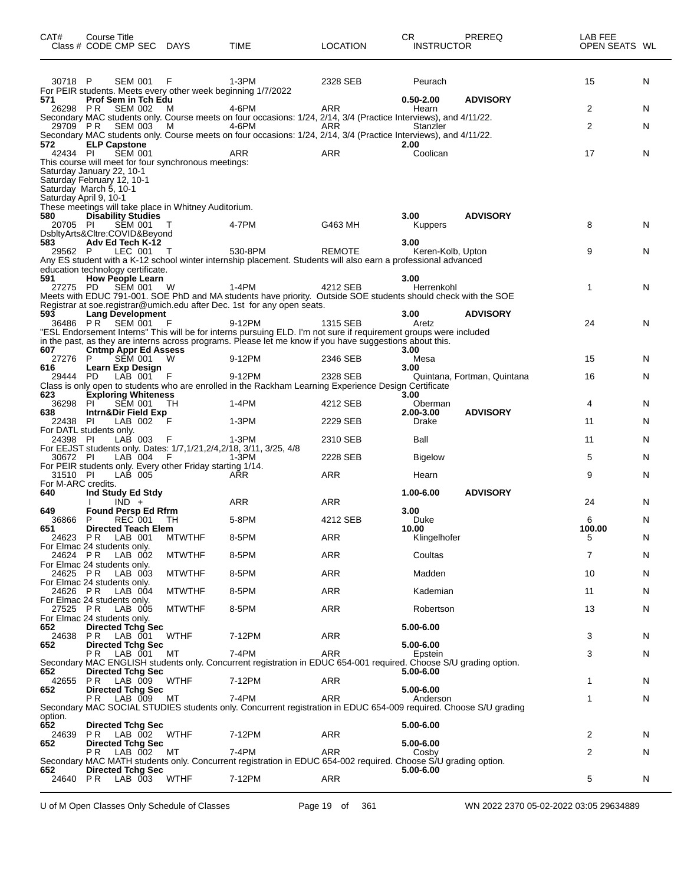| CAT#                      | Course Title<br>Class # CODE CMP SEC DAYS                                           |               | <b>TIME</b>                                                                                                                                                                               | <b>LOCATION</b> | CR.<br><b>INSTRUCTOR</b> | PREREQ                      | LAB FEE<br>OPEN SEATS WL |    |
|---------------------------|-------------------------------------------------------------------------------------|---------------|-------------------------------------------------------------------------------------------------------------------------------------------------------------------------------------------|-----------------|--------------------------|-----------------------------|--------------------------|----|
| 30718 P                   | SEM 001                                                                             | F             | 1-3PM                                                                                                                                                                                     | 2328 SEB        | Peurach                  |                             | 15                       | N  |
| 571                       | For PEIR students. Meets every other week beginning 1/7/2022<br>Prof Sem in Tch Edu |               |                                                                                                                                                                                           |                 | $0.50 - 2.00$            | <b>ADVISORY</b>             |                          |    |
|                           | 26298 PR SEM 002                                                                    | M             | 4-6PM                                                                                                                                                                                     | ARR             | Hearn                    |                             | 2                        | N  |
|                           | 29709 PR SEM 003                                                                    | - M           | Secondary MAC students only. Course meets on four occasions: 1/24, 2/14, 3/4 (Practice Interviews), and 4/11/22.<br>4-6PM                                                                 | ARR             | Stanzler                 |                             | 2                        | N  |
| 572                       | <b>ELP Capstone</b>                                                                 |               | Secondary MAC students only. Course meets on four occasions: 1/24, 2/14, 3/4 (Practice Interviews), and 4/11/22.                                                                          |                 | 2.00                     |                             |                          |    |
| 42434 PI                  | <b>SEM 001</b>                                                                      |               | ARR                                                                                                                                                                                       | <b>ARR</b>      | Coolican                 |                             | 17                       | N  |
|                           | This course will meet for four synchronous meetings:<br>Saturday January 22, 10-1   |               |                                                                                                                                                                                           |                 |                          |                             |                          |    |
|                           | Saturday February 12, 10-1                                                          |               |                                                                                                                                                                                           |                 |                          |                             |                          |    |
|                           | Saturday March 5, 10-1<br>Saturday April 9, 10-1                                    |               |                                                                                                                                                                                           |                 |                          |                             |                          |    |
| 580                       | These meetings will take place in Whitney Auditorium.<br><b>Disability Studies</b>  |               |                                                                                                                                                                                           |                 | 3.00                     | <b>ADVISORY</b>             |                          |    |
| 20705 PI                  | <b>SEM 001</b>                                                                      |               | 4-7PM                                                                                                                                                                                     | G463 MH         | <b>Kuppers</b>           |                             | 8                        | N  |
| 583                       | DsbltyArts&Cltre:COVID&Beyond<br>Adv Ed Tech K-12                                   |               |                                                                                                                                                                                           |                 | 3.00                     |                             |                          |    |
| 29562 P                   | LEC 001 T                                                                           |               | 530-8PM<br>Any ES student with a K-12 school winter internship placement. Students will also earn a professional advanced                                                                 | <b>REMOTE</b>   | Keren-Kolb, Upton        |                             | 9                        | N  |
|                           | education technology certificate.                                                   |               |                                                                                                                                                                                           |                 |                          |                             |                          |    |
| 591<br>27275 PD           | <b>How People Learn</b><br>SEM 001                                                  | W             | 1-4PM                                                                                                                                                                                     | 4212 SEB        | 3.00<br>Herrenkohl       |                             | $\mathbf{1}$             | N  |
|                           |                                                                                     |               | Meets with EDUC 791-001. SOE PhD and MA students have priority. Outside SOE students should check with the SOE<br>Registrar at soe.registrar@umich.edu after Dec. 1st for any open seats. |                 |                          |                             |                          |    |
| 593                       | <b>Lang Development</b>                                                             |               |                                                                                                                                                                                           |                 | 3.00                     | <b>ADVISORY</b>             |                          |    |
|                           | 36486 PR SEM 001                                                                    | - F           | 9-12PM<br>"ESL Endorsement Interns" This will be for interns pursuing ELD. I'm not sure if requirement groups were included                                                               | 1315 SEB        | Aretz                    |                             | 24                       | N  |
| 607                       | <b>Cntmp Appr Ed Assess</b>                                                         |               | in the past, as they are interns across programs. Please let me know if you have suggestions about this.                                                                                  |                 | 3.00                     |                             |                          |    |
| 27276 P                   | <b>SÉM 001</b>                                                                      | W             | 9-12PM                                                                                                                                                                                    | 2346 SEB        | Mesa                     |                             | 15                       | N. |
| 616<br>29444 PD           | Learn Exp Design<br>LAB 001 F                                                       |               | 9-12PM                                                                                                                                                                                    | 2328 SEB        | 3.00                     | Quintana, Fortman, Quintana | 16                       | N  |
| 623                       | <b>Exploring Whiteness</b>                                                          |               | Class is only open to students who are enrolled in the Rackham Learning Experience Design Certificate                                                                                     |                 | 3.00                     |                             |                          |    |
| 36298 PI                  | SEM 001                                                                             | TН            | 1-4PM                                                                                                                                                                                     | 4212 SEB        | Oberman                  |                             | 4                        | N  |
| 638<br>22438 PI           | Intrn&Dir Field Exp<br>LAB 002                                                      | -F            | $1-3PM$                                                                                                                                                                                   | 2229 SEB        | 2.00-3.00<br>Drake       | <b>ADVISORY</b>             | 11                       | N  |
|                           | For DATL students only.                                                             | F             |                                                                                                                                                                                           | 2310 SEB        | Ball                     |                             | 11                       | N  |
| 24398 PI                  | LAB 003<br>For EEJST students only. Dates: 1/7,1/21,2/4,2/18, 3/11, 3/25, 4/8       |               | 1-3PM                                                                                                                                                                                     |                 |                          |                             |                          |    |
| 30672 PI                  | LAB 004<br>For PEIR students only. Every other Friday starting 1/14.                | - F           | 1-3PM                                                                                                                                                                                     | 2228 SEB        | <b>Bigelow</b>           |                             | 5                        | N  |
| 31510 PI                  | LAB 005                                                                             |               | ARR                                                                                                                                                                                       | <b>ARR</b>      | Hearn                    |                             | 9                        | N  |
| For M-ARC credits.<br>640 | Ind Study Ed Stdy                                                                   |               |                                                                                                                                                                                           |                 | 1.00-6.00                | <b>ADVISORY</b>             |                          |    |
| 649                       | $IND +$<br><b>Found Persp Ed Rfrm</b>                                               |               | ARR                                                                                                                                                                                       | <b>ARR</b>      | 3.00                     |                             | 24                       | N  |
| 36866                     | <b>REC 001 TH</b><br>P                                                              |               | 5-8PM                                                                                                                                                                                     | 4212 SEB        | Duke<br>10.00            |                             | 6<br>100.00              | N  |
| 651                       | <b>Directed Teach Elem</b><br>24623 PR LAB 001                                      | <b>MTWTHF</b> | 8-5PM                                                                                                                                                                                     | <b>ARR</b>      | Klingelhofer             |                             | 5                        | N  |
| 24624 PR                  | For Elmac 24 students only.<br>LAB 002                                              | <b>MTWTHF</b> | 8-5PM                                                                                                                                                                                     | ARR             | Coultas                  |                             | 7                        | N  |
|                           | For Elmac 24 students only.                                                         |               |                                                                                                                                                                                           |                 |                          |                             |                          |    |
|                           | 24625 PR LAB 003<br>For Elmac 24 students only.                                     | <b>MTWTHF</b> | 8-5PM                                                                                                                                                                                     | ARR             | Madden                   |                             | 10                       | N  |
| 24626 PR                  | LAB 004<br>For Elmac 24 students only.                                              | <b>MTWTHF</b> | 8-5PM                                                                                                                                                                                     | <b>ARR</b>      | Kademian                 |                             | 11                       | N  |
| 27525 PR                  | LAB 005                                                                             | <b>MTWTHF</b> | 8-5PM                                                                                                                                                                                     | ARR             | Robertson                |                             | 13                       | N  |
| 652                       | For Elmac 24 students only.<br><b>Directed Tchg Sec</b>                             |               |                                                                                                                                                                                           |                 | 5.00-6.00                |                             |                          |    |
| 24638<br>652              | <b>PR</b> LAB 001<br><b>Directed Tchg Sec</b>                                       | <b>WTHF</b>   | 7-12PM                                                                                                                                                                                    | ARR             | 5.00-6.00                |                             | 3                        | N  |
|                           | PR LAB 001 MT                                                                       |               | 7-4PM                                                                                                                                                                                     | ARR             | Epstein                  |                             | 3                        | N  |
| 652                       | <b>Directed Tchg Sec</b>                                                            |               | Secondary MAC ENGLISH students only. Concurrent registration in EDUC 654-001 required. Choose S/U grading option.                                                                         |                 | 5.00-6.00                |                             |                          |    |
| 652                       | 42655 PR LAB 009 WTHF<br><b>Directed Tchg Sec</b>                                   |               | 7-12PM                                                                                                                                                                                    | ARR             | 5.00-6.00                |                             | 1                        | N  |
|                           | PR LAB 009 MT                                                                       |               | 7-4PM                                                                                                                                                                                     | <b>ARR</b>      | Anderson                 |                             | 1                        | N  |
| option.                   |                                                                                     |               | Secondary MAC SOCIAL STUDIES students only. Concurrent registration in EDUC 654-009 required. Choose S/U grading                                                                          |                 |                          |                             |                          |    |
| 652<br>24639              | <b>Directed Tchg Sec</b><br>PR LAB 002 WTHF                                         |               | 7-12PM                                                                                                                                                                                    | ARR             | 5.00-6.00                |                             | 2                        | N  |
| 652                       | <b>Directed Tchg Sec</b>                                                            |               |                                                                                                                                                                                           |                 | 5.00-6.00                |                             |                          |    |
|                           | PR LAB 002 MT                                                                       |               | 7-4PM<br>Secondary MAC MATH students only. Concurrent registration in EDUC 654-002 required. Choose S/U grading option.                                                                   | ARR             | Cosby                    |                             | 2                        | N  |
| 652<br>24640 PR           | <b>Directed Tchg Sec</b><br>LAB 003 WTHF                                            |               | 7-12PM                                                                                                                                                                                    | <b>ARR</b>      | 5.00-6.00                |                             | 5                        | N  |
|                           |                                                                                     |               |                                                                                                                                                                                           |                 |                          |                             |                          |    |

U of M Open Classes Only Schedule of Classes Page 19 of 361 WN 2022 2370 05-02-2022 03:05 29634889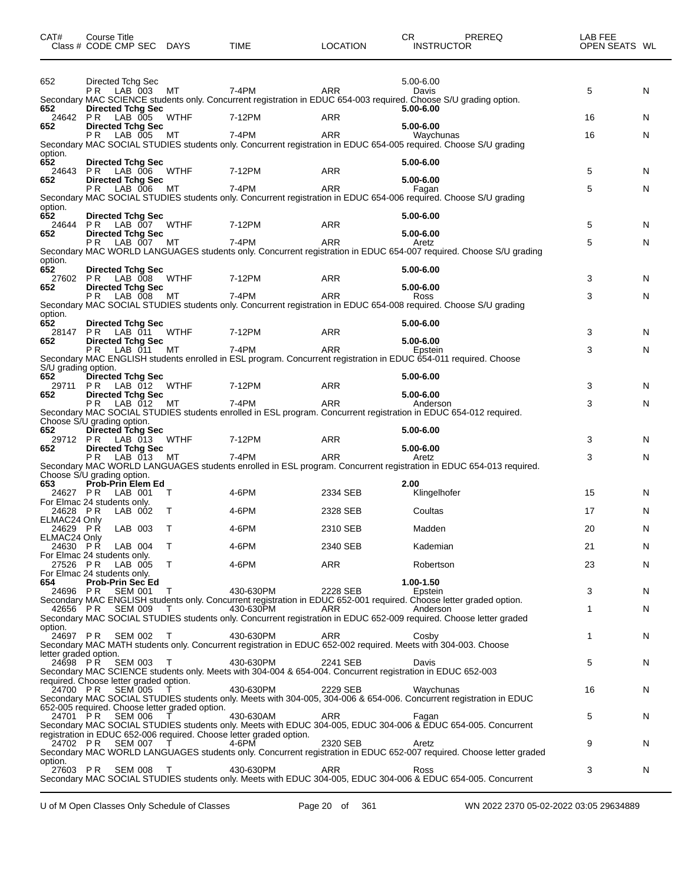| CAT#                                | Course Title<br>Class # CODE CMP SEC DAYS                                   |             | TIME                                                                         | <b>LOCATION</b> | PREREQ<br>CR.<br><b>INSTRUCTOR</b>                                                                                                    | LAB FEE<br>OPEN SEATS WL |        |
|-------------------------------------|-----------------------------------------------------------------------------|-------------|------------------------------------------------------------------------------|-----------------|---------------------------------------------------------------------------------------------------------------------------------------|--------------------------|--------|
| 652                                 | Directed Tchg Sec                                                           |             |                                                                              |                 | 5.00-6.00                                                                                                                             |                          |        |
|                                     | P R<br>LAB 003                                                              | MT          | 7-4PM                                                                        | ARR             | Davis<br>Secondary MAC SCIENCE students only. Concurrent registration in EDUC 654-003 required. Choose S/U grading option.            | 5                        | N      |
| 652<br>24642<br>652                 | <b>Directed Tchg Sec</b><br>PR.<br>LAB 005 WTHF<br><b>Directed Tchg Sec</b> |             | 7-12PM                                                                       | <b>ARR</b>      | 5.00-6.00<br>5.00-6.00                                                                                                                | 16                       | N      |
|                                     | P R<br>LAB 005                                                              | MТ          | 7-4PM                                                                        | <b>ARR</b>      | Waychunas<br>Secondary MAC SOCIAL STUDIES students only. Concurrent registration in EDUC 654-005 required. Choose S/U grading         | 16                       | N      |
| option.<br>652                      | <b>Directed Tchg Sec</b>                                                    |             |                                                                              |                 | 5.00-6.00                                                                                                                             |                          |        |
| 24643<br>652                        | PR.<br>LAB 006<br><b>Directed Tchg Sec</b>                                  | WTHF        | 7-12PM                                                                       | ARR             | 5.00-6.00                                                                                                                             | 5                        | N      |
|                                     | PR.<br>LAB 006                                                              | МT          | 7-4PM                                                                        | <b>ARR</b>      | Fagan<br>Secondary MAC SOCIAL STUDIES students only. Concurrent registration in EDUC 654-006 required. Choose S/U grading             | 5                        | N      |
| option.<br>652<br>24644             | <b>Directed Tchg Sec</b><br>PR.<br>LAB 007 WTHF                             |             | 7-12PM                                                                       | <b>ARR</b>      | 5.00-6.00                                                                                                                             | 5                        | N      |
| 652                                 | <b>Directed Tchg Sec</b><br>P R I<br>LAB 007 MT                             |             | 7-4PM                                                                        | <b>ARR</b>      | 5.00-6.00<br>Aretz                                                                                                                    | 5                        | N      |
| option.                             |                                                                             |             |                                                                              |                 | Secondary MAC WORLD LANGUAGES students only. Concurrent registration in EDUC 654-007 required. Choose S/U grading                     |                          |        |
| 652<br>27602                        | <b>Directed Tchg Sec</b><br>PR -<br>LAB 008                                 | WTHF        | 7-12PM                                                                       | ARR             | 5.00-6.00                                                                                                                             | 3                        | N      |
| 652                                 | <b>Directed Tchg Sec</b><br>P R<br>LAB 008                                  | МT          | 7-4PM                                                                        | <b>ARR</b>      | 5.00-6.00<br>Ross<br>Secondary MAC SOCIAL STUDIES students only. Concurrent registration in EDUC 654-008 required. Choose S/U grading | 3                        | N      |
| option.<br>652                      | <b>Directed Tchg Sec</b>                                                    |             |                                                                              |                 | 5.00-6.00                                                                                                                             |                          |        |
| 28147<br>652                        | PR LAB 011<br><b>Directed Tchg Sec</b>                                      | WTHF        | 7-12PM                                                                       | ARR             | 5.00-6.00                                                                                                                             | 3                        | N      |
|                                     | P R.<br>LAB 011                                                             | МT          | 7-4PM                                                                        | <b>ARR</b>      | Epstein<br>Secondary MAC ENGLISH students enrolled in ESL program. Concurrent registration in EDUC 654-011 required. Choose           | 3                        | N      |
| S/U grading option.<br>652<br>29711 | <b>Directed Tchg Sec</b><br>PR.<br>LAB 012 WTHF                             |             | 7-12PM                                                                       | ARR             | 5.00-6.00                                                                                                                             | 3                        | N      |
| 652                                 | <b>Directed Tchg Sec</b><br>P R.<br>LAB 012                                 | МT          | 7-4PM                                                                        | <b>ARR</b>      | 5.00-6.00<br>Anderson                                                                                                                 | 3                        | N      |
|                                     | Choose S/U grading option.                                                  |             |                                                                              |                 | Secondary MAC SOCIAL STUDIES students enrolled in ESL program. Concurrent registration in EDUC 654-012 required.                      |                          |        |
| 652<br>29712 PR                     | <b>Directed Tchg Sec</b><br>LAB 013                                         | WTHF        | 7-12PM                                                                       | ARR             | 5.00-6.00                                                                                                                             | 3                        | N      |
| 652                                 | <b>Directed Tchg Sec</b><br>P R.<br>LAB 013                                 | МT          | 7-4PM                                                                        | <b>ARR</b>      | 5.00-6.00<br>Aretz                                                                                                                    | 3                        | N      |
| 653                                 | Choose S/U grading option.<br><b>Prob-Prin Elem Ed</b>                      |             |                                                                              |                 | Secondary MAC WORLD LANGUAGES students enrolled in ESL program. Concurrent registration in EDUC 654-013 required.<br>2.00             |                          |        |
| 24627 PR                            | LAB 001<br>For Elmac 24 students only.                                      | T           | 4-6PM                                                                        | 2334 SEB        | Klingelhofer                                                                                                                          | 15                       | N      |
| 24628 PR<br>ELMAC24 Only            | LAB 002                                                                     | т           | 4-6PM                                                                        | 2328 SEB        | Coultas                                                                                                                               | 17                       | N      |
| 24629 PR<br>ELMAC24 Only            | LAB 003                                                                     | Τ           | 4-6PM                                                                        | 2310 SEB        | Madden                                                                                                                                | 20                       | N      |
| 24630 PR<br>27526 PR                | LAB 004<br>For Elmac 24 students only.<br>LAB 005                           | T<br>$\top$ | 4-6PM<br>4-6PM                                                               | 2340 SEB<br>ARR | Kademian<br>Robertson                                                                                                                 | 21<br>23                 | N<br>N |
| 654                                 | For Elmac 24 students only.<br>Prob-Prin Sec Ed                             |             |                                                                              |                 | 1.00-1.50                                                                                                                             |                          |        |
| 24696 PR                            | SEM 001                                                                     | $\top$      | 430-630PM                                                                    | 2228 SEB        | Epstein<br>Secondary MAC ENGLISH students only. Concurrent registration in EDUC 652-001 required. Choose letter graded option.        | 3                        | N      |
|                                     | 42656 PR SEM 009                                                            | T           | 430-630PM                                                                    | ARR             | Anderson<br>Secondary MAC SOCIAL STUDIES students only. Concurrent registration in EDUC 652-009 required. Choose letter graded        | 1                        | N      |
| option.                             | 24697 PR SEM 002                                                            | $\top$      | 430-630PM                                                                    | ARR             | Cosby<br>Secondary MAC MATH students only. Concurrent registration in EDUC 652-002 required. Meets with 304-003. Choose               | 1                        | N      |
| letter graded option.<br>24698 PR   | <b>SEM 003</b>                                                              | T           | 430-630PM                                                                    | 2241 SEB        | Davis                                                                                                                                 | 5                        | N      |
|                                     | required. Choose letter graded option.                                      |             |                                                                              |                 | Secondary MAC SCIENCE students only. Meets with 304-004 & 654-004. Concurrent registration in EDUC 652-003                            |                          |        |
| 24700 PR                            | <b>SEM 005</b>                                                              |             | 430-630PM                                                                    | 2229 SEB        | Waychunas<br>Secondary MAC SOCIAL STUDIES students only. Meets with 304-005, 304-006 & 654-006. Concurrent registration in EDUC       | 16                       | N      |
| 24701 PR                            | 652-005 required. Choose letter graded option.<br><b>SEM 006</b>            |             | 430-630AM                                                                    | ARR             | Fagan                                                                                                                                 | 5                        | N      |
|                                     | 24702 PR SEM 007                                                            |             | registration in EDUC 652-006 required. Choose letter graded option.<br>4-6PM | 2320 SEB        | Secondary MAC SOCIAL STUDIES students only. Meets with EDUC 304-005, EDUC 304-006 & EDUC 654-005. Concurrent<br>Aretz                 | 9                        | N      |
| option.                             |                                                                             |             |                                                                              |                 | Secondary MAC WORLD LANGUAGES students only. Concurrent registration in EDUC 652-007 required. Choose letter graded                   |                          |        |
|                                     | 27603 PR<br><b>SEM 008</b>                                                  | $\top$      | 430-630PM                                                                    | ARR             | Ross<br>Secondary MAC SOCIAL STUDIES students only. Meets with EDUC 304-005, EDUC 304-006 & EDUC 654-005. Concurrent                  | 3                        | N      |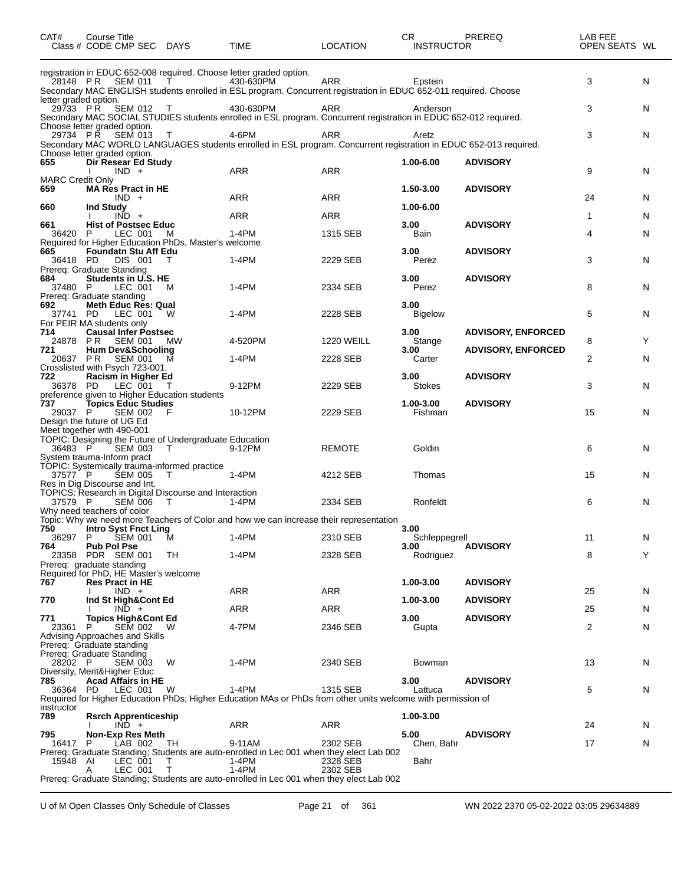| CAT#                           | Course Title<br>Class # CODE CMP SEC DAYS                                                                          |                               | TIME                                                                                                                                                                                                 | <b>LOCATION</b>   | CR.<br><b>INSTRUCTOR</b>  | PREREQ                                                 | LAB FEE<br>OPEN SEATS WL |   |
|--------------------------------|--------------------------------------------------------------------------------------------------------------------|-------------------------------|------------------------------------------------------------------------------------------------------------------------------------------------------------------------------------------------------|-------------------|---------------------------|--------------------------------------------------------|--------------------------|---|
| letter graded option.          | 28148 PR SEM 011                                                                                                   | $\mathbf{T}$ and $\mathbf{T}$ | registration in EDUC 652-008 required. Choose letter graded option.<br>430-630PM<br>Secondary MAC ENGLISH students enrolled in ESL program. Concurrent registration in EDUC 652-011 required. Choose | ARR               | Epstein                   |                                                        | 3                        | N |
| 29733 PR                       | SEM 012 T<br>Choose letter graded option.                                                                          |                               | 430-630PM<br>Secondary MAC SOCIAL STUDIES students enrolled in ESL program. Concurrent registration in EDUC 652-012 required.                                                                        | ARR               | Anderson                  |                                                        | 3                        | N |
|                                | 29734 PŘ SEM 013<br>Choose letter graded option.                                                                   | $\top$                        | 4-6PM<br>Secondary MAC WORLD LANGUAGES students enrolled in ESL program. Concurrent registration in EDUC 652-013 required.                                                                           | ARR               | Aretz                     |                                                        | 3                        | N |
| 655<br><b>MARC Credit Only</b> | Dir Resear Ed Study<br>$IND +$                                                                                     |                               | ARR                                                                                                                                                                                                  | <b>ARR</b>        | 1.00-6.00                 | <b>ADVISORY</b>                                        | 9                        | N |
| 659                            | <b>MA Res Pract in HE</b><br>$IND +$                                                                               |                               | ARR                                                                                                                                                                                                  | ARR               | 1.50-3.00                 | <b>ADVISORY</b>                                        | 24                       | N |
| 660                            | <b>Ind Study</b><br>$IND +$                                                                                        |                               | ARR                                                                                                                                                                                                  | ARR               | 1.00-6.00                 |                                                        | 1                        | N |
| 661<br>36420                   | <b>Hist of Postsec Educ</b><br>LEC 001<br>P.                                                                       | M                             | 1-4PM                                                                                                                                                                                                | 1315 SEB          | 3.00 <sub>1</sub><br>Bain | <b>ADVISORY</b>                                        | 4                        | N |
| 665<br>36418 PD                | Required for Higher Education PhDs, Master's welcome<br><b>Foundatn Stu Aff Edu</b><br>DIS 001                     |                               | $1-4PM$                                                                                                                                                                                              | 2229 SEB          | 3.00<br>Perez             | <b>ADVISORY</b>                                        | 3                        | N |
| 684                            | Prereq: Graduate Standing<br>Students in U.S. HE                                                                   |                               |                                                                                                                                                                                                      |                   | 3.00                      | <b>ADVISORY</b>                                        | 8                        |   |
| 37480 P<br>692                 | LEC 001<br>Prereg: Graduate standing<br><b>Meth Educ Res: Qual</b>                                                 | M                             | 1-4PM                                                                                                                                                                                                | 2334 SEB          | Perez<br>3.00             |                                                        |                          | N |
| 37741 PD                       | LEC 001<br>For PEIR MA students only                                                                               | W                             | 1-4PM                                                                                                                                                                                                | 2228 SEB          | <b>Bigelow</b>            |                                                        | 5                        | N |
| 714<br>24878 PR<br>721         | <b>Causal Infer Postsec</b><br>SEM 001<br><b>Hum Dev&amp;Schooling</b>                                             | МW                            | 4-520PM                                                                                                                                                                                              | <b>1220 WEILL</b> | 3.00<br>Stange<br>3.00    | <b>ADVISORY, ENFORCED</b><br><b>ADVISORY, ENFORCED</b> | 8                        | Y |
| 20637 PR                       | <b>SEM 001</b><br>Crosslisted with Psych 723-001.                                                                  | M                             | $1-4PM$                                                                                                                                                                                              | 2228 SEB          | Carter                    |                                                        | 2                        | N |
| 722<br>36378 PD                | Racism in Higher Ed<br>LEC 001 T                                                                                   |                               | 9-12PM                                                                                                                                                                                               | 2229 SEB          | 3.00<br><b>Stokes</b>     | <b>ADVISORY</b>                                        | 3                        | N |
| 737<br>29037 P                 | preference given to Higher Education students<br>Topics Educ Studies<br>SEM 002                                    | - F                           | 10-12PM                                                                                                                                                                                              | 2229 SEB          | 1.00-3.00<br>Fishman      | <b>ADVISORY</b>                                        | 15                       | N |
|                                | Design the future of UG Ed<br>Meet together with 490-001<br>TOPIC: Designing the Future of Undergraduate Education |                               |                                                                                                                                                                                                      |                   |                           |                                                        |                          |   |
| 36483 P                        | <b>SEM 003</b><br>System trauma-Inform pract                                                                       | $\top$                        | 9-12PM                                                                                                                                                                                               | <b>REMOTE</b>     | Goldin                    |                                                        | 6                        | N |
| 37577 P                        | TOPIC: Systemically trauma-informed practice<br>SEM 005<br>Res in Dig Discourse and Int.                           | $\top$                        | 1-4PM                                                                                                                                                                                                | 4212 SEB          | Thomas                    |                                                        | 15                       | N |
| 37579 P                        | TOPICS: Research in Digital Discourse and Interaction<br><b>SEM 006</b>                                            | $\top$                        | 1-4PM                                                                                                                                                                                                | 2334 SEB          | Ronfeldt                  |                                                        | 6                        | N |
| 750                            | Why need teachers of color<br>Intro Syst Fnct Ling                                                                 |                               | Topic: Why we need more Teachers of Color and how we can increase their representation                                                                                                               |                   | 3.00                      |                                                        |                          |   |
| 36297<br>764                   | P.<br><b>SEM 001</b><br><b>Pub Pol Pse</b>                                                                         | M                             | 1-4PM                                                                                                                                                                                                | 2310 SEB          | Schleppegrell<br>3.00     | <b>ADVISORY</b>                                        | 11                       | N |
| 23358                          | PDR SEM 001<br>Prereq: graduate standing                                                                           | TH                            | 1-4PM                                                                                                                                                                                                | 2328 SEB          | Rodriguez                 |                                                        | 8                        | Y |
| 767                            | Required for PhD, HE Master's welcome<br><b>Res Pract in HE</b>                                                    |                               |                                                                                                                                                                                                      |                   | 1.00-3.00                 | <b>ADVISORY</b>                                        |                          |   |
|                                | $IND +$                                                                                                            |                               | ARR                                                                                                                                                                                                  | ARR               |                           |                                                        | 25                       | N |
| 770                            | Ind St High&Cont Ed<br>$IND +$                                                                                     |                               | ARR                                                                                                                                                                                                  | ARR               | 1.00-3.00                 | <b>ADVISORY</b>                                        | 25                       | N |
| 771<br>23361                   | <b>Topics High&amp;Cont Ed</b><br>P<br>SEM 002                                                                     | w                             | 4-7PM                                                                                                                                                                                                | 2346 SEB          | 3.00<br>Gupta             | <b>ADVISORY</b>                                        | 2                        | N |
|                                | Advising Approaches and Skills<br>Prereq: Graduate standing<br>Prereg: Graduate Standing                           |                               |                                                                                                                                                                                                      |                   |                           |                                                        |                          |   |
| 28202 P                        | <b>SEM 003</b><br>Diversity, Merit&Higher Educ                                                                     | W                             | 1-4PM                                                                                                                                                                                                | 2340 SEB          | Bowman                    |                                                        | 13                       | N |
| 785<br>36364 PD                | <b>Acad Affairs in HE</b><br>LEC 001                                                                               | W                             | 1-4PM                                                                                                                                                                                                | 1315 SEB          | 3.00<br>Lattuca           | <b>ADVISORY</b>                                        | 5                        | N |
| instructor                     |                                                                                                                    |                               | Required for Higher Education PhDs; Higher Education MAs or PhDs from other units welcome with permission of                                                                                         |                   |                           |                                                        |                          |   |
| 789                            | <b>Rsrch Apprenticeship</b><br>$IND +$                                                                             |                               | ARR                                                                                                                                                                                                  | ARR               | 1.00-3.00                 |                                                        | 24                       | N |
| 795<br>16417                   | <b>Non-Exp Res Meth</b><br>LAB 002<br>P.                                                                           | TH                            | 9-11AM                                                                                                                                                                                               | 2302 SEB          | 5.00<br>Chen, Bahr        | <b>ADVISORY</b>                                        | 17                       | N |
| 15948 AI                       | LEC 001                                                                                                            | T                             | Prereq: Graduate Standing; Students are auto-enrolled in Lec 001 when they elect Lab 002<br>1-4PM                                                                                                    | 2328 SEB          | Bahr                      |                                                        |                          |   |
|                                | LEC 001<br>A                                                                                                       | т                             | 1-4PM<br>Prereq: Graduate Standing; Students are auto-enrolled in Lec 001 when they elect Lab 002                                                                                                    | 2302 SEB          |                           |                                                        |                          |   |
|                                |                                                                                                                    |                               |                                                                                                                                                                                                      |                   |                           |                                                        |                          |   |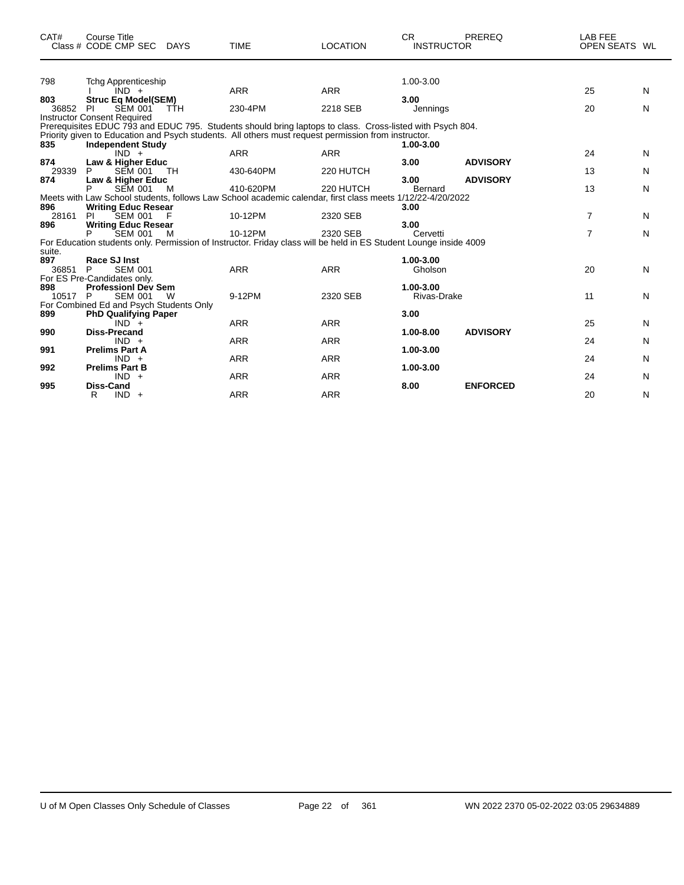| CAT#         | <b>Course Title</b><br>Class # CODE CMP SEC DAYS     |            | <b>TIME</b>                                                                                                                                                                                                      | <b>LOCATION</b> | <b>CR</b><br><b>INSTRUCTOR</b> | PREREQ          | <b>LAB FEE</b><br>OPEN SEATS WL |   |
|--------------|------------------------------------------------------|------------|------------------------------------------------------------------------------------------------------------------------------------------------------------------------------------------------------------------|-----------------|--------------------------------|-----------------|---------------------------------|---|
| 798          | <b>Tchg Apprenticeship</b>                           |            |                                                                                                                                                                                                                  |                 | 1.00-3.00                      |                 |                                 |   |
| 803          | $IND +$<br><b>Struc Eq Model(SEM)</b>                |            | <b>ARR</b>                                                                                                                                                                                                       | <b>ARR</b>      | 3.00                           |                 | 25                              | N |
| 36852 PI     | <b>SEM 001</b><br><b>Instructor Consent Required</b> | <b>TTH</b> | 230-4PM                                                                                                                                                                                                          | 2218 SEB        | Jennings                       |                 | 20                              | N |
| 835          | <b>Independent Study</b>                             |            | Prerequisites EDUC 793 and EDUC 795. Students should bring laptops to class. Cross-listed with Psych 804.<br>Priority given to Education and Psych students. All others must request permission from instructor. |                 | 1.00-3.00                      |                 |                                 |   |
|              | $IND +$                                              |            | <b>ARR</b>                                                                                                                                                                                                       | <b>ARR</b>      |                                |                 | 24                              | N |
| 874<br>29339 | Law & Higher Educ<br><b>SEM 001</b><br>P             | <b>TH</b>  | 430-640PM                                                                                                                                                                                                        | 220 HUTCH       | 3.00                           | <b>ADVISORY</b> | 13                              | N |
| 874          | Law & Higher Educ                                    |            |                                                                                                                                                                                                                  |                 | 3.00                           | <b>ADVISORY</b> |                                 |   |
| 896          | <b>SEM 001</b><br><b>Writing Educ Resear</b>         | м          | 410-620PM<br>Meets with Law School students, follows Law School academic calendar, first class meets 1/12/22-4/20/2022                                                                                           | 220 HUTCH       | <b>Bernard</b><br>3.00         |                 | 13                              | N |
| 28161        | <b>SEM 001</b><br>PI                                 |            | 10-12PM                                                                                                                                                                                                          | 2320 SEB        |                                |                 | 7                               | N |
| 896          | <b>Writing Educ Resear</b>                           |            |                                                                                                                                                                                                                  |                 | 3.00                           |                 |                                 |   |
|              | <b>SEM 001</b>                                       | м          | 10-12PM                                                                                                                                                                                                          | 2320 SEB        | Cervetti                       |                 | $\overline{7}$                  | N |
| suite.       |                                                      |            | For Education students only. Permission of Instructor. Friday class will be held in ES Student Lounge inside 4009                                                                                                |                 |                                |                 |                                 |   |
| 897<br>36851 | <b>Race SJ Inst</b><br>P<br><b>SEM 001</b>           |            | <b>ARR</b>                                                                                                                                                                                                       | <b>ARR</b>      | 1.00-3.00<br>Gholson           |                 | 20                              | N |
|              | For ES Pre-Candidates only.                          |            |                                                                                                                                                                                                                  |                 |                                |                 |                                 |   |
| 898          | <b>Professionl Dev Sem</b>                           |            |                                                                                                                                                                                                                  |                 | 1.00-3.00                      |                 |                                 |   |
| 10517 P      | <b>SEM 001</b>                                       | W          | 9-12PM                                                                                                                                                                                                           | 2320 SEB        | Rivas-Drake                    |                 | 11                              | N |
| 899          | For Combined Ed and Psych Students Only              |            |                                                                                                                                                                                                                  |                 | 3.00                           |                 |                                 |   |
|              | <b>PhD Qualifying Paper</b><br>$IND +$               |            | <b>ARR</b>                                                                                                                                                                                                       | <b>ARR</b>      |                                |                 | 25                              | N |
| 990          | <b>Diss-Precand</b>                                  |            |                                                                                                                                                                                                                  |                 | 1.00-8.00                      | <b>ADVISORY</b> |                                 |   |
|              | $IND +$                                              |            | <b>ARR</b>                                                                                                                                                                                                       | <b>ARR</b>      |                                |                 | 24                              | N |
| 991          | <b>Prelims Part A</b>                                |            |                                                                                                                                                                                                                  |                 | 1.00-3.00                      |                 |                                 |   |
|              | $IND +$                                              |            | <b>ARR</b>                                                                                                                                                                                                       | <b>ARR</b>      |                                |                 | 24                              | N |
| 992          | <b>Prelims Part B</b>                                |            |                                                                                                                                                                                                                  |                 | 1.00-3.00                      |                 |                                 |   |
|              | $IND +$                                              |            | <b>ARR</b>                                                                                                                                                                                                       | <b>ARR</b>      |                                |                 | 24                              | N |
| 995          | <b>Diss-Cand</b>                                     |            |                                                                                                                                                                                                                  |                 | 8.00                           | <b>ENFORCED</b> |                                 |   |
|              | $IND +$<br>R                                         |            | <b>ARR</b>                                                                                                                                                                                                       | <b>ARR</b>      |                                |                 | 20                              | N |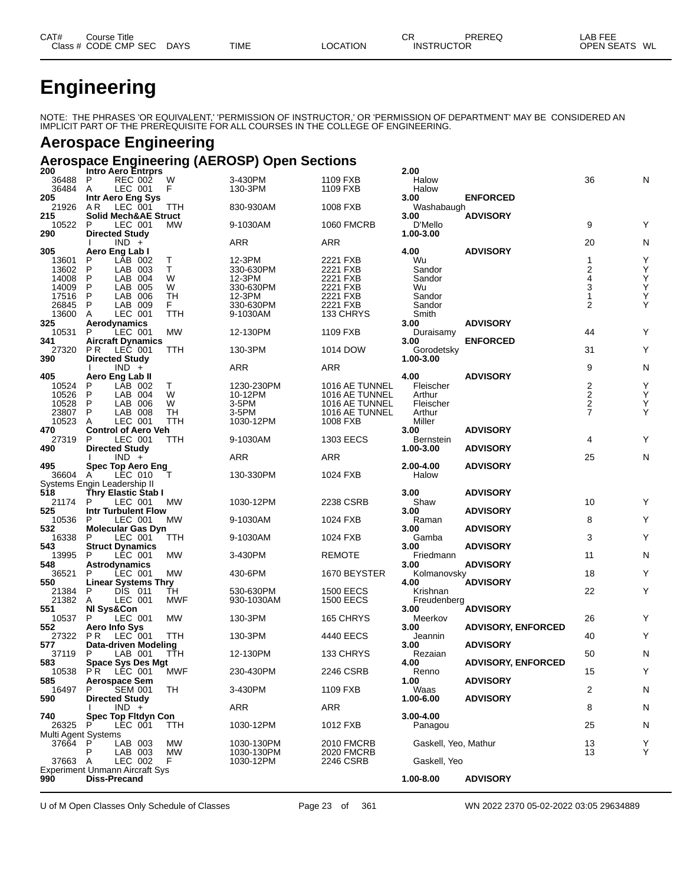| CAT#      | Title<br>∶ourse        |             |             |                 | СF                | PREREQ | $\lambda$ .<br>AВ<br>. |    |
|-----------|------------------------|-------------|-------------|-----------------|-------------------|--------|------------------------|----|
| Class $#$ | CODE CMP<br><b>SEC</b> | <b>DAYS</b> | <b>TIME</b> | <b>LOCATION</b> | <b>INSTRUCTOR</b> |        | <b>OPEN SEATS</b>      | WL |

# **Engineering**

NOTE: THE PHRASES 'OR EQUIVALENT,' 'PERMISSION OF INSTRUCTOR,' OR 'PERMISSION OF DEPARTMENT' MAY BE CONSIDERED AN IMPLICIT PART OF THE PREREQUISITE FOR ALL COURSES IN THE COLLEGE OF ENGINEERING.

#### **Aerospace Engineering**

### **Aerospace Engineering (AEROSP) Open Sections**

| 200                 | <b>Intro Aero Entrprs</b>                  |           |                       |                            | 2.00                 |                           |                                    |        |
|---------------------|--------------------------------------------|-----------|-----------------------|----------------------------|----------------------|---------------------------|------------------------------------|--------|
| 36488               | P<br><b>REC 002</b>                        | W         | 3-430PM               | 1109 FXB                   | Halow                |                           | 36                                 | N      |
| 36484               | LEC 001<br>A                               | F         | 130-3PM               | 1109 FXB                   | Halow                |                           |                                    |        |
| 205                 | Intr Aero Eng Sys                          |           |                       |                            | 3.00                 | <b>ENFORCED</b>           |                                    |        |
| 21926               | LEC 001<br>AR.                             | TTH       | 830-930AM             | 1008 FXB                   | Washabaugh           |                           |                                    |        |
| 215                 | <b>Solid Mech&amp;AE Struct</b>            |           |                       |                            | 3.00                 | <b>ADVISORY</b>           |                                    |        |
| 10522               | P<br>LEC 001                               | MW        | 9-1030AM              | <b>1060 FMCRB</b>          | D'Mello              |                           | 9                                  | Υ      |
| 290                 | <b>Directed Study</b>                      |           |                       |                            | 1.00-3.00            |                           |                                    |        |
|                     | $IND +$                                    |           | <b>ARR</b>            | <b>ARR</b>                 |                      |                           | 20                                 | N      |
| 305                 | Aero Eng Lab I                             |           |                       |                            | 4.00                 | <b>ADVISORY</b>           |                                    |        |
| 13601               | P<br>LAB 002                               | Т         | 12-3PM                | 2221 FXB                   | Wu                   |                           | 1                                  | Υ      |
| 13602               | P<br>LAB 003                               | т         | 330-630PM             | 2221 FXB                   | Sandor               |                           | 2                                  | Υ      |
| 14008               | P<br>LAB 004                               | W         | 12-3PM                | 2221 FXB                   | Sandor               |                           | 4                                  | Ÿ<br>Y |
| 14009               | P<br>LAB 005                               | W         | 330-630PM             | 2221 FXB                   | Wu                   |                           | $\overline{3}$                     |        |
| 17516               | P<br>LAB 006                               | TН        | 12-3PM                | 2221 FXB                   | Sandor               |                           | 1                                  | Y      |
| 26845               | LAB 009<br>P                               | F.        | 330-630PM             | 2221 FXB                   | Sandor               |                           | $\overline{2}$                     | Υ      |
| 13600               | A<br>LEC 001                               | TTH       | 9-1030AM              | 133 CHRYS                  | Smith                |                           |                                    |        |
| 325                 | Aerodynamics                               |           |                       |                            | 3.00                 | <b>ADVISORY</b>           |                                    |        |
| 10531               | P<br>LEC 001                               | МW        | 12-130PM              | 1109 FXB                   | Duraisamy            |                           | 44                                 | Υ      |
| 341                 | <b>Aircraft Dynamics</b>                   |           |                       |                            | 3.00                 | <b>ENFORCED</b>           |                                    |        |
| 27320               | P R<br>LEC 001                             | TTH       | 130-3PM               | 1014 DOW                   | Gorodetsky           |                           | 31                                 | Υ      |
| 390                 | <b>Directed Study</b>                      |           |                       |                            | 1.00-3.00            |                           |                                    |        |
|                     | $IND +$                                    |           | ARR                   | ARR                        |                      |                           | 9                                  | N      |
| 405                 | Aero Eng Lab II                            |           |                       |                            | 4.00                 | <b>ADVISORY</b>           |                                    |        |
| 10524               | P<br>LĀB 002                               | Τ         | 1230-230PM            | 1016 AE TUNNEL             | Fleischer            |                           | 2<br>$\overline{2}$                | Υ      |
| 10526               | P<br>LAB 004                               | W         | 10-12PM               | 1016 AE TUNNEL             | Arthur               |                           |                                    | Υ      |
| 10528               | P<br>LAB 006<br>P                          | W         | 3-5PM                 | 1016 AE TUNNEL             | Fleischer            |                           | $\boldsymbol{2}$<br>$\overline{7}$ | Υ      |
| 23807<br>10523      | LAB 008<br>LEC 001<br>A                    | TН<br>TTH | $3-5$ PM<br>1030-12PM | 1016 AE TUNNEL<br>1008 FXB | Arthur<br>Miller     |                           |                                    | Υ      |
|                     |                                            |           |                       |                            | 3.00                 | <b>ADVISORY</b>           |                                    |        |
| 470<br>27319        | <b>Control of Aero Veh</b><br>P<br>LEC 001 | TTH       | 9-1030AM              | <b>1303 EECS</b>           | <b>Bernstein</b>     |                           | 4                                  | Υ      |
| 490                 | <b>Directed Study</b>                      |           |                       |                            | 1.00-3.00            | <b>ADVISORY</b>           |                                    |        |
|                     | $IND +$                                    |           | <b>ARR</b>            | <b>ARR</b>                 |                      |                           | 25                                 | N      |
| 495                 | <b>Spec Top Aero Eng</b>                   |           |                       |                            | 2.00-4.00            | <b>ADVISORY</b>           |                                    |        |
| 36604               | LEC 010<br>A                               | т         | 130-330PM             | 1024 FXB                   | Halow                |                           |                                    |        |
|                     | Systems Engin Leadership II                |           |                       |                            |                      |                           |                                    |        |
| 518                 | Thry Elastic Stab I                        |           |                       |                            | 3.00                 | <b>ADVISORY</b>           |                                    |        |
| 21174               | LEC 001<br>P                               | МW        | 1030-12PM             | 2238 CSRB                  | Shaw                 |                           | 10                                 | Υ      |
| 525                 | Intr Turbulent Flow                        |           |                       |                            | 3.00                 | <b>ADVISORY</b>           |                                    |        |
| 10536               | P<br>LEC 001                               | МW        | 9-1030AM              | 1024 FXB                   | Raman                |                           | 8                                  | Υ      |
| 532                 | <b>Molecular Gas Dyn</b>                   |           |                       |                            | 3.00                 | <b>ADVISORY</b>           |                                    |        |
| 16338               | P<br>LEC 001                               | TTH       | 9-1030AM              | 1024 FXB                   | Gamba                |                           | 3                                  | Υ      |
| 543                 | <b>Struct Dynamics</b>                     |           |                       |                            | 3.00                 | <b>ADVISORY</b>           |                                    |        |
| 13995               | P<br>LEC 001                               | <b>MW</b> | 3-430PM               | <b>REMOTE</b>              | Friedmann            |                           | 11                                 | N      |
| 548                 | Astrodynamics                              |           |                       |                            | 3.00                 | <b>ADVISORY</b>           |                                    |        |
| 36521               | LEC 001<br>P                               | МW        | 430-6PM               | 1670 BEYSTER               | Kolmanovsky          |                           | 18                                 | Υ      |
| 550                 | <b>Linear Systems Thry</b>                 |           |                       |                            | 4.00                 | <b>ADVISORY</b>           |                                    |        |
| 21384               | DIS 011<br>P                               | ТH        | 530-630PM             | <b>1500 EECS</b>           | Krishnan             |                           | 22                                 | Υ      |
| 21382               | LEC 001<br>A                               | MWF       | 930-1030AM            | <b>1500 EECS</b>           | Freudenberg          |                           |                                    |        |
| 551                 | NI Sys&Con                                 |           |                       |                            | 3.00                 | <b>ADVISORY</b>           |                                    |        |
| 10537               | P<br>LEC 001                               | МW        | 130-3PM               | 165 CHRYS                  | Meerkov              |                           | 26                                 | Υ      |
| 552                 | Aero Info Sys                              |           |                       |                            | 3.00                 | <b>ADVISORY, ENFORCED</b> |                                    |        |
| 27322               | P R<br>LEC 001                             | ттн       | 130-3PM               | 4440 EECS                  | Jeannin              |                           | 40                                 | Υ      |
| 577<br>37119        | Data-driven Modeling<br>P<br>LAB 001       | TTH       | 12-130PM              | 133 CHRYS                  | 3.00<br>Rezaian      | <b>ADVISORY</b>           | 50                                 | N      |
| 583                 | <b>Space Sys Des Mgt</b>                   |           |                       |                            | 4.00                 | <b>ADVISORY, ENFORCED</b> |                                    |        |
| 10538               | PR<br>LEC 001                              | MWF       | 230-430PM             | 2246 CSRB                  | Renno                |                           | 15                                 | Y      |
| 585                 | <b>Aerospace Sem</b>                       |           |                       |                            | 1.00                 | <b>ADVISORY</b>           |                                    |        |
| 16497               | <b>SEM 001</b><br>P                        | TH        | 3-430PM               | 1109 FXB                   | Waas                 |                           | 2                                  | N      |
| 590                 | <b>Directed Study</b>                      |           |                       |                            | 1.00-6.00            | <b>ADVISORY</b>           |                                    |        |
|                     | $IND +$                                    |           | ARR                   | ARR                        |                      |                           | 8                                  | N      |
| 740                 | <b>Spec Top Fitdyn Con</b>                 |           |                       |                            | 3.00-4.00            |                           |                                    |        |
| 26325               | LEC 001<br>P                               | ттн       | 1030-12PM             | 1012 FXB                   | Panagou              |                           | 25                                 | N      |
| Multi Agent Systems |                                            |           |                       |                            |                      |                           |                                    |        |
| 37664               | P<br>LAB 003                               | MW        | 1030-130PM            | <b>2010 FMCRB</b>          | Gaskell, Yeo, Mathur |                           | 13                                 | Υ      |
|                     | P<br>LAB 003                               | МW        | 1030-130PM            | 2020 FMCRB                 |                      |                           | 13                                 | Υ      |
| 37663               | LEC 002<br>A                               | F         | 1030-12PM             | 2246 CSRB                  | Gaskell, Yeo         |                           |                                    |        |
|                     | <b>Experiment Unmann Aircraft Sys</b>      |           |                       |                            |                      |                           |                                    |        |
| 990                 | <b>Diss-Precand</b>                        |           |                       |                            | 1.00-8.00            | <b>ADVISORY</b>           |                                    |        |
|                     |                                            |           |                       |                            |                      |                           |                                    |        |

U of M Open Classes Only Schedule of Classes Page 23 of 361 WN 2022 2370 05-02-2022 03:05 29634889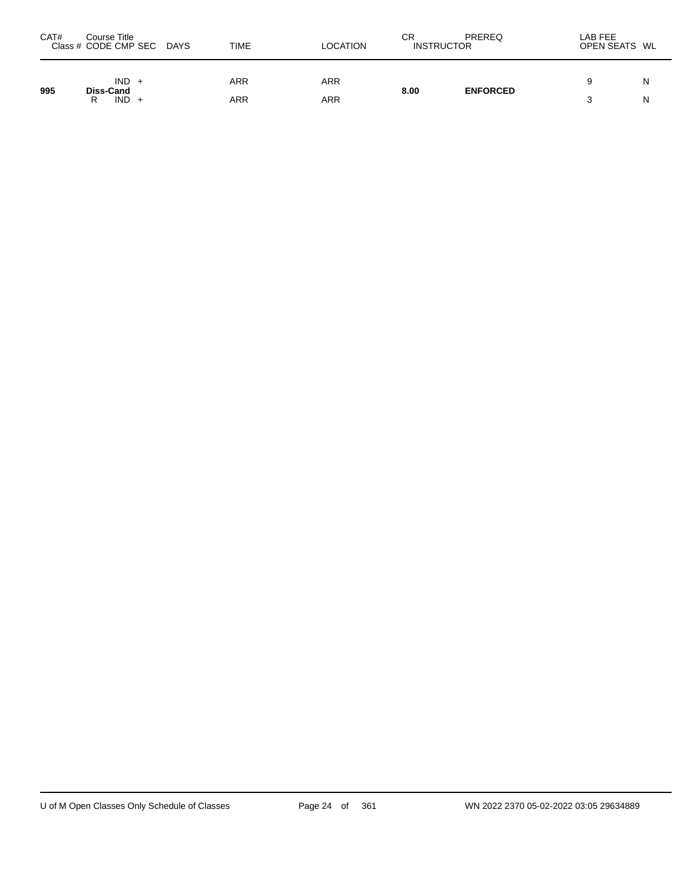| CAT# | Course Title<br>Class # CODE CMP SEC DAYS | TIME | <b>LOCATION</b> | СR<br><b>INSTRUCTOR</b> | PREREQ          | LAB FEE<br>OPEN SEATS WL |   |
|------|-------------------------------------------|------|-----------------|-------------------------|-----------------|--------------------------|---|
| 995  | $IND +$<br>Diss-Cand                      | ARR  | ARR             | 8.00                    | <b>ENFORCED</b> |                          | N |
|      | $IND +$<br>R                              | ARR  | ARR             |                         |                 |                          | N |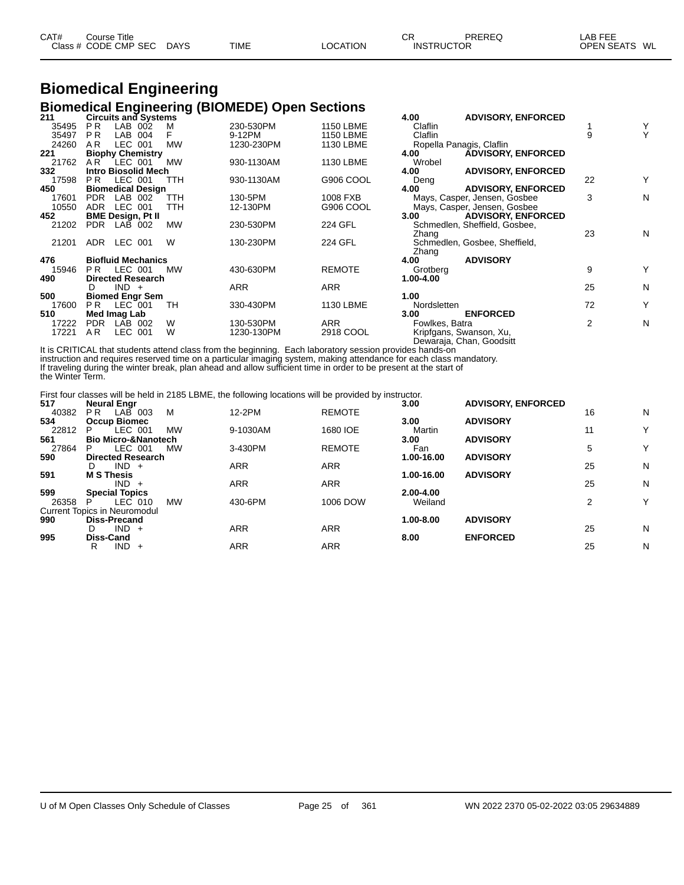| CAT# | Course Title         |             |             |          | СR                | PREREQ | _AB FEE       |  |
|------|----------------------|-------------|-------------|----------|-------------------|--------|---------------|--|
|      | Class # CODE CMP SEC | <b>DAYS</b> | <b>TIME</b> | LOCATION | <b>INSTRUCTOR</b> |        | OPEN SEATS WL |  |

### **Biomedical Engineering Biomedical Engineering (BIOMEDE) Open Sections**

| 211   | <b>Circuits and Systems</b> |           |            |                  | 4.00           | <b>ADVISORY, ENFORCED</b>     |    |   |
|-------|-----------------------------|-----------|------------|------------------|----------------|-------------------------------|----|---|
| 35495 | P <sub>R</sub><br>LAB 002   | м         | 230-530PM  | <b>1150 LBME</b> | Claflin        |                               |    | Υ |
| 35497 | LAB 004<br>P <sub>R</sub>   |           | 9-12PM     | <b>1150 LBME</b> | Claflin        |                               | 9  | Y |
| 24260 | AR.<br>LEC 001              | <b>MW</b> | 1230-230PM | 1130 LBME        |                | Ropella Panagis, Claflin      |    |   |
| 221   | <b>Biophy Chemistry</b>     |           |            |                  | 4.00           | <b>ÁDVISORY, ENFORCED</b>     |    |   |
| 21762 | LEC 001<br>AR.              | <b>MW</b> | 930-1130AM | 1130 LBME        | Wrobel         |                               |    |   |
| 332   | <b>Intro Biosolid Mech</b>  |           |            |                  | 4.00           | <b>ADVISORY, ENFORCED</b>     |    |   |
| 17598 | LEC 001<br>PR.              | TTH       | 930-1130AM | G906 COOL        | Deng           |                               | 22 | Y |
| 450   | <b>Biomedical Design</b>    |           |            |                  | 4.00           | <b>ADVISORY, ENFORCED</b>     |    |   |
| 17601 | LAB 002<br><b>PDR</b>       | TTH       | 130-5PM    | 1008 FXB         |                | Mays, Casper, Jensen, Gosbee  | 3  | N |
| 10550 | LEC 001<br>ADR.             | TTH       | 12-130PM   | G906 COOL        |                | Mays, Casper, Jensen, Gosbee  |    |   |
| 452   | <b>BME Design, Pt II</b>    |           |            |                  | 3.00           | <b>ADVISORY, ENFORCED</b>     |    |   |
| 21202 | <b>PDR</b><br>LAB 002       | <b>MW</b> | 230-530PM  | 224 GFL          |                | Schmedlen, Sheffield, Gosbee, |    |   |
|       |                             |           |            |                  | Zhang          |                               | 23 | N |
| 21201 | LEC 001<br>ADR.             | W         | 130-230PM  | <b>224 GFL</b>   |                | Schmedlen, Gosbee, Sheffield, |    |   |
|       |                             |           |            |                  | Zhang          |                               |    |   |
| 476   | <b>Biofluid Mechanics</b>   |           |            |                  | 4.00           | <b>ADVISORY</b>               |    |   |
| 15946 | LEC 001<br>PR.              | <b>MW</b> | 430-630PM  | <b>REMOTE</b>    | Grotberg       |                               | 9  | Y |
| 490   | <b>Directed Research</b>    |           |            |                  | 1.00-4.00      |                               |    |   |
|       | $IND +$<br>D                |           | <b>ARR</b> | ARR              |                |                               | 25 | N |
| 500   | <b>Biomed Engr Sem</b>      |           |            |                  | 1.00           |                               |    |   |
| 17600 | PR.<br>$LEC$ 001            | TН        | 330-430PM  | 1130 LBME        | Nordsletten    |                               | 72 | Υ |
| 510   | Med Imag Lab                |           |            |                  | 3.00           | <b>ENFORCED</b>               |    |   |
| 17222 | <b>PDR</b><br>LAB 002       | W         | 130-530PM  | ARR              | Fowlkes, Batra |                               | 2  | N |
| 17221 | AR.<br>LEC 001              | W         | 1230-130PM | 2918 COOL        |                | Kripfgans, Swanson, Xu,       |    |   |
|       |                             |           |            |                  |                | Dewaraja, Chan, Goodsitt      |    |   |

It is CRITICAL that students attend class from the beginning. Each laboratory session provides hands-on instruction and requires reserved time on a particular imaging system, making attendance for each class mandatory. If traveling during the winter break, plan ahead and allow sufficient time in order to be present at the start of the Winter Term.

First four classes will be held in 2185 LBME, the following locations will be provided by instructor.

| 517   | <b>Neural Engr</b>                  |           |            |               | 3.00       | <b>ADVISORY, ENFORCED</b> |    |   |
|-------|-------------------------------------|-----------|------------|---------------|------------|---------------------------|----|---|
| 40382 | P <sub>R</sub><br>LAB 003<br>м      |           | 12-2PM     | <b>REMOTE</b> |            |                           | 16 | N |
| 534   | <b>Occup Biomec</b>                 |           |            |               | 3.00       | <b>ADVISORY</b>           |    |   |
| 22812 | LEC 001<br>P                        | <b>MW</b> | 9-1030AM   | 1680 IOE      | Martin     |                           | 11 | Y |
| 561   | <b>Bio Micro-&amp;Nanotech</b>      |           |            |               | 3.00       | <b>ADVISORY</b>           |    |   |
| 27864 | LEC 001<br>Р                        | <b>MW</b> | 3-430PM    | <b>REMOTE</b> | Fan        |                           | 5  | Y |
| 590   | <b>Directed Research</b>            |           |            |               | 1.00-16.00 | <b>ADVISORY</b>           |    |   |
|       | $IND +$<br>D                        |           | <b>ARR</b> | <b>ARR</b>    |            |                           | 25 | N |
| 591   | <b>M S Thesis</b>                   |           |            |               | 1.00-16.00 | <b>ADVISORY</b>           |    |   |
|       | $IND +$                             |           | <b>ARR</b> | <b>ARR</b>    |            |                           | 25 | N |
| 599   | <b>Special Topics</b>               |           |            |               | 2.00-4.00  |                           |    |   |
| 26358 | LEC 010<br>Р                        | <b>MW</b> | 430-6PM    | 1006 DOW      | Weiland    |                           | 2  | Υ |
|       | <b>Current Topics in Neuromodul</b> |           |            |               |            |                           |    |   |
| 990   | <b>Diss-Precand</b>                 |           |            |               | 1.00-8.00  | <b>ADVISORY</b>           |    |   |
|       | $IND +$<br>D                        |           | <b>ARR</b> | <b>ARR</b>    |            |                           | 25 | N |
| 995   | <b>Diss-Cand</b>                    |           |            |               | 8.00       | <b>ENFORCED</b>           |    |   |
|       | <b>IND</b><br>R<br>$+$              |           | ARR        | <b>ARR</b>    |            |                           | 25 | N |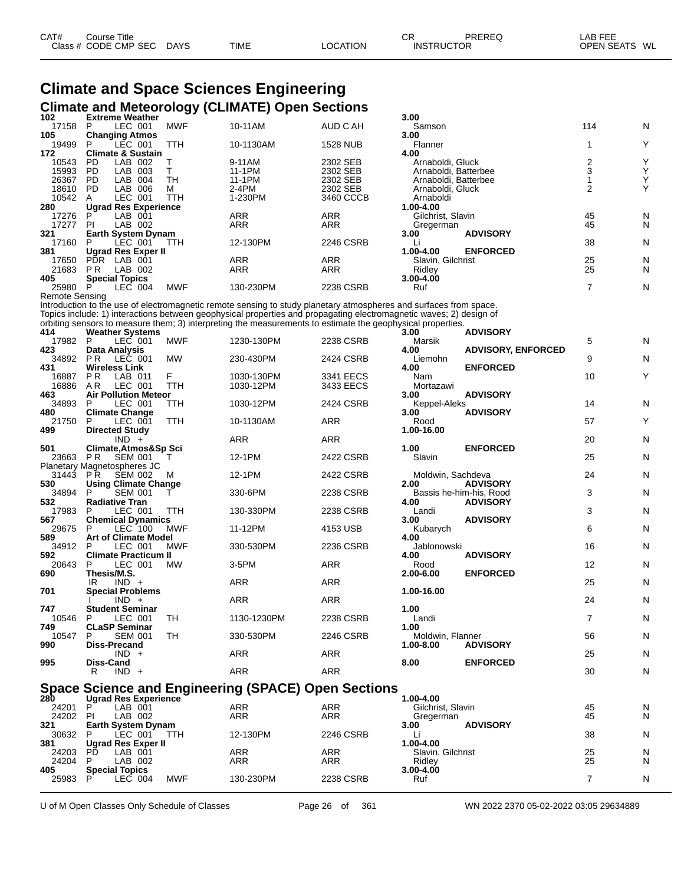| CAT# | Title<br>Course      |             |             |                 | ⌒冖<br>◡           | PREREQ | _AB FEE           |    |
|------|----------------------|-------------|-------------|-----------------|-------------------|--------|-------------------|----|
|      | Class # CODE CMP SEC | <b>DAYS</b> | <b>TIME</b> | <b>LOCATION</b> | <b>INSTRUCTOR</b> |        | <b>OPEN SEATS</b> | WL |

### **Climate and Space Sciences Engineering Climate and Meteorology (CLIMATE) Open Sections**

| 102                            | <b>Extreme Weather</b>                              |              |                                                                                                                    |                      | 3.00                                     |                           |                               |        |
|--------------------------------|-----------------------------------------------------|--------------|--------------------------------------------------------------------------------------------------------------------|----------------------|------------------------------------------|---------------------------|-------------------------------|--------|
| 17158<br>105                   | LEC 001<br>P<br><b>Changing Atmos</b>               | MWF          | 10-11AM                                                                                                            | AUD C AH             | Samson<br>3.00                           |                           | 114                           | N      |
| 19499                          | LEC 001<br>P                                        | TTH          | 10-1130AM                                                                                                          | <b>1528 NUB</b>      | Flanner                                  |                           | 1                             | Y      |
| 172                            | <b>Climate &amp; Sustain</b>                        |              |                                                                                                                    |                      | 4.00                                     |                           |                               |        |
| 10543<br>15993                 | PD.<br>LAB 002<br><b>PD</b><br>LAB 003              | Т<br>T.      | 9-11AM<br>11-1PM                                                                                                   | 2302 SEB<br>2302 SEB | Arnaboldi, Gluck<br>Arnaboldi, Batterbee |                           | $\overline{c}$<br>$\mathsf 3$ | Υ<br>Υ |
| 26367                          | LAB 004<br>PD.                                      | TH           | 11-1PM                                                                                                             | 2302 SEB             | Arnaboldi, Batterbee                     |                           | $\mathbf{1}$                  | Υ      |
| 18610                          | LAB 006<br>- PD                                     | м            | 2-4PM                                                                                                              | 2302 SEB             | Arnaboldi, Gluck                         |                           | 2                             | Y      |
| 10542                          | LEC 001<br>A                                        | TTH          | 1-230PM                                                                                                            | 3460 CCCB            | Arnaboldi                                |                           |                               |        |
| 280<br>17276                   | <b>Ugrad Res Experience</b><br>P<br>LAB 001         |              | ARR                                                                                                                | <b>ARR</b>           | 1.00-4.00<br>Gilchrist, Slavin           |                           | 45                            | N      |
| 17277                          | LAB 002<br>-PI                                      |              | ARR                                                                                                                | ARR                  | Gregerman                                |                           | 45                            | N      |
| 321                            | <b>Earth System Dynam</b>                           |              |                                                                                                                    |                      | 3.00                                     | <b>ADVISORY</b>           |                               |        |
| 17160<br>381                   | LEC 001<br>P                                        | TTH          | 12-130PM                                                                                                           | 2246 CSRB            | Li                                       | <b>ENFORCED</b>           | 38                            | N      |
| 17650                          | Ugrad Res Exper II<br>PDR LAB 001                   |              | ARR                                                                                                                | <b>ARR</b>           | 1.00-4.00<br>Slavin, Gilchrist           |                           | 25                            | N      |
| 21683                          | PR<br>LAB 002                                       |              | ARR                                                                                                                | <b>ARR</b>           | Ridley                                   |                           | 25                            | N      |
| 405                            | <b>Special Topics</b>                               |              |                                                                                                                    |                      | 3.00-4.00                                |                           |                               |        |
| 25980<br><b>Remote Sensing</b> | LEC 004<br>P                                        | MWF          | 130-230PM                                                                                                          | 2238 CSRB            | Ruf                                      |                           | $\overline{7}$                | N      |
|                                |                                                     |              | Introduction to the use of electromagnetic remote sensing to study planetary atmospheres and surfaces from space.  |                      |                                          |                           |                               |        |
|                                |                                                     |              | Topics include: 1) interactions between geophysical properties and propagating electromagnetic waves; 2) design of |                      |                                          |                           |                               |        |
| 414                            |                                                     |              | orbiting sensors to measure them; 3) interpreting the measurements to estimate the geophysical properties.         |                      | 3.00                                     | <b>ADVISORY</b>           |                               |        |
| 17982 P                        | <b>Weather Systems</b><br>LEC 001                   | <b>MWF</b>   | 1230-130PM                                                                                                         | 2238 CSRB            | Marsik                                   |                           | 5                             | N      |
| 423                            | <b>Data Analysis</b>                                |              |                                                                                                                    |                      | 4.00                                     | <b>ADVISORY, ENFORCED</b> |                               |        |
|                                | 34892 PR LEC 001                                    | MW           | 230-430PM                                                                                                          | 2424 CSRB            | Liemohn                                  |                           | 9                             | N      |
| 431<br>16887                   | <b>Wireless Link</b><br>P R<br>LAB 011              | F            | 1030-130PM                                                                                                         | 3341 EECS            | 4.00<br>Nam                              | <b>ENFORCED</b>           | 10                            | Y      |
| 16886                          | LEC 001<br>A R                                      | TTH          | 1030-12PM                                                                                                          | 3433 EECS            | Mortazawi                                |                           |                               |        |
| 463                            | <b>Air Pollution Meteor</b>                         |              |                                                                                                                    |                      | 3.00                                     | <b>ADVISORY</b>           |                               |        |
| 34893                          | P<br>LEC 001                                        | TTH          | 1030-12PM                                                                                                          | 2424 CSRB            | Keppel-Aleks                             |                           | 14                            | N      |
| 480<br>21750                   | <b>Climate Change</b><br>LEC 001<br>P               | TTH          | 10-1130AM                                                                                                          | ARR                  | 3.00<br>Rood                             | <b>ADVISORY</b>           | 57                            | Y      |
| 499                            | <b>Directed Study</b>                               |              |                                                                                                                    |                      | 1.00-16.00                               |                           |                               |        |
|                                | $IND +$                                             |              | ARR                                                                                                                | <b>ARR</b>           |                                          |                           | 20                            | N      |
| 501<br>23663                   | Climate, Atmos&Sp Sci<br>P R<br>SEM 001             | т            | 12-1PM                                                                                                             | 2422 CSRB            | 1.00<br>Slavin                           | <b>ENFORCED</b>           | 25                            | N      |
|                                | Planetary Magnetospheres JC                         |              |                                                                                                                    |                      |                                          |                           |                               |        |
| 31443                          | SEM 002<br>P R                                      | M            | 12-1PM                                                                                                             | 2422 CSRB            | Moldwin, Sachdeva                        |                           | 24                            | N      |
| 530<br>34894                   | <b>Using Climate Change</b><br><b>SEM 001</b><br>P. |              | 330-6PM                                                                                                            | 2238 CSRB            | 2.00                                     | <b>ADVISORY</b>           | 3                             | N      |
| 532                            | <b>Radiative Tran</b>                               | $\mathbf{I}$ |                                                                                                                    |                      | Bassis he-him-his, Rood<br>4.00          | <b>ADVISORY</b>           |                               |        |
| 17983                          | P<br>LEC 001                                        | TTH          | 130-330PM                                                                                                          | 2238 CSRB            | Landi                                    |                           | 3                             | N      |
| 567                            | <b>Chemical Dynamics</b>                            |              |                                                                                                                    |                      | 3.00                                     | <b>ADVISORY</b>           |                               |        |
| 29675<br>589                   | LEC 100<br>P<br><b>Art of Climate Model</b>         | <b>MWF</b>   | 11-12PM                                                                                                            | 4153 USB             | Kubarych<br>4.00                         |                           | 6                             | N      |
| 34912 P                        | LEC 001                                             | <b>MWF</b>   | 330-530PM                                                                                                          | 2236 CSRB            | Jablonowski                              |                           | 16                            | N      |
| 592                            | <b>Climate Practicum II</b>                         |              |                                                                                                                    |                      | 4.00                                     | <b>ADVISORY</b>           |                               |        |
| 20643<br>690                   | P<br>LEC 001<br>Thesis/M.S.                         | MW           | $3-5$ PM                                                                                                           | ARR                  | Rood<br>2.00-6.00                        | <b>ENFORCED</b>           | 12                            | N      |
|                                | $IND +$<br>IR                                       |              | ARR                                                                                                                | ARR                  |                                          |                           | 25                            | N      |
| 701                            | <b>Special Problems</b>                             |              |                                                                                                                    |                      | 1.00-16.00                               |                           |                               |        |
| 747                            | $IND +$                                             |              | ARR                                                                                                                | ARR                  | 1.00                                     |                           | 24                            | N      |
| 10546                          | Student Seminar<br>- P<br>LEC 001                   | TН           | 1130-1230PM                                                                                                        | 2238 CSRB            | Landi                                    |                           |                               | N      |
| 749                            | <b>CLaSP Seminar</b>                                |              |                                                                                                                    |                      | 1.00                                     |                           |                               |        |
| 10547                          | <b>SEM 001</b><br>P                                 | TH           | 330-530PM                                                                                                          | 2246 CSRB            | Moldwin, Flanner                         |                           | 56                            | N      |
| 990                            | Diss-Precand<br>$IND +$                             |              | ARR                                                                                                                | ARR                  | 1.00-8.00                                | <b>ADVISORY</b>           | 25                            | N      |
| 995                            | Diss-Cand                                           |              |                                                                                                                    |                      | 8.00                                     | <b>ENFORCED</b>           |                               |        |
|                                | $IND +$<br>R                                        |              | ARR                                                                                                                | <b>ARR</b>           |                                          |                           | 30                            | N      |
|                                |                                                     |              | <b>Space Science and Engineering (SPACE) Open Sections</b>                                                         |                      |                                          |                           |                               |        |
| 280                            | <b>Ugrad Res Experience</b>                         |              |                                                                                                                    |                      | 1.00-4.00                                |                           |                               |        |
| 24201                          | P<br>LAB 001                                        |              | ARR                                                                                                                | ARR                  | Gilchrist, Slavin                        |                           | 45                            | N      |
| 24202 PI                       | LAB 002                                             |              | ARR                                                                                                                | ARR                  | Gregerman                                |                           | 45                            | N      |
| 321<br>30632                   | Earth System Dynam<br>LEC 001<br>P                  | TTH          | 12-130PM                                                                                                           | 2246 CSRB            | 3.00<br>Li                               | <b>ADVISORY</b>           | 38                            | N      |
| 381                            | Ugrad Res Exper II                                  |              |                                                                                                                    |                      | 1.00-4.00                                |                           |                               |        |
| 24203                          | LAB 001<br>PD.                                      |              | ARR                                                                                                                | ARR                  | Slavin, Gilchrist                        |                           | 25                            | N      |
| 24204<br>405                   | LAB 002<br><b>Special Topics</b>                    |              | ARR                                                                                                                | ARR                  | Ridley<br>3.00-4.00                      |                           | 25                            | N      |
| 25983                          | LEC 004<br>P                                        | <b>MWF</b>   | 130-230PM                                                                                                          | 2238 CSRB            | Ruf                                      |                           | 7                             | N      |
|                                |                                                     |              |                                                                                                                    |                      |                                          |                           |                               |        |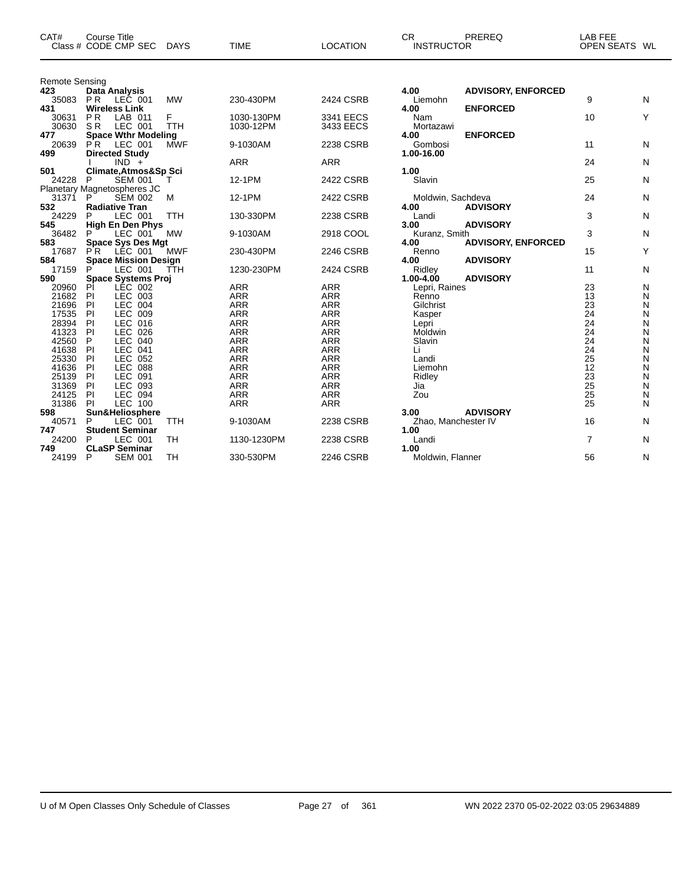| CAT#                  | <b>Course Title</b><br>Class # CODE CMP SEC           | <b>DAYS</b>     | <b>TIME</b>              | <b>LOCATION</b>          | <b>CR</b><br><b>INSTRUCTOR</b> | PREREQ                    | <b>LAB FEE</b><br>OPEN SEATS WL |        |
|-----------------------|-------------------------------------------------------|-----------------|--------------------------|--------------------------|--------------------------------|---------------------------|---------------------------------|--------|
| <b>Remote Sensing</b> |                                                       |                 |                          |                          |                                |                           |                                 |        |
| 423                   | Data Analysis                                         |                 |                          |                          | 4.00                           | <b>ADVISORY, ENFORCED</b> |                                 |        |
| 35083                 | P R<br>LEC 001                                        | <b>MW</b>       | 230-430PM                | 2424 CSRB                | Liemohn                        |                           | 9                               | N      |
| 431                   | <b>Wireless Link</b>                                  |                 |                          |                          | 4.00                           | <b>ENFORCED</b>           |                                 |        |
| 30631<br>30630        | P <sub>R</sub><br>LAB 011<br>SR<br>LEC 001            | F<br><b>TTH</b> | 1030-130PM<br>1030-12PM  | 3341 EECS<br>3433 EECS   | Nam                            |                           | 10                              | Y      |
| 477                   | <b>Space Wthr Modeling</b>                            |                 |                          |                          | Mortazawi<br>4.00              | <b>ENFORCED</b>           |                                 |        |
| 20639                 | P <sup>R</sup><br>LEC 001                             | MWF             | 9-1030AM                 | 2238 CSRB                | Gombosi                        |                           | 11                              | N      |
| 499                   | <b>Directed Study</b>                                 |                 |                          |                          | 1.00-16.00                     |                           |                                 |        |
|                       | $IND +$                                               |                 | <b>ARR</b>               | <b>ARR</b>               |                                |                           | 24                              | N      |
| 501                   | Climate, Atmos&Sp Sci                                 |                 |                          |                          | 1.00                           |                           |                                 |        |
| 24228                 | <b>SEM 001</b><br>P                                   | т               | 12-1PM                   | 2422 CSRB                | Slavin                         |                           | 25                              | N      |
|                       | Planetary Magnetospheres JC                           |                 |                          |                          |                                |                           |                                 |        |
| 31371                 | <b>SEM 002</b>                                        | M               | 12-1PM                   | 2422 CSRB                | Moldwin, Sachdeva              |                           | 24                              | N      |
| 532                   | <b>Radiative Tran</b>                                 |                 |                          |                          | 4.00                           | <b>ADVISORY</b>           |                                 |        |
| 24229                 | LEC 001<br>P                                          | <b>TTH</b>      | 130-330PM                | 2238 CSRB                | Landi                          |                           | 3                               | N      |
| 545                   | <b>High En Den Phys</b>                               |                 |                          |                          | 3.00                           | <b>ADVISORY</b>           |                                 |        |
| 36482<br>583          | P<br>LEC 001                                          | МW              | 9-1030AM                 | 2918 COOL                | Kuranz, Smith<br>4.00          |                           | 3                               | N      |
| 17687                 | <b>Space Sys Des Mgt</b><br>P <sup>R</sup><br>LEC 001 | <b>MWF</b>      | 230-430PM                | 2246 CSRB                | Renno                          | <b>ADVISORY, ENFORCED</b> | 15                              | Y      |
| 584                   | <b>Space Mission Design</b>                           |                 |                          |                          | 4.00                           | <b>ADVISORY</b>           |                                 |        |
| 17159                 | P<br>LEC 001                                          | <b>TTH</b>      | 1230-230PM               | 2424 CSRB                | Ridley                         |                           | 11                              | N      |
| 590                   | Space Systems Proj                                    |                 |                          |                          | $1.00 - 4.00$                  | <b>ADVISORY</b>           |                                 |        |
| 20960                 | LEC 002<br>PI                                         |                 | <b>ARR</b>               | <b>ARR</b>               | Lepri, Raines                  |                           | 23                              | N      |
| 21682                 | PI<br>LEC 003                                         |                 | <b>ARR</b>               | <b>ARR</b>               | Renno                          |                           | 13                              | N      |
| 21696                 | LEC 004<br>PI                                         |                 | <b>ARR</b>               | <b>ARR</b>               | Gilchrist                      |                           | 23                              | N      |
| 17535                 | PI<br>LEC 009                                         |                 | <b>ARR</b>               | <b>ARR</b>               | Kasper                         |                           | 24                              | N      |
| 28394                 | PI<br>LEC 016                                         |                 | <b>ARR</b>               | <b>ARR</b>               | Lepri                          |                           | 24                              | N      |
| 41323                 | PI<br>LEC 026                                         |                 | <b>ARR</b>               | <b>ARR</b>               | Moldwin                        |                           | 24                              | N      |
| 42560                 | <b>LEC</b><br>P<br>040                                |                 | <b>ARR</b>               | <b>ARR</b>               | Slavin                         |                           | 24                              | N      |
| 41638                 | LEC 041<br>PI                                         |                 | <b>ARR</b>               | <b>ARR</b>               | Li                             |                           | 24                              | N      |
| 25330                 | P<br>LEC 052                                          |                 | <b>ARR</b>               | <b>ARR</b>               | Landi                          |                           | 25                              | N      |
| 41636                 | PI<br><b>LEC 088</b>                                  |                 | <b>ARR</b><br><b>ARR</b> | <b>ARR</b>               | Liemohn                        |                           | 12<br>23                        | N      |
| 25139<br>31369        | PI<br>LEC 091<br>PI<br>LEC 093                        |                 | <b>ARR</b>               | <b>ARR</b><br><b>ARR</b> | Ridley<br>Jia                  |                           | 25                              | Ν<br>N |
| 24125                 | PI<br><b>LEC 094</b>                                  |                 | <b>ARR</b>               | <b>ARR</b>               | Zou                            |                           | 25                              | N      |
| 31386                 | <b>LEC 100</b><br>PI                                  |                 | <b>ARR</b>               | <b>ARR</b>               |                                |                           | 25                              | N      |
| 598                   | Sun&Heliosphere                                       |                 |                          |                          | 3.00                           | <b>ADVISORY</b>           |                                 |        |
| 40571                 | P<br>LEC 001                                          | TTH             | 9-1030AM                 | 2238 CSRB                | Zhao, Manchester IV            |                           | 16                              | N      |
| 747                   | <b>Student Seminar</b>                                |                 |                          |                          | 1.00                           |                           |                                 |        |
| 24200                 | LEC 001<br>P                                          | TH              | 1130-1230PM              | 2238 CSRB                | Landi                          |                           | $\overline{7}$                  | N      |
| 749                   | <b>CLaSP Seminar</b>                                  |                 |                          |                          | 1.00                           |                           |                                 |        |
| 24199                 | P<br><b>SEM 001</b>                                   | TН              | 330-530PM                | 2246 CSRB                | Moldwin, Flanner               |                           | 56                              | N      |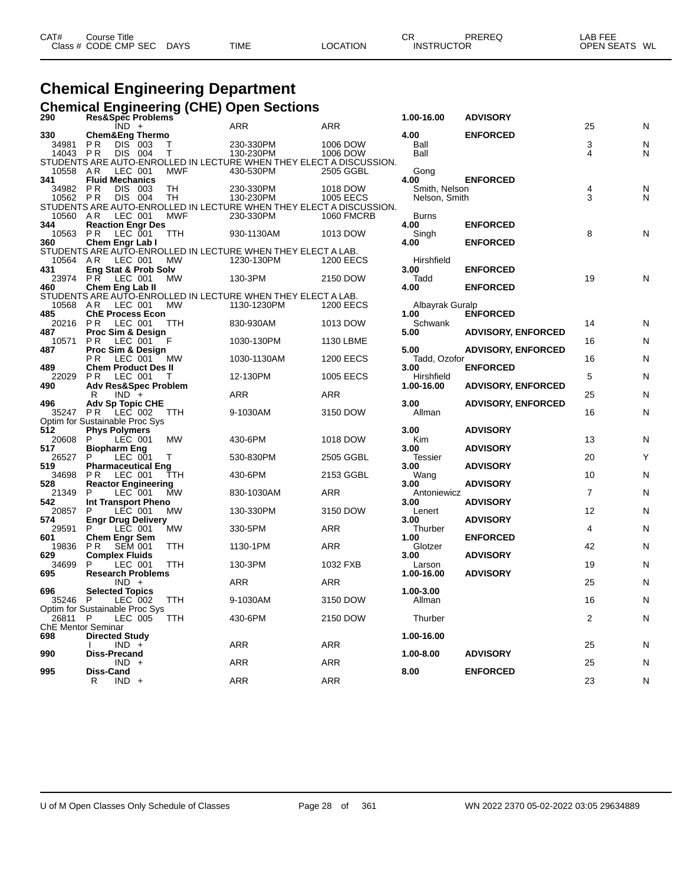| CAT# | ourse Titleٽ         |             |             |                 | СR                | PREREQ | _AB FEE       |  |
|------|----------------------|-------------|-------------|-----------------|-------------------|--------|---------------|--|
|      | Class # CODE CMP SEC | <b>DAYS</b> | <b>TIME</b> | <b>LOCATION</b> | <b>INSTRUCTOR</b> |        | OPEN SEATS WL |  |

## **Chemical Engineering Department**

#### **Chemical Engineering (CHE) Open Sections**

| 290      | Res&Spec Problems                         |            |                                                                     |                   | 1.00-16.00      | <b>ADVISORY</b>           |                |   |
|----------|-------------------------------------------|------------|---------------------------------------------------------------------|-------------------|-----------------|---------------------------|----------------|---|
|          | $IND +$                                   |            | <b>ARR</b>                                                          | <b>ARR</b>        |                 |                           | 25             | Ν |
| 330      | <b>Chem&amp;Eng Thermo</b>                |            |                                                                     |                   | 4.00            | <b>ENFORCED</b>           |                |   |
| 34981    | P R<br>DIS 003                            | Т          | 230-330PM                                                           | 1006 DOW          | Ball            |                           | 3              | N |
| 14043 PR | DIS 004                                   | T          | 130-230PM                                                           | 1006 DOW          | Ball            |                           | 4              | N |
|          |                                           |            | STUDENTS ARE AUTO-ENROLLED IN LECTURE WHEN THEY ELECT A DISCUSSION. |                   |                 |                           |                |   |
| 10558 AR | LEC 001                                   | <b>MWF</b> | 430-530PM                                                           | 2505 GGBL         | Gong            |                           |                |   |
| 341      | <b>Fluid Mechanics</b>                    |            |                                                                     |                   | 4.00            | <b>ENFORCED</b>           |                |   |
| 34982    | <b>PR</b><br>DIS 003                      | <b>TH</b>  | 230-330PM                                                           | 1018 DOW          | Smith, Nelson   |                           | 4              | N |
| 10562 PR | DIS 004                                   | TН         | 130-230PM                                                           | <b>1005 EECS</b>  | Nelson, Smith   |                           | 3              | N |
|          |                                           |            | STUDENTS ARE AUTO-ENROLLED IN LECTURE WHEN THEY ELECT A DISCUSSION. |                   |                 |                           |                |   |
| 10560 AR | LEC 001                                   | <b>MWF</b> | 230-330PM                                                           | <b>1060 FMCRB</b> | Burns           |                           |                |   |
| 344      | <b>Reaction Engr Des</b>                  |            |                                                                     |                   | 4.00            | <b>ENFORCED</b>           |                |   |
| 10563    | P R<br>LEC 001                            | TTH        | 930-1130AM                                                          | 1013 DOW          | Singh           |                           | 8              | N |
| 360      | Chem Engr Lab I                           |            |                                                                     |                   | 4.00            | <b>ENFORCED</b>           |                |   |
|          |                                           |            | STUDENTS ARE AUTO-ENROLLED IN LECTURE WHEN THEY ELECT A LAB.        |                   |                 |                           |                |   |
| 10564 AR | LEC 001                                   | <b>MW</b>  | 1230-130PM                                                          | <b>1200 EECS</b>  | Hirshfield      |                           |                |   |
| 431      | Eng Stat & Prob Solv                      |            |                                                                     |                   | 3.00            | <b>ENFORCED</b>           |                |   |
| 23974    | LEC 001<br>PR                             | <b>MW</b>  | 130-3PM                                                             | 2150 DOW          | Tadd            |                           | 19             | N |
| 460      | Chem Eng Lab II                           |            |                                                                     |                   | 4.00            | <b>ENFORCED</b>           |                |   |
|          |                                           |            | STUDENTS ARE AUTO-ENROLLED IN LECTURE WHEN THEY ELECT A LAB.        |                   |                 |                           |                |   |
| 10568 AR | LEC 001                                   | MW.        | 1130-1230PM                                                         | <b>1200 EECS</b>  | Albayrak Guralp |                           |                |   |
| 485      | <b>ChE Process Econ</b>                   |            |                                                                     |                   | 1.00            | <b>ENFORCED</b>           |                |   |
| 20216    | LEC 001<br>P <sub>R</sub>                 | TTH        | 830-930AM                                                           | 1013 DOW          | Schwank         |                           | 14             | N |
| 487      | Proc Sim & Design                         |            |                                                                     |                   | 5.00            | <b>ADVISORY, ENFORCED</b> |                |   |
| 10571    | <b>PR</b><br>LEC 001                      | F          | 1030-130PM                                                          | 1130 LBME         |                 |                           | 16             | N |
| 487      | Proc Sim & Design                         |            |                                                                     |                   | 5.00            | <b>ADVISORY, ENFORCED</b> |                |   |
|          | LEC 001<br>РR                             | <b>MW</b>  | 1030-1130AM                                                         | <b>1200 EECS</b>  | Tadd, Ozofor    |                           | 16             | N |
| 489      | <b>Chem Product Des II</b>                |            |                                                                     |                   | 3.00            | <b>ENFORCED</b>           |                |   |
| 22029    | LEC 001<br><b>PR</b>                      | т          | 12-130PM                                                            | 1005 EECS         | Hirshfield      |                           | 5              | Ν |
| 490      | <b>Adv Res&amp;Spec Problem</b>           |            |                                                                     |                   | 1.00-16.00      | <b>ADVISORY, ENFORCED</b> |                |   |
|          | R<br>$IND +$                              |            | <b>ARR</b>                                                          | <b>ARR</b>        |                 |                           | 25             | N |
| 496      | <b>Adv Sp Topic CHE</b>                   |            |                                                                     |                   | 3.00            | <b>ADVISORY, ENFORCED</b> |                |   |
| 35247    | P R<br>LEC 002                            | TTH        | 9-1030AM                                                            | 3150 DOW          | Allman          |                           | 16             | N |
|          | Optim for Sustainable Proc Sys            |            |                                                                     |                   |                 |                           |                |   |
| 512      | <b>Phys Polymers</b>                      |            |                                                                     |                   | 3.00            | <b>ADVISORY</b>           |                |   |
| 20608    | LEC 001<br>P                              | <b>MW</b>  | 430-6PM                                                             | 1018 DOW          | Kim             |                           | 13             | N |
| 517      | <b>Biopharm Eng</b>                       |            |                                                                     |                   | 3.00            | <b>ADVISORY</b>           |                |   |
| 26527    | P<br>LEC 001                              | т          | 530-830PM                                                           | 2505 GGBL         | Tessier         |                           | 20             | Υ |
| 519      | <b>Pharmaceutical Eng</b>                 |            |                                                                     |                   | 3.00            | <b>ADVISORY</b>           |                |   |
| 34698    | LEC 001<br>P <sub>R</sub>                 | ŤTH        | 430-6PM                                                             | 2153 GGBL         | Wang            |                           | 10             | N |
| 528      | <b>Reactor Engineering</b>                |            |                                                                     |                   | 3.00            | <b>ADVISORY</b>           |                |   |
| 21349    | $LEC$ 001<br>P                            | MW         | 830-1030AM                                                          | <b>ARR</b>        | Antoniewicz     |                           | $\overline{7}$ | Ν |
| 542      | Int Transport Pheno                       |            |                                                                     |                   | 3.00            | <b>ADVISORY</b>           |                |   |
| 20857    | P<br>LEC 001                              | МW         | 130-330PM                                                           | 3150 DOW          | Lenert          |                           | 12             | Ν |
| 574      | <b>Engr Drug Delivery</b>                 |            |                                                                     |                   | 3.00            | <b>ADVISORY</b>           |                |   |
| 29591    | LEC 001<br>P                              | <b>MW</b>  | 330-5PM                                                             | <b>ARR</b>        | Thurber         |                           | 4              | N |
| 601      | <b>Chem Engr Sem</b>                      |            |                                                                     |                   | 1.00            | <b>ENFORCED</b>           |                |   |
| 19836    | P R<br><b>SEM 001</b>                     | <b>TTH</b> | 1130-1PM                                                            | <b>ARR</b>        | Glotzer         |                           | 42             | N |
| 629      | <b>Complex Fluids</b>                     |            |                                                                     |                   | 3.00            | <b>ADVISORY</b>           |                |   |
| 34699    | P<br>LEC 001                              | TTH        | 130-3PM                                                             | 1032 FXB          | Larson          |                           | 19             | N |
| 695      | <b>Research Problems</b>                  |            |                                                                     |                   | 1.00-16.00      | <b>ADVISORY</b>           |                |   |
|          | $IND +$                                   |            | ARR                                                                 | <b>ARR</b>        |                 |                           | 25             | N |
| 696      | <b>Selected Topics</b>                    |            |                                                                     |                   | 1.00-3.00       |                           |                |   |
| 35246 P  | LEC 002<br>Optim for Sustainable Proc Sys | TTH        | 9-1030AM                                                            | 3150 DOW          | Allman          |                           | 16             | N |
|          | P.                                        |            |                                                                     |                   |                 |                           | $\overline{2}$ |   |
| 26811    | LEC 005<br><b>ChE Mentor Seminar</b>      | TTH        | 430-6PM                                                             | 2150 DOW          | Thurber         |                           |                | N |
| 698      | <b>Directed Study</b>                     |            |                                                                     |                   | 1.00-16.00      |                           |                |   |
|          | $IND +$                                   |            | ARR                                                                 | ARR               |                 |                           | 25             |   |
| 990      | Diss-Precand                              |            |                                                                     |                   | 1.00-8.00       | <b>ADVISORY</b>           |                | Ν |
|          | <b>IND</b><br>$+$                         |            | ARR                                                                 | <b>ARR</b>        |                 |                           | 25             | N |
| 995      | <b>Diss-Cand</b>                          |            |                                                                     |                   | 8.00            | <b>ENFORCED</b>           |                |   |
|          | $IND +$<br>R                              |            | ARR                                                                 | <b>ARR</b>        |                 |                           | 23             | Ν |
|          |                                           |            |                                                                     |                   |                 |                           |                |   |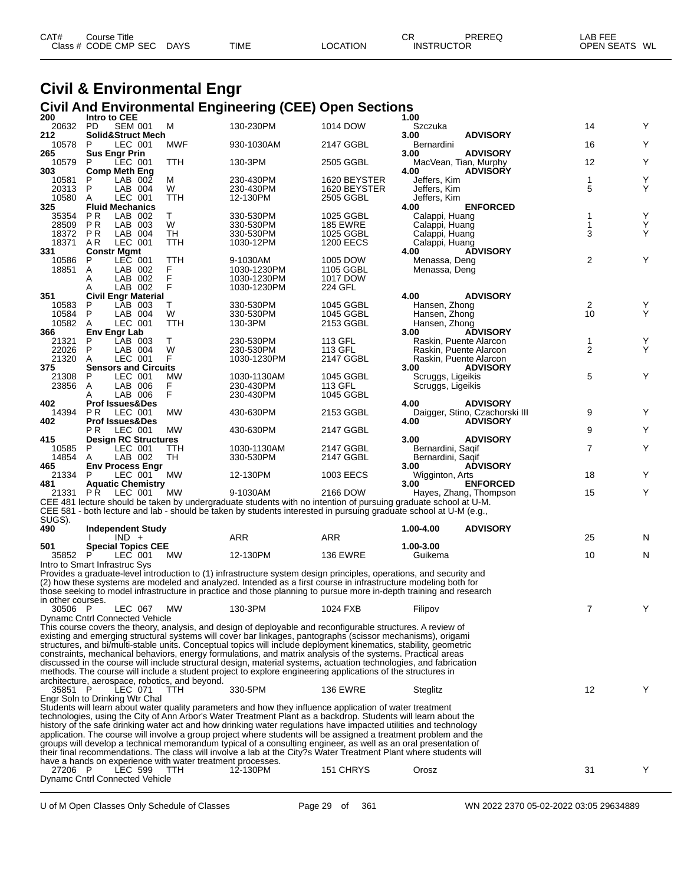| CAT# | ourse Titleٽ         |             |             |          | СR                | PREREQ | LAB FEE                 |  |
|------|----------------------|-------------|-------------|----------|-------------------|--------|-------------------------|--|
|      | Class # CODE CMP SEC | <b>DAYS</b> | <b>TIME</b> | LOCATION | <b>INSTRUCTOR</b> |        | <b>OPEN SEATS</b><br>WL |  |

### **Civil & Environmental Engr Civil And Environmental Engineering (CEE) Open Sections**

| 200               | Intro to CEE                                               |            |                                                                                                                                                                                                                                       |                        | 1.00                                                                                                                                      |                |        |
|-------------------|------------------------------------------------------------|------------|---------------------------------------------------------------------------------------------------------------------------------------------------------------------------------------------------------------------------------------|------------------------|-------------------------------------------------------------------------------------------------------------------------------------------|----------------|--------|
| 20632<br>212      | PD<br><b>SEM 001</b><br>Solid&Struct Mech                  | м          | 130-230PM                                                                                                                                                                                                                             | 1014 DOW               | Szczuka<br>3.00<br><b>ADVISORY</b>                                                                                                        | 14             | Y      |
| 10578             | LEC 001<br>P                                               | MWF        | 930-1030AM                                                                                                                                                                                                                            | 2147 GGBL              | Bernardini                                                                                                                                | 16             | Υ      |
| 265               | <b>Sus Engr Prin</b>                                       |            |                                                                                                                                                                                                                                       |                        | <b>ADVISORY</b><br>3.00                                                                                                                   |                |        |
| 10579             | LEC 001<br>P                                               | TTH        | 130-3PM                                                                                                                                                                                                                               | 2505 GGBL              | MacVean, Tian, Murphy<br><b>ADVISORY</b>                                                                                                  | 12             | Υ      |
| 303<br>10581      | <b>Comp Meth Eng</b><br>P<br>LAB 002                       | м          | 230-430PM                                                                                                                                                                                                                             | 1620 BEYSTER           | 4.00<br>Jeffers, Kim                                                                                                                      | 1              | Υ      |
| 20313             | P<br>LAB 004                                               | W          | 230-430PM                                                                                                                                                                                                                             | 1620 BEYSTER           | Jeffers, Kim                                                                                                                              | 5              | Υ      |
| 10580             | LEC 001<br>A                                               | TTH        | 12-130PM                                                                                                                                                                                                                              | 2505 GGBL              | Jeffers, Kim                                                                                                                              |                |        |
| 325<br>35354      | <b>Fluid Mechanics</b><br>P <sub>R</sub><br>LAB 002        | Τ          | 330-530PM                                                                                                                                                                                                                             | 1025 GGBL              | <b>ENFORCED</b><br>4.00<br>Calappi, Huang                                                                                                 | 1              | Υ      |
| 28509             | P R<br>LAB 003                                             | W          | 330-530PM                                                                                                                                                                                                                             | <b>185 EWRE</b>        | Calappi, Huang                                                                                                                            | 1              | Υ      |
| 18372             | <b>PR</b><br>LAB 004                                       | <b>TH</b>  | 330-530PM                                                                                                                                                                                                                             | 1025 GGBL              | Calappi, Huang                                                                                                                            | 3              | Υ      |
| 18371             | LEC 001<br>AR.                                             | TTH        | 1030-12PM                                                                                                                                                                                                                             | <b>1200 EECS</b>       | Calappi, Huang                                                                                                                            |                |        |
| 331<br>10586      | <b>Constr Mgmt</b><br>LEC 001<br>P                         | TTH        | 9-1030AM                                                                                                                                                                                                                              | 1005 DOW               | <b>ADVISORY</b><br>4.00<br>Menassa, Deng                                                                                                  | 2              | Υ      |
| 18851             | LAB 002<br>A                                               | F          | 1030-1230PM                                                                                                                                                                                                                           | 1105 GGBL              | Menassa, Deng                                                                                                                             |                |        |
|                   | LAB 002<br>Α                                               | F          | 1030-1230PM                                                                                                                                                                                                                           | 1017 DOW               |                                                                                                                                           |                |        |
| 351               | LAB 002<br>Α<br><b>Civil Engr Material</b>                 | F          | 1030-1230PM                                                                                                                                                                                                                           | 224 GFL                | 4.00<br><b>ADVISORY</b>                                                                                                                   |                |        |
| 10583             | P<br>LAB 003                                               | т          | 330-530PM                                                                                                                                                                                                                             | 1045 GGBL              | Hansen, Zhong                                                                                                                             |                |        |
| 10584             | P<br>LAB 004                                               | W          | 330-530PM                                                                                                                                                                                                                             | 1045 GGBL              | Hansen, Zhong                                                                                                                             | $\frac{2}{10}$ | Y<br>Y |
| 10582             | LEC 001<br>Α                                               | <b>TTH</b> | 130-3PM                                                                                                                                                                                                                               | 2153 GGBL              | Hansen, Zhong                                                                                                                             |                |        |
| 366<br>21321      | Env Engr Lab<br>P<br>LAB 003                               | Т          | 230-530PM                                                                                                                                                                                                                             | 113 GFL                | 3.00<br><b>ADVISORY</b><br>Raskin, Puente Alarcon                                                                                         | 1              | Y      |
| 22026             | P<br>LAB 004                                               | W          | 230-530PM                                                                                                                                                                                                                             | 113 GFL                | Raskin, Puente Alarcon                                                                                                                    | $\overline{2}$ | Y      |
| 21320             | Α<br>LEC 001                                               | F          | 1030-1230PM                                                                                                                                                                                                                           | 2147 GGBL              | Raskin, Puente Alarcon                                                                                                                    |                |        |
| 375<br>21308      | <b>Sensors and Circuits</b><br>P<br>LEC 001                | <b>MW</b>  | 1030-1130AM                                                                                                                                                                                                                           | 1045 GGBL              | <b>ADVISORY</b><br>3.00<br>Scruggs, Ligeikis                                                                                              | 5              | Υ      |
| 23856             | Α<br>LAB 006                                               | F          | 230-430PM                                                                                                                                                                                                                             | 113 GFL                | Scruggs, Ligeikis                                                                                                                         |                |        |
|                   | LAB 006<br>A                                               | F          | 230-430PM                                                                                                                                                                                                                             | 1045 GGBL              |                                                                                                                                           |                |        |
| 402               | <b>Prof Issues&amp;Des</b>                                 |            |                                                                                                                                                                                                                                       |                        | 4.00<br><b>ADVISORY</b>                                                                                                                   |                |        |
| 14394<br>402      | PR.<br>LEC 001<br><b>Prof Issues&amp;Des</b>               | <b>MW</b>  | 430-630PM                                                                                                                                                                                                                             | 2153 GGBL              | Daigger, Stino, Czachorski III<br><b>ADVISORY</b><br>4.00                                                                                 | 9              | Y      |
|                   | LEC 001<br>P R                                             | <b>MW</b>  | 430-630PM                                                                                                                                                                                                                             | 2147 GGBL              |                                                                                                                                           | 9              | Υ      |
| 415               | <b>Design RC Structures</b>                                |            |                                                                                                                                                                                                                                       |                        | 3.00<br><b>ADVISORY</b>                                                                                                                   |                |        |
| 10585<br>14854    | LEC 001<br>P<br>LAB 002<br>Α                               | TTH<br>TH  | 1030-1130AM<br>330-530PM                                                                                                                                                                                                              | 2147 GGBL<br>2147 GGBL | Bernardini, Saqif<br>Bernardini, Saqif                                                                                                    | 7              | Υ      |
| 465               | <b>Env Process Engr</b>                                    |            |                                                                                                                                                                                                                                       |                        | <b>ADVISORY</b><br>3.00                                                                                                                   |                |        |
| 21334             | LEC 001<br>P                                               | MW         | 12-130PM                                                                                                                                                                                                                              | 1003 EECS              | Wigginton, Arts                                                                                                                           | 18             | Y      |
| 481               | <b>Aquatic Chemistry</b>                                   |            |                                                                                                                                                                                                                                       |                        | 3.00<br><b>ENFORCED</b>                                                                                                                   |                |        |
| 21331             | PR.<br>LEC 001                                             | МW         | 9-1030AM                                                                                                                                                                                                                              | 2166 DOW               | Hayes, Zhang, Thompson<br>CEE 481 lecture should be taken by undergraduate students with no intention of pursuing graduate school at U-M. | 15             | Υ      |
|                   |                                                            |            | CEE 581 - both lecture and lab - should be taken by students interested in pursuing graduate school at U-M (e.g.,                                                                                                                     |                        |                                                                                                                                           |                |        |
| SUGS).            |                                                            |            |                                                                                                                                                                                                                                       |                        |                                                                                                                                           |                |        |
| 490               | <b>Independent Study</b><br>$IND +$                        |            | ARR                                                                                                                                                                                                                                   | ARR                    | 1.00-4.00<br><b>ADVISORY</b>                                                                                                              | 25             | N      |
| 501               | <b>Special Topics CEE</b>                                  |            |                                                                                                                                                                                                                                       |                        | 1.00-3.00                                                                                                                                 |                |        |
| 35852             | P<br>LEC 001                                               | МW         | 12-130PM                                                                                                                                                                                                                              | <b>136 EWRE</b>        | Guikema                                                                                                                                   | 10             | N      |
|                   | Intro to Smart Infrastruc Sys                              |            |                                                                                                                                                                                                                                       |                        |                                                                                                                                           |                |        |
|                   |                                                            |            | Provides a graduate-level introduction to (1) infrastructure system design principles, operations, and security and<br>(2) how these systems are modeled and analyzed. Intended as a first course in infrastructure modeling both for |                        |                                                                                                                                           |                |        |
|                   |                                                            |            |                                                                                                                                                                                                                                       |                        | those seeking to model infrastructure in practice and those planning to pursue more in-depth training and research                        |                |        |
| in other courses. |                                                            |            |                                                                                                                                                                                                                                       |                        |                                                                                                                                           |                |        |
| 30506 P           | LEC 067<br>Dynamc Cntrl Connected Vehicle                  | MW         | 130-3PM                                                                                                                                                                                                                               | 1024 FXB               | Filipov                                                                                                                                   | $\overline{7}$ | Y      |
|                   |                                                            |            | This course covers the theory, analysis, and design of deployable and reconfigurable structures. A review of                                                                                                                          |                        |                                                                                                                                           |                |        |
|                   |                                                            |            | existing and emerging structural systems will cover bar linkages, pantographs (scissor mechanisms), origami                                                                                                                           |                        |                                                                                                                                           |                |        |
|                   |                                                            |            | structures, and bi/multi-stable units. Conceptual topics will include deployment kinematics, stability, geometric                                                                                                                     |                        |                                                                                                                                           |                |        |
|                   |                                                            |            | constraints, mechanical behaviors, energy formulations, and matrix analysis of the systems. Practical areas<br>discussed in the course will include structural design, material systems, actuation technologies, and fabrication      |                        |                                                                                                                                           |                |        |
|                   |                                                            |            | methods. The course will include a student project to explore engineering applications of the structures in                                                                                                                           |                        |                                                                                                                                           |                |        |
|                   | architecture, aerospace, robotics, and beyond.             |            |                                                                                                                                                                                                                                       |                        |                                                                                                                                           |                |        |
| 35851 P           | LEC 071<br>Engr Soln to Drinking Wtr Chal                  | TTH.       | 330-5PM                                                                                                                                                                                                                               | <b>136 EWRE</b>        | <b>Steglitz</b>                                                                                                                           | 12             | Y      |
|                   |                                                            |            | Students will learn about water quality parameters and how they influence application of water treatment                                                                                                                              |                        |                                                                                                                                           |                |        |
|                   |                                                            |            | technologies, using the City of Ann Arbor's Water Treatment Plant as a backdrop. Students will learn about the                                                                                                                        |                        |                                                                                                                                           |                |        |
|                   |                                                            |            | history of the safe drinking water act and how drinking water regulations have impacted utilities and technology<br>application. The course will involve a group project where students will be assigned a treatment problem and the  |                        |                                                                                                                                           |                |        |
|                   |                                                            |            | groups will develop a technical memorandum typical of a consulting engineer, as well as an oral presentation of                                                                                                                       |                        |                                                                                                                                           |                |        |
|                   |                                                            |            | their final recommendations. The class will involve a lab at the City?s Water Treatment Plant where students will                                                                                                                     |                        |                                                                                                                                           |                |        |
|                   | have a hands on experience with water treatment processes. |            |                                                                                                                                                                                                                                       |                        |                                                                                                                                           |                |        |
| 27206 P           | <b>LEC 599</b><br>Dynamc Cntrl Connected Vehicle           | TTH        | 12-130PM                                                                                                                                                                                                                              | 151 CHRYS              | Orosz                                                                                                                                     | 31             | Y      |
|                   |                                                            |            |                                                                                                                                                                                                                                       |                        |                                                                                                                                           |                |        |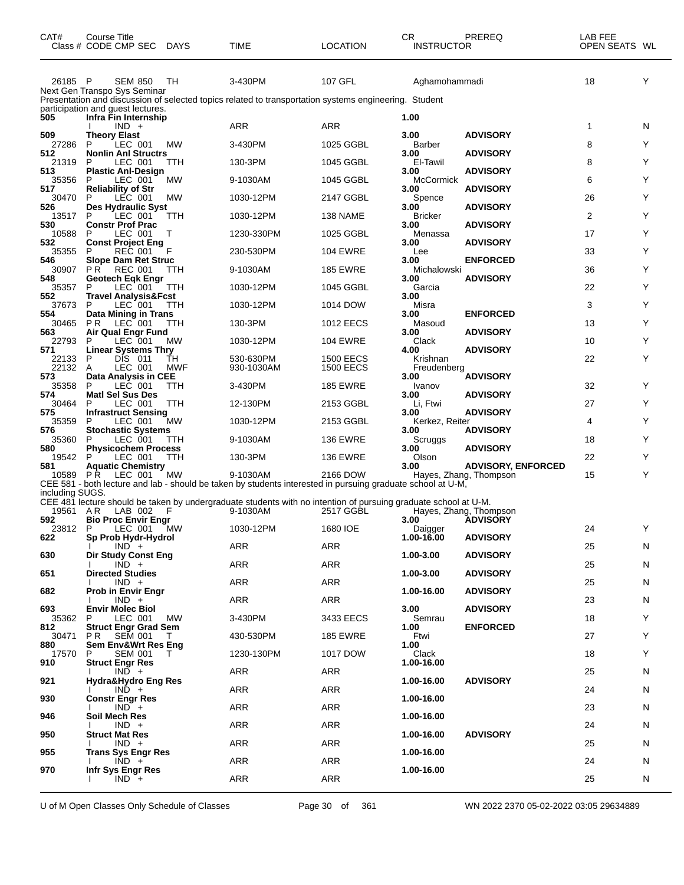| CAT#            | Course Title<br>Class # CODE CMP SEC                      | <b>DAYS</b> | TIME                                                                                                                    | <b>LOCATION</b>                      | CR<br>INSTRUCTOR        | PREREQ                                    | LAB FEE<br>OPEN SEATS WL |   |
|-----------------|-----------------------------------------------------------|-------------|-------------------------------------------------------------------------------------------------------------------------|--------------------------------------|-------------------------|-------------------------------------------|--------------------------|---|
| 26185 P         | <b>SEM 850</b><br>Next Gen Transpo Sys Seminar            | TH          | 3-430PM<br>Presentation and discussion of selected topics related to transportation systems engineering. Student        | 107 GFL                              | Aghamohammadi           |                                           | 18                       | Υ |
| 505             | participation and guest lectures.<br>Infra Fin Internship |             |                                                                                                                         |                                      | 1.00                    |                                           |                          |   |
| 509             | $IND +$<br><b>Theory Elast</b>                            |             | ARR                                                                                                                     | <b>ARR</b>                           | 3.00                    | <b>ADVISORY</b>                           | 1                        | N |
| 27286<br>512    | P<br>LEC 001<br><b>Nonlin Anl Structrs</b>                | <b>MW</b>   | 3-430PM                                                                                                                 | 1025 GGBL                            | <b>Barber</b><br>3.00   | <b>ADVISORY</b>                           | 8                        | Y |
| 21319<br>513    | LEC 001<br>Ρ<br><b>Plastic Anl-Design</b>                 | TTH         | 130-3PM                                                                                                                 | 1045 GGBL                            | El-Tawil<br>3.00        | <b>ADVISORY</b>                           | 8                        | Y |
| 35356<br>517    | LEC 001<br>P                                              | <b>MW</b>   | 9-1030AM                                                                                                                | 1045 GGBL                            | McCormick               | <b>ADVISORY</b>                           | 6                        | Y |
| 30470           | <b>Reliability of Str</b><br>P<br>LEC 001                 | МW          | 1030-12PM                                                                                                               | 2147 GGBL                            | 3.00<br>Spence          |                                           | 26                       | Y |
| 526<br>13517    | Des Hydraulic Syst<br>P<br>LEC 001                        | <b>TTH</b>  | 1030-12PM                                                                                                               | 138 NAME                             | 3.00<br><b>Bricker</b>  | <b>ADVISORY</b>                           | 2                        | Y |
| 530<br>10588    | <b>Constr Prof Prac</b><br>P<br>LEC 001                   | Τ           | 1230-330PM                                                                                                              | 1025 GGBL                            | 3.00<br>Menassa         | <b>ADVISORY</b>                           | 17                       | Y |
| 532<br>35355    | <b>Const Project Eng</b><br><b>REC 001</b><br>P           | F           | 230-530PM                                                                                                               | <b>104 EWRE</b>                      | 3.00<br>Lee             | <b>ADVISORY</b>                           | 33                       | Y |
| 546<br>30907    | <b>Slope Dam Ret Struc</b><br>PR.<br>REC 001              | ттн         | 9-1030AM                                                                                                                | <b>185 EWRE</b>                      | 3.00<br>Michalowski     | <b>ENFORCED</b>                           | 36                       | Y |
| 548<br>35357    | <b>Geotech Eqk Engr</b><br>P<br>LEC 001                   | ттн         | 1030-12PM                                                                                                               | 1045 GGBL                            | 3.00<br>Garcia          | <b>ADVISORY</b>                           | 22                       | Y |
| 552<br>37673    | <b>Travel Analysis&amp;Fcst</b><br>P<br>LEC 001           | <b>TTH</b>  | 1030-12PM                                                                                                               | 1014 DOW                             | 3.00<br>Misra           |                                           | 3                        | Y |
| 554             | Data Mining in Trans                                      |             |                                                                                                                         | 1012 EECS                            | 3.00                    | <b>ENFORCED</b>                           |                          | Y |
| 30465<br>563    | PR.<br>LEC 001<br>Air Qual Engr Fund                      | TТH         | 130-3PM                                                                                                                 |                                      | Masoud<br>3.00          | <b>ADVISORY</b>                           | 13                       |   |
| 22793<br>571    | P<br>LEC 001<br><b>Linear Systems Thry</b>                | <b>MW</b>   | 1030-12PM                                                                                                               | <b>104 EWRE</b>                      | Clack<br>4.00           | <b>ADVISORY</b>                           | 10                       | Y |
| 22133<br>22132  | P<br>DIS 011<br>LEC 001<br>A                              | TH<br>MWF   | 530-630PM<br>930-1030AM                                                                                                 | <b>1500 EECS</b><br><b>1500 EECS</b> | Krishnan<br>Freudenberg |                                           | 22                       | Y |
| 573<br>35358    | Data Analysis in CEE<br>P<br>LEC 001                      | ттн         | 3-430PM                                                                                                                 | <b>185 EWRE</b>                      | 3.00<br>Ivanov          | <b>ADVISORY</b>                           | 32                       | Y |
| 574<br>30464    | <b>Matl Sel Sus Des</b><br>P<br>LEC 001                   | TTH         | 12-130PM                                                                                                                | 2153 GGBL                            | 3.00<br>Li, Ftwi        | <b>ADVISORY</b>                           | 27                       | Y |
| 575<br>35359    | <b>Infrastruct Sensing</b><br>P<br>LEC 001                | <b>MW</b>   | 1030-12PM                                                                                                               | 2153 GGBL                            | 3.00<br>Kerkez, Reiter  | <b>ADVISORY</b>                           | 4                        | Y |
| 576<br>35360    | <b>Stochastic Systems</b><br>P<br>LEC 001                 | ттн         | 9-1030AM                                                                                                                | <b>136 EWRE</b>                      | 3.00<br>Scruggs         | <b>ADVISORY</b>                           | 18                       | Y |
| 580             | <b>Physicochem Process</b>                                |             |                                                                                                                         |                                      | 3.00                    | <b>ADVISORY</b>                           |                          | Y |
| 19542<br>581    | LEC 001<br>P<br><b>Aquatic Chemistry</b>                  | TTH         | 130-3PM                                                                                                                 | <b>136 EWRE</b>                      | Olson<br>3.00           | <b>ADVISORY, ENFORCED</b>                 | 22                       |   |
| 10589           | P R<br>LEC 001                                            | <b>MW</b>   | 9-1030AM<br>CEE 581 - both lecture and lab - should be taken by students interested in pursuing graduate school at U-M, | 2166 DOW                             |                         | Hayes, Zhang, Thompson                    | 15                       | Y |
| including SUGS. |                                                           |             | CEE 481 lecture should be taken by undergraduate students with no intention of pursuing graduate school at U-M.         |                                      |                         |                                           |                          |   |
| 19561 AR<br>592 | LAB 002<br><b>Bio Proc Envir Engr</b>                     | F           | 9-1030AM                                                                                                                | 2517 GGBL                            | 3.00                    | Hayes, Zhang, Thompson<br><b>ADVISORY</b> |                          |   |
| 23812<br>622    | P<br>LEC 001<br>Sp Prob Hydr-Hydrol                       | MW.         | 1030-12PM                                                                                                               | 1680 IOE                             | Daigger<br>1.00-16.00   | <b>ADVISORY</b>                           | 24                       | Y |
| 630             | $IND +$<br><b>Dir Study Const Eng</b>                     |             | ARR                                                                                                                     | ARR                                  | 1.00-3.00               | <b>ADVISORY</b>                           | 25                       | N |
|                 | $IND +$                                                   |             | ARR                                                                                                                     | ARR                                  |                         |                                           | 25                       | N |
| 651             | <b>Directed Studies</b><br>$IND +$                        |             | ARR                                                                                                                     | ARR                                  | 1.00-3.00               | <b>ADVISORY</b>                           | 25                       | N |
| 682             | <b>Prob in Envir Engr</b><br>$IND +$                      |             | ARR                                                                                                                     | ARR                                  | 1.00-16.00              | <b>ADVISORY</b>                           | 23                       | N |
| 693<br>35362    | <b>Envir Molec Biol</b><br>LEC 001<br>P                   | MW          | 3-430PM                                                                                                                 | 3433 EECS                            | 3.00<br>Semrau          | <b>ADVISORY</b>                           | 18                       | Y |
| 812<br>30471    | <b>Struct Engr Grad Sem</b><br>PR.<br><b>SEM 001</b>      | T.          | 430-530PM                                                                                                               | <b>185 EWRE</b>                      | 1.00<br>Ftwi            | <b>ENFORCED</b>                           | 27                       | Y |
| 880<br>17570    | <b>Sem Env&amp;Wrt Res Eng</b><br>SEM 001<br>P            | T           | 1230-130PM                                                                                                              | 1017 DOW                             | 1.00<br>Clack           |                                           | 18                       | Y |
| 910             | <b>Struct Engr Res</b><br>$IND +$                         |             | ARR                                                                                                                     | ARR                                  | 1.00-16.00              |                                           | 25                       |   |
| 921             | Hydra&Hydro Eng Res                                       |             |                                                                                                                         |                                      | 1.00-16.00              | <b>ADVISORY</b>                           |                          | N |
| 930             | $IND +$<br><b>Constr Engr Res</b>                         |             | ARR                                                                                                                     | ARR                                  | 1.00-16.00              |                                           | 24                       | N |
| 946             | $IND +$<br>Soil Mech Res                                  |             | ARR                                                                                                                     | ARR                                  | 1.00-16.00              |                                           | 23                       | N |
| 950             | $IND +$<br>Struct Mat Res                                 |             | ARR                                                                                                                     | ARR                                  | 1.00-16.00              | <b>ADVISORY</b>                           | 24                       | N |
| 955             | $IND +$<br><b>Trans Sys Engr Res</b>                      |             | ARR                                                                                                                     | ARR                                  | 1.00-16.00              |                                           | 25                       | N |
|                 | $IND +$                                                   |             | ARR                                                                                                                     | ARR                                  |                         |                                           | 24                       | N |
| 970             | Infr Sys Engr Res<br>$IND +$                              |             | ARR                                                                                                                     | ARR                                  | 1.00-16.00              |                                           | 25                       | N |

U of M Open Classes Only Schedule of Classes Page 30 of 361 WN 2022 2370 05-02-2022 03:05 29634889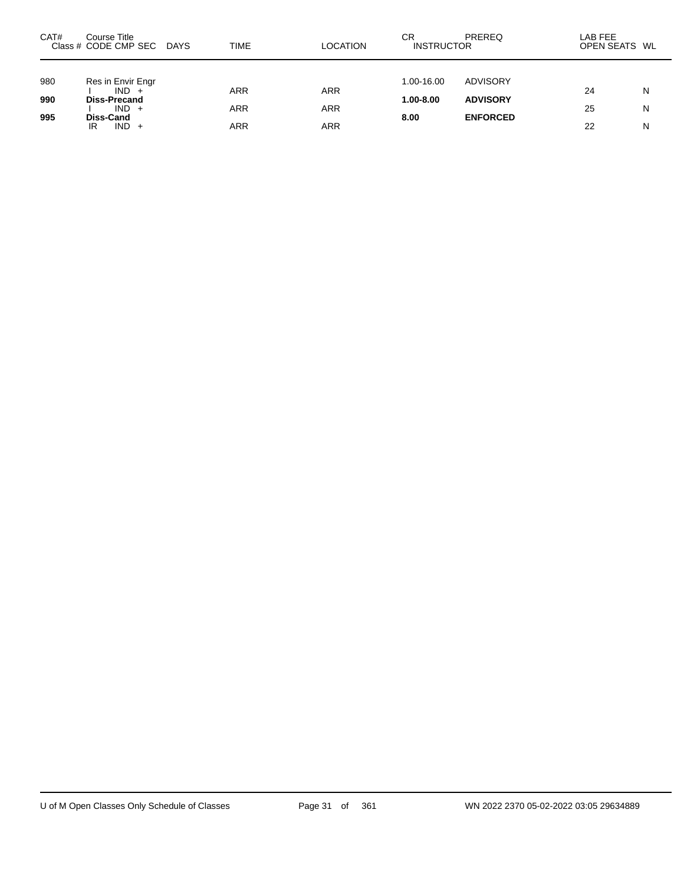| CAT# | Course Title<br>Class # CODE CMP SEC | DAYS | <b>TIME</b> | <b>LOCATION</b> | СR<br><b>INSTRUCTOR</b> | <b>PREREQ</b>   | LAB FEE<br>OPEN SEATS WL |   |
|------|--------------------------------------|------|-------------|-----------------|-------------------------|-----------------|--------------------------|---|
|      |                                      |      |             |                 |                         |                 |                          |   |
| 980  | Res in Envir Engr<br>$IND +$         |      | <b>ARR</b>  | <b>ARR</b>      | 1.00-16.00              | ADVISORY        | 24                       | N |
| 990  | <b>Diss-Precand</b>                  |      |             |                 | 1.00-8.00               | <b>ADVISORY</b> |                          |   |
| 995  | $IND +$                              |      | ARR         | <b>ARR</b>      |                         | <b>ENFORCED</b> | 25                       | N |
|      | Diss-Cand<br>$IND +$<br>IR           |      | ARR         | <b>ARR</b>      | 8.00                    |                 | 22                       | N |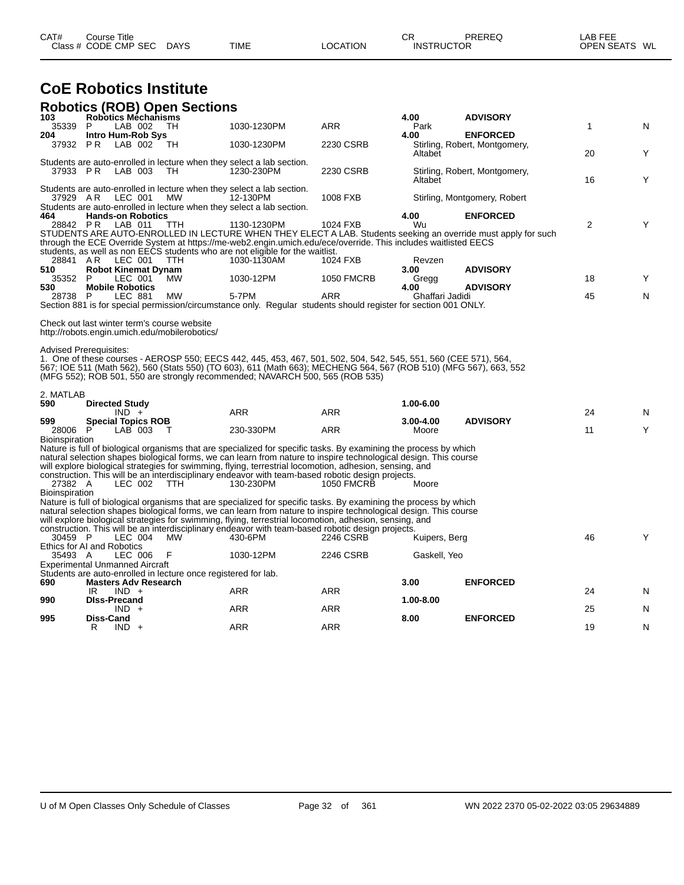| CAT# | ourse Titleٽ         |             |             |                 | nг<br>◡┍          | PREREQ | _AB FEE           |    |
|------|----------------------|-------------|-------------|-----------------|-------------------|--------|-------------------|----|
|      | Class # CODE CMP SEC | <b>DAYS</b> | <b>TIME</b> | <b>_OCATION</b> | <b>INSTRUCTOR</b> |        | <b>OPEN SEATS</b> | WL |

# **CoE Robotics Institute**

|                                | <b>Robotics (ROB) Open Sections</b>                                                           |            |                                                                                                                                                                                                                                       |                   |                         |                                                                                                               |              |   |
|--------------------------------|-----------------------------------------------------------------------------------------------|------------|---------------------------------------------------------------------------------------------------------------------------------------------------------------------------------------------------------------------------------------|-------------------|-------------------------|---------------------------------------------------------------------------------------------------------------|--------------|---|
| 103<br>35339                   | Robotics Méchanisms<br>LAB 002<br>P                                                           | тн         | 1030-1230PM                                                                                                                                                                                                                           | <b>ARR</b>        | 4.00<br>Park            | <b>ADVISORY</b>                                                                                               | $\mathbf{1}$ | N |
| 204                            | <b>Intro Hum-Rob Sys</b>                                                                      |            |                                                                                                                                                                                                                                       |                   | 4.00                    | <b>ENFORCED</b>                                                                                               |              |   |
| 37932 PR                       | LAB 002                                                                                       | TH         | 1030-1230PM                                                                                                                                                                                                                           | 2230 CSRB         | Altabet                 | Stirling, Robert, Montgomery,                                                                                 | 20           | Y |
|                                | 37933 PR LAB 003                                                                              | - TH       | Students are auto-enrolled in lecture when they select a lab section.<br>1230-230PM                                                                                                                                                   | 2230 CSRB         |                         | Stirling, Robert, Montgomery,                                                                                 |              |   |
|                                |                                                                                               |            |                                                                                                                                                                                                                                       |                   | Altabet                 |                                                                                                               | 16           | Υ |
|                                | LEC 001<br>37929 AR                                                                           | MW         | Students are auto-enrolled in lecture when they select a lab section.<br>12-130PM<br>Students are auto-enrolled in lecture when they select a lab section.                                                                            | 1008 FXB          |                         | Stirling, Montgomery, Robert                                                                                  |              |   |
| 464                            | <b>Hands-on Robotics</b>                                                                      |            |                                                                                                                                                                                                                                       |                   | 4.00                    | <b>ENFORCED</b>                                                                                               |              |   |
|                                | 28842 PR LAB 011                                                                              | TTH        | 1130-1230PM                                                                                                                                                                                                                           | 1024 FXB          | Wu                      | STUDENTS ARE AUTO-ENROLLED IN LECTURE WHEN THEY ELECT A LAB. Students seeking an override must apply for such | 2            | Y |
|                                |                                                                                               |            | through the ECE Override System at https://me-web2.engin.umich.edu/ece/override. This includes waitlisted EECS                                                                                                                        |                   |                         |                                                                                                               |              |   |
| 28841 AR                       | LEC 001                                                                                       | <b>TTH</b> | students, as well as non EECS students who are not eligible for the waitlist.<br>1030-1130AM                                                                                                                                          | 1024 FXB          |                         |                                                                                                               |              |   |
| 510                            | <b>Robot Kinemat Dynam</b>                                                                    |            |                                                                                                                                                                                                                                       |                   | Revzen<br>3.00          | <b>ADVISORY</b>                                                                                               |              |   |
| 35352                          | LEC 001<br>- P                                                                                | MW         | 1030-12PM                                                                                                                                                                                                                             | <b>1050 FMCRB</b> | Gregg                   |                                                                                                               | 18           | Y |
| 530<br>28738 P                 | <b>Mobile Robotics</b><br>LEC 881                                                             | <b>MW</b>  | 5-7PM                                                                                                                                                                                                                                 | <b>ARR</b>        | 4.00<br>Ghaffari Jadidi | <b>ADVISORY</b>                                                                                               | 45           | N |
|                                |                                                                                               |            | Section 881 is for special permission/circumstance only. Regular students should register for section 001 ONLY.                                                                                                                       |                   |                         |                                                                                                               |              |   |
|                                |                                                                                               |            |                                                                                                                                                                                                                                       |                   |                         |                                                                                                               |              |   |
|                                | Check out last winter term's course website<br>http://robots.engin.umich.edu/mobilerobotics/  |            |                                                                                                                                                                                                                                       |                   |                         |                                                                                                               |              |   |
|                                | <b>Advised Prerequisites:</b>                                                                 |            |                                                                                                                                                                                                                                       |                   |                         |                                                                                                               |              |   |
|                                |                                                                                               |            | 1. One of these courses - AEROSP 550; EECS 442, 445, 453, 467, 501, 502, 504, 542, 545, 551, 560 (CEE 571), 564,                                                                                                                      |                   |                         |                                                                                                               |              |   |
|                                |                                                                                               |            | 567; IOE 511 (Math 562), 560 (Stats 550) (TO 603), 611 (Math 663); MECHENG 564, 567 (ROB 510) (MFG 567), 663, 552<br>(MFG 552); ROB 501, 550 are strongly recommended; NAVARCH 500, 565 (ROB 535)                                     |                   |                         |                                                                                                               |              |   |
|                                |                                                                                               |            |                                                                                                                                                                                                                                       |                   |                         |                                                                                                               |              |   |
| 2. MATLAB<br>590               |                                                                                               |            |                                                                                                                                                                                                                                       |                   | 1.00-6.00               |                                                                                                               |              |   |
|                                | <b>Directed Study</b><br>$IND +$                                                              |            | <b>ARR</b>                                                                                                                                                                                                                            | <b>ARR</b>        |                         |                                                                                                               | 24           | N |
| 599                            | <b>Special Topics ROB</b>                                                                     |            |                                                                                                                                                                                                                                       |                   | 3.00-4.00               | <b>ADVISORY</b>                                                                                               |              |   |
| 28006<br><b>Bioinspiration</b> | P<br>LAB 003                                                                                  | $\top$     | 230-330PM                                                                                                                                                                                                                             | <b>ARR</b>        | Moore                   |                                                                                                               | 11           | Y |
|                                |                                                                                               |            | Nature is full of biological organisms that are specialized for specific tasks. By examining the process by which                                                                                                                     |                   |                         |                                                                                                               |              |   |
|                                |                                                                                               |            | natural selection shapes biological forms, we can learn from nature to inspire technological design. This course                                                                                                                      |                   |                         |                                                                                                               |              |   |
|                                |                                                                                               |            | will explore biological strategies for swimming, flying, terrestrial locomotion, adhesion, sensing, and<br>construction. This will be an interdisciplinary endeavor with team-based robotic design projects.                          |                   |                         |                                                                                                               |              |   |
| 27382 A                        | LEC 002                                                                                       | TTH        | 130-230PM                                                                                                                                                                                                                             | <b>1050 FMCRB</b> | Moore                   |                                                                                                               |              |   |
| <b>Bioinspiration</b>          |                                                                                               |            |                                                                                                                                                                                                                                       |                   |                         |                                                                                                               |              |   |
|                                |                                                                                               |            | Nature is full of biological organisms that are specialized for specific tasks. By examining the process by which<br>natural selection shapes biological forms, we can learn from nature to inspire technological design. This course |                   |                         |                                                                                                               |              |   |
|                                |                                                                                               |            | will explore biological strategies for swimming, flying, terrestrial locomotion, adhesion, sensing, and                                                                                                                               |                   |                         |                                                                                                               |              |   |
|                                |                                                                                               |            | construction. This will be an interdisciplinary endeavor with team-based robotic design projects.                                                                                                                                     |                   |                         |                                                                                                               |              |   |
| 30459 P                        | LEC 004<br>Ethics for AI and Robotics                                                         | <b>MW</b>  | 430-6PM                                                                                                                                                                                                                               | 2246 CSRB         | Kuipers, Berg           |                                                                                                               | 46           | Y |
| 35493 A                        | LEC 006                                                                                       | E          | 1030-12PM                                                                                                                                                                                                                             | 2246 CSRB         | Gaskell, Yeo            |                                                                                                               |              |   |
|                                | <b>Experimental Unmanned Aircraft</b>                                                         |            |                                                                                                                                                                                                                                       |                   |                         |                                                                                                               |              |   |
| 690                            | Students are auto-enrolled in lecture once registered for lab.<br><b>Masters Adv Research</b> |            |                                                                                                                                                                                                                                       |                   | 3.00                    | <b>ENFORCED</b>                                                                                               |              |   |
|                                | $IND +$<br>IR.                                                                                |            | <b>ARR</b>                                                                                                                                                                                                                            | <b>ARR</b>        |                         |                                                                                                               | 24           | N |
| 990                            | <b>DIss-Precand</b>                                                                           |            |                                                                                                                                                                                                                                       | ARR               | 1.00-8.00               |                                                                                                               | 25           |   |
| 995                            | $IND +$<br><b>Diss-Cand</b>                                                                   |            | ARR                                                                                                                                                                                                                                   |                   | 8.00                    | <b>ENFORCED</b>                                                                                               |              | N |
|                                | $IND +$<br>R                                                                                  |            | <b>ARR</b>                                                                                                                                                                                                                            | <b>ARR</b>        |                         |                                                                                                               | 19           | N |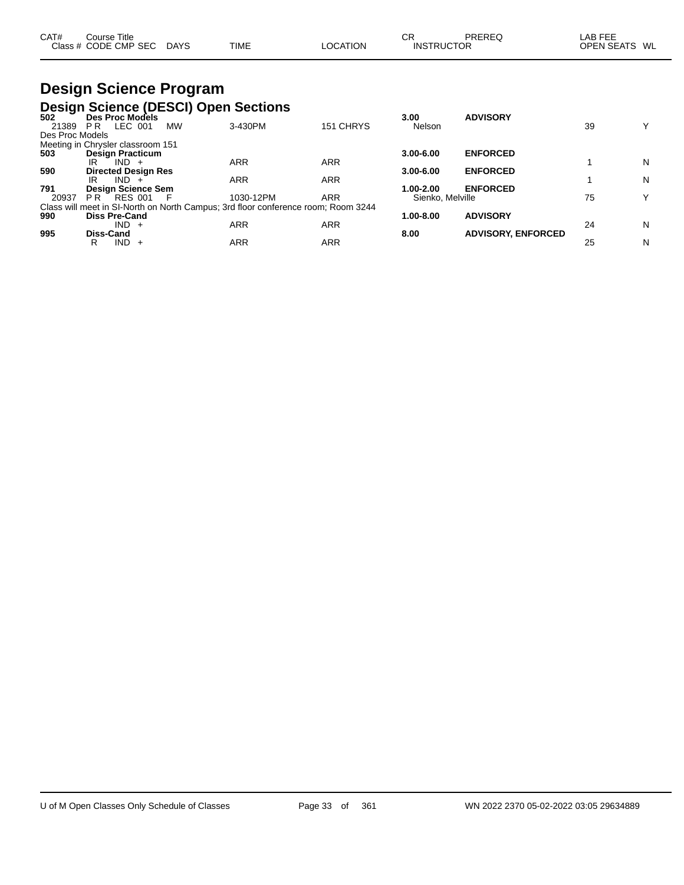| CAT# | $\mathop{\mathsf{course}}$ Title |             |             |          | СR                | PREREG | LAB FEE           |    |
|------|----------------------------------|-------------|-------------|----------|-------------------|--------|-------------------|----|
|      | Class # CODE CMP SEC             | <b>DAYS</b> | <b>TIME</b> | LOCATION | <b>INSTRUCTOR</b> |        | <b>OPEN SEATS</b> | WL |

### **Design Science Program Design Science (DESCI) Open Sections**

| -<br>502        | Des Proc Models                   |                                                                                   |            | 3.00             | <b>ADVISORY</b>           |    |              |
|-----------------|-----------------------------------|-----------------------------------------------------------------------------------|------------|------------------|---------------------------|----|--------------|
| 21389           | LEC 001<br><b>MW</b><br>PR.       | 3-430PM                                                                           | 151 CHRYS  | Nelson           |                           | 39 | $\checkmark$ |
| Des Proc Models |                                   |                                                                                   |            |                  |                           |    |              |
|                 | Meeting in Chrysler classroom 151 |                                                                                   |            |                  |                           |    |              |
| 503             | <b>Design Practicum</b>           |                                                                                   |            | $3.00 - 6.00$    | <b>ENFORCED</b>           |    |              |
|                 | $IND +$<br>IR                     | <b>ARR</b>                                                                        | <b>ARR</b> |                  |                           |    | N            |
| 590             | <b>Directed Design Res</b>        |                                                                                   |            | $3.00 - 6.00$    | <b>ENFORCED</b>           |    |              |
|                 | $IND +$<br>IR                     | <b>ARR</b>                                                                        | <b>ARR</b> |                  |                           |    | N            |
| 791             | <b>Design Science Sem</b>         |                                                                                   |            | 1.00-2.00        | <b>ENFORCED</b>           |    |              |
| 20937           | P R<br>RES 001<br>- F             | 1030-12PM                                                                         | <b>ARR</b> | Sienko, Melville |                           | 75 | v            |
|                 |                                   | Class will meet in SI-North on North Campus; 3rd floor conference room; Room 3244 |            |                  |                           |    |              |
| 990             | <b>Diss Pre-Cand</b>              |                                                                                   |            | 1.00-8.00        | <b>ADVISORY</b>           |    |              |
|                 | $IND +$                           | ARR                                                                               | <b>ARR</b> |                  |                           | 24 | N            |
| 995             | Diss-Cand                         |                                                                                   |            | 8.00             | <b>ADVISORY, ENFORCED</b> |    |              |
|                 | IND.<br>R<br>$+$                  | ARR                                                                               | <b>ARR</b> |                  |                           | 25 | N            |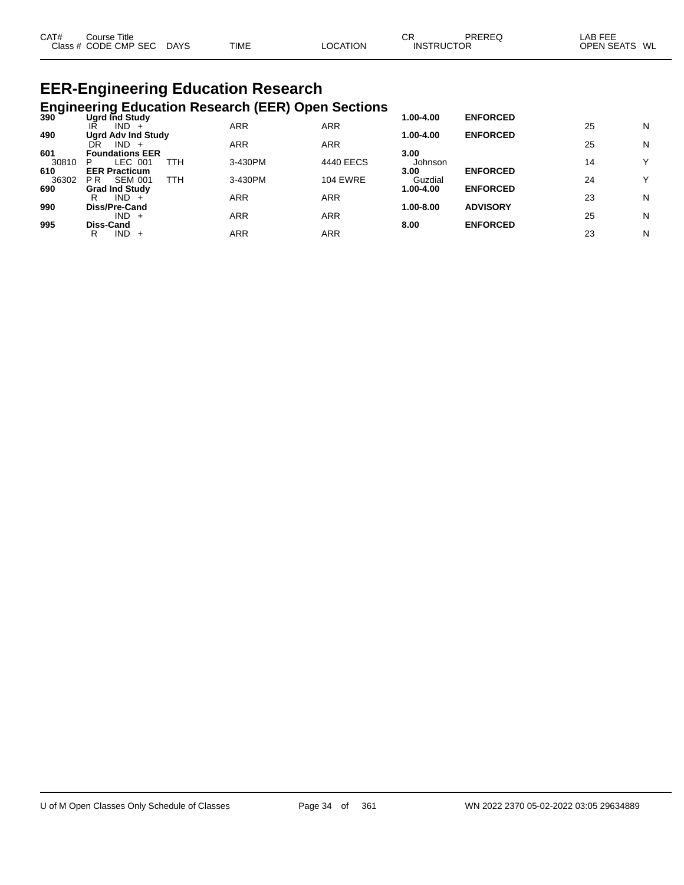| CAT# | Course Title<br>Class # CODE CMP SEC | <b>DAYS</b> | <b>TIME</b> | LOCATION | СF<br><b>INSTRUCTOR</b> | PREREQ | LAB FEE<br><b>OPEN SEATS</b> | WL |
|------|--------------------------------------|-------------|-------------|----------|-------------------------|--------|------------------------------|----|
|      |                                      |             |             |          |                         |        |                              |    |

#### **EER-Engineering Education Research Engineering Education Research (EER) Open Sections**

|       | <b>Engineering Education Research (EER) Open Occupito</b><br>Ugrd Ind Study |            |                 | 1.00-4.00 | <b>ENFORCED</b> |    |   |
|-------|-----------------------------------------------------------------------------|------------|-----------------|-----------|-----------------|----|---|
|       | $IND +$<br>IR                                                               | <b>ARR</b> | <b>ARR</b>      |           |                 | 25 | N |
| 490   | <b>Ugrd Adv Ind Study</b>                                                   |            |                 | 1.00-4.00 | <b>ENFORCED</b> |    |   |
|       | $IND +$<br>DR                                                               | <b>ARR</b> | <b>ARR</b>      |           |                 | 25 | N |
| 601   | <b>Foundations EER</b>                                                      |            |                 | 3.00      |                 |    |   |
| 30810 | LEC 001<br>TTH<br>P                                                         | 3-430PM    | 4440 EECS       | Johnson   |                 | 14 | Y |
| 610   | <b>EER Practicum</b>                                                        |            |                 | 3.00      | <b>ENFORCED</b> |    |   |
| 36302 | TTH<br><b>SEM 001</b><br>P R                                                | 3-430PM    | <b>104 EWRE</b> | Guzdial   |                 | 24 | Y |
| 690   | <b>Grad Ind Study</b>                                                       |            |                 | 1.00-4.00 | <b>ENFORCED</b> |    |   |
|       | $IND +$<br>R                                                                | <b>ARR</b> | <b>ARR</b>      |           |                 | 23 | N |
| 990   | Diss/Pre-Cand                                                               |            |                 | 1.00-8.00 | <b>ADVISORY</b> |    |   |
|       | $IND +$                                                                     | ARR        | <b>ARR</b>      |           |                 | 25 | N |
| 995   | Diss-Cand                                                                   |            |                 | 8.00      | <b>ENFORCED</b> |    |   |
|       | IND.<br>R<br>$+$                                                            | ARR        | ARR             |           |                 | 23 | N |
|       |                                                                             |            |                 |           |                 |    |   |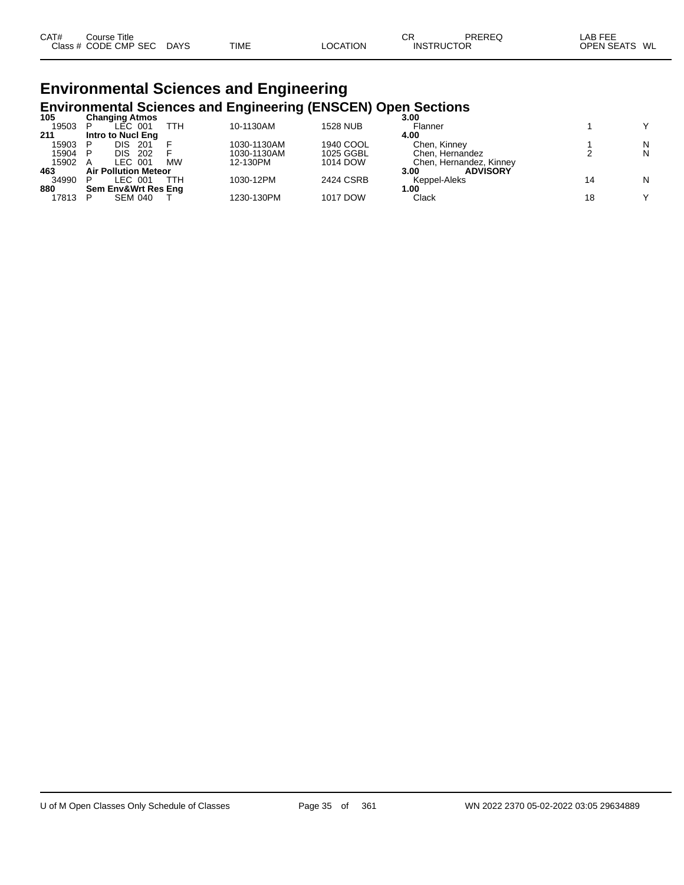| CAT# | Course Title         |             |             |                 | СR                | PREREQ | LAB FEE       |  |
|------|----------------------|-------------|-------------|-----------------|-------------------|--------|---------------|--|
|      | Class # CODE CMP SEC | <b>DAYS</b> | <b>TIME</b> | <b>LOCATION</b> | <b>INSTRUCTOR</b> |        | OPEN SEATS WL |  |

## **Environmental Sciences and Engineering Environmental Sciences and Engineering (ENSCEN) Open Sections 105 Changing Atmos 3.00**

| 105   | <b>Changing Atmos</b>       |           |             |                 | 3.00                    |   |  |
|-------|-----------------------------|-----------|-------------|-----------------|-------------------------|---|--|
| 19503 | LEC 001                     | ттн       | 10-1130AM   | <b>1528 NUB</b> | Flanner                 |   |  |
| 211   | Intro to Nucl Eng           |           |             |                 | 4.00                    |   |  |
| 15903 | DIS.<br>-201                |           | 1030-1130AM | 1940 COOL       | Chen, Kinney            | N |  |
| 15904 | DIS.<br>202                 |           | 1030-1130AM | 1025 GGBL       | Chen. Hernandez         | N |  |
| 15902 | LEC 001                     | <b>MW</b> | 12-130PM    | 1014 DOW        | Chen, Hernandez, Kinney |   |  |
| 463   | <b>Air Pollution Meteor</b> |           |             |                 | <b>ADVISORY</b><br>3.00 |   |  |
| 34990 | LEC 001                     | TTH       | 1030-12PM   | 2424 CSRB       | Keppel-Aleks            | N |  |
| 880   | Sem Env&Wrt Res Eng         |           |             |                 | 1.00                    |   |  |
| 17813 | <b>SEM 040</b>              |           | 1230-130PM  | 1017 DOW        | Clack                   |   |  |
|       |                             |           |             |                 |                         |   |  |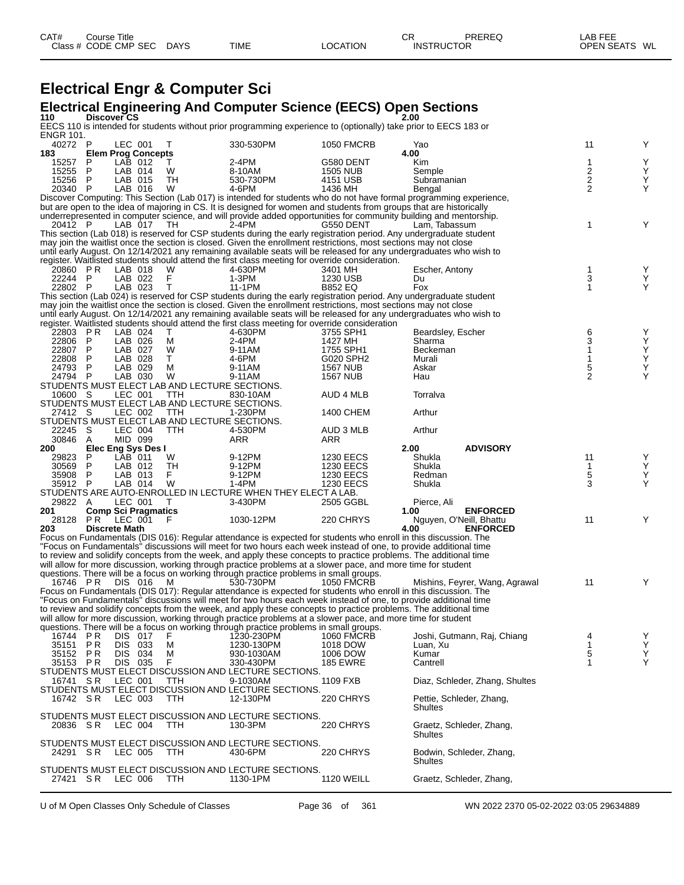### **Electrical Engr & Computer Sci**

# **Electrical Engineering And Computer Science (EECS) Open Sections 110 Discover CS 2.00**

| ENGR 101.           |                |                                          |                                                      |                                                                                                                                                                                                         |                                    | EECS 110 is intended for students without prior programming experience to (optionally) take prior to EECS 183 or                     |                     |        |
|---------------------|----------------|------------------------------------------|------------------------------------------------------|---------------------------------------------------------------------------------------------------------------------------------------------------------------------------------------------------------|------------------------------------|--------------------------------------------------------------------------------------------------------------------------------------|---------------------|--------|
| 40272 P             |                | LEC 001                                  | T                                                    | 330-530PM                                                                                                                                                                                               | <b>1050 FMCRB</b>                  | Yao                                                                                                                                  | 11                  | Y      |
| 183                 |                | <b>Elem Prog Concepts</b>                |                                                      |                                                                                                                                                                                                         |                                    | 4.00                                                                                                                                 |                     |        |
| 15257               | P              | LAB 012                                  | T.                                                   | 2-4PM                                                                                                                                                                                                   | G580 DENT                          | Kim                                                                                                                                  | 1                   |        |
| 15255<br>15256 P    | P              | LAB 014<br>LAB 015                       | W<br>TH                                              | 8-10AM<br>530-730PM                                                                                                                                                                                     | <b>1505 NUB</b><br>4151 USB        | Semple<br>Subramanian                                                                                                                |                     | Y<br>Υ |
| 20340 P             |                | LAB 016                                  | W                                                    | 4-6PM                                                                                                                                                                                                   | 1436 MH                            | Bengal                                                                                                                               | $\frac{2}{2}$       |        |
|                     |                |                                          |                                                      |                                                                                                                                                                                                         |                                    | Discover Computing: This Section (Lab 017) is intended for students who do not have formal programming experience,                   |                     |        |
|                     |                |                                          |                                                      |                                                                                                                                                                                                         |                                    | but are open to the idea of majoring in CS. It is designed for women and students from groups that are historically                  |                     |        |
| 20412 P             |                |                                          |                                                      |                                                                                                                                                                                                         |                                    | underrepresented in computer science, and will provide added opportunities for community building and mentorship.                    | 1                   |        |
|                     |                | LAB 017                                  | - TH                                                 | 2-4PM                                                                                                                                                                                                   | G550 DENT                          | Lam, Tabassum<br>This section (Lab 018) is reserved for CSP students during the early registration period. Any undergraduate student |                     |        |
|                     |                |                                          |                                                      | may join the waitlist once the section is closed. Given the enrollment restrictions, most sections may not close                                                                                        |                                    |                                                                                                                                      |                     |        |
|                     |                |                                          |                                                      |                                                                                                                                                                                                         |                                    | until early August. On 12/14/2021 any remaining available seats will be released for any undergraduates who wish to                  |                     |        |
|                     |                |                                          |                                                      | register. Waitlisted students should attend the first class meeting for override consideration.                                                                                                         |                                    |                                                                                                                                      |                     |        |
| 20860 PR<br>22244 P |                | LAB 018<br>LAB 022                       | W<br>F                                               | 4-630PM<br>1-3PM                                                                                                                                                                                        | 3401 MH<br>1230 USB                | Escher, Antony<br>Du                                                                                                                 | 1<br>3              |        |
| 22802 P             |                | LAB 023                                  | $\top$                                               | 11-1PM                                                                                                                                                                                                  | <b>B852 EQ</b>                     | Fox                                                                                                                                  | $\mathbf{1}$        | Υ      |
|                     |                |                                          |                                                      |                                                                                                                                                                                                         |                                    | This section (Lab 024) is reserved for CSP students during the early registration period. Any undergraduate student                  |                     |        |
|                     |                |                                          |                                                      | may join the waitlist once the section is closed. Given the enrollment restrictions, most sections may not close                                                                                        |                                    |                                                                                                                                      |                     |        |
|                     |                |                                          |                                                      |                                                                                                                                                                                                         |                                    | until early August. On 12/14/2021 any remaining available seats will be released for any undergraduates who wish to                  |                     |        |
| 22803 PR            |                | LAB 024                                  | T.                                                   | register. Waitlisted students should attend the first class meeting for override consideration<br>4-630PM                                                                                               | 3755 SPH1                          | Beardsley, Escher                                                                                                                    | 6                   | Y      |
| 22806               | -P             | LAB 026                                  | М                                                    | 2-4PM                                                                                                                                                                                                   | 1427 MH                            | Sharma                                                                                                                               | 3                   | Υ      |
| 22807               | P              | LAB 027                                  | W                                                    | 9-11AM                                                                                                                                                                                                  | 1755 SPH1                          | Beckeman                                                                                                                             | 1                   | Υ      |
| 22808               | P              | LAB 028                                  | T.                                                   | 4-6PM                                                                                                                                                                                                   | G020 SPH2                          | Murali                                                                                                                               | 1                   | Υ      |
| 24793 P<br>24794 P  |                | LAB 029<br>LAB 030                       | м<br>W                                               | 9-11AM<br>9-11AM                                                                                                                                                                                        | <b>1567 NUB</b><br><b>1567 NUB</b> | Askar<br>Hau                                                                                                                         | 5<br>$\overline{2}$ | Υ      |
|                     |                |                                          | STUDENTS MUST ELECT LAB AND LECTURE SECTIONS.        |                                                                                                                                                                                                         |                                    |                                                                                                                                      |                     |        |
| 10600 S             |                | LEC 001                                  | TTH.                                                 | 830-10AM                                                                                                                                                                                                | AUD 4 MLB                          | Torralva                                                                                                                             |                     |        |
|                     |                |                                          | STUDENTS MUST ELECT LAB AND LECTURE SECTIONS.        |                                                                                                                                                                                                         |                                    |                                                                                                                                      |                     |        |
| 27412 S             |                | LEC 002                                  | TTH                                                  | 1-230PM                                                                                                                                                                                                 | 1400 CHEM                          | Arthur                                                                                                                               |                     |        |
| 22245 S             |                | LEC 004                                  | STUDENTS MUST ELECT LAB AND LECTURE SECTIONS.<br>TTH | 4-530PM                                                                                                                                                                                                 | AUD 3 MLB                          | Arthur                                                                                                                               |                     |        |
| 30846               | A              | MID 099                                  |                                                      | ARR                                                                                                                                                                                                     | ARR                                |                                                                                                                                      |                     |        |
| 200                 |                | Elec Eng Sys Des I                       |                                                      |                                                                                                                                                                                                         |                                    | <b>ADVISORY</b><br>2.00                                                                                                              |                     |        |
| 29823               | P              | LAB 011                                  | W                                                    | 9-12PM                                                                                                                                                                                                  | <b>1230 EECS</b>                   | Shukla                                                                                                                               | 11                  |        |
| 30569<br>35908 P    | P              | LAB 012<br>LAB 013                       | TH<br>F.                                             | 9-12PM<br>9-12PM                                                                                                                                                                                        | <b>1230 EECS</b>                   | Shukla<br>Redman                                                                                                                     | 1<br>5              | Y      |
| 35912 P             |                | LAB 014                                  | W                                                    | 1-4PM                                                                                                                                                                                                   | 1230 EECS<br><b>1230 EECS</b>      | Shukla                                                                                                                               | 3                   |        |
|                     |                |                                          |                                                      | STUDENTS ARE AUTO-ENROLLED IN LECTURE WHEN THEY ELECT A LAB.                                                                                                                                            |                                    |                                                                                                                                      |                     |        |
| 29822 A             |                | LEC 001                                  | T                                                    | 3-430PM                                                                                                                                                                                                 | 2505 GGBL                          | Pierce, Ali                                                                                                                          |                     |        |
| 201                 |                | <b>Comp Sci Pragmatics</b>               |                                                      |                                                                                                                                                                                                         |                                    | 1.00<br><b>ENFORCED</b>                                                                                                              |                     |        |
| 203                 |                | 28128 PR LEC 001<br><b>Discrete Math</b> | - F                                                  | 1030-12PM                                                                                                                                                                                               | 220 CHRYS                          | Nguyen, O'Neill, Bhattu<br>4.00<br><b>ENFORCED</b>                                                                                   | 11                  |        |
|                     |                |                                          |                                                      |                                                                                                                                                                                                         |                                    | Focus on Fundamentals (DIS 016): Regular attendance is expected for students who enroll in this discussion. The                      |                     |        |
|                     |                |                                          |                                                      |                                                                                                                                                                                                         |                                    | "Focus on Fundamentals" discussions will meet for two hours each week instead of one, to provide additional time                     |                     |        |
|                     |                |                                          |                                                      |                                                                                                                                                                                                         |                                    | to review and solidify concepts from the week, and apply these concepts to practice problems. The additional time                    |                     |        |
|                     |                |                                          |                                                      | will allow for more discussion, working through practice problems at a slower pace, and more time for student<br>questions. There will be a focus on working through practice problems in small groups. |                                    |                                                                                                                                      |                     |        |
| 16746 PR            |                | DIS 016                                  | M                                                    | 530-730PM                                                                                                                                                                                               | <b>1050 FMCRB</b>                  | Mishins, Feyrer, Wang, Agrawal                                                                                                       | 11                  |        |
|                     |                |                                          |                                                      |                                                                                                                                                                                                         |                                    | Focus on Fundamentals (DIS 017): Regular attendance is expected for students who enroll in this discussion. The                      |                     |        |
|                     |                |                                          |                                                      |                                                                                                                                                                                                         |                                    | "Focus on Fundamentals" discussions will meet for two hours each week instead of one, to provide additional time                     |                     |        |
|                     |                |                                          |                                                      |                                                                                                                                                                                                         |                                    | to review and solidify concepts from the week, and apply these concepts to practice problems. The additional time                    |                     |        |
|                     |                |                                          |                                                      | will allow for more discussion, working through practice problems at a slower pace, and more time for student<br>questions. There will be a focus on working through practice problems in small groups. |                                    |                                                                                                                                      |                     |        |
| 16744               | P R            | DIS 017                                  | F                                                    | 1230-230PM                                                                                                                                                                                              | <b>1060 FMCRB</b>                  | Joshi, Gutmann, Raj, Chiang                                                                                                          | 4                   | Υ      |
| 35151               | P <sub>R</sub> | 033<br>DIS.                              | M                                                    | 1230-130PM                                                                                                                                                                                              | 1018 DOW                           | Luan, Xu                                                                                                                             | 1                   | Υ      |
| 35152 PR            |                | DIS.<br>034                              | м                                                    | 930-1030AM                                                                                                                                                                                              | 1006 DOW                           | Kumar                                                                                                                                | 5                   | Υ      |
| 35153 PR            |                | DIS 035                                  | F                                                    | 330-430PM                                                                                                                                                                                               | <b>185 EWRE</b>                    | Cantrell                                                                                                                             | 1                   | Υ      |
| 16741 SR            |                | LEC 001                                  | TTH                                                  | STUDENTS MUST ELECT DISCUSSION AND LECTURE SECTIONS.<br>9-1030AM                                                                                                                                        | 1109 FXB                           | Diaz, Schleder, Zhang, Shultes                                                                                                       |                     |        |
|                     |                |                                          |                                                      | STUDENTS MUST ELECT DISCUSSION AND LECTURE SECTIONS.                                                                                                                                                    |                                    |                                                                                                                                      |                     |        |
| 16742 SR            |                | LEC 003                                  | <b>TTH</b>                                           | 12-130PM                                                                                                                                                                                                | 220 CHRYS                          | Pettie, Schleder, Zhang,                                                                                                             |                     |        |
|                     |                |                                          |                                                      |                                                                                                                                                                                                         |                                    | Shultes                                                                                                                              |                     |        |
|                     |                |                                          | <b>TTH</b>                                           | STUDENTS MUST ELECT DISCUSSION AND LECTURE SECTIONS.                                                                                                                                                    |                                    |                                                                                                                                      |                     |        |
| 20836 SR            |                | LEC 004                                  |                                                      | 130-3PM                                                                                                                                                                                                 | 220 CHRYS                          | Graetz, Schleder, Zhang,<br>Shultes                                                                                                  |                     |        |
|                     |                |                                          |                                                      | STUDENTS MUST ELECT DISCUSSION AND LECTURE SECTIONS.                                                                                                                                                    |                                    |                                                                                                                                      |                     |        |
| 24291 SR            |                | LEC 005                                  | TTH                                                  | 430-6PM                                                                                                                                                                                                 | 220 CHRYS                          | Bodwin, Schleder, Zhang,                                                                                                             |                     |        |
|                     |                |                                          |                                                      |                                                                                                                                                                                                         |                                    | <b>Shultes</b>                                                                                                                       |                     |        |
| 27421 SR            |                | LEC 006                                  | TTH                                                  | STUDENTS MUST ELECT DISCUSSION AND LECTURE SECTIONS.<br>1130-1PM                                                                                                                                        | <b>1120 WEILL</b>                  | Graetz, Schleder, Zhang,                                                                                                             |                     |        |
|                     |                |                                          |                                                      |                                                                                                                                                                                                         |                                    |                                                                                                                                      |                     |        |
|                     |                |                                          |                                                      |                                                                                                                                                                                                         |                                    |                                                                                                                                      |                     |        |
|                     |                |                                          | U of M Open Classes Only Schedule of Classes         |                                                                                                                                                                                                         | Page 36 of<br>361                  | WN 2022 2370 05-02-2022 03:05 29634889                                                                                               |                     |        |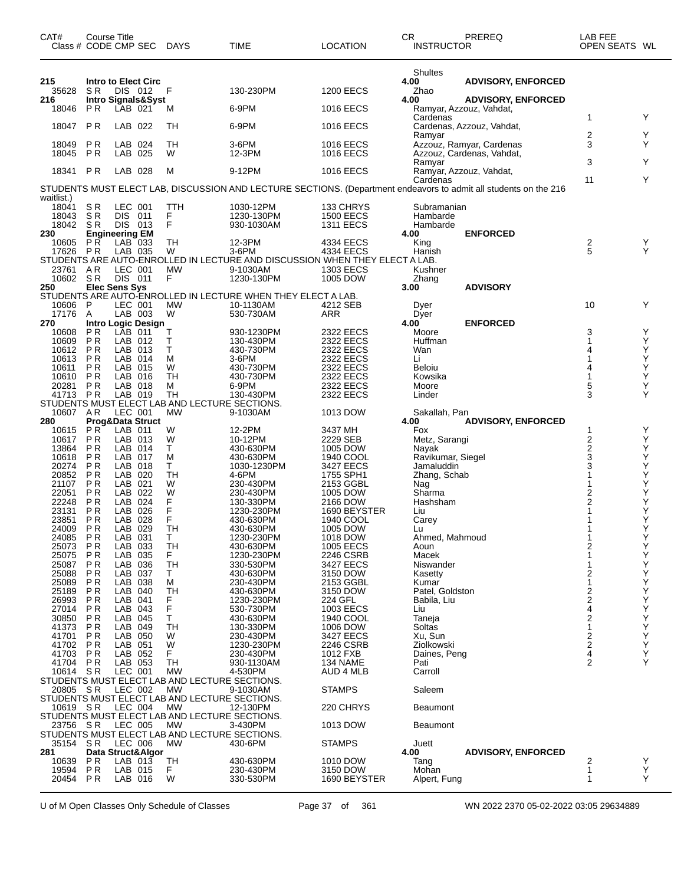| CAT#<br>Class # CODE CMP SEC | <b>Course Title</b>              |                      |                           | DAYS           | TIME                                                                                                             | <b>LOCATION</b>                      | <b>CR</b><br><b>INSTRUCTOR</b> | PREREQ                                                | LAB FEE<br>OPEN SEATS WL                        |             |
|------------------------------|----------------------------------|----------------------|---------------------------|----------------|------------------------------------------------------------------------------------------------------------------|--------------------------------------|--------------------------------|-------------------------------------------------------|-------------------------------------------------|-------------|
| 215<br>35628                 | S R                              | DIS 012              | Intro to Elect Circ       | F              | 130-230PM                                                                                                        | <b>1200 EECS</b>                     | Shultes<br>4.00<br>Zhao        | <b>ADVISORY, ENFORCED</b>                             |                                                 |             |
| 216<br>18046                 | P R                              | LAB 021              | Intro Signals&Syst        | M              | 6-9PM                                                                                                            | <b>1016 EECS</b>                     | 4.00                           | <b>ADVISORY, ENFORCED</b><br>Ramyar, Azzouz, Vahdat,  |                                                 |             |
| 18047                        | P <sub>R</sub>                   | LAB 022              |                           | TН             | 6-9PM                                                                                                            | <b>1016 EECS</b>                     | Cardenas                       | Cardenas, Azzouz, Vahdat,                             | 1                                               | Y           |
|                              |                                  |                      |                           |                |                                                                                                                  |                                      | Ramyar                         |                                                       | 2<br>3                                          | Y<br>Υ      |
| 18049<br>18045               | P <sub>R</sub><br>P <sub>R</sub> | LAB 024<br>LAB 025   |                           | TН<br>W        | 3-6PM<br>12-3PM                                                                                                  | <b>1016 EECS</b><br><b>1016 EECS</b> |                                | Azzouz, Ramyar, Cardenas<br>Azzouz, Cardenas, Vahdat, |                                                 |             |
| 18341                        | P R                              | LAB 028              |                           | М              | 9-12PM                                                                                                           | <b>1016 EECS</b>                     | Ramyar                         | Ramyar, Azzouz, Vahdat,                               | 3                                               | Υ           |
|                              |                                  |                      |                           |                | STUDENTS MUST ELECT LAB, DISCUSSION AND LECTURE SECTIONS. (Department endeavors to admit all students on the 216 |                                      | Cardenas                       |                                                       | 11                                              | Y           |
| waitlist.)<br>18041          | S R                              | LEC 001              |                           | TTH            | 1030-12PM                                                                                                        | 133 CHRYS                            | Subramanian                    |                                                       |                                                 |             |
| 18043                        | SR                               | DIS 011              |                           | F              | 1230-130PM                                                                                                       | <b>1500 EECS</b>                     | Hambarde                       |                                                       |                                                 |             |
| 18042<br>230                 | SR<br><b>Engineering EM</b>      | DIS 013              |                           | F              | 930-1030AM                                                                                                       | <b>1311 EECS</b>                     | Hambarde<br>4.00               | <b>ENFORCED</b>                                       |                                                 |             |
| 10605                        | P R                              | $LAB$ 033            |                           | TН             | 12-3PM                                                                                                           | 4334 EECS                            | King                           |                                                       | 2                                               | Y           |
| 17626                        | PR                               | LAB 035              |                           | W              | $3-6$ PM                                                                                                         | 4334 EECS                            | Hanish                         |                                                       | 5                                               | Y           |
| 23761 AR                     |                                  | LEC 001              |                           | <b>MW</b>      | STUDENTS ARE AUTO-ENROLLED IN LECTURE AND DISCUSSION WHEN THEY ELECT A LAB.<br>9-1030AM                          | 1303 EECS                            | Kushner                        |                                                       |                                                 |             |
| 10602 SR                     |                                  | DIS 011              |                           | F              | 1230-130PM                                                                                                       | 1005 DOW                             | Zhang                          |                                                       |                                                 |             |
| 250                          | <b>Elec Sens Sys</b>             |                      |                           |                |                                                                                                                  |                                      | 3.00                           | <b>ADVISORY</b>                                       |                                                 |             |
| 10606                        | P                                | LEC 001              |                           | <b>MW</b>      | STUDENTS ARE AUTO-ENROLLED IN LECTURE WHEN THEY ELECT A LAB.<br>10-1130AM                                        | 4212 SEB                             | Dyer                           |                                                       | 10                                              | Y           |
| 17176                        | Α                                | LAB 003              |                           | W              | 530-730AM                                                                                                        | ARR                                  | Dyer                           |                                                       |                                                 |             |
| 270                          |                                  |                      | <b>Intro Logic Design</b> |                |                                                                                                                  |                                      | 4.00                           | <b>ENFORCED</b>                                       |                                                 |             |
| 10608<br>10609               | P R<br>P <sub>R</sub>            | LAB 011<br>LAB 012   |                           | т<br>T         | 930-1230PM<br>130-430PM                                                                                          | 2322 EECS<br>2322 EECS               | Moore<br>Huffman               |                                                       | 3                                               | Υ<br>Υ      |
| 10612                        | P <sub>R</sub>                   | LAB 013              |                           | т              | 430-730PM                                                                                                        | 2322 EECS                            | Wan                            |                                                       | 4                                               | Υ           |
| 10613                        | P R                              | LAB 014              |                           | м              | 3-6PM                                                                                                            | 2322 EECS                            | Li                             |                                                       | 1                                               | Υ           |
| 10611<br>10610               | P <sub>R</sub><br>P <sub>R</sub> | LAB 015<br>LAB 016   |                           | W<br><b>TH</b> | 430-730PM<br>430-730PM                                                                                           | 2322 EECS<br>2322 EECS               | Beloiu<br>Kowsika              |                                                       | 4<br>1                                          | Υ<br>Υ      |
| 20281                        | P R                              | LAB 018              |                           | м              | 6-9PM                                                                                                            | 2322 EECS                            | Moore                          |                                                       | $\frac{5}{3}$                                   | Υ           |
| 41713 PR                     |                                  | LAB 019              |                           | <b>TH</b>      | 130-430PM                                                                                                        | 2322 EECS                            | Linder                         |                                                       |                                                 | Y           |
| 10607                        | AR                               | LEC 001              |                           | <b>MW</b>      | STUDENTS MUST ELECT LAB AND LECTURE SECTIONS.<br>9-1030AM                                                        | 1013 DOW                             |                                |                                                       |                                                 |             |
| 280                          |                                  |                      | Prog&Data Struct          |                |                                                                                                                  |                                      | Sakallah, Pan<br>4.00          | <b>ADVISORY, ENFORCED</b>                             |                                                 |             |
| 10615                        | P <sub>R</sub>                   | LAB 011              |                           | W              | 12-2PM                                                                                                           | 3437 MH                              | Fox                            |                                                       | 1                                               | Y           |
| 10617                        | P <sub>R</sub>                   | LAB 013              |                           | W<br>T.        | 10-12PM                                                                                                          | 2229 SEB                             | Metz, Sarangi                  |                                                       | $\frac{2}{2}$                                   | Υ           |
| 13864<br>10618               | P <sub>R</sub><br>P <sub>R</sub> | LAB 014<br>LAB 017   |                           | М              | 430-630PM<br>430-630PM                                                                                           | 1005 DOW<br>1940 COOL                | Nayak<br>Ravikumar, Siegel     |                                                       | 3                                               | Υ<br>Υ      |
| 20274                        | P <sub>R</sub>                   | LAB 018              |                           | т              | 1030-1230PM                                                                                                      | 3427 EECS                            | Jamaluddin                     |                                                       | 3                                               | Υ           |
| 20852                        | P <sub>R</sub>                   | LAB 020              |                           | TН             | 4-6PM                                                                                                            | 1755 SPH1                            | Zhang, Schab                   |                                                       |                                                 | Ý           |
| 21107<br>22051               | P <sub>R</sub><br>ΡR             | LAB 021<br>LAB 022   |                           | W<br>W         | 230-430PM<br>230-430PM                                                                                           | 2153 GGBL<br>1005 DOW                | Nag<br>Sharma                  |                                                       |                                                 | Υ<br>Υ      |
| 22248                        | P <sub>R</sub>                   | LAB 024              |                           | F              | 130-330PM                                                                                                        | 2166 DOW                             | Hashsham                       |                                                       | $\frac{2}{2}$                                   | Υ           |
| 23131                        | <b>PR</b>                        | LAB 026              |                           | F              | 1230-230PM                                                                                                       | 1690 BEYSTER                         | Liu                            |                                                       |                                                 | Υ           |
| 23851                        | P <sub>R</sub>                   | LAB 028              |                           | F<br><b>TH</b> | 430-630PM                                                                                                        | 1940 COOL                            | Carey                          |                                                       |                                                 | Υ<br>Y      |
| 24009<br>24085               | P <sub>R</sub><br><b>PR</b>      | LAB 029<br>LAB 031   |                           | Τ              | 430-630PM<br>1230-230PM                                                                                          | 1005 DOW<br>1018 DOW                 | Lu                             | Ahmed, Mahmoud                                        | 1                                               | Υ           |
| 25073                        | P <sub>R</sub>                   | LAB 033              |                           | <b>TH</b>      | 430-630PM                                                                                                        | <b>1005 EECS</b>                     | Aoun                           |                                                       | $\overline{\mathbf{c}}$                         | Υ           |
| 25075                        | PR                               | LAB 035              |                           | F.             | 1230-230PM                                                                                                       | 2246 CSRB                            | Macek                          |                                                       | 1                                               | Υ           |
| 25087<br>25088               | P R<br>P R                       | LAB 036<br>LAB 037   |                           | TН<br>Т        | 330-530PM<br>430-630PM                                                                                           | 3427 EECS<br>3150 DOW                | Niswander<br>Kasetty           |                                                       | 1<br>2                                          | Υ<br>Υ      |
| 25089                        | P <sub>R</sub>                   | LAB 038              |                           | м              | 230-430PM                                                                                                        | 2153 GGBL                            | Kumar                          |                                                       | 1                                               | Ý           |
| 25189                        | P <sub>R</sub>                   | LAB 040              |                           | TН             | 430-630PM                                                                                                        | 3150 DOW                             | Patel, Goldston                |                                                       | 2                                               | Υ           |
| 26993<br>27014               | P R<br>P R                       | LAB 041<br>LAB 043   |                           | F<br>F         | 1230-230PM<br>530-730PM                                                                                          | 224 GFL<br>1003 EECS                 | Babila, Liu<br>Liu             |                                                       | $\frac{2}{4}$                                   | Υ<br>Ÿ      |
| 30850                        | P <sub>R</sub>                   | LAB 045              |                           | Τ              | 430-630PM                                                                                                        | 1940 COOL                            | Taneja                         |                                                       |                                                 | Υ           |
| 41373                        | P R                              | LAB 049              |                           | TН             | 130-330PM                                                                                                        | 1006 DOW                             | Soltas                         |                                                       | $\frac{2}{1}$                                   | Ÿ<br>Y      |
| 41701                        | P R                              | LAB 050              |                           | W<br>W         | 230-430PM                                                                                                        | 3427 EECS                            | Xu, Sun                        |                                                       | $\begin{array}{c} 2 \\ 2 \\ 4 \\ 2 \end{array}$ |             |
| 41702<br>41703               | P <sub>R</sub><br>P R            | LAB 051<br>LAB 052   |                           | F              | 1230-230PM<br>230-430PM                                                                                          | 2246 CSRB<br>1012 FXB                | Ziolkowski<br>Daines, Peng     |                                                       |                                                 | Y<br>Y<br>Y |
| 41704                        | <b>PR</b>                        | LAB 053              |                           | TН             | 930-1130AM                                                                                                       | 134 NAME                             | Pati                           |                                                       |                                                 |             |
| 10614                        | S R                              | LEC 001              |                           | <b>MW</b>      | 4-530PM                                                                                                          | AUD 4 MLB                            | Carroll                        |                                                       |                                                 |             |
| 20805 SR                     |                                  | LEC 002              |                           | <b>MW</b>      | STUDENTS MUST ELECT LAB AND LECTURE SECTIONS.<br>9-1030AM                                                        | <b>STAMPS</b>                        | Saleem                         |                                                       |                                                 |             |
|                              |                                  |                      |                           |                | STUDENTS MUST ELECT LAB AND LECTURE SECTIONS.                                                                    |                                      |                                |                                                       |                                                 |             |
| 10619 SR                     |                                  | LEC 004              |                           | <b>MW</b>      | 12-130PM                                                                                                         | 220 CHRYS                            | <b>Beaumont</b>                |                                                       |                                                 |             |
|                              |                                  |                      |                           |                | STUDENTS MUST ELECT LAB AND LECTURE SECTIONS.                                                                    |                                      |                                |                                                       |                                                 |             |
| 23756 SR                     |                                  | LEC 005              |                           | <b>MW</b>      | 3-430PM<br>STUDENTS MUST ELECT LAB AND LECTURE SECTIONS.                                                         | 1013 DOW                             | <b>Beaumont</b>                |                                                       |                                                 |             |
| 35154 SR                     |                                  | LEC 006              |                           | MW             | 430-6PM                                                                                                          | <b>STAMPS</b>                        | Juett                          |                                                       |                                                 |             |
| 281                          |                                  |                      | Data Struct&Algor         |                |                                                                                                                  |                                      | 4.00                           | <b>ADVISORY, ENFORCED</b>                             |                                                 |             |
| 10639<br>19594               | P R<br>PR                        | $LAB$ 013<br>LAB 015 |                           | TН<br>F        | 430-630PM<br>230-430PM                                                                                           | 1010 DOW<br>3150 DOW                 | Tang<br>Mohan                  |                                                       | 2<br>1                                          | Υ<br>Υ      |
| 20454                        | P <sub>R</sub>                   | LAB 016              |                           | W              | 330-530PM                                                                                                        | 1690 BEYSTER                         | Alpert, Fung                   |                                                       | 1                                               | Y           |
|                              |                                  |                      |                           |                |                                                                                                                  |                                      |                                |                                                       |                                                 |             |

U of M Open Classes Only Schedule of Classes Page 37 of 361 WN 2022 2370 05-02-2022 03:05 29634889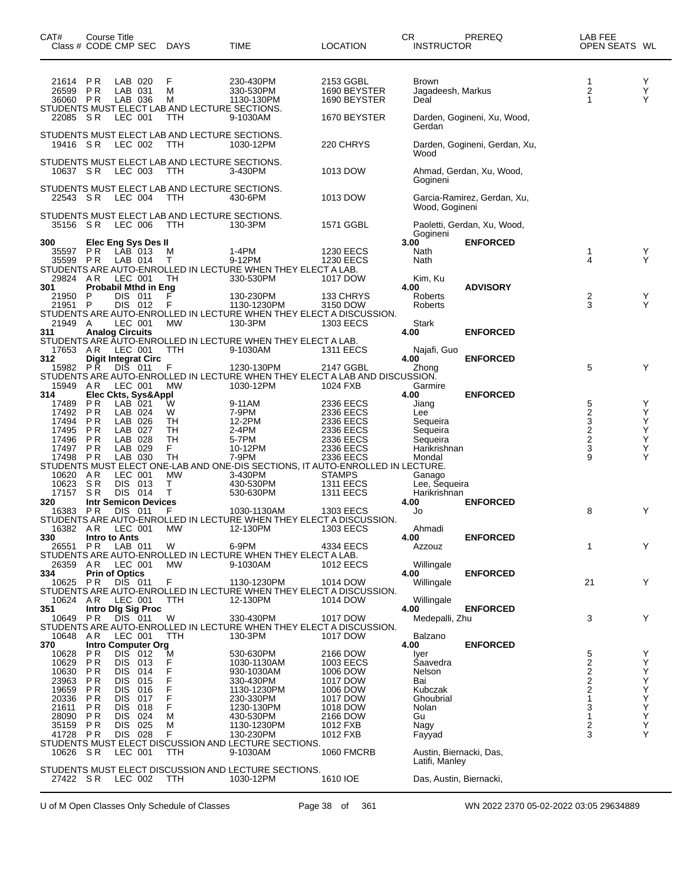| CAT#<br>Class # CODE CMP SEC |                  | Course Title                     |                                        | DAYS        | <b>TIME</b>                                                                           | LOCATION                                                                                    | <b>CR</b><br>PREREQ<br><b>INSTRUCTOR</b>      | LAB FEE<br>OPEN SEATS WL               |             |
|------------------------------|------------------|----------------------------------|----------------------------------------|-------------|---------------------------------------------------------------------------------------|---------------------------------------------------------------------------------------------|-----------------------------------------------|----------------------------------------|-------------|
| 21614<br>26599<br>36060 PR   | P R<br><b>PR</b> |                                  | LAB 020<br>LAB 031<br>LAB 036          | F<br>м<br>м | 230-430PM<br>330-530PM<br>1130-130PM<br>STUDENTS MUST ELECT LAB AND LECTURE SECTIONS. | 2153 GGBL<br>1690 BEYSTER<br>1690 BEYSTER                                                   | <b>Brown</b><br>Jagadeesh, Markus<br>Deal     | 1<br>2<br>1                            | Y<br>Υ<br>Υ |
| 22085                        | S R              |                                  | LEC 001                                | TTH         | 9-1030AM                                                                              | 1670 BEYSTER                                                                                | Darden, Gogineni, Xu, Wood,<br>Gerdan         |                                        |             |
| 19416                        | S R              |                                  | LEC 002                                | <b>TTH</b>  | STUDENTS MUST ELECT LAB AND LECTURE SECTIONS.<br>1030-12PM                            | 220 CHRYS                                                                                   | Darden, Gogineni, Gerdan, Xu,<br>Wood         |                                        |             |
| 10637 SR                     |                  |                                  | LEC 003                                | <b>TTH</b>  | STUDENTS MUST ELECT LAB AND LECTURE SECTIONS.<br>3-430PM                              | 1013 DOW                                                                                    | Ahmad, Gerdan, Xu, Wood,<br>Gogineni          |                                        |             |
| 22543 SR                     |                  |                                  | LEC 004                                | TTH         | STUDENTS MUST ELECT LAB AND LECTURE SECTIONS.<br>430-6PM                              | 1013 DOW                                                                                    | Garcia-Ramirez, Gerdan, Xu,<br>Wood, Gogineni |                                        |             |
| 35156                        | S R              |                                  | LEC 006                                | <b>TTH</b>  | STUDENTS MUST ELECT LAB AND LECTURE SECTIONS.<br>130-3PM                              | 1571 GGBL                                                                                   | Paoletti, Gerdan, Xu, Wood,<br>Gogineni       |                                        |             |
| 300<br>35597                 | <b>PR</b>        |                                  | <b>Elec Eng Sys Des II</b><br>LAB 013  | M           | 1-4PM                                                                                 | <b>1230 EECS</b>                                                                            | 3.00<br><b>ENFORCED</b><br>Nath               | 1                                      | Y           |
| 35599 PR                     |                  |                                  | LAB 014                                | Т           | 9-12PM                                                                                | <b>1230 EECS</b>                                                                            | Nath                                          | 4                                      | Y           |
|                              |                  |                                  |                                        |             | STUDENTS ARE AUTO-ENROLLED IN LECTURE WHEN THEY ELECT A LAB.                          |                                                                                             |                                               |                                        |             |
| 29824 AR<br>301              |                  |                                  | LEC 001<br><b>Probabil Mthd in Eng</b> | TН          | 330-530PM                                                                             | 1017 DOW                                                                                    | Kim, Ku<br><b>ADVISORY</b><br>4.00            |                                        |             |
| 21950                        | P                | DIS.                             | - 011                                  | F           | 130-230PM                                                                             | 133 CHRYS                                                                                   | Roberts                                       | 2                                      | Y           |
| 21951                        | P                |                                  | DIS 012                                | F           | 1130-1230PM                                                                           | 3150 DOW                                                                                    | Roberts                                       | 3                                      | Y           |
| 21949                        | A                |                                  | LEC 001                                | <b>MW</b>   | 130-3PM                                                                               | STUDENTS ARE AUTO-ENROLLED IN LECTURE WHEN THEY ELECT A DISCUSSION.<br><b>1303 EECS</b>     | Stark                                         |                                        |             |
| 311                          |                  | <b>Analog Circuits</b>           |                                        |             |                                                                                       |                                                                                             | <b>ENFORCED</b><br>4.00                       |                                        |             |
|                              |                  |                                  |                                        |             | STUDENTS ARE AUTO-ENROLLED IN LECTURE WHEN THEY ELECT A LAB.                          |                                                                                             |                                               |                                        |             |
| 17653<br>312                 | AR               | LEC 001                          | <b>Digit Integrat Circ</b>             | TTH         | 9-1030AM                                                                              | <b>1311 EECS</b>                                                                            | Najafi, Guo<br><b>ENFORCED</b><br>4.00        |                                        |             |
| 15982 PR                     |                  | <b>DIS</b>                       | 011                                    | F           | 1230-130PM                                                                            | 2147 GGBL                                                                                   | Zhong                                         | 5                                      | Y           |
|                              |                  |                                  |                                        |             |                                                                                       | STUDENTS ARE AUTO-ENROLLED IN LECTURE WHEN THEY ELECT A LAB AND DISCUSSION.                 |                                               |                                        |             |
| 15949<br>314                 | A R              |                                  | LEC 001<br>Elec Ckts, Sys&Appl         | <b>MW</b>   | 1030-12PM                                                                             | 1024 FXB                                                                                    | Garmire<br>4.00<br><b>ENFORCED</b>            |                                        |             |
| 17489                        | <b>PR</b>        | LAB 021                          |                                        | W           | 9-11AM                                                                                | 2336 EECS                                                                                   | Jiang                                         | 5                                      | Y           |
| 17492                        | <b>PR</b>        |                                  | LAB 024                                | W           | 7-9PM                                                                                 | 2336 EECS                                                                                   | Lee                                           | $\frac{2}{3}$                          | Υ           |
| 17494<br>17495               | P R<br>P R       |                                  | LAB 026<br>LAB 027                     | TН<br>TH    | 12-2PM<br>2-4PM                                                                       | 2336 EECS<br>2336 EECS                                                                      | Sequeira<br>Sequeira                          |                                        | Υ<br>Υ      |
| 17496                        | P R              |                                  | LAB 028                                | TН          | 5-7PM                                                                                 | 2336 EECS                                                                                   | Sequeira                                      | $\frac{2}{2}$                          | Υ           |
| 17497 PR                     |                  |                                  | LAB 029                                | F           | 10-12PM                                                                               | 2336 EECS                                                                                   | Harikrishnan                                  | 3                                      | Υ           |
| 17498                        | <b>PR</b>        |                                  | LAB 030                                | TН          | 7-9PM                                                                                 | 2336 EECS<br>STUDENTS MUST ELECT ONE-LAB AND ONE-DIS SECTIONS, IT AUTO-ENROLLED IN LECTURE. | Mondal                                        | 9                                      | Υ           |
| 10620                        | AR               |                                  | LEC 001                                | МW          | 3-430PM                                                                               | <b>STAMPS</b>                                                                               | Ganago                                        |                                        |             |
| 10623                        | SR               | <b>DIS</b>                       | 013                                    | т           | 430-530PM                                                                             | <b>1311 EECS</b>                                                                            | Lee, Sequeira                                 |                                        |             |
| 17157<br>320                 | S <sub>R</sub>   | <b>DIS</b>                       | 014<br><b>Intr Semicon Devices</b>     | т           | 530-630PM                                                                             | <b>1311 EECS</b>                                                                            | Harikrishnan<br>4.00<br><b>ENFORCED</b>       |                                        |             |
| 16383 PR                     |                  | <b>DIS</b>                       | - 011                                  | F           | 1030-1130AM                                                                           | <b>1303 EECS</b>                                                                            | Jo                                            | 8                                      | Y           |
|                              |                  |                                  |                                        |             |                                                                                       | STUDENTS ARE AUTO-ENROLLED IN LECTURE WHEN THEY ELECT A DISCUSSION.                         |                                               |                                        |             |
| 16382 AR<br>330              |                  | Intro to Ants                    | LEC 001                                | МW          | 12-130PM                                                                              | 1303 EECS                                                                                   | Ahmadi<br>4.00<br><b>ENFORCED</b>             |                                        |             |
| 26551                        | P R              | LAB 011                          |                                        | W           | 6-9PM                                                                                 | 4334 EECS                                                                                   | Azzouz                                        | 1                                      | Y           |
|                              |                  |                                  |                                        |             | STUDENTS ARE AUTO-ENROLLED IN LECTURE WHEN THEY ELECT A LAB.                          |                                                                                             |                                               |                                        |             |
| 26359<br>334                 | AR               | LEC 001<br><b>Prin of Optics</b> |                                        | <b>MW</b>   | 9-1030AM                                                                              | <b>1012 EECS</b>                                                                            | Willingale<br><b>ENFORCED</b><br>4.00         |                                        |             |
| 10625                        | P R              |                                  | DIS 011                                | F           | 1130-1230PM                                                                           | 1014 DOW                                                                                    | Willingale                                    | 21                                     | Y           |
|                              |                  |                                  |                                        |             |                                                                                       | STUDENTS ARE AUTO-ENROLLED IN LECTURE WHEN THEY ELECT A DISCUSSION.                         |                                               |                                        |             |
| 10624<br>351                 | A R              |                                  | LEC 001<br>Intro Dig Sig Proc          | TTH         | 12-130PM                                                                              | 1014 DOW                                                                                    | Willingale<br>4.00<br><b>ENFORCED</b>         |                                        |             |
| 10649                        | <b>PR</b>        | DIS 011                          |                                        | W           | 330-430PM                                                                             | 1017 DOW                                                                                    | Medepalli, Zhu                                | 3                                      | Y           |
|                              |                  |                                  |                                        |             |                                                                                       | STUDENTS ARE AUTO-ENROLLED IN LECTURE WHEN THEY ELECT A DISCUSSION.                         |                                               |                                        |             |
| 10648 AR<br>370              |                  |                                  | LEC 001<br><b>Intro Computer Org</b>   | TTH         | 130-3PM                                                                               | 1017 DOW                                                                                    | Balzano<br><b>ENFORCED</b><br>4.00            |                                        |             |
| 10628                        | P R              |                                  | DIS 012                                | M           | 530-630PM                                                                             | 2166 DOW                                                                                    | Iyer                                          | 5                                      | Y           |
| 10629                        | P R              | DIS.                             | 013                                    | F           | 1030-1130AM                                                                           | 1003 EECS                                                                                   | Saavedra                                      | $\overline{2}$                         | Υ           |
| 10630<br>23963               | P R<br>P R       | <b>DIS</b><br><b>DIS</b>         | 014<br>015                             | F           | 930-1030AM<br>330-430PM                                                               | 1006 DOW<br>1017 DOW                                                                        | Nelson<br>Bai                                 | $\overline{\mathbf{c}}$<br>$\mathbf 2$ | Υ<br>Υ      |
| 19659                        | P R              | DIS                              | 016                                    | F           | 1130-1230PM                                                                           | 1006 DOW                                                                                    | Kubczak                                       | $\overline{2}$                         | Υ           |
| 20336                        | P R              | DIS                              | 017                                    | F           | 230-330PM                                                                             | 1017 DOW                                                                                    | Ghoubrial                                     |                                        | Υ           |
| 21611<br>28090               | P R<br>P R       | <b>DIS</b><br><b>DIS</b>         | 018<br>024                             | F<br>M      | 1230-130PM<br>430-530PM                                                               | 1018 DOW<br>2166 DOW                                                                        | Nolan<br>Gu                                   | 3<br>1                                 | Υ<br>Υ      |
| 35159                        | P R              | <b>DIS</b>                       | 025                                    | М           | 1130-1230PM                                                                           | 1012 FXB                                                                                    | Nagy                                          | 2                                      | Υ           |
| 41728                        | P R              |                                  | DIS 028                                | F           | 130-230PM                                                                             | 1012 FXB                                                                                    | Fayyad                                        | 3                                      | Y           |
| 10626 SR                     |                  | LEC 001                          |                                        | TTH         | STUDENTS MUST ELECT DISCUSSION AND LECTURE SECTIONS.<br>9-1030AM                      | <b>1060 FMCRB</b>                                                                           | Austin, Biernacki, Das,                       |                                        |             |
|                              |                  |                                  |                                        |             |                                                                                       |                                                                                             | Latifi, Manley                                |                                        |             |
| 27422 SR                     |                  | LEC 002                          |                                        | TTH         | STUDENTS MUST ELECT DISCUSSION AND LECTURE SECTIONS.<br>1030-12PM                     | 1610 IOE                                                                                    | Das, Austin, Biernacki,                       |                                        |             |

U of M Open Classes Only Schedule of Classes Page 38 of 361 WN 2022 2370 05-02-2022 03:05 29634889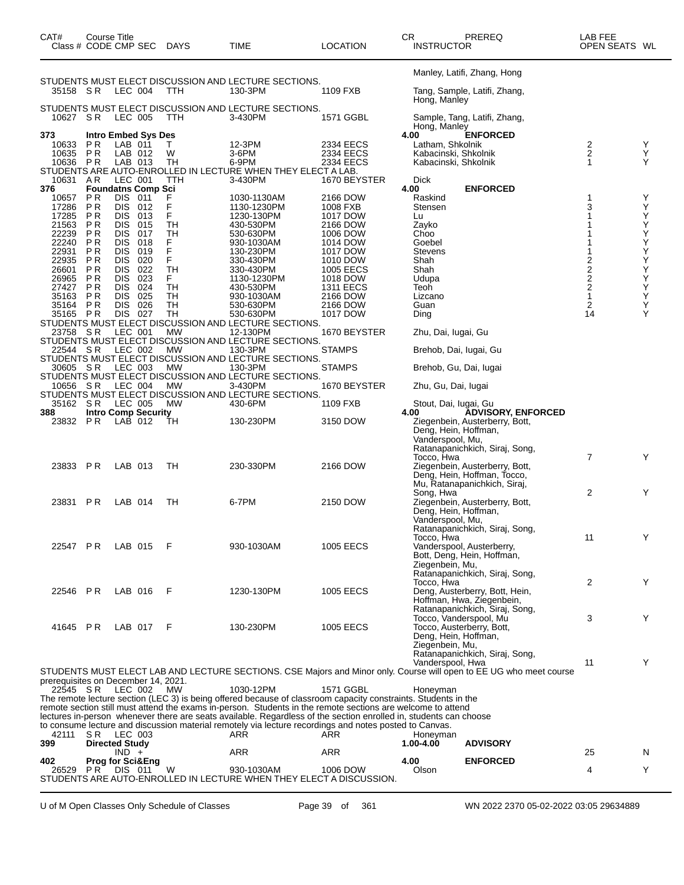| CAT#<br>Class # CODE CMP SEC        |                       | <b>Course Title</b>      |                             | <b>DAYS</b> | TIME                                                                                                                                                                                                                             | <b>LOCATION</b>        | CR.<br><b>INSTRUCTOR</b>                     | PREREQ                                                                                                             | LAB FEE<br>OPEN SEATS WL                     |        |
|-------------------------------------|-----------------------|--------------------------|-----------------------------|-------------|----------------------------------------------------------------------------------------------------------------------------------------------------------------------------------------------------------------------------------|------------------------|----------------------------------------------|--------------------------------------------------------------------------------------------------------------------|----------------------------------------------|--------|
|                                     |                       |                          |                             |             | STUDENTS MUST ELECT DISCUSSION AND LECTURE SECTIONS.                                                                                                                                                                             |                        |                                              | Manley, Latifi, Zhang, Hong                                                                                        |                                              |        |
| 35158 SR                            |                       | LEC 004                  |                             | <b>TTH</b>  | 130-3PM                                                                                                                                                                                                                          | 1109 FXB               | Hong, Manley                                 | Tang, Sample, Latifi, Zhang,                                                                                       |                                              |        |
| 10627 SR                            |                       | LEC 005                  |                             | TTH.        | STUDENTS MUST ELECT DISCUSSION AND LECTURE SECTIONS.<br>3-430PM                                                                                                                                                                  | 1571 GGBL              | Hong, Manley                                 | Sample, Tang, Latifi, Zhang,                                                                                       |                                              |        |
| 373                                 |                       |                          | <b>Intro Embed Sys Des</b>  |             |                                                                                                                                                                                                                                  |                        | 4.00                                         | <b>ENFORCED</b>                                                                                                    |                                              |        |
| 10633                               | P R                   | LAB 011                  |                             | т           | 12-3PM                                                                                                                                                                                                                           | 2334 EECS              | Latham, Shkolnik                             |                                                                                                                    | $\frac{2}{2}$                                | Y<br>Y |
| 10635<br>10636 PR                   | <b>PR</b>             | LAB 012<br>LAB 013       |                             | W<br>TН     | 3-6PM<br>6-9PM                                                                                                                                                                                                                   | 2334 EECS<br>2334 EECS | Kabacinski, Shkolnik<br>Kabacinski, Shkolnik |                                                                                                                    | 1                                            | Y      |
|                                     |                       |                          |                             |             | STUDENTS ARE AUTO-ENROLLED IN LECTURE WHEN THEY ELECT A LAB.                                                                                                                                                                     |                        |                                              |                                                                                                                    |                                              |        |
| 10631 AR<br>376                     |                       | LEC 001                  | <b>Foundatns Comp Sci</b>   | TTH         | 3-430PM                                                                                                                                                                                                                          | 1670 BEYSTER           | Dick<br>4.00                                 |                                                                                                                    |                                              |        |
| 10657                               | P R                   | DIS.                     | 011                         |             | 1030-1130AM                                                                                                                                                                                                                      | 2166 DOW               | Raskind                                      | <b>ENFORCED</b>                                                                                                    | 1                                            | Y      |
| 17286                               | P <sub>R</sub>        | DIS 012                  |                             | F           | 1130-1230PM                                                                                                                                                                                                                      | 1008 FXB               | Stensen                                      |                                                                                                                    | 3                                            | Y      |
| 17285<br>21563                      | P R<br>P R            | DIS 013<br><b>DIS</b>    | 015                         | F<br>TН     | 1230-130PM<br>430-530PM                                                                                                                                                                                                          | 1017 DOW<br>2166 DOW   | Lu                                           |                                                                                                                    |                                              | Υ<br>Υ |
| 22239                               | P <sub>R</sub>        | DIS.                     | 017                         | TН          | 530-630PM                                                                                                                                                                                                                        | 1006 DOW               | Zayko<br>Choo                                |                                                                                                                    |                                              | Υ      |
| 22240                               | P R                   | DIS                      | 018                         | F           | 930-1030AM                                                                                                                                                                                                                       | 1014 DOW               | Goebel                                       |                                                                                                                    |                                              | Υ      |
| 22931<br>22935                      | ΡR<br>ΡR              | <b>DIS</b><br><b>DIS</b> | 019<br>020                  | F<br>F      | 130-230PM                                                                                                                                                                                                                        | 1017 DOW               | <b>Stevens</b><br>Shah                       |                                                                                                                    |                                              | Υ<br>Υ |
| 26601                               | ΡR                    | DIS                      | 022                         | TН          | 330-430PM<br>330-430PM                                                                                                                                                                                                           | 1010 DOW<br>1005 EECS  | Shah                                         |                                                                                                                    | 2                                            | Υ      |
| 26965                               | ΡR                    | <b>DIS</b>               | 023                         | F.          | 1130-1230PM                                                                                                                                                                                                                      | 1018 DOW               | Udupa                                        |                                                                                                                    | $\begin{array}{c}\n2 \\ 2 \\ 2\n\end{array}$ | Υ      |
| 27427                               | ΡR                    | <b>DIS</b>               | 024                         | TH          | 430-530PM                                                                                                                                                                                                                        | <b>1311 EECS</b>       | Teoh                                         |                                                                                                                    |                                              | Υ      |
| 35163<br>35164                      | P R<br>P R            | <b>DIS</b><br><b>DIS</b> | 025<br>026                  | TН<br>TН    | 930-1030AM<br>530-630PM                                                                                                                                                                                                          | 2166 DOW<br>2166 DOW   | Lizcano<br>Guan                              |                                                                                                                    | $\mathbf{1}$<br>$\overline{c}$               | Υ<br>Υ |
| 35165 PR                            |                       | DIS 027                  |                             | TН          | 530-630PM                                                                                                                                                                                                                        | 1017 DOW               | Ding                                         |                                                                                                                    | 14                                           | Υ      |
|                                     |                       |                          |                             |             | STUDENTS MUST ELECT DISCUSSION AND LECTURE SECTIONS.                                                                                                                                                                             |                        |                                              |                                                                                                                    |                                              |        |
| 23758 SR                            |                       | LEC 001                  |                             | <b>MW</b>   | 12-130PM<br>STUDENTS MUST ELECT DISCUSSION AND LECTURE SECTIONS.                                                                                                                                                                 | 1670 BEYSTER           | Zhu, Dai, Iugai, Gu                          |                                                                                                                    |                                              |        |
| 22544 SR                            |                       | LEC 002                  |                             | МW          | 130-3PM                                                                                                                                                                                                                          | <b>STAMPS</b>          | Brehob, Dai, Iugai, Gu                       |                                                                                                                    |                                              |        |
|                                     |                       |                          |                             |             | STUDENTS MUST ELECT DISCUSSION AND LECTURE SECTIONS.                                                                                                                                                                             |                        |                                              |                                                                                                                    |                                              |        |
| 30605 SR                            |                       | LEC 003                  |                             | МW          | 130-3PM                                                                                                                                                                                                                          | <b>STAMPS</b>          | Brehob, Gu, Dai, Iugai                       |                                                                                                                    |                                              |        |
| 10656 SR                            |                       | LEC 004                  |                             | <b>MW</b>   | STUDENTS MUST ELECT DISCUSSION AND LECTURE SECTIONS.<br>3-430PM                                                                                                                                                                  | 1670 BEYSTER           | Zhu, Gu, Dai, lugai                          |                                                                                                                    |                                              |        |
|                                     |                       |                          |                             |             | STUDENTS MUST ELECT DISCUSSION AND LECTURE SECTIONS.                                                                                                                                                                             |                        |                                              |                                                                                                                    |                                              |        |
| 35162 SR                            |                       | LEC 005                  |                             | MW          | 430-6PM                                                                                                                                                                                                                          | 1109 FXB               | Stout, Dai, Iugai, Gu                        |                                                                                                                    |                                              |        |
| 388                                 |                       |                          | <b>Intro Comp Security</b>  |             |                                                                                                                                                                                                                                  |                        | 4.00                                         | <b>ADVISORY, ENFORCED</b>                                                                                          |                                              |        |
| 23832 PR                            |                       | LAB 012                  |                             | TН          | 130-230PM                                                                                                                                                                                                                        | 3150 DOW               | Deng, Hein, Hoffman,                         | Ziegenbein, Austerberry, Bott,                                                                                     |                                              |        |
|                                     |                       |                          |                             |             |                                                                                                                                                                                                                                  |                        | Vanderspool, Mu,                             |                                                                                                                    |                                              |        |
|                                     |                       |                          |                             |             |                                                                                                                                                                                                                                  |                        |                                              | Ratanapanichkich, Siraj, Song,                                                                                     |                                              |        |
| 23833 PR                            |                       | LAB 013                  |                             | TН          | 230-330PM                                                                                                                                                                                                                        | 2166 DOW               | Tocco, Hwa                                   | Ziegenbein, Austerberry, Bott,                                                                                     | $\overline{7}$                               | Y      |
|                                     |                       |                          |                             |             |                                                                                                                                                                                                                                  |                        |                                              | Deng, Hein, Hoffman, Tocco,                                                                                        |                                              |        |
|                                     |                       |                          |                             |             |                                                                                                                                                                                                                                  |                        |                                              | Mu, Ratanapanichkich, Siraj,                                                                                       |                                              |        |
|                                     | <b>PR</b>             |                          |                             | TH          | 6-7PM                                                                                                                                                                                                                            |                        | Song, Hwa                                    |                                                                                                                    | $\overline{2}$                               | Y      |
| 23831                               |                       | LAB 014                  |                             |             |                                                                                                                                                                                                                                  | 2150 DOW               | Deng, Hein, Hoffman,                         | Ziegenbein, Austerberry, Bott,                                                                                     |                                              |        |
|                                     |                       |                          |                             |             |                                                                                                                                                                                                                                  |                        | Vanderspool, Mu,                             |                                                                                                                    |                                              |        |
|                                     |                       |                          |                             |             |                                                                                                                                                                                                                                  |                        |                                              | Ratanapanichkich, Siraj, Song,                                                                                     |                                              |        |
| 22547 PR                            |                       | LAB 015                  |                             | F           | 930-1030AM                                                                                                                                                                                                                       | <b>1005 EECS</b>       | Tocco, Hwa                                   | Vanderspool, Austerberry,                                                                                          | 11                                           | Y      |
|                                     |                       |                          |                             |             |                                                                                                                                                                                                                                  |                        |                                              | Bott, Deng, Hein, Hoffman,                                                                                         |                                              |        |
|                                     |                       |                          |                             |             |                                                                                                                                                                                                                                  |                        | Ziegenbein, Mu,                              |                                                                                                                    |                                              |        |
|                                     |                       |                          |                             |             |                                                                                                                                                                                                                                  |                        |                                              | Ratanapanichkich, Siraj, Song,                                                                                     |                                              | Y      |
| 22546 PR                            |                       | LAB 016                  |                             | F           | 1230-130PM                                                                                                                                                                                                                       | <b>1005 EECS</b>       | Tocco, Hwa                                   | Deng, Austerberry, Bott, Hein,                                                                                     | 2                                            |        |
|                                     |                       |                          |                             |             |                                                                                                                                                                                                                                  |                        |                                              | Hoffman, Hwa, Ziegenbein,                                                                                          |                                              |        |
|                                     |                       |                          |                             |             |                                                                                                                                                                                                                                  |                        |                                              | Ratanapanichkich, Siraj, Song,                                                                                     |                                              |        |
| 41645 PR                            |                       | LAB 017                  |                             | -F          | 130-230PM                                                                                                                                                                                                                        | <b>1005 EECS</b>       | Tocco, Vanderspool, Mu                       | Tocco, Austerberry, Bott,                                                                                          | 3                                            | Y      |
|                                     |                       |                          |                             |             |                                                                                                                                                                                                                                  |                        | Deng, Hein, Hoffman,                         |                                                                                                                    |                                              |        |
|                                     |                       |                          |                             |             |                                                                                                                                                                                                                                  |                        | Ziegenbein, Mu.                              |                                                                                                                    |                                              |        |
|                                     |                       |                          |                             |             |                                                                                                                                                                                                                                  |                        |                                              | Ratanapanichkich, Siraj, Song,                                                                                     |                                              |        |
|                                     |                       |                          |                             |             |                                                                                                                                                                                                                                  |                        | Vanderspool, Hwa                             | STUDENTS MUST ELECT LAB AND LECTURE SECTIONS. CSE Majors and Minor only. Course will open to EE UG who meet course | 11                                           | Y      |
| prerequisites on December 14, 2021. |                       |                          |                             |             |                                                                                                                                                                                                                                  |                        |                                              |                                                                                                                    |                                              |        |
| 22545 SR LEC 002                    |                       |                          |                             | <b>MW</b>   | 1030-12PM                                                                                                                                                                                                                        | 1571 GGBL              | Honeyman                                     |                                                                                                                    |                                              |        |
|                                     |                       |                          |                             |             | The remote lecture section (LEC 3) is being offered because of classroom capacity constraints. Students in the                                                                                                                   |                        |                                              |                                                                                                                    |                                              |        |
|                                     |                       |                          |                             |             | remote section still must attend the exams in-person. Students in the remote sections are welcome to attend<br>lectures in-person whenever there are seats available. Regardless of the section enrolled in, students can choose |                        |                                              |                                                                                                                    |                                              |        |
|                                     |                       |                          |                             |             | to consume lecture and discussion material remotely via lecture recordings and notes posted to Canvas.                                                                                                                           |                        |                                              |                                                                                                                    |                                              |        |
| 42111                               | SR LEC 003            |                          |                             |             | ARR                                                                                                                                                                                                                              | ARR                    | Honeyman                                     |                                                                                                                    |                                              |        |
| 399                                 | <b>Directed Study</b> | $IND +$                  |                             |             | ARR                                                                                                                                                                                                                              | ARR                    | 1.00-4.00                                    | <b>ADVISORY</b>                                                                                                    | 25                                           | N      |
| 402                                 |                       |                          | <b>Prog for Sci&amp;Eng</b> |             |                                                                                                                                                                                                                                  |                        | 4.00                                         | <b>ENFORCED</b>                                                                                                    |                                              |        |
| 26529                               | PR.                   | DIS 011                  |                             | W           | 930-1030AM                                                                                                                                                                                                                       | 1006 DOW               | Olson                                        |                                                                                                                    | 4                                            | Y      |
|                                     |                       |                          |                             |             | STUDENTS ARE AUTO-ENROLLED IN LECTURE WHEN THEY ELECT A DISCUSSION.                                                                                                                                                              |                        |                                              |                                                                                                                    |                                              |        |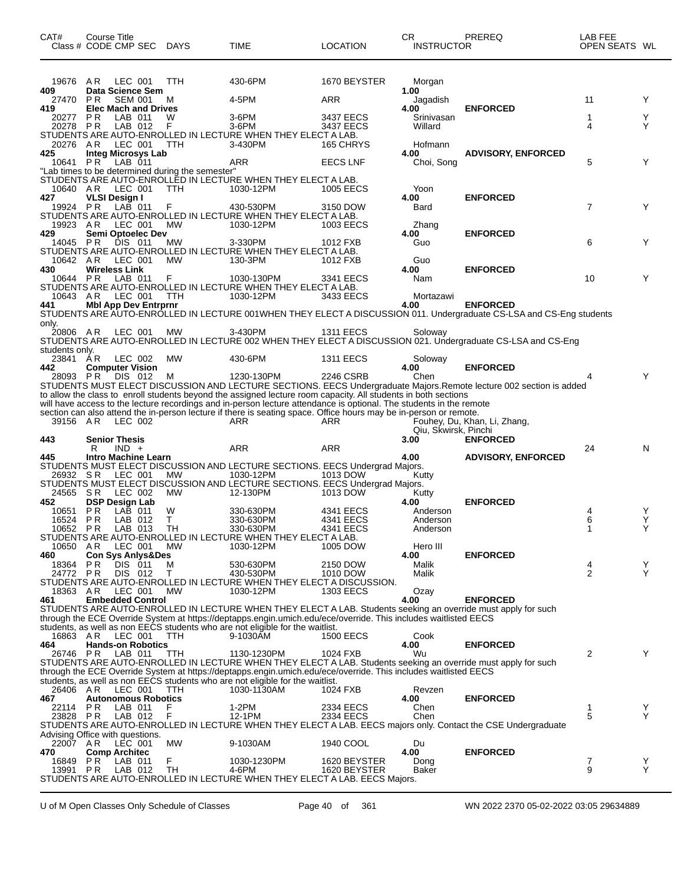| 19676 AR<br>LEC 001<br><b>TTH</b><br>430-6PM<br>1670 BEYSTER<br>Morgan<br>409<br>Data Science Sem<br>1.00<br>11<br>27470<br>P <sub>R</sub><br><b>SEM 001</b><br>4-5PM<br>ARR<br>Y<br>м<br>Jagadish<br><b>Elec Mach and Drives</b><br>4.00<br><b>ENFORCED</b><br>419<br><b>PR</b><br>LAB 011<br>W<br>$3-6$ PM<br>3437 EECS<br>1<br>Y<br>Srinivasan<br>20277<br>Y<br>20278 PR<br>LAB 012<br>F<br>3-6PM<br>Willard<br>4<br>3437 EECS<br>STUDENTS ARE AUTO-ENROLLED IN LECTURE WHEN THEY ELECT A LAB.<br>20276 AR<br>LEC 001<br>3-430PM<br>165 CHRYS<br>Hofmann<br>TTH<br>425<br><b>Integ Microsys Lab</b><br><b>ADVISORY, ENFORCED</b><br>4.00<br>5<br>10641 PR<br>LAB 011<br>Y<br>ARR<br><b>EECS LNF</b><br>Choi, Song<br>"Lab times to be determined during the semester"<br>STUDENTS ARE AUTO-ENROLLED IN LECTURE WHEN THEY ELECT A LAB.<br>10640 AR<br>LEC 001<br>TTH<br>1030-12PM<br>Yoon<br>1005 EECS<br>427<br><b>VLSI Design I</b><br>4.00<br><b>ENFORCED</b><br>$LAB$ 011<br>$\overline{7}$<br>19924 PR<br>Y<br>F<br>430-530PM<br>Bard<br>3150 DOW<br>STUDENTS ARE AUTO-ENROLLED IN LECTURE WHEN THEY ELECT A LAB.<br>19923 AR<br>LEC 001<br>MW<br>1030-12PM<br>1003 EECS<br>Zhang<br>Semi Optoelec Dev<br>429<br>4.00<br><b>ENFORCED</b><br>DIS 011<br>6<br>Y<br>14045 PR<br>МW<br>3-330PM<br>Guo<br>1012 FXB<br>STUDENTS ARE AUTO-ENROLLED IN LECTURE WHEN THEY ELECT A LAB.<br>10642 AR<br>LEC 001<br><b>MW</b><br>130-3PM<br>1012 FXB<br>Guo<br>430<br><b>Wireless Link</b><br>4.00<br><b>ENFORCED</b><br>10<br>Y<br>10644 PR<br>LAB 011<br>F<br>1030-130PM<br>3341 EECS<br>Nam<br>STUDENTS ARE AUTO-ENROLLED IN LECTURE WHEN THEY ELECT A LAB.<br>10643 AR LEC 001<br><b>TTH</b><br>1030-12PM<br>3433 EECS<br>Mortazawi<br><b>Mbl App Dev Entrprnr</b><br><b>ENFORCED</b><br>441<br>4.00<br>STUDENTS ARE AUTO-ENROLLED IN LECTURE 001WHEN THEY ELECT A DISCUSSION 011. Undergraduate CS-LSA and CS-Eng students<br>only.<br>20806 AR<br>LEC 001<br>3-430PM<br><b>1311 EECS</b><br><b>MW</b><br>Soloway<br>STUDENTS ARE AUTO-ENROLLED IN LECTURE 002 WHEN THEY ELECT A DISCUSSION 021. Undergraduate CS-LSA and CS-Eng<br>students only.<br>23841 AR<br>LEC 002<br>МW<br>430-6PM<br><b>1311 EECS</b><br>Soloway<br><b>ENFORCED</b><br>442<br><b>Computer Vision</b><br>4.00<br>Y<br>28093 PR<br>DIS 012<br>1230-130PM<br>2246 CSRB<br>Chen<br>м<br>STUDENTS MUST ELECT DISCUSSION AND LECTURE SECTIONS. EECS Undergraduate Majors.Remote lecture 002 section is added<br>to allow the class to enroll students beyond the assigned lecture room capacity. All students in both sections<br>will have access to the lecture recordings and in-person lecture attendance is optional. The students in the remote<br>section can also attend the in-person lecture if there is seating space. Office hours may be in-person or remote.<br>39156 AR<br>LEC 002<br>ARR<br>ARR<br>Fouhey, Du, Khan, Li, Zhang,<br>Qiu, Skwirsk, Pinchi<br><b>Senior Thesis</b><br>443<br>3.00<br><b>ENFORCED</b><br>24<br>ARR<br>ARR<br>N<br>$IND +$<br>R<br><b>Intro Machine Learn</b><br>4.00<br><b>ADVISORY, ENFORCED</b><br>445<br>STUDENTS MUST ELECT DISCUSSION AND LECTURE SECTIONS. EECS Undergrad Majors.<br>1030-12PM<br><b>MW</b><br>26932 SR<br>LEC 001<br>1013 DOW<br>Kutty<br>STUDENTS MUST ELECT DISCUSSION AND LECTURE SECTIONS. EECS Undergrad Majors.<br>24565 SR<br>LEC 002<br>МW<br>12-130PM<br>1013 DOW<br>Kutty<br><b>DSP Design Lab</b><br><b>ENFORCED</b><br>452<br>4.00<br><b>PR</b><br>LAB 011<br>W<br>Y<br>10651<br>330-630PM<br>4341 EECS<br>Anderson<br>4<br>6<br>Y<br>P R<br>LAB 012<br>т<br>4341 EECS<br>16524<br>330-630PM<br>Anderson<br>TН<br>10652 PR LAB 013<br>Y.<br>330-630PM<br>4341 EECS<br>Anderson<br>STUDENTS ARE AUTO-ENROLLED IN LECTURE WHEN THEY ELECT A LAB.<br>10650 AR<br>1030-12PM<br>Hero III<br>LEC 001<br><b>MW</b><br>1005 DOW<br><b>Con Sys Anlys&amp;Des</b><br>4.00<br><b>ENFORCED</b><br>460<br><b>DIS 011</b><br>P R<br>м<br>530-630PM<br>2150 DOW<br>Malik<br>4<br>Y<br>18364<br>2<br>Y<br>DIS 012<br>430-530PM<br>Malik<br>24772 PR<br>1010 DOW<br>T<br>STUDENTS ARE AUTO-ENROLLED IN LECTURE WHEN THEY ELECT A DISCUSSION.<br>18363 AR<br>LEC 001<br>MW<br>1030-12PM<br>1303 EECS<br>Ozay<br><b>ENFORCED</b><br><b>Embedded Control</b><br>4.00<br>461<br>STUDENTS ARE AUTO-ENROLLED IN LECTURE WHEN THEY ELECT A LAB. Students seeking an override must apply for such<br>through the ECE Override System at https://deptapps.engin.umich.edu/ece/override. This includes waitlisted EECS<br>students, as well as non EECS students who are not eligible for the waitlist.<br>Cook<br><b>1500 EECS</b><br>16863 AR<br>LEC 001<br>TTH.<br>9-1030AM<br><b>Hands-on Robotics</b><br>4.00<br>464<br><b>ENFORCED</b><br>Y<br>2<br>26746 PR<br>LAB 011<br>1130-1230PM<br>1024 FXB<br>Wu<br>TTH<br>STUDENTS ARE AUTO-ENROLLED IN LECTURE WHEN THEY ELECT A LAB. Students seeking an override must apply for such<br>through the ECE Override System at https://deptapps.engin.umich.edu/ece/override. This includes waitlisted EECS<br>students, as well as non EECS students who are not eligible for the waitlist.<br>1024 FXB<br>LEC 001<br>1030-1130AM<br>26406 AR<br>TTH<br>Revzen<br><b>Autonomous Robotics</b><br>4.00<br>467<br><b>ENFORCED</b><br>$1-2PM$<br>22114 PR<br>LAB 011<br>2334 EECS<br>1<br>Y<br>F<br>Chen<br>5<br>Y<br>F<br>23828 PR<br>LAB 012<br>12-1PM<br>2334 EECS<br>Chen<br>STUDENTS ARE AUTO-ENROLLED IN LECTURE WHEN THEY ELECT A LAB. EECS majors only. Contact the CSE Undergraduate<br>Advising Office with questions.<br>LEC 001<br><b>MW</b><br>22007 AR<br>9-1030AM<br>1940 COOL<br>Du<br><b>Comp Architec</b><br>470<br>4.00<br><b>ENFORCED</b><br>F<br>P R<br>LAB 011<br>1030-1230PM<br>1620 BEYSTER<br>7<br>Dong<br>Y<br>16849<br>9<br>Y<br>LAB 012<br>TH<br>13991 PR<br>4-6PM<br>Baker<br>1620 BEYSTER<br>STUDENTS ARE AUTO-ENROLLED IN LECTURE WHEN THEY ELECT A LAB. EECS Majors. | CAT# | Course Title<br>Class # CODE CMP SEC DAYS |  | TIME | <b>LOCATION</b> | CR<br><b>INSTRUCTOR</b> | PREREQ | LAB FEE<br>OPEN SEATS WL |  |
|------------------------------------------------------------------------------------------------------------------------------------------------------------------------------------------------------------------------------------------------------------------------------------------------------------------------------------------------------------------------------------------------------------------------------------------------------------------------------------------------------------------------------------------------------------------------------------------------------------------------------------------------------------------------------------------------------------------------------------------------------------------------------------------------------------------------------------------------------------------------------------------------------------------------------------------------------------------------------------------------------------------------------------------------------------------------------------------------------------------------------------------------------------------------------------------------------------------------------------------------------------------------------------------------------------------------------------------------------------------------------------------------------------------------------------------------------------------------------------------------------------------------------------------------------------------------------------------------------------------------------------------------------------------------------------------------------------------------------------------------------------------------------------------------------------------------------------------------------------------------------------------------------------------------------------------------------------------------------------------------------------------------------------------------------------------------------------------------------------------------------------------------------------------------------------------------------------------------------------------------------------------------------------------------------------------------------------------------------------------------------------------------------------------------------------------------------------------------------------------------------------------------------------------------------------------------------------------------------------------------------------------------------------------------------------------------------------------------------------------------------------------------------------------------------------------------------------------------------------------------------------------------------------------------------------------------------------------------------------------------------------------------------------------------------------------------------------------------------------------------------------------------------------------------------------------------------------------------------------------------------------------------------------------------------------------------------------------------------------------------------------------------------------------------------------------------------------------------------------------------------------------------------------------------------------------------------------------------------------------------------------------------------------------------------------------------------------------------------------------------------------------------------------------------------------------------------------------------------------------------------------------------------------------------------------------------------------------------------------------------------------------------------------------------------------------------------------------------------------------------------------------------------------------------------------------------------------------------------------------------------------------------------------------------------------------------------------------------------------------------------------------------------------------------------------------------------------------------------------------------------------------------------------------------------------------------------------------------------------------------------------------------------------------------------------------------------------------------------------------------------------------------------------------------------------------------------------------------------------------------------------------------------------------------------------------------------------------------------------------------------------------------------------------------------------------------------------------------------------------------------------------------------------------------------------------------------------------------------------------------------------------------------------------------------------------------------------------------------------------------------------------------------------------------------------------------------------------------------------------------------------------------------------------------------------------------------------------------------------------------------------------------------------------------------------------------------------------------------------------------------------------------------------------------------------------------------------------------------------------------------------------------------------------------------------------------------------------------|------|-------------------------------------------|--|------|-----------------|-------------------------|--------|--------------------------|--|
|                                                                                                                                                                                                                                                                                                                                                                                                                                                                                                                                                                                                                                                                                                                                                                                                                                                                                                                                                                                                                                                                                                                                                                                                                                                                                                                                                                                                                                                                                                                                                                                                                                                                                                                                                                                                                                                                                                                                                                                                                                                                                                                                                                                                                                                                                                                                                                                                                                                                                                                                                                                                                                                                                                                                                                                                                                                                                                                                                                                                                                                                                                                                                                                                                                                                                                                                                                                                                                                                                                                                                                                                                                                                                                                                                                                                                                                                                                                                                                                                                                                                                                                                                                                                                                                                                                                                                                                                                                                                                                                                                                                                                                                                                                                                                                                                                                                                                                                                                                                                                                                                                                                                                                                                                                                                                                                                                                                                                                                                                                                                                                                                                                                                                                                                                                                                                                                                                                                                                                        |      |                                           |  |      |                 |                         |        |                          |  |
|                                                                                                                                                                                                                                                                                                                                                                                                                                                                                                                                                                                                                                                                                                                                                                                                                                                                                                                                                                                                                                                                                                                                                                                                                                                                                                                                                                                                                                                                                                                                                                                                                                                                                                                                                                                                                                                                                                                                                                                                                                                                                                                                                                                                                                                                                                                                                                                                                                                                                                                                                                                                                                                                                                                                                                                                                                                                                                                                                                                                                                                                                                                                                                                                                                                                                                                                                                                                                                                                                                                                                                                                                                                                                                                                                                                                                                                                                                                                                                                                                                                                                                                                                                                                                                                                                                                                                                                                                                                                                                                                                                                                                                                                                                                                                                                                                                                                                                                                                                                                                                                                                                                                                                                                                                                                                                                                                                                                                                                                                                                                                                                                                                                                                                                                                                                                                                                                                                                                                                        |      |                                           |  |      |                 |                         |        |                          |  |
|                                                                                                                                                                                                                                                                                                                                                                                                                                                                                                                                                                                                                                                                                                                                                                                                                                                                                                                                                                                                                                                                                                                                                                                                                                                                                                                                                                                                                                                                                                                                                                                                                                                                                                                                                                                                                                                                                                                                                                                                                                                                                                                                                                                                                                                                                                                                                                                                                                                                                                                                                                                                                                                                                                                                                                                                                                                                                                                                                                                                                                                                                                                                                                                                                                                                                                                                                                                                                                                                                                                                                                                                                                                                                                                                                                                                                                                                                                                                                                                                                                                                                                                                                                                                                                                                                                                                                                                                                                                                                                                                                                                                                                                                                                                                                                                                                                                                                                                                                                                                                                                                                                                                                                                                                                                                                                                                                                                                                                                                                                                                                                                                                                                                                                                                                                                                                                                                                                                                                                        |      |                                           |  |      |                 |                         |        |                          |  |
|                                                                                                                                                                                                                                                                                                                                                                                                                                                                                                                                                                                                                                                                                                                                                                                                                                                                                                                                                                                                                                                                                                                                                                                                                                                                                                                                                                                                                                                                                                                                                                                                                                                                                                                                                                                                                                                                                                                                                                                                                                                                                                                                                                                                                                                                                                                                                                                                                                                                                                                                                                                                                                                                                                                                                                                                                                                                                                                                                                                                                                                                                                                                                                                                                                                                                                                                                                                                                                                                                                                                                                                                                                                                                                                                                                                                                                                                                                                                                                                                                                                                                                                                                                                                                                                                                                                                                                                                                                                                                                                                                                                                                                                                                                                                                                                                                                                                                                                                                                                                                                                                                                                                                                                                                                                                                                                                                                                                                                                                                                                                                                                                                                                                                                                                                                                                                                                                                                                                                                        |      |                                           |  |      |                 |                         |        |                          |  |
|                                                                                                                                                                                                                                                                                                                                                                                                                                                                                                                                                                                                                                                                                                                                                                                                                                                                                                                                                                                                                                                                                                                                                                                                                                                                                                                                                                                                                                                                                                                                                                                                                                                                                                                                                                                                                                                                                                                                                                                                                                                                                                                                                                                                                                                                                                                                                                                                                                                                                                                                                                                                                                                                                                                                                                                                                                                                                                                                                                                                                                                                                                                                                                                                                                                                                                                                                                                                                                                                                                                                                                                                                                                                                                                                                                                                                                                                                                                                                                                                                                                                                                                                                                                                                                                                                                                                                                                                                                                                                                                                                                                                                                                                                                                                                                                                                                                                                                                                                                                                                                                                                                                                                                                                                                                                                                                                                                                                                                                                                                                                                                                                                                                                                                                                                                                                                                                                                                                                                                        |      |                                           |  |      |                 |                         |        |                          |  |
|                                                                                                                                                                                                                                                                                                                                                                                                                                                                                                                                                                                                                                                                                                                                                                                                                                                                                                                                                                                                                                                                                                                                                                                                                                                                                                                                                                                                                                                                                                                                                                                                                                                                                                                                                                                                                                                                                                                                                                                                                                                                                                                                                                                                                                                                                                                                                                                                                                                                                                                                                                                                                                                                                                                                                                                                                                                                                                                                                                                                                                                                                                                                                                                                                                                                                                                                                                                                                                                                                                                                                                                                                                                                                                                                                                                                                                                                                                                                                                                                                                                                                                                                                                                                                                                                                                                                                                                                                                                                                                                                                                                                                                                                                                                                                                                                                                                                                                                                                                                                                                                                                                                                                                                                                                                                                                                                                                                                                                                                                                                                                                                                                                                                                                                                                                                                                                                                                                                                                                        |      |                                           |  |      |                 |                         |        |                          |  |
|                                                                                                                                                                                                                                                                                                                                                                                                                                                                                                                                                                                                                                                                                                                                                                                                                                                                                                                                                                                                                                                                                                                                                                                                                                                                                                                                                                                                                                                                                                                                                                                                                                                                                                                                                                                                                                                                                                                                                                                                                                                                                                                                                                                                                                                                                                                                                                                                                                                                                                                                                                                                                                                                                                                                                                                                                                                                                                                                                                                                                                                                                                                                                                                                                                                                                                                                                                                                                                                                                                                                                                                                                                                                                                                                                                                                                                                                                                                                                                                                                                                                                                                                                                                                                                                                                                                                                                                                                                                                                                                                                                                                                                                                                                                                                                                                                                                                                                                                                                                                                                                                                                                                                                                                                                                                                                                                                                                                                                                                                                                                                                                                                                                                                                                                                                                                                                                                                                                                                                        |      |                                           |  |      |                 |                         |        |                          |  |
|                                                                                                                                                                                                                                                                                                                                                                                                                                                                                                                                                                                                                                                                                                                                                                                                                                                                                                                                                                                                                                                                                                                                                                                                                                                                                                                                                                                                                                                                                                                                                                                                                                                                                                                                                                                                                                                                                                                                                                                                                                                                                                                                                                                                                                                                                                                                                                                                                                                                                                                                                                                                                                                                                                                                                                                                                                                                                                                                                                                                                                                                                                                                                                                                                                                                                                                                                                                                                                                                                                                                                                                                                                                                                                                                                                                                                                                                                                                                                                                                                                                                                                                                                                                                                                                                                                                                                                                                                                                                                                                                                                                                                                                                                                                                                                                                                                                                                                                                                                                                                                                                                                                                                                                                                                                                                                                                                                                                                                                                                                                                                                                                                                                                                                                                                                                                                                                                                                                                                                        |      |                                           |  |      |                 |                         |        |                          |  |
|                                                                                                                                                                                                                                                                                                                                                                                                                                                                                                                                                                                                                                                                                                                                                                                                                                                                                                                                                                                                                                                                                                                                                                                                                                                                                                                                                                                                                                                                                                                                                                                                                                                                                                                                                                                                                                                                                                                                                                                                                                                                                                                                                                                                                                                                                                                                                                                                                                                                                                                                                                                                                                                                                                                                                                                                                                                                                                                                                                                                                                                                                                                                                                                                                                                                                                                                                                                                                                                                                                                                                                                                                                                                                                                                                                                                                                                                                                                                                                                                                                                                                                                                                                                                                                                                                                                                                                                                                                                                                                                                                                                                                                                                                                                                                                                                                                                                                                                                                                                                                                                                                                                                                                                                                                                                                                                                                                                                                                                                                                                                                                                                                                                                                                                                                                                                                                                                                                                                                                        |      |                                           |  |      |                 |                         |        |                          |  |
|                                                                                                                                                                                                                                                                                                                                                                                                                                                                                                                                                                                                                                                                                                                                                                                                                                                                                                                                                                                                                                                                                                                                                                                                                                                                                                                                                                                                                                                                                                                                                                                                                                                                                                                                                                                                                                                                                                                                                                                                                                                                                                                                                                                                                                                                                                                                                                                                                                                                                                                                                                                                                                                                                                                                                                                                                                                                                                                                                                                                                                                                                                                                                                                                                                                                                                                                                                                                                                                                                                                                                                                                                                                                                                                                                                                                                                                                                                                                                                                                                                                                                                                                                                                                                                                                                                                                                                                                                                                                                                                                                                                                                                                                                                                                                                                                                                                                                                                                                                                                                                                                                                                                                                                                                                                                                                                                                                                                                                                                                                                                                                                                                                                                                                                                                                                                                                                                                                                                                                        |      |                                           |  |      |                 |                         |        |                          |  |
|                                                                                                                                                                                                                                                                                                                                                                                                                                                                                                                                                                                                                                                                                                                                                                                                                                                                                                                                                                                                                                                                                                                                                                                                                                                                                                                                                                                                                                                                                                                                                                                                                                                                                                                                                                                                                                                                                                                                                                                                                                                                                                                                                                                                                                                                                                                                                                                                                                                                                                                                                                                                                                                                                                                                                                                                                                                                                                                                                                                                                                                                                                                                                                                                                                                                                                                                                                                                                                                                                                                                                                                                                                                                                                                                                                                                                                                                                                                                                                                                                                                                                                                                                                                                                                                                                                                                                                                                                                                                                                                                                                                                                                                                                                                                                                                                                                                                                                                                                                                                                                                                                                                                                                                                                                                                                                                                                                                                                                                                                                                                                                                                                                                                                                                                                                                                                                                                                                                                                                        |      |                                           |  |      |                 |                         |        |                          |  |
|                                                                                                                                                                                                                                                                                                                                                                                                                                                                                                                                                                                                                                                                                                                                                                                                                                                                                                                                                                                                                                                                                                                                                                                                                                                                                                                                                                                                                                                                                                                                                                                                                                                                                                                                                                                                                                                                                                                                                                                                                                                                                                                                                                                                                                                                                                                                                                                                                                                                                                                                                                                                                                                                                                                                                                                                                                                                                                                                                                                                                                                                                                                                                                                                                                                                                                                                                                                                                                                                                                                                                                                                                                                                                                                                                                                                                                                                                                                                                                                                                                                                                                                                                                                                                                                                                                                                                                                                                                                                                                                                                                                                                                                                                                                                                                                                                                                                                                                                                                                                                                                                                                                                                                                                                                                                                                                                                                                                                                                                                                                                                                                                                                                                                                                                                                                                                                                                                                                                                                        |      |                                           |  |      |                 |                         |        |                          |  |
|                                                                                                                                                                                                                                                                                                                                                                                                                                                                                                                                                                                                                                                                                                                                                                                                                                                                                                                                                                                                                                                                                                                                                                                                                                                                                                                                                                                                                                                                                                                                                                                                                                                                                                                                                                                                                                                                                                                                                                                                                                                                                                                                                                                                                                                                                                                                                                                                                                                                                                                                                                                                                                                                                                                                                                                                                                                                                                                                                                                                                                                                                                                                                                                                                                                                                                                                                                                                                                                                                                                                                                                                                                                                                                                                                                                                                                                                                                                                                                                                                                                                                                                                                                                                                                                                                                                                                                                                                                                                                                                                                                                                                                                                                                                                                                                                                                                                                                                                                                                                                                                                                                                                                                                                                                                                                                                                                                                                                                                                                                                                                                                                                                                                                                                                                                                                                                                                                                                                                                        |      |                                           |  |      |                 |                         |        |                          |  |
|                                                                                                                                                                                                                                                                                                                                                                                                                                                                                                                                                                                                                                                                                                                                                                                                                                                                                                                                                                                                                                                                                                                                                                                                                                                                                                                                                                                                                                                                                                                                                                                                                                                                                                                                                                                                                                                                                                                                                                                                                                                                                                                                                                                                                                                                                                                                                                                                                                                                                                                                                                                                                                                                                                                                                                                                                                                                                                                                                                                                                                                                                                                                                                                                                                                                                                                                                                                                                                                                                                                                                                                                                                                                                                                                                                                                                                                                                                                                                                                                                                                                                                                                                                                                                                                                                                                                                                                                                                                                                                                                                                                                                                                                                                                                                                                                                                                                                                                                                                                                                                                                                                                                                                                                                                                                                                                                                                                                                                                                                                                                                                                                                                                                                                                                                                                                                                                                                                                                                                        |      |                                           |  |      |                 |                         |        |                          |  |
|                                                                                                                                                                                                                                                                                                                                                                                                                                                                                                                                                                                                                                                                                                                                                                                                                                                                                                                                                                                                                                                                                                                                                                                                                                                                                                                                                                                                                                                                                                                                                                                                                                                                                                                                                                                                                                                                                                                                                                                                                                                                                                                                                                                                                                                                                                                                                                                                                                                                                                                                                                                                                                                                                                                                                                                                                                                                                                                                                                                                                                                                                                                                                                                                                                                                                                                                                                                                                                                                                                                                                                                                                                                                                                                                                                                                                                                                                                                                                                                                                                                                                                                                                                                                                                                                                                                                                                                                                                                                                                                                                                                                                                                                                                                                                                                                                                                                                                                                                                                                                                                                                                                                                                                                                                                                                                                                                                                                                                                                                                                                                                                                                                                                                                                                                                                                                                                                                                                                                                        |      |                                           |  |      |                 |                         |        |                          |  |
|                                                                                                                                                                                                                                                                                                                                                                                                                                                                                                                                                                                                                                                                                                                                                                                                                                                                                                                                                                                                                                                                                                                                                                                                                                                                                                                                                                                                                                                                                                                                                                                                                                                                                                                                                                                                                                                                                                                                                                                                                                                                                                                                                                                                                                                                                                                                                                                                                                                                                                                                                                                                                                                                                                                                                                                                                                                                                                                                                                                                                                                                                                                                                                                                                                                                                                                                                                                                                                                                                                                                                                                                                                                                                                                                                                                                                                                                                                                                                                                                                                                                                                                                                                                                                                                                                                                                                                                                                                                                                                                                                                                                                                                                                                                                                                                                                                                                                                                                                                                                                                                                                                                                                                                                                                                                                                                                                                                                                                                                                                                                                                                                                                                                                                                                                                                                                                                                                                                                                                        |      |                                           |  |      |                 |                         |        |                          |  |
|                                                                                                                                                                                                                                                                                                                                                                                                                                                                                                                                                                                                                                                                                                                                                                                                                                                                                                                                                                                                                                                                                                                                                                                                                                                                                                                                                                                                                                                                                                                                                                                                                                                                                                                                                                                                                                                                                                                                                                                                                                                                                                                                                                                                                                                                                                                                                                                                                                                                                                                                                                                                                                                                                                                                                                                                                                                                                                                                                                                                                                                                                                                                                                                                                                                                                                                                                                                                                                                                                                                                                                                                                                                                                                                                                                                                                                                                                                                                                                                                                                                                                                                                                                                                                                                                                                                                                                                                                                                                                                                                                                                                                                                                                                                                                                                                                                                                                                                                                                                                                                                                                                                                                                                                                                                                                                                                                                                                                                                                                                                                                                                                                                                                                                                                                                                                                                                                                                                                                                        |      |                                           |  |      |                 |                         |        |                          |  |
|                                                                                                                                                                                                                                                                                                                                                                                                                                                                                                                                                                                                                                                                                                                                                                                                                                                                                                                                                                                                                                                                                                                                                                                                                                                                                                                                                                                                                                                                                                                                                                                                                                                                                                                                                                                                                                                                                                                                                                                                                                                                                                                                                                                                                                                                                                                                                                                                                                                                                                                                                                                                                                                                                                                                                                                                                                                                                                                                                                                                                                                                                                                                                                                                                                                                                                                                                                                                                                                                                                                                                                                                                                                                                                                                                                                                                                                                                                                                                                                                                                                                                                                                                                                                                                                                                                                                                                                                                                                                                                                                                                                                                                                                                                                                                                                                                                                                                                                                                                                                                                                                                                                                                                                                                                                                                                                                                                                                                                                                                                                                                                                                                                                                                                                                                                                                                                                                                                                                                                        |      |                                           |  |      |                 |                         |        |                          |  |
|                                                                                                                                                                                                                                                                                                                                                                                                                                                                                                                                                                                                                                                                                                                                                                                                                                                                                                                                                                                                                                                                                                                                                                                                                                                                                                                                                                                                                                                                                                                                                                                                                                                                                                                                                                                                                                                                                                                                                                                                                                                                                                                                                                                                                                                                                                                                                                                                                                                                                                                                                                                                                                                                                                                                                                                                                                                                                                                                                                                                                                                                                                                                                                                                                                                                                                                                                                                                                                                                                                                                                                                                                                                                                                                                                                                                                                                                                                                                                                                                                                                                                                                                                                                                                                                                                                                                                                                                                                                                                                                                                                                                                                                                                                                                                                                                                                                                                                                                                                                                                                                                                                                                                                                                                                                                                                                                                                                                                                                                                                                                                                                                                                                                                                                                                                                                                                                                                                                                                                        |      |                                           |  |      |                 |                         |        |                          |  |
|                                                                                                                                                                                                                                                                                                                                                                                                                                                                                                                                                                                                                                                                                                                                                                                                                                                                                                                                                                                                                                                                                                                                                                                                                                                                                                                                                                                                                                                                                                                                                                                                                                                                                                                                                                                                                                                                                                                                                                                                                                                                                                                                                                                                                                                                                                                                                                                                                                                                                                                                                                                                                                                                                                                                                                                                                                                                                                                                                                                                                                                                                                                                                                                                                                                                                                                                                                                                                                                                                                                                                                                                                                                                                                                                                                                                                                                                                                                                                                                                                                                                                                                                                                                                                                                                                                                                                                                                                                                                                                                                                                                                                                                                                                                                                                                                                                                                                                                                                                                                                                                                                                                                                                                                                                                                                                                                                                                                                                                                                                                                                                                                                                                                                                                                                                                                                                                                                                                                                                        |      |                                           |  |      |                 |                         |        |                          |  |
|                                                                                                                                                                                                                                                                                                                                                                                                                                                                                                                                                                                                                                                                                                                                                                                                                                                                                                                                                                                                                                                                                                                                                                                                                                                                                                                                                                                                                                                                                                                                                                                                                                                                                                                                                                                                                                                                                                                                                                                                                                                                                                                                                                                                                                                                                                                                                                                                                                                                                                                                                                                                                                                                                                                                                                                                                                                                                                                                                                                                                                                                                                                                                                                                                                                                                                                                                                                                                                                                                                                                                                                                                                                                                                                                                                                                                                                                                                                                                                                                                                                                                                                                                                                                                                                                                                                                                                                                                                                                                                                                                                                                                                                                                                                                                                                                                                                                                                                                                                                                                                                                                                                                                                                                                                                                                                                                                                                                                                                                                                                                                                                                                                                                                                                                                                                                                                                                                                                                                                        |      |                                           |  |      |                 |                         |        |                          |  |
|                                                                                                                                                                                                                                                                                                                                                                                                                                                                                                                                                                                                                                                                                                                                                                                                                                                                                                                                                                                                                                                                                                                                                                                                                                                                                                                                                                                                                                                                                                                                                                                                                                                                                                                                                                                                                                                                                                                                                                                                                                                                                                                                                                                                                                                                                                                                                                                                                                                                                                                                                                                                                                                                                                                                                                                                                                                                                                                                                                                                                                                                                                                                                                                                                                                                                                                                                                                                                                                                                                                                                                                                                                                                                                                                                                                                                                                                                                                                                                                                                                                                                                                                                                                                                                                                                                                                                                                                                                                                                                                                                                                                                                                                                                                                                                                                                                                                                                                                                                                                                                                                                                                                                                                                                                                                                                                                                                                                                                                                                                                                                                                                                                                                                                                                                                                                                                                                                                                                                                        |      |                                           |  |      |                 |                         |        |                          |  |
|                                                                                                                                                                                                                                                                                                                                                                                                                                                                                                                                                                                                                                                                                                                                                                                                                                                                                                                                                                                                                                                                                                                                                                                                                                                                                                                                                                                                                                                                                                                                                                                                                                                                                                                                                                                                                                                                                                                                                                                                                                                                                                                                                                                                                                                                                                                                                                                                                                                                                                                                                                                                                                                                                                                                                                                                                                                                                                                                                                                                                                                                                                                                                                                                                                                                                                                                                                                                                                                                                                                                                                                                                                                                                                                                                                                                                                                                                                                                                                                                                                                                                                                                                                                                                                                                                                                                                                                                                                                                                                                                                                                                                                                                                                                                                                                                                                                                                                                                                                                                                                                                                                                                                                                                                                                                                                                                                                                                                                                                                                                                                                                                                                                                                                                                                                                                                                                                                                                                                                        |      |                                           |  |      |                 |                         |        |                          |  |
|                                                                                                                                                                                                                                                                                                                                                                                                                                                                                                                                                                                                                                                                                                                                                                                                                                                                                                                                                                                                                                                                                                                                                                                                                                                                                                                                                                                                                                                                                                                                                                                                                                                                                                                                                                                                                                                                                                                                                                                                                                                                                                                                                                                                                                                                                                                                                                                                                                                                                                                                                                                                                                                                                                                                                                                                                                                                                                                                                                                                                                                                                                                                                                                                                                                                                                                                                                                                                                                                                                                                                                                                                                                                                                                                                                                                                                                                                                                                                                                                                                                                                                                                                                                                                                                                                                                                                                                                                                                                                                                                                                                                                                                                                                                                                                                                                                                                                                                                                                                                                                                                                                                                                                                                                                                                                                                                                                                                                                                                                                                                                                                                                                                                                                                                                                                                                                                                                                                                                                        |      |                                           |  |      |                 |                         |        |                          |  |
|                                                                                                                                                                                                                                                                                                                                                                                                                                                                                                                                                                                                                                                                                                                                                                                                                                                                                                                                                                                                                                                                                                                                                                                                                                                                                                                                                                                                                                                                                                                                                                                                                                                                                                                                                                                                                                                                                                                                                                                                                                                                                                                                                                                                                                                                                                                                                                                                                                                                                                                                                                                                                                                                                                                                                                                                                                                                                                                                                                                                                                                                                                                                                                                                                                                                                                                                                                                                                                                                                                                                                                                                                                                                                                                                                                                                                                                                                                                                                                                                                                                                                                                                                                                                                                                                                                                                                                                                                                                                                                                                                                                                                                                                                                                                                                                                                                                                                                                                                                                                                                                                                                                                                                                                                                                                                                                                                                                                                                                                                                                                                                                                                                                                                                                                                                                                                                                                                                                                                                        |      |                                           |  |      |                 |                         |        |                          |  |
|                                                                                                                                                                                                                                                                                                                                                                                                                                                                                                                                                                                                                                                                                                                                                                                                                                                                                                                                                                                                                                                                                                                                                                                                                                                                                                                                                                                                                                                                                                                                                                                                                                                                                                                                                                                                                                                                                                                                                                                                                                                                                                                                                                                                                                                                                                                                                                                                                                                                                                                                                                                                                                                                                                                                                                                                                                                                                                                                                                                                                                                                                                                                                                                                                                                                                                                                                                                                                                                                                                                                                                                                                                                                                                                                                                                                                                                                                                                                                                                                                                                                                                                                                                                                                                                                                                                                                                                                                                                                                                                                                                                                                                                                                                                                                                                                                                                                                                                                                                                                                                                                                                                                                                                                                                                                                                                                                                                                                                                                                                                                                                                                                                                                                                                                                                                                                                                                                                                                                                        |      |                                           |  |      |                 |                         |        |                          |  |
|                                                                                                                                                                                                                                                                                                                                                                                                                                                                                                                                                                                                                                                                                                                                                                                                                                                                                                                                                                                                                                                                                                                                                                                                                                                                                                                                                                                                                                                                                                                                                                                                                                                                                                                                                                                                                                                                                                                                                                                                                                                                                                                                                                                                                                                                                                                                                                                                                                                                                                                                                                                                                                                                                                                                                                                                                                                                                                                                                                                                                                                                                                                                                                                                                                                                                                                                                                                                                                                                                                                                                                                                                                                                                                                                                                                                                                                                                                                                                                                                                                                                                                                                                                                                                                                                                                                                                                                                                                                                                                                                                                                                                                                                                                                                                                                                                                                                                                                                                                                                                                                                                                                                                                                                                                                                                                                                                                                                                                                                                                                                                                                                                                                                                                                                                                                                                                                                                                                                                                        |      |                                           |  |      |                 |                         |        |                          |  |
|                                                                                                                                                                                                                                                                                                                                                                                                                                                                                                                                                                                                                                                                                                                                                                                                                                                                                                                                                                                                                                                                                                                                                                                                                                                                                                                                                                                                                                                                                                                                                                                                                                                                                                                                                                                                                                                                                                                                                                                                                                                                                                                                                                                                                                                                                                                                                                                                                                                                                                                                                                                                                                                                                                                                                                                                                                                                                                                                                                                                                                                                                                                                                                                                                                                                                                                                                                                                                                                                                                                                                                                                                                                                                                                                                                                                                                                                                                                                                                                                                                                                                                                                                                                                                                                                                                                                                                                                                                                                                                                                                                                                                                                                                                                                                                                                                                                                                                                                                                                                                                                                                                                                                                                                                                                                                                                                                                                                                                                                                                                                                                                                                                                                                                                                                                                                                                                                                                                                                                        |      |                                           |  |      |                 |                         |        |                          |  |
|                                                                                                                                                                                                                                                                                                                                                                                                                                                                                                                                                                                                                                                                                                                                                                                                                                                                                                                                                                                                                                                                                                                                                                                                                                                                                                                                                                                                                                                                                                                                                                                                                                                                                                                                                                                                                                                                                                                                                                                                                                                                                                                                                                                                                                                                                                                                                                                                                                                                                                                                                                                                                                                                                                                                                                                                                                                                                                                                                                                                                                                                                                                                                                                                                                                                                                                                                                                                                                                                                                                                                                                                                                                                                                                                                                                                                                                                                                                                                                                                                                                                                                                                                                                                                                                                                                                                                                                                                                                                                                                                                                                                                                                                                                                                                                                                                                                                                                                                                                                                                                                                                                                                                                                                                                                                                                                                                                                                                                                                                                                                                                                                                                                                                                                                                                                                                                                                                                                                                                        |      |                                           |  |      |                 |                         |        |                          |  |
|                                                                                                                                                                                                                                                                                                                                                                                                                                                                                                                                                                                                                                                                                                                                                                                                                                                                                                                                                                                                                                                                                                                                                                                                                                                                                                                                                                                                                                                                                                                                                                                                                                                                                                                                                                                                                                                                                                                                                                                                                                                                                                                                                                                                                                                                                                                                                                                                                                                                                                                                                                                                                                                                                                                                                                                                                                                                                                                                                                                                                                                                                                                                                                                                                                                                                                                                                                                                                                                                                                                                                                                                                                                                                                                                                                                                                                                                                                                                                                                                                                                                                                                                                                                                                                                                                                                                                                                                                                                                                                                                                                                                                                                                                                                                                                                                                                                                                                                                                                                                                                                                                                                                                                                                                                                                                                                                                                                                                                                                                                                                                                                                                                                                                                                                                                                                                                                                                                                                                                        |      |                                           |  |      |                 |                         |        |                          |  |
|                                                                                                                                                                                                                                                                                                                                                                                                                                                                                                                                                                                                                                                                                                                                                                                                                                                                                                                                                                                                                                                                                                                                                                                                                                                                                                                                                                                                                                                                                                                                                                                                                                                                                                                                                                                                                                                                                                                                                                                                                                                                                                                                                                                                                                                                                                                                                                                                                                                                                                                                                                                                                                                                                                                                                                                                                                                                                                                                                                                                                                                                                                                                                                                                                                                                                                                                                                                                                                                                                                                                                                                                                                                                                                                                                                                                                                                                                                                                                                                                                                                                                                                                                                                                                                                                                                                                                                                                                                                                                                                                                                                                                                                                                                                                                                                                                                                                                                                                                                                                                                                                                                                                                                                                                                                                                                                                                                                                                                                                                                                                                                                                                                                                                                                                                                                                                                                                                                                                                                        |      |                                           |  |      |                 |                         |        |                          |  |
|                                                                                                                                                                                                                                                                                                                                                                                                                                                                                                                                                                                                                                                                                                                                                                                                                                                                                                                                                                                                                                                                                                                                                                                                                                                                                                                                                                                                                                                                                                                                                                                                                                                                                                                                                                                                                                                                                                                                                                                                                                                                                                                                                                                                                                                                                                                                                                                                                                                                                                                                                                                                                                                                                                                                                                                                                                                                                                                                                                                                                                                                                                                                                                                                                                                                                                                                                                                                                                                                                                                                                                                                                                                                                                                                                                                                                                                                                                                                                                                                                                                                                                                                                                                                                                                                                                                                                                                                                                                                                                                                                                                                                                                                                                                                                                                                                                                                                                                                                                                                                                                                                                                                                                                                                                                                                                                                                                                                                                                                                                                                                                                                                                                                                                                                                                                                                                                                                                                                                                        |      |                                           |  |      |                 |                         |        |                          |  |
|                                                                                                                                                                                                                                                                                                                                                                                                                                                                                                                                                                                                                                                                                                                                                                                                                                                                                                                                                                                                                                                                                                                                                                                                                                                                                                                                                                                                                                                                                                                                                                                                                                                                                                                                                                                                                                                                                                                                                                                                                                                                                                                                                                                                                                                                                                                                                                                                                                                                                                                                                                                                                                                                                                                                                                                                                                                                                                                                                                                                                                                                                                                                                                                                                                                                                                                                                                                                                                                                                                                                                                                                                                                                                                                                                                                                                                                                                                                                                                                                                                                                                                                                                                                                                                                                                                                                                                                                                                                                                                                                                                                                                                                                                                                                                                                                                                                                                                                                                                                                                                                                                                                                                                                                                                                                                                                                                                                                                                                                                                                                                                                                                                                                                                                                                                                                                                                                                                                                                                        |      |                                           |  |      |                 |                         |        |                          |  |
|                                                                                                                                                                                                                                                                                                                                                                                                                                                                                                                                                                                                                                                                                                                                                                                                                                                                                                                                                                                                                                                                                                                                                                                                                                                                                                                                                                                                                                                                                                                                                                                                                                                                                                                                                                                                                                                                                                                                                                                                                                                                                                                                                                                                                                                                                                                                                                                                                                                                                                                                                                                                                                                                                                                                                                                                                                                                                                                                                                                                                                                                                                                                                                                                                                                                                                                                                                                                                                                                                                                                                                                                                                                                                                                                                                                                                                                                                                                                                                                                                                                                                                                                                                                                                                                                                                                                                                                                                                                                                                                                                                                                                                                                                                                                                                                                                                                                                                                                                                                                                                                                                                                                                                                                                                                                                                                                                                                                                                                                                                                                                                                                                                                                                                                                                                                                                                                                                                                                                                        |      |                                           |  |      |                 |                         |        |                          |  |
|                                                                                                                                                                                                                                                                                                                                                                                                                                                                                                                                                                                                                                                                                                                                                                                                                                                                                                                                                                                                                                                                                                                                                                                                                                                                                                                                                                                                                                                                                                                                                                                                                                                                                                                                                                                                                                                                                                                                                                                                                                                                                                                                                                                                                                                                                                                                                                                                                                                                                                                                                                                                                                                                                                                                                                                                                                                                                                                                                                                                                                                                                                                                                                                                                                                                                                                                                                                                                                                                                                                                                                                                                                                                                                                                                                                                                                                                                                                                                                                                                                                                                                                                                                                                                                                                                                                                                                                                                                                                                                                                                                                                                                                                                                                                                                                                                                                                                                                                                                                                                                                                                                                                                                                                                                                                                                                                                                                                                                                                                                                                                                                                                                                                                                                                                                                                                                                                                                                                                                        |      |                                           |  |      |                 |                         |        |                          |  |
|                                                                                                                                                                                                                                                                                                                                                                                                                                                                                                                                                                                                                                                                                                                                                                                                                                                                                                                                                                                                                                                                                                                                                                                                                                                                                                                                                                                                                                                                                                                                                                                                                                                                                                                                                                                                                                                                                                                                                                                                                                                                                                                                                                                                                                                                                                                                                                                                                                                                                                                                                                                                                                                                                                                                                                                                                                                                                                                                                                                                                                                                                                                                                                                                                                                                                                                                                                                                                                                                                                                                                                                                                                                                                                                                                                                                                                                                                                                                                                                                                                                                                                                                                                                                                                                                                                                                                                                                                                                                                                                                                                                                                                                                                                                                                                                                                                                                                                                                                                                                                                                                                                                                                                                                                                                                                                                                                                                                                                                                                                                                                                                                                                                                                                                                                                                                                                                                                                                                                                        |      |                                           |  |      |                 |                         |        |                          |  |
|                                                                                                                                                                                                                                                                                                                                                                                                                                                                                                                                                                                                                                                                                                                                                                                                                                                                                                                                                                                                                                                                                                                                                                                                                                                                                                                                                                                                                                                                                                                                                                                                                                                                                                                                                                                                                                                                                                                                                                                                                                                                                                                                                                                                                                                                                                                                                                                                                                                                                                                                                                                                                                                                                                                                                                                                                                                                                                                                                                                                                                                                                                                                                                                                                                                                                                                                                                                                                                                                                                                                                                                                                                                                                                                                                                                                                                                                                                                                                                                                                                                                                                                                                                                                                                                                                                                                                                                                                                                                                                                                                                                                                                                                                                                                                                                                                                                                                                                                                                                                                                                                                                                                                                                                                                                                                                                                                                                                                                                                                                                                                                                                                                                                                                                                                                                                                                                                                                                                                                        |      |                                           |  |      |                 |                         |        |                          |  |
|                                                                                                                                                                                                                                                                                                                                                                                                                                                                                                                                                                                                                                                                                                                                                                                                                                                                                                                                                                                                                                                                                                                                                                                                                                                                                                                                                                                                                                                                                                                                                                                                                                                                                                                                                                                                                                                                                                                                                                                                                                                                                                                                                                                                                                                                                                                                                                                                                                                                                                                                                                                                                                                                                                                                                                                                                                                                                                                                                                                                                                                                                                                                                                                                                                                                                                                                                                                                                                                                                                                                                                                                                                                                                                                                                                                                                                                                                                                                                                                                                                                                                                                                                                                                                                                                                                                                                                                                                                                                                                                                                                                                                                                                                                                                                                                                                                                                                                                                                                                                                                                                                                                                                                                                                                                                                                                                                                                                                                                                                                                                                                                                                                                                                                                                                                                                                                                                                                                                                                        |      |                                           |  |      |                 |                         |        |                          |  |
|                                                                                                                                                                                                                                                                                                                                                                                                                                                                                                                                                                                                                                                                                                                                                                                                                                                                                                                                                                                                                                                                                                                                                                                                                                                                                                                                                                                                                                                                                                                                                                                                                                                                                                                                                                                                                                                                                                                                                                                                                                                                                                                                                                                                                                                                                                                                                                                                                                                                                                                                                                                                                                                                                                                                                                                                                                                                                                                                                                                                                                                                                                                                                                                                                                                                                                                                                                                                                                                                                                                                                                                                                                                                                                                                                                                                                                                                                                                                                                                                                                                                                                                                                                                                                                                                                                                                                                                                                                                                                                                                                                                                                                                                                                                                                                                                                                                                                                                                                                                                                                                                                                                                                                                                                                                                                                                                                                                                                                                                                                                                                                                                                                                                                                                                                                                                                                                                                                                                                                        |      |                                           |  |      |                 |                         |        |                          |  |
|                                                                                                                                                                                                                                                                                                                                                                                                                                                                                                                                                                                                                                                                                                                                                                                                                                                                                                                                                                                                                                                                                                                                                                                                                                                                                                                                                                                                                                                                                                                                                                                                                                                                                                                                                                                                                                                                                                                                                                                                                                                                                                                                                                                                                                                                                                                                                                                                                                                                                                                                                                                                                                                                                                                                                                                                                                                                                                                                                                                                                                                                                                                                                                                                                                                                                                                                                                                                                                                                                                                                                                                                                                                                                                                                                                                                                                                                                                                                                                                                                                                                                                                                                                                                                                                                                                                                                                                                                                                                                                                                                                                                                                                                                                                                                                                                                                                                                                                                                                                                                                                                                                                                                                                                                                                                                                                                                                                                                                                                                                                                                                                                                                                                                                                                                                                                                                                                                                                                                                        |      |                                           |  |      |                 |                         |        |                          |  |
|                                                                                                                                                                                                                                                                                                                                                                                                                                                                                                                                                                                                                                                                                                                                                                                                                                                                                                                                                                                                                                                                                                                                                                                                                                                                                                                                                                                                                                                                                                                                                                                                                                                                                                                                                                                                                                                                                                                                                                                                                                                                                                                                                                                                                                                                                                                                                                                                                                                                                                                                                                                                                                                                                                                                                                                                                                                                                                                                                                                                                                                                                                                                                                                                                                                                                                                                                                                                                                                                                                                                                                                                                                                                                                                                                                                                                                                                                                                                                                                                                                                                                                                                                                                                                                                                                                                                                                                                                                                                                                                                                                                                                                                                                                                                                                                                                                                                                                                                                                                                                                                                                                                                                                                                                                                                                                                                                                                                                                                                                                                                                                                                                                                                                                                                                                                                                                                                                                                                                                        |      |                                           |  |      |                 |                         |        |                          |  |
|                                                                                                                                                                                                                                                                                                                                                                                                                                                                                                                                                                                                                                                                                                                                                                                                                                                                                                                                                                                                                                                                                                                                                                                                                                                                                                                                                                                                                                                                                                                                                                                                                                                                                                                                                                                                                                                                                                                                                                                                                                                                                                                                                                                                                                                                                                                                                                                                                                                                                                                                                                                                                                                                                                                                                                                                                                                                                                                                                                                                                                                                                                                                                                                                                                                                                                                                                                                                                                                                                                                                                                                                                                                                                                                                                                                                                                                                                                                                                                                                                                                                                                                                                                                                                                                                                                                                                                                                                                                                                                                                                                                                                                                                                                                                                                                                                                                                                                                                                                                                                                                                                                                                                                                                                                                                                                                                                                                                                                                                                                                                                                                                                                                                                                                                                                                                                                                                                                                                                                        |      |                                           |  |      |                 |                         |        |                          |  |
|                                                                                                                                                                                                                                                                                                                                                                                                                                                                                                                                                                                                                                                                                                                                                                                                                                                                                                                                                                                                                                                                                                                                                                                                                                                                                                                                                                                                                                                                                                                                                                                                                                                                                                                                                                                                                                                                                                                                                                                                                                                                                                                                                                                                                                                                                                                                                                                                                                                                                                                                                                                                                                                                                                                                                                                                                                                                                                                                                                                                                                                                                                                                                                                                                                                                                                                                                                                                                                                                                                                                                                                                                                                                                                                                                                                                                                                                                                                                                                                                                                                                                                                                                                                                                                                                                                                                                                                                                                                                                                                                                                                                                                                                                                                                                                                                                                                                                                                                                                                                                                                                                                                                                                                                                                                                                                                                                                                                                                                                                                                                                                                                                                                                                                                                                                                                                                                                                                                                                                        |      |                                           |  |      |                 |                         |        |                          |  |
|                                                                                                                                                                                                                                                                                                                                                                                                                                                                                                                                                                                                                                                                                                                                                                                                                                                                                                                                                                                                                                                                                                                                                                                                                                                                                                                                                                                                                                                                                                                                                                                                                                                                                                                                                                                                                                                                                                                                                                                                                                                                                                                                                                                                                                                                                                                                                                                                                                                                                                                                                                                                                                                                                                                                                                                                                                                                                                                                                                                                                                                                                                                                                                                                                                                                                                                                                                                                                                                                                                                                                                                                                                                                                                                                                                                                                                                                                                                                                                                                                                                                                                                                                                                                                                                                                                                                                                                                                                                                                                                                                                                                                                                                                                                                                                                                                                                                                                                                                                                                                                                                                                                                                                                                                                                                                                                                                                                                                                                                                                                                                                                                                                                                                                                                                                                                                                                                                                                                                                        |      |                                           |  |      |                 |                         |        |                          |  |
|                                                                                                                                                                                                                                                                                                                                                                                                                                                                                                                                                                                                                                                                                                                                                                                                                                                                                                                                                                                                                                                                                                                                                                                                                                                                                                                                                                                                                                                                                                                                                                                                                                                                                                                                                                                                                                                                                                                                                                                                                                                                                                                                                                                                                                                                                                                                                                                                                                                                                                                                                                                                                                                                                                                                                                                                                                                                                                                                                                                                                                                                                                                                                                                                                                                                                                                                                                                                                                                                                                                                                                                                                                                                                                                                                                                                                                                                                                                                                                                                                                                                                                                                                                                                                                                                                                                                                                                                                                                                                                                                                                                                                                                                                                                                                                                                                                                                                                                                                                                                                                                                                                                                                                                                                                                                                                                                                                                                                                                                                                                                                                                                                                                                                                                                                                                                                                                                                                                                                                        |      |                                           |  |      |                 |                         |        |                          |  |
|                                                                                                                                                                                                                                                                                                                                                                                                                                                                                                                                                                                                                                                                                                                                                                                                                                                                                                                                                                                                                                                                                                                                                                                                                                                                                                                                                                                                                                                                                                                                                                                                                                                                                                                                                                                                                                                                                                                                                                                                                                                                                                                                                                                                                                                                                                                                                                                                                                                                                                                                                                                                                                                                                                                                                                                                                                                                                                                                                                                                                                                                                                                                                                                                                                                                                                                                                                                                                                                                                                                                                                                                                                                                                                                                                                                                                                                                                                                                                                                                                                                                                                                                                                                                                                                                                                                                                                                                                                                                                                                                                                                                                                                                                                                                                                                                                                                                                                                                                                                                                                                                                                                                                                                                                                                                                                                                                                                                                                                                                                                                                                                                                                                                                                                                                                                                                                                                                                                                                                        |      |                                           |  |      |                 |                         |        |                          |  |
|                                                                                                                                                                                                                                                                                                                                                                                                                                                                                                                                                                                                                                                                                                                                                                                                                                                                                                                                                                                                                                                                                                                                                                                                                                                                                                                                                                                                                                                                                                                                                                                                                                                                                                                                                                                                                                                                                                                                                                                                                                                                                                                                                                                                                                                                                                                                                                                                                                                                                                                                                                                                                                                                                                                                                                                                                                                                                                                                                                                                                                                                                                                                                                                                                                                                                                                                                                                                                                                                                                                                                                                                                                                                                                                                                                                                                                                                                                                                                                                                                                                                                                                                                                                                                                                                                                                                                                                                                                                                                                                                                                                                                                                                                                                                                                                                                                                                                                                                                                                                                                                                                                                                                                                                                                                                                                                                                                                                                                                                                                                                                                                                                                                                                                                                                                                                                                                                                                                                                                        |      |                                           |  |      |                 |                         |        |                          |  |
|                                                                                                                                                                                                                                                                                                                                                                                                                                                                                                                                                                                                                                                                                                                                                                                                                                                                                                                                                                                                                                                                                                                                                                                                                                                                                                                                                                                                                                                                                                                                                                                                                                                                                                                                                                                                                                                                                                                                                                                                                                                                                                                                                                                                                                                                                                                                                                                                                                                                                                                                                                                                                                                                                                                                                                                                                                                                                                                                                                                                                                                                                                                                                                                                                                                                                                                                                                                                                                                                                                                                                                                                                                                                                                                                                                                                                                                                                                                                                                                                                                                                                                                                                                                                                                                                                                                                                                                                                                                                                                                                                                                                                                                                                                                                                                                                                                                                                                                                                                                                                                                                                                                                                                                                                                                                                                                                                                                                                                                                                                                                                                                                                                                                                                                                                                                                                                                                                                                                                                        |      |                                           |  |      |                 |                         |        |                          |  |
|                                                                                                                                                                                                                                                                                                                                                                                                                                                                                                                                                                                                                                                                                                                                                                                                                                                                                                                                                                                                                                                                                                                                                                                                                                                                                                                                                                                                                                                                                                                                                                                                                                                                                                                                                                                                                                                                                                                                                                                                                                                                                                                                                                                                                                                                                                                                                                                                                                                                                                                                                                                                                                                                                                                                                                                                                                                                                                                                                                                                                                                                                                                                                                                                                                                                                                                                                                                                                                                                                                                                                                                                                                                                                                                                                                                                                                                                                                                                                                                                                                                                                                                                                                                                                                                                                                                                                                                                                                                                                                                                                                                                                                                                                                                                                                                                                                                                                                                                                                                                                                                                                                                                                                                                                                                                                                                                                                                                                                                                                                                                                                                                                                                                                                                                                                                                                                                                                                                                                                        |      |                                           |  |      |                 |                         |        |                          |  |
|                                                                                                                                                                                                                                                                                                                                                                                                                                                                                                                                                                                                                                                                                                                                                                                                                                                                                                                                                                                                                                                                                                                                                                                                                                                                                                                                                                                                                                                                                                                                                                                                                                                                                                                                                                                                                                                                                                                                                                                                                                                                                                                                                                                                                                                                                                                                                                                                                                                                                                                                                                                                                                                                                                                                                                                                                                                                                                                                                                                                                                                                                                                                                                                                                                                                                                                                                                                                                                                                                                                                                                                                                                                                                                                                                                                                                                                                                                                                                                                                                                                                                                                                                                                                                                                                                                                                                                                                                                                                                                                                                                                                                                                                                                                                                                                                                                                                                                                                                                                                                                                                                                                                                                                                                                                                                                                                                                                                                                                                                                                                                                                                                                                                                                                                                                                                                                                                                                                                                                        |      |                                           |  |      |                 |                         |        |                          |  |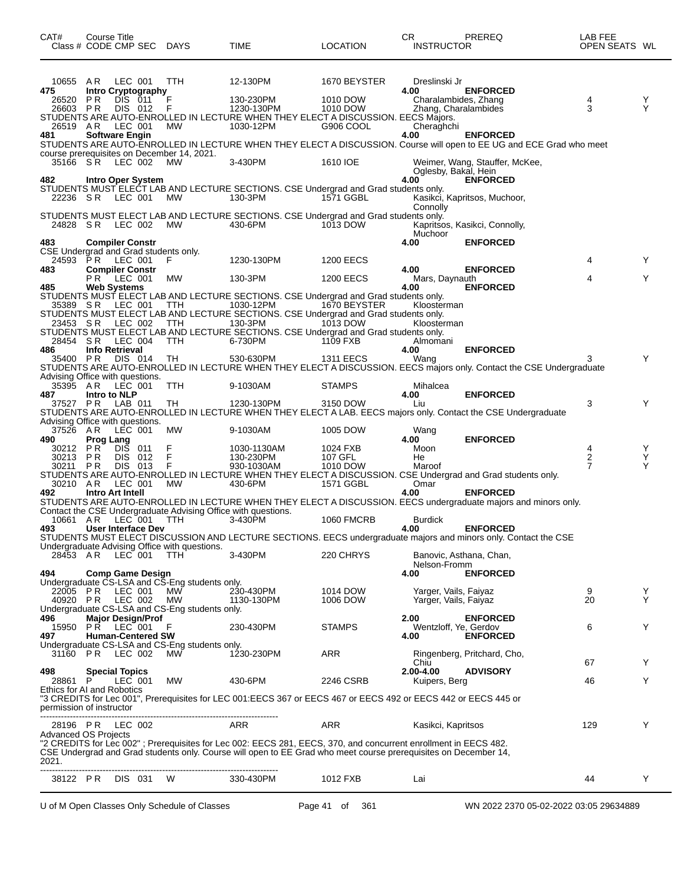| CAT#                                  | Course Title     | Class # CODE CMP SEC DAYS                                       |                                                               | TIME                                                                                                                     | LOCATION                          | CR.<br>PREREQ<br><b>INSTRUCTOR</b>                                                                                                                                                                                                 | LAB FEE<br>OPEN SEATS WL |        |
|---------------------------------------|------------------|-----------------------------------------------------------------|---------------------------------------------------------------|--------------------------------------------------------------------------------------------------------------------------|-----------------------------------|------------------------------------------------------------------------------------------------------------------------------------------------------------------------------------------------------------------------------------|--------------------------|--------|
| 10655 AR<br>475                       |                  | LEC 001<br><b>Intro Cryptography</b>                            | TTH                                                           | 12-130PM                                                                                                                 | 1670 BEYSTER                      | Dreslinski Jr<br>4.00<br><b>ENFORCED</b>                                                                                                                                                                                           |                          |        |
| 26520<br>26603 PR<br>26519 AR         | P R              | DIS 011<br>DIS 012<br>LEC 001                                   | F<br>F<br>MW                                                  | 130-230PM<br>1230-130PM<br>STUDENTS ARE AUTO-ENROLLED IN LECTURE WHEN THEY ELECT A DISCUSSION. EECS Majors.<br>1030-12PM | 1010 DOW<br>1010 DOW<br>G906 COOL | Charalambides, Zhang<br>Zhang, Charalambides<br>Cheraghchi                                                                                                                                                                         | 4<br>3                   | Y<br>Y |
| 481                                   |                  | <b>Software Engin</b>                                           | course prerequisites on December 14, 2021.                    |                                                                                                                          |                                   | 4.00<br><b>ENFORCED</b><br>STUDENTS ARE AUTO-ENROLLED IN LECTURE WHEN THEY ELECT A DISCUSSION. Course will open to EE UG and ECE Grad who meet                                                                                     |                          |        |
| 482                                   |                  | 35166 SR LEC 002<br>Intro Oper System                           | MW.                                                           | 3-430PM                                                                                                                  | 1610 IOE                          | Weimer, Wang, Stauffer, McKee,<br>Oglesby, Bakal, Hein<br>4.00<br><b>ENFORCED</b>                                                                                                                                                  |                          |        |
| 22236 SR                              |                  | LEC 001                                                         | MW.                                                           | STUDENTS MUST ELECT LAB AND LECTURE SECTIONS. CSE Undergrad and Grad students only.<br>130-3PM                           | 1571 GGBL                         | Kasikci, Kapritsos, Muchoor,<br>Connolly                                                                                                                                                                                           |                          |        |
| 24828 SR                              |                  | LEC 002                                                         | <b>MW</b>                                                     | STUDENTS MUST ELECT LAB AND LECTURE SECTIONS. CSE Undergrad and Grad students only.<br>430-6PM                           | 1013 DOW                          | Kapritsos, Kasikci, Connolly,<br>Muchoor                                                                                                                                                                                           |                          |        |
| 483                                   |                  | <b>Compiler Constr</b><br>CSE Undergrad and Grad students only. |                                                               |                                                                                                                          |                                   | 4.00<br><b>ENFORCED</b>                                                                                                                                                                                                            |                          |        |
|                                       |                  | 24593 PR LEC 001                                                | F                                                             | 1230-130PM                                                                                                               | 1200 EECS                         |                                                                                                                                                                                                                                    | 4                        | Y      |
| 483                                   | P R              | <b>Compiler Constr</b><br>LEC 001                               | МW                                                            | 130-3PM                                                                                                                  | 1200 EECS                         | <b>ENFORCED</b><br>4.00<br>Mars, Daynauth                                                                                                                                                                                          | 4                        | Y      |
| 485                                   |                  | <b>Web Systems</b>                                              |                                                               | STUDENTS MUST ELECT LAB AND LECTURE SECTIONS. CSE Undergrad and Grad students only.                                      |                                   | <b>ENFORCED</b><br>4.00                                                                                                                                                                                                            |                          |        |
| 35389 SR                              |                  | LEC 001                                                         | TTH                                                           | 1030-12PM                                                                                                                | 1670 BEYSTER                      | Kloosterman                                                                                                                                                                                                                        |                          |        |
| 23453 SR                              |                  | LEC 002                                                         | TTH                                                           | STUDENTS MUST ELECT LAB AND LECTURE SECTIONS. CSE Undergrad and Grad students only.<br>130-3PM                           | 1013 DOW                          | Kloosterman                                                                                                                                                                                                                        |                          |        |
| 28454 SR                              |                  | LEC 004                                                         | <b>TTH</b>                                                    | STUDENTS MUST ELECT LAB AND LECTURE SECTIONS. CSE Undergrad and Grad students only.<br>6-730PM                           | 1109 FXB                          | Almomani                                                                                                                                                                                                                           |                          |        |
| 486<br>35400 PR                       |                  | <b>Info Retrieval</b><br>DIS 014                                | TH                                                            | 530-630PM                                                                                                                | <b>1311 EECS</b>                  | <b>ENFORCED</b><br>4.00<br>Wang                                                                                                                                                                                                    | 3                        | Y      |
|                                       |                  |                                                                 |                                                               |                                                                                                                          |                                   | STUDENTS ARE AUTO-ENROLLED IN LECTURE WHEN THEY ELECT A DISCUSSION. EECS majors only. Contact the CSE Undergraduate                                                                                                                |                          |        |
| 35395 AR<br>487                       | Intro to NLP     | Advising Office with questions.<br>LEC 001                      | <b>TTH</b>                                                    | 9-1030AM                                                                                                                 | <b>STAMPS</b>                     | Mihalcea<br><b>ENFORCED</b><br>4.00                                                                                                                                                                                                |                          |        |
| 37527 PR                              |                  | LAB 011<br>Advising Office with questions.                      | TH                                                            | 1230-130PM                                                                                                               | 3150 DOW                          | Liu<br>STUDENTS ARE AUTO-ENROLLED IN LECTURE WHEN THEY ELECT A LAB. EECS majors only. Contact the CSE Undergraduate                                                                                                                | 3                        | Y      |
| 37526 AR<br>490                       | <b>Prog Lang</b> | LEC 001                                                         | MW                                                            | 9-1030AM                                                                                                                 | 1005 DOW                          | Wang<br><b>ENFORCED</b><br>4.00                                                                                                                                                                                                    |                          |        |
| 30212 PR                              |                  | <b>DIS</b><br>011                                               | F                                                             | 1030-1130AM                                                                                                              | 1024 FXB                          | Moon                                                                                                                                                                                                                               | 4                        | Y      |
| 30213 PR<br>30211                     | - P R            | DIS 012<br>DIS 013                                              | F<br>F                                                        | 130-230PM<br>930-1030AM                                                                                                  | 107 GFL<br>1010 DOW               | He<br>Maroof                                                                                                                                                                                                                       | $\frac{2}{7}$            | Y<br>Y |
| 30210 AR                              |                  | LEC 001                                                         | <b>MW</b>                                                     | 430-6PM                                                                                                                  | 1571 GGBL                         | STUDENTS ARE AUTO-ENROLLED IN LECTURE WHEN THEY ELECT A DISCUSSION. CSE Undergrad and Grad students only.<br>Omar                                                                                                                  |                          |        |
| 492                                   |                  | Intro Art Intell                                                |                                                               |                                                                                                                          |                                   | 4.00<br><b>ENFORCED</b><br>STUDENTS ARE AUTO-ENROLLED IN LECTURE WHEN THEY ELECT A DISCUSSION. EECS undergraduate majors and minors only.                                                                                          |                          |        |
|                                       |                  |                                                                 | Contact the CSE Undergraduate Advising Office with questions. |                                                                                                                          |                                   |                                                                                                                                                                                                                                    |                          |        |
| 10661 AR<br>493                       |                  | LEC 001<br>User Interface Dev                                   | TTH                                                           | 3-430PM                                                                                                                  | <b>1060 FMCRB</b>                 | <b>Burdick</b><br><b>ENFORCED</b><br>4.00                                                                                                                                                                                          |                          |        |
|                                       |                  |                                                                 | Undergraduate Advising Office with questions.                 |                                                                                                                          |                                   | STUDENTS MUST ELECT DISCUSSION AND LECTURE SECTIONS. EECS undergraduate majors and minors only. Contact the CSE                                                                                                                    |                          |        |
| 28453 AR                              |                  | $LEC$ 001                                                       | <b>TTH</b>                                                    | 3-430PM                                                                                                                  | 220 CHRYS                         | Banovic, Asthana, Chan,<br>Nelson-Fromm                                                                                                                                                                                            |                          |        |
| 494                                   |                  | <b>Comp Game Design</b>                                         |                                                               |                                                                                                                          |                                   | <b>ENFORCED</b><br>4.00                                                                                                                                                                                                            |                          |        |
| 22005 PR                              |                  | LEC 001                                                         | Undergraduate CS-LSA and CS-Eng students only.<br>МW          | 230-430PM                                                                                                                | 1014 DOW                          | Yarger, Vails, Faiyaz                                                                                                                                                                                                              | 9                        | Y      |
| 40920 PR                              |                  | LEC 002                                                         | <b>MW</b>                                                     | 1130-130PM                                                                                                               | 1006 DOW                          | Yarger, Vails, Faiyaz                                                                                                                                                                                                              | 20                       | Y      |
| 496                                   |                  | <b>Major Design/Prof</b>                                        | Undergraduate CS-LSA and CS-Eng students only.                |                                                                                                                          |                                   | 2.00<br><b>ENFORCED</b>                                                                                                                                                                                                            |                          |        |
| 497                                   |                  | 15950 PR LEC 001<br><b>Human-Centered SW</b>                    | F                                                             | 230-430PM                                                                                                                | <b>STAMPS</b>                     | Wentzloff, Ye, Gerdov<br><b>ENFORCED</b><br>4.00                                                                                                                                                                                   | 6                        | Y      |
|                                       |                  | 31160 PR LEC 002                                                | Undergraduate CS-LSA and CS-Eng students only.<br>МW          | 1230-230PM                                                                                                               | <b>ARR</b>                        | Ringenberg, Pritchard, Cho,                                                                                                                                                                                                        |                          |        |
| 498                                   |                  | <b>Special Topics</b>                                           |                                                               |                                                                                                                          |                                   | Chiu<br>2.00-4.00<br><b>ADVISORY</b>                                                                                                                                                                                               | 67                       | Y      |
| 28861 P<br>Ethics for AI and Robotics |                  | LEC 001                                                         | МW                                                            | 430-6PM                                                                                                                  | 2246 CSRB                         | Kuipers, Berg                                                                                                                                                                                                                      | 46                       | Y      |
| permission of instructor              |                  |                                                                 |                                                               |                                                                                                                          |                                   | "3 CREDITS for Lec 001", Prerequisites for LEC 001:EECS 367 or EECS 467 or EECS 492 or EECS 442 or EECS 445 or                                                                                                                     |                          |        |
|                                       |                  | 28196 PR LEC 002                                                |                                                               | ARR                                                                                                                      | ARR                               | Kasikci, Kapritsos                                                                                                                                                                                                                 | 129                      | Y      |
| <b>Advanced OS Projects</b><br>2021.  |                  |                                                                 |                                                               |                                                                                                                          |                                   | "2 CREDITS for Lec 002"; Prerequisites for Lec 002: EECS 281, EECS, 370, and concurrent enrollment in EECS 482.<br>CSE Undergrad and Grad students only. Course will open to EE Grad who meet course prerequisites on December 14, |                          |        |
|                                       |                  | 38122 PR DIS 031                                                | W                                                             | 330-430PM                                                                                                                | 1012 FXB                          | Lai                                                                                                                                                                                                                                | 44                       | Y      |
|                                       |                  |                                                                 |                                                               |                                                                                                                          |                                   |                                                                                                                                                                                                                                    |                          |        |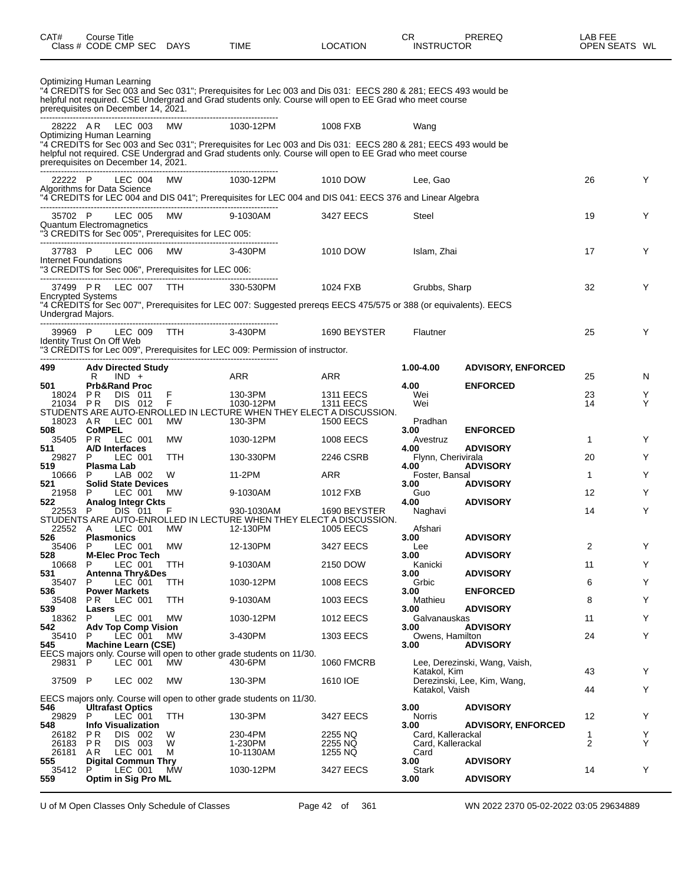| Class # CODE CMP SEC                          |                                 |                                     |                            | DAYS                                                      | TIME                                                                                                                                                                                                                     | LOCATION                             |                  | <b>INSTRUCTOR</b>  |                               | OPEN SEATS WL     |        |
|-----------------------------------------------|---------------------------------|-------------------------------------|----------------------------|-----------------------------------------------------------|--------------------------------------------------------------------------------------------------------------------------------------------------------------------------------------------------------------------------|--------------------------------------|------------------|--------------------|-------------------------------|-------------------|--------|
| Optimizing Human Learning                     |                                 |                                     |                            |                                                           |                                                                                                                                                                                                                          |                                      |                  |                    |                               |                   |        |
| prerequisites on December 14, 2021.           |                                 |                                     |                            |                                                           | "4 CREDITS for Sec 003 and Sec 031"; Prerequisites for Lec 003 and Dis 031: EECS 280 & 281; EECS 493 would be<br>helpful not required. CSE Undergrad and Grad students only. Course will open to EE Grad who meet course |                                      |                  |                    |                               |                   |        |
| 28222 AR LEC 003<br>Optimizing Human Learning |                                 |                                     |                            | MW                                                        | 1030-12PM                                                                                                                                                                                                                | 1008 FXB                             | Wang             |                    |                               |                   |        |
| prerequisites on December 14, 2021.           |                                 |                                     |                            |                                                           | "4 CREDITS for Sec 003 and Sec 031"; Prerequisites for Lec 003 and Dis 031: EECS 280 & 281; EECS 493 would be<br>helpful not required. CSE Undergrad and Grad students only. Course will open to EE Grad who meet course |                                      |                  |                    |                               |                   |        |
| 22222 P                                       |                                 | LEC 004                             |                            | MW                                                        | 1030-12PM                                                                                                                                                                                                                | 1010 DOW                             | Lee, Gao         |                    |                               | 26                | Y      |
| Algorithms for Data Science                   |                                 |                                     |                            | --------------------------                                | 4 CREDITS for LEC 004 and DIS 041"; Prerequisites for LEC 004 and DIS 041: EECS 376 and Linear Algebra"                                                                                                                  |                                      |                  |                    |                               |                   |        |
| 35702 P<br>Quantum Electromagnetics           |                                 | LEC 005                             |                            | MW<br>"3 CREDITS for Sec 005", Prerequisites for LEC 005: | 9-1030AM                                                                                                                                                                                                                 | 3427 EECS                            | Steel            |                    |                               | 19                | Y      |
| 37783 P                                       |                                 | LEC 006                             |                            | MW                                                        | 3-430PM                                                                                                                                                                                                                  | 1010 DOW                             |                  | Islam, Zhai        |                               | 17                | Y      |
| Internet Foundations                          |                                 |                                     |                            | "3 CREDITS for Sec 006", Prerequisites for LEC 006:       |                                                                                                                                                                                                                          |                                      |                  |                    |                               |                   |        |
| 37499 PR LEC 007 TTH                          |                                 |                                     |                            |                                                           | 330-530PM                                                                                                                                                                                                                | 1024 FXB                             |                  | Grubbs, Sharp      |                               | 32                | Y      |
| <b>Encrypted Systems</b><br>Undergrad Majors. |                                 |                                     |                            |                                                           | "4 CREDITS for Sec 007", Prerequisites for LEC 007: Suggested preregs EECS 475/575 or 388 (or equivalents). EECS                                                                                                         |                                      |                  |                    |                               |                   |        |
| 39969 P                                       |                                 | LEC 009                             |                            | TTH TTE                                                   | 3-430PM                                                                                                                                                                                                                  | 1690 BEYSTER                         | Flautner         |                    |                               | 25                | Y      |
| Identity Trust On Off Web                     |                                 |                                     |                            |                                                           | "3 CRÉDITS for Lec 009", Prerequisites for LEC 009: Permission of instructor.                                                                                                                                            |                                      |                  |                    |                               |                   |        |
| 499                                           |                                 |                                     | <b>Adv Directed Study</b>  |                                                           |                                                                                                                                                                                                                          |                                      | 1.00-4.00        |                    | <b>ADVISORY, ENFORCED</b>     |                   |        |
| 501                                           | R                               | $IND +$<br><b>Prb&amp;Rand Proc</b> |                            |                                                           | ARR                                                                                                                                                                                                                      | <b>ARR</b>                           | 4.00             |                    | <b>ENFORCED</b>               | 25                | N      |
| 18024<br>21034 PR                             | P R                             | DIS 011<br>DIS 012                  |                            | F<br>F                                                    | 130-3PM<br>1030-12PM                                                                                                                                                                                                     | <b>1311 EECS</b><br><b>1311 EECS</b> | Wei<br>Wei       |                    |                               | 23<br>14          | Y<br>Y |
| 18023 AR                                      |                                 | LEC 001                             |                            | <b>MW</b>                                                 | STUDENTS ARE AUTO-ENROLLED IN LECTURE WHEN THEY ELECT A DISCUSSION.<br>130-3PM                                                                                                                                           | <b>1500 EECS</b>                     | Pradhan          |                    |                               |                   |        |
| 508<br>35405                                  | <b>CoMPEL</b><br>P <sub>R</sub> | LEC 001                             |                            | MW                                                        | 1030-12PM                                                                                                                                                                                                                | 1008 EECS                            | 3.00<br>Avestruz |                    | <b>ENFORCED</b>               | $\mathbf{1}$      | Y      |
| 511<br>29827                                  | P                               | A/D Interfaces<br>LEC 001           |                            | <b>TTH</b>                                                | 130-330PM                                                                                                                                                                                                                | 2246 CSRB                            | 4.00             | Flynn, Cherivirala | <b>ADVISORY</b>               | 20                | Y      |
| 519                                           |                                 | Plasma Lab                          |                            | W                                                         |                                                                                                                                                                                                                          |                                      | 4.00             |                    | <b>ADVISORY</b>               |                   | Y      |
| 10666<br>521                                  | P                               | LAB 002                             | <b>Solid State Devices</b> |                                                           | 11-2PM                                                                                                                                                                                                                   | ARR                                  | 3.00             | Foster, Bansal     | <b>ADVISORY</b>               | $\mathbf{1}$      |        |
| 21958<br>522.                                 | P                               | LEC 001                             | <b>Analog Integr Ckts</b>  | MW.                                                       | 9-1030AM                                                                                                                                                                                                                 | 1012 FXB                             | Guo<br>4.00      |                    | <b>ADVISORY</b>               | $12 \overline{ }$ | Y      |
| 22553                                         | P                               | DIS 011                             |                            | F                                                         | 930-1030AM<br>STUDENTS ARE AUTO-ENROLLED IN LECTURE WHEN THEY ELECT A DISCUSSION.                                                                                                                                        | 1690 BEYSTER                         | Naghavi          |                    |                               | 14                | Y      |
| 22552 A<br>526                                | <b>Plasmonics</b>               | LEC 001                             |                            | MW.                                                       | 12-130PM                                                                                                                                                                                                                 | 1005 EECS                            | Afshari<br>3.00  |                    | <b>ADVISORY</b>               |                   |        |
| 35406<br>528                                  | $\mathsf{P}$                    | LEC 001                             | <b>M-Elec Proc Tech</b>    | MW                                                        | 12-130PM                                                                                                                                                                                                                 | 3427 EECS                            | Lee<br>3.00      |                    | <b>ADVISORY</b>               | 2                 |        |
| 10668<br>531                                  | P                               | LEC 001                             | Antenna Thry&Des           | TTH                                                       | 9-1030AM                                                                                                                                                                                                                 | 2150 DOW                             | Kanicki<br>3.00  |                    | <b>ADVISORY</b>               | 11                | Y      |
| 35407                                         | P                               | LEC 001                             |                            | TTH                                                       | 1030-12PM                                                                                                                                                                                                                | 1008 EECS                            | Grbic            |                    |                               | 6                 | Y      |
| 536<br>35408                                  | PR.                             | <b>Power Markets</b><br>LEC 001     |                            | TTH                                                       | 9-1030AM                                                                                                                                                                                                                 | 1003 EECS                            | 3.00<br>Mathieu  |                    | <b>ENFORCED</b>               | 8                 | Y      |
| 539<br>18362                                  | Lasers<br>P                     | LEC 001                             |                            | МW                                                        | 1030-12PM                                                                                                                                                                                                                | 1012 EECS                            | 3.00             | Galvanauskas       | <b>ADVISORY</b>               | 11                | Y      |
| 542<br>35410                                  | P                               | LEC 001                             | <b>Adv Top Comp Vision</b> | MW.                                                       | 3-430PM                                                                                                                                                                                                                  | 1303 EECS                            | 3.00             | Owens, Hamilton    | <b>ADVISORY</b>               | 24                | Y      |
| 545                                           |                                 |                                     | Machine Learn (CSE)        |                                                           | EECS majors only. Course will open to other grade students on 11/30.                                                                                                                                                     |                                      | 3.00             |                    | <b>ADVISORY</b>               |                   |        |
| 29831 P                                       |                                 | LEC 001                             |                            | MW                                                        | 430-6PM                                                                                                                                                                                                                  | <b>1060 FMCRB</b>                    |                  | Katakol, Kim       | Lee, Derezinski, Wang, Vaish, | 43                | Y      |
| 37509 P                                       |                                 | LEC 002                             |                            | МW                                                        | 130-3PM                                                                                                                                                                                                                  | 1610 IOE                             |                  | Katakol, Vaish     | Derezinski, Lee, Kim, Wang,   | 44                | Y      |
| 546                                           | <b>Ultrafast Optics</b>         |                                     |                            |                                                           | EECS majors only. Course will open to other grade students on 11/30.                                                                                                                                                     |                                      | 3.00             |                    | <b>ADVISORY</b>               |                   |        |
| 29829                                         | P                               | LEC 001                             |                            | <b>TTH</b>                                                | 130-3PM                                                                                                                                                                                                                  | 3427 EECS                            | Norris           |                    |                               | 12                | Y      |
| 548<br>26182                                  | P R                             | DIS 002                             | <b>Info Visualization</b>  | W                                                         | 230-4PM                                                                                                                                                                                                                  | 2255 NQ                              | 3.00             | Card, Kallerackal  | <b>ADVISORY, ENFORCED</b>     | 1                 | Y      |
| 26183<br>26181                                | P R<br>AR                       | DIS 003<br>LEC 001                  |                            | W<br>м                                                    | 1-230PM<br>10-1130AM                                                                                                                                                                                                     | 2255 NQ<br>1255 NQ                   | Card             | Card, Kallerackal  |                               | $\overline{2}$    | Y      |
| 555<br>35412 P                                |                                 | LEC 001                             | <b>Digital Commun Thry</b> | MW                                                        | 1030-12PM                                                                                                                                                                                                                | 3427 EECS                            | 3.00<br>Stark    |                    | <b>ADVISORY</b>               | 14                | Y      |
| 559                                           |                                 |                                     | Optim in Sig Pro ML        |                                                           |                                                                                                                                                                                                                          |                                      | 3.00             |                    | <b>ADVISORY</b>               |                   |        |

CAT# Course Title Case CR PREREQ LAB FEE

U of M Open Classes Only Schedule of Classes Page 42 of 361 WN 2022 2370 05-02-2022 03:05 29634889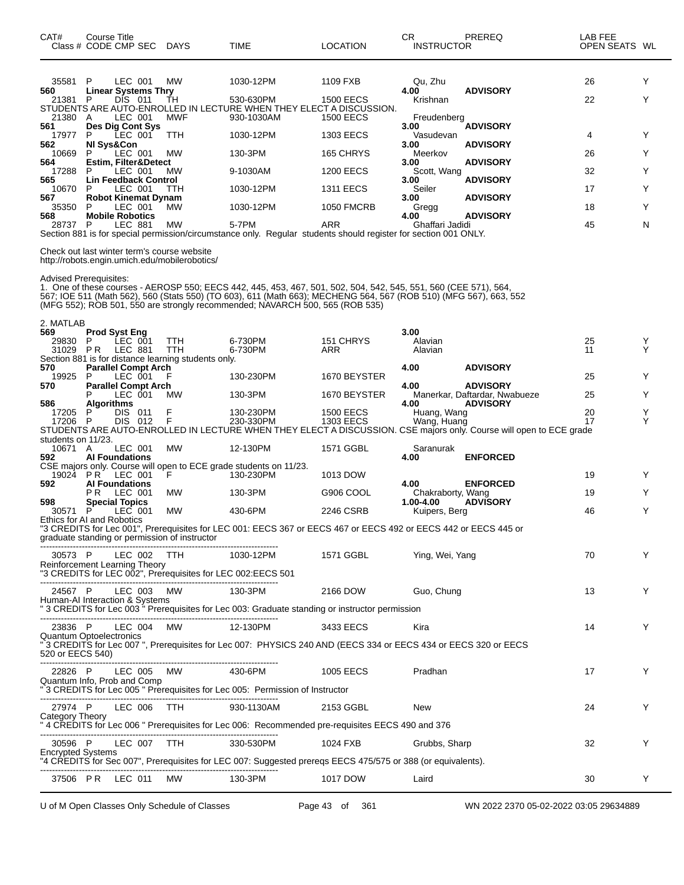| CAT#<br>Class # CODE CMP SEC                | Course Title                 |                    |                            | <b>DAYS</b>                                                                                  | TIME                                                                                                                                                                                                                                                                                                                  | <b>LOCATION</b>                      | CR.<br><b>INSTRUCTOR</b>       | PREREQ                                                                                                             | LAB FEE<br>OPEN SEATS WL |        |
|---------------------------------------------|------------------------------|--------------------|----------------------------|----------------------------------------------------------------------------------------------|-----------------------------------------------------------------------------------------------------------------------------------------------------------------------------------------------------------------------------------------------------------------------------------------------------------------------|--------------------------------------|--------------------------------|--------------------------------------------------------------------------------------------------------------------|--------------------------|--------|
| 35581<br>560                                | P                            | LEC 001            | <b>Linear Systems Thry</b> | МW                                                                                           | 1030-12PM                                                                                                                                                                                                                                                                                                             | 1109 FXB                             | Qu, Zhu<br>4.00                | <b>ADVISORY</b>                                                                                                    | 26                       | Y      |
| 21381<br>21380                              | P<br>A                       | DIS 011<br>LEC 001 |                            | TН<br>MWF                                                                                    | 530-630PM<br>STUDENTS ARE AUTO-ENROLLED IN LECTURE WHEN THEY ELECT A DISCUSSION.<br>930-1030AM                                                                                                                                                                                                                        | <b>1500 EECS</b><br><b>1500 EECS</b> | Krishnan<br>Freudenberg        |                                                                                                                    | 22                       | Y      |
| 561                                         | P                            | LEC 001            | Des Dig Cont Sys           |                                                                                              |                                                                                                                                                                                                                                                                                                                       |                                      | 3.00                           | <b>ADVISORY</b>                                                                                                    |                          | Y      |
| 17977<br>562                                | NI Sys&Con                   |                    |                            | TTH                                                                                          | 1030-12PM                                                                                                                                                                                                                                                                                                             | 1303 EECS                            | Vasudevan<br>3.00              | <b>ADVISORY</b>                                                                                                    | 4                        |        |
| 10669<br>564                                | P                            | LEC 001            | Estim, Filter&Detect       | МW                                                                                           | 130-3PM                                                                                                                                                                                                                                                                                                               | 165 CHRYS                            | Meerkov<br>3.00                | <b>ADVISORY</b>                                                                                                    | 26                       | Y      |
| 17288<br>565                                | P                            | LEC 001            | Lin Feedback Control       | МW                                                                                           | 9-1030AM                                                                                                                                                                                                                                                                                                              | <b>1200 EECS</b>                     | Scott, Wang<br>3.00            | <b>ADVISORY</b>                                                                                                    | 32                       | Y      |
| 10670<br>567                                | P                            | LEC 001            | <b>Robot Kinemat Dynam</b> | TTH                                                                                          | 1030-12PM                                                                                                                                                                                                                                                                                                             | <b>1311 EECS</b>                     | Seiler<br>3.00                 | <b>ADVISORY</b>                                                                                                    | 17                       | Y      |
| 35350<br>568                                | P<br><b>Mobile Robotics</b>  | LEC 001            |                            | MW                                                                                           | 1030-12PM                                                                                                                                                                                                                                                                                                             | <b>1050 FMCRB</b>                    | Gregg<br>4.00                  | <b>ADVISORY</b>                                                                                                    | 18                       | Y      |
| 28737                                       | P                            | LEC 881            |                            | МW                                                                                           | 5-7PM<br>Section 881 is for special permission/circumstance only. Regular students should register for section 001 ONLY.                                                                                                                                                                                              | ARR                                  | Ghaffari Jadidi                |                                                                                                                    | 45                       | N      |
|                                             |                              |                    |                            | Check out last winter term's course website<br>http://robots.engin.umich.edu/mobilerobotics/ |                                                                                                                                                                                                                                                                                                                       |                                      |                                |                                                                                                                    |                          |        |
| <b>Advised Prerequisites:</b>               |                              |                    |                            |                                                                                              | 1. One of these courses - AEROSP 550; EECS 442, 445, 453, 467, 501, 502, 504, 542, 545, 551, 560 (CEE 571), 564,<br>567; IOE 511 (Math 562), 560 (Stats 550) (TO 603), 611 (Math 663); MECHENG 564, 567 (ROB 510) (MFG 567), 663, 552<br>(MFG 552); ROB 501, 550 are strongly recommended; NAVARCH 500, 565 (ROB 535) |                                      |                                |                                                                                                                    |                          |        |
| 2. MATLAB<br>569                            | <b>Prod Syst Eng</b>         |                    |                            |                                                                                              |                                                                                                                                                                                                                                                                                                                       |                                      | 3.00                           |                                                                                                                    |                          |        |
| 29830<br>31029                              | P<br>P R                     | LEC 001<br>LEC 881 |                            | TTH<br><b>TTH</b>                                                                            | 6-730PM<br>6-730PM                                                                                                                                                                                                                                                                                                    | 151 CHRYS<br>ARR                     | Alavian<br>Alavian             |                                                                                                                    | 25<br>11                 | Y<br>Υ |
| 570                                         |                              |                    | <b>Parallel Compt Arch</b> | Section 881 is for distance learning students only.                                          |                                                                                                                                                                                                                                                                                                                       |                                      | 4.00                           | <b>ADVISORY</b>                                                                                                    |                          |        |
| 19925<br>570                                | P                            | LEC 001            | <b>Parallel Compt Arch</b> |                                                                                              | 130-230PM                                                                                                                                                                                                                                                                                                             | 1670 BEYSTER                         | 4.00                           | <b>ADVISORY</b>                                                                                                    | 25                       | Y      |
| 586                                         | Algorithms                   | LEC 001            |                            | МW                                                                                           | 130-3PM                                                                                                                                                                                                                                                                                                               | 1670 BEYSTER                         | 4.00                           | Manerkar, Daftardar, Nwabueze<br><b>ADVISORY</b>                                                                   | 25                       | Y      |
| 17205<br>17206 P                            | P                            | DIS 011<br>DIS 012 |                            | F<br>F                                                                                       | 130-230PM<br>230-330PM                                                                                                                                                                                                                                                                                                | <b>1500 EECS</b><br><b>1303 EECS</b> | Huang, Wang<br>Wang, Huang     |                                                                                                                    | 20<br>17                 | Y<br>Y |
|                                             |                              |                    |                            |                                                                                              |                                                                                                                                                                                                                                                                                                                       |                                      |                                | STUDENTS ARE AUTO-ENROLLED IN LECTURE WHEN THEY ELECT A DISCUSSION. CSE majors only. Course will open to ECE grade |                          |        |
| students on 11/23.<br>10671 A               |                              | LEC 001            |                            | МW                                                                                           | 12-130PM                                                                                                                                                                                                                                                                                                              | 1571 GGBL                            | Saranurak                      |                                                                                                                    |                          |        |
| 592                                         | <b>AI Foundations</b>        |                    |                            |                                                                                              | CSE majors only. Course will open to ECE grade students on 11/23.                                                                                                                                                                                                                                                     |                                      | 4.00                           | <b>ENFORCED</b>                                                                                                    |                          |        |
| 19024<br>592                                | P R<br><b>Al Foundations</b> | LEC 001            |                            | F.                                                                                           | 130-230PM                                                                                                                                                                                                                                                                                                             | 1013 DOW                             | 4.00                           | <b>ENFORCED</b>                                                                                                    | 19                       | Y      |
| 598                                         | P R<br><b>Special Topics</b> | LEC 001            |                            | МW                                                                                           | 130-3PM                                                                                                                                                                                                                                                                                                               | G906 COOL                            | Chakraborty, Wang<br>1.00-4.00 | <b>ADVISORY</b>                                                                                                    | 19                       | Y      |
| 30571<br>Ethics for AI and Robotics         | P                            | LEC 001            |                            | МW                                                                                           | 430-6PM                                                                                                                                                                                                                                                                                                               | 2246 CSRB                            | Kuipers, Berg                  |                                                                                                                    | 46                       | Y      |
|                                             |                              |                    |                            | graduate standing or permission of instructor                                                | "3 CREDITS for Lec 001", Prerequisites for LEC 001: EECS 367 or EECS 467 or EECS 492 or EECS 442 or EECS 445 or                                                                                                                                                                                                       |                                      |                                |                                                                                                                    |                          |        |
| 30573 P<br>Reinforcement Learning Theory    |                              |                    | LEC 002 TTH                |                                                                                              | 1030-12PM<br>"3 CREDITS for LEC 002", Prerequisites for LEC 002:EECS 501                                                                                                                                                                                                                                              | 1571 GGBL                            | Ying, Wei, Yang                |                                                                                                                    | 70                       | Y      |
| 24567 P                                     |                              | LEC 003            |                            | MW                                                                                           | 130-3PM                                                                                                                                                                                                                                                                                                               | 2166 DOW                             | Guo, Chung                     |                                                                                                                    | 13                       | Y      |
| Human-AI Interaction & Systems              |                              |                    |                            |                                                                                              | 3 CREDITS for Lec 003 " Prerequisites for Lec 003: Graduate standing or instructor permission                                                                                                                                                                                                                         |                                      |                                |                                                                                                                    |                          |        |
| 23836 P                                     |                              | LEC 004            |                            | MW                                                                                           | 12-130PM                                                                                                                                                                                                                                                                                                              | 3433 EECS                            | Kira                           |                                                                                                                    | 14                       | Y      |
| Quantum Optoelectronics<br>520 or EECS 540) |                              |                    |                            |                                                                                              | "3 CREDITS for Lec 007", Prerequisites for Lec 007: PHYSICS 240 AND (EECS 334 or EECS 434 or EECS 320 or EECS                                                                                                                                                                                                         |                                      |                                |                                                                                                                    |                          |        |
| 22826 P<br>Quantum Info, Prob and Comp      |                              | LEC 005            |                            | МW                                                                                           | 430-6PM                                                                                                                                                                                                                                                                                                               | 1005 EECS                            | Pradhan                        |                                                                                                                    | 17                       | Y      |
|                                             |                              |                    |                            |                                                                                              | 3 CREDITS for Lec 005 " Prerequisites for Lec 005: Permission of Instructor                                                                                                                                                                                                                                           |                                      |                                |                                                                                                                    |                          |        |
| 27974 P<br>Category Theory                  |                              | LEC 006            |                            | TTH                                                                                          | 930-1130AM<br>4 CREDITS for Lec 006 " Prerequisites for Lec 006: Recommended pre-requisites EECS 490 and 376                                                                                                                                                                                                          | 2153 GGBL                            | New                            |                                                                                                                    | 24                       | Y      |
| 30596 P                                     |                              | LEC 007            |                            | .<br><b>TTH</b>                                                                              | 330-530PM                                                                                                                                                                                                                                                                                                             | 1024 FXB                             | Grubbs, Sharp                  |                                                                                                                    | 32                       | Y      |
| <b>Encrypted Systems</b>                    |                              |                    |                            |                                                                                              | "4 CREDITS for Sec 007", Prerequisites for LEC 007: Suggested prereqs EECS 475/575 or 388 (or equivalents).                                                                                                                                                                                                           |                                      |                                |                                                                                                                    |                          |        |
| 37506 PR                                    |                              | LEC 011            |                            | МW                                                                                           | 130-3PM                                                                                                                                                                                                                                                                                                               | 1017 DOW                             | Laird                          |                                                                                                                    | 30                       | Y      |
|                                             |                              |                    |                            |                                                                                              |                                                                                                                                                                                                                                                                                                                       |                                      |                                |                                                                                                                    |                          |        |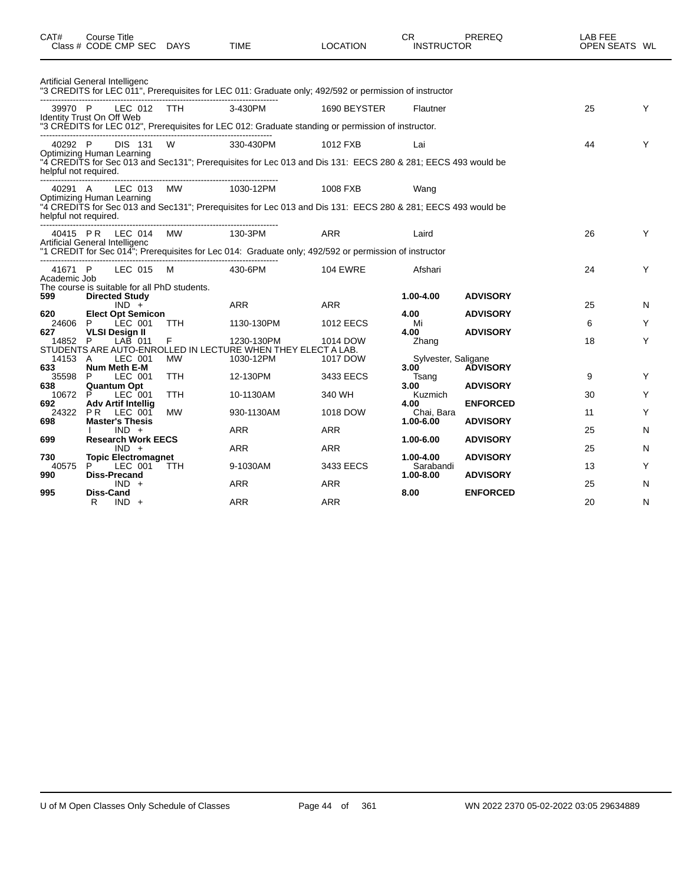| CAT#                             | Course Title<br>Class # CODE CMP SEC DAYS                                                                                    |             | <b>TIME</b>                                                                                                               | <b>LOCATION</b>          | <b>CR</b><br><b>INSTRUCTOR</b>               | PREREQ                             | LAB FEE<br>OPEN SEATS WL |        |
|----------------------------------|------------------------------------------------------------------------------------------------------------------------------|-------------|---------------------------------------------------------------------------------------------------------------------------|--------------------------|----------------------------------------------|------------------------------------|--------------------------|--------|
|                                  | Artificial General Intelligenc                                                                                               |             | "3 CREDITS for LEC 011", Prerequisites for LEC 011: Graduate only; 492/592 or permission of instructor                    |                          |                                              |                                    |                          |        |
| 39970 P                          | LEC 012 TTH<br>Identity Trust On Off Web                                                                                     |             | 3-430PM<br>"3 CRÉDITS for LEC 012", Prerequisites for LEC 012: Graduate standing or permission of instructor.             | 1690 BEYSTER             | Flautner                                     |                                    | 25                       | Y      |
| 40292 P<br>helpful not required. | DIS 131 W<br><b>Optimizing Human Learning</b>                                                                                |             | 330-430PM<br>"4 CREDITS for Sec 013 and Sec131"; Prerequisites for Lec 013 and Dis 131: EECS 280 & 281; EECS 493 would be | 1012 FXB                 | Lai                                          |                                    | 44                       | Y      |
| 40291 A<br>helpful not required. | LEC 013<br><b>Optimizing Human Learning</b>                                                                                  | <b>MW</b>   | 1030-12PM<br>"4 CREDITS for Sec 013 and Sec131"; Prerequisites for Lec 013 and Dis 131: EECS 280 & 281; EECS 493 would be | 1008 FXB                 | Wang                                         |                                    |                          |        |
|                                  | 40415 PR LEC 014 MW<br>Artificial General Intelligenc                                                                        |             | 130-3PM<br>"1 CREDIT for Sec 014"; Prerequisites for Lec 014: Graduate only; 492/592 or permission of instructor          | <b>ARR</b>               | Laird                                        |                                    | 26                       | Y      |
| 41671 P<br>Academic Job          | LEC 015                                                                                                                      | $M_{\odot}$ | 430-6PM                                                                                                                   | <b>104 EWRE</b>          | Afshari                                      |                                    | 24                       | Y      |
| 599<br>620<br>24606              | The course is suitable for all PhD students.<br><b>Directed Study</b><br>$IND +$<br><b>Elect Opt Semicon</b><br>LEC 001<br>P | <b>TTH</b>  | <b>ARR</b><br>1130-130PM                                                                                                  | ARR<br><b>1012 EECS</b>  | 1.00-4.00<br>4.00<br>Mi                      | <b>ADVISORY</b><br><b>ADVISORY</b> | 25<br>6                  | N<br>Y |
| 627<br>14852 P                   | <b>VLSI Design II</b><br>$LAB$ 011                                                                                           | F           | 1230-130PM<br>STUDENTS ARE AUTO-ENROLLED IN LECTURE WHEN THEY ELECT A LAB.                                                | 1014 DOW                 | 4.00<br>Zhang                                | <b>ADVISORY</b>                    | 18                       | Y      |
| 14153 A<br>633<br>35598<br>638   | LEC 001<br>Num Meth E-M<br>LEC 001<br>P<br><b>Quantum Opt</b>                                                                | MW<br>TTH.  | 1030-12PM<br>12-130PM                                                                                                     | 1017 DOW<br>3433 EECS    | Sylvester, Saligane<br>3.00<br>Tsang<br>3.00 | <b>ADVISORY</b><br><b>ADVISORY</b> | 9                        | Y      |
| 10672<br>692                     | P<br>LEC 001<br>Adv Artif Intellia                                                                                           | TTH.        | 10-1130AM                                                                                                                 | 340 WH                   | Kuzmich<br>4.00                              | <b>ENFORCED</b>                    | 30                       | Y      |
| 698                              | 24322 PR LEC 001<br><b>Master's Thesis</b><br>$IND +$                                                                        | <b>MW</b>   | 930-1130AM<br><b>ARR</b>                                                                                                  | 1018 DOW<br><b>ARR</b>   | Chai. Bara<br>1.00-6.00                      | <b>ADVISORY</b>                    | 11<br>25                 | Y<br>N |
| 699                              | <b>Research Work EECS</b><br>$IND +$                                                                                         |             | ARR                                                                                                                       | <b>ARR</b>               | 1.00-6.00                                    | <b>ADVISORY</b>                    | 25                       | N      |
| 730<br>40575<br>990              | <b>Topic Electromagnet</b><br>LEC 001<br>P.<br><b>Diss-Precand</b>                                                           | TTH.        | 9-1030AM                                                                                                                  | 3433 EECS                | 1.00-4.00<br>Sarabandi<br>1.00-8.00          | <b>ADVISORY</b><br><b>ADVISORY</b> | 13                       | Y      |
| 995                              | $IND +$<br>Diss-Cand<br>R<br>$IND +$                                                                                         |             | <b>ARR</b><br><b>ARR</b>                                                                                                  | <b>ARR</b><br><b>ARR</b> | 8.00                                         | <b>ENFORCED</b>                    | 25<br>20                 | N<br>N |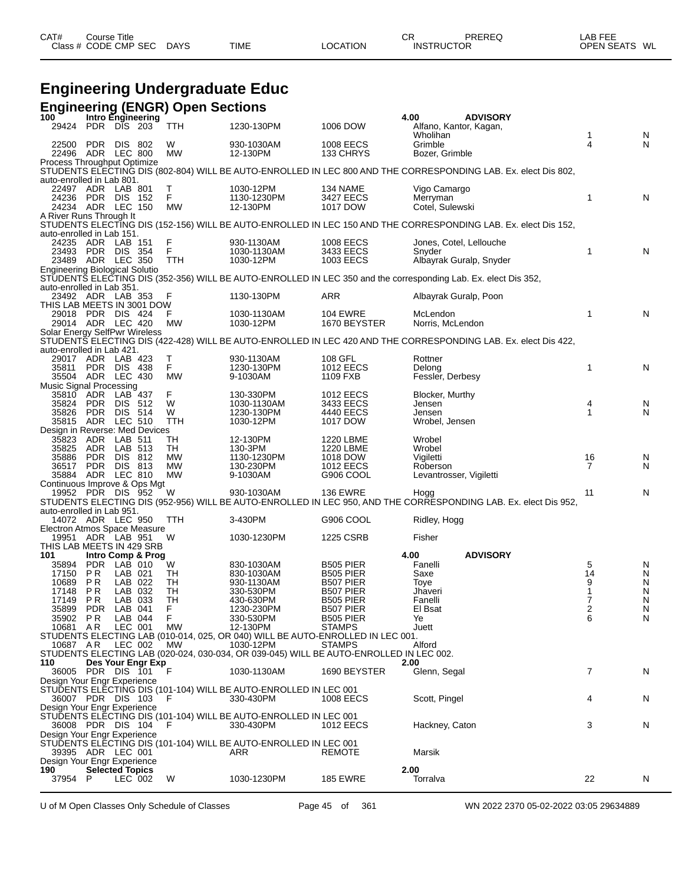| CAT# | Title<br>Course      |             |             |          | ⌒冖<br>◡           | PREREQ | _AB FEE           |    |
|------|----------------------|-------------|-------------|----------|-------------------|--------|-------------------|----|
|      | Class # CODE CMP SEC | <b>DAYS</b> | <b>TIME</b> | LOCATION | <b>INSTRUCTOR</b> |        | <b>OPEN SEATS</b> | WL |

## **Engineering Undergraduate Educ**

|                                                     |                           |                    |                   | <b>Engineering (ENGR) Open Sections</b> |                                                                                             |                                 |                                                                                                                                                                 |                   |        |
|-----------------------------------------------------|---------------------------|--------------------|-------------------|-----------------------------------------|---------------------------------------------------------------------------------------------|---------------------------------|-----------------------------------------------------------------------------------------------------------------------------------------------------------------|-------------------|--------|
| 100<br>29424 PDR DIS 203                            |                           |                    | Intro Engineering | <b>TTH</b>                              | 1230-130PM                                                                                  | 1006 DOW                        | <b>ADVISORY</b><br>4.00<br>Alfano, Kantor, Kagan,                                                                                                               |                   |        |
|                                                     |                           |                    |                   |                                         |                                                                                             |                                 | Wholihan                                                                                                                                                        | $\mathbf{1}$      | N      |
| 22500                                               | <b>PDR</b>                | DIS 802            |                   | W                                       | 930-1030AM                                                                                  | 1008 EECS                       | Grimble                                                                                                                                                         | 4                 | N      |
| 22496 ADR LEC 800<br>Process Throughput Optimize    |                           |                    |                   | <b>MW</b>                               | 12-130PM                                                                                    | 133 CHRYS                       | Bozer, Grimble                                                                                                                                                  |                   |        |
|                                                     |                           |                    |                   |                                         |                                                                                             |                                 | STUDENTS ELECTING DIS (802-804) WILL BE AUTO-ENROLLED IN LEC 800 AND THE CORRESPONDING LAB. Ex. elect Dis 802,                                                  |                   |        |
| auto-enrolled in Lab 801.<br>22497 ADR LAB 801      |                           |                    |                   | Т                                       | 1030-12PM                                                                                   | 134 NAME                        | Vigo Camargo                                                                                                                                                    |                   |        |
| 24236                                               | PDR DIS 152               |                    |                   | F.                                      | 1130-1230PM                                                                                 | 3427 EECS                       | Merryman                                                                                                                                                        | $\mathbf{1}$      | N      |
| 24234 ADR LEC 150                                   |                           |                    |                   | MW                                      | 12-130PM                                                                                    | 1017 DOW                        | Cotel, Sulewski                                                                                                                                                 |                   |        |
| A River Runs Through It                             |                           |                    |                   |                                         |                                                                                             |                                 | STUDENTS ELECTING DIS (152-156) WILL BE AUTO-ENROLLED IN LEC 150 AND THE CORRESPONDING LAB. Ex. elect Dis 152,                                                  |                   |        |
| auto-enrolled in Lab 151.                           |                           |                    |                   |                                         |                                                                                             |                                 |                                                                                                                                                                 |                   |        |
| 24235 ADR LAB 151<br>23493 PDR DIS 354              |                           |                    |                   | F<br>F                                  | 930-1130AM<br>1030-1130AM                                                                   | 1008 EECS                       | Jones, Cotel, Lellouche<br>Snyder                                                                                                                               | $\mathbf{1}$      | N      |
| 23489 ADR LEC 350                                   |                           |                    |                   | TTH                                     | 1030-12PM                                                                                   | 3433 EECS<br>1003 EECS          | Albayrak Guralp, Snyder                                                                                                                                         |                   |        |
| <b>Engineering Biological Solutio</b>               |                           |                    |                   |                                         |                                                                                             |                                 |                                                                                                                                                                 |                   |        |
| auto-enrolled in Lab 351.                           |                           |                    |                   |                                         |                                                                                             |                                 | STUDENTS ELECTING DIS (352-356) WILL BE AUTO-ENROLLED IN LEC 350 and the corresponding Lab. Ex. elect Dis 352,                                                  |                   |        |
| 23492 ADR LAB 353                                   |                           |                    |                   | F                                       | 1130-130PM                                                                                  | ARR                             | Albayrak Guralp, Poon                                                                                                                                           |                   |        |
| THIS LAB MEETS IN 3001 DOW                          |                           |                    |                   |                                         |                                                                                             |                                 |                                                                                                                                                                 |                   |        |
| 29018 PDR DIS 424<br>29014 ADR LEC 420              |                           |                    |                   | F<br>MW                                 | 1030-1130AM<br>1030-12PM                                                                    | <b>104 EWRE</b><br>1670 BEYSTER | McLendon<br>Norris, McLendon                                                                                                                                    | $\mathbf{1}$      | N      |
| Solar Energy SelfPwr Wireless                       |                           |                    |                   |                                         |                                                                                             |                                 |                                                                                                                                                                 |                   |        |
| auto-enrolled in Lab 421.                           |                           |                    |                   |                                         |                                                                                             |                                 | STUDENTŠ ELECTING DIS (422-428) WILL BE AUTO-ENROLLED IN LEC 420 AND THE CORRESPONDING LAB. Ex. elect Dis 422,                                                  |                   |        |
| 29017 ADR LAB 423                                   |                           |                    |                   | Τ                                       | 930-1130AM                                                                                  | 108 GFL                         | Rottner                                                                                                                                                         |                   |        |
| 35811                                               | PDR DIS 438               |                    |                   | F                                       | 1230-130PM                                                                                  | 1012 EECS                       | Delong                                                                                                                                                          | 1                 | N      |
| 35504 ADR LEC 430<br><b>Music Signal Processing</b> |                           |                    |                   | <b>MW</b>                               | 9-1030AM                                                                                    | 1109 FXB                        | Fessler, Derbesy                                                                                                                                                |                   |        |
| 35810                                               | ADR                       | LAB 437            |                   | F                                       | 130-330PM                                                                                   | 1012 EECS                       | Blocker, Murthy                                                                                                                                                 |                   |        |
| 35824                                               | <b>PDR</b>                | DIS.               | 512               | W                                       | 1030-1130AM                                                                                 | 3433 EECS                       | Jensen                                                                                                                                                          | 4<br>$\mathbf{1}$ | N      |
| 35826<br>35815                                      | <b>PDR</b><br>ADR LEC 510 | DIS 514            |                   | W<br>TTH                                | 1230-130PM<br>1030-12PM                                                                     | 4440 EECS<br>1017 DOW           | Jensen<br>Wrobel, Jensen                                                                                                                                        |                   | N      |
| Design in Reverse: Med Devices                      |                           |                    |                   |                                         |                                                                                             |                                 |                                                                                                                                                                 |                   |        |
| 35823<br>35825                                      | ADR<br>ADR LAB 513        | LAB 511            |                   | TH<br>TH                                | 12-130PM<br>130-3PM                                                                         | 1220 LBME<br>1220 LBME          | Wrobel<br>Wrobel                                                                                                                                                |                   |        |
| 35886                                               | <b>PDR</b>                | DIS                | 812               | <b>MW</b>                               | 1130-1230PM                                                                                 | 1018 DOW                        | Vigiletti                                                                                                                                                       | 16                | N      |
| 36517 PDR DIS 813                                   |                           |                    |                   | <b>MW</b>                               | 130-230PM                                                                                   | 1012 EECS                       | Roberson                                                                                                                                                        | $\overline{7}$    | N      |
| 35884 ADR LEC 810<br>Continuous Improve & Ops Mgt   |                           |                    |                   | MW                                      | 9-1030AM                                                                                    | G906 COOL                       | Levantrosser, Vigiletti                                                                                                                                         |                   |        |
|                                                     |                           |                    |                   |                                         |                                                                                             |                                 | 19952 PDR DIS 952 W 930-1030AM 136 EWRE Hogg<br>STUDENTS ELECTING DIS (952-956) WILL BE AUTO-ENROLLED IN LEC 950, AND THE CORRESPONDING LAB. Ex. elect Dis 952, | 11                | N      |
|                                                     |                           |                    |                   |                                         |                                                                                             |                                 |                                                                                                                                                                 |                   |        |
| auto-enrolled in Lab 951.<br>14072 ADR LEC 950      |                           |                    |                   | TTH                                     | 3-430PM                                                                                     | G906 COOL                       | Ridley, Hogg                                                                                                                                                    |                   |        |
| Electron Atmos Space Measure                        |                           |                    |                   |                                         |                                                                                             |                                 |                                                                                                                                                                 |                   |        |
| 19951 ADR LAB 951<br>THIS LAB MEETS IN 429 SRB      |                           |                    |                   | W                                       | 1030-1230PM                                                                                 | 1225 CSRB                       | Fisher                                                                                                                                                          |                   |        |
| 101                                                 |                           |                    | Intro Comp & Prog |                                         |                                                                                             |                                 | 4.00<br><b>ADVISORY</b>                                                                                                                                         |                   |        |
| 35894                                               | PDR LAB 010               |                    |                   | W                                       | 830-1030AM                                                                                  | <b>B505 PIER</b>                | Fanelli                                                                                                                                                         | 5                 | N      |
| 17150<br>10689                                      | PR.<br>P R                | LAB 021<br>LAB 022 |                   | TH<br>TН                                | 830-1030AM<br>930-1130AM                                                                    | <b>B505 PIER</b><br>B507 PIER   | Saxe<br>Toye                                                                                                                                                    | 14<br>9           | N<br>N |
| 17148                                               | PR                        | LAB 032            |                   | TН                                      | 330-530PM                                                                                   | B507 PIER                       | Jhaveri                                                                                                                                                         | $\mathbf{1}$      | N      |
| 17149 PR                                            | <b>PDR</b>                | LAB 033<br>LAB 041 |                   | TH<br>F                                 | 430-630PM<br>1230-230PM                                                                     | B505 PIER                       | Fanelli<br>El Bsat                                                                                                                                              | 7<br>2            | N<br>N |
| 35899<br>35902                                      | P R                       | LAB 044            |                   | F                                       | 330-530PM                                                                                   | B507 PIER<br><b>B505 PIER</b>   | Ye                                                                                                                                                              | 6                 | N      |
| 10681 AR                                            |                           | LEC 001            |                   | МW                                      | 12-130PM                                                                                    | <b>STAMPS</b>                   | Juett                                                                                                                                                           |                   |        |
| 10687 AR                                            |                           | LEC 002            |                   | MW.                                     | STUDENTS ELECTING LAB (010-014, 025, OR 040) WILL BE AUTO-ENROLLED IN LEC 001.<br>1030-12PM | <b>STAMPS</b>                   | Alford                                                                                                                                                          |                   |        |
|                                                     |                           |                    |                   |                                         | STUDENTS ELECTING LAB (020-024, 030-034, OR 039-045) WILL BE AUTO-ENROLLED IN LEC 002.      |                                 |                                                                                                                                                                 |                   |        |
| 110                                                 |                           |                    | Des Your Engr Exp |                                         |                                                                                             |                                 | 2.00                                                                                                                                                            |                   |        |
| 36005 PDR DIS 101<br>Design Your Engr Experience    |                           |                    |                   | F                                       | 1030-1130AM                                                                                 | 1690 BEYSTER                    | Glenn, Segal                                                                                                                                                    | $\overline{7}$    | N      |
|                                                     |                           |                    |                   |                                         | STUDENTS ELECTING DIS (101-104) WILL BE AUTO-ENROLLED IN LEC 001                            |                                 |                                                                                                                                                                 |                   |        |
| 36007 PDR DIS 103<br>Design Your Engr Experience    |                           |                    |                   | - F                                     | 330-430PM                                                                                   | 1008 EECS                       | Scott, Pingel                                                                                                                                                   | 4                 | N      |
|                                                     |                           |                    |                   |                                         | STUDENTS ELECTING DIS (101-104) WILL BE AUTO-ENROLLED IN LEC 001                            |                                 |                                                                                                                                                                 |                   |        |
| 36008 PDR DIS 104                                   |                           |                    |                   | - F                                     | 330-430PM                                                                                   | 1012 EECS                       | Hackney, Caton                                                                                                                                                  | 3                 | N      |
| Design Your Engr Experience                         |                           |                    |                   |                                         | STUDENTS ELECTING DIS (101-104) WILL BE AUTO-ENROLLED IN LEC 001                            |                                 |                                                                                                                                                                 |                   |        |
| 39395 ADR LEC 001                                   |                           |                    |                   |                                         | ARR                                                                                         | <b>REMOTE</b>                   | Marsik                                                                                                                                                          |                   |        |
| Design Your Engr Experience                         |                           |                    |                   |                                         |                                                                                             |                                 |                                                                                                                                                                 |                   |        |
| 190<br>37954 P                                      | <b>Selected Topics</b>    | LEC 002            |                   | W                                       | 1030-1230PM                                                                                 | <b>185 EWRE</b>                 | 2.00<br>Torralva                                                                                                                                                | 22                | N      |
|                                                     |                           |                    |                   |                                         |                                                                                             |                                 |                                                                                                                                                                 |                   |        |

U of M Open Classes Only Schedule of Classes Page 45 of 361 WN 2022 2370 05-02-2022 03:05 29634889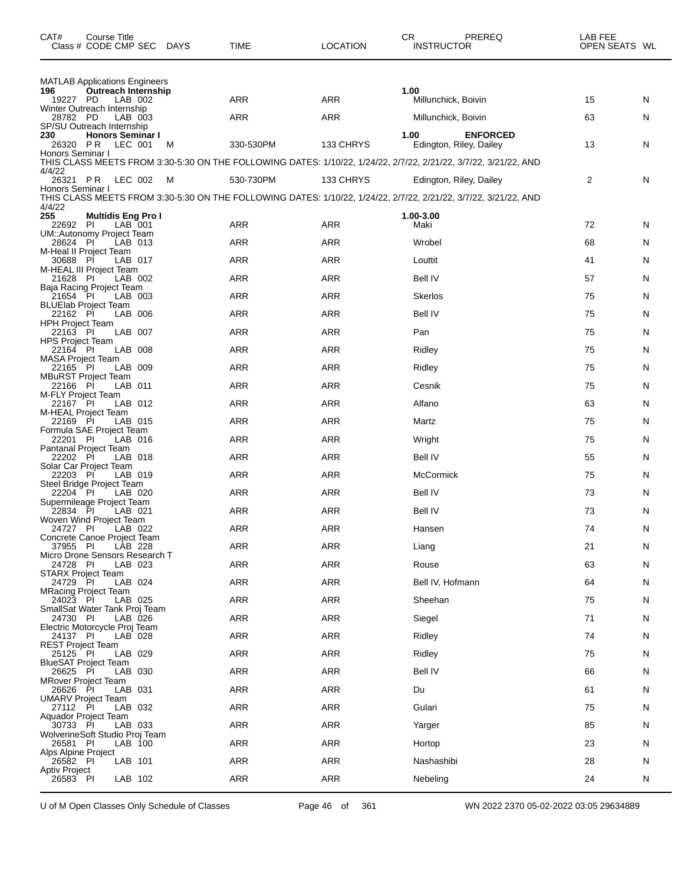| CAT#                                 | Course Title<br>Class # CODE CMP SEC                            | DAYS | TIME       | <b>LOCATION</b> | PREREQ<br>CR<br><b>INSTRUCTOR</b>                                                                               | LAB FEE<br>OPEN SEATS WL |   |
|--------------------------------------|-----------------------------------------------------------------|------|------------|-----------------|-----------------------------------------------------------------------------------------------------------------|--------------------------|---|
| 196                                  | <b>MATLAB Applications Engineers</b><br>Outreach Internship     |      |            |                 | 1.00                                                                                                            |                          |   |
| 19227 PD                             | LAB 002                                                         |      | ARR        | ARR             | Millunchick, Boivin                                                                                             | 15                       | N |
| 28782 PD                             | Winter Outreach Internship<br>LAB 003                           |      | ARR        | <b>ARR</b>      | Millunchick, Boivin                                                                                             | 63                       | N |
| 230<br>26320 PR                      | SP/SU Outreach Internship<br><b>Honors Seminar I</b><br>LEC 001 | M    | 330-530PM  | 133 CHRYS       | <b>ENFORCED</b><br>1.00<br>Edington, Riley, Dailey                                                              | 13                       | N |
| Honors Seminar I                     |                                                                 |      |            |                 | THIS CLASS MEETS FROM 3:30-5:30 ON THE FOLLOWING DATES: 1/10/22, 1/24/22, 2/7/22, 2/21/22, 3/7/22, 3/21/22, AND |                          |   |
| 4/4/22<br>26321 PR                   | LEC 002                                                         | M    | 530-730PM  | 133 CHRYS       | Edington, Riley, Dailey                                                                                         | 2                        | N |
| Honors Seminar I                     |                                                                 |      |            |                 | THIS CLASS MEETS FROM 3:30-5:30 ON THE FOLLOWING DATES: 1/10/22, 1/24/22, 2/7/22, 2/21/22, 3/7/22, 3/21/22, AND |                          |   |
| 4/4/22<br>255                        | <b>Multidis Eng Pro I</b>                                       |      |            |                 | 1.00-3.00                                                                                                       |                          |   |
| 22692 PI                             | LAB 001<br>UM::Autonomy Project Team                            |      | ARR        | <b>ARR</b>      | Maki                                                                                                            | 72                       | N |
| 28624 PI                             | LAB 013<br>M-Heal II Project Team                               |      | ARR        | ARR             | Wrobel                                                                                                          | 68                       | N |
| 30688 PI                             | LAB 017<br>M-HEAL III Project Team                              |      | ARR        | ARR             | Louttit                                                                                                         | 41                       | N |
| 21628 PI                             | LAB 002<br>Baja Racing Project Team                             |      | ARR        | <b>ARR</b>      | Bell IV                                                                                                         | 57                       | N |
| 21654 PI                             | LAB 003<br><b>BLUElab Project Team</b>                          |      | ARR        | ARR             | <b>Skerlos</b>                                                                                                  | 75                       | N |
| 22162 PI                             | LAB 006                                                         |      | <b>ARR</b> | ARR             | Bell IV                                                                                                         | 75                       | N |
| <b>HPH Project Team</b><br>22163 PI  | LAB 007                                                         |      | ARR        | <b>ARR</b>      | Pan                                                                                                             | 75                       | N |
| <b>HPS Project Team</b><br>22164 PI  | LAB 008                                                         |      | ARR        | ARR             | Ridley                                                                                                          | 75                       | N |
| <b>MASA Project Team</b><br>22165 PI | LAB 009                                                         |      | ARR        | ARR             | Ridley                                                                                                          | 75                       | N |
| 22166 PI                             | <b>MBuRST Project Team</b><br>LAB 011                           |      | ARR        | <b>ARR</b>      | Cesnik                                                                                                          | 75                       | N |
| M-FLY Project Team<br>22167 PI       | LAB 012                                                         |      | ARR        | ARR             | Alfano                                                                                                          | 63                       | N |
| 22169 PI                             | M-HEAL Project Team<br>LAB 015                                  |      | <b>ARR</b> | ARR             | Martz                                                                                                           | 75                       | N |
| 22201 PI                             | Formula SAE Project Team<br>LAB 016                             |      | ARR        | <b>ARR</b>      | Wright                                                                                                          | 75                       | N |
| 22202 PI                             | Pantanal Project Team<br>LAB 018                                |      | ARR        | ARR             | Bell IV                                                                                                         | 55                       | N |
| 22203 PI                             | Solar Car Project Team<br>LAB 019                               |      | ARR        | ARR             | <b>McCormick</b>                                                                                                | 75                       | N |
| 22204 PI                             | Steel Bridge Project Team<br>LAB 020                            |      | ARR        | ARR             | Bell IV                                                                                                         | 73                       | N |
|                                      | Supermileage Project Team                                       |      |            |                 |                                                                                                                 |                          |   |
| 22834 PI                             | LAB 021<br>Woven Wind Project Team                              |      | ARR        | <b>ARR</b>      | Bell IV                                                                                                         | 73                       | N |
| 24727 PI                             | LAB 022<br>Concrete Canoe Project Team                          |      | ARR        | <b>ARR</b>      | Hansen                                                                                                          | 74                       | N |
| 37955 PI                             | LAB 228<br>Micro Drone Sensors Research T                       |      | ARR        | ARR             | Liang                                                                                                           | 21                       | N |
| 24728 PI                             | LAB 023<br>STARX Project Team                                   |      | <b>ARR</b> | <b>ARR</b>      | Rouse                                                                                                           | 63                       | N |
| 24729 PI                             | LAB 024<br><b>MRacing Project Team</b>                          |      | <b>ARR</b> | ARR             | Bell IV, Hofmann                                                                                                | 64                       | N |
| 24023 PI                             | LAB 025<br>SmallSat Water Tank Proj Team                        |      | ARR        | ARR             | Sheehan                                                                                                         | 75                       | N |
| 24730 PI                             | LAB 026<br>Electric Motorcycle Proj Team                        |      | ARR        | ARR             | Siegel                                                                                                          | 71                       | N |
| 24137 PI<br><b>REST Project Team</b> | LAB 028                                                         |      | <b>ARR</b> | ARR             | Ridley                                                                                                          | 74                       | N |
| 25125 PI                             | LAB 029                                                         |      | ARR        | ARR             | Ridley                                                                                                          | 75                       | N |
| 26625 PI                             | <b>BlueSAT Project Team</b><br>LAB 030                          |      | ARR        | ARR             | <b>Bell IV</b>                                                                                                  | 66                       | N |
| 26626                                | <b>MRover Project Team</b><br>LAB 031<br>- PI                   |      | ARR        | ARR             | Du                                                                                                              | 61                       | N |
| 27112 PI                             | <b>UMARV Project Team</b><br>LAB 032                            |      | ARR        | ARR             | Gulari                                                                                                          | 75                       | N |
| 30733 PI                             | Aquador Project Team<br>LAB 033                                 |      | ARR        | ARR             | Yarger                                                                                                          | 85                       | N |
| 26581 PI                             | WolverineSoft Studio Proj Team<br>LAB 100                       |      | <b>ARR</b> | ARR             | Hortop                                                                                                          | 23                       | N |
| Alps Alpine Project<br>26582 PI      | LAB 101                                                         |      | ARR        | ARR             | Nashashibi                                                                                                      | 28                       | N |
| Aptiv Project<br>26583 PI            | LAB 102                                                         |      | ARR        | ARR             | Nebeling                                                                                                        | 24                       | N |
|                                      |                                                                 |      |            |                 |                                                                                                                 |                          |   |

U of M Open Classes Only Schedule of Classes Page 46 of 361 WN 2022 2370 05-02-2022 03:05 29634889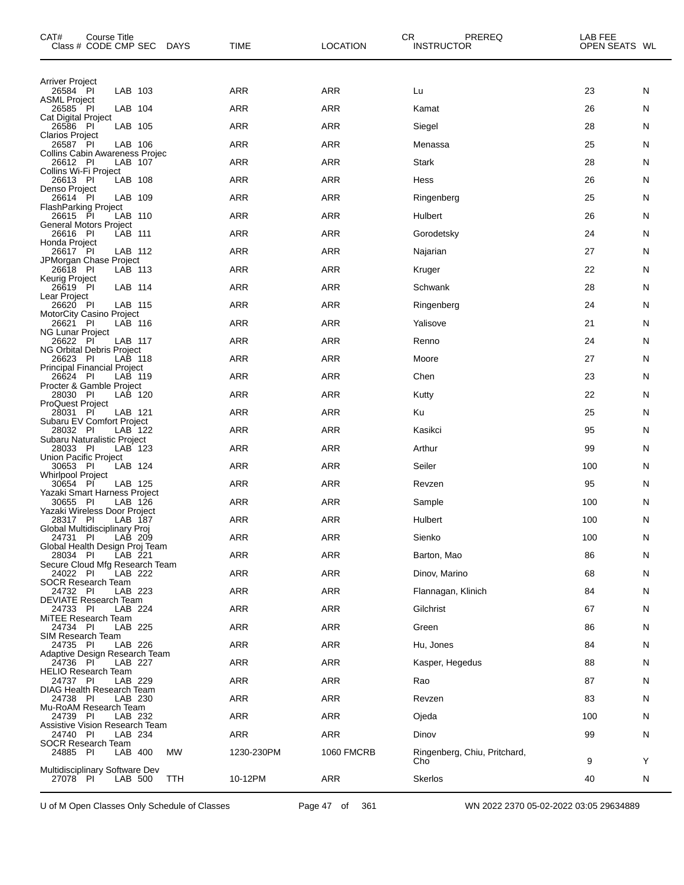| CAT#<br>Course Title<br>Class # CODE CMP SEC<br>DAYS         | <b>TIME</b> | <b>LOCATION</b> | CR.<br>PREREQ<br><b>INSTRUCTOR</b>  | LAB FEE<br>OPEN SEATS WL |    |
|--------------------------------------------------------------|-------------|-----------------|-------------------------------------|--------------------------|----|
| <b>Arriver Project</b>                                       |             |                 |                                     |                          |    |
| LAB 103<br>26584 PI<br><b>ASML Project</b>                   | ARR         | ARR             | Lu                                  | 23                       | N  |
| LAB 104<br>26585 PI<br>Cat Digital Project                   | ARR         | <b>ARR</b>      | Kamat                               | 26                       | N  |
| LAB 105<br>26586 PI<br><b>Clarios Project</b>                | ARR         | <b>ARR</b>      | Siegel                              | 28                       | N  |
| 26587 PI<br>LAB 106<br>Collins Cabin Awareness Projec        | ARR         | ARR             | Menassa                             | 25                       | N  |
| 26612 PI<br>LAB 107                                          | ARR         | <b>ARR</b>      | Stark                               | 28                       | N  |
| Collins Wi-Fi Project<br>26613 PI<br>LAB 108                 | ARR         | <b>ARR</b>      | Hess                                | 26                       | N  |
| Denso Project<br>LAB 109<br>26614 PI                         | ARR         | ARR             | Ringenberg                          | 25                       | N  |
| <b>FlashParking Project</b><br>26615 PI<br>LAB 110           | ARR         | <b>ARR</b>      | Hulbert                             | 26                       | N  |
| <b>General Motors Project</b><br>26616 PI<br>LAB 111         | ARR         | <b>ARR</b>      | Gorodetsky                          | 24                       | N  |
| Honda Project<br>26617 PI<br>LAB 112                         | ARR         | ARR             | Najarian                            | 27                       | N  |
| JPMorgan Chase Project<br>26618 PI<br>LAB 113                | ARR         | <b>ARR</b>      | Kruger                              | 22                       | N  |
| Keurig Project<br>LAB 114<br>26619 PI                        | ARR         | <b>ARR</b>      | Schwank                             | 28                       | N  |
| Lear Project<br>26620 PI<br>LAB 115                          | ARR         | ARR             | Ringenberg                          | 24                       | N  |
| MotorCity Casino Project<br>26621 PI<br>LAB 116              | ARR         | <b>ARR</b>      | Yalisove                            | 21                       | N  |
| <b>NG Lunar Project</b><br>26622 PI<br>LAB 117               | ARR         | <b>ARR</b>      | Renno                               | 24                       | N  |
| NG Orbital Debris Project<br>LAB 118<br>26623 PI             | ARR         | ARR             | Moore                               | 27                       | N  |
| <b>Principal Financial Project</b><br>26624 PI<br>LAB 119    | ARR         | <b>ARR</b>      | Chen                                | 23                       | N  |
| Procter & Gamble Project<br>28030 PI<br>LAB 120              | ARR         | <b>ARR</b>      | Kutty                               | 22                       | N  |
| <b>ProQuest Project</b><br>28031 PI<br>LAB 121               | ARR         | ARR             | Ku                                  | 25                       | N  |
| Subaru EV Comfort Project<br>28032 PI<br>LAB 122             | ARR         | <b>ARR</b>      | Kasikci                             | 95                       | N  |
| Subaru Naturalistic Project<br>28033 PI<br>LAB 123           | ARR         | <b>ARR</b>      | Arthur                              | 99                       | N  |
| Union Pacific Project<br>30653 PI<br>LAB 124                 | ARR         | ARR             | Seiler                              | 100                      | N  |
| <b>Whirlpool Project</b><br>30654 PI<br>LAB 125              | ARR         | <b>ARR</b>      | Revzen                              | 95                       | N  |
| Yazaki Smart Harness Project<br>30655 PI<br>LAB 126          | ARR         | <b>ARR</b>      | Sample                              | 100                      | N. |
| Yazaki Wireless Door Project<br>28317 PI<br>LAB 187          | <b>ARR</b>  | <b>ARR</b>      | Hulbert                             | 100                      | N  |
| Global Multidisciplinary Proj<br>LAB 209<br>24731 PI         | ARR         | ARR             | Sienko                              | 100                      | N  |
| Global Health Design Proj Team<br>LAB 221<br>28034 PI        | ARR         | ARR             | Barton, Mao                         | 86                       | N  |
| Secure Cloud Mfg Research Team<br>24022 PI<br>LAB 222        | ARR         | ARR             | Dinov, Marino                       | 68                       | N  |
| SOCR Research Team<br>24732 PI<br>LAB 223                    | ARR         | ARR             | Flannagan, Klinich                  | 84                       | N  |
| DEVIATE Research Team<br>LAB 224<br>24733 PI                 | <b>ARR</b>  | ARR             | Gilchrist                           | 67                       | N  |
| MITEE Research Team<br>24734 PI<br>LAB 225                   | ARR         | <b>ARR</b>      | Green                               | 86                       |    |
| SIM Research Team                                            |             |                 |                                     |                          | N  |
| 24735 PI<br>LAB 226<br>Adaptive Design Research Team         | ARR         | ARR             | Hu, Jones                           | 84                       | N  |
| 24736 PI<br>LAB 227<br><b>HELIO Research Team</b>            | <b>ARR</b>  | ARR             | Kasper, Hegedus                     | 88                       | N  |
| 24737 PI<br>LAB 229<br>DIAG Health Research Team             | ARR         | <b>ARR</b>      | Rao                                 | 87                       | N  |
| 24738 PI<br>LAB 230<br>Mu-RoAM Research Team                 | ARR         | ARR             | Revzen                              | 83                       | N  |
| 24739 PI<br>LAB 232<br>Assistive Vision Research Team        | <b>ARR</b>  | ARR             | Ojeda                               | 100                      | N  |
| 24740 PI<br>LAB 234<br><b>SOCR Research Team</b>             | ARR         | ARR             | Dinov                               | 99                       | N  |
| 24885 PI<br>LAB 400<br>МW                                    | 1230-230PM  | 1060 FMCRB      | Ringenberg, Chiu, Pritchard,<br>Cho | 9                        | Y  |
| Multidisciplinary Software Dev<br>LAB 500<br>TTH<br>27078 PI | 10-12PM     | ARR             | Skerlos                             | 40                       | N  |

U of M Open Classes Only Schedule of Classes Page 47 of 361 WN 2022 2370 05-02-2022 03:05 29634889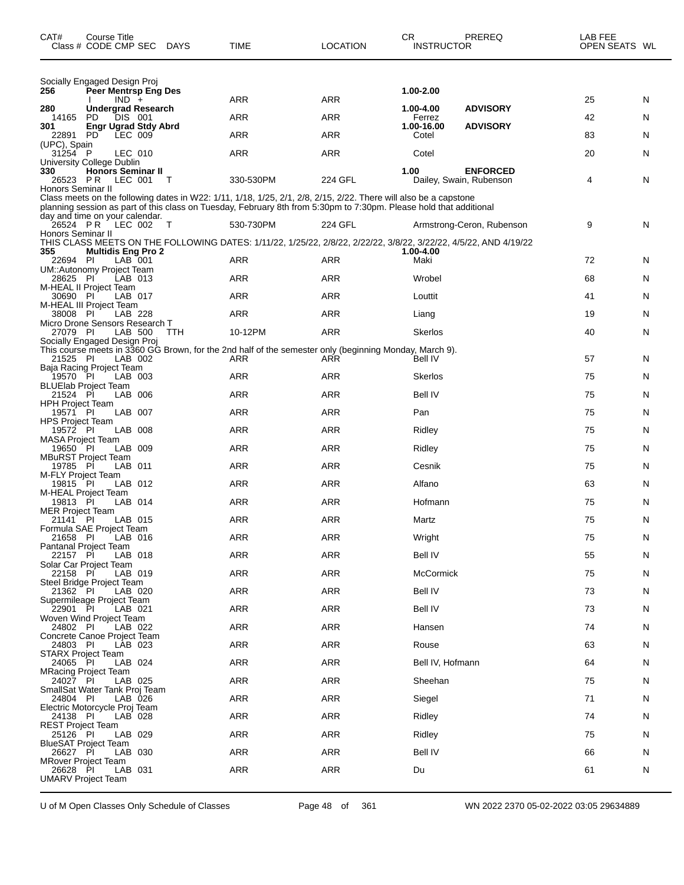| Socially Engaged Design Proj<br>256<br>Peer Mentrsp Eng Des<br>1.00-2.00<br>ARR<br>ARR<br>25<br>N<br>$IND +$<br><b>ADVISORY</b><br>280<br><b>Undergrad Research</b><br>1.00-4.00<br><b>ARR</b><br><b>ARR</b><br>42<br>14165<br>PD<br>DIS 001<br>Ferrez<br>N<br><b>Engr Ugrad Stdy Abrd</b><br>1.00-16.00<br><b>ADVISORY</b><br>301<br>PD<br>LEC 009<br><b>ARR</b><br>83<br>ARR<br>Cotel<br>N<br>22891<br>(UPC), Spain<br><b>ARR</b><br><b>ARR</b><br>20<br>31254 P<br>Cotel<br>N<br>LEC 010<br>University College Dublin<br>330<br><b>Honors Seminar II</b><br>1.00<br><b>ENFORCED</b><br>330-530PM<br>224 GFL<br>N<br>P R<br>LEC 001<br>4<br>26523<br>Dailey, Swain, Rubenson<br>- T<br>Honors Seminar II<br>Class meets on the following dates in W22: 1/11, 1/18, 1/25, 2/1, 2/8, 2/15, 2/22. There will also be a capstone<br>planning session as part of this class on Tuesday, February 8th from 5:30pm to 7:30pm. Please hold that additional<br>day and time on your calendar.<br>26524 PR<br>9<br>LEC 002<br>530-730PM<br>224 GFL<br>N<br>- T<br>Armstrong-Ceron, Rubenson<br>Honors Seminar II<br>THIS CLASS MEETS ON THE FOLLOWING DATES: 1/11/22, 1/25/22, 2/8/22, 2/22/22, 3/8/22, 3/22/22, 4/5/22, AND 4/19/22<br>355<br><b>Multidis Eng Pro 2</b><br>1.00-4.00<br>ARR<br>72<br>22694 PI<br>LAB 001<br>ARR<br>Maki<br>N<br>UM::Autonomy Project Team<br><b>ARR</b><br>68<br>28625 PI<br>ARR<br>Wrobel<br>N<br>LAB 013<br>M-HEAL II Project Team<br><b>ARR</b><br>30690 PI<br>LAB 017<br>ARR<br>41<br>N<br>Louttit<br>M-HEAL III Project Team<br>ARR<br>ARR<br>19<br>N<br>38008 PI<br>LAB 228<br>Liang<br>Micro Drone Sensors Research T<br>27079 PI<br>10-12PM<br><b>ARR</b><br>40<br>N<br>LAB 500<br>TTH<br>Skerlos<br>Socially Engaged Design Proj<br>This course meets in 3360 GG Brown, for the 2nd half of the semester only (beginning Monday, March 9).<br>21525 PI<br>57<br>LAB 002<br>ARR<br>ARR<br>Bell IV<br>N<br>Baja Racing Project Team<br>19570 PI<br><b>ARR</b><br><b>ARR</b><br>75<br>LAB 003<br>Skerlos<br>N<br><b>BLUElab Project Team</b><br><b>ARR</b><br><b>ARR</b><br>21524 PI<br>LAB 006<br>Bell IV<br>75<br>N<br>HPH Project Team<br><b>ARR</b><br>19571 PI<br>LAB 007<br>ARR<br>Pan<br>75<br>N<br>HPS Project Team<br><b>ARR</b><br>75<br>19572 PI<br>LAB 008<br>ARR<br>N<br>Ridley<br><b>MASA Project Team</b><br><b>ARR</b><br>LAB 009<br>ARR<br>75<br>19650 PI<br>Ridley<br>N<br>MBuRST Project Team<br>19785 PI<br><b>ARR</b><br>75<br>LAB 011<br>ARR<br>Cesnik<br>N<br>M-FLY Project Team<br><b>ARR</b><br>63<br>19815 PI<br>LAB 012<br>ARR<br>Alfano<br>N<br>M-HEAL Project Team<br>LAB 014<br>ARR<br>ARR<br>75<br>19813 PI<br>Hofmann<br>N<br>MER Project Team<br><b>ARR</b><br>75<br>21141 PI<br>LAB 015<br>ARR<br>N<br>Martz<br>Formula SAE Project Team<br><b>ARR</b><br><b>ARR</b><br>21658 PI<br>LAB 016<br>Wright<br>75<br>N<br>Pantanal Project Team<br><b>ARR</b><br><b>ARR</b><br><b>Bell IV</b><br>55<br>22157 PI<br>LAB 018<br>N<br>Solar Car Project Team<br><b>ARR</b><br><b>ARR</b><br>McCormick<br>75<br>22158 PI<br>LAB 019<br>N<br>Steel Bridge Project Team<br>ARR<br><b>ARR</b><br><b>Bell IV</b><br>73<br>21362 PI<br>LAB 020<br>N<br>Supermileage Project Team<br><b>ARR</b><br><b>ARR</b><br><b>Bell IV</b><br>73<br>22901 PI<br>LAB 021<br>N<br>Woven Wind Project Team<br><b>ARR</b><br><b>ARR</b><br>74<br>Hansen<br>24802 PI<br>LAB 022<br>N<br>Concrete Canoe Project Team<br><b>ARR</b><br><b>ARR</b><br>24803 PI<br>Rouse<br>63<br>LAB 023<br>N<br>STARX Project Team<br><b>ARR</b><br><b>ARR</b><br>Bell IV, Hofmann<br>64<br>24065 PI<br>LAB 024<br>N<br><b>MRacing Project Team</b><br><b>ARR</b><br><b>ARR</b><br>75<br>24027 PI<br>LAB 025<br>Sheehan<br>N<br>SmallSat Water Tank Proj Team<br>ARR<br><b>ARR</b><br>71<br>24804 PI<br>Siegel<br>LAB 026<br>N<br>Electric Motorcycle Proj Team<br><b>ARR</b><br><b>ARR</b><br>24138 PI<br>Ridley<br>74<br>LAB 028<br>N<br><b>REST Project Team</b><br><b>ARR</b><br><b>ARR</b><br>Ridley<br>75<br>25126 PI<br>LAB 029<br>N<br><b>BlueSAT Project Team</b><br><b>ARR</b><br><b>ARR</b><br><b>Bell IV</b><br>26627 PI<br>66<br>LAB 030<br>N<br>MRover Project Team<br><b>ARR</b><br><b>ARR</b><br>26628 PI<br>LAB 031<br>Du<br>61<br>N<br>UMARV Project Team | CAT# | Course Title<br>Class # CODE CMP SEC | DAYS | TIME | <b>LOCATION</b> | СR<br><b>INSTRUCTOR</b> | PREREQ | LAB FEE<br>OPEN SEATS WL |  |
|--------------------------------------------------------------------------------------------------------------------------------------------------------------------------------------------------------------------------------------------------------------------------------------------------------------------------------------------------------------------------------------------------------------------------------------------------------------------------------------------------------------------------------------------------------------------------------------------------------------------------------------------------------------------------------------------------------------------------------------------------------------------------------------------------------------------------------------------------------------------------------------------------------------------------------------------------------------------------------------------------------------------------------------------------------------------------------------------------------------------------------------------------------------------------------------------------------------------------------------------------------------------------------------------------------------------------------------------------------------------------------------------------------------------------------------------------------------------------------------------------------------------------------------------------------------------------------------------------------------------------------------------------------------------------------------------------------------------------------------------------------------------------------------------------------------------------------------------------------------------------------------------------------------------------------------------------------------------------------------------------------------------------------------------------------------------------------------------------------------------------------------------------------------------------------------------------------------------------------------------------------------------------------------------------------------------------------------------------------------------------------------------------------------------------------------------------------------------------------------------------------------------------------------------------------------------------------------------------------------------------------------------------------------------------------------------------------------------------------------------------------------------------------------------------------------------------------------------------------------------------------------------------------------------------------------------------------------------------------------------------------------------------------------------------------------------------------------------------------------------------------------------------------------------------------------------------------------------------------------------------------------------------------------------------------------------------------------------------------------------------------------------------------------------------------------------------------------------------------------------------------------------------------------------------------------------------------------------------------------------------------------------------------------------------------------------------------------------------------------------------------------------------------------------------------------------------------------------------------------------------------------------------------------------------------------------------------------------------------------------------------------------------------------------------------------------------------------------------------------------------------------------------------------------------------------------------------------------------------------------------------------------------------------------|------|--------------------------------------|------|------|-----------------|-------------------------|--------|--------------------------|--|
|                                                                                                                                                                                                                                                                                                                                                                                                                                                                                                                                                                                                                                                                                                                                                                                                                                                                                                                                                                                                                                                                                                                                                                                                                                                                                                                                                                                                                                                                                                                                                                                                                                                                                                                                                                                                                                                                                                                                                                                                                                                                                                                                                                                                                                                                                                                                                                                                                                                                                                                                                                                                                                                                                                                                                                                                                                                                                                                                                                                                                                                                                                                                                                                                                                                                                                                                                                                                                                                                                                                                                                                                                                                                                                                                                                                                                                                                                                                                                                                                                                                                                                                                                                                                                                                                                            |      |                                      |      |      |                 |                         |        |                          |  |
|                                                                                                                                                                                                                                                                                                                                                                                                                                                                                                                                                                                                                                                                                                                                                                                                                                                                                                                                                                                                                                                                                                                                                                                                                                                                                                                                                                                                                                                                                                                                                                                                                                                                                                                                                                                                                                                                                                                                                                                                                                                                                                                                                                                                                                                                                                                                                                                                                                                                                                                                                                                                                                                                                                                                                                                                                                                                                                                                                                                                                                                                                                                                                                                                                                                                                                                                                                                                                                                                                                                                                                                                                                                                                                                                                                                                                                                                                                                                                                                                                                                                                                                                                                                                                                                                                            |      |                                      |      |      |                 |                         |        |                          |  |
|                                                                                                                                                                                                                                                                                                                                                                                                                                                                                                                                                                                                                                                                                                                                                                                                                                                                                                                                                                                                                                                                                                                                                                                                                                                                                                                                                                                                                                                                                                                                                                                                                                                                                                                                                                                                                                                                                                                                                                                                                                                                                                                                                                                                                                                                                                                                                                                                                                                                                                                                                                                                                                                                                                                                                                                                                                                                                                                                                                                                                                                                                                                                                                                                                                                                                                                                                                                                                                                                                                                                                                                                                                                                                                                                                                                                                                                                                                                                                                                                                                                                                                                                                                                                                                                                                            |      |                                      |      |      |                 |                         |        |                          |  |
|                                                                                                                                                                                                                                                                                                                                                                                                                                                                                                                                                                                                                                                                                                                                                                                                                                                                                                                                                                                                                                                                                                                                                                                                                                                                                                                                                                                                                                                                                                                                                                                                                                                                                                                                                                                                                                                                                                                                                                                                                                                                                                                                                                                                                                                                                                                                                                                                                                                                                                                                                                                                                                                                                                                                                                                                                                                                                                                                                                                                                                                                                                                                                                                                                                                                                                                                                                                                                                                                                                                                                                                                                                                                                                                                                                                                                                                                                                                                                                                                                                                                                                                                                                                                                                                                                            |      |                                      |      |      |                 |                         |        |                          |  |
|                                                                                                                                                                                                                                                                                                                                                                                                                                                                                                                                                                                                                                                                                                                                                                                                                                                                                                                                                                                                                                                                                                                                                                                                                                                                                                                                                                                                                                                                                                                                                                                                                                                                                                                                                                                                                                                                                                                                                                                                                                                                                                                                                                                                                                                                                                                                                                                                                                                                                                                                                                                                                                                                                                                                                                                                                                                                                                                                                                                                                                                                                                                                                                                                                                                                                                                                                                                                                                                                                                                                                                                                                                                                                                                                                                                                                                                                                                                                                                                                                                                                                                                                                                                                                                                                                            |      |                                      |      |      |                 |                         |        |                          |  |
|                                                                                                                                                                                                                                                                                                                                                                                                                                                                                                                                                                                                                                                                                                                                                                                                                                                                                                                                                                                                                                                                                                                                                                                                                                                                                                                                                                                                                                                                                                                                                                                                                                                                                                                                                                                                                                                                                                                                                                                                                                                                                                                                                                                                                                                                                                                                                                                                                                                                                                                                                                                                                                                                                                                                                                                                                                                                                                                                                                                                                                                                                                                                                                                                                                                                                                                                                                                                                                                                                                                                                                                                                                                                                                                                                                                                                                                                                                                                                                                                                                                                                                                                                                                                                                                                                            |      |                                      |      |      |                 |                         |        |                          |  |
|                                                                                                                                                                                                                                                                                                                                                                                                                                                                                                                                                                                                                                                                                                                                                                                                                                                                                                                                                                                                                                                                                                                                                                                                                                                                                                                                                                                                                                                                                                                                                                                                                                                                                                                                                                                                                                                                                                                                                                                                                                                                                                                                                                                                                                                                                                                                                                                                                                                                                                                                                                                                                                                                                                                                                                                                                                                                                                                                                                                                                                                                                                                                                                                                                                                                                                                                                                                                                                                                                                                                                                                                                                                                                                                                                                                                                                                                                                                                                                                                                                                                                                                                                                                                                                                                                            |      |                                      |      |      |                 |                         |        |                          |  |
|                                                                                                                                                                                                                                                                                                                                                                                                                                                                                                                                                                                                                                                                                                                                                                                                                                                                                                                                                                                                                                                                                                                                                                                                                                                                                                                                                                                                                                                                                                                                                                                                                                                                                                                                                                                                                                                                                                                                                                                                                                                                                                                                                                                                                                                                                                                                                                                                                                                                                                                                                                                                                                                                                                                                                                                                                                                                                                                                                                                                                                                                                                                                                                                                                                                                                                                                                                                                                                                                                                                                                                                                                                                                                                                                                                                                                                                                                                                                                                                                                                                                                                                                                                                                                                                                                            |      |                                      |      |      |                 |                         |        |                          |  |
|                                                                                                                                                                                                                                                                                                                                                                                                                                                                                                                                                                                                                                                                                                                                                                                                                                                                                                                                                                                                                                                                                                                                                                                                                                                                                                                                                                                                                                                                                                                                                                                                                                                                                                                                                                                                                                                                                                                                                                                                                                                                                                                                                                                                                                                                                                                                                                                                                                                                                                                                                                                                                                                                                                                                                                                                                                                                                                                                                                                                                                                                                                                                                                                                                                                                                                                                                                                                                                                                                                                                                                                                                                                                                                                                                                                                                                                                                                                                                                                                                                                                                                                                                                                                                                                                                            |      |                                      |      |      |                 |                         |        |                          |  |
|                                                                                                                                                                                                                                                                                                                                                                                                                                                                                                                                                                                                                                                                                                                                                                                                                                                                                                                                                                                                                                                                                                                                                                                                                                                                                                                                                                                                                                                                                                                                                                                                                                                                                                                                                                                                                                                                                                                                                                                                                                                                                                                                                                                                                                                                                                                                                                                                                                                                                                                                                                                                                                                                                                                                                                                                                                                                                                                                                                                                                                                                                                                                                                                                                                                                                                                                                                                                                                                                                                                                                                                                                                                                                                                                                                                                                                                                                                                                                                                                                                                                                                                                                                                                                                                                                            |      |                                      |      |      |                 |                         |        |                          |  |
|                                                                                                                                                                                                                                                                                                                                                                                                                                                                                                                                                                                                                                                                                                                                                                                                                                                                                                                                                                                                                                                                                                                                                                                                                                                                                                                                                                                                                                                                                                                                                                                                                                                                                                                                                                                                                                                                                                                                                                                                                                                                                                                                                                                                                                                                                                                                                                                                                                                                                                                                                                                                                                                                                                                                                                                                                                                                                                                                                                                                                                                                                                                                                                                                                                                                                                                                                                                                                                                                                                                                                                                                                                                                                                                                                                                                                                                                                                                                                                                                                                                                                                                                                                                                                                                                                            |      |                                      |      |      |                 |                         |        |                          |  |
|                                                                                                                                                                                                                                                                                                                                                                                                                                                                                                                                                                                                                                                                                                                                                                                                                                                                                                                                                                                                                                                                                                                                                                                                                                                                                                                                                                                                                                                                                                                                                                                                                                                                                                                                                                                                                                                                                                                                                                                                                                                                                                                                                                                                                                                                                                                                                                                                                                                                                                                                                                                                                                                                                                                                                                                                                                                                                                                                                                                                                                                                                                                                                                                                                                                                                                                                                                                                                                                                                                                                                                                                                                                                                                                                                                                                                                                                                                                                                                                                                                                                                                                                                                                                                                                                                            |      |                                      |      |      |                 |                         |        |                          |  |
|                                                                                                                                                                                                                                                                                                                                                                                                                                                                                                                                                                                                                                                                                                                                                                                                                                                                                                                                                                                                                                                                                                                                                                                                                                                                                                                                                                                                                                                                                                                                                                                                                                                                                                                                                                                                                                                                                                                                                                                                                                                                                                                                                                                                                                                                                                                                                                                                                                                                                                                                                                                                                                                                                                                                                                                                                                                                                                                                                                                                                                                                                                                                                                                                                                                                                                                                                                                                                                                                                                                                                                                                                                                                                                                                                                                                                                                                                                                                                                                                                                                                                                                                                                                                                                                                                            |      |                                      |      |      |                 |                         |        |                          |  |
|                                                                                                                                                                                                                                                                                                                                                                                                                                                                                                                                                                                                                                                                                                                                                                                                                                                                                                                                                                                                                                                                                                                                                                                                                                                                                                                                                                                                                                                                                                                                                                                                                                                                                                                                                                                                                                                                                                                                                                                                                                                                                                                                                                                                                                                                                                                                                                                                                                                                                                                                                                                                                                                                                                                                                                                                                                                                                                                                                                                                                                                                                                                                                                                                                                                                                                                                                                                                                                                                                                                                                                                                                                                                                                                                                                                                                                                                                                                                                                                                                                                                                                                                                                                                                                                                                            |      |                                      |      |      |                 |                         |        |                          |  |
|                                                                                                                                                                                                                                                                                                                                                                                                                                                                                                                                                                                                                                                                                                                                                                                                                                                                                                                                                                                                                                                                                                                                                                                                                                                                                                                                                                                                                                                                                                                                                                                                                                                                                                                                                                                                                                                                                                                                                                                                                                                                                                                                                                                                                                                                                                                                                                                                                                                                                                                                                                                                                                                                                                                                                                                                                                                                                                                                                                                                                                                                                                                                                                                                                                                                                                                                                                                                                                                                                                                                                                                                                                                                                                                                                                                                                                                                                                                                                                                                                                                                                                                                                                                                                                                                                            |      |                                      |      |      |                 |                         |        |                          |  |
|                                                                                                                                                                                                                                                                                                                                                                                                                                                                                                                                                                                                                                                                                                                                                                                                                                                                                                                                                                                                                                                                                                                                                                                                                                                                                                                                                                                                                                                                                                                                                                                                                                                                                                                                                                                                                                                                                                                                                                                                                                                                                                                                                                                                                                                                                                                                                                                                                                                                                                                                                                                                                                                                                                                                                                                                                                                                                                                                                                                                                                                                                                                                                                                                                                                                                                                                                                                                                                                                                                                                                                                                                                                                                                                                                                                                                                                                                                                                                                                                                                                                                                                                                                                                                                                                                            |      |                                      |      |      |                 |                         |        |                          |  |
|                                                                                                                                                                                                                                                                                                                                                                                                                                                                                                                                                                                                                                                                                                                                                                                                                                                                                                                                                                                                                                                                                                                                                                                                                                                                                                                                                                                                                                                                                                                                                                                                                                                                                                                                                                                                                                                                                                                                                                                                                                                                                                                                                                                                                                                                                                                                                                                                                                                                                                                                                                                                                                                                                                                                                                                                                                                                                                                                                                                                                                                                                                                                                                                                                                                                                                                                                                                                                                                                                                                                                                                                                                                                                                                                                                                                                                                                                                                                                                                                                                                                                                                                                                                                                                                                                            |      |                                      |      |      |                 |                         |        |                          |  |
|                                                                                                                                                                                                                                                                                                                                                                                                                                                                                                                                                                                                                                                                                                                                                                                                                                                                                                                                                                                                                                                                                                                                                                                                                                                                                                                                                                                                                                                                                                                                                                                                                                                                                                                                                                                                                                                                                                                                                                                                                                                                                                                                                                                                                                                                                                                                                                                                                                                                                                                                                                                                                                                                                                                                                                                                                                                                                                                                                                                                                                                                                                                                                                                                                                                                                                                                                                                                                                                                                                                                                                                                                                                                                                                                                                                                                                                                                                                                                                                                                                                                                                                                                                                                                                                                                            |      |                                      |      |      |                 |                         |        |                          |  |
|                                                                                                                                                                                                                                                                                                                                                                                                                                                                                                                                                                                                                                                                                                                                                                                                                                                                                                                                                                                                                                                                                                                                                                                                                                                                                                                                                                                                                                                                                                                                                                                                                                                                                                                                                                                                                                                                                                                                                                                                                                                                                                                                                                                                                                                                                                                                                                                                                                                                                                                                                                                                                                                                                                                                                                                                                                                                                                                                                                                                                                                                                                                                                                                                                                                                                                                                                                                                                                                                                                                                                                                                                                                                                                                                                                                                                                                                                                                                                                                                                                                                                                                                                                                                                                                                                            |      |                                      |      |      |                 |                         |        |                          |  |
|                                                                                                                                                                                                                                                                                                                                                                                                                                                                                                                                                                                                                                                                                                                                                                                                                                                                                                                                                                                                                                                                                                                                                                                                                                                                                                                                                                                                                                                                                                                                                                                                                                                                                                                                                                                                                                                                                                                                                                                                                                                                                                                                                                                                                                                                                                                                                                                                                                                                                                                                                                                                                                                                                                                                                                                                                                                                                                                                                                                                                                                                                                                                                                                                                                                                                                                                                                                                                                                                                                                                                                                                                                                                                                                                                                                                                                                                                                                                                                                                                                                                                                                                                                                                                                                                                            |      |                                      |      |      |                 |                         |        |                          |  |
|                                                                                                                                                                                                                                                                                                                                                                                                                                                                                                                                                                                                                                                                                                                                                                                                                                                                                                                                                                                                                                                                                                                                                                                                                                                                                                                                                                                                                                                                                                                                                                                                                                                                                                                                                                                                                                                                                                                                                                                                                                                                                                                                                                                                                                                                                                                                                                                                                                                                                                                                                                                                                                                                                                                                                                                                                                                                                                                                                                                                                                                                                                                                                                                                                                                                                                                                                                                                                                                                                                                                                                                                                                                                                                                                                                                                                                                                                                                                                                                                                                                                                                                                                                                                                                                                                            |      |                                      |      |      |                 |                         |        |                          |  |
|                                                                                                                                                                                                                                                                                                                                                                                                                                                                                                                                                                                                                                                                                                                                                                                                                                                                                                                                                                                                                                                                                                                                                                                                                                                                                                                                                                                                                                                                                                                                                                                                                                                                                                                                                                                                                                                                                                                                                                                                                                                                                                                                                                                                                                                                                                                                                                                                                                                                                                                                                                                                                                                                                                                                                                                                                                                                                                                                                                                                                                                                                                                                                                                                                                                                                                                                                                                                                                                                                                                                                                                                                                                                                                                                                                                                                                                                                                                                                                                                                                                                                                                                                                                                                                                                                            |      |                                      |      |      |                 |                         |        |                          |  |
|                                                                                                                                                                                                                                                                                                                                                                                                                                                                                                                                                                                                                                                                                                                                                                                                                                                                                                                                                                                                                                                                                                                                                                                                                                                                                                                                                                                                                                                                                                                                                                                                                                                                                                                                                                                                                                                                                                                                                                                                                                                                                                                                                                                                                                                                                                                                                                                                                                                                                                                                                                                                                                                                                                                                                                                                                                                                                                                                                                                                                                                                                                                                                                                                                                                                                                                                                                                                                                                                                                                                                                                                                                                                                                                                                                                                                                                                                                                                                                                                                                                                                                                                                                                                                                                                                            |      |                                      |      |      |                 |                         |        |                          |  |
|                                                                                                                                                                                                                                                                                                                                                                                                                                                                                                                                                                                                                                                                                                                                                                                                                                                                                                                                                                                                                                                                                                                                                                                                                                                                                                                                                                                                                                                                                                                                                                                                                                                                                                                                                                                                                                                                                                                                                                                                                                                                                                                                                                                                                                                                                                                                                                                                                                                                                                                                                                                                                                                                                                                                                                                                                                                                                                                                                                                                                                                                                                                                                                                                                                                                                                                                                                                                                                                                                                                                                                                                                                                                                                                                                                                                                                                                                                                                                                                                                                                                                                                                                                                                                                                                                            |      |                                      |      |      |                 |                         |        |                          |  |
|                                                                                                                                                                                                                                                                                                                                                                                                                                                                                                                                                                                                                                                                                                                                                                                                                                                                                                                                                                                                                                                                                                                                                                                                                                                                                                                                                                                                                                                                                                                                                                                                                                                                                                                                                                                                                                                                                                                                                                                                                                                                                                                                                                                                                                                                                                                                                                                                                                                                                                                                                                                                                                                                                                                                                                                                                                                                                                                                                                                                                                                                                                                                                                                                                                                                                                                                                                                                                                                                                                                                                                                                                                                                                                                                                                                                                                                                                                                                                                                                                                                                                                                                                                                                                                                                                            |      |                                      |      |      |                 |                         |        |                          |  |
|                                                                                                                                                                                                                                                                                                                                                                                                                                                                                                                                                                                                                                                                                                                                                                                                                                                                                                                                                                                                                                                                                                                                                                                                                                                                                                                                                                                                                                                                                                                                                                                                                                                                                                                                                                                                                                                                                                                                                                                                                                                                                                                                                                                                                                                                                                                                                                                                                                                                                                                                                                                                                                                                                                                                                                                                                                                                                                                                                                                                                                                                                                                                                                                                                                                                                                                                                                                                                                                                                                                                                                                                                                                                                                                                                                                                                                                                                                                                                                                                                                                                                                                                                                                                                                                                                            |      |                                      |      |      |                 |                         |        |                          |  |
|                                                                                                                                                                                                                                                                                                                                                                                                                                                                                                                                                                                                                                                                                                                                                                                                                                                                                                                                                                                                                                                                                                                                                                                                                                                                                                                                                                                                                                                                                                                                                                                                                                                                                                                                                                                                                                                                                                                                                                                                                                                                                                                                                                                                                                                                                                                                                                                                                                                                                                                                                                                                                                                                                                                                                                                                                                                                                                                                                                                                                                                                                                                                                                                                                                                                                                                                                                                                                                                                                                                                                                                                                                                                                                                                                                                                                                                                                                                                                                                                                                                                                                                                                                                                                                                                                            |      |                                      |      |      |                 |                         |        |                          |  |
|                                                                                                                                                                                                                                                                                                                                                                                                                                                                                                                                                                                                                                                                                                                                                                                                                                                                                                                                                                                                                                                                                                                                                                                                                                                                                                                                                                                                                                                                                                                                                                                                                                                                                                                                                                                                                                                                                                                                                                                                                                                                                                                                                                                                                                                                                                                                                                                                                                                                                                                                                                                                                                                                                                                                                                                                                                                                                                                                                                                                                                                                                                                                                                                                                                                                                                                                                                                                                                                                                                                                                                                                                                                                                                                                                                                                                                                                                                                                                                                                                                                                                                                                                                                                                                                                                            |      |                                      |      |      |                 |                         |        |                          |  |
|                                                                                                                                                                                                                                                                                                                                                                                                                                                                                                                                                                                                                                                                                                                                                                                                                                                                                                                                                                                                                                                                                                                                                                                                                                                                                                                                                                                                                                                                                                                                                                                                                                                                                                                                                                                                                                                                                                                                                                                                                                                                                                                                                                                                                                                                                                                                                                                                                                                                                                                                                                                                                                                                                                                                                                                                                                                                                                                                                                                                                                                                                                                                                                                                                                                                                                                                                                                                                                                                                                                                                                                                                                                                                                                                                                                                                                                                                                                                                                                                                                                                                                                                                                                                                                                                                            |      |                                      |      |      |                 |                         |        |                          |  |
|                                                                                                                                                                                                                                                                                                                                                                                                                                                                                                                                                                                                                                                                                                                                                                                                                                                                                                                                                                                                                                                                                                                                                                                                                                                                                                                                                                                                                                                                                                                                                                                                                                                                                                                                                                                                                                                                                                                                                                                                                                                                                                                                                                                                                                                                                                                                                                                                                                                                                                                                                                                                                                                                                                                                                                                                                                                                                                                                                                                                                                                                                                                                                                                                                                                                                                                                                                                                                                                                                                                                                                                                                                                                                                                                                                                                                                                                                                                                                                                                                                                                                                                                                                                                                                                                                            |      |                                      |      |      |                 |                         |        |                          |  |
|                                                                                                                                                                                                                                                                                                                                                                                                                                                                                                                                                                                                                                                                                                                                                                                                                                                                                                                                                                                                                                                                                                                                                                                                                                                                                                                                                                                                                                                                                                                                                                                                                                                                                                                                                                                                                                                                                                                                                                                                                                                                                                                                                                                                                                                                                                                                                                                                                                                                                                                                                                                                                                                                                                                                                                                                                                                                                                                                                                                                                                                                                                                                                                                                                                                                                                                                                                                                                                                                                                                                                                                                                                                                                                                                                                                                                                                                                                                                                                                                                                                                                                                                                                                                                                                                                            |      |                                      |      |      |                 |                         |        |                          |  |
|                                                                                                                                                                                                                                                                                                                                                                                                                                                                                                                                                                                                                                                                                                                                                                                                                                                                                                                                                                                                                                                                                                                                                                                                                                                                                                                                                                                                                                                                                                                                                                                                                                                                                                                                                                                                                                                                                                                                                                                                                                                                                                                                                                                                                                                                                                                                                                                                                                                                                                                                                                                                                                                                                                                                                                                                                                                                                                                                                                                                                                                                                                                                                                                                                                                                                                                                                                                                                                                                                                                                                                                                                                                                                                                                                                                                                                                                                                                                                                                                                                                                                                                                                                                                                                                                                            |      |                                      |      |      |                 |                         |        |                          |  |
|                                                                                                                                                                                                                                                                                                                                                                                                                                                                                                                                                                                                                                                                                                                                                                                                                                                                                                                                                                                                                                                                                                                                                                                                                                                                                                                                                                                                                                                                                                                                                                                                                                                                                                                                                                                                                                                                                                                                                                                                                                                                                                                                                                                                                                                                                                                                                                                                                                                                                                                                                                                                                                                                                                                                                                                                                                                                                                                                                                                                                                                                                                                                                                                                                                                                                                                                                                                                                                                                                                                                                                                                                                                                                                                                                                                                                                                                                                                                                                                                                                                                                                                                                                                                                                                                                            |      |                                      |      |      |                 |                         |        |                          |  |
|                                                                                                                                                                                                                                                                                                                                                                                                                                                                                                                                                                                                                                                                                                                                                                                                                                                                                                                                                                                                                                                                                                                                                                                                                                                                                                                                                                                                                                                                                                                                                                                                                                                                                                                                                                                                                                                                                                                                                                                                                                                                                                                                                                                                                                                                                                                                                                                                                                                                                                                                                                                                                                                                                                                                                                                                                                                                                                                                                                                                                                                                                                                                                                                                                                                                                                                                                                                                                                                                                                                                                                                                                                                                                                                                                                                                                                                                                                                                                                                                                                                                                                                                                                                                                                                                                            |      |                                      |      |      |                 |                         |        |                          |  |
|                                                                                                                                                                                                                                                                                                                                                                                                                                                                                                                                                                                                                                                                                                                                                                                                                                                                                                                                                                                                                                                                                                                                                                                                                                                                                                                                                                                                                                                                                                                                                                                                                                                                                                                                                                                                                                                                                                                                                                                                                                                                                                                                                                                                                                                                                                                                                                                                                                                                                                                                                                                                                                                                                                                                                                                                                                                                                                                                                                                                                                                                                                                                                                                                                                                                                                                                                                                                                                                                                                                                                                                                                                                                                                                                                                                                                                                                                                                                                                                                                                                                                                                                                                                                                                                                                            |      |                                      |      |      |                 |                         |        |                          |  |
|                                                                                                                                                                                                                                                                                                                                                                                                                                                                                                                                                                                                                                                                                                                                                                                                                                                                                                                                                                                                                                                                                                                                                                                                                                                                                                                                                                                                                                                                                                                                                                                                                                                                                                                                                                                                                                                                                                                                                                                                                                                                                                                                                                                                                                                                                                                                                                                                                                                                                                                                                                                                                                                                                                                                                                                                                                                                                                                                                                                                                                                                                                                                                                                                                                                                                                                                                                                                                                                                                                                                                                                                                                                                                                                                                                                                                                                                                                                                                                                                                                                                                                                                                                                                                                                                                            |      |                                      |      |      |                 |                         |        |                          |  |
|                                                                                                                                                                                                                                                                                                                                                                                                                                                                                                                                                                                                                                                                                                                                                                                                                                                                                                                                                                                                                                                                                                                                                                                                                                                                                                                                                                                                                                                                                                                                                                                                                                                                                                                                                                                                                                                                                                                                                                                                                                                                                                                                                                                                                                                                                                                                                                                                                                                                                                                                                                                                                                                                                                                                                                                                                                                                                                                                                                                                                                                                                                                                                                                                                                                                                                                                                                                                                                                                                                                                                                                                                                                                                                                                                                                                                                                                                                                                                                                                                                                                                                                                                                                                                                                                                            |      |                                      |      |      |                 |                         |        |                          |  |
|                                                                                                                                                                                                                                                                                                                                                                                                                                                                                                                                                                                                                                                                                                                                                                                                                                                                                                                                                                                                                                                                                                                                                                                                                                                                                                                                                                                                                                                                                                                                                                                                                                                                                                                                                                                                                                                                                                                                                                                                                                                                                                                                                                                                                                                                                                                                                                                                                                                                                                                                                                                                                                                                                                                                                                                                                                                                                                                                                                                                                                                                                                                                                                                                                                                                                                                                                                                                                                                                                                                                                                                                                                                                                                                                                                                                                                                                                                                                                                                                                                                                                                                                                                                                                                                                                            |      |                                      |      |      |                 |                         |        |                          |  |
|                                                                                                                                                                                                                                                                                                                                                                                                                                                                                                                                                                                                                                                                                                                                                                                                                                                                                                                                                                                                                                                                                                                                                                                                                                                                                                                                                                                                                                                                                                                                                                                                                                                                                                                                                                                                                                                                                                                                                                                                                                                                                                                                                                                                                                                                                                                                                                                                                                                                                                                                                                                                                                                                                                                                                                                                                                                                                                                                                                                                                                                                                                                                                                                                                                                                                                                                                                                                                                                                                                                                                                                                                                                                                                                                                                                                                                                                                                                                                                                                                                                                                                                                                                                                                                                                                            |      |                                      |      |      |                 |                         |        |                          |  |

U of M Open Classes Only Schedule of Classes Page 48 of 361 WN 2022 2370 05-02-2022 03:05 29634889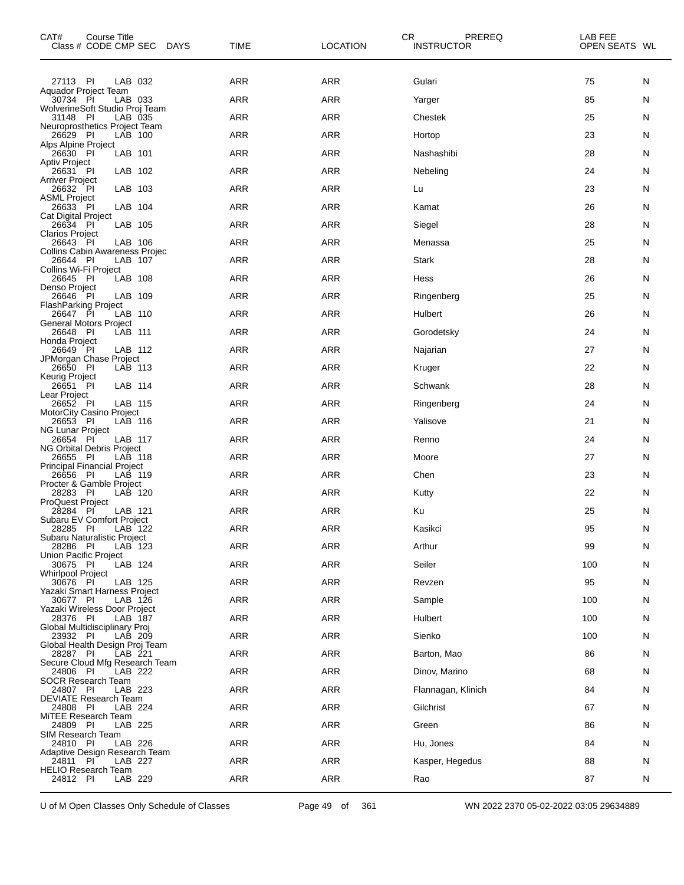| CAT#<br>Course Title<br>Class # CODE CMP SEC DAYS            | TIME       | <b>CR</b><br><b>LOCATION</b> | PREREQ<br><b>INSTRUCTOR</b> | LAB FEE<br>OPEN SEATS WL |   |
|--------------------------------------------------------------|------------|------------------------------|-----------------------------|--------------------------|---|
| LAB 032<br>27113 PI                                          | ARR        | ARR                          | Gulari                      | 75                       | N |
| Aquador Project Team<br>30734 PI<br>LAB 033                  | <b>ARR</b> | ARR                          | Yarger                      | 85                       | N |
| WolverineSoft Studio Proj Team<br>LAB 035<br>31148 PI        | <b>ARR</b> | <b>ARR</b>                   | Chestek                     | 25                       | N |
| Neuroprosthetics Project Team<br>LAB 100<br>26629 PI         | ARR        | <b>ARR</b>                   | Hortop                      | 23                       | N |
| Alps Alpine Project<br>26630 PI<br>LAB 101                   | ARR        | <b>ARR</b>                   | Nashashibi                  | 28                       | N |
| <b>Aptiv Project</b><br>LAB 102<br>26631 PI                  | <b>ARR</b> | ARR                          | Nebeling                    | 24                       | N |
| <b>Arriver Project</b><br>26632 PI<br>LAB 103                | ARR        | <b>ARR</b>                   | Lu                          | 23                       | N |
| <b>ASML Project</b><br>26633 PI<br>LAB 104                   | ARR        | <b>ARR</b>                   | Kamat                       | 26                       | N |
| Cat Digital Project<br>LAB 105<br>26634 PI                   | <b>ARR</b> | <b>ARR</b>                   | Siegel                      | 28                       | N |
| <b>Clarios Project</b><br>26643 PI<br>LAB 106                | ARR        | <b>ARR</b>                   | Menassa                     | 25                       | N |
| <b>Collins Cabin Awareness Projec</b><br>26644 PI<br>LAB 107 | ARR        | <b>ARR</b>                   | Stark                       | 28                       | N |
| Collins Wi-Fi Project<br>LAB 108<br>26645 PI                 | <b>ARR</b> | <b>ARR</b>                   | Hess                        | 26                       | N |
| Denso Project<br>LAB 109<br>26646                            | ARR        | <b>ARR</b>                   | Ringenberg                  | 25                       |   |
| PI<br><b>FlashParking Project</b>                            |            |                              |                             |                          | N |
| 26647<br>- PI<br>LAB 110<br><b>General Motors Project</b>    | ARR        | ARR                          | Hulbert                     | 26                       | N |
| 26648 PI<br>LAB 111<br>Honda Project                         | <b>ARR</b> | ARR                          | Gorodetsky                  | 24                       | N |
| 26649 PI<br>LAB 112<br>JPMorgan Chase Project                | <b>ARR</b> | <b>ARR</b>                   | Najarian                    | 27                       | N |
| 26650 PI<br>LAB 113<br>Keurig Project                        | ARR        | <b>ARR</b>                   | Kruger                      | 22                       | N |
| LAB 114<br>26651 PI<br>Lear Project                          | <b>ARR</b> | <b>ARR</b>                   | Schwank                     | 28                       | N |
| 26652 PI<br>LAB 115<br>MotorCity Casino Project              | ARR        | ARR                          | Ringenberg                  | 24                       | N |
| 26653 PI<br>LAB 116<br><b>NG Lunar Project</b>               | <b>ARR</b> | <b>ARR</b>                   | Yalisove                    | 21                       | N |
| 26654 PI<br>LAB 117<br>NG Orbital Debris Project             | <b>ARR</b> | ARR                          | Renno                       | 24                       | N |
| 26655 PI<br>LAB 118<br><b>Principal Financial Project</b>    | ARR        | ARR                          | Moore                       | 27                       | N |
| 26656 PI<br>LAB 119<br>Procter & Gamble Project              | <b>ARR</b> | <b>ARR</b>                   | Chen                        | 23                       | N |
| 28283 PI<br>LAB 120<br><b>ProQuest Project</b>               | <b>ARR</b> | <b>ARR</b>                   | Kutty                       | 22                       | N |
| 28284 PI<br>LAB 121<br>Subaru EV Comfort Project             | ARR        | ARR                          | Ku                          | 25                       | N |
| LAB 122<br>28285 PI<br>Subaru Naturalistic Project           | $\sf{ARR}$ | ARR                          | Kasikci                     | 95                       | N |
| 28286 PI<br>LAB 123<br>Union Pacific Project                 | ARR        | <b>ARR</b>                   | Arthur                      | 99                       | N |
| LAB 124<br>30675 PI                                          | ARR        | <b>ARR</b>                   | Seiler                      | 100                      | N |
| <b>Whirlpool Project</b><br>30676 PI<br>LAB 125              | <b>ARR</b> | <b>ARR</b>                   | Revzen                      | 95                       | N |
| Yazaki Smart Harness Project<br>LAB 126<br>30677 PI          | ARR        | <b>ARR</b>                   | Sample                      | 100                      | N |
| Yazaki Wireless Door Project<br>28376 PI<br>LAB 187          | ARR        | <b>ARR</b>                   | Hulbert                     | 100                      | N |
| Global Multidisciplinary Proj<br>23932 PI<br>LAB 209         | <b>ARR</b> | <b>ARR</b>                   | Sienko                      | 100                      | N |
| Global Health Design Proj Team<br>28287 PI<br>LAB 221        | ARR        | <b>ARR</b>                   | Barton, Mao                 | 86                       | N |
| Secure Cloud Mfg Research Team<br>24806 PI<br>LAB 222        | ARR        | <b>ARR</b>                   | Dinov, Marino               | 68                       | N |
| <b>SOCR Research Team</b><br>24807 PI<br>LAB 223             | <b>ARR</b> | <b>ARR</b>                   | Flannagan, Klinich          | 84                       | N |
| <b>DEVIATE Research Team</b><br>24808 PI<br>LAB 224          | ARR        | <b>ARR</b>                   | Gilchrist                   | 67                       | N |
| MITEE Research Team<br>24809 PI<br>LAB 225                   | ARR        | <b>ARR</b>                   | Green                       | 86                       | N |
| SIM Research Team<br>24810 PI<br>LAB 226                     | <b>ARR</b> | <b>ARR</b>                   | Hu, Jones                   | 84                       | N |
| Adaptive Design Research Team<br>24811 PI<br>LAB 227         | ARR        | <b>ARR</b>                   | Kasper, Hegedus             | 88                       | N |
| <b>HELIO Research Team</b><br>24812 PI<br>LAB 229            | ARR        | ARR                          | Rao                         | 87                       | N |

U of M Open Classes Only Schedule of Classes Page 49 of 361 WN 2022 2370 05-02-2022 03:05 29634889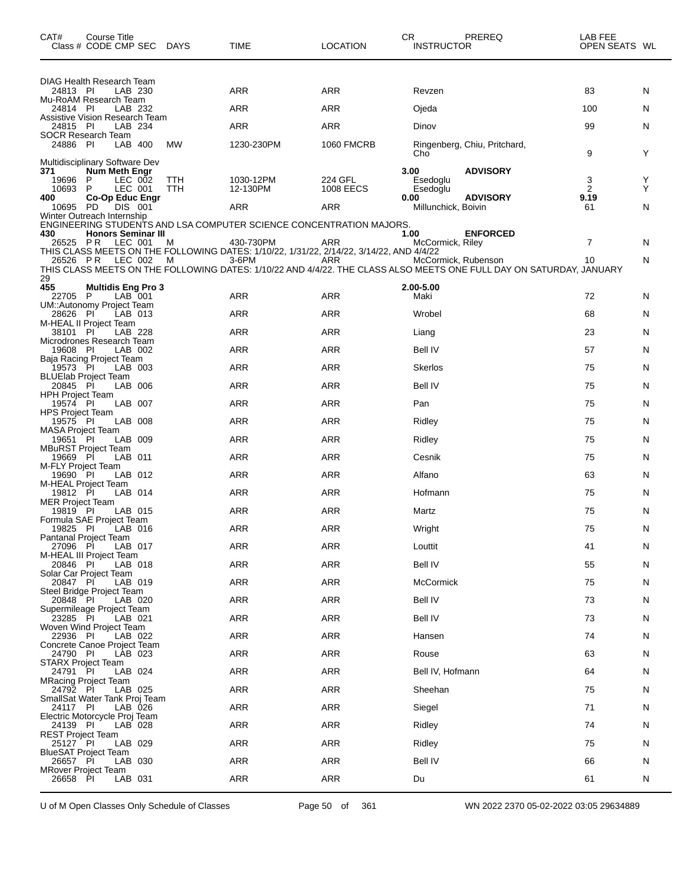| CAT#                                 | Course Title<br>Class # CODE CMP SEC DAYS              |                   | TIME                                                                                                | <b>LOCATION</b>      | CR<br><b>INSTRUCTOR</b>     | PREREQ                                                                                                              | LAB FEE<br>OPEN SEATS WL |        |
|--------------------------------------|--------------------------------------------------------|-------------------|-----------------------------------------------------------------------------------------------------|----------------------|-----------------------------|---------------------------------------------------------------------------------------------------------------------|--------------------------|--------|
| 24813 PI                             | DIAG Health Research Team<br>LAB 230                   |                   | ARR                                                                                                 | ARR                  | Revzen                      |                                                                                                                     | 83                       | N      |
|                                      | Mu-RoAM Research Team                                  |                   |                                                                                                     |                      |                             |                                                                                                                     |                          |        |
| 24814 PI                             | LAB 232<br>Assistive Vision Research Team              |                   | ARR                                                                                                 | ARR                  | Ojeda                       |                                                                                                                     | 100                      | N      |
| 24815 PI                             | LAB 234<br><b>SOCR Research Team</b>                   |                   | <b>ARR</b>                                                                                          | ARR                  | Dinov                       |                                                                                                                     | 99                       | N      |
| 24886 PI                             | LAB 400                                                | МW                | 1230-230PM                                                                                          | <b>1060 FMCRB</b>    | Cho                         | Ringenberg, Chiu, Pritchard,                                                                                        | 9                        | Y      |
| 371                                  | Multidisciplinary Software Dev<br><b>Num Meth Engr</b> |                   |                                                                                                     |                      | 3.00                        | <b>ADVISORY</b>                                                                                                     |                          |        |
| 19696 P<br>10693 P                   | LEC 002<br>LEC 001                                     | <b>TTH</b><br>TTH | 1030-12PM<br>12-130PM                                                                               | 224 GFL<br>1008 EECS | Esedoglu<br>Esedoglu        |                                                                                                                     | 3<br>2                   | Y<br>Y |
| 400<br>10695 PD                      | <b>Co-Op Educ Engr</b><br>DIS 001                      |                   | ARR                                                                                                 | ARR                  | 0.00<br>Millunchick, Boivin | <b>ADVISORY</b>                                                                                                     | 9.19<br>61               | N      |
|                                      | Winter Outreach Internship                             |                   | ENGINEERING STUDENTS AND LSA COMPUTER SCIENCE CONCENTRATION MAJORS.                                 |                      |                             |                                                                                                                     |                          |        |
| 430<br>26525 PR                      | <b>Honors Seminar III</b><br>LEC 001                   | M                 | 430-730PM                                                                                           | ARR                  | 1.00<br>McCormick, Riley    | <b>ENFORCED</b>                                                                                                     | $\overline{7}$           | N      |
|                                      | 26526 PR LEC 002                                       | M                 | THIS CLASS MEETS ON THE FOLLOWING DATES: 1/10/22, 1/31/22, 2/14/22, 3/14/22, AND 4/4/22<br>$3-6$ PM | ARR                  | McCormick, Rubenson         |                                                                                                                     | 10                       | N      |
| 29                                   |                                                        |                   |                                                                                                     |                      |                             | THIS CLASS MEETS ON THE FOLLOWING DATES: 1/10/22 AND 4/4/22. THE CLASS ALSO MEETS ONE FULL DAY ON SATURDAY, JANUARY |                          |        |
| 455<br>22705 P                       | <b>Multidis Eng Pro 3</b><br>LAB 001                   |                   | ARR                                                                                                 | ARR                  | 2.00-5.00<br>Maki           |                                                                                                                     | 72                       |        |
|                                      | UM::Autonomy Project Team                              |                   | <b>ARR</b>                                                                                          | <b>ARR</b>           | Wrobel                      |                                                                                                                     |                          | N      |
| 28626 PI                             | LAB 013<br>M-HEAL II Project Team                      |                   |                                                                                                     |                      |                             |                                                                                                                     | 68                       | N      |
| 38101 PI                             | LAB 228<br>Microdrones Research Team                   |                   | ARR                                                                                                 | ARR                  | Liang                       |                                                                                                                     | 23                       | N      |
| 19608 PI                             | LAB 002<br>Baja Racing Project Team                    |                   | ARR                                                                                                 | ARR                  | Bell IV                     |                                                                                                                     | 57                       | N      |
| 19573 PI                             | LAB 003<br><b>BLUElab Project Team</b>                 |                   | <b>ARR</b>                                                                                          | ARR                  | Skerlos                     |                                                                                                                     | 75                       | N      |
| 20845 PI<br><b>HPH Project Team</b>  | LAB 006                                                |                   | ARR                                                                                                 | ARR                  | <b>Bell IV</b>              |                                                                                                                     | 75                       | N      |
| 19574 PI<br><b>HPS Project Team</b>  | LAB 007                                                |                   | ARR                                                                                                 | ARR                  | Pan                         |                                                                                                                     | 75                       | N      |
| 19575 PI<br><b>MASA Project Team</b> | LAB 008                                                |                   | <b>ARR</b>                                                                                          | ARR                  | Ridley                      |                                                                                                                     | 75                       | N      |
| 19651 PI                             | LAB 009<br><b>MBuRST Project Team</b>                  |                   | ARR                                                                                                 | ARR                  | Ridley                      |                                                                                                                     | 75                       | N      |
| 19669 PI<br>M-FLY Project Team       | LAB 011                                                |                   | ARR                                                                                                 | ARR                  | Cesnik                      |                                                                                                                     | 75                       | N      |
| 19690 PI                             | LAB 012<br>M-HEAL Project Team                         |                   | ARR                                                                                                 | ARR                  | Alfano                      |                                                                                                                     | 63                       | N      |
| 19812 PI<br><b>MER Project Team</b>  | LAB 014                                                |                   | ARR                                                                                                 | ARR                  | Hofmann                     |                                                                                                                     | 75                       | N      |
| 19819 PI                             | LAB 015                                                |                   | ARR                                                                                                 | ARR                  | Martz                       |                                                                                                                     | 75                       | N      |
| 19825 PI                             | Formula SAE Project Team<br>LAB 016                    |                   | ARR                                                                                                 | ARR                  | Wright                      |                                                                                                                     | 75                       | N      |
| 27096 PI                             | <b>Pantanal Project Team</b><br>LAB 017                |                   | <b>ARR</b>                                                                                          | ARR                  | Louttit                     |                                                                                                                     | 41                       | N      |
| 20846 PI                             | M-HEAL III Project Team<br>LAB 018                     |                   | ARR                                                                                                 | ARR                  | <b>Bell IV</b>              |                                                                                                                     | 55                       | N      |
| 20847 PI                             | Solar Car Project Team<br>LAB 019                      |                   | ARR                                                                                                 | ARR                  | <b>McCormick</b>            |                                                                                                                     | 75                       | N      |
| 20848 PI                             | Steel Bridge Project Team<br>LAB 020                   |                   | ARR                                                                                                 | ARR                  | <b>Bell IV</b>              |                                                                                                                     | 73                       | N      |
| 23285 PI                             | Supermileage Project Team<br>LAB 021                   |                   | ARR                                                                                                 | ARR                  | <b>Bell IV</b>              |                                                                                                                     | 73                       | N      |
| 22936 PI                             | Woven Wind Project Team<br>LAB 022                     |                   | ARR                                                                                                 | ARR                  | Hansen                      |                                                                                                                     | 74                       | N      |
| 24790 PI                             | Concrete Canoe Project Team<br>LAB 023                 |                   | ARR                                                                                                 | ARR                  | Rouse                       |                                                                                                                     | 63                       | N      |
| 24791 PI                             | <b>STARX Project Team</b><br>LAB 024                   |                   | ARR                                                                                                 | ARR                  | Bell IV, Hofmann            |                                                                                                                     | 64                       | N      |
| 24792 PI                             | <b>MRacing Project Team</b><br>LAB 025                 |                   | ARR                                                                                                 | ARR                  | Sheehan                     |                                                                                                                     | 75                       | N      |
|                                      | SmallSat Water Tank Proj Team                          |                   |                                                                                                     |                      |                             |                                                                                                                     |                          |        |
| 24117 PI                             | LAB 026<br>Electric Motorcycle Proj Team               |                   | ARR                                                                                                 | ARR                  | Siegel                      |                                                                                                                     | 71                       | N      |
| 24139 PI<br><b>REST Project Team</b> | LAB 028                                                |                   | ARR                                                                                                 | ARR                  | Ridley                      |                                                                                                                     | 74                       | N      |
| 25127 PI                             | LAB 029<br><b>BlueSAT Project Team</b>                 |                   | ARR                                                                                                 | ARR                  | Ridley                      |                                                                                                                     | 75                       | N      |
| 26657 PI                             | LAB 030<br><b>MRover Project Team</b>                  |                   | ARR                                                                                                 | ARR                  | Bell IV                     |                                                                                                                     | 66                       | N      |
| 26658 PI                             | LAB 031                                                |                   | <b>ARR</b>                                                                                          | ARR                  | Du                          |                                                                                                                     | 61                       | N      |

U of M Open Classes Only Schedule of Classes Page 50 of 361 WN 2022 2370 05-02-2022 03:05 29634889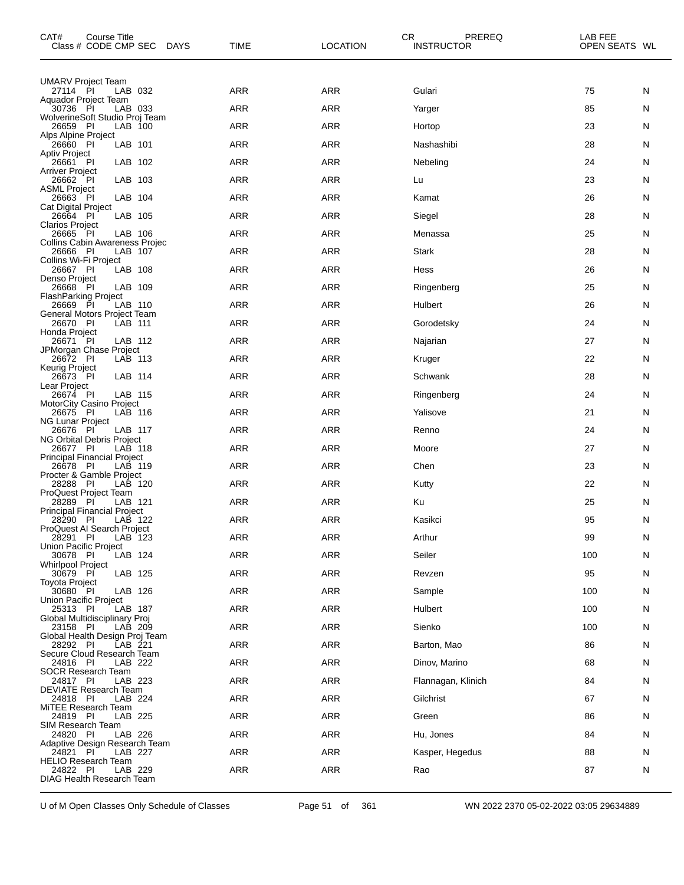| CAT#                                    | Course Title<br>Class # CODE CMP SEC          | DAYS | <b>TIME</b> | CR.<br><b>LOCATION</b> | PREREQ<br><b>INSTRUCTOR</b> | LAB FEE<br>OPEN SEATS WL |   |
|-----------------------------------------|-----------------------------------------------|------|-------------|------------------------|-----------------------------|--------------------------|---|
| <b>UMARV Project Team</b>               |                                               |      |             |                        |                             |                          |   |
| 27114 PI                                | LAB 032<br>Aquador Project Team               |      | ARR         | <b>ARR</b>             | Gulari                      | 75                       | N |
| 30736 PI                                | LAB 033<br>WolverineSoft Studio Proj Team     |      | <b>ARR</b>  | <b>ARR</b>             | Yarger                      | 85                       | N |
| 26659<br>Alps Alpine Project            | - PI<br>LAB 100                               |      | <b>ARR</b>  | <b>ARR</b>             | Hortop                      | 23                       | N |
| 26660 PI<br>Aptiv Project               | LAB 101                                       |      | ARR         | ARR                    | Nashashibi                  | 28                       | N |
| 26661 PI                                | LAB 102                                       |      | <b>ARR</b>  | <b>ARR</b>             | Nebeling                    | 24                       | N |
| <b>Arriver Project</b><br>26662 PI      | LAB 103                                       |      | <b>ARR</b>  | <b>ARR</b>             | Lu                          | 23                       | N |
| <b>ASML Project</b><br>26663 PI         | LAB 104                                       |      | ARR         | ARR                    | Kamat                       | 26                       | N |
| Cat Digital Project<br>26664 PI         | LAB 105                                       |      | <b>ARR</b>  | <b>ARR</b>             | Siegel                      | 28                       | N |
| <b>Clarios Project</b><br>26665         | - PI<br>LAB 106                               |      | <b>ARR</b>  | <b>ARR</b>             | Menassa                     | 25                       | N |
| 26666 PI                                | Collins Cabin Awareness Projec<br>LAB 107     |      | ARR         | ARR                    | <b>Stark</b>                | 28                       | N |
| Collins Wi-Fi Project<br>26667 PI       | LAB 108                                       |      | <b>ARR</b>  | <b>ARR</b>             | Hess                        | 26                       | N |
| Denso Project<br>26668                  | PI<br>LAB 109                                 |      | <b>ARR</b>  | <b>ARR</b>             | Ringenberg                  | 25                       | N |
| <b>FlashParking Project</b><br>26669 PI | LAB 110                                       |      | ARR         | <b>ARR</b>             | Hulbert                     | 26                       | N |
| 26670 PI                                | General Motors Project Team<br>LAB 111        |      | <b>ARR</b>  | <b>ARR</b>             | Gorodetsky                  | 24                       | N |
| Honda Project<br>26671                  | PI<br>LAB 112                                 |      | <b>ARR</b>  | <b>ARR</b>             | Najarian                    | 27                       | N |
| 26672 PI                                | JPMorgan Chase Project<br>LAB 113             |      | ARR         | ARR                    | Kruger                      | 22                       | N |
| Keurig Project<br>26673 PI              | LAB 114                                       |      | <b>ARR</b>  | <b>ARR</b>             | Schwank                     | 28                       | N |
| Lear Project<br>26674 PI                | LAB 115                                       |      | <b>ARR</b>  | <b>ARR</b>             | Ringenberg                  | 24                       | N |
| 26675 PI                                | <b>MotorCity Casino Project</b><br>LAB 116    |      | ARR         | ARR                    | Yalisove                    | 21                       | N |
| <b>NG Lunar Project</b><br>26676 PI     | LAB 117                                       |      | <b>ARR</b>  | <b>ARR</b>             | Renno                       | 24                       | N |
| 26677                                   | NG Orbital Debris Project<br>- PI<br>LAB 118  |      | <b>ARR</b>  | <b>ARR</b>             | Moore                       | 27                       | N |
| 26678 PI                                | <b>Principal Financial Project</b><br>LAB 119 |      | ARR         | <b>ARR</b>             | Chen                        | 23                       | N |
| 28288                                   | Procter & Gamble Project<br>- PI<br>LAB 120   |      | <b>ARR</b>  | <b>ARR</b>             | Kutty                       | 22                       | N |
| 28289                                   | ProQuest Project Team<br>-PI<br>LAB 121       |      | ARR         | <b>ARR</b>             | Ku                          | 25                       | N |
| 28290 PI                                | <b>Principal Financial Project</b><br>LAB 122 |      | <b>ARR</b>  | <b>ARR</b>             | Kasikci                     | 95                       | N |
| 28291 PI                                | ProQuest AI Search Project<br>LAB 123         |      | <b>ARR</b>  | <b>ARR</b>             | Arthur                      | 99                       | N |
| Union Pacific Project<br>30678 PI       | LAB 124                                       |      | <b>ARR</b>  | <b>ARR</b>             | Seiler                      | 100                      | N |
| <b>Whirlpool Project</b><br>30679 PI    | LAB 125                                       |      | ARR         | ARR                    | Revzen                      | 95                       | N |
| Toyota Project<br>30680 PI              | LAB 126                                       |      | ARR         | ARR                    | Sample                      | 100                      | N |
| Union Pacific Project<br>25313 PI       | LAB 187                                       |      | <b>ARR</b>  | <b>ARR</b>             | Hulbert                     | 100                      | N |
| 23158 PI                                | Global Multidisciplinary Proj<br>LAB 209      |      | ARR         | ARR                    | Sienko                      | 100                      | N |
| 28292 PI                                | Global Health Design Proj Team<br>LAB 221     |      | ARR         | <b>ARR</b>             | Barton, Mao                 | 86                       | N |
| 24816 PI                                | Secure Cloud Research Team<br>LAB 222         |      | <b>ARR</b>  | <b>ARR</b>             | Dinov, Marino               | 68                       | N |
| 24817 PI                                | <b>SOCR Research Team</b><br>LAB 223          |      | ARR         | ARR                    | Flannagan, Klinich          | 84                       | N |
| 24818 PI                                | DEVIATE Research Team<br>LAB 224              |      | <b>ARR</b>  | <b>ARR</b>             | Gilchrist                   | 67                       | N |
| 24819 PI                                | MITEE Research Team<br>LAB 225                |      | <b>ARR</b>  | <b>ARR</b>             | Green                       | 86                       | N |
| SIM Research Team                       |                                               |      | ARR         | ARR                    |                             |                          |   |
| 24820 PI                                | LAB 226<br>Adaptive Design Research Team      |      |             |                        | Hu, Jones                   | 84                       | N |
| 24821 PI                                | LAB 227<br><b>HELIO Research Team</b>         |      | <b>ARR</b>  | <b>ARR</b>             | Kasper, Hegedus             | 88                       | N |
| 24822 PI                                | LAB 229<br>DIAG Health Research Team          |      | <b>ARR</b>  | <b>ARR</b>             | Rao                         | 87                       | N |

U of M Open Classes Only Schedule of Classes Page 51 of 361 WN 2022 2370 05-02-2022 03:05 29634889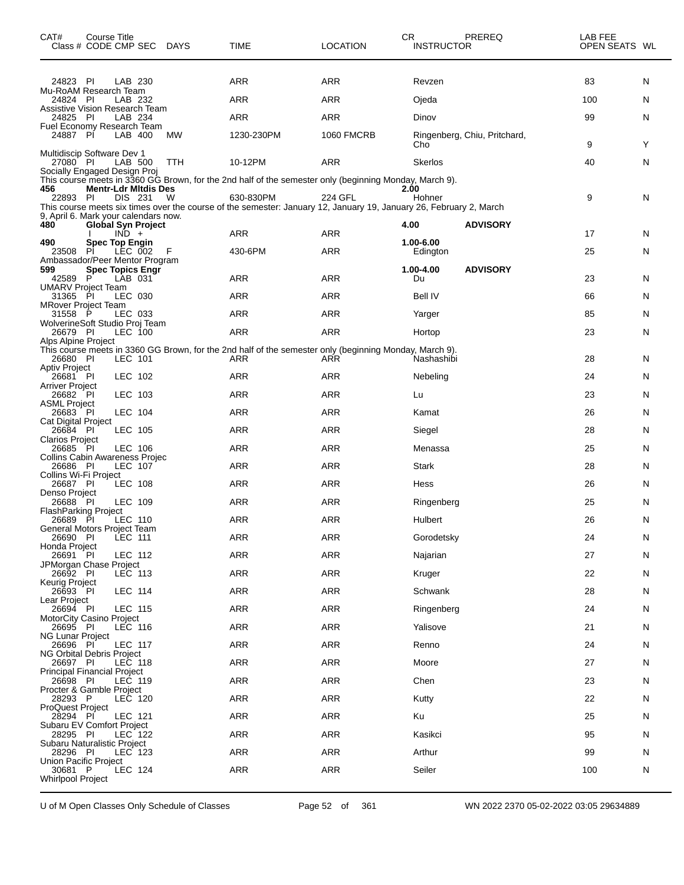| CAT#                                   | <b>Course Title</b><br>Class # CODE CMP SEC DAYS                             |     | <b>TIME</b>                                                                                                                     | <b>LOCATION</b>   | CR<br><b>INSTRUCTOR</b> | PREREQ                       | LAB FEE<br>OPEN SEATS WL |    |
|----------------------------------------|------------------------------------------------------------------------------|-----|---------------------------------------------------------------------------------------------------------------------------------|-------------------|-------------------------|------------------------------|--------------------------|----|
| 24823 PI                               | LAB 230                                                                      |     | ARR                                                                                                                             | <b>ARR</b>        | Revzen                  |                              | 83                       | N  |
| 24824 PI                               | Mu-RoAM Research Team<br>LAB 232                                             |     | <b>ARR</b>                                                                                                                      | <b>ARR</b>        | Ojeda                   |                              | 100                      | N  |
| 24825 PI                               | <b>Assistive Vision Research Team</b><br>LAB 234                             |     | ARR                                                                                                                             | <b>ARR</b>        | Dinov                   |                              | 99                       | N  |
| 24887                                  | Fuel Economy Research Team<br>LAB 400<br>- PI                                | MW  | 1230-230PM                                                                                                                      | <b>1060 FMCRB</b> |                         | Ringenberg, Chiu, Pritchard, |                          |    |
|                                        | Multidiscip Software Dev 1                                                   |     |                                                                                                                                 |                   | Cho                     |                              | 9                        | Y  |
| 27080 PI                               | LAB 500<br>Socially Engaged Design Proj                                      | TTH | 10-12PM                                                                                                                         | <b>ARR</b>        | Skerlos                 |                              | 40                       | N  |
| 456                                    | <b>Mentr-Ldr Mitdis Des</b>                                                  |     | This course meets in 3360 GG Brown, for the 2nd half of the semester only (beginning Monday, March 9).                          |                   | 2.00                    |                              |                          |    |
| 22893 PI                               | DIS 231                                                                      | W   | 630-830PM<br>This course meets six times over the course of the semester: January 12, January 19, January 26, February 2, March | 224 GFL           | Hohner                  |                              | 9                        | N  |
| 480                                    | 9, April 6. Mark your calendars now.<br><b>Global Syn Project</b><br>$IND +$ |     | ARR                                                                                                                             | ARR               | 4.00                    | <b>ADVISORY</b>              | 17                       | N  |
| 490                                    | <b>Spec Top Engin</b><br>LEC 002                                             |     |                                                                                                                                 |                   | 1.00-6.00               |                              |                          |    |
| 23508                                  | PI<br>Ambassador/Peer Mentor Program                                         | F   | 430-6PM                                                                                                                         | ARR               | Edington                |                              | 25                       | N  |
| 599<br>42589                           | <b>Spec Topics Engr</b><br>P<br>LAB 031                                      |     | ARR                                                                                                                             | <b>ARR</b>        | 1.00-4.00<br>Du         | <b>ADVISORY</b>              | 23                       | N. |
| 31365                                  | <b>UMARV Project Team</b><br>PI<br>LEC 030                                   |     | <b>ARR</b>                                                                                                                      | <b>ARR</b>        | Bell IV                 |                              | 66                       | N. |
| 31558 P                                | <b>MRover Project Team</b><br>LEC 033                                        |     | ARR                                                                                                                             | <b>ARR</b>        | Yarger                  |                              | 85                       | N  |
| 26679 PI                               | WolverineSoft Studio Proj Team<br>LEC 100                                    |     | ARR                                                                                                                             | <b>ARR</b>        | Hortop                  |                              | 23                       | N  |
| Alps Alpine Project<br>26680 PI        | LEC 101                                                                      |     | This course meets in 3360 GG Brown, for the 2nd half of the semester only (beginning Monday, March 9).<br>ARR                   | ARR               | Nashashibi              |                              | 28                       | N  |
| <b>Aptiv Project</b><br>26681 PI       | LEC 102                                                                      |     | <b>ARR</b>                                                                                                                      | <b>ARR</b>        | Nebeling                |                              | 24                       | N  |
| <b>Arriver Project</b><br>26682 PI     | LEC 103                                                                      |     | <b>ARR</b>                                                                                                                      | <b>ARR</b>        | Lu                      |                              | 23                       | N  |
| <b>ASML Project</b><br>26683 PI        | LEC 104                                                                      |     | <b>ARR</b>                                                                                                                      | <b>ARR</b>        | Kamat                   |                              | 26                       | N  |
| <b>Cat Digital Project</b><br>26684 PI | LEC 105                                                                      |     | <b>ARR</b>                                                                                                                      | <b>ARR</b>        | Siegel                  |                              | 28                       | N. |
| <b>Clarios Project</b><br>26685 PI     | LEC 106                                                                      |     | <b>ARR</b>                                                                                                                      | <b>ARR</b>        | Menassa                 |                              | 25                       | N  |
| 26686 PI                               | Collins Cabin Awareness Projec<br><b>LEC 107</b>                             |     | <b>ARR</b>                                                                                                                      | <b>ARR</b>        | Stark                   |                              | 28                       | N  |
| Collins Wi-Fi Project<br>26687 PI      | LEC 108                                                                      |     | <b>ARR</b>                                                                                                                      | <b>ARR</b>        | Hess                    |                              | 26                       | N. |
| Denso Project<br>26688 PI              | LEC 109                                                                      |     | <b>ARR</b>                                                                                                                      | <b>ARR</b>        | Ringenberg              |                              | 25                       | N. |
| 26689 PI                               | <b>FlashParking Project</b><br><b>LEC 110</b>                                |     | ARR                                                                                                                             | <b>ARR</b>        | <b>Hulbert</b>          |                              | 26                       | N  |
| 26690 PI                               | General Motors Project Team<br>LEC 111                                       |     | <b>ARR</b>                                                                                                                      | ARR               | Gorodetsky              |                              | 24                       | N  |
| Honda Project<br>26691                 | LEC 112<br>- PI                                                              |     | ARR                                                                                                                             | <b>ARR</b>        | Najarian                |                              | 27                       | N  |
| 26692 PI                               | JPMorgan Chase Project<br>LEC 113                                            |     | ARR                                                                                                                             | <b>ARR</b>        | Kruger                  |                              | 22                       | N  |
| Keurig Project<br>26693 PI             | LEC 114                                                                      |     | <b>ARR</b>                                                                                                                      | <b>ARR</b>        | Schwank                 |                              | 28                       | N  |
| Lear Project<br>26694 PI               | LEC 115                                                                      |     | ARR                                                                                                                             | <b>ARR</b>        | Ringenberg              |                              | 24                       | N  |
| 26695 PI                               | <b>MotorCity Casino Project</b><br><b>LEC 116</b>                            |     | <b>ARR</b>                                                                                                                      | <b>ARR</b>        | Yalisove                |                              | 21                       | N  |
| NG Lunar Project<br>26696 PI           | <b>LEC 117</b>                                                               |     | <b>ARR</b>                                                                                                                      | <b>ARR</b>        | Renno                   |                              | 24                       | N  |
| 26697 PI                               | NG Orbital Debris Project<br>LEC 118                                         |     | ARR                                                                                                                             | <b>ARR</b>        | Moore                   |                              | 27                       | N  |
| 26698 PI                               | <b>Principal Financial Project</b><br>LEC 119                                |     | ARR                                                                                                                             | <b>ARR</b>        | Chen                    |                              | 23                       | N  |
| 28293 P                                | Procter & Gamble Project<br>LEC 120                                          |     | <b>ARR</b>                                                                                                                      | ARR               | Kutty                   |                              | 22                       | N  |
| <b>ProQuest Project</b><br>28294 PI    | LEC 121                                                                      |     | ARR                                                                                                                             | <b>ARR</b>        | Ku                      |                              | 25                       | N  |
| 28295 PI                               | Subaru EV Comfort Project<br>LEC 122                                         |     | ARR                                                                                                                             | <b>ARR</b>        | Kasikci                 |                              | 95                       | N  |
| 28296 PI                               | Subaru Naturalistic Project<br>LEC 123                                       |     | <b>ARR</b>                                                                                                                      | ARR               | Arthur                  |                              | 99                       | N  |
| 30681 P<br><b>Whirlpool Project</b>    | Union Pacific Project<br>LEC 124                                             |     | <b>ARR</b>                                                                                                                      | <b>ARR</b>        | Seiler                  |                              | 100                      | N  |

U of M Open Classes Only Schedule of Classes Page 52 of 361 WN 2022 2370 05-02-2022 03:05 29634889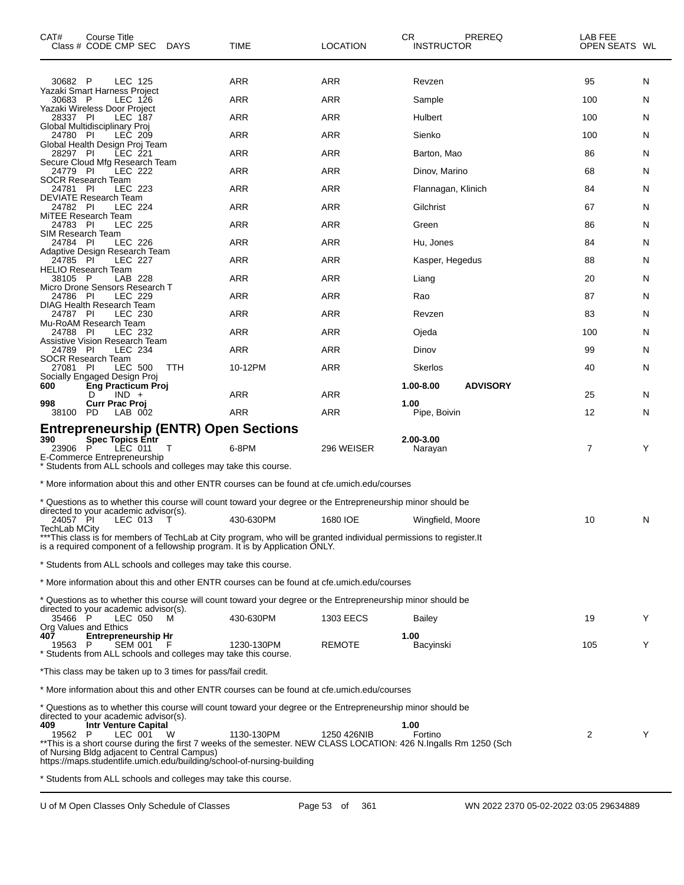| CAT#<br>Course Title<br>Class # CODE CMP SEC<br><b>DAYS</b>                                                                                                                                                                                                                                                                                                                               | TIME       | <b>LOCATION</b>  | CR<br>PREREQ<br><b>INSTRUCTOR</b> | LAB FEE<br>OPEN SEATS WL |  |
|-------------------------------------------------------------------------------------------------------------------------------------------------------------------------------------------------------------------------------------------------------------------------------------------------------------------------------------------------------------------------------------------|------------|------------------|-----------------------------------|--------------------------|--|
| 30682 P<br>LEC 125                                                                                                                                                                                                                                                                                                                                                                        | ARR        | <b>ARR</b>       | Revzen                            | 95<br>N                  |  |
| Yazaki Smart Harness Project<br>30683 P<br>LEC 126                                                                                                                                                                                                                                                                                                                                        | ARR        | <b>ARR</b>       | Sample                            | 100<br>N                 |  |
| Yazaki Wireless Door Project<br>28337 PI<br>LEC 187                                                                                                                                                                                                                                                                                                                                       | ARR        | <b>ARR</b>       | Hulbert                           | 100<br>N                 |  |
| Global Multidisciplinary Proj<br>LEC 209                                                                                                                                                                                                                                                                                                                                                  | ARR        | <b>ARR</b>       | Sienko                            | 100                      |  |
| 24780 PI<br>Global Health Design Proj Team                                                                                                                                                                                                                                                                                                                                                |            |                  |                                   | N                        |  |
| LEC 221<br>28297 PI<br>Secure Cloud Mfg Research Team                                                                                                                                                                                                                                                                                                                                     | ARR        | ARR              | Barton, Mao                       | 86<br>N                  |  |
| 24779 PI<br>LEC 222<br>SOCR Research Team                                                                                                                                                                                                                                                                                                                                                 | ARR        | <b>ARR</b>       | Dinov, Marino                     | 68<br>N                  |  |
| 24781 PI<br>LEC 223<br><b>DEVIATE Research Team</b>                                                                                                                                                                                                                                                                                                                                       | ARR        | <b>ARR</b>       | Flannagan, Klinich                | 84<br>N                  |  |
| 24782 PI<br>LEC 224<br>MiTEE Research Team                                                                                                                                                                                                                                                                                                                                                | ARR        | ARR              | Gilchrist                         | 67<br>N                  |  |
| 24783 PI<br>LEC 225<br>SIM Research Team                                                                                                                                                                                                                                                                                                                                                  | ARR        | <b>ARR</b>       | Green                             | 86<br>N                  |  |
| LEC 226<br>24784 PI<br>Adaptive Design Research Team                                                                                                                                                                                                                                                                                                                                      | ARR        | <b>ARR</b>       | Hu, Jones                         | 84<br>N                  |  |
| 24785<br>- PI<br>LEC 227                                                                                                                                                                                                                                                                                                                                                                  | ARR        | ARR              | Kasper, Hegedus                   | 88<br>N                  |  |
| <b>HELIO Research Team</b><br>LAB 228<br>38105 P                                                                                                                                                                                                                                                                                                                                          | ARR        | <b>ARR</b>       | Liang                             | 20<br>N                  |  |
| Micro Drone Sensors Research T<br>24786 PI<br>LEC 229                                                                                                                                                                                                                                                                                                                                     | ARR        | <b>ARR</b>       | Rao                               | 87<br>N                  |  |
| DIAG Health Research Team<br>24787 PI<br>LEC 230                                                                                                                                                                                                                                                                                                                                          | ARR        | ARR              | Revzen                            | 83<br>N                  |  |
| Mu-RoAM Research Team<br>24788 PI<br>LEC 232                                                                                                                                                                                                                                                                                                                                              | ARR        | <b>ARR</b>       | Ojeda                             | 100<br>N                 |  |
| Assistive Vision Research Team<br>LEC 234<br>24789 PI                                                                                                                                                                                                                                                                                                                                     | ARR        | <b>ARR</b>       | Dinov                             | 99<br>N                  |  |
| SOCR Research Team<br>LEC 500<br>TTH<br>27081<br><b>PI</b>                                                                                                                                                                                                                                                                                                                                | 10-12PM    | ARR              | Skerlos                           | 40<br>N                  |  |
| Socially Engaged Design Proj                                                                                                                                                                                                                                                                                                                                                              |            |                  | 1.00-8.00<br><b>ADVISORY</b>      |                          |  |
| 600<br>Eng Practicum Proj<br>$IND +$<br>D                                                                                                                                                                                                                                                                                                                                                 | ARR        | ARR              |                                   | 25<br>N                  |  |
| 998<br>Curr Prac Proj<br>LAB 002<br>38100 PD                                                                                                                                                                                                                                                                                                                                              | <b>ARR</b> | ARR              | 1.00<br>Pipe, Boivin              | 12<br>N                  |  |
| <b>Entrepreneurship (ENTR) Open Sections</b><br><b>Spec Topics Entr</b><br>390<br>P<br>LEC 011<br>23906<br>T<br>E-Commerce Entrepreneurship<br>* Students from ALL schools and colleges may take this course.                                                                                                                                                                             | 6-8PM      | 296 WEISER       | 2.00-3.00<br>Narayan              | 7<br>Y                   |  |
| * More information about this and other ENTR courses can be found at cfe.umich.edu/courses                                                                                                                                                                                                                                                                                                |            |                  |                                   |                          |  |
|                                                                                                                                                                                                                                                                                                                                                                                           |            |                  |                                   |                          |  |
| t Questions as to whether this course will count toward your degree or the Entrepreneurship minor should be **<br>directed to your academic advisor(s).                                                                                                                                                                                                                                   |            |                  |                                   |                          |  |
| 24057 PI<br>LEC 013<br>Т<br>TechLab MCity                                                                                                                                                                                                                                                                                                                                                 | 430-630PM  | 1680 IOE         | Wingfield, Moore                  | 10<br>N                  |  |
| ***This class is for members of TechLab at City program, who will be granted individual permissions to register.It<br>is a required component of a fellowship program. It is by Application ONLY.                                                                                                                                                                                         |            |                  |                                   |                          |  |
| * Students from ALL schools and colleges may take this course.                                                                                                                                                                                                                                                                                                                            |            |                  |                                   |                          |  |
| * More information about this and other ENTR courses can be found at cfe.umich.edu/courses                                                                                                                                                                                                                                                                                                |            |                  |                                   |                          |  |
| * Questions as to whether this course will count toward your degree or the Entrepreneurship minor should be<br>directed to your academic advisor(s).                                                                                                                                                                                                                                      |            |                  |                                   |                          |  |
| 35466 P<br>LEC 050<br>м<br>Org Values and Ethics                                                                                                                                                                                                                                                                                                                                          | 430-630PM  | <b>1303 EECS</b> | <b>Bailey</b>                     | 19<br>Y                  |  |
| 407<br><b>Entrepreneurship Hr</b><br><b>SEM 001</b><br>19563 P<br>* Students from ALL schools and colleges may take this course.                                                                                                                                                                                                                                                          | 1230-130PM | <b>REMOTE</b>    | 1.00<br>Bacyinski                 | Y<br>105                 |  |
| *This class may be taken up to 3 times for pass/fail credit.                                                                                                                                                                                                                                                                                                                              |            |                  |                                   |                          |  |
| * More information about this and other ENTR courses can be found at cfe.umich.edu/courses                                                                                                                                                                                                                                                                                                |            |                  |                                   |                          |  |
| * Questions as to whether this course will count toward your degree or the Entrepreneurship minor should be<br>directed to your academic advisor(s).<br>409<br><b>Intr Venture Capital</b><br>W<br>LEC 001<br>19562 P<br>**This is a short course during the first 7 weeks of the semester. NEW CLASS LOCATION: 426 N.Ingalls Rm 1250 (Sch<br>of Nursing Bldg adjacent to Central Campus) | 1130-130PM | 1250 426NIB      | 1.00<br>Fortino                   | Y<br>2                   |  |
| https://maps.studentlife.umich.edu/building/school-of-nursing-building<br>* Students from ALL schools and colleges may take this course.                                                                                                                                                                                                                                                  |            |                  |                                   |                          |  |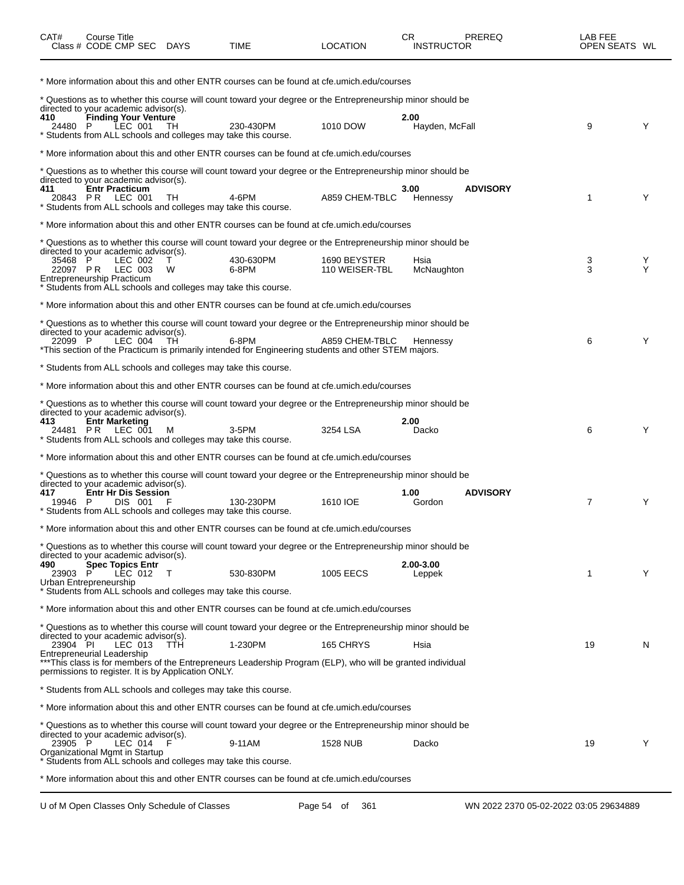| CAT#            | <b>Course Title</b><br>Class # CODE CMP SEC                                                                                                             | DAYS       | TIME                                                                                                                                                                                                                         | <b>LOCATION</b>                | CR.<br><b>INSTRUCTOR</b> | PREREQ                                 | LAB FEE<br>OPEN SEATS WL |        |
|-----------------|---------------------------------------------------------------------------------------------------------------------------------------------------------|------------|------------------------------------------------------------------------------------------------------------------------------------------------------------------------------------------------------------------------------|--------------------------------|--------------------------|----------------------------------------|--------------------------|--------|
|                 |                                                                                                                                                         |            | * More information about this and other ENTR courses can be found at cfe.umich.edu/courses                                                                                                                                   |                                |                          |                                        |                          |        |
|                 | directed to your academic advisor(s).                                                                                                                   |            | * Questions as to whether this course will count toward your degree or the Entrepreneurship minor should be                                                                                                                  |                                |                          |                                        |                          |        |
| 410<br>24480 P  | <b>Finding Your Venture</b><br>LEC 001<br>* Students from ALL schools and colleges may take this course.                                                | TH         | 230-430PM                                                                                                                                                                                                                    | 1010 DOW                       | 2.00<br>Hayden, McFall   |                                        | 9                        | Y      |
|                 |                                                                                                                                                         |            | * More information about this and other ENTR courses can be found at cfe.umich.edu/courses                                                                                                                                   |                                |                          |                                        |                          |        |
|                 | directed to your academic advisor(s).                                                                                                                   |            | * Questions as to whether this course will count toward your degree or the Entrepreneurship minor should be                                                                                                                  |                                |                          |                                        |                          |        |
| 411<br>20843 PR | <b>Entr Practicum</b><br>LEC 001<br>* Students from ALL schools and colleges may take this course.                                                      | TH         | 4-6PM                                                                                                                                                                                                                        | A859 CHEM-TBLC                 | 3.00<br>Hennessy         | <b>ADVISORY</b>                        | 1                        | Y      |
|                 |                                                                                                                                                         |            | * More information about this and other ENTR courses can be found at cfe.umich.edu/courses                                                                                                                                   |                                |                          |                                        |                          |        |
|                 |                                                                                                                                                         |            | t Questions as to whether this course will count toward your degree or the Entrepreneurship minor should be                                                                                                                  |                                |                          |                                        |                          |        |
| 35468 P         | directed to your academic advisor(s).<br>LEC 002<br>22097 PR LEC 003<br>Entrepreneurship Practicum                                                      | т<br>W     | 430-630PM<br>6-8PM                                                                                                                                                                                                           | 1690 BEYSTER<br>110 WEISER-TBL | Hsia<br>McNaughton       |                                        | 3<br>3                   | Y<br>Y |
|                 | * Students from ALL schools and colleges may take this course.                                                                                          |            |                                                                                                                                                                                                                              |                                |                          |                                        |                          |        |
|                 |                                                                                                                                                         |            | * More information about this and other ENTR courses can be found at cfe.umich.edu/courses                                                                                                                                   |                                |                          |                                        |                          |        |
| 22099 P         | directed to your academic advisor(s).<br>LEC 004                                                                                                        | TH.        | * Questions as to whether this course will count toward your degree or the Entrepreneurship minor should be<br>6-8PM<br>*This section of the Practicum is primarily intended for Engineering students and other STEM majors. | A859 CHEM-TBLC                 | Hennessy                 |                                        | 6                        | Y      |
|                 | * Students from ALL schools and colleges may take this course.                                                                                          |            |                                                                                                                                                                                                                              |                                |                          |                                        |                          |        |
|                 |                                                                                                                                                         |            | * More information about this and other ENTR courses can be found at cfe.umich.edu/courses                                                                                                                                   |                                |                          |                                        |                          |        |
|                 |                                                                                                                                                         |            | * Questions as to whether this course will count toward your degree or the Entrepreneurship minor should be                                                                                                                  |                                |                          |                                        |                          |        |
| 413<br>24481 PR | directed to your academic advisor(s).<br><b>Entr Marketing</b><br>LEC 001<br>* Students from ALL schools and colleges may take this course.             | м          | 3-5PM                                                                                                                                                                                                                        | 3254 LSA                       | 2.00<br>Dacko            |                                        | 6                        | Y      |
|                 |                                                                                                                                                         |            | * More information about this and other ENTR courses can be found at cfe.umich.edu/courses                                                                                                                                   |                                |                          |                                        |                          |        |
|                 |                                                                                                                                                         |            | * Questions as to whether this course will count toward your degree or the Entrepreneurship minor should be                                                                                                                  |                                |                          |                                        |                          |        |
| 417<br>19946 P  | directed to your academic advisor(s).<br><b>Entr Hr Dis Session</b><br><b>DIS 001</b><br>* Students from ALL schools and colleges may take this course. |            | 130-230PM                                                                                                                                                                                                                    | 1610 IOE                       | 1.00<br>Gordon           | <b>ADVISORY</b>                        | $\overline{7}$           | Y      |
|                 |                                                                                                                                                         |            | * More information about this and other ENTR courses can be found at cfe.umich.edu/courses                                                                                                                                   |                                |                          |                                        |                          |        |
|                 |                                                                                                                                                         |            | * Questions as to whether this course will count toward your degree or the Entrepreneurship minor should be                                                                                                                  |                                |                          |                                        |                          |        |
| 490<br>23903    | directed to your academic advisor(s).<br><b>Spec Topics Entr</b><br>LEC 012<br>Urban Entrepreneurship                                                   | T          | 530-830PM                                                                                                                                                                                                                    | 1005 EECS                      | 2.00-3.00<br>Leppek      |                                        | 1                        | Y      |
|                 | * Students from ALL schools and colleges may take this course.                                                                                          |            |                                                                                                                                                                                                                              |                                |                          |                                        |                          |        |
|                 |                                                                                                                                                         |            | * More information about this and other ENTR courses can be found at cfe.umich.edu/courses                                                                                                                                   |                                |                          |                                        |                          |        |
|                 | directed to your academic advisor(s).                                                                                                                   |            | * Questions as to whether this course will count toward your degree or the Entrepreneurship minor should be                                                                                                                  |                                |                          |                                        |                          |        |
| 23904 PI        | LEC 013<br>Entrepreneurial Leadership                                                                                                                   | <b>TTH</b> | 1-230PM<br>***This class is for members of the Entrepreneurs Leadership Program (ELP), who will be granted individual                                                                                                        | 165 CHRYS                      | Hsia                     |                                        | 19                       | N      |
|                 | permissions to register. It is by Application ONLY.<br>* Students from ALL schools and colleges may take this course.                                   |            |                                                                                                                                                                                                                              |                                |                          |                                        |                          |        |
|                 |                                                                                                                                                         |            | * More information about this and other ENTR courses can be found at cfe.umich.edu/courses                                                                                                                                   |                                |                          |                                        |                          |        |
|                 |                                                                                                                                                         |            | t Questions as to whether this course will count toward your degree or the Entrepreneurship minor should be                                                                                                                  |                                |                          |                                        |                          |        |
| 23905 P         | directed to your academic advisor(s).<br>LEC 014<br>Organizational Mgmt in Startup                                                                      | - F        | 9-11AM                                                                                                                                                                                                                       | <b>1528 NUB</b>                | Dacko                    |                                        | 19                       | Y      |
|                 | * Students from ALL schools and colleges may take this course.                                                                                          |            |                                                                                                                                                                                                                              |                                |                          |                                        |                          |        |
|                 |                                                                                                                                                         |            | * More information about this and other ENTR courses can be found at cfe.umich.edu/courses                                                                                                                                   |                                |                          |                                        |                          |        |
|                 | U of M Open Classes Only Schedule of Classes                                                                                                            |            |                                                                                                                                                                                                                              | Page 54 of<br>361              |                          | WN 2022 2370 05-02-2022 03:05 29634889 |                          |        |

 $\overline{\phantom{0}}$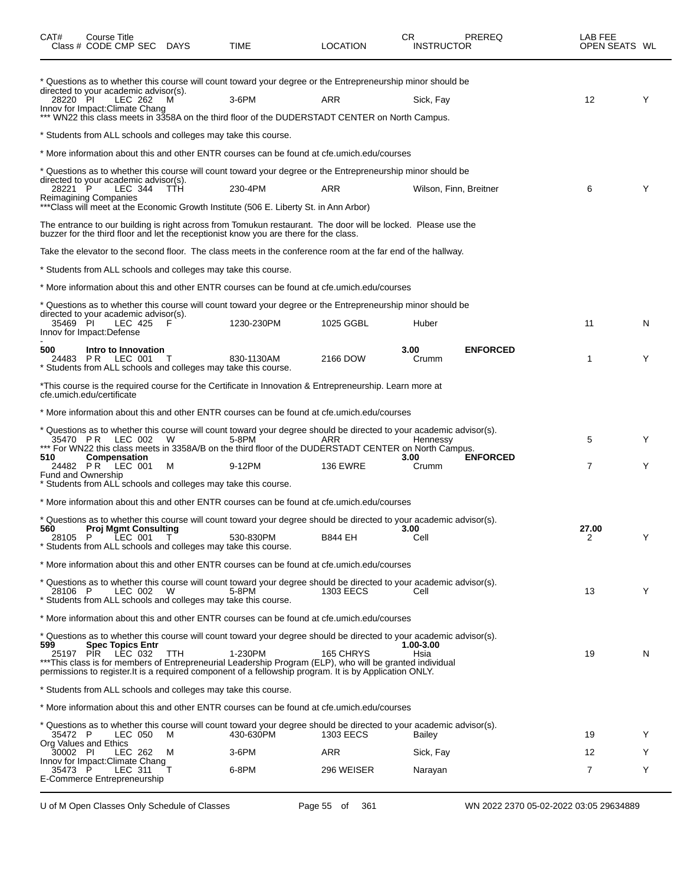| CAT#             | Course Title<br>Class # CODE CMP SEC DAYS                                           |                                                                      | TIME                                                                                                                                                                                                                                                                                                                                                  | <b>LOCATION</b>  | CR<br><b>INSTRUCTOR</b> | <b>PREREQ</b>   | LAB FEE<br>OPEN SEATS WL |   |
|------------------|-------------------------------------------------------------------------------------|----------------------------------------------------------------------|-------------------------------------------------------------------------------------------------------------------------------------------------------------------------------------------------------------------------------------------------------------------------------------------------------------------------------------------------------|------------------|-------------------------|-----------------|--------------------------|---|
| 28220 PI         | directed to your academic advisor(s).<br>LEC 262<br>Innov for Impact: Climate Chang | м                                                                    | * Questions as to whether this course will count toward your degree or the Entrepreneurship minor should be<br>3-6PM<br>*** WN22 this class meets in 3358A on the third floor of the DUDERSTADT CENTER on North Campus.                                                                                                                               | ARR              | Sick, Fay               |                 | 12                       | Y |
|                  |                                                                                     | * Students from ALL schools and colleges may take this course.       |                                                                                                                                                                                                                                                                                                                                                       |                  |                         |                 |                          |   |
|                  |                                                                                     |                                                                      | * More information about this and other ENTR courses can be found at cfe.umich.edu/courses                                                                                                                                                                                                                                                            |                  |                         |                 |                          |   |
|                  |                                                                                     |                                                                      | t Questions as to whether this course will count toward your degree or the Entrepreneurship minor should be                                                                                                                                                                                                                                           |                  |                         |                 |                          |   |
| 28221 P          | directed to your academic advisor(s).<br>LEC 344<br><b>Reimagining Companies</b>    | <b>TTH</b>                                                           | 230-4PM                                                                                                                                                                                                                                                                                                                                               | ARR              | Wilson, Finn, Breitner  |                 | 6                        | Y |
|                  |                                                                                     |                                                                      | ***Class will meet at the Economic Growth Institute (506 E. Liberty St. in Ann Arbor)                                                                                                                                                                                                                                                                 |                  |                         |                 |                          |   |
|                  |                                                                                     |                                                                      | The entrance to our building is right across from Tomukun restaurant. The door will be locked. Please use the<br>buzzer for the third floor and let the receptionist know you are there for the class.                                                                                                                                                |                  |                         |                 |                          |   |
|                  |                                                                                     |                                                                      | Take the elevator to the second floor. The class meets in the conference room at the far end of the hallway.                                                                                                                                                                                                                                          |                  |                         |                 |                          |   |
|                  |                                                                                     | * Students from ALL schools and colleges may take this course.       |                                                                                                                                                                                                                                                                                                                                                       |                  |                         |                 |                          |   |
|                  |                                                                                     |                                                                      | * More information about this and other ENTR courses can be found at cfe.umich.edu/courses                                                                                                                                                                                                                                                            |                  |                         |                 |                          |   |
|                  | directed to your academic advisor(s).                                               |                                                                      | t Questions as to whether this course will count toward your degree or the Entrepreneurship minor should be                                                                                                                                                                                                                                           |                  |                         |                 |                          |   |
| 35469 PI         | LEC 425<br>Innov for Impact: Defense                                                | F                                                                    | 1230-230PM                                                                                                                                                                                                                                                                                                                                            | 1025 GGBL        | Huber                   |                 | 11                       | N |
| 500              | Intro to Innovation<br>24483 PR LEC 001                                             | Students from ALL schools and colleges may take this course.         | 830-1130AM                                                                                                                                                                                                                                                                                                                                            | 2166 DOW         | 3.00<br>Crumm           | <b>ENFORCED</b> | 1                        | Y |
|                  | cfe.umich.edu/certificate                                                           |                                                                      | *This course is the required course for the Certificate in Innovation & Entrepreneurship. Learn more at                                                                                                                                                                                                                                               |                  |                         |                 |                          |   |
|                  |                                                                                     |                                                                      | * More information about this and other ENTR courses can be found at cfe.umich.edu/courses                                                                                                                                                                                                                                                            |                  |                         |                 |                          |   |
|                  | 35470 PR LEC 002                                                                    | W                                                                    | * Questions as to whether this course will count toward your degree should be directed to your academic advisor(s).<br>5-8PM<br>*** For WN22 this class meets in 3358A/B on the third floor of the DUDERSTADT CENTER on North Campus.                                                                                                                 | ARR              | Hennessy                |                 | 5                        | Y |
| 510<br>24482 PR  | Compensation<br>LEC 001<br><b>Fund and Ownership</b>                                | м<br>* Students from ALL schools and colleges may take this course.  | 9-12PM                                                                                                                                                                                                                                                                                                                                                | <b>136 EWRE</b>  | 3.00<br>Crumm           | <b>ENFORCED</b> | 7                        | Y |
|                  |                                                                                     |                                                                      | * More information about this and other ENTR courses can be found at cfe.umich.edu/courses                                                                                                                                                                                                                                                            |                  |                         |                 |                          |   |
|                  |                                                                                     |                                                                      | * Questions as to whether this course will count toward your degree should be directed to your academic advisor(s).                                                                                                                                                                                                                                   |                  |                         |                 |                          |   |
| 560<br>28105 P   | Proj Mgmt Consulting<br>LEC 001 T                                                   | * Students from ALL schools and colleges may take this course.       | 530-830PM                                                                                                                                                                                                                                                                                                                                             | <b>B844 EH</b>   | 3.00<br>Cell            |                 | 27.00<br>2               | Y |
|                  |                                                                                     |                                                                      | * More information about this and other ENTR courses can be found at cfe.umich.edu/courses                                                                                                                                                                                                                                                            |                  |                         |                 |                          |   |
| 28106 P          | LEC 002                                                                             | W.<br>* Students from ALL schools and colleges may take this course. | * Questions as to whether this course will count toward your degree should be directed to your academic advisor(s).<br>5-8PM                                                                                                                                                                                                                          | <b>1303 EECS</b> | Cell                    |                 | 13                       | Y |
|                  |                                                                                     |                                                                      | * More information about this and other ENTR courses can be found at cfe.umich.edu/courses                                                                                                                                                                                                                                                            |                  |                         |                 |                          |   |
| 599<br>25197 PIR | <b>Spec Topics Entr</b><br>LEC 032                                                  | TTH                                                                  | * Questions as to whether this course will count toward your degree should be directed to your academic advisor(s).<br>1-230PM<br>***This class is for members of Entrepreneurial Leadership Program (ELP), who will be granted individual<br>permissions to register. It is a required component of a fellowship program. It is by Application ONLY. | 165 CHRYS        | 1.00-3.00<br>Hsia       |                 | 19                       | N |
|                  |                                                                                     | * Students from ALL schools and colleges may take this course.       |                                                                                                                                                                                                                                                                                                                                                       |                  |                         |                 |                          |   |
|                  |                                                                                     |                                                                      | * More information about this and other ENTR courses can be found at cfe.umich.edu/courses                                                                                                                                                                                                                                                            |                  |                         |                 |                          |   |
| 35472 P          | LEC 050<br>Org Values and Ethics                                                    | M                                                                    | * Questions as to whether this course will count toward your degree should be directed to your academic advisor(s).<br>430-630PM                                                                                                                                                                                                                      | <b>1303 EECS</b> | Bailey                  |                 | 19                       | Y |
| 30002 PI         | LEC 262<br>Innov for Impact: Climate Chang                                          | M                                                                    | 3-6PM                                                                                                                                                                                                                                                                                                                                                 | <b>ARR</b>       | Sick, Fay               |                 | 12                       | Y |
| 35473 P          | LEC 311<br>E-Commerce Entrepreneurship                                              |                                                                      | 6-8PM                                                                                                                                                                                                                                                                                                                                                 | 296 WEISER       | Narayan                 |                 | 7                        | Y |

U of M Open Classes Only Schedule of Classes Page 55 of 361 WN 2022 2370 05-02-2022 03:05 29634889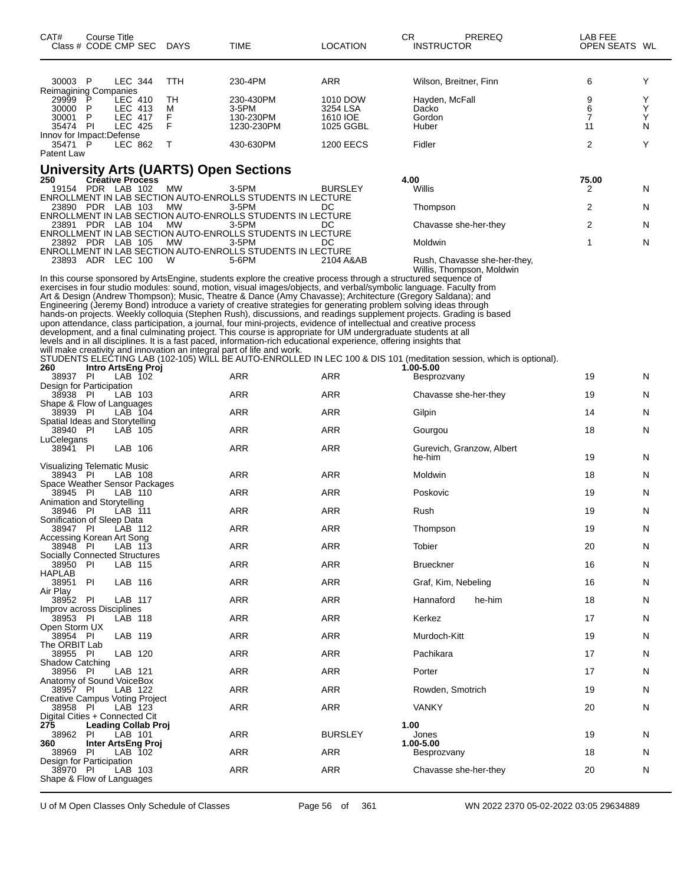| CAT#                                                                     | Course Title<br>Class # CODE CMP SEC DAYS    |                           |            | TIME                                                                                                                                                                                                                                                                                                                                                                                                                                                                                                                                                                                                                                                                                                           | <b>CR</b><br><b>LOCATION</b> | PREREQ<br>INSTRUCTOR                                                                                                                             | LAB FEE<br>OPEN SEATS WL |        |
|--------------------------------------------------------------------------|----------------------------------------------|---------------------------|------------|----------------------------------------------------------------------------------------------------------------------------------------------------------------------------------------------------------------------------------------------------------------------------------------------------------------------------------------------------------------------------------------------------------------------------------------------------------------------------------------------------------------------------------------------------------------------------------------------------------------------------------------------------------------------------------------------------------------|------------------------------|--------------------------------------------------------------------------------------------------------------------------------------------------|--------------------------|--------|
| 30003 P                                                                  |                                              | <b>LEC 344</b>            | <b>TTH</b> | 230-4PM                                                                                                                                                                                                                                                                                                                                                                                                                                                                                                                                                                                                                                                                                                        | ARR                          | Wilson, Breitner, Finn                                                                                                                           | 6                        | Y      |
| Reimagining Companies<br>29999 P LEC                                     |                                              | LEC 410                   | TН         | 230-430PM                                                                                                                                                                                                                                                                                                                                                                                                                                                                                                                                                                                                                                                                                                      | 1010 DOW                     | Hayden, McFall                                                                                                                                   | 9                        | Y      |
| 30000<br>30001                                                           | P<br>P                                       | LEC 413<br><b>LEC 417</b> | м<br>F     | 3-5PM<br>130-230PM                                                                                                                                                                                                                                                                                                                                                                                                                                                                                                                                                                                                                                                                                             | 3254 LSA<br>1610 IOE         | Dacko<br>Gordon                                                                                                                                  | 6<br>7                   | Υ<br>Y |
| 35474 PI                                                                 |                                              | <b>LEC 425</b>            | F          | 1230-230PM                                                                                                                                                                                                                                                                                                                                                                                                                                                                                                                                                                                                                                                                                                     | 1025 GGBL                    | Huber                                                                                                                                            | 11                       | N      |
| Innov for Impact: Defense<br>35471 P<br>Patent Law                       |                                              | LEC 862                   | т          | 430-630PM                                                                                                                                                                                                                                                                                                                                                                                                                                                                                                                                                                                                                                                                                                      | <b>1200 EECS</b>             | Fidler                                                                                                                                           | $\overline{2}$           | Y      |
|                                                                          |                                              |                           |            | <b>University Arts (UARTS) Open Sections</b>                                                                                                                                                                                                                                                                                                                                                                                                                                                                                                                                                                                                                                                                   |                              |                                                                                                                                                  |                          |        |
| 250                                                                      | <b>Créative Process</b><br>19154 PDR LAB 102 |                           | МW         | 3-5PM                                                                                                                                                                                                                                                                                                                                                                                                                                                                                                                                                                                                                                                                                                          | <b>BURSLEY</b>               | 4.00<br>Willis                                                                                                                                   | 75.00<br>2               | N      |
|                                                                          |                                              |                           |            | ENROLLMENT IN LAB SECTION AUTO-ENROLLS STUDENTS IN LECTURE                                                                                                                                                                                                                                                                                                                                                                                                                                                                                                                                                                                                                                                     |                              |                                                                                                                                                  |                          |        |
|                                                                          | 23890 PDR LAB 103                            |                           | МW         | 3-5PM<br>ENROLLMENT IN LAB SECTION AUTO-ENROLLS STUDENTS IN LECTURE                                                                                                                                                                                                                                                                                                                                                                                                                                                                                                                                                                                                                                            | DC                           | Thompson                                                                                                                                         | 2                        | N      |
|                                                                          | 23891 PDR LAB 104                            |                           | МW         | 3-5PM<br>ENROLLMENT IN LAB SECTION AUTO-ENROLLS STUDENTS IN LECTURE                                                                                                                                                                                                                                                                                                                                                                                                                                                                                                                                                                                                                                            | DC                           | Chavasse she-her-they                                                                                                                            | 2                        | N      |
|                                                                          | 23892 PDR LAB 105                            |                           | <b>MW</b>  | 3-5PM                                                                                                                                                                                                                                                                                                                                                                                                                                                                                                                                                                                                                                                                                                          | DC                           | Moldwin                                                                                                                                          | 1                        | N      |
|                                                                          | 23893 ADR LEC 100                            |                           | W          | ENROLLMENT IN LAB SECTION AUTO-ENROLLS STUDENTS IN LECTURE<br>5-6PM                                                                                                                                                                                                                                                                                                                                                                                                                                                                                                                                                                                                                                            | 2104 A&AB                    | Rush, Chavasse she-her-they,                                                                                                                     |                          |        |
|                                                                          |                                              |                           |            | In this course sponsored by ArtsEngine, students explore the creative process through a structured sequence of<br>exercises in four studio modules: sound, motion, visual images/objects, and verbal/symbolic language. Faculty from<br>Art & Design (Andrew Thompson); Music, Theatre & Dance (Amy Chavasse); Architecture (Gregory Saldana); and<br>Engineering (Jeremy Bond) introduce a variety of creative strategies for generating problem solving ideas through<br>upon attendance, class participation, a journal, four mini-projects, evidence of intellectual and creative process<br>development, and a final culminating project. This course is appropriate for UM undergraduate students at all |                              | Willis, Thompson, Moldwin<br>hands-on projects. Weekly colloquia (Stephen Rush), discussions, and readings supplement projects. Grading is based |                          |        |
|                                                                          |                                              |                           |            | levels and in all disciplines. It is a fast paced, information-rich educational experience, offering insights that<br>will make creativity and innovation an integral part of life and work.                                                                                                                                                                                                                                                                                                                                                                                                                                                                                                                   |                              |                                                                                                                                                  |                          |        |
|                                                                          |                                              |                           |            |                                                                                                                                                                                                                                                                                                                                                                                                                                                                                                                                                                                                                                                                                                                |                              | STUDENTS ELECTING LAB (102-105) WILL BE AUTO-ENROLLED IN LEC 100 & DIS 101 (meditation session, which is optional).                              |                          |        |
| 260<br>38937 PI                                                          | Intro ArtsEng Proj                           | LAB 102                   |            | <b>ARR</b>                                                                                                                                                                                                                                                                                                                                                                                                                                                                                                                                                                                                                                                                                                     | ARR                          | 1.00-5.00<br>Besprozvany                                                                                                                         | 19                       | N      |
| Design for Participation<br>38938 PI                                     |                                              | LAB 103                   |            | <b>ARR</b>                                                                                                                                                                                                                                                                                                                                                                                                                                                                                                                                                                                                                                                                                                     | <b>ARR</b>                   | Chavasse she-her-they                                                                                                                            | 19                       | N      |
| Shape & Flow of Languages<br>38939 PI                                    |                                              | LAB 104                   |            | ARR                                                                                                                                                                                                                                                                                                                                                                                                                                                                                                                                                                                                                                                                                                            | <b>ARR</b>                   | Gilpin                                                                                                                                           | 14                       | N      |
| Spatial Ideas and Storytelling<br>38940 PI<br>LuCelegans                 |                                              | LAB 105                   |            | ARR                                                                                                                                                                                                                                                                                                                                                                                                                                                                                                                                                                                                                                                                                                            | <b>ARR</b>                   | Gourgou                                                                                                                                          | 18                       | N      |
| 38941 PI                                                                 |                                              | LAB 106                   |            | ARR                                                                                                                                                                                                                                                                                                                                                                                                                                                                                                                                                                                                                                                                                                            | <b>ARR</b>                   | Gurevich, Granzow, Albert<br>he-him                                                                                                              | 19                       | N      |
| Visualizing Telematic Music<br>38943 PI<br>Space Weather Sensor Packages |                                              | LAB 108                   |            | ARR                                                                                                                                                                                                                                                                                                                                                                                                                                                                                                                                                                                                                                                                                                            | ARR                          | Moldwin                                                                                                                                          | 18                       | N      |
| 38945 PI                                                                 |                                              | LAB 110                   |            | ARR                                                                                                                                                                                                                                                                                                                                                                                                                                                                                                                                                                                                                                                                                                            | <b>ARR</b>                   | Poskovic                                                                                                                                         | 19                       | N      |
| Animation and Storytelling<br>38946 PI                                   |                                              | LAB 111                   |            | ARR                                                                                                                                                                                                                                                                                                                                                                                                                                                                                                                                                                                                                                                                                                            | <b>ARR</b>                   | Rush                                                                                                                                             | 19                       | N      |
| Sonification of Sleep Data<br>38947 PI                                   |                                              | LAB 112                   |            | <b>ARR</b>                                                                                                                                                                                                                                                                                                                                                                                                                                                                                                                                                                                                                                                                                                     | <b>ARR</b>                   | Thompson                                                                                                                                         | 19                       | N.     |
| Accessing Korean Art Song<br>38948 PI                                    |                                              | LAB 113                   |            | ARR                                                                                                                                                                                                                                                                                                                                                                                                                                                                                                                                                                                                                                                                                                            | ARR                          | Tobier                                                                                                                                           | 20                       | N      |
| <b>Socially Connected Structures</b>                                     |                                              |                           |            |                                                                                                                                                                                                                                                                                                                                                                                                                                                                                                                                                                                                                                                                                                                |                              |                                                                                                                                                  |                          |        |
| 38950 PI<br><b>HAPLAB</b><br>38951                                       | PI                                           | LAB 115<br>LAB 116        |            | ARR<br>ARR                                                                                                                                                                                                                                                                                                                                                                                                                                                                                                                                                                                                                                                                                                     | ARR<br>ARR                   | <b>Brueckner</b><br>Graf, Kim, Nebeling                                                                                                          | 16<br>16                 | N<br>N |
| Air Play<br>38952 PI                                                     |                                              | LAB 117                   |            | <b>ARR</b>                                                                                                                                                                                                                                                                                                                                                                                                                                                                                                                                                                                                                                                                                                     | ARR                          | Hannaford<br>he-him                                                                                                                              | 18                       | N      |
| Improv across Disciplines<br>38953 PI                                    |                                              | LAB 118                   |            | <b>ARR</b>                                                                                                                                                                                                                                                                                                                                                                                                                                                                                                                                                                                                                                                                                                     | ARR                          | Kerkez                                                                                                                                           | 17                       | N      |
| Open Storm UX<br>38954 PI                                                |                                              | LAB 119                   |            | ARR                                                                                                                                                                                                                                                                                                                                                                                                                                                                                                                                                                                                                                                                                                            | ARR                          | Murdoch-Kitt                                                                                                                                     | 19                       | N      |
| The ORBIT Lab<br>38955 PI                                                |                                              | LAB 120                   |            | <b>ARR</b>                                                                                                                                                                                                                                                                                                                                                                                                                                                                                                                                                                                                                                                                                                     | ARR                          | Pachikara                                                                                                                                        | 17                       | N      |
| Shadow Catching<br>38956 PI                                              |                                              | LAB 121                   |            | <b>ARR</b>                                                                                                                                                                                                                                                                                                                                                                                                                                                                                                                                                                                                                                                                                                     | ARR                          | Porter                                                                                                                                           | 17                       | N      |
| Anatomy of Sound VoiceBox                                                |                                              |                           |            | ARR                                                                                                                                                                                                                                                                                                                                                                                                                                                                                                                                                                                                                                                                                                            | ARR                          |                                                                                                                                                  |                          |        |
| 38957 PI<br><b>Creative Campus Voting Project</b>                        |                                              | LAB 122                   |            |                                                                                                                                                                                                                                                                                                                                                                                                                                                                                                                                                                                                                                                                                                                |                              | Rowden, Smotrich                                                                                                                                 | 19                       | N      |
| 38958 PI<br>Digital Cities + Connected Cit                               |                                              | LAB 123                   |            | ARR                                                                                                                                                                                                                                                                                                                                                                                                                                                                                                                                                                                                                                                                                                            | ARR                          | <b>VANKY</b>                                                                                                                                     | 20                       | N      |
| 275<br>38962 PI                                                          | <b>Leading Collab Proj</b>                   | LAB 101                   |            | ARR                                                                                                                                                                                                                                                                                                                                                                                                                                                                                                                                                                                                                                                                                                            | <b>BURSLEY</b>               | 1.00<br>Jones                                                                                                                                    | 19                       | N      |
| 360<br>38969 PI                                                          | Inter ArtsEng Proj                           | LAB 102                   |            | ARR                                                                                                                                                                                                                                                                                                                                                                                                                                                                                                                                                                                                                                                                                                            | ARR                          | 1.00-5.00<br>Besprozvany                                                                                                                         | 18                       | N      |
| Design for Participation<br>38970 PI<br>Shape & Flow of Languages        |                                              | LAB 103                   |            | <b>ARR</b>                                                                                                                                                                                                                                                                                                                                                                                                                                                                                                                                                                                                                                                                                                     | ARR                          | Chavasse she-her-they                                                                                                                            | 20                       | N      |
|                                                                          |                                              |                           |            |                                                                                                                                                                                                                                                                                                                                                                                                                                                                                                                                                                                                                                                                                                                |                              |                                                                                                                                                  |                          |        |

U of M Open Classes Only Schedule of Classes Page 56 of 361 WN 2022 2370 05-02-2022 03:05 29634889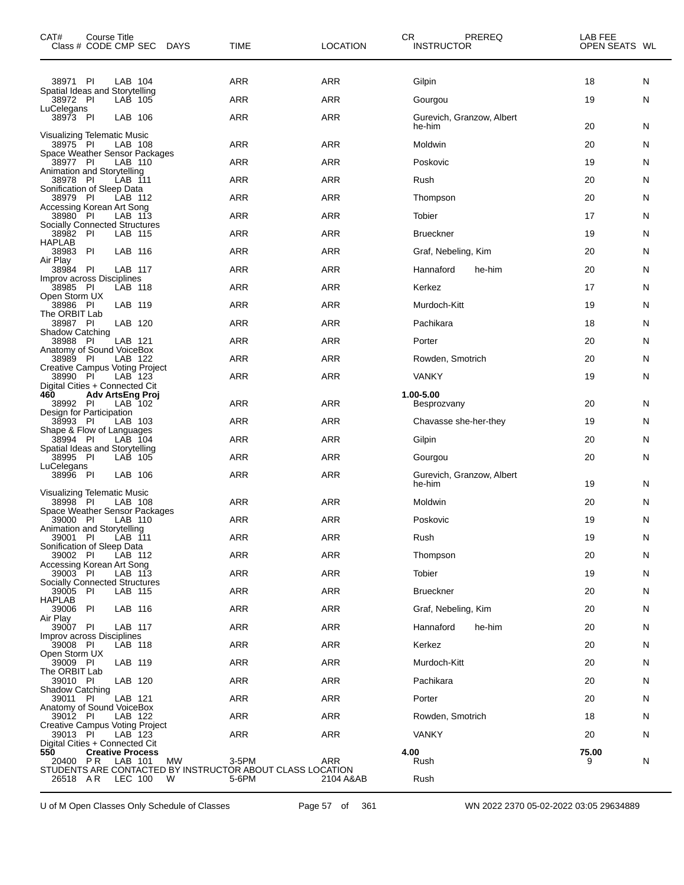| CAT#<br>Course Title<br>Class # CODE CMP SEC                                     | <b>DAYS</b> | TIME       | СR<br><b>LOCATION</b> | PREREQ<br><b>INSTRUCTOR</b>         | LAB FEE<br>OPEN SEATS WL |   |
|----------------------------------------------------------------------------------|-------------|------------|-----------------------|-------------------------------------|--------------------------|---|
| 38971 PI<br>LAB 104                                                              |             | ARR        | ARR                   | Gilpin                              | 18                       | N |
| Spatial Ideas and Storytelling<br>38972 PI<br>LAB 105                            |             | ARR        | ARR                   | Gourgou                             | 19                       | N |
| LuCelegans<br>38973 PI<br>LAB 106                                                |             | <b>ARR</b> | ARR                   | Gurevich, Granzow, Albert<br>he-him | 20                       | N |
| Visualizing Telematic Music<br>38975 PI<br>LAB 108                               |             | <b>ARR</b> | ARR                   | Moldwin                             | 20                       | N |
| Space Weather Sensor Packages<br>38977 PI<br>LAB 110                             |             | ARR        | ARR                   | Poskovic                            | 19                       | N |
| Animation and Storytelling<br>PI<br>LAB 111<br>38978                             |             | <b>ARR</b> | ARR                   | Rush                                | 20                       | N |
| Sonification of Sleep Data                                                       |             |            |                       |                                     |                          |   |
| - PI<br>LAB 112<br>38979<br>Accessing Korean Art Song                            |             | <b>ARR</b> | ARR                   | Thompson                            | 20                       | N |
| 38980 PI<br>LAB 113<br><b>Socially Connected Structures</b>                      |             | ARR        | ARR                   | Tobier                              | 17                       | N |
| 38982 PI<br>LAB 115<br><b>HAPLAB</b>                                             |             | <b>ARR</b> | ARR                   | <b>Brueckner</b>                    | 19                       | N |
| PI<br>LAB 116<br>38983<br>Air Play                                               |             | <b>ARR</b> | ARR                   | Graf, Nebeling, Kim                 | 20                       | N |
| 38984 PI<br>LAB 117<br>Improv across Disciplines                                 |             | ARR        | ARR                   | Hannaford<br>he-him                 | 20                       | N |
| 38985 PI<br>LAB 118<br>Open Storm UX                                             |             | <b>ARR</b> | ARR                   | Kerkez                              | 17                       | N |
| LAB 119<br>38986 PI                                                              |             | <b>ARR</b> | <b>ARR</b>            | Murdoch-Kitt                        | 19                       | N |
| The ORBIT Lab<br>LAB 120<br>38987 PI                                             |             | ARR        | ARR                   | Pachikara                           | 18                       | N |
| Shadow Catching<br>38988 PI<br>LAB 121                                           |             | <b>ARR</b> | ARR                   | Porter                              | 20                       | N |
| Anatomy of Sound VoiceBox<br>38989 PI<br>LAB 122                                 |             | <b>ARR</b> | ARR                   | Rowden, Smotrich                    | 20                       | N |
| <b>Creative Campus Voting Project</b><br>38990 PI<br>LAB 123                     |             | ARR        | ARR                   | <b>VANKY</b>                        | 19                       | N |
| Digital Cities + Connected Cit<br>460<br>Adv ArtsEng Proj                        |             |            |                       | 1.00-5.00                           |                          |   |
| 38992 PI<br>LAB 102<br>Design for Participation                                  |             | <b>ARR</b> | ARR                   | Besprozvany                         | 20                       | N |
| 38993 PI<br>LAB 103<br>Shape & Flow of Languages                                 |             | <b>ARR</b> | ARR                   | Chavasse she-her-they               | 19                       | N |
| LAB 104<br>38994 PI<br>Spatial Ideas and Storytelling                            |             | <b>ARR</b> | ARR                   | Gilpin                              | 20                       | N |
| 38995 PI<br>LAB 105<br>LuCelegans                                                |             | <b>ARR</b> | ARR                   | Gourgou                             | 20                       | N |
| 38996 PI<br>LAB 106                                                              |             | ARR        | ARR                   | Gurevich, Granzow, Albert<br>he-him | 19                       | N |
| Visualizing Telematic Music<br>38998 PI<br>LAB 108                               |             | ARR        | ARR                   | Moldwin                             | 20                       | N |
| Space Weather Sensor Packages<br>39000 PI<br>LAB 110                             |             | ARR        | <b>ARR</b>            | Poskovic                            | 19                       | N |
| Animation and Storytelling<br>39001 PI<br>LAB 111                                |             | <b>ARR</b> | ARR                   | Rush                                | 19                       | N |
| Sonification of Sleep Data<br>39002 PI<br>LAB 112                                |             | <b>ARR</b> | ARR                   | Thompson                            | 20                       | N |
| Accessing Korean Art Song<br>LAB 113<br>39003 PI                                 |             | <b>ARR</b> | <b>ARR</b>            | Tobier                              | 19                       | N |
| Socially Connected Structures<br>39005 PI<br>LAB 115                             |             | ARR        | ARR                   | <b>Brueckner</b>                    | 20                       | N |
| <b>HAPLAB</b><br>39006 PI<br>LAB 116                                             |             | <b>ARR</b> | ARR                   | Graf, Nebeling, Kim                 | 20                       | N |
| Air Play<br>39007 PI<br>LAB 117                                                  |             | <b>ARR</b> | <b>ARR</b>            | Hannaford<br>he-him                 | 20                       | N |
| Improv across Disciplines<br>39008 PI<br>LAB 118                                 |             | ARR        | ARR                   | Kerkez                              | 20                       | N |
| Open Storm UX<br>LAB 119                                                         |             | <b>ARR</b> | ARR                   | Murdoch-Kitt                        | 20                       | N |
| 39009 PI<br>The ORBIT Lab                                                        |             |            |                       |                                     |                          |   |
| LAB 120<br>39010 PI<br>Shadow Catching                                           |             | <b>ARR</b> | <b>ARR</b>            | Pachikara                           | 20                       | N |
| LAB 121<br>39011 PI<br>Anatomy of Sound VoiceBox                                 |             | ARR        | ARR                   | Porter                              | 20                       | N |
| LAB 122<br>39012 PI<br>Creative Campus Voting Project                            |             | <b>ARR</b> | ARR                   | Rowden, Smotrich                    | 18                       | N |
| 39013 PI<br>LAB 123<br>Digital Cities + Connected Cit                            |             | <b>ARR</b> | <b>ARR</b>            | <b>VANKY</b>                        | 20                       | N |
| 550<br><b>Creative Process</b><br>P R<br>LAB 101<br>20400                        | <b>MW</b>   | 3-5PM      | ARR                   | 4.00<br>Rush                        | 75.00<br>9               | N |
| STUDENTS ARE CONTACTED BY INSTRUCTOR ABOUT CLASS LOCATION<br>26518 AR<br>LEC 100 | W           | 5-6PM      | 2104 A&AB             | Rush                                |                          |   |

U of M Open Classes Only Schedule of Classes Page 57 of 361 WN 2022 2370 05-02-2022 03:05 29634889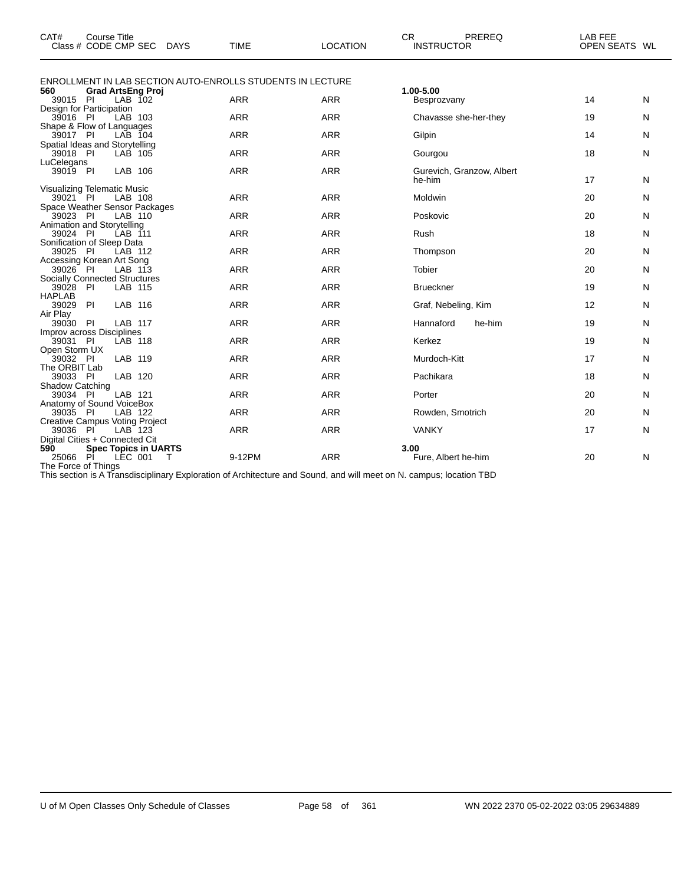| CAT#                                   | <b>Course Title</b><br>Class # CODE CMP SEC                              | <b>DAYS</b> | <b>TIME</b> | <b>LOCATION</b> | <b>CR</b><br>PREREQ<br><b>INSTRUCTOR</b> | LAB FEE<br>OPEN SEATS WL |   |
|----------------------------------------|--------------------------------------------------------------------------|-------------|-------------|-----------------|------------------------------------------|--------------------------|---|
|                                        | <b>ENROLLMENT IN LAB SECTION AUTO-ENROLLS STUDENTS IN LECTURE</b>        |             |             |                 |                                          |                          |   |
| 560<br>39015 PI                        | <b>Grad ArtsEng Proj</b><br>$LAB$ 102                                    |             | <b>ARR</b>  | <b>ARR</b>      | 1.00-5.00<br>Besprozvany                 | 14                       | N |
| 39016 PI                               | Design for Participation<br>LAB 103                                      |             | <b>ARR</b>  | <b>ARR</b>      | Chavasse she-her-they                    | 19                       | N |
| 39017 PI                               | Shape & Flow of Languages<br>LAB 104                                     |             | <b>ARR</b>  | <b>ARR</b>      | Gilpin                                   | 14                       | N |
| 39018 PI                               | Spatial Ideas and Storytelling<br>LAB 105                                |             | <b>ARR</b>  | <b>ARR</b>      | Gourgou                                  | 18                       | N |
| LuCelegans<br>39019 PI                 | LAB 106                                                                  |             | <b>ARR</b>  | <b>ARR</b>      | Gurevich, Granzow, Albert<br>he-him      | 17                       | N |
| 39021 PI                               | Visualizing Telematic Music<br>LAB 108                                   |             | <b>ARR</b>  | <b>ARR</b>      | Moldwin                                  | 20                       | N |
| 39023                                  | Space Weather Sensor Packages<br>- PI<br>LAB 110                         |             | <b>ARR</b>  | <b>ARR</b>      | Poskovic                                 | 20                       | N |
| 39024 PI                               | Animation and Storytelling<br>LAB 111                                    |             | <b>ARR</b>  | <b>ARR</b>      | Rush                                     | 18                       | N |
| 39025 PI                               | Sonification of Sleep Data<br>LAB 112                                    |             | <b>ARR</b>  | <b>ARR</b>      | Thompson                                 | 20                       | N |
| 39026 PI                               | Accessing Korean Art Song<br>LAB 113                                     |             | <b>ARR</b>  | <b>ARR</b>      | <b>Tobier</b>                            | 20                       | N |
| 39028 PI                               | <b>Socially Connected Structures</b><br>LAB 115                          |             | <b>ARR</b>  | <b>ARR</b>      | <b>Brueckner</b>                         | 19                       | N |
| <b>HAPLAB</b><br>39029 PI              | LAB 116                                                                  |             | <b>ARR</b>  | <b>ARR</b>      | Graf, Nebeling, Kim                      | 12                       | N |
| Air Play<br>39030 PI                   | LAB 117                                                                  |             | <b>ARR</b>  | <b>ARR</b>      | Hannaford<br>he-him                      | 19                       | N |
| 39031 PI                               | Improv across Disciplines<br><b>LAB 118</b>                              |             | <b>ARR</b>  | <b>ARR</b>      | Kerkez                                   | 19                       | N |
| Open Storm UX<br>39032 PI              | LAB 119                                                                  |             | <b>ARR</b>  | <b>ARR</b>      | Murdoch-Kitt                             | 17                       | N |
| The ORBIT Lab<br>39033 PI              | LAB 120                                                                  |             | <b>ARR</b>  | <b>ARR</b>      | Pachikara                                | 18                       | N |
| Shadow Catching<br>39034 PI            | LAB 121                                                                  |             | <b>ARR</b>  | <b>ARR</b>      | Porter                                   | 20                       | N |
| 39035                                  | Anatomy of Sound VoiceBox<br>P1<br>LAB 122                               |             | <b>ARR</b>  | <b>ARR</b>      | Rowden, Smotrich                         | 20                       | N |
| 39036 PI                               | <b>Creative Campus Voting Project</b><br>LAB 123                         |             | <b>ARR</b>  | <b>ARR</b>      | <b>VANKY</b>                             | 17                       | N |
| 590<br>25066 PI<br>The Force of Things | Digital Cities + Connected Cit<br><b>Spec Topics in UARTS</b><br>LEC 001 | т           | 9-12PM      | <b>ARR</b>      | 3.00<br>Fure, Albert he-him              | 20                       | N |

This section is A Transdisciplinary Exploration of Architecture and Sound, and will meet on N. campus; location TBD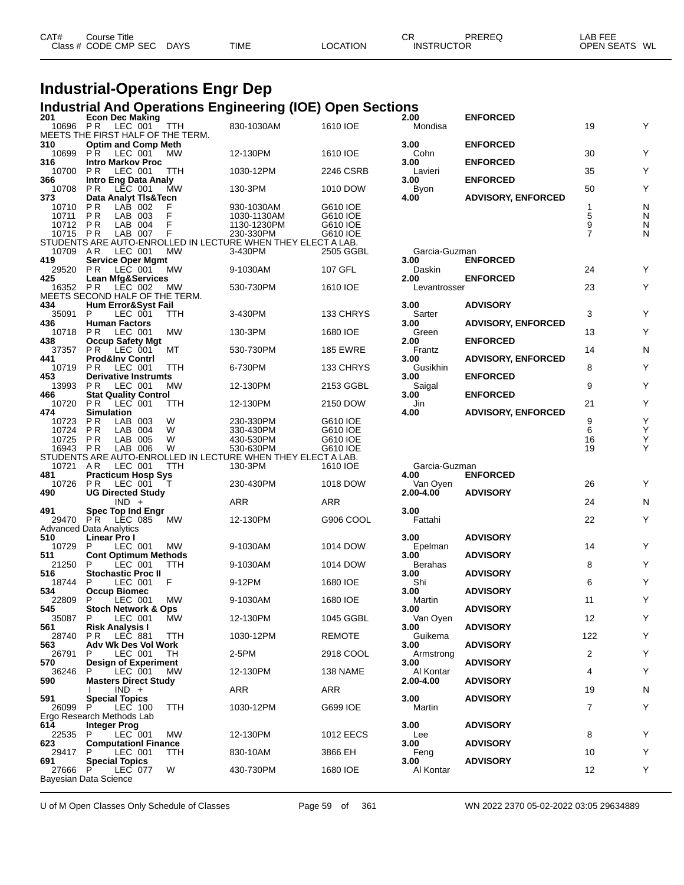| CAT# | Course Title         |             |             |                 | СF                | PREREQ | _AB FEE       |
|------|----------------------|-------------|-------------|-----------------|-------------------|--------|---------------|
|      | Class # CODE CMP SEC | <b>DAYS</b> | <b>TIME</b> | <b>LOCATION</b> | <b>INSTRUCTOR</b> |        | OPEN SEATS WL |
|      |                      |             |             |                 |                   |        |               |

#### **Industrial-Operations Engr Dep**

#### **Industrial And Operations Engineering (IOE) Open Sections**

| 201 |                | <b>Econ Dec Making</b>               |                    |                                   |                                                              | <b>Industrial And Operations Engineering (IOE) Open Sections</b> | 2.00            | <b>ENFORCED</b>           |                |        |
|-----|----------------|--------------------------------------|--------------------|-----------------------------------|--------------------------------------------------------------|------------------------------------------------------------------|-----------------|---------------------------|----------------|--------|
|     | 10696 PR       |                                      | LEC 001            | TTH                               | 830-1030AM                                                   | 1610 IOE                                                         | Mondisa         |                           | 19             | Υ      |
|     |                |                                      |                    | MEETS THE FIRST HALF OF THE TERM. |                                                              |                                                                  |                 |                           |                |        |
| 310 |                | <b>Optim and Comp Meth</b>           |                    |                                   |                                                              |                                                                  | 3.00            | <b>ENFORCED</b>           |                |        |
|     | 10699          | PR.                                  | LEC 001            | <b>MW</b>                         | 12-130PM                                                     | 1610 IOE                                                         | Cohn            |                           | 30             | Υ      |
| 316 |                | <b>Intro Markov Proc</b>             |                    |                                   |                                                              |                                                                  | 3.00            | <b>ENFORCED</b>           |                |        |
|     | 10700          | P R                                  | LEC 001            | TTH                               | 1030-12PM                                                    | 2246 CSRB                                                        | Lavieri         |                           | 35             | Υ      |
| 366 |                | <b>Intro Eng Data Analy</b>          |                    |                                   |                                                              |                                                                  | 3.00            | <b>ENFORCED</b>           |                |        |
|     | 10708          | PR.                                  | LEC 001            | МW                                | 130-3PM                                                      | 1010 DOW                                                         | Byon            |                           | 50             | Υ      |
| 373 |                | <b>Data Analyt TIs&amp;Tecn</b>      |                    |                                   |                                                              |                                                                  | 4.00            | <b>ADVISORY, ENFORCED</b> |                |        |
|     | 10710<br>10711 | P R<br>P <sub>R</sub>                | LAB 002<br>LAB 003 | F<br>F                            | 930-1030AM<br>1030-1130AM                                    | G610 IOE<br>G610 IOE                                             |                 |                           | $\mathbf{1}$   | N<br>N |
|     | 10712 PR       |                                      | LAB 004            | F                                 | 1130-1230PM                                                  | G610 IOE                                                         |                 |                           | $\frac{5}{9}$  | N      |
|     | 10715 PR       |                                      | LAB 007            | F                                 | 230-330PM                                                    | G610 IOE                                                         |                 |                           | $\overline{7}$ | N      |
|     |                |                                      |                    |                                   | STUDENTS ARE AUTO-ENROLLED IN LECTURE WHEN THEY ELECT A LAB. |                                                                  |                 |                           |                |        |
|     | 10709 AR       |                                      | LEC 001            | МW                                | 3-430PM                                                      | 2505 GGBL                                                        | Garcia-Guzman   |                           |                |        |
| 419 |                | <b>Service Oper Mgmt</b>             |                    |                                   |                                                              |                                                                  | 3.00            | <b>ENFORCED</b>           |                |        |
|     | 29520          | PR.                                  | LEC 001            | МW                                | 9-1030AM                                                     | 107 GFL                                                          | Daskin          |                           | 24             | Y      |
| 425 |                | <b>Lean Mfg&amp;Services</b>         |                    |                                   |                                                              |                                                                  | 2.00            | <b>ENFORCED</b>           |                |        |
|     | 16352 PR       |                                      | LEC 002            | МW                                | 530-730PM                                                    | 1610 IOE                                                         | Levantrosser    |                           | 23             | Y      |
| 434 |                |                                      |                    | MEETS SECOND HALF OF THE TERM.    |                                                              |                                                                  | 3.00            | <b>ADVISORY</b>           |                |        |
|     | 35091          | <b>Hum Error&amp;Syst Fail</b><br>P. | LEC 001            | TTH                               | 3-430PM                                                      | 133 CHRYS                                                        | Sarter          |                           | 3              | Υ      |
| 436 |                | <b>Human Factors</b>                 |                    |                                   |                                                              |                                                                  | 3.00            | <b>ADVISORY, ENFORCED</b> |                |        |
|     | 10718          | P R                                  | LEC 001            | МW                                | 130-3PM                                                      | 1680 IOE                                                         | Green           |                           | 13             | Υ      |
| 438 |                | <b>Occup Safety Mgt</b>              |                    |                                   |                                                              |                                                                  | 2.00            | <b>ENFORCED</b>           |                |        |
|     | 37357          | PR.                                  | LEC 001            | МT                                | 530-730PM                                                    | <b>185 EWRE</b>                                                  | Frantz          |                           | 14             | N      |
| 441 |                | <b>Prod&amp;Inv Contri</b>           |                    |                                   |                                                              |                                                                  | 3.00            | <b>ADVISORY, ENFORCED</b> |                |        |
|     | 10719          | PR.                                  | LEC 001            | <b>TTH</b>                        | 6-730PM                                                      | 133 CHRYS                                                        | Gusikhin        |                           | 8              | Υ      |
| 453 |                | <b>Derivative Instrumts</b>          |                    |                                   |                                                              |                                                                  | 3.00            | <b>ENFORCED</b>           | 9              | Y      |
| 466 | 13993          | P R<br><b>Stat Quality Control</b>   | LEC 001            | MW.                               | 12-130PM                                                     | 2153 GGBL                                                        | Saigal<br>3.00  | <b>ENFORCED</b>           |                |        |
|     | 10720          | PR.                                  | LEC 001            | TTH                               | 12-130PM                                                     | 2150 DOW                                                         | Jin             |                           | 21             | Υ      |
| 474 |                | <b>Simulation</b>                    |                    |                                   |                                                              |                                                                  | 4.00            | <b>ADVISORY, ENFORCED</b> |                |        |
|     | 10723          | P R                                  | LAB 003            | W                                 | 230-330PM                                                    | G610 IOE                                                         |                 |                           | 9              | Υ      |
|     | 10724          | P R                                  | LAB 004            | W                                 | 330-430PM                                                    | G610 IOE                                                         |                 |                           | 6              | Y      |
|     | 10725          | P R                                  | LAB 005            | W                                 | 430-530PM                                                    | G610 IOE                                                         |                 |                           | 16             | Υ      |
|     | 16943 PR       |                                      | LAB 006            | W                                 | 530-630PM                                                    | G610 IOE                                                         |                 |                           | 19             | Υ      |
|     |                |                                      |                    |                                   | STUDENTS ARE AUTO-ENROLLED IN LECTURE WHEN THEY ELECT A LAB. |                                                                  |                 |                           |                |        |
|     |                |                                      |                    |                                   |                                                              |                                                                  |                 |                           |                |        |
|     | 10721 AR       |                                      | LEC 001            | <b>TTH</b>                        | 130-3PM                                                      | 1610 IOE                                                         | Garcia-Guzman   |                           |                |        |
| 481 |                | <b>Practicum Hosp Sys</b>            |                    |                                   |                                                              |                                                                  | 4.00            | <b>ENFORCED</b>           |                |        |
|     | 10726          | P <sub>R</sub>                       | LEC 001            | - T                               | 230-430PM                                                    | 1018 DOW                                                         | Van Oven        |                           | 26             | Y      |
| 490 |                | <b>UG Directed Study</b>             | $IND +$            |                                   | ARR                                                          | ARR                                                              | 2.00-4.00       | <b>ADVISORY</b>           | 24             | N      |
| 491 |                | <b>Spec Top Ind Engr</b>             |                    |                                   |                                                              |                                                                  | 3.00            |                           |                |        |
|     | 29470 PR       |                                      | LEC 085            | МW                                | 12-130PM                                                     | G906 COOL                                                        | Fattahi         |                           | 22             | Y      |
|     |                | Advanced Data Analytics              |                    |                                   |                                                              |                                                                  |                 |                           |                |        |
| 510 |                | Linear Pro I                         |                    |                                   |                                                              |                                                                  | 3.00            | <b>ADVISORY</b>           |                |        |
|     | 10729          | P                                    | LEC 001            | MW                                | 9-1030AM                                                     | 1014 DOW                                                         | Epelman         |                           | 14             | Y      |
| 511 |                | <b>Cont Optimum Methods</b><br>P     |                    |                                   |                                                              |                                                                  | 3.00            | <b>ADVISORY</b>           |                |        |
| 516 | 21250          | <b>Stochastic Proc II</b>            | LEC 001            | TTH                               | 9-1030AM                                                     | 1014 DOW                                                         | Berahas<br>3.00 | <b>ADVISORY</b>           | 8              | Υ      |
|     | 18744          | P.                                   | LEC 001            | F                                 | 9-12PM                                                       | 1680 IOE                                                         | Shi             |                           | 6              | Υ      |
| 534 |                | <b>Occup Biomec</b>                  |                    |                                   |                                                              |                                                                  | 3.00            | <b>ADVISORY</b>           |                |        |
|     | 22809          | P                                    | LEC 001            | МW                                | 9-1030AM                                                     | 1680 IOE                                                         | Martin          |                           | 11             | Y      |
| 545 |                | <b>Stoch Network &amp; Ops</b>       |                    |                                   |                                                              |                                                                  | 3.00            | <b>ADVISORY</b>           |                |        |
| 561 |                | 35087 P LEC 001 MW                   |                    |                                   | 12-130PM                                                     | 1045 GGBL                                                        | Van Oyen        |                           | 12             | Y      |
|     | 28740          | <b>Risk Analysis I</b><br>PR.        | LEC 881            | TTH                               | 1030-12PM                                                    | <b>REMOTE</b>                                                    | 3.00<br>Guikema | <b>ADVISORY</b>           | 122            | Υ      |
| 563 |                | Adv Wk Des Vol Work                  |                    |                                   |                                                              |                                                                  | 3.00            | <b>ADVISORY</b>           |                |        |
|     | 26791          | P.                                   | LEC 001            | TH                                | 2-5PM                                                        | 2918 COOL                                                        | Armstrong       |                           | 2              | Υ      |
| 570 |                | <b>Design of Experiment</b>          |                    |                                   |                                                              |                                                                  | 3.00            | <b>ADVISORY</b>           |                |        |
|     | 36246          | P.                                   | LEC 001            | МW                                | 12-130PM                                                     | 138 NAME                                                         | Al Kontar       |                           | 4              | Υ      |
| 590 |                | <b>Masters Direct Study</b>          |                    |                                   |                                                              |                                                                  | 2.00-4.00       | <b>ADVISORY</b>           |                |        |
| 591 |                | <b>Special Topics</b>                | $IND +$            |                                   | ARR                                                          | ARR                                                              | 3.00            | <b>ADVISORY</b>           | 19             | N      |
|     | 26099 P        |                                      | LEC 100            | <b>TTH</b>                        | 1030-12PM                                                    | G699 IOE                                                         | Martin          |                           | 7              | Υ      |
|     |                | Ergo Research Methods Lab            |                    |                                   |                                                              |                                                                  |                 |                           |                |        |
| 614 |                | <b>Integer Prog</b>                  |                    |                                   |                                                              |                                                                  | 3.00            | <b>ADVISORY</b>           |                |        |
|     | 22535 P        |                                      | LEC 001            | МW                                | 12-130PM                                                     | <b>1012 EECS</b>                                                 | Lee             |                           | 8              | Υ      |
| 623 |                | <b>ComputationI Finance</b><br>P.    |                    |                                   |                                                              |                                                                  | 3.00            | <b>ADVISORY</b>           |                |        |
| 691 | 29417          | <b>Special Topics</b>                | LEC 001            | TTH                               | 830-10AM                                                     | 3866 EH                                                          | Feng<br>3.00    | <b>ADVISORY</b>           | 10             | Y      |
|     | 27666          | P<br>Bayesian Data Science           | LEC 077            | W                                 | 430-730PM                                                    | 1680 IOE                                                         | Al Kontar       |                           | 12             | Υ      |

U of M Open Classes Only Schedule of Classes Page 59 of 361 WN 2022 2370 05-02-2022 03:05 29634889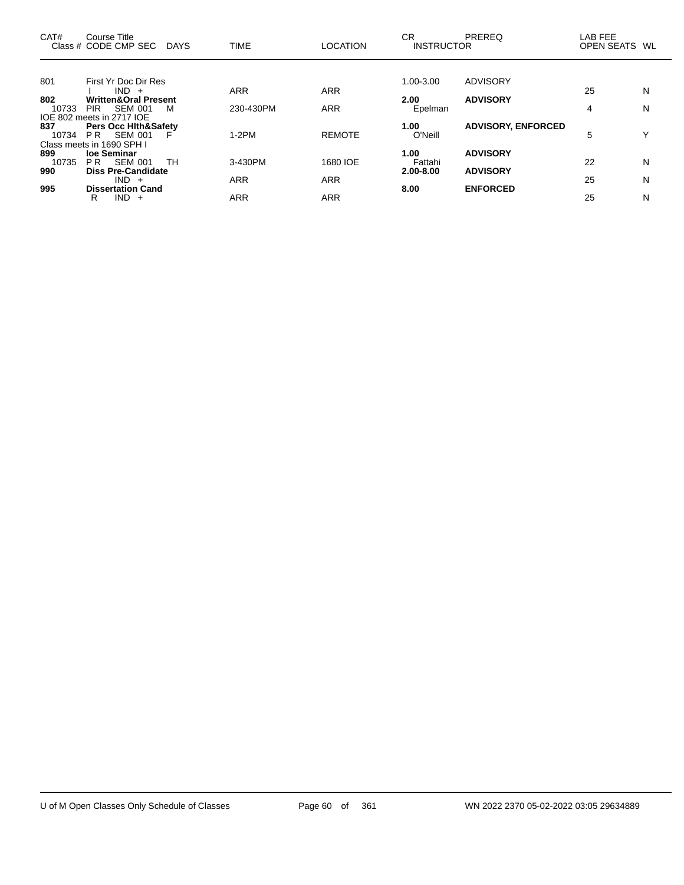| CAT#  | Course Title<br>Class # CODE CMP SEC                         | DAYS | <b>TIME</b> | <b>LOCATION</b> | CR<br><b>INSTRUCTOR</b> | PREREQ                    | LAB FEE<br>OPEN SEATS WL |   |
|-------|--------------------------------------------------------------|------|-------------|-----------------|-------------------------|---------------------------|--------------------------|---|
|       |                                                              |      |             |                 |                         |                           |                          |   |
| 801   | First Yr Doc Dir Res                                         |      |             |                 | 1.00-3.00               | ADVISORY                  |                          |   |
|       | $IND +$                                                      |      | ARR         | <b>ARR</b>      |                         |                           | 25                       | N |
| 802   | <b>Written&amp;Oral Present</b>                              |      |             |                 | 2.00                    | <b>ADVISORY</b>           |                          |   |
| 10733 | <b>SEM 001</b><br>PIR.                                       | м    | 230-430PM   | <b>ARR</b>      | Epelman                 |                           | 4                        | N |
| 837   | IOE 802 meets in 2717 IOE<br><b>Pers Occ Hith&amp;Safety</b> |      |             |                 | 1.00                    | <b>ADVISORY, ENFORCED</b> |                          |   |
| 10734 | <b>SEM 001</b><br>PR -                                       | Е    | $1-2PM$     | <b>REMOTE</b>   | O'Neill                 |                           | 5                        | Υ |
|       | Class meets in 1690 SPH I                                    |      |             |                 |                         |                           |                          |   |
| 899   | loe Seminar                                                  |      |             |                 | 1.00                    | <b>ADVISORY</b>           |                          |   |
| 10735 | <b>SEM 001</b><br>PR.                                        | TH.  | 3-430PM     | 1680 IOE        | Fattahi                 |                           | 22                       | N |
| 990   | <b>Diss Pre-Candidate</b>                                    |      |             |                 | 2.00-8.00               | <b>ADVISORY</b>           |                          |   |
|       | $IND +$                                                      |      | ARR         | <b>ARR</b>      |                         |                           | 25                       | N |
| 995   | <b>Dissertation Cand</b>                                     |      |             |                 | 8.00                    | <b>ENFORCED</b>           |                          |   |
|       | $IND +$<br>R                                                 |      | ARR         | ARR             |                         |                           | 25                       | N |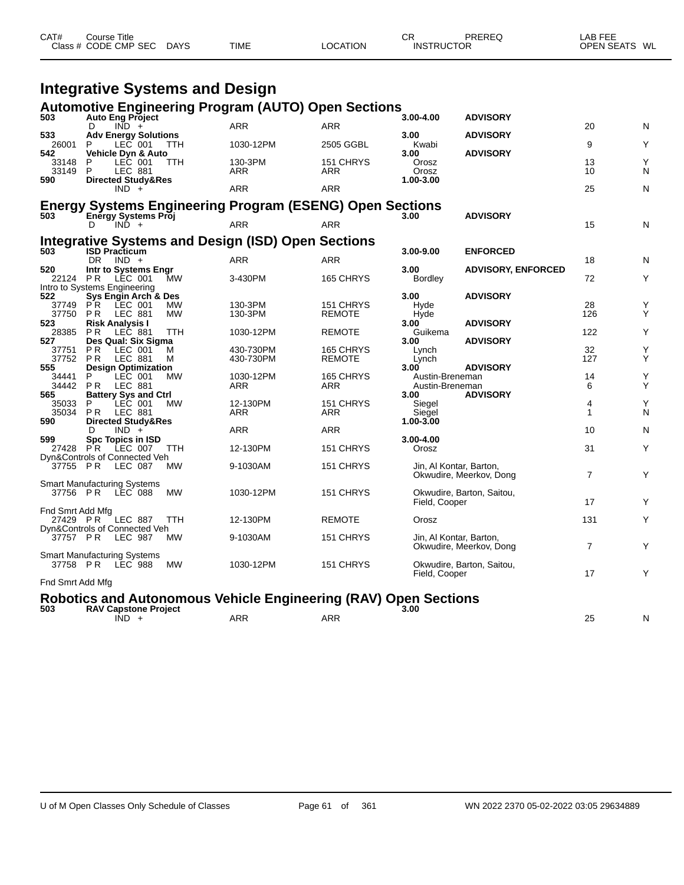| CAT# | Course Title<br>Class # CODE CMP SEC | DAYS | <b>TIME</b> | LOCATION | СF<br><b>INSTRUCTOR</b> | PREREQ | LAB FEE<br><b>OPEN SEATS</b> | WL |
|------|--------------------------------------|------|-------------|----------|-------------------------|--------|------------------------------|----|
|      |                                      |      |             |          |                         |        |                              |    |

|                       | <b>Integrative Systems and Design</b>                    |            |                                                                 |                            |                                    |                           |                   |        |
|-----------------------|----------------------------------------------------------|------------|-----------------------------------------------------------------|----------------------------|------------------------------------|---------------------------|-------------------|--------|
|                       |                                                          |            | <b>Automotive Engineering Program (AUTO) Open Sections</b>      |                            |                                    |                           |                   |        |
| 503                   | <b>Auto Eng Project</b><br>D<br>$IND +$                  |            | <b>ARR</b>                                                      | <b>ARR</b>                 | 3.00-4.00                          | <b>ADVISORY</b>           | 20                | N      |
| 533                   | <b>Adv Energy Solutions</b>                              |            |                                                                 |                            | 3.00                               | <b>ADVISORY</b>           |                   |        |
| 26001<br>542          | P<br>LEC 001<br>Vehicle Dyn & Auto                       | ттн        | 1030-12PM                                                       | 2505 GGBL                  | Kwabi<br>3.00                      | <b>ADVISORY</b>           | 9                 | Y      |
| 33148<br>33149<br>590 | P<br>LEC 001<br>P<br>LEC 881                             | TTH        | 130-3PM<br>ARR                                                  | 151 CHRYS<br>ARR           | Orosz<br>Orosz                     |                           | 13<br>10          | Υ<br>N |
|                       | Directed Study&Res<br>$IND +$                            |            | <b>ARR</b>                                                      | <b>ARR</b>                 | 1.00-3.00                          |                           | 25                | N      |
|                       |                                                          |            | <b>Energy Systems Engineering Program (ESENG) Open Sections</b> |                            |                                    |                           |                   |        |
| 503                   | Energy Systems Proj                                      |            |                                                                 |                            | 3.00                               | <b>ADVISORY</b>           |                   |        |
|                       | $IND +$<br>D                                             |            | <b>ARR</b>                                                      | <b>ARR</b>                 |                                    |                           | 15                | N      |
| 503                   | <b>ISD Practicum</b>                                     |            | <b>Integrative Systems and Design (ISD) Open Sections</b>       |                            |                                    |                           |                   |        |
|                       | DR.<br>$IND +$                                           |            | <b>ARR</b>                                                      | ARR                        | 3.00-9.00                          | <b>ENFORCED</b>           | 18                | N      |
| 520<br>22124          | Intr to Systems Engr<br><b>PR</b><br>LEC 001             | MW         | 3-430PM                                                         | 165 CHRYS                  | 3.00                               | <b>ADVISORY, ENFORCED</b> | 72                | Y      |
|                       | Intro to Systems Engineering                             |            |                                                                 |                            | <b>Bordley</b>                     |                           |                   |        |
| 522<br>37749          | Sys Engin Arch & Des<br><b>PR</b><br>LEC 001             | МW         | 130-3PM                                                         | 151 CHRYS                  | 3.00<br>Hyde                       | <b>ADVISORY</b>           | 28                | Υ      |
| 37750                 | <b>LEC 881</b><br>P R                                    | <b>MW</b>  | 130-3PM                                                         | <b>REMOTE</b>              | Hyde                               |                           | 126               | Υ      |
| 523<br>28385          | Risk Analysis I<br><b>LEC 881</b><br>PR.                 | TTH        | 1030-12PM                                                       | <b>REMOTE</b>              | 3.00<br>Guikema                    | <b>ADVISORY</b>           | 122               | Υ      |
| 527                   | Des Qual: Six Sigma                                      |            |                                                                 |                            | 3.00                               | <b>ADVISORY</b>           |                   |        |
| 37751<br>37752        | P <sub>R</sub><br>LEC 001<br><b>PR</b><br><b>LEC 881</b> | м<br>м     | 430-730PM<br>430-730PM                                          | 165 CHRYS<br><b>REMOTE</b> | Lynch<br>Lynch                     |                           | 32<br>127         | Υ<br>Υ |
| 555                   | <b>Design Optimization</b>                               |            |                                                                 |                            | 3.00                               | <b>ADVISORY</b>           |                   |        |
| 34441<br>34442        | P<br>LEC 001<br><b>PR</b><br>LEC 881                     | <b>MW</b>  | 1030-12PM<br>ARR                                                | 165 CHRYS<br>ARR           | Austin-Breneman<br>Austin-Breneman |                           | 14<br>6           | Υ<br>Υ |
| 565                   | <b>Battery Sys and Ctrl</b>                              |            |                                                                 |                            | 3.00                               | <b>ADVISORY</b>           |                   |        |
| 35033<br>35034        | P<br>LEC 001<br><b>LEC 881</b><br>P R                    | MW         | 12-130PM<br>ARR                                                 | 151 CHRYS<br>ARR           | Siegel<br>Siegel                   |                           | 4<br>$\mathbf{1}$ | Υ<br>N |
| 590                   | Directed Study&Res                                       |            |                                                                 |                            | 1.00-3.00                          |                           |                   |        |
| 599                   | D<br>$IND +$<br><b>Spc Topics in ISD</b>                 |            | ARR                                                             | ARR                        | 3.00-4.00                          |                           | 10                | N      |
| 27428                 | P <sub>R</sub><br>LEC 007                                | TTH        | 12-130PM                                                        | 151 CHRYS                  | Orosz                              |                           | 31                | Y      |
| 37755 PR              | Dyn&Controls of Connected Veh<br>LEC 087                 | MW         | 9-1030AM                                                        | 151 CHRYS                  | Jin, Al Kontar, Barton,            |                           |                   |        |
|                       |                                                          |            |                                                                 |                            |                                    | Okwudire, Meerkov, Dong   | 7                 | Υ      |
| 37756 PR              | <b>Smart Manufacturing Systems</b><br>LEC 088            | MW         | 1030-12PM                                                       | 151 CHRYS                  |                                    | Okwudire, Barton, Saitou, | 17                | Y      |
| Fnd Smrt Add Mfg      |                                                          |            |                                                                 |                            | Field, Cooper                      |                           |                   |        |
| 27429 PR              | <b>LEC 887</b><br>Dyn&Controls of Connected Veh          | <b>TTH</b> | 12-130PM                                                        | <b>REMOTE</b>              | Orosz                              |                           | 131               | Y      |
| 37757 PR              | <b>LEC 987</b>                                           | MW         | 9-1030AM                                                        | 151 CHRYS                  | Jin, Al Kontar, Barton,            | Okwudire, Meerkov, Dong   | $\overline{7}$    | Υ      |
| 37758 PR              | <b>Smart Manufacturing Systems</b><br>LEC 988            | MW         | 1030-12PM                                                       | 151 CHRYS                  | Field, Cooper                      | Okwudire, Barton, Saitou, | 17                | Y      |
| Fnd Smrt Add Mfg      |                                                          |            |                                                                 |                            |                                    |                           |                   |        |
|                       |                                                          |            | Robotics and Autonomous Vehicle Engineering (RAV) Open Sections |                            |                                    |                           |                   |        |
| 503                   | <b>RAV Capstone Project</b>                              |            |                                                                 |                            | 3.00                               |                           |                   |        |
|                       | $IND +$                                                  |            | ARR                                                             | ARR                        |                                    |                           | 25                | N      |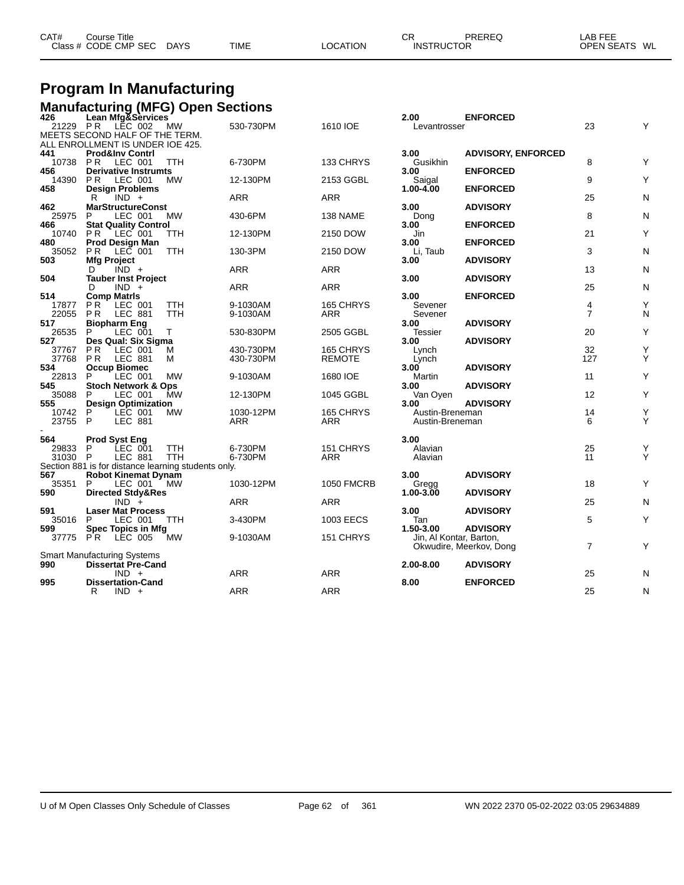| CAT# | Course Title         |             |             |          | СR                | PREREQ | LAB FEE       |  |
|------|----------------------|-------------|-------------|----------|-------------------|--------|---------------|--|
|      | Class # CODE CMP SEC | <b>DAYS</b> | <b>TIME</b> | LOCATION | <b>INSTRUCTOR</b> |        | OPEN SEATS WL |  |

# **Program In Manufacturing**

|                | Manufacturing (MFG) Open Sections<br>426 Lean Mfg&Services         |            |                  |                         |                                    |                           |                     |        |
|----------------|--------------------------------------------------------------------|------------|------------------|-------------------------|------------------------------------|---------------------------|---------------------|--------|
|                |                                                                    |            |                  |                         | 2.00                               | <b>ENFORCED</b>           |                     |        |
| 21229 PR       | LĔC 002                                                            | MW         | 530-730PM        | 1610 IOE                | Levantrosser                       |                           | 23                  | Υ      |
|                | MEETS SECOND HALF OF THE TERM.<br>ALL ENROLLMENT IS UNDER IOE 425. |            |                  |                         |                                    |                           |                     |        |
| 441            | <b>Prod&amp;Inv Contrl</b>                                         |            |                  |                         | 3.00                               | <b>ADVISORY, ENFORCED</b> |                     |        |
| 10738          | <b>PR</b><br>LEC 001                                               | <b>TTH</b> | 6-730PM          | 133 CHRYS               | Gusikhin                           |                           | 8                   | Y      |
| 456            | <b>Derivative Instrumts</b>                                        |            |                  |                         | 3.00                               | <b>ENFORCED</b>           |                     |        |
| 14390          | PR.<br>LEC 001                                                     | MW         | 12-130PM         | 2153 GGBL               | Saigal                             |                           | 9                   | Υ      |
| 458            | <b>Design Problems</b>                                             |            |                  |                         | 1.00-4.00                          | <b>ENFORCED</b>           |                     |        |
|                | $IND +$<br>R                                                       |            | ARR              | <b>ARR</b>              |                                    |                           | 25                  | N      |
| 462            | <b>MarStructureConst</b>                                           |            |                  |                         | 3.00                               | <b>ADVISORY</b>           |                     |        |
| 25975          | LEC 001<br>P                                                       | MW         | 430-6PM          | 138 NAME                | Dong                               |                           | 8                   | N      |
| 466<br>10740   | <b>Stat Quality Control</b><br>PR.<br>LEC 001                      | TTH        | 12-130PM         | 2150 DOW                | 3.00<br>Jin                        | <b>ENFORCED</b>           | 21                  | Υ      |
| 480            | <b>Prod Design Man</b>                                             |            |                  |                         | 3.00                               | <b>ENFORCED</b>           |                     |        |
| 35052          | P <sub>R</sub><br>LEC 001                                          | TTH        | 130-3PM          | 2150 DOW                | Li, Taub                           |                           | 3                   | N      |
| 503            | <b>Mfg Project</b>                                                 |            |                  |                         | 3.00                               | <b>ADVISORY</b>           |                     |        |
|                | $IND +$<br>D                                                       |            | <b>ARR</b>       | <b>ARR</b>              |                                    |                           | 13                  | N      |
| 504            | <b>Tauber Inst Project</b>                                         |            |                  |                         | 3.00                               | <b>ADVISORY</b>           |                     |        |
|                | $IND +$<br>D                                                       |            | <b>ARR</b>       | <b>ARR</b>              |                                    |                           | 25                  | N      |
| 514            | <b>Comp Matris</b>                                                 |            |                  |                         | 3.00                               | <b>ENFORCED</b>           |                     |        |
| 17877          | P <sub>R</sub><br>LEC 001                                          | TTH        | 9-1030AM         | 165 CHRYS               | Sevener                            |                           | 4<br>$\overline{7}$ | Υ      |
| 22055<br>517   | <b>PR</b><br>LEC 881                                               | <b>TTH</b> | 9-1030AM         | <b>ARR</b>              | Sevener<br>3.00                    | <b>ADVISORY</b>           |                     | N      |
| 26535          | Biopharm Eng<br>LEC 001<br>P<br>Т                                  |            | 530-830PM        | 2505 GGBL               | Tessier                            |                           | 20                  | Υ      |
| 527            | Des Qual: Six Sigma                                                |            |                  |                         | 3.00                               | <b>ADVISORY</b>           |                     |        |
| 37767          | <b>PR</b><br>LEC 001                                               | М          | 430-730PM        | 165 CHRYS               | Lynch                              |                           | 32                  | Υ      |
| 37768          | P <sub>R</sub><br>LEC 881<br>м                                     |            | 430-730PM        | <b>REMOTE</b>           | Lynch                              |                           | 127                 | Υ      |
| 534            | <b>Occup Biomec</b>                                                |            |                  |                         | 3.00                               | <b>ADVISORY</b>           |                     |        |
| 22813          | P<br>LEC 001                                                       | <b>MW</b>  | 9-1030AM         | 1680 IOE                | Martin                             |                           | 11                  | Υ      |
| 545            | Stoch Network & Ops                                                |            |                  |                         | 3.00                               | <b>ADVISORY</b>           |                     |        |
| 35088          | LEC 001<br>P                                                       | MW         | 12-130PM         | 1045 GGBL               | Van Oyen                           |                           | 12                  | Υ      |
| 555            | <b>Design Optimization</b>                                         |            |                  |                         | 3.00                               | <b>ADVISORY</b>           |                     |        |
| 10742<br>23755 | P<br>LEC 001<br>P<br><b>LEC 881</b>                                | <b>MW</b>  | 1030-12PM<br>ARR | 165 CHRYS<br><b>ARR</b> | Austin-Breneman<br>Austin-Breneman |                           | 14<br>6             | Υ<br>Υ |
|                |                                                                    |            |                  |                         |                                    |                           |                     |        |
| 564            | <b>Prod Syst Eng</b>                                               |            |                  |                         | 3.00                               |                           |                     |        |
| 29833          | LEC 001<br>P                                                       | <b>TTH</b> | 6-730PM          | 151 CHRYS               | Alavian                            |                           | 25                  | Υ      |
| 31030 P        | LEC 881                                                            | <b>TTH</b> | 6-730PM          | ARR                     | Alavian                            |                           | 11                  | Υ      |
|                | Section 881 is for distance learning students only.                |            |                  |                         |                                    |                           |                     |        |
| 567            | <b>Robot Kinemat Dynam</b>                                         |            |                  |                         | 3.00                               | <b>ADVISORY</b>           |                     |        |
| 35351          | P<br>LEC 001                                                       | MW         | 1030-12PM        | <b>1050 FMCRB</b>       | Gregg                              |                           | 18                  | Υ      |
| 590            | Directed Stdy&Res                                                  |            |                  |                         | 1.00-3.00                          | <b>ADVISORY</b>           |                     |        |
|                | $IND +$                                                            |            | ARR              | <b>ARR</b>              |                                    |                           | 25                  | N      |
| 591<br>35016   | <b>Laser Mat Process</b><br>LEC 001<br>P                           | <b>TTH</b> | 3-430PM          | 1003 EECS               | 3.00<br>Tan                        | <b>ADVISORY</b>           | 5                   | Y      |
| 599            | <b>Spec Topics in Mfg</b>                                          |            |                  |                         | 1.50-3.00                          | <b>ADVISORY</b>           |                     |        |
| 37775          | P <sub>R</sub><br>LEC 005                                          | <b>MW</b>  | 9-1030AM         | 151 CHRYS               | Jin, Al Kontar, Barton,            |                           |                     |        |
|                |                                                                    |            |                  |                         |                                    | Okwudire, Meerkov, Dong   | $\overline{7}$      | Y      |
|                | <b>Smart Manufacturing Systems</b>                                 |            |                  |                         |                                    |                           |                     |        |
| 990            | <b>Dissertat Pre-Cand</b>                                          |            |                  |                         | 2.00-8.00                          | <b>ADVISORY</b>           |                     |        |
|                | $IND +$                                                            |            | <b>ARR</b>       | <b>ARR</b>              |                                    |                           | 25                  | N      |
| 995            | <b>Dissertation-Cand</b>                                           |            |                  |                         | 8.00                               | <b>ENFORCED</b>           |                     |        |
|                | R<br>$IND +$                                                       |            | <b>ARR</b>       | <b>ARR</b>              |                                    |                           | 25                  | N      |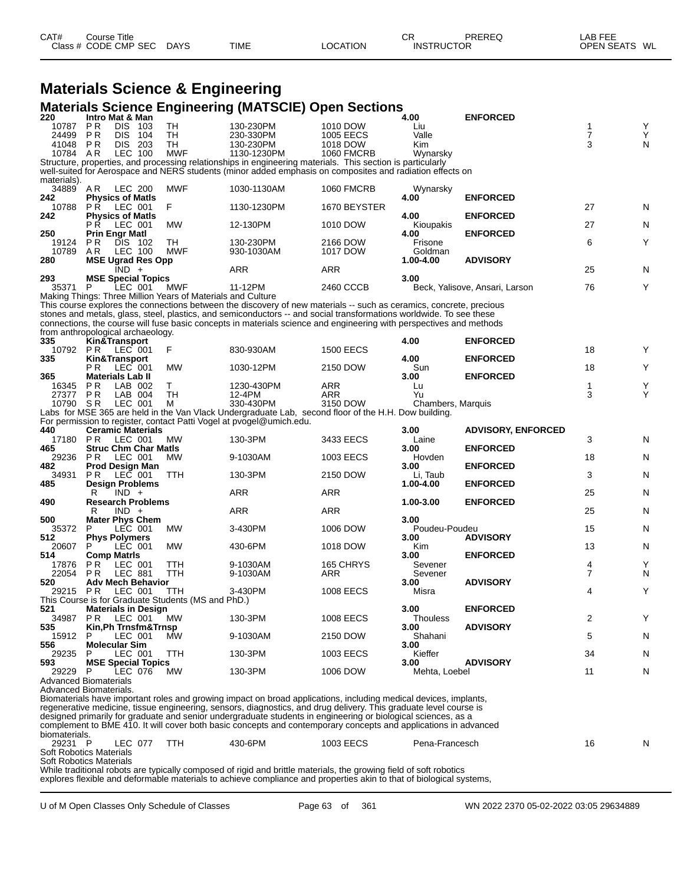| CAT# | ourse Titleٽ         |             |             |                 | СR                | PREREQ | _AB FEE       |  |
|------|----------------------|-------------|-------------|-----------------|-------------------|--------|---------------|--|
|      | Class # CODE CMP SEC | <b>DAYS</b> | <b>TIME</b> | <b>LOCATION</b> | <b>INSTRUCTOR</b> |        | OPEN SEATS WL |  |

|                                                           |            |                                        | <b>Materials Science &amp; Engineering</b>                  |                                                                                                                                                                                                                                  |                      |                       |                                |    |        |
|-----------------------------------------------------------|------------|----------------------------------------|-------------------------------------------------------------|----------------------------------------------------------------------------------------------------------------------------------------------------------------------------------------------------------------------------------|----------------------|-----------------------|--------------------------------|----|--------|
|                                                           |            |                                        |                                                             | <b>Materials Science Engineering (MATSCIE) Open Sections</b>                                                                                                                                                                     |                      |                       |                                |    |        |
| 220<br>10787                                              | PR.        | Intro Mat & Man<br>DIS 103             | TН                                                          | 130-230PM                                                                                                                                                                                                                        | 1010 DOW             | 4.00<br>Liu           | <b>ENFORCED</b>                | 1  |        |
| 24499                                                     | PR         | DIS.<br>104                            | <b>TH</b>                                                   | 230-330PM                                                                                                                                                                                                                        | <b>1005 EECS</b>     | Valle                 |                                | 7  | Y<br>Y |
| 41048                                                     | P R        | DIS 203                                | TН                                                          | 130-230PM                                                                                                                                                                                                                        | 1018 DOW             | Kim                   |                                | 3  | N      |
| 10784 AR                                                  |            | LEC 100                                | <b>MWF</b>                                                  | 1130-1230PM<br>Structure, properties, and processing relationships in engineering materials. This section is particularly                                                                                                        | <b>1060 FMCRB</b>    | Wynarsky              |                                |    |        |
|                                                           |            |                                        |                                                             | well-suited for Aerospace and NERS students (minor added emphasis on composites and radiation effects on                                                                                                                         |                      |                       |                                |    |        |
| materials).                                               |            |                                        |                                                             |                                                                                                                                                                                                                                  |                      |                       |                                |    |        |
| 34889                                                     | AR         | LEC 200                                | <b>MWF</b>                                                  | 1030-1130AM                                                                                                                                                                                                                      | <b>1060 FMCRB</b>    | Wynarsky              |                                |    |        |
| 242<br>10788                                              | PR.        | <b>Physics of Matls</b><br>LEC 001     | F                                                           | 1130-1230PM                                                                                                                                                                                                                      | 1670 BEYSTER         | 4.00                  | <b>ENFORCED</b>                | 27 | N      |
| 242                                                       |            | <b>Physics of Matls</b>                |                                                             |                                                                                                                                                                                                                                  |                      | 4.00                  | <b>ENFORCED</b>                |    |        |
|                                                           | РŔ         | LEC 001                                | <b>MW</b>                                                   | 12-130PM                                                                                                                                                                                                                         | 1010 DOW             | Kioupakis             |                                | 27 | N      |
| 250                                                       |            | Prin Engr Matl                         |                                                             |                                                                                                                                                                                                                                  |                      | 4.00                  | <b>ENFORCED</b>                |    |        |
| 19124<br>10789                                            | P R<br>A R | DIS 102<br>LEC 100                     | TН<br><b>MWF</b>                                            | 130-230PM<br>930-1030AM                                                                                                                                                                                                          | 2166 DOW<br>1017 DOW | Frisone<br>Goldman    |                                | 6  | Υ      |
| 280                                                       |            | <b>MSE Ugrad Res Opp</b>               |                                                             |                                                                                                                                                                                                                                  |                      | 1.00-4.00             | <b>ADVISORY</b>                |    |        |
|                                                           |            | $IND +$                                |                                                             | ARR                                                                                                                                                                                                                              | ARR                  |                       |                                | 25 | N      |
| 293<br>35371                                              | P          | <b>MSE Special Topics</b><br>LEC 001   | MWF                                                         | 11-12PM                                                                                                                                                                                                                          | 2460 CCCB            | 3.00                  | Beck, Yalisove, Ansari, Larson | 76 | Y      |
|                                                           |            |                                        | Making Things: Three Million Years of Materials and Culture |                                                                                                                                                                                                                                  |                      |                       |                                |    |        |
|                                                           |            |                                        |                                                             | This course explores the connections between the discovery of new materials -- such as ceramics, concrete, precious                                                                                                              |                      |                       |                                |    |        |
|                                                           |            |                                        |                                                             | stones and metals, glass, steel, plastics, and semiconductors -- and social transformations worldwide. To see these                                                                                                              |                      |                       |                                |    |        |
|                                                           |            | from anthropological archaeology.      |                                                             | connections, the course will fuse basic concepts in materials science and engineering with perspectives and methods                                                                                                              |                      |                       |                                |    |        |
| 335                                                       |            | Kin&Transport                          |                                                             |                                                                                                                                                                                                                                  |                      | 4.00                  | <b>ENFORCED</b>                |    |        |
| 10792                                                     | PR         | LEC 001                                | F                                                           | 830-930AM                                                                                                                                                                                                                        | <b>1500 EECS</b>     |                       |                                | 18 | Y      |
| 335                                                       | P R        | Kin&Transport<br>LEC 001               | MW                                                          | 1030-12PM                                                                                                                                                                                                                        | 2150 DOW             | 4.00<br>Sun           | <b>ENFORCED</b>                | 18 | Y      |
| 365                                                       |            | <b>Materials Lab II</b>                |                                                             |                                                                                                                                                                                                                                  |                      | 3.00                  | <b>ENFORCED</b>                |    |        |
| 16345                                                     | P R        | LAB 002                                | T.                                                          | 1230-430PM                                                                                                                                                                                                                       | ARR                  | Lu                    |                                | 1  | Y      |
| 27377                                                     | P R        | LAB 004                                | TН                                                          | 12-4PM                                                                                                                                                                                                                           | ARR                  | Yu                    |                                | 3  | Y      |
| 10790 SR                                                  |            | LEC 001                                | м                                                           | 330-430PM<br>Labs for MSE 365 are held in the Van Vlack Undergraduate Lab, second floor of the H.H. Dow building.                                                                                                                | 3150 DOW             | Chambers, Marquis     |                                |    |        |
|                                                           |            |                                        |                                                             | For permission to register, contact Patti Vogel at pvogel@umich.edu.                                                                                                                                                             |                      |                       |                                |    |        |
| 440                                                       |            | <b>Ceramic Materials</b>               |                                                             |                                                                                                                                                                                                                                  |                      | 3.00                  | <b>ADVISORY, ENFORCED</b>      |    |        |
| 17180 PR<br>465                                           |            | LEC 001<br><b>Struc Chm Char Matls</b> | МW                                                          | 130-3PM                                                                                                                                                                                                                          | 3433 EECS            | Laine<br>3.00         | <b>ENFORCED</b>                | 3  | N      |
| 29236                                                     | P R        | LEC 001                                | MW                                                          | 9-1030AM                                                                                                                                                                                                                         | 1003 EECS            | Hovden                |                                | 18 | N      |
| 482                                                       |            | Prod Design Man                        |                                                             |                                                                                                                                                                                                                                  |                      | 3.00                  | <b>ENFORCED</b>                |    |        |
| 34931                                                     | PR.        | LEC 001                                | TTH                                                         | 130-3PM                                                                                                                                                                                                                          | 2150 DOW             | Li, Taub              |                                | 3  | N      |
| 485                                                       | R          | <b>Design Problems</b><br>$IND +$      |                                                             | ARR                                                                                                                                                                                                                              | ARR                  | 1.00-4.00             | <b>ENFORCED</b>                | 25 | N      |
| 490                                                       |            | <b>Research Problems</b>               |                                                             |                                                                                                                                                                                                                                  |                      | 1.00-3.00             | <b>ENFORCED</b>                |    |        |
|                                                           | R          | $IND +$                                |                                                             | ARR                                                                                                                                                                                                                              | ARR                  |                       |                                | 25 | N      |
| 500<br>35372                                              | P          | <b>Mater Phys Chem</b><br>LEC 001      | МW                                                          | 3-430PM                                                                                                                                                                                                                          | 1006 DOW             | 3.00<br>Poudeu-Poudeu |                                | 15 | N      |
| 512                                                       |            | <b>Phys Polymers</b>                   |                                                             |                                                                                                                                                                                                                                  |                      | 3.00                  | <b>ADVISORY</b>                |    |        |
| 20607                                                     | P          | LEC 001                                | <b>MW</b>                                                   | 430-6PM                                                                                                                                                                                                                          | 1018 DOW             | Kim                   |                                | 13 | N      |
| 514                                                       | PR.        | <b>Comp Matris</b><br>LEC 001          | TTH                                                         | 9-1030AM                                                                                                                                                                                                                         | 165 CHRYS            | 3.00<br>Sevener       | <b>ENFORCED</b>                | 4  | Υ      |
| 17876<br>22054                                            |            | PR LEC 881                             | TTH                                                         | 9-1030AM                                                                                                                                                                                                                         | ARR                  | Sevener               |                                | 7  | N      |
| 520                                                       |            | <b>Adv Mech Behavior</b>               |                                                             |                                                                                                                                                                                                                                  |                      | 3.00                  | <b>ADVISORY</b>                |    |        |
| 29215 PR                                                  |            | LEC 001                                | TTH.                                                        | 3-430PM                                                                                                                                                                                                                          | <b>1008 EECS</b>     | Misra                 |                                | 4  | Υ      |
| 521                                                       |            | <b>Materials in Design</b>             | This Course is for Graduate Students (MS and PhD.)          |                                                                                                                                                                                                                                  |                      | 3.00                  | <b>ENFORCED</b>                |    |        |
| 34987 PR                                                  |            | LEC 001                                | МW                                                          | 130-3PM                                                                                                                                                                                                                          | 1008 EECS            | <b>Thouless</b>       |                                | 2  | Υ      |
| 535                                                       |            | Kin, Ph Trnsfm&Trnsp                   |                                                             |                                                                                                                                                                                                                                  |                      | 3.00                  | <b>ADVISORY</b>                |    |        |
| 15912<br>556                                              |            | LEC 001<br><b>Molecular Sim</b>        | MW                                                          | 9-1030AM                                                                                                                                                                                                                         | 2150 DOW             | Shahani<br>3.00       |                                | 5  | N      |
| 29235                                                     | P          | LEC 001                                | TTH                                                         | 130-3PM                                                                                                                                                                                                                          | 1003 EECS            | Kieffer               |                                | 34 | N      |
| 593                                                       |            | <b>MSE Special Topics</b>              |                                                             |                                                                                                                                                                                                                                  |                      | 3.00                  | <b>ADVISORY</b>                |    |        |
| 29229                                                     | P.         | LEC 076                                | МW                                                          | 130-3PM                                                                                                                                                                                                                          | 1006 DOW             | Mehta, Loebel         |                                | 11 | N      |
| <b>Advanced Biomaterials</b><br>Advanced Biomaterials.    |            |                                        |                                                             |                                                                                                                                                                                                                                  |                      |                       |                                |    |        |
|                                                           |            |                                        |                                                             | Biomaterials have important roles and growing impact on broad applications, including medical devices, implants,                                                                                                                 |                      |                       |                                |    |        |
|                                                           |            |                                        |                                                             | regenerative medicine, tissue engineering, sensors, diagnostics, and drug delivery. This graduate level course is                                                                                                                |                      |                       |                                |    |        |
|                                                           |            |                                        |                                                             | designed primarily for graduate and senior undergraduate students in engineering or biological sciences, as a<br>complement to BME 410. It will cover both basic concepts and contemporary concepts and applications in advanced |                      |                       |                                |    |        |
| biomaterials.                                             |            |                                        |                                                             |                                                                                                                                                                                                                                  |                      |                       |                                |    |        |
| 29231 P                                                   |            | LEC 077                                | TTH                                                         | 430-6PM                                                                                                                                                                                                                          | 1003 EECS            | Pena-Francesch        |                                | 16 | N      |
| <b>Soft Robotics Materials</b><br>Soft Robotics Materials |            |                                        |                                                             |                                                                                                                                                                                                                                  |                      |                       |                                |    |        |
|                                                           |            |                                        |                                                             | While traditional robots are typically composed of rigid and brittle materials, the growing field of soft robotics                                                                                                               |                      |                       |                                |    |        |

explores flexible and deformable materials to achieve compliance and properties akin to that of biological systems,

U of M Open Classes Only Schedule of Classes Page 63 of 361 WN 2022 2370 05-02-2022 03:05 29634889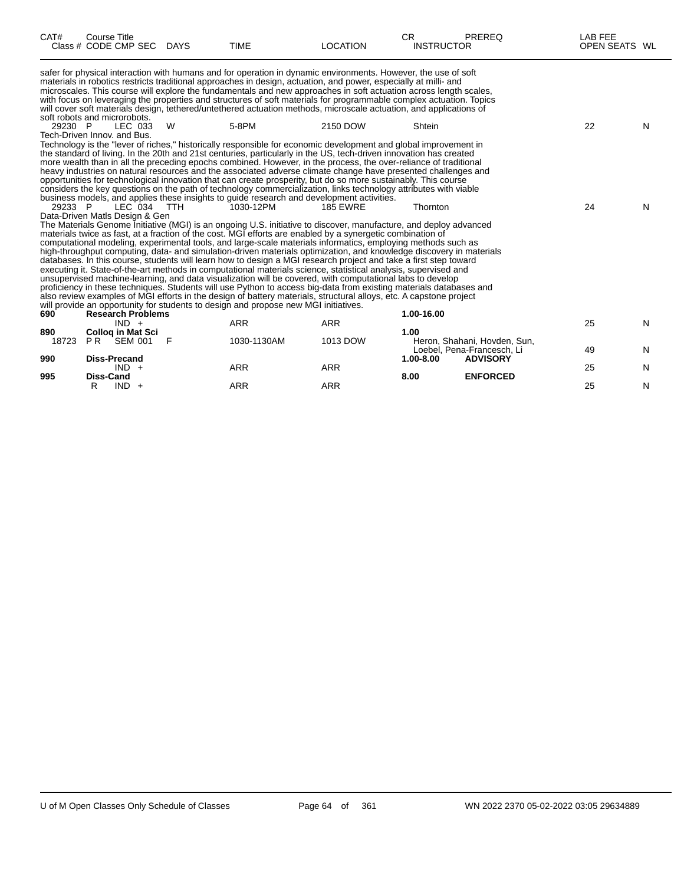| CAT#         | <b>Course Title</b><br>Class # CODE CMP SEC | DAYS | <b>TIME</b>                                                                         | <b>LOCATION</b>                                                                                                                                                                                                            | CR.<br><b>INSTRUCTOR</b> | <b>PREREQ</b>                                              | LAB FEE<br>OPEN SEATS WL |   |
|--------------|---------------------------------------------|------|-------------------------------------------------------------------------------------|----------------------------------------------------------------------------------------------------------------------------------------------------------------------------------------------------------------------------|--------------------------|------------------------------------------------------------|--------------------------|---|
|              |                                             |      |                                                                                     | safer for physical interaction with humans and for operation in dynamic environments. However, the use of soft                                                                                                             |                          |                                                            |                          |   |
|              |                                             |      |                                                                                     | materials in robotics restricts traditional approaches in design, actuation, and power, especially at milli- and                                                                                                           |                          |                                                            |                          |   |
|              |                                             |      |                                                                                     | microscales. This course will explore the fundamentals and new approaches in soft actuation across length scales,                                                                                                          |                          |                                                            |                          |   |
|              |                                             |      |                                                                                     | with focus on leveraging the properties and structures of soft materials for programmable complex actuation. Topics                                                                                                        |                          |                                                            |                          |   |
|              | soft robots and microrobots.                |      |                                                                                     | will cover soft materials design, tethered/untethered actuation methods, microscale actuation, and applications of                                                                                                         |                          |                                                            |                          |   |
| 29230 P      | LEC 033                                     | W    | 5-8PM                                                                               | 2150 DOW                                                                                                                                                                                                                   | Shtein                   |                                                            | 22                       | N |
|              | Tech-Driven Innov, and Bus.                 |      |                                                                                     |                                                                                                                                                                                                                            |                          |                                                            |                          |   |
|              |                                             |      |                                                                                     | Technology is the "lever of riches," historically responsible for economic development and global improvement in                                                                                                           |                          |                                                            |                          |   |
|              |                                             |      |                                                                                     | the standard of living. In the 20th and 21st centuries, particularly in the US, tech-driven innovation has created                                                                                                         |                          |                                                            |                          |   |
|              |                                             |      |                                                                                     | more wealth than in all the preceding epochs combined. However, in the process, the over-reliance of traditional                                                                                                           |                          |                                                            |                          |   |
|              |                                             |      |                                                                                     | heavy industries on natural resources and the associated adverse climate change have presented challenges and                                                                                                              |                          |                                                            |                          |   |
|              |                                             |      |                                                                                     | opportunities for technological innovation that can create prosperity, but do so more sustainably. This course                                                                                                             |                          |                                                            |                          |   |
|              |                                             |      |                                                                                     | considers the key questions on the path of technology commercialization, links technology attributes with viable                                                                                                           |                          |                                                            |                          |   |
|              |                                             |      |                                                                                     | business models, and applies these insights to guide research and development activities.                                                                                                                                  |                          |                                                            |                          |   |
| 29233 P      | LEC 034 TTH                                 |      | 1030-12PM                                                                           | <b>185 EWRE</b>                                                                                                                                                                                                            | Thornton                 |                                                            | 24                       | N |
|              | Data-Driven Matls Design & Gen              |      |                                                                                     |                                                                                                                                                                                                                            |                          |                                                            |                          |   |
|              |                                             |      |                                                                                     | The Materials Genome Initiative (MGI) is an ongoing U.S. initiative to discover, manufacture, and deploy advanced                                                                                                          |                          |                                                            |                          |   |
|              |                                             |      |                                                                                     | materials twice as fast, at a fraction of the cost. MGI efforts are enabled by a synergetic combination of<br>computational modeling, experimental tools, and large-scale materials informatics, employing methods such as |                          |                                                            |                          |   |
|              |                                             |      |                                                                                     | high-throughput computing, data- and simulation-driven materials optimization, and knowledge discovery in materials                                                                                                        |                          |                                                            |                          |   |
|              |                                             |      |                                                                                     | databases. In this course, students will learn how to design a MGI research project and take a first step toward                                                                                                           |                          |                                                            |                          |   |
|              |                                             |      |                                                                                     | executing it. State-of-the-art methods in computational materials science, statistical analysis, supervised and                                                                                                            |                          |                                                            |                          |   |
|              |                                             |      |                                                                                     | unsupervised machine-learning, and data visualization will be covered, with computational labs to develop                                                                                                                  |                          |                                                            |                          |   |
|              |                                             |      |                                                                                     | proficiency in these techniques. Students will use Python to access big-data from existing materials databases and                                                                                                         |                          |                                                            |                          |   |
|              |                                             |      |                                                                                     | also review examples of MGI efforts in the design of battery materials, structural alloys, etc. A capstone project                                                                                                         |                          |                                                            |                          |   |
|              |                                             |      | will provide an opportunity for students to design and propose new MGI initiatives. |                                                                                                                                                                                                                            |                          |                                                            |                          |   |
| 690          | <b>Research Problems</b>                    |      |                                                                                     |                                                                                                                                                                                                                            | 1.00-16.00               |                                                            |                          |   |
|              | $IND +$                                     |      | <b>ARR</b>                                                                          | <b>ARR</b>                                                                                                                                                                                                                 |                          |                                                            | 25                       | N |
| 890<br>18723 | <b>Collog in Mat Sci</b><br>PR SEM 001      | F    | 1030-1130AM                                                                         | 1013 DOW                                                                                                                                                                                                                   | 1.00                     |                                                            |                          |   |
|              |                                             |      |                                                                                     |                                                                                                                                                                                                                            |                          | Heron, Shahani, Hovden, Sun,<br>Loebel, Pena-Francesch, Li | 49                       | N |
| 990          | <b>Diss-Precand</b>                         |      |                                                                                     |                                                                                                                                                                                                                            | $1.00 - 8.00$            | <b>ADVISORY</b>                                            |                          |   |
|              | $IND +$                                     |      | <b>ARR</b>                                                                          | <b>ARR</b>                                                                                                                                                                                                                 |                          |                                                            | 25                       | N |
| 995          | Diss-Cand                                   |      |                                                                                     |                                                                                                                                                                                                                            | 8.00                     | <b>ENFORCED</b>                                            |                          |   |

R IND + ARR ARR ARR 25 N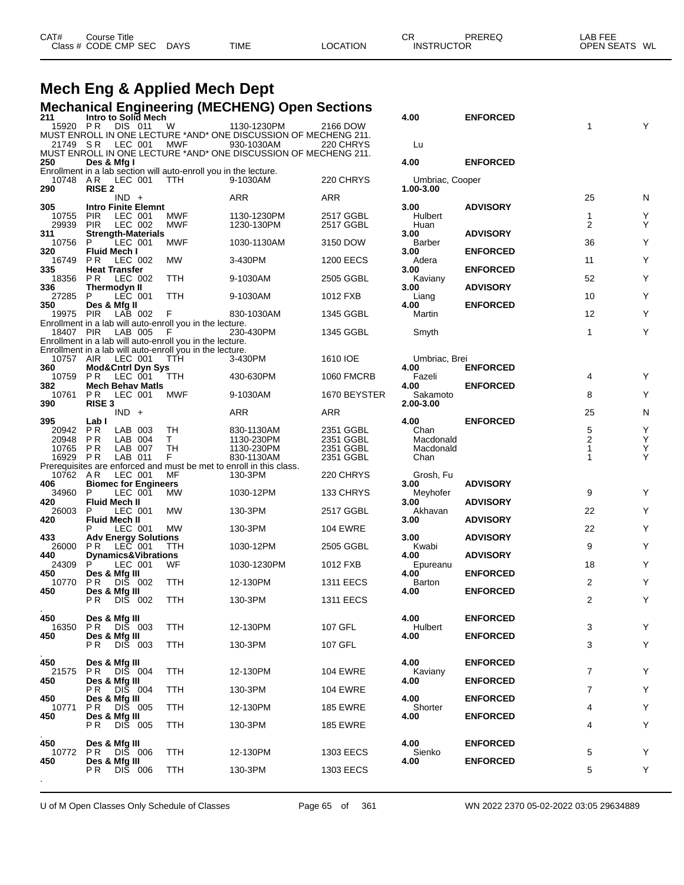| CAT# | ourse Titleٽ         |             |             |          | <b>CR</b>         | <b>PREREQ</b> | _AB FEE       |  |
|------|----------------------|-------------|-------------|----------|-------------------|---------------|---------------|--|
|      | Class # CODE CMP SEC | <b>DAYS</b> | <b>TIME</b> | LOCATION | <b>INSTRUCTOR</b> |               | OPEN SEATS WL |  |

# **Mech Eng & Applied Mech Dept**

|                  |                                 |         |                                |                                                                  | <b>Mechanical Engineering (MECHENG) Open Sections</b>                             |                   |                              |                 |                   |   |
|------------------|---------------------------------|---------|--------------------------------|------------------------------------------------------------------|-----------------------------------------------------------------------------------|-------------------|------------------------------|-----------------|-------------------|---|
| 211<br>15920 PR  |                                 | DIS 011 | Intro to Solid Mech            | W                                                                | 1130-1230PM                                                                       | 2166 DOW          | 4.00                         | <b>ENFORCED</b> | 1                 |   |
|                  |                                 |         |                                |                                                                  | MUST ENROLL IN ONE LECTURE *AND* ONE DISCUSSION OF MECHENG 211.                   |                   |                              |                 |                   |   |
| 21749 SR         |                                 | LEC 001 |                                | MWF                                                              | 930-1030AM<br>MUST ENROLL IN ONE LECTURE *AND* ONE DISCUSSION OF MECHENG 211.     | 220 CHRYS         | Lu                           |                 |                   |   |
| 250              | Des & Mfg I                     |         |                                |                                                                  |                                                                                   |                   | 4.00                         | <b>ENFORCED</b> |                   |   |
|                  |                                 |         |                                | Enrollment in a lab section will auto-enroll you in the lecture. |                                                                                   |                   |                              |                 |                   |   |
| 10748<br>290     | AR<br><b>RISE 2</b>             | LEC 001 |                                | TTH.                                                             | 9-1030AM                                                                          | 220 CHRYS         | Umbriac, Cooper<br>1.00-3.00 |                 |                   |   |
|                  |                                 | $IND +$ |                                |                                                                  | ARR                                                                               | ARR               |                              |                 | 25                | N |
| 305<br>10755     | <b>PIR</b>                      | LEC 001 | <b>Intro Finite Elemnt</b>     | MWF                                                              | 1130-1230PM                                                                       | 2517 GGBL         | 3.00<br>Hulbert              | <b>ADVISORY</b> | $\mathbf 1$       | Y |
| 29939            | <b>PIR</b>                      | LEC 002 |                                | <b>MWF</b>                                                       | 1230-130PM                                                                        | 2517 GGBL         | Huan                         |                 | 2                 |   |
| 311              |                                 |         | <b>Strength-Materials</b>      |                                                                  |                                                                                   |                   | 3.00                         | <b>ADVISORY</b> |                   |   |
| 10756<br>320     | P<br><b>Fluid Mech I</b>        | LEC 001 |                                | MWF                                                              | 1030-1130AM                                                                       | 3150 DOW          | <b>Barber</b><br>3.00        | <b>ENFORCED</b> | 36                | Υ |
| 16749            | P R                             | LEC 002 |                                | <b>MW</b>                                                        | 3-430PM                                                                           | <b>1200 EECS</b>  | Adera                        |                 | 11                | Y |
| 335<br>18356     | <b>Heat Transfer</b><br>P R     | LEC 002 |                                | TTH                                                              | 9-1030AM                                                                          | 2505 GGBL         | 3.00<br>Kaviany              | <b>ENFORCED</b> | 52                | Y |
| 336              | <b>Thermodyn II</b>             |         |                                |                                                                  |                                                                                   |                   | 3.00                         | <b>ADVISORY</b> |                   |   |
| 27285            | P                               | LEC 001 |                                | TTH                                                              | 9-1030AM                                                                          | 1012 FXB          | Liang                        | <b>ENFORCED</b> | 10                | Υ |
| 350<br>19975     | Des & Mfg II<br><b>PIR</b>      | LAB 002 |                                | F                                                                | 830-1030AM                                                                        | 1345 GGBL         | 4.00<br>Martin               |                 | 12                | Y |
|                  |                                 |         |                                | Enrollment in a lab will auto-enroll you in the lecture.         |                                                                                   |                   |                              |                 |                   |   |
| 18407 PIR        |                                 | LAB 005 |                                | F<br>Enrollment in a lab will auto-enroll you in the lecture.    | 230-430PM                                                                         | 1345 GGBL         | Smyth                        |                 | 1                 | Y |
|                  |                                 |         |                                | Enrollment in a lab will auto-enroll you in the lecture.         |                                                                                   |                   |                              |                 |                   |   |
| 10757 AIR<br>360 |                                 | LEC 001 | <b>Mod&amp;Cntrl Dyn Sys</b>   | TTH                                                              | 3-430PM                                                                           | 1610 IOE          | Umbriac, Brei<br>4.00        | <b>ENFORCED</b> |                   |   |
| 10759            | PR.                             | LEC 001 |                                | TTH                                                              | 430-630PM                                                                         | <b>1060 FMCRB</b> | Fazeli                       |                 | 4                 | Y |
| 382              |                                 |         | <b>Mech Behav Matis</b>        |                                                                  |                                                                                   |                   | 4.00                         | <b>ENFORCED</b> |                   |   |
| 10761<br>390     | P <sub>R</sub><br><b>RISE 3</b> | LEC 001 |                                | MWF                                                              | 9-1030AM                                                                          | 1670 BEYSTER      | Sakamoto<br>2.00-3.00        |                 | 8                 | Υ |
|                  |                                 | $IND +$ |                                |                                                                  | ARR                                                                               | ARR               |                              |                 | 25                | N |
| 395<br>20942     | Lab I<br>P R                    | LAB 003 |                                | TН                                                               | 830-1130AM                                                                        | 2351 GGBL         | 4.00<br>Chan                 | <b>ENFORCED</b> |                   | Υ |
| 20948            | <b>PR</b>                       | LAB 004 |                                | T.                                                               | 1130-230PM                                                                        | 2351 GGBL         | Macdonald                    |                 | $\frac{5}{2}$     | Y |
| 10765            | <b>PR</b>                       | LAB 007 |                                | <b>TH</b>                                                        | 1130-230PM                                                                        | 2351 GGBL         | Macdonald                    |                 | $\mathbf{1}$<br>1 | Y |
| 16929            | P R                             | LAB 011 |                                | F                                                                | 830-1130AM<br>Prerequisites are enforced and must be met to enroll in this class. | 2351 GGBL         | Chan                         |                 |                   | Y |
| 10762 AR         |                                 | LEC 001 |                                | MF                                                               | 130-3PM                                                                           | 220 CHRYS         | Grosh, Fu                    |                 |                   |   |
| 406<br>34960     | P                               | LEC 001 | <b>Biomec for Engineers</b>    | МW                                                               | 1030-12PM                                                                         | 133 CHRYS         | 3.00<br>Meyhofer             | <b>ADVISORY</b> | 9                 |   |
| 420              | <b>Fluid Mech II</b>            |         |                                |                                                                  |                                                                                   |                   | 3.00                         | <b>ADVISORY</b> |                   |   |
| 26003<br>420     | P<br><b>Fluid Mech II</b>       | LEC 001 |                                | МW                                                               | 130-3PM                                                                           | 2517 GGBL         | Akhavan<br>3.00              | <b>ADVISORY</b> | 22                | Y |
|                  | P                               | LEC 001 |                                | <b>MW</b>                                                        | 130-3PM                                                                           | <b>104 EWRE</b>   |                              |                 | 22                | Υ |
| 433              |                                 |         | <b>Adv Energy Solutions</b>    |                                                                  |                                                                                   |                   | 3.00                         | <b>ADVISORY</b> |                   |   |
| 26000<br>440     | P R                             | LEC 001 | <b>Dynamics&amp;Vibrations</b> | TTH                                                              | 1030-12PM                                                                         | 2505 GGBL         | Kwabi<br>4.00                | <b>ADVISORY</b> | 9                 | Y |
| 24309            | P                               | LEC 001 |                                | WF                                                               | 1030-1230PM                                                                       | 1012 FXB          | Epureanu                     |                 | 18                | Y |
| 450<br>10770     | Des & Mfg III<br>P <sub>R</sub> | DIS 002 |                                | TTH                                                              | 12-130PM                                                                          | <b>1311 EECS</b>  | 4.00<br>Barton               | <b>ENFORCED</b> | 2                 | Y |
| 450              | Des & Mfg III                   |         |                                |                                                                  |                                                                                   |                   | 4.00                         | <b>ENFORCED</b> |                   |   |
|                  | P R                             | DIS 002 |                                | TTH                                                              | 130-3PM                                                                           | <b>1311 EECS</b>  |                              |                 | 2                 | Y |
| 450              | Des & Mfg III                   |         |                                |                                                                  |                                                                                   |                   | 4.00                         | <b>ENFORCED</b> |                   |   |
| 16350            | P R                             | DIS 003 |                                | TTH                                                              | 12-130PM                                                                          | 107 GFL           | Hulbert                      |                 | 3                 | Y |
| 450              | Des & Mfg III<br>P R            | DIS 003 |                                | TTH                                                              | 130-3PM                                                                           | 107 GFL           | 4.00                         | <b>ENFORCED</b> | 3                 | Υ |
|                  |                                 |         |                                |                                                                  |                                                                                   |                   |                              |                 |                   |   |
| 450<br>21575     | Des & Mfg III<br>P R            | DIS 004 |                                | TTH                                                              | 12-130PM                                                                          | <b>104 EWRE</b>   | 4.00<br>Kaviany              | <b>ENFORCED</b> | 7                 | Υ |
| 450              | Des & Mfg III                   |         |                                |                                                                  |                                                                                   |                   | 4.00                         | <b>ENFORCED</b> |                   |   |
|                  | PR                              | DIS 004 |                                | TTH                                                              | 130-3PM                                                                           | <b>104 EWRE</b>   |                              |                 | 7                 | Υ |
| 450<br>10771     | Des & Mfg III<br>P <sub>R</sub> | DIS 005 |                                | TTH                                                              | 12-130PM                                                                          | <b>185 EWRE</b>   | 4.00<br>Shorter              | <b>ENFORCED</b> | 4                 | Υ |
| 450              | Des & Mfg III                   |         |                                |                                                                  |                                                                                   |                   | 4.00                         | <b>ENFORCED</b> |                   |   |
|                  | P R                             | DIS 005 |                                | TTH                                                              | 130-3PM                                                                           | <b>185 EWRE</b>   |                              |                 | 4                 | Υ |
| 450              | Des & Mfg III                   |         |                                |                                                                  |                                                                                   |                   | 4.00                         | <b>ENFORCED</b> |                   |   |
| 10772<br>450     | P R<br>Des & Mfg III            | DIS 006 |                                | TTH                                                              | 12-130PM                                                                          | 1303 EECS         | Sienko<br>4.00               | <b>ENFORCED</b> | 5                 | Υ |
|                  | P R                             | DIS 006 |                                | <b>TTH</b>                                                       | 130-3PM                                                                           | 1303 EECS         |                              |                 | 5                 | Υ |
|                  |                                 |         |                                |                                                                  |                                                                                   |                   |                              |                 |                   |   |

U of M Open Classes Only Schedule of Classes Page 65 of 361 WN 2022 2370 05-02-2022 03:05 29634889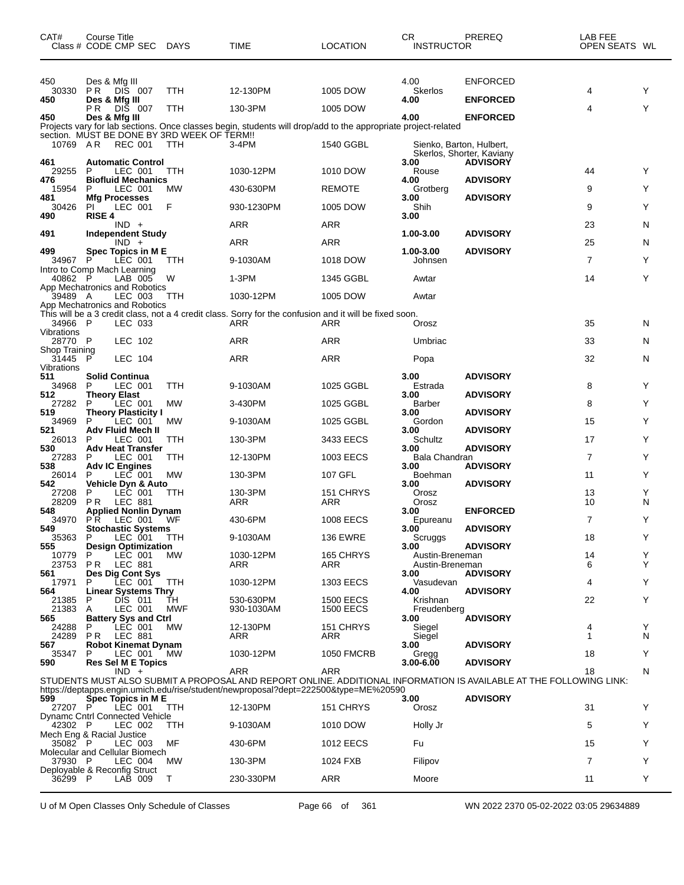| CAT#                                 | Course Title  | Class # CODE CMP SEC DAYS                            |                                             | TIME                                                                                                           | <b>LOCATION</b>           | CR<br><b>INSTRUCTOR</b>            | PREREQ                                                                                                             | LAB FEE<br>OPEN SEATS WL |        |
|--------------------------------------|---------------|------------------------------------------------------|---------------------------------------------|----------------------------------------------------------------------------------------------------------------|---------------------------|------------------------------------|--------------------------------------------------------------------------------------------------------------------|--------------------------|--------|
| 450<br>30330<br>450                  | P R<br>РR     | Des & Mfg III<br>DIS 007<br>Des & Mfg III<br>DIS 007 | TTH<br><b>TTH</b>                           | 12-130PM<br>130-3PM                                                                                            | 1005 DOW<br>1005 DOW      | 4.00<br>Skerlos<br>4.00            | <b>ENFORCED</b><br><b>ENFORCED</b>                                                                                 | 4<br>4                   | Y<br>Y |
| 450                                  |               | Des & Mfg III                                        | section. MUST BE DONE BY 3RD WEEK OF TERM!! | Projects vary for lab sections. Once classes begin, students will drop/add to the appropriate project-related  |                           | 4.00                               | <b>ENFORCED</b>                                                                                                    |                          |        |
| 10769 AR<br>461                      |               | <b>REC 001</b><br><b>Automatic Control</b>           | TTH                                         | 3-4PM                                                                                                          | 1540 GGBL                 | Sienko, Barton, Hulbert,<br>3.00   | Skerlos, Shorter, Kaviany<br><b>ADVISORY</b>                                                                       |                          |        |
| 29255<br>476                         | P             | LEC 001<br><b>Biofluid Mechanics</b>                 | TTH                                         | 1030-12PM                                                                                                      | 1010 DOW                  | Rouse<br>4.00                      | <b>ADVISORY</b>                                                                                                    | 44                       | Y<br>Y |
| 15954<br>481<br>30426                | P<br>ΡI       | LEC 001<br><b>Mfg Processes</b><br>LEC 001           | <b>MW</b><br>F                              | 430-630PM<br>930-1230PM                                                                                        | <b>REMOTE</b><br>1005 DOW | Grotberg<br>3.00<br>Shih           | <b>ADVISORY</b>                                                                                                    | 9<br>9                   | Y      |
| 490                                  | <b>RISE 4</b> |                                                      |                                             |                                                                                                                |                           | 3.00                               |                                                                                                                    |                          |        |
| 491                                  |               | $IND +$<br><b>Independent Study</b>                  |                                             | ARR                                                                                                            | ARR                       | 1.00-3.00                          | <b>ADVISORY</b>                                                                                                    | 23                       | N      |
| 499                                  |               | $IND +$<br>Spec Topics in M E                        |                                             | <b>ARR</b>                                                                                                     | ARR                       | 1.00-3.00                          | <b>ADVISORY</b>                                                                                                    | 25                       | N      |
| 34967                                | P             | LEC 001<br>Intro to Comp Mach Learning               | TTH                                         | 9-1030AM                                                                                                       | 1018 DOW                  | Johnsen                            |                                                                                                                    | $\overline{7}$           | Y      |
| 40862 P                              |               | LAB 005<br>App Mechatronics and Robotics             | W                                           | 1-3PM                                                                                                          | 1345 GGBL                 | Awtar                              |                                                                                                                    | 14                       | Y      |
| 39489 A                              |               | LEC 003<br>App Mechatronics and Robotics             | TTH                                         | 1030-12PM                                                                                                      | 1005 DOW                  | Awtar                              |                                                                                                                    |                          |        |
| 34966 P                              |               | LEC 033                                              |                                             | This will be a 3 credit class, not a 4 credit class. Sorry for the confusion and it will be fixed soon.<br>ARR | ARR                       | Orosz                              |                                                                                                                    | 35                       | N      |
| Vibrations<br>28770 P                |               | LEC 102                                              |                                             | ARR                                                                                                            | ARR                       | Umbriac                            |                                                                                                                    | 33                       | N      |
| Shop Training<br>31445<br>Vibrations | P             | LEC 104                                              |                                             | ARR                                                                                                            | <b>ARR</b>                | Popa                               |                                                                                                                    | 32                       | N      |
| 511<br>34968                         | P             | <b>Solid Continua</b><br>LEC 001                     | TTH                                         | 9-1030AM                                                                                                       | 1025 GGBL                 | 3.00<br>Estrada                    | <b>ADVISORY</b>                                                                                                    | 8                        | Y      |
| 512<br>27282                         | P             | <b>Theory Elast</b><br>LEC 001                       | <b>MW</b>                                   | 3-430PM                                                                                                        | 1025 GGBL                 | 3.00<br>Barber                     | <b>ADVISORY</b>                                                                                                    | 8                        | Y      |
| 519<br>34969                         | P             | <b>Theory Plasticity I</b><br>LEC 001                | МW                                          | 9-1030AM                                                                                                       | 1025 GGBL                 | 3.00<br>Gordon                     | <b>ADVISORY</b>                                                                                                    | 15                       | Y      |
| 521<br>26013                         | P             | Adv Fluid Mech II<br>LEC 001                         | TTH                                         | 130-3PM                                                                                                        | 3433 EECS                 | 3.00<br>Schultz                    | <b>ADVISORY</b>                                                                                                    | 17                       | Y      |
| 530<br>27283                         | P             | <b>Adv Heat Transfer</b><br>LEC 001                  | TTH                                         | 12-130PM                                                                                                       | 1003 EECS                 | 3.00<br>Bala Chandran              | <b>ADVISORY</b>                                                                                                    | 7                        | Y      |
| 538<br>26014                         | P             | <b>Adv IC Engines</b><br>LEC 001                     | МW                                          | 130-3PM                                                                                                        | 107 GFL                   | 3.00<br>Boehman                    | <b>ADVISORY</b>                                                                                                    | 11                       | Y      |
| 542<br>27208                         | P             | Vehicle Dyn & Auto<br>LEC 001                        | TTH                                         | 130-3PM                                                                                                        | 151 CHRYS                 | 3.00<br>Orosz                      | <b>ADVISORY</b>                                                                                                    | 13                       | Y      |
| 28209<br>548                         | P R           | LEC 881<br><b>Applied Nonlin Dynam</b>               |                                             | ARR                                                                                                            | ARR                       | Orosz<br>3.00                      | <b>ENFORCED</b>                                                                                                    | 10                       | N      |
| 34970<br>549                         | P R           | LEC 001<br><b>Stochastic Systems</b>                 | WF                                          | 430-6PM                                                                                                        | 1008 EECS                 | Epureanu<br>3.00 <sup>2</sup>      | <b>ADVISORY</b>                                                                                                    | 7                        | Y      |
| 35363<br>555                         | P.            | LEC 001<br><b>Design Optimization</b>                | TTH                                         | 9-1030AM                                                                                                       | <b>136 EWRE</b>           | Scruggs<br>3.00                    | <b>ADVISORY</b>                                                                                                    | 18                       | Y      |
| 10779<br>23753                       | P.<br>PR.     | LEC 001<br><b>LEC 881</b>                            | МW                                          | 1030-12PM<br>ARR                                                                                               | 165 CHRYS<br>ARR          | Austin-Breneman<br>Austin-Breneman |                                                                                                                    | 14<br>6                  | Y<br>Y |
| 561<br>17971                         | P             | Des Dig Cont Sys<br>LEC 001                          | TTH                                         | 1030-12PM                                                                                                      | 1303 EECS                 | 3.00<br>Vasudevan                  | <b>ADVISORY</b>                                                                                                    | 4                        | Y      |
| 564<br>21385                         | P             | <b>Linear Systems Thry</b><br>DIS 011                | TH                                          | 530-630PM                                                                                                      | <b>1500 EECS</b>          | 4.00<br>Krishnan                   | <b>ADVISORY</b>                                                                                                    | 22                       | Y      |
| 21383<br>565                         | Α             | LEC 001<br><b>Battery Sys and Ctrl</b>               | MWF                                         | 930-1030AM                                                                                                     | <b>1500 EECS</b>          | Freudenberg<br>3.00                | <b>ADVISORY</b>                                                                                                    |                          |        |
| 24288<br>24289                       | P<br>P R      | LEC 001<br>LEC 881                                   | МW                                          | 12-130PM<br>ARR                                                                                                | 151 CHRYS<br>ARR          | Siegel<br>Siegel                   |                                                                                                                    | 4<br>1                   | Y<br>N |
| 567<br>35347                         | P             | <b>Robot Kinemat Dynam</b><br>LEC 001                | <b>MW</b>                                   | 1030-12PM                                                                                                      | <b>1050 FMCRB</b>         | 3.00<br>Gregg                      | <b>ADVISORY</b>                                                                                                    | 18                       | Y      |
| 590                                  |               | Res Sel M E Topics<br>$IND +$                        |                                             | ARR                                                                                                            | ARR                       | $3.00 - 6.00$                      | <b>ADVISORY</b>                                                                                                    | 18                       | N      |
|                                      |               |                                                      |                                             | https://deptapps.engin.umich.edu/rise/student/newproposal?dept=222500&type=ME%20590                            |                           |                                    | STUDENTS MUST ALSO SUBMIT A PROPOSAL AND REPORT ONLINE. ADDITIONAL INFORMATION IS AVAILABLE AT THE FOLLOWING LINK: |                          |        |
| 599<br>27207 P                       |               | Spec Topics in M E<br>LEC 001                        | TTH                                         | 12-130PM                                                                                                       | 151 CHRYS                 | 3.00<br>Orosz                      | <b>ADVISORY</b>                                                                                                    | 31                       | Y      |
| 42302 P                              |               | Dynamc Cntrl Connected Vehicle<br>LEC 002            | TTH                                         | 9-1030AM                                                                                                       | 1010 DOW                  | Holly Jr                           |                                                                                                                    | 5                        | Y      |
| Mech Eng & Racial Justice<br>35082 P |               | LEC 003                                              | МF                                          | 430-6PM                                                                                                        | <b>1012 EECS</b>          | Fu                                 |                                                                                                                    | 15                       | Y      |
| 37930 P                              |               | Molecular and Cellular Biomech<br>LEC 004            | МW                                          | 130-3PM                                                                                                        | 1024 FXB                  | Filipov                            |                                                                                                                    | 7                        | Y      |
| 36299 P                              |               | Deployable & Reconfig Struct<br>LAB 009              | Τ                                           | 230-330PM                                                                                                      | ARR                       | Moore                              |                                                                                                                    | 11                       | Y      |
|                                      |               |                                                      |                                             |                                                                                                                |                           |                                    |                                                                                                                    |                          |        |

U of M Open Classes Only Schedule of Classes Page 66 of 361 WN 2022 2370 05-02-2022 03:05 29634889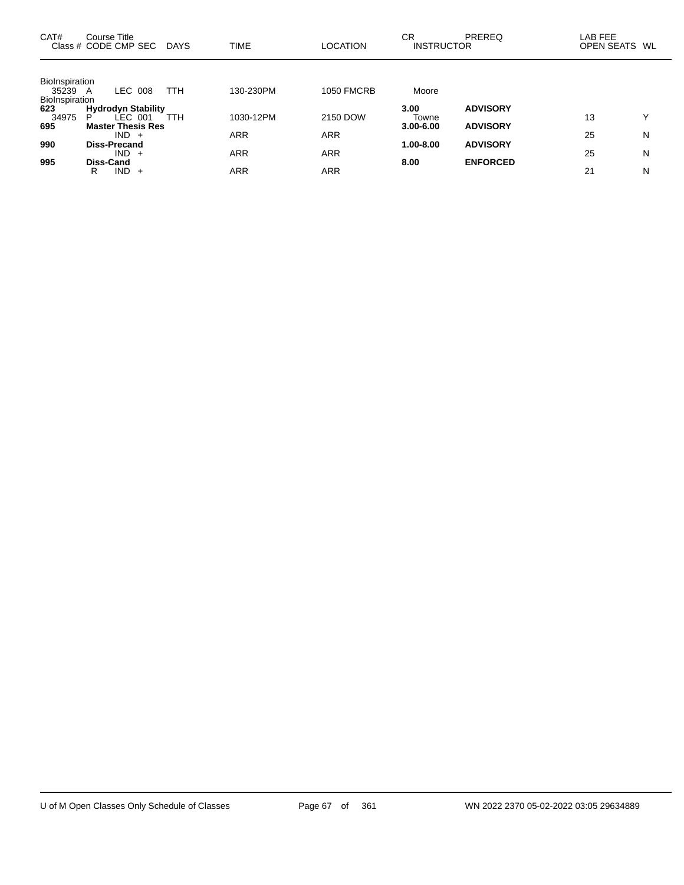| CAT#                                  | Course Title<br>Class # CODE CMP SEC DAYS                               |            | <b>TIME</b>              | <b>LOCATION</b>          | СR<br><b>INSTRUCTOR</b>        | <b>PREREQ</b>                      | LAB FEE<br>OPEN SEATS WL |        |
|---------------------------------------|-------------------------------------------------------------------------|------------|--------------------------|--------------------------|--------------------------------|------------------------------------|--------------------------|--------|
| BioInspiration<br>35239 A             | LEC 008                                                                 | <b>TTH</b> | 130-230PM                | <b>1050 FMCRB</b>        | Moore                          |                                    |                          |        |
| BioInspiration<br>623<br>34975<br>695 | <b>Hydrodyn Stability</b><br>$LEC$ 001<br>P<br><b>Master Thesis Res</b> | <b>TTH</b> | 1030-12PM                | 2150 DOW                 | 3.00<br>Towne<br>$3.00 - 6.00$ | <b>ADVISORY</b><br><b>ADVISORY</b> | 13                       | v      |
| 990                                   | $IND +$<br><b>Diss-Precand</b><br>$IND +$                               |            | <b>ARR</b><br><b>ARR</b> | <b>ARR</b><br><b>ARR</b> | 1.00-8.00                      | <b>ADVISORY</b>                    | 25<br>25                 | N<br>N |
| 995                                   | Diss-Cand<br>IND.<br>R                                                  |            | ARR                      | ARR                      | 8.00                           | <b>ENFORCED</b>                    | 21                       | N      |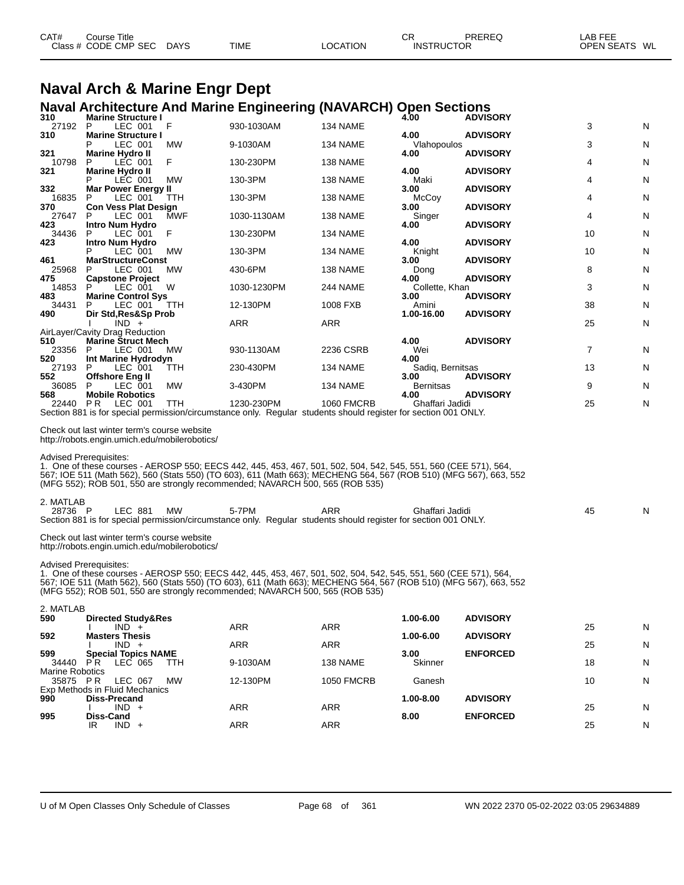| CAT# | Course Title         |             |             |          | СR                | PREREQ | <b>LAB FEE</b>          |
|------|----------------------|-------------|-------------|----------|-------------------|--------|-------------------------|
|      | Class # CODE CMP SEC | <b>DAYS</b> | <b>TIME</b> | LOCATION | <b>INSTRUCTOR</b> |        | <b>OPEN SEATS</b><br>WL |
|      |                      |             |             |          |                   |        |                         |

# **Naval Arch & Marine Engr Dept**

## **Naval Architecture And Marine Engineering (NAVARCH) Open Sections 310 Marine Structure I 4.00 ADVISORY**

| 27192 P                            | LEC 001                                                                                                                       | F          | 930-1030AM                                                                                                                                                                                                                                                                                                            | 134 NAME          |                          |                 | 3  | N |
|------------------------------------|-------------------------------------------------------------------------------------------------------------------------------|------------|-----------------------------------------------------------------------------------------------------------------------------------------------------------------------------------------------------------------------------------------------------------------------------------------------------------------------|-------------------|--------------------------|-----------------|----|---|
| 310                                | <b>Marine Structure I</b><br>Р<br>LEC 001                                                                                     | МW         | 9-1030AM                                                                                                                                                                                                                                                                                                              | 134 NAME          | 4.00<br>Vlahopoulos      | <b>ADVISORY</b> | 3  | N |
| 321<br>10798                       | <b>Marine Hydro II</b><br>LEC 001<br>P                                                                                        | F          | 130-230PM                                                                                                                                                                                                                                                                                                             | 138 NAME          | 4.00                     | <b>ADVISORY</b> | 4  | N |
| 321                                | <b>Marine Hydro II</b><br>P<br>LEC 001                                                                                        | МW         | 130-3PM                                                                                                                                                                                                                                                                                                               | 138 NAME          | 4.00<br>Maki             | <b>ADVISORY</b> | 4  | N |
| 332<br>16835                       | Mar Power Energy II<br>P<br>LEC 001                                                                                           | TTH        | 130-3PM                                                                                                                                                                                                                                                                                                               | 138 NAME          | 3.00<br>McCoy            | <b>ADVISORY</b> | 4  | N |
| 370<br>27647                       | <b>Con Vess Plat Design</b><br>LEC 001<br>P                                                                                   | MWF        | 1030-1130AM                                                                                                                                                                                                                                                                                                           | 138 NAME          | 3.00<br>Singer           | <b>ADVISORY</b> | 4  | N |
| 423                                | Intro Num Hydro                                                                                                               |            |                                                                                                                                                                                                                                                                                                                       |                   | 4.00                     | <b>ADVISORY</b> |    |   |
| 34436<br>423                       | P<br>LEC 001<br>Intro Num Hydro                                                                                               | F          | 130-230PM                                                                                                                                                                                                                                                                                                             | 134 NAME          | 4.00                     | <b>ADVISORY</b> | 10 | N |
| 461                                | LEC 001<br>Р<br><b>MarStructureConst</b>                                                                                      | MW         | 130-3PM                                                                                                                                                                                                                                                                                                               | 134 NAME          | Knight<br>3.00           | <b>ADVISORY</b> | 10 | N |
| 25968<br>475                       | LEC 001<br>P<br><b>Capstone Project</b>                                                                                       | <b>MW</b>  | 430-6PM                                                                                                                                                                                                                                                                                                               | 138 NAME          | Dong<br>4.00             | <b>ADVISORY</b> | 8  | N |
| 14853<br>483                       | LEC 001<br>P<br><b>Marine Control Sys</b>                                                                                     | W          | 1030-1230PM                                                                                                                                                                                                                                                                                                           | <b>244 NAME</b>   | Collette, Khan<br>3.00   | <b>ADVISORY</b> | 3  | N |
| 34431<br>490                       | P<br>LEC 001<br>Dir Std, Res&Sp Prob                                                                                          | ттн        | 12-130PM                                                                                                                                                                                                                                                                                                              | 1008 FXB          | Amini<br>1.00-16.00      | <b>ADVISORY</b> | 38 | N |
|                                    | $IND +$                                                                                                                       |            | ARR                                                                                                                                                                                                                                                                                                                   | ARR               |                          |                 | 25 | N |
| 510                                | AirLayer/Cavity Drag Reduction<br><b>Marine Struct Mech</b>                                                                   |            |                                                                                                                                                                                                                                                                                                                       |                   | 4.00                     | <b>ADVISORY</b> |    |   |
| 23356<br>520                       | LEC 001<br>P<br>Int Marine Hydrodyn                                                                                           | <b>MW</b>  | 930-1130AM                                                                                                                                                                                                                                                                                                            | 2236 CSRB         | Wei<br>4.00              |                 | 7  | N |
| 27193<br>552                       | P<br>LEC 001<br><b>Offshore Eng II</b>                                                                                        | TTH        | 230-430PM                                                                                                                                                                                                                                                                                                             | 134 NAME          | Sadig, Bernitsas<br>3.00 | <b>ADVISORY</b> | 13 | N |
| 36085<br>568                       | LEC 001<br>P<br><b>Mobile Robotics</b>                                                                                        | MW         | 3-430PM                                                                                                                                                                                                                                                                                                               | 134 NAME          | <b>Bernitsas</b><br>4.00 | <b>ADVISORY</b> | 9  | N |
| 22440                              | <b>PR LEC 001</b>                                                                                                             | <b>TTH</b> | 1230-230PM<br>Section 881 is for special permission/circumstance only. Regular students should register for section 001 ONLY.                                                                                                                                                                                         | <b>1060 FMCRB</b> | Ghaffari Jadidi          |                 | 25 | N |
|                                    | Check out last winter term's course website<br>http://robots.engin.umich.edu/mobilerobotics/<br><b>Advised Prerequisites:</b> |            | 1. One of these courses - AEROSP 550; EECS 442, 445, 453, 467, 501, 502, 504, 542, 545, 551, 560 (CEE 571), 564,<br>567; IOE 511 (Math 562), 560 (Stats 550) (TO 603), 611 (Math 663); MECHENG 564, 567 (ROB 510) (MFG 567), 663, 552<br>(MFG 552); ROB 501, 550 are strongly recommended; NAVARCH 500, 565 (ROB 535) |                   |                          |                 |    |   |
| 2. MATLAB<br>28736 P               | LEC 881                                                                                                                       | <b>MW</b>  | 5-7PM<br>Section 881 is for special permission/circumstance only. Regular students should register for section 001 ONLY.                                                                                                                                                                                              | ARR               | Ghaffari Jadidi          |                 | 45 | N |
|                                    | Check out last winter term's course website<br>http://robots.engin.umich.edu/mobilerobotics/                                  |            |                                                                                                                                                                                                                                                                                                                       |                   |                          |                 |    |   |
|                                    | <b>Advised Prerequisites:</b>                                                                                                 |            | 1. One of these courses - AEROSP 550; EECS 442, 445, 453, 467, 501, 502, 504, 542, 545, 551, 560 (CEE 571), 564,<br>567; IOE 511 (Math 562), 560 (Stats 550) (TO 603), 611 (Math 663); MECHENG 564, 567 (ROB 510) (MFG 567), 663, 552<br>(MFG 552); ROB 501, 550 are strongly recommended; NAVARCH 500, 565 (ROB 535) |                   |                          |                 |    |   |
| 2. MATLAB<br>590                   | <b>Directed Study&amp;Res</b>                                                                                                 |            |                                                                                                                                                                                                                                                                                                                       |                   | 1.00-6.00                | <b>ADVISORY</b> |    |   |
| 592                                | $IND +$<br><b>Masters Thesis</b>                                                                                              |            | ARR                                                                                                                                                                                                                                                                                                                   | ARR               | 1.00-6.00                | <b>ADVISORY</b> | 25 | N |
| 599                                | $IND +$<br><b>Special Topics NAME</b>                                                                                         |            | <b>ARR</b>                                                                                                                                                                                                                                                                                                            | ARR               | 3.00                     | <b>ENFORCED</b> | 25 | N |
| 34440                              | PR.<br>LEC 065                                                                                                                | TTH        | 9-1030AM                                                                                                                                                                                                                                                                                                              | 138 NAME          | Skinner                  |                 | 18 | N |
| <b>Marine Robotics</b><br>35875 PR | LEC 067                                                                                                                       | МW         | 12-130PM                                                                                                                                                                                                                                                                                                              | <b>1050 FMCRB</b> | Ganesh                   |                 | 10 | N |
| 990                                | Exp Methods in Fluid Mechanics<br>Diss-Precand                                                                                |            |                                                                                                                                                                                                                                                                                                                       |                   | 1.00-8.00                | <b>ADVISORY</b> |    |   |
| 995                                | $IND +$<br>Diss-Cand                                                                                                          |            | ARR                                                                                                                                                                                                                                                                                                                   | ARR               | 8.00                     | <b>ENFORCED</b> | 25 | N |
|                                    | $IND +$<br>IR                                                                                                                 |            | ARR                                                                                                                                                                                                                                                                                                                   | ARR               |                          |                 | 25 | N |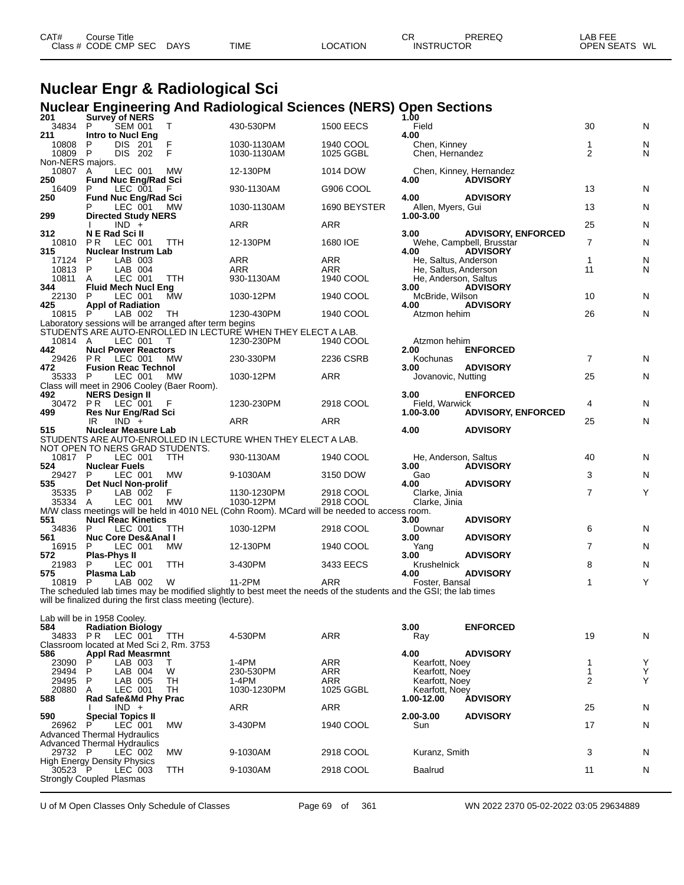| CAT# | Course Title         |             |             |          | СF                | PREREQ | ∟AB FEE       |
|------|----------------------|-------------|-------------|----------|-------------------|--------|---------------|
|      | Class # CODE CMP SEC | <b>DAYS</b> | <b>TIME</b> | LOCATION | <b>INSTRUCTOR</b> |        | OPEN SEATS WL |
|      |                      |             |             |          |                   |        |               |

# **Nuclear Engr & Radiological Sci**

|                                                                          |                      |                                        |                                                              | <b>Nuclear Engineering And Radiological Sciences (NERS) Open Sections</b>                                          |                         |                                  |                                            |                               |        |
|--------------------------------------------------------------------------|----------------------|----------------------------------------|--------------------------------------------------------------|--------------------------------------------------------------------------------------------------------------------|-------------------------|----------------------------------|--------------------------------------------|-------------------------------|--------|
| 201<br>34834                                                             | P                    | Survey of NERS<br>SEM 001              | T                                                            | 430-530PM                                                                                                          | <b>1500 EECS</b>        | 1.00<br>Field                    |                                            | 30                            | N      |
| 211                                                                      |                      | <b>Intro to Nucl Eng</b>               |                                                              |                                                                                                                    |                         | 4.00                             |                                            |                               |        |
| 10808<br>10809                                                           | P<br>$\mathsf{P}$    | DIS 201<br>DIS 202                     | F<br>F                                                       | 1030-1130AM<br>1030-1130AM                                                                                         | 1940 COOL<br>1025 GGBL  | Chen, Kinney<br>Chen, Hernandez  |                                            | $\mathbf 1$<br>$\overline{2}$ | N<br>N |
| Non-NERS majors.                                                         |                      |                                        |                                                              |                                                                                                                    |                         |                                  |                                            |                               |        |
| 10807 A<br>250                                                           |                      | LEC 001<br><b>Fund Nuc Eng/Rad Sci</b> | <b>MW</b>                                                    | 12-130PM                                                                                                           | 1014 DOW                | 4.00                             | Chen, Kinney, Hernandez<br><b>ADVISORY</b> |                               |        |
| 16409                                                                    | P                    | LEC 001                                |                                                              | 930-1130AM                                                                                                         | G906 COOL               |                                  |                                            | 13                            | N      |
| 250                                                                      |                      | <b>Fund Nuc Eng/Rad Sci</b><br>LEC 001 | МW                                                           | 1030-1130AM                                                                                                        | 1690 BEYSTER            | 4.00<br>Allen, Myers, Gui        | <b>ADVISORY</b>                            | 13                            | N      |
| 299                                                                      |                      | <b>Directed Study NERS</b>             |                                                              |                                                                                                                    |                         | 1.00-3.00                        |                                            |                               |        |
| 312                                                                      | N E Rad Sci II       | $IND +$                                |                                                              | ARR                                                                                                                | ARR                     | 3.00                             | <b>ADVISORY, ENFORCED</b>                  | 25                            | N      |
| 10810                                                                    | P R                  | LEC 001                                | TTH                                                          | 12-130PM                                                                                                           | 1680 IOE                |                                  | Wehe, Campbell, Brusstar                   | $\overline{7}$                | N      |
| 315<br>17124                                                             | P                    | <b>Nuclear Instrum Lab</b><br>LAB 003  |                                                              | ARR                                                                                                                | ARR                     | 4.00<br>He, Saltus, Anderson     | <b>ADVISORY</b>                            | $\mathbf{1}$                  | N      |
| 10813                                                                    | P                    | LAB 004                                |                                                              | ARR                                                                                                                | ARR                     | He, Saltus, Anderson             |                                            | 11                            | N      |
| 10811                                                                    | A                    | LEC 001                                | TTH                                                          | 930-1130AM                                                                                                         | 1940 COOL               | He, Anderson, Saltus             |                                            |                               |        |
| 344<br>22130                                                             | P                    | <b>Fluid Mech Nucl Eng</b><br>LEC 001  | MW                                                           | 1030-12PM                                                                                                          | 1940 COOL               | 3.00<br>McBride, Wilson          | <b>ADVISORY</b>                            | 10                            | N      |
| 425                                                                      |                      | <b>Appl of Radiation</b>               |                                                              |                                                                                                                    |                         | 4.00                             | <b>ADVISORY</b>                            |                               |        |
| 10815 P                                                                  |                      | LAB 002                                | TH<br>Laboratory sessions will be arranged after term begins | 1230-430PM                                                                                                         | 1940 COOL               | Atzmon hehim                     |                                            | 26                            | N      |
|                                                                          |                      |                                        |                                                              | STUDENTS ARE AUTO-ENROLLED IN LECTURE WHEN THEY ELECT A LAB.                                                       |                         |                                  |                                            |                               |        |
| 10814 A<br>442                                                           |                      | LEC 001<br><b>Nucl Power Reactors</b>  | T                                                            | 1230-230PM                                                                                                         | 1940 COOL               | Atzmon hehim<br>2.00             | <b>ENFORCED</b>                            |                               |        |
| 29426                                                                    | P R                  | LEC 001                                | MW.                                                          | 230-330PM                                                                                                          | 2236 CSRB               | Kochunas                         |                                            | $\overline{7}$                | N      |
| 472<br>35333                                                             | P                    | <b>Fusion Reac Technol</b><br>LEC 001  | MW                                                           | 1030-12PM                                                                                                          | ARR                     | 3.00<br>Jovanovic, Nutting       | <b>ADVISORY</b>                            | 25                            | N      |
|                                                                          |                      |                                        | Class will meet in 2906 Cooley (Baer Room).                  |                                                                                                                    |                         |                                  |                                            |                               |        |
| 492<br>30472                                                             | P R                  | <b>NERS Design II</b><br>LEC 001       |                                                              | 1230-230PM                                                                                                         | 2918 COOL               | 3.00<br>Field, Warwick           | <b>ENFORCED</b>                            | 4                             | N      |
| 499                                                                      |                      | <b>Res Nur Eng/Rad Sci</b>             |                                                              |                                                                                                                    |                         | 1.00-3.00                        | <b>ADVISORY, ENFORCED</b>                  |                               |        |
|                                                                          | IR.                  | $IND +$                                |                                                              | ARR                                                                                                                | ARR                     |                                  |                                            | 25                            | N      |
| 515                                                                      |                      | <b>Nuclear Measure Lab</b>             |                                                              | STUDENTS ARE AUTO-ENROLLED IN LECTURE WHEN THEY ELECT A LAB.                                                       |                         | 4.00                             | <b>ADVISORY</b>                            |                               |        |
|                                                                          |                      |                                        | NOT OPEN TO NERS GRAD STUDENTS.                              |                                                                                                                    |                         |                                  |                                            |                               |        |
| 10817 P<br>524                                                           | <b>Nuclear Fuels</b> | LEC 001                                | <b>TTH</b>                                                   | 930-1130AM                                                                                                         | 1940 COOL               | He, Anderson, Saltus<br>3.00     | <b>ADVISORY</b>                            | 40                            | N      |
| 29427                                                                    | P                    | LEC 001                                | МW                                                           | 9-1030AM                                                                                                           | 3150 DOW                | Gao                              |                                            | 3                             | N      |
| 535<br>35335                                                             | P                    | Det Nucl Non-prolif<br>LAB 002         | F                                                            | 1130-1230PM                                                                                                        | 2918 COOL               | 4.00<br>Clarke, Jinia            | <b>ADVISORY</b>                            | $\overline{7}$                | Y      |
| 35334                                                                    | A                    | LEC 001                                | MW                                                           | 1030-12PM                                                                                                          | 2918 COOL               | Clarke, Jinia                    |                                            |                               |        |
| 551                                                                      |                      | <b>Nucl Reac Kinetics</b>              |                                                              | M/W class meetings will be held in 4010 NEL (Cohn Room). MCard will be needed to access room.                      |                         | 3.00                             | <b>ADVISORY</b>                            |                               |        |
| 34836                                                                    | P                    | LEC 001                                | <b>TTH</b>                                                   | 1030-12PM                                                                                                          | 2918 COOL               | Downar                           |                                            | 6                             | N      |
| 561<br>16915                                                             | P                    | Nuc Core Des&Anal I<br>LEC 001         | MW.                                                          | 12-130PM                                                                                                           | 1940 COOL               | 3.00<br>Yang                     | <b>ADVISORY</b>                            | $\overline{7}$                | N      |
| 572                                                                      | Plas-Phys II         |                                        |                                                              |                                                                                                                    |                         | 3.00                             | <b>ADVISORY</b>                            |                               |        |
| 21983<br>575                                                             | P<br>Plasma Lab      | LEC 001                                | TTH                                                          | 3-430PM                                                                                                            | 3433 EECS               | Krushelnick<br>4.00              | <b>ADVISORY</b>                            | 8                             | N      |
| 10819                                                                    | - P                  | LAB 002                                | W                                                            | 11-2PM                                                                                                             | ARR                     | Foster, Bansal                   |                                            | 1                             | Y      |
|                                                                          |                      |                                        | will be finalized during the first class meeting (lecture).  | The scheduled lab times may be modified slightly to best meet the needs of the students and the GSI; the lab times |                         |                                  |                                            |                               |        |
|                                                                          |                      |                                        |                                                              |                                                                                                                    |                         |                                  |                                            |                               |        |
| Lab will be in 1958 Cooley.<br>584                                       |                      | <b>Radiation Biology</b>               |                                                              |                                                                                                                    |                         | 3.00                             | <b>ENFORCED</b>                            |                               |        |
| 34833 PR                                                                 |                      | LEC 001                                | TTH                                                          | 4-530PM                                                                                                            | ARR                     | Ray                              |                                            | 19                            | N      |
| 586                                                                      |                      | Appl Rad Measrmnt                      | Classroom located at Med Sci 2, Rm, 3753                     |                                                                                                                    |                         | 4.00                             | <b>ADVISORY</b>                            |                               |        |
| 23090                                                                    | P                    | LAB 003                                | T                                                            | 1-4PM                                                                                                              | <b>ARR</b>              | Kearfott, Noey                   |                                            | $\mathbf{1}$                  | Υ      |
| 29494                                                                    | P                    | LAB 004                                | W                                                            | 230-530PM                                                                                                          | ARR                     | Kearfott, Noey                   |                                            | $\mathbf{1}$                  | Υ      |
| 29495<br>20880                                                           | P<br>A               | LAB 005<br>LEC 001                     | TН<br>TН                                                     | 1-4PM<br>1030-1230PM                                                                                               | <b>ARR</b><br>1025 GGBL | Kearfott, Noey<br>Kearfott, Noey |                                            | $\overline{2}$                | Υ      |
| 588                                                                      |                      | Rad Safe&Md Phy Prac                   |                                                              |                                                                                                                    |                         | 1.00-12.00                       | <b>ADVISORY</b>                            |                               |        |
| 590                                                                      |                      | $IND +$<br><b>Special Topics II</b>    |                                                              | ARR                                                                                                                | ARR                     | 2.00-3.00                        | <b>ADVISORY</b>                            | 25                            | N      |
| 26962 P                                                                  |                      | LEC 001                                | MW                                                           | 3-430PM                                                                                                            | 1940 COOL               | Sun                              |                                            | 17                            | N      |
| <b>Advanced Thermal Hydraulics</b><br><b>Advanced Thermal Hydraulics</b> |                      |                                        |                                                              |                                                                                                                    |                         |                                  |                                            |                               |        |
| 29732 P                                                                  |                      | LEC 002                                | MW                                                           | 9-1030AM                                                                                                           | 2918 COOL               | Kuranz, Smith                    |                                            | 3                             | N      |
| <b>High Energy Density Physics</b><br>30523 P                            |                      | LEC 003                                | <b>TTH</b>                                                   | 9-1030AM                                                                                                           | 2918 COOL               | <b>Baalrud</b>                   |                                            | 11                            | N      |
| <b>Strongly Coupled Plasmas</b>                                          |                      |                                        |                                                              |                                                                                                                    |                         |                                  |                                            |                               |        |
|                                                                          |                      |                                        |                                                              |                                                                                                                    |                         |                                  |                                            |                               |        |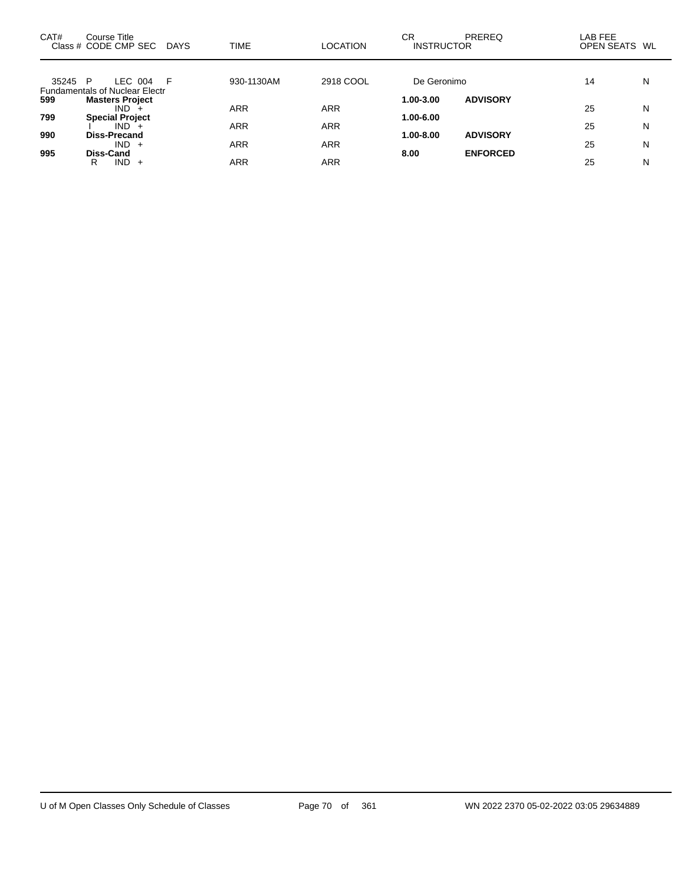| CAT#    | Course Title<br>Class # CODE CMP SEC             | <b>DAYS</b> | <b>TIME</b> | <b>LOCATION</b> | CR<br><b>INSTRUCTOR</b> | <b>PREREQ</b>   | LAB FEE<br>OPEN SEATS WL |   |
|---------|--------------------------------------------------|-------------|-------------|-----------------|-------------------------|-----------------|--------------------------|---|
| 35245 P | LEC 004<br><b>Fundamentals of Nuclear Electr</b> | F           | 930-1130AM  | 2918 COOL       | De Geronimo             |                 | 14                       | N |
| 599     | <b>Masters Project</b><br>$IND +$                |             | ARR         | <b>ARR</b>      | 1.00-3.00               | <b>ADVISORY</b> | 25                       | N |
| 799     | <b>Special Project</b><br>$IND +$                |             | <b>ARR</b>  | <b>ARR</b>      | 1.00-6.00               |                 |                          |   |
| 990     | Diss-Precand                                     |             |             |                 | $1.00 - 8.00$           | <b>ADVISORY</b> | 25                       | N |
| 995     | $IND +$<br>Diss-Cand                             |             | ARR         | <b>ARR</b>      | 8.00                    | <b>ENFORCED</b> | 25                       | N |
|         | $IND +$<br>R                                     |             | ARR         | <b>ARR</b>      |                         |                 | 25                       | N |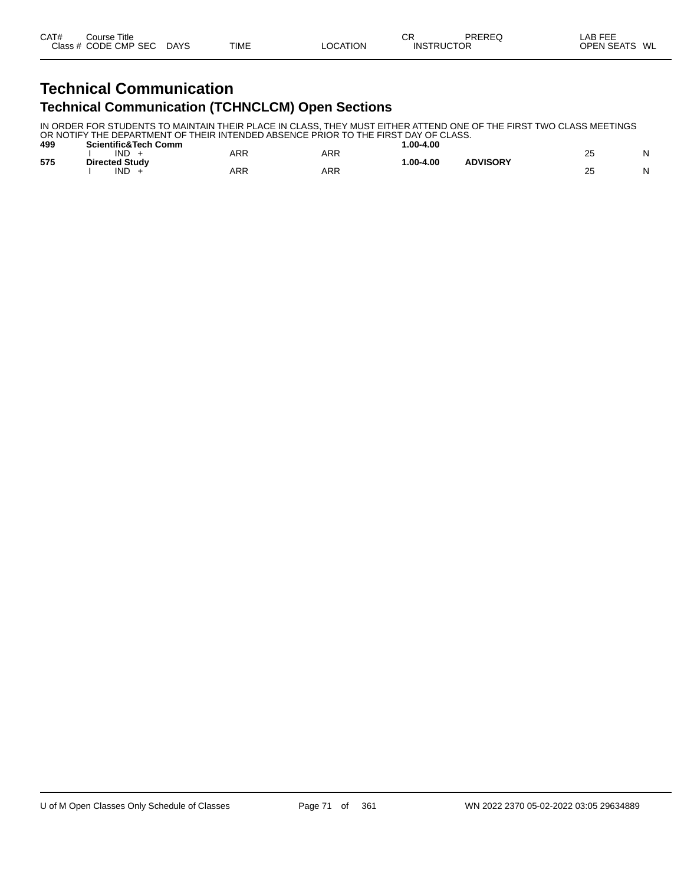### **Technical Communication Technical Communication (TCHNCLCM) Open Sections**

IN ORDER FOR STUDENTS TO MAINTAIN THEIR PLACE IN CLASS, THEY MUST EITHER ATTEND ONE OF THE FIRST TWO CLASS MEETINGS OR NOTIFY THE DEPARTMENT OF THEIR INTENDED ABSENCE PRIOR TO THE FIRST DAY OF CLASS.

| 499 | <b>Scientific&amp;Tech Comm</b> |            |     | $.00 - 4.00$ |                 |               |  |
|-----|---------------------------------|------------|-----|--------------|-----------------|---------------|--|
|     | IND                             | ARR        | ARR |              |                 | ~~<br>2J      |  |
| 575 | <b>Directed Study</b>           |            |     | $.00 - 4.00$ | <b>ADVISORY</b> |               |  |
|     | IND                             | <b>ARR</b> | ARR |              |                 | ົ<br>∠∪<br>__ |  |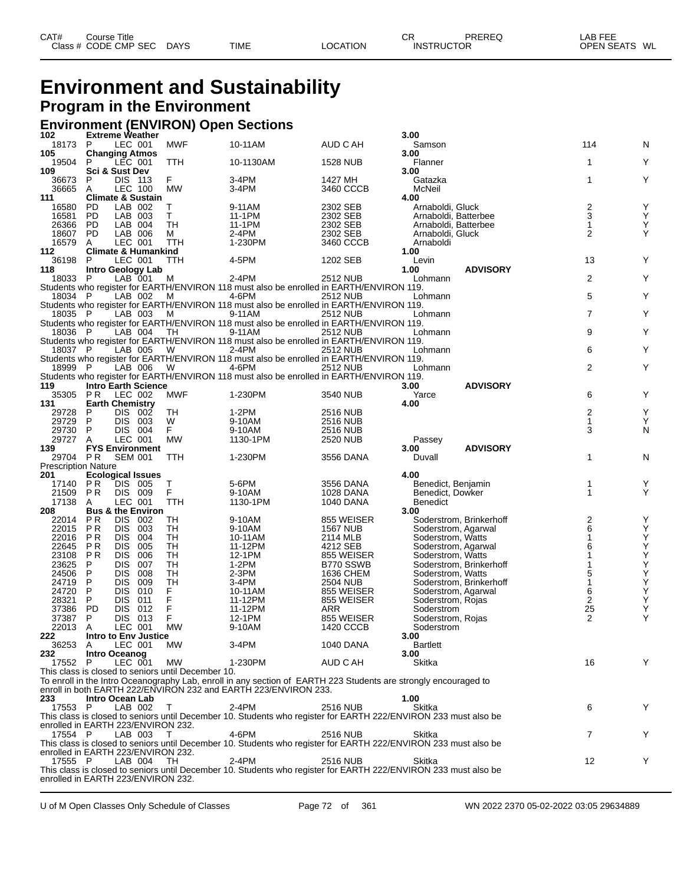| CAT# | Title<br>Course      |             |             |                 | ⌒冖<br>◡           | PREREQ | _AB FEE           |    |
|------|----------------------|-------------|-------------|-----------------|-------------------|--------|-------------------|----|
|      | Class # CODE CMP SEC | <b>DAYS</b> | <b>TIME</b> | <b>LOCATION</b> | <b>INSTRUCTOR</b> |        | <b>OPEN SEATS</b> | WL |

### **Environment and Sustainability Program in the Environment**

## **Environment (ENVIRON) Open Sections 102 Extreme Weather 3.00**

| 102                               |            | <b>Extreme Weather</b>                        |                                                    |                                                                                                   |                         | 3.00                                                                                                            |                                |        |
|-----------------------------------|------------|-----------------------------------------------|----------------------------------------------------|---------------------------------------------------------------------------------------------------|-------------------------|-----------------------------------------------------------------------------------------------------------------|--------------------------------|--------|
| 18173<br>105                      | P          | LEC 001<br><b>Changing Atmos</b>              | <b>MWF</b>                                         | 10-11AM                                                                                           | AUD C AH                | Samson<br>3.00                                                                                                  | 114                            | N      |
| 19504                             | P          | LEC 001                                       | TTH                                                | 10-1130AM                                                                                         | <b>1528 NUB</b>         | Flanner                                                                                                         | 1                              | Y      |
| 109                               |            | <b>Sci &amp; Sust Dev</b>                     |                                                    |                                                                                                   |                         | 3.00                                                                                                            |                                |        |
| 36673                             | P          | DIS 113                                       | F                                                  | 3-4PM                                                                                             | 1427 MH                 | Gatazka                                                                                                         | 1                              | Y      |
| 36665                             | A          | <b>LEC 100</b>                                | <b>MW</b>                                          | 3-4PM                                                                                             | 3460 CCCB               | McNeil                                                                                                          |                                |        |
| 111                               |            | <b>Climate &amp; Sustain</b>                  |                                                    |                                                                                                   |                         | 4.00                                                                                                            |                                |        |
| 16580                             | PD.        | LAB 002                                       | Т                                                  | 9-11AM                                                                                            | 2302 SEB                | Arnaboldi, Gluck                                                                                                | $\overline{\mathbf{c}}$        | Υ      |
| 16581                             | PD         | LAB 003                                       | T.                                                 | 11-1PM                                                                                            | 2302 SEB                | Arnaboldi, Batterbee                                                                                            | 3                              | Υ      |
| 26366                             | PD         | LAB 004                                       | TН                                                 | 11-1PM                                                                                            | 2302 SEB                | Arnaboldi, Batterbee                                                                                            | $\mathbf{1}$<br>$\overline{2}$ | Υ<br>Υ |
| 18607<br>16579                    | PD.        | LAB 006<br>LEC 001                            | м<br>TTH                                           | 2-4PM<br>1-230PM                                                                                  | 2302 SEB<br>3460 CCCB   | Arnaboldi, Gluck<br>Arnaboldi                                                                                   |                                |        |
| 112                               | A          | <b>Climate &amp; Humankind</b>                |                                                    |                                                                                                   |                         | 1.00                                                                                                            |                                |        |
| 36198                             | P          | LEC 001                                       | TTH                                                | 4-5PM                                                                                             | 1202 SEB                | Levin                                                                                                           | 13                             | Y      |
| 118                               |            | <b>Intro Geology Lab</b>                      |                                                    |                                                                                                   |                         | <b>ADVISORY</b><br>1.00                                                                                         |                                |        |
| 18033                             | -P         | LAB 001                                       | M                                                  | 2-4PM                                                                                             | 2512 NUB                | Lohmann                                                                                                         | 2                              | Υ      |
|                                   |            |                                               |                                                    | Students who register for EARTH/ENVIRON 118 must also be enrolled in EARTH/ENVIRON 119.           |                         |                                                                                                                 |                                |        |
| 18034 P                           |            | LAB 002                                       | м                                                  | 4-6PM                                                                                             | 2512 NUB                | Lohmann                                                                                                         | 5                              | Y      |
|                                   |            |                                               |                                                    | Students who register for EARTH/ENVIRON 118 must also be enrolled in EARTH/ENVIRON 119.           |                         |                                                                                                                 |                                |        |
| 18035 P                           |            | LAB 003                                       | M                                                  | 9-11AM                                                                                            | 2512 NUB                | Lohmann                                                                                                         | $\overline{7}$                 | Y      |
| 18036 P                           |            | LAB 004                                       | TH.                                                | Students who register for EARTH/ENVIRON 118 must also be enrolled in EARTH/ENVIRON 119.<br>9-11AM | 2512 NUB                | Lohmann                                                                                                         | 9                              | Υ      |
|                                   |            |                                               |                                                    | Students who register for EARTH/ENVIRON 118 must also be enrolled in EARTH/ENVIRON 119.           |                         |                                                                                                                 |                                |        |
| 18037 P                           |            | LAB 005                                       | W                                                  | 2-4PM                                                                                             | <b>2512 NUB</b>         | Lohmann                                                                                                         | 6                              | Y      |
|                                   |            |                                               |                                                    | Students who register for EARTH/ENVIRON 118 must also be enrolled in EARTH/ENVIRON 119.           |                         |                                                                                                                 |                                |        |
| 18999 P                           |            | LAB 006                                       | W                                                  | 4-6PM                                                                                             | <b>2512 NUB</b>         | Lohmann                                                                                                         | 2                              | Y      |
|                                   |            |                                               |                                                    | Students who register for EARTH/ENVIRON 118 must also be enrolled in EARTH/ENVIRON 119.           |                         |                                                                                                                 |                                |        |
| 119                               |            | <b>Intro Earth Science</b>                    |                                                    |                                                                                                   |                         | <b>ADVISORY</b><br>3.00                                                                                         |                                |        |
| 35305                             | P R        | LEC 002                                       | MWF                                                | 1-230PM                                                                                           | 3540 NUB                | Yarce                                                                                                           | 6                              | Y      |
| 131                               |            | <b>Earth Chemistry</b>                        |                                                    |                                                                                                   |                         | 4.00                                                                                                            |                                |        |
| 29728                             | P          | DIS 002                                       | TH                                                 | 1-2PM                                                                                             | 2516 NUB                |                                                                                                                 | 2                              | Υ      |
| 29729<br>29730                    | P<br>P     | DIS 003<br>DIS 004                            | W<br>F.                                            | 9-10AM<br>9-10AM                                                                                  | 2516 NUB                |                                                                                                                 | 1<br>3                         | Υ      |
| 29727                             | A          | LEC 001                                       | <b>MW</b>                                          | 1130-1PM                                                                                          | 2516 NUB<br>2520 NUB    | Passey                                                                                                          |                                | N      |
|                                   |            | <b>FYS Environment</b>                        |                                                    |                                                                                                   |                         | <b>ADVISORY</b><br>3.00                                                                                         |                                |        |
|                                   |            |                                               |                                                    |                                                                                                   |                         |                                                                                                                 |                                |        |
| 139                               |            |                                               |                                                    |                                                                                                   |                         |                                                                                                                 |                                |        |
| 29704 PR                          |            | <b>SEM 001</b>                                | TTH                                                | 1-230PM                                                                                           | 3556 DANA               | Duvall                                                                                                          | 1                              | N      |
| <b>Prescription Nature</b><br>201 |            | <b>Ecological Issues</b>                      |                                                    |                                                                                                   |                         | 4.00                                                                                                            |                                |        |
| 17140                             | P R        | DIS 005                                       | Т                                                  | 5-6PM                                                                                             | 3556 DANA               | Benedict, Benjamin                                                                                              | 1                              | Y      |
| 21509                             | P R        | DIS 009                                       | F                                                  | 9-10AM                                                                                            | 1028 DANA               | Benedict, Dowker                                                                                                | 1                              | Υ      |
| 17138                             | A          | LEC 001                                       | TTH                                                | 1130-1PM                                                                                          | 1040 DANA               | Benedict                                                                                                        |                                |        |
| 208                               |            | <b>Bus &amp; the Environ</b>                  |                                                    |                                                                                                   |                         | 3.00                                                                                                            |                                |        |
| 22014                             | P R        | DIS.<br>002                                   | TН                                                 | 9-10AM                                                                                            | 855 WEISER              | Soderstrom, Brinkerhoff                                                                                         |                                | Υ      |
| 22015                             | P R        | DIS.<br>003                                   | TН                                                 | 9-10AM                                                                                            | 1567 NUB                | Soderstrom, Agarwal                                                                                             | $\frac{2}{6}$                  | Υ      |
| 22016                             | P R        | <b>DIS</b><br>004                             | TН                                                 | 10-11AM                                                                                           | 2114 MLB                | Soderstrom, Watts                                                                                               | 1                              | Υ      |
| 22645                             | P R<br>P R | <b>DIS</b><br>005<br><b>DIS</b><br>006        | TН<br>TН                                           | 11-12PM<br>12-1PM                                                                                 | 4212 SEB                | Soderstrom, Agarwal                                                                                             | 6<br>1                         | Υ      |
| 23108<br>23625                    | P          | <b>DIS</b><br>007                             | TН                                                 | $1-2PM$                                                                                           | 855 WEISER<br>B770 SSWB | Soderstrom, Watts<br>Soderstrom, Brinkerhoff                                                                    |                                | Υ      |
| 24506                             | P          | <b>DIS</b><br>008                             | TН                                                 | 2-3PM                                                                                             | 1636 CHEM               | Soderstrom, Watts                                                                                               | 5                              | Υ<br>Υ |
| 24719                             | P          | <b>DIS</b><br>009                             | TН                                                 | 3-4PM                                                                                             | 2504 NUB                | Soderstrom, Brinkerhoff                                                                                         | 1                              | Υ      |
| 24720                             | P          | <b>DIS</b><br>010                             | F                                                  | 10-11AM                                                                                           | 855 WEISER              | Soderstrom, Agarwal                                                                                             | 6                              | Υ      |
| 28321                             | P          | <b>DIS</b><br>011                             | F                                                  | 11-12PM                                                                                           | 855 WEISER              | Soderstrom, Rojas                                                                                               | 2                              | Υ      |
| 37386                             | <b>PD</b>  | <b>DIS</b><br>012                             | F                                                  | 11-12PM                                                                                           | ARR                     | Soderstrom                                                                                                      | 25                             | Υ      |
| 37387                             | P          | DIS.<br>013                                   | F                                                  | 12-1PM                                                                                            | 855 WEISER              | Soderstrom, Rojas                                                                                               | 2                              | Υ      |
| 22013                             | A          | LEC 001                                       | <b>MW</b>                                          | 9-10AM                                                                                            | 1420 CCCB               | Soderstrom                                                                                                      |                                |        |
| 222                               |            | Intro to Env Justice                          |                                                    |                                                                                                   |                         | 3.00                                                                                                            |                                |        |
| 36253 A<br>232                    |            | LEC 001                                       | МW                                                 | 3-4PM                                                                                             | <b>1040 DANA</b>        | Bartlett                                                                                                        |                                |        |
| 17552 P                           |            | Intro Oceanog<br>LEC 001                      | МW                                                 | 1-230PM                                                                                           | AUD C AH                | 3.00<br>Skitka                                                                                                  | 16                             | Υ      |
|                                   |            |                                               | This class is closed to seniors until December 10. |                                                                                                   |                         |                                                                                                                 |                                |        |
|                                   |            |                                               |                                                    |                                                                                                   |                         | To enroll in the Intro Oceanography Lab, enroll in any section of EARTH 223 Students are strongly encouraged to |                                |        |
|                                   |            |                                               |                                                    | enroll in both EARTH 222/ENVIRON 232 and EARTH 223/ENVIRON 233.                                   |                         |                                                                                                                 |                                |        |
| 233                               |            | Intro Ocean Lab                               |                                                    |                                                                                                   |                         | 1.00                                                                                                            |                                |        |
| 17553                             | - P        | LAB 002                                       | T                                                  | 2-4PM                                                                                             | 2516 NUB                | Skitka                                                                                                          | 6                              | Y      |
|                                   |            |                                               |                                                    |                                                                                                   |                         | This class is closed to seniors until December 10. Students who register for EARTH 222/ENVIRON 233 must also be |                                |        |
|                                   |            | enrolled in EARTH 223/ENVIRON 232.            |                                                    |                                                                                                   |                         |                                                                                                                 |                                |        |
| 17554 P                           |            | LAB 003                                       |                                                    | 4-6PM                                                                                             | 2516 NUB                | Skitka                                                                                                          | 7                              | Y      |
|                                   |            |                                               |                                                    |                                                                                                   |                         | This class is closed to seniors until December 10. Students who register for EARTH 222/ENVIRON 233 must also be |                                |        |
| 17555 P                           |            | enrolled in EARTH 223/ENVIRON 232.<br>LAB 004 | - TH                                               | 2-4PM                                                                                             | 2516 NUB                | Skitka                                                                                                          | 12                             | Y      |
|                                   |            | enrolled in EARTH 223/ENVIRON 232.            |                                                    |                                                                                                   |                         | This class is closed to seniors until December 10. Students who register for EARTH 222/ENVIRON 233 must also be |                                |        |

U of M Open Classes Only Schedule of Classes Page 72 of 361 WN 2022 2370 05-02-2022 03:05 29634889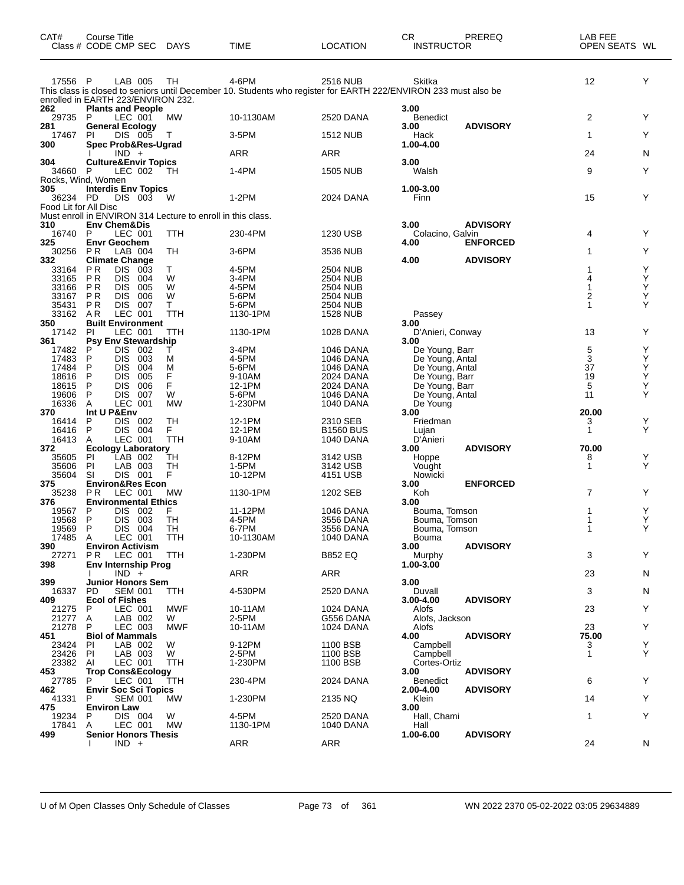| CAT#                  | Course Title<br>Class # CODE CMP SEC DAYS                                    |            | <b>TIME</b>       | <b>LOCATION</b>             | CR<br>PREREQ<br><b>INSTRUCTOR</b>                                                                                         | LAB FEE<br>OPEN SEATS WL |
|-----------------------|------------------------------------------------------------------------------|------------|-------------------|-----------------------------|---------------------------------------------------------------------------------------------------------------------------|--------------------------|
| 17556 P               | LAB 005                                                                      | TH         | 4-6PM             | 2516 NUB                    | Skitka<br>This class is closed to seniors until December 10. Students who register for EARTH 222/ENVIRON 233 must also be | 12<br>Υ                  |
| 262                   | enrolled in EARTH 223/ENVIRON 232.<br><b>Plants and People</b>               |            |                   |                             | 3.00                                                                                                                      |                          |
| 29735 P<br>281        | LEC 001<br><b>General Ecology</b>                                            | МW         | 10-1130AM         | 2520 DANA                   | <b>Benedict</b><br><b>ADVISORY</b><br>3.00                                                                                | 2<br>Y                   |
| 17467<br>300          | DIS 005<br>PI<br>Spec Prob&Res-Ugrad                                         | Т          | 3-5PM             | <b>1512 NUB</b>             | Hack<br>1.00-4.00                                                                                                         | Y<br>1                   |
|                       | $IND +$                                                                      |            | <b>ARR</b>        | <b>ARR</b>                  |                                                                                                                           | 24<br>N                  |
| 304<br>34660          | <b>Culture&amp;Envir Topics</b><br>P<br>LEC 002                              | TH         | 1-4PM             | <b>1505 NUB</b>             | 3.00<br>Walsh                                                                                                             | 9<br>Y                   |
| 305<br>36234 PD       | Rocks, Wind, Women<br><b>Interdis Env Topics</b><br>DIS 003                  | W          | 1-2PM             | 2024 DANA                   | 1.00-3.00<br>Finn                                                                                                         | 15<br>Y                  |
| Food Lit for All Disc | Must enroll in ENVIRON 314 Lecture to enroll in this class.                  |            |                   |                             |                                                                                                                           |                          |
| 310<br>16740          | <b>Env Chem&amp;Dis</b><br>LEC 001<br>P                                      | <b>TTH</b> | 230-4PM           | 1230 USB                    | 3.00<br><b>ADVISORY</b><br>Colacino, Galvin                                                                               | 4<br>Y                   |
| 325                   | <b>Envr Geochem</b>                                                          |            |                   |                             | <b>ENFORCED</b><br>4.00                                                                                                   |                          |
| 30256<br>332          | P R<br>LAB 004<br><b>Climate Change</b>                                      | TН         | $3-6$ PM          | 3536 NUB                    | <b>ADVISORY</b><br>4.00                                                                                                   | Y<br>1                   |
| 33164<br>33165        | P <sub>R</sub><br><b>DIS</b><br>- 003<br>P <sub>R</sub><br><b>DIS</b><br>004 | Т<br>W     | 4-5PM<br>$3-4PM$  | 2504 NUB<br>2504 NUB        |                                                                                                                           | Υ<br>Y<br>4              |
| 33166                 | P R<br><b>DIS</b><br>005                                                     | W          | 4-5PM             | 2504 NUB                    |                                                                                                                           | Y<br>1                   |
| 33167                 | P R<br><b>DIS</b><br>006                                                     | W          | 5-6PM             | 2504 NUB                    |                                                                                                                           | Υ<br>2                   |
| 35431<br>33162        | P R<br>DIS.<br>- 007<br>LEC 001<br>A R                                       | T.<br>TTH  | 5-6PM<br>1130-1PM | 2504 NUB<br><b>1528 NUB</b> | Passey                                                                                                                    | Y<br>1                   |
| 350                   | <b>Built Environment</b>                                                     |            |                   |                             | 3.00                                                                                                                      |                          |
| 17142<br>361          | PI<br>LEC 001<br><b>Psy Env Stewardship</b>                                  | TTH        | 1130-1PM          | 1028 DANA                   | D'Anieri, Conway<br>3.00                                                                                                  | 13<br>Y                  |
| 17482                 | <b>DIS</b><br>002<br>P                                                       | т          | 3-4PM             | 1046 DANA                   | De Young, Barr                                                                                                            | 5<br>Υ                   |
| 17483                 | P<br><b>DIS</b><br>003                                                       | М          | 4-5PM             | 1046 DANA                   | De Young, Antal                                                                                                           | 3<br>Y                   |
| 17484<br>18616        | P<br><b>DIS</b><br>004<br><b>DIS</b><br>P<br>005                             | M<br>F     | 5-6PM<br>9-10AM   | 1046 DANA<br>2024 DANA      | De Young, Antal<br>De Young, Barr                                                                                         | 37<br>Y<br>Υ<br>19       |
| 18615                 | P<br><b>DIS</b><br>006                                                       | F          | 12-1PM            | 2024 DANA                   | De Young, Barr                                                                                                            | 5<br>Y                   |
| 19606                 | P<br>DIS.<br>007                                                             | W          | 5-6PM             | 1046 DANA                   | De Young, Antal                                                                                                           | Υ<br>11                  |
| 16336<br>370          | LEC 001<br>Α<br>Int U P&Env                                                  | <b>MW</b>  | 1-230PM           | 1040 DANA                   | De Young<br>3.00                                                                                                          | 20.00                    |
| 16414                 | P<br>DIS 002                                                                 | TН         | 12-1PM            | 2310 SEB                    | Friedman                                                                                                                  | Y<br>3                   |
| 16416                 | P<br>DIS 004                                                                 | F.         | 12-1PM            | <b>B1560 BUS</b>            | Lujan                                                                                                                     | Υ<br>1                   |
| 16413<br>372          | LEC 001<br>A<br><b>Ecology Laboratory</b>                                    | TTH        | 9-10AM            | 1040 DANA                   | D'Anieri<br><b>ADVISORY</b><br>3.00                                                                                       | 70.00                    |
| 35605                 | LAB 002<br><b>PI</b>                                                         | TН         | 8-12PM            | 3142 USB                    | Hoppe                                                                                                                     | Y<br>8                   |
| 35606<br>35604        | PI<br>LAB 003<br>SI<br>DIS 001                                               | TН<br>F    | 1-5PM<br>10-12PM  | 3142 USB<br>4151 USB        | Vought<br>Nowicki                                                                                                         | Υ<br>1                   |
| 375                   | <b>Environ&amp;Res Econ</b>                                                  |            |                   |                             | 3.00<br><b>ENFORCED</b>                                                                                                   |                          |
| 35238                 | P R<br>LEC 001                                                               | MW         | 1130-1PM          | 1202 SEB                    | Koh                                                                                                                       | 7<br>Y                   |
| 376<br>19567          | <b>Environmental Ethics</b><br>P<br>DIS.<br>- 002                            | F          | 11-12PM           | 1046 DANA                   | 3.00<br>Bouma, Tomson                                                                                                     | Υ                        |
| 19568                 | P<br>DIS.<br>003                                                             | TН         | 4-5PM             | 3556 DANA                   | Bouma, Tomson                                                                                                             | Y                        |
| 19569                 | P<br>DIS 004                                                                 | TH         | 6-7PM             | 3556 DANA                   | Bouma, Tomson                                                                                                             | Y                        |
| 17485 A<br>390        | LEC 001<br><b>Environ Activism</b>                                           | TTH        | 10-1130AM         | 1040 DANA                   | Bouma<br>3.00<br><b>ADVISORY</b>                                                                                          |                          |
| 27271                 | <b>PR</b><br>LEC 001                                                         | TTH        | 1-230PM           | <b>B852 EQ</b>              | Murphy                                                                                                                    | 3<br>Y                   |
| 398                   | <b>Env Internship Prog</b><br>$IND +$                                        |            | ARR               | ARR                         | 1.00-3.00                                                                                                                 | 23<br>N                  |
| 399                   | <b>Junior Honors Sem</b>                                                     |            |                   |                             | 3.00                                                                                                                      |                          |
| 16337                 | <b>SEM 001</b><br>PD                                                         | TTH        | 4-530PM           | 2520 DANA                   | Duvall                                                                                                                    | 3<br>N                   |
| 409<br>21275          | <b>Ecol of Fishes</b><br>LEC 001<br>P                                        | <b>MWF</b> | 10-11AM           | 1024 DANA                   | <b>ADVISORY</b><br>3.00-4.00<br>Alofs                                                                                     | 23<br>Y                  |
| 21277                 | Α<br>LAB 002                                                                 | W          | 2-5PM             | G556 DANA                   | Alofs, Jackson                                                                                                            |                          |
| 21278<br>451          | P<br>LEC 003<br><b>Biol of Mammals</b>                                       | MWF        | 10-11AM           | 1024 DANA                   | Alofs<br><b>ADVISORY</b><br>4.00                                                                                          | 23<br>Y<br>75.00         |
| 23424                 | LAB 002<br><b>PI</b>                                                         | W          | 9-12PM            | 1100 BSB                    | Campbell                                                                                                                  | Y<br>3                   |
| 23426                 | PI<br>LAB 003                                                                | W          | 2-5PM             | 1100 BSB                    | Campbell                                                                                                                  | Y<br>$\mathbf{1}$        |
| 23382                 | LEC 001<br>AI<br><b>Trop Cons&amp;Ecology</b>                                | TTH        | 1-230PM           | 1100 BSB                    | Cortes-Ortiz<br>3.00<br><b>ADVISORY</b>                                                                                   |                          |
| 453<br>27785          | LEC 001<br>P                                                                 | TTH        | 230-4PM           | 2024 DANA                   | Benedict                                                                                                                  | 6<br>Y                   |
| 462                   | <b>Envir Soc Sci Topics</b>                                                  |            |                   |                             | 2.00-4.00<br><b>ADVISORY</b>                                                                                              |                          |
| 41331<br>475          | <b>SEM 001</b><br>P<br><b>Environ Law</b>                                    | МW         | 1-230PM           | 2135 NQ                     | Klein<br>3.00                                                                                                             | Y<br>14                  |
| 19234                 | DIS 004<br>P                                                                 | W          | 4-5PM             | 2520 DANA                   | Hall, Chami                                                                                                               | 1<br>Y                   |
| 17841                 | LEC 001<br>A                                                                 | <b>MW</b>  | 1130-1PM          | 1040 DANA                   | Hall                                                                                                                      |                          |
| 499                   | <b>Senior Honors Thesis</b><br>$IND +$                                       |            | <b>ARR</b>        | ARR                         | <b>ADVISORY</b><br>1.00-6.00                                                                                              | 24<br>N                  |
|                       |                                                                              |            |                   |                             |                                                                                                                           |                          |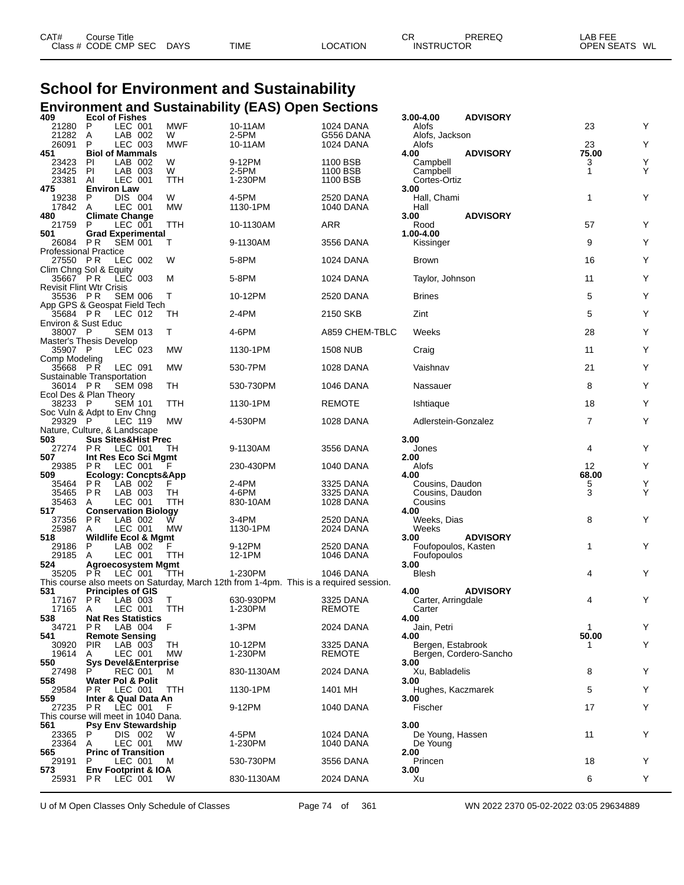| CAT# | ourse Titleٽ         |             |             |          | СR                | PREREQ | AB FEE                    |  |
|------|----------------------|-------------|-------------|----------|-------------------|--------|---------------------------|--|
|      | Class # CODE CMP SEC | <b>DAYS</b> | <b>TIME</b> | LOCATION | <b>INSTRUCTOR</b> |        | : WL<br><b>OPEN SEATS</b> |  |

# **School for Environment and Sustainability Environment and Sustainability (EAS) Open Sections 409 Ecol of Fishes 3.00-4.00 ADVISORY**

| 21280<br>21282<br>26091                  | P<br>LEC 001<br>LAB 002<br>A<br>P<br>LEC 003                   | <b>MWF</b><br>W<br><b>MWF</b> | 10-11AM<br>2-5PM<br>10-11AM                                                            | <b>1024 DANA</b><br>G556 DANA | Alofs<br>Alofs, Jackson<br>Alofs   | 23<br>23     | Υ<br>Υ |
|------------------------------------------|----------------------------------------------------------------|-------------------------------|----------------------------------------------------------------------------------------|-------------------------------|------------------------------------|--------------|--------|
| 451                                      | <b>Biol of Mammals</b>                                         |                               |                                                                                        | 1024 DANA                     | <b>ADVISORY</b><br>4.00            | 75.00        |        |
| 23423                                    | <b>PI</b><br>LAB 002                                           | W                             | 9-12PM                                                                                 | 1100 BSB                      | Campbell                           | 3            | Υ      |
| 23425<br>23381                           | PI<br>LAB 003<br>AI<br>LEC 001                                 | W<br>TTH                      | 2-5PM<br>1-230PM                                                                       | 1100 BSB<br>1100 BSB          | Campbell                           | 1            | Υ      |
| 475                                      | <b>Environ Law</b>                                             |                               |                                                                                        |                               | Cortes-Ortiz<br>3.00               |              |        |
| 19238                                    | DIS 004<br>P                                                   | W                             | 4-5PM                                                                                  | 2520 DANA                     | Hall, Chami                        | $\mathbf{1}$ | Υ      |
| 17842                                    | LEC 001<br>A                                                   | <b>MW</b>                     | 1130-1PM                                                                               | 1040 DANA                     | Hall                               |              |        |
| 480<br>21759                             | <b>Climate Change</b><br>P<br>LEC 001                          | <b>TTH</b>                    | 10-1130AM                                                                              | ARR                           | <b>ADVISORY</b><br>3.00<br>Rood    | 57           | Y      |
| 501                                      | <b>Grad Experimental</b>                                       |                               |                                                                                        |                               | 1.00-4.00                          |              |        |
| 26084 PR                                 | <b>SEM 001</b>                                                 | T.                            | 9-1130AM                                                                               | 3556 DANA                     | Kissinger                          | 9            | Y      |
| <b>Professional Practice</b><br>27550 PR | LEC 002<br>Clim Chng Sol & Equity                              | W                             | 5-8PM                                                                                  | 1024 DANA                     | <b>Brown</b>                       | 16           | Y      |
| 35667 PR                                 | LEC 003                                                        | м                             | 5-8PM                                                                                  | 1024 DANA                     | Taylor, Johnson                    | 11           | Υ      |
| 35536 PR                                 | <b>Revisit Flint Wtr Crisis</b><br><b>SEM 006</b>              | Т                             | 10-12PM                                                                                | 2520 DANA                     | <b>Brines</b>                      | 5            | Y      |
| 35684 PR                                 | App GPS & Geospat Field Tech<br>LEC 012                        | TН                            | 2-4PM                                                                                  | 2150 SKB                      | Zint                               | 5            | Y      |
| Environ & Sust Educ                      |                                                                |                               |                                                                                        |                               |                                    |              |        |
| 38007 P                                  | <b>SEM 013</b>                                                 | T.                            | 4-6PM                                                                                  | A859 CHEM-TBLC                | Weeks                              | 28           | Y      |
| 35907 P                                  | Master's Thesis Develop<br>LEC 023                             | MW                            | 1130-1PM                                                                               | <b>1508 NUB</b>               | Craig                              | 11           | Y      |
| Comp Modeling<br>35668 PR                | LEC 091                                                        | <b>MW</b>                     | 530-7PM                                                                                | 1028 DANA                     | Vaishnav                           | 21           | Y      |
|                                          | Sustainable Transportation                                     |                               |                                                                                        |                               |                                    |              |        |
| 36014 PR                                 | <b>SEM 098</b>                                                 | TH                            | 530-730PM                                                                              | 1046 DANA                     | Nassauer                           | 8            | Υ      |
| 38233 P                                  | Ecol Des & Plan Theory<br><b>SEM 101</b>                       | TTH                           | 1130-1PM                                                                               | <b>REMOTE</b>                 | Ishtiaque                          | 18           | Y      |
|                                          | Soc Vuln & Adpt to Env Chng                                    |                               |                                                                                        |                               |                                    |              |        |
| 29329                                    | - P<br>LEC 119                                                 | MW                            | 4-530PM                                                                                | 1028 DANA                     | Adlerstein-Gonzalez                | 7            | Y      |
| 503                                      | Nature, Culture, & Landscape<br><b>Sus Sites&amp;Hist Prec</b> |                               |                                                                                        |                               | 3.00                               |              |        |
| 27274                                    | P R<br>LEC 001                                                 | TН                            | 9-1130AM                                                                               | 3556 DANA                     | Jones                              | 4            | Υ      |
| 507<br>29385                             | Int Res Eco Sci Mgmt                                           |                               |                                                                                        |                               | 2.00<br>Alofs                      | 12           | Y      |
| 509                                      | PR LEC 001<br>Ecology: Concpts&App                             | - F                           | 230-430PM                                                                              | 1040 DANA                     | 4.00                               | 68.00        |        |
| 35464                                    | P R<br>LAB 002                                                 | F                             | 2-4PM                                                                                  | 3325 DANA                     | Cousins, Daudon                    | 5            | Υ      |
| 35465                                    | P R<br>LAB 003                                                 | TH                            | 4-6PM                                                                                  | 3325 DANA                     | Cousins, Daudon                    | 3            | Υ      |
| 35463<br>517                             | LEC 001<br>A<br><b>Conservation Biology</b>                    | TTH                           | 830-10AM                                                                               | 1028 DANA                     | Cousins<br>4.00                    |              |        |
| 37356                                    | PR.<br>LAB 002                                                 | W                             | 3-4PM                                                                                  | 2520 DANA                     | Weeks, Dias                        | 8            | Υ      |
| 25987                                    |                                                                |                               |                                                                                        |                               | Weeks                              |              |        |
| 518                                      | LEC 001<br>A                                                   | MW                            | 1130-1PM                                                                               | 2024 DANA                     |                                    |              |        |
|                                          | <b>Wildlife Ecol &amp; Mgmt</b>                                |                               |                                                                                        |                               | 3.00<br><b>ADVISORY</b>            |              |        |
| 29186<br>29185                           | P<br>LAB 002<br>LEC 001<br>A                                   | F<br>TTH                      | 9-12PM<br>12-1PM                                                                       | 2520 DANA<br>1046 DANA        | Foufopoulos, Kasten<br>Foufopoulos | $\mathbf{1}$ | Υ      |
| 524                                      | <b>Agroecosystem Mgmt</b>                                      |                               |                                                                                        |                               | 3.00                               |              |        |
| 35205                                    | PR LEC 001                                                     | <b>TTH</b>                    | 1-230PM                                                                                | 1046 DANA                     | <b>Blesh</b>                       | 4            | Υ      |
| 531                                      |                                                                |                               | This course also meets on Saturday, March 12th from 1-4pm. This is a required session. |                               | <b>ADVISORY</b><br>4.00            |              |        |
| 17167                                    | <b>Principles of GIS</b><br>PR.<br>LAB 003                     | Т                             | 630-930PM                                                                              | 3325 DANA                     | Carter, Arringdale                 | 4            | Υ      |
| 17165                                    | LEC 001<br>A                                                   | TTH                           | 1-230PM                                                                                | <b>REMOTE</b>                 | Carter                             |              |        |
| 538                                      | <b>Nat Res Statistics</b><br>LAB 004                           | - F                           | $1-3PM$                                                                                | 2024 DANA                     | 4.00<br>Jain, Petri                | $\mathbf{1}$ | Υ      |
| 34721 PR<br>541                          | <b>Remote Sensing</b>                                          |                               |                                                                                        |                               | 4.00                               | 50.00        |        |
| 30920                                    | LAB 003<br><b>PIR</b>                                          | TH                            | 10-12PM                                                                                | 3325 DANA                     | Bergen, Estabrook                  | 1            | Y      |
| 19614<br>550                             | LEC 001<br>A<br><b>Sys Devel&amp;Enterprise</b>                | МW                            | 1-230PM                                                                                | REMOTE                        | Bergen, Cordero-Sancho<br>3.00     |              |        |
| 27498                                    | <b>REC 001</b>                                                 | м                             | 830-1130AM                                                                             | 2024 DANA                     | Xu, Babladelis                     | 8            | Y      |
| 558<br>29584                             | <b>Water Pol &amp; Polit</b><br>LEC 001<br>PR.                 | TTH                           | 1130-1PM                                                                               | 1401 MH                       | 3.00                               | 5            | Υ      |
| 559                                      | Inter & Qual Data An                                           |                               |                                                                                        |                               | Hughes, Kaczmarek<br>3.00          |              |        |
| 27235                                    | P <sub>R</sub><br>LEC 001                                      | F                             | 9-12PM                                                                                 | 1040 DANA                     | Fischer                            | 17           | Y      |
|                                          | This course will meet in 1040 Dana.                            |                               |                                                                                        |                               |                                    |              |        |
| 561<br>23365                             | <b>Psy Env Stewardship</b><br>DIS 002<br>P                     | W                             | 4-5PM                                                                                  | <b>1024 DANA</b>              | 3.00<br>De Young, Hassen           | 11           | Y      |
| 23364                                    | LEC 001<br>A                                                   | <b>MW</b>                     | 1-230PM                                                                                | 1040 DANA                     | De Young                           |              |        |
| 565<br>29191                             | <b>Princ of Transition</b><br>LEC 001<br>P                     | м                             | 530-730PM                                                                              | 3556 DANA                     | 2.00<br>Princen                    | 18           | Y      |
| 573<br>25931                             | <b>Env Footprint &amp; IOA</b><br>P R<br>LEC 001               | W                             | 830-1130AM                                                                             | 2024 DANA                     | 3.00<br>Xu                         | 6            | Y      |

U of M Open Classes Only Schedule of Classes Page 74 of 361 WN 2022 2370 05-02-2022 03:05 29634889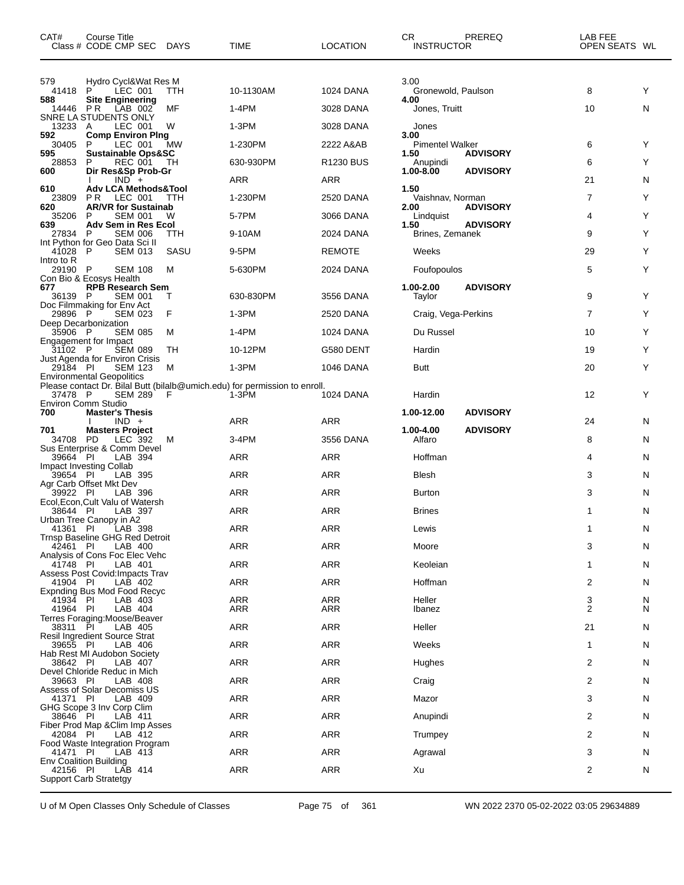| CAT#                | Course Title<br>Class # CODE CMP SEC DAYS               |            | <b>TIME</b>                                                                         | <b>LOCATION</b>  | CR<br><b>INSTRUCTOR</b>        | PREREQ          | LAB FEE<br>OPEN SEATS WL |    |
|---------------------|---------------------------------------------------------|------------|-------------------------------------------------------------------------------------|------------------|--------------------------------|-----------------|--------------------------|----|
| 579<br>41418        | Hydro Cycl&Wat Res M<br>P<br>LEC 001                    | TTH        | 10-1130AM                                                                           | 1024 DANA        | 3.00<br>Gronewold, Paulson     |                 | 8                        | Υ  |
| 588<br>14446 PR     | <b>Site Engineering</b><br>LAB 002                      | MF         | $1-4PM$                                                                             | 3028 DANA        | 4.00<br>Jones, Truitt          |                 | 10                       | N  |
| 13233 A             | SNRE LA STUDENTS ONLY<br>LEC 001                        | W          | 1-3PM                                                                               | 3028 DANA        | Jones                          |                 |                          |    |
| 592<br>30405        | <b>Comp Environ Ping</b><br>P<br>LEC 001                | MW         | 1-230PM                                                                             | 2222 A&AB        | 3.00<br><b>Pimentel Walker</b> |                 | 6                        | Y  |
| 595                 | <b>Sustainable Ops&amp;SC</b>                           |            |                                                                                     | <b>R1230 BUS</b> | 1.50                           | <b>ADVISORY</b> |                          |    |
| 28853<br>600        | <b>REC 001</b><br>P<br>Dir Res&Sp Prob-Gr               | TН         | 630-930PM                                                                           |                  | Anupindi<br>1.00-8.00          | <b>ADVISORY</b> | 6                        | Y  |
| 610                 | $IND +$<br><b>Adv LCA Methods&amp;Tool</b>              |            | ARR                                                                                 | ARR              | 1.50                           |                 | 21                       | N  |
| 23809<br>620        | PR.<br>LEC 001<br><b>AR/VR for Sustainab</b>            | TTH        | 1-230PM                                                                             | 2520 DANA        | Vaishnav, Norman<br>2.00       | <b>ADVISORY</b> | 7                        | Y  |
| 35206<br>639        | P<br><b>SEM 001</b><br>Adv Sem in Res Ecol              | W          | 5-7PM                                                                               | 3066 DANA        | Lindquist<br>1.50              | <b>ADVISORY</b> | 4                        | Y  |
| 27834               | <b>SEM 006</b><br>- P<br>Int Python for Geo Data Sci II | <b>TTH</b> | 9-10AM                                                                              | 2024 DANA        | Brines, Zemanek                |                 | 9                        | Y  |
| 41028<br>Intro to R | - P<br><b>SEM 013</b>                                   | SASU       | 9-5PM                                                                               | <b>REMOTE</b>    | Weeks                          |                 | 29                       | Y  |
| 29190 P             | <b>SEM 108</b><br>Con Bio & Ecosys Health               | м          | 5-630PM                                                                             | 2024 DANA        | Foufopoulos                    |                 | 5                        | Y  |
| 677<br>36139 P      | <b>RPB</b> Research Sem<br><b>SEM 001</b>               | т          | 630-830PM                                                                           | 3556 DANA        | 1.00-2.00<br>Taylor            | <b>ADVISORY</b> | 9                        | Y  |
| 29896 P             | Doc Filmmaking for Env Act<br><b>SEM 023</b>            | F          | 1-3PM                                                                               | 2520 DANA        | Craig, Vega-Perkins            |                 | $\overline{7}$           | Y  |
| 35906 P             | Deep Decarbonization<br><b>SEM 085</b>                  | м          | 1-4PM                                                                               | 1024 DANA        | Du Russel                      |                 | 10                       | Υ  |
|                     | Engagement for Impact                                   |            |                                                                                     |                  |                                |                 |                          |    |
| 31102 P             | <b>SEM 089</b><br>Just Agenda for Environ Crisis        | TН         | 10-12PM                                                                             | G580 DENT        | Hardin                         |                 | 19                       | Y  |
| 29184 PI            | <b>SEM 123</b><br><b>Environmental Geopolitics</b>      | M          | 1-3PM                                                                               | 1046 DANA        | <b>Butt</b>                    |                 | 20                       | Y  |
| 37478 P             | <b>SEM 289</b>                                          | F          | Please contact Dr. Bilal Butt (bilalb@umich.edu) for permission to enroll.<br>1-3PM | 1024 DANA        | Hardin                         |                 | 12                       | Y  |
| 700                 | <b>Environ Comm Studio</b><br><b>Master's Thesis</b>    |            |                                                                                     |                  | 1.00-12.00                     | <b>ADVISORY</b> |                          |    |
| 701                 | $IND +$<br><b>Masters Project</b>                       |            | ARR                                                                                 | ARR              | 1.00-4.00                      | <b>ADVISORY</b> | 24                       | N  |
| 34708 PD            | LEC 392<br>Sus Enterprise & Comm Devel                  | м          | 3-4PM                                                                               | 3556 DANA        | Alfaro                         |                 | 8                        | N  |
| 39664 PI            | LAB 394<br>Impact Investing Collab                      |            | ARR                                                                                 | ARR              | Hoffman                        |                 | 4                        | N  |
| 39654 PI            | LAB 395<br>Agr Carb Offset Mkt Dev                      |            | <b>ARR</b>                                                                          | ARR              | <b>Blesh</b>                   |                 | 3                        | N  |
| 39922 PI            | LAB 396<br>Ecol, Econ, Cult Valu of Watersh             |            | ARR                                                                                 | ARR              | <b>Burton</b>                  |                 | 3                        | N  |
| 38644 PI            | LAB 397                                                 |            | ARR                                                                                 | ARR              | <b>Brines</b>                  |                 | 1                        | N  |
|                     | Urban Tree Canopy in A2<br>41361 PI LAB 398             |            | ARR                                                                                 | ARR              | Lewis                          |                 |                          | N  |
| 42461 PI            | Trnsp Baseline GHG Red Detroit<br>LAB 400               |            | <b>ARR</b>                                                                          | ARR              | Moore                          |                 | 3                        | N  |
| 41748 PI            | Analysis of Cons Foc Elec Vehc<br>LAB 401               |            | ARR                                                                                 | ARR              | Keoleian                       |                 | 1                        | N  |
| 41904 PI            | Assess Post Covid: Impacts Trav<br>LAB 402              |            | <b>ARR</b>                                                                          | ARR              | Hoffman                        |                 | 2                        | N  |
| 41934 PI            | Expnding Bus Mod Food Recyc<br>LAB 403                  |            | <b>ARR</b>                                                                          | <b>ARR</b>       | Heller                         |                 | 3                        | N  |
| 41964 PI            | LAB 404<br>Terres Foraging:Moose/Beaver                 |            | ARR                                                                                 | ARR              | Ibanez                         |                 | 2                        | N  |
| 38311 PI            | LAB 405<br><b>Resil Ingredient Source Strat</b>         |            | <b>ARR</b>                                                                          | ARR              | Heller                         |                 | 21                       | N  |
| 39655 PI            | LAB 406<br>Hab Rest MI Audobon Society                  |            | ARR                                                                                 | ARR              | Weeks                          |                 | 1                        | N  |
| 38642 PI            | LAB 407                                                 |            | <b>ARR</b>                                                                          | ARR              | Hughes                         |                 | 2                        | N  |
| 39663 PI            | Devel Chloride Reduc in Mich<br>LAB 408                 |            | <b>ARR</b>                                                                          | ARR              | Craig                          |                 | 2                        | N  |
| 41371 PI            | Assess of Solar Decomiss US<br>LAB 409                  |            | <b>ARR</b>                                                                          | ARR              | Mazor                          |                 | 3                        | N  |
| 38646 PI            | GHG Scope 3 Inv Corp Clim<br>LAB 411                    |            | <b>ARR</b>                                                                          | ARR              | Anupindi                       |                 | 2                        | N  |
| 42084 PI            | Fiber Prod Map & Clim Imp Asses<br>LAB 412              |            | <b>ARR</b>                                                                          | ARR              | Trumpey                        |                 | 2                        | N  |
| 41471 PI            | Food Waste Integration Program<br>LAB 413               |            | ARR                                                                                 | ARR              | Agrawal                        |                 | 3                        | N. |
| 42156 PI            | <b>Env Coalition Building</b><br>LAB 414                |            | <b>ARR</b>                                                                          | ARR              | Xu                             |                 | 2                        | N  |
|                     | <b>Support Carb Stratetgy</b>                           |            |                                                                                     |                  |                                |                 |                          |    |

U of M Open Classes Only Schedule of Classes Page 75 of 361 WN 2022 2370 05-02-2022 03:05 29634889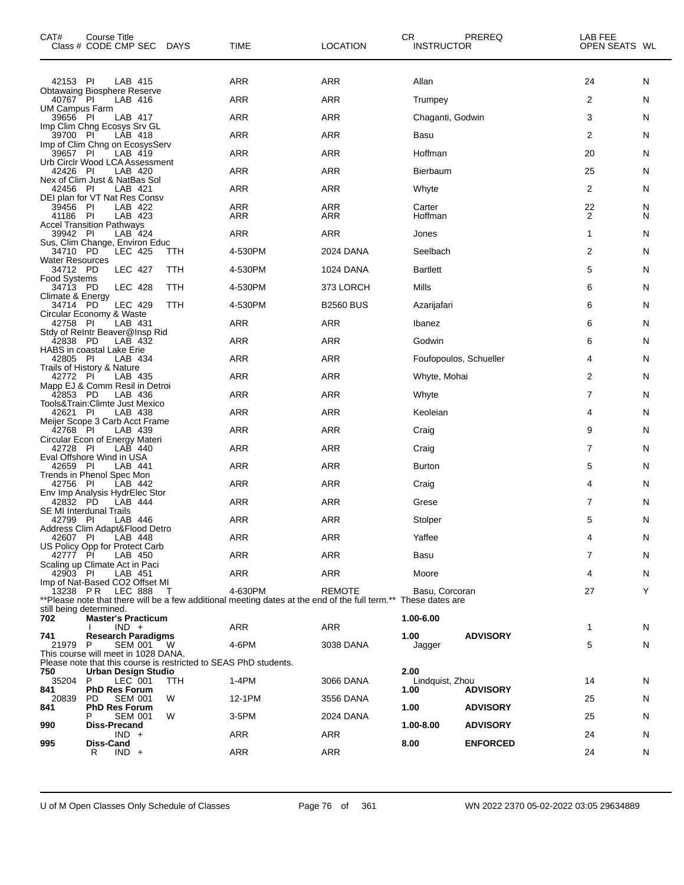| CAT#                               | Course Title<br>Class # CODE CMP SEC DAYS                                               |        | TIME                                                                                                                      | <b>LOCATION</b>   | CR<br><b>INSTRUCTOR</b> | PREREQ          | LAB FEE<br>OPEN SEATS WL |        |
|------------------------------------|-----------------------------------------------------------------------------------------|--------|---------------------------------------------------------------------------------------------------------------------------|-------------------|-------------------------|-----------------|--------------------------|--------|
| 42153 PI                           | LAB 415                                                                                 |        | ARR                                                                                                                       | ARR               | Allan                   |                 | 24                       | N      |
| 40767 PI                           | <b>Obtawaing Biosphere Reserve</b><br>LAB 416                                           |        | <b>ARR</b>                                                                                                                | ARR               | Trumpey                 |                 | 2                        | N      |
| UM Campus Farm<br>39656 PI         | LAB 417                                                                                 |        | ARR                                                                                                                       | <b>ARR</b>        | Chaganti, Godwin        |                 | 3                        | N      |
|                                    | Imp Clim Chng Ecosys Srv GL                                                             |        | ARR                                                                                                                       | ARR               |                         |                 | 2                        |        |
| 39700 PI                           | LAB 418<br>Imp of Clim Chng on EcosysServ                                               |        |                                                                                                                           |                   | Basu                    |                 |                          | N      |
| 39657 PI                           | LAB 419<br>Urb Circlr Wood LCA Assessment                                               |        | <b>ARR</b>                                                                                                                | ARR               | Hoffman                 |                 | 20                       | N      |
| 42426 PI                           | LAB 420<br>Nex of Clim Just & NatBas Sol                                                |        | ARR                                                                                                                       | ARR               | <b>Bierbaum</b>         |                 | 25                       | N      |
| 42456 PI                           | LAB 421<br>DEI plan for VT Nat Res Consv                                                |        | ARR                                                                                                                       | ARR               | Whyte                   |                 | $\overline{2}$           | N      |
| 39456 PI<br>41186 PI               | LAB 422<br>LAB 423                                                                      |        | ARR<br>ARR                                                                                                                | <b>ARR</b><br>ARR | Carter<br>Hoffman       |                 | 22<br>2                  | N<br>N |
|                                    | <b>Accel Transition Pathways</b>                                                        |        |                                                                                                                           |                   |                         |                 |                          |        |
| 39942 PI                           | LAB 424<br>Sus, Clim Change, Environ Educ                                               |        | ARR                                                                                                                       | ARR               | Jones                   |                 | $\mathbf{1}$             | N      |
| 34710 PD<br><b>Water Resources</b> | LEC 425                                                                                 | ттн    | 4-530PM                                                                                                                   | 2024 DANA         | Seelbach                |                 | $\overline{2}$           | N      |
| 34712 PD<br><b>Food Systems</b>    | <b>LEC 427</b>                                                                          | TTH    | 4-530PM                                                                                                                   | 1024 DANA         | <b>Bartlett</b>         |                 | 5                        | N      |
| 34713 PD<br>Climate & Energy       | <b>LEC 428</b>                                                                          | TTH    | 4-530PM                                                                                                                   | 373 LORCH         | Mills                   |                 | 6                        | N      |
| 34714 PD                           | LEC 429                                                                                 | TTH    | 4-530PM                                                                                                                   | <b>B2560 BUS</b>  | Azarijafari             |                 | 6                        | N      |
| 42758 PI                           | Circular Economy & Waste<br>LAB 431                                                     |        | ARR                                                                                                                       | ARR               | Ibanez                  |                 | 6                        | N      |
| 42838 PD                           | Stdy of Reintr Beaver@Insp Rid<br>LAB 432                                               |        | <b>ARR</b>                                                                                                                | ARR               | Godwin                  |                 | 6                        | N      |
| 42805 PI                           | HABS in coastal Lake Erie<br>LAB 434                                                    |        | ARR                                                                                                                       | ARR               | Foufopoulos, Schueller  |                 | 4                        | N      |
| 42772 PI                           | Trails of History & Nature<br>LAB 435                                                   |        | ARR                                                                                                                       | ARR               | Whyte, Mohai            |                 | 2                        | N      |
| 42853 PD                           | Mapp EJ & Comm Resil in Detroi<br>LAB 436                                               |        | <b>ARR</b>                                                                                                                | ARR               | Whyte                   |                 | 7                        | N      |
|                                    | Tools&Train:Climte Just Mexico                                                          |        |                                                                                                                           |                   |                         |                 |                          |        |
| 42621 PI                           | LAB 438<br>Meijer Scope 3 Carb Acct Frame                                               |        | ARR                                                                                                                       | ARR               | Keoleian                |                 | 4                        | N      |
| 42768 PI                           | LAB 439<br>Circular Econ of Energy Materi                                               |        | ARR                                                                                                                       | ARR               | Craig                   |                 | 9                        | N      |
| 42728 PI                           | LAB 440<br>Eval Offshore Wind in USA                                                    |        | ARR                                                                                                                       | ARR               | Craig                   |                 | 7                        | N      |
| 42659 PI                           | LAB 441<br>Trends in Phenol Spec Mon                                                    |        | ARR                                                                                                                       | ARR               | <b>Burton</b>           |                 | 5                        | N      |
| 42756 PI                           | LAB 442                                                                                 |        | ARR                                                                                                                       | ARR               | Craig                   |                 | 4                        | N      |
| 42832 PD                           | Env Imp Analysis HydrElec Stor<br>LAB 444                                               |        | ARR                                                                                                                       | ARR               | Grese                   |                 | 7                        | N      |
| 42799 PI                           | <b>SE MI Interdunal Trails</b><br>LAB 446                                               |        | ARR                                                                                                                       | <b>ARR</b>        | Stolper                 |                 | 5                        | N      |
| 42607 PI                           | Address Clim Adapt&Flood Detro<br>LAB 448                                               |        | ARR                                                                                                                       | ARR               | Yaffee                  |                 | 4                        | N      |
| 42777 PI                           | US Policy Opp for Protect Carb<br>LAB 450                                               |        | ARR                                                                                                                       | ARR               | Basu                    |                 | 7                        | N      |
| 42903 PI                           | Scaling up Climate Act in Paci<br>LAB 451                                               |        | ARR                                                                                                                       | ARR               | Moore                   |                 | 4                        | N      |
|                                    | Imp of Nat-Based CO2 Offset MI                                                          |        |                                                                                                                           |                   |                         |                 |                          | Y      |
|                                    | 13238 PR LEC 888                                                                        | $\top$ | 4-630PM<br>**Please note that there will be a few additional meeting dates at the end of the full term.** These dates are | <b>REMOTE</b>     | Basu, Corcoran          |                 | 27                       |        |
| still being determined.<br>702     | <b>Master's Practicum</b>                                                               |        |                                                                                                                           |                   | 1.00-6.00               |                 |                          |        |
| 741                                | $IND +$<br><b>Research Paradigms</b>                                                    |        | ARR                                                                                                                       | ARR               | 1.00                    | <b>ADVISORY</b> | 1                        | N      |
| 21979 P                            | SEM 001<br>This course will meet in 1028 DANA.                                          | - W    | 4-6PM                                                                                                                     | 3038 DANA         | Jagger                  |                 | 5                        | N      |
| 750                                | Please note that this course is restricted to SEAS PhD students.<br>Urban Design Studio |        |                                                                                                                           |                   | 2.00                    |                 |                          |        |
| 35204 P                            | LEC 001                                                                                 | TTH    | $1-4PM$                                                                                                                   | 3066 DANA         | Lindquist, Zhou         |                 | 14                       | N      |
| 841<br>20839                       | <b>PhD Res Forum</b><br>PD.<br><b>SEM 001</b>                                           | W      | 12-1PM                                                                                                                    | 3556 DANA         | 1.00                    | <b>ADVISORY</b> | 25                       | N      |
| 841                                | <b>PhD Res Forum</b><br><b>SEM 001</b><br>P.                                            | W      | 3-5PM                                                                                                                     | 2024 DANA         | 1.00                    | <b>ADVISORY</b> | 25                       | N      |
| 990                                | Diss-Precand<br>$IND +$                                                                 |        | ARR                                                                                                                       | ARR               | 1.00-8.00               | <b>ADVISORY</b> | 24                       | N      |
| 995                                | Diss-Cand<br>$IND +$<br>R                                                               |        | ARR                                                                                                                       | ARR               | 8.00                    | <b>ENFORCED</b> | 24                       | N      |
|                                    |                                                                                         |        |                                                                                                                           |                   |                         |                 |                          |        |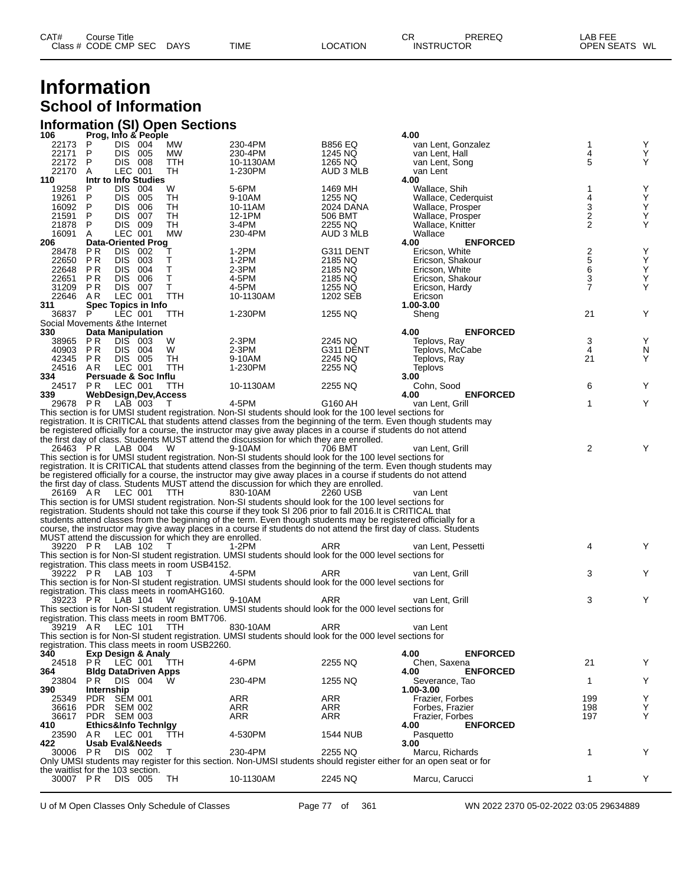## **Information School of Information**

# **Information (SI) Open Sections 106 Prog, Info & People 4.00**

| TUD                               |                  |                            | Prog, into a People           |                                                         |                                                                                                                    |                 | 4.VV                                                                                                               |                  |   |
|-----------------------------------|------------------|----------------------------|-------------------------------|---------------------------------------------------------|--------------------------------------------------------------------------------------------------------------------|-----------------|--------------------------------------------------------------------------------------------------------------------|------------------|---|
| 22173                             | P                | DIS 004                    |                               | МW                                                      | 230-4PM                                                                                                            | <b>B856 EQ</b>  | van Lent, Gonzalez                                                                                                 | 1                | Υ |
| 22171                             | P                | DIS 005                    |                               | МW                                                      | 230-4PM                                                                                                            | 1245 NQ         | van Lent, Hall                                                                                                     | 4                | Υ |
| 22172                             | P                | DIS 008                    |                               | TTH                                                     | 10-1130AM                                                                                                          | 1265 NQ         | van Lent, Song                                                                                                     | 5                | Y |
| 22170                             |                  |                            |                               |                                                         |                                                                                                                    |                 |                                                                                                                    |                  |   |
|                                   | A                | LEC 001                    |                               | TH                                                      | 1-230PM                                                                                                            | AUD 3 MLB       | van Lent                                                                                                           |                  |   |
| 110                               |                  |                            | Intr to Info Studies          |                                                         |                                                                                                                    |                 | 4.00                                                                                                               |                  |   |
| 19258                             | P                | DIS 004                    |                               | W                                                       | 5-6PM                                                                                                              | 1469 MH         | Wallace, Shih                                                                                                      | 1                | Υ |
| 19261                             | P                | DIS 005                    |                               | TH                                                      | 9-10AM                                                                                                             | 1255 NQ         | Wallace, Cederquist                                                                                                | 4                | Υ |
|                                   | P                | DIS 006                    |                               | TН                                                      |                                                                                                                    |                 |                                                                                                                    |                  | Υ |
| 16092                             |                  |                            |                               |                                                         | 10-11AM                                                                                                            | 2024 DANA       | Wallace, Prosper                                                                                                   | 3                |   |
| 21591                             | P                | <b>DIS 007</b>             |                               | TH                                                      | 12-1PM                                                                                                             | 506 BMT         | Wallace, Prosper                                                                                                   | $\boldsymbol{2}$ | Υ |
| 21878                             | P                | DIS 009                    |                               | TH                                                      | 3-4PM                                                                                                              | 2255 NQ         | Wallace, Knitter                                                                                                   | $\overline{2}$   | Y |
| 16091                             | A                | LEC 001                    |                               | <b>MW</b>                                               | 230-4PM                                                                                                            | AUD 3 MLB       | Wallace                                                                                                            |                  |   |
|                                   |                  |                            |                               |                                                         |                                                                                                                    |                 | 4.00<br><b>ENFORCED</b>                                                                                            |                  |   |
| 206                               |                  |                            | Data-Oriented Prog            |                                                         |                                                                                                                    |                 |                                                                                                                    |                  |   |
| 28478                             | P R              | DIS 002                    |                               | т                                                       | 1-2PM                                                                                                              | G311 DENT       | Ericson, White                                                                                                     | $\frac{2}{5}$    | Υ |
| 22650                             | P R              | DIS 003                    |                               | Т                                                       | 1-2PM                                                                                                              | 2185 NQ         | Ericson, Shakour                                                                                                   |                  | Υ |
| 22648                             | P R              | DIS 004                    |                               | Τ                                                       | $2-3PM$                                                                                                            | 2185 NQ         | Ericson, White                                                                                                     | $\frac{6}{3}$    | Υ |
| 22651                             | P R              | <b>DIS 006</b>             |                               | Τ                                                       | 4-5PM                                                                                                              | 2185 NQ         | Ericson, Shakour                                                                                                   |                  | Y |
|                                   |                  |                            |                               |                                                         |                                                                                                                    |                 |                                                                                                                    |                  |   |
|                                   | 31209 PR         | DIS 007                    |                               | Т                                                       | 4-5PM                                                                                                              | 1255 NQ         | Ericson, Hardy                                                                                                     | $\overline{7}$   | Υ |
| 22646                             | AR               | LEC 001                    |                               | TTH                                                     | 10-1130AM                                                                                                          | 1202 SEB        | Ericson                                                                                                            |                  |   |
| 311                               |                  |                            | Spec Topics in Info           |                                                         |                                                                                                                    |                 | 1.00-3.00                                                                                                          |                  |   |
| 36837                             | P                | LEC 001                    |                               | TTH                                                     | 1-230PM                                                                                                            | 1255 NQ         | Sheng                                                                                                              | 21               | Υ |
|                                   |                  |                            |                               |                                                         |                                                                                                                    |                 |                                                                                                                    |                  |   |
| Social Movements & the Internet   |                  |                            |                               |                                                         |                                                                                                                    |                 |                                                                                                                    |                  |   |
| 330                               |                  | <b>Data Manipulation</b>   |                               |                                                         |                                                                                                                    |                 | 4.00<br><b>ENFORCED</b>                                                                                            |                  |   |
| 38965                             | P R              | DIS 003                    |                               | W                                                       | 2-3PM                                                                                                              | 2245 NQ         | Teplovs, Ray                                                                                                       | 3                | Υ |
|                                   | 40903 PR         | DIS 004                    |                               | W                                                       | $2-3PM$                                                                                                            | G311 DENT       | Teplovs, McCabe                                                                                                    | 4                | N |
|                                   |                  |                            |                               |                                                         |                                                                                                                    |                 |                                                                                                                    |                  |   |
|                                   | 42345 PR         | DIS 005                    |                               | TH                                                      | 9-10AM                                                                                                             | 2245 NQ         | Teplovs, Ray                                                                                                       | 21               | Y |
|                                   | 24516 AR         | LEC 001                    |                               | TTH                                                     | 1-230PM                                                                                                            | 2255 NQ         | Teplovs                                                                                                            |                  |   |
| 334                               |                  |                            | Persuade & Soc Influ          |                                                         |                                                                                                                    |                 | 3.00                                                                                                               |                  |   |
|                                   | 24517 PR         | LEC 001                    |                               | TTH                                                     | 10-1130AM                                                                                                          | 2255 NQ         | Cohn, Sood                                                                                                         | 6                | Y |
|                                   |                  |                            |                               |                                                         |                                                                                                                    |                 |                                                                                                                    |                  |   |
| 339                               |                  |                            | <b>WebDesign,Dev,Access</b>   |                                                         |                                                                                                                    |                 | <b>ENFORCED</b><br>4.00                                                                                            |                  |   |
|                                   | 29678 PR         | LAB 003                    |                               | T                                                       | 4-5PM                                                                                                              | G160 AH         | van Lent, Grill                                                                                                    | 1                | Υ |
|                                   |                  |                            |                               |                                                         | This section is for UMSI student registration. Non-SI students should look for the 100 level sections for          |                 |                                                                                                                    |                  |   |
|                                   |                  |                            |                               |                                                         |                                                                                                                    |                 | registration. It is CRITICAL that students attend classes from the beginning of the term. Even though students may |                  |   |
|                                   |                  |                            |                               |                                                         |                                                                                                                    |                 |                                                                                                                    |                  |   |
|                                   |                  |                            |                               |                                                         | be registered officially for a course, the instructor may give away places in a course if students do not attend   |                 |                                                                                                                    |                  |   |
|                                   |                  |                            |                               |                                                         | the first day of class. Students MUST attend the discussion for which they are enrolled.                           |                 |                                                                                                                    |                  |   |
|                                   | 26463 PR         | LAB 004                    |                               | W                                                       | 9-10AM                                                                                                             | 706 BMT         | van Lent. Grill                                                                                                    | 2                | Y |
|                                   |                  |                            |                               |                                                         | This section is for UMSI student registration. Non-SI students should look for the 100 level sections for          |                 |                                                                                                                    |                  |   |
|                                   |                  |                            |                               |                                                         |                                                                                                                    |                 |                                                                                                                    |                  |   |
|                                   |                  |                            |                               |                                                         |                                                                                                                    |                 | registration. It is CRITICAL that students attend classes from the beginning of the term. Even though students may |                  |   |
|                                   |                  |                            |                               |                                                         | be registered officially for a course, the instructor may give away places in a course if students do not attend   |                 |                                                                                                                    |                  |   |
|                                   |                  |                            |                               |                                                         | the first day of class. Students MUST attend the discussion for which they are enrolled.                           |                 |                                                                                                                    |                  |   |
|                                   | 26169 AR         | LEC 001                    |                               | TTH                                                     | 830-10AM                                                                                                           | 2260 USB        | van Lent                                                                                                           |                  |   |
|                                   |                  |                            |                               |                                                         |                                                                                                                    |                 |                                                                                                                    |                  |   |
|                                   |                  |                            |                               |                                                         | This section is for UMSI student registration. Non-SI students should look for the 100 level sections for          |                 |                                                                                                                    |                  |   |
|                                   |                  |                            |                               |                                                         | registration. Students should not take this course if they took SI 206 prior to fall 2016.It is CRITICAL that      |                 |                                                                                                                    |                  |   |
|                                   |                  |                            |                               |                                                         | students attend classes from the beginning of the term. Even though students may be registered officially for a    |                 |                                                                                                                    |                  |   |
|                                   |                  |                            |                               |                                                         | course, the instructor may give away places in a course if students do not attend the first day of class. Students |                 |                                                                                                                    |                  |   |
|                                   |                  |                            |                               |                                                         |                                                                                                                    |                 |                                                                                                                    |                  |   |
|                                   |                  |                            |                               | MUST attend the discussion for which they are enrolled. |                                                                                                                    |                 |                                                                                                                    |                  |   |
|                                   | 39220 PR LAB 102 |                            |                               | $\top$                                                  | 1-2PM                                                                                                              | ARR             | van Lent, Pessetti                                                                                                 | 4                | Y |
|                                   |                  |                            |                               |                                                         | This section is for Non-SI student registration. UMSI students should look for the 000 level sections for          |                 |                                                                                                                    |                  |   |
|                                   |                  |                            |                               | registration. This class meets in room USB4152.         |                                                                                                                    |                 |                                                                                                                    |                  |   |
|                                   |                  |                            |                               |                                                         |                                                                                                                    |                 |                                                                                                                    |                  | Y |
|                                   | 39222 PR LAB 103 |                            |                               | $\top$                                                  | 4-5PM                                                                                                              | ARR             | van Lent. Grill                                                                                                    | 3                |   |
|                                   |                  |                            |                               |                                                         | This section is for Non-SI student registration. UMSI students should look for the 000 level sections for          |                 |                                                                                                                    |                  |   |
|                                   |                  |                            |                               | registration. This class meets in roomAHG160.           |                                                                                                                    |                 |                                                                                                                    |                  |   |
|                                   | 39223 PR LAB 104 |                            |                               | W                                                       | 9-10AM                                                                                                             | ARR             | van Lent. Grill                                                                                                    | 3                | Y |
|                                   |                  |                            |                               |                                                         | This section is for Non-SI student registration. UMSI students should look for the 000 level sections for          |                 |                                                                                                                    |                  |   |
|                                   |                  |                            |                               |                                                         |                                                                                                                    |                 |                                                                                                                    |                  |   |
|                                   |                  |                            |                               | registration. This class meets in room BMT706.          |                                                                                                                    |                 |                                                                                                                    |                  |   |
|                                   | 39219 AR LEC 101 |                            |                               | TTH                                                     | 830-10AM                                                                                                           | ARR             | van Lent                                                                                                           |                  |   |
|                                   |                  |                            |                               |                                                         | This section is for Non-SI student registration. UMSI students should look for the 000 level sections for          |                 |                                                                                                                    |                  |   |
|                                   |                  |                            |                               | registration. This class meets in room USB2260.         |                                                                                                                    |                 |                                                                                                                    |                  |   |
|                                   |                  |                            |                               |                                                         |                                                                                                                    |                 |                                                                                                                    |                  |   |
| 340                               |                  |                            | <b>Exp Design &amp; Analy</b> |                                                         |                                                                                                                    |                 | 4.00<br><b>ENFORCED</b>                                                                                            |                  |   |
| 24518                             | PR.              | LEC 001                    |                               | TTH                                                     | 4-6PM                                                                                                              | 2255 NQ         | Chen, Saxena                                                                                                       | 21               | Y |
| 364                               |                  |                            | <b>Bldg DataDriven Apps</b>   |                                                         |                                                                                                                    |                 | <b>ENFORCED</b><br>4.00                                                                                            |                  |   |
| 23804                             | PR.              | DIS 004                    |                               | w                                                       | 230-4PM                                                                                                            | 1255 NQ         | Severance, Tao                                                                                                     | $\mathbf 1$      | Y |
|                                   |                  |                            |                               |                                                         |                                                                                                                    |                 |                                                                                                                    |                  |   |
| 390                               | Internship       |                            |                               |                                                         |                                                                                                                    |                 | 1.00-3.00                                                                                                          |                  |   |
| 25349                             |                  | PDR SEM 001                |                               |                                                         | ARR                                                                                                                | ARR             | Frazier, Forbes                                                                                                    | 199              | Υ |
| 36616                             |                  | PDR SEM 002                |                               |                                                         | ARR                                                                                                                | ARR             | Forbes, Frazier                                                                                                    | 198              | Υ |
| 36617                             |                  | PDR SEM 003                |                               |                                                         | ARR                                                                                                                | ARR             | Frazier, Forbes                                                                                                    | 197              | Υ |
|                                   |                  |                            |                               |                                                         |                                                                                                                    |                 |                                                                                                                    |                  |   |
| 410                               |                  |                            | Ethics&Info Technigy          |                                                         |                                                                                                                    |                 | <b>ENFORCED</b><br>4.00                                                                                            |                  |   |
| 23590                             | AR.              | LEC 001                    |                               | TTH                                                     | 4-530PM                                                                                                            | <b>1544 NUB</b> | Pasquetto                                                                                                          |                  |   |
| 422                               |                  | <b>Usab Eval&amp;Needs</b> |                               |                                                         |                                                                                                                    |                 | 3.00                                                                                                               |                  |   |
| 30006                             | P R              | DIS 002                    |                               | T                                                       | 230-4PM                                                                                                            | 2255 NQ         | Marcu, Richards                                                                                                    | 1                | Y |
|                                   |                  |                            |                               |                                                         | Only UMSI students may register for this section. Non-UMSI students should register either for an open seat or for |                 |                                                                                                                    |                  |   |
|                                   |                  |                            |                               |                                                         |                                                                                                                    |                 |                                                                                                                    |                  |   |
| the waitlist for the 103 section. |                  |                            |                               |                                                         |                                                                                                                    |                 |                                                                                                                    |                  |   |
|                                   | 30007 PR         | DIS 005                    |                               | TН                                                      | 10-1130AM                                                                                                          | 2245 NQ         | Marcu, Carucci                                                                                                     | $\mathbf 1$      | Y |
|                                   |                  |                            |                               |                                                         |                                                                                                                    |                 |                                                                                                                    |                  |   |
|                                   |                  |                            |                               |                                                         |                                                                                                                    |                 |                                                                                                                    |                  |   |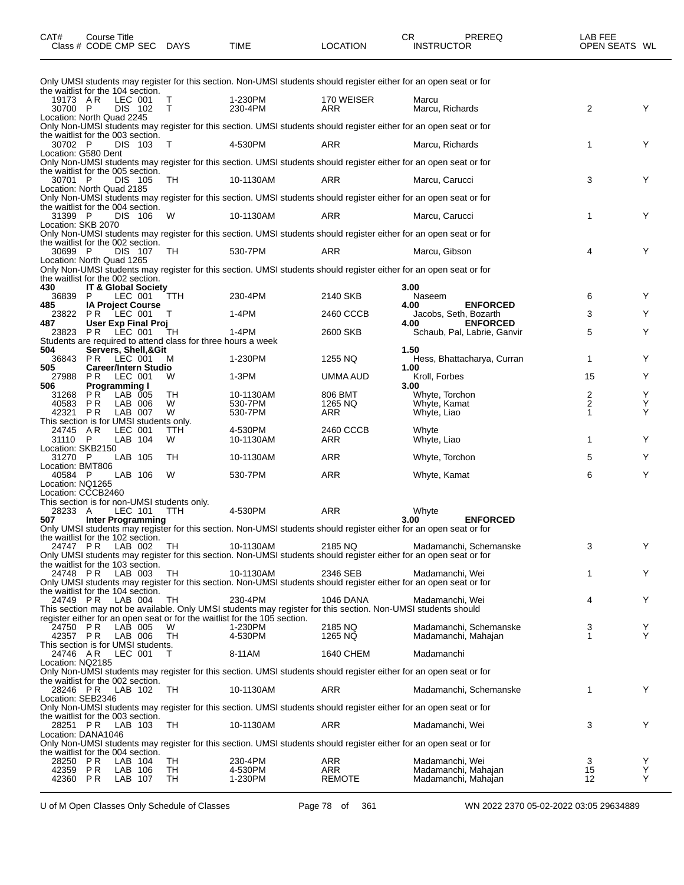| CAT#                                                               | Course Title<br>Class # CODE CMP SEC DAYS                           |                               |                                             | <b>TIME</b>                                                               | <b>LOCATION</b>                                                                                               | PREREQ<br>CR.<br><b>INSTRUCTOR</b>                                                                                                           | LAB FEE<br>OPEN SEATS WL                  |             |
|--------------------------------------------------------------------|---------------------------------------------------------------------|-------------------------------|---------------------------------------------|---------------------------------------------------------------------------|---------------------------------------------------------------------------------------------------------------|----------------------------------------------------------------------------------------------------------------------------------------------|-------------------------------------------|-------------|
|                                                                    |                                                                     |                               |                                             |                                                                           |                                                                                                               | Only UMSI students may register for this section. Non-UMSI students should register either for an open seat or for                           |                                           |             |
| the waitlist for the 104 section.<br>19173 AR<br>30700 P           |                                                                     | LEC 001<br><b>DIS 102</b>     | Τ<br>T                                      | 1-230PM<br>230-4PM                                                        | 170 WEISER<br>ARR                                                                                             | Marcu<br>Marcu, Richards                                                                                                                     | $\overline{2}$                            | Y           |
| Location: North Quad 2245                                          |                                                                     |                               |                                             |                                                                           |                                                                                                               | Only Non-UMSI students may register for this section. UMSI students should register either for an open seat or for                           |                                           |             |
| the waitlist for the 003 section.<br>30702 P                       |                                                                     | DIS 103                       | $\top$                                      | 4-530PM                                                                   | ARR                                                                                                           | Marcu, Richards                                                                                                                              | $\mathbf{1}$                              | Υ           |
| Location: G580 Dent<br>the waitlist for the 005 section.           |                                                                     |                               |                                             |                                                                           |                                                                                                               | Only Non-UMSI students may register for this section. UMSI students should register either for an open seat or for                           |                                           |             |
| 30701 P<br>Location: North Quad 2185                               |                                                                     | DIS 105                       | - TH                                        | 10-1130AM                                                                 | ARR                                                                                                           | Marcu, Carucci                                                                                                                               | 3                                         | Υ           |
|                                                                    |                                                                     |                               |                                             |                                                                           |                                                                                                               | Only Non-UMSI students may register for this section. UMSI students should register either for an open seat or for                           |                                           |             |
| the waitlist for the 004 section.<br>31399 P<br>Location: SKB 2070 |                                                                     | DIS 106                       | W                                           | 10-1130AM                                                                 | ARR                                                                                                           | Marcu, Carucci                                                                                                                               | 1                                         | Y           |
| the waitlist for the 002 section.                                  |                                                                     |                               |                                             |                                                                           |                                                                                                               | Only Non-UMSI students may register for this section. UMSI students should register either for an open seat or for                           |                                           |             |
| 30699 P<br>Location: North Quad 1265                               |                                                                     | DIS 107                       | TH                                          | 530-7PM                                                                   | ARR                                                                                                           | Marcu, Gibson                                                                                                                                | 4                                         | Υ           |
| the waitlist for the 002 section.                                  |                                                                     |                               |                                             |                                                                           |                                                                                                               | Only Non-UMSI students may register for this section. UMSI students should register either for an open seat or for                           |                                           |             |
| 430<br>36839                                                       | IT & Global Society<br>P                                            | LEC 001                       | TTH.                                        | 230-4PM                                                                   | 2140 SKB                                                                                                      | 3.00<br>Naseem                                                                                                                               | 6                                         | Y           |
| 485<br>487                                                         | <b>IA Project Course</b><br>23822 PR LEC 001<br>User Exp Final Proj |                               | т                                           | 1-4PM                                                                     | 2460 CCCB                                                                                                     | <b>ENFORCED</b><br>4.00<br>Jacobs, Seth, Bozarth<br><b>ENFORCED</b><br>4.00                                                                  | 3                                         | Υ           |
| 23823 PR                                                           |                                                                     | LEC 001                       | TН                                          | $1-4PM$<br>Students are required to attend class for three hours a week   | 2600 SKB                                                                                                      | Schaub, Pal, Labrie, Ganvir                                                                                                                  | 5                                         | Υ           |
| 504<br>36843                                                       | Servers, Shell,&Git<br>PR LEC 001                                   |                               | M                                           | 1-230PM                                                                   | 1255 NQ                                                                                                       | 1.50<br>Hess, Bhattacharya, Curran                                                                                                           | $\mathbf 1$                               | Y           |
| 505<br>27988                                                       | <b>Career/Intern Studio</b><br>PR.                                  | LEC 001                       | W                                           | 1-3PM                                                                     | UMMA AUD                                                                                                      | 1.00<br>Kroll, Forbes                                                                                                                        | 15                                        | Y           |
| 506<br>31268<br>40583                                              | <b>Programming I</b><br><b>PR</b><br>P R                            | LAB 005<br>LAB 006            | TH<br>W                                     | 10-1130AM<br>530-7PM                                                      | 806 BMT<br>1265 NQ                                                                                            | 3.00<br>Whyte, Torchon<br>Whyte, Kamat                                                                                                       | $\overline{c}$<br>$\overline{\mathbf{c}}$ | Y<br>Y      |
| 42321<br>This section is for UMSI students only.                   | P R                                                                 | LAB 007                       | W                                           | 530-7PM                                                                   | ARR                                                                                                           | Whyte, Liao                                                                                                                                  | $\mathbf{1}$                              | Y           |
| 24745 AR<br>31110 P                                                |                                                                     | LEC 001<br>LAB 104            | TTH<br>W                                    | 4-530PM<br>10-1130AM                                                      | 2460 CCCB<br>ARR                                                                                              | Whyte<br>Whyte, Liao                                                                                                                         | $\mathbf 1$                               | Y           |
| Location: SKB2150<br>31270 P                                       |                                                                     | LAB 105                       | TН                                          | 10-1130AM                                                                 | ARR                                                                                                           | Whyte, Torchon                                                                                                                               | 5                                         | Y           |
| Location: BMT806<br>40584 P<br>Location: NQ1265                    |                                                                     | LAB 106                       | W                                           | 530-7PM                                                                   | ARR                                                                                                           | Whyte, Kamat                                                                                                                                 | 6                                         | Y           |
| Location: CCCB2460                                                 |                                                                     |                               | This section is for non-UMSI students only. |                                                                           |                                                                                                               |                                                                                                                                              |                                           |             |
| 28233 A<br>507                                                     | <b>Inter Programming</b>                                            | LEC 101                       | TTH                                         | 4-530PM                                                                   | <b>ARR</b>                                                                                                    | Whyte<br><b>ENFORCED</b><br>3.00                                                                                                             |                                           |             |
| the waitlist for the 102 section.                                  |                                                                     |                               |                                             |                                                                           |                                                                                                               | Only UMSI students may register for this section. Non-UMSI students should register either for an open seat or for                           |                                           |             |
| 24747 PR<br>the waitlist for the 103 section.                      |                                                                     | LAB 002                       | TH                                          | 10-1130AM                                                                 | 2185 NQ                                                                                                       | Madamanchi, Schemanske<br>Only UMSI students may register for this section. Non-UMSI students should register either for an open seat or for | 3                                         | Y           |
| 24748 PR                                                           |                                                                     | LAB 003                       | TH                                          | 10-1130AM                                                                 | 2346 SEB                                                                                                      | Madamanchi, Wei<br>Only UMSI students may register for this section. Non-UMSI students should register either for an open seat or for        | 1                                         | Y           |
| the waitlist for the 104 section.<br>24749 PR                      |                                                                     | LAB 004                       | TH                                          | 230-4PM                                                                   | <b>1046 DANA</b>                                                                                              | Madamanchi, Wei                                                                                                                              | 4                                         | Y           |
|                                                                    |                                                                     |                               |                                             | register either for an open seat or for the waitlist for the 105 section. | This section may not be available. Only UMSI students may register for this section. Non-UMSI students should |                                                                                                                                              |                                           |             |
| 24750 PR<br>42357 PR<br>This section is for UMSI students.         |                                                                     | LAB 005<br>LAB 006            | W<br>TH                                     | 1-230PM<br>4-530PM                                                        | 2185 NQ<br>1265 NQ                                                                                            | Madamanchi, Schemanske<br>Madamanchi, Mahajan                                                                                                | 3<br>1                                    | Y<br>Y      |
| 24746 AR<br>Location: NQ2185                                       |                                                                     | LEC 001                       | т                                           | 8-11AM                                                                    | 1640 CHEM                                                                                                     | Madamanchi                                                                                                                                   |                                           |             |
| the waitlist for the 002 section.                                  |                                                                     |                               |                                             |                                                                           |                                                                                                               | Only Non-UMSI students may register for this section. UMSI students should register either for an open seat or for                           |                                           |             |
| Location: SEB2346                                                  | 28246 PR LAB 102                                                    |                               | TH                                          | 10-1130AM                                                                 | ARR                                                                                                           | Madamanchi, Schemanske                                                                                                                       | 1                                         | Y           |
| the waitlist for the 003 section.                                  |                                                                     |                               |                                             |                                                                           |                                                                                                               | Only Non-UMSI students may register for this section. UMSI students should register either for an open seat or for                           |                                           |             |
| Location: DANA1046                                                 | 28251 PR LAB 103                                                    |                               | TH                                          | 10-1130AM                                                                 | ARR                                                                                                           | Madamanchi, Wei<br>Only Non-UMSI students may register for this section. UMSI students should register either for an open seat or for        | 3                                         | Υ           |
| the waitlist for the 004 section.                                  |                                                                     |                               |                                             |                                                                           |                                                                                                               |                                                                                                                                              |                                           |             |
| 28250 PR<br>42359<br>42360 PR                                      | P R                                                                 | LAB 104<br>LAB 106<br>LAB 107 | TH<br>TH<br>TH                              | 230-4PM<br>4-530PM<br>1-230PM                                             | ARR<br>ARR<br><b>REMOTE</b>                                                                                   | Madamanchi, Wei<br>Madamanchi, Mahajan<br>Madamanchi, Mahajan                                                                                | 3<br>15<br>12                             | Y<br>Υ<br>Υ |

U of M Open Classes Only Schedule of Classes Page 78 of 361 WN 2022 2370 05-02-2022 03:05 29634889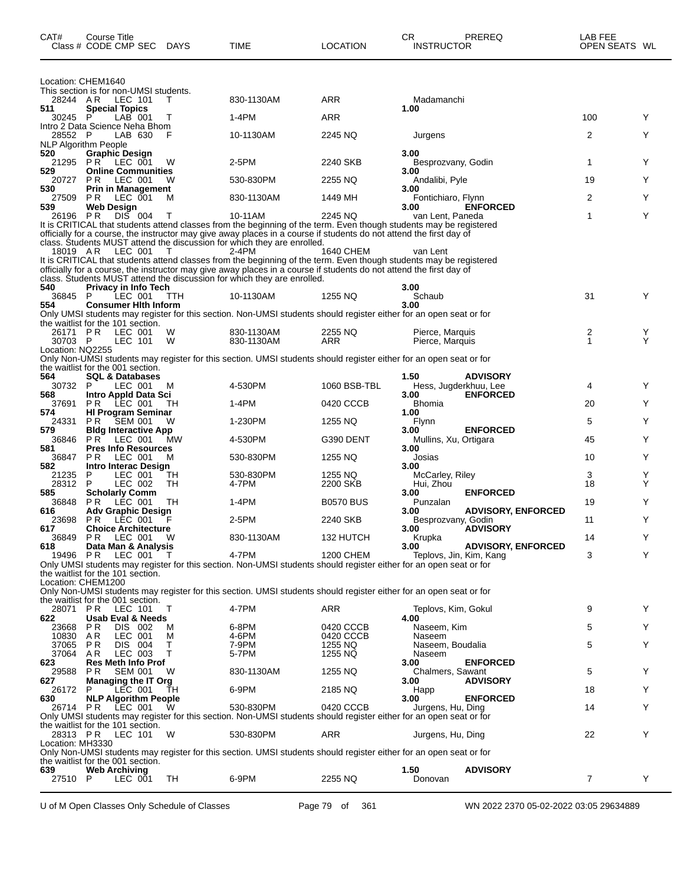| CAT#                        | Course Title<br>Class # CODE CMP SEC                            | DAYS       | TIME                                                                                                                                                                                           | <b>LOCATION</b>    | CR<br><b>PREREQ</b><br><b>INSTRUCTOR</b>                                                                                               | LAB FEE<br>OPEN SEATS WL |   |
|-----------------------------|-----------------------------------------------------------------|------------|------------------------------------------------------------------------------------------------------------------------------------------------------------------------------------------------|--------------------|----------------------------------------------------------------------------------------------------------------------------------------|--------------------------|---|
|                             | Location: CHEM1640                                              |            |                                                                                                                                                                                                |                    |                                                                                                                                        |                          |   |
| 28244 AR                    | This section is for non-UMSI students.<br>LEC 101               | т          | 830-1130AM                                                                                                                                                                                     | ARR                | Madamanchi                                                                                                                             |                          |   |
| 511                         | <b>Special Topics</b>                                           |            |                                                                                                                                                                                                |                    | 1.00                                                                                                                                   |                          |   |
| 30245 P                     | $LAB$ 001<br>Intro 2 Data Science Neha Bhom                     | T          | $1-4PM$                                                                                                                                                                                        | <b>ARR</b>         |                                                                                                                                        | 100                      | Y |
| 28552 P                     | LAB 630<br><b>NLP Algorithm People</b>                          | F          | 10-1130AM                                                                                                                                                                                      | 2245 NQ            | Jurgens                                                                                                                                | 2                        | Y |
| 520                         | <b>Graphic Design</b>                                           |            |                                                                                                                                                                                                |                    | 3.00                                                                                                                                   |                          |   |
| 529                         | 21295 PR LEC 001<br><b>Online Communities</b>                   | W          | 2-5PM                                                                                                                                                                                          | 2240 SKB           | Besprozvany, Godin<br>3.00                                                                                                             | 1                        | Y |
| 20727                       | P R<br>LEC 001                                                  | W          | 530-830PM                                                                                                                                                                                      | 2255 NQ            | Andalibi, Pyle                                                                                                                         | 19                       | Y |
| 530<br>27509                | <b>Prin in Management</b><br>P R<br>LEC 001                     | м          | 830-1130AM                                                                                                                                                                                     | 1449 MH            | 3.00<br>Fontichiaro, Flynn                                                                                                             | 2                        | Y |
| 539                         | <b>Web Design</b>                                               |            |                                                                                                                                                                                                |                    | <b>ENFORCED</b><br>3.00                                                                                                                |                          |   |
| 26196                       | P R<br>DIS 004                                                  | Т          | 10-11AM                                                                                                                                                                                        | 2245 NQ            | van Lent, Paneda<br>It is CRITICAL that students attend classes from the beginning of the term. Even though students may be registered | 1                        | Y |
|                             |                                                                 |            | officially for a course, the instructor may give away places in a course if students do not attend the first day of                                                                            |                    |                                                                                                                                        |                          |   |
| 18019 AR                    | LEC 001                                                         | T          | class. Students MUST attend the discussion for which they are enrolled.<br>2-4PM                                                                                                               | 1640 CHEM          | van Lent                                                                                                                               |                          |   |
|                             |                                                                 |            |                                                                                                                                                                                                |                    | It is CRITICAL that students attend classes from the beginning of the term. Even though students may be registered                     |                          |   |
|                             |                                                                 |            | officially for a course, the instructor may give away places in a course if students do not attend the first day of<br>class. Students MUST attend the discussion for which they are enrolled. |                    |                                                                                                                                        |                          |   |
| 540<br>36845 P              | Privacy in Info Tech<br>LEC 001                                 |            |                                                                                                                                                                                                | 1255 NQ            | 3.00<br>Schaub                                                                                                                         | 31                       | Y |
| 554                         | <b>Consumer Hith Inform</b>                                     | <b>TTH</b> | 10-1130AM                                                                                                                                                                                      |                    | 3.00                                                                                                                                   |                          |   |
|                             | the waitlist for the 101 section.                               |            |                                                                                                                                                                                                |                    | Only UMSI students may register for this section. Non-UMSI students should register either for an open seat or for                     |                          |   |
| 26171 PR                    | LEC 001                                                         | W          | 830-1130AM                                                                                                                                                                                     | 2255 NQ            | Pierce, Marquis                                                                                                                        | 2                        | Y |
| 30703 P<br>Location: NQ2255 | LEC 101                                                         | W          | 830-1130AM                                                                                                                                                                                     | ARR                | Pierce, Marquis                                                                                                                        | 1                        | Y |
|                             |                                                                 |            |                                                                                                                                                                                                |                    | Only Non-UMSI students may register for this section. UMSI students should register either for an open seat or for                     |                          |   |
| 564                         | the waitlist for the 001 section.<br><b>SQL &amp; Databases</b> |            |                                                                                                                                                                                                |                    | 1.50<br><b>ADVISORY</b>                                                                                                                |                          |   |
| 30732                       | P<br>LEC 001                                                    | M          | 4-530PM                                                                                                                                                                                        | 1060 BSB-TBL       | Hess, Jugderkhuu, Lee                                                                                                                  | 4                        | Y |
| 568<br>37691                | Intro Appld Data Sci<br>PR.<br>LEC 001                          | TH         | 1-4PM                                                                                                                                                                                          | 0420 CCCB          | 3.00<br><b>ENFORCED</b><br><b>Bhomia</b>                                                                                               | 20                       | Y |
| 574                         | <b>HI Program Seminar</b>                                       |            |                                                                                                                                                                                                |                    | 1.00                                                                                                                                   |                          |   |
| 24331<br>579                | PR.<br>SEM 001<br><b>Bldg Interactive App</b>                   | W          | 1-230PM                                                                                                                                                                                        | 1255 NQ            | Flynn<br><b>ENFORCED</b><br>3.00                                                                                                       | 5                        | Υ |
| 36846                       | PR<br>LEC 001<br><b>Pres Info Resources</b>                     | MW.        | 4-530PM                                                                                                                                                                                        | G390 DENT          | Mullins, Xu, Ortigara                                                                                                                  | 45                       | Y |
| 581<br>36847                | P R<br>LEC 001                                                  | м          | 530-830PM                                                                                                                                                                                      | 1255 NQ            | 3.00<br>Josias                                                                                                                         | 10                       | Υ |
| 582<br>21235                | Intro Interac Design<br>LEC 001<br>P                            | TH         | 530-830PM                                                                                                                                                                                      | 1255 NQ            | 3.00<br>McCarley, Riley                                                                                                                | 3                        | Υ |
| 28312                       | P<br>LEC 002                                                    | TH         | 4-7PM                                                                                                                                                                                          | 2200 SKB           | Hui, Zhou                                                                                                                              | 18                       | Y |
| 585<br>36848                | <b>Scholarly Comm</b><br>LEC 001<br>P R                         | TH         | 1-4PM                                                                                                                                                                                          | <b>B0570 BUS</b>   | <b>ENFORCED</b><br>3.00<br>Punzalan                                                                                                    | 19                       | Y |
| 616                         | <b>Adv Graphic Design</b>                                       |            |                                                                                                                                                                                                |                    | <b>ADVISORY, ENFORCED</b><br>3.00                                                                                                      |                          |   |
| 23698<br>617                | PR.<br>LEC 001<br><b>Choice Architecture</b>                    | F          | 2-5PM                                                                                                                                                                                          | 2240 SKB           | Besprozvany, Godin<br><b>ADVISORY</b><br>3.00                                                                                          | 11                       | Y |
| 36849                       | PR LEC 001                                                      | - W        | 830-1130AM                                                                                                                                                                                     | 132 HUTCH          | Krupka                                                                                                                                 | 14                       |   |
| 618<br>19496                | Data Man & Analysis<br>LEC 001<br>P R                           | T          | 4-7PM                                                                                                                                                                                          | <b>1200 CHEM</b>   | 3.00<br><b>ADVISORY, ENFORCED</b><br>Teplovs, Jin, Kim, Kang                                                                           | 3                        | Y |
|                             |                                                                 |            |                                                                                                                                                                                                |                    | Only UMSI students may register for this section. Non-UMSI students should register either for an open seat or for                     |                          |   |
|                             | the waitlist for the 101 section.<br>Location: CHEM1200         |            |                                                                                                                                                                                                |                    |                                                                                                                                        |                          |   |
|                             |                                                                 |            |                                                                                                                                                                                                |                    | Only Non-UMSI students may register for this section. UMSI students should register either for an open seat or for                     |                          |   |
| 28071 PR                    | the waitlist for the 001 section.<br>LEC 101                    | Τ          | 4-7PM                                                                                                                                                                                          | ARR                | Teplovs, Kim, Gokul                                                                                                                    | 9                        | Y |
| 622<br>23668                | Usab Eval & Needs<br>P R<br>DIS 002                             | м          | 6-8PM                                                                                                                                                                                          | 0420 CCCB          | 4.00<br>Naseem, Kim                                                                                                                    | 5                        | Y |
| 10830                       | AR.<br>LEC 001                                                  | M          | 4-6PM                                                                                                                                                                                          | 0420 CCCB          | Naseem                                                                                                                                 |                          |   |
| 37065<br>37064              | P R<br>DIS 004<br>LEC 003<br>AR.                                | т<br>т     | 7-9PM<br>5-7PM                                                                                                                                                                                 | 1255 NQ<br>1255 NQ | Naseem, Boudalia<br>Naseem                                                                                                             | 5                        | Υ |
| 623                         | <b>Res Meth Info Prof</b>                                       |            |                                                                                                                                                                                                |                    | <b>ENFORCED</b><br>3.00                                                                                                                |                          |   |
| 29588<br>627                | P R<br><b>SEM 001</b><br><b>Managing the IT Org</b>             | W          | 830-1130AM                                                                                                                                                                                     | 1255 NQ            | Chalmers, Sawant<br><b>ADVISORY</b><br>3.00                                                                                            | 5                        | Y |
| 26172                       | LEC 001<br>P                                                    | TН         | 6-9PM                                                                                                                                                                                          | 2185 NQ            | Happ                                                                                                                                   | 18                       | Y |
| 630<br>26714 PR             | <b>NLP Algorithm People</b><br>LEC 001                          | W          | 530-830PM                                                                                                                                                                                      | 0420 CCCB          | <b>ENFORCED</b><br>3.00<br>Jurgens, Hu, Ding                                                                                           | 14                       | Y |
|                             |                                                                 |            |                                                                                                                                                                                                |                    | Only UMSI students may register for this section. Non-UMSI students should register either for an open seat or for                     |                          |   |
| 28313 PR                    | the waitlist for the 101 section.<br>LEC 101                    | W          | 530-830PM                                                                                                                                                                                      | ARR                | Jurgens, Hu, Ding                                                                                                                      | 22                       | Y |
| Location: MH3330            |                                                                 |            |                                                                                                                                                                                                |                    |                                                                                                                                        |                          |   |
|                             | the waitlist for the 001 section.                               |            |                                                                                                                                                                                                |                    | Only Non-UMSI students may register for this section. UMSI students should register either for an open seat or for                     |                          |   |
| 639<br>27510 P              | <b>Web Archiving</b><br>LEC 001                                 | TH         | 6-9PM                                                                                                                                                                                          | 2255 NQ            | 1.50<br><b>ADVISORY</b>                                                                                                                | $\overline{7}$           | Υ |
|                             |                                                                 |            |                                                                                                                                                                                                |                    | Donovan                                                                                                                                |                          |   |

U of M Open Classes Only Schedule of Classes Page 79 of 361 WN 2022 2370 05-02-2022 03:05 29634889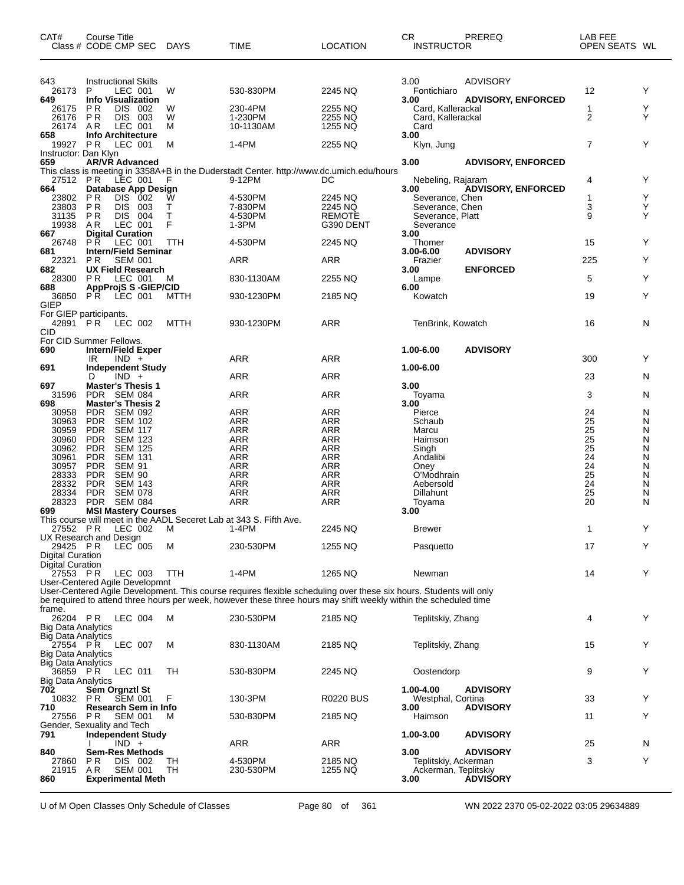| CAT#                                  | Course Title<br>Class # CODE CMP SEC DAYS                                                |         | <b>TIME</b>                                                                                                                                                                                                                            | <b>LOCATION</b>          | CR.<br><b>INSTRUCTOR</b>    | PREREQ                                | LAB FEE<br>OPEN SEATS WL           |        |
|---------------------------------------|------------------------------------------------------------------------------------------|---------|----------------------------------------------------------------------------------------------------------------------------------------------------------------------------------------------------------------------------------------|--------------------------|-----------------------------|---------------------------------------|------------------------------------|--------|
| 643<br>26173<br>649                   | <b>Instructional Skills</b><br>P<br>LEC 001<br><b>Info Visualization</b>                 | W       | 530-830PM                                                                                                                                                                                                                              | 2245 NQ                  | 3.00<br>Fontichiaro<br>3.00 | ADVISORY<br><b>ADVISORY, ENFORCED</b> | 12                                 | Y      |
| 26175                                 | <b>PR</b><br>DIS 002                                                                     | W       | 230-4PM                                                                                                                                                                                                                                | 2255 NQ                  | Card, Kallerackal           |                                       | 1                                  | Y<br>Υ |
| 26176<br>26174                        | PR<br>DIS 003<br>LEC 001<br>AR                                                           | W<br>М  | 1-230PM<br>10-1130AM                                                                                                                                                                                                                   | 2255 NQ<br>1255 NQ       | Card, Kallerackal<br>Card   |                                       | 2                                  |        |
| 658                                   | <b>Info Architecture</b>                                                                 |         |                                                                                                                                                                                                                                        |                          | 3.00                        |                                       |                                    |        |
| 19927 PR                              | LEC 001                                                                                  | м       | 1-4PM                                                                                                                                                                                                                                  | 2255 NQ                  | Klyn, Jung                  |                                       | $\overline{7}$                     | Y      |
| Instructor: Dan Klyn<br>659           | <b>AR/VR Advanced</b>                                                                    |         |                                                                                                                                                                                                                                        |                          | 3.00                        | <b>ADVISORY, ENFORCED</b>             |                                    |        |
|                                       |                                                                                          |         | This class is meeting in 3358A+B in the Duderstadt Center. http://www.dc.umich.edu/hours<br>27512 PR LEC 001 F 9-12PM DC                                                                                                               |                          |                             |                                       |                                    |        |
|                                       |                                                                                          |         |                                                                                                                                                                                                                                        |                          | Nebeling, Rajaram           |                                       | 4                                  | Y      |
| 664<br>23802 PR                       | Database App Design<br>DIS 002                                                           | w       | 4-530PM                                                                                                                                                                                                                                | 2245 NQ                  | 3.00<br>Severance, Chen     | <b>ADVISORY, ENFORCED</b>             | 1                                  | Y      |
| 23803                                 | PR<br>DIS 003                                                                            | Τ       | 7-830PM                                                                                                                                                                                                                                | 2245 NQ                  | Severance, Chen             |                                       | 3                                  | Υ      |
| 31135                                 | DIS 004<br>P R                                                                           | T       | 4-530PM                                                                                                                                                                                                                                | <b>REMOTE</b>            | Severance, Platt            |                                       | 9                                  | Y      |
| 19938<br>667                          | AR<br>LEC 001<br><b>Digital Curation</b>                                                 | F       | 1-3PM                                                                                                                                                                                                                                  | G390 DENT                | Severance<br>3.00           |                                       |                                    |        |
| 26748                                 | LEC 001<br>PR.                                                                           | TTH     | 4-530PM                                                                                                                                                                                                                                | 2245 NQ                  | Thomer                      |                                       | 15                                 | Y      |
| 681                                   | <b>Intern/Field Seminar</b>                                                              |         |                                                                                                                                                                                                                                        |                          | 3.00-6.00                   | <b>ADVISORY</b>                       |                                    |        |
| 22321<br>682                          | P <sub>R</sub><br><b>SEM 001</b><br><b>UX Field Research</b>                             |         | ARR                                                                                                                                                                                                                                    | ARR                      | Frazier<br>3.00             | <b>ENFORCED</b>                       | 225                                | Y      |
| 28300 PR                              | LEC 001                                                                                  | М       | 830-1130AM                                                                                                                                                                                                                             | 2255 NQ                  | Lampe                       |                                       | 5                                  | Y      |
| 688                                   | <b>AppProjS S-GIEP/CID</b>                                                               |         |                                                                                                                                                                                                                                        |                          | 6.00                        |                                       |                                    |        |
| GIEP                                  | 36850 PR LEC 001                                                                         | MTTH    | 930-1230PM                                                                                                                                                                                                                             | 2185 NQ                  | Kowatch                     |                                       | 19                                 | Y      |
|                                       | For GIEP participants.                                                                   |         |                                                                                                                                                                                                                                        |                          |                             |                                       |                                    |        |
|                                       | 42891 PR LEC 002                                                                         | MTTH    | 930-1230PM                                                                                                                                                                                                                             | ARR                      | TenBrink, Kowatch           |                                       | 16                                 | N      |
| CID                                   | For CID Summer Fellows.                                                                  |         |                                                                                                                                                                                                                                        |                          |                             |                                       |                                    |        |
| 690                                   | <b>Intern/Field Exper</b>                                                                |         |                                                                                                                                                                                                                                        |                          | 1.00-6.00                   | <b>ADVISORY</b>                       |                                    |        |
|                                       | IR<br>$IND +$                                                                            |         | <b>ARR</b>                                                                                                                                                                                                                             | <b>ARR</b>               |                             |                                       | 300                                | Y      |
| 691                                   | <b>Independent Study</b><br>$IND +$<br>D                                                 |         | <b>ARR</b>                                                                                                                                                                                                                             | ARR                      | 1.00-6.00                   |                                       | 23                                 | N      |
| 697                                   | <b>Master's Thesis 1</b>                                                                 |         |                                                                                                                                                                                                                                        |                          | 3.00                        |                                       |                                    |        |
| 31596                                 | PDR SEM 084                                                                              |         | <b>ARR</b>                                                                                                                                                                                                                             | <b>ARR</b>               | Toyama                      |                                       | 3                                  | N      |
| 698                                   | <b>Master's Thesis 2</b>                                                                 |         |                                                                                                                                                                                                                                        |                          | 3.00                        |                                       |                                    |        |
| 30958<br>30963                        | PDR SEM 092<br>PDR<br><b>SEM 102</b>                                                     |         | ARR<br><b>ARR</b>                                                                                                                                                                                                                      | <b>ARR</b><br><b>ARR</b> | Pierce<br>Schaub            |                                       | 24<br>25                           | N<br>N |
| 30959                                 | <b>PDR</b><br><b>SEM 117</b>                                                             |         | ARR                                                                                                                                                                                                                                    | <b>ARR</b>               | Marcu                       |                                       | 25                                 | N      |
| 30960                                 | PDR SEM 123                                                                              |         | <b>ARR</b>                                                                                                                                                                                                                             | ARR                      | Haimson                     |                                       | $\overline{25}$<br>$\overline{25}$ | N      |
| 30962<br>30961                        | <b>SEM 125</b><br><b>PDR</b><br><b>PDR</b><br>SEM 131                                    |         | <b>ARR</b><br><b>ARR</b>                                                                                                                                                                                                               | <b>ARR</b><br><b>ARR</b> | Singh<br>Andalibi           |                                       | 24                                 | N<br>N |
|                                       | 30957 PDR SEM 91                                                                         |         | <b>ARR</b>                                                                                                                                                                                                                             | ARR                      | Oney                        |                                       | 24                                 | N      |
| 28333                                 | <b>SEM 90</b><br><b>PDR</b>                                                              |         | <b>ARR</b>                                                                                                                                                                                                                             | <b>ARR</b>               | O'Modhrain                  |                                       | 25                                 | N      |
| 28332<br>28334                        | <b>PDR</b><br>SEM 143<br>PDR SEM 078                                                     |         | ARR<br>ARR                                                                                                                                                                                                                             | <b>ARR</b><br>ARR        | Aebersold<br>Dillahunt      |                                       | 24<br>25                           | N<br>N |
| 28323                                 | PDR SEM 084                                                                              |         | <b>ARR</b>                                                                                                                                                                                                                             | <b>ARR</b>               | Toyama                      |                                       | 20                                 | N      |
| 699                                   | <b>MSI Mastery Courses</b>                                                               |         |                                                                                                                                                                                                                                        |                          | 3.00                        |                                       |                                    |        |
|                                       | This course will meet in the AADL Seceret Lab at 343 S. Fifth Ave.<br>27552 PR LEC 002 M | $1-4PM$ |                                                                                                                                                                                                                                        | 2245 NO                  | Brewer                      |                                       | 1                                  | Y      |
|                                       | UX Research and Design                                                                   |         |                                                                                                                                                                                                                                        |                          |                             |                                       |                                    |        |
| 29425 PR                              | LEC 005                                                                                  | м       | 230-530PM                                                                                                                                                                                                                              | 1255 NQ                  | Pasquetto                   |                                       | 17                                 | Y      |
| Digital Curation<br>Digital Curation  |                                                                                          |         |                                                                                                                                                                                                                                        |                          |                             |                                       |                                    |        |
| 27553 PR                              | LEC 003                                                                                  | TTH     | 1-4PM                                                                                                                                                                                                                                  | 1265 NQ                  | Newman                      |                                       | 14                                 | Y      |
|                                       | User-Centered Agile Developmnt                                                           |         |                                                                                                                                                                                                                                        |                          |                             |                                       |                                    |        |
|                                       |                                                                                          |         | User-Centered Agile Development. This course requires flexible scheduling over these six hours. Students will only<br>be required to attend three hours per week, however these three hours may shift weekly within the scheduled time |                          |                             |                                       |                                    |        |
| frame.                                |                                                                                          |         |                                                                                                                                                                                                                                        |                          |                             |                                       |                                    |        |
| 26204 PR                              | LEC 004                                                                                  | м       | 230-530PM                                                                                                                                                                                                                              | 2185 NQ                  | Teplitskiy, Zhang           |                                       | 4                                  | Y      |
| <b>Big Data Analytics</b>             |                                                                                          |         |                                                                                                                                                                                                                                        |                          |                             |                                       |                                    |        |
| Big Data Analytics<br>27554 PR        | LEC 007                                                                                  | М       | 830-1130AM                                                                                                                                                                                                                             | 2185 NQ                  | Teplitskiy, Zhang           |                                       | 15                                 | Y      |
| <b>Big Data Analytics</b>             |                                                                                          |         |                                                                                                                                                                                                                                        |                          |                             |                                       |                                    |        |
| Big Data Analytics                    |                                                                                          |         |                                                                                                                                                                                                                                        |                          |                             |                                       |                                    |        |
| 36859 PR<br><b>Big Data Analytics</b> | LEC 011                                                                                  | TН      | 530-830PM                                                                                                                                                                                                                              | 2245 NQ                  | Oostendorp                  |                                       | 9                                  | Y      |
| 702                                   | Sem Orgnztl St                                                                           |         |                                                                                                                                                                                                                                        |                          | 1.00-4.00                   | <b>ADVISORY</b>                       |                                    |        |
| 10832 PR                              | <b>SEM 001</b>                                                                           | F       | 130-3PM                                                                                                                                                                                                                                | R0220 BUS                | Westphal, Cortina           |                                       | 33                                 | Y      |
| 710<br>27556 PR                       | Research Sem in Info<br><b>SEM 001</b>                                                   | м       | 530-830PM                                                                                                                                                                                                                              | 2185 NQ                  | 3.00<br>Haimson             | <b>ADVISORY</b>                       | 11                                 | Y      |
|                                       | Gender, Sexuality and Tech                                                               |         |                                                                                                                                                                                                                                        |                          |                             |                                       |                                    |        |
| 791                                   | <b>Independent Study</b>                                                                 |         |                                                                                                                                                                                                                                        |                          | 1.00-3.00                   | <b>ADVISORY</b>                       |                                    |        |
| 840                                   | $IND +$<br><b>Sem-Res Methods</b>                                                        |         | <b>ARR</b>                                                                                                                                                                                                                             | <b>ARR</b>               | 3.00                        | <b>ADVISORY</b>                       | 25                                 | N      |
| 27860                                 | P R<br>DIS 002                                                                           | TН      | 4-530PM                                                                                                                                                                                                                                | 2185 NQ                  | Teplitskiy, Ackerman        |                                       | 3                                  | Y      |
| 21915                                 | AR.<br><b>SEM 001</b>                                                                    | TН      | 230-530PM                                                                                                                                                                                                                              | 1255 NQ                  | Ackerman, Teplitskiy        |                                       |                                    |        |
| 860                                   | <b>Experimental Meth</b>                                                                 |         |                                                                                                                                                                                                                                        |                          | 3.00                        | <b>ADVISORY</b>                       |                                    |        |

U of M Open Classes Only Schedule of Classes Page 80 of 361 WN 2022 2370 05-02-2022 03:05 29634889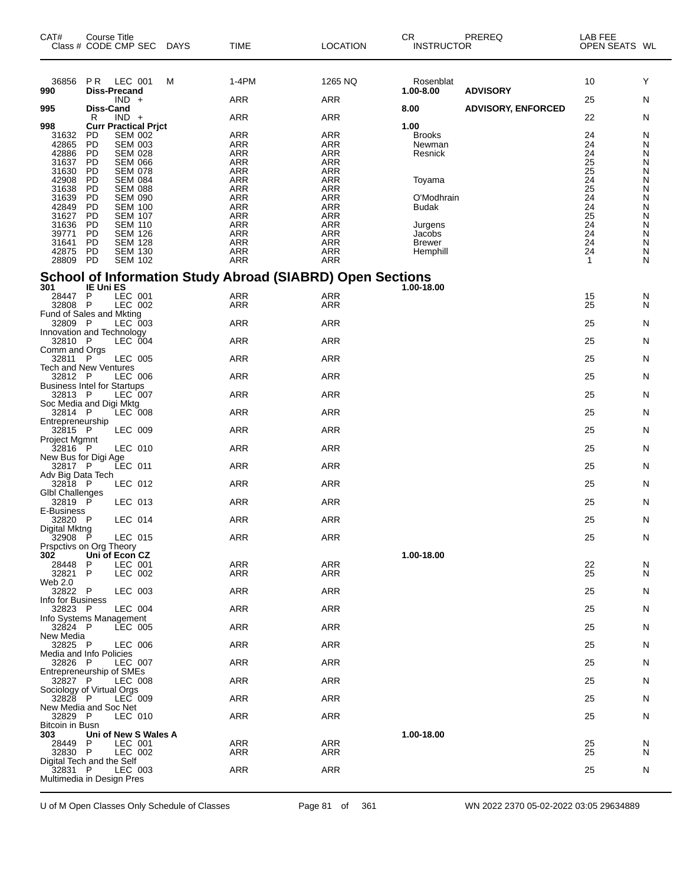| CAT#<br>Class # CODE CMP SEC         | Course Title                     |                                  | DAYS | <b>TIME</b>                                                      | <b>LOCATION</b>          | <b>CR</b><br><b>INSTRUCTOR</b> | PREREQ                    | LAB FEE<br>OPEN SEATS WL |        |
|--------------------------------------|----------------------------------|----------------------------------|------|------------------------------------------------------------------|--------------------------|--------------------------------|---------------------------|--------------------------|--------|
| 36856<br>990                         | P R<br>Diss-Precand              | LEC 001                          | M    | 1-4PM                                                            | 1265 NQ                  | Rosenblat<br>1.00-8.00         | <b>ADVISORY</b>           | 10                       | Υ      |
| 995                                  | <b>Diss-Cand</b>                 | $IND +$                          |      | ARR                                                              | <b>ARR</b>               | 8.00                           | <b>ADVISORY, ENFORCED</b> | 25                       | N      |
| 998                                  | R<br><b>Curr Practical Prict</b> | $IND +$                          |      | <b>ARR</b>                                                       | <b>ARR</b>               | 1.00                           |                           | 22                       | N      |
| 31632                                | <b>PD</b>                        | <b>SEM 002</b>                   |      | <b>ARR</b>                                                       | <b>ARR</b>               | <b>Brooks</b>                  |                           | 24                       | N      |
| 42865<br>42886                       | PD<br>PD                         | <b>SEM 003</b><br><b>SEM 028</b> |      | <b>ARR</b><br>ARR                                                | ARR                      | Newman                         |                           | 24<br>24                 | N      |
| 31637                                | PD                               | <b>SEM 066</b>                   |      | <b>ARR</b>                                                       | <b>ARR</b><br><b>ARR</b> | Resnick                        |                           | 25                       | N<br>N |
| 31630<br>42908                       | PD                               | <b>SEM 078</b>                   |      | <b>ARR</b>                                                       | ARR                      |                                |                           | $\frac{25}{24}$          | N      |
| 31638                                | PD                               | <b>SEM 084</b><br><b>SEM 088</b> |      | ARR<br><b>ARR</b>                                                | <b>ARR</b><br><b>ARR</b> | Toyama                         |                           | 25                       | N<br>Ν |
| 31639                                | PD<br>PD                         | <b>SEM 090</b>                   |      | <b>ARR</b>                                                       | <b>ARR</b>               | O'Modhrain                     |                           | $\frac{24}{24}$          | Ν      |
| 42849                                | PD                               | <b>SEM 100</b>                   |      | ARR                                                              | <b>ARR</b>               | Budak                          |                           |                          | N      |
| 31627<br>31636                       | PD<br>PD                         | <b>SEM 107</b><br><b>SEM 110</b> |      | <b>ARR</b><br>ARR                                                | <b>ARR</b><br><b>ARR</b> | Jurgens                        |                           | $\frac{25}{24}$          | Ν<br>N |
| 39771                                | <b>PD</b>                        | <b>SEM 126</b>                   |      | ARR                                                              | <b>ARR</b>               | Jacobs                         |                           |                          | Ν      |
| 31641                                | <b>PD</b>                        | <b>SEM 128</b>                   |      | <b>ARR</b>                                                       | <b>ARR</b>               | <b>Brewer</b>                  |                           | 24                       | Ν      |
| 42875<br>28809                       | PD<br><b>PD</b>                  | <b>SEM 130</b><br><b>SEM 102</b> |      | <b>ARR</b><br><b>ARR</b>                                         | ARR<br><b>ARR</b>        | Hemphill                       |                           | 24<br>$\mathbf{1}$       | Ν<br>N |
|                                      |                                  |                                  |      |                                                                  |                          |                                |                           |                          |        |
| 301                                  | <b>IE Uni ES</b>                 |                                  |      | <b>School of Information Study Abroad (SIABRD) Open Sections</b> |                          | 1.00-18.00                     |                           |                          |        |
| 28447                                | $\mathsf P$                      | LEC 001                          |      | <b>ARR</b>                                                       | <b>ARR</b>               |                                |                           | 15                       | N      |
| 32808<br>Fund of Sales and Mkting    | $\mathsf P$                      | LEC 002                          |      | ARR                                                              | ARR                      |                                |                           | 25                       | N      |
| 32809 P                              |                                  | LEC 003                          |      | <b>ARR</b>                                                       | <b>ARR</b>               |                                |                           | 25                       | N      |
| Innovation and Technology            |                                  |                                  |      |                                                                  |                          |                                |                           |                          |        |
| 32810 P<br>Comm and Orgs             |                                  | LEC 004                          |      | <b>ARR</b>                                                       | <b>ARR</b>               |                                |                           | 25                       | N      |
| 32811 P                              |                                  | LEC 005                          |      | ARR                                                              | <b>ARR</b>               |                                |                           | 25                       | N      |
| Tech and New Ventures<br>32812 P     |                                  | <b>LEC 006</b>                   |      | ARR                                                              | <b>ARR</b>               |                                |                           | 25                       | N      |
| <b>Business Intel for Startups</b>   |                                  |                                  |      |                                                                  |                          |                                |                           |                          |        |
| 32813 P<br>Soc Media and Digi Mktg   |                                  | LEC 007                          |      | <b>ARR</b>                                                       | <b>ARR</b>               |                                |                           | 25                       | N      |
| 32814 P                              |                                  | LEC 008                          |      | ARR                                                              | <b>ARR</b>               |                                |                           | 25                       | N      |
| Entrepreneurship<br>32815 P          |                                  | LEC 009                          |      | <b>ARR</b>                                                       | <b>ARR</b>               |                                |                           | 25                       | N      |
| Project Mgmnt<br>$32816$ P           |                                  | LEC 010                          |      | <b>ARR</b>                                                       | <b>ARR</b>               |                                |                           | 25                       |        |
| New Bus for Digi Age                 |                                  |                                  |      |                                                                  |                          |                                |                           |                          | N      |
| 32817 P<br>Adv Big Data Tech         |                                  | LEC 011                          |      | ARR                                                              | <b>ARR</b>               |                                |                           | 25                       | N      |
| 32818 P<br><b>GIbI Challenges</b>    |                                  | LEC 012                          |      | ARR                                                              | <b>ARR</b>               |                                |                           | 25                       | N      |
| 32819 P                              |                                  | LEC 013                          |      | ARR                                                              | <b>ARR</b>               |                                |                           | 25                       | N      |
| E-Business<br>32820 P                |                                  | LEC 014                          |      | <b>ARR</b>                                                       | <b>ARR</b>               |                                |                           | 25                       | N      |
| Digital Mktng<br>32908 P             |                                  | LEC 015                          |      | <b>ARR</b>                                                       | <b>ARR</b>               |                                |                           | 25                       | N      |
| Prspctivs on Org Theory              |                                  |                                  |      |                                                                  |                          |                                |                           |                          |        |
| 302<br>28448                         | Uni of Econ CZ<br>$\mathsf{P}$   | LEC 001                          |      | ARR                                                              | <b>ARR</b>               | 1.00-18.00                     |                           | 22                       | N      |
| 32821 P                              |                                  | LEC 002                          |      | ARR                                                              | ARR                      |                                |                           | 25                       | N      |
| Web 2.0<br>32822 P                   |                                  |                                  |      | ARR                                                              | <b>ARR</b>               |                                |                           |                          |        |
| Info for Business                    |                                  | LEC 003                          |      |                                                                  |                          |                                |                           | 25                       | N      |
| 32823 P                              |                                  | LEC 004                          |      | ARR                                                              | <b>ARR</b>               |                                |                           | 25                       | N      |
| Info Systems Management<br>32824 P   |                                  | <b>LEC 005</b>                   |      | ARR                                                              | ARR                      |                                |                           | 25                       | N      |
| New Media<br>32825 P                 |                                  | LEC 006                          |      | ARR                                                              | ARR                      |                                |                           | 25                       | N      |
| Media and Info Policies<br>32826 P   |                                  | LEC 007                          |      | ARR                                                              | <b>ARR</b>               |                                |                           | 25                       | N      |
| <b>Entrepreneurship of SMEs</b>      |                                  |                                  |      |                                                                  |                          |                                |                           |                          |        |
| 32827 P<br>Sociology of Virtual Orgs |                                  | LEC 008                          |      | ARR                                                              | <b>ARR</b>               |                                |                           | 25                       | N      |
| 32828 P<br>New Media and Soc Net     |                                  | LEC 009                          |      | ARR                                                              | ARR                      |                                |                           | 25                       | N      |
| 32829 P<br>Bitcoin in Busn           |                                  | LEC 010                          |      | ARR                                                              | <b>ARR</b>               |                                |                           | 25                       | N      |
| 303                                  | Uni of New S Wales A             |                                  |      |                                                                  |                          | 1.00-18.00                     |                           |                          |        |
| 28449 P<br>32830 P                   |                                  | LEC 001<br>LEC 002               |      | <b>ARR</b><br>ARR                                                | ARR<br>ARR               |                                |                           | 25<br>25                 | N<br>N |
| Digital Tech and the Self            |                                  |                                  |      |                                                                  |                          |                                |                           |                          |        |
| 32831 P<br>Multimedia in Design Pres |                                  | LEC 003                          |      | ARR                                                              | <b>ARR</b>               |                                |                           | 25                       | N      |
|                                      |                                  |                                  |      |                                                                  |                          |                                |                           |                          |        |

U of M Open Classes Only Schedule of Classes Page 81 of 361 WN 2022 2370 05-02-2022 03:05 29634889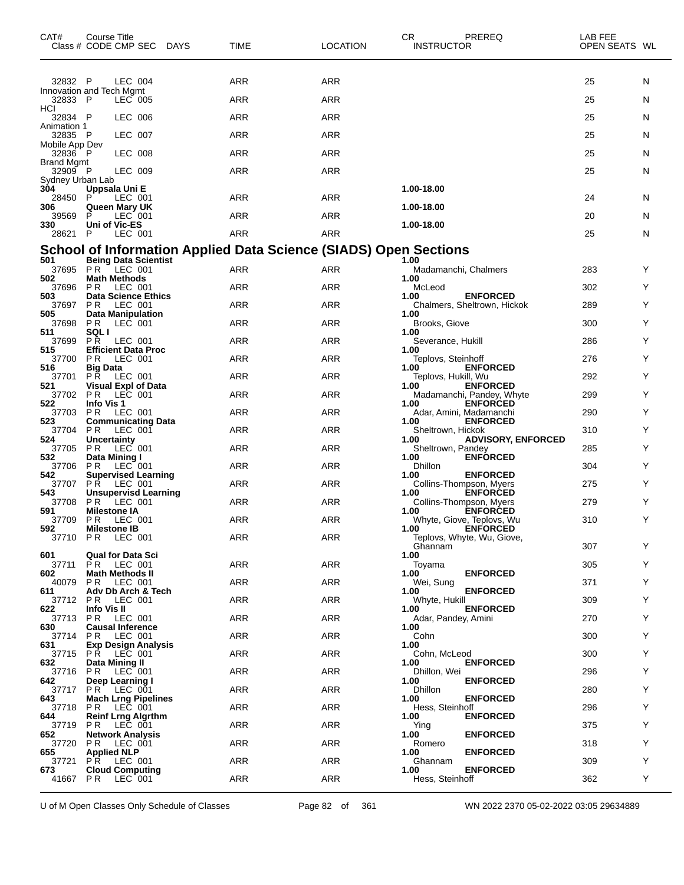| CAT#                         | Course Title<br>Class # CODE CMP SEC DAYS        | TIME                                                                    | <b>LOCATION</b> | CR<br><b>INSTRUCTOR</b>      | PREREQ                                       | LAB FEE<br>OPEN SEATS WL |    |
|------------------------------|--------------------------------------------------|-------------------------------------------------------------------------|-----------------|------------------------------|----------------------------------------------|--------------------------|----|
| 32832 P                      | <b>LEC 004</b>                                   | ARR                                                                     | <b>ARR</b>      |                              |                                              | 25                       | N  |
| 32833 P                      | Innovation and Tech Mgmt<br>LEC 005              | ARR                                                                     | ARR             |                              |                                              | 25                       | N  |
| HCI<br>32834 P               | LEC 006                                          | ARR                                                                     | <b>ARR</b>      |                              |                                              | 25                       | N  |
| Animation 1<br>32835 P       | <b>LEC 007</b>                                   | ARR                                                                     | <b>ARR</b>      |                              |                                              | 25                       | N  |
| Mobile App Dev<br>32836 P    | LEC 008                                          | ARR                                                                     | ARR             |                              |                                              | 25                       | N  |
| <b>Brand Mgmt</b><br>32909 P | LEC 009                                          | ARR                                                                     | <b>ARR</b>      |                              |                                              | 25                       | N  |
| Sydney Urban Lab<br>304      | Uppsala Uni E                                    |                                                                         |                 | 1.00-18.00                   |                                              |                          |    |
| 28450<br>306                 | P<br>LEC 001<br>Queen Mary UK                    | ARR                                                                     | <b>ARR</b>      | 1.00-18.00                   |                                              | 24                       | N  |
| 39569<br>330                 | P<br>LEC 001<br>Uni of Vic-ES                    | ARR                                                                     | ARR             | 1.00-18.00                   |                                              | 20                       | N  |
| 28621                        | P<br>LEC 001                                     | ARR                                                                     | ARR             |                              |                                              | 25                       | N  |
| 501                          | <b>Being Data Scientist</b>                      | <b>School of Information Applied Data Science (SIADS) Open Sections</b> |                 | 1.00                         |                                              |                          |    |
| 37695<br>502                 | <b>PR LEC 001</b><br><b>Math Methods</b>         | ARR                                                                     | ARR             | Madamanchi, Chalmers<br>1.00 |                                              | 283                      | Y  |
| 37696<br>503                 | PR.<br>LEC 001<br><b>Data Science Ethics</b>     | ARR                                                                     | ARR             | McLeod<br>1.00               | <b>ENFORCED</b>                              | 302                      | Y  |
| 37697<br>505                 | PR.<br>LEC 001<br>Data Manipulation              | ARR                                                                     | <b>ARR</b>      | 1.00                         | Chalmers, Sheltrown, Hickok                  | 289                      | Y  |
| 37698<br>511                 | PR.<br>LEC 001<br>SQL I                          | ARR                                                                     | <b>ARR</b>      | Brooks, Giove<br>1.00        |                                              | 300                      | Y  |
| 37699<br>515                 | PR.<br>LEC 001<br><b>Efficient Data Proc</b>     | ARR                                                                     | ARR             | Severance, Hukill<br>1.00    |                                              | 286                      | Y  |
| 37700<br>516                 | P R<br>LEC 001<br><b>Big Data</b>                | ARR                                                                     | <b>ARR</b>      | Teplovs, Steinhoff<br>1.00   | <b>ENFORCED</b>                              | 276                      | Y  |
| 37701<br>521                 | PR.<br>LEC 001<br><b>Visual Expl of Data</b>     | ARR                                                                     | <b>ARR</b>      | Teplovs, Hukill, Wu<br>1.00  | <b>ENFORCED</b>                              | 292                      | Y  |
| 37702<br>522                 | PR.<br>LEC 001<br>Info Vis 1                     | ARR                                                                     | ARR             | 1.00                         | Madamanchi, Pandey, Whyte<br><b>ENFORCED</b> | 299                      | Y  |
| 37703<br>523                 | P R<br>LEC 001<br><b>Communicating Data</b>      | ARR                                                                     | <b>ARR</b>      | 1.00                         | Adar, Amini, Madamanchi<br><b>ENFORCED</b>   | 290                      | Y  |
| 37704<br>524                 | PR.<br>LEC 001<br><b>Uncertainty</b>             | ARR                                                                     | <b>ARR</b>      | Sheltrown, Hickok<br>1.00    | <b>ADVISORY, ENFORCED</b>                    | 310                      | Y  |
| 37705<br>532                 | P <sub>R</sub><br>LEC 001<br>Data Mining I       | ARR                                                                     | ARR             | Sheltrown, Pandey<br>1.00    | <b>ENFORCED</b>                              | 285                      | Y  |
| 37706<br>542                 | P R<br>LEC 001<br><b>Supervised Learning</b>     | ARR                                                                     | <b>ARR</b>      | Dhillon<br>1.00              | <b>ENFORCED</b>                              | 304                      | Y  |
| 37707<br>543                 | <b>PR LEC 001</b><br><b>Unsupervisd Learning</b> | <b>ARR</b>                                                              | <b>ARR</b>      | 1.00                         | Collins-Thompson, Myers<br><b>ENFORCED</b>   | 275                      | Y  |
| 37708<br>591                 | PR.<br>$LEC$ 001<br><b>Milestone IA</b>          | ARR                                                                     | ARR             | 1.00                         | Collins-Thompson, Myers<br><b>ENFORCED</b>   | 279                      | Y  |
| 37709<br>592                 | <b>PR LEC 001</b><br><b>Milestone IB</b>         | ARR                                                                     | <b>ARR</b>      | 1.00                         | Whyte, Giove, Teplovs, Wu<br><b>ENFORCED</b> | 310                      | Y  |
|                              | 37710 PR LEC 001                                 | <b>ARR</b>                                                              | <b>ARR</b>      |                              | Teplovs, Whyte, Wu, Giove,                   | 307                      | Y  |
| 601<br>37711                 | <b>Qual for Data Sci</b><br><b>PR LEC 001</b>    | <b>ARR</b>                                                              | ARR             | Ghannam<br>1.00              |                                              | 305                      | Y  |
| 602<br>40079                 | <b>Math Methods II</b><br><b>PR LEC 001</b>      | ARR                                                                     | ARR             | Toyama<br>1.00<br>Wei, Sung  | <b>ENFORCED</b>                              | 371                      | Y  |
| 611                          | Adv Db Arch & Tech                               | <b>ARR</b>                                                              | ARR             | 1.00<br>Whyte, Hukill        | <b>ENFORCED</b>                              | 309                      | Y  |
| 622                          | 37712 PR LEC 001<br>Info Vis II                  |                                                                         |                 | 1.00                         | <b>ENFORCED</b>                              |                          |    |
| 37713<br>630                 | <b>PR LEC 001</b><br><b>Causal Inference</b>     | <b>ARR</b>                                                              | ARR             | Adar, Pandey, Amini<br>1.00  |                                              | 270                      | Y  |
| 37714<br>631                 | PR.<br>LEC 001<br><b>Exp Design Analysis</b>     | ARR                                                                     | ARR             | Cohn<br>1.00                 |                                              | 300                      | Y  |
| 37715<br>632                 | <b>PR LEC 001</b><br>Data Mining II              | <b>ARR</b>                                                              | ARR             | Cohn, McLeod<br>1.00         | <b>ENFORCED</b>                              | 300                      | Y  |
| 37716<br>642                 | <b>PR LEC 001</b><br>Deep Learning I             | <b>ARR</b>                                                              | ARR             | Dhillon, Wei<br>1.00         | <b>ENFORCED</b>                              | 296                      | Y  |
| 37717<br>643                 | <b>PR LEC 001</b><br><b>Mach Lrng Pipelines</b>  | ARR                                                                     | ARR             | <b>Dhillon</b><br>1.00       | <b>ENFORCED</b>                              | 280                      | Y  |
| 37718<br>644                 | <b>PR LEC 001</b><br><b>Reinf Lrng Algrthm</b>   | <b>ARR</b>                                                              | ARR             | Hess, Steinhoff<br>1.00      | <b>ENFORCED</b>                              | 296                      | Y  |
| 37719<br>652                 | PR LEC 001<br><b>Network Analysis</b>            | <b>ARR</b>                                                              | ARR             | Ying<br>1.00                 | <b>ENFORCED</b>                              | 375                      | Y  |
| 37720<br>655                 | <b>PR LEC 001</b><br><b>Applied NLP</b>          | ARR                                                                     | ARR             | Romero<br>1.00               | <b>ENFORCED</b>                              | 318                      | Y  |
| 37721<br>673                 | PR LEC 001<br><b>Cloud Computing</b>             | <b>ARR</b>                                                              | ARR             | Ghannam<br>1.00              | <b>ENFORCED</b>                              | 309                      | Y  |
| 41667                        | PR.<br>LEC 001                                   | <b>ARR</b>                                                              | ARR             | Hess, Steinhoff              |                                              | 362                      | Y. |

U of M Open Classes Only Schedule of Classes Page 82 of 361 WN 2022 2370 05-02-2022 03:05 29634889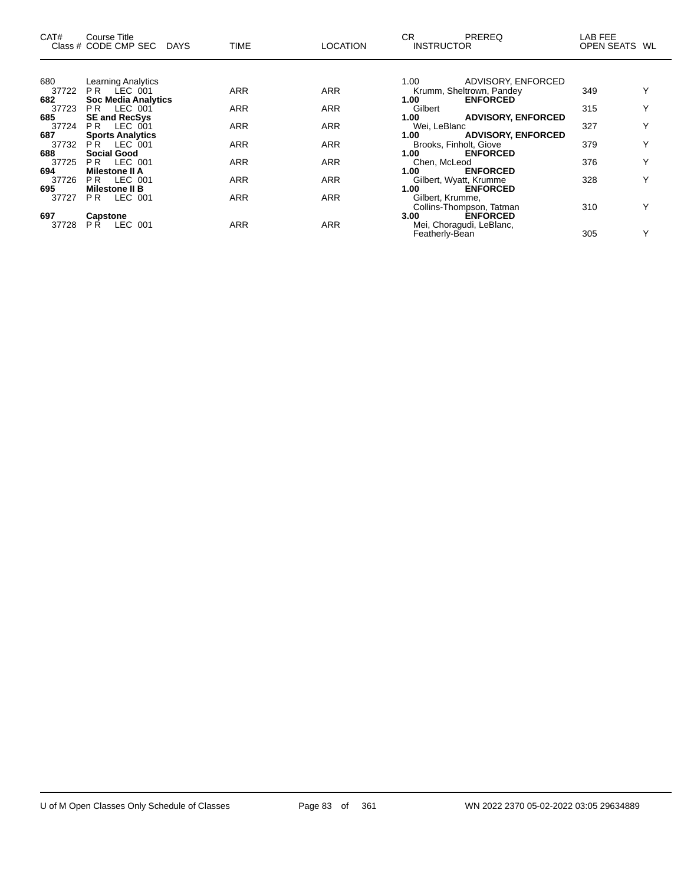| CAT#  | Course Title<br>Class # CODE CMP SEC<br><b>DAYS</b> | <b>TIME</b> | <b>LOCATION</b> | CR.<br><b>PREREQ</b><br><b>INSTRUCTOR</b>  | LAB FEE<br>OPEN SEATS WL |              |
|-------|-----------------------------------------------------|-------------|-----------------|--------------------------------------------|--------------------------|--------------|
|       |                                                     |             |                 |                                            |                          |              |
| 680   | <b>Learning Analytics</b>                           |             |                 | ADVISORY, ENFORCED<br>1.00                 |                          |              |
| 37722 | PR LEC 001                                          | <b>ARR</b>  | <b>ARR</b>      | Krumm, Sheltrown, Pandey                   | 349                      |              |
| 682   | <b>Soc Media Analytics</b>                          |             |                 | <b>ENFORCED</b><br>1.00                    |                          |              |
| 37723 | <b>PR LEC 001</b>                                   | <b>ARR</b>  | <b>ARR</b>      | Gilbert                                    | 315                      | Υ            |
| 685   | <b>SE and RecSys</b>                                |             |                 | <b>ADVISORY, ENFORCED</b><br>1.00          |                          |              |
| 37724 | LEC 001<br>PR.                                      | <b>ARR</b>  | <b>ARR</b>      | Wei, LeBlanc                               | 327                      | $\checkmark$ |
| 687   | <b>Sports Analytics</b>                             |             |                 | <b>ADVISORY, ENFORCED</b><br>1.00          |                          |              |
| 37732 | PR LEC 001                                          | <b>ARR</b>  | <b>ARR</b>      | Brooks, Finholt, Giove                     | 379                      | v            |
| 688   | <b>Social Good</b>                                  |             |                 | 1.00<br><b>ENFORCED</b>                    |                          |              |
| 37725 | LEC 001<br>PR.                                      | <b>ARR</b>  | <b>ARR</b>      | Chen, McLeod                               | 376                      | $\checkmark$ |
| 694   | <b>Milestone II A</b>                               |             |                 | 1.00<br><b>ENFORCED</b>                    |                          |              |
| 37726 | <b>PR LEC 001</b>                                   | <b>ARR</b>  | <b>ARR</b>      | Gilbert, Wyatt, Krumme                     | 328                      |              |
| 695   | <b>Milestone II B</b>                               |             |                 | 1.00<br><b>ENFORCED</b>                    |                          |              |
| 37727 | LEC 001<br>PR.                                      | <b>ARR</b>  | <b>ARR</b>      | Gilbert, Krumme,                           |                          |              |
|       |                                                     |             |                 | Collins-Thompson, Tatman                   | 310                      |              |
| 697   | <b>Capstone</b>                                     |             |                 | <b>ENFORCED</b><br>3.00                    |                          |              |
| 37728 | LEC 001<br>PŘ.                                      | <b>ARR</b>  | <b>ARR</b>      | Mei, Choragudi, LeBlanc,<br>Featherly-Bean | 305                      | $\checkmark$ |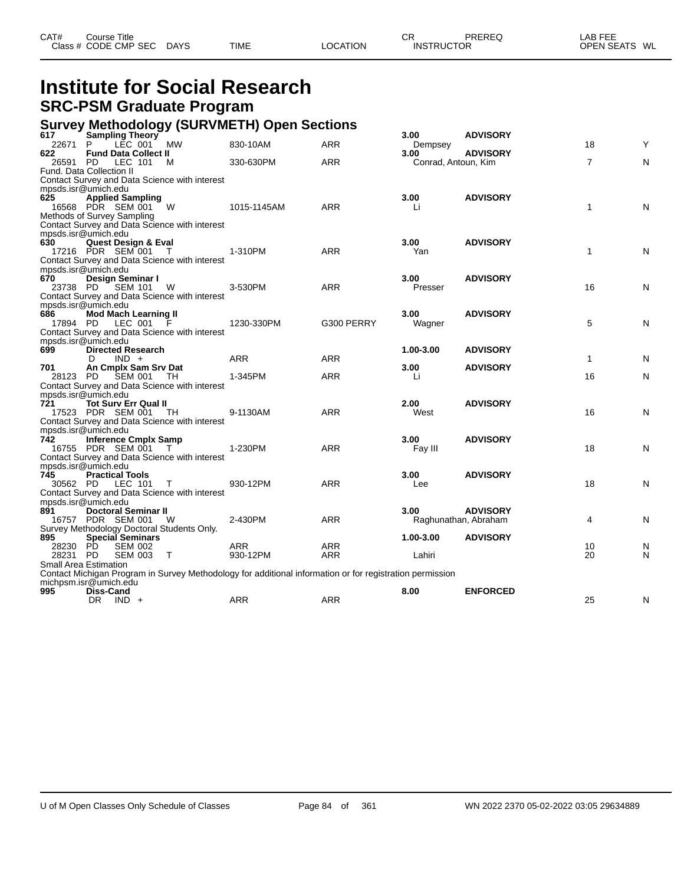| CAT# | ourse Titleٽ         |             |             |          | СR                | PREREQ | _AB FEE       |
|------|----------------------|-------------|-------------|----------|-------------------|--------|---------------|
|      | Class # CODE CMP SEC | <b>DAYS</b> | <b>TIME</b> | LOCATION | <b>INSTRUCTOR</b> |        | OPEN SEATS WL |

## **Institute for Social Research SRC-PSM Graduate Program**

#### **Survey Methodology (SURVMETH) Open Sections**

| 617             | ັ<br>Sampling Theory                                                      |        |                                                                                                          |            | 3.00                 | <b>ADVISORY</b> |                |   |
|-----------------|---------------------------------------------------------------------------|--------|----------------------------------------------------------------------------------------------------------|------------|----------------------|-----------------|----------------|---|
| 22671           | LEC 001 MW<br>P.                                                          |        | 830-10AM                                                                                                 | <b>ARR</b> | Dempsey              |                 | 18             | Y |
| 622             | <b>Fund Data Collect II</b>                                               |        |                                                                                                          |            | 3.00                 | <b>ADVISORY</b> |                |   |
| 26591           | LEC 101<br><b>PD</b>                                                      | M      | 330-630PM                                                                                                | <b>ARR</b> | Conrad, Antoun, Kim  |                 | $\overline{7}$ | N |
|                 | Fund. Data Collection II<br>Contact Survey and Data Science with interest |        |                                                                                                          |            |                      |                 |                |   |
|                 |                                                                           |        |                                                                                                          |            |                      |                 |                |   |
| 625             | mpsds.isr@umich.edu<br><b>Applied Sampling</b>                            |        |                                                                                                          |            | 3.00                 | <b>ADVISORY</b> |                |   |
|                 | 16568 PDR SEM 001 W                                                       |        | 1015-1145AM                                                                                              | <b>ARR</b> | Li                   |                 | $\mathbf{1}$   | N |
|                 | Methods of Survey Sampling                                                |        |                                                                                                          |            |                      |                 |                |   |
|                 | Contact Survey and Data Science with interest                             |        |                                                                                                          |            |                      |                 |                |   |
|                 | mpsds.isr@umich.edu                                                       |        |                                                                                                          |            |                      |                 |                |   |
| 630             | <b>Quest Design &amp; Eval</b>                                            |        |                                                                                                          |            | 3.00                 | <b>ADVISORY</b> |                |   |
|                 | 17216 PDR SEM 001                                                         | T      | 1-310PM                                                                                                  | <b>ARR</b> | Yan                  |                 | $\mathbf{1}$   | N |
|                 | Contact Survey and Data Science with interest                             |        |                                                                                                          |            |                      |                 |                |   |
|                 | mpsds.isr@umich.edu                                                       |        |                                                                                                          |            |                      |                 |                |   |
| 670             | Design Seminar I                                                          |        |                                                                                                          |            | 3.00 <sub>1</sub>    | <b>ADVISORY</b> |                |   |
|                 | 23738 PD SEM 101                                                          | - W    | 3-530PM                                                                                                  | <b>ARR</b> | Presser              |                 | 16             | N |
|                 | Contact Survey and Data Science with interest                             |        |                                                                                                          |            |                      |                 |                |   |
|                 | mpsds.isr@umich.edu                                                       |        |                                                                                                          |            |                      |                 |                |   |
| 686             | <b>Mod Mach Learning II</b>                                               |        |                                                                                                          |            | 3.00                 | <b>ADVISORY</b> |                |   |
| 17894 PD        | LEC 001 F                                                                 |        | 1230-330PM                                                                                               | G300 PERRY | Wagner               |                 | 5              | N |
|                 | Contact Survey and Data Science with interest                             |        |                                                                                                          |            |                      |                 |                |   |
|                 | mpsds.isr@umich.edu                                                       |        |                                                                                                          |            |                      |                 |                |   |
| 699             | <b>Directed Research</b>                                                  |        |                                                                                                          |            | 1.00-3.00            | <b>ADVISORY</b> |                |   |
|                 | $IND +$<br>D                                                              |        | <b>ARR</b>                                                                                               | <b>ARR</b> |                      |                 | $\mathbf{1}$   | N |
| 701<br>28123 PD | An Cmplx Sam Srv Dat<br>SEM 001                                           | TH.    | 1-345PM                                                                                                  | <b>ARR</b> | 3.00<br>Li           | <b>ADVISORY</b> | 16             | N |
|                 | Contact Survey and Data Science with interest                             |        |                                                                                                          |            |                      |                 |                |   |
|                 | mpsds.isr@umich.edu                                                       |        |                                                                                                          |            |                      |                 |                |   |
| 721             | <b>Tot Surv Err Qual II</b>                                               |        |                                                                                                          |            | 2.00 <sub>1</sub>    | <b>ADVISORY</b> |                |   |
|                 | 17523 PDR SEM 001                                                         | - TH   | 9-1130AM                                                                                                 | <b>ARR</b> | West                 |                 | 16             | N |
|                 | Contact Survey and Data Science with interest                             |        |                                                                                                          |            |                      |                 |                |   |
|                 | mpsds.isr@umich.edu                                                       |        |                                                                                                          |            |                      |                 |                |   |
| 742             | <b>Inference Cmplx Samp</b>                                               |        |                                                                                                          |            | 3.00 <sub>1</sub>    | <b>ADVISORY</b> |                |   |
|                 | 16755 PDR SEM 001                                                         | $\top$ | 1-230PM                                                                                                  | <b>ARR</b> | Fay III              |                 | 18             | N |
|                 | Contact Survey and Data Science with interest                             |        |                                                                                                          |            |                      |                 |                |   |
|                 | mpsds.isr@umich.edu                                                       |        |                                                                                                          |            |                      |                 |                |   |
| 745             | <b>Practical Tools</b>                                                    |        |                                                                                                          |            | 3.00                 | <b>ADVISORY</b> |                |   |
|                 | 30562 PD LEC 101                                                          | $\top$ | 930-12PM                                                                                                 | <b>ARR</b> | Lee                  |                 | 18             | N |
|                 | Contact Survey and Data Science with interest                             |        |                                                                                                          |            |                      |                 |                |   |
|                 | mpsds.isr@umich.edu                                                       |        |                                                                                                          |            |                      |                 |                |   |
| 891             | <b>Doctoral Seminar II</b>                                                |        |                                                                                                          |            | 3.00 <sub>1</sub>    | <b>ADVISORY</b> |                |   |
|                 | 16757 PDR SEM 001 W                                                       |        | 2-430PM                                                                                                  | <b>ARR</b> | Raghunathan, Abraham |                 | 4              | N |
| 895             | Survey Methodology Doctoral Students Only.                                |        |                                                                                                          |            |                      | <b>ADVISORY</b> |                |   |
| 28230 PD        | <b>Special Seminars</b><br><b>SEM 002</b>                                 |        | <b>ARR</b>                                                                                               | <b>ARR</b> | 1.00-3.00            |                 | 10             | N |
| 28231 PD        | <b>SEM 003</b>                                                            | $\top$ | 930-12PM                                                                                                 | ARR        | Lahiri               |                 | 20             | N |
|                 | <b>Small Area Estimation</b>                                              |        |                                                                                                          |            |                      |                 |                |   |
|                 |                                                                           |        | Contact Michigan Program in Survey Methodology for additional information or for registration permission |            |                      |                 |                |   |
|                 | michpsm.isr@umich.edu                                                     |        |                                                                                                          |            |                      |                 |                |   |
| 995             | <b>Diss-Cand</b>                                                          |        |                                                                                                          |            | 8.00                 | <b>ENFORCED</b> |                |   |
|                 | DR.<br>$IND +$                                                            |        | <b>ARR</b>                                                                                               | <b>ARR</b> |                      |                 | 25             | N |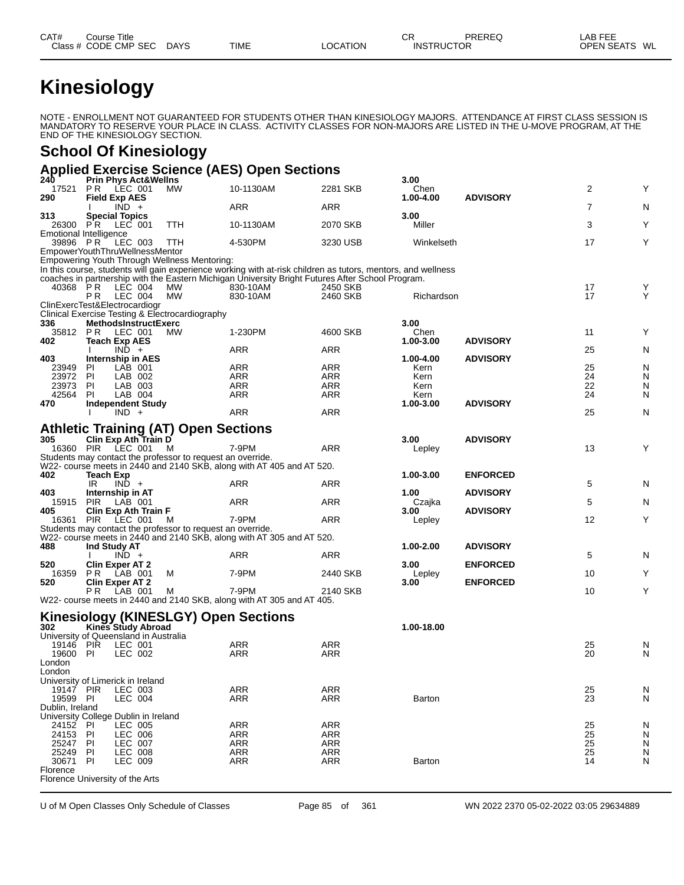# **Kinesiology**

NOTE - ENROLLMENT NOT GUARANTEED FOR STUDENTS OTHER THAN KINESIOLOGY MAJORS. ATTENDANCE AT FIRST CLASS SESSION IS MANDATORY TO RESERVE YOUR PLACE IN CLASS. ACTIVITY CLASSES FOR NON-MAJORS ARE LISTED IN THE U-MOVE PROGRAM, AT THE END OF THE KINESIOLOGY SECTION.

### **School Of Kinesiology**

#### **Applied Exercise Science (AES) Open Sections**

| 240             | <b>Prin Phys Act&amp;Wellns</b>                             | $F1$ and $F2$ and $F1$ and $F2$                            |                                                                                                              |                   | 3.00           |                 |                |                |
|-----------------|-------------------------------------------------------------|------------------------------------------------------------|--------------------------------------------------------------------------------------------------------------|-------------------|----------------|-----------------|----------------|----------------|
| 17521           | <b>PR LEC 001</b>                                           | MW.                                                        | 10-1130AM                                                                                                    | 2281 SKB          | Chen           |                 | 2              | Y              |
| 290             | <b>Field Exp AES</b>                                        |                                                            |                                                                                                              |                   | 1.00-4.00      | <b>ADVISORY</b> |                |                |
| 313             | $\overline{IND}$ +<br><b>Special Topics</b>                 |                                                            | ARR                                                                                                          | <b>ARR</b>        | 3.00           |                 | $\overline{7}$ | N              |
|                 | 26300 PR LEC 001                                            | TTH                                                        | 10-1130AM                                                                                                    | 2070 SKB          | Miller         |                 | 3              | Y              |
|                 | <b>Emotional Intelligence</b>                               |                                                            |                                                                                                              |                   |                |                 |                |                |
| 39896 PR        | LEC 003                                                     | TTH                                                        | 4-530PM                                                                                                      | 3230 USB          | Winkelseth     |                 | 17             | Y              |
|                 | EmpowerYouthThruWellnessMentor                              |                                                            |                                                                                                              |                   |                |                 |                |                |
|                 |                                                             | Empowering Youth Through Wellness Mentoring:               | In this course, students will gain experience working with at-risk children as tutors, mentors, and wellness |                   |                |                 |                |                |
|                 |                                                             |                                                            | coaches in partnership with the Eastern Michigan University Bright Futures After School Program.             |                   |                |                 |                |                |
| 40368 PR        | LEC 004                                                     | MW                                                         | 830-10AM                                                                                                     | 2450 SKB          |                |                 | 17             | Y              |
|                 | LEC 004<br>P R                                              | МW                                                         | 830-10AM                                                                                                     | 2460 SKB          | Richardson     |                 | 17             | Y              |
|                 | ClinExercTest&Electrocardiogr                               | Clinical Exercise Testing & Electrocardiography            |                                                                                                              |                   |                |                 |                |                |
| 336             | <b>MethodsInstructExerc</b>                                 |                                                            |                                                                                                              |                   | 3.00           |                 |                |                |
|                 | 35812 PR LEC 001                                            | <b>MW</b>                                                  | 1-230PM                                                                                                      | 4600 SKB          | Chen           |                 | 11             | Υ              |
| 402             | <b>Teach Exp AES</b>                                        |                                                            |                                                                                                              |                   | 1.00-3.00      | <b>ADVISORY</b> |                |                |
| 403             | $IND +$<br>Internship in AES                                |                                                            | ARR                                                                                                          | ARR               | 1.00-4.00      | <b>ADVISORY</b> | 25             | N              |
| 23949           | LAB 001<br>PI.                                              |                                                            | ARR                                                                                                          | <b>ARR</b>        | Kern           |                 | 25             | N              |
| 23972           | PI<br>LAB 002                                               |                                                            | ARR                                                                                                          | ARR               | Kern           |                 | 24             | N              |
| 23973           | PI.<br>LAB 003                                              |                                                            | ARR                                                                                                          | ARR               | Kern           |                 | 22             | N              |
| 42564           | PI.<br>LAB 004                                              |                                                            | ARR                                                                                                          | <b>ARR</b>        | Kern           |                 | 24             | N              |
| 470             | <b>Independent Study</b>                                    |                                                            |                                                                                                              |                   | 1.00-3.00      | <b>ADVISORY</b> |                |                |
|                 | $IND +$                                                     |                                                            | ARR                                                                                                          | <b>ARR</b>        |                |                 | 25             | N              |
|                 |                                                             | <b>Athletic Training (AT) Open Sections</b>                |                                                                                                              |                   |                |                 |                |                |
| 305             | Clin Exp Ath Tràin D                                        |                                                            |                                                                                                              |                   | 3.00           | <b>ADVISORY</b> |                |                |
|                 | 16360 PIR LEC 001                                           | M                                                          | 7-9PM                                                                                                        | <b>ARR</b>        | Lepley         |                 | 13             | Y              |
|                 |                                                             | Students may contact the professor to request an override. |                                                                                                              |                   |                |                 |                |                |
| 402             |                                                             |                                                            | W22- course meets in 2440 and 2140 SKB, along with AT 405 and AT 520.                                        |                   |                |                 |                |                |
|                 | Teach Exp<br>IR<br>$IND +$                                  |                                                            | ARR                                                                                                          | ARR               | 1.00-3.00      | <b>ENFORCED</b> | 5              | N              |
| 403             | Internship in AT                                            |                                                            |                                                                                                              |                   | 1.00           | <b>ADVISORY</b> |                |                |
| 15915           | <b>PIR</b><br>LAB 001                                       |                                                            | ARR                                                                                                          | <b>ARR</b>        | Czajka         |                 | 5              | N              |
| 405             | Clin Exp Ath Train F                                        |                                                            |                                                                                                              |                   | 3.00           | <b>ADVISORY</b> |                |                |
|                 | 16361 PIR LEC 001                                           | M                                                          | 7-9PM                                                                                                        | <b>ARR</b>        | Lepley         |                 | 12             | Y              |
|                 |                                                             | Students may contact the professor to request an override. | W22- course meets in 2440 and 2140 SKB, along with AT 305 and AT 520.                                        |                   |                |                 |                |                |
| 488             | Ind Study AT                                                |                                                            |                                                                                                              |                   | 1.00-2.00      | <b>ADVISORY</b> |                |                |
|                 | $IND +$                                                     |                                                            | ARR                                                                                                          | ARR               |                |                 | 5              | N              |
| 520             | <b>Clin Exper AT 2</b>                                      |                                                            |                                                                                                              |                   | 3.00           | <b>ENFORCED</b> |                |                |
| 16359<br>520    | <b>PR</b> LAB 001                                           | м                                                          | 7-9PM                                                                                                        | 2440 SKB          | Lepley<br>3.00 | <b>ENFORCED</b> | 10             | Υ              |
|                 | <b>Clin Exper AT 2</b><br>LAB 001<br>PR.                    | M                                                          | 7-9PM                                                                                                        | 2140 SKB          |                |                 | 10             | Y              |
|                 |                                                             |                                                            | W22- course meets in 2440 and 2140 SKB, along with AT 305 and AT 405.                                        |                   |                |                 |                |                |
|                 |                                                             |                                                            |                                                                                                              |                   |                |                 |                |                |
|                 |                                                             | <b>Kinesiology (KINESLGY) Open Sections</b>                |                                                                                                              |                   |                |                 |                |                |
| 302             | Kines Study Abroad<br>University of Queensland in Australia |                                                            |                                                                                                              |                   | 1.00-18.00     |                 |                |                |
| 19146 PIR       | LEC 001                                                     |                                                            | ARR                                                                                                          | ARR               |                |                 | 25             | N              |
| 19600           | PI<br>LEC 002                                               |                                                            | ARR                                                                                                          | ARR               |                |                 | 20             | N              |
| London          |                                                             |                                                            |                                                                                                              |                   |                |                 |                |                |
| London          |                                                             |                                                            |                                                                                                              |                   |                |                 |                |                |
| 19147 PIR       | University of Limerick in Ireland                           |                                                            | ARR                                                                                                          |                   |                |                 |                |                |
| 19599 PI        | LEC 003<br>LEC 004                                          |                                                            | <b>ARR</b>                                                                                                   | ARR<br><b>ARR</b> | <b>Barton</b>  |                 | 25<br>23       | N<br>${\sf N}$ |
| Dublin, Ireland |                                                             |                                                            |                                                                                                              |                   |                |                 |                |                |
|                 | University College Dublin in Ireland                        |                                                            |                                                                                                              |                   |                |                 |                |                |
| 24152           | PI<br>LEC 005                                               |                                                            | ARR                                                                                                          | ARR               |                |                 | 25             | N              |
| 24153           | ΡI<br>LEC 006                                               |                                                            | ARR                                                                                                          | ARR               |                |                 | 25             | ${\sf N}$      |
| 25247           | PI<br><b>LEC 007</b>                                        |                                                            | <b>ARR</b>                                                                                                   | <b>ARR</b>        |                |                 | 25             | N              |
| 25249<br>30671  | LEC 008<br>PI<br>ΡI<br>LEC 009                              |                                                            | ARR<br>ARR                                                                                                   | ARR<br>ARR        | Barton         |                 | 25<br>14       | N<br>N         |
| Florence        |                                                             |                                                            |                                                                                                              |                   |                |                 |                |                |
|                 | Florence University of the Arts                             |                                                            |                                                                                                              |                   |                |                 |                |                |
|                 |                                                             |                                                            |                                                                                                              |                   |                |                 |                |                |

U of M Open Classes Only Schedule of Classes Page 85 of 361 WN 2022 2370 05-02-2022 03:05 29634889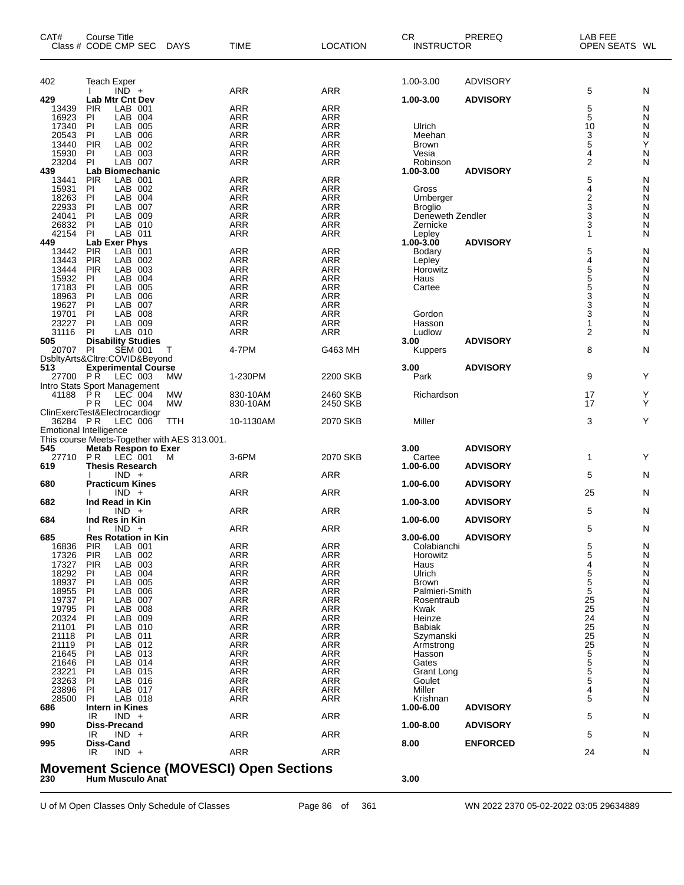| CAT#           | Course Title<br>Class # CODE CMP SEC DAYS                                   |                 | TIME                                            | <b>LOCATION</b>          | CR.<br><b>INSTRUCTOR</b> | PREREQ          | LAB FEE<br>OPEN SEATS WL |           |
|----------------|-----------------------------------------------------------------------------|-----------------|-------------------------------------------------|--------------------------|--------------------------|-----------------|--------------------------|-----------|
| 402            | <b>Teach Exper</b>                                                          |                 |                                                 |                          | 1.00-3.00                | <b>ADVISORY</b> |                          |           |
|                | $IND +$<br>$\mathbf{I}$                                                     |                 | <b>ARR</b>                                      | <b>ARR</b>               |                          |                 | 5                        | N         |
| 429            | <b>Lab Mtr Cnt Dev</b>                                                      |                 |                                                 |                          | 1.00-3.00                | <b>ADVISORY</b> |                          |           |
| 13439<br>16923 | <b>PIR</b><br>LAB 001<br>LAB 004<br>PI                                      |                 | ARR<br><b>ARR</b>                               | <b>ARR</b><br><b>ARR</b> |                          |                 | 5<br>5                   | N<br>N    |
| 17340          | PI<br>LAB<br>005                                                            |                 | <b>ARR</b>                                      | <b>ARR</b>               | Ulrich                   |                 | 10                       | N         |
| 20543          | PI<br>LAB<br>006                                                            |                 | <b>ARR</b>                                      | <b>ARR</b>               | Meehan                   |                 | 3                        | Ν         |
| 13440<br>15930 | PIR<br>LAB<br>002<br>LAB 003<br>ΡI                                          |                 | <b>ARR</b><br><b>ARR</b>                        | <b>ARR</b><br><b>ARR</b> | <b>Brown</b><br>Vesia    |                 | 5<br>4                   | Υ<br>N    |
| 23204          | LAB 007<br>PI                                                               |                 | <b>ARR</b>                                      | <b>ARR</b>               | Robinson                 |                 | $\overline{2}$           | N         |
| 439            | <b>Lab Biomechanic</b>                                                      |                 |                                                 |                          | 1.00-3.00                | <b>ADVISORY</b> |                          |           |
| 13441          | LAB 001<br><b>PIR</b>                                                       |                 | <b>ARR</b>                                      | <b>ARR</b>               |                          |                 | 5                        | N         |
| 15931<br>18263 | LAB 002<br>PI<br>P <sub>1</sub><br>LAB 004                                  |                 | <b>ARR</b><br><b>ARR</b>                        | <b>ARR</b><br><b>ARR</b> | Gross<br>Umberger        |                 | 4                        | N<br>N    |
| 22933          | PI<br>007<br>LAB                                                            |                 | <b>ARR</b>                                      | <b>ARR</b>               | <b>Broglio</b>           |                 | $\frac{2}{3}$            | N         |
| 24041          | PI<br>LAB<br>009                                                            |                 | <b>ARR</b>                                      | <b>ARR</b>               | Deneweth Zendler         |                 | 3                        | N         |
| 26832          | P<br>LAB 010                                                                |                 | <b>ARR</b>                                      | <b>ARR</b>               | Zernicke                 |                 | 3                        | N         |
| 42154<br>449   | LAB 011<br>PI<br>Lab Exer Phys                                              |                 | <b>ARR</b>                                      | <b>ARR</b>               | Lepley<br>$1.00 - 3.00$  | <b>ADVISORY</b> | $\mathbf 1$              | N         |
| 13442          | <b>PIR</b><br>LAB 001                                                       |                 | <b>ARR</b>                                      | <b>ARR</b>               | Bodary                   |                 | 5                        | N         |
| 13443          | PIR<br>LAB 002                                                              |                 | <b>ARR</b>                                      | <b>ARR</b>               | Lepley                   |                 | $\overline{\mathbf{4}}$  | N         |
| 13444<br>15932 | <b>PIR</b><br>LAB<br>003<br>LAB<br>004                                      |                 | <b>ARR</b><br><b>ARR</b>                        | <b>ARR</b><br><b>ARR</b> | Horowitz                 |                 | 5                        | N<br>N    |
| 17183          | ΡI<br>PI<br>LAB<br>005                                                      |                 | <b>ARR</b>                                      | <b>ARR</b>               | Haus<br>Cartee           |                 | $\frac{5}{5}$            | N         |
| 18963          | PI<br>LAB<br>006                                                            |                 | <b>ARR</b>                                      | <b>ARR</b>               |                          |                 | 3                        | N         |
| 19627          | P<br>LAB<br>007                                                             |                 | <b>ARR</b>                                      | <b>ARR</b>               |                          |                 | 3                        | N         |
| 19701<br>23227 | PI<br>008<br>LAB<br>PI<br>LAB 009                                           |                 | <b>ARR</b><br><b>ARR</b>                        | <b>ARR</b><br>ARR        | Gordon<br>Hasson         |                 | 3<br>1                   | N<br>N    |
| 31116          | P<br>LAB 010                                                                |                 | <b>ARR</b>                                      | <b>ARR</b>               | Ludlow                   |                 | $\overline{2}$           | N         |
| 505            | <b>Disability Studies</b>                                                   |                 |                                                 |                          | 3.00                     | <b>ADVISORY</b> |                          |           |
| 20707 PI       | <b>SEM 001</b>                                                              | Т               | 4-7PM                                           | G463 MH                  | Kuppers                  |                 | 8                        | N         |
| 513            | DsbltyArts&Cltre:COVID&Beyond<br><b>Experimental Course</b>                 |                 |                                                 |                          | 3.00                     | <b>ADVISORY</b> |                          |           |
| 27700 PR       | LEC 003                                                                     | <b>MW</b>       | 1-230PM                                         | 2200 SKB                 | Park                     |                 | 9                        | Y         |
|                | Intro Stats Sport Management                                                |                 |                                                 |                          |                          |                 |                          |           |
| 41188          | LEC 004<br>P R                                                              | МW<br><b>MW</b> | 830-10AM                                        | 2460 SKB                 | Richardson               |                 | 17<br>17                 | Y<br>Y    |
|                | P <sub>R</sub><br>LEC 004<br>ClinExercTest&Electrocardiogr                  |                 | 830-10AM                                        | 2450 SKB                 |                          |                 |                          |           |
| 36284 PR       | LEC 006                                                                     | TTH             | 10-1130AM                                       | 2070 SKB                 | Miller                   |                 | 3                        | Y         |
|                | <b>Emotional Intelligence</b>                                               |                 |                                                 |                          |                          |                 |                          |           |
| 545            | This course Meets-Together with AES 313.001.<br><b>Metab Respon to Exer</b> |                 |                                                 |                          | 3.00                     | <b>ADVISORY</b> |                          |           |
| 27710          | <b>PR LEC 001</b>                                                           | M               | 3-6PM                                           | 2070 SKB                 | Cartee                   |                 | $\mathbf{1}$             | Y         |
| 619            | <b>Thesis Research</b>                                                      |                 |                                                 |                          | 1.00-6.00                | <b>ADVISORY</b> |                          |           |
| 680            | $IND +$<br><b>Practicum Kines</b>                                           |                 | ARR                                             | <b>ARR</b>               | 1.00-6.00                | <b>ADVISORY</b> | 5                        | N         |
|                | $IND +$                                                                     |                 | ARR                                             | <b>ARR</b>               |                          |                 | 25                       | N         |
| 682            | Ind Read in Kin                                                             |                 |                                                 |                          | 1.00-3.00                | <b>ADVISORY</b> |                          |           |
|                | $IND +$                                                                     |                 | ARR                                             | ARR                      |                          |                 | 5                        | N         |
| 684            | Ind Res in Kin<br>$INU +$                                                   |                 | ARR                                             | $\sf{ARR}$               | 1.00-6.00                | <b>ADVISORY</b> | 5                        | ${\sf N}$ |
| 685            | <b>Res Rotation in Kin</b>                                                  |                 |                                                 |                          | $3.00 - 6.00$            | <b>ADVISORY</b> |                          |           |
| 16836          | <b>PIR</b><br>LAB 001                                                       |                 | <b>ARR</b>                                      | <b>ARR</b>               | Colabianchi              |                 | 5                        | N         |
| 17326          | <b>PIR</b><br>LAB 002<br><b>PIR</b><br>LAB 003                              |                 | <b>ARR</b><br>ARR                               | <b>ARR</b>               | Horowitz                 |                 | 5<br>4                   | N<br>N    |
| 17327<br>18292 | LAB 004<br><b>PI</b>                                                        |                 | <b>ARR</b>                                      | ARR<br><b>ARR</b>        | Haus<br>Ulrich           |                 | 5                        | N         |
| 18937          | PI<br>LAB 005                                                               |                 | <b>ARR</b>                                      | <b>ARR</b>               | <b>Brown</b>             |                 | 5                        | N         |
| 18955          | LAB<br>PI<br>006                                                            |                 | <b>ARR</b>                                      | ARR                      | Palmieri-Smith           |                 | 5                        | N         |
| 19737<br>19795 | PI<br>LAB 007<br>PI<br>LAB 008                                              |                 | <b>ARR</b><br><b>ARR</b>                        | <b>ARR</b><br><b>ARR</b> | Rosentraub<br>Kwak       |                 | 25<br>25                 | N<br>N    |
| 20324          | LAB 009<br>PI                                                               |                 | <b>ARR</b>                                      | ARR                      | Heinze                   |                 | 24                       | N         |
| 21101          | PI<br>LAB 010                                                               |                 | <b>ARR</b>                                      | <b>ARR</b>               | <b>Babiak</b>            |                 | 25                       | N         |
| 21118          | PI<br>LAB 011                                                               |                 | <b>ARR</b>                                      | <b>ARR</b>               | Szymanski                |                 | 25                       | N         |
| 21119<br>21645 | P<br>LAB 012<br>P<br>LAB 013                                                |                 | <b>ARR</b><br><b>ARR</b>                        | ARR<br><b>ARR</b>        | Armstrong<br>Hasson      |                 | 25<br>5                  | N<br>N    |
| 21646          | PI<br>LAB 014                                                               |                 | <b>ARR</b>                                      | <b>ARR</b>               | Gates                    |                 | 5                        | N         |
| 23221          | PI<br>LAB 015                                                               |                 | <b>ARR</b>                                      | ARR                      | Grant Long               |                 | 5                        | N         |
| 23263<br>23896 | PI<br>LAB 016<br>PI<br>LAB 017                                              |                 | <b>ARR</b><br><b>ARR</b>                        | <b>ARR</b><br><b>ARR</b> | Goulet<br>Miller         |                 | 5<br>4                   | N<br>N    |
| 28500          | PI<br>LAB 018                                                               |                 | <b>ARR</b>                                      | ARR                      | Krishnan                 |                 | 5                        | N         |
| 686            | Intern in Kines                                                             |                 |                                                 |                          | 1.00-6.00                | <b>ADVISORY</b> |                          |           |
|                | $IND +$<br>IR                                                               |                 | <b>ARR</b>                                      | <b>ARR</b>               |                          |                 | 5                        | N         |
| 990            | <b>Diss-Precand</b><br>$IND +$<br>IR                                        |                 | <b>ARR</b>                                      | <b>ARR</b>               | 1.00-8.00                | <b>ADVISORY</b> | 5                        | N         |
| 995            | Diss-Cand                                                                   |                 |                                                 |                          | 8.00                     | <b>ENFORCED</b> |                          |           |
|                | $IND +$<br>IR                                                               |                 | <b>ARR</b>                                      | <b>ARR</b>               |                          |                 | 24                       | N         |
| 230            | Hum Musculo Anat                                                            |                 | <b>Movement Science (MOVESCI) Open Sections</b> |                          | 3.00                     |                 |                          |           |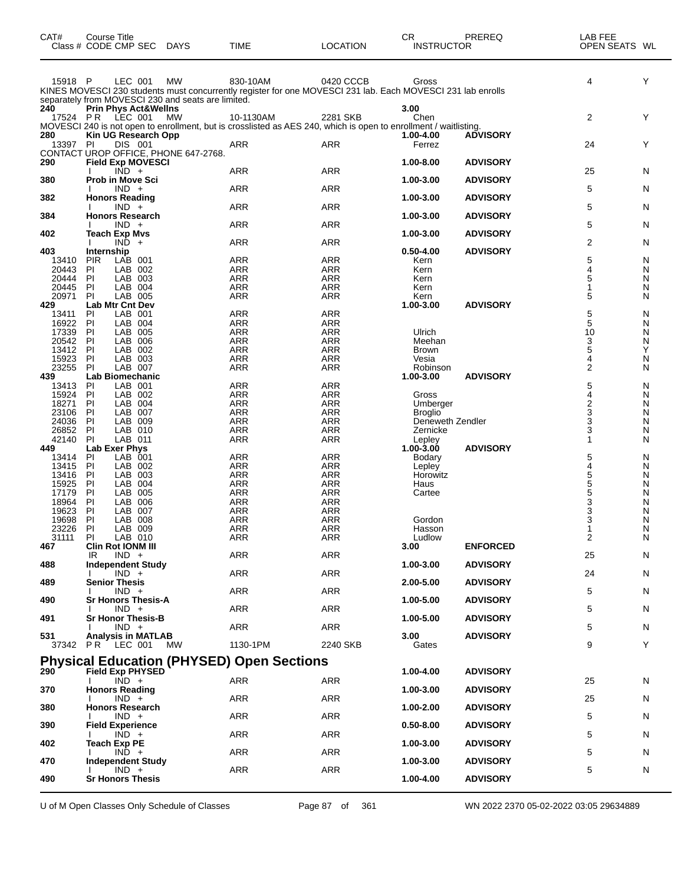| CAT#            | <b>Course Title</b><br>Class # CODE CMP SEC DAYS                                                                                                                                          | <b>TIME</b>              | <b>LOCATION</b>   | CR<br><b>INSTRUCTOR</b>    | PREREQ          | LAB FEE<br>OPEN SEATS WL |        |
|-----------------|-------------------------------------------------------------------------------------------------------------------------------------------------------------------------------------------|--------------------------|-------------------|----------------------------|-----------------|--------------------------|--------|
| 15918 P         | LEC 001<br><b>MW</b><br>KINES MOVESCI 230 students must concurrently register for one MOVESCI 231 lab. Each MOVESCI 231 lab enrolls<br>separately from MOVESCI 230 and seats are limited. | 830-10AM                 | 0420 CCCB         | Gross                      |                 | 4                        | Y      |
| 240             | <b>Prin Phys Act&amp;Wellns</b><br>17524 PR LEC 001<br>MW<br>MOVESCI 240 is not open to enrollment, but is crosslisted as AES 240, which is open to enrollment / waitlisting.             | 10-1130AM                | 2281 SKB          | 3.00<br>Chen               |                 | $\overline{2}$           | Υ      |
| 280<br>13397 PI | Kin UG Research Opp<br>DIS 001<br>CONTACT UROP OFFICE, PHONE 647-2768.                                                                                                                    | ARR                      | ARR               | 1.00-4.00<br>Ferrez        | <b>ADVISORY</b> | 24                       | Υ      |
| 290             | <b>Field Exp MOVESCI</b>                                                                                                                                                                  |                          |                   | 1.00-8.00                  | <b>ADVISORY</b> |                          |        |
| 380             | $IND +$<br><b>Prob in Move Sci</b>                                                                                                                                                        | ARR                      | <b>ARR</b>        | 1.00-3.00                  | <b>ADVISORY</b> | 25                       | N      |
| 382             | $IND +$<br><b>Honors Reading</b>                                                                                                                                                          | <b>ARR</b>               | <b>ARR</b>        | 1.00-3.00                  | <b>ADVISORY</b> | 5                        | N      |
| 384             | $IND +$<br><b>Honors Research</b>                                                                                                                                                         | ARR                      | ARR               | 1.00-3.00                  | <b>ADVISORY</b> | 5                        | N      |
|                 | $IND +$                                                                                                                                                                                   | ARR                      | ARR               |                            |                 | 5                        | N      |
| 402             | <b>Teach Exp Mvs</b><br>$IND +$                                                                                                                                                           | <b>ARR</b>               | <b>ARR</b>        | 1.00-3.00                  | <b>ADVISORY</b> | 2                        | N      |
| 403<br>13410    | Internship<br><b>PIR</b><br>LAB 001                                                                                                                                                       | ARR                      | ARR               | $0.50 - 4.00$<br>Kern      | <b>ADVISORY</b> | 5                        | N      |
| 20443           | PI<br>LAB 002                                                                                                                                                                             | <b>ARR</b>               | <b>ARR</b>        | Kern                       |                 | 4                        | N      |
| 20444<br>20445  | PI<br>LAB 003<br><b>PI</b><br>LAB 004                                                                                                                                                     | ARR<br>ARR               | ARR<br>ARR        | Kern<br>Kern               |                 | 5<br>1                   | N<br>N |
| 20971           | PI<br>LAB 005                                                                                                                                                                             | <b>ARR</b>               | <b>ARR</b>        | Kern                       |                 | 5                        | N      |
| 429<br>13411    | <b>Lab Mtr Cnt Dev</b><br>LAB 001<br>PI                                                                                                                                                   | ARR                      | ARR               | 1.00-3.00                  | <b>ADVISORY</b> | 5                        | N      |
| 16922           | PI<br>LAB 004                                                                                                                                                                             | <b>ARR</b>               | <b>ARR</b>        |                            |                 | $\mathbf 5$              | N      |
| 17339           | PI<br>LAB 005                                                                                                                                                                             | ARR                      | ARR               | Ulrich                     |                 | 10                       | N      |
| 20542<br>13412  | PI<br>LAB 006<br>PI<br>LAB 002                                                                                                                                                            | ARR<br><b>ARR</b>        | ARR<br><b>ARR</b> | Meehan<br>Brown            |                 | 3<br>5                   | N<br>Υ |
| 15923           | PI<br>LAB 003                                                                                                                                                                             | ARR                      | ARR               | Vesia                      |                 | 4                        | N      |
| 23255           | <b>PI</b><br>LAB 007<br>Lab Biomechanic                                                                                                                                                   | ARR                      | ARR               | Robinson                   | <b>ADVISORY</b> | $\overline{c}$           | N      |
| 439<br>13413    | PI<br>LAB 001                                                                                                                                                                             | ARR                      | ARR               | 1.00-3.00                  |                 | 5                        | N      |
| 15924           | PI<br>LAB 002                                                                                                                                                                             | ARR                      | ARR               | Gross                      |                 | $\overline{\mathbf{4}}$  | N      |
| 18271<br>23106  | PI<br>LAB 004<br>PI<br>LAB 007                                                                                                                                                            | <b>ARR</b><br>ARR        | <b>ARR</b><br>ARR | Umberger<br><b>Broglio</b> |                 | $\boldsymbol{2}$<br>3    | Ν<br>N |
| 24036           | PI<br>LAB 009                                                                                                                                                                             | ARR                      | ARR               | Deneweth Zendler           |                 | $\overline{3}$           | N      |
| 26852           | PI<br>LAB 010                                                                                                                                                                             | <b>ARR</b>               | <b>ARR</b>        | Zernicke                   |                 | 3                        | N      |
| 42140<br>449    | PI<br>LAB 011<br>Lab Exer Phys                                                                                                                                                            | ARR                      | ARR               | Lepley<br>$1.00 - 3.00$    | <b>ADVISORY</b> | 1                        | N      |
| 13414           | LAB 001<br>PI                                                                                                                                                                             | <b>ARR</b>               | <b>ARR</b>        | Bodary                     |                 | 5                        | N      |
| 13415           | PI<br>LAB 002                                                                                                                                                                             | ARR                      | ARR               | Lepley                     |                 | $\overline{\mathbf{4}}$  | N      |
| 13416<br>15925  | PI<br>LAB 003<br>PI<br>LAB 004                                                                                                                                                            | ARR<br><b>ARR</b>        | ARR<br><b>ARR</b> | Horowitz<br>Haus           |                 | $\overline{5}$<br>5      | N<br>N |
| 17179           | PI<br>LAB 005                                                                                                                                                                             | ARR                      | ARR               | Cartee                     |                 | 5                        | Ν      |
| 18964           | PI<br>LAB 006                                                                                                                                                                             | <b>ARR</b>               | <b>ARR</b>        |                            |                 | $\overline{3}$           | N      |
| 19623<br>19698  | PI<br>LAB 007<br>PI<br>LAB 008                                                                                                                                                            | <b>ARR</b><br><b>ARR</b> | <b>ARR</b><br>ARR | Gordon                     |                 | 3<br>3                   | N<br>Ν |
| 23226           | <b>PI</b><br>LAB 009                                                                                                                                                                      | ARR                      | ARR               | Hasson                     |                 | $\mathbf 1$              | N      |
| 31111           | ΡL<br>LAB 010                                                                                                                                                                             | ARR                      | ARR               | Ludlow                     |                 | 2                        | N      |
| 467             | <b>Clin Rot IONM III</b><br>$IND +$<br>IR.                                                                                                                                                | ARR                      | ARR               | 3.00                       | <b>ENFORCED</b> | 25                       | N      |
| 488             | <b>Independent Study</b>                                                                                                                                                                  |                          |                   | 1.00-3.00                  | <b>ADVISORY</b> |                          |        |
| 489             | $IND +$<br><b>Senior Thesis</b>                                                                                                                                                           | ARR                      | ARR               | 2.00-5.00                  | <b>ADVISORY</b> | 24                       | N      |
|                 | $IND +$                                                                                                                                                                                   | ARR                      | <b>ARR</b>        |                            |                 | 5                        | N      |
| 490             | <b>Sr Honors Thesis-A</b><br>$IND +$                                                                                                                                                      | ARR                      | ARR               | 1.00-5.00                  | <b>ADVISORY</b> |                          |        |
| 491             | Sr Honor Thesis-B                                                                                                                                                                         |                          |                   | 1.00-5.00                  | <b>ADVISORY</b> | 5                        | N      |
| 531             | $IND +$<br><b>Analysis in MATLAB</b>                                                                                                                                                      | ARR                      | ARR               | 3.00                       | <b>ADVISORY</b> | 5                        | N      |
|                 | 37342 PR LEC 001<br>МW                                                                                                                                                                    | 1130-1PM                 | 2240 SKB          | Gates                      |                 | 9                        | Υ      |
|                 | <b>Physical Education (PHYSED) Open Sections</b>                                                                                                                                          |                          |                   |                            |                 |                          |        |
| 290             | <b>Field Exp PHYSED</b>                                                                                                                                                                   |                          |                   | 1.00-4.00                  | <b>ADVISORY</b> |                          |        |
| 370             | $IND +$<br><b>Honors Reading</b>                                                                                                                                                          | ARR                      | ARR               | 1.00-3.00                  | <b>ADVISORY</b> | 25                       | N      |
|                 | $IND +$                                                                                                                                                                                   | ARR                      | <b>ARR</b>        |                            |                 | 25                       | N      |
| 380             | <b>Honors Research</b><br>$IND +$                                                                                                                                                         | ARR                      | ARR               | 1.00-2.00                  | <b>ADVISORY</b> | 5                        | N      |
| 390             | <b>Field Experience</b><br>$IND +$                                                                                                                                                        | ARR                      | ARR               | $0.50 - 8.00$              | <b>ADVISORY</b> | 5                        | N      |
| 402             | <b>Teach Exp PE</b>                                                                                                                                                                       |                          |                   | 1.00-3.00                  | <b>ADVISORY</b> |                          |        |
| 470             | $IND +$<br><b>Independent Study</b>                                                                                                                                                       | <b>ARR</b>               | <b>ARR</b>        | 1.00-3.00                  | <b>ADVISORY</b> | 5                        | N      |
|                 | $IND +$                                                                                                                                                                                   | ARR                      | ARR               |                            |                 | 5                        | N      |
| 490             | <b>Sr Honors Thesis</b>                                                                                                                                                                   |                          |                   | 1.00-4.00                  | <b>ADVISORY</b> |                          |        |

U of M Open Classes Only Schedule of Classes Page 87 of 361 WN 2022 2370 05-02-2022 03:05 29634889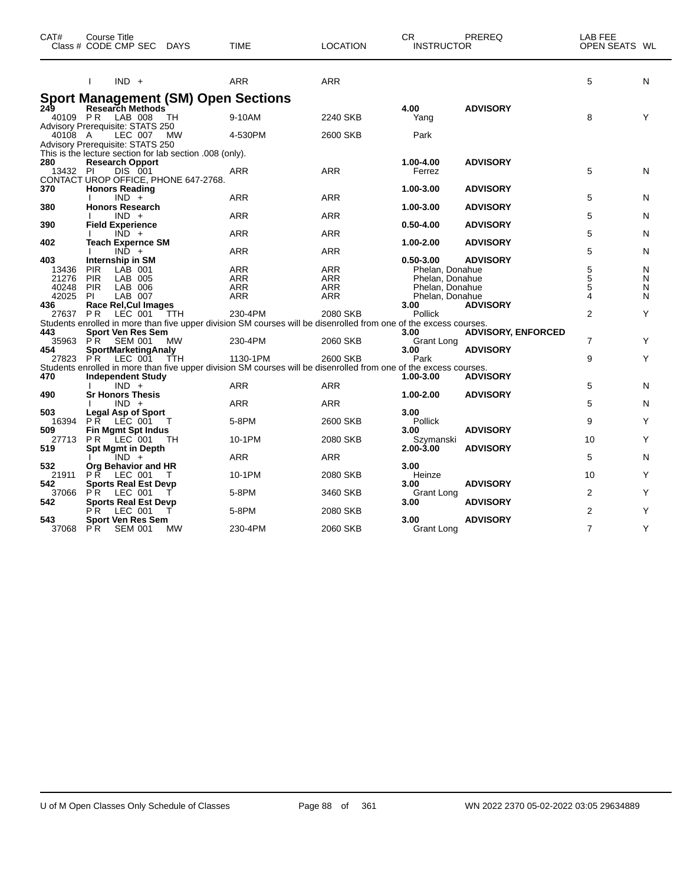| CAT#            | Course Title<br>Class # CODE CMP SEC                                             | <b>DAYS</b> | <b>TIME</b>                                                                                                       | <b>LOCATION</b> | CR.<br><b>INSTRUCTOR</b> | PREREQ                    | LAB FEE<br>OPEN SEATS WL |   |
|-----------------|----------------------------------------------------------------------------------|-------------|-------------------------------------------------------------------------------------------------------------------|-----------------|--------------------------|---------------------------|--------------------------|---|
|                 | $IND +$<br>T                                                                     |             | <b>ARR</b>                                                                                                        | ARR             |                          |                           | 5                        | N |
|                 | <b>Sport Management (SM) Open Sections</b>                                       |             |                                                                                                                   |                 |                          |                           |                          |   |
| 249<br>40109 PR | <b>Research Methods</b><br>LAB 008<br><b>Advisory Prerequisite: STATS 250</b>    | TH          | 9-10AM                                                                                                            | 2240 SKB        | 4.00<br>Yang             | <b>ADVISORY</b>           | 8                        | Υ |
| 40108 A         | LEC 007<br>Advisory Prerequisite: STATS 250                                      | MW          | 4-530PM                                                                                                           | 2600 SKB        | Park                     |                           |                          |   |
|                 | This is the lecture section for lab section .008 (only).                         |             |                                                                                                                   |                 |                          |                           |                          |   |
| 280<br>13432 PI | <b>Research Opport</b><br><b>DIS 001</b><br>CONTACT UROP OFFICE, PHONE 647-2768. |             | <b>ARR</b>                                                                                                        | <b>ARR</b>      | 1.00-4.00<br>Ferrez      | <b>ADVISORY</b>           | 5                        | N |
| 370             | <b>Honors Reading</b><br>$IND +$                                                 |             | <b>ARR</b>                                                                                                        | ARR             | 1.00-3.00                | <b>ADVISORY</b>           | 5                        | N |
| 380             | <b>Honors Research</b>                                                           |             |                                                                                                                   |                 | 1.00-3.00                | <b>ADVISORY</b>           |                          |   |
|                 | $IND +$                                                                          |             | <b>ARR</b>                                                                                                        | <b>ARR</b>      |                          |                           | 5                        | N |
| 390             | <b>Field Experience</b>                                                          |             |                                                                                                                   |                 | $0.50 - 4.00$            | <b>ADVISORY</b>           |                          |   |
| 402             | $IND +$<br><b>Teach Expernce SM</b>                                              |             | <b>ARR</b>                                                                                                        | ARR             | 1.00-2.00                | <b>ADVISORY</b>           | 5                        | N |
|                 | $IND +$                                                                          |             | <b>ARR</b>                                                                                                        | ARR             |                          |                           | 5                        | N |
| 403             | Internship in SM                                                                 |             |                                                                                                                   |                 | $0.50 - 3.00$            | <b>ADVISORY</b>           |                          |   |
| 13436           | <b>PIR</b><br>LAB 001                                                            |             | <b>ARR</b>                                                                                                        | ARR             | Phelan, Donahue          |                           | 5                        | N |
| 21276           | PIR<br>LAB 005                                                                   |             | <b>ARR</b>                                                                                                        | <b>ARR</b>      | Phelan, Donahue          |                           | $\overline{5}$           | N |
| 40248           | <b>PIR</b><br>LAB 006                                                            |             | ARR                                                                                                               | <b>ARR</b>      | Phelan, Donahue          |                           | 5                        | N |
| 42025<br>436    | LAB 007<br><b>PI</b><br>Race Rel, Cul Images                                     |             | ARR                                                                                                               | ARR             | Phelan, Donahue<br>3.00  |                           | 4                        | N |
| 27637 PR        | LEC 001                                                                          | TTH         | 230-4PM                                                                                                           | 2080 SKB        | Pollick                  | <b>ADVISORY</b>           | $\overline{2}$           | Υ |
|                 |                                                                                  |             | Students enrolled in more than five upper division SM courses will be disenrolled from one of the excess courses. |                 |                          |                           |                          |   |
| 443             | <b>Sport Ven Res Sem</b>                                                         |             |                                                                                                                   |                 | 3.00                     | <b>ADVISORY, ENFORCED</b> |                          |   |
| 35963 PR        | SEM 001                                                                          | MW          | 230-4PM                                                                                                           | 2060 SKB        | Grant Long               |                           | 7                        | Y |
| 454             | SportMarketingAnaly                                                              |             |                                                                                                                   |                 | 3.00                     | <b>ADVISORY</b>           |                          |   |
| 27823           | LEC 001<br>P R                                                                   | TTH         | 1130-1PM                                                                                                          | 2600 SKB        | Park                     |                           | 9                        | Y |
|                 |                                                                                  |             | Students enrolled in more than five upper division SM courses will be disenrolled from one of the excess courses. |                 |                          |                           |                          |   |
| 470             | <b>Independent Study</b>                                                         |             |                                                                                                                   |                 | 1.00-3.00                | <b>ADVISORY</b>           |                          |   |
|                 | $IND +$                                                                          |             | <b>ARR</b>                                                                                                        | ARR             |                          |                           | 5                        | N |
| 490             | <b>Sr Honors Thesis</b><br>$IND +$                                               |             | <b>ARR</b>                                                                                                        | <b>ARR</b>      | 1.00-2.00                | <b>ADVISORY</b>           | 5                        | N |
| 503             | Legal Asp of Sport                                                               |             |                                                                                                                   |                 | 3.00                     |                           |                          |   |
| 16394           | PR LEC 001                                                                       |             | 5-8PM                                                                                                             | 2600 SKB        | Pollick                  |                           | 9                        | Υ |
| 509             | <b>Fin Mgmt Spt Indus</b>                                                        |             |                                                                                                                   |                 | 3.00                     | <b>ADVISORY</b>           |                          |   |
| 27713           | $LEC$ 001<br>PR.                                                                 | ТH          | 10-1PM                                                                                                            | 2080 SKB        | Szymanski                |                           | 10                       | Y |
| 519             | Spt Mgmt in Depth                                                                |             |                                                                                                                   |                 | 2.00-3.00                | <b>ADVISORY</b>           |                          |   |
|                 | $IND +$                                                                          |             | <b>ARR</b>                                                                                                        | <b>ARR</b>      |                          |                           | 5                        | N |
| 532             | Org Behavior and HR                                                              |             |                                                                                                                   |                 | 3.00                     |                           |                          |   |
| 21911           | <b>PR</b><br>LEC 001                                                             |             | 10-1PM                                                                                                            | 2080 SKB        | Heinze                   |                           | 10                       | Υ |
| 542             | <b>Sports Real Est Devp</b>                                                      |             |                                                                                                                   |                 | 3.00                     | <b>ADVISORY</b>           |                          | Y |
| 37066<br>542    | P R<br>LEC 001<br><b>Sports Real Est Devp</b>                                    |             | 5-8PM                                                                                                             | 3460 SKB        | Grant Long<br>3.00       | <b>ADVISORY</b>           | 2                        |   |
|                 | LEC 001<br>РR                                                                    |             | 5-8PM                                                                                                             | 2080 SKB        |                          |                           | $\overline{2}$           | Υ |
| 543             | <b>Sport Ven Res Sem</b>                                                         |             |                                                                                                                   |                 | 3.00                     | <b>ADVISORY</b>           |                          |   |
| 37068           | <b>PR</b><br><b>SEM 001</b>                                                      | MW          | 230-4PM                                                                                                           | 2060 SKB        | Grant Long               |                           | $\overline{7}$           | Υ |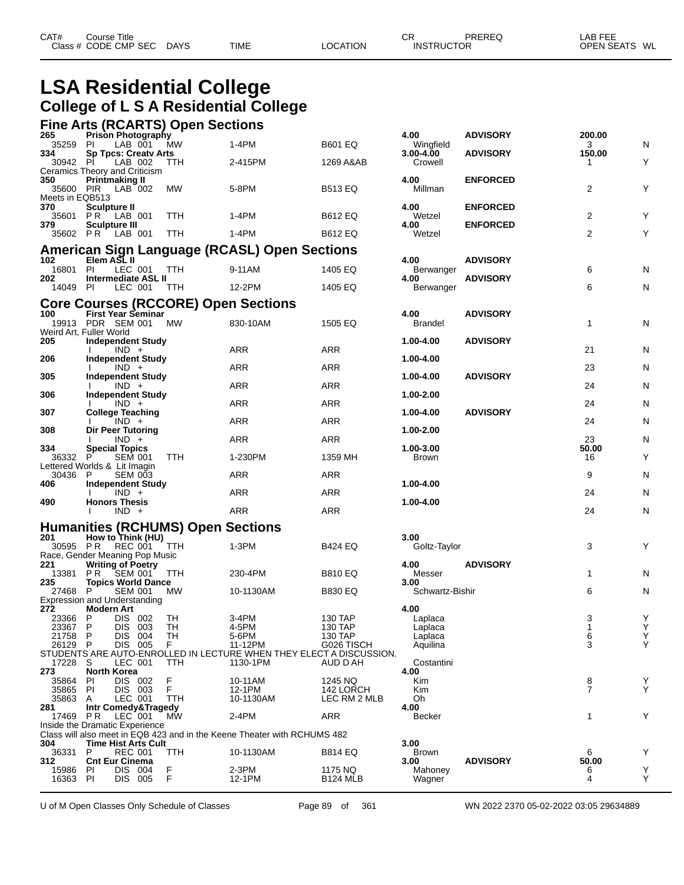## **LSA Residential College College of L S A Residential College**

#### **Fine Arts (RCARTS) Open Sections**

| 265                    | <b>Prison Photography</b>                                  |                                          |                                                                                |                    | 4.00                      | <b>ADVISORY</b> | 200.00            |        |
|------------------------|------------------------------------------------------------|------------------------------------------|--------------------------------------------------------------------------------|--------------------|---------------------------|-----------------|-------------------|--------|
| 35259<br>334           | PI<br>LAB 001<br><b>Sp Tpcs: Creatv Arts</b>               | MW                                       | 1-4PM                                                                          | <b>B601 EQ</b>     | Wingfield<br>3.00-4.00    | <b>ADVISORY</b> | 3<br>150.00       | N      |
| 30942 PI               | LAB 002                                                    | TTH                                      | 2-415PM                                                                        | 1269 A&AB          | Crowell                   |                 | 1                 | Y      |
| 350                    | Ceramics Theory and Criticism<br><b>Printmaking II</b>     |                                          |                                                                                |                    | 4.00                      | <b>ENFORCED</b> |                   |        |
| 35600 PIR              | LAB 002                                                    | MW                                       | 5-8PM                                                                          | <b>B513 EQ</b>     | Millman                   |                 | 2                 | Y      |
| Meets in EQB513<br>370 | Sculpture II                                               |                                          |                                                                                |                    | 4.00                      | <b>ENFORCED</b> |                   |        |
| 35601                  | <b>PR</b> LAB 001                                          | TTH                                      | 1-4PM                                                                          | <b>B612 EQ</b>     | Wetzel                    |                 | 2                 | Y      |
| 379                    | <b>Sculpture III</b><br>35602 PR LAB 001                   | <b>TTH</b>                               | 1-4PM                                                                          | <b>B612 EQ</b>     | 4.00<br>Wetzel            | <b>ENFORCED</b> | 2                 | Y      |
|                        |                                                            |                                          |                                                                                |                    |                           |                 |                   |        |
| 102                    | Elem ASL II                                                |                                          | <b>American Sign Language (RCASL) Open Sections</b>                            |                    | 4.00                      | <b>ADVISORY</b> |                   |        |
| 16801                  | <b>PI</b><br>LEC 001                                       | TTH                                      | 9-11AM                                                                         | 1405 EQ            | Berwanger                 |                 | 6                 | N      |
| 202<br>14049 PI        | <b>Intermediate ASL II</b><br>LEC 001                      |                                          | 12-2PM                                                                         | 1405 EQ            | 4.00<br>Berwanger         | <b>ADVISORY</b> | 6                 | N      |
|                        |                                                            | TTH                                      |                                                                                |                    |                           |                 |                   |        |
| 100                    |                                                            |                                          | <b>Core Courses (RCCORE) Open Sections</b>                                     |                    | 4.00                      |                 |                   |        |
|                        | <b>First Year Seminar</b><br>19913 PDR SEM 001             | МW                                       | 830-10AM                                                                       | 1505 EQ            | <b>Brandel</b>            | <b>ADVISORY</b> | $\mathbf 1$       | N      |
|                        | Weird Art, Fuller World                                    |                                          |                                                                                |                    |                           |                 |                   |        |
| 205                    | <b>Independent Study</b><br>$IND +$                        |                                          | ARR                                                                            | ARR                | 1.00-4.00                 | <b>ADVISORY</b> | 21                | N      |
| 206                    | <b>Independent Study</b>                                   |                                          |                                                                                |                    | 1.00-4.00                 |                 |                   |        |
| 305                    | $IND +$<br><b>Independent Study</b>                        |                                          | ARR                                                                            | ARR                | 1.00-4.00                 | <b>ADVISORY</b> | 23                | N      |
|                        | $IND +$                                                    |                                          | ARR                                                                            | ARR                |                           |                 | 24                | N      |
| 306                    | Independent Study<br>$IND +$                               |                                          | ARR                                                                            | ARR                | 1.00-2.00                 |                 | 24                | N      |
| 307                    | <b>College Teaching</b>                                    |                                          |                                                                                |                    | 1.00-4.00                 | <b>ADVISORY</b> |                   |        |
| 308                    | $IND +$<br>Dir Peer Tutoring                               |                                          | ARR                                                                            | <b>ARR</b>         | 1.00-2.00                 |                 | 24                | N      |
|                        | $IND +$                                                    |                                          | ARR                                                                            | ARR                |                           |                 | 23                | N      |
| 334<br>36332 P         | <b>Special Topics</b><br><b>SEM 001</b>                    | TTH                                      | 1-230PM                                                                        | 1359 MH            | 1.00-3.00<br><b>Brown</b> |                 | 50.00<br>16       | Y      |
|                        | Lettered Worlds & Lit Imagin                               |                                          |                                                                                |                    |                           |                 |                   |        |
| 30436<br>406           | P<br><b>SEM 003</b><br><b>Independent Study</b>            |                                          | ARR                                                                            | ARR                | 1.00-4.00                 |                 | 9                 | N      |
|                        | $IND +$                                                    |                                          | ARR                                                                            | ARR                |                           |                 | 24                | N      |
| 490                    | <b>Honors Thesis</b><br>$IND +$                            |                                          | ARR                                                                            | ARR                | 1.00-4.00                 |                 | 24                | N      |
|                        |                                                            |                                          |                                                                                |                    |                           |                 |                   |        |
| 201                    | How to Think (HU)                                          | <b>Humanities (RCHUMS) Open Sections</b> |                                                                                |                    | 3.00                      |                 |                   |        |
|                        | 30595 PR REC 001                                           | TTH                                      | $1-3PM$                                                                        | <b>B424 EQ</b>     | Goltz-Taylor              |                 | 3                 | Y      |
| 221                    | Race, Gender Meaning Pop Music<br><b>Writing of Poetry</b> |                                          |                                                                                |                    | 4.00                      | <b>ADVISORY</b> |                   |        |
| 13381                  | SEM 001<br>PR                                              | TTH                                      | 230-4PM                                                                        | <b>B810 EQ</b>     | Messer                    |                 | $\mathbf{1}$      | N      |
| 235<br>27468 P         | <b>Topics World Dance</b><br><b>SEM 001</b>                |                                          |                                                                                | <b>B830 EQ</b>     | 3.00<br>Schwartz-Bishir   |                 | 6                 |        |
|                        | <b>Expression and Understanding</b>                        | МW                                       | 10-1130AM                                                                      |                    |                           |                 |                   | N      |
| 272                    | <b>Modern Art</b>                                          |                                          |                                                                                |                    | 4.00                      |                 |                   |        |
| 23366<br>23367         | P<br>DIS 002<br>P<br>DIS 003                               | TН<br>TH                                 | 3-4PM<br>4-5PM                                                                 | 130 TAP<br>130 TAP | Laplaca<br>Laplaca        |                 | 3<br>$\mathbf{1}$ | Y<br>Y |
| 21758 P                | DIS 004                                                    | -I H                                     | 5-6PM                                                                          | 130 IAP            | Laplaca                   |                 | 6                 | Y      |
| 26129 P                | DIS 005                                                    | F                                        | 11-12PM<br>STUDENTS ARE AUTO-ENROLLED IN LECTURE WHEN THEY ELECT A DISCUSSION. | G026 TISCH         | Aquilina                  |                 | 3                 | Y      |
| 17228 S                | LEC 001                                                    | TTH                                      | 1130-1PM                                                                       | AUD D AH           | Costantini                |                 |                   |        |
| 273<br>35864           | <b>North Korea</b><br>DIS 002<br>PI                        | F                                        | 10-11AM                                                                        | 1245 NQ            | 4.00<br>Kim               |                 | 8                 | Υ      |
| 35865                  | PI<br>DIS 003                                              | F                                        | 12-1PM                                                                         | 142 LORCH          | Kim                       |                 | $\overline{7}$    | Y      |
| 35863<br>281           | LEC 001<br>A<br>Intr Comedy&Tragedy                        | TTH                                      | 10-1130AM                                                                      | LEC RM 2 MLB       | Oh<br>4.00                |                 |                   |        |
| 17469 PR               | LEC 001                                                    | MW                                       | 2-4PM                                                                          | ARR                | <b>Becker</b>             |                 | $\mathbf{1}$      | Y      |
|                        | Inside the Dramatic Experience                             |                                          | Class will also meet in EQB 423 and in the Keene Theater with RCHUMS 482       |                    |                           |                 |                   |        |
| 304                    | <b>Time Hist Arts Cult</b>                                 |                                          |                                                                                |                    | 3.00                      |                 |                   |        |
| 36331<br>312           | P<br><b>REC 001</b><br><b>Cnt Eur Cinema</b>               | TTH                                      | 10-1130AM                                                                      | <b>B814 EQ</b>     | <b>Brown</b><br>3.00      | <b>ADVISORY</b> | 6<br>50.00        | Y      |
| 15986                  | DIS 004<br>PI.                                             | F                                        | $2-3PM$                                                                        | 1175 NQ            | Mahoney                   |                 | 6                 | Υ      |
| 16363                  | DIS 005<br>PI                                              | F                                        | 12-1PM                                                                         | <b>B124 MLB</b>    | Wagner                    |                 | 4                 | Y      |

U of M Open Classes Only Schedule of Classes Page 89 of 361 WN 2022 2370 05-02-2022 03:05 29634889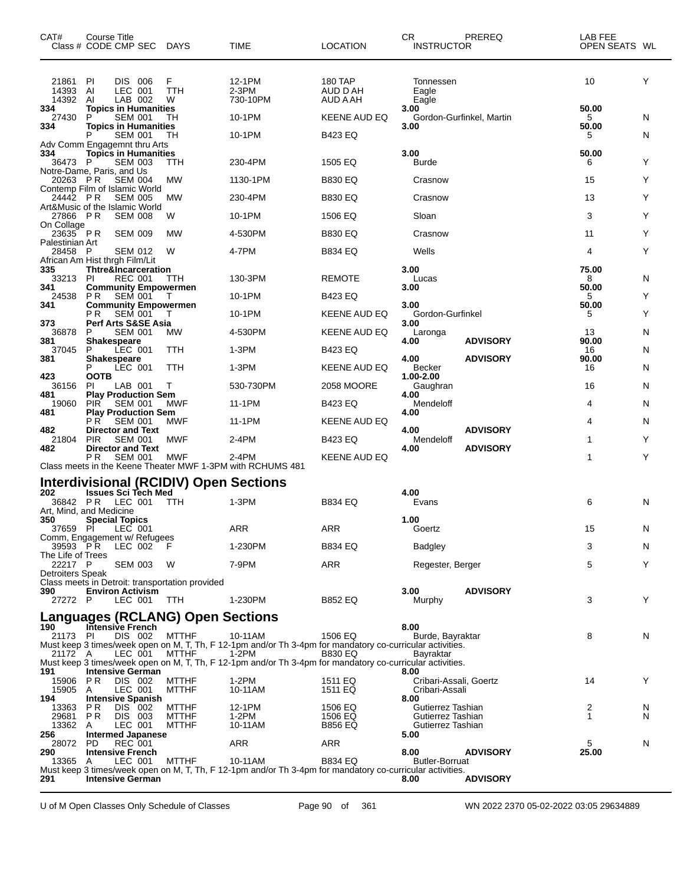| CAT#                          | Course Title<br>Class # CODE CMP SEC DAYS                                     |                              | TIME                                                                                                               | <b>LOCATION</b>                        | CR.<br><b>INSTRUCTOR</b>                 | PREREQ                   | LAB FEE<br>OPEN SEATS WL |   |
|-------------------------------|-------------------------------------------------------------------------------|------------------------------|--------------------------------------------------------------------------------------------------------------------|----------------------------------------|------------------------------------------|--------------------------|--------------------------|---|
| 21861 PI<br>14393 AI<br>14392 | DIS 006<br>LEC 001<br>LAB 002<br>Al                                           | F<br>TTH<br>W                | 12-1PM<br>2-3PM<br>730-10PM                                                                                        | <b>180 TAP</b><br>AUD D AH<br>AUD A AH | Tonnessen<br>Eagle<br>Eagle              |                          | 10                       | Y |
| 334<br>27430                  | <b>Topics in Humanities</b><br>P<br><b>SEM 001</b>                            | TН                           | 10-1PM                                                                                                             | KEENE AUD EQ                           | 3.00                                     | Gordon-Gurfinkel, Martin | 50.00<br>5               | N |
| 334                           | <b>Topics in Humanities</b><br><b>SEM 001</b>                                 | TН                           | 10-1PM                                                                                                             | <b>B423 EQ</b>                         | 3.00                                     |                          | 50.00<br>5               | N |
| 334<br>36473 P                | Adv Comm Engagemnt thru Arts<br><b>Topics in Humanities</b><br><b>SEM 003</b> | TTH                          | 230-4PM                                                                                                            | 1505 EQ                                | 3.00<br>Burde                            |                          | 50.00<br>6               | Y |
| 20263 PR                      | Notre-Dame, Paris, and Us<br><b>SEM 004</b>                                   | MW                           | 1130-1PM                                                                                                           | <b>B830 EQ</b>                         | Crasnow                                  |                          | 15                       | Υ |
| 24442 PR                      | Contemp Film of Islamic World<br><b>SEM 005</b>                               | МW                           | 230-4PM                                                                                                            | <b>B830 EQ</b>                         | Crasnow                                  |                          | 13                       | Y |
| 27866 PR                      | Art&Music of the Islamic World<br><b>SEM 008</b>                              | W                            | 10-1PM                                                                                                             | 1506 EQ                                | Sloan                                    |                          | 3                        | Y |
| On Collage<br>23635 PR        | <b>SEM 009</b>                                                                | MW                           | 4-530PM                                                                                                            | <b>B830 EQ</b>                         | Crasnow                                  |                          | 11                       | Y |
| Palestinian Art<br>28458 P    | <b>SEM 012</b>                                                                | W                            | 4-7PM                                                                                                              | <b>B834 EQ</b>                         | Wells                                    |                          | 4                        | Y |
| 335                           | African Am Hist thrgh Film/Lit<br><b>Thtre&amp;Incarceration</b>              |                              |                                                                                                                    |                                        | 3.00                                     |                          | 75.00                    |   |
| 33213<br>341                  | PI<br><b>REC 001</b><br><b>Community Empowermen</b>                           | ттн                          | 130-3PM                                                                                                            | <b>REMOTE</b>                          | Lucas<br>3.00                            |                          | 8<br>50.00               | N |
| 24538<br>341                  | <b>SEM 001</b><br>P <sub>R</sub><br><b>Community Empowermen</b>               | т                            | 10-1PM                                                                                                             | <b>B423 EQ</b>                         | 3.00                                     |                          | 5<br>50.00               | Y |
| 373                           | <b>SEM 001</b><br>P R<br><b>Perf Arts S&amp;SE Asia</b>                       | T                            | 10-1PM                                                                                                             | KEENE AUD EQ                           | Gordon-Gurfinkel<br>3.00                 |                          | 5                        | Y |
| 36878<br>381                  | P<br><b>SEM 001</b><br><b>Shakespeare</b>                                     | МW                           | 4-530PM                                                                                                            | KEENE AUD EQ                           | Laronga<br>4.00                          | <b>ADVISORY</b>          | 13<br>90.00              | N |
| 37045                         | P<br>LEC 001<br>Shakespeare                                                   | TTH                          | 1-3PM                                                                                                              | <b>B423 EQ</b>                         |                                          |                          | 16                       | N |
| 381                           | P<br>LEC 001                                                                  | TTH                          | 1-3PM                                                                                                              | KEENE AUD EQ                           | 4.00<br>Becker                           | <b>ADVISORY</b>          | 90.00<br>16              | N |
| 423<br>36156                  | <b>OOTB</b><br>ΡI<br>LAB 001                                                  | Т                            | 530-730PM                                                                                                          | 2058 MOORE                             | 1.00-2.00<br>Gaughran                    |                          | 16                       | N |
| 481<br>19060                  | <b>Play Production Sem</b><br><b>PIR</b><br>SEM 001                           | MWF                          | 11-1PM                                                                                                             | B423 EQ                                | 4.00<br>Mendeloff                        |                          | 4                        | N |
| 481                           | <b>Play Production Sem</b><br>P R<br>SEM 001                                  | MWF                          | 11-1PM                                                                                                             | KEENE AUD EQ                           | 4.00                                     |                          | 4                        | N |
| 482<br>21804                  | <b>Director and Text</b><br><b>PIR</b><br><b>SEM 001</b>                      | MWF                          | 2-4PM                                                                                                              | <b>B423 EQ</b>                         | 4.00<br>Mendeloff                        | <b>ADVISORY</b>          | 1                        | Y |
| 482                           | <b>Director and Text</b><br><b>SEM 001</b><br>P R                             | MWF                          | 2-4PM<br>Class meets in the Keene Theater MWF 1-3PM with RCHUMS 481                                                | <b>KEENE AUD EQ</b>                    | 4.00                                     | <b>ADVISORY</b>          | 1                        | Υ |
|                               | Interdivisional (RCIDIV) Open Sections                                        |                              |                                                                                                                    |                                        |                                          |                          |                          |   |
| 202<br>36842 PR               | <b>Issues Sci Tech Med</b><br>LEC 001                                         | ттн                          | 1-3PM                                                                                                              | <b>B834 EQ</b>                         | 4.00<br>Evans                            |                          | 6                        | N |
|                               | Art, Mind, and Medicine                                                       |                              |                                                                                                                    |                                        |                                          |                          |                          |   |
| 350                           | <b>Special Topics</b><br>37659 PI LEC 001                                     |                              | <b>ARR</b>                                                                                                         | ARR                                    | 1.00<br>Goertz                           |                          | 15                       | N |
| 39593 PR                      | Comm, Engagement w/ Refugees<br>LEC 002                                       | - F                          | 1-230PM                                                                                                            | <b>B834 EQ</b>                         | Badgley                                  |                          | 3                        | N |
| The Life of Trees<br>22217 P  | SEM 003                                                                       | - W                          | 7-9PM                                                                                                              | ARR                                    | Regester, Berger                         |                          | 5                        | Y |
| <b>Detroiters Speak</b>       | Class meets in Detroit: transportation provided                               |                              |                                                                                                                    |                                        |                                          |                          |                          |   |
| 390<br>27272 P                | <b>Environ Activism</b><br>LEC 001                                            | TTH                          | 1-230PM                                                                                                            | <b>B852 EQ</b>                         | 3.00<br>Murphy                           | <b>ADVISORY</b>          | 3                        | Y |
|                               | <b>Languages (RCLANG) Open Sections</b>                                       |                              |                                                                                                                    |                                        |                                          |                          |                          |   |
| 190<br>21173 PI               | Intensive French<br>DIS 002                                                   | MTTHF                        | 10-11AM                                                                                                            | 1506 EQ                                | 8.00<br>Burde, Bayraktar                 |                          | 8                        | N |
| 21172 A                       | LEC 001                                                                       | <b>MTTHF</b>                 | Must keep 3 times/week open on M, T, Th, F 12-1pm and/or Th 3-4pm for mandatory co-curricular activities.<br>1-2PM | <b>B830 EQ</b>                         | Bayraktar                                |                          |                          |   |
| 191                           | <b>Intensive German</b>                                                       |                              | Must keep 3 times/week open on M, T, Th, F 12-1pm and/or Th 3-4pm for mandatory co-curricular activities.          |                                        | 8.00                                     |                          |                          |   |
| 15906 PR<br>15905 A           | DIS 002<br>LEC 001                                                            | <b>MTTHF</b><br><b>MTTHF</b> | 1-2PM<br>10-11AM                                                                                                   | 1511 EQ<br>1511 EQ                     | Cribari-Assali, Goertz<br>Cribari-Assali |                          | 14                       | Y |
| 194<br>13363                  | <b>Intensive Spanish</b><br>P R<br>DIS 002                                    | MTTHF                        | 12-1PM                                                                                                             | 1506 EQ                                | 8.00<br>Gutierrez Tashian                |                          | 2                        | N |
| 29681 PR<br>13362 A           | DIS 003<br>LEC 001                                                            | MTTHF<br><b>MTTHF</b>        | 1-2PM<br>10-11AM                                                                                                   | 1506 EQ<br><b>B856 EQ</b>              | Gutierrez Tashian<br>Gutierrez Tashian   |                          | 1                        | N |
| 256<br>28072 PD               | Intermed Japanese<br><b>REC 001</b>                                           |                              | ARR                                                                                                                | ARR                                    | 5.00                                     |                          | 5                        | N |
| 290<br>13365 A                | <b>Intensive French</b><br>LEC 001                                            | <b>MTTHF</b>                 | 10-11AM                                                                                                            | <b>B834 EQ</b>                         | 8.00<br><b>Butler-Borruat</b>            | <b>ADVISORY</b>          | 25.00                    |   |
| 291                           | <b>Intensive German</b>                                                       |                              | Must keep 3 times/week open on M, T, Th, F 12-1pm and/or Th 3-4pm for mandatory co-curricular activities.          |                                        | 8.00                                     | <b>ADVISORY</b>          |                          |   |
|                               |                                                                               |                              |                                                                                                                    |                                        |                                          |                          |                          |   |

U of M Open Classes Only Schedule of Classes Page 90 of 361 WN 2022 2370 05-02-2022 03:05 29634889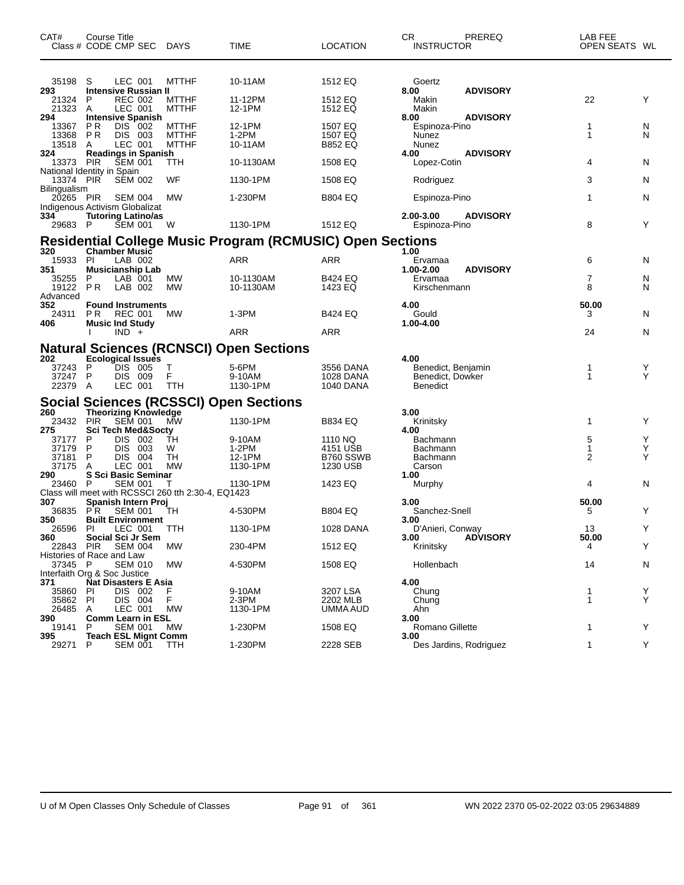| CAT#                                    | Course Title<br>Class # CODE CMP SEC DAYS                                                     |                                       | <b>TIME</b>                                                      | <b>LOCATION</b>                              | CR<br>PREREQ<br><b>INSTRUCTOR</b>                                 | LAB FEE<br>OPEN SEATS WL |             |
|-----------------------------------------|-----------------------------------------------------------------------------------------------|---------------------------------------|------------------------------------------------------------------|----------------------------------------------|-------------------------------------------------------------------|--------------------------|-------------|
| 35198 S                                 | LEC 001                                                                                       | <b>MTTHF</b>                          | 10-11AM                                                          | 1512 EQ                                      | Goertz                                                            |                          |             |
| 293<br>21324<br>21323                   | <b>Intensive Russian II</b><br><b>REC 002</b><br>P<br>LEC 001<br>A                            | <b>MTTHF</b><br><b>MTTHF</b>          | 11-12PM<br>12-1PM                                                | 1512 EQ<br>1512 EQ                           | <b>ADVISORY</b><br>8.00<br>Makin<br>Makin                         | 22                       | Y           |
| 294<br>13367<br>13368 PR<br>13518       | <b>Intensive Spanish</b><br>DIS 002<br>P R<br>DIS 003<br>LEC 001<br>A                         | MTTHF<br><b>MTTHF</b><br><b>MTTHF</b> | 12-1PM<br>1-2PM<br>10-11AM                                       | 1507 EQ<br>1507 EQ<br><b>B852 EQ</b>         | 8.00<br><b>ADVISORY</b><br>Espinoza-Pino<br>Nunez<br>Nunez        | 1<br>1                   | N<br>N      |
| 324<br>13373 PIR                        | <b>Readings in Spanish</b><br><b>SEM 001</b>                                                  | TTH                                   | 10-1130AM                                                        | 1508 EQ                                      | 4.00<br><b>ADVISORY</b><br>Lopez-Cotin                            | 4                        | N           |
| 13374 PIR                               | National Identity in Spain<br><b>SEM 002</b>                                                  | WF                                    | 1130-1PM                                                         | 1508 EQ                                      | Rodriguez                                                         | 3                        | N           |
| Bilingualism<br>20265 PIR               | <b>SEM 004</b>                                                                                | МW                                    | 1-230PM                                                          | <b>B804 EQ</b>                               | Espinoza-Pino                                                     | 1                        | N           |
| 334<br>29683 P                          | Indigenous Activism Globalizat<br><b>Tutoring Latino/as</b><br><b>SEM 001</b>                 | - W                                   | 1130-1PM                                                         | 1512 EQ                                      | 2.00-3.00<br><b>ADVISORY</b><br>Espinoza-Pino                     | 8                        | Y           |
|                                         |                                                                                               |                                       | <b>Residential College Music Program (RCMUSIC) Open Sections</b> |                                              |                                                                   |                          |             |
| 320<br>15933<br>351                     | <b>Chamber Music</b><br>LAB 002<br>PI<br><b>Musicianship Lab</b>                              |                                       | ARR                                                              | ARR                                          | 1.00<br>Ervamaa<br>1.00-2.00<br><b>ADVISORY</b>                   | 6                        | N           |
| 35255<br>19122                          | P<br>LAB 001<br>P <sub>R</sub><br>LAB 002                                                     | МW<br><b>MW</b>                       | 10-1130AM<br>10-1130AM                                           | <b>B424 EQ</b><br>1423 EQ                    | Ervamaa<br>Kirschenmann                                           | 7<br>8                   | N<br>N      |
| Advanced<br>352<br>24311                | <b>Found Instruments</b><br>REC 001<br>PR.                                                    | <b>MW</b>                             | 1-3PM                                                            | B424 EQ                                      | 4.00<br>Gould                                                     | 50.00<br>3               | N           |
| 406                                     | <b>Music Ind Study</b><br>$IND +$                                                             |                                       | <b>ARR</b>                                                       | <b>ARR</b>                                   | 1.00-4.00                                                         | 24                       | N           |
|                                         |                                                                                               |                                       | <b>Natural Sciences (RCNSCI) Open Sections</b>                   |                                              |                                                                   |                          |             |
| 202<br>37243 P<br>37247 P<br>22379 A    | <b>Ecological Issues</b><br>DIS 005<br>DIS 009<br>LEC 001                                     | Τ<br>F<br>TTH                         | 5-6PM<br>9-10AM<br>1130-1PM                                      | 3556 DANA<br>1028 DANA<br>1040 DANA          | 4.00<br>Benedict, Benjamin<br>Benedict, Dowker<br><b>Benedict</b> | 1<br>1                   | Y<br>Υ      |
| 260                                     | <b>Social Sciences (RCSSCI) Open Sections</b><br><b>Theorizing Knowledge</b>                  |                                       |                                                                  |                                              | 3.00                                                              |                          |             |
| 23432 PIR                               | SEM 001                                                                                       | МW                                    | 1130-1PM                                                         | <b>B834 EQ</b>                               | Krinitsky                                                         | 1                        | Y           |
| 275<br>37177<br>37179<br>37181<br>37175 | <b>Sci Tech Med&amp;Socty</b><br>P<br>DIS 002<br>P<br>DIS 003<br>P<br>DIS 004<br>LEC 001<br>A | TН<br>W<br>TH<br><b>MW</b>            | 9-10AM<br>$1-2PM$<br>12-1PM<br>1130-1PM                          | 1110 NQ<br>4151 USB<br>B760 SSWB<br>1230 USB | 4.00<br>Bachmann<br>Bachmann<br><b>Bachmann</b><br>Carson         | 5<br>1<br>2              | Y<br>Υ<br>Y |
| 290<br>23460 P                          | S Sci Basic Seminar<br><b>SEM 001</b><br>Class will meet with RCSSCI 260 tth 2:30-4, EQ1423   | т                                     | 1130-1PM                                                         | 1423 EQ                                      | 1.00<br>Murphy                                                    | 4                        | N           |
| 307<br>350                              | Spanish Intern Proj<br>36835 PR SEM 001<br><b>Built Environment</b>                           | TH                                    | 4-530PM                                                          | <b>B804 EQ</b>                               | 3.00<br>Sanchez-Snell<br>3.00                                     | 50.00<br>5               | Y           |
| 26596 PI<br>360                         | <b>LEC 001</b><br>Social Sci Jr Sem                                                           | <b>TTH</b>                            | 1130-1PM                                                         | 1028 DANA                                    | D'Anieri, Conway<br><b>ADVISORY</b><br>3.00                       | 13<br>50.00              |             |
| 22843 PIR                               | <b>SEM 004</b><br>Histories of Race and Law                                                   | MW                                    | 230-4PM                                                          | 1512 EQ                                      | Krinitsky                                                         | 4                        | Y           |
| 37345                                   | <b>SEM 010</b><br>- P<br>Interfaith Org & Soc Justice                                         | МW                                    | 4-530PM                                                          | 1508 EQ                                      | Hollenbach                                                        | 14                       | N           |
| 371<br>35860                            | <b>Nat Disasters E Asia</b><br>PI<br>DIS 002                                                  |                                       | 9-10AM                                                           | 3207 LSA                                     | 4.00<br>Chung                                                     | 1                        | Y           |
| 35862<br>26485                          | PI<br>DIS 004<br>LEC 001<br>A                                                                 | F.<br><b>MW</b>                       | 2-3PM<br>1130-1PM                                                | 2202 MLB<br>UMMA AUD                         | Chung<br>Ahn                                                      | 1                        | Y           |
| 390<br>19141                            | <b>Comm Learn in ESL</b><br><b>SEM 001</b><br>P                                               | МW                                    | 1-230PM                                                          | 1508 EQ                                      | 3.00<br>Romano Gillette                                           | 1                        | Y           |
| 395<br>29271                            | <b>Teach ESL Mignt Comm</b><br><b>SEM 001</b><br>P                                            | TTH                                   | 1-230PM                                                          | 2228 SEB                                     | 3.00<br>Des Jardins, Rodriguez                                    | 1                        | Y           |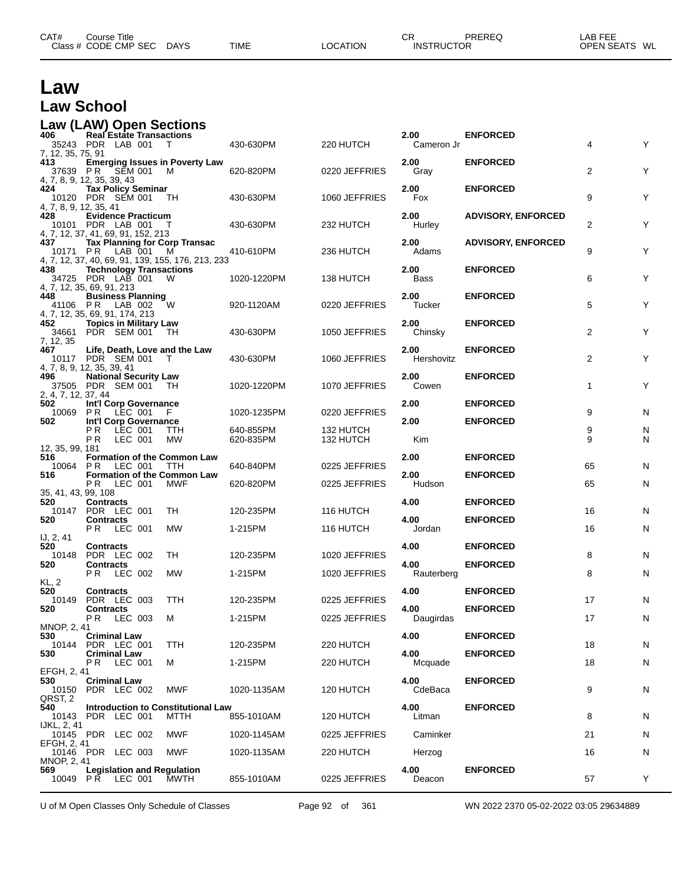| CAT#<br>Class $#$ | ourse Titleٽ<br>CODE CMP<br>SEC | <b>DAYS</b> | <b>TIME</b> | <b>LOCATION</b> | $\cap$<br>◡ጙ<br><b>INSTRUCTOR</b> | PREREQ | LAB FEF<br><b>OPEN SEATS</b> | WL |
|-------------------|---------------------------------|-------------|-------------|-----------------|-----------------------------------|--------|------------------------------|----|
|                   |                                 |             |             |                 |                                   |        |                              |    |

#### **Law Law School**

#### **Law (LAW) Open Sections**

| 406<br>7, 12, 35, 75, 91      | <b>Real Estate Transactions</b><br>35243 PDR LAB 001                                                          | $\top$      | 430-630PM              | 220 HUTCH              | 2.00<br>Cameron Jr  | <b>ENFORCED</b>                    | 4              | Υ      |
|-------------------------------|---------------------------------------------------------------------------------------------------------------|-------------|------------------------|------------------------|---------------------|------------------------------------|----------------|--------|
| 413                           | <b>Emerging Issues in Poverty Law</b><br>37639 PR SEM 001<br>4, 7, 8, 9, 12, 35, 39, 43                       | M           | 620-820PM              | 0220 JEFFRIES          | 2.00<br>Gray        | <b>ENFORCED</b>                    | $\overline{2}$ | Υ      |
| 424<br>4, 7, 8, 9, 12, 35, 41 | <b>Tax Policy Seminar</b><br>10120 PDR SEM 001                                                                | TH.         | 430-630PM              | 1060 JEFFRIES          | 2.00<br>Fox         | <b>ENFORCED</b>                    | 9              | Υ      |
| 428                           | <b>Evidence Practicum</b><br>10101 PDR LAB 001<br>4, 7, 12, 37, 41, 69, 91, 152, 213                          | $\top$      | 430-630PM              | 232 HUTCH              | 2.00<br>Hurley      | <b>ADVISORY, ENFORCED</b>          | 2              | Υ      |
| 437                           | <b>Tax Planning for Corp Transac</b><br>10171 PR LAB 001<br>4, 7, 12, 37, 40, 69, 91, 139, 155, 176, 213, 233 | M           | 410-610PM              | 236 HUTCH              | 2.00<br>Adams       | <b>ADVISORY, ENFORCED</b>          | 9              | Υ      |
| 438                           | <b>Technology Transactions</b><br>34725 PDR LAB 001<br>4, 7, 12, 35, 69, 91, 213                              | W           | 1020-1220PM            | 138 HUTCH              | 2.00<br><b>Bass</b> | <b>ENFORCED</b>                    | 6              | Υ      |
| 448                           | <b>Business Planning</b><br>41106 PR LAB 002<br>4, 7, 12, 35, 69, 91, 174, 213                                | 'W          | 920-1120AM             | 0220 JEFFRIES          | 2.00<br>Tucker      | <b>ENFORCED</b>                    | 5              | Υ      |
| 452<br>34661<br>7, 12, 35     | <b>Topics in Military Law</b><br>PDR SEM 001                                                                  | TH          | 430-630PM              | 1050 JEFFRIES          | 2.00<br>Chinsky     | <b>ENFORCED</b>                    | 2              | Υ      |
| 467                           | Life, Death, Love and the Law<br>10117 PDR SEM 001<br>4, 7, 8, 9, 12, 35, 39, 41                              | T           | 430-630PM              | 1060 JEFFRIES          | 2.00<br>Hershovitz  | <b>ENFORCED</b>                    | 2              | Υ      |
| 496<br>2, 4, 7, 12, 37, 44    | <b>National Security Law</b><br>37505 PDR SEM 001                                                             | - TH        | 1020-1220PM            | 1070 JEFFRIES          | 2.00<br>Cowen       | <b>ENFORCED</b>                    | 1              | Υ      |
| 502<br>502                    | Int'l Corp Governance<br>10069 PR LEC 001<br>Int'l Corp Governance                                            | -F          | 1020-1235PM            | 0220 JEFFRIES          | 2.00<br>2.00        | <b>ENFORCED</b><br><b>ENFORCED</b> | 9              | N      |
| 12, 35, 99, 181               | LEC 001<br>РR<br>P R<br>LEC 001                                                                               | TTH<br>МW   | 640-855PM<br>620-835PM | 132 HUTCH<br>132 HUTCH | Kim                 |                                    | 9<br>9         | N<br>N |
| 516<br>10064 PR               | <b>Formation of the Common Law</b><br>LEC 001                                                                 | TTH         | 640-840PM              | 0225 JEFFRIES          | 2.00                | <b>ENFORCED</b>                    | 65             | N      |
| 516<br>35, 41, 43, 99, 108    | <b>Formation of the Common Law</b><br>LEC 001<br>P R                                                          | <b>MWF</b>  | 620-820PM              | 0225 JEFFRIES          | 2.00<br>Hudson      | <b>ENFORCED</b>                    | 65             | N      |
| 520                           | <b>Contracts</b><br>10147 PDR LEC 001                                                                         | TH          | 120-235PM              | 116 HUTCH              | 4.00                | <b>ENFORCED</b>                    | 16             | N      |
| 520                           | <b>Contracts</b><br>LEC 001<br>PR.                                                                            | <b>MW</b>   | 1-215PM                | 116 HUTCH              | 4.00<br>Jordan      | <b>ENFORCED</b>                    | 16             | N      |
| IJ, 2, 41<br>520              | <b>Contracts</b>                                                                                              |             |                        |                        | 4.00                | <b>ENFORCED</b>                    |                |        |
| 10148<br>520                  | PDR LEC 002<br><b>Contracts</b>                                                                               | TH          | 120-235PM              | 1020 JEFFRIES          | 4.00                | <b>ENFORCED</b>                    | 8              | N      |
| KL, 2                         | LEC 002<br>PR.                                                                                                | <b>MW</b>   | 1-215PM                | 1020 JEFFRIES          | Rauterberg          |                                    | 8              | N      |
| 520                           | <b>Contracts</b><br>10149 PDR LEC 003                                                                         | TTH         | 120-235PM              | 0225 JEFFRIES          | 4.00                | <b>ENFORCED</b>                    | 17             | N      |
| 520                           | <b>Contracts</b><br>LEC 003<br>PR.                                                                            | М           | 1-215PM                | 0225 JEFFRIES          | 4.00<br>Daugirdas   | <b>ENFORCED</b>                    | 17             | N      |
| MNOP, 2, 41<br>530            | <b>Criminal Law</b>                                                                                           |             |                        |                        | 4.00                | <b>ENFORCED</b>                    |                |        |
| 10144<br>530                  | PDR LEC 001<br><b>Criminal Law</b>                                                                            | TTH         | 120-235PM              | 220 HUTCH              | 4.00                | <b>ENFORCED</b>                    | 18             | N      |
|                               | <b>PR LEC 001</b>                                                                                             | м           | 1-215PM                | 220 HUTCH              | Mcquade             |                                    | 18             | Ν      |
| EFGH, 2, 41<br>530            | <b>Criminal Law</b>                                                                                           |             |                        |                        | 4.00                | <b>ENFORCED</b>                    |                |        |
| QRST, 2                       | 10150 PDR LEC 002                                                                                             | MWF         | 1020-1135AM            | 120 HUTCH              | CdeBaca             |                                    | 9              | N      |
| 540                           | <b>Introduction to Constitutional Law</b><br>10143 PDR LEC 001                                                | <b>MTTH</b> | 855-1010AM             | 120 HUTCH              | 4.00<br>Litman      | <b>ENFORCED</b>                    | 8              | N      |
| IJKL, 2, 41                   | 10145 PDR LEC 002                                                                                             | MWF         | 1020-1145AM            | 0225 JEFFRIES          | Caminker            |                                    | 21             | N      |
| EFGH, 2, 41                   | 10146 PDR LEC 003                                                                                             | MWF         | 1020-1135AM            | 220 HUTCH              | Herzog              |                                    | 16             | N      |
| MNOP, 2, 41<br>569            | <b>Legislation and Regulation</b><br>10049 PR LEC 001                                                         | MWTH        | 855-1010AM             | 0225 JEFFRIES          | 4.00<br>Deacon      | <b>ENFORCED</b>                    | 57             | Y      |

U of M Open Classes Only Schedule of Classes Page 92 of 361 WN 2022 2370 05-02-2022 03:05 29634889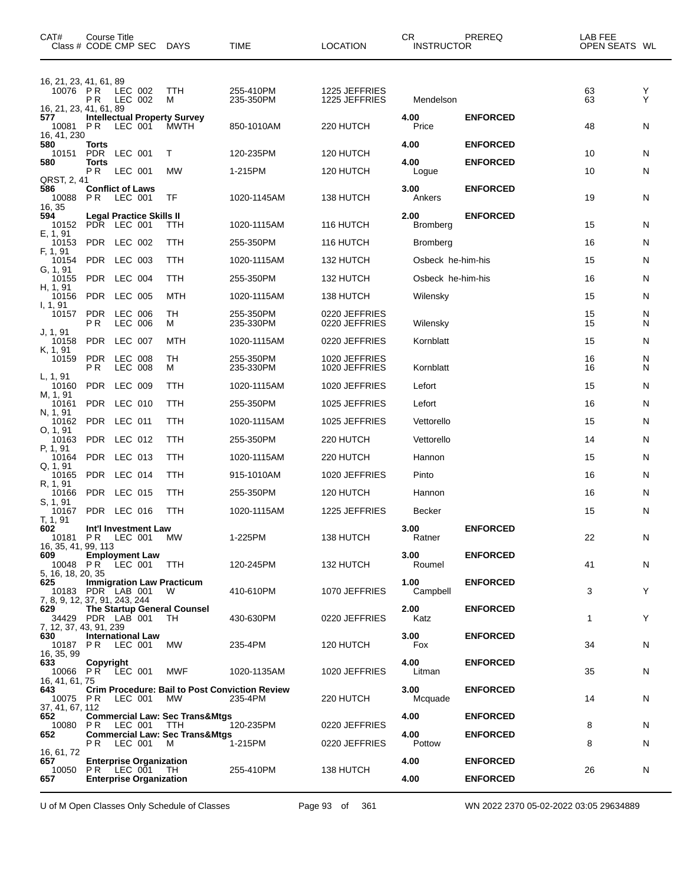| CAT#<br>Class # CODE CMP SEC DAYS                         | Course Title                   |                    |                                                                                   |                                                  | TIME                                                             | <b>LOCATION</b>                | CR<br><b>INSTRUCTOR</b> | PREREQ                             | LAB FEE<br>OPEN SEATS WL |        |
|-----------------------------------------------------------|--------------------------------|--------------------|-----------------------------------------------------------------------------------|--------------------------------------------------|------------------------------------------------------------------|--------------------------------|-------------------------|------------------------------------|--------------------------|--------|
| 16, 21, 23, 41, 61, 89<br>10076<br>16, 21, 23, 41, 61, 89 | $^{\circ}$ P R<br>P R          | LEC 002<br>LEC 002 |                                                                                   | TTH<br>м                                         | 255-410PM<br>235-350PM                                           | 1225 JEFFRIES<br>1225 JEFFRIES | Mendelson               |                                    | 63<br>63                 | Y<br>Υ |
| 577<br>10081<br>16, 41, 230                               | P R                            | LEC 001            |                                                                                   | <b>Intellectual Property Survey</b><br>MWTH      | 850-1010AM                                                       | 220 HUTCH                      | 4.00<br>Price           | <b>ENFORCED</b>                    | 48                       | N      |
| 580<br>10151                                              | Torts<br>PDR                   | LEC 001            |                                                                                   | Т                                                | 120-235PM                                                        | 120 HUTCH                      | 4.00                    | <b>ENFORCED</b>                    | 10                       | N      |
| 580                                                       | <b>Torts</b><br>PR.            | LEC 001            |                                                                                   | <b>MW</b>                                        | 1-215PM                                                          | 120 HUTCH                      | 4.00<br>Logue           | <b>ENFORCED</b>                    | 10                       | N      |
| QRST, 2, 41<br>586<br>10088<br>16, 35                     | <b>Conflict of Laws</b><br>P R | LEC 001            |                                                                                   | TF                                               | 1020-1145AM                                                      | 138 HUTCH                      | 3.00<br>Ankers          | <b>ENFORCED</b>                    | 19                       | N      |
| 594<br>10152 PDR LEC 001                                  |                                |                    | <b>Legal Practice Skills II</b>                                                   | TTH                                              | 1020-1115AM                                                      | 116 HUTCH                      | 2.00<br><b>Bromberg</b> | <b>ENFORCED</b>                    | 15                       | N      |
| E, 1, 91<br>10153                                         | PDR LEC 002                    |                    |                                                                                   | TTH                                              | 255-350PM                                                        | 116 HUTCH                      | <b>Bromberg</b>         |                                    | 16                       | N      |
| F, 1, 91<br>10154                                         | PDR LEC 003                    |                    |                                                                                   | TTH                                              | 1020-1115AM                                                      | 132 HUTCH                      | Osbeck he-him-his       |                                    | 15                       | N      |
| G, 1, 91<br>10155                                         | PDR LEC 004                    |                    |                                                                                   | TTH                                              | 255-350PM                                                        | 132 HUTCH                      | Osbeck he-him-his       |                                    | 16                       | N      |
| H, 1, 91<br>10156                                         | <b>PDR</b>                     | <b>LEC 005</b>     |                                                                                   | <b>MTH</b>                                       | 1020-1115AM                                                      | 138 HUTCH                      | Wilensky                |                                    | 15                       | N      |
| I, 1, 91<br>10157                                         | PDR.<br>P R                    | LEC 006<br>LEC 006 |                                                                                   | TН<br>м                                          | 255-350PM<br>235-330PM                                           | 0220 JEFFRIES<br>0220 JEFFRIES | Wilensky                |                                    | 15<br>15                 | N<br>N |
| J, 1, 91<br>10158                                         | <b>PDR</b>                     | LEC 007            |                                                                                   | MTH                                              | 1020-1115AM                                                      | 0220 JEFFRIES                  | Kornblatt               |                                    | 15                       | N      |
| K, 1, 91<br>10159<br>L, 1, 91                             | PDR LEC 008<br>P R             | LEC 008            |                                                                                   | TH<br>м                                          | 255-350PM<br>235-330PM                                           | 1020 JEFFRIES<br>1020 JEFFRIES | Kornblatt               |                                    | 16<br>16                 | N<br>N |
| 10160<br>M, 1, 91                                         | PDR LEC 009                    |                    |                                                                                   | TTH                                              | 1020-1115AM                                                      | 1020 JEFFRIES                  | Lefort                  |                                    | 15                       | N      |
| 10161<br>N, 1, 91                                         | PDR LEC 010                    |                    |                                                                                   | TTH                                              | 255-350PM                                                        | 1025 JEFFRIES                  | Lefort                  |                                    | 16                       | N      |
| 10162<br>O, 1, 91                                         | PDR LEC 011                    |                    |                                                                                   | TTH                                              | 1020-1115AM                                                      | 1025 JEFFRIES                  | Vettorello              |                                    | 15                       | N      |
| 10163<br>P, 1, 91                                         | PDR LEC 012                    |                    |                                                                                   | TTH                                              | 255-350PM                                                        | 220 HUTCH                      | Vettorello              |                                    | 14                       | N      |
| 10164<br>Q, 1, 91                                         | PDR LEC 013                    |                    |                                                                                   | TTH                                              | 1020-1115AM                                                      | 220 HUTCH                      | Hannon                  |                                    | 15                       | N      |
| 10165<br>R, 1, 91                                         | PDR LEC 014                    |                    |                                                                                   | TTH                                              | 915-1010AM                                                       | 1020 JEFFRIES                  | Pinto                   |                                    | 16                       | N      |
| 10166<br>S, 1, 91                                         | PDR LEC 015                    |                    |                                                                                   | TTH                                              | 255-350PM                                                        | 120 HUTCH                      | Hannon                  |                                    | 16                       | N      |
| 10167<br>T, 1, 91                                         | PDR LEC 016                    |                    |                                                                                   | TTH                                              | 1020-1115AM                                                      | 1225 JEFFRIES                  | Becker                  |                                    | 15                       | N      |
| 602<br>10181 PR LEC 001 MW<br>16, 35, 41, 99, 113         |                                |                    | Int'l Investment Law                                                              |                                                  | 1-225PM                                                          | 138 HUTCH                      | 3.00<br>Ratner          | <b>ENFORCED</b>                    | 22                       | N      |
| 609<br>10048 PR LEC 001 TTH<br>5, 16, 18, 20, 35          |                                |                    | <b>Employment Law</b>                                                             |                                                  | 120-245PM                                                        | 132 HUTCH                      | 3.00<br>Roumel          | <b>ENFORCED</b>                    | 41                       | N      |
| 625<br>10183 PDR LAB 001<br>7, 8, 9, 12, 37, 91, 243, 244 |                                |                    |                                                                                   | <b>Immigration Law Practicum</b><br>W            | 410-610PM                                                        | 1070 JEFFRIES                  | 1.00<br>Campbell        | <b>ENFORCED</b>                    | 3                        | Y      |
| 629<br>34429 PDR LAB 001<br>7, 12, 37, 43, 91, 239        |                                |                    |                                                                                   | <b>The Startup General Counsel</b><br>TH         | 430-630PM                                                        | 0220 JEFFRIES                  | 2.00<br>Katz            | <b>ENFORCED</b>                    | 1                        | Y      |
| 630<br>10187 PR<br>16, 35, 99                             |                                | LEC 001            | <b>International Law</b>                                                          | МW                                               | 235-4PM                                                          | 120 HUTCH                      | 3.00<br>Fox             | <b>ENFORCED</b>                    | 34                       | N      |
| 633<br>10066 PR LEC 001<br>16, 41, 61, 75                 | Copyright                      |                    |                                                                                   | MWF                                              | 1020-1135AM                                                      | 1020 JEFFRIES                  | 4.00<br>Litman          | <b>ENFORCED</b>                    | 35                       | N      |
| 643<br>10075 PR<br>37, 41, 67, 112                        |                                | LEC 001            |                                                                                   | MW                                               | <b>Crim Procedure: Bail to Post Conviction Review</b><br>235-4PM | 220 HUTCH                      | 3.00<br>Mcquade         | <b>ENFORCED</b>                    | 14                       | N      |
| 652<br>10080                                              | PR LEC 001                     |                    |                                                                                   | <b>Commercial Law: Sec Trans&amp;Mtgs</b><br>TTH | 120-235PM                                                        | 0220 JEFFRIES                  | 4.00                    | <b>ENFORCED</b>                    | 8                        | N      |
| 652                                                       |                                |                    | PR LEC 001 M                                                                      | <b>Commercial Law: Sec Trans&amp;Mtgs</b>        | 1-215PM                                                          | 0220 JEFFRIES                  | 4.00<br>Pottow          | <b>ENFORCED</b>                    | 8                        | N      |
| 16, 61, 72<br>657<br>10050<br>657                         |                                |                    | <b>Enterprise Organization</b><br>PR LEC 001 TH<br><b>Enterprise Organization</b> |                                                  | 255-410PM                                                        | 138 HUTCH                      | 4.00<br>4.00            | <b>ENFORCED</b><br><b>ENFORCED</b> | 26                       | N      |
|                                                           |                                |                    |                                                                                   |                                                  |                                                                  |                                |                         |                                    |                          |        |

U of M Open Classes Only Schedule of Classes Page 93 of 361 WN 2022 2370 05-02-2022 03:05 29634889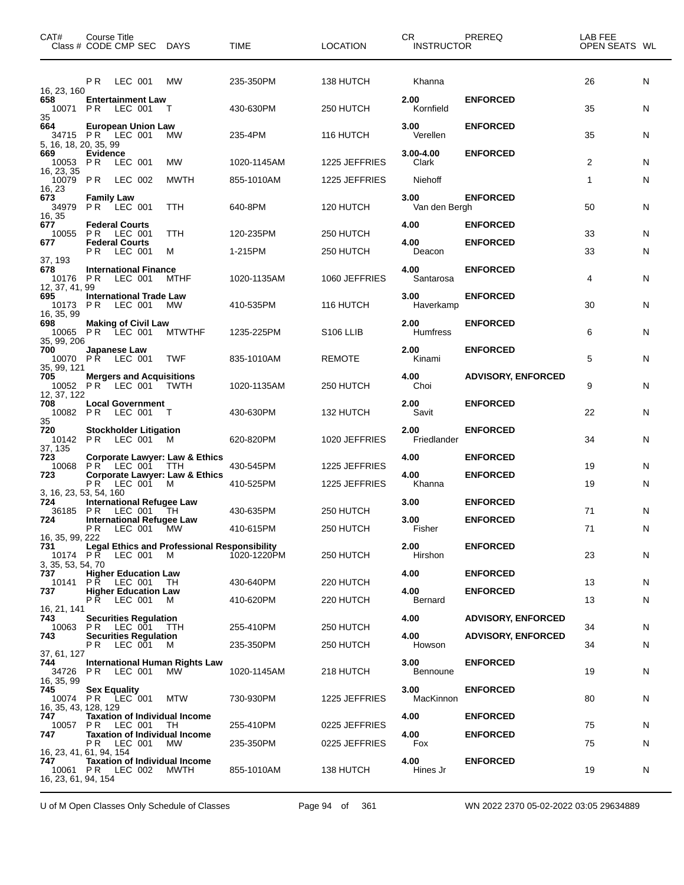| CAT#                                         | Course Title<br>Class # CODE CMP SEC DAYS                                           |               | TIME        | <b>LOCATION</b>       | CR.<br><b>INSTRUCTOR</b> | PREREQ                    | LAB FEE<br>OPEN SEATS WL |   |
|----------------------------------------------|-------------------------------------------------------------------------------------|---------------|-------------|-----------------------|--------------------------|---------------------------|--------------------------|---|
| 16, 23, 160                                  | PR.<br>LEC 001                                                                      | МW            | 235-350PM   | 138 HUTCH             | Khanna                   |                           | 26                       | N |
| 658<br>10071<br>35                           | <b>Entertainment Law</b><br>PR.<br>LEC 001                                          | $\top$        | 430-630PM   | 250 HUTCH             | 2.00<br>Kornfield        | <b>ENFORCED</b>           | 35                       | N |
| 664<br>5, 16, 18, 20, 35, 99                 | <b>European Union Law</b><br>34715 PR LEC 001                                       | МW            | 235-4PM     | 116 HUTCH             | 3.00<br>Verellen         | <b>ENFORCED</b>           | 35                       | N |
| 669<br>10053 PR                              | Evidence<br>LEC 001                                                                 | МW            | 1020-1145AM | 1225 JEFFRIES         | $3.00 - 4.00$<br>Clark   | <b>ENFORCED</b>           | 2                        | N |
| 16, 23, 35<br>10079                          | PR.<br>LEC 002                                                                      | <b>MWTH</b>   | 855-1010AM  | 1225 JEFFRIES         | Niehoff                  |                           | $\mathbf{1}$             | N |
| 16, 23<br>673<br>34979<br>16, 35             | <b>Family Law</b><br>PR LEC 001                                                     | TTH           | 640-8PM     | 120 HUTCH             | 3.00<br>Van den Bergh    | <b>ENFORCED</b>           | 50                       | N |
| 677<br>10055                                 | <b>Federal Courts</b><br><b>PR LEC 001</b>                                          | <b>TTH</b>    | 120-235PM   | 250 HUTCH             | 4.00                     | <b>ENFORCED</b>           | 33                       | N |
| 677                                          | <b>Federal Courts</b><br><b>PR LEC 001</b>                                          | м             | 1-215PM     | 250 HUTCH             | 4.00<br>Deacon           | <b>ENFORCED</b>           | 33                       | N |
| 37, 193<br>678<br>10176 PR                   | <b>International Finance</b><br>LEC 001                                             | MTHF          | 1020-1135AM | 1060 JEFFRIES         | 4.00<br>Santarosa        | <b>ENFORCED</b>           | 4                        | N |
| 12, 37, 41, 99<br>695<br>10173<br>16, 35, 99 | <b>International Trade Law</b><br>PR.<br>LEC 001                                    | МW            | 410-535PM   | 116 HUTCH             | 3.00<br>Haverkamp        | <b>ENFORCED</b>           | 30                       | N |
| 698<br>35, 99, 206                           | <b>Making of Civil Law</b><br>10065 PR LEC 001                                      | <b>MTWTHF</b> | 1235-225PM  | S <sub>106</sub> LLIB | 2.00<br><b>Humfress</b>  | <b>ENFORCED</b>           | 6                        | N |
| 700<br>35, 99, 121                           | Japanese Law<br>10070 PR LEC 001                                                    | <b>TWF</b>    | 835-1010AM  | <b>REMOTE</b>         | 2.00<br>Kinami           | <b>ENFORCED</b>           | 5                        | N |
| 705<br>12, 37, 122                           | <b>Mergers and Acquisitions</b><br>10052 PR LEC 001 TWTH                            |               | 1020-1135AM | 250 HUTCH             | 4.00<br>Choi             | <b>ADVISORY, ENFORCED</b> | 9                        | N |
| 708                                          | <b>Local Government</b><br>10082 PR LEC 001 T                                       |               | 430-630PM   | 132 HUTCH             | 2.00<br>Savit            | <b>ENFORCED</b>           | 22                       | N |
| 35<br>720<br>37, 135                         | <b>Stockholder Litigation</b><br>10142 PR LEC 001 M                                 |               | 620-820PM   | 1020 JEFFRIES         | 2.00<br>Friedlander      | <b>ENFORCED</b>           | 34                       | N |
| 723<br>10068                                 | <b>Corporate Lawyer: Law &amp; Ethics</b><br>PR LEC 001                             | TTH           | 430-545PM   | 1225 JEFFRIES         | 4.00                     | <b>ENFORCED</b>           | 19                       | N |
| 723                                          | <b>Corporate Lawyer: Law &amp; Ethics</b><br>PR LEC 001 M                           |               | 410-525PM   | 1225 JEFFRIES         | 4.00<br>Khanna           | <b>ENFORCED</b>           | 19                       | N |
| 3, 16, 23, 53, 54, 160<br>724                | <b>International Refugee Law</b>                                                    |               |             |                       | 3.00                     | <b>ENFORCED</b>           |                          |   |
| 36185<br>724                                 | PR.<br>LEC 001 TH<br><b>International Refugee Law</b>                               |               | 430-635PM   | 250 HUTCH             | 3.00                     | <b>ENFORCED</b>           | 71                       | N |
| 16, 35, 99, 222<br>731                       | LEC 001 MW<br>PR<br><b>Legal Ethics and Professional Responsibility</b>             |               | 410-615PM   | 250 HUTCH             | Fisher<br>2.00           | <b>ENFORCED</b>           | 71                       | N |
| 3, 35, 53, 54, 70                            | 10174 PR LEC 001 M                                                                  |               | 1020-1220PM | 250 HUTCH             | Hirshon                  |                           | 23                       | N |
| 737<br>10141                                 | <b>Higher Education Law</b><br>PR.<br>LEC 001                                       | - TH          | 430-640PM   | 220 HUTCH             | 4.00                     | <b>ENFORCED</b>           | 13                       | N |
| 737                                          | <b>Higher Education Law</b><br>PR.<br>LEC 001                                       | M             | 410-620PM   | 220 HUTCH             | 4.00<br>Bernard          | <b>ENFORCED</b>           | 13                       | N |
| 16, 21, 141<br>743                           | <b>Securities Regulation</b>                                                        |               |             |                       | 4.00                     | <b>ADVISORY, ENFORCED</b> |                          |   |
| 10063<br>743                                 | LEC 001 TTH<br>P R<br><b>Securities Regulation</b>                                  |               | 255-410PM   | 250 HUTCH             | 4.00                     | <b>ADVISORY, ENFORCED</b> | 34                       | N |
| 37, 61, 127<br>744                           | P R<br>LEC 001<br><b>International Human Rights Law</b>                             | M             | 235-350PM   | 250 HUTCH             | Howson<br>3.00           | <b>ENFORCED</b>           | 34                       | N |
| 34726<br>16, 35, 99                          | PR.<br>LEC 001                                                                      | MW.           | 1020-1145AM | 218 HUTCH             | <b>Bennoune</b>          |                           | 19                       | N |
| 745<br>10074<br>16, 35, 43, 128, 129         | <b>Sex Equality</b><br>PR LEC 001 MTW                                               |               | 730-930PM   | 1225 JEFFRIES         | 3.00<br>MacKinnon        | <b>ENFORCED</b>           | 80                       | N |
| 747<br>10057                                 | <b>Taxation of Individual Income</b><br>PR.<br>LEC 001                              | TH            | 255-410PM   | 0225 JEFFRIES         | 4.00                     | <b>ENFORCED</b>           | 75                       | N |
| 747                                          | <b>Taxation of Individual Income</b><br>P R<br>LEC 001                              | МW            | 235-350PM   | 0225 JEFFRIES         | 4.00<br>Fox              | <b>ENFORCED</b>           | 75                       | N |
| 747<br>16, 23, 61, 94, 154                   | 16, 23, 41, 61, 94, 154<br><b>Taxation of Individual Income</b><br>10061 PR LEC 002 | MWTH          | 855-1010AM  | 138 HUTCH             | 4.00<br>Hines Jr         | <b>ENFORCED</b>           | 19                       | N |

U of M Open Classes Only Schedule of Classes Page 94 of 361 WN 2022 2370 05-02-2022 03:05 29634889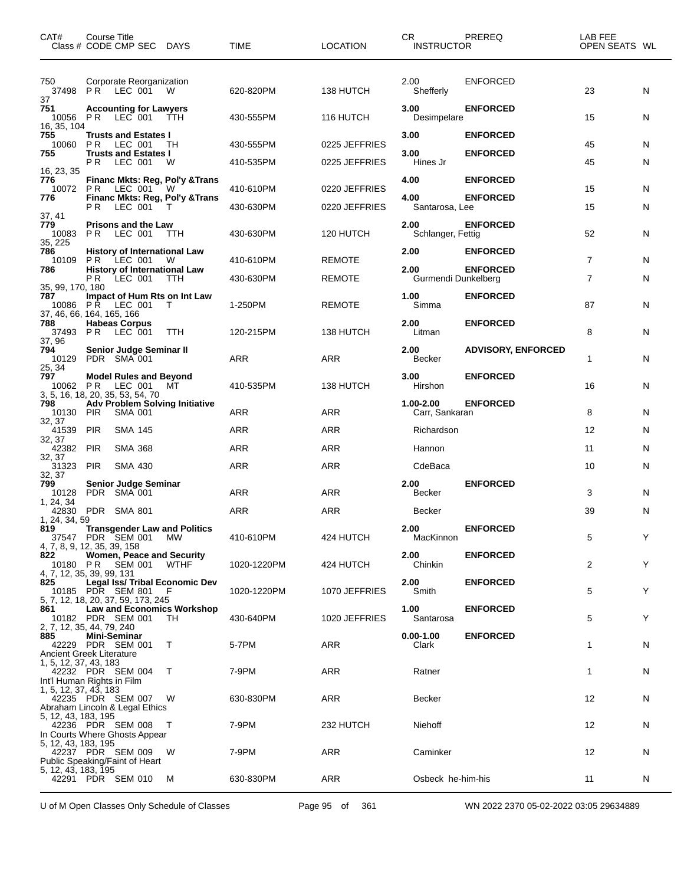| CAT#                       | Course Title<br>Class # CODE CMP SEC DAYS                                                               | <b>TIME</b> | <b>LOCATION</b> | CR<br><b>INSTRUCTOR</b>     | PREREQ                             | LAB FEE<br>OPEN SEATS WL |   |
|----------------------------|---------------------------------------------------------------------------------------------------------|-------------|-----------------|-----------------------------|------------------------------------|--------------------------|---|
| 750<br>37                  | Corporate Reorganization<br>37498 PR LEC 001 W                                                          | 620-820PM   | 138 HUTCH       | 2.00<br>Shefferly           | ENFORCED                           | 23                       | N |
| 751<br>16, 35, 104         | <b>Accounting for Lawyers</b><br>10056 PR LEC 001 TTH                                                   | 430-555PM   | 116 HUTCH       | 3.00<br>Desimpelare         | <b>ENFORCED</b>                    | 15                       | N |
| 755<br>10060<br>755        | <b>Trusts and Estates I</b><br>PR.<br>LEC 001<br>TH<br><b>Trusts and Estates I</b>                      | 430-555PM   | 0225 JEFFRIES   | 3.00<br>3.00                | <b>ENFORCED</b><br><b>ENFORCED</b> | 45                       | N |
| 16, 23, 35                 | PR.<br>LEC 001<br>W                                                                                     | 410-535PM   | 0225 JEFFRIES   | Hines Jr                    |                                    | 45                       | N |
| 776<br>10072 PR<br>776     | <b>Financ Mkts: Reg, Pol'y &amp; Trans</b><br>LEC 001<br>W<br>Financ Mkts: Reg, Pol'y & Trans           | 410-610PM   | 0220 JEFFRIES   | 4.00<br>4.00                | <b>ENFORCED</b><br><b>ENFORCED</b> | 15                       | N |
| 37, 41                     | PR.<br>LEC 001                                                                                          | 430-630PM   | 0220 JEFFRIES   | Santarosa, Lee              |                                    | 15                       | N |
| 779<br>10083<br>35, 225    | <b>Prisons and the Law</b><br>PR.<br>LEC 001<br><b>TTH</b>                                              | 430-630PM   | 120 HUTCH       | 2.00<br>Schlanger, Fettig   | <b>ENFORCED</b>                    | 52                       | N |
| 786<br>10109<br>786        | <b>History of International Law</b><br>PR LEC 001<br>W<br><b>History of International Law</b>           | 410-610PM   | <b>REMOTE</b>   | 2.00<br>2.00                | <b>ENFORCED</b><br><b>ENFORCED</b> | $\overline{7}$           | N |
| 35, 99, 170, 180           | PR.<br>LEC 001<br>TTH                                                                                   | 430-630PM   | <b>REMOTE</b>   | Gurmendi Dunkelberg         |                                    | $\overline{7}$           | N |
| 787<br>10086 PR            | Impact of Hum Rts on Int Law<br>LEC 001<br>$\top$<br>37, 46, 66, 164, 165, 166                          | 1-250PM     | <b>REMOTE</b>   | 1.00<br>Simma               | <b>ENFORCED</b>                    | 87                       | N |
| 788<br>37, 96              | <b>Habeas Corpus</b><br>37493 PR LEC 001<br><b>TTH</b>                                                  | 120-215PM   | 138 HUTCH       | 2.00<br>Litman              | <b>ENFORCED</b>                    | 8                        | N |
| 794<br>10129<br>25, 34     | Senior Judge Seminar II<br>PDR SMA 001                                                                  | ARR         | ARR             | 2.00<br>Becker              | <b>ADVISORY, ENFORCED</b>          | 1                        | N |
| 797<br>10062 PR            | <b>Model Rules and Beyond</b><br>LEC 001 MT<br>3, 5, 16, 18, 20, 35, 53, 54, 70                         | 410-535PM   | 138 HUTCH       | 3.00<br>Hirshon             | <b>ENFORCED</b>                    | 16                       | N |
| 798<br>10130 PIR<br>32, 37 | <b>Adv Problem Solving Initiative</b><br><b>SMA 001</b>                                                 | <b>ARR</b>  | ARR             | 1.00-2.00<br>Carr, Sankaran | <b>ENFORCED</b>                    | 8                        | N |
| 41539 PIR<br>32, 37        | <b>SMA 145</b>                                                                                          | ARR         | <b>ARR</b>      | Richardson                  |                                    | 12                       | N |
| 42382 PIR<br>32, 37        | <b>SMA 368</b>                                                                                          | ARR         | <b>ARR</b>      | Hannon                      |                                    | 11                       | N |
| 31323 PIR<br>32, 37        | <b>SMA 430</b>                                                                                          | ARR         | ARR             | CdeBaca                     |                                    | 10                       | N |
| 799<br>10128<br>1, 24, 34  | <b>Senior Judge Seminar</b><br>PDR SMA 001                                                              | <b>ARR</b>  | <b>ARR</b>      | 2.00<br>Becker              | <b>ENFORCED</b>                    | 3                        | N |
| 1, 24, 34, 59              | 42830 PDR SMA 801                                                                                       | <b>ARR</b>  | <b>ARR</b>      | Becker                      |                                    | 39                       | N |
| 819                        | <b>Transgender Law and Politics</b><br>37547 PDR SEM 001 MW<br>4, 7, 8, 9, 12, 35, 39, 158              | 410-610PM   | 424 HUTCH       | 2.00<br>MacKinnon           | <b>ENFORCED</b>                    | 5                        | Y |
| 822                        | <b>Women, Peace and Security</b><br>10180 PR SEM 001<br><b>WTHF</b><br>4, 7, 12, 35, 39, 99, 131        | 1020-1220PM | 424 HUTCH       | 2.00<br>Chinkin             | <b>ENFORCED</b>                    | 2                        | Y |
| 825                        | <b>Legal Iss/ Tribal Economic Dev</b><br>10185 PDR SEM 801<br>- F<br>5, 7, 12, 18, 20, 37, 59, 173, 245 | 1020-1220PM | 1070 JEFFRIES   | 2.00<br>Smith               | <b>ENFORCED</b>                    | 5                        | Y |
| 861                        | <b>Law and Economics Workshop</b><br>10182 PDR SEM 001<br>TH<br>2, 7, 12, 35, 44, 79, 240               | 430-640PM   | 1020 JEFFRIES   | 1.00<br>Santarosa           | <b>ENFORCED</b>                    | 5                        | Y |
| 885                        | Mini-Seminar<br>42229 PDR SEM 001<br>T<br><b>Ancient Greek Literature</b>                               | 5-7PM       | <b>ARR</b>      | $0.00 - 1.00$<br>Clark      | <b>ENFORCED</b>                    | 1                        | N |
| 1, 5, 12, 37, 43, 183      | 42232 PDR SEM 004<br>T<br>Int'l Human Rights in Film                                                    | 7-9PM       | <b>ARR</b>      | Ratner                      |                                    | 1                        | N |
| 1, 5, 12, 37, 43, 183      | 42235 PDR SEM 007 W<br>Abraham Lincoln & Legal Ethics                                                   | 630-830PM   | ARR             | Becker                      |                                    | 12                       | N |
| 5, 12, 43, 183, 195        | 42236 PDR SEM 008<br>T<br>In Courts Where Ghosts Appear                                                 | 7-9PM       | 232 HUTCH       | Niehoff                     |                                    | 12                       | N |
| 5, 12, 43, 183, 195        | 42237 PDR SEM 009<br>W<br>Public Speaking/Faint of Heart                                                | 7-9PM       | <b>ARR</b>      | Caminker                    |                                    | 12                       | N |
| 5, 12, 43, 183, 195        | 42291 PDR SEM 010<br>м                                                                                  | 630-830PM   | <b>ARR</b>      | Osbeck he-him-his           |                                    | 11                       | N |

U of M Open Classes Only Schedule of Classes Page 95 of 361 WN 2022 2370 05-02-2022 03:05 29634889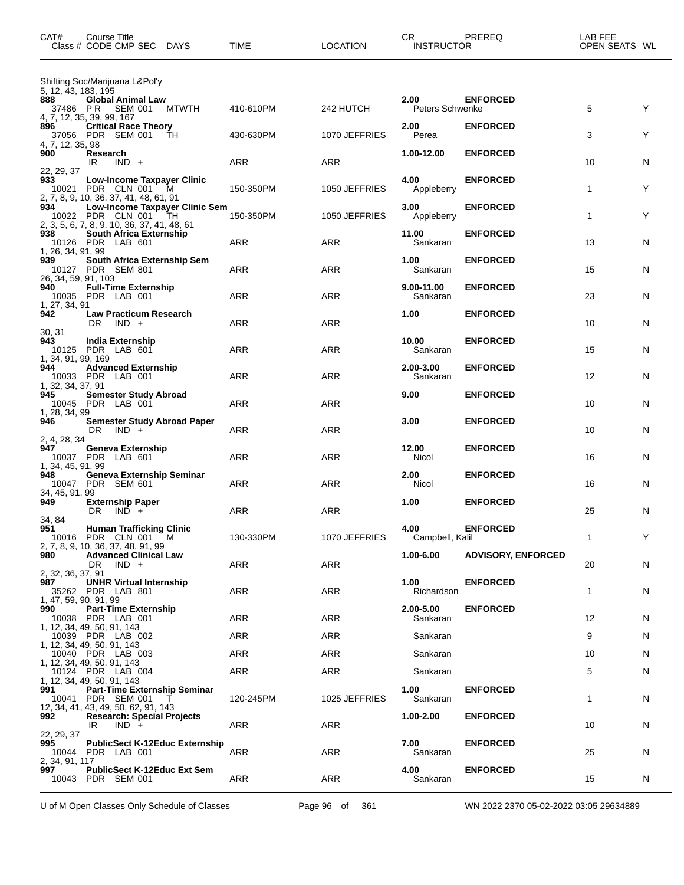| CAT#                         | Course Title<br>Class # CODE CMP SEC DAYS                                                                  | TIME       | <b>LOCATION</b> | CR<br><b>INSTRUCTOR</b>    | PREREQ                    | LAB FEE<br>OPEN SEATS WL |              |
|------------------------------|------------------------------------------------------------------------------------------------------------|------------|-----------------|----------------------------|---------------------------|--------------------------|--------------|
| 5, 12, 43, 183, 195          | Shifting Soc/Marijuana L&Pol'y                                                                             |            |                 |                            |                           |                          |              |
| 888<br>37486 PR              | <b>Global Animal Law</b><br>SEM 001<br>MTWTH<br>4, 7, 12, 35, 39, 99, 167                                  | 410-610PM  | 242 HUTCH       | 2.00<br>Peters Schwenke    | <b>ENFORCED</b>           | 5                        | Y            |
| 896<br>4, 7, 12, 35, 98      | <b>Critical Race Theory</b><br>37056 PDR SEM 001<br>TH                                                     | 430-630PM  | 1070 JEFFRIES   | 2.00<br>Perea              | <b>ENFORCED</b>           | 3                        | Υ            |
| 900<br>22, 29, 37            | Research<br>$IND +$<br>IR                                                                                  | ARR        | ARR             | 1.00-12.00                 | <b>ENFORCED</b>           | 10                       | $\mathsf{N}$ |
| 933                          | <b>Low-Income Taxpayer Clinic</b><br>10021 PDR CLN 001 M<br>2, 7, 8, 9, 10, 36, 37, 41, 48, 61, 91         | 150-350PM  | 1050 JEFFRIES   | 4.00<br>Appleberry         | <b>ENFORCED</b>           | 1                        | Υ            |
| 934                          | Low-Income Taxpayer Clinic Sem<br>10022 PDR CLN 001<br>- TH<br>2, 3, 5, 6, 7, 8, 9, 10, 36, 37, 41, 48, 61 | 150-350PM  | 1050 JEFFRIES   | 3.00<br>Appleberry         | <b>ENFORCED</b>           | 1                        | Υ            |
| 938<br>1, 26, 34, 91, 99     | <b>South Africa Externship</b><br>10126 PDR LAB 601                                                        | ARR        | ARR             | 11.00<br>Sankaran          | <b>ENFORCED</b>           | 13                       | $\mathsf{N}$ |
| 939<br>26, 34, 59, 91, 103   | South Africa Externship Sem<br>10127 PDR SEM 801                                                           | ARR        | ARR             | 1.00<br>Sankaran           | <b>ENFORCED</b>           | 15                       | N            |
| 940<br>1, 27, 34, 91         | <b>Full-Time Externship</b><br>10035 PDR LAB 001                                                           | ARR        | ARR             | $9.00 - 11.00$<br>Sankaran | <b>ENFORCED</b>           | 23                       | N            |
| 942<br>30, 31                | <b>Law Practicum Research</b><br>DR $\vert$ IND +                                                          | ARR        | ARR             | 1.00                       | <b>ENFORCED</b>           | 10                       | N            |
| 943<br>1, 34, 91, 99, 169    | <b>India Externship</b><br>10125 PDR LAB 601                                                               | ARR        | ARR             | 10.00<br>Sankaran          | <b>ENFORCED</b>           | 15                       | N            |
| 944<br>1, 32, 34, 37, 91     | <b>Advanced Externship</b><br>10033 PDR LAB 001                                                            | ARR        | ARR             | 2.00-3.00<br>Sankaran      | <b>ENFORCED</b>           | 12                       | N            |
| 945<br>1, 28, 34, 99         | <b>Semester Study Abroad</b><br>10045 PDR LAB 001                                                          | ARR        | ARR             | 9.00                       | <b>ENFORCED</b>           | 10                       | N            |
| 946<br>2, 4, 28, 34          | <b>Semester Study Abroad Paper</b><br>$IND +$<br>DR.                                                       | <b>ARR</b> | ARR             | 3.00                       | <b>ENFORCED</b>           | 10                       | N            |
| 947<br>1, 34, 45, 91, 99     | <b>Geneva Externship</b><br>10037 PDR LAB 601                                                              | ARR        | ARR             | 12.00<br>Nicol             | <b>ENFORCED</b>           | 16                       | N            |
| 948<br>34, 45, 91, 99        | Geneva Externship Seminar<br>10047 PDR SEM 601                                                             | <b>ARR</b> | ARR             | 2.00<br>Nicol              | <b>ENFORCED</b>           | 16                       | N            |
| 949<br>34, 84                | <b>Externship Paper</b><br>$IND +$<br>DR                                                                   | ARR        | ARR             | 1.00                       | <b>ENFORCED</b>           | 25                       | N            |
| 951                          | <b>Human Trafficking Clinic</b><br>10016 PDR CLN 001 M<br>2, 7, 8, 9, 10, 36, 37, 48, 91, 99               | 130-330PM  | 1070 JEFFRIES   | 4.00<br>Campbell, Kalil    | <b>ENFORCED</b>           | 1                        | Y            |
| 980<br>2, 32, 36, 37, 91     | <b>Advanced Clinical Law</b><br>$IND +$<br>DR                                                              | <b>ARR</b> | ARR             | $1.00 - 6.00$              | <b>ADVISORY, ENFORCED</b> | 20                       | N            |
| 987<br>1, 47, 59, 90, 91, 99 | <b>UNHR Virtual Internship</b><br>35262 PDR LAB 801                                                        | ARR        | ARR             | 1.00<br>Richardson         | <b>ENFORCED</b>           | 1                        | N            |
| 990                          | <b>Part-Time Externship</b><br>10038 PDR LAB 001<br>1, 12, 34, 49, 50, 91, 143                             | ARR        | ARR             | 2.00-5.00<br>Sankaran      | <b>ENFORCED</b>           | 12                       | N            |
|                              | 10039 PDR LAB 002<br>1, 12, 34, 49, 50, 91, 143                                                            | ARR        | ARR             | Sankaran                   |                           | 9                        | N            |
|                              | 10040 PDR LAB 003<br>1, 12, 34, 49, 50, 91, 143                                                            | ARR        | ARR             | Sankaran                   |                           | 10                       | N            |
|                              | 10124 PDR LAB 004<br>1, 12, 34, 49, 50, 91, 143                                                            | ARR        | ARR             | Sankaran                   |                           | 5                        | N            |
| 991                          | <b>Part-Time Externship Seminar</b><br>10041 PDR SEM 001<br>$\top$<br>12, 34, 41, 43, 49, 50, 62, 91, 143  | 120-245PM  | 1025 JEFFRIES   | 1.00<br>Sankaran           | <b>ENFORCED</b>           | 1                        | N            |
| 992<br>22, 29, 37            | <b>Research: Special Projects</b><br>$IND +$<br>IR.                                                        | ARR        | ARR             | 1.00-2.00                  | <b>ENFORCED</b>           | 10                       | N            |
| 995<br>2, 34, 91, 117        | <b>PublicSect K-12Educ Externship</b><br>10044 PDR LAB 001                                                 | ARR        | ARR             | 7.00<br>Sankaran           | <b>ENFORCED</b>           | 25                       | N            |
| 997                          | PublicSect K-12Educ Ext Sem<br>10043 PDR SEM 001                                                           | ARR        | ARR             | 4.00<br>Sankaran           | <b>ENFORCED</b>           | 15                       | N            |

U of M Open Classes Only Schedule of Classes Page 96 of 361 WN 2022 2370 05-02-2022 03:05 29634889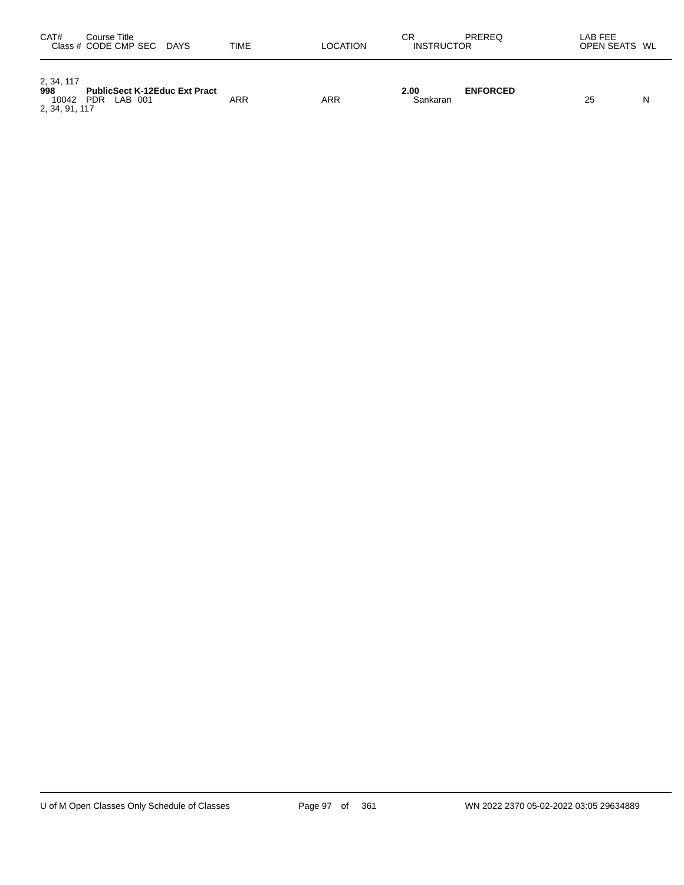| CAT#                       | Course Title<br>Class # CODE CMP SEC<br><b>DAYS</b>           | TIME       | LOCATION | СR<br>PREREQ<br><b>INSTRUCTOR</b>   | LAB FEE<br>OPEN SEATS WL |   |
|----------------------------|---------------------------------------------------------------|------------|----------|-------------------------------------|--------------------------|---|
| 2, 34, 117<br>998<br>10042 | <b>PublicSect K-12Educ Ext Pract</b><br><b>PDR</b><br>LAB 001 | <b>ARR</b> | ARR      | 2.00<br><b>ENFORCED</b><br>Sankaran | 25                       | N |

2, 34, 91, 117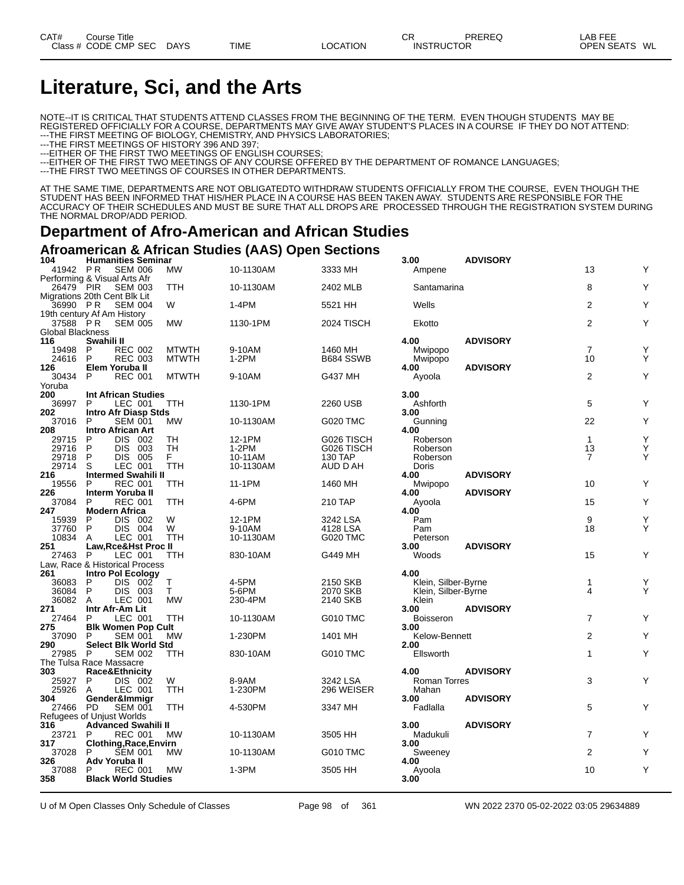# **Literature, Sci, and the Arts**

NOTE--IT IS CRITICAL THAT STUDENTS ATTEND CLASSES FROM THE BEGINNING OF THE TERM. EVEN THOUGH STUDENTS MAY BE REGISTERED OFFICIALLY FOR A COURSE, DEPARTMENTS MAY GIVE AWAY STUDENT'S PLACES IN A COURSE IF THEY DO NOT ATTEND: ---THE FIRST MEETING OF BIOLOGY, CHEMISTRY, AND PHYSICS LABORATORIES;

---THE FIRST MEETINGS OF HISTORY 396 AND 397;

---EITHER OF THE FIRST TWO MEETINGS OF ENGLISH COURSES;

---EITHER OF THE FIRST TWO MEETINGS OF ANY COURSE OFFERED BY THE DEPARTMENT OF ROMANCE LANGUAGES;

---THE FIRST TWO MEETINGS OF COURSES IN OTHER DEPARTMENTS.

AT THE SAME TIME, DEPARTMENTS ARE NOT OBLIGATEDTO WITHDRAW STUDENTS OFFICIALLY FROM THE COURSE, EVEN THOUGH THE STUDENT HAS BEEN INFORMED THAT HIS/HER PLACE IN A COURSE HAS BEEN TAKEN AWAY. STUDENTS ARE RESPONSIBLE FOR THE ACCURACY OF THEIR SCHEDULES AND MUST BE SURE THAT ALL DROPS ARE PROCESSED THROUGH THE REGISTRATION SYSTEM DURING THE NORMAL DROP/ADD PERIOD.

### **Department of Afro-American and African Studies**

#### **Afroamerican & African Studies (AAS) Open Sections**

| 104                            |                             |                | <b>Humanities Seminar</b>   |              |           |                 | 3.00                | <b>ADVISORY</b> |                |   |
|--------------------------------|-----------------------------|----------------|-----------------------------|--------------|-----------|-----------------|---------------------|-----------------|----------------|---|
| 41942 PR                       |                             | <b>SEM 006</b> |                             | МW           | 10-1130AM | 3333 MH         | Ampene              |                 | 13             | Υ |
| Performing & Visual Arts Afr   |                             |                |                             |              |           |                 |                     |                 |                |   |
| 26479 PIR                      |                             | <b>SEM 003</b> |                             | TTH          | 10-1130AM | 2402 MLB        | Santamarina         |                 | 8              | Υ |
| Migrations 20th Cent Blk Lit   |                             |                |                             |              |           |                 |                     |                 |                |   |
| 36990 PR                       |                             | <b>SEM 004</b> |                             | W            | $1-4PM$   | 5521 HH         | Wells               |                 | $\overline{2}$ | Y |
| 19th century Af Am History     |                             |                |                             |              |           |                 |                     |                 |                |   |
| 37588 PR                       |                             | <b>SEM 005</b> |                             | <b>MW</b>    | 1130-1PM  | 2024 TISCH      | Ekotto              |                 | $\overline{2}$ | Y |
|                                |                             |                |                             |              |           |                 |                     |                 |                |   |
| <b>Global Blackness</b>        |                             |                |                             |              |           |                 |                     |                 |                |   |
| 116                            | Swahili II                  |                |                             |              |           |                 | 4.00                | <b>ADVISORY</b> |                |   |
| 19498                          | P                           | <b>REC 002</b> |                             | <b>MTWTH</b> | 9-10AM    | 1460 MH         | Mwipopo             |                 | $\overline{7}$ | Y |
| 24616                          | P                           | <b>REC 003</b> |                             | <b>MTWTH</b> | 1-2PM     | B684 SSWB       | Mwipopo             |                 | 10             | Y |
| 126                            | Elem Yoruba II              |                |                             |              |           |                 | 4.00                | <b>ADVISORY</b> |                |   |
| 30434                          | P                           | <b>REC 001</b> |                             | <b>MTWTH</b> | 9-10AM    | G437 MH         | Ayoola              |                 | $\overline{2}$ | Y |
| Yoruba                         |                             |                |                             |              |           |                 |                     |                 |                |   |
| 200                            | <b>Int African Studies</b>  |                |                             |              |           |                 | 3.00                |                 |                |   |
| 36997                          | P                           | LEC 001        |                             | TTH          | 1130-1PM  | 2260 USB        | Ashforth            |                 | 5              | Υ |
| 202                            | <b>Intro Afr Diasp Stds</b> |                |                             |              |           |                 | 3.00                |                 |                |   |
| 37016                          | P                           | <b>SEM 001</b> |                             | <b>MW</b>    | 10-1130AM | <b>G020 TMC</b> | Gunning             |                 | 22             | Y |
| 208                            | <b>Intro African Art</b>    |                |                             |              |           |                 | 4.00                |                 |                |   |
|                                |                             |                |                             |              |           |                 |                     |                 |                | Y |
| 29715                          | P                           | DIS 002        |                             | TH           | 12-1PM    | G026 TISCH      | Roberson            |                 | $\mathbf{1}$   |   |
| 29716                          | P                           | DIS 003        |                             | TН           | $1-2PM$   | G026 TISCH      | Roberson            |                 | 13             | Υ |
| 29718                          | P                           | <b>DIS 005</b> |                             | F.           | 10-11AM   | 130 TAP         | Roberson            |                 | $\overline{7}$ | Υ |
| 29714                          | S                           | <b>LEC 001</b> |                             | <b>TTH</b>   | 10-1130AM | AUD D AH        | Doris               |                 |                |   |
| 216                            | <b>Intermed Swahili II</b>  |                |                             |              |           |                 | 4.00                | <b>ADVISORY</b> |                |   |
| 19556                          | P                           | <b>REC 001</b> |                             | TTH          | 11-1PM    | 1460 MH         | Mwipopo             |                 | 10             | Y |
| 226                            | Interm Yoruba II            |                |                             |              |           |                 | 4.00                | <b>ADVISORY</b> |                |   |
| 37084                          | P                           | <b>REC 001</b> |                             | TTH          | 4-6PM     | 210 TAP         | Ayoola              |                 | 15             | Υ |
| 247                            | <b>Modern Africa</b>        |                |                             |              |           |                 | 4.00                |                 |                |   |
| 15939                          | P                           | DIS 002        |                             | W            | 12-1PM    | 3242 LSA        | Pam                 |                 | 9              | Υ |
| 37760                          | P                           | DIS 004        |                             | W            | 9-10AM    | 4128 LSA        | Pam                 |                 | 18             | Y |
| 10834                          |                             | LEC 001        |                             | <b>TTH</b>   |           | <b>G020 TMC</b> |                     |                 |                |   |
|                                | A                           |                |                             |              | 10-1130AM |                 | Peterson            |                 |                |   |
| 251                            | Law, Rce&Hst Proc II        |                |                             |              |           |                 | 3.00                | <b>ADVISORY</b> |                |   |
| 27463                          | <b>P</b>                    | LEC 001        |                             | TTH          | 830-10AM  | G449 MH         | Woods               |                 | 15             | Υ |
| Law, Race & Historical Process |                             |                |                             |              |           |                 |                     |                 |                |   |
| 261                            | <b>Intro Pol Ecology</b>    |                |                             |              |           |                 | 4.00                |                 |                |   |
| 36083                          | P                           | DIS 002        |                             | Τ            | 4-5PM     | 2150 SKB        | Klein, Silber-Byrne |                 | $\mathbf{1}$   | Υ |
| 36084                          | P                           | DIS 003        |                             | T            | 5-6PM     | 2070 SKB        | Klein, Silber-Byrne |                 | 4              | Y |
| 36082                          | A                           | LEC 001        |                             | <b>MW</b>    | 230-4PM   | 2140 SKB        | Klein               |                 |                |   |
| 271                            | Intr Afr-Am Lit             |                |                             |              |           |                 | 3.00                | <b>ADVISORY</b> |                |   |
| 27464                          | P                           | LEC 001        |                             | TTH          | 10-1130AM | <b>G010 TMC</b> | <b>Boisseron</b>    |                 | $\overline{7}$ | Y |
| 275                            |                             |                | <b>Blk Women Pop Cult</b>   |              |           |                 | 3.00                |                 |                |   |
| 37090                          | P                           | <b>SEM 001</b> |                             | <b>MW</b>    | 1-230PM   | 1401 MH         | Kelow-Bennett       |                 | 2              | Υ |
| 290                            |                             |                | <b>Select Blk World Std</b> |              |           |                 | 2.00                |                 |                |   |
| 27985                          | P                           | <b>SEM 002</b> |                             | TTH          | 830-10AM  | <b>G010 TMC</b> | Ellsworth           |                 | $\mathbf{1}$   | Y |
|                                |                             |                |                             |              |           |                 |                     |                 |                |   |
| The Tulsa Race Massacre        |                             |                |                             |              |           |                 |                     |                 |                |   |
| 303                            | Race&Ethnicity              |                |                             |              |           |                 | 4.00                | <b>ADVISORY</b> |                |   |
| 25927                          | P                           | DIS 002        |                             | W            | 8-9AM     | 3242 LSA        | <b>Roman Torres</b> |                 | 3              | Y |
| 25926                          | A                           | LEC 001        |                             | <b>TTH</b>   | 1-230PM   | 296 WEISER      | Mahan               |                 |                |   |
| 304                            | Gender&Immigr               |                |                             |              |           |                 | 3.00                | <b>ADVISORY</b> |                |   |
| 27466 PD                       |                             | <b>SEM 001</b> |                             | <b>TTH</b>   | 4-530PM   | 3347 MH         | Fadlalla            |                 | 5              | Y |
| Refugees of Unjust Worlds      |                             |                |                             |              |           |                 |                     |                 |                |   |
| 316                            | <b>Advanced Swahili II</b>  |                |                             |              |           |                 | 3.00                | <b>ADVISORY</b> |                |   |
| 23721                          | P                           | <b>REC 001</b> |                             | МW           | 10-1130AM | 3505 HH         | Madukuli            |                 | $\overline{7}$ | Y |
| 317                            | Clothing, Race, Envirn      |                |                             |              |           |                 | 3.00                |                 |                |   |
| 37028                          | P                           | <b>SEM 001</b> |                             | <b>MW</b>    | 10-1130AM | <b>G010 TMC</b> | Sweeney             |                 | $\overline{2}$ | Υ |
| 326                            | Adv Yoruba II               |                |                             |              |           |                 | 4.00                |                 |                |   |
| 37088                          | P                           | <b>REC 001</b> |                             | <b>MW</b>    | $1-3PM$   | 3505 HH         | Ayoola              |                 | 10             | Y |
| 358                            |                             |                | <b>Black World Studies</b>  |              |           |                 | 3.00                |                 |                |   |
|                                |                             |                |                             |              |           |                 |                     |                 |                |   |
|                                |                             |                |                             |              |           |                 |                     |                 |                |   |

U of M Open Classes Only Schedule of Classes Page 98 of 361 WN 2022 2370 05-02-2022 03:05 29634889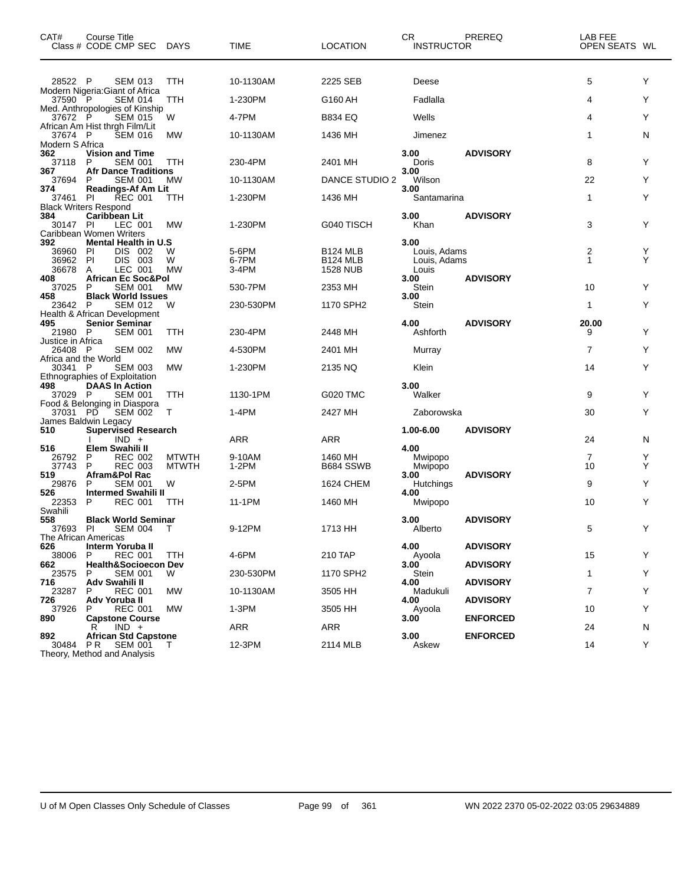| CAT#                            | Course Title<br>Class # CODE CMP SEC                                                                     | <b>DAYS</b>                  | <b>TIME</b>    | <b>LOCATION</b>                         | CR.<br><b>INSTRUCTOR</b>     | PREREQ          | LAB FEE<br>OPEN SEATS WL |        |
|---------------------------------|----------------------------------------------------------------------------------------------------------|------------------------------|----------------|-----------------------------------------|------------------------------|-----------------|--------------------------|--------|
| 28522 P                         | <b>SEM 013</b>                                                                                           | TTH                          | 10-1130AM      | 2225 SEB                                | Deese                        |                 | 5                        | Y      |
| 37590 P                         | Modern Nigeria: Giant of Africa<br><b>SEM 014</b>                                                        | TTH                          | 1-230PM        | G160 AH                                 | Fadlalla                     |                 | 4                        | Υ      |
| 37672 P                         | Med. Anthropologies of Kinship<br><b>SEM 015</b>                                                         | W                            | 4-7PM          | <b>B834 EQ</b>                          | Wells                        |                 | 4                        | Y      |
| 37674 P                         | African Am Hist thrgh Film/Lit<br><b>SEM 016</b>                                                         | MW                           | 10-1130AM      | 1436 MH                                 | Jimenez                      |                 | 1                        | N      |
| Modern S Africa<br>362          | <b>Vision and Time</b>                                                                                   |                              |                |                                         | 3.00                         | <b>ADVISORY</b> |                          |        |
| 37118<br>367                    | <b>SEM 001</b><br>P<br><b>Afr Dance Traditions</b>                                                       | <b>TTH</b>                   | 230-4PM        | 2401 MH                                 | Doris<br>3.00                |                 | 8                        | Y      |
| 37694                           | <b>SEM 001</b><br>P                                                                                      | МW                           | 10-1130AM      | <b>DANCE STUDIO 2</b>                   | Wilson                       |                 | 22                       | Y      |
| 374<br>37461                    | <b>Readings-Af Am Lit</b><br><b>REC 001</b><br>PI                                                        | ттн                          | 1-230PM        | 1436 MH                                 | 3.00<br>Santamarina          |                 | $\mathbf{1}$             | Y      |
| 384<br>30147 PI                 | <b>Black Writers Respond</b><br><b>Caribbean Lit</b><br>LEC 001<br>Caribbean Women Writers               | MW                           | 1-230PM        | G040 TISCH                              | 3.00<br>Khan                 | <b>ADVISORY</b> | 3                        | Y      |
| 392                             | <b>Mental Health in U.S</b>                                                                              |                              |                |                                         | 3.00                         |                 |                          |        |
| 36960<br>36962                  | PI<br>DIS 002<br>PI<br>DIS 003                                                                           | w<br>W                       | 5-6PM<br>6-7PM | <b>B124 MLB</b><br>B <sub>124</sub> MLB | Louis, Adams<br>Louis, Adams |                 | 2<br>$\mathbf{1}$        | Υ<br>Υ |
| 36678<br>408                    | LEC 001<br>A<br><b>African Ec Soc&amp;Pol</b>                                                            | <b>MW</b>                    | 3-4PM          | <b>1528 NUB</b>                         | Louis<br>3.00                | <b>ADVISORY</b> |                          |        |
| 37025<br>458                    | <b>SEM 001</b><br>P<br><b>Black World Issues</b>                                                         | <b>MW</b>                    | 530-7PM        | 2353 MH                                 | Stein<br>3.00                |                 | 10                       | Y      |
| 23642 P                         | <b>SEM 012</b><br>Health & African Development                                                           | W                            | 230-530PM      | 1170 SPH2                               | Stein                        |                 | 1                        | Y      |
| 495<br>21980 P                  | <b>Senior Seminar</b><br><b>SEM 001</b>                                                                  | TTH                          | 230-4PM        | 2448 MH                                 | 4.00<br>Ashforth             | <b>ADVISORY</b> | 20.00<br>9               | Υ      |
| Justice in Africa<br>26408 P    | <b>SEM 002</b>                                                                                           | <b>MW</b>                    | 4-530PM        | 2401 MH                                 | Murray                       |                 | 7                        | Y      |
| Africa and the World<br>30341 P | <b>SEM 003</b>                                                                                           | MW                           | 1-230PM        | 2135 NQ                                 | Klein                        |                 | 14                       | Y      |
| 498<br>37029 P                  | Ethnographies of Exploitation<br><b>DAAS In Action</b><br><b>SEM 001</b><br>Food & Belonging in Diaspora | TTH                          | 1130-1PM       | G020 TMC                                | 3.00<br>Walker               |                 | 9                        | Y      |
| 37031 PD                        | <b>SEM 002</b>                                                                                           | т                            | 1-4PM          | 2427 MH                                 | Zaborowska                   |                 | 30                       | Y      |
| 510                             | James Baldwin Legacy<br>Supervised Research<br>$IND +$                                                   |                              | <b>ARR</b>     | <b>ARR</b>                              | 1.00-6.00                    | <b>ADVISORY</b> | 24                       | N      |
| 516<br>26792                    | Elem Swahili II<br>P<br><b>REC 002</b>                                                                   |                              | 9-10AM         | 1460 MH                                 | 4.00                         |                 | 7                        | Y      |
| 37743<br>519                    | P<br><b>REC 003</b><br>Afram&Pol Rac                                                                     | <b>MTWTH</b><br><b>MTWTH</b> | $1-2PM$        | B684 SSWB                               | Mwipopo<br>Mwipopo<br>3.00   | <b>ADVISORY</b> | 10                       | Υ      |
| 29876                           | P<br><b>SEM 001</b>                                                                                      | W                            | 2-5PM          | <b>1624 CHEM</b>                        | <b>Hutchings</b>             |                 | 9                        | Y      |
| 526<br>22353                    | Intermed Swahili II<br><b>REC 001</b><br>P                                                               | ттн                          | 11-1PM         | 1460 MH                                 | 4.00<br>Mwipopo              |                 | 10                       | Υ      |
| Swahili<br>558<br>37693 PI      | <b>Black World Seminar</b><br><b>SEM 004</b><br>The African Americas                                     |                              | 9-12PM         | 1713 HH                                 | 3.00<br>Alberto              | <b>ADVISORY</b> | 5                        | Y      |
| 626<br>38006                    | Interm Yoruba II<br><b>REC 001</b><br>P                                                                  | <b>TTH</b>                   | 4-6PM          | 210 TAP                                 | 4.00<br>Ayoola               | <b>ADVISORY</b> | 15                       | Y      |
| 662<br>23575                    | <b>Health&amp;Socioecon Dev</b><br><b>SEM 001</b><br>P                                                   | W                            | 230-530PM      | 1170 SPH2                               | 3.00<br>Stein                | <b>ADVISORY</b> | 1                        | Y      |
| 716<br>23287                    | Adv Swahili II<br><b>REC 001</b><br>P                                                                    | МW                           | 10-1130AM      | 3505 HH                                 | 4.00<br>Madukuli             | <b>ADVISORY</b> | 7                        | Y      |
| 726<br>37926                    | Adv Yoruba II<br><b>REC 001</b><br>P                                                                     | МW                           | $1-3PM$        | 3505 HH                                 | 4.00<br>Ayoola               | <b>ADVISORY</b> | 10                       | Y      |
| 890                             | <b>Capstone Course</b><br>$IND +$<br>R                                                                   |                              | ARR            | ARR                                     | 3.00                         | <b>ENFORCED</b> | 24                       |        |
| 892                             | <b>African Std Capstone</b>                                                                              |                              |                |                                         | 3.00                         | <b>ENFORCED</b> |                          | N      |
| 30484 PR                        | <b>SEM 001</b><br>Theory, Method and Analysis                                                            | T                            | 12-3PM         | 2114 MLB                                | Askew                        |                 | 14                       | Y      |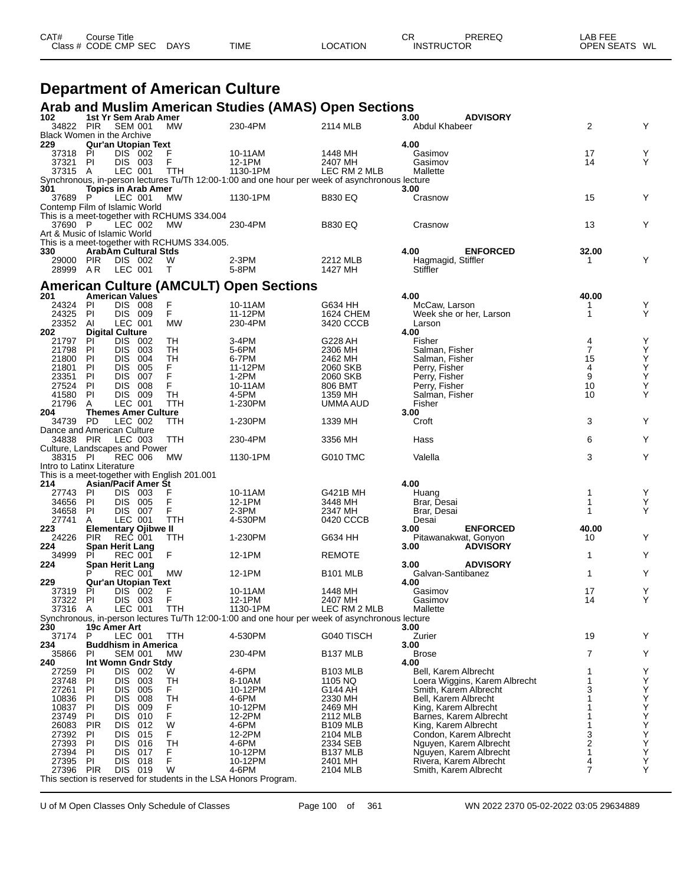| CAT# | Course Title         |             |             |          | СR                | PREREQ | _AB FEE       |  |
|------|----------------------|-------------|-------------|----------|-------------------|--------|---------------|--|
|      | Class # CODE CMP SEC | <b>DAYS</b> | <b>TIME</b> | LOCATION | <b>INSTRUCTOR</b> |        | OPEN SEATS WL |  |
|      |                      |             |             |          |                   |        |               |  |

## **Department of American Culture**

#### **Arab and Muslim American Studies (AMAS) Open Sections**

| 102                               |                 | 1st Yr Sem Arab Amer                     |                                              |                                                                                                |                     | <b>ADVISORY</b><br>3.00                      |                     |        |
|-----------------------------------|-----------------|------------------------------------------|----------------------------------------------|------------------------------------------------------------------------------------------------|---------------------|----------------------------------------------|---------------------|--------|
| 34822 PIR                         |                 | <b>SEM 001</b>                           | МW                                           | 230-4PM                                                                                        | 2114 MLB            | Abdul Khabeer                                | 2                   | Y      |
| Black Women in the Archive<br>229 |                 | Qur'an Utopian Text                      |                                              |                                                                                                |                     | 4.00                                         |                     |        |
| 37318 PI                          |                 | DIS 002                                  | F                                            | 10-11AM                                                                                        | 1448 MH             | Gasimov                                      | 17                  |        |
| 37321 PI                          |                 | DIS 003                                  | F                                            | 12-1PM                                                                                         | 2407 MH             | Gasimov                                      | 14                  |        |
| 37315 A                           |                 | LEC 001                                  | TTH                                          | 1130-1PM                                                                                       | LEC RM 2 MLB        | Mallette                                     |                     |        |
|                                   |                 |                                          |                                              | Synchronous, in-person lectures Tu/Th 12:00-1:00 and one hour per week of asynchronous lecture |                     |                                              |                     |        |
| 301                               |                 | <b>Topics in Arab Amer</b>               |                                              |                                                                                                |                     | 3.00                                         |                     |        |
| 37689 P                           |                 | LEC 001<br>Contemp Film of Islamic World | МW                                           | 1130-1PM                                                                                       | <b>B830 EQ</b>      | Crasnow                                      | 15                  | Y      |
|                                   |                 |                                          | This is a meet-together with RCHUMS 334.004  |                                                                                                |                     |                                              |                     |        |
| 37690 P                           |                 | LEC 002                                  | MW                                           | 230-4PM                                                                                        | <b>B830 EQ</b>      | Crasnow                                      | 13                  | Y      |
| Art & Music of Islamic World      |                 |                                          |                                              |                                                                                                |                     |                                              |                     |        |
|                                   |                 |                                          | This is a meet-together with RCHUMS 334.005. |                                                                                                |                     |                                              |                     |        |
| 330                               |                 | <b>ArabAm Cultural Stds</b>              |                                              |                                                                                                |                     | <b>ENFORCED</b><br>4.00                      | 32.00               |        |
| 29000 PIR                         |                 | DIS 002                                  | W                                            | $2-3PM$                                                                                        | 2212 MLB            | Hagmagid, Stiffler                           | 1                   |        |
| 28999 AR                          |                 | LEC 001                                  | $\top$                                       | 5-8PM                                                                                          | 1427 MH             | Stiffler                                     |                     |        |
|                                   |                 |                                          |                                              | <b>American Culture (AMCULT) Open Sections</b>                                                 |                     |                                              |                     |        |
| 201                               |                 | <b>American Values</b>                   |                                              |                                                                                                |                     | 4.00                                         | 40.00               |        |
| 24324                             | PI              | <b>DIS 008</b>                           | $_{F}^{F}$                                   | 10-11AM                                                                                        | G634 HH             | McCaw, Larson                                | 1                   | Y      |
| 24325                             | -PI             | DIS 009                                  |                                              | 11-12PM                                                                                        | 1624 CHEM           | Week she or her, Larson                      | 1                   | Y      |
| 23352 AI                          |                 | LEC 001                                  | <b>MW</b>                                    | 230-4PM                                                                                        | 3420 CCCB           | Larson                                       |                     |        |
| 202                               |                 | <b>Digital Culture</b>                   |                                              |                                                                                                |                     | 4.00                                         |                     |        |
| 21797                             | PI.             | DIS 002                                  | TH                                           | 3-4PM                                                                                          | G228 AH             | Fisher                                       | 4<br>$\overline{7}$ | Y      |
| 21798<br>21800                    | <b>PI</b><br>PI | DIS.<br>- 003<br>DIS.<br>004             | TH<br>TН                                     | 5-6PM<br>6-7PM                                                                                 | 2306 MH<br>2462 MH  | Salman, Fisher<br>Salman, Fisher             | 15                  | Y<br>Υ |
| 21801                             | PI              | 005<br>DIS.                              | F.                                           | 11-12PM                                                                                        | 2060 SKB            | Perry, Fisher                                | 4                   | Υ      |
| 23351                             | PI              | DIS.<br>007                              | F                                            | $1-2PM$                                                                                        | 2060 SKB            | Perry, Fisher                                | 9                   | Υ      |
| 27524                             | PI              | DIS 008                                  | F.                                           | 10-11AM                                                                                        | 806 BMT             | Perry, Fisher                                | 10                  | Y      |
| 41580                             | PI              | DIS 009                                  | TH                                           | 4-5PM                                                                                          | 1359 MH             | Salman, Fisher                               | 10                  | Y      |
| 21796                             | A               | LEC 001                                  | TTH                                          | 1-230PM                                                                                        | UMMA AUD            | Fisher                                       |                     |        |
| 204                               |                 | <b>Themes Amer Culture</b>               |                                              |                                                                                                |                     | 3.00                                         |                     |        |
| 34739 PD                          |                 | LEC 002<br>Dance and American Culture    | TTH                                          | 1-230PM                                                                                        | 1339 MH             | Croft                                        | 3                   | Y      |
| 34838 PIR                         |                 | LEC 003                                  | TTH                                          | 230-4PM                                                                                        | 3356 MH             | Hass                                         | 6                   | Y      |
|                                   |                 | Culture, Landscapes and Power            |                                              |                                                                                                |                     |                                              |                     |        |
| 38315 PI                          |                 | <b>REC 006</b>                           | MW                                           | 1130-1PM                                                                                       | G010 TMC            | Valella                                      | 3                   | Y      |
| Intro to Latinx Literature        |                 |                                          |                                              |                                                                                                |                     |                                              |                     |        |
|                                   |                 |                                          | This is a meet-together with English 201.001 |                                                                                                |                     |                                              |                     |        |
| 214                               |                 | Asian/Pacif Amer St                      |                                              |                                                                                                |                     | 4.00                                         |                     |        |
| 27743 PI<br>34656                 | - PI            | DIS 003<br>DIS 005                       | F<br>F                                       | 10-11AM<br>12-1PM                                                                              | G421B MH<br>3448 MH | Huang<br>Brar, Desai                         | 1                   | Y<br>Y |
| 34658                             | PI              | DIS 007                                  | F                                            | 2-3PM                                                                                          | 2347 MH             | Brar, Desai                                  |                     | Y      |
| 27741                             | A               | LEC 001                                  | <b>TTH</b>                                   | 4-530PM                                                                                        | 0420 CCCB           | Desai                                        |                     |        |
| 223                               |                 | <b>Elementary Ojibwe II</b>              |                                              |                                                                                                |                     | 3.00<br><b>ENFORCED</b>                      | 40.00               |        |
| 24226 PIR                         |                 | <b>REC 001</b>                           | TTH                                          | 1-230PM                                                                                        | G634 HH             | Pitawanakwat, Gonyon                         | 10                  | Y      |
| 224                               |                 | <b>Span Herit Lang</b>                   |                                              |                                                                                                |                     | <b>ADVISORY</b><br>3.00                      |                     |        |
| 34999<br>224                      | PI              | REC 001                                  | F                                            | 12-1PM                                                                                         | <b>REMOTE</b>       | <b>ADVISORY</b>                              | $\mathbf{1}$        | Y      |
|                                   |                 | <b>Span Herit Lang</b><br>REC 001        | MW                                           | 12-1PM                                                                                         | <b>B101 MLB</b>     | 3.00<br>Galvan-Santibanez                    | $\mathbf{1}$        | Y      |
| 229                               |                 | Qur'an Utopian Text                      |                                              |                                                                                                |                     | 4.00                                         |                     |        |
| 37319                             | <b>PI</b>       | DIS 002                                  | F                                            | 10-11AM                                                                                        | 1448 MH             | Gasimov                                      | 17                  | Y      |
| 37322                             | PI              | DIS 003                                  | F                                            | 12-1PM                                                                                         | 2407 MH             | Gasimov                                      | 14                  | Y      |
| 37316                             | A               | LEC 001                                  | <b>TTH</b>                                   | 1130-1PM                                                                                       | LEC RM 2 MLB        | Mallette                                     |                     |        |
|                                   |                 |                                          |                                              | Synchronous, in-person lectures Tu/Th 12:00-1:00 and one hour per week of asynchronous lecture |                     |                                              |                     |        |
| 230<br>37174                      | P               | 19c Amer Art<br>LEC 001                  | TTH                                          | 4-530PM                                                                                        | G040 TISCH          | 3.00<br>Zurier                               | 19                  | Y      |
| 234                               |                 | <b>Buddhism in America</b>               |                                              |                                                                                                |                     | 3.00                                         |                     |        |
| 35866                             | <b>PI</b>       | <b>SEM 001</b>                           | МW                                           | 230-4PM                                                                                        | B137 MLB            | <b>Brose</b>                                 | 7                   | Y      |
| 240                               |                 | Int Womn Gndr Stdy                       |                                              |                                                                                                |                     | 4.00                                         |                     |        |
| 27259                             | <b>PI</b>       | DIS 002                                  | W                                            | 4-6PM                                                                                          | <b>B103 MLB</b>     | Bell. Karem Albrecht                         | 1                   | Υ      |
| 23748                             | PI.             | DIS 003                                  | TH                                           | 8-10AM                                                                                         | 1105 NQ             | Loera Wiggins, Karem Albrecht                | 1                   | Y      |
| 27261                             | PI              | 005<br>DIS.                              | F.                                           | 10-12PM                                                                                        | G144 AH             | Smith, Karem Albrecht                        | 3                   | Y      |
| 10836<br>10837                    | PI<br><b>PI</b> | DIS.<br>008<br>DIS.<br>009               | <b>TH</b><br>F                               | 4-6PM<br>10-12PM                                                                               | 2330 MH<br>2469 MH  | Bell, Karem Albrecht<br>King, Karem Albrecht |                     | Υ<br>Υ |
| 23749                             | PI              | DIS.<br>010                              | F                                            | 12-2PM                                                                                         | 2112 MLB            | Barnes, Karem Albrecht                       |                     | Υ      |
| 26083                             | <b>PIR</b>      | <b>DIS</b><br>012                        | W                                            | 4-6PM                                                                                          | <b>B109 MLB</b>     | King, Karem Albrecht                         |                     | Υ      |
| 27392                             | PI              | DIS.<br>015                              | F.                                           | 12-2PM                                                                                         | 2104 MLB            | Condon, Karem Albrecht                       | 3                   | Υ      |
| 27393                             | PI              | DIS.<br>016                              | <b>TH</b>                                    | 4-6PM                                                                                          | 2334 SEB            | Nguyen, Karem Albrecht                       | 2                   | Υ      |
| 27394                             | PI              | DIS.<br>017                              | F                                            | 10-12PM                                                                                        | <b>B137 MLB</b>     | Nguyen, Karem Albrecht                       | 1                   | Υ      |
| 27395                             | PI              | DIS 018                                  | F                                            | 10-12PM                                                                                        | 2401 MH             | Rivera, Karem Albrecht                       | 4                   | Y      |
| 27396                             | <b>PIR</b>      | DIS 019                                  | W                                            | 4-6PM<br>This section is reserved for students in the LSA Honors Program.                      | 2104 MLB            | Smith, Karem Albrecht                        | 7                   | Y      |
|                                   |                 |                                          |                                              |                                                                                                |                     |                                              |                     |        |

U of M Open Classes Only Schedule of Classes Page 100 of 361 WN 2022 2370 05-02-2022 03:05 29634889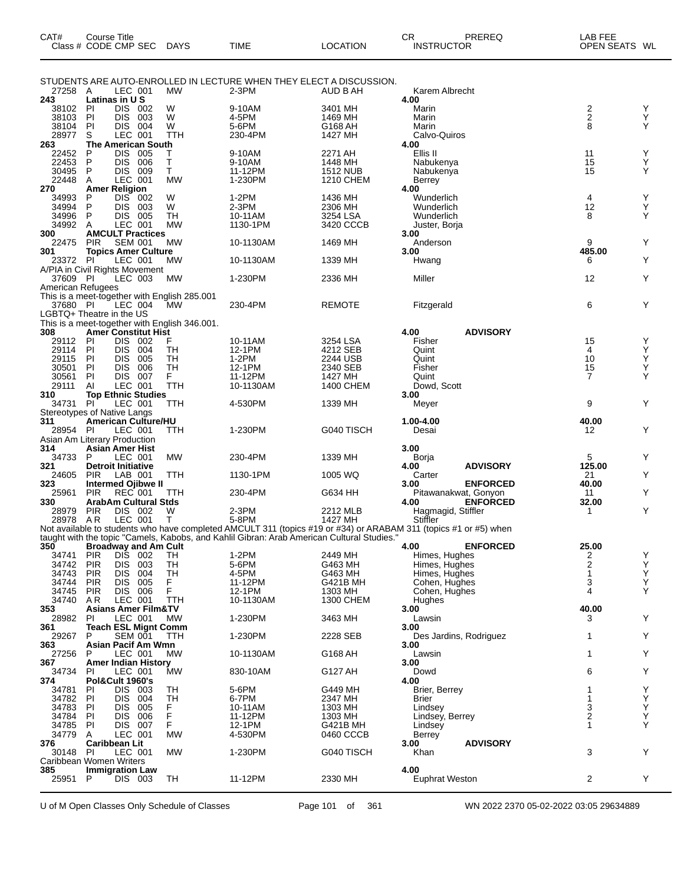| CAT#              | <b>Course Title</b><br>Class # CODE CMP SEC                               | <b>DAYS</b>     | <b>TIME</b>                                                                                | <b>LOCATION</b>              | CR<br>PREREQ<br><b>INSTRUCTOR</b>                                                                                | LAB FEE<br>OPEN SEATS WL |        |
|-------------------|---------------------------------------------------------------------------|-----------------|--------------------------------------------------------------------------------------------|------------------------------|------------------------------------------------------------------------------------------------------------------|--------------------------|--------|
| 27258 A           | LEC 001                                                                   | <b>MW</b>       | STUDENTS ARE AUTO-ENROLLED IN LECTURE WHEN THEY ELECT A DISCUSSION.<br>$2-3PM$             | AUD B AH                     | Karem Albrecht                                                                                                   |                          |        |
| 243               | Latinas in U S                                                            |                 |                                                                                            |                              | 4.00                                                                                                             |                          |        |
| 38102             | PI<br>DIS 002                                                             | W               | 9-10AM                                                                                     | 3401 MH                      | Marin                                                                                                            | 2                        | Y      |
| 38103             | PI<br><b>DIS</b><br>003                                                   | W               | 4-5PM                                                                                      | 1469 MH                      | Marin                                                                                                            | $\overline{\mathbf{c}}$  | Y      |
| 38104<br>28977    | PI<br>DIS 004<br>LEC 001<br>S                                             | W<br>TTH        | 5-6PM<br>230-4PM                                                                           | G168 AH<br>1427 MH           | Marin<br>Calvo-Quiros                                                                                            | 8                        | Y      |
| 263               | <b>The American South</b>                                                 |                 |                                                                                            |                              | 4.00                                                                                                             |                          |        |
| 22452             | <b>DIS</b><br>P<br>005                                                    | т               | 9-10AM                                                                                     | 2271 AH                      | Ellis II                                                                                                         | 11                       | Υ      |
| 22453             | P<br><b>DIS</b><br>006                                                    | т               | 9-10AM                                                                                     | 1448 MH                      | Nabukenya                                                                                                        | 15                       | Y      |
| 30495<br>22448    | <b>DIS</b><br>P<br>009<br>Α<br>LEC 001                                    | Τ<br><b>MW</b>  | 11-12PM<br>1-230PM                                                                         | <b>1512 NUB</b><br>1210 CHEM | Nabukenya<br>Berrey                                                                                              | 15                       | Y      |
| 270               | <b>Amer Religion</b>                                                      |                 |                                                                                            |                              | 4.00                                                                                                             |                          |        |
| 34993             | DIS <sup>-</sup><br>P<br>- 002                                            | W               | 1-2PM                                                                                      | 1436 MH                      | Wunderlich                                                                                                       | 4                        | Y      |
| 34994             | P<br><b>DIS</b><br>- 003                                                  | W               | $2-3PM$                                                                                    | 2306 MH                      | Wunderlich                                                                                                       | 12                       | Y      |
| 34996<br>34992    | P<br>DIS 005<br>LEC 001<br>A                                              | TН<br><b>MW</b> | 10-11AM<br>1130-1PM                                                                        | 3254 LSA<br>3420 CCCB        | Wunderlich<br>Juster, Borja                                                                                      | 8                        | Y      |
| 300               | <b>AMCULT Practices</b>                                                   |                 |                                                                                            |                              | 3.00                                                                                                             |                          |        |
| 22475             | <b>SEM 001</b><br><b>PIR</b>                                              | MW              | 10-1130AM                                                                                  | 1469 MH                      | Anderson                                                                                                         | 9                        | Y      |
| 301               | <b>Topics Amer Culture</b>                                                |                 |                                                                                            |                              | 3.00                                                                                                             | 485.00                   |        |
| 23372             | PI<br>LEC 001<br>A/PIA in Civil Rights Movement                           | МW              | 10-1130AM                                                                                  | 1339 MH                      | Hwang                                                                                                            | 6                        | Y      |
| 37609 PI          | LEC 003                                                                   | MW              | 1-230PM                                                                                    | 2336 MH                      | Miller                                                                                                           | 12                       | Y      |
| American Refugees |                                                                           |                 |                                                                                            |                              |                                                                                                                  |                          |        |
|                   | This is a meet-together with English 285.001                              |                 |                                                                                            |                              |                                                                                                                  |                          |        |
| 37680 PI          | LEC 004                                                                   | <b>MW</b>       | 230-4PM                                                                                    | <b>REMOTE</b>                | Fitzgerald                                                                                                       | 6                        | Y      |
|                   | LGBTQ+ Theatre in the US<br>This is a meet-together with English 346.001. |                 |                                                                                            |                              |                                                                                                                  |                          |        |
| 308               | <b>Amer Constitut Hist</b>                                                |                 |                                                                                            |                              | <b>ADVISORY</b><br>4.00                                                                                          |                          |        |
| 29112             | DIS 002<br>-PI                                                            | F               | 10-11AM                                                                                    | 3254 LSA                     | Fisher                                                                                                           | 15                       | Y      |
| 29114             | <b>DIS</b><br>004<br><b>PI</b>                                            | TН              | 12-1PM                                                                                     | 4212 SEB                     | Quint                                                                                                            | 4                        | Y      |
| 29115<br>30501    | PI<br><b>DIS</b><br>005<br>PI<br><b>DIS</b><br>006                        | TH<br>TH        | 1-2PM<br>12-1PM                                                                            | 2244 USB<br>2340 SEB         | Quint<br>Fisher                                                                                                  | 10<br>15                 | Y<br>Y |
| 30561             | <b>PI</b><br><b>DIS</b><br>007                                            | F.              | 11-12PM                                                                                    | 1427 MH                      | Quint                                                                                                            | 7                        | Y      |
| 29111             | LEC 001<br>Al                                                             | TTH             | 10-1130AM                                                                                  | 1400 CHEM                    | Dowd, Scott                                                                                                      |                          |        |
| 310               | <b>Top Ethnic Studies</b>                                                 |                 |                                                                                            |                              | 3.00                                                                                                             |                          |        |
| 34731             | PI<br>LEC 001                                                             | TTH             | 4-530PM                                                                                    | 1339 MH                      | Meyer                                                                                                            | 9                        | Y      |
| 311               | Stereotypes of Native Langs<br><b>American Culture/HU</b>                 |                 |                                                                                            |                              | 1.00-4.00                                                                                                        | 40.00                    |        |
| 28954             | PI<br>LEC 001                                                             | TTH             | 1-230PM                                                                                    | G040 TISCH                   | Desai                                                                                                            | 12                       | Y      |
|                   | Asian Am Literary Production                                              |                 |                                                                                            |                              |                                                                                                                  |                          |        |
| 314               | Asian Amer Hist                                                           |                 |                                                                                            |                              | 3.00                                                                                                             |                          |        |
| 34733<br>321      | P<br>LEC 001<br><b>Detroit Initiative</b>                                 | MW              | 230-4PM                                                                                    | 1339 MH                      | Borja<br><b>ADVISORY</b><br>4.00                                                                                 | 5<br>125.00              | Y      |
| 24605             | <b>PIR</b><br>LAB 001                                                     | TTH             | 1130-1PM                                                                                   | 1005 WQ                      | Carter                                                                                                           | 21                       | Y      |
| 323               | <b>Intermed Ojibwe II</b>                                                 |                 |                                                                                            |                              | 3.00<br><b>ENFORCED</b>                                                                                          | 40.00                    |        |
| 25961             | <b>REC 001</b><br><b>PIR</b>                                              | TTH             | 230-4PM                                                                                    | G634 HH                      | Pitawanakwat, Gonyon                                                                                             | 11                       | Y      |
| 330<br>28979      | ArabAm Cultural Stds<br><b>PIR</b><br>DIS 002                             | W               | 2-3PM                                                                                      | 2212 MLB                     | <b>ENFORCED</b><br>4.00<br>Hagmagid, Stiffler                                                                    | 32.00<br>1               | Y      |
| 28978 AR          | LEC 001                                                                   | Т               | 5-8PM                                                                                      | 1427 MH                      | Stiffler                                                                                                         |                          |        |
|                   |                                                                           |                 |                                                                                            |                              | Not available to students who have completed AMCULT 311 (topics #19 or #34) or ARABAM 311 (topics #1 or #5) when |                          |        |
|                   |                                                                           |                 | taught with the topic "Camels, Kabobs, and Kahlil Gibran: Arab American Cultural Studies." |                              |                                                                                                                  |                          |        |
| 350<br>34741      | <b>Broadway and Am Cult</b><br>DIS<br><b>PIR</b><br>002                   | TН              | $1-2PM$                                                                                    | 2449 MH                      | <b>ENFORCED</b><br>4.00<br>Himes, Hughes                                                                         | 25.00<br>2               | Y      |
| 34742             | DIS 003<br><b>PIR</b>                                                     | TН              | 5-6PM                                                                                      | G463 MH                      | Himes, Hughes                                                                                                    | $\overline{\mathbf{c}}$  | Υ      |
| 34743             | <b>PIR</b><br><b>DIS</b><br>004                                           | TH              | 4-5PM                                                                                      | G463 MH                      | Himes, Hughes                                                                                                    | 1                        | Υ      |
| 34744             | <b>PIR</b><br><b>DIS</b><br>005                                           | F.              | 11-12PM                                                                                    | G421B MH                     | Cohen, Hughes                                                                                                    | 3                        | Y      |
| 34745<br>34740    | 006<br><b>PIR</b><br><b>DIS</b><br>LEC 001<br>AR.                         | F<br><b>TTH</b> | 12-1PM<br>10-1130AM                                                                        | 1303 MH<br>1300 CHEM         | Cohen, Hughes<br>Hughes                                                                                          | 4                        | Y      |
| 353               | <b>Asians Amer Film&amp;TV</b>                                            |                 |                                                                                            |                              | 3.00                                                                                                             | 40.00                    |        |
| 28982             | LEC 001<br>-PI                                                            | МW              | 1-230PM                                                                                    | 3463 MH                      | Lawsin                                                                                                           | 3                        | Y      |
| 361               | <b>Teach ESL Mignt Comm</b>                                               |                 |                                                                                            |                              | 3.00                                                                                                             |                          |        |
| 29267<br>363      | <b>SEM 001</b><br>P<br>Asian Pacif Am Wmn                                 | TTH             | 1-230PM                                                                                    | 2228 SEB                     | Des Jardins, Rodriguez<br>3.00                                                                                   | 1                        | Y      |
| 27256             | P<br>LEC 001                                                              | <b>MW</b>       | 10-1130AM                                                                                  | G168 AH                      | Lawsin                                                                                                           | 1                        | Y      |
| 367               | <b>Amer Indian History</b>                                                |                 |                                                                                            |                              | 3.00                                                                                                             |                          |        |
| 34734             | LEC 001<br>PI                                                             | MW              | 830-10AM                                                                                   | G127 AH                      | Dowd                                                                                                             | 6                        | Y      |
| 374<br>34781      | Pol&Cult 1960's<br><b>DIS</b><br>003<br><b>PI</b>                         | TH              | 5-6PM                                                                                      | G449 MH                      | 4.00<br>Brier, Berrey                                                                                            |                          | Y      |
| 34782             | <b>DIS</b><br>004<br>PI                                                   | TH              | 6-7PM                                                                                      | 2347 MH                      | Brier                                                                                                            | 1                        | Y      |
| 34783             | PI<br><b>DIS</b><br>005                                                   | F               | 10-11AM                                                                                    | 1303 MH                      | Lindsey                                                                                                          | 3                        | Y      |
| 34784             | PI<br><b>DIS</b><br>006                                                   | F               | 11-12PM                                                                                    | 1303 MH                      | Lindsey, Berrey                                                                                                  | 2                        | Y      |
| 34785             | PI<br><b>DIS</b><br>007                                                   | F.              | 12-1PM                                                                                     | G421B MH                     | Lindsey                                                                                                          | 1                        | Y      |
| 34779<br>376      | LEC 001<br>A<br>Caribbean Lit                                             | <b>MW</b>       | 4-530PM                                                                                    | 0460 CCCB                    | Berrey<br><b>ADVISORY</b><br>3.00                                                                                |                          |        |
| 30148             | LEC 001<br>PI                                                             | MW              | 1-230PM                                                                                    | G040 TISCH                   | Khan                                                                                                             | 3                        | Y      |
|                   | Caribbean Women Writers                                                   |                 |                                                                                            |                              |                                                                                                                  |                          |        |
| 385               | <b>Immigration Law</b>                                                    |                 |                                                                                            |                              | 4.00                                                                                                             |                          |        |
| 25951             | P<br>DIS 003                                                              | TН              | 11-12PM                                                                                    | 2330 MH                      | Euphrat Weston                                                                                                   | $\overline{2}$           | Y      |

U of M Open Classes Only Schedule of Classes Page 101 of 361 WN 2022 2370 05-02-2022 03:05 29634889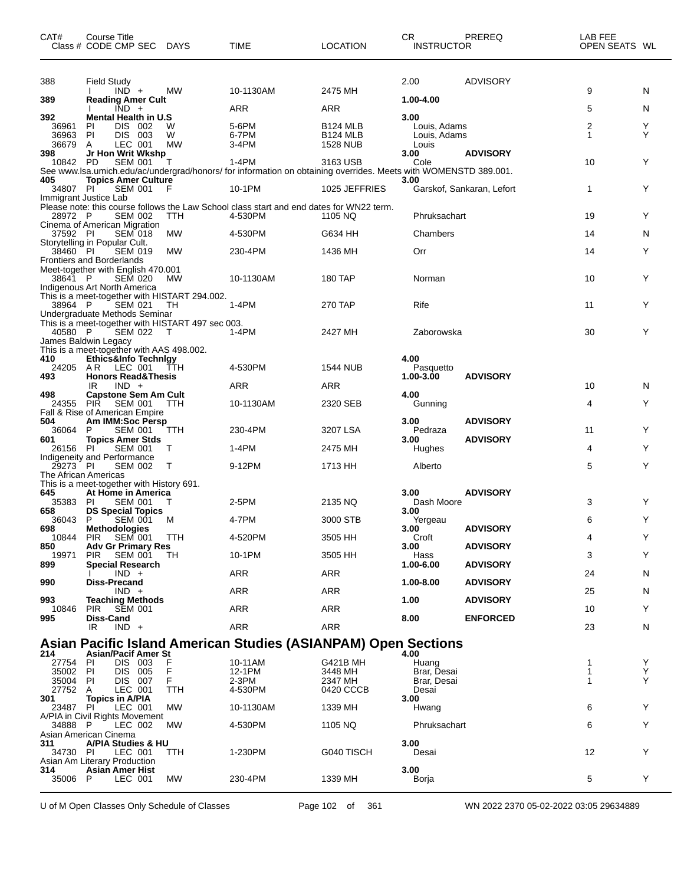| CAT#                 | Course Title<br>Class # CODE CMP SEC DAYS                                          |            | <b>TIME</b>                                                                                                     | <b>LOCATION</b>                    | CR.<br><b>INSTRUCTOR</b> | PREREQ                    | LAB FEE<br>OPEN SEATS WL |        |
|----------------------|------------------------------------------------------------------------------------|------------|-----------------------------------------------------------------------------------------------------------------|------------------------------------|--------------------------|---------------------------|--------------------------|--------|
| 388                  | <b>Field Study</b>                                                                 |            |                                                                                                                 |                                    | 2.00                     | ADVISORY                  |                          |        |
| 389                  | $IND +$<br><b>Reading Amer Cult</b>                                                | MW         | 10-1130AM                                                                                                       | 2475 MH                            | 1.00-4.00                |                           | 9                        | N      |
| 392                  | $\overline{IND}$ +<br><b>Mental Health in U.S</b>                                  |            | ARR                                                                                                             | ARR                                | 3.00                     |                           | 5                        | N      |
| 36961                | ΡI<br>DIS 002                                                                      | W          | 5-6PM                                                                                                           | <b>B124 MLB</b>                    | Louis, Adams             |                           | 2                        | Y      |
| 36963<br>36679       | PI<br>DIS 003<br>A<br>LEC 001                                                      | W<br>МW    | 6-7PM<br>$3-4PM$                                                                                                | <b>B124 MLB</b><br><b>1528 NUB</b> | Louis, Adams<br>Louis    |                           | 1                        | Y      |
| 398<br>10842 PD      | Jr Hon Writ Wkshp<br><b>SEM 001</b>                                                | т          | $1-4PM$                                                                                                         | 3163 USB                           | 3.00<br>Cole             | <b>ADVISORY</b>           | 10                       | Y      |
|                      |                                                                                    |            | See www.lsa.umich.edu/ac/undergrad/honors/ for information on obtaining overrides. Meets with WOMENSTD 389.001. |                                    |                          |                           |                          |        |
| 405<br>34807 PI      | <b>Topics Amer Culture</b><br><b>SEM 001</b>                                       | F          | 10-1PM                                                                                                          | 1025 JEFFRIES                      | 3.00                     | Garskof, Sankaran, Lefort | 1                        | Y      |
|                      | Immigrant Justice Lab                                                              |            | Please note: this course follows the Law School class start and end dates for WN22 term.                        |                                    |                          |                           |                          |        |
| 28972 P              | <b>SEM 002</b>                                                                     | <b>TTH</b> | 4-530PM                                                                                                         | 1105 NQ                            | Phruksachart             |                           | 19                       | Y      |
| 37592 PI             | Cinema of American Migration<br><b>SEM 018</b>                                     | МW         | 4-530PM                                                                                                         | G634 HH                            | Chambers                 |                           | 14                       | N      |
| 38460 PI             | Storytelling in Popular Cult.<br><b>SEM 019</b>                                    | MW         | 230-4PM                                                                                                         | 1436 MH                            | Orr                      |                           | 14                       | Y      |
|                      | <b>Frontiers and Borderlands</b>                                                   |            |                                                                                                                 |                                    |                          |                           |                          |        |
| 38641 P              | Meet-together with English 470.001<br><b>SEM 020</b>                               | МW         | 10-1130AM                                                                                                       | 180 TAP                            | Norman                   |                           | 10                       | Y      |
|                      | Indigenous Art North America<br>This is a meet-together with HISTART 294.002.      |            |                                                                                                                 |                                    |                          |                           |                          |        |
| 38964 P              | <b>SEM 021</b>                                                                     | TH         | 1-4PM                                                                                                           | 270 TAP                            | Rife                     |                           | 11                       | Y      |
|                      | Undergraduate Methods Seminar<br>This is a meet-together with HISTART 497 sec 003. |            |                                                                                                                 |                                    |                          |                           |                          |        |
| 40580 P              | SEM 022                                                                            | $\top$     | 1-4PM                                                                                                           | 2427 MH                            | Zaborowska               |                           | 30                       | Y      |
|                      | James Baldwin Legacy<br>This is a meet-together with AAS 498.002.                  |            |                                                                                                                 |                                    |                          |                           |                          |        |
| 410<br>24205         | Ethics&Info TechnIgy<br>AR LEC 001                                                 | ŤTH        | 4-530PM                                                                                                         | <b>1544 NUB</b>                    | 4.00<br>Pasquetto        |                           |                          |        |
| 493                  | <b>Honors Read&amp;Thesis</b>                                                      |            |                                                                                                                 |                                    | 1.00-3.00                | <b>ADVISORY</b>           |                          |        |
| 498                  | IR<br>$IND +$<br><b>Capstone Sem Am Cult</b>                                       |            | ARR                                                                                                             | ARR                                | 4.00                     |                           | 10                       | N      |
| 24355                | PIR SEM 001<br>Fall & Rise of American Empire                                      | <b>TTH</b> | 10-1130AM                                                                                                       | 2320 SEB                           | Gunning                  |                           | 4                        | Y      |
| 504                  | Am IMM:Soc Persp                                                                   |            |                                                                                                                 |                                    | 3.00                     | <b>ADVISORY</b>           |                          |        |
| 36064<br>601         | SEM 001<br>P<br><b>Topics Amer Stds</b>                                            | TTH        | 230-4PM                                                                                                         | 3207 LSA                           | Pedraza<br>3.00          | <b>ADVISORY</b>           | 11                       | Y      |
| 26156 PI             | <b>SEM 001</b><br>Indigeneity and Performance                                      | T          | 1-4PM                                                                                                           | 2475 MH                            | Hughes                   |                           | 4                        | Y      |
| 29273 PI             | <b>SEM 002</b>                                                                     | T          | 9-12PM                                                                                                          | 1713 HH                            | Alberto                  |                           | 5                        | Y      |
|                      | The African Americas<br>This is a meet-together with History 691.                  |            |                                                                                                                 |                                    |                          |                           |                          |        |
| 645                  | At Home in America                                                                 |            |                                                                                                                 |                                    | 3.00                     | <b>ADVISORY</b>           |                          |        |
| 35383<br>658         | PI<br><b>SEM 001</b><br><b>DS Special Topics</b>                                   | Т          | 2-5PM                                                                                                           | 2135 NQ                            | Dash Moore<br>3.00       |                           | 3                        | Y      |
| 36043<br>698         | P<br><b>SEM 001</b><br>Methodologies                                               | M          | 4-7PM                                                                                                           | 3000 STB                           | Yergeau<br>3.00          | <b>ADVISORY</b>           | 6                        | Y      |
|                      | 10844 PIR SEM 001 TTH                                                              |            | 4-520PM                                                                                                         | 3505 HH                            | Croft                    |                           | 4                        | Y      |
| 850<br>19971         | <b>Adv Gr Primary Res</b><br><b>PIR</b><br><b>SEM 001</b>                          | TН         | 10-1PM                                                                                                          | 3505 HH                            | 3.00<br>Hass             | <b>ADVISORY</b>           | 3                        | Y      |
| 899                  | <b>Special Research</b><br>$IND +$                                                 |            | ARR                                                                                                             | ARR                                | 1.00-6.00                | <b>ADVISORY</b>           | 24                       | N      |
| 990                  | Diss-Precand                                                                       |            |                                                                                                                 |                                    | 1.00-8.00                | <b>ADVISORY</b>           |                          |        |
| 993                  | $IND +$<br><b>Teaching Methods</b>                                                 |            | ARR                                                                                                             | ARR                                | 1.00                     | <b>ADVISORY</b>           | 25                       | N      |
| 10846                | <b>PIR</b><br>SEM 001                                                              |            | ARR                                                                                                             | ARR                                |                          |                           | 10                       | Y      |
| 995                  | Diss-Cand<br>$IND +$<br>IR                                                         |            | ARR                                                                                                             | <b>ARR</b>                         | 8.00                     | <b>ENFORCED</b>           | 23                       | N      |
|                      |                                                                                    |            | <b>Asian Pacific Island American Studies (ASIANPAM) Open Sections</b>                                           |                                    |                          |                           |                          |        |
| 214                  | <b>Asian/Pacif Amer St</b>                                                         |            |                                                                                                                 |                                    | 4.00                     |                           |                          |        |
| 27754 PI<br>35002 PI | DIS 003<br>DIS 005                                                                 | F<br>F     | 10-11AM<br>12-1PM                                                                                               | G421B MH<br>3448 MH                | Huang<br>Brar, Desai     |                           | 1<br>1                   | Y<br>Υ |
| 35004 PI<br>27752 A  | DIS 007<br>LEC 001                                                                 | F<br>TTH   | $2-3PM$<br>4-530PM                                                                                              | 2347 MH<br>0420 CCCB               | Brar, Desai<br>Desai     |                           | 1                        | Y      |
| 301                  | <b>Topics in A/PIA</b>                                                             |            |                                                                                                                 |                                    | 3.00                     |                           |                          |        |
| 23487 PI             | LEC 001<br>A/PIA in Civil Rights Movement                                          | МW         | 10-1130AM                                                                                                       | 1339 MH                            | Hwang                    |                           | 6                        | Y      |
| 34888 P              | LEC 002<br>Asian American Cinema                                                   | <b>MW</b>  | 4-530PM                                                                                                         | 1105 NQ                            | Phruksachart             |                           | 6                        | Y      |
| 311                  | A/PIA Studies & HU                                                                 |            |                                                                                                                 |                                    | 3.00                     |                           |                          |        |
| 34730 PI             | LEC 001<br>Asian Am Literary Production                                            | TTH        | 1-230PM                                                                                                         | G040 TISCH                         | Desai                    |                           | 12                       | Y      |
| 314                  | <b>Asian Amer Hist</b>                                                             |            |                                                                                                                 |                                    | 3.00                     |                           |                          |        |
| 35006                | - P<br>LEC 001                                                                     | MW         | 230-4PM                                                                                                         | 1339 MH                            | Borja                    |                           | 5                        | Y      |

U of M Open Classes Only Schedule of Classes Page 102 of 361 WN 2022 2370 05-02-2022 03:05 29634889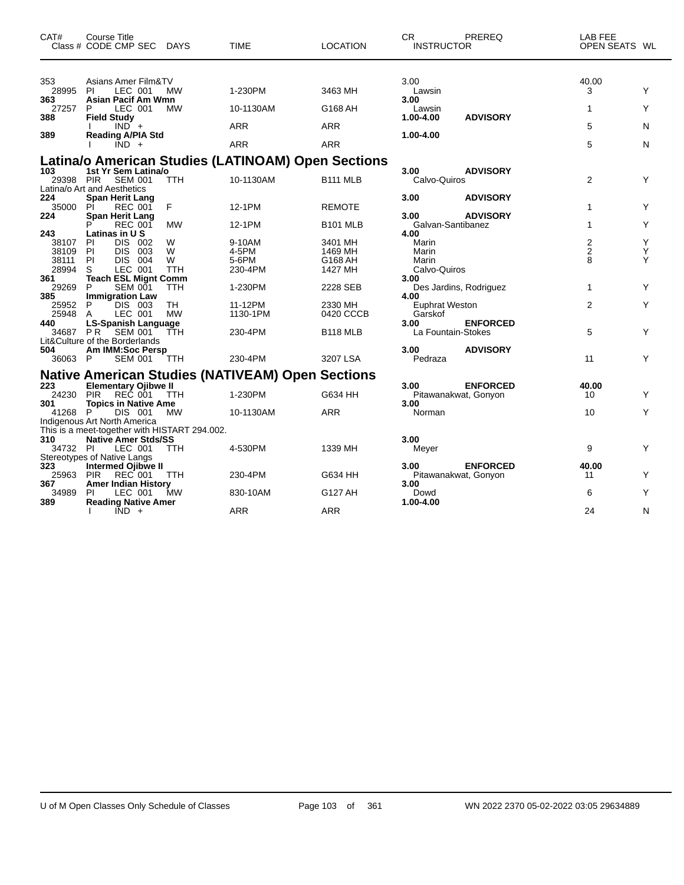| CAT#                | <b>Course Title</b><br>Class # CODE CMP SEC DAYS                                      | <b>TIME</b>                                             | <b>LOCATION</b>      | <b>CR</b><br>PREREQ<br><b>INSTRUCTOR</b>        | LAB FEE<br>OPEN SEATS WL |   |
|---------------------|---------------------------------------------------------------------------------------|---------------------------------------------------------|----------------------|-------------------------------------------------|--------------------------|---|
| 353                 | Asians Amer Film&TV                                                                   |                                                         |                      | 3.00                                            | 40.00                    |   |
| 28995               | <b>MW</b><br><b>PI</b><br>LEC 001                                                     | 1-230PM                                                 | 3463 MH              | Lawsin                                          | 3                        | Y |
| 363<br>27257<br>388 | Asian Pacif Am Wmn<br>LEC 001<br><b>MW</b><br>P<br><b>Field Study</b>                 | 10-1130AM                                               | G168 AH              | 3.00<br>Lawsin<br><b>ADVISORY</b><br>1.00-4.00  | 1                        | Y |
|                     | $IND +$                                                                               | <b>ARR</b>                                              | <b>ARR</b>           |                                                 | 5                        | N |
| 389                 | <b>Reading A/PIA Std</b><br>$\overline{IND}$ +                                        | <b>ARR</b>                                              | <b>ARR</b>           | 1.00-4.00                                       | 5                        | N |
|                     |                                                                                       | Latina/o American Studies (LATINOAM) Open Sections      |                      |                                                 |                          |   |
| 103<br>29398        | 1st Yr Sem Latina/o<br><b>PIR</b><br>SEM 001<br><b>TTH</b>                            | 10-1130AM                                               | <b>B111 MLB</b>      | 3.00<br><b>ADVISORY</b><br>Calvo-Quiros         | $\overline{2}$           | Y |
| 224<br>35000        | Latina/o Art and Aesthetics<br><b>Span Herit Lang</b><br>F<br>PI<br><b>REC 001</b>    | 12-1PM                                                  | <b>REMOTE</b>        | 3.00<br><b>ADVISORY</b>                         | 1                        | Y |
| 224                 | <b>Span Herit Lang</b><br><b>MW</b><br><b>REC 001</b>                                 | 12-1PM                                                  | <b>B101 MLB</b>      | <b>ADVISORY</b><br>3.00<br>Galvan-Santibanez    | $\mathbf{1}$             | Y |
| 243<br>38107        | Latinas in U S<br><b>DIS</b><br>W<br>PI<br>002                                        | 9-10AM                                                  | 3401 MH              | 4.00<br>Marin                                   | $\overline{2}$           | Y |
| 38109               | P <sub>1</sub><br>DIS.<br>003<br>W                                                    | 4-5PM                                                   | 1469 MH              | Marin                                           | $\overline{2}$           | Y |
| 38111<br>28994      | P<br>DIS 004<br>W<br>S<br>LEC 001<br><b>TTH</b>                                       | 5-6PM<br>230-4PM                                        | G168 AH<br>1427 MH   | Marin<br>Calvo-Quiros                           | 8                        | Υ |
| 361                 | <b>Teach ESL Mignt Comm</b>                                                           |                                                         |                      | 3.00                                            |                          |   |
| 29269<br>385        | P<br><b>SEM 001</b><br>TTH<br><b>Immigration Law</b>                                  | 1-230PM                                                 | 2228 SEB             | Des Jardins, Rodriguez<br>4.00                  | $\mathbf 1$              | Y |
| 25952<br>25948      | DIS 003<br>TH<br>P<br><b>MW</b><br>LEC 001<br>A                                       | 11-12PM<br>1130-1PM                                     | 2330 MH<br>0420 CCCB | <b>Euphrat Weston</b><br>Garskof                | $\overline{2}$           | Y |
| 440<br>34687 PR     | <b>LS-Spanish Language</b><br><b>SEM 001</b><br>TTH<br>Lit&Culture of the Borderlands | 230-4PM                                                 | <b>B118 MLB</b>      | 3.00<br><b>ENFORCED</b><br>La Fountain-Stokes   | 5                        | Y |
| 504                 | Am IMM:Soc Persp                                                                      |                                                         |                      | 3.00<br><b>ADVISORY</b>                         |                          |   |
| 36063 P             | <b>SEM 001</b><br><b>TTH</b>                                                          | 230-4PM                                                 | 3207 LSA             | Pedraza                                         | 11                       | Y |
|                     |                                                                                       | <b>Native American Studies (NATIVEAM) Open Sections</b> |                      |                                                 |                          |   |
| 223<br>24230        | <b>Elementary Ojibwe II</b><br><b>PIR</b><br>REČ 001<br><b>TTH</b>                    | 1-230PM                                                 | G634 HH              | <b>ENFORCED</b><br>3.00<br>Pitawanakwat, Gonyon | 40.00<br>10              | Y |
| 301                 | <b>Topics in Native Ame</b>                                                           |                                                         |                      | 3.00                                            |                          |   |
| 41268 P             | DIS 001<br><b>MW</b><br>Indigenous Art North America                                  | 10-1130AM                                               | <b>ARR</b>           | Norman                                          | 10                       | Y |
|                     | This is a meet-together with HISTART 294.002.                                         |                                                         |                      |                                                 |                          |   |
| 310<br>34732 PI     | <b>Native Amer Stds/SS</b><br>LEC 001<br><b>TTH</b>                                   | 4-530PM                                                 | 1339 MH              | 3.00<br>Meyer                                   | 9                        | Y |
|                     | Stereotypes of Native Langs                                                           |                                                         |                      |                                                 |                          |   |
| 323<br>25963        | <b>Intermed Ojibwe II</b><br><b>PIR</b><br><b>REC 001</b><br>TTH                      | 230-4PM                                                 | G634 HH              | <b>ENFORCED</b><br>3.00<br>Pitawanakwat, Gonyon | 40.00<br>11              | Y |
| 367                 | <b>Amer Indian History</b>                                                            |                                                         |                      | 3.00                                            |                          |   |
| 34989<br>389        | PI<br>LEC 001<br>MW<br><b>Reading Native Amer</b>                                     | 830-10AM                                                | G127 AH              | Dowd<br>1.00-4.00                               | 6                        | Y |
|                     | $IND +$<br>I.                                                                         | <b>ARR</b>                                              | <b>ARR</b>           |                                                 | 24                       | N |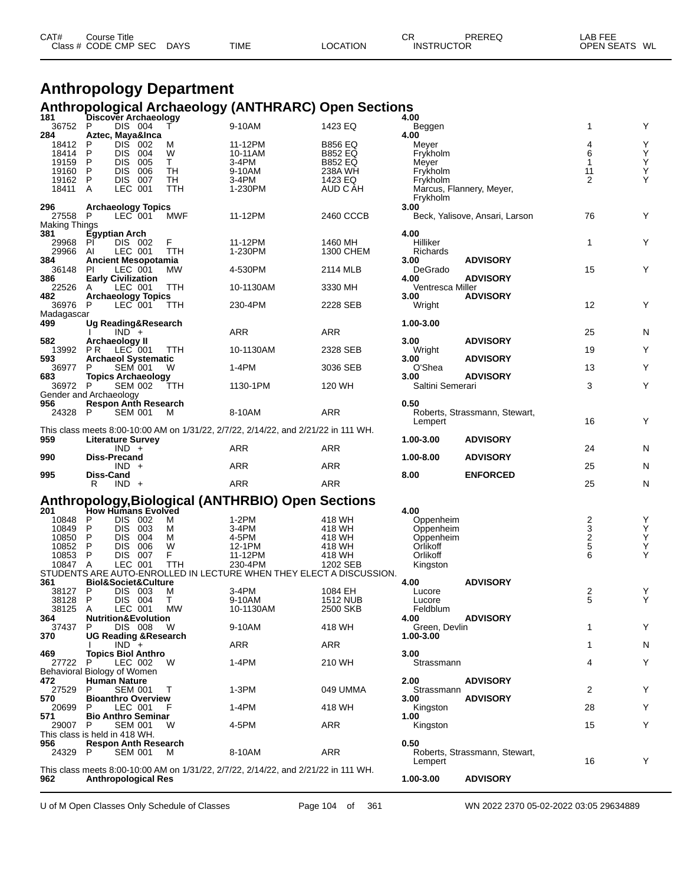| CAT# | Course Title         |             |             |          | ◠⊏<br>◡┎          | PREREQ | LAB FEE          |
|------|----------------------|-------------|-------------|----------|-------------------|--------|------------------|
|      | Class # CODE CMP SEC | <b>DAYS</b> | <b>TIME</b> | LOCATION | <b>INSTRUCTOR</b> |        | OPEN SEATS<br>WL |
|      |                      |             |             |          |                   |        |                  |

#### **Anthropology Department Anthropological Archaeology (ANTHRARC) Open Sections**

| 181            | Discover Archaeology                           |            | Anthropological Archaeology (Architecture) Open Oecuons                            |                  | 4.00                     |                                |                         |        |
|----------------|------------------------------------------------|------------|------------------------------------------------------------------------------------|------------------|--------------------------|--------------------------------|-------------------------|--------|
| 36752 P        | DIS 004                                        |            | 9-10AM                                                                             | 1423 EQ          | Beggen                   |                                | 1                       | Y      |
| 284<br>18412   | Aztec, Maya&Inca<br>DIS 002<br>P               | м          | 11-12PM                                                                            | <b>B856 EQ</b>   | 4.00<br>Meyer            |                                | 4                       | Y      |
| 18414          | P<br>DIS 004                                   | W          | 10-11AM                                                                            | <b>B852 EQ</b>   | Frykholm                 |                                | 6                       | Υ      |
| 19159          | DIS.<br>P<br>005                               | Τ          | 3-4PM                                                                              | <b>B852 EQ</b>   | Meyer                    |                                | 1                       | Y      |
| 19160          | P<br>DIS 006                                   | TH         | 9-10AM                                                                             | 238A WH          | Frykholm                 |                                | 11                      | Y      |
| 19162 P        | DIS 007                                        | TН         | 3-4PM                                                                              | 1423 EQ          | Frykholm                 |                                | $\overline{2}$          | Y      |
| 18411          | LEC 001<br>A                                   | TTH        | 1-230PM                                                                            | AUD C AH         |                          | Marcus, Flannery, Meyer,       |                         |        |
| 296            | <b>Archaeology Topics</b>                      |            |                                                                                    |                  | Frykholm<br>3.00         |                                |                         |        |
| 27558          | LEC 001<br>P                                   | MWF        | 11-12PM                                                                            | 2460 CCCB        |                          | Beck, Yalisove, Ansari, Larson | 76                      | Y      |
| Making Things  |                                                |            |                                                                                    |                  |                          |                                |                         |        |
| 381            | Egyptian Arch                                  | F          |                                                                                    | 1460 MH          | 4.00                     |                                | 1                       | Y      |
| 29968<br>29966 | DIS 002<br>-PI<br>LEC 001<br>Al                | <b>TTH</b> | 11-12PM<br>1-230PM                                                                 | 1300 CHEM        | Hilliker<br>Richards     |                                |                         |        |
| 384            | <b>Ancient Mesopotamia</b>                     |            |                                                                                    |                  | 3.00                     | <b>ADVISORY</b>                |                         |        |
| 36148          | LEC 001<br>PI.                                 | МW         | 4-530PM                                                                            | 2114 MLB         | DeGrado                  |                                | 15                      | Y      |
| 386            | <b>Early Civilization</b>                      |            |                                                                                    |                  | 4.00                     | <b>ADVISORY</b>                |                         |        |
| 22526 A<br>482 | LEC 001<br><b>Archaeology Topics</b>           | TTH        | 10-1130AM                                                                          | 3330 MH          | Ventresca Miller<br>3.00 | <b>ADVISORY</b>                |                         |        |
| 36976 P        | LEC 001                                        | TTH        | 230-4PM                                                                            | 2228 SEB         | Wright                   |                                | 12                      | Y      |
| Madagascar     |                                                |            |                                                                                    |                  |                          |                                |                         |        |
| 499            | Ug Reading&Research                            |            |                                                                                    |                  | 1.00-3.00                |                                |                         |        |
| 582            | $IND +$<br>Archaeology II                      |            | ARR                                                                                | ARR              | 3.00                     | <b>ADVISORY</b>                | 25                      | N      |
| 13992          | LEC 001<br>PR.                                 | <b>TTH</b> | 10-1130AM                                                                          | 2328 SEB         | Wright                   |                                | 19                      | Y      |
| 593            | <b>Archaeol Systematic</b>                     |            |                                                                                    |                  | 3.00                     | <b>ADVISORY</b>                |                         |        |
| 36977          | P<br><b>SEM 001</b>                            | W          | 1-4PM                                                                              | 3036 SEB         | O'Shea                   |                                | 13                      | Y      |
| 683            | <b>Topics Archaeology</b>                      |            |                                                                                    |                  | 3.00                     | <b>ADVISORY</b>                |                         |        |
| 36972 P        | SEM 002<br>Gender and Archaeology              | TTH        | 1130-1PM                                                                           | 120 WH           | Saltini Semerari         |                                | 3                       | Y      |
| 956            | <b>Respon Anth Research</b>                    |            |                                                                                    |                  | 0.50                     |                                |                         |        |
| 24328 P        | <b>SEM 001</b>                                 | м          | 8-10AM                                                                             | ARR              |                          | Roberts, Strassmann, Stewart,  |                         |        |
|                |                                                |            |                                                                                    |                  | Lempert                  |                                | 16                      | Y      |
| 959            | <b>Literature Survey</b>                       |            | This class meets 8:00-10:00 AM on 1/31/22, 2/7/22, 2/14/22, and 2/21/22 in 111 WH. |                  | 1.00-3.00                | <b>ADVISORY</b>                |                         |        |
|                | $IND +$                                        |            | ARR                                                                                | ARR              |                          |                                | 24                      | N      |
| 990            | <b>Diss-Precand</b>                            |            |                                                                                    |                  | 1.00-8.00                | <b>ADVISORY</b>                |                         |        |
|                | $IND +$                                        |            | ARR                                                                                | ARR              |                          |                                | 25                      | N      |
| 995            | <b>Diss-Cand</b><br>R.<br>$IND +$              |            | <b>ARR</b>                                                                         | ARR              | 8.00                     | <b>ENFORCED</b>                | 25                      | N      |
|                |                                                |            |                                                                                    |                  |                          |                                |                         |        |
|                |                                                |            | Anthropology, Biological (ANTHRBIO) Open Sections                                  |                  |                          |                                |                         |        |
| 201            | <b>How Humans Evolved</b>                      |            |                                                                                    |                  | 4.00                     |                                |                         |        |
| 10848<br>10849 | DIS 002<br>P<br>DIS 003<br>P                   | м<br>м     | $1-2PM$<br>3-4PM                                                                   | 418 WH<br>418 WH | Oppenheim<br>Oppenheim   |                                | 2<br>3                  | Y<br>Υ |
| 10850          | <b>DIS</b><br>P<br>004                         | М          | 4-5PM                                                                              | 418 WH           | Oppenheim                |                                | $\overline{\mathbf{c}}$ | Y      |
| 10852          | P<br>DIS 006                                   | W          | 12-1PM                                                                             | 418 WH           | Orlikoff                 |                                | 5                       | Y      |
| 10853          | P<br>DIS 007                                   | F.         | 11-12PM                                                                            | 418 WH           | Orlikoff                 |                                | 6                       | Y      |
| 10847          | LEC 001<br>A                                   | TTH        | 230-4PM                                                                            | 1202 SEB         | Kingston                 |                                |                         |        |
| 361            | <b>Biol&amp;Societ&amp;Culture</b>             |            | STUDENTS ARE AUTO-ENROLLED IN LECTURE WHEN THEY ELECT A DISCUSSION.                |                  | 4.00                     | <b>ADVISORY</b>                |                         |        |
| 38127          | P<br>DIS 003                                   | М          | 3-4PM                                                                              | 1084 EH          | Lucore                   |                                | 2                       | Y      |
| 38128          | P<br>DIS 004                                   | т          | 9-10AM                                                                             | 1512 NUB         | Lucore                   |                                | 5                       | Y      |
| 38125 A        | LEC 001                                        | MW         | 10-1130AM                                                                          | 2500 SKB         | Feldblum                 |                                |                         |        |
| 364<br>37437   | <b>Nutrition&amp;Evolution</b><br>DIS 008<br>P | - W        | 9-10AM                                                                             | 418 WH           | 4.00<br>Green, Devlin    | <b>ADVISORY</b>                | 1                       | Y      |
| 370            | <b>UG Reading &amp; Research</b>               |            |                                                                                    |                  | 1.00-3.00                |                                |                         |        |
|                | $IND +$                                        |            | ARR                                                                                | ARR              |                          |                                | 1                       | N      |
| 469            | <b>Topics Biol Anthro</b>                      |            |                                                                                    |                  | 3.00                     |                                |                         |        |
| 27722          | LEC 002<br>Behavioral Biology of Women         | W          | 1-4PM                                                                              | 210 WH           | Strassmann               |                                | 4                       | Y      |
| 472            | <b>Human Nature</b>                            |            |                                                                                    |                  | 2.00                     | <b>ADVISORY</b>                |                         |        |
| 27529          | P<br><b>SEM 001</b>                            | Τ          | 1-3PM                                                                              | 049 UMMA         | Strassmann               |                                | 2                       | Y      |
| 570            | <b>Bioanthro Overview</b>                      |            |                                                                                    |                  | 3.00                     | <b>ADVISORY</b>                |                         |        |
| 20699<br>571   | LEC 001<br>P<br><b>Bio Anthro Seminar</b>      |            | 1-4PM                                                                              | 418 WH           | Kingston<br>1.00         |                                | 28                      | Y      |
| 29007          | <b>SEM 001</b><br>P                            | W          | 4-5PM                                                                              | ARR              | Kingston                 |                                | 15                      | Υ      |
|                | This class is held in 418 WH.                  |            |                                                                                    |                  |                          |                                |                         |        |
| 956            | <b>Respon Anth Research</b>                    |            |                                                                                    |                  | 0.50                     |                                |                         |        |
| 24329          | <b>SEM 001</b><br>P                            | м          | 8-10AM                                                                             | <b>ARR</b>       |                          | Roberts, Strassmann, Stewart,  | 16                      | Y      |
|                |                                                |            | This class meets 8:00-10:00 AM on 1/31/22, 2/7/22, 2/14/22, and 2/21/22 in 111 WH. |                  | Lempert                  |                                |                         |        |
| 962            | <b>Anthropological Res</b>                     |            |                                                                                    |                  | 1.00-3.00                | <b>ADVISORY</b>                |                         |        |

U of M Open Classes Only Schedule of Classes Page 104 of 361 WN 2022 2370 05-02-2022 03:05 29634889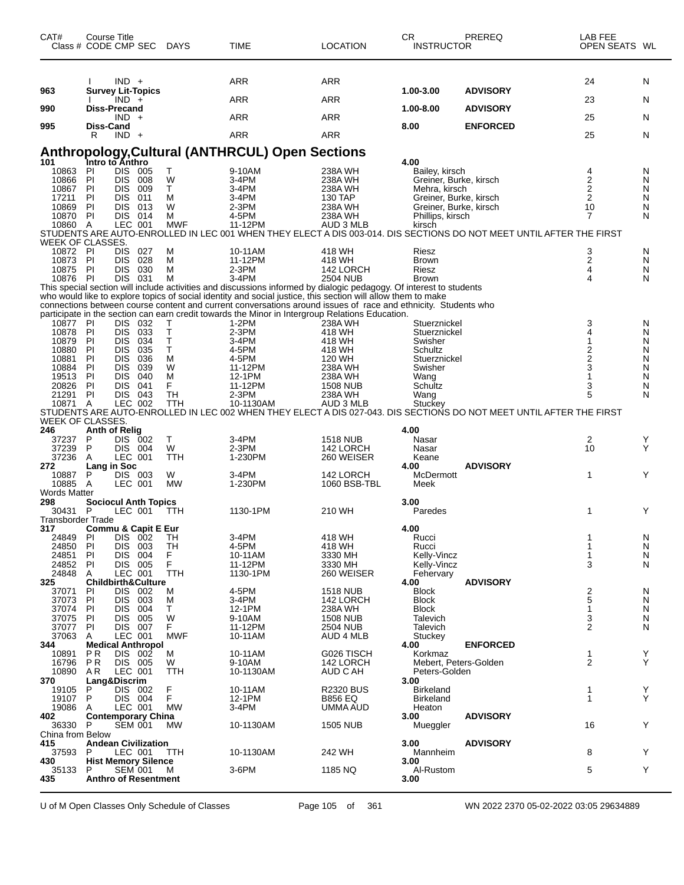| CAT#                                | Course Title<br>Class # CODE CMP SEC                  | <b>DAYS</b>     | <b>TIME</b>                                                                                                                                                                                                                    | <b>LOCATION</b>             | CR<br><b>INSTRUCTOR</b>                          | PREREQ                                                                                                              | LAB FEE<br>OPEN SEATS WL |        |
|-------------------------------------|-------------------------------------------------------|-----------------|--------------------------------------------------------------------------------------------------------------------------------------------------------------------------------------------------------------------------------|-----------------------------|--------------------------------------------------|---------------------------------------------------------------------------------------------------------------------|--------------------------|--------|
|                                     | $IND +$                                               |                 | ARR                                                                                                                                                                                                                            | <b>ARR</b>                  |                                                  |                                                                                                                     | 24                       | N      |
| 963                                 | <b>Survey Lit-Topics</b><br>$IND +$                   |                 | ARR                                                                                                                                                                                                                            | <b>ARR</b>                  | 1.00-3.00                                        | <b>ADVISORY</b>                                                                                                     | 23                       | N      |
| 990                                 | <b>Diss-Precand</b>                                   |                 |                                                                                                                                                                                                                                |                             | 1.00-8.00                                        | <b>ADVISORY</b>                                                                                                     |                          |        |
| 995                                 | $IND +$<br>Diss-Cand                                  |                 | ARR                                                                                                                                                                                                                            | <b>ARR</b>                  | 8.00                                             | <b>ENFORCED</b>                                                                                                     | 25                       | N      |
|                                     | R<br>$IND +$                                          |                 | <b>ARR</b>                                                                                                                                                                                                                     | <b>ARR</b>                  |                                                  |                                                                                                                     | 25                       | N      |
|                                     |                                                       |                 | <b>Anthropology, Cultural (ANTHRCUL) Open Sections</b>                                                                                                                                                                         |                             |                                                  |                                                                                                                     |                          |        |
| 101                                 | Intro to Anthro                                       |                 |                                                                                                                                                                                                                                |                             | 4.00                                             |                                                                                                                     |                          |        |
| 10863<br>10866                      | PI<br>DIS 005<br>PI<br>DIS.<br>008                    | Т<br>W          | 9-10AM<br>3-4PM                                                                                                                                                                                                                | 238A WH<br>238A WH          | Bailey, kirsch<br>Greiner, Burke, kirsch         |                                                                                                                     | 4<br>2                   | N<br>N |
| 10867                               | PI<br><b>DIS</b><br>009                               | T               | 3-4PM                                                                                                                                                                                                                          | 238A WH                     | Mehra, kirsch                                    |                                                                                                                     | 2                        | N      |
| 17211<br>10869                      | PI<br><b>DIS</b><br>011<br><b>DIS</b><br>PI<br>013    | М<br>W          | 3-4PM<br>$2-3PM$                                                                                                                                                                                                               | 130 TAP<br>238A WH          | Greiner, Burke, kirsch<br>Greiner, Burke, kirsch |                                                                                                                     | 2<br>10                  | N<br>N |
| 10870 PI                            | DIS.<br>014                                           | м               | 4-5PM                                                                                                                                                                                                                          | 238A WH                     | Phillips, kirsch                                 |                                                                                                                     | 7                        | N      |
| 10860 A                             | LEC 001                                               | <b>MWF</b>      | 11-12PM                                                                                                                                                                                                                        | AUD 3 MLB                   | kirsch                                           | STUDENTS ARE AUTO-ENROLLED IN LEC 001 WHEN THEY ELECT A DIS 003-014. DIS SECTIONS DO NOT MEET UNTIL AFTER THE FIRST |                          |        |
| WEEK OF CLASSES.<br>10872 PI        | 027<br><b>DIS</b>                                     |                 | 10-11AM                                                                                                                                                                                                                        | 418 WH                      | Riesz                                            |                                                                                                                     |                          | N      |
| 10873                               | 028<br>PI<br>DIS.                                     | M<br>м          | 11-12PM                                                                                                                                                                                                                        | 418 WH                      | <b>Brown</b>                                     |                                                                                                                     | 3<br>2                   | N      |
| 10875 PI<br>10876 PI                | DIS.<br>030<br>DIS 031                                | м               | $2-3PM$<br>3-4PM                                                                                                                                                                                                               | 142 LORCH<br>2504 NUB       | Riesz                                            |                                                                                                                     | 4<br>4                   | N<br>N |
|                                     |                                                       | м               | This special section will include activities and discussions informed by dialogic pedagogy. Of interest to students                                                                                                            |                             | <b>Brown</b>                                     |                                                                                                                     |                          |        |
|                                     |                                                       |                 | who would like to explore topics of social identity and social justice, this section will allow them to make<br>connections between course content and current conversations around issues of race and ethnicity. Students who |                             |                                                  |                                                                                                                     |                          |        |
|                                     |                                                       |                 | participate in the section can earn credit towards the Minor in Intergroup Relations Education.                                                                                                                                |                             |                                                  |                                                                                                                     |                          |        |
| 10877<br>10878                      | -PI<br>DIS 032<br><b>DIS</b><br>033<br>PI             | т<br>Τ          | $1-2PM$<br>$2-3PM$                                                                                                                                                                                                             | 238A WH<br>418 WH           | Stuerznickel<br>Stuerznickel                     |                                                                                                                     | 3                        | N<br>N |
| 10879                               | <b>DIS</b><br>034<br>PI                               | Т               | 3-4PM                                                                                                                                                                                                                          | 418 WH                      | Swisher                                          |                                                                                                                     |                          | N      |
| 10880<br>10881                      | PI<br><b>DIS</b><br>035<br>PI<br>036<br><b>DIS</b>    | T<br>M          | 4-5PM<br>4-5PM                                                                                                                                                                                                                 | 418 WH<br>120 WH            | Schultz<br>Stuerznickel                          |                                                                                                                     | 2<br>$\overline{2}$      | N<br>N |
| 10884                               | PI<br><b>DIS</b><br>039                               | W               | 11-12PM                                                                                                                                                                                                                        | 238A WH                     | Swisher                                          |                                                                                                                     | 3                        | N      |
| 19513<br>20826                      | PI<br><b>DIS</b><br>040<br>PI<br><b>DIS</b><br>041    | M<br>F          | 12-1PM<br>11-12PM                                                                                                                                                                                                              | 238A WH<br><b>1508 NUB</b>  | Wang<br>Schultz                                  |                                                                                                                     | 1<br>3                   | N<br>N |
| 21291                               | PI<br>DIS 043                                         | <b>TH</b>       | 2-3PM                                                                                                                                                                                                                          | 238A WH                     | Wang                                             |                                                                                                                     | 5                        | N      |
| 10871 A                             | LEC 002                                               | TTH             | 10-1130AM                                                                                                                                                                                                                      | AUD 3 MLB                   | Stuckey                                          | STUDENTS ARE AUTO-ENROLLED IN LEC 002 WHEN THEY ELECT A DIS 027-043. DIS SECTIONS DO NOT MEET UNTIL AFTER THE FIRST |                          |        |
| WEEK OF CLASSES.                    |                                                       |                 |                                                                                                                                                                                                                                |                             |                                                  |                                                                                                                     |                          |        |
| 246<br>37237                        | <b>Anth of Relig</b><br>P<br>DIS 002                  | Т               | 3-4PM                                                                                                                                                                                                                          | <b>1518 NUB</b>             | 4.00<br>Nasar                                    |                                                                                                                     | 2                        | Y      |
| 37239                               | P<br>DIS 004                                          | W               | $2-3PM$                                                                                                                                                                                                                        | 142 LORCH                   | Nasar                                            |                                                                                                                     | 10                       | Y      |
| 37236<br>272                        | A<br>LEC 001<br>Lang in Soc                           | TTH             | 1-230PM                                                                                                                                                                                                                        | 260 WEISER                  | Keane<br>4.00                                    | <b>ADVISORY</b>                                                                                                     |                          |        |
| 10887                               | DIS 003<br>P                                          | W               | 3-4PM                                                                                                                                                                                                                          | 142 LORCH                   | McDermott                                        |                                                                                                                     | 1                        | Υ      |
| 10885 A<br><b>Words Matter</b>      | LEC 001                                               | <b>MW</b>       | 1-230PM                                                                                                                                                                                                                        | 1060 BSB-TBL                | Meek                                             |                                                                                                                     |                          |        |
| 298                                 | <b>Sociocul Anth Topics</b>                           |                 |                                                                                                                                                                                                                                |                             | 3.00                                             |                                                                                                                     |                          |        |
| 30431 P<br><b>Transborder Trade</b> | LEC 001                                               | TTH             | 1130-1PM                                                                                                                                                                                                                       | 210 WH                      | Paredes                                          |                                                                                                                     | 1                        | Y      |
| 317                                 | Commu & Capit E Eur                                   |                 |                                                                                                                                                                                                                                |                             | 4.00                                             |                                                                                                                     |                          |        |
| 24849<br>24850                      | PI<br>DIS 002<br>PI<br>DIS 003                        | TН<br>TН        | 3-4PM<br>4-5PM                                                                                                                                                                                                                 | 418 WH<br>418 WH            | Rucci<br>Rucci                                   |                                                                                                                     | 1                        | N<br>N |
| 24851                               | DIS 004<br>PI                                         | F               | 10-11AM                                                                                                                                                                                                                        | 3330 MH                     | Kelly-Vincz                                      |                                                                                                                     | 1                        | N      |
| 24852<br>24848                      | PI<br>DIS 005<br>LEC 001<br>A                         | F<br><b>TTH</b> | 11-12PM<br>1130-1PM                                                                                                                                                                                                            | 3330 MH<br>260 WEISER       | Kelly-Vincz<br>Fehervary                         |                                                                                                                     | 3                        | N      |
| 325                                 | <b>Childbirth&amp;Culture</b>                         |                 |                                                                                                                                                                                                                                |                             | 4.00                                             | <b>ADVISORY</b>                                                                                                     |                          |        |
| 37071<br>37073                      | PI<br>DIS 002<br>PI<br><b>DIS</b><br>003              | M<br>M          | 4-5PM<br>3-4PM                                                                                                                                                                                                                 | 1518 NUB<br>142 LORCH       | <b>Block</b><br><b>Block</b>                     |                                                                                                                     | 2<br>5                   | N<br>N |
| 37074                               | <b>DIS</b><br>004<br>PI                               | т               | 12-1PM                                                                                                                                                                                                                         | 238A WH                     | <b>Block</b>                                     |                                                                                                                     | 1                        | N      |
| 37075<br>37077                      | ΡI<br>DIS.<br>005<br>PI<br>DIS 007                    | W<br>F.         | 9-10AM<br>11-12PM                                                                                                                                                                                                              | <b>1508 NUB</b><br>2504 NUB | Talevich<br>Talevich                             |                                                                                                                     | 3<br>$\overline{2}$      | N<br>N |
| 37063                               | LEC 001<br>A                                          | <b>MWF</b>      | 10-11AM                                                                                                                                                                                                                        | AUD 4 MLB                   | Stuckey                                          |                                                                                                                     |                          |        |
| 344<br>10891                        | <b>Medical Anthropol</b><br>P <sub>R</sub><br>DIS 002 | м               | 10-11AM                                                                                                                                                                                                                        | G026 TISCH                  | 4.00<br>Korkmaz                                  | <b>ENFORCED</b>                                                                                                     | 1                        | Y      |
| 16796                               | DIS 005<br>P R                                        | W               | 9-10AM                                                                                                                                                                                                                         | 142 LORCH                   | Mebert, Peters-Golden                            |                                                                                                                     | 2                        | Y      |
| 10890<br>370                        | AR.<br>LEC 001<br>Lang&Discrim                        | TTH             | 10-1130AM                                                                                                                                                                                                                      | AUD C AH                    | Peters-Golden<br>3.00                            |                                                                                                                     |                          |        |
| 19105                               | DIS 002<br>P                                          | F               | 10-11AM                                                                                                                                                                                                                        | <b>R2320 BUS</b>            | <b>Birkeland</b>                                 |                                                                                                                     | 1                        | Υ<br>Y |
| 19107<br>19086                      | P<br>DIS 004<br>LEC 001<br>A                          | F.<br><b>MW</b> | 12-1PM<br>3-4PM                                                                                                                                                                                                                | <b>B856 EQ</b><br>UMMA AUD  | <b>Birkeland</b><br>Heaton                       |                                                                                                                     | 1                        |        |
| 402                                 | <b>Contemporary China</b>                             |                 |                                                                                                                                                                                                                                |                             | 3.00                                             | <b>ADVISORY</b>                                                                                                     | 16                       | Y      |
| 36330<br>China from Below           | P<br><b>SEM 001</b>                                   | МW              | 10-1130AM                                                                                                                                                                                                                      | <b>1505 NUB</b>             | Mueggler                                         |                                                                                                                     |                          |        |
| 415                                 | <b>Andean Civilization</b>                            |                 |                                                                                                                                                                                                                                | 242 WH                      | 3.00                                             | <b>ADVISORY</b>                                                                                                     |                          | Y      |
| 37593<br>430                        | LEC 001<br>P<br><b>Hist Memory Silence</b>            | TTH             | 10-1130AM                                                                                                                                                                                                                      |                             | Mannheim<br>3.00                                 |                                                                                                                     | 8                        |        |
| 35133                               | <b>SEM 001</b><br>P                                   | M               | 3-6PM                                                                                                                                                                                                                          | 1185 NQ                     | Al-Rustom                                        |                                                                                                                     | 5                        | Y      |
| 435                                 | <b>Anthro of Resentment</b>                           |                 |                                                                                                                                                                                                                                |                             | 3.00                                             |                                                                                                                     |                          |        |

U of M Open Classes Only Schedule of Classes Page 105 of 361 WN 2022 2370 05-02-2022 03:05 29634889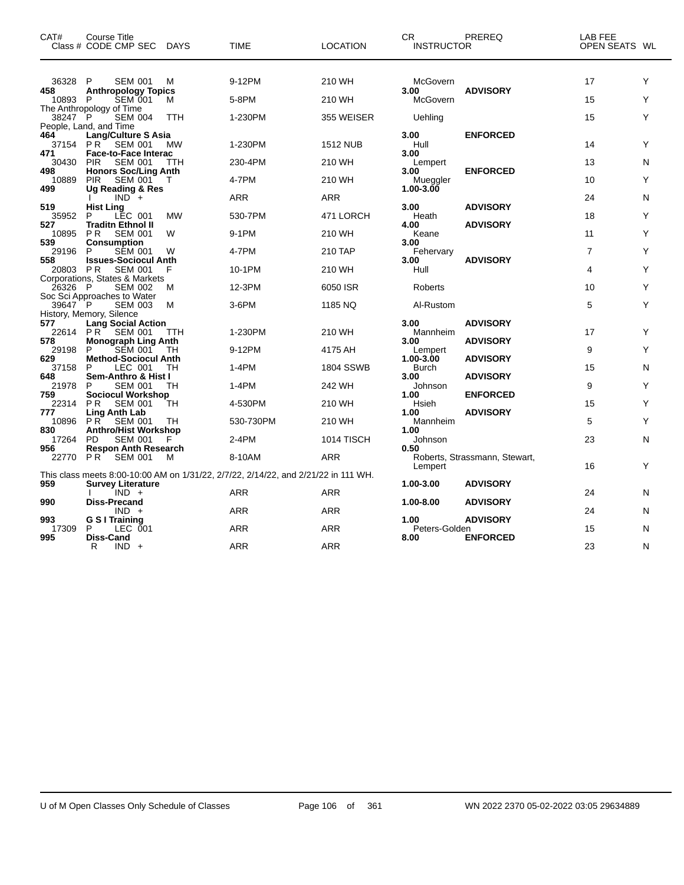| CAT#                  | Course Title<br>Class # CODE CMP SEC                                                      | <b>DAYS</b> | <b>TIME</b>                                                                                      | <b>LOCATION</b>            | СR<br><b>INSTRUCTOR</b>         | <b>PREREQ</b>                      | LAB FEE<br>OPEN SEATS WL |        |
|-----------------------|-------------------------------------------------------------------------------------------|-------------|--------------------------------------------------------------------------------------------------|----------------------------|---------------------------------|------------------------------------|--------------------------|--------|
| 36328<br>458          | P<br><b>SEM 001</b><br><b>Anthropology Topics</b>                                         | М           | 9-12PM                                                                                           | 210 WH                     | McGovern<br>3.00                | <b>ADVISORY</b>                    | 17                       | Y      |
| 10893 P<br>38247 P    | <b>SEM 001</b><br>The Anthropology of Time<br><b>SEM 004</b>                              | м<br>TTH    | 5-8PM<br>1-230PM                                                                                 | 210 WH<br>355 WEISER       | McGovern<br>Uehling             |                                    | 15<br>15                 | Y<br>Υ |
| 464<br>37154          | People, Land, and Time<br><b>Lang/Culture S Asia</b><br><b>SEM 001</b><br>PR.             | <b>MW</b>   | 1-230PM                                                                                          | <b>1512 NUB</b>            | 3.00<br>Hull                    | <b>ENFORCED</b>                    | 14                       | Υ      |
| 471<br>30430          | <b>Face-to-Face Interac</b><br><b>PIR</b><br><b>SEM 001</b>                               | TTH         | 230-4PM                                                                                          | 210 WH                     | 3.00<br>Lempert                 |                                    | 13                       | N      |
| 498<br>10889          | <b>Honors Soc/Ling Anth</b><br><b>PIR</b><br><b>SEM 001</b>                               | т           | 4-7PM                                                                                            | 210 WH                     | 3.00<br>Mueggler                | <b>ENFORCED</b>                    | 10                       | Y      |
| 499<br>519            | Ug Reading & Res<br>$IND^-$ +<br><b>Hist Ling</b>                                         |             | ARR                                                                                              | ARR                        | 1.00-3.00<br>3.00               | <b>ADVISORY</b>                    | 24                       | N      |
| 35952<br>527          | LEC 001<br>P<br><b>Traditn Ethnol II</b>                                                  | <b>MW</b>   | 530-7PM                                                                                          | 471 LORCH                  | Heath<br>4.00                   | <b>ADVISORY</b>                    | 18                       | Υ      |
| 10895<br>539<br>29196 | P <sub>R</sub><br><b>SEM 001</b><br><b>Consumption</b><br>P<br><b>SEM 001</b>             | W<br>W      | 9-1PM<br>4-7PM                                                                                   | 210 WH<br>210 TAP          | Keane<br>3.00<br>Fehervary      |                                    | 11<br>$\overline{7}$     | Υ<br>Υ |
| 558<br>20803 PR       | <b>Issues-Sociocul Anth</b><br><b>SEM 001</b>                                             | F           | 10-1PM                                                                                           | 210 WH                     | 3.00<br>Hull                    | <b>ADVISORY</b>                    | 4                        | Υ      |
| 26326 P               | Corporations, States & Markets<br><b>SEM 002</b><br>Soc Sci Approaches to Water           | м           | 12-3PM                                                                                           | 6050 ISR                   | Roberts                         |                                    | 10                       | Υ      |
| 39647 P               | <b>SEM 003</b><br>History, Memory, Silence                                                | M           | 3-6PM                                                                                            | 1185 NQ                    | Al-Rustom                       |                                    | 5                        | Υ      |
| 577<br>22614<br>578   | Lang Social Action<br>$PR^{\dagger}$<br><b>SEM 001</b><br><b>Monograph Ling Anth</b>      | ттн         | 1-230PM                                                                                          | 210 WH                     | 3.00<br>Mannheim<br>3.00        | <b>ADVISORY</b><br><b>ADVISORY</b> | 17                       | Υ      |
| 29198<br>629          | <b>SEM 001</b><br>P<br><b>Method-Sociocul Anth</b>                                        | TН          | 9-12PM                                                                                           | 4175 AH                    | Lempert<br>1.00-3.00            | <b>ADVISORY</b>                    | 9                        | Υ      |
| 37158<br>648<br>21978 | LEC 001<br>P<br>Sem-Anthro & Hist I<br>SEM 001<br>P                                       | TH<br>TН    | $1-4PM$<br>1-4PM                                                                                 | <b>1804 SSWB</b><br>242 WH | <b>Burch</b><br>3.00<br>Johnson | <b>ADVISORY</b>                    | 15<br>9                  | N<br>Y |
| 759<br>22314          | <b>Sociocul Workshop</b><br>PR.<br><b>SEM 001</b>                                         | TH          | 4-530PM                                                                                          | 210 WH                     | 1.00<br>Hsieh                   | <b>ENFORCED</b>                    | 15                       | Υ      |
| 777<br>10896 PR       | Ling Anth Lab<br><b>SEM 001</b>                                                           | TН          | 530-730PM                                                                                        | 210 WH                     | 1.00<br>Mannheim                | <b>ADVISORY</b>                    | 5                        | Υ      |
| 830<br>17264<br>956   | <b>Anthro/Hist Workshop</b><br><b>PD</b><br><b>SEM 001</b><br><b>Respon Anth Research</b> | F           | $2-4PM$                                                                                          | 1014 TISCH                 | 1.00<br>Johnson<br>0.50         |                                    | 23                       | N      |
| 22770 PR              | <b>SEM 001</b>                                                                            | м           | 8-10AM                                                                                           | ARR                        | Lempert                         | Roberts, Strassmann, Stewart,      | 16                       | Υ      |
| 959                   | <b>Survey Literature</b><br>$IND +$                                                       |             | This class meets 8:00-10:00 AM on 1/31/22, 2/7/22, 2/14/22, and 2/21/22 in 111 WH.<br><b>ARR</b> | ARR                        | 1.00-3.00                       | <b>ADVISORY</b>                    | 24                       | N      |
| 990                   | <b>Diss-Precand</b><br>$IND +$                                                            |             | ARR                                                                                              | <b>ARR</b>                 | 1.00-8.00                       | <b>ADVISORY</b>                    | 24                       | N      |
| 993<br>17309<br>995   | <b>G S I Training</b><br>P<br>LEC 001<br>Diss-Cand                                        |             | ARR                                                                                              | <b>ARR</b>                 | 1.00<br>Peters-Golden<br>8.00   | <b>ADVISORY</b><br><b>ENFORCED</b> | 15                       | N      |
|                       | R<br>$IND +$                                                                              |             | ARR                                                                                              | <b>ARR</b>                 |                                 |                                    | 23                       | N      |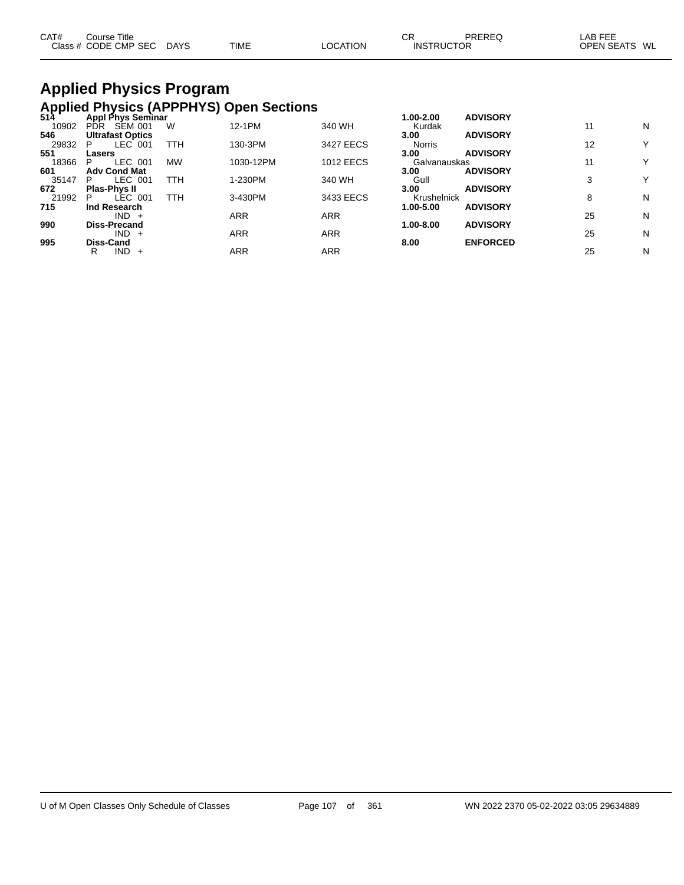| CAT# | Course Title<br>Class # CODE CMP SEC DAYS | TIME | ∟OCATION | СF<br><b>INSTRUCTOR</b> | PREREQ | _AB FEE<br>OPEN SEATS WL |  |
|------|-------------------------------------------|------|----------|-------------------------|--------|--------------------------|--|
|      |                                           |      |          |                         |        |                          |  |

# **Applied Physics Program Applied Physics (APPPHYS) Open Sections 514 Appl Phys Seminar 1.00-2.00 ADVISORY**

| 514   | Appl Phys Seminar            |           |            |                  | 1.00-2.00     | <b>ADVISORY</b> |    |   |
|-------|------------------------------|-----------|------------|------------------|---------------|-----------------|----|---|
| 10902 | <b>SEM 001</b><br><b>PDR</b> | W         | 12-1PM     | 340 WH           | Kurdak        |                 |    | N |
| 546   | <b>Ultrafast Optics</b>      |           |            |                  | 3.00          | <b>ADVISORY</b> |    |   |
| 29832 | LEC 001<br>P                 | TTH       | 130-3PM    | 3427 EECS        | <b>Norris</b> |                 | 12 | Y |
| 551   | Lasers                       |           |            |                  | 3.00          | <b>ADVISORY</b> |    |   |
| 18366 | LEC 001<br>P                 | <b>MW</b> | 1030-12PM  | <b>1012 EECS</b> | Galvanauskas  |                 |    | Y |
| 601   | <b>Adv Cond Mat</b>          |           |            |                  | 3.00          | <b>ADVISORY</b> |    |   |
| 35147 | LEC 001<br>P.                | TTH       | 1-230PM    | 340 WH           | Gull          |                 |    | Y |
| 672   | <b>Plas-Phys II</b>          |           |            |                  | 3.00          | <b>ADVISORY</b> |    |   |
| 21992 | LEC 001<br>P                 | TTH       | 3-430PM    | 3433 EECS        | Krushelnick   |                 | 8  | N |
| 715   | Ind Research                 |           |            |                  | 1.00-5.00     | <b>ADVISORY</b> |    |   |
|       | $IND +$                      |           | <b>ARR</b> | <b>ARR</b>       |               |                 | 25 | N |
| 990   | <b>Diss-Precand</b>          |           |            |                  | 1.00-8.00     | <b>ADVISORY</b> |    |   |
|       | $IND +$                      |           | <b>ARR</b> | <b>ARR</b>       |               |                 | 25 | N |
| 995   | Diss-Cand                    |           |            |                  | 8.00          | <b>ENFORCED</b> |    |   |
|       | IND.<br>R<br>$+$             |           | ARR        | <b>ARR</b>       |               |                 | 25 | N |
|       |                              |           |            |                  |               |                 |    |   |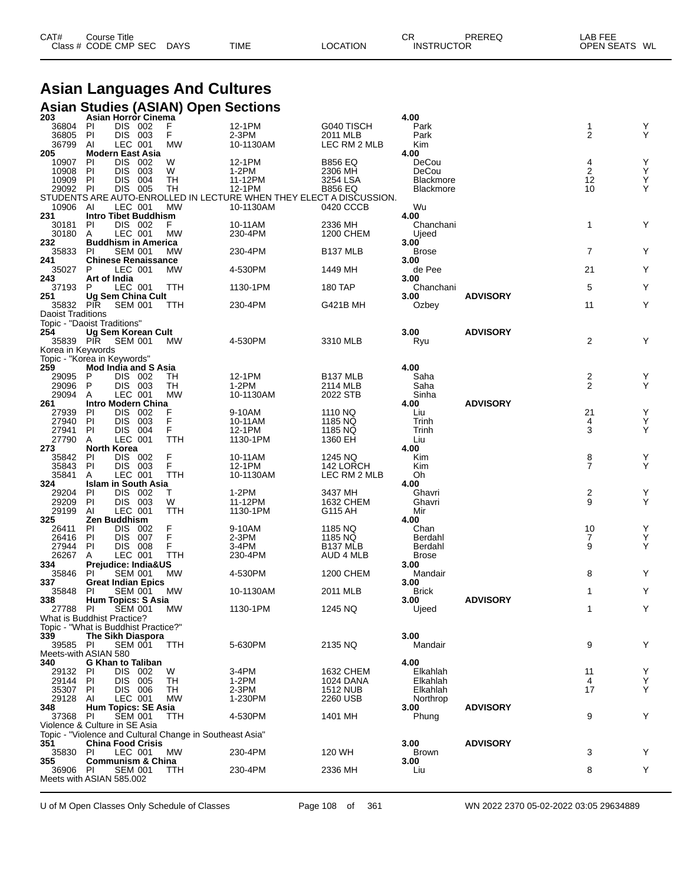| CAT# | ourse Titleٽ         |             |             |          | ⌒冖<br>◡┍          | PREREQ | LAB FEE    |    |
|------|----------------------|-------------|-------------|----------|-------------------|--------|------------|----|
|      | Class # CODE CMP SEC | <b>DAYS</b> | <b>TIME</b> | LOCATION | <b>INSTRUCTOR</b> |        | OPEN SEATS | WL |

# **Asian Languages And Cultures**

|                                                         |                                  |                    |       | Asian Studies (ASIAN) Open Sections                      |                                                                                  |                             |                      |                 |                |                                                          |
|---------------------------------------------------------|----------------------------------|--------------------|-------|----------------------------------------------------------|----------------------------------------------------------------------------------|-----------------------------|----------------------|-----------------|----------------|----------------------------------------------------------|
| 203<br>36804                                            | Asian Horror Cinema<br>PI        | DIS 002            |       | F                                                        | 12-1PM                                                                           | G040 TISCH                  | 4.00<br>Park         |                 | 1              | Υ                                                        |
| 36805                                                   | PI                               | DIS 003            |       | F                                                        | 2-3PM                                                                            | 2011 MLB                    | Park                 |                 | $\overline{2}$ | Υ                                                        |
| 36799                                                   | Al                               | LEC 001            |       | <b>MW</b>                                                | 10-1130AM                                                                        | LEC RM 2 MLB                | Kim                  |                 |                |                                                          |
| 205<br>10907                                            | <b>Modern East Asia</b><br>PI    | <b>DIS</b>         | 002   | W                                                        | 12-1PM                                                                           | <b>B856 EQ</b>              | 4.00<br>DeCou        |                 |                |                                                          |
| 10908                                                   | PI                               | DIS                | 003   | W                                                        | 1-2PM                                                                            | 2306 MH                     | DeCou                |                 | $\frac{4}{2}$  | $\begin{array}{c} \n\prec \n\prec \n\prec \n\end{array}$ |
| 10909                                                   | <b>PI</b>                        | <b>DIS</b>         | 004   | TН                                                       | 11-12PM                                                                          | 3254 LSA                    | Blackmore            |                 | 12             |                                                          |
| 29092 PI                                                |                                  | DIS 005            |       | TН                                                       | 12-1PM                                                                           | <b>B856 EQ</b>              | Blackmore            |                 | 10             | Y                                                        |
| 10906                                                   | Al                               | LEC 001            |       | МW                                                       | STUDENTS ARE AUTO-ENROLLED IN LECTURE WHEN THEY ELECT A DISCUSSION.<br>10-1130AM | 0420 CCCB                   | Wu                   |                 |                |                                                          |
| 231                                                     | Intro Tibet Buddhism             |                    |       |                                                          |                                                                                  |                             | 4.00                 |                 |                |                                                          |
| 30181                                                   | <b>PI</b>                        | DIS 002            |       | F                                                        | 10-11AM                                                                          | 2336 MH                     | Chanchani            |                 | $\mathbf{1}$   | Y                                                        |
| 30180<br>232                                            | A<br><b>Buddhism in America</b>  | LEC 001            |       | MW                                                       | 230-4PM                                                                          | 1200 CHEM                   | Ujeed<br>3.00        |                 |                |                                                          |
| 35833                                                   | <b>PI</b>                        | <b>SEM 001</b>     |       | MW                                                       | 230-4PM                                                                          | <b>B137 MLB</b>             | <b>Brose</b>         |                 | $\overline{7}$ | Υ                                                        |
| 241                                                     | <b>Chinese Renaissance</b>       |                    |       |                                                          |                                                                                  |                             | 3.00                 |                 |                |                                                          |
| 35027<br>243                                            | P<br>Art of India                | LEC 001            |       | МW                                                       | 4-530PM                                                                          | 1449 MH                     | de Pee<br>3.00       |                 | 21             | Υ                                                        |
| 37193                                                   | P                                | LEC 001            |       | TTH                                                      | 1130-1PM                                                                         | 180 TAP                     | Chanchani            |                 | 5              | Υ                                                        |
| 251                                                     | <b>Ug Sem China Cult</b>         |                    |       |                                                          |                                                                                  |                             | 3.00                 | <b>ADVISORY</b> |                |                                                          |
| 35832                                                   | <b>PIR</b>                       | <b>SEM 001</b>     |       | ттн                                                      | 230-4PM                                                                          | G421B MH                    | Ozbey                |                 | 11             | Y                                                        |
| <b>Daoist Traditions</b><br>Topic - "Daoist Traditions" |                                  |                    |       |                                                          |                                                                                  |                             |                      |                 |                |                                                          |
| 254                                                     | Ug Sem Korean Cult               |                    |       |                                                          |                                                                                  |                             | 3.00                 | <b>ADVISORY</b> |                |                                                          |
| 35839 PIR                                               |                                  | <b>SEM 001</b>     |       | <b>MW</b>                                                | 4-530PM                                                                          | 3310 MLB                    | Ryu                  |                 | $\overline{2}$ | Υ                                                        |
| Korea in Keywords                                       |                                  |                    |       |                                                          |                                                                                  |                             |                      |                 |                |                                                          |
| Topic - "Korea in Keywords"<br>259                      | <b>Mod India and S Asia</b>      |                    |       |                                                          |                                                                                  |                             | 4.00                 |                 |                |                                                          |
| 29095                                                   | P                                | DIS 002            |       | TН                                                       | 12-1PM                                                                           | B <sub>137</sub> MLB        | Saha                 |                 | 2              | Y                                                        |
| 29096                                                   | P                                | DIS 003            |       | TН                                                       | $1-2PM$                                                                          | 2114 MLB                    | Saha                 |                 | 2              | Y                                                        |
| 29094<br>261                                            | A<br>Intro Modern China          | LEC 001            |       | <b>MW</b>                                                | 10-1130AM                                                                        | 2022 STB                    | Sinha<br>4.00        | <b>ADVISORY</b> |                |                                                          |
| 27939                                                   | PI                               | <b>DIS</b>         | 002   | F                                                        | 9-10AM                                                                           | 1110 NQ                     | Liu                  |                 | 21             | Υ                                                        |
| 27940                                                   | PI                               | <b>DIS</b>         | - 003 | F                                                        | 10-11AM                                                                          | 1185 NQ                     | Trinh                |                 | 4              | Υ                                                        |
| 27941                                                   | PI                               | DIS 004            |       | F                                                        | 12-1PM                                                                           | 1185 NQ                     | Trinh                |                 | 3              | Υ                                                        |
| 27790<br>273                                            | A<br><b>North Korea</b>          | LEC 001            |       | TTH                                                      | 1130-1PM                                                                         | 1360 EH                     | Liu<br>4.00          |                 |                |                                                          |
| 35842                                                   | PI                               | DIS 002            |       | F                                                        | 10-11AM                                                                          | 1245 NQ                     | Kim                  |                 | $\frac{8}{7}$  | Y                                                        |
| 35843                                                   | PI                               | DIS 003            |       | F                                                        | 12-1PM                                                                           | 142 LORCH                   | Kim                  |                 |                | Y                                                        |
| 35841<br>324                                            | Α<br>Islam in South Asia         | LEC 001            |       | TTH                                                      | 10-1130AM                                                                        | LEC RM 2 MLB                | Oh<br>4.00           |                 |                |                                                          |
| 29204                                                   | PI                               | DIS 002            |       | т                                                        | $1-2PM$                                                                          | 3437 MH                     | Ghavri               |                 | 2              | Υ                                                        |
| 29209                                                   | PI                               | DIS 003            |       | W                                                        | 11-12PM                                                                          | 1632 CHEM                   | Ghavri               |                 | 9              | Υ                                                        |
| 29199                                                   | Al                               | LEC 001            |       | TTH                                                      | 1130-1PM                                                                         | G115 AH                     | Mir                  |                 |                |                                                          |
| 325<br>26411                                            | Zen Buddhism<br>PI               | <b>DIS</b>         | -002  | F                                                        | 9-10AM                                                                           | 1185 NQ                     | 4.00<br>Chan         |                 | 10             | Υ                                                        |
| 26416                                                   | PI                               | <b>DIS</b>         | 007   | F                                                        | $2-3PM$                                                                          | 1185 NQ                     | Berdahl              |                 | 7              | Υ                                                        |
| 27944                                                   | PI                               | <b>DIS 008</b>     |       | F                                                        | 3-4PM                                                                            | B137 MLB                    | Berdahl              |                 | 9              | Y                                                        |
| 26267                                                   | A                                | LEC 001            |       | TTH                                                      | 230-4PM                                                                          | AUD 4 MLB                   | <b>Brose</b>         |                 |                |                                                          |
| 334<br>35846                                            | Prejudice: India&US<br><b>PI</b> | <b>SEM 001</b>     |       | MW                                                       | 4-530PM                                                                          | 1200 CHEM                   | 3.00<br>Mandair      |                 | 8              | Υ                                                        |
| 337                                                     | <b>Great Indian Epics</b>        |                    |       |                                                          |                                                                                  |                             | 3.00                 |                 |                |                                                          |
| 35848                                                   | PI                               | <b>SEM 001</b>     |       | МW                                                       | 10-1130AM                                                                        | 2011 MLB                    | <b>Brick</b>         |                 | 1              | Y                                                        |
| 338<br>27788 PI                                         | <b>Hum Topics: S Asia</b>        | <b>SEM 001</b>     |       | <b>MW</b>                                                | 1130-1PM                                                                         | 1245 NQ                     | 3.00<br>Ujeed        | <b>ADVISORY</b> | $\mathbf{1}$   | Υ                                                        |
| What is Buddhist Practice?                              |                                  |                    |       |                                                          |                                                                                  |                             |                      |                 |                |                                                          |
| Topic - "What is Buddhist Practice?"                    |                                  |                    |       |                                                          |                                                                                  |                             |                      |                 |                |                                                          |
| 339                                                     | The Sikh Diaspora                |                    |       |                                                          |                                                                                  |                             | 3.00                 |                 |                |                                                          |
| 39585 PI<br>Meets-with ASIAN 580                        |                                  | <b>SEM 001</b>     |       | TTH                                                      | 5-630PM                                                                          | 2135 NQ                     | Mandair              |                 | 9              | Υ                                                        |
| 340                                                     | <b>G Khan to Taliban</b>         |                    |       |                                                          |                                                                                  |                             | 4.00                 |                 |                |                                                          |
| 29132                                                   | PI                               | DIS 002            |       | W                                                        | $3-4PM$                                                                          | 1632 CHEM                   | Elkahlah             |                 | 11             |                                                          |
| 29144                                                   | PI                               | DIS 005            |       | TН                                                       | $1-2PM$                                                                          | 1024 DANA                   | Elkahlah             |                 | 4              | Y<br>Y<br>Y                                              |
| 35307<br>29128                                          | PI<br>ΑI                         | DIS 006<br>LEC 001 |       | TH<br><b>MW</b>                                          | $2-3PM$<br>1-230PM                                                               | <b>1512 NUB</b><br>2260 USB | Elkahlah<br>Northrop |                 | 17             |                                                          |
| 348                                                     | Hum Topics: SE Asia              |                    |       |                                                          |                                                                                  |                             | 3.00                 | <b>ADVISORY</b> |                |                                                          |
| 37368 PI                                                |                                  | <b>SEM 001</b>     |       | TTH                                                      | 4-530PM                                                                          | 1401 MH                     | Phung                |                 | 9              | Υ                                                        |
| Violence & Culture in SE Asia                           |                                  |                    |       |                                                          |                                                                                  |                             |                      |                 |                |                                                          |
| 351                                                     | <b>China Food Crisis</b>         |                    |       | Topic - "Violence and Cultural Change in Southeast Asia" |                                                                                  |                             | 3.00                 | <b>ADVISORY</b> |                |                                                          |
| 35830                                                   | PI                               | LEC 001            |       | МW                                                       | 230-4PM                                                                          | 120 WH                      | Brown                |                 | 3              | Υ                                                        |
| 355                                                     | <b>Communism &amp; China</b>     |                    |       |                                                          |                                                                                  |                             | 3.00                 |                 |                |                                                          |
| 36906                                                   | PI                               | <b>SEM 001</b>     |       | TTH                                                      | 230-4PM                                                                          | 2336 MH                     | Liu                  |                 | 8              | Υ                                                        |
| Meets with ASIAN 585.002                                |                                  |                    |       |                                                          |                                                                                  |                             |                      |                 |                |                                                          |

U of M Open Classes Only Schedule of Classes Page 108 of 361 WN 2022 2370 05-02-2022 03:05 29634889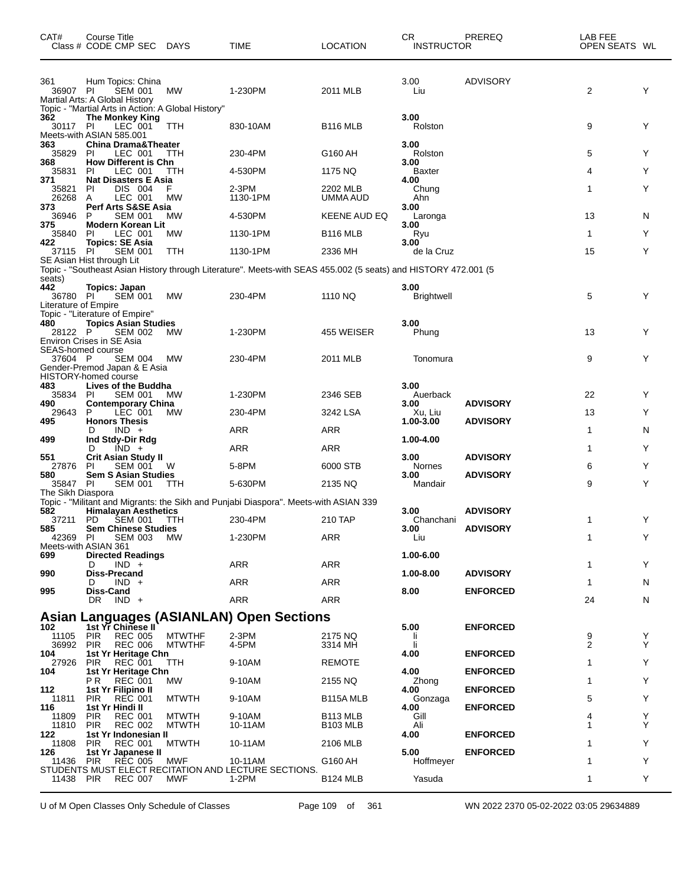| CAT#                                              | Course Title<br>Class # CODE CMP SEC DAYS                                                                    |               | <b>TIME</b>                                                                                                    | <b>LOCATION</b>      | CR<br><b>INSTRUCTOR</b>   | PREREQ          | LAB FEE<br>OPEN SEATS WL |    |
|---------------------------------------------------|--------------------------------------------------------------------------------------------------------------|---------------|----------------------------------------------------------------------------------------------------------------|----------------------|---------------------------|-----------------|--------------------------|----|
| 361<br>36907 PI                                   | Hum Topics: China<br><b>SEM 001</b><br>Martial Arts: A Global History                                        | МW            | 1-230PM                                                                                                        | 2011 MLB             | 3.00<br>Liu               | <b>ADVISORY</b> | 2                        | Y  |
| 362<br>30117 PI                                   | Topic - "Martial Arts in Action: A Global History"<br><b>The Monkey King</b><br>LEC 001                      | TTH           | 830-10AM                                                                                                       | B <sub>116</sub> MLB | 3.00<br>Rolston           |                 | 9                        | Y  |
| 363<br>35829                                      | Meets-with ASIAN 585.001<br><b>China Drama&amp;Theater</b><br>LEC 001<br>PI.                                 | TTH           | 230-4PM                                                                                                        | G160 AH              | 3.00<br>Rolston           |                 | 5                        | Y  |
| 368<br>35831                                      | <b>How Different is Chn</b><br>LEC 001<br>PI                                                                 | ттн           | 4-530PM                                                                                                        | 1175 NQ              | 3.00<br><b>Baxter</b>     |                 | 4                        | Y  |
| 371<br>35821<br>26268                             | <b>Nat Disasters E Asia</b><br>ΡI<br>DIS 004<br>LEC 001<br>A                                                 | MW            | $2-3PM$<br>1130-1PM                                                                                            | 2202 MLB<br>UMMA AUD | 4.00<br>Chung<br>Ahn      |                 | 1                        | Y  |
| 373<br>36946                                      | <b>Perf Arts S&amp;SE Asia</b><br><b>SEM 001</b><br>P                                                        | MW            | 4-530PM                                                                                                        | KEENE AUD EQ         | 3.00<br>Laronga           |                 | 13                       | N  |
| 375<br>35840                                      | Modern Korean Lit<br>LEC 001<br>PI.                                                                          | МW            | 1130-1PM                                                                                                       | <b>B116 MLB</b>      | 3.00<br>Ryu               |                 | 1                        | Y  |
| 422<br>37115 PI                                   | <b>Topics: SE Asia</b><br><b>SEM 001</b>                                                                     | TTH           | 1130-1PM                                                                                                       | 2336 MH              | 3.00<br>de la Cruz        |                 | 15                       | Y  |
|                                                   | SE Asian Hist through Lit                                                                                    |               | Topic - "Southeast Asian History through Literature". Meets-with SEAS 455.002 (5 seats) and HISTORY 472.001 (5 |                      |                           |                 |                          |    |
| seats)<br>442<br>36780 PI<br>Literature of Empire | Topics: Japan<br><b>SEM 001</b>                                                                              | <b>MW</b>     | 230-4PM                                                                                                        | 1110 NQ              | 3.00<br><b>Brightwell</b> |                 | 5                        | Y  |
| 480<br>28122 P                                    | Topic - "Literature of Empire"<br><b>Topics Asian Studies</b><br><b>SEM 002</b><br>Environ Crises in SE Asia | MW            | 1-230PM                                                                                                        | 455 WEISER           | 3.00<br>Phung             |                 | 13                       | Y  |
| SEAS-homed course<br>37604 P                      | <b>SEM 004</b><br>Gender-Premod Japan & E Asia<br>HISTORY-homed course                                       | MW            | 230-4PM                                                                                                        | 2011 MLB             | Tonomura                  |                 | 9                        | Y  |
| 483<br>35834 PI                                   | Lives of the Buddha<br><b>SEM 001</b>                                                                        | МW            | 1-230PM                                                                                                        | 2346 SEB             | 3.00<br>Auerback          |                 | 22                       | Y  |
| 490<br>29643                                      | <b>Contemporary China</b><br>P<br>LEC 001                                                                    | МW            | 230-4PM                                                                                                        | 3242 LSA             | 3.00<br>Xu, Liu           | <b>ADVISORY</b> | 13                       | Y  |
| 495                                               | <b>Honors Thesis</b><br>$IND +$<br>D                                                                         |               | <b>ARR</b>                                                                                                     | <b>ARR</b>           | 1.00-3.00                 | <b>ADVISORY</b> | 1                        | N  |
| 499                                               | Ind Stdy-Dir Rdg<br>$IND +$<br>D                                                                             |               | ARR                                                                                                            | ARR                  | 1.00-4.00                 |                 | 1                        | Y  |
| 551<br>27876                                      | <b>Crit Asian Study II</b><br><b>SEM 001</b><br>ΡI                                                           | W             | 5-8PM                                                                                                          | 6000 STB             | 3.00<br>Nornes            | <b>ADVISORY</b> | 6                        | Y  |
| 580                                               | <b>Sem S Asian Studies</b>                                                                                   |               |                                                                                                                |                      | 3.00                      | <b>ADVISORY</b> |                          | Y  |
| 35847 PI<br>The Sikh Diaspora                     | SEM 001                                                                                                      | TTH           | 5-630PM                                                                                                        | 2135 NQ              | Mandair                   |                 | 9                        |    |
| 582                                               | <b>Himalayan Aesthetics</b>                                                                                  |               | Topic - "Militant and Migrants: the Sikh and Punjabi Diaspora". Meets-with ASIAN 339                           |                      | 3.00                      | <b>ADVISORY</b> |                          |    |
| 37211 PD<br>585                                   | <b>SEM 001</b><br><b>Sem Chinese Studies</b>                                                                 | - ттн         | 230-4PM                                                                                                        | 210 TAP              | Chanchani<br>3.00         | <b>ADVISORY</b> | 1                        | Y  |
| 42369 PI                                          | <b>SEM 003 MW</b><br>Meets-with ASIAN 361                                                                    |               | 1-230PM                                                                                                        | <b>ARR</b>           | Liu                       |                 | 1                        | Y  |
| 699                                               | <b>Directed Readings</b><br>$IND +$<br>D                                                                     |               | ARR                                                                                                            | <b>ARR</b>           | 1.00-6.00                 |                 | 1                        | Y  |
| 990                                               | <b>Diss-Precand</b><br>$IND +$<br>D                                                                          |               | ARR                                                                                                            | ARR                  | 1.00-8.00                 | <b>ADVISORY</b> | 1                        | N  |
| 995                                               | Diss-Cand<br>DR.<br>IND +                                                                                    |               | ARR                                                                                                            | <b>ARR</b>           | 8.00                      | <b>ENFORCED</b> | 24                       | N  |
|                                                   |                                                                                                              |               | <b>Asian Languages (ASIANLAN) Open Sections</b>                                                                |                      |                           |                 |                          |    |
| 102<br>11105 PIR                                  | 1st Yr Chinese II<br><b>REC 005</b>                                                                          | <b>MTWTHF</b> | 2-3PM                                                                                                          | 2175 NQ              | 5.00<br>-li               | <b>ENFORCED</b> | 9                        | Y  |
| 36992 PIR<br>104                                  | <b>REC 006</b>                                                                                               | <b>MTWTHF</b> | 4-5PM                                                                                                          | 3314 MH              | -li                       |                 | 2                        | Y  |
| 27926                                             | 1st Yr Heritage Chn<br>PIR<br>REC 001                                                                        | <b>TTH</b>    | 9-10AM                                                                                                         | <b>REMOTE</b>        | 4.00                      | <b>ENFORCED</b> | 1                        | Y  |
| 104                                               | 1st Yr Heritage Chn<br>PR.<br>REC 001                                                                        | МW            | 9-10AM                                                                                                         | 2155 NQ              | 4.00<br>Zhong             | <b>ENFORCED</b> | 1                        | Y  |
| 112<br>11811                                      | 1st Yr Filipino II<br><b>REC 001</b><br><b>PIR</b>                                                           | <b>MTWTH</b>  | 9-10AM                                                                                                         | B115A MLB            | 4.00<br>Gonzaga           | <b>ENFORCED</b> | 5                        | Y  |
| 116<br>11809                                      | 1st Yr Hindi II<br><b>PIR</b><br><b>REC 001</b>                                                              | <b>MTWTH</b>  | 9-10AM                                                                                                         | B <sub>113</sub> MLB | 4.00<br>Gill              | <b>ENFORCED</b> | 4                        | Y  |
| 11810<br>122                                      | <b>PIR</b><br><b>REC 002</b><br>1st Yr Indonesian II                                                         | <b>MTWTH</b>  | 10-11AM                                                                                                        | <b>B103 MLB</b>      | Ali<br>4.00               | <b>ENFORCED</b> | 1                        | Y  |
| 11808<br>126                                      | <b>PIR</b><br><b>REC 001</b><br>1st Yr Japanese II                                                           | <b>MTWTH</b>  | 10-11AM                                                                                                        | 2106 MLB             | 5.00                      | <b>ENFORCED</b> | 1                        | Y  |
| 11436 PIR                                         | <b>REC 005</b>                                                                                               | MWF           | 10-11AM<br>STUDENTS MUST ELECT RECITATION AND LECTURE SECTIONS.                                                | G160 AH              | Hoffmeyer                 |                 | 1                        | Y  |
| 11438 PIR                                         | <b>REC 007</b>                                                                                               | MWF           | 1-2PM                                                                                                          | B <sub>124</sub> MLB | Yasuda                    |                 | 1                        | Y. |

U of M Open Classes Only Schedule of Classes Page 109 of 361 WN 2022 2370 05-02-2022 03:05 29634889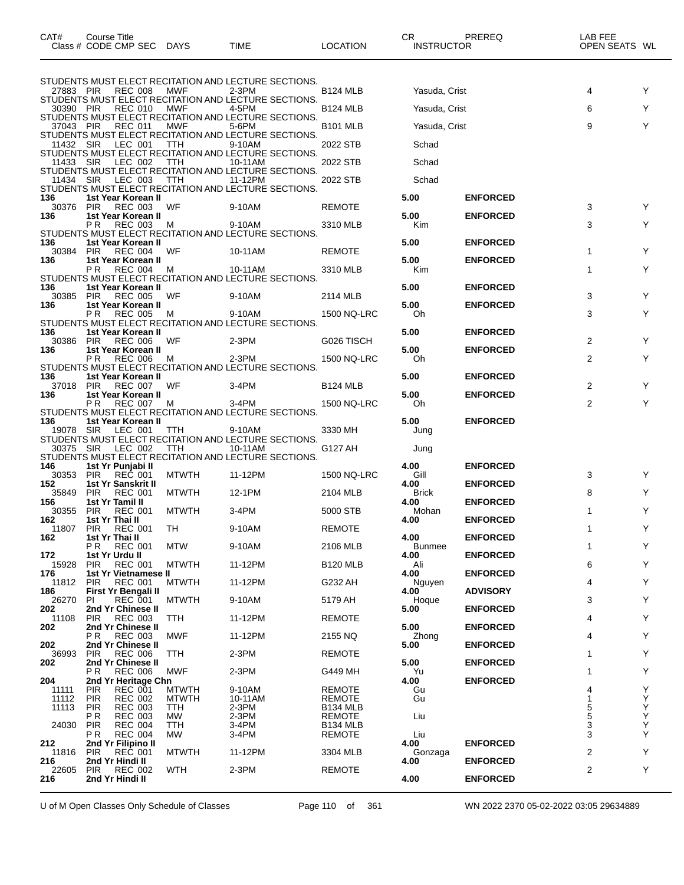| CAT#             | Course Title<br>Class # CODE CMP SEC DAYS                    |                     | <b>TIME</b>                                                     | <b>LOCATION</b>                  | CR.<br><b>INSTRUCTOR</b> | PREREQ          | LAB FEE<br>OPEN SEATS WL |                                                    |
|------------------|--------------------------------------------------------------|---------------------|-----------------------------------------------------------------|----------------------------------|--------------------------|-----------------|--------------------------|----------------------------------------------------|
|                  | REC 008                                                      | MWF                 | STUDENTS MUST ELECT RECITATION AND LECTURE SECTIONS.<br>$2-3PM$ |                                  | Yasuda, Crist            |                 | 4                        | Y                                                  |
| 27883 PIR        |                                                              |                     | STUDENTS MUST ELECT RECITATION AND LECTURE SECTIONS.            | <b>B124 MLB</b>                  |                          |                 |                          |                                                    |
| 30390 PIR        | <b>REC 010</b>                                               | MWF                 | 4-5PM<br>STUDENTS MUST ELECT RECITATION AND LECTURE SECTIONS.   | <b>B124 MLB</b>                  | Yasuda, Crist            |                 | 6                        | Y                                                  |
| 37043 PIR        | <b>REC 011</b>                                               | MWF                 | 5-6PM                                                           | <b>B101 MLB</b>                  | Yasuda, Crist            |                 | 9                        | Y                                                  |
| 11432 SIR        | LEC 001                                                      | TTH                 | STUDENTS MUST ELECT RECITATION AND LECTURE SECTIONS.<br>9-10AM  | 2022 STB                         | Schad                    |                 |                          |                                                    |
| 11433 SIR        | LEC 002                                                      | TTH                 | STUDENTS MUST ELECT RECITATION AND LECTURE SECTIONS.<br>10-11AM | 2022 STB                         | Schad                    |                 |                          |                                                    |
|                  |                                                              |                     | STUDENTS MUST ELECT RECITATION AND LECTURE SECTIONS.            |                                  |                          |                 |                          |                                                    |
| 11434 SIR        | LEC 003                                                      | TTH                 | 11-12PM<br>STUDENTS MUST ELECT RECITATION AND LECTURE SECTIONS. | 2022 STB                         | Schad                    |                 |                          |                                                    |
| 136<br>30376 PIR | 1st Year Korean II<br><b>REC 003</b>                         | WF                  | 9-10AM                                                          | <b>REMOTE</b>                    | 5.00                     | <b>ENFORCED</b> | 3                        | Y                                                  |
| 136              | 1st Year Korean II                                           |                     |                                                                 |                                  | 5.00                     | <b>ENFORCED</b> |                          |                                                    |
|                  | REC 003<br>P R                                               | M                   | 9-10AM<br>STUDENTS MUST ELECT RECITATION AND LECTURE SECTIONS.  | 3310 MLB                         | Kim                      |                 | 3                        | Y                                                  |
| 136<br>30384     | 1st Year Korean II<br>REC 004<br><b>PIR</b>                  | WF                  | 10-11AM                                                         | <b>REMOTE</b>                    | 5.00                     | <b>ENFORCED</b> | 1                        | Y                                                  |
| 136              | 1st Year Korean II                                           |                     |                                                                 |                                  | 5.00                     | <b>ENFORCED</b> |                          |                                                    |
|                  | ΡR<br><b>REC 004</b>                                         | м                   | 10-11AM<br>STUDENTS MUST ELECT RECITATION AND LECTURE SECTIONS. | 3310 MLB                         | Kim                      |                 | 1                        | Y                                                  |
| 136<br>30385     | 1st Year Korean II<br><b>REC 005</b><br><b>PIR</b>           | WF                  | 9-10AM                                                          | 2114 MLB                         | 5.00                     | <b>ENFORCED</b> | 3                        | Y                                                  |
| 136              | 1st Year Korean II                                           |                     |                                                                 |                                  | 5.00                     | <b>ENFORCED</b> |                          |                                                    |
|                  | <b>REC 005</b><br>РR                                         | M                   | 9-10AM<br>STUDENTS MUST ELECT RECITATION AND LECTURE SECTIONS.  | 1500 NQ-LRC                      | Oh.                      |                 | 3                        | Y                                                  |
| 136<br>30386 PIR | 1st Year Korean II<br>REC 006                                | WF                  | $2-3PM$                                                         | G026 TISCH                       | 5.00                     | <b>ENFORCED</b> | 2                        | Y                                                  |
| 136              | 1st Year Korean II<br>REC 006<br>P R                         |                     |                                                                 |                                  | 5.00                     | <b>ENFORCED</b> | 2                        | Y                                                  |
|                  |                                                              | M                   | $2-3PM$<br>STUDENTS MUST ELECT RECITATION AND LECTURE SECTIONS. | 1500 NQ-LRC                      | Oh                       |                 |                          |                                                    |
| 136<br>37018     | 1st Year Korean II<br>REC 007<br><b>PIR</b>                  | WF                  | $3-4PM$                                                         | <b>B124 MLB</b>                  | 5.00                     | <b>ENFORCED</b> | 2                        | Y                                                  |
| 136              | 1st Year Korean II<br>ΡR<br><b>REC 007</b>                   | M                   | $3-4PM$                                                         | 1500 NQ-LRC                      | 5.00<br>Oh               | <b>ENFORCED</b> | $\overline{2}$           | Y                                                  |
|                  |                                                              |                     | STUDENTS MUST ELECT RECITATION AND LECTURE SECTIONS.            |                                  |                          |                 |                          |                                                    |
| 136<br>19078 SIR | 1st Year Korean II<br>LEC 001                                | TTH                 | 9-10AM                                                          | 3330 MH                          | 5.00<br>Jung             | <b>ENFORCED</b> |                          |                                                    |
| 30375 SIR        | LEC 002                                                      | TTH                 | STUDENTS MUST ELECT RECITATION AND LECTURE SECTIONS.<br>10-11AM | G127 AH                          | Jung                     |                 |                          |                                                    |
|                  |                                                              |                     | STUDENTS MUST ELECT RECITATION AND LECTURE SECTIONS.            |                                  |                          |                 |                          |                                                    |
| 146<br>30353 PIR | 1st Yr Punjabi II<br>REČ 001                                 | <b>MTWTH</b>        | 11-12PM                                                         | 1500 NQ-LRC                      | 4.00<br>Gill             | <b>ENFORCED</b> | 3                        | Y                                                  |
| 152<br>35849     | 1st Yr Sanskrit II<br><b>PIR</b><br><b>REC 001</b>           | <b>MTWTH</b>        | 12-1PM                                                          | 2104 MLB                         | 4.00<br><b>Brick</b>     | <b>ENFORCED</b> | 8                        | Y                                                  |
| 156<br>30355     | 1st Yr Tamil II<br><b>REC 001</b><br><b>PIR</b>              | <b>MTWTH</b>        | $3-4PM$                                                         | 5000 STB                         | 4.00<br>Mohan            | <b>ENFORCED</b> | 1                        | Y                                                  |
| 162              | 1st Yr Thai II                                               |                     |                                                                 |                                  | 4.00                     | <b>ENFORCED</b> |                          |                                                    |
| 11807<br>162     | <b>PIR</b><br><b>REC 001</b><br>1st Yr Thai II               | TH                  | 9-10AM                                                          | <b>REMOTE</b>                    | 4.00                     | <b>ENFORCED</b> | 1                        | Y                                                  |
| 172              | P R<br><b>REC 001</b><br>1st Yr Urdu II                      | <b>MTW</b>          | 9-10AM                                                          | 2106 MLB                         | <b>Bunmee</b><br>4.00    | <b>ENFORCED</b> | 1                        | Y                                                  |
| 15928            | <b>REC 001</b><br><b>PIR</b>                                 | <b>MTWTH</b>        | 11-12PM                                                         | <b>B120 MLB</b>                  | Ali                      |                 | 6                        | Y                                                  |
| 176<br>11812     | 1st Yr Vietnamese II<br><b>REC 001</b><br><b>PIR</b>         | <b>MTWTH</b>        | 11-12PM                                                         | G232 AH                          | 4.00<br>Nguyen           | <b>ENFORCED</b> | 4                        | Y                                                  |
| 186<br>26270     | First Yr Bengali II<br><b>REC 001</b><br>PI                  | <b>MTWTH</b>        | 9-10AM                                                          | 5179 AH                          | 4.00<br>Hoque            | <b>ADVISORY</b> | 3                        | Y                                                  |
| 202              | 2nd Yr Chinese II                                            |                     |                                                                 |                                  | 5.00                     | <b>ENFORCED</b> |                          |                                                    |
| 11108<br>202     | <b>PIR</b><br><b>REC 003</b><br>2nd Yr Chinese II            | TTH                 | 11-12PM                                                         | <b>REMOTE</b>                    | 5.00                     | <b>ENFORCED</b> | 4                        | Y                                                  |
| 202              | <b>REC 003</b><br>ΡR<br>2nd Yr Chinese II                    | <b>MWF</b>          | 11-12PM                                                         | 2155 NQ                          | Zhong<br>5.00            | <b>ENFORCED</b> | 4                        | Y                                                  |
| 36993<br>202     | <b>PIR</b><br><b>REC 006</b><br>2nd Yr Chinese II            | TTH                 | $2-3PM$                                                         | <b>REMOTE</b>                    | 5.00                     | <b>ENFORCED</b> | 1                        | Y                                                  |
|                  | PR<br><b>REC 006</b>                                         | <b>MWF</b>          | $2-3PM$                                                         | G449 MH                          | Yu                       |                 | 1                        | Y                                                  |
| 204<br>11111     | 2nd Yr Heritage Chn<br><b>REC 001</b><br>PIR                 | <b>MTWTH</b>        | 9-10AM                                                          | REMOTE                           | 4.00<br>Gu               | <b>ENFORCED</b> | 4                        | Y                                                  |
| 11112<br>11113   | <b>REC 002</b><br><b>PIR</b><br><b>PIR</b><br><b>REC 003</b> | <b>MTWTH</b><br>TTH | 10-11AM<br>$2-3PM$                                              | <b>REMOTE</b><br><b>B134 MLB</b> | Gu                       |                 | $\mathbf{1}$<br>5        | $\mathop{\mathsf{Y}}\limits_{\mathop{\mathsf{Y}}}$ |
|                  | PR<br><b>REC 003</b>                                         | МW                  | 2-3PM                                                           | REMOTE                           | Liu                      |                 | 5                        | Y                                                  |
| 24030            | <b>REC 004</b><br><b>PIR</b><br><b>REC 004</b><br>P R        | TTH<br><b>MW</b>    | 3-4PM<br>3-4PM                                                  | <b>B134 MLB</b><br><b>REMOTE</b> | Liu                      |                 | 3<br>3                   | Y<br>Y                                             |
| 212<br>11816     | 2nd Yr Filipino II<br><b>REC 001</b><br>PIR                  | <b>MTWTH</b>        | 11-12PM                                                         | 3304 MLB                         | 4.00<br>Gonzaga          | <b>ENFORCED</b> | 2                        | Y                                                  |
| 216              | 2nd Yr Hindi II                                              |                     |                                                                 |                                  | 4.00                     | <b>ENFORCED</b> |                          |                                                    |
| 22605<br>216     | <b>REC 002</b><br><b>PIR</b><br>2nd Yr Hindi II              | <b>WTH</b>          | $2-3PM$                                                         | <b>REMOTE</b>                    | 4.00                     | <b>ENFORCED</b> | $\overline{c}$           | Y                                                  |
|                  |                                                              |                     |                                                                 |                                  |                          |                 |                          |                                                    |

U of M Open Classes Only Schedule of Classes Page 110 of 361 WN 2022 2370 05-02-2022 03:05 29634889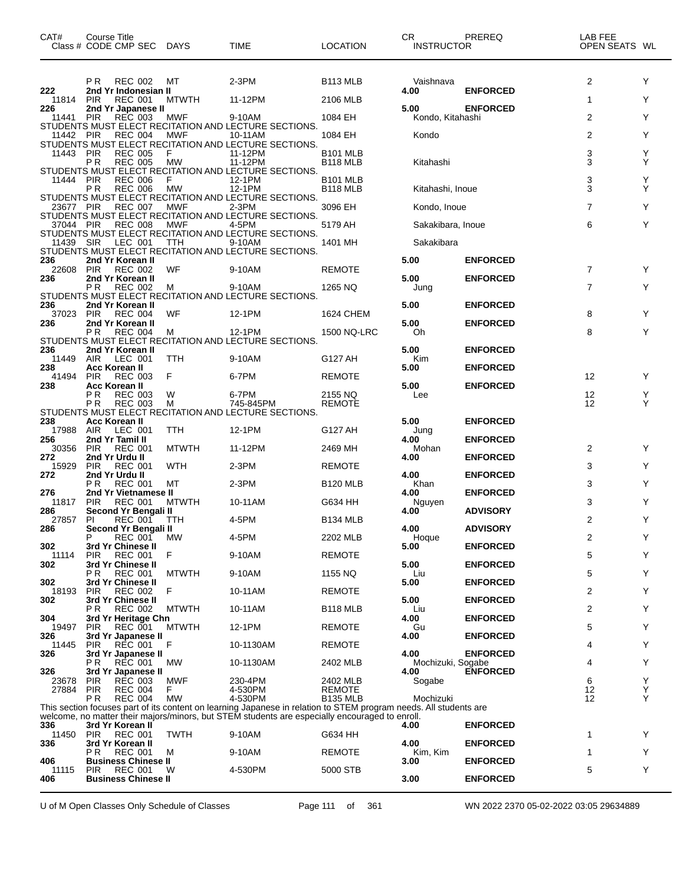| CAT#<br>Title<br>じourse ' |             |             |          | ⌒冖<br>◡⊓ | PREREQ            | LAB FEE                 |
|---------------------------|-------------|-------------|----------|----------|-------------------|-------------------------|
| Class # CODE CMP SEC      | <b>DAYS</b> | <b>TIME</b> | LOCATION |          | <b>INSTRUCTOR</b> | WL<br><b>OPEN SEATS</b> |

| 222            | P R                      | <b>REC 002</b><br>2nd Yr Indonesian II       | МT               | 2-3PM                                                                                                                                                                                                               | B <sub>113</sub> MLB                    | Vaishnava<br>4.00         | <b>ENFORCED</b> | 2                 | Y      |
|----------------|--------------------------|----------------------------------------------|------------------|---------------------------------------------------------------------------------------------------------------------------------------------------------------------------------------------------------------------|-----------------------------------------|---------------------------|-----------------|-------------------|--------|
| 11814<br>226   | <b>PIR</b>               | <b>REC 001</b><br>2nd Yr Japanese II         | <b>MTWTH</b>     | 11-12PM                                                                                                                                                                                                             | 2106 MLB                                | 5.00                      | <b>ENFORCED</b> | 1                 | Y      |
| 11441          | <b>PIR</b>               | <b>REC 003</b>                               | MWF              | 9-10AM                                                                                                                                                                                                              | 1084 EH                                 | Kondo, Kitahashi          |                 | 2                 | Υ      |
| 11442          | PIR                      | <b>REC 004</b>                               | MWF              | STUDENTS MUST ELECT RECITATION AND LECTURE SECTIONS.<br>10-11AM                                                                                                                                                     | 1084 EH                                 | Kondo                     |                 | 2                 | Υ      |
|                |                          |                                              |                  | STUDENTS MUST ELECT RECITATION AND LECTURE SECTIONS.                                                                                                                                                                |                                         |                           |                 |                   |        |
| 11443          | PIR<br>ΡR                | <b>REC 005</b><br><b>REC 005</b>             | F<br><b>MW</b>   | 11-12PM<br>11-12PM                                                                                                                                                                                                  | <b>B101 MLB</b><br>B <sub>118</sub> MLB | Kitahashi                 |                 | 3<br>3            | Y<br>Υ |
| 11444          | PIR                      | <b>REC 006</b>                               | F                | STUDENTS MUST ELECT RECITATION AND LECTURE SECTIONS.<br>12-1PM                                                                                                                                                      | <b>B101 MLB</b>                         |                           |                 | 3                 | Y      |
|                | P R                      | <b>REC 006</b>                               | <b>MW</b>        | 12-1PM                                                                                                                                                                                                              | <b>B118 MLB</b>                         | Kitahashi, Inoue          |                 | 3                 | Υ      |
| 23677 PIR      |                          | <b>REC 007</b>                               | MWF              | STUDENTS MUST ELECT RECITATION AND LECTURE SECTIONS.<br>$2-3PM$                                                                                                                                                     | 3096 EH                                 | Kondo, Inoue              |                 | $\overline{7}$    | Y      |
|                |                          |                                              |                  | STUDENTS MUST ELECT RECITATION AND LECTURE SECTIONS.                                                                                                                                                                |                                         |                           |                 |                   |        |
| 37044 PIR      |                          | <b>REC 008</b>                               | MWF              | 4-5PM<br>STUDENTS MUST ELECT RECITATION AND LECTURE SECTIONS.                                                                                                                                                       | 5179 AH                                 | Sakakibara, Inoue         |                 | 6                 | Y      |
| 11439          | <b>SIR</b>               | LEC 001                                      | TTH              | 9-10AM<br>STUDENTS MUST ELECT RECITATION AND LECTURE SECTIONS.                                                                                                                                                      | 1401 MH                                 | Sakakibara                |                 |                   |        |
| 236            |                          | 2nd Yr Korean II                             |                  |                                                                                                                                                                                                                     |                                         | 5.00                      | <b>ENFORCED</b> |                   |        |
| 22608<br>236   | <b>PIR</b>               | <b>REC 002</b><br>2nd Yr Korean II           | WF               | 9-10AM                                                                                                                                                                                                              | <b>REMOTE</b>                           | 5.00                      | <b>ENFORCED</b> | $\overline{7}$    | Υ      |
|                | P R                      | <b>REC 002</b>                               | M                | 9-10AM                                                                                                                                                                                                              | 1265 NQ                                 | Jung                      |                 | $\overline{7}$    | Y      |
| 236            |                          | 2nd Yr Korean II                             |                  | STUDENTS MUST ELECT RECITATION AND LECTURE SECTIONS.                                                                                                                                                                |                                         | 5.00                      | <b>ENFORCED</b> |                   |        |
| 37023          | <b>PIR</b>               | <b>REC 004</b>                               | WF               | 12-1PM                                                                                                                                                                                                              | 1624 CHEM                               |                           |                 | 8                 | Y      |
| 236            | P R                      | 2nd Yr Korean II<br><b>REC 004</b>           | M                | 12-1PM                                                                                                                                                                                                              | 1500 NQ-LRC                             | 5.00<br>Oh                | <b>ENFORCED</b> | 8                 | Y      |
| 236            |                          | 2nd Yr Korean II                             |                  | STUDENTS MUST ELECT RECITATION AND LECTURE SECTIONS.                                                                                                                                                                |                                         | 5.00                      | <b>ENFORCED</b> |                   |        |
| 11449          | AIR                      | LEC 001                                      | TTH              | 9-10AM                                                                                                                                                                                                              | G127 AH                                 | Kim                       |                 |                   |        |
| 238<br>41494   | <b>PIR</b>               | Acc Korean II<br><b>REC 003</b>              | F                | 6-7PM                                                                                                                                                                                                               | <b>REMOTE</b>                           | 5.00                      | <b>ENFORCED</b> | 12                | Y      |
| 238            |                          | Acc Korean II                                |                  |                                                                                                                                                                                                                     |                                         | 5.00                      | <b>ENFORCED</b> |                   |        |
|                | P R<br>P <sub>R</sub>    | <b>REC 003</b><br><b>REC 003</b>             | W<br>М           | 6-7PM<br>745-845PM                                                                                                                                                                                                  | 2155 NQ<br><b>REMOTE</b>                | Lee                       |                 | 12<br>12          | Y<br>Y |
| 238            |                          | <b>Acc Korean II</b>                         |                  | STUDENTS MUST ELECT RECITATION AND LECTURE SECTIONS.                                                                                                                                                                |                                         | 5.00                      | <b>ENFORCED</b> |                   |        |
| 17988          | AIR                      | LEC 001                                      | TTH              | 12-1PM                                                                                                                                                                                                              | G127 AH                                 | Jung                      |                 |                   |        |
| 256<br>30356   | <b>PIR</b>               | 2nd Yr Tamil II<br><b>REC 001</b>            | <b>MTWTH</b>     | 11-12PM                                                                                                                                                                                                             | 2469 MH                                 | 4.00<br>Mohan             | <b>ENFORCED</b> | 2                 | Y      |
| 272            |                          | 2nd Yr Urdu II                               |                  |                                                                                                                                                                                                                     |                                         | 4.00                      | <b>ENFORCED</b> |                   |        |
| 15929<br>272   | <b>PIR</b>               | <b>REC 001</b><br>2nd Yr Urdu II             | WTH              | 2-3PM                                                                                                                                                                                                               | <b>REMOTE</b>                           | 4.00                      | <b>ENFORCED</b> | 3                 | Y      |
| 276            | P <sub>R</sub>           | <b>REC 001</b><br>2nd Yr Vietnamese II       | МT               | 2-3PM                                                                                                                                                                                                               | <b>B120 MLB</b>                         | Khan                      |                 | 3                 | Y      |
| 11817          | <b>PIR</b>               | <b>REC 001</b>                               | <b>MTWTH</b>     | 10-11AM                                                                                                                                                                                                             | G634 HH                                 | 4.00<br>Nguyen            | <b>ENFORCED</b> | 3                 | Y      |
| 286<br>27857   | PI                       | Second Yr Bengali II<br><b>REC 001</b>       | TTH              | 4-5PM                                                                                                                                                                                                               | B <sub>134</sub> MLB                    | 4.00                      | <b>ADVISORY</b> | 2                 | Y      |
| 286            |                          | Second Yr Bengali II                         |                  |                                                                                                                                                                                                                     |                                         | 4.00                      | <b>ADVISORY</b> |                   |        |
| 302            | P                        | <b>REC 001</b><br>3rd Yr Chinese II          | MW               | 4-5PM                                                                                                                                                                                                               | 2202 MLB                                | Hoque<br>5.00             | <b>ENFORCED</b> | 2                 | Υ      |
| 11114          | <b>PIR</b>               | <b>REC 001</b>                               | F                | 9-10AM                                                                                                                                                                                                              | <b>REMOTE</b>                           |                           |                 | 5                 | Y      |
| 302            | <b>PR</b>                | 3rd Yr Chinese II<br><b>REC 001</b>          | <b>MTWTH</b>     | 9-10AM                                                                                                                                                                                                              | 1155 NQ                                 | 5.00<br>Liu               | <b>ENFORCED</b> | 5                 | Υ      |
| 302<br>18193   | <b>PIR</b>               | 3rd Yr Chinese II<br><b>REC 002</b>          | F                | 10-11AM                                                                                                                                                                                                             | <b>REMOTE</b>                           | 5.00                      | <b>ENFORCED</b> | 2                 | Y      |
| 302            |                          | 3rd Yr Chinese II                            |                  |                                                                                                                                                                                                                     |                                         | 5.00                      | <b>ENFORCED</b> |                   |        |
| 304            | PR.                      | REC 002<br>3rd Yr Heritage Chn               | <b>MTWTH</b>     | 10-11AM                                                                                                                                                                                                             | <b>B118 MLB</b>                         | Liu<br>4.00               | <b>ENFORCED</b> | $\overline{2}$    | Υ      |
| 19497          | <b>PIR</b>               | <b>REC 001</b>                               | <b>MTWTH</b>     | 12-1PM                                                                                                                                                                                                              | <b>REMOTE</b>                           | Gu                        |                 | 5                 | Υ      |
| 326<br>11445   | <b>PIR</b>               | 3rd Yr Japanese II<br><b>REC 001</b>         | F                | 10-1130AM                                                                                                                                                                                                           | <b>REMOTE</b>                           | 4.00                      | <b>ENFORCED</b> | 4                 | Y      |
| 326            | P R                      | 3rd Yr Japanese II<br><b>REC 001</b>         | МW               | 10-1130AM                                                                                                                                                                                                           | 2402 MLB                                | 4.00<br>Mochizuki, Sogabe | <b>ENFORCED</b> | 4                 | Υ      |
| 326            |                          | 3rd Yr Japanese II                           |                  |                                                                                                                                                                                                                     |                                         | 4.00                      | <b>ENFORCED</b> |                   |        |
| 23678<br>27884 | <b>PIR</b><br><b>PIR</b> | <b>REC 003</b><br><b>REC 004</b>             | <b>MWF</b><br>F. | 230-4PM<br>4-530PM                                                                                                                                                                                                  | 2402 MLB<br><b>REMOTE</b>               | Sogabe                    |                 | 6<br>12           | Υ<br>Υ |
|                | P <sub>R</sub>           | <b>REC 004</b>                               | <b>MW</b>        | 4-530PM                                                                                                                                                                                                             | <b>B135 MLB</b>                         | Mochizuki                 |                 | $12 \overline{ }$ | Y      |
|                |                          |                                              |                  | This section focuses part of its content on learning Japanese in relation to STEM program needs. All students are<br>welcome, no matter their majors/minors, but STEM students are especially encouraged to enroll. |                                         |                           |                 |                   |        |
| 336            |                          | 3rd Yr Korean II                             | <b>TWTH</b>      |                                                                                                                                                                                                                     |                                         | 4.00                      | <b>ENFORCED</b> |                   |        |
| 11450<br>336   | PIR                      | <b>REC 001</b><br>3rd Yr Korean II           |                  | 9-10AM                                                                                                                                                                                                              | G634 HH                                 | 4.00                      | <b>ENFORCED</b> | $\mathbf{1}$      | Y      |
| 406            | PR.                      | <b>REC 001</b><br><b>Business Chinese II</b> | м                | 9-10AM                                                                                                                                                                                                              | <b>REMOTE</b>                           | Kim, Kim<br>3.00          | <b>ENFORCED</b> | 1                 | Y      |
| 11115          | <b>PIR</b>               | REC 001                                      | W                | 4-530PM                                                                                                                                                                                                             | 5000 STB                                |                           |                 | 5                 | Y      |
| 406            |                          | <b>Business Chinese II</b>                   |                  |                                                                                                                                                                                                                     |                                         | 3.00                      | <b>ENFORCED</b> |                   |        |

U of M Open Classes Only Schedule of Classes Page 111 of 361 WN 2022 2370 05-02-2022 03:05 29634889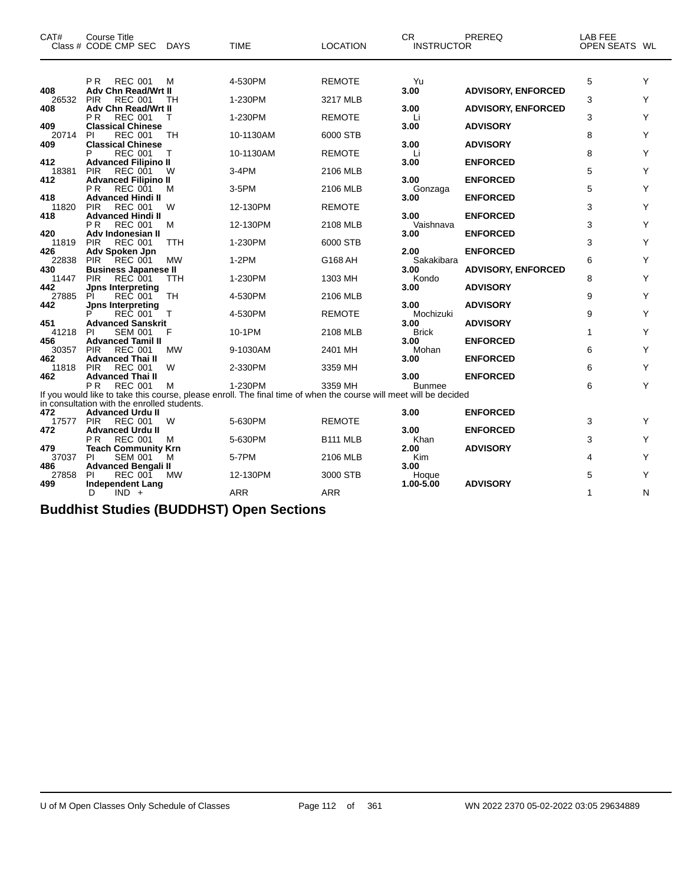| CAT#         | Course Title<br>Class # CODE CMP SEC                            | <b>DAYS</b> | <b>TIME</b>                                                                                                       | <b>LOCATION</b> | <b>CR</b><br><b>INSTRUCTOR</b> | PREREQ                    | <b>LAB FEE</b><br>OPEN SEATS WL |   |
|--------------|-----------------------------------------------------------------|-------------|-------------------------------------------------------------------------------------------------------------------|-----------------|--------------------------------|---------------------------|---------------------------------|---|
|              | P <sub>R</sub><br><b>REC 001</b>                                | м           | 4-530PM                                                                                                           | <b>REMOTE</b>   | Yu                             |                           | 5                               | Υ |
| 408          | <b>Adv Chn Read/Wrt II</b><br><b>PIR</b><br><b>REC 001</b>      |             | 1-230PM                                                                                                           |                 | 3.00                           | <b>ADVISORY, ENFORCED</b> | 3                               | Y |
| 26532<br>408 | Adv Chn Read/Wrt II                                             | TН          |                                                                                                                   | 3217 MLB        | 3.00                           | <b>ADVISORY, ENFORCED</b> |                                 |   |
|              | P <sub>R</sub><br><b>REC 001</b>                                | т           | 1-230PM                                                                                                           | <b>REMOTE</b>   | Li                             |                           | 3                               | Y |
| 409<br>20714 | <b>Classical Chinese</b><br><b>REC 001</b><br>PI                | TH          | 10-1130AM                                                                                                         | 6000 STB        | 3.00                           | <b>ADVISORY</b>           | 8                               | Υ |
| 409          | <b>Classical Chinese</b>                                        |             |                                                                                                                   |                 | 3.00                           | <b>ADVISORY</b>           |                                 |   |
| 412          | <b>REC 001</b><br><b>Advanced Filipino II</b>                   | Т           | 10-1130AM                                                                                                         | <b>REMOTE</b>   | Li<br>3.00                     | <b>ENFORCED</b>           | 8                               | Y |
| 18381        | <b>PIR</b><br><b>REC 001</b>                                    | W           | 3-4PM                                                                                                             | 2106 MLB        |                                |                           | 5                               | Υ |
| 412          | <b>Advanced Filipino II</b><br>P <sub>R</sub><br><b>REC 001</b> | м           | 3-5PM                                                                                                             | 2106 MLB        | 3.00<br>Gonzaga                | <b>ENFORCED</b>           | 5                               | Υ |
| 418          | <b>Advanced Hindi II</b>                                        |             |                                                                                                                   |                 | 3.00                           | <b>ENFORCED</b>           |                                 |   |
| 11820        | PIR<br><b>REC 001</b>                                           | W           | 12-130PM                                                                                                          | <b>REMOTE</b>   |                                |                           | 3                               | Y |
| 418          | <b>Advanced Hindi II</b><br><b>REC 001</b><br>P R               | м           | 12-130PM                                                                                                          | 2108 MLB        | 3.00<br>Vaishnava              | <b>ENFORCED</b>           | 3                               | Y |
| 420          | Adv Indonesian II                                               |             |                                                                                                                   |                 | 3.00                           | <b>ENFORCED</b>           |                                 |   |
| 11819<br>426 | <b>REC 001</b><br><b>PIR</b><br>Adv Spoken Jpn                  | <b>TTH</b>  | 1-230PM                                                                                                           | 6000 STB        | 2.00                           | <b>ENFORCED</b>           | 3                               | Y |
| 22838        | REC 001<br><b>PIR</b>                                           | <b>MW</b>   | $1-2PM$                                                                                                           | G168 AH         | Sakakibara                     |                           | 6                               | Y |
| 430<br>11447 | <b>Business Japanese II</b><br><b>PIR</b><br><b>REC 001</b>     | <b>TTH</b>  | 1-230PM                                                                                                           | 1303 MH         | 3.00<br>Kondo                  | <b>ADVISORY, ENFORCED</b> | 8                               | Y |
| 442          | <b>Jpns Interpreting</b>                                        |             |                                                                                                                   |                 | 3.00                           | <b>ADVISORY</b>           |                                 |   |
| 27885        | REC 001<br>PI                                                   | TH          | 4-530PM                                                                                                           | 2106 MLB        |                                |                           | 9                               | Υ |
| 442          | <b>Jpns Interpreting</b><br><b>REC 001</b>                      | Т           | 4-530PM                                                                                                           | <b>REMOTE</b>   | 3.00<br>Mochizuki              | <b>ADVISORY</b>           | 9                               | Y |
| 451          | <b>Advanced Sanskrit</b>                                        |             |                                                                                                                   |                 | 3.00                           | <b>ADVISORY</b>           |                                 |   |
| 41218<br>456 | <b>SEM 001</b><br>PI<br><b>Advanced Tamil II</b>                | F           | 10-1PM                                                                                                            | 2108 MLB        | <b>Brick</b><br>3.00           | <b>ENFORCED</b>           | 1                               | Y |
| 30357        | <b>PIR</b><br><b>REC 001</b>                                    | <b>MW</b>   | 9-1030AM                                                                                                          | 2401 MH         | Mohan                          |                           | 6                               | Y |
| 462          | <b>Advanced Thai II</b>                                         |             |                                                                                                                   |                 | 3.00                           | <b>ENFORCED</b>           |                                 |   |
| 11818<br>462 | <b>PIR</b><br><b>REC 001</b><br><b>Advanced Thai II</b>         | W           | 2-330PM                                                                                                           | 3359 MH         | 3.00                           | <b>ENFORCED</b>           | 6                               | Υ |
|              | <b>REC 001</b><br>P <sub>R</sub>                                | м           | 1-230PM                                                                                                           | 3359 MH         | <b>Bunmee</b>                  |                           | 6                               | Y |
|              | in consultation with the enrolled students.                     |             | If you would like to take this course, please enroll. The final time of when the course will meet will be decided |                 |                                |                           |                                 |   |
| 472          | <b>Advanced Urdu II</b>                                         |             |                                                                                                                   |                 | 3.00                           | <b>ENFORCED</b>           |                                 |   |
| 17577        | <b>PIR</b><br><b>REC 001</b>                                    | W           | 5-630PM                                                                                                           | <b>REMOTE</b>   |                                |                           | 3                               | Y |
| 472          | <b>Advanced Urdu II</b><br>P <sub>R</sub><br><b>REC 001</b>     | M           | 5-630PM                                                                                                           | <b>B111 MLB</b> | 3.00<br>Khan                   | <b>ENFORCED</b>           | 3                               | Y |
| 479          | <b>Teach Community Krn</b>                                      |             |                                                                                                                   |                 | 2.00                           | <b>ADVISORY</b>           |                                 |   |
| 37037<br>486 | PI<br><b>SEM 001</b><br><b>Advanced Bengali II</b>              | м           | 5-7PM                                                                                                             | 2106 MLB        | Kim<br>3.00                    |                           | 4                               | Y |
| 27858        | ΡI<br><b>REC 001</b>                                            | MW          | 12-130PM                                                                                                          | 3000 STB        | Hoque                          |                           | 5                               | Y |
| 499          | <b>Independent Lang</b>                                         |             |                                                                                                                   |                 | 1.00-5.00                      | <b>ADVISORY</b>           |                                 |   |
|              | $IND +$<br>D                                                    |             | <b>ARR</b>                                                                                                        | <b>ARR</b>      |                                |                           | 1                               | N |

# **Buddhist Studies (BUDDHST) Open Sections**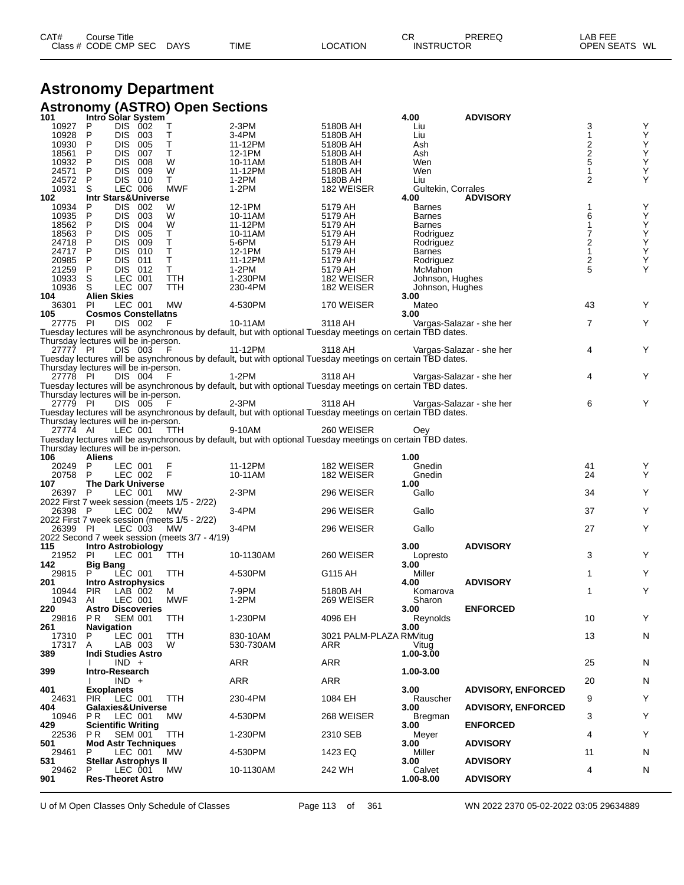| CAT# | Course Title         |             |             |          | СR                | PREREQ | _AB FEE       |  |
|------|----------------------|-------------|-------------|----------|-------------------|--------|---------------|--|
|      | Class # CODE CMP SEC | <b>DAYS</b> | <b>TIME</b> | LOCATION | <b>INSTRUCTOR</b> |        | OPEN SEATS WL |  |

# **Astronomy Department Astronomy (ASTRO) Open Sections**

| 101                                  | Intro Solar System                   |                    |                                               |                                                                                                            |                                | 4.00                 | <b>ADVISORY</b>           |                                            |                                                    |
|--------------------------------------|--------------------------------------|--------------------|-----------------------------------------------|------------------------------------------------------------------------------------------------------------|--------------------------------|----------------------|---------------------------|--------------------------------------------|----------------------------------------------------|
| 10927                                | <b>DIS</b><br>P                      | - 002              | Τ                                             | 2-3PM                                                                                                      | 5180B AH                       | Liu                  |                           | 3                                          | Υ                                                  |
| 10928                                | <b>DIS</b><br>P                      | 003                | Т                                             | 3-4PM                                                                                                      | 5180B AH                       | Liu                  |                           |                                            | Y                                                  |
| 10930<br>18561                       | Ρ<br><b>DIS</b><br>P<br><b>DIS</b>   | 005<br>007         | Τ<br>Τ                                        | 11-12PM                                                                                                    | 5180B AH                       | Ash                  |                           | $\begin{array}{c} 2 \\ 2 \\ 5 \end{array}$ | Υ                                                  |
| 10932                                | P<br><b>DIS</b>                      | 008                | W                                             | 12-1PM<br>10-11AM                                                                                          | 5180B AH<br>5180B AH           | Ash<br>Wen           |                           |                                            | Υ                                                  |
| 24571                                | P<br><b>DIS</b>                      | 009                | W                                             | 11-12PM                                                                                                    | 5180B AH                       | Wen                  |                           | 1                                          | $\mathop{\mathsf{Y}}\limits_{\mathop{\mathsf{Y}}}$ |
| 24572                                | P                                    | DIS 010            | Т                                             | 1-2PM                                                                                                      | 5180B AH                       | Liu                  |                           | 2                                          | Υ                                                  |
| 10931                                | S                                    | LEC 006            | <b>MWF</b>                                    | $1-2PM$                                                                                                    | 182 WEISER                     | Gultekin, Corrales   |                           |                                            |                                                    |
| 102                                  | <b>Intr Stars&amp;Universe</b>       |                    |                                               |                                                                                                            |                                | 4.00                 | <b>ADVISORY</b>           |                                            |                                                    |
| 10934                                | <b>DIS</b><br>P                      | 002                | W                                             | 12-1PM                                                                                                     | 5179 AH                        | <b>Barnes</b>        |                           | 1                                          | Y                                                  |
| 10935                                | <b>DIS</b><br>P                      | 003                | W                                             | 10-11AM                                                                                                    | 5179 AH                        | <b>Barnes</b>        |                           | 6                                          | Υ                                                  |
| 18562                                | <b>DIS</b><br>P                      | 004                | W                                             | 11-12PM                                                                                                    | 5179 AH                        | <b>Barnes</b>        |                           | 1                                          | Υ                                                  |
| 18563                                | P<br><b>DIS</b>                      | 005                | Τ                                             | 10-11AM                                                                                                    | 5179 AH                        | Rodriguez            |                           | 7                                          | Υ                                                  |
| 24718                                | P<br><b>DIS</b>                      | 009                | т                                             | 5-6PM                                                                                                      | 5179 AH                        | Rodriguez            |                           | 2                                          | $\mathop{\mathsf{Y}}\limits_{\mathop{\mathsf{Y}}}$ |
| 24717                                | P<br><b>DIS</b>                      | 010                | Ť                                             | 12-1PM                                                                                                     | 5179 AH                        | <b>Barnes</b>        |                           | $\mathbf{1}$                               |                                                    |
| 20985<br>21259                       | P<br><b>DIS</b><br>P<br><b>DIS</b>   | 011<br>012         | Т<br>$\mathsf T$                              | 11-12PM<br>1-2PM                                                                                           | 5179 AH<br>5179 AH             | Rodriguez<br>McMahon |                           | 2<br>5                                     | Υ<br>Y                                             |
| 10933                                | S                                    | LEC 001            | <b>TTH</b>                                    | 1-230PM                                                                                                    | 182 WEISER                     | Johnson, Hughes      |                           |                                            |                                                    |
| 10936                                | S                                    | LEC 007            | TTH                                           | 230-4PM                                                                                                    | 182 WEISER                     | Johnson, Hughes      |                           |                                            |                                                    |
| 104                                  | <b>Alien Skies</b>                   |                    |                                               |                                                                                                            |                                | 3.00                 |                           |                                            |                                                    |
| 36301                                | <b>PI</b>                            | LEC 001            | МW                                            | 4-530PM                                                                                                    | 170 WEISER                     | Mateo                |                           | 43                                         | Y                                                  |
| 105                                  | <b>Cosmos Constellatns</b>           |                    |                                               |                                                                                                            |                                | 3.00                 |                           |                                            |                                                    |
| 27775 PI                             |                                      | DIS 002            | F                                             | 10-11AM                                                                                                    | 3118 AH                        |                      | Vargas-Salazar - she her  | 7                                          | Y                                                  |
|                                      |                                      |                    |                                               | Tuesday lectures will be asynchronous by default, but with optional Tuesday meetings on certain TBD dates. |                                |                      |                           |                                            |                                                    |
|                                      | Thursday lectures will be in-person. |                    |                                               |                                                                                                            |                                |                      |                           |                                            |                                                    |
| 27777 PI                             |                                      | DIS 003            |                                               | 11-12PM                                                                                                    | 3118 AH                        |                      | Vargas-Salazar - she her  | 4                                          | Y                                                  |
| Thursday lectures will be in-person. |                                      |                    |                                               | Tuesday lectures will be asynchronous by default, but with optional Tuesday meetings on certain TBD dates. |                                |                      |                           |                                            |                                                    |
| 27778 PI                             |                                      | DIS 004            |                                               | 1-2PM                                                                                                      | 3118 AH                        |                      | Vargas-Salazar - she her  | 4                                          | Υ                                                  |
|                                      |                                      |                    |                                               | Tuesday lectures will be asynchronous by default, but with optional Tuesday meetings on certain TBD dates. |                                |                      |                           |                                            |                                                    |
| Thursday lectures will be in-person. |                                      |                    |                                               |                                                                                                            |                                |                      |                           |                                            |                                                    |
| 27779 PI                             |                                      | DIS 005            |                                               | 2-3PM                                                                                                      | 3118 AH                        |                      | Vargas-Salazar - she her  | 6                                          | Y                                                  |
|                                      |                                      |                    |                                               | Tuesday lectures will be asynchronous by default, but with optional Tuesday meetings on certain TBD dates. |                                |                      |                           |                                            |                                                    |
| Thursday lectures will be in-person. |                                      |                    |                                               |                                                                                                            |                                |                      |                           |                                            |                                                    |
| 27774 AI                             |                                      | LEC 001            | TTH                                           | 9-10AM                                                                                                     | 260 WEISER                     | Oev                  |                           |                                            |                                                    |
|                                      |                                      |                    |                                               |                                                                                                            |                                |                      |                           |                                            |                                                    |
|                                      |                                      |                    |                                               | Tuesday lectures will be asynchronous by default, but with optional Tuesday meetings on certain TBD dates. |                                |                      |                           |                                            |                                                    |
|                                      | Thursday lectures will be in-person. |                    |                                               |                                                                                                            |                                |                      |                           |                                            |                                                    |
| 106                                  | Aliens                               |                    |                                               |                                                                                                            |                                | 1.00                 |                           |                                            |                                                    |
| 20249                                | P                                    | LEC 001            | F                                             | 11-12PM                                                                                                    | 182 WEISER                     | Gnedin               |                           | 41                                         | Y                                                  |
| 20758                                | P                                    | LEC 002            | F                                             | 10-11AM                                                                                                    | 182 WEISER                     | Gnedin               |                           | 24                                         | Y                                                  |
| 107<br>26397 P                       | <b>The Dark Universe</b>             | LEC 001            | МW                                            | $2-3PM$                                                                                                    | 296 WEISER                     | 1.00<br>Gallo        |                           | 34                                         | Υ                                                  |
|                                      |                                      |                    | 2022 First 7 week session (meets 1/5 - 2/22)  |                                                                                                            |                                |                      |                           |                                            |                                                    |
| 26398 P                              |                                      | LEC 002            | МW                                            | 3-4PM                                                                                                      | 296 WEISER                     | Gallo                |                           | 37                                         | Y                                                  |
|                                      |                                      |                    | 2022 First 7 week session (meets 1/5 - 2/22)  |                                                                                                            |                                |                      |                           |                                            |                                                    |
| 26399 PI                             |                                      | LEC 003            | <b>MW</b>                                     | 3-4PM                                                                                                      | 296 WEISER                     | Gallo                |                           | 27                                         | Υ                                                  |
|                                      |                                      |                    | 2022 Second 7 week session (meets 3/7 - 4/19) |                                                                                                            |                                |                      |                           |                                            |                                                    |
| 115                                  | <b>Intro Astrobiology</b>            |                    |                                               |                                                                                                            |                                | 3.00                 | <b>ADVISORY</b>           |                                            |                                                    |
| 21952<br>142                         | <b>PI</b>                            | LEC 001            | <b>TTH</b>                                    | 10-1130AM                                                                                                  | 260 WEISER                     | Lopresto<br>3.00     |                           | 3                                          | Υ                                                  |
| 29815                                | <b>Big Bang</b>                      | LEC 001            | TTH                                           | 4-530PM                                                                                                    | G115 AH                        | Miller               |                           | 1                                          | Y                                                  |
| 201                                  | <b>Intro Astrophysics</b>            |                    |                                               |                                                                                                            |                                | 4.00                 | <b>ADVISORY</b>           |                                            |                                                    |
| 10944                                | <b>PIR</b>                           | LAB 002            | м                                             | 7-9PM                                                                                                      | 5180B AH                       | Komarova             |                           | 1                                          | Υ                                                  |
| 10943                                | AI                                   | LEC 001            | <b>MWF</b>                                    | 1-2PM                                                                                                      | 269 WEISER                     | Sharon               |                           |                                            |                                                    |
| 220                                  | <b>Astro Discoveries</b>             |                    |                                               |                                                                                                            |                                | 3.00                 | <b>ENFORCED</b>           |                                            |                                                    |
| 29816                                | PR SEM 001                           |                    | TTH                                           | 1-230PM                                                                                                    | 4096 EH                        | Reynolds             |                           | 10                                         | Y                                                  |
| 261                                  | <b>Navigation</b><br>P               |                    | TTH                                           |                                                                                                            |                                | 3.00                 |                           |                                            |                                                    |
| 17310<br>17317                       | A                                    | LEC 001<br>LAB 003 | W                                             | 830-10AM<br>530-730AM                                                                                      | 3021 PALM-PLAZA RM/itug<br>ARR | Vitug                |                           | 13                                         | N                                                  |
| 389                                  | <b>Indi Studies Astro</b>            |                    |                                               |                                                                                                            |                                | 1.00-3.00            |                           |                                            |                                                    |
|                                      | $IND +$                              |                    |                                               | ARR                                                                                                        | ARR                            |                      |                           | 25                                         | N                                                  |
| 399                                  | Intro-Research                       |                    |                                               |                                                                                                            |                                | 1.00-3.00            |                           |                                            |                                                    |
|                                      | $IND +$                              |                    |                                               | ARR                                                                                                        | <b>ARR</b>                     |                      |                           | 20                                         | N                                                  |
| 401                                  | <b>Exoplanets</b>                    |                    |                                               |                                                                                                            |                                | 3.00                 | <b>ADVISORY, ENFORCED</b> |                                            |                                                    |
| 24631<br>404                         | <b>PIR</b><br>Galaxies&Universe      | LEC 001            | TTH                                           | 230-4PM                                                                                                    | 1084 EH                        | Rauscher<br>3.00     | <b>ADVISORY, ENFORCED</b> | 9                                          | Y                                                  |
| 10946                                | PR.                                  | LEC 001            | <b>MW</b>                                     | 4-530PM                                                                                                    | 268 WEISER                     | Bregman              |                           | 3                                          | Υ                                                  |
| 429                                  | <b>Scientific Writing</b>            |                    |                                               |                                                                                                            |                                | 3.00                 | <b>ENFORCED</b>           |                                            |                                                    |
| 22536                                | P R                                  | SEM 001            | TTH                                           | 1-230PM                                                                                                    | 2310 SEB                       | Meyer                |                           | 4                                          | Υ                                                  |
| 501                                  | <b>Mod Astr Techniques</b>           |                    |                                               |                                                                                                            |                                | 3.00                 | <b>ADVISORY</b>           |                                            |                                                    |
| 29461                                | P                                    | LEC 001            | МW                                            | 4-530PM                                                                                                    | 1423 EQ                        | Miller               |                           | 11                                         | N                                                  |
| 531<br>29462                         | <b>Stellar Astrophys II</b><br>P     | LEC 001            | <b>MW</b>                                     | 10-1130AM                                                                                                  | 242 WH                         | 3.00<br>Calvet       | <b>ADVISORY</b>           | 4                                          | N                                                  |
| 901                                  | <b>Res-Theoret Astro</b>             |                    |                                               |                                                                                                            |                                | 1.00-8.00            | <b>ADVISORY</b>           |                                            |                                                    |

U of M Open Classes Only Schedule of Classes Page 113 of 361 WN 2022 2370 05-02-2022 03:05 29634889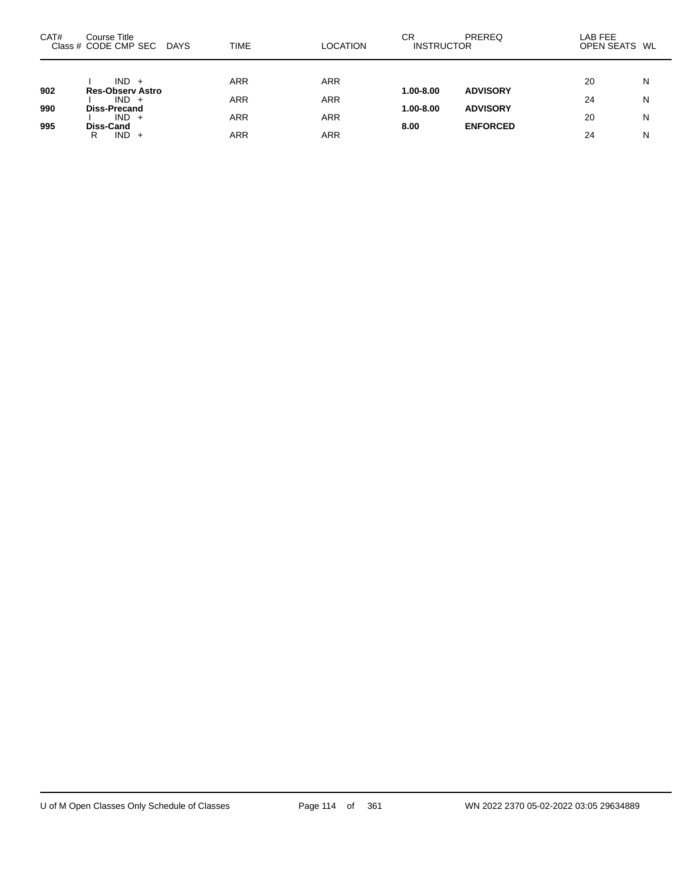| CAT#       | Course Title<br>Class # CODE CMP SEC                      | DAYS | TIME | <b>LOCATION</b> | СR<br><b>INSTRUCTOR</b>    | PREREQ                             | LAB FEE<br>OPEN SEATS WL |   |
|------------|-----------------------------------------------------------|------|------|-----------------|----------------------------|------------------------------------|--------------------------|---|
|            | $IND +$                                                   |      | ARR  | ARR             |                            |                                    | 20                       | N |
| 902<br>990 | <b>Res-Observ Astro</b><br>$IND +$<br><b>Diss-Precand</b> |      | ARR  | ARR             | 1.00-8.00<br>$1.00 - 8.00$ | <b>ADVISORY</b><br><b>ADVISORY</b> | 24                       | N |
| 995        | $IND +$<br>Diss-Cand                                      |      | ARR  | ARR             | 8.00                       | <b>ENFORCED</b>                    | 20                       | N |
|            | $IND +$<br>R                                              |      | ARR  | ARR             |                            |                                    | 24                       | N |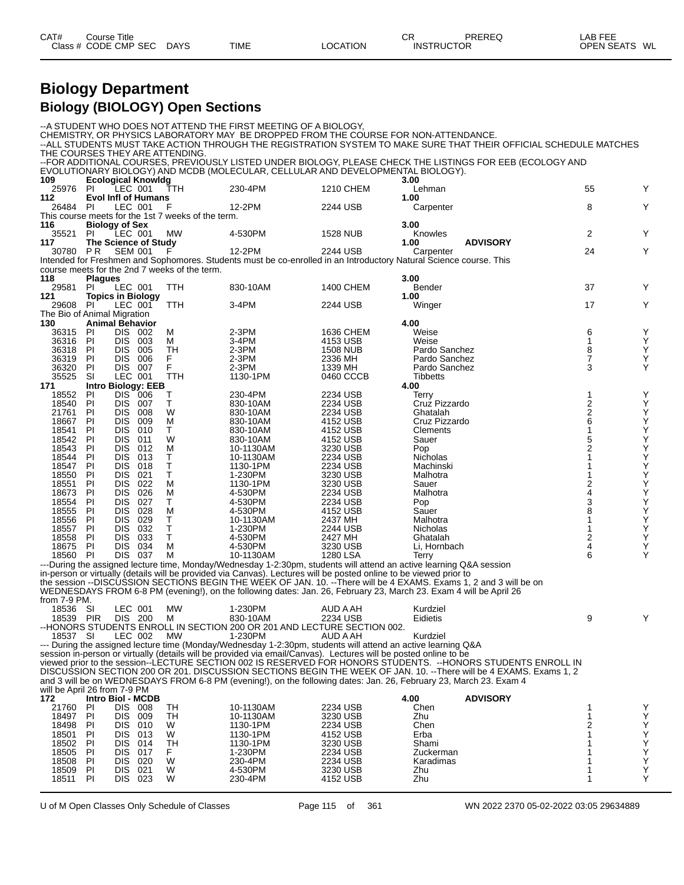| CAT# | ourse Titleٽ         |             |             |                 | Ωn<br>◡⊓          | PREREQ | LAB FEE       |  |
|------|----------------------|-------------|-------------|-----------------|-------------------|--------|---------------|--|
|      | Class # CODE CMP SEC | <b>DAYS</b> | <b>TIME</b> | <b>LOCATION</b> | <b>INSTRUCTOR</b> |        | OPEN SEATS WL |  |
|      |                      |             |             |                 |                   |        |               |  |

# **Biology Department Biology (BIOLOGY) Open Sections**

| --ALL STUDENTS MUST TAKE ACTION THROUGH THE REGISTRATION SYSTEM TO MAKE SURE THAT THEIR OFFICIAL SCHEDULE MATCHES<br>THE COURSES THEY ARE ATTENDING.<br>--FOR ADDITIONAL COURSES, PREVIOUSLY LISTED UNDER BIOLOGY, PLEASE CHECK THE LISTINGS FOR EEB (ECOLOGY AND<br>EVOLUTIONARY BIOLOGY) AND MCDB (MOLECULAR, CELLULAR AND DEVELOPMENTAL BIOLOGY).<br>109<br><b>Ecological Knowldg</b><br>3.00<br>Y<br>LEC 001<br>230-4PM<br>1210 CHEM<br>55<br>25976<br>-PI<br>TTH<br>Lehman<br>112<br><b>Evol Infl of Humans</b><br>1.00<br>Y<br>12-2PM<br>8<br>-PI<br>LEC 001<br>F<br>2244 USB<br>26484<br>Carpenter<br>This course meets for the 1st 7 weeks of the term.<br>116<br><b>Biology of Sex</b><br>3.00<br>2<br>Y<br>35521<br>PI<br>LEC 001<br>MW<br>4-530PM<br><b>1528 NUB</b><br>Knowles<br><b>The Science of Study</b><br><b>ADVISORY</b><br>117<br>1.00<br>Y<br>30780 PR<br><b>SEM 001</b><br>12-2PM<br>2244 USB<br>24<br>F<br>Carpenter<br>Intended for Freshmen and Sophomores. Students must be co-enrolled in an Introductory Natural Science course. This<br>course meets for the 2nd 7 weeks of the term.<br>3.00<br>118<br><b>Plagues</b><br>37<br>Y<br>29581<br>PI<br>LEC 001<br>830-10AM<br>1400 CHEM<br>Bender<br>TTH<br><b>Topics in Biology</b><br>1.00<br>121<br>3-4PM<br>Y<br>29608 PI<br>LEC 001<br>2244 USB<br>17<br>TTH<br>Winger<br>The Bio of Animal Migration<br>130<br><b>Animal Behavior</b><br>4.00<br>Y<br>36315<br>PI<br>DIS 002<br>2-3PM<br>1636 CHEM<br>Weise<br>6<br>м<br>Y<br>PI<br>36316<br><b>DIS</b><br>3-4PM<br>4153 USB<br>Weise<br>$\mathbf{1}$<br>003<br>м<br>8<br>Υ<br>36318<br>PI<br><b>DIS</b><br>005<br>TН<br>2-3PM<br><b>1508 NUB</b><br>Pardo Sanchez<br>$\overline{7}$<br>F<br>$2-3PM$<br>Υ<br>36319<br>PI<br><b>DIS</b><br>006<br>2336 MH<br>Pardo Sanchez<br>F<br>Υ<br>PI<br>$2-3PM$<br>3<br>36320<br>DIS.<br>- 007<br>1339 MH<br>Pardo Sanchez<br>35525<br>SI<br>LEC 001<br>TTH<br>1130-1PM<br>0460 CCCB<br><b>Tibbetts</b><br>171<br><b>Intro Biology: EEB</b><br>4.00<br>Υ<br>PI<br>DIS.<br>230-4PM<br>2234 USB<br>1<br>18552<br>- 006<br>Terry<br>Т<br>$\frac{2}{2}$<br>Υ<br>18540<br>PI<br>т<br>Cruz Pizzardo<br><b>DIS</b><br>007<br>830-10AM<br>2234 USB<br>Y<br>21761<br>PI<br><b>DIS</b><br>008<br>W<br>830-10AM<br>2234 USB<br>Ghatalah<br>6<br>Υ<br>PI<br>18667<br><b>DIS</b><br>009<br>M<br>4152 USB<br>Cruz Pizzardo<br>830-10AM<br>Υ<br>т<br>1<br>18541<br>PI<br><b>DIS</b><br>010<br>830-10AM<br>4152 USB<br>Clements<br>Υ<br>18542<br>W<br>5<br>PI<br><b>DIS</b><br>011<br>830-10AM<br>4152 USB<br>Sauer<br>Υ<br>PI<br>2<br>18543<br><b>DIS</b><br>012<br>M<br>10-1130AM<br>3230 USB<br>Pop<br>Υ<br>18544<br>т<br>PI<br><b>DIS</b><br>013<br>2234 USB<br>Nicholas<br>1<br>10-1130AM<br>T<br>Υ<br>18547<br>PI<br><b>DIS</b><br>018<br>1130-1PM<br>2234 USB<br>Machinski<br>Υ<br>PI<br>т<br>18550<br><b>DIS</b><br>021<br>1-230PM<br>3230 USB<br>Malhotra<br>1<br>2<br>Υ<br>18551<br>PI<br>DIS<br>022<br>M<br>1130-1PM<br>3230 USB<br>Sauer<br>Υ<br>18673<br>4<br>PI<br><b>DIS</b><br>026<br>М<br>4-530PM<br>2234 USB<br>Malhotra<br>3<br>Υ<br>PI<br>т<br>18554<br><b>DIS</b><br>027<br>4-530PM<br>2234 USB<br>Pop<br>8<br>Υ<br>028<br>18555<br>PI<br>DIS<br>M<br>4-530PM<br>4152 USB<br>Sauer<br>Υ<br>18556<br>т<br>PI<br>DIS<br>029<br>10-1130AM<br>2437 MH<br>Malhotra<br>Υ<br>PI<br>т<br>18557<br><b>DIS</b><br>032<br>1-230PM<br>2244 USB<br>Nicholas<br>1<br>Τ<br>2<br>Υ<br>18558<br>PI<br><b>DIS</b><br>033<br>4-530PM<br>2427 MH<br>Ghatalah<br>М<br>4<br>Υ<br>18675<br>PI<br><b>DIS</b><br>034<br>4-530PM<br>3230 USB<br>Li, Hornbach<br>Υ<br>037<br>6<br>PI<br>DIS.<br>M<br>1280 LSA<br>18560<br>10-1130AM<br>Terry<br>---During the assigned lecture time, Monday/Wednesday 1-2:30pm, students will attend an active learning Q&A session<br>in-person or virtually (details will be provided via Canvas). Lectures will be posted online to be viewed prior to<br>the session --DISCUSSION SECTIONS BEGIN THE WEEK OF JAN. 10. --There will be 4 EXAMS. Exams 1, 2 and 3 will be on<br>WEDNESDAYS FROM 6-8 PM (evening!), on the following dates: Jan. 26, February 23, March 23. Exam 4 will be April 26<br>from 7-9 PM.<br>LEC 001<br>18536 SI<br>MW<br>1-230PM<br>AUD A AH<br>Kurdziel<br>18539 PIR DIS 200 M<br>9<br>830-10AM<br>2234 USB<br>Eidietis<br>--HONORS STUDENTS ENROLL IN SECTION 200 OR 201 AND LECTURE SECTION 002.<br>1-230PM<br>LEC 002<br>AUD A AH<br>18537 SI<br><b>MW</b><br>Kurdziel<br>--- During the assigned lecture time (Monday/Wednesday 1-2:30pm, students will attend an active learning Q&A<br>session in-person or virtually (details will be provided via email/Canvas). Lectures will be posted online to be<br>viewed prior to the session--LECTURE SECTION 002 IS RESERVED FOR HONORS STUDENTS. --HONORS STUDENTS ENROLL IN<br>DISCUSSION SECTION 200 OR 201. DISCUSSION SECTIONS BEGIN THE WEEK OF JAN. 10. --There will be 4 EXAMS. Exams 1. 2<br>and 3 will be on WEDNESDAYS FROM 6-8 PM (evening!), on the following dates: Jan. 26, February 23, March 23. Exam 4<br>will be April 26 from 7-9 PM<br>Intro Biol - MCDB<br>172<br>4.00<br><b>ADVISORY</b><br>DIS 008<br>21760<br>PI<br>TН<br>10-1130AM<br>2234 USB<br>Chen<br>Y<br>1<br>Υ<br>18497<br>DIS 009<br>TН<br>-PI<br>3230 USB<br>Zhu<br>1<br>10-1130AM<br>Υ<br>DIS.<br>W<br>2234 USB<br>2<br>18498<br>PI<br>010<br>1130-1PM<br>Chen<br>Υ<br>18501<br>W<br>4152 USB<br>ΡI<br><b>DIS</b><br>013<br>1130-1PM<br>Erba<br>Υ<br>18502<br>TН<br>PI<br><b>DIS</b><br>014<br>1130-1PM<br>3230 USB<br>Shami<br>$\mathop{\mathsf{Y}}\limits_{\mathop{\mathsf{Y}}}$<br>18505<br>2234 USB<br>PI<br><b>DIS</b><br>017<br>F<br>1-230PM<br>Zuckerman<br>18508<br>W<br>2234 USB<br>PI<br><b>DIS</b><br>020<br>230-4PM<br>Karadimas<br>Υ<br>PI<br>W<br>4-530PM<br>3230 USB<br>18509<br>DIS 021<br>Zhu<br>Υ<br>18511<br>DIS 023<br>W<br>230-4PM<br>4152 USB<br>Zhu<br>PI<br>1 |  |  | --A STUDENT WHO DOES NOT ATTEND THE FIRST MEETING OF A BIOLOGY,<br>CHEMISTRY, OR PHYSICS LABORATORY MAY BE DROPPED FROM THE COURSE FOR NON-ATTENDANCE. |  |  |
|-----------------------------------------------------------------------------------------------------------------------------------------------------------------------------------------------------------------------------------------------------------------------------------------------------------------------------------------------------------------------------------------------------------------------------------------------------------------------------------------------------------------------------------------------------------------------------------------------------------------------------------------------------------------------------------------------------------------------------------------------------------------------------------------------------------------------------------------------------------------------------------------------------------------------------------------------------------------------------------------------------------------------------------------------------------------------------------------------------------------------------------------------------------------------------------------------------------------------------------------------------------------------------------------------------------------------------------------------------------------------------------------------------------------------------------------------------------------------------------------------------------------------------------------------------------------------------------------------------------------------------------------------------------------------------------------------------------------------------------------------------------------------------------------------------------------------------------------------------------------------------------------------------------------------------------------------------------------------------------------------------------------------------------------------------------------------------------------------------------------------------------------------------------------------------------------------------------------------------------------------------------------------------------------------------------------------------------------------------------------------------------------------------------------------------------------------------------------------------------------------------------------------------------------------------------------------------------------------------------------------------------------------------------------------------------------------------------------------------------------------------------------------------------------------------------------------------------------------------------------------------------------------------------------------------------------------------------------------------------------------------------------------------------------------------------------------------------------------------------------------------------------------------------------------------------------------------------------------------------------------------------------------------------------------------------------------------------------------------------------------------------------------------------------------------------------------------------------------------------------------------------------------------------------------------------------------------------------------------------------------------------------------------------------------------------------------------------------------------------------------------------------------------------------------------------------------------------------------------------------------------------------------------------------------------------------------------------------------------------------------------------------------------------------------------------------------------------------------------------------------------------------------------------------------------------------------------------------------------------------------------------------------------------------------------------------------------------------------------------------------------------------------------------------------------------------------------------------------------------------------------------------------------------------------------------------------------------------------------------------------------------------------------------------------------------------------------------------------------------------------------------------------------------------------------------------------------------------------------------------------------------------------------------------------------------------------------------------------------------------------------------------------------------------------------------------------------------------------------------------------------------------------------------------------------------------------------------------------------------------------------------------------------------------------------------------------------------------------------------------------------------------------------------------------------------------------------------------------------------------------------------------------------------------------------------------------------------------------------------------------------------------------------------------------------------------------------------------------------------------------------------------------------------------------------------------------------------------------------------------------------------------------------------------------------------------|--|--|--------------------------------------------------------------------------------------------------------------------------------------------------------|--|--|
|                                                                                                                                                                                                                                                                                                                                                                                                                                                                                                                                                                                                                                                                                                                                                                                                                                                                                                                                                                                                                                                                                                                                                                                                                                                                                                                                                                                                                                                                                                                                                                                                                                                                                                                                                                                                                                                                                                                                                                                                                                                                                                                                                                                                                                                                                                                                                                                                                                                                                                                                                                                                                                                                                                                                                                                                                                                                                                                                                                                                                                                                                                                                                                                                                                                                                                                                                                                                                                                                                                                                                                                                                                                                                                                                                                                                                                                                                                                                                                                                                                                                                                                                                                                                                                                                                                                                                                                                                                                                                                                                                                                                                                                                                                                                                                                                                                                                                                                                                                                                                                                                                                                                                                                                                                                                                                                                                                                                                                                                                                                                                                                                                                                                                                                                                                                                                                                                                                                                         |  |  |                                                                                                                                                        |  |  |
|                                                                                                                                                                                                                                                                                                                                                                                                                                                                                                                                                                                                                                                                                                                                                                                                                                                                                                                                                                                                                                                                                                                                                                                                                                                                                                                                                                                                                                                                                                                                                                                                                                                                                                                                                                                                                                                                                                                                                                                                                                                                                                                                                                                                                                                                                                                                                                                                                                                                                                                                                                                                                                                                                                                                                                                                                                                                                                                                                                                                                                                                                                                                                                                                                                                                                                                                                                                                                                                                                                                                                                                                                                                                                                                                                                                                                                                                                                                                                                                                                                                                                                                                                                                                                                                                                                                                                                                                                                                                                                                                                                                                                                                                                                                                                                                                                                                                                                                                                                                                                                                                                                                                                                                                                                                                                                                                                                                                                                                                                                                                                                                                                                                                                                                                                                                                                                                                                                                                         |  |  |                                                                                                                                                        |  |  |
|                                                                                                                                                                                                                                                                                                                                                                                                                                                                                                                                                                                                                                                                                                                                                                                                                                                                                                                                                                                                                                                                                                                                                                                                                                                                                                                                                                                                                                                                                                                                                                                                                                                                                                                                                                                                                                                                                                                                                                                                                                                                                                                                                                                                                                                                                                                                                                                                                                                                                                                                                                                                                                                                                                                                                                                                                                                                                                                                                                                                                                                                                                                                                                                                                                                                                                                                                                                                                                                                                                                                                                                                                                                                                                                                                                                                                                                                                                                                                                                                                                                                                                                                                                                                                                                                                                                                                                                                                                                                                                                                                                                                                                                                                                                                                                                                                                                                                                                                                                                                                                                                                                                                                                                                                                                                                                                                                                                                                                                                                                                                                                                                                                                                                                                                                                                                                                                                                                                                         |  |  |                                                                                                                                                        |  |  |
|                                                                                                                                                                                                                                                                                                                                                                                                                                                                                                                                                                                                                                                                                                                                                                                                                                                                                                                                                                                                                                                                                                                                                                                                                                                                                                                                                                                                                                                                                                                                                                                                                                                                                                                                                                                                                                                                                                                                                                                                                                                                                                                                                                                                                                                                                                                                                                                                                                                                                                                                                                                                                                                                                                                                                                                                                                                                                                                                                                                                                                                                                                                                                                                                                                                                                                                                                                                                                                                                                                                                                                                                                                                                                                                                                                                                                                                                                                                                                                                                                                                                                                                                                                                                                                                                                                                                                                                                                                                                                                                                                                                                                                                                                                                                                                                                                                                                                                                                                                                                                                                                                                                                                                                                                                                                                                                                                                                                                                                                                                                                                                                                                                                                                                                                                                                                                                                                                                                                         |  |  |                                                                                                                                                        |  |  |
|                                                                                                                                                                                                                                                                                                                                                                                                                                                                                                                                                                                                                                                                                                                                                                                                                                                                                                                                                                                                                                                                                                                                                                                                                                                                                                                                                                                                                                                                                                                                                                                                                                                                                                                                                                                                                                                                                                                                                                                                                                                                                                                                                                                                                                                                                                                                                                                                                                                                                                                                                                                                                                                                                                                                                                                                                                                                                                                                                                                                                                                                                                                                                                                                                                                                                                                                                                                                                                                                                                                                                                                                                                                                                                                                                                                                                                                                                                                                                                                                                                                                                                                                                                                                                                                                                                                                                                                                                                                                                                                                                                                                                                                                                                                                                                                                                                                                                                                                                                                                                                                                                                                                                                                                                                                                                                                                                                                                                                                                                                                                                                                                                                                                                                                                                                                                                                                                                                                                         |  |  |                                                                                                                                                        |  |  |
|                                                                                                                                                                                                                                                                                                                                                                                                                                                                                                                                                                                                                                                                                                                                                                                                                                                                                                                                                                                                                                                                                                                                                                                                                                                                                                                                                                                                                                                                                                                                                                                                                                                                                                                                                                                                                                                                                                                                                                                                                                                                                                                                                                                                                                                                                                                                                                                                                                                                                                                                                                                                                                                                                                                                                                                                                                                                                                                                                                                                                                                                                                                                                                                                                                                                                                                                                                                                                                                                                                                                                                                                                                                                                                                                                                                                                                                                                                                                                                                                                                                                                                                                                                                                                                                                                                                                                                                                                                                                                                                                                                                                                                                                                                                                                                                                                                                                                                                                                                                                                                                                                                                                                                                                                                                                                                                                                                                                                                                                                                                                                                                                                                                                                                                                                                                                                                                                                                                                         |  |  |                                                                                                                                                        |  |  |
|                                                                                                                                                                                                                                                                                                                                                                                                                                                                                                                                                                                                                                                                                                                                                                                                                                                                                                                                                                                                                                                                                                                                                                                                                                                                                                                                                                                                                                                                                                                                                                                                                                                                                                                                                                                                                                                                                                                                                                                                                                                                                                                                                                                                                                                                                                                                                                                                                                                                                                                                                                                                                                                                                                                                                                                                                                                                                                                                                                                                                                                                                                                                                                                                                                                                                                                                                                                                                                                                                                                                                                                                                                                                                                                                                                                                                                                                                                                                                                                                                                                                                                                                                                                                                                                                                                                                                                                                                                                                                                                                                                                                                                                                                                                                                                                                                                                                                                                                                                                                                                                                                                                                                                                                                                                                                                                                                                                                                                                                                                                                                                                                                                                                                                                                                                                                                                                                                                                                         |  |  |                                                                                                                                                        |  |  |
|                                                                                                                                                                                                                                                                                                                                                                                                                                                                                                                                                                                                                                                                                                                                                                                                                                                                                                                                                                                                                                                                                                                                                                                                                                                                                                                                                                                                                                                                                                                                                                                                                                                                                                                                                                                                                                                                                                                                                                                                                                                                                                                                                                                                                                                                                                                                                                                                                                                                                                                                                                                                                                                                                                                                                                                                                                                                                                                                                                                                                                                                                                                                                                                                                                                                                                                                                                                                                                                                                                                                                                                                                                                                                                                                                                                                                                                                                                                                                                                                                                                                                                                                                                                                                                                                                                                                                                                                                                                                                                                                                                                                                                                                                                                                                                                                                                                                                                                                                                                                                                                                                                                                                                                                                                                                                                                                                                                                                                                                                                                                                                                                                                                                                                                                                                                                                                                                                                                                         |  |  |                                                                                                                                                        |  |  |
|                                                                                                                                                                                                                                                                                                                                                                                                                                                                                                                                                                                                                                                                                                                                                                                                                                                                                                                                                                                                                                                                                                                                                                                                                                                                                                                                                                                                                                                                                                                                                                                                                                                                                                                                                                                                                                                                                                                                                                                                                                                                                                                                                                                                                                                                                                                                                                                                                                                                                                                                                                                                                                                                                                                                                                                                                                                                                                                                                                                                                                                                                                                                                                                                                                                                                                                                                                                                                                                                                                                                                                                                                                                                                                                                                                                                                                                                                                                                                                                                                                                                                                                                                                                                                                                                                                                                                                                                                                                                                                                                                                                                                                                                                                                                                                                                                                                                                                                                                                                                                                                                                                                                                                                                                                                                                                                                                                                                                                                                                                                                                                                                                                                                                                                                                                                                                                                                                                                                         |  |  |                                                                                                                                                        |  |  |
|                                                                                                                                                                                                                                                                                                                                                                                                                                                                                                                                                                                                                                                                                                                                                                                                                                                                                                                                                                                                                                                                                                                                                                                                                                                                                                                                                                                                                                                                                                                                                                                                                                                                                                                                                                                                                                                                                                                                                                                                                                                                                                                                                                                                                                                                                                                                                                                                                                                                                                                                                                                                                                                                                                                                                                                                                                                                                                                                                                                                                                                                                                                                                                                                                                                                                                                                                                                                                                                                                                                                                                                                                                                                                                                                                                                                                                                                                                                                                                                                                                                                                                                                                                                                                                                                                                                                                                                                                                                                                                                                                                                                                                                                                                                                                                                                                                                                                                                                                                                                                                                                                                                                                                                                                                                                                                                                                                                                                                                                                                                                                                                                                                                                                                                                                                                                                                                                                                                                         |  |  |                                                                                                                                                        |  |  |
|                                                                                                                                                                                                                                                                                                                                                                                                                                                                                                                                                                                                                                                                                                                                                                                                                                                                                                                                                                                                                                                                                                                                                                                                                                                                                                                                                                                                                                                                                                                                                                                                                                                                                                                                                                                                                                                                                                                                                                                                                                                                                                                                                                                                                                                                                                                                                                                                                                                                                                                                                                                                                                                                                                                                                                                                                                                                                                                                                                                                                                                                                                                                                                                                                                                                                                                                                                                                                                                                                                                                                                                                                                                                                                                                                                                                                                                                                                                                                                                                                                                                                                                                                                                                                                                                                                                                                                                                                                                                                                                                                                                                                                                                                                                                                                                                                                                                                                                                                                                                                                                                                                                                                                                                                                                                                                                                                                                                                                                                                                                                                                                                                                                                                                                                                                                                                                                                                                                                         |  |  |                                                                                                                                                        |  |  |
|                                                                                                                                                                                                                                                                                                                                                                                                                                                                                                                                                                                                                                                                                                                                                                                                                                                                                                                                                                                                                                                                                                                                                                                                                                                                                                                                                                                                                                                                                                                                                                                                                                                                                                                                                                                                                                                                                                                                                                                                                                                                                                                                                                                                                                                                                                                                                                                                                                                                                                                                                                                                                                                                                                                                                                                                                                                                                                                                                                                                                                                                                                                                                                                                                                                                                                                                                                                                                                                                                                                                                                                                                                                                                                                                                                                                                                                                                                                                                                                                                                                                                                                                                                                                                                                                                                                                                                                                                                                                                                                                                                                                                                                                                                                                                                                                                                                                                                                                                                                                                                                                                                                                                                                                                                                                                                                                                                                                                                                                                                                                                                                                                                                                                                                                                                                                                                                                                                                                         |  |  |                                                                                                                                                        |  |  |
|                                                                                                                                                                                                                                                                                                                                                                                                                                                                                                                                                                                                                                                                                                                                                                                                                                                                                                                                                                                                                                                                                                                                                                                                                                                                                                                                                                                                                                                                                                                                                                                                                                                                                                                                                                                                                                                                                                                                                                                                                                                                                                                                                                                                                                                                                                                                                                                                                                                                                                                                                                                                                                                                                                                                                                                                                                                                                                                                                                                                                                                                                                                                                                                                                                                                                                                                                                                                                                                                                                                                                                                                                                                                                                                                                                                                                                                                                                                                                                                                                                                                                                                                                                                                                                                                                                                                                                                                                                                                                                                                                                                                                                                                                                                                                                                                                                                                                                                                                                                                                                                                                                                                                                                                                                                                                                                                                                                                                                                                                                                                                                                                                                                                                                                                                                                                                                                                                                                                         |  |  |                                                                                                                                                        |  |  |
|                                                                                                                                                                                                                                                                                                                                                                                                                                                                                                                                                                                                                                                                                                                                                                                                                                                                                                                                                                                                                                                                                                                                                                                                                                                                                                                                                                                                                                                                                                                                                                                                                                                                                                                                                                                                                                                                                                                                                                                                                                                                                                                                                                                                                                                                                                                                                                                                                                                                                                                                                                                                                                                                                                                                                                                                                                                                                                                                                                                                                                                                                                                                                                                                                                                                                                                                                                                                                                                                                                                                                                                                                                                                                                                                                                                                                                                                                                                                                                                                                                                                                                                                                                                                                                                                                                                                                                                                                                                                                                                                                                                                                                                                                                                                                                                                                                                                                                                                                                                                                                                                                                                                                                                                                                                                                                                                                                                                                                                                                                                                                                                                                                                                                                                                                                                                                                                                                                                                         |  |  |                                                                                                                                                        |  |  |
|                                                                                                                                                                                                                                                                                                                                                                                                                                                                                                                                                                                                                                                                                                                                                                                                                                                                                                                                                                                                                                                                                                                                                                                                                                                                                                                                                                                                                                                                                                                                                                                                                                                                                                                                                                                                                                                                                                                                                                                                                                                                                                                                                                                                                                                                                                                                                                                                                                                                                                                                                                                                                                                                                                                                                                                                                                                                                                                                                                                                                                                                                                                                                                                                                                                                                                                                                                                                                                                                                                                                                                                                                                                                                                                                                                                                                                                                                                                                                                                                                                                                                                                                                                                                                                                                                                                                                                                                                                                                                                                                                                                                                                                                                                                                                                                                                                                                                                                                                                                                                                                                                                                                                                                                                                                                                                                                                                                                                                                                                                                                                                                                                                                                                                                                                                                                                                                                                                                                         |  |  |                                                                                                                                                        |  |  |
|                                                                                                                                                                                                                                                                                                                                                                                                                                                                                                                                                                                                                                                                                                                                                                                                                                                                                                                                                                                                                                                                                                                                                                                                                                                                                                                                                                                                                                                                                                                                                                                                                                                                                                                                                                                                                                                                                                                                                                                                                                                                                                                                                                                                                                                                                                                                                                                                                                                                                                                                                                                                                                                                                                                                                                                                                                                                                                                                                                                                                                                                                                                                                                                                                                                                                                                                                                                                                                                                                                                                                                                                                                                                                                                                                                                                                                                                                                                                                                                                                                                                                                                                                                                                                                                                                                                                                                                                                                                                                                                                                                                                                                                                                                                                                                                                                                                                                                                                                                                                                                                                                                                                                                                                                                                                                                                                                                                                                                                                                                                                                                                                                                                                                                                                                                                                                                                                                                                                         |  |  |                                                                                                                                                        |  |  |
|                                                                                                                                                                                                                                                                                                                                                                                                                                                                                                                                                                                                                                                                                                                                                                                                                                                                                                                                                                                                                                                                                                                                                                                                                                                                                                                                                                                                                                                                                                                                                                                                                                                                                                                                                                                                                                                                                                                                                                                                                                                                                                                                                                                                                                                                                                                                                                                                                                                                                                                                                                                                                                                                                                                                                                                                                                                                                                                                                                                                                                                                                                                                                                                                                                                                                                                                                                                                                                                                                                                                                                                                                                                                                                                                                                                                                                                                                                                                                                                                                                                                                                                                                                                                                                                                                                                                                                                                                                                                                                                                                                                                                                                                                                                                                                                                                                                                                                                                                                                                                                                                                                                                                                                                                                                                                                                                                                                                                                                                                                                                                                                                                                                                                                                                                                                                                                                                                                                                         |  |  |                                                                                                                                                        |  |  |
|                                                                                                                                                                                                                                                                                                                                                                                                                                                                                                                                                                                                                                                                                                                                                                                                                                                                                                                                                                                                                                                                                                                                                                                                                                                                                                                                                                                                                                                                                                                                                                                                                                                                                                                                                                                                                                                                                                                                                                                                                                                                                                                                                                                                                                                                                                                                                                                                                                                                                                                                                                                                                                                                                                                                                                                                                                                                                                                                                                                                                                                                                                                                                                                                                                                                                                                                                                                                                                                                                                                                                                                                                                                                                                                                                                                                                                                                                                                                                                                                                                                                                                                                                                                                                                                                                                                                                                                                                                                                                                                                                                                                                                                                                                                                                                                                                                                                                                                                                                                                                                                                                                                                                                                                                                                                                                                                                                                                                                                                                                                                                                                                                                                                                                                                                                                                                                                                                                                                         |  |  |                                                                                                                                                        |  |  |
|                                                                                                                                                                                                                                                                                                                                                                                                                                                                                                                                                                                                                                                                                                                                                                                                                                                                                                                                                                                                                                                                                                                                                                                                                                                                                                                                                                                                                                                                                                                                                                                                                                                                                                                                                                                                                                                                                                                                                                                                                                                                                                                                                                                                                                                                                                                                                                                                                                                                                                                                                                                                                                                                                                                                                                                                                                                                                                                                                                                                                                                                                                                                                                                                                                                                                                                                                                                                                                                                                                                                                                                                                                                                                                                                                                                                                                                                                                                                                                                                                                                                                                                                                                                                                                                                                                                                                                                                                                                                                                                                                                                                                                                                                                                                                                                                                                                                                                                                                                                                                                                                                                                                                                                                                                                                                                                                                                                                                                                                                                                                                                                                                                                                                                                                                                                                                                                                                                                                         |  |  |                                                                                                                                                        |  |  |
|                                                                                                                                                                                                                                                                                                                                                                                                                                                                                                                                                                                                                                                                                                                                                                                                                                                                                                                                                                                                                                                                                                                                                                                                                                                                                                                                                                                                                                                                                                                                                                                                                                                                                                                                                                                                                                                                                                                                                                                                                                                                                                                                                                                                                                                                                                                                                                                                                                                                                                                                                                                                                                                                                                                                                                                                                                                                                                                                                                                                                                                                                                                                                                                                                                                                                                                                                                                                                                                                                                                                                                                                                                                                                                                                                                                                                                                                                                                                                                                                                                                                                                                                                                                                                                                                                                                                                                                                                                                                                                                                                                                                                                                                                                                                                                                                                                                                                                                                                                                                                                                                                                                                                                                                                                                                                                                                                                                                                                                                                                                                                                                                                                                                                                                                                                                                                                                                                                                                         |  |  |                                                                                                                                                        |  |  |
|                                                                                                                                                                                                                                                                                                                                                                                                                                                                                                                                                                                                                                                                                                                                                                                                                                                                                                                                                                                                                                                                                                                                                                                                                                                                                                                                                                                                                                                                                                                                                                                                                                                                                                                                                                                                                                                                                                                                                                                                                                                                                                                                                                                                                                                                                                                                                                                                                                                                                                                                                                                                                                                                                                                                                                                                                                                                                                                                                                                                                                                                                                                                                                                                                                                                                                                                                                                                                                                                                                                                                                                                                                                                                                                                                                                                                                                                                                                                                                                                                                                                                                                                                                                                                                                                                                                                                                                                                                                                                                                                                                                                                                                                                                                                                                                                                                                                                                                                                                                                                                                                                                                                                                                                                                                                                                                                                                                                                                                                                                                                                                                                                                                                                                                                                                                                                                                                                                                                         |  |  |                                                                                                                                                        |  |  |
|                                                                                                                                                                                                                                                                                                                                                                                                                                                                                                                                                                                                                                                                                                                                                                                                                                                                                                                                                                                                                                                                                                                                                                                                                                                                                                                                                                                                                                                                                                                                                                                                                                                                                                                                                                                                                                                                                                                                                                                                                                                                                                                                                                                                                                                                                                                                                                                                                                                                                                                                                                                                                                                                                                                                                                                                                                                                                                                                                                                                                                                                                                                                                                                                                                                                                                                                                                                                                                                                                                                                                                                                                                                                                                                                                                                                                                                                                                                                                                                                                                                                                                                                                                                                                                                                                                                                                                                                                                                                                                                                                                                                                                                                                                                                                                                                                                                                                                                                                                                                                                                                                                                                                                                                                                                                                                                                                                                                                                                                                                                                                                                                                                                                                                                                                                                                                                                                                                                                         |  |  |                                                                                                                                                        |  |  |
|                                                                                                                                                                                                                                                                                                                                                                                                                                                                                                                                                                                                                                                                                                                                                                                                                                                                                                                                                                                                                                                                                                                                                                                                                                                                                                                                                                                                                                                                                                                                                                                                                                                                                                                                                                                                                                                                                                                                                                                                                                                                                                                                                                                                                                                                                                                                                                                                                                                                                                                                                                                                                                                                                                                                                                                                                                                                                                                                                                                                                                                                                                                                                                                                                                                                                                                                                                                                                                                                                                                                                                                                                                                                                                                                                                                                                                                                                                                                                                                                                                                                                                                                                                                                                                                                                                                                                                                                                                                                                                                                                                                                                                                                                                                                                                                                                                                                                                                                                                                                                                                                                                                                                                                                                                                                                                                                                                                                                                                                                                                                                                                                                                                                                                                                                                                                                                                                                                                                         |  |  |                                                                                                                                                        |  |  |
|                                                                                                                                                                                                                                                                                                                                                                                                                                                                                                                                                                                                                                                                                                                                                                                                                                                                                                                                                                                                                                                                                                                                                                                                                                                                                                                                                                                                                                                                                                                                                                                                                                                                                                                                                                                                                                                                                                                                                                                                                                                                                                                                                                                                                                                                                                                                                                                                                                                                                                                                                                                                                                                                                                                                                                                                                                                                                                                                                                                                                                                                                                                                                                                                                                                                                                                                                                                                                                                                                                                                                                                                                                                                                                                                                                                                                                                                                                                                                                                                                                                                                                                                                                                                                                                                                                                                                                                                                                                                                                                                                                                                                                                                                                                                                                                                                                                                                                                                                                                                                                                                                                                                                                                                                                                                                                                                                                                                                                                                                                                                                                                                                                                                                                                                                                                                                                                                                                                                         |  |  |                                                                                                                                                        |  |  |
|                                                                                                                                                                                                                                                                                                                                                                                                                                                                                                                                                                                                                                                                                                                                                                                                                                                                                                                                                                                                                                                                                                                                                                                                                                                                                                                                                                                                                                                                                                                                                                                                                                                                                                                                                                                                                                                                                                                                                                                                                                                                                                                                                                                                                                                                                                                                                                                                                                                                                                                                                                                                                                                                                                                                                                                                                                                                                                                                                                                                                                                                                                                                                                                                                                                                                                                                                                                                                                                                                                                                                                                                                                                                                                                                                                                                                                                                                                                                                                                                                                                                                                                                                                                                                                                                                                                                                                                                                                                                                                                                                                                                                                                                                                                                                                                                                                                                                                                                                                                                                                                                                                                                                                                                                                                                                                                                                                                                                                                                                                                                                                                                                                                                                                                                                                                                                                                                                                                                         |  |  |                                                                                                                                                        |  |  |
|                                                                                                                                                                                                                                                                                                                                                                                                                                                                                                                                                                                                                                                                                                                                                                                                                                                                                                                                                                                                                                                                                                                                                                                                                                                                                                                                                                                                                                                                                                                                                                                                                                                                                                                                                                                                                                                                                                                                                                                                                                                                                                                                                                                                                                                                                                                                                                                                                                                                                                                                                                                                                                                                                                                                                                                                                                                                                                                                                                                                                                                                                                                                                                                                                                                                                                                                                                                                                                                                                                                                                                                                                                                                                                                                                                                                                                                                                                                                                                                                                                                                                                                                                                                                                                                                                                                                                                                                                                                                                                                                                                                                                                                                                                                                                                                                                                                                                                                                                                                                                                                                                                                                                                                                                                                                                                                                                                                                                                                                                                                                                                                                                                                                                                                                                                                                                                                                                                                                         |  |  |                                                                                                                                                        |  |  |
|                                                                                                                                                                                                                                                                                                                                                                                                                                                                                                                                                                                                                                                                                                                                                                                                                                                                                                                                                                                                                                                                                                                                                                                                                                                                                                                                                                                                                                                                                                                                                                                                                                                                                                                                                                                                                                                                                                                                                                                                                                                                                                                                                                                                                                                                                                                                                                                                                                                                                                                                                                                                                                                                                                                                                                                                                                                                                                                                                                                                                                                                                                                                                                                                                                                                                                                                                                                                                                                                                                                                                                                                                                                                                                                                                                                                                                                                                                                                                                                                                                                                                                                                                                                                                                                                                                                                                                                                                                                                                                                                                                                                                                                                                                                                                                                                                                                                                                                                                                                                                                                                                                                                                                                                                                                                                                                                                                                                                                                                                                                                                                                                                                                                                                                                                                                                                                                                                                                                         |  |  |                                                                                                                                                        |  |  |
|                                                                                                                                                                                                                                                                                                                                                                                                                                                                                                                                                                                                                                                                                                                                                                                                                                                                                                                                                                                                                                                                                                                                                                                                                                                                                                                                                                                                                                                                                                                                                                                                                                                                                                                                                                                                                                                                                                                                                                                                                                                                                                                                                                                                                                                                                                                                                                                                                                                                                                                                                                                                                                                                                                                                                                                                                                                                                                                                                                                                                                                                                                                                                                                                                                                                                                                                                                                                                                                                                                                                                                                                                                                                                                                                                                                                                                                                                                                                                                                                                                                                                                                                                                                                                                                                                                                                                                                                                                                                                                                                                                                                                                                                                                                                                                                                                                                                                                                                                                                                                                                                                                                                                                                                                                                                                                                                                                                                                                                                                                                                                                                                                                                                                                                                                                                                                                                                                                                                         |  |  |                                                                                                                                                        |  |  |
|                                                                                                                                                                                                                                                                                                                                                                                                                                                                                                                                                                                                                                                                                                                                                                                                                                                                                                                                                                                                                                                                                                                                                                                                                                                                                                                                                                                                                                                                                                                                                                                                                                                                                                                                                                                                                                                                                                                                                                                                                                                                                                                                                                                                                                                                                                                                                                                                                                                                                                                                                                                                                                                                                                                                                                                                                                                                                                                                                                                                                                                                                                                                                                                                                                                                                                                                                                                                                                                                                                                                                                                                                                                                                                                                                                                                                                                                                                                                                                                                                                                                                                                                                                                                                                                                                                                                                                                                                                                                                                                                                                                                                                                                                                                                                                                                                                                                                                                                                                                                                                                                                                                                                                                                                                                                                                                                                                                                                                                                                                                                                                                                                                                                                                                                                                                                                                                                                                                                         |  |  |                                                                                                                                                        |  |  |
|                                                                                                                                                                                                                                                                                                                                                                                                                                                                                                                                                                                                                                                                                                                                                                                                                                                                                                                                                                                                                                                                                                                                                                                                                                                                                                                                                                                                                                                                                                                                                                                                                                                                                                                                                                                                                                                                                                                                                                                                                                                                                                                                                                                                                                                                                                                                                                                                                                                                                                                                                                                                                                                                                                                                                                                                                                                                                                                                                                                                                                                                                                                                                                                                                                                                                                                                                                                                                                                                                                                                                                                                                                                                                                                                                                                                                                                                                                                                                                                                                                                                                                                                                                                                                                                                                                                                                                                                                                                                                                                                                                                                                                                                                                                                                                                                                                                                                                                                                                                                                                                                                                                                                                                                                                                                                                                                                                                                                                                                                                                                                                                                                                                                                                                                                                                                                                                                                                                                         |  |  |                                                                                                                                                        |  |  |
|                                                                                                                                                                                                                                                                                                                                                                                                                                                                                                                                                                                                                                                                                                                                                                                                                                                                                                                                                                                                                                                                                                                                                                                                                                                                                                                                                                                                                                                                                                                                                                                                                                                                                                                                                                                                                                                                                                                                                                                                                                                                                                                                                                                                                                                                                                                                                                                                                                                                                                                                                                                                                                                                                                                                                                                                                                                                                                                                                                                                                                                                                                                                                                                                                                                                                                                                                                                                                                                                                                                                                                                                                                                                                                                                                                                                                                                                                                                                                                                                                                                                                                                                                                                                                                                                                                                                                                                                                                                                                                                                                                                                                                                                                                                                                                                                                                                                                                                                                                                                                                                                                                                                                                                                                                                                                                                                                                                                                                                                                                                                                                                                                                                                                                                                                                                                                                                                                                                                         |  |  |                                                                                                                                                        |  |  |
|                                                                                                                                                                                                                                                                                                                                                                                                                                                                                                                                                                                                                                                                                                                                                                                                                                                                                                                                                                                                                                                                                                                                                                                                                                                                                                                                                                                                                                                                                                                                                                                                                                                                                                                                                                                                                                                                                                                                                                                                                                                                                                                                                                                                                                                                                                                                                                                                                                                                                                                                                                                                                                                                                                                                                                                                                                                                                                                                                                                                                                                                                                                                                                                                                                                                                                                                                                                                                                                                                                                                                                                                                                                                                                                                                                                                                                                                                                                                                                                                                                                                                                                                                                                                                                                                                                                                                                                                                                                                                                                                                                                                                                                                                                                                                                                                                                                                                                                                                                                                                                                                                                                                                                                                                                                                                                                                                                                                                                                                                                                                                                                                                                                                                                                                                                                                                                                                                                                                         |  |  |                                                                                                                                                        |  |  |
|                                                                                                                                                                                                                                                                                                                                                                                                                                                                                                                                                                                                                                                                                                                                                                                                                                                                                                                                                                                                                                                                                                                                                                                                                                                                                                                                                                                                                                                                                                                                                                                                                                                                                                                                                                                                                                                                                                                                                                                                                                                                                                                                                                                                                                                                                                                                                                                                                                                                                                                                                                                                                                                                                                                                                                                                                                                                                                                                                                                                                                                                                                                                                                                                                                                                                                                                                                                                                                                                                                                                                                                                                                                                                                                                                                                                                                                                                                                                                                                                                                                                                                                                                                                                                                                                                                                                                                                                                                                                                                                                                                                                                                                                                                                                                                                                                                                                                                                                                                                                                                                                                                                                                                                                                                                                                                                                                                                                                                                                                                                                                                                                                                                                                                                                                                                                                                                                                                                                         |  |  |                                                                                                                                                        |  |  |
|                                                                                                                                                                                                                                                                                                                                                                                                                                                                                                                                                                                                                                                                                                                                                                                                                                                                                                                                                                                                                                                                                                                                                                                                                                                                                                                                                                                                                                                                                                                                                                                                                                                                                                                                                                                                                                                                                                                                                                                                                                                                                                                                                                                                                                                                                                                                                                                                                                                                                                                                                                                                                                                                                                                                                                                                                                                                                                                                                                                                                                                                                                                                                                                                                                                                                                                                                                                                                                                                                                                                                                                                                                                                                                                                                                                                                                                                                                                                                                                                                                                                                                                                                                                                                                                                                                                                                                                                                                                                                                                                                                                                                                                                                                                                                                                                                                                                                                                                                                                                                                                                                                                                                                                                                                                                                                                                                                                                                                                                                                                                                                                                                                                                                                                                                                                                                                                                                                                                         |  |  |                                                                                                                                                        |  |  |
|                                                                                                                                                                                                                                                                                                                                                                                                                                                                                                                                                                                                                                                                                                                                                                                                                                                                                                                                                                                                                                                                                                                                                                                                                                                                                                                                                                                                                                                                                                                                                                                                                                                                                                                                                                                                                                                                                                                                                                                                                                                                                                                                                                                                                                                                                                                                                                                                                                                                                                                                                                                                                                                                                                                                                                                                                                                                                                                                                                                                                                                                                                                                                                                                                                                                                                                                                                                                                                                                                                                                                                                                                                                                                                                                                                                                                                                                                                                                                                                                                                                                                                                                                                                                                                                                                                                                                                                                                                                                                                                                                                                                                                                                                                                                                                                                                                                                                                                                                                                                                                                                                                                                                                                                                                                                                                                                                                                                                                                                                                                                                                                                                                                                                                                                                                                                                                                                                                                                         |  |  |                                                                                                                                                        |  |  |
|                                                                                                                                                                                                                                                                                                                                                                                                                                                                                                                                                                                                                                                                                                                                                                                                                                                                                                                                                                                                                                                                                                                                                                                                                                                                                                                                                                                                                                                                                                                                                                                                                                                                                                                                                                                                                                                                                                                                                                                                                                                                                                                                                                                                                                                                                                                                                                                                                                                                                                                                                                                                                                                                                                                                                                                                                                                                                                                                                                                                                                                                                                                                                                                                                                                                                                                                                                                                                                                                                                                                                                                                                                                                                                                                                                                                                                                                                                                                                                                                                                                                                                                                                                                                                                                                                                                                                                                                                                                                                                                                                                                                                                                                                                                                                                                                                                                                                                                                                                                                                                                                                                                                                                                                                                                                                                                                                                                                                                                                                                                                                                                                                                                                                                                                                                                                                                                                                                                                         |  |  |                                                                                                                                                        |  |  |
|                                                                                                                                                                                                                                                                                                                                                                                                                                                                                                                                                                                                                                                                                                                                                                                                                                                                                                                                                                                                                                                                                                                                                                                                                                                                                                                                                                                                                                                                                                                                                                                                                                                                                                                                                                                                                                                                                                                                                                                                                                                                                                                                                                                                                                                                                                                                                                                                                                                                                                                                                                                                                                                                                                                                                                                                                                                                                                                                                                                                                                                                                                                                                                                                                                                                                                                                                                                                                                                                                                                                                                                                                                                                                                                                                                                                                                                                                                                                                                                                                                                                                                                                                                                                                                                                                                                                                                                                                                                                                                                                                                                                                                                                                                                                                                                                                                                                                                                                                                                                                                                                                                                                                                                                                                                                                                                                                                                                                                                                                                                                                                                                                                                                                                                                                                                                                                                                                                                                         |  |  |                                                                                                                                                        |  |  |
|                                                                                                                                                                                                                                                                                                                                                                                                                                                                                                                                                                                                                                                                                                                                                                                                                                                                                                                                                                                                                                                                                                                                                                                                                                                                                                                                                                                                                                                                                                                                                                                                                                                                                                                                                                                                                                                                                                                                                                                                                                                                                                                                                                                                                                                                                                                                                                                                                                                                                                                                                                                                                                                                                                                                                                                                                                                                                                                                                                                                                                                                                                                                                                                                                                                                                                                                                                                                                                                                                                                                                                                                                                                                                                                                                                                                                                                                                                                                                                                                                                                                                                                                                                                                                                                                                                                                                                                                                                                                                                                                                                                                                                                                                                                                                                                                                                                                                                                                                                                                                                                                                                                                                                                                                                                                                                                                                                                                                                                                                                                                                                                                                                                                                                                                                                                                                                                                                                                                         |  |  |                                                                                                                                                        |  |  |
|                                                                                                                                                                                                                                                                                                                                                                                                                                                                                                                                                                                                                                                                                                                                                                                                                                                                                                                                                                                                                                                                                                                                                                                                                                                                                                                                                                                                                                                                                                                                                                                                                                                                                                                                                                                                                                                                                                                                                                                                                                                                                                                                                                                                                                                                                                                                                                                                                                                                                                                                                                                                                                                                                                                                                                                                                                                                                                                                                                                                                                                                                                                                                                                                                                                                                                                                                                                                                                                                                                                                                                                                                                                                                                                                                                                                                                                                                                                                                                                                                                                                                                                                                                                                                                                                                                                                                                                                                                                                                                                                                                                                                                                                                                                                                                                                                                                                                                                                                                                                                                                                                                                                                                                                                                                                                                                                                                                                                                                                                                                                                                                                                                                                                                                                                                                                                                                                                                                                         |  |  |                                                                                                                                                        |  |  |
|                                                                                                                                                                                                                                                                                                                                                                                                                                                                                                                                                                                                                                                                                                                                                                                                                                                                                                                                                                                                                                                                                                                                                                                                                                                                                                                                                                                                                                                                                                                                                                                                                                                                                                                                                                                                                                                                                                                                                                                                                                                                                                                                                                                                                                                                                                                                                                                                                                                                                                                                                                                                                                                                                                                                                                                                                                                                                                                                                                                                                                                                                                                                                                                                                                                                                                                                                                                                                                                                                                                                                                                                                                                                                                                                                                                                                                                                                                                                                                                                                                                                                                                                                                                                                                                                                                                                                                                                                                                                                                                                                                                                                                                                                                                                                                                                                                                                                                                                                                                                                                                                                                                                                                                                                                                                                                                                                                                                                                                                                                                                                                                                                                                                                                                                                                                                                                                                                                                                         |  |  |                                                                                                                                                        |  |  |
|                                                                                                                                                                                                                                                                                                                                                                                                                                                                                                                                                                                                                                                                                                                                                                                                                                                                                                                                                                                                                                                                                                                                                                                                                                                                                                                                                                                                                                                                                                                                                                                                                                                                                                                                                                                                                                                                                                                                                                                                                                                                                                                                                                                                                                                                                                                                                                                                                                                                                                                                                                                                                                                                                                                                                                                                                                                                                                                                                                                                                                                                                                                                                                                                                                                                                                                                                                                                                                                                                                                                                                                                                                                                                                                                                                                                                                                                                                                                                                                                                                                                                                                                                                                                                                                                                                                                                                                                                                                                                                                                                                                                                                                                                                                                                                                                                                                                                                                                                                                                                                                                                                                                                                                                                                                                                                                                                                                                                                                                                                                                                                                                                                                                                                                                                                                                                                                                                                                                         |  |  |                                                                                                                                                        |  |  |
|                                                                                                                                                                                                                                                                                                                                                                                                                                                                                                                                                                                                                                                                                                                                                                                                                                                                                                                                                                                                                                                                                                                                                                                                                                                                                                                                                                                                                                                                                                                                                                                                                                                                                                                                                                                                                                                                                                                                                                                                                                                                                                                                                                                                                                                                                                                                                                                                                                                                                                                                                                                                                                                                                                                                                                                                                                                                                                                                                                                                                                                                                                                                                                                                                                                                                                                                                                                                                                                                                                                                                                                                                                                                                                                                                                                                                                                                                                                                                                                                                                                                                                                                                                                                                                                                                                                                                                                                                                                                                                                                                                                                                                                                                                                                                                                                                                                                                                                                                                                                                                                                                                                                                                                                                                                                                                                                                                                                                                                                                                                                                                                                                                                                                                                                                                                                                                                                                                                                         |  |  |                                                                                                                                                        |  |  |
|                                                                                                                                                                                                                                                                                                                                                                                                                                                                                                                                                                                                                                                                                                                                                                                                                                                                                                                                                                                                                                                                                                                                                                                                                                                                                                                                                                                                                                                                                                                                                                                                                                                                                                                                                                                                                                                                                                                                                                                                                                                                                                                                                                                                                                                                                                                                                                                                                                                                                                                                                                                                                                                                                                                                                                                                                                                                                                                                                                                                                                                                                                                                                                                                                                                                                                                                                                                                                                                                                                                                                                                                                                                                                                                                                                                                                                                                                                                                                                                                                                                                                                                                                                                                                                                                                                                                                                                                                                                                                                                                                                                                                                                                                                                                                                                                                                                                                                                                                                                                                                                                                                                                                                                                                                                                                                                                                                                                                                                                                                                                                                                                                                                                                                                                                                                                                                                                                                                                         |  |  |                                                                                                                                                        |  |  |
|                                                                                                                                                                                                                                                                                                                                                                                                                                                                                                                                                                                                                                                                                                                                                                                                                                                                                                                                                                                                                                                                                                                                                                                                                                                                                                                                                                                                                                                                                                                                                                                                                                                                                                                                                                                                                                                                                                                                                                                                                                                                                                                                                                                                                                                                                                                                                                                                                                                                                                                                                                                                                                                                                                                                                                                                                                                                                                                                                                                                                                                                                                                                                                                                                                                                                                                                                                                                                                                                                                                                                                                                                                                                                                                                                                                                                                                                                                                                                                                                                                                                                                                                                                                                                                                                                                                                                                                                                                                                                                                                                                                                                                                                                                                                                                                                                                                                                                                                                                                                                                                                                                                                                                                                                                                                                                                                                                                                                                                                                                                                                                                                                                                                                                                                                                                                                                                                                                                                         |  |  |                                                                                                                                                        |  |  |
|                                                                                                                                                                                                                                                                                                                                                                                                                                                                                                                                                                                                                                                                                                                                                                                                                                                                                                                                                                                                                                                                                                                                                                                                                                                                                                                                                                                                                                                                                                                                                                                                                                                                                                                                                                                                                                                                                                                                                                                                                                                                                                                                                                                                                                                                                                                                                                                                                                                                                                                                                                                                                                                                                                                                                                                                                                                                                                                                                                                                                                                                                                                                                                                                                                                                                                                                                                                                                                                                                                                                                                                                                                                                                                                                                                                                                                                                                                                                                                                                                                                                                                                                                                                                                                                                                                                                                                                                                                                                                                                                                                                                                                                                                                                                                                                                                                                                                                                                                                                                                                                                                                                                                                                                                                                                                                                                                                                                                                                                                                                                                                                                                                                                                                                                                                                                                                                                                                                                         |  |  |                                                                                                                                                        |  |  |
|                                                                                                                                                                                                                                                                                                                                                                                                                                                                                                                                                                                                                                                                                                                                                                                                                                                                                                                                                                                                                                                                                                                                                                                                                                                                                                                                                                                                                                                                                                                                                                                                                                                                                                                                                                                                                                                                                                                                                                                                                                                                                                                                                                                                                                                                                                                                                                                                                                                                                                                                                                                                                                                                                                                                                                                                                                                                                                                                                                                                                                                                                                                                                                                                                                                                                                                                                                                                                                                                                                                                                                                                                                                                                                                                                                                                                                                                                                                                                                                                                                                                                                                                                                                                                                                                                                                                                                                                                                                                                                                                                                                                                                                                                                                                                                                                                                                                                                                                                                                                                                                                                                                                                                                                                                                                                                                                                                                                                                                                                                                                                                                                                                                                                                                                                                                                                                                                                                                                         |  |  |                                                                                                                                                        |  |  |
|                                                                                                                                                                                                                                                                                                                                                                                                                                                                                                                                                                                                                                                                                                                                                                                                                                                                                                                                                                                                                                                                                                                                                                                                                                                                                                                                                                                                                                                                                                                                                                                                                                                                                                                                                                                                                                                                                                                                                                                                                                                                                                                                                                                                                                                                                                                                                                                                                                                                                                                                                                                                                                                                                                                                                                                                                                                                                                                                                                                                                                                                                                                                                                                                                                                                                                                                                                                                                                                                                                                                                                                                                                                                                                                                                                                                                                                                                                                                                                                                                                                                                                                                                                                                                                                                                                                                                                                                                                                                                                                                                                                                                                                                                                                                                                                                                                                                                                                                                                                                                                                                                                                                                                                                                                                                                                                                                                                                                                                                                                                                                                                                                                                                                                                                                                                                                                                                                                                                         |  |  |                                                                                                                                                        |  |  |
|                                                                                                                                                                                                                                                                                                                                                                                                                                                                                                                                                                                                                                                                                                                                                                                                                                                                                                                                                                                                                                                                                                                                                                                                                                                                                                                                                                                                                                                                                                                                                                                                                                                                                                                                                                                                                                                                                                                                                                                                                                                                                                                                                                                                                                                                                                                                                                                                                                                                                                                                                                                                                                                                                                                                                                                                                                                                                                                                                                                                                                                                                                                                                                                                                                                                                                                                                                                                                                                                                                                                                                                                                                                                                                                                                                                                                                                                                                                                                                                                                                                                                                                                                                                                                                                                                                                                                                                                                                                                                                                                                                                                                                                                                                                                                                                                                                                                                                                                                                                                                                                                                                                                                                                                                                                                                                                                                                                                                                                                                                                                                                                                                                                                                                                                                                                                                                                                                                                                         |  |  |                                                                                                                                                        |  |  |
|                                                                                                                                                                                                                                                                                                                                                                                                                                                                                                                                                                                                                                                                                                                                                                                                                                                                                                                                                                                                                                                                                                                                                                                                                                                                                                                                                                                                                                                                                                                                                                                                                                                                                                                                                                                                                                                                                                                                                                                                                                                                                                                                                                                                                                                                                                                                                                                                                                                                                                                                                                                                                                                                                                                                                                                                                                                                                                                                                                                                                                                                                                                                                                                                                                                                                                                                                                                                                                                                                                                                                                                                                                                                                                                                                                                                                                                                                                                                                                                                                                                                                                                                                                                                                                                                                                                                                                                                                                                                                                                                                                                                                                                                                                                                                                                                                                                                                                                                                                                                                                                                                                                                                                                                                                                                                                                                                                                                                                                                                                                                                                                                                                                                                                                                                                                                                                                                                                                                         |  |  |                                                                                                                                                        |  |  |
|                                                                                                                                                                                                                                                                                                                                                                                                                                                                                                                                                                                                                                                                                                                                                                                                                                                                                                                                                                                                                                                                                                                                                                                                                                                                                                                                                                                                                                                                                                                                                                                                                                                                                                                                                                                                                                                                                                                                                                                                                                                                                                                                                                                                                                                                                                                                                                                                                                                                                                                                                                                                                                                                                                                                                                                                                                                                                                                                                                                                                                                                                                                                                                                                                                                                                                                                                                                                                                                                                                                                                                                                                                                                                                                                                                                                                                                                                                                                                                                                                                                                                                                                                                                                                                                                                                                                                                                                                                                                                                                                                                                                                                                                                                                                                                                                                                                                                                                                                                                                                                                                                                                                                                                                                                                                                                                                                                                                                                                                                                                                                                                                                                                                                                                                                                                                                                                                                                                                         |  |  |                                                                                                                                                        |  |  |
|                                                                                                                                                                                                                                                                                                                                                                                                                                                                                                                                                                                                                                                                                                                                                                                                                                                                                                                                                                                                                                                                                                                                                                                                                                                                                                                                                                                                                                                                                                                                                                                                                                                                                                                                                                                                                                                                                                                                                                                                                                                                                                                                                                                                                                                                                                                                                                                                                                                                                                                                                                                                                                                                                                                                                                                                                                                                                                                                                                                                                                                                                                                                                                                                                                                                                                                                                                                                                                                                                                                                                                                                                                                                                                                                                                                                                                                                                                                                                                                                                                                                                                                                                                                                                                                                                                                                                                                                                                                                                                                                                                                                                                                                                                                                                                                                                                                                                                                                                                                                                                                                                                                                                                                                                                                                                                                                                                                                                                                                                                                                                                                                                                                                                                                                                                                                                                                                                                                                         |  |  |                                                                                                                                                        |  |  |
|                                                                                                                                                                                                                                                                                                                                                                                                                                                                                                                                                                                                                                                                                                                                                                                                                                                                                                                                                                                                                                                                                                                                                                                                                                                                                                                                                                                                                                                                                                                                                                                                                                                                                                                                                                                                                                                                                                                                                                                                                                                                                                                                                                                                                                                                                                                                                                                                                                                                                                                                                                                                                                                                                                                                                                                                                                                                                                                                                                                                                                                                                                                                                                                                                                                                                                                                                                                                                                                                                                                                                                                                                                                                                                                                                                                                                                                                                                                                                                                                                                                                                                                                                                                                                                                                                                                                                                                                                                                                                                                                                                                                                                                                                                                                                                                                                                                                                                                                                                                                                                                                                                                                                                                                                                                                                                                                                                                                                                                                                                                                                                                                                                                                                                                                                                                                                                                                                                                                         |  |  |                                                                                                                                                        |  |  |
|                                                                                                                                                                                                                                                                                                                                                                                                                                                                                                                                                                                                                                                                                                                                                                                                                                                                                                                                                                                                                                                                                                                                                                                                                                                                                                                                                                                                                                                                                                                                                                                                                                                                                                                                                                                                                                                                                                                                                                                                                                                                                                                                                                                                                                                                                                                                                                                                                                                                                                                                                                                                                                                                                                                                                                                                                                                                                                                                                                                                                                                                                                                                                                                                                                                                                                                                                                                                                                                                                                                                                                                                                                                                                                                                                                                                                                                                                                                                                                                                                                                                                                                                                                                                                                                                                                                                                                                                                                                                                                                                                                                                                                                                                                                                                                                                                                                                                                                                                                                                                                                                                                                                                                                                                                                                                                                                                                                                                                                                                                                                                                                                                                                                                                                                                                                                                                                                                                                                         |  |  |                                                                                                                                                        |  |  |
|                                                                                                                                                                                                                                                                                                                                                                                                                                                                                                                                                                                                                                                                                                                                                                                                                                                                                                                                                                                                                                                                                                                                                                                                                                                                                                                                                                                                                                                                                                                                                                                                                                                                                                                                                                                                                                                                                                                                                                                                                                                                                                                                                                                                                                                                                                                                                                                                                                                                                                                                                                                                                                                                                                                                                                                                                                                                                                                                                                                                                                                                                                                                                                                                                                                                                                                                                                                                                                                                                                                                                                                                                                                                                                                                                                                                                                                                                                                                                                                                                                                                                                                                                                                                                                                                                                                                                                                                                                                                                                                                                                                                                                                                                                                                                                                                                                                                                                                                                                                                                                                                                                                                                                                                                                                                                                                                                                                                                                                                                                                                                                                                                                                                                                                                                                                                                                                                                                                                         |  |  |                                                                                                                                                        |  |  |
|                                                                                                                                                                                                                                                                                                                                                                                                                                                                                                                                                                                                                                                                                                                                                                                                                                                                                                                                                                                                                                                                                                                                                                                                                                                                                                                                                                                                                                                                                                                                                                                                                                                                                                                                                                                                                                                                                                                                                                                                                                                                                                                                                                                                                                                                                                                                                                                                                                                                                                                                                                                                                                                                                                                                                                                                                                                                                                                                                                                                                                                                                                                                                                                                                                                                                                                                                                                                                                                                                                                                                                                                                                                                                                                                                                                                                                                                                                                                                                                                                                                                                                                                                                                                                                                                                                                                                                                                                                                                                                                                                                                                                                                                                                                                                                                                                                                                                                                                                                                                                                                                                                                                                                                                                                                                                                                                                                                                                                                                                                                                                                                                                                                                                                                                                                                                                                                                                                                                         |  |  |                                                                                                                                                        |  |  |
|                                                                                                                                                                                                                                                                                                                                                                                                                                                                                                                                                                                                                                                                                                                                                                                                                                                                                                                                                                                                                                                                                                                                                                                                                                                                                                                                                                                                                                                                                                                                                                                                                                                                                                                                                                                                                                                                                                                                                                                                                                                                                                                                                                                                                                                                                                                                                                                                                                                                                                                                                                                                                                                                                                                                                                                                                                                                                                                                                                                                                                                                                                                                                                                                                                                                                                                                                                                                                                                                                                                                                                                                                                                                                                                                                                                                                                                                                                                                                                                                                                                                                                                                                                                                                                                                                                                                                                                                                                                                                                                                                                                                                                                                                                                                                                                                                                                                                                                                                                                                                                                                                                                                                                                                                                                                                                                                                                                                                                                                                                                                                                                                                                                                                                                                                                                                                                                                                                                                         |  |  |                                                                                                                                                        |  |  |
|                                                                                                                                                                                                                                                                                                                                                                                                                                                                                                                                                                                                                                                                                                                                                                                                                                                                                                                                                                                                                                                                                                                                                                                                                                                                                                                                                                                                                                                                                                                                                                                                                                                                                                                                                                                                                                                                                                                                                                                                                                                                                                                                                                                                                                                                                                                                                                                                                                                                                                                                                                                                                                                                                                                                                                                                                                                                                                                                                                                                                                                                                                                                                                                                                                                                                                                                                                                                                                                                                                                                                                                                                                                                                                                                                                                                                                                                                                                                                                                                                                                                                                                                                                                                                                                                                                                                                                                                                                                                                                                                                                                                                                                                                                                                                                                                                                                                                                                                                                                                                                                                                                                                                                                                                                                                                                                                                                                                                                                                                                                                                                                                                                                                                                                                                                                                                                                                                                                                         |  |  |                                                                                                                                                        |  |  |
|                                                                                                                                                                                                                                                                                                                                                                                                                                                                                                                                                                                                                                                                                                                                                                                                                                                                                                                                                                                                                                                                                                                                                                                                                                                                                                                                                                                                                                                                                                                                                                                                                                                                                                                                                                                                                                                                                                                                                                                                                                                                                                                                                                                                                                                                                                                                                                                                                                                                                                                                                                                                                                                                                                                                                                                                                                                                                                                                                                                                                                                                                                                                                                                                                                                                                                                                                                                                                                                                                                                                                                                                                                                                                                                                                                                                                                                                                                                                                                                                                                                                                                                                                                                                                                                                                                                                                                                                                                                                                                                                                                                                                                                                                                                                                                                                                                                                                                                                                                                                                                                                                                                                                                                                                                                                                                                                                                                                                                                                                                                                                                                                                                                                                                                                                                                                                                                                                                                                         |  |  |                                                                                                                                                        |  |  |
|                                                                                                                                                                                                                                                                                                                                                                                                                                                                                                                                                                                                                                                                                                                                                                                                                                                                                                                                                                                                                                                                                                                                                                                                                                                                                                                                                                                                                                                                                                                                                                                                                                                                                                                                                                                                                                                                                                                                                                                                                                                                                                                                                                                                                                                                                                                                                                                                                                                                                                                                                                                                                                                                                                                                                                                                                                                                                                                                                                                                                                                                                                                                                                                                                                                                                                                                                                                                                                                                                                                                                                                                                                                                                                                                                                                                                                                                                                                                                                                                                                                                                                                                                                                                                                                                                                                                                                                                                                                                                                                                                                                                                                                                                                                                                                                                                                                                                                                                                                                                                                                                                                                                                                                                                                                                                                                                                                                                                                                                                                                                                                                                                                                                                                                                                                                                                                                                                                                                         |  |  |                                                                                                                                                        |  |  |
|                                                                                                                                                                                                                                                                                                                                                                                                                                                                                                                                                                                                                                                                                                                                                                                                                                                                                                                                                                                                                                                                                                                                                                                                                                                                                                                                                                                                                                                                                                                                                                                                                                                                                                                                                                                                                                                                                                                                                                                                                                                                                                                                                                                                                                                                                                                                                                                                                                                                                                                                                                                                                                                                                                                                                                                                                                                                                                                                                                                                                                                                                                                                                                                                                                                                                                                                                                                                                                                                                                                                                                                                                                                                                                                                                                                                                                                                                                                                                                                                                                                                                                                                                                                                                                                                                                                                                                                                                                                                                                                                                                                                                                                                                                                                                                                                                                                                                                                                                                                                                                                                                                                                                                                                                                                                                                                                                                                                                                                                                                                                                                                                                                                                                                                                                                                                                                                                                                                                         |  |  |                                                                                                                                                        |  |  |
|                                                                                                                                                                                                                                                                                                                                                                                                                                                                                                                                                                                                                                                                                                                                                                                                                                                                                                                                                                                                                                                                                                                                                                                                                                                                                                                                                                                                                                                                                                                                                                                                                                                                                                                                                                                                                                                                                                                                                                                                                                                                                                                                                                                                                                                                                                                                                                                                                                                                                                                                                                                                                                                                                                                                                                                                                                                                                                                                                                                                                                                                                                                                                                                                                                                                                                                                                                                                                                                                                                                                                                                                                                                                                                                                                                                                                                                                                                                                                                                                                                                                                                                                                                                                                                                                                                                                                                                                                                                                                                                                                                                                                                                                                                                                                                                                                                                                                                                                                                                                                                                                                                                                                                                                                                                                                                                                                                                                                                                                                                                                                                                                                                                                                                                                                                                                                                                                                                                                         |  |  |                                                                                                                                                        |  |  |

U of M Open Classes Only Schedule of Classes Page 115 of 361 WN 2022 2370 05-02-2022 03:05 29634889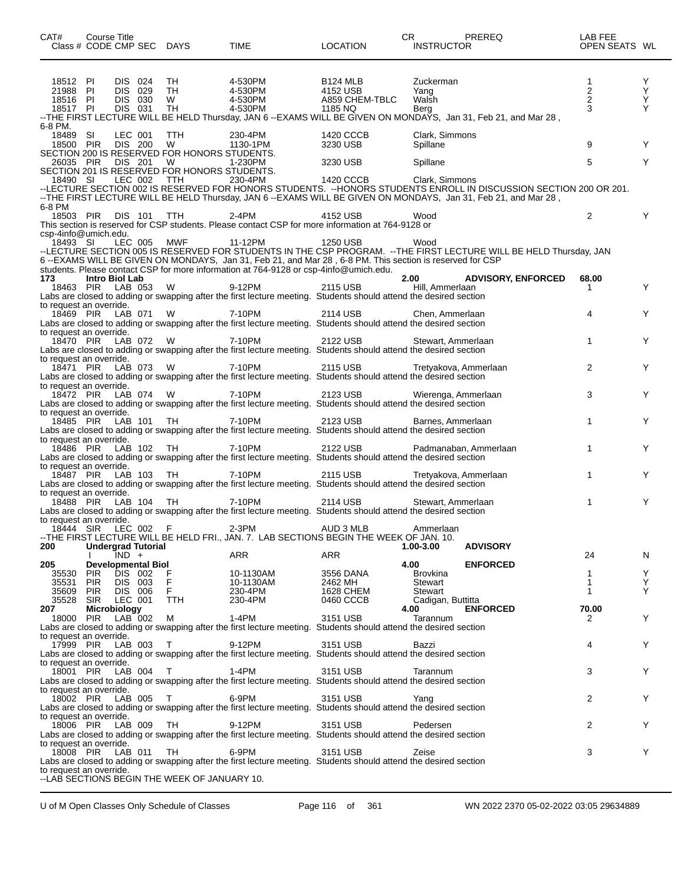| CAT#                                                | Course Title                     |                                                 |            | Class # CODE CMP SEC DAYS                                       | TIME                                                                                             | <b>LOCATION</b>                                                                                                               | CR<br><b>INSTRUCTOR</b>            | PREREQ                                                                                                                                                                                                                               | LAB FEE<br>OPEN SEATS WL |                  |
|-----------------------------------------------------|----------------------------------|-------------------------------------------------|------------|-----------------------------------------------------------------|--------------------------------------------------------------------------------------------------|-------------------------------------------------------------------------------------------------------------------------------|------------------------------------|--------------------------------------------------------------------------------------------------------------------------------------------------------------------------------------------------------------------------------------|--------------------------|------------------|
| 18512 PI<br>21988 PI<br>18516 PI<br>18517 PI        |                                  | DIS 024<br>DIS 029<br><b>DIS 030</b><br>DIS 031 |            | TH.<br>TH<br>W<br>TH                                            | 4-530PM<br>4-530PM<br>4-530PM<br>4-530PM                                                         | B <sub>124</sub> MLB<br>4152 USB<br>A859 CHEM-TBLC<br>1185 NQ                                                                 | Zuckerman<br>Yang<br>Walsh<br>Berg | --THE FIRST LECTURE WILL BE HELD Thursday, JAN 6 --EXAMS WILL BE GIVEN ON MONDAYS, Jan 31, Feb 21, and Mar 28,                                                                                                                       | 1<br>$\frac{2}{2}$<br>3  | Y<br>Υ<br>Υ<br>Y |
| 6-8 PM.<br>18489 SI<br>18500 PIR                    |                                  | LEC 001<br>DIS 200                              |            | TTH<br><b>W</b><br>SECTION 200 IS RESERVED FOR HONORS STUDENTS. | 230-4PM<br>1130-1PM                                                                              | 1420 CCCB<br>3230 USB                                                                                                         | Clark, Simmons<br>Spillane         |                                                                                                                                                                                                                                      | 9                        | Y                |
| 26035 PIR                                           |                                  | DIS 201                                         |            | <b>W</b><br>SECTION 201 IS RESERVED FOR HONORS STUDENTS.        | 1-230PM                                                                                          | 3230 USB                                                                                                                      | Spillane                           |                                                                                                                                                                                                                                      | 5                        | Y                |
| 18490 SI<br>6-8 PM                                  |                                  | LEC 002                                         |            | TTH                                                             | 230-4PM                                                                                          | 1420 CCCB                                                                                                                     | Clark, Simmons                     | --LECTURE SECTION 002 IS RESERVED FOR HONORS STUDENTS. --HONORS STUDENTS ENROLL IN DISCUSSION SECTION 200 OR 201.<br>--THE FIRST LECTURE WILL BE HELD Thursday, JAN 6 -- EXAMS WILL BE GIVEN ON MONDAYS, Jan 31, Feb 21, and Mar 28, |                          |                  |
| 18503 PIR DIS 101 TTH                               |                                  |                                                 |            |                                                                 | 2-4PM                                                                                            | 4152 USB<br>This section is reserved for CSP students. Please contact CSP for more information at 764-9128 or                 | Wood                               |                                                                                                                                                                                                                                      | $\overline{2}$           | Y                |
| csp-4info@umich.edu.<br>18493 SI                    |                                  | LEC 005                                         |            | MWF                                                             | 11-12PM<br>students. Please contact CSP for more information at 764-9128 or csp-4info@umich.edu. | 1250 USB                                                                                                                      | Wood                               | --LECTURE SECTION 005 IS RESERVED FOR STUDENTS IN THE CSP PROGRAM. --THE FIRST LECTURE WILL BE HELD Thursday, JAN<br>6 --EXAMS WILL BE GIVEN ON MONDAYS, Jan 31, Feb 21, and Mar 28 , 6-8 PM. This section is reserved for CSP       |                          |                  |
| 173<br>18463 PIR                                    | <b>Intro Biol Lab</b>            | LAB 053                                         |            | - W                                                             | 9-12PM                                                                                           | 2115 USB<br>Labs are closed to adding or swapping after the first lecture meeting. Students should attend the desired section | 2.00<br>Hill, Ammerlaan            | <b>ADVISORY, ENFORCED</b>                                                                                                                                                                                                            | 68.00<br>1               | Y                |
| to request an override.<br>18469 PIR                |                                  | LAB 071                                         |            | <b>W</b>                                                        | 7-10PM                                                                                           | 2114 USB<br>Labs are closed to adding or swapping after the first lecture meeting. Students should attend the desired section | Chen, Ammerlaan                    |                                                                                                                                                                                                                                      | 4                        | Y                |
| to request an override.<br>18470 PIR                |                                  |                                                 | LAB 072 W  |                                                                 | 7-10PM                                                                                           | 2122 USB<br>Labs are closed to adding or swapping after the first lecture meeting. Students should attend the desired section | Stewart, Ammerlaan                 |                                                                                                                                                                                                                                      | $\mathbf{1}$             | Y                |
| to request an override.<br>18471 PIR                |                                  | LAB 073                                         |            | <b>W</b>                                                        | 7-10PM                                                                                           | 2115 USB<br>Labs are closed to adding or swapping after the first lecture meeting. Students should attend the desired section | Tretyakova, Ammerlaan              |                                                                                                                                                                                                                                      | 2                        | Y                |
| to request an override.<br>18472 PIR                |                                  |                                                 | LAB 074 W  |                                                                 | 7-10PM                                                                                           | 2123 USB<br>Labs are closed to adding or swapping after the first lecture meeting. Students should attend the desired section | Wierenga, Ammerlaan                |                                                                                                                                                                                                                                      | 3                        | Y                |
| to request an override.<br>18485 PIR                |                                  |                                                 | LAB 101    | TH                                                              | 7-10PM                                                                                           | 2123 USB<br>Labs are closed to adding or swapping after the first lecture meeting. Students should attend the desired section | Barnes, Ammerlaan                  |                                                                                                                                                                                                                                      | $\mathbf{1}$             | Y                |
| to request an override.<br>18486 PIR                |                                  |                                                 | LAB 102 TH |                                                                 | 7-10PM                                                                                           | 2122 USB<br>Labs are closed to adding or swapping after the first lecture meeting. Students should attend the desired section |                                    | Padmanaban, Ammerlaan                                                                                                                                                                                                                | $\mathbf{1}$             | Y                |
| to request an override.<br>18487 PIR                |                                  |                                                 | LAB 103 TH |                                                                 | 7-10PM                                                                                           | 2115 USB<br>Labs are closed to adding or swapping after the first lecture meeting. Students should attend the desired section | Tretyakova, Ammerlaan              |                                                                                                                                                                                                                                      | 1                        | Y                |
| to request an override.<br>18488 PIR                |                                  |                                                 | LAB 104 TH |                                                                 | 7-10PM                                                                                           | 2114 USB<br>Labs are closed to adding or swapping after the first lecture meeting. Students should attend the desired section | Stewart, Ammerlaan                 |                                                                                                                                                                                                                                      | $\mathbf{1}$             | Y                |
| to request an override.<br>18444 SIR LEC 002<br>200 | <b>Undergrad Tutorial</b>        |                                                 |            | F                                                               | 2-3PM                                                                                            | AUD 3 MLB<br>--THE FIRST LECTURE WILL BE HELD FRI., JAN. 7. LAB SECTIONS BEGIN THE WEEK OF JAN. 10.                           | Ammerlaan<br>1.00-3.00             | <b>ADVISORY</b>                                                                                                                                                                                                                      |                          |                  |
|                                                     |                                  | IND +                                           |            |                                                                 | <b>ARR</b>                                                                                       | <b>ARR</b>                                                                                                                    |                                    |                                                                                                                                                                                                                                      | 24                       | N                |
| 205<br>35530                                        | <b>Developmental Biol</b><br>PIR | DIS 002                                         |            | $_{F}^{F}$                                                      | 10-1130AM                                                                                        | 3556 DANA                                                                                                                     | 4.00<br><b>Brovkina</b>            | <b>ENFORCED</b>                                                                                                                                                                                                                      | 1                        | Y                |
| 35531 PIR<br>35609 PIR                              |                                  | DIS 003<br>DIS 006                              |            | F.                                                              | 10-1130AM<br>230-4PM                                                                             | 2462 MH<br><b>1628 CHEM</b>                                                                                                   | Stewart<br>Stewart                 |                                                                                                                                                                                                                                      | 1<br>1                   | Y<br>Y           |
| 35528                                               | <b>SIR</b>                       | LEC 001                                         |            | <b>TTH</b>                                                      | 230-4PM                                                                                          | 0460 CCCB                                                                                                                     | Cadigan, Buttitta                  |                                                                                                                                                                                                                                      |                          |                  |
| 207<br>18000 PIR                                    | Microbiology                     | $LAB$ 002                                       |            | М                                                               | 1-4PM                                                                                            | 3151 USB                                                                                                                      | 4.00<br>Tarannum                   | <b>ENFORCED</b>                                                                                                                                                                                                                      | 70.00<br>2               | Y                |
| to request an override.                             |                                  |                                                 |            |                                                                 |                                                                                                  | Labs are closed to adding or swapping after the first lecture meeting. Students should attend the desired section             |                                    |                                                                                                                                                                                                                                      |                          |                  |
| 17999 PIR<br>to request an override.                |                                  | LAB 003                                         |            | $\top$                                                          | 9-12PM                                                                                           | 3151 USB<br>Labs are closed to adding or swapping after the first lecture meeting. Students should attend the desired section | Bazzi                              |                                                                                                                                                                                                                                      | 4                        | Y                |
| 18001 PIR                                           |                                  |                                                 | LAB 004    | $\top$                                                          | 1-4PM                                                                                            | 3151 USB<br>Labs are closed to adding or swapping after the first lecture meeting. Students should attend the desired section | Tarannum                           |                                                                                                                                                                                                                                      | 3                        | Y                |
| to request an override.<br>18002 PIR                |                                  | LAB 005                                         |            | $\top$                                                          | 6-9PM                                                                                            | 3151 USB<br>Labs are closed to adding or swapping after the first lecture meeting. Students should attend the desired section | Yang                               |                                                                                                                                                                                                                                      | 2                        | Y                |
| to request an override.<br>18006 PIR                |                                  | LAB 009                                         |            | TH.                                                             | 9-12PM                                                                                           | 3151 USB<br>Labs are closed to adding or swapping after the first lecture meeting. Students should attend the desired section | Pedersen                           |                                                                                                                                                                                                                                      | 2                        | Y                |
| to request an override.<br>18008 PIR LAB 011        |                                  |                                                 |            | TH                                                              | 6-9PM                                                                                            | 3151 USB<br>Labs are closed to adding or swapping after the first lecture meeting. Students should attend the desired section | Zeise                              |                                                                                                                                                                                                                                      | 3                        | Y                |
| to request an override.                             |                                  |                                                 |            | --LAB SECTIONS BEGIN THE WEEK OF JANUARY 10.                    |                                                                                                  |                                                                                                                               |                                    |                                                                                                                                                                                                                                      |                          |                  |

U of M Open Classes Only Schedule of Classes Page 116 of 361 WN 2022 2370 05-02-2022 03:05 29634889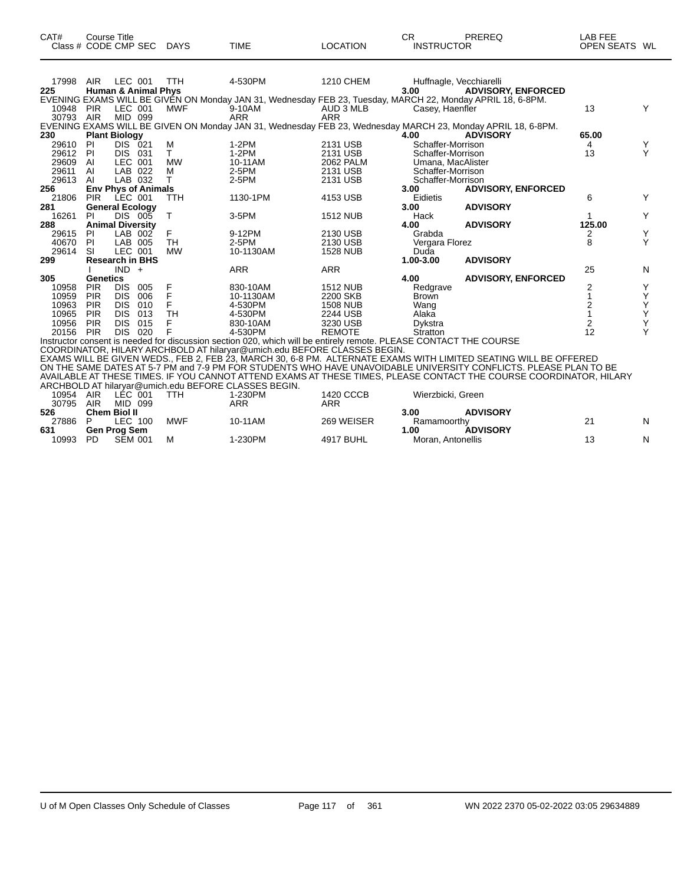| CAT# | Course Title         |             |             |                 | СR                | PREREQ | ∟AB FEE       |  |
|------|----------------------|-------------|-------------|-----------------|-------------------|--------|---------------|--|
|      | Class # CODE CMP SEC | <b>DAYS</b> | <b>TIME</b> | <b>LOCATION</b> | <b>INSTRUCTOR</b> |        | OPEN SEATS WL |  |

| 17998 | <b>AIR</b>              | LEC 001    |                                | TTH        | 4-530PM                                                                                                           | <b>1210 CHEM</b> |                   | Huffnagle, Vecchiarelli                                                                                      |                |   |
|-------|-------------------------|------------|--------------------------------|------------|-------------------------------------------------------------------------------------------------------------------|------------------|-------------------|--------------------------------------------------------------------------------------------------------------|----------------|---|
| 225   |                         |            | <b>Human &amp; Animal Phys</b> |            |                                                                                                                   |                  | 3.00              | <b>ADVISORY, ENFORCED</b>                                                                                    |                |   |
|       |                         |            |                                |            | EVENING EXAMS WILL BE GIVEN ON Monday JAN 31, Wednesday FEB 23, Tuesday, MARCH 22, Monday APRIL 18, 6-8PM.        |                  |                   |                                                                                                              |                |   |
| 10948 | <b>PIR</b>              | LEC 001    |                                | <b>MWF</b> | 9-10AM                                                                                                            | AUD 3 MLB        | Casey, Haenfler   |                                                                                                              | 13             |   |
| 30793 | AIR                     | MID 099    |                                |            | <b>ARR</b>                                                                                                        | <b>ARR</b>       |                   |                                                                                                              |                |   |
|       |                         |            |                                |            |                                                                                                                   |                  |                   | EVENING EXAMS WILL BE GIVEN ON Monday JAN 31, Wednesday FEB 23, Wednesday MARCH 23, Monday APRIL 18, 6-8PM.  |                |   |
| 230   | <b>Plant Biology</b>    |            |                                |            |                                                                                                                   |                  | 4.00              | <b>ADVISORY</b>                                                                                              | 65.00          |   |
| 29610 | -PI                     | DIS 021    |                                | м          | 1-2PM                                                                                                             | 2131 USB         | Schaffer-Morrison |                                                                                                              | 4              | Y |
| 29612 | -PI                     | DIS.       | -031                           | T.         | 1-2PM                                                                                                             | 2131 USB         | Schaffer-Morrison |                                                                                                              | 13             | Υ |
| 29609 | AI                      | LEC 001    |                                | <b>MW</b>  | 10-11AM                                                                                                           | 2062 PALM        | Umana, MacAlister |                                                                                                              |                |   |
| 29611 | AI                      | LAB 022    |                                | м          | 2-5PM                                                                                                             | 2131 USB         | Schaffer-Morrison |                                                                                                              |                |   |
| 29613 | AI                      |            | LAB 032                        | т          | 2-5PM                                                                                                             | 2131 USB         | Schaffer-Morrison |                                                                                                              |                |   |
| 256   |                         |            | <b>Env Phys of Animals</b>     |            |                                                                                                                   |                  | 3.00              | <b>ADVISORY, ENFORCED</b>                                                                                    |                |   |
| 21806 | <b>PIR</b>              | LEC 001    |                                | TTH        | 1130-1PM                                                                                                          | 4153 USB         | Eidietis          |                                                                                                              | 6              |   |
| 281   | <b>General Ecology</b>  |            |                                |            |                                                                                                                   |                  | 3.00              | <b>ADVISORY</b>                                                                                              |                |   |
| 16261 | <b>PI</b>               |            | DIS 005                        | т          | 3-5PM                                                                                                             | <b>1512 NUB</b>  | Hack              |                                                                                                              |                |   |
| 288   | <b>Animal Diversity</b> |            |                                |            |                                                                                                                   |                  | 4.00              | <b>ADVISORY</b>                                                                                              | 125.00         |   |
| 29615 | -PI                     |            | LAB 002                        | F          | 9-12PM                                                                                                            | 2130 USB         | Grabda            |                                                                                                              |                | Y |
| 40670 | PI.                     | LAB 005    |                                | TH         | 2-5PM                                                                                                             | 2130 USB         | Vergara Florez    |                                                                                                              | 8              | Υ |
| 29614 | SI                      | LEC 001    |                                | <b>MW</b>  | 10-1130AM                                                                                                         | <b>1528 NUB</b>  | Duda              |                                                                                                              |                |   |
| 299   |                         |            | <b>Research in BHS</b>         |            |                                                                                                                   |                  | 1.00-3.00         | <b>ADVISORY</b>                                                                                              |                |   |
|       |                         | $IND +$    |                                |            | <b>ARR</b>                                                                                                        | ARR              |                   |                                                                                                              | 25             | N |
| 305   | Genetics                |            |                                |            |                                                                                                                   |                  | 4.00              | <b>ADVISORY, ENFORCED</b>                                                                                    |                |   |
| 10958 | <b>PIR</b>              | <b>DIS</b> | 005                            | F          | 830-10AM                                                                                                          | <b>1512 NUB</b>  | Redgrave          |                                                                                                              | 2              |   |
| 10959 | <b>PIR</b>              | <b>DIS</b> | 006                            | F          | 10-1130AM                                                                                                         | 2200 SKB         | <b>Brown</b>      |                                                                                                              |                |   |
| 10963 | <b>PIR</b>              | DIS.       | 010                            | F          | 4-530PM                                                                                                           | <b>1508 NUB</b>  | Wang              |                                                                                                              |                | Υ |
| 10965 | <b>PIR</b>              | <b>DIS</b> | 013                            | <b>TH</b>  | 4-530PM                                                                                                           | 2244 USB         | Alaka             |                                                                                                              |                | Υ |
| 10956 | <b>PIR</b>              | <b>DIS</b> | 015                            |            | 830-10AM                                                                                                          | 3230 USB         | Dykstra           |                                                                                                              | $\overline{2}$ | Y |
| 20156 | <b>PIR</b>              | <b>DIS</b> | 020                            | F          | 4-530PM                                                                                                           | <b>REMOTE</b>    | Stratton          |                                                                                                              | 12             |   |
|       |                         |            |                                |            | Instructor consent is needed for discussion section 020, which will be entirely remote. PLEASE CONTACT THE COURSE |                  |                   |                                                                                                              |                |   |
|       |                         |            |                                |            | COORDINATOR, HILARY ARCHBOLD AT hilaryar@umich.edu BEFORE CLASSES BEGIN.                                          |                  |                   |                                                                                                              |                |   |
|       |                         |            |                                |            |                                                                                                                   |                  |                   | EVAMO WILL DE ON/EN WEDO. EED O EED ÓS MADOLLOS O SIDM, ALTERNATE EVAMO WITLLIMITED OF ATINO WILL DE OFFERED |                |   |

EXAMS WILL BE GIVEN WEDS., FEB 2, FEB 23, MARCH 30, 6-8 PM. ALTERNATE EXAMS WITH LIMITED SEATING WILL BE OFFERED ON THE SAME DATES AT 5-7 PM and 7-9 PM FOR STUDENTS WHO HAVE UNAVOIDABLE UNIVERSITY CONFLICTS. PLEASE PLAN TO BE AVAILABLE AT THESE TIMES. IF YOU CANNOT ATTEND EXAMS AT THESE TIMES, PLEASE CONTACT THE COURSE COORDINATOR, HILARY ARCHBOLD AT hilaryar@umich.edu BEFORE CLASSES BEGIN.

| 10954 | LÉC.<br>AIR<br>001   | TTH        | 1-230PM | 1420 CCCB        | Wierzbicki, Green       |   |
|-------|----------------------|------------|---------|------------------|-------------------------|---|
| 30795 | AIR<br>MID<br>099    |            | ARR     | ARR              |                         |   |
| 526   | Chem Biol II         |            |         |                  | <b>ADVISORY</b><br>3.00 |   |
| 27886 | ∟EC I<br>100         | <b>MWF</b> | 10-11AM | 269 WEISER       | Ramamoorthy             | N |
| 631   | <b>Gen Prog Sem</b>  |            |         |                  | <b>ADVISORY</b><br>.00  |   |
| 10993 | <b>SEM 001</b><br>PD | M          | 1-230PM | <b>4917 BUHL</b> | Moran, Antonellis       | N |
|       |                      |            |         |                  |                         |   |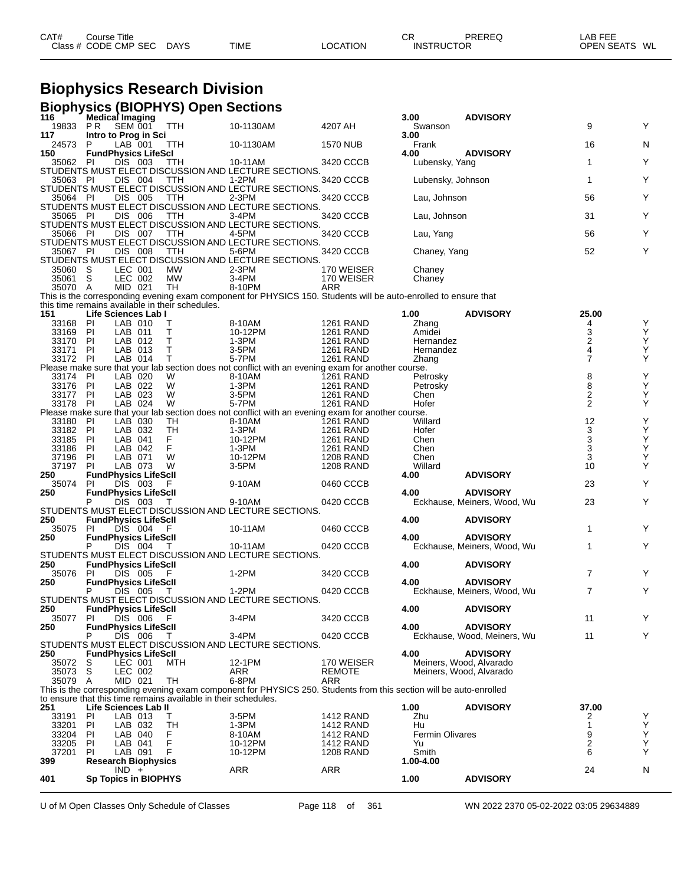| CAT# | Title<br>Course      |             |             |          | ⌒冖<br>◡           | PREREQ | LAB FEE<br>---    |    |
|------|----------------------|-------------|-------------|----------|-------------------|--------|-------------------|----|
|      | Class # CODE CMP SEC | <b>DAYS</b> | <b>TIME</b> | LOCATION | <b>INSTRUCTOR</b> |        | <b>OPEN SEATS</b> | WL |

# **Biophysics Research Division**

|                   |                                          |                    | <b>Biophysics (BIOPHYS) Open Sections</b>                      |                                                                                                                    |                                      |                       |                             |                                           |               |
|-------------------|------------------------------------------|--------------------|----------------------------------------------------------------|--------------------------------------------------------------------------------------------------------------------|--------------------------------------|-----------------------|-----------------------------|-------------------------------------------|---------------|
| 116               | Medical Imaging                          |                    |                                                                |                                                                                                                    |                                      | 3.00                  | <b>ADVISORY</b>             |                                           |               |
| 19833<br>117      | PR.                                      | SEM 001            | TTH                                                            | 10-1130AM                                                                                                          | 4207 AH                              | Swanson<br>3.00       |                             | 9                                         | Y             |
| 24573             | Intro to Prog in Sci<br>P                | LAB 001            | <b>TTH</b>                                                     | 10-1130AM                                                                                                          | <b>1570 NUB</b>                      | Frank                 |                             | 16                                        | N             |
| 150               | <b>FundPhysics LifeScl</b>               |                    |                                                                |                                                                                                                    |                                      | 4.00                  | <b>ADVISORY</b>             |                                           |               |
| 35062             | -PI                                      | DIS 003            | TTH                                                            | 10-11AM                                                                                                            | 3420 CCCB                            | Lubensky, Yang        |                             | $\mathbf{1}$                              | Y             |
|                   |                                          |                    |                                                                | STUDENTS MUST ELECT DISCUSSION AND LECTURE SECTIONS.                                                               |                                      |                       |                             |                                           |               |
| 35063 PI          |                                          | DIS 004            | TTH                                                            | $1-2PM$<br>STUDENTS MUST ELECT DISCUSSION AND LECTURE SECTIONS.                                                    | 3420 CCCB                            | Lubensky, Johnson     |                             | $\mathbf{1}$                              | Y             |
| 35064 PI          |                                          | DIS 005            | <b>TTH</b>                                                     | $2-3PM$                                                                                                            | 3420 CCCB                            | Lau, Johnson          |                             | 56                                        | Y             |
|                   |                                          |                    |                                                                | STUDENTS MUST ELECT DISCUSSION AND LECTURE SECTIONS.                                                               |                                      |                       |                             |                                           |               |
| 35065 PI          |                                          | DIS 006            | TTH                                                            | 3-4PM                                                                                                              | 3420 CCCB                            | Lau, Johnson          |                             | 31                                        | Y             |
|                   |                                          |                    |                                                                | STUDENTS MUST ELECT DISCUSSION AND LECTURE SECTIONS.                                                               |                                      |                       |                             |                                           |               |
| 35066 PI          |                                          | DIS 007            | TTH                                                            | 4-5PM<br>STUDENTS MUST ELECT DISCUSSION AND LECTURE SECTIONS.                                                      | 3420 CCCB                            | Lau, Yang             |                             | 56                                        | Y             |
| 35067 PI          |                                          | DIS 008            | <b>TTH</b>                                                     | 5-6PM                                                                                                              | 3420 CCCB                            | Chaney, Yang          |                             | 52                                        | Y             |
|                   |                                          |                    |                                                                | STUDENTS MUST ELECT DISCUSSION AND LECTURE SECTIONS.                                                               |                                      |                       |                             |                                           |               |
| 35060             | S                                        | LEC 001            | МW                                                             | 2-3PM                                                                                                              | 170 WEISER                           | Chaney                |                             |                                           |               |
| 35061             | S                                        | LEC 002            | <b>MW</b>                                                      | 3-4PM                                                                                                              | 170 WEISER                           | Chaney                |                             |                                           |               |
| 35070 A           |                                          | MID 021            | TH                                                             | 8-10PM                                                                                                             | ARR                                  |                       |                             |                                           |               |
|                   |                                          |                    | this time remains available in their schedules.                | This is the corresponding evening exam component for PHYSICS 150. Students will be auto-enrolled to ensure that    |                                      |                       |                             |                                           |               |
| 151               | Life Sciences Lab I                      |                    |                                                                |                                                                                                                    |                                      | 1.00                  | <b>ADVISORY</b>             | 25.00                                     |               |
| 33168             | ΡI                                       | LAB 010            | т                                                              | 8-10AM                                                                                                             | <b>1261 RAND</b>                     | Zhang                 |                             | 4                                         | Υ             |
| 33169             | ΡI                                       | LAB 011            | т                                                              | 10-12PM                                                                                                            | <b>1261 RAND</b>                     | Amidei                |                             | 3                                         | Υ             |
| 33170             | PI                                       | LAB 012            | т                                                              | $1-3PM$                                                                                                            | 1261 RAND                            | Hernandez             |                             | 2                                         | Υ             |
| 33171<br>33172 PI | <b>PI</b>                                | LAB 013<br>LAB 014 | т<br>т                                                         | 3-5PM<br>5-7PM                                                                                                     | <b>1261 RAND</b><br><b>1261 RAND</b> | Hernandez             |                             | $\overline{\mathbf{4}}$<br>$\overline{7}$ | Υ<br>Υ        |
|                   |                                          |                    |                                                                | Please make sure that your lab section does not conflict with an evening exam for another course.                  |                                      | Zhang                 |                             |                                           |               |
| 33174             | PI                                       | LAB 020            | W                                                              | 8-10AM                                                                                                             | <b>1261 RAND</b>                     | Petrosky              |                             |                                           |               |
| 33176             | PI                                       | LAB 022            | W                                                              | 1-3PM                                                                                                              | <b>1261 RAND</b>                     | Petrosky              |                             | $_{8}^8$                                  | Y<br>Y        |
| 33177             | PI                                       | LAB 023            | W                                                              | 3-5PM                                                                                                              | <b>1261 RAND</b>                     | Chen                  |                             | $\overline{\mathbf{c}}$                   | Υ             |
| 33178             | PI                                       | LAB 024            | W                                                              | 5-7PM                                                                                                              | <b>1261 RAND</b>                     | Hofer                 |                             | 2                                         | Υ             |
|                   |                                          |                    |                                                                | Please make sure that your lab section does not conflict with an evening exam for another course.                  |                                      |                       |                             |                                           |               |
| 33180<br>33182    | PI<br>PI                                 | LAB 030<br>LAB 032 | TH<br>TН                                                       | 8-10AM<br>1-3PM                                                                                                    | <b>1261 RAND</b><br><b>1261 RAND</b> | Willard<br>Hofer      |                             | 12                                        | Υ<br>Υ        |
| 33185             | ΡI                                       | LAB 041            | F                                                              | 10-12PM                                                                                                            | <b>1261 RAND</b>                     | Chen                  |                             |                                           |               |
| 33186             | PI                                       | LAB 042            | F                                                              | 1-3PM                                                                                                              | <b>1261 RAND</b>                     | Chen                  |                             | $\frac{3}{3}$                             | Ÿ<br>Y        |
| 37196             | ΡI                                       | LAB 071            | W                                                              | 10-12PM                                                                                                            | <b>1208 RAND</b>                     | Chen                  |                             | $\mathsf 3$                               | Υ             |
| 37197             | PI                                       | LAB 073            | W                                                              | 3-5PM                                                                                                              | <b>1208 RAND</b>                     | Willard               |                             | 10                                        | Y             |
| 250               | <b>FundPhysics LifeScll</b>              |                    |                                                                |                                                                                                                    |                                      | 4.00                  | <b>ADVISORY</b>             |                                           |               |
| 35074<br>250      | <b>PI</b><br><b>FundPhysics LifeScll</b> | DIS 003            | F                                                              | 9-10AM                                                                                                             | 0460 CCCB                            | 4.00                  | <b>ADVISORY</b>             | 23                                        | Y             |
|                   | P                                        | DIS 003            | - T                                                            | 9-10AM                                                                                                             | 0420 CCCB                            |                       | Eckhause, Meiners, Wood, Wu | 23                                        | Υ             |
|                   |                                          |                    |                                                                | STUDENTS MUST ELECT DISCUSSION AND LECTURE SECTIONS.                                                               |                                      |                       |                             |                                           |               |
| 250               | <b>FundPhysics LifeScII</b>              |                    |                                                                |                                                                                                                    |                                      | 4.00                  | <b>ADVISORY</b>             |                                           |               |
| 35075             | PI                                       | DIS 004            | F                                                              | 10-11AM                                                                                                            | 0460 CCCB                            |                       |                             | 1                                         | Y             |
| 250               | <b>FundPhysics LifeScll</b>              |                    |                                                                |                                                                                                                    |                                      | 4.00                  | <b>ADVISORY</b>             |                                           |               |
|                   |                                          | DIS 004            | Τ                                                              | 10-11AM<br>STUDENTS MUST ELECT DISCUSSION AND LECTURE SECTIONS.                                                    | 0420 CCCB                            |                       | Eckhause, Meiners, Wood, Wu | 1                                         | Y             |
| 250               | <b>FundPhysics LifeScll</b>              |                    |                                                                |                                                                                                                    |                                      | 4.00                  | <b>ADVISORY</b>             |                                           |               |
| 35076             | <b>PI</b>                                | DIS 005            | - F                                                            | $1-2PM$                                                                                                            | 3420 CCCB                            |                       |                             | $\overline{7}$                            | Y             |
| 250               | <b>FundPhysics LifeScll</b>              |                    |                                                                |                                                                                                                    |                                      | 4.00                  | <b>ADVISORY</b>             |                                           |               |
|                   | P                                        | DIS 005            | T                                                              | 1-2PM                                                                                                              | 0420 CCCB                            |                       | Eckhause, Meiners, Wood, Wu | 7                                         | Y             |
|                   |                                          |                    |                                                                | STUDENTS MUST ELECT DISCUSSION AND LECTURE SECTIONS.                                                               |                                      |                       |                             |                                           |               |
| 250<br>35077      | <b>FundPhysics LifeScll</b><br>PI.       | DIS 006            | F                                                              | 3-4PM                                                                                                              | 3420 CCCB                            | 4.00                  | <b>ADVISORY</b>             | 11                                        | Υ             |
| 250               | <b>FundPhysics LifeScll</b>              |                    |                                                                |                                                                                                                    |                                      | 4.00                  | <b>ADVISORY</b>             |                                           |               |
|                   | P                                        | DIS 006            | T                                                              | 3-4PM                                                                                                              | 0420 CCCB                            |                       | Eckhause, Wood, Meiners, Wu | 11                                        | Y             |
|                   |                                          |                    |                                                                | STUDENTS MUST ELECT DISCUSSION AND LECTURE SECTIONS.                                                               |                                      |                       |                             |                                           |               |
| 250               | <b>FundPhysics LifeScll</b>              |                    |                                                                |                                                                                                                    |                                      | 4.00                  | <b>ADVISORY</b>             |                                           |               |
| 35072             | S                                        | LEC 001            | MTH                                                            | 12-1PM                                                                                                             | 170 WEISER                           |                       | Meiners, Wood, Alvarado     |                                           |               |
| 35073<br>35079 A  | S                                        | LEC 002<br>MID 021 | TH                                                             | ARR<br>6-8PM                                                                                                       | <b>REMOTE</b><br><b>ARR</b>          |                       | Meiners, Wood, Alvarado     |                                           |               |
|                   |                                          |                    |                                                                | This is the corresponding evening exam component for PHYSICS 250. Students from this section will be auto-enrolled |                                      |                       |                             |                                           |               |
|                   |                                          |                    | to ensure that this time remains available in their schedules. |                                                                                                                    |                                      |                       |                             |                                           |               |
| 251               | Life Sciences Lab II                     |                    |                                                                |                                                                                                                    |                                      | 1.00                  | <b>ADVISORY</b>             | 37.00                                     |               |
| 33191             | PI                                       | LAB 013            | Τ                                                              | 3-5PM                                                                                                              | <b>1412 RAND</b>                     | Zhu                   |                             | 2                                         | Υ             |
| 33201             | PI                                       | LAB 032            | TH                                                             | 1-3PM                                                                                                              | <b>1412 RAND</b>                     | Hu                    |                             | 1                                         | $\frac{Y}{Y}$ |
| 33204<br>33205    | PI<br>PI                                 | LAB 040<br>LAB 041 | F<br>F                                                         | 8-10AM<br>10-12PM                                                                                                  | <b>1412 RAND</b><br><b>1412 RAND</b> | Fermin Olivares<br>Yu |                             | 9<br>2                                    | Υ             |
| 37201             | PI.                                      | LAB 091            | F                                                              | 10-12PM                                                                                                            | <b>1208 RAND</b>                     | Smith                 |                             | 6                                         | Υ             |
| 399               | <b>Research Biophysics</b>               |                    |                                                                |                                                                                                                    |                                      | 1.00-4.00             |                             |                                           |               |
|                   |                                          | $IND +$            |                                                                | <b>ARR</b>                                                                                                         | ARR                                  |                       |                             | 24                                        | N             |
| 401               | <b>Sp Topics in BIOPHYS</b>              |                    |                                                                |                                                                                                                    |                                      | 1.00                  | <b>ADVISORY</b>             |                                           |               |

U of M Open Classes Only Schedule of Classes Page 118 of 361 WN 2022 2370 05-02-2022 03:05 29634889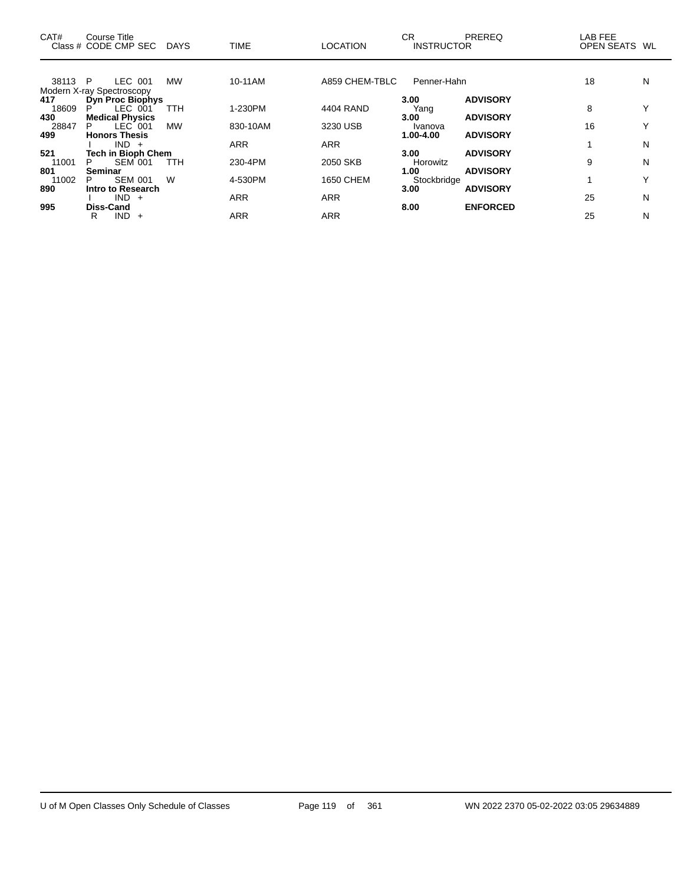| CAT#    | Course Title<br>Class # CODE CMP SEC | <b>DAYS</b> | <b>TIME</b> | <b>LOCATION</b>  | CR<br><b>INSTRUCTOR</b> | <b>PREREQ</b>   | LAB FEE<br>OPEN SEATS WL |              |
|---------|--------------------------------------|-------------|-------------|------------------|-------------------------|-----------------|--------------------------|--------------|
|         |                                      |             |             |                  |                         |                 |                          |              |
| 38113 P | LEC 001                              | <b>MW</b>   | 10-11AM     | A859 CHEM-TBLC   | Penner-Hahn             |                 | 18                       | N            |
|         | Modern X-ray Spectroscopy            |             |             |                  |                         |                 |                          |              |
| 417     | Dyn Proc Biophys                     |             |             |                  | 3.00                    | <b>ADVISORY</b> |                          |              |
| 18609   | LEC 001<br>P                         | TTH         | 1-230PM     | 4404 RAND        | Yang                    |                 | 8                        | $\checkmark$ |
| 430     | <b>Medical Physics</b>               |             |             |                  | 3.00                    | <b>ADVISORY</b> |                          |              |
| 28847   | $LEC$ 001<br>P.                      | <b>MW</b>   | 830-10AM    | 3230 USB         | Ivanova                 |                 | 16                       | $\checkmark$ |
| 499     | <b>Honors Thesis</b>                 |             |             |                  | 1.00-4.00               | <b>ADVISORY</b> |                          |              |
|         | $IND +$                              |             | <b>ARR</b>  | <b>ARR</b>       |                         |                 |                          | N            |
| 521     | <b>Tech in Bioph Chem</b>            |             |             |                  | 3.00                    | <b>ADVISORY</b> |                          |              |
| 11001   | <b>SEM 001</b><br>P.                 | <b>TTH</b>  | 230-4PM     | 2050 SKB         | Horowitz                |                 | 9                        | N            |
| 801     | <b>Seminar</b>                       |             |             |                  | 1.00                    | <b>ADVISORY</b> |                          |              |
| 11002   | <b>SEM 001</b><br>P                  | W           | 4-530PM     | <b>1650 CHEM</b> | Stockbridge             |                 |                          | $\checkmark$ |
| 890     | Intro to Research                    |             |             |                  | 3.00                    | <b>ADVISORY</b> |                          |              |
|         | IND.<br>$+$                          |             | <b>ARR</b>  | <b>ARR</b>       |                         |                 | 25                       | N            |
| 995     | <b>Diss-Cand</b>                     |             |             |                  | 8.00                    | <b>ENFORCED</b> |                          |              |
|         | IND.<br>R<br>$^{+}$                  |             | <b>ARR</b>  | <b>ARR</b>       |                         |                 | 25                       | N            |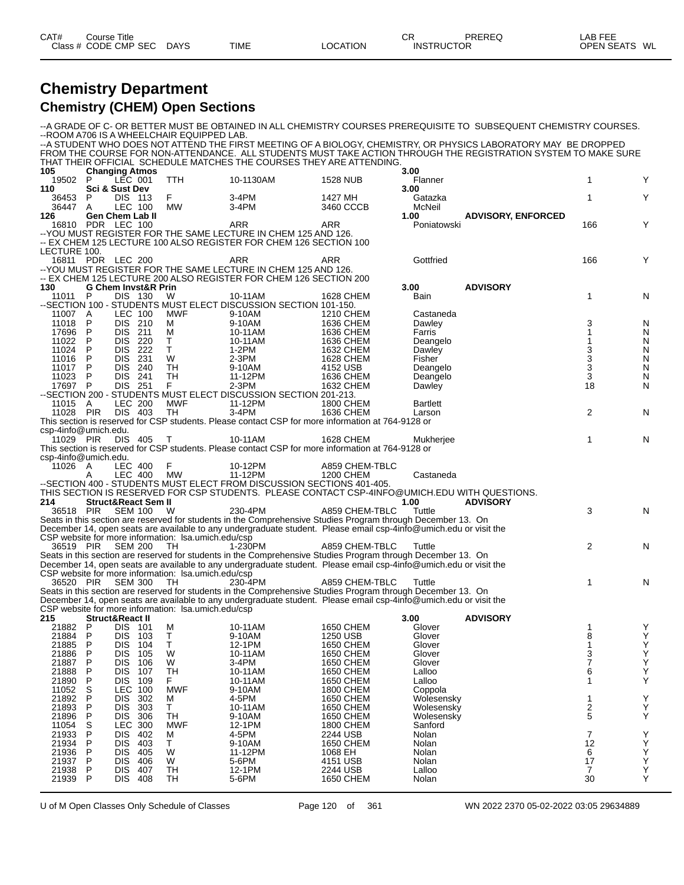| CAT#    | Title<br>Course |             |             |                 | ⌒冖<br>◡┍          | <b>PREREQ</b> | $\lambda$ .<br>LAB FEF |    |
|---------|-----------------|-------------|-------------|-----------------|-------------------|---------------|------------------------|----|
| Class # | CODE CMP<br>SEC | <b>DAYS</b> | <b>TIME</b> | <b>_OCATION</b> | <b>INSTRUCTOR</b> |               | <b>OPEN SEATS</b>      | WL |

### **Chemistry Department Chemistry (CHEM) Open Sections**

--A GRADE OF C- OR BETTER MUST BE OBTAINED IN ALL CHEMISTRY COURSES PREREQUISITE TO SUBSEQUENT CHEMISTRY COURSES. --ROOM A706 IS A WHEELCHAIR EQUIPPED LAB. --A STUDENT WHO DOES NOT ATTEND THE FIRST MEETING OF A BIOLOGY, CHEMISTRY, OR PHYSICS LABORATORY MAY BE DROPPED FROM THE COURSE FOR NON-ATTENDANCE. ALL STUDENTS MUST TAKE ACTION THROUGH THE REGISTRATION SYSTEM TO MAKE SURE THAT THEIR OFFICIAL SCHEDULE MATCHES THE COURSES THEY ARE ATTENDING. **105 Changing Atmos 3.00** 19502 P LEC 001 TTH 10-1130AM 1528 NUB Flanner 1 Y **110 Sci & Sust Dev 3.00** 36453 P DIS 113 F 3-4PM 1427 MH Gatazka 1 Y 36447 A LEC 100 MW 3-4PM 3460 CCCB McNeil<br>126 Gen Chem Lab II 3460 CCCB 1.00 **126 Gen Chem Lab II 1.00 ADVISORY, ENFORCED** 16810 PDR LEC 100 ARR ARR Poniatowski 166 Y --YOU MUST REGISTER FOR THE SAME LECTURE IN CHEM 125 AND 126. -- EX CHEM 125 LECTURE 100 ALSO REGISTER FOR CHEM 126 SECTION 100 LECTURE 100. 16811 PDR LEC 200 ARR ARR Gottfried 166 Y --YOU MUST REGISTER FOR THE SAME LECTURE IN CHEM 125 AND 126. -- EX CHEM 125 LECTURE 200 ALSO REGISTER FOR CHEM 126 SECTION 200<br>130 G Chem Invst&R Prin **130 G Chem Invst&R Prin 3.00 ADVISORY** 11011 P DIS 130 W 10-11AM 1628 CHEM Bain 1 1 N N --SECTION 100 - STUDENTS MUST ELECT DISCUSSION SECTION 101-150. 11007 A LEC 100 MWF 9-10AM 1210 CHEM Castaneda<br>11018 P DIS 210 M 9-10AM 1636 CHEM Dawley 11018 P DIS 210 M 9-10AM 1636 CHEM Dawley 3 N 17696 P DIS 211 M 10-11AM 1636 CHEM Farris 1 N 11022 P DIS 220 T 10-11AM 1636 CHEM Deangelo 1 N 11024 P DIS 222 T 1-2PM 1632 CHEM Dawley 3 N 11016 P DIS 231 W 2-3PM 1628 CHEM Fisher 3 N 11017 P DIS 240 TH 9-10AM 4152 USB Deangelo 3 N 11023 P DIS 241 TH 11-12PM 1636 CHEM Deangelo 3 N 17697 P DIS 251 F 2-3PM 1632 CHEM Dawley 18 N --SECTION 200 - STUDENTS MUST ELECT DISCUSSION SECTION 201-213. 11015 A LEC 200 MWF 11-12PM 1800 CHEM Bartlett<br>11028 PIR DIS 403 TH 3-4PM 1636 CHEM Larson 11028 PIR DIS 403 TH 3-4PM 1636 CHEM Larson 2 N This section is reserved for CSP students. Please contact CSP for more information at 764-9128 or csp-4info@umich.edu. 11029 PIR DIS 405 T 10-11AM 1628 CHEM Mukherjee 1 N This section is reserved for CSP students. Please contact CSP for more information at 764-9128 or csp-4info@umich.edu. 11026 A LEC 400 F 10-12PM A859 CHEM-TBLC A LEC 400 MW 11-12PM 1200 CHEM Castaneda --SECTION 400 - STUDENTS MUST ELECT FROM DISCUSSION SECTIONS 401-405. THIS SECTION IS RESERVED FOR CSP STUDENTS. PLEASE CONTACT CSP-4INFO@UMICH.EDU WITH QUESTIONS.<br>214 Struct&React Sem II **214 Struct&React Sem II 1.00 ADVISORY** 36518 PIR SEM 100 W 230-4PM A859 CHEM-TBLC Tuttle 3 N Seats in this section are reserved for students in the Comprehensive Studies Program through December 13. On December 14, open seats are available to any undergraduate student. Please email csp-4info@umich.edu or visit the CSP website for more information: Isa.umich.edu/csp<br>36519 PIR SEM 200 TH 1-230PM 36519 PIR SEM 200 TH 1-230PM A859 CHEM-TBLC Tuttle 2 N Seats in this section are reserved for students in the Comprehensive Studies Program through December 13. On December 14, open seats are available to any undergraduate student. Please email csp-4info@umich.edu or visit the CSP website for more information: lsa.umich.edu/csp 36520 PIR SEM 300 TH 230-4PM A859 CHEM-TBLC Tuttle 1 N Seats in this section are reserved for students in the Comprehensive Studies Program through December 13. On December 14, open seats are available to any undergraduate student. Please email csp-4info@umich.edu or visit the CSP website for more information: Isa.umich.edu/csp<br>215 **Struct&React II 215 Struct&React II 3.00 ADVISORY** 21882 P DIS 101 M 10-11AM 1650 CHEM Glover 1 Y 21884 P DIS 103 T 9-10AM 1250 USB Glover 8 Y 21885 P DIS 104 T 12-1PM 1650 CHEM Glover 1 Y 21886 P DIS 105 W 10-11AM 1650 CHEM Glover 3 Y 21887 P DIS 106 W 3-4PM 1650 CHEM Glover 7 Y 21888 P DIS 107 TH 10-11AM 1650 CHEM Lalloo 6 Y 21890 P DIS 109 F 10-11AM 1650 CHEM Lalloo 1 11052 S LEC 100 MWF 9-10AM 1800 CHEM Coppola 21892 P DIS 302 M 4-5PM 1650 CHEM Wolesensky 1 Y 21893 P DIS 303 T 10-11AM 1650 CHEM Wolesensky 2 Y 21896 P DIS 306 TH 9-10AM 1650 CHEM Wolesensky 5 Y 11054 S LEC 300 MWF 12-1PM 1800 CHEM Sanford 21933 P DIS 402 M 4-5PM 2244 USB Nolan 7 Y 21934 P DIS 403 T 9-10AM 1650 CHEM Nolan 12 Y 21936 P DIS 405 W 11-12PM 1068 EH Nolan 6 Y 21937 P DIS 406 W 5-6PM 4151 USB Nolan 17 Y 21938 P DIS 407 TH 12-1PM 2244 USB Lalloo 7 Y 21939 P DIS 408 TH 5-6PM 1650 CHEM Nolan 30 Y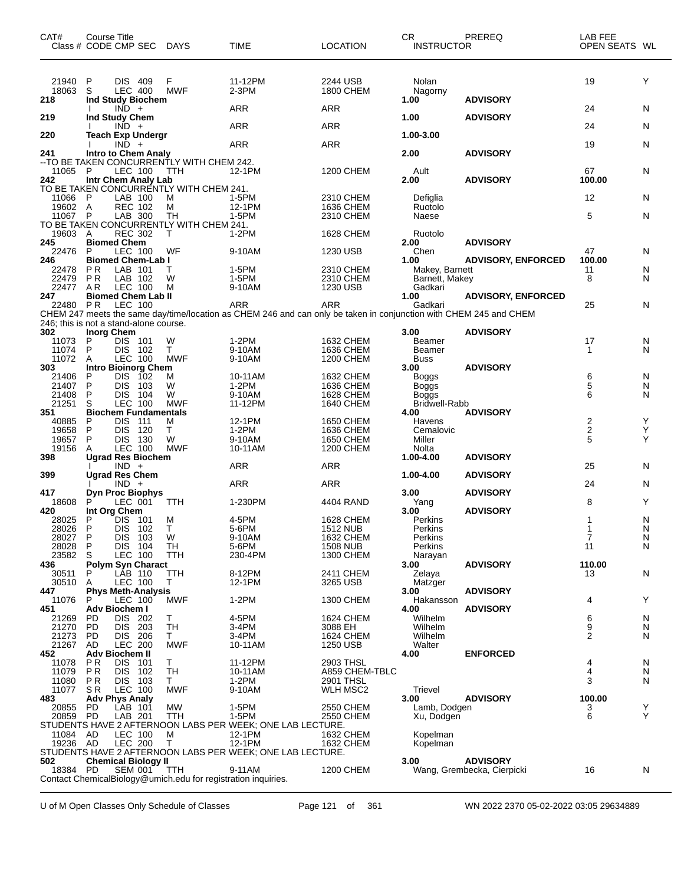| CAT#<br>Class # CODE CMP SEC DAYS      | Course Title                               |                                  |            |                                                               | TIME                                                                                                                     | <b>LOCATION</b>               | CR.<br><b>INSTRUCTOR</b>  | <b>PREREQ</b>              | LAB FEE<br>OPEN SEATS WL |        |
|----------------------------------------|--------------------------------------------|----------------------------------|------------|---------------------------------------------------------------|--------------------------------------------------------------------------------------------------------------------------|-------------------------------|---------------------------|----------------------------|--------------------------|--------|
| 21940<br>18063<br>218                  | P<br>S<br>Ind Study Biochem                | <b>DIS 409</b><br><b>LEC 400</b> |            | F<br><b>MWF</b>                                               | 11-12PM<br>$2-3PM$                                                                                                       | 2244 USB<br><b>1800 CHEM</b>  | Nolan<br>Nagorny<br>1.00  | <b>ADVISORY</b>            | 19                       | Y      |
|                                        |                                            | $IND +$                          |            |                                                               | ARR                                                                                                                      | ARR                           |                           |                            | 24                       | N      |
| 219                                    | <b>Ind Study Chem</b>                      | $IND +$                          |            |                                                               | ARR                                                                                                                      | ARR                           | 1.00                      | <b>ADVISORY</b>            | 24                       | N      |
| 220                                    | <b>Teach Exp Undergr</b>                   | $IND +$                          |            |                                                               | ARR                                                                                                                      | <b>ARR</b>                    | 1.00-3.00                 |                            | 19                       | N      |
| 241                                    | <b>Intro to Chem Analy</b>                 |                                  |            |                                                               |                                                                                                                          |                               | 2.00                      | <b>ADVISORY</b>            |                          |        |
| 11065<br>242                           | -P<br>Intr Chem Analy Lab                  | LEC 100                          |            | -- TO BE TAKEN CONCURRENTLY WITH CHEM 242.<br>TTH             | 12-1PM                                                                                                                   | <b>1200 CHEM</b>              | Ault<br>2.00              | <b>ADVISORY</b>            | 67<br>100.00             | N      |
| 11066 P                                |                                            | LAB 100                          |            | TO BE TAKEN CONCURRENTLY WITH CHEM 241.<br>M                  | 1-5PM                                                                                                                    | 2310 CHEM                     | Defiglia                  |                            | 12                       | N      |
| 19602 A<br>11067                       | $\mathsf{P}$                               | <b>REC 102</b><br>LAB 300        |            | M<br>TН                                                       | 12-1PM<br>1-5PM                                                                                                          | 1636 CHEM<br>2310 CHEM        | Ruotolo<br>Naese          |                            | 5                        | N      |
|                                        |                                            |                                  |            | TO BE TAKEN CONCURRENTLY WITH CHEM 241.                       |                                                                                                                          |                               |                           |                            |                          |        |
| 19603<br>245                           | A<br><b>Biomed Chem</b>                    | <b>REC 302</b>                   |            | т                                                             | 1-2PM                                                                                                                    | 1628 CHEM                     | Ruotolo<br>2.00           | <b>ADVISORY</b>            |                          |        |
| 22476                                  | P                                          | LEC 100                          |            | WF                                                            | 9-10AM                                                                                                                   | 1230 USB                      | Chen                      |                            | 47                       | N      |
| 246<br>22478                           | <b>Biomed Chem-Lab I</b><br>P <sub>R</sub> | LAB 101                          |            | т                                                             | 1-5PM                                                                                                                    | 2310 CHEM                     | 1.00<br>Makey, Barnett    | <b>ADVISORY, ENFORCED</b>  | 100.00<br>11             | N      |
| 22479<br>22477                         | P R<br>A <sub>R</sub>                      | LAB 102<br>LEC 100               |            | W<br>M                                                        | 1-5PM<br>9-10AM                                                                                                          | 2310 CHEM<br>1230 USB         | Barnett, Makey<br>Gadkari |                            | 8                        | N      |
| 247                                    | <b>Biomed Chem Lab II</b>                  |                                  |            |                                                               |                                                                                                                          |                               | 1.00                      | <b>ADVISORY, ENFORCED</b>  |                          |        |
| 22480 PR                               |                                            | LEC 100                          |            |                                                               | ARR<br>CHEM 247 meets the same day/time/location as CHEM 246 and can only be taken in conjunction with CHEM 245 and CHEM | <b>ARR</b>                    | Gadkari                   |                            | 25                       | N      |
| 246; this is not a stand-alone course. |                                            |                                  |            |                                                               |                                                                                                                          |                               |                           |                            |                          |        |
| 302<br>11073                           | <b>Inorg Chem</b><br>P                     | DIS 101                          |            | W                                                             | $1-2PM$                                                                                                                  | 1632 CHEM                     | 3.00<br>Beamer            | <b>ADVISORY</b>            | 17                       | N      |
| 11074<br>11072                         | P<br>A                                     | DIS.<br>LEC 100                  | 102        | T.<br><b>MWF</b>                                              | 9-10AM<br>9-10AM                                                                                                         | 1636 CHEM<br><b>1200 CHEM</b> | Beamer<br><b>Buss</b>     |                            | 1                        | N      |
| 303                                    | <b>Intro Bioinorg Chem</b>                 |                                  |            |                                                               |                                                                                                                          |                               | 3.00                      | <b>ADVISORY</b>            |                          |        |
| 21406<br>21407                         | P<br>P                                     | <b>DIS</b><br><b>DIS</b>         | 102<br>103 | M<br>W                                                        | 10-11AM<br>$1-2PM$                                                                                                       | 1632 CHEM<br>1636 CHEM        | Boggs<br>Boggs            |                            | 6<br>5                   | N<br>N |
| 21408                                  | P                                          | DIS.                             | 104        | W                                                             | 9-10AM                                                                                                                   | 1628 CHEM                     | Boggs                     |                            | 6                        | N      |
| 21251<br>351                           | S<br><b>Biochem Fundamentals</b>           | <b>LEC 100</b>                   |            | <b>MWF</b>                                                    | 11-12PM                                                                                                                  | <b>1640 CHEM</b>              | Bridwell-Rabb<br>4.00     | <b>ADVISORY</b>            |                          |        |
| 40885                                  | P                                          | <b>DIS</b>                       | 111        | м                                                             | 12-1PM                                                                                                                   | 1650 CHEM                     | Havens                    |                            | 2                        | Y      |
| 19658<br>19657                         | P<br>P                                     | <b>DIS</b><br><b>DIS</b>         | 120<br>130 | Τ<br>W                                                        | 1-2PM<br>9-10AM                                                                                                          | 1636 CHEM<br><b>1650 CHEM</b> | Cemalovic<br>Miller       |                            | $\frac{2}{5}$            | Y<br>Y |
| 19156<br>398                           | A<br><b>Ugrad Res Biochem</b>              | LEC 100                          |            | <b>MWF</b>                                                    | 10-11AM                                                                                                                  | <b>1200 CHEM</b>              | Nolta<br>1.00-4.00        | <b>ADVISORY</b>            |                          |        |
|                                        |                                            | $IND +$                          |            |                                                               | ARR                                                                                                                      | ARR                           |                           |                            | 25                       | N      |
| 399                                    | <b>Ugrad Res Chem</b>                      | $IND +$                          |            |                                                               | ARR                                                                                                                      | <b>ARR</b>                    | 1.00-4.00                 | <b>ADVISORY</b>            | 24                       | N      |
| 417                                    | <b>Dyn Proc Biophys</b>                    |                                  |            |                                                               |                                                                                                                          |                               | 3.00                      | <b>ADVISORY</b>            |                          |        |
| 18608<br>420                           | Int Org Chem                               | LEC 001                          |            | TTH                                                           | 1-230PM                                                                                                                  | 4404 RAND                     | Yang<br>3.00              | <b>ADVISORY</b>            | 8                        | Υ      |
| 28025                                  | P                                          | DIS 101                          |            | M                                                             | 4-5PM                                                                                                                    | <b>1628 CHEM</b>              | Perkins                   |                            | 1                        | N      |
| 28026<br>28027                         | - P<br>P                                   | DIS.<br>DIS 103                  | - 102      | $\perp$<br>W                                                  | 5-6PM<br>9-10AM                                                                                                          | 1512 NUB<br>1632 CHEM         | Perkins<br>Perkins        |                            | 1<br>7                   | N<br>N |
| 28028<br>23582                         | P<br>S                                     | <b>DIS</b><br>LEC 100            | 104        | TH<br><b>TTH</b>                                              | 5-6PM<br>230-4PM                                                                                                         | <b>1508 NUB</b><br>1300 CHEM  | Perkins                   |                            | 11                       | N      |
| 436                                    | <b>Polym Syn Charact</b>                   |                                  |            |                                                               |                                                                                                                          |                               | Narayan<br>3.00           | <b>ADVISORY</b>            | 110.00                   |        |
| 30511<br>30510                         | P<br>A                                     | LAB 110<br>LEC 100               |            | TTH<br>Τ                                                      | 8-12PM<br>12-1PM                                                                                                         | 2411 CHEM<br>3265 USB         | Zelaya<br>Matzger         |                            | 13                       | N      |
| 447                                    | <b>Phys Meth-Analysis</b>                  |                                  |            |                                                               |                                                                                                                          |                               | 3.00                      | <b>ADVISORY</b>            |                          |        |
| 11076<br>451                           | P<br>Adv Biochem I                         | LEC 100                          |            | <b>MWF</b>                                                    | $1-2PM$                                                                                                                  | 1300 CHEM                     | Hakansson<br>4.00         | <b>ADVISORY</b>            | 4                        | Y      |
| 21269                                  | PD                                         | DIS 202                          |            | Τ                                                             | 4-5PM                                                                                                                    | 1624 CHEM                     | Wilhelm                   |                            | 6                        | N      |
| 21270<br>21273                         | <b>PD</b><br>PD                            | <b>DIS</b><br>DIS 206            | 203        | <b>TH</b><br>Τ                                                | 3-4PM<br>3-4PM                                                                                                           | 3088 EH<br><b>1624 CHEM</b>   | Wilhelm<br>Wilhelm        |                            | 9<br>2                   | N<br>N |
| 21267<br>452                           | AD<br><b>Adv Biochem II</b>                | <b>LEC 200</b>                   |            | <b>MWF</b>                                                    | 10-11AM                                                                                                                  | 1250 USB                      | Walter<br>4.00            | <b>ENFORCED</b>            |                          |        |
| 11078                                  | P R                                        | DIS.                             | 101        | Τ                                                             | 11-12PM                                                                                                                  | 2903 THSL                     |                           |                            | 4                        | N      |
| 11079<br>11080                         | P <sub>R</sub><br><b>PR</b>                | <b>DIS</b><br>DIS.               | 102<br>103 | TН<br>T.                                                      | 10-11AM<br>$1-2PM$                                                                                                       | A859 CHEM-TBLC<br>2901 THSL   |                           |                            | 4<br>3                   | N<br>N |
| 11077                                  | SR                                         | LEC 100                          |            | <b>MWF</b>                                                    | 9-10AM                                                                                                                   | WLH MSC2                      | Trievel                   |                            |                          |        |
| 483<br>20855                           | <b>Adv Phys Analy</b><br>PD                | LAB 101                          |            | <b>MW</b>                                                     | 1-5PM                                                                                                                    | 2550 CHEM                     | 3.00<br>Lamb, Dodgen      | <b>ADVISORY</b>            | 100.00<br>3              | Y      |
| 20859 PD                               |                                            | LAB 201                          |            | TTH                                                           | 1-5PM                                                                                                                    | 2550 CHEM                     | Xu, Dodgen                |                            | 6                        | Y      |
| 11084                                  | AD                                         | LEC 100                          |            | м                                                             | STUDENTS HAVE 2 AFTERNOON LABS PER WEEK; ONE LAB LECTURE.<br>12-1PM                                                      | 1632 CHEM                     | Kopelman                  |                            |                          |        |
| 19236 AD                               |                                            | <b>LEC 200</b>                   |            | т                                                             | 12-1PM                                                                                                                   | 1632 CHEM                     | Kopelman                  |                            |                          |        |
| 502                                    | <b>Chemical Biology II</b>                 |                                  |            |                                                               | STUDENTS HAVE 2 AFTERNOON LABS PER WEEK; ONE LAB LECTURE.                                                                |                               | 3.00                      | <b>ADVISORY</b>            |                          |        |
| 18384 PD                               |                                            | <b>SEM 001</b>                   |            | TTH                                                           | 9-11AM                                                                                                                   | <b>1200 CHEM</b>              |                           | Wang, Grembecka, Cierpicki | 16                       | N      |
|                                        |                                            |                                  |            | Contact ChemicalBiology@umich.edu for registration inquiries. |                                                                                                                          |                               |                           |                            |                          |        |

U of M Open Classes Only Schedule of Classes Page 121 of 361 WN 2022 2370 05-02-2022 03:05 29634889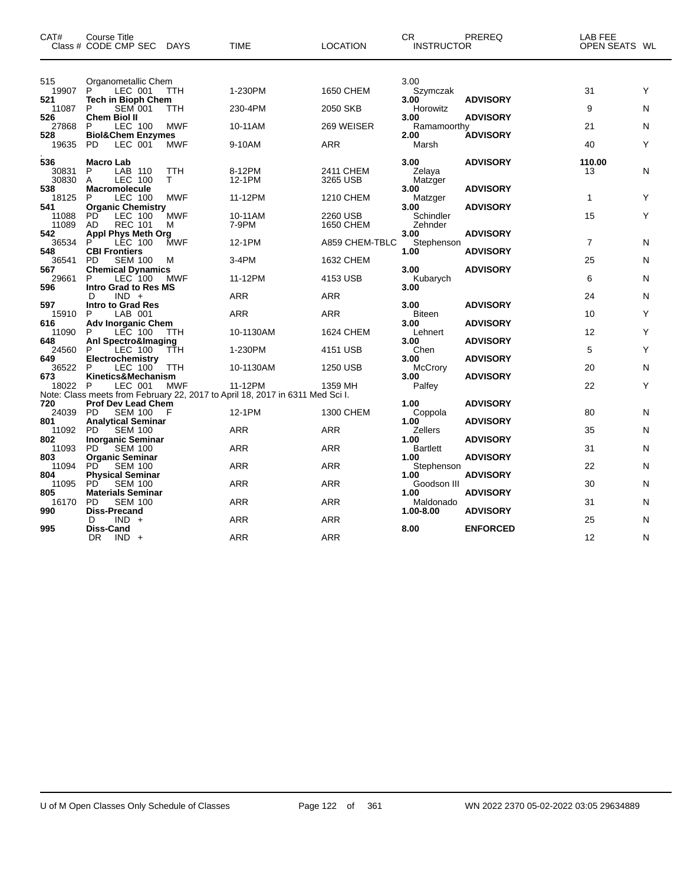| CAT#            | <b>Course Title</b><br>Class # CODE CMP SEC          | <b>DAYS</b> | <b>TIME</b>                                                                   | <b>LOCATION</b>  | CR.<br><b>INSTRUCTOR</b> | PREREQ          | LAB FEE<br>OPEN SEATS WL |   |
|-----------------|------------------------------------------------------|-------------|-------------------------------------------------------------------------------|------------------|--------------------------|-----------------|--------------------------|---|
| 515             | Organometallic Chem                                  |             |                                                                               |                  | 3.00                     |                 |                          |   |
| 19907<br>521    | LEC 001<br>P<br><b>Tech in Bioph Chem</b>            | <b>TTH</b>  | 1-230PM                                                                       | <b>1650 CHEM</b> | Szymczak<br>3.00         | <b>ADVISORY</b> | 31                       | Υ |
| 11087           | P<br><b>SEM 001</b>                                  | TTH         | 230-4PM                                                                       | 2050 SKB         | Horowitz                 |                 | 9                        | N |
| 526<br>27868    | <b>Chem Biol II</b><br>LEC 100<br>P                  | <b>MWF</b>  | 10-11AM                                                                       | 269 WEISER       | 3.00<br>Ramamoorthy      | <b>ADVISORY</b> | 21                       | N |
| 528<br>19635    | <b>Biol&amp;Chem Enzymes</b><br><b>PD</b><br>LEC 001 | <b>MWF</b>  | 9-10AM                                                                        | <b>ARR</b>       | 2.00<br>Marsh            | <b>ADVISORY</b> | 40                       | Υ |
|                 |                                                      |             |                                                                               |                  |                          |                 |                          |   |
| 536<br>30831    | <b>Macro Lab</b><br>P<br>LAB 110                     | TTH<br>T.   | 8-12PM                                                                        | 2411 CHEM        | 3.00<br>Zelaya           | <b>ADVISORY</b> | 110.00<br>13             | N |
| 30830<br>538    | A<br><b>LEC 100</b><br><b>Macromolecule</b>          |             | 12-1PM                                                                        | 3265 USB         | Matzger<br>3.00          | <b>ADVISORY</b> |                          |   |
| 18125           | <b>LEC 100</b><br>P                                  | <b>MWF</b>  | 11-12PM                                                                       | 1210 CHEM        | Matzger                  |                 | 1                        | Y |
| 541<br>11088    | <b>Organic Chemistry</b><br>PD<br>LEC 100            | MWF         | 10-11AM                                                                       | 2260 USB         | 3.00<br>Schindler        | <b>ADVISORY</b> | 15                       | Y |
| 11089           | AD<br><b>REC 101</b>                                 | М           | 7-9PM                                                                         | 1650 CHEM        | Zehnder                  |                 |                          |   |
| 542             | <b>Appl Phys Meth Org</b>                            |             |                                                                               |                  | 3.00                     | <b>ADVISORY</b> |                          |   |
| 36534           | <b>LEC 100</b><br>P                                  | <b>MWF</b>  | 12-1PM                                                                        | A859 CHEM-TBLC   | Stephenson               |                 | $\overline{7}$           | N |
| 548<br>36541    | <b>CBI Frontiers</b><br><b>PD</b><br><b>SEM 100</b>  | M           | 3-4PM                                                                         | 1632 CHEM        | 1.00                     | <b>ADVISORY</b> | 25                       | N |
| 567             | <b>Chemical Dynamics</b>                             |             |                                                                               |                  | 3.00                     | <b>ADVISORY</b> |                          |   |
| 29661<br>596    | LEC 100<br>P<br>Intro Grad to Res MS                 | <b>MWF</b>  | 11-12PM                                                                       | 4153 USB         | Kubarych<br>3.00         |                 | 6                        | N |
|                 | $IND +$<br>D                                         |             | <b>ARR</b>                                                                    | <b>ARR</b>       |                          |                 | 24                       | N |
| 597             | <b>Intro to Grad Res</b>                             |             |                                                                               |                  | 3.00                     | <b>ADVISORY</b> |                          |   |
| 15910           | P<br>LAB 001                                         |             | <b>ARR</b>                                                                    | <b>ARR</b>       | <b>Biteen</b>            |                 | 10                       | Y |
| 616<br>11090    | <b>Adv Inorganic Chem</b><br>LEC 100<br>P            | ттн         | 10-1130AM                                                                     | 1624 CHEM        | 3.00<br>Lehnert          | <b>ADVISORY</b> | 12                       | Υ |
| 648             | Anl Spectro&Imaging                                  |             |                                                                               |                  | 3.00                     | <b>ADVISORY</b> |                          |   |
| 24560           | P<br>LEC 100                                         | TTH         | 1-230PM                                                                       | 4151 USB         | Chen                     |                 | 5                        | Y |
| 649             | Electrochemistry<br>P                                |             |                                                                               |                  | 3.00                     | <b>ADVISORY</b> | 20                       |   |
| 36522<br>673    | LEC 100<br>Kinetics&Mechanism                        | ттн         | 10-1130AM                                                                     | 1250 USB         | McCrory<br>3.00          | <b>ADVISORY</b> |                          | N |
| 18022 P         | LEC 001                                              | MWF         | 11-12PM                                                                       | 1359 MH          | Palfey                   |                 | 22                       | Υ |
|                 |                                                      |             | Note: Class meets from February 22, 2017 to April 18, 2017 in 6311 Med Sci I. |                  |                          |                 |                          |   |
| 720<br>24039 PD | Prof Dev Lead Chem<br><b>SEM 100</b>                 |             | 12-1PM                                                                        | 1300 CHEM        | 1.00<br>Coppola          | <b>ADVISORY</b> | 80                       | N |
| 801             | <b>Analytical Seminar</b>                            |             |                                                                               |                  | 1.00                     | <b>ADVISORY</b> |                          |   |
| 11092           | <b>PD</b><br><b>SEM 100</b>                          |             | <b>ARR</b>                                                                    | <b>ARR</b>       | Zellers                  |                 | 35                       | N |
| 802             | <b>Inorganic Seminar</b>                             |             |                                                                               |                  | 1.00                     | <b>ADVISORY</b> |                          |   |
| 11093<br>803    | PD.<br><b>SEM 100</b><br><b>Organic Seminar</b>      |             | <b>ARR</b>                                                                    | <b>ARR</b>       | <b>Bartlett</b><br>1.00  | <b>ADVISORY</b> | 31                       | N |
| 11094           | <b>PD</b><br><b>SEM 100</b>                          |             | <b>ARR</b>                                                                    | <b>ARR</b>       | Stephenson               |                 | 22                       | N |
| 804             | <b>Physical Seminar</b>                              |             |                                                                               |                  | 1.00                     | <b>ADVISORY</b> |                          |   |
| 11095           | <b>PD</b><br><b>SEM 100</b>                          |             | ARR                                                                           | <b>ARR</b>       | Goodson III              |                 | 30                       | N |
| 805<br>16170    | <b>Materials Seminar</b><br><b>SEM 100</b><br>PD     |             | ARR                                                                           | ARR              | 1.00<br>Maldonado        | <b>ADVISORY</b> | 31                       | N |
| 990             | <b>Diss-Precand</b>                                  |             |                                                                               |                  | 1.00-8.00                | <b>ADVISORY</b> |                          |   |
|                 | $IND +$<br>D                                         |             | ARR                                                                           | ARR              |                          |                 | 25                       | N |
| 995             | <b>Diss-Cand</b>                                     |             |                                                                               |                  | 8.00                     | <b>ENFORCED</b> |                          |   |
|                 | DR.<br>$IND +$                                       |             | <b>ARR</b>                                                                    | <b>ARR</b>       |                          |                 | 12                       | N |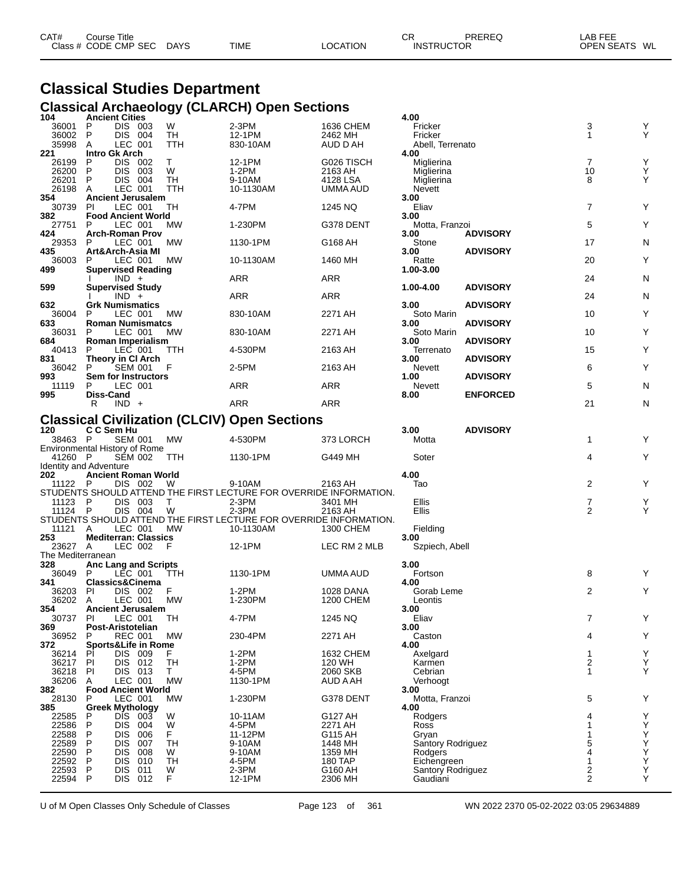| CAT# | ourse Titleٽ         |             |             |          | СR                | <b>PREREQ</b> | _AB FEE       |  |
|------|----------------------|-------------|-------------|----------|-------------------|---------------|---------------|--|
|      | Class # CODE CMP SEC | <b>DAYS</b> | <b>TIME</b> | LOCATION | <b>INSTRUCTOR</b> |               | OPEN SEATS WL |  |

# **Classical Studies Department Classical Archaeology (CLARCH) Open Sections 104 Ancient Cities 4.00**

| 104                           |                  | <b>Ancient Cities</b>          |            |                                                                    |                    | 4.00                                 |                 |                |                                                    |
|-------------------------------|------------------|--------------------------------|------------|--------------------------------------------------------------------|--------------------|--------------------------------------|-----------------|----------------|----------------------------------------------------|
| 36001                         | P                | DIS 003                        | W          | 2-3PM                                                              | 1636 CHEM          | Fricker                              |                 | 3              | Y                                                  |
| 36002                         | P                | DIS 004                        | TH         | 12-1PM                                                             | 2462 MH            | Fricker                              |                 | 1              | Υ                                                  |
| 35998                         | A                | LEC 001                        | TTH        | 830-10AM                                                           | AUD D AH           | Abell, Terrenato                     |                 |                |                                                    |
| 221                           |                  | Intro Gk Arch                  |            |                                                                    |                    | 4.00                                 |                 |                |                                                    |
| 26199                         | P                | DIS 002                        | Τ          | 12-1PM                                                             | G026 TISCH         | Miglierina                           |                 | $\overline{7}$ | Υ                                                  |
| 26200                         | P                | DIS 003                        | W          | 1-2PM                                                              | 2163 AH            | Miglierina                           |                 | 10             | Y                                                  |
| 26201                         | P                | DIS 004                        | TH         | 9-10AM                                                             | 4128 LSA           | Miglierina                           |                 | 8              | Y                                                  |
| 26198                         | A                | LEC 001                        | TTH        | 10-1130AM                                                          | UMMA AUD           | Nevett                               |                 |                |                                                    |
| 354                           |                  | <b>Ancient Jerusalem</b>       |            |                                                                    |                    | 3.00                                 |                 |                |                                                    |
| 30739                         | <b>PI</b>        | LEC 001                        | TH         | 4-7PM                                                              | 1245 NQ            | Eliav                                |                 | $\overline{7}$ | Υ                                                  |
| 382                           |                  | <b>Food Ancient World</b>      |            |                                                                    |                    | 3.00                                 |                 |                |                                                    |
| 27751                         | P                | LEC 001                        | МW         | 1-230PM                                                            | G378 DENT          |                                      |                 | 5              | Υ                                                  |
|                               |                  |                                |            |                                                                    |                    | Motta, Franzoi                       |                 |                |                                                    |
| 424                           |                  | <b>Arch-Roman Prov</b>         |            |                                                                    |                    | 3.00                                 | <b>ADVISORY</b> |                |                                                    |
| 29353                         | P                | LEC 001                        | MW.        | 1130-1PM                                                           | G168 AH            | Stone                                |                 | 17             | N                                                  |
| 435                           |                  | Art&Arch-Asia MI               |            |                                                                    |                    | 3.00                                 | <b>ADVISORY</b> |                |                                                    |
| 36003                         | P                | LEC 001                        | MW         | 10-1130AM                                                          | 1460 MH            | Ratte                                |                 | 20             | Y                                                  |
| 499                           |                  | <b>Supervised Reading</b>      |            |                                                                    |                    | 1.00-3.00                            |                 |                |                                                    |
|                               |                  | $IND +$                        |            | ARR                                                                | <b>ARR</b>         |                                      |                 | 24             | N                                                  |
| 599                           |                  | <b>Supervised Study</b>        |            |                                                                    |                    | 1.00-4.00                            | <b>ADVISORY</b> |                |                                                    |
|                               |                  | $IND +$                        |            | ARR                                                                | <b>ARR</b>         |                                      |                 | 24             | N                                                  |
| 632                           |                  | <b>Grk Numismatics</b>         |            |                                                                    |                    | 3.00                                 | <b>ADVISORY</b> |                |                                                    |
| 36004                         | P                | LEC 001                        | МW         | 830-10AM                                                           | 2271 AH            | Soto Marin                           |                 | 10             | Υ                                                  |
| 633                           |                  | <b>Roman Numismatcs</b>        |            |                                                                    |                    | 3.00                                 | <b>ADVISORY</b> |                |                                                    |
| 36031                         | P                | LEC 001                        | MW.        | 830-10AM                                                           | 2271 AH            | Soto Marin                           |                 | 10             | Υ                                                  |
| 684                           |                  | Roman Imperialism              |            |                                                                    |                    | 3.00                                 | <b>ADVISORY</b> |                |                                                    |
| 40413                         | P                | LEC 001                        | TTH        | 4-530PM                                                            | 2163 AH            | Terrenato                            |                 | 15             | Υ                                                  |
| 831                           |                  | Theory in CI Arch              |            |                                                                    |                    | 3.00                                 | <b>ADVISORY</b> |                |                                                    |
|                               | P                |                                | F          |                                                                    |                    |                                      |                 |                | Υ                                                  |
| 36042                         |                  | <b>SEM 001</b>                 |            | 2-5PM                                                              | 2163 AH            | Nevett                               |                 | 6              |                                                    |
| 993                           |                  | Sem for Instructors            |            |                                                                    |                    | 1.00                                 | <b>ADVISORY</b> |                |                                                    |
| 11119                         |                  | LEC 001                        |            | ARR                                                                | <b>ARR</b>         | Nevett                               |                 | 5              | N                                                  |
| 995                           | <b>Diss-Cand</b> |                                |            |                                                                    |                    | 8.00                                 | <b>ENFORCED</b> |                |                                                    |
|                               | R                | $IND +$                        |            | ARR                                                                | <b>ARR</b>         |                                      |                 | 21             | N                                                  |
|                               |                  |                                |            |                                                                    |                    |                                      |                 |                |                                                    |
|                               |                  |                                |            | <b>Classical Civilization (CLCIV) Open Sections</b>                |                    |                                      |                 |                |                                                    |
| 120                           | C C Sem Hu       |                                |            |                                                                    |                    | 3.00                                 | <b>ADVISORY</b> |                |                                                    |
| 38463 P                       |                  | <b>SEM 001</b>                 | MW         | 4-530PM                                                            | 373 LORCH          | Motta                                |                 |                | Υ                                                  |
|                               |                  |                                |            |                                                                    |                    |                                      |                 | $\mathbf{1}$   |                                                    |
|                               |                  |                                |            |                                                                    |                    |                                      |                 |                |                                                    |
|                               |                  | Environmental History of Rome  |            |                                                                    |                    |                                      |                 |                |                                                    |
| 41260 P                       |                  | SEM 002                        | <b>TTH</b> | 1130-1PM                                                           | G449 MH            | Soter                                |                 | 4              | Y                                                  |
| <b>Identity and Adventure</b> |                  |                                |            |                                                                    |                    |                                      |                 |                |                                                    |
| 202                           |                  | <b>Ancient Roman World</b>     |            |                                                                    |                    | 4.00                                 |                 |                |                                                    |
| 11122                         | - P              | DIS 002                        | W          | 9-10AM                                                             | 2163 AH            | Tao                                  |                 | 2              | Υ                                                  |
|                               |                  |                                |            | STUDENTS SHOULD ATTEND THE FIRST LECTURE FOR OVERRIDE INFORMATION. |                    |                                      |                 |                |                                                    |
| 11123 P                       |                  | DIS 003                        | T          | $2-3PM$                                                            | 3401 MH            | Ellis                                |                 | 7              | Υ                                                  |
| 11124 P                       |                  | DIS 004                        | W          | $2-3PM$                                                            | 2163 AH            | Ellis                                |                 | 2              | Y                                                  |
|                               |                  |                                |            | STUDENTS SHOULD ATTEND THE FIRST LECTURE FOR OVERRIDE INFORMATION. |                    |                                      |                 |                |                                                    |
| 11121                         | A                | LEC 001                        | MW         | 10-1130AM                                                          | 1300 CHEM          | Fielding                             |                 |                |                                                    |
| 253                           |                  | <b>Mediterran: Classics</b>    |            |                                                                    |                    | 3.00                                 |                 |                |                                                    |
| 23627 A                       |                  | LEC 002                        | F          | 12-1PM                                                             | LEC RM 2 MLB       | Szpiech, Abell                       |                 |                |                                                    |
| The Mediterranean             |                  |                                |            |                                                                    |                    |                                      |                 |                |                                                    |
| 328                           |                  | Anc Lang and Scripts           |            |                                                                    |                    | 3.00                                 |                 |                |                                                    |
| 36049                         | P                | LEC 001                        | ттн        | 1130-1PM                                                           | UMMA AUD           | Fortson                              |                 | 8              | Y                                                  |
| 341                           |                  | Classics&Cinema                |            |                                                                    |                    | 4.00                                 |                 |                |                                                    |
| 36203                         | PI               | DIS 002                        | F.         | 1-2PM                                                              | 1028 DANA          | Gorab Leme                           |                 | 2              | Y                                                  |
| 36202                         | A                | LEC 001                        | MW         | 1-230PM                                                            | 1200 CHEM          | Leontis                              |                 |                |                                                    |
|                               |                  |                                |            |                                                                    |                    |                                      |                 |                |                                                    |
| 354                           |                  | <b>Ancient Jerusalem</b>       |            |                                                                    |                    | 3.00                                 |                 |                |                                                    |
| 30737 PI                      |                  | LEC 001                        | TH         | 4-7PM                                                              | 1245 NQ            | Eliav                                |                 |                |                                                    |
| 369                           |                  | Post-Aristotelian              |            |                                                                    |                    | 3.00                                 |                 |                |                                                    |
| 36952                         | P                | <b>REC 001</b>                 | MW         | 230-4PM                                                            | 2271 AH            | Caston                               |                 | 4              | Υ                                                  |
| 372                           |                  | <b>Sports&amp;Life in Rome</b> |            |                                                                    |                    | 4.00                                 |                 |                |                                                    |
| 36214                         | PI               | DIS 009                        | F.         | $1-2PM$                                                            | 1632 CHEM          | Axelgard                             |                 | 1              |                                                    |
| 36217                         | PI               | DIS 012                        | TH         | $1-2PM$                                                            | 120 WH             | Karmen                               |                 | 2              | $\mathop{\mathsf{Y}}\limits_{\mathop{\mathsf{Y}}}$ |
| 36218                         | PI               | DIS 013                        | T.         | 4-5PM                                                              | 2060 SKB           | Cebrian                              |                 | 1              | Υ                                                  |
| 36206                         | A                | LEC 001                        | <b>MW</b>  | 1130-1PM                                                           | AUD A AH           | Verhoogt                             |                 |                |                                                    |
| 382                           |                  | <b>Food Ancient World</b>      |            |                                                                    |                    | 3.00                                 |                 |                |                                                    |
| 28130                         | P                | LEC 001                        | <b>MW</b>  | 1-230PM                                                            | G378 DENT          | Motta, Franzoi                       |                 | 5              | Υ                                                  |
| 385                           |                  | <b>Greek Mythology</b>         |            |                                                                    |                    | 4.00                                 |                 |                |                                                    |
| 22585                         | P                | DIS.<br>003                    | W          | 10-11AM                                                            | G127 AH            | Rodgers                              |                 | 4              | Υ                                                  |
|                               | P                | DIS.<br>004                    | W          | 4-5PM                                                              | 2271 AH            | Ross                                 |                 | 1              |                                                    |
| 22586                         | P                | 006                            | F          | 11-12PM                                                            | G115 AH            |                                      |                 | 1              | Υ                                                  |
| 22588                         |                  | DIS.                           |            |                                                                    |                    | Gryan                                |                 |                |                                                    |
| 22589                         | P                | DIS<br>007                     | TН         | 9-10AM                                                             | 1448 MH            | Santory Rodriguez                    |                 | 5<br>4         | $\mathop{\mathsf{Y}}\limits_{\mathop{\mathsf{Y}}}$ |
| 22590                         | P                | DIS<br>008                     | W          | 9-10AM                                                             | 1359 MH            | Rodgers                              |                 |                | Υ                                                  |
| 22592                         | P                | DIS.<br>010                    | <b>TH</b>  | 4-5PM                                                              | 180 TAP            | Eichengreen                          |                 | 1              |                                                    |
| 22593<br>22594                | P<br>P           | DIS.<br>011<br>DIS 012         | W<br>F     | $2-3PM$<br>12-1PM                                                  | G160 AH<br>2306 MH | <b>Santory Rodriguez</b><br>Gaudiani |                 | 2<br>2         | Ÿ<br>Y<br>Υ                                        |

U of M Open Classes Only Schedule of Classes Page 123 of 361 WN 2022 2370 05-02-2022 03:05 29634889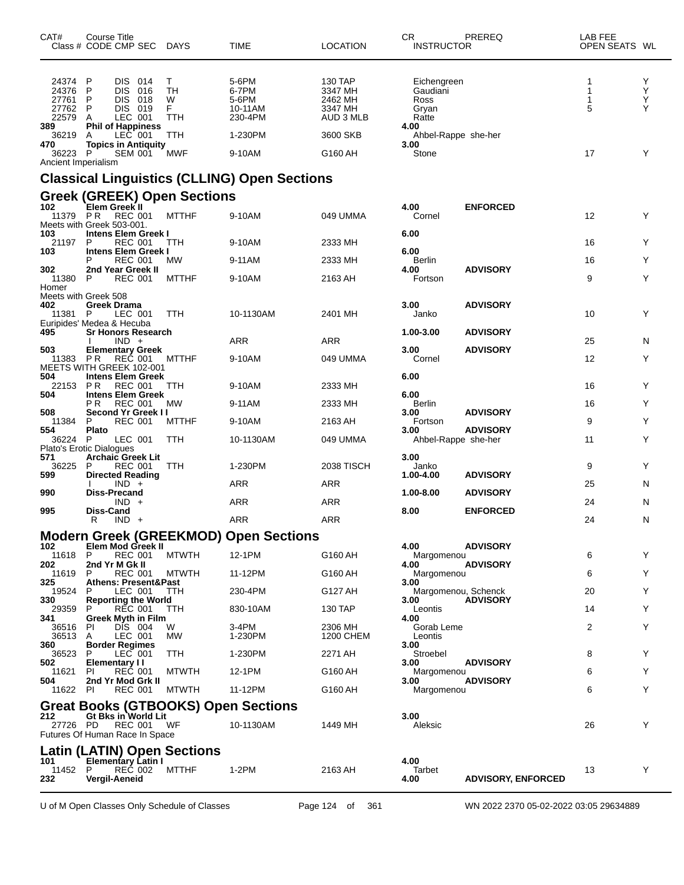| CAT#                                                        | Course Title<br>Class # CODE CMP SEC                                                        |                                                    | <b>DAYS</b>                                    | TIME                                                     | <b>LOCATION</b>                                                   | CR.<br>PREREQ<br><b>INSTRUCTOR</b>                                               | LAB FEE<br>OPEN SEATS WL |                  |
|-------------------------------------------------------------|---------------------------------------------------------------------------------------------|----------------------------------------------------|------------------------------------------------|----------------------------------------------------------|-------------------------------------------------------------------|----------------------------------------------------------------------------------|--------------------------|------------------|
| 24374 P<br>24376<br>27761<br>27762<br>22579<br>389<br>36219 | P<br><b>DIS</b><br>P<br><b>DIS</b><br>P<br><b>DIS</b><br>Α<br><b>Phil of Happiness</b><br>A | DIS 014<br>016<br>018<br>019<br>LEC 001<br>LEC 001 | Τ<br><b>TH</b><br>W<br>F.<br><b>TTH</b><br>TTH | 5-6PM<br>6-7PM<br>5-6PM<br>10-11AM<br>230-4PM<br>1-230PM | 130 TAP<br>3347 MH<br>2462 MH<br>3347 MH<br>AUD 3 MLB<br>3600 SKB | Eichengreen<br>Gaudiani<br>Ross<br>Gryan<br>Ratte<br>4.00<br>Ahbel-Rappe she-her | 1<br>1<br>1<br>5         | Y<br>Υ<br>Υ<br>Υ |
| 470<br>36223<br>Ancient Imperialism                         | <b>Topics in Antiquity</b><br>P                                                             | <b>SEM 001</b>                                     | MWF                                            | 9-10AM                                                   | G160 AH                                                           | 3.00<br>Stone                                                                    | 17                       | Y                |
|                                                             |                                                                                             |                                                    |                                                | <b>Classical Linguistics (CLLING) Open Sections</b>      |                                                                   |                                                                                  |                          |                  |
|                                                             |                                                                                             |                                                    | <b>Greek (GREEK) Open Sections</b>             |                                                          |                                                                   |                                                                                  |                          |                  |
| 102<br>11379 PR<br>Meets with Greek 503-001.                | Elem Greek II                                                                               | REC 001                                            | <b>MTTHF</b>                                   | 9-10AM                                                   | 049 UMMA                                                          | 4.00<br><b>ENFORCED</b><br>Cornel                                                | 12                       | Y                |
| 103<br>21197                                                | Intens Elem Greek I<br>P                                                                    | <b>REC 001</b>                                     | TTH                                            | 9-10AM                                                   | 2333 MH                                                           | 6.00                                                                             | 16                       | Y                |
| 103                                                         | <b>Intens Elem Greek I</b><br>P                                                             | <b>REC 001</b>                                     | <b>MW</b>                                      | 9-11AM                                                   | 2333 MH                                                           | 6.00<br>Berlin                                                                   | 16                       | Y                |
| 302<br>11380                                                | 2nd Year Greek II<br>P                                                                      | REC 001                                            | <b>MTTHF</b>                                   | 9-10AM                                                   | 2163 AH                                                           | 4.00<br><b>ADVISORY</b><br>Fortson                                               | 9                        | Y                |
| Homer<br>Meets with Greek 508<br>402<br>11381 P             | <b>Greek Drama</b>                                                                          | LEC 001                                            | <b>TTH</b>                                     | 10-1130AM                                                | 2401 MH                                                           | 3.00<br><b>ADVISORY</b><br>Janko                                                 | 10                       | Y                |
| Euripides' Medea & Hecuba<br>495                            | <b>Sr Honors Research</b>                                                                   |                                                    |                                                |                                                          |                                                                   | 1.00-3.00<br><b>ADVISORY</b>                                                     |                          |                  |
|                                                             |                                                                                             | $IND +$                                            |                                                | <b>ARR</b>                                               | <b>ARR</b>                                                        | 3.00<br><b>ADVISORY</b>                                                          | 25                       | N                |
| 503<br>11383<br>MEETS WITH GREEK 102-001<br>504             | <b>Elementary Greek</b><br>PR<br><b>Intens Elem Greek</b>                                   | REC 001                                            | <b>MTTHF</b>                                   | 9-10AM                                                   | 049 UMMA                                                          | Cornel<br>6.00                                                                   | 12                       | Υ                |
| 22153                                                       | <b>PR</b>                                                                                   | <b>REC 001</b>                                     | TTH                                            | 9-10AM                                                   | 2333 MH                                                           |                                                                                  | 16                       | Υ                |
| 504                                                         | <b>Intens Elem Greek</b><br>ΡR                                                              | <b>REC 001</b>                                     | <b>MW</b>                                      | 9-11AM                                                   | 2333 MH                                                           | 6.00<br>Berlin                                                                   | 16                       | Y                |
| 508<br>11384                                                | Second Yr Greek II<br>P                                                                     | <b>REC 001</b>                                     | <b>MTTHF</b>                                   | 9-10AM                                                   | 2163 AH                                                           | <b>ADVISORY</b><br>3.00<br>Fortson                                               | 9                        | Y                |
| 554<br>36224                                                | <b>Plato</b><br>P                                                                           | LEC 001                                            | TTH                                            | 10-1130AM                                                | 049 UMMA                                                          | <b>ADVISORY</b><br>3.00<br>Ahbel-Rappe she-her                                   | 11                       | Y                |
| Plato's Erotic Dialogues<br>571<br>36225                    | <b>Archaic Greek Lit</b><br>P                                                               | <b>REC 001</b>                                     | TTH                                            | 1-230PM                                                  | <b>2038 TISCH</b>                                                 | 3.00<br>Janko                                                                    | 9                        | Y                |
| 599                                                         | <b>Directed Reading</b>                                                                     | $IND +$                                            |                                                | ARR                                                      | <b>ARR</b>                                                        | <b>ADVISORY</b><br>1.00-4.00                                                     | 25                       | N                |
| 990                                                         | <b>Diss-Precand</b>                                                                         | $IND +$                                            |                                                | <b>ARR</b>                                               | <b>ARR</b>                                                        | 1.00-8.00<br><b>ADVISORY</b>                                                     | 24                       | N                |
| 995                                                         | Diss-Cand<br>R                                                                              | $IND +$                                            |                                                | <b>ARR</b>                                               | <b>ARR</b>                                                        | 8.00<br><b>ENFORCED</b>                                                          | 24                       | N                |
|                                                             |                                                                                             |                                                    |                                                | <b>Modern Greek (GREEKMOD) Open Sections</b>             |                                                                   |                                                                                  |                          |                  |
| 102<br>11618                                                | Elem Mod Greek II<br>P                                                                      | <b>REC 001</b>                                     | <b>MTWTH</b>                                   | 12-1PM                                                   | G160 AH                                                           | 4.00<br><b>ADVISORY</b><br>Margomenou                                            | 6                        | Υ                |
| 202<br>11619                                                | 2nd Yr M Gk II<br>P                                                                         | REC 001                                            | <b>MTWTH</b>                                   | 11-12PM                                                  | G160 AH                                                           | <b>ADVISORY</b><br>4.00                                                          | 6                        | Y                |
| 325                                                         | <b>Athens: Present&amp;Past</b><br>P                                                        | LEC 001                                            | <b>TTH</b>                                     | 230-4PM                                                  |                                                                   | Margomenou<br>3.00                                                               | 20                       | Y                |
| 19524<br>330<br>29359                                       | <b>Reporting the World</b><br>P                                                             |                                                    |                                                |                                                          | G127 AH                                                           | Margomenou, Schenck<br><b>ADVISORY</b><br>3.00                                   | 14                       | Y                |
| 341                                                         | <b>Greek Myth in Film</b>                                                                   | REC 001                                            | <b>TTH</b>                                     | 830-10AM                                                 | 130 TAP                                                           | Leontis<br>4.00                                                                  |                          |                  |
| 36516 PI<br>36513 A                                         |                                                                                             | DIS 004<br>LEC 001                                 | W<br><b>MW</b>                                 | 3-4PM<br>1-230PM                                         | 2306 MH<br>1200 CHEM                                              | Gorab Leme<br>Leontis                                                            | 2                        | Y                |
| 360<br>36523                                                | <b>Border Regimes</b><br>P                                                                  | LEC 001                                            | <b>TTH</b>                                     | 1-230PM                                                  | 2271 AH                                                           | 3.00<br>Stroebel                                                                 | 8                        | Y                |
| 502<br>11621                                                | <b>Elementary II</b><br><b>PI</b>                                                           | <b>REC 001</b>                                     | <b>MTWTH</b>                                   | 12-1PM                                                   | G160 AH                                                           | <b>ADVISORY</b><br>3.00<br>Margomenou                                            | 6                        | Y                |
| 504<br>11622 PI                                             | 2nd Yr Mod Grk II                                                                           | <b>REC 001</b>                                     | <b>MTWTH</b>                                   | 11-12PM                                                  | G160 AH                                                           | <b>ADVISORY</b><br>3.00<br>Margomenou                                            | 6                        | Υ                |
|                                                             |                                                                                             |                                                    |                                                | <b>Great Books (GTBOOKS) Open Sections</b>               |                                                                   |                                                                                  |                          |                  |
| 212<br>27726 PD<br>Futures Of Human Race In Space           | Gt Bks in World Lit                                                                         |                                                    | <b>REC 001 WF</b>                              | 10-1130AM                                                | 1449 MH                                                           | 3.00<br>Aleksic                                                                  | 26                       | Y                |
|                                                             |                                                                                             |                                                    | Latin (LATIN) Open Sections                    |                                                          |                                                                   | 4.00                                                                             |                          |                  |
| 101<br>11452<br>232                                         | <b>Elementary Latin I</b><br>P<br>Vergil-Aeneid                                             | REČ 002                                            | <b>MTTHF</b>                                   | $1-2PM$                                                  | 2163 AH                                                           | Tarbet<br>4.00<br><b>ADVISORY, ENFORCED</b>                                      | 13                       | Y                |

U of M Open Classes Only Schedule of Classes Page 124 of 361 WN 2022 2370 05-02-2022 03:05 29634889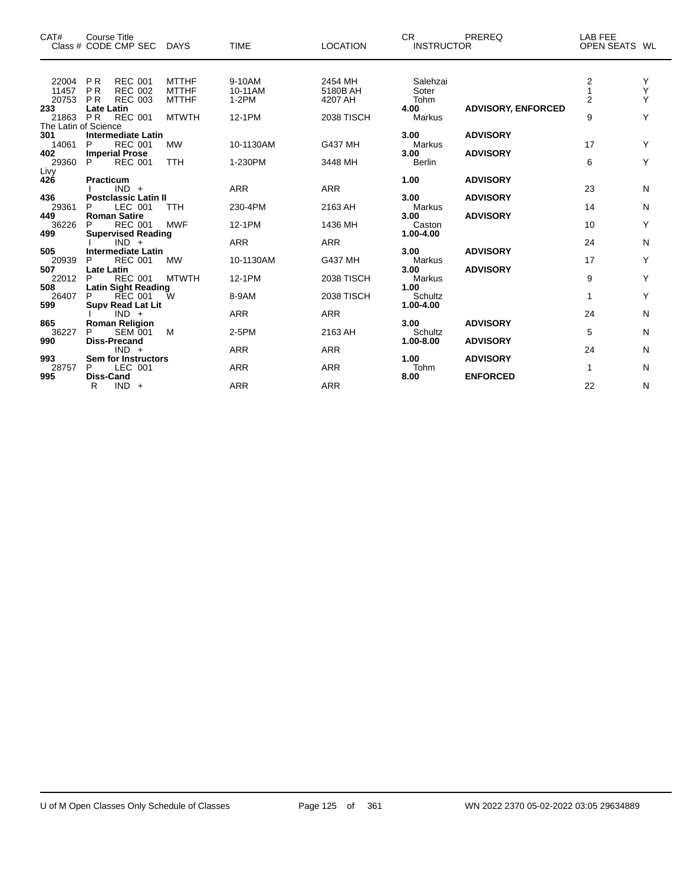| CAT#                                        | Course Title<br>Class # CODE CMP SEC                                                                                                                                  | DAYS                                                         | <b>TIME</b>                            | <b>LOCATION</b>                                     | <b>CR</b><br><b>INSTRUCTOR</b>                       | PREREQ                                                | LAB FEE<br>OPEN SEATS WL             |                  |
|---------------------------------------------|-----------------------------------------------------------------------------------------------------------------------------------------------------------------------|--------------------------------------------------------------|----------------------------------------|-----------------------------------------------------|------------------------------------------------------|-------------------------------------------------------|--------------------------------------|------------------|
| 22004<br>11457<br>20753<br>233<br>21863     | <b>REC 001</b><br><b>PR</b><br><b>PR</b><br><b>REC 002</b><br><b>REC 003</b><br><b>PR</b><br><b>Late Latin</b><br><b>REC 001</b><br><b>PR</b><br>The Latin of Science | <b>MTTHF</b><br><b>MTTHF</b><br><b>MTTHF</b><br><b>MTWTH</b> | 9-10AM<br>10-11AM<br>$1-2PM$<br>12-1PM | 2454 MH<br>5180B AH<br>4207 AH<br><b>2038 TISCH</b> | Salehzai<br>Soter<br>Tohm<br>4.00<br>Markus          | <b>ADVISORY, ENFORCED</b>                             | $\frac{2}{1}$<br>$\overline{2}$<br>9 | Y<br>Υ<br>Y<br>Y |
| 301<br>14061<br>402<br>29360                | <b>Intermediate Latin</b><br><b>REC 001</b><br>P<br><b>Imperial Prose</b><br>P<br><b>REC 001</b>                                                                      | MW<br><b>TTH</b>                                             | 10-1130AM<br>1-230PM                   | <b>G437 MH</b><br>3448 MH                           | 3.00<br><b>Markus</b><br>3.00<br><b>Berlin</b>       | <b>ADVISORY</b><br><b>ADVISORY</b>                    | 17<br>6                              | Y<br>Υ           |
| Livy<br>426<br>436<br>29361<br>449<br>36226 | Practicum<br>$IND +$<br><b>Postclassic Latin II</b><br>LEC 001<br>P<br><b>Roman Satire</b><br><b>REC 001</b><br>P                                                     | <b>TTH</b><br><b>MWF</b>                                     | <b>ARR</b><br>230-4PM<br>12-1PM        | <b>ARR</b><br>2163 AH<br>1436 MH                    | 1.00<br>3.00<br>Markus<br>3.00<br>Caston             | <b>ADVISORY</b><br><b>ADVISORY</b><br><b>ADVISORY</b> | 23<br>14<br>10                       | N<br>N<br>Υ      |
| 499<br>505<br>20939<br>507<br>22012         | <b>Supervised Reading</b><br>$IND +$<br><b>Intermediate Latin</b><br>P<br><b>REC 001</b><br><b>Late Latin</b><br><b>REC 001</b><br>P                                  | <b>MW</b><br><b>MTWTH</b>                                    | <b>ARR</b><br>10-1130AM<br>12-1PM      | <b>ARR</b><br>G437 MH<br><b>2038 TISCH</b>          | 1.00-4.00<br>3.00<br><b>Markus</b><br>3.00<br>Markus | <b>ADVISORY</b><br><b>ADVISORY</b>                    | 24<br>17<br>9                        | N<br>Υ<br>Υ      |
| 508<br>26407<br>599<br>865<br>36227         | <b>Latin Sight Reading</b><br>P<br><b>REC 001</b><br><b>Supv Read Lat Lit</b><br>$IND +$<br><b>Roman Religion</b><br>P<br><b>SEM 001</b>                              | W<br>M                                                       | 8-9AM<br><b>ARR</b><br>2-5PM           | <b>2038 TISCH</b><br><b>ARR</b><br>2163 AH          | 1.00<br>Schultz<br>1.00-4.00<br>3.00<br>Schultz      | <b>ADVISORY</b>                                       | 1<br>24<br>5                         | Y<br>N<br>N      |
| 990<br>993<br>28757<br>995                  | <b>Diss-Precand</b><br>$IND +$<br><b>Sem for Instructors</b><br>LEC 001<br>P<br><b>Diss-Cand</b>                                                                      |                                                              | <b>ARR</b><br><b>ARR</b>               | <b>ARR</b><br><b>ARR</b>                            | 1.00-8.00<br>1.00<br>Tohm<br>8.00                    | <b>ADVISORY</b><br><b>ADVISORY</b><br><b>ENFORCED</b> | 24<br>$\mathbf{1}$                   | N<br>N           |
|                                             | R<br>$IND +$                                                                                                                                                          |                                                              | <b>ARR</b>                             | <b>ARR</b>                                          |                                                      |                                                       | 22                                   | N                |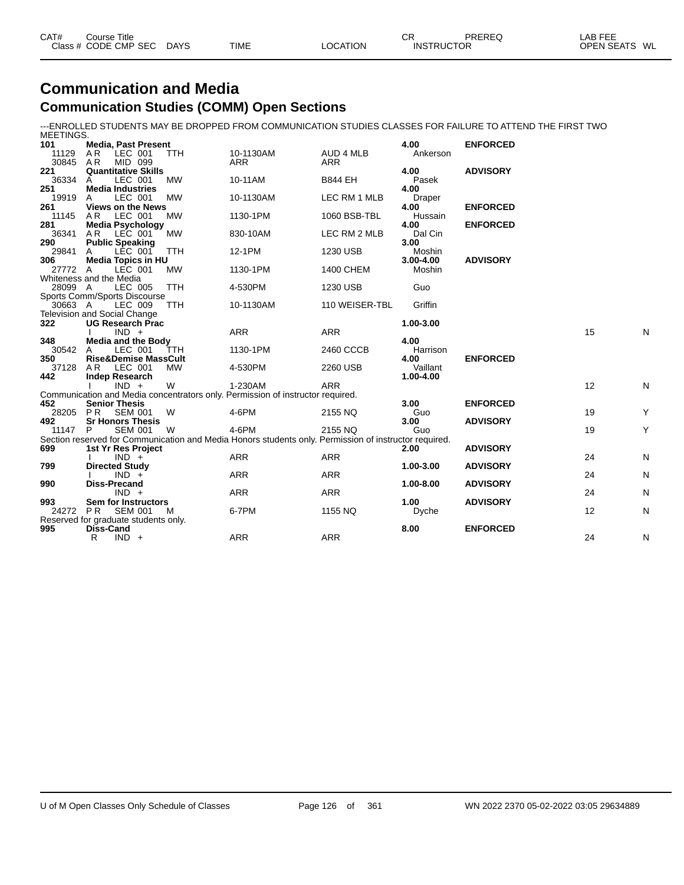| CAT# | Course Title<br>Class # CODE CMP SEC | <b>DAYS</b> | <b>TIME</b> | <b>LOCATION</b> | СR<br><b>INSTRUCTOR</b> | PREREQ | LAB FEE<br>WL<br><b>OPEN SEATS</b> |
|------|--------------------------------------|-------------|-------------|-----------------|-------------------------|--------|------------------------------------|
|      |                                      |             |             |                 |                         |        |                                    |

### **Communication and Media Communication Studies (COMM) Open Sections**

---ENROLLED STUDENTS MAY BE DROPPED FROM COMMUNICATION STUDIES CLASSES FOR FAILURE TO ATTEND THE FIRST TWO MEETINGS.

| 101      | <b>Media, Past Present</b>           |            |                                                                                                       |                | 4.00      | <b>ENFORCED</b> |    |   |
|----------|--------------------------------------|------------|-------------------------------------------------------------------------------------------------------|----------------|-----------|-----------------|----|---|
| 11129    | A R<br>LEC 001                       | <b>TTH</b> | 10-1130AM                                                                                             | AUD 4 MLB      | Ankerson  |                 |    |   |
| 30845    | AR<br>MID 099                        |            | <b>ARR</b>                                                                                            | <b>ARR</b>     |           |                 |    |   |
| 221      | <b>Quantitative Skills</b>           |            |                                                                                                       |                | 4.00      | <b>ADVISORY</b> |    |   |
| 36334    | LEC 001<br>A                         | <b>MW</b>  | 10-11AM                                                                                               | <b>B844 EH</b> | Pasek     |                 |    |   |
| 251      | <b>Media Industries</b>              |            |                                                                                                       |                | 4.00      |                 |    |   |
| 19919    | LEC 001<br>A                         | <b>MW</b>  | 10-1130AM                                                                                             | LEC RM 1 MLB   | Draper    |                 |    |   |
| 261      | <b>Views on the News</b>             |            |                                                                                                       |                | 4.00      | <b>ENFORCED</b> |    |   |
| 11145    | AR<br>LEC 001                        | <b>MW</b>  | 1130-1PM                                                                                              | 1060 BSB-TBL   | Hussain   |                 |    |   |
| 281      | <b>Media Psychology</b>              |            |                                                                                                       |                | 4.00      | <b>ENFORCED</b> |    |   |
| 36341    | AR.<br>LEC 001                       | <b>MW</b>  | 830-10AM                                                                                              | LEC RM 2 MLB   | Dal Cin   |                 |    |   |
| 290      | <b>Public Speaking</b>               |            |                                                                                                       |                | 3.00      |                 |    |   |
| 29841    | LÉC 001<br>A                         | <b>TTH</b> | 12-1PM                                                                                                | 1230 USB       | Moshin    |                 |    |   |
| 306      | <b>Media Topics in HU</b>            |            |                                                                                                       |                | 3.00-4.00 | <b>ADVISORY</b> |    |   |
| 27772 A  | LEC 001                              | <b>MW</b>  | 1130-1PM                                                                                              | 1400 CHEM      | Moshin    |                 |    |   |
|          | Whiteness and the Media              |            |                                                                                                       |                |           |                 |    |   |
| 28099 A  | LEC 005                              | <b>TTH</b> | 4-530PM                                                                                               | 1230 USB       | Guo       |                 |    |   |
|          | Sports Comm/Sports Discourse         |            |                                                                                                       |                |           |                 |    |   |
| 30663 A  | LEC 009                              | <b>TTH</b> | 10-1130AM                                                                                             | 110 WEISER-TBL | Griffin   |                 |    |   |
|          | <b>Television and Social Change</b>  |            |                                                                                                       |                |           |                 |    |   |
| 322      | <b>UG Research Prac</b>              |            |                                                                                                       |                | 1.00-3.00 |                 |    |   |
|          | $IND +$                              |            | <b>ARR</b>                                                                                            | <b>ARR</b>     |           |                 | 15 | N |
| 348      | <b>Media and the Body</b>            |            |                                                                                                       |                | 4.00      |                 |    |   |
| 30542    | LEC 001<br>A                         | <b>TTH</b> | 1130-1PM                                                                                              | 2460 CCCB      | Harrison  |                 |    |   |
| 350      | <b>Rise&amp;Demise MassCult</b>      |            |                                                                                                       |                | 4.00      | <b>ENFORCED</b> |    |   |
| 37128    | AR<br>LEC 001                        | <b>MW</b>  | 4-530PM                                                                                               | 2260 USB       | Vaillant  |                 |    |   |
| 442      | <b>Indep Research</b>                |            |                                                                                                       |                | 1.00-4.00 |                 |    |   |
|          | $IND +$                              | W          | 1-230AM                                                                                               | <b>ARR</b>     |           |                 | 12 | N |
|          |                                      |            | Communication and Media concentrators only. Permission of instructor required.                        |                |           |                 |    |   |
| 452      | <b>Senior Thesis</b>                 |            |                                                                                                       |                | 3.00      | <b>ENFORCED</b> |    |   |
| 28205 PR | <b>SEM 001</b>                       | W          | 4-6PM                                                                                                 | 2155 NQ        | Guo       |                 | 19 | Y |
| 492      | <b>Sr Honors Thesis</b>              |            |                                                                                                       |                | 3.00      | <b>ADVISORY</b> |    |   |
| 11147    | <b>SEM 001</b><br>P                  | - W        | 4-6PM                                                                                                 | 2155 NQ        | Guo       |                 | 19 | Y |
|          |                                      |            | Section reserved for Communication and Media Honors students only. Permission of instructor required. |                |           |                 |    |   |
| 699      | 1st Yr Res Project                   |            |                                                                                                       |                | 2.00      | <b>ADVISORY</b> |    |   |
|          | $IND +$                              |            | <b>ARR</b>                                                                                            | <b>ARR</b>     |           |                 | 24 | N |
| 799      | <b>Directed Study</b>                |            |                                                                                                       |                | 1.00-3.00 | <b>ADVISORY</b> |    |   |
|          | $IND +$                              |            | <b>ARR</b>                                                                                            | <b>ARR</b>     |           |                 | 24 | N |
| 990      | <b>Diss-Precand</b>                  |            |                                                                                                       |                | 1.00-8.00 | <b>ADVISORY</b> |    |   |
|          | $IND +$                              |            | <b>ARR</b>                                                                                            | <b>ARR</b>     |           |                 | 24 | N |
| 993      | Sem for Instructors                  |            |                                                                                                       |                | 1.00      | <b>ADVISORY</b> |    |   |
| 24272 PR | <b>SEM 001</b>                       | M          | 6-7PM                                                                                                 | 1155 NQ        | Dyche     |                 | 12 | N |
|          | Reserved for graduate students only. |            |                                                                                                       |                |           |                 |    |   |
| 995      | Diss-Cand                            |            |                                                                                                       |                | 8.00      | <b>ENFORCED</b> |    |   |
|          | R<br>$IND +$                         |            | <b>ARR</b>                                                                                            | <b>ARR</b>     |           |                 | 24 | N |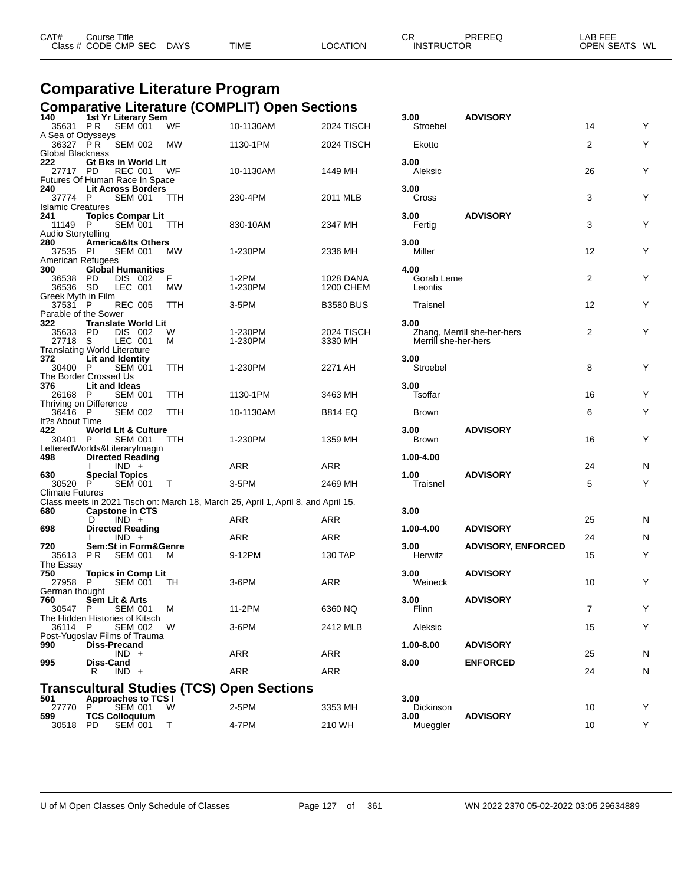| CAT#<br>Class $#$ | Course Title<br><b>CODE CMP SEC</b> | <b>DAYS</b> | <b>TIME</b> | <b>OCATION</b> | СF<br>:RUC<br>INS <sup>.</sup> | PREREC<br>™OR | ---<br>_AE<br>---<br><b>OPEN SEATS</b><br>WL |
|-------------------|-------------------------------------|-------------|-------------|----------------|--------------------------------|---------------|----------------------------------------------|
|-------------------|-------------------------------------|-------------|-------------|----------------|--------------------------------|---------------|----------------------------------------------|

### **Comparative Literature Program Comparative Literature (COMPLIT) Open Sections**

| 140                           | 1st Yr Literary Sem                                      |            |                                                                                   |                               | 3.00                  | <b>ADVISORY</b>             |                |   |
|-------------------------------|----------------------------------------------------------|------------|-----------------------------------------------------------------------------------|-------------------------------|-----------------------|-----------------------------|----------------|---|
| A Sea of Odysseys             | 35631 PR SEM 001                                         | WF         | 10-1130AM                                                                         | 2024 TISCH                    | Stroebel              |                             | 14             | Y |
| 36327 PR                      | SEM 002                                                  | МW         | 1130-1PM                                                                          | 2024 TISCH                    | Ekotto                |                             | 2              | Y |
| Global Blackness<br>222       |                                                          |            |                                                                                   |                               | 3.00                  |                             |                |   |
| 27717 PD                      | Gt Bks in World Lit<br>REC 001                           | WF         | 10-1130AM                                                                         | 1449 MH                       | Aleksic               |                             | 26             | Y |
|                               | Futures Of Human Race In Space                           |            |                                                                                   |                               |                       |                             |                |   |
| 240<br>37774 P                | <b>Lit Across Borders</b><br>SEM 001                     | <b>TTH</b> | 230-4PM                                                                           | 2011 MLB                      | 3.00<br>Cross         |                             | 3              | Υ |
| <b>Islamic Creatures</b>      |                                                          |            |                                                                                   |                               |                       |                             |                |   |
| 241<br>11149 P                | <b>Topics Compar Lit</b><br>SEM 001                      | TTH        | 830-10AM                                                                          | 2347 MH                       | 3.00                  | <b>ADVISORY</b>             | 3              | Υ |
| Audio Storytelling            |                                                          |            |                                                                                   |                               | Fertig                |                             |                |   |
| 280                           | <b>America&amp;Its Others</b>                            |            |                                                                                   |                               | 3.00                  |                             |                |   |
| 37535 PI<br>American Refugees | <b>SEM 001</b>                                           | <b>MW</b>  | 1-230PM                                                                           | 2336 MH                       | Miller                |                             | 12             | Y |
| 300                           | <b>Global Humanities</b>                                 |            |                                                                                   |                               | 4.00                  |                             |                |   |
| 36538 PD<br>36536 SD          | DIS 002<br>LEC 001                                       | F<br>МW    | 1-2PM<br>1-230PM                                                                  | <b>1028 DANA</b><br>1200 CHEM | Gorab Leme<br>Leontis |                             | 2              | Υ |
| Greek Myth in Film            |                                                          |            |                                                                                   |                               |                       |                             |                |   |
| 37531 P                       | <b>REC 005</b><br>Parable of the Sower                   | <b>TTH</b> | $3-5PM$                                                                           | <b>B3580 BUS</b>              | Traisnel              |                             | 12             | Y |
| 322                           | <b>Translate World Lit</b>                               |            |                                                                                   |                               | 3.00                  |                             |                |   |
| 35633 PD<br>27718 S           | DIS 002<br>LEC 001                                       | W<br>м     | 1-230PM<br>1-230PM                                                                | 2024 TISCH<br>3330 MH         | Merrill she-her-hers  | Zhang, Merrill she-her-hers | 2              | Υ |
|                               | <b>Translating World Literature</b>                      |            |                                                                                   |                               |                       |                             |                |   |
| 372<br>30400 P                | Lit and Identity<br><b>SEM 001</b>                       | TTH        | 1-230PM                                                                           | 2271 AH                       | 3.00<br>Stroebel      |                             | 8              | Y |
|                               | The Border Crossed Us                                    |            |                                                                                   |                               |                       |                             |                |   |
| 376                           | Lit and Ideas                                            |            |                                                                                   |                               | 3.00 <sub>1</sub>     |                             |                |   |
| 26168 P                       | <b>SEM 001</b><br>Thriving on Difference                 | TTH        | 1130-1PM                                                                          | 3463 MH                       | Tsoffar               |                             | 16             | Y |
| 36416 P                       | <b>SEM 002</b>                                           | TTH        | 10-1130AM                                                                         | B814 EQ                       | Brown                 |                             | 6              | Υ |
| It?s About Time<br>422        | <b>World Lit &amp; Culture</b>                           |            |                                                                                   |                               | 3.00                  | <b>ADVISORY</b>             |                |   |
| 30401 P                       | SEM 001                                                  | TTH        | 1-230PM                                                                           | 1359 MH                       | Brown                 |                             | 16             | Υ |
| 498                           | LetteredWorlds&LiteraryImagin<br><b>Directed Reading</b> |            |                                                                                   |                               | 1.00-4.00             |                             |                |   |
|                               | $IND +$                                                  |            | ARR                                                                               | ARR                           |                       |                             | 24             | N |
| 630<br>30520 P                | <b>Special Topics</b><br>SEM 001                         | $\top$     | 3-5PM                                                                             | 2469 MH                       | 1.00<br>Traisnel      | <b>ADVISORY</b>             | 5              | Y |
| <b>Climate Futures</b>        |                                                          |            |                                                                                   |                               |                       |                             |                |   |
| 680                           | <b>Capstone in CTS</b>                                   |            | Class meets in 2021 Tisch on: March 18, March 25, April 1, April 8, and April 15. |                               | 3.00                  |                             |                |   |
|                               | $IND +$<br>D                                             |            | ARR                                                                               | ARR                           |                       |                             | 25             | N |
| 698                           | <b>Directed Reading</b><br>$IND +$                       |            | ARR                                                                               | <b>ARR</b>                    | 1.00-4.00             | <b>ADVISORY</b>             | 24             | Ν |
| 720                           | <b>Sem:St in Form&amp;Genre</b>                          |            |                                                                                   |                               | 3.00                  | <b>ADVISORY, ENFORCED</b>   |                |   |
| 35613                         | <b>PR SEM 001</b>                                        | M          | 9-12PM                                                                            | 130 TAP                       | Herwitz               |                             | 15             | Υ |
| The Essay<br>750              | <b>Topics in Comp Lit</b>                                |            |                                                                                   |                               | 3.00 <sub>1</sub>     | <b>ADVISORY</b>             |                |   |
| 27958 P                       | <b>SEM 001</b>                                           | TH         | $3-6$ PM                                                                          | ARR                           | Weineck               |                             | 10             | Y |
| German thought<br>760         | Sem Lit & Arts                                           |            |                                                                                   |                               | 3.00                  | <b>ADVISORY</b>             |                |   |
| 30547 P                       | <b>SEM 001</b>                                           | м          | 11-2PM                                                                            | 6360 NQ                       | Flinn                 |                             | $\overline{7}$ | Υ |
| 36114 P                       | The Hidden Histories of Kitsch<br><b>SEM 002</b>         | W          | 3-6PM                                                                             | 2412 MLB                      | Aleksic               |                             | 15             | Υ |
|                               | Post-Yugoslav Films of Trauma                            |            |                                                                                   |                               |                       |                             |                |   |
| 990                           | <b>Diss-Precand</b><br>$IND +$                           |            |                                                                                   | ARR                           | 1.00-8.00             | <b>ADVISORY</b>             | 25             |   |
| 995                           | Diss-Cand                                                |            | ARR                                                                               |                               | 8.00                  | <b>ENFORCED</b>             |                | N |
|                               | $IND +$<br>R                                             |            | ARR                                                                               | ARR                           |                       |                             | 24             | N |
|                               |                                                          |            | <b>Transcultural Studies (TCS) Open Sections</b>                                  |                               |                       |                             |                |   |
| 501                           | <b>Approaches to TCS I</b>                               |            |                                                                                   |                               | 3.00                  |                             |                |   |
| 27770<br>599                  | <b>SEM 001</b><br>P<br><b>TCS Colloquium</b>             | <b>W</b>   | 2-5PM                                                                             | 3353 MH                       | Dickinson<br>3.00     | <b>ADVISORY</b>             | 10             | Y |
| 30518                         | <b>SEM 001</b><br>PD                                     | Т          | 4-7PM                                                                             | 210 WH                        | Mueggler              |                             | 10             | Υ |

| 3.00<br>Stroebel              | <b>ADVISORY</b>             | 14 | Y |
|-------------------------------|-----------------------------|----|---|
| Ekotto                        |                             | 2  | Y |
| 3.00<br>Aleksic               |                             | 26 | Y |
| 3.00<br>Cross                 |                             | 3  | Y |
| 3.00<br>Fertig                | <b>ADVISORY</b>             | 3  | Y |
| 3.00<br>Miller                |                             | 12 | Y |
| 4.00<br>Gorab Leme<br>Leontis |                             | 2  | Y |
| Traisnel                      |                             | 12 | Y |
| 3.00<br>Merrill she-her-hers  | Zhang, Merrill she-her-hers | 2  | Y |
| 3.00<br>Stroebel              |                             | 8  | Y |
| 3.00<br>Tsoffar               |                             | 16 | Y |
| <b>Brown</b>                  |                             | 6  | Y |
| 3.00<br><b>Brown</b>          | <b>ADVISORY</b>             | 16 | Y |
| 1.00-4.00                     |                             | 24 | N |
| 1.00<br>Traisnel              | <b>ADVISORY</b>             | 5  | Y |
| 3.00                          |                             |    |   |
| 1.00-4.00                     | <b>ADVISORY</b>             | 25 | N |
| 3.00                          | <b>ADVISORY, ENFORCED</b>   | 24 | N |
| Herwitz                       |                             | 15 | Y |
| 3.00<br>Weineck               | <b>ADVISORY</b>             | 10 | Υ |
| 3.00<br>Flinn                 | <b>ADVISORY</b>             | 7  | Υ |
| Aleksic                       |                             | 15 | Y |
| 1.00-8.00                     | <b>ADVISORY</b>             | 25 | N |
| 8.00                          | <b>ENFORCED</b>             | 24 | Ν |
|                               |                             |    |   |
| 3.00<br>Dickinson             |                             | 10 | Y |
| 3.00<br>Mueggler              | <b>ADVISORY</b>             | 10 | Y |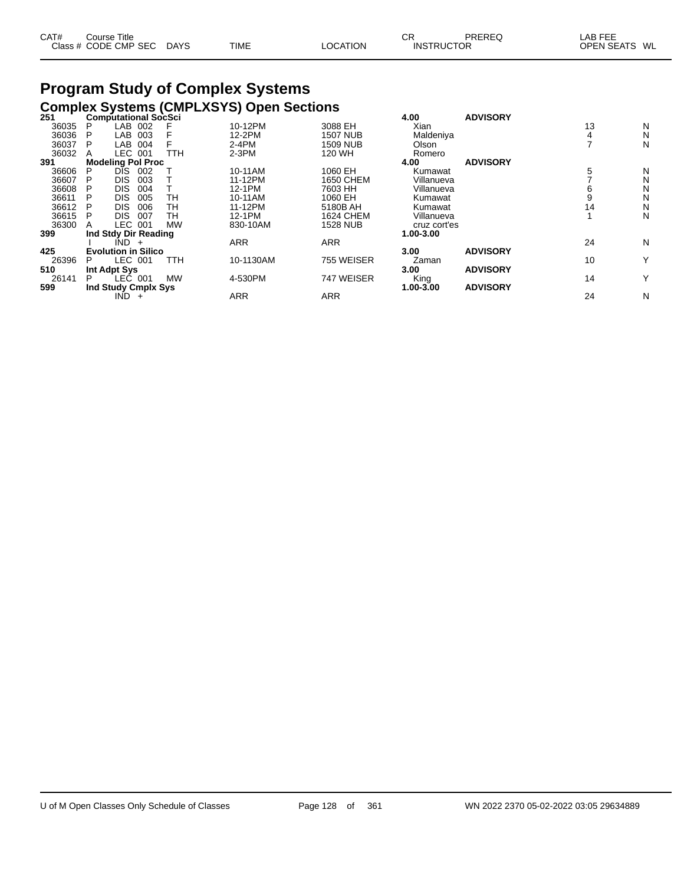| CAT# | Course Title              |             |          | СR                | PREREQ | _AB FEE       |
|------|---------------------------|-------------|----------|-------------------|--------|---------------|
|      | Class # CODE CMP SEC DAYS | <b>TIME</b> | LOCATION | <b>INSTRUCTOR</b> |        | OPEN SEATS WL |

# **Program Study of Complex Systems**

|       |    |                             |            | <b>Complex Systems (CMPLXSYS) Open Sections</b> |                 |              |                 |    |   |
|-------|----|-----------------------------|------------|-------------------------------------------------|-----------------|--------------|-----------------|----|---|
| 251   |    | <b>Computational SocSci</b> |            |                                                 |                 | 4.00         | <b>ADVISORY</b> |    |   |
| 36035 | P  | LAB 002                     |            | 10-12PM                                         | 3088 EH         | Xian         |                 | 13 | N |
| 36036 | P  | LAB<br>003                  |            | 12-2PM                                          | 1507 NUB        | Maldeniya    |                 | 4  | N |
| 36037 | P  | LAB 004                     |            | $2-4PM$                                         | 1509 NUB        | Olson        |                 |    | N |
| 36032 |    | LEC 001                     | TTH        | $2-3PM$                                         | 120 WH          | Romero       |                 |    |   |
| 391   |    | <b>Modeling Pol Proc</b>    |            |                                                 |                 | 4.00         | <b>ADVISORY</b> |    |   |
| 36606 | P  | DĪS.<br>002                 |            | 10-11AM                                         | 1060 EH         | Kumawat      |                 | 5  | N |
| 36607 | P  | <b>DIS</b><br>003           |            | 11-12PM                                         | 1650 CHEM       | Villanueva   |                 |    | N |
| 36608 | Р  | <b>DIS</b><br>004           |            | 12-1PM                                          | 7603 HH         | Villanueva   |                 | b  | N |
| 36611 | P  | <b>DIS</b><br>005           | TН         | 10-11AM                                         | 1060 EH         | Kumawat      |                 |    | N |
| 36612 |    | <b>DIS</b><br>006           | TН         | 11-12PM                                         | 5180B AH        | Kumawat      |                 | 14 | N |
| 36615 | P  | <b>DIS</b><br>007           | TН         | 12-1PM                                          | 1624 CHEM       | Villanueva   |                 |    | N |
| 36300 | A  | LEC 001                     | <b>MW</b>  | 830-10AM                                        | <b>1528 NUB</b> | cruz cort'es |                 |    |   |
| 399   |    | Ind Stdy Dir Reading        |            |                                                 |                 | 1.00-3.00    |                 |    |   |
|       |    | IND -<br>$+$                |            | ARR                                             | <b>ARR</b>      |              |                 | 24 | N |
| 425   |    | <b>Evolution in Silico</b>  |            |                                                 |                 | 3.00         | <b>ADVISORY</b> |    |   |
| 26396 | Р  | LEC 001                     | <b>TTH</b> | 10-1130AM                                       | 755 WEISER      | Zaman        |                 | 10 | Υ |
| 510   |    | Int Adpt Sys                |            |                                                 |                 | 3.00         | <b>ADVISORY</b> |    |   |
| 26141 | P. | LEC 001                     | <b>MW</b>  | 4-530PM                                         | 747 WEISER      | King         |                 | 14 | Υ |
| 599   |    | Ind Study Cmplx Sys         |            |                                                 |                 | 1.00-3.00    | <b>ADVISORY</b> |    |   |
|       |    | IND.<br>$+$                 |            | <b>ARR</b>                                      | <b>ARR</b>      |              |                 | 24 | N |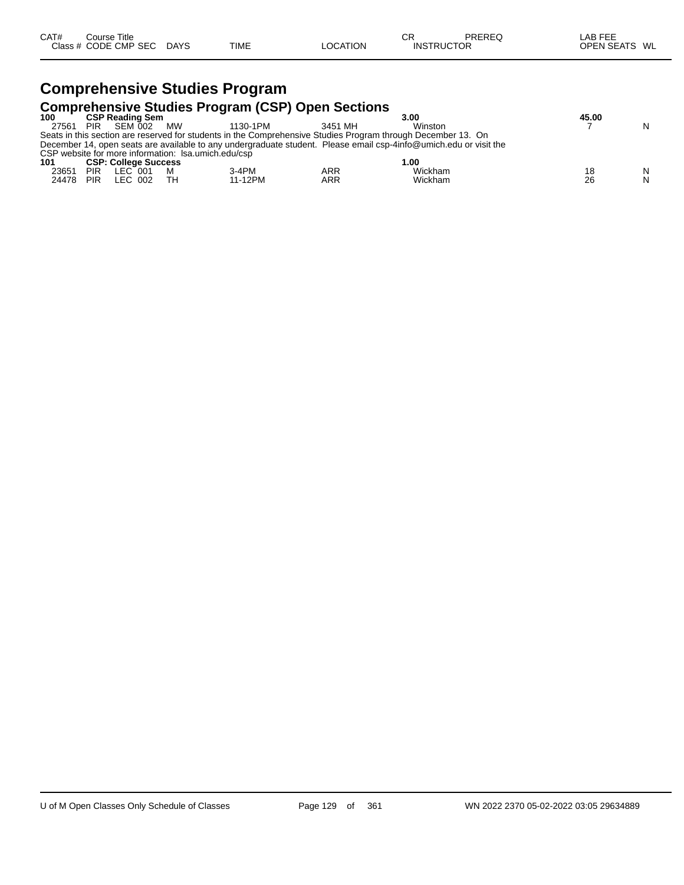# **Comprehensive Studies Program**

|       |            |                             |           | <b>Comprehensive Studies Program (CSP) Open Sections</b> |            |                                                                                                                   |       |   |
|-------|------------|-----------------------------|-----------|----------------------------------------------------------|------------|-------------------------------------------------------------------------------------------------------------------|-------|---|
| 100   |            | <b>CSP Reading Sem</b>      |           |                                                          |            | 3.00                                                                                                              | 45.00 |   |
| 27561 | <b>PIR</b> | SEM 002                     | <b>MW</b> | 1130-1PM                                                 | 3451 MH    | Winston                                                                                                           |       | N |
|       |            |                             |           |                                                          |            | Seats in this section are reserved for students in the Comprehensive Studies Program through December 13. On      |       |   |
|       |            |                             |           |                                                          |            | December 14, open seats are available to any undergraduate student. Please email csp-4info@umich.edu or visit the |       |   |
|       |            |                             |           | CSP website for more information: Isa.umich.edu/csp      |            |                                                                                                                   |       |   |
| 101   |            | <b>CSP: College Success</b> |           |                                                          |            | 1.00                                                                                                              |       |   |
| 23651 | <b>PIR</b> | LEC 001                     |           | $3-4PM$                                                  | ARR        | Wickham                                                                                                           | 18    | N |
| 24478 | <b>PIR</b> | LEC 002                     | тн        | 11-12PM                                                  | <b>ARR</b> | Wickham                                                                                                           | 26    | N |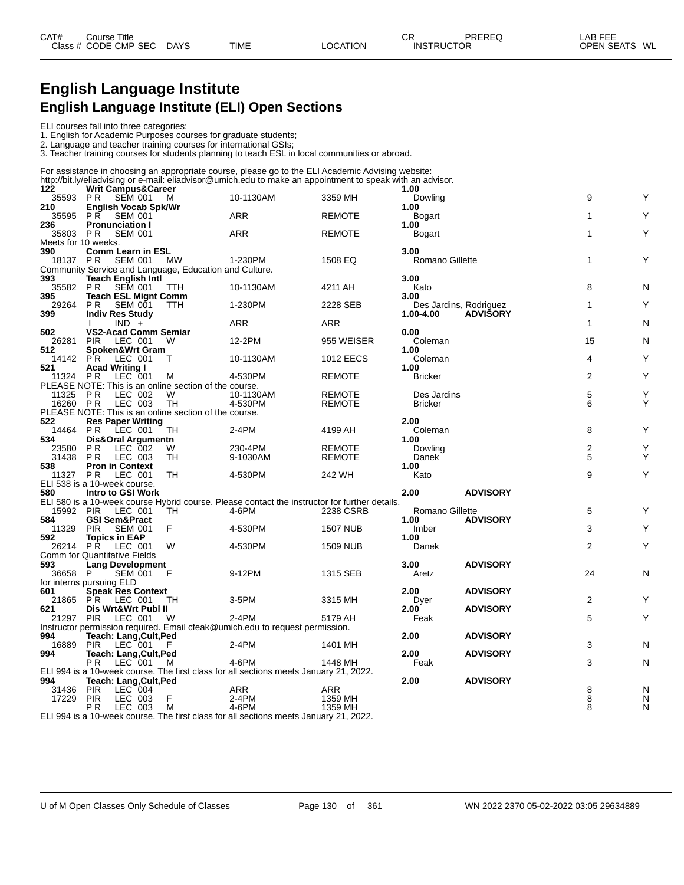# **English Language Institute English Language Institute (ELI) Open Sections**

### ELI courses fall into three categories:

1. English for Academic Purposes courses for graduate students;

2. Language and teacher training courses for international GSIs; 3. Teacher training courses for students planning to teach ESL in local communities or abroad.

For assistance in choosing an appropriate course, please go to the ELI Academic Advising website:

|                     |                                                                                   |              | http://bit.ly/eliadvising or e-mail: eliadvisor@umich.edu to make an appointment to speak with an advisor. |                    |                           |                 |                |        |
|---------------------|-----------------------------------------------------------------------------------|--------------|------------------------------------------------------------------------------------------------------------|--------------------|---------------------------|-----------------|----------------|--------|
| 122                 | <b>Writ Campus&amp;Career</b>                                                     |              |                                                                                                            |                    | 1.00                      |                 |                |        |
| 35593<br>210        | PR SEM 001                                                                        | M            | 10-1130AM                                                                                                  | 3359 MH            | Dowling<br>1.00           |                 | 9              | Υ      |
|                     | <b>English Vocab Spk/Wr</b><br>35595 PR SEM 001                                   |              | <b>ARR</b>                                                                                                 | <b>REMOTE</b>      |                           |                 | 1              | Υ      |
| 236                 | <b>Pronunciation I</b>                                                            |              |                                                                                                            |                    | Bogart<br>1.00            |                 |                |        |
| 35803 PR            | <b>SEM 001</b>                                                                    |              | <b>ARR</b>                                                                                                 | <b>REMOTE</b>      | Bogart                    |                 | $\mathbf{1}$   | Υ      |
| Meets for 10 weeks. |                                                                                   |              |                                                                                                            |                    |                           |                 |                |        |
| 390                 | <b>Comm Learn in ESL</b>                                                          |              |                                                                                                            |                    | 3.00                      |                 |                |        |
| 18137 PR            | SEM 001                                                                           | MW           | 1-230PM                                                                                                    | 1508 EQ            | <b>Romano Gillette</b>    |                 | $\mathbf{1}$   | Y      |
|                     | Community Service and Language, Education and Culture.                            |              |                                                                                                            |                    |                           |                 |                |        |
| 393                 | <b>Teach English Intl</b>                                                         |              |                                                                                                            |                    | 3.00                      |                 |                |        |
| 35582 PR            | <b>SEM 001</b>                                                                    | <b>TTH</b>   | 10-1130AM                                                                                                  | 4211 AH            | Kato                      |                 | 8              | N      |
| 395                 | <b>Teach ESL Mignt Comm</b>                                                       |              |                                                                                                            |                    | 3.00                      |                 |                |        |
| 29264<br>399        | PR.<br><b>SEM 001</b>                                                             | <b>TTH</b>   | 1-230PM                                                                                                    | 2228 SEB           | Des Jardins, Rodriguez    |                 | $\mathbf{1}$   | Υ      |
|                     | <b>Indiv Res Study</b><br>$IND +$                                                 |              | <b>ARR</b>                                                                                                 | <b>ARR</b>         | 1.00-4.00                 | <b>ADVISORY</b> | $\mathbf{1}$   | N      |
| 502                 | <b>VS2-Acad Comm Semiar</b>                                                       |              |                                                                                                            |                    | 0.00                      |                 |                |        |
| 26281               | LEC 001<br><b>PIR</b>                                                             | W            | 12-2PM                                                                                                     | 955 WEISER         | Coleman                   |                 | 15             | N      |
| 512                 | Spoken&Wrt Gram                                                                   |              |                                                                                                            |                    | 1.00                      |                 |                |        |
| 14142 PR            | LEC 001                                                                           | $\mathsf{T}$ | 10-1130AM                                                                                                  | <b>1012 EECS</b>   | Coleman                   |                 | 4              | Y      |
| 521                 | <b>Acad Writing I</b>                                                             |              |                                                                                                            |                    | 1.00                      |                 |                |        |
| 11324               | <b>PR</b><br>LEC 001                                                              | M            | 4-530PM                                                                                                    | <b>REMOTE</b>      | <b>Bricker</b>            |                 | $\overline{2}$ | Υ      |
|                     | PLEASE NOTE: This is an online section of the course.                             |              |                                                                                                            |                    |                           |                 |                |        |
| 11325 PR            | LEC 002                                                                           | W            | 10-1130AM                                                                                                  | <b>REMOTE</b>      | Des Jardins               |                 | 5              | Y      |
| 16260 PR            | LEC 003                                                                           | TH           | 4-530PM                                                                                                    | <b>REMOTE</b>      | <b>Bricker</b>            |                 | 6              | Υ      |
| 522                 | PLEASE NOTE: This is an online section of the course.<br><b>Res Paper Writing</b> |              |                                                                                                            |                    | 2.00                      |                 |                |        |
| 14464 PR            | LEC 001                                                                           | TН           | 2-4PM                                                                                                      | 4199 AH            | Coleman                   |                 | 8              | Y      |
| 534                 | Dis&Oral Argumentn                                                                |              |                                                                                                            |                    | 1.00                      |                 |                |        |
| 23580               | PR.<br>LEC 002                                                                    | W            | 230-4PM                                                                                                    | <b>REMOTE</b>      | Dowling                   |                 | 2              | Υ      |
| 31438               | LEC 003<br>P R                                                                    | TH.          | 9-1030AM                                                                                                   | <b>REMOTE</b>      | Danek                     |                 | 5              | Υ      |
| 538                 | <b>Pron in Context</b>                                                            |              |                                                                                                            |                    | 1.00                      |                 |                |        |
| 11327 PR            | LEC 001                                                                           | TH           | 4-530PM                                                                                                    | 242 WH             | Kato                      |                 | 9              | Υ      |
|                     | ELI 538 is a 10-week course.                                                      |              |                                                                                                            |                    |                           |                 |                |        |
| 580                 | Intro to GSI Work                                                                 |              |                                                                                                            |                    | 2.00                      | <b>ADVISORY</b> |                |        |
| 15992 PIR           | LEC 001                                                                           | <b>TH</b>    | ELI 580 is a 10-week course Hybrid course. Please contact the instructor for further details.<br>4-6PM     | 2238 CSRB          | Romano Gillette           |                 | 5              | Y      |
| 584                 | <b>GSI Sem&amp;Pract</b>                                                          |              |                                                                                                            |                    | 1.00                      | <b>ADVISORY</b> |                |        |
| 11329               | <b>PIR</b><br><b>SEM 001</b>                                                      | F            | 4-530PM                                                                                                    | <b>1507 NUB</b>    | Imber                     |                 | 3              | Y      |
| 592                 | <b>Topics in EAP</b>                                                              |              |                                                                                                            |                    | 1.00                      |                 |                |        |
| 26214 PR            | LEC 001                                                                           | W            | 4-530PM                                                                                                    | <b>1509 NUB</b>    | Danek                     |                 | $\overline{2}$ | Υ      |
|                     | Comm for Quantitative Fields                                                      |              |                                                                                                            |                    |                           |                 |                |        |
| 593                 | <b>Lang Development</b>                                                           |              |                                                                                                            |                    | 3.00                      | <b>ADVISORY</b> |                |        |
| 36658               | SEM 001<br>P                                                                      | F            | 9-12PM                                                                                                     | 1315 SEB           | Aretz                     |                 | 24             | N      |
|                     | for interns pursuing ELD                                                          |              |                                                                                                            |                    |                           |                 |                |        |
| 601                 | Speak Res Context                                                                 |              |                                                                                                            |                    | 2.00                      | <b>ADVISORY</b> |                |        |
| 21865<br>621        | PR LEC 001<br>Dis Wrt&Wrt Publ II                                                 | TH           | 3-5PM                                                                                                      | 3315 MH            | Dyer<br>2.00 <sup>7</sup> | <b>ADVISORY</b> | 2              | Y      |
| 21297 PIR           | LEC 001                                                                           | W            | $2-4PM$                                                                                                    | 5179 AH            | Feak                      |                 | 5              | Υ      |
|                     |                                                                                   |              | Instructor permission required. Email cfeak@umich.edu to request permission.                               |                    |                           |                 |                |        |
| 994                 | Teach: Lang, Cult, Ped                                                            |              |                                                                                                            |                    | 2.00                      | <b>ADVISORY</b> |                |        |
| 16889               | LEC 001<br><b>PIR</b>                                                             |              | 2-4PM                                                                                                      | 1401 MH            |                           |                 | 3              | N      |
| 994                 | Teach: Lang, Cult, Ped                                                            |              |                                                                                                            |                    | 2.00                      | <b>ADVISORY</b> |                |        |
|                     | $LEC$ 001<br>P <sub>R</sub>                                                       | M            | 4-6PM                                                                                                      | 1448 MH            | Feak                      |                 | 3              | N      |
|                     |                                                                                   |              | ELI 994 is a 10-week course. The first class for all sections meets January 21, 2022.                      |                    |                           |                 |                |        |
| 994                 | <b>Teach: Lang, Cult, Ped</b>                                                     |              |                                                                                                            |                    | 2.00                      | <b>ADVISORY</b> |                |        |
| 31436<br>17229      | <b>PIR</b><br>LEC 004                                                             | F            | ARR                                                                                                        | <b>ARR</b>         |                           |                 | 8<br>8         | N      |
|                     | LEC 003<br><b>PIR</b><br>LEC 003<br>P <sub>R</sub>                                | M            | 2-4PM<br>4-6PM                                                                                             | 1359 MH<br>1359 MH |                           |                 | 8              | N<br>N |
|                     |                                                                                   |              | FULORA is a 40 week seures. The first close for all sections meats, lonuary 24, 2022                       |                    |                           |                 |                |        |

ELI 994 is a 10-week course. The first class for all sections meets January 21, 2022.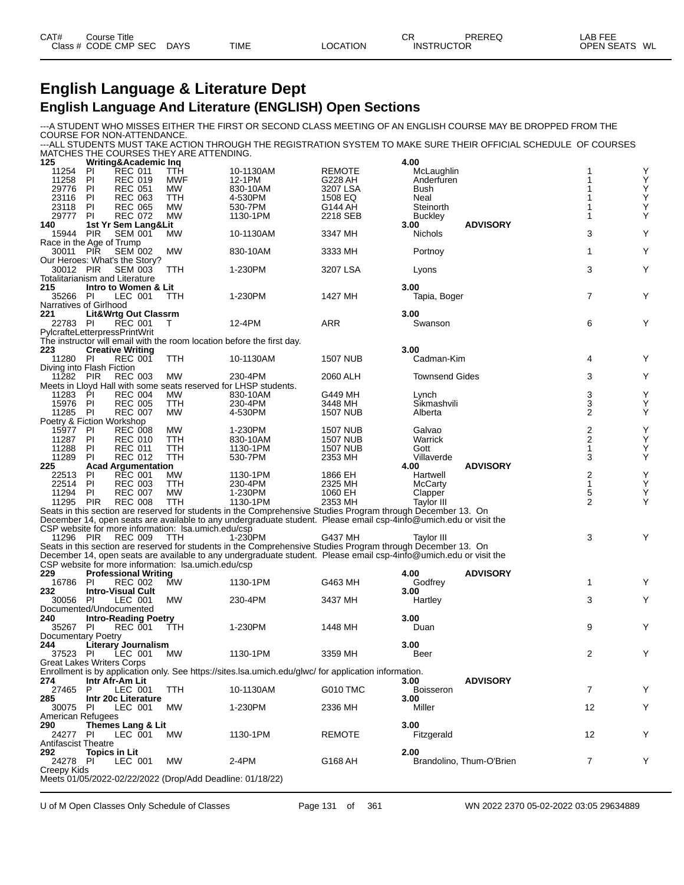| CAT# | Title<br>Course      |             |             |                 | ⌒冖<br>◡           | PREREQ | _AB FEE           |    |
|------|----------------------|-------------|-------------|-----------------|-------------------|--------|-------------------|----|
|      | Class # CODE CMP SEC | <b>DAYS</b> | <b>TIME</b> | <b>LOCATION</b> | <b>INSTRUCTOR</b> |        | <b>OPEN SEATS</b> | WL |

# **English Language & Literature Dept English Language And Literature (ENGLISH) Open Sections**

---A STUDENT WHO MISSES EITHER THE FIRST OR SECOND CLASS MEETING OF AN ENGLISH COURSE MAY BE DROPPED FROM THE COURSE FOR NON-ATTENDANCE.

---ALL STUDENTS MUST TAKE ACTION THROUGH THE REGISTRATION SYSTEM TO MAKE SURE THEIR OFFICIAL SCHEDULE OF COURSES MATCHES THE COURSES THEY ARE ATTENDING.

| 125                         |            | Writing&Academic Inq                  |                                                           |                                                                                                                   |                     | 4.00                   |                          |                         |                                                    |
|-----------------------------|------------|---------------------------------------|-----------------------------------------------------------|-------------------------------------------------------------------------------------------------------------------|---------------------|------------------------|--------------------------|-------------------------|----------------------------------------------------|
| 11254                       | PI.        | <b>REC 011</b>                        | TTH                                                       | 10-1130AM                                                                                                         | <b>REMOTE</b>       | McLaughlin             |                          | 1                       | Υ                                                  |
| 11258                       | PI         | <b>REC 019</b>                        | MWF                                                       | 12-1PM                                                                                                            | G228 AH             | Anderfuren             |                          | 1                       | Υ                                                  |
| 29776                       | PI         | <b>REC 051</b>                        | МW                                                        | 830-10AM                                                                                                          | 3207 LSA            | Bush                   |                          |                         | $\frac{Y}{Y}$                                      |
| 23116                       | PI         | <b>REC 063</b>                        | <b>TTH</b>                                                | 4-530PM                                                                                                           | 1508 EQ             | Neal                   |                          |                         |                                                    |
| 23118                       | PI         | <b>REC 065</b>                        | МW<br><b>MW</b>                                           | 530-7PM                                                                                                           | G144 AH<br>2218 SEB | Steinorth              |                          | 1                       | Υ<br>Υ                                             |
| 29777<br>140                | <b>PI</b>  | <b>REC 072</b>                        |                                                           | 1130-1PM                                                                                                          |                     | <b>Buckley</b><br>3.00 | <b>ADVISORY</b>          |                         |                                                    |
| 15944                       | <b>PIR</b> | 1st Yr Sem Lang&Lit<br><b>SEM 001</b> | MW                                                        | 10-1130AM                                                                                                         | 3347 MH             | Nichols                |                          | 3                       | Υ                                                  |
| Race in the Age of Trump    |            |                                       |                                                           |                                                                                                                   |                     |                        |                          |                         |                                                    |
| 30011 PIR                   |            | <b>SEM 002</b>                        | MW                                                        | 830-10AM                                                                                                          | 3333 MH             | Portnoy                |                          | $\mathbf{1}$            | Y                                                  |
|                             |            | Our Heroes: What's the Story?         |                                                           |                                                                                                                   |                     |                        |                          |                         |                                                    |
| 30012 PIR                   |            | <b>SEM 003</b>                        | TTH                                                       | 1-230PM                                                                                                           | 3207 LSA            | Lyons                  |                          | 3                       | Y                                                  |
|                             |            | Totalitarianism and Literature        |                                                           |                                                                                                                   |                     |                        |                          |                         |                                                    |
| 215                         |            | Intro to Women & Lit                  |                                                           |                                                                                                                   |                     | 3.00                   |                          |                         |                                                    |
| 35266 PI                    |            | LEC 001                               | TTH                                                       | 1-230PM                                                                                                           | 1427 MH             | Tapia, Boger           |                          | 7                       | Y                                                  |
| Narratives of Girlhood      |            |                                       |                                                           |                                                                                                                   |                     |                        |                          |                         |                                                    |
| 221                         |            | <b>Lit&amp;Wrtg Out Classrm</b>       |                                                           |                                                                                                                   |                     | 3.00                   |                          |                         |                                                    |
| 22783 PI                    |            | <b>REC 001</b>                        | T                                                         | 12-4PM                                                                                                            | ARR                 | Swanson                |                          | 6                       | Y                                                  |
|                             |            | PylcrafteLetterpressPrintWrit         |                                                           |                                                                                                                   |                     |                        |                          |                         |                                                    |
|                             |            |                                       |                                                           | The instructor will email with the room location before the first day.                                            |                     |                        |                          |                         |                                                    |
| 223                         |            | <b>Creative Writing</b>               |                                                           |                                                                                                                   |                     | 3.00                   |                          |                         |                                                    |
| 11280                       | -PI        | <b>REC 001</b>                        | <b>TTH</b>                                                | 10-1130AM                                                                                                         | <b>1507 NUB</b>     | Cadman-Kim             |                          | 4                       | Υ                                                  |
| Diving into Flash Fiction   |            |                                       |                                                           |                                                                                                                   |                     |                        |                          |                         |                                                    |
| 11282 PIR                   |            | <b>REC 003</b>                        | <b>MW</b>                                                 | 230-4PM                                                                                                           | 2060 ALH            | <b>Townsend Gides</b>  |                          | 3                       | Υ                                                  |
|                             |            |                                       |                                                           | Meets in Lloyd Hall with some seats reserved for LHSP students.                                                   |                     |                        |                          |                         |                                                    |
| 11283                       | PI         | <b>REC 004</b>                        | <b>MW</b>                                                 | 830-10AM                                                                                                          | G449 MH             | Lynch                  |                          | 3                       | Υ                                                  |
| 15976<br>11285              | - Pl       | <b>REC 005</b><br><b>REC 007</b>      | TTH<br><b>MW</b>                                          | 230-4PM                                                                                                           | 3448 MH             | Sikmashvili            |                          | $\frac{3}{2}$           | Υ<br>Υ                                             |
| Poetry & Fiction Workshop   | PI         |                                       |                                                           | 4-530PM                                                                                                           | <b>1507 NUB</b>     | Alberta                |                          |                         |                                                    |
| 15977                       | PI         | <b>REC 008</b>                        | <b>MW</b>                                                 | 1-230PM                                                                                                           | <b>1507 NUB</b>     | Galvao                 |                          |                         |                                                    |
| 11287                       | PI         | <b>REC 010</b>                        | <b>TTH</b>                                                | 830-10AM                                                                                                          | <b>1507 NUB</b>     | Warrick                |                          | $\frac{2}{2}$           | $\mathop{\mathsf{Y}}\limits_{\mathop{\mathsf{Y}}}$ |
| 11288                       | PI         | <b>REC 011</b>                        | <b>TTH</b>                                                | 1130-1PM                                                                                                          | <b>1507 NUB</b>     | Gott                   |                          | $\mathbf{1}$            | Υ                                                  |
| 11289                       | <b>PI</b>  | <b>REC 012</b>                        | TTH                                                       | 530-7PM                                                                                                           | 2353 MH             | Villaverde             |                          | 3                       | Υ                                                  |
| 225                         |            | <b>Acad Argumentation</b>             |                                                           |                                                                                                                   |                     | 4.00                   | <b>ADVISORY</b>          |                         |                                                    |
| 22513                       | PI         | <b>REC 001</b>                        | МW                                                        | 1130-1PM                                                                                                          | 1866 EH             | Hartwell               |                          | $\overline{\mathbf{c}}$ | Υ                                                  |
| 22514                       | <b>PI</b>  | <b>REC 003</b>                        | <b>TTH</b>                                                | 230-4PM                                                                                                           | 2325 MH             | <b>McCarty</b>         |                          | $\mathbf{1}$            |                                                    |
| 11294                       | PI         | <b>REC 007</b>                        | <b>MW</b>                                                 | 1-230PM                                                                                                           | 1060 EH             | Clapper                |                          | 5                       | $\mathop{\mathsf{Y}}\limits_{\mathop{\mathsf{Y}}}$ |
| 11295 PIR                   |            | <b>REC 008</b>                        | <b>TTH</b>                                                | 1130-1PM                                                                                                          | 2353 MH             | Taylor III             |                          | $\overline{2}$          | Υ                                                  |
|                             |            |                                       |                                                           | Seats in this section are reserved for students in the Comprehensive Studies Program through December 13. On      |                     |                        |                          |                         |                                                    |
|                             |            |                                       |                                                           | December 14, open seats are available to any undergraduate student. Please email csp-4info@umich.edu or visit the |                     |                        |                          |                         |                                                    |
|                             |            |                                       | CSP website for more information: Isa.umich.edu/csp       |                                                                                                                   |                     |                        |                          |                         |                                                    |
| 11296 PIR                   |            | <b>REC 009</b>                        | <b>TTH</b>                                                | 1-230PM                                                                                                           | G437 MH             | Taylor III             |                          | 3                       | Y                                                  |
|                             |            |                                       |                                                           | Seats in this section are reserved for students in the Comprehensive Studies Program through December 13. On      |                     |                        |                          |                         |                                                    |
|                             |            |                                       |                                                           | December 14, open seats are available to any undergraduate student. Please email csp-4info@umich.edu or visit the |                     |                        |                          |                         |                                                    |
|                             |            |                                       | CSP website for more information: Isa.umich.edu/csp       |                                                                                                                   |                     |                        |                          |                         |                                                    |
| 229                         |            | <b>Professional Writing</b>           |                                                           |                                                                                                                   |                     | 4.00                   | <b>ADVISORY</b>          |                         |                                                    |
| 16786                       | PI         | <b>REC 002</b>                        | <b>MW</b>                                                 | 1130-1PM                                                                                                          | G463 MH             | Godfrey                |                          | 1                       | Y                                                  |
| 232                         |            | <b>Intro-Visual Cult</b>              |                                                           |                                                                                                                   |                     | 3.00                   |                          |                         |                                                    |
| 30056                       | PI.        | LEC 001                               | <b>MW</b>                                                 | 230-4PM                                                                                                           | 3437 MH             | Hartley                |                          | 3                       | Y                                                  |
|                             |            | Documented/Undocumented               |                                                           |                                                                                                                   |                     |                        |                          |                         |                                                    |
| 240                         |            | <b>Intro-Reading Poetry</b>           |                                                           | 1-230PM                                                                                                           |                     | 3.00                   |                          | 9                       | Υ                                                  |
| 35267<br>Documentary Poetry | PI         | <b>REC 001</b>                        | TTH                                                       |                                                                                                                   | 1448 MH             | Duan                   |                          |                         |                                                    |
| 244                         |            | Literary Journalism                   |                                                           |                                                                                                                   |                     | 3.00                   |                          |                         |                                                    |
| 37523                       | PI.        | LEC 001                               | МW                                                        | 1130-1PM                                                                                                          | 3359 MH             | Beer                   |                          | 2                       | Υ                                                  |
| Great Lakes Writers Corps   |            |                                       |                                                           |                                                                                                                   |                     |                        |                          |                         |                                                    |
|                             |            |                                       |                                                           | Enrollment is by application only. See https://sites.lsa.umich.edu/glwc/ for application information.             |                     |                        |                          |                         |                                                    |
| 274                         |            | Intr Afr-Am Lit                       |                                                           |                                                                                                                   |                     | 3.00                   | <b>ADVISORY</b>          |                         |                                                    |
| 27465                       | P          | LEC 001                               | TTH                                                       | 10-1130AM                                                                                                         | <b>G010 TMC</b>     | <b>Boisseron</b>       |                          | $\overline{7}$          | Y                                                  |
| 285                         |            | Intr 20c Literature                   |                                                           |                                                                                                                   |                     | 3.00                   |                          |                         |                                                    |
| 30075                       | PI.        | LEC 001                               | МW                                                        | 1-230PM                                                                                                           | 2336 MH             | Miller                 |                          | 12                      | Y                                                  |
| American Refugees           |            |                                       |                                                           |                                                                                                                   |                     |                        |                          |                         |                                                    |
| 290                         |            | Themes Lang & Lit                     |                                                           |                                                                                                                   |                     | 3.00                   |                          |                         |                                                    |
| 24277 PI                    |            | LEC 001                               | МW                                                        | 1130-1PM                                                                                                          | <b>REMOTE</b>       | Fitzgerald             |                          | 12                      | Y                                                  |
| <b>Antifascist Theatre</b>  |            |                                       |                                                           |                                                                                                                   |                     |                        |                          |                         |                                                    |
| 292                         |            | <b>Topics in Lit</b>                  |                                                           |                                                                                                                   |                     | 2.00                   |                          |                         |                                                    |
|                             |            |                                       |                                                           |                                                                                                                   |                     |                        |                          |                         |                                                    |
| 24278                       | PI         | LEC 001                               | МW                                                        | 2-4PM                                                                                                             | G168 AH             |                        | Brandolino, Thum-O'Brien | $\overline{7}$          | Υ                                                  |
| Creepy Kids                 |            |                                       | Meets 01/05/2022-02/22/2022 (Drop/Add Deadline: 01/18/22) |                                                                                                                   |                     |                        |                          |                         |                                                    |

U of M Open Classes Only Schedule of Classes Page 131 of 361 WN 2022 2370 05-02-2022 03:05 29634889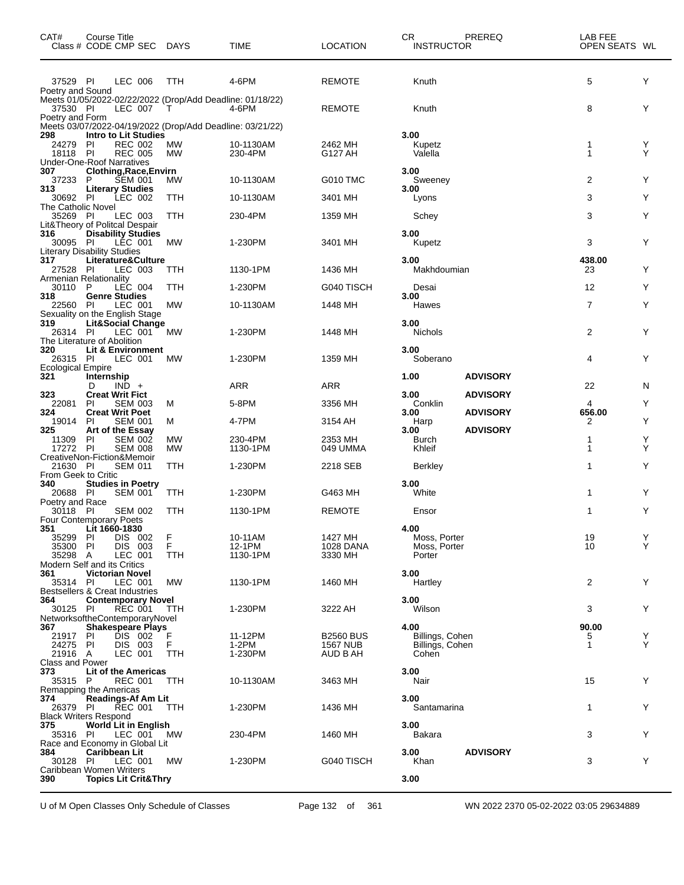| CAT#                                        | Course Title<br>Class # CODE CMP SEC DAYS                                      |                 | TIME                 | <b>LOCATION</b>             | CR.<br>PREREQ<br><b>INSTRUCTOR</b> | LAB FEE<br>OPEN SEATS WL    |        |
|---------------------------------------------|--------------------------------------------------------------------------------|-----------------|----------------------|-----------------------------|------------------------------------|-----------------------------|--------|
| 37529 PI<br>Poetry and Sound                | LEC 006                                                                        | <b>TTH</b>      | 4-6PM                | <b>REMOTE</b>               | Knuth                              | 5                           | Y      |
| 37530 PI<br>Poetry and Form                 | Meets 01/05/2022-02/22/2022 (Drop/Add Deadline: 01/18/22)<br>LEC 007           | $\top$          | 4-6PM                | <b>REMOTE</b>               | Knuth                              | 8                           | Y      |
|                                             | Meets 03/07/2022-04/19/2022 (Drop/Add Deadline: 03/21/22)                      |                 |                      |                             |                                    |                             |        |
| 298<br>24279<br>18118 PI                    | <b>Intro to Lit Studies</b><br>PI<br><b>REC 002</b><br><b>REC 005</b>          | MW<br><b>MW</b> | 10-1130AM<br>230-4PM | 2462 MH<br>G127 AH          | 3.00<br>Kupetz<br>Valella          | $\mathbf{1}$<br>$\mathbf 1$ | Y<br>Υ |
| 307                                         | <b>Under-One-Roof Narratives</b><br>Clothing, Race, Envirn                     |                 |                      |                             | 3.00                               |                             |        |
| 37233 P<br>313                              | <b>SEM 001</b><br><b>Literary Studies</b>                                      | MW.             | 10-1130AM            | G010 TMC                    | Sweeney<br>3.00                    | 2                           | Y      |
| 30692 PI<br><b>The Catholic Novel</b>       | LEC 002                                                                        | TTH             | 10-1130AM            | 3401 MH                     | Lyons                              | 3                           | Y      |
| 35269 PI                                    | LEC 003<br>Lit&Theory of Politcal Despair                                      | TTH             | 230-4PM              | 1359 MH                     | Schey                              | 3                           | Y      |
| 316<br>30095 PI                             | <b>Disability Studies</b><br>LEC 001<br><b>Literary Disability Studies</b>     | МW              | 1-230PM              | 3401 MH                     | 3.00<br>Kupetz                     | 3                           | Y      |
| 317<br>27528 PI                             | Literature&Culture<br>LEC 003<br>Armenian Relationality                        | TTH             | 1130-1PM             | 1436 MH                     | 3.00<br>Makhdoumian                | 438.00<br>23                | Y      |
| 30110 P                                     | LEC 004                                                                        | TTH             | 1-230PM              | G040 TISCH                  | Desai                              | 12                          | Y      |
| 318<br>22560 PI                             | <b>Genre Studies</b><br>LEC 001<br>Sexuality on the English Stage              | МW              | 10-1130AM            | 1448 MH                     | 3.00<br>Hawes                      | $\overline{7}$              | Y      |
| 319<br>26314 PI                             | <b>Lit&amp;Social Change</b><br>LEC 001<br>The Literature of Abolition         | MW              | 1-230PM              | 1448 MH                     | 3.00<br><b>Nichols</b>             | 2                           | Y      |
| 320<br>26315 PI<br><b>Ecological Empire</b> | Lit & Environment<br>LEC 001                                                   | МW              | 1-230PM              | 1359 MH                     | 3.00<br>Soberano                   | 4                           | Y      |
| 321                                         | Internship<br>D<br>$IND +$                                                     |                 | <b>ARR</b>           | <b>ARR</b>                  | 1.00<br><b>ADVISORY</b>            | 22                          | N      |
| 323                                         | <b>Creat Writ Fict</b>                                                         |                 |                      |                             | 3.00<br><b>ADVISORY</b>            |                             |        |
| 22081<br>324                                | <b>SEM 003</b><br><b>PI</b><br><b>Creat Writ Poet</b>                          | м               | 5-8PM                | 3356 MH                     | Conklin<br><b>ADVISORY</b><br>3.00 | 4<br>656.00                 | Y      |
| 19014<br>325                                | <b>SEM 001</b><br>PI<br>Art of the Essay                                       | м               | 4-7PM                | 3154 AH                     | Harp<br><b>ADVISORY</b><br>3.00    | 2                           | Y      |
| 11309<br>17272 PI                           | <b>SEM 002</b><br><b>PI</b><br><b>SEM 008</b><br>CreativeNon-Fiction&Memoir    | МW<br>МW        | 230-4PM<br>1130-1PM  | 2353 MH<br>049 UMMA         | Burch<br>Khleif                    | 1<br>$\mathbf 1$            | Y<br>Υ |
| 21630 PI<br>From Geek to Critic             | <b>SEM 011</b>                                                                 | TTH             | 1-230PM              | 2218 SEB                    | Berkley                            | 1                           | Y      |
| 340<br>20688 PI                             | <b>Studies in Poetry</b><br><b>SEM 001</b>                                     | TTH             | 1-230PM              | G463 MH                     | 3.00<br>White                      | 1                           | Y      |
| Poetry and Race<br>30118 PI                 | <b>SEM 002</b>                                                                 | TTH             | 1130-1PM             | <b>REMOTE</b>               | Ensor                              | 1                           | Y      |
| 351                                         | <b>Four Contemporary Poets</b><br>Lit 1660-1830                                |                 |                      |                             | 4.00                               |                             |        |
| 35299<br>35300                              | DIS 002<br>PI<br>P<br>DIS 003                                                  | $_{F}^{F}$      | 10-11AM<br>12-1PM    | 1427 MH<br><b>1028 DANA</b> | Moss, Porter<br>Moss, Porter       | 19<br>10                    | Y<br>Y |
| 35298 A                                     | LEC 001<br>Modern Self and its Critics                                         | TTH             | 1130-1PM             | 3330 MH                     | Porter                             |                             |        |
| 361<br>35314 PI                             | <b>Victorian Novel</b><br>LEC 001<br><b>Bestsellers &amp; Creat Industries</b> | МW              | 1130-1PM             | 1460 MH                     | 3.00<br>Hartley                    | $\overline{2}$              | Y      |
| 364                                         | <b>Contemporary Novel</b>                                                      |                 |                      |                             | 3.00                               |                             |        |
| 30125 PI                                    | <b>REC 001</b><br>NetworksoftheContemporaryNovel                               | TTH             | 1-230PM              | 3222 AH                     | Wilson                             | 3                           | Y      |
| 367<br>21917 PI                             | <b>Shakespeare Plays</b><br>DIS 002                                            | F               | 11-12PM              | <b>B2560 BUS</b>            | 4.00<br>Billings, Cohen            | 90.00<br>5                  | Y      |
| 24275 PI                                    | DIS 003                                                                        | F               | 1-2PM                | <b>1567 NUB</b>             | Billings, Cohen                    | $\mathbf{1}$                | Y      |
| 21916 A<br><b>Class and Power</b>           | LEC 001                                                                        | TTH             | 1-230PM              | AUD B AH                    | Cohen                              |                             |        |
| 373<br>35315 P                              | Lit of the Americas<br>REC 001<br>Remapping the Americas                       | TTH             | 10-1130AM            | 3463 MH                     | 3.00<br>Nair                       | 15                          | Y      |
| 374                                         | Readings-Af Am Lit                                                             |                 |                      |                             | 3.00                               |                             |        |
| 26379 PI                                    | <b>ŘEC 001</b><br><b>Black Writers Respond</b>                                 | TTH             | 1-230PM              | 1436 MH                     | Santamarina                        | $\mathbf{1}$                | Y      |
| 375<br>35316 PI                             | <b>World Lit in English</b><br>LEC 001                                         | MW.             | 230-4PM              | 1460 MH                     | 3.00<br>Bakara                     | 3                           | Y      |
| 384                                         | Race and Economy in Global Lit<br><b>Caribbean Lit</b>                         |                 |                      |                             | <b>ADVISORY</b><br>3.00            |                             |        |
| 30128 PI                                    | LEC 001<br>Caribbean Women Writers                                             | МW              | 1-230PM              | G040 TISCH                  | Khan                               | 3                           | Y      |
| 390                                         | <b>Topics Lit Crit&amp;Thry</b>                                                |                 |                      |                             | 3.00                               |                             |        |

U of M Open Classes Only Schedule of Classes Page 132 of 361 WN 2022 2370 05-02-2022 03:05 29634889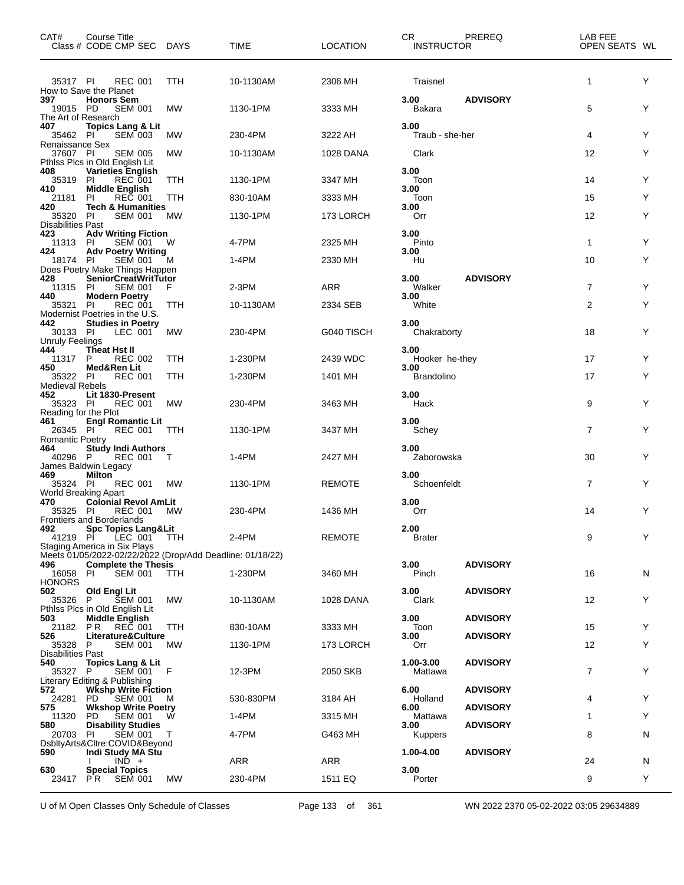| CAT#                                                              | Course Title<br>Class # CODE CMP SEC DAYS                                               |            | <b>TIME</b> | <b>LOCATION</b>  | CR<br><b>INSTRUCTOR</b>   | PREREQ          | LAB FEE<br>OPEN SEATS WL |   |
|-------------------------------------------------------------------|-----------------------------------------------------------------------------------------|------------|-------------|------------------|---------------------------|-----------------|--------------------------|---|
| 35317 PI                                                          | <b>REC 001</b><br>How to Save the Planet                                                | TTH        | 10-1130AM   | 2306 MH          | Traisnel                  |                 | $\mathbf{1}$             | Y |
| 397<br>19015 PD<br>The Art of Research                            | <b>Honors Sem</b><br><b>SEM 001</b>                                                     | МW         | 1130-1PM    | 3333 MH          | 3.00<br>Bakara            | <b>ADVISORY</b> | 5                        | Y |
| 407<br>35462 PI                                                   | <b>Topics Lang &amp; Lit</b><br><b>SEM 003</b>                                          | МW         | 230-4PM     | 3222 AH          | 3.00<br>Traub - she-her   |                 | 4                        | Y |
| Renaissance Sex<br>37607 PI                                       | <b>SEM 005</b><br>Pthlss Plcs in Old English Lit                                        | МW         | 10-1130AM   | 1028 DANA        | Clark                     |                 | 12                       | Y |
| 408<br>35319 PI<br>410                                            | Varieties English<br><b>REC 001</b><br><b>Middle English</b>                            | <b>TTH</b> | 1130-1PM    | 3347 MH          | 3.00<br>Toon<br>3.00      |                 | 14                       | Y |
| 21181<br>420                                                      | PI<br><b>REC 001</b><br><b>Tech &amp; Humanities</b>                                    | TTH        | 830-10AM    | 3333 MH          | Toon<br>3.00              |                 | 15                       | Y |
| 35320 PI<br><b>Disabilities Past</b>                              | <b>SEM 001</b>                                                                          | МW         | 1130-1PM    | 173 LORCH        | Orr                       |                 | 12                       | Y |
| 423<br>11313 PI                                                   | <b>Adv Writing Fiction</b><br><b>SEM 001</b>                                            | W          | 4-7PM       | 2325 MH          | 3.00<br>Pinto             |                 | $\mathbf{1}$             | Y |
| 424<br>18174 PI                                                   | <b>Adv Poetry Writing</b><br><b>SEM 001</b>                                             | M          | 1-4PM       | 2330 MH          | 3.00<br>Hu                |                 | 10                       | Y |
| 428                                                               | Does Poetry Make Things Happen<br>SeniorCreatWritTutor                                  |            |             |                  | 3.00                      | <b>ADVISORY</b> |                          |   |
| 11315<br>440                                                      | <b>SEM 001</b><br>-PI<br><b>Modern Poetry</b>                                           | F          | 2-3PM       | <b>ARR</b>       | Walker<br>3.00            |                 | $\overline{7}$           | Y |
| 35321                                                             | -PI<br><b>REC 001</b><br>Modernist Poetries in the U.S.                                 | TTH        | 10-1130AM   | 2334 SEB         | White                     |                 | 2                        | Y |
| 442<br>30133 PI<br><b>Unruly Feelings</b>                         | <b>Studies in Poetry</b><br>LEC 001                                                     | МW         | 230-4PM     | G040 TISCH       | 3.00<br>Chakraborty       |                 | 18                       | Y |
| 444<br>11317                                                      | Theat Hst II<br>P<br><b>REC 002</b>                                                     | <b>TTH</b> | 1-230PM     | 2439 WDC         | 3.00<br>Hooker he-they    |                 | 17                       | Y |
| 450<br>35322 PI                                                   | Med&Ren Lit<br><b>REC 001</b>                                                           | TTH        | 1-230PM     | 1401 MH          | 3.00<br><b>Brandolino</b> |                 | 17                       | Y |
| <b>Medieval Rebels</b><br>452<br>35323 PI<br>Reading for the Plot | Lit 1830-Present<br>REC 001                                                             | МW         | 230-4PM     | 3463 MH          | 3.00<br>Hack              |                 | 9                        | Y |
| 461<br>26345 PI<br><b>Romantic Poetry</b>                         | <b>Engl Romantic Lit</b><br><b>REC 001</b>                                              | TTH        | 1130-1PM    | 3437 MH          | 3.00<br>Schey             |                 | $\overline{7}$           | Y |
| 464<br>40296 P                                                    | <b>Study Indi Authors</b><br><b>REC 001</b><br>James Baldwin Legacy                     | Т          | 1-4PM       | 2427 MH          | 3.00<br>Zaborowska        |                 | 30                       | Y |
| 469<br>35324 PI                                                   | <b>Milton</b><br><b>REC 001</b><br>World Breaking Apart                                 | МW         | 1130-1PM    | <b>REMOTE</b>    | 3.00<br>Schoenfeldt       |                 | $\overline{7}$           | Y |
| 470<br>35325 PI                                                   | <b>Colonial Revol AmLit</b><br>REC 001<br>Frontiers and Borderlands                     | МW         | 230-4PM     | 1436 MH          | 3.00<br>Orr               |                 | 14                       | Y |
| 492<br>41219 PI                                                   | <b>Spc Topics Lang&amp;Lit</b><br>LEC 001 TTH<br><b>Staging America in Six Plays</b>    |            | 2-4PM       | <b>REMOTE</b>    | 2.00<br><b>Brater</b>     |                 | 9                        | Y |
| 496                                                               | Meets 01/05/2022-02/22/2022 (Drop/Add Deadline: 01/18/22)<br><b>Complete the Thesis</b> |            |             |                  | 3.00                      | <b>ADVISORY</b> |                          |   |
| 16058 PI<br><b>HONORS</b>                                         | <b>SEM 001</b>                                                                          | TTH        | 1-230PM     | 3460 MH          | Pinch                     |                 | 16                       | N |
| 502<br>35326 P                                                    | Old Engl Lit<br><b>SEM 001</b><br>Pthiss Pics in Old English Lit                        | МW         | 10-1130AM   | <b>1028 DANA</b> | 3.00<br>Clark             | <b>ADVISORY</b> | 12                       | Y |
| 503<br>21182                                                      | <b>Middle English</b><br>REČ 001<br>PR.                                                 | TTH        | 830-10AM    | 3333 MH          | 3.00<br>Toon              | <b>ADVISORY</b> | 15                       | Y |
| 526<br>35328 P                                                    | Literature&Culture<br><b>SEM 001</b>                                                    | МW         | 1130-1PM    | 173 LORCH        | 3.00<br>Orr               | <b>ADVISORY</b> | 12                       | Y |
| Disabilities Past<br>540<br>35327 P                               | <b>Topics Lang &amp; Lit</b><br>SEM 001 F                                               |            | 12-3PM      | 2050 SKB         | 1.00-3.00<br>Mattawa      | <b>ADVISORY</b> | $\overline{7}$           | Y |
| 572<br>24281                                                      | Literary Editing & Publishing<br><b>WKshp Write Fiction</b><br><b>SEM 001</b><br>PD.    | M          | 530-830PM   | 3184 AH          | 6.00<br>Holland           | <b>ADVISORY</b> | 4                        | Y |
| 575<br>11320                                                      | <b>Wkshop Write Poetry</b><br><b>SEM 001</b><br>PD.                                     | W          | 1-4PM       | 3315 MH          | 6.00<br>Mattawa           | <b>ADVISORY</b> | 1                        | Y |
| 580<br>20703 PI                                                   | <b>Disability Studies</b><br>SEM 001                                                    | $\top$     | 4-7PM       | G463 MH          | 3.00<br><b>Kuppers</b>    | <b>ADVISORY</b> | 8                        | N |
| 590                                                               | DsbltyArts&Cltre:COVID&Beyond<br>Indi Study MA Stu                                      |            |             |                  | 1.00-4.00                 | <b>ADVISORY</b> |                          |   |
| 630                                                               | $IN\overline{D}$ +<br><b>Special Topics</b>                                             |            | ARR         | ARR              | 3.00                      |                 | 24                       | N |
| 23417 PR                                                          | <b>SEM 001</b>                                                                          | МW         | 230-4PM     | 1511 EQ          | Porter                    |                 | 9                        | Y |

U of M Open Classes Only Schedule of Classes Page 133 of 361 WN 2022 2370 05-02-2022 03:05 29634889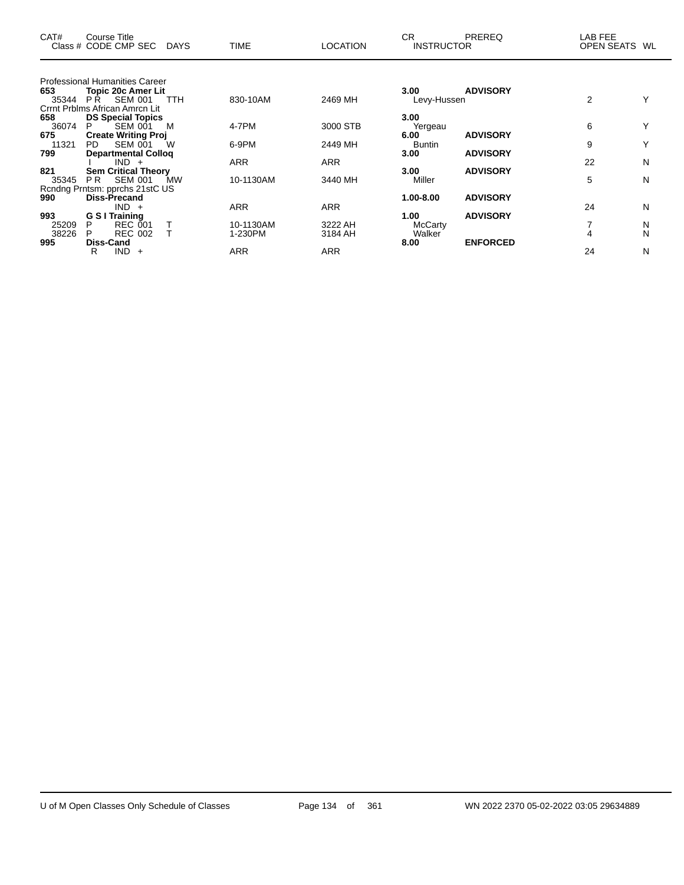| CAT#  | <b>Course Title</b><br>Class # CODE CMP SEC DAYS     |           | <b>TIME</b> | <b>LOCATION</b> | CR.<br><b>INSTRUCTOR</b> | PREREQ          | LAB FEE<br><b>OPEN SEATS</b> | WL |
|-------|------------------------------------------------------|-----------|-------------|-----------------|--------------------------|-----------------|------------------------------|----|
|       |                                                      |           |             |                 |                          |                 |                              |    |
|       | <b>Professional Humanities Career</b>                |           |             |                 |                          |                 |                              |    |
| 653   | <b>Topic 20c Amer Lit</b>                            |           |             |                 | 3.00                     | <b>ADVISORY</b> |                              |    |
| 35344 | <b>SEM 001</b><br>P <sub>R</sub>                     | TTH       | 830-10AM    | 2469 MH         | Levy-Hussen              |                 | 2                            |    |
| 658   | Crrnt Prblms African Amrcn Lit                       |           |             |                 | 3.00                     |                 |                              |    |
| 36074 | <b>DS Special Topics</b><br><b>SEM 001</b><br>P<br>M |           | 4-7PM       | 3000 STB        |                          |                 | 6                            |    |
| 675   | <b>Create Writing Proj</b>                           |           |             |                 | Yergeau<br>6.00          | <b>ADVISORY</b> |                              |    |
| 11321 | <b>PD</b><br>SEM 001<br>W                            |           | 6-9PM       | 2449 MH         | <b>Buntin</b>            |                 | 9                            |    |
| 799   | <b>Departmental Colloq</b>                           |           |             |                 | 3.00                     | <b>ADVISORY</b> |                              |    |
|       | IND.<br>$+$                                          |           | <b>ARR</b>  | <b>ARR</b>      |                          |                 | 22                           | N  |
| 821   | <b>Sem Critical Theory</b>                           |           |             |                 | 3.00                     | <b>ADVISORY</b> |                              |    |
| 35345 | <b>SEM 001</b><br>P <sub>R</sub>                     | <b>MW</b> | 10-1130AM   | 3440 MH         | Miller                   |                 | 5                            | N  |
|       | Rcndng Prntsm: pprchs 21stC US                       |           |             |                 |                          |                 |                              |    |
| 990   | Diss-Precand                                         |           |             |                 | 1.00-8.00                | <b>ADVISORY</b> |                              |    |
|       | $IND +$                                              |           | <b>ARR</b>  | <b>ARR</b>      |                          |                 | 24                           | N  |
| 993   | G S I Training                                       |           |             |                 | 1.00                     | <b>ADVISORY</b> |                              |    |
| 25209 | REC 001<br>P                                         |           | 10-1130AM   | 3222 AH         | <b>McCarty</b>           |                 | 7                            | N  |
| 38226 | <b>REC 002</b><br>P                                  |           | 1-230PM     | 3184 AH         | Walker                   |                 | 4                            | N  |
| 995   | Diss-Cand                                            |           |             |                 | 8.00                     | <b>ENFORCED</b> |                              |    |
|       | IND.<br>R<br>$+$                                     |           | <b>ARR</b>  | <b>ARR</b>      |                          |                 | 24                           | N  |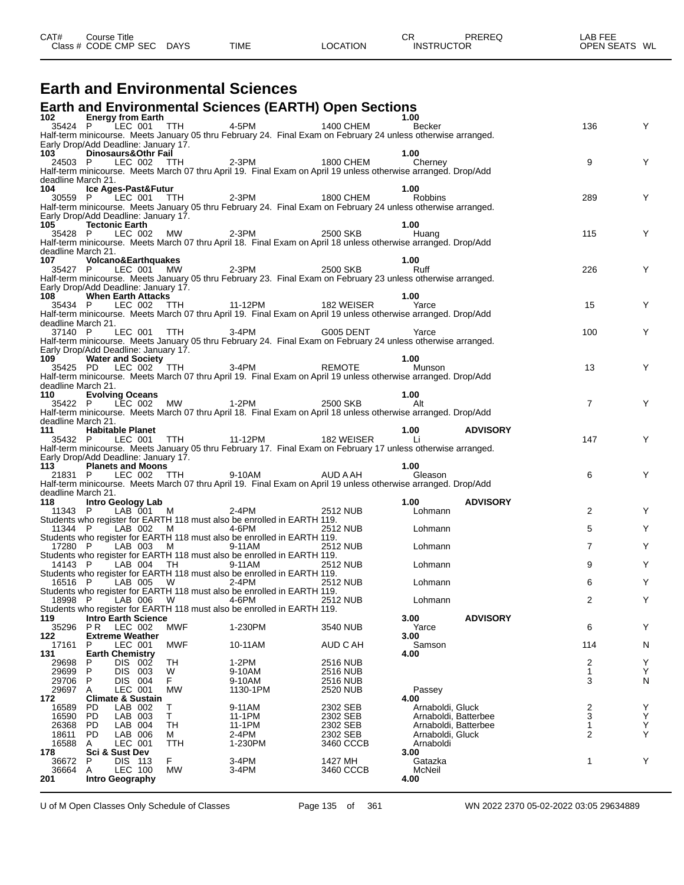| CAT# | ourse Titleٽ         |             |             |                 | ◠◻<br>◡◚          | PREREQ | _AB FEE       |  |
|------|----------------------|-------------|-------------|-----------------|-------------------|--------|---------------|--|
|      | Class # CODE CMP SEC | <b>DAYS</b> | <b>TIME</b> | <b>LOCATION</b> | <b>INSTRUCTOR</b> |        | OPEN SEATS WL |  |
|      |                      |             |             |                 |                   |        |               |  |

### **Earth and Environmental Sciences**

### **Earth and Environmental Sciences (EARTH) Open Sections**

|                             | <b>Energy from Earth</b>                      |                     | 2 Liter <b>gy Hom Lat in</b><br>35424 P LEC 001 TTH 4-5PM 1400 CHEM Becker                                                                                          |                       | 1.00                          |                      |                |        |
|-----------------------------|-----------------------------------------------|---------------------|---------------------------------------------------------------------------------------------------------------------------------------------------------------------|-----------------------|-------------------------------|----------------------|----------------|--------|
|                             |                                               |                     | Half-term minicourse. Meets January 05 thru February 24. Final Exam on February 24 unless otherwise arranged.                                                       |                       |                               |                      | 136            | Y      |
|                             | Early Drop/Add Deadline: January 17.          |                     |                                                                                                                                                                     |                       |                               |                      |                |        |
| 103                         | Dinosaurs&Othr Fail                           |                     |                                                                                                                                                                     |                       | 1.00                          |                      |                |        |
|                             |                                               |                     | 24503 P LEC 002 TH 2-3PM 1800 CHEM Cherney<br>Half-term minicourse. Meets March 07 thru April 19. Final Exam on April 19 unless otherwise arranged. Drop/Add        |                       |                               |                      | 9              |        |
| deadline March 21.          |                                               |                     |                                                                                                                                                                     |                       |                               |                      |                |        |
| 104                         | Ice Ages-Past&Futur                           |                     |                                                                                                                                                                     |                       | 1.00                          |                      |                |        |
|                             |                                               |                     | 30559 P LEC 001 TTH 2-3PM 1800 CHEM Robbins<br>Half-term minicourse. Meets January 05 thru February 24. Final Exam on February 24 unless otherwise arranged.        |                       |                               |                      | 289            | Y      |
|                             | Early Drop/Add Deadline: January 17.          |                     |                                                                                                                                                                     |                       |                               |                      |                |        |
| 105 — 105                   | <b>Tectonic Earth</b>                         |                     | 35428 P LEC 002 MW 2-3PM 2500 SKB Huang                                                                                                                             |                       | 1.00                          |                      |                |        |
|                             |                                               |                     | Half-term minicourse. Meets March 07 thru April 18. Final Exam on April 18 unless otherwise arranged. Drop/Add                                                      |                       |                               |                      | 115            | Y      |
| deadline March 21.          |                                               |                     |                                                                                                                                                                     |                       |                               |                      |                |        |
| 107 —<br>35427 P            | <b>Volcano&amp;Earthquakes</b>                |                     | LEC 001 MW 2-3PM 2500 SKB                                                                                                                                           |                       | 1.00<br>Ruff                  |                      | 226            | Y      |
|                             |                                               |                     | Half-term minicourse. Meets January 05 thru February 23. Final Exam on February 23 unless otherwise arranged.                                                       |                       |                               |                      |                |        |
|                             | Early Drop/Add Deadline: January 17.          |                     |                                                                                                                                                                     |                       |                               |                      |                |        |
| 108                         | <b>When Earth Attacks</b>                     |                     |                                                                                                                                                                     |                       | 1.00                          |                      | 15             | Y      |
|                             |                                               |                     | 35434 P LEC 002 TTH 11-12PM<br>Half-term minicourse. Meets March 07 thru April 19. Final Exam on April 19 unless otherwise arranged. Drop/Add                       |                       |                               |                      |                |        |
| deadline March 21.          |                                               |                     |                                                                                                                                                                     |                       |                               |                      |                |        |
|                             |                                               |                     | 37140 P LEC 001 TTH 3-4PM G005 DENT Yarce<br>Half-term minicourse. Meets January 05 thru February 24. Final Exam on February 24 unless otherwise arranged.          |                       |                               |                      | 100            | Y      |
|                             | Early Drop/Add Deadline: January 17.          |                     |                                                                                                                                                                     |                       |                               |                      |                |        |
| 109                         | <b>Water and Society</b>                      |                     | 35425 PD LEC 002 TTH 3-4PM REMOTE                                                                                                                                   |                       | 1.00                          |                      |                |        |
|                             |                                               |                     | Half-term minicourse. Meets March 07 thru April 19. Final Exam on April 19 unless otherwise arranged. Drop/Add                                                      |                       | Munson                        |                      | 13             | Y      |
| deadline March 21.          |                                               |                     |                                                                                                                                                                     |                       |                               |                      |                |        |
| 110                         | <b>Evolving Oceans</b>                        |                     |                                                                                                                                                                     |                       | 1.00                          |                      | $\overline{7}$ | Y      |
|                             |                                               |                     | 35422 P LEC 002 MW 1-2PM 2500 SKB<br>Half-term minicourse. Meets March 07 thru April 18. Final Exam on April 18 unless otherwise arranged. Drop/Add                 |                       |                               |                      |                |        |
| deadline March 21.          |                                               |                     |                                                                                                                                                                     |                       |                               |                      |                |        |
| 111                         | <b>Habitable Planet</b>                       |                     |                                                                                                                                                                     |                       | 1.00                          | <b>ADVISORY</b>      | 147            | Y      |
|                             |                                               |                     | 35432 P LEC 001 TTH 11-12PM 182 WEISER Line MDVISCHER Half-term minicourse. Meets January 05 thru February 17. Final Exam on February 17 unless otherwise arranged. |                       |                               |                      |                |        |
|                             | Early Drop/Add Deadline: January 17.          |                     |                                                                                                                                                                     |                       |                               |                      |                |        |
| 113                         | <b>Planets and Moons</b>                      |                     | 21831 P LEC 002 TTH 9-10AM AUD A AH Gleason                                                                                                                         |                       | 1.00                          |                      | 6              | Y      |
|                             |                                               |                     | Half-term minicourse. Meets March 07 thru April 19. Final Exam on April 19 unless otherwise arranged. Drop/Add                                                      |                       |                               |                      |                |        |
| deadline March 21.<br>118 — | Intro Geology Lab                             |                     |                                                                                                                                                                     |                       | 1.00                          | <b>ADVISORY</b>      |                |        |
| 11343 P                     | $LAB$ 001 M                                   | $2-4PM$             |                                                                                                                                                                     | 2512 NUB              | Lohmann                       |                      | 2              | Y      |
|                             |                                               |                     |                                                                                                                                                                     |                       |                               |                      |                |        |
|                             |                                               |                     | Students who register for EARTH 118 must also be enrolled in EARTH 119.                                                                                             |                       |                               |                      |                |        |
|                             | 11344 P                                       | LAB 002 M 4-6PM     |                                                                                                                                                                     | 2512 NUB              | Lohmann                       |                      | 5              | Y      |
| 17280 P                     |                                               | LAB 003 M 9-11AM    | Students who register for EARTH 118 must also be enrolled in EARTH 119.                                                                                             | <b>2512 NUB</b>       | Lohmann                       |                      | $\overline{7}$ | Y      |
|                             |                                               |                     | Students who register for EARTH 118 must also be enrolled in EARTH 119.                                                                                             |                       |                               |                      |                |        |
| 14143 P                     |                                               | LAB 004 TH 9-11AM   |                                                                                                                                                                     | 2512 NUB              | Lohmann                       |                      | 9              | Y      |
|                             | 16516 P LAB 005 W 2-4PM                       |                     | Students who register for EARTH 118 must also be enrolled in EARTH 119.                                                                                             | 2512 NUB              | Lohmann                       |                      | 6              | Y      |
|                             |                                               |                     | Students who register for EARTH 118 must also be enrolled in EARTH 119.                                                                                             |                       |                               |                      |                |        |
| 18998 P                     | LAB 006                                       | $4-6PM$<br><b>W</b> |                                                                                                                                                                     | 2512 NUB              | Lohmann                       |                      | 2              | Y      |
| 119                         | <b>Intro Earth Science</b>                    |                     | Students who register for EARTH 118 must also be enrolled in EARTH 119.                                                                                             |                       | 3.00                          | <b>ADVISORY</b>      |                |        |
| 35296                       | P R<br>LEC 002                                | MWF                 | 1-230PM                                                                                                                                                             | 3540 NUB              | Yarce                         |                      | 6              | Y      |
| 122<br>17161                | <b>Extreme Weather</b><br>LEC 001<br>P        | <b>MWF</b>          | 10-11AM                                                                                                                                                             | AUD C AH              | 3.00<br>Samson                |                      | 114            | N      |
| 131                         | <b>Earth Chemistry</b>                        |                     |                                                                                                                                                                     |                       | 4.00                          |                      |                |        |
| 29698                       | <b>DIS</b><br>002<br>P                        | TН                  | $1-2PM$                                                                                                                                                             | 2516 NUB              |                               |                      | 2              | Υ      |
| 29699<br>29706              | P<br>DIS 003<br>DIS 004<br>P                  | W<br>F              | 9-10AM<br>9-10AM                                                                                                                                                    | 2516 NUB<br>2516 NUB  |                               |                      | 1<br>3         | Υ<br>N |
| 29697                       | LEC 001<br>Α                                  | <b>MW</b>           | 1130-1PM                                                                                                                                                            | 2520 NUB              | Passey                        |                      |                |        |
| 172                         | <b>Climate &amp; Sustain</b><br>LAB 002<br>PD | Т                   | 9-11AM                                                                                                                                                              | 2302 SEB              | 4.00<br>Arnaboldi, Gluck      |                      | 2              | Υ      |
| 16589<br>16590              | <b>PD</b><br>LAB 003                          | Τ                   | 11-1PM                                                                                                                                                              | 2302 SEB              |                               | Arnaboldi, Batterbee | 3              | Ý      |
| 26368                       | PD<br>LAB 004                                 | TН                  | 11-1PM                                                                                                                                                              | 2302 SEB              |                               | Arnaboldi, Batterbee | 1              | Υ      |
| 18611<br>16588              | LAB 006<br>PD<br>LEC 001<br>A                 | М<br>TTH            | 2-4PM<br>1-230PM                                                                                                                                                    | 2302 SEB<br>3460 CCCB | Arnaboldi, Gluck<br>Arnaboldi |                      | 2              | Y      |
| 178                         | <b>Sci &amp; Sust Dev</b>                     |                     |                                                                                                                                                                     |                       | 3.00                          |                      |                |        |
| 36672<br>36664              | DIS 113<br>P<br>Α                             | F<br><b>MW</b>      | 3-4PM                                                                                                                                                               | 1427 MH               | Gatazka<br>McNeil             |                      | 1              | Y      |
| 201                         | LEC 100<br>Intro Geography                    |                     | 3-4PM                                                                                                                                                               | 3460 CCCB             | 4.00                          |                      |                |        |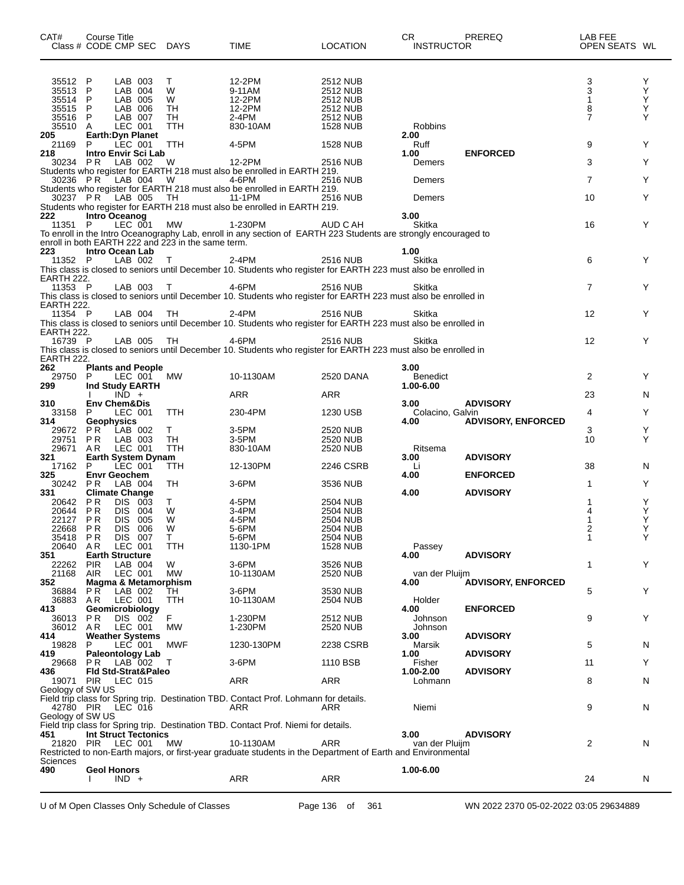| CAT#<br>Class # CODE CMP SEC DAYS | Course Title              |                    |            |                                                    | <b>TIME</b>                                                                                                     | <b>LOCATION</b>             | CR.<br><b>INSTRUCTOR</b> | PREREQ                    | LAB FEE<br>OPEN SEATS WL |        |
|-----------------------------------|---------------------------|--------------------|------------|----------------------------------------------------|-----------------------------------------------------------------------------------------------------------------|-----------------------------|--------------------------|---------------------------|--------------------------|--------|
|                                   |                           |                    |            |                                                    |                                                                                                                 |                             |                          |                           |                          |        |
| 35512 P                           |                           | LAB 003            |            | T.                                                 | 12-2PM                                                                                                          | 2512 NUB                    |                          |                           | 3                        | Y      |
| 35513 P                           |                           | LAB 004<br>LAB 005 |            | W                                                  | 9-11AM                                                                                                          | <b>2512 NUB</b>             |                          |                           | 3                        | Υ<br>Y |
| 35514 P<br>35515 P                |                           | LAB 006            |            | W<br>TH                                            | 12-2PM<br>12-2PM                                                                                                | 2512 NUB<br>2512 NUB        |                          |                           | 8                        | Y      |
| 35516 P                           |                           | LAB 007            |            | TH                                                 | 2-4PM                                                                                                           | <b>2512 NUB</b>             |                          |                           | 7                        | Y      |
| 35510 A                           |                           | LEC 001            |            | TTH                                                | 830-10AM                                                                                                        | 1528 NUB                    | Robbins                  |                           |                          |        |
| 205                               | Earth: Dyn Planet         |                    |            |                                                    |                                                                                                                 |                             | 2.00                     |                           |                          |        |
| 21169                             | - P                       | LEC 001            |            | <b>TTH</b>                                         | 4-5PM                                                                                                           | 1528 NUB                    | Ruff                     |                           | 9                        | Y      |
| 218<br>30234 PR                   | Intro Envir Sci Lab       | LAB 002            |            | <b>W</b>                                           | 12-2PM                                                                                                          | 2516 NUB                    | 1.00<br>Demers           | <b>ENFORCED</b>           | 3                        | Y      |
|                                   |                           |                    |            |                                                    | Students who register for EARTH 218 must also be enrolled in EARTH 219.                                         |                             |                          |                           |                          |        |
| 30236 PR LAB 004                  |                           |                    |            | <b>W</b>                                           | 4-6PM                                                                                                           | 2516 NUB                    | Demers                   |                           | $\overline{7}$           | Y      |
|                                   |                           |                    |            |                                                    | Students who register for EARTH 218 must also be enrolled in EARTH 219.                                         |                             |                          |                           |                          |        |
|                                   |                           |                    |            |                                                    | 30237 P.R. LAB 005 TH 11-1PM 2516<br>Students who register for EARTH 218 must also be enrolled in EARTH 219.    | 2516 NUB                    | Demers                   |                           | 10                       | Y      |
|                                   |                           |                    |            |                                                    |                                                                                                                 |                             | 3.00                     |                           |                          |        |
| 222<br>11351 P                    | Intro Oceanog             | LEC 001            |            | MW                                                 | 1-230PM                                                                                                         | AUD C AH                    | Skitka                   |                           | 16                       | Y      |
|                                   |                           |                    |            |                                                    | To enroll in the Intro Oceanography Lab, enroll in any section of EARTH 223 Students are strongly encouraged to |                             |                          |                           |                          |        |
|                                   |                           |                    |            | enroll in both EARTH 222 and 223 in the same term. |                                                                                                                 |                             |                          |                           |                          |        |
| 223                               | Intro Ocean Lab           |                    |            |                                                    |                                                                                                                 |                             | 1.00                     |                           |                          |        |
| 11352 P                           |                           | LAB 002            |            | $\top$                                             | 2-4PM                                                                                                           | <b>2516 NUB</b>             | Skitka                   |                           | 6                        | Y      |
| EARTH 222.                        |                           |                    |            |                                                    | This class is closed to seniors until December 10. Students who register for EARTH 223 must also be enrolled in |                             |                          |                           |                          |        |
| 11353 P                           |                           | LAB 003            |            | $\top$                                             | 4-6PM                                                                                                           | 2516 NUB                    | Skitka                   |                           | $\overline{7}$           | Y      |
|                                   |                           |                    |            |                                                    | This class is closed to seniors until December 10. Students who register for EARTH 223 must also be enrolled in |                             |                          |                           |                          |        |
| EARTH 222.                        |                           |                    |            |                                                    |                                                                                                                 |                             |                          |                           |                          |        |
| 11354 P                           |                           | LAB 004            |            | TH.                                                | 2-4PM                                                                                                           | 2516 NUB                    | Skitka                   |                           | 12                       | Y      |
| EARTH 222.                        |                           |                    |            |                                                    | This class is closed to seniors until December 10. Students who register for EARTH 223 must also be enrolled in |                             |                          |                           |                          |        |
| 16739 P                           |                           |                    | LAB 005 TH |                                                    | 4-6PM                                                                                                           | 2516 NUB                    | Skitka                   |                           | 12                       | Y      |
|                                   |                           |                    |            |                                                    | This class is closed to seniors until December 10. Students who register for EARTH 223 must also be enrolled in |                             |                          |                           |                          |        |
| EARTH 222.                        |                           |                    |            |                                                    |                                                                                                                 |                             |                          |                           |                          |        |
| 262                               | <b>Plants and People</b>  |                    |            |                                                    |                                                                                                                 |                             | 3.00                     |                           |                          |        |
| 29750 P                           |                           | LEC 001            |            | МW                                                 | 10-1130AM                                                                                                       | 2520 DANA                   | <b>Benedict</b>          |                           | 2                        | Y      |
| 299                               | Ind Study EARTH           | $IND +$            |            |                                                    | ARR                                                                                                             | ARR                         | 1.00-6.00                |                           | 23                       | N      |
| 310                               | <b>Env Chem&amp;Dis</b>   |                    |            |                                                    |                                                                                                                 |                             | 3.00                     | <b>ADVISORY</b>           |                          |        |
| 33158 P                           |                           | LEC 001            |            | <b>TTH</b>                                         | 230-4PM                                                                                                         | 1230 USB                    | Colacino, Galvin         |                           | 4                        | Y      |
| 314                               | <b>Geophysics</b>         |                    |            |                                                    |                                                                                                                 |                             | 4.00                     | <b>ADVISORY, ENFORCED</b> |                          |        |
| 29672 PR                          |                           | LAB 002            |            | T.                                                 | 3-5PM                                                                                                           | 2520 NUB                    |                          |                           | 3                        | Y      |
| 29751 PR<br>29671 AR              |                           | LAB 003<br>LEC 001 |            | TH<br><b>TTH</b>                                   | 3-5PM<br>830-10AM                                                                                               | <b>2520 NUB</b><br>2520 NUB | Ritsema                  |                           | 10                       | Y      |
| 321                               | <b>Earth System Dynam</b> |                    |            |                                                    |                                                                                                                 |                             | 3.00                     | <b>ADVISORY</b>           |                          |        |
| 17162 P                           |                           | $LEC$ 001          |            | TTH                                                | 12-130PM                                                                                                        | 2246 CSRB                   | Li                       |                           | 38                       | N.     |
| 325                               | <b>Envr Geochem</b>       |                    |            |                                                    |                                                                                                                 |                             | 4.00                     | <b>ENFORCED</b>           |                          |        |
| 30242 PR                          |                           | LAB 004            |            | TH                                                 | $3-6$ PM                                                                                                        | 3536 NUB                    |                          |                           | 1                        | Y      |
| 331<br>20642 PR                   | <b>Climate Change</b>     |                    |            |                                                    | 4-5PM                                                                                                           |                             | 4.00                     | <b>ADVISORY</b>           |                          |        |
| 20644 PR                          |                           | DIS 003<br>DIS 004 |            | T.<br>W                                            | 3-4PM                                                                                                           | 2504 NUB<br><b>2504 NUB</b> |                          |                           |                          | Y<br>Y |
| 22127 PR                          |                           | DIS 005            |            | W                                                  | 4-5PM                                                                                                           | 2504 NUB                    |                          |                           | 1                        | Y      |
| 22668 PR                          |                           | DIS 006            |            | <b>W</b>                                           | 5-6PM                                                                                                           | <b>2504 NUB</b>             |                          |                           | 2                        | Y      |
| 35418 PR                          |                           | DIS 007            |            | T.                                                 | 5-6PM                                                                                                           | 2504 NUB                    |                          |                           | 1                        | Y      |
| 20640 AR                          |                           | LEC 001            |            | <b>TTH</b>                                         | 1130-1PM                                                                                                        | 1528 NUB                    | Passey                   |                           |                          |        |
| 351                               | <b>Earth Structure</b>    | LAB 004            |            | W                                                  | $3-6$ PM                                                                                                        | 3526 NUB                    | 4.00                     | <b>ADVISORY</b>           | 1                        | Y      |
| 22262 PIR<br>21168 AIR            |                           | LEC 001            |            | MW                                                 | 10-1130AM                                                                                                       | 2520 NUB                    | van der Pluijm           |                           |                          |        |
| 352                               | Magma & Metamorphism      |                    |            |                                                    |                                                                                                                 |                             | 4.00                     | <b>ADVISORY, ENFORCED</b> |                          |        |
| 36884 PR                          |                           | LAB 002            |            | TН                                                 | $3-6$ PM                                                                                                        | 3530 NUB                    |                          |                           | 5                        | Y.     |
| 36883 AR                          |                           | LEC 001            |            | <b>TTH</b>                                         | 10-1130AM                                                                                                       | 2504 NUB                    | Holder                   |                           |                          |        |
| 413                               | Geomicrobiology           |                    |            | F.                                                 |                                                                                                                 |                             | 4.00                     | <b>ENFORCED</b>           |                          |        |
| 36013 PR<br>36012 AR              |                           | DIS 002<br>LEC 001 |            | MW                                                 | 1-230PM<br>1-230PM                                                                                              | 2512 NUB<br>2520 NUB        | Johnson<br>Johnson       |                           | 9                        | Y.     |
| 414.                              | <b>Weather Systems</b>    |                    |            |                                                    |                                                                                                                 |                             | 3.00                     | <b>ADVISORY</b>           |                          |        |
| 19828                             | P.                        | LEC 001            |            | <b>MWF</b>                                         | 1230-130PM                                                                                                      | 2238 CSRB                   | Marsik                   |                           | 5                        | N      |
| 419                               | <b>Paleontology Lab</b>   |                    |            |                                                    |                                                                                                                 |                             | 1.00                     | <b>ADVISORY</b>           |                          |        |
| 29668 PR LAB 002                  |                           |                    |            | $\top$                                             | $3-6$ PM                                                                                                        | 1110 BSB                    | Fisher                   |                           | 11                       | Y      |
| 436<br>19071 PIR                  | Fld Std-Strat&Paleo       | LEC 015            |            |                                                    | ARR                                                                                                             | ARR                         | 1.00-2.00                | <b>ADVISORY</b>           | 8                        |        |
| Geology of SW US                  |                           |                    |            |                                                    |                                                                                                                 |                             | Lohmann                  |                           |                          | N.     |
|                                   |                           |                    |            |                                                    | Field trip class for Spring trip. Destination TBD. Contact Prof. Lohmann for details.                           |                             |                          |                           |                          |        |
| 42780 PIR LEC 016                 |                           |                    |            |                                                    | ARR                                                                                                             | ARR                         | Niemi                    |                           | 9                        | N      |
| Geology of SW US                  |                           |                    |            |                                                    |                                                                                                                 |                             |                          |                           |                          |        |
|                                   |                           |                    |            |                                                    | Field trip class for Spring trip. Destination TBD. Contact Prof. Niemi for details.                             |                             |                          |                           |                          |        |
| 451<br>21820 PIR LEC 001 MW       | Int Struct Tectonics      |                    |            |                                                    | 10-1130AM                                                                                                       | ARR                         | 3.00<br>van der Pluijm   | <b>ADVISORY</b>           | 2                        | N      |
|                                   |                           |                    |            |                                                    | Restricted to non-Earth majors, or first-year graduate students in the Department of Earth and Environmental    |                             |                          |                           |                          |        |
| Sciences                          |                           |                    |            |                                                    |                                                                                                                 |                             |                          |                           |                          |        |
| 490                               | <b>Geol Honors</b>        |                    |            |                                                    |                                                                                                                 |                             | 1.00-6.00                |                           |                          |        |
|                                   |                           | $IND +$            |            |                                                    | ARR                                                                                                             | ARR                         |                          |                           | 24                       | N.     |
|                                   |                           |                    |            |                                                    |                                                                                                                 |                             |                          |                           |                          |        |

U of M Open Classes Only Schedule of Classes Page 136 of 361 WN 2022 2370 05-02-2022 03:05 29634889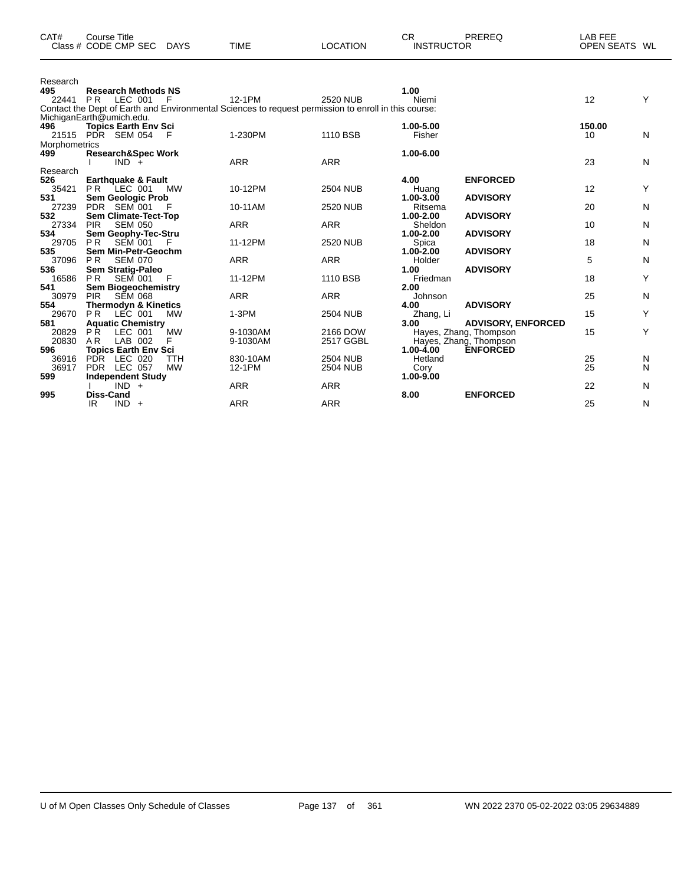| CAT#                     | <b>Course Title</b><br>Class # CODE CMP SEC                 | <b>DAYS</b> | <b>TIME</b> | <b>LOCATION</b>                                                                                                  | <b>CR</b><br><b>INSTRUCTOR</b> | PREREQ                                              | LAB FEE<br>OPEN SEATS WL |              |
|--------------------------|-------------------------------------------------------------|-------------|-------------|------------------------------------------------------------------------------------------------------------------|--------------------------------|-----------------------------------------------------|--------------------------|--------------|
| Research<br>495<br>22441 | <b>Research Methods NS</b><br><b>PR</b><br>LEC 001          | - F         | 12-1PM      | 2520 NUB<br>Contact the Dept of Earth and Environmental Sciences to request permission to enroll in this course: | 1.00<br>Niemi                  |                                                     | 12                       | Y            |
|                          | MichiganEarth@umich.edu.                                    |             |             |                                                                                                                  |                                |                                                     |                          |              |
| 496<br>Morphometrics     | <b>Topics Earth Env Sci</b><br>21515 PDR SEM 054            | -F          | 1-230PM     | 1110 BSB                                                                                                         | 1.00-5.00<br>Fisher            |                                                     | 150.00<br>10             | N            |
| 499                      | <b>Research&amp;Spec Work</b><br>$IND +$                    |             | <b>ARR</b>  | <b>ARR</b>                                                                                                       | 1.00-6.00                      |                                                     | 23                       | N            |
| Research<br>526          | <b>Earthquake &amp; Fault</b>                               |             |             |                                                                                                                  | 4.00                           | <b>ENFORCED</b>                                     |                          |              |
| 35421                    | <b>PR LEC 001</b>                                           | <b>MW</b>   | 10-12PM     | <b>2504 NUB</b>                                                                                                  | Huang                          |                                                     | 12                       | Y            |
| 531<br>27239             | <b>Sem Geologic Prob</b><br>PDR SEM 001                     | - F         | 10-11AM     | <b>2520 NUB</b>                                                                                                  | $1.00 - 3.00$<br>Ritsema       | <b>ADVISORY</b>                                     | 20                       | N            |
| 532<br>27334             | <b>Sem Climate-Tect-Top</b><br><b>SEM 050</b><br><b>PIR</b> |             | <b>ARR</b>  | <b>ARR</b>                                                                                                       | 1.00-2.00<br>Sheldon           | <b>ADVISORY</b>                                     | 10                       | N            |
| 534                      | Sem Geophy-Tec-Stru                                         |             |             |                                                                                                                  | 1.00-2.00                      | <b>ADVISORY</b>                                     |                          |              |
| 29705<br>535             | <b>PR</b><br><b>SEM 001</b><br>Sem Min-Petr-Geochm          | - F         | 11-12PM     | <b>2520 NUB</b>                                                                                                  | Spica<br>$1.00 - 2.00$         | <b>ADVISORY</b>                                     | 18                       | $\mathsf{N}$ |
| 37096<br>536             | <b>PR</b><br><b>SEM 070</b><br>Sem Stratig-Paleo            |             | <b>ARR</b>  | <b>ARR</b>                                                                                                       | Holder<br>1.00                 | <b>ADVISORY</b>                                     | 5                        | N            |
| 16586<br>541             | <b>PR</b><br>SEM 001                                        | - F         | 11-12PM     | 1110 BSB                                                                                                         | Friedman<br>2.00               |                                                     | 18                       | Y            |
| 30979                    | <b>Sem Biogeochemistry</b><br><b>PIR</b><br><b>SEM 068</b>  |             | <b>ARR</b>  | <b>ARR</b>                                                                                                       | Johnson                        |                                                     | 25                       | N            |
| 554<br>29670             | <b>Thermodyn &amp; Kinetics</b><br><b>PR</b><br>LEC 001     | <b>MW</b>   | $1-3PM$     | <b>2504 NUB</b>                                                                                                  | 4.00<br>Zhang, Li              | <b>ADVISORY</b>                                     | 15                       | Y            |
| 581<br>20829             | <b>Aquatic Chemistry</b><br>PŘ<br>LEC 001                   | <b>MW</b>   | 9-1030AM    | 2166 DOW                                                                                                         | 3.00                           | <b>ADVISORY, ENFORCED</b><br>Hayes, Zhang, Thompson | 15                       | Y            |
| 20830                    | A <sub>R</sub><br>LAB 002                                   | F           | 9-1030AM    | 2517 GGBL                                                                                                        |                                | Hayes, Zhang, Thompson                              |                          |              |
| 596<br>36916             | <b>Topics Earth Env Sci</b><br>PDR LEC 020                  | <b>TTH</b>  | 830-10AM    | <b>2504 NUB</b>                                                                                                  | 1.00-4.00<br>Hetland           | <b>ENFORCED</b>                                     | 25                       | N            |
| 36917<br>599             | PDR LEC 057<br><b>Independent Study</b>                     | <b>MW</b>   | 12-1PM      | <b>2504 NUB</b>                                                                                                  | Cory<br>1.00-9.00              |                                                     | 25                       | N            |
|                          | $IND +$                                                     |             | <b>ARR</b>  | <b>ARR</b>                                                                                                       |                                |                                                     | 22                       | N            |
| 995                      | <b>Diss-Cand</b><br>$IND +$<br>IR.                          |             | <b>ARR</b>  | <b>ARR</b>                                                                                                       | 8.00                           | <b>ENFORCED</b>                                     | 25                       | N            |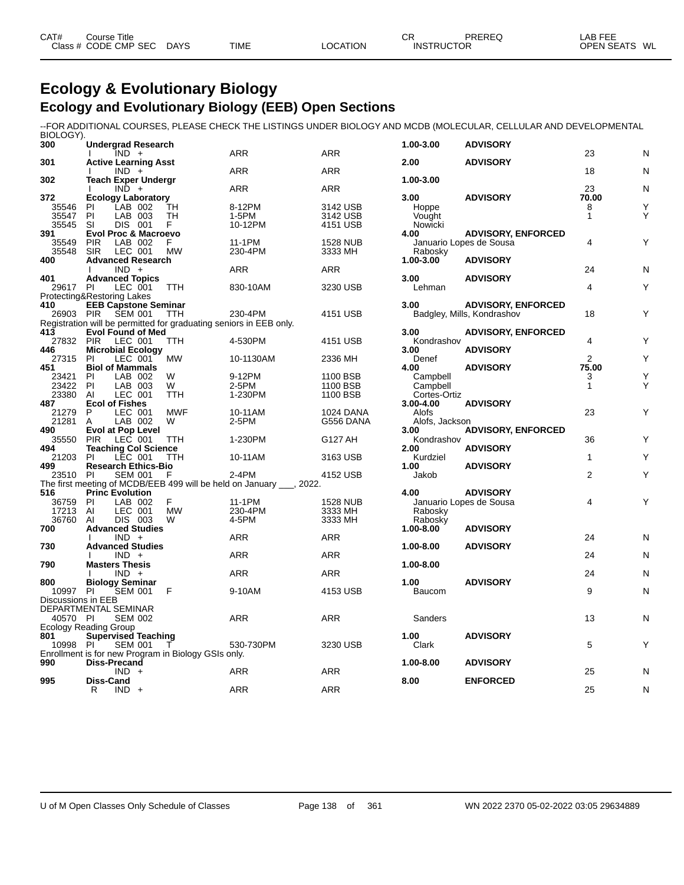| CAT# | Course Title<br>Class # CODE CMP SEC | <b>DAYS</b> | <b>TIME</b> | <b>LOCATION</b> | ⌒冖<br>◡◠<br><b>INSTRUCTOR</b> | <b>PREREC</b> | LAB FEE<br><b>OPEN SEATS</b><br>WL |
|------|--------------------------------------|-------------|-------------|-----------------|-------------------------------|---------------|------------------------------------|
|      |                                      |             |             |                 |                               |               |                                    |

# **Ecology & Evolutionary Biology Ecology and Evolutionary Biology (EEB) Open Sections**

--FOR ADDITIONAL COURSES, PLEASE CHECK THE LISTINGS UNDER BIOLOGY AND MCDB (MOLECULAR, CELLULAR AND DEVELOPMENTAL BIOLOGY).

| 300                | <b>Undergrad Research</b>                    |                    |                                                     |                                                                               |                      | 1.00-3.00                 | <b>ADVISORY</b>                                         |                |   |
|--------------------|----------------------------------------------|--------------------|-----------------------------------------------------|-------------------------------------------------------------------------------|----------------------|---------------------------|---------------------------------------------------------|----------------|---|
| 301                | <b>Active Learning Asst</b>                  | $IND +$            |                                                     | <b>ARR</b>                                                                    | ARR                  | 2.00                      | <b>ADVISORY</b>                                         | 23             | N |
|                    |                                              | $IND +$            |                                                     | <b>ARR</b>                                                                    | <b>ARR</b>           |                           |                                                         | 18             | N |
| 302                | <b>Teach Exper Undergr</b>                   |                    |                                                     |                                                                               |                      | 1.00-3.00                 |                                                         |                |   |
|                    |                                              | $IND +$            |                                                     | ARR                                                                           | <b>ARR</b>           |                           |                                                         | 23             | N |
| 372                | <b>Ecology Laboratory</b>                    |                    |                                                     |                                                                               |                      | 3.00                      | <b>ADVISORY</b>                                         | 70.00          |   |
| 35546              | <b>PI</b>                                    | LAB 002            | TН                                                  | 8-12PM                                                                        | 3142 USB             | Hoppe                     |                                                         | 8              | Y |
| 35547              | PI                                           | LAB 003            | <b>TH</b>                                           | 1-5PM                                                                         | 3142 USB             | Vought                    |                                                         | $\mathbf{1}$   | Y |
| 35545<br>391       | <b>SI</b><br><b>Evol Proc &amp; Macroevo</b> | DIS 001            | F.                                                  | 10-12PM                                                                       | 4151 USB             | Nowicki<br>4.00           | <b>ADVISORY, ENFORCED</b>                               |                |   |
| 35549              | <b>PIR</b>                                   | LAB 002            | F.                                                  | 11-1PM                                                                        | <b>1528 NUB</b>      |                           | Januario Lopes de Sousa                                 | 4              | Y |
| 35548              | <b>SIR</b>                                   | LEC 001            | <b>MW</b>                                           | 230-4PM                                                                       | 3333 MH              | Rabosky                   |                                                         |                |   |
| 400                | <b>Advanced Research</b>                     |                    |                                                     |                                                                               |                      | 1.00-3.00                 | <b>ADVISORY</b>                                         |                |   |
|                    |                                              | $IND +$            |                                                     | <b>ARR</b>                                                                    | <b>ARR</b>           |                           |                                                         | 24             | N |
| 401                | <b>Advanced Topics</b>                       |                    |                                                     |                                                                               |                      | 3.00                      | <b>ADVISORY</b>                                         |                |   |
| 29617 PI           |                                              | LEC 001            | TTH                                                 | 830-10AM                                                                      | 3230 USB             | Lehman                    |                                                         | 4              | Υ |
|                    | Protecting&Restoring Lakes                   |                    |                                                     |                                                                               |                      |                           |                                                         |                |   |
| 410<br>26903 PIR   | <b>EEB Capstone Seminar</b>                  | <b>SEM 001</b>     | <b>TTH</b>                                          | 230-4PM                                                                       | 4151 USB             | 3.00                      | <b>ADVISORY, ENFORCED</b><br>Badgley, Mills, Kondrashov | 18             | Υ |
|                    |                                              |                    |                                                     | Registration will be permitted for graduating seniors in EEB only.            |                      |                           |                                                         |                |   |
| 413                | <b>Evol Found of Med</b>                     |                    |                                                     |                                                                               |                      | 3.00                      | <b>ADVISORY, ENFORCED</b>                               |                |   |
| 27832 PIR          |                                              | LEC 001            | TTH                                                 | 4-530PM                                                                       | 4151 USB             | Kondrashov                |                                                         | 4              | Υ |
| 446                | <b>Microbial Ecology</b>                     |                    |                                                     |                                                                               |                      | 3.00                      | <b>ADVISORY</b>                                         |                |   |
| 27315              | PI                                           | LEC 001            | <b>MW</b>                                           | 10-1130AM                                                                     | 2336 MH              | Denef                     |                                                         | $\overline{2}$ | Y |
| 451                | <b>Biol of Mammals</b>                       |                    |                                                     |                                                                               |                      | 4.00                      | <b>ADVISORY</b>                                         | 75.00          |   |
| 23421              | PI                                           | LAB 002            | W                                                   | 9-12PM                                                                        | 1100 BSB             | Campbell                  |                                                         | 3              | Y |
| 23422              | PI                                           | LAB 003<br>LEC 001 | W                                                   | 2-5PM<br>1-230PM                                                              | 1100 BSB<br>1100 BSB | Campbell                  |                                                         | 1              | Y |
| 23380<br>487       | AI<br><b>Ecol of Fishes</b>                  |                    | TTH                                                 |                                                                               |                      | Cortes-Ortiz<br>3.00-4.00 | <b>ADVISORY</b>                                         |                |   |
| 21279              | P                                            | LEC 001            | <b>MWF</b>                                          | 10-11AM                                                                       | <b>1024 DANA</b>     | Alofs                     |                                                         | 23             | Y |
| 21281              | A                                            | LAB 002            | W                                                   | 2-5PM                                                                         | G556 DANA            | Alofs, Jackson            |                                                         |                |   |
| 490                | <b>Evol at Pop Level</b>                     |                    |                                                     |                                                                               |                      | 3.00                      | <b>ADVISORY, ENFORCED</b>                               |                |   |
| 35550              | <b>PIR</b>                                   | LEC 001            | TTH                                                 | 1-230PM                                                                       | G127 AH              | Kondrashov                |                                                         | 36             | Y |
| 494                | <b>Teaching Col Science</b>                  |                    |                                                     |                                                                               |                      | 2.00                      | <b>ADVISORY</b>                                         |                |   |
| 21203              | PI                                           | LEC 001            | TTH                                                 | 10-11AM                                                                       | 3163 USB             | Kurdziel                  |                                                         | $\mathbf{1}$   | Y |
| 499                | <b>Research Ethics-Bio</b>                   |                    |                                                     |                                                                               |                      | 1.00                      | <b>ADVISORY</b>                                         |                |   |
| 23510              | PI                                           | <b>SEM 001</b>     | F                                                   | 2-4PM<br>The first meeting of MCDB/EEB 499 will be held on January ___, 2022. | 4152 USB             | Jakob                     |                                                         | 2              | Y |
| 516                | <b>Princ Evolution</b>                       |                    |                                                     |                                                                               |                      | 4.00                      | <b>ADVISORY</b>                                         |                |   |
| 36759              | -PI                                          | LAB 002            | F                                                   | 11-1PM                                                                        | <b>1528 NUB</b>      |                           | Januario Lopes de Sousa                                 | 4              | Y |
| 17213              | Al                                           | LEC 001            | <b>MW</b>                                           | 230-4PM                                                                       | 3333 MH              | Rabosky                   |                                                         |                |   |
| 36760              | AI                                           | DIS 003            | W                                                   | 4-5PM                                                                         | 3333 MH              | Rabosky                   |                                                         |                |   |
| 700                | <b>Advanced Studies</b>                      |                    |                                                     |                                                                               |                      | 1.00-8.00                 | <b>ADVISORY</b>                                         |                |   |
|                    |                                              | $IND +$            |                                                     | <b>ARR</b>                                                                    | <b>ARR</b>           |                           |                                                         | 24             | N |
| 730                | <b>Advanced Studies</b>                      |                    |                                                     |                                                                               |                      | 1.00-8.00                 | <b>ADVISORY</b>                                         |                |   |
| 790                | <b>Masters Thesis</b>                        | $IND +$            |                                                     | <b>ARR</b>                                                                    | <b>ARR</b>           | 1.00-8.00                 |                                                         | 24             | N |
|                    |                                              | $IND +$            |                                                     | <b>ARR</b>                                                                    | <b>ARR</b>           |                           |                                                         | 24             | N |
| 800                | <b>Biology Seminar</b>                       |                    |                                                     |                                                                               |                      | 1.00                      | <b>ADVISORY</b>                                         |                |   |
| 10997              | <b>PI</b>                                    | <b>SEM 001</b>     | F                                                   | 9-10AM                                                                        | 4153 USB             | Baucom                    |                                                         | 9              | N |
| Discussions in EEB |                                              |                    |                                                     |                                                                               |                      |                           |                                                         |                |   |
|                    | DEPARTMENTAL SEMINAR                         |                    |                                                     |                                                                               |                      |                           |                                                         |                |   |
| 40570 PI           |                                              | <b>SEM 002</b>     |                                                     | <b>ARR</b>                                                                    | <b>ARR</b>           | Sanders                   |                                                         | 13             | N |
|                    | Ecology Reading Group                        |                    |                                                     |                                                                               |                      |                           |                                                         |                |   |
| 801<br>10998 PI    | <b>Supervised Teaching</b>                   | <b>SEM 001</b>     | T                                                   | 530-730PM                                                                     | 3230 USB             | 1.00<br>Clark             | <b>ADVISORY</b>                                         | 5              | Y |
|                    |                                              |                    | Enrollment is for new Program in Biology GSIs only. |                                                                               |                      |                           |                                                         |                |   |
| 990                | Diss-Precand                                 |                    |                                                     |                                                                               |                      | 1.00-8.00                 | <b>ADVISORY</b>                                         |                |   |
|                    |                                              | $IND +$            |                                                     | ARR                                                                           | <b>ARR</b>           |                           |                                                         | 25             | N |
| 995                | <b>Diss-Cand</b>                             |                    |                                                     |                                                                               |                      | 8.00                      | <b>ENFORCED</b>                                         |                |   |
|                    | R                                            | $IND +$            |                                                     | <b>ARR</b>                                                                    | <b>ARR</b>           |                           |                                                         | 25             | N |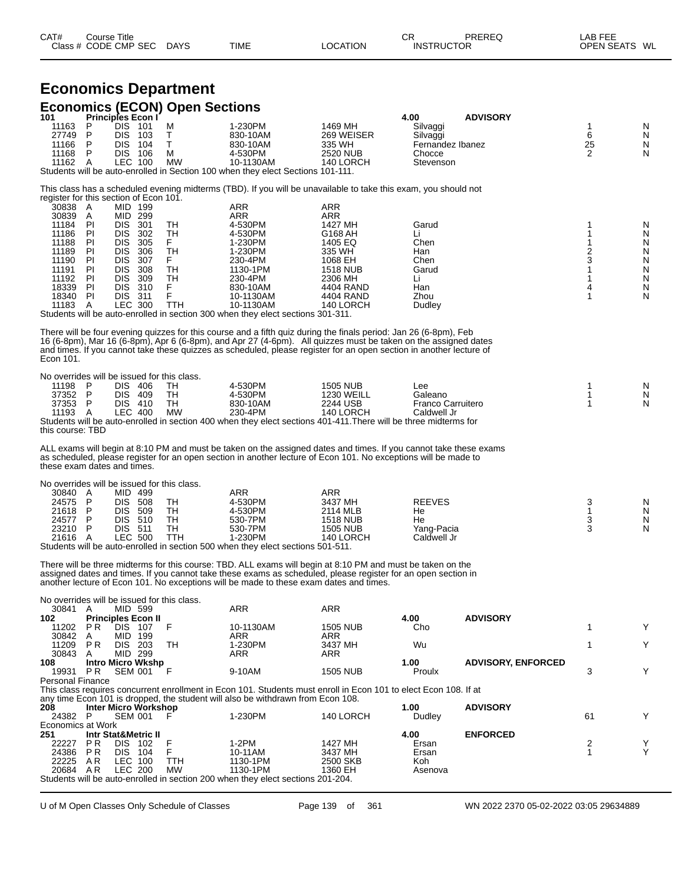| CAT# | ourse Titleٽ         |             |             |          | ⌒冖<br>◡┍          | PREREQ | LAB FEE    |    |
|------|----------------------|-------------|-------------|----------|-------------------|--------|------------|----|
|      | Class # CODE CMP SEC | <b>DAYS</b> | <b>TIME</b> | LOCATION | <b>INSTRUCTOR</b> |        | OPEN SEATS | WL |

|                                                                                                                                                    |                                                                   |                                                                                                                                                                    | <b>Economics Department</b>                              |                                                                                                                                                                                                                                                                                                                                                            |                                                                                                                                              |                                                                            |                           |                                                                        |                                                          |
|----------------------------------------------------------------------------------------------------------------------------------------------------|-------------------------------------------------------------------|--------------------------------------------------------------------------------------------------------------------------------------------------------------------|----------------------------------------------------------|------------------------------------------------------------------------------------------------------------------------------------------------------------------------------------------------------------------------------------------------------------------------------------------------------------------------------------------------------------|----------------------------------------------------------------------------------------------------------------------------------------------|----------------------------------------------------------------------------|---------------------------|------------------------------------------------------------------------|----------------------------------------------------------|
|                                                                                                                                                    |                                                                   |                                                                                                                                                                    | <b>Economics (ECON) Open Sections</b>                    |                                                                                                                                                                                                                                                                                                                                                            |                                                                                                                                              |                                                                            |                           |                                                                        |                                                          |
| 101<br>11163<br>27749<br>11166<br>11168<br>11162 A                                                                                                 | P<br>P<br>P<br>$\mathsf{P}$                                       | Principles Econ I'<br>DIS 101<br>DIS 103<br>DIS 104<br>DIS 106<br>LEC 100                                                                                          | M<br>т<br>T<br>м<br>MW                                   | 1-230PM<br>830-10AM<br>830-10AM<br>4-530PM<br>10-1130AM<br>Students will be auto-enrolled in Section 100 when they elect Sections 101-111.                                                                                                                                                                                                                 | 1469 MH<br>269 WEISER<br>335 WH<br>2520 NUB<br>140 LORCH                                                                                     | 4.00<br>Silvaggi<br>Silvaggi<br>Fernandez Ibanez<br>Chocce<br>Stevenson    | <b>ADVISORY</b>           | 1<br>6<br>25<br>2                                                      | N<br>N<br>$\overline{\mathsf{N}}$<br>${\sf N}$           |
|                                                                                                                                                    |                                                                   |                                                                                                                                                                    |                                                          | This class has a scheduled evening midterms (TBD). If you will be unavailable to take this exam, you should not                                                                                                                                                                                                                                            |                                                                                                                                              |                                                                            |                           |                                                                        |                                                          |
| register for this section of Econ 101.<br>30838<br>30839<br>11184<br>11186<br>11188<br>11189<br>11190<br>11191<br>11192<br>18339<br>18340<br>11183 | A<br>A<br>PI<br>PI<br>PI<br>PI<br>PI<br>PI<br>PI<br>PI<br>PI<br>A | MID 199<br>MID 299<br>DIS.<br>301<br>DIS<br>302<br>DIS<br>305<br>DIS.<br>306<br>DIS<br>307<br>DIS<br>308<br>DIS.<br>309<br><b>DIS</b><br>310<br>DIS 311<br>LEC 300 | TН<br>TH<br>F.<br>TН<br>F.<br>TН<br>TН<br>F.<br>F<br>TTH | ARR<br><b>ARR</b><br>4-530PM<br>4-530PM<br>1-230PM<br>1-230PM<br>230-4PM<br>1130-1PM<br>230-4PM<br>830-10AM<br>10-1130AM<br>10-1130AM<br>Students will be auto-enrolled in section 300 when they elect sections 301-311.                                                                                                                                   | ARR<br><b>ARR</b><br>1427 MH<br>G168 AH<br>1405 EQ<br>335 WH<br>1068 EH<br><b>1518 NUB</b><br>2306 MH<br>4404 RAND<br>4404 RAND<br>140 LORCH | Garud<br>Li<br>Chen<br>Han<br>Chen<br>Garud<br>Li<br>Han<br>Zhou<br>Dudley |                           | 1<br>1<br>1<br>$\frac{2}{3}$<br>$\mathbf{1}$<br>1<br>4<br>$\mathbf{1}$ | N<br>N<br>N<br>N<br>N<br>$\frac{N}{N}$<br>${\sf N}$<br>N |
| Econ 101.                                                                                                                                          |                                                                   |                                                                                                                                                                    |                                                          | There will be four evening quizzes for this course and a fifth quiz during the finals period: Jan 26 (6-8pm), Feb<br>16 (6-8pm), Mar 16 (6-8pm), Apr 6 (6-8pm), and Apr 27 (4-6pm). All quizzes must be taken on the assigned dates<br>and times. If you cannot take these quizzes as scheduled, please register for an open section in another lecture of |                                                                                                                                              |                                                                            |                           |                                                                        |                                                          |
| No overrides will be issued for this class.<br>11198<br>37352 P<br>37353<br>11193 A<br>this course: TBD                                            | P<br>- P                                                          | DIS 406<br>DIS 409<br>DIS 410<br><b>LEC 400</b>                                                                                                                    | TH<br>TН<br>TH<br>МW                                     | 4-530PM<br>4-530PM<br>830-10AM<br>230-4PM<br>Students will be auto-enrolled in section 400 when they elect sections 401-411. There will be three midterms for                                                                                                                                                                                              | <b>1505 NUB</b><br><b>1230 WEILL</b><br>2244 USB<br>140 LORCH                                                                                | Lee<br>Galeano<br><b>Franco Carruitero</b><br>Caldwell Jr                  |                           | 1<br>$\mathbf 1$<br>$\mathbf{1}$                                       | N<br>N<br>${\sf N}$                                      |
| these exam dates and times.                                                                                                                        |                                                                   |                                                                                                                                                                    |                                                          | ALL exams will begin at 8:10 PM and must be taken on the assigned dates and times. If you cannot take these exams<br>as scheduled, please register for an open section in another lecture of Econ 101. No exceptions will be made to                                                                                                                       |                                                                                                                                              |                                                                            |                           |                                                                        |                                                          |
| No overrides will be issued for this class.<br>30840 A<br>24575<br>21618<br>24577<br>23210 P<br>21616 A                                            | $\mathsf{P}$<br>P<br>P                                            | MID 499<br>DIS 508<br>DIS.<br>509<br>DIS 510<br>DIS 511<br><b>LEC 500</b>                                                                                          | TH<br>TH<br>TH<br>TН<br><b>TTH</b>                       | ARR<br>4-530PM<br>4-530PM<br>530-7PM<br>530-7PM<br>1-230PM<br>Students will be auto-enrolled in section 500 when they elect sections 501-511.                                                                                                                                                                                                              | ARR<br>3437 MH<br>2114 MLB<br><b>1518 NUB</b><br><b>1505 NUB</b><br>140 LORCH                                                                | <b>REEVES</b><br>He<br>He<br>Yang-Pacia<br>Caldwell Jr                     |                           | 3<br>$\mathbf{1}$<br>3<br>3                                            | N<br>N<br>$\overline{\mathsf{N}}$<br>${\sf N}$           |
|                                                                                                                                                    |                                                                   |                                                                                                                                                                    |                                                          | There will be three midterms for this course: TBD. ALL exams will begin at 8:10 PM and must be taken on the<br>assigned dates and times. If you cannot take these exams as scheduled, please register for an open section in<br>another lecture of Econ 101. No exceptions will be made to these exam dates and times.                                     |                                                                                                                                              |                                                                            |                           |                                                                        |                                                          |
| No overrides will be issued for this class.<br>30841 A                                                                                             |                                                                   | MID 599                                                                                                                                                            |                                                          | ARR                                                                                                                                                                                                                                                                                                                                                        | <b>ARR</b>                                                                                                                                   |                                                                            |                           |                                                                        |                                                          |
| 102<br>11202                                                                                                                                       | P R                                                               | <b>Principles Econ II</b><br>DIS 107                                                                                                                               | F                                                        | 10-1130AM                                                                                                                                                                                                                                                                                                                                                  | <b>1505 NUB</b>                                                                                                                              | 4.00<br>Cho                                                                | <b>ADVISORY</b>           | $\mathbf{1}$                                                           | Y.                                                       |
| 30842<br>11209<br>30843                                                                                                                            | A<br>P R<br>A                                                     | MID 199<br>DIS 203<br>MID 299                                                                                                                                      | TH                                                       | ARR<br>1-230PM<br>ARR                                                                                                                                                                                                                                                                                                                                      | ARR<br>3437 MH<br>ARR                                                                                                                        | Wu                                                                         |                           | $\mathbf{1}$                                                           | Y                                                        |
| 108<br>19931<br><b>Personal Finance</b>                                                                                                            | P R                                                               | <b>Intro Micro Wkshp</b><br><b>SEM 001</b>                                                                                                                         | F                                                        | 9-10AM                                                                                                                                                                                                                                                                                                                                                     | <b>1505 NUB</b>                                                                                                                              | 1.00<br>Proulx                                                             | <b>ADVISORY, ENFORCED</b> | 3                                                                      | Y                                                        |
| 208<br>24382 P                                                                                                                                     |                                                                   | Inter Micro Workshop<br><b>SEM 001</b>                                                                                                                             |                                                          | This class requires concurrent enrollment in Econ 101. Students must enroll in Econ 101 to elect Econ 108. If at<br>any time Econ 101 is dropped, the student will also be withdrawn from Econ 108.<br>1-230PM                                                                                                                                             | 140 LORCH                                                                                                                                    | 1.00<br>Dudley                                                             | <b>ADVISORY</b>           | 61                                                                     | Y                                                        |
| Economics at Work<br>251<br>22227<br>24386<br>22225<br>20684                                                                                       | PR<br>P R<br>A R<br>AR                                            | Intr Stat&Metric II<br>DIS 102<br>DIS 104<br>LEC 100<br><b>LEC 200</b>                                                                                             | F<br>F.<br>TTH<br><b>MW</b>                              | $1-2PM$<br>10-11AM<br>1130-1PM<br>1130-1PM<br>Students will be auto-enrolled in section 200 when they elect sections 201-204.                                                                                                                                                                                                                              | 1427 MH<br>3437 MH<br>2500 SKB<br>1360 EH                                                                                                    | 4.00<br>Ersan<br>Ersan<br>Koh<br>Asenova                                   | <b>ENFORCED</b>           | 2<br>1                                                                 | Υ<br>Y                                                   |
|                                                                                                                                                    |                                                                   |                                                                                                                                                                    |                                                          |                                                                                                                                                                                                                                                                                                                                                            |                                                                                                                                              |                                                                            |                           |                                                                        |                                                          |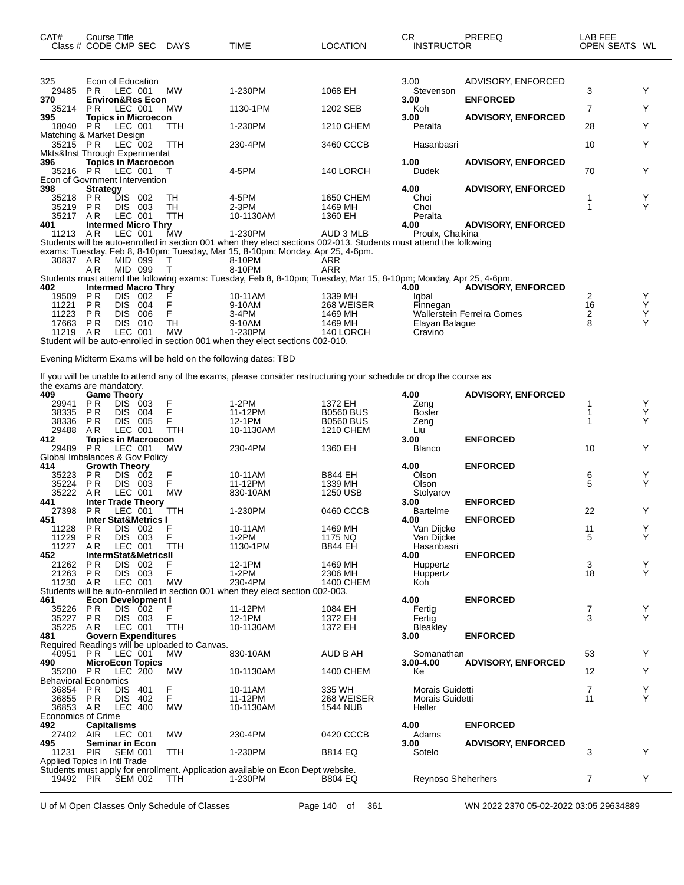| CAT#<br>Class # CODE CMP SEC   | Course Title                            |            |     | DAYS       | <b>TIME</b>                                                                                                        | <b>LOCATION</b>  | CR.<br><b>INSTRUCTOR</b> | PREREQ                            | LAB FEE<br>OPEN SEATS WL |   |
|--------------------------------|-----------------------------------------|------------|-----|------------|--------------------------------------------------------------------------------------------------------------------|------------------|--------------------------|-----------------------------------|--------------------------|---|
|                                |                                         |            |     |            |                                                                                                                    |                  |                          |                                   |                          |   |
| 325                            | Econ of Education                       |            |     |            |                                                                                                                    |                  | 3.00                     | ADVISORY, ENFORCED                |                          |   |
| 29485                          | PR.                                     | LEC 001    |     | <b>MW</b>  | 1-230PM                                                                                                            | 1068 EH          | Stevenson                |                                   | 3                        | Y |
| 370                            | <b>Environ&amp;Res Econ</b>             | LEC 001    |     |            |                                                                                                                    |                  | 3.00                     | <b>ENFORCED</b>                   |                          | Y |
| 35214<br>395                   | <b>PR</b><br><b>Topics in Microecon</b> |            |     | <b>MW</b>  | 1130-1PM                                                                                                           | 1202 SEB         | Koh<br>3.00              | <b>ADVISORY, ENFORCED</b>         | 7                        |   |
| 18040                          | P Ř                                     | LEC 001    |     | TTH        | 1-230PM                                                                                                            | <b>1210 CHEM</b> | Peralta                  |                                   | 28                       | Y |
| Matching & Market Design       |                                         |            |     |            |                                                                                                                    |                  |                          |                                   |                          |   |
| 35215 PR                       |                                         | LEC 002    |     | <b>TTH</b> | 230-4PM                                                                                                            | 3460 CCCB        | Hasanbasri               |                                   | 10                       | Y |
| Mkts&Inst Through Experimentat |                                         |            |     |            |                                                                                                                    |                  |                          |                                   |                          |   |
| 396                            | <b>Topics in Macroecon</b>              |            |     |            |                                                                                                                    |                  | 1.00                     | <b>ADVISORY, ENFORCED</b>         |                          |   |
| 35216 PR LEC 001               |                                         |            |     |            | 4-5PM                                                                                                              | 140 LORCH        | Dudek                    |                                   | 70                       | Y |
| Econ of Govrnment Intervention |                                         |            |     |            |                                                                                                                    |                  |                          |                                   |                          |   |
| 398                            | <b>Strategy</b>                         |            |     |            |                                                                                                                    |                  | 4.00                     | <b>ADVISORY, ENFORCED</b>         |                          |   |
| 35218                          | PR.                                     | DIS        | 002 | TН         | 4-5PM                                                                                                              | 1650 CHEM        | Choi                     |                                   |                          | Y |
| 35219                          | <b>PR</b>                               | <b>DIS</b> | 003 | TH         | $2-3PM$                                                                                                            | 1469 MH          | Choi                     |                                   |                          | Υ |
| 35217                          | A <sub>R</sub>                          | LEC 001    |     | <b>TTH</b> | 10-1130AM                                                                                                          | 1360 EH          | Peralta                  |                                   |                          |   |
| 401                            | <b>Intermed Micro Thrv</b>              |            |     |            |                                                                                                                    |                  | 4.00                     | <b>ADVISORY, ENFORCED</b>         |                          |   |
| 11213                          | AR.                                     | LEC 001    |     | MW         | 1-230PM                                                                                                            | AUD 3 MLB        | Proulx. Chaikina         |                                   |                          |   |
|                                |                                         |            |     |            | Students will be auto-enrolled in section 001 when they elect sections 002-013. Students must attend the following |                  |                          |                                   |                          |   |
| 30837 AR                       |                                         | MID 099    |     |            | exams: Tuesday, Feb 8, 8-10pm; Tuesday, Mar 15, 8-10pm; Monday, Apr 25, 4-6pm.<br>8-10PM                           | ARR              |                          |                                   |                          |   |
|                                | AR                                      | MID 099    |     |            | 8-10PM                                                                                                             | <b>ARR</b>       |                          |                                   |                          |   |
|                                |                                         |            |     |            | Students must attend the following exams: Tuesday, Feb 8, 8-10pm; Tuesday, Mar 15, 8-10pm; Monday, Apr 25, 4-6pm.  |                  |                          |                                   |                          |   |
| 402                            | <b>Intermed Macro Thry</b>              |            |     |            |                                                                                                                    |                  | 4.00                     | <b>ADVISORY, ENFORCED</b>         |                          |   |
| 19509                          | <b>PR</b>                               | DIS.       | 002 | F          | 10-11AM                                                                                                            | 1339 MH          | lgbal                    |                                   | 2                        | Y |
| 11221                          | <b>PR</b>                               | <b>DIS</b> | 004 | F          | 9-10AM                                                                                                             | 268 WEISER       | Finnegan                 |                                   | 16                       | Y |
| 11223                          | <b>PR</b>                               | <b>DIS</b> | 006 | F          | $3-4PM$                                                                                                            | 1469 MH          |                          | <b>Wallerstein Ferreira Gomes</b> | $\overline{\mathbf{c}}$  | Υ |
| 17663                          | <b>PR</b>                               | <b>DIS</b> | 010 | <b>TH</b>  | 9-10AM                                                                                                             | 1469 MH          | Elayan Balague           |                                   | 8                        | Υ |
| 11219                          | AR                                      | LEC 001    |     | <b>MW</b>  | 1-230PM                                                                                                            | 140 LORCH        | Cravino                  |                                   |                          |   |
|                                |                                         |            |     |            | Student will be auto-enrolled in section 001 when they elect sections 002-010.                                     |                  |                          |                                   |                          |   |

Evening Midterm Exams will be held on the following dates: TBD

If you will be unable to attend any of the exams, please consider restructuring your schedule or drop the course as the exams are mandatory.

| 409                            | <b>Game Theory</b>     |                |                                 |                                               |                                                                                 |                  | 4.00                      | <b>ADVISORY, ENFORCED</b> |                |                    |
|--------------------------------|------------------------|----------------|---------------------------------|-----------------------------------------------|---------------------------------------------------------------------------------|------------------|---------------------------|---------------------------|----------------|--------------------|
| 29941                          | P <sub>R</sub>         | DIS.           | 003                             | F                                             | $1-2PM$                                                                         | 1372 EH          | Zeng                      |                           |                | Υ                  |
| 38335                          | <b>PR</b>              | <b>DIS</b>     | 004                             | F                                             | 11-12PM                                                                         | <b>B0560 BUS</b> | <b>Bosler</b>             |                           |                | Y                  |
| 38336                          | <b>PR</b>              | DIS 005        |                                 | F                                             | 12-1PM                                                                          | <b>B0560 BUS</b> | Zeng                      |                           |                | Y                  |
| 29488                          | A <sub>R</sub>         | LEC 001        |                                 | <b>TTH</b>                                    | 10-1130AM                                                                       | 1210 CHEM        | Liu                       |                           |                |                    |
| 412                            |                        |                | <b>Topics in Macroecon</b>      |                                               |                                                                                 |                  | 3.00                      | <b>ENFORCED</b>           |                |                    |
| 29489                          | <b>PR</b>              | LEC 001        |                                 | <b>MW</b>                                     | 230-4PM                                                                         | 1360 EH          | <b>Blanco</b>             |                           | 10             | Y                  |
| Global Imbalances & Gov Policy |                        |                |                                 |                                               |                                                                                 |                  |                           |                           |                |                    |
| 414                            | <b>Growth Theory</b>   |                |                                 |                                               |                                                                                 |                  | 4.00                      | <b>ENFORCED</b>           |                |                    |
| 35223                          | <b>PR</b>              | DIS 002        |                                 | F                                             | 10-11AM                                                                         | <b>B844 EH</b>   | Olson                     |                           | 6              | $\frac{Y}{Y}$      |
| 35224                          | <b>PR</b>              | DIS 003        |                                 | F                                             | 11-12PM                                                                         | 1339 MH          | Olson                     |                           | 5              |                    |
| 35222                          | AR                     | LEC 001        |                                 | <b>MW</b>                                     | 830-10AM                                                                        | 1250 USB         | Stolyarov                 |                           |                |                    |
| 441                            |                        |                | <b>Inter Trade Theory</b>       |                                               |                                                                                 |                  | 3.00                      | <b>ENFORCED</b>           |                |                    |
| 27398                          | PR                     | LEC 001        |                                 | <b>TTH</b>                                    | 1-230PM                                                                         | 0460 CCCB        | <b>Bartelme</b>           |                           | 22             | Y                  |
| 451                            |                        |                | <b>Inter Stat&amp;Metrics I</b> |                                               |                                                                                 |                  | 4.00                      | <b>ENFORCED</b>           |                |                    |
| 11228                          | PR                     | DIS 002        |                                 | F                                             | 10-11AM                                                                         | 1469 MH          | Van Dijcke                |                           | 11             | Υ                  |
| 11229                          | <b>PR</b>              | DIS 003        |                                 |                                               | $1-2PM$                                                                         | 1175 NQ          | Van Dijcke                |                           | 5              | Y                  |
| 11227                          | A <sub>R</sub>         | LEC 001        |                                 | <b>TTH</b>                                    | 1130-1PM                                                                        | <b>B844 EH</b>   | Hasanbasri                |                           |                |                    |
| 452                            |                        |                | IntermStat&MetricsII            |                                               |                                                                                 |                  | 4.00                      | <b>ENFORCED</b>           |                |                    |
| 21262                          | <b>PR</b>              | <b>DIS</b>     | 002                             | F                                             | 12-1PM                                                                          | 1469 MH          | Huppertz                  |                           | 3              |                    |
| 21263                          | PR                     | DIS 003        |                                 | F                                             | $1-2PM$                                                                         | 2306 MH          | Huppertz                  |                           | 18             | $_{\rm Y}^{\rm Y}$ |
| 11230                          | AR                     | LEC 001        |                                 | <b>MW</b>                                     | 230-4PM                                                                         | 1400 CHEM        | Koh <sup>-</sup>          |                           |                |                    |
|                                |                        |                |                                 |                                               | Students will be auto-enrolled in section 001 when they elect section 002-003.  |                  |                           |                           |                |                    |
| 461                            |                        |                | <b>Econ Development I</b>       |                                               |                                                                                 |                  | 4.00                      | <b>ENFORCED</b>           |                |                    |
| 35226                          | <b>PR</b>              | DIS 002        |                                 | F                                             | 11-12PM                                                                         | 1084 EH          | Fertig                    |                           | 7              | Υ                  |
| 35227                          | PR                     | DIS 003        |                                 | F                                             | 12-1PM                                                                          | 1372 EH          | Fertig                    |                           | 3              | Y                  |
| 35225                          | AR                     | LEC 001        |                                 | <b>TTH</b>                                    | 10-1130AM                                                                       | 1372 EH          | Bleakley                  |                           |                |                    |
| 481                            |                        |                | <b>Govern Expenditures</b>      |                                               |                                                                                 |                  | 3.00                      | <b>ENFORCED</b>           |                |                    |
|                                |                        |                |                                 | Required Readings will be uploaded to Canvas. |                                                                                 |                  |                           |                           |                |                    |
| 40951                          | PR.                    | LEC 001        |                                 | MW                                            | 830-10AM                                                                        | AUD B AH         | Somanathan                |                           | 53             | Y                  |
| 490                            |                        |                | <b>MicroEcon Topics</b>         |                                               |                                                                                 |                  | 3.00-4.00                 | <b>ADVISORY, ENFORCED</b> |                |                    |
| 35200                          | <b>PR</b>              | LEC 200        |                                 | <b>MW</b>                                     | 10-1130AM                                                                       | <b>1400 CHEM</b> | Ke                        |                           | 12             | Y                  |
| <b>Behavioral Economics</b>    |                        |                |                                 |                                               |                                                                                 |                  |                           |                           |                |                    |
| 36854                          | P R                    | <b>DIS</b>     | 401                             | F                                             | 10-11AM                                                                         | 335 WH           | Morais Guidetti           |                           | $\overline{7}$ | Υ                  |
| 36855                          | PR                     | <b>DIS</b>     | 402                             | F                                             | 11-12PM                                                                         | 268 WEISER       | Morais Guidetti           |                           | 11             | Y                  |
| 36853                          | AR                     | <b>LEC 400</b> |                                 | <b>MW</b>                                     | 10-1130AM                                                                       | <b>1544 NUB</b>  | Heller                    |                           |                |                    |
| <b>Economics of Crime</b>      |                        |                |                                 |                                               |                                                                                 |                  |                           |                           |                |                    |
| 492                            | <b>Capitalisms</b>     |                |                                 |                                               |                                                                                 |                  | 4.00                      | <b>ENFORCED</b>           |                |                    |
| 27402                          | AIR                    | LEC 001        |                                 | <b>MW</b>                                     | 230-4PM                                                                         | 0420 CCCB        | Adams                     |                           |                |                    |
| 495                            | <b>Seminar in Econ</b> |                |                                 |                                               |                                                                                 |                  | 3.00                      | <b>ADVISORY, ENFORCED</b> |                |                    |
| 11231                          | <b>PIR</b>             | <b>SEM 001</b> |                                 | <b>TTH</b>                                    | 1-230PM                                                                         | <b>B814 EQ</b>   | Sotelo                    |                           | 3              | Y                  |
| Applied Topics in Intl Trade   |                        |                |                                 |                                               |                                                                                 |                  |                           |                           |                |                    |
|                                |                        |                |                                 |                                               | Students must apply for enrollment. Application available on Econ Dept website. |                  |                           |                           |                |                    |
| 19492 PIR SEM 002              |                        |                |                                 | <b>TTH</b>                                    | 1-230PM                                                                         | <b>B804 EQ</b>   | <b>Reynoso Sheherhers</b> |                           | $\overline{7}$ | Y                  |
|                                |                        |                |                                 |                                               |                                                                                 |                  |                           |                           |                |                    |

U of M Open Classes Only Schedule of Classes Page 140 of 361 WN 2022 2370 05-02-2022 03:05 29634889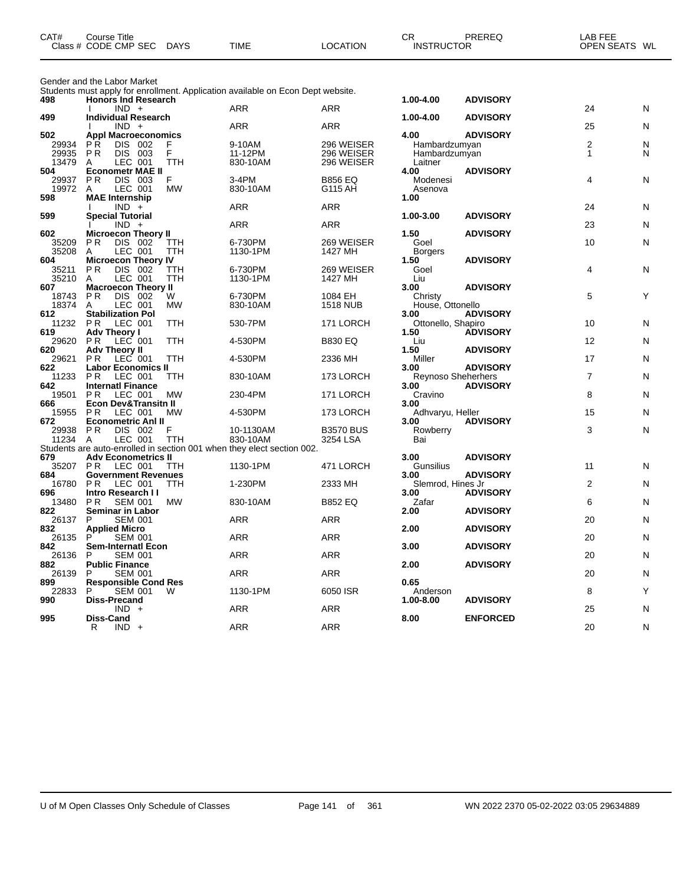| CAT# | ourse Titleٽ         |             |             |          | СR                | PREREQ | _AB FEE       |  |
|------|----------------------|-------------|-------------|----------|-------------------|--------|---------------|--|
|      | Class # CODE CMP SEC | <b>DAYS</b> | <b>TIME</b> | LOCATION | <b>INSTRUCTOR</b> |        | OPEN SEATS WL |  |
|      |                      |             |             |          |                   |        |               |  |

Gender and the Labor Market

Students must apply for enrollment. Application available on Econ Dept website.

| 498          | ablast apply for omommorning approachors available on Econ Bopl<br><b>Honors Ind Research</b> |            |                  | 1.00-4.00                         | <b>ADVISORY</b> |                |   |
|--------------|-----------------------------------------------------------------------------------------------|------------|------------------|-----------------------------------|-----------------|----------------|---|
|              | $IND +$                                                                                       | ARR        | ARR              |                                   |                 | 24             | N |
| 499          | <b>Individual Research</b><br>$IND +$                                                         | <b>ARR</b> | <b>ARR</b>       | 1.00-4.00                         | <b>ADVISORY</b> | 25             |   |
| 502          | <b>Appl Macroeconomics</b>                                                                    |            |                  | 4.00                              | <b>ADVISORY</b> |                | N |
| 29934        | DIS 002<br><b>PR</b><br>F                                                                     | 9-10AM     | 296 WEISER       | Hambardzumyan                     |                 | 2              | N |
| 29935        | F<br><b>PR</b><br>DIS 003                                                                     | 11-12PM    | 296 WEISER       | Hambardzumyan                     |                 | $\mathbf{1}$   | N |
| 13479        | LEC 001<br><b>TTH</b><br>A                                                                    | 830-10AM   | 296 WEISER       | Laitner                           |                 |                |   |
| 504          | <b>Econometr MAE II</b>                                                                       |            |                  | 4.00                              | <b>ADVISORY</b> |                |   |
| 29937        | DIS 003<br>F<br>P R                                                                           | 3-4PM      | <b>B856 EQ</b>   | Modenesi                          |                 | 4              | N |
| 19972        | LEC 001<br><b>MW</b><br>A                                                                     | 830-10AM   | G115 AH          | Asenova                           |                 |                |   |
| 598          | <b>MAE Internship</b><br>$IND +$                                                              | <b>ARR</b> | <b>ARR</b>       | 1.00                              |                 | 24             | N |
| 599          | <b>Special Tutorial</b>                                                                       |            |                  | 1.00-3.00                         | <b>ADVISORY</b> |                |   |
|              | $IND +$                                                                                       | <b>ARR</b> | <b>ARR</b>       |                                   |                 | 23             | N |
| 602          | <b>Microecon Theory II</b>                                                                    |            |                  | 1.50                              | <b>ADVISORY</b> |                |   |
| 35209        | <b>PR</b><br>DIS 002<br>TTH                                                                   | 6-730PM    | 269 WEISER       | Goel                              |                 | 10             | N |
| 35208        | LEC 001<br>TTH<br>Α                                                                           | 1130-1PM   | 1427 MH          | <b>Borgers</b>                    |                 |                |   |
| 604          | <b>Microecon Theory IV</b>                                                                    |            |                  | 1.50                              | <b>ADVISORY</b> |                |   |
| 35211        | <b>PR</b><br>DIS 002<br>TTH                                                                   | 6-730PM    | 269 WEISER       | Goel                              |                 | 4              | N |
| 35210<br>607 | LEC 001<br>TTH<br>A<br><b>Macroecon Theory II</b>                                             | 1130-1PM   | 1427 MH          | Liu<br>3.00                       | <b>ADVISORY</b> |                |   |
| 18743        | W<br><b>PR</b><br>DIS 002                                                                     | 6-730PM    | 1084 EH          | Christy                           |                 | 5              | Υ |
| 18374        | LEC 001<br><b>MW</b><br>A                                                                     | 830-10AM   | <b>1518 NUB</b>  | House, Ottonello                  |                 |                |   |
| 612          | <b>Stabilization Pol</b>                                                                      |            |                  | 3.00                              | <b>ADVISORY</b> |                |   |
| 11232        | P <sub>R</sub><br>LEC 001<br><b>TTH</b>                                                       | 530-7PM    | 171 LORCH        | Ottonello, Shapiro                |                 | 10             | N |
| 619          | <b>Adv Theory I</b>                                                                           |            |                  | 1.50                              | <b>ADVISORY</b> |                |   |
| 29620        | LEC 001<br><b>TTH</b><br>P R                                                                  | 4-530PM    | <b>B830 EQ</b>   | Liu                               |                 | 12             | N |
| 620          | <b>Adv Theory II</b>                                                                          |            |                  | 1.50                              | <b>ADVISORY</b> |                |   |
| 29621        | LEC 001<br>P <sub>R</sub><br><b>TTH</b>                                                       | 4-530PM    | 2336 MH          | Miller                            |                 | 17             | N |
| 622          | <b>Labor Economics II</b>                                                                     |            |                  | 3.00                              | <b>ADVISORY</b> |                |   |
| 11233<br>642 | <b>PR</b><br>LEC 001<br>TTH<br><b>Internati Finance</b>                                       | 830-10AM   | 173 LORCH        | <b>Reynoso Sheherhers</b><br>3.00 | <b>ADVISORY</b> | $\overline{7}$ | N |
| 19501        | <b>PR</b><br>LEC 001<br><b>MW</b>                                                             | 230-4PM    | 171 LORCH        | Cravino                           |                 | 8              | N |
| 666          | <b>Econ Dev&amp;Transitn II</b>                                                               |            |                  | 3.00                              |                 |                |   |
| 15955        | LEC 001<br><b>PR</b><br><b>MW</b>                                                             | 4-530PM    | 173 LORCH        | Adhvaryu, Heller                  |                 | 15             | N |
| 672          | <b>Econometric Anl II</b>                                                                     |            |                  | 3.00                              | <b>ADVISORY</b> |                |   |
| 29938        | <b>PR</b><br>DIS 002<br>F                                                                     | 10-1130AM  | <b>B3570 BUS</b> | Rowberry                          |                 | 3              | N |
| 11234        | LEC 001<br>TTH<br>A                                                                           | 830-10AM   | 3254 LSA         | Bai                               |                 |                |   |
|              | Students are auto-enrolled in section 001 when they elect section 002.                        |            |                  |                                   |                 |                |   |
| 679          | <b>Adv Econometrics II</b><br>LEC 001<br>P <sub>R</sub>                                       | 1130-1PM   |                  | 3.00                              | <b>ADVISORY</b> | 11             |   |
| 35207<br>684 | TTH<br><b>Government Revenues</b>                                                             |            | 471 LORCH        | Gunsilius<br>3.00                 | <b>ADVISORY</b> |                | N |
| 16780        | P <sub>R</sub><br>LEC 001<br><b>TTH</b>                                                       | 1-230PM    | 2333 MH          | Slemrod, Hines Jr                 |                 | $\overline{2}$ | N |
| 696          | Intro Research II                                                                             |            |                  | 3.00                              | <b>ADVISORY</b> |                |   |
| 13480        | <b>SEM 001</b><br><b>MW</b><br>P <sub>R</sub>                                                 | 830-10AM   | <b>B852 EQ</b>   | Zafar                             |                 | 6              | N |
| 822          | Seminar in Labor                                                                              |            |                  | 2.00                              | <b>ADVISORY</b> |                |   |
| 26137        | <b>SEM 001</b><br>P                                                                           | <b>ARR</b> | <b>ARR</b>       |                                   |                 | 20             | N |
| 832          | <b>Applied Micro</b>                                                                          |            |                  | 2.00                              | <b>ADVISORY</b> |                |   |
| 26135        | <b>SEM 001</b><br>P                                                                           | <b>ARR</b> | <b>ARR</b>       |                                   |                 | 20             | N |
| 842<br>26136 | <b>Sem-Internatl Econ</b><br><b>SEM 001</b><br>P                                              | <b>ARR</b> | <b>ARR</b>       | 3.00                              | <b>ADVISORY</b> | 20             | N |
| 882          | <b>Public Finance</b>                                                                         |            |                  | 2.00                              | <b>ADVISORY</b> |                |   |
| 26139        | <b>SEM 001</b><br>P                                                                           | ARR        | <b>ARR</b>       |                                   |                 | 20             | N |
| 899          | <b>Responsible Cond Res</b>                                                                   |            |                  | 0.65                              |                 |                |   |
| 22833        | <b>SEM 001</b><br>P<br>W                                                                      | 1130-1PM   | 6050 ISR         | Anderson                          |                 | 8              | Υ |
| 990          | Diss-Precand                                                                                  |            |                  | 1.00-8.00                         | <b>ADVISORY</b> |                |   |
|              | $IND +$                                                                                       | ARR        | <b>ARR</b>       |                                   |                 | 25             | N |
| 995          | Diss-Cand                                                                                     |            |                  | 8.00                              | <b>ENFORCED</b> |                |   |
|              | $IND +$<br>R                                                                                  | <b>ARR</b> | <b>ARR</b>       |                                   |                 | 20             | N |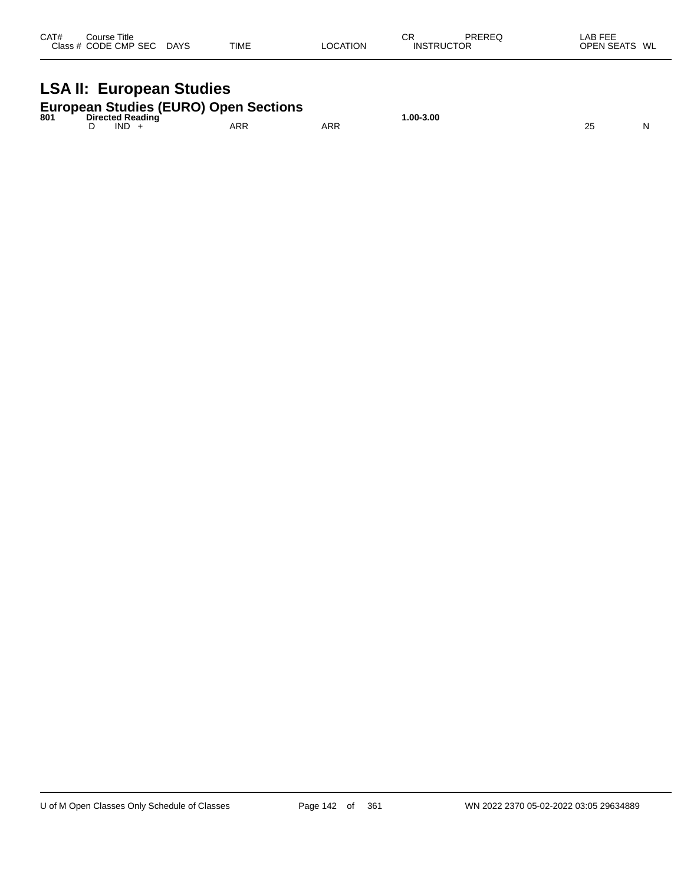| CAT# | ourse Titleٽ<br>Class # CODE CMP SEC | <b>DAYS</b> | <b>TIME</b> | LOCATION | ∼⊡<br>◡┌<br><b>INSTRUCTOR</b> | PREREQ | LAB FEE<br><b>OPEN SEATS</b> | WL |
|------|--------------------------------------|-------------|-------------|----------|-------------------------------|--------|------------------------------|----|
|      |                                      |             |             |          |                               |        |                              |    |

# **LSA II: European Studies**

| 801 | <b>European Studies (EURO) Open Sections</b><br>Directed Reading |     |     | $.00 - 3.00$ |  |
|-----|------------------------------------------------------------------|-----|-----|--------------|--|
|     | IND                                                              | ARR | ARR |              |  |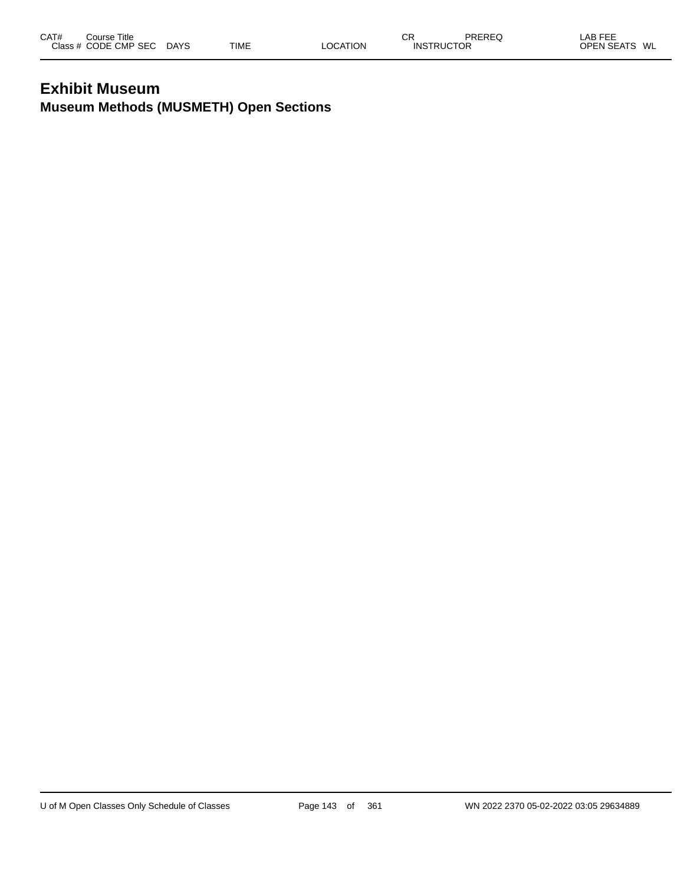# **Exhibit Museum Museum Methods (MUSMETH) Open Sections**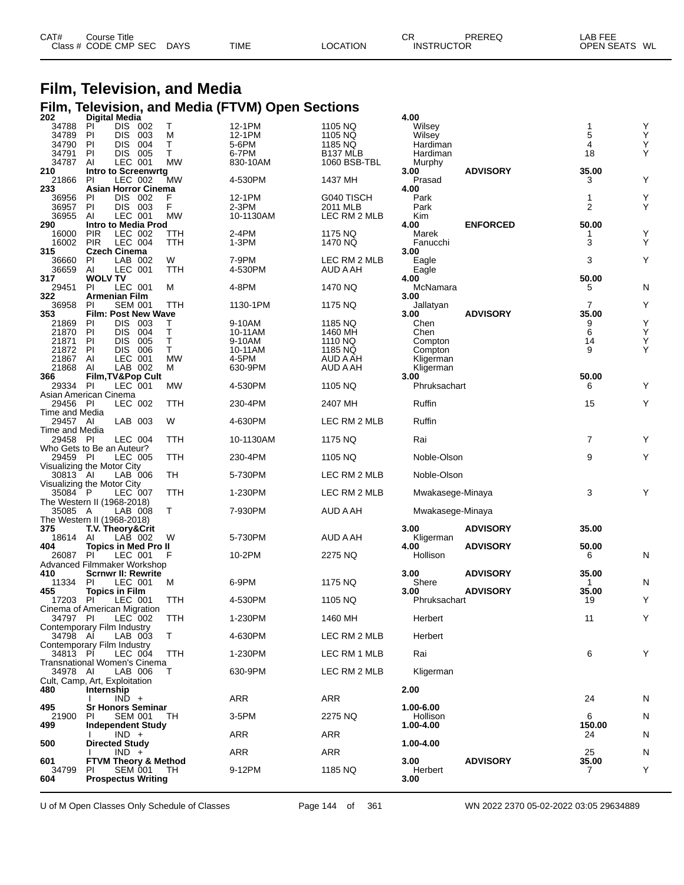| CAT# | Course Title         |             |             |          | СR                | PREREQ | LAB FEE       |
|------|----------------------|-------------|-------------|----------|-------------------|--------|---------------|
|      | Class # CODE CMP SEC | <b>DAYS</b> | <b>TIME</b> | LOCATION | <b>INSTRUCTOR</b> |        | OPEN SEATS WL |

# **Film, Television, and Media Film, Television, and Media (FTVM) Open Sections 202 Digital Media 4.00**

| 34788                      | Digital Media                         |            |            |                      | 4.00             |                 |                |        |
|----------------------------|---------------------------------------|------------|------------|----------------------|------------------|-----------------|----------------|--------|
|                            | ΡI<br>DIS 002                         | Т          | 12-1PM     | 1105 NQ              | Wilsey           |                 | 1              | Υ      |
| 34789                      | PI<br><b>DIS</b><br>003               | М          | 12-1PM     | 1105 NQ              | Wilsey           |                 | 5              | Υ      |
| 34790                      | PI<br><b>DIS</b><br>004               | т          | 5-6PM      | 1185 NQ              | Hardiman         |                 | 4              | Υ      |
| 34791                      | PI<br>DIS.<br>-005                    | Τ          | 6-7PM      | B <sub>137</sub> MLB | Hardiman         |                 | 18             | Υ      |
| 34787                      | LEC 001<br>AI                         | MW         | 830-10AM   | 1060 BSB-TBL         | Murphy           |                 |                |        |
| 210                        | <b>Intro to Screenwrtg</b>            |            |            |                      | 3.00             | <b>ADVISORY</b> | 35.00          |        |
| 21866                      | PI<br>LEC 002                         | MW         | 4-530PM    | 1437 MH              | Prasad           |                 | 3              | Υ      |
| 233                        | <b>Asian Horror Cinema</b>            |            |            |                      | 4.00             |                 |                |        |
| 36956                      | PI<br>DIS 002<br><b>PI</b>            | F<br>F     | 12-1PM     | G040 TISCH           | Park             |                 | 1<br>2         | Y<br>Υ |
| 36957                      | DIS 003                               |            | 2-3PM      | 2011 MLB             | Park             |                 |                |        |
| 36955<br>290               | LEC 001<br>AI<br>Intro to Media Prod  | <b>MW</b>  | 10-1130AM  | LEC RM 2 MLB         | Kim<br>4.00      | <b>ENFORCED</b> | 50.00          |        |
| 16000                      | <b>PIR</b><br>LEC 002                 | ттн        | 2-4PM      | 1175 NQ              | Marek            |                 | 1              | Υ      |
| 16002                      | <b>PIR</b><br>LEC 004                 | TTH        | 1-3PM      | 1470 NQ              | Fanucchi         |                 | 3              | Y      |
| 315                        | <b>Czech Cinema</b>                   |            |            |                      | 3.00             |                 |                |        |
| 36660                      | PI.<br>LAB 002                        | W          | 7-9PM      | LEC RM 2 MLB         | Eagle            |                 | 3              | Υ      |
| 36659                      | AI<br>LEC 001                         | TTH        | 4-530PM    | AUD A AH             | Eagle            |                 |                |        |
| 317                        | <b>WOLV TV</b>                        |            |            |                      | 4.00             |                 | 50.00          |        |
| 29451                      | <b>PI</b><br>LEC 001                  | М          | 4-8PM      | 1470 NQ              | McNamara         |                 | 5              | N      |
| 322                        | Armenian Film                         |            |            |                      | 3.00             |                 |                |        |
| 36958                      | <b>PI</b><br><b>SEM 001</b>           | TTH        | 1130-1PM   | 1175 NQ              | Jallatyan        |                 | 7              | Υ      |
| 353                        | <b>Film: Post New Wave</b>            |            |            |                      | 3.00             | <b>ADVISORY</b> | 35.00          |        |
| 21869                      | ΡI<br>DIS.<br>003                     | т          | 9-10AM     | 1185 NQ              | Chen             |                 | 9              | Υ      |
| 21870                      | ΡI<br>DIS.<br>004                     | Τ          | 10-11AM    | 1460 MH              | Chen             |                 | 6              | Υ      |
| 21871                      | PI<br><b>DIS</b><br>005               | T          | 9-10AM     | 1110 NQ              | Compton          |                 | 14             | Y      |
| 21872                      | <b>PI</b><br>DIS.<br>006              | Τ          | 10-11AM    | 1185 NQ              | Compton          |                 | 9              | Y      |
| 21867                      | AI<br>LEC 001                         | <b>MW</b>  | 4-5PM      | AUD A AH             | Kligerman        |                 |                |        |
| 21868                      | Al<br>LAB 002                         | м          | 630-9PM    | AUD A AH             | Kligerman        |                 |                |        |
| 366                        | <b>Film, TV&amp;Pop Cult</b>          |            |            |                      | 3.00             |                 | 50.00          |        |
| 29334                      | PI<br>LEC 001                         | MW         | 4-530PM    | 1105 NQ              | Phruksachart     |                 | 6              | Υ      |
|                            | Asian American Cinema                 |            |            |                      |                  |                 |                |        |
| 29456 PI                   | LEC 002                               | TTH        | 230-4PM    | 2407 MH              | Ruffin           |                 | 15             | Y      |
| Time and Media             |                                       |            |            |                      |                  |                 |                |        |
| 29457 AI                   | LAB 003                               | W          | 4-630PM    | LEC RM 2 MLB         | Ruffin           |                 |                |        |
| Time and Media<br>29458 PI |                                       | TTH        | 10-1130AM  | 1175 NQ              | Rai              |                 | $\overline{7}$ | Υ      |
|                            | LEC 004<br>Who Gets to Be an Auteur?  |            |            |                      |                  |                 |                |        |
| 29459 PI                   | LEC 005                               | TTH        | 230-4PM    | 1105 NQ              | Noble-Olson      |                 | 9              | Υ      |
|                            | Visualizing the Motor City            |            |            |                      |                  |                 |                |        |
| 30813 AI                   | LAB 006                               | TН         | 5-730PM    | LEC RM 2 MLB         | Noble-Olson      |                 |                |        |
|                            | Visualizing the Motor City            |            |            |                      |                  |                 |                |        |
| 35084 P                    | LEC 007                               | TTH        | 1-230PM    | LEC RM 2 MLB         | Mwakasege-Minaya |                 | 3              | Y      |
|                            |                                       |            |            |                      |                  |                 |                |        |
|                            | The Western II (1968-2018)            |            |            |                      |                  |                 |                |        |
| 35085 A                    | LAB 008                               | Т          | 7-930PM    | AUD A AH             | Mwakasege-Minaya |                 |                |        |
|                            | The Western II (1968-2018)            |            |            |                      |                  |                 |                |        |
| 375                        | T.V. Theory&Crit                      |            |            |                      | 3.00             | <b>ADVISORY</b> | 35.00          |        |
| 18614                      | LAB 002<br>AI                         | W          | 5-730PM    | AUD A AH             | Kligerman        |                 |                |        |
| 404                        | <b>Topics in Med Pro II</b>           |            |            |                      | 4.00             | <b>ADVISORY</b> | 50.00          |        |
| 26087                      | -PI<br>LEC 001                        | F          | 10-2PM     | 2275 NQ              | Hollison         |                 | 6              | N      |
|                            | Advanced Filmmaker Workshop           |            |            |                      |                  |                 |                |        |
| 410                        | <b>Scrnwr II: Rewrite</b>             |            |            |                      | 3.00             | <b>ADVISORY</b> | 35.00          |        |
| 11334                      | PI<br>LEC 001                         | M          | 6-9PM      | 1175 NQ              | Shere            |                 | -1             | N      |
| 455                        | <b>Topics in Film</b>                 |            |            |                      | 3.00             | <b>ADVISORY</b> | 35.00          |        |
| 17203                      | PI<br>LEC 001                         | TTH        | 4-530PM    | 1105 NQ              | Phruksachart     |                 | 19             | Υ      |
|                            | Cinema of American Migration          |            |            |                      |                  |                 |                |        |
|                            | 34797 PI LEC 002                      | <b>TTH</b> | 1-230PM    | 1460 MH              | Herbert          |                 | 11             |        |
|                            | Contemporary Film Industry            | Т          |            |                      |                  |                 |                |        |
| 34798 AI                   | LAB 003                               |            | 4-630PM    | LEC RM 2 MLB         | Herbert          |                 |                |        |
| 34813 PI                   | Contemporary Film Industry<br>LEC 004 | TTH        | 1-230PM    | LEC RM 1 MLB         | Rai              |                 | 6              | Y      |
|                            | <b>Transnational Women's Cinema</b>   |            |            |                      |                  |                 |                |        |
| 34978 AI                   | LAB 006                               | T          | 630-9PM    | LEC RM 2 MLB         | Kligerman        |                 |                |        |
|                            | Cult, Camp, Art, Exploitation         |            |            |                      |                  |                 |                |        |
| 480                        | Internship                            |            |            |                      | 2.00             |                 |                |        |
|                            | $IND +$                               |            | ARR        | ARR                  |                  |                 | 24             | N      |
| 495                        | <b>Sr Honors Seminar</b>              |            |            |                      | 1.00-6.00        |                 |                |        |
| 21900                      | PI.<br><b>SEM 001</b>                 | TH         | $3-5PM$    | 2275 NQ              | Hollison         |                 | 6              | N      |
| 499                        | <b>Independent Study</b>              |            |            |                      | 1.00-4.00        |                 | 150.00         |        |
|                            | $IND +$                               |            | ARR        | ARR                  |                  |                 | 24             | N      |
| 500                        | <b>Directed Study</b><br>$IND +$      |            |            | ARR                  | 1.00-4.00        |                 |                |        |
| 601                        | <b>FTVM Theory &amp; Method</b>       |            | <b>ARR</b> |                      | 3.00             | <b>ADVISORY</b> | 25<br>35.00    | N      |
| 34799                      | <b>SEM 001</b><br>PI.                 | TH.        | 9-12PM     | 1185 NQ              | Herbert          |                 | 7              | Y      |
| 604                        | <b>Prospectus Writing</b>             |            |            |                      | 3.00             |                 |                |        |

U of M Open Classes Only Schedule of Classes Page 144 of 361 WN 2022 2370 05-02-2022 03:05 29634889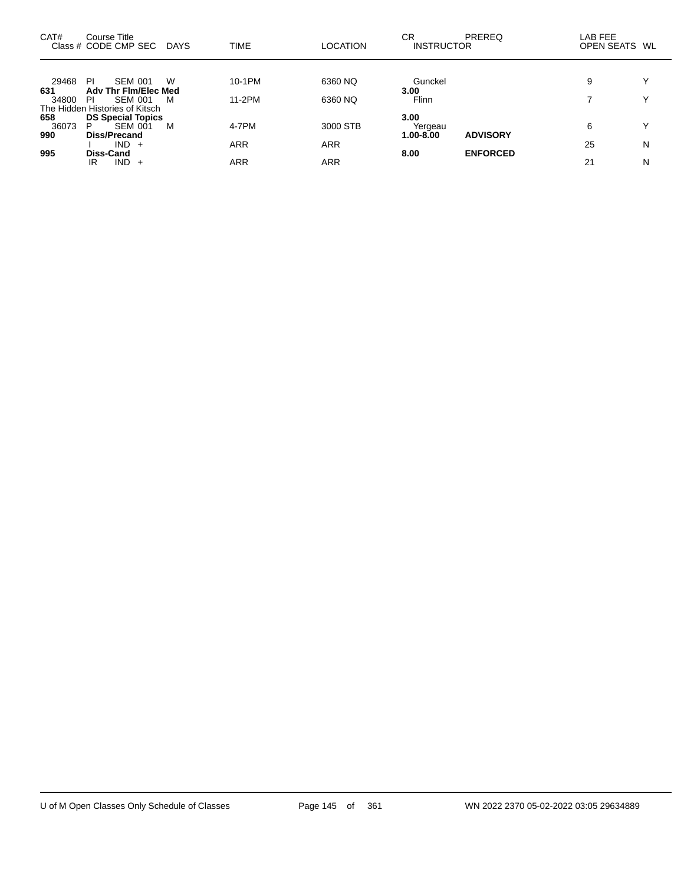| CAT#         | Course Title<br>Class # CODE CMP SEC                            | DAYS | <b>TIME</b>  | <b>LOCATION</b>        | СR<br><b>INSTRUCTOR</b> | <b>PREREQ</b>   | LAB FEE<br>OPEN SEATS WL |              |
|--------------|-----------------------------------------------------------------|------|--------------|------------------------|-------------------------|-----------------|--------------------------|--------------|
| 29468        | <b>SEM 001</b><br>-PI                                           | W    | 10-1PM       | 6360 NQ                | Gunckel                 |                 | 9                        | $\checkmark$ |
| 631<br>34800 | Adv Thr Fim/Elec Med<br><b>SEM 001</b><br>PI                    | M    | 11-2PM       | 6360 NQ                | 3.00<br>Flinn           |                 |                          | $\checkmark$ |
| 658          | The Hidden Histories of Kitsch<br><b>DS Special Topics</b><br>P |      |              |                        | 3.00                    |                 |                          | $\checkmark$ |
| 36073<br>990 | SEM 001<br>Diss/Precand<br>$IND +$                              | M    | 4-7PM<br>ARR | 3000 STB<br><b>ARR</b> | Yergeau<br>1.00-8.00    | <b>ADVISORY</b> | 6<br>25                  | N            |
| 995          | Diss-Cand<br>$IND +$<br>IR                                      |      | ARR          | <b>ARR</b>             | 8.00                    | <b>ENFORCED</b> | 21                       | N            |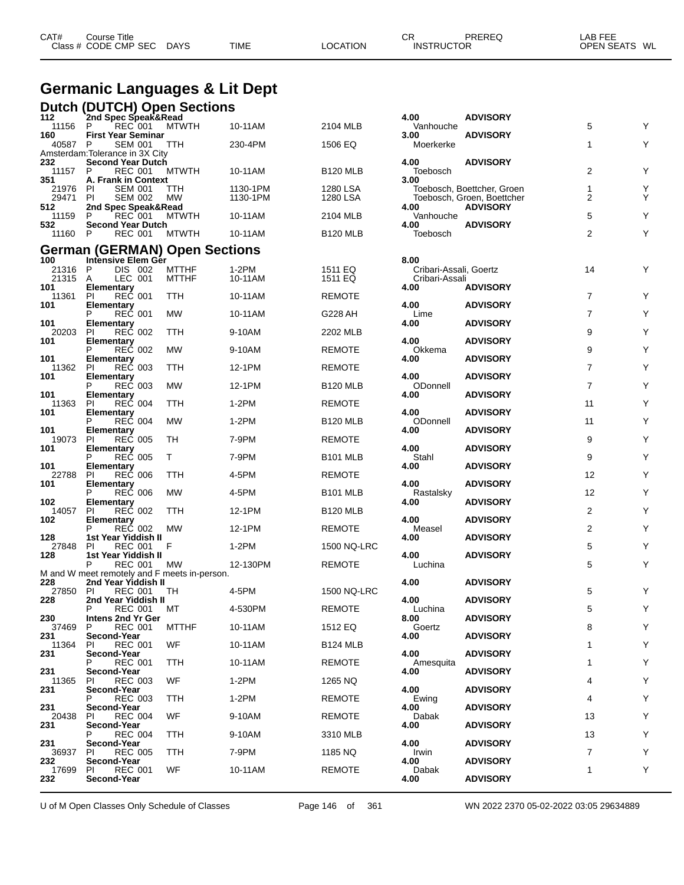| <b>Germanic Languages &amp; Lit Dept</b> |                                                                     |              |          |                 |                                |                                               |                |   |  |
|------------------------------------------|---------------------------------------------------------------------|--------------|----------|-----------------|--------------------------------|-----------------------------------------------|----------------|---|--|
|                                          | <b>Dutch (DUTCH) Open Sections</b>                                  |              |          |                 |                                |                                               |                |   |  |
| 112<br>11156                             | 2nd Spec Speak&Read<br>REC 001<br>- P                               | <b>MTWTH</b> | 10-11AM  | 2104 MLB        | 4.00<br>Vanhouche              | <b>ADVISORY</b>                               | 5              | Y |  |
| 160<br>40587                             | <b>First Year Seminar</b><br><b>SEM 001</b><br>P                    | TTH          | 230-4PM  | 1506 EQ         | 3.00<br>Moerkerke              | <b>ADVISORY</b>                               | 1              | Y |  |
|                                          | Amsterdam: Tolerance in 3X City                                     |              |          |                 |                                |                                               |                |   |  |
| 232<br>11157 P                           | <b>Second Year Dutch</b><br><b>REC 001</b>                          | <b>MTWTH</b> | 10-11AM  | <b>B120 MLB</b> | 4.00<br>Toebosch               | <b>ADVISORY</b>                               | 2              | Y |  |
| 351<br>21976                             | A. Frank in Context<br><b>SEM 001</b><br>-PI                        | TTH          | 1130-1PM | 1280 LSA        | 3.00                           | Toebosch, Boettcher, Groen                    | 1              | Y |  |
| 29471<br>512                             | PI<br><b>SEM 002</b><br>2nd Spec Speak&Read                         | МW           | 1130-1PM | 1280 LSA        | 4.00                           | Toebosch, Groen, Boettcher<br><b>ADVISORY</b> | 2              | Y |  |
| 11159                                    | <b>REC 001</b><br>P                                                 | <b>MTWTH</b> | 10-11AM  | 2104 MLB        | Vanhouche                      |                                               | 5              | Y |  |
| 532<br>11160 P                           | Second Year Dutch<br><b>REC 001</b>                                 | <b>MTWTH</b> | 10-11AM  | <b>B120 MLB</b> | 4.00<br>Toebosch               | <b>ADVISORY</b>                               | $\overline{2}$ | Y |  |
|                                          | <b>German (GERMAN) Open Sections</b>                                |              |          |                 |                                |                                               |                |   |  |
| 100<br>21316                             | Intensive Elem Ger<br>DIS 002<br>P                                  | <b>MTTHF</b> | 1-2PM    | 1511 EQ         | 8.00<br>Cribari-Assali, Goertz |                                               | 14             | Υ |  |
| 21315                                    | A<br>LEC 001                                                        | <b>MTTHF</b> | 10-11AM  | 1511 EQ         | Cribari-Assali                 |                                               |                |   |  |
| 101<br>11361                             | Elementary<br><b>REC 001</b><br>PI                                  | TTH          | 10-11AM  | <b>REMOTE</b>   | 4.00                           | <b>ADVISORY</b>                               | $\overline{7}$ | Y |  |
| 101                                      | Elementary<br>P REC 001                                             | <b>MW</b>    | 10-11AM  | G228 AH         | 4.00<br>Lime                   | <b>ADVISORY</b>                               | $\overline{7}$ | Y |  |
| 101<br>20203                             | <b>Elementary</b><br><b>REC 002</b><br><b>PI</b>                    | TTH          | 9-10AM   | 2202 MLB        | 4.00                           | <b>ADVISORY</b>                               | 9              | Y |  |
| 101                                      | Elementary                                                          |              |          |                 | 4.00                           | <b>ADVISORY</b>                               |                |   |  |
| 101                                      | <b>REC 002</b><br>P<br>Elementary<br>Pl REC 003                     | MW           | 9-10AM   | REMOTE          | Okkema<br>4.00                 | <b>ADVISORY</b>                               | 9              | Y |  |
| 11362<br>101                             | <b>PI</b><br>Elementary                                             | TTH          | 12-1PM   | <b>REMOTE</b>   | 4.00                           | <b>ADVISORY</b>                               | $\overline{7}$ | Y |  |
| 101                                      | <b>REC 003</b><br>Elementary                                        | МW           | 12-1PM   | <b>B120 MLB</b> | ODonnell<br>4.00               | <b>ADVISORY</b>                               | 7              | Y |  |
| 11363                                    | <b>REC 004</b><br><b>PI</b>                                         | TTH          | $1-2PM$  | <b>REMOTE</b>   |                                |                                               | 11             | Y |  |
| 101                                      | Elementary<br>P REC 004                                             | <b>MW</b>    | $1-2PM$  | <b>B120 MLB</b> | 4.00<br>ODonnell               | <b>ADVISORY</b>                               | 11             | Y |  |
| 101<br>19073                             | <b>Elementary</b><br><b>REC 005</b><br>-PI                          | TH           | 7-9PM    | <b>REMOTE</b>   | 4.00                           | <b>ADVISORY</b>                               | 9              | Y |  |
| 101                                      | Elementary<br><b>REC 005</b><br>P                                   | T.           | 7-9PM    | <b>B101 MLB</b> | 4.00<br>Stahl                  | <b>ADVISORY</b>                               | 9              | Y |  |
| 101<br>22788                             | Elementary<br><b>REC 006</b><br>PI                                  | TTH          | 4-5PM    | <b>REMOTE</b>   | 4.00                           | <b>ADVISORY</b>                               | 12             | Y |  |
| 101                                      | <b>Elementary</b>                                                   |              |          |                 | 4.00                           | <b>ADVISORY</b>                               |                |   |  |
| 102                                      | <b>REC 006</b><br>Elementary                                        | MW           | 4-5PM    | <b>B101 MLB</b> | Rastalsky<br>4.00              | <b>ADVISORY</b>                               | 12             | Y |  |
| 14057<br>102                             | <b>REC 002</b><br><b>PI</b>                                         | TTH          | 12-1PM   | <b>B120 MLB</b> | 4.00                           | <b>ADVISORY</b>                               | $\overline{2}$ | Y |  |
| 128                                      | Elementary<br>P REC 002<br>1st Year Yiddish II                      | MW           | 12-1PM   | <b>REMOTE</b>   | Measel<br>4.00                 | <b>ADVISORY</b>                               | 2              | Υ |  |
| 27848                                    | <b>REC 001</b><br><b>PI</b>                                         | F            | $1-2PM$  | 1500 NQ-LRC     |                                |                                               | 5              | Υ |  |
| 128                                      | 1st Year Yiddish II<br>P<br><b>REC 001</b>                          | MW           | 12-130PM | <b>REMOTE</b>   | 4.00<br>Luchina                | <b>ADVISORY</b>                               | 5              | Υ |  |
| 228                                      | M and W meet remotely and F meets in-person.<br>2nd Year Yiddish II |              |          |                 | 4.00                           | <b>ADVISORY</b>                               |                |   |  |
| 27850 PI<br>228                          | <b>REC 001</b><br>2nd Year Yiddish II                               | TH           | 4-5PM    | 1500 NQ-LRC     | 4.00                           | <b>ADVISORY</b>                               | 5              | Υ |  |
|                                          | <b>REC 001</b>                                                      | MТ           | 4-530PM  | <b>REMOTE</b>   | Luchina                        |                                               | 5              | Υ |  |
| 230<br>37469                             | Intens 2nd Yr Ger<br><b>REC 001</b><br>P                            | <b>MTTHF</b> | 10-11AM  | 1512 EQ         | 8.00<br>Goertz                 | <b>ADVISORY</b>                               | 8              | Υ |  |
| 231<br>11364                             | Second-Year<br><b>REC 001</b><br>PI.                                | WF           | 10-11AM  | <b>B124 MLB</b> | 4.00                           | <b>ADVISORY</b>                               | 1              | Y |  |
| 231                                      | Second-Year<br><b>REC 001</b>                                       | <b>TTH</b>   | 10-11AM  | <b>REMOTE</b>   | 4.00<br>Amesquita              | <b>ADVISORY</b>                               | 1              | Υ |  |
| 231                                      | Second-Year                                                         |              |          |                 | 4.00                           | <b>ADVISORY</b>                               |                |   |  |
| 11365<br>231                             | <b>REC 003</b><br>PI.<br>Second-Year                                | WF.          | 1-2PM    | 1265 NQ         | 4.00                           | <b>ADVISORY</b>                               | 4              | Υ |  |
| 231                                      | <b>REC 003</b><br>Second-Year                                       | TTH          | 1-2PM    | <b>REMOTE</b>   | Ewing<br>4.00                  | <b>ADVISORY</b>                               | 4              | Y |  |
| 20438<br>231                             | <b>REC 004</b><br>PL<br>Second-Year                                 | WF           | 9-10AM   | <b>REMOTE</b>   | Dabak<br>4.00                  | <b>ADVISORY</b>                               | 13             | Υ |  |
|                                          | <b>REC 004</b>                                                      | TTH          | 9-10AM   | 3310 MLB        |                                |                                               | 13             | Υ |  |
| 231<br>36937                             | Second-Year<br><b>REC 005</b><br>PI.                                | <b>TTH</b>   | 7-9PM    | 1185 NQ         | 4.00<br>Irwin                  | <b>ADVISORY</b>                               | $\overline{7}$ | Y |  |

CAT# Course Title Case CR PREREQ LAB FEE

Class # CODE CMP SEC DAYS TIME LOCATION INSTRUCTOR OPEN SEATS WL

U of M Open Classes Only Schedule of Classes Page 146 of 361 WN 2022 2370 05-02-2022 03:05 29634889

17699 PI REC 001 WF 10-11AM REMOTE Dabak 1 Y

**Second-Year 4.00 ADVISORY**

**Second-Year 4.00 ADVISORY**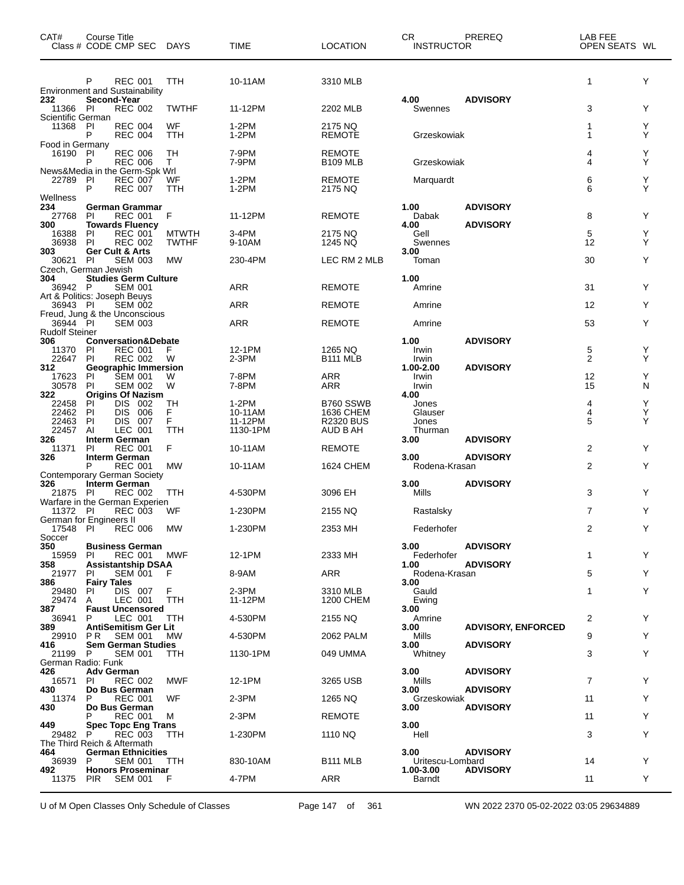| CAT#                              | <b>Course Title</b><br>Class # CODE CMP SEC DAYS                                  |                              | <b>TIME</b>         | <b>LOCATION</b>                  | <b>CR</b><br><b>INSTRUCTOR</b>        | PREREQ                             | LAB FEE<br>OPEN SEATS WL |        |
|-----------------------------------|-----------------------------------------------------------------------------------|------------------------------|---------------------|----------------------------------|---------------------------------------|------------------------------------|--------------------------|--------|
|                                   | P<br><b>REC 001</b><br><b>Environment and Sustainability</b>                      | TTH                          | 10-11AM             | 3310 MLB                         |                                       |                                    | 1                        | Y      |
| 232<br>11366                      | Second-Year<br><b>REC 002</b><br>- PI                                             | <b>TWTHF</b>                 | 11-12PM             | 2202 MLB                         | 4.00<br>Swennes                       | <b>ADVISORY</b>                    | 3                        | Y      |
| Scientific German<br>11368 PI     | <b>REC 004</b><br><b>REC 004</b><br>P                                             | WF<br>TTH                    | 1-2PM<br>$1-2PM$    | 2175 NQ<br><b>REMOTE</b>         | Grzeskowiak                           |                                    | 1<br>1                   | Y<br>Y |
| Food in Germany<br>16190 PI       | <b>REC 006</b><br><b>REC 006</b><br>P                                             | TН<br>T.                     | 7-9PM<br>7-9PM      | <b>REMOTE</b><br><b>B109 MLB</b> | Grzeskowiak                           |                                    | 4<br>4                   | Y<br>Y |
| 22789                             | News&Media in the Germ-Spk Wrl<br><b>REC 007</b><br>PI<br><b>REC 007</b><br>P     | WF<br>TTH                    | 1-2PM<br>$1-2PM$    | <b>REMOTE</b><br>2175 NQ         | Marguardt                             |                                    | 6<br>6                   | Y<br>Y |
| Wellness<br>234<br>27768          | <b>German Grammar</b><br>PI<br><b>REC 001</b>                                     | F                            | 11-12PM             | <b>REMOTE</b>                    | 1.00<br>Dabak                         | <b>ADVISORY</b>                    | 8                        | Y      |
| 300<br>16388<br>36938             | <b>Towards Fluency</b><br><b>REC 001</b><br>PI<br><b>REC 002</b><br>PI            | <b>MTWTH</b><br><b>TWTHF</b> | 3-4PM<br>9-10AM     | 2175 NQ<br>1245 NQ               | 4.00<br>Gell<br>Swennes               | <b>ADVISORY</b>                    | 5<br>12                  | Y<br>Y |
| 303<br>30621                      | Ger Cult & Arts<br>PI<br><b>SEM 003</b><br>Czech, German Jewish                   | MW                           | 230-4PM             | LEC RM 2 MLB                     | 3.00<br>Toman                         |                                    | 30                       | Y      |
| 304<br>36942 P                    | <b>Studies Germ Culture</b><br><b>SEM 001</b>                                     |                              | ARR                 | <b>REMOTE</b>                    | 1.00<br>Amrine                        |                                    | 31                       | Y      |
| 36943 PI                          | Art & Politics: Joseph Beuys<br><b>SEM 002</b><br>Freud, Jung & the Unconscious   |                              | <b>ARR</b>          | <b>REMOTE</b>                    | Amrine                                |                                    | 12                       | Y      |
| 36944 PI<br><b>Rudolf Steiner</b> | <b>SEM 003</b>                                                                    |                              | ARR                 | <b>REMOTE</b>                    | Amrine                                |                                    | 53                       | Y      |
| 306<br>11370<br>22647             | <b>Conversation&amp;Debate</b><br>PI<br><b>REC 001</b><br><b>REC 002</b><br>PI    | F<br>W                       | 12-1PM<br>$2-3PM$   | 1265 NQ<br><b>B111 MLB</b>       | 1.00<br>Irwin<br>Irwin                | <b>ADVISORY</b>                    | 5<br>$\overline{2}$      | Υ<br>Υ |
| 312                               | <b>Geographic Immersion</b>                                                       |                              |                     |                                  | 1.00-2.00                             | <b>ADVISORY</b>                    |                          |        |
| 17623<br>30578<br>322             | <b>SEM 001</b><br>PI<br><b>SEM 002</b><br>PI<br><b>Origins Of Nazism</b>          | W<br>W                       | 7-8PM<br>7-8PM      | <b>ARR</b><br><b>ARR</b>         | Irwin<br>Irwin<br>4.00                |                                    | 12<br>15                 | Y<br>N |
| 22458<br>22462                    | <b>DIS</b><br>002<br>PI<br>006<br>PI<br><b>DIS</b>                                | TН<br>F                      | 1-2PM<br>10-11AM    | B760 SSWB<br><b>1636 CHEM</b>    | Jones<br>Glauser                      |                                    | 4<br>$\overline{4}$      | Υ<br>Υ |
| 22463<br>22457                    | 007<br><b>PI</b><br>DIS.<br>LEC 001<br>AI                                         | F.<br>TTH                    | 11-12PM<br>1130-1PM | <b>R2320 BUS</b><br>AUD B AH     | Jones<br>Thurman                      |                                    | 5                        | Υ      |
| 326<br>11371                      | Interm German<br><b>REC 001</b><br><b>PI</b>                                      | F                            | 10-11AM             | <b>REMOTE</b>                    | 3.00                                  | <b>ADVISORY</b>                    | $\overline{2}$           | Y      |
| 326                               | <b>Interm German</b><br>P<br><b>REC 001</b><br><b>Contemporary German Society</b> | <b>MW</b>                    | 10-11AM             | 1624 CHEM                        | 3.00<br>Rodena-Krasan                 | <b>ADVISORY</b>                    | $\overline{2}$           | Y      |
| 326<br>21875 PI                   | <b>Interm German</b><br><b>REC 002</b><br>Warfare in the German Experien          | TTH                          | 4-530PM             | 3096 EH                          | 3.00<br>Mills                         | <b>ADVISORY</b>                    | 3                        | Y      |
| 11372 PI                          | <b>REC 003</b>                                                                    | WF                           | 1-230PM             | 2155 NQ                          | Rastalsky                             |                                    | $\overline{7}$           | Y      |
| Soccer                            | German for Engineers II<br>17548 PI REC 006                                       | MW                           | 1-230PM             | 2353 MH                          | Federhofer                            |                                    | 2                        | Y.     |
| 350<br>15959<br>358               | <b>Business German</b><br>REC 001<br>PL<br><b>Assistantship DSAA</b>              | MWF                          | 12-1PM              | 2333 MH                          | 3.00<br>Federhofer<br>1.00            | <b>ADVISORY</b><br><b>ADVISORY</b> | 1                        | Y      |
| 21977<br>386                      | <b>SEM 001</b><br>PI.<br><b>Fairy Tales</b>                                       | F                            | 8-9AM               | ARR                              | Rodena-Krasan<br>3.00                 |                                    | 5                        | Y      |
| 29480<br>29474<br>387             | DIS 007<br>PI<br>LEC 001<br>A<br><b>Faust Uncensored</b>                          | F.<br>TTH                    | 2-3PM<br>11-12PM    | 3310 MLB<br><b>1200 CHEM</b>     | Gauld<br>Ewing<br>3.00                |                                    | 1                        | Y      |
| 36941<br>389                      | LEC 001<br>P<br><b>AntiSemitism Ger Lit</b>                                       | TTH                          | 4-530PM             | 2155 NQ                          | Amrine<br>3.00                        | <b>ADVISORY, ENFORCED</b>          | 2                        | Y      |
| 29910<br>416                      | P R<br><b>SEM 001</b><br><b>Sem German Studies</b>                                | МW                           | 4-530PM             | 2062 PALM                        | Mills<br>3.00                         | <b>ADVISORY</b>                    | 9                        | Y      |
| 21199 P<br>German Radio: Funk     | <b>SEM 001</b>                                                                    | TTH                          | 1130-1PM            | 049 UMMA                         | Whitney                               |                                    | 3                        | Y      |
| 426<br>16571<br>430               | <b>Adv German</b><br><b>REC 002</b><br>PI<br>Do Bus German                        | MWF                          | 12-1PM              | 3265 USB                         | 3.00<br>Mills<br>3.00                 | <b>ADVISORY</b><br><b>ADVISORY</b> | $\overline{7}$           | Y      |
| 11374<br>430                      | <b>REC 001</b><br>P.<br>Do Bus German                                             | WF                           | $2-3PM$             | 1265 NQ                          | Grzeskowiak<br>3.00                   | <b>ADVISORY</b>                    | 11                       | Y      |
|                                   | <b>REC 001</b>                                                                    | M                            | $2-3PM$             | <b>REMOTE</b>                    |                                       |                                    | 11                       | Y      |
| 449<br>29482 P                    | <b>Spec Topc Eng Trans</b><br>REC 003<br>The Third Reich & Aftermath              | TTH                          | 1-230PM             | 1110 NQ                          | 3.00<br>Hell                          |                                    | 3                        | Y      |
| 464<br>36939 P<br>492             | <b>German Ethnicities</b><br><b>SEM 001</b><br><b>Honors Proseminar</b>           | TTH.                         | 830-10AM            | B <sub>111</sub> MLB             | 3.00<br>Uritescu-Lombard<br>1.00-3.00 | <b>ADVISORY</b><br><b>ADVISORY</b> | 14                       | Y      |
|                                   | 11375 PIR SEM 001                                                                 | - F                          | 4-7PM               | ARR                              | Barndt                                |                                    | 11                       | Y      |

U of M Open Classes Only Schedule of Classes Page 147 of 361 WN 2022 2370 05-02-2022 03:05 29634889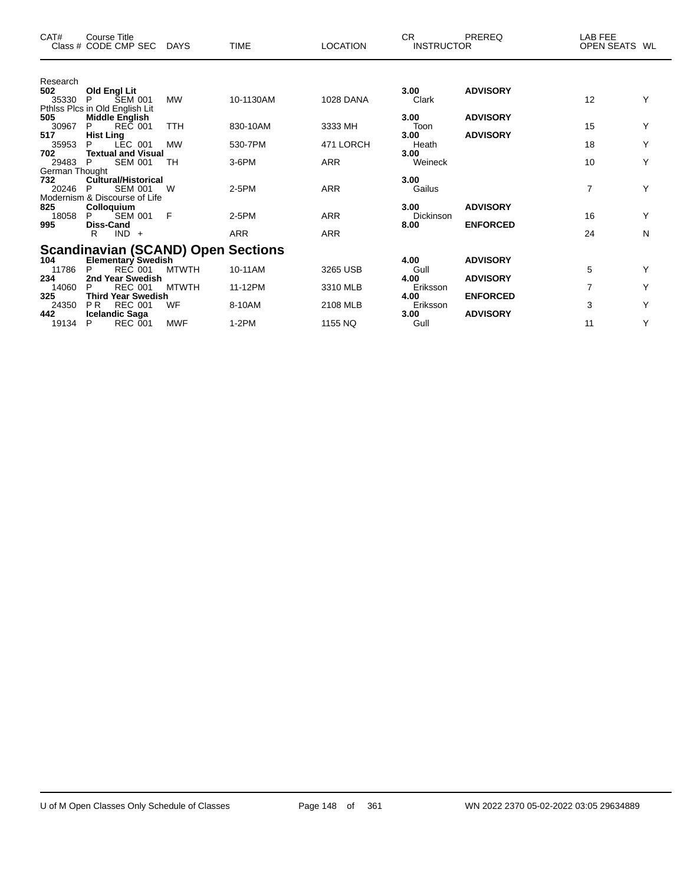| CAT#           | <b>Course Title</b><br>Class # CODE CMP SEC             | DAYS         | <b>TIME</b> | <b>LOCATION</b>  | <b>CR</b><br><b>INSTRUCTOR</b> | PREREQ          | LAB FEE<br><b>OPEN SEATS</b> | WL |
|----------------|---------------------------------------------------------|--------------|-------------|------------------|--------------------------------|-----------------|------------------------------|----|
| Research       |                                                         |              |             |                  |                                |                 |                              |    |
| 502<br>35330   | Old Engl Lit<br><b>SEM 001</b><br>P                     | MW           | 10-1130AM   | <b>1028 DANA</b> | 3.00<br>Clark                  | <b>ADVISORY</b> | 12                           | Y  |
| 505            | Pthlss Plcs in Old English Lit<br><b>Middle English</b> |              |             |                  | 3.00                           | <b>ADVISORY</b> |                              |    |
| 30967          | <b>REC 001</b><br>P                                     | <b>TTH</b>   | 830-10AM    | 3333 MH          | Toon                           |                 | 15                           | Y  |
| 517<br>35953   | <b>Hist Ling</b><br>LEC 001<br>P                        | <b>MW</b>    | 530-7PM     | 471 LORCH        | 3.00<br>Heath                  | <b>ADVISORY</b> | 18                           | Y  |
| 702<br>29483   | <b>Textual and Visual</b><br>P<br><b>SEM 001</b>        | TН           | 3-6PM       | <b>ARR</b>       | 3.00<br>Weineck                |                 | 10                           | Υ  |
| German Thought |                                                         |              |             |                  |                                |                 |                              |    |
| 732<br>20246   | <b>Cultural/Historical</b><br><b>SEM 001</b><br>P       | W            | $2-5PM$     | <b>ARR</b>       | 3.00<br>Gailus                 |                 | 7                            | Υ  |
|                | Modernism & Discourse of Life                           |              |             |                  |                                |                 |                              |    |
| 825            | Colloquium                                              |              |             |                  | 3.00                           | <b>ADVISORY</b> |                              |    |
| 18058<br>995   | <b>SEM 001</b><br>P.<br>Diss-Cand                       | F            | $2-5PM$     | <b>ARR</b>       | <b>Dickinson</b><br>8.00       | <b>ENFORCED</b> | 16                           | Y  |
|                | $IND +$<br>R                                            |              | ARR         | <b>ARR</b>       |                                |                 | 24                           | N  |
|                | <b>Scandinavian (SCAND) Open Sections</b>               |              |             |                  |                                |                 |                              |    |
| 104            | Elementary Swedish                                      |              |             |                  | 4.00                           | <b>ADVISORY</b> |                              |    |
| 11786          | <b>REC 001</b><br>P                                     | <b>MTWTH</b> | 10-11AM     | 3265 USB         | Gull                           |                 | 5                            | Υ  |
| 234<br>14060   | 2nd Year Swedish<br><b>REC 001</b><br>Р                 | <b>MTWTH</b> | 11-12PM     | 3310 MLB         | 4.00<br>Eriksson               | <b>ADVISORY</b> | 7                            | Y  |
| 325            | <b>Third Year Swedish</b>                               |              |             |                  | 4.00                           | <b>ENFORCED</b> |                              |    |
| 24350<br>442   | PR.<br><b>REC 001</b>                                   | WF           | 8-10AM      | 2108 MLB         | Eriksson<br>3.00               |                 | 3                            | Y  |
| 19134          | <b>Icelandic Saga</b><br><b>REC 001</b><br>Р            | <b>MWF</b>   | $1-2PM$     | 1155 NQ          | Gull                           | <b>ADVISORY</b> | 11                           | Y  |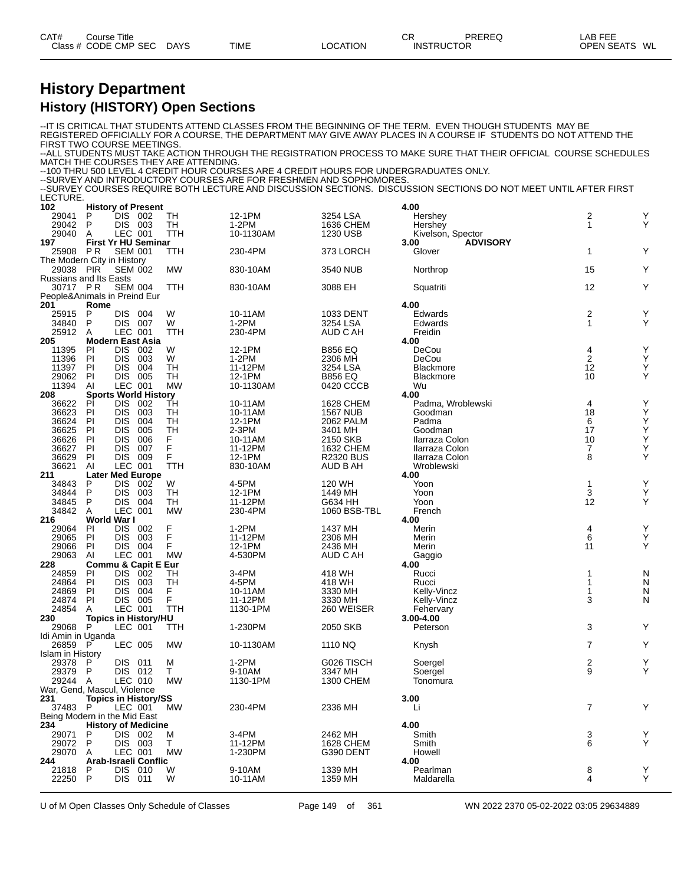| CAT#<br>Class. | Title<br>Course<br><b>CMP</b><br><b>SEC</b><br><b>ODF</b> | <b>DAYS</b> | <b>TIME</b> | `TION<br>ററ<br>$\mathbf{r}$ | СR<br>:TOR<br>INS | <b>PREREC</b><br>___ | $\sim$ $\sim$ $\sim$ $\sim$ $\sim$<br>_AB<br>--<br><b>OPEN</b><br><b>1711</b><br>∽⊢<br>. . |  |
|----------------|-----------------------------------------------------------|-------------|-------------|-----------------------------|-------------------|----------------------|--------------------------------------------------------------------------------------------|--|
|                |                                                           |             |             |                             |                   |                      |                                                                                            |  |

#### **History Department History (HISTORY) Open Sections**

--IT IS CRITICAL THAT STUDENTS ATTEND CLASSES FROM THE BEGINNING OF THE TERM. EVEN THOUGH STUDENTS MAY BE REGISTERED OFFICIALLY FOR A COURSE, THE DEPARTMENT MAY GIVE AWAY PLACES IN A COURSE IF STUDENTS DO NOT ATTEND THE FIRST TWO COURSE MEETINGS --ALL STUDENTS MUST TAKE ACTION THROUGH THE REGISTRATION PROCESS TO MAKE SURE THAT THEIR OFFICIAL COURSE SCHEDULES MATCH THE COURSES THEY ARE ATTENDING. --100 THRU 500 LEVEL 4 CREDIT HOUR COURSES ARE 4 CREDIT HOURS FOR UNDERGRADUATES ONLY. --SURVEY AND INTRODUCTORY COURSES ARE FOR FRESHMEN AND SOPHOMORES. --SURVEY COURSES REQUIRE BOTH LECTURE AND DISCUSSION SECTIONS. DISCUSSION SECTIONS DO NOT MEET UNTIL AFTER FIRST LECTURE. **102 History of Present 4.00** 29041 P DIS 002 TH 12-1PM 3254 LSA Hershey 2 Y 29042 P DIS 003 TH 1-2PM 1636 CHEM Hershey Y 29040 A LEC 001 TTH 10-1130AM 1230 USB Kivelson, Spector<br>197 First Yr HU Seminar 10-1130AM 1230 USB 8.00 ADVISORY **197 First Yr HU Seminar 3.00 ADVISORY** 25908 P.R SEM 001 TTH 230-4PM 373 LORCH Glover 1 Y The Modern City in History 29038 PIR SEM 002 MW 830-10AM 3540 NUB Northrop Y Russians and Its Easts<br>30717 PR SEM 004 30717 P R SEM 004 TTH 830-10AM 3088 EH Squatriti 12 Y People&Animals in Preind Eur **201 Rome 4.00** 25915 P DIS 004 W 10-11AM 1033 DENT Edwards 2 Y 34840 P DIS 007 W 1-2PM 3254 LSA Edwards 1 Y 25912 A LEC 001 TTH 230-4PM AUD C AH Freidin **205 Modern East Asia 4.00** 11395 PI DIS 002 W 12-1PM B856 EQ DeCou 4 Y 11396 PI DIS 003 W 1-2PM 2306 MH DeCou 2 Y 11397 PI DIS 004 TH 11-12PM 3254 LSA Blackmore Y 29062 PI DIS 005 TH 12-1PM B856 EQ Blackmore 10 Y 11394 AI LEC 001 MW 10-1130AM 0420 CCCB Wu<br>**208 Sports World History 10-1130AM** 0420 CCCB 4.00 **208 Sports World History 4.00** 36622 PI DIS 002 TH 10-11AM 1628 CHEM Padma, Wroblewski Y<br>36623 PI DIS 003 TH 10-11AM 1567 NUB Goodman 36623 PI DIS 003 TH 10-11AM 1567 NUB Goodman 18 Y 36624 PI DIS 004 TH 12-1PM 2062 PALM Padma 6 Y 36625 PI DIS 005 TH 2-3PM 3401 MH Goodman 17 Y 36626 PI DIS 006 F 10-11AM 2150 SKB Ilarraza Colon 10 Y 36627 PI DIS 007 F 11-12PM 1632 CHEM Ilarraza Colon 7 Y 36629 PI DIS 009 F 12-1PM R2320 BUS Ilarraza Colon 8 Y 36621 AI LEC 001 TTH 830-10AM AUD B AH Wroblewski **211 Later Med Europe 4.00** 34843 P DIS 002 W 4-5PM 120 WH Yoon 1 Y 34844 P DIS 003 TH 12-1PM 1449 MH Yoon 3 Y 34845 P DIS 004 TH 11-12PM G634 HH Yoon 12 Y 34842 A LEC 001 MW 230-4PM 1060 BSB-TBL French **216 World War I 4.00** 29064 PI DIS 002 F 1-2PM 1437 MH Merin 4 Y 29065 PI DIS 003 F 11-12PM 2306 MH Merin 6 Y 29066 PI DIS 004 F 12-1PM 2436 MH Merin 11 Y 29063 AI LEC 001 MW 4-530PM AUD C AH Gaggio **228 Commu & Capit E Eur 4.00** 24859 PI DIS 002 TH 3-4PM 418 WH Rucci N 24864 PI DIS 003 TH 4-5PM 418 WH Rucci N 24869 PI DIS 004 F 10-11AM 3330 MH Kelly-Vincz 1 N 24874 PI DIS 005 F 11-12PM 3330 MH Kelly-Vincz 3 N 24854 A LEC 001 TTH 1130-1PM 260 WEISER Fehervary<br>230 Tonics in History/HU **230 Topics in History/HU 3.00-4.00** 29068 P LEC 001 TTH 1-230PM 2050 SKB Peterson 3 Y Idi Amin in Uganda 26859 P LEC 005 MW 10-1130AM 1110 NQ Knysh 7 Y Islam in History<br>29378 P<br>29379 P 29378 P DIS 011 M 1-2PM G026 TISCH Soergel 2 Y 29379 P DIS 012 T 9-10AM 3347 MH Soergel 9 Y 29244 A LEC 010 MW 1130-1PM 1300 CHEM Tonomura War, Gend, Mascul, Violence<br>231 **Topics in History 231 Topics in History/SS 3.00** 37483 P LEC 001 MW 230-4PM 2336 MH Li 7 Y Being Modern in the Mid East<br>234 **History of Medici 234 History of Medicine 4.00** 29071 P DIS 002 M 3-4PM 2462 MH Smith 3 Y 29072 P DIS 003 T 11-12PM 1628 CHEM Smith 1990 12 10 12 12 13 14 14 15 16 17 18 1 29070 A LEC 001 MW 1-230PM G390 DENT Howell<br>244 Arab-Israeli Conflic **244 Arab-Israeli Conflic 4.00** 21818 P DIS 010 W 9-10AM 1339 MH Pearlman 8 Y 22250 P DIS 011 W 10-11AM 1359 MH Maldarella 4 Y

U of M Open Classes Only Schedule of Classes Page 149 of 361 WN 2022 2370 05-02-2022 03:05 29634889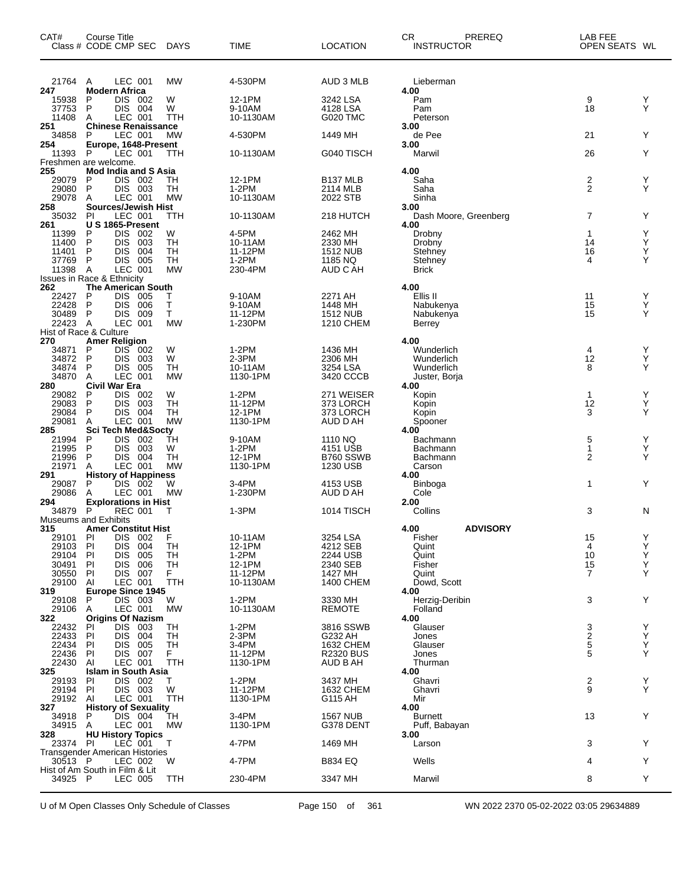| CAT#                   | Course Title<br>Class # CODE CMP SEC                   | <b>DAYS</b>            | <b>TIME</b>          | LOCATION                     | СR<br>PREREQ<br><b>INSTRUCTOR</b> | LAB FEE<br>OPEN SEATS WL |        |
|------------------------|--------------------------------------------------------|------------------------|----------------------|------------------------------|-----------------------------------|--------------------------|--------|
| 21764<br>247           | LEC 001<br>A<br><b>Modern Africa</b>                   | <b>MW</b>              | 4-530PM              | AUD 3 MLB                    | Lieberman<br>4.00                 |                          |        |
| 15938                  | P<br>DIS 002                                           | W                      | 12-1PM               | 3242 LSA                     | Pam                               | 9                        | Y      |
| 37753<br>11408         | P<br><b>DIS 004</b><br>LEC 001<br>A                    | W<br>TTH               | 9-10AM<br>10-1130AM  | 4128 LSA<br><b>G020 TMC</b>  | Pam<br>Peterson                   | 18                       | Υ      |
| 251                    | <b>Chinese Renaissance</b>                             |                        |                      |                              | 3.00                              |                          |        |
| 34858<br>254           | LEC 001<br>P<br>Europe, 1648-Present                   | <b>MW</b>              | 4-530PM              | 1449 MH                      | de Pee<br>3.00                    | 21                       | Y      |
| 11393                  | P<br>LEC 001                                           | TTH                    | 10-1130AM            | G040 TISCH                   | Marwil                            | 26                       | Υ      |
| 255                    | Freshmen are welcome.<br>Mod India and S Asia          |                        |                      |                              | 4.00                              |                          |        |
| 29079                  | P<br>DIS.<br>002                                       | TН                     | 12-1PM               | <b>B137 MLB</b>              | Saha                              | 2                        | Υ      |
| 29080<br>29078         | P<br>DIS 003<br>LEC 001<br>A                           | <b>TH</b><br><b>MW</b> | $1-2PM$<br>10-1130AM | 2114 MLB<br>2022 STB         | Saha<br>Sinha                     | 2                        | Υ      |
| 258                    | <b>Sources/Jewish Hist</b>                             |                        |                      |                              | 3.00                              |                          |        |
| 35032<br>261           | PI<br>LEC 001<br>U S 1865-Present                      | TTH                    | 10-1130AM            | 218 HUTCH                    | Dash Moore, Greenberg<br>4.00     | 7                        | Υ      |
| 11399<br>11400         | DIS.<br>P<br>002<br>P<br><b>DIS</b><br>003             | W<br><b>TH</b>         | 4-5PM<br>10-11AM     | 2462 MH<br>2330 MH           | Drobny                            | $\mathbf{1}$<br>14       | Υ<br>Υ |
| 11401                  | <b>DIS</b><br>P<br>004                                 | TН                     | 11-12PM              | <b>1512 NUB</b>              | Drobny<br>Stehney                 | 16                       | Υ      |
| 37769                  | P<br>DIS.<br>005                                       | TН<br><b>MW</b>        | 1-2PM                | 1185 NQ                      | Stehney                           | 4                        | Υ      |
| 11398 A                | LEC 001<br><b>Issues in Race &amp; Ethnicity</b>       |                        | 230-4PM              | AUD C AH                     | <b>Brick</b>                      |                          |        |
| 262                    | <b>The American South</b><br>DIS 005<br>P              | т                      | 9-10AM               | 2271 AH                      | 4.00<br>Ellis II                  | 11                       | Y      |
| 22427<br>22428         | <b>DIS</b><br>P<br>006                                 | Τ                      | 9-10AM               | 1448 MH                      | Nabukenya                         | 15                       | Υ      |
| 30489<br>22423         | P<br>DIS.<br>009<br>- A<br>LEC 001                     | т<br><b>MW</b>         | 11-12PM<br>1-230PM   | <b>1512 NUB</b><br>1210 CHEM | Nabukenya                         | 15                       | Υ      |
| Hist of Race & Culture |                                                        |                        |                      |                              | Berrey                            |                          |        |
| 270<br>34871           | <b>Amer Religion</b><br>DIS 002<br>P                   | W                      | $1-2PM$              | 1436 MH                      | 4.00<br>Wunderlich                | 4                        | Y      |
| 34872                  | <b>DIS</b><br>P<br>003                                 | W                      | $2-3PM$              | 2306 MH                      | Wunderlich                        | 12                       | Υ      |
| 34874<br>34870         | P<br>DIS.<br>005<br>LEC 001<br>Α                       | TН<br><b>MW</b>        | 10-11AM<br>1130-1PM  | 3254 LSA<br>3420 CCCB        | Wunderlich<br>Juster, Borja       | 8                        | Υ      |
| 280                    | Civil War Era                                          |                        |                      |                              | 4.00                              |                          |        |
| 29082<br>29083         | P<br>DIS 002<br>P<br><b>DIS</b><br>003                 | W<br><b>TH</b>         | 1-2PM<br>11-12PM     | 271 WEISER<br>373 LORCH      | Kopin<br>Kopin                    | $\mathbf{1}$<br>12       | Y<br>Υ |
| 29084                  | <b>DIS</b><br>P<br>004                                 | TН                     | 12-1PM               | 373 LORCH                    | Kopin                             | 3                        | Υ      |
| 29081<br>285           | LEC 001<br>Α<br>Sci Tech Med&Socty                     | <b>MW</b>              | 1130-1PM             | AUD D AH                     | Spooner<br>4.00                   |                          |        |
| 21994                  | <b>DIS</b><br>P<br>002                                 | ŤН                     | 9-10AM               | 1110 NQ                      | Bachmann                          | 5                        | Y      |
| 21995<br>21996         | P<br>DIS.<br>003<br>P<br>DIS.<br>004                   | W<br><b>TH</b>         | 1-2PM<br>12-1PM      | 4151 USB<br>B760 SSWB        | Bachmann<br>Bachmann              | 1<br>2                   | Υ<br>Y |
| 21971                  | LEC 001<br>A                                           | <b>MW</b>              | 1130-1PM             | 1230 USB                     | Carson                            |                          |        |
| 291<br>29087           | <b>History of Happiness</b><br>DIS 002<br>P            | W                      | 3-4PM                | 4153 USB                     | 4.00<br>Binboga                   | 1                        | Y      |
| 29086                  | LEC 001<br>Α                                           | <b>MW</b>              | 1-230PM              | AUD D AH                     | Cole                              |                          |        |
| 294<br>34879           | <b>Explorations in Hist</b><br>P<br><b>REC 001</b>     | т                      | $1-3PM$              | 1014 TISCH                   | 2.00<br>Collins                   | 3                        | N      |
|                        | <b>Museums and Exhibits</b>                            |                        |                      |                              |                                   |                          |        |
| 315<br>29101           | <b>Amer Constitut Hist</b><br>P<br>DIS 002             | F                      | 10-11AM              | 3254 LSA                     | <b>ADVISORY</b><br>4.00<br>Fisher | 15                       | Υ      |
| 29103                  | <b>DIS</b><br>PI<br>004                                | TН                     | 12-1PM               | 4212 SEB                     | Quint                             | 4                        | Υ      |
| 29104<br>30491         | <b>DIS</b><br>PI<br>005<br><b>DIS</b><br>PI<br>006     | TН<br>TH               | 1-2PM<br>12-1PM      | 2244 USB<br>2340 SEB         | Quint<br>Fisher                   | 10<br>15                 | Υ<br>Υ |
| 30550                  | DIS 007<br>PI                                          | F.                     | 11-12PM              | 1427 MH                      | Quint                             | $\overline{7}$           | Υ      |
| 29100<br>319           | ΑI<br>LEC 001<br><b>Europe Since 1945</b>              | TTH                    | 10-1130AM            | 1400 CHEM                    | Dowd, Scott<br>4.00               |                          |        |
| 29108                  | DIS 003<br>P                                           | W                      | 1-2PM                | 3330 MH                      | Herzig-Deribin                    | 3                        | Y      |
| 29106<br>322           | LEC 001<br>Α<br><b>Origins Of Nazism</b>               | <b>MW</b>              | 10-1130AM            | REMOTE                       | Folland<br>4.00                   |                          |        |
| 22432                  | <b>DIS</b><br>003<br>ΡI                                | TН                     | $1-2PM$              | 3816 SSWB                    | Glauser                           | 3                        | Y      |
| 22433<br>22434         | PI<br><b>DIS</b><br>004<br><b>DIS</b><br>PI<br>005     | TН<br>TН               | $2-3PM$<br>3-4PM     | G232 AH<br><b>1632 CHEM</b>  | Jones<br>Glauser                  | $\frac{2}{5}$            | Y<br>Y |
| 22436                  | DIS 007<br>PI                                          | F.                     | 11-12PM              | <b>R2320 BUS</b>             | Jones                             | 5                        | Y      |
| 22430<br>325           | AI<br>LEC 001<br><b>Islam in South Asia</b>            | TTH                    | 1130-1PM             | AUD B AH                     | Thurman<br>4.00                   |                          |        |
| 29193                  | DIS 002<br>PI                                          | Τ                      | 1-2PM                | 3437 MH                      | Ghavri                            | 2                        | Y      |
| 29194<br>29192         | DIS 003<br>PI<br>LEC 001<br>Al                         | W<br><b>TTH</b>        | 11-12PM<br>1130-1PM  | 1632 CHEM<br>G115 AH         | Ghavri<br>Mir                     | 9                        | Y      |
| 327                    | <b>History of Sexuality</b>                            |                        |                      |                              | 4.00                              |                          |        |
| 34918<br>34915         | P<br>DIS 004<br>LEC 001<br>A                           | TН<br><b>MW</b>        | 3-4PM<br>1130-1PM    | <b>1567 NUB</b><br>G378 DENT | <b>Burnett</b><br>Puff, Babayan   | 13                       | Y      |
| 328                    | <b>HU History Topics</b>                               |                        |                      |                              | 3.00                              |                          |        |
| 23374                  | PI<br>LEC 001<br><b>Transgender American Histories</b> | т                      | 4-7PM                | 1469 MH                      | Larson                            | 3                        | Y      |
| 30513 P                | LEC 002                                                | W                      | 4-7PM                | B834 EQ                      | Wells                             | 4                        | Y      |
| 34925 P                | Hist of Am South in Film & Lit<br>LEC 005              | <b>TTH</b>             | 230-4PM              | 3347 MH                      | Marwil                            | 8                        | Y      |
|                        |                                                        |                        |                      |                              |                                   |                          |        |

U of M Open Classes Only Schedule of Classes Page 150 of 361 WN 2022 2370 05-02-2022 03:05 29634889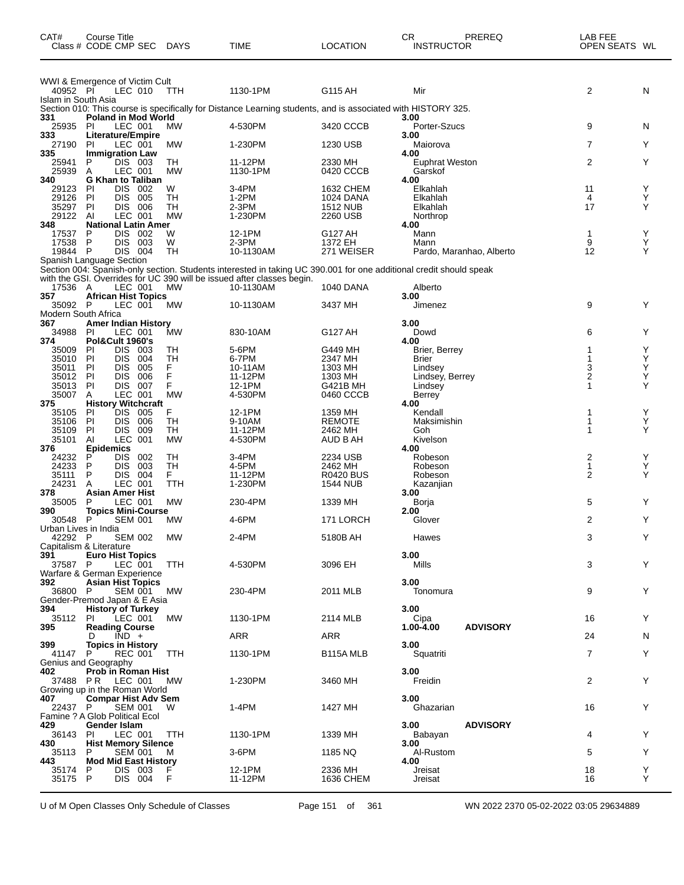| CAT#                            | Course Title<br>Class # CODE CMP SEC                        | DAYS            | TIME                                                                                                               | <b>LOCATION</b>          | <b>CR</b><br><b>INSTRUCTOR</b> | PREREQ                   | LAB FEE<br>OPEN SEATS WL |        |
|---------------------------------|-------------------------------------------------------------|-----------------|--------------------------------------------------------------------------------------------------------------------|--------------------------|--------------------------------|--------------------------|--------------------------|--------|
| 40952 PI                        | WWI & Emergence of Victim Cult<br>LEC 010                   | <b>TTH</b>      | 1130-1PM                                                                                                           | G115 AH                  | Mir                            |                          | 2                        | N      |
| Islam in South Asia             |                                                             |                 | Section 010: This course is specifically for Distance Learning students, and is associated with HISTORY 325.       |                          |                                |                          |                          |        |
| 331                             | <b>Poland in Mod World</b>                                  |                 |                                                                                                                    |                          | 3.00                           |                          |                          |        |
| 25935 PI                        | LEC 001                                                     | МW              | 4-530PM                                                                                                            | 3420 CCCB                | Porter-Szucs                   |                          | 9                        | N      |
| 333<br>27190                    | Literature/Empire<br>LEC 001<br>PI                          | MW              | 1-230PM                                                                                                            | 1230 USB                 | 3.00<br>Maiorova               |                          | 7                        | Υ      |
| 335                             | <b>Immigration Law</b>                                      |                 |                                                                                                                    |                          | 4.00                           |                          |                          |        |
| 25941                           | DIS 003<br>P                                                | TH              | 11-12PM                                                                                                            | 2330 MH                  | <b>Euphrat Weston</b>          |                          | 2                        | Y      |
| 25939<br>340                    | LEC 001<br>A<br><b>G Khan to Taliban</b>                    | <b>MW</b>       | 1130-1PM                                                                                                           | 0420 CCCB                | Garskof<br>4.00                |                          |                          |        |
| 29123                           | PI<br><b>DIS</b><br>002                                     | W               | 3-4PM                                                                                                              | 1632 CHEM                | Elkahlah                       |                          | 11                       | Y      |
| 29126                           | PI<br><b>DIS</b><br>005                                     | TН              | $1-2PM$                                                                                                            | 1024 DANA                | Elkahlah                       |                          | 4                        | Υ      |
| 35297<br>29122                  | PI<br>DIS 006                                               | TН<br><b>MW</b> | $2-3PM$                                                                                                            | <b>1512 NUB</b>          | Elkahlah                       |                          | 17                       | Y      |
| 348                             | LEC 001<br>Al<br><b>National Latin Amer</b>                 |                 | 1-230PM                                                                                                            | 2260 USB                 | Northrop<br>4.00               |                          |                          |        |
| 17537                           | P<br>DIS 002                                                | W               | 12-1PM                                                                                                             | G127 AH                  | Mann                           |                          | 1                        | Υ      |
| 17538                           | P<br>DIS 003                                                | W               | $2-3PM$                                                                                                            | 1372 EH                  | Mann                           |                          | 9                        | Y      |
| 19844 P                         | <b>DIS 004</b><br>Spanish Language Section                  | TH              | 10-1130AM                                                                                                          | 271 WEISER               |                                | Pardo, Maranhao, Alberto | 12                       | Y      |
|                                 |                                                             |                 | Section 004: Spanish-only section. Students interested in taking UC 390.001 for one additional credit should speak |                          |                                |                          |                          |        |
|                                 |                                                             |                 | with the GSI. Overrides for UC 390 will be issued after classes begin.                                             |                          |                                |                          |                          |        |
| 17536 A<br>357                  | LEC 001<br><b>African Hist Topics</b>                       | MW              | 10-1130AM                                                                                                          | <b>1040 DANA</b>         | Alberto<br>3.00                |                          |                          |        |
| 35092                           | LEC 001<br>P                                                | МW              | 10-1130AM                                                                                                          | 3437 MH                  | Jimenez                        |                          | 9                        | Y      |
| <b>Modern South Africa</b>      |                                                             |                 |                                                                                                                    |                          |                                |                          |                          |        |
| 367                             | <b>Amer Indian History</b>                                  |                 |                                                                                                                    |                          | 3.00                           |                          |                          |        |
| 34988<br>374                    | <b>PI</b><br>LEC 001<br>Pol&Cult 1960's                     | MW              | 830-10AM                                                                                                           | G127 AH                  | Dowd<br>4.00                   |                          | 6                        | Y      |
| 35009                           | DIS 003<br>PI                                               | TН              | 5-6PM                                                                                                              | G449 MH                  | Brier, Berrey                  |                          | 1                        | Y      |
| 35010                           | PI<br>DIS<br>004                                            | TH              | 6-7PM                                                                                                              | 2347 MH                  | Brier                          |                          | 1                        | Υ      |
| 35011                           | PI<br><b>DIS</b><br>005<br>PI<br>DIS<br>006                 | F.<br>F         | 10-11AM<br>11-12PM                                                                                                 | 1303 MH<br>1303 MH       | Lindsey                        |                          | 3<br>2                   | Υ<br>Υ |
| 35012<br>35013                  | DIS .<br>PI<br>007                                          | F               | 12-1PM                                                                                                             | G421B MH                 | Lindsey, Berrey<br>Lindsey     |                          | 1                        | Y      |
| 35007                           | Α<br>LEC 001                                                | <b>MW</b>       | 4-530PM                                                                                                            | 0460 CCCB                | Berrey                         |                          |                          |        |
| 375                             | <b>History Witchcraft</b>                                   |                 |                                                                                                                    |                          | 4.00                           |                          |                          |        |
| 35105<br>35106                  | <b>DIS</b><br>PI<br>005<br>PI<br>DIS.<br>006                | F<br>TН         | 12-1PM<br>9-10AM                                                                                                   | 1359 MH<br><b>REMOTE</b> | Kendall<br>Maksimishin         |                          | 1                        | Υ<br>Y |
| 35109                           | PI<br>DIS<br>009                                            | TН              | 11-12PM                                                                                                            | 2462 MH                  | Goh                            |                          | 1                        | Υ      |
| 35101                           | <b>LEC</b><br>AI<br>001                                     | <b>MW</b>       | 4-530PM                                                                                                            | AUD B AH                 | Kivelson                       |                          |                          |        |
| 376<br>24232                    | <b>Epidemics</b><br>P<br>DIS<br>002                         | TН              | 3-4PM                                                                                                              | 2234 USB                 | 4.00<br>Robeson                |                          | 2                        | Y      |
| 24233                           | P<br>DIS<br>003                                             | TH              | 4-5PM                                                                                                              | 2462 MH                  | Robeson                        |                          | 1                        | Υ      |
| 35111                           | P<br>004<br>DIS.                                            | F.              | 11-12PM                                                                                                            | <b>R0420 BUS</b>         | Robeson                        |                          | $\overline{2}$           | Y      |
| 24231                           | LEC 001<br>A<br><b>Asian Amer Hist</b>                      | <b>TTH</b>      | 1-230PM                                                                                                            | <b>1544 NUB</b>          | Kazanjian                      |                          |                          |        |
| 378<br>35005                    | P<br>LEC 001                                                | <b>MW</b>       | 230-4PM                                                                                                            | 1339 MH                  | 3.00<br>Borja                  |                          | 5                        | Υ      |
| 390                             | <b>Topics Mini-Course</b>                                   |                 |                                                                                                                    |                          | 2.00                           |                          |                          |        |
| 30548                           | <b>SEM 001</b><br>P                                         | МW              | 4-6PM                                                                                                              | 171 LORCH                | Glover                         |                          | 2                        | Y      |
| Urban Lives in India<br>42292 P | <b>SEM 002</b>                                              | MW              | 2-4PM                                                                                                              | 5180B AH                 | Hawes                          |                          | 3                        | Y      |
|                                 | Capitalism & Literature                                     |                 |                                                                                                                    |                          |                                |                          |                          |        |
| 391                             | <b>Euro Hist Topics</b>                                     |                 |                                                                                                                    |                          | 3.00                           |                          |                          |        |
| 37587 P                         | LEC 001<br>Warfare & German Experience                      | <b>TTH</b>      | 4-530PM                                                                                                            | 3096 EH                  | Mills                          |                          | 3                        | Y      |
| 392                             | <b>Asian Hist Topics</b>                                    |                 |                                                                                                                    |                          | 3.00                           |                          |                          |        |
| 36800 P                         | <b>SEM 001</b>                                              | МW              | 230-4PM                                                                                                            | 2011 MLB                 | Tonomura                       |                          | 9                        | Y      |
|                                 | Gender-Premod Japan & E Asia                                |                 |                                                                                                                    |                          |                                |                          |                          |        |
| 394<br>35112                    | <b>History of Turkey</b><br><b>PI</b><br>LEC 001            | МW              | 1130-1PM                                                                                                           | 2114 MLB                 | 3.00<br>Cipa                   |                          | 16                       | Υ      |
| 395                             | <b>Reading Course</b>                                       |                 |                                                                                                                    |                          | 1.00-4.00                      | <b>ADVISORY</b>          |                          |        |
|                                 | $\overline{IND}$ +<br>D                                     |                 | ARR                                                                                                                | <b>ARR</b>               |                                |                          | 24                       | N      |
| 399<br>41147 P                  | <b>Topics in History</b><br>REC 001                         | <b>TTH</b>      | 1130-1PM                                                                                                           | B115A MLB                | 3.00<br>Squatriti              |                          | $\overline{7}$           | Υ      |
|                                 | Genius and Geography                                        |                 |                                                                                                                    |                          |                                |                          |                          |        |
| 402                             | <b>Prob in Roman Hist</b>                                   |                 |                                                                                                                    |                          | 3.00                           |                          |                          |        |
|                                 | 37488 PR LEC 001                                            | <b>MW</b>       | 1-230PM                                                                                                            | 3460 MH                  | Freidin                        |                          | 2                        | Υ      |
| 407                             | Growing up in the Roman World<br><b>Compar Hist Adv Sem</b> |                 |                                                                                                                    |                          | 3.00                           |                          |                          |        |
| 22437 P                         | SEM 001                                                     | W               | 1-4PM                                                                                                              | 1427 MH                  | Ghazarian                      |                          | 16                       | Υ      |
|                                 | Famine ? A Glob Political Ecol                              |                 |                                                                                                                    |                          |                                |                          |                          |        |
| 429<br>36143                    | Gender Islam<br>PI<br>LEC 001                               | <b>TTH</b>      | 1130-1PM                                                                                                           | 1339 MH                  | 3.00<br>Babayan                | <b>ADVISORY</b>          | 4                        | Υ      |
| 430                             | <b>Hist Memory Silence</b>                                  |                 |                                                                                                                    |                          | 3.00                           |                          |                          |        |
| 35113 P                         | <b>SEM 001</b>                                              | M               | 3-6PM                                                                                                              | 1185 NQ                  | Al-Rustom                      |                          | 5                        | Υ      |
| 443                             | <b>Mod Mid East History</b>                                 |                 | 12-1PM                                                                                                             | 2336 MH                  | 4.00                           |                          |                          | Υ      |
| 35174<br>35175 P                | DIS 003<br>P<br>DIS 004                                     | F               | 11-12PM                                                                                                            | 1636 CHEM                | Jreisat<br>Jreisat             |                          | 18<br>16                 | Y      |
|                                 |                                                             |                 |                                                                                                                    |                          |                                |                          |                          |        |

U of M Open Classes Only Schedule of Classes Page 151 of 361 WN 2022 2370 05-02-2022 03:05 29634889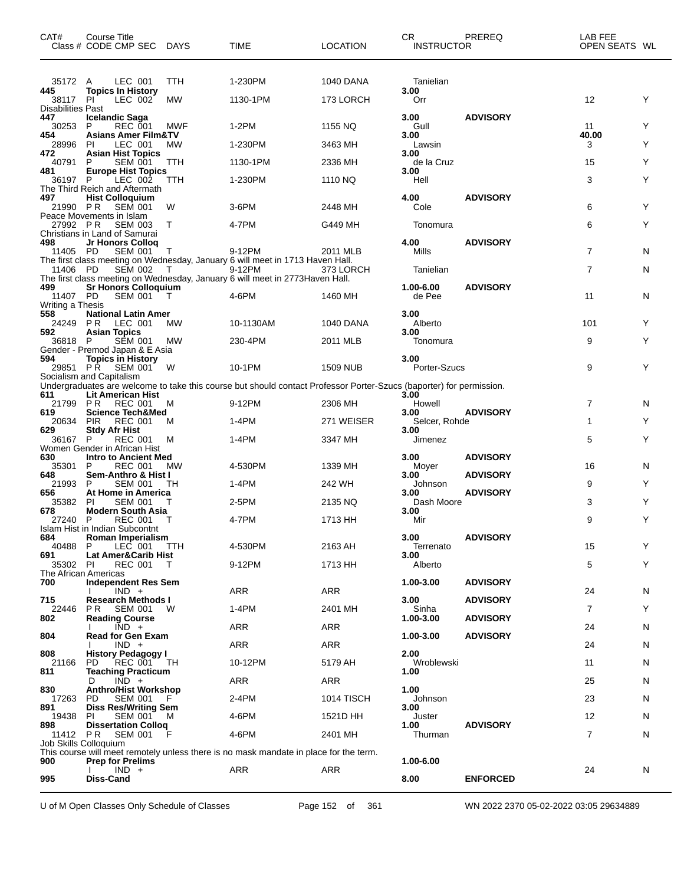| CAT#                             | Course Title<br>Class # CODE CMP SEC DAYS                   |            | <b>TIME</b>                                                                                                         | <b>LOCATION</b>  | CR<br><b>INSTRUCTOR</b> | PREREQ          | LAB FEE<br>OPEN SEATS WL |   |
|----------------------------------|-------------------------------------------------------------|------------|---------------------------------------------------------------------------------------------------------------------|------------------|-------------------------|-----------------|--------------------------|---|
| 35172 A                          | LEC 001                                                     | TTH        | 1-230PM                                                                                                             | <b>1040 DANA</b> | Tanielian               |                 |                          |   |
| 445<br>38117                     | <b>Topics In History</b><br>LEC 002<br><b>PI</b>            | <b>MW</b>  | 1130-1PM                                                                                                            | 173 LORCH        | 3.00<br>Orr             |                 | $12 \overline{ }$        | Y |
| <b>Disabilities Past</b>         |                                                             |            |                                                                                                                     |                  |                         |                 |                          |   |
| 447<br>30253                     | <b>Icelandic Saga</b><br>REC 001<br>P                       | MWF        | $1-2PM$                                                                                                             | 1155 NQ          | 3.00<br>Gull            | <b>ADVISORY</b> | 11                       | Y |
| 454                              | <b>Asians Amer Film&amp;TV</b>                              |            |                                                                                                                     |                  | 3.00                    |                 | 40.00                    |   |
| 28996<br>472                     | LEC 001<br>PI<br><b>Asian Hist Topics</b>                   | <b>MW</b>  | 1-230PM                                                                                                             | 3463 MH          | Lawsin<br>3.00          |                 | 3                        | Y |
| 40791<br>481                     | P<br><b>SEM 001</b><br><b>Europe Hist Topics</b>            | <b>TTH</b> | 1130-1PM                                                                                                            | 2336 MH          | de la Cruz<br>3.00      |                 | 15                       | Y |
| 36197 P                          | LEC 002                                                     | TTH        | 1-230PM                                                                                                             | 1110 NQ          | Hell                    |                 | 3                        | Y |
| 497                              | The Third Reich and Aftermath<br><b>Hist Colloquium</b>     |            |                                                                                                                     |                  | 4.00                    | <b>ADVISORY</b> |                          |   |
| 21990 PR                         | <b>SEM 001</b><br>Peace Movements in Islam                  | W          | 3-6PM                                                                                                               | 2448 MH          | Cole                    |                 | 6                        | Y |
| 27992 PR                         | <b>SEM 003</b>                                              | Т          | 4-7PM                                                                                                               | G449 MH          | Tonomura                |                 | 6                        | Y |
| 498                              | Christians in Land of Samurai<br>Jr Honors Colloq           |            |                                                                                                                     |                  | 4.00                    | <b>ADVISORY</b> |                          |   |
| 11405 PD                         | <b>SEM 001</b>                                              | Τ          | 9-12PM<br>The first class meeting on Wednesday, January 6 will meet in 1713 Haven Hall.                             | 2011 MLB         | Mills                   |                 | 7                        | N |
| 11406 PD                         | <b>SEM 002</b>                                              | T          | 9-12PM                                                                                                              | 373 LORCH        | Tanielian               |                 | $\overline{7}$           | N |
| 499                              | <b>Sr Honors Colloquium</b>                                 |            | The first class meeting on Wednesday, January 6 will meet in 2773 Haven Hall.                                       |                  | 1.00-6.00               | <b>ADVISORY</b> |                          |   |
| 11407 PD<br>Writing a Thesis     | <b>SEM 001</b>                                              | $\top$     | 4-6PM                                                                                                               | 1460 MH          | de Pee                  |                 | 11                       | N |
| 558                              | <b>National Latin Amer</b>                                  |            |                                                                                                                     |                  | 3.00                    |                 |                          |   |
| 24249 PR<br>592                  | LEC 001<br><b>Asian Topics</b>                              | MW         | 10-1130AM                                                                                                           | 1040 DANA        | Alberto<br>3.00         |                 | 101                      | Y |
| 36818                            | SEM 001<br>P<br>Gender - Premod Japan & E Asia              | МW         | 230-4PM                                                                                                             | 2011 MLB         | Tonomura                |                 | 9                        | Y |
| 594                              | <b>Topics in History</b>                                    |            |                                                                                                                     |                  | 3.00                    |                 |                          |   |
|                                  | 29851 PR SEM 001<br>Socialism and Capitalism                | W          | 10-1PM                                                                                                              | <b>1509 NUB</b>  | Porter-Szucs            |                 | 9                        | Y |
| 611                              | <b>Lit American Hist</b>                                    |            | Undergraduates are welcome to take this course but should contact Professor Porter-Szucs (baporter) for permission. |                  | 3.00                    |                 |                          |   |
| 21799 PR                         | <b>REC 001</b>                                              | м          | 9-12PM                                                                                                              | 2306 MH          | Howell                  |                 | 7                        | N |
| 619<br>20634                     | <b>Science Tech&amp;Med</b><br><b>PIR</b><br><b>REC 001</b> | м          | 1-4PM                                                                                                               | 271 WEISER       | 3.00<br>Selcer, Rohde   | <b>ADVISORY</b> | 1                        | Y |
| 629<br>36167 P                   | <b>Stdy Afr Hist</b><br><b>REC 001</b>                      | м          | 1-4PM                                                                                                               | 3347 MH          | 3.00<br>Jimenez         |                 | 5                        | Y |
|                                  | Women Gender in African Hist                                |            |                                                                                                                     |                  |                         |                 |                          |   |
| 630<br>35301                     | <b>Intro to Ancient Med</b><br><b>REC 001</b><br>P          | МW         | 4-530PM                                                                                                             | 1339 MH          | 3.00<br>Moyer           | <b>ADVISORY</b> | 16                       | N |
| 648<br>21993                     | Sem-Anthro & Hist I<br>P<br>SEM 001                         | TH         | 1-4PM                                                                                                               | 242 WH           | 3.00<br>Johnson         | <b>ADVISORY</b> | 9                        | Y |
| 656                              | At Home in America                                          |            |                                                                                                                     |                  | 3.00                    | <b>ADVISORY</b> | 3                        | Y |
| 35382<br>678                     | <b>SEM 001</b><br>PI<br><b>Modern South Asia</b>            |            | 2-5PM                                                                                                               | 2135 NQ          | Dash Moore<br>3.00      |                 |                          |   |
| 27240 P                          | <b>REC 001</b><br>Islam Hist in Indian Subcontnt            | т          | 4-7PM                                                                                                               | 1713 HH          | Mir                     |                 | 9                        | Y |
| 684<br>40488                     | Roman Imperialism<br>LEC 001<br>P.                          |            | 4-530PM                                                                                                             | 2163 AH          | 3.00                    | <b>ADVISORY</b> | 15                       | Y |
| 691                              | Lat Amer&Carib Hist                                         | TTH        |                                                                                                                     |                  | Terrenato<br>3.00       |                 |                          |   |
| 35302 PI<br>The African Americas | <b>REC 001</b>                                              | $\top$     | 9-12PM                                                                                                              | 1713 HH          | Alberto                 |                 | 5                        | Y |
| 700                              | <b>Independent Res Sem</b>                                  |            | ARR                                                                                                                 | <b>ARR</b>       | 1.00-3.00               | <b>ADVISORY</b> |                          |   |
| 715                              | $IND +$<br><b>Research Methods I</b>                        |            |                                                                                                                     |                  | 3.00                    | <b>ADVISORY</b> | 24                       | N |
| 22446<br>802                     | PR.<br><b>SEM 001</b><br><b>Reading Course</b>              | W          | $1-4PM$                                                                                                             | 2401 MH          | Sinha<br>1.00-3.00      | <b>ADVISORY</b> | $\overline{7}$           | Y |
| 804                              | $\overline{IND}$ +<br><b>Read for Gen Exam</b>              |            | <b>ARR</b>                                                                                                          | ARR              | 1.00-3.00               | <b>ADVISORY</b> | 24                       | N |
|                                  | $IND +$                                                     |            | ARR                                                                                                                 | ARR              |                         |                 | 24                       | N |
| 808<br>21166                     | <b>History Pedagogy I</b><br>REC 001 TH<br>PD.              |            | 10-12PM                                                                                                             | 5179 AH          | 2.00<br>Wroblewski      |                 | 11                       | N |
| 811                              | <b>Teaching Practicum</b><br>$IND +$<br>D                   |            | ARR                                                                                                                 | ARR              | 1.00                    |                 | 25                       | N |
| 830                              | <b>Anthro/Hist Workshop</b>                                 |            |                                                                                                                     |                  | 1.00                    |                 |                          |   |
| 17263<br>891                     | PD<br><b>SEM 001</b><br><b>Diss Res/Writing Sem</b>         |            | 2-4PM                                                                                                               | 1014 TISCH       | Johnson<br>3.00         |                 | 23                       | N |
| 19438<br>898                     | <b>SEM 001</b><br>PI.<br><b>Dissertation Collog</b>         | м          | 4-6PM                                                                                                               | 1521D HH         | Juster<br>1.00          | <b>ADVISORY</b> | 12                       | N |
| 11412 PR                         | <b>SEM 001</b>                                              |            | 4-6PM                                                                                                               | 2401 MH          | Thurman                 |                 | $\overline{7}$           | N |
| Job Skills Colloquium            |                                                             |            | This course will meet remotely unless there is no mask mandate in place for the term.                               |                  |                         |                 |                          |   |
| 900                              | <b>Prep for Prelims</b><br>$IND +$                          |            | ARR                                                                                                                 | ARR              | 1.00-6.00               |                 | 24                       | N |
| 995                              | Diss-Cand                                                   |            |                                                                                                                     |                  | 8.00                    | <b>ENFORCED</b> |                          |   |

U of M Open Classes Only Schedule of Classes Page 152 of 361 WN 2022 2370 05-02-2022 03:05 29634889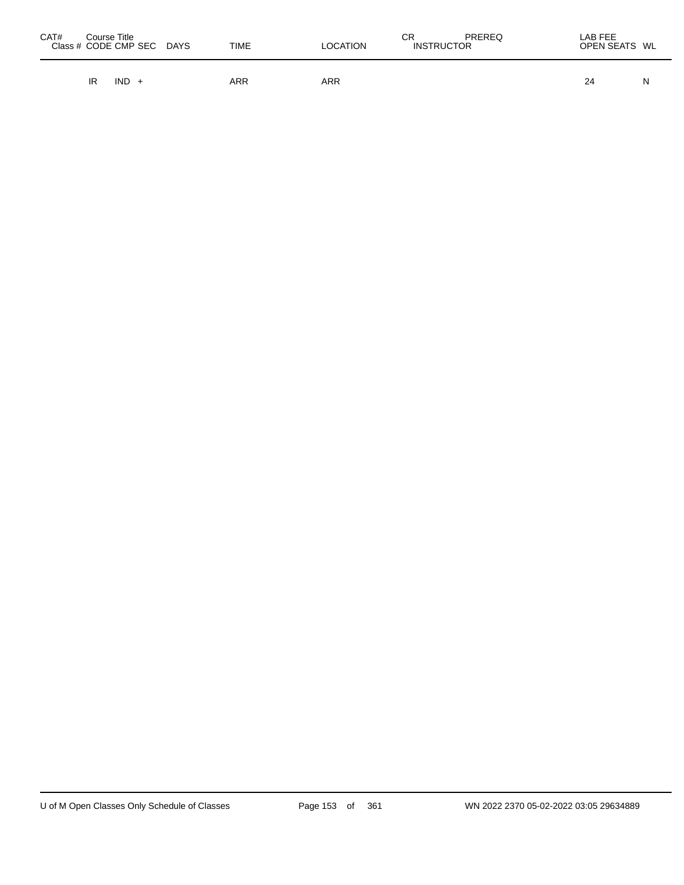| CAT# | Course Title | Class # CODE CMP SEC | <b>DAYS</b> | <b>TIME</b> | <b>LOCATION</b> | СR<br><b>INSTRUCTOR</b> | PREREQ | LAB FEE<br>OPEN SEATS WL |   |
|------|--------------|----------------------|-------------|-------------|-----------------|-------------------------|--------|--------------------------|---|
|      | IR           | IND                  |             | ARR         | ARR             |                         |        | 24                       | N |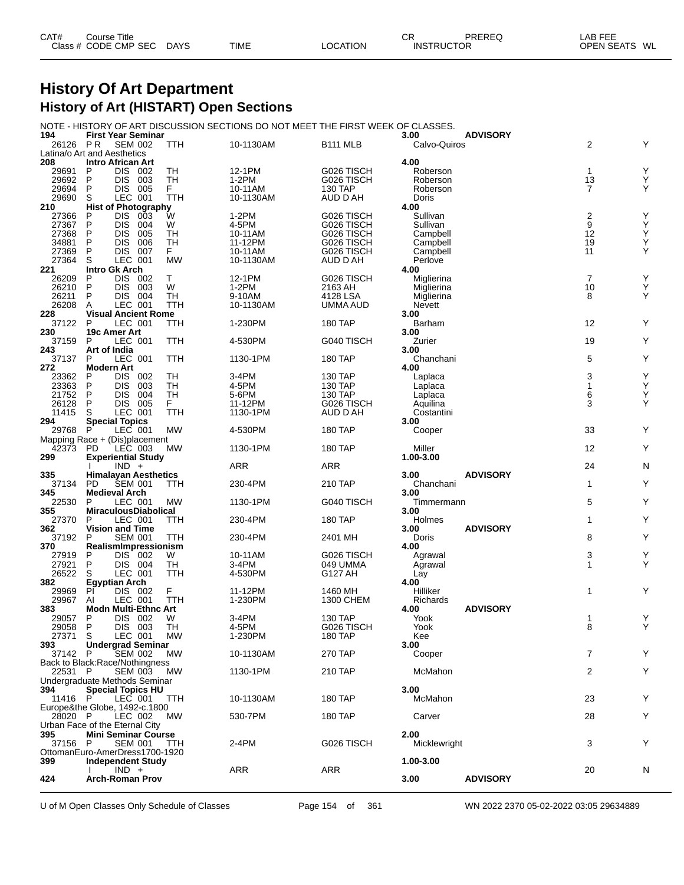| CAT# | Course Title         |             |             |                 | СR                | <b>PREREQ</b> | LAB FEE                 |
|------|----------------------|-------------|-------------|-----------------|-------------------|---------------|-------------------------|
|      | Class # CODE CMP SEC | <b>DAYS</b> | <b>TIME</b> | <b>LOCATION</b> | <b>INSTRUCTOR</b> |               | WL<br><b>OPEN SEATS</b> |

### **History Of Art Department History of Art (HISTART) Open Sections**

#### NOTE - HISTORY OF ART DISCUSSION SECTIONS DO NOT MEET THE FIRST WEEK OF CLASSES.

| 194            | <b>First Year Seminar</b>                  |            |                    |                       | 3.00                 | <b>ADVISORY</b> |                                |  |
|----------------|--------------------------------------------|------------|--------------------|-----------------------|----------------------|-----------------|--------------------------------|--|
| 26126 PR       | <b>SEM 002</b>                             | TTH        | 10-1130AM          | <b>B111 MLB</b>       | Calvo-Quiros         |                 | 2<br>Y                         |  |
|                | Latina/o Art and Aesthetics                |            |                    |                       |                      |                 |                                |  |
| 208            | <b>Intro African Art</b>                   |            |                    |                       | 4.00                 |                 |                                |  |
| 29691          | Ρ<br>DIS 002<br>P                          | TН         | 12-1PM             | G026 TISCH            | Roberson             |                 | Υ<br>$\mathbf{1}$              |  |
| 29692<br>29694 | DIS.<br>- 003<br>005<br>P<br><b>DIS</b>    | TН<br>F.   | $1-2PM$<br>10-11AM | G026 TISCH<br>130 TAP | Roberson<br>Roberson |                 | 13<br>Υ<br>Υ<br>$\overline{7}$ |  |
| 29690          | S<br>LEC 001                               | TTH        | 10-1130AM          | AUD D AH              | Doris                |                 |                                |  |
| 210            | <b>Hist of Photography</b>                 |            |                    |                       | 4.00                 |                 |                                |  |
| 27366          | <b>DIS</b><br>P<br>003                     | W          | 1-2PM              | G026 TISCH            | Sullivan             |                 | Y                              |  |
| 27367          | P<br><b>DIS</b><br>004                     | W          | 4-5PM              | G026 TISCH            | Sullivan             |                 | $\frac{2}{9}$<br>Υ             |  |
| 27368          | P<br><b>DIS</b><br>005                     | TН         | 10-11AM            | G026 TISCH            | Campbell             |                 | 12<br>Υ                        |  |
| 34881          | P<br><b>DIS</b><br>006                     | TН         | 11-12PM            | G026 TISCH            | Campbell             |                 | 19<br>Υ                        |  |
| 27369          | P<br><b>DIS</b><br>007                     | F.         | 10-11AM            | G026 TISCH            | Campbell             |                 | 11<br>Υ                        |  |
| 27364          | S<br>LEC 001                               | <b>MW</b>  | 10-1130AM          | AUD D AH              | Perlove              |                 |                                |  |
| 221            | <b>Intro Gk Arch</b>                       |            |                    |                       | 4.00                 |                 |                                |  |
| 26209          | DIS 002<br>P                               | т          | 12-1PM             | G026 TISCH            | Miglierina           |                 | 7<br>Υ                         |  |
| 26210          | P<br><b>DIS</b><br>003                     | W          | $1-2PM$            | 2163 AH               | Miglierina           |                 | 10<br>Υ                        |  |
| 26211          | 004<br>P<br><b>DIS</b>                     | TН         | 9-10AM             | 4128 LSA              | Miglierina           |                 | 8<br>Y                         |  |
| 26208<br>228   | LEC 001<br>A                               | TTH        | 10-1130AM          | UMMA AUD              | <b>Nevett</b>        |                 |                                |  |
| 37122          | <b>Visual Ancient Rome</b><br>P<br>LEC 001 | TTH        |                    | 180 TAP               | 3.00<br>Barham       |                 | 12<br>Y                        |  |
| 230            | 19c Amer Art                               |            | 1-230PM            |                       | 3.00                 |                 |                                |  |
| 37159          | P<br>LEC 001                               | TTH        | 4-530PM            | G040 TISCH            | Zurier               |                 | 19<br>Y                        |  |
| 243            | Art of India                               |            |                    |                       | 3.00                 |                 |                                |  |
| 37137          | P<br>LEC 001                               | TTH        | 1130-1PM           | 180 TAP               | Chanchani            |                 | Υ<br>5                         |  |
| 272            | <b>Modern Art</b>                          |            |                    |                       | 4.00                 |                 |                                |  |
| 23362          | DIS.<br>P<br>002                           | TН         | 3-4PM              | 130 TAP               | Laplaca              |                 | 3<br>Υ                         |  |
| 23363          | P<br><b>DIS</b><br>003                     | TН         | 4-5PM              | 130 TAP               | Laplaca              |                 | 1<br>Υ                         |  |
| 21752          | P<br><b>DIS</b><br>004                     | TН         | 5-6PM              | 130 TAP               | Laplaca              |                 | 6<br>Υ                         |  |
| 26128          | P<br>005<br><b>DIS</b>                     | F.         | 11-12PM            | G026 TISCH            | Aquilina             |                 | Y<br>3                         |  |
| 11415          | S<br>LEC 001                               | TTH        | 1130-1PM           | AUD D AH              | Costantini           |                 |                                |  |
| 294            | <b>Special Topics</b>                      |            |                    |                       | 3.00                 |                 |                                |  |
| 29768          | $\mathsf{P}$<br>LEC 001                    | <b>MW</b>  | 4-530PM            | 180 TAP               | Cooper               |                 | 33<br>Y                        |  |
|                | Mapping Race + (Dis)placement<br><b>PD</b> | MW         | 1130-1PM           | 180 TAP               | Miller               |                 | Y<br>12                        |  |
| 42373          | LEC 003                                    |            |                    |                       |                      |                 |                                |  |
|                |                                            |            |                    |                       |                      |                 |                                |  |
| 299            | <b>Experiential Study</b>                  |            |                    |                       | 1.00-3.00            |                 |                                |  |
|                | $IND +$                                    |            | ARR                | ARR                   |                      |                 | 24<br>N                        |  |
| 335            | <b>Himalayan Aesthetics</b><br><b>PD</b>   |            |                    |                       | 3.00                 | <b>ADVISORY</b> | Y<br>1                         |  |
| 37134<br>345   | <b>SEM 001</b><br><b>Medieval Arch</b>     | ттн        | 230-4PM            | 210 TAP               | Chanchani<br>3.00    |                 |                                |  |
| 22530          | LEC 001<br>P                               | <b>MW</b>  | 1130-1PM           | G040 TISCH            | Timmermann           |                 | 5<br>Y                         |  |
| 355            | <b>MiraculousDiabolical</b>                |            |                    |                       | 3.00                 |                 |                                |  |
| 27370          | P<br>LEC 001                               | TTH        | 230-4PM            | 180 TAP               | Holmes               |                 | Y<br>1                         |  |
| 362            | <b>Vision and Time</b>                     |            |                    |                       | 3.00                 | <b>ADVISORY</b> |                                |  |
| 37192          | <b>SEM 001</b><br>P                        | TTH        | 230-4PM            | 2401 MH               | Doris                |                 | Y<br>8                         |  |
| 370            | RealismImpressionism                       |            |                    |                       | 4.00                 |                 |                                |  |
| 27919          | DIS 002<br>P                               | W          | 10-11AM            | G026 TISCH            | Agrawal              |                 | 3<br>Υ                         |  |
| 27921          | DIS 004<br>P                               | TН         | 3-4PM              | 049 UMMA              | Agrawal              |                 | Y<br>1                         |  |
| 26522          | S<br>LEC 001                               | <b>TTH</b> | 4-530PM            | G127 AH               | Lay                  |                 |                                |  |
| 382            | Egyptian Arch<br>PI                        |            |                    |                       | 4.00                 |                 | Y<br>1                         |  |
| 29969<br>29967 | DIS 002<br>AI<br>LEC 001                   | F<br>TTH   | 11-12PM<br>1-230PM | 1460 MH<br>1300 CHEM  | Hilliker<br>Richards |                 |                                |  |
| 383            | <b>Modn Multi-Ethnc Art</b>                |            |                    |                       | 4.00                 | <b>ADVISORY</b> |                                |  |
| 29057          | P<br><b>DIS</b><br>002                     | W          | 3-4PM              | <b>130 TAP</b>        | Yook                 |                 | Y<br>1                         |  |
| 29058          | P<br>DIS.<br>003                           | TН         | 4-5PM              | G026 TISCH            | Yook                 |                 | 8<br>Υ                         |  |
| 27371          | S<br>LEC 001                               | – MW       | 1-230PM            | 180 IAP               | Kee                  |                 |                                |  |
| 393            | <b>Undergrad Seminar</b>                   |            |                    |                       | 3.00                 |                 |                                |  |
| 37142 P        | <b>SEM 002</b>                             | МW         | 10-1130AM          | 270 TAP               | Cooper               |                 | $\overline{7}$<br>Υ            |  |
|                | Back to Black:Race/Nothingness             |            |                    |                       |                      |                 |                                |  |
| 22531 P        | <b>SEM 003</b>                             | <b>MW</b>  | 1130-1PM           | 210 TAP               | McMahon              |                 | 2<br>Υ                         |  |
|                | Undergraduate Methods Seminar              |            |                    |                       |                      |                 |                                |  |
| 394<br>11416 P | <b>Special Topics HU</b><br>LEC 001        | TTH        | 10-1130AM          | 180 TAP               | 3.00<br>McMahon      |                 | 23<br>Y                        |  |
|                | Europe&the Globe, 1492-c.1800              |            |                    |                       |                      |                 |                                |  |
| 28020 P        | LEC 002                                    | МW         | 530-7PM            | 180 TAP               | Carver               |                 | Υ<br>28                        |  |
|                | Urban Face of the Eternal City             |            |                    |                       |                      |                 |                                |  |
| 395            | <b>Mini Seminar Course</b>                 |            |                    |                       | 2.00                 |                 |                                |  |
| 37156 P        | <b>SEM 001</b>                             | TTH        | 2-4PM              | G026 TISCH            | Micklewright         |                 | Y<br>3                         |  |
|                | OttomanEuro-AmerDress1700-1920             |            |                    |                       |                      |                 |                                |  |
| 399            | <b>Independent Study</b>                   |            |                    |                       | 1.00-3.00            |                 |                                |  |
| 424            | $IND +$<br><b>Arch-Roman Prov</b>          |            | <b>ARR</b>         | ARR                   | 3.00                 | <b>ADVISORY</b> | 20<br>N                        |  |

U of M Open Classes Only Schedule of Classes Page 154 of 361 WN 2022 2370 05-02-2022 03:05 29634889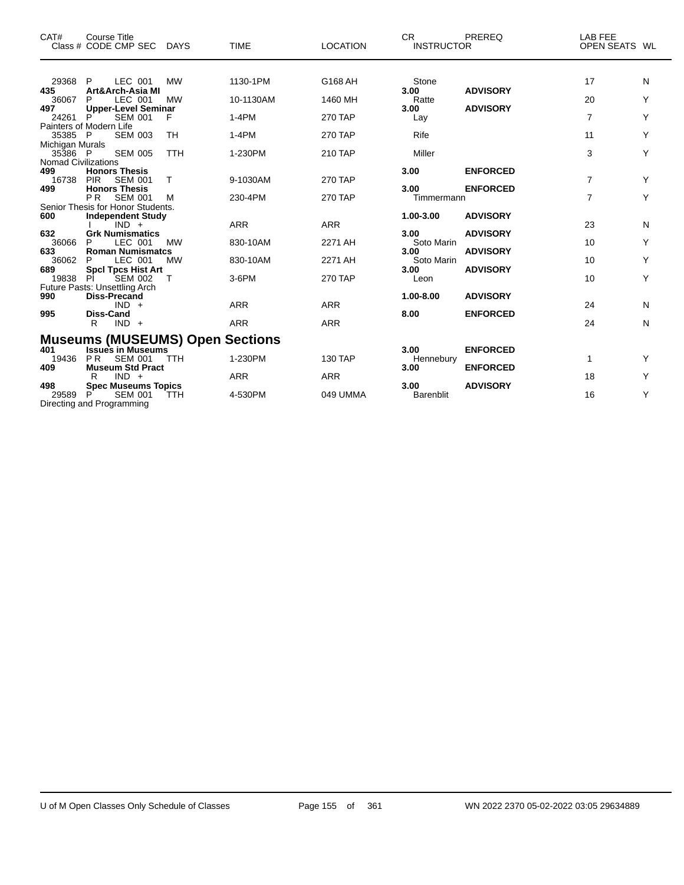| CAT#                                                  | Course Title<br>Class # CODE CMP SEC DAYS                                                      |                        | <b>TIME</b>           | <b>LOCATION</b>           | CR.<br><b>INSTRUCTOR</b>         | PREREQ                             | <b>LAB FEE</b><br>OPEN SEATS WL |        |
|-------------------------------------------------------|------------------------------------------------------------------------------------------------|------------------------|-----------------------|---------------------------|----------------------------------|------------------------------------|---------------------------------|--------|
| 29368 P<br>435                                        | LEC 001<br>Art&Arch-Asia MI                                                                    | <b>MW</b>              | 1130-1PM              | G168 AH                   | Stone<br>3.00                    | <b>ADVISORY</b>                    | 17                              | N      |
| 36067<br>497<br>24261                                 | LEC 001<br>P<br><b>Upper-Level Seminar</b><br><b>SEM 001</b><br>P                              | <b>MW</b><br>F         | 10-1130AM<br>$1-4PM$  | 1460 MH<br><b>270 TAP</b> | Ratte<br>3.00<br>Lay             | <b>ADVISORY</b>                    | 20<br>$\overline{7}$            | Y<br>Y |
| 35385 P<br>Michigan Murals                            | Painters of Modern Life<br><b>SEM 003</b>                                                      | TH                     | $1-4PM$               | <b>270 TAP</b>            | Rife                             |                                    | 11                              | Υ      |
| 35386 P<br><b>Nomad Civilizations</b><br>499<br>16738 | <b>SEM 005</b><br><b>Honors Thesis</b><br><b>PIR</b><br><b>SEM 001</b>                         | <b>TTH</b><br>T        | 1-230PM<br>9-1030AM   | 210 TAP<br><b>270 TAP</b> | Miller<br>3.00                   | <b>ENFORCED</b>                    | 3<br>$\overline{7}$             | Υ<br>Y |
| 499                                                   | <b>Honors Thesis</b><br><b>PR</b><br><b>SEM 001</b><br>Senior Thesis for Honor Students.       | м                      | 230-4PM               | <b>270 TAP</b>            | 3.00<br>Timmermann               | <b>ENFORCED</b>                    | $\overline{7}$                  | Y      |
| 600<br>632                                            | <b>Independent Study</b><br>$IND +$<br><b>Grk Numismatics</b>                                  |                        | <b>ARR</b>            | <b>ARR</b>                | 1.00-3.00<br>3.00                | <b>ADVISORY</b><br><b>ADVISORY</b> | 23                              | N      |
| 36066<br>633<br>36062                                 | LEC 001<br>P<br><b>Roman Numismatcs</b><br>LEC 001<br>P                                        | <b>MW</b><br><b>MW</b> | 830-10AM<br>830-10AM  | 2271 AH<br>2271 AH        | Soto Marin<br>3.00<br>Soto Marin | <b>ADVISORY</b>                    | 10<br>10                        | Υ<br>Υ |
| 689<br>19838                                          | <b>SpcI Tpcs Hist Art</b><br><b>SEM 002</b><br>PI.<br>Future Pasts: Unsettling Arch            |                        | $3-6$ PM              | <b>270 TAP</b>            | 3.00<br>Leon                     | <b>ADVISORY</b>                    | 10                              | Y      |
| 990<br>995                                            | <b>Diss-Precand</b><br>$IND +$<br><b>Diss-Cand</b>                                             |                        | <b>ARR</b>            | <b>ARR</b>                | 1.00-8.00<br>8.00                | <b>ADVISORY</b><br><b>ENFORCED</b> | 24                              | N      |
|                                                       | R<br>$IND +$<br><b>Museums (MUSEUMS) Open Sections</b>                                         |                        | <b>ARR</b>            | <b>ARR</b>                |                                  |                                    | 24                              | N      |
| 401<br>19436<br>409                                   | <b>Issues in Museums</b><br><b>SEM 001</b><br>P <sub>R</sub><br><b>Museum Std Pract</b>        | <b>TTH</b>             | 1-230PM               | 130 TAP                   | 3.00<br>Hennebury<br>3.00        | <b>ENFORCED</b><br><b>ENFORCED</b> | 1                               | Υ      |
| 498<br>29589                                          | $IND +$<br>R<br><b>Spec Museums Topics</b><br><b>SEM 001</b><br>P<br>Directing and Programming | TTH                    | <b>ARR</b><br>4-530PM | <b>ARR</b><br>049 UMMA    | 3.00<br><b>Barenblit</b>         | <b>ADVISORY</b>                    | 18<br>16                        | Υ<br>Y |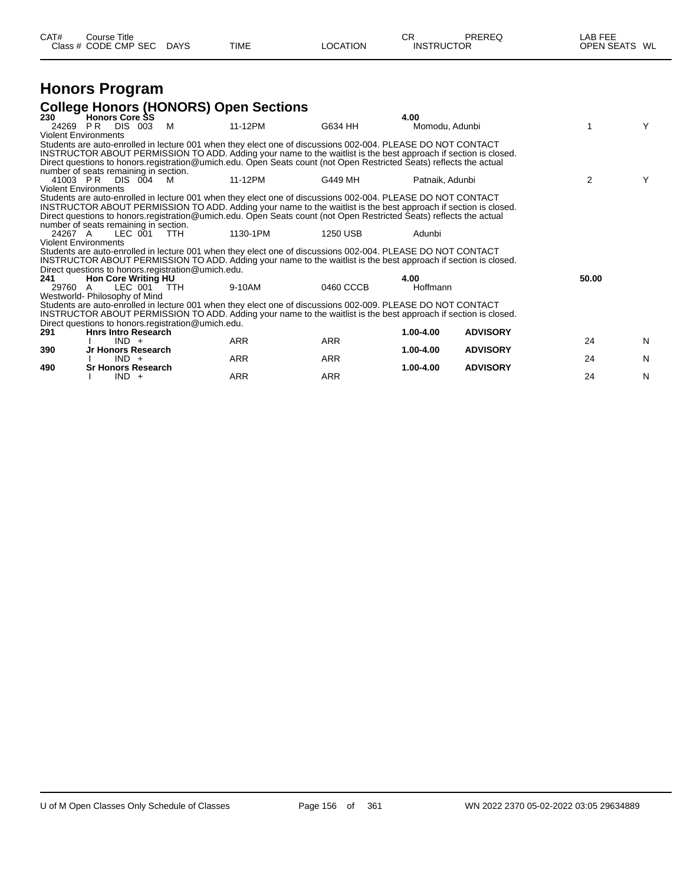| CAT# | Course Title<br>Class # CODE CMP SEC | <b>DAYS</b> | <b>TIME</b> | <b>OCATION</b> | СR<br><b>INSTRUCTOR</b> | PREREQ | <b>LAB FEF</b><br><b>OPEN SEATS</b> | WL |
|------|--------------------------------------|-------------|-------------|----------------|-------------------------|--------|-------------------------------------|----|
|      |                                      |             |             |                |                         |        |                                     |    |

#### **Honors Program College Honors (HONORS) Open Sections**

|         | <u>oonogo Honoro (Honoro) opon oconono</u>                                                                          |          |            |            |                 |                 |       |   |
|---------|---------------------------------------------------------------------------------------------------------------------|----------|------------|------------|-----------------|-----------------|-------|---|
| 230     | <b>Honors Core SS</b>                                                                                               |          |            |            | 4.00            |                 |       |   |
|         | 24269 PR<br>DIS 003                                                                                                 | <b>M</b> | 11-12PM    | G634 HH    | Momodu, Adunbi  |                 |       | Y |
|         | <b>Violent Environments</b>                                                                                         |          |            |            |                 |                 |       |   |
|         | Students are auto-enrolled in lecture 001 when they elect one of discussions 002-004. PLEASE DO NOT CONTACT         |          |            |            |                 |                 |       |   |
|         | INSTRUCTOR ABOUT PERMISSION TO ADD. Adding your name to the waitlist is the best approach if section is closed.     |          |            |            |                 |                 |       |   |
|         | Direct questions to honors registration@umich.edu. Open Seats count (not Open Restricted Seats) reflects the actual |          |            |            |                 |                 |       |   |
|         | number of seats remaining in section.                                                                               |          |            |            |                 |                 |       |   |
|         | 41003 PR DIS 004                                                                                                    | - M      | 11-12PM    | G449 MH    | Patnaik, Adunbi |                 | 2     | Y |
|         | <b>Violent Environments</b>                                                                                         |          |            |            |                 |                 |       |   |
|         | Students are auto-enrolled in lecture 001 when they elect one of discussions 002-004. PLEASE DO NOT CONTACT         |          |            |            |                 |                 |       |   |
|         | INSTRUCTOR ABOUT PERMISSION TO ADD. Adding your name to the waitlist is the best approach if section is closed.     |          |            |            |                 |                 |       |   |
|         | Direct questions to honors.registration@umich.edu. Open Seats count (not Open Restricted Seats) reflects the actual |          |            |            |                 |                 |       |   |
|         | number of seats remaining in section.                                                                               |          |            |            |                 |                 |       |   |
| 24267 A | LEC 001                                                                                                             | TTH.     | 1130-1PM   | 1250 USB   | Adunbi          |                 |       |   |
|         | <b>Violent Environments</b>                                                                                         |          |            |            |                 |                 |       |   |
|         | Students are auto-enrolled in lecture 001 when they elect one of discussions 002-004. PLEASE DO NOT CONTACT         |          |            |            |                 |                 |       |   |
|         | INSTRUCTOR ABOUT PERMISSION TO ADD. Adding your name to the waitlist is the best approach if section is closed.     |          |            |            |                 |                 |       |   |
|         | Direct questions to honors.registration@umich.edu.                                                                  |          |            |            |                 |                 |       |   |
| 241     | <b>Hon Core Writing HU</b>                                                                                          |          |            |            | 4.00            |                 | 50.00 |   |
| 29760   | LEC 001 TTH<br>A                                                                                                    |          | 9-10AM     | 0460 CCCB  | Hoffmann        |                 |       |   |
|         | Westworld- Philosophy of Mind                                                                                       |          |            |            |                 |                 |       |   |
|         | Students are auto-enrolled in lecture 001 when they elect one of discussions 002-009. PLEASE DO NOT CONTACT         |          |            |            |                 |                 |       |   |
|         | INSTRUCTOR ABOUT PERMISSION TO ADD. Adding your name to the waitlist is the best approach if section is closed.     |          |            |            |                 |                 |       |   |
|         | Direct questions to honors registration@umich.edu.                                                                  |          |            |            |                 |                 |       |   |
| 291     | <b>Hnrs Intro Research</b>                                                                                          |          |            |            | 1.00-4.00       | <b>ADVISORY</b> |       |   |
|         | $IND +$                                                                                                             |          | <b>ARR</b> | ARR        |                 |                 | 24    | N |
| 390     | Jr Honors Research                                                                                                  |          |            |            | 1.00-4.00       | <b>ADVISORY</b> |       |   |
|         | $IND +$                                                                                                             |          | <b>ARR</b> | <b>ARR</b> |                 |                 | 24    | N |
| 490     | <b>Sr Honors Research</b>                                                                                           |          |            |            | 1.00-4.00       | <b>ADVISORY</b> |       |   |
|         | $IND +$                                                                                                             |          | ARR        | ARR        |                 |                 | 24    | N |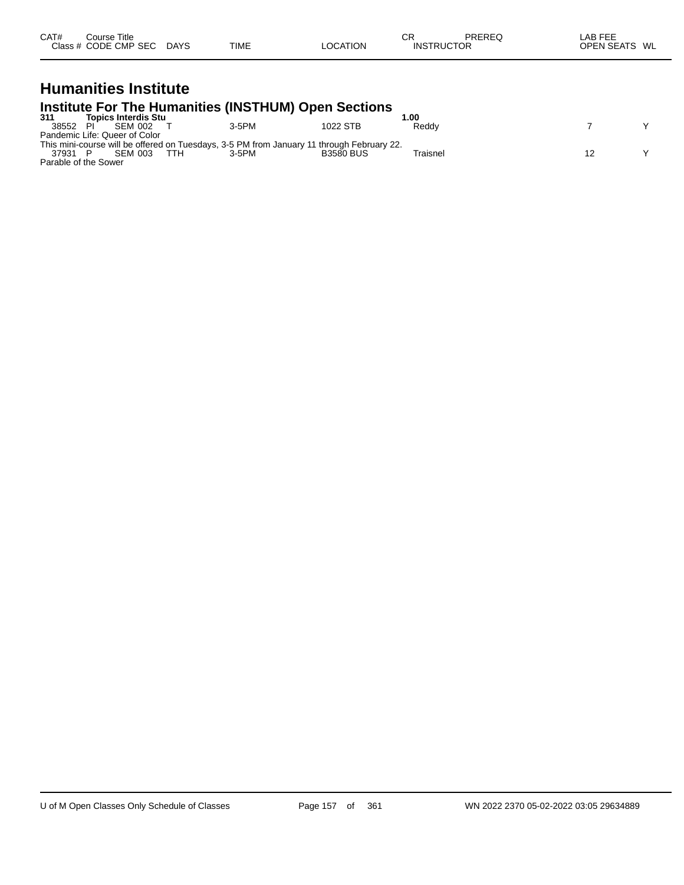| CAT# | Course Title.<br>Class # CODE CMP SEC | <b>DAYS</b> | <b>TIME</b> | <b>LOCATION</b> | СR<br><b>INSTRUCTOR</b> | PREREQ | <b>LAB FEE</b><br><b>OPEN SEATS</b><br>WL |
|------|---------------------------------------|-------------|-------------|-----------------|-------------------------|--------|-------------------------------------------|
|------|---------------------------------------|-------------|-------------|-----------------|-------------------------|--------|-------------------------------------------|

#### **Humanities Institute Institute For The Humanities (INSTHUM) Open Sections**

| 311                  | <b>Topics Interdis Stu</b>    |            |                                                                                           |                  | .00      |  |
|----------------------|-------------------------------|------------|-------------------------------------------------------------------------------------------|------------------|----------|--|
| 38552                | SEM 002                       |            | 3-5PM                                                                                     | 1022 STB         | Reddy    |  |
|                      | Pandemic Life: Queer of Color |            |                                                                                           |                  |          |  |
|                      |                               |            | This mini-course will be offered on Tuesdays, 3-5 PM from January 11 through February 22. |                  |          |  |
| 37931                | <b>SEM 003</b>                | <b>TTH</b> | $3-5$ PM                                                                                  | <b>B3580 BUS</b> | Traisnel |  |
| Parable of the Sower |                               |            |                                                                                           |                  |          |  |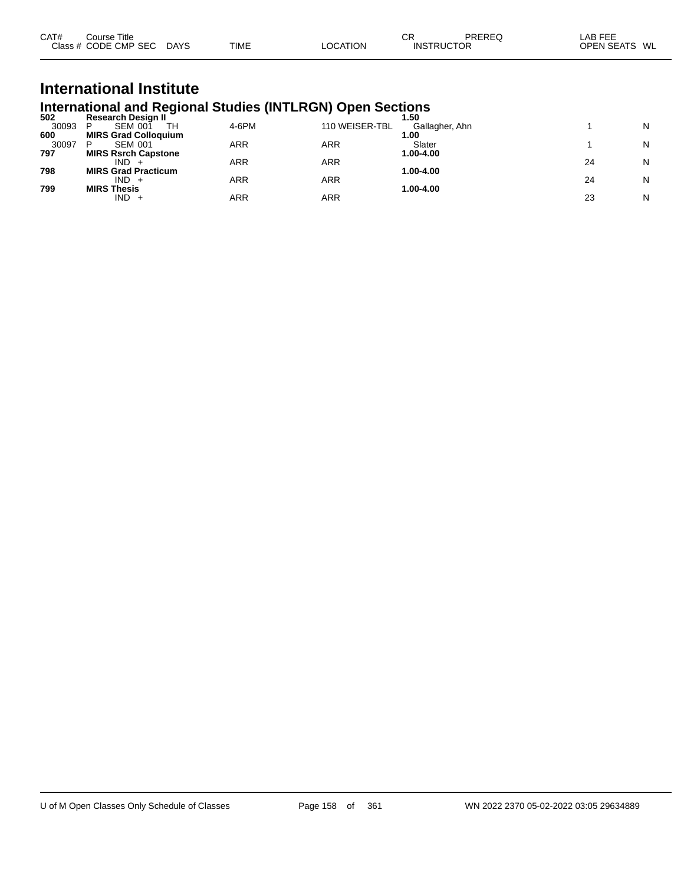| CAT# | ourse Titleٽ         |             |             |          | СR                | PREREQ | LAB FEE                 |  |
|------|----------------------|-------------|-------------|----------|-------------------|--------|-------------------------|--|
|      | Class # CODE CMP SEC | <b>DAYS</b> | <b>TIME</b> | LOCATION | <b>INSTRUCTOR</b> |        | <b>OPEN SEATS</b><br>WL |  |

## **International Institute International and Regional Studies (INTLRGN) Open Sections 502 Research Design II 1.50**

| 502   | <b>Research Design II</b>   |       |                | 50             |    |   |
|-------|-----------------------------|-------|----------------|----------------|----|---|
| 30093 | <b>SEM 001</b><br>TН<br>D   | 4-6PM | 110 WEISER-TBL | Gallagher, Ahn |    | N |
| 600   | <b>MIRS Grad Colloquium</b> |       |                | .00            |    |   |
| 30097 | <b>SEM 001</b>              | ARR   | ARR            | Slater         |    | N |
| 797   | <b>MIRS Rsrch Capstone</b>  |       |                | 1.00-4.00      |    |   |
|       | IND.                        | ARR   | ARR            |                | 24 | N |
| 798   | <b>MIRS Grad Practicum</b>  |       |                | 1.00-4.00      |    |   |
|       | IND                         | ARR   | ARR            |                | 24 | N |
| 799   | <b>MIRS Thesis</b>          |       |                | 1.00-4.00      |    |   |
|       | $IND +$                     | ARR   | ARR            |                | 23 | N |
|       |                             |       |                |                |    |   |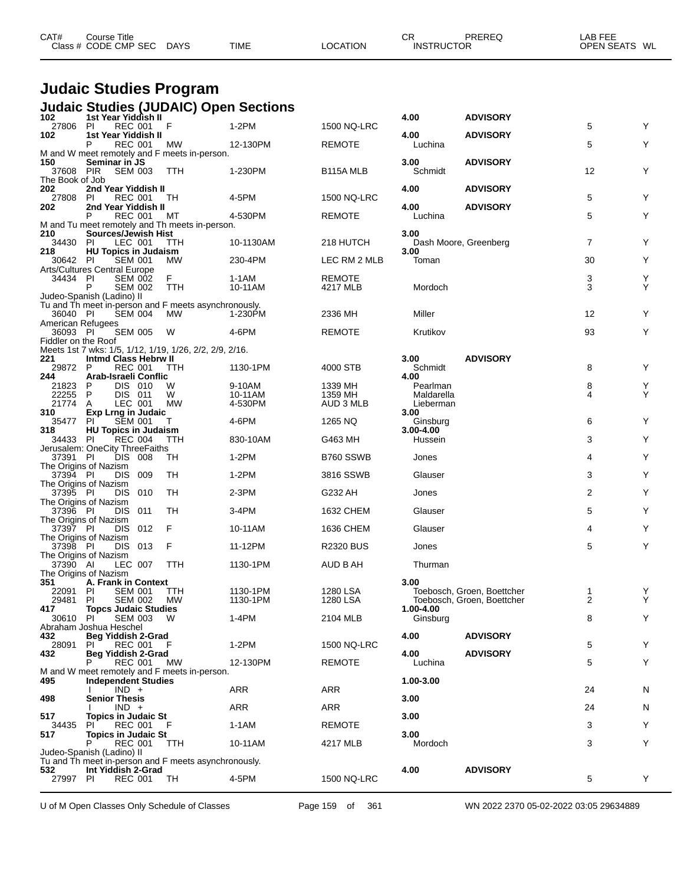| CAT# | Course Title<br>Class # CODE CMP SEC | <b>DAYS</b> | <b>TIME</b> | LOCATION | ⌒冖<br>◡<br><b>INSTRUCTOR</b> | PREREC | LAB FEE<br><b>OPEN SEATS</b><br>WL |
|------|--------------------------------------|-------------|-------------|----------|------------------------------|--------|------------------------------------|
|      |                                      |             |             |          |                              |        |                                    |

#### **Judaic Studies Program Judaic Studies (JUDAIC) Open Sections**

| 102                                                        | 1st Year Yiddish II               |                    |                                                         | <u>Judaic Oldules (JUDAIU) Open Jections</u> |                        | 4.00                          | <b>ADVISORY</b>            |                |        |
|------------------------------------------------------------|-----------------------------------|--------------------|---------------------------------------------------------|----------------------------------------------|------------------------|-------------------------------|----------------------------|----------------|--------|
| 27806 PI<br>102                                            | 1st Year Yiddish II               | <b>REC 001</b>     | - F                                                     | $1-2PM$                                      | 1500 NQ-LRC            | 4.00                          | <b>ADVISORY</b>            | 5              | Y      |
|                                                            | P                                 | <b>REC 001</b>     | MW                                                      | 12-130PM                                     | <b>REMOTE</b>          | Luchina                       |                            | 5              | Y      |
| 150                                                        | Seminar in JS                     |                    | M and W meet remotely and F meets in-person.            |                                              |                        | 3.00                          | <b>ADVISORY</b>            |                |        |
| 37608 PIR                                                  |                                   | <b>SEM 003</b>     | TTH                                                     | 1-230PM                                      | B <sub>115</sub> A MLB | Schmidt                       |                            | 12             | Y      |
| The Book of Job<br>202                                     | 2nd Year Yiddish II               |                    |                                                         |                                              |                        | 4.00                          | <b>ADVISORY</b>            |                |        |
| 27808                                                      | PI                                | REC 001            | TH                                                      | 4-5PM                                        | 1500 NQ-LRC            |                               |                            | 5              | Y      |
| 202                                                        | 2nd Year Yiddish II<br>P          | REC 001            | МT                                                      | 4-530PM                                      | REMOTE                 | 4.00<br>Luchina               | <b>ADVISORY</b>            | 5              | Y      |
|                                                            |                                   |                    | M and Tu meet remotely and Th meets in-person.          |                                              |                        |                               |                            |                |        |
| 210<br>34430 PI                                            | <b>Sources/Jewish Hist</b>        | LEC 001            | TTH                                                     | 10-1130AM                                    | 218 HUTCH              | 3.00<br>Dash Moore, Greenberg |                            | $\overline{7}$ | Υ      |
| 218                                                        | <b>HU Topics in Judaism</b>       |                    |                                                         |                                              |                        | 3.00                          |                            |                |        |
| 30642 PI<br><b>Arts/Cultures Central Europe</b>            |                                   | SEM 001            | <b>MW</b>                                               | 230-4PM                                      | LEC RM 2 MLB           | Toman                         |                            | 30             | Υ      |
| 34434 PI                                                   |                                   | <b>SEM 002</b>     | F.                                                      | 1-1AM                                        | <b>REMOTE</b>          |                               |                            | 3              | Υ<br>Ý |
| Judeo-Spanish (Ladino) II                                  | P                                 | <b>SEM 002</b>     | TTH                                                     | 10-11AM                                      | 4217 MLB               | Mordoch                       |                            | $\overline{3}$ |        |
|                                                            |                                   |                    | Tu and Th meet in-person and F meets asynchronously.    |                                              |                        |                               |                            |                |        |
| 36040 PI<br>American Refugees                              |                                   | <b>SEM 004</b>     | <b>MW</b>                                               | 1-230PM                                      | 2336 MH                | Miller                        |                            | 12             | Y      |
| 36093 PI                                                   |                                   | <b>SEM 005</b>     | W                                                       | 4-6PM                                        | <b>REMOTE</b>          | Krutikov                      |                            | 93             | Y      |
| Fiddler on the Roof                                        |                                   |                    | Meets 1st 7 wks: 1/5, 1/12, 1/19, 1/26, 2/2, 2/9, 2/16. |                                              |                        |                               |                            |                |        |
| 221<br>29872 P                                             | Intmd Class Hebrw II              | <b>REC 001</b>     | TTH                                                     | 1130-1PM                                     | 4000 STB               | 3.00<br>Schmidt               | <b>ADVISORY</b>            | 8              | Y      |
| 244                                                        | Arab-Israeli Conflic              |                    |                                                         |                                              |                        | 4.00                          |                            |                |        |
| 21823 P<br>22255 P                                         |                                   | DIS 010<br>DIS 011 | W<br>W                                                  | 9-10AM<br>10-11AM                            | 1339 MH<br>1359 MH     | Pearlman<br>Maldarella        |                            | 8<br>4         | Y<br>Y |
| 21774 A                                                    |                                   | LEC 001            | <b>MW</b>                                               | 4-530PM                                      | AUD 3 MLB              | Lieberman                     |                            |                |        |
| 310<br>35477 PI                                            | <b>Exp Lrng in Judaic</b>         | <b>SEM 001</b>     | T                                                       | 4-6PM                                        | 1265 NQ                | 3.00<br>Ginsburg              |                            | 6              | Y      |
| 318                                                        | <b>HU Topics in Judaism</b>       |                    |                                                         |                                              |                        | 3.00-4.00                     |                            |                |        |
| 34433 PI<br>Jerusalem: OneCity ThreeFaiths                 |                                   | <b>REC 004</b>     | TTH                                                     | 830-10AM                                     | G463 MH                | Hussein                       |                            | 3              | Y      |
| 37391 PI                                                   |                                   | <b>DIS 008</b>     | TН                                                      | 1-2PM                                        | B760 SSWB              | Jones                         |                            | 4              | Y      |
| The Origins of Nazism<br>37394 PI                          | <b>DIS</b>                        | 009                | TH                                                      | $1-2PM$                                      | 3816 SSWB              | Glauser                       |                            | 3              | Y      |
| The Origins of Nazism<br>37395 PI<br>The Origins of Nazism | <b>DIS</b>                        | 010                | TH                                                      | $2-3PM$                                      | G232 AH                | Jones                         |                            | 2              | Y      |
| 37396 PI                                                   | <b>DIS</b>                        | 011                | TН                                                      | $3-4PM$                                      | 1632 CHEM              | Glauser                       |                            | 5              | Y      |
| The Origins of Nazism<br>37397 PI                          | <b>DIS</b>                        | 012                | F                                                       | 10-11AM                                      | 1636 CHEM              | Glauser                       |                            | 4              | Y      |
| The Origins of Nazism                                      |                                   |                    |                                                         |                                              |                        |                               |                            |                |        |
| 37398 PI<br>The Origins of Nazism                          | DIS.                              | 013                | F                                                       | 11-12PM                                      | <b>R2320 BUS</b>       | Jones                         |                            | 5              | Y      |
| 37390 AI                                                   |                                   | LEC 007            | TTH                                                     | 1130-1PM                                     | AUD B AH               | Thurman                       |                            |                |        |
| The Origins of Nazism<br>351                               | A. Frank in Context               |                    |                                                         |                                              |                        | 3.00                          |                            |                |        |
| 22091                                                      | <b>PI</b>                         | <b>SEM 001</b>     | <b>TTH</b>                                              | 1130-1PM                                     | 1280 LSA               |                               | Toebosch, Groen, Boettcher |                | Y<br>Y |
| 29481 PI<br>417                                            | <b>Topcs Judaic Studies</b>       | <b>SEM 002</b>     | МW                                                      | 1130-1PM                                     | 1280 LSA               | 1.00-4.00                     | Toebosch, Groen, Boettcher | $\overline{2}$ |        |
|                                                            | 30610 PI SEM 003 W                |                    |                                                         | 1-4PM                                        | 2104 MLB               | Ginsburg                      |                            | 8              | Y      |
| Abraham Joshua Heschel<br>432                              | Beg Yiddish 2-Grad                |                    |                                                         |                                              |                        | 4.00                          | <b>ADVISORY</b>            |                |        |
| 28091<br>432                                               | PI.<br>Beg Yiddish 2-Grad         | REC 001            |                                                         | $1-2PM$                                      | 1500 NQ-LRC            | 4.00                          | <b>ADVISORY</b>            | 5              | Y      |
|                                                            |                                   | <b>REC 001</b>     | МW                                                      | 12-130PM                                     | <b>REMOTE</b>          | Luchina                       |                            | 5              | Y      |
| 495                                                        | <b>Independent Studies</b>        |                    | M and W meet remotely and F meets in-person.            |                                              |                        | 1.00-3.00                     |                            |                |        |
|                                                            |                                   | $IND +$            |                                                         | ARR                                          | ARR                    |                               |                            | 24             | N      |
| 498                                                        | <b>Senior Thesis</b>              | $IND +$            |                                                         | ARR                                          | <b>ARR</b>             | 3.00                          |                            | 24             | N      |
| 517                                                        | <b>Topics in Judaic St</b>        |                    |                                                         |                                              |                        | 3.00                          |                            |                |        |
| 34435<br>517                                               | PI.<br><b>Topics in Judaic St</b> | <b>REC 001</b>     | F                                                       | 1-1AM                                        | <b>REMOTE</b>          | 3.00                          |                            | 3              | Y      |
|                                                            |                                   | <b>REC 001</b>     | <b>TTH</b>                                              | 10-11AM                                      | 4217 MLB               | Mordoch                       |                            | 3              | Y      |
| Judeo-Spanish (Ladino) II                                  |                                   |                    | Tu and Th meet in-person and F meets asynchronously.    |                                              |                        |                               |                            |                |        |
| 532                                                        | Int Yiddish 2-Grad                |                    |                                                         |                                              |                        | 4.00                          | <b>ADVISORY</b>            |                |        |
| 27997                                                      | PI                                | <b>REC 001 TH</b>  |                                                         | 4-5PM                                        | 1500 NQ-LRC            |                               |                            | 5              | Y      |

U of M Open Classes Only Schedule of Classes Page 159 of 361 WN 2022 2370 05-02-2022 03:05 29634889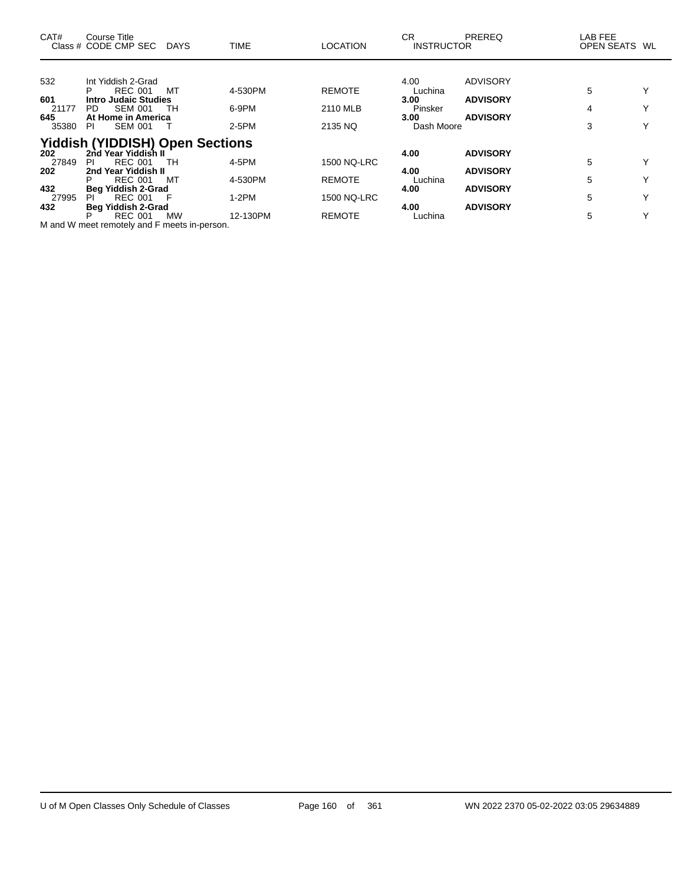| CAT#                  | Course Title<br>Class # CODE CMP SEC                                                     | <b>DAYS</b> | <b>TIME</b>        | <b>LOCATION</b>                     | CR.<br><b>INSTRUCTOR</b>      | <b>PREREQ</b>                      | LAB FEE<br>OPEN SEATS WL |                              |
|-----------------------|------------------------------------------------------------------------------------------|-------------|--------------------|-------------------------------------|-------------------------------|------------------------------------|--------------------------|------------------------------|
| 532<br>601            | Int Yiddish 2-Grad<br><b>REC 001</b><br><b>Intro Judaic Studies</b>                      | МT          | 4-530PM            | <b>REMOTE</b>                       | 4.00<br>Luchina<br>3.00       | <b>ADVISORY</b><br><b>ADVISORY</b> | 5                        |                              |
| 21177<br>645<br>35380 | <b>SEM 001</b><br>PD.<br>At Home in America<br><b>SEM 001</b><br>PI.                     | TН          | 6-9PM<br>2-5PM     | 2110 MLB<br>2135 NQ                 | Pinsker<br>3.00<br>Dash Moore | <b>ADVISORY</b>                    | 4<br>3                   | $\checkmark$                 |
| 202<br>27849          | <b>Yiddish (YIDDISH) Open Sections</b><br>2nd Year Yiddish II<br><b>REC 001</b><br>PI.   | TH          | 4-5PM              | <b>1500 NQ-LRC</b>                  | 4.00                          | <b>ADVISORY</b>                    | 5                        |                              |
| 202<br>432<br>27995   | 2nd Year Yiddish II<br><b>REC 001</b><br>P<br>Beg Yiddish 2-Grad<br><b>REC 001</b><br>PL | MТ          | 4-530PM<br>$1-2PM$ | <b>REMOTE</b><br><b>1500 NQ-LRC</b> | 4.00<br>Luchina<br>4.00       | <b>ADVISORY</b><br><b>ADVISORY</b> | 5<br>5                   | $\checkmark$<br>$\checkmark$ |
| 432                   | <b>Beg Yiddish 2-Grad</b><br><b>REC 001</b><br>Р                                         | <b>MW</b>   | 12-130PM           | <b>REMOTE</b>                       | 4.00<br>Luchina               | <b>ADVISORY</b>                    | 5                        | $\checkmark$                 |

M and W meet remotely and F meets in-person.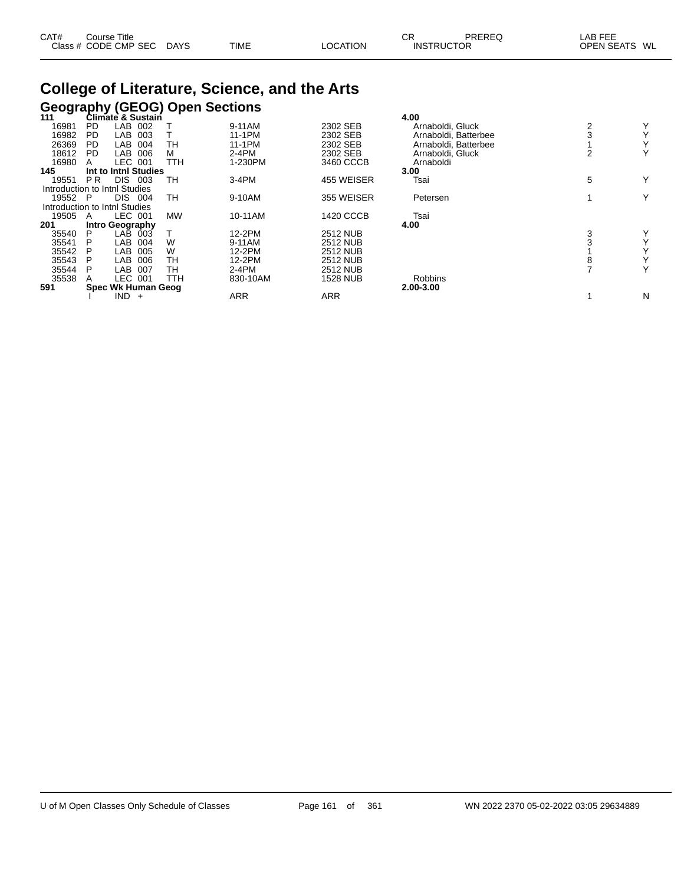| CAT# | ourse Titleٽ         |             |             |          | <b>CR</b>         | PREREQ | _AB FEE       |  |
|------|----------------------|-------------|-------------|----------|-------------------|--------|---------------|--|
|      | Class # CODE CMP SEC | <b>DAYS</b> | <b>TIME</b> | LOCATION | <b>INSTRUCTOR</b> |        | OPEN SEATS WL |  |

## **College of Literature, Science, and the Arts Geography (GEOG) Open Sections 111 Climate & Sustain 4.00**

| 111     |           | <b>Climate &amp; Sustain</b>  |            |          |                  | 4.00                 |   |              |
|---------|-----------|-------------------------------|------------|----------|------------------|----------------------|---|--------------|
| 16981   | PD.       | LAB<br>002                    |            | 9-11AM   | 2302 SEB         | Arnaboldi, Gluck     | 2 | Y            |
| 16982   | PD.       | LAB<br>003                    |            | 11-1PM   | 2302 SEB         | Arnaboldi, Batterbee |   | $\checkmark$ |
| 26369   | <b>PD</b> | LAB<br>004                    | TН         | 11-1PM   | 2302 SEB         | Arnaboldi, Batterbee |   | $\checkmark$ |
| 18612   | <b>PD</b> | LAB<br>006                    | м          | $2-4PM$  | 2302 SEB         | Arnaboldi, Gluck     |   | Υ            |
| 16980   |           | LEC 001                       | <b>TTH</b> | 1-230PM  | 3460 CCCB        | Arnaboldi            |   |              |
| 145     |           | Int to Inthl Studies          |            |          |                  | 3.00                 |   |              |
| 19551   | PR.       | DIS.<br>003                   | TН         | $3-4PM$  | 455 WEISER       | Tsai                 | 5 | Υ            |
|         |           | Introduction to Inthl Studies |            |          |                  |                      |   |              |
| 19552 P |           | DIS<br>004                    | TН         | 9-10AM   | 355 WEISER       | Petersen             |   | Y            |
|         |           | Introduction to Inthl Studies |            |          |                  |                      |   |              |
| 19505   | A         | LEC 001                       | <b>MW</b>  | 10-11AM  | <b>1420 CCCB</b> | Tsai                 |   |              |
| 201     |           | Intro Geography               |            |          |                  | 4.00                 |   |              |
| 35540   | P         | LAB<br>003                    |            | 12-2PM   | <b>2512 NUB</b>  |                      | 3 | Y            |
| 35541   |           | LAB<br>004                    | W          | 9-11AM   | <b>2512 NUB</b>  |                      |   | $\checkmark$ |
| 35542   | P         | LAB<br>005                    | W          | 12-2PM   | <b>2512 NUB</b>  |                      |   |              |
| 35543   | P         | 006<br>LAB                    | TН         | 12-2PM   | <b>2512 NUB</b>  |                      |   | $\checkmark$ |
| 35544   | Р         | LAB<br>007                    | тн         | $2-4PM$  | <b>2512 NUB</b>  |                      |   | Y            |
| 35538   |           | LEC 001                       | TTH        | 830-10AM | <b>1528 NUB</b>  | Robbins              |   |              |
| 591     |           | Spec Wk Human Geog            |            |          |                  | 2.00-3.00            |   |              |
|         |           | $IND +$                       |            | ARR      | <b>ARR</b>       |                      |   | N            |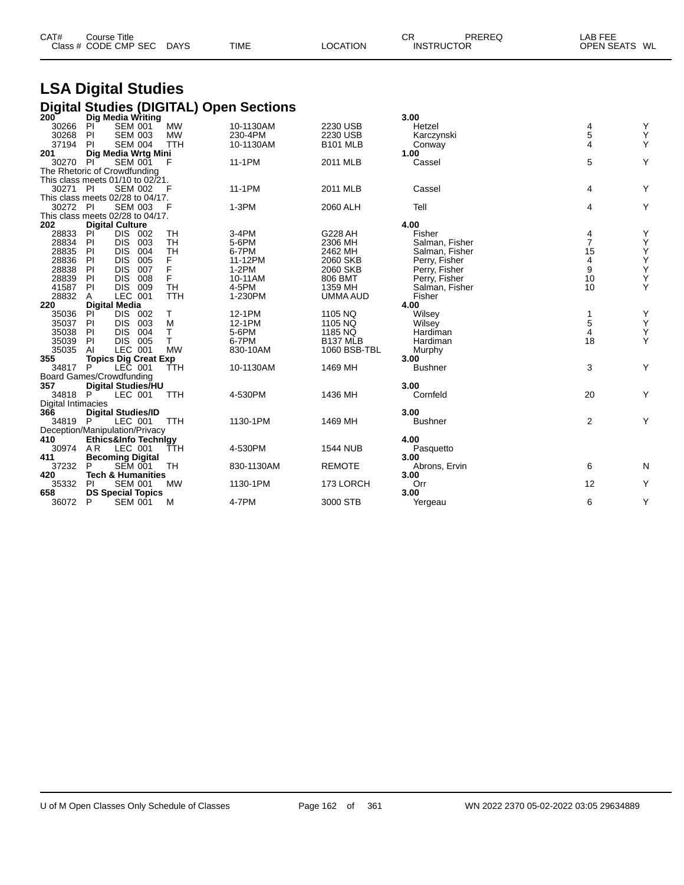| CAT# | Course Title         |             |             |          | СR                | PREREQ | ∟AB FEE       |  |
|------|----------------------|-------------|-------------|----------|-------------------|--------|---------------|--|
|      | Class # CODE CMP SEC | <b>DAYS</b> | <b>TIME</b> | LOCATION | <b>INSTRUCTOR</b> |        | OPEN SEATS WL |  |

# **LSA Digital Studies**

|                                       |                           |                              |            | <b>Digital Studies (DIGITAL) Open Sections</b> |                            |                |                |                                                    |
|---------------------------------------|---------------------------|------------------------------|------------|------------------------------------------------|----------------------------|----------------|----------------|----------------------------------------------------|
| $200^{\circ}$                         |                           | Dig Media Writing            |            |                                                |                            | 3.00           |                |                                                    |
| 30266                                 | PI                        | <b>SEM 001</b>               | <b>MW</b>  | 10-1130AM                                      | 2230 USB                   | Hetzel         | 4              | Υ                                                  |
| 30268                                 | PI                        | <b>SEM 003</b>               | <b>MW</b>  | 230-4PM                                        | 2230 USB                   | Karczynski     | 5              | Υ                                                  |
| 37194                                 | <b>PI</b>                 | <b>SEM 004</b>               | <b>TTH</b> | 10-1130AM                                      | <b>B101 MLB</b>            | Conway         | 4              | Υ                                                  |
| 201                                   |                           | Dig Media Wrtg Mini          |            |                                                |                            | 1.00           |                |                                                    |
| 30270                                 | PI                        | <b>SEM 001</b>               | F          | 11-1PM                                         | 2011 MLB                   | Cassel         | 5              | Y                                                  |
| The Rhetoric of Crowdfunding          |                           |                              |            |                                                |                            |                |                |                                                    |
| This class meets $01/10$ to $02/21$ . |                           |                              |            |                                                |                            |                |                |                                                    |
| 30271 PI                              |                           | <b>SEM 002</b>               | - F        | 11-1PM                                         | 2011 MLB                   | Cassel         | 4              | Υ                                                  |
| This class meets 02/28 to 04/17.      |                           |                              |            |                                                |                            |                |                |                                                    |
| 30272                                 | -PI                       | <b>SEM 003</b>               | F          | $1-3PM$                                        | 2060 ALH                   | Tell           | 4              | Y                                                  |
| This class meets 02/28 to 04/17.      |                           |                              |            |                                                |                            |                |                |                                                    |
| 202                                   | <b>Digital Culture</b>    |                              |            |                                                |                            | 4.00           |                |                                                    |
| 28833                                 | PI                        | DIS 002                      | TH         | 3-4PM                                          | G228 AH                    | Fisher         | 4              | Υ                                                  |
| 28834                                 | <b>DIS</b><br>PI          | 003                          | TH         | 5-6PM                                          | 2306 MH                    | Salman, Fisher | $\overline{7}$ | Υ                                                  |
| 28835                                 | <b>DIS</b><br>-PI         | 004                          | <b>TH</b>  | 6-7PM                                          | 2462 MH                    | Salman, Fisher | 15             | $\mathop{\mathsf{Y}}\limits_{\mathop{\mathsf{Y}}}$ |
| 28836                                 | PI<br><b>DIS</b>          | 005                          | F          | 11-12PM                                        | 2060 SKB                   | Perry, Fisher  | 4              |                                                    |
| 28838                                 | PI<br><b>DIS</b>          | 007                          | F          | $1-2PM$                                        | 2060 SKB                   | Perry, Fisher  | 9              | $\mathop{\mathsf{Y}}\limits_{\mathop{\mathsf{Y}}}$ |
| 28839                                 | PI<br><b>DIS</b>          | 008                          | F          | 10-11AM                                        | 806 BMT                    | Perry, Fisher  | 10             |                                                    |
| 41587                                 | PI<br><b>DIS</b>          | 009                          | <b>TH</b>  | 4-5PM                                          | 1359 MH                    | Salman, Fisher | 10             | Y                                                  |
| 28832                                 | A                         | LEC 001                      | <b>TTH</b> | 1-230PM                                        | UMMA AUD                   | Fisher         |                |                                                    |
| 220                                   | <b>Digital Media</b>      |                              |            |                                                |                            | 4.00           |                |                                                    |
| 35036                                 | PI                        | DIS 002                      | т          | 12-1PM                                         | 1105 NQ                    | Wilsey         | $\mathbf{1}$   | Υ                                                  |
| 35037                                 | <b>DIS</b><br>PI          | 003                          | M<br>T.    | 12-1PM                                         | 1105 NQ                    | Wilsey         | 5<br>4         | Υ<br>Υ                                             |
| 35038<br>35039                        | PI<br><b>DIS</b><br>PI    | 004<br>DIS 005               | T.         | 5-6PM<br>6-7PM                                 | 1185 NQ<br><b>B137 MLB</b> | Hardiman       | 18             | Y                                                  |
| 35035                                 | AI                        | LEC 001                      | <b>MW</b>  | 830-10AM                                       |                            | Hardiman       |                |                                                    |
| 355                                   |                           | <b>Topics Dig Creat Exp</b>  |            |                                                | 1060 BSB-TBL               | Murphy<br>3.00 |                |                                                    |
| 34817                                 | P                         | LEC 001                      | TTH        | 10-1130AM                                      | 1469 MH                    | <b>Bushner</b> | 3              | Y                                                  |
| <b>Board Games/Crowdfunding</b>       |                           |                              |            |                                                |                            |                |                |                                                    |
| 357                                   |                           | <b>Digital Studies/HU</b>    |            |                                                |                            | 3.00           |                |                                                    |
| 34818                                 | P                         | LEC 001                      | <b>TTH</b> | 4-530PM                                        | 1436 MH                    | Cornfeld       | 20             | Y                                                  |
| <b>Digital Intimacies</b>             |                           |                              |            |                                                |                            |                |                |                                                    |
| 366                                   | <b>Digital Studies/ID</b> |                              |            |                                                |                            | 3.00           |                |                                                    |
| 34819 P                               |                           | LEC 001                      | <b>TTH</b> | 1130-1PM                                       | 1469 MH                    | <b>Bushner</b> | $\overline{2}$ | Y                                                  |
| Deception/Manipulation/Privacy        |                           |                              |            |                                                |                            |                |                |                                                    |
| 410                                   |                           | Ethics&Info Technlay         |            |                                                |                            | 4.00           |                |                                                    |
| 30974                                 | AR.                       | LEC 001                      | TTH        | 4-530PM                                        | <b>1544 NUB</b>            | Pasquetto      |                |                                                    |
| 411                                   | <b>Becoming Digital</b>   |                              |            |                                                |                            | 3.00           |                |                                                    |
| 37232                                 | P                         | <b>SEM 001</b>               | TH         | 830-1130AM                                     | <b>REMOTE</b>              | Abrons, Ervin  | 6              | N                                                  |
| 420                                   |                           | <b>Tech &amp; Humanities</b> |            |                                                |                            | 3.00           |                |                                                    |
| 35332                                 | PI                        | <b>SEM 001</b>               | <b>MW</b>  | 1130-1PM                                       | 173 LORCH                  | Orr            | 12             | Y                                                  |
| 658                                   |                           | <b>DS Special Topics</b>     |            |                                                |                            | 3.00           |                |                                                    |
| 36072                                 | P                         | <b>SEM 001</b>               | M          | 4-7PM                                          | 3000 STB                   | Yergeau        | 6              | Y                                                  |
|                                       |                           |                              |            |                                                |                            |                |                |                                                    |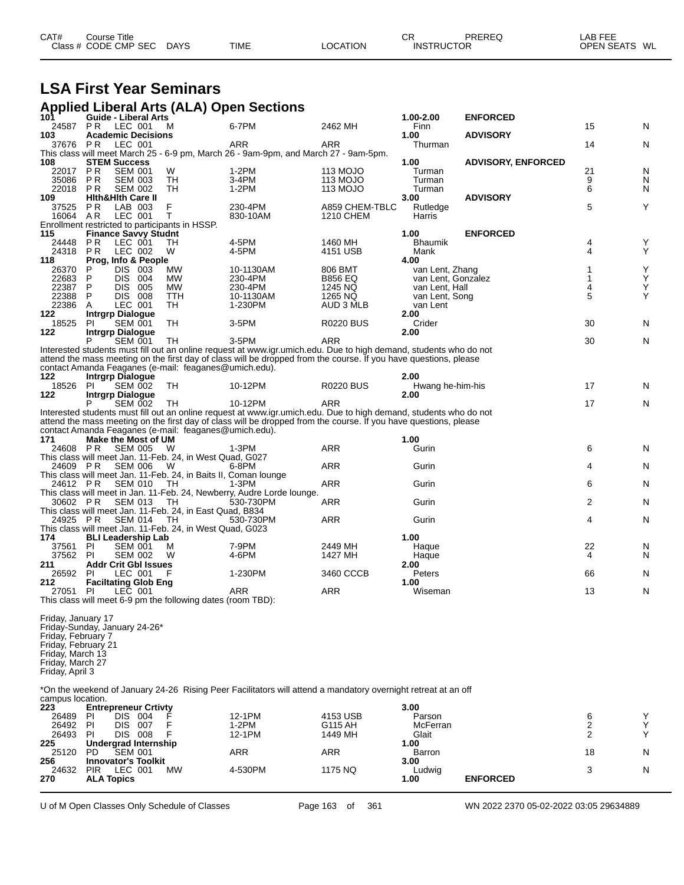| CAT# | Course Title         |             |             |          | СF                | PREREQ | LAB FEE       |
|------|----------------------|-------------|-------------|----------|-------------------|--------|---------------|
|      | Class # CODE CMP SEC | <b>DAYS</b> | <b>TIME</b> | LOCATION | <b>INSTRUCTOR</b> |        | OPEN SEATS WL |

## **LSA First Year Seminars**

#### **Applied Liberal Arts (ALA) Open Sections**

| 101                                                                                                                                                         | <b>Guide - Liberal Arts</b>        |                    |     |                                                             |                                                                                                                              |                     | 1.00-2.00              | <b>ENFORCED</b>           |        |        |
|-------------------------------------------------------------------------------------------------------------------------------------------------------------|------------------------------------|--------------------|-----|-------------------------------------------------------------|------------------------------------------------------------------------------------------------------------------------------|---------------------|------------------------|---------------------------|--------|--------|
| 24587                                                                                                                                                       | <b>PR</b>                          | LEC 001            |     | м                                                           | 6-7PM                                                                                                                        | 2462 MH             | Finn                   |                           | 15     | Ν      |
| 103                                                                                                                                                         | <b>Academic Decisions</b>          |                    |     |                                                             |                                                                                                                              |                     | 1.00                   | <b>ADVISORY</b>           |        |        |
| 37676 PR                                                                                                                                                    |                                    | LEC 001            |     |                                                             | ARR                                                                                                                          | ARR                 | Thurman                |                           | 14     | Ν      |
|                                                                                                                                                             |                                    |                    |     |                                                             | This class will meet March 25 - 6-9 pm, March 26 - 9am-9pm, and March 27 - 9am-5pm.                                          |                     |                        |                           |        |        |
| 108                                                                                                                                                         | <b>STEM Success</b><br><b>PR</b>   | <b>SEM 001</b>     |     | W                                                           | $1-2PM$                                                                                                                      | 113 MOJO            | 1.00<br>Turman         | <b>ADVISORY, ENFORCED</b> | 21     | N      |
| 22017<br>35086                                                                                                                                              | <b>PR</b>                          | <b>SEM 003</b>     |     | TH                                                          | 3-4PM                                                                                                                        | 113 MOJO            | Turman                 |                           | 9      | N      |
| 22018                                                                                                                                                       | PR                                 | <b>SEM 002</b>     |     | TН                                                          | $1-2PM$                                                                                                                      | 113 MOJO            | Turman                 |                           | 6      | N      |
| 109                                                                                                                                                         | <b>Hith&amp;Hith Care II</b>       |                    |     |                                                             |                                                                                                                              |                     | 3.00                   | <b>ADVISORY</b>           |        |        |
| 37525                                                                                                                                                       | P R                                | LAB 003            |     | F                                                           | 230-4PM                                                                                                                      | A859 CHEM-TBLC      | Rutledge               |                           | 5      | Υ      |
| 16064                                                                                                                                                       | AR.                                | LEC 001            |     | T                                                           | 830-10AM                                                                                                                     | <b>1210 CHEM</b>    | Harris                 |                           |        |        |
|                                                                                                                                                             |                                    |                    |     | Enrollment restricted to participants in HSSP.              |                                                                                                                              |                     |                        |                           |        |        |
| 115                                                                                                                                                         | <b>Finance Savvy Studnt</b>        |                    |     |                                                             |                                                                                                                              |                     | 1.00                   | <b>ENFORCED</b>           |        |        |
| 24448<br>24318                                                                                                                                              | <b>PR</b><br>P R                   | LEC 001<br>LEC 002 |     | TH<br>W                                                     | 4-5PM<br>4-5PM                                                                                                               | 1460 MH<br>4151 USB | <b>Bhaumik</b><br>Mank |                           | 4<br>4 | Υ<br>Υ |
| 118                                                                                                                                                         | Prog, Info & People                |                    |     |                                                             |                                                                                                                              |                     | 4.00                   |                           |        |        |
| 26370                                                                                                                                                       | P                                  | DIS 003            |     | MW                                                          | 10-1130AM                                                                                                                    | 806 BMT             | van Lent, Zhang        |                           | 1      | Υ      |
| 22683                                                                                                                                                       | P                                  | DIS 004            |     | MW                                                          | 230-4PM                                                                                                                      | <b>B856 EQ</b>      | van Lent, Gonzalez     |                           | 1      | Y      |
| 22387                                                                                                                                                       | P                                  | DIS.               | 005 | MW.                                                         | 230-4PM                                                                                                                      | 1245 NQ             | van Lent, Hall         |                           | 4      | Υ      |
| 22388                                                                                                                                                       | P                                  | <b>DIS 008</b>     |     | TTH                                                         | 10-1130AM                                                                                                                    | 1265 NQ             | van Lent, Song         |                           | 5      | Υ      |
| 22386                                                                                                                                                       | A                                  | LEC 001            |     | TН                                                          | 1-230PM                                                                                                                      | AUD 3 MLB           | van Lent               |                           |        |        |
| 122                                                                                                                                                         | <b>Intrgrp Dialogue</b>            |                    |     |                                                             |                                                                                                                              |                     | 2.00                   |                           |        |        |
| 18525<br>122                                                                                                                                                | PI<br><b>Intrgrp Dialogue</b>      | <b>SEM 001</b>     |     | TH                                                          | 3-5PM                                                                                                                        | <b>R0220 BUS</b>    | Crider<br>2.00         |                           | 30     | N      |
|                                                                                                                                                             | P                                  | <b>SEM 001</b>     |     | TH                                                          | 3-5PM                                                                                                                        | ARR                 |                        |                           | 30     | N      |
|                                                                                                                                                             |                                    |                    |     |                                                             | Interested students must fill out an online request at www.igr.umich.edu. Due to high demand, students who do not            |                     |                        |                           |        |        |
|                                                                                                                                                             |                                    |                    |     |                                                             | attend the mass meeting on the first day of class will be dropped from the course. If you have questions, please             |                     |                        |                           |        |        |
|                                                                                                                                                             |                                    |                    |     | contact Amanda Feaganes (e-mail: feaganes@umich.edu).       |                                                                                                                              |                     |                        |                           |        |        |
| 122                                                                                                                                                         | <b>Intrgrp Dialogue</b>            |                    |     |                                                             |                                                                                                                              |                     | 2.00                   |                           |        |        |
| 18526 PI                                                                                                                                                    |                                    | <b>SEM 002</b>     |     | TH                                                          | 10-12PM                                                                                                                      | <b>R0220 BUS</b>    | Hwang he-him-his       |                           | 17     | N      |
| 122                                                                                                                                                         | <b>Intrgrp Dialogue</b>            |                    |     |                                                             |                                                                                                                              |                     | 2.00                   |                           |        |        |
|                                                                                                                                                             |                                    | <b>SEM 002</b>     |     | TH                                                          | 10-12PM<br>Interested students must fill out an online request at www.igr.umich.edu. Due to high demand, students who do not | <b>ARR</b>          |                        |                           | 17     | N      |
|                                                                                                                                                             |                                    |                    |     |                                                             | attend the mass meeting on the first day of class will be dropped from the course. If you have questions, please             |                     |                        |                           |        |        |
|                                                                                                                                                             |                                    |                    |     | contact Amanda Feaganes (e-mail: feaganes@umich.edu).       |                                                                                                                              |                     |                        |                           |        |        |
| 171                                                                                                                                                         | Make the Most of UM                |                    |     |                                                             |                                                                                                                              |                     | 1.00                   |                           |        |        |
| 24608 PR                                                                                                                                                    |                                    | <b>SEM 005</b>     |     | W                                                           | $1-3PM$                                                                                                                      | <b>ARR</b>          | Gurin                  |                           | 6      | N      |
|                                                                                                                                                             |                                    |                    |     | This class will meet Jan. 11-Feb. 24, in West Quad, G027    |                                                                                                                              |                     |                        |                           |        |        |
| 24609 PR                                                                                                                                                    |                                    | <b>SEM 006</b>     |     | W                                                           | 6-8PM                                                                                                                        | <b>ARR</b>          | Gurin                  |                           | 4      | N      |
|                                                                                                                                                             |                                    | <b>SEM 010</b>     |     |                                                             | This class will meet Jan. 11-Feb. 24, in Baits II, Coman lounge                                                              |                     |                        |                           |        |        |
| 24612 PR                                                                                                                                                    |                                    |                    |     | TH.                                                         | $1-3PM$<br>This class will meet in Jan. 11-Feb. 24, Newberry, Audre Lorde lounge.                                            | ARR                 | Gurin                  |                           | 6      | N      |
| 30602 PR                                                                                                                                                    |                                    | <b>SEM 013</b>     |     | TH                                                          | 530-730PM                                                                                                                    | <b>ARR</b>          | Gurin                  |                           | 2      | N      |
|                                                                                                                                                             |                                    |                    |     | This class will meet Jan. 11-Feb. 24, in East Quad, B834    |                                                                                                                              |                     |                        |                           |        |        |
| 24925 PR                                                                                                                                                    |                                    | <b>SEM 014</b>     |     | TH                                                          | 530-730PM                                                                                                                    | <b>ARR</b>          | Gurin                  |                           | 4      | N      |
|                                                                                                                                                             |                                    |                    |     | This class will meet Jan. 11-Feb. 24, in West Quad, G023    |                                                                                                                              |                     |                        |                           |        |        |
| 174                                                                                                                                                         | <b>BLI Leadership Lab</b>          |                    |     |                                                             |                                                                                                                              |                     | 1.00                   |                           |        |        |
| 37561                                                                                                                                                       | PI                                 | <b>SEM 001</b>     |     | м                                                           | 7-9PM                                                                                                                        | 2449 MH             | Haque                  |                           | 22     | N      |
| 37562                                                                                                                                                       | <b>PI</b>                          | <b>SEM 002</b>     |     | W                                                           | 4-6PM                                                                                                                        | 1427 MH             | Haque                  |                           | 4      | N      |
| 211<br>26592                                                                                                                                                | <b>Addr Crit Gbl Issues</b><br>-PI | LEC 001            |     | F                                                           | 1-230PM                                                                                                                      | 3460 CCCB           | 2.00<br>Peters         |                           | 66     | N      |
| 212                                                                                                                                                         | <b>Faciltating Glob Eng</b>        |                    |     |                                                             |                                                                                                                              |                     | 1.00                   |                           |        |        |
| 27051                                                                                                                                                       | PI                                 | LEC 001            |     |                                                             | ARR                                                                                                                          | <b>ARR</b>          | Wiseman                |                           | 13     | N      |
|                                                                                                                                                             |                                    |                    |     | This class will meet 6-9 pm the following dates (room TBD): |                                                                                                                              |                     |                        |                           |        |        |
| Friday, January 17<br>Friday-Sunday, January 24-26*<br>Friday, February 7<br>Friday, February 21<br>Friday, March 13<br>Friday, March 27<br>Friday, April 3 |                                    |                    |     |                                                             |                                                                                                                              |                     |                        |                           |        |        |

\*On the weekend of January 24-26 Rising Peer Facilitators will attend a mandatory overnight retreat at an off campus location.

| 223   | <b>Entrepreneur Crtivty</b>        |         |          | 3.00     |                 |    |  |
|-------|------------------------------------|---------|----------|----------|-----------------|----|--|
| 26489 | DIS<br>PI<br>004                   | 12-1PM  | 4153 USB | Parson   |                 |    |  |
| 26492 | PI<br>DIS<br>007                   | 1-2PM   | G115 AH  | McFerran |                 |    |  |
| 26493 | PI<br>008<br>DIS                   | 12-1PM  | 1449 MH  | Glait    |                 |    |  |
| 225   | Undergrad Internship               |         |          | 1.00     |                 |    |  |
| 25120 | <b>SEM 001</b><br>PD               | ARR     | ARR      | Barron   |                 | 18 |  |
| 256   | <b>Innovator's Toolkit</b>         |         |          | 3.00     |                 |    |  |
| 24632 | <b>MW</b><br><b>PIR</b><br>LEC 001 | 4-530PM | 1175 NQ  | Ludwig   |                 |    |  |
| 270   | <b>ALA Topics</b>                  |         |          | 1.00     | <b>ENFORCED</b> |    |  |
|       |                                    |         |          |          |                 |    |  |

U of M Open Classes Only Schedule of Classes Page 163 of 361 WN 2022 2370 05-02-2022 03:05 29634889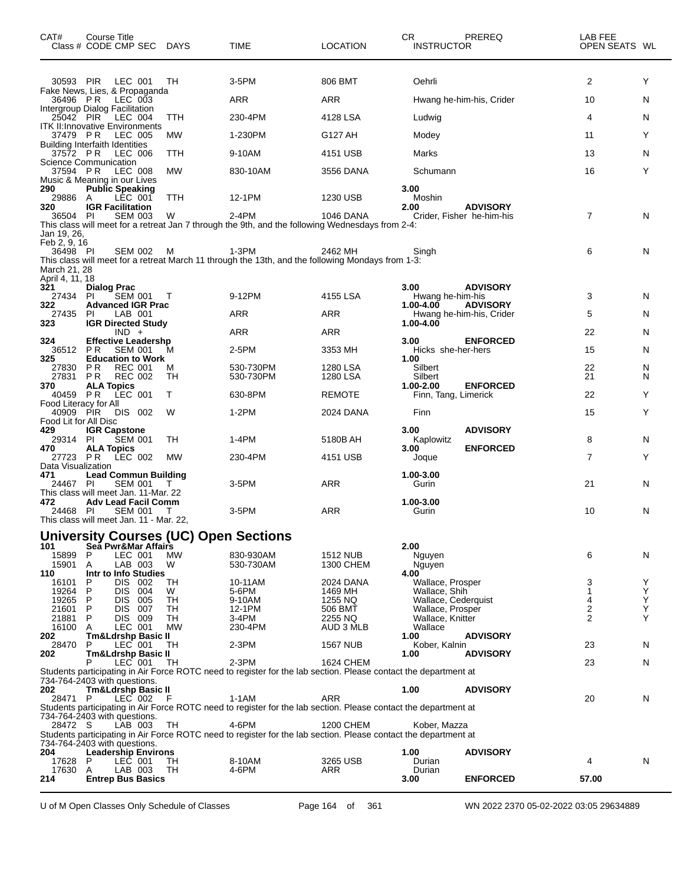| CAT#                                                        | Course Title<br>Class # CODE CMP SEC DAYS                          |                 | <b>TIME</b>                                                                                                              | <b>LOCATION</b>      | CR<br><b>INSTRUCTOR</b>                 | PREREQ                                       | LAB FEE<br>OPEN SEATS WL |        |
|-------------------------------------------------------------|--------------------------------------------------------------------|-----------------|--------------------------------------------------------------------------------------------------------------------------|----------------------|-----------------------------------------|----------------------------------------------|--------------------------|--------|
| 30593 PIR                                                   | LEC 001                                                            | TH              | 3-5PM                                                                                                                    | 806 BMT              | Oehrli                                  |                                              | $\overline{2}$           | Y      |
| 36496 PR                                                    | Fake News, Lies, & Propaganda<br>LEC 003                           |                 | <b>ARR</b>                                                                                                               | <b>ARR</b>           |                                         | Hwang he-him-his, Crider                     | 10                       | N      |
| 25042 PIR                                                   | Intergroup Dialog Facilitation<br>LEC 004                          | <b>TTH</b>      | 230-4PM                                                                                                                  | 4128 LSA             | Ludwig                                  |                                              | 4                        | N      |
| 37479 PR                                                    | <b>ITK II: Innovative Environments</b><br><b>LEC 005</b>           | <b>MW</b>       | 1-230PM                                                                                                                  | G127 AH              | Modey                                   |                                              | 11                       | Y      |
| 37572 PR                                                    | <b>Building Interfaith Identities</b><br>LEC 006                   | TTH             | 9-10AM                                                                                                                   | 4151 USB             | Marks                                   |                                              | 13                       | N      |
| 37594 PR                                                    | <b>Science Communication</b><br><b>LEC 008</b>                     | <b>MW</b>       | 830-10AM                                                                                                                 | 3556 DANA            | Schumann                                |                                              | 16                       | Y      |
| 290<br>29886 A                                              | Music & Meaning in our Lives<br><b>Public Speaking</b><br>LEC 001  | TTH             | 12-1PM                                                                                                                   | 1230 USB             | 3.00<br>Moshin                          |                                              |                          |        |
| 320<br>36504 PI                                             | <b>IGR Facilitation</b><br><b>SEM 003</b>                          | W               | 2-4PM                                                                                                                    | <b>1046 DANA</b>     | 2.00                                    | <b>ADVISORY</b><br>Crider, Fisher he-him-his | 7                        | N      |
| Jan 19, 26,                                                 |                                                                    |                 | This class will meet for a retreat Jan 7 through the 9th, and the following Wednesdays from 2-4:                         |                      |                                         |                                              |                          |        |
| Feb 2, 9, 16<br>36498 PI<br>March 21, 28<br>April 4, 11, 18 | <b>SEM 002</b>                                                     | м               | $1-3PM$<br>This class will meet for a retreat March 11 through the 13th, and the following Mondays from 1-3:             | 2462 MH              | Singh                                   |                                              | 6                        | N      |
| 321<br>27434 PI                                             | <b>Dialog Prac</b><br><b>SEM 001</b>                               | $\top$          | 9-12PM                                                                                                                   | 4155 LSA             | 3.00<br>Hwang he-him-his                | <b>ADVISORY</b>                              | 3                        | N      |
| 322<br>27435                                                | <b>Advanced IGR Prac</b><br>PI<br>LAB 001                          |                 | ARR                                                                                                                      | ARR                  | $1.00 - 4.00$                           | <b>ADVISORY</b><br>Hwang he-him-his, Crider  | 5                        | N      |
| 323                                                         | <b>IGR Directed Study</b><br>$IND +$                               |                 | <b>ARR</b>                                                                                                               | <b>ARR</b>           | 1.00-4.00                               |                                              | 22                       | N      |
| 324<br>36512 PR                                             | <b>Effective Leadershp</b><br><b>SEM 001</b>                       | М               | 2-5PM                                                                                                                    | 3353 MH              | 3.00<br>Hicks she-her-hers              | <b>ENFORCED</b>                              | 15                       | N      |
| 325<br>27830                                                | <b>Education to Work</b><br><b>REC 001</b><br>P R                  | М               | 530-730PM                                                                                                                | 1280 LSA             | 1.00<br>Silbert                         |                                              | 22                       | N      |
| 27831<br>370                                                | <b>REC 002</b><br><b>PR</b><br><b>ALA Topics</b>                   | <b>TH</b>       | 530-730PM                                                                                                                | 1280 LSA             | Silbert<br>1.00-2.00                    | <b>ENFORCED</b>                              | 21                       | N      |
| 40459 PR<br>Food Literacy for All                           | LEC 001                                                            | T               | 630-8PM                                                                                                                  | <b>REMOTE</b>        | Finn, Tang, Limerick                    |                                              | 22                       | Y      |
| 40909 PIR<br>Food Lit for All Disc                          | DIS 002                                                            | W               | $1-2PM$                                                                                                                  | 2024 DANA            | Finn                                    |                                              | 15                       | Y      |
| 429<br>29314                                                | <b>IGR Capstone</b><br><b>SEM 001</b><br>PI                        | TH              | 1-4PM                                                                                                                    | 5180B AH             | 3.00<br>Kaplowitz                       | <b>ADVISORY</b>                              | 8                        | N      |
| 470                                                         | <b>ALA Topics</b><br>27723 PR LEC 002                              | МW              | 230-4PM                                                                                                                  | 4151 USB             | 3.00<br>Joque                           | <b>ENFORCED</b>                              | 7                        | Y      |
| Data Visualization<br>471<br>24467 PI                       | <b>Lead Commun Building</b><br><b>SEM 001</b>                      | T               | 3-5PM                                                                                                                    | ARR                  | 1.00-3.00<br>Gurin                      |                                              | 21                       | N      |
| 472                                                         | This class will meet Jan. 11-Mar. 22<br><b>Adv Lead Facil Comm</b> |                 |                                                                                                                          |                      | 1.00-3.00                               |                                              |                          |        |
| 24468 PI                                                    | <b>SEM 001</b><br>This class will meet Jan. 11 - Mar. 22,          | T               | 3-5PM                                                                                                                    | ARR                  | Gurin                                   |                                              | 10                       | N      |
|                                                             | University Courses (UC) Open Sections                              |                 |                                                                                                                          |                      |                                         |                                              |                          |        |
| 101<br>15899                                                | Sea Pwr&Mar Affairs<br>LEC 001<br>P                                | <b>MW</b>       | 830-930AM                                                                                                                | <b>1512 NUB</b>      | 2.00<br>Nguyen                          |                                              | 6                        | N      |
| 15901<br>110                                                | LAB 003<br>A<br>Intr to Info Studies                               | W               | 530-730AM                                                                                                                | 1300 CHEM            | Nguyen<br>4.00                          |                                              |                          |        |
| 16101<br>19264                                              | P<br><b>DIS</b><br>002<br>P<br><b>DIS</b><br>004                   | TН<br>W         | 10-11AM<br>5-6PM                                                                                                         | 2024 DANA<br>1469 MH | Wallace, Prosper<br>Wallace, Shih       |                                              | 3<br>$\mathbf{1}$        | Y<br>Υ |
| 19265<br>21601                                              | <b>DIS</b><br>005<br>P<br>P<br><b>DIS</b><br>007                   | TН<br>TН        | 9-10AM<br>12-1PM                                                                                                         | 1255 NQ<br>506 BMT   | Wallace, Cederquist<br>Wallace, Prosper |                                              | 4<br>2                   | Υ<br>Y |
| 21881<br>16100                                              | P<br>DIS 009<br>LEC 001<br>A                                       | TH<br><b>MW</b> | 3-4PM<br>230-4PM                                                                                                         | 2255 NQ<br>AUD 3 MLB | Wallace, Knitter<br>Wallace             |                                              | 2                        | Υ      |
| 202                                                         | <b>Tm&amp;Ldrshp Basic II</b>                                      |                 |                                                                                                                          |                      | 1.00                                    | <b>ADVISORY</b>                              |                          |        |
| 28470<br>202                                                | LEC 001<br>P.<br>Tm&Ldrshp Basic II                                | TН              | $2-3PM$                                                                                                                  | <b>1567 NUB</b>      | Kober, Kalnin<br>1.00                   | <b>ADVISORY</b>                              | 23                       | N      |
|                                                             | LEC 001                                                            | TН              | 2-3PM<br>Students participating in Air Force ROTC need to register for the lab section. Please contact the department at | 1624 CHEM            |                                         |                                              | 23                       | N      |
| 202                                                         | 734-764-2403 with questions.<br><b>Tm&amp;Ldrshp Basic II</b>      |                 |                                                                                                                          |                      | 1.00                                    | <b>ADVISORY</b>                              |                          |        |
| 28471                                                       | LEC 002<br>P                                                       | F               | 1-1AM<br>Students participating in Air Force ROTC need to register for the lab section. Please contact the department at | ARR                  |                                         |                                              | 20                       | N      |
| 28472 S                                                     | 734-764-2403 with questions.<br>LAB 003                            | TН              | 4-6PM                                                                                                                    | 1200 CHEM            | Kober, Mazza                            |                                              |                          |        |
|                                                             | 734-764-2403 with questions.                                       |                 | Students participating in Air Force ROTC need to register for the lab section. Please contact the department at          |                      |                                         |                                              |                          |        |
| 204<br>17628                                                | <b>Leadership Environs</b><br>LEC 001<br>P                         | TН              | 8-10AM                                                                                                                   | 3265 USB             | 1.00<br>Durian                          | <b>ADVISORY</b>                              | 4                        | N      |
| 17630<br>214                                                | LAB 003<br>A<br><b>Entrep Bus Basics</b>                           | TН              | 4-6PM                                                                                                                    | ARR                  | Durian<br>3.00                          | <b>ENFORCED</b>                              | 57.00                    |        |

U of M Open Classes Only Schedule of Classes Page 164 of 361 WN 2022 2370 05-02-2022 03:05 29634889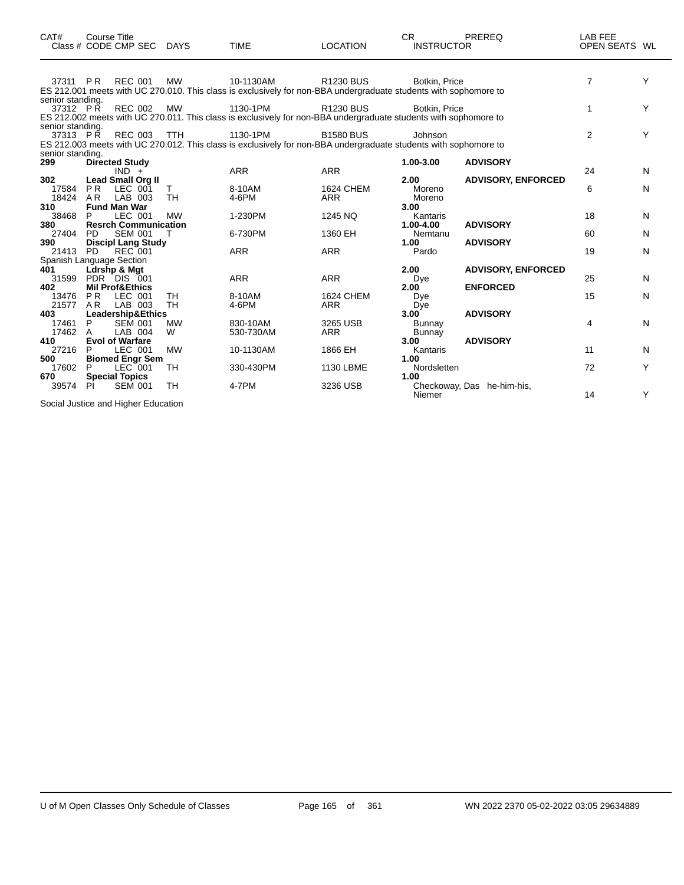| CAT#                            | <b>Course Title</b>   | Class # CODE CMP SEC DAYS                 |                 | <b>TIME</b>     | <b>LOCATION</b>                                                                                                                      | CR.<br><b>INSTRUCTOR</b>    | PREREQ                     | LAB FEE<br>OPEN SEATS WL |   |
|---------------------------------|-----------------------|-------------------------------------------|-----------------|-----------------|--------------------------------------------------------------------------------------------------------------------------------------|-----------------------------|----------------------------|--------------------------|---|
| 37311 PR                        |                       | REC 001                                   | <b>MW</b>       | 10-1130AM       | <b>R1230 BUS</b><br>ES 212.001 meets with UC 270.010. This class is exclusively for non-BBA undergraduate students with sophomore to | Botkin, Price               |                            | $\overline{7}$           | Y |
| senior standing.<br>37312 PR    |                       | <b>REC 002</b>                            | MW              | 1130-1PM        | <b>R1230 BUS</b><br>ES 212.002 meets with UC 270.011. This class is exclusively for non-BBA undergraduate students with sophomore to | Botkin, Price               |                            | 1                        | Y |
| senior standing.<br>37313 PR    |                       | <b>REC 003</b>                            | TTH             | 1130-1PM        | <b>B1580 BUS</b><br>ES 212.003 meets with UC 270.012. This class is exclusively for non-BBA undergraduate students with sophomore to | Johnson                     |                            | 2                        | Y |
| senior standing.<br>299         |                       | <b>Directed Study</b>                     |                 |                 |                                                                                                                                      | 1.00-3.00                   | <b>ADVISORY</b>            |                          |   |
| 302                             |                       | $IND +$<br><b>Lead Small Org II</b>       |                 | <b>ARR</b>      | <b>ARR</b>                                                                                                                           | 2.00                        | <b>ADVISORY, ENFORCED</b>  | 24                       | N |
| 17584<br>18424                  | P <sub>R</sub><br>AR  | LEC 001<br>LAB 003                        | т<br><b>TH</b>  | 8-10AM<br>4-6PM | <b>1624 CHEM</b><br>ARR                                                                                                              | Moreno<br>Moreno            |                            | 6                        | N |
| 310<br>38468                    | P                     | Fund Man War<br>LEC 001                   | <b>MW</b>       | 1-230PM         | 1245 NQ                                                                                                                              | 3.00<br>Kantaris            |                            | 18                       |   |
| 380                             |                       | <b>Resrch Communication</b>               |                 |                 |                                                                                                                                      | 1.00-4.00                   | <b>ADVISORY</b>            |                          | N |
| 27404                           | <b>PD</b>             | <b>SEM 001</b>                            | т               | 6-730PM         | 1360 EH                                                                                                                              | Nemtanu                     |                            | 60                       | N |
| 390<br>21413                    | <b>PD</b>             | <b>Discipl Lang Study</b><br>REC 001      |                 | <b>ARR</b>      | <b>ARR</b>                                                                                                                           | 1.00<br>Pardo               | <b>ADVISORY</b>            | 19                       | N |
| Spanish Language Section<br>401 |                       | Ldrshp & Mgt                              |                 |                 |                                                                                                                                      | 2.00                        | <b>ADVISORY, ENFORCED</b>  |                          |   |
| 31599<br>402                    |                       | PDR DIS 001<br><b>Mil Prof&amp;Ethics</b> |                 | <b>ARR</b>      | <b>ARR</b>                                                                                                                           | Dye<br>$2.00^{\circ}$       | <b>ENFORCED</b>            | 25                       | N |
| 13476<br>21577                  | PR.<br>A <sub>R</sub> | LEC 001<br>LAB 003                        | TH<br><b>TH</b> | 8-10AM<br>4-6PM | <b>1624 CHEM</b><br><b>ARR</b>                                                                                                       | Dye<br>Dye                  |                            | 15                       | N |
| 403<br>17461                    | P                     | Leadership&Ethics<br><b>SEM 001</b>       | <b>MW</b>       | 830-10AM        | 3265 USB                                                                                                                             | 3.00 <sup>7</sup><br>Bunnay | <b>ADVISORY</b>            | 4                        | N |
| 17462<br>410                    | A                     | LAB 004<br><b>Evol of Warfare</b>         | W               | 530-730AM       | <b>ARR</b>                                                                                                                           | <b>Bunnay</b><br>3.00       | <b>ADVISORY</b>            |                          |   |
| 27216<br>500                    | P                     | LEC 001<br><b>Biomed Engr Sem</b>         | <b>MW</b>       | 10-1130AM       | 1866 EH                                                                                                                              | Kantaris<br>1.00            |                            | 11                       | N |
| 17602<br>670                    | P                     | LEC 001<br><b>Special Topics</b>          | TH              | 330-430PM       | 1130 LBME                                                                                                                            | Nordsletten<br>1.00         |                            | 72                       | Y |
| 39574                           | PI.                   | <b>SEM 001</b>                            | TH              | 4-7PM           | 3236 USB                                                                                                                             | Niemer                      | Checkoway, Das he-him-his, | 14                       | Υ |

Social Justice and Higher Education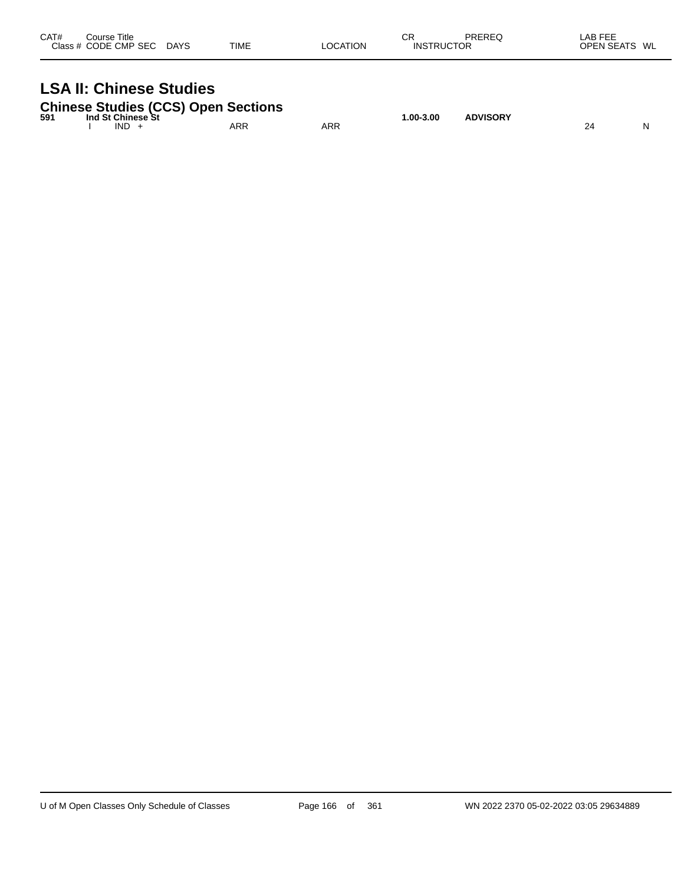| CAT#<br>Course Title<br>Class # CODE CMP SEC DAYS                            | TIME | <b>LOCATION</b> | СR<br><b>INSTRUCTOR</b> | <b>PREREQ</b> | LAB FEE<br>OPEN SEATS WL |
|------------------------------------------------------------------------------|------|-----------------|-------------------------|---------------|--------------------------|
| <b>LSA II: Chinese Studies</b><br><b>Chinese Studies (CCS) Open Sections</b> |      |                 |                         |               |                          |

|     | <u>UNINUS UMMIUS (UUU) UPUN UUUNIUN</u> |     |     |               |                 |  |
|-----|-----------------------------------------|-----|-----|---------------|-----------------|--|
| 591 | Ind St Chinese St                       |     |     | $1.00 - 3.00$ | <b>ADVISORY</b> |  |
|     | <b>IND</b>                              | ARR | ARR |               |                 |  |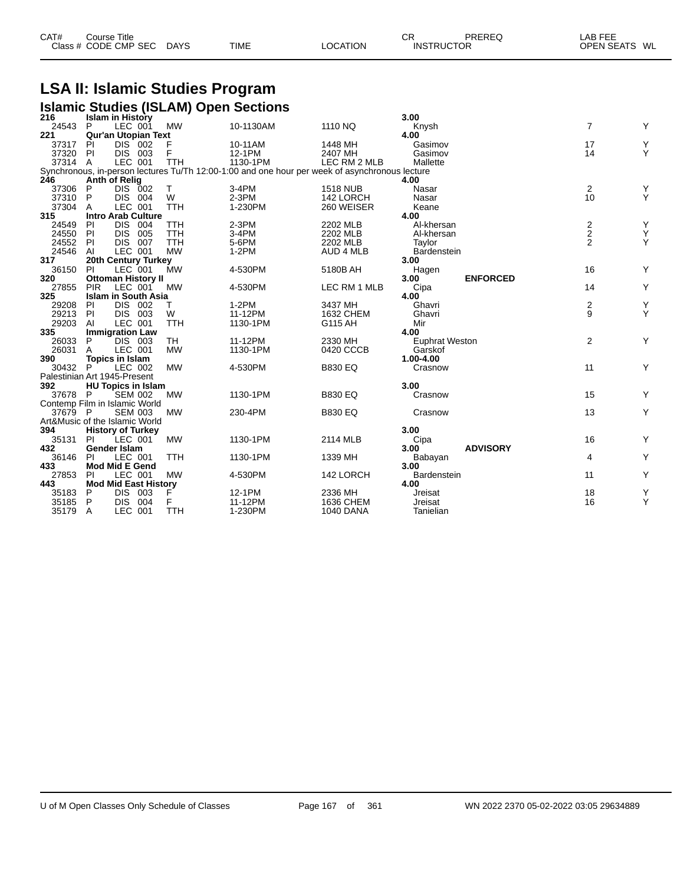| CAT# | Course Title              |             |                 | СR                | PREREQ | LAB FEE       |
|------|---------------------------|-------------|-----------------|-------------------|--------|---------------|
|      | Class # CODE CMP SEC DAYS | <b>TIME</b> | <b>LOCATION</b> | <b>INSTRUCTOR</b> |        | OPEN SEATS WL |

## **LSA II: Islamic Studies Program**

|                                |                             |                |            | <b>Islamic Studies (ISLAM) Open Sections</b>                                                   |                  |                         |                |                    |
|--------------------------------|-----------------------------|----------------|------------|------------------------------------------------------------------------------------------------|------------------|-------------------------|----------------|--------------------|
| 216                            | <b>Islam in History</b>     |                |            |                                                                                                |                  | 3.00                    |                |                    |
| 24543 P                        |                             | LEC 001        | MW         | 10-1130AM                                                                                      | 1110 NQ          | Knysh                   | $\overline{7}$ | Υ                  |
| 221                            | <b>Qur'an Utopian Text</b>  |                |            |                                                                                                |                  | 4.00                    |                |                    |
| 37317                          | PI                          | $DIS$ 002      | F          | 10-11AM                                                                                        | 1448 MH          | Gasimov                 | 17             | Y<br>Y             |
| 37320                          | PI                          | DIS 003        | F          | 12-1PM                                                                                         | 2407 MH          | Gasimov                 | 14             |                    |
| 37314 A                        |                             | LEC 001        | TTH        | 1130-1PM                                                                                       | LEC RM 2 MLB     | Mallette                |                |                    |
|                                |                             |                |            | Synchronous, in-person lectures Tu/Th 12:00-1:00 and one hour per week of asynchronous lecture |                  |                         |                |                    |
| 246                            | Anth of Relig               |                |            |                                                                                                |                  | 4.00                    |                |                    |
| 37306                          | P                           | DIS 002        | T          | 3-4PM                                                                                          | <b>1518 NUB</b>  | Nasar                   | $\overline{2}$ | Υ                  |
| 37310                          | P                           | DIS 004        | W          | $2-3PM$                                                                                        | 142 LORCH        | Nasar                   | 10             | Y                  |
| 37304                          | A                           | LEC 001        | <b>TTH</b> | 1-230PM                                                                                        | 260 WEISER       | Keane                   |                |                    |
| 315                            | <b>Intro Arab Culture</b>   |                |            |                                                                                                |                  | 4.00                    |                |                    |
| 24549                          | PI                          | DIS 004        | TTH        | 2-3PM                                                                                          | 2202 MLB         | Al-khersan              |                | Υ                  |
| 24550                          | PI                          | DIS 005        | TTH        | 3-4PM                                                                                          | 2202 MLB         | Al-khersan              | $\frac{2}{2}$  | Y                  |
| 24552                          | PI                          | <b>DIS 007</b> | <b>TTH</b> | 5-6PM                                                                                          | 2202 MLB         | Taylor                  | $\overline{2}$ | Y                  |
| 24546                          | Al                          | LEC 001        | <b>MW</b>  | $1-2PM$                                                                                        | AUD 4 MLB        | Bardenstein             |                |                    |
| 317                            | 20th Century Turkey         |                |            |                                                                                                |                  | 3.00                    |                |                    |
| 36150                          | PI                          | LEC 001        | <b>MW</b>  | 4-530PM                                                                                        | 5180B AH         | Hagen                   | 16             | Y                  |
| 320                            | <b>Ottoman History II</b>   |                |            |                                                                                                |                  | <b>ENFORCED</b><br>3.00 |                |                    |
| 27855                          | <b>PIR</b>                  | LEC 001        | <b>MW</b>  | 4-530PM                                                                                        | LEC RM 1 MLB     | Cipa                    | 14             | Y                  |
| 325                            | <b>Islam in South Asia</b>  |                |            |                                                                                                |                  | 4.00                    |                |                    |
| 29208                          | PI                          | DIS 002        | Τ          | $1-2PM$                                                                                        | 3437 MH          | Ghavri                  |                | Υ                  |
| 29213                          | <b>PI</b>                   | DIS 003        | W          | 11-12PM                                                                                        | 1632 CHEM        | Ghavri                  | $\frac{2}{9}$  | Y                  |
| 29203                          | AI                          | LEC 001        | <b>TTH</b> | 1130-1PM                                                                                       | G115 AH          | Mir                     |                |                    |
| 335                            | <b>Immigration Law</b>      |                |            |                                                                                                |                  | 4.00                    |                |                    |
| 26033                          | P                           | DIS 003        | TH         | 11-12PM                                                                                        | 2330 MH          | <b>Euphrat Weston</b>   | 2              | Y                  |
| 26031                          | A                           | LEC 001        | <b>MW</b>  | 1130-1PM                                                                                       | 0420 CCCB        | Garskof                 |                |                    |
| 390                            | Topics in Islam             |                |            |                                                                                                |                  | 1.00-4.00               |                |                    |
| 30432 P                        |                             | LEC 002        | <b>MW</b>  | 4-530PM                                                                                        | <b>B830 EQ</b>   | Crasnow                 | 11             | Y                  |
| Palestinian Art 1945-Present   |                             |                |            |                                                                                                |                  |                         |                |                    |
| 392                            | <b>HU Topics in Islam</b>   |                |            |                                                                                                |                  | 3.00                    |                |                    |
| 37678 P                        |                             | <b>SEM 002</b> | <b>MW</b>  | 1130-1PM                                                                                       | <b>B830 EQ</b>   | Crasnow                 | 15             | Y                  |
| Contemp Film in Islamic World  |                             |                |            |                                                                                                |                  |                         |                |                    |
| 37679 P                        |                             | <b>SEM 003</b> | <b>MW</b>  | 230-4PM                                                                                        | <b>B830 EQ</b>   | Crasnow                 | 13             | Y                  |
| Art&Music of the Islamic World |                             |                |            |                                                                                                |                  |                         |                |                    |
| 394                            | <b>History of Turkey</b>    |                |            |                                                                                                |                  | 3.00                    |                |                    |
| 35131                          | PI                          | LEC 001        | <b>MW</b>  | 1130-1PM                                                                                       | 2114 MLB         | Cipa                    | 16             | Y                  |
| 432                            | <b>Gender Islam</b>         |                |            |                                                                                                |                  | <b>ADVISORY</b><br>3.00 |                |                    |
| 36146                          | PI                          | LEC 001        | <b>TTH</b> | 1130-1PM                                                                                       | 1339 MH          | Babayan                 | 4              | Υ                  |
| 433                            | <b>Mod Mid E Gend</b>       |                |            |                                                                                                |                  | 3.00                    |                |                    |
| 27853                          | PI                          | LEC 001        | <b>MW</b>  | 4-530PM                                                                                        | 142 LORCH        | Bardenstein             | 11             | Y                  |
| 443                            | <b>Mod Mid East History</b> |                |            |                                                                                                |                  | 4.00                    |                |                    |
| 35183                          | P.                          | DIS 003        | F          | 12-1PM                                                                                         | 2336 MH          | Jreisat                 | 18             |                    |
| 35185                          | P                           | DIS 004        | F          | 11-12PM                                                                                        | 1636 CHEM        | Jreisat                 | 16             | $_{\rm Y}^{\rm Y}$ |
| 35179                          | A                           | LEC 001        | <b>TTH</b> | 1-230PM                                                                                        | <b>1040 DANA</b> | Tanielian               |                |                    |
|                                |                             |                |            |                                                                                                |                  |                         |                |                    |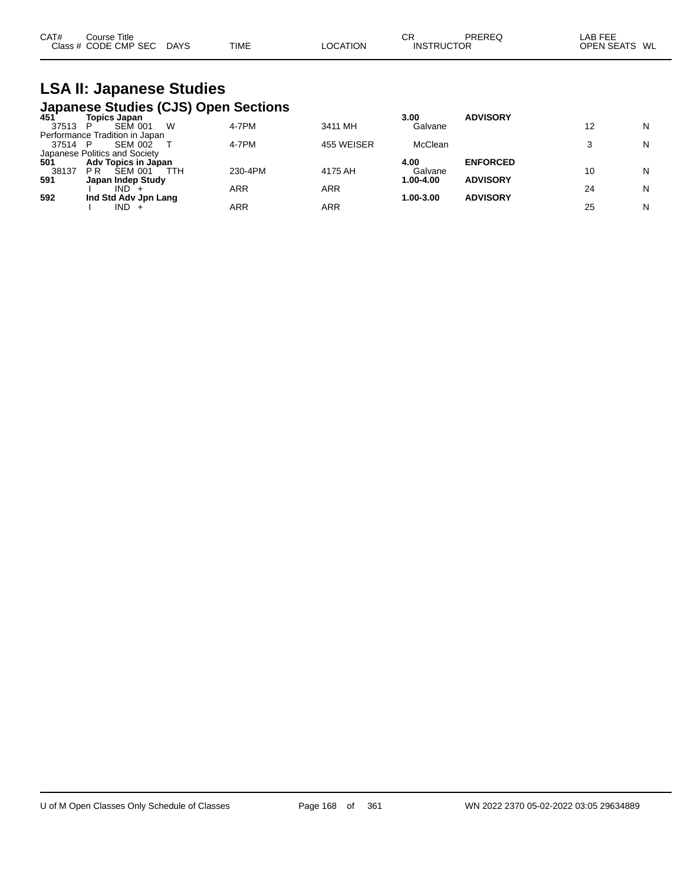| CAT# | Course Title         |             |             |                 | СR                | PREREQ | AB FEE            |    |
|------|----------------------|-------------|-------------|-----------------|-------------------|--------|-------------------|----|
|      | Class # CODE CMP SEC | <b>DAYS</b> | <b>TIME</b> | <b>LOCATION</b> | <b>INSTRUCTOR</b> |        | <b>OPEN SEATS</b> | WL |

#### **LSA II: Japanese Studies Japanese Studies (CJS) Open Sections**

| 451   | <b>Topics Japan</b>                     |         |            | 3.00      | <b>ADVISORY</b> |    |   |
|-------|-----------------------------------------|---------|------------|-----------|-----------------|----|---|
| 37513 | W<br><b>SEM 001</b><br>P                | 4-7PM   | 3411 MH    | Galvane   |                 | 12 | N |
|       | Performance Tradition in Japan          |         |            |           |                 |    |   |
| 37514 | <b>SEM 002</b><br>P                     | 4-7PM   | 455 WEISER | McClean   |                 |    | N |
|       | Japanese Politics and Society           |         |            |           |                 |    |   |
| 501   | Adv Topics in Japan                     |         |            | 4.00      | <b>ENFORCED</b> |    |   |
| 38137 | P <sub>R</sub><br><b>SEM 001</b><br>TTH | 230-4PM | 4175 AH    | Galvane   |                 | 10 | N |
| 591   | Japan Indep Study                       |         |            | 1.00-4.00 | <b>ADVISORY</b> |    |   |
|       | IND.                                    | ARR     | ARR        |           |                 | 24 | N |
| 592   | Ind Std Adv Jpn Lang                    |         |            | 1.00-3.00 | <b>ADVISORY</b> |    |   |
|       | IND.                                    | ARR     | ARR        |           |                 | 25 | N |
|       |                                         |         |            |           |                 |    |   |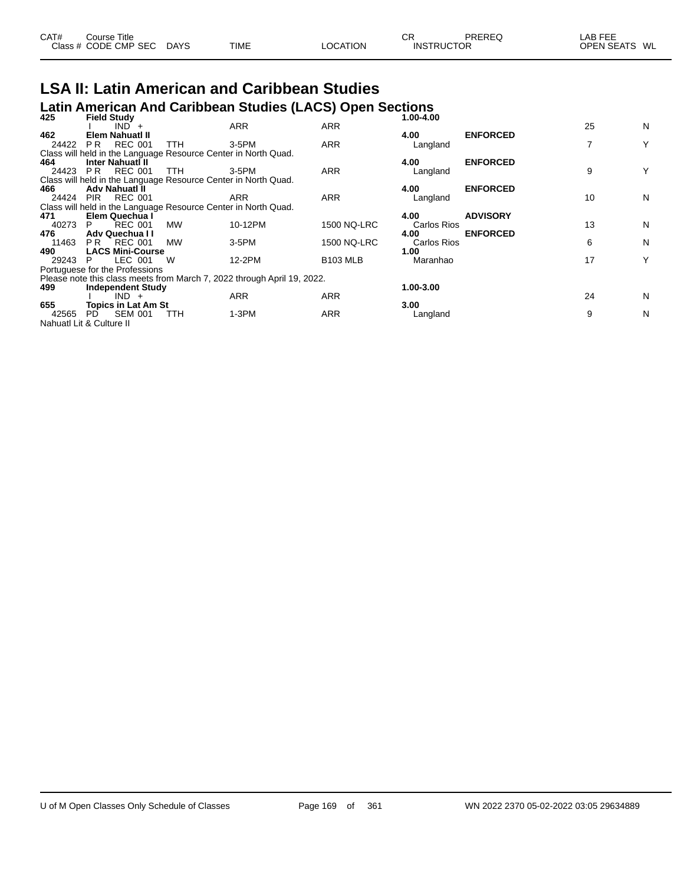| CAT# | Course Title         |             |             |          | СR                | PREREQ | LAB FEE                 |
|------|----------------------|-------------|-------------|----------|-------------------|--------|-------------------------|
|      | Class # CODE CMP SEC | <b>DAYS</b> | <b>TIME</b> | LOCATION | <b>INSTRUCTOR</b> |        | <b>OPEN SEATS</b><br>WL |

## **LSA II: Latin American and Caribbean Studies**

## **Latin American And Caribbean Studies (LACS) Open Sections 425 Field Study 1.00-4.00**

| 443   | <b>Figiu Stuuy</b>                                             |            |                                                                         |                    | 1.VV-4.VV   |                 |    |   |
|-------|----------------------------------------------------------------|------------|-------------------------------------------------------------------------|--------------------|-------------|-----------------|----|---|
|       | $IND +$                                                        |            | <b>ARR</b>                                                              | <b>ARR</b>         |             |                 | 25 | N |
| 462   | Elem Nahuati II                                                |            |                                                                         |                    | 4.00        | <b>ENFORCED</b> |    |   |
| 24422 | <b>REC 001</b><br>PR.                                          | TTH.       | 3-5PM                                                                   | <b>ARR</b>         | Langland    |                 | 7  | Υ |
|       | Class will held in the Language Resource Center in North Quad. |            |                                                                         |                    |             |                 |    |   |
| 464   | <b>Inter Nahuati II</b>                                        |            |                                                                         |                    | 4.00        | <b>ENFORCED</b> |    |   |
| 24423 | <b>REC 001</b><br>PR.                                          | <b>TTH</b> | 3-5PM                                                                   | ARR                | Langland    |                 | 9  | Y |
|       | Class will held in the Language Resource Center in North Quad. |            |                                                                         |                    |             |                 |    |   |
| 466   | Adv Nahuatl II                                                 |            |                                                                         |                    | 4.00        | <b>ENFORCED</b> |    |   |
| 24424 | <b>REC 001</b><br>PIR                                          |            | ARR                                                                     | <b>ARR</b>         | Langland    |                 | 10 | N |
|       | Class will held in the Language Resource Center in North Quad. |            |                                                                         |                    |             |                 |    |   |
| 471   | Elem Quechua I                                                 |            |                                                                         |                    | 4.00        | <b>ADVISORY</b> |    |   |
| 40273 | <b>REC 001</b><br>P.                                           | МW         | 10-12PM                                                                 | <b>1500 NQ-LRC</b> | Carlos Rios |                 | 13 | N |
| 476   | <b>Adv Quechua II</b>                                          |            |                                                                         |                    | 4.00        | <b>ENFORCED</b> |    |   |
| 11463 | REC 001<br>PR.                                                 | МW         | $3-5$ PM                                                                | 1500 NQ-LRC        | Carlos Rios |                 | 6  | N |
| 490   | <b>LACS Mini-Course</b>                                        |            |                                                                         |                    | 1.00        |                 |    |   |
| 29243 | LEC 001<br>P.                                                  | W          | 12-2PM                                                                  | <b>B103 MLB</b>    | Maranhao    |                 | 17 | Υ |
|       | Portuguese for the Professions                                 |            |                                                                         |                    |             |                 |    |   |
|       |                                                                |            | Please note this class meets from March 7, 2022 through April 19, 2022. |                    |             |                 |    |   |
| 499   | Independent Study                                              |            |                                                                         |                    | 1.00-3.00   |                 |    |   |
|       | $IND +$                                                        |            | <b>ARR</b>                                                              | ARR                |             |                 | 24 | N |
| 655   | <b>Topics in Lat Am St</b>                                     |            |                                                                         |                    | 3.00        |                 |    |   |
| 42565 | <b>SEM 001</b><br>PD.                                          | TTH        | $1-3PM$                                                                 | <b>ARR</b>         | Langland    |                 | 9  | N |
|       | Nahuatl Lit & Culture II                                       |            |                                                                         |                    |             |                 |    |   |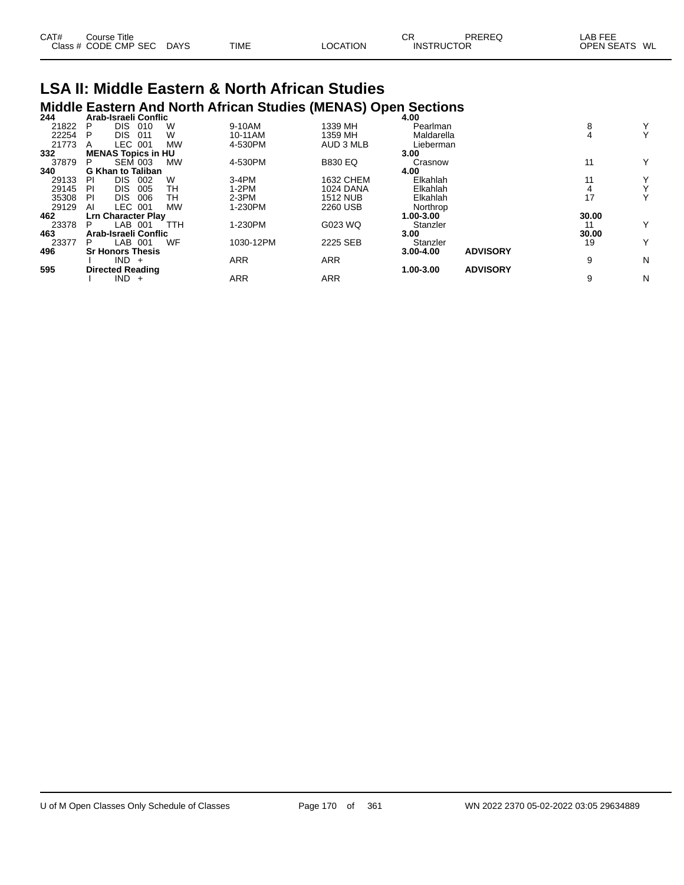| CAT# | Title<br>Course      |             |             |                 | СF                | PREREQ | <b>LAB FEE</b>          |
|------|----------------------|-------------|-------------|-----------------|-------------------|--------|-------------------------|
|      | Class # CODE CMP SEC | <b>DAYS</b> | <b>TIME</b> | <b>LOCATION</b> | <b>INSTRUCTOR</b> |        | <b>OPEN SEATS</b><br>WL |

## **LSA II: Middle Eastern & North African Studies Middle Eastern And North African Studies (MENAS) Open Sections 244 Arab-Israeli Conflic 4.00**

| 244   |    | Arab-Israell Conflic      |           |            |                  | 4.UU          |                 |       |   |
|-------|----|---------------------------|-----------|------------|------------------|---------------|-----------------|-------|---|
| 21822 | Р  | DIS.<br>010               | W         | 9-10AM     | 1339 MH          | Pearlman      |                 | 8     | Y |
| 22254 | Р  | <b>DIS</b><br>011         | W         | 10-11AM    | 1359 MH          | Maldarella    |                 |       | Y |
| 21773 | А  | LEC<br>001                | <b>MW</b> | 4-530PM    | AUD 3 MLB        | Lieberman     |                 |       |   |
| 332   |    | <b>MENAS Topics in HU</b> |           |            |                  | 3.00          |                 |       |   |
| 37879 | P  | <b>SEM 003</b>            | <b>MW</b> | 4-530PM    | <b>B830 EQ</b>   | Crasnow       |                 | 11    | Y |
| 340   |    | <b>G Khan to Taliban</b>  |           |            |                  | 4.00          |                 |       |   |
| 29133 | PI | <b>DIS</b><br>002         | W         | $3-4PM$    | 1632 CHEM        | Elkahlah      |                 | 11    | Y |
| 29145 | PI | <b>DIS</b><br>005         | TН        | $1-2PM$    | <b>1024 DANA</b> | Elkahlah      |                 |       | Υ |
| 35308 | PI | <b>DIS</b><br>006         | TН        | $2-3PM$    | <b>1512 NUB</b>  | Elkahlah      |                 | 17    | Y |
| 29129 | ΑI | LEC 001                   | <b>MW</b> | 1-230PM    | 2260 USB         | Northrop      |                 |       |   |
| 462   |    | <b>Lrn Character Play</b> |           |            |                  | 1.00-3.00     |                 | 30.00 |   |
| 23378 | P  | LAB 001                   | TTH       | 1-230PM    | G023 WQ          | Stanzler      |                 |       | Y |
| 463   |    | Arab-Israeli Conflic      |           |            |                  | 3.00          |                 | 30.00 |   |
| 23377 | P  | LAB 001                   | WF        | 1030-12PM  | 2225 SEB         | Stanzler      |                 | 19    | Y |
| 496   |    | <b>Sr Honors Thesis</b>   |           |            |                  | $3.00 - 4.00$ | <b>ADVISORY</b> |       |   |
|       |    | $IND +$                   |           | <b>ARR</b> | <b>ARR</b>       |               |                 | 9     | N |
| 595   |    | <b>Directed Reading</b>   |           |            |                  | 1.00-3.00     | <b>ADVISORY</b> |       |   |
|       |    | $IND +$                   |           | <b>ARR</b> | <b>ARR</b>       |               |                 | 9     | Ν |
|       |    |                           |           |            |                  |               |                 |       |   |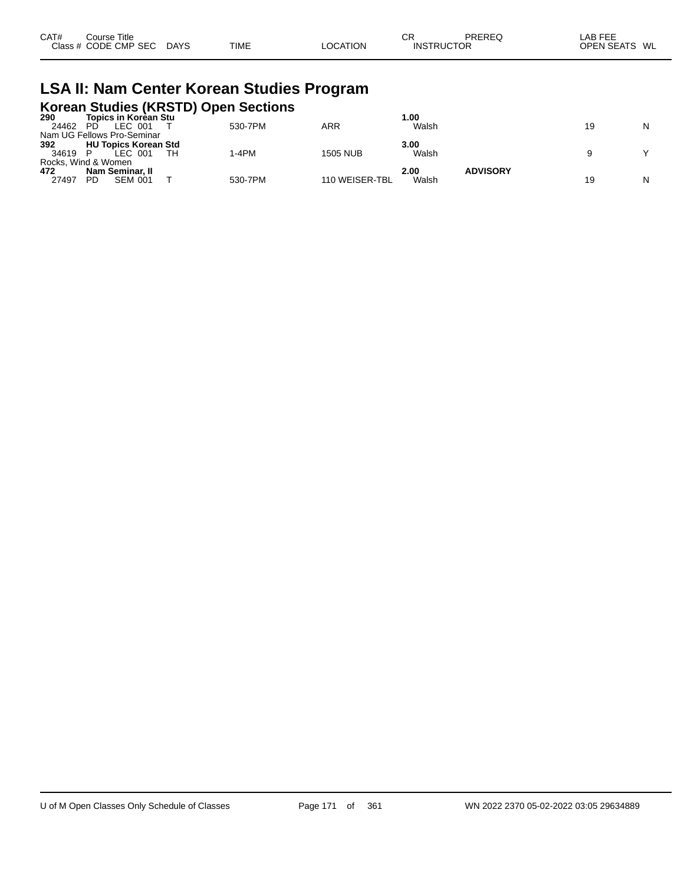| CAT# | Course Title         |             |             |          | СF                | PREREQ | LAB FEE       |
|------|----------------------|-------------|-------------|----------|-------------------|--------|---------------|
|      | Class # CODE CMP SEC | <b>DAYS</b> | <b>TIME</b> | LOCATION | <b>INSTRUCTOR</b> |        | OPEN SEATS WL |

## **LSA II: Nam Center Korean Studies Program**

|                                                                                                                                                                                                                                    |  | Korean Studies (KRSTD) Open Sections |  |
|------------------------------------------------------------------------------------------------------------------------------------------------------------------------------------------------------------------------------------|--|--------------------------------------|--|
| <br>The continue of the continue of the continue of the continue of the continue of the continue of the continue of the continue of the continue of the continue of the continue of the continue of the continue of the continue o |  |                                      |  |

| 290   | <b>Topics in Korean Stu</b> |         |                 | 00.،  |                 |    |   |
|-------|-----------------------------|---------|-----------------|-------|-----------------|----|---|
| 24462 | LEC 001<br>PD               | 530-7PM | <b>ARR</b>      | Walsh |                 | 19 | N |
|       | Nam UG Fellows Pro-Seminar  |         |                 |       |                 |    |   |
| 392   | <b>HU Topics Korean Std</b> |         |                 | 3.00  |                 |    |   |
| 34619 | LEC 001                     | 1-4PM   | <b>1505 NUB</b> | Walsh |                 |    |   |
|       | Rocks, Wind & Women         |         |                 |       |                 |    |   |
| 472   | Nam Seminar. II             |         |                 | 2.00  | <b>ADVISORY</b> |    |   |
| 27497 | PD<br><b>SEM 001</b>        | 530-7PM | 110 WEISER-TBL  | Walsh |                 | 19 | N |
|       |                             |         |                 |       |                 |    |   |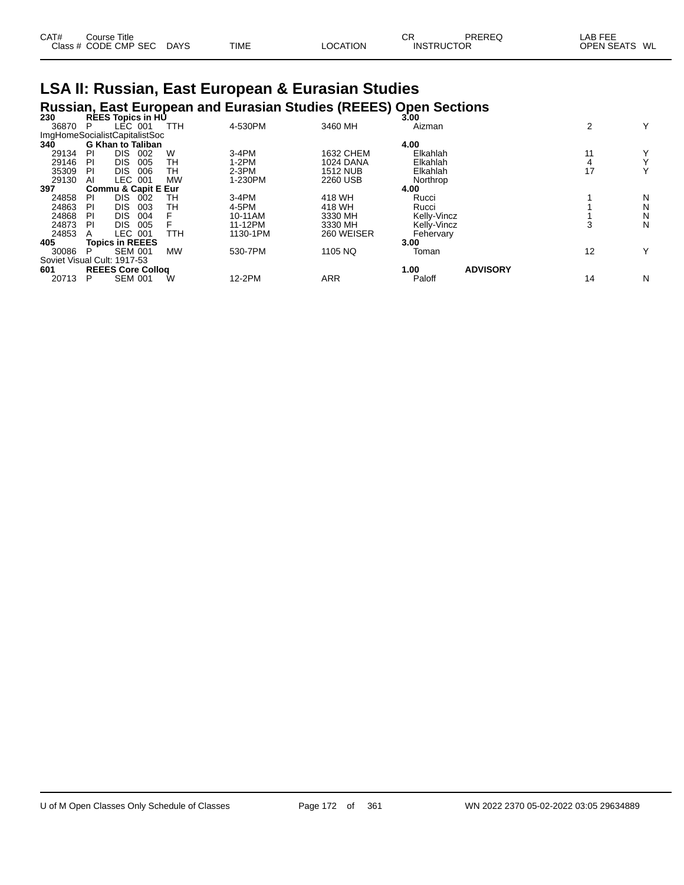| CAT# | Course Title              |      |                 | СR                | PREREQ | LAB FEE       |  |
|------|---------------------------|------|-----------------|-------------------|--------|---------------|--|
|      | Class # CODE CMP SEC DAYS | TIME | <b>LOCATION</b> | <b>INSTRUCTOR</b> |        | OPEN SEATS WL |  |

#### **LSA II: Russian, East European & Eurasian Studies Russian, East European and Eurasian Studies (REEES) Open Sections**

| 230                           |    |                        | <b>REES Topics in HU</b>       |           |          |                  | 3.00        |                 |    |    |
|-------------------------------|----|------------------------|--------------------------------|-----------|----------|------------------|-------------|-----------------|----|----|
| 36870                         | P  | LEC 001                |                                | TTH       | 4-530PM  | 3460 MH          | Aizman      |                 | 2  | Y  |
| ImgHomeSocialistCapitalistSoc |    |                        |                                |           |          |                  |             |                 |    |    |
| 340                           |    |                        | <b>G Khan to Taliban</b>       |           |          |                  | 4.00        |                 |    |    |
| 29134                         | PI | DIS.                   | 002                            | W         | $3-4PM$  | 1632 CHEM        | Elkahlah    |                 | 11 | Y. |
| 29146                         | PI | DIS.                   | 005                            | TН        | $1-2PM$  | <b>1024 DANA</b> | Elkahlah    |                 |    | Υ  |
| 35309                         | PI | DIS.                   | 006                            | TН        | $2-3PM$  | <b>1512 NUB</b>  | Elkahlah    |                 | 17 | Υ  |
| 29130                         | Al | LEC 001                |                                | <b>MW</b> | 1-230PM  | 2260 USB         | Northrop    |                 |    |    |
| 397                           |    |                        | <b>Commu &amp; Capit E Eur</b> |           |          |                  | 4.00        |                 |    |    |
| 24858                         | PI | DIS.                   | 002                            | TН        | $3-4PM$  | 418 WH           | Rucci       |                 |    | N  |
| 24863                         | PI | DIS.                   | 003                            | TН        | 4-5PM    | 418 WH           | Rucci       |                 |    | Ν  |
| 24868                         | PI | DIS.                   | 004                            |           | 10-11AM  | 3330 MH          | Kelly-Vincz |                 |    | Ν  |
| 24873                         | PI | DIS.                   | 005                            |           | 11-12PM  | 3330 MH          | Kelly-Vincz |                 |    | Ν  |
| 24853                         | А  | LEC 001                |                                | TTH       | 1130-1PM | 260 WEISER       | Fehervary   |                 |    |    |
| 405                           |    | <b>Topics in REEES</b> |                                |           |          |                  | 3.00        |                 |    |    |
| 30086                         | P  | <b>SEM 001</b>         |                                | <b>MW</b> | 530-7PM  | 1105 NQ          | Toman       |                 | 12 | Y  |
| Soviet Visual Cult: 1917-53   |    |                        |                                |           |          |                  |             |                 |    |    |
| 601                           |    |                        | <b>REEES Core Collog</b>       |           |          |                  | 1.00        | <b>ADVISORY</b> |    |    |
| 20713                         | Р  | <b>SEM 001</b>         |                                | W         | 12-2PM   | <b>ARR</b>       | Paloff      |                 | 14 | N  |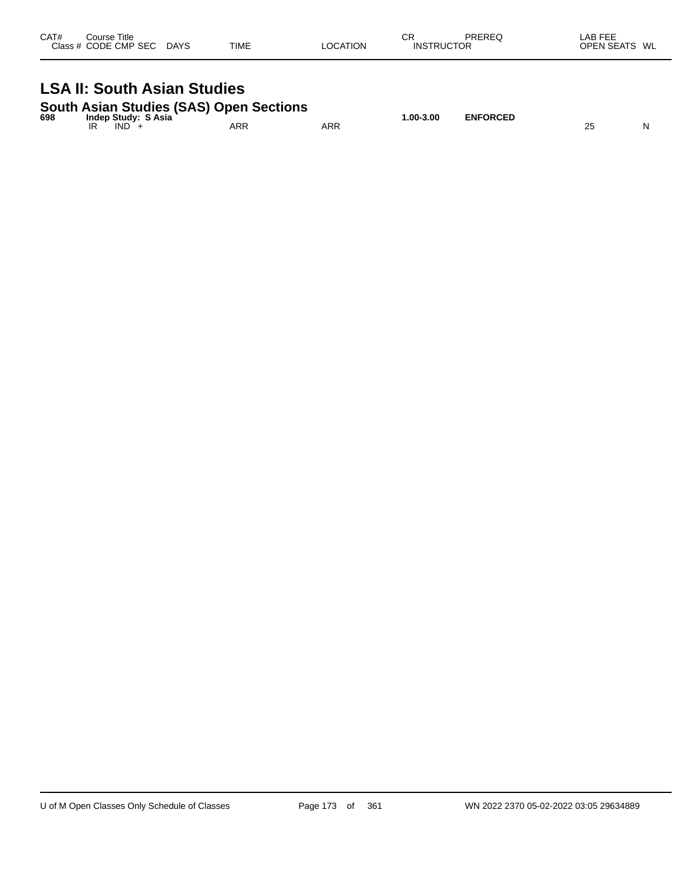| CAT# | Course Title<br>Class # CODE CMP SEC | <b>DAYS</b> | <b>TIME</b> | <b>LOCATION</b> | СR<br><b>INSTRUCTOR</b> | PREREQ | LAB FEE<br><b>OPEN SEATS</b><br>WL |
|------|--------------------------------------|-------------|-------------|-----------------|-------------------------|--------|------------------------------------|
|      |                                      |             |             |                 |                         |        |                                    |

#### **LSA II: South Asian Studies**

|  |  | South Asian Studies (SAS) Open Sections |
|--|--|-----------------------------------------|
|  |  |                                         |

| 698 | <b>Indep Study: S Asia</b> |            |            | $.00-3.00$ | <b>ENFORCED</b> |    |   |
|-----|----------------------------|------------|------------|------------|-----------------|----|---|
|     | IR<br><b>IND</b>           | <b>ARR</b> | <b>ARR</b> |            |                 | Zu | N |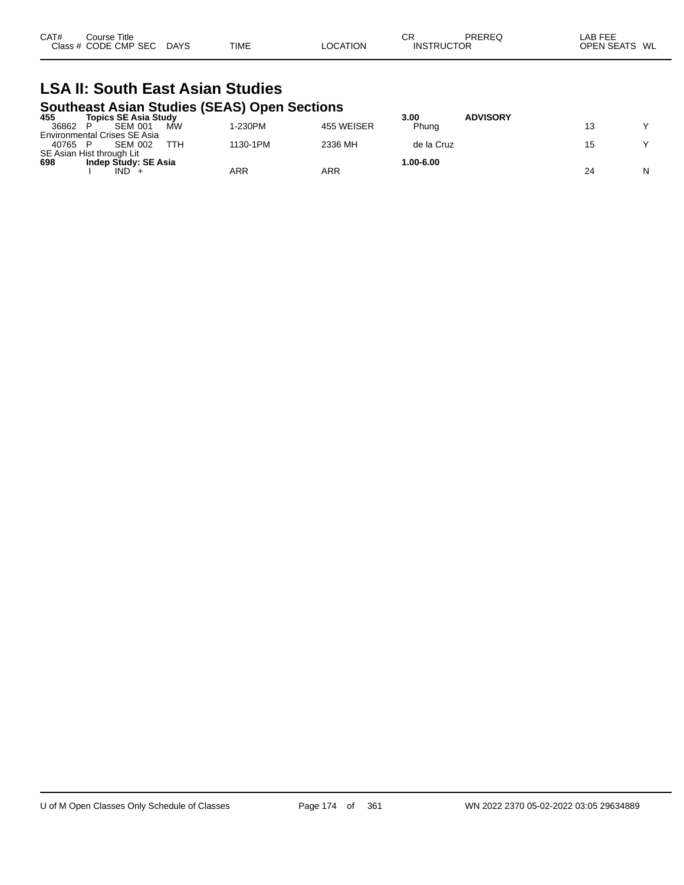| CAT# | Course Title<br>Class # CODE CMP SEC | <b>DAYS</b> | <b>TIME</b> | LOCATION | СF<br><b>INSTRUCTOR</b> | PREREQ | LAB FEE<br>OPEN SEATS WL |  |
|------|--------------------------------------|-------------|-------------|----------|-------------------------|--------|--------------------------|--|
|      |                                      |             |             |          |                         |        |                          |  |

#### **LSA II: South East Asian Studies Southeast Asian Studies (SEAS) Open Sections**

| 455   | .<br><b>Topics SE Asia Study</b>    | - - - - - |            | 3.00       | <b>ADVISORY</b> |    |   |
|-------|-------------------------------------|-----------|------------|------------|-----------------|----|---|
| 36862 | МW<br><b>SEM 001</b>                | I-230PM   | 455 WEISER | Phuna      |                 |    |   |
|       | <b>Environmental Crises SE Asia</b> |           |            |            |                 |    |   |
| 40765 | ттн<br><b>SEM 002</b>               | 1130-1PM  | 2336 MH    | de la Cruz |                 |    |   |
|       | SE Asian Hist through Lit           |           |            |            |                 |    |   |
| 698   | Indep Study: SE Asia                |           |            | 1.00-6.00  |                 |    |   |
|       | IND                                 | ARR       | ARR        |            |                 | 24 | N |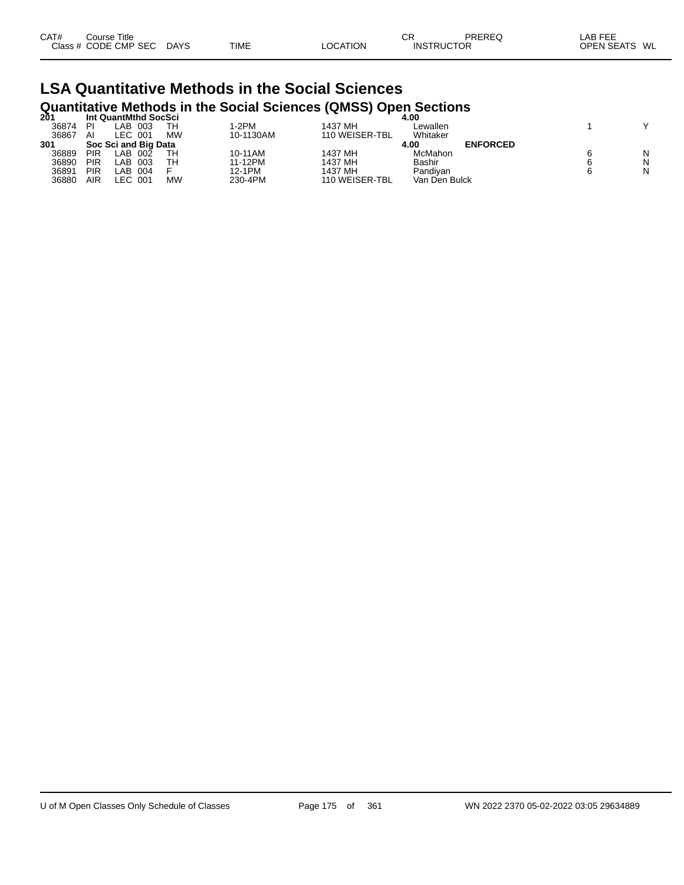| CAT# | Course Title<br>Class # CODE CMP SEC | <b>DAYS</b> | <b>TIME</b> | <b>LOCATION</b> | СR<br><b>INSTRUCTOR</b> | PREREQ | LAB FEE<br><b>OPEN SEATS</b><br>WL |
|------|--------------------------------------|-------------|-------------|-----------------|-------------------------|--------|------------------------------------|
|      |                                      |             |             |                 |                         |        |                                    |

#### **LSA Quantitative Methods in the Social Sciences Quantitative Methods in the Social Sciences (QMSS) Open Sections**

| 201   |     | Int QuantMthd SocSci |           |           |                | 4.00          |                 |   |
|-------|-----|----------------------|-----------|-----------|----------------|---------------|-----------------|---|
| 36874 | PI  | _AB_<br>003          | TН        | 1-2PM     | 1437 MH        | Lewallen      |                 |   |
| 36867 | AI  | LEC 001              | <b>MW</b> | 10-1130AM | 110 WEISER-TBL | Whitaker      |                 |   |
| 301   |     | Soc Sci and Big Data |           |           |                | 4.00          | <b>ENFORCED</b> |   |
| 36889 | PIR | _AB_<br>002          | TH        | 10-11AM   | 1437 MH        | McMahon       |                 | Ν |
| 36890 | PIR | _AB.<br>003          | TН        | 11-12PM   | 1437 MH        | Bashir        |                 | N |
| 36891 | PIR | .AB<br>004           |           | 12-1PM    | 1437 MH        | Pandivan      |                 | N |
| 36880 | AIR | LEC 001              | <b>MW</b> | 230-4PM   | 110 WEISER-TBL | Van Den Bulck |                 |   |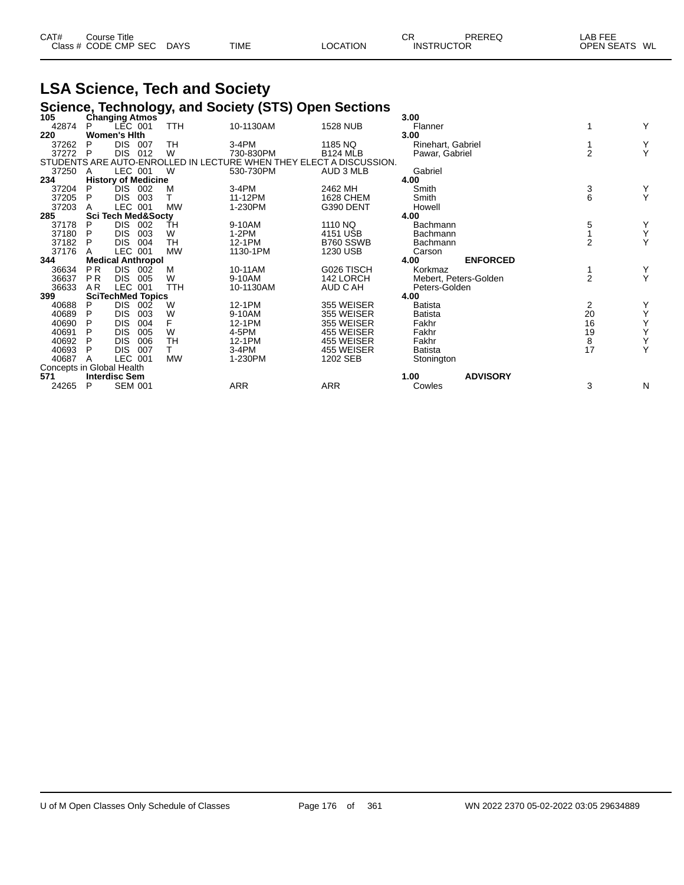| CAT# | Course Title         |             |             |                 | ⌒冖<br>◡Ⴡ          | PREREQ | AB FEE        |
|------|----------------------|-------------|-------------|-----------------|-------------------|--------|---------------|
|      | Class # CODE CMP SEC | <b>DAYS</b> | <b>TIME</b> | <b>LOCATION</b> | <b>INSTRUCTOR</b> |        | OPEN SEATS WL |

## **LSA Science, Tech and Society**

|                           |                      |                               |      |            |           | Science, Technology, and Society (STS) Open Sections                |                   |                       |                |   |
|---------------------------|----------------------|-------------------------------|------|------------|-----------|---------------------------------------------------------------------|-------------------|-----------------------|----------------|---|
| 105                       |                      | <b>Changing Atmos</b>         |      |            |           |                                                                     | 3.00              |                       |                |   |
| 42874                     | P                    | LEC 001                       |      | TTH        | 10-1130AM | <b>1528 NUB</b>                                                     | Flanner           |                       |                | Y |
| 220                       |                      | <b>Women's Hith</b>           |      |            |           |                                                                     | 3.00              |                       |                |   |
| 37262                     | P                    | DIS.                          | -007 | <b>TH</b>  | 3-4PM     | 1185 NQ                                                             | Rinehart, Gabriel |                       |                | Y |
| 37272                     | P                    | <b>DIS</b>                    | 012  | W          | 730-830PM | <b>B124 MLB</b>                                                     | Pawar, Gabriel    |                       | $\overline{2}$ | Y |
|                           |                      |                               |      |            |           | STUDENTS ARE AUTO-ENROLLED IN LECTURE WHEN THEY ELECT A DISCUSSION. |                   |                       |                |   |
| 37250                     | A                    | LEC 001                       |      | W          | 530-730PM | AUD 3 MLB                                                           | Gabriel           |                       |                |   |
| 234                       |                      | <b>History of Medicine</b>    |      |            |           |                                                                     | 4.00              |                       |                |   |
| 37204                     | P                    | DIS.                          | 002  | M          | 3-4PM     | 2462 MH                                                             | Smith             |                       | 3              | Y |
| 37205                     | P                    | DIS.                          | 003  | т          | 11-12PM   | 1628 CHEM                                                           | Smith             |                       | 6              | Y |
| 37203                     |                      | LEC 001                       |      | <b>MW</b>  | 1-230PM   | G390 DENT                                                           | Howell            |                       |                |   |
| 285                       |                      | <b>Sci Tech Med&amp;Soctv</b> |      |            |           |                                                                     | 4.00              |                       |                |   |
| 37178                     | P                    | DIS.                          | 002  | ŤH         | 9-10AM    | 1110 NO                                                             | Bachmann          |                       | 5              | Y |
| 37180                     | P                    | <b>DIS</b>                    | 003  | W          | 1-2PM     | 4151 USB                                                            | Bachmann          |                       |                | Y |
| 37182                     | P                    | <b>DIS</b>                    | 004  | <b>TH</b>  | 12-1PM    | B760 SSWB                                                           | Bachmann          |                       | $\overline{2}$ | Y |
| 37176                     |                      | LEC 001                       |      | <b>MW</b>  | 1130-1PM  | 1230 USB                                                            | Carson            |                       |                |   |
| 344                       |                      | <b>Medical Anthropol</b>      |      |            |           |                                                                     | 4.00              | <b>ENFORCED</b>       |                |   |
| 36634                     | P <sub>R</sub>       | DIS.                          | 002  | м          | 10-11AM   | G026 TISCH                                                          | Korkmaz           |                       |                | Y |
| 36637                     | <b>PR</b>            | <b>DIS</b>                    | 005  | W          | 9-10AM    | 142 LORCH                                                           |                   | Mebert, Peters-Golden | $\overline{2}$ | Y |
| 36633                     | A <sub>R</sub>       | LEC 001                       |      | <b>TTH</b> | 10-1130AM | AUD C AH                                                            | Peters-Golden     |                       |                |   |
| 399                       |                      | <b>SciTechMed Topics</b>      |      |            |           |                                                                     | 4.00              |                       |                |   |
| 40688                     | P                    | DIS.                          | 002  | W          | 12-1PM    | 355 WEISER                                                          | <b>Batista</b>    |                       | 2              | Y |
| 40689                     | P                    | <b>DIS</b>                    | 003  | W          | 9-10AM    | 355 WEISER                                                          | <b>Batista</b>    |                       | 20             | Υ |
| 40690                     | P                    | <b>DIS</b>                    | 004  | F          | 12-1PM    | 355 WEISER                                                          | Fakhr             |                       | 16             | Y |
| 40691                     |                      | <b>DIS</b>                    | 005  | W          | 4-5PM     | 455 WEISER                                                          | Fakhr             |                       | 19             | Υ |
| 40692                     | P                    | <b>DIS</b>                    | 006  | <b>TH</b>  | 12-1PM    | 455 WEISER                                                          | Fakhr             |                       | $\bf 8$        | Y |
| 40693                     | P                    | DIS.                          | 007  | т          | 3-4PM     | 455 WEISER                                                          | <b>Batista</b>    |                       | 17             | Y |
| 40687                     | A                    | LEC 001                       |      | <b>MW</b>  | 1-230PM   | 1202 SEB                                                            | Stonington        |                       |                |   |
| Concepts in Global Health |                      |                               |      |            |           |                                                                     |                   |                       |                |   |
| 571                       | <b>Interdisc Sem</b> |                               |      |            |           |                                                                     | 1.00              | <b>ADVISORY</b>       |                |   |
| 24265                     | P                    | <b>SEM 001</b>                |      |            | ARR       | <b>ARR</b>                                                          | Cowles            |                       | 3              | N |
|                           |                      |                               |      |            |           |                                                                     |                   |                       |                |   |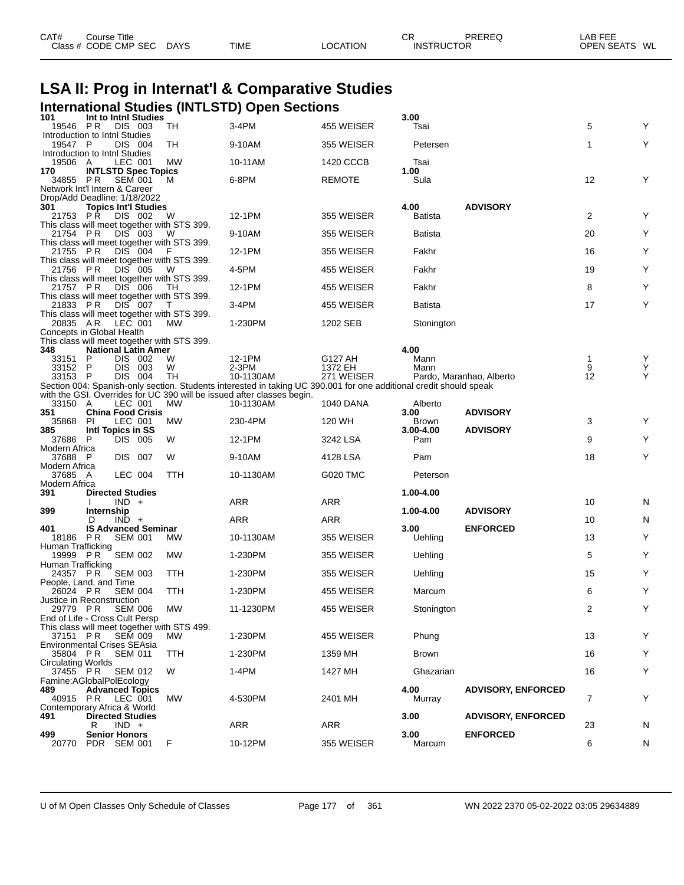| <b>LSA II: Prog in Internat'l &amp; Comparative Studies</b> |                                |                    |  |                                                   |                                                                                                                                                                                              |                    |                      |                           |        |        |
|-------------------------------------------------------------|--------------------------------|--------------------|--|---------------------------------------------------|----------------------------------------------------------------------------------------------------------------------------------------------------------------------------------------------|--------------------|----------------------|---------------------------|--------|--------|
|                                                             |                                |                    |  |                                                   | <b>International Studies (INTLSTD) Open Sections</b>                                                                                                                                         |                    |                      |                           |        |        |
| 101                                                         | Int to Inthl Studies           |                    |  |                                                   |                                                                                                                                                                                              |                    | 3.00                 |                           |        |        |
| 19546<br>Introduction to Intnl Studies                      | P R                            | <b>DIS 003</b>     |  | TH                                                | 3-4PM                                                                                                                                                                                        | 455 WEISER         | Tsai                 |                           | 5      | Y      |
| 19547 P                                                     |                                | DIS 004            |  | TН                                                | 9-10AM                                                                                                                                                                                       | 355 WEISER         | Petersen             |                           | 1      | Y      |
| Introduction to Intnl Studies<br>19506 A                    |                                | LEC 001            |  | МW                                                | 10-11AM                                                                                                                                                                                      | 1420 CCCB          | Tsai                 |                           |        |        |
| 170<br>34855 PR                                             | <b>INTLSTD Spec Topics</b>     | <b>SEM 001</b>     |  | M                                                 | 6-8PM                                                                                                                                                                                        | <b>REMOTE</b>      | 1.00<br>Sula         |                           | 12     | Y      |
| Network Int'l Intern & Career                               |                                |                    |  |                                                   |                                                                                                                                                                                              |                    |                      |                           |        |        |
| Drop/Add Deadline: 1/18/2022<br>301                         | <b>Topics Int'l Studies</b>    |                    |  |                                                   |                                                                                                                                                                                              |                    | 4.00                 | <b>ADVISORY</b>           |        |        |
| 21753 PR                                                    |                                | DIS 002            |  | w                                                 | 12-1PM                                                                                                                                                                                       | 355 WEISER         | Batista              |                           | 2      | Y      |
| 21754 PR                                                    |                                | DIS 003            |  | This class will meet together with STS 399.<br>W  | 9-10AM                                                                                                                                                                                       | 355 WEISER         | Batista              |                           | 20     | Y      |
| 21755 PR                                                    |                                | DIS 004            |  | This class will meet together with STS 399.<br>F  | 12-1PM                                                                                                                                                                                       | 355 WEISER         | Fakhr                |                           | 16     | Y      |
| 21756 PR                                                    |                                | DIS 005            |  | This class will meet together with STS 399.<br>W  | 4-5PM                                                                                                                                                                                        | 455 WEISER         | Fakhr                |                           | 19     | Y      |
|                                                             |                                |                    |  | This class will meet together with STS 399.       |                                                                                                                                                                                              | 455 WEISER         |                      |                           |        | Y      |
| 21757 PR                                                    |                                | DIS 006            |  | TН<br>This class will meet together with STS 399. | 12-1PM                                                                                                                                                                                       |                    | Fakhr                |                           | 8      |        |
| 21833 PR                                                    |                                | DIS 007            |  | T<br>This class will meet together with STS 399.  | 3-4PM                                                                                                                                                                                        | 455 WEISER         | Batista              |                           | 17     | Y      |
| 20835 AR                                                    |                                | LEC 001            |  | <b>MW</b>                                         | 1-230PM                                                                                                                                                                                      | 1202 SEB           | Stonington           |                           |        |        |
| Concepts in Global Health                                   |                                |                    |  | This class will meet together with STS 399.       |                                                                                                                                                                                              |                    |                      |                           |        |        |
| 348                                                         | <b>National Latin Amer</b>     |                    |  |                                                   |                                                                                                                                                                                              |                    | 4.00                 |                           |        |        |
| 33151<br>33152                                              | P<br><b>P</b>                  | DIS 002<br>DIS 003 |  | W<br>W                                            | 12-1PM<br>$2-3PM$                                                                                                                                                                            | G127 AH<br>1372 EH | Mann<br>Mann         |                           | 1<br>9 | Y<br>Υ |
| 33153 P                                                     |                                | DIS 004            |  | TН                                                | 10-1130AM                                                                                                                                                                                    | 271 WEISER         |                      | Pardo, Maranhao, Alberto  | 12     | Y      |
|                                                             |                                |                    |  |                                                   | Section 004: Spanish-only section. Students interested in taking UC 390.001 for one additional credit should speak<br>with the GSI. Overrides for UC 390 will be issued after classes begin. |                    |                      |                           |        |        |
| 33150 A                                                     |                                | LEC 001            |  | <b>MW</b>                                         | 10-1130AM                                                                                                                                                                                    | 1040 DANA          | Alberto              |                           |        |        |
| 351<br>35868                                                | <b>China Food Crisis</b><br>PI | LEC 001            |  | MW                                                | 230-4PM                                                                                                                                                                                      | 120 WH             | 3.00<br><b>Brown</b> | <b>ADVISORY</b>           | 3      | Y      |
| 385<br>37686 P                                              | Intl Topics in SS              | DIS 005            |  | W                                                 | 12-1PM                                                                                                                                                                                       | 3242 LSA           | $3.00 - 4.00$<br>Pam | <b>ADVISORY</b>           | 9      | Y      |
| Modern Africa                                               |                                |                    |  |                                                   |                                                                                                                                                                                              |                    |                      |                           |        |        |
| 37688 P<br>Modern Africa                                    |                                | DIS 007            |  | W                                                 | 9-10AM                                                                                                                                                                                       | 4128 LSA           | Pam                  |                           | 18     | Y      |
| 37685 A                                                     |                                | LEC 004            |  | TTH                                               | 10-1130AM                                                                                                                                                                                    | G020 TMC           | Peterson             |                           |        |        |
| Modern Africa<br>391                                        | <b>Directed Studies</b>        |                    |  |                                                   |                                                                                                                                                                                              |                    | 1.00-4.00            |                           |        |        |
| 399                                                         | Internship                     | $IND +$            |  |                                                   | ARR                                                                                                                                                                                          | ARR                | 1.00-4.00            | <b>ADVISORY</b>           | 10     | N      |
|                                                             | D                              | $IND +$            |  |                                                   | ARR                                                                                                                                                                                          | <b>ARR</b>         |                      |                           | 10     | N      |
| 401<br>18186 PR                                             | <b>IS Advanced Seminar</b>     | <b>SEM 001</b>     |  | МW                                                | 10-1130AM                                                                                                                                                                                    | 355 WEISER         | 3.00<br>Uehling      | <b>ENFORCED</b>           | 13     | Y      |
| Human Trafficking<br>19999 PR                               |                                |                    |  |                                                   |                                                                                                                                                                                              |                    |                      |                           |        | Y      |
| Human Trafficking                                           |                                | <b>SEM 002</b>     |  | МW                                                | 1-230PM                                                                                                                                                                                      | 355 WEISER         | Uehling              |                           | 5      |        |
| 24357 PR SEM 003<br>People, Land, and Time                  |                                |                    |  | TTH                                               | 1-230PM                                                                                                                                                                                      | 355 WEISER         | Uehling              |                           | 15     | Y      |
| 26024 PR<br>Justice in Reconstruction                       |                                | <b>SEM 004</b>     |  | TTH                                               | 1-230PM                                                                                                                                                                                      | 455 WEISER         | Marcum               |                           | 6      | Y      |
| 29779 PR                                                    |                                | <b>SEM 006</b>     |  | МW                                                | 11-1230PM                                                                                                                                                                                    | 455 WEISER         | Stonington           |                           | 2      | Y      |
| End of Life - Cross Cult Persp                              |                                |                    |  | This class will meet together with STS 499.       |                                                                                                                                                                                              |                    |                      |                           |        |        |
| 37151 PR<br><b>Environmental Crises SEAsia</b>              |                                | <b>SEM 009</b>     |  | MW.                                               | 1-230PM                                                                                                                                                                                      | 455 WEISER         | Phung                |                           | 13     | Y      |
| 35804 PR<br>Circulating Worlds                              |                                | <b>SEM 011</b>     |  | TTH                                               | 1-230PM                                                                                                                                                                                      | 1359 MH            | Brown                |                           | 16     | Y      |
| 37455 PR                                                    |                                | <b>SEM 012</b>     |  | W                                                 | 1-4PM                                                                                                                                                                                        | 1427 MH            | Ghazarian            |                           | 16     | Y      |
| Famine:AGlobalPolEcology<br>489                             | <b>Advanced Topics</b>         |                    |  |                                                   |                                                                                                                                                                                              |                    | 4.00                 | <b>ADVISORY, ENFORCED</b> |        |        |
| 40915 PR<br>Contemporary Africa & World                     |                                | LEC 001            |  | MW.                                               | 4-530PM                                                                                                                                                                                      | 2401 MH            | Murray               |                           | 7      | Y      |
| 491                                                         | <b>Directed Studies</b>        |                    |  |                                                   |                                                                                                                                                                                              |                    | 3.00                 | <b>ADVISORY, ENFORCED</b> |        |        |
| 499                                                         | R<br>Senior Honors             | $IND +$            |  |                                                   | ARR                                                                                                                                                                                          | ARR                | 3.00                 | <b>ENFORCED</b>           | 23     | N      |
| 20770                                                       | PDR SEM 001                    |                    |  | F                                                 | 10-12PM                                                                                                                                                                                      | 355 WEISER         | Marcum               |                           | 6      | N      |

CAT# Course Title Case CR PREREQ LAB FEE

Class # CODE CMP SEC DAYS TIME LOCATION INSTRUCTOR OPEN SEATS WL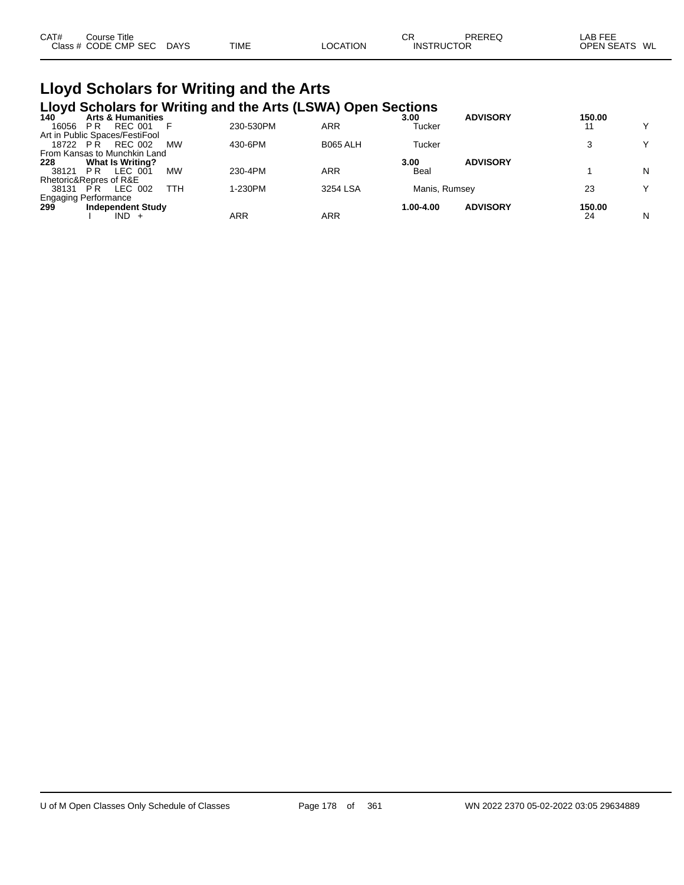| CAT# | Course Title         |             |             |          | СR                | PREREQ | LAB FEE           |    |
|------|----------------------|-------------|-------------|----------|-------------------|--------|-------------------|----|
|      | Class # CODE CMP SEC | <b>DAYS</b> | <b>TIME</b> | ∟OCATION | <b>INSTRUCTOR</b> |        | <b>OPEN SEATS</b> | WL |
|      |                      |             |             |          |                   |        |                   |    |

## **Lloyd Scholars for Writing and the Arts**

|                                                      |                         |                              |           |           | Lloyd Scholars for Writing and the Arts (LSWA) Open Sections |               |                 |        |              |
|------------------------------------------------------|-------------------------|------------------------------|-----------|-----------|--------------------------------------------------------------|---------------|-----------------|--------|--------------|
| 140                                                  |                         | <b>Arts &amp; Humanities</b> |           |           |                                                              | 3.00          | <b>ADVISORY</b> | 150.00 |              |
| 16056                                                | P <sub>R</sub>          | <b>REC 001</b>               |           | 230-530PM | ARR                                                          | Tucker        |                 | 11     | $\checkmark$ |
| Art in Public Spaces/FestiFool                       |                         |                              |           |           |                                                              |               |                 |        |              |
| 18722 PR                                             |                         | <b>REC 002</b>               | <b>MW</b> | 430-6PM   | <b>B065 ALH</b>                                              | Tucker        |                 |        |              |
| From Kansas to Munchkin Land                         |                         |                              |           |           |                                                              |               |                 |        |              |
| 228                                                  | <b>What Is Writing?</b> |                              |           |           |                                                              | 3.00          | <b>ADVISORY</b> |        |              |
| 38121                                                | PR.                     | LEC 001                      | <b>MW</b> | 230-4PM   | ARR                                                          | Beal          |                 |        | N            |
| Rhetoric&Repres of R&E                               |                         |                              |           |           |                                                              |               |                 |        |              |
| 38131 PR                                             |                         | LEC 002                      | TTH       | 1-230PM   | 3254 LSA                                                     | Manis, Rumsey |                 | 23     | v            |
| <b>Engaging Performance</b><br><b>299 Independer</b> |                         |                              |           |           |                                                              |               |                 |        |              |
|                                                      |                         | <b>Independent Study</b>     |           |           |                                                              | 1.00-4.00     | <b>ADVISORY</b> | 150.00 |              |
|                                                      |                         | $IND +$                      |           | ARR       | ARR                                                          |               |                 | 24     | N            |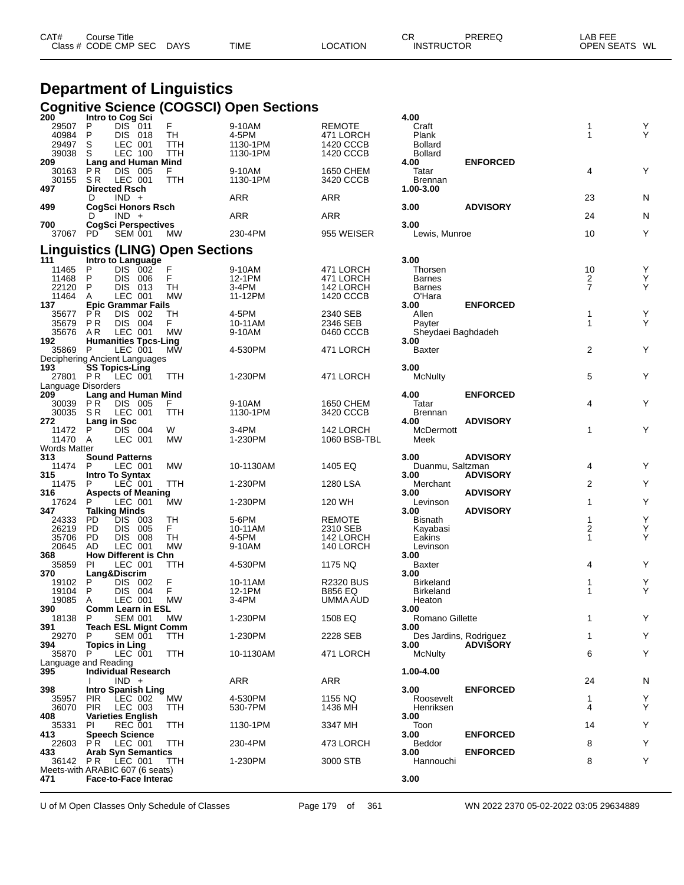| CAT# | Course Title<br>Class # CODE CMP SEC | <b>DAYS</b> | <b>TIME</b> | LOCATION | СR<br><b>INSTRUCTOR</b> | PREREQ | LAB FEE<br>WL<br><b>OPEN SEATS</b> |
|------|--------------------------------------|-------------|-------------|----------|-------------------------|--------|------------------------------------|
|      |                                      |             |             |          |                         |        |                                    |

## **Department of Linguistics Cognitive Science (COGSCI) Open Sections 200 Intro to Cog Sci 4.00**

| 200                | Intro to Cog Sci                               |           |            |                  | 4.00                   |                 |                     |   |
|--------------------|------------------------------------------------|-----------|------------|------------------|------------------------|-----------------|---------------------|---|
| 29507              | P<br>DIS 011                                   | F.        | 9-10AM     | <b>REMOTE</b>    | Craft                  |                 | 1                   | Υ |
| 40984              | P<br>DIS 018                                   | TH        | 4-5PM      | 471 LORCH        | Plank                  |                 | $\mathbf{1}$        | Y |
| 29497              | S<br>LEC 001                                   | TTH       | 1130-1PM   | 1420 CCCB        | <b>Bollard</b>         |                 |                     |   |
| 39038              | LEC 100<br>S                                   | TTH       | 1130-1PM   | 1420 CCCB        | <b>Bollard</b>         |                 |                     |   |
| 209                | Lang and Human Mind                            |           |            |                  | 4.00                   | <b>ENFORCED</b> |                     |   |
| 30163              | P R<br>DIS 005                                 | F.        | 9-10AM     | 1650 CHEM        | Tatar                  |                 | 4                   | Y |
| 30155              | S R<br>LEC 001                                 | TTH       | 1130-1PM   | 3420 CCCB        | <b>Brennan</b>         |                 |                     |   |
| 497                | <b>Directed Rsch</b>                           |           |            |                  | 1.00-3.00              |                 |                     |   |
|                    | $IND +$<br>D                                   |           | <b>ARR</b> | ARR              |                        |                 | 23                  | N |
| 499                | CogSci Honors Rsch                             |           |            |                  | 3.00                   | <b>ADVISORY</b> |                     |   |
|                    | $IND +$<br>D                                   |           | ARR        | ARR              |                        |                 | 24                  | N |
| 700                | CogSci Perspectives                            |           |            |                  | 3.00                   |                 |                     |   |
| 37067 PD           | <b>SEM 001</b>                                 | <b>MW</b> | 230-4PM    | 955 WEISER       | Lewis, Munroe          |                 | 10                  | Y |
|                    |                                                |           |            |                  |                        |                 |                     |   |
|                    | <b>Linguistics (LING) Open Sections</b>        |           |            |                  |                        |                 |                     |   |
| 111                | Intro to Language                              |           |            |                  | 3.00                   |                 |                     |   |
|                    | DIS 002                                        | F         |            |                  | Thorsen                |                 | 10                  | Υ |
| 11465              | P<br>P                                         | F         | 9-10AM     | 471 LORCH        |                        |                 |                     |   |
| 11468              | DIS 006                                        |           | 12-1PM     | 471 LORCH        | <b>Barnes</b>          |                 | 2<br>$\overline{7}$ | Y |
| 22120              | P<br>DIS 013                                   | TH        | 3-4PM      | 142 LORCH        | <b>Barnes</b>          |                 |                     | Y |
| 11464              | LEC 001<br>A                                   | <b>MW</b> | 11-12PM    | 1420 CCCB        | O'Hara                 |                 |                     |   |
| 137                | <b>Epic Grammar Fails</b>                      |           |            |                  | 3.00                   | <b>ENFORCED</b> |                     |   |
| 35677              | P R<br>DIS 002                                 | TH        | 4-5PM      | 2340 SEB         | Allen                  |                 | 1                   | Y |
| 35679              | <b>PR</b><br>DIS 004                           | F.        | 10-11AM    | 2346 SEB         | Payter                 |                 | 1                   | Υ |
| 35676              | LEC 001<br>AR                                  | МW        | 9-10AM     | 0460 CCCB        | Sheydaei Baghdadeh     |                 |                     |   |
| 192                | <b>Humanities Tpcs-Ling</b>                    |           |            |                  | 3.00                   |                 |                     |   |
| 35869 P            | LEC 001                                        | МW        | 4-530PM    | 471 LORCH        | <b>Baxter</b>          |                 | $\overline{2}$      | Υ |
|                    | Deciphering Ancient Languages                  |           |            |                  |                        |                 |                     |   |
| 193                | <b>SS Topics-Ling</b>                          |           |            |                  | 3.00                   |                 |                     |   |
| 27801 PR           | LEC 001                                        | TTH       | 1-230PM    | 471 LORCH        | McNulty                |                 | 5                   | Υ |
| Language Disorders |                                                |           |            |                  |                        |                 |                     |   |
| 209                | <b>Lang and Human Mind</b>                     |           |            |                  | 4.00                   | <b>ENFORCED</b> |                     |   |
| 30039              | DIS 005<br>P R                                 | F.        | 9-10AM     | 1650 CHEM        | Tatar                  |                 | 4                   | Υ |
| 30035              | S R<br>LEC 001                                 | TTH       | 1130-1PM   | 3420 CCCB        | <b>Brennan</b>         |                 |                     |   |
| 272                | Lang in Soc                                    |           |            |                  | 4.00                   | <b>ADVISORY</b> |                     |   |
| 11472              | DIS 004<br>P                                   | W         | 3-4PM      | 142 LORCH        | McDermott              |                 | $\mathbf{1}$        | Υ |
| 11470              | LEC 001<br>A                                   | МW        | 1-230PM    | 1060 BSB-TBL     | Meek                   |                 |                     |   |
| Words Matter       |                                                |           |            |                  |                        |                 |                     |   |
| 313                | <b>Sound Patterns</b>                          |           |            |                  | 3.00                   | <b>ADVISORY</b> |                     |   |
| 11474 P            | LEC 001                                        | <b>MW</b> | 10-1130AM  | 1405 EQ          | Duanmu, Saltzman       |                 | 4                   | Y |
| 315                | Intro To Syntax                                |           |            |                  | 3.00                   | <b>ADVISORY</b> |                     |   |
| 11475              | LEC 001<br>P                                   | TTH       | 1-230PM    | 1280 LSA         | Merchant               |                 | 2                   | Υ |
| 316                | <b>Aspects of Meaning</b>                      |           |            |                  | 3.00                   | <b>ADVISORY</b> |                     |   |
| 17624              | LEC 001<br>P                                   | МW        | 1-230PM    | 120 WH           | Levinson               |                 | 1                   | Y |
| 347                | <b>Talking Minds</b>                           |           |            |                  | 3.00                   | <b>ADVISORY</b> |                     |   |
| 24333              | PD.<br>DIS 003                                 | TH        | 5-6PM      | <b>REMOTE</b>    | Bisnath                |                 | 1                   | Y |
| 26219              | PD.<br>DIS 005                                 | F.        | 10-11AM    | 2310 SEB         | Kayabasi               |                 | $\overline{2}$      | Y |
| 35706              | <b>DIS 008</b><br>PD.                          | TH        | 4-5PM      | 142 LORCH        | Eakins                 |                 | 1                   | Υ |
| 20645              | LEC 001<br>AD                                  | <b>MW</b> | 9-10AM     | 140 LORCH        | Levinson               |                 |                     |   |
| 368                | <b>How Different is Chn</b>                    |           |            |                  | 3.00                   |                 |                     |   |
| 35859              | LEC 001<br>PI                                  | TTH       | 4-530PM    | 1175 NQ          | Baxter                 |                 | 4                   | Y |
| 370                | Lang&Discrim                                   |           |            |                  | 3.00                   |                 |                     |   |
| 19102              | DIS 002<br>P                                   | F         | 10-11AM    | <b>R2320 BUS</b> | <b>Birkeland</b>       |                 | 1                   | Y |
| 19104              | P<br><b>DIS 004</b>                            | F         | 12-1PM     | <b>B856 EQ</b>   | <b>Birkeland</b>       |                 | 1                   | Y |
| 19085              | LEC 001<br>A                                   | <b>MW</b> | 3-4PM      | UMMA AUD         | Heaton                 |                 |                     |   |
| 390                | <b>Comm Learn in ESL</b>                       |           |            |                  | 3.00                   |                 |                     |   |
| 18138 P            | <b>SEM 001 MW</b>                              |           | 1-230PM    | 1508 EQ          | Romano Gillette        |                 |                     |   |
| 391                | <b>Teach ESL Mignt Comm</b>                    |           |            |                  | 3.00                   |                 |                     |   |
| 29270              | P.<br><b>SEM 001</b>                           | TTH       | 1-230PM    | 2228 SEB         | Des Jardins, Rodriguez |                 | $\mathbf{1}$        | Y |
| 394                | <b>Topics in Ling</b>                          |           |            |                  | 3.00                   | <b>ADVISORY</b> |                     |   |
| 35870              | P<br>LEC 001                                   | TTH       | 10-1130AM  | 471 LORCH        | McNulty                |                 | 6                   | Υ |
|                    | Language and Reading                           |           |            |                  |                        |                 |                     |   |
| 395                | <b>Individual Research</b>                     |           |            |                  | 1.00-4.00              |                 |                     |   |
|                    | $IND +$                                        |           | <b>ARR</b> | ARR              |                        |                 | 24                  |   |
| 398                |                                                |           |            |                  | 3.00                   | <b>ENFORCED</b> |                     | N |
|                    | Intro Spanish Ling                             |           | 4-530PM    |                  |                        |                 |                     |   |
| 35957              | <b>PIR</b><br>LEC 002                          | МW        |            | 1155 NQ          | Roosevelt              |                 | 1                   | Y |
| 36070              | <b>PIR</b><br>LEC 003                          | TTH       | 530-7PM    | 1436 MH          | Henriksen              |                 | 4                   | Y |
| 408                | <b>Varieties English</b>                       |           |            |                  | 3.00                   |                 |                     |   |
| 35331              | <b>REC 001</b><br>PI<br><b>Speech Science</b>  | TTH       | 1130-1PM   | 3347 MH          | Toon                   |                 | 14                  | Υ |
| 413                |                                                |           |            |                  | 3.00<br><b>Beddor</b>  | <b>ENFORCED</b> |                     |   |
| 22603              | <b>PR LEC 001</b><br><b>Arab Syn Semantics</b> | TTH       | 230-4PM    | 473 LORCH        |                        |                 | 8                   | Υ |
| 433                |                                                |           |            |                  | 3.00                   | <b>ENFORCED</b> | 8                   | Υ |
|                    | 36142 PR LEC 001                               | TTH       | 1-230PM    | 3000 STB         | Hannouchi              |                 |                     |   |
|                    | Meets-with ARABIC 607 (6 seats)                |           |            |                  |                        |                 |                     |   |
| 471                | <b>Face-to-Face Interac</b>                    |           |            |                  | 3.00                   |                 |                     |   |
|                    |                                                |           |            |                  |                        |                 |                     |   |

U of M Open Classes Only Schedule of Classes Page 179 of 361 WN 2022 2370 05-02-2022 03:05 29634889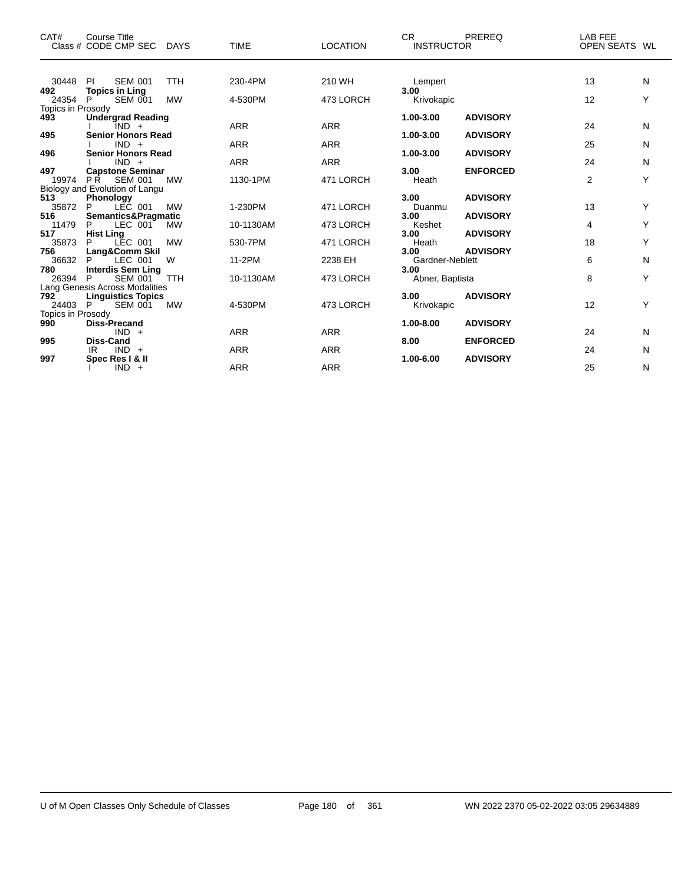| CAT#                     | Course Title<br>Class # CODE CMP SEC DAYS                | <b>TIME</b> | <b>LOCATION</b> | CR.<br>PREREQ<br><b>INSTRUCTOR</b>         | LAB FEE<br>OPEN SEATS WL |   |
|--------------------------|----------------------------------------------------------|-------------|-----------------|--------------------------------------------|--------------------------|---|
| 30448                    | <b>SEM 001</b><br><b>TTH</b><br>-PI                      | 230-4PM     | 210 WH          | Lempert                                    | 13                       | N |
| 492                      | <b>Topics in Ling</b>                                    |             |                 | 3.00                                       |                          |   |
| 24354                    | P<br><b>MW</b><br><b>SEM 001</b>                         | 4-530PM     | 473 LORCH       | Krivokapic                                 | $12 \overline{ }$        | Y |
| Topics in Prosody<br>493 | <b>Undergrad Reading</b>                                 |             |                 | <b>ADVISORY</b><br>1.00-3.00               |                          |   |
|                          | IND +                                                    | <b>ARR</b>  | <b>ARR</b>      |                                            | 24                       | N |
| 495                      | <b>Senior Honors Read</b>                                |             |                 | <b>ADVISORY</b><br>1.00-3.00               |                          |   |
|                          | $IND +$                                                  | <b>ARR</b>  | <b>ARR</b>      |                                            | 25                       | N |
| 496                      | <b>Senior Honors Read</b><br>$IND +$                     | <b>ARR</b>  | <b>ARR</b>      | 1.00-3.00<br><b>ADVISORY</b>               | 24                       | N |
| 497                      | <b>Capstone Seminar</b>                                  |             |                 | 3.00<br><b>ENFORCED</b>                    |                          |   |
| 19974                    | PR SEM 001<br><b>MW</b>                                  | 1130-1PM    | 471 LORCH       | Heath                                      | $\overline{2}$           | Y |
|                          | Biology and Evolution of Langu                           |             |                 |                                            |                          |   |
| 513<br>35872             | Phonology<br>P<br>LEC 001<br><b>MW</b>                   | 1-230PM     | 471 LORCH       | 3.00<br><b>ADVISORY</b><br>Duanmu          | 13                       | Y |
| 516                      | Semantics&Pragmatic                                      |             |                 | <b>ADVISORY</b><br>3.00                    |                          |   |
| 11479                    | LEC 001<br>MW<br>P                                       | 10-1130AM   | 473 LORCH       | Keshet                                     | 4                        | Y |
| 517                      | <b>Hist Ling</b>                                         |             |                 | <b>ADVISORY</b><br>3.00                    |                          |   |
| 35873                    | LEC 001<br><b>MW</b><br>P                                | 530-7PM     | 471 LORCH       | Heath                                      | 18                       | Y |
| 756<br>36632             | Lang&Comm Skil<br>W<br>P<br>LEC 001                      | 11-2PM      | 2238 EH         | <b>ADVISORY</b><br>3.00<br>Gardner-Neblett | 6                        | N |
| 780                      | <b>Interdis Sem Ling</b>                                 |             |                 | 3.00                                       |                          |   |
| 26394                    | <b>SEM 001</b><br>P<br><b>TTH</b>                        | 10-1130AM   | 473 LORCH       | Abner, Baptista                            | 8                        | Y |
|                          | Lang Genesis Across Modalities                           |             |                 |                                            |                          |   |
| 792<br>24403 P           | <b>Linguistics Topics</b><br><b>MW</b><br><b>SEM 001</b> | 4-530PM     | 473 LORCH       | <b>ADVISORY</b><br>3.00<br>Krivokapic      | 12                       | Y |
| Topics in Prosody        |                                                          |             |                 |                                            |                          |   |
| 990                      | <b>Diss-Precand</b>                                      |             |                 | $1.00 - 8.00$<br><b>ADVISORY</b>           |                          |   |
|                          | $IND +$                                                  | <b>ARR</b>  | <b>ARR</b>      |                                            | 24                       | N |
| 995                      | <b>Diss-Cand</b><br>$IND +$<br>IR                        | <b>ARR</b>  | <b>ARR</b>      | 8.00<br><b>ENFORCED</b>                    | 24                       | N |
| 997                      | Spec Res I & II                                          |             |                 | 1.00-6.00<br><b>ADVISORY</b>               |                          |   |
|                          | $IND +$                                                  | <b>ARR</b>  | <b>ARR</b>      |                                            | 25                       | N |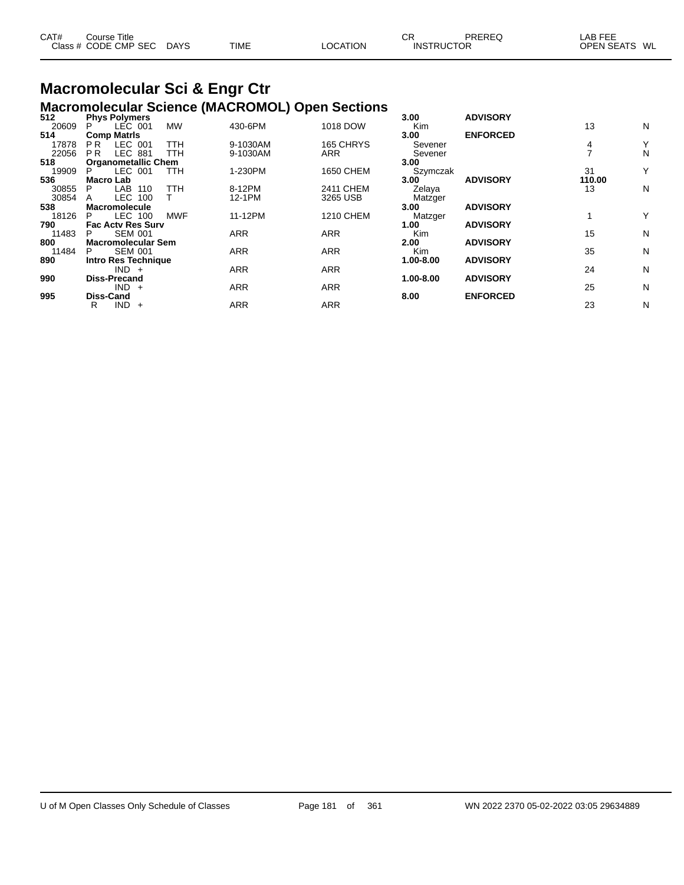| CAT# | ourse Titleٽ         |             |             |          | ∼י<br>◡⊓          | PREREQ | _AB FEF                 |
|------|----------------------|-------------|-------------|----------|-------------------|--------|-------------------------|
|      | Class # CODE CMP SEC | <b>DAYS</b> | <b>TIME</b> | LOCATION | <b>INSTRUCTOR</b> |        | <b>OPEN SEATS</b><br>WL |

## **Macromolecular Sci & Engr Ctr**

|       |                                  |            | <b>Macromolecular Science (MACROMOL) Open Sections</b> |                  |               |                 |        |   |
|-------|----------------------------------|------------|--------------------------------------------------------|------------------|---------------|-----------------|--------|---|
| 512   | <b>Phys Polymers</b>             |            |                                                        |                  | 3.00          | <b>ADVISORY</b> |        |   |
| 20609 | LEC 001<br>P.                    | <b>MW</b>  | 430-6PM                                                | 1018 DOW         | Kim           |                 | 13     | N |
| 514   | <b>Comp Matris</b>               |            |                                                        |                  | 3.00          | <b>ENFORCED</b> |        |   |
| 17878 | LEC 001<br>P <sub>R</sub>        | TTH        | 9-1030AM                                               | 165 CHRYS        | Sevener       |                 | 4      | Υ |
| 22056 | <b>LEC 881</b><br>P <sub>R</sub> | TTH        | 9-1030AM                                               | ARR              | Sevener       |                 |        | N |
| 518   | <b>Organometallic Chem</b>       |            |                                                        |                  | 3.00          |                 |        |   |
| 19909 | LEC 001<br>P.                    | TTH        | 1-230PM                                                | 1650 CHEM        | Szymczak      |                 | 31     | Y |
| 536   | Macro Lab                        |            |                                                        |                  | 3.00          | <b>ADVISORY</b> | 110.00 |   |
| 30855 | LAB 110<br>P                     | TTH        | 8-12PM                                                 | 2411 CHEM        | Zelaya        |                 | 13     | N |
| 30854 | LEC 100<br>A                     |            | 12-1PM                                                 | 3265 USB         | Matzger       |                 |        |   |
| 538   | <b>Macromolecule</b>             |            |                                                        |                  | 3.00          | <b>ADVISORY</b> |        |   |
| 18126 | LEC 100<br>P                     | <b>MWF</b> | 11-12PM                                                | <b>1210 CHEM</b> | Matzger       |                 |        | Y |
| 790   | <b>Fac Actv Res Surv</b>         |            |                                                        |                  | 1.00          | <b>ADVISORY</b> |        |   |
| 11483 | <b>SEM 001</b><br>P              |            | <b>ARR</b>                                             | <b>ARR</b>       | Kim           |                 | 15     | N |
| 800   | <b>Macromolecular Sem</b>        |            |                                                        |                  | 2.00          | <b>ADVISORY</b> |        |   |
| 11484 | <b>SEM 001</b><br>P.             |            | <b>ARR</b>                                             | <b>ARR</b>       | Kim           |                 | 35     | N |
| 890   | <b>Intro Res Technique</b>       |            |                                                        |                  | $1.00 - 8.00$ | <b>ADVISORY</b> |        |   |
|       | $IND +$                          |            | <b>ARR</b>                                             | <b>ARR</b>       |               |                 | 24     | N |
| 990   | <b>Diss-Precand</b>              |            |                                                        |                  | 1.00-8.00     | <b>ADVISORY</b> |        |   |
|       | $IND +$                          |            | <b>ARR</b>                                             | <b>ARR</b>       |               |                 | 25     | N |
| 995   | <b>Diss-Cand</b>                 |            |                                                        |                  | 8.00          | <b>ENFORCED</b> |        |   |
|       | <b>IND</b><br>R<br>$+$           |            | <b>ARR</b>                                             | <b>ARR</b>       |               |                 | 23     | N |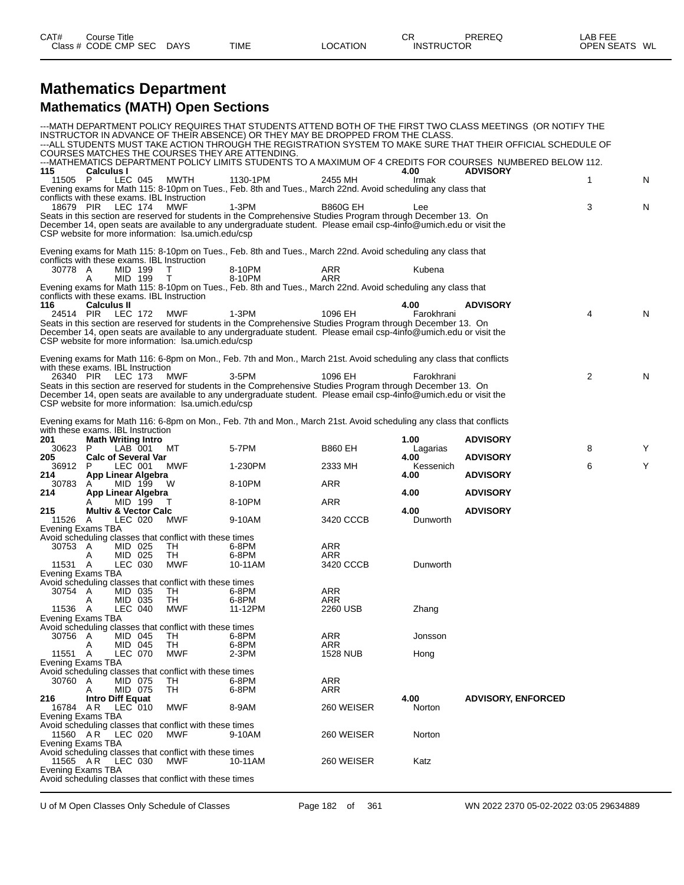#### **Mathematics Department Mathematics (MATH) Open Sections**

| Calculus I<br>115<br>4.00<br><b>ADVISORY</b><br>LEC 045<br>MWTH<br>1130-1PM<br>N<br>- P<br>2455 MH<br>Irmak<br>1<br>11505<br>Evening exams for Math 115: 8-10pm on Tues., Feb. 8th and Tues., March 22nd. Avoid scheduling any class that<br>conflicts with these exams. IBL Instruction<br>18679 PIR<br>3<br>LEC 174<br>MWF<br>1-3PM<br><b>B860G EH</b><br>N<br>Lee<br>Seats in this section are reserved for students in the Comprehensive Studies Program through December 13. On<br>December 14, open seats are available to any undergraduate student. Please email csp-4info@umich.edu or visit the<br>CSP website for more information: Isa.umich.edu/csp<br>Evening exams for Math 115: 8-10pm on Tues., Feb. 8th and Tues., March 22nd. Avoid scheduling any class that<br>conflicts with these exams. IBL Instruction<br>MID 199<br>30778 A<br>8-10PM<br>ARR<br>Kubena<br>Т<br>MID 199<br>т<br>8-10PM<br>ARR<br>A<br>Evening exams for Math 115: 8-10pm on Tues., Feb. 8th and Tues., March 22nd. Avoid scheduling any class that<br>conflicts with these exams. IBL Instruction<br><b>Calculus II</b><br>4.00<br><b>ADVISORY</b><br>$\overline{4}$<br>LEC 172<br>$1-3PM$<br>1096 EH<br>N<br>24514 PIR<br>MWF<br>Farokhrani<br>Seats in this section are reserved for students in the Comprehensive Studies Program through December 13. On<br>December 14, open seats are available to any undergraduate student. Please email csp-4info@umich.edu or visit the<br>CSP website for more information: Isa.umich.edu/csp<br>Evening exams for Math 116: 6-8pm on Mon., Feb. 7th and Mon., March 21st. Avoid scheduling any class that conflicts<br>with these exams. IBL Instruction<br>2<br>26340 PIR<br><b>MWF</b><br>N<br>LEC 173<br>3-5PM<br>1096 EH<br>Farokhrani<br>Seats in this section are reserved for students in the Comprehensive Studies Program through December 13. On<br>December 14, open seats are available to any undergraduate student. Please email csp-4info@umich.edu or visit the<br>CSP website for more information: Isa.umich.edu/csp<br>Evening exams for Math 116: 6-8pm on Mon., Feb. 7th and Mon., March 21st. Avoid scheduling any class that conflicts<br>with these exams. IBL Instruction<br>201<br><b>Math Writing Intro</b><br>1.00<br><b>ADVISORY</b><br>5-7PM<br>8<br>30623<br>LAB 001<br>МT<br><b>B860 EH</b><br>Y<br>P<br>Lagarias<br><b>Calc of Several Var</b><br>4.00<br><b>ADVISORY</b><br>205<br>Υ<br>6<br>LEC 001<br>MWF<br>1-230PM<br>2333 MH<br>Kessenich<br>36912<br>P<br>214<br>App Linear Algebra<br><b>ADVISORY</b><br>4.00<br><b>ARR</b><br>30783<br>MID 199<br>8-10PM<br>W<br>A<br>214<br>App Linear Algebra<br>4.00<br><b>ADVISORY</b><br>8-10PM<br><b>ARR</b><br>MID 199<br>т<br><b>ADVISORY</b><br>215<br><b>Multiv &amp; Vector Calc</b><br>4.00<br>3420 CCCB<br>11526 A<br>LEC 020<br>MWF<br>9-10AM<br>Dunworth<br>Evening Exams TBA<br>Avoid scheduling classes that conflict with these times<br>30753 A<br>MID 025<br>6-8PM<br>ARR<br>TH<br>MID 025<br>6-8PM<br>TН<br>ARR<br>A<br>LEC 030<br><b>MWF</b><br>Dunworth<br>11531 A<br>10-11AM<br>3420 CCCB<br>Evening Exams TBA<br>Avoid scheduling classes that conflict with these times<br>30754 A<br>TH<br>6-8PM<br>ARR<br>MID 035<br>MID 035<br>TH<br>6-8PM<br>ARR<br>Α<br>LEC 040<br><b>MWF</b><br>11536 A<br>11-12PM<br>2260 USB<br>Zhang<br>Evening Exams TBA<br>Avoid scheduling classes that conflict with these times<br>30756 A<br>MID 045<br>TH<br>6-8PM<br>ARR<br>Jonsson<br><b>TH</b><br>MID 045<br>6-8PM<br>ARR<br>Α<br>11551<br>LEC 070<br>MWF<br>2-3PM<br><b>1528 NUB</b><br>A<br>Hong<br>Evening Exams TBA<br>Avoid scheduling classes that conflict with these times<br>30760<br>MID 075<br>6-8PM<br>ARR<br>A<br>TH<br>MID 075<br><b>ARR</b><br>TH<br>6-8PM<br>A<br>4.00<br><b>Intro Diff Equat</b><br><b>ADVISORY, ENFORCED</b><br>216<br>16784 AR<br>LEC 010<br>MWF<br>8-9AM<br>260 WEISER<br>Norton<br>Evening Exams TBA<br>Avoid scheduling classes that conflict with these times<br>11560 AR<br>LEC 020<br>MWF<br>260 WEISER<br>Norton<br>9-10AM<br>Evening Exams TBA<br>Avoid scheduling classes that conflict with these times<br>11565 A R<br>LEC 030<br>260 WEISER<br>Katz<br>MWF<br>10-11AM<br>Evening Exams TBA<br>Avoid scheduling classes that conflict with these times |     |  |  | INSTRUCTOR IN ADVANCE OF THEIR ABSENCE) OR THEY MAY BE DROPPED FROM THE CLASS.<br>COURSES MATCHES THE COURSES THEY ARE ATTENDING. |  | --- MATH DEPARTMENT POLICY REQUIRES THAT STUDENTS ATTEND BOTH OF THE FIRST TWO CLASS MEETINGS (OR NOTIFY THE<br>---ALL STUDENTS MUST TAKE ACTION THROUGH THE REGISTRATION SYSTEM TO MAKE SURE THAT THEIR OFFICIAL SCHEDULE OF<br>---MATHEMATICS DEPARTMENT POLICY LIMITS STUDENTS TO A MAXIMUM OF 4 CREDITS FOR COURSES NUMBERED BELOW 112. |  |
|----------------------------------------------------------------------------------------------------------------------------------------------------------------------------------------------------------------------------------------------------------------------------------------------------------------------------------------------------------------------------------------------------------------------------------------------------------------------------------------------------------------------------------------------------------------------------------------------------------------------------------------------------------------------------------------------------------------------------------------------------------------------------------------------------------------------------------------------------------------------------------------------------------------------------------------------------------------------------------------------------------------------------------------------------------------------------------------------------------------------------------------------------------------------------------------------------------------------------------------------------------------------------------------------------------------------------------------------------------------------------------------------------------------------------------------------------------------------------------------------------------------------------------------------------------------------------------------------------------------------------------------------------------------------------------------------------------------------------------------------------------------------------------------------------------------------------------------------------------------------------------------------------------------------------------------------------------------------------------------------------------------------------------------------------------------------------------------------------------------------------------------------------------------------------------------------------------------------------------------------------------------------------------------------------------------------------------------------------------------------------------------------------------------------------------------------------------------------------------------------------------------------------------------------------------------------------------------------------------------------------------------------------------------------------------------------------------------------------------------------------------------------------------------------------------------------------------------------------------------------------------------------------------------------------------------------------------------------------------------------------------------------------------------------------------------------------------------------------------------------------------------------------------------------------------------------------------------------------------------------------------------------------------------------------------------------------------------------------------------------------------------------------------------------------------------------------------------------------------------------------------------------------------------------------------------------------------------------------------------------------------------------------------------------------------------------------------------------------------------------------------------------------------------------------------------------------------------------------------------------------------------------------------------------------------------------------------------------------------------------------------------------------------------------------------------------------------------------------------------------------------------------------------------------------------------------------------------------------------------------------------------------------------------------------------------------------------|-----|--|--|-----------------------------------------------------------------------------------------------------------------------------------|--|---------------------------------------------------------------------------------------------------------------------------------------------------------------------------------------------------------------------------------------------------------------------------------------------------------------------------------------------|--|
|                                                                                                                                                                                                                                                                                                                                                                                                                                                                                                                                                                                                                                                                                                                                                                                                                                                                                                                                                                                                                                                                                                                                                                                                                                                                                                                                                                                                                                                                                                                                                                                                                                                                                                                                                                                                                                                                                                                                                                                                                                                                                                                                                                                                                                                                                                                                                                                                                                                                                                                                                                                                                                                                                                                                                                                                                                                                                                                                                                                                                                                                                                                                                                                                                                                                                                                                                                                                                                                                                                                                                                                                                                                                                                                                                                                                                                                                                                                                                                                                                                                                                                                                                                                                                                                                                                                                  |     |  |  |                                                                                                                                   |  |                                                                                                                                                                                                                                                                                                                                             |  |
|                                                                                                                                                                                                                                                                                                                                                                                                                                                                                                                                                                                                                                                                                                                                                                                                                                                                                                                                                                                                                                                                                                                                                                                                                                                                                                                                                                                                                                                                                                                                                                                                                                                                                                                                                                                                                                                                                                                                                                                                                                                                                                                                                                                                                                                                                                                                                                                                                                                                                                                                                                                                                                                                                                                                                                                                                                                                                                                                                                                                                                                                                                                                                                                                                                                                                                                                                                                                                                                                                                                                                                                                                                                                                                                                                                                                                                                                                                                                                                                                                                                                                                                                                                                                                                                                                                                                  |     |  |  |                                                                                                                                   |  |                                                                                                                                                                                                                                                                                                                                             |  |
|                                                                                                                                                                                                                                                                                                                                                                                                                                                                                                                                                                                                                                                                                                                                                                                                                                                                                                                                                                                                                                                                                                                                                                                                                                                                                                                                                                                                                                                                                                                                                                                                                                                                                                                                                                                                                                                                                                                                                                                                                                                                                                                                                                                                                                                                                                                                                                                                                                                                                                                                                                                                                                                                                                                                                                                                                                                                                                                                                                                                                                                                                                                                                                                                                                                                                                                                                                                                                                                                                                                                                                                                                                                                                                                                                                                                                                                                                                                                                                                                                                                                                                                                                                                                                                                                                                                                  |     |  |  |                                                                                                                                   |  |                                                                                                                                                                                                                                                                                                                                             |  |
|                                                                                                                                                                                                                                                                                                                                                                                                                                                                                                                                                                                                                                                                                                                                                                                                                                                                                                                                                                                                                                                                                                                                                                                                                                                                                                                                                                                                                                                                                                                                                                                                                                                                                                                                                                                                                                                                                                                                                                                                                                                                                                                                                                                                                                                                                                                                                                                                                                                                                                                                                                                                                                                                                                                                                                                                                                                                                                                                                                                                                                                                                                                                                                                                                                                                                                                                                                                                                                                                                                                                                                                                                                                                                                                                                                                                                                                                                                                                                                                                                                                                                                                                                                                                                                                                                                                                  |     |  |  |                                                                                                                                   |  |                                                                                                                                                                                                                                                                                                                                             |  |
|                                                                                                                                                                                                                                                                                                                                                                                                                                                                                                                                                                                                                                                                                                                                                                                                                                                                                                                                                                                                                                                                                                                                                                                                                                                                                                                                                                                                                                                                                                                                                                                                                                                                                                                                                                                                                                                                                                                                                                                                                                                                                                                                                                                                                                                                                                                                                                                                                                                                                                                                                                                                                                                                                                                                                                                                                                                                                                                                                                                                                                                                                                                                                                                                                                                                                                                                                                                                                                                                                                                                                                                                                                                                                                                                                                                                                                                                                                                                                                                                                                                                                                                                                                                                                                                                                                                                  |     |  |  |                                                                                                                                   |  |                                                                                                                                                                                                                                                                                                                                             |  |
|                                                                                                                                                                                                                                                                                                                                                                                                                                                                                                                                                                                                                                                                                                                                                                                                                                                                                                                                                                                                                                                                                                                                                                                                                                                                                                                                                                                                                                                                                                                                                                                                                                                                                                                                                                                                                                                                                                                                                                                                                                                                                                                                                                                                                                                                                                                                                                                                                                                                                                                                                                                                                                                                                                                                                                                                                                                                                                                                                                                                                                                                                                                                                                                                                                                                                                                                                                                                                                                                                                                                                                                                                                                                                                                                                                                                                                                                                                                                                                                                                                                                                                                                                                                                                                                                                                                                  |     |  |  |                                                                                                                                   |  |                                                                                                                                                                                                                                                                                                                                             |  |
|                                                                                                                                                                                                                                                                                                                                                                                                                                                                                                                                                                                                                                                                                                                                                                                                                                                                                                                                                                                                                                                                                                                                                                                                                                                                                                                                                                                                                                                                                                                                                                                                                                                                                                                                                                                                                                                                                                                                                                                                                                                                                                                                                                                                                                                                                                                                                                                                                                                                                                                                                                                                                                                                                                                                                                                                                                                                                                                                                                                                                                                                                                                                                                                                                                                                                                                                                                                                                                                                                                                                                                                                                                                                                                                                                                                                                                                                                                                                                                                                                                                                                                                                                                                                                                                                                                                                  |     |  |  |                                                                                                                                   |  |                                                                                                                                                                                                                                                                                                                                             |  |
|                                                                                                                                                                                                                                                                                                                                                                                                                                                                                                                                                                                                                                                                                                                                                                                                                                                                                                                                                                                                                                                                                                                                                                                                                                                                                                                                                                                                                                                                                                                                                                                                                                                                                                                                                                                                                                                                                                                                                                                                                                                                                                                                                                                                                                                                                                                                                                                                                                                                                                                                                                                                                                                                                                                                                                                                                                                                                                                                                                                                                                                                                                                                                                                                                                                                                                                                                                                                                                                                                                                                                                                                                                                                                                                                                                                                                                                                                                                                                                                                                                                                                                                                                                                                                                                                                                                                  |     |  |  |                                                                                                                                   |  |                                                                                                                                                                                                                                                                                                                                             |  |
|                                                                                                                                                                                                                                                                                                                                                                                                                                                                                                                                                                                                                                                                                                                                                                                                                                                                                                                                                                                                                                                                                                                                                                                                                                                                                                                                                                                                                                                                                                                                                                                                                                                                                                                                                                                                                                                                                                                                                                                                                                                                                                                                                                                                                                                                                                                                                                                                                                                                                                                                                                                                                                                                                                                                                                                                                                                                                                                                                                                                                                                                                                                                                                                                                                                                                                                                                                                                                                                                                                                                                                                                                                                                                                                                                                                                                                                                                                                                                                                                                                                                                                                                                                                                                                                                                                                                  |     |  |  |                                                                                                                                   |  |                                                                                                                                                                                                                                                                                                                                             |  |
|                                                                                                                                                                                                                                                                                                                                                                                                                                                                                                                                                                                                                                                                                                                                                                                                                                                                                                                                                                                                                                                                                                                                                                                                                                                                                                                                                                                                                                                                                                                                                                                                                                                                                                                                                                                                                                                                                                                                                                                                                                                                                                                                                                                                                                                                                                                                                                                                                                                                                                                                                                                                                                                                                                                                                                                                                                                                                                                                                                                                                                                                                                                                                                                                                                                                                                                                                                                                                                                                                                                                                                                                                                                                                                                                                                                                                                                                                                                                                                                                                                                                                                                                                                                                                                                                                                                                  |     |  |  |                                                                                                                                   |  |                                                                                                                                                                                                                                                                                                                                             |  |
|                                                                                                                                                                                                                                                                                                                                                                                                                                                                                                                                                                                                                                                                                                                                                                                                                                                                                                                                                                                                                                                                                                                                                                                                                                                                                                                                                                                                                                                                                                                                                                                                                                                                                                                                                                                                                                                                                                                                                                                                                                                                                                                                                                                                                                                                                                                                                                                                                                                                                                                                                                                                                                                                                                                                                                                                                                                                                                                                                                                                                                                                                                                                                                                                                                                                                                                                                                                                                                                                                                                                                                                                                                                                                                                                                                                                                                                                                                                                                                                                                                                                                                                                                                                                                                                                                                                                  |     |  |  |                                                                                                                                   |  |                                                                                                                                                                                                                                                                                                                                             |  |
|                                                                                                                                                                                                                                                                                                                                                                                                                                                                                                                                                                                                                                                                                                                                                                                                                                                                                                                                                                                                                                                                                                                                                                                                                                                                                                                                                                                                                                                                                                                                                                                                                                                                                                                                                                                                                                                                                                                                                                                                                                                                                                                                                                                                                                                                                                                                                                                                                                                                                                                                                                                                                                                                                                                                                                                                                                                                                                                                                                                                                                                                                                                                                                                                                                                                                                                                                                                                                                                                                                                                                                                                                                                                                                                                                                                                                                                                                                                                                                                                                                                                                                                                                                                                                                                                                                                                  |     |  |  |                                                                                                                                   |  |                                                                                                                                                                                                                                                                                                                                             |  |
|                                                                                                                                                                                                                                                                                                                                                                                                                                                                                                                                                                                                                                                                                                                                                                                                                                                                                                                                                                                                                                                                                                                                                                                                                                                                                                                                                                                                                                                                                                                                                                                                                                                                                                                                                                                                                                                                                                                                                                                                                                                                                                                                                                                                                                                                                                                                                                                                                                                                                                                                                                                                                                                                                                                                                                                                                                                                                                                                                                                                                                                                                                                                                                                                                                                                                                                                                                                                                                                                                                                                                                                                                                                                                                                                                                                                                                                                                                                                                                                                                                                                                                                                                                                                                                                                                                                                  |     |  |  |                                                                                                                                   |  |                                                                                                                                                                                                                                                                                                                                             |  |
|                                                                                                                                                                                                                                                                                                                                                                                                                                                                                                                                                                                                                                                                                                                                                                                                                                                                                                                                                                                                                                                                                                                                                                                                                                                                                                                                                                                                                                                                                                                                                                                                                                                                                                                                                                                                                                                                                                                                                                                                                                                                                                                                                                                                                                                                                                                                                                                                                                                                                                                                                                                                                                                                                                                                                                                                                                                                                                                                                                                                                                                                                                                                                                                                                                                                                                                                                                                                                                                                                                                                                                                                                                                                                                                                                                                                                                                                                                                                                                                                                                                                                                                                                                                                                                                                                                                                  |     |  |  |                                                                                                                                   |  |                                                                                                                                                                                                                                                                                                                                             |  |
|                                                                                                                                                                                                                                                                                                                                                                                                                                                                                                                                                                                                                                                                                                                                                                                                                                                                                                                                                                                                                                                                                                                                                                                                                                                                                                                                                                                                                                                                                                                                                                                                                                                                                                                                                                                                                                                                                                                                                                                                                                                                                                                                                                                                                                                                                                                                                                                                                                                                                                                                                                                                                                                                                                                                                                                                                                                                                                                                                                                                                                                                                                                                                                                                                                                                                                                                                                                                                                                                                                                                                                                                                                                                                                                                                                                                                                                                                                                                                                                                                                                                                                                                                                                                                                                                                                                                  |     |  |  |                                                                                                                                   |  |                                                                                                                                                                                                                                                                                                                                             |  |
|                                                                                                                                                                                                                                                                                                                                                                                                                                                                                                                                                                                                                                                                                                                                                                                                                                                                                                                                                                                                                                                                                                                                                                                                                                                                                                                                                                                                                                                                                                                                                                                                                                                                                                                                                                                                                                                                                                                                                                                                                                                                                                                                                                                                                                                                                                                                                                                                                                                                                                                                                                                                                                                                                                                                                                                                                                                                                                                                                                                                                                                                                                                                                                                                                                                                                                                                                                                                                                                                                                                                                                                                                                                                                                                                                                                                                                                                                                                                                                                                                                                                                                                                                                                                                                                                                                                                  | 116 |  |  |                                                                                                                                   |  |                                                                                                                                                                                                                                                                                                                                             |  |
|                                                                                                                                                                                                                                                                                                                                                                                                                                                                                                                                                                                                                                                                                                                                                                                                                                                                                                                                                                                                                                                                                                                                                                                                                                                                                                                                                                                                                                                                                                                                                                                                                                                                                                                                                                                                                                                                                                                                                                                                                                                                                                                                                                                                                                                                                                                                                                                                                                                                                                                                                                                                                                                                                                                                                                                                                                                                                                                                                                                                                                                                                                                                                                                                                                                                                                                                                                                                                                                                                                                                                                                                                                                                                                                                                                                                                                                                                                                                                                                                                                                                                                                                                                                                                                                                                                                                  |     |  |  |                                                                                                                                   |  |                                                                                                                                                                                                                                                                                                                                             |  |
|                                                                                                                                                                                                                                                                                                                                                                                                                                                                                                                                                                                                                                                                                                                                                                                                                                                                                                                                                                                                                                                                                                                                                                                                                                                                                                                                                                                                                                                                                                                                                                                                                                                                                                                                                                                                                                                                                                                                                                                                                                                                                                                                                                                                                                                                                                                                                                                                                                                                                                                                                                                                                                                                                                                                                                                                                                                                                                                                                                                                                                                                                                                                                                                                                                                                                                                                                                                                                                                                                                                                                                                                                                                                                                                                                                                                                                                                                                                                                                                                                                                                                                                                                                                                                                                                                                                                  |     |  |  |                                                                                                                                   |  |                                                                                                                                                                                                                                                                                                                                             |  |
|                                                                                                                                                                                                                                                                                                                                                                                                                                                                                                                                                                                                                                                                                                                                                                                                                                                                                                                                                                                                                                                                                                                                                                                                                                                                                                                                                                                                                                                                                                                                                                                                                                                                                                                                                                                                                                                                                                                                                                                                                                                                                                                                                                                                                                                                                                                                                                                                                                                                                                                                                                                                                                                                                                                                                                                                                                                                                                                                                                                                                                                                                                                                                                                                                                                                                                                                                                                                                                                                                                                                                                                                                                                                                                                                                                                                                                                                                                                                                                                                                                                                                                                                                                                                                                                                                                                                  |     |  |  |                                                                                                                                   |  |                                                                                                                                                                                                                                                                                                                                             |  |
|                                                                                                                                                                                                                                                                                                                                                                                                                                                                                                                                                                                                                                                                                                                                                                                                                                                                                                                                                                                                                                                                                                                                                                                                                                                                                                                                                                                                                                                                                                                                                                                                                                                                                                                                                                                                                                                                                                                                                                                                                                                                                                                                                                                                                                                                                                                                                                                                                                                                                                                                                                                                                                                                                                                                                                                                                                                                                                                                                                                                                                                                                                                                                                                                                                                                                                                                                                                                                                                                                                                                                                                                                                                                                                                                                                                                                                                                                                                                                                                                                                                                                                                                                                                                                                                                                                                                  |     |  |  |                                                                                                                                   |  |                                                                                                                                                                                                                                                                                                                                             |  |
|                                                                                                                                                                                                                                                                                                                                                                                                                                                                                                                                                                                                                                                                                                                                                                                                                                                                                                                                                                                                                                                                                                                                                                                                                                                                                                                                                                                                                                                                                                                                                                                                                                                                                                                                                                                                                                                                                                                                                                                                                                                                                                                                                                                                                                                                                                                                                                                                                                                                                                                                                                                                                                                                                                                                                                                                                                                                                                                                                                                                                                                                                                                                                                                                                                                                                                                                                                                                                                                                                                                                                                                                                                                                                                                                                                                                                                                                                                                                                                                                                                                                                                                                                                                                                                                                                                                                  |     |  |  |                                                                                                                                   |  |                                                                                                                                                                                                                                                                                                                                             |  |
|                                                                                                                                                                                                                                                                                                                                                                                                                                                                                                                                                                                                                                                                                                                                                                                                                                                                                                                                                                                                                                                                                                                                                                                                                                                                                                                                                                                                                                                                                                                                                                                                                                                                                                                                                                                                                                                                                                                                                                                                                                                                                                                                                                                                                                                                                                                                                                                                                                                                                                                                                                                                                                                                                                                                                                                                                                                                                                                                                                                                                                                                                                                                                                                                                                                                                                                                                                                                                                                                                                                                                                                                                                                                                                                                                                                                                                                                                                                                                                                                                                                                                                                                                                                                                                                                                                                                  |     |  |  |                                                                                                                                   |  |                                                                                                                                                                                                                                                                                                                                             |  |
|                                                                                                                                                                                                                                                                                                                                                                                                                                                                                                                                                                                                                                                                                                                                                                                                                                                                                                                                                                                                                                                                                                                                                                                                                                                                                                                                                                                                                                                                                                                                                                                                                                                                                                                                                                                                                                                                                                                                                                                                                                                                                                                                                                                                                                                                                                                                                                                                                                                                                                                                                                                                                                                                                                                                                                                                                                                                                                                                                                                                                                                                                                                                                                                                                                                                                                                                                                                                                                                                                                                                                                                                                                                                                                                                                                                                                                                                                                                                                                                                                                                                                                                                                                                                                                                                                                                                  |     |  |  |                                                                                                                                   |  |                                                                                                                                                                                                                                                                                                                                             |  |
|                                                                                                                                                                                                                                                                                                                                                                                                                                                                                                                                                                                                                                                                                                                                                                                                                                                                                                                                                                                                                                                                                                                                                                                                                                                                                                                                                                                                                                                                                                                                                                                                                                                                                                                                                                                                                                                                                                                                                                                                                                                                                                                                                                                                                                                                                                                                                                                                                                                                                                                                                                                                                                                                                                                                                                                                                                                                                                                                                                                                                                                                                                                                                                                                                                                                                                                                                                                                                                                                                                                                                                                                                                                                                                                                                                                                                                                                                                                                                                                                                                                                                                                                                                                                                                                                                                                                  |     |  |  |                                                                                                                                   |  |                                                                                                                                                                                                                                                                                                                                             |  |
|                                                                                                                                                                                                                                                                                                                                                                                                                                                                                                                                                                                                                                                                                                                                                                                                                                                                                                                                                                                                                                                                                                                                                                                                                                                                                                                                                                                                                                                                                                                                                                                                                                                                                                                                                                                                                                                                                                                                                                                                                                                                                                                                                                                                                                                                                                                                                                                                                                                                                                                                                                                                                                                                                                                                                                                                                                                                                                                                                                                                                                                                                                                                                                                                                                                                                                                                                                                                                                                                                                                                                                                                                                                                                                                                                                                                                                                                                                                                                                                                                                                                                                                                                                                                                                                                                                                                  |     |  |  |                                                                                                                                   |  |                                                                                                                                                                                                                                                                                                                                             |  |
|                                                                                                                                                                                                                                                                                                                                                                                                                                                                                                                                                                                                                                                                                                                                                                                                                                                                                                                                                                                                                                                                                                                                                                                                                                                                                                                                                                                                                                                                                                                                                                                                                                                                                                                                                                                                                                                                                                                                                                                                                                                                                                                                                                                                                                                                                                                                                                                                                                                                                                                                                                                                                                                                                                                                                                                                                                                                                                                                                                                                                                                                                                                                                                                                                                                                                                                                                                                                                                                                                                                                                                                                                                                                                                                                                                                                                                                                                                                                                                                                                                                                                                                                                                                                                                                                                                                                  |     |  |  |                                                                                                                                   |  |                                                                                                                                                                                                                                                                                                                                             |  |
|                                                                                                                                                                                                                                                                                                                                                                                                                                                                                                                                                                                                                                                                                                                                                                                                                                                                                                                                                                                                                                                                                                                                                                                                                                                                                                                                                                                                                                                                                                                                                                                                                                                                                                                                                                                                                                                                                                                                                                                                                                                                                                                                                                                                                                                                                                                                                                                                                                                                                                                                                                                                                                                                                                                                                                                                                                                                                                                                                                                                                                                                                                                                                                                                                                                                                                                                                                                                                                                                                                                                                                                                                                                                                                                                                                                                                                                                                                                                                                                                                                                                                                                                                                                                                                                                                                                                  |     |  |  |                                                                                                                                   |  |                                                                                                                                                                                                                                                                                                                                             |  |
|                                                                                                                                                                                                                                                                                                                                                                                                                                                                                                                                                                                                                                                                                                                                                                                                                                                                                                                                                                                                                                                                                                                                                                                                                                                                                                                                                                                                                                                                                                                                                                                                                                                                                                                                                                                                                                                                                                                                                                                                                                                                                                                                                                                                                                                                                                                                                                                                                                                                                                                                                                                                                                                                                                                                                                                                                                                                                                                                                                                                                                                                                                                                                                                                                                                                                                                                                                                                                                                                                                                                                                                                                                                                                                                                                                                                                                                                                                                                                                                                                                                                                                                                                                                                                                                                                                                                  |     |  |  |                                                                                                                                   |  |                                                                                                                                                                                                                                                                                                                                             |  |
|                                                                                                                                                                                                                                                                                                                                                                                                                                                                                                                                                                                                                                                                                                                                                                                                                                                                                                                                                                                                                                                                                                                                                                                                                                                                                                                                                                                                                                                                                                                                                                                                                                                                                                                                                                                                                                                                                                                                                                                                                                                                                                                                                                                                                                                                                                                                                                                                                                                                                                                                                                                                                                                                                                                                                                                                                                                                                                                                                                                                                                                                                                                                                                                                                                                                                                                                                                                                                                                                                                                                                                                                                                                                                                                                                                                                                                                                                                                                                                                                                                                                                                                                                                                                                                                                                                                                  |     |  |  |                                                                                                                                   |  |                                                                                                                                                                                                                                                                                                                                             |  |
|                                                                                                                                                                                                                                                                                                                                                                                                                                                                                                                                                                                                                                                                                                                                                                                                                                                                                                                                                                                                                                                                                                                                                                                                                                                                                                                                                                                                                                                                                                                                                                                                                                                                                                                                                                                                                                                                                                                                                                                                                                                                                                                                                                                                                                                                                                                                                                                                                                                                                                                                                                                                                                                                                                                                                                                                                                                                                                                                                                                                                                                                                                                                                                                                                                                                                                                                                                                                                                                                                                                                                                                                                                                                                                                                                                                                                                                                                                                                                                                                                                                                                                                                                                                                                                                                                                                                  |     |  |  |                                                                                                                                   |  |                                                                                                                                                                                                                                                                                                                                             |  |
|                                                                                                                                                                                                                                                                                                                                                                                                                                                                                                                                                                                                                                                                                                                                                                                                                                                                                                                                                                                                                                                                                                                                                                                                                                                                                                                                                                                                                                                                                                                                                                                                                                                                                                                                                                                                                                                                                                                                                                                                                                                                                                                                                                                                                                                                                                                                                                                                                                                                                                                                                                                                                                                                                                                                                                                                                                                                                                                                                                                                                                                                                                                                                                                                                                                                                                                                                                                                                                                                                                                                                                                                                                                                                                                                                                                                                                                                                                                                                                                                                                                                                                                                                                                                                                                                                                                                  |     |  |  |                                                                                                                                   |  |                                                                                                                                                                                                                                                                                                                                             |  |
|                                                                                                                                                                                                                                                                                                                                                                                                                                                                                                                                                                                                                                                                                                                                                                                                                                                                                                                                                                                                                                                                                                                                                                                                                                                                                                                                                                                                                                                                                                                                                                                                                                                                                                                                                                                                                                                                                                                                                                                                                                                                                                                                                                                                                                                                                                                                                                                                                                                                                                                                                                                                                                                                                                                                                                                                                                                                                                                                                                                                                                                                                                                                                                                                                                                                                                                                                                                                                                                                                                                                                                                                                                                                                                                                                                                                                                                                                                                                                                                                                                                                                                                                                                                                                                                                                                                                  |     |  |  |                                                                                                                                   |  |                                                                                                                                                                                                                                                                                                                                             |  |
|                                                                                                                                                                                                                                                                                                                                                                                                                                                                                                                                                                                                                                                                                                                                                                                                                                                                                                                                                                                                                                                                                                                                                                                                                                                                                                                                                                                                                                                                                                                                                                                                                                                                                                                                                                                                                                                                                                                                                                                                                                                                                                                                                                                                                                                                                                                                                                                                                                                                                                                                                                                                                                                                                                                                                                                                                                                                                                                                                                                                                                                                                                                                                                                                                                                                                                                                                                                                                                                                                                                                                                                                                                                                                                                                                                                                                                                                                                                                                                                                                                                                                                                                                                                                                                                                                                                                  |     |  |  |                                                                                                                                   |  |                                                                                                                                                                                                                                                                                                                                             |  |
|                                                                                                                                                                                                                                                                                                                                                                                                                                                                                                                                                                                                                                                                                                                                                                                                                                                                                                                                                                                                                                                                                                                                                                                                                                                                                                                                                                                                                                                                                                                                                                                                                                                                                                                                                                                                                                                                                                                                                                                                                                                                                                                                                                                                                                                                                                                                                                                                                                                                                                                                                                                                                                                                                                                                                                                                                                                                                                                                                                                                                                                                                                                                                                                                                                                                                                                                                                                                                                                                                                                                                                                                                                                                                                                                                                                                                                                                                                                                                                                                                                                                                                                                                                                                                                                                                                                                  |     |  |  |                                                                                                                                   |  |                                                                                                                                                                                                                                                                                                                                             |  |
|                                                                                                                                                                                                                                                                                                                                                                                                                                                                                                                                                                                                                                                                                                                                                                                                                                                                                                                                                                                                                                                                                                                                                                                                                                                                                                                                                                                                                                                                                                                                                                                                                                                                                                                                                                                                                                                                                                                                                                                                                                                                                                                                                                                                                                                                                                                                                                                                                                                                                                                                                                                                                                                                                                                                                                                                                                                                                                                                                                                                                                                                                                                                                                                                                                                                                                                                                                                                                                                                                                                                                                                                                                                                                                                                                                                                                                                                                                                                                                                                                                                                                                                                                                                                                                                                                                                                  |     |  |  |                                                                                                                                   |  |                                                                                                                                                                                                                                                                                                                                             |  |
|                                                                                                                                                                                                                                                                                                                                                                                                                                                                                                                                                                                                                                                                                                                                                                                                                                                                                                                                                                                                                                                                                                                                                                                                                                                                                                                                                                                                                                                                                                                                                                                                                                                                                                                                                                                                                                                                                                                                                                                                                                                                                                                                                                                                                                                                                                                                                                                                                                                                                                                                                                                                                                                                                                                                                                                                                                                                                                                                                                                                                                                                                                                                                                                                                                                                                                                                                                                                                                                                                                                                                                                                                                                                                                                                                                                                                                                                                                                                                                                                                                                                                                                                                                                                                                                                                                                                  |     |  |  |                                                                                                                                   |  |                                                                                                                                                                                                                                                                                                                                             |  |
|                                                                                                                                                                                                                                                                                                                                                                                                                                                                                                                                                                                                                                                                                                                                                                                                                                                                                                                                                                                                                                                                                                                                                                                                                                                                                                                                                                                                                                                                                                                                                                                                                                                                                                                                                                                                                                                                                                                                                                                                                                                                                                                                                                                                                                                                                                                                                                                                                                                                                                                                                                                                                                                                                                                                                                                                                                                                                                                                                                                                                                                                                                                                                                                                                                                                                                                                                                                                                                                                                                                                                                                                                                                                                                                                                                                                                                                                                                                                                                                                                                                                                                                                                                                                                                                                                                                                  |     |  |  |                                                                                                                                   |  |                                                                                                                                                                                                                                                                                                                                             |  |
|                                                                                                                                                                                                                                                                                                                                                                                                                                                                                                                                                                                                                                                                                                                                                                                                                                                                                                                                                                                                                                                                                                                                                                                                                                                                                                                                                                                                                                                                                                                                                                                                                                                                                                                                                                                                                                                                                                                                                                                                                                                                                                                                                                                                                                                                                                                                                                                                                                                                                                                                                                                                                                                                                                                                                                                                                                                                                                                                                                                                                                                                                                                                                                                                                                                                                                                                                                                                                                                                                                                                                                                                                                                                                                                                                                                                                                                                                                                                                                                                                                                                                                                                                                                                                                                                                                                                  |     |  |  |                                                                                                                                   |  |                                                                                                                                                                                                                                                                                                                                             |  |
|                                                                                                                                                                                                                                                                                                                                                                                                                                                                                                                                                                                                                                                                                                                                                                                                                                                                                                                                                                                                                                                                                                                                                                                                                                                                                                                                                                                                                                                                                                                                                                                                                                                                                                                                                                                                                                                                                                                                                                                                                                                                                                                                                                                                                                                                                                                                                                                                                                                                                                                                                                                                                                                                                                                                                                                                                                                                                                                                                                                                                                                                                                                                                                                                                                                                                                                                                                                                                                                                                                                                                                                                                                                                                                                                                                                                                                                                                                                                                                                                                                                                                                                                                                                                                                                                                                                                  |     |  |  |                                                                                                                                   |  |                                                                                                                                                                                                                                                                                                                                             |  |
|                                                                                                                                                                                                                                                                                                                                                                                                                                                                                                                                                                                                                                                                                                                                                                                                                                                                                                                                                                                                                                                                                                                                                                                                                                                                                                                                                                                                                                                                                                                                                                                                                                                                                                                                                                                                                                                                                                                                                                                                                                                                                                                                                                                                                                                                                                                                                                                                                                                                                                                                                                                                                                                                                                                                                                                                                                                                                                                                                                                                                                                                                                                                                                                                                                                                                                                                                                                                                                                                                                                                                                                                                                                                                                                                                                                                                                                                                                                                                                                                                                                                                                                                                                                                                                                                                                                                  |     |  |  |                                                                                                                                   |  |                                                                                                                                                                                                                                                                                                                                             |  |
|                                                                                                                                                                                                                                                                                                                                                                                                                                                                                                                                                                                                                                                                                                                                                                                                                                                                                                                                                                                                                                                                                                                                                                                                                                                                                                                                                                                                                                                                                                                                                                                                                                                                                                                                                                                                                                                                                                                                                                                                                                                                                                                                                                                                                                                                                                                                                                                                                                                                                                                                                                                                                                                                                                                                                                                                                                                                                                                                                                                                                                                                                                                                                                                                                                                                                                                                                                                                                                                                                                                                                                                                                                                                                                                                                                                                                                                                                                                                                                                                                                                                                                                                                                                                                                                                                                                                  |     |  |  |                                                                                                                                   |  |                                                                                                                                                                                                                                                                                                                                             |  |
|                                                                                                                                                                                                                                                                                                                                                                                                                                                                                                                                                                                                                                                                                                                                                                                                                                                                                                                                                                                                                                                                                                                                                                                                                                                                                                                                                                                                                                                                                                                                                                                                                                                                                                                                                                                                                                                                                                                                                                                                                                                                                                                                                                                                                                                                                                                                                                                                                                                                                                                                                                                                                                                                                                                                                                                                                                                                                                                                                                                                                                                                                                                                                                                                                                                                                                                                                                                                                                                                                                                                                                                                                                                                                                                                                                                                                                                                                                                                                                                                                                                                                                                                                                                                                                                                                                                                  |     |  |  |                                                                                                                                   |  |                                                                                                                                                                                                                                                                                                                                             |  |
|                                                                                                                                                                                                                                                                                                                                                                                                                                                                                                                                                                                                                                                                                                                                                                                                                                                                                                                                                                                                                                                                                                                                                                                                                                                                                                                                                                                                                                                                                                                                                                                                                                                                                                                                                                                                                                                                                                                                                                                                                                                                                                                                                                                                                                                                                                                                                                                                                                                                                                                                                                                                                                                                                                                                                                                                                                                                                                                                                                                                                                                                                                                                                                                                                                                                                                                                                                                                                                                                                                                                                                                                                                                                                                                                                                                                                                                                                                                                                                                                                                                                                                                                                                                                                                                                                                                                  |     |  |  |                                                                                                                                   |  |                                                                                                                                                                                                                                                                                                                                             |  |
|                                                                                                                                                                                                                                                                                                                                                                                                                                                                                                                                                                                                                                                                                                                                                                                                                                                                                                                                                                                                                                                                                                                                                                                                                                                                                                                                                                                                                                                                                                                                                                                                                                                                                                                                                                                                                                                                                                                                                                                                                                                                                                                                                                                                                                                                                                                                                                                                                                                                                                                                                                                                                                                                                                                                                                                                                                                                                                                                                                                                                                                                                                                                                                                                                                                                                                                                                                                                                                                                                                                                                                                                                                                                                                                                                                                                                                                                                                                                                                                                                                                                                                                                                                                                                                                                                                                                  |     |  |  |                                                                                                                                   |  |                                                                                                                                                                                                                                                                                                                                             |  |
|                                                                                                                                                                                                                                                                                                                                                                                                                                                                                                                                                                                                                                                                                                                                                                                                                                                                                                                                                                                                                                                                                                                                                                                                                                                                                                                                                                                                                                                                                                                                                                                                                                                                                                                                                                                                                                                                                                                                                                                                                                                                                                                                                                                                                                                                                                                                                                                                                                                                                                                                                                                                                                                                                                                                                                                                                                                                                                                                                                                                                                                                                                                                                                                                                                                                                                                                                                                                                                                                                                                                                                                                                                                                                                                                                                                                                                                                                                                                                                                                                                                                                                                                                                                                                                                                                                                                  |     |  |  |                                                                                                                                   |  |                                                                                                                                                                                                                                                                                                                                             |  |
|                                                                                                                                                                                                                                                                                                                                                                                                                                                                                                                                                                                                                                                                                                                                                                                                                                                                                                                                                                                                                                                                                                                                                                                                                                                                                                                                                                                                                                                                                                                                                                                                                                                                                                                                                                                                                                                                                                                                                                                                                                                                                                                                                                                                                                                                                                                                                                                                                                                                                                                                                                                                                                                                                                                                                                                                                                                                                                                                                                                                                                                                                                                                                                                                                                                                                                                                                                                                                                                                                                                                                                                                                                                                                                                                                                                                                                                                                                                                                                                                                                                                                                                                                                                                                                                                                                                                  |     |  |  |                                                                                                                                   |  |                                                                                                                                                                                                                                                                                                                                             |  |
|                                                                                                                                                                                                                                                                                                                                                                                                                                                                                                                                                                                                                                                                                                                                                                                                                                                                                                                                                                                                                                                                                                                                                                                                                                                                                                                                                                                                                                                                                                                                                                                                                                                                                                                                                                                                                                                                                                                                                                                                                                                                                                                                                                                                                                                                                                                                                                                                                                                                                                                                                                                                                                                                                                                                                                                                                                                                                                                                                                                                                                                                                                                                                                                                                                                                                                                                                                                                                                                                                                                                                                                                                                                                                                                                                                                                                                                                                                                                                                                                                                                                                                                                                                                                                                                                                                                                  |     |  |  |                                                                                                                                   |  |                                                                                                                                                                                                                                                                                                                                             |  |
|                                                                                                                                                                                                                                                                                                                                                                                                                                                                                                                                                                                                                                                                                                                                                                                                                                                                                                                                                                                                                                                                                                                                                                                                                                                                                                                                                                                                                                                                                                                                                                                                                                                                                                                                                                                                                                                                                                                                                                                                                                                                                                                                                                                                                                                                                                                                                                                                                                                                                                                                                                                                                                                                                                                                                                                                                                                                                                                                                                                                                                                                                                                                                                                                                                                                                                                                                                                                                                                                                                                                                                                                                                                                                                                                                                                                                                                                                                                                                                                                                                                                                                                                                                                                                                                                                                                                  |     |  |  |                                                                                                                                   |  |                                                                                                                                                                                                                                                                                                                                             |  |
|                                                                                                                                                                                                                                                                                                                                                                                                                                                                                                                                                                                                                                                                                                                                                                                                                                                                                                                                                                                                                                                                                                                                                                                                                                                                                                                                                                                                                                                                                                                                                                                                                                                                                                                                                                                                                                                                                                                                                                                                                                                                                                                                                                                                                                                                                                                                                                                                                                                                                                                                                                                                                                                                                                                                                                                                                                                                                                                                                                                                                                                                                                                                                                                                                                                                                                                                                                                                                                                                                                                                                                                                                                                                                                                                                                                                                                                                                                                                                                                                                                                                                                                                                                                                                                                                                                                                  |     |  |  |                                                                                                                                   |  |                                                                                                                                                                                                                                                                                                                                             |  |
|                                                                                                                                                                                                                                                                                                                                                                                                                                                                                                                                                                                                                                                                                                                                                                                                                                                                                                                                                                                                                                                                                                                                                                                                                                                                                                                                                                                                                                                                                                                                                                                                                                                                                                                                                                                                                                                                                                                                                                                                                                                                                                                                                                                                                                                                                                                                                                                                                                                                                                                                                                                                                                                                                                                                                                                                                                                                                                                                                                                                                                                                                                                                                                                                                                                                                                                                                                                                                                                                                                                                                                                                                                                                                                                                                                                                                                                                                                                                                                                                                                                                                                                                                                                                                                                                                                                                  |     |  |  |                                                                                                                                   |  |                                                                                                                                                                                                                                                                                                                                             |  |
|                                                                                                                                                                                                                                                                                                                                                                                                                                                                                                                                                                                                                                                                                                                                                                                                                                                                                                                                                                                                                                                                                                                                                                                                                                                                                                                                                                                                                                                                                                                                                                                                                                                                                                                                                                                                                                                                                                                                                                                                                                                                                                                                                                                                                                                                                                                                                                                                                                                                                                                                                                                                                                                                                                                                                                                                                                                                                                                                                                                                                                                                                                                                                                                                                                                                                                                                                                                                                                                                                                                                                                                                                                                                                                                                                                                                                                                                                                                                                                                                                                                                                                                                                                                                                                                                                                                                  |     |  |  |                                                                                                                                   |  |                                                                                                                                                                                                                                                                                                                                             |  |
|                                                                                                                                                                                                                                                                                                                                                                                                                                                                                                                                                                                                                                                                                                                                                                                                                                                                                                                                                                                                                                                                                                                                                                                                                                                                                                                                                                                                                                                                                                                                                                                                                                                                                                                                                                                                                                                                                                                                                                                                                                                                                                                                                                                                                                                                                                                                                                                                                                                                                                                                                                                                                                                                                                                                                                                                                                                                                                                                                                                                                                                                                                                                                                                                                                                                                                                                                                                                                                                                                                                                                                                                                                                                                                                                                                                                                                                                                                                                                                                                                                                                                                                                                                                                                                                                                                                                  |     |  |  |                                                                                                                                   |  |                                                                                                                                                                                                                                                                                                                                             |  |
|                                                                                                                                                                                                                                                                                                                                                                                                                                                                                                                                                                                                                                                                                                                                                                                                                                                                                                                                                                                                                                                                                                                                                                                                                                                                                                                                                                                                                                                                                                                                                                                                                                                                                                                                                                                                                                                                                                                                                                                                                                                                                                                                                                                                                                                                                                                                                                                                                                                                                                                                                                                                                                                                                                                                                                                                                                                                                                                                                                                                                                                                                                                                                                                                                                                                                                                                                                                                                                                                                                                                                                                                                                                                                                                                                                                                                                                                                                                                                                                                                                                                                                                                                                                                                                                                                                                                  |     |  |  |                                                                                                                                   |  |                                                                                                                                                                                                                                                                                                                                             |  |
|                                                                                                                                                                                                                                                                                                                                                                                                                                                                                                                                                                                                                                                                                                                                                                                                                                                                                                                                                                                                                                                                                                                                                                                                                                                                                                                                                                                                                                                                                                                                                                                                                                                                                                                                                                                                                                                                                                                                                                                                                                                                                                                                                                                                                                                                                                                                                                                                                                                                                                                                                                                                                                                                                                                                                                                                                                                                                                                                                                                                                                                                                                                                                                                                                                                                                                                                                                                                                                                                                                                                                                                                                                                                                                                                                                                                                                                                                                                                                                                                                                                                                                                                                                                                                                                                                                                                  |     |  |  |                                                                                                                                   |  |                                                                                                                                                                                                                                                                                                                                             |  |
|                                                                                                                                                                                                                                                                                                                                                                                                                                                                                                                                                                                                                                                                                                                                                                                                                                                                                                                                                                                                                                                                                                                                                                                                                                                                                                                                                                                                                                                                                                                                                                                                                                                                                                                                                                                                                                                                                                                                                                                                                                                                                                                                                                                                                                                                                                                                                                                                                                                                                                                                                                                                                                                                                                                                                                                                                                                                                                                                                                                                                                                                                                                                                                                                                                                                                                                                                                                                                                                                                                                                                                                                                                                                                                                                                                                                                                                                                                                                                                                                                                                                                                                                                                                                                                                                                                                                  |     |  |  |                                                                                                                                   |  |                                                                                                                                                                                                                                                                                                                                             |  |
|                                                                                                                                                                                                                                                                                                                                                                                                                                                                                                                                                                                                                                                                                                                                                                                                                                                                                                                                                                                                                                                                                                                                                                                                                                                                                                                                                                                                                                                                                                                                                                                                                                                                                                                                                                                                                                                                                                                                                                                                                                                                                                                                                                                                                                                                                                                                                                                                                                                                                                                                                                                                                                                                                                                                                                                                                                                                                                                                                                                                                                                                                                                                                                                                                                                                                                                                                                                                                                                                                                                                                                                                                                                                                                                                                                                                                                                                                                                                                                                                                                                                                                                                                                                                                                                                                                                                  |     |  |  |                                                                                                                                   |  |                                                                                                                                                                                                                                                                                                                                             |  |
|                                                                                                                                                                                                                                                                                                                                                                                                                                                                                                                                                                                                                                                                                                                                                                                                                                                                                                                                                                                                                                                                                                                                                                                                                                                                                                                                                                                                                                                                                                                                                                                                                                                                                                                                                                                                                                                                                                                                                                                                                                                                                                                                                                                                                                                                                                                                                                                                                                                                                                                                                                                                                                                                                                                                                                                                                                                                                                                                                                                                                                                                                                                                                                                                                                                                                                                                                                                                                                                                                                                                                                                                                                                                                                                                                                                                                                                                                                                                                                                                                                                                                                                                                                                                                                                                                                                                  |     |  |  |                                                                                                                                   |  |                                                                                                                                                                                                                                                                                                                                             |  |
|                                                                                                                                                                                                                                                                                                                                                                                                                                                                                                                                                                                                                                                                                                                                                                                                                                                                                                                                                                                                                                                                                                                                                                                                                                                                                                                                                                                                                                                                                                                                                                                                                                                                                                                                                                                                                                                                                                                                                                                                                                                                                                                                                                                                                                                                                                                                                                                                                                                                                                                                                                                                                                                                                                                                                                                                                                                                                                                                                                                                                                                                                                                                                                                                                                                                                                                                                                                                                                                                                                                                                                                                                                                                                                                                                                                                                                                                                                                                                                                                                                                                                                                                                                                                                                                                                                                                  |     |  |  |                                                                                                                                   |  |                                                                                                                                                                                                                                                                                                                                             |  |
|                                                                                                                                                                                                                                                                                                                                                                                                                                                                                                                                                                                                                                                                                                                                                                                                                                                                                                                                                                                                                                                                                                                                                                                                                                                                                                                                                                                                                                                                                                                                                                                                                                                                                                                                                                                                                                                                                                                                                                                                                                                                                                                                                                                                                                                                                                                                                                                                                                                                                                                                                                                                                                                                                                                                                                                                                                                                                                                                                                                                                                                                                                                                                                                                                                                                                                                                                                                                                                                                                                                                                                                                                                                                                                                                                                                                                                                                                                                                                                                                                                                                                                                                                                                                                                                                                                                                  |     |  |  |                                                                                                                                   |  |                                                                                                                                                                                                                                                                                                                                             |  |
|                                                                                                                                                                                                                                                                                                                                                                                                                                                                                                                                                                                                                                                                                                                                                                                                                                                                                                                                                                                                                                                                                                                                                                                                                                                                                                                                                                                                                                                                                                                                                                                                                                                                                                                                                                                                                                                                                                                                                                                                                                                                                                                                                                                                                                                                                                                                                                                                                                                                                                                                                                                                                                                                                                                                                                                                                                                                                                                                                                                                                                                                                                                                                                                                                                                                                                                                                                                                                                                                                                                                                                                                                                                                                                                                                                                                                                                                                                                                                                                                                                                                                                                                                                                                                                                                                                                                  |     |  |  |                                                                                                                                   |  |                                                                                                                                                                                                                                                                                                                                             |  |
|                                                                                                                                                                                                                                                                                                                                                                                                                                                                                                                                                                                                                                                                                                                                                                                                                                                                                                                                                                                                                                                                                                                                                                                                                                                                                                                                                                                                                                                                                                                                                                                                                                                                                                                                                                                                                                                                                                                                                                                                                                                                                                                                                                                                                                                                                                                                                                                                                                                                                                                                                                                                                                                                                                                                                                                                                                                                                                                                                                                                                                                                                                                                                                                                                                                                                                                                                                                                                                                                                                                                                                                                                                                                                                                                                                                                                                                                                                                                                                                                                                                                                                                                                                                                                                                                                                                                  |     |  |  |                                                                                                                                   |  |                                                                                                                                                                                                                                                                                                                                             |  |
|                                                                                                                                                                                                                                                                                                                                                                                                                                                                                                                                                                                                                                                                                                                                                                                                                                                                                                                                                                                                                                                                                                                                                                                                                                                                                                                                                                                                                                                                                                                                                                                                                                                                                                                                                                                                                                                                                                                                                                                                                                                                                                                                                                                                                                                                                                                                                                                                                                                                                                                                                                                                                                                                                                                                                                                                                                                                                                                                                                                                                                                                                                                                                                                                                                                                                                                                                                                                                                                                                                                                                                                                                                                                                                                                                                                                                                                                                                                                                                                                                                                                                                                                                                                                                                                                                                                                  |     |  |  |                                                                                                                                   |  |                                                                                                                                                                                                                                                                                                                                             |  |
|                                                                                                                                                                                                                                                                                                                                                                                                                                                                                                                                                                                                                                                                                                                                                                                                                                                                                                                                                                                                                                                                                                                                                                                                                                                                                                                                                                                                                                                                                                                                                                                                                                                                                                                                                                                                                                                                                                                                                                                                                                                                                                                                                                                                                                                                                                                                                                                                                                                                                                                                                                                                                                                                                                                                                                                                                                                                                                                                                                                                                                                                                                                                                                                                                                                                                                                                                                                                                                                                                                                                                                                                                                                                                                                                                                                                                                                                                                                                                                                                                                                                                                                                                                                                                                                                                                                                  |     |  |  |                                                                                                                                   |  |                                                                                                                                                                                                                                                                                                                                             |  |
|                                                                                                                                                                                                                                                                                                                                                                                                                                                                                                                                                                                                                                                                                                                                                                                                                                                                                                                                                                                                                                                                                                                                                                                                                                                                                                                                                                                                                                                                                                                                                                                                                                                                                                                                                                                                                                                                                                                                                                                                                                                                                                                                                                                                                                                                                                                                                                                                                                                                                                                                                                                                                                                                                                                                                                                                                                                                                                                                                                                                                                                                                                                                                                                                                                                                                                                                                                                                                                                                                                                                                                                                                                                                                                                                                                                                                                                                                                                                                                                                                                                                                                                                                                                                                                                                                                                                  |     |  |  |                                                                                                                                   |  |                                                                                                                                                                                                                                                                                                                                             |  |
|                                                                                                                                                                                                                                                                                                                                                                                                                                                                                                                                                                                                                                                                                                                                                                                                                                                                                                                                                                                                                                                                                                                                                                                                                                                                                                                                                                                                                                                                                                                                                                                                                                                                                                                                                                                                                                                                                                                                                                                                                                                                                                                                                                                                                                                                                                                                                                                                                                                                                                                                                                                                                                                                                                                                                                                                                                                                                                                                                                                                                                                                                                                                                                                                                                                                                                                                                                                                                                                                                                                                                                                                                                                                                                                                                                                                                                                                                                                                                                                                                                                                                                                                                                                                                                                                                                                                  |     |  |  |                                                                                                                                   |  |                                                                                                                                                                                                                                                                                                                                             |  |
|                                                                                                                                                                                                                                                                                                                                                                                                                                                                                                                                                                                                                                                                                                                                                                                                                                                                                                                                                                                                                                                                                                                                                                                                                                                                                                                                                                                                                                                                                                                                                                                                                                                                                                                                                                                                                                                                                                                                                                                                                                                                                                                                                                                                                                                                                                                                                                                                                                                                                                                                                                                                                                                                                                                                                                                                                                                                                                                                                                                                                                                                                                                                                                                                                                                                                                                                                                                                                                                                                                                                                                                                                                                                                                                                                                                                                                                                                                                                                                                                                                                                                                                                                                                                                                                                                                                                  |     |  |  |                                                                                                                                   |  |                                                                                                                                                                                                                                                                                                                                             |  |
|                                                                                                                                                                                                                                                                                                                                                                                                                                                                                                                                                                                                                                                                                                                                                                                                                                                                                                                                                                                                                                                                                                                                                                                                                                                                                                                                                                                                                                                                                                                                                                                                                                                                                                                                                                                                                                                                                                                                                                                                                                                                                                                                                                                                                                                                                                                                                                                                                                                                                                                                                                                                                                                                                                                                                                                                                                                                                                                                                                                                                                                                                                                                                                                                                                                                                                                                                                                                                                                                                                                                                                                                                                                                                                                                                                                                                                                                                                                                                                                                                                                                                                                                                                                                                                                                                                                                  |     |  |  |                                                                                                                                   |  |                                                                                                                                                                                                                                                                                                                                             |  |
|                                                                                                                                                                                                                                                                                                                                                                                                                                                                                                                                                                                                                                                                                                                                                                                                                                                                                                                                                                                                                                                                                                                                                                                                                                                                                                                                                                                                                                                                                                                                                                                                                                                                                                                                                                                                                                                                                                                                                                                                                                                                                                                                                                                                                                                                                                                                                                                                                                                                                                                                                                                                                                                                                                                                                                                                                                                                                                                                                                                                                                                                                                                                                                                                                                                                                                                                                                                                                                                                                                                                                                                                                                                                                                                                                                                                                                                                                                                                                                                                                                                                                                                                                                                                                                                                                                                                  |     |  |  |                                                                                                                                   |  |                                                                                                                                                                                                                                                                                                                                             |  |
|                                                                                                                                                                                                                                                                                                                                                                                                                                                                                                                                                                                                                                                                                                                                                                                                                                                                                                                                                                                                                                                                                                                                                                                                                                                                                                                                                                                                                                                                                                                                                                                                                                                                                                                                                                                                                                                                                                                                                                                                                                                                                                                                                                                                                                                                                                                                                                                                                                                                                                                                                                                                                                                                                                                                                                                                                                                                                                                                                                                                                                                                                                                                                                                                                                                                                                                                                                                                                                                                                                                                                                                                                                                                                                                                                                                                                                                                                                                                                                                                                                                                                                                                                                                                                                                                                                                                  |     |  |  |                                                                                                                                   |  |                                                                                                                                                                                                                                                                                                                                             |  |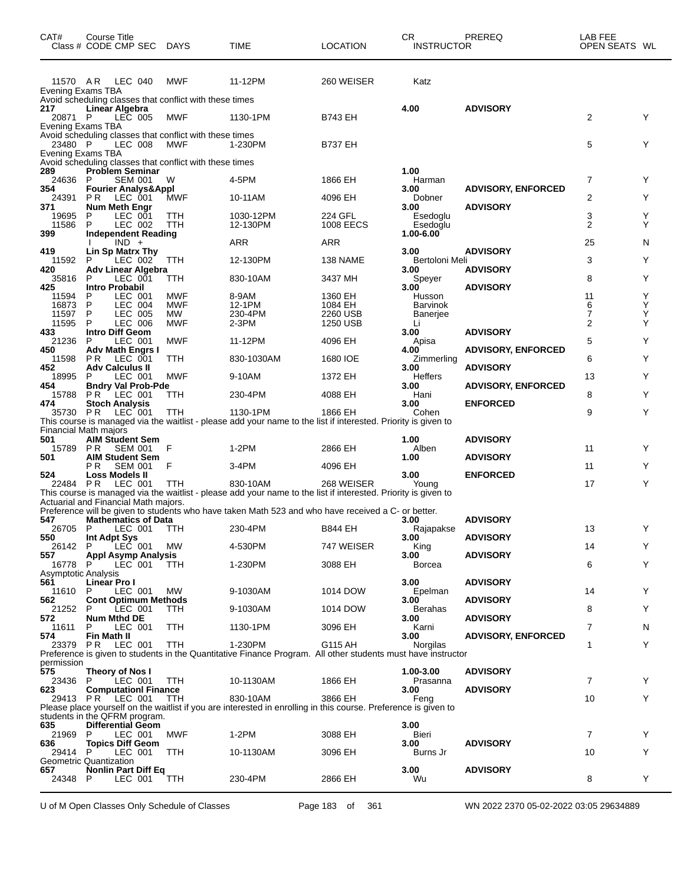| CAT#                                | Course Title<br>Class # CODE CMP SEC DAYS                                            |                   | <b>TIME</b>                                                                                                                 | <b>LOCATION</b>      | CR.<br><b>INSTRUCTOR</b> | PREREQ                    | LAB FEE<br>OPEN SEATS WL |        |
|-------------------------------------|--------------------------------------------------------------------------------------|-------------------|-----------------------------------------------------------------------------------------------------------------------------|----------------------|--------------------------|---------------------------|--------------------------|--------|
| Evening Exams TBA                   | 11570 AR LEC 040                                                                     | MWF               | 11-12PM                                                                                                                     | 260 WEISER           | Katz                     |                           |                          |        |
| 217<br>20871 P                      | Avoid scheduling classes that conflict with these times<br>Linear Algebra<br>LEC 005 | MWF               | 1130-1PM                                                                                                                    | B743 EH              | 4.00                     | <b>ADVISORY</b>           | 2                        | Y      |
| Evening Exams TBA<br>23480 P        | Avoid scheduling classes that conflict with these times<br>LEC 008                   | <b>MWF</b>        | 1-230PM                                                                                                                     | <b>B737 EH</b>       |                          |                           | 5                        | Y      |
| Evening Exams TBA                   | Avoid scheduling classes that conflict with these times                              |                   |                                                                                                                             |                      |                          |                           |                          |        |
| 289<br>24636                        | <b>Problem Seminar</b><br>SEM 001<br>P                                               | W                 | 4-5PM                                                                                                                       | 1866 EH              | 1.00<br>Harman           |                           | 7                        | Y      |
| 354<br>24391                        | <b>Fourier Analys&amp;Appl</b><br>P R<br>LEC 001                                     | <b>MWF</b>        | 10-11AM                                                                                                                     | 4096 EH              | 3.00<br>Dobner           | <b>ADVISORY, ENFORCED</b> | 2                        | Y      |
| 371                                 | Num Meth Engr                                                                        |                   |                                                                                                                             |                      | 3.00                     | <b>ADVISORY</b>           |                          |        |
| 19695<br>11586                      | LEC 001<br>P<br>P<br>LEC 002                                                         | TTH<br>TTH        | 1030-12PM<br>12-130PM                                                                                                       | 224 GFL<br>1008 EECS | Esedoglu<br>Esedoglu     |                           | 3<br>2                   | Y<br>Y |
| 399                                 | Independent Reading<br>$IND +$                                                       |                   | ARR                                                                                                                         | ARR                  | 1.00-6.00                |                           | 25                       | N      |
| 419<br>11592                        | Lin Sp Matrx Thy<br>P                                                                | TTH               | 12-130PM                                                                                                                    | 138 NAME             | 3.00<br>Bertoloni Meli   | <b>ADVISORY</b>           | 3                        | Y      |
| 420                                 | LEC 002<br>Adv Linear Algebra                                                        |                   |                                                                                                                             |                      | 3.00                     | <b>ADVISORY</b>           |                          |        |
| 35816<br>425                        | LEC 001<br>P<br><b>Intro Probabil</b>                                                | ттн               | 830-10AM                                                                                                                    | 3437 MH              | Speyer<br>3.00           | <b>ADVISORY</b>           | 8                        | Y      |
| 11594<br>16873                      | P<br>LEC 001<br>P<br>LEC 004                                                         | MWF<br><b>MWF</b> | 8-9AM<br>12-1PM                                                                                                             | 1360 EH<br>1084 EH   | Husson                   |                           | 11<br>6                  | Y<br>Υ |
| 11597                               | P<br>LEC 005                                                                         | МW                | 230-4PM                                                                                                                     | 2260 USB             | Barvinok<br>Banerjee     |                           | 7                        | Υ      |
| 11595<br>433                        | P<br><b>LEC 006</b><br><b>Intro Diff Geom</b>                                        | <b>MWF</b>        | $2-3PM$                                                                                                                     | 1250 USB             | Li<br>3.00               | <b>ADVISORY</b>           | 2                        | Y      |
| 21236<br>450                        | P<br>LEC 001<br><b>Adv Math Engrs I</b>                                              | <b>MWF</b>        | 11-12PM                                                                                                                     | 4096 EH              | Apisa<br>4.00            | <b>ADVISORY, ENFORCED</b> | 5                        | Y      |
| 11598                               | P R<br>LEC 001                                                                       | <b>TTH</b>        | 830-1030AM                                                                                                                  | 1680 IOE             | Zimmerling               |                           | 6                        | Y      |
| 452<br>18995                        | <b>Adv Calculus II</b><br>P<br>LEC 001                                               | MWF               | 9-10AM                                                                                                                      | 1372 EH              | 3.00<br>Heffers          | <b>ADVISORY</b>           | 13                       | Y      |
| 454<br>15788                        | <b>Bndry Val Prob-Pde</b><br>PR.<br>LEC 001                                          | ттн               | 230-4PM                                                                                                                     | 4088 EH              | 3.00<br>Hani             | <b>ADVISORY, ENFORCED</b> | 8                        | Y      |
| 474                                 | <b>Stoch Analysis</b>                                                                |                   |                                                                                                                             |                      | 3.00                     | <b>ENFORCED</b>           |                          |        |
| 35730 PR                            | LEC 001                                                                              | TTH               | 1130-1PM<br>This course is managed via the waitlist - please add your name to the list if interested. Priority is given to  | 1866 EH              | Cohen                    |                           | 9                        | Y      |
| <b>Financial Math majors</b><br>501 | <b>AIM Student Sem</b>                                                               |                   |                                                                                                                             |                      | 1.00                     | <b>ADVISORY</b>           |                          |        |
| 15789 PR                            | <b>SEM 001</b>                                                                       | F                 | $1-2PM$                                                                                                                     | 2866 EH              | Alben                    |                           | 11                       | Y      |
| 501                                 | <b>AIM Student Sem</b><br>P R<br><b>SEM 001</b>                                      | F                 | 3-4PM                                                                                                                       | 4096 EH              | 1.00                     | <b>ADVISORY</b>           | 11                       | Y      |
| 524<br>22484 PR                     | Loss Models II<br>LEC 001                                                            | ттн               | 830-10AM                                                                                                                    | 268 WEISER           | 3.00<br>Young            | <b>ENFORCED</b>           | 17                       | Y      |
|                                     |                                                                                      |                   | This course is managed via the waitlist - please add your name to the list if interested. Priority is given to              |                      |                          |                           |                          |        |
|                                     | Actuarial and Financial Math majors.                                                 |                   | Preference will be given to students who have taken Math 523 and who have received a C- or better.                          |                      |                          |                           |                          |        |
| 547<br>26705 P                      | <b>Mathematics of Data</b><br>LEC 001 TTH                                            |                   | 230-4PM                                                                                                                     | <b>B844 EH</b>       | 3.00<br>Rajapakse        | <b>ADVISORY</b>           | 13                       | Y      |
| 550<br>26142 P                      | Int Adpt Sys<br>LEČ 001                                                              |                   | 4-530PM                                                                                                                     |                      | 3.00                     | <b>ADVISORY</b>           | 14                       | Y      |
| 557                                 | Appl Asymp Analysis                                                                  | MW                |                                                                                                                             | 747 WEISER           | King<br>3.00             | <b>ADVISORY</b>           |                          |        |
| 16778<br>Asymptotic Analysis        | LEC 001<br>P.                                                                        | TTH               | 1-230PM                                                                                                                     | 3088 EH              | Borcea                   |                           | 6                        | Y      |
| 561<br>11610                        | Linear Pro I<br>LEC 001<br>P                                                         | MW                | 9-1030AM                                                                                                                    | 1014 DOW             | 3.00<br>Epelman          | <b>ADVISORY</b>           | 14                       | Y      |
| 562                                 | <b>Cont Optimum Methods</b>                                                          |                   |                                                                                                                             |                      | 3.00                     | <b>ADVISORY</b>           |                          |        |
| 21252<br>572                        | P<br>LEC 001<br>Num Mthd DE                                                          | TTH.              | 9-1030AM                                                                                                                    | 1014 DOW             | Berahas<br>3.00          | <b>ADVISORY</b>           | 8                        | Y      |
| 11611<br>574                        | LEC 001<br>P.<br>Fin Math II                                                         | TTH               | 1130-1PM                                                                                                                    | 3096 EH              | Karni<br>3.00            | <b>ADVISORY, ENFORCED</b> | 7                        | N      |
| 23379 PR                            | LEC 001                                                                              | <b>TTH</b>        | 1-230PM                                                                                                                     | G115 AH              | Norgilas                 |                           | 1                        | Y      |
| permission                          |                                                                                      |                   | Preference is given to students in the Quantitative Finance Program. All other students must have instructor                |                      |                          |                           |                          |        |
| 575<br>23436 P                      | Theory of Nos I<br>LEC 001                                                           | <b>TTH</b>        | 10-1130AM                                                                                                                   | 1866 EH              | 1.00-3.00<br>Prasanna    | <b>ADVISORY</b>           | 7                        | Y      |
| 623                                 | <b>Computationl Finance</b>                                                          |                   |                                                                                                                             |                      | 3.00                     | <b>ADVISORY</b>           |                          |        |
|                                     | 29413 PR LEC 001                                                                     | TTH               | 830-10AM<br>Please place yourself on the waitlist if you are interested in enrolling in this course. Preference is given to | 3866 EH              | Feng                     |                           | 10                       | Y      |
| 635                                 | students in the QFRM program.<br><b>Differential Geom</b>                            |                   |                                                                                                                             |                      | 3.00                     |                           |                          |        |
| 21969 P                             | LEC 001                                                                              | MWF               | 1-2PM                                                                                                                       | 3088 EH              | Bieri                    |                           | 7                        | Y      |
| 636<br>29414 P                      | <b>Topics Diff Geom</b><br>LEC 001                                                   | <b>TTH</b>        | 10-1130AM                                                                                                                   | 3096 EH              | 3.00<br>Burns Jr         | <b>ADVISORY</b>           | 10                       | Y      |
| 657                                 | Geometric Quantization<br><b>Nonlin Part Diff Eq</b>                                 |                   |                                                                                                                             |                      | 3.00                     | <b>ADVISORY</b>           |                          | Y      |
| 24348 P                             | LEC 001                                                                              | TTH               | 230-4PM                                                                                                                     | 2866 EH              | Wu                       |                           | 8                        |        |

U of M Open Classes Only Schedule of Classes Page 183 of 361 WN 2022 2370 05-02-2022 03:05 29634889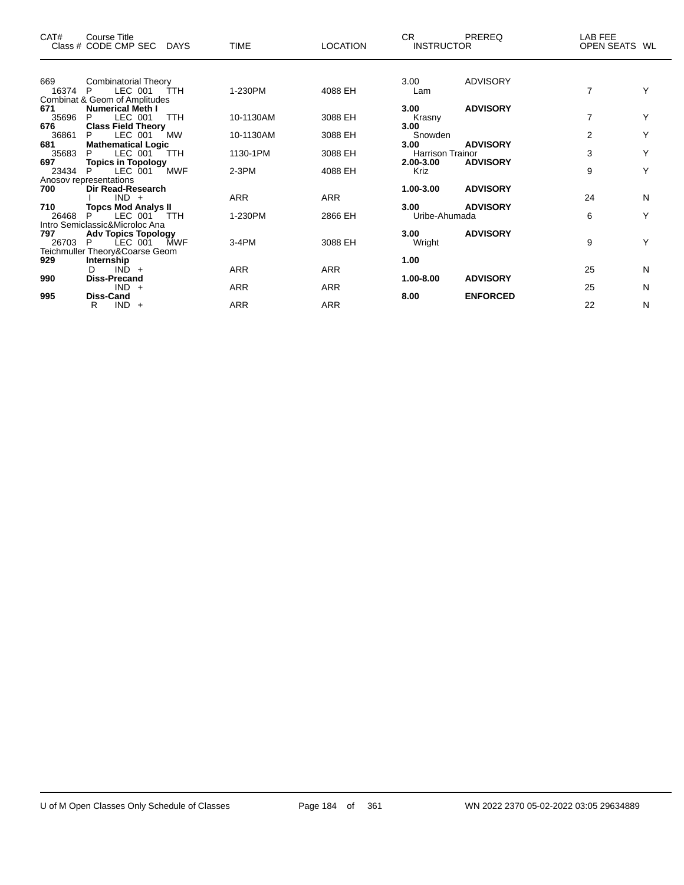| CAT#  | <b>Course Title</b><br>Class # CODE CMP SEC DAYS | <b>TIME</b> | <b>LOCATION</b> | CR.<br><b>INSTRUCTOR</b> | <b>PREREQ</b>   | LAB FEE<br>OPEN SEATS WL |   |
|-------|--------------------------------------------------|-------------|-----------------|--------------------------|-----------------|--------------------------|---|
| 669   | Combinatorial Theory                             |             |                 | 3.00                     | <b>ADVISORY</b> |                          |   |
| 16374 | LEC 001<br>P<br>ŤΤH                              | 1-230PM     | 4088 EH         | Lam                      |                 | 7                        | Υ |
|       | Combinat & Geom of Amplitudes                    |             |                 |                          |                 |                          |   |
| 671   | <b>Numerical Meth I</b>                          |             |                 | 3.00                     | <b>ADVISORY</b> |                          |   |
| 35696 | <b>TTH</b><br>LEC 001<br>P                       | 10-1130AM   | 3088 EH         | Krasny                   |                 | 7                        | Y |
| 676   | <b>Class Field Theory</b>                        |             |                 | 3.00                     |                 |                          |   |
| 36861 | P<br>LEC 001<br>MW                               | 10-1130AM   | 3088 EH         | Snowden                  |                 | $\overline{2}$           | Υ |
| 681   | <b>Mathematical Logic</b>                        |             |                 | 3.00                     | <b>ADVISORY</b> |                          |   |
| 35683 | LEC 001<br>P.<br><b>TTH</b>                      | 1130-1PM    | 3088 EH         | <b>Harrison Trainor</b>  |                 | 3                        | Υ |
| 697   | <b>Topics in Topology</b>                        |             |                 | 2.00-3.00                | <b>ADVISORY</b> |                          |   |
| 23434 | <b>MWF</b><br>LEC 001<br>P                       | $2-3PM$     | 4088 EH         | <b>Kriz</b>              |                 | 9                        | Υ |
|       | Anosov representations                           |             |                 |                          |                 |                          |   |
| 700   | Dir Read-Research<br>$IND +$                     | <b>ARR</b>  | <b>ARR</b>      | $1.00 - 3.00$            | <b>ADVISORY</b> | 24                       | N |
| 710   | <b>Topcs Mod Analys II</b>                       |             |                 | 3.00                     | <b>ADVISORY</b> |                          |   |
| 26468 | LEC 001<br>TTH.                                  | 1-230PM     | 2866 EH         | Uribe-Ahumada            |                 | 6                        | Y |
|       | Intro Semiclassic&Microloc Ana                   |             |                 |                          |                 |                          |   |
| 797   | <b>Adv Topics Topology</b>                       |             |                 | 3.00                     | <b>ADVISORY</b> |                          |   |
| 26703 | LEC 001<br>P<br><b>MWF</b>                       | 3-4PM       | 3088 EH         | Wright                   |                 | 9                        | Υ |
|       | Teichmuller Theory&Coarse Geom                   |             |                 |                          |                 |                          |   |
| 929   | Internship                                       |             |                 | 1.00                     |                 |                          |   |
|       | $IND +$<br>D                                     | <b>ARR</b>  | <b>ARR</b>      |                          |                 | 25                       | N |
| 990   | <b>Diss-Precand</b>                              |             |                 | 1.00-8.00                | <b>ADVISORY</b> |                          |   |
|       | $IND +$                                          | <b>ARR</b>  | <b>ARR</b>      |                          |                 | 25                       | N |
| 995   | <b>Diss-Cand</b>                                 |             |                 | 8.00                     | <b>ENFORCED</b> |                          |   |
|       | $IND +$<br>R                                     | <b>ARR</b>  | <b>ARR</b>      |                          |                 | 22                       | N |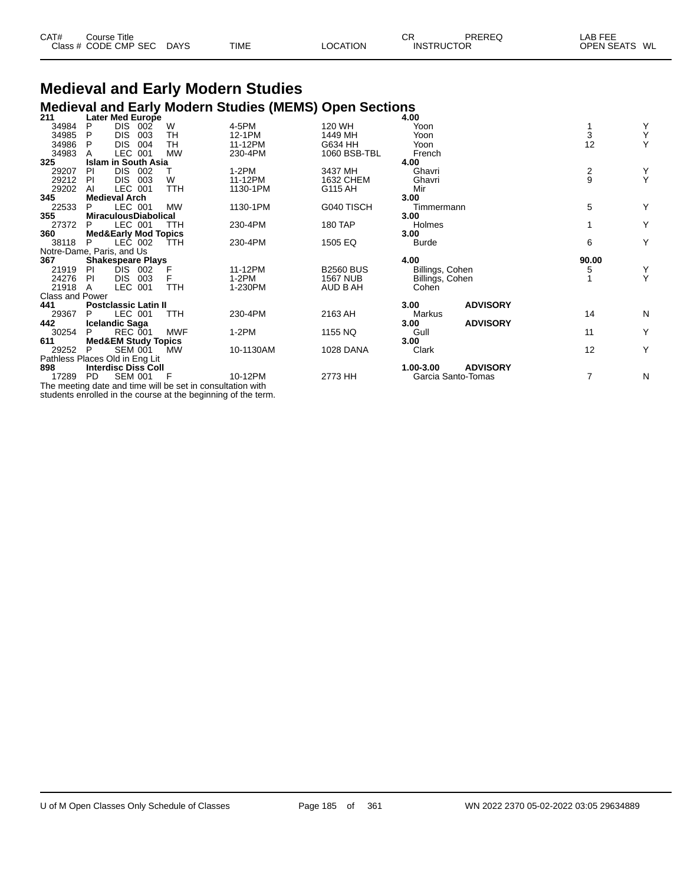| CAT# | Course Title         |             |             |          | ⌒冖<br>◡ | PREREQ            | LAB FEE       |
|------|----------------------|-------------|-------------|----------|---------|-------------------|---------------|
|      | Class # CODE CMP SEC | <b>DAYS</b> | <b>TIME</b> | LOCATION |         | <b>INSTRUCTOR</b> | OPEN SEATS WL |

### **Medieval and Early Modern Studies Medieval and Early Modern Studies (MEMS) Open Sections 211 Later Med Europe 4.00**

| 211                            |           | Later Med Europe                |     |            |                                                            |                  | 4.00            |                    |               |   |
|--------------------------------|-----------|---------------------------------|-----|------------|------------------------------------------------------------|------------------|-----------------|--------------------|---------------|---|
| 34984                          | P         | <b>DIS</b><br>002               |     | W          | 4-5PM                                                      | 120 WH           | Yoon            |                    |               | Y |
| 34985                          | P         | <b>DIS</b>                      | 003 | TН         | 12-1PM                                                     | 1449 MH          | Yoon            |                    | 3             | Υ |
| 34986                          | P         | <b>DIS</b>                      | 004 | <b>TH</b>  | 11-12PM                                                    | G634 HH          | Yoon            |                    | 12            | Y |
| 34983                          |           | LEC 001                         |     | <b>MW</b>  | 230-4PM                                                    | 1060 BSB-TBL     | French          |                    |               |   |
| 325                            |           | <b>Islam in South Asia</b>      |     |            |                                                            |                  | 4.00            |                    |               |   |
| 29207                          | PI        | DIS 002                         |     |            | $1-2PM$                                                    | 3437 MH          | Ghavri          |                    | $\frac{2}{9}$ |   |
| 29212                          | PI        | DIS.<br>003                     |     | W          | 11-12PM                                                    | 1632 CHEM        | Ghavri          |                    |               | Y |
| 29202                          | AI        | LEC 001                         |     | <b>TTH</b> | 1130-1PM                                                   | G115 AH          | Mir             |                    |               |   |
| 345                            |           | <b>Medieval Arch</b>            |     |            |                                                            |                  | 3.00            |                    |               |   |
| 22533                          | P         | LEC 001                         |     | <b>MW</b>  | 1130-1PM                                                   | G040 TISCH       | Timmermann      |                    | 5             | Y |
| 355                            |           | <b>MiraculousDiabolical</b>     |     |            |                                                            |                  | 3.00            |                    |               |   |
| 27372                          | P         | LEC 001                         |     | <b>TTH</b> | 230-4PM                                                    | <b>180 TAP</b>   | Holmes          |                    |               | Υ |
| 360                            |           | <b>Med&amp;Early Mod Topics</b> |     |            |                                                            |                  | 3.00            |                    |               |   |
| 38118                          | P         | LEC 002                         |     | <b>TTH</b> | 230-4PM                                                    | 1505 EQ          | <b>Burde</b>    |                    | 6             | Υ |
| Notre-Dame, Paris, and Us      |           |                                 |     |            |                                                            |                  |                 |                    |               |   |
| 367                            |           | <b>Shakespeare Plays</b>        |     |            |                                                            |                  | 4.00            |                    | 90.00         |   |
| 21919                          | <b>PI</b> | DIS.<br>002                     |     | F          | 11-12PM                                                    | <b>B2560 BUS</b> | Billings, Cohen |                    | 5             | Y |
| 24276                          | <b>PI</b> | DIS.<br>003                     |     | F          | 1-2PM                                                      | <b>1567 NUB</b>  | Billings, Cohen |                    |               | Υ |
| 21918                          | A         | LEC 001                         |     | <b>TTH</b> | 1-230PM                                                    | AUD B AH         | Cohen           |                    |               |   |
| <b>Class and Power</b>         |           |                                 |     |            |                                                            |                  |                 |                    |               |   |
| 441                            |           | <b>Postclassic Latin II</b>     |     |            |                                                            |                  | 3.00            | <b>ADVISORY</b>    |               |   |
| 29367                          | P         | LEC 001                         |     | TTH        | 230-4PM                                                    | 2163 AH          | Markus          |                    | 14            | N |
| 442                            |           | <b>Icelandic Saga</b>           |     |            |                                                            |                  | 3.00            | <b>ADVISORY</b>    |               |   |
| 30254                          | P         | <b>REC 001</b>                  |     | <b>MWF</b> | $1-2PM$                                                    | 1155 NQ          | Gull            |                    | 11            | Υ |
| 611                            |           | <b>Med&amp;EM Study Topics</b>  |     |            |                                                            |                  | 3.00            |                    |               |   |
| 29252                          | P         | <b>SEM 001</b>                  |     | МW         | 10-1130AM                                                  | <b>1028 DANA</b> | Clark           |                    | 12            | Υ |
| Pathless Places Old in Eng Lit |           |                                 |     |            |                                                            |                  |                 |                    |               |   |
| 898                            |           | <b>Interdisc Diss Coll</b>      |     |            |                                                            |                  | 1.00-3.00       | <b>ADVISORY</b>    |               |   |
| 17289                          | <b>PD</b> | <b>SEM 001</b>                  |     | F          | 10-12PM                                                    | 2773 HH          |                 | Garcia Santo-Tomas | 7             | N |
|                                |           |                                 |     |            | The meeting date and time will be set in consultation with |                  |                 |                    |               |   |

students enrolled in the course at the beginning of the term.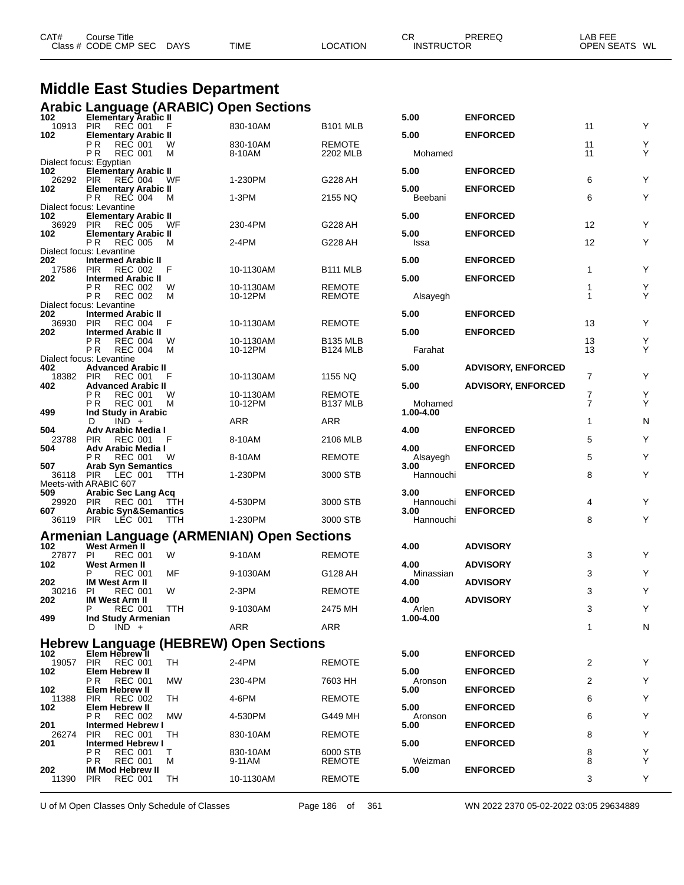| CAT# | ourse Titleٽ         |             |             |          | СR                | PREREQ | LAB FEE       |  |
|------|----------------------|-------------|-------------|----------|-------------------|--------|---------------|--|
|      | Class # CODE CMP SEC | <b>DAYS</b> | <b>TIME</b> | LOCATION | <b>INSTRUCTOR</b> |        | OPEN SEATS WL |  |
|      |                      |             |             |          |                   |        |               |  |

### **Middle East Studies Department**

|              |                                                           |            | <b>Arabic Language (ARABIC) Open Sections</b>     |                           |                      |                           |                |        |
|--------------|-----------------------------------------------------------|------------|---------------------------------------------------|---------------------------|----------------------|---------------------------|----------------|--------|
| 102<br>10913 | Elementary Arabic II<br>REČ 001<br><b>PIR</b>             |            | 830-10AM                                          | <b>B101 MLB</b>           | 5.00                 | <b>ENFORCED</b>           | 11             | Υ      |
| 102          | <b>Elementary Arabic II</b>                               |            |                                                   |                           | 5.00                 | <b>ENFORCED</b>           |                |        |
|              | ΡR<br><b>REC 001</b><br>P R<br><b>REC 001</b>             | W<br>M     | 830-10AM<br>8-10AM                                | <b>REMOTE</b><br>2202 MLB | Mohamed              |                           | 11<br>11       | Υ<br>Y |
|              | Dialect focus: Egyptian                                   |            |                                                   |                           |                      |                           |                |        |
| 102<br>26292 | <b>Elementary Arabic II</b><br>PIR<br><b>REC 004</b>      | WF         | 1-230PM                                           | G228 AH                   | 5.00                 | <b>ENFORCED</b>           | 6              | Y      |
| 102          | <b>Elementary Arabic II</b>                               |            |                                                   |                           | 5.00                 | <b>ENFORCED</b>           |                |        |
|              | ΡR<br><b>REC 004</b><br>Dialect focus: Levantine          | М          | $1-3PM$                                           | 2155 NQ                   | Beebani              |                           | 6              | Y      |
| 102          | <b>Elementary Arabic II</b>                               |            |                                                   |                           | 5.00                 | <b>ENFORCED</b>           |                |        |
| 36929<br>102 | <b>PIR</b><br>REČ 005<br><b>Elementary Arabic II</b>      | WF.        | 230-4PM                                           | G228 AH                   | 5.00                 | <b>ENFORCED</b>           | 12             | Y      |
|              | P R<br><b>REC 005</b>                                     | M          | 2-4PM                                             | G228 AH                   | Issa                 |                           | 12             | Υ      |
| 202          | Dialect focus: Levantine<br><b>Intermed Arabic II</b>     |            |                                                   |                           | 5.00                 | <b>ENFORCED</b>           |                |        |
| 17586        | <b>PIR</b><br><b>REC 002</b>                              | F          | 10-1130AM                                         | B <sub>111</sub> MLB      |                      |                           | 1              | Y      |
| 202          | <b>Intermed Arabic II</b><br>РR<br><b>REC 002</b>         | W          | 10-1130AM                                         | REMOTE                    | 5.00                 | <b>ENFORCED</b>           | 1              | Υ      |
|              | <b>REC 002</b><br>P R<br>Dialect focus: Levantine         | М          | 10-12PM                                           | <b>REMOTE</b>             | Alsayegh             |                           | 1              | Y      |
| 202          | <b>Intermed Arabic II</b>                                 |            |                                                   |                           | 5.00                 | <b>ENFORCED</b>           |                |        |
| 36930<br>202 | <b>PIR</b><br><b>REC 004</b><br><b>Intermed Arabic II</b> | F          | 10-1130AM                                         | REMOTE                    | 5.00                 | <b>ENFORCED</b>           | 13             | Y      |
|              | РR<br><b>REC 004</b>                                      | W          | 10-1130AM                                         | <b>B135 MLB</b>           |                      |                           | 13             | Υ      |
|              | <b>REC 004</b><br>P R<br>Dialect focus: Levantine         | М          | 10-12PM                                           | B124 MLB                  | Farahat              |                           | 13             | Y      |
| 402          | <b>Advanced Arabic II</b>                                 |            |                                                   |                           | 5.00                 | <b>ADVISORY, ENFORCED</b> |                |        |
| 18382<br>402 | PIR<br><b>REC 001</b><br><b>Advanced Arabic II</b>        | F          | 10-1130AM                                         | 1155 NQ                   | 5.00                 | <b>ADVISORY, ENFORCED</b> | 7              | Y      |
|              | P R<br><b>REC 001</b>                                     | W          | 10-1130AM                                         | REMOTE                    |                      |                           | 7              | Υ      |
| 499          | <b>REC 001</b><br>P R<br>Ind Study in Arabic              | M          | 10-12PM                                           | B137 MLB                  | Mohamed<br>1.00-4.00 |                           | $\overline{7}$ | Y      |
|              | $IND +$<br>D                                              |            | <b>ARR</b>                                        | ARR                       |                      |                           | 1              | N      |
| 504<br>23788 | Adv Arabic Media I<br><b>PIR</b><br><b>REC 001</b>        | F          | 8-10AM                                            | 2106 MLB                  | 4.00                 | <b>ENFORCED</b>           | 5              | Y      |
| 504          | Adv Arabic Media I<br><b>REC 001</b><br>P R               | W          | 8-10AM                                            | REMOTE                    | 4.00<br>Alsayegh     | <b>ENFORCED</b>           | 5              | Y      |
| 507          | <b>Arab Syn Semantics</b>                                 |            |                                                   |                           | 3.00                 | <b>ENFORCED</b>           |                |        |
| 36118        | PIR<br>LEC 001<br>Meets-with ARABIC 607                   | TTH        | 1-230PM                                           | 3000 STB                  | Hannouchi            |                           | 8              | Y      |
| 509          | <b>Arabic Sec Lang Acq</b>                                |            |                                                   |                           | 3.00                 | <b>ENFORCED</b>           |                |        |
| 29920<br>607 | <b>PIR</b><br>REC 001<br><b>Arabic Syn&amp;Semantics</b>  | TTH        | 4-530PM                                           | 3000 STB                  | Hannouchi<br>3.00    | <b>ENFORCED</b>           | 4              | Y      |
| 36119 PIR    | LÉC 001                                                   | <b>TTH</b> | 1-230PM                                           | 3000 STB                  | Hannouchi            |                           | 8              | Y      |
|              |                                                           |            | <b>Armenian Language (ARMENIAN) Open Sections</b> |                           |                      |                           |                |        |
| 102<br>27877 | West Armen II<br>PI<br><b>REC 001</b>                     | W          | 9-10AM                                            | <b>REMOTE</b>             | 4.00                 | <b>ADVISORY</b>           | 3              | Y      |
| 102          | West Armen II                                             |            |                                                   |                           | 4.00                 | <b>ADVISORY</b>           |                |        |
| 202          | P<br><b>REC 001</b><br><b>IM West Arm II</b>              | MF         | 9-1030AM                                          | G128 AH                   | Minassian<br>4.00    | <b>ADVISORY</b>           | 3              | Υ      |
| 30216        | PI<br><b>REC 001</b>                                      | W          | $2-3PM$                                           | <b>REMOTE</b>             |                      |                           | 3              | Υ      |
| ${\bf 202}$  | <b>IM West Arm II</b><br><b>REC 001</b><br>P              | TTH        | 9-1030AM                                          | 2475 MH                   | 4.00<br>Arlen        | <b>ADVISORY</b>           | 3              | Υ      |
| 499          | Ind Study Armenian                                        |            |                                                   |                           | 1.00-4.00            |                           |                |        |
|              | $IND +$<br>Ð                                              |            | ARR                                               | ARR                       |                      |                           | 1              | N      |
| 102          | Elem Hebrew ll                                            |            | <b>Hebrew Language (HEBREW) Open Sections</b>     |                           | 5.00                 | <b>ENFORCED</b>           |                |        |
| 19057        | <b>PIR</b><br><b>REC 001</b>                              | TH         | 2-4PM                                             | <b>REMOTE</b>             |                      |                           | 2              | Υ      |
| 102          | Elem Hebrew II<br><b>REC 001</b><br>РR                    | МW         | 230-4PM                                           | 7603 HH                   | 5.00<br>Aronson      | <b>ENFORCED</b>           | 2              | Υ      |
| 102          | Elem Hebrew II                                            |            |                                                   |                           | 5.00                 | <b>ENFORCED</b>           |                |        |
| 11388<br>102 | <b>REC 002</b><br><b>PIR</b><br>Elem Hebrew II            | TН         | 4-6PM                                             | REMOTE                    | 5.00                 | <b>ENFORCED</b>           | 6              | Υ      |
|              | <b>REC 002</b><br>РR                                      | МW         | 4-530PM                                           | G449 MH                   | Aronson              |                           | 6              | Y      |
| 201<br>26274 | <b>Intermed Hebrew I</b><br><b>REC 001</b><br><b>PIR</b>  | TН         | 830-10AM                                          | <b>REMOTE</b>             | 5.00                 | <b>ENFORCED</b>           | 8              | Υ      |
| 201          | <b>Intermed Hebrew I</b>                                  |            |                                                   |                           | 5.00                 | <b>ENFORCED</b>           |                |        |
|              | ΡR<br><b>REC 001</b><br><b>REC 001</b><br>P R             | т<br>м     | 830-10AM<br>9-11AM                                | 6000 STB<br><b>REMOTE</b> | Weizman              |                           | 8<br>8         | Y<br>Υ |
| 202<br>11390 | <b>IM Mod Hebrew II</b>                                   | TН         |                                                   |                           | 5.00                 | <b>ENFORCED</b>           | 3              | Y      |
|              | <b>PIR</b><br><b>REC 001</b>                              |            | 10-1130AM                                         | <b>REMOTE</b>             |                      |                           |                |        |

U of M Open Classes Only Schedule of Classes Page 186 of 361 WN 2022 2370 05-02-2022 03:05 29634889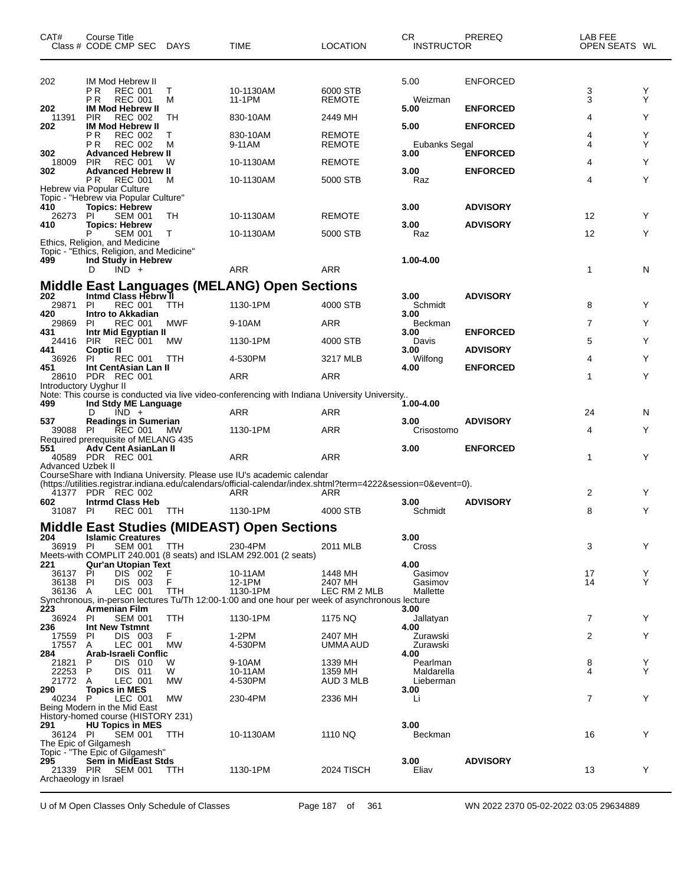| CAT#                         | Course Title<br>Class # CODE CMP SEC DAYS                                              |            | <b>TIME</b>                                                                                                                                                                              | <b>LOCATION</b>                | CR.<br><b>INSTRUCTOR</b> | PREREQ                             | LAB FEE<br>OPEN SEATS WL |        |
|------------------------------|----------------------------------------------------------------------------------------|------------|------------------------------------------------------------------------------------------------------------------------------------------------------------------------------------------|--------------------------------|--------------------------|------------------------------------|--------------------------|--------|
| 202                          | IM Mod Hebrew II<br>ΡR<br><b>REC 001</b><br>PR.<br><b>REC 001</b>                      | Т<br>М     | 10-1130AM<br>11-1PM                                                                                                                                                                      | 6000 STB<br><b>REMOTE</b>      | 5.00<br>Weizman          | <b>ENFORCED</b>                    | 3<br>3                   | Y<br>Y |
| 202<br>11391                 | <b>IM Mod Hebrew II</b><br><b>PIR</b><br><b>REC 002</b>                                | TН         | 830-10AM                                                                                                                                                                                 | 2449 MH                        | 5.00                     | <b>ENFORCED</b>                    | 4                        | Y      |
| 202                          | <b>IM Mod Hebrew II</b><br>ΡR<br><b>REC 002</b><br><b>REC 002</b><br>ΡR                | т<br>м     | 830-10AM<br>9-11AM                                                                                                                                                                       | <b>REMOTE</b><br><b>REMOTE</b> | 5.00<br>Eubanks Segal    | <b>ENFORCED</b>                    | 4<br>4                   | Υ<br>Y |
| 302<br>18009                 | <b>Advanced Hebrew II</b><br><b>PIR</b><br><b>REC 001</b>                              | W          | 10-1130AM                                                                                                                                                                                | <b>REMOTE</b>                  | 3.00                     | <b>ENFORCED</b>                    | 4                        | Y      |
| 302                          | <b>Advanced Hebrew II</b><br>REC 001<br>PR.                                            | м          | 10-1130AM                                                                                                                                                                                | 5000 STB                       | 3.00<br>Raz              | <b>ENFORCED</b>                    | 4                        | Y      |
|                              | Hebrew via Popular Culture<br>Topic - "Hebrew via Popular Culture"                     |            |                                                                                                                                                                                          |                                |                          |                                    |                          |        |
| 410<br>26273                 | <b>Topics: Hebrew</b><br>PI<br><b>SEM 001</b>                                          | TH         | 10-1130AM                                                                                                                                                                                | <b>REMOTE</b>                  | 3.00                     | <b>ADVISORY</b>                    | 12                       | Y      |
| 410                          | <b>Topics: Hebrew</b><br>P<br><b>SEM 001</b><br>Ethics, Religion, and Medicine         | $\top$     | 10-1130AM                                                                                                                                                                                | 5000 STB                       | 3.00<br>Raz              | <b>ADVISORY</b>                    | 12                       | Y      |
| 499                          | Topic - "Ethics, Religion, and Medicine"<br>Ind Study in Hebrew                        |            |                                                                                                                                                                                          |                                | 1.00-4.00                |                                    |                          |        |
|                              | $IND +$<br>D                                                                           |            | <b>ARR</b>                                                                                                                                                                               | <b>ARR</b>                     |                          |                                    | $\mathbf{1}$             | N      |
| 202                          | Intmd Class Hebrw II                                                                   |            | <b>Middle East Languages (MELANG) Open Sections</b>                                                                                                                                      |                                | 3.00                     | <b>ADVISORY</b>                    |                          |        |
| 29871<br>420                 | <b>REC 001</b><br><b>PI</b><br><b>Intro to Akkadian</b>                                | <b>TTH</b> | 1130-1PM                                                                                                                                                                                 | 4000 STB                       | Schmidt<br>3.00          |                                    | 8                        | Y      |
| 29869<br>431                 | PI<br><b>REC 001</b>                                                                   | <b>MWF</b> | 9-10AM                                                                                                                                                                                   | <b>ARR</b>                     | Beckman<br>3.00          |                                    | $\overline{7}$           | Y      |
| 24416                        | Intr Mid Egyptian II<br>REC 001<br><b>PIR</b>                                          | <b>MW</b>  | 1130-1PM                                                                                                                                                                                 | 4000 STB                       | Davis                    | <b>ENFORCED</b><br><b>ADVISORY</b> | 5                        | Y      |
| 441<br>36926                 | <b>Coptic II</b><br><b>REC 001</b><br>PI.                                              | TTH        | 4-530PM                                                                                                                                                                                  | 3217 MLB                       | 3.00<br>Wilfong          |                                    | 4                        | Y      |
| 451                          | Int CentAsian Lan II<br>28610 PDR REC 001                                              |            | ARR                                                                                                                                                                                      | <b>ARR</b>                     | 4.00                     | <b>ENFORCED</b>                    | 1                        | Y      |
| Introductory Uyghur II       |                                                                                        |            | Note: This course is conducted via live video-conferencing with Indiana University University                                                                                            |                                |                          |                                    |                          |        |
| 499                          | Ind Stdy ME Language<br>$IND +$<br>D                                                   |            | ARR                                                                                                                                                                                      | ARR                            | 1.00-4.00                |                                    | 24                       | N      |
| 537<br>39088 PI              | <b>Readings in Sumerian</b><br>REC 001                                                 | МW         | 1130-1PM                                                                                                                                                                                 | <b>ARR</b>                     | 3.00<br>Crisostomo       | <b>ADVISORY</b>                    | 4                        | Y      |
| 551                          | Required prerequisite of MELANG 435<br>Adv Cent AsianLan II<br>40589 PDR REC 001       |            | <b>ARR</b>                                                                                                                                                                               | ARR                            | 3.00                     | <b>ENFORCED</b>                    | 1                        | Y      |
| <b>Advanced Uzbek II</b>     |                                                                                        |            | CourseShare with Indiana University. Please use IU's academic calendar<br>(https://utilities.registrar.indiana.edu/calendars/official-calendar/index.shtml?term=4222&session=0&event=0). |                                |                          |                                    |                          |        |
|                              | 41377 PDR REC 002                                                                      |            | ARR                                                                                                                                                                                      | ARR                            |                          |                                    | 2                        | Y      |
| 602<br>31087 PI              | <b>Intrmd Class Heb</b><br><b>REC 001</b>                                              | TTH        | 1130-1PM                                                                                                                                                                                 | 4000 STB                       | 3.00<br>Schmidt          | <b>ADVISORY</b>                    | 8                        | Y      |
|                              |                                                                                        |            | <b>Middle East Studies (MIDEAST) Open Sections</b>                                                                                                                                       |                                |                          |                                    |                          |        |
| 204<br>36919 PI              | <b>Islamic Creatures</b><br>SEM 001                                                    | TTH        | 230-4PM                                                                                                                                                                                  | 2011 MLB                       | 3.00<br>Cross            |                                    | 3                        | Y      |
| 221                          | Qur'an Utopian Text                                                                    |            | Meets-with COMPLIT 240.001 (8 seats) and ISLAM 292.001 (2 seats)                                                                                                                         |                                | 4.00                     |                                    |                          |        |
| 36137<br>36138 PI            | PI<br>DIS 002<br>DIS 003                                                               | F<br>F     | 10-11AM<br>12-1PM                                                                                                                                                                        | 1448 MH<br>2407 MH             | Gasimov<br>Gasimov       |                                    | 17<br>14                 | Y<br>Y |
| 36136 A                      | LEC 001                                                                                | <b>TTH</b> | 1130-1PM<br>Synchronous, in-person lectures Tu/Th 12:00-1:00 and one hour per week of asynchronous lecture                                                                               | LEC RM 2 MLB                   | Mallette                 |                                    |                          |        |
| 223<br>36924                 | <b>Armenian Film</b><br>PI<br><b>SEM 001</b>                                           | <b>TTH</b> | 1130-1PM                                                                                                                                                                                 | 1175 NQ                        | 3.00<br>Jallatyan        |                                    | $\overline{7}$           | Y      |
| 236<br>17559                 | Int New Tstmnt<br>DIS 003<br>PI                                                        | F          | 1-2PM                                                                                                                                                                                    | 2407 MH                        | 4.00<br>Zurawski         |                                    | 2                        | Y      |
| 17557 A<br>284               | LEC 001<br>Arab-Israeli Conflic                                                        | MW         | 4-530PM                                                                                                                                                                                  | UMMA AUD                       | Zurawski<br>4.00         |                                    |                          |        |
| 21821<br>22253               | P<br>DIS 010<br>P<br><b>DIS 011</b>                                                    | W<br>W     | 9-10AM<br>10-11AM                                                                                                                                                                        | 1339 MH<br>1359 MH             | Pearlman<br>Maldarella   |                                    | 8<br>4                   | Y<br>Y |
| 21772 A<br>290               | LEC 001<br><b>Topics in MES</b>                                                        | MW         | 4-530PM                                                                                                                                                                                  | AUD 3 MLB                      | Lieberman<br>3.00        |                                    |                          |        |
| 40234 P                      | LEC 001<br>Being Modern in the Mid East                                                | <b>MW</b>  | 230-4PM                                                                                                                                                                                  | 2336 MH                        | Li                       |                                    | $\overline{7}$           | Y      |
| 291                          | History-homed course (HISTORY 231)<br><b>HU Topics in MES</b>                          |            |                                                                                                                                                                                          |                                | 3.00                     |                                    |                          |        |
| 36124 PI                     | SEM 001<br>The Epic of Gilgamesh                                                       | TTH        | 10-1130AM                                                                                                                                                                                | 1110 NQ                        | Beckman                  |                                    | 16                       | Y      |
| 295<br>Archaeology in Israel | Topic - "The Epic of Gilgamesh"<br><b>Sem in MidEast Stds</b><br>21339 PIR SEM 001 TTH |            | 1130-1PM                                                                                                                                                                                 | 2024 TISCH                     | 3.00<br>Eliav            | <b>ADVISORY</b>                    | 13                       | Y      |

U of M Open Classes Only Schedule of Classes Page 187 of 361 WN 2022 2370 05-02-2022 03:05 29634889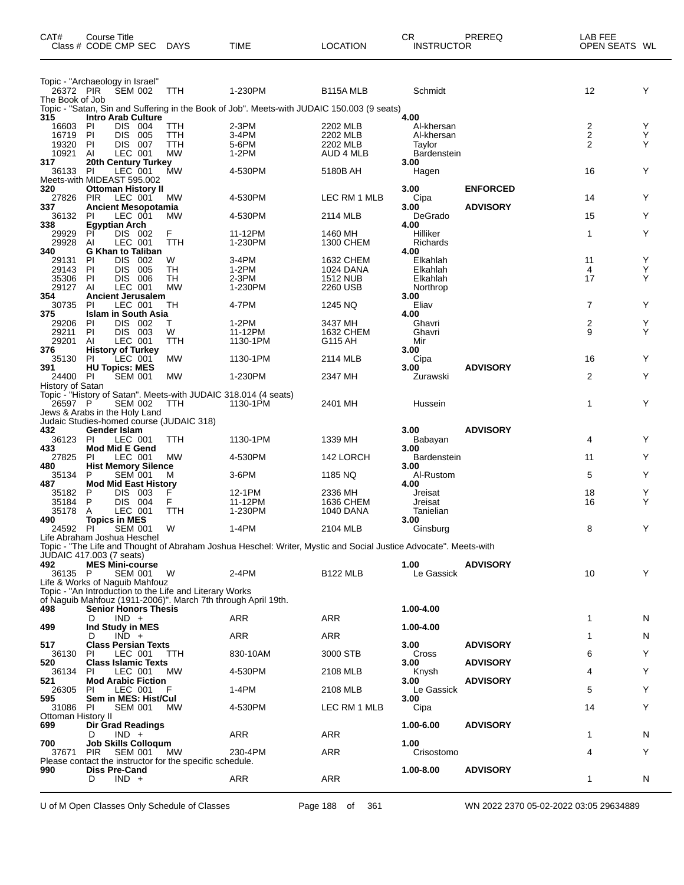| CAT#                         | Course Title<br>Class # CODE CMP SEC                                                                                     | DAYS      | <b>TIME</b>                                                                                                      | <b>LOCATION</b>              | CR<br>PREREQ<br><b>INSTRUCTOR</b> |                 | LAB FEE<br>OPEN SEATS WL     |        |
|------------------------------|--------------------------------------------------------------------------------------------------------------------------|-----------|------------------------------------------------------------------------------------------------------------------|------------------------------|-----------------------------------|-----------------|------------------------------|--------|
|                              | Topic - "Archaeology in Israel"                                                                                          |           |                                                                                                                  |                              |                                   |                 |                              |        |
| 26372 PIR<br>The Book of Job | <b>SEM 002</b>                                                                                                           | TTH       | 1-230PM                                                                                                          | B <sub>115</sub> A MLB       | Schmidt                           |                 | 12                           | Y      |
|                              |                                                                                                                          |           | Topic - "Satan, Sin and Suffering in the Book of Job". Meets-with JUDAIC 150.003 (9 seats)                       |                              |                                   |                 |                              |        |
| 315<br>16603                 | <b>Intro Arab Culture</b><br>DIS 004<br>PI                                                                               | TTH       | 2-3PM                                                                                                            | 2202 MLB                     | 4.00<br>Al-khersan                |                 |                              | Y      |
| 16719                        | <b>DIS</b><br>PI<br>005                                                                                                  | TTH       | 3-4PM                                                                                                            | 2202 MLB                     | Al-khersan                        |                 | 2<br>$\overline{\mathbf{c}}$ | Υ      |
| 19320                        | DIS 007<br><b>PI</b>                                                                                                     | TTH       | 5-6PM                                                                                                            | 2202 MLB                     | Tavlor                            |                 | $\overline{2}$               | Y      |
| 10921<br>317                 | LEC 001<br>Al<br>20th Century Turkey                                                                                     | <b>MW</b> | $1-2PM$                                                                                                          | AUD 4 MLB                    | <b>Bardenstein</b><br>3.00        |                 |                              |        |
| 36133 PI                     | LEC 001                                                                                                                  | MW        | 4-530PM                                                                                                          | 5180B AH                     | Hagen                             |                 | 16                           | Y      |
| 320                          | Meets-with MIDEAST 595.002<br><b>Ottoman History II</b>                                                                  |           |                                                                                                                  |                              | 3.00                              | <b>ENFORCED</b> |                              |        |
| 27826                        | <b>PIR</b><br>LEC 001                                                                                                    | МW        | 4-530PM                                                                                                          | LEC RM 1 MLB                 | Cipa                              |                 | 14                           | Y      |
| 337<br>36132                 | <b>Ancient Mesopotamia</b><br>PI<br>LEC 001                                                                              | МW        | 4-530PM                                                                                                          | 2114 MLB                     | 3.00<br>DeGrado                   | <b>ADVISORY</b> | 15                           | Υ      |
| 338                          | <b>Egyptian Arch</b>                                                                                                     |           |                                                                                                                  |                              | 4.00                              |                 |                              |        |
| 29929<br>29928               | DIS 002<br>PI<br>Al<br>LEC 001                                                                                           | F<br>TTH  | 11-12PM<br>1-230PM                                                                                               | 1460 MH<br>1300 CHEM         | Hilliker<br>Richards              |                 | 1                            | Υ      |
| 340                          | <b>G Khan to Taliban</b>                                                                                                 |           |                                                                                                                  |                              | 4.00                              |                 |                              |        |
| 29131                        | <b>DIS</b><br>PI<br>002                                                                                                  | W         | 3-4PM                                                                                                            | 1632 CHEM                    | Elkahlah                          |                 | 11                           | Υ      |
| 29143<br>35306               | <b>DIS</b><br>PI<br>005<br>DIS 006<br>PI                                                                                 | TН<br>TН  | $1-2PM$<br>$2-3PM$                                                                                               | 1024 DANA<br><b>1512 NUB</b> | Elkahlah<br>Elkahlah              |                 | 4<br>17                      | Υ<br>Y |
| 29127                        | LEC 001<br>Al                                                                                                            | <b>MW</b> | 1-230PM                                                                                                          | 2260 USB                     | Northrop                          |                 |                              |        |
| 354<br>30735                 | <b>Ancient Jerusalem</b><br>PI<br>LEC 001                                                                                | TН        | 4-7PM                                                                                                            | 1245 NQ                      | 3.00<br>Eliav                     |                 | $\overline{7}$               | Y      |
| 375                          | <b>Islam in South Asia</b>                                                                                               |           |                                                                                                                  |                              | 4.00                              |                 |                              |        |
| 29206<br>29211               | PI<br>DIS 002<br>DIS 003<br>PI                                                                                           | т<br>W    | 1-2PM<br>11-12PM                                                                                                 | 3437 MH<br>1632 CHEM         | Ghavri<br>Ghavri                  |                 | 2<br>9                       | Υ<br>Y |
| 29201                        | LEC 001<br>Al                                                                                                            | TTH       | 1130-1PM                                                                                                         | G115 AH                      | Mir                               |                 |                              |        |
| 376                          | <b>History of Turkey</b>                                                                                                 |           |                                                                                                                  |                              | 3.00                              |                 |                              |        |
| 35130<br>391                 | PI<br>LEC 001<br><b>HU Topics: MES</b>                                                                                   | <b>MW</b> | 1130-1PM                                                                                                         | 2114 MLB                     | Cipa<br>3.00                      | <b>ADVISORY</b> | 16                           | Y      |
| 24400 PI                     | <b>SEM 001</b>                                                                                                           | <b>MW</b> | 1-230PM                                                                                                          | 2347 MH                      | Zurawski                          |                 | 2                            | Υ      |
| History of Satan             | Topic - "History of Satan". Meets-with JUDAIC 318.014 (4 seats)                                                          |           |                                                                                                                  |                              |                                   |                 |                              |        |
| 26597 P                      | <b>SEM 002</b>                                                                                                           | TTH       | 1130-1PM                                                                                                         | 2401 MH                      | Hussein                           |                 | 1                            | Y      |
|                              | Jews & Arabs in the Holy Land<br>Judaic Studies-homed course (JUDAIC 318)                                                |           |                                                                                                                  |                              |                                   |                 |                              |        |
| 432                          | Gender Islam                                                                                                             |           |                                                                                                                  |                              | 3.00                              | <b>ADVISORY</b> |                              |        |
| 36123                        | PI<br>LEC 001                                                                                                            | TTH       | 1130-1PM                                                                                                         | 1339 MH                      | Babayan                           |                 | 4                            | Y      |
| 433<br>27825                 | <b>Mod Mid E Gend</b><br>PI<br>LEC 001                                                                                   | <b>MW</b> | 4-530PM                                                                                                          | 142 LORCH                    | 3.00<br><b>Bardenstein</b>        |                 | 11                           | Υ      |
| 480                          | <b>Hist Memory Silence</b>                                                                                               |           |                                                                                                                  |                              | 3.00                              |                 |                              |        |
| 35134<br>487                 | P<br><b>SEM 001</b><br><b>Mod Mid East History</b>                                                                       | M         | $3-6$ PM                                                                                                         | 1185 NQ                      | Al-Rustom<br>4.00                 |                 | 5                            | Y      |
| 35182                        | DIS 003<br>P                                                                                                             | F         | 12-1PM                                                                                                           | 2336 MH                      | Jreisat                           |                 | 18                           | Υ      |
| 35184<br>35178               | P<br>DIS 004<br>A<br>LEC 001                                                                                             | F.<br>TTH | 11-12PM<br>1-230PM                                                                                               | 1636 CHEM<br>1040 DANA       | Jreisat<br>Tanielian              |                 | 16                           | Y      |
| 490                          | <b>Topics in MES</b>                                                                                                     |           |                                                                                                                  |                              | 3.00                              |                 |                              |        |
| 24592                        | PI<br><b>SEM 001</b>                                                                                                     | W         | 1-4PM                                                                                                            | 2104 MLB                     | Ginsburg                          |                 | 8                            | Υ      |
|                              | Life Abraham Joshua Heschel                                                                                              |           | Topic - "The Life and Thought of Abraham Joshua Heschel: Writer, Mystic and Social Justice Advocate". Meets-with |                              |                                   |                 |                              |        |
|                              | <b>JUDAIC 417.003 (7 seats)</b>                                                                                          |           |                                                                                                                  |                              |                                   |                 |                              |        |
| 492<br>36135 P               | <b>MES Mini-course</b><br><b>SEM 001</b>                                                                                 | W         | 2-4PM                                                                                                            | <b>B122 MLB</b>              | 1.00<br>Le Gassick                | <b>ADVISORY</b> | 10                           | Y      |
|                              | Life & Works of Naguib Mahfouz                                                                                           |           |                                                                                                                  |                              |                                   |                 |                              |        |
|                              | Topic - "An Introduction to the Life and Literary Works<br>of Naguib Mahfouz (1911-2006)". March 7th through April 19th. |           |                                                                                                                  |                              |                                   |                 |                              |        |
| 498                          | <b>Senior Honors Thesis</b>                                                                                              |           |                                                                                                                  |                              | 1.00-4.00                         |                 |                              |        |
| 499                          | $IND +$<br>D<br>Ind Study in MES                                                                                         |           | ARR                                                                                                              | ARR                          | 1.00-4.00                         |                 | 1                            | N      |
|                              | $IND +$<br>D                                                                                                             |           | ARR                                                                                                              | <b>ARR</b>                   |                                   |                 | 1                            | N      |
| 517                          | <b>Class Persian Texts</b><br>PI<br>LEC 001                                                                              |           | 830-10AM                                                                                                         | 3000 STB                     | 3.00                              | <b>ADVISORY</b> |                              | Y      |
| 36130<br>520                 | <b>Class Islamic Texts</b>                                                                                               | ттн       |                                                                                                                  |                              | Cross<br>3.00                     | <b>ADVISORY</b> | 6                            |        |
| 36134                        | LEC 001<br><b>PI</b>                                                                                                     | МW        | 4-530PM                                                                                                          | 2108 MLB                     | Knysh                             |                 | 4                            | Υ      |
| 521<br>26305                 | <b>Mod Arabic Fiction</b><br>LEC 001<br>PI.                                                                              | F         | 1-4PM                                                                                                            | 2108 MLB                     | 3.00<br>Le Gassick                | <b>ADVISORY</b> | 5                            | Y      |
| 595                          | Sem in MES: Hist/Cul                                                                                                     |           |                                                                                                                  |                              | 3.00                              |                 |                              |        |
| 31086<br>Ottoman History II  | PI<br><b>SEM 001</b>                                                                                                     | <b>MW</b> | 4-530PM                                                                                                          | LEC RM 1 MLB                 | Cipa                              |                 | 14                           | Y      |
| 699                          | Dir Grad Readings                                                                                                        |           |                                                                                                                  |                              | 1.00-6.00                         | <b>ADVISORY</b> |                              |        |
|                              | $IND +$<br>D                                                                                                             |           | <b>ARR</b>                                                                                                       | ARR                          |                                   |                 | 1                            | N      |
| 700<br>37671                 | <b>Job Skills Colloqum</b><br><b>PIR</b><br><b>SEM 001</b>                                                               | MW.       | 230-4PM                                                                                                          | ARR                          | 1.00<br>Crisostomo                |                 | 4                            | Υ      |
|                              | Please contact the instructor for the specific schedule.                                                                 |           |                                                                                                                  |                              |                                   |                 |                              |        |
| 990                          | <b>Diss Pre-Cand</b><br>$IND +$<br>D                                                                                     |           | <b>ARR</b>                                                                                                       | ARR                          | 1.00-8.00                         | <b>ADVISORY</b> | 1                            | N      |
|                              |                                                                                                                          |           |                                                                                                                  |                              |                                   |                 |                              |        |

U of M Open Classes Only Schedule of Classes Page 188 of 361 WN 2022 2370 05-02-2022 03:05 29634889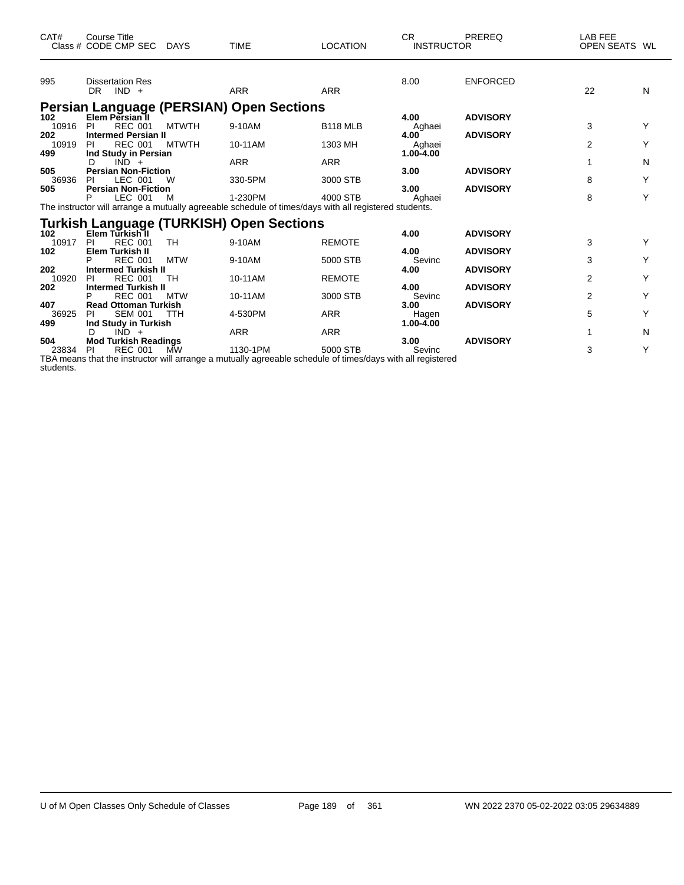| CAT#                | <b>Course Title</b><br>Class # CODE CMP SEC                                 | <b>DAYS</b>  | <b>TIME</b>                                                                                                      | <b>LOCATION</b> | CR.<br><b>INSTRUCTOR</b>        | PREREQ                             | LAB FEE<br>OPEN SEATS WL |   |
|---------------------|-----------------------------------------------------------------------------|--------------|------------------------------------------------------------------------------------------------------------------|-----------------|---------------------------------|------------------------------------|--------------------------|---|
| 995                 | <b>Dissertation Res</b><br>DR.<br>$IND +$                                   |              | <b>ARR</b>                                                                                                       | <b>ARR</b>      | 8.00                            | <b>ENFORCED</b>                    | 22                       | N |
|                     |                                                                             |              | <b>Persian Language (PERSIAN) Open Sections</b>                                                                  |                 |                                 |                                    |                          |   |
| 102<br>10916        | Elem Persian II<br><b>REC 001</b><br>-PI                                    | <b>MTWTH</b> | 9-10AM                                                                                                           | <b>B118 MLB</b> | 4.00<br>Aghaei                  | <b>ADVISORY</b>                    | 3                        | Y |
| 202<br>10919        | <b>Intermed Persian II</b><br><b>REC 001</b><br><b>PI</b>                   | <b>MTWTH</b> | 10-11AM                                                                                                          | 1303 MH         | 4.00<br>Aghaei<br>$1.00 - 4.00$ | <b>ADVISORY</b>                    | 2                        | Y |
| 499<br>505          | Ind Study in Persian<br>$IND +$<br>D<br><b>Persian Non-Fiction</b>          |              | <b>ARR</b>                                                                                                       | <b>ARR</b>      | 3.00                            | <b>ADVISORY</b>                    | 1                        | N |
| 36936<br>505        | LEC 001<br>PI<br><b>Persian Non-Fiction</b>                                 | W            | 330-5PM                                                                                                          | 3000 STB        | 3.00                            | <b>ADVISORY</b>                    | 8                        | Υ |
|                     | LEC 001<br>P                                                                | м            | 1-230PM<br>The instructor will arrange a mutually agreeable schedule of times/days with all registered students. | 4000 STB        | Aghaei                          |                                    | 8                        | Υ |
|                     |                                                                             |              | <b>Turkish Language (TURKISH) Open Sections</b>                                                                  |                 |                                 |                                    |                          |   |
| 102<br>10917        | Elem Turkish II<br><b>REC 001</b><br>PI                                     | <b>TH</b>    | 9-10AM                                                                                                           | <b>REMOTE</b>   | 4.00                            | <b>ADVISORY</b>                    | 3                        |   |
| 102                 | Elem Turkish II<br><b>REC 001</b>                                           | <b>MTW</b>   | 9-10AM                                                                                                           | 5000 STB        | 4.00<br>Sevinc                  | <b>ADVISORY</b>                    | 3                        |   |
| 202<br>10920        | <b>Intermed Turkish II</b><br><b>REC 001</b><br>PI                          | TH           | 10-11AM                                                                                                          | <b>REMOTE</b>   | 4.00                            | <b>ADVISORY</b>                    | $\overline{2}$           |   |
| 202                 | <b>Intermed Turkish II</b><br><b>REC 001</b><br>P                           | <b>MTW</b>   | 10-11AM                                                                                                          | 3000 STB        | 4.00<br>Sevinc                  | <b>ADVISORY</b><br><b>ADVISORY</b> | $\overline{2}$           | Y |
| 407<br>36925<br>499 | <b>Read Ottoman Turkish</b><br><b>SEM 001</b><br>PI<br>Ind Study in Turkish | <b>TTH</b>   | 4-530PM                                                                                                          | <b>ARR</b>      | 3.00<br>Hagen<br>1.00-4.00      |                                    | 5                        | Y |
| 504                 | $IND +$<br>D<br><b>Mod Turkish Readings</b>                                 |              | <b>ARR</b>                                                                                                       | <b>ARR</b>      | 3.00                            | <b>ADVISORY</b>                    | 1                        | N |
| 23834               | <b>REC 001</b><br><b>PI</b>                                                 | <b>MW</b>    | 1130-1PM                                                                                                         | 5000 STB        | Sevinc                          |                                    | 3                        | Y |

TBA means that the instructor will arrange a mutually agreeable schedule of times/days with all registered students.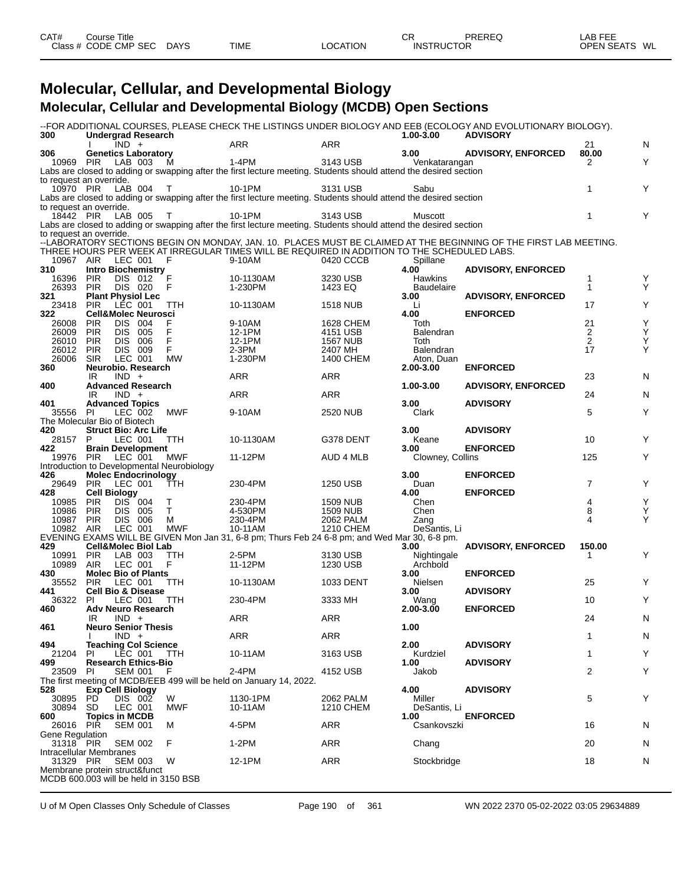| CAT#      | こourse Title |             |      |                 | CR                | PREREQ | LAB FEE           |    |
|-----------|--------------|-------------|------|-----------------|-------------------|--------|-------------------|----|
| Class $#$ | CODE CMP SEC | <b>DAYS</b> | TIME | <b>LOCATION</b> | <b>INSTRUCTOR</b> |        | <b>OPEN SEATS</b> | WL |
|           |              |             |      |                 |                   |        |                   |    |

#### **Molecular, Cellular, and Developmental Biology Molecular, Cellular and Developmental Biology (MCDB) Open Sections**

| 300                                   |                     | <b>Undergrad Research</b>                 |                                            |                                                                                                                   |                 | 1.00-3.00              | --FOR ADDITIONAL COURSES, PLEASE CHECK THE LISTINGS UNDER BIOLOGY AND EEB (ECOLOGY AND EVOLUTIONARY BIOLOGY).<br><b>ADVISORY</b> |                |   |
|---------------------------------------|---------------------|-------------------------------------------|--------------------------------------------|-------------------------------------------------------------------------------------------------------------------|-----------------|------------------------|----------------------------------------------------------------------------------------------------------------------------------|----------------|---|
|                                       |                     | $IND +$                                   |                                            | <b>ARR</b>                                                                                                        | <b>ARR</b>      |                        |                                                                                                                                  | 21             | N |
| 306                                   |                     | <b>Genetics Laboratory</b>                |                                            | 1-4PM                                                                                                             |                 | 3.00                   | <b>ADVISORY, ENFORCED</b>                                                                                                        | 80.00          |   |
| 10969 PIR                             |                     | LAB 003                                   | M                                          | Labs are closed to adding or swapping after the first lecture meeting. Students should attend the desired section | 3143 USB        | Venkatarangan          |                                                                                                                                  | 2              | Y |
| to request an override.               |                     |                                           |                                            |                                                                                                                   |                 |                        |                                                                                                                                  |                |   |
| 10970 PIR                             |                     | LAB 004 T                                 |                                            | 10-1PM                                                                                                            | 3131 USB        | Sabu                   |                                                                                                                                  | 1              | Y |
|                                       |                     |                                           |                                            | Labs are closed to adding or swapping after the first lecture meeting. Students should attend the desired section |                 |                        |                                                                                                                                  |                |   |
| to request an override.               |                     |                                           |                                            |                                                                                                                   |                 |                        |                                                                                                                                  |                |   |
| 18442 PIR                             |                     | LAB 005 T                                 |                                            | 10-1PM                                                                                                            | 3143 USB        | Muscott                |                                                                                                                                  | $\mathbf{1}$   | Y |
|                                       |                     |                                           |                                            | Labs are closed to adding or swapping after the first lecture meeting. Students should attend the desired section |                 |                        |                                                                                                                                  |                |   |
| to request an override.               |                     |                                           |                                            |                                                                                                                   |                 |                        |                                                                                                                                  |                |   |
|                                       |                     |                                           |                                            |                                                                                                                   |                 |                        | --LABORATORY SECTIONS BEGIN ON MONDAY, JAN. 10. PLACES MUST BE CLAIMED AT THE BEGINNING OF THE FIRST LAB MEETING.                |                |   |
|                                       |                     |                                           |                                            | THREE HOURS PER WEEK AT IRREGULAR TIMES WILL BE REQUIRED IN ADDITION TO THE SCHEDULED LABS.                       |                 |                        |                                                                                                                                  |                |   |
| 10967 AIR                             |                     | LEC 001                                   | - F                                        | 9-10AM                                                                                                            | 0420 CCCB       | Spillane               |                                                                                                                                  |                |   |
| 310                                   |                     | <b>Intro Biochemistry</b>                 |                                            |                                                                                                                   |                 | 4.00                   | <b>ADVISORY, ENFORCED</b>                                                                                                        |                |   |
| 16396                                 | <b>PIR</b>          | DIS 012                                   | F                                          | 10-1130AM                                                                                                         | 3230 USB        | Hawkins                |                                                                                                                                  | 1              | Y |
| 26393                                 | <b>PIR</b>          | DIS 020                                   | F                                          | 1-230PM                                                                                                           | 1423 EQ         | <b>Baudelaire</b>      |                                                                                                                                  | $\mathbf{1}$   | Y |
| 321                                   |                     | <b>Plant Physiol Lec</b>                  |                                            |                                                                                                                   |                 | 3.00<br>Li             | <b>ADVISORY, ENFORCED</b>                                                                                                        | 17             | Y |
| 23418<br>322                          | <b>PIR</b>          | LEC 001<br><b>Cell&amp;Molec Neurosci</b> | TTH                                        | 10-1130AM                                                                                                         | <b>1518 NUB</b> | 4.00                   | <b>ENFORCED</b>                                                                                                                  |                |   |
| 26008                                 | <b>PIR</b>          | DIS 004                                   | F                                          | 9-10AM                                                                                                            | 1628 CHEM       | Toth                   |                                                                                                                                  | 21             | Υ |
| 26009                                 | <b>PIR</b>          | DIS 005                                   | F                                          | 12-1PM                                                                                                            | 4151 USB        | <b>Balendran</b>       |                                                                                                                                  |                | Υ |
| 26010                                 | <b>PIR</b>          | DIS 006                                   | F                                          | 12-1PM                                                                                                            | <b>1567 NUB</b> | Toth                   |                                                                                                                                  | $\frac{2}{2}$  | Υ |
| 26012                                 | <b>PIR</b>          | <b>DIS 009</b>                            | F.                                         | $2-3PM$                                                                                                           | 2407 MH         | <b>Balendran</b>       |                                                                                                                                  | 17             | Υ |
| 26006                                 | <b>SIR</b>          | LEC 001                                   | <b>MW</b>                                  | 1-230PM                                                                                                           | 1400 CHEM       | Aton, Duan             |                                                                                                                                  |                |   |
| 360                                   |                     | Neurobio, Research                        |                                            |                                                                                                                   |                 | 2.00-3.00              | <b>ENFORCED</b>                                                                                                                  |                |   |
|                                       | IR.                 | $IND +$                                   |                                            | ARR                                                                                                               | ARR             |                        |                                                                                                                                  | 23             | N |
| 400                                   |                     | <b>Advanced Research</b>                  |                                            |                                                                                                                   |                 | 1.00-3.00              | <b>ADVISORY, ENFORCED</b>                                                                                                        |                |   |
|                                       | IR.                 | $IND +$                                   |                                            | ARR                                                                                                               | <b>ARR</b>      |                        |                                                                                                                                  | 24             | N |
| 401                                   |                     | <b>Advanced Topics</b>                    |                                            |                                                                                                                   |                 | 3.00                   | <b>ADVISORY</b>                                                                                                                  |                |   |
| 35556 PI                              |                     | LEC 002                                   | MWF                                        | 9-10AM                                                                                                            | 2520 NUB        | Clark                  |                                                                                                                                  | 5              | Y |
| The Molecular Bio of Biotech          |                     |                                           |                                            |                                                                                                                   |                 |                        |                                                                                                                                  |                |   |
| 420                                   |                     | <b>Struct Bio: Arc Life</b>               |                                            |                                                                                                                   |                 | 3.00                   | <b>ADVISORY</b>                                                                                                                  |                |   |
| 28157<br>422                          | P                   | LEC 001<br><b>Brain Development</b>       | <b>TTH</b>                                 | 10-1130AM                                                                                                         | G378 DENT       | Keane<br>3.00          | <b>ENFORCED</b>                                                                                                                  | 10             | Y |
|                                       |                     | 19976 PIR LEC 001                         | MWF                                        | 11-12PM                                                                                                           | AUD 4 MLB       | Clowney, Collins       |                                                                                                                                  | 125            | Y |
|                                       |                     |                                           | Introduction to Developmental Neurobiology |                                                                                                                   |                 |                        |                                                                                                                                  |                |   |
| 426                                   |                     | <b>Molec Endocrinology</b>                |                                            |                                                                                                                   |                 | 3.00                   | <b>ENFORCED</b>                                                                                                                  |                |   |
| 29649                                 | <b>PIR</b>          | LEC 001                                   | TTH                                        | 230-4PM                                                                                                           | 1250 USB        | Duan                   |                                                                                                                                  | $\overline{7}$ | Y |
| 428                                   | <b>Cell Biology</b> |                                           |                                            |                                                                                                                   |                 | 4.00                   | <b>ENFORCED</b>                                                                                                                  |                |   |
| 10985                                 | <b>PIR</b>          | DIS 004                                   | Т                                          | 230-4PM                                                                                                           | 1509 NUB        | Chen                   |                                                                                                                                  | 4              | Υ |
| 10986                                 | <b>PIR</b>          | DIS 005                                   | Τ                                          | 4-530PM                                                                                                           | 1509 NUB        | Chen                   |                                                                                                                                  | 8              | Υ |
| 10987                                 | <b>PIR</b>          | DIS 006                                   | м                                          | 230-4PM                                                                                                           | 2062 PALM       | Zang                   |                                                                                                                                  | 4              | Y |
| 10982 AIR                             |                     | LEC 001                                   | <b>MWF</b>                                 | 10-11AM                                                                                                           | 1210 CHEM       | DeSantis, Li           |                                                                                                                                  |                |   |
|                                       |                     |                                           |                                            | EVENING EXAMS WILL BE GIVEN Mon Jan 31, 6-8 pm; Thurs Feb 24 6-8 pm; and Wed Mar 30, 6-8 pm.                      |                 |                        |                                                                                                                                  |                |   |
| 429                                   |                     | <b>Cell&amp;Molec Biol Lab</b>            |                                            |                                                                                                                   |                 | 3.00                   | <b>ADVISORY, ENFORCED</b>                                                                                                        | 150.00         |   |
| 10991                                 | <b>PIR</b>          | LAB 003                                   | <b>TTH</b>                                 | 2-5PM                                                                                                             | 3130 USB        | Nightingale            |                                                                                                                                  | 1              | Y |
| 10989                                 | AIR                 | LEC 001<br><b>Molec Bio of Plants</b>     | F                                          | 11-12PM                                                                                                           | 1230 USB        | Archbold               |                                                                                                                                  |                |   |
| 430<br>35552                          | <b>PIR</b>          | LEC 001                                   | TTH                                        | 10-1130AM                                                                                                         | 1033 DENT       | 3.00<br>Nielsen        | <b>ENFORCED</b>                                                                                                                  | 25             | Y |
| 441                                   |                     | <b>Cell Bio &amp; Disease</b>             |                                            |                                                                                                                   |                 | 3.00                   | <b>ADVISORY</b>                                                                                                                  |                |   |
| 36322                                 | PI                  | LEC 001                                   | TTH                                        | 230-4PM                                                                                                           | 3333 MH         | Wang                   |                                                                                                                                  | 10             | Y |
| 460                                   |                     | <b>Adv Neuro Research</b>                 |                                            |                                                                                                                   |                 | $2.00 - 3.00$          | <b>ENFORCED</b>                                                                                                                  |                |   |
|                                       | IR                  | $IND +$                                   |                                            | <b>ARR</b>                                                                                                        | ARR             |                        |                                                                                                                                  | 24             | N |
| 461                                   |                     | <b>Neuro Senior Thesis</b>                |                                            |                                                                                                                   |                 | 1.00                   |                                                                                                                                  |                |   |
|                                       |                     | $IND +$                                   |                                            | ARR                                                                                                               | ARR             |                        |                                                                                                                                  | 1              | N |
| 494                                   |                     | <b>Teaching Col Science</b>               |                                            |                                                                                                                   |                 | 2.00                   | <b>ADVISORY</b>                                                                                                                  |                |   |
| 21204                                 | PI.                 | LEC 001                                   | <b>TTH</b>                                 | 10-11AM                                                                                                           | 3163 USB        | Kurdziel               |                                                                                                                                  | 1              | Υ |
| 499                                   |                     | <b>Research Ethics-Bio</b>                |                                            |                                                                                                                   |                 | 1.00                   | <b>ADVISORY</b>                                                                                                                  |                |   |
| 23509                                 | <b>PI</b>           | <b>SEM 001</b>                            | F                                          | $2-4PM$                                                                                                           | 4152 USB        | Jakob                  |                                                                                                                                  | 2              | Y |
|                                       |                     |                                           |                                            | The first meeting of MCDB/EEB 499 will be held on January 14, 2022.                                               |                 |                        |                                                                                                                                  |                |   |
| 528                                   |                     | <b>Exp Cell Biology</b>                   |                                            |                                                                                                                   |                 | 4.00                   | <b>ADVISORY</b>                                                                                                                  |                |   |
| 30895<br>30894                        | PD.<br>SD           | DIS 002                                   | W<br>MWF                                   | 1130-1PM<br>10-11AM                                                                                               | 2062 PALM       | Miller<br>DeSantis, Li |                                                                                                                                  | 5              | Y |
| 600                                   |                     | LEC 001<br><b>Topics in MCDB</b>          |                                            |                                                                                                                   | 1210 CHEM       | 1.00                   | <b>ENFORCED</b>                                                                                                                  |                |   |
| 26016 PIR                             |                     | <b>SEM 001</b>                            | м                                          | 4-5PM                                                                                                             | <b>ARR</b>      | Csankovszki            |                                                                                                                                  | 16             | N |
| Gene Regulation                       |                     |                                           |                                            |                                                                                                                   |                 |                        |                                                                                                                                  |                |   |
| 31318 PIR                             |                     | <b>SEM 002</b>                            | F                                          | 1-2PM                                                                                                             | ARR             | Chang                  |                                                                                                                                  | 20             | N |
| Intracellular Membranes               |                     |                                           |                                            |                                                                                                                   |                 |                        |                                                                                                                                  |                |   |
| 31329 PIR                             |                     | <b>SEM 003</b>                            | W                                          | 12-1PM                                                                                                            | ARR             | Stockbridge            |                                                                                                                                  | 18             | N |
| Membrane protein struct&funct         |                     |                                           |                                            |                                                                                                                   |                 |                        |                                                                                                                                  |                |   |
| MCDB 600.003 will be held in 3150 BSB |                     |                                           |                                            |                                                                                                                   |                 |                        |                                                                                                                                  |                |   |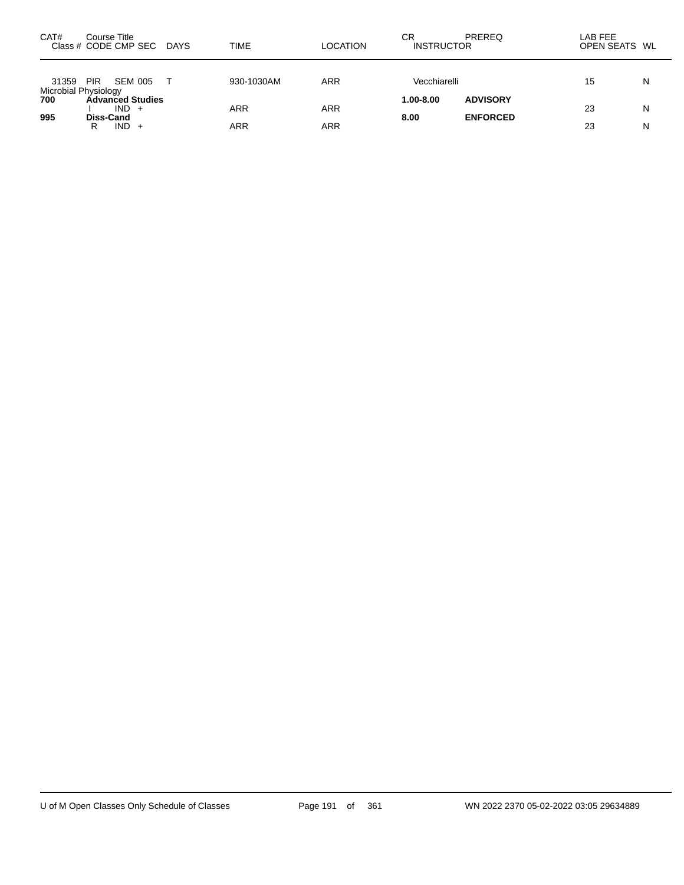| CAT#                          | Course Title<br>Class # CODE CMP SEC DAYS |         | <b>TIME</b> | LOCATION   | СR<br><b>INSTRUCTOR</b> | PREREQ                             | LAB FEE<br>OPEN SEATS WL |   |
|-------------------------------|-------------------------------------------|---------|-------------|------------|-------------------------|------------------------------------|--------------------------|---|
| 31359<br>Microbial Physiology | <b>PIR</b>                                | SEM 005 | 930-1030AM  | <b>ARR</b> | Vecchiarelli            |                                    | 15                       | N |
| 700<br>995                    | <b>Advanced Studies</b><br>Diss-Cand      | $IND +$ | <b>ARR</b>  | <b>ARR</b> | $1.00 - 8.00$<br>8.00   | <b>ADVISORY</b><br><b>ENFORCED</b> | 23                       | N |
|                               | R                                         | $IND +$ | ARR         | <b>ARR</b> |                         |                                    | 23                       | Ν |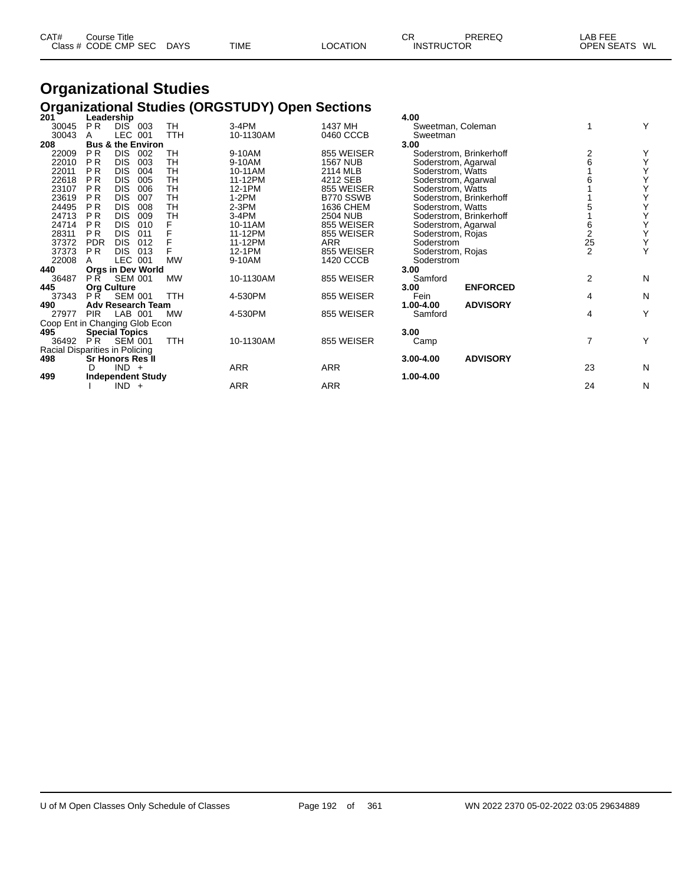| CAT#<br>Title<br>Course |             |             |                | СR | PREREC<br>⊌∟ו     | $\lambda$ . $\Gamma$<br>----<br>∟AB I |
|-------------------------|-------------|-------------|----------------|----|-------------------|---------------------------------------|
| Class # CODE CMP SEC    | <b>DAYS</b> | <b>TIME</b> | <b>OCATION</b> |    | <b>INSTRUCTOR</b> | WL<br><b>OPEN SEATS</b>               |

### **Organizational Studies Organizational Studies (ORGSTUDY) Open Sections 201 Leadership 4.00**

| 201                            |                | Leadership                   |     |            |            |                 | 4.00                |                         |                |   |
|--------------------------------|----------------|------------------------------|-----|------------|------------|-----------------|---------------------|-------------------------|----------------|---|
| 30045                          | <b>PR</b>      | DIS <sup>-</sup>             | 003 | <b>TH</b>  | $3-4PM$    | 1437 MH         | Sweetman, Coleman   |                         |                | Υ |
| 30043                          | A              | LEC 001                      |     | <b>TTH</b> | 10-1130AM  | 0460 CCCB       | Sweetman            |                         |                |   |
| 208                            |                | <b>Bus &amp; the Environ</b> |     |            |            |                 | 3.00                |                         |                |   |
| 22009                          | PR.            | DIS.                         | 002 | TН         | 9-10AM     | 855 WEISER      |                     | Soderstrom, Brinkerhoff | 2              |   |
| 22010                          | P <sub>R</sub> | <b>DIS</b>                   | 003 | TН         | 9-10AM     | <b>1567 NUB</b> | Soderstrom, Agarwal |                         | 6              | Υ |
| 22011                          | <b>PR</b>      | <b>DIS</b>                   | 004 | TН         | 10-11AM    | 2114 MLB        | Soderstrom, Watts   |                         |                | Υ |
| 22618                          | P <sub>R</sub> | <b>DIS</b>                   | 005 | TН         | 11-12PM    | 4212 SEB        | Soderstrom, Agarwal |                         |                | Υ |
| 23107                          | <b>PR</b>      | <b>DIS</b>                   | 006 | TH         | 12-1PM     | 855 WEISER      | Soderstrom, Watts   |                         |                | Υ |
| 23619                          | P <sub>R</sub> | <b>DIS</b>                   | 007 | TН         | 1-2PM      | B770 SSWB       |                     | Soderstrom, Brinkerhoff |                | Υ |
| 24495                          | <b>PR</b>      | <b>DIS</b>                   | 008 | TН         | $2-3PM$    | 1636 CHEM       | Soderstrom, Watts   |                         |                | Υ |
| 24713                          | <b>PR</b>      | <b>DIS</b>                   | 009 | TН         | 3-4PM      | <b>2504 NUB</b> |                     | Soderstrom, Brinkerhoff |                | Υ |
| 24714                          | <b>PR</b>      | <b>DIS</b>                   | 010 |            | 10-11AM    | 855 WEISER      | Soderstrom, Agarwal |                         | 6              | Υ |
| 28311                          | P <sub>R</sub> | <b>DIS</b>                   | 011 |            | 11-12PM    | 855 WEISER      | Soderstrom, Rojas   |                         | $\overline{2}$ | Υ |
| 37372                          | <b>PDR</b>     | <b>DIS</b>                   | 012 |            | 11-12PM    | ARR             | Soderstrom          |                         | 25             | Υ |
| 37373                          | P <sub>R</sub> | <b>DIS</b>                   | 013 |            | 12-1PM     | 855 WEISER      | Soderstrom, Rojas   |                         | $\overline{2}$ | Y |
| 22008                          | A              | LEC 001                      |     | <b>MW</b>  | 9-10AM     | 1420 CCCB       | Soderstrom          |                         |                |   |
| 440                            |                | <b>Orgs in Dev World</b>     |     |            |            |                 | 3.00                |                         |                |   |
| 36487                          | P R            | <b>SEM 001</b>               |     | <b>MW</b>  | 10-1130AM  | 855 WEISER      | Samford             |                         | $\overline{2}$ | N |
| 445                            |                | <b>Org Culture</b>           |     |            |            |                 | 3.00                | <b>ENFORCED</b>         |                |   |
| 37343                          | P <sub>R</sub> | <b>SEM 001</b>               |     | <b>TTH</b> | 4-530PM    | 855 WEISER      | Fein                |                         | 4              | N |
| 490                            |                | <b>Adv Research Team</b>     |     |            |            |                 | 1.00-4.00           | <b>ADVISORY</b>         |                |   |
| 27977                          | <b>PIR</b>     | LAB 001                      |     | <b>MW</b>  | 4-530PM    | 855 WEISER      | Samford             |                         | 4              | Υ |
| Coop Ent in Changing Glob Econ |                |                              |     |            |            |                 |                     |                         |                |   |
| 495                            |                | <b>Special Topics</b>        |     |            |            |                 | 3.00                |                         |                |   |
| 36492                          | PR.            | <b>SEM 001</b>               |     | TTH        | 10-1130AM  | 855 WEISER      | Camp                |                         | 7              | Y |
| Racial Disparities in Policing |                |                              |     |            |            |                 |                     |                         |                |   |
| 498                            |                | <b>Sr Honors Res II</b>      |     |            |            |                 | 3.00-4.00           | <b>ADVISORY</b>         |                |   |
|                                | D              | $IND +$                      |     |            | <b>ARR</b> | <b>ARR</b>      |                     |                         | 23             | N |
| 499                            |                | <b>Independent Study</b>     |     |            |            |                 | 1.00-4.00           |                         |                |   |
|                                |                | $IND +$                      |     |            | <b>ARR</b> | ARR             |                     |                         | 24             | N |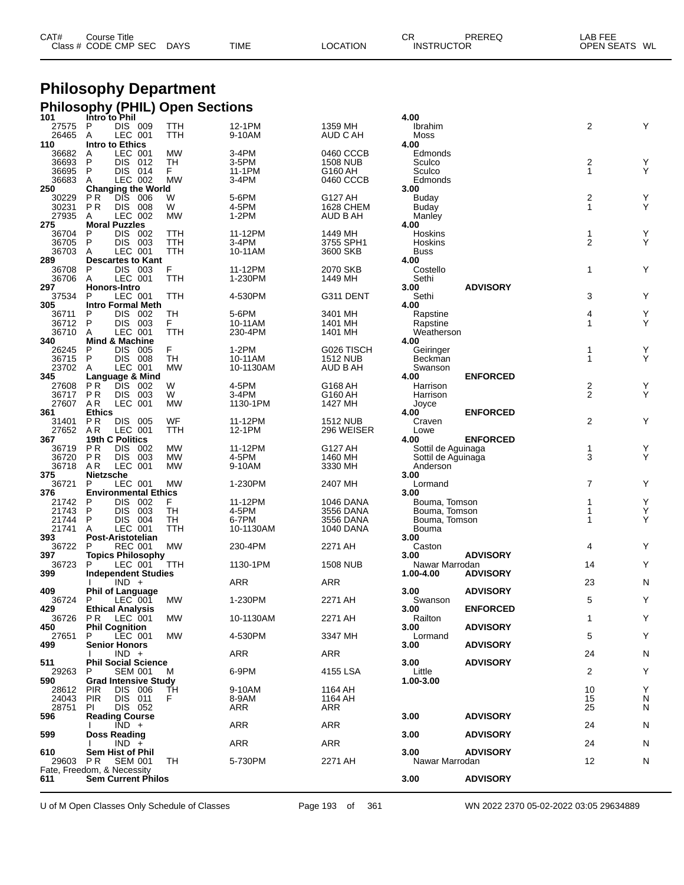| CAT# | Course Title              |             |          | ∼⊏<br>UN          | PREREQ | _AB FEE       |  |
|------|---------------------------|-------------|----------|-------------------|--------|---------------|--|
|      | Class # CODE CMP SEC DAYS | <b>TIME</b> | LOCATION | <b>INSTRUCTOR</b> |        | OPEN SEATS WL |  |

#### **Philosophy Department Philosophy (PHIL) Open Sections**

| 101      | Intro to Phil               |           |           |                 | 4.00               |                 |                         |        |
|----------|-----------------------------|-----------|-----------|-----------------|--------------------|-----------------|-------------------------|--------|
| 27575    | P<br>DIS 009                | TTH       | 12-1PM    | 1359 MH         | Ibrahim            |                 | 2                       | Υ      |
| 26465    | LEC 001<br>Α                | TTH       | 9-10AM    | AUD C AH        | Moss               |                 |                         |        |
| 110      | Intro to Ethics             |           |           |                 | 4.00               |                 |                         |        |
| 36682    | LEC 001<br>Α                | MW        | $3-4PM$   | 0460 CCCB       | Edmonds            |                 |                         |        |
| 36693    | P<br>DIS.<br>012            | TН        | 3-5PM     | <b>1508 NUB</b> | Sculco             |                 | 2                       | Υ      |
| 36695    | P<br>014<br>DIS.            | F.        | 11-1PM    | G160 AH         | Sculco             |                 | $\mathbf{1}$            | Y      |
| 36683    | LEC 002<br>A                | <b>MW</b> | $3-4PM$   | 0460 CCCB       | Edmonds            |                 |                         |        |
| 250      | <b>Changing the World</b>   |           |           |                 | 3.00               |                 |                         |        |
| 30229    | ΡR<br><b>DIS</b><br>006     | W         | 5-6PM     | G127 AH         | Buday              |                 | $\overline{\mathbf{c}}$ | Υ      |
| 30231    | <b>DIS</b><br>008<br>ΡR     | W         | 4-5PM     | 1628 CHEM       | Buday              |                 | $\mathbf{1}$            | Υ      |
| 27935    | LEC 002<br>A                | <b>MW</b> | $1-2PM$   | AUD B AH        | Manley             |                 |                         |        |
| 275      | <b>Moral Puzzles</b>        |           |           |                 | 4.00               |                 |                         |        |
| 36704    | P<br>DIS 002                | ттн       | 11-12PM   | 1449 MH         | Hoskins            |                 | 1                       | Υ      |
| 36705    | P<br>DIS 003                | TTH       | 3-4PM     | 3755 SPH1       | Hoskins            |                 | $\overline{2}$          | Y      |
| 36703    | LEC 001<br>A                | TTH       | 10-11AM   | 3600 SKB        | Buss               |                 |                         |        |
| 289      | <b>Descartes to Kant</b>    |           |           |                 | 4.00               |                 |                         |        |
| 36708    | P<br>DIS 003                | F         | 11-12PM   | 2070 SKB        | Costello           |                 | $\mathbf 1$             | Υ      |
| 36706    | LEC 001<br>A                | TTH       | 1-230PM   | 1449 MH         | Sethi              |                 |                         |        |
| 297      | Honors-Intro                |           |           |                 | 3.00               | <b>ADVISORY</b> |                         |        |
| 37534    | LEC 001<br>P                | TTH       | 4-530PM   | G311 DENT       | Sethi              |                 | 3                       | Υ      |
| 305      | <b>Intro Formal Meth</b>    |           |           |                 | 4.00               |                 |                         |        |
| 36711    | P<br>DIS 002                | TН        | 5-6PM     | 3401 MH         | Rapstine           |                 | 4                       | Υ      |
| 36712    | P<br>DIS 003                | F.        | 10-11AM   | 1401 MH         | Rapstine           |                 | 1                       | Υ      |
| 36710    | LEC 001<br>A                | TTH       | 230-4PM   | 1401 MH         | Weatherson         |                 |                         |        |
| 340      | <b>Mind &amp; Machine</b>   |           |           |                 | 4.00               |                 |                         |        |
|          |                             |           |           |                 |                    |                 |                         |        |
| 26245    | P<br><b>DIS</b><br>005      | F         | $1-2PM$   | G026 TISCH      | Geiringer          |                 | 1                       | Υ<br>Y |
| 36715    | P<br>DIS 008                | TН        | 10-11AM   | 1512 NUB        | Beckman            |                 | 1                       |        |
| 23702    | A<br>LEC 001                | <b>MW</b> | 10-1130AM | AUD B AH        | Swanson            |                 |                         |        |
| 345      | Language & Mind             |           |           |                 | 4.00               | <b>ENFORCED</b> |                         |        |
| 27608    | ΡR<br><b>DIS</b><br>002     | W         | 4-5PM     | G168 AH         | Harrison           |                 | $\frac{2}{2}$           | Υ      |
| 36717    | P R<br>DIS 003              | W         | $3-4PM$   | G160 AH         | Harrison           |                 |                         | Υ      |
| 27607    | AR.<br>LEC 001              | <b>MW</b> | 1130-1PM  | 1427 MH         | Joyce              |                 |                         |        |
| 361      | <b>Ethics</b>               |           |           |                 | 4.00               | <b>ENFORCED</b> |                         |        |
| 31401    | P R<br><b>DIS 005</b>       | WF        | 11-12PM   | <b>1512 NUB</b> | Craven             |                 | 2                       | Υ      |
| 27652    | A R<br>LEC 001              | TTH       | 12-1PM    | 296 WEISER      | Lowe               |                 |                         |        |
| 367      | 19th C Politics             |           |           |                 | 4.00               | <b>ENFORCED</b> |                         |        |
| 36719    | P R<br>DIS.<br>002          | MW        | 11-12PM   | G127 AH         | Sottil de Aguinaga |                 | 1                       | Υ      |
| 36720    | ΡR<br><b>DIS</b><br>- 003   | <b>MW</b> | 4-5PM     | 1460 MH         | Sottil de Aguinaga |                 | 3                       | Y      |
| 36718    | AR.<br>LEC 001              | MW        | 9-10AM    | 3330 MH         | Anderson           |                 |                         |        |
| 375      | <b>Nietzsche</b>            |           |           |                 | 3.00               |                 |                         |        |
| 36721    | LEC 001<br>P                | <b>MW</b> | 1-230PM   | 2407 MH         | Lormand            |                 | 7                       | Υ      |
| 376      | <b>Environmental Ethics</b> |           |           |                 | 3.00               |                 |                         |        |
| 21742    | P<br>DIS.<br>002            | F         | 11-12PM   | 1046 DANA       | Bouma, Tomson      |                 | 1                       | Υ      |
| 21743    | P<br><b>DIS</b><br>003      | TН        | 4-5PM     | 3556 DANA       | Bouma, Tomson      |                 | 1                       | Υ      |
| 21744    | P<br>004<br>DIS.            | TН        | 6-7PM     | 3556 DANA       | Bouma, Tomson      |                 | 1                       | Y      |
| 21741    | LEC 001<br>A                | TTH       | 10-1130AM | 1040 DANA       | Bouma              |                 |                         |        |
| 393      | Post-Aristotelian           |           |           |                 | 3.00               |                 |                         |        |
| 36722    | P<br>REC 001                | MW        | 230-4PM   | 2271 AH         | Caston             |                 | 4                       | Υ      |
| 397      | <b>Topics Philosophy</b>    |           |           |                 | 3.00               | <b>ADVISORY</b> |                         |        |
| 36723    | P<br>LEC 001                | TTH       | 1130-1PM  | <b>1508 NUB</b> |                    |                 | 14                      | Υ      |
|          |                             |           |           |                 | Nawar Marrodan     | <b>ADVISORY</b> |                         |        |
| 399      | <b>Independent Studies</b>  |           |           |                 | 1.00-4.00          |                 | 23                      |        |
|          | $IND +$                     |           | ARR       | ARR             |                    |                 |                         | N      |
| 409      | <b>Phil of Language</b>     |           |           |                 | 3.00               | <b>ADVISORY</b> |                         |        |
| 36724    | P<br>LEC 001                | MW        | 1-230PM   | 2271 AH         | Swanson            |                 | 5                       | Υ      |
| 429      | <b>Ethical Analysis</b>     |           |           |                 | 3.00               | <b>ENFORCED</b> |                         |        |
| 36726    | <b>PR LEC 001</b>           | <b>MW</b> | 10-1130AM | 2271 AH         | Railton            |                 | 1                       | Y      |
| 450      | <b>Phil Cognition</b>       |           |           |                 | 3.00               | <b>ADVISORY</b> |                         |        |
| 27651    | LEC 001<br>P                | <b>MW</b> | 4-530PM   | 3347 MH         | Lormand            |                 | 5                       | Υ      |
| 499      | <b>Senior Honors</b>        |           |           |                 | 3.00               | <b>ADVISORY</b> |                         |        |
|          | $IND +$                     |           | ARR       | ARR             |                    |                 | 24                      | N      |
| 511      | <b>Phil Social Science</b>  |           |           |                 | 3.00               | <b>ADVISORY</b> |                         |        |
| 29263    | <b>SEM 001</b><br>P         | м         | 6-9PM     | 4155 LSA        | Little             |                 | $\overline{c}$          | Υ      |
| 590      | <b>Grad Intensive Study</b> |           |           |                 | 1.00-3.00          |                 |                         |        |
| 28612    | <b>PIR</b><br>DIS 006       | TН        | 9-10AM    | 1164 AH         |                    |                 | 10                      | Υ      |
| 24043    | <b>PIR</b><br>DIS 011       | F         | 8-9AM     | 1164 AH         |                    |                 | 15                      | N      |
| 28751    | DIS 052<br>PL               |           | ARR       | ARR             |                    |                 | 25                      | N      |
| 596      | <b>Reading Course</b>       |           |           |                 | 3.00               | <b>ADVISORY</b> |                         |        |
|          | $\overline{IND}$ +          |           | ARR       | ARR             |                    |                 | 24                      | N      |
| 599      | <b>Doss Reading</b>         |           |           |                 | 3.00               | <b>ADVISORY</b> |                         |        |
|          | $IND +$                     |           | ARR       | ARR             |                    |                 | 24                      | N      |
| 610      | <b>Sem Hist of Phil</b>     |           |           |                 | 3.00               | <b>ADVISORY</b> |                         |        |
| 29603 PR | SEM 001                     | TН        | 5-730PM   | 2271 AH         | Nawar Marrodan     |                 | 12                      | N      |
|          | Fate, Freedom, & Necessity  |           |           |                 |                    |                 |                         |        |
| 611      | <b>Sem Current Philos</b>   |           |           |                 | 3.00               | <b>ADVISORY</b> |                         |        |
|          |                             |           |           |                 |                    |                 |                         |        |

U of M Open Classes Only Schedule of Classes Page 193 of 361 WN 2022 2370 05-02-2022 03:05 29634889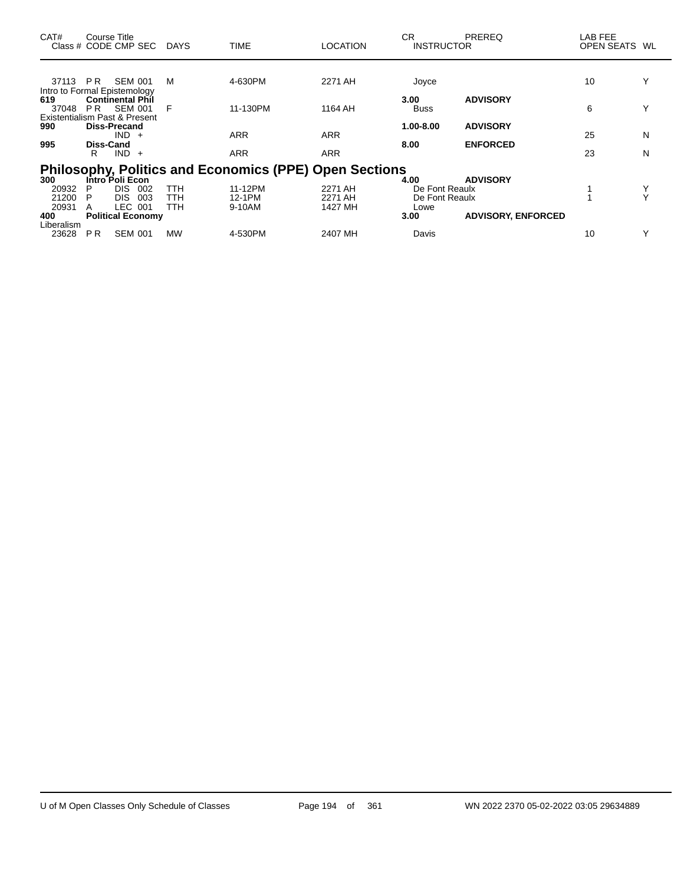| CAT#                                         | Course Title          | Class # CODE CMP SEC                      | <b>DAYS</b> | <b>TIME</b>                                                   | LOCATION   | CR.<br><b>INSTRUCTOR</b> | <b>PREREQ</b>             | LAB FEE<br><b>OPEN SEATS</b> | WL           |
|----------------------------------------------|-----------------------|-------------------------------------------|-------------|---------------------------------------------------------------|------------|--------------------------|---------------------------|------------------------------|--------------|
|                                              |                       |                                           |             |                                                               |            |                          |                           |                              |              |
| 37113                                        | P R                   | <b>SEM 001</b>                            | М           | 4-630PM                                                       | 2271 AH    | Joyce                    |                           | 10                           |              |
| Intro to Formal Epistemology<br>619<br>37048 | <b>PR</b>             | <b>Continental Phil</b><br><b>SEM 001</b> | F           | 11-130PM                                                      | 1164 AH    | 3.00<br><b>Buss</b>      | <b>ADVISORY</b>           | 6                            | $\checkmark$ |
| Existentialism Past & Present<br>990         |                       | Diss-Precand                              |             |                                                               |            | 1.00-8.00                | <b>ADVISORY</b>           |                              |              |
|                                              |                       | <b>IND</b><br>$+$                         |             | <b>ARR</b>                                                    | <b>ARR</b> |                          |                           | 25                           | N            |
| 995                                          | <b>Diss-Cand</b><br>R | <b>IND</b><br>$+$                         |             | <b>ARR</b>                                                    | <b>ARR</b> | 8.00                     | <b>ENFORCED</b>           | 23                           | N            |
|                                              |                       |                                           |             | <b>Philosophy, Politics and Economics (PPE) Open Sections</b> |            |                          |                           |                              |              |
| 300                                          |                       | Intro <sup>Foli</sup> Econ                |             |                                                               |            | 4.00                     | <b>ADVISORY</b>           |                              |              |
| 20932                                        | P                     | DIS.<br>002                               | TTH         | 11-12PM                                                       | 2271 AH    | De Font Reaulx           |                           |                              |              |
| 21200                                        | P                     | <b>DIS</b><br>003                         | TTH         | 12-1PM                                                        | 2271 AH    | De Font Reaulx           |                           |                              |              |
| 20931                                        | A                     | LEC 001                                   | TTH         | 9-10AM                                                        | 1427 MH    | Lowe                     |                           |                              |              |
| 400                                          |                       | <b>Political Economy</b>                  |             |                                                               |            | 3.00                     | <b>ADVISORY, ENFORCED</b> |                              |              |
| Liberalism                                   |                       |                                           |             |                                                               |            |                          |                           |                              | $\checkmark$ |
| 23628                                        | <b>PR</b>             | <b>SEM 001</b>                            | <b>MW</b>   | 4-530PM                                                       | 2407 MH    | Davis                    |                           | 10                           |              |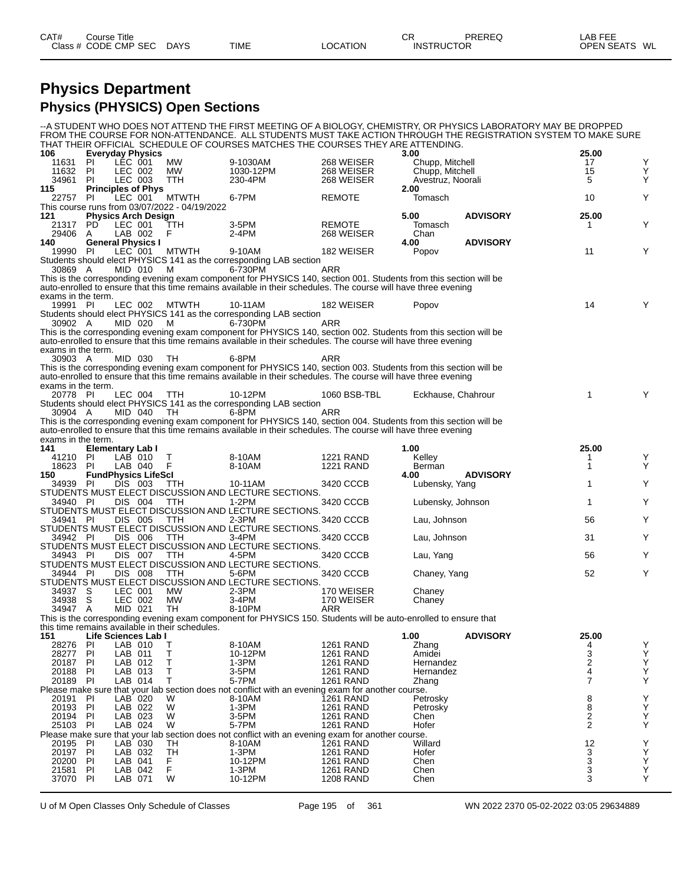#### **Physics Department Physics (PHYSICS) Open Sections**

--A STUDENT WHO DOES NOT ATTEND THE FIRST MEETING OF A BIOLOGY, CHEMISTRY, OR PHYSICS LABORATORY MAY BE DROPPED FROM THE COURSE FOR NON-ATTENDANCE. ALL STUDENTS MUST TAKE ACTION THROUGH THE REGISTRATION SYSTEM TO MAKE SURE THAT THEIR OFFICIAL SCHEDULE OF COURSES MATCHES THE COURSES THEY ARE ATTENDING.

| 106                       |           | <b>Everyday Physics</b>                   |                                                 | THAT THEIR OFFICIAL SOFIEDDLE OF COURSES MATCHES THE COURSES THET ARE AFTERDING.                                                                                                                                                     |                                      | 3.00                                 |                 | 25.00                                 |             |
|---------------------------|-----------|-------------------------------------------|-------------------------------------------------|--------------------------------------------------------------------------------------------------------------------------------------------------------------------------------------------------------------------------------------|--------------------------------------|--------------------------------------|-----------------|---------------------------------------|-------------|
| 11631                     | -PI       | LEC 001                                   | МW                                              | 9-1030AM                                                                                                                                                                                                                             | 268 WEISER                           | Chupp, Mitchell                      |                 | 17                                    | Y           |
| 11632<br>34961            | PI<br>PI  | LEC 002<br>LEC 003                        | MW.<br>TTH                                      | 1030-12PM<br>230-4PM                                                                                                                                                                                                                 | 268 WEISER<br>268 WEISER             | Chupp, Mitchell<br>Avestruz, Noorali |                 | 15<br>5                               | Υ<br>Υ      |
| 115                       |           | <b>Principles of Phys</b>                 |                                                 |                                                                                                                                                                                                                                      |                                      | 2.00                                 |                 |                                       |             |
| 22757                     | -PI       | LEC 001                                   | <b>MTWTH</b>                                    | 6-7PM                                                                                                                                                                                                                                | <b>REMOTE</b>                        | Tomasch                              |                 | 10                                    | Y           |
|                           |           |                                           | This course runs from 03/07/2022 - 04/19/2022   |                                                                                                                                                                                                                                      |                                      |                                      |                 |                                       |             |
| 121<br>21317              | PD.       | <b>Physics Arch Design</b><br>LEC 001     | TTH                                             | 3-5PM                                                                                                                                                                                                                                | <b>REMOTE</b>                        | 5.00<br>Tomasch                      | <b>ADVISORY</b> | 25.00<br>1                            | Y           |
| 29406                     | A         | LAB 002                                   | F.                                              | 2-4PM                                                                                                                                                                                                                                | 268 WEISER                           | Chan                                 |                 |                                       |             |
| 140                       |           | <b>General Physics I</b>                  |                                                 |                                                                                                                                                                                                                                      |                                      | 4.00                                 | <b>ADVISORY</b> |                                       |             |
| 19990 PI                  |           | LEC 001                                   | <b>MTWTH</b>                                    | 9-10AM<br>Students should elect PHYSICS 141 as the corresponding LAB section                                                                                                                                                         | 182 WEISER                           | Popov                                |                 | 11                                    | Y           |
| 30869 A                   |           | MID 010                                   | M                                               | 6-730PM                                                                                                                                                                                                                              | ARR                                  |                                      |                 |                                       |             |
|                           |           |                                           |                                                 | This is the corresponding evening exam component for PHYSICS 140, section 001. Students from this section will be                                                                                                                    |                                      |                                      |                 |                                       |             |
| exams in the term.        |           |                                           |                                                 | auto-enrolled to ensure that this time remains available in their schedules. The course will have three evening                                                                                                                      |                                      |                                      |                 |                                       |             |
| 19991 PI                  |           | LEC 002                                   | MTWTH                                           | 10-11AM                                                                                                                                                                                                                              | 182 WEISER                           | Popov                                |                 | 14                                    | Y           |
|                           |           |                                           |                                                 | Students should elect PHYSICS 141 as the corresponding LAB section                                                                                                                                                                   |                                      |                                      |                 |                                       |             |
| 30902 A                   |           | MID 020                                   | M                                               | 6-730PM                                                                                                                                                                                                                              | ARR                                  |                                      |                 |                                       |             |
|                           |           |                                           |                                                 | This is the corresponding evening exam component for PHYSICS 140, section 002. Students from this section will be<br>auto-enrolled to ensure that this time remains available in their schedules. The course will have three evening |                                      |                                      |                 |                                       |             |
| exams in the term.        |           |                                           |                                                 |                                                                                                                                                                                                                                      |                                      |                                      |                 |                                       |             |
| 30903 A                   |           | MID 030                                   | TН                                              | 6-8PM                                                                                                                                                                                                                                | ARR                                  |                                      |                 |                                       |             |
|                           |           |                                           |                                                 | This is the corresponding evening exam component for PHYSICS 140, section 003. Students from this section will be<br>auto-enrolled to ensure that this time remains available in their schedules. The course will have three evening |                                      |                                      |                 |                                       |             |
| exams in the term.        |           |                                           |                                                 |                                                                                                                                                                                                                                      |                                      |                                      |                 |                                       |             |
| 20778 PI                  |           | LEC 004                                   | TTH                                             | 10-12PM                                                                                                                                                                                                                              | 1060 BSB-TBL                         | Eckhause, Chahrour                   |                 | 1                                     | Y           |
| 30904 A                   |           | MID 040                                   | TH.                                             | Students should elect PHYSICS 141 as the corresponding LAB section<br>6-8PM                                                                                                                                                          | ARR                                  |                                      |                 |                                       |             |
|                           |           |                                           |                                                 | This is the corresponding evening exam component for PHYSICS 140, section 004. Students from this section will be                                                                                                                    |                                      |                                      |                 |                                       |             |
|                           |           |                                           |                                                 | auto-enrolled to ensure that this time remains available in their schedules. The course will have three evening                                                                                                                      |                                      |                                      |                 |                                       |             |
| exams in the term.<br>141 |           |                                           |                                                 |                                                                                                                                                                                                                                      |                                      | 1.00                                 |                 | 25.00                                 |             |
| 41210 PI                  |           | <b>Elementary Lab I</b><br>LAB 010        | Т                                               | 8-10AM                                                                                                                                                                                                                               | <b>1221 RAND</b>                     | Kelley                               |                 | 1                                     | Y           |
| 18623                     | PI        | LAB 040                                   | F                                               | 8-10AM                                                                                                                                                                                                                               | <b>1221 RAND</b>                     | Berman                               |                 | 1                                     | Y           |
| 150                       |           | <b>FundPhysics LifeScl</b>                |                                                 |                                                                                                                                                                                                                                      |                                      | 4.00                                 | <b>ADVISORY</b> |                                       |             |
| 34939 PI                  |           | DIS 003                                   | TTH                                             | 10-11AM<br>STUDENTS MUST ELECT DISCUSSION AND LECTURE SECTIONS.                                                                                                                                                                      | 3420 CCCB                            | Lubensky, Yang                       |                 | 1                                     | Y           |
| 34940 PI                  |           | DIS 004                                   | TTH                                             | 1-2PM                                                                                                                                                                                                                                | 3420 CCCB                            | Lubensky, Johnson                    |                 | 1                                     | Y           |
|                           |           |                                           |                                                 | STUDENTS MUST ELECT DISCUSSION AND LECTURE SECTIONS.                                                                                                                                                                                 |                                      |                                      |                 |                                       |             |
| 34941 PI                  |           | DIS 005                                   | <b>TTH</b>                                      | 2-3PM<br>STUDENTS MUST ELECT DISCUSSION AND LECTURE SECTIONS.                                                                                                                                                                        | 3420 CCCB                            | Lau, Johnson                         |                 | 56                                    | Y           |
| 34942 PI                  |           | DIS 006                                   | <b>TTH</b>                                      | $3-4PM$                                                                                                                                                                                                                              | 3420 CCCB                            | Lau, Johnson                         |                 | 31                                    | Υ           |
|                           |           |                                           |                                                 | STUDENTS MUST ELECT DISCUSSION AND LECTURE SECTIONS.                                                                                                                                                                                 |                                      |                                      |                 |                                       |             |
| 34943 PI                  |           | DIS 007                                   | <b>TTH</b>                                      | 4-5PM<br>STUDENTS MUST ELECT DISCUSSION AND LECTURE SECTIONS.                                                                                                                                                                        | 3420 CCCB                            | Lau, Yang                            |                 | 56                                    | Y           |
| 34944 PI                  |           | DIS 008                                   | <b>TTH</b>                                      | 5-6PM                                                                                                                                                                                                                                | 3420 CCCB                            | Chaney, Yang                         |                 | 52                                    | Y           |
|                           |           |                                           |                                                 | STUDENTS MUST ELECT DISCUSSION AND LECTURE SECTIONS.                                                                                                                                                                                 |                                      |                                      |                 |                                       |             |
| 34937 S<br>34938          | -S        | LEC 001<br>LEC 002                        | MW<br>MW                                        | 2-3PM<br>3-4PM                                                                                                                                                                                                                       | 170 WEISER<br>170 WEISER             | Chaney<br>Chaney                     |                 |                                       |             |
| 34947 A                   |           | MID 021                                   | TH                                              | 8-10PM                                                                                                                                                                                                                               | ARR                                  |                                      |                 |                                       |             |
|                           |           |                                           |                                                 | This is the corresponding evening exam component for PHYSICS 150. Students will be auto-enrolled to ensure that                                                                                                                      |                                      |                                      |                 |                                       |             |
|                           |           |                                           | this time remains available in their schedules. |                                                                                                                                                                                                                                      |                                      | 1.00                                 | <b>ADVISORY</b> | 25.00                                 |             |
| 151                       |           | Life Sciences Lab I<br>28276 PI LAB 010 T |                                                 | 8-10AM                                                                                                                                                                                                                               | <b>1261 RAND</b>                     | Zhang                                |                 | 4                                     | Y           |
| 28277                     | <b>PI</b> | LAB 011                                   | Τ                                               | 10-12PM                                                                                                                                                                                                                              | <b>1261 RAND</b>                     | Amidei                               |                 | 3                                     | Y           |
| 20187                     | PI        | LAB 012                                   | Τ                                               | $1-3PM$                                                                                                                                                                                                                              | <b>1261 RAND</b>                     | Hernandez                            |                 | $\overline{\mathbf{c}}$               | Υ           |
| 20188<br>20189 PI         | PI        | LAB 013<br>LAB 014                        | т<br>Т                                          | 3-5PM<br>5-7PM                                                                                                                                                                                                                       | <b>1261 RAND</b><br><b>1261 RAND</b> | Hernandez<br>Zhang                   |                 | 4<br>7                                | Y<br>Y      |
|                           |           |                                           |                                                 | Please make sure that your lab section does not conflict with an evening exam for another course.                                                                                                                                    |                                      |                                      |                 |                                       |             |
| 20191                     | PI        | LAB 020                                   | W                                               | 8-10AM                                                                                                                                                                                                                               | 1261 RAND                            | Petrosky                             |                 | $\begin{array}{c} 8 \\ 8 \end{array}$ |             |
| 20193<br>20194 PI         | -PI       | LAB 022<br>LAB 023                        | W<br>W                                          | $1-3PM$<br>3-5PM                                                                                                                                                                                                                     | <b>1261 RAND</b><br><b>1261 RAND</b> | Petrosky<br>Chen                     |                 | 2                                     | Y<br>Y<br>Y |
| 25103 PI                  |           | LAB 024                                   | W                                               | 5-7PM                                                                                                                                                                                                                                | <b>1261 RAND</b>                     | Hofer                                |                 | $\overline{2}$                        | Υ           |
|                           |           |                                           |                                                 | Please make sure that your lab section does not conflict with an evening exam for another course.                                                                                                                                    |                                      |                                      |                 |                                       |             |
| 20195<br>20197            | -PI<br>PI | LAB 030<br>LAB 032                        | TН<br>TН                                        | 8-10AM<br>$1-3PM$                                                                                                                                                                                                                    | 1261 RAND<br><b>1261 RAND</b>        | Willard<br>Hofer                     |                 | 12                                    |             |
| 20200                     | PI        | LAB 041                                   |                                                 | 10-12PM                                                                                                                                                                                                                              | <b>1261 RAND</b>                     | Chen                                 |                 | $\frac{3}{3}$                         | Y<br>Y<br>Y |
| 21581                     | PI        | LAB 042                                   | F<br>F                                          | $1-3PM$                                                                                                                                                                                                                              | <b>1261 RAND</b>                     | Chen                                 |                 | 3                                     | Υ           |
| 37070 PI                  |           | LAB 071                                   | W                                               | 10-12PM                                                                                                                                                                                                                              | <b>1208 RAND</b>                     | Chen                                 |                 | 3                                     | Υ           |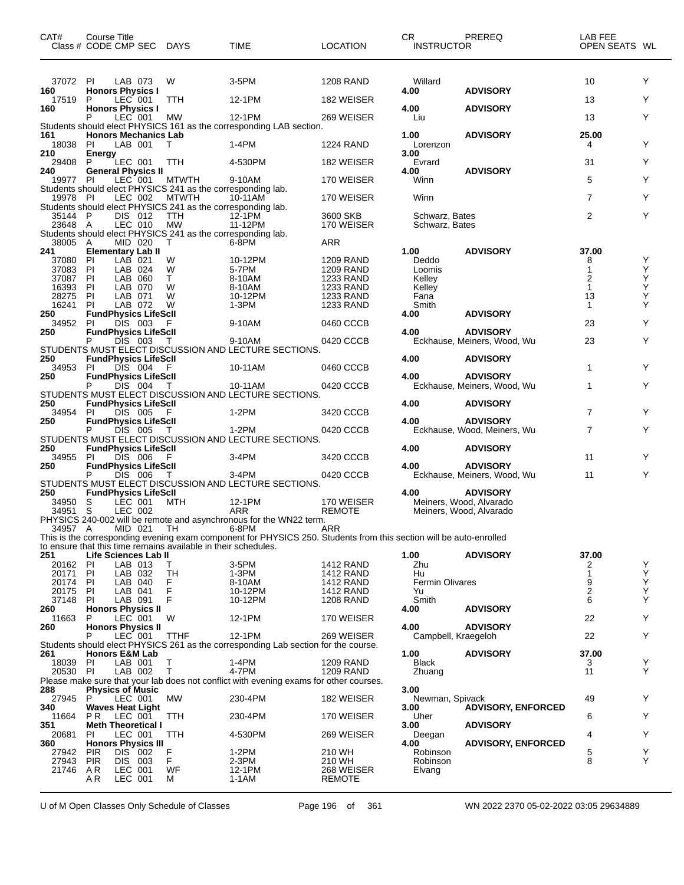| CAT#               | <b>Course Title</b><br>Class # CODE CMP SEC                            | <b>DAYS</b>        | TIME                                                                                                                        | <b>LOCATION</b>               | <b>CR</b><br><b>INSTRUCTOR</b>   | PREREQ                                             | LAB FEE<br>OPEN SEATS WL |        |
|--------------------|------------------------------------------------------------------------|--------------------|-----------------------------------------------------------------------------------------------------------------------------|-------------------------------|----------------------------------|----------------------------------------------------|--------------------------|--------|
| 37072 PI           | LAB 073                                                                | W                  | 3-5PM                                                                                                                       | 1208 RAND                     | Willard                          |                                                    | 10                       | Y      |
| 160<br>17519       | <b>Honors Physics I</b><br>LEC 001<br>P                                | <b>TTH</b>         | 12-1PM                                                                                                                      | 182 WEISER                    | 4.00                             | <b>ADVISORY</b>                                    | 13                       | Y      |
| 160                | <b>Honors Physics I</b>                                                |                    |                                                                                                                             |                               | 4.00                             | <b>ADVISORY</b>                                    |                          |        |
|                    | LEC 001                                                                | МW                 | 12-1PM                                                                                                                      | 269 WEISER                    | Liu                              |                                                    | 13                       | Y      |
| 161                | <b>Honors Mechanics Lab</b>                                            |                    | Students should elect PHYSICS 161 as the corresponding LAB section.                                                         |                               | 1.00                             | <b>ADVISORY</b>                                    | 25.00                    |        |
| 18038              | PI<br>LAB 001                                                          | т                  | 1-4PM                                                                                                                       | 1224 RAND                     | Lorenzon                         |                                                    | 4                        | Y      |
| 210<br>29408       | Energy<br>LEC 001<br>P                                                 | TTH                | 4-530PM                                                                                                                     | 182 WEISER                    | 3.00<br>Evrard                   |                                                    | 31                       | Y      |
| 240                | <b>General Physics II</b>                                              |                    |                                                                                                                             |                               | 4.00                             | <b>ADVISORY</b>                                    |                          |        |
| 19977 PI           | LEC 001                                                                | <b>MTWTH</b>       | 9-10AM                                                                                                                      | 170 WEISER                    | Winn                             |                                                    | 5                        | Y      |
| 19978 PI           | Students should elect PHYSICS 241 as the corresponding lab.<br>LEC 002 | <b>MTWTH</b>       | 10-11AM                                                                                                                     | 170 WEISER                    | Winn                             |                                                    | $\overline{7}$           | Y      |
|                    | Students should elect PHYSICS 241 as the corresponding lab.            |                    |                                                                                                                             |                               |                                  |                                                    |                          |        |
| 35144 P<br>23648 A | DIS 012<br>LEC 010                                                     | TTH<br><b>MW</b>   | 12-1PM<br>11-12PM                                                                                                           | 3600 SKB<br>170 WEISER        | Schwarz, Bates<br>Schwarz, Bates |                                                    | $\overline{2}$           | Y      |
|                    | Students should elect PHYSICS 241 as the corresponding lab.            |                    |                                                                                                                             |                               |                                  |                                                    |                          |        |
| 38005              | MID 020<br>A<br><b>Elementary Lab II</b>                               | T                  | 6-8PM                                                                                                                       | ARR                           |                                  |                                                    | 37.00                    |        |
| 241<br>37080       | PI<br>LAB 021                                                          | W                  | 10-12PM                                                                                                                     | <b>1209 RAND</b>              | 1.00<br>Deddo                    | <b>ADVISORY</b>                                    | 8                        | Y      |
| 37083              | PI<br>LAB 024                                                          | W                  | 5-7PM                                                                                                                       | <b>1209 RAND</b>              | Loomis                           |                                                    |                          | Y<br>Y |
| 37087<br>16393     | LAB 060<br>ΡI<br>PI<br>LAB 070                                         | Τ<br>W             | 8-10AM<br>8-10AM                                                                                                            | 1233 RAND<br>1233 RAND        | Kelley<br>Kelley                 |                                                    | 2<br>$\mathbf{1}$        | Υ      |
| 28275              | LAB 071<br>ΡI                                                          | W                  | 10-12PM                                                                                                                     | 1233 RAND                     | Fana                             |                                                    | 13                       | Υ      |
| 16241              | LAB 072<br>PI.                                                         | W                  | $1-3PM$                                                                                                                     | 1233 RAND                     | Smith                            |                                                    | $\mathbf{1}$             | Y      |
| 250<br>34952       | <b>FundPhysics LifeScll</b><br>DIS 003<br>PI                           |                    | 9-10AM                                                                                                                      | 0460 CCCB                     | 4.00                             | <b>ADVISORY</b>                                    | 23                       | Y      |
| 250                | <b>FundPhysics LifeScII</b>                                            |                    |                                                                                                                             |                               | 4.00                             | <b>ADVISORY</b>                                    |                          |        |
|                    | P<br>DIS 003                                                           | T                  | 9-10AM                                                                                                                      | 0420 CCCB                     |                                  | Eckhause, Meiners, Wood, Wu                        | 23                       | Y      |
| 250                | <b>FundPhysics LifeScll</b>                                            |                    | STUDENTS MUST ELECT DISCUSSION AND LECTURE SECTIONS.                                                                        |                               | 4.00                             | <b>ADVISORY</b>                                    |                          |        |
| 34953              | DIS 004<br>-PI                                                         | F                  | 10-11AM                                                                                                                     | 0460 CCCB                     |                                  |                                                    | $\mathbf{1}$             | Y      |
| 250                | <b>FundPhysics LifeScll</b><br>DIS 004                                 |                    | 10-11AM                                                                                                                     | 0420 CCCB                     | 4.00                             | <b>ADVISORY</b><br>Eckhause, Meiners, Wood, Wu     | 1                        | Y      |
|                    |                                                                        |                    | STUDENTS MUST ELECT DISCUSSION AND LECTURE SECTIONS.                                                                        |                               |                                  |                                                    |                          |        |
| 250                | <b>FundPhysics LifeScll</b>                                            |                    |                                                                                                                             |                               | 4.00                             | <b>ADVISORY</b>                                    | $\overline{7}$           |        |
| 34954<br>250       | DIS 005<br>PI.<br><b>FundPhysics LifeScll</b>                          | - F                | 1-2PM                                                                                                                       | 3420 CCCB                     | 4.00                             | <b>ADVISORY</b>                                    |                          | Y      |
|                    | P<br>DIS 005                                                           | T                  | 1-2PM                                                                                                                       | 0420 CCCB                     |                                  | Eckhause, Wood, Meiners, Wu                        | $\overline{7}$           | Y      |
| 250                | <b>FundPhysics LifeScll</b>                                            |                    | STUDENTS MUST ELECT DISCUSSION AND LECTURE SECTIONS.                                                                        |                               | 4.00                             | <b>ADVISORY</b>                                    |                          |        |
| 34955              | PI<br>DIS 006                                                          | F                  | 3-4PM                                                                                                                       | 3420 CCCB                     |                                  |                                                    | 11                       | Y      |
| 250                | <b>FundPhysics LifeScll</b><br>P                                       |                    |                                                                                                                             |                               | 4.00                             | <b>ADVISORY</b>                                    |                          | Y      |
|                    | DIS 006                                                                | т                  | 3-4PM<br>STUDENTS MUST ELECT DISCUSSION AND LECTURE SECTIONS.                                                               | 0420 CCCB                     |                                  | Eckhause, Meiners, Wood, Wu                        | 11                       |        |
| 250                | <b>FundPhysics LifeScll</b>                                            |                    |                                                                                                                             |                               | 4.00                             | <b>ADVISORY</b>                                    |                          |        |
| 34950<br>34951 S   | LEC 001<br>- S<br>LEC 002                                              | MTH                | 12-1PM<br>ARR                                                                                                               | 170 WEISER<br><b>REMOTE</b>   |                                  | Meiners, Wood, Alvarado<br>Meiners, Wood, Alvarado |                          |        |
|                    |                                                                        |                    | PHYSICS 240-002 will be remote and asynchronous for the WN22 term.                                                          |                               |                                  |                                                    |                          |        |
| 34957 A            | MID 021                                                                | TH                 | 6-8PM<br>This is the corresponding evening exam component for PHYSICS 250. Students from this section will be auto-enrolled | ARR                           |                                  |                                                    |                          |        |
|                    | to ensure that this time remains available in their schedules.         |                    |                                                                                                                             |                               |                                  |                                                    |                          |        |
| 251                | Life Sciences Lab II                                                   |                    |                                                                                                                             |                               | 1.00                             | <b>ADVISORY</b>                                    | 37.00                    |        |
| 20162<br>20171     | PI<br>LAB 013<br>PI<br>LAB 032                                         | Τ<br>TH            | 3-5PM<br>1-3PM                                                                                                              | 1412 RAND<br><b>1412 RAND</b> | Zhu<br>Hu                        |                                                    | 2<br>$\mathbf{1}$        | Y      |
| 20174              | PI<br>LAB 040                                                          | F                  | 8-10AM                                                                                                                      | 1412 RAND                     | <b>Fermin Olivares</b>           |                                                    | 9                        | Ÿ<br>Y |
| 20175              | ΡI<br>LAB 041                                                          | F<br>F             | 10-12PM                                                                                                                     | <b>1412 RAND</b>              | Yu                               |                                                    | $\overline{2}$<br>6      | Υ<br>Y |
| 37148<br>260       | LAB 091<br>PI.<br><b>Honors Physics II</b>                             |                    | 10-12PM                                                                                                                     | <b>1208 RAND</b>              | Smith<br>4.00                    | <b>ADVISORY</b>                                    |                          |        |
| 11663              | LEC 001<br>P                                                           | W                  | 12-1PM                                                                                                                      | 170 WEISER                    |                                  |                                                    | 22                       | Y      |
| 260                | <b>Honors Physics II</b><br>LEC 001<br>P                               | TTHF               | 12-1PM                                                                                                                      | 269 WEISER                    | 4.00<br>Campbell, Kraegeloh      | <b>ADVISORY</b>                                    | 22                       | Y      |
|                    |                                                                        |                    | Students should elect PHYSICS 261 as the corresponding Lab section for the course.                                          |                               |                                  |                                                    |                          |        |
| 261                | <b>Honors E&amp;M Lab</b><br>LAB 001                                   | Т                  | $1-4PM$                                                                                                                     | 1209 RAND                     | 1.00<br><b>Black</b>             | <b>ADVISORY</b>                                    | 37.00                    | Y      |
| 18039<br>20530 PI  | -PI<br>LAB 002                                                         | T                  | 4-7PM                                                                                                                       | <b>1209 RAND</b>              | Zhuang                           |                                                    | 3<br>11                  | Y      |
|                    |                                                                        |                    | Please make sure that your lab does not conflict with evening exams for other courses.                                      |                               |                                  |                                                    |                          |        |
| 288<br>27945       | <b>Physics of Music</b><br>P<br>LEC 001                                | MW                 | 230-4PM                                                                                                                     | 182 WEISER                    | 3.00<br>Newman, Spivack          |                                                    | 49                       | Y      |
| 340                | <b>Waves Heat Light</b>                                                |                    |                                                                                                                             |                               | 3.00                             | <b>ADVISORY, ENFORCED</b>                          |                          |        |
| 11664              | P R<br>LEC 001                                                         | TTH                | 230-4PM                                                                                                                     | 170 WEISER                    | Uher                             |                                                    | 6                        | Y      |
| 351<br>20681       | <b>Meth Theoretical I</b><br>PI<br>LEC 001                             | TTH                | 4-530PM                                                                                                                     | 269 WEISER                    | 3.00<br>Deegan                   | <b>ADVISORY</b>                                    | 4                        | Y      |
| 360                | <b>Honors Physics III</b>                                              |                    |                                                                                                                             |                               | 4.00                             | <b>ADVISORY, ENFORCED</b>                          |                          |        |
| 27942<br>27943     | <b>PIR</b><br>DIS 002<br><b>PIR</b><br><b>DIS</b><br>003               | $_{\rm F}^{\rm F}$ | 1-2PM<br>2-3PM                                                                                                              | 210 WH<br>210 WH              | Robinson<br>Robinson             |                                                    | 5<br>8                   | Y<br>Y |
| 21746              | LEC 001<br>AR                                                          | WF                 | 12-1PM                                                                                                                      | 268 WEISER                    | Elvang                           |                                                    |                          |        |
|                    | LEC 001<br>A R                                                         | М                  | $1-1AM$                                                                                                                     | <b>REMOTE</b>                 |                                  |                                                    |                          |        |

U of M Open Classes Only Schedule of Classes Page 196 of 361 WN 2022 2370 05-02-2022 03:05 29634889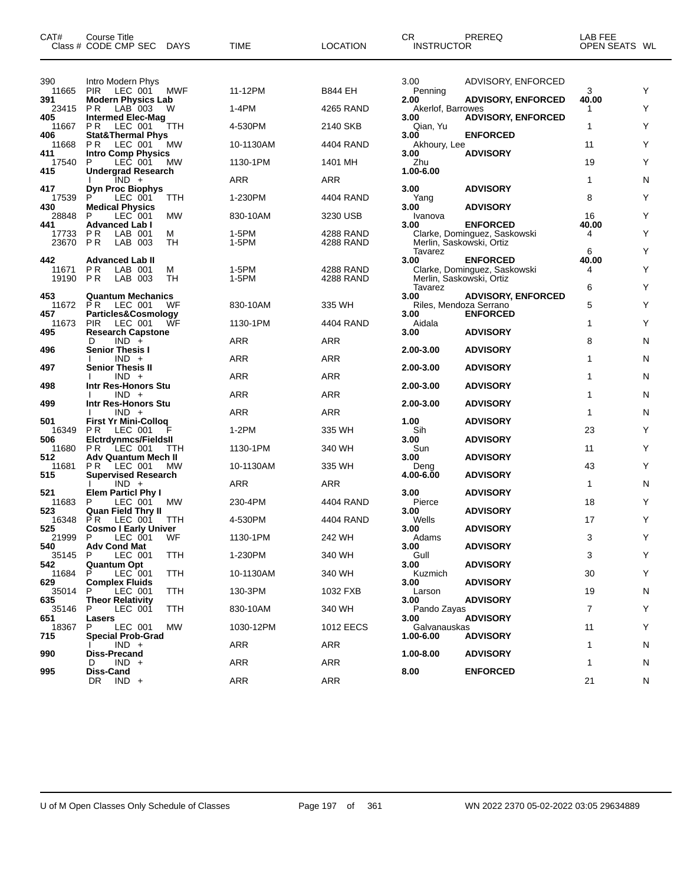| CAT#                  | Course Title<br>Class # CODE CMP SEC                            | <b>DAYS</b> | TIME           | <b>LOCATION</b>        | CR.<br><b>INSTRUCTOR</b>                  | PREREQ                                          | LAB FEE<br>OPEN SEATS WL |        |
|-----------------------|-----------------------------------------------------------------|-------------|----------------|------------------------|-------------------------------------------|-------------------------------------------------|--------------------------|--------|
| 390                   | Intro Modern Phys                                               |             |                |                        | 3.00                                      | ADVISORY, ENFORCED                              |                          |        |
| 11665                 | LEC 001<br><b>PIR</b>                                           | MWF         | 11-12PM        | <b>B844 EH</b>         | Penning                                   |                                                 | 3                        | Y      |
| 391<br>23415          | <b>Modern Physics Lab</b><br>P <sub>R</sub><br>LAB 003          | W           | 1-4PM          | 4265 RAND              | 2.00<br>Akerlof, Barrowes                 | <b>ADVISORY, ENFORCED</b>                       | 40.00<br>1               | Y      |
| 405<br>11667          | <b>Intermed Elec-Mag</b><br>P R<br>LEC 001                      | TTH         | 4-530PM        | 2140 SKB               | 3.00<br>Qian, Yu                          | <b>ADVISORY, ENFORCED</b>                       | 1                        | Υ      |
| 406<br>11668          | <b>Stat&amp;Thermal Phys</b><br>P <sub>R</sub><br>LEC 001       | MW          | 10-1130AM      | 4404 RAND              | 3.00<br>Akhoury, Lee                      | <b>ENFORCED</b>                                 | 11                       | Y      |
| 411<br>17540          | Intro Comp Physics<br>P<br>LEC 001                              | MW          | 1130-1PM       | 1401 MH                | 3.00<br>Zhu                               | <b>ADVISORY</b>                                 | 19                       | Y      |
| 415                   | <b>Undergrad Research</b><br>$IND +$                            |             | ARR            | ARR                    | 1.00-6.00                                 |                                                 | 1                        | N      |
| 417<br>17539          | <b>Dyn Proc Biophys</b><br>LEC 001<br>P                         | TTH         | 1-230PM        | 4404 RAND              | 3.00<br>Yang                              | <b>ADVISORY</b>                                 | 8                        | Y      |
| 430<br>28848          | <b>Medical Physics</b><br>P<br>LEC 001                          | <b>MW</b>   | 830-10AM       | 3230 USB               | 3.00<br>Ivanova                           | <b>ADVISORY</b>                                 | 16                       | Y      |
| 441<br>17733<br>23670 | <b>Advanced Lab I</b><br>LAB 001<br>P R<br><b>PR</b><br>LAB 003 | м<br>TH     | 1-5PM<br>1-5PM | 4288 RAND<br>4288 RAND | 3.00<br>Merlin, Saskowski, Ortiz          | <b>ENFORCED</b><br>Clarke, Dominguez, Saskowski | 40.00<br>4               | Υ      |
| 442                   | <b>Advanced Lab II</b>                                          |             |                |                        | Tavarez<br>3.00                           | <b>ENFORCED</b>                                 | 6<br>40.00               | Υ      |
| 11671<br>19190        | ΡR<br>LAB 001<br>P <sub>R</sub><br>LAB 003                      | м<br>TН     | 1-5PM<br>1-5PM | 4288 RAND<br>4288 RAND | Merlin, Saskowski, Ortiz                  | Clarke, Dominguez, Saskowski                    | 4                        | Y      |
| 453<br>11672          | <b>Quantum Mechanics</b><br>P R<br>LEC 001                      | WF          | 830-10AM       | 335 WH                 | Tavarez<br>3.00<br>Riles, Mendoza Serrano | <b>ADVISORY, ENFORCED</b>                       | 6<br>5                   | Υ<br>Y |
| 457<br>11673          | Particles&Cosmology<br><b>PIR</b><br>LEC 001                    | WF          | 1130-1PM       | 4404 RAND              | 3.00<br>Aidala                            | <b>ENFORCED</b>                                 | 1                        | Y      |
| 495                   | <b>Research Capstone</b><br>$IND +$<br>D                        |             | ARR            | ARR                    | 3.00                                      | <b>ADVISORY</b>                                 | 8                        | N      |
| 496                   | <b>Senior Thesis I</b><br>$IND +$                               |             | ARR            | ARR                    | 2.00-3.00                                 | <b>ADVISORY</b>                                 | 1                        | N      |
| 497                   | <b>Senior Thesis II</b><br>$IND +$                              |             | ARR            | ARR                    | 2.00-3.00                                 | <b>ADVISORY</b>                                 | 1                        | N      |
| 498                   | Intr Res-Honors Stu<br>$IND +$                                  |             | ARR            | ARR                    | 2.00-3.00                                 | <b>ADVISORY</b>                                 | 1                        | N      |
| 499                   | Intr Res-Honors Stu<br>$IND +$                                  |             | ARR            | ARR                    | 2.00-3.00                                 | <b>ADVISORY</b>                                 | 1                        | N      |
| 501                   | <b>First Yr Mini-Collog</b><br>P R                              |             | $1-2PM$        | 335 WH                 | 1.00<br>Sih                               | <b>ADVISORY</b>                                 | 23                       | Y      |
| 16349<br>506          | LEC 001<br><b>Elctrdynmcs/Fieldsll</b>                          |             |                |                        | 3.00                                      | <b>ADVISORY</b>                                 |                          | Y      |
| 11680<br>512          | P R<br>LEC 001<br><b>Adv Quantum Mech II</b>                    | TTH         | 1130-1PM       | 340 WH                 | Sun<br>3.00                               | <b>ADVISORY</b>                                 | 11                       |        |
| 11681<br>515          | P R<br>LEC 001<br><b>Supervised Research</b>                    | МW          | 10-1130AM      | 335 WH                 | Deng<br>4.00-6.00                         | <b>ADVISORY</b>                                 | 43                       | Y      |
| 521                   | $IND +$<br><b>Elem Particl Phy I</b>                            |             | ARR            | ARR                    | 3.00                                      | <b>ADVISORY</b>                                 | 1                        | N      |
| 11683<br>523          | P<br>LEC 001<br><b>Quan Field Thry II</b>                       | МW          | 230-4PM        | 4404 RAND              | Pierce<br>3.00                            | <b>ADVISORY</b>                                 | 18                       | Y      |
| 16348<br>525          | P R<br>LEC 001<br><b>Cosmo I Early Univer</b>                   | TTH         | 4-530PM        | 4404 RAND              | Wells<br>3.00                             | <b>ADVISORY</b>                                 | 17                       | Υ      |
| 21999 P<br>540        | LEC 001<br><b>Adv Cond Mat</b>                                  | WF          | 1130-1PM       | 242 WH                 | Adams<br>3.00                             | <b>ADVISORY</b>                                 | 3                        | Y      |
| 35145<br>542          | LEC 001<br>P<br><b>Quantum Opt</b>                              | TTH         | 1-230PM        | 340 WH                 | Gull<br>3.00                              | <b>ADVISORY</b>                                 | 3                        | Υ      |
| 11684<br>629          | LEC 001<br>P<br><b>Complex Fluids</b>                           | <b>TTH</b>  | 10-1130AM      | 340 WH                 | Kuzmich<br>3.00                           | <b>ADVISORY</b>                                 | 30                       | Υ      |
| 35014<br>635          | LEC 001<br>P.                                                   | TTH         | 130-3PM        | 1032 FXB               | Larson                                    | <b>ADVISORY</b>                                 | 19                       | N      |
| 35146                 | <b>Theor Relativity</b><br>LEC 001<br>P                         | TTH         | 830-10AM       | 340 WH                 | 3.00<br>Pando Zayas                       |                                                 | 7                        | Υ      |
| 651<br>18367          | Lasers<br>LEC 001<br>P                                          | МW          | 1030-12PM      | 1012 EECS              | 3.00<br>Galvanauskas                      | <b>ADVISORY</b>                                 | 11                       | Υ      |
| 715                   | <b>Special Prob-Grad</b><br>$IND +$                             |             | <b>ARR</b>     | ARR                    | 1.00-6.00                                 | <b>ADVISORY</b>                                 | 1                        | N      |
| 990                   | <b>Diss-Precand</b><br>$IND +$<br>D                             |             | <b>ARR</b>     | ARR                    | 1.00-8.00                                 | <b>ADVISORY</b>                                 | 1                        | N      |
| 995                   | Diss-Cand<br>$IND +$<br>DR.                                     |             | <b>ARR</b>     | ARR                    | 8.00                                      | <b>ENFORCED</b>                                 | 21                       | N      |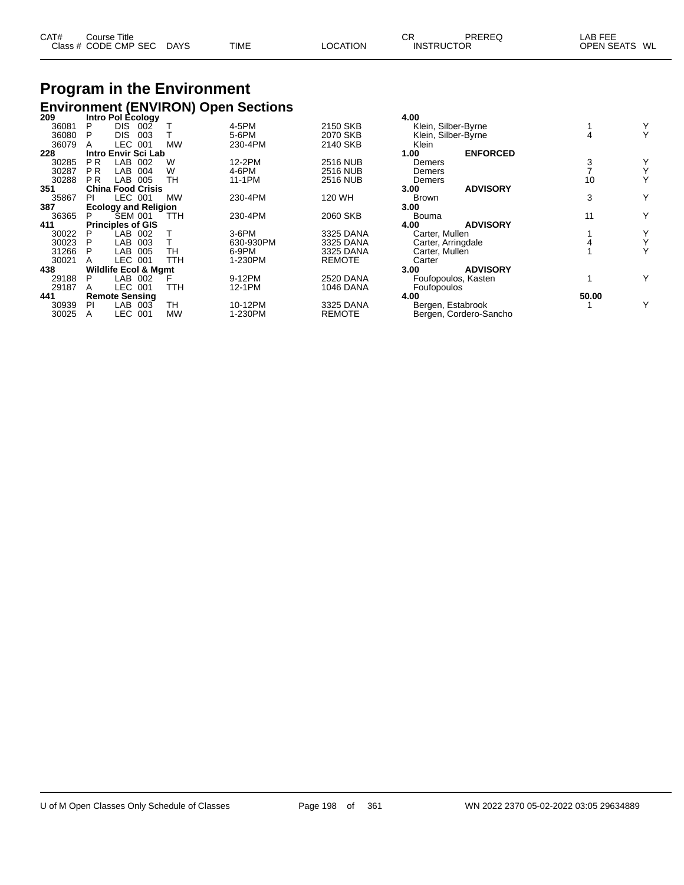| CAT# | Course Title              |             |          | СF                | PREREQ | _AB FEE       |
|------|---------------------------|-------------|----------|-------------------|--------|---------------|
|      | Class # CODE CMP SEC DAYS | <b>TIME</b> | LOCATION | <b>INSTRUCTOR</b> |        | OPEN SEATS WL |

### **Program in the Environment Environment (ENVIRON) Open Sections 209 Intro Pol Ecology 4.00**

| ZUY   |                | <b>INTO FOI ECOIOGY</b>         |            |           |                  | 4.VV                |                        |       |   |
|-------|----------------|---------------------------------|------------|-----------|------------------|---------------------|------------------------|-------|---|
| 36081 | P              | DIS 002                         |            | 4-5PM     | 2150 SKB         | Klein, Silber-Byrne |                        |       |   |
| 36080 | P              | <b>DIS</b><br>003               |            | 5-6PM     | 2070 SKB         | Klein, Silber-Byrne |                        |       |   |
| 36079 |                | LEC 001                         | <b>MW</b>  | 230-4PM   | 2140 SKB         | Klein               |                        |       |   |
| 228   |                | Intro Envir Sci Lab             |            |           |                  | 1.00                | <b>ENFORCED</b>        |       |   |
| 30285 | <b>PR</b>      | LAB<br>002                      | W          | 12-2PM    | <b>2516 NUB</b>  | Demers              |                        |       |   |
| 30287 | <b>PR</b>      | LAB<br>004                      | W          | 4-6PM     | <b>2516 NUB</b>  | Demers              |                        |       |   |
| 30288 | P <sub>R</sub> | LAB<br>005                      | <b>TH</b>  | 11-1PM    | <b>2516 NUB</b>  | Demers              |                        | 10    |   |
| 351   |                | <b>China Food Crisis</b>        |            |           |                  | 3.00                | <b>ADVISORY</b>        |       |   |
| 35867 | PI             | LEC 001                         | <b>MW</b>  | 230-4PM   | 120 WH           | <b>Brown</b>        |                        | 3     | Y |
| 387   |                | <b>Ecology and Religion</b>     |            |           |                  | 3.00                |                        |       |   |
| 36365 | P.             | <b>SEM 001</b>                  | TTH        | 230-4PM   | 2060 SKB         | Bouma               |                        | 11    | Y |
| 411   |                | <b>Principles of GIS</b>        |            |           |                  | 4.00                | <b>ADVISORY</b>        |       |   |
| 30022 | P              | LAB 002                         |            | $3-6$ PM  | 3325 DANA        | Carter, Mullen      |                        |       |   |
| 30023 | P              | <b>LAB</b><br>003               |            | 630-930PM | 3325 DANA        | Carter, Arringdale  |                        |       |   |
| 31266 | P              | <b>LAB</b><br>005               | TН         | 6-9PM     | 3325 DANA        | Carter, Mullen      |                        |       |   |
| 30021 | А              | <b>LEC</b><br>001               | <b>TTH</b> | 1-230PM   | <b>REMOTE</b>    | Carter              |                        |       |   |
| 438   |                | <b>Wildlife Ecol &amp; Mgmt</b> |            |           |                  | 3.00                | <b>ADVISORY</b>        |       |   |
| 29188 | Р              | LAB<br>002                      |            | 9-12PM    | <b>2520 DANA</b> |                     | Foufopoulos, Kasten    |       |   |
| 29187 | A              | <b>LEC</b><br>001               | TTH        | 12-1PM    | <b>1046 DANA</b> | Foufopoulos         |                        |       |   |
| 441   |                | <b>Remote Sensing</b>           |            |           |                  | 4.00                |                        | 50.00 |   |
| 30939 | PI             | LAB<br>003                      | TН         | 10-12PM   | 3325 DANA        | Bergen, Estabrook   |                        |       | Y |
| 30025 | Α              | LEC.<br>001                     | МW         | 1-230PM   | <b>REMOTE</b>    |                     | Bergen, Cordero-Sancho |       |   |
|       |                |                                 |            |           |                  |                     |                        |       |   |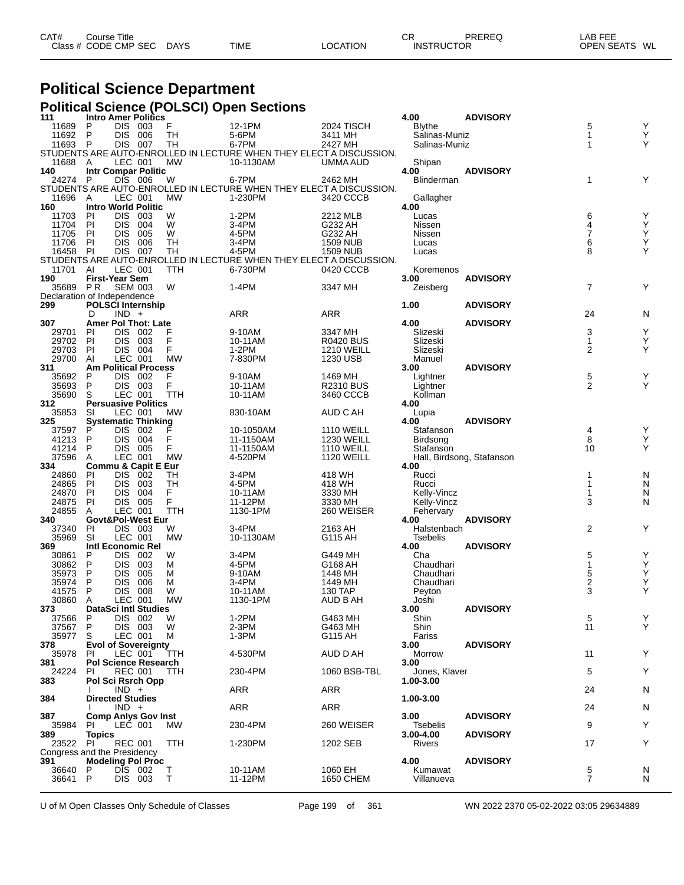| CAT# | Course Title         |             |             |                 | СR                | PREREQ | ∟AB FEE       |  |
|------|----------------------|-------------|-------------|-----------------|-------------------|--------|---------------|--|
|      | Class # CODE CMP SEC | <b>DAYS</b> | <b>TIME</b> | <b>LOCATION</b> | <b>INSTRUCTOR</b> |        | OPEN SEATS WL |  |

#### **Political Science Department**

#### **Political Science (POLSCI) Open Sections**

| 111                         |                     |                          | <b>Intro Amer Politics</b>     |                  |                                                                              |                             | 4.00                     | <b>ADVISORY</b>           |                     |                                                    |
|-----------------------------|---------------------|--------------------------|--------------------------------|------------------|------------------------------------------------------------------------------|-----------------------------|--------------------------|---------------------------|---------------------|----------------------------------------------------|
| 11689                       | P                   | <b>DIS</b>               | 003                            | F                | 12-1PM                                                                       | 2024 TISCH                  | <b>Blythe</b>            |                           | 5                   | Υ                                                  |
| 11692                       | P                   | <b>DIS</b>               | 006                            | TН               | 5-6PM                                                                        | 3411 MH                     | Salinas-Muniz            |                           | $\mathbf 1$         | Υ<br>Υ                                             |
| 11693                       | P                   | DIS                      | 007                            | TН               | 6-7PM<br>STUDENTS ARE AUTO-ENROLLED IN LECTURE WHEN THEY ELECT A DISCUSSION. | 2427 MH                     | Salinas-Muniz            |                           | 1                   |                                                    |
| 11688                       | A                   | LEC 001                  |                                | <b>MW</b>        | 10-1130AM                                                                    | UMMA AUD                    |                          |                           |                     |                                                    |
| 140                         |                     |                          | <b>Intr Compar Politic</b>     |                  |                                                                              |                             | Shipan<br>4.00           | <b>ADVISORY</b>           |                     |                                                    |
| 24274                       | P                   | <b>DIS</b>               | 006                            | W                | 6-7PM                                                                        | 2462 MH                     | Blinderman               |                           | 1                   | Y                                                  |
|                             |                     |                          |                                |                  | STUDENTS ARE AUTO-ENROLLED IN LECTURE WHEN THEY ELECT A DISCUSSION.          |                             |                          |                           |                     |                                                    |
| 11696                       | A                   | LEC 001                  |                                | MW               | 1-230PM                                                                      | 3420 CCCB                   | Gallagher                |                           |                     |                                                    |
| 160                         |                     |                          | <b>Intro World Politic</b>     |                  |                                                                              |                             | 4.00                     |                           |                     |                                                    |
| 11703                       | ΡI                  | <b>DIS</b>               | 003                            | W                | $1-2PM$                                                                      | 2212 MLB                    | Lucas                    |                           | 6                   | Υ                                                  |
| 11704                       | PI                  | <b>DIS</b>               | 004                            | W                | 3-4PM                                                                        | G232 AH                     | Nissen                   |                           | 4                   | Υ                                                  |
| 11705                       | PI                  | <b>DIS</b>               | 005                            | W                | 4-5PM                                                                        | G232 AH                     | Nissen                   |                           | $\overline{7}$      | Ÿ                                                  |
| 11706<br>16458              | <b>PI</b>           | <b>DIS</b><br>DIS        | 006                            | TН               | 3-4PM                                                                        | <b>1509 NUB</b>             | Lucas                    |                           | 6<br>8              | $\mathop{\mathsf{Y}}\limits_{\mathop{\mathsf{Y}}}$ |
|                             | PI                  |                          | 007                            | TН               | 4-5PM<br>STUDENTS ARE AUTO-ENROLLED IN LECTURE WHEN THEY ELECT A DISCUSSION. | 1509 NUB                    | Lucas                    |                           |                     |                                                    |
| 11701                       | ΑI                  | LEC 001                  |                                | TTH              | 6-730PM                                                                      | 0420 CCCB                   | Koremenos                |                           |                     |                                                    |
| 190                         |                     | First-Year Sem           |                                |                  |                                                                              |                             | 3.00                     | <b>ADVISORY</b>           |                     |                                                    |
| 35689                       | P <sub>R</sub>      | <b>SEM 003</b>           |                                | W                | 1-4PM                                                                        | 3347 MH                     | Zeisberg                 |                           | $\overline{7}$      | Υ                                                  |
| Declaration of Independence |                     |                          |                                |                  |                                                                              |                             |                          |                           |                     |                                                    |
| 299                         |                     |                          | <b>POLSCI Internship</b>       |                  |                                                                              |                             | 1.00                     | <b>ADVISORY</b>           |                     |                                                    |
|                             | D                   | $IND +$                  |                                |                  | ARR                                                                          | ARR                         |                          |                           | 24                  | N                                                  |
| 307                         |                     |                          | <b>Amer Pol Thot: Late</b>     |                  |                                                                              |                             | 4.00                     | <b>ADVISORY</b>           |                     | Y                                                  |
| 29701<br>29702              | PI<br>PI            | <b>DIS</b><br><b>DIS</b> | 002<br>003                     | F<br>F           | 9-10AM<br>10-11AM                                                            | 3347 MH<br><b>R0420 BUS</b> | Slizeski<br>Slizeski     |                           | 3<br>$\mathbf{1}$   | Υ                                                  |
| 29703                       | PI                  | <b>DIS</b>               | -004                           | F                | 1-2PM                                                                        | <b>1210 WEILL</b>           | Slizeski                 |                           | $\overline{2}$      | Y                                                  |
| 29700                       | AI                  | LEC 001                  |                                | <b>MW</b>        | 7-830PM                                                                      | 1230 USB                    | Manuel                   |                           |                     |                                                    |
| 311                         |                     |                          | <b>Am Political Process</b>    |                  |                                                                              |                             | 3.00                     | <b>ADVISORY</b>           |                     |                                                    |
| 35692                       | P                   | <b>DIS</b>               | 002                            | F                | 9-10AM                                                                       | 1469 MH                     | Lightner                 |                           | 5                   | Υ                                                  |
| 35693                       | P                   | <b>DIS</b>               | 003                            | F                | 10-11AM                                                                      | <b>R2310 BUS</b>            | Lightner                 |                           | $\overline{c}$      | Υ                                                  |
| 35690                       | S                   | LEC 001                  |                                | <b>TTH</b>       | 10-11AM                                                                      | 3460 CCCB                   | Kollman                  |                           |                     |                                                    |
| 312                         |                     |                          | <b>Persuasive Politics</b>     |                  |                                                                              |                             | 4.00                     |                           |                     |                                                    |
| 35853<br>325                | SI                  | LEC 001                  | <b>Systematic Thinking</b>     | MW               | 830-10AM                                                                     | AUD C AH                    | Lupia<br>4.00            | <b>ADVISORY</b>           |                     |                                                    |
| 37597                       | P                   | <b>DIS</b>               | 002                            | F                | 10-1050AM                                                                    | <b>1110 WEILL</b>           | Stafanson                |                           | 4                   | Y                                                  |
| 41213                       | P                   | <b>DIS</b>               | 004                            | F                | 11-1150AM                                                                    | <b>1230 WEILL</b>           | Birdsong                 |                           | 8                   | Υ                                                  |
| 41214                       | P                   | <b>DIS</b>               | 005                            | F                | 11-1150AM                                                                    | <b>1110 WEILL</b>           | Stafanson                |                           | 10                  | Υ                                                  |
| 37596                       | A                   | LEC 001                  |                                | <b>MW</b>        | 4-520PM                                                                      | <b>1120 WEILL</b>           |                          | Hall, Birdsong, Stafanson |                     |                                                    |
| 334                         |                     |                          | <b>Commu &amp; Capit E Eur</b> |                  |                                                                              |                             | 4.00                     |                           |                     |                                                    |
| 24860                       | PI                  | <b>DIS</b>               | 002                            | TН               | 3-4PM                                                                        | 418 WH                      | Rucci                    |                           | 1                   | N                                                  |
| 24865                       | PI                  | <b>DIS</b>               | 003                            | TН               | 4-5PM                                                                        | 418 WH                      | Rucci                    |                           | $\mathbf{1}$        | N                                                  |
| 24870                       | PI                  | DIS                      | 004                            | F<br>F           | 10-11AM                                                                      | 3330 MH                     | Kelly-Vincz              |                           | 1<br>3              | N                                                  |
| 24875<br>24855              | <b>PI</b><br>A      | <b>DIS</b><br>LEC 001    | 005                            | TTH              | 11-12PM<br>1130-1PM                                                          | 3330 MH<br>260 WEISER       | Kelly-Vincz<br>Fehervary |                           |                     | N                                                  |
| 340                         |                     |                          | Govt&Pol-West Eur              |                  |                                                                              |                             | 4.00                     | <b>ADVISORY</b>           |                     |                                                    |
| 37340                       |                     |                          |                                |                  |                                                                              | 2163 AH                     |                          |                           |                     |                                                    |
|                             |                     |                          |                                |                  |                                                                              |                             |                          |                           |                     |                                                    |
| 35969                       | PI<br>SI            | DIS.<br>LEC 001          | - 003                          | W<br><b>MW</b>   | 3-4PM<br>10-1130AM                                                           | G115 AH                     | Halstenbach<br>Tsebelis  |                           | 2                   | Y                                                  |
| 369                         |                     |                          | Intl Economic Rel              |                  |                                                                              |                             | 4.00                     | ADVISORY                  |                     |                                                    |
| 30861                       | P                   | <b>DIS</b>               | 002                            | W                | 3-4PM                                                                        | G449 MH                     | Cha                      |                           | 5                   | Υ                                                  |
| 30862                       | Ρ                   | <b>DIS</b>               | 003                            | M                | 4-5PM                                                                        | G168 AH                     | Chaudhari                |                           | $\mathbf{1}$        | $\sf Y$                                            |
| 35973                       | P                   | <b>DIS</b>               | 005                            | M                | 9-10AM                                                                       | 1448 MH                     | Chaudhari                |                           |                     |                                                    |
| 35974                       | P                   | <b>DIS</b>               | 006                            | М                | 3-4PM                                                                        | 1449 MH                     | Chaudhari                |                           | $\frac{5}{2}$       | Ÿ<br>Y                                             |
| 41575                       | P                   | <b>DIS</b>               | 008                            | W                | 10-11AM                                                                      | 130 TAP                     | Peyton                   |                           | 3                   | Υ                                                  |
| 30860                       | A                   | LEC 001                  |                                | <b>MW</b>        | 1130-1PM                                                                     | AUD B AH                    | Joshi                    |                           |                     |                                                    |
| 373                         |                     |                          | <b>DataSci Intl Studies</b>    |                  |                                                                              |                             | 3.00                     | <b>ADVISORY</b>           |                     |                                                    |
| 37566 P                     | P                   |                          | DIS 002                        | w<br>W           | $1-2PM$<br>2-3PM                                                             | G463 MH                     | Shin<br>Shin             |                           | 5<br>11             | Y<br>Y                                             |
| 37567<br>35977              | S                   | LEC 001                  | DIS 003                        | м                | 1-3PM                                                                        | G463 MH<br>G115 AH          | Fariss                   |                           |                     |                                                    |
| 378                         |                     |                          | <b>Evol of Sovereignty</b>     |                  |                                                                              |                             | 3.00                     | <b>ADVISORY</b>           |                     |                                                    |
| 35978                       | <b>PI</b>           |                          | LEC 001                        | TTH              | 4-530PM                                                                      | AUD D AH                    | Morrow                   |                           | 11                  | Y                                                  |
| 381                         |                     |                          | <b>Pol Science Research</b>    |                  |                                                                              |                             | 3.00                     |                           |                     |                                                    |
| 24224                       | PI                  |                          | REC 001                        | TTH              | 230-4PM                                                                      | 1060 BSB-TBL                | Jones, Klaver            |                           | 5                   | Y                                                  |
| 383                         |                     | $IND +$                  | <b>Pol Sci Rsrch Opp</b>       |                  | ARR                                                                          | ARR                         | 1.00-3.00                |                           | 24                  | N                                                  |
| 384                         |                     | <b>Directed Studies</b>  |                                |                  |                                                                              |                             | 1.00-3.00                |                           |                     |                                                    |
|                             |                     | $IND +$                  |                                |                  | ARR                                                                          | ARR                         |                          |                           | 24                  | N                                                  |
| 387                         |                     |                          | <b>Comp Anlys Gov Inst</b>     |                  |                                                                              |                             | 3.00                     | <b>ADVISORY</b>           |                     |                                                    |
| 35984                       | PI                  | LEC 001                  |                                | МW               | 230-4PM                                                                      | 260 WEISER                  | Tsebelis                 |                           | 9                   | Y                                                  |
| 389<br>23522                | <b>Topics</b><br>PI |                          | <b>REC 001</b>                 | <b>TTH</b>       | 1-230PM                                                                      |                             | $3.00 - 4.00$<br>Rivers  | <b>ADVISORY</b>           | 17                  | Y                                                  |
| Congress and the Presidency |                     |                          |                                |                  |                                                                              | 1202 SEB                    |                          |                           |                     |                                                    |
| 391                         |                     |                          | <b>Modeling Pol Proc</b>       |                  |                                                                              |                             | 4.00                     | <b>ADVISORY</b>           |                     |                                                    |
| 36640<br>36641              | P<br>P              |                          | DIS 002<br>DIS 003             | Τ<br>$\mathsf T$ | 10-11AM<br>11-12PM                                                           | 1060 EH<br>1650 CHEM        | Kumawat<br>Villanueva    |                           | 5<br>$\overline{7}$ | N<br>N                                             |

U of M Open Classes Only Schedule of Classes Page 199 of 361 WN 2022 2370 05-02-2022 03:05 29634889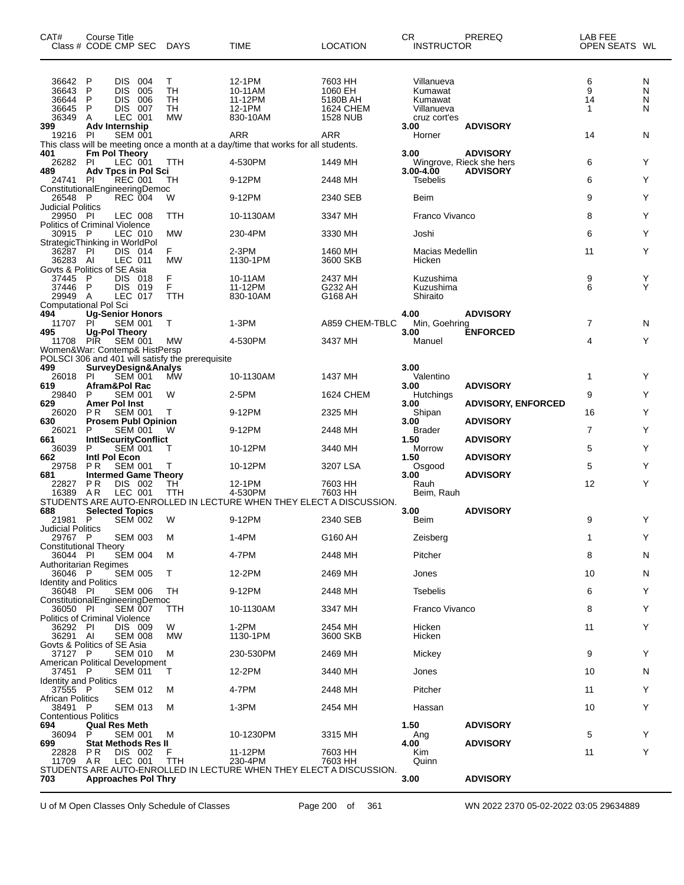| CAT#                                             | <b>Course Title</b><br>Class # CODE CMP SEC                  |                           | <b>DAYS</b>                                      | TIME                                                                               | <b>LOCATION</b>                                    | <b>CR</b><br><b>INSTRUCTOR</b>                 | PREREQ                                      | LAB FEE<br>OPEN SEATS WL |                  |
|--------------------------------------------------|--------------------------------------------------------------|---------------------------|--------------------------------------------------|------------------------------------------------------------------------------------|----------------------------------------------------|------------------------------------------------|---------------------------------------------|--------------------------|------------------|
| 36642<br>36643<br>36644<br>36645                 | DIS.<br>P<br>P<br><b>DIS</b><br><b>DIS</b><br>P<br>P<br>DIS. | -004<br>005<br>006<br>007 | Т<br><b>TH</b><br>TН<br>TH                       | 12-1PM<br>10-11AM<br>11-12PM<br>12-1PM                                             | 7603 HH<br>1060 EH<br>5180B AH<br><b>1624 CHEM</b> | Villanueva<br>Kumawat<br>Kumawat<br>Villanueva |                                             | 6<br>9<br>14<br>1        | N<br>N<br>N<br>N |
| 36349<br>399<br>19216                            | A<br>Adv Internship<br><b>PI</b>                             | LEC 001<br><b>SEM 001</b> | <b>MW</b>                                        | 830-10AM<br>ARR                                                                    | <b>1528 NUB</b><br>ARR                             | cruz cort'es<br>3.00<br>Horner                 | <b>ADVISORY</b>                             | 14                       | N                |
|                                                  |                                                              |                           |                                                  | This class will be meeting once a month at a day/time that works for all students. |                                                    |                                                |                                             |                          |                  |
| 401<br>26282                                     | <b>Fm Pol Theory</b><br><b>PI</b>                            | LEC 001                   | TTH                                              | 4-530PM                                                                            | 1449 MH                                            | 3.00                                           | <b>ADVISORY</b><br>Wingrove, Rieck she hers | 6                        | Y                |
| 489<br>24741 PI                                  | Adv Tpcs in Pol Sci                                          | <b>REC 001</b>            | TН                                               | 9-12PM                                                                             | 2448 MH                                            | 3.00-4.00<br>Tsebelis                          | <b>ADVISORY</b>                             | 6                        | Y                |
| ConstitutionalEngineeringDemoc                   |                                                              |                           |                                                  |                                                                                    |                                                    |                                                |                                             |                          | Y                |
| 26548<br><b>Judicial Politics</b>                | - P                                                          | <b>REC 004</b>            | W                                                | 9-12PM                                                                             | 2340 SEB                                           | Beim                                           |                                             | 9                        |                  |
| 29950 PI<br><b>Politics of Criminal Violence</b> |                                                              | LEC 008                   | TTH                                              | 10-1130AM                                                                          | 3347 MH                                            | Franco Vivanco                                 |                                             | 8                        | Y                |
| 30915 P<br>StrategicThinking in WorldPol         |                                                              | LEC 010                   | <b>MW</b>                                        | 230-4PM                                                                            | 3330 MH                                            | Joshi                                          |                                             | 6                        | Y                |
| 36287 PI                                         |                                                              | DIS 014                   | F.                                               | $2-3PM$                                                                            | 1460 MH                                            | Macias Medellin                                |                                             | 11                       | Y                |
| 36283 AI<br>Govts & Politics of SE Asia          |                                                              | LEC 011                   | <b>MW</b>                                        | 1130-1PM                                                                           | 3600 SKB                                           | Hicken                                         |                                             |                          |                  |
| 37445<br>37446 P                                 | DIS.<br>P<br>DIS.                                            | 018<br>019                | F<br>F                                           | 10-11AM<br>11-12PM                                                                 | 2437 MH<br>G232 AH                                 | Kuzushima<br>Kuzushima                         |                                             | 9<br>6                   | Y<br>Υ           |
| 29949                                            | A                                                            | LEC 017                   | TTH                                              | 830-10AM                                                                           | G168 AH                                            | Shiraito                                       |                                             |                          |                  |
| <b>Computational Pol Sci</b><br>494              | <b>Ug-Senior Honors</b>                                      |                           |                                                  |                                                                                    |                                                    | 4.00                                           | <b>ADVISORY</b>                             |                          |                  |
| 11707<br>495                                     | PI<br><b>Ug-Pol Theory</b>                                   | <b>SEM 001</b>            | $\top$                                           | $1-3PM$                                                                            | A859 CHEM-TBLC                                     | Min, Goehring<br>3.00                          | <b>ENFORCED</b>                             | 7                        | N                |
| 11708<br>Women&War: Contemp& HistPersp           | <b>PIR</b>                                                   | <b>SEM 001</b>            | МW                                               | 4-530PM                                                                            | 3437 MH                                            | Manuel                                         |                                             | 4                        | Y                |
|                                                  |                                                              |                           | POLSCI 306 and 401 will satisfy the prerequisite |                                                                                    |                                                    |                                                |                                             |                          |                  |
| 499<br>26018                                     | <b>SurveyDesign&amp;Analys</b><br><b>PI</b>                  | <b>SEM 001</b>            | <b>MW</b>                                        | 10-1130AM                                                                          | 1437 MH                                            | 3.00<br>Valentino                              |                                             | 1                        | Y                |
| 619<br>29840                                     | Afram&Pol Rac<br>P                                           | <b>SEM 001</b>            | W                                                | 2-5PM                                                                              | 1624 CHEM                                          | 3.00<br><b>Hutchings</b>                       | <b>ADVISORY</b>                             | 9                        | Y                |
| 629                                              | <b>Amer Pol Inst</b>                                         |                           |                                                  |                                                                                    |                                                    | 3.00                                           | <b>ADVISORY, ENFORCED</b>                   |                          |                  |
| 26020<br>630                                     | P <sub>R</sub><br><b>Prosem Publ Opinion</b>                 | <b>SEM 001</b>            | т                                                | 9-12PM                                                                             | 2325 MH                                            | Shipan<br>3.00                                 | <b>ADVISORY</b>                             | 16                       | Υ                |
| 26021<br>661                                     | P<br><b>IntISecurityConflict</b>                             | <b>SEM 001</b>            | W                                                | 9-12PM                                                                             | 2448 MH                                            | <b>Brader</b><br>1.50                          | <b>ADVISORY</b>                             | 7                        | Y                |
| 36039                                            | P<br>Intl Pol Econ                                           | <b>SEM 001</b>            | т                                                | 10-12PM                                                                            | 3440 MH                                            | Morrow                                         |                                             | 5                        | Y                |
| 662<br>29758                                     | ΡR                                                           | <b>SEM 001</b>            | Т                                                | 10-12PM                                                                            | 3207 LSA                                           | 1.50<br>Osgood                                 | <b>ADVISORY</b>                             | 5                        | Y                |
| 681<br>22827                                     | <b>Intermed Game Theory</b><br><b>PR</b>                     | DIS 002                   | TH                                               | 12-1PM                                                                             | 7603 HH                                            | 3.00<br>Rauh                                   | <b>ADVISORY</b>                             | 12                       | Υ                |
| 16389                                            | AR                                                           | LEC 001                   | TTH                                              | 4-530PM<br>STUDENTS ARE AUTO-ENROLLED IN LECTURE WHEN THEY ELECT A DISCUSSION.     | 7603 HH                                            | Beim, Rauh                                     |                                             |                          |                  |
| 688                                              | <b>Selected Topics</b>                                       |                           |                                                  |                                                                                    |                                                    | 3.00                                           | <b>ADVISORY</b>                             |                          |                  |
| 21981 P<br>Judicial Politics                     |                                                              | <b>SEM 002</b>            | W                                                | 9-12PM                                                                             | 2340 SEB                                           | Beim                                           |                                             | 9                        | Y                |
| 29767 P<br>Constitutional Theory                 |                                                              | <b>SEM 003</b>            | м                                                | 1-4PM                                                                              | G160 AH                                            | Zeisberg                                       |                                             | 1                        | Υ                |
| 36044 PI                                         |                                                              | <b>SEM 004</b>            | M                                                | 4-7PM                                                                              | 2448 MH                                            | Pitcher                                        |                                             | 8                        | N                |
| Authoritarian Regimes<br>36046 P                 |                                                              | <b>SEM 005</b>            | т                                                | 12-2PM                                                                             | 2469 MH                                            | Jones                                          |                                             | 10                       | N                |
| <b>Identity and Politics</b><br>36048 PI         |                                                              | <b>SEM 006</b>            | TH                                               | 9-12PM                                                                             | 2448 MH                                            | <b>Tsebelis</b>                                |                                             | 6                        | Y                |
| ConstitutionalEngineeringDemoc<br>36050 PI       |                                                              | <b>SEM 007</b>            | TTH                                              | 10-1130AM                                                                          | 3347 MH                                            | Franco Vivanco                                 |                                             | 8                        | Y                |
| Politics of Criminal Violence                    |                                                              |                           |                                                  |                                                                                    |                                                    |                                                |                                             |                          |                  |
| 36292 PI<br>36291 AI                             |                                                              | DIS 009<br><b>SEM 008</b> | W<br>МW                                          | $1-2PM$<br>1130-1PM                                                                | 2454 MH<br>3600 SKB                                | Hicken<br>Hicken                               |                                             | 11                       | Y                |
| Govts & Politics of SE Asia<br>37127 P           |                                                              | <b>SEM 010</b>            | м                                                | 230-530PM                                                                          | 2469 MH                                            | Mickey                                         |                                             | 9                        | Y                |
| American Political Development                   |                                                              |                           |                                                  |                                                                                    |                                                    |                                                |                                             |                          |                  |
| 37451 P<br><b>Identity and Politics</b>          |                                                              | <b>SEM 011</b>            | Τ                                                | 12-2PM                                                                             | 3440 MH                                            | Jones                                          |                                             | 10                       | N                |
| 37555 P<br><b>African Politics</b>               |                                                              | <b>SEM 012</b>            | M                                                | 4-7PM                                                                              | 2448 MH                                            | Pitcher                                        |                                             | 11                       | Y                |
| 38491 P<br><b>Contentious Politics</b>           |                                                              | <b>SEM 013</b>            | M                                                | 1-3PM                                                                              | 2454 MH                                            | Hassan                                         |                                             | 10                       | Y                |
| 694                                              | <b>Qual Res Meth</b>                                         |                           |                                                  |                                                                                    |                                                    | 1.50                                           | <b>ADVISORY</b>                             |                          |                  |
| 36094<br>699                                     | P<br><b>Stat Methods Res II</b>                              | <b>SEM 001</b>            | м                                                | 10-1230PM                                                                          | 3315 MH                                            | Ang<br>4.00                                    | <b>ADVISORY</b>                             | 5                        | Y                |
| 22828<br>11709 AR                                | P R                                                          | DIS 002<br>LEC 001        | F<br>TTH                                         | 11-12PM<br>230-4PM                                                                 | 7603 HH<br>7603 HH                                 | Kim<br>Quinn                                   |                                             | 11                       | Y                |
| 703                                              | <b>Approaches Pol Thry</b>                                   |                           |                                                  | STUDENTS ARE AUTO-ENROLLED IN LECTURE WHEN THEY ELECT A DISCUSSION.                |                                                    | 3.00                                           | <b>ADVISORY</b>                             |                          |                  |
|                                                  |                                                              |                           |                                                  |                                                                                    |                                                    |                                                |                                             |                          |                  |

U of M Open Classes Only Schedule of Classes Page 200 of 361 WN 2022 2370 05-02-2022 03:05 29634889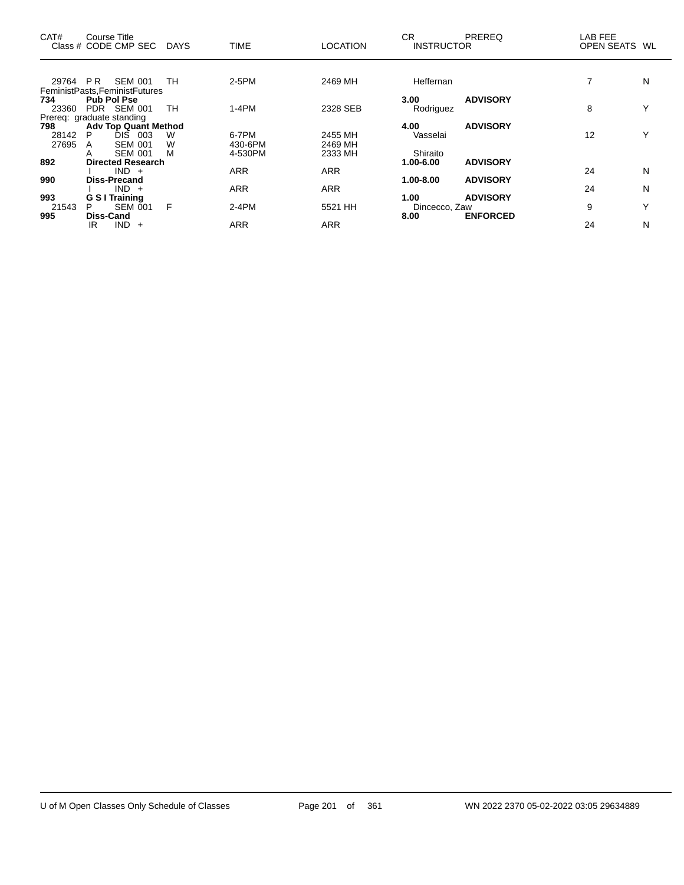| CAT#                      | Course Title       | Class # CODE CMP SEC           | DAYS | <b>TIME</b> | <b>LOCATION</b> | <b>CR</b><br><b>INSTRUCTOR</b> | PREREQ          | LAB FEE<br>OPEN SEATS | WL |
|---------------------------|--------------------|--------------------------------|------|-------------|-----------------|--------------------------------|-----------------|-----------------------|----|
|                           |                    |                                |      |             |                 |                                |                 |                       |    |
| 29764                     | PR.                | <b>SEM 001</b>                 | TH   | $2-5PM$     | 2469 MH         | Heffernan                      |                 |                       | N  |
|                           |                    | FeministPasts, FeministFutures |      |             |                 |                                |                 |                       |    |
| 734                       | <b>Pub Pol Pse</b> |                                |      |             |                 | 3.00                           | <b>ADVISORY</b> |                       |    |
| 23360                     |                    | PDR SEM 001                    | TH   | $1-4PM$     | 2328 SEB        | Rodriguez                      |                 | 8                     | Y  |
| Prereq: graduate standing |                    |                                |      |             |                 |                                |                 |                       |    |
| 798                       |                    | <b>Adv Top Quant Method</b>    |      |             |                 | 4.00                           | <b>ADVISORY</b> |                       |    |
| 28142                     | P                  | <b>DIS 003</b>                 | W    | 6-7PM       | 2455 MH         | Vasselai                       |                 | 12                    | Υ  |
| 27695                     | A                  | <b>SEM 001</b>                 | W    | 430-6PM     | 2469 MH         |                                |                 |                       |    |
|                           | A                  | <b>SEM 001</b>                 | м    | 4-530PM     | 2333 MH         | Shiraito                       |                 |                       |    |
| 892                       |                    | <b>Directed Research</b>       |      |             |                 | 1.00-6.00                      | <b>ADVISORY</b> |                       |    |
|                           |                    | $IND +$                        |      | <b>ARR</b>  | <b>ARR</b>      |                                |                 | 24                    | N  |
| 990                       |                    | <b>Diss-Precand</b>            |      |             |                 | 1.00-8.00                      | <b>ADVISORY</b> |                       |    |
|                           |                    | $IND +$                        |      | <b>ARR</b>  | <b>ARR</b>      |                                |                 | 24                    | N  |
| 993                       |                    | <b>G S I Training</b>          |      |             |                 | 1.00                           | <b>ADVISORY</b> |                       |    |
| 21543                     | P                  | SEM 001                        | F    | $2-4PM$     | 5521 HH         | Dincecco, Zaw                  |                 | 9                     | Υ  |
| 995                       | <b>Diss-Cand</b>   |                                |      |             |                 | 8.00                           | <b>ENFORCED</b> |                       |    |
|                           | IR                 | $IND +$                        |      | ARR         | <b>ARR</b>      |                                |                 | 24                    | N  |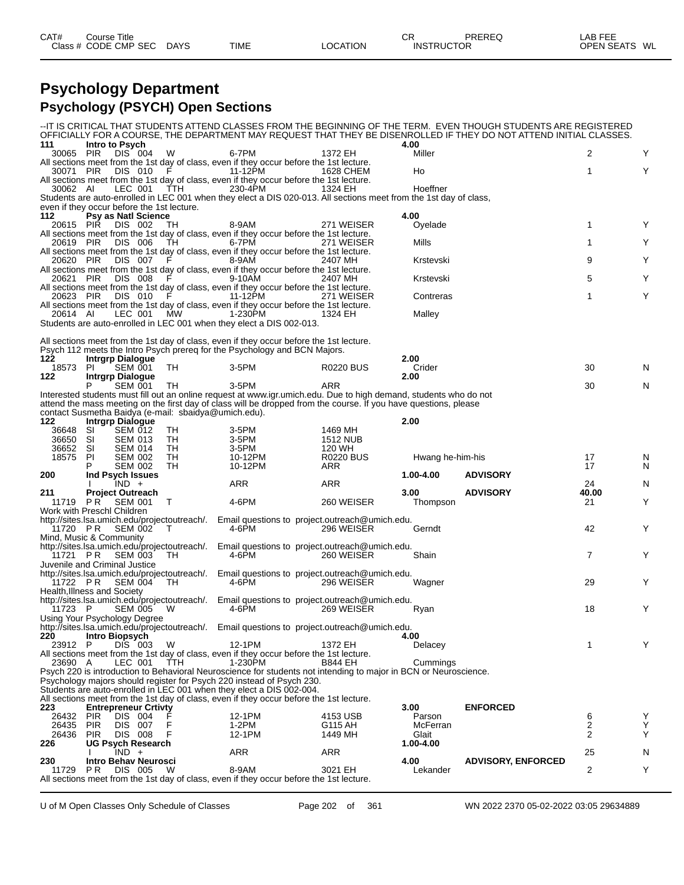| CAT#<br>ourse Titleٽ |                            |                 | PREREQ<br>⌒冖<br>◡ | LAB FEE            |
|----------------------|----------------------------|-----------------|-------------------|--------------------|
| Class # CODE CMP SEC | <b>DAYS</b><br><b>TIME</b> | <b>LOCATION</b> | <b>INSTRUCTOR</b> | OPEN SEATS<br>: WL |

#### **Psychology Department Psychology (PSYCH) Open Sections**

|                                            |                  |                                           |                                                      |                                                                                                                                               |                                                                                                                                                                                                                                       |                  | -IT IS CRITICAL THAT STUDENTS ATTEND CLASSES FROM THE BEGINNING OF THE TERM. EVEN THOUGH STUDENTS ARE REGISTERED<br>OFFICIALLY FOR A COURSE, THE DEPARTMENT MAY REQUEST THAT THEY BE DISENROLLED IF THEY DO NOT ATTEND INITIAL CLASSES. |                         |        |
|--------------------------------------------|------------------|-------------------------------------------|------------------------------------------------------|-----------------------------------------------------------------------------------------------------------------------------------------------|---------------------------------------------------------------------------------------------------------------------------------------------------------------------------------------------------------------------------------------|------------------|-----------------------------------------------------------------------------------------------------------------------------------------------------------------------------------------------------------------------------------------|-------------------------|--------|
| 111<br>30065 PIR                           | Intro to Psych   | DIS 004                                   | W                                                    | 6-7PM                                                                                                                                         | 1372 EH                                                                                                                                                                                                                               | 4.00<br>Miller   |                                                                                                                                                                                                                                         | 2                       | Y      |
|                                            |                  |                                           |                                                      | All sections meet from the 1st day of class, even if they occur before the 1st lecture.                                                       |                                                                                                                                                                                                                                       |                  |                                                                                                                                                                                                                                         |                         |        |
| 30071 PIR                                  |                  | DIS 010                                   |                                                      | 11-12PM                                                                                                                                       | 1628 CHEM                                                                                                                                                                                                                             | Ho               |                                                                                                                                                                                                                                         | 1                       | Y      |
| 30062 AI                                   |                  | LEC 001                                   | <b>TTH</b>                                           | All sections meet from the 1st day of class, even if they occur before the 1st lecture.<br>230-4PM                                            | 1324 EH                                                                                                                                                                                                                               | Hoeffner         |                                                                                                                                                                                                                                         |                         |        |
|                                            |                  |                                           |                                                      |                                                                                                                                               | Students are auto-enrolled in LEC 001 when they elect a DIS 020-013. All sections meet from the 1st day of class,                                                                                                                     |                  |                                                                                                                                                                                                                                         |                         |        |
| even if they occur before the 1st lecture. |                  |                                           |                                                      |                                                                                                                                               |                                                                                                                                                                                                                                       |                  |                                                                                                                                                                                                                                         |                         |        |
| 112<br>20615 PIR                           |                  | <b>Psy as Natl Science</b><br>DIS 002     | ТH                                                   | 8-9AM                                                                                                                                         | 271 WEISER                                                                                                                                                                                                                            | 4.00<br>Oyelade  |                                                                                                                                                                                                                                         | 1                       | Y      |
|                                            |                  |                                           |                                                      | All sections meet from the 1st day of class, even if they occur before the 1st lecture.                                                       |                                                                                                                                                                                                                                       |                  |                                                                                                                                                                                                                                         |                         |        |
| 20619 PIR                                  |                  | DIS 006                                   | TH                                                   | 6-7PM                                                                                                                                         | 271 WEISER                                                                                                                                                                                                                            | Mills            |                                                                                                                                                                                                                                         | 1                       | Y      |
| 20620 PIR                                  |                  | DIS 007                                   | F.                                                   | All sections meet from the 1st day of class, even if they occur before the 1st lecture.<br>8-9AM                                              | 2407 MH                                                                                                                                                                                                                               | Krstevski        |                                                                                                                                                                                                                                         | 9                       | Y      |
|                                            |                  |                                           |                                                      | All sections meet from the 1st day of class, even if they occur before the 1st lecture.                                                       |                                                                                                                                                                                                                                       |                  |                                                                                                                                                                                                                                         |                         |        |
| 20621 PIR                                  |                  | DIS 008                                   |                                                      | 9-10AM                                                                                                                                        | 2407 MH                                                                                                                                                                                                                               | Krstevski        |                                                                                                                                                                                                                                         | 5                       | Y      |
| 20623 PIR                                  |                  | DIS 010                                   |                                                      | All sections meet from the 1st day of class, even if they occur before the 1st lecture.<br>11-12PM                                            | 271 WEISER                                                                                                                                                                                                                            | Contreras        |                                                                                                                                                                                                                                         | 1                       | Y      |
|                                            |                  |                                           |                                                      | All sections meet from the 1st day of class, even if they occur before the 1st lecture.                                                       |                                                                                                                                                                                                                                       |                  |                                                                                                                                                                                                                                         |                         |        |
| 20614 AI                                   |                  | LEC 001                                   | МW                                                   | 1-230PM                                                                                                                                       | 1324 EH                                                                                                                                                                                                                               | Malley           |                                                                                                                                                                                                                                         |                         |        |
|                                            |                  |                                           |                                                      | Students are auto-enrolled in LEC 001 when they elect a DIS 002-013.                                                                          |                                                                                                                                                                                                                                       |                  |                                                                                                                                                                                                                                         |                         |        |
|                                            |                  |                                           |                                                      | All sections meet from the 1st day of class, even if they occur before the 1st lecture.                                                       |                                                                                                                                                                                                                                       |                  |                                                                                                                                                                                                                                         |                         |        |
|                                            |                  |                                           |                                                      | Psych 112 meets the Intro Psych prereg for the Psychology and BCN Majors.                                                                     |                                                                                                                                                                                                                                       |                  |                                                                                                                                                                                                                                         |                         |        |
| 122.<br>18573                              | PL               | <b>Intrgrp Dialogue</b><br><b>SEM 001</b> | TH.                                                  | 3-5PM                                                                                                                                         | <b>R0220 BUS</b>                                                                                                                                                                                                                      | 2.00<br>Crider   |                                                                                                                                                                                                                                         | 30                      | N      |
| 122                                        |                  | <b>Intrgrp Dialogue</b>                   |                                                      |                                                                                                                                               |                                                                                                                                                                                                                                       | 2.00             |                                                                                                                                                                                                                                         |                         |        |
|                                            | P                | <b>SEM 001</b>                            | TН                                                   | 3-5PM                                                                                                                                         | <b>ARR</b>                                                                                                                                                                                                                            |                  |                                                                                                                                                                                                                                         | 30                      | N      |
|                                            |                  |                                           |                                                      |                                                                                                                                               | Interested students must fill out an online request at www.igr.umich.edu. Due to high demand, students who do not<br>attend the mass meeting on the first day of class will be dropped from the course. If you have questions, please |                  |                                                                                                                                                                                                                                         |                         |        |
|                                            |                  |                                           |                                                      | contact Susmetha Baidya (e-mail: sbaidya@umich.edu).                                                                                          |                                                                                                                                                                                                                                       |                  |                                                                                                                                                                                                                                         |                         |        |
| 122<br>36648                               |                  | <b>Intrgrp Dialogue</b><br><b>SEM 012</b> | TН                                                   | 3-5PM                                                                                                                                         | 1469 MH                                                                                                                                                                                                                               | 2.00             |                                                                                                                                                                                                                                         |                         |        |
| 36650                                      | SI<br>SI         | <b>SEM 013</b>                            | TH                                                   | 3-5PM                                                                                                                                         | <b>1512 NUB</b>                                                                                                                                                                                                                       |                  |                                                                                                                                                                                                                                         |                         |        |
| 36652                                      | SI               | <b>SEM 014</b>                            | TН                                                   | 3-5PM                                                                                                                                         | 120 WH                                                                                                                                                                                                                                |                  |                                                                                                                                                                                                                                         |                         |        |
| 18575                                      | PI               | <b>SEM 002</b><br><b>SEM 002</b>          | TH<br>TH                                             | 10-12PM<br>10-12PM                                                                                                                            | <b>R0220 BUS</b><br>ARR                                                                                                                                                                                                               | Hwang he-him-his |                                                                                                                                                                                                                                         | 17<br>17                | N<br>N |
| 200                                        |                  | Ind Psych Issues                          |                                                      |                                                                                                                                               |                                                                                                                                                                                                                                       |                  |                                                                                                                                                                                                                                         |                         |        |
|                                            |                  |                                           |                                                      |                                                                                                                                               |                                                                                                                                                                                                                                       | 1.00-4.00        | <b>ADVISORY</b>                                                                                                                                                                                                                         |                         |        |
|                                            |                  | $IND +$                                   |                                                      | ARR                                                                                                                                           | ARR                                                                                                                                                                                                                                   |                  |                                                                                                                                                                                                                                         | 24                      | N      |
| 211                                        |                  | <b>Project Outreach</b>                   |                                                      |                                                                                                                                               |                                                                                                                                                                                                                                       | 3.00             | <b>ADVISORY</b>                                                                                                                                                                                                                         | 40.00                   |        |
| 11719<br>Work with Preschl Children        | PR <sup>1</sup>  | <b>SEM 001</b>                            | т                                                    | 4-6PM                                                                                                                                         | 260 WEISER                                                                                                                                                                                                                            | Thompson         |                                                                                                                                                                                                                                         | 21                      | Y      |
|                                            |                  |                                           | http://sites.lsa.umich.edu/projectoutreach/.         |                                                                                                                                               | Email questions to project outreach@umich.edu.                                                                                                                                                                                        |                  |                                                                                                                                                                                                                                         |                         |        |
|                                            | 11720 PR SEM 002 |                                           | $\top$                                               | 4-6PM                                                                                                                                         | 296 WEISER                                                                                                                                                                                                                            | Gerndt           |                                                                                                                                                                                                                                         | 42                      | Y      |
| Mind, Music & Community                    |                  |                                           | http://sites.lsa.umich.edu/projectoutreach/.         |                                                                                                                                               | Email questions to project outreach @umich.edu.                                                                                                                                                                                       |                  |                                                                                                                                                                                                                                         |                         |        |
| 11721 PR                                   |                  | SEM 003                                   | -TH.                                                 | 4-6PM                                                                                                                                         | 260 WEISER                                                                                                                                                                                                                            | Shain            |                                                                                                                                                                                                                                         | $\overline{7}$          | Y      |
| Juvenile and Criminal Justice              |                  |                                           |                                                      |                                                                                                                                               |                                                                                                                                                                                                                                       |                  |                                                                                                                                                                                                                                         |                         |        |
| 11722 PR                                   |                  | SEM 004                                   | http://sites.lsa.umich.edu/projectoutreach/.<br>-TH. | 4-6PM                                                                                                                                         | Email questions to project outreach @umich.edu.<br>296 WEISER                                                                                                                                                                         | Wagner           |                                                                                                                                                                                                                                         | 29                      | Y      |
| Health, Illness and Society                |                  |                                           |                                                      |                                                                                                                                               |                                                                                                                                                                                                                                       |                  |                                                                                                                                                                                                                                         |                         |        |
|                                            |                  |                                           | http://sites.lsa.umich.edu/projectoutreach/.         |                                                                                                                                               | Email questions to project.outreach@umich.edu.                                                                                                                                                                                        |                  |                                                                                                                                                                                                                                         | 18                      |        |
| 11723 P<br>Using Your Psychology Degree    |                  | <b>SEM 005</b>                            | W                                                    | 4-6PM                                                                                                                                         | 269 WEISER                                                                                                                                                                                                                            | Ryan             |                                                                                                                                                                                                                                         |                         | Υ      |
|                                            |                  |                                           |                                                      |                                                                                                                                               | http://sites.lsa.umich.edu/projectoutreach/. Email questions to project.outreach@umich.edu.                                                                                                                                           |                  |                                                                                                                                                                                                                                         |                         |        |
| 220<br>23912 P                             | Intro Biopsych   |                                           | W                                                    |                                                                                                                                               |                                                                                                                                                                                                                                       | 4.00             |                                                                                                                                                                                                                                         |                         | Y      |
|                                            |                  | DIS 003                                   |                                                      | 12-1PM<br>All sections meet from the 1st day of class, even if they occur before the 1st lecture.                                             | 1372 EH                                                                                                                                                                                                                               | Delacey          |                                                                                                                                                                                                                                         | $\mathbf 1$             |        |
| 23690 A                                    |                  | LEC 001                                   | <b>TTH</b>                                           | 1-230PM                                                                                                                                       | <b>B844 EH</b>                                                                                                                                                                                                                        | Cummings         |                                                                                                                                                                                                                                         |                         |        |
|                                            |                  |                                           |                                                      |                                                                                                                                               | Psych 220 is introduction to Behavioral Neuroscience for students not intending to major in BCN or Neuroscience.                                                                                                                      |                  |                                                                                                                                                                                                                                         |                         |        |
|                                            |                  |                                           |                                                      | Psychology majors should register for Psych 220 instead of Psych 230.<br>Students are auto-enrolled in LEC 001 when they elect a DIS 002-004. |                                                                                                                                                                                                                                       |                  |                                                                                                                                                                                                                                         |                         |        |
|                                            |                  |                                           |                                                      | All sections meet from the 1st day of class, even if they occur before the 1st lecture.                                                       |                                                                                                                                                                                                                                       |                  |                                                                                                                                                                                                                                         |                         |        |
| 223<br>26432                               | <b>PIR</b>       | <b>Entrepreneur Crtivty</b><br>DIS 004    |                                                      | 12-1PM                                                                                                                                        | 4153 USB                                                                                                                                                                                                                              | 3.00<br>Parson   | <b>ENFORCED</b>                                                                                                                                                                                                                         | 6                       | Υ      |
| 26435                                      | <b>PIR</b>       | DIS 007                                   |                                                      | 1-2PM                                                                                                                                         | G115 AH                                                                                                                                                                                                                               | McFerran         |                                                                                                                                                                                                                                         | $\overline{\mathbf{c}}$ | Υ      |
| 26436                                      | <b>PIR</b>       | <b>DIS 008</b>                            |                                                      | 12-1PM                                                                                                                                        | 1449 MH                                                                                                                                                                                                                               | Glait            |                                                                                                                                                                                                                                         | 2                       | Υ      |
| 226                                        |                  | <b>UG Psych Research</b><br>$IND +$       |                                                      | ARR                                                                                                                                           | ARR                                                                                                                                                                                                                                   | 1.00-4.00        |                                                                                                                                                                                                                                         | 25                      | N      |
| 230                                        |                  | <b>Intro Behav Neurosci</b>               |                                                      |                                                                                                                                               |                                                                                                                                                                                                                                       | 4.00             | <b>ADVISORY, ENFORCED</b>                                                                                                                                                                                                               |                         |        |
| 11729                                      | PR.              | DIS 005                                   | W                                                    | 8-9AM<br>All sections meet from the 1st day of class, even if they occur before the 1st lecture.                                              | 3021 EH                                                                                                                                                                                                                               | Lekander         |                                                                                                                                                                                                                                         | 2                       | Υ      |

U of M Open Classes Only Schedule of Classes Page 202 of 361 WN 2022 2370 05-02-2022 03:05 29634889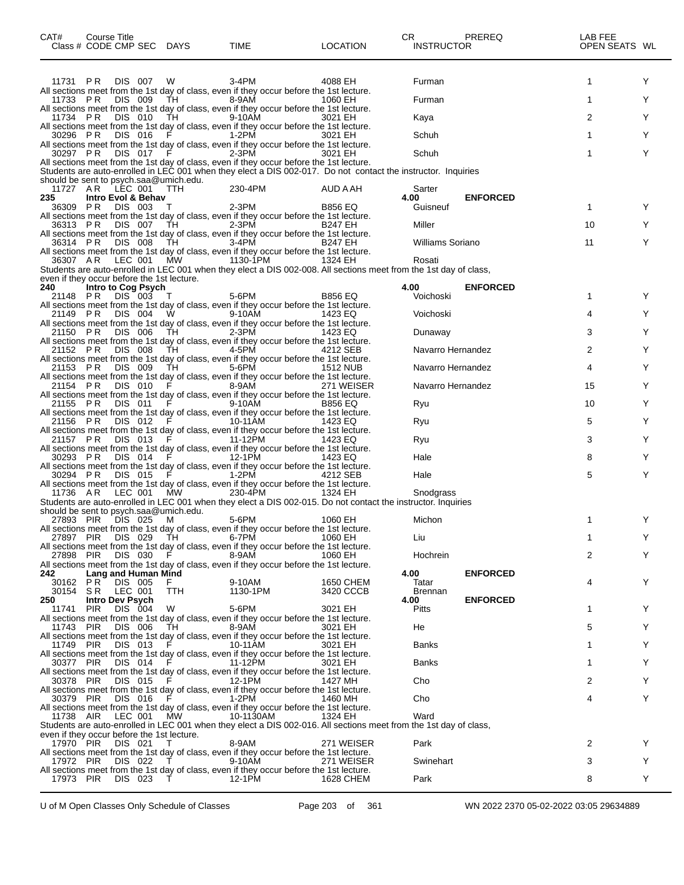| 11731 PR<br><b>DIS 007</b><br>$3-4PM$<br>Y<br>4088 EH<br>Furman<br>1<br>W<br>All sections meet from the 1st day of class, even if they occur before the 1st lecture.<br>Y<br>11733 PR<br>DIS 009<br>TH<br>8-9AM<br>1060 EH<br>Furman<br>1<br>All sections meet from the 1st day of class, even if they occur before the 1st lecture.<br>11734 PR<br>DIS 010<br>TH<br>9-10AM<br>Kaya<br>2<br>Y<br>3021 EH<br>All sections meet from the 1st day of class, even if they occur before the 1st lecture.<br>30296 PR<br>DIS 016<br>Schuh<br>Y<br>$1-2PM$<br>3021 EH<br>All sections meet from the 1st day of class, even if they occur before the 1st lecture.<br>Schuh<br>Y<br>30297 PR<br>DIS 017<br>$2-3PM$<br>3021 EH<br>1<br>All sections meet from the 1st day of class, even if they occur before the 1st lecture.<br>Students are auto-enrolled in LEC 001 when they elect a DIS 002-017. Do not contact the instructor. Inquiries<br>should be sent to psych.saa@umich.edu.<br>11727 AR<br>LEC 001<br>230-4PM<br>AUD A AH<br><b>TTH</b><br>Sarter<br><b>ENFORCED</b><br>235<br>Intro Evol & Behav<br>4.00<br>$2-3PM$<br><b>B856 EQ</b><br>Y<br>36309 PR<br>DIS 003<br>T<br>Guisneuf<br>1<br>All sections meet from the 1st day of class, even if they occur before the 1st lecture.<br>Miller<br>36313 PR<br>DIS 007<br>TH<br>$2-3PM$<br><b>B247 EH</b><br>10<br>Y<br>All sections meet from the 1st day of class, even if they occur before the 1st lecture.<br>11<br>Y<br>36314 PR<br>DIS 008<br>3-4PM<br><b>Williams Soriano</b><br>TH.<br>B247 EH<br>All sections meet from the 1st day of class, even if they occur before the 1st lecture.<br>36307 AR LEC 001 MW<br>1130-1PM<br>1324 EH<br>Rosati<br>Students are auto-enrolled in LEC 001 when they elect a DIS 002-008. All sections meet from the 1st day of class,<br>even if they occur before the 1st lecture.<br><b>ENFORCED</b><br>240<br>Intro to Cog Psych<br>4.00<br>DIS 003<br>Y<br>21148 PR<br>5-6PM<br><b>B856 EQ</b><br>Voichoski<br>т<br>1<br>All sections meet from the 1st day of class, even if they occur before the 1st lecture.<br>Voichoski<br>Y<br>21149 PR<br>DIS 004<br>9-10AM<br>1423 EQ<br>4<br>W<br>All sections meet from the 1st day of class, even if they occur before the 1st lecture.<br>21150 PR<br>DIS 006<br>TH<br>$2-3PM$<br>3<br>Y<br>1423 EQ<br>Dunaway<br>All sections meet from the 1st day of class, even if they occur before the 1st lecture.<br>Y<br>21152 PR<br>DIS 008<br>4-5PM<br>Navarro Hernandez<br>TH.<br>4212 SEB<br>2<br>All sections meet from the 1st day of class, even if they occur before the 1st lecture.<br>Navarro Hernandez<br>Y<br>21153 PR<br>DIS 009<br>TH<br>5-6PM<br><b>1512 NUB</b><br>4<br>All sections meet from the 1st day of class, even if they occur before the 1st lecture.<br>DIS 010<br>Navarro Hernandez<br>21154 PR<br>8-9AM<br>15<br>Y<br>-F<br>271 WEISER<br>All sections meet from the 1st day of class, even if they occur before the 1st lecture.<br>DIS 011<br>Y<br>21155 PR<br>9-10AM<br>Ryu<br>10<br><b>B856 EQ</b><br>All sections meet from the 1st day of class, even if they occur before the 1st lecture.<br>5<br>Y<br>21156 PR<br>DIS 012<br>10-11AM<br>1423 EQ<br>Ryu<br>All sections meet from the 1st day of class, even if they occur before the 1st lecture.<br>21157 PR<br>DIS 013<br>11-12PM<br>3<br>Y<br>-F<br>1423 EQ<br>Ryu<br>All sections meet from the 1st day of class, even if they occur before the 1st lecture.<br>30293 PR<br>DIS 014<br>Y<br>12-1PM<br>Hale<br>1423 EQ<br>8<br>All sections meet from the 1st day of class, even if they occur before the 1st lecture.<br>Hale<br>5<br>Y<br>30294 PR<br>DIS 015<br>1-2PM<br>- F<br>4212 SEB<br>All sections meet from the 1st day of class, even if they occur before the 1st lecture.<br>LEC 001<br>МW<br>230-4PM<br>1324 EH<br>Snodgrass<br>11736 AR<br>Students are auto-enrolled in LEC 001 when they elect a DIS 002-015. Do not contact the instructor. Inquiries<br>should be sent to psych.saa@umich.edu.<br>27893 PIR<br>DIS 025<br>5-6PM<br>1060 EH<br>Michon<br>1<br>Y<br>M<br>All sections meet from the 1st day of class, even if they occur before the 1st lecture.<br>Liu<br>27897 PIR DIS 029 TH<br>6-7PM<br>1060 EH<br>All sections meet from the 1st day of class, even if they occur before the 1st lecture.<br>27898 PIR<br>DIS 030<br>8-9AM<br>Hochrein<br>2<br>Y<br>-F.<br>1060 EH<br>All sections meet from the 1st day of class, even if they occur before the 1st lecture.<br>242<br>Lang and Human Mind<br>4.00<br><b>ENFORCED</b><br>Y<br>30162 PR<br>DIS 005<br>9-10AM<br>1650 CHEM<br>Tatar<br>4<br>30154 SR<br>LEC 001<br>TTH<br>1130-1PM<br>3420 CCCB<br><b>Brennan</b><br><b>Intro Dev Psych</b><br>4.00<br><b>ENFORCED</b><br>250<br>DIS 004<br>5-6PM<br>11741 PIR<br>W<br>3021 EH<br><b>Pitts</b><br>Y<br>1<br>All sections meet from the 1st day of class, even if they occur before the 1st lecture.<br><b>DIS 006</b><br>He<br>5<br>11743 PIR<br>TH.<br>8-9AM<br>3021 EH<br>Y<br>All sections meet from the 1st day of class, even if they occur before the 1st lecture.<br>11749 PIR<br>DIS 013<br>10-11AM<br>Banks<br>Y<br>-F<br>3021 EH<br>All sections meet from the 1st day of class, even if they occur before the 1st lecture.<br>30377 PIR<br><b>DIS 014</b><br>11-12PM<br>Banks<br>Y<br>-F<br>3021 EH<br>All sections meet from the 1st day of class, even if they occur before the 1st lecture.<br>Cho<br>30378 PIR<br>DIS 015<br>12-1PM<br>1427 MH<br>2<br>Y<br>All sections meet from the 1st day of class, even if they occur before the 1st lecture.<br>Cho<br>Y<br>30379 PIR<br>DIS 016<br>1-2PM<br>- F<br>1460 MH<br>4<br>All sections meet from the 1st day of class, even if they occur before the 1st lecture.<br>Ward<br>11738 AIR<br>LEC 001 MW<br>10-1130AM<br>1324 EH<br>Students are auto-enrolled in LEC 001 when they elect a DIS 002-016. All sections meet from the 1st day of class,<br>even if they occur before the 1st lecture.<br>17970 PIR<br>Park<br>DIS 021<br>8-9AM<br>271 WEISER<br>2<br>Y<br>T<br>All sections meet from the 1st day of class, even if they occur before the 1st lecture.<br>17972 PIR<br>DIS 022<br>9-10AM<br>Swinehart<br>271 WEISER<br>3<br>Y<br>All sections meet from the 1st day of class, even if they occur before the 1st lecture.<br>17973 PIR<br>DIS 023<br>12-1PM<br>Park<br>8<br>Y<br>1628 CHEM | CAT# | Course Title<br>Class # CODE CMP SEC DAYS |  |  | TIME |  | <b>LOCATION</b> | CR | <b>INSTRUCTOR</b> | PREREQ | LAB FEE<br>OPEN SEATS WL |  |
|------------------------------------------------------------------------------------------------------------------------------------------------------------------------------------------------------------------------------------------------------------------------------------------------------------------------------------------------------------------------------------------------------------------------------------------------------------------------------------------------------------------------------------------------------------------------------------------------------------------------------------------------------------------------------------------------------------------------------------------------------------------------------------------------------------------------------------------------------------------------------------------------------------------------------------------------------------------------------------------------------------------------------------------------------------------------------------------------------------------------------------------------------------------------------------------------------------------------------------------------------------------------------------------------------------------------------------------------------------------------------------------------------------------------------------------------------------------------------------------------------------------------------------------------------------------------------------------------------------------------------------------------------------------------------------------------------------------------------------------------------------------------------------------------------------------------------------------------------------------------------------------------------------------------------------------------------------------------------------------------------------------------------------------------------------------------------------------------------------------------------------------------------------------------------------------------------------------------------------------------------------------------------------------------------------------------------------------------------------------------------------------------------------------------------------------------------------------------------------------------------------------------------------------------------------------------------------------------------------------------------------------------------------------------------------------------------------------------------------------------------------------------------------------------------------------------------------------------------------------------------------------------------------------------------------------------------------------------------------------------------------------------------------------------------------------------------------------------------------------------------------------------------------------------------------------------------------------------------------------------------------------------------------------------------------------------------------------------------------------------------------------------------------------------------------------------------------------------------------------------------------------------------------------------------------------------------------------------------------------------------------------------------------------------------------------------------------------------------------------------------------------------------------------------------------------------------------------------------------------------------------------------------------------------------------------------------------------------------------------------------------------------------------------------------------------------------------------------------------------------------------------------------------------------------------------------------------------------------------------------------------------------------------------------------------------------------------------------------------------------------------------------------------------------------------------------------------------------------------------------------------------------------------------------------------------------------------------------------------------------------------------------------------------------------------------------------------------------------------------------------------------------------------------------------------------------------------------------------------------------------------------------------------------------------------------------------------------------------------------------------------------------------------------------------------------------------------------------------------------------------------------------------------------------------------------------------------------------------------------------------------------------------------------------------------------------------------------------------------------------------------------------------------------------------------------------------------------------------------------------------------------------------------------------------------------------------------------------------------------------------------------------------------------------------------------------------------------------------------------------------------------------------------------------------------------------------------------------------------------------------------------------------------------------------------------------------------------------------------------------------------------------------------------------------------------------------------------------------------------------------------------------------------------------------------------------------------------------------------------------------------------------------------------------------------------------------------------------------------------------------------------------------------------------------------------|------|-------------------------------------------|--|--|------|--|-----------------|----|-------------------|--------|--------------------------|--|
|                                                                                                                                                                                                                                                                                                                                                                                                                                                                                                                                                                                                                                                                                                                                                                                                                                                                                                                                                                                                                                                                                                                                                                                                                                                                                                                                                                                                                                                                                                                                                                                                                                                                                                                                                                                                                                                                                                                                                                                                                                                                                                                                                                                                                                                                                                                                                                                                                                                                                                                                                                                                                                                                                                                                                                                                                                                                                                                                                                                                                                                                                                                                                                                                                                                                                                                                                                                                                                                                                                                                                                                                                                                                                                                                                                                                                                                                                                                                                                                                                                                                                                                                                                                                                                                                                                                                                                                                                                                                                                                                                                                                                                                                                                                                                                                                                                                                                                                                                                                                                                                                                                                                                                                                                                                                                                                                                                                                                                                                                                                                                                                                                                                                                                                                                                                                                                                                                                                                                                                                                                                                                                                                                                                                                                                                                                                                                                                                                                          |      |                                           |  |  |      |  |                 |    |                   |        |                          |  |
|                                                                                                                                                                                                                                                                                                                                                                                                                                                                                                                                                                                                                                                                                                                                                                                                                                                                                                                                                                                                                                                                                                                                                                                                                                                                                                                                                                                                                                                                                                                                                                                                                                                                                                                                                                                                                                                                                                                                                                                                                                                                                                                                                                                                                                                                                                                                                                                                                                                                                                                                                                                                                                                                                                                                                                                                                                                                                                                                                                                                                                                                                                                                                                                                                                                                                                                                                                                                                                                                                                                                                                                                                                                                                                                                                                                                                                                                                                                                                                                                                                                                                                                                                                                                                                                                                                                                                                                                                                                                                                                                                                                                                                                                                                                                                                                                                                                                                                                                                                                                                                                                                                                                                                                                                                                                                                                                                                                                                                                                                                                                                                                                                                                                                                                                                                                                                                                                                                                                                                                                                                                                                                                                                                                                                                                                                                                                                                                                                                          |      |                                           |  |  |      |  |                 |    |                   |        |                          |  |
|                                                                                                                                                                                                                                                                                                                                                                                                                                                                                                                                                                                                                                                                                                                                                                                                                                                                                                                                                                                                                                                                                                                                                                                                                                                                                                                                                                                                                                                                                                                                                                                                                                                                                                                                                                                                                                                                                                                                                                                                                                                                                                                                                                                                                                                                                                                                                                                                                                                                                                                                                                                                                                                                                                                                                                                                                                                                                                                                                                                                                                                                                                                                                                                                                                                                                                                                                                                                                                                                                                                                                                                                                                                                                                                                                                                                                                                                                                                                                                                                                                                                                                                                                                                                                                                                                                                                                                                                                                                                                                                                                                                                                                                                                                                                                                                                                                                                                                                                                                                                                                                                                                                                                                                                                                                                                                                                                                                                                                                                                                                                                                                                                                                                                                                                                                                                                                                                                                                                                                                                                                                                                                                                                                                                                                                                                                                                                                                                                                          |      |                                           |  |  |      |  |                 |    |                   |        |                          |  |
|                                                                                                                                                                                                                                                                                                                                                                                                                                                                                                                                                                                                                                                                                                                                                                                                                                                                                                                                                                                                                                                                                                                                                                                                                                                                                                                                                                                                                                                                                                                                                                                                                                                                                                                                                                                                                                                                                                                                                                                                                                                                                                                                                                                                                                                                                                                                                                                                                                                                                                                                                                                                                                                                                                                                                                                                                                                                                                                                                                                                                                                                                                                                                                                                                                                                                                                                                                                                                                                                                                                                                                                                                                                                                                                                                                                                                                                                                                                                                                                                                                                                                                                                                                                                                                                                                                                                                                                                                                                                                                                                                                                                                                                                                                                                                                                                                                                                                                                                                                                                                                                                                                                                                                                                                                                                                                                                                                                                                                                                                                                                                                                                                                                                                                                                                                                                                                                                                                                                                                                                                                                                                                                                                                                                                                                                                                                                                                                                                                          |      |                                           |  |  |      |  |                 |    |                   |        |                          |  |
|                                                                                                                                                                                                                                                                                                                                                                                                                                                                                                                                                                                                                                                                                                                                                                                                                                                                                                                                                                                                                                                                                                                                                                                                                                                                                                                                                                                                                                                                                                                                                                                                                                                                                                                                                                                                                                                                                                                                                                                                                                                                                                                                                                                                                                                                                                                                                                                                                                                                                                                                                                                                                                                                                                                                                                                                                                                                                                                                                                                                                                                                                                                                                                                                                                                                                                                                                                                                                                                                                                                                                                                                                                                                                                                                                                                                                                                                                                                                                                                                                                                                                                                                                                                                                                                                                                                                                                                                                                                                                                                                                                                                                                                                                                                                                                                                                                                                                                                                                                                                                                                                                                                                                                                                                                                                                                                                                                                                                                                                                                                                                                                                                                                                                                                                                                                                                                                                                                                                                                                                                                                                                                                                                                                                                                                                                                                                                                                                                                          |      |                                           |  |  |      |  |                 |    |                   |        |                          |  |
|                                                                                                                                                                                                                                                                                                                                                                                                                                                                                                                                                                                                                                                                                                                                                                                                                                                                                                                                                                                                                                                                                                                                                                                                                                                                                                                                                                                                                                                                                                                                                                                                                                                                                                                                                                                                                                                                                                                                                                                                                                                                                                                                                                                                                                                                                                                                                                                                                                                                                                                                                                                                                                                                                                                                                                                                                                                                                                                                                                                                                                                                                                                                                                                                                                                                                                                                                                                                                                                                                                                                                                                                                                                                                                                                                                                                                                                                                                                                                                                                                                                                                                                                                                                                                                                                                                                                                                                                                                                                                                                                                                                                                                                                                                                                                                                                                                                                                                                                                                                                                                                                                                                                                                                                                                                                                                                                                                                                                                                                                                                                                                                                                                                                                                                                                                                                                                                                                                                                                                                                                                                                                                                                                                                                                                                                                                                                                                                                                                          |      |                                           |  |  |      |  |                 |    |                   |        |                          |  |
|                                                                                                                                                                                                                                                                                                                                                                                                                                                                                                                                                                                                                                                                                                                                                                                                                                                                                                                                                                                                                                                                                                                                                                                                                                                                                                                                                                                                                                                                                                                                                                                                                                                                                                                                                                                                                                                                                                                                                                                                                                                                                                                                                                                                                                                                                                                                                                                                                                                                                                                                                                                                                                                                                                                                                                                                                                                                                                                                                                                                                                                                                                                                                                                                                                                                                                                                                                                                                                                                                                                                                                                                                                                                                                                                                                                                                                                                                                                                                                                                                                                                                                                                                                                                                                                                                                                                                                                                                                                                                                                                                                                                                                                                                                                                                                                                                                                                                                                                                                                                                                                                                                                                                                                                                                                                                                                                                                                                                                                                                                                                                                                                                                                                                                                                                                                                                                                                                                                                                                                                                                                                                                                                                                                                                                                                                                                                                                                                                                          |      |                                           |  |  |      |  |                 |    |                   |        |                          |  |
|                                                                                                                                                                                                                                                                                                                                                                                                                                                                                                                                                                                                                                                                                                                                                                                                                                                                                                                                                                                                                                                                                                                                                                                                                                                                                                                                                                                                                                                                                                                                                                                                                                                                                                                                                                                                                                                                                                                                                                                                                                                                                                                                                                                                                                                                                                                                                                                                                                                                                                                                                                                                                                                                                                                                                                                                                                                                                                                                                                                                                                                                                                                                                                                                                                                                                                                                                                                                                                                                                                                                                                                                                                                                                                                                                                                                                                                                                                                                                                                                                                                                                                                                                                                                                                                                                                                                                                                                                                                                                                                                                                                                                                                                                                                                                                                                                                                                                                                                                                                                                                                                                                                                                                                                                                                                                                                                                                                                                                                                                                                                                                                                                                                                                                                                                                                                                                                                                                                                                                                                                                                                                                                                                                                                                                                                                                                                                                                                                                          |      |                                           |  |  |      |  |                 |    |                   |        |                          |  |
|                                                                                                                                                                                                                                                                                                                                                                                                                                                                                                                                                                                                                                                                                                                                                                                                                                                                                                                                                                                                                                                                                                                                                                                                                                                                                                                                                                                                                                                                                                                                                                                                                                                                                                                                                                                                                                                                                                                                                                                                                                                                                                                                                                                                                                                                                                                                                                                                                                                                                                                                                                                                                                                                                                                                                                                                                                                                                                                                                                                                                                                                                                                                                                                                                                                                                                                                                                                                                                                                                                                                                                                                                                                                                                                                                                                                                                                                                                                                                                                                                                                                                                                                                                                                                                                                                                                                                                                                                                                                                                                                                                                                                                                                                                                                                                                                                                                                                                                                                                                                                                                                                                                                                                                                                                                                                                                                                                                                                                                                                                                                                                                                                                                                                                                                                                                                                                                                                                                                                                                                                                                                                                                                                                                                                                                                                                                                                                                                                                          |      |                                           |  |  |      |  |                 |    |                   |        |                          |  |
|                                                                                                                                                                                                                                                                                                                                                                                                                                                                                                                                                                                                                                                                                                                                                                                                                                                                                                                                                                                                                                                                                                                                                                                                                                                                                                                                                                                                                                                                                                                                                                                                                                                                                                                                                                                                                                                                                                                                                                                                                                                                                                                                                                                                                                                                                                                                                                                                                                                                                                                                                                                                                                                                                                                                                                                                                                                                                                                                                                                                                                                                                                                                                                                                                                                                                                                                                                                                                                                                                                                                                                                                                                                                                                                                                                                                                                                                                                                                                                                                                                                                                                                                                                                                                                                                                                                                                                                                                                                                                                                                                                                                                                                                                                                                                                                                                                                                                                                                                                                                                                                                                                                                                                                                                                                                                                                                                                                                                                                                                                                                                                                                                                                                                                                                                                                                                                                                                                                                                                                                                                                                                                                                                                                                                                                                                                                                                                                                                                          |      |                                           |  |  |      |  |                 |    |                   |        |                          |  |
|                                                                                                                                                                                                                                                                                                                                                                                                                                                                                                                                                                                                                                                                                                                                                                                                                                                                                                                                                                                                                                                                                                                                                                                                                                                                                                                                                                                                                                                                                                                                                                                                                                                                                                                                                                                                                                                                                                                                                                                                                                                                                                                                                                                                                                                                                                                                                                                                                                                                                                                                                                                                                                                                                                                                                                                                                                                                                                                                                                                                                                                                                                                                                                                                                                                                                                                                                                                                                                                                                                                                                                                                                                                                                                                                                                                                                                                                                                                                                                                                                                                                                                                                                                                                                                                                                                                                                                                                                                                                                                                                                                                                                                                                                                                                                                                                                                                                                                                                                                                                                                                                                                                                                                                                                                                                                                                                                                                                                                                                                                                                                                                                                                                                                                                                                                                                                                                                                                                                                                                                                                                                                                                                                                                                                                                                                                                                                                                                                                          |      |                                           |  |  |      |  |                 |    |                   |        |                          |  |
|                                                                                                                                                                                                                                                                                                                                                                                                                                                                                                                                                                                                                                                                                                                                                                                                                                                                                                                                                                                                                                                                                                                                                                                                                                                                                                                                                                                                                                                                                                                                                                                                                                                                                                                                                                                                                                                                                                                                                                                                                                                                                                                                                                                                                                                                                                                                                                                                                                                                                                                                                                                                                                                                                                                                                                                                                                                                                                                                                                                                                                                                                                                                                                                                                                                                                                                                                                                                                                                                                                                                                                                                                                                                                                                                                                                                                                                                                                                                                                                                                                                                                                                                                                                                                                                                                                                                                                                                                                                                                                                                                                                                                                                                                                                                                                                                                                                                                                                                                                                                                                                                                                                                                                                                                                                                                                                                                                                                                                                                                                                                                                                                                                                                                                                                                                                                                                                                                                                                                                                                                                                                                                                                                                                                                                                                                                                                                                                                                                          |      |                                           |  |  |      |  |                 |    |                   |        |                          |  |
|                                                                                                                                                                                                                                                                                                                                                                                                                                                                                                                                                                                                                                                                                                                                                                                                                                                                                                                                                                                                                                                                                                                                                                                                                                                                                                                                                                                                                                                                                                                                                                                                                                                                                                                                                                                                                                                                                                                                                                                                                                                                                                                                                                                                                                                                                                                                                                                                                                                                                                                                                                                                                                                                                                                                                                                                                                                                                                                                                                                                                                                                                                                                                                                                                                                                                                                                                                                                                                                                                                                                                                                                                                                                                                                                                                                                                                                                                                                                                                                                                                                                                                                                                                                                                                                                                                                                                                                                                                                                                                                                                                                                                                                                                                                                                                                                                                                                                                                                                                                                                                                                                                                                                                                                                                                                                                                                                                                                                                                                                                                                                                                                                                                                                                                                                                                                                                                                                                                                                                                                                                                                                                                                                                                                                                                                                                                                                                                                                                          |      |                                           |  |  |      |  |                 |    |                   |        |                          |  |
|                                                                                                                                                                                                                                                                                                                                                                                                                                                                                                                                                                                                                                                                                                                                                                                                                                                                                                                                                                                                                                                                                                                                                                                                                                                                                                                                                                                                                                                                                                                                                                                                                                                                                                                                                                                                                                                                                                                                                                                                                                                                                                                                                                                                                                                                                                                                                                                                                                                                                                                                                                                                                                                                                                                                                                                                                                                                                                                                                                                                                                                                                                                                                                                                                                                                                                                                                                                                                                                                                                                                                                                                                                                                                                                                                                                                                                                                                                                                                                                                                                                                                                                                                                                                                                                                                                                                                                                                                                                                                                                                                                                                                                                                                                                                                                                                                                                                                                                                                                                                                                                                                                                                                                                                                                                                                                                                                                                                                                                                                                                                                                                                                                                                                                                                                                                                                                                                                                                                                                                                                                                                                                                                                                                                                                                                                                                                                                                                                                          |      |                                           |  |  |      |  |                 |    |                   |        |                          |  |
|                                                                                                                                                                                                                                                                                                                                                                                                                                                                                                                                                                                                                                                                                                                                                                                                                                                                                                                                                                                                                                                                                                                                                                                                                                                                                                                                                                                                                                                                                                                                                                                                                                                                                                                                                                                                                                                                                                                                                                                                                                                                                                                                                                                                                                                                                                                                                                                                                                                                                                                                                                                                                                                                                                                                                                                                                                                                                                                                                                                                                                                                                                                                                                                                                                                                                                                                                                                                                                                                                                                                                                                                                                                                                                                                                                                                                                                                                                                                                                                                                                                                                                                                                                                                                                                                                                                                                                                                                                                                                                                                                                                                                                                                                                                                                                                                                                                                                                                                                                                                                                                                                                                                                                                                                                                                                                                                                                                                                                                                                                                                                                                                                                                                                                                                                                                                                                                                                                                                                                                                                                                                                                                                                                                                                                                                                                                                                                                                                                          |      |                                           |  |  |      |  |                 |    |                   |        |                          |  |
|                                                                                                                                                                                                                                                                                                                                                                                                                                                                                                                                                                                                                                                                                                                                                                                                                                                                                                                                                                                                                                                                                                                                                                                                                                                                                                                                                                                                                                                                                                                                                                                                                                                                                                                                                                                                                                                                                                                                                                                                                                                                                                                                                                                                                                                                                                                                                                                                                                                                                                                                                                                                                                                                                                                                                                                                                                                                                                                                                                                                                                                                                                                                                                                                                                                                                                                                                                                                                                                                                                                                                                                                                                                                                                                                                                                                                                                                                                                                                                                                                                                                                                                                                                                                                                                                                                                                                                                                                                                                                                                                                                                                                                                                                                                                                                                                                                                                                                                                                                                                                                                                                                                                                                                                                                                                                                                                                                                                                                                                                                                                                                                                                                                                                                                                                                                                                                                                                                                                                                                                                                                                                                                                                                                                                                                                                                                                                                                                                                          |      |                                           |  |  |      |  |                 |    |                   |        |                          |  |
|                                                                                                                                                                                                                                                                                                                                                                                                                                                                                                                                                                                                                                                                                                                                                                                                                                                                                                                                                                                                                                                                                                                                                                                                                                                                                                                                                                                                                                                                                                                                                                                                                                                                                                                                                                                                                                                                                                                                                                                                                                                                                                                                                                                                                                                                                                                                                                                                                                                                                                                                                                                                                                                                                                                                                                                                                                                                                                                                                                                                                                                                                                                                                                                                                                                                                                                                                                                                                                                                                                                                                                                                                                                                                                                                                                                                                                                                                                                                                                                                                                                                                                                                                                                                                                                                                                                                                                                                                                                                                                                                                                                                                                                                                                                                                                                                                                                                                                                                                                                                                                                                                                                                                                                                                                                                                                                                                                                                                                                                                                                                                                                                                                                                                                                                                                                                                                                                                                                                                                                                                                                                                                                                                                                                                                                                                                                                                                                                                                          |      |                                           |  |  |      |  |                 |    |                   |        |                          |  |
|                                                                                                                                                                                                                                                                                                                                                                                                                                                                                                                                                                                                                                                                                                                                                                                                                                                                                                                                                                                                                                                                                                                                                                                                                                                                                                                                                                                                                                                                                                                                                                                                                                                                                                                                                                                                                                                                                                                                                                                                                                                                                                                                                                                                                                                                                                                                                                                                                                                                                                                                                                                                                                                                                                                                                                                                                                                                                                                                                                                                                                                                                                                                                                                                                                                                                                                                                                                                                                                                                                                                                                                                                                                                                                                                                                                                                                                                                                                                                                                                                                                                                                                                                                                                                                                                                                                                                                                                                                                                                                                                                                                                                                                                                                                                                                                                                                                                                                                                                                                                                                                                                                                                                                                                                                                                                                                                                                                                                                                                                                                                                                                                                                                                                                                                                                                                                                                                                                                                                                                                                                                                                                                                                                                                                                                                                                                                                                                                                                          |      |                                           |  |  |      |  |                 |    |                   |        |                          |  |
|                                                                                                                                                                                                                                                                                                                                                                                                                                                                                                                                                                                                                                                                                                                                                                                                                                                                                                                                                                                                                                                                                                                                                                                                                                                                                                                                                                                                                                                                                                                                                                                                                                                                                                                                                                                                                                                                                                                                                                                                                                                                                                                                                                                                                                                                                                                                                                                                                                                                                                                                                                                                                                                                                                                                                                                                                                                                                                                                                                                                                                                                                                                                                                                                                                                                                                                                                                                                                                                                                                                                                                                                                                                                                                                                                                                                                                                                                                                                                                                                                                                                                                                                                                                                                                                                                                                                                                                                                                                                                                                                                                                                                                                                                                                                                                                                                                                                                                                                                                                                                                                                                                                                                                                                                                                                                                                                                                                                                                                                                                                                                                                                                                                                                                                                                                                                                                                                                                                                                                                                                                                                                                                                                                                                                                                                                                                                                                                                                                          |      |                                           |  |  |      |  |                 |    |                   |        |                          |  |
|                                                                                                                                                                                                                                                                                                                                                                                                                                                                                                                                                                                                                                                                                                                                                                                                                                                                                                                                                                                                                                                                                                                                                                                                                                                                                                                                                                                                                                                                                                                                                                                                                                                                                                                                                                                                                                                                                                                                                                                                                                                                                                                                                                                                                                                                                                                                                                                                                                                                                                                                                                                                                                                                                                                                                                                                                                                                                                                                                                                                                                                                                                                                                                                                                                                                                                                                                                                                                                                                                                                                                                                                                                                                                                                                                                                                                                                                                                                                                                                                                                                                                                                                                                                                                                                                                                                                                                                                                                                                                                                                                                                                                                                                                                                                                                                                                                                                                                                                                                                                                                                                                                                                                                                                                                                                                                                                                                                                                                                                                                                                                                                                                                                                                                                                                                                                                                                                                                                                                                                                                                                                                                                                                                                                                                                                                                                                                                                                                                          |      |                                           |  |  |      |  |                 |    |                   |        |                          |  |
|                                                                                                                                                                                                                                                                                                                                                                                                                                                                                                                                                                                                                                                                                                                                                                                                                                                                                                                                                                                                                                                                                                                                                                                                                                                                                                                                                                                                                                                                                                                                                                                                                                                                                                                                                                                                                                                                                                                                                                                                                                                                                                                                                                                                                                                                                                                                                                                                                                                                                                                                                                                                                                                                                                                                                                                                                                                                                                                                                                                                                                                                                                                                                                                                                                                                                                                                                                                                                                                                                                                                                                                                                                                                                                                                                                                                                                                                                                                                                                                                                                                                                                                                                                                                                                                                                                                                                                                                                                                                                                                                                                                                                                                                                                                                                                                                                                                                                                                                                                                                                                                                                                                                                                                                                                                                                                                                                                                                                                                                                                                                                                                                                                                                                                                                                                                                                                                                                                                                                                                                                                                                                                                                                                                                                                                                                                                                                                                                                                          |      |                                           |  |  |      |  |                 |    |                   |        |                          |  |
|                                                                                                                                                                                                                                                                                                                                                                                                                                                                                                                                                                                                                                                                                                                                                                                                                                                                                                                                                                                                                                                                                                                                                                                                                                                                                                                                                                                                                                                                                                                                                                                                                                                                                                                                                                                                                                                                                                                                                                                                                                                                                                                                                                                                                                                                                                                                                                                                                                                                                                                                                                                                                                                                                                                                                                                                                                                                                                                                                                                                                                                                                                                                                                                                                                                                                                                                                                                                                                                                                                                                                                                                                                                                                                                                                                                                                                                                                                                                                                                                                                                                                                                                                                                                                                                                                                                                                                                                                                                                                                                                                                                                                                                                                                                                                                                                                                                                                                                                                                                                                                                                                                                                                                                                                                                                                                                                                                                                                                                                                                                                                                                                                                                                                                                                                                                                                                                                                                                                                                                                                                                                                                                                                                                                                                                                                                                                                                                                                                          |      |                                           |  |  |      |  |                 |    |                   |        |                          |  |
|                                                                                                                                                                                                                                                                                                                                                                                                                                                                                                                                                                                                                                                                                                                                                                                                                                                                                                                                                                                                                                                                                                                                                                                                                                                                                                                                                                                                                                                                                                                                                                                                                                                                                                                                                                                                                                                                                                                                                                                                                                                                                                                                                                                                                                                                                                                                                                                                                                                                                                                                                                                                                                                                                                                                                                                                                                                                                                                                                                                                                                                                                                                                                                                                                                                                                                                                                                                                                                                                                                                                                                                                                                                                                                                                                                                                                                                                                                                                                                                                                                                                                                                                                                                                                                                                                                                                                                                                                                                                                                                                                                                                                                                                                                                                                                                                                                                                                                                                                                                                                                                                                                                                                                                                                                                                                                                                                                                                                                                                                                                                                                                                                                                                                                                                                                                                                                                                                                                                                                                                                                                                                                                                                                                                                                                                                                                                                                                                                                          |      |                                           |  |  |      |  |                 |    |                   |        |                          |  |
|                                                                                                                                                                                                                                                                                                                                                                                                                                                                                                                                                                                                                                                                                                                                                                                                                                                                                                                                                                                                                                                                                                                                                                                                                                                                                                                                                                                                                                                                                                                                                                                                                                                                                                                                                                                                                                                                                                                                                                                                                                                                                                                                                                                                                                                                                                                                                                                                                                                                                                                                                                                                                                                                                                                                                                                                                                                                                                                                                                                                                                                                                                                                                                                                                                                                                                                                                                                                                                                                                                                                                                                                                                                                                                                                                                                                                                                                                                                                                                                                                                                                                                                                                                                                                                                                                                                                                                                                                                                                                                                                                                                                                                                                                                                                                                                                                                                                                                                                                                                                                                                                                                                                                                                                                                                                                                                                                                                                                                                                                                                                                                                                                                                                                                                                                                                                                                                                                                                                                                                                                                                                                                                                                                                                                                                                                                                                                                                                                                          |      |                                           |  |  |      |  |                 |    |                   |        |                          |  |
|                                                                                                                                                                                                                                                                                                                                                                                                                                                                                                                                                                                                                                                                                                                                                                                                                                                                                                                                                                                                                                                                                                                                                                                                                                                                                                                                                                                                                                                                                                                                                                                                                                                                                                                                                                                                                                                                                                                                                                                                                                                                                                                                                                                                                                                                                                                                                                                                                                                                                                                                                                                                                                                                                                                                                                                                                                                                                                                                                                                                                                                                                                                                                                                                                                                                                                                                                                                                                                                                                                                                                                                                                                                                                                                                                                                                                                                                                                                                                                                                                                                                                                                                                                                                                                                                                                                                                                                                                                                                                                                                                                                                                                                                                                                                                                                                                                                                                                                                                                                                                                                                                                                                                                                                                                                                                                                                                                                                                                                                                                                                                                                                                                                                                                                                                                                                                                                                                                                                                                                                                                                                                                                                                                                                                                                                                                                                                                                                                                          |      |                                           |  |  |      |  |                 |    |                   |        |                          |  |
|                                                                                                                                                                                                                                                                                                                                                                                                                                                                                                                                                                                                                                                                                                                                                                                                                                                                                                                                                                                                                                                                                                                                                                                                                                                                                                                                                                                                                                                                                                                                                                                                                                                                                                                                                                                                                                                                                                                                                                                                                                                                                                                                                                                                                                                                                                                                                                                                                                                                                                                                                                                                                                                                                                                                                                                                                                                                                                                                                                                                                                                                                                                                                                                                                                                                                                                                                                                                                                                                                                                                                                                                                                                                                                                                                                                                                                                                                                                                                                                                                                                                                                                                                                                                                                                                                                                                                                                                                                                                                                                                                                                                                                                                                                                                                                                                                                                                                                                                                                                                                                                                                                                                                                                                                                                                                                                                                                                                                                                                                                                                                                                                                                                                                                                                                                                                                                                                                                                                                                                                                                                                                                                                                                                                                                                                                                                                                                                                                                          |      |                                           |  |  |      |  |                 |    |                   |        |                          |  |
|                                                                                                                                                                                                                                                                                                                                                                                                                                                                                                                                                                                                                                                                                                                                                                                                                                                                                                                                                                                                                                                                                                                                                                                                                                                                                                                                                                                                                                                                                                                                                                                                                                                                                                                                                                                                                                                                                                                                                                                                                                                                                                                                                                                                                                                                                                                                                                                                                                                                                                                                                                                                                                                                                                                                                                                                                                                                                                                                                                                                                                                                                                                                                                                                                                                                                                                                                                                                                                                                                                                                                                                                                                                                                                                                                                                                                                                                                                                                                                                                                                                                                                                                                                                                                                                                                                                                                                                                                                                                                                                                                                                                                                                                                                                                                                                                                                                                                                                                                                                                                                                                                                                                                                                                                                                                                                                                                                                                                                                                                                                                                                                                                                                                                                                                                                                                                                                                                                                                                                                                                                                                                                                                                                                                                                                                                                                                                                                                                                          |      |                                           |  |  |      |  |                 |    |                   |        |                          |  |
|                                                                                                                                                                                                                                                                                                                                                                                                                                                                                                                                                                                                                                                                                                                                                                                                                                                                                                                                                                                                                                                                                                                                                                                                                                                                                                                                                                                                                                                                                                                                                                                                                                                                                                                                                                                                                                                                                                                                                                                                                                                                                                                                                                                                                                                                                                                                                                                                                                                                                                                                                                                                                                                                                                                                                                                                                                                                                                                                                                                                                                                                                                                                                                                                                                                                                                                                                                                                                                                                                                                                                                                                                                                                                                                                                                                                                                                                                                                                                                                                                                                                                                                                                                                                                                                                                                                                                                                                                                                                                                                                                                                                                                                                                                                                                                                                                                                                                                                                                                                                                                                                                                                                                                                                                                                                                                                                                                                                                                                                                                                                                                                                                                                                                                                                                                                                                                                                                                                                                                                                                                                                                                                                                                                                                                                                                                                                                                                                                                          |      |                                           |  |  |      |  |                 |    |                   |        |                          |  |
|                                                                                                                                                                                                                                                                                                                                                                                                                                                                                                                                                                                                                                                                                                                                                                                                                                                                                                                                                                                                                                                                                                                                                                                                                                                                                                                                                                                                                                                                                                                                                                                                                                                                                                                                                                                                                                                                                                                                                                                                                                                                                                                                                                                                                                                                                                                                                                                                                                                                                                                                                                                                                                                                                                                                                                                                                                                                                                                                                                                                                                                                                                                                                                                                                                                                                                                                                                                                                                                                                                                                                                                                                                                                                                                                                                                                                                                                                                                                                                                                                                                                                                                                                                                                                                                                                                                                                                                                                                                                                                                                                                                                                                                                                                                                                                                                                                                                                                                                                                                                                                                                                                                                                                                                                                                                                                                                                                                                                                                                                                                                                                                                                                                                                                                                                                                                                                                                                                                                                                                                                                                                                                                                                                                                                                                                                                                                                                                                                                          |      |                                           |  |  |      |  |                 |    |                   |        |                          |  |
|                                                                                                                                                                                                                                                                                                                                                                                                                                                                                                                                                                                                                                                                                                                                                                                                                                                                                                                                                                                                                                                                                                                                                                                                                                                                                                                                                                                                                                                                                                                                                                                                                                                                                                                                                                                                                                                                                                                                                                                                                                                                                                                                                                                                                                                                                                                                                                                                                                                                                                                                                                                                                                                                                                                                                                                                                                                                                                                                                                                                                                                                                                                                                                                                                                                                                                                                                                                                                                                                                                                                                                                                                                                                                                                                                                                                                                                                                                                                                                                                                                                                                                                                                                                                                                                                                                                                                                                                                                                                                                                                                                                                                                                                                                                                                                                                                                                                                                                                                                                                                                                                                                                                                                                                                                                                                                                                                                                                                                                                                                                                                                                                                                                                                                                                                                                                                                                                                                                                                                                                                                                                                                                                                                                                                                                                                                                                                                                                                                          |      |                                           |  |  |      |  |                 |    |                   |        |                          |  |
|                                                                                                                                                                                                                                                                                                                                                                                                                                                                                                                                                                                                                                                                                                                                                                                                                                                                                                                                                                                                                                                                                                                                                                                                                                                                                                                                                                                                                                                                                                                                                                                                                                                                                                                                                                                                                                                                                                                                                                                                                                                                                                                                                                                                                                                                                                                                                                                                                                                                                                                                                                                                                                                                                                                                                                                                                                                                                                                                                                                                                                                                                                                                                                                                                                                                                                                                                                                                                                                                                                                                                                                                                                                                                                                                                                                                                                                                                                                                                                                                                                                                                                                                                                                                                                                                                                                                                                                                                                                                                                                                                                                                                                                                                                                                                                                                                                                                                                                                                                                                                                                                                                                                                                                                                                                                                                                                                                                                                                                                                                                                                                                                                                                                                                                                                                                                                                                                                                                                                                                                                                                                                                                                                                                                                                                                                                                                                                                                                                          |      |                                           |  |  |      |  |                 |    |                   |        |                          |  |
|                                                                                                                                                                                                                                                                                                                                                                                                                                                                                                                                                                                                                                                                                                                                                                                                                                                                                                                                                                                                                                                                                                                                                                                                                                                                                                                                                                                                                                                                                                                                                                                                                                                                                                                                                                                                                                                                                                                                                                                                                                                                                                                                                                                                                                                                                                                                                                                                                                                                                                                                                                                                                                                                                                                                                                                                                                                                                                                                                                                                                                                                                                                                                                                                                                                                                                                                                                                                                                                                                                                                                                                                                                                                                                                                                                                                                                                                                                                                                                                                                                                                                                                                                                                                                                                                                                                                                                                                                                                                                                                                                                                                                                                                                                                                                                                                                                                                                                                                                                                                                                                                                                                                                                                                                                                                                                                                                                                                                                                                                                                                                                                                                                                                                                                                                                                                                                                                                                                                                                                                                                                                                                                                                                                                                                                                                                                                                                                                                                          |      |                                           |  |  |      |  |                 |    |                   |        |                          |  |
|                                                                                                                                                                                                                                                                                                                                                                                                                                                                                                                                                                                                                                                                                                                                                                                                                                                                                                                                                                                                                                                                                                                                                                                                                                                                                                                                                                                                                                                                                                                                                                                                                                                                                                                                                                                                                                                                                                                                                                                                                                                                                                                                                                                                                                                                                                                                                                                                                                                                                                                                                                                                                                                                                                                                                                                                                                                                                                                                                                                                                                                                                                                                                                                                                                                                                                                                                                                                                                                                                                                                                                                                                                                                                                                                                                                                                                                                                                                                                                                                                                                                                                                                                                                                                                                                                                                                                                                                                                                                                                                                                                                                                                                                                                                                                                                                                                                                                                                                                                                                                                                                                                                                                                                                                                                                                                                                                                                                                                                                                                                                                                                                                                                                                                                                                                                                                                                                                                                                                                                                                                                                                                                                                                                                                                                                                                                                                                                                                                          |      |                                           |  |  |      |  |                 |    |                   |        |                          |  |
|                                                                                                                                                                                                                                                                                                                                                                                                                                                                                                                                                                                                                                                                                                                                                                                                                                                                                                                                                                                                                                                                                                                                                                                                                                                                                                                                                                                                                                                                                                                                                                                                                                                                                                                                                                                                                                                                                                                                                                                                                                                                                                                                                                                                                                                                                                                                                                                                                                                                                                                                                                                                                                                                                                                                                                                                                                                                                                                                                                                                                                                                                                                                                                                                                                                                                                                                                                                                                                                                                                                                                                                                                                                                                                                                                                                                                                                                                                                                                                                                                                                                                                                                                                                                                                                                                                                                                                                                                                                                                                                                                                                                                                                                                                                                                                                                                                                                                                                                                                                                                                                                                                                                                                                                                                                                                                                                                                                                                                                                                                                                                                                                                                                                                                                                                                                                                                                                                                                                                                                                                                                                                                                                                                                                                                                                                                                                                                                                                                          |      |                                           |  |  |      |  |                 |    |                   |        |                          |  |
|                                                                                                                                                                                                                                                                                                                                                                                                                                                                                                                                                                                                                                                                                                                                                                                                                                                                                                                                                                                                                                                                                                                                                                                                                                                                                                                                                                                                                                                                                                                                                                                                                                                                                                                                                                                                                                                                                                                                                                                                                                                                                                                                                                                                                                                                                                                                                                                                                                                                                                                                                                                                                                                                                                                                                                                                                                                                                                                                                                                                                                                                                                                                                                                                                                                                                                                                                                                                                                                                                                                                                                                                                                                                                                                                                                                                                                                                                                                                                                                                                                                                                                                                                                                                                                                                                                                                                                                                                                                                                                                                                                                                                                                                                                                                                                                                                                                                                                                                                                                                                                                                                                                                                                                                                                                                                                                                                                                                                                                                                                                                                                                                                                                                                                                                                                                                                                                                                                                                                                                                                                                                                                                                                                                                                                                                                                                                                                                                                                          |      |                                           |  |  |      |  |                 |    |                   |        |                          |  |
|                                                                                                                                                                                                                                                                                                                                                                                                                                                                                                                                                                                                                                                                                                                                                                                                                                                                                                                                                                                                                                                                                                                                                                                                                                                                                                                                                                                                                                                                                                                                                                                                                                                                                                                                                                                                                                                                                                                                                                                                                                                                                                                                                                                                                                                                                                                                                                                                                                                                                                                                                                                                                                                                                                                                                                                                                                                                                                                                                                                                                                                                                                                                                                                                                                                                                                                                                                                                                                                                                                                                                                                                                                                                                                                                                                                                                                                                                                                                                                                                                                                                                                                                                                                                                                                                                                                                                                                                                                                                                                                                                                                                                                                                                                                                                                                                                                                                                                                                                                                                                                                                                                                                                                                                                                                                                                                                                                                                                                                                                                                                                                                                                                                                                                                                                                                                                                                                                                                                                                                                                                                                                                                                                                                                                                                                                                                                                                                                                                          |      |                                           |  |  |      |  |                 |    |                   |        |                          |  |
|                                                                                                                                                                                                                                                                                                                                                                                                                                                                                                                                                                                                                                                                                                                                                                                                                                                                                                                                                                                                                                                                                                                                                                                                                                                                                                                                                                                                                                                                                                                                                                                                                                                                                                                                                                                                                                                                                                                                                                                                                                                                                                                                                                                                                                                                                                                                                                                                                                                                                                                                                                                                                                                                                                                                                                                                                                                                                                                                                                                                                                                                                                                                                                                                                                                                                                                                                                                                                                                                                                                                                                                                                                                                                                                                                                                                                                                                                                                                                                                                                                                                                                                                                                                                                                                                                                                                                                                                                                                                                                                                                                                                                                                                                                                                                                                                                                                                                                                                                                                                                                                                                                                                                                                                                                                                                                                                                                                                                                                                                                                                                                                                                                                                                                                                                                                                                                                                                                                                                                                                                                                                                                                                                                                                                                                                                                                                                                                                                                          |      |                                           |  |  |      |  |                 |    |                   |        |                          |  |
|                                                                                                                                                                                                                                                                                                                                                                                                                                                                                                                                                                                                                                                                                                                                                                                                                                                                                                                                                                                                                                                                                                                                                                                                                                                                                                                                                                                                                                                                                                                                                                                                                                                                                                                                                                                                                                                                                                                                                                                                                                                                                                                                                                                                                                                                                                                                                                                                                                                                                                                                                                                                                                                                                                                                                                                                                                                                                                                                                                                                                                                                                                                                                                                                                                                                                                                                                                                                                                                                                                                                                                                                                                                                                                                                                                                                                                                                                                                                                                                                                                                                                                                                                                                                                                                                                                                                                                                                                                                                                                                                                                                                                                                                                                                                                                                                                                                                                                                                                                                                                                                                                                                                                                                                                                                                                                                                                                                                                                                                                                                                                                                                                                                                                                                                                                                                                                                                                                                                                                                                                                                                                                                                                                                                                                                                                                                                                                                                                                          |      |                                           |  |  |      |  |                 |    |                   |        |                          |  |
|                                                                                                                                                                                                                                                                                                                                                                                                                                                                                                                                                                                                                                                                                                                                                                                                                                                                                                                                                                                                                                                                                                                                                                                                                                                                                                                                                                                                                                                                                                                                                                                                                                                                                                                                                                                                                                                                                                                                                                                                                                                                                                                                                                                                                                                                                                                                                                                                                                                                                                                                                                                                                                                                                                                                                                                                                                                                                                                                                                                                                                                                                                                                                                                                                                                                                                                                                                                                                                                                                                                                                                                                                                                                                                                                                                                                                                                                                                                                                                                                                                                                                                                                                                                                                                                                                                                                                                                                                                                                                                                                                                                                                                                                                                                                                                                                                                                                                                                                                                                                                                                                                                                                                                                                                                                                                                                                                                                                                                                                                                                                                                                                                                                                                                                                                                                                                                                                                                                                                                                                                                                                                                                                                                                                                                                                                                                                                                                                                                          |      |                                           |  |  |      |  |                 |    |                   |        |                          |  |
|                                                                                                                                                                                                                                                                                                                                                                                                                                                                                                                                                                                                                                                                                                                                                                                                                                                                                                                                                                                                                                                                                                                                                                                                                                                                                                                                                                                                                                                                                                                                                                                                                                                                                                                                                                                                                                                                                                                                                                                                                                                                                                                                                                                                                                                                                                                                                                                                                                                                                                                                                                                                                                                                                                                                                                                                                                                                                                                                                                                                                                                                                                                                                                                                                                                                                                                                                                                                                                                                                                                                                                                                                                                                                                                                                                                                                                                                                                                                                                                                                                                                                                                                                                                                                                                                                                                                                                                                                                                                                                                                                                                                                                                                                                                                                                                                                                                                                                                                                                                                                                                                                                                                                                                                                                                                                                                                                                                                                                                                                                                                                                                                                                                                                                                                                                                                                                                                                                                                                                                                                                                                                                                                                                                                                                                                                                                                                                                                                                          |      |                                           |  |  |      |  |                 |    |                   |        |                          |  |
|                                                                                                                                                                                                                                                                                                                                                                                                                                                                                                                                                                                                                                                                                                                                                                                                                                                                                                                                                                                                                                                                                                                                                                                                                                                                                                                                                                                                                                                                                                                                                                                                                                                                                                                                                                                                                                                                                                                                                                                                                                                                                                                                                                                                                                                                                                                                                                                                                                                                                                                                                                                                                                                                                                                                                                                                                                                                                                                                                                                                                                                                                                                                                                                                                                                                                                                                                                                                                                                                                                                                                                                                                                                                                                                                                                                                                                                                                                                                                                                                                                                                                                                                                                                                                                                                                                                                                                                                                                                                                                                                                                                                                                                                                                                                                                                                                                                                                                                                                                                                                                                                                                                                                                                                                                                                                                                                                                                                                                                                                                                                                                                                                                                                                                                                                                                                                                                                                                                                                                                                                                                                                                                                                                                                                                                                                                                                                                                                                                          |      |                                           |  |  |      |  |                 |    |                   |        |                          |  |
|                                                                                                                                                                                                                                                                                                                                                                                                                                                                                                                                                                                                                                                                                                                                                                                                                                                                                                                                                                                                                                                                                                                                                                                                                                                                                                                                                                                                                                                                                                                                                                                                                                                                                                                                                                                                                                                                                                                                                                                                                                                                                                                                                                                                                                                                                                                                                                                                                                                                                                                                                                                                                                                                                                                                                                                                                                                                                                                                                                                                                                                                                                                                                                                                                                                                                                                                                                                                                                                                                                                                                                                                                                                                                                                                                                                                                                                                                                                                                                                                                                                                                                                                                                                                                                                                                                                                                                                                                                                                                                                                                                                                                                                                                                                                                                                                                                                                                                                                                                                                                                                                                                                                                                                                                                                                                                                                                                                                                                                                                                                                                                                                                                                                                                                                                                                                                                                                                                                                                                                                                                                                                                                                                                                                                                                                                                                                                                                                                                          |      |                                           |  |  |      |  |                 |    |                   |        |                          |  |
|                                                                                                                                                                                                                                                                                                                                                                                                                                                                                                                                                                                                                                                                                                                                                                                                                                                                                                                                                                                                                                                                                                                                                                                                                                                                                                                                                                                                                                                                                                                                                                                                                                                                                                                                                                                                                                                                                                                                                                                                                                                                                                                                                                                                                                                                                                                                                                                                                                                                                                                                                                                                                                                                                                                                                                                                                                                                                                                                                                                                                                                                                                                                                                                                                                                                                                                                                                                                                                                                                                                                                                                                                                                                                                                                                                                                                                                                                                                                                                                                                                                                                                                                                                                                                                                                                                                                                                                                                                                                                                                                                                                                                                                                                                                                                                                                                                                                                                                                                                                                                                                                                                                                                                                                                                                                                                                                                                                                                                                                                                                                                                                                                                                                                                                                                                                                                                                                                                                                                                                                                                                                                                                                                                                                                                                                                                                                                                                                                                          |      |                                           |  |  |      |  |                 |    |                   |        |                          |  |
|                                                                                                                                                                                                                                                                                                                                                                                                                                                                                                                                                                                                                                                                                                                                                                                                                                                                                                                                                                                                                                                                                                                                                                                                                                                                                                                                                                                                                                                                                                                                                                                                                                                                                                                                                                                                                                                                                                                                                                                                                                                                                                                                                                                                                                                                                                                                                                                                                                                                                                                                                                                                                                                                                                                                                                                                                                                                                                                                                                                                                                                                                                                                                                                                                                                                                                                                                                                                                                                                                                                                                                                                                                                                                                                                                                                                                                                                                                                                                                                                                                                                                                                                                                                                                                                                                                                                                                                                                                                                                                                                                                                                                                                                                                                                                                                                                                                                                                                                                                                                                                                                                                                                                                                                                                                                                                                                                                                                                                                                                                                                                                                                                                                                                                                                                                                                                                                                                                                                                                                                                                                                                                                                                                                                                                                                                                                                                                                                                                          |      |                                           |  |  |      |  |                 |    |                   |        |                          |  |
|                                                                                                                                                                                                                                                                                                                                                                                                                                                                                                                                                                                                                                                                                                                                                                                                                                                                                                                                                                                                                                                                                                                                                                                                                                                                                                                                                                                                                                                                                                                                                                                                                                                                                                                                                                                                                                                                                                                                                                                                                                                                                                                                                                                                                                                                                                                                                                                                                                                                                                                                                                                                                                                                                                                                                                                                                                                                                                                                                                                                                                                                                                                                                                                                                                                                                                                                                                                                                                                                                                                                                                                                                                                                                                                                                                                                                                                                                                                                                                                                                                                                                                                                                                                                                                                                                                                                                                                                                                                                                                                                                                                                                                                                                                                                                                                                                                                                                                                                                                                                                                                                                                                                                                                                                                                                                                                                                                                                                                                                                                                                                                                                                                                                                                                                                                                                                                                                                                                                                                                                                                                                                                                                                                                                                                                                                                                                                                                                                                          |      |                                           |  |  |      |  |                 |    |                   |        |                          |  |
|                                                                                                                                                                                                                                                                                                                                                                                                                                                                                                                                                                                                                                                                                                                                                                                                                                                                                                                                                                                                                                                                                                                                                                                                                                                                                                                                                                                                                                                                                                                                                                                                                                                                                                                                                                                                                                                                                                                                                                                                                                                                                                                                                                                                                                                                                                                                                                                                                                                                                                                                                                                                                                                                                                                                                                                                                                                                                                                                                                                                                                                                                                                                                                                                                                                                                                                                                                                                                                                                                                                                                                                                                                                                                                                                                                                                                                                                                                                                                                                                                                                                                                                                                                                                                                                                                                                                                                                                                                                                                                                                                                                                                                                                                                                                                                                                                                                                                                                                                                                                                                                                                                                                                                                                                                                                                                                                                                                                                                                                                                                                                                                                                                                                                                                                                                                                                                                                                                                                                                                                                                                                                                                                                                                                                                                                                                                                                                                                                                          |      |                                           |  |  |      |  |                 |    |                   |        |                          |  |
|                                                                                                                                                                                                                                                                                                                                                                                                                                                                                                                                                                                                                                                                                                                                                                                                                                                                                                                                                                                                                                                                                                                                                                                                                                                                                                                                                                                                                                                                                                                                                                                                                                                                                                                                                                                                                                                                                                                                                                                                                                                                                                                                                                                                                                                                                                                                                                                                                                                                                                                                                                                                                                                                                                                                                                                                                                                                                                                                                                                                                                                                                                                                                                                                                                                                                                                                                                                                                                                                                                                                                                                                                                                                                                                                                                                                                                                                                                                                                                                                                                                                                                                                                                                                                                                                                                                                                                                                                                                                                                                                                                                                                                                                                                                                                                                                                                                                                                                                                                                                                                                                                                                                                                                                                                                                                                                                                                                                                                                                                                                                                                                                                                                                                                                                                                                                                                                                                                                                                                                                                                                                                                                                                                                                                                                                                                                                                                                                                                          |      |                                           |  |  |      |  |                 |    |                   |        |                          |  |
|                                                                                                                                                                                                                                                                                                                                                                                                                                                                                                                                                                                                                                                                                                                                                                                                                                                                                                                                                                                                                                                                                                                                                                                                                                                                                                                                                                                                                                                                                                                                                                                                                                                                                                                                                                                                                                                                                                                                                                                                                                                                                                                                                                                                                                                                                                                                                                                                                                                                                                                                                                                                                                                                                                                                                                                                                                                                                                                                                                                                                                                                                                                                                                                                                                                                                                                                                                                                                                                                                                                                                                                                                                                                                                                                                                                                                                                                                                                                                                                                                                                                                                                                                                                                                                                                                                                                                                                                                                                                                                                                                                                                                                                                                                                                                                                                                                                                                                                                                                                                                                                                                                                                                                                                                                                                                                                                                                                                                                                                                                                                                                                                                                                                                                                                                                                                                                                                                                                                                                                                                                                                                                                                                                                                                                                                                                                                                                                                                                          |      |                                           |  |  |      |  |                 |    |                   |        |                          |  |

U of M Open Classes Only Schedule of Classes Page 203 of 361 WN 2022 2370 05-02-2022 03:05 29634889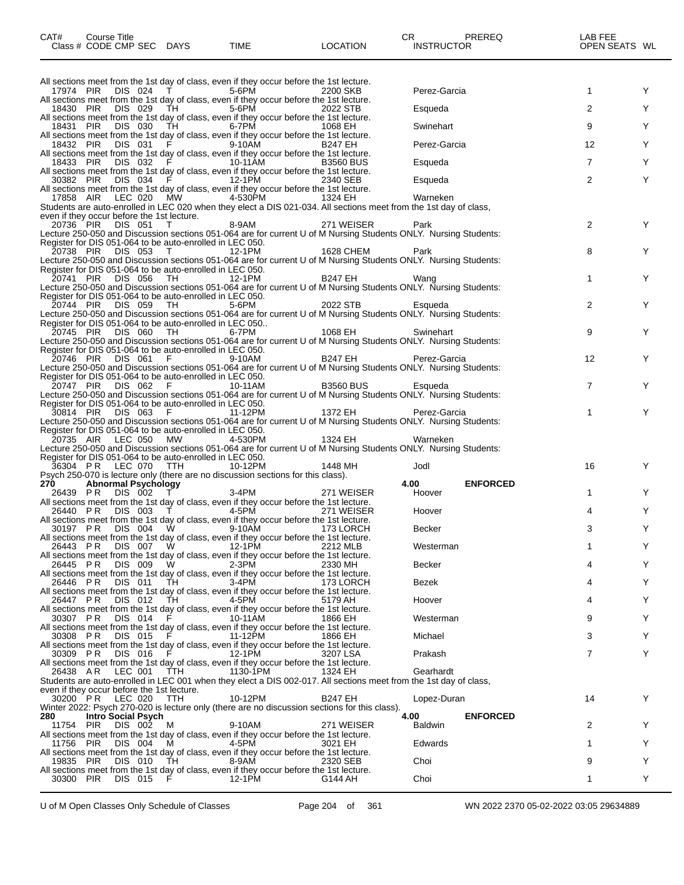| CAT#<br>Course Title<br>Class # CODE CMP SEC DAYS                                       | <b>TIME</b> | <b>LOCATION</b>  | CR<br><b>PREREQ</b><br><b>INSTRUCTOR</b> | LAB FEE<br>OPEN SEATS WL |  |
|-----------------------------------------------------------------------------------------|-------------|------------------|------------------------------------------|--------------------------|--|
|                                                                                         |             |                  |                                          |                          |  |
| All sections meet from the 1st day of class, even if they occur before the 1st lecture. |             |                  |                                          |                          |  |
| DIS 024<br>17974 PIR                                                                    | 5-6PM       | 2200 SKB         | Perez-Garcia                             |                          |  |
| All sections meet from the 1st day of class, even if they occur before the 1st lecture. |             |                  |                                          |                          |  |
| 18430 PIR<br>DIS 029<br>TH.                                                             | 5-6PM       | 2022 STB         | Esqueda                                  |                          |  |
| All sections meet from the 1st day of class, even if they occur before the 1st lecture. |             |                  |                                          |                          |  |
| DIS 030<br>18431 PIR<br>TH.                                                             | 6-7PM       | 1068 FH          | Swinehart                                | 9                        |  |
| All sections meet from the 1st day of class, even if they occur before the 1st lecture. |             |                  |                                          |                          |  |
| DIS 031<br>18432 PIR                                                                    | 9-10AM      | <b>B247 FH</b>   | Perez-Garcia                             | 12                       |  |
| All sections meet from the 1st day of class, even if they occur before the 1st lecture. |             |                  |                                          |                          |  |
| 18433 PIR<br>DIS 032<br>E                                                               | 10-11AM     | <b>B3560 BUS</b> | Esqueda                                  |                          |  |
| All sections meet from the 1st day of class, even if they occur before the 1st lecture. |             |                  |                                          |                          |  |

|                                            |  | 30382 PIR DIS 034 F                                      | 12-1PM                                                                                                            | 2340 SEB       | Esqueda      | 2  |  |
|--------------------------------------------|--|----------------------------------------------------------|-------------------------------------------------------------------------------------------------------------------|----------------|--------------|----|--|
|                                            |  |                                                          | All sections meet from the 1st day of class, even if they occur before the 1st lecture.                           |                |              |    |  |
|                                            |  |                                                          | 17858 AIR LEC 020 MW 4-530PM 1324 EH                                                                              |                | Warneken     |    |  |
|                                            |  |                                                          | Students are auto-enrolled in LEC 020 when they elect a DIS 021-034. All sections meet from the 1st day of class, |                |              |    |  |
| even if they occur before the 1st lecture. |  |                                                          |                                                                                                                   |                |              |    |  |
|                                            |  |                                                          | 20736 PIR DIS 051 T 8-9AM 271 WEISER                                                                              |                | Park         |    |  |
|                                            |  |                                                          | Lecture 250-050 and Discussion sections 051-064 are for current U of M Nursing Students ONLY. Nursing Students:   |                |              |    |  |
|                                            |  | Register for DIS 051-064 to be auto-enrolled in LEC 050. |                                                                                                                   |                |              |    |  |
|                                            |  | 20738 PIR DIS 053 T                                      | 12-1PM                                                                                                            | 1628 CHEM      | Park         | 8  |  |
|                                            |  |                                                          | Lecture 250-050 and Discussion sections 051-064 are for current U of M Nursing Students ONLY. Nursing Students:   |                |              |    |  |
|                                            |  | Register for DIS 051-064 to be auto-enrolled in LEC 050. |                                                                                                                   |                |              |    |  |
|                                            |  | 20741 PIR DIS 056 TH 12-1PM                              |                                                                                                                   | <b>B247 EH</b> | Wang         |    |  |
|                                            |  |                                                          | Lecture 250-050 and Discussion sections 051-064 are for current U of M Nursing Students ONLY. Nursing Students:   |                |              |    |  |
|                                            |  | Register for DIS 051-064 to be auto-enrolled in LEC 050. |                                                                                                                   |                |              |    |  |
|                                            |  | 20744 PIR DIS 059 TH                                     | 5-6PM 2022 STB                                                                                                    |                | Esqueda      |    |  |
|                                            |  |                                                          | Lecture 250-050 and Discussion sections 051-064 are for current U of M Nursing Students ONLY. Nursing Students:   |                |              |    |  |
|                                            |  | Register for DIS 051-064 to be auto-enrolled in LEC 050  |                                                                                                                   |                |              |    |  |
|                                            |  | 20745 PIR DIS 060 TH                                     | 6-7PM 1068 EH                                                                                                     |                | Swinehart    | 9  |  |
|                                            |  |                                                          | Lecture 250-050 and Discussion sections 051-064 are for current U of M Nursing Students ONLY. Nursing Students:   |                |              |    |  |
|                                            |  | Register for DIS 051-064 to be auto-enrolled in LEC 050. |                                                                                                                   |                |              |    |  |
|                                            |  | 20746 PIR DIS 061 F                                      | 9-10AM       B247 EH                                                                                              |                | Perez-Garcia | 12 |  |
|                                            |  |                                                          | Lecture 250-050 and Discussion sections 051-064 are for current U of M Nursing Students ONLY. Nursing Students:   |                |              |    |  |
|                                            |  | Register for DIS 051-064 to be auto-enrolled in LEC 050. |                                                                                                                   |                |              |    |  |
|                                            |  |                                                          | 20747 PIR DIS 062 F 10-11AM B3560 BUS                                                                             |                | Esqueda      |    |  |
|                                            |  |                                                          | Lecture 250-050 and Discussion sections 051-064 are for current U of M Nursing Students ONLY. Nursing Students:   |                |              |    |  |
|                                            |  | Register for DIS 051-064 to be auto-enrolled in LEC 050. |                                                                                                                   |                |              |    |  |
|                                            |  | 30814 PIR DIS 063 F                                      | 11-12PM                                                                                                           | 1372 EH        | Perez-Garcia |    |  |
|                                            |  |                                                          |                                                                                                                   |                |              |    |  |

Lecture 250-050 and Discussion sections 051-064 are for current U of M Nursing Students ONLY. Nursing Students: Register for DIS 051-064 to be auto-enrolled in LEC 050. 20735 AIR LEC 050 MW 4-530PM 1324 EH Warneken

Lecture 250-050 and Discussion sections 051-064 are for current U of M Nursing Students ONLY. Nursing Students:

|                        |                      |                            | Register for DIS 051-064 to be auto-enrolled in LEC 050. |                                                                                  |                                                                                                                                                                                                                                                                                           |                |                 |    |   |
|------------------------|----------------------|----------------------------|----------------------------------------------------------|----------------------------------------------------------------------------------|-------------------------------------------------------------------------------------------------------------------------------------------------------------------------------------------------------------------------------------------------------------------------------------------|----------------|-----------------|----|---|
|                        | 36304 PR LEC 070 TTH |                            |                                                          | 10-12PM                                                                          | 1448 MH                                                                                                                                                                                                                                                                                   | Jodl           |                 | 16 | Υ |
|                        |                      |                            |                                                          | Psych 250-070 is lecture only (there are no discussion sections for this class). |                                                                                                                                                                                                                                                                                           |                |                 |    |   |
| 270                    |                      | <b>Abnormal Psychology</b> |                                                          |                                                                                  |                                                                                                                                                                                                                                                                                           | 4.00           | <b>ENFORCED</b> |    |   |
|                        | 26439 PR DIS 002     |                            | $\top$                                                   | 3-4PM                                                                            | 271 WEISER                                                                                                                                                                                                                                                                                | Hoover         |                 |    | Y |
|                        |                      |                            |                                                          |                                                                                  | All sections meet from the 1st day of class, even if they occur before the 1st lecture.                                                                                                                                                                                                   |                |                 |    |   |
| 26440 PR               |                      | DIS 003                    | T                                                        | 4-5PM                                                                            | 271 WEISER                                                                                                                                                                                                                                                                                | Hoover         |                 |    | Y |
|                        |                      |                            |                                                          |                                                                                  | All sections meet from the 1st day of class, even if they occur before the 1st lecture.                                                                                                                                                                                                   |                |                 |    |   |
| 30197 PR               |                      | DIS 004                    | <b>W</b>                                                 | 9-10AM                                                                           | 173 LORCH                                                                                                                                                                                                                                                                                 | <b>Becker</b>  |                 | 3  | Y |
|                        |                      |                            |                                                          |                                                                                  | All sections meet from the 1st day of class, even if they occur before the 1st lecture.                                                                                                                                                                                                   |                |                 |    |   |
| 26443 PR               |                      | DIS 007                    | <b>W</b>                                                 | 12-1PM                                                                           | 2212 MLB                                                                                                                                                                                                                                                                                  | Westerman      |                 |    | Y |
|                        |                      |                            |                                                          |                                                                                  | All sections meet from the 1st day of class, even if they occur before the 1st lecture.                                                                                                                                                                                                   |                |                 |    |   |
| 26445 PR               |                      | DIS 009                    | W.                                                       | 2-3PM                                                                            | 2330 MH                                                                                                                                                                                                                                                                                   | <b>Becker</b>  |                 |    | Y |
|                        |                      |                            |                                                          |                                                                                  | All sections meet from the 1st day of class, even if they occur before the 1st lecture.                                                                                                                                                                                                   |                |                 |    |   |
| 26446 PR               |                      | <b>DIS 011</b>             | TH.                                                      | 3-4PM                                                                            | 173 LORCH                                                                                                                                                                                                                                                                                 | <b>Bezek</b>   |                 |    | Y |
|                        |                      |                            |                                                          |                                                                                  | All sections meet from the 1st day of class, even if they occur before the 1st lecture.                                                                                                                                                                                                   |                |                 |    |   |
| 26447 PR               |                      | DIS 012                    | TH.                                                      | 4-5PM                                                                            | 5179 AH                                                                                                                                                                                                                                                                                   | Hoover         |                 |    | Υ |
|                        |                      |                            |                                                          |                                                                                  | All sections meet from the 1st day of class, even if they occur before the 1st lecture.                                                                                                                                                                                                   |                |                 |    |   |
|                        |                      |                            |                                                          |                                                                                  |                                                                                                                                                                                                                                                                                           |                |                 | 9  | Υ |
| 30307 PR               |                      | DIS 014                    |                                                          | 10-11AM                                                                          | 1866 EH                                                                                                                                                                                                                                                                                   | Westerman      |                 |    |   |
|                        |                      |                            |                                                          |                                                                                  | All sections meet from the 1st day of class, even if they occur before the 1st lecture.                                                                                                                                                                                                   |                |                 |    |   |
| 30308 PR               |                      | <b>DIS 015</b>             |                                                          | 11-12PM                                                                          | 1866 EH                                                                                                                                                                                                                                                                                   | Michael        |                 | 3  | Υ |
|                        |                      |                            |                                                          |                                                                                  | All sections meet from the 1st day of class, even if they occur before the 1st lecture.                                                                                                                                                                                                   |                |                 |    |   |
| 30309 PR               |                      | DIS 016                    |                                                          | 12-1PM                                                                           | 3207 LSA                                                                                                                                                                                                                                                                                  | Prakash        |                 |    | Y |
|                        |                      |                            |                                                          |                                                                                  | All sections meet from the 1st day of class, even if they occur before the 1st lecture.                                                                                                                                                                                                   |                |                 |    |   |
| 26438 AR               |                      |                            | LEC 001 TTH                                              | 1130-1PM                                                                         | 1324 EH                                                                                                                                                                                                                                                                                   | Gearhardt      |                 |    |   |
|                        |                      |                            |                                                          |                                                                                  | Students are auto-enrolled in LEC 001 when they elect a DIS 002-017. All sections meet from the 1st day of class,                                                                                                                                                                         |                |                 |    |   |
|                        |                      |                            | even if they occur before the 1st lecture.               |                                                                                  |                                                                                                                                                                                                                                                                                           |                |                 |    |   |
|                        | 30200 PR LEC 020 TTH |                            |                                                          | 10-12PM                                                                          | <b>B247 EH</b>                                                                                                                                                                                                                                                                            | Lopez-Duran    |                 | 14 | Y |
|                        |                      |                            |                                                          |                                                                                  | Winter 2022: Psych 270-020 is lecture only (there are no discussion sections for this class).                                                                                                                                                                                             |                |                 |    |   |
| 280                    |                      | <b>Intro Social Psych</b>  |                                                          |                                                                                  |                                                                                                                                                                                                                                                                                           | 4.00           | <b>ENFORCED</b> |    |   |
| 11754 PIR              |                      | DIS 002 M                  |                                                          | 9-10AM                                                                           | 271 WEISER                                                                                                                                                                                                                                                                                | <b>Baldwin</b> |                 | 2  | Y |
|                        |                      |                            |                                                          |                                                                                  |                                                                                                                                                                                                                                                                                           |                |                 |    |   |
| 11756 PIR              |                      | DIS 004 M                  |                                                          | 4-5PM                                                                            | 3021 EH                                                                                                                                                                                                                                                                                   | Edwards        |                 |    | Y |
|                        |                      |                            |                                                          |                                                                                  |                                                                                                                                                                                                                                                                                           |                |                 |    |   |
|                        |                      |                            |                                                          |                                                                                  |                                                                                                                                                                                                                                                                                           |                |                 | 9  | Υ |
|                        |                      |                            |                                                          |                                                                                  |                                                                                                                                                                                                                                                                                           |                |                 |    |   |
|                        |                      | DIS 015                    | - F                                                      | 12-1PM                                                                           | G144 AH                                                                                                                                                                                                                                                                                   | Choi           |                 |    |   |
| 19835 PIR<br>30300 PIR |                      | DIS 010 TH                 |                                                          | 8-9AM                                                                            | All sections meet from the 1st day of class, even if they occur before the 1st lecture.<br>All sections meet from the 1st day of class, even if they occur before the 1st lecture.<br>2320 SEB<br>All sections meet from the 1st day of class, even if they occur before the 1st lecture. | Choi           |                 |    |   |

U of M Open Classes Only Schedule of Classes Page 204 of 361 WN 2022 2370 05-02-2022 03:05 29634889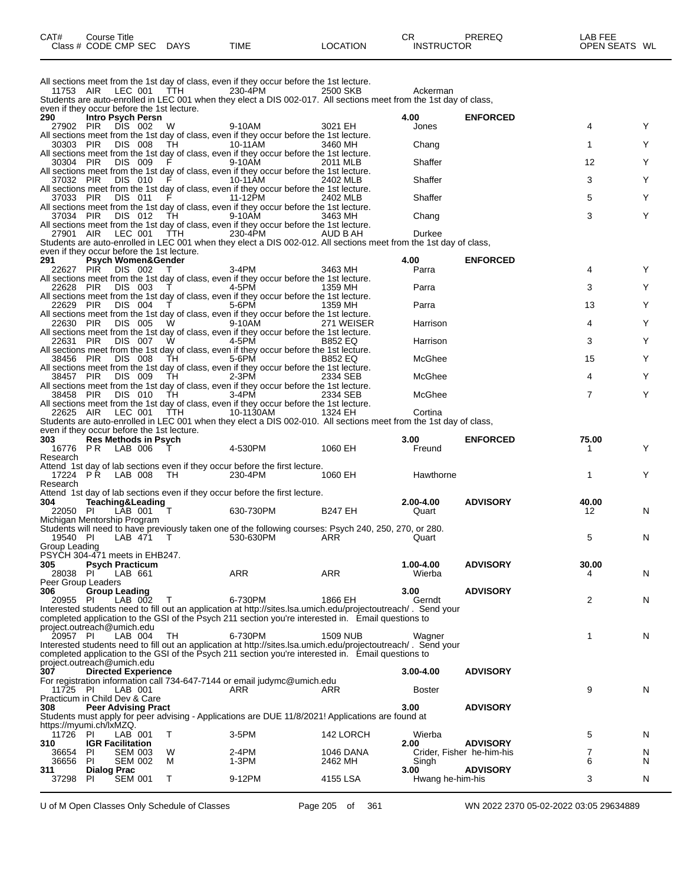| CAT#<br>Course Title |             |             |          | ◠г<br>- UN        | PREREQ | _AB FEE       |
|----------------------|-------------|-------------|----------|-------------------|--------|---------------|
| Class # CODE CMP SEC | <b>DAYS</b> | <b>TIME</b> | ∟OCATION | <b>INSTRUCTOR</b> |        | OPEN SEATS WL |

All sections meet from the 1st day of class, even if they occur before the 1st lecture. 11753 AIR LEC 001 TTH 230-4PM 2500 SKB Ackerman Students are auto-enrolled in LEC 001 when they elect a DIS 002-017. All sections meet from the 1st day of class, even if they occur before the 1st lecture.<br>290 **Intro Psych Persn 290 Intro Psych Persn 4.00 ENFORCED** 27902 PIR DIS 002 W 9-10AM 3021 EH Jones 4 Y All sections meet from the 1st day of class, even if they occur before the 1st lecture. 30303 PIR DIS 008 TH 10-11AM 3460 MH Chang 1 Y All sections meet from the 1st day of class, even if they occur before the 1st lecture. 30304 PIR DIS 009 F 9-10AM 2011 MLB Shaffer 12 Y All sections meet from the 1st day of class, even if they occur before the 1st lecture.<br>37032 PIR DIS 010 F 10-11AM 2402 MLB 37032 PIR DIS 010 F 10-11AM 2402 MLB Shaffer 3 Y All sections meet from the 1st day of class, even if they occur before the 1st lecture. 37033 PIR DIS 011 F 11-12PM 2402 MLB Shaffer 5 Y All sections meet from the 1st day of class, even if they occur before the 1st lecture. 37034 PIR DIS 012 TH 9-10AM 3463 MH Chang 3 Y All sections meet from the 1st day of class, even if they occur before the 1st lecture.<br>27901 AIR LEC 001 TTH 230-4PM AUD BAH 27901 AIR LEC 001 TTH 230-4PM AUD B AH Durkee Students are auto-enrolled in LEC 001 when they elect a DIS 002-012. All sections meet from the 1st day of class, even if they occur before the 1st lecture.<br> **291** Psych Women&Gender **291 Psych Women&Gender 4.00 ENFORCED** 22627 PIR DIS 002 T 3-4PM 3463 MH Parra 4 Y All sections meet from the 1st day of class, even if they occur before the 1st lecture.<br>22628 PIR DIS 003 T 4-5PM 1359 MH 22628 PIR DIS 003 T 4-5PM 1359 MH Parra 3 Y All sections meet from the 1st day of class, even if they occur before the 1st lecture. 22629 PIR DIS 004 T 5-6PM 1359 MH Parra 13 Y All sections meet from the 1st day of class, even if they occur before the 1st lecture. 22630 PIR DIS 005 W 9-10AM 271 WEISER Harrison 4 Y All sections meet from the 1st day of class, even if they occur before the 1st lecture.<br>22631 PIR DIS 007 W 4-5PM B852 EQ 22631 PIR DIS 007 W 4-5PM B852 EQ Harrison 3 Y All sections meet from the 1st day of class, even if they occur before the 1st lecture. 38456 PIR DIS 008 TH 5-6PM B852 EQ McGhee 15 Y All sections meet from the 1st day of class, even if they occur before the 1st lecture.<br>38457 PIR DIS 009 TH 2-3PM 2334 SEB 38457 PIR DIS 009 TH 2-3PM 2334 SEB McGhee 4 Y All sections meet from the 1st day of class, even if they occur before the 1st lecture.<br>38458 PIR DIS 010 TH 3-4PM 2334 SEB 38458 PIR DIS 010 TH 3-4PM 2334 SEB McGhee 7 Y All sections meet from the 1st day of class, even if they occur before the 1st lecture. 22625 AIR LEC 001 TTH 10-1130AM 1324 EH Cortina Students are auto-enrolled in LEC 001 when they elect a DIS 002-010. All sections meet from the 1st day of class, even if they occur before the 1st lecture.<br>303 Res Methods in Psych **303 Res Methods in Psych 3.00 ENFORCED 75.00** 16776 P R LAB 006 T 4-530PM 1060 EH Freund 1 Y Research Attend 1st day of lab sections even if they occur before the first lecture.<br>17224 PR LAB 008 TH 230-4PM 1060 EH 17224 P.R. LAB 008 TH 230-4PM 1060 EH Hawthorne 1 1 Y Research Attend 1st day of lab sections even if they occur before the first lecture.<br>304 Teaching&Leading **304 Teaching&Leading 2.00-4.00 ADVISORY 40.00** 22050 PI LAB 001 T 630-730PM B247 EH Quart 12 N Michigan Mentorship Program Students will need to have previously taken one of the following courses: Psych 240, 250, 270, or 280. 19540 PI LAB 471 T 530-630PM ARR Quart 5 N Group Leading PSYCH 304-471 meets in EHB247. **305 Psych Practicum 1.00-4.00 ADVISORY 30.00** 28038 PI LAB 661 ARR ARR Wierba 4 N Peer Group Leaders **306 Group Leading 3.00 ADVISORY** 20955 PI LAB 002 T 6-730PM 1866 EH Gerndt 2 N Interested students need to fill out an application at http://sites.lsa.umich.edu/projectoutreach/ . Send your completed application to the GSI of the Psych 211 section you're interested in. Email questions to project.outreach@umich.edu<br>20957 PI LAB 004 20957 PI LAB 004 TH 6-730PM 1509 NUB Wagner 1 N Interested students need to fill out an application at http://sites.lsa.umich.edu/projectoutreach/ . Send your completed application to the GSI of the Psych 211 section you're interested in. Email questions to project.outreach@umich.edu **307 Directed Experience 3.00-4.00 ADVISORY** For registration information call 734-647-7144 or email judymc@umich.edu 11725 PI LAB 001 ARR ARR Boster 9 N Practicum in Child Dev & Care<br>308 Peer Advising Pract **308 Peer Advising Pract 3.00 ADVISORY** Students must apply for peer advising - Applications are DUE 11/8/2021! Applications are found at https://myumi.ch/lxMZQ.<br>11726 PI LAB 001 11726 PI LAB 001 T 3-5PM 142 LORCH Wierba 5 N **310 IGR Facilitation 2.00 ADVISORY** 36654 PI SEM 003 W 2-4PM 1046 DANA Crider, Fisher he-him-his 7 N 36656 PI SEM 002 M 1-3PM 2462 MH Singh 6 N **311 Dialog Prac 3.00 ADVISORY** Hwang he-him-his 3 N

U of M Open Classes Only Schedule of Classes Page 205 of 361 WN 2022 2370 05-02-2022 03:05 29634889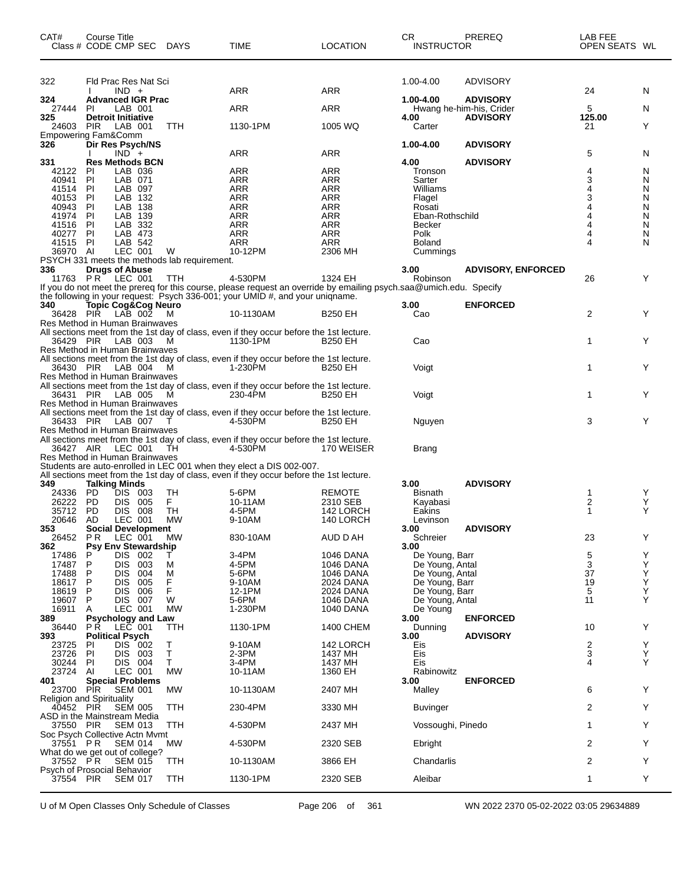| CAT#             | Course Title<br>Class # CODE CMP SEC             | <b>DAYS</b>                                       | TIME                                                                                                                                                                                                | LOCATION                 | CR<br><b>INSTRUCTOR</b>          | <b>PREREQ</b>                               | LAB FEE<br>OPEN SEATS WL |        |
|------------------|--------------------------------------------------|---------------------------------------------------|-----------------------------------------------------------------------------------------------------------------------------------------------------------------------------------------------------|--------------------------|----------------------------------|---------------------------------------------|--------------------------|--------|
| 322              | Fld Prac Res Nat Sci                             |                                                   |                                                                                                                                                                                                     |                          | 1.00-4.00                        | ADVISORY                                    |                          |        |
|                  | $IND +$                                          |                                                   | <b>ARR</b>                                                                                                                                                                                          | <b>ARR</b>               |                                  |                                             | 24                       | N      |
| 324<br>27444     | <b>Advanced IGR Prac</b><br>ΡI<br>LAB 001        |                                                   | ARR                                                                                                                                                                                                 | ARR                      | 1.00-4.00                        | <b>ADVISORY</b><br>Hwang he-him-his, Crider | 5                        | N      |
| 325              | <b>Detroit Initiative</b>                        |                                                   |                                                                                                                                                                                                     |                          | 4.00                             | <b>ADVISORY</b>                             | 125.00                   |        |
| 24603            | <b>PIR</b><br>LAB 001<br>Empowering Fam&Comm     | TTH                                               | 1130-1PM                                                                                                                                                                                            | 1005 WQ                  | Carter                           |                                             | 21                       | Y      |
| 326              | Dir Res Psych/NS                                 |                                                   |                                                                                                                                                                                                     |                          | 1.00-4.00                        | <b>ADVISORY</b>                             |                          |        |
|                  | $IND +$<br><b>Res Methods BCN</b>                |                                                   | ARR                                                                                                                                                                                                 | ARR                      |                                  |                                             | 5                        | N      |
| 331<br>42122     | LAB 036<br><b>PI</b>                             |                                                   | ARR                                                                                                                                                                                                 | ARR                      | 4.00<br>Tronson                  | <b>ADVISORY</b>                             | 4                        | N      |
| 40941            | PI<br>LAB 071                                    |                                                   | ARR                                                                                                                                                                                                 | ARR                      | Sarter                           |                                             | 3                        | N      |
| 41514<br>40153   | ΡI<br>LAB 097<br>PI<br>LAB 132                   |                                                   | ARR<br>ARR                                                                                                                                                                                          | ARR<br>ARR               | Williams<br>Flagel               |                                             | 3                        | N<br>N |
| 40943            | PI<br>LAB 138                                    |                                                   | <b>ARR</b>                                                                                                                                                                                          | <b>ARR</b>               | Rosati                           |                                             | 4                        | N      |
| 41974            | ΡI<br>LAB 139                                    |                                                   | ARR                                                                                                                                                                                                 | ARR                      | Eban-Rothschild                  |                                             |                          | N      |
| 41516<br>40277   | PI<br>LAB 332<br>PI<br>LAB 473                   |                                                   | ARR<br><b>ARR</b>                                                                                                                                                                                   | <b>ARR</b><br><b>ARR</b> | Becker<br>Polk                   |                                             | 4                        | N<br>N |
| 41515 PI         | LAB 542                                          |                                                   | ARR                                                                                                                                                                                                 | ARR                      | <b>Boland</b>                    |                                             | 4                        | N      |
| 36970 AI         | LEC 001                                          | W<br>PSYCH 331 meets the methods lab requirement. | 10-12PM                                                                                                                                                                                             | 2306 MH                  | Cummings                         |                                             |                          |        |
| 336              | <b>Drugs of Abuse</b>                            |                                                   |                                                                                                                                                                                                     |                          | 3.00                             | <b>ADVISORY, ENFORCED</b>                   |                          |        |
|                  | 11763 PR <sup>-</sup> LEC 001                    | <b>TTH</b>                                        | 4-530PM                                                                                                                                                                                             | 1324 EH                  | Robinson                         |                                             | 26                       | Y      |
|                  |                                                  |                                                   | If you do not meet the prereq for this course, please request an override by emailing psych.saa@umich.edu. Specify<br>the following in your request: Psych 336-001; your UMID #, and your uniqname. |                          |                                  |                                             |                          |        |
| 340              | Topic Cog&Cog Neúro                              |                                                   |                                                                                                                                                                                                     |                          | 3.00                             | <b>ENFORCED</b>                             |                          |        |
| 36428            | PIR LAB 002                                      | м                                                 | 10-1130AM                                                                                                                                                                                           | <b>B250 EH</b>           | Cao                              |                                             | 2                        | Y      |
|                  | Res Method in Human Brainwaves                   |                                                   | All sections meet from the 1st day of class, even if they occur before the 1st lecture.                                                                                                             |                          |                                  |                                             |                          |        |
| 36429 PIR        | LAB 003                                          | M                                                 | 1130-1PM                                                                                                                                                                                            | B250 EH                  | Cao                              |                                             | 1                        | Y      |
|                  | Res Method in Human Brainwaves                   |                                                   |                                                                                                                                                                                                     |                          |                                  |                                             |                          |        |
| 36430 PIR        | LAB 004                                          | M                                                 | All sections meet from the 1st day of class, even if they occur before the 1st lecture.<br>1-230PM                                                                                                  | B250 EH                  | Voigt                            |                                             | 1                        | Y      |
|                  | Res Method in Human Brainwaves                   |                                                   |                                                                                                                                                                                                     |                          |                                  |                                             |                          |        |
| 36431 PIR        | LAB 005                                          | M                                                 | All sections meet from the 1st day of class, even if they occur before the 1st lecture.<br>230-4PM                                                                                                  | B250 EH                  | Voigt                            |                                             | 1                        | Y      |
|                  | Res Method in Human Brainwaves                   |                                                   |                                                                                                                                                                                                     |                          |                                  |                                             |                          |        |
|                  |                                                  |                                                   | All sections meet from the 1st day of class, even if they occur before the 1st lecture.                                                                                                             |                          |                                  |                                             |                          |        |
| 36433 PIR        | LAB 007<br>Res Method in Human Brainwaves        |                                                   | 4-530PM                                                                                                                                                                                             | B250 EH                  | Nguyen                           |                                             | 3                        | Y      |
|                  |                                                  |                                                   | All sections meet from the 1st day of class, even if they occur before the 1st lecture.                                                                                                             |                          |                                  |                                             |                          |        |
| 36427 AIR        | LEC 001                                          | TH                                                | 4-530PM                                                                                                                                                                                             | 170 WEISER               | Brang                            |                                             |                          |        |
|                  | Res Method in Human Brainwaves                   |                                                   | Students are auto-enrolled in LEC 001 when they elect a DIS 002-007.                                                                                                                                |                          |                                  |                                             |                          |        |
|                  |                                                  |                                                   | All sections meet from the 1st day of class, even if they occur before the 1st lecture.                                                                                                             |                          |                                  |                                             |                          |        |
| 349<br>24336     | <b>Talking Minds</b><br><b>PD</b><br>DIS 003     | TH                                                | 5-6PM                                                                                                                                                                                               | <b>REMOTE</b>            | 3.00<br>Bisnath                  | <b>ADVISORY</b>                             | -1                       | Y      |
| 26222            | <b>PD</b><br><b>DIS</b><br>005                   | F.                                                | 10-11AM                                                                                                                                                                                             | 2310 SEB                 | Kayabasi                         |                                             | 2                        | Υ      |
| 35712            | PD.<br><b>DIS 008</b>                            | TH                                                | 4-5PM                                                                                                                                                                                               | 142 LORCH                | Eakins                           |                                             | $\mathbf 1$              | Y      |
| 20646<br>353     | AD<br>LEC 001<br><b>Social Development</b>       | <b>MW</b>                                         | 9-10AM                                                                                                                                                                                              | 140 LORCH                | Levinson<br>3.00                 | <b>ADVISORY</b>                             |                          |        |
| 26452            | PR.<br>LEC 001                                   | <b>MW</b>                                         | 830-10AM                                                                                                                                                                                            | AUD D AH                 | Schreier                         |                                             | 23                       | Y      |
| 362              | <b>Psy Env Stewardship</b><br>DIS 002<br>P       |                                                   | 3-4PM                                                                                                                                                                                               | 1046 DANA                | 3.00<br>De Young, Barr           |                                             | 5                        | Υ      |
| 17486<br>17487   | P<br>DIS.<br>003                                 | Τ<br>М                                            | 4-5PM                                                                                                                                                                                               | 1046 DANA                | De Young, Antal                  |                                             | 3                        | Υ      |
| 17488            | P<br>004<br><b>DIS</b>                           | M                                                 | 5-6PM                                                                                                                                                                                               | 1046 DANA                | De Young, Antal                  |                                             | 37                       | Υ      |
| 18617<br>18619   | Ρ<br><b>DIS</b><br>005<br>P<br><b>DIS</b><br>006 | F<br>F                                            | 9-10AM<br>12-1PM                                                                                                                                                                                    | 2024 DANA<br>2024 DANA   | De Young, Barr<br>De Young, Barr |                                             | 19<br>5                  | Υ<br>Y |
| 19607            | P<br>DIS 007                                     | W                                                 | 5-6PM                                                                                                                                                                                               | 1046 DANA                | De Young, Antal                  |                                             | 11                       | Y      |
| 16911            | LEC 001<br>A                                     | <b>MW</b>                                         | 1-230PM                                                                                                                                                                                             | 1040 DANA                | De Young                         |                                             |                          |        |
| 389<br>36440     | <b>Psychology and Law</b><br>LEC 001<br>P R      | TTH                                               | 1130-1PM                                                                                                                                                                                            | 1400 CHEM                | 3.00<br>Dunning                  | <b>ENFORCED</b>                             | 10                       | Y      |
| 393              | <b>Political Psych</b>                           |                                                   |                                                                                                                                                                                                     |                          | 3.00                             | <b>ADVISORY</b>                             |                          |        |
| 23725            | DIS 002<br>ΡI                                    | т                                                 | 9-10AM                                                                                                                                                                                              | 142 LORCH                | Eis                              |                                             | $\frac{2}{3}$            | Y      |
| 23726<br>30244   | PI<br><b>DIS</b><br>003<br>DIS 004<br>PI         | T<br>Τ                                            | 2-3PM<br>3-4PM                                                                                                                                                                                      | 1437 MH<br>1437 MH       | Eis<br>Eis                       |                                             | 4                        | Υ<br>Y |
| 23724            | Al<br>LEC 001                                    | МW                                                | 10-11AM                                                                                                                                                                                             | 1360 EH                  | Rabinowitz                       |                                             |                          |        |
| 401<br>23700 PIR | <b>Special Problems</b><br><b>SEM 001</b>        | МW                                                | 10-1130AM                                                                                                                                                                                           | 2407 MH                  | 3.00<br>Malley                   | <b>ENFORCED</b>                             | 6                        | Y      |
|                  | <b>Religion and Spirituality</b>                 |                                                   |                                                                                                                                                                                                     |                          |                                  |                                             |                          |        |
| 40452 PIR        | <b>SEM 005</b>                                   | TTH                                               | 230-4PM                                                                                                                                                                                             | 3330 MH                  | <b>Buvinger</b>                  |                                             | 2                        | Y      |
| 37550 PIR        | ASD in the Mainstream Media<br><b>SEM 013</b>    | <b>TTH</b>                                        | 4-530PM                                                                                                                                                                                             | 2437 MH                  | Vossoughi, Pinedo                |                                             | 1                        | Y      |
|                  | Soc Psych Collective Actn Mvmt                   |                                                   |                                                                                                                                                                                                     |                          |                                  |                                             |                          |        |
| 37551 PR         | SEM 014                                          | MW.                                               | 4-530PM                                                                                                                                                                                             | 2320 SEB                 | Ebright                          |                                             | 2                        | Y      |
| 37552 PR         | What do we get out of college?<br><b>SEM 015</b> | TTH                                               | 10-1130AM                                                                                                                                                                                           | 3866 EH                  | Chandarlis                       |                                             | $\overline{c}$           | Y      |
|                  | Psych of Prosocial Behavior                      |                                                   |                                                                                                                                                                                                     |                          |                                  |                                             |                          |        |
| 37554 PIR        | <b>SEM 017</b>                                   | <b>TTH</b>                                        | 1130-1PM                                                                                                                                                                                            | 2320 SEB                 | Aleibar                          |                                             | 1                        | Y      |
|                  |                                                  |                                                   |                                                                                                                                                                                                     |                          |                                  |                                             |                          |        |

U of M Open Classes Only Schedule of Classes Page 206 of 361 WN 2022 2370 05-02-2022 03:05 29634889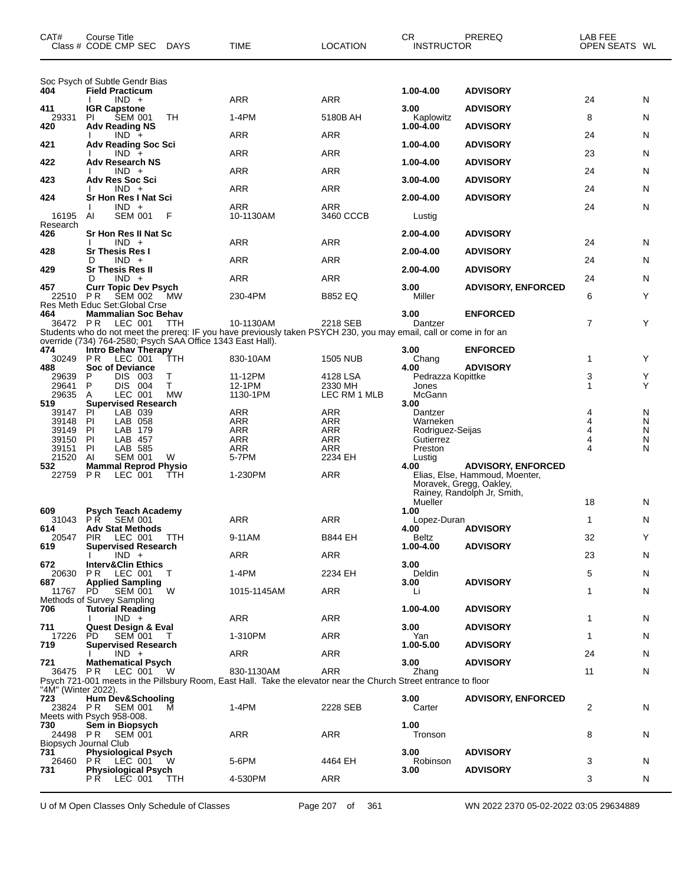| CAT#                | <b>Course Title</b><br>Class # CODE CMP SEC                                              | <b>DAYS</b> | TIME                                                                                                                            | LOCATION                 | CR.<br><b>INSTRUCTOR</b>     | PREREQ                                                                                   | LAB FEE<br>OPEN SEATS WL     |        |
|---------------------|------------------------------------------------------------------------------------------|-------------|---------------------------------------------------------------------------------------------------------------------------------|--------------------------|------------------------------|------------------------------------------------------------------------------------------|------------------------------|--------|
|                     | Soc Psych of Subtle Gendr Bias                                                           |             |                                                                                                                                 |                          |                              |                                                                                          |                              |        |
| 404                 | <b>Field Practicum</b><br>$IND +$                                                        |             | ARR                                                                                                                             | <b>ARR</b>               | 1.00-4.00                    | <b>ADVISORY</b>                                                                          | 24                           | N      |
| 411<br>29331        | <b>IGR Capstone</b><br>ΡI<br><b>SEM 001</b>                                              | TH          | $1-4PM$                                                                                                                         | 5180B AH                 | 3.00<br>Kaplowitz            | <b>ADVISORY</b>                                                                          | 8                            | N      |
| 420                 | <b>Adv Reading NS</b><br>$IND +$                                                         |             | ARR                                                                                                                             | <b>ARR</b>               | 1.00-4.00                    | <b>ADVISORY</b>                                                                          | 24                           | N      |
| 421                 | <b>Adv Reading Soc Sci</b><br>$IND +$                                                    |             | ARR                                                                                                                             | <b>ARR</b>               | 1.00-4.00                    | <b>ADVISORY</b>                                                                          | 23                           | N      |
| 422                 | <b>Adv Research NS</b>                                                                   |             |                                                                                                                                 |                          | 1.00-4.00                    | <b>ADVISORY</b>                                                                          |                              |        |
| 423                 | $IND +$<br><b>Adv Res Soc Sci</b>                                                        |             | ARR                                                                                                                             | ARR                      | 3.00-4.00                    | <b>ADVISORY</b>                                                                          | 24                           | N      |
| 424                 | $IND +$<br><b>Sr Hon Res I Nat Sci</b>                                                   |             | ARR                                                                                                                             | ARR                      | 2.00-4.00                    | <b>ADVISORY</b>                                                                          | 24                           | N      |
| 16195               | $IND +$<br>AI<br><b>SEM 001</b>                                                          | F           | ARR<br>10-1130AM                                                                                                                | ARR<br>3460 CCCB         | Lustig                       |                                                                                          | 24                           | N      |
| Research<br>426     | Sr Hon Res II Nat Sc                                                                     |             |                                                                                                                                 |                          | 2.00-4.00                    | <b>ADVISORY</b>                                                                          |                              |        |
| 428                 | $IND +$<br><b>Sr Thesis Res I</b>                                                        |             | ARR                                                                                                                             | ARR                      | 2.00-4.00                    | <b>ADVISORY</b>                                                                          | 24                           | N      |
|                     | $IND +$<br>D                                                                             |             | ARR                                                                                                                             | <b>ARR</b>               |                              |                                                                                          | 24                           | N      |
| 429                 | <b>Sr Thesis Res II</b><br>$IND +$<br>D                                                  |             | ARR                                                                                                                             | ARR                      | 2.00-4.00                    | <b>ADVISORY</b>                                                                          | 24                           | N      |
| 457<br>22510 PR     | <b>Curr Topic Dev Psych</b><br><b>SEM 002</b>                                            | <b>MW</b>   | 230-4PM                                                                                                                         | <b>B852 EQ</b>           | 3.00<br>Miller               | <b>ADVISORY, ENFORCED</b>                                                                | 6                            | Y      |
| 464                 | Res Meth Educ Set: Global Crse<br><b>Mammalian Soc Behav</b>                             |             |                                                                                                                                 |                          | 3.00                         | <b>ENFORCED</b>                                                                          |                              |        |
| 36472 PR            | LEC 001                                                                                  | <b>TTH</b>  | 10-1130AM<br>Students who do not meet the prereq: IF you have previously taken PSYCH 230, you may email, call or come in for an | 2218 SEB                 | Dantzer                      |                                                                                          | $\overline{7}$               | Y      |
| 474                 | override (734) 764-2580; Psych SAA Office 1343 East Hall).<br><b>Intro Behav Therapy</b> |             |                                                                                                                                 |                          | 3.00                         | <b>ENFORCED</b>                                                                          |                              |        |
| 30249<br>488        | <b>PR</b><br>LEC 001<br><b>Soc of Deviance</b>                                           | ттн         | 830-10AM                                                                                                                        | <b>1505 NUB</b>          | Chang<br>4.00                | <b>ADVISORY</b>                                                                          | 1                            | Y      |
| 29639<br>29641      | P<br>DIS 003<br>P<br>DIS 004                                                             | T<br>T.     | 11-12PM<br>12-1PM                                                                                                               | 4128 LSA<br>2330 MH      | Pedrazza Kopittke            |                                                                                          | 3<br>1                       | Y<br>Υ |
| 29635               | LEC 001<br>Α                                                                             | MW          | 1130-1PM                                                                                                                        | LEC RM 1 MLB             | Jones<br>McGann              |                                                                                          |                              |        |
| 519<br>39147        | <b>Supervised Research</b><br>LAB 039<br>ΡI                                              |             | <b>ARR</b>                                                                                                                      | <b>ARR</b>               | 3.00<br>Dantzer              |                                                                                          | 4                            | N      |
| 39148<br>39149      | PI<br>LAB 058<br>PI.<br>LAB 179                                                          |             | <b>ARR</b><br>ARR                                                                                                               | <b>ARR</b><br><b>ARR</b> | Warneken<br>Rodriguez-Seijas |                                                                                          | 4<br>$\overline{\mathbf{4}}$ | N<br>N |
| 39150<br>39151      | PI<br>LAB 457<br>PI<br>LAB 585                                                           |             | <b>ARR</b><br>ARR                                                                                                               | <b>ARR</b><br>ARR        | Gutierrez<br>Preston         |                                                                                          | 4                            | N<br>N |
| 21520<br>532        | AI<br><b>SEM 001</b><br><b>Mammal Reprod Physio</b>                                      | W           | 5-7PM                                                                                                                           | 2234 EH                  | Lustig<br>4.00               | <b>ADVISORY, ENFORCED</b>                                                                |                              |        |
| 22759               | P R<br>LEC 001                                                                           | TTH         | 1-230PM                                                                                                                         | <b>ARR</b>               |                              | Elias, Else, Hammoud, Moenter,<br>Moravek, Gregg, Oakley,<br>Rainey, Randolph Jr, Smith, |                              |        |
| 609                 | <b>Psych Teach Academy</b>                                                               |             |                                                                                                                                 |                          | Mueller<br>1.00              |                                                                                          | 18                           | N      |
| 614                 | 31043 PR SEM 001<br><b>Adv Stat Methods</b>                                              |             | <b>ARR</b>                                                                                                                      | ARR                      | Lopez-Duran<br>4.00          | <b>ADVISORY</b>                                                                          | 1                            | N      |
| 20547               | PIR LEC 001 TTH                                                                          |             | 9-11AM                                                                                                                          | <b>B844 EH</b>           | Beltz                        |                                                                                          | 32                           | Y      |
| 619                 | <b>Supervised Research</b><br>$IND +$                                                    |             | ARR                                                                                                                             | ARR                      | 1.00-4.00                    | <b>ADVISORY</b>                                                                          | 23                           | N      |
| 672<br>20630        | <b>Interv&amp;Clin Ethics</b><br><b>PR LEC 001</b>                                       | T           | $1-4PM$                                                                                                                         | 2234 EH                  | 3.00<br><b>Deldin</b>        |                                                                                          | 5                            | N      |
| 687<br>11767        | <b>Applied Sampling</b><br><b>SEM 001</b><br>PD.                                         | W           | 1015-1145AM                                                                                                                     | <b>ARR</b>               | 3.00<br>Li                   | <b>ADVISORY</b>                                                                          | 1                            | N      |
| 706                 | Methods of Survey Sampling<br><b>Tutorial Reading</b>                                    |             |                                                                                                                                 |                          | 1.00-4.00                    | <b>ADVISORY</b>                                                                          |                              |        |
| 711                 | $IND +$<br>Quest Design & Eval                                                           |             | ARR                                                                                                                             | ARR                      | 3.00                         | <b>ADVISORY</b>                                                                          | 1                            | N      |
| 17226<br>719        | <b>SEM 001</b><br>PD.                                                                    | $\top$      | 1-310PM                                                                                                                         | ARR                      | Yan<br>1.00-5.00             |                                                                                          | 1                            | N      |
|                     | <b>Supervised Research</b><br>$IND +$                                                    |             | ARR                                                                                                                             | ARR                      |                              | <b>ADVISORY</b>                                                                          | 24                           | N      |
| 721                 | <b>Mathematical Psych</b><br>36475 PR LEC 001                                            | - W         | 830-1130AM                                                                                                                      | <b>ARR</b>               | 3.00<br>Zhang                | <b>ADVISORY</b>                                                                          | 11                           | N      |
| "4M" (Winter 2022). |                                                                                          |             | Psych 721-001 meets in the Pillsbury Room, East Hall. Take the elevator near the Church Street entrance to floor                |                          |                              |                                                                                          |                              |        |
| 723<br>23824 PR     | Hum Dev&Schooling<br>SEM 001                                                             | M           | 1-4PM                                                                                                                           | 2228 SEB                 | 3.00<br>Carter               | <b>ADVISORY, ENFORCED</b>                                                                | $\overline{c}$               | N      |
| 730                 | Meets with Psych 958-008.<br>Sem in Biopsych                                             |             |                                                                                                                                 |                          | 1.00                         |                                                                                          |                              |        |
| 24498 PR            | SEM 001<br>Biopsych Journal Club                                                         |             | ARR                                                                                                                             | ARR                      | Tronson                      |                                                                                          | 8                            | N      |
| 731<br>26460        | <b>Physiological Psych</b><br><b>PR LEC 001</b>                                          | W           | 5-6PM                                                                                                                           | 4464 EH                  | 3.00                         | <b>ADVISORY</b>                                                                          | 3                            |        |
| 731                 | <b>Physiological Psych</b>                                                               |             |                                                                                                                                 |                          | Robinson<br>3.00             | <b>ADVISORY</b>                                                                          |                              | N      |
|                     | PR LEC 001                                                                               | <b>TTH</b>  | 4-530PM                                                                                                                         | ARR                      |                              |                                                                                          | 3                            | N      |

U of M Open Classes Only Schedule of Classes Page 207 of 361 WN 2022 2370 05-02-2022 03:05 29634889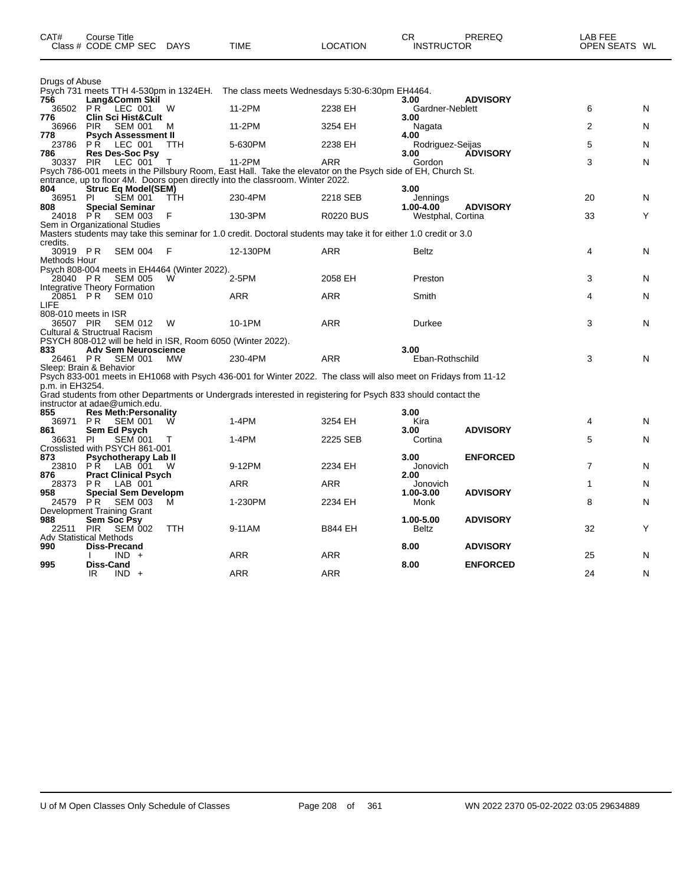| CAT#                     | Course Title<br>Class # CODE CMP SEC DAYS                                                   |            | <b>TIME</b>                                                                                                       | <b>LOCATION</b>  | CR<br><b>INSTRUCTOR</b>            | PREREQ          | LAB FEE<br>OPEN SEATS WL |   |
|--------------------------|---------------------------------------------------------------------------------------------|------------|-------------------------------------------------------------------------------------------------------------------|------------------|------------------------------------|-----------------|--------------------------|---|
| Drugs of Abuse           |                                                                                             |            |                                                                                                                   |                  |                                    |                 |                          |   |
| 756                      | Lang&Comm Skil                                                                              |            | Psych 731 meets TTH 4-530pm in 1324EH. The class meets Wednesdays 5:30-6:30pm EH4464.                             |                  | 3.00                               | <b>ADVISORY</b> |                          |   |
|                          | 36502 PR LEC 001                                                                            | W          | 11-2PM                                                                                                            | 2238 EH          | Gardner-Neblett                    |                 | 6                        | N |
| 776<br>36966             | <b>Clin Sci Hist&amp;Cult</b><br><b>PIR</b><br>SEM 001                                      | M          | 11-2PM                                                                                                            | 3254 EH          | 3.00<br>Nagata                     |                 | 2                        | N |
| 778<br>23786             | <b>Psych Assessment II</b><br><b>PR LEC 001</b>                                             | TTH        | 5-630PM                                                                                                           | 2238 EH          | 4.00<br>Rodriguez-Seijas           |                 | 5                        | N |
| 786<br>30337             | <b>Res Des-Soc Psy</b><br><b>PIR</b><br>LEC 001                                             | т          | 11-2PM                                                                                                            | <b>ARR</b>       | 3.00<br>Gordon                     | <b>ADVISORY</b> | 3                        | N |
|                          |                                                                                             |            | Psych 786-001 meets in the Pillsbury Room, East Hall. Take the elevator on the Psych side of EH, Church St.       |                  |                                    |                 |                          |   |
|                          |                                                                                             |            | entrance, up to floor 4M. Doors open directly into the classroom. Winter 2022.                                    |                  |                                    |                 |                          |   |
| 804<br>36951             | Struc Eq Model(SEM)<br>SEM 001<br>PI                                                        | TŤH        | 230-4PM                                                                                                           | 2218 SEB         | 3.00<br>Jennings                   |                 | 20                       | N |
| 808<br>24018 PR          | <b>Special Seminar</b><br><b>SEM 003</b>                                                    | F          | 130-3PM                                                                                                           | <b>R0220 BUS</b> | $1.00 - 4.00$<br>Westphal, Cortina | <b>ADVISORY</b> | 33                       | Y |
|                          | Sem in Organizational Studies                                                               |            |                                                                                                                   |                  |                                    |                 |                          |   |
| credits.                 |                                                                                             |            | Masters students may take this seminar for 1.0 credit. Doctoral students may take it for either 1.0 credit or 3.0 |                  |                                    |                 |                          |   |
| 30919 PR<br>Methods Hour | <b>SEM 004</b>                                                                              | F          | 12-130PM                                                                                                          | <b>ARR</b>       | <b>Beltz</b>                       |                 | 4                        | N |
|                          | Psych 808-004 meets in EH4464 (Winter 2022).                                                |            |                                                                                                                   |                  |                                    |                 |                          |   |
| 28040 PR                 | <b>SEM 005</b>                                                                              | W          | 2-5PM                                                                                                             | 2058 EH          | Preston                            |                 | 3                        | N |
| 20851 PR                 | <b>Integrative Theory Formation</b><br><b>SEM 010</b>                                       |            | <b>ARR</b>                                                                                                        | <b>ARR</b>       | Smith                              |                 | 4                        | N |
| LIFE                     |                                                                                             |            |                                                                                                                   |                  |                                    |                 |                          |   |
| 36507 PIR                | 808-010 meets in ISR<br>SEM 012                                                             | W          | 10-1PM                                                                                                            | <b>ARR</b>       | Durkee                             |                 | 3                        | N |
|                          | Cultural & Structrual Racism<br>PSYCH 808-012 will be held in ISR, Room 6050 (Winter 2022). |            |                                                                                                                   |                  |                                    |                 |                          |   |
| 833                      | <b>Adv Sem Neuroscience</b>                                                                 |            |                                                                                                                   |                  | 3.00                               |                 |                          |   |
| 26461 PR                 | <b>SEM 001</b><br>Sleep: Brain & Behavior                                                   | MW         | 230-4PM                                                                                                           | <b>ARR</b>       | Eban-Rothschild                    |                 | 3                        | N |
|                          |                                                                                             |            | Psych 833-001 meets in EH1068 with Psych 436-001 for Winter 2022. The class will also meet on Fridays from 11-12  |                  |                                    |                 |                          |   |
| p.m. in EH3254.          |                                                                                             |            | Grad students from other Departments or Undergrads interested in registering for Psych 833 should contact the     |                  |                                    |                 |                          |   |
|                          | instructor at adae@umich.edu.                                                               |            |                                                                                                                   |                  |                                    |                 |                          |   |
| 855<br>36971             | <b>Res Meth: Personality</b><br>P R<br><b>SEM 001</b>                                       | W          | $1-4PM$                                                                                                           | 3254 EH          | 3.00<br>Kira                       |                 | 4                        | N |
| 861                      | Sem Ed Psych                                                                                |            |                                                                                                                   |                  | 3.00                               | <b>ADVISORY</b> |                          |   |
| 36631                    | PI<br><b>SEM 001</b><br>Crosslisted with PSYCH 861-001                                      |            | 1-4PM                                                                                                             | 2225 SEB         | Cortina                            |                 | 5                        | N |
| 873                      | <b>Psychotherapy Lab II</b>                                                                 |            | 9-12PM                                                                                                            |                  | 3.00                               | <b>ENFORCED</b> | $\overline{7}$           |   |
| 23810<br>876             | PŘ LAB 001<br><b>Pract Clinical Psych</b>                                                   | - W        |                                                                                                                   | 2234 EH          | Jonovich<br>2.00                   |                 |                          | N |
| 28373                    | LAB 001<br>PR.                                                                              |            | <b>ARR</b>                                                                                                        | <b>ARR</b>       | Jonovich                           |                 | $\mathbf{1}$             | N |
| 958<br>24579 PR          | <b>Special Sem Developm</b><br>SEM 003                                                      | м          | 1-230PM                                                                                                           | 2234 EH          | 1.00-3.00<br>Monk                  | <b>ADVISORY</b> | 8                        | N |
|                          | Development Training Grant                                                                  |            |                                                                                                                   |                  |                                    |                 |                          |   |
| 988<br>22511             | Sem Soc Psy<br><b>SEM 002</b><br><b>PIR</b>                                                 | <b>TTH</b> | 9-11AM                                                                                                            | <b>B844 EH</b>   | 1.00-5.00<br><b>Beltz</b>          | <b>ADVISORY</b> | 32                       | Y |
|                          | Adv Statistical Methods                                                                     |            |                                                                                                                   |                  |                                    |                 |                          |   |
| 990                      | <b>Diss-Precand</b><br>$IND +$                                                              |            | <b>ARR</b>                                                                                                        | <b>ARR</b>       | 8.00                               | <b>ADVISORY</b> | 25                       | N |
| 995                      | Diss-Cand<br>IR.<br>$IND +$                                                                 |            | <b>ARR</b>                                                                                                        | <b>ARR</b>       | 8.00                               | <b>ENFORCED</b> | 24                       | N |
|                          |                                                                                             |            |                                                                                                                   |                  |                                    |                 |                          |   |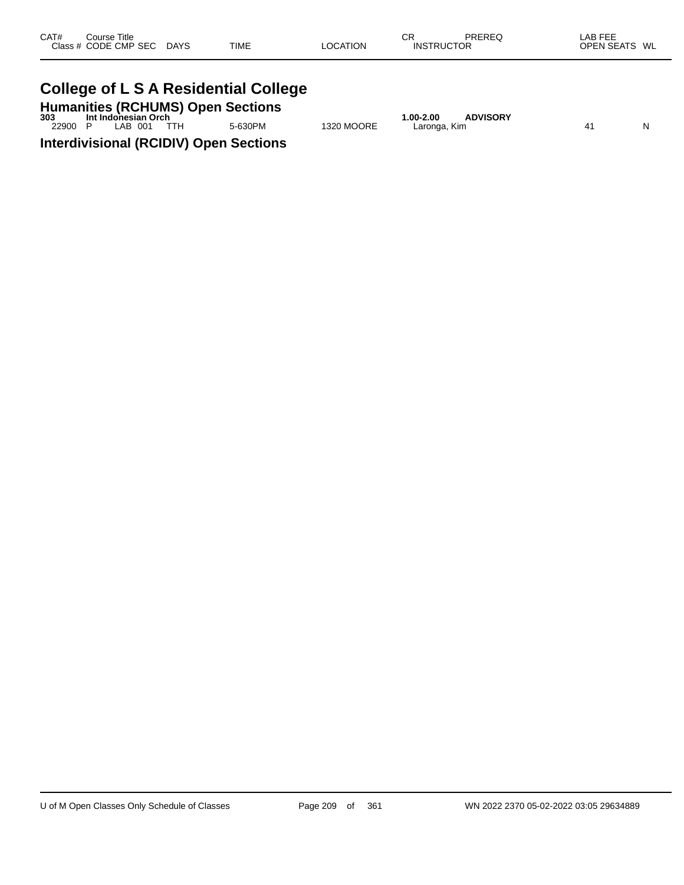| CAT# | Course Title         |             |             |          | СR                | PREREQ | _AB FEE       |
|------|----------------------|-------------|-------------|----------|-------------------|--------|---------------|
|      | Class # CODE CMP SEC | <b>DAYS</b> | <b>TIME</b> | LOCATION | <b>INSTRUCTOR</b> |        | OPEN SEATS WL |
|      |                      |             |             |          |                   |        |               |

#### **College of L S A Residential College**

**Humanities (RCHUMS) Open Sections 303 Int Indonesian Orch 1.00-2.00 ADVISORY**

22900 P LAB 001 TTH 5-630PM 1320 MOORE Laronga, Kim N **Interdivisional (RCIDIV) Open Sections**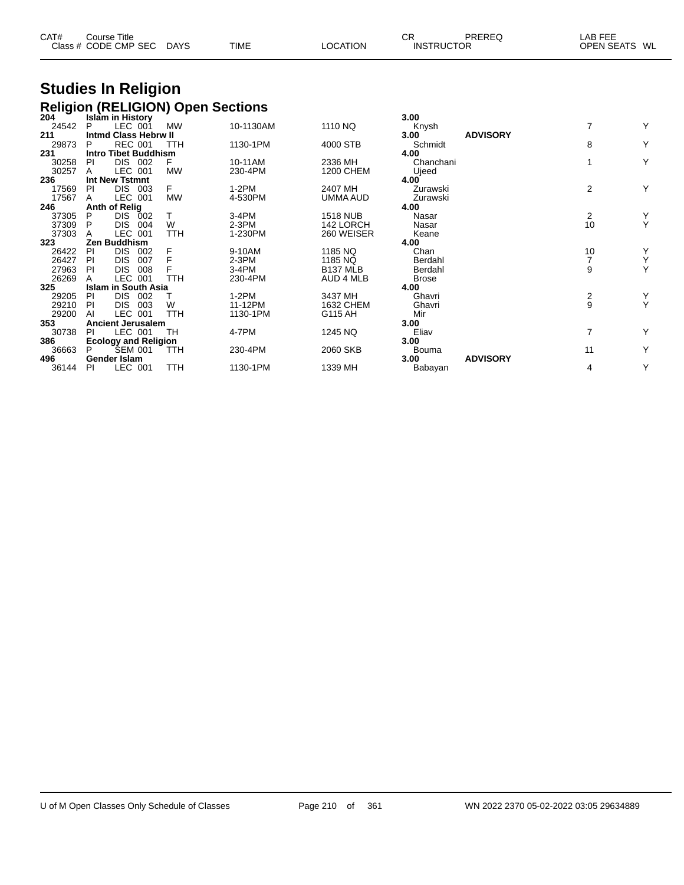| CAT# | Course Title<br>Class # CODE CMP SEC | <b>DAYS</b> | <b>TIME</b> | LOCATION | СR<br><b>INSTRUCTOR</b> | PREREQ | LAB FEE<br><b>OPEN SEATS</b><br>WL |
|------|--------------------------------------|-------------|-------------|----------|-------------------------|--------|------------------------------------|
|      |                                      |             |             |          |                         |        |                                    |

# **Studies In Religion**

|              |    |                                     | <b>Religion (RELIGION) Open Sections</b> |           |                      |                      |                 |               |        |
|--------------|----|-------------------------------------|------------------------------------------|-----------|----------------------|----------------------|-----------------|---------------|--------|
| 204          |    | Islam in History                    |                                          |           |                      | 3.00                 |                 |               |        |
| 24542        | P  | LEC 001                             | <b>MW</b>                                | 10-1130AM | 1110 NQ              | Knysh                |                 | 7             | Y      |
| 211          |    | <b>Intmd Class Hebrw II</b>         |                                          |           |                      | 3.00                 | <b>ADVISORY</b> |               |        |
| 29873        | P  | <b>REC 001</b>                      | TTH                                      | 1130-1PM  | 4000 STB             | Schmidt              |                 | 8             | Υ      |
| 231          |    | <b>Intro Tibet Buddhism</b>         |                                          |           |                      | 4.00                 |                 |               |        |
| 30258        | PI | <b>DIS 002</b>                      | F                                        | 10-11AM   | 2336 MH              | Chanchani            |                 |               | Υ      |
| 30257        | A  | LEC 001                             | <b>MW</b>                                | 230-4PM   | <b>1200 CHEM</b>     | Ujeed                |                 |               |        |
| 236          |    | Int New Tstmnt                      |                                          |           |                      | 4.00                 |                 |               |        |
| 17569        | PI | DIS.<br>003                         | F                                        | $1-2PM$   | 2407 MH              | Zurawski             |                 | 2             | Y      |
| 17567        | A  | <b>LEC 001</b>                      | <b>MW</b>                                | 4-530PM   | UMMA AUD             | Zurawski             |                 |               |        |
| 246          |    | <b>Anth of Relig</b>                |                                          |           |                      | 4.00                 |                 |               |        |
| 37305        | P  | DIS.<br>002                         |                                          | $3-4PM$   | <b>1518 NUB</b>      | Nasar                |                 | 2             | Y      |
| 37309        | P  | DIS.<br>004                         | W                                        | $2-3PM$   | 142 LORCH            | Nasar                |                 | 10            | Y      |
| 37303        |    | LEC 001                             | <b>TTH</b>                               | 1-230PM   | 260 WEISER           | Keane                |                 |               |        |
| 323          |    | Zen Buddhism                        |                                          |           |                      | 4.00                 |                 |               |        |
| 26422        | PI | DIS.<br>002                         | F                                        | 9-10AM    | 1185 NQ              | Chan                 |                 | 10            | Υ      |
| 26427        | PI | <b>DIS</b><br>007                   | F                                        | 2-3PM     | 1185 NQ              | Berdahl              |                 |               | Υ<br>Υ |
| 27963        | PI | <b>DIS</b><br>008<br><b>LEC 001</b> | TTH                                      | $3-4PM$   | B <sub>137</sub> MLB | Berdahl              |                 | 9             |        |
| 26269<br>325 |    | <b>Islam in South Asia</b>          |                                          | 230-4PM   | AUD 4 MLB            | <b>Brose</b><br>4.00 |                 |               |        |
| 29205        | PI | DIS.<br>002                         |                                          | $1-2PM$   | 3437 MH              | Ghavri               |                 |               |        |
| 29210        | PI | DIS.<br>003                         | W                                        | 11-12PM   | 1632 CHEM            | Ghavri               |                 | $\frac{2}{9}$ | Y<br>Y |
| 29200        | AI | LEC 001                             | <b>TTH</b>                               | 1130-1PM  | G115 AH              | Mir                  |                 |               |        |
| 353          |    | <b>Ancient Jerusalem</b>            |                                          |           |                      | 3.00                 |                 |               |        |
| 30738        | PI | LEC 001                             | TН                                       | 4-7PM     | 1245 NQ              | Eliav                |                 | 7             | Y      |
| 386          |    | <b>Ecology and Religion</b>         |                                          |           |                      | 3.00                 |                 |               |        |
| 36663        | P  | <b>SEM 001</b>                      | TTH                                      | 230-4PM   | 2060 SKB             | Bouma                |                 | 11            | Y      |
| 496          |    | Gender Islam                        |                                          |           |                      | 3.00                 | <b>ADVISORY</b> |               |        |
| 36144        | PI | LEC 001                             | TTH                                      | 1130-1PM  | 1339 MH              | Babayan              |                 | 4             | Y      |
|              |    |                                     |                                          |           |                      |                      |                 |               |        |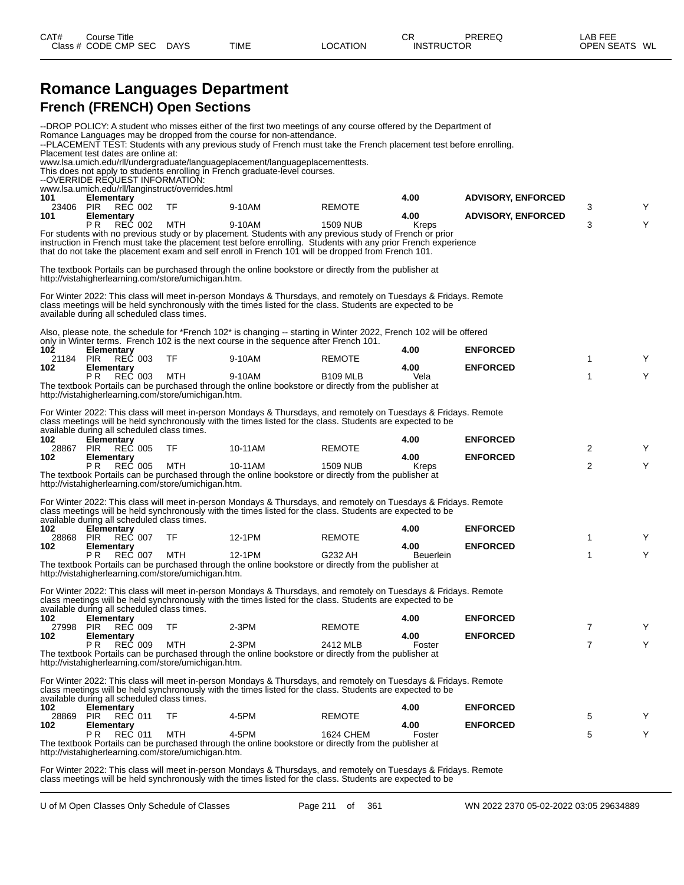|                  | <b>Romance Languages Department</b>                                                     |     |                                                                                                                                                                                                                                                                                                                                            |                 |                          |                           |                |   |
|------------------|-----------------------------------------------------------------------------------------|-----|--------------------------------------------------------------------------------------------------------------------------------------------------------------------------------------------------------------------------------------------------------------------------------------------------------------------------------------------|-----------------|--------------------------|---------------------------|----------------|---|
|                  | <b>French (FRENCH) Open Sections</b>                                                    |     |                                                                                                                                                                                                                                                                                                                                            |                 |                          |                           |                |   |
|                  | Placement test dates are online at:                                                     |     | --DROP POLICY: A student who misses either of the first two meetings of any course offered by the Department of<br>Romance Languages may be dropped from the course for non-attendance.<br>--PLACEMENT TEST: Students with any previous study of French must take the French placement test before enrolling.                              |                 |                          |                           |                |   |
|                  | --OVERRIDE REQUEST INFORMATION:<br>www.lsa.umich.edu/rll/langinstruct/overrides.html    |     | www.lsa.umich.edu/rll/undergraduate/languageplacement/languageplacementtests.<br>This does not apply to students enrolling in French graduate-level courses.                                                                                                                                                                               |                 |                          |                           |                |   |
| 101<br>23406 PIR | Elementary<br>REČ 002                                                                   |     | 9-10AM                                                                                                                                                                                                                                                                                                                                     |                 | 4.00                     | <b>ADVISORY, ENFORCED</b> |                |   |
| 101              | Elementary                                                                              | TF  |                                                                                                                                                                                                                                                                                                                                            | <b>REMOTE</b>   | 4.00                     | <b>ADVISORY, ENFORCED</b> | 3              | Y |
|                  | REČ 002<br>P R                                                                          | MTH | 9-10AM<br>For students with no previous study or by placement. Students with any previous study of French or prior<br>instruction in French must take the placement test before enrolling. Students with any prior French experience<br>that do not take the placement exam and self enroll in French 101 will be dropped from French 101. | <b>1509 NUB</b> | Kreps                    |                           | 3              | Y |
|                  | http://vistahigherlearning.com/store/umichigan.htm.                                     |     | The textbook Portails can be purchased through the online bookstore or directly from the publisher at                                                                                                                                                                                                                                      |                 |                          |                           |                |   |
|                  | available during all scheduled class times.                                             |     | For Winter 2022: This class will meet in-person Mondays & Thursdays, and remotely on Tuesdays & Fridays. Remote<br>class meetings will be held synchronously with the times listed for the class. Students are expected to be                                                                                                              |                 |                          |                           |                |   |
|                  |                                                                                         |     | Also, please note, the schedule for *French 102* is changing -- starting in Winter 2022, French 102 will be offered<br>only in Winter terms. French 102 is the next course in the sequence after French 101.                                                                                                                               |                 |                          |                           |                |   |
| 102              | <b>Elementary</b>                                                                       |     |                                                                                                                                                                                                                                                                                                                                            |                 | 4.00                     | <b>ENFORCED</b>           |                |   |
| 21184<br>102     | <b>REC 003</b><br>PIR<br><b>Elementary</b>                                              | TF  | 9-10AM                                                                                                                                                                                                                                                                                                                                     | <b>REMOTE</b>   | 4.00                     | <b>ENFORCED</b>           | 1              | Y |
|                  | P <sub>R</sub><br><b>REC 003</b><br>http://vistahigherlearning.com/store/umichigan.htm. | MTH | 9-10AM<br>The textbook Portails can be purchased through the online bookstore or directly from the publisher at                                                                                                                                                                                                                            | <b>B109 MLB</b> | Vela                     |                           | 1              | Y |
|                  | available during all scheduled class times.                                             |     | For Winter 2022: This class will meet in-person Mondays & Thursdays, and remotely on Tuesdays & Fridays. Remote<br>class meetings will be held synchronously with the times listed for the class. Students are expected to be                                                                                                              |                 |                          |                           |                |   |
| 102<br>28867     | Elementary<br>REČ 005<br><b>PIR</b>                                                     | TF  | 10-11AM                                                                                                                                                                                                                                                                                                                                    | <b>REMOTE</b>   | 4.00                     | <b>ENFORCED</b>           | $\overline{2}$ | Y |
| 102              | Elementary                                                                              |     |                                                                                                                                                                                                                                                                                                                                            |                 | 4.00                     | <b>ENFORCED</b>           |                |   |
|                  | <b>REC 005</b><br>P R<br>http://vistahigherlearning.com/store/umichigan.htm.            | MTH | 10-11AM<br>The textbook Portails can be purchased through the online bookstore or directly from the publisher at                                                                                                                                                                                                                           | <b>1509 NUB</b> | Kreps                    |                           | 2              | Y |
|                  | available during all scheduled class times.                                             |     | For Winter 2022: This class will meet in-person Mondays & Thursdays, and remotely on Tuesdays & Fridays. Remote<br>class meetings will be held synchronously with the times listed for the class. Students are expected to be                                                                                                              |                 |                          |                           |                |   |
| 102<br>28868     | <b>Elementary</b><br><b>REC 007</b><br>PIR                                              | TF  | 12-1PM                                                                                                                                                                                                                                                                                                                                     | <b>REMOTE</b>   | 4.00                     | <b>ENFORCED</b>           | 1              | Y |
| 102              | <b>Elementary</b><br>REČ 007<br>P R                                                     | MTH | 12-1PM                                                                                                                                                                                                                                                                                                                                     | G232 AH         | 4.00<br><b>Beuerlein</b> | <b>ENFORCED</b>           | 1              | Y |
|                  | http://vistahigherlearning.com/store/umichigan.htm.                                     |     | The textbook Portails can be purchased through the online bookstore or directly from the publisher at                                                                                                                                                                                                                                      |                 |                          |                           |                |   |
|                  | available during all scheduled class times.                                             |     | For Winter 2022: This class will meet in-person Mondays & Thursdays, and remotely on Tuesdays & Fridays. Remote<br>class meetings will be held synchronously with the times listed for the class. Students are expected to be                                                                                                              |                 |                          |                           |                |   |
| 102<br>27998     | <b>Elementary</b><br>REČ 009<br>PIR                                                     | TF  | $2-3PM$                                                                                                                                                                                                                                                                                                                                    | <b>REMOTE</b>   | 4.00                     | <b>ENFORCED</b>           | $\overline{7}$ | Y |
| 102              | Elementary                                                                              |     |                                                                                                                                                                                                                                                                                                                                            |                 | 4.00                     | <b>ENFORCED</b>           |                |   |
|                  | ΡR<br><b>REC 009</b><br>http://vistahigherlearning.com/store/umichigan.htm.             | MTH | $2-3PM$<br>The textbook Portails can be purchased through the online bookstore or directly from the publisher at                                                                                                                                                                                                                           | 2412 MLB        | Foster                   |                           | $\overline{7}$ | Y |
|                  | available during all scheduled class times.                                             |     | For Winter 2022: This class will meet in-person Mondays & Thursdays, and remotely on Tuesdays & Fridays. Remote<br>class meetings will be held synchronously with the times listed for the class. Students are expected to be                                                                                                              |                 |                          |                           |                |   |
| 102<br>28869     | Elementary<br><b>PIR</b><br><b>REC 011</b>                                              | TF  | 4-5PM                                                                                                                                                                                                                                                                                                                                      | <b>REMOTE</b>   | 4.00                     | <b>ENFORCED</b>           | 5              | Y |
| 102              | <b>Elementary</b>                                                                       |     |                                                                                                                                                                                                                                                                                                                                            |                 | 4.00                     | <b>ENFORCED</b>           |                |   |
|                  | <b>REC 011</b><br>РR<br>http://vistahigherlearning.com/store/umichigan.htm.             | MTH | 4-5PM<br>The textbook Portails can be purchased through the online bookstore or directly from the publisher at                                                                                                                                                                                                                             | 1624 CHEM       | Foster                   |                           | 5              | Y |
|                  |                                                                                         |     | For Winter 2022: This class will meet in-person Mondays & Thursdays, and remotely on Tuesdays & Fridays. Remote<br>class meetings will be held synchronously with the times listed for the class. Students are expected to be                                                                                                              |                 |                          |                           |                |   |

CAT# Course Title Case CR PREREQ LAB FEE

Class # CODE CMP SEC DAYS TIME LOCATION INSTRUCTOR OPEN SEATS WL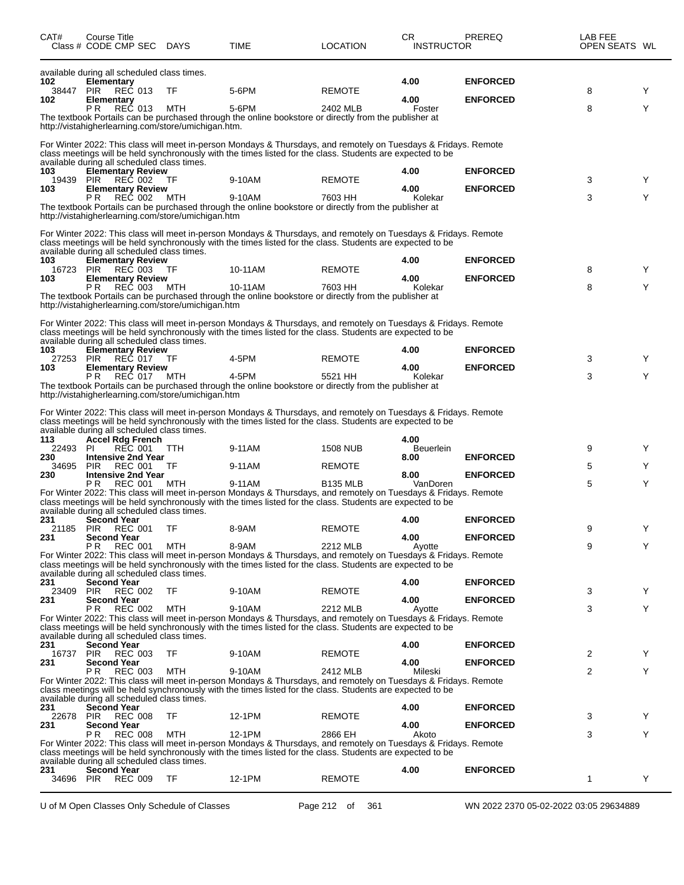| CAT#                | Course Title<br>Class # CODE CMP SEC DAYS                                                               |      | TIME                                                                                                                                                                                                                                    | <b>LOCATION</b>    | CR<br><b>INSTRUCTOR</b>  | PREREQ                                 | LAB FEE<br>OPEN SEATS WL |   |
|---------------------|---------------------------------------------------------------------------------------------------------|------|-----------------------------------------------------------------------------------------------------------------------------------------------------------------------------------------------------------------------------------------|--------------------|--------------------------|----------------------------------------|--------------------------|---|
| 102<br>38447<br>102 | available during all scheduled class times.<br><b>Elementary</b><br>PIR<br>REC 013<br><b>Elementary</b> | TF   | 5-6PM                                                                                                                                                                                                                                   | <b>REMOTE</b>      | 4.00<br>4.00             | <b>ENFORCED</b><br><b>ENFORCED</b>     | 8                        | Y |
|                     | P <sub>R</sub><br><b>REC 013</b><br>http://vistahigherlearning.com/store/umichigan.htm.                 | MTH  | 5-6PM<br>The textbook Portails can be purchased through the online bookstore or directly from the publisher at                                                                                                                          | 2402 MLB           | Foster                   |                                        | 8                        | Υ |
|                     | available during all scheduled class times.                                                             |      | For Winter 2022: This class will meet in-person Mondays & Thursdays, and remotely on Tuesdays & Fridays. Remote<br>class meetings will be held synchronously with the times listed for the class. Students are expected to be           |                    |                          |                                        |                          |   |
| 103                 | <b>Elementary Review</b><br>19439 PIR REC 002                                                           | TF   | 9-10AM                                                                                                                                                                                                                                  | <b>REMOTE</b>      | 4.00                     | <b>ENFORCED</b>                        | 3                        | Y |
| 103                 | <b>Elementary Review</b><br>P R<br>REC 002                                                              | MTH  | 9-10AM                                                                                                                                                                                                                                  | 7603 HH            | 4.00<br>Kolekar          | <b>ENFORCED</b>                        | 3                        | Y |
|                     | http://vistahigherlearning.com/store/umichigan.htm                                                      |      | The textbook Portails can be purchased through the online bookstore or directly from the publisher at                                                                                                                                   |                    |                          |                                        |                          |   |
|                     | available during all scheduled class times.                                                             |      | For Winter 2022: This class will meet in-person Mondays & Thursdays, and remotely on Tuesdays & Fridays. Remote<br>class meetings will be held synchronously with the times listed for the class. Students are expected to be           |                    |                          |                                        |                          |   |
| 103<br>16723 PIR    | <b>Elementary Review</b><br>REC 003                                                                     | - TF | 10-11AM                                                                                                                                                                                                                                 | <b>REMOTE</b>      | 4.00                     | <b>ENFORCED</b>                        | 8                        | Y |
| 103                 | <b>Elementary Review</b><br>PR.<br>REC 003                                                              | MTH  | 10-11AM                                                                                                                                                                                                                                 | 7603 HH            | 4.00<br>Kolekar          | <b>ENFORCED</b>                        | 8                        | Υ |
|                     | http://vistahigherlearning.com/store/umichigan.htm                                                      |      | The textbook Portails can be purchased through the online bookstore or directly from the publisher at                                                                                                                                   |                    |                          |                                        |                          |   |
|                     | available during all scheduled class times.                                                             |      | For Winter 2022: This class will meet in-person Mondays & Thursdays, and remotely on Tuesdays & Fridays. Remote<br>class meetings will be held synchronously with the times listed for the class. Students are expected to be           |                    |                          |                                        |                          |   |
| 103                 | <b>Elementary Review</b><br>27253 PIR REC 017 TF                                                        |      | 4-5PM                                                                                                                                                                                                                                   | <b>REMOTE</b>      | 4.00                     | <b>ENFORCED</b>                        | 3                        | Y |
| 103                 | <b>Elementary Review</b><br>P R<br>REC 017                                                              | MTH  | 4-5PM                                                                                                                                                                                                                                   | 5521 HH            | 4.00<br>Kolekar          | <b>ENFORCED</b>                        | 3                        | Y |
|                     | http://vistahigherlearning.com/store/umichigan.htm                                                      |      | The textbook Portails can be purchased through the online bookstore or directly from the publisher at                                                                                                                                   |                    |                          |                                        |                          |   |
|                     | available during all scheduled class times.                                                             |      | For Winter 2022: This class will meet in-person Mondays & Thursdays, and remotely on Tuesdays & Fridays. Remote<br>class meetings will be held synchronously with the times listed for the class. Students are expected to be           |                    |                          |                                        |                          |   |
| 113<br>22493 PI     | <b>Accel Rdg French</b><br>REC 001                                                                      | TTH  | 9-11AM                                                                                                                                                                                                                                  | <b>1508 NUB</b>    | 4.00<br><b>Beuerlein</b> |                                        | 9                        | Υ |
| 230                 | <b>Intensive 2nd Year</b>                                                                               |      |                                                                                                                                                                                                                                         |                    | 8.00                     | <b>ENFORCED</b>                        |                          |   |
| 34695<br>230        | <b>PIR</b><br>REC 001<br><b>Intensive 2nd Year</b>                                                      | TF   | 9-11AM                                                                                                                                                                                                                                  | <b>REMOTE</b>      | 8.00                     | <b>ENFORCED</b>                        | 5                        | Y |
|                     | P R<br><b>REC 001</b><br>available during all scheduled class times.                                    | MTH  | 9-11AM<br>For Winter 2022: This class will meet in-person Mondays & Thursdays, and remotely on Tuesdays & Fridays. Remote<br>class meetings will be held synchronously with the times listed for the class. Students are expected to be | <b>B135 MLB</b>    | VanDoren                 |                                        | 5                        | Υ |
| 231                 | <b>Second Year</b><br>21185 PIR REC 001                                                                 | TF   | 8-9AM                                                                                                                                                                                                                                   | <b>REMOTE</b>      | 4.00                     | <b>ENFORCED</b>                        | 9                        |   |
| 231                 | <b>Second Year</b>                                                                                      |      |                                                                                                                                                                                                                                         |                    | 4.00                     | <b>ENFORCED</b>                        |                          |   |
|                     | P R<br><b>REC 001</b>                                                                                   | MTH  | 8-9AM<br>For Winter 2022: This class will meet in-person Mondays & Thursdays, and remotely on Tuesdays & Fridays. Remote<br>class meetings will be held synchronously with the times listed for the class. Students are expected to be  | 2212 MLB           | Ayotte                   |                                        | 9                        | Υ |
| 231                 | available during all scheduled class times.<br><b>Second Year</b>                                       |      |                                                                                                                                                                                                                                         |                    | 4.00                     | <b>ENFORCED</b>                        |                          |   |
| 23409<br>231        | <b>PIR REC 002</b><br><b>Second Year</b>                                                                | TF   | 9-10AM                                                                                                                                                                                                                                  | <b>REMOTE</b>      | 4.00                     | <b>ENFORCED</b>                        | 3                        | Y |
|                     | <b>PR REC 002</b>                                                                                       | MTH  | 9-10AM<br>For Winter 2022: This class will meet in-person Mondays & Thursdays, and remotely on Tuesdays & Fridays. Remote<br>class meetings will be held synchronously with the times listed for the class. Students are expected to be | 2212 MLB           | Ayotte                   |                                        | 3                        | Υ |
| 231                 | available during all scheduled class times.<br><b>Second Year</b>                                       |      |                                                                                                                                                                                                                                         |                    | 4.00                     | <b>ENFORCED</b>                        |                          |   |
| 16737<br>231        | <b>PIR REC 003</b><br><b>Second Year</b>                                                                | TF   | 9-10AM                                                                                                                                                                                                                                  | <b>REMOTE</b>      | 4.00                     | <b>ENFORCED</b>                        | 2                        | Υ |
|                     | P R<br><b>REC 003</b>                                                                                   | MTH  | 9-10AM<br>For Winter 2022: This class will meet in-person Mondays & Thursdays, and remotely on Tuesdays & Fridays. Remote                                                                                                               | 2412 MLB           | Mileski                  |                                        | 2                        | Y |
|                     | available during all scheduled class times.                                                             |      | class meetings will be held synchronously with the times listed for the class. Students are expected to be                                                                                                                              |                    |                          |                                        |                          |   |
| 231                 | <b>Second Year</b><br>22678 PIR REC 008                                                                 | TF   | 12-1PM                                                                                                                                                                                                                                  | <b>REMOTE</b>      | 4.00                     | <b>ENFORCED</b>                        | 3                        | Υ |
| 231                 | <b>Second Year</b><br>P R<br><b>REC 008</b>                                                             | MTH  | 12-1PM                                                                                                                                                                                                                                  | 2866 EH            | 4.00<br>Akoto            | <b>ENFORCED</b>                        | 3                        | Y |
|                     | available during all scheduled class times.                                                             |      | For Winter 2022: This class will meet in-person Mondays & Thursdays, and remotely on Tuesdays & Fridays. Remote<br>class meetings will be held synchronously with the times listed for the class. Students are expected to be           |                    |                          |                                        |                          |   |
| 231<br>34696 PIR    | <b>Second Year</b><br><b>REC 009</b>                                                                    | TF   | 12-1PM                                                                                                                                                                                                                                  | <b>REMOTE</b>      | 4.00                     | <b>ENFORCED</b>                        | 1                        | Y |
|                     | U of M Open Classes Only Schedule of Classes                                                            |      |                                                                                                                                                                                                                                         | Page 212 of<br>361 |                          | WN 2022 2370 05-02-2022 03:05 29634889 |                          |   |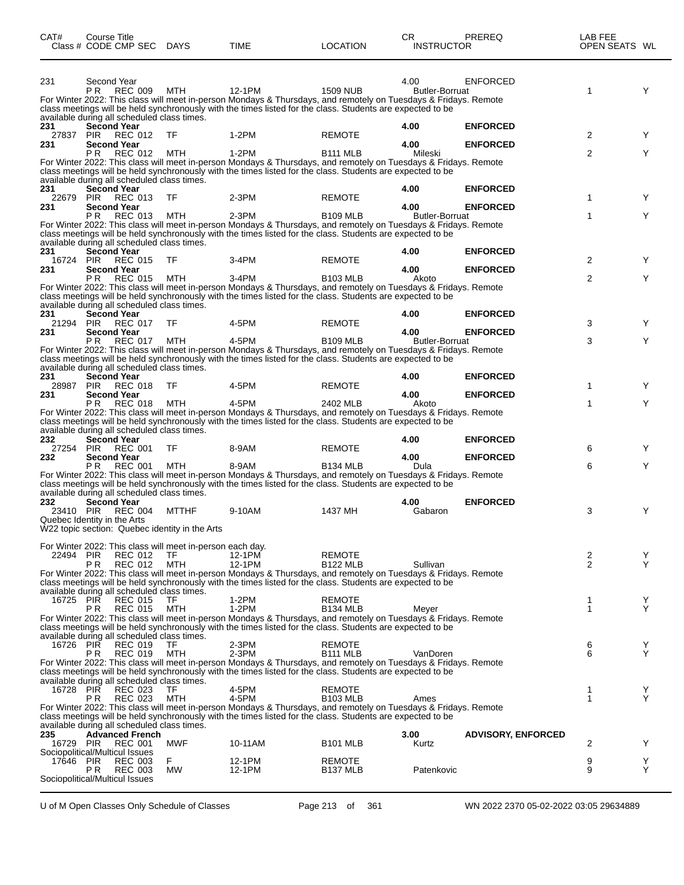| CAT#                    | Course Title<br>Class # CODE CMP SEC DAYS                                   |                  | TIME                                                                                                                                                                                                                                   | <b>LOCATION</b>                       | <b>CR</b><br><b>INSTRUCTOR</b> | PREREQ                             | LAB FEE<br>OPEN SEATS WL |        |
|-------------------------|-----------------------------------------------------------------------------|------------------|----------------------------------------------------------------------------------------------------------------------------------------------------------------------------------------------------------------------------------------|---------------------------------------|--------------------------------|------------------------------------|--------------------------|--------|
| 231                     | Second Year<br>P <sub>R</sub><br><b>REC 009</b>                             | MTH              | 12-1PM<br>For Winter 2022: This class will meet in-person Mondays & Thursdays, and remotely on Tuesdays & Fridays. Remote                                                                                                              | <b>1509 NUB</b>                       | 4.00<br><b>Butler-Borruat</b>  | <b>ENFORCED</b>                    | 1                        | Y      |
|                         | available during all scheduled class times.                                 |                  | class meetings will be held synchronously with the times listed for the class. Students are expected to be                                                                                                                             |                                       |                                |                                    |                          |        |
| 231<br>27837 PIR<br>231 | <b>Second Year</b><br>REC 012<br><b>Second Year</b>                         | TF               | $1-2PM$                                                                                                                                                                                                                                | <b>REMOTE</b>                         | 4.00<br>4.00                   | <b>ENFORCED</b><br><b>ENFORCED</b> | 2                        | Y      |
|                         | <b>REC 012</b><br>PR.                                                       | MTH              | $1-2PM$<br>For Winter 2022: This class will meet in-person Mondays & Thursdays, and remotely on Tuesdays & Fridays. Remote                                                                                                             | <b>B111 MLB</b>                       | Mileski                        |                                    | 2                        | Y      |
|                         | available during all scheduled class times.                                 |                  | class meetings will be held synchronously with the times listed for the class. Students are expected to be                                                                                                                             |                                       |                                |                                    |                          |        |
| 231<br>22679<br>231     | <b>Second Year</b><br>PIR REC 013<br><b>Second Year</b>                     | TF               | $2-3PM$                                                                                                                                                                                                                                | <b>REMOTE</b>                         | 4.00<br>4.00                   | <b>ENFORCED</b><br><b>ENFORCED</b> | 1                        | Y      |
|                         | P <sub>R</sub><br>REC 013                                                   | MTH              | $2-3PM$<br>For Winter 2022: This class will meet in-person Mondays & Thursdays, and remotely on Tuesdays & Fridays. Remote                                                                                                             | <b>B109 MLB</b>                       | <b>Butler-Borruat</b>          |                                    | 1                        | Y      |
|                         | available during all scheduled class times.                                 |                  | class meetings will be held synchronously with the times listed for the class. Students are expected to be                                                                                                                             |                                       |                                |                                    |                          |        |
| 231                     | <b>Second Year</b><br>16724 PIR REC 015                                     | TF               | 3-4PM                                                                                                                                                                                                                                  | <b>REMOTE</b>                         | 4.00                           | <b>ENFORCED</b>                    | 2                        | Y      |
| 231                     | <b>Second Year</b><br>P <sub>R</sub><br><b>REC 015</b>                      |                  | 3-4PM                                                                                                                                                                                                                                  | <b>B103 MLB</b>                       | 4.00                           | <b>ENFORCED</b>                    | 2                        | Y      |
|                         | available during all scheduled class times.                                 | MTH              | For Winter 2022: This class will meet in-person Mondays & Thursdays, and remotely on Tuesdays & Fridays. Remote<br>class meetings will be held synchronously with the times listed for the class. Students are expected to be          |                                       | Akoto                          |                                    |                          |        |
| 231<br>21294 PIR        | <b>Second Year</b><br>REC 017                                               | TF               | 4-5PM                                                                                                                                                                                                                                  | <b>REMOTE</b>                         | 4.00                           | <b>ENFORCED</b>                    | 3                        | Y      |
| 231                     | <b>Second Year</b>                                                          |                  |                                                                                                                                                                                                                                        |                                       | 4.00                           | <b>ENFORCED</b>                    |                          |        |
|                         | REC 017<br>P <sub>R</sub><br>available during all scheduled class times.    | MTH              | 4-5PM<br>For Winter 2022: This class will meet in-person Mondays & Thursdays, and remotely on Tuesdays & Fridays. Remote<br>class meetings will be held synchronously with the times listed for the class. Students are expected to be | <b>B109 MLB</b>                       | <b>Butler-Borruat</b>          |                                    | 3                        | Y      |
| 231<br>28987            | <b>Second Year</b><br>PIR REC 018                                           | TF               | 4-5PM                                                                                                                                                                                                                                  | <b>REMOTE</b>                         | 4.00                           | <b>ENFORCED</b>                    | 1                        | Y      |
| 231                     | <b>Second Year</b><br>PR.<br>REC 018                                        |                  | 4-5PM                                                                                                                                                                                                                                  |                                       | 4.00<br>Akoto                  | <b>ENFORCED</b>                    | 1                        | Y      |
|                         | available during all scheduled class times.                                 | MTH              | For Winter 2022: This class will meet in-person Mondays & Thursdays, and remotely on Tuesdays & Fridays. Remote<br>class meetings will be held synchronously with the times listed for the class. Students are expected to be          | 2402 MLB                              |                                |                                    |                          |        |
| 232<br>27254 PIR        | <b>Second Year</b><br>REC 001                                               | TF               | 8-9AM                                                                                                                                                                                                                                  | <b>REMOTE</b>                         | 4.00                           | <b>ENFORCED</b>                    | 6                        | Y      |
| 232                     | <b>Second Year</b><br>P <sub>R</sub><br><b>REC 001</b>                      | MTH              | 8-9AM                                                                                                                                                                                                                                  | <b>B134 MLB</b>                       | 4.00<br>Dula                   | <b>ENFORCED</b>                    | 6                        | Y      |
| 232                     | available during all scheduled class times.<br>Second Year                  |                  | For Winter 2022: This class will meet in-person Mondays & Thursdays, and remotely on Tuesdays & Fridays. Remote<br>class meetings will be held synchronously with the times listed for the class. Students are expected to be          |                                       | 4.00                           | <b>ENFORCED</b>                    |                          |        |
| 23410 PIR               | <b>REC 004</b><br>Quebec Identity in the Arts                               | MTTHF            | 9-10AM                                                                                                                                                                                                                                 | 1437 MH                               | Gabaron                        |                                    | 3                        | Y      |
|                         | W22 topic section: Quebec identity in the Arts                              |                  |                                                                                                                                                                                                                                        |                                       |                                |                                    |                          |        |
| 22494 PIR               | For Winter 2022: This class will meet in-person each day.<br><b>REC 012</b> | TF               | 12-1PM                                                                                                                                                                                                                                 | REMOTE                                |                                |                                    | 2                        | Y      |
|                         | PR.<br><b>REC 012</b>                                                       | <b>MTH</b>       | 12-1PM<br>For Winter 2022: This class will meet in-person Mondays & Thursdays, and remotely on Tuesdays & Fridays. Remote                                                                                                              | <b>B122 MLB</b>                       | Sullivan                       |                                    | $\overline{2}$           | Υ      |
|                         | available during all scheduled class times.                                 |                  | class meetings will be held synchronously with the times listed for the class. Students are expected to be                                                                                                                             |                                       |                                |                                    |                          |        |
| 16725 PIR               | <b>REC 015</b><br><b>REC 015</b><br>PR.                                     | TF<br>MTH        | $1-2PM$<br>1-2PM                                                                                                                                                                                                                       | <b>REMOTE</b><br><b>B134 MLB</b>      | Meyer                          |                                    | 1<br>1                   | Y<br>Y |
|                         | available during all scheduled class times.                                 |                  | For Winter 2022: This class will meet in-person Mondays & Thursdays, and remotely on Tuesdays & Fridays. Remote<br>class meetings will be held synchronously with the times listed for the class. Students are expected to be          |                                       |                                |                                    |                          |        |
| 16726 PIR               | <b>REC 019</b><br><b>REC 019</b><br>P R                                     | TF<br><b>MTH</b> | 2-3PM<br>$2-3PM$                                                                                                                                                                                                                       | <b>REMOTE</b><br><b>B111 MLB</b>      | VanDoren                       |                                    | 6<br>6                   | Y<br>Y |
|                         | available during all scheduled class times.                                 |                  | For Winter 2022: This class will meet in-person Mondays & Thursdays, and remotely on Tuesdays & Fridays. Remote<br>class meetings will be held synchronously with the times listed for the class. Students are expected to be          |                                       |                                |                                    |                          |        |
| 16728 PIR               | <b>REC 023</b><br>PR.<br><b>REC 023</b>                                     | TF<br><b>MTH</b> | 4-5PM<br>4-5PM                                                                                                                                                                                                                         | <b>REMOTE</b><br><b>B103 MLB</b>      | Ames                           |                                    | 1<br>1                   | Y<br>Υ |
|                         |                                                                             |                  | For Winter 2022: This class will meet in-person Mondays & Thursdays, and remotely on Tuesdays & Fridays. Remote<br>class meetings will be held synchronously with the times listed for the class. Students are expected to be          |                                       |                                |                                    |                          |        |
| 235                     | available during all scheduled class times.<br><b>Advanced French</b>       |                  |                                                                                                                                                                                                                                        |                                       | 3.00                           | <b>ADVISORY, ENFORCED</b>          |                          |        |
| 16729 PIR               | REC 001<br>Sociopolitical/Multicul Issues                                   | MWF              | 10-11AM                                                                                                                                                                                                                                | <b>B101 MLB</b>                       | Kurtz                          |                                    | 2                        | Y      |
| 17646 PIR               | <b>REC 003</b><br><b>REC 003</b><br>P R                                     | F.<br>МW         | 12-1PM<br>12-1PM                                                                                                                                                                                                                       | <b>REMOTE</b><br>B <sub>137</sub> MLB | Patenkovic                     |                                    | 9<br>9                   | Y<br>Y |
|                         | Sociopolitical/Multicul Issues                                              |                  |                                                                                                                                                                                                                                        |                                       |                                |                                    |                          |        |

U of M Open Classes Only Schedule of Classes Page 213 of 361 WN 2022 2370 05-02-2022 03:05 29634889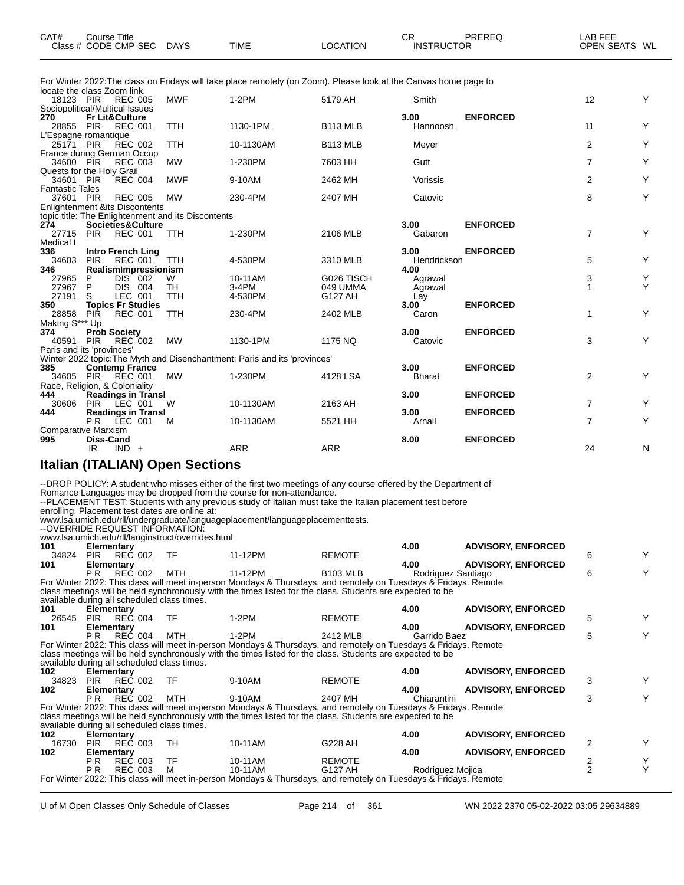| CAT# | Course Title              |      |          | СF                | PREREQ | _AB FEE       |  |
|------|---------------------------|------|----------|-------------------|--------|---------------|--|
|      | Class # CODE CMP SEC DAYS | TIME | LOCATION | <b>INSTRUCTOR</b> |        | OPEN SEATS WL |  |

For Winter 2022:The class on Fridays will take place remotely (on Zoom). Please look at the Canvas home page to

|                        | locate the class Zoom link.                        |            |                                                                           |                      |               |                 |                |        |
|------------------------|----------------------------------------------------|------------|---------------------------------------------------------------------------|----------------------|---------------|-----------------|----------------|--------|
| 18123 PIR              | REC 005                                            | <b>MWF</b> | $1-2PM$                                                                   | 5179 AH              | Smith         |                 | 12             | Y      |
|                        | Sociopolitical/Multicul Issues                     |            |                                                                           |                      |               |                 |                |        |
| 270                    | <b>Fr Lit&amp;Culture</b>                          |            |                                                                           |                      | 3.00          | <b>ENFORCED</b> |                |        |
| 28855 PIR              | REC 001                                            | <b>TTH</b> | 1130-1PM                                                                  | <b>B113 MLB</b>      | Hannoosh      |                 | 11             | Υ      |
|                        | L'Espagne romantique                               |            |                                                                           |                      |               |                 |                |        |
| 25171 PIR              | <b>REC 002</b>                                     | <b>TTH</b> | 10-1130AM                                                                 | B <sub>113</sub> MLB | Meyer         |                 | $\overline{2}$ | Υ      |
|                        | France during German Occup                         |            |                                                                           |                      |               |                 |                |        |
| 34600 PIR              | <b>REC 003</b>                                     | <b>MW</b>  | 1-230PM                                                                   | 7603 HH              | Gutt          |                 | $\overline{7}$ | Υ      |
|                        | Quests for the Holy Grail                          |            |                                                                           |                      |               |                 |                |        |
| 34601 PIR              | <b>REC 004</b>                                     | <b>MWF</b> | 9-10AM                                                                    | 2462 MH              | Vorissis      |                 | $\overline{2}$ | Υ      |
| <b>Fantastic Tales</b> |                                                    |            |                                                                           |                      |               |                 |                |        |
| 37601 PIR              | <b>REC 005</b>                                     | <b>MW</b>  | 230-4PM                                                                   | 2407 MH              | Catovic       |                 | 8              | Υ      |
|                        | <b>Enlightenment &amp;its Discontents</b>          |            |                                                                           |                      |               |                 |                |        |
|                        | topic title: The Enlightenment and its Discontents |            |                                                                           |                      |               |                 |                |        |
| 274                    | Societies&Culture                                  |            |                                                                           |                      | 3.00          | <b>ENFORCED</b> |                |        |
| 27715                  | PIR REC 001                                        | TTH        | 1-230PM                                                                   | 2106 MLB             | Gabaron       |                 | $\overline{7}$ | Y      |
| Medical I              |                                                    |            |                                                                           |                      |               |                 |                |        |
| 336                    | <b>Intro French Ling</b>                           |            |                                                                           |                      | 3.00          | <b>ENFORCED</b> |                |        |
| 34603                  | <b>PIR</b><br><b>REC 001</b>                       | <b>TTH</b> | 4-530PM                                                                   | 3310 MLB             | Hendrickson   |                 | 5              | Y      |
| 346                    | RealismImpressionism                               |            |                                                                           |                      | 4.00          |                 |                |        |
| 27965                  | DIS 002<br>P.                                      | W          | 10-11AM                                                                   | G026 TISCH           | Agrawal       |                 | 3              | Y<br>Y |
| 27967                  | P<br>DIS 004                                       | TH         | $3-4PM$                                                                   | 049 UMMA             | Agrawal       |                 | $\mathbf{1}$   |        |
| 27191                  | LEC 001<br>S                                       | <b>TTH</b> | 4-530PM                                                                   | G127 AH              | Lay           |                 |                |        |
| 350                    | <b>Topics Fr Studies</b>                           |            |                                                                           |                      | 3.00          | <b>ENFORCED</b> |                |        |
| 28858                  | <b>REC 001</b><br><b>PIR</b>                       | <b>TTH</b> | 230-4PM                                                                   | 2402 MLB             | Caron         |                 | 1              | Υ      |
| Making S*** Up         |                                                    |            |                                                                           |                      |               |                 |                |        |
| 374                    | <b>Prob Society</b>                                |            |                                                                           |                      | 3.00          | <b>ENFORCED</b> |                |        |
| 40591                  | <b>PIR</b><br>REC 002                              | <b>MW</b>  | 1130-1PM                                                                  | 1175 NQ              | Catovic       |                 | 3              | Y      |
|                        | Paris and its 'provinces'                          |            |                                                                           |                      |               |                 |                |        |
|                        |                                                    |            | Winter 2022 topic: The Myth and Disenchantment: Paris and its 'provinces' |                      |               |                 |                |        |
| 385                    | <b>Contemp France</b>                              |            |                                                                           |                      | 3.00          | <b>ENFORCED</b> |                |        |
|                        | 34605 PIR REC 001                                  | <b>MW</b>  | 1-230PM                                                                   | 4128 LSA             | <b>Bharat</b> |                 | 2              | Y      |
|                        | Race, Religion, & Coloniality                      |            |                                                                           |                      |               |                 |                |        |
| 444                    | <b>Readings in Transl</b>                          |            |                                                                           |                      | 3.00          | <b>ENFORCED</b> |                |        |
| 30606                  | PIR LEC 001                                        | W          | 10-1130AM                                                                 | 2163 AH              |               |                 | $\overline{7}$ | Υ      |
| 444                    | <b>Readings in Transl</b>                          |            |                                                                           |                      | 3.00          | <b>ENFORCED</b> |                |        |
|                        | <b>PR</b><br>LEC 001                               | м          | 10-1130AM                                                                 | 5521 HH              | Arnall        |                 | $\overline{7}$ | Υ      |
|                        | <b>Comparative Marxism</b>                         |            |                                                                           |                      |               |                 |                |        |
| 995                    | <b>Diss-Cand</b>                                   |            |                                                                           |                      | 8.00          | <b>ENFORCED</b> |                |        |
|                        | $IND +$<br>IR                                      |            | <b>ARR</b>                                                                | <b>ARR</b>           |               |                 | 24             | N      |
|                        |                                                    |            |                                                                           |                      |               |                 |                |        |

#### **Italian (ITALIAN) Open Sections**

--DROP POLICY: A student who misses either of the first two meetings of any course offered by the Department of Romance Languages may be dropped from the course for non-attendance.

--PLACEMENT TEST: Students with any previous study of Italian must take the Italian placement test before

enrolling. Placement test dates are online at:

www.lsa.umich.edu/rll/undergraduate/languageplacement/languageplacementtests.

--OVERRIDE REQUEST INFORMATION:

|     | <u> OVERRE REGUEUT IN ORINARUM.</u>               |  |  |      |                           |
|-----|---------------------------------------------------|--|--|------|---------------------------|
|     | www.lsa.umich.edu/rll/langinstruct/overrides.html |  |  |      |                           |
| 101 | Elementary<br>____                                |  |  | 4.00 | <b>ADVISORY, ENFORCED</b> |

| 34824                                                                                                           | <b>PIR</b>         | REČ 002                                     | TF        | 11-12PM                                                                                                         | <b>REMOTE</b>   |                           |                           | 6              | Y |
|-----------------------------------------------------------------------------------------------------------------|--------------------|---------------------------------------------|-----------|-----------------------------------------------------------------------------------------------------------------|-----------------|---------------------------|---------------------------|----------------|---|
| 101                                                                                                             | 4.00<br>Elementary |                                             |           |                                                                                                                 |                 | <b>ADVISORY, ENFORCED</b> |                           |                |   |
|                                                                                                                 | P R                | REC 002                                     | MTH       | 11-12PM                                                                                                         | <b>B103 MLB</b> | Rodriguez Santiago        |                           | 6              | Y |
|                                                                                                                 |                    |                                             |           | For Winter 2022: This class will meet in-person Mondays & Thursdays, and remotely on Tuesdays & Fridays. Remote |                 |                           |                           |                |   |
| class meetings will be held synchronously with the times listed for the class. Students are expected to be      |                    |                                             |           |                                                                                                                 |                 |                           |                           |                |   |
| available during all scheduled class times.                                                                     |                    |                                             |           |                                                                                                                 |                 |                           |                           |                |   |
| 101                                                                                                             | Elementary         |                                             |           |                                                                                                                 |                 | 4.00                      | <b>ADVISORY, ENFORCED</b> |                |   |
| 26545                                                                                                           |                    | PIR REC 004                                 | - TF      | $1-2PM$                                                                                                         | <b>REMOTE</b>   |                           |                           | 5              |   |
| 101                                                                                                             | Elementary         |                                             |           |                                                                                                                 |                 | 4.00                      | <b>ADVISORY, ENFORCED</b> |                |   |
|                                                                                                                 | P R                | REC 004                                     | MTH       | 1-2PM                                                                                                           | 2412 MLB        | Garrido Baez              |                           | 5              |   |
| For Winter 2022: This class will meet in-person Mondays & Thursdays, and remotely on Tuesdays & Fridays. Remote |                    |                                             |           |                                                                                                                 |                 |                           |                           |                |   |
|                                                                                                                 |                    |                                             |           | class meetings will be held synchronously with the times listed for the class. Students are expected to be      |                 |                           |                           |                |   |
| available during all scheduled class times.                                                                     |                    |                                             |           |                                                                                                                 |                 |                           |                           |                |   |
| 102                                                                                                             | Elementary         |                                             |           |                                                                                                                 |                 | 4.00                      | <b>ADVISORY, ENFORCED</b> |                |   |
| 34823                                                                                                           |                    | PIR REC 002                                 | - TF      | 9-10AM                                                                                                          | <b>REMOTE</b>   |                           |                           | 3              |   |
| 102                                                                                                             | 4.00<br>Elementary |                                             |           |                                                                                                                 |                 |                           | <b>ADVISORY, ENFORCED</b> |                |   |
|                                                                                                                 | P R                | REC 002                                     | MTH       | 9-10AM                                                                                                          | 2407 MH         | Chiarantini               |                           | 3              | Y |
| For Winter 2022: This class will meet in-person Mondays & Thursdays, and remotely on Tuesdays & Fridays. Remote |                    |                                             |           |                                                                                                                 |                 |                           |                           |                |   |
|                                                                                                                 |                    |                                             |           | class meetings will be held synchronously with the times listed for the class. Students are expected to be      |                 |                           |                           |                |   |
|                                                                                                                 |                    | available during all scheduled class times. |           |                                                                                                                 |                 |                           |                           |                |   |
| 102                                                                                                             |                    | Elementary                                  |           |                                                                                                                 |                 | 4.00                      | <b>ADVISORY, ENFORCED</b> |                |   |
| 16730                                                                                                           | PIR                | REC 003                                     | TH.       | 10-11AM                                                                                                         | G228 AH         |                           |                           |                | Y |
| 102                                                                                                             | 4.00<br>Elementary |                                             |           |                                                                                                                 |                 | <b>ADVISORY, ENFORCED</b> |                           |                |   |
|                                                                                                                 | P R                | <b>REC 003</b>                              | <b>TF</b> | 10-11AM                                                                                                         | <b>REMOTE</b>   |                           |                           | 2              | Y |
|                                                                                                                 | P <sub>R</sub>     | <b>REC 003</b>                              | M         | 10-11AM                                                                                                         | G127 AH         | Rodriguez Mojica          |                           | $\mathfrak{p}$ | Υ |
| For Winter 2022: This class will meet in-person Mondays & Thursdays, and remotely on Tuesdays & Fridays. Remote |                    |                                             |           |                                                                                                                 |                 |                           |                           |                |   |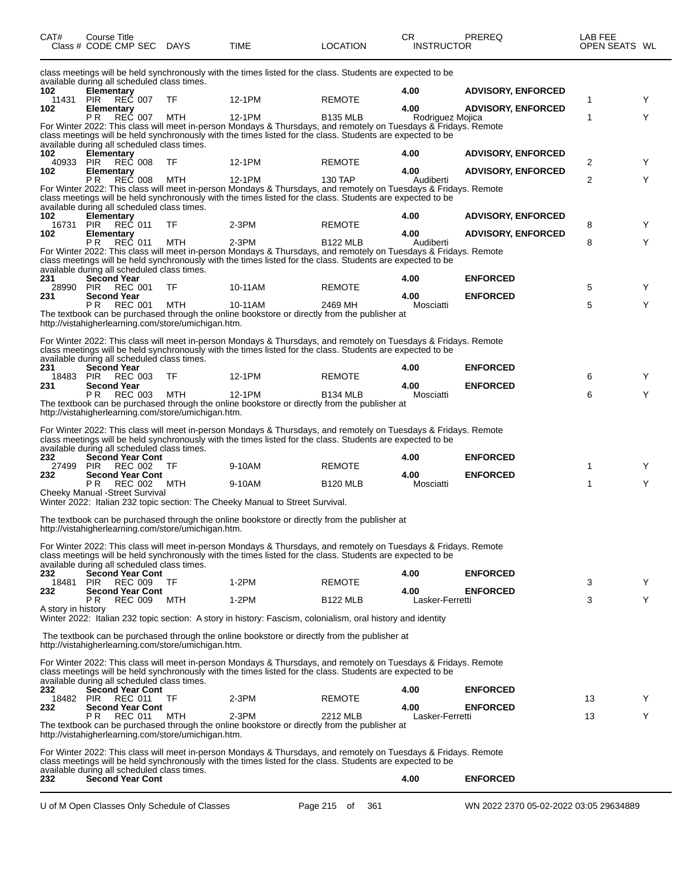| CAT#               | Course Title<br>Class # CODE CMP SEC                                         | <b>DAYS</b> | <b>TIME</b>                                                                                                                                                                                                                   | <b>LOCATION</b>    | CR<br><b>INSTRUCTOR</b> | PREREQ                                 | LAB FEE<br>OPEN SEATS WL |   |
|--------------------|------------------------------------------------------------------------------|-------------|-------------------------------------------------------------------------------------------------------------------------------------------------------------------------------------------------------------------------------|--------------------|-------------------------|----------------------------------------|--------------------------|---|
|                    | available during all scheduled class times.                                  |             | class meetings will be held synchronously with the times listed for the class. Students are expected to be                                                                                                                    |                    |                         |                                        |                          |   |
| 102                | Elementary                                                                   |             |                                                                                                                                                                                                                               |                    | 4.00                    | <b>ADVISORY, ENFORCED</b>              |                          |   |
| 11431<br>102       | <b>REC 007</b><br>PIR<br>Elementary                                          | TF          | 12-1PM                                                                                                                                                                                                                        | <b>REMOTE</b>      | 4.00                    | <b>ADVISORY, ENFORCED</b>              | 1                        | Y |
|                    | REC 007<br>ΡR                                                                | MTH         | 12-1PM                                                                                                                                                                                                                        | <b>B135 MLB</b>    | Rodriguez Mojica        |                                        | 1                        | Y |
|                    |                                                                              |             | For Winter 2022: This class will meet in-person Mondays & Thursdays, and remotely on Tuesdays & Fridays. Remote<br>class meetings will be held synchronously with the times listed for the class. Students are expected to be |                    |                         |                                        |                          |   |
| 102                | available during all scheduled class times.<br>Elementary                    |             |                                                                                                                                                                                                                               |                    | 4.00                    | <b>ADVISORY, ENFORCED</b>              |                          |   |
| 40933              | <b>PIR</b><br><b>REC 008</b>                                                 | TF          | 12-1PM                                                                                                                                                                                                                        | <b>REMOTE</b>      |                         |                                        | 2                        | Y |
| 102                | Elementary<br><b>REC 008</b><br>P R                                          | MTH         | 12-1PM                                                                                                                                                                                                                        | 130 TAP            | 4.00<br>Audiberti       | <b>ADVISORY, ENFORCED</b>              | $\overline{2}$           | Y |
|                    | available during all scheduled class times.                                  |             | For Winter 2022: This class will meet in-person Mondays & Thursdays, and remotely on Tuesdays & Fridays. Remote<br>class meetings will be held synchronously with the times listed for the class. Students are expected to be |                    |                         |                                        |                          |   |
| 102                | <b>Elementary</b>                                                            |             |                                                                                                                                                                                                                               |                    | 4.00                    | <b>ADVISORY, ENFORCED</b>              |                          |   |
| 16731<br>102       | REC 011<br><b>PIR</b><br>Elementary                                          | TF          | $2-3PM$                                                                                                                                                                                                                       | <b>REMOTE</b>      | 4.00                    | <b>ADVISORY, ENFORCED</b>              | 8                        | Y |
|                    | <b>REC 011</b><br>РR                                                         | MTH         | $2-3PM$                                                                                                                                                                                                                       | <b>B122 MLB</b>    | Audiberti               |                                        | 8                        | Y |
|                    | available during all scheduled class times.                                  |             | For Winter 2022: This class will meet in-person Mondays & Thursdays, and remotely on Tuesdays & Fridays. Remote<br>class meetings will be held synchronously with the times listed for the class. Students are expected to be |                    |                         |                                        |                          |   |
| 231<br>28990       | <b>Second Year</b><br>PIR<br>REC 001                                         | TF          | 10-11AM                                                                                                                                                                                                                       | <b>REMOTE</b>      | 4.00                    | <b>ENFORCED</b>                        | 5                        | Y |
| 231                | <b>Second Year</b>                                                           |             |                                                                                                                                                                                                                               |                    | 4.00                    | <b>ENFORCED</b>                        |                          |   |
|                    | <b>REC 001</b><br>P R<br>http://vistahigherlearning.com/store/umichigan.htm. | MTH         | 10-11AM<br>The textbook can be purchased through the online bookstore or directly from the publisher at                                                                                                                       | 2469 MH            | Mosciatti               |                                        | 5                        | Y |
|                    |                                                                              |             | For Winter 2022: This class will meet in-person Mondays & Thursdays, and remotely on Tuesdays & Fridays. Remote<br>class meetings will be held synchronously with the times listed for the class. Students are expected to be |                    |                         |                                        |                          |   |
| 231                | available during all scheduled class times.<br><b>Second Year</b>            |             |                                                                                                                                                                                                                               |                    | 4.00                    | <b>ENFORCED</b>                        |                          |   |
| 18483<br>231       | <b>PIR</b><br><b>REC 003</b><br><b>Second Year</b>                           | TF          | 12-1PM                                                                                                                                                                                                                        | <b>REMOTE</b>      | 4.00                    | <b>ENFORCED</b>                        | 6                        | Y |
|                    | PR.<br>REC 003<br>http://vistahigherlearning.com/store/umichigan.htm.        | MTH         | 12-1PM<br>The textbook can be purchased through the online bookstore or directly from the publisher at                                                                                                                        | <b>B134 MLB</b>    | Mosciatti               |                                        | 6                        | Y |
|                    | available during all scheduled class times.                                  |             | For Winter 2022: This class will meet in-person Mondays & Thursdays, and remotely on Tuesdays & Fridays. Remote<br>class meetings will be held synchronously with the times listed for the class. Students are expected to be |                    |                         |                                        |                          |   |
| 232<br>27499       | <b>Second Year Cont</b><br>PIR<br>REC 002                                    | TF          | 9-10AM                                                                                                                                                                                                                        | <b>REMOTE</b>      | 4.00                    | <b>ENFORCED</b>                        | 1                        | Y |
| 232                | <b>Second Year Cont</b><br><b>REC 002</b><br>P R                             | MTH         | 9-10AM                                                                                                                                                                                                                        | <b>B120 MLB</b>    | 4.00<br>Mosciatti       | <b>ENFORCED</b>                        | 1                        | Y |
|                    | Cheeky Manual -Street Survival                                               |             |                                                                                                                                                                                                                               |                    |                         |                                        |                          |   |
|                    |                                                                              |             | Winter 2022: Italian 232 topic section: The Cheeky Manual to Street Survival.                                                                                                                                                 |                    |                         |                                        |                          |   |
|                    | http://vistahigherlearning.com/store/umichigan.htm.                          |             | The textbook can be purchased through the online bookstore or directly from the publisher at                                                                                                                                  |                    |                         |                                        |                          |   |
|                    | available during all scheduled class times.                                  |             | For Winter 2022: This class will meet in-person Mondays & Thursdays, and remotely on Tuesdays & Fridays. Remote<br>class meetings will be held synchronously with the times listed for the class. Students are expected to be |                    |                         |                                        |                          |   |
| 232                | <b>Second Year Cont</b>                                                      |             |                                                                                                                                                                                                                               |                    | 4.00                    | <b>ENFORCED</b>                        |                          |   |
| 18481 PIR<br>232   | <b>REC 009</b><br><b>Second Year Cont</b>                                    | TF          | $1-2PM$                                                                                                                                                                                                                       | <b>REMOTE</b>      | 4.00                    | <b>ENFORCED</b>                        | 3                        | Y |
|                    | P R<br><b>REC 009</b>                                                        | MTH         | 1-2PM                                                                                                                                                                                                                         | <b>B122 MLB</b>    | Lasker-Ferretti         |                                        | 3                        | Y |
| A story in history |                                                                              |             | Winter 2022: Italian 232 topic section: A story in history: Fascism, colonialism, oral history and identity                                                                                                                   |                    |                         |                                        |                          |   |
|                    | http://vistahigherlearning.com/store/umichigan.htm.                          |             | The textbook can be purchased through the online bookstore or directly from the publisher at                                                                                                                                  |                    |                         |                                        |                          |   |
|                    | available during all scheduled class times.                                  |             | For Winter 2022: This class will meet in-person Mondays & Thursdays, and remotely on Tuesdays & Fridays. Remote<br>class meetings will be held synchronously with the times listed for the class. Students are expected to be |                    |                         |                                        |                          |   |
| 232                | <b>Second Year Cont</b><br><b>REC 011</b>                                    | TF          | $2-3PM$                                                                                                                                                                                                                       | <b>REMOTE</b>      | 4.00                    | <b>ENFORCED</b>                        | 13                       |   |
| 18482 PIR<br>232   | <b>Second Year Cont</b>                                                      |             |                                                                                                                                                                                                                               |                    | 4.00                    | <b>ENFORCED</b>                        |                          | Y |
|                    | <b>REC 011</b><br>PR.<br>http://vistahigherlearning.com/store/umichigan.htm. | MTH         | $2-3PM$<br>The textbook can be purchased through the online bookstore or directly from the publisher at                                                                                                                       | 2212 MLB           | Lasker-Ferretti         |                                        | 13                       | Y |
|                    |                                                                              |             | For Winter 2022: This class will meet in-person Mondays & Thursdays, and remotely on Tuesdays & Fridays. Remote<br>class meetings will be held synchronously with the times listed for the class. Students are expected to be |                    |                         |                                        |                          |   |
|                    | available during all scheduled class times.                                  |             |                                                                                                                                                                                                                               |                    |                         |                                        |                          |   |
| 232                | <b>Second Year Cont</b>                                                      |             |                                                                                                                                                                                                                               |                    | 4.00                    | <b>ENFORCED</b>                        |                          |   |
|                    | U of M Open Classes Only Schedule of Classes                                 |             |                                                                                                                                                                                                                               | Page 215 of<br>361 |                         | WN 2022 2370 05-02-2022 03:05 29634889 |                          |   |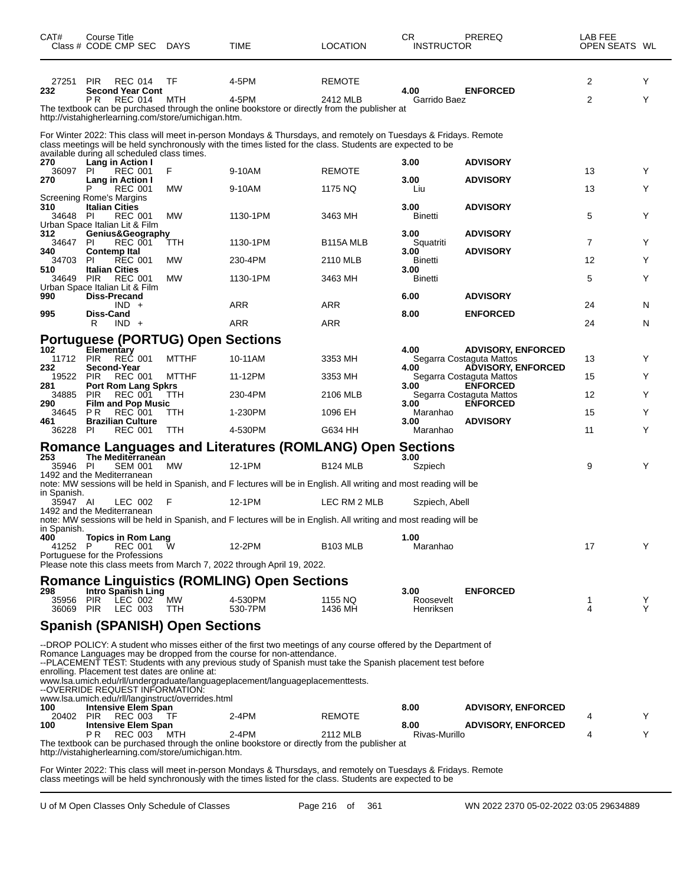| CAT#                                                                                                                                                                                                                                                                                                                                                                                                                                                                                                                            | Course Title                                                                                                                                                                                                                  | Class # CODE CMP SEC DAYS                                                         |                                                            | TIME                                                                                                               | LOCATION           | CR.<br><b>INSTRUCTOR</b> | PREREQ                                                | LAB FEE<br>OPEN SEATS WL |        |  |
|---------------------------------------------------------------------------------------------------------------------------------------------------------------------------------------------------------------------------------------------------------------------------------------------------------------------------------------------------------------------------------------------------------------------------------------------------------------------------------------------------------------------------------|-------------------------------------------------------------------------------------------------------------------------------------------------------------------------------------------------------------------------------|-----------------------------------------------------------------------------------|------------------------------------------------------------|--------------------------------------------------------------------------------------------------------------------|--------------------|--------------------------|-------------------------------------------------------|--------------------------|--------|--|
| 27251<br>232                                                                                                                                                                                                                                                                                                                                                                                                                                                                                                                    | <b>PIR</b>                                                                                                                                                                                                                    | <b>REC 014</b><br><b>Second Year Cont</b>                                         | TF                                                         | 4-5PM                                                                                                              | <b>REMOTE</b>      | 4.00                     | <b>ENFORCED</b>                                       | 2                        | Y      |  |
|                                                                                                                                                                                                                                                                                                                                                                                                                                                                                                                                 | P <sub>R</sub>                                                                                                                                                                                                                | <b>REC 014</b>                                                                    | MTH<br>http://vistahigherlearning.com/store/umichigan.htm. | 4-5PM<br>The textbook can be purchased through the online bookstore or directly from the publisher at              | 2412 MLB           | Garrido Baez             |                                                       | 2                        | Y      |  |
|                                                                                                                                                                                                                                                                                                                                                                                                                                                                                                                                 | For Winter 2022: This class will meet in-person Mondays & Thursdays, and remotely on Tuesdays & Fridays. Remote<br>class meetings will be held synchronously with the times listed for the class. Students are expected to be |                                                                                   |                                                            |                                                                                                                    |                    |                          |                                                       |                          |        |  |
| 270<br>36097                                                                                                                                                                                                                                                                                                                                                                                                                                                                                                                    | PI.                                                                                                                                                                                                                           | available during all scheduled class times.<br>Lang in Action I<br><b>REC 001</b> | F                                                          | 9-10AM                                                                                                             | <b>REMOTE</b>      | 3.00                     | <b>ADVISORY</b>                                       | 13                       | Y      |  |
| 270                                                                                                                                                                                                                                                                                                                                                                                                                                                                                                                             | P                                                                                                                                                                                                                             | Lang in Action I<br><b>REC 001</b>                                                | <b>MW</b>                                                  | 9-10AM                                                                                                             | 1175 NQ            | 3.00<br>Liu              | <b>ADVISORY</b>                                       | 13                       | Y      |  |
| <b>Screening Rome's Margins</b><br>310                                                                                                                                                                                                                                                                                                                                                                                                                                                                                          |                                                                                                                                                                                                                               | <b>Italian Cities</b>                                                             |                                                            |                                                                                                                    |                    | 3.00                     | <b>ADVISORY</b>                                       |                          |        |  |
| 34648                                                                                                                                                                                                                                                                                                                                                                                                                                                                                                                           | - PI                                                                                                                                                                                                                          | <b>REC 001</b><br>Urban Space Italian Lit & Film                                  | <b>MW</b>                                                  | 1130-1PM                                                                                                           | 3463 MH            | <b>Binetti</b>           |                                                       | 5                        | Y      |  |
| 312<br>34647                                                                                                                                                                                                                                                                                                                                                                                                                                                                                                                    | -PI                                                                                                                                                                                                                           | Genius&Geography<br><b>REC 001</b>                                                | TTH                                                        | 1130-1PM                                                                                                           | B115A MLB          | 3.00<br>Squatriti        | <b>ADVISORY</b>                                       | $\overline{7}$           | Y      |  |
| 340<br>34703                                                                                                                                                                                                                                                                                                                                                                                                                                                                                                                    | -PI                                                                                                                                                                                                                           | <b>Contemp Ital</b><br><b>REC 001</b>                                             | MW                                                         | 230-4PM                                                                                                            | 2110 MLB           | 3.00<br>Binetti          | <b>ADVISORY</b>                                       | 12                       | Y      |  |
| 510<br>34649                                                                                                                                                                                                                                                                                                                                                                                                                                                                                                                    | <b>PIR</b>                                                                                                                                                                                                                    | <b>Italian Cities</b><br><b>REC 001</b>                                           | МW                                                         | 1130-1PM                                                                                                           | 3463 MH            | 3.00<br>Binetti          |                                                       | 5                        | Y      |  |
| 990                                                                                                                                                                                                                                                                                                                                                                                                                                                                                                                             |                                                                                                                                                                                                                               | Urban Space Italian Lit & Film<br><b>Diss-Precand</b>                             |                                                            |                                                                                                                    |                    | 6.00                     | <b>ADVISORY</b>                                       |                          |        |  |
| 995                                                                                                                                                                                                                                                                                                                                                                                                                                                                                                                             | <b>Diss-Cand</b>                                                                                                                                                                                                              | $IND +$                                                                           |                                                            | <b>ARR</b>                                                                                                         | <b>ARR</b>         | 8.00                     | <b>ENFORCED</b>                                       | 24                       | N      |  |
|                                                                                                                                                                                                                                                                                                                                                                                                                                                                                                                                 | R                                                                                                                                                                                                                             | $IND +$                                                                           | <b>Portuguese (PORTUG) Open Sections</b>                   | <b>ARR</b>                                                                                                         | ARR                |                          |                                                       | 24                       | N      |  |
| 102                                                                                                                                                                                                                                                                                                                                                                                                                                                                                                                             | Elementary                                                                                                                                                                                                                    |                                                                                   |                                                            |                                                                                                                    |                    | 4.00                     | <b>ADVISORY, ENFORCED</b>                             |                          |        |  |
| 11712 PIR<br>232                                                                                                                                                                                                                                                                                                                                                                                                                                                                                                                |                                                                                                                                                                                                                               | <b>REC 001</b><br>Second-Year                                                     | <b>MTTHF</b>                                               | 10-11AM                                                                                                            | 3353 MH            | 4.00                     | Segarra Costaguta Mattos<br><b>ADVISORY, ENFORCED</b> | 13                       | Y      |  |
| 19522<br>281                                                                                                                                                                                                                                                                                                                                                                                                                                                                                                                    | <b>PIR</b>                                                                                                                                                                                                                    | <b>REC 001</b><br><b>Port Rom Lang Spkrs</b>                                      | <b>MTTHF</b>                                               | 11-12PM                                                                                                            | 3353 MH            | 3.00                     | Segarra Costaguta Mattos<br><b>ENFORCED</b>           | 15                       | Y      |  |
| 34885<br>290                                                                                                                                                                                                                                                                                                                                                                                                                                                                                                                    | <b>PIR</b>                                                                                                                                                                                                                    | <b>REC 001</b><br><b>Film and Pop Music</b>                                       | TTH                                                        | 230-4PM                                                                                                            | 2106 MLB           | 3.00                     | Segarra Costaguta Mattos<br><b>ENFORCED</b>           | 12                       | Y      |  |
| 34645<br>461                                                                                                                                                                                                                                                                                                                                                                                                                                                                                                                    | P <sub>R</sub>                                                                                                                                                                                                                | <b>REC 001</b><br><b>Brazilian Culture</b>                                        | TTH                                                        | 1-230PM                                                                                                            | 1096 EH            | Maranhao<br>3.00         | <b>ADVISORY</b>                                       | 15                       | Y      |  |
| 36228                                                                                                                                                                                                                                                                                                                                                                                                                                                                                                                           | -PI                                                                                                                                                                                                                           | <b>REC 001</b>                                                                    | <b>TTH</b>                                                 | 4-530PM                                                                                                            | G634 HH            | Maranhao                 |                                                       | 11                       | Y      |  |
| 253                                                                                                                                                                                                                                                                                                                                                                                                                                                                                                                             |                                                                                                                                                                                                                               | The Mediterranean                                                                 |                                                            | <b>Romance Languages and Literatures (ROMLANG) Open Sections</b>                                                   |                    | 3.00                     |                                                       |                          |        |  |
| 35946 PI<br>1492 and the Mediterranean                                                                                                                                                                                                                                                                                                                                                                                                                                                                                          |                                                                                                                                                                                                                               | <b>SEM 001</b>                                                                    | <b>MW</b>                                                  | 12-1PM                                                                                                             | <b>B124 MLB</b>    | Szpiech                  |                                                       | 9                        | Y      |  |
| in Spanish.                                                                                                                                                                                                                                                                                                                                                                                                                                                                                                                     |                                                                                                                                                                                                                               |                                                                                   |                                                            | note: MW sessions will be held in Spanish, and F lectures will be in English. All writing and most reading will be |                    |                          |                                                       |                          |        |  |
| 35947 AI<br>1492 and the Mediterranean                                                                                                                                                                                                                                                                                                                                                                                                                                                                                          |                                                                                                                                                                                                                               | LEC 002                                                                           | F                                                          | 12-1PM                                                                                                             | LEC RM 2 MLB       | Szpiech, Abell           |                                                       |                          |        |  |
| in Spanish.                                                                                                                                                                                                                                                                                                                                                                                                                                                                                                                     |                                                                                                                                                                                                                               |                                                                                   |                                                            | note: MW sessions will be held in Spanish, and F lectures will be in English. All writing and most reading will be |                    |                          |                                                       |                          |        |  |
| 400<br>41252                                                                                                                                                                                                                                                                                                                                                                                                                                                                                                                    | P                                                                                                                                                                                                                             | <b>Topics in Rom Lang</b><br><b>REC 001</b><br>Portuguese for the Professions     | w                                                          | 12-2PM                                                                                                             | <b>B103 MLB</b>    | 1.00<br>Maranhao         |                                                       | 17                       | Υ      |  |
|                                                                                                                                                                                                                                                                                                                                                                                                                                                                                                                                 |                                                                                                                                                                                                                               |                                                                                   |                                                            | Please note this class meets from March 7, 2022 through April 19, 2022.                                            |                    |                          |                                                       |                          |        |  |
| 298                                                                                                                                                                                                                                                                                                                                                                                                                                                                                                                             |                                                                                                                                                                                                                               | Intro Spanish Ling                                                                |                                                            | <b>Romance Linguistics (ROMLING) Open Sections</b>                                                                 |                    | 3.00                     | <b>ENFORCED</b>                                       |                          |        |  |
| 35956 PIR<br>36069 PIR                                                                                                                                                                                                                                                                                                                                                                                                                                                                                                          |                                                                                                                                                                                                                               | LEC 002<br>LEC 003                                                                | MW<br>TTH                                                  | 4-530PM<br>530-7PM                                                                                                 | 1155 NQ<br>1436 MH | Roosevelt<br>Henriksen   |                                                       | 1<br>4                   | Y<br>Y |  |
| <b>Spanish (SPANISH) Open Sections</b>                                                                                                                                                                                                                                                                                                                                                                                                                                                                                          |                                                                                                                                                                                                                               |                                                                                   |                                                            |                                                                                                                    |                    |                          |                                                       |                          |        |  |
| --DROP POLICY: A student who misses either of the first two meetings of any course offered by the Department of<br>Romance Languages may be dropped from the course for non-attendance.<br>--PLACEMENT TEST: Students with any previous study of Spanish must take the Spanish placement test before<br>enrolling. Placement test dates are online at:<br>www.lsa.umich.edu/rll/undergraduate/languageplacement/languageplacementtests.<br>--OVERRIDE REQUEST INFORMATION:<br>www.lsa.umich.edu/rll/langinstruct/overrides.html |                                                                                                                                                                                                                               |                                                                                   |                                                            |                                                                                                                    |                    |                          |                                                       |                          |        |  |
| 100<br>20402                                                                                                                                                                                                                                                                                                                                                                                                                                                                                                                    | <b>PIR</b>                                                                                                                                                                                                                    | <b>Intensive Elem Span</b><br>REC 003                                             | TF                                                         | 2-4PM                                                                                                              | <b>REMOTE</b>      | 8.00                     | <b>ADVISORY, ENFORCED</b>                             | 4                        | Y      |  |
| 100                                                                                                                                                                                                                                                                                                                                                                                                                                                                                                                             | P R                                                                                                                                                                                                                           | <b>Intensive Elem Span</b><br><b>REC 003</b>                                      | MTH<br>http://vistahigherlearning.com/store/umichigan.htm. | 2-4PM<br>The textbook can be purchased through the online bookstore or directly from the publisher at              | 2112 MLB           | 8.00<br>Rivas-Murillo    | <b>ADVISORY, ENFORCED</b>                             | 4                        | Y      |  |

For Winter 2022: This class will meet in-person Mondays & Thursdays, and remotely on Tuesdays & Fridays. Remote class meetings will be held synchronously with the times listed for the class. Students are expected to be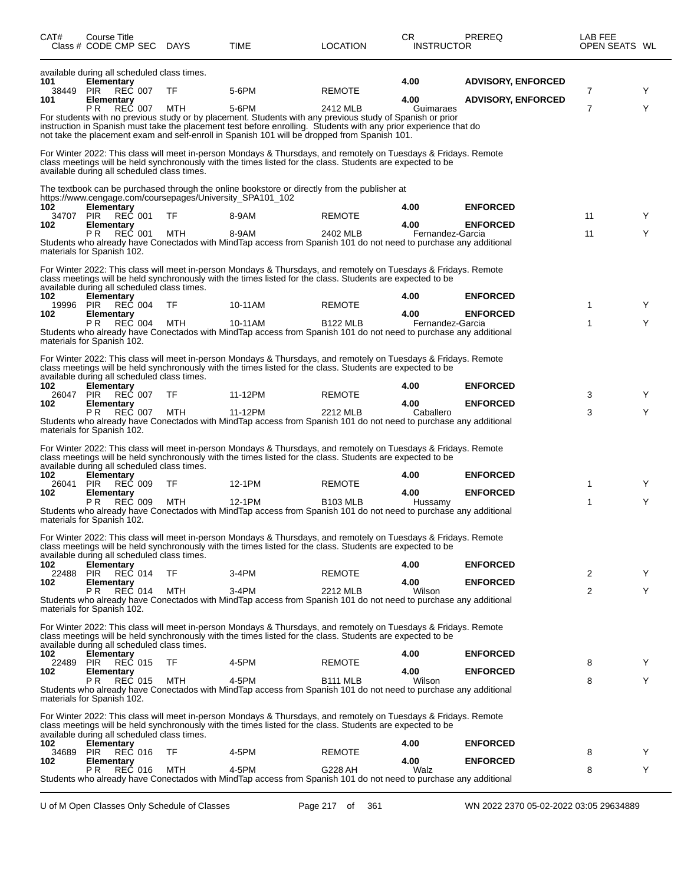| CAT#                    | Course Title<br>Class # CODE CMP SEC DAYS                                                                                                    |            | TIME                                                                                                                                                                                                                                                                                                                                            | <b>LOCATION</b>                  | CR.<br><b>INSTRUCTOR</b>         | <b>PREREQ</b>                                          | LAB FEE<br>OPEN SEATS WL |        |
|-------------------------|----------------------------------------------------------------------------------------------------------------------------------------------|------------|-------------------------------------------------------------------------------------------------------------------------------------------------------------------------------------------------------------------------------------------------------------------------------------------------------------------------------------------------|----------------------------------|----------------------------------|--------------------------------------------------------|--------------------------|--------|
| 101<br>38449<br>101     | available during all scheduled class times.<br><b>Elementary</b><br>REČ 007<br><b>PIR</b><br>Elementary<br>P <sub>R</sub><br><b>REC 007</b>  | TF<br>MTH  | 5-6PM<br>5-6PM<br>For students with no previous study or by placement. Students with any previous study of Spanish or prior<br>instruction in Spanish must take the placement test before enrolling. Students with any prior experience that do<br>not take the placement exam and self-enroll in Spanish 101 will be dropped from Spanish 101. | <b>REMOTE</b><br>2412 MLB        | 4.00<br>4.00<br>Guimaraes        | <b>ADVISORY, ENFORCED</b><br><b>ADVISORY, ENFORCED</b> | 7<br>7                   | Y<br>Y |
|                         | available during all scheduled class times.                                                                                                  |            | For Winter 2022: This class will meet in-person Mondays & Thursdays, and remotely on Tuesdays & Fridays. Remote<br>class meetings will be held synchronously with the times listed for the class. Students are expected to be                                                                                                                   |                                  |                                  |                                                        |                          |        |
| 102<br>34707<br>102     | Elementary<br><b>PIR</b><br><b>REC 001</b><br>Elementary<br><b>REC 001</b><br>P <sub>R</sub>                                                 | TF<br>MTH  | The textbook can be purchased through the online bookstore or directly from the publisher at<br>https://www.cengage.com/coursepages/University_SPA101_102<br>8-9AM<br>8-9AM<br>Students who already have Conectados with MindTap access from Spanish 101 do not need to purchase any additional                                                 | <b>REMOTE</b><br>2402 MLB        | 4.00<br>4.00<br>Fernandez-Garcia | <b>ENFORCED</b><br><b>ENFORCED</b>                     | 11<br>11                 | Y<br>Y |
| 102<br>19996<br>102     | materials for Spanish 102.<br>available during all scheduled class times.<br><b>Elementary</b><br><b>REC 004</b><br><b>PIR</b><br>Elementary | TF         | For Winter 2022: This class will meet in-person Mondays & Thursdays, and remotely on Tuesdays & Fridays. Remote<br>class meetings will be held synchronously with the times listed for the class. Students are expected to be<br>10-11AM                                                                                                        | <b>REMOTE</b>                    | 4.00<br>4.00                     | <b>ENFORCED</b><br><b>ENFORCED</b>                     | 1                        | Y      |
|                         | P <sub>R</sub><br><b>REC 004</b><br>materials for Spanish 102.                                                                               | <b>MTH</b> | 10-11AM<br>Students who already have Conectados with MindTap access from Spanish 101 do not need to purchase any additional                                                                                                                                                                                                                     | <b>B122 MLB</b>                  | Fernandez-Garcia                 |                                                        | 1                        | Y      |
|                         | available during all scheduled class times.                                                                                                  |            | For Winter 2022: This class will meet in-person Mondays & Thursdays, and remotely on Tuesdays & Fridays. Remote<br>class meetings will be held synchronously with the times listed for the class. Students are expected to be                                                                                                                   |                                  |                                  |                                                        |                          |        |
| 102<br>26047 PIR<br>102 | <b>Elementary</b><br><b>REC 007</b><br>Elementary                                                                                            | TF         | 11-12PM                                                                                                                                                                                                                                                                                                                                         | <b>REMOTE</b>                    | 4.00<br>4.00                     | <b>ENFORCED</b><br><b>ENFORCED</b>                     | 3                        | Y      |
|                         | REČ 007<br>P <sub>R</sub><br>materials for Spanish 102.                                                                                      | MTH        | 11-12PM<br>Students who already have Conectados with MindTap access from Spanish 101 do not need to purchase any additional<br>For Winter 2022: This class will meet in-person Mondays & Thursdays, and remotely on Tuesdays & Fridays. Remote                                                                                                  | 2212 MLB                         | Caballero                        |                                                        | 3                        | Y      |
| 102                     | available during all scheduled class times.<br>Elementary                                                                                    |            | class meetings will be held synchronously with the times listed for the class. Students are expected to be                                                                                                                                                                                                                                      |                                  | 4.00                             | <b>ENFORCED</b>                                        |                          |        |
| 26041<br>102            | <b>PIR</b><br><b>REC 009</b><br><b>Elementary</b><br>P <sub>R</sub><br><b>REC 009</b>                                                        | TF<br>MTH  | 12-1PM<br>12-1PM<br>Students who already have Conectados with MindTap access from Spanish 101 do not need to purchase any additional                                                                                                                                                                                                            | <b>REMOTE</b><br><b>B103 MLB</b> | 4.00<br>Hussamy                  | <b>ENFORCED</b>                                        | 1<br>1                   | Y<br>Y |
|                         | materials for Spanish 102.<br>available during all scheduled class times.                                                                    |            | For Winter 2022: This class will meet in-person Mondays & Thursdays, and remotely on Tuesdays & Fridays. Remote<br>class meetings will be held synchronously with the times listed for the class. Students are expected to be                                                                                                                   |                                  |                                  |                                                        |                          |        |
| 102<br>22488            | <b>Elementary</b><br>REC 014<br>PIR                                                                                                          | TF         | 3-4PM                                                                                                                                                                                                                                                                                                                                           | <b>REMOTE</b>                    | 4.00                             | <b>ENFORCED</b>                                        | 2                        | Y      |
| 102                     | <b>Elementary</b><br>P <sub>R</sub><br><b>REC 014</b><br>materials for Spanish 102.                                                          | MTH        | $3-4PM$<br>Students who already have Conectados with MindTap access from Spanish 101 do not need to purchase any additional                                                                                                                                                                                                                     | 2212 MLB                         | 4.00<br>Wilson                   | <b>ENFORCED</b>                                        | $\overline{2}$           | Y      |
|                         | available during all scheduled class times.                                                                                                  |            | For Winter 2022: This class will meet in-person Mondays & Thursdays, and remotely on Tuesdays & Fridays. Remote<br>class meetings will be held synchronously with the times listed for the class. Students are expected to be                                                                                                                   |                                  |                                  |                                                        |                          |        |
| 102<br>22489            | Elementary<br><b>REČ 015</b><br><b>PIR</b>                                                                                                   | TF         | 4-5PM                                                                                                                                                                                                                                                                                                                                           | <b>REMOTE</b>                    | 4.00                             | <b>ENFORCED</b>                                        | 8                        | Y      |
| 102                     | Elementary<br>REC 015<br>P R<br>materials for Spanish 102.                                                                                   | MTH        | 4-5PM<br>Students who already have Conectados with MindTap access from Spanish 101 do not need to purchase any additional                                                                                                                                                                                                                       | <b>B111 MLB</b>                  | 4.00<br>Wilson                   | <b>ENFORCED</b>                                        | 8                        | Y      |
|                         | available during all scheduled class times.                                                                                                  |            | For Winter 2022: This class will meet in-person Mondays & Thursdays, and remotely on Tuesdays & Fridays. Remote<br>class meetings will be held synchronously with the times listed for the class. Students are expected to be                                                                                                                   |                                  |                                  |                                                        |                          |        |
| 102<br>34689            | <b>Elementary</b><br><b>PIR</b><br><b>REC 016</b>                                                                                            | TF         | 4-5PM                                                                                                                                                                                                                                                                                                                                           | <b>REMOTE</b>                    | 4.00                             | <b>ENFORCED</b>                                        | 8                        | Y      |
| 102                     | Elementary<br>P R<br><b>REC 016</b>                                                                                                          | MTH        | 4-5PM                                                                                                                                                                                                                                                                                                                                           | G228 AH                          | 4.00<br>Walz                     | <b>ENFORCED</b>                                        | 8                        | Y      |
|                         |                                                                                                                                              |            | Students who already have Conectados with MindTap access from Spanish 101 do not need to purchase any additional                                                                                                                                                                                                                                |                                  |                                  |                                                        |                          |        |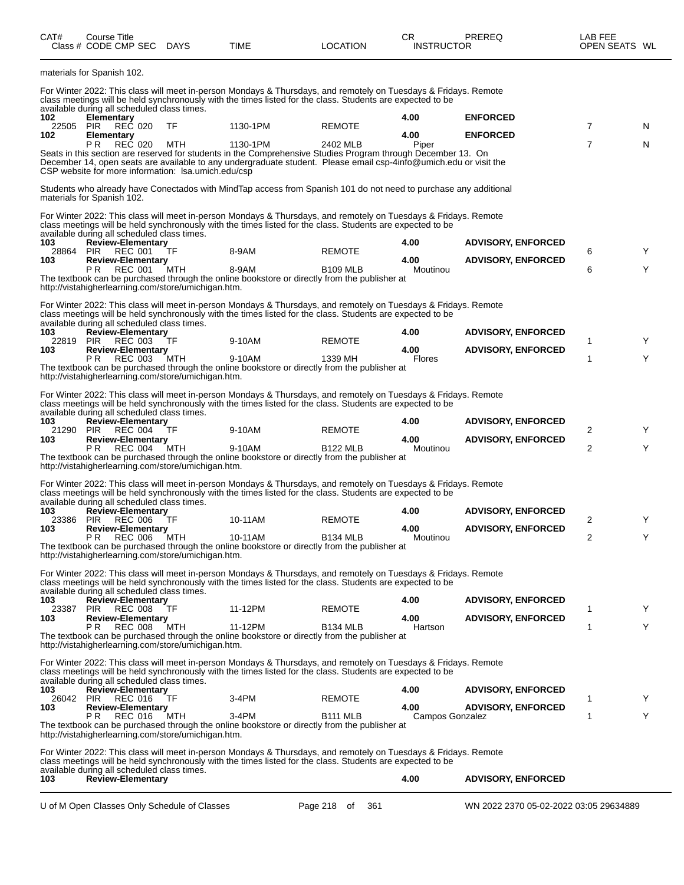| CAT#             | Course Title<br>Class # CODE CMP SEC DAYS                                        |     | <b>TIME</b>                                                                                                                                                                                                                                   | <b>LOCATION</b>    | CR<br><b>INSTRUCTOR</b> | PREREQ                                 | LAB FEE<br>OPEN SEATS WL |   |
|------------------|----------------------------------------------------------------------------------|-----|-----------------------------------------------------------------------------------------------------------------------------------------------------------------------------------------------------------------------------------------------|--------------------|-------------------------|----------------------------------------|--------------------------|---|
|                  | materials for Spanish 102.                                                       |     |                                                                                                                                                                                                                                               |                    |                         |                                        |                          |   |
|                  | available during all scheduled class times.                                      |     | For Winter 2022: This class will meet in-person Mondays & Thursdays, and remotely on Tuesdays & Fridays. Remote<br>class meetings will be held synchronously with the times listed for the class. Students are expected to be                 |                    |                         |                                        |                          |   |
| 102<br>22505 PIR | Elementary<br>REC 020                                                            | TF  | 1130-1PM                                                                                                                                                                                                                                      | <b>REMOTE</b>      | 4.00                    | <b>ENFORCED</b>                        | $\overline{7}$           | N |
| 102              | Elementary                                                                       |     |                                                                                                                                                                                                                                               |                    | 4.00                    | <b>ENFORCED</b>                        |                          |   |
|                  | REC 020<br>P R<br>CSP website for more information: Isa.umich.edu/csp            | MTH | 1130-1PM<br>Seats in this section are reserved for students in the Comprehensive Studies Program through December 13. On<br>December 14, open seats are available to any undergraduate student. Please email csp-4info@umich.edu or visit the | 2402 MLB           | Piper                   |                                        | $\overline{7}$           | N |
|                  | materials for Spanish 102.                                                       |     | Students who already have Conectados with MindTap access from Spanish 101 do not need to purchase any additional                                                                                                                              |                    |                         |                                        |                          |   |
|                  | available during all scheduled class times.                                      |     | For Winter 2022: This class will meet in-person Mondays & Thursdays, and remotely on Tuesdays & Fridays. Remote<br>class meetings will be held synchronously with the times listed for the class. Students are expected to be                 |                    |                         |                                        |                          |   |
| 103              | <b>Review-Elementary</b>                                                         |     |                                                                                                                                                                                                                                               |                    | 4.00                    | <b>ADVISORY, ENFORCED</b>              |                          |   |
| 28864 PIR<br>103 | <b>REC 001</b><br><b>Review-Elementary</b>                                       | TF  | 8-9AM                                                                                                                                                                                                                                         | <b>REMOTE</b>      | 4.00                    | <b>ADVISORY, ENFORCED</b>              | 6                        | Υ |
|                  | P <sub>R</sub><br>REC 001<br>http://vistahigherlearning.com/store/umichigan.htm. | MTH | 8-9AM<br>The textbook can be purchased through the online bookstore or directly from the publisher at                                                                                                                                         | <b>B109 MLB</b>    | Moutinou                |                                        | 6                        | Y |
|                  |                                                                                  |     | For Winter 2022: This class will meet in-person Mondays & Thursdays, and remotely on Tuesdays & Fridays. Remote<br>class meetings will be held synchronously with the times listed for the class. Students are expected to be                 |                    |                         |                                        |                          |   |
| 103              | available during all scheduled class times.<br><b>Review-Elementary</b>          |     |                                                                                                                                                                                                                                               |                    | 4.00                    | <b>ADVISORY, ENFORCED</b>              |                          |   |
| 103              | 22819 PIR REC 003<br><b>Review-Elementary</b>                                    | TF  | 9-10AM                                                                                                                                                                                                                                        | <b>REMOTE</b>      | 4.00                    | <b>ADVISORY, ENFORCED</b>              | 1                        | Υ |
|                  | P R<br>REC 003<br>http://vistahigherlearning.com/store/umichigan.htm.            | MTH | 9-10AM<br>The textbook can be purchased through the online bookstore or directly from the publisher at                                                                                                                                        | 1339 MH            | Flores                  |                                        | 1                        | Υ |
|                  |                                                                                  |     | For Winter 2022: This class will meet in-person Mondays & Thursdays, and remotely on Tuesdays & Fridays. Remote<br>class meetings will be held synchronously with the times listed for the class. Students are expected to be                 |                    |                         |                                        |                          |   |
| 103              | available during all scheduled class times.<br><b>Review-Elementary</b>          |     |                                                                                                                                                                                                                                               |                    | 4.00                    | <b>ADVISORY, ENFORCED</b>              |                          |   |
| 21290<br>103     | <b>PIR</b><br>REC 004<br><b>Review-Elementary</b>                                | TF  | 9-10AM                                                                                                                                                                                                                                        | <b>REMOTE</b>      | 4.00                    | <b>ADVISORY, ENFORCED</b>              | 2                        | Y |
|                  | P R<br>REC 004<br>http://vistahigherlearning.com/store/umichigan.htm.            | MTH | 9-10AM<br>The textbook can be purchased through the online bookstore or directly from the publisher at                                                                                                                                        | <b>B122 MLB</b>    | Moutinou                |                                        | $\overline{2}$           | Υ |
|                  |                                                                                  |     | For Winter 2022: This class will meet in-person Mondays & Thursdays, and remotely on Tuesdays & Fridays. Remote<br>class meetings will be held synchronously with the times listed for the class. Students are expected to be                 |                    |                         |                                        |                          |   |
| 103              | available during all scheduled class times.<br><b>Review-Elementary</b>          |     |                                                                                                                                                                                                                                               |                    | 4.00                    | <b>ADVISORY, ENFORCED</b>              |                          |   |
| 23386 PIR<br>103 | REC 006<br><b>Review-Elementary</b>                                              | ΤF  | 10-11AM                                                                                                                                                                                                                                       | <b>REMOTE</b>      | 4.00                    | <b>ADVISORY, ENFORCED</b>              | 2                        | Y |
|                  | РR<br><b>REC 006</b><br>http://vistahigherlearning.com/store/umichigan.htm.      | MTH | 10-11AM<br>The textbook can be purchased through the online bookstore or directly from the publisher at                                                                                                                                       | <b>B134 MLB</b>    | Moutinou                |                                        | 2                        |   |
|                  |                                                                                  |     | For Winter 2022: This class will meet in-person Mondays & Thursdays, and remotely on Tuesdays & Fridays. Remote<br>class meetings will be held synchronously with the times listed for the class. Students are expected to be                 |                    |                         |                                        |                          |   |
| 103              | available during all scheduled class times.<br><b>Review-Elementary</b>          |     |                                                                                                                                                                                                                                               |                    | 4.00                    | <b>ADVISORY, ENFORCED</b>              |                          |   |
| 103              | 23387 PIR REC 008<br><b>Review-Elementary</b>                                    | TF  | 11-12PM                                                                                                                                                                                                                                       | <b>REMOTE</b>      | 4.00                    | <b>ADVISORY, ENFORCED</b>              | 1                        | Υ |
|                  | P R<br><b>REC 008</b><br>http://vistahigherlearning.com/store/umichigan.htm.     | MTH | 11-12PM<br>The textbook can be purchased through the online bookstore or directly from the publisher at                                                                                                                                       | <b>B134 MLB</b>    | Hartson                 |                                        | 1                        | Y |
|                  | available during all scheduled class times.                                      |     | For Winter 2022: This class will meet in-person Mondays & Thursdays, and remotely on Tuesdays & Fridays. Remote<br>class meetings will be held synchronously with the times listed for the class. Students are expected to be                 |                    |                         |                                        |                          |   |
| 103              | Review-Elementary                                                                |     |                                                                                                                                                                                                                                               |                    | 4.00                    | <b>ADVISORY, ENFORCED</b>              |                          |   |
| 26042 PIR<br>103 | REC 016<br><b>Review-Elementary</b>                                              | TF  | 3-4PM                                                                                                                                                                                                                                         | <b>REMOTE</b>      | 4.00                    | <b>ADVISORY, ENFORCED</b>              | 1                        | Y |
|                  | P R<br>REC 016<br>http://vistahigherlearning.com/store/umichigan.htm.            | MTH | $3-4PM$<br>The textbook can be purchased through the online bookstore or directly from the publisher at                                                                                                                                       | <b>B111 MLB</b>    | Campos Gonzalez         |                                        | $\mathbf{1}$             | Y |
|                  |                                                                                  |     | For Winter 2022: This class will meet in-person Mondays & Thursdays, and remotely on Tuesdays & Fridays. Remote<br>class meetings will be held synchronously with the times listed for the class. Students are expected to be                 |                    |                         |                                        |                          |   |
| 103              | available during all scheduled class times.<br><b>Review-Elementary</b>          |     |                                                                                                                                                                                                                                               |                    | 4.00                    | <b>ADVISORY, ENFORCED</b>              |                          |   |
|                  | U of M Open Classes Only Schedule of Classes                                     |     |                                                                                                                                                                                                                                               | Page 218 of<br>361 |                         | WN 2022 2370 05-02-2022 03:05 29634889 |                          |   |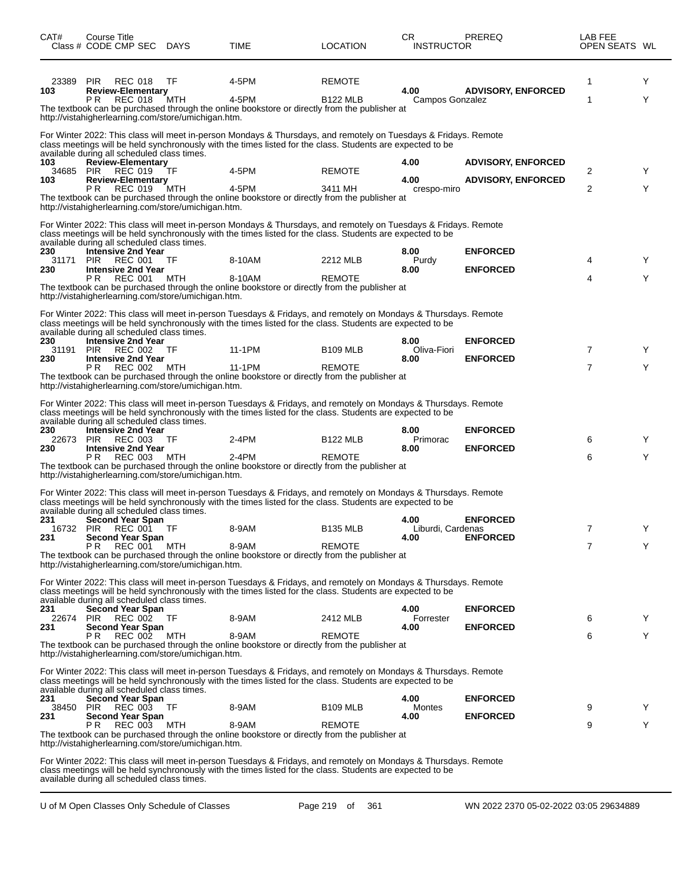| CAT#             | Course Title<br>Class # CODE CMP SEC DAYS                                         |           | TIME                                                                                                                                                                                                                          | LOCATION                         | CR.<br><b>INSTRUCTOR</b>  | <b>PREREQ</b>             | LAB FEE<br>OPEN SEATS WL |        |
|------------------|-----------------------------------------------------------------------------------|-----------|-------------------------------------------------------------------------------------------------------------------------------------------------------------------------------------------------------------------------------|----------------------------------|---------------------------|---------------------------|--------------------------|--------|
| 23389<br>103     | <b>PIR</b><br><b>REC 018</b><br><b>Review-Elementary</b><br>PR.<br><b>REC 018</b> | TF<br>MTH | 4-5PM<br>4-5PM                                                                                                                                                                                                                | <b>REMOTE</b><br><b>B122 MLB</b> | 4.00<br>Campos Gonzalez   | <b>ADVISORY, ENFORCED</b> | 1<br>1                   | Y<br>Y |
|                  | http://vistahigherlearning.com/store/umichigan.htm.                               |           | The textbook can be purchased through the online bookstore or directly from the publisher at                                                                                                                                  |                                  |                           |                           |                          |        |
|                  |                                                                                   |           | For Winter 2022: This class will meet in-person Mondays & Thursdays, and remotely on Tuesdays & Fridays. Remote<br>class meetings will be held synchronously with the times listed for the class. Students are expected to be |                                  |                           |                           |                          |        |
| 103              | available during all scheduled class times.<br><b>Review-Elementary</b>           |           |                                                                                                                                                                                                                               |                                  | 4.00                      | <b>ADVISORY, ENFORCED</b> |                          |        |
| 103              | 34685 PIR REC 019<br><b>Review-Elementary</b>                                     | TF        | 4-5PM                                                                                                                                                                                                                         | <b>REMOTE</b>                    | 4.00                      | <b>ADVISORY, ENFORCED</b> | 2                        | Y      |
|                  | <b>REC 019</b><br>P R<br>http://vistahigherlearning.com/store/umichigan.htm.      | MTH       | 4-5PM<br>The textbook can be purchased through the online bookstore or directly from the publisher at                                                                                                                         | 3411 MH                          | crespo-miro               |                           | 2                        | Y      |
|                  |                                                                                   |           | For Winter 2022: This class will meet in-person Mondays & Thursdays, and remotely on Tuesdays & Fridays. Remote<br>class meetings will be held synchronously with the times listed for the class. Students are expected to be |                                  |                           |                           |                          |        |
| 230              | available during all scheduled class times.<br><b>Intensive 2nd Year</b>          |           |                                                                                                                                                                                                                               |                                  | 8.00                      | <b>ENFORCED</b>           |                          |        |
| 31171<br>230     | PIR<br>REC 001<br><b>Intensive 2nd Year</b>                                       | TF        | 8-10AM                                                                                                                                                                                                                        | 2212 MLB                         | Purdy<br>8.00             | <b>ENFORCED</b>           | 4                        | Y      |
|                  | PR.<br>REC 001<br>http://vistahigherlearning.com/store/umichigan.htm.             | MTH       | 8-10AM<br>The textbook can be purchased through the online bookstore or directly from the publisher at                                                                                                                        | <b>REMOTE</b>                    |                           |                           | 4                        | Υ      |
|                  | available during all scheduled class times.                                       |           | For Winter 2022: This class will meet in-person Tuesdays & Fridays, and remotely on Mondays & Thursdays. Remote<br>class meetings will be held synchronously with the times listed for the class. Students are expected to be |                                  |                           |                           |                          |        |
| 230              | <b>Intensive 2nd Year</b><br>31191 PIR REC 002 TF                                 |           | 11-1PM                                                                                                                                                                                                                        | <b>B109 MLB</b>                  | 8.00<br>Oliva-Fiori       | <b>ENFORCED</b>           | 7                        | Y      |
| 230              | <b>Intensive 2nd Year</b><br>PR.<br>REC 002                                       | MTH       | 11-1PM                                                                                                                                                                                                                        | <b>REMOTE</b>                    | 8.00                      | <b>ENFORCED</b>           | 7                        | Y      |
|                  | http://vistahigherlearning.com/store/umichigan.htm.                               |           | The textbook can be purchased through the online bookstore or directly from the publisher at                                                                                                                                  |                                  |                           |                           |                          |        |
|                  |                                                                                   |           | For Winter 2022: This class will meet in-person Tuesdays & Fridays, and remotely on Mondays & Thursdays. Remote<br>class meetings will be held synchronously with the times listed for the class. Students are expected to be |                                  |                           |                           |                          |        |
| 230              | available during all scheduled class times.<br><b>Intensive 2nd Year</b>          |           |                                                                                                                                                                                                                               |                                  | 8.00                      | <b>ENFORCED</b>           |                          |        |
| 230              | 22673 PIR REC 003<br><b>Intensive 2nd Year</b>                                    | TF        | $2-4PM$                                                                                                                                                                                                                       | <b>B122 MLB</b>                  | Primorac<br>8.00          | <b>ENFORCED</b>           | 6                        | Y      |
|                  | <b>REC 003</b><br>P R<br>http://vistahigherlearning.com/store/umichigan.htm.      | MTH       | $2-4PM$<br>The textbook can be purchased through the online bookstore or directly from the publisher at                                                                                                                       | <b>REMOTE</b>                    |                           |                           | 6                        | Y      |
|                  |                                                                                   |           | For Winter 2022: This class will meet in-person Tuesdays & Fridays, and remotely on Mondays & Thursdays. Remote                                                                                                               |                                  |                           |                           |                          |        |
|                  | available during all scheduled class times.                                       |           | class meetings will be held synchronously with the times listed for the class. Students are expected to be                                                                                                                    |                                  |                           |                           |                          |        |
| 231              | <b>Second Year Span</b><br>16732 PIR REC 001                                      | TF        | 8-9AM                                                                                                                                                                                                                         | B135 MLB                         | 4.00<br>Liburdi, Cardenas | <b>ENFORCED</b>           |                          |        |
| 231              | <b>Second Year Span</b><br>P R<br>REC 001                                         | MTH       | 8-9AM                                                                                                                                                                                                                         | <b>REMOTE</b>                    | 4.00                      | <b>ENFORCED</b>           | 7                        | Y      |
|                  | http://vistahigherlearning.com/store/umichigan.htm.                               |           | The textbook can be purchased through the online bookstore or directly from the publisher at                                                                                                                                  |                                  |                           |                           |                          |        |
|                  | available during all scheduled class times.                                       |           | For Winter 2022: This class will meet in-person Tuesdays & Fridays, and remotely on Mondays & Thursdays. Remote<br>class meetings will be held synchronously with the times listed for the class. Students are expected to be |                                  |                           |                           |                          |        |
| 231<br>22674     | <b>Second Year Span</b><br><b>PIR</b><br>REC 002 TF                               |           | 8-9AM                                                                                                                                                                                                                         | 2412 MLB                         | 4.00<br>Forrester         | <b>ENFORCED</b>           | 6                        | Y      |
| 231              | <b>Second Year Span</b><br>PR.<br><b>REC 002</b>                                  | MTH       | 8-9AM                                                                                                                                                                                                                         | <b>REMOTE</b>                    | 4.00                      | <b>ENFORCED</b>           | 6                        | Y      |
|                  | http://vistahigherlearning.com/store/umichigan.htm.                               |           | The textbook can be purchased through the online bookstore or directly from the publisher at                                                                                                                                  |                                  |                           |                           |                          |        |
|                  |                                                                                   |           | For Winter 2022: This class will meet in-person Tuesdays & Fridays, and remotely on Mondays & Thursdays. Remote<br>class meetings will be held synchronously with the times listed for the class. Students are expected to be |                                  |                           |                           |                          |        |
| 231              | available during all scheduled class times.<br><b>Second Year Span</b>            |           |                                                                                                                                                                                                                               |                                  | 4.00                      | <b>ENFORCED</b>           |                          |        |
| 38450 PIR<br>231 | REC 003<br><b>Second Year Span</b>                                                | TF.       | 8-9AM                                                                                                                                                                                                                         | <b>B109 MLB</b>                  | Montes<br>4.00            | <b>ENFORCED</b>           | 9                        | Y      |
|                  | <b>REC 003</b><br>P R<br>http://vistahigherlearning.com/store/umichigan.htm.      | MTH       | 8-9AM<br>The textbook can be purchased through the online bookstore or directly from the publisher at                                                                                                                         | <b>REMOTE</b>                    |                           |                           | 9                        | Y      |
|                  |                                                                                   |           | For Winter 2022; This class will meet in person Tuesdays & Fridays, and remotely on Mondays & Thursdays, Remote                                                                                                               |                                  |                           |                           |                          |        |

For Winter 2022: This class will meet in-person Tuesdays & Fridays, and remotely on Mondays & Thursdays. Remote class meetings will be held synchronously with the times listed for the class. Students are expected to be available during all scheduled class times.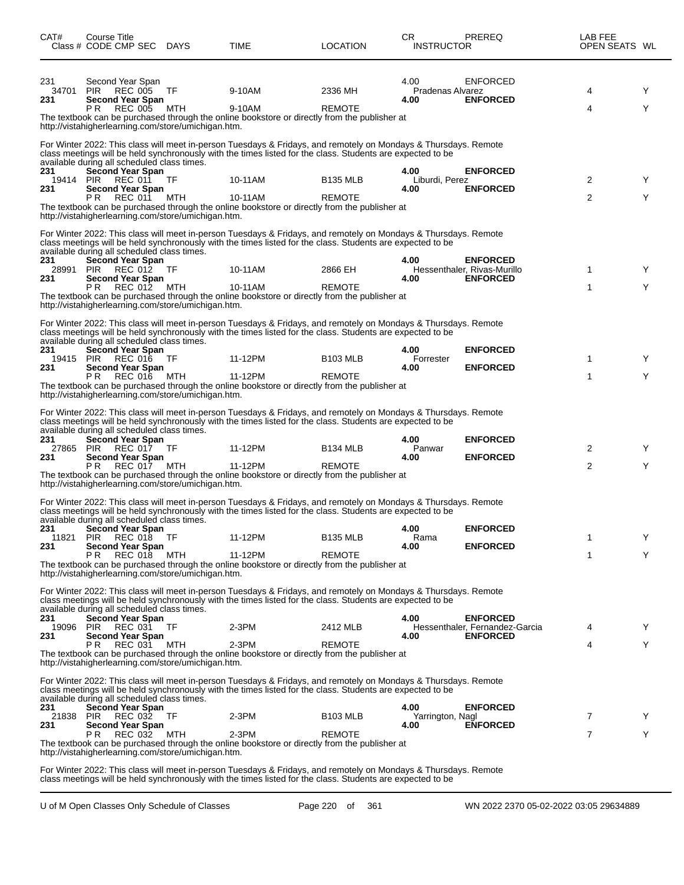| CAT#                | Course Title<br>Class # CODE CMP SEC DAYS                                                              |            | TIME                                                                                                                                                                                                                          | LOCATION                              | CR.<br><b>INSTRUCTOR</b>         | <b>PREREQ</b>                                     | LAB FEE<br>OPEN SEATS WL |        |
|---------------------|--------------------------------------------------------------------------------------------------------|------------|-------------------------------------------------------------------------------------------------------------------------------------------------------------------------------------------------------------------------------|---------------------------------------|----------------------------------|---------------------------------------------------|--------------------------|--------|
| 231<br>34701<br>231 | Second Year Span<br><b>PIR</b><br><b>REC 005</b><br><b>Second Year Span</b><br><b>REC 005</b><br>P R   | TF<br>MTH  | 9-10AM<br>9-10AM                                                                                                                                                                                                              | 2336 MH<br><b>REMOTE</b>              | 4.00<br>Pradenas Alvarez<br>4.00 | <b>ENFORCED</b><br><b>ENFORCED</b>                | 4<br>4                   | Y<br>Y |
|                     | http://vistahigherlearning.com/store/umichigan.htm.                                                    |            | The textbook can be purchased through the online bookstore or directly from the publisher at                                                                                                                                  |                                       |                                  |                                                   |                          |        |
|                     |                                                                                                        |            | For Winter 2022: This class will meet in-person Tuesdays & Fridays, and remotely on Mondays & Thursdays. Remote<br>class meetings will be held synchronously with the times listed for the class. Students are expected to be |                                       |                                  |                                                   |                          |        |
| 231<br>19414 PIR    | available during all scheduled class times.<br>Second Year Span<br>REC 011                             | TF         | 10-11AM                                                                                                                                                                                                                       | <b>B135 MLB</b>                       | 4.00<br>Liburdi, Perez           | <b>ENFORCED</b>                                   | 2                        | Y      |
| 231                 | <b>Second Year Span</b><br>P R<br><b>REC 011</b>                                                       | MTH        | 10-11AM<br>The textbook can be purchased through the online bookstore or directly from the publisher at                                                                                                                       | <b>REMOTE</b>                         | 4.00                             | <b>ENFORCED</b>                                   | 2                        | Y      |
|                     | http://vistahigherlearning.com/store/umichigan.htm.                                                    |            | For Winter 2022: This class will meet in-person Tuesdays & Fridays, and remotely on Mondays & Thursdays. Remote                                                                                                               |                                       |                                  |                                                   |                          |        |
| 231                 | available during all scheduled class times.<br><b>Second Year Span</b>                                 |            | class meetings will be held synchronously with the times listed for the class. Students are expected to be                                                                                                                    |                                       | 4.00                             | <b>ENFORCED</b>                                   |                          |        |
| 28991<br>231        | <b>REC 012 TF</b><br><b>PIR</b><br><b>Second Year Span</b><br>P R<br>REC 012 MTH                       |            | 10-11AM<br>10-11AM                                                                                                                                                                                                            | 2866 EH<br><b>REMOTE</b>              | 4.00                             | Hessenthaler, Rivas-Murillo<br><b>ENFORCED</b>    | 1<br>1                   | Y<br>Y |
|                     | http://vistahigherlearning.com/store/umichigan.htm.                                                    |            | The textbook can be purchased through the online bookstore or directly from the publisher at                                                                                                                                  |                                       |                                  |                                                   |                          |        |
|                     |                                                                                                        |            | For Winter 2022: This class will meet in-person Tuesdays & Fridays, and remotely on Mondays & Thursdays. Remote<br>class meetings will be held synchronously with the times listed for the class. Students are expected to be |                                       |                                  |                                                   |                          |        |
| 231<br>19415 PIR    | available during all scheduled class times.<br>Second Year Span<br>REC 016                             | TF         | 11-12PM                                                                                                                                                                                                                       | <b>B103 MLB</b>                       | 4.00<br>Forrester                | <b>ENFORCED</b>                                   | 1                        | Y      |
| 231                 | <b>Second Year Span</b><br><b>REC 016</b><br>P R                                                       | MTH        | 11-12PM<br>The textbook can be purchased through the online bookstore or directly from the publisher at                                                                                                                       | <b>REMOTE</b>                         | 4.00                             | <b>ENFORCED</b>                                   | 1                        | Y      |
|                     | http://vistahigherlearning.com/store/umichigan.htm.                                                    |            | For Winter 2022: This class will meet in-person Tuesdays & Fridays, and remotely on Mondays & Thursdays. Remote                                                                                                               |                                       |                                  |                                                   |                          |        |
| 231                 | available during all scheduled class times.<br><b>Second Year Span</b>                                 |            | class meetings will be held synchronously with the times listed for the class. Students are expected to be                                                                                                                    |                                       | 4.00                             | <b>ENFORCED</b>                                   |                          |        |
| 27865<br>231        | PIR<br>REC 017<br><b>Second Year Span</b><br>P R<br>REC 017                                            | TF<br>MTH  | 11-12PM<br>11-12PM                                                                                                                                                                                                            | B <sub>134</sub> MLB<br><b>REMOTE</b> | Panwar<br>4.00                   | <b>ENFORCED</b>                                   | 2<br>2                   | Y<br>Y |
|                     | http://vistahigherlearning.com/store/umichigan.htm.                                                    |            | The textbook can be purchased through the online bookstore or directly from the publisher at                                                                                                                                  |                                       |                                  |                                                   |                          |        |
|                     |                                                                                                        |            | For Winter 2022: This class will meet in-person Tuesdays & Fridays, and remotely on Mondays & Thursdays. Remote<br>class meetings will be held synchronously with the times listed for the class. Students are expected to be |                                       |                                  |                                                   |                          |        |
| 231<br>11821        | available during all scheduled class times.<br><b>Second Year Span</b><br><b>PIR</b><br><b>REC 018</b> | TF         | 11-12PM                                                                                                                                                                                                                       | <b>B135 MLB</b>                       | 4.00<br>Rama                     | <b>ENFORCED</b>                                   | 1                        | Y      |
| 231                 | <b>Second Year Span</b><br>P R<br><b>REC 018</b>                                                       | MTH        | 11-12PM<br>The textbook can be purchased through the online bookstore or directly from the publisher at                                                                                                                       | <b>REMOTE</b>                         | 4.00                             | <b>ENFORCED</b>                                   | 1                        | Y      |
|                     | http://vistahigherlearning.com/store/umichigan.htm.                                                    |            | For Winter 2022: This class will meet in-person Tuesdays & Fridays, and remotely on Mondays & Thursdays. Remote                                                                                                               |                                       |                                  |                                                   |                          |        |
| 231                 | available during all scheduled class times.<br>Second Year Span                                        |            | class meetings will be held synchronously with the times listed for the class. Students are expected to be                                                                                                                    |                                       | 4.00                             | <b>ENFORCED</b>                                   |                          |        |
| 19096 PIR<br>231    | REC 031<br><b>Second Year Span</b><br><b>REC 031</b><br>P R                                            | TF.<br>MTH | 2-3PM<br>$2-3PM$                                                                                                                                                                                                              | 2412 MLB<br><b>REMOTE</b>             | 4.00                             | Hessenthaler, Fernandez-Garcia<br><b>ENFORCED</b> | 4<br>4                   | Y<br>Y |
|                     | http://vistahigherlearning.com/store/umichigan.htm.                                                    |            | The textbook can be purchased through the online bookstore or directly from the publisher at                                                                                                                                  |                                       |                                  |                                                   |                          |        |
|                     | available during all scheduled class times.                                                            |            | For Winter 2022: This class will meet in-person Tuesdays & Fridays, and remotely on Mondays & Thursdays. Remote<br>class meetings will be held synchronously with the times listed for the class. Students are expected to be |                                       |                                  |                                                   |                          |        |
| 231<br>21838<br>231 | <b>Second Year Span</b><br>PIR<br>REC 032                                                              | TF         | 2-3PM                                                                                                                                                                                                                         | <b>B103 MLB</b>                       | 4.00<br>Yarrington, Nagl         | <b>ENFORCED</b><br><b>ENFORCED</b>                | 7                        | Y      |
|                     | <b>Second Year Span</b><br>P R<br>REC 032                                                              | MTH        | $2-3PM$<br>The textbook can be purchased through the online bookstore or directly from the publisher at                                                                                                                       | <b>REMOTE</b>                         | 4.00                             |                                                   | 7                        | Y      |
|                     | http://vistahigherlearning.com/store/umichigan.htm.                                                    |            | For Winter 2022: This class will meet in-person Tuesdays & Fridays, and remotely on Mondays & Thursdays. Remote<br>class meetings will be held synchronously with the times listed for the class. Students are expected to be |                                       |                                  |                                                   |                          |        |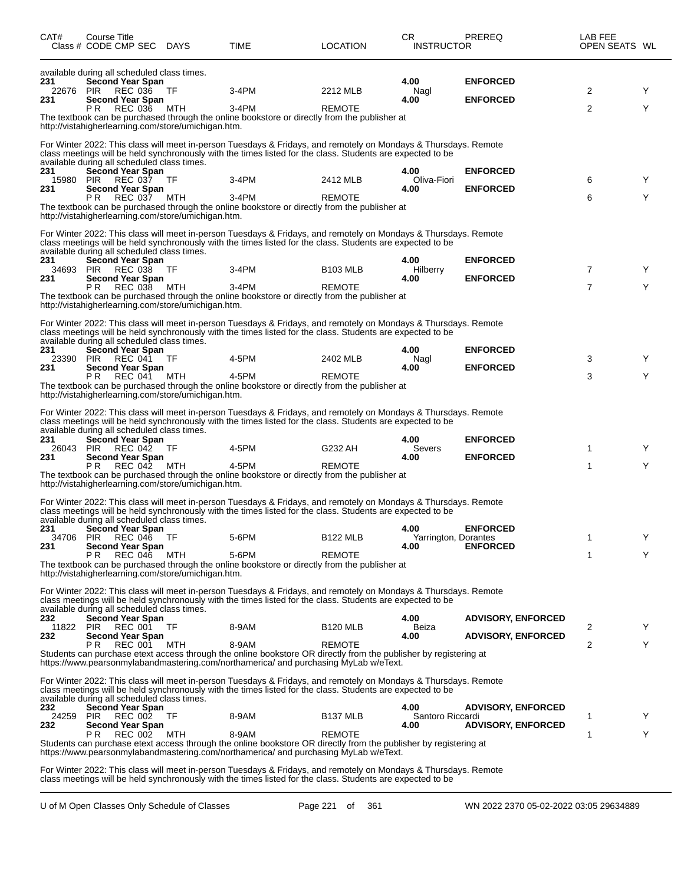| CAT#                | Course Title<br>Class # CODE CMP SEC DAYS                                                                                  |                  | TIME                                                                                                                                                                                                                          | <b>LOCATION</b>           | CR.<br><b>INSTRUCTOR</b>     | <b>PREREQ</b>                      | LAB FEE<br>OPEN SEATS WL |        |
|---------------------|----------------------------------------------------------------------------------------------------------------------------|------------------|-------------------------------------------------------------------------------------------------------------------------------------------------------------------------------------------------------------------------------|---------------------------|------------------------------|------------------------------------|--------------------------|--------|
| 231<br>22676        | available during all scheduled class times.<br>Second Year Span<br>PIR<br>REC 036                                          | TF.              | 3-4PM                                                                                                                                                                                                                         | 2212 MLB                  | 4.00<br>Nagl                 | <b>ENFORCED</b>                    | 2                        | Y      |
| 231                 | <b>Second Year Span</b><br><b>REC 036</b><br>P R<br>http://vistahigherlearning.com/store/umichigan.htm.                    | MTH              | $3-4PM$<br>The textbook can be purchased through the online bookstore or directly from the publisher at                                                                                                                       | <b>REMOTE</b>             | 4.00                         | <b>ENFORCED</b>                    | 2                        | Y      |
|                     |                                                                                                                            |                  | For Winter 2022: This class will meet in-person Tuesdays & Fridays, and remotely on Mondays & Thursdays. Remote<br>class meetings will be held synchronously with the times listed for the class. Students are expected to be |                           |                              |                                    |                          |        |
| 231<br>15980<br>231 | available during all scheduled class times.<br><b>Second Year Span</b><br><b>PIR</b><br>REC 037<br><b>Second Year Span</b> | TF               | 3-4PM                                                                                                                                                                                                                         | 2412 MLB                  | 4.00<br>Oliva-Fiori<br>4.00  | <b>ENFORCED</b><br><b>ENFORCED</b> | 6                        | Y      |
|                     | P R<br>REC 037 MTH<br>http://vistahigherlearning.com/store/umichigan.htm.                                                  |                  | $3-4PM$<br>The textbook can be purchased through the online bookstore or directly from the publisher at                                                                                                                       | <b>REMOTE</b>             |                              |                                    | 6                        | Y      |
|                     |                                                                                                                            |                  | For Winter 2022: This class will meet in-person Tuesdays & Fridays, and remotely on Mondays & Thursdays. Remote<br>class meetings will be held synchronously with the times listed for the class. Students are expected to be |                           |                              |                                    |                          |        |
| 231<br>34693 PIR    | available during all scheduled class times.<br><b>Second Year Span</b><br><b>REC 038 TF</b>                                |                  | 3-4PM                                                                                                                                                                                                                         | <b>B103 MLB</b>           | 4.00<br>Hilberry             | <b>ENFORCED</b>                    | 7                        | Y      |
| 231                 | <b>Second Year Span</b><br>P R<br>REC 038                                                                                  | MTH              | $3-4PM$<br>The textbook can be purchased through the online bookstore or directly from the publisher at                                                                                                                       | <b>REMOTE</b>             | 4.00                         | <b>ENFORCED</b>                    | $\overline{7}$           | Y      |
|                     | http://vistahigherlearning.com/store/umichigan.htm.                                                                        |                  | For Winter 2022: This class will meet in-person Tuesdays & Fridays, and remotely on Mondays & Thursdays. Remote                                                                                                               |                           |                              |                                    |                          |        |
| 231                 | available during all scheduled class times.<br>Second Year Span                                                            |                  | class meetings will be held synchronously with the times listed for the class. Students are expected to be                                                                                                                    |                           | 4.00                         | <b>ENFORCED</b>                    |                          |        |
| 23390<br>231        | PIR<br>REC 041<br><b>Second Year Span</b><br><b>REC 041</b><br>P R                                                         | TF<br><b>MTH</b> | 4-5PM<br>4-5PM                                                                                                                                                                                                                | 2402 MLB<br><b>REMOTE</b> | Nagl<br>4.00                 | <b>ENFORCED</b>                    | 3<br>3                   | Y<br>Y |
|                     | http://vistahigherlearning.com/store/umichigan.htm.                                                                        |                  | The textbook can be purchased through the online bookstore or directly from the publisher at                                                                                                                                  |                           |                              |                                    |                          |        |
|                     | available during all scheduled class times.                                                                                |                  | For Winter 2022: This class will meet in-person Tuesdays & Fridays, and remotely on Mondays & Thursdays. Remote<br>class meetings will be held synchronously with the times listed for the class. Students are expected to be |                           |                              |                                    |                          |        |
| 231<br>26043        | <b>Second Year Span</b><br>PIR<br>REC 042                                                                                  | TF               | 4-5PM                                                                                                                                                                                                                         | G232 AH                   | 4.00<br>Severs               | <b>ENFORCED</b>                    | 1                        | Y      |
| 231                 | <b>Second Year Span</b><br>P R<br>REC 042 MTH                                                                              |                  | 4-5PM<br>The textbook can be purchased through the online bookstore or directly from the publisher at                                                                                                                         | REMOTE                    | 4.00                         | <b>ENFORCED</b>                    | $\mathbf{1}$             | Y      |
|                     | http://vistahigherlearning.com/store/umichigan.htm.                                                                        |                  | For Winter 2022: This class will meet in-person Tuesdays & Fridays, and remotely on Mondays & Thursdays. Remote                                                                                                               |                           |                              |                                    |                          |        |
| 231                 | available during all scheduled class times.<br><b>Second Year Span</b>                                                     |                  | class meetings will be held synchronously with the times listed for the class. Students are expected to be                                                                                                                    |                           | 4.00                         | <b>ENFORCED</b>                    |                          |        |
| 34706<br>231        | <b>REC 046</b><br>PIR.<br><b>Second Year Span</b>                                                                          | TF               | 5-6PM                                                                                                                                                                                                                         | <b>B122 MLB</b>           | Yarrington, Dorantes<br>4.00 | <b>ENFORCED</b>                    | 1                        | Y      |
|                     | P R<br><b>REC 046</b><br>http://vistahigherlearning.com/store/umichigan.htm.                                               | MTH              | 5-6PM<br>The textbook can be purchased through the online bookstore or directly from the publisher at                                                                                                                         | <b>REMOTE</b>             |                              |                                    | 1                        | Y      |
|                     |                                                                                                                            |                  | For Winter 2022: This class will meet in-person Tuesdays & Fridays, and remotely on Mondays & Thursdays. Remote<br>class meetings will be held synchronously with the times listed for the class. Students are expected to be |                           |                              |                                    |                          |        |
| 232                 | available during all scheduled class times.<br>Second Year Span                                                            |                  |                                                                                                                                                                                                                               | <b>B120 MLB</b>           | 4.00                         | <b>ADVISORY, ENFORCED</b>          |                          | Y      |
| 11822<br>232        | PIR<br>REC 001<br><b>Second Year Span</b><br><b>REC 001</b><br>P R                                                         | TF<br>MTH        | 8-9AM<br>8-9AM                                                                                                                                                                                                                | <b>REMOTE</b>             | Beiza<br>4.00                | <b>ADVISORY, ENFORCED</b>          | 2<br>2                   | Y      |
|                     |                                                                                                                            |                  | Students can purchase etext access through the online bookstore OR directly from the publisher by registering at<br>https://www.pearsonmylabandmastering.com/northamerica/ and purchasing MyLab w/eText.                      |                           |                              |                                    |                          |        |
|                     | available during all scheduled class times.                                                                                |                  | For Winter 2022: This class will meet in-person Tuesdays & Fridays, and remotely on Mondays & Thursdays. Remote<br>class meetings will be held synchronously with the times listed for the class. Students are expected to be |                           |                              |                                    |                          |        |
| 232<br>24259        | <b>Second Year Span</b><br><b>REC 002</b><br><b>PIR</b>                                                                    | TF               | 8-9AM                                                                                                                                                                                                                         | B137 MLB                  | 4.00<br>Santoro Riccardi     | <b>ADVISORY, ENFORCED</b>          | 1                        | Y      |
| 232                 | <b>Second Year Span</b><br>P R<br>REC 002                                                                                  | мтн              | 8-9AM                                                                                                                                                                                                                         | REMOTE                    | 4.00                         | <b>ADVISORY, ENFORCED</b>          | 1                        | Y      |
|                     |                                                                                                                            |                  | Students can purchase etext access through the online bookstore OR directly from the publisher by registering at<br>https://www.pearsonmylabandmastering.com/northamerica/ and purchasing MyLab w/eText.                      |                           |                              |                                    |                          |        |
|                     |                                                                                                                            |                  | For Winter 2022: This class will meet in-person Tuesdays & Fridays, and remotely on Mondays & Thursdays. Remote<br>class meetings will be held synchronously with the times listed for the class. Students are expected to be |                           |                              |                                    |                          |        |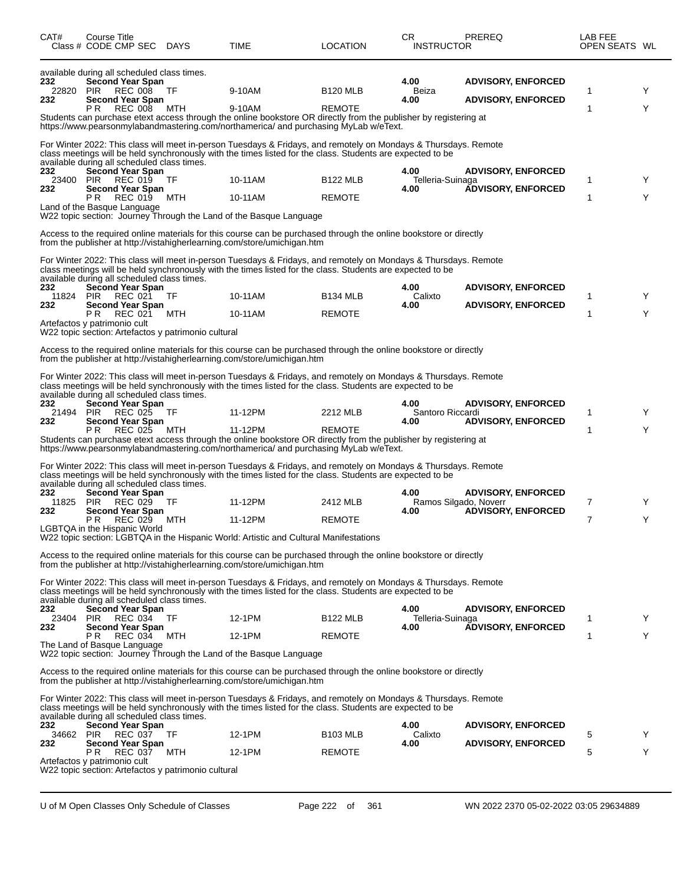| CAT#                    | Course Title<br>Class # CODE CMP SEC DAYS                                                                                                                                                                             |           | TIME                                                                                                                                                                                                                                                                                                                                                                                                                                                                                                                                        | LOCATION                         | CR<br><b>INSTRUCTOR</b>               | PREREQ                                                 | LAB FEE<br>OPEN SEATS WL |        |
|-------------------------|-----------------------------------------------------------------------------------------------------------------------------------------------------------------------------------------------------------------------|-----------|---------------------------------------------------------------------------------------------------------------------------------------------------------------------------------------------------------------------------------------------------------------------------------------------------------------------------------------------------------------------------------------------------------------------------------------------------------------------------------------------------------------------------------------------|----------------------------------|---------------------------------------|--------------------------------------------------------|--------------------------|--------|
| 232<br>22820<br>232     | available during all scheduled class times.<br><b>Second Year Span</b><br><b>PIR</b><br>REC 008<br><b>Second Year Span</b><br><b>REC 008</b><br>P R                                                                   | ТF<br>MTH | 9-10AM<br>9-10AM<br>Students can purchase etext access through the online bookstore OR directly from the publisher by registering at<br>https://www.pearsonmylabandmastering.com/northamerica/ and purchasing MyLab w/eText.                                                                                                                                                                                                                                                                                                                | <b>B120 MLB</b><br><b>REMOTE</b> | 4.00<br>Beiza<br>4.00                 | <b>ADVISORY, ENFORCED</b><br><b>ADVISORY, ENFORCED</b> | 1<br>1                   | Y<br>Y |
| 232<br>23400<br>232     | available during all scheduled class times.<br><b>Second Year Span</b><br>PIR<br>REC 019<br><b>Second Year Span</b><br>PR.<br>REC 019<br>Land of the Basque Language                                                  | TF<br>MTH | For Winter 2022: This class will meet in-person Tuesdays & Fridays, and remotely on Mondays & Thursdays. Remote<br>class meetings will be held synchronously with the times listed for the class. Students are expected to be<br>10-11AM<br>10-11AM<br>W22 topic section: Journey Through the Land of the Basque Language<br>Access to the required online materials for this course can be purchased through the online bookstore or directly<br>from the publisher at http://vistahigherlearning.com/store/umichigan.htm                  | <b>B122 MLB</b><br><b>REMOTE</b> | 4.00<br>Telleria-Suinaga<br>4.00      | <b>ADVISORY, ENFORCED</b><br><b>ADVISORY, ENFORCED</b> | 1<br>1                   | Y<br>Y |
| 232<br>11824 PIR<br>232 | available during all scheduled class times.<br>Second Year Span<br>REC 021<br><b>Second Year Span</b><br>P R<br><b>REC 021</b><br>Artefactos y patrimonio cult<br>W22 topic section: Artefactos y patrimonio cultural | TF<br>MTH | For Winter 2022: This class will meet in-person Tuesdays & Fridays, and remotely on Mondays & Thursdays. Remote<br>class meetings will be held synchronously with the times listed for the class. Students are expected to be<br>10-11AM<br>10-11AM<br>Access to the required online materials for this course can be purchased through the online bookstore or directly                                                                                                                                                                    | <b>B134 MLB</b><br><b>REMOTE</b> | 4.00<br>Calixto<br>4.00               | <b>ADVISORY, ENFORCED</b><br><b>ADVISORY, ENFORCED</b> | 1<br>1                   | Y<br>Y |
| 232<br>21494 PIR<br>232 | available during all scheduled class times.<br><b>Second Year Span</b><br><b>REC 025</b><br><b>Second Year Span</b><br><b>REC 025</b><br>PR.                                                                          | ТF<br>MTH | from the publisher at http://vistahigherlearning.com/store/umichigan.htm<br>For Winter 2022: This class will meet in-person Tuesdays & Fridays, and remotely on Mondays & Thursdays. Remote<br>class meetings will be held synchronously with the times listed for the class. Students are expected to be<br>11-12PM<br>11-12PM<br>Students can purchase etext access through the online bookstore OR directly from the publisher by registering at<br>https://www.pearsonmylabandmastering.com/northamerica/ and purchasing MyLab w/eText. | 2212 MLB<br><b>REMOTE</b>        | 4.00<br>Santoro Riccardi<br>4.00      | <b>ADVISORY, ENFORCED</b><br><b>ADVISORY, ENFORCED</b> | 1<br>1                   | Y<br>Y |
| 232<br>11825<br>232     | available during all scheduled class times.<br>Second Year Span<br><b>PIR</b><br>REC 029<br><b>Second Year Span</b><br>REC 029<br>P R<br>LGBTQA in the Hispanic World                                                 | TF<br>MTH | For Winter 2022: This class will meet in-person Tuesdays & Fridays, and remotely on Mondays & Thursdays. Remote<br>class meetings will be held synchronously with the times listed for the class. Students are expected to be<br>11-12PM<br>11-12PM<br>W22 topic section: LGBTQA in the Hispanic World: Artistic and Cultural Manifestations                                                                                                                                                                                                | 2412 MLB<br><b>REMOTE</b>        | 4.00<br>Ramos Silgado, Noverr<br>4.00 | <b>ADVISORY, ENFORCED</b><br><b>ADVISORY, ENFORCED</b> | 7<br>7                   | Y<br>Υ |
| 232<br>23404 PIR<br>232 | available during all scheduled class times.<br><b>Second Year Span</b><br>REC 034 TF<br><b>Second Year Span</b><br>PR.<br>REC 034<br>The Land of Basque Language                                                      | MTH       | Access to the required online materials for this course can be purchased through the online bookstore or directly<br>from the publisher at http://vistahigherlearning.com/store/umichigan.htm<br>For Winter 2022: This class will meet in-person Tuesdays & Fridays, and remotely on Mondays & Thursdays. Remote<br>class meetings will be held synchronously with the times listed for the class. Students are expected to be<br>12-1PM<br>12-1PM                                                                                          | <b>B122 MLB</b><br><b>REMOTE</b> | 4.00<br>Telleria-Suinaga<br>4.00      | <b>ADVISORY, ENFORCED</b><br><b>ADVISORY, ENFORCED</b> | 1<br>1                   | Y<br>Y |
| 232<br>34662 PIR<br>232 | available during all scheduled class times.<br><b>Second Year Span</b><br>REC 037<br><b>Second Year Span</b><br>REC 037<br>P R<br>Artefactos y patrimonio cult<br>W22 topic section: Artefactos y patrimonio cultural | TF<br>MTH | W22 topic section: Journey Through the Land of the Basque Language<br>Access to the required online materials for this course can be purchased through the online bookstore or directly<br>from the publisher at http://vistahigherlearning.com/store/umichigan.htm<br>For Winter 2022: This class will meet in-person Tuesdays & Fridays, and remotely on Mondays & Thursdays. Remote<br>class meetings will be held synchronously with the times listed for the class. Students are expected to be<br>12-1PM<br>12-1PM                    | <b>B103 MLB</b><br><b>REMOTE</b> | 4.00<br>Calixto<br>4.00               | <b>ADVISORY, ENFORCED</b><br><b>ADVISORY, ENFORCED</b> | 5<br>5                   | Y<br>Y |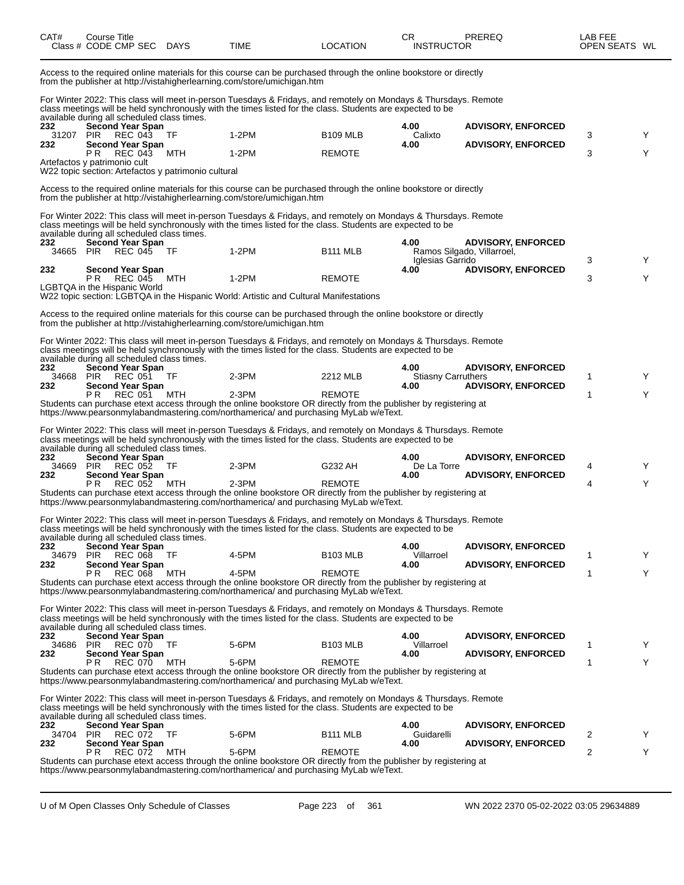| CAT#             | Course Title<br>Class # CODE CMP SEC DAYS                                                             |      | TIME                                                                                                                                                                                                                          | <b>LOCATION</b>      | CR.<br><b>INSTRUCTOR</b>          | PREREQ                     | LAB FEE<br>OPEN SEATS WL |   |
|------------------|-------------------------------------------------------------------------------------------------------|------|-------------------------------------------------------------------------------------------------------------------------------------------------------------------------------------------------------------------------------|----------------------|-----------------------------------|----------------------------|--------------------------|---|
|                  |                                                                                                       |      | Access to the required online materials for this course can be purchased through the online bookstore or directly<br>from the publisher at http://vistahigherlearning.com/store/umichigan.htm                                 |                      |                                   |                            |                          |   |
|                  | available during all scheduled class times.                                                           |      | For Winter 2022: This class will meet in-person Tuesdays & Fridays, and remotely on Mondays & Thursdays. Remote<br>class meetings will be held synchronously with the times listed for the class. Students are expected to be |                      |                                   |                            |                          |   |
| 232              | <b>Second Year Span</b>                                                                               |      | $1-2PM$                                                                                                                                                                                                                       |                      | 4.00                              | <b>ADVISORY, ENFORCED</b>  |                          |   |
| 31207<br>232     | PIR REC 043<br><b>Second Year Span</b>                                                                | TF   |                                                                                                                                                                                                                               | <b>B109 MLB</b>      | Calixto<br>4.00                   | <b>ADVISORY, ENFORCED</b>  | 3                        | Y |
|                  | P R<br>REC 043<br>Artefactos y patrimonio cult<br>W22 topic section: Artefactos y patrimonio cultural | MTH  | $1-2PM$                                                                                                                                                                                                                       | <b>REMOTE</b>        |                                   |                            | 3                        | Y |
|                  |                                                                                                       |      | Access to the required online materials for this course can be purchased through the online bookstore or directly<br>from the publisher at http://vistahigherlearning.com/store/umichigan.htm                                 |                      |                                   |                            |                          |   |
|                  |                                                                                                       |      | For Winter 2022: This class will meet in-person Tuesdays & Fridays, and remotely on Mondays & Thursdays. Remote<br>class meetings will be held synchronously with the times listed for the class. Students are expected to be |                      |                                   |                            |                          |   |
| 232              | available during all scheduled class times.<br><b>Second Year Span</b>                                |      |                                                                                                                                                                                                                               |                      | 4.00                              | <b>ADVISORY, ENFORCED</b>  |                          |   |
| 34665            | PIR<br>REC 045                                                                                        | - TF | 1-2PM                                                                                                                                                                                                                         | B <sub>111</sub> MLB | Iglesias Garrido                  | Ramos Silgado, Villarroel, | 3                        | Y |
| 232              | <b>Second Year Span</b>                                                                               |      | $1-2PM$                                                                                                                                                                                                                       |                      | 4.00                              | <b>ADVISORY, ENFORCED</b>  | 3                        | Y |
|                  | PR REC 045<br>LGBTQA in the Hispanic World                                                            | MTH  |                                                                                                                                                                                                                               | <b>REMOTE</b>        |                                   |                            |                          |   |
|                  |                                                                                                       |      | W22 topic section: LGBTQA in the Hispanic World: Artistic and Cultural Manifestations                                                                                                                                         |                      |                                   |                            |                          |   |
|                  |                                                                                                       |      | Access to the required online materials for this course can be purchased through the online bookstore or directly<br>from the publisher at http://vistahigherlearning.com/store/umichigan.htm                                 |                      |                                   |                            |                          |   |
|                  | available during all scheduled class times.                                                           |      | For Winter 2022: This class will meet in-person Tuesdays & Fridays, and remotely on Mondays & Thursdays. Remote<br>class meetings will be held synchronously with the times listed for the class. Students are expected to be |                      |                                   |                            |                          |   |
| 232              | <b>Second Year Span</b>                                                                               |      |                                                                                                                                                                                                                               |                      | 4.00                              | <b>ADVISORY, ENFORCED</b>  |                          |   |
| 34668<br>232     | <b>PIR REC 051</b><br><b>Second Year Span</b>                                                         | TF   | $2-3PM$                                                                                                                                                                                                                       | 2212 MLB             | <b>Stiasny Carruthers</b><br>4.00 | <b>ADVISORY, ENFORCED</b>  | 1                        | Y |
|                  | P R<br>REC 051                                                                                        | MTH  | $2-3PM$<br>Students can purchase etext access through the online bookstore OR directly from the publisher by registering at<br>https://www.pearsonmylabandmastering.com/northamerica/ and purchasing MyLab w/eText.           | <b>REMOTE</b>        |                                   |                            | 1                        | Y |
|                  |                                                                                                       |      |                                                                                                                                                                                                                               |                      |                                   |                            |                          |   |
|                  | available during all scheduled class times.                                                           |      | For Winter 2022: This class will meet in-person Tuesdays & Fridays, and remotely on Mondays & Thursdays. Remote<br>class meetings will be held synchronously with the times listed for the class. Students are expected to be |                      |                                   |                            |                          |   |
| 232<br>34669     | <b>Second Year Span</b><br>PIR<br>REC 052                                                             | TF   | 2-3PM                                                                                                                                                                                                                         | G232 AH              | 4.00<br>De La Torre               | <b>ADVISORY, ENFORCED</b>  | 4                        | Y |
| 232              | <b>Second Year Span</b>                                                                               |      |                                                                                                                                                                                                                               |                      | 4.00                              | <b>ADVISORY, ENFORCED</b>  |                          |   |
|                  | PR.<br>REC 052                                                                                        | MTH  | $2-3PM$<br>Students can purchase etext access through the online bookstore OR directly from the publisher by registering at<br>https://www.pearsonmylabandmastering.com/northamerica/ and purchasing MyLab w/eText.           | <b>REMOTE</b>        |                                   |                            | 4                        | Y |
|                  |                                                                                                       |      | For Winter 2022: This class will meet in-person Tuesdays & Fridays, and remotely on Mondays & Thursdays. Remote<br>class meetings will be held synchronously with the times listed for the class. Students are expected to be |                      |                                   |                            |                          |   |
| 232              | available during all scheduled class times.<br><b>Second Year Span</b>                                |      |                                                                                                                                                                                                                               |                      | 4.00                              | <b>ADVISORY, ENFORCED</b>  |                          |   |
| 34679<br>232     | <b>PIR</b><br><b>REC 068</b><br><b>Second Year Span</b>                                               | TF   | 4-5PM                                                                                                                                                                                                                         | <b>B103 MLB</b>      | Villarroel<br>4.00                | <b>ADVISORY, ENFORCED</b>  | 1                        | Y |
|                  | <b>REC 068</b><br>P R                                                                                 | MTH  | 4-5PM                                                                                                                                                                                                                         | <b>REMOTE</b>        |                                   |                            | 1                        | Y |
|                  |                                                                                                       |      | Students can purchase etext access through the online bookstore OR directly from the publisher by registering at<br>https://www.pearsonmylabandmastering.com/northamerica/ and purchasing MyLab w/eText.                      |                      |                                   |                            |                          |   |
|                  | available during all scheduled class times.                                                           |      | For Winter 2022: This class will meet in-person Tuesdays & Fridays, and remotely on Mondays & Thursdays. Remote<br>class meetings will be held synchronously with the times listed for the class. Students are expected to be |                      |                                   |                            |                          |   |
| 232<br>34686 PIR | <b>Second Year Span</b><br>REC 070 TF                                                                 |      | 5-6PM                                                                                                                                                                                                                         | <b>B103 MLB</b>      | 4.00<br>Villarroel                | <b>ADVISORY, ENFORCED</b>  | 1                        | Y |
| 232              | <b>Second Year Span</b>                                                                               |      |                                                                                                                                                                                                                               |                      | 4.00                              | <b>ADVISORY, ENFORCED</b>  |                          |   |
|                  | <b>REC 070</b><br>P R                                                                                 | MTH  | 5-6PM<br>Students can purchase etext access through the online bookstore OR directly from the publisher by registering at<br>https://www.pearsonmylabandmastering.com/northamerica/ and purchasing MyLab w/eText.             | <b>REMOTE</b>        |                                   |                            | 1                        | Y |
|                  |                                                                                                       |      | For Winter 2022: This class will meet in-person Tuesdays & Fridays, and remotely on Mondays & Thursdays. Remote<br>class meetings will be held synchronously with the times listed for the class. Students are expected to be |                      |                                   |                            |                          |   |
| 232              | available during all scheduled class times.<br><b>Second Year Span</b>                                |      |                                                                                                                                                                                                                               |                      | 4.00                              | <b>ADVISORY, ENFORCED</b>  |                          |   |
| 34704 PIR<br>232 | REC 072<br><b>Second Year Span</b>                                                                    | TF.  | 5-6PM                                                                                                                                                                                                                         | B <sub>111</sub> MLB | Guidarelli<br>4.00                | <b>ADVISORY, ENFORCED</b>  | 2                        | Y |
|                  | <b>REC 072</b><br>P R                                                                                 | MTH  | 5-6PM                                                                                                                                                                                                                         | <b>REMOTE</b>        |                                   |                            | 2                        | Y |
|                  |                                                                                                       |      | Students can purchase etext access through the online bookstore OR directly from the publisher by registering at<br>https://www.pearsonmylabandmastering.com/northamerica/ and purchasing MyLab w/eText.                      |                      |                                   |                            |                          |   |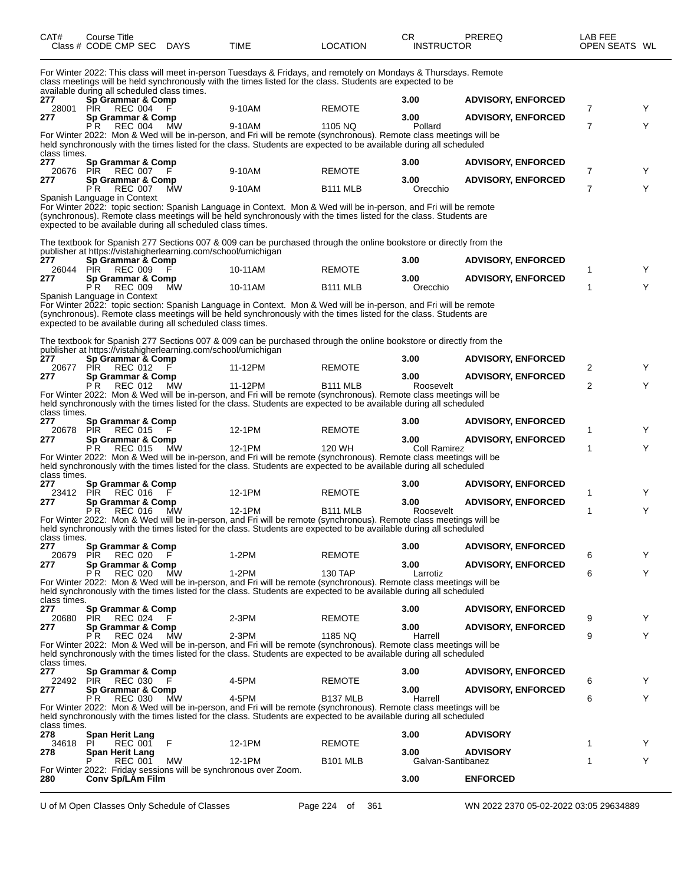| CAT# | Course Title<br>Class # CODE CMP SEC DAYS   | TIME                                                                                                                                                                                                                          | <b>LOCATION</b> | СR<br><b>INSTRUCTOR</b> | PRFRFQ            | LAB FEE<br>OPEN SEATS WL |
|------|---------------------------------------------|-------------------------------------------------------------------------------------------------------------------------------------------------------------------------------------------------------------------------------|-----------------|-------------------------|-------------------|--------------------------|
|      | available during all scheduled class times. | For Winter 2022: This class will meet in-person Tuesdays & Fridays, and remotely on Mondays & Thursdays. Remote<br>class meetings will be held synchronously with the times listed for the class. Students are expected to be |                 |                         |                   |                          |
| 277  | Sn Grammar & Comn                           |                                                                                                                                                                                                                               |                 | חה ?                    | ADVISORY ENFORCED |                          |

| 277                 | Sp Grammar & Comp                                                                                                  |         |                 | 3.00                 | <b>ADVISORY, ENFORCED</b> |                |   |
|---------------------|--------------------------------------------------------------------------------------------------------------------|---------|-----------------|----------------------|---------------------------|----------------|---|
| 28001               | PIR.<br>REC 004                                                                                                    | 9-10AM  | <b>REMOTE</b>   |                      |                           | 7              | Y |
| 277                 | Sp Grammar & Comp<br><b>REC 004</b><br>MW<br>PR.                                                                   | 9-10AM  | 1105 NQ         | 3.00<br>Pollard      | <b>ADVISORY, ENFORCED</b> | $\overline{7}$ | Y |
|                     | For Winter 2022: Mon & Wed will be in-person, and Fri will be remote (synchronous). Remote class meetings will be  |         |                 |                      |                           |                |   |
|                     | held synchronously with the times listed for the class. Students are expected to be available during all scheduled |         |                 |                      |                           |                |   |
| class times.        |                                                                                                                    |         |                 |                      |                           |                |   |
| 277                 | Sp Grammar & Comp                                                                                                  |         |                 | 3.00                 | <b>ADVISORY, ENFORCED</b> |                |   |
| 20676               | PIR<br>REC 007 F                                                                                                   | 9-10AM  | <b>REMOTE</b>   |                      |                           | $\overline{7}$ | Y |
| 277                 | Sp Grammar & Comp                                                                                                  |         |                 | 3.00                 | <b>ADVISORY, ENFORCED</b> |                |   |
|                     | P R<br><b>REC 007</b><br><b>MW</b>                                                                                 | 9-10AM  | <b>B111 MLB</b> | Orecchio             |                           | $\overline{7}$ | Y |
|                     | Spanish Language in Context                                                                                        |         |                 |                      |                           |                |   |
|                     | For Winter 2022: topic section: Spanish Language in Context. Mon & Wed will be in-person, and Fri will be remote   |         |                 |                      |                           |                |   |
|                     | (synchronous). Remote class meetings will be held synchronously with the times listed for the class. Students are  |         |                 |                      |                           |                |   |
|                     | expected to be available during all scheduled class times.                                                         |         |                 |                      |                           |                |   |
|                     | The textbook for Spanish 277 Sections 007 & 009 can be purchased through the online bookstore or directly from the |         |                 |                      |                           |                |   |
|                     | publisher at https://vistahigherlearning.com/school/umichigan                                                      |         |                 |                      |                           |                |   |
| 277                 | Sp Grammar & Comp                                                                                                  |         |                 | 3.00                 | <b>ADVISORY, ENFORCED</b> |                |   |
| 26044               | <b>PIR</b><br><b>REC 009</b>                                                                                       | 10-11AM | <b>REMOTE</b>   |                      |                           | 1              |   |
| 277                 | Sp Grammar & Comp                                                                                                  |         |                 | 3.00                 | <b>ADVISORY, ENFORCED</b> |                |   |
|                     | <b>REC 009</b><br>PR.<br>MW                                                                                        | 10-11AM | <b>B111 MLB</b> | Orecchio             |                           | 1              | Y |
|                     | Spanish Language in Context                                                                                        |         |                 |                      |                           |                |   |
|                     | For Winter 2022: topic section: Spanish Language in Context. Mon & Wed will be in-person, and Fri will be remote   |         |                 |                      |                           |                |   |
|                     | (synchronous). Remote class meetings will be held synchronously with the times listed for the class. Students are  |         |                 |                      |                           |                |   |
|                     | expected to be available during all scheduled class times.                                                         |         |                 |                      |                           |                |   |
|                     | The textbook for Spanish 277 Sections 007 & 009 can be purchased through the online bookstore or directly from the |         |                 |                      |                           |                |   |
|                     | publisher at https://vistahigherlearning.com/school/umichigan                                                      |         |                 |                      |                           |                |   |
| 277                 | Sp Grammar & Comp                                                                                                  |         |                 | 3.00                 | <b>ADVISORY, ENFORCED</b> |                |   |
| 20677               | <b>REC 012</b><br>PIR.                                                                                             | 11-12PM | <b>REMOTE</b>   |                      |                           | 2              | Y |
| 277                 | Sp Grammar & Comp                                                                                                  |         |                 | 3.00                 | <b>ADVISORY, ENFORCED</b> |                |   |
|                     | PR REC 012<br>ΜW                                                                                                   | 11-12PM | <b>B111 MLB</b> | Roosevelt            |                           | 2              | Y |
|                     | For Winter 2022: Mon & Wed will be in-person, and Fri will be remote (synchronous). Remote class meetings will be  |         |                 |                      |                           |                |   |
|                     | held synchronously with the times listed for the class. Students are expected to be available during all scheduled |         |                 |                      |                           |                |   |
| class times.        |                                                                                                                    |         |                 |                      |                           |                |   |
| 277                 | Sp Grammar & Comp                                                                                                  |         |                 | 3.00                 | <b>ADVISORY, ENFORCED</b> |                |   |
| 20678               | <b>REC 015</b><br>PIR                                                                                              | 12-1PM  | <b>REMOTE</b>   |                      |                           | 1              | Y |
| 277                 | Sp Grammar & Comp<br><b>REC 015</b><br>MW<br>P R                                                                   | 12-1PM  | 120 WH          | 3.00<br>Coll Ramirez | <b>ADVISORY, ENFORCED</b> | 1              | Y |
|                     | For Winter 2022: Mon & Wed will be in-person, and Fri will be remote (synchronous). Remote class meetings will be  |         |                 |                      |                           |                |   |
|                     | held synchronously with the times listed for the class. Students are expected to be available during all scheduled |         |                 |                      |                           |                |   |
| class times.        |                                                                                                                    |         |                 |                      |                           |                |   |
| 277                 | Sp Grammar & Comp                                                                                                  |         |                 | 3.00                 | <b>ADVISORY, ENFORCED</b> |                |   |
| 23412 PIR           | REC 016                                                                                                            | 12-1PM  | <b>REMOTE</b>   |                      |                           | 1              | Y |
| 277                 | Sp Grammar & Comp                                                                                                  |         |                 | 3.00                 | <b>ADVISORY, ENFORCED</b> |                |   |
|                     | <b>REC 016</b><br>PR.<br><b>MW</b>                                                                                 | 12-1PM  | <b>B111 MLB</b> | Roosevelt            |                           | 1              | Y |
|                     | For Winter 2022: Mon & Wed will be in-person, and Fri will be remote (synchronous). Remote class meetings will be  |         |                 |                      |                           |                |   |
|                     | held synchronously with the times listed for the class. Students are expected to be available during all scheduled |         |                 |                      |                           |                |   |
| class times.<br>277 | Sp Grammar & Comp                                                                                                  |         |                 | 3.00                 | <b>ADVISORY, ENFORCED</b> |                |   |
| 20679               | <b>REC 020</b><br><b>PIR</b><br>F                                                                                  | $1-2PM$ | <b>REMOTE</b>   |                      |                           | 6              | Y |
| 277                 | Sp Grammar & Comp                                                                                                  |         |                 | 3.00                 | <b>ADVISORY, ENFORCED</b> |                |   |
|                     | P <sup>R</sup><br><b>REC 020</b><br>MW                                                                             | $1-2PM$ | <b>130 TAP</b>  | Larrotiz             |                           | 6              | Υ |
|                     | For Winter 2022: Mon & Wed will be in-person, and Fri will be remote (synchronous). Remote class meetings will be  |         |                 |                      |                           |                |   |
|                     | held synchronously with the times listed for the class. Students are expected to be available during all scheduled |         |                 |                      |                           |                |   |
| class times.        |                                                                                                                    |         |                 |                      |                           |                |   |
| 277                 | Sp Grammar & Comp                                                                                                  |         |                 | 3.00                 | <b>ADVISORY, ENFORCED</b> |                |   |
| 20680 PIR           | REC 024<br>- F                                                                                                     | 2-3PM   | <b>REMOTE</b>   |                      |                           | 9              | Y |
| 277                 | Sp Grammar & Comp                                                                                                  |         |                 | 3.00                 | <b>ADVISORY, ENFORCED</b> |                |   |
|                     | МW<br>P R<br>REC 024                                                                                               | $2-3PM$ | 1185 NQ         | Harrell              |                           | 9              | Υ |
|                     | For Winter 2022: Mon & Wed will be in-person, and Fri will be remote (synchronous). Remote class meetings will be  |         |                 |                      |                           |                |   |
| class times.        | held synchronously with the times listed for the class. Students are expected to be available during all scheduled |         |                 |                      |                           |                |   |
|                     |                                                                                                                    |         |                 |                      |                           |                |   |

**277 Sp Grammar & Comp 3.00 ADVISORY, ENFORCED** 22492 PIR REC 030 F 4-5PM REMOTE 6 Y 22492 PIR REC 030 F 4-5PM REMOTE<br> **277 Sp Grammar & Comp**<br>
PR REC 030 MW 4-5PM B137 MLB Harrell **ADVISORY, ENFORCED** P R REC 030 MW 4-5PM B137 MLB Harrell 6 Y For Winter 2022: Mon & Wed will be in-person, and Fri will be remote (synchronous). Remote class meetings will be held synchronously with the times listed for the class. Students are expected to be available during all scheduled class times.<br>278 **278 Span Herit Lang 3.00 ADVISORY** 34618 PI REC 001 F 12-1PM REMOTE 1 Y **278 Span Herit Lang 3.00 ADVISORY** P REC 001 MW 12-1PM B101 MLB Galvan-Santibanez 1 Y For Winter 2022: Friday sessions will be synchronous over Zoom.

**280 Conv Sp/LAm Film 3.00 ENFORCED**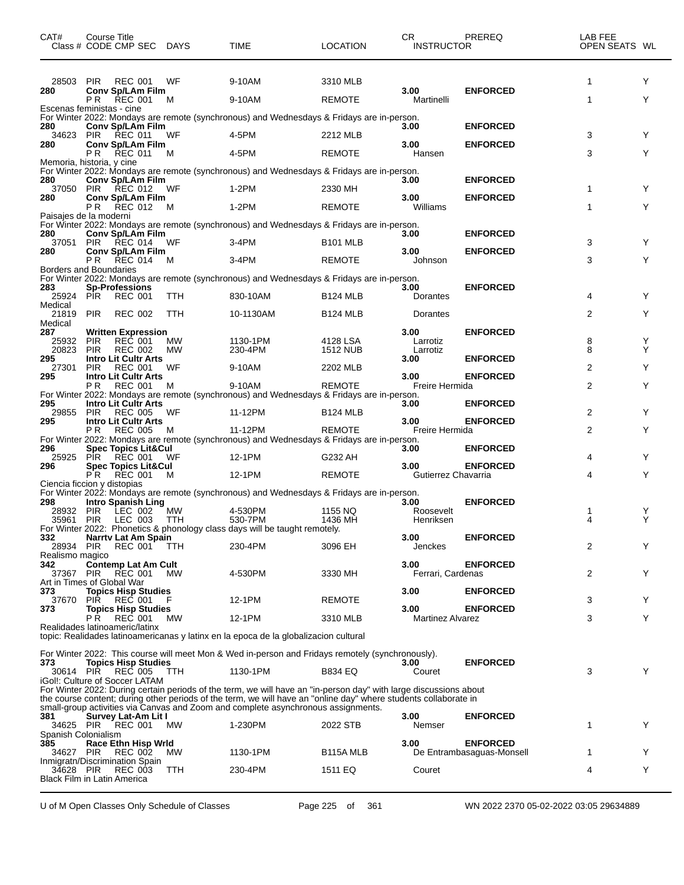| CAT#                   | <b>Course Title</b><br>Class # CODE CMP SEC DAYS                   |            | <b>TIME</b>                                                                                                                                                                                                                                                                                                                | <b>LOCATION</b>    | CR.<br><b>INSTRUCTOR</b>    | PREREQ                                       | LAB FEE<br>OPEN SEATS WL |        |
|------------------------|--------------------------------------------------------------------|------------|----------------------------------------------------------------------------------------------------------------------------------------------------------------------------------------------------------------------------------------------------------------------------------------------------------------------------|--------------------|-----------------------------|----------------------------------------------|--------------------------|--------|
| 28503                  | <b>PIR</b><br>REC 001                                              | WF         | 9-10AM                                                                                                                                                                                                                                                                                                                     | 3310 MLB           |                             |                                              | 1                        | Y      |
| 280                    | Conv Sp/LAm Film<br>P R<br><b>REC 001</b>                          | м          | 9-10AM                                                                                                                                                                                                                                                                                                                     | <b>REMOTE</b>      | 3.00<br>Martinelli          | <b>ENFORCED</b>                              | $\mathbf{1}$             | Y      |
| 280                    | Escenas feministas - cine                                          |            | For Winter 2022: Mondays are remote (synchronous) and Wednesdays & Fridays are in-person.                                                                                                                                                                                                                                  |                    | 3.00                        | <b>ENFORCED</b>                              |                          |        |
| 34623                  | Conv Sp/LAm Film<br>PIR REC 011                                    | WF         | 4-5PM                                                                                                                                                                                                                                                                                                                      | 2212 MLB           |                             |                                              | 3                        | Y      |
| 280                    | <b>Conv Sp/LAm Film</b><br>PR.<br><b>REC 011</b>                   | м          | 4-5PM                                                                                                                                                                                                                                                                                                                      | <b>REMOTE</b>      | 3.00<br>Hansen              | <b>ENFORCED</b>                              | 3                        | Υ      |
|                        | Memoria, historia, y cine                                          |            | For Winter 2022: Mondays are remote (synchronous) and Wednesdays & Fridays are in-person.                                                                                                                                                                                                                                  |                    |                             |                                              |                          |        |
| 280                    | Conv Sp/LAm Film<br>37050 PIR REC 012                              | WF         | 1-2PM                                                                                                                                                                                                                                                                                                                      | 2330 MH            | 3.00                        | <b>ENFORCED</b>                              | 1                        | Y      |
| 280                    | <b>Conv Sp/LAm Film</b><br>PR.<br><b>REC 012</b>                   | M          | 1-2PM                                                                                                                                                                                                                                                                                                                      | <b>REMOTE</b>      | 3.00<br>Williams            | <b>ENFORCED</b>                              | 1                        | Y      |
|                        | Paisajes de la moderni                                             |            |                                                                                                                                                                                                                                                                                                                            |                    |                             |                                              |                          |        |
| 280                    | <b>Conv Sp/LAm Film</b>                                            |            | For Winter 2022: Mondays are remote (synchronous) and Wednesdays & Fridays are in-person.                                                                                                                                                                                                                                  |                    | 3.00                        | <b>ENFORCED</b>                              |                          |        |
| 280                    | 37051 PIR REC 014<br>Conv Sp/LAm Film                              | WF         | 3-4PM                                                                                                                                                                                                                                                                                                                      | <b>B101 MLB</b>    | 3.00                        | <b>ENFORCED</b>                              | 3                        | Y      |
|                        | PR.<br>REC 014                                                     | м          | 3-4PM                                                                                                                                                                                                                                                                                                                      | <b>REMOTE</b>      | Johnson                     |                                              | 3                        | Y      |
|                        | Borders and Boundaries                                             |            | For Winter 2022: Mondays are remote (synchronous) and Wednesdays & Fridays are in-person.                                                                                                                                                                                                                                  |                    |                             |                                              |                          |        |
| 283                    | <b>Sp-Professions</b><br>25924 PIR REC 001                         | TTH        | 830-10AM                                                                                                                                                                                                                                                                                                                   | <b>B124 MLB</b>    | 3.00<br>Dorantes            | <b>ENFORCED</b>                              | 4                        | Y      |
| Medical<br>21819 PIR   | <b>REC 002</b>                                                     | TTH        | 10-1130AM                                                                                                                                                                                                                                                                                                                  | <b>B124 MLB</b>    | Dorantes                    |                                              | 2                        | Y      |
| Medical                |                                                                    |            |                                                                                                                                                                                                                                                                                                                            |                    |                             |                                              |                          |        |
| 287<br>25932           | <b>Written Expression</b><br><b>PIR</b><br><b>REC 001</b>          | MW         | 1130-1PM                                                                                                                                                                                                                                                                                                                   | 4128 LSA           | 3.00<br>Larrotiz            | <b>ENFORCED</b>                              | 8                        | Y      |
| 20823                  | <b>PIR</b><br><b>REC 002</b><br><b>Intro Lit Cultr Arts</b>        | <b>MW</b>  | 230-4PM                                                                                                                                                                                                                                                                                                                    | <b>1512 NUB</b>    | Larrotiz                    |                                              | 8                        | Y      |
| 295<br>27301           | <b>REC 001</b><br><b>PIR</b>                                       | WF         | 9-10AM                                                                                                                                                                                                                                                                                                                     | 2202 MLB           | 3.00                        | <b>ENFORCED</b>                              | 2                        | Υ      |
| 295                    | <b>Intro Lit Cultr Arts</b><br>P <sub>R</sub><br><b>REC 001</b>    | м          | 9-10AM                                                                                                                                                                                                                                                                                                                     | <b>REMOTE</b>      | 3.00<br>Freire Hermida      | <b>ENFORCED</b>                              | $\overline{2}$           | Y      |
|                        |                                                                    |            | For Winter 2022: Mondays are remote (synchronous) and Wednesdays & Fridays are in-person.                                                                                                                                                                                                                                  |                    |                             |                                              |                          |        |
| 295<br>29855           | <b>Intro Lit Cultr Arts</b><br><b>REC 005</b><br><b>PIR</b>        | WF         | 11-12PM                                                                                                                                                                                                                                                                                                                    | <b>B124 MLB</b>    | 3.00                        | <b>ENFORCED</b>                              | 2                        | Y      |
| 295                    | <b>Intro Lit Cultr Arts</b><br>P R<br>REC 005                      | м          | 11-12PM                                                                                                                                                                                                                                                                                                                    | <b>REMOTE</b>      | 3.00<br>Freire Hermida      | <b>ENFORCED</b>                              | 2                        | Υ      |
|                        |                                                                    |            | For Winter 2022: Mondays are remote (synchronous) and Wednesdays & Fridays are in-person.                                                                                                                                                                                                                                  |                    |                             |                                              |                          |        |
| 296<br>25925           | <b>Spec Topics Lit&amp;Cul</b><br>PIR<br>REC 001                   | WF         | 12-1PM                                                                                                                                                                                                                                                                                                                     | G232 AH            | 3.00                        | <b>ENFORCED</b>                              | 4                        | Y      |
| 296                    | <b>Spec Topics Lit&amp;Cul</b><br>P <sup>R</sup><br><b>REC 001</b> | м          | 12-1PM                                                                                                                                                                                                                                                                                                                     | <b>REMOTE</b>      | 3.00<br>Gutierrez Chavarria | <b>ENFORCED</b>                              | 4                        | Υ      |
|                        | Ciencia ficcion y distopias                                        |            |                                                                                                                                                                                                                                                                                                                            |                    |                             |                                              |                          |        |
| 298                    | Intro Spanish Ling                                                 |            | For Winter 2022: Mondays are remote (synchronous) and Wednesdays & Fridays are in-person.                                                                                                                                                                                                                                  |                    | 3.00                        | <b>ENFORCED</b>                              |                          |        |
| 28932 PIR<br>35961 PIR | LEC 002<br>LEC 003                                                 | MW<br>TTH  | 4-530PM<br>530-7PM                                                                                                                                                                                                                                                                                                         | 1155 NQ<br>1436 MH | Roosevelt<br>Henriksen      |                                              | 1<br>4                   | Y<br>Υ |
|                        |                                                                    |            | For Winter 2022: Phonetics & phonology class days will be taught remotely.                                                                                                                                                                                                                                                 |                    |                             |                                              |                          |        |
| 332<br>28934           | <b>Narrty Lat Am Spain</b><br>PIR<br><b>REC 001</b>                | <b>TTH</b> | 230-4PM                                                                                                                                                                                                                                                                                                                    | 3096 EH            | 3.00<br>Jenckes             | <b>ENFORCED</b>                              | 2                        | Y      |
| Realismo magico<br>342 | <b>Contemp Lat Am Cult</b>                                         |            |                                                                                                                                                                                                                                                                                                                            |                    | 3.00                        | <b>ENFORCED</b>                              |                          |        |
| 37367 PIR              | <b>REC 001</b><br>Art in Times of Global War                       | <b>MW</b>  | 4-530PM                                                                                                                                                                                                                                                                                                                    | 3330 MH            | Ferrari, Cardenas           |                                              | 2                        | Y      |
| 373                    | <b>Topics Hisp Studies</b>                                         |            |                                                                                                                                                                                                                                                                                                                            |                    | 3.00                        | <b>ENFORCED</b>                              |                          |        |
| 37670<br>373           | REC 001<br><b>PIR</b><br><b>Topics Hisp Studies</b>                | F          | 12-1PM                                                                                                                                                                                                                                                                                                                     | <b>REMOTE</b>      | 3.00                        | <b>ENFORCED</b>                              | 3                        | Y      |
|                        | P R<br>REC 001<br>Realidades latinoameric/latinx                   | MW         | 12-1PM                                                                                                                                                                                                                                                                                                                     | 3310 MLB           | <b>Martinez Alvarez</b>     |                                              | 3                        | Y      |
|                        |                                                                    |            | topic: Realidades latinoamericanas y latinx en la epoca de la globalizacion cultural                                                                                                                                                                                                                                       |                    |                             |                                              |                          |        |
|                        |                                                                    |            | For Winter 2022: This course will meet Mon & Wed in-person and Fridays remotely (synchronously).                                                                                                                                                                                                                           |                    |                             |                                              |                          |        |
| 373                    | <b>Topics Hisp Studies</b>                                         |            |                                                                                                                                                                                                                                                                                                                            |                    | 3.00                        | <b>ENFORCED</b>                              |                          |        |
|                        | 30614 PIR REC 005<br>iGol!: Culture of Soccer LATAM                | TTH        | 1130-1PM                                                                                                                                                                                                                                                                                                                   | <b>B834 EQ</b>     | Couret                      |                                              | 3                        | Y      |
|                        |                                                                    |            | For Winter 2022: During certain periods of the term, we will have an "in-person day" with large discussions about<br>the course content; during other periods of the term, we will have an "online day" where students collaborate in<br>small-group activities via Canvas and Zoom and complete asynchronous assignments. |                    |                             |                                              |                          |        |
| 381                    | Survey Lat-Am Lit I                                                |            |                                                                                                                                                                                                                                                                                                                            |                    | 3.00                        | <b>ENFORCED</b>                              |                          |        |
| Spanish Colonialism    | 34625 PIR REC 001                                                  | <b>MW</b>  | 1-230PM                                                                                                                                                                                                                                                                                                                    | 2022 STB           | Nemser                      |                                              | 1                        | Y      |
| 385<br>34627 PIR       | <b>Race Ethn Hisp Wrld</b><br>REC 002                              | MW         | 1130-1PM                                                                                                                                                                                                                                                                                                                   | B115A MLB          | 3.00                        | <b>ENFORCED</b><br>De Entrambasaguas-Monsell | 1                        | Y      |
|                        | Inmigrath/Discrimination Spain                                     |            |                                                                                                                                                                                                                                                                                                                            |                    |                             |                                              |                          |        |
| 34628 PIR              | <b>REC 003</b><br>Black Film in Latin America                      | TTH        | 230-4PM                                                                                                                                                                                                                                                                                                                    | 1511 EQ            | Couret                      |                                              | 4                        | Y      |

U of M Open Classes Only Schedule of Classes Page 225 of 361 WN 2022 2370 05-02-2022 03:05 29634889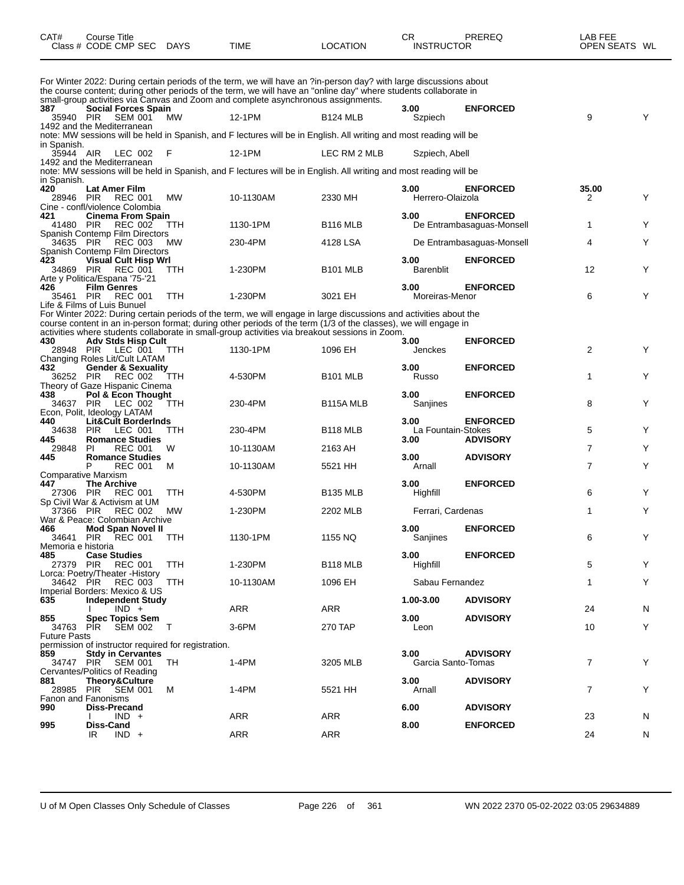| CAT# | Course Title              |             |          | PREREQ<br>СR      | ∟AB FEE       |
|------|---------------------------|-------------|----------|-------------------|---------------|
|      | Class # CODE CMP SEC DAYS | <b>TIME</b> | LOCATION | <b>INSTRUCTOR</b> | OPEN SEATS WL |

For Winter 2022: During certain periods of the term, we will have an ?in-person day? with large discussions about the course content; during other periods of the term, we will have an "online day" where students collaborate in small-group activities via Canvas and Zoom and complete asynchronous assignments.<br>387 **Social Forces Spain 387 Social Forces Spain 3.00 ENFORCED** 35940 PIR SEM 001 MW 12-1PM B124 MLB Szpiech 9 Y 1492 and the Mediterranean note: MW sessions will be held in Spanish, and F lectures will be in English. All writing and most reading will be in Spanish.<br>35944 AIR LEC 002 F 12-1PM LEC RM 2 MLB Szpiech, Abell 1492 and the Mediterranean note: MW sessions will be held in Spanish, and F lectures will be in English. All writing and most reading will be in Spanish.<br>420 **Lat Amer Film 420 Lat Amer Film 3.00 ENFORCED 35.00** 28946 PIR REC 001 MW 10-1130AM 2330 MH Herrero-Olaizola 2 Y Cine - confl/violence Colombia<br>421 **Cinema From Spa 421 Cinema From Spain 3.00 ENFORCED** De Entrambasaguas-Monsell 1 1 Y Spanish Contemp Film Directors 34635 PIR REC 003 MW 230-4PM 4128 LSA De Entrambasaguas-Monsell Y Spanish Contemp Film Directors **423 Visual Cult Hisp Wrl 3.00 ENFORCED** 34869 PIR REC 001 TTH 1-230PM B101 MLB Barenblit 12 Y Arte y Politica/Espana '75-'21<br>426 **Film Genres 426 Film Genres 3.00 ENFORCED** 35461 PIR REC 001 TTH 1-230PM 3021 EH Moreiras-Menor 6 Y Life & Films of Luis Bunuel For Winter 2022: During certain periods of the term, we will engage in large discussions and activities about the course content in an in-person format; during other periods of the term (1/3 of the classes), we will engage in activities where students collaborate in small-group activities via breakout sessions in Zoom. **430 Adv Stds Hisp Cult 3.00 ENFORCED** 28948 PIR LEC 001 TTH 1130-1PM 1096 EH Jenckes 2 Y Changing Roles Lit/Cult LATAM<br>432 **Gender & Sexuality 432 Gender & Sexuality 3.00 ENFORCED** 36252 PIR REC 002 TTH 4-530PM B101 MLB Russo 1 Y Theory of Gaze Hispanic Cinema<br>438 Pol & Econ Thought **438 Pol & Econ Thought 3.00 ENFORCED** 34637 PIR LEC 002 TTH 230-4PM B115A MLB Sanjines 8 Y Econ, Polit, Ideology LATAM<br>440 Lit&Cult Border **440 Lit&Cult Borderlnds 3.00 ENFORCED** 34638 PIR LEC 001 TTH 230-4PM B118 MLB La Fountain-Stokes 5 Y **445 Romance Studies 3.00 ADVISORY** 29848 PI REC 001 W 10-1130AM 2163 AH 7 Y **445 Romance Studies 3.00 ADVISORY** P REC 001 M 10-1130AM 5521 HH Arnall 7 Y Comparative Marxism<br>447 The Archiv **44530PM The Archive 12 Contract Contract Contract Contract Contract Contract Contract Contract Contract Contract<br>144530PM B135 MLB Highfill Highfill Highfill** 27306 PIR REC 001 TTH 4-530PM B135 MLB Highfill 6 Y Sp Civil War & Activism at UM MW 1-230PM 2202 MLB Ferrari, Cardenas 1 1 Y War & Peace: Colombian Archive<br>466 **Mod Span Novel II 466 Mod Span Novel II 3.00 ENFORCED** 34641 PIR REC 001 TTH 1130-1PM 1155 NQ Sanjines 6 Y Memoria e historia **485 Case Studies 3.00 ENFORCED** 27379 PIR REC 001 TTH 1-230PM B118 MLB Highfill 5 Y Lorca: Poetry/Theater - History<br>34642 PIR REC 003 34642 PIR REC 003 TTH 10-1130AM 1096 EH Sabau Fernandez Y **Imperial Borders: Mexico & US**<br>635 **Independent Study 635 Independent Study 1.00-3.00 ADVISORY** I IND + ARR ARR 24 N **855 Spec Topics Sem 3.00 ADVISORY** 34763 PIR SEM 002 T 3-6PM 270 TAP Leon 10 Y Future Pasts permission of instructor required for registration.<br>859 Stdy in Cervantes **859 Stdy in Cervantes 3.00 ADVISORY** 3474 Black Santo-Tomas 3205 MLB 3205 MLB 3205 MLB 3205 MLB 3205 MLB 3205 MLB 3205 MLB 3205 MLB 3205 MLB 3205 M Cervantes/Politics of Reading<br>881 Theory&Culture **881 Theory&Culture 3.00 ADVISORY** 28985 PIR SEM 001 M 1-4PM 5521 HH Arnall 7 Y Fanon and Fanonisms<br>990 **Diss-Preca 990 Diss-Precand 6.00 ADVISORY** I IND + ARR ARR 23 N **995 Diss-Cand 8.00 ENFORCED** IR IND + ARR ARR 24 N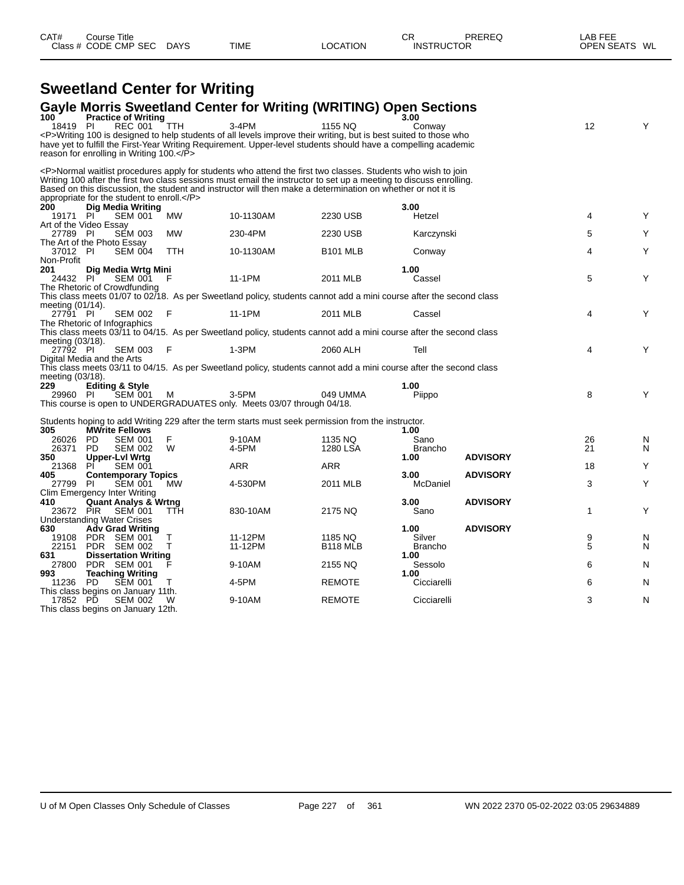|                                        |           |                                                              | <b>Sweetland Center for Writing</b> |                                                                                                                                                                                                                                                                                                                                                         |                 |                 |                 |    |   |
|----------------------------------------|-----------|--------------------------------------------------------------|-------------------------------------|---------------------------------------------------------------------------------------------------------------------------------------------------------------------------------------------------------------------------------------------------------------------------------------------------------------------------------------------------------|-----------------|-----------------|-----------------|----|---|
|                                        |           |                                                              |                                     | <b>Gayle Morris Sweetland Center for Writing (WRITING) Open Sections</b>                                                                                                                                                                                                                                                                                |                 |                 |                 |    |   |
| 100<br>18419 PI                        |           | <b>Practice of Writing</b><br><b>REC 001</b>                 | <b>TTH</b>                          | $3-4PM$                                                                                                                                                                                                                                                                                                                                                 | 1155 NO         | 3.00<br>Conway  |                 | 12 | Y |
|                                        |           |                                                              |                                     | <p>Writing 100 is designed to help students of all levels improve their writing, but is best suited to those who</p>                                                                                                                                                                                                                                    |                 |                 |                 |    |   |
|                                        |           | reason for enrolling in Writing $100 < \sqrt{P}$             |                                     | have yet to fulfill the First-Year Writing Requirement. Upper-level students should have a compelling academic                                                                                                                                                                                                                                          |                 |                 |                 |    |   |
|                                        |           |                                                              |                                     | <p>Normal waitlist procedures apply for students who attend the first two classes. Students who wish to join<br/>Writing 100 after the first two class sessions must email the instructor to set up a meeting to discuss enrolling.<br/>Based on this discussion, the student and instructor will then make a determination on whether or not it is</p> |                 |                 |                 |    |   |
|                                        |           | appropriate for the student to enroll.                       |                                     |                                                                                                                                                                                                                                                                                                                                                         |                 |                 |                 |    |   |
| 200<br>19171 PI                        |           | Dig Media Writing<br><b>SEM 001</b>                          | MW                                  | 10-1130AM                                                                                                                                                                                                                                                                                                                                               | 2230 USB        | 3.00<br>Hetzel  |                 | 4  | Y |
| Art of the Video Essay                 |           |                                                              |                                     |                                                                                                                                                                                                                                                                                                                                                         |                 |                 |                 |    |   |
| 27789 PI<br>The Art of the Photo Essay |           | <b>SEM 003</b>                                               | <b>MW</b>                           | 230-4PM                                                                                                                                                                                                                                                                                                                                                 | 2230 USB        | Karczynski      |                 | 5  | Y |
| 37012 PI                               |           | <b>SEM 004</b>                                               | <b>TTH</b>                          | 10-1130AM                                                                                                                                                                                                                                                                                                                                               | <b>B101 MLB</b> | Conway          |                 | 4  | Y |
| Non-Profit<br>201                      |           | Dig Media Wrtg Mini                                          |                                     |                                                                                                                                                                                                                                                                                                                                                         |                 | 1.00            |                 |    |   |
| 24432 PI                               |           | <b>SEM 001</b>                                               | F                                   | 11-1PM                                                                                                                                                                                                                                                                                                                                                  | 2011 MLB        | Cassel          |                 | 5  | Υ |
|                                        |           | The Rhetoric of Crowdfunding                                 |                                     |                                                                                                                                                                                                                                                                                                                                                         |                 |                 |                 |    |   |
|                                        |           |                                                              |                                     | This class meets 01/07 to 02/18. As per Sweetland policy, students cannot add a mini course after the second class                                                                                                                                                                                                                                      |                 |                 |                 |    |   |
| meeting (01/14).<br>27791 PI           |           | <b>SEM 002</b>                                               | E                                   | 11-1PM                                                                                                                                                                                                                                                                                                                                                  | 2011 MLB        | Cassel          |                 | 4  | Υ |
|                                        |           | The Rhetoric of Infographics                                 |                                     |                                                                                                                                                                                                                                                                                                                                                         |                 |                 |                 |    |   |
| meeting (03/18).                       |           |                                                              |                                     | This class meets 03/11 to 04/15. As per Sweetland policy, students cannot add a mini course after the second class                                                                                                                                                                                                                                      |                 |                 |                 |    |   |
| 27792 PI                               |           | <b>SEM 003</b>                                               | F                                   | $1-3PM$                                                                                                                                                                                                                                                                                                                                                 | 2060 ALH        | Tell            |                 | 4  | Υ |
| Digital Media and the Arts             |           |                                                              |                                     | This class meets 03/11 to 04/15. As per Sweetland policy, students cannot add a mini course after the second class                                                                                                                                                                                                                                      |                 |                 |                 |    |   |
| meeting (03/18).                       |           |                                                              |                                     |                                                                                                                                                                                                                                                                                                                                                         |                 |                 |                 |    |   |
| 229                                    |           | <b>Editing &amp; Style</b>                                   |                                     |                                                                                                                                                                                                                                                                                                                                                         |                 | 1.00            |                 |    |   |
| 29960 PI                               |           | <b>SEM 001</b>                                               | м                                   | 3-5PM                                                                                                                                                                                                                                                                                                                                                   | 049 UMMA        | Piippo          |                 | 8  | Y |
|                                        |           |                                                              |                                     | This course is open to UNDERGRADUATES only. Meets 03/07 through 04/18.                                                                                                                                                                                                                                                                                  |                 |                 |                 |    |   |
| 305                                    |           | <b>MWrite Fellows</b>                                        |                                     | Students hoping to add Writing 229 after the term starts must seek permission from the instructor.                                                                                                                                                                                                                                                      |                 | 1.00            |                 |    |   |
| 26026                                  | <b>PD</b> | <b>SEM 001</b>                                               | F                                   | 9-10AM                                                                                                                                                                                                                                                                                                                                                  | 1135 NQ         | Sano            |                 | 26 | N |
| 26371                                  | <b>PD</b> | <b>SEM 002</b>                                               | W                                   | 4-5PM                                                                                                                                                                                                                                                                                                                                                   | 1280 LSA        | Brancho         |                 | 21 | N |
| 350                                    |           | Upper-Lyl Wrtg                                               |                                     |                                                                                                                                                                                                                                                                                                                                                         |                 | 1.00            | <b>ADVISORY</b> |    |   |
| 21368<br>405                           | PÍ        | <b>SEM 001</b>                                               |                                     | ARR                                                                                                                                                                                                                                                                                                                                                     | <b>ARR</b>      | 3.00            | <b>ADVISORY</b> | 18 | Υ |
| 27799                                  | -PI       | <b>Contemporary Topics</b><br><b>SEM 001</b>                 | <b>MW</b>                           | 4-530PM                                                                                                                                                                                                                                                                                                                                                 | 2011 MLB        | McDaniel        |                 | 3  | Υ |
|                                        |           | Clim Emergency Inter Writing                                 |                                     |                                                                                                                                                                                                                                                                                                                                                         |                 |                 |                 |    |   |
| 410                                    |           | <b>Quant Analys &amp; Wrtng</b>                              |                                     |                                                                                                                                                                                                                                                                                                                                                         |                 | 3.00            | <b>ADVISORY</b> |    |   |
| 23672 PIR                              |           | <b>SEM 001</b>                                               | <b>TTH</b>                          | 830-10AM                                                                                                                                                                                                                                                                                                                                                | 2175 NQ         | Sano            |                 | 1  | Υ |
| 630                                    |           | <b>Understanding Water Crises</b><br><b>Adv Grad Writing</b> |                                     |                                                                                                                                                                                                                                                                                                                                                         |                 | 1.00            | <b>ADVISORY</b> |    |   |
| 19108                                  |           | PDR SEM 001                                                  | т                                   | 11-12PM                                                                                                                                                                                                                                                                                                                                                 | 1185 NQ         | Silver          |                 | 9  | N |
| 22151                                  |           | PDR SEM 002                                                  | т                                   | 11-12PM                                                                                                                                                                                                                                                                                                                                                 | <b>B118 MLB</b> | <b>Brancho</b>  |                 | 5  | N |
| 631                                    |           | <b>Dissertation Writing</b>                                  |                                     |                                                                                                                                                                                                                                                                                                                                                         |                 | 1.00            |                 |    |   |
| 27800<br>993                           |           | PDR SEM 001<br><b>Teaching Writing</b>                       |                                     | 9-10AM                                                                                                                                                                                                                                                                                                                                                  | 2155 NQ         | Sessolo<br>1.00 |                 | 6  | N |
| 11236                                  | <b>PD</b> | <b>SEM 001</b>                                               |                                     | 4-5PM                                                                                                                                                                                                                                                                                                                                                   | <b>REMOTE</b>   | Cicciarelli     |                 | 6  | N |
|                                        |           | This class begins on January 11th.                           |                                     |                                                                                                                                                                                                                                                                                                                                                         |                 |                 |                 |    |   |
| 17852 PD                               |           | SEM 002                                                      | W                                   | 9-10AM                                                                                                                                                                                                                                                                                                                                                  | <b>REMOTE</b>   | Cicciarelli     |                 | 3  | N |
|                                        |           | This class begins on January 12th.                           |                                     |                                                                                                                                                                                                                                                                                                                                                         |                 |                 |                 |    |   |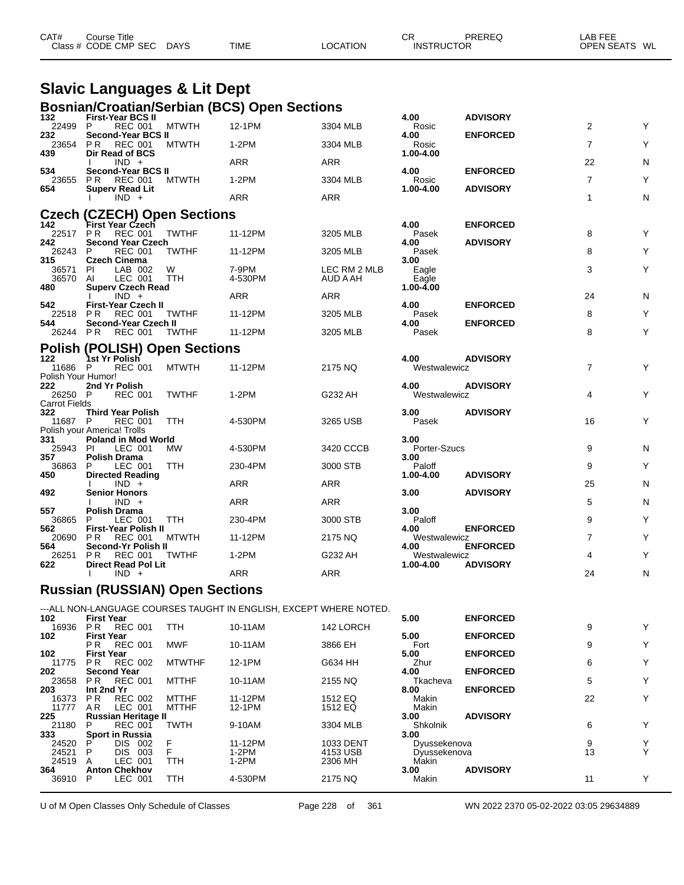| CAT# | Course Title<br>Class # CODE CMP SEC DAYS | TIME | LOCATION | СF<br><b>INSTRUCTOR</b> | PREREC | LAB FEE<br>OPEN SEATS | WL |
|------|-------------------------------------------|------|----------|-------------------------|--------|-----------------------|----|
|      |                                           |      |          |                         |        |                       |    |

### **Slavic Languages & Lit Dept Bosnian/Croatian/Serbian (BCS) Open Sections**

| 132                           | <br>, , , , , , , , , , ,<br><b>First-Year BCS II</b>     |              |                                                                    |                          | 4.00                 | <b>ADVISORY</b> |                |   |
|-------------------------------|-----------------------------------------------------------|--------------|--------------------------------------------------------------------|--------------------------|----------------------|-----------------|----------------|---|
| 22499 P                       | REC 001 MTWTH                                             |              | 12-1PM                                                             | 3304 MLB                 | Rosic                |                 | 2              | Υ |
| 232                           | Second-Year BCS II<br>23654 PR REC 001                    | <b>MTWTH</b> | $1-2PM$                                                            | 3304 MLB                 | 4.00<br>Rosic        | <b>ENFORCED</b> | $\overline{7}$ | Υ |
| 439                           | Dir Read of BCS<br>$IND +$                                |              | ARR                                                                | ARR                      | 1.00-4.00            |                 | 22             | N |
| 534<br>23655 PR               | Second-Year BCS II<br>REC 001                             | MTWTH        | $1-2PM$                                                            | 3304 MLB                 | 4.00<br>Rosic        | <b>ENFORCED</b> | $\overline{7}$ | Υ |
| 654                           | <b>Superv Read Lit</b><br>$IND +$                         |              | ARR                                                                | ARR                      | 1.00-4.00            | <b>ADVISORY</b> | $\mathbf{1}$   | N |
|                               | <b>Czech (CZECH) Open Sections</b>                        |              |                                                                    |                          |                      |                 |                |   |
| 142<br>22517                  | First Year Czech<br><b>PR REC 001</b>                     | <b>TWTHF</b> | 11-12PM                                                            | 3205 MLB                 | 4.00<br>Pasek        | <b>ENFORCED</b> | 8              | Υ |
| 242<br>26243                  | <b>Second Year Czech</b><br><b>REC 001</b><br>P           | <b>TWTHF</b> | 11-12PM                                                            | 3205 MLB                 | 4.00<br>Pasek        | <b>ADVISORY</b> | 8              | Y |
| 315                           | <b>Czech Cinema</b>                                       |              |                                                                    |                          | 3.00                 |                 |                |   |
| 36571 PI<br>36570 AI          | LAB 002<br>LEC 001                                        | W<br>TTH     | 7-9PM<br>4-530PM                                                   | LEC RM 2 MLB<br>AUD A AH | Eagle<br>Eagle       |                 | 3              | Y |
| 480                           | <b>Superv Czech Read</b><br>$IND +$                       |              | ARR                                                                | <b>ARR</b>               | 1.00-4.00            |                 | 24             | N |
| 542<br>22518 PR               | <b>First-Year Czech II</b><br><b>REC 001</b>              | TWTHF        | 11-12PM                                                            | 3205 MLB                 | 4.00<br>Pasek        | <b>ENFORCED</b> | 8              | Y |
| 544<br>26244 PR               | Second-Year Czech II<br><b>REC 001</b>                    | TWTHF        | 11-12PM                                                            | 3205 MLB                 | 4.00<br>Pasek        | <b>ENFORCED</b> | 8              | Υ |
|                               | <b>Polish (POLISH) Open Sections</b>                      |              |                                                                    |                          |                      |                 |                |   |
| 122                           | 1st Yr Polish                                             |              |                                                                    |                          | 4.00                 | <b>ADVISORY</b> |                |   |
| 11686 P<br>Polish Your Humor! | <b>REC 001</b>                                            | <b>MTWTH</b> | 11-12PM                                                            | 2175 NQ                  | Westwalewicz         |                 | $\overline{7}$ | Y |
| 222<br>26250 P                | 2nd Yr Polish<br><b>REC 001</b>                           | <b>TWTHF</b> | $1-2PM$                                                            | G232 AH                  | 4.00<br>Westwalewicz | <b>ADVISORY</b> | 4              | Y |
| <b>Carrot Fields</b><br>322   | <b>Third Year Polish</b>                                  |              |                                                                    |                          | 3.00                 | <b>ADVISORY</b> |                |   |
| 11687 P                       | <b>REC 001</b>                                            | TTH          | 4-530PM                                                            | 3265 USB                 | Pasek                |                 | 16             | Υ |
| 331                           | Polish your America! Trolls<br><b>Poland in Mod World</b> |              |                                                                    |                          | 3.00                 |                 |                |   |
| 25943 PI<br>357               | LEC 001<br><b>Polish Drama</b>                            | MW           | 4-530PM                                                            | 3420 CCCB                | Porter-Szucs<br>3.00 |                 | 9              | N |
| 36863<br>450                  | LEC 001<br>P.<br><b>Directed Reading</b>                  | <b>TTH</b>   | 230-4PM                                                            | 3000 STB                 | Paloff<br>1.00-4.00  | <b>ADVISORY</b> | 9              | Y |
| 492                           | $IND +$<br><b>Senior Honors</b>                           |              | ARR                                                                | ARR                      | 3.00                 | <b>ADVISORY</b> | 25             | N |
|                               | $IND +$                                                   |              | ARR                                                                | <b>ARR</b>               | 3.00                 |                 | 5              | N |
| 557<br>36865 P                | <b>Polish Drama</b><br>LEC 001 TTH                        |              | 230-4PM                                                            | 3000 STB                 | Paloff               |                 | 9              | Υ |
| 562<br>20690 PR               | <b>First-Year Polish II</b><br>REC 001                    | <b>MTWTH</b> | 11-12PM                                                            | 2175 NQ                  | 4.00<br>Westwalewicz | <b>ENFORCED</b> | $\overline{7}$ | Υ |
| 564<br>26251                  | Second-Yr Polish II<br><b>REC 001</b><br>P <sub>R</sub>   | <b>TWTHF</b> | $1-2PM$                                                            | G232 AH                  | 4.00<br>Westwalewicz | <b>ENFORCED</b> | 4              | Y |
| 622                           | <b>Direct Read Pol Lit</b><br>$IND +$<br>$\mathbf{I}$     |              | <b>ARR</b>                                                         | ARR                      | 1.00-4.00            | <b>ADVISORY</b> | 24             | N |
|                               | <b>Russian (RUSSIAN) Open Sections</b>                    |              |                                                                    |                          |                      |                 |                |   |
|                               |                                                           |              | ---ALL NON-LANGUAGE COURSES TAUGHT IN ENGLISH, EXCEPT WHERE NOTED. |                          |                      |                 |                |   |
| 102                           | <b>First Year</b><br>16936 PR REC 001 TTH                 |              | 10-11AM                                                            | 142 LORCH                | 5.00                 | <b>ENFORCED</b> | 9              | Υ |
| 102.                          | Eiret Voor                                                |              |                                                                    |                          | E OO                 | <b>ENEODOED</b> |                |   |

| 16936 | PR.               | REC 001                    | TTH           | 10-11AM | 142 LORCH |              |                 | 9  |  |
|-------|-------------------|----------------------------|---------------|---------|-----------|--------------|-----------------|----|--|
| 102   | <b>First Year</b> |                            |               |         |           | 5.00         | <b>ENFORCED</b> |    |  |
|       | PR.               | <b>REC 001</b>             | <b>MWF</b>    | 10-11AM | 3866 EH   | Fort         |                 | 9  |  |
| 102   | <b>First Year</b> |                            |               |         |           | 5.00         | <b>ENFORCED</b> |    |  |
| 11775 | PR.               | <b>REC 002</b>             | <b>MTWTHF</b> | 12-1PM  | G634 HH   | Zhur         |                 | 6  |  |
| 202   |                   | <b>Second Year</b>         |               |         |           | 4.00         | <b>ENFORCED</b> |    |  |
| 23658 |                   | <b>PR REC 001</b>          | MTTHF         | 10-11AM | 2155 NQ   | Tkacheva     |                 | 5  |  |
| 203   | Int 2nd Yr        |                            |               |         |           | 8.00         | <b>ENFORCED</b> |    |  |
| 16373 | P R               | <b>REC 002</b>             | <b>MTTHF</b>  | 11-12PM | 1512 EQ   | Makin        |                 | 22 |  |
| 11777 | AR.               | LEC 001                    | <b>MTTHF</b>  | 12-1PM  | 1512 EQ   | Makin        |                 |    |  |
| 225   |                   | <b>Russian Heritage II</b> |               |         |           | 3.00         | <b>ADVISORY</b> |    |  |
| 21180 | P                 | <b>REC 001</b>             | <b>TWTH</b>   | 9-10AM  | 3304 MLB  | Shkolnik     |                 | 6  |  |
| 333   |                   | <b>Sport in Russia</b>     |               |         |           | 3.00         |                 |    |  |
| 24520 |                   | <b>DIS</b><br>002          |               | 11-12PM | 1033 DENT | Dyussekenova |                 | 9  |  |
| 24521 | P                 | <b>DIS</b><br>003          |               | 1-2PM   | 4153 USB  | Dvussekenova |                 | 13 |  |
| 24519 |                   | LEC 001                    | TTH           | 1-2PM   | 2306 MH   | Makin        |                 |    |  |
| 364   |                   | <b>Anton Chekhov</b>       |               |         |           | 3.00         | <b>ADVISORY</b> |    |  |
| 36910 | P                 | LEC 001                    | TTH           | 4-530PM | 2175 NQ   | Makin        |                 | 11 |  |
|       |                   |                            |               |         |           |              |                 |    |  |

U of M Open Classes Only Schedule of Classes Page 228 of 361 WN 2022 2370 05-02-2022 03:05 29634889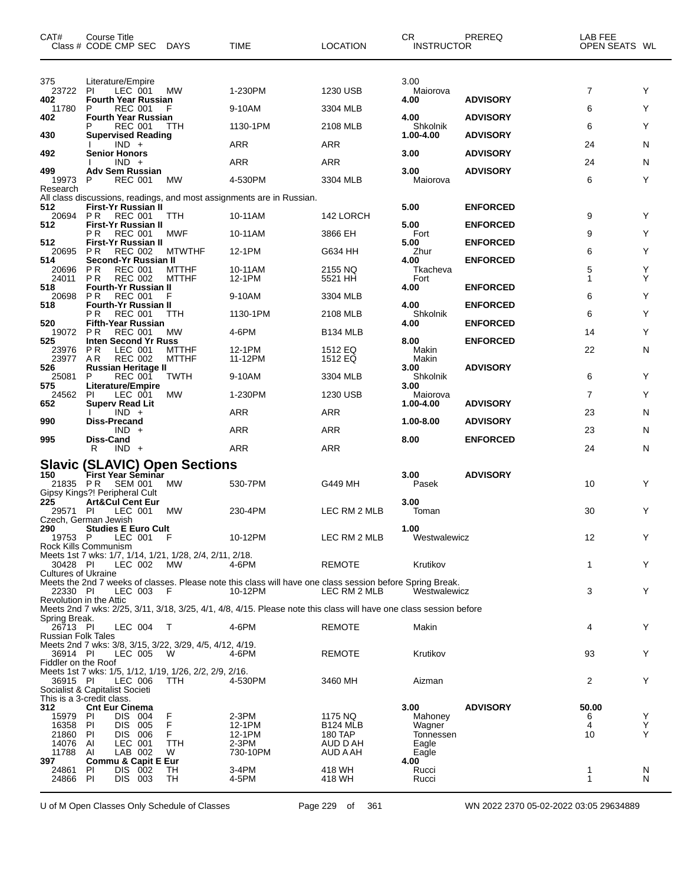| CAT#                                  | Course Title<br>Class # CODE CMP SEC DAYS                           |                              | TIME                                                                                                                 | <b>LOCATION</b>            | CR<br><b>INSTRUCTOR</b> | PREREQ          | LAB FEE<br>OPEN SEATS WL |        |
|---------------------------------------|---------------------------------------------------------------------|------------------------------|----------------------------------------------------------------------------------------------------------------------|----------------------------|-------------------------|-----------------|--------------------------|--------|
| 375<br>23722                          | Literature/Empire<br>-PI<br>LEC 001                                 | <b>MW</b>                    | 1-230PM                                                                                                              | 1230 USB                   | 3.00<br>Maiorova        |                 | $\overline{7}$           | Y      |
| 402<br>11780                          | <b>Fourth Year Russian</b><br>P<br><b>REC 001</b>                   | F                            | 9-10AM                                                                                                               | 3304 MLB                   | 4.00                    | <b>ADVISORY</b> | 6                        | Y      |
| 402                                   | <b>Fourth Year Russian</b><br>REC 001                               | <b>TTH</b>                   | 1130-1PM                                                                                                             | 2108 MLB                   | 4.00<br>Shkolnik        | <b>ADVISORY</b> | 6                        | Y      |
| 430                                   | <b>Supervised Reading</b><br>$IND +$                                |                              | ARR                                                                                                                  | ARR                        | 1.00-4.00               | <b>ADVISORY</b> | 24                       | N      |
| 492                                   | <b>Senior Honors</b>                                                |                              | ARR                                                                                                                  | ARR                        | 3.00                    | <b>ADVISORY</b> |                          |        |
| 499<br>19973                          | $IND +$<br><b>Adv Sem Russian</b><br><b>REC 001</b><br>P            | МW                           | 4-530PM                                                                                                              | 3304 MLB                   | 3.00<br>Maiorova        | <b>ADVISORY</b> | 24<br>6                  | N<br>Y |
| Research                              |                                                                     |                              | All class discussions, readings, and most assignments are in Russian.                                                |                            |                         |                 |                          |        |
| 512<br>20694                          | First-Yr Russian II<br>PR.<br>REC 001                               | TTH                          | 10-11AM                                                                                                              | 142 LORCH                  | 5.00                    | <b>ENFORCED</b> | 9                        | Y      |
| 512                                   | First-Yr Russian II<br><b>REC 001</b><br>РR                         | MWF                          | 10-11AM                                                                                                              | 3866 EH                    | 5.00<br>Fort            | <b>ENFORCED</b> | 9                        | Y      |
| 512<br>20695                          | First-Yr Russian II<br><b>REC 002</b><br>P R                        | <b>MTWTHF</b>                | 12-1PM                                                                                                               | G634 HH                    | 5.00<br>Zhur            | <b>ENFORCED</b> | 6                        | Y      |
| 514                                   | Second-Yr Russian II                                                |                              |                                                                                                                      |                            | 4.00                    | <b>ENFORCED</b> |                          |        |
| 20696<br>24011                        | <b>REC 001</b><br>P R<br>P R<br><b>REC 002</b>                      | <b>MTTHF</b><br><b>MTTHF</b> | 10-11AM<br>12-1PM                                                                                                    | 2155 NQ<br>5521 HH         | Tkacheva<br>Fort        |                 | 5<br>1                   | Y<br>Y |
| 518<br>20698                          | <b>Fourth-Yr Russian II</b><br>P R<br><b>REC 001</b>                | F                            | 9-10AM                                                                                                               | 3304 MLB                   | 4.00                    | <b>ENFORCED</b> | 6                        | Y      |
| 518                                   | <b>Fourth-Yr Russian II</b><br><b>REC 001</b><br>P R                | TTH                          | 1130-1PM                                                                                                             | 2108 MLB                   | 4.00<br>Shkolnik        | <b>ENFORCED</b> | 6                        | Y      |
| 520                                   | <b>Fifth-Year Russian</b>                                           |                              |                                                                                                                      |                            | 4.00                    | <b>ENFORCED</b> |                          |        |
| 19072<br>525                          | <b>REC 001</b><br><b>PR</b><br><b>Inten Second Yr Russ</b>          | МW                           | 4-6PM                                                                                                                | <b>B134 MLB</b>            | 8.00                    | <b>ENFORCED</b> | 14                       | Y      |
| 23976<br>23977                        | <b>PR</b><br>LEC 001<br>AR<br><b>REC 002</b>                        | MTTHF<br><b>MTTHF</b>        | 12-1PM<br>11-12PM                                                                                                    | 1512 EQ<br>1512 EQ         | Makin<br>Makin          |                 | 22                       | N      |
| 526<br>25081                          | Russian Heritage II<br>P<br>REC 001                                 | <b>TWTH</b>                  | 9-10AM                                                                                                               | 3304 MLB                   | 3.00<br>Shkolnik        | <b>ADVISORY</b> | 6                        | Y      |
| 575                                   | <b>Literature/Empire</b>                                            |                              |                                                                                                                      |                            | 3.00                    |                 |                          | Y      |
| 24562<br>652                          | LEC 001<br>PI.<br><b>Superv Read Lit</b>                            | <b>MW</b>                    | 1-230PM                                                                                                              | 1230 USB                   | Maiorova<br>1.00-4.00   | <b>ADVISORY</b> | 7                        |        |
| 990                                   | $IND +$<br>Diss-Precand                                             |                              | ARR                                                                                                                  | ARR                        | 1.00-8.00               | <b>ADVISORY</b> | 23                       | N      |
| 995                                   | $IND +$<br>Diss-Cand                                                |                              | ARR                                                                                                                  | ARR                        | 8.00                    | <b>ENFORCED</b> | 23                       | N      |
|                                       | $IND +$<br>R                                                        |                              | ARR                                                                                                                  | ARR                        |                         |                 | 24                       | N      |
| <b>Slavic</b>                         | (SLAVIC) Open Sections                                              |                              |                                                                                                                      |                            |                         |                 |                          |        |
| 150<br>21835 PR                       | First Year Séminar<br>SEM 001<br>Gipsy Kings?! Peripheral Cult      | МW                           | 530-7PM                                                                                                              | G449 MH                    | 3.00<br>Pasek           | <b>ADVISORY</b> | 10                       | Y      |
| 225<br>29571 PI                       | <b>Art&amp;Cul Cent Eur</b><br>LEC 001<br>Czech, German Jewish      | МW                           | 230-4PM                                                                                                              | LEC RM 2 MLB               | 3.00<br>Toman           |                 | 30                       | Y      |
| 290<br>19753 P                        | <b>Studies E Euro Cult</b><br>LEC 001 F<br>Rock Kills Communism     |                              | 10-12PM                                                                                                              | LEC RM 2 MLB               | 1.00<br>Westwalewicz    |                 | 12                       | Y      |
| 30428 PI<br>Cultures of Ukraine       | Meets 1st 7 wks: 1/7, 1/14, 1/21, 1/28, 2/4, 2/11, 2/18.<br>LEC 002 | MW.                          | 4-6PM                                                                                                                | <b>REMOTE</b>              | Krutikov                |                 | $\mathbf 1$              | Y      |
| 22330 PI<br>Revolution in the Attic   | LEC 003                                                             | - F                          | Meets the 2nd 7 weeks of classes. Please note this class will have one class session before Spring Break.<br>10-12PM | LEC RM 2 MLB               | Westwalewicz            |                 | 3                        | Y      |
| Spring Break.                         |                                                                     |                              | Meets 2nd 7 wks: 2/25, 3/11, 3/18, 3/25, 4/1, 4/8, 4/15. Please note this class will have one class session before   |                            |                         |                 |                          |        |
| 26713 PI                              | LEC 004 T                                                           |                              | 4-6PM                                                                                                                | <b>REMOTE</b>              | Makin                   |                 | 4                        | Y      |
| <b>Russian Folk Tales</b><br>36914 PI | Meets 2nd 7 wks: 3/8, 3/15, 3/22, 3/29, 4/5, 4/12, 4/19.<br>LEC 005 | <b>W</b>                     | 4-6PM                                                                                                                | <b>REMOTE</b>              | Krutikov                |                 | 93                       | Y      |
| Fiddler on the Roof<br>36915 PI       | Meets 1st 7 wks: 1/5, 1/12, 1/19, 1/26, 2/2, 2/9, 2/16.<br>LEC 006  | TTH.                         | 4-530PM                                                                                                              | 3460 MH                    | Aizman                  |                 | 2                        | Y      |
|                                       | Socialist & Capitalist Societi<br>This is a 3-credit class.         |                              |                                                                                                                      |                            |                         |                 |                          |        |
| 312<br>15979 PI                       | <b>Cnt Eur Cinema</b><br>DIS 004                                    | F                            | $2-3PM$                                                                                                              | 1175 NQ                    | 3.00<br>Mahoney         | <b>ADVISORY</b> | 50.00<br>6               | Y      |
| 16358<br>21860 PI                     | PI<br>DIS 005<br>DIS 006                                            | F<br>F.                      | 12-1PM<br>12-1PM                                                                                                     | <b>B124 MLB</b><br>180 TAP | Wagner<br>Tonnessen     |                 | 4<br>10                  | Y<br>Y |
| 14076 AI                              | LEC 001                                                             | TTH                          | 2-3PM                                                                                                                | AUD D AH                   | Eagle                   |                 |                          |        |
| 11788<br>397                          | Al<br>LAB 002<br><b>Commu &amp; Capit E Eur</b>                     | W                            | 730-10PM                                                                                                             | AUD A AH                   | Eagle<br>4.00           |                 |                          |        |
| 24861<br>24866                        | DIS 002<br>PI.<br>PI<br>DIS 003                                     | TH<br>TH                     | 3-4PM<br>4-5PM                                                                                                       | 418 WH<br>418 WH           | Rucci<br>Rucci          |                 | 1<br>$\mathbf{1}$        | N<br>N |

U of M Open Classes Only Schedule of Classes Page 229 of 361 WN 2022 2370 05-02-2022 03:05 29634889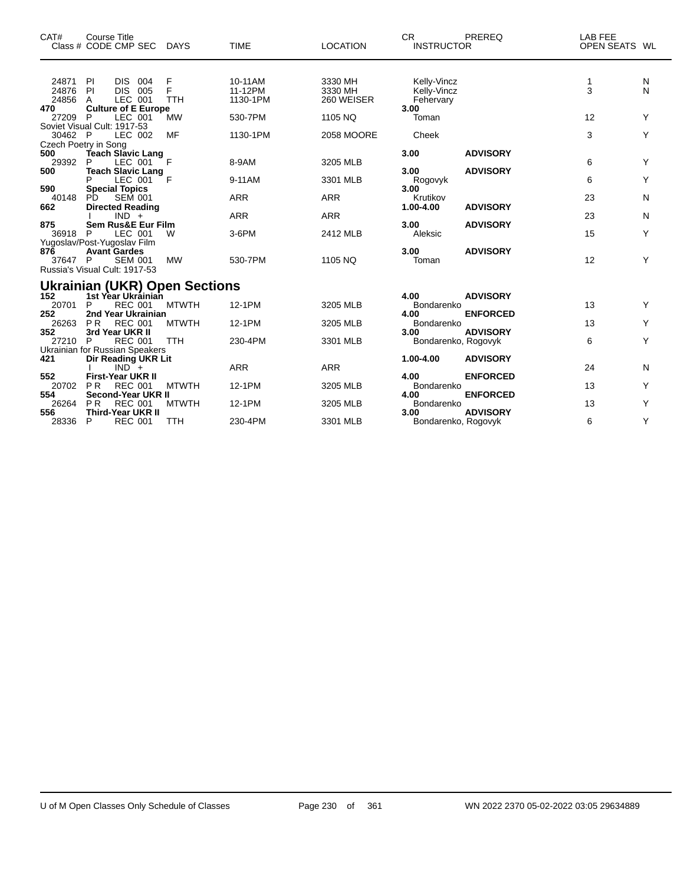| CAT#                    | <b>Course Title</b><br>Class # CODE CMP SEC DAYS                                                      |                      | <b>TIME</b>                    | <b>LOCATION</b>                  | CR.<br><b>INSTRUCTOR</b>                | PREREQ                             | LAB FEE<br>OPEN SEATS WL |        |
|-------------------------|-------------------------------------------------------------------------------------------------------|----------------------|--------------------------------|----------------------------------|-----------------------------------------|------------------------------------|--------------------------|--------|
| 24871<br>24876<br>24856 | - PI<br>DIS 004<br><b>DIS</b><br>PI<br>005<br>LEC 001<br>A                                            | F<br>F<br><b>TTH</b> | 10-11AM<br>11-12PM<br>1130-1PM | 3330 MH<br>3330 MH<br>260 WEISER | Kelly-Vincz<br>Kelly-Vincz<br>Fehervary |                                    | 1<br>3                   | N<br>N |
| 470<br>27209            | <b>Culture of E Europe</b><br>P<br>LEC 001<br>Soviet Visual Cult: 1917-53                             | <b>MW</b>            | 530-7PM                        | 1105 NQ                          | 3.00<br>Toman                           |                                    | 12                       | Y      |
| 30462 P                 | LEC 002<br>Czech Poetry in Song                                                                       | <b>MF</b>            | 1130-1PM                       | <b>2058 MOORE</b>                | Cheek                                   |                                    | 3                        | Y      |
| 500<br>29392<br>500     | <b>Teach Slavic Lang</b><br>P<br>LEC 001<br><b>Teach Slavic Lang</b>                                  | - F                  | 8-9AM                          | 3205 MLB                         | 3.00<br>3.00                            | <b>ADVISORY</b><br><b>ADVISORY</b> | 6                        | Υ      |
| 590                     | LEC 001<br>P<br><b>Special Topics</b>                                                                 | F                    | 9-11AM                         | 3301 MLB                         | Rogovyk<br>3.00                         |                                    | 6                        | Υ      |
| 40148<br>662            | PD.<br><b>SEM 001</b><br><b>Directed Reading</b>                                                      |                      | <b>ARR</b>                     | <b>ARR</b>                       | Krutikov<br>1.00-4.00                   | <b>ADVISORY</b>                    | 23                       | N      |
| 875                     | $IND +$<br><b>Sem Rus&amp;E Eur Film</b>                                                              |                      | <b>ARR</b>                     | <b>ARR</b>                       | 3.00                                    | <b>ADVISORY</b>                    | 23                       | N      |
| 36918 P                 | LEC 001                                                                                               | W                    | 3-6PM                          | 2412 MLB                         | Aleksic                                 |                                    | 15                       | Υ      |
| 876<br>37647 P          | Yugoslav/Post-Yugoslav Film<br><b>Avant Gardes</b><br><b>SEM 001</b><br>Russia's Visual Cult: 1917-53 | <b>MW</b>            | 530-7PM                        | 1105 NQ                          | 3.00<br>Toman                           | <b>ADVISORY</b>                    | 12                       | Y      |
|                         | <b>Ukrainian (UKR) Open Sections</b>                                                                  |                      |                                |                                  |                                         |                                    |                          |        |
| 152<br>20701<br>252     | 1st Year Ukrainian<br>P<br><b>REC 001</b><br>2nd Year Ukrainian                                       | <b>MTWTH</b>         | 12-1PM                         | 3205 MLB                         | 4.00<br>Bondarenko<br>4.00              | <b>ADVISORY</b><br><b>ENFORCED</b> | 13                       | Υ      |
| 26263<br>352            | <b>PR</b><br><b>REC 001</b><br>3rd Year UKR II                                                        | <b>MTWTH</b>         | 12-1PM                         | 3205 MLB                         | Bondarenko<br>3.00                      | <b>ADVISORY</b>                    | 13                       | Y      |
| 27210                   | <b>REC 001</b><br>P                                                                                   | <b>TTH</b>           | 230-4PM                        | 3301 MLB                         | Bondarenko, Rogovyk                     |                                    | 6                        | Y      |
| 421                     | Ukrainian for Russian Speakers<br>Dir Reading UKR Lit<br>$IND^-$ +                                    |                      | <b>ARR</b>                     | <b>ARR</b>                       | 1.00-4.00                               | <b>ADVISORY</b>                    | 24                       | N      |
| 552<br>20702<br>554     | <b>First-Year UKR II</b><br><b>PR</b><br><b>REC 001</b><br>Second-Year UKR II                         | <b>MTWTH</b>         | 12-1PM                         | 3205 MLB                         | 4.00<br>Bondarenko<br>4.00              | <b>ENFORCED</b><br><b>ENFORCED</b> | 13                       | Υ      |
| 26264<br>556            | <b>REC 001</b><br><b>PR</b><br>Third-Year UKR II                                                      | <b>MTWTH</b>         | 12-1PM                         | 3205 MLB                         | Bondarenko<br>3.00                      | <b>ADVISORY</b>                    | 13                       | Υ      |
| 28336                   | P<br><b>REC 001</b>                                                                                   | <b>TTH</b>           | 230-4PM                        | 3301 MLB                         | Bondarenko, Rogovyk                     |                                    | 6                        | Y      |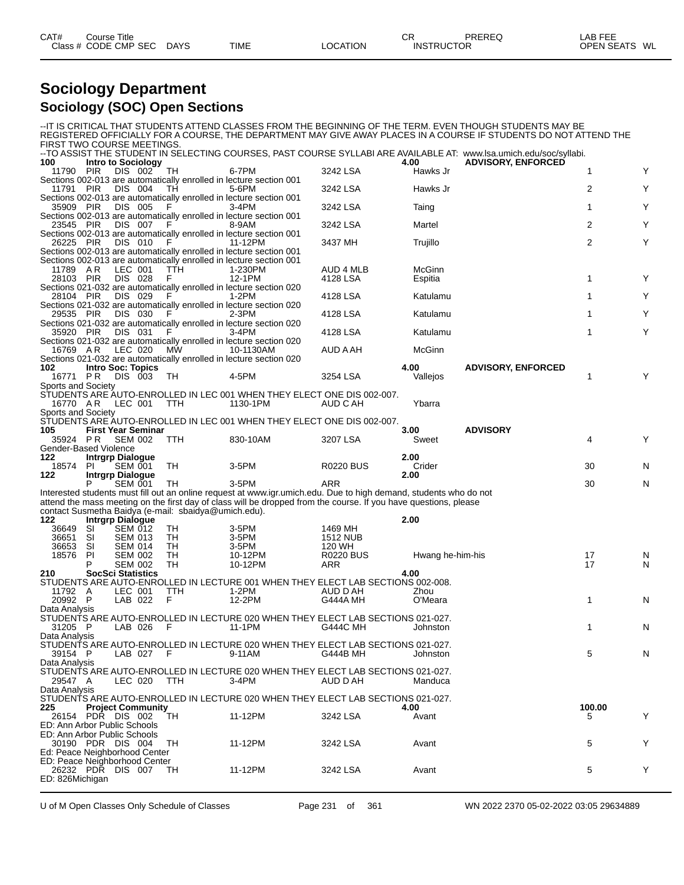| CAT#<br>Title<br>Course |             |             |          | ⌒冖<br>◡◚ | PREREQ            | _AB FEE                 |
|-------------------------|-------------|-------------|----------|----------|-------------------|-------------------------|
| Class # CODE CMP SEC    | <b>DAYS</b> | <b>TIME</b> | LOCATION |          | <b>INSTRUCTOR</b> | <b>OPEN SEATS</b><br>WL |

## **Sociology Department Sociology (SOC) Open Sections**

| FIRST TWO COURSE MEETINGS.           |                                  |                                    |     |                                                      |                                                                                                                                          |                              |                   | -IT IS CRITICAL THAT STUDENTS ATTEND CLASSES FROM THE BEGINNING OF THE TERM. EVEN THOUGH STUDENTS MAY BE<br>REGISTERED OFFICIALLY FOR A COURSE, THE DEPARTMENT MAY GIVE AWAY PLACES IN A COURSE IF STUDENTS DO NOT ATTEND THE |                |   |
|--------------------------------------|----------------------------------|------------------------------------|-----|------------------------------------------------------|------------------------------------------------------------------------------------------------------------------------------------------|------------------------------|-------------------|-------------------------------------------------------------------------------------------------------------------------------------------------------------------------------------------------------------------------------|----------------|---|
|                                      |                                  |                                    |     |                                                      |                                                                                                                                          |                              |                   | --TO ASSIST THE STUDENT IN SELECTING COURSES, PAST COURSE SYLLABI ARE AVAILABLE AT: www.lsa.umich.edu/soc/syllabi.                                                                                                            |                |   |
| 100<br>11790                         | <b>Intro to Sociology</b><br>PIR | DIS 002                            |     | TH                                                   | 6-7PM                                                                                                                                    | 3242 LSA                     | 4.00<br>Hawks Jr  | <b>ADVISORY, ENFORCED</b>                                                                                                                                                                                                     | 1              | Y |
| 11791 PIR                            |                                  | DIS 004                            |     | TH                                                   | Sections 002-013 are automatically enrolled in lecture section 001<br>5-6PM                                                              | 3242 LSA                     | Hawks Jr          |                                                                                                                                                                                                                               | 2              | Υ |
| 35909 PIR                            |                                  | DIS 005                            |     | F                                                    | Sections 002-013 are automatically enrolled in lecture section 001<br>$3-4PM$                                                            | 3242 LSA                     | Taing             |                                                                                                                                                                                                                               | $\mathbf{1}$   | Y |
| 23545 PIR                            |                                  | DIS 007                            |     | F                                                    | Sections 002-013 are automatically enrolled in lecture section 001<br>8-9AM                                                              | 3242 LSA                     | Martel            |                                                                                                                                                                                                                               | $\overline{2}$ | Y |
| 26225 PIR                            |                                  | DIS 010                            | - F |                                                      | Sections 002-013 are automatically enrolled in lecture section 001<br>11-12PM                                                            | 3437 MH                      | Trujillo          |                                                                                                                                                                                                                               | $\overline{2}$ | Υ |
|                                      |                                  |                                    |     |                                                      | Sections 002-013 are automatically enrolled in lecture section 001<br>Sections 002-013 are automatically enrolled in lecture section 001 |                              |                   |                                                                                                                                                                                                                               |                |   |
| 11789 AR<br>28103 PIR                |                                  | LEC 001<br><b>DIS 028</b>          |     | <b>TTH</b><br>F.                                     | 1-230PM<br>12-1PM<br>Sections 021-032 are automatically enrolled in lecture section 020                                                  | <b>AUD 4 MLB</b><br>4128 LSA | McGinn<br>Espitia |                                                                                                                                                                                                                               | 1              | Y |
| 28104 PIR                            |                                  | DIS 029                            |     | F                                                    | $1-2PM$<br>Sections 021-032 are automatically enrolled in lecture section 020                                                            | 4128 LSA                     | Katulamu          |                                                                                                                                                                                                                               | 1              | Y |
| 29535 PIR                            |                                  | DIS 030                            |     | F                                                    | $2-3PM$<br>Sections 021-032 are automatically enrolled in lecture section 020                                                            | 4128 LSA                     | Katulamu          |                                                                                                                                                                                                                               | $\mathbf{1}$   | Y |
| 35920 PIR                            |                                  | DIS 031                            |     | F                                                    | $3-4PM$<br>Sections 021-032 are automatically enrolled in lecture section 020                                                            | 4128 LSA                     | Katulamu          |                                                                                                                                                                                                                               | $\mathbf{1}$   | Υ |
| 16769 A.R                            |                                  | LEC 020                            |     | MW                                                   | 10-1130AM                                                                                                                                | AUD A AH                     | McGinn            |                                                                                                                                                                                                                               |                |   |
| 102                                  | <b>Intro Soc: Topics</b>         |                                    |     |                                                      | Sections 021-032 are automatically enrolled in lecture section 020                                                                       |                              | 4.00              | <b>ADVISORY, ENFORCED</b>                                                                                                                                                                                                     |                |   |
| 16771 PR                             |                                  | DIS 003                            |     | TH                                                   | 4-5PM                                                                                                                                    | 3254 LSA                     | Vallejos          |                                                                                                                                                                                                                               | 1              | Y |
| Sports and Society                   |                                  |                                    |     |                                                      |                                                                                                                                          |                              |                   |                                                                                                                                                                                                                               |                |   |
| 16770 AR                             |                                  | LEC 001                            |     | TTH                                                  | STUDENTS ARE AUTO-ENROLLED IN LEC 001 WHEN THEY ELECT ONE DIS 002-007.<br>1130-1PM                                                       | AUD C AH                     | Ybarra            |                                                                                                                                                                                                                               |                |   |
| Sports and Society                   |                                  |                                    |     |                                                      |                                                                                                                                          |                              |                   |                                                                                                                                                                                                                               |                |   |
|                                      |                                  |                                    |     |                                                      | STUDENTS ARE AUTO-ENROLLED IN LEC 001 WHEN THEY ELECT ONE DIS 002-007.                                                                   |                              |                   |                                                                                                                                                                                                                               |                |   |
| 105                                  |                                  | <b>First Year Seminar</b>          |     |                                                      |                                                                                                                                          |                              | 3.00              | <b>ADVISORY</b>                                                                                                                                                                                                               |                |   |
| 35924 PR<br>Gender-Based Violence    |                                  | <b>SEM 002</b>                     |     | TTH                                                  | 830-10AM                                                                                                                                 | 3207 LSA                     | Sweet             |                                                                                                                                                                                                                               | 4              | Y |
| 122                                  | <b>Intrgrp Dialogue</b>          |                                    |     |                                                      |                                                                                                                                          |                              | 2.00              |                                                                                                                                                                                                                               |                |   |
| 18574<br>122                         | PI.                              | SEM 001<br><b>Intrgrp Dialogue</b> |     | TH                                                   | 3-5PM                                                                                                                                    | <b>R0220 BUS</b>             | Crider<br>2.00    |                                                                                                                                                                                                                               | 30             | N |
|                                      | Р                                | <b>SEM 001</b>                     |     | TH                                                   | $3-5$ PM                                                                                                                                 | ARR                          |                   |                                                                                                                                                                                                                               | 30             | N |
|                                      |                                  |                                    |     |                                                      | Interested students must fill out an online request at www.igr.umich.edu. Due to high demand, students who do not                        |                              |                   |                                                                                                                                                                                                                               |                |   |
|                                      |                                  |                                    |     |                                                      | attend the mass meeting on the first day of class will be dropped from the course. If you have questions, please                         |                              |                   |                                                                                                                                                                                                                               |                |   |
| 122                                  | <b>Intrgrp Dialogue</b>          |                                    |     | contact Susmetha Baidya (e-mail: sbaidya@umich.edu). |                                                                                                                                          |                              | 2.00              |                                                                                                                                                                                                                               |                |   |
| 36649                                | SI                               | <b>SEM 012</b>                     |     | TH                                                   | 3-5PM                                                                                                                                    | 1469 MH                      |                   |                                                                                                                                                                                                                               |                |   |
| 36651                                | SI                               | <b>SEM 013</b>                     |     | TH                                                   | 3-5PM                                                                                                                                    | <b>1512 NUB</b>              |                   |                                                                                                                                                                                                                               |                |   |
| 36653                                | SI                               | <b>SEM 014</b>                     |     | TН                                                   | 3-5PM                                                                                                                                    | 120 WH                       |                   |                                                                                                                                                                                                                               |                |   |
| 18576                                | PI.                              | <b>SEM 002</b>                     |     | TН                                                   | 10-12PM                                                                                                                                  | <b>R0220 BUS</b>             | Hwang he-him-his  |                                                                                                                                                                                                                               | 17             | N |
|                                      | P                                | <b>SEM 002</b>                     |     | TН                                                   | 10-12PM                                                                                                                                  | ARR                          |                   |                                                                                                                                                                                                                               | 17             | N |
| 210                                  |                                  | <b>SocSci Statistics</b>           |     |                                                      |                                                                                                                                          |                              | 4.00              |                                                                                                                                                                                                                               |                |   |
|                                      |                                  |                                    |     |                                                      | STUDENTS ARE AUTO-ENROLLED IN LECTURE 001 WHEN THEY ELECT LAB SECTIONS 002-008.                                                          |                              |                   |                                                                                                                                                                                                                               |                |   |
| 11792 A<br>20992 P                   |                                  | LEC 001<br>LAB 022                 |     | TTH<br>F                                             | 1-2PM<br>12-2PM                                                                                                                          | AUD D AH<br>G444A MH         | Zhou<br>O'Meara   |                                                                                                                                                                                                                               | 1              | N |
| Data Analysis                        |                                  |                                    |     |                                                      |                                                                                                                                          |                              |                   |                                                                                                                                                                                                                               |                |   |
|                                      |                                  |                                    |     |                                                      | STUDENTS ARE AUTO-ENROLLED IN LECTURE 020 WHEN THEY ELECT LAB SECTIONS 021-027.                                                          |                              |                   |                                                                                                                                                                                                                               |                |   |
| 31205 P                              |                                  | LAB 026                            |     |                                                      | 11-1PM                                                                                                                                   | G444C MH                     | Johnston          |                                                                                                                                                                                                                               | 1              | N |
| Data Analysis                        |                                  |                                    |     |                                                      |                                                                                                                                          |                              |                   |                                                                                                                                                                                                                               |                |   |
|                                      |                                  |                                    |     |                                                      | STUDENTS ARE AUTO-ENROLLED IN LECTURE 020 WHEN THEY ELECT LAB SECTIONS 021-027.                                                          |                              |                   |                                                                                                                                                                                                                               |                |   |
| 39154 P                              |                                  | LAB 027 F                          |     |                                                      | 9-11AM                                                                                                                                   | G444B MH                     | Johnston          |                                                                                                                                                                                                                               | 5              | N |
| Data Analysis                        |                                  |                                    |     |                                                      |                                                                                                                                          |                              |                   |                                                                                                                                                                                                                               |                |   |
|                                      |                                  |                                    |     |                                                      | STUDENTS ARE AUTO-ENROLLED IN LECTURE 020 WHEN THEY ELECT LAB SECTIONS 021-027.                                                          |                              |                   |                                                                                                                                                                                                                               |                |   |
| 29547 A<br>Data Analysis             |                                  | LEC 020                            |     | TTH                                                  | 3-4PM                                                                                                                                    | AUD D AH                     | Manduca           |                                                                                                                                                                                                                               |                |   |
|                                      |                                  |                                    |     |                                                      | STUDENTS ARE AUTO-ENROLLED IN LECTURE 020 WHEN THEY ELECT LAB SECTIONS 021-027.                                                          |                              |                   |                                                                                                                                                                                                                               |                |   |
| 225                                  |                                  | <b>Project Community</b>           |     |                                                      |                                                                                                                                          |                              | 4.00              |                                                                                                                                                                                                                               | 100.00         |   |
| 26154 PDR DIS 002                    |                                  |                                    |     | TH                                                   | 11-12PM                                                                                                                                  | 3242 LSA                     | Avant             |                                                                                                                                                                                                                               | 5              | Y |
| ED: Ann Arbor Public Schools         |                                  |                                    |     |                                                      |                                                                                                                                          |                              |                   |                                                                                                                                                                                                                               |                |   |
| ED: Ann Arbor Public Schools         |                                  |                                    |     |                                                      |                                                                                                                                          |                              |                   |                                                                                                                                                                                                                               |                |   |
| 30190 PDR DIS 004                    |                                  |                                    |     | TН                                                   | 11-12PM                                                                                                                                  | 3242 LSA                     | Avant             |                                                                                                                                                                                                                               | 5              | Y |
| Ed: Peace Neighborhood Center        |                                  |                                    |     |                                                      |                                                                                                                                          |                              |                   |                                                                                                                                                                                                                               |                |   |
| ED: Peace Neighborhood Center        |                                  |                                    |     |                                                      |                                                                                                                                          |                              |                   |                                                                                                                                                                                                                               |                |   |
| 26232 PDR DIS 007<br>ED: 826Michigan |                                  |                                    |     | TН                                                   | 11-12PM                                                                                                                                  | 3242 LSA                     | Avant             |                                                                                                                                                                                                                               | 5              | Y |
|                                      |                                  |                                    |     |                                                      |                                                                                                                                          |                              |                   |                                                                                                                                                                                                                               |                |   |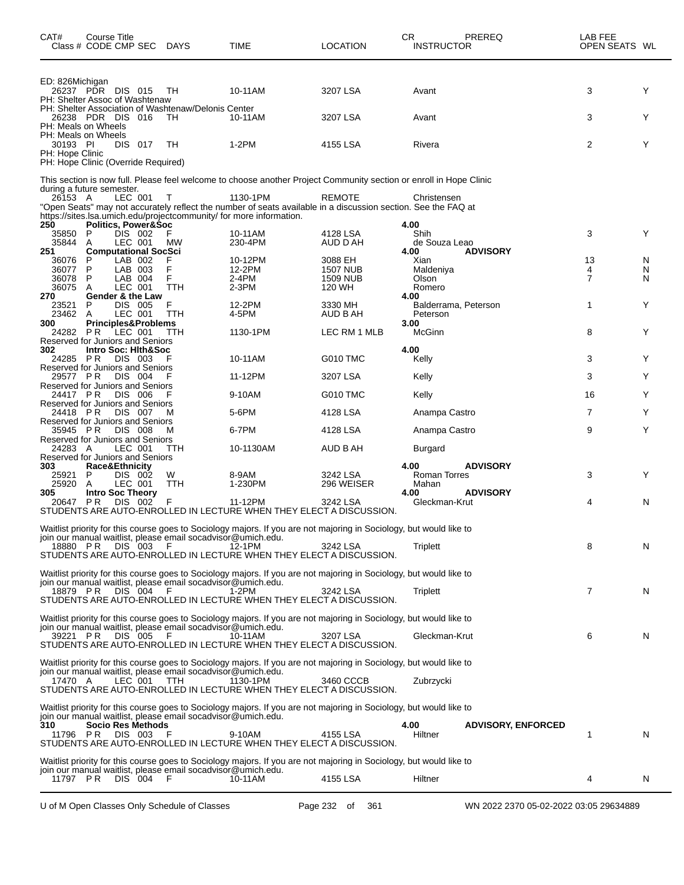| CAT#                             | Course Title<br>Class # CODE CMP SEC DAYS                                                                   |                                          |                                                                            | TIME                                                                                                                                                                                                   | <b>LOCATION</b>                                  | СR<br><b>INSTRUCTOR</b>                      | PREREQ                             | LAB FEE<br>OPEN SEATS WL  |             |
|----------------------------------|-------------------------------------------------------------------------------------------------------------|------------------------------------------|----------------------------------------------------------------------------|--------------------------------------------------------------------------------------------------------------------------------------------------------------------------------------------------------|--------------------------------------------------|----------------------------------------------|------------------------------------|---------------------------|-------------|
| ED: 826Michigan                  | 26237 PDR DIS 015<br>PH: Shelter Assoc of Washtenaw                                                         |                                          | TН                                                                         | 10-11AM                                                                                                                                                                                                | 3207 LSA                                         | Avant                                        |                                    | 3                         | Y           |
|                                  | 26238 PDR DIS 016<br>PH: Meals on Wheels                                                                    |                                          | PH: Shelter Association of Washtenaw/Delonis Center<br>TH                  | 10-11AM                                                                                                                                                                                                | 3207 LSA                                         | Avant                                        |                                    | 3                         | Y           |
| 30193 PI<br>PH: Hope Clinic      | PH: Meals on Wheels                                                                                         | DIS 017                                  | TН                                                                         | $1-2PM$                                                                                                                                                                                                | 4155 LSA                                         | Rivera                                       |                                    | 2                         | Y           |
|                                  | PH: Hope Clinic (Override Required)<br>during a future semester.                                            |                                          |                                                                            | This section is now full. Please feel welcome to choose another Project Community section or enroll in Hope Clinic                                                                                     |                                                  |                                              |                                    |                           |             |
| 26153 A                          |                                                                                                             | LEC 001                                  | т                                                                          | 1130-1PM<br>"Open Seats" may not accurately reflect the number of seats available in a discussion section. See the FAQ at<br>https://sites.lsa.umich.edu/projectcommunity/ for more information.       | REMOTE                                           | Christensen                                  |                                    |                           |             |
| 250<br>35850<br>35844<br>251     | <b>Politics, Power&amp;Soc</b><br>P<br>A<br><b>Computational SocSci</b>                                     | DIS 002<br>LEC 001                       | F<br>MW                                                                    | 10-11AM<br>230-4PM                                                                                                                                                                                     | 4128 LSA<br>AUD D AH                             | 4.00<br>Shih<br>de Souza Leao<br>4.00        | <b>ADVISORY</b>                    | 3                         | Y           |
| 36076<br>36077<br>36078<br>36075 | P<br>P<br>P<br>A                                                                                            | LAB 002<br>LAB 003<br>LAB 004<br>LEC 001 | F<br>F<br>F<br>TTH                                                         | 10-12PM<br>12-2PM<br>2-4PM<br>$2-3PM$                                                                                                                                                                  | 3088 EH<br>1507 NUB<br><b>1509 NUB</b><br>120 WH | Xian<br>Maldeniya<br>Olson<br>Romero         |                                    | 13<br>4<br>$\overline{7}$ | N<br>N<br>N |
| 270<br>23521<br>23462            | <b>Gender &amp; the Law</b><br>P<br>A                                                                       | DIS 005<br>LEC 001                       | F<br>TTH                                                                   | 12-2PM<br>4-5PM                                                                                                                                                                                        | 3330 MH<br>AUD B AH                              | 4.00<br>Balderrama, Peterson<br>Peterson     |                                    | 1                         | Y           |
| 300<br>24282<br>302              | <b>Principles&amp;Problems</b><br>PR.<br>LEC 001<br>Reserved for Juniors and Seniors<br>Intro Soc: Hith&Soc |                                          | <b>TTH</b>                                                                 | 1130-1PM                                                                                                                                                                                               | LEC RM 1 MLB                                     | 3.00<br>McGinn<br>4.00                       |                                    | 8                         | Y           |
| 24285 PR<br>29577 PR             | Reserved for Juniors and Seniors                                                                            | DIS 003<br>DIS 004                       | F<br>F                                                                     | 10-11AM<br>11-12PM                                                                                                                                                                                     | G010 TMC<br>3207 LSA                             | Kelly                                        |                                    | 3<br>3                    | Y<br>Y      |
| 24417 PR                         | Reserved for Juniors and Seniors                                                                            | DIS 006                                  |                                                                            | 9-10AM                                                                                                                                                                                                 | <b>G010 TMC</b>                                  | Kelly<br>Kelly                               |                                    | 16                        | Y           |
| 24418 PR                         | Reserved for Juniors and Seniors                                                                            | DIS 007                                  | м                                                                          | 5-6PM                                                                                                                                                                                                  | 4128 LSA                                         | Anampa Castro                                |                                    | 7                         | Y           |
| 35945 PR                         | Reserved for Juniors and Seniors<br>Reserved for Juniors and Seniors                                        | <b>DIS 008</b>                           | м                                                                          | 6-7PM                                                                                                                                                                                                  | 4128 LSA                                         | Anampa Castro                                |                                    | 9                         | Y           |
| 24283 A                          | Reserved for Juniors and Seniors                                                                            | LEC 001                                  | TTH                                                                        | 10-1130AM                                                                                                                                                                                              | AUD B AH                                         | Burgard                                      |                                    |                           |             |
| 303<br>25921<br>25920<br>305     | Race&Ethnicity<br>P<br>A<br><b>Intro Soc Theory</b>                                                         | DIS 002<br>LEC 001                       | W<br>TTH                                                                   | 8-9AM<br>1-230PM                                                                                                                                                                                       | 3242 LSA<br>296 WEISER                           | 4.00<br><b>Roman Torres</b><br>Mahan<br>4.00 | <b>ADVISORY</b><br><b>ADVISORY</b> | 3                         | Y           |
| 20647                            | <b>PR</b>                                                                                                   | DIS 002                                  | F                                                                          | 11-12PM<br>STUDENTS ARE AUTO-ENROLLED IN LECTURE WHEN THEY ELECT A DISCUSSION.                                                                                                                         | 3242 LSA                                         | Gleckman-Krut                                |                                    | 4                         | N           |
| 18880 PR                         |                                                                                                             | DIS 003                                  | join our manual waitlist, please email socadvisor@umich.edu.<br>F          | Waitlist priority for this course goes to Sociology majors. If you are not majoring in Sociology, but would like to<br>12-1PM<br>STUDENTS ARE AUTO-ENROLLED IN LECTURE WHEN THEY ELECT A DISCUSSION.   | 3242 LSA                                         | Triplett                                     |                                    | 8                         | N           |
| 18879 PR                         | DIS 004                                                                                                     |                                          | join our manual waitlist, please email socadvisor@umich.edu.<br>- F        | Waitlist priority for this course goes to Sociology majors. If you are not majoring in Sociology, but would like to<br>1-2PM<br>STUDENTS ARE AUTO-ENROLLED IN LECTURE WHEN THEY ELECT A DISCUSSION.    | 3242 LSA                                         | Triplett                                     |                                    | 7                         | N           |
|                                  | 39221 PR DIS 005                                                                                            |                                          | join our manual waitlist, please email socadvisor@umich.edu.<br>- F        | Waitlist priority for this course goes to Sociology majors. If you are not majoring in Sociology, but would like to<br>10-11AM<br>STUDENTS ARE AUTO-ENROLLED IN LECTURE WHEN THEY ELECT A DISCUSSION.  | 3207 LSA                                         | Gleckman-Krut                                |                                    | 6                         | N           |
| 17470 A                          |                                                                                                             | LEC 001                                  | join our manual waitlist, please email socadvisor@umich.edu.<br><b>TTH</b> | Waitlist priority for this course goes to Sociology majors. If you are not majoring in Sociology, but would like to<br>1130-1PM<br>STUDENTS ARE AUTO-ENROLLED IN LECTURE WHEN THEY ELECT A DISCUSSION. | 3460 CCCB                                        | Zubrzycki                                    |                                    |                           |             |
| 310<br>11796 PR                  | Socio Res Methods                                                                                           | DIS 003                                  | join our manual waitlist, please email socadvisor@umich.edu.<br>F          | Waitlist priority for this course goes to Sociology majors. If you are not majoring in Sociology, but would like to<br>9-10AM<br>STUDENTS ARE AUTO-ENROLLED IN LECTURE WHEN THEY ELECT A DISCUSSION.   | 4155 LSA                                         | 4.00<br>Hiltner                              | <b>ADVISORY, ENFORCED</b>          | 1                         | N           |
| 11797 PR                         |                                                                                                             | DIS 004 F                                | join our manual waitlist, please email socadvisor@umich.edu.               | Waitlist priority for this course goes to Sociology majors. If you are not majoring in Sociology, but would like to<br>10-11AM                                                                         | 4155 LSA                                         | Hiltner                                      |                                    | 4                         | N.          |
|                                  |                                                                                                             |                                          |                                                                            |                                                                                                                                                                                                        |                                                  |                                              |                                    |                           |             |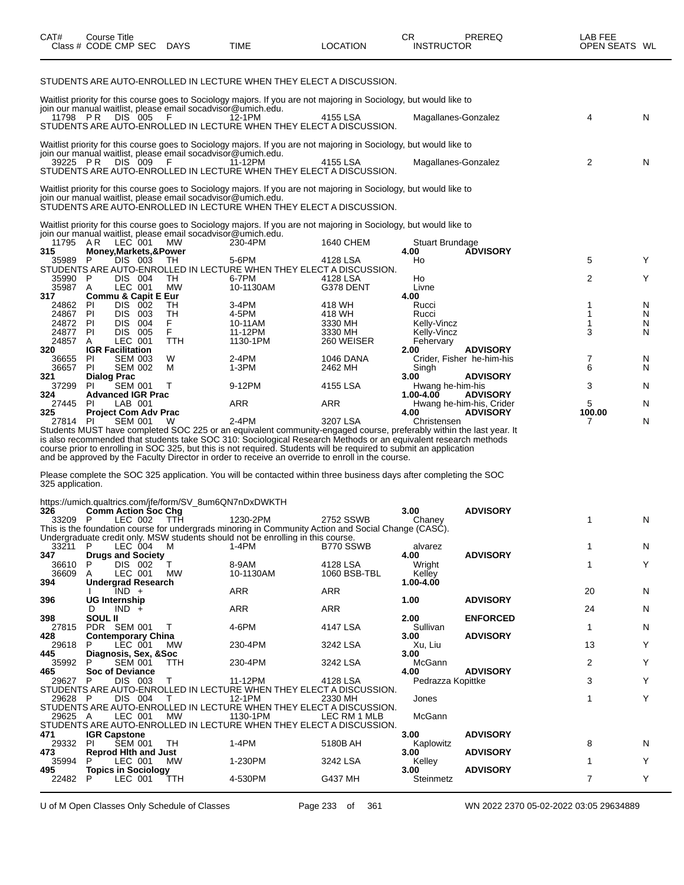| CAT#                 | Course Title |             |             |          | ∩г<br>◡┌          | PREREQ | _AB FEF           |    |
|----------------------|--------------|-------------|-------------|----------|-------------------|--------|-------------------|----|
| Class # CODE CMP SEC |              | <b>DAYS</b> | <b>TIME</b> | ∟OCATION | <b>INSTRUCTOR</b> |        | <b>OPEN SEATS</b> | WL |

STUDENTS ARE AUTO-ENROLLED IN LECTURE WHEN THEY ELECT A DISCUSSION.

| 325<br>27814     | PI.                | <b>Project Com Adv Prac</b><br><b>SEM 001</b> |            | W          | 2-4PM                                                                                                                                                                               | 3207 LSA          | 4.00<br><b>ADVISORY</b><br>Christensen               | 100.00<br>7 | N      |
|------------------|--------------------|-----------------------------------------------|------------|------------|-------------------------------------------------------------------------------------------------------------------------------------------------------------------------------------|-------------------|------------------------------------------------------|-------------|--------|
| 27445            | PI                 | LAB 001                                       |            |            | <b>ARR</b>                                                                                                                                                                          | <b>ARR</b>        | Hwang he-him-his, Crider                             | 5           | N      |
| 37299<br>324     | PI.                | <b>SEM 001</b><br><b>Advanced IGR Prac</b>    |            | т          | 9-12PM                                                                                                                                                                              | 4155 LSA          | Hwang he-him-his<br>$1.00 - 4.00$<br><b>ADVISORY</b> | 3           | N      |
| 321              | <b>Dialog Prac</b> |                                               |            |            |                                                                                                                                                                                     |                   | 3.00<br><b>ADVISORY</b>                              |             |        |
| 36657            | <b>PI</b>          | <b>SEM 002</b>                                |            | м          | $1-3PM$                                                                                                                                                                             | 2462 MH           | Singh                                                | 6           | N      |
| 36655            | PI                 | <b>SEM 003</b>                                |            | W          | $2-4PM$                                                                                                                                                                             | <b>1046 DANA</b>  | Crider, Fisher he-him-his                            | 7           | N      |
| 320              |                    | <b>IGR Facilitation</b>                       |            |            |                                                                                                                                                                                     |                   | <b>ADVISORY</b><br>2.00                              |             |        |
| 24857            | A                  | LEC 001                                       |            | <b>TTH</b> | 1130-1PM                                                                                                                                                                            | 260 WEISER        | Fehervary                                            |             |        |
| 24877            | PI                 | <b>DIS</b>                                    | 005        | F          | 11-12PM                                                                                                                                                                             | 3330 MH           | Kelly-Vincz                                          | 3           | N      |
| 24867<br>24872   | <b>PI</b><br>PI    | <b>DIS</b><br><b>DIS</b>                      | 003<br>004 | TH<br>F    | 4-5PM<br>10-11AM                                                                                                                                                                    | 418 WH<br>3330 MH | Rucci<br>Kelly-Vincz                                 |             | N<br>N |
| 24862            | PI                 | DIS.                                          | 002        | TH         | $3-4PM$                                                                                                                                                                             | 418 WH            | Rucci                                                |             | N      |
| 317              |                    | <b>Commu &amp; Capit E Eur</b>                |            |            |                                                                                                                                                                                     |                   | 4.00                                                 |             |        |
| 35987            | A                  | LEC 001                                       |            | <b>MW</b>  | 10-1130AM                                                                                                                                                                           | G378 DENT         | Livne                                                |             |        |
| 35990            | P                  | DIS 004                                       |            | TH         | 6-7PM                                                                                                                                                                               | 4128 LSA          | Ho                                                   | 2           | Y      |
|                  |                    |                                               |            |            | STUDENTS ARE AUTO-ENROLLED IN LECTURE WHEN THEY ELECT A DISCUSSION.                                                                                                                 |                   |                                                      |             |        |
| 35989            | P                  | DIS 003                                       |            | TН         | 5-6PM                                                                                                                                                                               | 4128 LSA          | Ho                                                   | 5           | Υ      |
| 315              |                    | Money, Markets, & Power                       |            |            |                                                                                                                                                                                     |                   | <b>ADVISORY</b><br>4.00                              |             |        |
| 11795            | AR                 | LEC 001                                       |            | MW         | 230-4PM                                                                                                                                                                             | <b>1640 CHEM</b>  | <b>Stuart Brundage</b>                               |             |        |
|                  |                    |                                               |            |            | Waitlist priority for this course goes to Sociology majors. If you are not majoring in Sociology, but would like to<br>join our manual waitlist, please email socadvisor@umich.edu. |                   |                                                      |             |        |
|                  |                    |                                               |            |            | STUDENTS ARE AUTO-ENROLLED IN LECTURE WHEN THEY ELECT A DISCUSSION.                                                                                                                 |                   |                                                      |             |        |
|                  |                    |                                               |            |            | Waitlist priority for this course goes to Sociology majors. If you are not majoring in Sociology, but would like to<br>join our manual waitlist, please email socadvisor@umich.edu. |                   |                                                      |             |        |
|                  |                    |                                               |            |            | STUDENTS ARE AUTO-ENROLLED IN LECTURE WHEN THEY ELECT A DISCUSSION.                                                                                                                 |                   |                                                      |             |        |
| 39225 PR         |                    | DIS 009                                       |            | - F        | join our manual waitlist, please email socadvisor@umich.edu.<br>11-12PM                                                                                                             | 4155 LSA          | Magallanes-Gonzalez                                  | 2           | N      |
|                  |                    |                                               |            |            | Waitlist priority for this course goes to Sociology majors. If you are not majoring in Sociology, but would like to                                                                 |                   |                                                      |             |        |
| 11798 PR DIS 005 |                    |                                               |            | F          | 12-1PM<br>STUDENTS ARE AUTO-ENROLLED IN LECTURE WHEN THEY ELECT A DISCUSSION.                                                                                                       | 4155 LSA          | Magallanes-Gonzalez                                  | 4           | N      |
|                  |                    |                                               |            |            | Waitlist priority for this course goes to Sociology majors. If you are not majoring in Sociology, but would like to<br>join our manual waitlist, please email socadvisor@umich.edu. |                   |                                                      |             |        |
|                  |                    |                                               |            |            |                                                                                                                                                                                     |                   |                                                      |             |        |

Students MUST have completed SOC 225 or an equivalent community-engaged course, preferably within the last year. It is also recommended that students take SOC 310: Sociological Research Methods or an equivalent research methods course prior to enrolling in SOC 325, but this is not required. Students will be required to submit an application and be approved by the Faculty Director in order to receive an override to enroll in the course.

Please complete the SOC 325 application. You will be contacted within three business days after completing the SOC 325 application.

|         |                             | https://umich.qualtrics.com/jfe/form/SV_8um6QN7nDxDWKTH |                                                                                                     |              |                   |                 |    |   |
|---------|-----------------------------|---------------------------------------------------------|-----------------------------------------------------------------------------------------------------|--------------|-------------------|-----------------|----|---|
| 326     | <b>Comm Action Soc Chg</b>  |                                                         |                                                                                                     |              | 3.00              | <b>ADVISORY</b> |    |   |
| 33209   | LEC 002<br>P.               | <b>TTH</b>                                              | 1230-2PM                                                                                            | 2752 SSWB    | Chaney            |                 |    | N |
|         |                             |                                                         | This is the foundation course for undergrads minoring in Community Action and Social Change (CASC). |              |                   |                 |    |   |
|         |                             |                                                         | Undergraduate credit only. MSW students should not be enrolling in this course.                     |              |                   |                 |    |   |
| 33211   | LEC 004<br>- P              | M                                                       | 1-4PM                                                                                               | B770 SSWB    | alvarez           |                 |    | N |
| 347     | <b>Drugs and Society</b>    |                                                         |                                                                                                     |              | 4.00              | <b>ADVISORY</b> |    |   |
| 36610   | DIS.<br>002<br>P            |                                                         | 8-9AM                                                                                               | 4128 LSA     | Wright            |                 |    | Υ |
| 36609   | LEC 001                     | <b>MW</b>                                               | 10-1130AM                                                                                           | 1060 BSB-TBL | Kelley            |                 |    |   |
| 394     | <b>Undergrad Research</b>   |                                                         |                                                                                                     |              | 1.00-4.00         |                 |    |   |
|         | $IND +$                     |                                                         | <b>ARR</b>                                                                                          | ARR          |                   |                 | 20 | N |
| 396     | <b>UG Internship</b>        |                                                         |                                                                                                     |              | 1.00              | <b>ADVISORY</b> |    |   |
|         | $IND +$<br>D                |                                                         | <b>ARR</b>                                                                                          | ARR          |                   |                 | 24 | N |
| 398     | SOUL II                     |                                                         |                                                                                                     |              | 2.00              | <b>ENFORCED</b> |    |   |
| 27815   | PDR SEM 001                 |                                                         | 4-6PM                                                                                               | 4147 LSA     | Sullivan          |                 |    | N |
| 428     | <b>Contemporary China</b>   |                                                         |                                                                                                     |              | 3.00              | <b>ADVISORY</b> |    |   |
| 29618   | LEC 001<br>P                | MW                                                      | 230-4PM                                                                                             | 3242 LSA     | Xu, Liu           |                 | 13 | Υ |
| 445     | Diagnosis, Sex, &Soc        |                                                         |                                                                                                     |              | 3.00              |                 |    |   |
| 35992   | P<br><b>SEM 001</b>         | <b>TTH</b>                                              | 230-4PM                                                                                             | 3242 LSA     | McGann            |                 | 2  | Y |
| 465     | <b>Soc of Deviance</b>      |                                                         |                                                                                                     |              | 4.00              | <b>ADVISORY</b> |    |   |
| 29627   | <b>DIS 003</b><br>P         |                                                         | 11-12PM                                                                                             | 4128 LSA     | Pedrazza Kopittke |                 | 3  | Υ |
|         |                             |                                                         | STUDENTS ARE AUTO-ENROLLED IN LECTURE WHEN THEY ELECT A DISCUSSION.                                 |              |                   |                 |    |   |
| 29628 P | <b>DIS 004</b>              |                                                         | 12-1PM                                                                                              | 2330 MH      | Jones             |                 |    | Y |
|         |                             |                                                         | STUDENTS ARE AUTO-ENROLLED IN LECTURE WHEN THEY ELECT A DISCUSSION.                                 |              |                   |                 |    |   |
| 29625   | LEC 001<br>A                | <b>MW</b>                                               | 1130-1PM                                                                                            | LEC RM 1 MLB | McGann            |                 |    |   |
|         |                             |                                                         | STUDENTS ARE AUTO-ENROLLED IN LECTURE WHEN THEY ELECT A DISCUSSION.                                 |              |                   |                 |    |   |
| 471     | <b>IGR Capstone</b>         |                                                         |                                                                                                     |              | 3.00              | <b>ADVISORY</b> |    |   |
| 29332   | <b>SEM 001</b><br>PI.       | TH                                                      | $1-4PM$                                                                                             | 5180B AH     | Kaplowitz         |                 | 8  | N |
| 473     | <b>Reprod Hith and Just</b> |                                                         |                                                                                                     |              | 3.00              | <b>ADVISORY</b> |    |   |
| 35994   | LEC 001                     | MW                                                      | 1-230PM                                                                                             | 3242 LSA     | Kelley            |                 |    | Υ |
| 495     | <b>Topics in Sociology</b>  |                                                         |                                                                                                     |              | 3.00              | <b>ADVISORY</b> |    |   |
| 22482   | LEC 001<br>P                | TTH                                                     | 4-530PM                                                                                             | G437 MH      | Steinmetz         |                 | 7  | Υ |
|         |                             |                                                         |                                                                                                     |              |                   |                 |    |   |

U of M Open Classes Only Schedule of Classes Page 233 of 361 WN 2022 2370 05-02-2022 03:05 29634889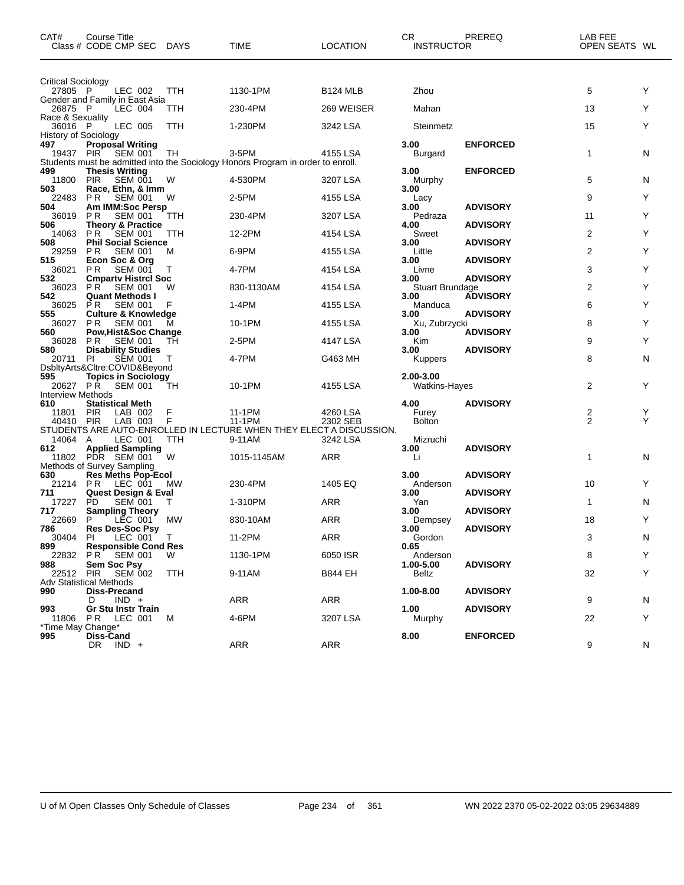| <b>Critical Sociology</b><br>5<br>Y<br>27805 P<br>LEC 002<br><b>TTH</b><br>1130-1PM<br><b>B124 MLB</b><br>Zhou<br>Gender and Family in East Asia<br>13<br>Y<br>26875 P<br>LEC 004<br>TTH<br>230-4PM<br>269 WEISER<br>Mahan<br>Race & Sexuality<br>Υ<br>LEC 005<br>15<br>36016 P<br>TTH<br>1-230PM<br>3242 LSA<br>Steinmetz<br><b>History of Sociology</b><br>3.00<br>497<br><b>Proposal Writing</b><br><b>ENFORCED</b><br>N<br>19437 PIR SEM 001<br>3-5PM<br>4155 LSA<br>1<br>тн<br>Burgard<br>Students must be admitted into the Sociology Honors Program in order to enroll.<br>499<br>3.00<br><b>ENFORCED</b><br><b>Thesis Writing</b><br>5<br>11800<br>PIR<br><b>SEM 001</b><br>4-530PM<br>3207 LSA<br>N<br>W<br>Murphy<br>503<br>Race, Ethn, & Imm<br>3.00<br>9<br>Y<br><b>SEM 001</b><br>2-5PM<br>4155 LSA<br>22483<br>P R<br>W<br>Lacy<br>504<br>Am IMM:Soc Persp<br>3.00<br><b>ADVISORY</b><br>Y<br>P <sub>R</sub><br>3207 LSA<br>36019<br><b>SEM 001</b><br>230-4PM<br>Pedraza<br>11<br>TTH<br>506<br><b>Theory &amp; Practice</b><br>4.00<br><b>ADVISORY</b><br>Υ<br>2<br>14063<br>P R<br><b>SEM 001</b><br>12-2PM<br>4154 LSA<br>Sweet<br>TTH<br><b>Phil Social Science</b><br>508<br>3.00<br><b>ADVISORY</b><br>2<br>Y<br>Little<br>29259<br><b>PR</b><br><b>SEM 001</b><br>M<br>6-9PM<br>4155 LSA<br>515<br>Econ Soc & Org<br>3.00<br><b>ADVISORY</b><br>Y<br>36021<br><b>SEM 001</b><br>4-7PM<br>3<br>P R<br>4154 LSA<br>Livne<br>Τ<br>532<br><b>Cmparty Histrcl Soc</b><br><b>ADVISORY</b><br>3.00<br>Υ<br>2<br>36023<br>P R<br><b>SEM 001</b><br>830-1130AM<br>4154 LSA<br>Stuart Brundage<br>W<br><b>ADVISORY</b><br>542<br><b>Quant Methods I</b><br>3.00<br>6<br>Y<br><b>SEM 001</b><br>36025<br><b>PR</b><br>F<br>1-4PM<br>4155 LSA<br>Manduca<br><b>ADVISORY</b><br>555<br><b>Culture &amp; Knowledge</b><br>3.00<br>Υ<br><b>SEM 001</b><br>10-1PM<br>8<br>36027<br>P R<br>4155 LSA<br>Xu, Zubrzycki<br>м<br>Pow, Hist&Soc Change<br>560<br><b>ADVISORY</b><br>3.00<br>Υ<br>9<br>P R<br><b>SEM 001</b><br>2-5PM<br>4147 LSA<br>36028<br>TН<br>Kim<br><b>Disability Studies</b><br><b>ADVISORY</b><br>580<br>3.00<br><b>SEM 001</b><br>8<br>N<br>20711<br>4-7PM<br>G463 MH<br>-PI<br><b>Kuppers</b><br>DsbltyArts&Cltre:COVID&Beyond<br>595<br><b>Topics in Sociology</b><br>2.00-3.00<br>Y<br>2<br>20627 PR<br>10-1PM<br>4155 LSA<br><b>SEM 001</b><br>Watkins-Hayes<br>TН<br><b>Interview Methods</b><br><b>ADVISORY</b><br>610<br><b>Statistical Meth</b><br>4.00<br>$\frac{2}{2}$<br>Y<br>LAB 002<br>11-1PM<br>Furey<br><b>PIR</b><br>F<br>4260 LSA<br>11801<br>Y<br><b>Bolton</b><br>40410 PIR<br>LAB 003<br>F<br>11-1PM<br>2302 SEB<br>STUDENTS ARE AUTO-ENROLLED IN LECTURE WHEN THEY ELECT A DISCUSSION.<br>14064 A<br>LEC 001<br>TTH<br>9-11AM<br>3242 LSA<br>Mizruchi<br>612<br><b>Applied Sampling</b><br>3.00<br><b>ADVISORY</b><br>11802 PDR SEM 001<br>W<br><b>ARR</b><br>1<br>N<br>1015-1145AM<br>Li<br>Methods of Survey Sampling<br>630<br><b>Res Meths Pop-Ecol</b><br>3.00<br><b>ADVISORY</b><br>PR<br>230-4PM<br>1405 EQ<br>10<br>Y<br>21214<br>LEC 001<br>MW<br>Anderson<br><b>Quest Design &amp; Eval</b><br><b>ADVISORY</b><br>711<br>3.00<br>17227<br>PD.<br><b>SEM 001</b><br>1-310PM<br>ARR<br>Yan<br>N<br>T<br>1<br>717<br><b>Sampling Theory</b><br>3.00<br><b>ADVISORY</b><br>Υ<br>18<br>22669<br>MW<br>ARR<br>P<br>LEC 001<br>830-10AM<br>Dempsey<br>786<br><b>ADVISORY</b><br>3.00<br><b>Res Des-Soc Psy</b><br>Gordon<br>30404<br>PI<br>LEC 001 T<br>11-2PM<br>ARR<br>3<br>N<br>899<br><b>Responsible Cond Res</b><br>0.65<br>Y<br>1130-1PM<br>6050 ISR<br>22832<br>P R<br><b>SEM 001</b><br>W<br>Anderson<br>8<br>Sem Soc Psy<br>$1.00 - 5.00$<br><b>ADVISORY</b><br>988<br><b>SEM 002</b><br>32<br>Y<br>22512<br>PIR<br>9-11AM<br>B844 EH<br>Beltz<br>TTH<br>Adv Statistical Methods<br>990<br><b>Diss-Precand</b><br>1.00-8.00<br><b>ADVISORY</b><br>$IND +$<br>ARR<br>ARR<br>9<br>N<br>D<br><b>Gr Stu Instr Train</b><br>993<br>1.00<br><b>ADVISORY</b><br>PR.<br>LEC 001<br>4-6PM<br>3207 LSA<br>22<br>Y<br>11806<br>м<br>Murphy<br>*Time May Change*<br><b>ENFORCED</b><br>995<br>Diss-Cand<br>8.00<br>ARR<br>DR IND +<br>ARR<br>9<br>N | CAT# | Course Title<br>Class # CODE CMP SEC | DAYS | TIME | <b>LOCATION</b> | <b>CR</b><br><b>INSTRUCTOR</b> | PREREQ | LAB FEE<br>OPEN SEATS WL |  |
|---------------------------------------------------------------------------------------------------------------------------------------------------------------------------------------------------------------------------------------------------------------------------------------------------------------------------------------------------------------------------------------------------------------------------------------------------------------------------------------------------------------------------------------------------------------------------------------------------------------------------------------------------------------------------------------------------------------------------------------------------------------------------------------------------------------------------------------------------------------------------------------------------------------------------------------------------------------------------------------------------------------------------------------------------------------------------------------------------------------------------------------------------------------------------------------------------------------------------------------------------------------------------------------------------------------------------------------------------------------------------------------------------------------------------------------------------------------------------------------------------------------------------------------------------------------------------------------------------------------------------------------------------------------------------------------------------------------------------------------------------------------------------------------------------------------------------------------------------------------------------------------------------------------------------------------------------------------------------------------------------------------------------------------------------------------------------------------------------------------------------------------------------------------------------------------------------------------------------------------------------------------------------------------------------------------------------------------------------------------------------------------------------------------------------------------------------------------------------------------------------------------------------------------------------------------------------------------------------------------------------------------------------------------------------------------------------------------------------------------------------------------------------------------------------------------------------------------------------------------------------------------------------------------------------------------------------------------------------------------------------------------------------------------------------------------------------------------------------------------------------------------------------------------------------------------------------------------------------------------------------------------------------------------------------------------------------------------------------------------------------------------------------------------------------------------------------------------------------------------------------------------------------------------------------------------------------------------------------------------------------------------------------------------------------------------------------------------------------------------------------------------------------------------------------------------------------------------------------------------------------------------------------------------------------------------------------------------------------------------------------------------------------------------------------------------------------------------------------------------------------------------------------------------------------------------------------|------|--------------------------------------|------|------|-----------------|--------------------------------|--------|--------------------------|--|
|                                                                                                                                                                                                                                                                                                                                                                                                                                                                                                                                                                                                                                                                                                                                                                                                                                                                                                                                                                                                                                                                                                                                                                                                                                                                                                                                                                                                                                                                                                                                                                                                                                                                                                                                                                                                                                                                                                                                                                                                                                                                                                                                                                                                                                                                                                                                                                                                                                                                                                                                                                                                                                                                                                                                                                                                                                                                                                                                                                                                                                                                                                                                                                                                                                                                                                                                                                                                                                                                                                                                                                                                                                                                                                                                                                                                                                                                                                                                                                                                                                                                                                                                                                                                   |      |                                      |      |      |                 |                                |        |                          |  |
|                                                                                                                                                                                                                                                                                                                                                                                                                                                                                                                                                                                                                                                                                                                                                                                                                                                                                                                                                                                                                                                                                                                                                                                                                                                                                                                                                                                                                                                                                                                                                                                                                                                                                                                                                                                                                                                                                                                                                                                                                                                                                                                                                                                                                                                                                                                                                                                                                                                                                                                                                                                                                                                                                                                                                                                                                                                                                                                                                                                                                                                                                                                                                                                                                                                                                                                                                                                                                                                                                                                                                                                                                                                                                                                                                                                                                                                                                                                                                                                                                                                                                                                                                                                                   |      |                                      |      |      |                 |                                |        |                          |  |
|                                                                                                                                                                                                                                                                                                                                                                                                                                                                                                                                                                                                                                                                                                                                                                                                                                                                                                                                                                                                                                                                                                                                                                                                                                                                                                                                                                                                                                                                                                                                                                                                                                                                                                                                                                                                                                                                                                                                                                                                                                                                                                                                                                                                                                                                                                                                                                                                                                                                                                                                                                                                                                                                                                                                                                                                                                                                                                                                                                                                                                                                                                                                                                                                                                                                                                                                                                                                                                                                                                                                                                                                                                                                                                                                                                                                                                                                                                                                                                                                                                                                                                                                                                                                   |      |                                      |      |      |                 |                                |        |                          |  |
|                                                                                                                                                                                                                                                                                                                                                                                                                                                                                                                                                                                                                                                                                                                                                                                                                                                                                                                                                                                                                                                                                                                                                                                                                                                                                                                                                                                                                                                                                                                                                                                                                                                                                                                                                                                                                                                                                                                                                                                                                                                                                                                                                                                                                                                                                                                                                                                                                                                                                                                                                                                                                                                                                                                                                                                                                                                                                                                                                                                                                                                                                                                                                                                                                                                                                                                                                                                                                                                                                                                                                                                                                                                                                                                                                                                                                                                                                                                                                                                                                                                                                                                                                                                                   |      |                                      |      |      |                 |                                |        |                          |  |
|                                                                                                                                                                                                                                                                                                                                                                                                                                                                                                                                                                                                                                                                                                                                                                                                                                                                                                                                                                                                                                                                                                                                                                                                                                                                                                                                                                                                                                                                                                                                                                                                                                                                                                                                                                                                                                                                                                                                                                                                                                                                                                                                                                                                                                                                                                                                                                                                                                                                                                                                                                                                                                                                                                                                                                                                                                                                                                                                                                                                                                                                                                                                                                                                                                                                                                                                                                                                                                                                                                                                                                                                                                                                                                                                                                                                                                                                                                                                                                                                                                                                                                                                                                                                   |      |                                      |      |      |                 |                                |        |                          |  |
|                                                                                                                                                                                                                                                                                                                                                                                                                                                                                                                                                                                                                                                                                                                                                                                                                                                                                                                                                                                                                                                                                                                                                                                                                                                                                                                                                                                                                                                                                                                                                                                                                                                                                                                                                                                                                                                                                                                                                                                                                                                                                                                                                                                                                                                                                                                                                                                                                                                                                                                                                                                                                                                                                                                                                                                                                                                                                                                                                                                                                                                                                                                                                                                                                                                                                                                                                                                                                                                                                                                                                                                                                                                                                                                                                                                                                                                                                                                                                                                                                                                                                                                                                                                                   |      |                                      |      |      |                 |                                |        |                          |  |
|                                                                                                                                                                                                                                                                                                                                                                                                                                                                                                                                                                                                                                                                                                                                                                                                                                                                                                                                                                                                                                                                                                                                                                                                                                                                                                                                                                                                                                                                                                                                                                                                                                                                                                                                                                                                                                                                                                                                                                                                                                                                                                                                                                                                                                                                                                                                                                                                                                                                                                                                                                                                                                                                                                                                                                                                                                                                                                                                                                                                                                                                                                                                                                                                                                                                                                                                                                                                                                                                                                                                                                                                                                                                                                                                                                                                                                                                                                                                                                                                                                                                                                                                                                                                   |      |                                      |      |      |                 |                                |        |                          |  |
|                                                                                                                                                                                                                                                                                                                                                                                                                                                                                                                                                                                                                                                                                                                                                                                                                                                                                                                                                                                                                                                                                                                                                                                                                                                                                                                                                                                                                                                                                                                                                                                                                                                                                                                                                                                                                                                                                                                                                                                                                                                                                                                                                                                                                                                                                                                                                                                                                                                                                                                                                                                                                                                                                                                                                                                                                                                                                                                                                                                                                                                                                                                                                                                                                                                                                                                                                                                                                                                                                                                                                                                                                                                                                                                                                                                                                                                                                                                                                                                                                                                                                                                                                                                                   |      |                                      |      |      |                 |                                |        |                          |  |
|                                                                                                                                                                                                                                                                                                                                                                                                                                                                                                                                                                                                                                                                                                                                                                                                                                                                                                                                                                                                                                                                                                                                                                                                                                                                                                                                                                                                                                                                                                                                                                                                                                                                                                                                                                                                                                                                                                                                                                                                                                                                                                                                                                                                                                                                                                                                                                                                                                                                                                                                                                                                                                                                                                                                                                                                                                                                                                                                                                                                                                                                                                                                                                                                                                                                                                                                                                                                                                                                                                                                                                                                                                                                                                                                                                                                                                                                                                                                                                                                                                                                                                                                                                                                   |      |                                      |      |      |                 |                                |        |                          |  |
|                                                                                                                                                                                                                                                                                                                                                                                                                                                                                                                                                                                                                                                                                                                                                                                                                                                                                                                                                                                                                                                                                                                                                                                                                                                                                                                                                                                                                                                                                                                                                                                                                                                                                                                                                                                                                                                                                                                                                                                                                                                                                                                                                                                                                                                                                                                                                                                                                                                                                                                                                                                                                                                                                                                                                                                                                                                                                                                                                                                                                                                                                                                                                                                                                                                                                                                                                                                                                                                                                                                                                                                                                                                                                                                                                                                                                                                                                                                                                                                                                                                                                                                                                                                                   |      |                                      |      |      |                 |                                |        |                          |  |
|                                                                                                                                                                                                                                                                                                                                                                                                                                                                                                                                                                                                                                                                                                                                                                                                                                                                                                                                                                                                                                                                                                                                                                                                                                                                                                                                                                                                                                                                                                                                                                                                                                                                                                                                                                                                                                                                                                                                                                                                                                                                                                                                                                                                                                                                                                                                                                                                                                                                                                                                                                                                                                                                                                                                                                                                                                                                                                                                                                                                                                                                                                                                                                                                                                                                                                                                                                                                                                                                                                                                                                                                                                                                                                                                                                                                                                                                                                                                                                                                                                                                                                                                                                                                   |      |                                      |      |      |                 |                                |        |                          |  |
|                                                                                                                                                                                                                                                                                                                                                                                                                                                                                                                                                                                                                                                                                                                                                                                                                                                                                                                                                                                                                                                                                                                                                                                                                                                                                                                                                                                                                                                                                                                                                                                                                                                                                                                                                                                                                                                                                                                                                                                                                                                                                                                                                                                                                                                                                                                                                                                                                                                                                                                                                                                                                                                                                                                                                                                                                                                                                                                                                                                                                                                                                                                                                                                                                                                                                                                                                                                                                                                                                                                                                                                                                                                                                                                                                                                                                                                                                                                                                                                                                                                                                                                                                                                                   |      |                                      |      |      |                 |                                |        |                          |  |
|                                                                                                                                                                                                                                                                                                                                                                                                                                                                                                                                                                                                                                                                                                                                                                                                                                                                                                                                                                                                                                                                                                                                                                                                                                                                                                                                                                                                                                                                                                                                                                                                                                                                                                                                                                                                                                                                                                                                                                                                                                                                                                                                                                                                                                                                                                                                                                                                                                                                                                                                                                                                                                                                                                                                                                                                                                                                                                                                                                                                                                                                                                                                                                                                                                                                                                                                                                                                                                                                                                                                                                                                                                                                                                                                                                                                                                                                                                                                                                                                                                                                                                                                                                                                   |      |                                      |      |      |                 |                                |        |                          |  |
|                                                                                                                                                                                                                                                                                                                                                                                                                                                                                                                                                                                                                                                                                                                                                                                                                                                                                                                                                                                                                                                                                                                                                                                                                                                                                                                                                                                                                                                                                                                                                                                                                                                                                                                                                                                                                                                                                                                                                                                                                                                                                                                                                                                                                                                                                                                                                                                                                                                                                                                                                                                                                                                                                                                                                                                                                                                                                                                                                                                                                                                                                                                                                                                                                                                                                                                                                                                                                                                                                                                                                                                                                                                                                                                                                                                                                                                                                                                                                                                                                                                                                                                                                                                                   |      |                                      |      |      |                 |                                |        |                          |  |
|                                                                                                                                                                                                                                                                                                                                                                                                                                                                                                                                                                                                                                                                                                                                                                                                                                                                                                                                                                                                                                                                                                                                                                                                                                                                                                                                                                                                                                                                                                                                                                                                                                                                                                                                                                                                                                                                                                                                                                                                                                                                                                                                                                                                                                                                                                                                                                                                                                                                                                                                                                                                                                                                                                                                                                                                                                                                                                                                                                                                                                                                                                                                                                                                                                                                                                                                                                                                                                                                                                                                                                                                                                                                                                                                                                                                                                                                                                                                                                                                                                                                                                                                                                                                   |      |                                      |      |      |                 |                                |        |                          |  |
|                                                                                                                                                                                                                                                                                                                                                                                                                                                                                                                                                                                                                                                                                                                                                                                                                                                                                                                                                                                                                                                                                                                                                                                                                                                                                                                                                                                                                                                                                                                                                                                                                                                                                                                                                                                                                                                                                                                                                                                                                                                                                                                                                                                                                                                                                                                                                                                                                                                                                                                                                                                                                                                                                                                                                                                                                                                                                                                                                                                                                                                                                                                                                                                                                                                                                                                                                                                                                                                                                                                                                                                                                                                                                                                                                                                                                                                                                                                                                                                                                                                                                                                                                                                                   |      |                                      |      |      |                 |                                |        |                          |  |
|                                                                                                                                                                                                                                                                                                                                                                                                                                                                                                                                                                                                                                                                                                                                                                                                                                                                                                                                                                                                                                                                                                                                                                                                                                                                                                                                                                                                                                                                                                                                                                                                                                                                                                                                                                                                                                                                                                                                                                                                                                                                                                                                                                                                                                                                                                                                                                                                                                                                                                                                                                                                                                                                                                                                                                                                                                                                                                                                                                                                                                                                                                                                                                                                                                                                                                                                                                                                                                                                                                                                                                                                                                                                                                                                                                                                                                                                                                                                                                                                                                                                                                                                                                                                   |      |                                      |      |      |                 |                                |        |                          |  |
|                                                                                                                                                                                                                                                                                                                                                                                                                                                                                                                                                                                                                                                                                                                                                                                                                                                                                                                                                                                                                                                                                                                                                                                                                                                                                                                                                                                                                                                                                                                                                                                                                                                                                                                                                                                                                                                                                                                                                                                                                                                                                                                                                                                                                                                                                                                                                                                                                                                                                                                                                                                                                                                                                                                                                                                                                                                                                                                                                                                                                                                                                                                                                                                                                                                                                                                                                                                                                                                                                                                                                                                                                                                                                                                                                                                                                                                                                                                                                                                                                                                                                                                                                                                                   |      |                                      |      |      |                 |                                |        |                          |  |
|                                                                                                                                                                                                                                                                                                                                                                                                                                                                                                                                                                                                                                                                                                                                                                                                                                                                                                                                                                                                                                                                                                                                                                                                                                                                                                                                                                                                                                                                                                                                                                                                                                                                                                                                                                                                                                                                                                                                                                                                                                                                                                                                                                                                                                                                                                                                                                                                                                                                                                                                                                                                                                                                                                                                                                                                                                                                                                                                                                                                                                                                                                                                                                                                                                                                                                                                                                                                                                                                                                                                                                                                                                                                                                                                                                                                                                                                                                                                                                                                                                                                                                                                                                                                   |      |                                      |      |      |                 |                                |        |                          |  |
|                                                                                                                                                                                                                                                                                                                                                                                                                                                                                                                                                                                                                                                                                                                                                                                                                                                                                                                                                                                                                                                                                                                                                                                                                                                                                                                                                                                                                                                                                                                                                                                                                                                                                                                                                                                                                                                                                                                                                                                                                                                                                                                                                                                                                                                                                                                                                                                                                                                                                                                                                                                                                                                                                                                                                                                                                                                                                                                                                                                                                                                                                                                                                                                                                                                                                                                                                                                                                                                                                                                                                                                                                                                                                                                                                                                                                                                                                                                                                                                                                                                                                                                                                                                                   |      |                                      |      |      |                 |                                |        |                          |  |
|                                                                                                                                                                                                                                                                                                                                                                                                                                                                                                                                                                                                                                                                                                                                                                                                                                                                                                                                                                                                                                                                                                                                                                                                                                                                                                                                                                                                                                                                                                                                                                                                                                                                                                                                                                                                                                                                                                                                                                                                                                                                                                                                                                                                                                                                                                                                                                                                                                                                                                                                                                                                                                                                                                                                                                                                                                                                                                                                                                                                                                                                                                                                                                                                                                                                                                                                                                                                                                                                                                                                                                                                                                                                                                                                                                                                                                                                                                                                                                                                                                                                                                                                                                                                   |      |                                      |      |      |                 |                                |        |                          |  |
|                                                                                                                                                                                                                                                                                                                                                                                                                                                                                                                                                                                                                                                                                                                                                                                                                                                                                                                                                                                                                                                                                                                                                                                                                                                                                                                                                                                                                                                                                                                                                                                                                                                                                                                                                                                                                                                                                                                                                                                                                                                                                                                                                                                                                                                                                                                                                                                                                                                                                                                                                                                                                                                                                                                                                                                                                                                                                                                                                                                                                                                                                                                                                                                                                                                                                                                                                                                                                                                                                                                                                                                                                                                                                                                                                                                                                                                                                                                                                                                                                                                                                                                                                                                                   |      |                                      |      |      |                 |                                |        |                          |  |
|                                                                                                                                                                                                                                                                                                                                                                                                                                                                                                                                                                                                                                                                                                                                                                                                                                                                                                                                                                                                                                                                                                                                                                                                                                                                                                                                                                                                                                                                                                                                                                                                                                                                                                                                                                                                                                                                                                                                                                                                                                                                                                                                                                                                                                                                                                                                                                                                                                                                                                                                                                                                                                                                                                                                                                                                                                                                                                                                                                                                                                                                                                                                                                                                                                                                                                                                                                                                                                                                                                                                                                                                                                                                                                                                                                                                                                                                                                                                                                                                                                                                                                                                                                                                   |      |                                      |      |      |                 |                                |        |                          |  |
|                                                                                                                                                                                                                                                                                                                                                                                                                                                                                                                                                                                                                                                                                                                                                                                                                                                                                                                                                                                                                                                                                                                                                                                                                                                                                                                                                                                                                                                                                                                                                                                                                                                                                                                                                                                                                                                                                                                                                                                                                                                                                                                                                                                                                                                                                                                                                                                                                                                                                                                                                                                                                                                                                                                                                                                                                                                                                                                                                                                                                                                                                                                                                                                                                                                                                                                                                                                                                                                                                                                                                                                                                                                                                                                                                                                                                                                                                                                                                                                                                                                                                                                                                                                                   |      |                                      |      |      |                 |                                |        |                          |  |
|                                                                                                                                                                                                                                                                                                                                                                                                                                                                                                                                                                                                                                                                                                                                                                                                                                                                                                                                                                                                                                                                                                                                                                                                                                                                                                                                                                                                                                                                                                                                                                                                                                                                                                                                                                                                                                                                                                                                                                                                                                                                                                                                                                                                                                                                                                                                                                                                                                                                                                                                                                                                                                                                                                                                                                                                                                                                                                                                                                                                                                                                                                                                                                                                                                                                                                                                                                                                                                                                                                                                                                                                                                                                                                                                                                                                                                                                                                                                                                                                                                                                                                                                                                                                   |      |                                      |      |      |                 |                                |        |                          |  |
|                                                                                                                                                                                                                                                                                                                                                                                                                                                                                                                                                                                                                                                                                                                                                                                                                                                                                                                                                                                                                                                                                                                                                                                                                                                                                                                                                                                                                                                                                                                                                                                                                                                                                                                                                                                                                                                                                                                                                                                                                                                                                                                                                                                                                                                                                                                                                                                                                                                                                                                                                                                                                                                                                                                                                                                                                                                                                                                                                                                                                                                                                                                                                                                                                                                                                                                                                                                                                                                                                                                                                                                                                                                                                                                                                                                                                                                                                                                                                                                                                                                                                                                                                                                                   |      |                                      |      |      |                 |                                |        |                          |  |
|                                                                                                                                                                                                                                                                                                                                                                                                                                                                                                                                                                                                                                                                                                                                                                                                                                                                                                                                                                                                                                                                                                                                                                                                                                                                                                                                                                                                                                                                                                                                                                                                                                                                                                                                                                                                                                                                                                                                                                                                                                                                                                                                                                                                                                                                                                                                                                                                                                                                                                                                                                                                                                                                                                                                                                                                                                                                                                                                                                                                                                                                                                                                                                                                                                                                                                                                                                                                                                                                                                                                                                                                                                                                                                                                                                                                                                                                                                                                                                                                                                                                                                                                                                                                   |      |                                      |      |      |                 |                                |        |                          |  |
|                                                                                                                                                                                                                                                                                                                                                                                                                                                                                                                                                                                                                                                                                                                                                                                                                                                                                                                                                                                                                                                                                                                                                                                                                                                                                                                                                                                                                                                                                                                                                                                                                                                                                                                                                                                                                                                                                                                                                                                                                                                                                                                                                                                                                                                                                                                                                                                                                                                                                                                                                                                                                                                                                                                                                                                                                                                                                                                                                                                                                                                                                                                                                                                                                                                                                                                                                                                                                                                                                                                                                                                                                                                                                                                                                                                                                                                                                                                                                                                                                                                                                                                                                                                                   |      |                                      |      |      |                 |                                |        |                          |  |
|                                                                                                                                                                                                                                                                                                                                                                                                                                                                                                                                                                                                                                                                                                                                                                                                                                                                                                                                                                                                                                                                                                                                                                                                                                                                                                                                                                                                                                                                                                                                                                                                                                                                                                                                                                                                                                                                                                                                                                                                                                                                                                                                                                                                                                                                                                                                                                                                                                                                                                                                                                                                                                                                                                                                                                                                                                                                                                                                                                                                                                                                                                                                                                                                                                                                                                                                                                                                                                                                                                                                                                                                                                                                                                                                                                                                                                                                                                                                                                                                                                                                                                                                                                                                   |      |                                      |      |      |                 |                                |        |                          |  |
|                                                                                                                                                                                                                                                                                                                                                                                                                                                                                                                                                                                                                                                                                                                                                                                                                                                                                                                                                                                                                                                                                                                                                                                                                                                                                                                                                                                                                                                                                                                                                                                                                                                                                                                                                                                                                                                                                                                                                                                                                                                                                                                                                                                                                                                                                                                                                                                                                                                                                                                                                                                                                                                                                                                                                                                                                                                                                                                                                                                                                                                                                                                                                                                                                                                                                                                                                                                                                                                                                                                                                                                                                                                                                                                                                                                                                                                                                                                                                                                                                                                                                                                                                                                                   |      |                                      |      |      |                 |                                |        |                          |  |
|                                                                                                                                                                                                                                                                                                                                                                                                                                                                                                                                                                                                                                                                                                                                                                                                                                                                                                                                                                                                                                                                                                                                                                                                                                                                                                                                                                                                                                                                                                                                                                                                                                                                                                                                                                                                                                                                                                                                                                                                                                                                                                                                                                                                                                                                                                                                                                                                                                                                                                                                                                                                                                                                                                                                                                                                                                                                                                                                                                                                                                                                                                                                                                                                                                                                                                                                                                                                                                                                                                                                                                                                                                                                                                                                                                                                                                                                                                                                                                                                                                                                                                                                                                                                   |      |                                      |      |      |                 |                                |        |                          |  |
|                                                                                                                                                                                                                                                                                                                                                                                                                                                                                                                                                                                                                                                                                                                                                                                                                                                                                                                                                                                                                                                                                                                                                                                                                                                                                                                                                                                                                                                                                                                                                                                                                                                                                                                                                                                                                                                                                                                                                                                                                                                                                                                                                                                                                                                                                                                                                                                                                                                                                                                                                                                                                                                                                                                                                                                                                                                                                                                                                                                                                                                                                                                                                                                                                                                                                                                                                                                                                                                                                                                                                                                                                                                                                                                                                                                                                                                                                                                                                                                                                                                                                                                                                                                                   |      |                                      |      |      |                 |                                |        |                          |  |
|                                                                                                                                                                                                                                                                                                                                                                                                                                                                                                                                                                                                                                                                                                                                                                                                                                                                                                                                                                                                                                                                                                                                                                                                                                                                                                                                                                                                                                                                                                                                                                                                                                                                                                                                                                                                                                                                                                                                                                                                                                                                                                                                                                                                                                                                                                                                                                                                                                                                                                                                                                                                                                                                                                                                                                                                                                                                                                                                                                                                                                                                                                                                                                                                                                                                                                                                                                                                                                                                                                                                                                                                                                                                                                                                                                                                                                                                                                                                                                                                                                                                                                                                                                                                   |      |                                      |      |      |                 |                                |        |                          |  |
|                                                                                                                                                                                                                                                                                                                                                                                                                                                                                                                                                                                                                                                                                                                                                                                                                                                                                                                                                                                                                                                                                                                                                                                                                                                                                                                                                                                                                                                                                                                                                                                                                                                                                                                                                                                                                                                                                                                                                                                                                                                                                                                                                                                                                                                                                                                                                                                                                                                                                                                                                                                                                                                                                                                                                                                                                                                                                                                                                                                                                                                                                                                                                                                                                                                                                                                                                                                                                                                                                                                                                                                                                                                                                                                                                                                                                                                                                                                                                                                                                                                                                                                                                                                                   |      |                                      |      |      |                 |                                |        |                          |  |
|                                                                                                                                                                                                                                                                                                                                                                                                                                                                                                                                                                                                                                                                                                                                                                                                                                                                                                                                                                                                                                                                                                                                                                                                                                                                                                                                                                                                                                                                                                                                                                                                                                                                                                                                                                                                                                                                                                                                                                                                                                                                                                                                                                                                                                                                                                                                                                                                                                                                                                                                                                                                                                                                                                                                                                                                                                                                                                                                                                                                                                                                                                                                                                                                                                                                                                                                                                                                                                                                                                                                                                                                                                                                                                                                                                                                                                                                                                                                                                                                                                                                                                                                                                                                   |      |                                      |      |      |                 |                                |        |                          |  |
|                                                                                                                                                                                                                                                                                                                                                                                                                                                                                                                                                                                                                                                                                                                                                                                                                                                                                                                                                                                                                                                                                                                                                                                                                                                                                                                                                                                                                                                                                                                                                                                                                                                                                                                                                                                                                                                                                                                                                                                                                                                                                                                                                                                                                                                                                                                                                                                                                                                                                                                                                                                                                                                                                                                                                                                                                                                                                                                                                                                                                                                                                                                                                                                                                                                                                                                                                                                                                                                                                                                                                                                                                                                                                                                                                                                                                                                                                                                                                                                                                                                                                                                                                                                                   |      |                                      |      |      |                 |                                |        |                          |  |
|                                                                                                                                                                                                                                                                                                                                                                                                                                                                                                                                                                                                                                                                                                                                                                                                                                                                                                                                                                                                                                                                                                                                                                                                                                                                                                                                                                                                                                                                                                                                                                                                                                                                                                                                                                                                                                                                                                                                                                                                                                                                                                                                                                                                                                                                                                                                                                                                                                                                                                                                                                                                                                                                                                                                                                                                                                                                                                                                                                                                                                                                                                                                                                                                                                                                                                                                                                                                                                                                                                                                                                                                                                                                                                                                                                                                                                                                                                                                                                                                                                                                                                                                                                                                   |      |                                      |      |      |                 |                                |        |                          |  |
|                                                                                                                                                                                                                                                                                                                                                                                                                                                                                                                                                                                                                                                                                                                                                                                                                                                                                                                                                                                                                                                                                                                                                                                                                                                                                                                                                                                                                                                                                                                                                                                                                                                                                                                                                                                                                                                                                                                                                                                                                                                                                                                                                                                                                                                                                                                                                                                                                                                                                                                                                                                                                                                                                                                                                                                                                                                                                                                                                                                                                                                                                                                                                                                                                                                                                                                                                                                                                                                                                                                                                                                                                                                                                                                                                                                                                                                                                                                                                                                                                                                                                                                                                                                                   |      |                                      |      |      |                 |                                |        |                          |  |
|                                                                                                                                                                                                                                                                                                                                                                                                                                                                                                                                                                                                                                                                                                                                                                                                                                                                                                                                                                                                                                                                                                                                                                                                                                                                                                                                                                                                                                                                                                                                                                                                                                                                                                                                                                                                                                                                                                                                                                                                                                                                                                                                                                                                                                                                                                                                                                                                                                                                                                                                                                                                                                                                                                                                                                                                                                                                                                                                                                                                                                                                                                                                                                                                                                                                                                                                                                                                                                                                                                                                                                                                                                                                                                                                                                                                                                                                                                                                                                                                                                                                                                                                                                                                   |      |                                      |      |      |                 |                                |        |                          |  |
|                                                                                                                                                                                                                                                                                                                                                                                                                                                                                                                                                                                                                                                                                                                                                                                                                                                                                                                                                                                                                                                                                                                                                                                                                                                                                                                                                                                                                                                                                                                                                                                                                                                                                                                                                                                                                                                                                                                                                                                                                                                                                                                                                                                                                                                                                                                                                                                                                                                                                                                                                                                                                                                                                                                                                                                                                                                                                                                                                                                                                                                                                                                                                                                                                                                                                                                                                                                                                                                                                                                                                                                                                                                                                                                                                                                                                                                                                                                                                                                                                                                                                                                                                                                                   |      |                                      |      |      |                 |                                |        |                          |  |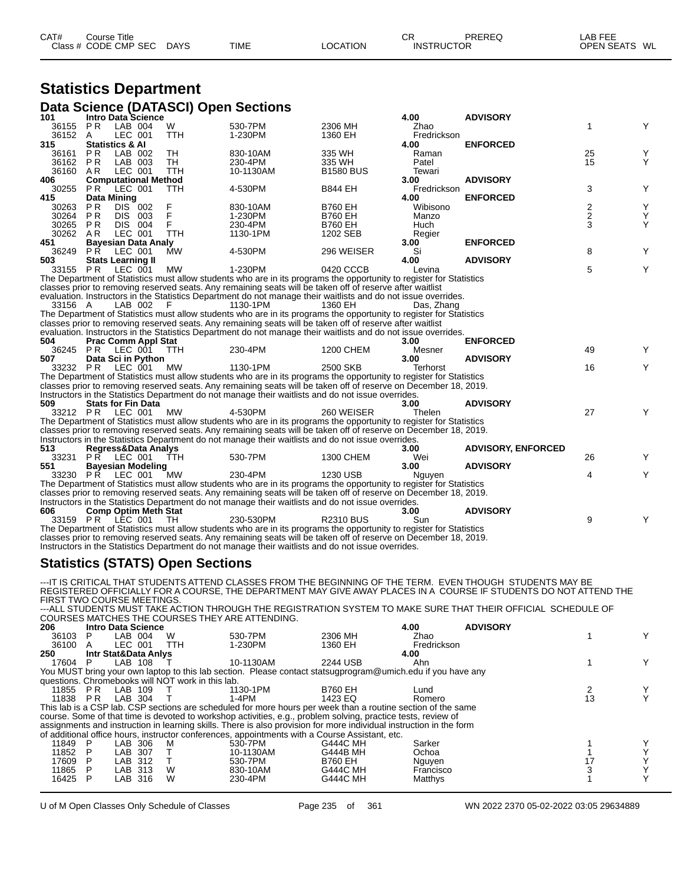| CAT# | Course Title         |             |             |                 | СR                | PREREQ | LAB FEE       |  |
|------|----------------------|-------------|-------------|-----------------|-------------------|--------|---------------|--|
|      | Class # CODE CMP SEC | <b>DAYS</b> | <b>TIME</b> | <b>LOCATION</b> | <b>INSTRUCTOR</b> |        | OPEN SEATS WL |  |

#### **Statistics Department Data Science (DATASCI) Open Sections**

| 101      |                    | Intro Data Science          |            |                                                                                                                     |                  | 4.00        | <b>ADVISORY</b>           |                         |   |
|----------|--------------------|-----------------------------|------------|---------------------------------------------------------------------------------------------------------------------|------------------|-------------|---------------------------|-------------------------|---|
| 36155 PR |                    | LAB 004                     | W          | 530-7PM                                                                                                             | 2306 MH          | Zhao        |                           | 1                       | Υ |
| 36152    | A                  | LEC 001                     | <b>TTH</b> | 1-230PM                                                                                                             | 1360 EH          | Fredrickson |                           |                         |   |
| 315      |                    | <b>Statistics &amp; Al</b>  |            |                                                                                                                     |                  | 4.00        | <b>ENFORCED</b>           |                         |   |
| 36161    | <b>PR</b>          | LAB 002                     | <b>TH</b>  | 830-10AM                                                                                                            | 335 WH           | Raman       |                           | 25                      | Υ |
| 36162    | PR                 | LAB 003                     | <b>TH</b>  | 230-4PM                                                                                                             | 335 WH           | Patel       |                           | 15                      | Y |
| 36160    | AR                 | LEC 001                     | <b>TTH</b> | 10-1130AM                                                                                                           | <b>B1580 BUS</b> | Tewari      |                           |                         |   |
| 406      |                    | <b>Computational Method</b> |            |                                                                                                                     |                  | 3.00        | <b>ADVISORY</b>           |                         |   |
| 30255    | <b>PR</b>          | LEC 001                     | <b>TTH</b> | 4-530PM                                                                                                             | <b>B844 EH</b>   | Fredrickson |                           | 3                       | Υ |
| 415      | <b>Data Mining</b> |                             |            |                                                                                                                     |                  | 4.00        | <b>ENFORCED</b>           |                         |   |
| 30263    | PR                 | DIS 002                     | F          | 830-10AM                                                                                                            | <b>B760 EH</b>   | Wibisono    |                           | 2                       | Υ |
| 30264    | <b>PR</b>          | DIS 003                     | F          | 1-230PM                                                                                                             | <b>B760 EH</b>   | Manzo       |                           | $\overline{\mathbf{c}}$ | Υ |
| 30265    | <b>PR</b>          | DIS 004                     | F          | 230-4PM                                                                                                             | <b>B760 EH</b>   | Huch        |                           | 3                       | Υ |
| 30262    | AR                 | LEC 001                     | <b>TTH</b> | 1130-1PM                                                                                                            | 1202 SEB         | Regier      |                           |                         |   |
| 451      |                    | <b>Bayesian Data Analy</b>  |            |                                                                                                                     |                  | 3.00        | <b>ENFORCED</b>           |                         |   |
| 36249    | PŔ                 | LEC 001                     | <b>MW</b>  | 4-530PM                                                                                                             | 296 WEISER       | Si          |                           | 8                       | Y |
| 503      |                    | <b>Stats Learning II</b>    |            |                                                                                                                     |                  | 4.00        | <b>ADVISORY</b>           |                         |   |
| 33155 PR |                    | LEC 001                     | MW         | 1-230PM                                                                                                             | 0420 CCCB        | Levina      |                           | 5                       | Υ |
|          |                    |                             |            | The Department of Statistics must allow students who are in its programs the opportunity to register for Statistics |                  |             |                           |                         |   |
|          |                    |                             |            | classes prior to removing reserved seats. Any remaining seats will be taken off of reserve after waitlist           |                  |             |                           |                         |   |
|          |                    |                             |            | evaluation. Instructors in the Statistics Department do not manage their waitlists and do not issue overrides.      |                  |             |                           |                         |   |
| 33156 A  |                    | LAB 002                     | - F        | 1130-1PM                                                                                                            | 1360 EH          | Das. Zhang  |                           |                         |   |
|          |                    |                             |            | The Department of Statistics must allow students who are in its programs the opportunity to register for Statistics |                  |             |                           |                         |   |
|          |                    |                             |            | classes prior to removing reserved seats. Any remaining seats will be taken off of reserve after waitlist           |                  |             |                           |                         |   |
|          |                    |                             |            | evaluation. Instructors in the Statistics Department do not manage their waitlists and do not issue overrides.      |                  |             |                           |                         |   |
| 504      |                    | <b>Prac Comm Appl Stat</b>  |            |                                                                                                                     |                  | 3.00        | <b>ENFORCED</b>           |                         |   |
| 36245    |                    | <b>PR LEC 001</b>           | <b>TTH</b> | 230-4PM                                                                                                             | 1200 CHEM        | Mesner      |                           | 49                      | Y |
| 507      |                    | Data Sci in Python          |            |                                                                                                                     |                  | 3.00        | <b>ADVISORY</b>           |                         |   |
| 33232 PR |                    | LEC 001                     | MW         | 1130-1PM                                                                                                            | 2500 SKB         | Terhorst    |                           | 16                      | Υ |
|          |                    |                             |            | The Department of Statistics must allow students who are in its programs the opportunity to register for Statistics |                  |             |                           |                         |   |
|          |                    |                             |            | classes prior to removing reserved seats. Any remaining seats will be taken off of reserve on December 18, 2019.    |                  |             |                           |                         |   |
|          |                    |                             |            | Instructors in the Statistics Department do not manage their waitlists and do not issue overrides.                  |                  |             |                           |                         |   |
| 509      |                    | <b>Stats for Fin Data</b>   |            |                                                                                                                     |                  | 3.00        | <b>ADVISORY</b>           |                         |   |
|          |                    | 33212 PR LEC 001            | MW         | 4-530PM                                                                                                             | 260 WEISER       | Thelen      |                           | 27                      | Y |
|          |                    |                             |            | The Department of Statistics must allow students who are in its programs the opportunity to register for Statistics |                  |             |                           |                         |   |
|          |                    |                             |            | classes prior to removing reserved seats. Any remaining seats will be taken off of reserve on December 18, 2019.    |                  |             |                           |                         |   |
|          |                    |                             |            | Instructors in the Statistics Department do not manage their waitlists and do not issue overrides.                  |                  |             |                           |                         |   |
| 513      |                    | Regress&Data Analys         |            |                                                                                                                     |                  | 3.00        | <b>ADVISORY, ENFORCED</b> |                         |   |
| 33231    |                    | <b>PR LEC 001</b>           | TTH.       | 530-7PM                                                                                                             | 1300 CHEM        | Wei         |                           | 26                      | Y |
| 551      |                    | <b>Bayesian Modeling</b>    |            |                                                                                                                     |                  | 3.00        | <b>ADVISORY</b>           |                         |   |
| 33230    |                    | <b>PR LEC 001</b>           | MW         | 230-4PM                                                                                                             | 1230 USB         | Nguyen      |                           | 4                       | Υ |
|          |                    |                             |            | The Department of Statistics must allow students who are in its programs the opportunity to register for Statistics |                  |             |                           |                         |   |
|          |                    |                             |            | classes prior to removing reserved seats. Any remaining seats will be taken off of reserve on December 18, 2019.    |                  |             |                           |                         |   |
|          |                    |                             |            |                                                                                                                     |                  |             |                           |                         |   |
|          |                    |                             |            | Instructors in the Statistics Department do not manage their waitlists and do not issue overrides.                  |                  |             |                           |                         |   |
| 606      |                    | <b>Comp Optim Meth Stat</b> |            |                                                                                                                     |                  | 3.00        | <b>ADVISORY</b>           |                         |   |
|          |                    | 33159 PR LEC 001            | - TH       | 230-530PM                                                                                                           | <b>R2310 BUS</b> | Sun         |                           | 9                       | Y |
|          |                    |                             |            | The Department of Statistics must allow students who are in its programs the opportunity to register for Statistics |                  |             |                           |                         |   |
|          |                    |                             |            | classes prior to removing reserved seats. Any remaining seats will be taken off of reserve on December 18, 2019.    |                  |             |                           |                         |   |

#### **Statistics (STATS) Open Sections**

Instructors in the Statistics Department do not manage their waitlists and do not issue overrides.

---IT IS CRITICAL THAT STUDENTS ATTEND CLASSES FROM THE BEGINNING OF THE TERM. EVEN THOUGH STUDENTS MAY BE REGISTERED OFFICIALLY FOR A COURSE, THE DEPARTMENT MAY GIVE AWAY PLACES IN A COURSE IF STUDENTS DO NOT ATTEND THE<br>FIRST TWO COURSE MEETINGS.<br>---ALL STUDENTS MUST TAKE ACTION THROUGH THE REGISTRATION SYSTEM TO MAKE SURE TH

COURSES MATCHES THE COURSES THEY ARE ATTENDING.

| 206   |    | <b>Intro Data Science</b> |                                                   |                                                                                                                     |                 | 4.00        | <b>ADVISORY</b> |    |  |
|-------|----|---------------------------|---------------------------------------------------|---------------------------------------------------------------------------------------------------------------------|-----------------|-------------|-----------------|----|--|
| 36103 | P. | LAB 004                   | W                                                 | 530-7PM                                                                                                             | 2306 MH         | Zhao        |                 |    |  |
| 36100 | A  | LEC 001                   | TTH                                               | 1-230PM                                                                                                             | 1360 EH         | Fredrickson |                 |    |  |
| 250   |    | Intr Stat&Data Anivs      |                                                   |                                                                                                                     |                 | 4.00        |                 |    |  |
| 17604 | P  | LAB 108                   |                                                   | 10-1130AM                                                                                                           | 2244 USB        | Ahn         |                 |    |  |
|       |    |                           |                                                   | You MUST bring your own laptop to this lab section. Please contact statsugprogram@umich.edu if you have any         |                 |             |                 |    |  |
|       |    |                           | questions. Chromebooks will NOT work in this lab. |                                                                                                                     |                 |             |                 |    |  |
| 11855 | PR | LAB 109                   |                                                   | 1130-1PM                                                                                                            | B760 EH         | Lund        |                 |    |  |
| 11838 | PR | LAB 304                   |                                                   | 1-4PM                                                                                                               | 1423 EQ         | Romero      |                 | 13 |  |
|       |    |                           |                                                   | This lab is a CSP lab. CSP sections are scheduled for more hours per week than a routine section of the same        |                 |             |                 |    |  |
|       |    |                           |                                                   | course. Some of that time is devoted to workshop activities, e.g., problem solving, practice tests, review of       |                 |             |                 |    |  |
|       |    |                           |                                                   | assignments and instruction in learning skills. There is also provision for more individual instruction in the form |                 |             |                 |    |  |
|       |    |                           |                                                   | of additional office hours, instructor conferences, appointments with a Course Assistant, etc.                      |                 |             |                 |    |  |
| 11849 | P  | LAB 306                   | M                                                 | 530-7PM                                                                                                             | <b>G444C MH</b> | Sarker      |                 |    |  |
| 11852 |    | LAB 307                   |                                                   | 10-1130AM                                                                                                           | G444B MH        | Ochoa       |                 |    |  |
| 17609 |    | LAB 312                   |                                                   | 530-7PM                                                                                                             | <b>B760 EH</b>  | Nguyen      |                 |    |  |
| 11865 | P  | LAB 313                   | W                                                 | 830-10AM                                                                                                            | G444C MH        | Francisco   |                 |    |  |
| 16425 |    | LAB<br>316                | W                                                 | 230-4PM                                                                                                             | <b>G444C MH</b> | Matthys     |                 |    |  |
|       |    |                           |                                                   |                                                                                                                     |                 |             |                 |    |  |

U of M Open Classes Only Schedule of Classes Page 235 of 361 WN 2022 2370 05-02-2022 03:05 29634889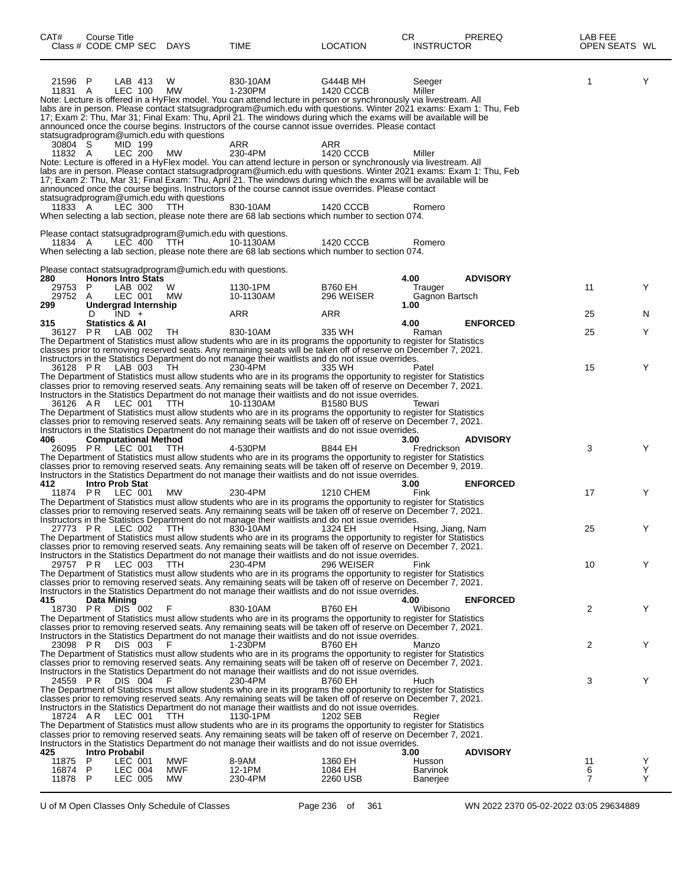| CAT#<br>Class # CODE CMP SEC DAYS | Course Title               |                    |                             |                                                            | TIME                                                                                                                                                                                                                                                                                                                                                                                                                                                                         | <b>LOCATION</b>       | СR<br><b>INSTRUCTOR</b>   | <b>PREREQ</b>   | LAB FEE<br>OPEN SEATS WL |        |
|-----------------------------------|----------------------------|--------------------|-----------------------------|------------------------------------------------------------|------------------------------------------------------------------------------------------------------------------------------------------------------------------------------------------------------------------------------------------------------------------------------------------------------------------------------------------------------------------------------------------------------------------------------------------------------------------------------|-----------------------|---------------------------|-----------------|--------------------------|--------|
| 21596 P<br>11831 A                |                            | LAB 413<br>LEC 100 |                             | W<br><b>MW</b>                                             | 830-10AM<br>1-230PM<br>Note: Lecture is offered in a HyFlex model. You can attend lecture in person or synchronously via livestream. All<br>labs are in person. Please contact statsugradprogram@umich.edu with questions. Winter 2021 exams: Exam 1: Thu, Feb<br>17; Exam 2: Thu, Mar 31; Final Exam: Thu, April 21. The windows during which the exams will be available will be                                                                                           | G444B MH<br>1420 CCCB | Seeger<br>Miller          |                 | 1                        | Y      |
| 30804 S                           |                            | MID 199            |                             | statsugradprogram@umich.edu with questions                 | announced once the course begins. Instructors of the course cannot issue overrides. Please contact<br>ARR                                                                                                                                                                                                                                                                                                                                                                    | ARR                   |                           |                 |                          |        |
| 11832 A                           |                            | <b>LEC 200</b>     |                             | МW<br>statsugradprogram@umich.edu with questions           | 230-4PM<br>Note: Lecture is offered in a HyFlex model. You can attend lecture in person or synchronously via livestream. All<br>labs are in person. Please contact statsugradprogram@umich.edu with questions. Winter 2021 exams: Exam 1: Thu, Feb<br>17; Exam 2: Thu, Mar 31; Final Exam: Thu, April 21. The windows during which the exams will be available will be<br>announced once the course begins. Instructors of the course cannot issue overrides. Please contact | 1420 CCCB             | Miller                    |                 |                          |        |
| 11833 A                           |                            | LEC 300            |                             | <b>TTH</b>                                                 | 830-10AM<br>When selecting a lab section, please note there are 68 lab sections which number to section 074.                                                                                                                                                                                                                                                                                                                                                                 | 1420 CCCB             | Romero                    |                 |                          |        |
| 11834 A                           |                            |                    | LEC 400 TTH                 | Please contact statsugradprogram@umich.edu with questions. | 10-1130AM<br>When selecting a lab section, please note there are 68 lab sections which number to section 074.                                                                                                                                                                                                                                                                                                                                                                | 1420 CCCB             | Romero                    |                 |                          |        |
| 280                               |                            |                    | <b>Honors Intro Stats</b>   | Please contact statsugradprogram@umich.edu with questions. |                                                                                                                                                                                                                                                                                                                                                                                                                                                                              |                       | 4.00                      | <b>ADVISORY</b> |                          |        |
| 29753                             | P                          | LAB 002            |                             | W                                                          | 1130-1PM                                                                                                                                                                                                                                                                                                                                                                                                                                                                     | <b>B760 EH</b>        | Trauger                   |                 | 11                       | Y      |
| 29752<br>299                      | A                          | LEC 001            | Undergrad Internship        | МW                                                         | 10-1130AM                                                                                                                                                                                                                                                                                                                                                                                                                                                                    | 296 WEISER            | Gagnon Bartsch<br>1.00    |                 |                          |        |
|                                   | D                          | $IND +$            |                             |                                                            | ARR                                                                                                                                                                                                                                                                                                                                                                                                                                                                          | ARR                   |                           |                 | 25                       | N      |
| 315<br>36127 PR LAB 002 TH        | <b>Statistics &amp; Al</b> |                    |                             |                                                            | 830-10AM                                                                                                                                                                                                                                                                                                                                                                                                                                                                     | 335 WH                | 4.00<br>Raman             | <b>ENFORCED</b> | 25                       | Y      |
|                                   |                            |                    |                             |                                                            | The Department of Statistics must allow students who are in its programs the opportunity to register for Statistics                                                                                                                                                                                                                                                                                                                                                          |                       |                           |                 |                          |        |
|                                   |                            |                    |                             |                                                            | classes prior to removing reserved seats. Any remaining seats will be taken off of reserve on December 7, 2021.<br>Instructors in the Statistics Department do not manage their waitlists and do not issue overrides.                                                                                                                                                                                                                                                        |                       |                           |                 |                          |        |
| 36128 PR                          |                            |                    | LAB 003                     | - TH                                                       | 230-4PM                                                                                                                                                                                                                                                                                                                                                                                                                                                                      | 335 WH                | Patel                     |                 | 15                       | Y      |
|                                   |                            |                    |                             |                                                            | The Department of Statistics must allow students who are in its programs the opportunity to register for Statistics<br>classes prior to removing reserved seats. Any remaining seats will be taken off of reserve on December 7, 2021.                                                                                                                                                                                                                                       |                       |                           |                 |                          |        |
|                                   |                            |                    |                             | <b>TTH</b>                                                 | Instructors in the Statistics Department do not manage their waitlists and do not issue overrides.                                                                                                                                                                                                                                                                                                                                                                           |                       |                           |                 |                          |        |
| 36126 AR LEC 001                  |                            |                    |                             |                                                            | 10-1130AM<br>The Department of Statistics must allow students who are in its programs the opportunity to register for Statistics                                                                                                                                                                                                                                                                                                                                             | <b>B1580 BUS</b>      | Tewari                    |                 |                          |        |
|                                   |                            |                    |                             |                                                            | classes prior to removing reserved seats. Any remaining seats will be taken off of reserve on December 7, 2021.                                                                                                                                                                                                                                                                                                                                                              |                       |                           |                 |                          |        |
| 406                               |                            |                    | <b>Computational Method</b> |                                                            | Instructors in the Statistics Department do not manage their waitlists and do not issue overrides.                                                                                                                                                                                                                                                                                                                                                                           |                       | 3.00                      | <b>ADVISORY</b> |                          |        |
| 26095 PR LEC 001                  |                            |                    |                             | TTH                                                        | 4-530PM<br>The Department of Statistics must allow students who are in its programs the opportunity to register for Statistics                                                                                                                                                                                                                                                                                                                                               | <b>B844 EH</b>        | Fredrickson               |                 | 3                        | Y      |
|                                   |                            |                    |                             |                                                            | classes prior to removing reserved seats. Any remaining seats will be taken off of reserve on December 9, 2019.                                                                                                                                                                                                                                                                                                                                                              |                       |                           |                 |                          |        |
| 412                               | <b>Intro Prob Stat</b>     |                    |                             |                                                            | Instructors in the Statistics Department do not manage their waitlists and do not issue overrides.                                                                                                                                                                                                                                                                                                                                                                           |                       | 3.00                      | <b>ENFORCED</b> |                          |        |
| 11874 PR LEC 001                  |                            |                    |                             | МW                                                         | 230-4PM                                                                                                                                                                                                                                                                                                                                                                                                                                                                      | 1210 CHEM             | Fink                      |                 | 17                       | Y      |
|                                   |                            |                    |                             |                                                            | The Department of Statistics must allow students who are in its programs the opportunity to register for Statistics<br>classes prior to removing reserved seats. Any remaining seats will be taken off of reserve on December 7, 2021.                                                                                                                                                                                                                                       |                       |                           |                 |                          |        |
|                                   |                            |                    |                             |                                                            | Instructors in the Statistics Department do not manage their waitlists and do not issue overrides.                                                                                                                                                                                                                                                                                                                                                                           |                       |                           |                 |                          |        |
|                                   |                            |                    |                             |                                                            | 27773 PR LEC 002 TTH 830-10AM 1324 EH<br>The Department of Statistics must allow students who are in its programs the opportunity to register for Statistics                                                                                                                                                                                                                                                                                                                 |                       | Hsing, Jiang, Nam         |                 | 25                       |        |
|                                   |                            |                    |                             |                                                            | classes prior to removing reserved seats. Any remaining seats will be taken off of reserve on December 7, 2021.                                                                                                                                                                                                                                                                                                                                                              |                       |                           |                 |                          |        |
| 29757 PR LEC 003 TTH              |                            |                    |                             |                                                            | Instructors in the Statistics Department do not manage their waitlists and do not issue overrides.<br>230-4PM                                                                                                                                                                                                                                                                                                                                                                | 296 WEISER            | Fink                      |                 | 10                       | Y      |
|                                   |                            |                    |                             |                                                            | The Department of Statistics must allow students who are in its programs the opportunity to register for Statistics                                                                                                                                                                                                                                                                                                                                                          |                       |                           |                 |                          |        |
|                                   |                            |                    |                             |                                                            | classes prior to removing reserved seats. Any remaining seats will be taken off of reserve on December 7, 2021.<br>Instructors in the Statistics Department do not manage their waitlists and do not issue overrides.                                                                                                                                                                                                                                                        |                       |                           |                 |                          |        |
| 415                               | Data Mining                |                    |                             |                                                            |                                                                                                                                                                                                                                                                                                                                                                                                                                                                              |                       | 4.00                      | <b>ENFORCED</b> |                          |        |
| 18730 PR                          |                            | DIS 002            |                             | - F                                                        | 830-10AM<br>The Department of Statistics must allow students who are in its programs the opportunity to register for Statistics                                                                                                                                                                                                                                                                                                                                              | <b>B760 EH</b>        | Wibisono                  |                 | 2                        | Y      |
|                                   |                            |                    |                             |                                                            | classes prior to removing reserved seats. Any remaining seats will be taken off of reserve on December 7, 2021.                                                                                                                                                                                                                                                                                                                                                              |                       |                           |                 |                          |        |
| 23098 PR                          |                            |                    | DIS 003                     | - F                                                        | Instructors in the Statistics Department do not manage their waitlists and do not issue overrides.<br>1-230PM                                                                                                                                                                                                                                                                                                                                                                | <b>B760 EH</b>        | Manzo                     |                 | 2                        | Y      |
|                                   |                            |                    |                             |                                                            | The Department of Statistics must allow students who are in its programs the opportunity to register for Statistics<br>classes prior to removing reserved seats. Any remaining seats will be taken off of reserve on December 7, 2021.                                                                                                                                                                                                                                       |                       |                           |                 |                          |        |
|                                   |                            |                    |                             |                                                            | Instructors in the Statistics Department do not manage their waitlists and do not issue overrides.                                                                                                                                                                                                                                                                                                                                                                           |                       |                           |                 |                          |        |
| 24559 PR                          |                            | DIS 004            |                             | - F                                                        | 230-4PM<br>The Department of Statistics must allow students who are in its programs the opportunity to register for Statistics                                                                                                                                                                                                                                                                                                                                               | <b>B760 EH</b>        | Huch                      |                 | 3                        | Y      |
|                                   |                            |                    |                             |                                                            | classes prior to removing reserved seats. Any remaining seats will be taken off of reserve on December 7, 2021.                                                                                                                                                                                                                                                                                                                                                              |                       |                           |                 |                          |        |
| 18724 AR                          |                            |                    | LEC 001 TTH                 |                                                            | Instructors in the Statistics Department do not manage their waitlists and do not issue overrides.<br>1130-1PM                                                                                                                                                                                                                                                                                                                                                               | 1202 SEB              | Regier                    |                 |                          |        |
|                                   |                            |                    |                             |                                                            | The Department of Statistics must allow students who are in its programs the opportunity to register for Statistics                                                                                                                                                                                                                                                                                                                                                          |                       |                           |                 |                          |        |
|                                   |                            |                    |                             |                                                            | classes prior to removing reserved seats. Any remaining seats will be taken off of reserve on December 7, 2021.<br>Instructors in the Statistics Department do not manage their waitlists and do not issue overrides.                                                                                                                                                                                                                                                        |                       |                           |                 |                          |        |
| 425                               | Intro Probabil             |                    |                             |                                                            |                                                                                                                                                                                                                                                                                                                                                                                                                                                                              |                       | 3.00                      | <b>ADVISORY</b> |                          |        |
| 11875<br>16874 P                  | P                          | LEC 001<br>LEC 004 |                             | MWF<br>MWF                                                 | 8-9AM<br>12-1PM                                                                                                                                                                                                                                                                                                                                                                                                                                                              | 1360 EH<br>1084 EH    | Husson<br><b>Barvinok</b> |                 | 11<br>6                  | Y<br>Y |
| 11878 P                           |                            | LEC 005            |                             | МW                                                         | 230-4PM                                                                                                                                                                                                                                                                                                                                                                                                                                                                      | 2260 USB              | Banerjee                  |                 | 7                        | Y      |

U of M Open Classes Only Schedule of Classes Page 236 of 361 WN 2022 2370 05-02-2022 03:05 29634889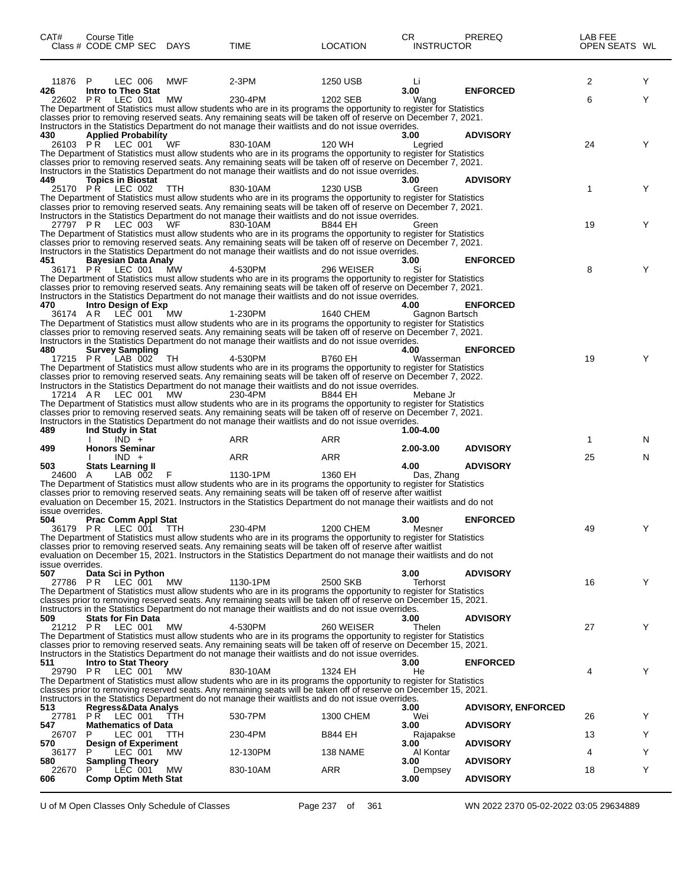| CAT#             | Course Title<br>Class # CODE CMP SEC DAYS       |            | TIME                                                                                                                                                                                                                                    | <b>LOCATION</b> | CR.<br><b>INSTRUCTOR</b> | PREREQ                    | LAB FEE<br>OPEN SEATS WL |   |
|------------------|-------------------------------------------------|------------|-----------------------------------------------------------------------------------------------------------------------------------------------------------------------------------------------------------------------------------------|-----------------|--------------------------|---------------------------|--------------------------|---|
| 11876            | LEC 006<br>P                                    | MWF        | 2-3PM                                                                                                                                                                                                                                   | 1250 USB        | Li<br>3.00               | <b>ENFORCED</b>           | 2                        | Y |
| 426<br>22602 PR  | Intro to Theo Stat<br>LEC 001                   | МW         | 230-4PM                                                                                                                                                                                                                                 | 1202 SEB        | Wang                     |                           | 6                        | Y |
|                  |                                                 |            | The Department of Statistics must allow students who are in its programs the opportunity to register for Statistics                                                                                                                     |                 |                          |                           |                          |   |
|                  |                                                 |            | classes prior to removing reserved seats. Any remaining seats will be taken off of reserve on December 7, 2021.<br>Instructors in the Statistics Department do not manage their waitlists and do not issue overrides.                   |                 |                          |                           |                          |   |
| 430              | <b>Applied Probability</b>                      |            |                                                                                                                                                                                                                                         |                 | 3.00                     | <b>ADVISORY</b>           |                          |   |
|                  | 26103 PR LEC 001                                | WF         | 830-10AM                                                                                                                                                                                                                                | 120 WH          | Learied                  |                           | 24                       | Y |
|                  |                                                 |            | The Department of Statistics must allow students who are in its programs the opportunity to register for Statistics<br>classes prior to removing reserved seats. Any remaining seats will be taken off of reserve on December 7, 2021.  |                 |                          |                           |                          |   |
|                  |                                                 |            | Instructors in the Statistics Department do not manage their waitlists and do not issue overrides.                                                                                                                                      |                 |                          |                           |                          |   |
| 449              | <b>Topics in Biostat</b>                        |            |                                                                                                                                                                                                                                         |                 | 3.00                     | <b>ADVISORY</b>           |                          |   |
|                  | 25170 PR LEC 002                                | <b>TTH</b> | 830-10AM<br>The Department of Statistics must allow students who are in its programs the opportunity to register for Statistics                                                                                                         | 1230 USB        | Green                    |                           | 1                        | Y |
|                  |                                                 |            | classes prior to removing reserved seats. Any remaining seats will be taken off of reserve on December 7, 2021.                                                                                                                         |                 |                          |                           |                          |   |
|                  |                                                 |            | Instructors in the Statistics Department do not manage their waitlists and do not issue overrides.                                                                                                                                      |                 |                          |                           | 19                       | Y |
|                  | 27797 PR LEC 003                                | WF         | 830-10AM<br>The Department of Statistics must allow students who are in its programs the opportunity to register for Statistics                                                                                                         | B844 EH         | Green                    |                           |                          |   |
|                  |                                                 |            | classes prior to removing reserved seats. Any remaining seats will be taken off of reserve on December 7, 2021.                                                                                                                         |                 |                          |                           |                          |   |
|                  |                                                 |            | Instructors in the Statistics Department do not manage their waitlists and do not issue overrides.                                                                                                                                      |                 |                          |                           |                          |   |
| 451              | Bayesian Data Analy<br>36171 PR LEC 001         | MW         | 4-530PM                                                                                                                                                                                                                                 | 296 WEISER      | 3.00<br>Si               | <b>ENFORCED</b>           | 8                        | Y |
|                  |                                                 |            | The Department of Statistics must allow students who are in its programs the opportunity to register for Statistics                                                                                                                     |                 |                          |                           |                          |   |
|                  |                                                 |            | classes prior to removing reserved seats. Any remaining seats will be taken off of reserve on December 7, 2021.                                                                                                                         |                 |                          |                           |                          |   |
| 470              | Intro Design of Exp                             |            | Instructors in the Statistics Department do not manage their waitlists and do not issue overrides.                                                                                                                                      |                 | 4.00                     | <b>ENFORCED</b>           |                          |   |
| 36174 AR         | LEC 001                                         | <b>MW</b>  | 1-230PM                                                                                                                                                                                                                                 | 1640 CHEM       | Gagnon Bartsch           |                           |                          |   |
|                  |                                                 |            | The Department of Statistics must allow students who are in its programs the opportunity to register for Statistics                                                                                                                     |                 |                          |                           |                          |   |
|                  |                                                 |            | classes prior to removing reserved seats. Any remaining seats will be taken off of reserve on December 7, 2021.<br>Instructors in the Statistics Department do not manage their waitlists and do not issue overrides.                   |                 |                          |                           |                          |   |
| 480              | <b>Survey Sampling</b>                          |            |                                                                                                                                                                                                                                         |                 | 4.00                     | <b>ENFORCED</b>           |                          |   |
|                  | 17215 PR LAB 002                                | TH         | 4-530PM<br>The Department of Statistics must allow students who are in its programs the opportunity to register for Statistics                                                                                                          | <b>B760 EH</b>  | Wasserman                |                           | 19                       | Y |
|                  |                                                 |            | classes prior to removing reserved seats. Any remaining seats will be taken off of reserve on December 7, 2022.                                                                                                                         |                 |                          |                           |                          |   |
|                  |                                                 |            | Instructors in the Statistics Department do not manage their waitlists and do not issue overrides.                                                                                                                                      |                 |                          |                           |                          |   |
| 17214 AR         | LEC 001                                         | MW.        | 230-4PM<br>The Department of Statistics must allow students who are in its programs the opportunity to register for Statistics                                                                                                          | B844 EH         | Mebane Jr                |                           |                          |   |
|                  |                                                 |            | classes prior to removing reserved seats. Any remaining seats will be taken off of reserve on December 7, 2021.                                                                                                                         |                 |                          |                           |                          |   |
|                  |                                                 |            | Instructors in the Statistics Department do not manage their waitlists and do not issue overrides.                                                                                                                                      |                 |                          |                           |                          |   |
| 489              | Ind Study in Stat<br>$IND +$                    |            | ARR                                                                                                                                                                                                                                     | ARR             | 1.00-4.00                |                           | 1                        | N |
| 499              | <b>Honors Seminar</b>                           |            |                                                                                                                                                                                                                                         |                 | 2.00-3.00                | <b>ADVISORY</b>           |                          |   |
|                  | $IND +$                                         |            | <b>ARR</b>                                                                                                                                                                                                                              | ARR             |                          |                           | 25                       | N |
| 503<br>24600     | <b>Stats Learning II</b><br>LAB 002<br>A        |            | 1130-1PM                                                                                                                                                                                                                                | 1360 EH         | 4.00<br>Das, Zhang       | <b>ADVISORY</b>           |                          |   |
|                  |                                                 |            | The Department of Statistics must allow students who are in its programs the opportunity to register for Statistics                                                                                                                     |                 |                          |                           |                          |   |
|                  |                                                 |            | classes prior to removing reserved seats. Any remaining seats will be taken off of reserve after waitlist                                                                                                                               |                 |                          |                           |                          |   |
| issue overrides. |                                                 |            | evaluation on December 15, 2021. Instructors in the Statistics Department do not manage their waitlists and do not                                                                                                                      |                 |                          |                           |                          |   |
| 504              | <b>Prac Comm Appl Stat</b>                      |            |                                                                                                                                                                                                                                         |                 | 3.00                     | <b>ENFORCED</b>           |                          |   |
|                  | 36179 PR LEC 001 TTH                            |            | 230-4PM                                                                                                                                                                                                                                 | 1200 CHEM       | Mesner                   |                           | 49                       |   |
|                  |                                                 |            | The Department of Statistics must allow students who are in its programs the opportunity to register for Statistics<br>classes prior to removing reserved seats. Any remaining seats will be taken off of reserve after waitlist        |                 |                          |                           |                          |   |
|                  |                                                 |            | evaluation on December 15, 2021. Instructors in the Statistics Department do not manage their waitlists and do not                                                                                                                      |                 |                          |                           |                          |   |
| issue overrides. |                                                 |            |                                                                                                                                                                                                                                         |                 |                          |                           |                          |   |
| 507              | Data Sci in Python<br>27786 PR LEC 001          | MW         | 1130-1PM                                                                                                                                                                                                                                | 2500 SKB        | 3.00<br>Terhorst         | <b>ADVISORY</b>           | 16                       | Y |
|                  |                                                 |            | The Department of Statistics must allow students who are in its programs the opportunity to register for Statistics                                                                                                                     |                 |                          |                           |                          |   |
|                  |                                                 |            | classes prior to removing reserved seats. Any remaining seats will be taken off of reserve on December 15, 2021.                                                                                                                        |                 |                          |                           |                          |   |
| 509              | <b>Stats for Fin Data</b>                       |            | Instructors in the Statistics Department do not manage their waitlists and do not issue overrides.                                                                                                                                      |                 | 3.00                     | <b>ADVISORY</b>           |                          |   |
|                  | 21212 PR LEC 001                                | MW         | 4-530PM                                                                                                                                                                                                                                 | 260 WEISER      | Thelen                   |                           | 27                       | Y |
|                  |                                                 |            | The Department of Statistics must allow students who are in its programs the opportunity to register for Statistics                                                                                                                     |                 |                          |                           |                          |   |
|                  |                                                 |            | classes prior to removing reserved seats. Any remaining seats will be taken off of reserve on December 15, 2021.<br>Instructors in the Statistics Department do not manage their waitlists and do not issue overrides.                  |                 |                          |                           |                          |   |
| 511              | Intro to Stat Theory                            |            |                                                                                                                                                                                                                                         |                 | 3.00                     | <b>ENFORCED</b>           |                          |   |
|                  | 29790 PR LEC 001                                | MW         | 830-10AM                                                                                                                                                                                                                                | 1324 EH         | He                       |                           | 4                        | Y |
|                  |                                                 |            | The Department of Statistics must allow students who are in its programs the opportunity to register for Statistics<br>classes prior to removing reserved seats. Any remaining seats will be taken off of reserve on December 15, 2021. |                 |                          |                           |                          |   |
|                  |                                                 |            | Instructors in the Statistics Department do not manage their waitlists and do not issue overrides.                                                                                                                                      |                 |                          |                           |                          |   |
| 513              | Regress&Data Analys                             |            |                                                                                                                                                                                                                                         |                 | 3.00                     | <b>ADVISORY, ENFORCED</b> |                          |   |
| 27781<br>547     | <b>PR LEC 001</b><br><b>Mathematics of Data</b> | TTH        | 530-7PM                                                                                                                                                                                                                                 | 1300 CHEM       | Wei<br>3.00              | <b>ADVISORY</b>           | 26                       | Y |
| 26707            | LEC 001<br>P                                    | TTH        | 230-4PM                                                                                                                                                                                                                                 | <b>B844 EH</b>  | Rajapakse                |                           | 13                       | Y |
| 570              | Design of Experiment                            |            |                                                                                                                                                                                                                                         |                 | 3.00                     | <b>ADVISORY</b>           |                          |   |
| 36177            | P<br>LEC 001                                    | MW         | 12-130PM                                                                                                                                                                                                                                | 138 NAME        | Al Kontar                |                           | 4                        | Y |
| 580<br>22670     | <b>Sampling Theory</b><br>LEC 001<br>P          | МW         | 830-10AM                                                                                                                                                                                                                                | ARR             | 3.00<br>Dempsey          | <b>ADVISORY</b>           | 18                       | Y |
| 606              | <b>Comp Optim Meth Stat</b>                     |            |                                                                                                                                                                                                                                         |                 | 3.00                     | <b>ADVISORY</b>           |                          |   |
|                  |                                                 |            |                                                                                                                                                                                                                                         |                 |                          |                           |                          |   |

U of M Open Classes Only Schedule of Classes Page 237 of 361 WN 2022 2370 05-02-2022 03:05 29634889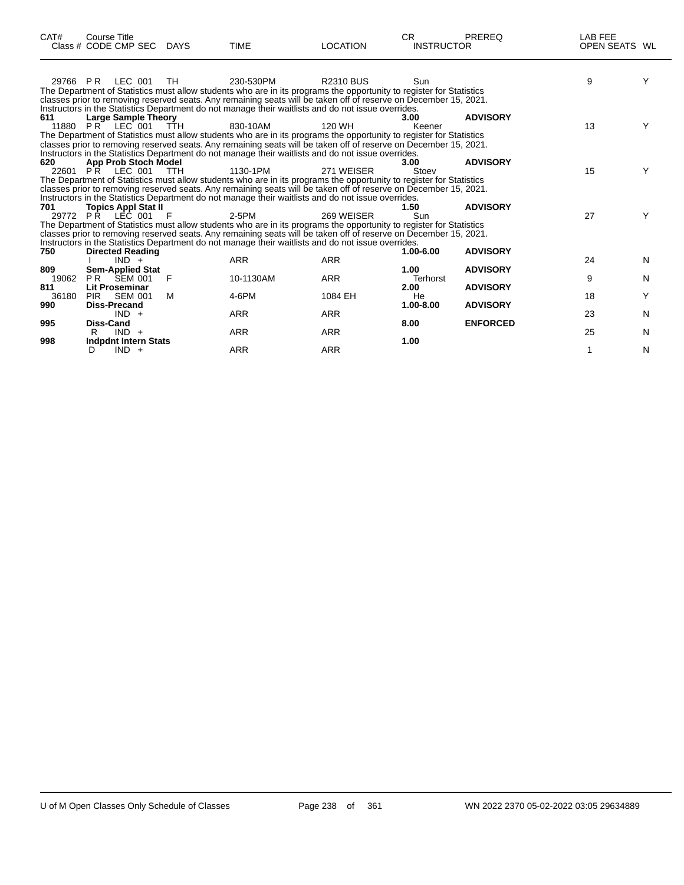| CAT#     | <b>Course Title</b><br>Class # CODE CMP SEC | <b>DAYS</b> | <b>TIME</b>                                                                                                                                                                                                            | <b>LOCATION</b>  | CR.<br><b>INSTRUCTOR</b> | <b>PREREQ</b>   | LAB FEE<br>OPEN SEATS WL |   |
|----------|---------------------------------------------|-------------|------------------------------------------------------------------------------------------------------------------------------------------------------------------------------------------------------------------------|------------------|--------------------------|-----------------|--------------------------|---|
| 29766 PR | LEC 001                                     | TH          | 230-530PM                                                                                                                                                                                                              | <b>R2310 BUS</b> | Sun                      |                 | 9                        | Υ |
|          |                                             |             | The Department of Statistics must allow students who are in its programs the opportunity to register for Statistics                                                                                                    |                  |                          |                 |                          |   |
|          |                                             |             | classes prior to removing reserved seats. Any remaining seats will be taken off of reserve on December 15, 2021.<br>Instructors in the Statistics Department do not manage their waitlists and do not issue overrides. |                  |                          |                 |                          |   |
| 611      | <b>Large Sample Theory</b>                  |             |                                                                                                                                                                                                                        |                  | 3.00                     | <b>ADVISORY</b> |                          |   |
|          | 11880 PR LEC 001                            | <b>TTH</b>  | 830-10AM                                                                                                                                                                                                               | 120 WH           | Keener                   |                 | 13                       |   |
|          |                                             |             | The Department of Statistics must allow students who are in its programs the opportunity to register for Statistics                                                                                                    |                  |                          |                 |                          |   |
|          |                                             |             | classes prior to removing reserved seats. Any remaining seats will be taken off of reserve on December 15, 2021.                                                                                                       |                  |                          |                 |                          |   |
|          |                                             |             | Instructors in the Statistics Department do not manage their waitlists and do not issue overrides.                                                                                                                     |                  |                          |                 |                          |   |
| 620      | <b>App Prob Stoch Model</b>                 |             | 1130-1PM                                                                                                                                                                                                               | 271 WEISER       | 3.00<br>Stoev            | <b>ADVISORY</b> | 15                       | Υ |
|          | 22601 PR LEC 001                            | <b>TTH</b>  | The Department of Statistics must allow students who are in its programs the opportunity to register for Statistics                                                                                                    |                  |                          |                 |                          |   |
|          |                                             |             | classes prior to removing reserved seats. Any remaining seats will be taken off of reserve on December 15, 2021.                                                                                                       |                  |                          |                 |                          |   |
|          |                                             |             | Instructors in the Statistics Department do not manage their waitlists and do not issue overrides.                                                                                                                     |                  |                          |                 |                          |   |
| 701      | <b>Topics Appl Stat II</b>                  |             |                                                                                                                                                                                                                        |                  | 1.50                     | <b>ADVISORY</b> |                          |   |
|          | 29772 PR LEC 001                            | F           | 2-5PM                                                                                                                                                                                                                  | 269 WFISFR       | Sun                      |                 | 27                       |   |
|          |                                             |             | The Department of Statistics must allow students who are in its programs the opportunity to register for Statistics                                                                                                    |                  |                          |                 |                          |   |
|          |                                             |             | classes prior to removing reserved seats. Any remaining seats will be taken off of reserve on December 15, 2021.                                                                                                       |                  |                          |                 |                          |   |
|          |                                             |             | Instructors in the Statistics Department do not manage their waitlists and do not issue overrides.                                                                                                                     |                  |                          |                 |                          |   |
| 750      | <b>Directed Reading</b><br>$IND +$          |             | <b>ARR</b>                                                                                                                                                                                                             | <b>ARR</b>       | 1.00-6.00                | <b>ADVISORY</b> | 24                       | N |
| 809      | <b>Sem-Applied Stat</b>                     |             |                                                                                                                                                                                                                        |                  | 1.00                     | <b>ADVISORY</b> |                          |   |
| 19062    | <b>PR SEM 001</b>                           | F           | 10-1130AM                                                                                                                                                                                                              | <b>ARR</b>       | <b>Terhorst</b>          |                 | 9                        | N |
| 811      | <b>Lit Proseminar</b>                       |             |                                                                                                                                                                                                                        |                  | 2.00                     | <b>ADVISORY</b> |                          |   |
| 36180    | <b>SEM 001</b><br><b>PIR</b>                | M           | 4-6PM                                                                                                                                                                                                                  | 1084 EH          | He                       |                 | 18                       | Υ |
| 990      | <b>Diss-Precand</b>                         |             |                                                                                                                                                                                                                        |                  | 1.00-8.00                | <b>ADVISORY</b> |                          |   |
|          | $IND +$                                     |             | <b>ARR</b>                                                                                                                                                                                                             | <b>ARR</b>       |                          |                 | 23                       | N |
| 995      | <b>Diss-Cand</b>                            |             |                                                                                                                                                                                                                        |                  | 8.00                     | <b>ENFORCED</b> |                          |   |
|          | $IND +$                                     |             | <b>ARR</b>                                                                                                                                                                                                             | <b>ARR</b>       | 1.00                     |                 | 25                       | N |
| 998      | <b>Indpdnt Intern Stats</b><br>$IND +$<br>D |             | <b>ARR</b>                                                                                                                                                                                                             | <b>ARR</b>       |                          |                 | 1                        | N |
|          |                                             |             |                                                                                                                                                                                                                        |                  |                          |                 |                          |   |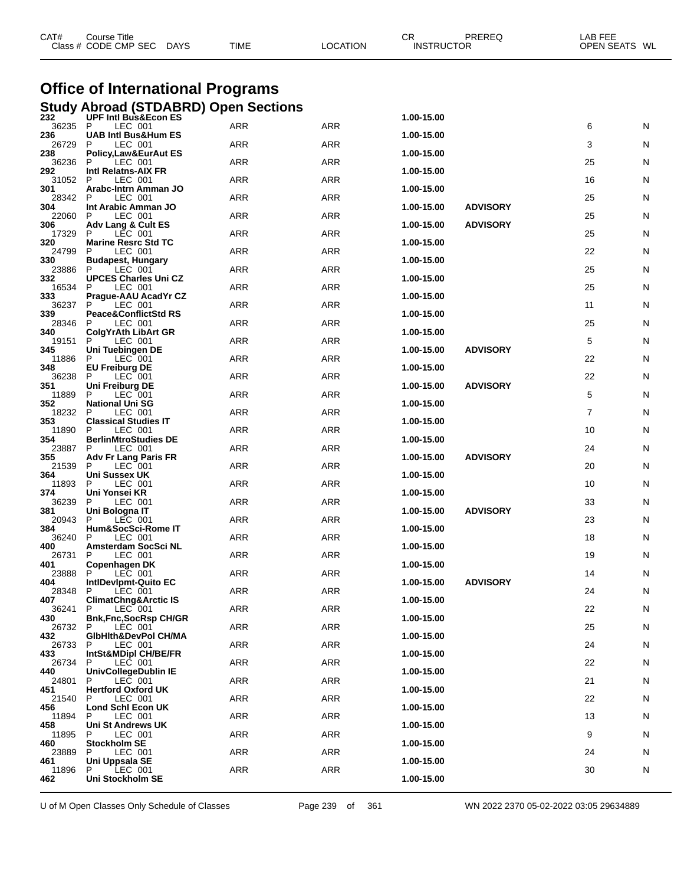| CAT#           | Course Title<br>Class # CODE CMP SEC DAYS                                      | CR<br><b>PREREQ</b><br><b>LOCATION</b><br><b>INSTRUCTOR</b><br>TIME |            | LAB FEE<br>OPEN SEATS WL      |    |   |
|----------------|--------------------------------------------------------------------------------|---------------------------------------------------------------------|------------|-------------------------------|----|---|
|                | <b>Office of International Programs</b>                                        |                                                                     |            |                               |    |   |
| 232            | <b>Study Abroad (STDABRD) Open Sections</b><br><b>UPF Intl Bus&amp;Econ ES</b> |                                                                     |            |                               |    |   |
| 36235          | P<br>LEC 001                                                                   | ARR                                                                 | ARR        | 1.00-15.00                    | 6  | N |
| 236<br>26729   | <b>UAB Intl Bus&amp;Hum ES</b><br>P<br>LEC 001                                 | ARR                                                                 | ARR        | 1.00-15.00                    | 3  | N |
| 238<br>36236   | Policy, Law & Eur Aut ES<br>Р<br>LEC 001                                       | <b>ARR</b>                                                          | <b>ARR</b> | 1.00-15.00                    | 25 | N |
| 292<br>31052   | Intl Relatns-AIX FR<br>P<br>LEC 001                                            | ARR                                                                 | ARR        | 1.00-15.00                    | 16 | N |
| 301<br>28342   | Arabc-Intrn Amman JO<br>P<br>LEC 001                                           | ARR                                                                 | ARR        | 1.00-15.00                    | 25 | N |
| 304<br>22060   | Int Arabic Amman JO<br>LEC 001<br>P                                            | <b>ARR</b>                                                          | <b>ARR</b> | <b>ADVISORY</b><br>1.00-15.00 | 25 | N |
| 306<br>17329   | Adv Lang & Cult ES<br>P<br>LEC 001                                             | ARR                                                                 | ARR        | 1.00-15.00<br><b>ADVISORY</b> | 25 | N |
| 320<br>24799   | <b>Marine Resrc Std TC</b><br>LEC 001<br>Р                                     | ARR                                                                 | ARR        | 1.00-15.00                    | 22 | N |
| 330<br>23886   | <b>Budapest, Hungary</b><br>P<br>LEC 001                                       | <b>ARR</b>                                                          | ARR        | 1.00-15.00                    | 25 | N |
| 332<br>16534   | <b>UPCES Charles Uni CZ</b><br>P<br>LEC 001                                    | ARR                                                                 | ARR        | 1.00-15.00                    | 25 | N |
| 333            | Prague-AAU AcadYr CZ<br>P                                                      |                                                                     |            | 1.00-15.00                    |    |   |
| 36237<br>339   | LEC 001<br><b>Peace&amp;ConflictStd RS</b>                                     | ARR                                                                 | ARR        | 1.00-15.00                    | 11 | N |
| 28346<br>340   | LEC 001<br>P<br><b>ColgYrAth LibArt GR</b>                                     | ARR                                                                 | ARR        | 1.00-15.00                    | 25 | N |
| 19151<br>345   | P<br>LEC 001<br>Uni Tuebingen DE                                               | ARR                                                                 | ARR        | <b>ADVISORY</b><br>1.00-15.00 | 5  | N |
| 11886<br>348   | P<br>LEC 001<br><b>EU Freiburg DE</b>                                          | ARR                                                                 | ARR        | 1.00-15.00                    | 22 | N |
| 36238<br>351   | P<br>LEC 001<br>Uni Freiburg DE                                                | ARR                                                                 | ARR        | <b>ADVISORY</b><br>1.00-15.00 | 22 | N |
| 11889<br>352   | P<br>LEC 001<br><b>National Uni SG</b>                                         | ARR                                                                 | ARR        | 1.00-15.00                    | 5  | N |
| 18232<br>353   | P<br>LEC 001<br><b>Classical Studies IT</b>                                    | ARR                                                                 | ARR        | 1.00-15.00                    | 7  | N |
| 11890<br>354   | LEC 001<br>P<br><b>BerlinMtroStudies DE</b>                                    | ARR                                                                 | ARR        | 1.00-15.00                    | 10 | N |
| 23887<br>355   | P<br>LEC 001<br>Adv Fr Lang Paris FR                                           | ARR                                                                 | ARR        | <b>ADVISORY</b><br>1.00-15.00 | 24 | N |
| 21539<br>364   | P<br>LEC 001<br>Uni Sussex UK                                                  | ARR                                                                 | ARR        | 1.00-15.00                    | 20 | N |
| 11893          | P<br>LEC 001                                                                   | <b>ARR</b>                                                          | <b>ARR</b> |                               | 10 | N |
| 374<br>36239   | Uni Yonsei KR<br>P<br>LEC 001                                                  | ARR                                                                 | ARR        | 1.00-15.00                    | 33 | N |
| 381<br>20943   | Uni Bologna IT<br>P<br>LEC 001                                                 | ARR                                                                 | ARR        | <b>ADVISORY</b><br>1.00-15.00 | 23 | N |
| 384<br>36240 P | Hum&SocSci-Rome IT<br>LEC 001                                                  | ARR                                                                 | ARR        | 1.00-15.00                    | 18 | N |
| 400<br>26731   | Amsterdam SocSci NL<br>P<br>LEC 001                                            | ARR                                                                 | ARR        | 1.00-15.00                    | 19 | N |
| 401<br>23888   | Copenhagen DK<br>P<br>LEC 001                                                  | <b>ARR</b>                                                          | ARR        | 1.00-15.00                    | 14 | N |
| 404<br>28348   | IntlDevIpmt-Quito EC<br>LEC 001<br>P                                           | <b>ARR</b>                                                          | ARR        | 1.00-15.00<br><b>ADVISORY</b> | 24 | N |
| 407<br>36241   | <b>ClimatChng&amp;Arctic IS</b><br>LEC 001<br>P                                | ARR                                                                 | ARR        | 1.00-15.00                    | 22 | N |
| 430<br>26732   | <b>Bnk, Fnc, SocRsp CH/GR</b><br>P<br>LEC 001                                  | <b>ARR</b>                                                          | ARR        | 1.00-15.00                    | 25 | N |
| 432<br>26733   | GibHith&DevPol CH/MA<br>LEC 001<br>P                                           | <b>ARR</b>                                                          | ARR        | 1.00-15.00                    | 24 | N |
| 433            | <b>IntSt&amp;MDipl CH/BE/FR</b><br>P                                           | <b>ARR</b>                                                          | ARR        | 1.00-15.00                    | 22 |   |
| 26734<br>440   | LEC 001<br>UnivCollegeDublin IE                                                |                                                                     |            | 1.00-15.00                    |    | N |
| 24801<br>451   | P<br>LEC 001<br><b>Hertford Oxford UK</b>                                      | <b>ARR</b>                                                          | ARR        | 1.00-15.00                    | 21 | N |
| 21540<br>456   | LEC 001<br>P<br>Lond Schl Econ UK                                              | <b>ARR</b>                                                          | ARR        | 1.00-15.00                    | 22 | N |
| 11894<br>458   | P<br>LEC 001<br><b>Uni St Andrews UK</b>                                       | <b>ARR</b>                                                          | ARR        | 1.00-15.00                    | 13 | N |
| 11895<br>460   | P<br>LEC 001<br><b>Stockholm SE</b>                                            | <b>ARR</b>                                                          | ARR        | 1.00-15.00                    | 9  | N |
| 23889<br>461   | LEC 001<br>P<br>Uni Uppsala SE                                                 | <b>ARR</b>                                                          | ARR        | 1.00-15.00                    | 24 | N |
| 11896<br>462   | P<br>LEC 001<br>Uni Stockholm SE                                               | <b>ARR</b>                                                          | ARR        | 1.00-15.00                    | 30 | N |
|                |                                                                                |                                                                     |            |                               |    |   |

U of M Open Classes Only Schedule of Classes **Page 239** of 361 WN 2022 2370 05-02-2022 03:05 29634889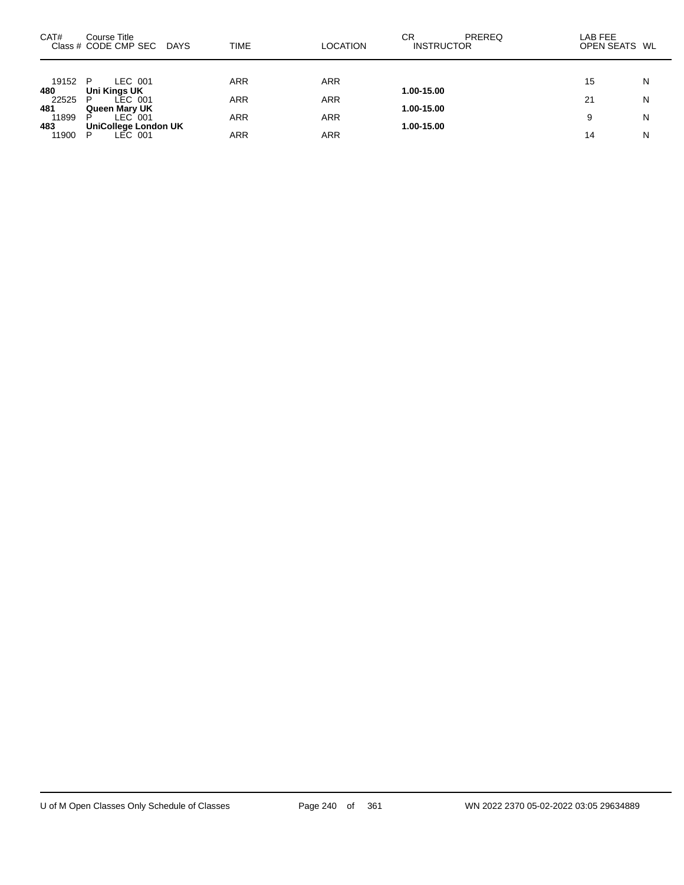| CAT#                  | Course Title<br>Class # CODE CMP SEC DAYS                      | TIME       | <b>LOCATION</b>          | СR<br>PREREQ<br><b>INSTRUCTOR</b> | LAB FEE<br>OPEN SEATS WL |        |
|-----------------------|----------------------------------------------------------------|------------|--------------------------|-----------------------------------|--------------------------|--------|
| 19152 P               | LEC 001                                                        | ARR        | <b>ARR</b>               |                                   | 15                       | N      |
| 480<br>22525<br>481   | Uni Kings UK<br>LEC 001<br>P.<br>Queen Mary UK                 | ARR        | <b>ARR</b>               | 1.00-15.00<br>1.00-15.00          | 21                       | N      |
| 11899<br>483<br>11900 | $LEC$ 001<br>P<br><b>UniCollege London UK</b><br>LEC 001<br>P. | ARR<br>ARR | <b>ARR</b><br><b>ARR</b> | 1.00-15.00                        | 9<br>14                  | N<br>N |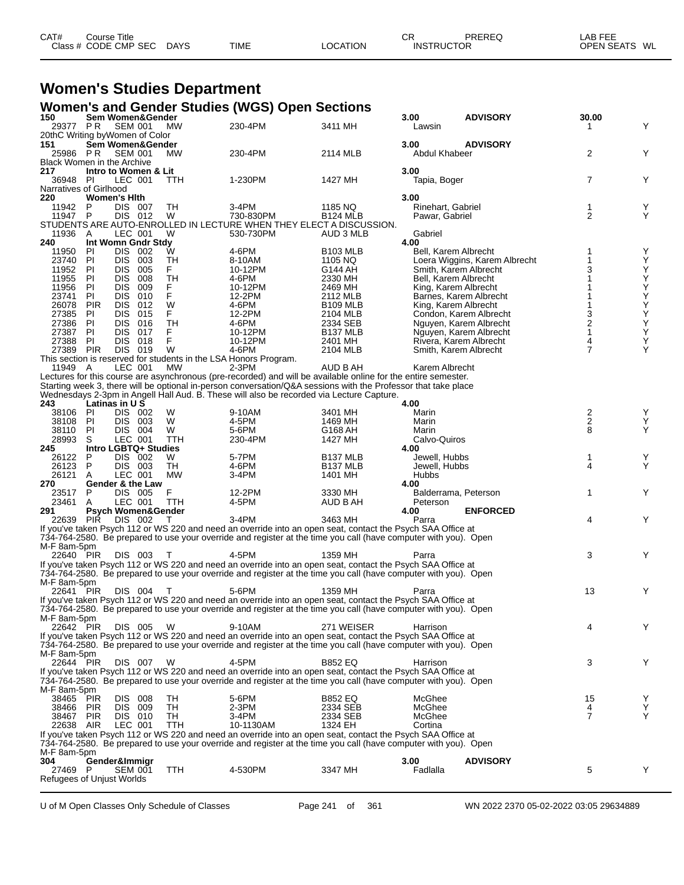| CAT# | ourse Titleٽ         |             |             |          | ⌒冖<br>◡┍          | PREREQ | LAB FEE    |    |
|------|----------------------|-------------|-------------|----------|-------------------|--------|------------|----|
|      | Class # CODE CMP SEC | <b>DAYS</b> | <b>TIME</b> | LOCATION | <b>INSTRUCTOR</b> |        | OPEN SEATS | WL |

## **Women's Studies Department**

|                                   |                   |                                          |                 | Women's and Gender Studies (WGS) Open Sections                                                                                                                                                             |                                 |                               |                               |                     |               |
|-----------------------------------|-------------------|------------------------------------------|-----------------|------------------------------------------------------------------------------------------------------------------------------------------------------------------------------------------------------------|---------------------------------|-------------------------------|-------------------------------|---------------------|---------------|
| 150<br>29377 PR                   |                   | Sem Women&Gender<br><b>SEM 001</b>       | MW              | 230-4PM                                                                                                                                                                                                    | 3411 MH                         | 3.00<br>Lawsin                | <b>ADVISORY</b>               | 30.00<br>1          | Y             |
|                                   |                   | 20thC Writing byWomen of Color           |                 |                                                                                                                                                                                                            |                                 |                               |                               |                     |               |
| 151<br>25986 PR                   |                   | Sem Women&Gender                         |                 | 230-4PM                                                                                                                                                                                                    |                                 | 3.00                          | <b>ADVISORY</b>               | 2                   | Y             |
| <b>Black Women in the Archive</b> |                   | <b>SEM 001</b>                           | <b>MW</b>       |                                                                                                                                                                                                            | 2114 MLB                        | Abdul Khabeer                 |                               |                     |               |
| 217                               |                   | Intro to Women & Lit                     |                 |                                                                                                                                                                                                            |                                 | 3.00                          |                               |                     |               |
| 36948 PI                          |                   | LEC 001                                  | TTH             | 1-230PM                                                                                                                                                                                                    | 1427 MH                         | Tapia, Boger                  |                               | $\overline{7}$      | Y             |
| Narratives of Girlhood<br>220     |                   | <b>Women's Hith</b>                      |                 |                                                                                                                                                                                                            |                                 | 3.00                          |                               |                     |               |
| 11942                             | P                 | <b>DIS 007</b>                           | TН              | 3-4PM                                                                                                                                                                                                      | 1185 NQ                         | Rinehart, Gabriel             |                               | 1                   | Y             |
| 11947                             | P                 | DIS 012                                  | W               | 730-830PM                                                                                                                                                                                                  | <b>B124 MLB</b>                 | Pawar, Gabriel                |                               | $\overline{2}$      | Y             |
| 11936                             | A                 | LEC 001                                  | W               | STUDENTS ARE AUTO-ENROLLED IN LECTURE WHEN THEY ELECT A DISCUSSION.<br>530-730PM                                                                                                                           | AUD 3 MLB                       | Gabriel                       |                               |                     |               |
| 240                               |                   | Int Womn Gndr Stdy                       |                 |                                                                                                                                                                                                            |                                 | 4.00                          |                               |                     |               |
| 11950                             | PI                | DIS 002                                  | W               | 4-6PM                                                                                                                                                                                                      | <b>B103 MLB</b>                 | Bell. Karem Albrecht          |                               |                     | Υ             |
| 23740                             | PI<br>PI.         | DIS 003<br>005                           | TН              | 8-10AM                                                                                                                                                                                                     | 1105 NQ                         |                               | Loera Wiggins, Karem Albrecht | 1<br>3              | Υ<br>Υ        |
| 11952<br>11955                    | PI                | <b>DIS</b><br><b>DIS</b><br>008          | F.<br>TH        | 10-12PM<br>4-6PM                                                                                                                                                                                           | G144 AH<br>2330 MH              | Bell, Karem Albrecht          | Smith, Karem Albrecht         | 1                   |               |
| 11956                             | PI                | <b>DIS</b><br>009                        | F.              | 10-12PM                                                                                                                                                                                                    | 2469 MH                         | King, Karem Albrecht          |                               |                     | $\frac{Y}{Y}$ |
| 23741                             | PI.               | <b>DIS</b><br>010                        | F               | 12-2PM                                                                                                                                                                                                     | 2112 MLB                        |                               | Barnes, Karem Albrecht        |                     | Υ             |
| 26078<br>27385                    | <b>PIR</b><br>PI  | DIS.<br>012<br><b>DIS</b><br>015         | W<br>F          | 4-6PM<br>12-2PM                                                                                                                                                                                            | <b>B109 MLB</b><br>2104 MLB     | King, Karem Albrecht          | Condon, Karem Albrecht        | 3                   | Ý<br>Y        |
| 27386                             | PI.               | <b>DIS</b><br>016                        | TН              | 4-6PM                                                                                                                                                                                                      | 2334 SEB                        |                               | Nguyen, Karem Albrecht        | $\frac{2}{1}$       | Υ             |
| 27387                             | PI                | DIS.<br>017                              | F               | 10-12PM                                                                                                                                                                                                    | <b>B137 MLB</b>                 |                               | Nguyen, Karem Albrecht        |                     | Ý             |
| 27388                             | PI.               | DIS 018<br><b>DIS 019</b>                | F               | 10-12PM                                                                                                                                                                                                    | 2401 MH                         |                               | Rivera, Karem Albrecht        | 4<br>$\overline{7}$ | Y<br>Y        |
| 27389                             | <b>PIR</b>        |                                          | W               | 4-6PM<br>This section is reserved for students in the LSA Honors Program.                                                                                                                                  | 2104 MLB                        | Smith, Karem Albrecht         |                               |                     |               |
| 11949 A                           |                   | LEC 001                                  | <b>MW</b>       | $2-3PM$                                                                                                                                                                                                    | AUD B AH                        | Karem Albrecht                |                               |                     |               |
|                                   |                   |                                          |                 | Lectures for this course are asynchronous (pre-recorded) and will be available online for the entire semester.                                                                                             |                                 |                               |                               |                     |               |
|                                   |                   |                                          |                 | Starting week 3, there will be optional in-person conversation/Q&A sessions with the Professor that take place<br>Wednesdays 2-3pm in Angell Hall Aud. B. These will also be recorded via Lecture Capture. |                                 |                               |                               |                     |               |
| 243                               |                   | Latinas in U S                           |                 |                                                                                                                                                                                                            |                                 | 4.00                          |                               |                     |               |
| 38106                             | PI                | DIS 002                                  | W               | 9-10AM                                                                                                                                                                                                     | 3401 MH                         | Marin                         |                               | $\frac{2}{2}$       | Y             |
| 38108                             | PI                | DIS 003                                  | W               | 4-5PM                                                                                                                                                                                                      | 1469 MH                         | Marin                         |                               |                     | Υ             |
| 38110<br>28993                    | PI.<br>S          | DIS 004<br>LEC 001                       | W<br>TTH        | 5-6PM<br>230-4PM                                                                                                                                                                                           | G168 AH<br>1427 MH              | Marin<br>Calvo-Quiros         |                               | 8                   | Y             |
| 245                               |                   | Intro LGBTQ+ Studies                     |                 |                                                                                                                                                                                                            |                                 | 4.00                          |                               |                     |               |
| 26122                             | P                 | DIS 002                                  | W               | 5-7PM                                                                                                                                                                                                      | B <sub>137</sub> MLB            | Jewell, Hubbs                 |                               | 1                   | Y             |
| 26123<br>26121                    | P<br>A            | DIS 003<br>LEC 001                       | TH<br><b>MW</b> | 4-6PM<br>3-4PM                                                                                                                                                                                             | B <sub>137</sub> MLB<br>1401 MH | Jewell, Hubbs<br><b>Hubbs</b> |                               | 4                   | Υ             |
| 270                               |                   | Gender & the Law                         |                 |                                                                                                                                                                                                            |                                 | 4.00                          |                               |                     |               |
| 23517                             | P                 | DIS 005                                  | F               | 12-2PM                                                                                                                                                                                                     | 3330 MH                         | Balderrama, Peterson          |                               | 1                   | Y             |
| 23461<br>291                      | A                 | LEC 001<br><b>Psych Women&amp;Gender</b> | <b>TTH</b>      | 4-5PM                                                                                                                                                                                                      | AUD B AH                        | Peterson<br>4.00              | <b>ENFORCED</b>               |                     |               |
| 22639                             | PIR               | DIS 002                                  | $\top$          | 3-4PM                                                                                                                                                                                                      | 3463 MH                         | Parra                         |                               | 4                   | Y             |
|                                   |                   |                                          |                 | If you've taken Psych 112 or WS 220 and need an override into an open seat, contact the Psych SAA Office at                                                                                                |                                 |                               |                               |                     |               |
|                                   |                   |                                          |                 | 734-764-2580. Be prepared to use your override and register at the time you call (have computer with you). Open                                                                                            |                                 |                               |                               |                     |               |
| M-F 8am-5pm<br>22640 PIR          |                   | DIS 003                                  | $\top$          | 4-5PM                                                                                                                                                                                                      | 1359 MH                         | Parra                         |                               | 3                   | Y             |
|                                   |                   |                                          |                 | If you've taken Psych 112 or WS 220 and need an override into an open seat, contact the Psych SAA Office at                                                                                                |                                 |                               |                               |                     |               |
|                                   |                   |                                          |                 | 734-764-2580. Be prepared to use your override and register at the time you call (have computer with you). Open                                                                                            |                                 |                               |                               |                     |               |
| M-F 8am-5pm<br>22641 PIR          |                   | <b>DIS 004</b>                           | T               | 5-6PM                                                                                                                                                                                                      | 1359 MH                         | Parra                         |                               | 13                  | Υ             |
|                                   |                   |                                          |                 | If you've taken Psych 112 or WS 220 and need an override into an open seat, contact the Psych SAA Office at                                                                                                |                                 |                               |                               |                     |               |
|                                   |                   |                                          |                 | 734-764-2580. Be prepared to use your override and register at the time you call (have computer with you). Open                                                                                            |                                 |                               |                               |                     |               |
| M-F 8am-5pm<br>22642 PIR          |                   | DIS 005                                  | W               | 9-10AM                                                                                                                                                                                                     | 271 WEISER                      | Harrison                      |                               | 4                   | Y             |
|                                   |                   |                                          |                 | If you've taken Psych 112 or WS 220 and need an override into an open seat, contact the Psych SAA Office at                                                                                                |                                 |                               |                               |                     |               |
|                                   |                   |                                          |                 | 734-764-2580. Be prepared to use your override and register at the time you call (have computer with you). Open                                                                                            |                                 |                               |                               |                     |               |
| M-F 8am-5pm                       |                   |                                          |                 | 4-5PM                                                                                                                                                                                                      |                                 |                               |                               |                     |               |
| 22644 PIR                         |                   | DIS 007                                  | W               | If you've taken Psych 112 or WS 220 and need an override into an open seat, contact the Psych SAA Office at                                                                                                | <b>B852 EQ</b>                  | Harrison                      |                               | 3                   | Y             |
|                                   |                   |                                          |                 | 734-764-2580. Be prepared to use your override and register at the time you call (have computer with you). Open                                                                                            |                                 |                               |                               |                     |               |
| M-F 8am-5pm                       |                   |                                          |                 |                                                                                                                                                                                                            |                                 |                               |                               |                     |               |
| 38465<br>38466                    | PIR<br><b>PIR</b> | DIS 008<br>DIS 009                       | TН<br>TH        | 5-6PM<br>2-3PM                                                                                                                                                                                             | <b>B852 EQ</b><br>2334 SEB      | McGhee<br>McGhee              |                               | 15<br>4             | Υ<br>Υ        |
| 38467                             | <b>PIR</b>        | DIS 010                                  | TН              | 3-4PM                                                                                                                                                                                                      | 2334 SEB                        | McGhee                        |                               | $\overline{7}$      | Y             |
| 22638                             | AIR               | LEC 001                                  | <b>TTH</b>      | 10-1130AM                                                                                                                                                                                                  | 1324 EH                         | Cortina                       |                               |                     |               |
|                                   |                   |                                          |                 | If you've taken Psych 112 or WS 220 and need an override into an open seat, contact the Psych SAA Office at                                                                                                |                                 |                               |                               |                     |               |
| M-F 8am-5pm                       |                   |                                          |                 | 734-764-2580. Be prepared to use your override and register at the time you call (have computer with you). Open                                                                                            |                                 |                               |                               |                     |               |
| 304                               |                   | Gender&Immigr                            |                 |                                                                                                                                                                                                            |                                 | 3.00                          | <b>ADVISORY</b>               |                     |               |
| 27469 P                           |                   | <b>SEM 001</b>                           | <b>TTH</b>      | 4-530PM                                                                                                                                                                                                    | 3347 MH                         | Fadlalla                      |                               | 5                   | Y             |
| Refugees of Unjust Worlds         |                   |                                          |                 |                                                                                                                                                                                                            |                                 |                               |                               |                     |               |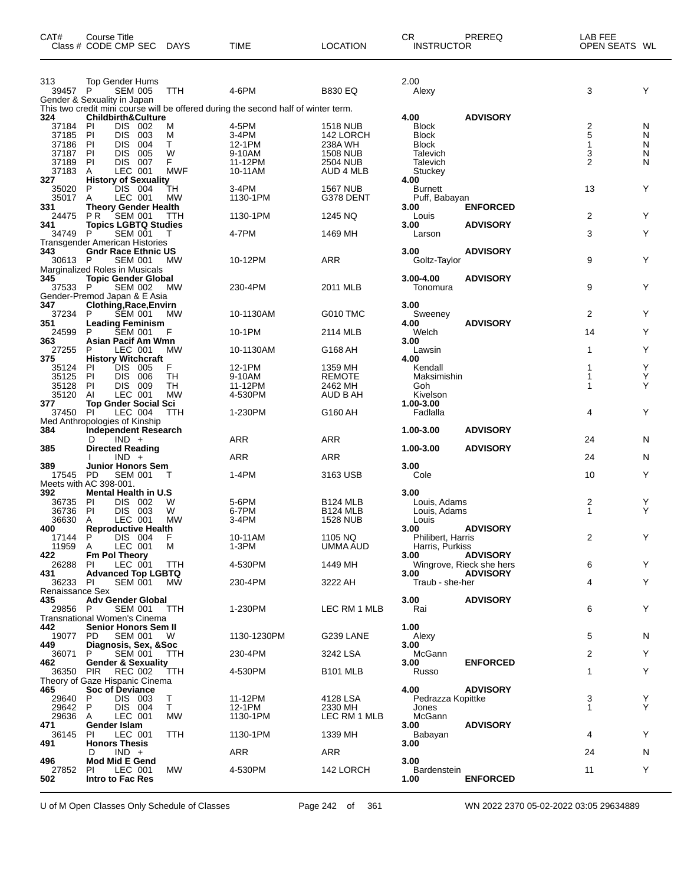| CAT#                        | <b>Course Title</b><br>Class # CODE CMP SEC                         | <b>DAYS</b>     | <b>TIME</b>                                                                        | <b>LOCATION</b>                    | <b>CR</b><br><b>INSTRUCTOR</b> | PREREQ                   | LAB FEE<br>OPEN SEATS WL |        |
|-----------------------------|---------------------------------------------------------------------|-----------------|------------------------------------------------------------------------------------|------------------------------------|--------------------------------|--------------------------|--------------------------|--------|
| 313.<br>39457 P             | Top Gender Hums<br><b>SEM 005</b>                                   | <b>TTH</b>      | 4-6PM                                                                              | <b>B830 EQ</b>                     | 2.00<br>Alexy                  |                          | 3                        | Y      |
|                             | Gender & Sexuality in Japan                                         |                 | This two credit mini course will be offered during the second half of winter term. |                                    |                                |                          |                          |        |
| 324                         | <b>Childbirth&amp;Culture</b>                                       |                 |                                                                                    |                                    | 4.00                           | <b>ADVISORY</b>          |                          |        |
| 37184                       | DIS 002<br>PI                                                       | M               | 4-5PM                                                                              | 1518 NUB                           | <b>Block</b>                   |                          | 2                        | N      |
| 37185                       | <b>DIS</b><br>003<br>PI                                             | M               | 3-4PM                                                                              | 142 LORCH                          | <b>Block</b>                   |                          | 5                        | N      |
| 37186                       | <b>DIS</b><br>PI<br>004                                             | Τ<br>W          | 12-1PM                                                                             | 238A WH                            | <b>Block</b>                   |                          | 1                        | N      |
| 37187<br>37189              | PI<br><b>DIS</b><br>005<br><b>DIS</b><br><b>PI</b><br>- 007         | F               | 9-10AM<br>11-12PM                                                                  | <b>1508 NUB</b><br><b>2504 NUB</b> | Talevich<br>Talevich           |                          | 3<br>$\overline{2}$      | N<br>N |
| 37183                       | LEC 001<br>A                                                        | <b>MWF</b>      | 10-11AM                                                                            | AUD 4 MLB                          | Stuckey                        |                          |                          |        |
| 327                         | <b>History of Sexuality</b>                                         |                 |                                                                                    |                                    | 4.00                           |                          |                          |        |
| 35020                       | DIS 004<br>P                                                        | TН              | 3-4PM                                                                              | <b>1567 NUB</b>                    | <b>Burnett</b>                 |                          | 13                       | Y      |
| 35017<br>331                | LEC 001<br>A<br><b>Theory Gender Health</b>                         | <b>MW</b>       | 1130-1PM                                                                           | G378 DENT                          | Puff, Babayan<br>3.00          | <b>ENFORCED</b>          |                          |        |
| 24475                       | <b>SEM 001</b><br>P <sub>R</sub>                                    | ттн             | 1130-1PM                                                                           | 1245 NQ                            | Louis                          |                          | 2                        | Y      |
| 341                         | <b>Topics LGBTQ Studies</b>                                         |                 |                                                                                    |                                    | 3.00                           | <b>ADVISORY</b>          |                          |        |
| 34749 P                     | <b>SEM 001</b>                                                      | т               | 4-7PM                                                                              | 1469 MH                            | Larson                         |                          | 3                        | Y      |
| 343                         | <b>Transgender American Histories</b><br><b>Gndr Race Ethnic US</b> |                 |                                                                                    |                                    | 3.00                           | <b>ADVISORY</b>          |                          |        |
| 30613 P                     | <b>SEM 001</b>                                                      | MW              | 10-12PM                                                                            | <b>ARR</b>                         | Goltz-Taylor                   |                          | 9                        | Y      |
|                             | Marginalized Roles in Musicals                                      |                 |                                                                                    |                                    |                                |                          |                          |        |
| 345                         | <b>Topic Gender Global</b>                                          |                 |                                                                                    |                                    | $3.00 - 4.00$                  | <b>ADVISORY</b>          |                          |        |
| 37533 P                     | <b>SEM 002</b><br>Gender-Premod Japan & E Asia                      | MW              | 230-4PM                                                                            | 2011 MLB                           | Tonomura                       |                          | 9                        | Y      |
| 347                         | <b>Clothing, Race, Envirn</b>                                       |                 |                                                                                    |                                    | 3.00                           |                          |                          |        |
| 37234                       | <b>SEM 001</b><br>P                                                 | MW              | 10-1130AM                                                                          | G010 TMC                           | Sweeney                        |                          | 2                        | Y      |
| 351                         | <b>Leading Feminism</b>                                             |                 |                                                                                    |                                    | 4.00                           | <b>ADVISORY</b>          |                          |        |
| 24599<br>363                | P<br><b>SEM 001</b><br>Asian Pacif Am Wmn                           | F               | 10-1PM                                                                             | 2114 MLB                           | Welch<br>3.00                  |                          | 14                       | Y      |
| 27255                       | P<br>LEC 001                                                        | МW              | 10-1130AM                                                                          | G168 AH                            | Lawsin                         |                          | 1                        | Y      |
| 375                         | <b>History Witchcraft</b>                                           |                 |                                                                                    |                                    | 4.00                           |                          |                          |        |
| 35124                       | <b>DIS</b><br><b>PI</b><br>005                                      | F               | 12-1PM                                                                             | 1359 MH                            | Kendall                        |                          | 1                        | Y      |
| 35125<br>35128              | <b>DIS</b><br>006<br>PI<br>-PI<br>DIS.<br>- 009                     | TН<br>TН        | 9-10AM<br>11-12PM                                                                  | <b>REMOTE</b><br>2462 MH           | Maksimishin<br>Goh             |                          | 1<br>1                   | Υ<br>Y |
| 35120                       | Al<br>LEC 001                                                       | <b>MW</b>       | 4-530PM                                                                            | AUD B AH                           | Kivelson                       |                          |                          |        |
| 377                         | <b>Top Gnder Social Sci</b>                                         |                 |                                                                                    |                                    | 1.00-3.00                      |                          |                          |        |
| 37450                       | LEC 004<br>PI                                                       | TTH             | 1-230PM                                                                            | G160 AH                            | Fadlalla                       |                          | 4                        | Y      |
| 384                         | Med Anthropologies of Kinship<br><b>Independent Research</b>        |                 |                                                                                    |                                    | 1.00-3.00                      | <b>ADVISORY</b>          |                          |        |
|                             | $IND +$<br>D                                                        |                 | ARR                                                                                | ARR                                |                                |                          | 24                       | N      |
| 385                         | <b>Directed Reading</b>                                             |                 |                                                                                    |                                    | 1.00-3.00                      | <b>ADVISORY</b>          |                          |        |
| 389                         | $IND +$<br>Junior Honors Sem                                        |                 | <b>ARR</b>                                                                         | ARR                                | 3.00                           |                          | 24                       | N      |
| 17545                       | PD<br><b>SEM 001</b>                                                | Т               | 1-4PM                                                                              | 3163 USB                           | Cole                           |                          | 10                       | Y      |
|                             | Meets with AC 398-001.                                              |                 |                                                                                    |                                    |                                |                          |                          |        |
| 392                         | <b>Mental Health in U.S</b><br>DIS 002                              |                 | 5-6PM                                                                              |                                    | 3.00                           |                          | 2                        | Y      |
| 36735<br>36736              | <b>PI</b><br>DIS 003<br>PI                                          | W<br>W          | 6-7PM                                                                              | <b>B124 MLB</b><br><b>B124 MLB</b> | Louis, Adams<br>Louis, Adams   |                          | 1                        | Y      |
| 36630                       | LEC 001<br>A                                                        | <b>MW</b>       | 3-4PM                                                                              | <b>1528 NUB</b>                    | Louis                          |                          |                          |        |
| 400                         | <b>Reproductive Health</b>                                          |                 |                                                                                    |                                    | 3.00                           | <b>ADVISORY</b>          |                          |        |
| 17144 P<br>11959 A          | DIS 004                                                             | F<br>M          | 10-11AM<br>1-3PM                                                                   | 1105 NQ<br>UMMA AUD                | Philibert, Harris              |                          | 2                        | Y      |
| 422                         | LEC 001<br>Fm Pol Theory                                            |                 |                                                                                    |                                    | Harris, Purkiss<br>3.00        | <b>ADVISORY</b>          |                          |        |
| 26288                       | LEC 001<br>-PI                                                      | <b>TTH</b>      | 4-530PM                                                                            | 1449 MH                            |                                | Wingrove, Rieck she hers | 6                        | Y      |
| 431                         | <b>Advanced Top LGBTQ</b>                                           |                 |                                                                                    |                                    | 3.00                           | <b>ADVISORY</b>          |                          |        |
| 36233 PI<br>Renaissance Sex | <b>SEM 001</b>                                                      | МW              | 230-4PM                                                                            | 3222 AH                            | Traub - she-her                |                          | 4                        | Y      |
| 435                         | <b>Adv Gender Global</b>                                            |                 |                                                                                    |                                    | 3.00                           | <b>ADVISORY</b>          |                          |        |
| 29856 P                     | SEM 001                                                             | <b>TTH</b>      | 1-230PM                                                                            | LEC RM 1 MLB                       | Rai                            |                          | 6                        | Y      |
|                             | Transnational Women's Cinema                                        |                 |                                                                                    |                                    |                                |                          |                          |        |
| 442<br>19077                | <b>Senior Honors Sem II</b><br>PD.<br><b>SEM 001</b>                | W               | 1130-1230PM                                                                        | G239 LANE                          | 1.00<br>Alexy                  |                          | 5                        | N      |
| 449                         | Diagnosis, Sex, &Soc                                                |                 |                                                                                    |                                    | 3.00                           |                          |                          |        |
| 36071                       | SEM 001 TTH<br>P                                                    |                 | 230-4PM                                                                            | 3242 LSA                           | McGann                         |                          | 2                        | Y      |
| 462<br>36350                | <b>Gender &amp; Sexuality</b><br><b>PIR</b><br><b>REC 002</b>       | TTH             | 4-530PM                                                                            | <b>B101 MLB</b>                    | 3.00<br>Russo                  | <b>ENFORCED</b>          | 1                        | Y      |
|                             | Theory of Gaze Hispanic Cinema                                      |                 |                                                                                    |                                    |                                |                          |                          |        |
| 465                         | Soc of Deviance                                                     |                 |                                                                                    |                                    | 4.00                           | <b>ADVISORY</b>          |                          |        |
| 29640                       | DIS 003<br>P                                                        | Τ               | 11-12PM                                                                            | 4128 LSA                           | Pedrazza Kopittke              |                          | 3                        | Y      |
| 29642<br>29636              | P<br>DIS 004<br>A<br>LEC 001                                        | T.<br><b>MW</b> | 12-1PM<br>1130-1PM                                                                 | 2330 MH<br>LEC RM 1 MLB            | Jones<br>McGann                |                          | 1                        | Y      |
| 471                         | Gender Islam                                                        |                 |                                                                                    |                                    | 3.00                           | <b>ADVISORY</b>          |                          |        |
| 36145                       | PI.<br>LEC 001                                                      | TTH             | 1130-1PM                                                                           | 1339 MH                            | Babayan                        |                          | 4                        | Y      |
| 491                         | <b>Honors Thesis</b><br>$IND +$<br>D                                |                 | ARR                                                                                | ARR                                | 3.00                           |                          | 24                       | N      |
| 496                         | <b>Mod Mid E Gend</b>                                               |                 |                                                                                    |                                    | 3.00                           |                          |                          |        |
| 27852                       | LEC 001<br>PI.                                                      | МW              | 4-530PM                                                                            | 142 LORCH                          | <b>Bardenstein</b>             |                          | 11                       | Y      |
| 502                         | Intro to Fac Res                                                    |                 |                                                                                    |                                    | 1.00                           | <b>ENFORCED</b>          |                          |        |

U of M Open Classes Only Schedule of Classes Page 242 of 361 WN 2022 2370 05-02-2022 03:05 29634889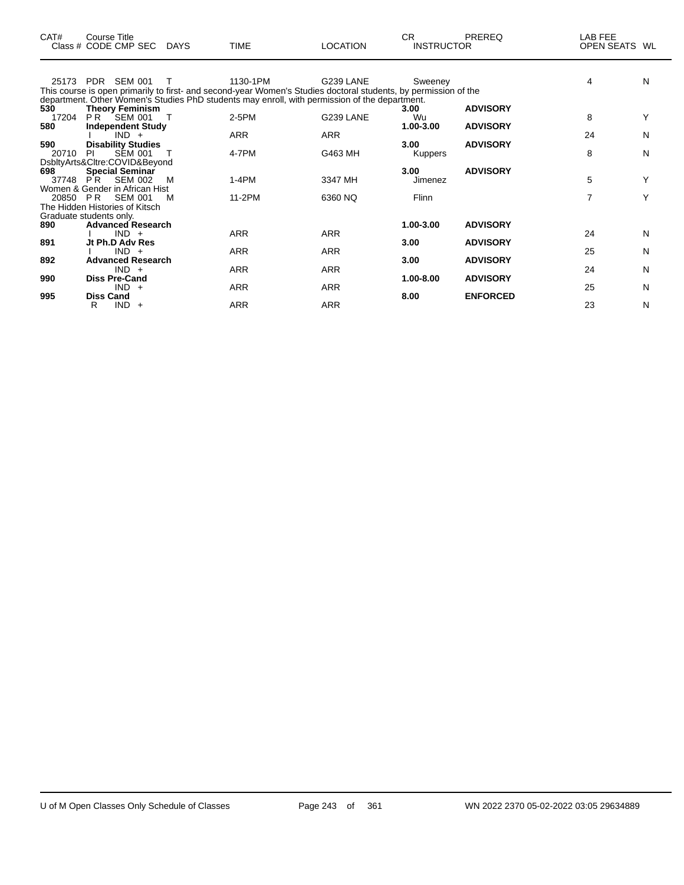| CAT#  | Course Title<br>Class # CODE CMP SEC | DAYS   | <b>TIME</b> | <b>LOCATION</b>                                                                                                 | CR.<br><b>INSTRUCTOR</b> | <b>PREREQ</b>   | LAB FEE<br>OPEN SEATS WL |   |
|-------|--------------------------------------|--------|-------------|-----------------------------------------------------------------------------------------------------------------|--------------------------|-----------------|--------------------------|---|
|       | 25173 PDR SEM 001                    | $\top$ | 1130-1PM    | G239 LANE                                                                                                       | Sweenev                  |                 | 4                        | N |
|       |                                      |        |             | This course is open primarily to first- and second-year Women's Studies doctoral students, by permission of the |                          |                 |                          |   |
|       |                                      |        |             | department. Other Women's Studies PhD students may enroll, with permission of the department.                   |                          |                 |                          |   |
| 530   | <b>Theory Feminism</b>               |        |             |                                                                                                                 | 3.00                     | <b>ADVISORY</b> |                          |   |
| 17204 | PR.<br>SEM 001                       |        | 2-5PM       | G239 LANE                                                                                                       | Wu                       |                 | 8                        |   |
| 580   | <b>Independent Study</b>             |        |             |                                                                                                                 | 1.00-3.00                | <b>ADVISORY</b> |                          |   |
|       | $IND +$                              |        | <b>ARR</b>  | <b>ARR</b>                                                                                                      |                          |                 | 24                       | N |
| 590   | <b>Disability Studies</b>            |        |             |                                                                                                                 | 3.00                     | <b>ADVISORY</b> |                          |   |
| 20710 | <b>SEM 001</b><br>PI.                |        | 4-7PM       | G463 MH                                                                                                         | <b>Kuppers</b>           |                 | 8                        | N |
|       | DsbltyArts&Cltre:COVID&Beyond        |        |             |                                                                                                                 |                          |                 |                          |   |
| 698   | <b>Special Seminar</b>               |        |             |                                                                                                                 | 3.00                     | <b>ADVISORY</b> |                          |   |
| 37748 | P <sup>R</sup><br><b>SEM 002</b>     | м      | $1-4PM$     | 3347 MH                                                                                                         | Jimenez                  |                 | 5                        | Y |
|       | Women & Gender in African Hist       |        |             |                                                                                                                 |                          |                 |                          |   |
|       | 20850 PR SEM 001                     | м      | 11-2PM      | 6360 NQ                                                                                                         | Flinn                    |                 | $\overline{7}$           | Υ |
|       | The Hidden Histories of Kitsch       |        |             |                                                                                                                 |                          |                 |                          |   |
|       | Graduate students only.              |        |             |                                                                                                                 |                          |                 |                          |   |
| 890   | <b>Advanced Research</b>             |        |             |                                                                                                                 | 1.00-3.00                | <b>ADVISORY</b> |                          |   |
|       | $IND +$                              |        | <b>ARR</b>  | <b>ARR</b>                                                                                                      |                          |                 | 24                       | N |
| 891   | Jt Ph.D Adv Res                      |        |             |                                                                                                                 | 3.00                     | <b>ADVISORY</b> |                          |   |
|       | $IND +$                              |        | <b>ARR</b>  | <b>ARR</b>                                                                                                      |                          | <b>ADVISORY</b> | 25                       | N |
| 892   | <b>Advanced Research</b><br>$IND +$  |        | <b>ARR</b>  | <b>ARR</b>                                                                                                      | 3.00                     |                 | 24                       | N |
| 990   | <b>Diss Pre-Cand</b>                 |        |             |                                                                                                                 | 1.00-8.00                | <b>ADVISORY</b> |                          |   |
|       | $IND +$                              |        | <b>ARR</b>  | <b>ARR</b>                                                                                                      |                          |                 | 25                       | N |
| 995   | <b>Diss Cand</b>                     |        |             |                                                                                                                 | 8.00                     | <b>ENFORCED</b> |                          |   |
|       | $IND +$<br>R                         |        | <b>ARR</b>  | <b>ARR</b>                                                                                                      |                          |                 | 23                       | Ν |
|       |                                      |        |             |                                                                                                                 |                          |                 |                          |   |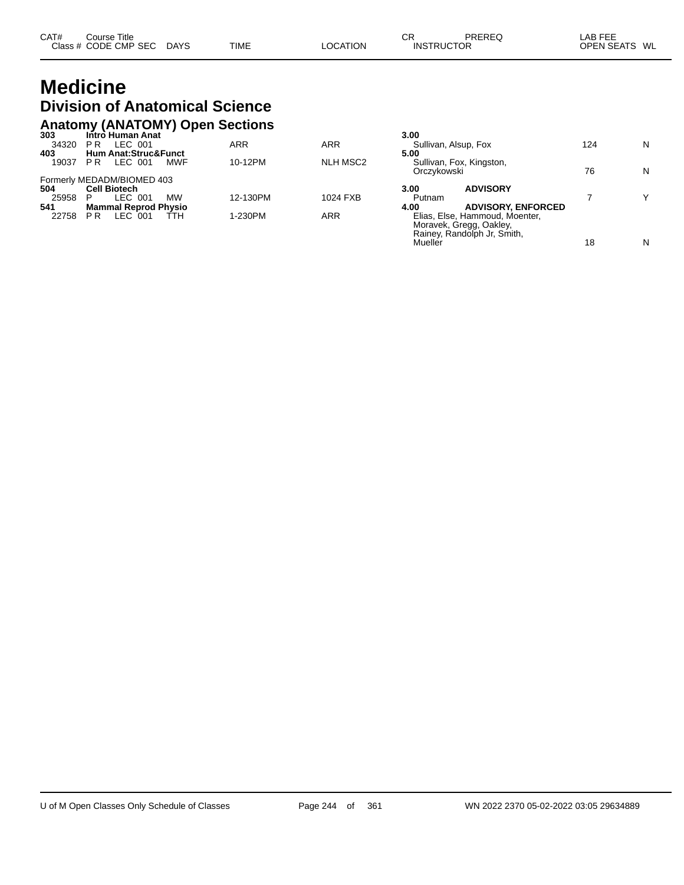### **Medicine Division of Anatomical Science Anatomy (ANATOMY) Open Sections**

| 124 | N                         |
|-----|---------------------------|
|     |                           |
|     |                           |
| 76  | N                         |
|     |                           |
|     |                           |
|     | $\checkmark$              |
|     |                           |
|     |                           |
|     |                           |
|     |                           |
|     | <b>ADVISORY, ENFORCED</b> |

Mueller Nuevo et al. 18 Nuevo et al. 18 Nuevo et al. 18 Nuevo et al. 18 Nuevo et al. 18 Nuevo et al. 18 Nuevo e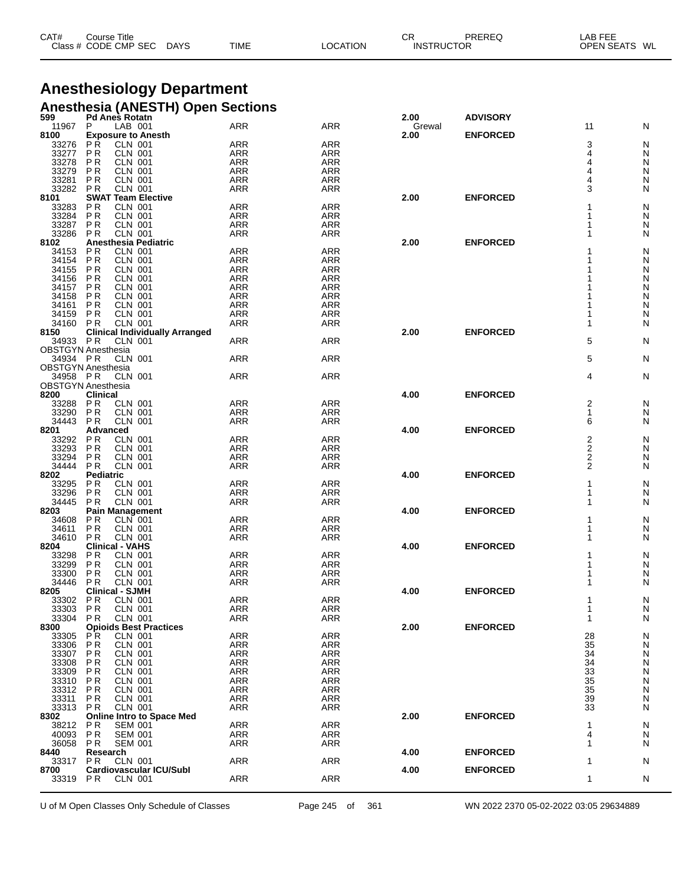| CAT#<br>Title<br>Course |                       |             |                | СF | PREREC            | $\lambda$ $\sim$ $\sim$ $\sim$ $\sim$<br>AВ<br>--- |
|-------------------------|-----------------------|-------------|----------------|----|-------------------|----------------------------------------------------|
| Class # CODE CMP SEC    | <b>DAYS</b><br>$\sim$ | <b>TIME</b> | <b>OCATION</b> |    | <b>INSTRUCTOR</b> | <b>OPEN SEATS</b><br>WL                            |

## **Anesthesiology Department Anesthesia (ANESTH) Open Sections**

| 599            | <b>Pd Anes Rotatn</b>                    |                          |                          | 2.00   | <b>ADVISORY</b> |                     |        |
|----------------|------------------------------------------|--------------------------|--------------------------|--------|-----------------|---------------------|--------|
| 11967          | LAB 001<br>P                             | <b>ARR</b>               | ARR                      | Grewal |                 | 11                  | N      |
| 8100           | <b>Exposure to Anesth</b>                |                          |                          | 2.00   | <b>ENFORCED</b> |                     |        |
| 33276          | <b>PR</b><br><b>CLN 001</b>              | <b>ARR</b>               | <b>ARR</b>               |        |                 | 3                   | N      |
| 33277          | <b>PR</b><br><b>CLN 001</b>              | <b>ARR</b>               | ARR                      |        |                 | 4                   | N      |
| 33278          | <b>CLN 001</b><br>P R                    | <b>ARR</b>               | <b>ARR</b>               |        |                 | 4                   | N      |
| 33279          | <b>CLN 001</b><br>P R                    | <b>ARR</b>               | <b>ARR</b>               |        |                 | 4                   | N      |
| 33281          | <b>PR</b><br>CLN 001                     | <b>ARR</b>               | <b>ARR</b>               |        |                 | 4                   | N      |
| 33282          | P <sub>R</sub><br><b>CLN 001</b>         | <b>ARR</b>               | <b>ARR</b>               |        |                 | 3                   | N      |
| 8101           | <b>SWAT Team Elective</b>                |                          |                          | 2.00   | <b>ENFORCED</b> |                     |        |
| 33283          | P R<br>CLN 001                           | <b>ARR</b>               | <b>ARR</b>               |        |                 |                     | N      |
| 33284          | <b>PR</b><br><b>CLN 001</b>              | <b>ARR</b>               | <b>ARR</b>               |        |                 |                     | N      |
| 33287          | <b>PR</b><br><b>CLN 001</b>              | <b>ARR</b>               | <b>ARR</b>               |        |                 | 1                   | N      |
| 33286 PR       | <b>CLN 001</b>                           | ARR                      | <b>ARR</b>               |        |                 | 1                   | N      |
| 8102           | Anesthesia Pediatric                     |                          |                          | 2.00   | <b>ENFORCED</b> |                     |        |
| 34153          | <b>CLN 001</b><br>P R                    | <b>ARR</b>               | <b>ARR</b>               |        |                 |                     | N      |
| 34154          | <b>PR</b><br><b>CLN 001</b>              | <b>ARR</b>               | ARR                      |        |                 |                     | N      |
| 34155          | <b>PR</b><br><b>CLN 001</b>              | <b>ARR</b>               | <b>ARR</b>               |        |                 |                     | N      |
| 34156          | <b>CLN 001</b><br>P R                    | <b>ARR</b>               | <b>ARR</b>               |        |                 |                     | N      |
| 34157          | P R<br>CLN 001                           | <b>ARR</b>               | <b>ARR</b>               |        |                 |                     | N      |
| 34158          | <b>PR</b><br><b>CLN 001</b>              | <b>ARR</b>               | <b>ARR</b>               |        |                 |                     | N      |
| 34161          | <b>CLN 001</b><br>P R                    | <b>ARR</b>               | <b>ARR</b>               |        |                 |                     | N      |
| 34159          | P R<br><b>CLN 001</b>                    | <b>ARR</b>               | <b>ARR</b>               |        |                 |                     | N      |
| 34160          | <b>PR</b><br><b>CLN 001</b>              | <b>ARR</b>               | <b>ARR</b>               |        |                 | 1                   | N      |
| 8150           | <b>Clinical Individually Arranged</b>    |                          |                          | 2.00   | <b>ENFORCED</b> |                     |        |
| 34933 PR       | <b>CLN 001</b>                           | <b>ARR</b>               | <b>ARR</b>               |        |                 | 5                   | N      |
|                | <b>OBSTGYN Anesthesia</b>                |                          |                          |        |                 |                     |        |
| 34934 PR       | <b>CLN 001</b>                           | <b>ARR</b>               | <b>ARR</b>               |        |                 | 5                   | N      |
|                | <b>OBSTGYN Anesthesia</b>                |                          |                          |        |                 |                     |        |
| 34958 PR       | <b>CLN 001</b>                           | <b>ARR</b>               | <b>ARR</b>               |        |                 | 4                   | N      |
|                | <b>OBSTGYN Anesthesia</b>                |                          |                          |        |                 |                     |        |
| 8200           | Clinical<br><b>CLN 001</b>               |                          |                          | 4.00   | <b>ENFORCED</b> |                     |        |
| 33288          | <b>PR</b><br><b>CLN 001</b>              | <b>ARR</b>               | <b>ARR</b>               |        |                 | 2                   | N      |
| 33290<br>34443 | <b>PR</b><br><b>PR</b><br><b>CLN 001</b> | <b>ARR</b><br>ARR        | <b>ARR</b><br><b>ARR</b> |        |                 | 1<br>6              | N      |
|                |                                          |                          |                          |        |                 |                     | N      |
| 8201           | Advanced<br><b>CLN 001</b>               |                          |                          | 4.00   | <b>ENFORCED</b> |                     |        |
| 33292<br>33293 | P R<br><b>PR</b><br>CLN 001              | <b>ARR</b><br><b>ARR</b> | <b>ARR</b><br><b>ARR</b> |        |                 | $\frac{2}{2}$       | N<br>N |
| 33294          | P <sub>R</sub><br><b>CLN 001</b>         | <b>ARR</b>               | <b>ARR</b>               |        |                 |                     |        |
| 34444          | <b>CLN 001</b><br>P R                    | <b>ARR</b>               | <b>ARR</b>               |        |                 | 2<br>$\overline{2}$ | N<br>N |
| 8202           | <b>Pediatric</b>                         |                          |                          | 4.00   | <b>ENFORCED</b> |                     |        |
|                | <b>PR</b><br><b>CLN 001</b>              | <b>ARR</b>               | <b>ARR</b>               |        |                 |                     |        |
| 33295<br>33296 | <b>CLN 001</b><br>P <sub>R</sub>         | <b>ARR</b>               | <b>ARR</b>               |        |                 | 1                   | N<br>N |
| 34445          | <b>PR</b><br><b>CLN 001</b>              | <b>ARR</b>               | <b>ARR</b>               |        |                 | 1                   | N      |
| 8203           | <b>Pain Management</b>                   |                          |                          | 4.00   | <b>ENFORCED</b> |                     |        |
| 34608          | P R<br>CLN 001                           | <b>ARR</b>               | <b>ARR</b>               |        |                 |                     | N      |
| 34611          | <b>PR</b><br>CLN 001                     | <b>ARR</b>               | ARR                      |        |                 | 1                   | N      |
| 34610          | <b>PR</b><br><b>CLN 001</b>              | <b>ARR</b>               | <b>ARR</b>               |        |                 |                     | N      |
| 8204           | <b>Clinical - VAHS</b>                   |                          |                          | 4.00   | <b>ENFORCED</b> |                     |        |
| 33298          | P R<br><b>CLN 001</b>                    | <b>ARR</b>               | <b>ARR</b>               |        |                 |                     | N      |
| 33299          | <b>PR</b><br><b>CLN 001</b>              | <b>ARR</b>               | <b>ARR</b>               |        |                 |                     | N      |
| 33300          | P <sub>R</sub><br><b>CLN 001</b>         | <b>ARR</b>               | <b>ARR</b>               |        |                 |                     | N      |
| 34446          | <b>PR</b><br><b>CLN 001</b>              | <b>ARR</b>               | <b>ARR</b>               |        |                 |                     | N      |
| 8205           | <b>Clinical - SJMH</b>                   |                          |                          | 4.00   | <b>ENFORCED</b> |                     |        |
| 33302          | <b>PR</b><br><b>CLN 001</b>              | <b>ARR</b>               | <b>ARR</b>               |        |                 |                     | N      |
| 33303          | PR<br><b>CLN 001</b>                     | ARR                      | ARR                      |        |                 |                     | N      |
| 33304          | <b>CLN 001</b><br>P R                    | <b>ARR</b>               | <b>ARR</b>               |        |                 | 1                   | N      |
| 8300           | <b>Opioids Best Practices</b>            |                          |                          | 2.00   | <b>ENFORCED</b> |                     |        |
| 33305          | P <sub>R</sub><br><b>CLN 001</b>         | <b>ARR</b>               | ARR                      |        |                 | 28                  | N      |
| 33306          | <b>CLN 001</b><br><b>PR</b>              | ARR                      | <b>ARR</b>               |        |                 | 35                  | N      |
| 33307          | P <sub>R</sub><br><b>CLN 001</b>         | <b>ARR</b>               | <b>ARR</b>               |        |                 | 34                  | N      |
| 33308          | P R<br>CLN 001                           | <b>ARR</b>               | <b>ARR</b>               |        |                 | 34                  | N      |
| 33309          | P <sub>R</sub><br><b>CLN 001</b>         | ARR                      | <b>ARR</b>               |        |                 | 33                  | N      |
| 33310          | <b>CLN 001</b><br>P R                    | <b>ARR</b>               | <b>ARR</b>               |        |                 | 35                  | N      |
| 33312          | P R<br>CLN 001                           | <b>ARR</b>               | <b>ARR</b>               |        |                 | 35                  | N      |
| 33311          | <b>PR</b><br><b>CLN 001</b>              | <b>ARR</b>               | <b>ARR</b>               |        |                 | 39                  | N      |
| 33313          | <b>CLN 001</b><br>P R                    | <b>ARR</b>               | <b>ARR</b>               |        |                 | 33                  | N      |
| 8302           | <b>Online Intro to Space Med</b>         |                          |                          | 2.00   | <b>ENFORCED</b> |                     |        |
| 38212          | <b>PR</b><br><b>SEM 001</b>              | <b>ARR</b>               | <b>ARR</b>               |        |                 | 1                   | N      |
| 40093          | <b>PR</b><br><b>SEM 001</b>              | <b>ARR</b>               | <b>ARR</b>               |        |                 | 4                   | N      |
| 36058 PR       | <b>SEM 001</b>                           | ARR                      | ARR                      |        |                 | 1                   | N      |
| 8440           | Research                                 |                          |                          | 4.00   | <b>ENFORCED</b> |                     |        |
| 33317          | P R<br>CLN 001                           | <b>ARR</b>               | <b>ARR</b>               |        |                 | 1                   | N      |
| 8700           | <b>Cardiovascular ICU/Subl</b>           |                          |                          | 4.00   | <b>ENFORCED</b> |                     |        |
| 33319          | <b>PR</b><br><b>CLN 001</b>              | <b>ARR</b>               | <b>ARR</b>               |        |                 | 1                   | N      |
|                |                                          |                          |                          |        |                 |                     |        |

U of M Open Classes Only Schedule of Classes Page 245 of 361 WN 2022 2370 05-02-2022 03:05 29634889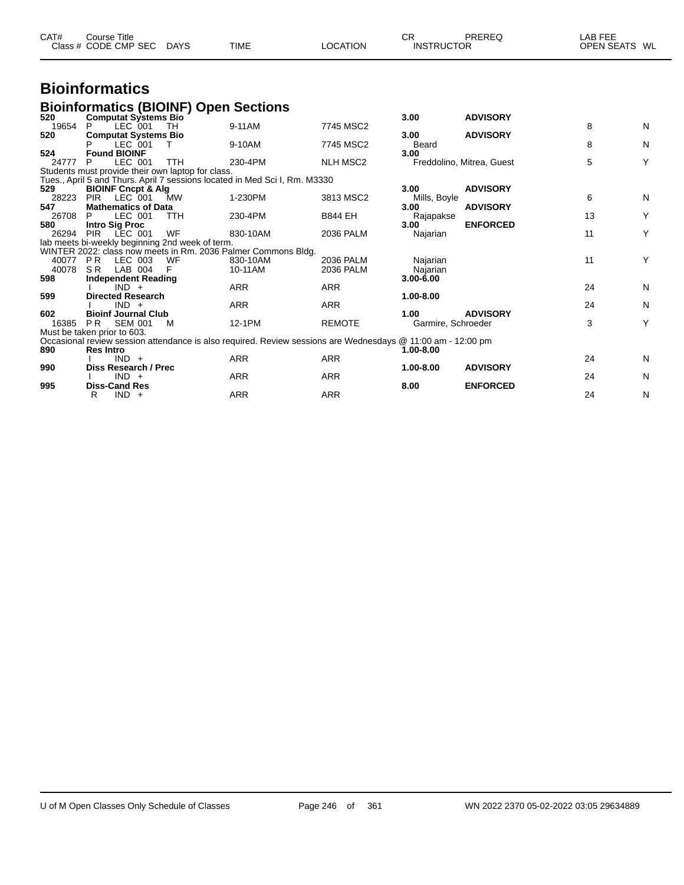| CAT# | Course Title         |             |             |          | СR                | PREREC | _AB FEE                 |  |
|------|----------------------|-------------|-------------|----------|-------------------|--------|-------------------------|--|
|      | Class # CODE CMP SEC | <b>DAYS</b> | <b>TIME</b> | LOCATION | <b>INSTRUCTOR</b> |        | <b>OPEN SEATS</b><br>WL |  |

## **Bioinformatics**

## **Bioinformatics (BIOINF) Open Sections**

| 520                         |                  |                               | <b>Computat Systems Bio</b>                       |                                                                                                             |                 | 3.00               | <b>ADVISORY</b>           |    |   |
|-----------------------------|------------------|-------------------------------|---------------------------------------------------|-------------------------------------------------------------------------------------------------------------|-----------------|--------------------|---------------------------|----|---|
| 19654                       |                  | LEC 001                       | TH                                                | 9-11AM                                                                                                      | 7745 MSC2       |                    |                           | 8  | N |
| 520                         |                  | <b>Computat Systems Bio</b>   |                                                   |                                                                                                             |                 | 3.00               | <b>ADVISORY</b>           |    |   |
|                             |                  | LEC 001                       | T                                                 | 9-10AM                                                                                                      | 7745 MSC2       | Beard              |                           | 8  | N |
| 524                         |                  | <b>Found BIOINF</b>           |                                                   |                                                                                                             |                 | 3.00               |                           |    |   |
| 24777                       | P                | LEC 001                       | <b>TTH</b>                                        | 230-4PM                                                                                                     | <b>NLH MSC2</b> |                    | Freddolino, Mitrea, Guest | 5  | Υ |
|                             |                  |                               | Students must provide their own laptop for class. |                                                                                                             |                 |                    |                           |    |   |
|                             |                  |                               |                                                   | Tues., April 5 and Thurs. April 7 sessions located in Med Sci I, Rm. M3330                                  |                 |                    |                           |    |   |
| 529                         |                  | <b>BIOINF Cncpt &amp; Alg</b> |                                                   |                                                                                                             |                 | 3.00               | <b>ADVISORY</b>           |    |   |
| 28223                       | <b>PIR</b>       | LEC 001                       | MW                                                | 1-230PM                                                                                                     | 3813 MSC2       | Mills, Boyle       |                           | 6  | N |
| 547                         |                  | <b>Mathematics of Data</b>    |                                                   |                                                                                                             |                 | 3.00               | <b>ADVISORY</b>           |    |   |
| 26708                       |                  | LEC 001                       | TTH                                               | 230-4PM                                                                                                     | <b>B844 EH</b>  | Rajapakse          |                           | 13 | Υ |
| 580                         |                  | <b>Intro Sig Proc</b>         |                                                   |                                                                                                             |                 | 3.00               | <b>ENFORCED</b>           |    |   |
| 26294                       | PIR              | LEC 001                       | WF                                                | 830-10AM                                                                                                    | 2036 PALM       | Najarian           |                           | 11 | Υ |
|                             |                  |                               | lab meets bi-weekly beginning 2nd week of term.   |                                                                                                             |                 |                    |                           |    |   |
|                             |                  |                               |                                                   | WINTER 2022: class now meets in Rm. 2036 Palmer Commons Bldg.                                               |                 |                    |                           |    |   |
| 40077                       | PR.              | LEC 003                       | WF                                                | 830-10AM                                                                                                    | 2036 PALM       | Najarian           |                           | 11 | Υ |
| 40078                       | S R              | LAB 004                       |                                                   | 10-11AM                                                                                                     | 2036 PALM       | Najarian           |                           |    |   |
| 598                         |                  | <b>Independent Reading</b>    |                                                   |                                                                                                             |                 | 3.00-6.00          |                           |    |   |
|                             |                  | $IND +$                       |                                                   | <b>ARR</b>                                                                                                  | ARR             |                    |                           | 24 | N |
| 599                         |                  | <b>Directed Research</b>      |                                                   |                                                                                                             |                 | 1.00-8.00          |                           |    |   |
|                             |                  | $IND +$                       |                                                   | <b>ARR</b>                                                                                                  | <b>ARR</b>      |                    |                           | 24 | N |
| 602                         |                  | <b>Bioinf Journal Club</b>    |                                                   |                                                                                                             |                 | 1.00               | <b>ADVISORY</b>           |    |   |
| 16385                       | PR.              | <b>SEM 001</b>                | M                                                 | 12-1PM                                                                                                      | <b>REMOTE</b>   | Garmire, Schroeder |                           | 3  | Y |
| Must be taken prior to 603. |                  |                               |                                                   |                                                                                                             |                 |                    |                           |    |   |
|                             |                  |                               |                                                   | Occasional review session attendance is also required. Review sessions are Wednesdays @ 11:00 am - 12:00 pm |                 |                    |                           |    |   |
| 890                         | <b>Res Intro</b> |                               |                                                   |                                                                                                             |                 | 1.00-8.00          |                           |    |   |
|                             |                  | $IND +$                       |                                                   | <b>ARR</b>                                                                                                  | ARR             |                    |                           | 24 | N |
| 990                         |                  | Diss Research / Prec          |                                                   |                                                                                                             |                 | 1.00-8.00          | <b>ADVISORY</b>           |    |   |
|                             |                  | $IND +$                       |                                                   | ARR                                                                                                         | ARR             |                    |                           | 24 | N |
| 995                         |                  | <b>Diss-Cand Res</b>          |                                                   |                                                                                                             |                 | 8.00               | <b>ENFORCED</b>           |    |   |
|                             | R.               | $IND +$                       |                                                   | ARR                                                                                                         | <b>ARR</b>      |                    |                           | 24 | N |
|                             |                  |                               |                                                   |                                                                                                             |                 |                    |                           |    |   |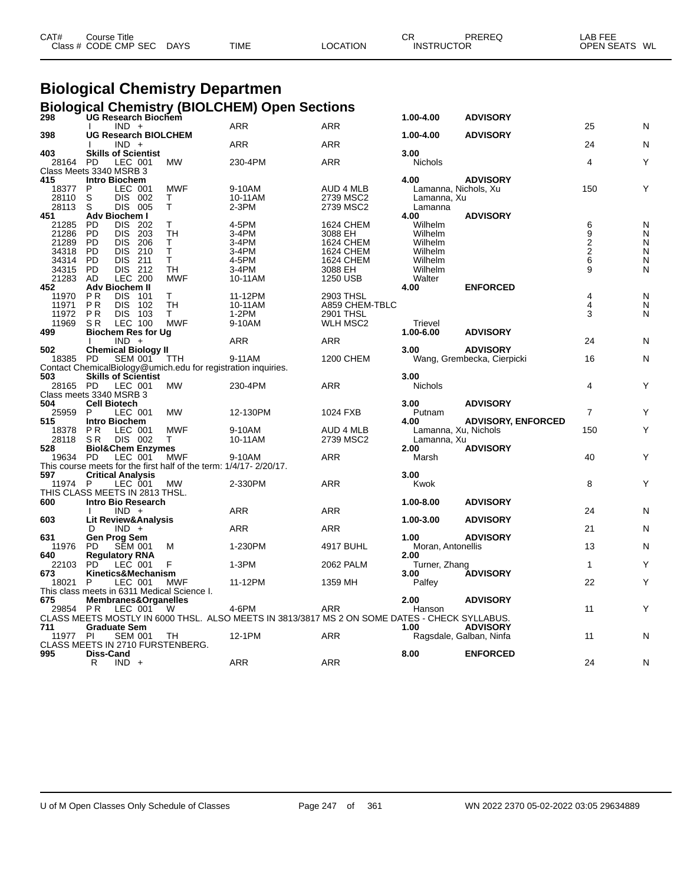| CAT# | Course Title         |             |             |                 | СF                | PREREQ | LAB FEE       |
|------|----------------------|-------------|-------------|-----------------|-------------------|--------|---------------|
|      | Class # CODE CMP SEC | <b>DAYS</b> | <b>TIME</b> | <b>LOCATION</b> | <b>INSTRUCTOR</b> |        | OPEN SEATS WL |
|      |                      |             |             |                 |                   |        |               |

## **Biological Chemistry Departmen Biological Chemistry (BIOLCHEM) Open Sections**

| 298      | UG Research Biochem                                                |            |                                                                                                |                  | 1.00-4.00                 | <b>ADVISORY</b>            |                         |   |
|----------|--------------------------------------------------------------------|------------|------------------------------------------------------------------------------------------------|------------------|---------------------------|----------------------------|-------------------------|---|
|          | $IND +$                                                            |            | ARR                                                                                            | ARR              |                           |                            | 25                      | N |
| 398      | <b>UG Research BIOLCHEM</b>                                        |            |                                                                                                |                  | 1.00-4.00                 | <b>ADVISORY</b>            |                         |   |
|          | $IND +$                                                            |            | <b>ARR</b>                                                                                     | <b>ARR</b>       |                           |                            | 24                      | N |
| 403      | <b>Skills of Scientist</b>                                         |            |                                                                                                |                  | 3.00                      |                            |                         |   |
| 28164    | LEC 001<br><b>PD</b>                                               | <b>MW</b>  | 230-4PM                                                                                        | <b>ARR</b>       | <b>Nichols</b>            |                            | 4                       | Y |
|          | Class Meets 3340 MSRB 3                                            |            |                                                                                                |                  |                           |                            |                         |   |
|          | <b>Intro Biochem</b>                                               |            |                                                                                                |                  | 4.00                      | <b>ADVISORY</b>            |                         |   |
| 415      |                                                                    |            |                                                                                                |                  |                           |                            |                         |   |
| 18377    | LEC 001<br>P                                                       | <b>MWF</b> | 9-10AM                                                                                         | AUD 4 MLB        | Lamanna, Nichols, Xu      |                            | 150                     | Y |
| 28110    | S<br><b>DIS</b><br>002                                             | т          | 10-11AM                                                                                        | 2739 MSC2        | Lamanna, Xu               |                            |                         |   |
| 28113    | S<br><b>DIS 005</b>                                                | T          | 2-3PM                                                                                          | 2739 MSC2        | Lamanna                   |                            |                         |   |
| 451      | Adv Biochem I                                                      |            |                                                                                                |                  | 4.00                      | <b>ADVISORY</b>            |                         |   |
| 21285    | <b>PD</b><br><b>DIS</b><br>202                                     | т          | 4-5PM                                                                                          | 1624 CHEM        | Wilhelm                   |                            | 69226                   | N |
| 21286    | <b>PD</b><br>DIS.<br>203                                           | TH         | $3-4PM$                                                                                        | 3088 EH          | Wilhelm                   |                            |                         | N |
| 21289    | 206<br><b>PD</b><br><b>DIS</b>                                     | T          | 3-4PM                                                                                          | 1624 CHEM        | Wilhelm                   |                            |                         | N |
| 34318    | <b>DIS</b><br>210<br><b>PD</b>                                     | T.         | 3-4PM                                                                                          | <b>1624 CHEM</b> | Wilhelm                   |                            |                         | N |
| 34314    | <b>PD</b><br><b>DIS</b><br>211                                     | T          | 4-5PM                                                                                          | <b>1624 CHEM</b> | Wilhelm                   |                            |                         | N |
| 34315    | <b>PD</b><br>DIS 212                                               | <b>TH</b>  | 3-4PM                                                                                          | 3088 EH          | Wilhelm                   |                            | 9                       | N |
| 21283    | AD<br><b>LEC 200</b>                                               | <b>MWF</b> | 10-11AM                                                                                        | 1250 USB         | Walter                    |                            |                         |   |
| 452      | <b>Adv Biochem II</b>                                              |            |                                                                                                |                  | 4.00                      | <b>ENFORCED</b>            |                         |   |
| 11970    | <b>DIS</b><br>P <sub>R</sub><br>101                                | T.         | 11-12PM                                                                                        | 2903 THSL        |                           |                            | 4                       | N |
| 11971    | <b>PR</b><br><b>DIS</b><br>102                                     | <b>TH</b>  | 10-11AM                                                                                        | A859 CHEM-TBLC   |                           |                            | $\overline{\mathbf{4}}$ | N |
| 11972    | <b>PR</b><br><b>DIS 103</b>                                        | T.         | 1-2PM                                                                                          | 2901 THSL        |                           |                            | 3                       | N |
| 11969    | LEC 100<br>S <sub>R</sub>                                          | <b>MWF</b> | 9-10AM                                                                                         | <b>WLH MSC2</b>  | Trievel                   |                            |                         |   |
| 499      | <b>Biochem Res for Ug</b>                                          |            |                                                                                                |                  | 1.00-6.00                 | <b>ADVISORY</b>            |                         |   |
|          | $IND +$                                                            |            | <b>ARR</b>                                                                                     | ARR              |                           |                            | 24                      | N |
|          | <b>Chemical Biology II</b>                                         |            |                                                                                                |                  | 3.00                      | <b>ADVISORY</b>            |                         |   |
| 502      |                                                                    |            |                                                                                                |                  |                           |                            |                         |   |
| 18385    | PD<br><b>SEM 001</b>                                               | TTH        | 9-11AM                                                                                         | <b>1200 CHEM</b> |                           | Wang, Grembecka, Cierpicki | 16                      | N |
|          | Contact ChemicalBiology@umich.edu for registration inquiries.      |            |                                                                                                |                  |                           |                            |                         |   |
| 503      | <b>Skills of Scientist</b>                                         |            |                                                                                                |                  | 3.00                      |                            |                         |   |
| 28165 PD | LEC 001                                                            | <b>MW</b>  | 230-4PM                                                                                        | ARR              | Nichols                   |                            | 4                       | Υ |
|          | Class meets 3340 MSRB 3                                            |            |                                                                                                |                  |                           |                            |                         |   |
| 504      | <b>Cell Biotech</b>                                                |            |                                                                                                |                  | 3.00                      | <b>ADVISORY</b>            |                         |   |
| 25959    | P<br>LEC 001                                                       | <b>MW</b>  | 12-130PM                                                                                       | 1024 FXB         | Putnam                    |                            | $\overline{7}$          | Y |
| 515      | <b>Intro Biochem</b>                                               |            |                                                                                                |                  | 4.00                      | <b>ADVISORY, ENFORCED</b>  |                         |   |
| 18378    | <b>PR</b><br>LEC 001                                               | <b>MWF</b> | 9-10AM                                                                                         | AUD 4 MLB        | Lamanna, Xu, Nichols      |                            | 150                     | Y |
| 28118    | SR<br>DIS 002                                                      | т          | 10-11AM                                                                                        | 2739 MSC2        | Lamanna, Xu               |                            |                         |   |
| 528      | <b>Biol&amp;Chem Enzymes</b>                                       |            |                                                                                                |                  | 2.00                      | <b>ADVISORY</b>            |                         |   |
| 19634 PD | LEC 001                                                            | <b>MWF</b> | 9-10AM                                                                                         | ARR              | Marsh                     |                            | 40                      | Y |
|          | This course meets for the first half of the term: 1/4/17- 2/20/17. |            |                                                                                                |                  |                           |                            |                         |   |
| 597      | <b>Critical Analysis</b>                                           |            |                                                                                                |                  | 3.00                      |                            |                         |   |
| 11974 P  | LEC 001                                                            | MW         | 2-330PM                                                                                        | <b>ARR</b>       | Kwok                      |                            | 8                       | Υ |
|          | THIS CLASS MEETS IN 2813 THSL.                                     |            |                                                                                                |                  |                           |                            |                         |   |
| 600      | Intro Bio Research                                                 |            |                                                                                                |                  | 1.00-8.00                 | <b>ADVISORY</b>            |                         |   |
|          | $IND +$                                                            |            | <b>ARR</b>                                                                                     | ARR              |                           |                            | 24                      | N |
| 603      | Lit Review&Analysis                                                |            |                                                                                                |                  | 1.00-3.00                 | <b>ADVISORY</b>            |                         |   |
|          | $IND +$<br>D                                                       |            | <b>ARR</b>                                                                                     | <b>ARR</b>       |                           |                            | 21                      | N |
| 631      | <b>Gen Prog Sem</b>                                                |            |                                                                                                |                  | 1.00                      | <b>ADVISORY</b>            |                         |   |
| 11976    | <b>PD</b><br><b>SEM 001</b>                                        | м          | 1-230PM                                                                                        | 4917 BUHL        |                           |                            | 13                      |   |
| 640      |                                                                    |            |                                                                                                |                  | Moran, Antonellis<br>2.00 |                            |                         | N |
|          | <b>Regulatory RNA</b>                                              |            |                                                                                                |                  |                           |                            |                         |   |
| 22103    | LEC 001<br>PD.                                                     | F          | 1-3PM                                                                                          | 2062 PALM        | Turner, Zhang             |                            | $\mathbf{1}$            | Y |
| 673      | Kinetics&Mechanism                                                 |            |                                                                                                |                  | 3.00                      | <b>ADVISORY</b>            |                         |   |
| 18021    | P<br>LEC 001                                                       | <b>MWF</b> | 11-12PM                                                                                        | 1359 MH          | Palfey                    |                            | 22                      | Y |
|          | This class meets in 6311 Medical Science I.                        |            |                                                                                                |                  |                           |                            |                         |   |
| 675      | <b>Membranes&amp;Organelles</b>                                    |            |                                                                                                |                  | 2.00                      | <b>ADVISORY</b>            |                         |   |
| 29854    | LEC 001<br>P R                                                     | W          | 4-6PM                                                                                          | ARR              | Hanson                    |                            | 11                      | Y |
|          |                                                                    |            | CLASS MEETS MOSTLY IN 6000 THSL.  ALSO MEETS IN 3813/3817 MS 2 ON SOME DATES - CHECK SYLLABUS. |                  |                           |                            |                         |   |
| 711      | <b>Graduate Sem</b>                                                |            |                                                                                                |                  | 1.00                      | <b>ADVISORY</b>            |                         |   |
| 11977    | PI<br><b>SEM 001</b>                                               | TH         | 12-1PM                                                                                         | <b>ARR</b>       | Ragsdale, Galban, Ninfa   |                            | 11                      | N |
|          | CLASS MEETS IN 2710 FURSTENBERG.                                   |            |                                                                                                |                  |                           |                            |                         |   |
| 995      | Diss-Cand                                                          |            |                                                                                                |                  | 8.00                      | <b>ENFORCED</b>            |                         |   |
|          | R<br>$IND +$                                                       |            | <b>ARR</b>                                                                                     | <b>ARR</b>       |                           |                            | 24                      | N |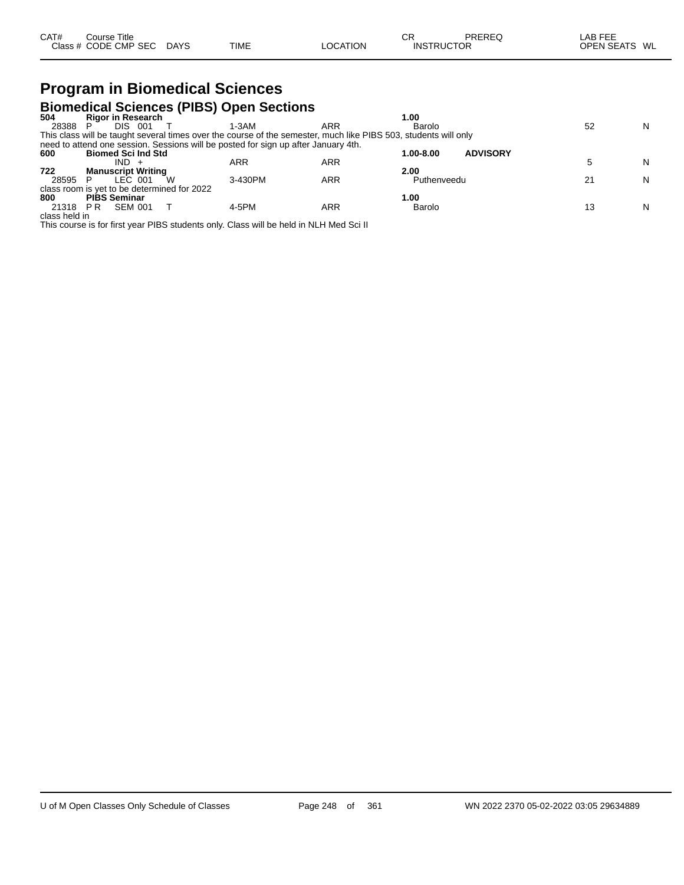#### **Program in Biomedical Sciences Biomedical Sciences (PIBS) Open Sections**

| <b>Rigor in Research</b>       |         |                                             | 00. ا                                                                              |                                                                                                                                                                           |   |
|--------------------------------|---------|---------------------------------------------|------------------------------------------------------------------------------------|---------------------------------------------------------------------------------------------------------------------------------------------------------------------------|---|
| <b>DIS</b><br>-001             | 1-3AM   | ARR                                         | Barolo                                                                             | 52                                                                                                                                                                        | N |
|                                |         |                                             |                                                                                    |                                                                                                                                                                           |   |
|                                |         |                                             |                                                                                    |                                                                                                                                                                           |   |
| <b>Biomed Sci Ind Std</b>      |         |                                             | <b>ADVISORY</b><br>1.00-8.00                                                       |                                                                                                                                                                           |   |
| IND.                           | ARR     | ARR                                         |                                                                                    |                                                                                                                                                                           | N |
| <b>Manuscript Writing</b>      |         |                                             | 2.00                                                                               |                                                                                                                                                                           |   |
| LEC 001                        | 3-430PM | ARR                                         | Puthenveedu                                                                        | 21                                                                                                                                                                        | N |
|                                |         |                                             |                                                                                    |                                                                                                                                                                           |   |
| <b>PIBS Seminar</b>            |         |                                             | 1.00                                                                               |                                                                                                                                                                           |   |
| <b>SEM 001</b><br>21318<br>P R | 4-5PM   | ARR                                         | Barolo                                                                             | 13                                                                                                                                                                        | N |
| class held in                  |         |                                             |                                                                                    |                                                                                                                                                                           |   |
|                                |         | class room is yet to be determined for 2022 | need to attend one session. Sessions will be posted for sign up after January 4th. | <b>DIVILIGUICAL OCIGILICES (1 IDO) OPGIT OGCITOIIS</b><br>This class will be taught several times over the course of the semester, much like PIBS 503, students will only |   |

This course is for first year PIBS students only. Class will be held in NLH Med Sci II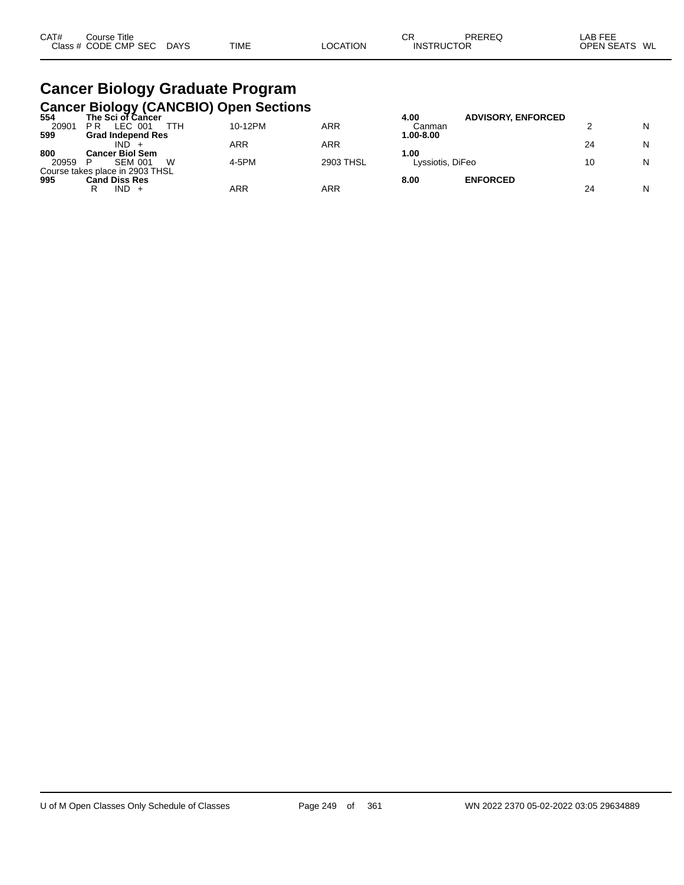# **Cancer Biology Graduate Program**

|       |                                 |     | <b>Cancer Biology (CANCBIO) Open Sections</b> |           |                  |                           |    |   |
|-------|---------------------------------|-----|-----------------------------------------------|-----------|------------------|---------------------------|----|---|
| 554   | The Sci of Cancer               |     |                                               |           | 4.00             | <b>ADVISORY, ENFORCED</b> |    |   |
| 20901 | LEC 001<br>РR                   | ттн | 10-12PM                                       | ARR       | Canman           |                           |    | N |
| 599   | <b>Grad Independ Res</b>        |     |                                               |           | 1.00-8.00        |                           |    |   |
|       | IND                             |     | ARR                                           | ARR       |                  |                           | 24 | N |
| 800   | <b>Cancer Biol Sem</b>          |     |                                               |           | 1.00             |                           |    |   |
| 20959 | <b>SEM 001</b>                  | W   | 4-5PM                                         | 2903 THSL | Lyssiotis, DiFeo |                           | 10 | N |
|       | Course takes place in 2903 THSL |     |                                               |           |                  |                           |    |   |
| 995   | <b>Cand Diss Res</b>            |     |                                               |           | 8.00             | <b>ENFORCED</b>           |    |   |
|       | $IND +$<br>R                    |     | ARR                                           | ARR       |                  |                           | 24 | N |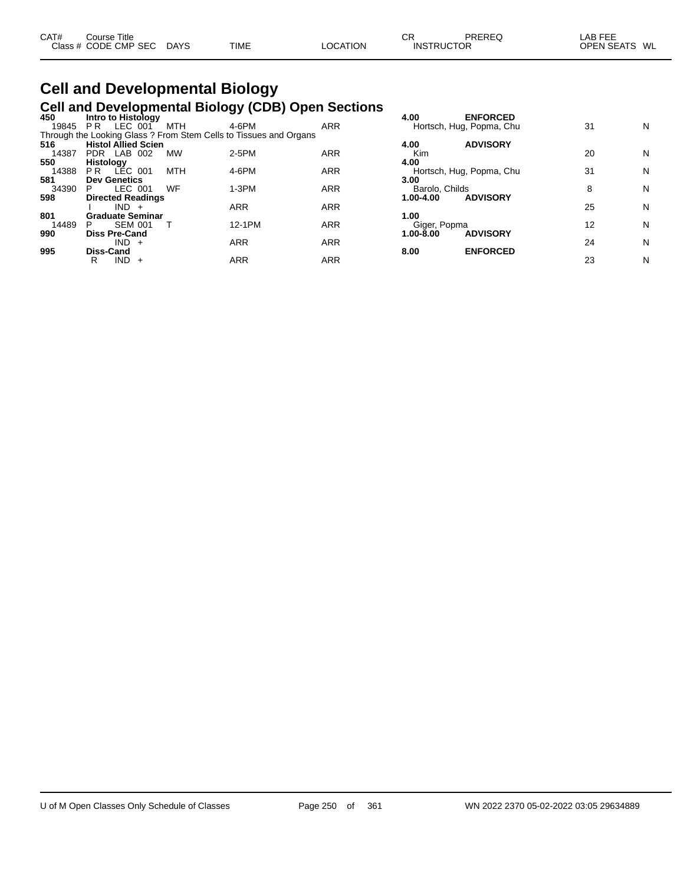| CAT# | Course Title         |             |             |                 | СR                | PREREQ | LAB FEE       |  |
|------|----------------------|-------------|-------------|-----------------|-------------------|--------|---------------|--|
|      | Class # CODE CMP SEC | <b>DAYS</b> | <b>TIME</b> | <b>LOCATION</b> | <b>INSTRUCTOR</b> |        | OPEN SEATS WL |  |

## **Cell and Developmental Biology Cell and Developmental Biology (CDB) Open Sections 450 Intro to Histology 4.00 ENFORCED**

| 450   | Intro to Histology         |     |                                                                   |            | 4.00           | <b>ENFORCED</b>          |    |   |
|-------|----------------------------|-----|-------------------------------------------------------------------|------------|----------------|--------------------------|----|---|
| 19845 | LEC 001<br>P <sub>R</sub>  | MTH | 4-6PM                                                             | <b>ARR</b> |                | Hortsch, Hug, Popma, Chu | 31 | Ν |
|       |                            |     | Through the Looking Glass ? From Stem Cells to Tissues and Organs |            |                |                          |    |   |
| 516   | <b>Histol Allied Scien</b> |     |                                                                   |            | 4.00           | <b>ADVISORY</b>          |    |   |
| 14387 | PDR LAB 002                | MW  | 2-5PM                                                             | ARR        | Kim            |                          | 20 | Ν |
| 550   | Histology                  |     |                                                                   |            | 4.00           |                          |    |   |
| 14388 | LÉC 001<br>P <sub>R</sub>  | MTH | 4-6PM                                                             | ARR        |                | Hortsch, Hug, Popma, Chu | 31 | N |
| 581   | <b>Dev Genetics</b>        |     |                                                                   |            | 3.00           |                          |    |   |
| 34390 | LEC 001<br>P               | WF  | $1-3PM$                                                           | ARR        | Barolo, Childs |                          | 8  | N |
| 598   | <b>Directed Readings</b>   |     |                                                                   |            | 1.00-4.00      | <b>ADVISORY</b>          |    |   |
|       | $IND +$                    |     | <b>ARR</b>                                                        | ARR        |                |                          | 25 | N |
| 801   | <b>Graduate Seminar</b>    |     |                                                                   |            | 1.00           |                          |    |   |
| 14489 | <b>SEM 001</b><br>P        |     | 12-1PM                                                            | ARR        | Giger, Popma   |                          | 12 | N |
| 990   | <b>Diss Pre-Cand</b>       |     |                                                                   |            | $1.00 - 8.00$  | <b>ADVISORY</b>          |    |   |
|       | $IND +$                    |     | <b>ARR</b>                                                        | ARR        |                |                          | 24 | N |
| 995   | <b>Diss-Cand</b>           |     |                                                                   |            | 8.00           | <b>ENFORCED</b>          |    |   |
|       | IND.<br>R<br>$+$           |     | ARR                                                               | ARR        |                |                          | 23 | N |
|       |                            |     |                                                                   |            |                |                          |    |   |

| 4.00                                | <b>ENFORCED</b><br>Hortsch, Hug, Popma, Chu | 31 | N |
|-------------------------------------|---------------------------------------------|----|---|
| 4.00<br>Kim                         | <b>ADVISORY</b>                             | 20 | N |
| 4.00                                | Hortsch, Hug, Popma, Chu                    | 31 | N |
| 3.00<br>Barolo, Childs<br>1.00-4.00 | <b>ADVISORY</b>                             | 8  | N |
| 1.00                                |                                             | 25 | N |
| Giger, Popma<br>$1.00 - 8.00$       | <b>ADVISORY</b>                             | 12 | N |
| 8.00                                | <b>ENFORCED</b>                             | 24 | N |
|                                     |                                             | つつ | N |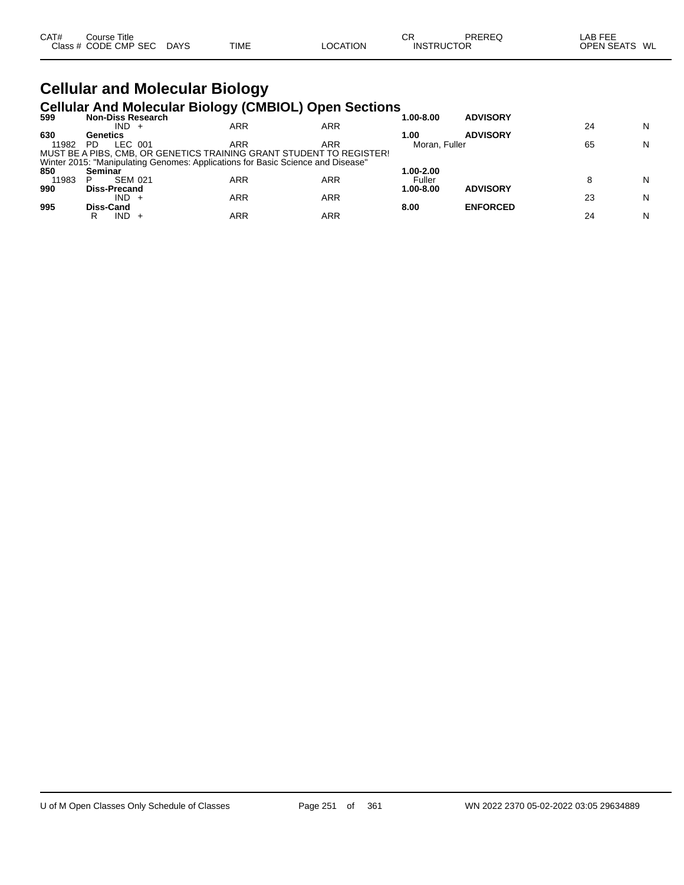| CAT# | Course Title         |             |      |                 | ◠г<br>◡           | PREREQ | LAB FEF           |    |
|------|----------------------|-------------|------|-----------------|-------------------|--------|-------------------|----|
|      | Class # CODE CMP SEC | <b>DAYS</b> | TIME | <b>LOCATION</b> | <b>INSTRUCTOR</b> |        | <b>OPEN SEATS</b> | WL |

# **Cellular and Molecular Biology**

|       | <b>Cellular And Molecular Biology (CMBIOL) Open Sections</b>                    |     |     |               |                 |    |   |
|-------|---------------------------------------------------------------------------------|-----|-----|---------------|-----------------|----|---|
| 599   | <b>Non-Diss Research</b>                                                        |     |     | 1.00-8.00     | <b>ADVISORY</b> |    |   |
|       | $IND +$                                                                         | ARR | ARR |               |                 | 24 | N |
| 630   | Genetics                                                                        |     |     | 1.00          | <b>ADVISORY</b> |    |   |
| 11982 | LEC 001<br>PD.                                                                  | ARR | ARR |               | Moran, Fuller   |    | N |
|       | MUST BE A PIBS, CMB, OR GENETICS TRAINING GRANT STUDENT TO REGISTER!            |     |     |               |                 |    |   |
|       | Winter 2015: "Manipulating Genomes: Applications for Basic Science and Disease" |     |     |               |                 |    |   |
| 850   | Seminar                                                                         |     |     | 1.00-2.00     |                 |    |   |
| 11983 | <b>SEM 021</b>                                                                  | ARR | ARR | Fuller        |                 | 8  | N |
| 990   | <b>Diss-Precand</b>                                                             |     |     | $1.00 - 8.00$ | <b>ADVISORY</b> |    |   |
|       | $IND +$                                                                         | ARR | ARR |               |                 | 23 | N |
| 995   | Diss-Cand                                                                       |     |     | 8.00          | <b>ENFORCED</b> |    |   |
|       | $IND +$<br>R                                                                    | ARR | ARR |               |                 | 24 | N |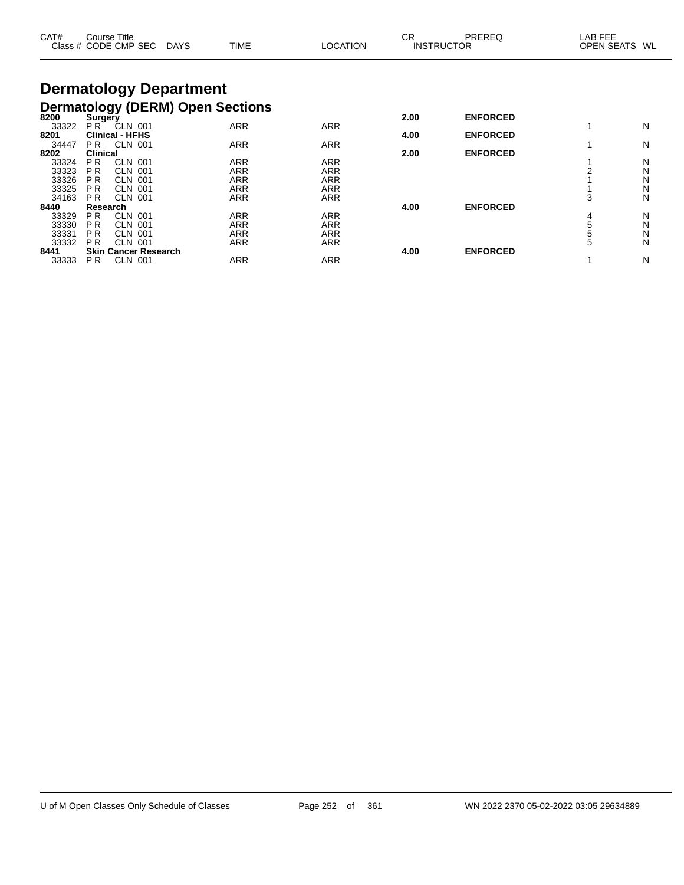| CAT#  | Course Title    | Class # CODE CMP SEC        | <b>DAYS</b>                   | <b>TIME</b>                             | <b>LOCATION</b> | <b>CR</b><br><b>PREREQ</b><br><b>INSTRUCTOR</b> |                 | LAB FEE<br><b>OPEN SEATS</b> | WL. |
|-------|-----------------|-----------------------------|-------------------------------|-----------------------------------------|-----------------|-------------------------------------------------|-----------------|------------------------------|-----|
|       |                 |                             | <b>Dermatology Department</b> |                                         |                 |                                                 |                 |                              |     |
|       |                 |                             |                               | <b>Dermatology (DERM) Open Sections</b> |                 |                                                 |                 |                              |     |
| 8200  | Surgery         |                             |                               |                                         |                 | 2.00                                            | <b>ENFORCED</b> |                              |     |
| 33322 | PR <sup>-</sup> | CLN 001                     |                               | <b>ARR</b>                              | <b>ARR</b>      |                                                 |                 |                              | N   |
| 8201  |                 | <b>Clinical - HFHS</b>      |                               |                                         |                 | 4.00                                            | <b>ENFORCED</b> |                              |     |
| 34447 | PR.             | CLN 001                     |                               | <b>ARR</b>                              | <b>ARR</b>      |                                                 |                 |                              | N   |
| 8202  | <b>Clinical</b> |                             |                               |                                         |                 | 2.00                                            | <b>ENFORCED</b> |                              |     |
| 33324 | <b>PR</b>       | <b>CLN 001</b>              |                               | ARR                                     | <b>ARR</b>      |                                                 |                 |                              | N   |
| 33323 | P <sub>R</sub>  | <b>CLN 001</b>              |                               | ARR                                     | <b>ARR</b>      |                                                 |                 |                              | N   |
| 33326 | <b>PR</b>       | <b>CLN 001</b>              |                               | ARR                                     | <b>ARR</b>      |                                                 |                 |                              | Ν   |
| 33325 | <b>PR</b>       | CLN 001                     |                               | ARR                                     | <b>ARR</b>      |                                                 |                 |                              | N   |
| 34163 | P <sub>R</sub>  | <b>CLN 001</b>              |                               | ARR                                     | <b>ARR</b>      |                                                 |                 | 3                            | N   |
| 8440  | Research        |                             |                               |                                         |                 | 4.00                                            | <b>ENFORCED</b> |                              |     |
| 33329 | P <sub>R</sub>  | CLN 001                     |                               | ARR                                     | <b>ARR</b>      |                                                 |                 | 4                            | N   |
| 33330 | P <sub>R</sub>  | <b>CLN 001</b>              |                               | ARR                                     | <b>ARR</b>      |                                                 |                 | 5                            | N   |
| 33331 | <b>PR</b>       | <b>CLN 001</b>              |                               | ARR                                     | <b>ARR</b>      |                                                 |                 | 5                            | Ν   |
| 33332 | <b>PR</b>       | <b>CLN 001</b>              |                               | <b>ARR</b>                              | <b>ARR</b>      |                                                 |                 | 5                            | N   |
| 8441  |                 | <b>Skin Cancer Research</b> |                               |                                         |                 | 4.00                                            | <b>ENFORCED</b> |                              |     |
| 33333 | PR.             | <b>CLN 001</b>              |                               | ARR                                     | <b>ARR</b>      |                                                 |                 |                              | N   |

 $\overline{\phantom{0}}$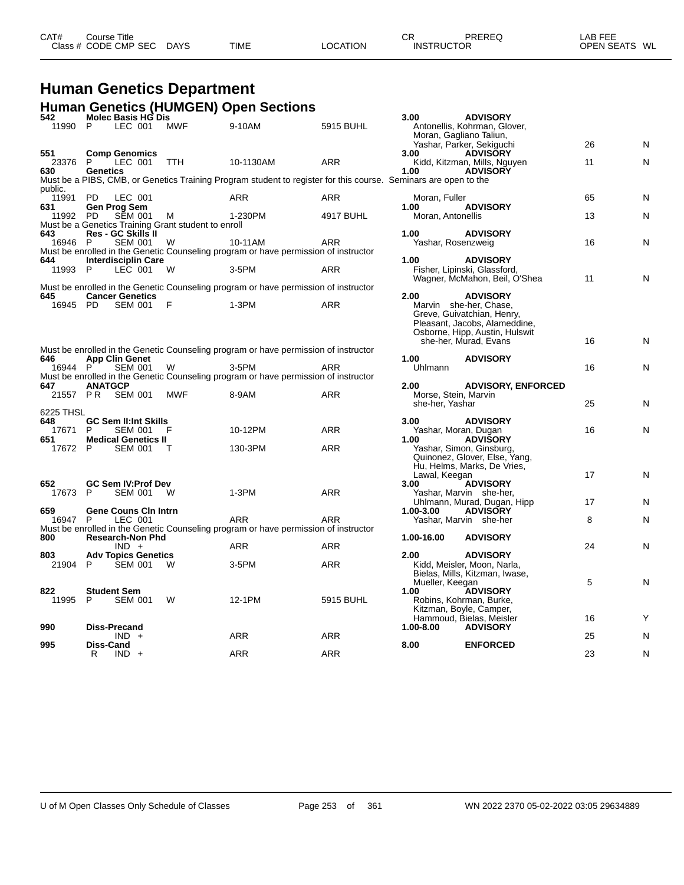| CAT# | ourse Titleٽ<br>Class # CODE CMP SEC | <b>DAYS</b> | <b>TIME</b> | LOCATION | СF<br><b>INSTRUCTOR</b> | <b>PREREQ</b> | LAB FEE<br>OPEN SEATS WL |  |
|------|--------------------------------------|-------------|-------------|----------|-------------------------|---------------|--------------------------|--|
|      |                                      |             |             |          |                         |               |                          |  |

# **Human Genetics Department**

|                  |                 | Molec Basis HG Dis                            |                                                          | <b>Human Genetics (HUMGEN) Open Sections</b>                                                                    |            |                                                 |                                                                                                                         |    |   |
|------------------|-----------------|-----------------------------------------------|----------------------------------------------------------|-----------------------------------------------------------------------------------------------------------------|------------|-------------------------------------------------|-------------------------------------------------------------------------------------------------------------------------|----|---|
| 542<br>11990     | P               | LEC 001                                       | <b>MWF</b>                                               | 9-10AM                                                                                                          | 5915 BUHL  | 3.00<br>Moran, Gagliano Taliun,                 | <b>ADVISORY</b><br>Antonellis, Kohrman, Glover,                                                                         |    |   |
| 551              |                 |                                               |                                                          |                                                                                                                 |            | 3.00                                            | Yashar, Parker, Sekiguchi<br><b>ADVISÓRY</b>                                                                            | 26 | N |
| 23376            | - P             | <b>Comp Genomics</b><br>LEC 001               | TTH                                                      | 10-1130AM                                                                                                       | <b>ARR</b> |                                                 | Kidd, Kitzman, Mills, Nguyen                                                                                            | 11 | Ν |
| 630              | <b>Genetics</b> |                                               |                                                          | Must be a PIBS, CMB, or Genetics Training Program student to register for this course. Seminars are open to the |            | 1.00                                            | <b>ADVISORY</b>                                                                                                         |    |   |
| public.<br>11991 | <b>PD</b>       |                                               |                                                          | <b>ARR</b>                                                                                                      | <b>ARR</b> |                                                 |                                                                                                                         | 65 |   |
| 631              |                 | LEC 001<br>Gen Prog Sem                       |                                                          |                                                                                                                 |            | Moran, Fuller<br>1.00                           | <b>ADVISORY</b>                                                                                                         |    | N |
| 11992 PD         |                 | <b>SEM 001</b>                                | М<br>Must be a Genetics Training Grant student to enroll | 1-230PM                                                                                                         | 4917 BUHL  | Moran, Antonellis                               |                                                                                                                         | 13 | N |
| 643              |                 | <b>Res - GC Skills II</b>                     |                                                          |                                                                                                                 |            | 1.00                                            | <b>ADVISORY</b>                                                                                                         |    |   |
| 16946 P          |                 | <b>SEM 001</b>                                | W                                                        | 10-11AM<br>Must be enrolled in the Genetic Counseling program or have permission of instructor                  | <b>ARR</b> | Yashar, Rosenzweig                              |                                                                                                                         | 16 | N |
| 644              |                 | <b>Interdisciplin Care</b>                    |                                                          |                                                                                                                 |            | 1.00                                            | <b>ADVISORY</b>                                                                                                         |    |   |
| 11993 P          |                 | LEC 001                                       | W                                                        | 3-5PM                                                                                                           | ARR        |                                                 | Fisher, Lipinski, Glassford,<br>Wagner, McMahon, Beil, O'Shea                                                           | 11 | Ν |
|                  |                 | <b>Cancer Genetics</b>                        |                                                          | Must be enrolled in the Genetic Counseling program or have permission of instructor                             |            | 2.00                                            | <b>ADVISORY</b>                                                                                                         |    |   |
| 645<br>16945 PD  |                 | SEM 001                                       | - F                                                      | $1-3PM$                                                                                                         | ARR        |                                                 | Marvin she-her, Chase,<br>Greve, Guivatchian, Henry,<br>Pleasant, Jacobs, Alameddine,<br>Osborne, Hipp, Austin, Hulswit |    |   |
|                  |                 |                                               |                                                          |                                                                                                                 |            |                                                 | she-her, Murad, Evans                                                                                                   | 16 | N |
| 646              |                 | <b>App Clin Genet</b>                         |                                                          | Must be enrolled in the Genetic Counseling program or have permission of instructor                             |            | 1.00                                            | <b>ADVISORY</b>                                                                                                         |    |   |
| 16944 P          |                 | <b>SEM 001</b>                                | W                                                        | 3-5PM                                                                                                           | <b>ARR</b> | Uhlmann                                         |                                                                                                                         | 16 | Ν |
|                  |                 |                                               |                                                          | Must be enrolled in the Genetic Counseling program or have permission of instructor                             |            |                                                 |                                                                                                                         |    |   |
| 647<br>21557 PR  | <b>ANATGCP</b>  | SEM 001                                       | MWF                                                      | 8-9AM                                                                                                           | ARR        | 2.00<br>Morse, Stein, Marvin<br>she-her, Yashar | <b>ADVISORY, ENFORCED</b>                                                                                               | 25 | N |
| 6225 THSL        |                 |                                               |                                                          |                                                                                                                 |            |                                                 |                                                                                                                         |    |   |
| 648<br>17671     | P               | <b>GC Sem II:Int Skills</b><br><b>SEM 001</b> | F                                                        | 10-12PM                                                                                                         | ARR        | 3.00                                            | <b>ADVISORY</b>                                                                                                         | 16 | Ν |
| 651              |                 | <b>Medical Genetics II</b>                    |                                                          |                                                                                                                 |            | Yashar, Moran, Dugan<br>1.00                    | <b>ADVISORY</b>                                                                                                         |    |   |
| 17672 P          |                 | <b>SEM 001</b>                                | т                                                        | 130-3PM                                                                                                         | ARR        |                                                 | Yashar, Simon, Ginsburg,<br>Quinonez, Glover, Else, Yang,<br>Hu, Helms, Marks, De Vries,                                |    |   |
| 652              |                 | GC Sem IV: Prof Dev                           |                                                          |                                                                                                                 |            | Lawal, Keegan<br>3.00                           | <b>ADVISORY</b>                                                                                                         | 17 | N |
| 17673            | P               | SEM 001                                       | - W                                                      | $1-3PM$                                                                                                         | <b>ARR</b> |                                                 | Yashar, Marvin she-her,                                                                                                 |    |   |
| 659              |                 | <b>Gene Couns Cin Intrn</b>                   |                                                          |                                                                                                                 |            | 1.00-3.00                                       | Uhlmann, Murad, Dugan, Hipp<br><b>ADVISORY</b>                                                                          | 17 | N |
| 16947 P          |                 | LEC 001                                       |                                                          | ARR<br>Must be enrolled in the Genetic Counseling program or have permission of instructor                      | <b>ARR</b> |                                                 | Yashar, Marvin she-her                                                                                                  | 8  | Ν |
| 800              |                 | <b>Research-Non Phd</b>                       |                                                          |                                                                                                                 |            | 1.00-16.00                                      | <b>ADVISORY</b>                                                                                                         |    |   |
|                  |                 | $IND +$                                       |                                                          | <b>ARR</b>                                                                                                      | <b>ARR</b> |                                                 |                                                                                                                         | 24 | Ν |
| 803<br>21904     | P               | <b>Adv Topics Genetics</b><br><b>SEM 001</b>  | w                                                        | 3-5PM                                                                                                           | ARR        | 2.00                                            | <b>ADVISORY</b><br>Kidd, Meisler, Moon, Narla,<br>Bielas, Mills, Kitzman, Iwase,                                        |    |   |
| 822              |                 | <b>Student Sem</b>                            |                                                          |                                                                                                                 |            | Mueller, Keegan<br>1.00                         | <b>ADVISORY</b>                                                                                                         | 5  | N |
| 11995            | P               | <b>SEM 001</b>                                | W                                                        | 12-1PM                                                                                                          | 5915 BUHL  |                                                 | Robins, Kohrman, Burke,<br>Kitzman, Boyle, Camper,                                                                      |    |   |
| 990              |                 | <b>Diss-Precand</b>                           |                                                          |                                                                                                                 |            | 1.00-8.00                                       | Hammoud, Bielas, Meisler<br><b>ADVISORY</b>                                                                             | 16 |   |
|                  |                 | $IND +$                                       |                                                          | ARR                                                                                                             | <b>ARR</b> |                                                 |                                                                                                                         | 25 | N |
| 995              | Diss-Cand       |                                               |                                                          | <b>ARR</b>                                                                                                      |            | 8.00                                            | <b>ENFORCED</b>                                                                                                         | 23 |   |
|                  | R               | $IND +$                                       |                                                          |                                                                                                                 | <b>ARR</b> |                                                 |                                                                                                                         |    | N |

| 3.00<br>Moran, Gagliano Taliun,                 | <b>ADVISORY</b><br>Antonellis, Kohrman, Glover,                                                                                     |    |   |
|-------------------------------------------------|-------------------------------------------------------------------------------------------------------------------------------------|----|---|
|                                                 | Yashar, Parker, Sekiguchi                                                                                                           | 26 | N |
| 3.00<br>1.00<br>minars are open to the          | <b>ADVISORY</b><br>Kidd, Kitzman, Mills, Nguyen<br><b>ADVISORY</b>                                                                  | 11 | N |
| Moran, Fuller                                   |                                                                                                                                     | 65 | N |
| 1.00<br>Moran, Antonellis                       | <b>ADVISORY</b>                                                                                                                     | 13 | N |
| 1.00<br>Yashar, Rosenzweig                      | <b>ADVISORY</b>                                                                                                                     | 16 | N |
| 1.00                                            | <b>ADVISORY</b><br>Fisher, Lipinski, Glassford,<br>Wagner, McMahon, Beil, O'Shea                                                    | 11 | N |
| 2.00<br>Marvin                                  | <b>ADVISORY</b><br>she-her, Chase,<br>Greve, Guivatchian, Henry,<br>Pleasant, Jacobs, Alameddine,<br>Osborne, Hipp, Austin, Hulswit |    |   |
|                                                 | she-her, Murad, Evans                                                                                                               | 16 | N |
| 1.00<br><b>Uhlmann</b>                          | <b>ADVISORY</b>                                                                                                                     | 16 | N |
| 2.00<br>Morse, Stein, Marvin<br>she-her, Yashar | <b>ADVISORY, ENFORCED</b>                                                                                                           | 25 | N |
| 3.00<br>Yashar, Moran, Dugan<br>1.00            | <b>ADVISORY</b><br><b>ADVIŠORY</b><br>Yashar, Simon, Ginsburg,<br>Quinonez, Glover, Else, Yang,                                     | 16 | N |
| Lawal, Keegan<br>3.00                           | Hu, Helms, Marks, De Vries,<br><b>ADVISORY</b>                                                                                      | 17 | N |
|                                                 | Yashar, Marvin she-her,<br>Uhlmann, Murad, Dugan, Hipp                                                                              | 17 | N |
| 1.00-3.00                                       | <b>ADVISORY</b><br>Yashar, Marvin she-her                                                                                           | 8  | N |
| 1.00-16.00                                      | <b>ADVISORY</b>                                                                                                                     | 24 | N |
| 2.00<br>Mueller, Keegan<br>1.00                 | <b>ADVISORY</b><br>Kidd, Meisler, Moon, Narla,<br>Bielas, Mills, Kitzman, Iwase,<br><b>ADVISORY</b>                                 | 5  | N |
| Kitzman, Boyle, Camper,<br>1.00-8.00            | Robins, Kohrman, Burke,<br>Hammoud, Bielas, Meisler<br><b>ADVISORY</b>                                                              | 16 | Y |
| 8.00                                            | <b>ENFORCED</b>                                                                                                                     | 25 | N |
|                                                 |                                                                                                                                     | 23 | N |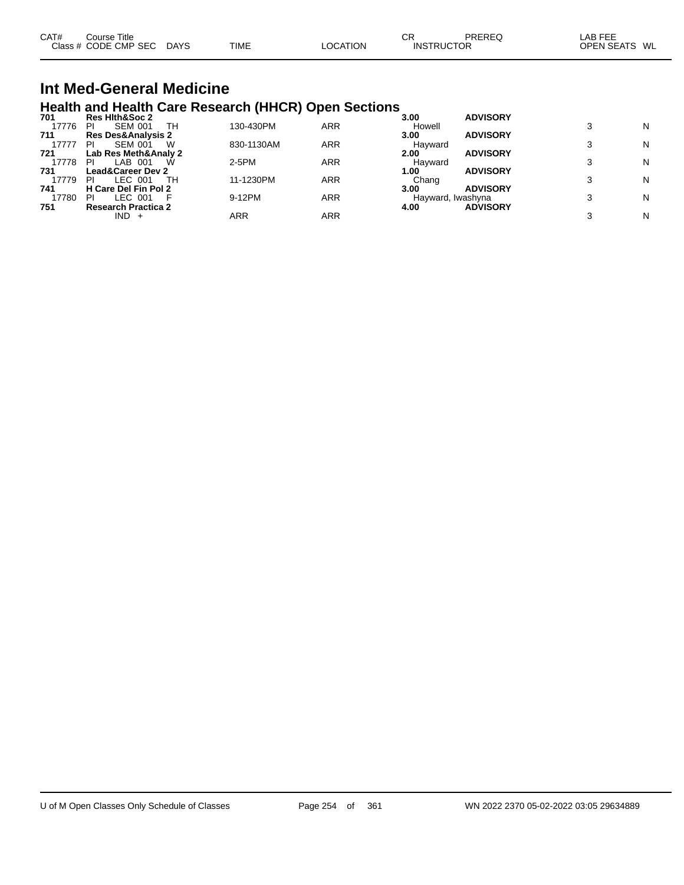| CAT# | ourse Titleٽ         |             |      |                 | СF                | PREREC | _AB FEE           |    |
|------|----------------------|-------------|------|-----------------|-------------------|--------|-------------------|----|
|      | Class # CODE CMP SEC | <b>DAYS</b> | TIME | <b>LOCATION</b> | <b>INSTRUCTOR</b> |        | <b>OPEN SEATS</b> | WL |

#### **Int Med-General Medicine Health and Health Care Research (HHCR) Open Sections**

| 701   | <b>Res Hith&amp;Soc 2</b>     |            |     | 3.00              | <b>ADVISORY</b> |   |
|-------|-------------------------------|------------|-----|-------------------|-----------------|---|
| 17776 | <b>SEM 001</b><br>тн<br>PI    | 130-430PM  | ARR | Howell            |                 | N |
| 711   | <b>Res Des&amp;Analysis 2</b> |            |     | 3.00              | <b>ADVISORY</b> |   |
| 17777 | <b>SEM 001</b><br>PI<br>W     | 830-1130AM | ARR | Havward           |                 | N |
| 721   | Lab Res Meth&Analy 2          |            |     | 2.00              | <b>ADVISORY</b> |   |
| 17778 | LAB 001<br>PI<br>W            | $2-5PM$    | ARR | Havward           |                 | N |
| 731   | <b>Lead&amp;Career Dev 2</b>  |            |     | 1.00              | <b>ADVISORY</b> |   |
| 17779 | LEC 001<br>тн<br>ΡI           | 11-1230PM  | ARR | Chang             |                 | N |
| 741   | H Care Del Fin Pol 2          |            |     | 3.00              | <b>ADVISORY</b> |   |
| 17780 | LEC 001<br>PI                 | 9-12PM     | ARR | Hayward, Iwashyna |                 | N |
| 751   | <b>Research Practica 2</b>    |            |     | 4.00              | <b>ADVISORY</b> |   |
|       | $IND +$                       | ARR        | ARR |                   |                 | N |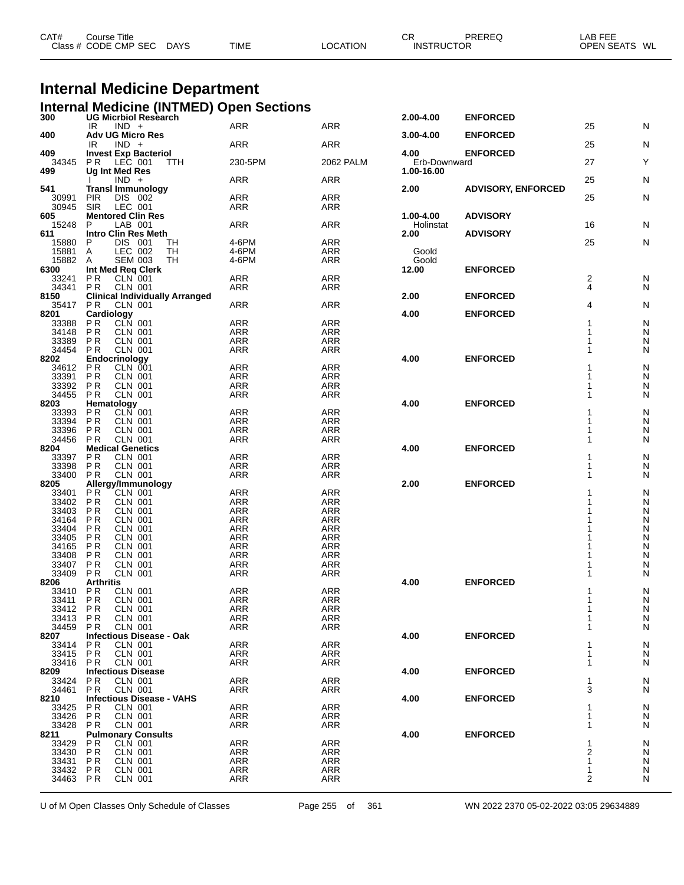| CAT# | Course Title              |             |          | СR                | PREREQ | LAB FEE       |
|------|---------------------------|-------------|----------|-------------------|--------|---------------|
|      | Class # CODE CMP SEC DAYS | <b>TIME</b> | LOCATION | <b>INSTRUCTOR</b> |        | OPEN SEATS WL |

# **Internal Medicine Department**

**Internal Medicine (INTMED) Open Sections 300 UG Micrbiol Research 2.00-4.00 ENFORCED**

| აυυ            | UG MICIDIOI RESEAICH<br>IR<br>$IND +$           | <b>ARR</b> | ARR        | 2.VV-4.VV     | <b>ENFURCED</b>           | 25 | N              |
|----------------|-------------------------------------------------|------------|------------|---------------|---------------------------|----|----------------|
| 400            | <b>Adv UG Micro Res</b>                         |            |            | $3.00 - 4.00$ | <b>ENFORCED</b>           |    |                |
|                | $IND +$<br>IR                                   | <b>ARR</b> | ARR        |               |                           | 25 | N              |
| 409            | <b>Invest Exp Bacteriol</b>                     |            |            | 4.00          | <b>ENFORCED</b>           |    |                |
| 34345          | <b>PR LEC 001</b><br>TTH                        | 230-5PM    | 2062 PALM  | Erb-Downward  |                           | 27 | Υ              |
| 499            | <b>Ug Int Med Res</b>                           |            |            | 1.00-16.00    |                           |    |                |
|                | $IND +$                                         | ARR        | ARR        |               |                           | 25 | N              |
| 541            | <b>Transl Immunology</b>                        |            |            | 2.00          | <b>ADVISORY, ENFORCED</b> |    |                |
| 30991          | PIR<br>DIS 002                                  | ARR        | ARR        |               |                           | 25 | N              |
| 30945          | <b>SIR</b><br>LEC 001                           | <b>ARR</b> | ARR        |               |                           |    |                |
| 605            | <b>Mentored Clin Res</b>                        |            |            | 1.00-4.00     | <b>ADVISORY</b>           |    |                |
| 15248          | LAB 001<br>P                                    | ARR        | <b>ARR</b> | Holinstat     |                           | 16 | N              |
| 611            | <b>Intro Clin Res Meth</b>                      |            |            | 2.00          | <b>ADVISORY</b>           |    |                |
| 15880          | P<br>DIS 001<br>TH                              | 4-6PM      | <b>ARR</b> |               |                           | 25 | N              |
| 15881          | LEC 002<br>A<br>TН                              | 4-6PM      | ARR        | Goold         |                           |    |                |
| 15882 A        | <b>SEM 003</b><br>TH                            | 4-6PM      | ARR        | Goold         |                           |    |                |
| 6300           | Int Med Reg Clerk                               |            |            | 12.00         | <b>ENFORCED</b>           |    |                |
| 33241          | CLN 001<br>P R                                  | ARR        | ARR        |               |                           | 2  | N              |
| 34341          | PR<br><b>CLN 001</b>                            | ARR        | ARR        |               |                           | 4  | N              |
| 8150           | <b>Clinical Individually Arranged</b>           |            |            | 2.00          | <b>ENFORCED</b>           |    |                |
| 35417          | P R<br>CLN 001                                  | ARR        | ARR        |               |                           | 4  | N              |
| 8201           | Cardiology                                      |            |            | 4.00          | <b>ENFORCED</b>           |    |                |
| 33388          | CLN 001<br><b>PR</b>                            | <b>ARR</b> | <b>ARR</b> |               |                           | 1  | N              |
| 34148          | <b>PR</b><br><b>CLN 001</b>                     | ARR        | ARR        |               |                           | 1  | N              |
| 33389          | <b>PR</b><br><b>CLN 001</b>                     | <b>ARR</b> | ARR        |               |                           | 1  | N              |
| 34454          | <b>PR</b><br><b>CLN 001</b>                     | <b>ARR</b> | ARR        |               |                           | 1  | N              |
| 8202           | Endocrinology                                   |            |            | 4.00          | <b>ENFORCED</b>           |    |                |
| 34612          | <b>PR</b><br>CLN 001                            | <b>ARR</b> | ARR        |               |                           |    | N              |
| 33391          | <b>PR</b><br><b>CLN 001</b>                     | <b>ARR</b> | <b>ARR</b> |               |                           | 1  | N              |
| 33392          | <b>PR</b><br><b>CLN 001</b>                     | ARR        | <b>ARR</b> |               |                           | 1  | N              |
| 34455          | <b>PR</b><br><b>CLN 001</b>                     | ARR        | ARR        |               |                           | 1  | N              |
| 8203           | Hematology                                      |            |            | 4.00          | <b>ENFORCED</b>           |    |                |
| 33393          | CLN 001<br>P R                                  | ARR        | <b>ARR</b> |               |                           |    | N              |
| 33394          | <b>PR</b><br><b>CLN 001</b>                     | <b>ARR</b> | ARR        |               |                           |    | N              |
| 33396          | <b>PR</b><br><b>CLN 001</b>                     | <b>ARR</b> | <b>ARR</b> |               |                           |    | N              |
| 34456          | <b>PR</b><br><b>CLN 001</b>                     | ARR        | <b>ARR</b> |               |                           | 1  | N              |
| 8204           | <b>Medical Genetics</b>                         |            |            | 4.00          | <b>ENFORCED</b>           |    |                |
| 33397          | <b>PR</b><br><b>CLN 001</b>                     | <b>ARR</b> | <b>ARR</b> |               |                           |    | N              |
| 33398          | <b>PR</b><br><b>CLN 001</b>                     | ARR        | <b>ARR</b> |               |                           | 1  | N              |
| 33400          | PR<br><b>CLN 001</b>                            | ARR        | ARR        |               |                           | 1  | N              |
| 8205           | Allergy/Immunology                              |            |            | 2.00          | <b>ENFORCED</b>           |    |                |
| 33401          | P R<br>CLN 001                                  | ARR        | <b>ARR</b> |               |                           |    | N              |
| 33402          | <b>PR</b><br><b>CLN 001</b>                     | <b>ARR</b> | ARR        |               |                           |    | N              |
| 33403          | <b>CLN 001</b><br>P R                           | <b>ARR</b> | <b>ARR</b> |               |                           |    | N              |
| 34164          | <b>CLN 001</b><br>P R                           | ARR        | <b>ARR</b> |               |                           |    | N              |
| 33404          | <b>PR</b><br><b>CLN 001</b>                     | <b>ARR</b> | ARR        |               |                           |    | N              |
| 33405          | <b>PR</b><br><b>CLN 001</b>                     | <b>ARR</b> | <b>ARR</b> |               |                           |    | N              |
| 34165          | <b>CLN 001</b><br>P R                           | ARR        | <b>ARR</b> |               |                           |    | N              |
| 33408          | <b>PR</b><br><b>CLN 001</b>                     | <b>ARR</b> | ARR        |               |                           |    | N              |
| 33407          | <b>PR</b><br><b>CLN 001</b>                     | <b>ARR</b> | <b>ARR</b> |               |                           |    | N              |
| 33409          | <b>PR</b><br><b>CLN 001</b>                     | ARR        | <b>ARR</b> |               | <b>ENFORCED</b>           | 1  | N              |
| 8206           | <b>Arthritis</b><br><b>PR</b><br><b>CLN 001</b> | <b>ARR</b> | <b>ARR</b> | 4.00          |                           |    |                |
| 33410<br>33411 | P <sub>R</sub><br><b>CLN 001</b>                | ARR        | <b>ARR</b> |               |                           |    | N<br>N         |
| 33412 PR       | <b>CLN 001</b>                                  | <b>ARR</b> | ARR        |               |                           |    | N              |
| 33413 PR       | <b>CLN 001</b>                                  | <b>ARR</b> | <b>ARR</b> |               |                           | 1  | N              |
| 34459 PR       |                                                 |            |            |               |                           | 1  |                |
| 8207           | CLN 001<br>Infectious Disease - Oak             | ARR        | ARR        | 4.00          | <b>ENFORCED</b>           |    | N              |
| 33414          | <b>PR</b><br><b>CLN 001</b>                     | ARR        | <b>ARR</b> |               |                           |    |                |
| 33415          | <b>PR</b><br><b>CLN 001</b>                     | ARR        | ARR        |               |                           |    | N<br>${\sf N}$ |
| 33416          | <b>PR</b><br><b>CLN 001</b>                     | ARR        | ARR        |               |                           |    | N              |
| 8209           | <b>Infectious Disease</b>                       |            |            | 4.00          | <b>ENFORCED</b>           |    |                |
| 33424          | P R<br>CLN 001                                  | ARR        | ARR        |               |                           |    | N              |
| 34461          | <b>PR</b><br><b>CLN 001</b>                     | ARR        | ARR        |               |                           | 3  | N              |
| 8210           | <b>Infectious Disease - VAHS</b>                |            |            | 4.00          | <b>ENFORCED</b>           |    |                |
| 33425          | P R<br>CLN 001                                  | ARR        | ARR        |               |                           |    | N              |
| 33426          | <b>PR</b><br><b>CLN 001</b>                     | ARR        | ARR        |               |                           |    | N              |
| 33428          | <b>PR</b><br>CLN 001                            | ARR        | ARR        |               |                           |    | N              |
| 8211           | <b>Pulmonary Consults</b>                       |            |            | 4.00          | <b>ENFORCED</b>           |    |                |
| 33429          | P R<br>CLN 001                                  | <b>ARR</b> | ARR        |               |                           |    | N              |
| 33430          | <b>PR</b><br>CLN 001                            | ARR        | ARR        |               |                           | 2  | N              |
| 33431          | <b>PR</b><br>CLN 001                            | ARR        | ARR        |               |                           | 1  | N              |
| 33432          | P R<br>CLN 001                                  | <b>ARR</b> | ARR        |               |                           | 1  | N              |
| 34463 PR       | CLN 001                                         | ARR        | ARR        |               |                           | 2  | N              |
|                |                                                 |            |            |               |                           |    |                |
|                |                                                 |            |            |               |                           |    |                |

U of M Open Classes Only Schedule of Classes Page 255 of 361 WN 2022 2370 05-02-2022 03:05 29634889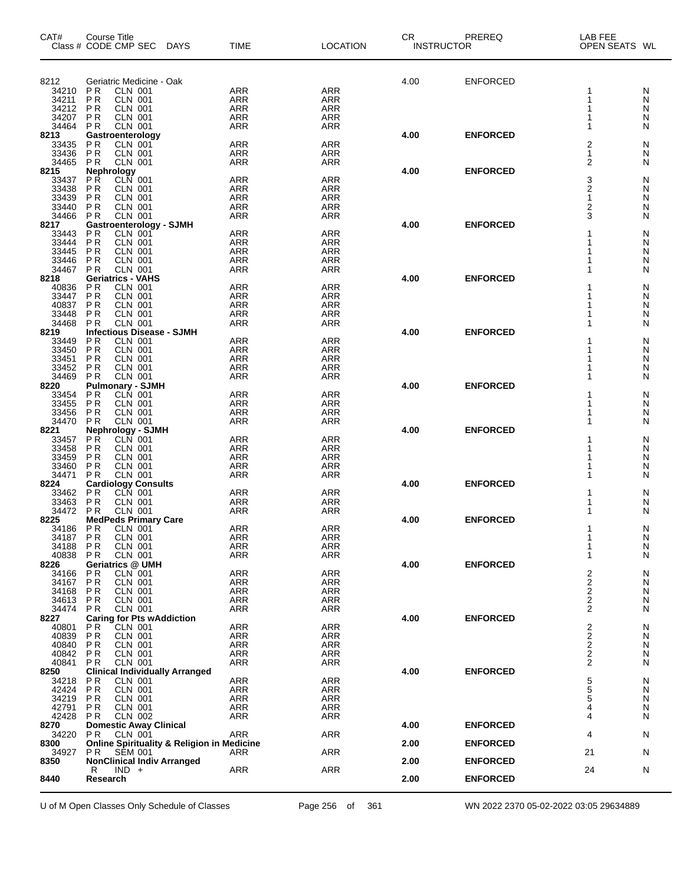| CAT#           | Course Title<br>Class # CODE CMP SEC DAYS                                      | <b>TIME</b>              | <b>LOCATION</b>          | CR.<br><b>INSTRUCTOR</b> | PREREQ          | <b>LAB FEE</b><br>OPEN SEATS WL            |        |
|----------------|--------------------------------------------------------------------------------|--------------------------|--------------------------|--------------------------|-----------------|--------------------------------------------|--------|
| 8212           | Geriatric Medicine - Oak                                                       |                          |                          | 4.00                     | <b>ENFORCED</b> |                                            |        |
| 34210          | P <sub>R</sub><br><b>CLN 001</b>                                               | <b>ARR</b>               | <b>ARR</b>               |                          |                 | 1                                          | N      |
| 34211          | <b>CLN 001</b><br>ΡR                                                           | <b>ARR</b>               | <b>ARR</b>               |                          |                 | 1                                          | N      |
| 34212          | ΡR<br><b>CLN 001</b>                                                           | ARR                      | <b>ARR</b>               |                          |                 | 1                                          | N      |
| 34207<br>34464 | <b>CLN 001</b><br>ΡR<br>CLN 001<br>P <sub>R</sub>                              | <b>ARR</b><br><b>ARR</b> | ARR<br><b>ARR</b>        |                          |                 | 1<br>1                                     | N<br>N |
| 8213           | Gastroenterology                                                               |                          |                          | 4.00                     | <b>ENFORCED</b> |                                            |        |
| 33435          | <b>PR</b><br><b>CLN 001</b>                                                    | <b>ARR</b>               | <b>ARR</b>               |                          |                 | 2                                          | N      |
| 33436          | <b>PR</b><br><b>CLN 001</b>                                                    | ARR                      | <b>ARR</b>               |                          |                 | 1                                          | N      |
| 34465<br>8215  | <b>CLN 001</b><br><b>PR</b>                                                    | <b>ARR</b>               | <b>ARR</b>               | 4.00                     | <b>ENFORCED</b> | 2                                          | N      |
| 33437          | Nephrology<br>PR CLN 001                                                       | <b>ARR</b>               | <b>ARR</b>               |                          |                 | 3                                          | N      |
| 33438          | P <sub>R</sub><br><b>CLN 001</b>                                               | <b>ARR</b>               | <b>ARR</b>               |                          |                 | $\mathbf 2$                                | N      |
| 33439          | P <sub>R</sub><br><b>CLN 001</b>                                               | <b>ARR</b>               | <b>ARR</b>               |                          |                 | $\mathbf{1}$                               | N      |
| 33440<br>34466 | ΡR<br><b>CLN 001</b><br>P <sub>R</sub><br>CLN 001                              | ARR<br><b>ARR</b>        | <b>ARR</b><br><b>ARR</b> |                          |                 | 2<br>3                                     | N<br>N |
| 8217           | <b>Gastroenterology - SJMH</b>                                                 |                          |                          | 4.00                     | <b>ENFORCED</b> |                                            |        |
| 33443          | <b>PR</b><br><b>CLN 001</b>                                                    | ARR                      | <b>ARR</b>               |                          |                 | 1                                          | N      |
| 33444          | P <sub>R</sub><br><b>CLN 001</b>                                               | <b>ARR</b>               | <b>ARR</b>               |                          |                 | 1                                          | N      |
| 33445<br>33446 | <b>PR</b><br><b>CLN 001</b><br>ΡR<br><b>CLN 001</b>                            | <b>ARR</b><br>ARR        | <b>ARR</b><br><b>ARR</b> |                          |                 | 1                                          | N<br>N |
| 34467          | <b>PR</b><br><b>CLN 001</b>                                                    | <b>ARR</b>               | <b>ARR</b>               |                          |                 | 1                                          | N      |
| 8218           | <b>Geriatrics - VAHS</b>                                                       |                          |                          | 4.00                     | <b>ENFORCED</b> |                                            |        |
| 40836          | <b>CLN 001</b><br>P <sub>R</sub>                                               | ARR                      | <b>ARR</b>               |                          |                 | 1                                          | N      |
| 33447<br>40837 | P <sub>R</sub><br><b>CLN 001</b><br>P <sub>R</sub><br><b>CLN 001</b>           | <b>ARR</b><br><b>ARR</b> | <b>ARR</b><br><b>ARR</b> |                          |                 | 1<br>1                                     | N<br>N |
| 33448          | ΡR<br><b>CLN 001</b>                                                           | ARR                      | <b>ARR</b>               |                          |                 |                                            | N      |
| 34468          | P <sub>R</sub><br><b>CLN 001</b>                                               | <b>ARR</b>               | <b>ARR</b>               |                          |                 | 1                                          | N      |
| 8219           | <b>Infectious Disease - SJMH</b>                                               |                          |                          | 4.00                     | <b>ENFORCED</b> | 1                                          |        |
| 33449<br>33450 | P <sub>R</sub><br><b>CLN 001</b><br>P <sub>R</sub><br><b>CLN 001</b>           | ARR<br><b>ARR</b>        | <b>ARR</b><br><b>ARR</b> |                          |                 | 1                                          | N<br>N |
| 33451          | P <sub>R</sub><br><b>CLN 001</b>                                               | <b>ARR</b>               | <b>ARR</b>               |                          |                 | 1                                          | N      |
| 33452          | ΡR<br><b>CLN 001</b>                                                           | ARR                      | <b>ARR</b>               |                          |                 |                                            | N      |
| 34469<br>8220  | P <sub>R</sub><br><b>CLN 001</b><br><b>Pulmonary - SJMH</b>                    | <b>ARR</b>               | <b>ARR</b>               | 4.00                     | <b>ENFORCED</b> | 1                                          | N      |
| 33454          | <b>CLN 001</b><br>P R                                                          | ARR                      | <b>ARR</b>               |                          |                 | 1                                          | N      |
| 33455          | P <sub>R</sub><br><b>CLN 001</b>                                               | <b>ARR</b>               | <b>ARR</b>               |                          |                 | 1                                          | N      |
| 33456<br>34470 | ΡR<br><b>CLN 001</b><br><b>CLN 001</b>                                         | <b>ARR</b><br><b>ARR</b> | ARR                      |                          |                 | 1                                          | N      |
| 8221           | P <sub>R</sub><br>Nephrology - SJMH                                            |                          | <b>ARR</b>               | 4.00                     | <b>ENFORCED</b> | 1                                          | N      |
| 33457          | <b>PR</b><br><b>CLN 001</b>                                                    | <b>ARR</b>               | <b>ARR</b>               |                          |                 | 1                                          | N      |
| 33458          | ΡR<br><b>CLN 001</b>                                                           | <b>ARR</b>               | <b>ARR</b>               |                          |                 | 1                                          | N      |
| 33459<br>33460 | ΡR<br><b>CLN 001</b><br>ΡR<br><b>CLN 001</b>                                   | ARR<br><b>ARR</b>        | <b>ARR</b><br>ARR        |                          |                 | 1<br>1                                     | N<br>N |
| 34471          | <b>CLN 001</b><br>ΡR                                                           | <b>ARR</b>               | <b>ARR</b>               |                          |                 | 1                                          | N      |
| 8224           | <b>Cardiology Consults</b>                                                     |                          |                          | 4.00                     | <b>ENFORCED</b> |                                            |        |
| 33462          | CLN 001<br>P R                                                                 | <b>ARR</b>               | <b>ARR</b>               |                          |                 | 1                                          | N      |
| 33463<br>34472 | P <sub>R</sub><br><b>CLN 001</b><br>P R<br>CLN 001                             | <b>ARR</b><br><b>ARR</b> | <b>ARR</b><br><b>ARR</b> |                          |                 | 1<br>1                                     | N<br>N |
| 8225           | <b>MedPeds Primary Care</b>                                                    |                          |                          | 4.00                     | <b>ENFORCED</b> |                                            |        |
| 34186          | CLN 001<br>P <sub>R</sub>                                                      | <b>ARR</b>               | <b>ARR</b>               |                          |                 | 1                                          | N      |
| 34187<br>34188 | <b>PR</b><br><b>CLN 001</b><br>P R<br>CLN 001                                  | <b>ARR</b><br>ARR        | ARR<br>ARR               |                          |                 | 1<br>1                                     | N<br>N |
| 40838          | P <sub>R</sub><br><b>CLN 001</b>                                               | ARR                      | <b>ARR</b>               |                          |                 | 1                                          | N      |
| 8226           | <b>Geriatrics @ UMH</b>                                                        |                          |                          | 4.00                     | <b>ENFORCED</b> |                                            |        |
| 34166          | ΡR<br><b>CLN 001</b>                                                           | <b>ARR</b>               | ARR                      |                          |                 | $\begin{array}{c} 2 \\ 2 \\ 2 \end{array}$ | N      |
| 34167<br>34168 | P <sub>R</sub><br><b>CLN 001</b><br>ΡR<br><b>CLN 001</b>                       | <b>ARR</b><br><b>ARR</b> | <b>ARR</b><br>ARR        |                          |                 |                                            | N<br>N |
| 34613          | <b>CLN 001</b><br>P R                                                          | <b>ARR</b>               | ARR                      |                          |                 | $\overline{c}$                             | N      |
| 34474          | P <sub>R</sub><br><b>CLN 001</b>                                               | ARR                      | ARR                      |                          |                 | $\overline{2}$                             | N      |
| 8227<br>40801  | <b>Caring for Pts wAddiction</b><br>ΡR<br>CLN 001                              | <b>ARR</b>               | <b>ARR</b>               | 4.00                     | <b>ENFORCED</b> |                                            | N      |
| 40839          | P <sub>R</sub><br><b>CLN 001</b>                                               | <b>ARR</b>               | <b>ARR</b>               |                          |                 | $\begin{array}{c} 2 \\ 2 \\ 2 \end{array}$ | N      |
| 40840          | <b>PR</b><br><b>CLN 001</b>                                                    | <b>ARR</b>               | ARR                      |                          |                 |                                            | N      |
| 40842          | <b>CLN 001</b><br>P R                                                          | <b>ARR</b>               | ARR                      |                          |                 | $\overline{c}$                             | N      |
| 40841<br>8250  | P <sub>R</sub><br><b>CLN 001</b><br><b>Clinical Individually Arranged</b>      | <b>ARR</b>               | ARR                      | 4.00                     | <b>ENFORCED</b> | $\overline{2}$                             | N      |
| 34218          | P R<br>CLN 001                                                                 | <b>ARR</b>               | <b>ARR</b>               |                          |                 |                                            | N      |
| 42424          | <b>PR</b><br><b>CLN 001</b>                                                    | <b>ARR</b>               | <b>ARR</b>               |                          |                 | $\frac{5}{5}$                              | N      |
| 34219          | P <sub>R</sub><br>CLN 001                                                      | <b>ARR</b>               | ARR                      |                          |                 | 5<br>4                                     | N      |
| 42791<br>42428 | P R<br>CLN 001<br><b>CLN 002</b><br>P R                                        | <b>ARR</b><br><b>ARR</b> | ARR<br>ARR               |                          |                 | 4                                          | N<br>N |
| 8270           | <b>Domestic Away Clinical</b>                                                  |                          |                          | 4.00                     | <b>ENFORCED</b> |                                            |        |
| 34220          | P <sub>R</sub><br><b>CLN 001</b>                                               | <b>ARR</b>               | ARR                      |                          |                 | 4                                          | N      |
| 8300<br>34927  | <b>Online Spirituality &amp; Religion in Medicine</b><br>P R<br><b>SEM 001</b> | ARR                      | ARR                      | 2.00                     | <b>ENFORCED</b> | 21                                         | N      |
| 8350           | <b>NonClinical Indiv Arranged</b>                                              |                          |                          | 2.00                     | <b>ENFORCED</b> |                                            |        |
|                | $IND +$<br>R                                                                   | <b>ARR</b>               | ARR                      |                          |                 | 24                                         | N      |
| 8440           | Research                                                                       |                          |                          | 2.00                     | <b>ENFORCED</b> |                                            |        |

U of M Open Classes Only Schedule of Classes Page 256 of 361 WN 2022 2370 05-02-2022 03:05 29634889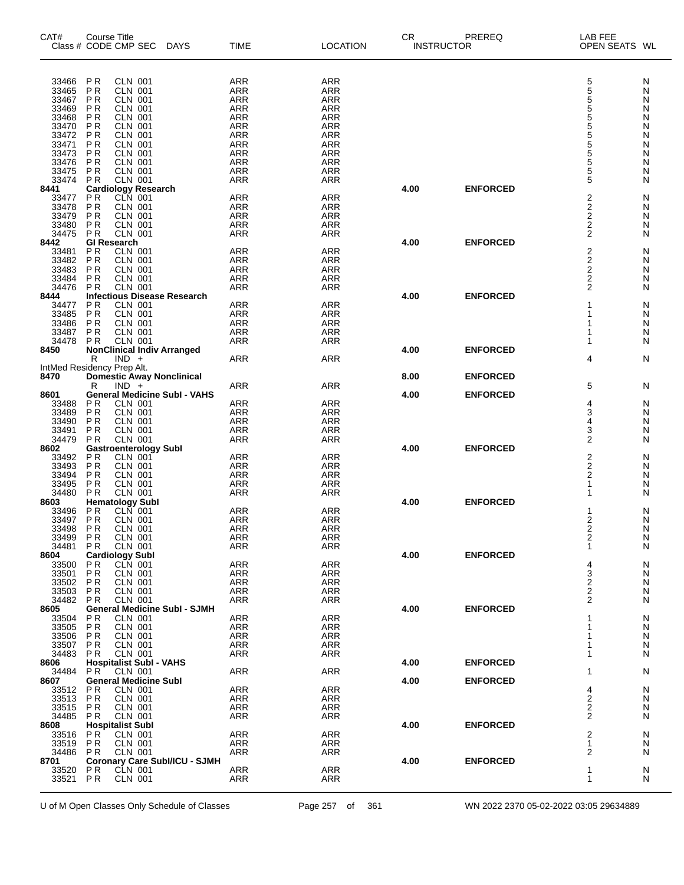| CAT#           | Course Title<br>Class # CODE CMP SEC                                   | <b>DAYS</b>                          | <b>TIME</b>              | <b>LOCATION</b>          | <b>CR</b><br><b>INSTRUCTOR</b> | PREREQ          | <b>LAB FEE</b><br>OPEN SEATS WL            |        |
|----------------|------------------------------------------------------------------------|--------------------------------------|--------------------------|--------------------------|--------------------------------|-----------------|--------------------------------------------|--------|
|                | <b>CLN 001</b>                                                         |                                      |                          |                          |                                |                 |                                            |        |
| 33466<br>33465 | P R<br>P <sub>R</sub><br><b>CLN 001</b>                                |                                      | ARR<br>ARR               | <b>ARR</b><br><b>ARR</b> |                                |                 |                                            | N<br>Ν |
| 33467          | <b>PR</b><br><b>CLN 001</b>                                            |                                      | <b>ARR</b>               | <b>ARR</b>               |                                |                 | 5<br>5<br>5                                | N      |
| 33469          | P <sub>R</sub><br><b>CLN 001</b>                                       |                                      | ARR                      | <b>ARR</b>               |                                |                 | $\frac{5}{5}$                              | N      |
| 33468          | <b>PR</b><br><b>CLN 001</b>                                            |                                      | <b>ARR</b>               | <b>ARR</b>               |                                |                 |                                            | Ν      |
| 33470          | CLN 001<br><b>PR</b>                                                   |                                      | <b>ARR</b>               | <b>ARR</b>               |                                |                 | 5                                          | N      |
| 33472<br>33471 | P <sub>R</sub><br><b>CLN 001</b><br>P <sub>R</sub><br><b>CLN 001</b>   |                                      | ARR<br><b>ARR</b>        | <b>ARR</b><br><b>ARR</b> |                                |                 | $\frac{5}{5}$                              | Ν<br>Ν |
| 33473          | <b>PR</b><br><b>CLN 001</b>                                            |                                      | <b>ARR</b>               | <b>ARR</b>               |                                |                 | 5                                          | N      |
| 33476          | P <sub>R</sub><br><b>CLN 001</b>                                       |                                      | ARR                      | ARR                      |                                |                 | 5                                          | Ν      |
| 33475          | P <sub>R</sub><br><b>CLN 001</b>                                       |                                      | <b>ARR</b>               | <b>ARR</b>               |                                |                 | 5                                          | Ν      |
| 33474          | <b>CLN 001</b><br><b>PR</b>                                            |                                      | <b>ARR</b>               | ARR                      |                                |                 | 5                                          | N      |
| 8441<br>33477  | Cardiology Research<br>PR CLN 001<br>P <sub>R</sub>                    |                                      | <b>ARR</b>               | <b>ARR</b>               | 4.00                           | <b>ENFORCED</b> | 2                                          | N      |
| 33478          | <b>PR</b><br><b>CLN 001</b>                                            |                                      | <b>ARR</b>               | <b>ARR</b>               |                                |                 |                                            | N      |
| 33479          | P <sub>R</sub><br><b>CLN 001</b>                                       |                                      | ARR                      | <b>ARR</b>               |                                |                 | $\frac{2}{2}$                              | N      |
| 33480          | P <sub>R</sub><br><b>CLN 001</b>                                       |                                      | <b>ARR</b>               | <b>ARR</b>               |                                |                 | 2                                          | Ν      |
| 34475          | <b>CLN 001</b><br><b>PR</b>                                            |                                      | <b>ARR</b>               | <b>ARR</b>               |                                |                 | $\overline{2}$                             | N      |
| 8442<br>33481  | <b>GI Research</b><br><b>CLN 001</b><br>PR                             |                                      | <b>ARR</b>               | <b>ARR</b>               | 4.00                           | <b>ENFORCED</b> | $\overline{\mathbf{c}}$                    | N      |
| 33482          | <b>PR</b><br><b>CLN 001</b>                                            |                                      | <b>ARR</b>               | <b>ARR</b>               |                                |                 |                                            | N      |
| 33483          | P <sub>R</sub><br><b>CLN 001</b>                                       |                                      | ARR                      | <b>ARR</b>               |                                |                 | $\begin{array}{c} 2 \\ 2 \\ 2 \end{array}$ | N      |
| 33484          | P <sub>R</sub><br><b>CLN 001</b>                                       |                                      | <b>ARR</b>               | <b>ARR</b>               |                                |                 |                                            | Ν      |
| 34476          | <b>CLN 001</b><br><b>PR</b>                                            |                                      | <b>ARR</b>               | <b>ARR</b>               |                                |                 | 2                                          | N      |
| 8444           | <b>Infectious Disease Research</b><br>P <sub>R</sub><br><b>CLN 001</b> |                                      | <b>ARR</b>               | <b>ARR</b>               | 4.00                           | <b>ENFORCED</b> |                                            |        |
| 34477<br>33485 | <b>PR</b><br><b>CLN 001</b>                                            |                                      | <b>ARR</b>               | <b>ARR</b>               |                                |                 |                                            | N<br>N |
| 33486          | P <sub>R</sub><br><b>CLN 001</b>                                       |                                      | ARR                      | <b>ARR</b>               |                                |                 |                                            | N      |
| 33487          | P <sub>R</sub><br><b>CLN 001</b>                                       |                                      | <b>ARR</b>               | <b>ARR</b>               |                                |                 |                                            | Ν      |
| 34478          | <b>CLN 001</b><br><b>PR</b>                                            |                                      | <b>ARR</b>               | <b>ARR</b>               |                                |                 |                                            | N      |
| 8450           | <b>NonClinical Indiv Arranged</b>                                      |                                      |                          |                          | 4.00                           | <b>ENFORCED</b> |                                            |        |
|                | R<br>$IND +$<br>IntMed Residency Prep Alt.                             |                                      | <b>ARR</b>               | <b>ARR</b>               |                                |                 | 4                                          | N      |
| 8470           | <b>Domestic Away Nonclinical</b>                                       |                                      |                          |                          | 8.00                           | <b>ENFORCED</b> |                                            |        |
|                | R<br>$IND +$                                                           |                                      | <b>ARR</b>               | <b>ARR</b>               |                                |                 | 5                                          | N      |
| 8601           |                                                                        | <b>General Medicine Subl - VAHS</b>  |                          |                          | 4.00                           | <b>ENFORCED</b> |                                            |        |
| 33488          | <b>PR</b><br><b>CLN 001</b>                                            |                                      | ARR                      | <b>ARR</b>               |                                |                 | 4                                          | N      |
| 33489<br>33490 | <b>PR</b><br><b>CLN 001</b><br><b>CLN 001</b><br><b>PR</b>             |                                      | <b>ARR</b><br><b>ARR</b> | <b>ARR</b><br><b>ARR</b> |                                |                 | 3<br>4                                     | Ν      |
| 33491          | P <sub>R</sub><br><b>CLN 001</b>                                       |                                      | ARR                      | <b>ARR</b>               |                                |                 | 3                                          | N<br>N |
| 34479          | <b>PR</b><br><b>CLN 001</b>                                            |                                      | <b>ARR</b>               | <b>ARR</b>               |                                |                 | 2                                          | N      |
| 8602           | <b>Gastroenterology Subl</b>                                           |                                      |                          |                          | 4.00                           | <b>ENFORCED</b> |                                            |        |
| 33492          | <b>PR</b><br><b>CLN 001</b>                                            |                                      | <b>ARR</b>               | <b>ARR</b>               |                                |                 | $\boldsymbol{2}$                           | N      |
| 33493<br>33494 | <b>PR</b><br><b>CLN 001</b>                                            |                                      | <b>ARR</b>               | <b>ARR</b>               |                                |                 | $\boldsymbol{2}$<br>2                      | Ν      |
| 33495          | <b>PR</b><br><b>CLN 001</b><br>P <sub>R</sub><br><b>CLN 001</b>        |                                      | <b>ARR</b><br><b>ARR</b> | <b>ARR</b><br><b>ARR</b> |                                |                 | 1                                          | N<br>N |
| 34480          | <b>PR</b><br><b>CLN 001</b>                                            |                                      | <b>ARR</b>               | <b>ARR</b>               |                                |                 | 1                                          | N      |
| 8603           | <b>Hematology Subl</b>                                                 |                                      |                          |                          | 4.00                           | <b>ENFORCED</b> |                                            |        |
| 33496          | CLN 001<br><b>PR</b>                                                   |                                      | <b>ARR</b>               | <b>ARR</b>               |                                |                 | 1                                          | N      |
| 33497          | <b>PR</b><br><b>CLN 001</b>                                            |                                      | <b>ARR</b>               | <b>ARR</b>               |                                |                 | $\overline{2}$<br>2                        | Ν      |
| 33498<br>33499 | <b>PR</b><br><b>CLN 001</b><br><b>CLN 001</b><br>P R                   |                                      | ARR<br><b>ARR</b>        | <b>ARR</b><br><b>ARR</b> |                                |                 | 2                                          | N<br>N |
| 34481          | <b>PR</b><br><b>CLN 001</b>                                            |                                      | <b>ARR</b>               | <b>ARR</b>               |                                |                 | $\mathbf{1}$                               | N      |
| 8604           | <b>Cardiology Subl</b>                                                 |                                      |                          |                          | 4.00                           | <b>ENFORCED</b> |                                            |        |
| 33500          | <b>PR</b><br><b>CLN 001</b>                                            |                                      | ARR                      | <b>ARR</b>               |                                |                 | 4                                          | N      |
| 33501          | <b>PR</b><br>CLN 001                                                   |                                      | <b>ARR</b>               | <b>ARR</b>               |                                |                 | 3                                          | Ν      |
| 33502<br>33503 | P R<br>CLN 001<br>P R<br>CLN 001                                       |                                      | ARR<br><b>ARR</b>        | ARR<br><b>ARR</b>        |                                |                 | $\boldsymbol{2}$<br>$\boldsymbol{2}$       | N<br>N |
| 34482          | <b>PR</b><br>CLN 001                                                   |                                      | <b>ARR</b>               | <b>ARR</b>               |                                |                 | 2                                          | Ν      |
| 8605           |                                                                        | <b>General Medicine Subl - SJMH</b>  |                          |                          | 4.00                           | <b>ENFORCED</b> |                                            |        |
| 33504          | <b>PR</b><br>CLN 001                                                   |                                      | <b>ARR</b>               | <b>ARR</b>               |                                |                 |                                            | N      |
| 33505          | <b>PR</b><br><b>CLN 001</b>                                            |                                      | <b>ARR</b>               | <b>ARR</b>               |                                |                 |                                            | N      |
| 33506          | P R<br>CLN 001                                                         |                                      | <b>ARR</b>               | ARR                      |                                |                 |                                            | N      |
| 33507<br>34483 | P R<br>CLN 001<br><b>PR</b><br><b>CLN 001</b>                          |                                      | ARR<br><b>ARR</b>        | <b>ARR</b><br><b>ARR</b> |                                |                 | 1                                          | N<br>Ν |
| 8606           | <b>Hospitalist Subl - VAHS</b>                                         |                                      |                          |                          | 4.00                           | <b>ENFORCED</b> |                                            |        |
| 34484          | CLN 001<br>P R                                                         |                                      | ARR                      | ARR                      |                                |                 | 1                                          | N      |
| 8607           | <b>General Medicine Subl</b>                                           |                                      |                          |                          | 4.00                           | <b>ENFORCED</b> |                                            |        |
| 33512          | P R<br><b>CLN 001</b>                                                  |                                      | <b>ARR</b>               | <b>ARR</b>               |                                |                 | 4                                          | N      |
| 33513          | <b>PR</b><br><b>CLN 001</b>                                            |                                      | <b>ARR</b>               | ARR                      |                                |                 | 2                                          | N      |
| 33515<br>34485 | P R<br><b>CLN 001</b><br>P R<br><b>CLN 001</b>                         |                                      | <b>ARR</b><br>ARR        | <b>ARR</b><br>ARR        |                                |                 | $\overline{c}$<br>$\overline{2}$           | N<br>N |
| 8608           | <b>Hospitalist Subl</b>                                                |                                      |                          |                          | 4.00                           | <b>ENFORCED</b> |                                            |        |
| 33516          | P R<br><b>CLN 001</b>                                                  |                                      | <b>ARR</b>               | <b>ARR</b>               |                                |                 | $\overline{2}$                             | N      |
| 33519          | P R<br>CLN 001                                                         |                                      | ARR                      | ARR                      |                                |                 | $\mathbf{1}$                               | N      |
| 34486          | <b>CLN 001</b><br>P R                                                  |                                      | ARR                      | ARR                      |                                |                 | 2                                          | N      |
| 8701           |                                                                        | <b>Coronary Care Subl/ICU - SJMH</b> |                          |                          | 4.00                           | <b>ENFORCED</b> |                                            |        |
| 33520<br>33521 | P R<br>CLN 001<br><b>PR</b><br><b>CLN 001</b>                          |                                      | ARR<br><b>ARR</b>        | <b>ARR</b><br>ARR        |                                |                 | 1<br>1                                     | N<br>N |
|                |                                                                        |                                      |                          |                          |                                |                 |                                            |        |

U of M Open Classes Only Schedule of Classes Page 257 of 361 WN 2022 2370 05-02-2022 03:05 29634889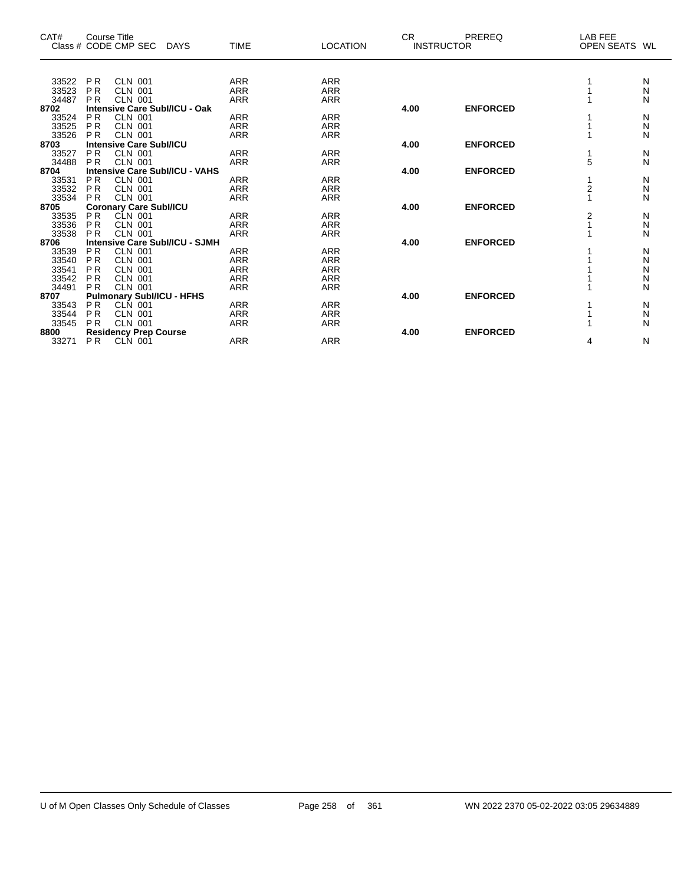| CAT#  | Course Title   | Class # CODE CMP SEC             | <b>DAYS</b>                           | <b>TIME</b> | <b>LOCATION</b> | <b>CR</b> | PREREQ<br><b>INSTRUCTOR</b> | LAB FEE<br>OPEN SEATS WL |   |
|-------|----------------|----------------------------------|---------------------------------------|-------------|-----------------|-----------|-----------------------------|--------------------------|---|
|       |                |                                  |                                       |             |                 |           |                             |                          |   |
| 33522 | <b>PR</b>      | <b>CLN 001</b>                   |                                       | <b>ARR</b>  | <b>ARR</b>      |           |                             |                          | N |
| 33523 | <b>PR</b>      | <b>CLN 001</b>                   |                                       | <b>ARR</b>  | <b>ARR</b>      |           |                             |                          | Ν |
| 34487 | <b>PR</b>      | <b>CLN 001</b>                   |                                       | <b>ARR</b>  | <b>ARR</b>      |           |                             |                          | N |
| 8702  |                |                                  | Intensive Care Subl/ICU - Oak         |             |                 | 4.00      | <b>ENFORCED</b>             |                          |   |
| 33524 | <b>PR</b>      | <b>CLN 001</b>                   |                                       | <b>ARR</b>  | <b>ARR</b>      |           |                             |                          | N |
| 33525 | <b>PR</b>      | <b>CLN 001</b>                   |                                       | <b>ARR</b>  | ARR             |           |                             |                          | Ν |
| 33526 | <b>PR</b>      | <b>CLN 001</b>                   |                                       | <b>ARR</b>  | <b>ARR</b>      |           |                             |                          | N |
| 8703  |                | <b>Intensive Care Subl/ICU</b>   |                                       |             |                 | 4.00      | <b>ENFORCED</b>             |                          |   |
| 33527 | <b>PR</b>      | <b>CLN 001</b>                   |                                       | <b>ARR</b>  | <b>ARR</b>      |           |                             |                          | N |
| 34488 | <b>PR</b>      | <b>CLN 001</b>                   |                                       | <b>ARR</b>  | <b>ARR</b>      |           |                             | 5                        | N |
| 8704  |                |                                  | <b>Intensive Care SubI/ICU - VAHS</b> |             |                 | 4.00      | <b>ENFORCED</b>             |                          |   |
| 33531 | <b>PR</b>      | <b>CLN 001</b>                   |                                       | <b>ARR</b>  | <b>ARR</b>      |           |                             |                          | N |
| 33532 | <b>PR</b>      | CLN 001                          |                                       | <b>ARR</b>  | <b>ARR</b>      |           |                             | $\overline{2}$           | N |
| 33534 | <b>PR</b>      | CLN 001                          |                                       | <b>ARR</b>  | <b>ARR</b>      |           |                             |                          | N |
| 8705  |                | <b>Coronary Care Subl/ICU</b>    |                                       |             |                 | 4.00      | <b>ENFORCED</b>             |                          |   |
| 33535 | <b>PR</b>      | CLN 001                          |                                       | <b>ARR</b>  | ARR             |           |                             | 2                        | N |
| 33536 | <b>PR</b>      | <b>CLN 001</b>                   |                                       | <b>ARR</b>  | <b>ARR</b>      |           |                             |                          | Ν |
| 33538 | <b>PR</b>      | <b>CLN 001</b>                   |                                       | <b>ARR</b>  | <b>ARR</b>      |           |                             |                          | N |
| 8706  |                |                                  | <b>Intensive Care Subl/ICU - SJMH</b> |             |                 | 4.00      | <b>ENFORCED</b>             |                          |   |
| 33539 | <b>PR</b>      | CLN 001                          |                                       | <b>ARR</b>  | <b>ARR</b>      |           |                             |                          | N |
| 33540 | <b>PR</b>      | <b>CLN 001</b>                   |                                       | <b>ARR</b>  | <b>ARR</b>      |           |                             |                          | N |
| 33541 | P <sub>R</sub> | CLN 001                          |                                       | <b>ARR</b>  | <b>ARR</b>      |           |                             |                          | N |
| 33542 | <b>PR</b>      | <b>CLN 001</b>                   |                                       | <b>ARR</b>  | <b>ARR</b>      |           |                             |                          | N |
| 34491 | <b>PR</b>      | <b>CLN 001</b>                   |                                       | <b>ARR</b>  | <b>ARR</b>      |           |                             |                          | N |
| 8707  |                | <b>Pulmonary SubI/ICU - HFHS</b> |                                       |             |                 | 4.00      | <b>ENFORCED</b>             |                          |   |
| 33543 | <b>PR</b>      | CLN 001                          |                                       | <b>ARR</b>  | <b>ARR</b>      |           |                             |                          | N |
| 33544 | <b>PR</b>      | <b>CLN 001</b>                   |                                       | <b>ARR</b>  | ARR             |           |                             |                          | N |
| 33545 | <b>PR</b>      | CLN 001                          |                                       | <b>ARR</b>  | <b>ARR</b>      |           |                             |                          | N |
| 8800  |                | <b>Residency Prep Course</b>     |                                       |             |                 | 4.00      | <b>ENFORCED</b>             |                          |   |
| 33271 | <b>PR</b>      | CLN 001                          |                                       | <b>ARR</b>  | <b>ARR</b>      |           |                             | 4                        | N |
|       |                |                                  |                                       |             |                 |           |                             |                          |   |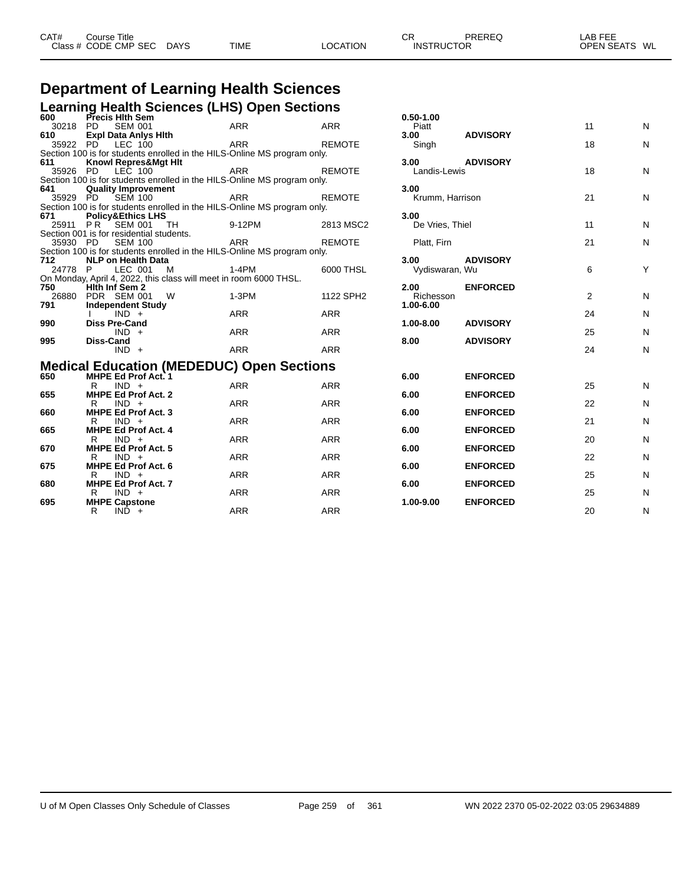| CAT#<br>Title<br>Course: |                              |             |              | $\mathbf{r}$<br>- UN | PREREC            | $\sim$ $\sim$ $\sim$ $\sim$<br>AВ<br>---<br>-- |
|--------------------------|------------------------------|-------------|--------------|----------------------|-------------------|------------------------------------------------|
| Class # CODE CMP SEC     | <b>DAYS</b><br>- -<br>$\sim$ | <b>TIME</b> | ;ΑΤΙΟΝ<br>ററ |                      | <b>INSTRUCTOR</b> | <b>OPEN SEATS</b><br>WL<br><b>SEAIS</b>        |

#### **Department of Learning Health Sciences Learning Health Sciences (LHS) Open Sections**

|         |                                          | Learning Health Ociences (LHO) Open Occupits                             |               |                   |                 |                |   |
|---------|------------------------------------------|--------------------------------------------------------------------------|---------------|-------------------|-----------------|----------------|---|
| 600     | Precis Hith Sem                          |                                                                          |               | $0.50 - 1.00$     |                 |                |   |
| 30218   | <b>SEM 001</b><br>PD                     | <b>ARR</b>                                                               | <b>ARR</b>    | Piatt             |                 | 11             | N |
| 610     | <b>Expl Data Anlys Hith</b>              |                                                                          |               | 3.00              | <b>ADVISORY</b> |                |   |
|         | 35922 PD LEC 100                         | ARR                                                                      | <b>REMOTE</b> | Singh             |                 | 18             | N |
|         |                                          | Section 100 is for students enrolled in the HILS-Online MS program only. |               |                   |                 |                |   |
| 611     | <b>Knowl Repres&amp;Mgt Hit</b>          |                                                                          |               | 3.00              | <b>ADVISORY</b> |                |   |
|         | 35926 PD LEC 100                         | ARR                                                                      | <b>REMOTE</b> | Landis-Lewis      |                 | 18             | Ν |
|         |                                          | Section 100 is for students enrolled in the HILS-Online MS program only. |               |                   |                 |                |   |
| 641     | <b>Quality Improvement</b>               |                                                                          |               | 3.00              |                 |                |   |
|         | 35929 PD SEM 100                         | ARR                                                                      | <b>REMOTE</b> | Krumm, Harrison   |                 | 21             | Ν |
|         |                                          | Section 100 is for students enrolled in the HILS-Online MS program only. |               |                   |                 |                |   |
| 671     | <b>Policy&amp;Ethics LHS</b>             |                                                                          |               | 3.00              |                 |                |   |
| 25911   | PR SEM 001<br>TH.                        | 9-12PM                                                                   | 2813 MSC2     | De Vries, Thiel   |                 | 11             | N |
|         | Section 001 is for residential students. |                                                                          |               |                   |                 |                |   |
|         | 35930 PD SEM 100                         | ARR                                                                      | <b>REMOTE</b> | Platt, Firn       |                 | 21             | Ν |
|         |                                          | Section 100 is for students enrolled in the HILS-Online MS program only. |               |                   |                 |                |   |
| 712     | <b>NLP on Health Data</b>                |                                                                          |               | 3.00 <sub>1</sub> | <b>ADVISORY</b> |                |   |
| 24778 P | LEC 001<br>M                             | 1-4PM                                                                    | 6000 THSL     | Vydiswaran, Wu    |                 | 6              | Υ |
|         |                                          | On Monday, April 4, 2022, this class will meet in room 6000 THSL.        |               |                   |                 |                |   |
| 750     | Hith Inf Sem 2                           |                                                                          |               | 2.00              | <b>ENFORCED</b> |                |   |
| 26880   | PDR SEM 001<br><b>W</b>                  | $1-3PM$                                                                  | 1122 SPH2     | Richesson         |                 | $\overline{2}$ | N |
| 791     | <b>Independent Study</b>                 |                                                                          |               | 1.00-6.00         |                 |                |   |
|         | $IND +$                                  | ARR                                                                      | <b>ARR</b>    |                   |                 | 24             | N |
| 990     | <b>Diss Pre-Cand</b>                     |                                                                          |               | $1.00 - 8.00$     | <b>ADVISORY</b> |                |   |
|         | $IND +$                                  | ARR                                                                      | ARR           |                   |                 | 25             | N |
| 995     | <b>Diss-Cand</b>                         |                                                                          |               | 8.00              | <b>ADVISORY</b> |                |   |
|         | $IND +$                                  | ARR                                                                      | ARR           |                   |                 | 24             | N |
|         |                                          | <b>Medical Education (MEDEDUC) Open Sections</b>                         |               |                   |                 |                |   |
|         | MURE EJ Bast Ast                         |                                                                          |               | C.O.              | <b>FUEADAFD</b> |                |   |

| 650 | <b>MHPE Ed Prof Act. 1</b>            |            |            | 6.00      | <b>ENFORCED</b> |    |   |
|-----|---------------------------------------|------------|------------|-----------|-----------------|----|---|
|     | $IND +$<br>R                          | <b>ARR</b> | <b>ARR</b> |           |                 | 25 | N |
| 655 | <b>MHPE Ed Prof Act. 2</b>            |            |            | 6.00      | <b>ENFORCED</b> |    |   |
|     | $IND +$<br>R                          | <b>ARR</b> | <b>ARR</b> |           |                 | 22 | N |
| 660 | <b>MHPE Ed Prof Act. 3</b>            |            |            | 6.00      | <b>ENFORCED</b> |    |   |
|     | $IND +$<br>R                          | <b>ARR</b> | <b>ARR</b> |           |                 | 21 | N |
| 665 | <b>MHPE Ed Prof Act. 4</b>            |            |            | 6.00      | <b>ENFORCED</b> |    |   |
|     | $IND +$<br>R                          | <b>ARR</b> | <b>ARR</b> |           |                 | 20 | N |
| 670 | <b>MHPE Ed Prof Act. 5</b>            |            |            | 6.00      | <b>ENFORCED</b> |    |   |
|     | $IND +$<br>R                          | <b>ARR</b> | <b>ARR</b> |           |                 | 22 | N |
| 675 | MHPE Ed Prof Act. 6                   |            |            | 6.00      | <b>ENFORCED</b> |    |   |
|     | $IND +$<br>R                          | <b>ARR</b> | <b>ARR</b> |           |                 | 25 | N |
| 680 | <b>MHPE Ed Prof Act. 7</b><br>$IND +$ | <b>ARR</b> | <b>ARR</b> | 6.00      | <b>ENFORCED</b> | 25 | N |
| 695 | R<br><b>MHPE Capstone</b>             |            |            | 1.00-9.00 | <b>ENFORCED</b> |    |   |
|     | $IND +$                               | <b>ARR</b> | ARR        |           |                 | 20 | N |
|     | R                                     |            |            |           |                 |    |   |

| 0.50-1.00<br>Piatt             |                 | 11             | N                     |
|--------------------------------|-----------------|----------------|-----------------------|
| 3.00<br>Singh                  | <b>ADVISORY</b> | 18             | N                     |
| 3.00<br>Landis-Lewis           | <b>ADVISORY</b> | 18             | N                     |
| 3.00<br>Krumm, Harrison        |                 | 21             | N                     |
| 3.00<br>De Vries, Thiel        |                 | 11             | N                     |
| Platt, Firn                    |                 | 21             | N                     |
| 3.00<br>Vydiswaran, Wu         | <b>ADVISORY</b> | 6              | Y                     |
| 2.00<br>Richesson<br>1.00-6.00 | <b>ENFORCED</b> | $\overline{2}$ | N                     |
| 1.00-8.00                      | <b>ADVISORY</b> | 24             | N                     |
| 8.00                           | <b>ADVISORY</b> | 25             | N                     |
|                                |                 | 24             | N                     |
| 6.00                           | <b>ENFORCED</b> |                |                       |
| 6.00                           | <b>ENFORCED</b> | 25             | N                     |
| 6.00                           | <b>ENFORCED</b> | 22             | N                     |
| 6.00                           | <b>ENFORCED</b> | 21             | N                     |
| 6.00                           | <b>ENFORCED</b> | 20             | N                     |
| 6.00                           | <b>ENFORCED</b> | 22             | N                     |
| 6.00                           | <b>ENFORCED</b> | 25             | N                     |
| 1.00-9.00                      | <b>ENFORCED</b> | 25             | N                     |
|                                |                 | $\Omega$       | <b>N</b> <sub>1</sub> |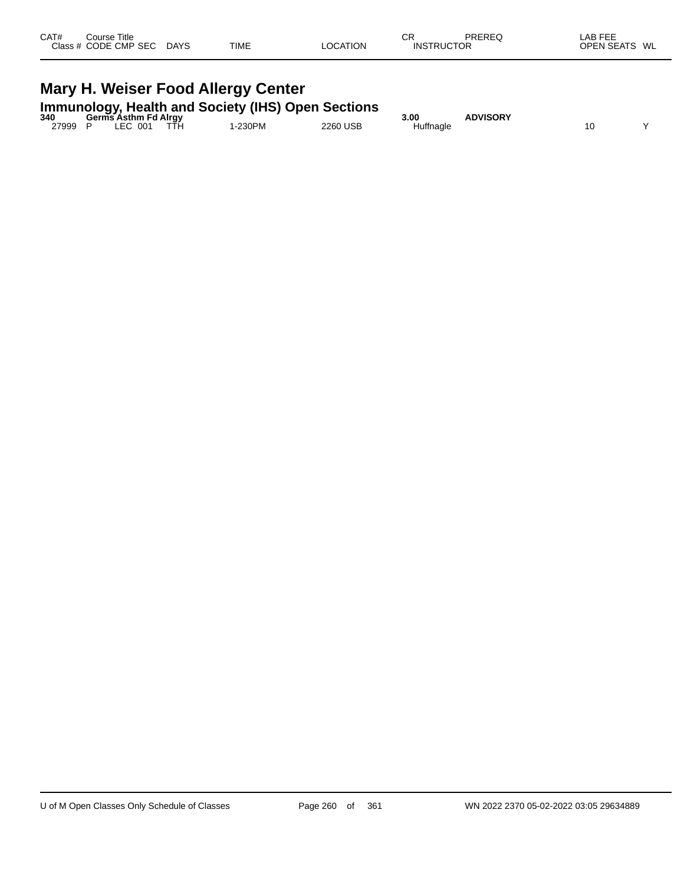| CAT# | Course Title<br>Class # CODE CMP SEC | <b>DAYS</b> | <b>TIME</b> | <b>LOCATION</b> | СR<br><b>INSTRUCTOR</b> | PREREQ | LAB FEE<br><b>OPEN SEATS</b><br>WL |
|------|--------------------------------------|-------------|-------------|-----------------|-------------------------|--------|------------------------------------|
|      |                                      |             |             |                 |                         |        |                                    |

# **Mary H. Weiser Food Allergy Center Immunology, Health and Society (IHS) Open Sections 340 Germs Asthm Fd Alrgy 3.00 ADVISORY**

| - 94 V | Germs Asumi Fu Airgy |      |        |               | J.UU      | AD VIOURT |    |  |
|--------|----------------------|------|--------|---------------|-----------|-----------|----|--|
| 27999  | LEC 001              | TTH. | -230PM | 2260 USB<br>. | Huffnagle |           | 10 |  |
|        |                      |      |        |               |           |           |    |  |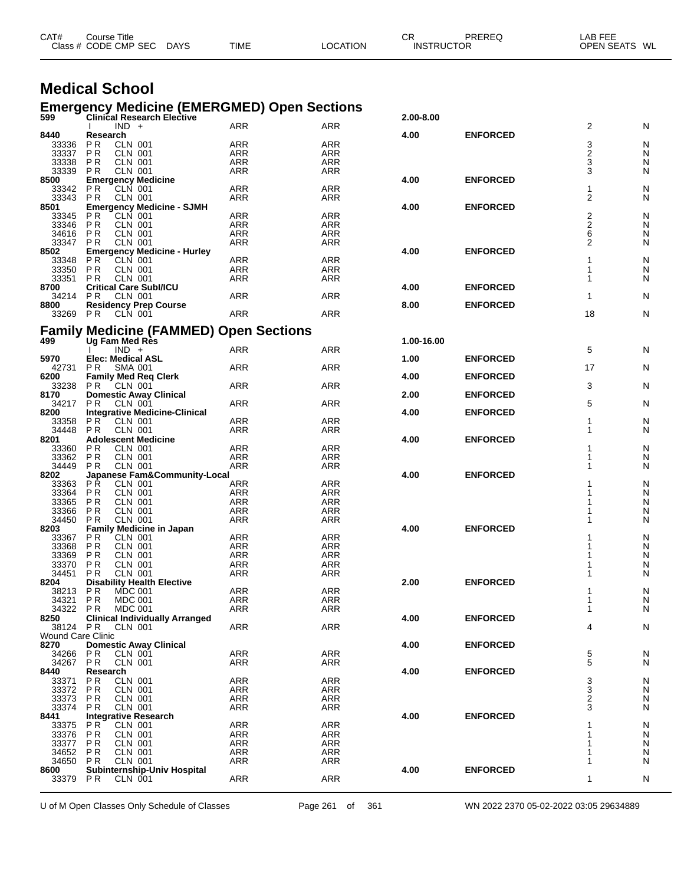|                                  | Class # CODE CMP SEC<br><b>DAYS</b>                                                     | TIME                     | LOCATION                 | <b>INSTRUCTOR</b> |                 | OPEN SEATS WL  |        |
|----------------------------------|-----------------------------------------------------------------------------------------|--------------------------|--------------------------|-------------------|-----------------|----------------|--------|
|                                  |                                                                                         |                          |                          |                   |                 |                |        |
|                                  | <b>Medical School</b>                                                                   |                          |                          |                   |                 |                |        |
| 599                              | <b>Emergency Medicine (EMERGMED) Open Sections</b><br><b>Clinical Research Elective</b> |                          |                          | 2.00-8.00         |                 |                |        |
|                                  | $IND +$                                                                                 | ARR                      | ARR                      |                   |                 | 2              | N      |
| 8440                             | Research                                                                                |                          |                          | 4.00              | <b>ENFORCED</b> |                |        |
| 33336                            | P R<br>CLN 001                                                                          | ARR                      | <b>ARR</b>               |                   |                 | 3              | N      |
| 33337<br>33338                   | <b>CLN 001</b><br>P R<br><b>CLN 001</b><br>P <sub>R</sub>                               | ARR<br>ARR               | ARR<br>ARR               |                   |                 | 2<br>3         | N<br>N |
| 33339                            | <b>PR</b><br><b>CLN 001</b>                                                             | ARR                      | ARR                      |                   |                 | 3              | N      |
| 8500                             | <b>Emergency Medicine</b>                                                               |                          |                          | 4.00              | <b>ENFORCED</b> |                |        |
| 33342                            | <b>CLN 001</b><br>P R                                                                   | ARR                      | ARR                      |                   |                 | 1              | N      |
| 33343                            | PR<br><b>CLN 001</b>                                                                    | ARR                      | <b>ARR</b>               |                   |                 | 2              | N      |
| 8501<br>33345                    | <b>Emergency Medicine - SJMH</b><br><b>CLN 001</b><br>P R                               | ARR                      | <b>ARR</b>               | 4.00              | <b>ENFORCED</b> |                | N      |
| 33346                            | <b>PR</b><br><b>CLN 001</b>                                                             | <b>ARR</b>               | <b>ARR</b>               |                   |                 | $\frac{2}{2}$  | N      |
| 34616                            | <b>CLN 001</b><br>P R                                                                   | ARR                      | ARR                      |                   |                 | 6              | N      |
| 33347                            | <b>CLN 001</b><br>P R                                                                   | ARR                      | ARR                      |                   |                 | $\overline{2}$ | N      |
| 8502                             | <b>Emergency Medicine - Hurley</b>                                                      |                          |                          | 4.00              | <b>ENFORCED</b> |                |        |
| 33348<br>33350                   | CLN 001<br>P R<br><b>CLN 001</b><br>P R                                                 | ARR<br>ARR               | ARR<br>ARR               |                   |                 | 1<br>1         | N<br>N |
| 33351                            | <b>PR</b><br><b>CLN 001</b>                                                             | ARR                      | ARR                      |                   |                 | 1              | N      |
| 8700                             | <b>Critical Care SubI/ICU</b>                                                           |                          |                          | 4.00              | <b>ENFORCED</b> |                |        |
| 34214                            | P <sub>R</sub><br>CLN 001                                                               | ARR                      | ARR                      |                   |                 | 1              | N      |
| 8800                             | <b>Residency Prep Course</b>                                                            |                          |                          | 8.00              | <b>ENFORCED</b> |                |        |
| 33269                            | CLN 001<br><b>PR</b>                                                                    | <b>ARR</b>               | <b>ARR</b>               |                   |                 | 18             | N      |
|                                  | <b>Family Medicine (FAMMED) Open Sections</b>                                           |                          |                          |                   |                 |                |        |
| 499                              | Ug Fam Med Res                                                                          |                          |                          | 1.00-16.00        |                 |                |        |
|                                  | $IND +$                                                                                 | ARR                      | <b>ARR</b>               |                   |                 | 5              | N      |
| 5970                             | <b>Elec: Medical ASL</b>                                                                |                          |                          | 1.00              | <b>ENFORCED</b> |                |        |
| 42731                            | P <sub>R</sub><br><b>SMA 001</b>                                                        | ARR                      | ARR                      |                   |                 | 17             | N      |
| 6200                             | <b>Family Med Req Clerk</b>                                                             |                          |                          | 4.00              | <b>ENFORCED</b> |                |        |
| 33238<br>8170                    | P R<br>CLN 001<br><b>Domestic Away Clinical</b>                                         | ARR                      | ARR                      | 2.00              | <b>ENFORCED</b> | 3              | N      |
| 34217                            | P R<br>CLN 001                                                                          | ARR                      | ARR                      |                   |                 | 5              | N      |
| 8200                             | <b>Integrative Medicine-Clinical</b>                                                    |                          |                          | 4.00              | <b>ENFORCED</b> |                |        |
| 33358                            | <b>PR</b><br><b>CLN 001</b>                                                             | ARR                      | ARR                      |                   |                 | 1              | N      |
| 34448                            | <b>CLN 001</b><br><b>PR</b>                                                             | ARR                      | ARR                      |                   |                 | 1              | N      |
| 8201                             | <b>Adolescent Medicine</b>                                                              |                          |                          | 4.00              | <b>ENFORCED</b> |                |        |
| 33360<br>33362                   | <b>CLN 001</b><br>P R<br><b>PR</b><br><b>CLN 001</b>                                    | ARR<br>ARR               | <b>ARR</b><br>ARR        |                   |                 |                | N<br>N |
| 34449                            | <b>PR</b><br><b>CLN 001</b>                                                             | <b>ARR</b>               | <b>ARR</b>               |                   |                 | 1              | N      |
| 8202                             | Japanese Fam&Community-Local                                                            |                          |                          | 4.00              | <b>ENFORCED</b> |                |        |
| 33363                            | <b>PR</b><br><b>CLN 001</b>                                                             | ARR                      | <b>ARR</b>               |                   |                 |                | N      |
| 33364                            | <b>PR</b><br><b>CLN 001</b>                                                             | <b>ARR</b>               | <b>ARR</b>               |                   |                 |                | N      |
| 33365                            | <b>CLN 001</b><br>P R                                                                   | ARR                      | ARR                      |                   |                 |                | N      |
| 33366<br>34450                   | <b>CLN 001</b><br>P <sub>R</sub><br><b>CLN 001</b><br>P R                               | ARR<br>ARR               | <b>ARR</b><br>ARR        |                   |                 |                | N<br>N |
| 8203                             | <b>Family Medicine in Japan</b>                                                         |                          |                          | 4.00              | <b>ENFORCED</b> |                |        |
| 33367                            | P R<br>CLN 001                                                                          | ARR                      | <b>ARR</b>               |                   |                 | 1              | N      |
| 33368                            | <b>PR</b><br><b>CLN 001</b>                                                             | ARR                      | ARR                      |                   |                 |                | N      |
| 33369                            | PR<br>CLN 001                                                                           | ARR                      | ARR                      |                   |                 | 1              | N      |
| 33370                            | PR<br><b>CLN 001</b><br><b>CLN 001</b>                                                  | <b>ARR</b>               | <b>ARR</b>               |                   |                 |                | N      |
| 34451<br>8204                    | <b>PR</b><br><b>Disability Health Elective</b>                                          | <b>ARR</b>               | <b>ARR</b>               | 2.00              | <b>ENFORCED</b> | 1              | N      |
| 38213                            | <b>PR</b><br><b>MDC 001</b>                                                             | <b>ARR</b>               | ARR                      |                   |                 |                | N      |
| 34321                            | PR<br><b>MDC 001</b>                                                                    | <b>ARR</b>               | <b>ARR</b>               |                   |                 | 1              | N      |
| 34322 PR                         | <b>MDC 001</b>                                                                          | <b>ARR</b>               | ARR                      |                   |                 | 1              | N      |
| 8250                             | <b>Clinical Individually Arranged</b>                                                   |                          |                          | 4.00              | <b>ENFORCED</b> |                |        |
| 38124 PR                         | CLN 001                                                                                 | <b>ARR</b>               | <b>ARR</b>               |                   |                 | 4              | N      |
| <b>Wound Care Clinic</b><br>8270 | <b>Domestic Away Clinical</b>                                                           |                          |                          | 4.00              | <b>ENFORCED</b> |                |        |
| 34266                            | <b>PR</b><br>CLN 001                                                                    | <b>ARR</b>               | <b>ARR</b>               |                   |                 | 5              | N      |
| 34267                            | <b>PR</b><br><b>CLN 001</b>                                                             | ARR                      | ARR                      |                   |                 | 5              | N      |
| 8440                             | Research                                                                                |                          |                          | 4.00              | <b>ENFORCED</b> |                |        |
| 33371                            | <b>PR</b><br><b>CLN 001</b>                                                             | <b>ARR</b>               | <b>ARR</b>               |                   |                 | 3              | N      |
| 33372                            | PR<br><b>CLN 001</b>                                                                    | ARR                      | ARR                      |                   |                 | $\frac{3}{2}$  | N      |
| 33373<br>33374                   | <b>PR</b><br><b>CLN 001</b><br>PR<br><b>CLN 001</b>                                     | <b>ARR</b><br><b>ARR</b> | <b>ARR</b><br><b>ARR</b> |                   |                 | 3              | N<br>N |
| 8441                             | <b>Integrative Research</b>                                                             |                          |                          | 4.00              | <b>ENFORCED</b> |                |        |
| 33375                            | <b>PR</b><br><b>CLN 001</b>                                                             | <b>ARR</b>               | <b>ARR</b>               |                   |                 |                | N      |
| 33376                            | PR<br><b>CLN 001</b>                                                                    | <b>ARR</b>               | <b>ARR</b>               |                   |                 |                | N      |
| 33377                            | <b>PR</b><br><b>CLN 001</b>                                                             | <b>ARR</b>               | <b>ARR</b>               |                   |                 | 1              | N      |
| 34652                            | <b>CLN 001</b><br>P R                                                                   | <b>ARR</b>               | <b>ARR</b>               |                   |                 | 1              | N      |
| 34650<br>8600                    | <b>PR</b><br><b>CLN 001</b><br>Subinternship-Univ Hospital                              | <b>ARR</b>               | <b>ARR</b>               | 4.00              | <b>ENFORCED</b> | 1              | N      |
|                                  |                                                                                         |                          |                          |                   |                 |                |        |

CAT# Course Title Case CR PREREQ LAB FEE

U of M Open Classes Only Schedule of Classes **Page 261** of 361 WN 2022 2370 05-02-2022 03:05 29634889

P R CLN 001 ARR ARR 1 N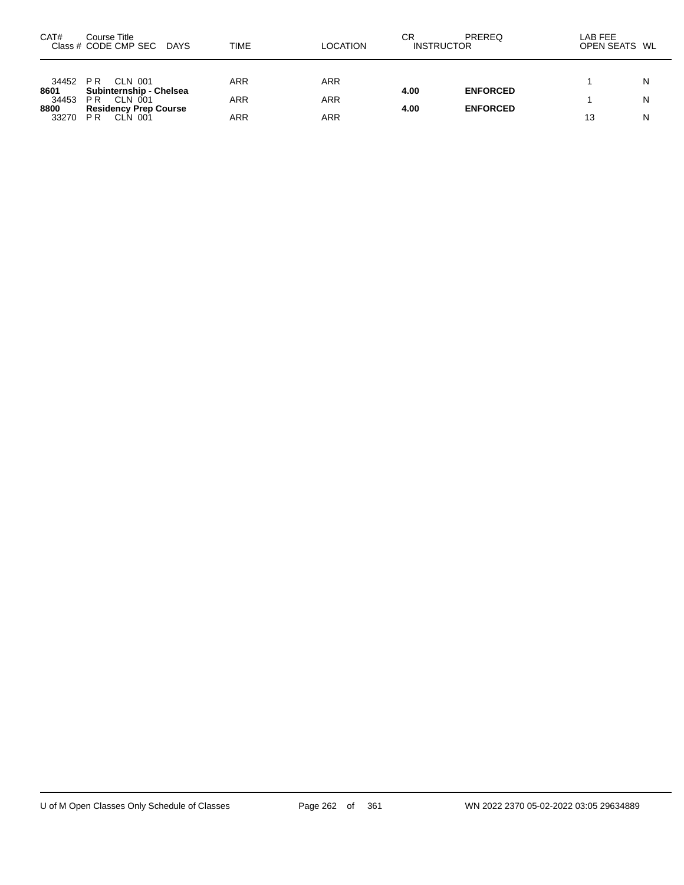| CAT#          | Course Title<br>Class # CODE CMP SEC DAYS                 | TIME | <b>LOCATION</b> | СR<br><b>INSTRUCTOR</b> | PREREQ          | LAB FEE<br>OPEN SEATS WL |   |
|---------------|-----------------------------------------------------------|------|-----------------|-------------------------|-----------------|--------------------------|---|
| 34452<br>8601 | PR.<br>CLN 001<br>Subinternship - Chelsea                 | ARR  | <b>ARR</b>      | 4.00                    | <b>ENFORCED</b> |                          | N |
| 34453<br>8800 | CLN 001<br>P <sub>R</sub><br><b>Residency Prep Course</b> | ARR  | <b>ARR</b>      | 4.00                    | <b>ENFORCED</b> |                          | N |
| 33270         | P <sub>R</sub><br>CLN 001                                 | ARR  | <b>ARR</b>      |                         |                 | 13                       | N |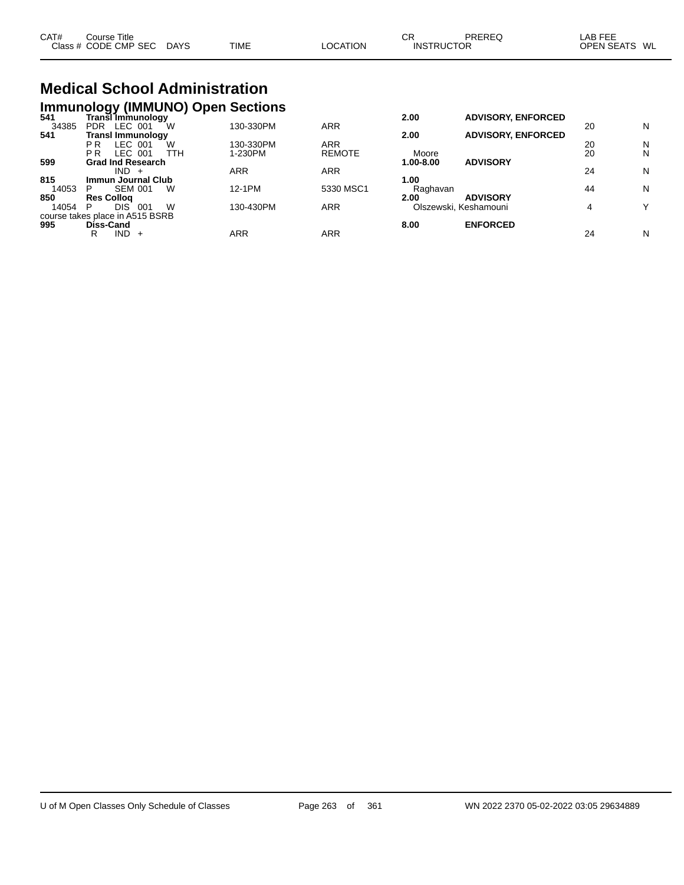| CAT#<br>Course       | Title                 |             |          | СR                | PREREG | _AB FEE                 |
|----------------------|-----------------------|-------------|----------|-------------------|--------|-------------------------|
| Class # CODE CMP SEC | <b>DAYS</b><br>$\sim$ | <b>TIME</b> | LOCATION | <b>INSTRUCTOR</b> |        | <b>OPEN SEATS</b><br>WL |

# **Medical School Administration**

|       |                   |                                 |     | <b>Immunology (IMMUNO) Open Sections</b> |               |           |                           |    |   |
|-------|-------------------|---------------------------------|-----|------------------------------------------|---------------|-----------|---------------------------|----|---|
| 541   |                   | Transีl Immunologv              |     |                                          |               | 2.00      | <b>ADVISORY, ENFORCED</b> |    |   |
| 34385 | <b>PDR</b>        | LEC 001                         | W   | 130-330PM                                | <b>ARR</b>    |           |                           | 20 | N |
| 541   |                   | <b>Transl Immunology</b>        |     |                                          |               | 2.00      | <b>ADVISORY, ENFORCED</b> |    |   |
|       | P R               | LEC 001                         | W   | 130-330PM                                | ARR           |           |                           | 20 | N |
|       | P <sub>R</sub>    | LEC 001                         | TTH | 1-230PM                                  | <b>REMOTE</b> | Moore     |                           | 20 | N |
| 599   |                   | <b>Grad Ind Research</b>        |     |                                          |               | 1.00-8.00 | <b>ADVISORY</b>           |    |   |
|       |                   | $IND +$                         |     | ARR                                      | <b>ARR</b>    |           |                           | 24 | N |
| 815   |                   | <b>Immun Journal Club</b>       |     |                                          |               | 1.00      |                           |    |   |
| 14053 | P                 | <b>SEM 001</b>                  | W   | 12-1PM                                   | 5330 MSC1     | Raghavan  |                           | 44 | N |
| 850   | <b>Res Collog</b> |                                 |     |                                          |               | 2.00      | <b>ADVISORY</b>           |    |   |
| 14054 | P                 | <b>DIS</b><br>001               | W   | 130-430PM                                | <b>ARR</b>    |           | Olszewski, Keshamouni     | 4  | v |
|       |                   | course takes place in A515 BSRB |     |                                          |               |           |                           |    |   |
| 995   | <b>Diss-Cand</b>  |                                 |     |                                          |               | 8.00      | <b>ENFORCED</b>           |    |   |
|       | R                 | IND.<br>$+$                     |     | ARR                                      | ARR           |           |                           | 24 | N |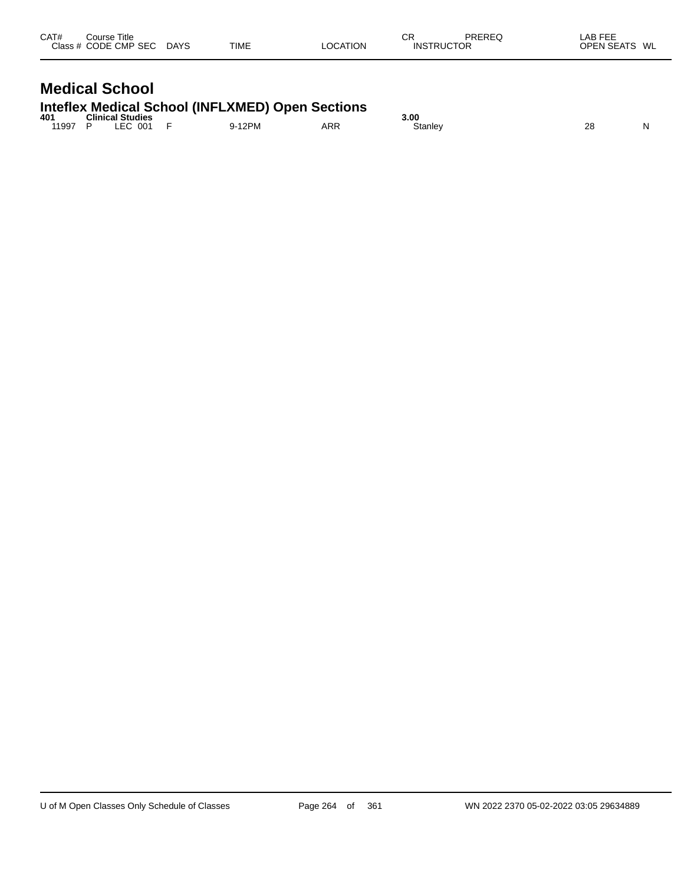| CAT#<br>Course Title<br>Class # CODE CMP SEC | <b>DAYS</b> | TIME | <b>LOCATION</b> | СR<br><b>INSTRUCTOR</b> | PREREQ | LAB FEE<br>OPEN SEATS WL |  |
|----------------------------------------------|-------------|------|-----------------|-------------------------|--------|--------------------------|--|
| <b>Medical School</b>                        |             |      |                 |                         |        |                          |  |

# **Inteflex Medical School (INFLXMED) Open Sections**

| 401   | <b>Clinical Studies</b> |                          |      |     | 3.00    |          |   |
|-------|-------------------------|--------------------------|------|-----|---------|----------|---|
| 11997 | 001                     | $\overline{\phantom{0}}$ | 12PM | ARR | Stanley | ററ<br>20 | N |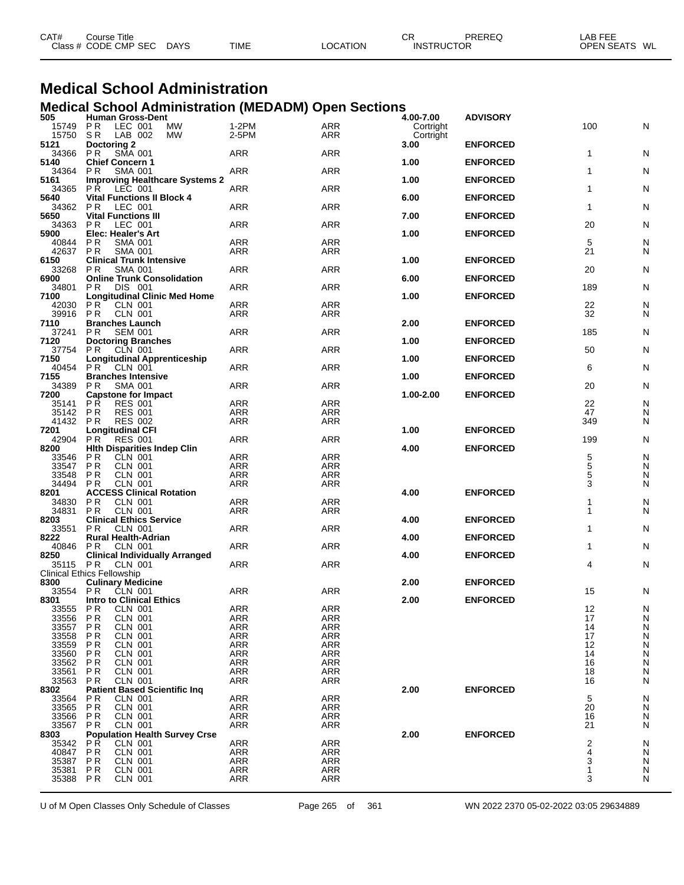| CAT# | ourse Titleٽ         |             |             |          | СR                | PREREQ | LAB FEE                 |  |
|------|----------------------|-------------|-------------|----------|-------------------|--------|-------------------------|--|
|      | Class # CODE CMP SEC | <b>DAYS</b> | <b>TIME</b> | LOCATION | <b>INSTRUCTOR</b> |        | <b>OPEN SEATS</b><br>WL |  |

#### **Medical School Administration Medical School Administration (MEDADM) Open Sections**

| 505            | וווואה וטטווטט ואטווי<br><b>Human Gross-Dent</b>                    | $\sim$            | -------                  | ּשׁ<br>4.00-7.00 | <b>ADVISORY</b> |              |        |
|----------------|---------------------------------------------------------------------|-------------------|--------------------------|------------------|-----------------|--------------|--------|
| 15749 PR       | LEC 001<br>MW                                                       | 1-2PM             | <b>ARR</b>               | Cortright        |                 | 100          | N      |
| 15750 SR       | LAB 002<br>MW                                                       | 2-5PM             | ARR                      | Cortright        |                 |              |        |
| 5121           | Doctoring 2                                                         |                   |                          | 3.00             | <b>ENFORCED</b> |              |        |
| 34366          | <b>PR</b><br>SMA 001                                                | <b>ARR</b>        | <b>ARR</b>               |                  |                 | $\mathbf{1}$ | N      |
| 5140           | <b>Chief Concern 1</b>                                              |                   |                          | 1.00             | <b>ENFORCED</b> |              |        |
| 34364          | <b>SMA 001</b><br>P R                                               | <b>ARR</b>        | <b>ARR</b>               |                  |                 | 1            | N      |
| 5161           | <b>Improving Healthcare Systems 2</b>                               |                   |                          | 1.00             | <b>ENFORCED</b> |              |        |
| 34365          | <b>PR LEC 001</b>                                                   | ARR               | <b>ARR</b>               |                  |                 | 1            | N      |
| 5640           | <b>Vital Functions II Block 4</b>                                   |                   |                          | 6.00             | <b>ENFORCED</b> |              |        |
| 34362 PR       | LEC 001                                                             | <b>ARR</b>        | <b>ARR</b>               |                  |                 | $\mathbf{1}$ | N      |
| 5650           | <b>Vital Functions III</b>                                          |                   |                          | 7.00             | <b>ENFORCED</b> |              |        |
| 34363          | P R<br>LEC 001                                                      | <b>ARR</b>        | <b>ARR</b>               |                  |                 | 20           | N      |
| 5900           | <b>Elec: Healer's Art</b>                                           |                   |                          | 1.00             | <b>ENFORCED</b> |              |        |
| 40844          | <b>PR</b><br><b>SMA 001</b>                                         | ARR               | <b>ARR</b>               |                  |                 | 5            | N      |
| 42637<br>6150  | P <sub>R</sub><br><b>SMA 001</b><br><b>Clinical Trunk Intensive</b> | ARR               | ARR                      | 1.00             | <b>ENFORCED</b> | 21           | N      |
| 33268 PR       | <b>SMA 001</b>                                                      | ARR               | ARR                      |                  |                 | 20           | N      |
| 6900           | <b>Online Trunk Consolidation</b>                                   |                   |                          | 6.00             | <b>ENFORCED</b> |              |        |
| 34801          | DIS 001<br>PR.                                                      | ARR               | <b>ARR</b>               |                  |                 | 189          | N      |
| 7100           | <b>Longitudinal Clinic Med Home</b>                                 |                   |                          | 1.00             | <b>ENFORCED</b> |              |        |
| 42030          | <b>PR</b><br><b>CLN 001</b>                                         | ARR               | <b>ARR</b>               |                  |                 | 22           | N      |
| 39916 PR       | <b>CLN 001</b>                                                      | <b>ARR</b>        | ARR                      |                  |                 | 32           | N      |
| 7110           | <b>Branches Launch</b>                                              |                   |                          | 2.00             | <b>ENFORCED</b> |              |        |
| 37241          | P R<br><b>SEM 001</b>                                               | <b>ARR</b>        | <b>ARR</b>               |                  |                 | 185          | N      |
| 7120           | <b>Doctoring Branches</b>                                           |                   |                          | 1.00             | <b>ENFORCED</b> |              |        |
|                | 37754 PR CLN 001                                                    | ARR               | <b>ARR</b>               |                  |                 | 50           | N      |
| 7150           | <b>Longitudinal Apprenticeship</b>                                  |                   |                          | 1.00             | <b>ENFORCED</b> |              |        |
| 40454 PR       | CLN 001                                                             | <b>ARR</b>        | <b>ARR</b>               |                  |                 | 6            | N      |
| 7155           | <b>Branches Intensive</b>                                           |                   |                          | 1.00             | <b>ENFORCED</b> |              |        |
| 34389          | P R<br><b>SMA 001</b>                                               | <b>ARR</b>        | <b>ARR</b>               |                  |                 | 20           | N      |
| 7200           | <b>Capstone for Impact</b>                                          |                   |                          | 1.00-2.00        | <b>ENFORCED</b> |              |        |
| 35141          | <b>PR</b><br><b>RES 001</b>                                         | ARR               | <b>ARR</b>               |                  |                 | 22           | N      |
| 35142 PR       | <b>RES 001</b>                                                      | <b>ARR</b>        | <b>ARR</b>               |                  |                 | 47           | N      |
| 41432 PR       | <b>RES 002</b>                                                      | ARR               | <b>ARR</b>               |                  |                 | 349          | N      |
| 7201           | <b>Longitudinal CFI</b>                                             |                   |                          | 1.00             | <b>ENFORCED</b> |              |        |
| 42904          | <b>PR</b><br><b>RES 001</b>                                         | <b>ARR</b>        | <b>ARR</b>               |                  |                 | 199          | N      |
| 8200           | <b>Hith Disparities Indep Clin</b>                                  |                   |                          | 4.00             | <b>ENFORCED</b> |              |        |
| 33546          | PR.<br>CLN 001                                                      | ARR               | <b>ARR</b>               |                  |                 | 5            | N      |
| 33547          | <b>PR</b><br>CLN 001                                                | <b>ARR</b>        | <b>ARR</b>               |                  |                 | 5            | N      |
| 33548<br>34494 | <b>CLN 001</b><br>P R<br><b>CLN 001</b>                             | ARR<br>ARR        | <b>ARR</b><br>ARR        |                  |                 | 5<br>3       | N<br>N |
| 8201           | P R<br><b>ACCESS Clinical Rotation</b>                              |                   |                          | 4.00             | <b>ENFORCED</b> |              |        |
| 34830          | <b>PR</b><br><b>CLN 001</b>                                         | <b>ARR</b>        | <b>ARR</b>               |                  |                 | 1            | N      |
| 34831          | P <sub>R</sub><br>CLN 001                                           | ARR               | ARR                      |                  |                 | 1            | N      |
| 8203           | <b>Clinical Ethics Service</b>                                      |                   |                          | 4.00             | <b>ENFORCED</b> |              |        |
| 33551          | P <sub>R</sub><br><b>CLN 001</b>                                    | <b>ARR</b>        | <b>ARR</b>               |                  |                 | 1            | N      |
| 8222           | <b>Rural Health-Adrian</b>                                          |                   |                          | 4.00             | <b>ENFORCED</b> |              |        |
| 40846          | PR.<br><b>CLN 001</b>                                               | <b>ARR</b>        | <b>ARR</b>               |                  |                 | 1            | N      |
| 8250           | <b>Clinical Individually Arranged</b>                               |                   |                          | 4.00             | <b>ENFORCED</b> |              |        |
|                | 35115 PR CLN 001                                                    | ARR               | <b>ARR</b>               |                  |                 | 4            | N      |
|                | <b>Clinical Ethics Fellowship</b>                                   |                   |                          |                  |                 |              |        |
| 8300           | <b>Culinary Medicine</b>                                            |                   |                          | 2.00             | <b>ENFORCED</b> |              |        |
|                | 33554 PR CLN 001                                                    | ARR               | ARR                      |                  |                 | 15           | N      |
| 8301           | <b>Intro to Clinical Ethics</b>                                     |                   |                          | 2.00             | <b>ENFORCED</b> |              |        |
|                | 33555 PR CLN 001                                                    | <b>ARR</b>        | ARR                      |                  |                 | 12           | N      |
| 33556          | P <sub>R</sub><br><b>CLN 001</b>                                    | <b>ARR</b>        | <b>ARR</b>               |                  |                 | 17           | N      |
| 33557          | P <sub>R</sub><br>CLN 001                                           | <b>ARR</b>        | <b>ARR</b>               |                  |                 | 14           | N      |
| 33558          | P R<br><b>CLN 001</b>                                               | ARR               | ARR                      |                  |                 | 17           | N      |
| 33559          | PR<br><b>CLN 001</b>                                                | <b>ARR</b>        | ARR                      |                  |                 | 12           | N      |
| 33560          | P <sub>R</sub><br>CLN 001                                           | <b>ARR</b>        | <b>ARR</b>               |                  |                 | 14           | N      |
| 33562          | PR<br><b>CLN 001</b>                                                | <b>ARR</b>        | ARR                      |                  |                 | 16           | N      |
| 33561          | PR<br>CLN 001                                                       | <b>ARR</b>        | ARR                      |                  |                 | 18           | N      |
| 33563          | <b>PR</b><br>CLN 001                                                | <b>ARR</b>        | <b>ARR</b>               | 2.00             | <b>ENFORCED</b> | 16           | N      |
| 8302           | <b>Patient Based Scientific Ing</b>                                 |                   |                          |                  |                 |              |        |
| 33564<br>33565 | P R<br>CLN 001<br><b>PR</b><br><b>CLN 001</b>                       | ARR<br><b>ARR</b> | <b>ARR</b><br><b>ARR</b> |                  |                 | 5<br>20      | N<br>N |
| 33566          | CLN 001<br>P R                                                      | ARR               | ARR                      |                  |                 | 16           | N      |
| 33567          | P R<br>CLN 001                                                      | <b>ARR</b>        | <b>ARR</b>               |                  |                 | 21           | N      |
| 8303           | <b>Population Health Survey Crse</b>                                |                   |                          | 2.00             | <b>ENFORCED</b> |              |        |
| 35342          | <b>PR</b><br>CLN 001                                                | <b>ARR</b>        | <b>ARR</b>               |                  |                 | 2            | N      |
| 40847          | PR<br>CLN 001                                                       | <b>ARR</b>        | ARR                      |                  |                 | 4            | N      |
| 35387          | P <sub>R</sub><br>CLN 001                                           | <b>ARR</b>        | <b>ARR</b>               |                  |                 | 3            | N      |
| 35381          | CLN 001<br>P R                                                      | ARR               | ARR                      |                  |                 | 1            | N      |
|                |                                                                     | <b>ARR</b>        | <b>ARR</b>               |                  |                 | 3            | N      |
| 35388          | P R<br>CLN 001                                                      |                   |                          |                  |                 |              |        |

U of M Open Classes Only Schedule of Classes Page 265 of 361 WN 2022 2370 05-02-2022 03:05 29634889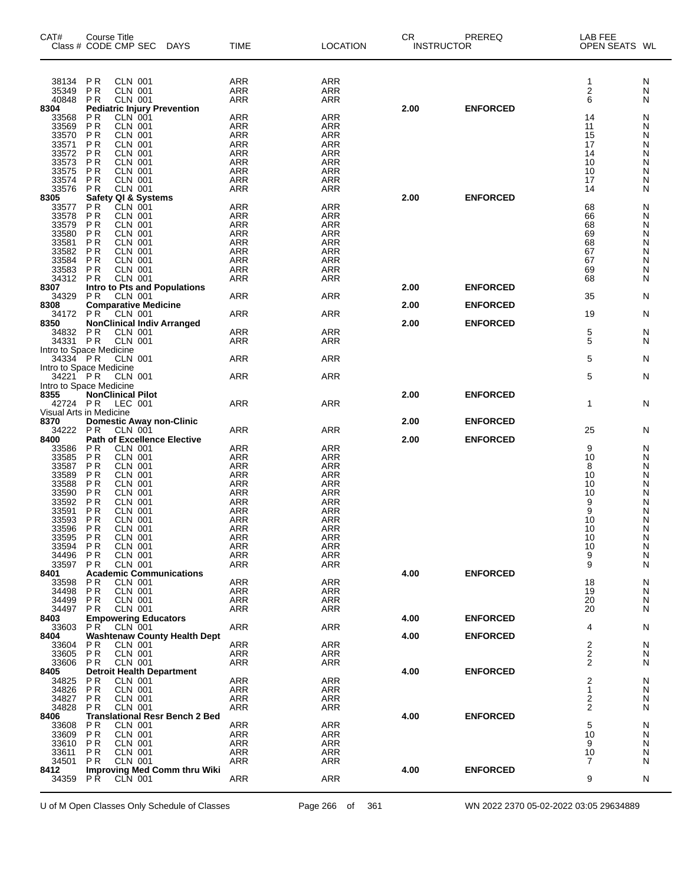| CAT#           | Course Title<br>Class # CODE CMP SEC DAYS                                 | <b>TIME</b>              | <b>LOCATION</b>          | CR.<br><b>INSTRUCTOR</b> | PREREQ          | LAB FEE<br>OPEN SEATS WL |        |
|----------------|---------------------------------------------------------------------------|--------------------------|--------------------------|--------------------------|-----------------|--------------------------|--------|
| 38134          | <b>CLN 001</b><br>PR                                                      | <b>ARR</b>               | <b>ARR</b>               |                          |                 | 1                        | N      |
| 35349<br>40848 | <b>CLN 001</b><br>P <sub>R</sub><br><b>CLN 001</b><br>P <sub>R</sub>      | <b>ARR</b><br><b>ARR</b> | <b>ARR</b><br><b>ARR</b> |                          |                 | $\overline{c}$<br>6      | N<br>N |
| 8304           | <b>Pediatric Injury Prevention</b>                                        |                          |                          | 2.00                     | <b>ENFORCED</b> |                          |        |
| 33568<br>33569 | CLN 001<br>P <sub>R</sub><br><b>PR</b><br><b>CLN 001</b>                  | <b>ARR</b><br><b>ARR</b> | <b>ARR</b><br><b>ARR</b> |                          |                 | 14<br>11                 | N<br>Ν |
| 33570          | <b>PR</b><br><b>CLN 001</b>                                               | <b>ARR</b>               | <b>ARR</b>               |                          |                 | 15                       | Ν      |
| 33571          | P <sub>R</sub><br>CLN 001                                                 | <b>ARR</b>               | <b>ARR</b>               |                          |                 | 17                       | N      |
| 33572<br>33573 | <b>CLN 001</b><br>P <sub>R</sub><br>P <sub>R</sub><br><b>CLN 001</b>      | <b>ARR</b><br><b>ARR</b> | <b>ARR</b><br><b>ARR</b> |                          |                 | 14<br>10                 | Ν<br>Ν |
| 33575          | <b>PR</b><br><b>CLN 001</b>                                               | <b>ARR</b>               | <b>ARR</b>               |                          |                 | 10                       | N      |
| 33574          | <b>PR</b><br><b>CLN 001</b><br><b>PR</b><br><b>CLN 001</b>                | <b>ARR</b><br><b>ARR</b> | <b>ARR</b>               |                          |                 | 17                       | N      |
| 33576<br>8305  |                                                                           |                          | ARR                      | 2.00                     | <b>ENFORCED</b> | 14                       | N      |
| 33577          | Safety QI & Systems<br>P R CLN 001                                        | <b>ARR</b>               | <b>ARR</b>               |                          |                 | 68                       | N      |
| 33578<br>33579 | P <sub>R</sub><br><b>CLN 001</b><br><b>PR</b><br>CLN 001                  | <b>ARR</b><br>ARR        | <b>ARR</b><br><b>ARR</b> |                          |                 | 66<br>68                 | Ν<br>N |
| 33580          | <b>PR</b><br><b>CLN 001</b>                                               | <b>ARR</b>               | <b>ARR</b>               |                          |                 | 69                       | Ν      |
| 33581          | <b>CLN 001</b><br>P <sub>R</sub>                                          | <b>ARR</b>               | <b>ARR</b>               |                          |                 | 68                       | Ν      |
| 33582<br>33584 | <b>PR</b><br><b>CLN 001</b><br><b>PR</b><br><b>CLN 001</b>                | <b>ARR</b><br><b>ARR</b> | <b>ARR</b><br><b>ARR</b> |                          |                 | 67<br>67                 | N<br>Ν |
| 33583          | <b>CLN 001</b><br><b>PR</b>                                               | <b>ARR</b>               | <b>ARR</b>               |                          |                 | 69                       | Ν      |
| 34312          | <b>CLN 001</b><br><b>PR</b><br><b>Intro to Pts and Populations</b>        | <b>ARR</b>               | <b>ARR</b>               | 2.00                     | <b>ENFORCED</b> | 68                       | N      |
| 8307<br>34329  | P <sub>R</sub><br><b>CLN 001</b>                                          | ARR                      | <b>ARR</b>               |                          |                 | 35                       | N      |
| 8308           | <b>Comparative Medicine</b>                                               |                          |                          | 2.00                     | <b>ENFORCED</b> |                          |        |
| 34172<br>8350  | <b>CLN 001</b><br>PR.<br><b>NonClinical Indiv Arranged</b>                | <b>ARR</b>               | <b>ARR</b>               | 2.00                     | <b>ENFORCED</b> | 19                       | N      |
| 34832          | <b>PR</b><br><b>CLN 001</b>                                               | <b>ARR</b>               | <b>ARR</b>               |                          |                 | 5                        | N      |
| 34331          | <b>PR</b><br><b>CLN 001</b>                                               | ARR                      | ARR                      |                          |                 | 5                        | N      |
| 34334 PR       | Intro to Space Medicine<br><b>CLN 001</b>                                 | ARR                      | <b>ARR</b>               |                          |                 | 5                        | N      |
|                | Intro to Space Medicine                                                   |                          |                          |                          |                 |                          |        |
| 34221 PR       | <b>CLN 001</b>                                                            | ARR                      | <b>ARR</b>               |                          |                 | 5                        | N      |
| 8355           | Intro to Space Medicine<br><b>NonClinical Pilot</b>                       |                          |                          | 2.00                     | <b>ENFORCED</b> |                          |        |
| 42724 PR       | LEC 001                                                                   | <b>ARR</b>               | ARR                      |                          |                 | $\mathbf{1}$             | N      |
| 8370           | Visual Arts in Medicine<br><b>Domestic Away non-Clinic</b>                |                          |                          | 2.00                     | <b>ENFORCED</b> |                          |        |
| 34222          | <b>PR</b><br><b>CLN 001</b>                                               | ARR                      | ARR                      |                          |                 | 25                       | N      |
| 8400           | <b>Path of Excellence Elective</b>                                        |                          |                          | 2.00                     | <b>ENFORCED</b> |                          |        |
| 33586<br>33585 | <b>PR</b><br><b>CLN 001</b><br>P <sub>R</sub><br><b>CLN 001</b>           | <b>ARR</b><br><b>ARR</b> | <b>ARR</b><br><b>ARR</b> |                          |                 | 9<br>10                  | N<br>N |
| 33587          | P <sub>R</sub><br><b>CLN 001</b>                                          | <b>ARR</b>               | <b>ARR</b>               |                          |                 | 8                        | N      |
| 33589<br>33588 | <b>PR</b><br><b>CLN 001</b><br><b>PR</b><br><b>CLN 001</b>                | <b>ARR</b><br><b>ARR</b> | <b>ARR</b><br><b>ARR</b> |                          |                 | 10<br>10                 | N<br>Ν |
| 33590          | <b>PR</b><br><b>CLN 001</b>                                               | ARR                      | <b>ARR</b>               |                          |                 | 10                       | N      |
| 33592          | <b>PR</b><br><b>CLN 001</b>                                               | ARR                      | ARR                      |                          |                 | 9                        | Ν      |
| 33591<br>33593 | P <sub>R</sub><br><b>CLN 001</b><br><b>PR</b><br><b>CLN 001</b>           | <b>ARR</b><br><b>ARR</b> | <b>ARR</b><br><b>ARR</b> |                          |                 | 9<br>10                  | Ν<br>N |
| 33596          | PR<br><b>CLN 001</b>                                                      | ARR                      | ARR                      |                          |                 | 10                       | Ν      |
| 33595          | <b>PR</b><br><b>CLN 001</b>                                               | <b>ARR</b>               | <b>ARR</b>               |                          |                 | 10                       | N      |
| 33594<br>34496 | <b>PR</b><br>CLN 001<br><b>PR</b><br>CLN 001                              | <b>ARR</b><br><b>ARR</b> | ARR<br><b>ARR</b>        |                          |                 | 10<br>9                  | N<br>N |
| 33597          | P <sub>R</sub><br><b>CLN 001</b>                                          | ARR                      | <b>ARR</b>               |                          |                 | 9                        | N      |
| 8401<br>33598  | <b>Academic Communications</b><br>P R<br><b>CLN 001</b>                   | <b>ARR</b>               | <b>ARR</b>               | 4.00                     | <b>ENFORCED</b> | 18                       | N      |
| 34498          | <b>PR</b><br><b>CLN 001</b>                                               | <b>ARR</b>               | <b>ARR</b>               |                          |                 | 19                       | N      |
| 34499          | <b>PR</b><br><b>CLN 001</b>                                               | <b>ARR</b>               | ARR                      |                          |                 | 20                       | N      |
| 34497<br>8403  | <b>CLN 001</b><br>P R<br><b>Empowering Educators</b>                      | ARR                      | ARR                      | 4.00                     | <b>ENFORCED</b> | 20                       | N      |
| 33603          | P <sub>R</sub><br><b>CLN 001</b>                                          | ARR                      | ARR                      |                          |                 | 4                        | N      |
| 8404           | <b>Washtenaw County Health Dept</b>                                       |                          |                          | 4.00                     | <b>ENFORCED</b> |                          |        |
| 33604<br>33605 | <b>PR</b><br>CLN 001<br><b>PR</b><br><b>CLN 001</b>                       | ARR<br><b>ARR</b>        | <b>ARR</b><br>ARR        |                          |                 | $\overline{c}$<br>2      | N<br>N |
| 33606          | P R<br>CLN 001                                                            | ARR                      | ARR                      |                          |                 | $\overline{2}$           | N      |
| 8405<br>34825  | <b>Detroit Health Department</b><br>P R<br>CLN 001                        | <b>ARR</b>               | ARR                      | 4.00                     | <b>ENFORCED</b> | 2                        | N      |
| 34826          | <b>PR</b><br>CLN 001                                                      | <b>ARR</b>               | ARR                      |                          |                 | 1                        | N      |
| 34827          | <b>PR</b><br><b>CLN 001</b>                                               | <b>ARR</b>               | <b>ARR</b>               |                          |                 | $\overline{2}$           | N      |
| 34828<br>8406  | P <sub>R</sub><br><b>CLN 001</b><br><b>Translational Resr Bench 2 Bed</b> | ARR                      | ARR                      | 4.00                     | <b>ENFORCED</b> | 2                        | N      |
| 33608          | <b>CLN 001</b><br>P R                                                     | <b>ARR</b>               | <b>ARR</b>               |                          |                 | 5                        | N      |
| 33609          | <b>PR</b><br><b>CLN 001</b>                                               | <b>ARR</b><br><b>ARR</b> | ARR                      |                          |                 | 10                       | N      |
| 33610<br>33611 | P R<br>CLN 001<br><b>PR</b><br><b>CLN 001</b>                             | <b>ARR</b>               | ARR<br><b>ARR</b>        |                          |                 | 9<br>10                  | N<br>N |
| 34501          | P <sub>R</sub><br><b>CLN 001</b>                                          | ARR                      | ARR                      |                          |                 | 7                        | N      |
| 8412<br>34359  | <b>Improving Med Comm thru Wiki</b><br>PR.<br><b>CLN 001</b>              | <b>ARR</b>               | <b>ARR</b>               | 4.00                     | <b>ENFORCED</b> | 9                        | N      |
|                |                                                                           |                          |                          |                          |                 |                          |        |

U of M Open Classes Only Schedule of Classes Page 266 of 361 WN 2022 2370 05-02-2022 03:05 29634889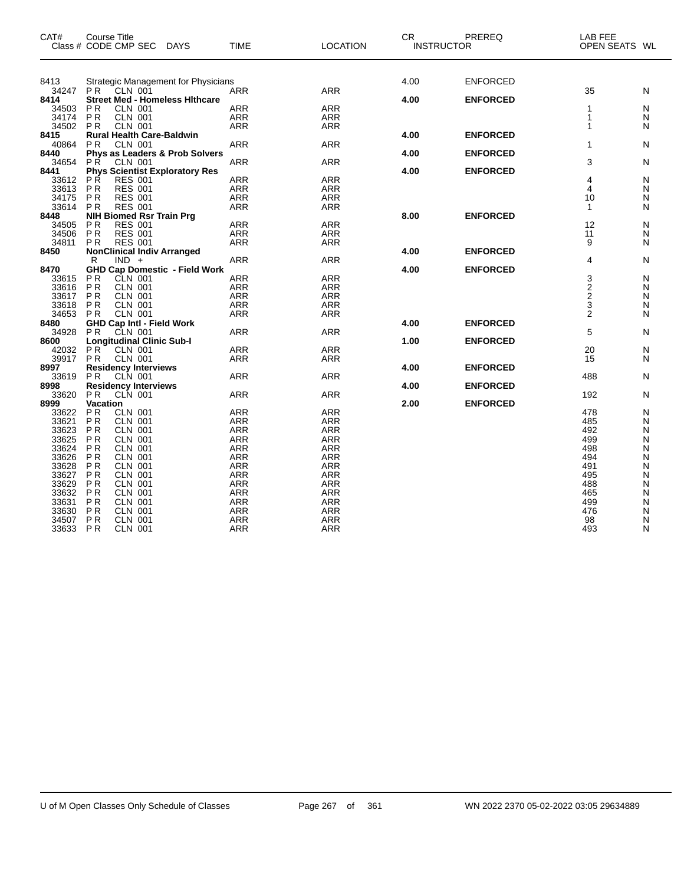| CAT#           | Course Title                | Class # CODE CMP SEC DAYS                         |                                       | <b>TIME</b>       | <b>LOCATION</b>          | <b>CR</b><br><b>INSTRUCTOR</b> | PREREQ          | LAB FEE<br>OPEN SEATS WL |        |
|----------------|-----------------------------|---------------------------------------------------|---------------------------------------|-------------------|--------------------------|--------------------------------|-----------------|--------------------------|--------|
| 8413           |                             |                                                   | Strategic Management for Physicians   |                   |                          | 4.00                           | <b>ENFORCED</b> |                          |        |
| 34247          | <b>PR</b>                   | CLN 001                                           |                                       | <b>ARR</b>        | <b>ARR</b>               |                                |                 | 35                       | N      |
| 8414           |                             |                                                   | <b>Street Med - Homeless Hithcare</b> |                   |                          | 4.00                           | <b>ENFORCED</b> |                          |        |
| 34503<br>34174 | PR<br><b>PR</b>             | <b>CLN 001</b><br><b>CLN 001</b>                  |                                       | <b>ARR</b><br>ARR | <b>ARR</b><br>ARR        |                                |                 | 1<br>1                   | N<br>N |
| 34502          | <b>PR</b>                   | CLN 001                                           |                                       | ARR               | <b>ARR</b>               |                                |                 | 1                        | N      |
| 8415           |                             | <b>Rural Health Care-Baldwin</b>                  |                                       |                   |                          | 4.00                           | <b>ENFORCED</b> |                          |        |
| 40864          | <b>PR</b>                   | <b>CLN 001</b>                                    |                                       | ARR               | <b>ARR</b>               |                                |                 | 1                        | N      |
| 8440           |                             |                                                   | Phys as Leaders & Prob Solvers        |                   |                          | 4.00                           | <b>ENFORCED</b> |                          |        |
| 34654<br>8441  | P <sub>R</sub>              | <b>CLN 001</b>                                    | <b>Phys Scientist Exploratory Res</b> | ARR               | <b>ARR</b>               | 4.00                           | <b>ENFORCED</b> | 3                        | N      |
| 33612          | РŔ                          | <b>RES 001</b>                                    |                                       | ARR               | ARR                      |                                |                 | 4                        | N      |
| 33613          | <b>PR</b>                   | <b>RES 001</b>                                    |                                       | ARR               | <b>ARR</b>               |                                |                 | 4                        | N      |
| 34175          | <b>PR</b>                   | <b>RES 001</b>                                    |                                       | <b>ARR</b>        | <b>ARR</b>               |                                |                 | 10                       | N      |
| 33614          | <b>PR</b>                   | <b>RES 001</b>                                    |                                       | <b>ARR</b>        | <b>ARR</b>               |                                |                 | $\mathbf 1$              | N      |
| 8448           |                             | <b>NIH Biomed Rsr Train Prg</b><br><b>RES 001</b> |                                       |                   | ARR                      | 8.00                           | <b>ENFORCED</b> | 12                       | N      |
| 34505<br>34506 | PR<br><b>PR</b>             | <b>RES 001</b>                                    |                                       | ARR<br><b>ARR</b> | ARR                      |                                |                 | 11                       | N      |
| 34811          | <b>PR</b>                   | <b>RES 001</b>                                    |                                       | <b>ARR</b>        | <b>ARR</b>               |                                |                 | 9                        | N      |
| 8450           |                             | <b>NonClinical Indiv Arranged</b>                 |                                       |                   |                          | 4.00                           | <b>ENFORCED</b> |                          |        |
|                | R                           | $IND +$                                           |                                       | <b>ARR</b>        | <b>ARR</b>               |                                |                 | 4                        | N      |
| 8470           |                             | CLN 001                                           | <b>GHD Cap Domestic - Field Work</b>  | ARR               | <b>ARR</b>               | 4.00                           | <b>ENFORCED</b> |                          | N      |
| 33615<br>33616 | P R<br><b>PR</b>            | <b>CLN 001</b>                                    |                                       | <b>ARR</b>        | ARR                      |                                |                 | $\frac{3}{2}$            | N      |
| 33617          | <b>PR</b>                   | <b>CLN 001</b>                                    |                                       | <b>ARR</b>        | <b>ARR</b>               |                                |                 | $\overline{c}$           | N      |
| 33618          | <b>PR</b>                   | <b>CLN 001</b>                                    |                                       | <b>ARR</b>        | ARR                      |                                |                 | 3                        | N      |
| 34653          | <b>PR</b>                   | <b>CLN 001</b>                                    |                                       | ARR               | <b>ARR</b>               |                                |                 | $\overline{2}$           | N      |
| 8480<br>34928  | P <sub>R</sub>              | <b>GHD Cap Intl - Field Work</b><br>CLN 001       |                                       | <b>ARR</b>        |                          | 4.00                           | <b>ENFORCED</b> | 5                        | N      |
| 8600           |                             | <b>Longitudinal Clinic Sub-I</b>                  |                                       |                   | <b>ARR</b>               | 1.00                           | <b>ENFORCED</b> |                          |        |
| 42032          | P <sub>R</sub>              | <b>CLN 001</b>                                    |                                       | <b>ARR</b>        | <b>ARR</b>               |                                |                 | 20                       | N      |
| 39917          | <b>PR</b>                   | <b>CLN 001</b>                                    |                                       | ARR               | ARR                      |                                |                 | 15                       | N      |
| 8997           |                             | <b>Residency Interviews</b>                       |                                       |                   |                          | 4.00                           | <b>ENFORCED</b> |                          |        |
| 33619          | P <sub>R</sub>              | CLN 001                                           |                                       | <b>ARR</b>        | <b>ARR</b>               |                                |                 | 488                      | N      |
| 8998<br>33620  | <b>PR</b>                   | <b>Residency Interviews</b><br>CLN 001            |                                       | ARR               | <b>ARR</b>               | 4.00                           | <b>ENFORCED</b> | 192                      | N      |
| 8999           | <b>Vacation</b>             |                                                   |                                       |                   |                          | 2.00                           | <b>ENFORCED</b> |                          |        |
| 33622          | <b>PR</b>                   | <b>CLN 001</b>                                    |                                       | ARR               | <b>ARR</b>               |                                |                 | 478                      | N      |
| 33621          | P <sub>R</sub>              | <b>CLN 001</b>                                    |                                       | ARR               | ARR                      |                                |                 | 485                      | N      |
| 33623<br>33625 | P <sub>R</sub>              | <b>CLN 001</b>                                    |                                       | ARR               | ARR                      |                                |                 | 492                      | N      |
| 33624          | P <sub>R</sub><br><b>PR</b> | <b>CLN 001</b><br><b>CLN 001</b>                  |                                       | ARR<br><b>ARR</b> | <b>ARR</b><br><b>ARR</b> |                                |                 | 499<br>498               | N<br>N |
| 33626          | <b>PR</b>                   | <b>CLN 001</b>                                    |                                       | <b>ARR</b>        | <b>ARR</b>               |                                |                 | 494                      | N      |
| 33628          | <b>PR</b>                   | <b>CLN 001</b>                                    |                                       | ARR               | ARR                      |                                |                 | 491                      | N      |
| 33627          | <b>PR</b>                   | <b>CLN 001</b>                                    |                                       | ARR               | <b>ARR</b>               |                                |                 | 495                      | Ν      |
| 33629          | P <sub>R</sub>              | <b>CLN 001</b>                                    |                                       | <b>ARR</b>        | <b>ARR</b>               |                                |                 | 488                      | N      |
| 33632<br>33631 | <b>PR</b><br><b>PR</b>      | <b>CLN 001</b><br>CLN 001                         |                                       | ARR<br>ARR        | <b>ARR</b><br>ARR        |                                |                 | 465<br>499               | N<br>N |
| 33630          | P <sub>R</sub>              | <b>CLN 001</b>                                    |                                       | <b>ARR</b>        | <b>ARR</b>               |                                |                 | 476                      | Ν      |
| 34507          | <b>PR</b>                   | <b>CLN 001</b>                                    |                                       | <b>ARR</b>        | ARR                      |                                |                 | 98                       | N      |
| 33633 PR       |                             | CLN 001                                           |                                       | ARR               | ARR                      |                                |                 | 493                      | N      |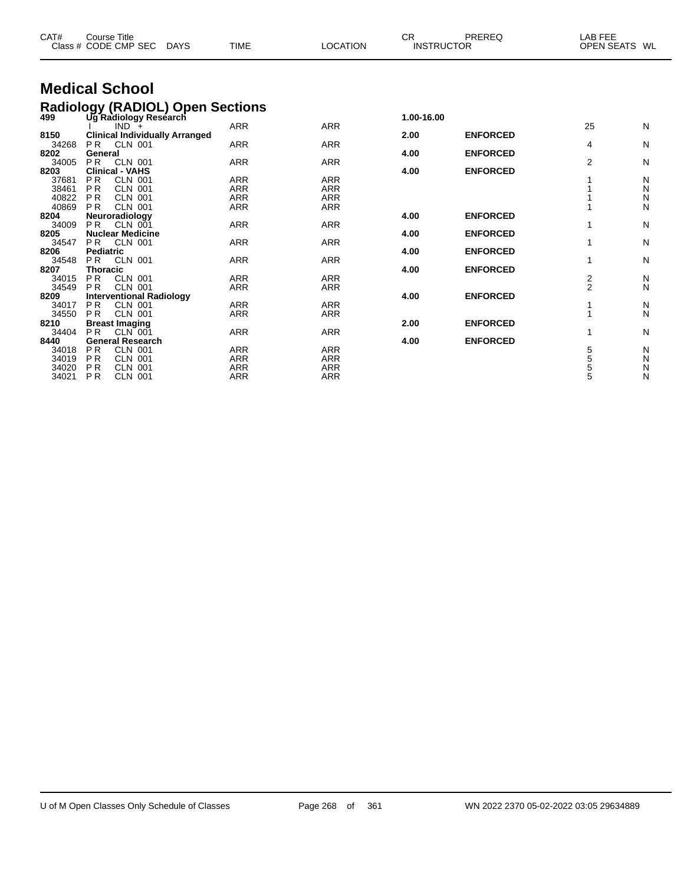| CAT#          | <b>Course Title</b><br>Class # CODE CMP SEC<br>DAYS     | <b>TIME</b>              | <b>LOCATION</b>          | <b>CR</b>  | PREREQ<br><b>INSTRUCTOR</b> | <b>LAB FEE</b><br>OPEN SEATS WL |        |
|---------------|---------------------------------------------------------|--------------------------|--------------------------|------------|-----------------------------|---------------------------------|--------|
|               | <b>Medical School</b>                                   |                          |                          |            |                             |                                 |        |
|               | <b>Radiology (RADIOL) Open Sections</b>                 |                          |                          |            |                             |                                 |        |
| 499           | Ug Radiology Reséarch                                   |                          |                          | 1.00-16.00 |                             |                                 |        |
|               | $IND +$                                                 | <b>ARR</b>               | <b>ARR</b>               |            |                             | 25                              | N      |
| 8150          | <b>Clinical Individually Arranged</b>                   |                          |                          | 2.00       | <b>ENFORCED</b>             |                                 |        |
| 34268         | P <sub>R</sub><br><b>CLN 001</b>                        | <b>ARR</b>               | <b>ARR</b>               |            |                             | 4                               | N      |
| 8202          | General<br><b>PR</b>                                    | <b>ARR</b>               |                          | 4.00       | <b>ENFORCED</b>             | $\overline{2}$                  |        |
| 34005<br>8203 | <b>CLN 001</b><br><b>Clinical - VAHS</b>                |                          | <b>ARR</b>               | 4.00       | <b>ENFORCED</b>             |                                 | N      |
| 37681         | <b>PR</b><br><b>CLN 001</b>                             | <b>ARR</b>               | <b>ARR</b>               |            |                             |                                 | N      |
| 38461         | P <sub>R</sub><br><b>CLN 001</b>                        | <b>ARR</b>               | <b>ARR</b>               |            |                             |                                 | N      |
| 40822         | <b>PR</b><br><b>CLN 001</b>                             | <b>ARR</b>               | <b>ARR</b>               |            |                             |                                 | Ν      |
| 40869         | <b>PR</b><br><b>CLN 001</b>                             | <b>ARR</b>               | <b>ARR</b>               |            |                             |                                 | N      |
| 8204          | Neuroradiology                                          |                          |                          | 4.00       | <b>ENFORCED</b>             |                                 |        |
| 34009         | PR<br><b>CLN 001</b>                                    | <b>ARR</b>               | <b>ARR</b>               |            |                             |                                 | N      |
| 8205          | <b>Nuclear Medicine</b>                                 |                          |                          | 4.00       | <b>ENFORCED</b>             |                                 |        |
| 34547         | <b>CLN 001</b><br><b>PR</b>                             | <b>ARR</b>               | <b>ARR</b>               |            |                             |                                 | N      |
| 8206          | <b>Pediatric</b>                                        |                          |                          | 4.00       | <b>ENFORCED</b>             |                                 |        |
| 34548         | P <sub>R</sub><br><b>CLN 001</b>                        | <b>ARR</b>               | <b>ARR</b>               |            |                             |                                 | N      |
| 8207          | <b>Thoracic</b>                                         |                          |                          | 4.00       | <b>ENFORCED</b>             |                                 |        |
| 34015         | <b>PR</b><br><b>CLN 001</b>                             | <b>ARR</b><br><b>ARR</b> | <b>ARR</b><br><b>ARR</b> |            |                             | $\frac{2}{2}$                   | N<br>N |
| 34549         | <b>PR</b><br><b>CLN 001</b>                             |                          |                          | 4.00       | <b>ENFORCED</b>             |                                 |        |
| 8209<br>34017 | <b>Interventional Radiology</b><br><b>PR</b><br>CLN 001 | <b>ARR</b>               | <b>ARR</b>               |            |                             |                                 | N      |
| 34550         | <b>PR</b><br><b>CLN 001</b>                             | <b>ARR</b>               | <b>ARR</b>               |            |                             |                                 | N      |
| 8210          | <b>Breast Imaging</b>                                   |                          |                          | 2.00       | <b>ENFORCED</b>             |                                 |        |
| 34404         | P <sub>R</sub><br>CLN 001                               | <b>ARR</b>               | <b>ARR</b>               |            |                             | 1                               | N      |
| 8440          | <b>General Research</b>                                 |                          |                          | 4.00       | <b>ENFORCED</b>             |                                 |        |
| 34018         | <b>PR</b><br><b>CLN 001</b>                             | <b>ARR</b>               | <b>ARR</b>               |            |                             | 5                               | N      |

 P R CLN 001 ARR ARR 5 N P R CLN 001 ARR ARR 5 N P R CLN 001 ARR ARR 5 N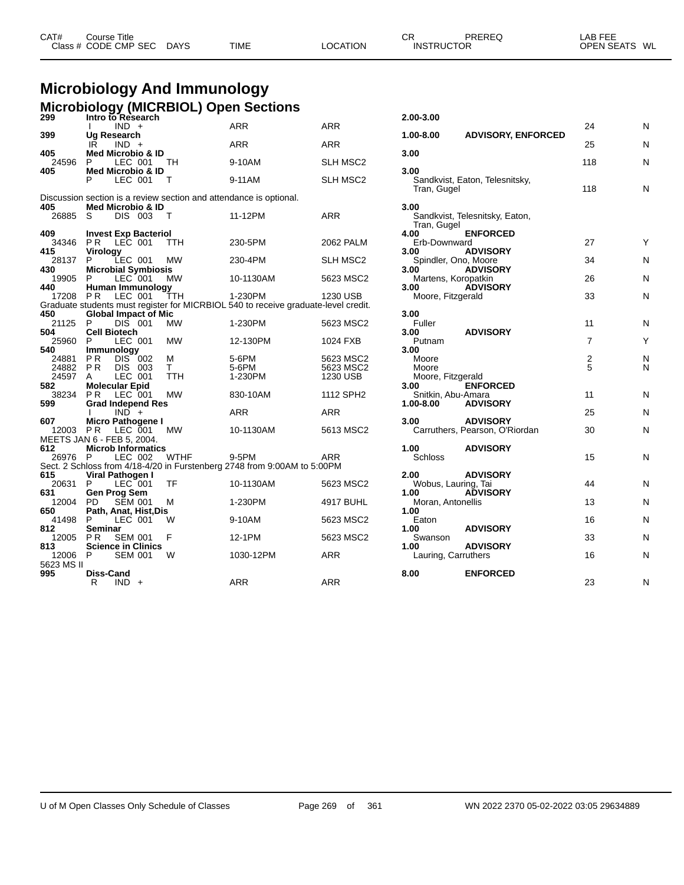| CAT# | Course Title         |             |             |          | СR                | PREREQ | _AB FEE       |  |
|------|----------------------|-------------|-------------|----------|-------------------|--------|---------------|--|
|      | Class # CODE CMP SEC | <b>DAYS</b> | <b>TIME</b> | LOCATION | <b>INSTRUCTOR</b> |        | OPEN SEATS WL |  |

### **Microbiology And Immunology Microbiology (MICRBIOL) Open Sections**

| 299          | Intro to Research                                                  |             |                                                                                    |                  | 2.00-3.00                   |                                |                |   |
|--------------|--------------------------------------------------------------------|-------------|------------------------------------------------------------------------------------|------------------|-----------------------------|--------------------------------|----------------|---|
|              | $IND +$                                                            |             | <b>ARR</b>                                                                         | <b>ARR</b>       |                             |                                | 24             | N |
| 399          | Ug Research                                                        |             |                                                                                    |                  | $1.00 - 8.00$               | <b>ADVISORY, ENFORCED</b>      |                |   |
|              | $IND +$<br>IR                                                      |             | <b>ARR</b>                                                                         | <b>ARR</b>       |                             |                                | 25             | N |
| 405          | <b>Med Microbio &amp; ID</b>                                       |             |                                                                                    |                  | 3.00                        |                                |                |   |
| 24596<br>405 | LEC 001<br>P<br>Med Microbio & ID                                  | TH          | 9-10AM                                                                             | SLH MSC2         | 3.00                        |                                | 118            | Ν |
|              | P<br>LEC 001                                                       | Т           | 9-11AM                                                                             | SLH MSC2         |                             | Sandkvist, Eaton, Telesnitsky, |                |   |
|              |                                                                    |             |                                                                                    |                  | Tran, Gugel                 |                                | 118            | Ν |
|              | Discussion section is a review section and attendance is optional. |             |                                                                                    |                  |                             |                                |                |   |
| 405          | Med Microbio & ID                                                  |             |                                                                                    |                  | 3.00                        |                                |                |   |
| 26885        | DIS 003<br>S                                                       | T           | 11-12PM                                                                            | <b>ARR</b>       |                             | Sandkvist, Telesnitsky, Eaton, |                |   |
|              |                                                                    |             |                                                                                    |                  | Tran, Gugel                 |                                |                |   |
| 409          | <b>Invest Exp Bacteriol</b>                                        |             |                                                                                    |                  | 4.00                        | <b>ENFORCED</b>                |                |   |
| 34346        | <b>PR LEC 001</b>                                                  | TTH         | 230-5PM                                                                            | <b>2062 PALM</b> | Erb-Downward                |                                | 27             | Y |
| 415          | Virology                                                           |             |                                                                                    |                  | 3.00                        | <b>ADVISORY</b>                |                |   |
| 28137        | P.<br>LEC 001                                                      | <b>MW</b>   | 230-4PM                                                                            | <b>SLH MSC2</b>  | Spindler, Ono, Moore        |                                | 34             | Ν |
| 430          | <b>Microbial Symbiosis</b>                                         |             |                                                                                    |                  | 3.00                        | <b>ADVISORY</b>                | 26             |   |
| 19905<br>440 | P<br>LEC 001                                                       | <b>MW</b>   | 10-1130AM                                                                          | 5623 MSC2        | Martens, Koropatkin<br>3.00 | <b>ADVISORY</b>                |                | N |
| 17208 PR     | <b>Human Immunology</b><br>LEC 001                                 | TTH         | 1-230PM                                                                            | 1230 USB         | Moore, Fitzgerald           |                                | 33             | N |
|              |                                                                    |             | Graduate students must register for MICRBIOL 540 to receive graduate-level credit. |                  |                             |                                |                |   |
| 450          | <b>Global Impact of Mic</b>                                        |             |                                                                                    |                  | 3.00                        |                                |                |   |
| 21125        | <b>DIS 001</b><br>P                                                | MW          | 1-230PM                                                                            | 5623 MSC2        | Fuller                      |                                | 11             | N |
| 504          | <b>Cell Biotech</b>                                                |             |                                                                                    |                  | 3.00                        | <b>ADVISORY</b>                |                |   |
| 25960        | P<br>LEC 001                                                       | <b>MW</b>   | 12-130PM                                                                           | 1024 FXB         | Putnam                      |                                | $\overline{7}$ | Υ |
| 540          | <b>Immunology</b>                                                  |             |                                                                                    |                  | 3.00                        |                                |                |   |
| 24881        | <b>PR</b><br>DIS 002                                               | M           | 5-6PM                                                                              | 5623 MSC2        | Moore                       |                                | $\overline{c}$ | N |
| 24882        | PR<br><b>DIS 003</b>                                               | T.          | 5-6PM                                                                              | 5623 MSC2        | Moore                       |                                | 5              | N |
| 24597        | LEC 001<br>A                                                       | <b>TTH</b>  | 1-230PM                                                                            | 1230 USB         | Moore, Fitzgerald           |                                |                |   |
| 582          | <b>Molecular Epid</b>                                              |             |                                                                                    |                  | 3.00                        | <b>ENFORCED</b>                |                |   |
| 38234        | P R<br>LEC 001                                                     | MW          | 830-10AM                                                                           | 1112 SPH2        | Snitkin, Abu-Amara          |                                | 11             | N |
| 599          | <b>Grad Independ Res</b><br>$IND +$                                |             | <b>ARR</b>                                                                         | <b>ARR</b>       | 1.00-8.00                   | <b>ADVISORY</b>                | 25             | N |
| 607          | Micro Pathogene I                                                  |             |                                                                                    |                  | 3.00                        | <b>ADVISORY</b>                |                |   |
|              | 12003 PR LEC 001                                                   | MW          | 10-1130AM                                                                          | 5613 MSC2        |                             | Carruthers, Pearson, O'Riordan | 30             | Ν |
|              | MEETS JAN 6 - FEB 5, 2004.                                         |             |                                                                                    |                  |                             |                                |                |   |
| 612          | <b>Microb Informatics</b>                                          |             |                                                                                    |                  | 1.00                        | <b>ADVISORY</b>                |                |   |
| 26976 P      | LEC 002                                                            | <b>WTHF</b> | 9-5PM                                                                              | ARR              | <b>Schloss</b>              |                                | 15             | Ν |
|              |                                                                    |             | Sect. 2 Schloss from 4/18-4/20 in Furstenberg 2748 from 9:00AM to 5:00PM           |                  |                             |                                |                |   |
| 615          | Viral Pathogen I                                                   |             |                                                                                    |                  | 2.00                        | <b>ADVISORY</b>                |                |   |
| 20631 P      | LEC 001                                                            | TF          | 10-1130AM                                                                          | 5623 MSC2        | Wobus, Lauring, Tai         |                                | 44             | N |
| 631          | <b>Gen Prog Sem</b>                                                |             |                                                                                    |                  | 1.00                        | <b>ADVISORY</b>                |                |   |
| 12004        | <b>SEM 001</b><br>PD.                                              | м           | 1-230PM                                                                            | 4917 BUHL        | Moran, Antonellis           |                                | 13             | Ν |
| 650          | Path, Anat, Hist, Dis                                              |             |                                                                                    |                  | 1.00                        |                                |                |   |
| 41498        | P<br>LEC 001                                                       | W           | 9-10AM                                                                             | 5623 MSC2        | Eaton                       |                                | 16             | N |
| 812          | Seminar                                                            |             |                                                                                    |                  | 1.00                        | <b>ADVISORY</b>                |                |   |
| 12005        | PR.<br><b>SEM 001</b>                                              | F           | 12-1PM                                                                             | 5623 MSC2        | Swanson                     | <b>ADVISORY</b>                | 33             | N |
| 813<br>12006 | <b>Science in Clinics</b><br>$\mathsf{P}$<br><b>SEM 001</b>        | W           | 1030-12PM                                                                          | ARR              | 1.00<br>Lauring, Carruthers |                                | 16             | Ν |
| 5623 MS II   |                                                                    |             |                                                                                    |                  |                             |                                |                |   |
| 995          | <b>Diss-Cand</b>                                                   |             |                                                                                    |                  | 8.00                        | <b>ENFORCED</b>                |                |   |
|              | $IND +$<br>R                                                       |             | <b>ARR</b>                                                                         | <b>ARR</b>       |                             |                                | 23             | N |
|              |                                                                    |             |                                                                                    |                  |                             |                                |                |   |

| 2.00-3.00                                   |                                    |               |        |
|---------------------------------------------|------------------------------------|---------------|--------|
| 1.00-8.00                                   | <b>ADVISORY, ENFORCED</b>          | 24            | N      |
| 3.00                                        |                                    | 25            | N      |
| 3.00                                        |                                    | 118           | N      |
| Tran, Gugel                                 | Sandkvist, Eaton, Telesnitsky,     | 118           | N      |
| 3.00<br>Tran, Gugel                         | Sandkvist, Telesnitsky, Eaton,     |               |        |
| 4.00<br>Erb-Downward                        | <b>ENFORCED</b>                    | 27            | Υ      |
| 3.00<br>Spindler, Ono, Moore                | <b>ADVISORY</b>                    | 34            | N      |
| 3.00<br>Martens, Koropatkin<br>3.00         | <b>ADVISORY</b><br><b>ADVISORY</b> | 26            | N      |
| Moore, Fitzgerald                           |                                    | 33            | N      |
| 3.00<br>Fuller                              |                                    | 11            | N      |
| 3.00<br>Putnam                              | <b>ADVISORY</b>                    | 7             | Y      |
| 3.00<br>Moore<br>Moore<br>Moore, Fitzgerald |                                    | $\frac{2}{5}$ | N<br>N |
| 3.00<br>Snitkin, Abu-Amara<br>1.00-8.00     | <b>ENFORCED</b><br><b>ADVISORY</b> | 11            | N      |
| 3.00                                        | <b>ADVISORY</b>                    | 25            | N      |
|                                             | Carruthers, Pearson, O'Riordan     | 30            | N      |
| 1.00<br><b>Schloss</b>                      | <b>ADVISORY</b>                    | 15            | N      |
| 2.00<br>Wobus, Lauring, Tai                 | <b>ADVISORY</b><br><b>ADVISORY</b> | 44            | N      |
| 1.00<br>Moran, Antonellis                   |                                    | 13            | N      |
| 1.00<br>Eaton                               |                                    | 16            | N      |
| 1.00<br>Swanson                             | <b>ADVISORY</b>                    | 33            | N      |
| 1.00<br>Lauring, Carruthers                 | <b>ADVISORY</b>                    | 16            | N      |
| 8.00                                        | <b>ENFORCED</b>                    | 23            | N      |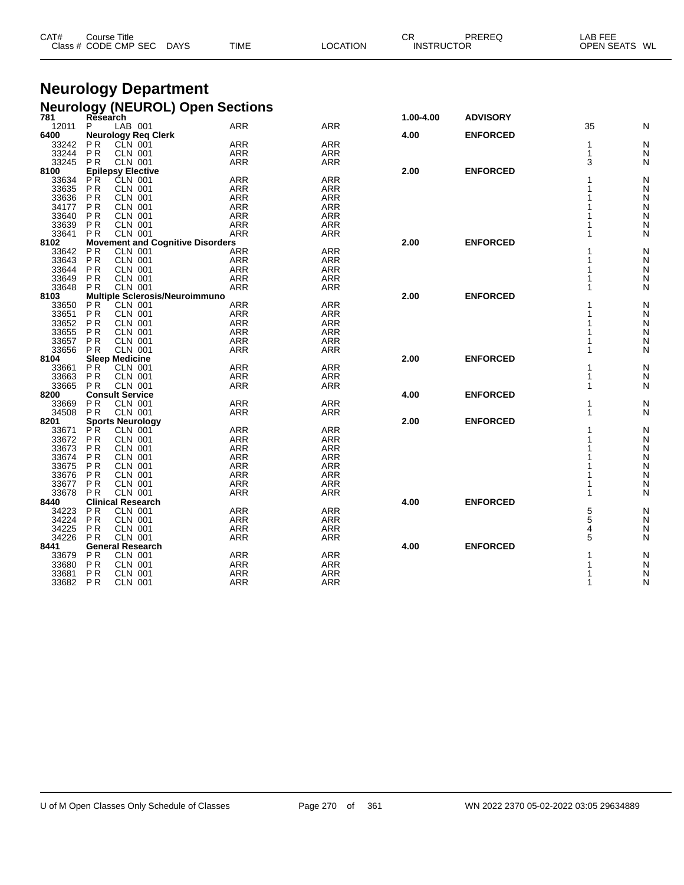| CAT# | Course Title<br>Class # CODE CMP SEC | DAYS | <b>TIME</b> | LOCATION | СF<br><b>INSTRUCTOR</b> | PREREQ | ∟AB FEE<br>OPEN SEATS WL |
|------|--------------------------------------|------|-------------|----------|-------------------------|--------|--------------------------|
|      |                                      |      |             |          |                         |        |                          |

#### **Neurology Department Neurology (NEUROL) Open Sections**

| 781   | Research       |                                         |                 |            | 1.00-4.00 | <b>ADVISORY</b> |    |               |
|-------|----------------|-----------------------------------------|-----------------|------------|-----------|-----------------|----|---------------|
| 12011 | P              | LAB 001                                 | <b>ARR</b>      | <b>ARR</b> |           |                 | 35 | N             |
| 6400  |                | <b>Neurology Reg Clerk</b>              |                 |            | 4.00      | <b>ENFORCED</b> |    |               |
| 33242 | ΡR             | CLN 001                                 | <b>ARR</b>      | <b>ARR</b> |           |                 | 1  | N             |
| 33244 | <b>PR</b>      | <b>CLN 001</b>                          | ARR             | <b>ARR</b> |           |                 | 1  | N             |
| 33245 | <b>PR</b>      | <b>CLN 001</b>                          | <b>ARR</b>      | <b>ARR</b> |           |                 | 3  | N             |
| 8100  |                | <b>Epilepsy Elective</b>                |                 |            | 2.00      | <b>ENFORCED</b> |    |               |
| 33634 | PR.            | <b>ČLN 001</b>                          | <b>ARR</b>      | <b>ARR</b> |           |                 |    | N             |
| 33635 | <b>PR</b>      | <b>CLN 001</b>                          | <b>ARR</b>      | <b>ARR</b> |           |                 |    | N             |
| 33636 | <b>PR</b>      | <b>CLN 001</b>                          | ARR             | <b>ARR</b> |           |                 |    | ${\sf N}$     |
| 34177 |                | <b>CLN 001</b>                          | ARR             | <b>ARR</b> |           |                 |    |               |
|       | P R            |                                         |                 |            |           |                 |    | N             |
| 33640 | <b>PR</b>      | <b>CLN 001</b>                          | <b>ARR</b>      | <b>ARR</b> |           |                 |    | N<br>N        |
| 33639 | P <sub>R</sub> | <b>CLN 001</b>                          | <b>ARR</b>      | <b>ARR</b> |           |                 |    |               |
| 33641 | <b>PR</b>      | <b>CLN 001</b>                          | <b>ARR</b>      | <b>ARR</b> |           |                 |    | N             |
| 8102  |                | <b>Movement and Cognitive Disorders</b> |                 |            | 2.00      | <b>ENFORCED</b> |    |               |
| 33642 | P <sub>R</sub> | <b>CLN 001</b>                          | ARR             | <b>ARR</b> |           |                 |    | N             |
| 33643 | <b>PR</b>      | <b>CLN 001</b>                          | <b>ARR</b>      | <b>ARR</b> |           |                 |    | N             |
| 33644 | P <sub>R</sub> | <b>CLN 001</b>                          | <b>ARR</b>      | <b>ARR</b> |           |                 |    | N             |
| 33649 | <b>PR</b>      | <b>CLN 001</b>                          | <b>ARR</b>      | <b>ARR</b> |           |                 |    | N             |
| 33648 | <b>PR</b>      | <b>CLN 001</b>                          | <b>ARR</b>      | <b>ARR</b> |           |                 |    | N             |
| 8103  |                | <b>Multiple Sclerosis/Neuroimmuno</b>   |                 |            | 2.00      | <b>ENFORCED</b> |    |               |
| 33650 | P <sub>R</sub> | <b>CLN 001</b>                          | <b>ARR</b>      | <b>ARR</b> |           |                 |    | N             |
| 33651 | P <sub>R</sub> | <b>CLN 001</b>                          | <b>ARR</b>      | <b>ARR</b> |           |                 |    | N             |
| 33652 | P <sub>R</sub> | CLN 001                                 | <b>ARR</b>      | <b>ARR</b> |           |                 |    | N             |
| 33655 |                | <b>CLN 001</b>                          |                 |            |           |                 |    |               |
|       | P <sub>R</sub> |                                         | <b>ARR</b>      | ARR        |           |                 |    | N             |
| 33657 | <b>PR</b>      | <b>CLN 001</b>                          | <b>ARR</b>      | <b>ARR</b> |           |                 |    | N             |
| 33656 | <b>PR</b>      | <b>CLN 001</b>                          | <b>ARR</b>      | <b>ARR</b> |           |                 |    | N             |
| 8104  |                | <b>Sleep Medicine</b>                   |                 |            | 2.00      | <b>ENFORCED</b> |    |               |
| 33661 | P <sub>R</sub> | <b>CLN 001</b>                          | <b>ARR</b>      | <b>ARR</b> |           |                 |    | N             |
| 33663 | <b>PR</b>      | <b>CLN 001</b>                          | <b>ARR</b>      | <b>ARR</b> |           |                 |    | N             |
| 33665 | <b>PR</b>      | <b>CLN 001</b>                          | <b>ARR</b>      | <b>ARR</b> |           |                 | 1  | N             |
| 8200  |                | <b>Consult Service</b>                  |                 |            | 4.00      | <b>ENFORCED</b> |    |               |
| 33669 | <b>PR</b>      | <b>CLN 001</b>                          | <b>ARR</b>      | <b>ARR</b> |           |                 |    | N             |
| 34508 | <b>PR</b>      | <b>CLN 001</b>                          | <b>ARR</b>      | <b>ARR</b> |           |                 | 1  | N             |
| 8201  |                | <b>Sports Neurology</b>                 |                 |            | 2.00      | <b>ENFORCED</b> |    |               |
| 33671 | P <sup>R</sup> | <b>CLN 001</b>                          | <b>ARR</b>      | <b>ARR</b> |           |                 |    | N             |
| 33672 | <b>PR</b>      | <b>CLN 001</b>                          | <b>ARR</b>      | <b>ARR</b> |           |                 |    | N             |
| 33673 | P <sub>R</sub> | <b>CLN 001</b>                          | ARR             | <b>ARR</b> |           |                 |    | N             |
|       | P <sub>R</sub> | <b>CLN 001</b>                          |                 |            |           |                 |    | $\mathsf{N}$  |
| 33674 |                | <b>CLN 001</b>                          | ARR             | <b>ARR</b> |           |                 |    |               |
| 33675 | P <sub>R</sub> |                                         | <b>ARR</b>      | <b>ARR</b> |           |                 |    | $\frac{N}{N}$ |
| 33676 | P <sub>R</sub> | <b>CLN 001</b>                          | ARR <sup></sup> | <b>ARR</b> |           |                 |    |               |
| 33677 | P <sub>R</sub> | <b>CLN 001</b>                          | <b>ARR</b>      | <b>ARR</b> |           |                 |    | N             |
| 33678 | <b>PR</b>      | <b>CLN 001</b>                          | <b>ARR</b>      | <b>ARR</b> |           |                 |    | N             |
| 8440  |                | <b>Clinical Research</b>                |                 |            | 4.00      | <b>ENFORCED</b> |    |               |
| 34223 | P <sub>R</sub> | <b>CLN 001</b>                          | <b>ARR</b>      | <b>ARR</b> |           |                 | 5  | N             |
| 34224 | P <sub>R</sub> | CLN 001                                 | ARR             | <b>ARR</b> |           |                 | 5  | N             |
| 34225 | P <sub>R</sub> | <b>CLN 001</b>                          | <b>ARR</b>      | <b>ARR</b> |           |                 | 4  | N             |
| 34226 | <b>PR</b>      | <b>CLN 001</b>                          | <b>ARR</b>      | <b>ARR</b> |           |                 | 5  | N             |
| 8441  |                | <b>General Research</b>                 |                 |            | 4.00      | <b>ENFORCED</b> |    |               |
| 33679 | P <sub>R</sub> | <b>CLN 001</b>                          | <b>ARR</b>      | <b>ARR</b> |           |                 |    | N             |
| 33680 | <b>PR</b>      | <b>CLN 001</b>                          | ARR             | <b>ARR</b> |           |                 |    | N             |
| 33681 | P <sub>R</sub> | <b>CLN 001</b>                          | <b>ARR</b>      | <b>ARR</b> |           |                 |    | N             |
|       |                |                                         |                 |            |           |                 |    |               |
| 33682 | P <sub>R</sub> | <b>CLN 001</b>                          | <b>ARR</b>      | <b>ARR</b> |           |                 | 1  | N             |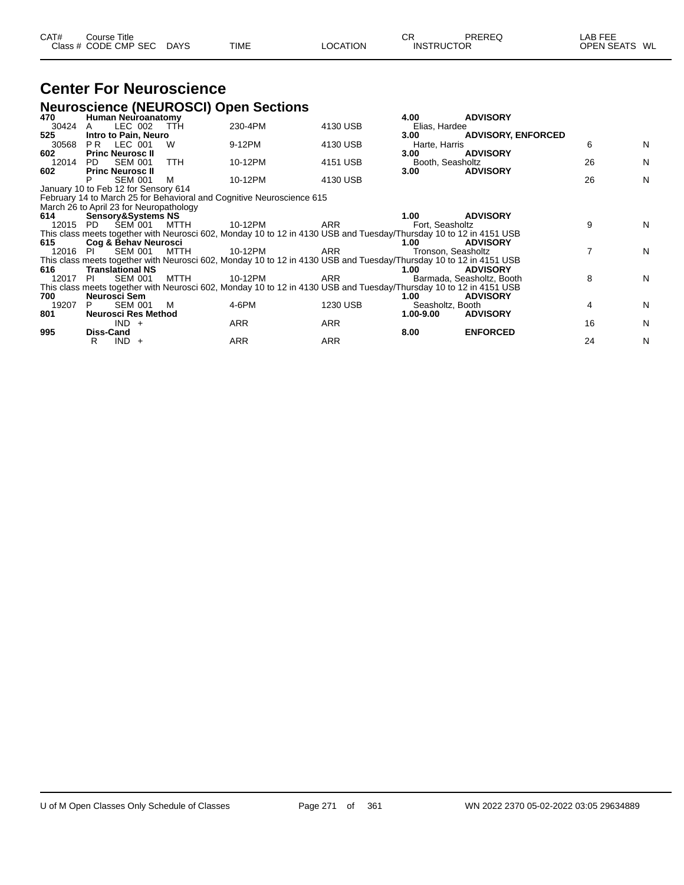| CAT#                | <b>Course Title</b><br>Class # CODE CMP SEC DAYS                                |            | <b>TIME</b>                                                                                                                   | <b>LOCATION</b> | CR.<br><b>INSTRUCTOR</b>      | PREREQ                                       | LAB FEE<br>OPEN SEATS WL |   |
|---------------------|---------------------------------------------------------------------------------|------------|-------------------------------------------------------------------------------------------------------------------------------|-----------------|-------------------------------|----------------------------------------------|--------------------------|---|
|                     | <b>Center For Neuroscience</b>                                                  |            |                                                                                                                               |                 |                               |                                              |                          |   |
|                     |                                                                                 |            | <b>Neuroscience (NEUROSCI) Open Sections</b>                                                                                  |                 |                               |                                              |                          |   |
| 470<br>30424        | <b>Human Neuroanatomy</b><br>LEC 002<br>A                                       | <b>TTH</b> | 230-4PM                                                                                                                       | 4130 USB        | 4.00<br>Elias, Hardee         | <b>ADVISORY</b>                              |                          |   |
| 525<br>30568<br>602 | Intro to Pain, Neuro<br>PR.<br>LEC 001<br><b>Princ Neurosc II</b>               | W          | 9-12PM                                                                                                                        | 4130 USB        | 3.00<br>Harte, Harris<br>3.00 | <b>ADVISORY, ENFORCED</b><br><b>ADVISORY</b> | 6                        | N |
| 12014               | PD.<br><b>SEM 001</b>                                                           | <b>TTH</b> | 10-12PM                                                                                                                       | 4151 USB        | Booth, Seasholtz              |                                              | 26                       | N |
| 602                 | <b>Princ Neurosc II</b><br><b>SEM 001</b>                                       | м          | 10-12PM                                                                                                                       | 4130 USB        | 3.00                          | <b>ADVISORY</b>                              | 26                       | N |
|                     | January 10 to Feb 12 for Sensory 614<br>March 26 to April 23 for Neuropathology |            | February 14 to March 25 for Behavioral and Cognitive Neuroscience 615                                                         |                 |                               |                                              |                          |   |
| 614                 | <b>Sensory&amp;Systems NS</b><br>12015 PD SEM 001 MTTH                          |            | 10-12PM<br>This class meets together with Neurosci 602, Monday 10 to 12 in 4130 USB and Tuesday/Thursday 10 to 12 in 4151 USB | <b>ARR</b>      | 1.00<br>Fort. Seasholtz       | <b>ADVISORY</b>                              | 9                        | N |
| 615<br>12016 PI     | Cog & Behav Neurosci<br>SEM 001                                                 | MTTH       | 10-12PM                                                                                                                       | <b>ARR</b>      | 1.00<br>Tronson, Seasholtz    | <b>ADVISORY</b>                              | 7                        | N |
| 616                 | <b>Translational NS</b>                                                         |            | This class meets together with Neurosci 602, Monday 10 to 12 in 4130 USB and Tuesday/Thursday 10 to 12 in 4151 USB            |                 | 1.00                          | <b>ADVISORY</b>                              |                          |   |
| 12017 PI<br>700     | <b>SEM 001</b><br>Neurosci Sem                                                  | MTTH       | 10-12PM<br>This class meets together with Neurosci 602, Monday 10 to 12 in 4130 USB and Tuesday/Thursday 10 to 12 in 4151 USB | <b>ARR</b>      | 1.00                          | Barmada, Seasholtz, Booth<br><b>ADVISORY</b> | 8                        | N |
| 19207<br>801        | <b>SEM 001</b><br>P<br>Neurosci Res Method                                      | M          | 4-6PM                                                                                                                         | 1230 USB        | Seasholtz, Booth<br>1.00-9.00 | <b>ADVISORY</b>                              | 4                        | N |
|                     | $IND +$                                                                         |            | ARR                                                                                                                           | ARR             |                               |                                              | 16                       | N |

R IND + ARR ARR ARR 24 N

**995 Diss-Cand 8.00 ENFORCED**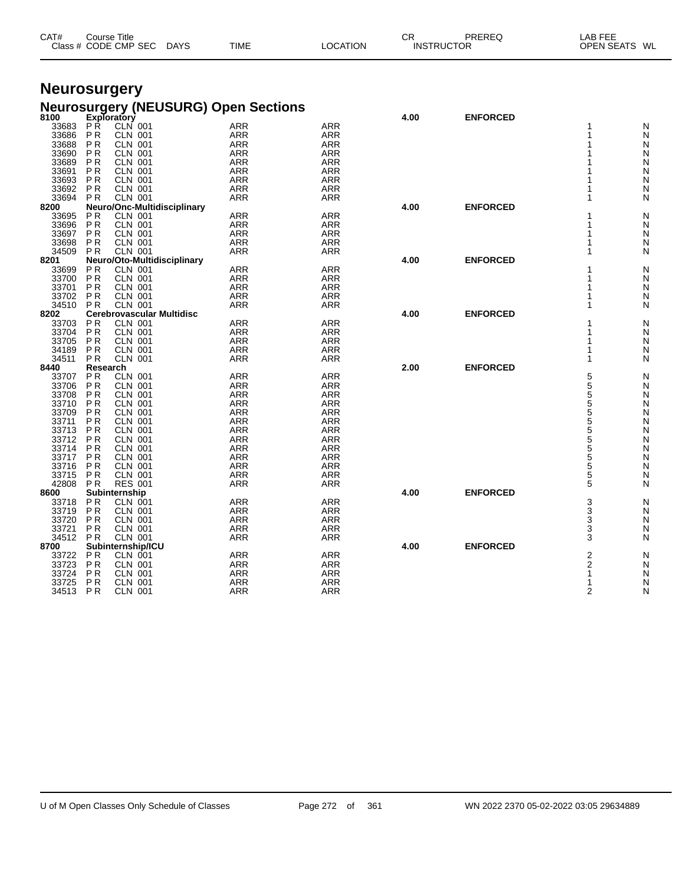| CAT# | Course Title<br>Class # CODE CMP SEC | DAYS | <b>TIME</b> | LOCATION | СF<br><b>INSTRUCTOR</b> | PREREQ | $\mathsf{LAB}$ FEE<br>OPEN SEATS WL |
|------|--------------------------------------|------|-------------|----------|-------------------------|--------|-------------------------------------|
|      |                                      |      |             |          |                         |        |                                     |

## **Neurosurgery**

# **Neurosurgery (NEUSURG) Open Sections 8100 Exploratory 4.00 ENFORCED**

| 8100           |                        | Exploratory                      |                          |                          | 4.00 | <b>ENFORCED</b> |                         |        |
|----------------|------------------------|----------------------------------|--------------------------|--------------------------|------|-----------------|-------------------------|--------|
| 33683          | РŔ                     | CLN 001                          | <b>ARR</b>               | <b>ARR</b>               |      |                 | 1                       | N      |
| 33686          | P <sub>R</sub>         | <b>CLN 001</b>                   | <b>ARR</b>               | <b>ARR</b>               |      |                 | 1                       | N      |
| 33688          | P <sub>R</sub>         | <b>CLN 001</b>                   | <b>ARR</b>               | <b>ARR</b>               |      |                 |                         | Ν      |
| 33690          | P R                    | CLN 001                          | <b>ARR</b>               | <b>ARR</b>               |      |                 |                         | N      |
| 33689          | P <sub>R</sub>         | CLN 001                          | <b>ARR</b>               | <b>ARR</b>               |      |                 |                         | Ν      |
| 33691          | P <sub>R</sub>         | <b>CLN 001</b>                   | <b>ARR</b>               | <b>ARR</b>               |      |                 |                         | Ν      |
| 33693          | P R                    | <b>CLN 001</b>                   | <b>ARR</b>               | <b>ARR</b>               |      |                 |                         | Ν      |
|                |                        |                                  |                          |                          |      |                 |                         |        |
| 33692          | P <sub>R</sub>         | <b>CLN 001</b>                   | <b>ARR</b>               | <b>ARR</b>               |      |                 |                         | Ν      |
| 33694          | P <sub>R</sub>         | <b>CLN 001</b>                   | ARR                      | <b>ARR</b>               |      |                 | 1                       | N      |
| 8200           |                        | Neuro/Onc-Multidisciplinary      |                          |                          | 4.00 | <b>ENFORCED</b> |                         |        |
| 33695          | P R                    | <b>CLN 001</b>                   | <b>ARR</b>               | <b>ARR</b>               |      |                 | 1                       | N      |
| 33696          | <b>PR</b>              | <b>CLN 001</b>                   | <b>ARR</b>               | <b>ARR</b>               |      |                 | 1                       | Ν      |
| 33697          | ΡR                     | <b>CLN 001</b>                   | <b>ARR</b>               | <b>ARR</b>               |      |                 | 1                       | Ν      |
| 33698          | P <sub>R</sub>         | <b>CLN 001</b>                   | <b>ARR</b>               | <b>ARR</b>               |      |                 | 1                       | Ν      |
| 34509          | P <sub>R</sub>         | <b>CLN 001</b>                   | <b>ARR</b>               | <b>ARR</b>               |      |                 | 1                       | Ν      |
| 8201           |                        | Neuro/Oto-Multidisciplinary      |                          |                          | 4.00 | <b>ENFORCED</b> |                         |        |
|                | P <sub>R</sub>         | <b>CLN 001</b>                   |                          | <b>ARR</b>               |      |                 |                         |        |
| 33699          |                        |                                  | ARR                      |                          |      |                 |                         | Ν      |
| 33700          | P <sub>R</sub>         | CLN 001                          | <b>ARR</b>               | <b>ARR</b>               |      |                 | 1                       | N      |
| 33701          | P <sub>R</sub>         | CLN 001                          | <b>ARR</b>               | <b>ARR</b>               |      |                 | 1                       | Ν      |
| 33702          | <b>PR</b>              | <b>CLN 001</b>                   | <b>ARR</b>               | <b>ARR</b>               |      |                 | 1                       | Ν      |
| 34510          | <b>PR</b>              | <b>CLN 001</b>                   | <b>ARR</b>               | <b>ARR</b>               |      |                 | 1                       | N      |
| 8202           |                        | Cerebrovascular Multidisc        |                          |                          | 4.00 | <b>ENFORCED</b> |                         |        |
| 33703          | P <sub>R</sub>         | <b>CLN 001</b>                   | <b>ARR</b>               | <b>ARR</b>               |      |                 | 1                       | N      |
| 33704          | P <sub>R</sub>         | <b>CLN 001</b>                   | <b>ARR</b>               | <b>ARR</b>               |      |                 | 1                       | N      |
| 33705          | P R                    | <b>CLN 001</b>                   | <b>ARR</b>               | <b>ARR</b>               |      |                 | 1                       | Ν      |
| 34189          | <b>PR</b>              | <b>CLN 001</b>                   | <b>ARR</b>               | <b>ARR</b>               |      |                 | 1                       | Ν      |
|                |                        |                                  |                          |                          |      |                 |                         |        |
|                |                        |                                  |                          |                          |      |                 |                         |        |
| 34511          | P <sub>R</sub>         | <b>CLN 001</b>                   | ARR                      | <b>ARR</b>               |      |                 | 1                       | N      |
| 8440           | Research               |                                  |                          |                          | 2.00 | <b>ENFORCED</b> |                         |        |
| 33707          | <b>PR</b>              | <b>CLN 001</b>                   | <b>ARR</b>               | <b>ARR</b>               |      |                 | 5                       | N      |
| 33706          | ΡR                     | <b>CLN 001</b>                   | <b>ARR</b>               | ARR                      |      |                 |                         | Ν      |
| 33708          | ΡR                     | <b>CLN 001</b>                   | <b>ARR</b>               | <b>ARR</b>               |      |                 | $\frac{5}{5}$           | Ν      |
| 33710          | ΡR                     | <b>CLN 001</b>                   |                          |                          |      |                 |                         | Ν      |
|                |                        |                                  | <b>ARR</b>               | <b>ARR</b>               |      |                 |                         |        |
| 33709          | <b>PR</b>              | <b>CLN 001</b>                   | <b>ARR</b>               | <b>ARR</b>               |      |                 |                         | Ν      |
| 33711          | ΡR                     | <b>CLN 001</b>                   | <b>ARR</b>               | <b>ARR</b>               |      |                 |                         | Ν      |
| 33713          | P <sub>R</sub>         | <b>CLN 001</b>                   | <b>ARR</b>               | <b>ARR</b>               |      |                 |                         | Ν      |
| 33712          | P <sub>R</sub>         | CLN 001                          | <b>ARR</b>               | <b>ARR</b>               |      |                 |                         | Ν      |
| 33714          | P <sub>R</sub>         | CLN 001                          | <b>ARR</b>               | <b>ARR</b>               |      |                 |                         | Ν      |
| 33717          | P <sub>R</sub>         | CLN 001                          | <b>ARR</b>               | <b>ARR</b>               |      |                 |                         | Ν      |
| 33716          | P <sub>R</sub>         | <b>CLN 001</b>                   | <b>ARR</b>               | <b>ARR</b>               |      |                 |                         | Ν      |
| 33715          | P <sub>R</sub>         | <b>CLN 001</b>                   | <b>ARR</b>               | <b>ARR</b>               |      |                 | 555555555               | Ν      |
| 42808          | <b>PR</b>              | <b>RES 001</b>                   | <b>ARR</b>               | <b>ARR</b>               |      |                 | 5                       | N      |
| 8600           |                        | Subinternship                    |                          |                          | 4.00 | <b>ENFORCED</b> |                         |        |
| 33718          | P <sub>R</sub>         | <b>CLN 001</b>                   | <b>ARR</b>               | <b>ARR</b>               |      |                 | 3                       | Ν      |
|                |                        |                                  |                          |                          |      |                 |                         |        |
| 33719          | P R                    | <b>CLN 001</b>                   | <b>ARR</b>               | <b>ARR</b>               |      |                 |                         | N      |
| 33720          | P R                    | <b>CLN 001</b>                   | <b>ARR</b>               | <b>ARR</b>               |      |                 |                         | Ν      |
| 33721          | <b>PR</b>              | <b>CLN 001</b>                   | <b>ARR</b>               | <b>ARR</b>               |      |                 | $\frac{3}{3}$           | N      |
| 34512          | <b>PR</b>              | <b>CLN 001</b>                   | <b>ARR</b>               | <b>ARR</b>               |      |                 | 3                       | N      |
| 8700           |                        | Subinternship/ICU                |                          |                          | 4.00 | <b>ENFORCED</b> |                         |        |
| 33722          | <b>PR</b>              | CLN 001                          | <b>ARR</b>               | <b>ARR</b>               |      |                 | $\overline{2}$          | N      |
| 33723          | <b>PR</b>              | <b>CLN 001</b>                   | <b>ARR</b>               | <b>ARR</b>               |      |                 | $\overline{\mathbf{c}}$ | Ν      |
| 33724          | <b>PR</b>              | CLN 001                          | ARR                      | <b>ARR</b>               |      |                 | 1                       | Ν      |
| 33725<br>34513 | <b>PR</b><br><b>PR</b> | <b>CLN 001</b><br><b>CLN 001</b> | <b>ARR</b><br><b>ARR</b> | <b>ARR</b><br><b>ARR</b> |      |                 | 1<br>$\overline{2}$     | Ν<br>N |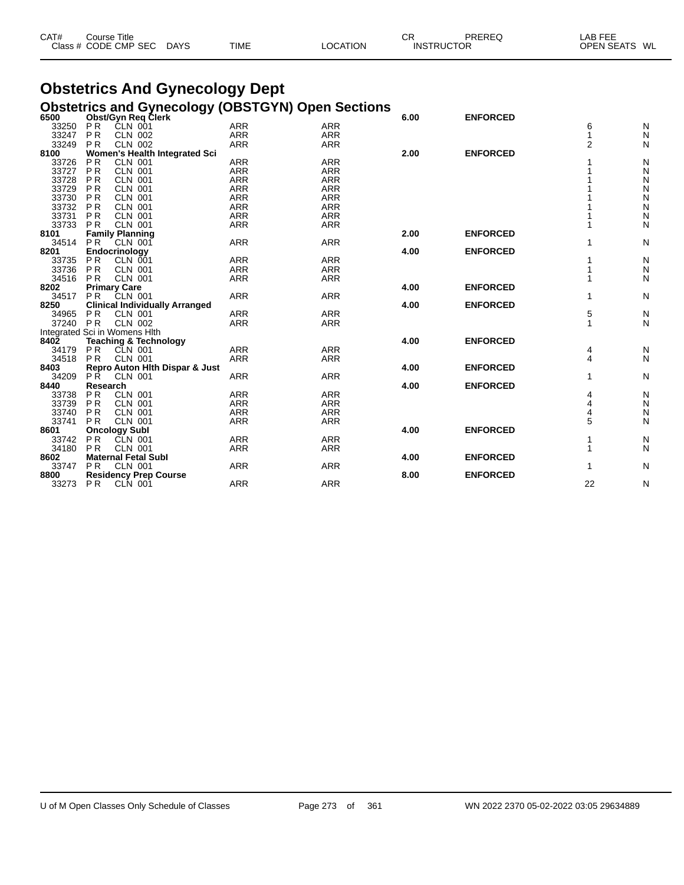| CAT# | Course Title              |      |          | СF                | PREREQ | LAB FEE           |    |
|------|---------------------------|------|----------|-------------------|--------|-------------------|----|
|      | Class # CODE CMP SEC DAYS | TIME | LOCATION | <b>INSTRUCTOR</b> |        | <b>OPEN SEATS</b> | WL |

# **Obstetrics And Gynecology Dept**

|                  | <b>Obstetrics and Gynecology (OBSTGYN) Open Sections</b>    |            |            |      |                 |                |              |
|------------------|-------------------------------------------------------------|------------|------------|------|-----------------|----------------|--------------|
| 6500             | Obst/Gyn Req Clerk                                          |            |            | 6.00 | <b>ENFORCED</b> |                |              |
| 33250            | <b>PR</b><br>CLN 001                                        | <b>ARR</b> | <b>ARR</b> |      |                 | 6              | N            |
| 33247            | <b>PR</b><br><b>CLN 002</b>                                 | <b>ARR</b> | <b>ARR</b> |      |                 |                | N            |
| 33249            | <b>CLN 002</b><br>P <sub>R</sub>                            | <b>ARR</b> | <b>ARR</b> |      |                 | $\overline{2}$ | N            |
| 8100             | Women's Health Integrated Sci                               |            |            | 2.00 | <b>ENFORCED</b> |                |              |
| 33726            | P <sub>R</sub><br><b>CLN 001</b>                            | <b>ARR</b> | <b>ARR</b> |      |                 |                | ${\sf N}$    |
| 33727            | P <sub>R</sub><br><b>CLN 001</b>                            | <b>ARR</b> | <b>ARR</b> |      |                 |                | ${\sf N}$    |
| 33728            | <b>PR</b><br><b>CLN 001</b>                                 | <b>ARR</b> | <b>ARR</b> |      |                 |                | N            |
| 33729            | <b>PR</b><br><b>CLN 001</b>                                 | <b>ARR</b> | <b>ARR</b> |      |                 |                | ${\sf N}$    |
| 33730            | <b>PR</b><br><b>CLN 001</b>                                 | <b>ARR</b> | <b>ARR</b> |      |                 |                | ${\sf N}$    |
| 33732            | P <sub>R</sub><br><b>CLN 001</b>                            | <b>ARR</b> | <b>ARR</b> |      |                 |                | $\mathsf{N}$ |
| 33731            | <b>PR</b><br><b>CLN 001</b>                                 | <b>ARR</b> | <b>ARR</b> |      |                 |                | ${\sf N}$    |
| 33733            | <b>PR</b><br><b>CLN 001</b>                                 | <b>ARR</b> | <b>ARR</b> |      |                 |                | N            |
| 8101             | <b>Family Planning</b>                                      |            |            | 2.00 | <b>ENFORCED</b> |                |              |
| 34514            | <b>PR</b><br><b>CLN 001</b>                                 | <b>ARR</b> | <b>ARR</b> |      |                 |                | $\mathsf{N}$ |
| 8201             | Endocrinology                                               |            |            | 4.00 | <b>ENFORCED</b> |                |              |
| 33735            | <b>PR</b><br>CLN 001                                        | <b>ARR</b> | <b>ARR</b> |      |                 |                | N            |
| 33736            | <b>PR</b><br><b>CLN 001</b>                                 | <b>ARR</b> | <b>ARR</b> |      |                 |                | $\mathsf{N}$ |
| 34516            | <b>CLN 001</b><br><b>PR</b>                                 | <b>ARR</b> | <b>ARR</b> |      |                 |                | N            |
| 8202             | <b>Primary Care</b>                                         |            |            | 4.00 | <b>ENFORCED</b> |                |              |
| 34517            | P <sub>R</sub><br><b>CLN 001</b>                            | <b>ARR</b> | <b>ARR</b> |      |                 |                | N            |
| 8250             | <b>Clinical Individually Arranged</b>                       |            |            | 4.00 | <b>ENFORCED</b> |                |              |
| 34965            | PR<br>CLN 001                                               | <b>ARR</b> | <b>ARR</b> |      |                 | 5              | N            |
| 37240            | <b>PR</b><br><b>CLN 002</b>                                 | <b>ARR</b> | <b>ARR</b> |      |                 |                | N            |
|                  | Integrated Sci in Womens Hlth                               |            |            |      |                 |                |              |
| 840 <sub>2</sub> | <b>Teaching &amp; Technology</b>                            |            |            | 4.00 | <b>ENFORCED</b> |                |              |
| 34179            | <b>PR</b><br><b>CLN 001</b>                                 | <b>ARR</b> | <b>ARR</b> |      |                 | 4              | N            |
| 34518            | P <sub>R</sub><br><b>CLN 001</b>                            | <b>ARR</b> | <b>ARR</b> |      |                 | 4              | $\mathsf{N}$ |
| 8403             | Repro Auton Hith Dispar & Just                              |            |            | 4.00 | <b>ENFORCED</b> |                |              |
| 34209            | <b>PR</b><br><b>CLN 001</b>                                 | <b>ARR</b> | <b>ARR</b> |      |                 |                | N            |
| 8440             | Research                                                    |            |            | 4.00 | <b>ENFORCED</b> |                |              |
| 33738            | P <sub>R</sub><br><b>CLN 001</b>                            | <b>ARR</b> | <b>ARR</b> |      |                 | 4              | N            |
| 33739            | <b>PR</b><br><b>CLN 001</b>                                 | <b>ARR</b> | <b>ARR</b> |      |                 | 4              | N            |
| 33740            | P <sub>R</sub><br><b>CLN 001</b>                            | <b>ARR</b> | <b>ARR</b> |      |                 | 4              | N            |
| 33741            | <b>CLN 001</b><br>P <sub>R</sub>                            | <b>ARR</b> | <b>ARR</b> |      |                 | 5              | N            |
| 8601             | <b>Oncology Subl</b>                                        |            |            | 4.00 | <b>ENFORCED</b> |                |              |
| 33742            | <b>PR</b><br>CLN 001                                        | ARR        | <b>ARR</b> |      |                 |                | N            |
| 34180            | <b>PR</b><br><b>CLN 001</b>                                 | <b>ARR</b> | <b>ARR</b> |      |                 | 1              | N            |
| 8602             | <b>Maternal Fetal Subl</b>                                  |            |            | 4.00 | <b>ENFORCED</b> |                |              |
| 33747            | P <sub>R</sub><br><b>CLN 001</b>                            | <b>ARR</b> | <b>ARR</b> |      |                 | 1              | N            |
| 8800             |                                                             |            |            | 8.00 | <b>ENFORCED</b> |                |              |
| 33273            | <b>Residency Prep Course</b><br><b>PR</b><br><b>CLN 001</b> | <b>ARR</b> | <b>ARR</b> |      |                 | 22             | N            |
|                  |                                                             |            |            |      |                 |                |              |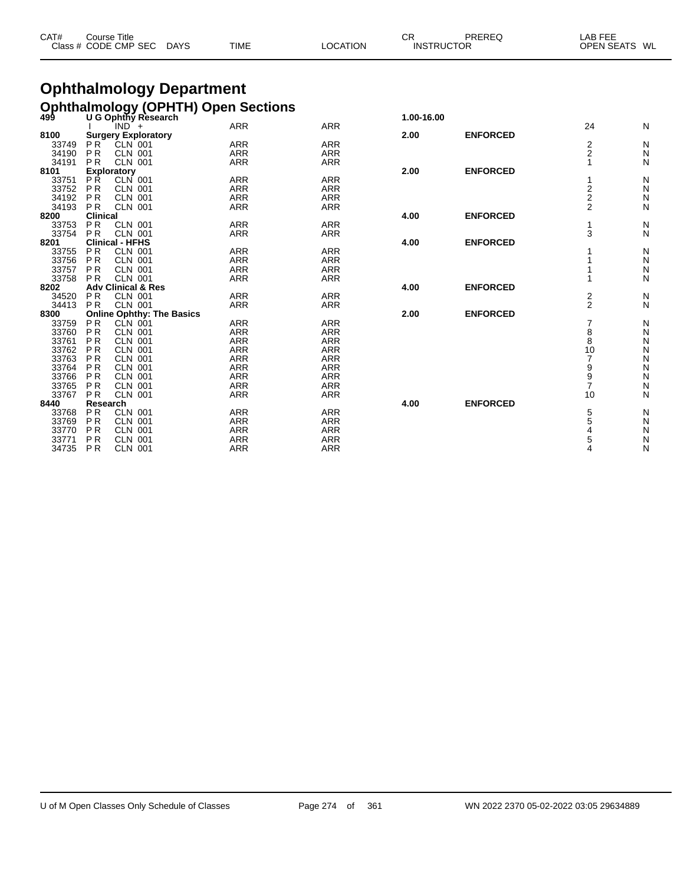| CAT# | Course Title<br>Class # CODE CMP SEC | DAYS | TIME | LOCATION | СF<br><b>INSTRUCTOR</b> | PREREQ | LAB FEE<br>OPEN SEATS WL |  |
|------|--------------------------------------|------|------|----------|-------------------------|--------|--------------------------|--|
|      |                                      |      |      |          |                         |        |                          |  |

# **Ophthalmology Department**

| <b>Ophthalmology (OPHTH) Open Sections</b><br>499 U G Ophthy Research<br>1.00-16.00<br><b>ARR</b><br><b>ARR</b><br>24<br>N<br>$IND +$<br><b>Surgery Exploratory</b><br><b>ENFORCED</b><br>8100<br>2.00<br>$\overline{2}$<br>$CLN$ 001<br><b>ARR</b><br><b>ARR</b><br>Ν<br>33749<br>P <sub>R</sub><br>$\overline{2}$<br>N<br><b>PR</b><br><b>CLN 001</b><br><b>ARR</b><br>34190<br><b>ARR</b><br><b>PR</b><br><b>CLN 001</b><br><b>ARR</b><br><b>ARR</b><br>И<br>34191<br><b>ENFORCED</b><br>8101<br>2.00<br><b>Exploratory</b><br><b>ARR</b><br><b>ARR</b><br>33751<br><b>PR</b><br>CLN 001<br>Ν<br>N<br>$\frac{2}{2}$<br>33752<br>P <sub>R</sub><br><b>ARR</b><br><b>ARR</b><br><b>CLN 001</b><br>N<br>P <sub>R</sub><br><b>ARR</b><br><b>ARR</b><br>34192<br><b>CLN 001</b><br>$\overline{2}$<br><b>ARR</b><br><b>ARR</b><br>Ν<br><b>CLN 001</b><br>34193<br><b>PR</b><br><b>Clinical</b><br><b>ENFORCED</b><br>8200<br>4.00<br>PR<br><b>CLN 001</b><br><b>ARR</b><br><b>ARR</b><br>Ν<br>33753<br>3<br>Ν<br>PR<br><b>ARR</b><br>33754<br><b>CLN 001</b><br><b>ARR</b><br><b>Clinical - HFHS</b><br><b>ENFORCED</b><br>8201<br>4.00<br><b>CLN 001</b><br><b>ARR</b><br>33755<br><b>PR</b><br><b>ARR</b><br>Ν<br>N<br>33756<br>PR<br><b>ARR</b><br><b>ARR</b><br><b>CLN 001</b><br>33757<br><b>PR</b><br><b>CLN 001</b><br><b>ARR</b><br><b>ARR</b><br>N<br><b>ARR</b><br>33758<br><b>PR</b><br><b>ARR</b><br>Ν<br><b>CLN 001</b><br><b>ENFORCED</b><br>8202<br><b>Adv Clinical &amp; Res</b><br>4.00<br>$\overline{\mathbf{c}}$<br><b>PR</b><br><b>CLN 001</b><br><b>ARR</b><br><b>ARR</b><br>N<br>34520<br>$\overline{2}$<br>N<br><b>CLN 001</b><br>34413<br>PR<br><b>ARR</b><br><b>ARR</b><br><b>ENFORCED</b><br>8300<br><b>Online Ophthy: The Basics</b><br>2.00<br>PR<br><b>ARR</b><br><b>CLN 001</b><br><b>ARR</b><br>Ν<br>33759<br>8<br>N<br>33760<br><b>PR</b><br><b>CLN 001</b><br><b>ARR</b><br><b>ARR</b><br>8<br>33761<br>P <sub>R</sub><br><b>ARR</b><br><b>ARR</b><br>N<br><b>CLN 001</b><br>$\frac{N}{N}$<br>33762<br>10<br><b>PR</b><br><b>CLN 001</b><br><b>ARR</b><br><b>ARR</b><br><b>ARR</b><br>33763<br><b>ARR</b><br><b>PR</b><br><b>CLN 001</b><br>N<br><b>ARR</b><br><b>ARR</b><br>9<br>33764<br>P <sub>R</sub><br><b>CLN 001</b><br>N<br><b>ARR</b><br><b>ARR</b><br>9<br>33766<br><b>PR</b><br><b>CLN 001</b><br>$\overline{7}$<br>N<br>33765<br>PR<br><b>CLN 001</b><br><b>ARR</b><br><b>ARR</b><br>Ν<br>33767<br><b>PR</b><br><b>CLN 001</b><br><b>ARR</b><br>10<br><b>ARR</b><br><b>ENFORCED</b><br>Research<br>4.00<br><b>PR</b><br><b>CLN 001</b><br><b>ARR</b><br><b>ARR</b><br>5<br>Ν<br>33768<br>5<br>33769<br>PR<br>N<br><b>CLN 001</b><br><b>ARR</b><br><b>ARR</b><br>33770<br><b>PR</b><br>ARR<br><b>ARR</b><br>Ν<br><b>CLN 001</b><br>P <sub>R</sub><br><b>ARR</b><br><b>CLN 001</b><br><b>ARR</b><br>5<br>N<br>33771<br>PR<br><b>ARR</b><br><b>ARR</b><br>Ν<br>34735<br><b>CLN 001</b><br>4 |      |  |  |  |  |
|------------------------------------------------------------------------------------------------------------------------------------------------------------------------------------------------------------------------------------------------------------------------------------------------------------------------------------------------------------------------------------------------------------------------------------------------------------------------------------------------------------------------------------------------------------------------------------------------------------------------------------------------------------------------------------------------------------------------------------------------------------------------------------------------------------------------------------------------------------------------------------------------------------------------------------------------------------------------------------------------------------------------------------------------------------------------------------------------------------------------------------------------------------------------------------------------------------------------------------------------------------------------------------------------------------------------------------------------------------------------------------------------------------------------------------------------------------------------------------------------------------------------------------------------------------------------------------------------------------------------------------------------------------------------------------------------------------------------------------------------------------------------------------------------------------------------------------------------------------------------------------------------------------------------------------------------------------------------------------------------------------------------------------------------------------------------------------------------------------------------------------------------------------------------------------------------------------------------------------------------------------------------------------------------------------------------------------------------------------------------------------------------------------------------------------------------------------------------------------------------------------------------------------------------------------------------------------------------------------------------------------------------------------------------------------------------------------------------------------------------------------------------------------------------------------------------------------------------------------------------------------------------------------------------------------|------|--|--|--|--|
|                                                                                                                                                                                                                                                                                                                                                                                                                                                                                                                                                                                                                                                                                                                                                                                                                                                                                                                                                                                                                                                                                                                                                                                                                                                                                                                                                                                                                                                                                                                                                                                                                                                                                                                                                                                                                                                                                                                                                                                                                                                                                                                                                                                                                                                                                                                                                                                                                                                                                                                                                                                                                                                                                                                                                                                                                                                                                                                                    |      |  |  |  |  |
|                                                                                                                                                                                                                                                                                                                                                                                                                                                                                                                                                                                                                                                                                                                                                                                                                                                                                                                                                                                                                                                                                                                                                                                                                                                                                                                                                                                                                                                                                                                                                                                                                                                                                                                                                                                                                                                                                                                                                                                                                                                                                                                                                                                                                                                                                                                                                                                                                                                                                                                                                                                                                                                                                                                                                                                                                                                                                                                                    |      |  |  |  |  |
|                                                                                                                                                                                                                                                                                                                                                                                                                                                                                                                                                                                                                                                                                                                                                                                                                                                                                                                                                                                                                                                                                                                                                                                                                                                                                                                                                                                                                                                                                                                                                                                                                                                                                                                                                                                                                                                                                                                                                                                                                                                                                                                                                                                                                                                                                                                                                                                                                                                                                                                                                                                                                                                                                                                                                                                                                                                                                                                                    |      |  |  |  |  |
|                                                                                                                                                                                                                                                                                                                                                                                                                                                                                                                                                                                                                                                                                                                                                                                                                                                                                                                                                                                                                                                                                                                                                                                                                                                                                                                                                                                                                                                                                                                                                                                                                                                                                                                                                                                                                                                                                                                                                                                                                                                                                                                                                                                                                                                                                                                                                                                                                                                                                                                                                                                                                                                                                                                                                                                                                                                                                                                                    |      |  |  |  |  |
|                                                                                                                                                                                                                                                                                                                                                                                                                                                                                                                                                                                                                                                                                                                                                                                                                                                                                                                                                                                                                                                                                                                                                                                                                                                                                                                                                                                                                                                                                                                                                                                                                                                                                                                                                                                                                                                                                                                                                                                                                                                                                                                                                                                                                                                                                                                                                                                                                                                                                                                                                                                                                                                                                                                                                                                                                                                                                                                                    |      |  |  |  |  |
|                                                                                                                                                                                                                                                                                                                                                                                                                                                                                                                                                                                                                                                                                                                                                                                                                                                                                                                                                                                                                                                                                                                                                                                                                                                                                                                                                                                                                                                                                                                                                                                                                                                                                                                                                                                                                                                                                                                                                                                                                                                                                                                                                                                                                                                                                                                                                                                                                                                                                                                                                                                                                                                                                                                                                                                                                                                                                                                                    |      |  |  |  |  |
|                                                                                                                                                                                                                                                                                                                                                                                                                                                                                                                                                                                                                                                                                                                                                                                                                                                                                                                                                                                                                                                                                                                                                                                                                                                                                                                                                                                                                                                                                                                                                                                                                                                                                                                                                                                                                                                                                                                                                                                                                                                                                                                                                                                                                                                                                                                                                                                                                                                                                                                                                                                                                                                                                                                                                                                                                                                                                                                                    |      |  |  |  |  |
|                                                                                                                                                                                                                                                                                                                                                                                                                                                                                                                                                                                                                                                                                                                                                                                                                                                                                                                                                                                                                                                                                                                                                                                                                                                                                                                                                                                                                                                                                                                                                                                                                                                                                                                                                                                                                                                                                                                                                                                                                                                                                                                                                                                                                                                                                                                                                                                                                                                                                                                                                                                                                                                                                                                                                                                                                                                                                                                                    |      |  |  |  |  |
|                                                                                                                                                                                                                                                                                                                                                                                                                                                                                                                                                                                                                                                                                                                                                                                                                                                                                                                                                                                                                                                                                                                                                                                                                                                                                                                                                                                                                                                                                                                                                                                                                                                                                                                                                                                                                                                                                                                                                                                                                                                                                                                                                                                                                                                                                                                                                                                                                                                                                                                                                                                                                                                                                                                                                                                                                                                                                                                                    |      |  |  |  |  |
|                                                                                                                                                                                                                                                                                                                                                                                                                                                                                                                                                                                                                                                                                                                                                                                                                                                                                                                                                                                                                                                                                                                                                                                                                                                                                                                                                                                                                                                                                                                                                                                                                                                                                                                                                                                                                                                                                                                                                                                                                                                                                                                                                                                                                                                                                                                                                                                                                                                                                                                                                                                                                                                                                                                                                                                                                                                                                                                                    |      |  |  |  |  |
|                                                                                                                                                                                                                                                                                                                                                                                                                                                                                                                                                                                                                                                                                                                                                                                                                                                                                                                                                                                                                                                                                                                                                                                                                                                                                                                                                                                                                                                                                                                                                                                                                                                                                                                                                                                                                                                                                                                                                                                                                                                                                                                                                                                                                                                                                                                                                                                                                                                                                                                                                                                                                                                                                                                                                                                                                                                                                                                                    |      |  |  |  |  |
|                                                                                                                                                                                                                                                                                                                                                                                                                                                                                                                                                                                                                                                                                                                                                                                                                                                                                                                                                                                                                                                                                                                                                                                                                                                                                                                                                                                                                                                                                                                                                                                                                                                                                                                                                                                                                                                                                                                                                                                                                                                                                                                                                                                                                                                                                                                                                                                                                                                                                                                                                                                                                                                                                                                                                                                                                                                                                                                                    |      |  |  |  |  |
|                                                                                                                                                                                                                                                                                                                                                                                                                                                                                                                                                                                                                                                                                                                                                                                                                                                                                                                                                                                                                                                                                                                                                                                                                                                                                                                                                                                                                                                                                                                                                                                                                                                                                                                                                                                                                                                                                                                                                                                                                                                                                                                                                                                                                                                                                                                                                                                                                                                                                                                                                                                                                                                                                                                                                                                                                                                                                                                                    |      |  |  |  |  |
|                                                                                                                                                                                                                                                                                                                                                                                                                                                                                                                                                                                                                                                                                                                                                                                                                                                                                                                                                                                                                                                                                                                                                                                                                                                                                                                                                                                                                                                                                                                                                                                                                                                                                                                                                                                                                                                                                                                                                                                                                                                                                                                                                                                                                                                                                                                                                                                                                                                                                                                                                                                                                                                                                                                                                                                                                                                                                                                                    |      |  |  |  |  |
|                                                                                                                                                                                                                                                                                                                                                                                                                                                                                                                                                                                                                                                                                                                                                                                                                                                                                                                                                                                                                                                                                                                                                                                                                                                                                                                                                                                                                                                                                                                                                                                                                                                                                                                                                                                                                                                                                                                                                                                                                                                                                                                                                                                                                                                                                                                                                                                                                                                                                                                                                                                                                                                                                                                                                                                                                                                                                                                                    |      |  |  |  |  |
|                                                                                                                                                                                                                                                                                                                                                                                                                                                                                                                                                                                                                                                                                                                                                                                                                                                                                                                                                                                                                                                                                                                                                                                                                                                                                                                                                                                                                                                                                                                                                                                                                                                                                                                                                                                                                                                                                                                                                                                                                                                                                                                                                                                                                                                                                                                                                                                                                                                                                                                                                                                                                                                                                                                                                                                                                                                                                                                                    |      |  |  |  |  |
|                                                                                                                                                                                                                                                                                                                                                                                                                                                                                                                                                                                                                                                                                                                                                                                                                                                                                                                                                                                                                                                                                                                                                                                                                                                                                                                                                                                                                                                                                                                                                                                                                                                                                                                                                                                                                                                                                                                                                                                                                                                                                                                                                                                                                                                                                                                                                                                                                                                                                                                                                                                                                                                                                                                                                                                                                                                                                                                                    |      |  |  |  |  |
|                                                                                                                                                                                                                                                                                                                                                                                                                                                                                                                                                                                                                                                                                                                                                                                                                                                                                                                                                                                                                                                                                                                                                                                                                                                                                                                                                                                                                                                                                                                                                                                                                                                                                                                                                                                                                                                                                                                                                                                                                                                                                                                                                                                                                                                                                                                                                                                                                                                                                                                                                                                                                                                                                                                                                                                                                                                                                                                                    |      |  |  |  |  |
|                                                                                                                                                                                                                                                                                                                                                                                                                                                                                                                                                                                                                                                                                                                                                                                                                                                                                                                                                                                                                                                                                                                                                                                                                                                                                                                                                                                                                                                                                                                                                                                                                                                                                                                                                                                                                                                                                                                                                                                                                                                                                                                                                                                                                                                                                                                                                                                                                                                                                                                                                                                                                                                                                                                                                                                                                                                                                                                                    |      |  |  |  |  |
|                                                                                                                                                                                                                                                                                                                                                                                                                                                                                                                                                                                                                                                                                                                                                                                                                                                                                                                                                                                                                                                                                                                                                                                                                                                                                                                                                                                                                                                                                                                                                                                                                                                                                                                                                                                                                                                                                                                                                                                                                                                                                                                                                                                                                                                                                                                                                                                                                                                                                                                                                                                                                                                                                                                                                                                                                                                                                                                                    |      |  |  |  |  |
|                                                                                                                                                                                                                                                                                                                                                                                                                                                                                                                                                                                                                                                                                                                                                                                                                                                                                                                                                                                                                                                                                                                                                                                                                                                                                                                                                                                                                                                                                                                                                                                                                                                                                                                                                                                                                                                                                                                                                                                                                                                                                                                                                                                                                                                                                                                                                                                                                                                                                                                                                                                                                                                                                                                                                                                                                                                                                                                                    |      |  |  |  |  |
|                                                                                                                                                                                                                                                                                                                                                                                                                                                                                                                                                                                                                                                                                                                                                                                                                                                                                                                                                                                                                                                                                                                                                                                                                                                                                                                                                                                                                                                                                                                                                                                                                                                                                                                                                                                                                                                                                                                                                                                                                                                                                                                                                                                                                                                                                                                                                                                                                                                                                                                                                                                                                                                                                                                                                                                                                                                                                                                                    |      |  |  |  |  |
|                                                                                                                                                                                                                                                                                                                                                                                                                                                                                                                                                                                                                                                                                                                                                                                                                                                                                                                                                                                                                                                                                                                                                                                                                                                                                                                                                                                                                                                                                                                                                                                                                                                                                                                                                                                                                                                                                                                                                                                                                                                                                                                                                                                                                                                                                                                                                                                                                                                                                                                                                                                                                                                                                                                                                                                                                                                                                                                                    |      |  |  |  |  |
|                                                                                                                                                                                                                                                                                                                                                                                                                                                                                                                                                                                                                                                                                                                                                                                                                                                                                                                                                                                                                                                                                                                                                                                                                                                                                                                                                                                                                                                                                                                                                                                                                                                                                                                                                                                                                                                                                                                                                                                                                                                                                                                                                                                                                                                                                                                                                                                                                                                                                                                                                                                                                                                                                                                                                                                                                                                                                                                                    |      |  |  |  |  |
|                                                                                                                                                                                                                                                                                                                                                                                                                                                                                                                                                                                                                                                                                                                                                                                                                                                                                                                                                                                                                                                                                                                                                                                                                                                                                                                                                                                                                                                                                                                                                                                                                                                                                                                                                                                                                                                                                                                                                                                                                                                                                                                                                                                                                                                                                                                                                                                                                                                                                                                                                                                                                                                                                                                                                                                                                                                                                                                                    |      |  |  |  |  |
|                                                                                                                                                                                                                                                                                                                                                                                                                                                                                                                                                                                                                                                                                                                                                                                                                                                                                                                                                                                                                                                                                                                                                                                                                                                                                                                                                                                                                                                                                                                                                                                                                                                                                                                                                                                                                                                                                                                                                                                                                                                                                                                                                                                                                                                                                                                                                                                                                                                                                                                                                                                                                                                                                                                                                                                                                                                                                                                                    |      |  |  |  |  |
|                                                                                                                                                                                                                                                                                                                                                                                                                                                                                                                                                                                                                                                                                                                                                                                                                                                                                                                                                                                                                                                                                                                                                                                                                                                                                                                                                                                                                                                                                                                                                                                                                                                                                                                                                                                                                                                                                                                                                                                                                                                                                                                                                                                                                                                                                                                                                                                                                                                                                                                                                                                                                                                                                                                                                                                                                                                                                                                                    |      |  |  |  |  |
|                                                                                                                                                                                                                                                                                                                                                                                                                                                                                                                                                                                                                                                                                                                                                                                                                                                                                                                                                                                                                                                                                                                                                                                                                                                                                                                                                                                                                                                                                                                                                                                                                                                                                                                                                                                                                                                                                                                                                                                                                                                                                                                                                                                                                                                                                                                                                                                                                                                                                                                                                                                                                                                                                                                                                                                                                                                                                                                                    |      |  |  |  |  |
|                                                                                                                                                                                                                                                                                                                                                                                                                                                                                                                                                                                                                                                                                                                                                                                                                                                                                                                                                                                                                                                                                                                                                                                                                                                                                                                                                                                                                                                                                                                                                                                                                                                                                                                                                                                                                                                                                                                                                                                                                                                                                                                                                                                                                                                                                                                                                                                                                                                                                                                                                                                                                                                                                                                                                                                                                                                                                                                                    |      |  |  |  |  |
|                                                                                                                                                                                                                                                                                                                                                                                                                                                                                                                                                                                                                                                                                                                                                                                                                                                                                                                                                                                                                                                                                                                                                                                                                                                                                                                                                                                                                                                                                                                                                                                                                                                                                                                                                                                                                                                                                                                                                                                                                                                                                                                                                                                                                                                                                                                                                                                                                                                                                                                                                                                                                                                                                                                                                                                                                                                                                                                                    |      |  |  |  |  |
|                                                                                                                                                                                                                                                                                                                                                                                                                                                                                                                                                                                                                                                                                                                                                                                                                                                                                                                                                                                                                                                                                                                                                                                                                                                                                                                                                                                                                                                                                                                                                                                                                                                                                                                                                                                                                                                                                                                                                                                                                                                                                                                                                                                                                                                                                                                                                                                                                                                                                                                                                                                                                                                                                                                                                                                                                                                                                                                                    |      |  |  |  |  |
|                                                                                                                                                                                                                                                                                                                                                                                                                                                                                                                                                                                                                                                                                                                                                                                                                                                                                                                                                                                                                                                                                                                                                                                                                                                                                                                                                                                                                                                                                                                                                                                                                                                                                                                                                                                                                                                                                                                                                                                                                                                                                                                                                                                                                                                                                                                                                                                                                                                                                                                                                                                                                                                                                                                                                                                                                                                                                                                                    |      |  |  |  |  |
|                                                                                                                                                                                                                                                                                                                                                                                                                                                                                                                                                                                                                                                                                                                                                                                                                                                                                                                                                                                                                                                                                                                                                                                                                                                                                                                                                                                                                                                                                                                                                                                                                                                                                                                                                                                                                                                                                                                                                                                                                                                                                                                                                                                                                                                                                                                                                                                                                                                                                                                                                                                                                                                                                                                                                                                                                                                                                                                                    | 8440 |  |  |  |  |
|                                                                                                                                                                                                                                                                                                                                                                                                                                                                                                                                                                                                                                                                                                                                                                                                                                                                                                                                                                                                                                                                                                                                                                                                                                                                                                                                                                                                                                                                                                                                                                                                                                                                                                                                                                                                                                                                                                                                                                                                                                                                                                                                                                                                                                                                                                                                                                                                                                                                                                                                                                                                                                                                                                                                                                                                                                                                                                                                    |      |  |  |  |  |
|                                                                                                                                                                                                                                                                                                                                                                                                                                                                                                                                                                                                                                                                                                                                                                                                                                                                                                                                                                                                                                                                                                                                                                                                                                                                                                                                                                                                                                                                                                                                                                                                                                                                                                                                                                                                                                                                                                                                                                                                                                                                                                                                                                                                                                                                                                                                                                                                                                                                                                                                                                                                                                                                                                                                                                                                                                                                                                                                    |      |  |  |  |  |
|                                                                                                                                                                                                                                                                                                                                                                                                                                                                                                                                                                                                                                                                                                                                                                                                                                                                                                                                                                                                                                                                                                                                                                                                                                                                                                                                                                                                                                                                                                                                                                                                                                                                                                                                                                                                                                                                                                                                                                                                                                                                                                                                                                                                                                                                                                                                                                                                                                                                                                                                                                                                                                                                                                                                                                                                                                                                                                                                    |      |  |  |  |  |
|                                                                                                                                                                                                                                                                                                                                                                                                                                                                                                                                                                                                                                                                                                                                                                                                                                                                                                                                                                                                                                                                                                                                                                                                                                                                                                                                                                                                                                                                                                                                                                                                                                                                                                                                                                                                                                                                                                                                                                                                                                                                                                                                                                                                                                                                                                                                                                                                                                                                                                                                                                                                                                                                                                                                                                                                                                                                                                                                    |      |  |  |  |  |
|                                                                                                                                                                                                                                                                                                                                                                                                                                                                                                                                                                                                                                                                                                                                                                                                                                                                                                                                                                                                                                                                                                                                                                                                                                                                                                                                                                                                                                                                                                                                                                                                                                                                                                                                                                                                                                                                                                                                                                                                                                                                                                                                                                                                                                                                                                                                                                                                                                                                                                                                                                                                                                                                                                                                                                                                                                                                                                                                    |      |  |  |  |  |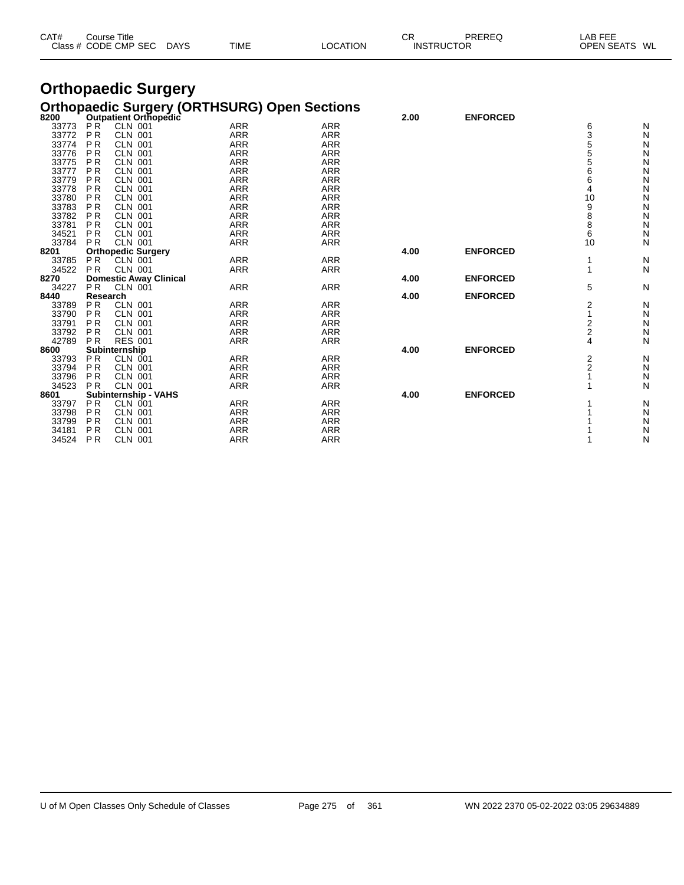| CAT# | ourse Titleٽ         |             |             |          | СR                | PREREQ | LAB FEE                 |  |
|------|----------------------|-------------|-------------|----------|-------------------|--------|-------------------------|--|
|      | Class # CODE CMP SEC | <b>DAYS</b> | <b>TIME</b> | LOCATION | <b>INSTRUCTOR</b> |        | <b>OPEN SEATS</b><br>WL |  |

#### **Orthopaedic Surgery Orthopaedic Surgery (ORTHSURG) Open Sections**

| 8200  |                | Outpatient Orthopedic         |            |            | 2.00 | <b>ENFORCED</b> |    |   |
|-------|----------------|-------------------------------|------------|------------|------|-----------------|----|---|
| 33773 | P <sub>R</sub> | <b>CLN 001</b>                | <b>ARR</b> | <b>ARR</b> |      |                 | 6  | N |
| 33772 | <b>PR</b>      | <b>CLN 001</b>                | <b>ARR</b> | <b>ARR</b> |      |                 | 3  | N |
| 33774 | <b>PR</b>      | <b>CLN 001</b>                | <b>ARR</b> | <b>ARR</b> |      |                 | 5  | N |
| 33776 | <b>PR</b>      | <b>CLN 001</b>                | <b>ARR</b> | <b>ARR</b> |      |                 | 5  | N |
| 33775 | P <sub>R</sub> | <b>CLN 001</b>                | <b>ARR</b> | <b>ARR</b> |      |                 |    | N |
| 33777 | <b>PR</b>      | <b>CLN 001</b>                | <b>ARR</b> | <b>ARR</b> |      |                 | 6  | N |
| 33779 | <b>PR</b>      | <b>CLN 001</b>                | <b>ARR</b> | <b>ARR</b> |      |                 | 6  | N |
| 33778 | <b>PR</b>      | <b>CLN 001</b>                | <b>ARR</b> | <b>ARR</b> |      |                 |    | N |
| 33780 | <b>PR</b>      | <b>CLN 001</b>                | <b>ARR</b> | <b>ARR</b> |      |                 | 10 | N |
| 33783 | <b>PR</b>      | <b>CLN 001</b>                | <b>ARR</b> | <b>ARR</b> |      |                 | 9  | N |
| 33782 | <b>PR</b>      | <b>CLN 001</b>                | <b>ARR</b> | <b>ARR</b> |      |                 | 8  | N |
| 33781 | <b>PR</b>      | <b>CLN 001</b>                | <b>ARR</b> | <b>ARR</b> |      |                 | 8  | N |
| 34521 | P <sub>R</sub> | <b>CLN 001</b>                | <b>ARR</b> | <b>ARR</b> |      |                 | 6  | N |
| 33784 | <b>PR</b>      | <b>CLN 001</b>                | <b>ARR</b> | <b>ARR</b> |      |                 | 10 | N |
| 8201  |                | <b>Orthopedic Surgery</b>     |            |            | 4.00 | <b>ENFORCED</b> |    |   |
| 33785 | <b>PR</b>      | <b>CLN 001</b>                | <b>ARR</b> | <b>ARR</b> |      |                 |    | N |
| 34522 | <b>PR</b>      | <b>CLN 001</b>                | <b>ARR</b> | <b>ARR</b> |      |                 |    | N |
| 8270  |                | <b>Domestic Away Clinical</b> |            |            | 4.00 | <b>ENFORCED</b> |    |   |
| 34227 | <b>PR</b>      | <b>CLN 001</b>                | <b>ARR</b> | <b>ARR</b> |      |                 | 5  | N |
| 8440  | Research       |                               |            |            | 4.00 | <b>ENFORCED</b> |    |   |
| 33789 | <b>PR</b>      | <b>CLN 001</b>                | <b>ARR</b> | <b>ARR</b> |      |                 | 2  | N |
| 33790 | <b>PR</b>      | <b>CLN 001</b>                | <b>ARR</b> | <b>ARR</b> |      |                 |    | N |
| 33791 | <b>PR</b>      | <b>CLN 001</b>                | <b>ARR</b> | <b>ARR</b> |      |                 | 2  | N |
| 33792 | <b>PR</b>      | <b>CLN 001</b>                | <b>ARR</b> | <b>ARR</b> |      |                 | 2  | N |
| 42789 | <b>PR</b>      | <b>RES 001</b>                | <b>ARR</b> | <b>ARR</b> |      |                 | 4  | N |
| 8600  |                | Subinternship                 |            |            | 4.00 | <b>ENFORCED</b> |    |   |
| 33793 | <b>PR</b>      | <b>CLN 001</b>                | <b>ARR</b> | <b>ARR</b> |      |                 | 2  | N |
| 33794 | P <sub>R</sub> | <b>CLN 001</b>                | <b>ARR</b> | <b>ARR</b> |      |                 | 2  | N |
| 33796 | P <sub>R</sub> | <b>CLN 001</b>                | <b>ARR</b> | <b>ARR</b> |      |                 |    | N |
| 34523 | <b>PR</b>      | <b>CLN 001</b>                | <b>ARR</b> | <b>ARR</b> |      |                 |    | N |
| 8601  |                | Subinternship - VAHS          |            |            | 4.00 | <b>ENFORCED</b> |    |   |
| 33797 | <b>PR</b>      | <b>CLN 001</b>                | <b>ARR</b> | <b>ARR</b> |      |                 |    | N |
| 33798 | P <sub>R</sub> | <b>CLN 001</b>                | <b>ARR</b> | <b>ARR</b> |      |                 |    | N |
| 33799 | <b>PR</b>      | <b>CLN 001</b>                | <b>ARR</b> | <b>ARR</b> |      |                 |    | N |
| 34181 | <b>PR</b>      | <b>CLN 001</b>                | ARR        | <b>ARR</b> |      |                 |    | N |
| 34524 | <b>PR</b>      | <b>CLN 001</b>                | <b>ARR</b> | <b>ARR</b> |      |                 |    | N |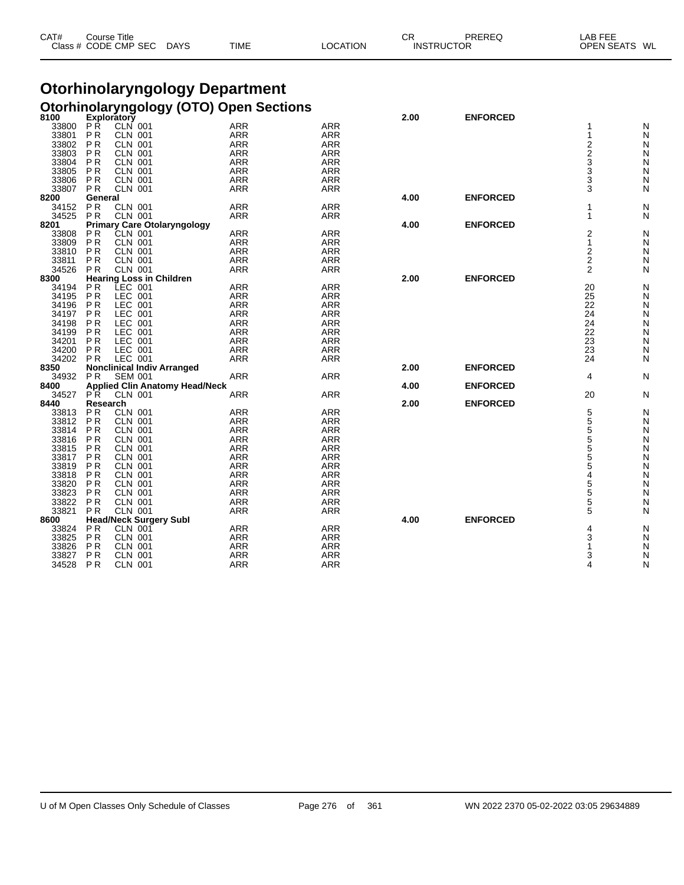| CAT#<br>Title<br>Course |             |             |          | СF | PREREC            | LAB FEF<br>. –⊢⊢        |
|-------------------------|-------------|-------------|----------|----|-------------------|-------------------------|
| Class # CODE CMP SEC    | <b>DAYS</b> | <b>TIME</b> | LOCATION |    | <b>INSTRUCTOR</b> | <b>OPEN SEATS</b><br>WL |

#### **Otorhinolaryngology Department Otorhinolaryngology (OTO) Open Sections**

| 8100  | Exploratory                 |                                 |                                       |                          |                   | 2.00 | <b>ENFORCED</b> |                  |        |
|-------|-----------------------------|---------------------------------|---------------------------------------|--------------------------|-------------------|------|-----------------|------------------|--------|
| 33800 | РŔ                          | CLN 001                         |                                       | <b>ARR</b>               | <b>ARR</b>        |      |                 | 1                | N      |
| 33801 | P <sub>R</sub>              | <b>CLN 001</b>                  |                                       | <b>ARR</b>               | <b>ARR</b>        |      |                 | 1                | N      |
| 33802 | P <sub>R</sub>              | <b>CLN 001</b>                  |                                       | <b>ARR</b>               | ARR               |      |                 | $2233$<br>3<br>3 | N      |
| 33803 | P <sub>R</sub>              | <b>CLN 001</b>                  |                                       | <b>ARR</b>               | <b>ARR</b>        |      |                 |                  | N      |
| 33804 | P <sub>R</sub>              | <b>CLN 001</b>                  |                                       | <b>ARR</b>               | <b>ARR</b>        |      |                 |                  | Ν      |
| 33805 | P <sub>R</sub>              | <b>CLN 001</b>                  |                                       | <b>ARR</b>               | <b>ARR</b>        |      |                 |                  | Ν      |
| 33806 | <b>PR</b>                   | <b>CLN 001</b>                  |                                       | <b>ARR</b>               | <b>ARR</b>        |      |                 |                  | Ν      |
| 33807 | <b>PR</b>                   | <b>CLN 001</b>                  |                                       | <b>ARR</b>               | <b>ARR</b>        |      |                 | 3                | N      |
| 8200  | General                     |                                 |                                       |                          |                   | 4.00 | <b>ENFORCED</b> |                  |        |
| 34152 | <b>PR</b>                   | <b>CLN 001</b>                  |                                       | <b>ARR</b>               | <b>ARR</b>        |      |                 | 1                | Ν      |
| 34525 | PR                          | <b>CLN 001</b>                  |                                       | <b>ARR</b>               | <b>ARR</b>        |      |                 | 1                | Ν      |
| 8201  |                             |                                 | <b>Primary Care Otolaryngology</b>    |                          |                   | 4.00 | <b>ENFORCED</b> |                  |        |
| 33808 | P <sub>R</sub>              | CLN 001                         |                                       | <b>ARR</b>               | <b>ARR</b>        |      |                 | $\overline{2}$   | Ν      |
| 33809 | P <sub>R</sub>              | <b>CLN 001</b>                  |                                       | <b>ARR</b>               | <b>ARR</b>        |      |                 | $\mathbf{1}$     | N      |
| 33810 | <b>PR</b>                   | <b>CLN 001</b>                  |                                       | <b>ARR</b>               | <b>ARR</b>        |      |                 | 2                | Ν      |
| 33811 | P <sub>R</sub>              | <b>CLN 001</b>                  |                                       | <b>ARR</b>               | <b>ARR</b>        |      |                 | $\overline{2}$   | N      |
| 34526 | <b>PR</b>                   | <b>CLN 001</b>                  |                                       | <b>ARR</b>               | <b>ARR</b>        |      |                 | 2                | Ν      |
| 8300  |                             | <b>Hearing Loss in Children</b> |                                       |                          |                   | 2.00 | <b>ENFORCED</b> |                  |        |
| 34194 | P <sub>R</sub>              | LEC 001                         |                                       | <b>ARR</b>               | ARR               |      |                 | 20               | Ν      |
| 34195 | <b>PR</b>                   | LEC 001                         |                                       | <b>ARR</b>               | <b>ARR</b>        |      |                 | 25               | Ν      |
| 34196 | PR                          | LEC 001                         |                                       | <b>ARR</b>               | <b>ARR</b>        |      |                 | 22               | Ν      |
| 34197 | P <sub>R</sub>              | LEC 001                         |                                       | <b>ARR</b>               | <b>ARR</b>        |      |                 | 24               | N      |
| 34198 | P <sub>R</sub>              | LEC 001                         |                                       | <b>ARR</b>               | ARR               |      |                 | 24               | Ν      |
| 34199 | P <sub>R</sub>              | LEC 001                         |                                       | <b>ARR</b>               | <b>ARR</b>        |      |                 | 22               | Ν      |
| 34201 | P <sub>R</sub>              | LEC 001                         |                                       | <b>ARR</b>               | <b>ARR</b>        |      |                 | 23               | Ν      |
| 34200 | <b>PR</b>                   | LEC 001                         |                                       | <b>ARR</b>               | <b>ARR</b>        |      |                 | 23               | Ν      |
| 34202 | <b>PR</b>                   | LEC 001                         |                                       | <b>ARR</b>               | <b>ARR</b>        |      |                 | 24               | N      |
| 8350  |                             |                                 | <b>Nonclinical Indiv Arranged</b>     |                          |                   | 2.00 | <b>ENFORCED</b> |                  |        |
| 34932 | P R                         | <b>SEM 001</b>                  |                                       | <b>ARR</b>               | <b>ARR</b>        |      |                 | 4                | N      |
| 8400  |                             |                                 | <b>Applied Clin Anatomy Head/Neck</b> |                          |                   | 4.00 | <b>ENFORCED</b> |                  |        |
| 34527 | PR.                         | <b>CLN 001</b>                  |                                       | <b>ARR</b>               | <b>ARR</b>        |      |                 | 20               | N      |
| 8440  | Research                    |                                 |                                       |                          |                   | 2.00 | <b>ENFORCED</b> |                  |        |
| 33813 | P <sub>R</sub>              | <b>CLN 001</b>                  |                                       | <b>ARR</b>               | <b>ARR</b>        |      |                 | 5                | N      |
| 33812 | P <sub>R</sub>              | <b>CLN 001</b>                  |                                       | <b>ARR</b>               | <b>ARR</b>        |      |                 | 5                | Ν      |
| 33814 | <b>PR</b>                   | <b>CLN 001</b>                  |                                       | <b>ARR</b>               | <b>ARR</b>        |      |                 |                  | Ν      |
| 33816 | P <sub>R</sub>              | <b>CLN 001</b>                  |                                       | <b>ARR</b>               | <b>ARR</b>        |      |                 | 5<br>5<br>5<br>5 |        |
| 33815 | <b>PR</b>                   | <b>CLN 001</b>                  |                                       | <b>ARR</b>               | <b>ARR</b>        |      |                 |                  | N<br>Ν |
| 33817 | <b>PR</b>                   | <b>CLN 001</b>                  |                                       |                          |                   |      |                 |                  |        |
| 33819 |                             |                                 |                                       | <b>ARR</b><br><b>ARR</b> | ARR<br><b>ARR</b> |      |                 | 5<br>5           | Ν      |
|       | P <sub>R</sub><br><b>PR</b> | <b>CLN 001</b>                  |                                       | <b>ARR</b>               | <b>ARR</b>        |      |                 | 4                | Ν      |
| 33818 |                             | <b>CLN 001</b>                  |                                       |                          |                   |      |                 |                  | Ν      |
| 33820 | <b>PR</b>                   | <b>CLN 001</b>                  |                                       | <b>ARR</b>               | <b>ARR</b>        |      |                 | 5<br>5<br>5      | Ν      |
| 33823 | P <sub>R</sub>              | <b>CLN 001</b>                  |                                       | <b>ARR</b>               | <b>ARR</b>        |      |                 |                  | Ν      |
| 33822 | <b>PR</b>                   | CLN 001                         |                                       | ARR                      | <b>ARR</b>        |      |                 |                  | N      |
| 33821 | P <sub>R</sub>              | <b>CLN 001</b>                  |                                       | <b>ARR</b>               | <b>ARR</b>        |      |                 | 5                | N      |
| 8600  |                             | <b>Head/Neck Surgery Subl</b>   |                                       |                          |                   | 4.00 | <b>ENFORCED</b> |                  |        |
| 33824 | P <sub>R</sub>              | <b>CLN 001</b>                  |                                       | <b>ARR</b>               | <b>ARR</b>        |      |                 | 4                | N      |
| 33825 | <b>PR</b>                   | CLN 001                         |                                       | ARR                      | <b>ARR</b>        |      |                 | 3                | N      |
| 33826 | P <sub>R</sub>              | <b>CLN 001</b>                  |                                       | <b>ARR</b>               | <b>ARR</b>        |      |                 | 1                | N      |
| 33827 | P <sub>R</sub>              | <b>CLN 001</b>                  |                                       | <b>ARR</b>               | <b>ARR</b>        |      |                 | 3                | N      |
| 34528 | <b>PR</b>                   | <b>CLN 001</b>                  |                                       | <b>ARR</b>               | <b>ARR</b>        |      |                 | 4                | N      |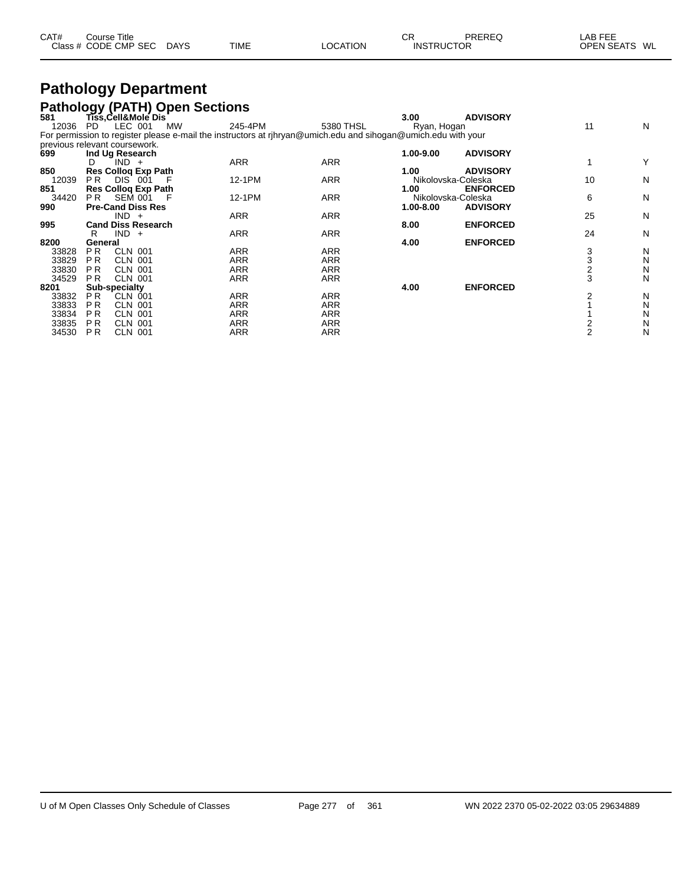| CAT# | Course Title         |             |             |          | СF                | PREREQ | _AB FEE       |
|------|----------------------|-------------|-------------|----------|-------------------|--------|---------------|
|      | Class # CODE CMP SEC | <b>DAYS</b> | <b>TIME</b> | LOCATION | <b>INSTRUCTOR</b> |        | OPEN SEATS WL |

### **Pathology Department Pathology (PATH) Open Sections**

| 581   | Tiss, Cell&Mole Dis              |                                                                                                               |            | 3.00               | <b>ADVISORY</b> |                |   |
|-------|----------------------------------|---------------------------------------------------------------------------------------------------------------|------------|--------------------|-----------------|----------------|---|
| 12036 | LEC 001<br><b>MW</b><br>PD.      | 245-4PM                                                                                                       | 5380 THSL  | Ryan, Hogan        |                 | 11             | N |
|       |                                  | For permission to register please e-mail the instructors at rihryan@umich.edu and sihogan@umich.edu with your |            |                    |                 |                |   |
|       | previous relevant coursework.    |                                                                                                               |            |                    |                 |                |   |
| 699   | Ind Ug Research                  |                                                                                                               |            | 1.00-9.00          | <b>ADVISORY</b> |                |   |
|       | $IND +$<br>D.                    | <b>ARR</b>                                                                                                    | <b>ARR</b> |                    |                 |                | Y |
| 850   | <b>Res Collog Exp Path</b>       |                                                                                                               |            | 1.00               | <b>ADVISORY</b> |                |   |
| 12039 | PR.<br><b>DIS 001</b>            | 12-1PM                                                                                                        | <b>ARR</b> | Nikolovska-Coleska |                 | 10             | N |
| 851   | <b>Res Collog Exp Path</b>       |                                                                                                               |            | 1.00               | <b>ENFORCED</b> |                |   |
| 34420 | PR.<br>SEM 001                   | 12-1PM                                                                                                        | <b>ARR</b> | Nikolovska-Coleska |                 | 6              | N |
| 990   | <b>Pre-Cand Diss Res</b>         |                                                                                                               |            | 1.00-8.00          | <b>ADVISORY</b> |                |   |
|       | $IND +$                          | ARR                                                                                                           | ARR        |                    |                 | 25             | N |
| 995   | <b>Cand Diss Research</b>        |                                                                                                               |            | 8.00               | <b>ENFORCED</b> |                |   |
|       | $IND +$<br>R                     | ARR                                                                                                           | <b>ARR</b> |                    |                 | 24             | N |
| 8200  | General                          |                                                                                                               |            | 4.00               | <b>ENFORCED</b> |                |   |
| 33828 | <b>CLN 001</b><br>P <sub>R</sub> | <b>ARR</b>                                                                                                    | <b>ARR</b> |                    |                 | 3              | N |
| 33829 | <b>CLN 001</b><br>P R            | <b>ARR</b>                                                                                                    | <b>ARR</b> |                    |                 | 3              | N |
| 33830 | <b>PR</b><br><b>CLN 001</b>      | <b>ARR</b>                                                                                                    | <b>ARR</b> |                    |                 | 2              | N |
| 34529 | <b>CLN 001</b><br><b>PR</b>      | ARR                                                                                                           | <b>ARR</b> |                    |                 | 3              | N |
| 8201  | Sub-specialty                    |                                                                                                               |            | 4.00               | <b>ENFORCED</b> |                |   |
| 33832 | <b>PR</b><br><b>CLN 001</b>      | <b>ARR</b>                                                                                                    | ARR        |                    |                 | 2              | N |
| 33833 | <b>CLN 001</b><br>P R            | <b>ARR</b>                                                                                                    | <b>ARR</b> |                    |                 |                | N |
| 33834 | <b>PR</b><br><b>CLN 001</b>      | <b>ARR</b>                                                                                                    | <b>ARR</b> |                    |                 |                | N |
| 33835 | <b>PR</b><br><b>CLN 001</b>      | <b>ARR</b>                                                                                                    | <b>ARR</b> |                    |                 |                | N |
| 34530 | <b>PR</b><br><b>CLN 001</b>      | <b>ARR</b>                                                                                                    | <b>ARR</b> |                    |                 | $\overline{2}$ | N |
|       |                                  |                                                                                                               |            |                    |                 |                |   |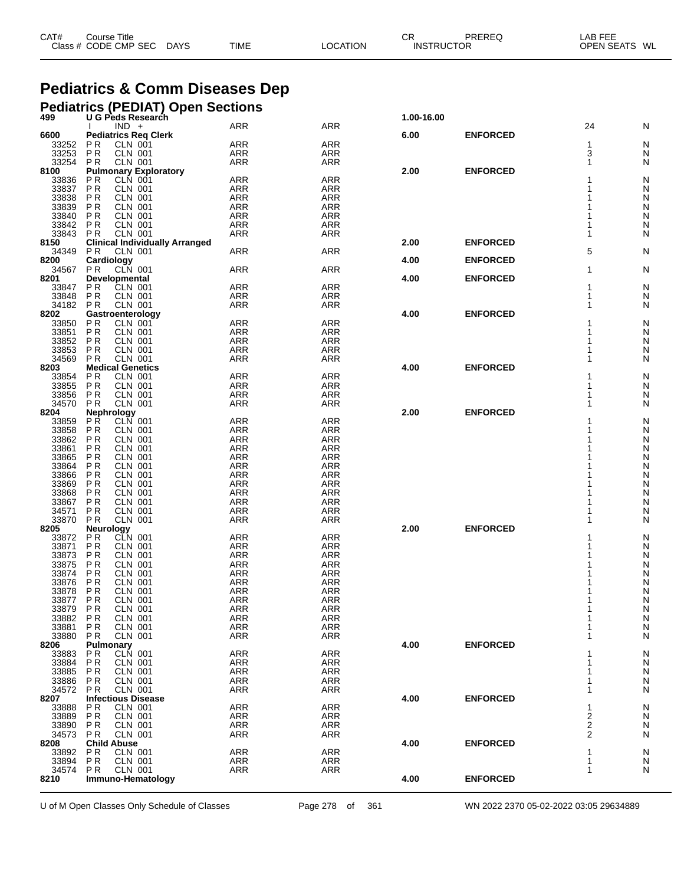| Class # CODE CMP SEC<br><b>INSTRUCTOR</b> | CAT# | Course Title |             |             |          | СR | PREREQ | LAB FEE       |  |
|-------------------------------------------|------|--------------|-------------|-------------|----------|----|--------|---------------|--|
|                                           |      |              | <b>DAYS</b> | <b>TIME</b> | LOCATION |    |        | OPEN SEATS WL |  |

## **Pediatrics & Comm Diseases Dep**

|                |                                  |                                             | <b>Pediatrics (PEDIAT) Open Sections</b><br>499 U G Peds Research |                          |                          |            |                 |              |        |
|----------------|----------------------------------|---------------------------------------------|-------------------------------------------------------------------|--------------------------|--------------------------|------------|-----------------|--------------|--------|
|                |                                  | $IND +$                                     |                                                                   | ARR                      | <b>ARR</b>               | 1.00-16.00 |                 | 24           | N      |
| 6600           |                                  |                                             | <b>Pediatrics Reg Clerk</b>                                       |                          |                          | 6.00       | <b>ENFORCED</b> |              |        |
| 33252          | <b>PR</b>                        | CLN 001                                     |                                                                   | ARR                      | <b>ARR</b>               |            |                 | 1            | N      |
| 33253          | PR                               | <b>CLN 001</b>                              |                                                                   | ARR                      | <b>ARR</b>               |            |                 | 3            | N      |
| 33254          | P <sub>R</sub>                   | <b>CLN 001</b>                              |                                                                   | <b>ARR</b>               | ARR                      |            |                 | $\mathbf{1}$ | N      |
| 8100<br>33836  | <b>PR</b>                        | CLN 001                                     | <b>Pulmonary Exploratory</b>                                      | ARR                      | <b>ARR</b>               | 2.00       | <b>ENFORCED</b> | 1            | N      |
|                | <b>PR</b>                        | <b>CLN 001</b>                              |                                                                   | ARR                      | <b>ARR</b>               |            |                 | 1            | N      |
| 33837<br>33838 | <b>PR</b>                        | <b>CLN 001</b>                              |                                                                   | ARR                      | <b>ARR</b>               |            |                 | 1            | Ν      |
| 33839          | P <sub>R</sub>                   | <b>CLN 001</b>                              |                                                                   | ARR                      | <b>ARR</b>               |            |                 | 1            | N      |
| 33840<br>33842 | P <sub>R</sub>                   | <b>CLN 001</b>                              |                                                                   | ARR                      | <b>ARR</b>               |            |                 | 1            | Ν      |
| 33843          | <b>PR</b>                        | <b>CLN 001</b>                              |                                                                   | ARR<br><b>ARR</b>        | ARR                      |            |                 | 1            | Ν      |
| 8150           | <b>PR</b>                        | <b>CLN 001</b>                              | <b>Clinical Individually Arranged</b>                             |                          | <b>ARR</b>               | 2.00       | <b>ENFORCED</b> | 1            | Ν      |
| 34349          | <b>PR</b>                        | <b>CLN 001</b>                              |                                                                   | <b>ARR</b>               | <b>ARR</b>               |            |                 | 5            | N      |
| 8200           |                                  | Cardiology                                  |                                                                   |                          |                          | 4.00       | <b>ENFORCED</b> |              |        |
| 34567          | P R                              | CLN 001                                     |                                                                   | <b>ARR</b>               | ARR                      |            |                 | 1            | N      |
| 8201           |                                  | Developmental                               |                                                                   |                          |                          | 4.00       | <b>ENFORCED</b> |              |        |
| 33847<br>33848 | P <sub>R</sub><br>P <sub>R</sub> | <b>CLN 001</b><br><b>CLN 001</b>            |                                                                   | <b>ARR</b><br>ARR        | <b>ARR</b><br><b>ARR</b> |            |                 | 1<br>1       | N      |
| 34182 PR       |                                  | <b>CLN 001</b>                              |                                                                   | <b>ARR</b>               | ARR                      |            |                 | 1            | N<br>N |
| 8202           |                                  | Gastroenterology                            |                                                                   |                          |                          | 4.00       | <b>ENFORCED</b> |              |        |
| 33850          | <b>PR</b>                        | <b>CLN 001</b>                              |                                                                   | <b>ARR</b>               | ARR                      |            |                 | 1            | N      |
| 33851          | P <sub>R</sub>                   | <b>CLN 001</b>                              |                                                                   | ARR                      | <b>ARR</b>               |            |                 | 1            | Ν      |
| 33852          | P <sub>R</sub>                   | <b>CLN 001</b>                              |                                                                   | ARR                      | <b>ARR</b>               |            |                 | 1            | N      |
| 33853<br>34569 | P R<br><b>PR</b>                 | <b>CLN 001</b><br><b>CLN 001</b>            |                                                                   | <b>ARR</b><br><b>ARR</b> | <b>ARR</b><br>ARR        |            |                 | 1<br>1       | N<br>N |
| 8203           |                                  | <b>Medical Genetics</b>                     |                                                                   |                          |                          | 4.00       | <b>ENFORCED</b> |              |        |
|                | P <sub>R</sub>                   | <b>CLN 001</b>                              |                                                                   | <b>ARR</b>               | ARR                      |            |                 | 1            | N      |
| 33854<br>33855 | PR                               | <b>CLN 001</b>                              |                                                                   | ARR                      | ARR                      |            |                 | 1            | Ν      |
| 33856          | <b>PR</b>                        | <b>CLN 001</b>                              |                                                                   | ARR                      | ARR                      |            |                 | 1            | N      |
| 34570<br>8204  | <b>PR</b>                        | <b>CLN 001</b>                              |                                                                   | <b>ARR</b>               | <b>ARR</b>               | 2.00       | <b>ENFORCED</b> | 1            | N      |
| 33859          |                                  | Nephrology<br>PR CLN 001                    |                                                                   | <b>ARR</b>               | <b>ARR</b>               |            |                 |              | N      |
| 33858          | P <sub>R</sub>                   | <b>CLN 001</b>                              |                                                                   | ARR                      | <b>ARR</b>               |            |                 |              | N      |
| 33862          | <b>PR</b>                        | <b>CLN 001</b>                              |                                                                   | ARR                      | ARR                      |            |                 |              | Ν      |
| 33861          | P <sub>R</sub>                   | <b>CLN 001</b>                              |                                                                   | ARR                      | ARR                      |            |                 |              | Ν      |
| 33865<br>33864 | P <sub>R</sub>                   | <b>CLN 001</b>                              |                                                                   | <b>ARR</b>               | <b>ARR</b>               |            |                 |              | N      |
| 33866          | <b>PR</b><br>P <sub>R</sub>      | <b>CLN 001</b><br><b>CLN 001</b>            |                                                                   | ARR<br>ARR               | ARR<br>ARR               |            |                 |              | N<br>Ν |
|                | P <sub>R</sub>                   | <b>CLN 001</b>                              |                                                                   | <b>ARR</b>               | <b>ARR</b>               |            |                 |              | Ņ      |
| 33869<br>33868 | <b>PR</b>                        | <b>CLN 001</b>                              |                                                                   | ARR                      | ARR                      |            |                 |              | N      |
| 33867          | P <sub>R</sub>                   | <b>CLN 001</b>                              |                                                                   | ARR                      | ARR                      |            |                 |              | Ν      |
| 34571          | ΡR                               | <b>CLN 001</b>                              |                                                                   | <b>ARR</b>               | <b>ARR</b>               |            |                 | 1            | Ν      |
| 33870<br>8205  | <b>PR</b>                        | <b>CLN 001</b><br>Neurology                 |                                                                   | <b>ARR</b>               | <b>ARR</b>               | 2.00       | <b>ENFORCED</b> | 1            | Ν      |
| 33872          | P <sub>R</sub>                   | CLN 001                                     |                                                                   | <b>ARR</b>               | <b>ARR</b>               |            |                 |              | Ν      |
| 33871          | PR                               | <b>CLN 001</b>                              |                                                                   | ARR                      | ARR                      |            |                 |              | Ν      |
| 33873          | P <sub>R</sub>                   | <b>CLN 001</b>                              |                                                                   | ARR                      | ARR                      |            |                 |              | Ν      |
| 33875          | P <sub>R</sub>                   | <b>CLN 001</b>                              |                                                                   | <b>ARR</b>               | <b>ARR</b>               |            |                 |              | Ν      |
| 33874<br>33876 | P <sub>R</sub><br><b>PR</b>      | <b>CLN 001</b><br><b>CLN 001</b>            |                                                                   | ARR<br>ARR               | ARR<br>ARR               |            |                 |              | Ν<br>Ν |
| 33878          | <b>PR</b>                        | <b>CLN 001</b>                              |                                                                   | <b>ARR</b>               | <b>ARR</b>               |            |                 |              | Ν      |
| 33877          | P <sub>R</sub>                   | <b>CLN 001</b>                              |                                                                   | <b>ARR</b>               | ARR                      |            |                 |              | N      |
| 33879          | P <sub>R</sub>                   | <b>CLN 001</b>                              |                                                                   | <b>ARR</b>               | <b>ARR</b>               |            |                 | 1            | N      |
| 33882          | <b>PR</b>                        | <b>CLN 001</b>                              |                                                                   | <b>ARR</b>               | <b>ARR</b>               |            |                 | 1            | N      |
| 33881          | P <sub>R</sub>                   | <b>CLN 001</b>                              |                                                                   | <b>ARR</b>               | <b>ARR</b>               |            |                 | 1            | Ν      |
| 33880          | <b>PR</b>                        | <b>CLN 001</b>                              |                                                                   | <b>ARR</b>               | <b>ARR</b>               | 4.00       | <b>ENFORCED</b> | 1            | Ν      |
| 8206<br>33883  | P <sub>R</sub>                   | Pulmonary<br>CLN 001                        |                                                                   | <b>ARR</b>               | ARR                      |            |                 | 1            | Ν      |
| 33884          | P <sub>R</sub>                   | <b>CLN 001</b>                              |                                                                   | <b>ARR</b>               | <b>ARR</b>               |            |                 | 1            | Ν      |
| 33885<br>33886 | ΡR                               | <b>CLN 001</b>                              |                                                                   | <b>ARR</b>               | <b>ARR</b>               |            |                 | 1            | N      |
|                | P <sub>R</sub>                   | <b>CLN 001</b>                              |                                                                   | <b>ARR</b>               | ARR                      |            |                 | 1            | Ν      |
| 34572          | <b>PR</b>                        | <b>CLN 001</b>                              |                                                                   | <b>ARR</b>               | <b>ARR</b>               |            |                 | 1            | Ν      |
| 8207<br>33888  | P <sub>R</sub>                   | <b>Infectious Disease</b><br><b>CLN 001</b> |                                                                   | <b>ARR</b>               | ARR                      | 4.00       | <b>ENFORCED</b> | 1            | Ν      |
| 33889          | P <sub>R</sub>                   | <b>CLN 001</b>                              |                                                                   | <b>ARR</b>               | <b>ARR</b>               |            |                 | 2            | Ν      |
| 33890          | ΡR                               | <b>CLN 001</b>                              |                                                                   | <b>ARR</b>               | <b>ARR</b>               |            |                 | 2            | N      |
| 34573          | <b>PR</b>                        | <b>CLN 001</b>                              |                                                                   | ARR                      | <b>ARR</b>               |            |                 | 2            | Ν      |
| 8208           |                                  | <b>Child Abuse</b>                          |                                                                   |                          |                          | 4.00       | <b>ENFORCED</b> |              |        |
| 33892<br>33894 | P <sub>R</sub><br>P <sub>R</sub> | <b>CLN 001</b><br><b>CLN 001</b>            |                                                                   | <b>ARR</b><br>ARR        | <b>ARR</b><br>ARR        |            |                 | 1<br>1       | N<br>N |
| 34574          | P <sub>R</sub>                   | CLN 001                                     |                                                                   | <b>ARR</b>               | <b>ARR</b>               |            |                 | 1            | N      |
| 8210           |                                  |                                             | Immuno-Hematology                                                 |                          |                          | 4.00       | <b>ENFORCED</b> |              |        |
|                |                                  |                                             |                                                                   |                          |                          |            |                 |              |        |

U of M Open Classes Only Schedule of Classes Page 278 of 361 WN 2022 2370 05-02-2022 03:05 29634889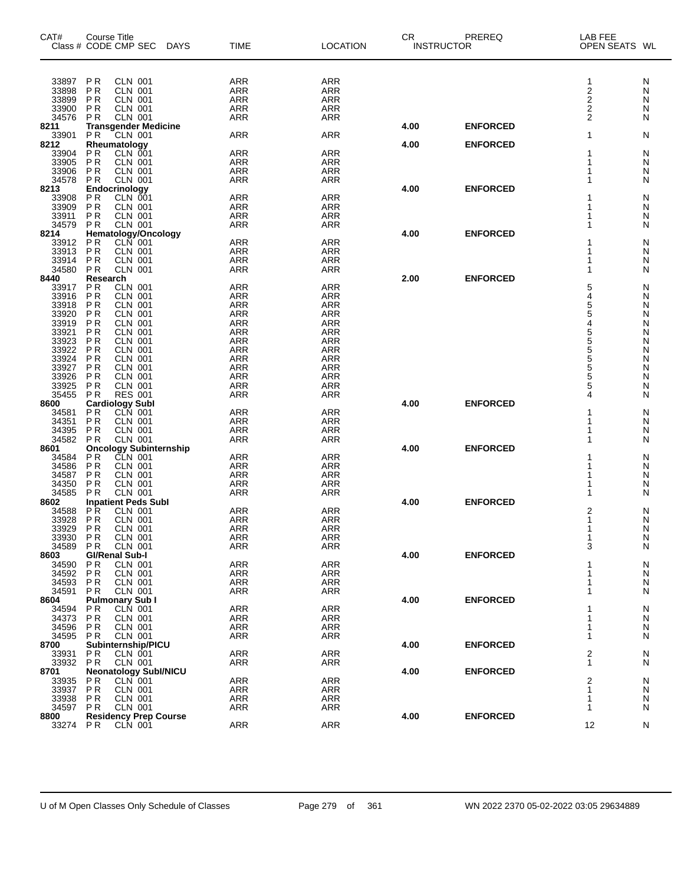| CAT#           | <b>Course Title</b><br>Class # CODE CMP SEC<br>DAYS                  | <b>TIME</b>              | <b>LOCATION</b>          | CR.  | PREREQ<br><b>INSTRUCTOR</b> | LAB FEE<br>OPEN SEATS WL |        |
|----------------|----------------------------------------------------------------------|--------------------------|--------------------------|------|-----------------------------|--------------------------|--------|
|                |                                                                      |                          |                          |      |                             |                          |        |
| 33897<br>33898 | P <sub>R</sub><br><b>CLN 001</b><br><b>PR</b><br><b>CLN 001</b>      | <b>ARR</b><br><b>ARR</b> | <b>ARR</b><br><b>ARR</b> |      |                             | 1<br>$\mathbf 2$         | N<br>N |
| 33899          | <b>CLN 001</b><br>ΡR                                                 | <b>ARR</b>               | <b>ARR</b>               |      |                             | $\boldsymbol{2}$         | N      |
| 33900          | ΡR<br><b>CLN 001</b>                                                 | <b>ARR</b>               | <b>ARR</b>               |      |                             | 2                        | N      |
| 34576          | <b>CLN 001</b><br><b>PR</b>                                          | <b>ARR</b>               | <b>ARR</b>               |      |                             | $\overline{2}$           | N      |
| 8211           | <b>Transgender Medicine</b>                                          |                          |                          | 4.00 | <b>ENFORCED</b>             |                          |        |
| 33901          | <b>PR</b><br>CLN 001                                                 | <b>ARR</b>               | <b>ARR</b>               |      |                             | 1                        | N      |
| 8212           | Rheumatology<br><b>CLN 001</b><br>P <sub>R</sub>                     | <b>ARR</b>               | ARR                      | 4.00 | <b>ENFORCED</b>             | 1                        |        |
| 33904<br>33905 | P <sub>R</sub><br><b>CLN 001</b>                                     | <b>ARR</b>               | <b>ARR</b>               |      |                             | 1                        | N<br>N |
| 33906          | P <sub>R</sub><br><b>CLN 001</b>                                     | <b>ARR</b>               | <b>ARR</b>               |      |                             |                          | N      |
| 34578          | <b>CLN 001</b><br>P <sub>R</sub>                                     | <b>ARR</b>               | ARR                      |      |                             |                          | N      |
| 8213           | Endocrinology                                                        |                          |                          | 4.00 | <b>ENFORCED</b>             |                          |        |
| 33908          | CLN 001<br><b>PR</b>                                                 | <b>ARR</b>               | <b>ARR</b>               |      |                             |                          | N      |
| 33909          | $\overline{P}$<br><b>CLN 001</b>                                     | <b>ARR</b>               | <b>ARR</b>               |      |                             | 1                        | N      |
| 33911          | P <sub>R</sub><br><b>CLN 001</b>                                     | <b>ARR</b>               | <b>ARR</b>               |      |                             | 1                        | N      |
| 34579<br>8214  | <b>CLN 001</b><br><b>PR</b><br><b>Hematology/Oncology</b>            | <b>ARR</b>               | ARR                      | 4.00 | <b>ENFORCED</b>             | 1                        | N      |
| 33912          | <b>CLN 001</b><br>P <sub>R</sub>                                     | <b>ARR</b>               | <b>ARR</b>               |      |                             |                          | N      |
| 33913          | <b>PR</b><br><b>CLN 001</b>                                          | <b>ARR</b>               | <b>ARR</b>               |      |                             |                          | N      |
| 33914          | <b>CLN 001</b><br>P <sub>R</sub>                                     | <b>ARR</b>               | <b>ARR</b>               |      |                             | 1                        | N      |
| 34580          | <b>CLN 001</b><br><b>PR</b>                                          | <b>ARR</b>               | <b>ARR</b>               |      |                             | 1                        | N      |
| 8440           | Research                                                             |                          |                          | 2.00 | <b>ENFORCED</b>             |                          |        |
| 33917          | <b>CLN 001</b><br>ΡR                                                 | <b>ARR</b>               | ARR                      |      |                             | 5                        | N      |
| 33916          | P <sub>R</sub><br><b>CLN 001</b>                                     | <b>ARR</b>               | <b>ARR</b>               |      |                             | 4                        | N      |
| 33918<br>33920 | P <sub>R</sub><br><b>CLN 001</b><br><b>CLN 001</b><br>ΡR             | <b>ARR</b><br><b>ARR</b> | <b>ARR</b><br><b>ARR</b> |      |                             | 5<br>5                   | Ν<br>N |
| 33919          | <b>PR</b><br><b>CLN 001</b>                                          | <b>ARR</b>               | ARR                      |      |                             | 4                        | N      |
| 33921          | P <sub>R</sub><br><b>CLN 001</b>                                     | <b>ARR</b>               | ARR                      |      |                             |                          | Ν      |
| 33923          | <b>CLN 001</b><br>ΡR                                                 | <b>ARR</b>               | <b>ARR</b>               |      |                             | 5<br>5                   | N      |
| 33922          | P <sub>R</sub><br><b>CLN 001</b>                                     | <b>ARR</b>               | <b>ARR</b>               |      |                             | 5                        | N      |
| 33924          | P <sub>R</sub><br><b>CLN 001</b>                                     | <b>ARR</b>               | ARR                      |      |                             | $\frac{5}{5}$            | Ν      |
| 33927          | <b>CLN 001</b><br>ΡR                                                 | <b>ARR</b>               | <b>ARR</b>               |      |                             |                          | N      |
| 33926<br>33925 | P <sub>R</sub><br><b>CLN 001</b><br>P <sub>R</sub><br><b>CLN 001</b> | <b>ARR</b><br><b>ARR</b> | <b>ARR</b><br><b>ARR</b> |      |                             | 5<br>5                   | N<br>Ν |
| 35455          | <b>RES 001</b><br>P <sub>R</sub>                                     | <b>ARR</b>               | <b>ARR</b>               |      |                             | 4                        | N      |
| 8600           | <b>Cardiology Subl</b>                                               |                          |                          | 4.00 | <b>ENFORCED</b>             |                          |        |
| 34581          | <b>CLN 001</b><br><b>PR</b>                                          | <b>ARR</b>               | <b>ARR</b>               |      |                             | 1                        | N      |
| 34351          | <b>PR</b><br><b>CLN 001</b>                                          | <b>ARR</b>               | ARR                      |      |                             | 1                        | N      |
| 34395          | P <sub>R</sub><br><b>CLN 001</b>                                     | <b>ARR</b>               | <b>ARR</b>               |      |                             |                          | N      |
| 34582<br>8601  | <b>CLN 001</b><br>ΡR<br><b>Oncology Subinternship</b>                | <b>ARR</b>               | ARR                      |      |                             |                          | N      |
| 34584          | P <sub>R</sub><br>CLN 001                                            | <b>ARR</b>               | <b>ARR</b>               | 4.00 | <b>ENFORCED</b>             |                          | N      |
| 34586          | <b>PR</b><br><b>CLN 001</b>                                          | ARR                      | <b>ARR</b>               |      |                             |                          | N      |
| 34587          | <b>CLN 001</b><br>ΡR                                                 | <b>ARR</b>               | <b>ARR</b>               |      |                             |                          | N      |
| 34350          | ΡR<br><b>CLN 001</b>                                                 | <b>ARR</b>               | <b>ARR</b>               |      |                             |                          | N      |
| 34585          | <b>CLN 001</b><br>ΡR                                                 | <b>ARR</b>               | <b>ARR</b>               |      |                             |                          | N      |
| 8602           | <b>Inpatient Peds Subl</b>                                           |                          |                          | 4.00 | <b>ENFORCED</b>             |                          |        |
| 34588<br>33928 | <b>PR</b><br><b>CLN 001</b><br><b>PR</b><br><b>CLN 001</b>           | <b>ARR</b><br>ARR        | <b>ARR</b><br><b>ARR</b> |      |                             | 2<br>$\mathbf{1}$        | N<br>N |
| 33929          | PR<br>CLN 001                                                        | ARR                      | ARR                      |      |                             | 1                        | N      |
| 33930          | P R<br>CLN 001                                                       | ARR                      | ARR                      |      |                             | 1                        | N      |
| 34589          | P R<br><b>CLN 001</b>                                                | ARR                      | ARR                      |      |                             | 3                        | N      |
| 8603           | GI/Renal Sub-I                                                       |                          |                          | 4.00 | <b>ENFORCED</b>             |                          |        |
| 34590          | <b>PR</b><br><b>CLN 001</b>                                          | <b>ARR</b>               | <b>ARR</b>               |      |                             | 1                        | N      |
| 34592          | <b>PR</b><br>CLN 001                                                 | <b>ARR</b>               | <b>ARR</b>               |      |                             | 1                        | N      |
| 34593<br>34591 | <b>CLN 001</b><br>P R<br><b>PR</b><br><b>CLN 001</b>                 | ARR<br><b>ARR</b>        | <b>ARR</b><br>ARR        |      |                             | 1<br>1                   | N<br>N |
| 8604           | <b>Pulmonary Sub I</b>                                               |                          |                          | 4.00 | <b>ENFORCED</b>             |                          |        |
| 34594          | P R<br>CLN 001                                                       | ARR                      | <b>ARR</b>               |      |                             |                          | N      |
| 34373          | <b>PR</b><br><b>CLN 001</b>                                          | <b>ARR</b>               | <b>ARR</b>               |      |                             |                          | N      |
| 34596          | P R<br>CLN 001                                                       | <b>ARR</b>               | <b>ARR</b>               |      |                             | 1                        | N      |
| 34595          | P R<br>CLN 001                                                       | ARR                      | ARR                      |      |                             | 1                        | N      |
| 8700           | Subinternship/PICU                                                   |                          |                          | 4.00 | <b>ENFORCED</b>             |                          |        |
| 33931<br>33932 | P R<br>CLN 001<br>P <sub>R</sub><br><b>CLN 001</b>                   | <b>ARR</b><br>ARR        | <b>ARR</b>               |      |                             | $\overline{2}$<br>1      | N<br>N |
| 8701           | <b>Neonatology SubI/NICU</b>                                         |                          | ARR                      | 4.00 | <b>ENFORCED</b>             |                          |        |
| 33935          | P R<br>CLN 001                                                       | <b>ARR</b>               | <b>ARR</b>               |      |                             | 2                        | N      |
| 33937          | P <sub>R</sub><br><b>CLN 001</b>                                     | <b>ARR</b>               | ARR                      |      |                             | 1                        | N      |
| 33938          | <b>PR</b><br><b>CLN 001</b>                                          | <b>ARR</b>               | <b>ARR</b>               |      |                             | 1                        | N      |
| 34597          | P <sub>R</sub><br><b>CLN 001</b>                                     | ARR                      | ARR                      |      |                             | 1                        | N      |
| 8800           | <b>Residency Prep Course</b>                                         |                          |                          | 4.00 | <b>ENFORCED</b>             |                          |        |
| 33274          | P <sub>R</sub><br><b>CLN 001</b>                                     | <b>ARR</b>               | ARR                      |      |                             | 12                       | N.     |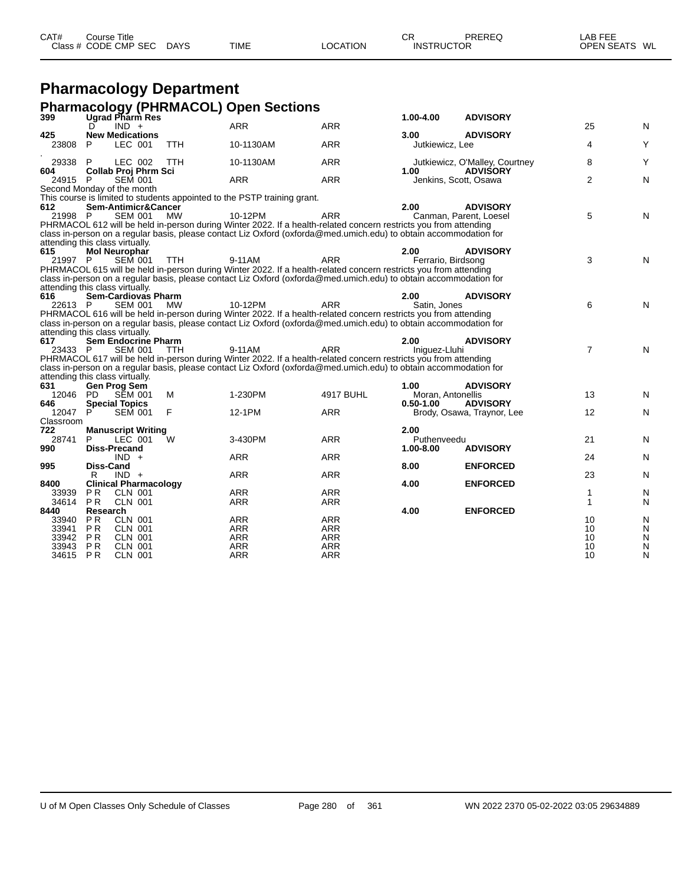|                |                                  | Class # CODE CMP SEC                         | DAYS       | TIME                                                                                                                                                                                                                                  | <b>LOCATION</b>          | <b>INSTRUCTOR</b>  |                                               | OPEN SEATS WL                |        |
|----------------|----------------------------------|----------------------------------------------|------------|---------------------------------------------------------------------------------------------------------------------------------------------------------------------------------------------------------------------------------------|--------------------------|--------------------|-----------------------------------------------|------------------------------|--------|
|                |                                  | <b>Pharmacology Department</b>               |            |                                                                                                                                                                                                                                       |                          |                    |                                               |                              |        |
|                |                                  |                                              |            | <b>Pharmacology (PHRMACOL) Open Sections</b>                                                                                                                                                                                          |                          |                    |                                               |                              |        |
| 399            |                                  | Ugrad Pharm Res                              |            |                                                                                                                                                                                                                                       |                          | 1.00-4.00          | <b>ADVISORY</b>                               |                              |        |
|                | D                                | $IND +$                                      |            | <b>ARR</b>                                                                                                                                                                                                                            | <b>ARR</b>               |                    |                                               | 25                           | N      |
| 425            |                                  | <b>New Medications</b>                       |            |                                                                                                                                                                                                                                       |                          | 3.00               | <b>ADVISORY</b>                               |                              |        |
| 23808          | P                                | LEC 001                                      | <b>TTH</b> | 10-1130AM                                                                                                                                                                                                                             | ARR                      | Jutkiewicz, Lee    |                                               | 4                            | Y      |
| 29338          | P                                | LEC 002                                      | <b>TTH</b> | 10-1130AM                                                                                                                                                                                                                             | <b>ARR</b>               |                    | Jutkiewicz, O'Malley, Courtney                | 8                            | Y      |
| 604            |                                  | <b>Collab Proj Phrm Sci</b>                  |            |                                                                                                                                                                                                                                       |                          | 1.00               | <b>ADVISORY</b>                               |                              |        |
| 24915 P        |                                  | <b>SEM 001</b><br>Second Monday of the month |            | <b>ARR</b>                                                                                                                                                                                                                            | <b>ARR</b>               |                    | Jenkins, Scott, Osawa                         | $\overline{2}$               | N      |
|                |                                  |                                              |            | This course is limited to students appointed to the PSTP training grant.                                                                                                                                                              |                          |                    |                                               |                              |        |
| 612            |                                  | Sem-Antimicr&Cancer                          |            |                                                                                                                                                                                                                                       |                          | 2.00               | <b>ADVISORY</b>                               |                              |        |
| 21998 P        |                                  | <b>SEM 001</b>                               | <b>MW</b>  | 10-12PM                                                                                                                                                                                                                               | <b>ARR</b>               |                    | Canman, Parent, Loesel                        | 5                            | N      |
|                |                                  |                                              |            | PHRMACOL 612 will be held in-person during Winter 2022. If a health-related concern restricts you from attending<br>class in-person on a regular basis, please contact Liz Oxford (oxforda@med.umich.edu) to obtain accommodation for |                          |                    |                                               |                              |        |
|                |                                  | attending this class virtually.              |            |                                                                                                                                                                                                                                       |                          |                    |                                               |                              |        |
| 615            |                                  | <b>Mol Neurophar</b>                         |            |                                                                                                                                                                                                                                       |                          | 2.00               | <b>ADVISORY</b>                               |                              |        |
| 21997 P        |                                  | <b>SEM 001</b>                               | <b>TTH</b> | 9-11AM                                                                                                                                                                                                                                | <b>ARR</b>               | Ferrario, Birdsong |                                               | 3                            | N      |
|                |                                  |                                              |            | PHRMACOL 615 will be held in-person during Winter 2022. If a health-related concern restricts you from attending<br>class in-person on a regular basis, please contact Liz Oxford (oxforda@med.umich.edu) to obtain accommodation for |                          |                    |                                               |                              |        |
|                |                                  | attending this class virtually.              |            |                                                                                                                                                                                                                                       |                          |                    |                                               |                              |        |
| 616            |                                  | <b>Sem-Cardiovas Pharm</b>                   |            |                                                                                                                                                                                                                                       |                          | 2.00               | <b>ADVISORY</b>                               |                              |        |
| 22613 P        |                                  | <b>SEM 001</b>                               | <b>MW</b>  | 10-12PM                                                                                                                                                                                                                               | <b>ARR</b>               | Satin, Jones       |                                               | 6                            | N      |
|                |                                  |                                              |            | PHRMACOL 616 will be held in-person during Winter 2022. If a health-related concern restricts you from attending<br>class in-person on a regular basis, please contact Liz Oxford (oxforda@med.umich.edu) to obtain accommodation for |                          |                    |                                               |                              |        |
|                |                                  | attending this class virtually.              |            |                                                                                                                                                                                                                                       |                          |                    |                                               |                              |        |
| 617            |                                  | <b>Sem Endocrine Pharm</b>                   |            |                                                                                                                                                                                                                                       |                          | 2.00               | <b>ADVISORY</b>                               |                              |        |
| 23433 P        |                                  | <b>SEM 001</b>                               | <b>TTH</b> | 9-11AM                                                                                                                                                                                                                                | <b>ARR</b>               | Iniquez-Lluhi      |                                               | $\overline{7}$               | N      |
|                |                                  |                                              |            | PHRMACOL 617 will be held in-person during Winter 2022. If a health-related concern restricts you from attending<br>class in-person on a regular basis, please contact Liz Oxford (oxforda@med.umich.edu) to obtain accommodation for |                          |                    |                                               |                              |        |
|                |                                  | attending this class virtually.              |            |                                                                                                                                                                                                                                       |                          |                    |                                               |                              |        |
| 631            |                                  | Gen Prog Sem                                 |            |                                                                                                                                                                                                                                       |                          | 1.00               | <b>ADVISORY</b>                               |                              |        |
| 12046          | - PD                             | <b>SEM 001</b>                               | м          | 1-230PM                                                                                                                                                                                                                               | <b>4917 BUHL</b>         | Moran, Antonellis  |                                               | 13                           | N      |
| 646<br>12047   | P                                | <b>Special Topics</b><br><b>SEM 001</b>      | F          | 12-1PM                                                                                                                                                                                                                                | <b>ARR</b>               | $0.50 - 1.00$      | <b>ADVISORY</b><br>Brody, Osawa, Traynor, Lee | $12 \overline{ }$            | N      |
| Classroom      |                                  |                                              |            |                                                                                                                                                                                                                                       |                          |                    |                                               |                              |        |
| 722            |                                  | <b>Manuscript Writing</b>                    |            |                                                                                                                                                                                                                                       |                          | 2.00               |                                               |                              |        |
| 28741          | P                                | LEC 001                                      | W          | 3-430PM                                                                                                                                                                                                                               | <b>ARR</b>               | Puthenveedu        |                                               | 21                           | N      |
| 990            |                                  | <b>Diss-Precand</b><br>$IND +$               |            | <b>ARR</b>                                                                                                                                                                                                                            | <b>ARR</b>               | 1.00-8.00          | <b>ADVISORY</b>                               | 24                           | N      |
| 995            | Diss-Cand                        |                                              |            |                                                                                                                                                                                                                                       |                          | 8.00               | <b>ENFORCED</b>                               |                              |        |
|                | R                                | $IND +$                                      |            | ARR                                                                                                                                                                                                                                   | <b>ARR</b>               |                    |                                               | 23                           | N      |
| 8400           |                                  | <b>Clinical Pharmacology</b>                 |            |                                                                                                                                                                                                                                       |                          | 4.00               | <b>ENFORCED</b>                               |                              |        |
| 33939<br>34614 | P <sub>R</sub><br>PR.            | <b>CLN 001</b><br><b>CLN 001</b>             |            | <b>ARR</b><br>ARR                                                                                                                                                                                                                     | <b>ARR</b><br>ARR        |                    |                                               | $\mathbf{1}$<br>$\mathbf{1}$ | N<br>N |
| 8440           | Research                         |                                              |            |                                                                                                                                                                                                                                       |                          | 4.00               | <b>ENFORCED</b>                               |                              |        |
| 33940          | P <sub>R</sub>                   | <b>CLN 001</b>                               |            | <b>ARR</b>                                                                                                                                                                                                                            | <b>ARR</b>               |                    |                                               | 10                           | N      |
| 33941          | P <sub>R</sub>                   | <b>CLN 001</b>                               |            | <b>ARR</b>                                                                                                                                                                                                                            | ARR                      |                    |                                               | 10                           | N      |
| 33942<br>33943 | P <sub>R</sub><br>P <sub>R</sub> | <b>CLN 001</b><br><b>CLN 001</b>             |            | ARR<br><b>ARR</b>                                                                                                                                                                                                                     | <b>ARR</b><br><b>ARR</b> |                    |                                               | 10<br>10                     | N<br>N |
| 34615 PR       |                                  | <b>CLN 001</b>                               |            | ARR                                                                                                                                                                                                                                   | <b>ARR</b>               |                    |                                               | 10                           | N      |

CAT# Course Title Case CR PREREQ LAB FEE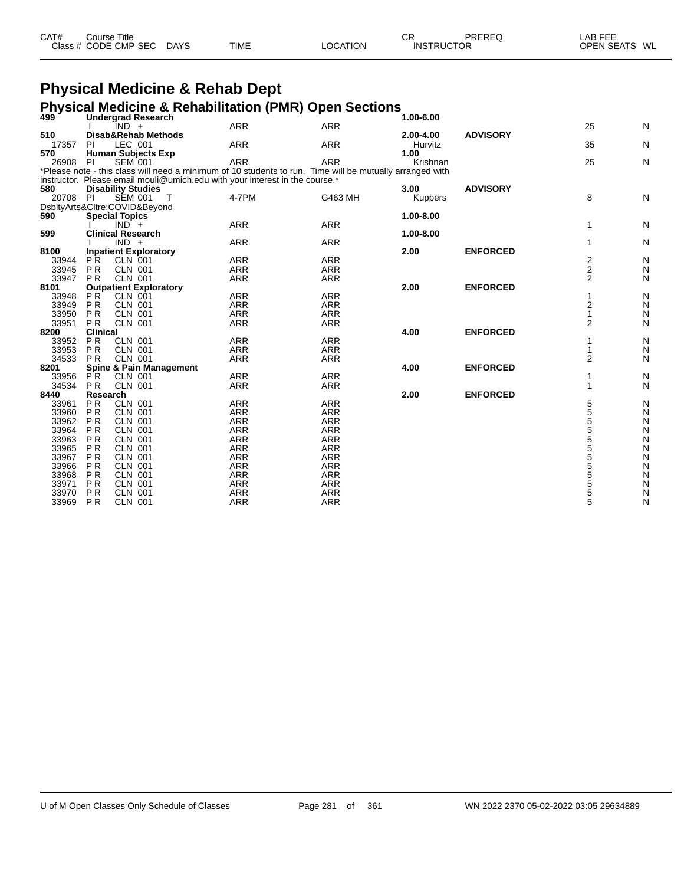| CAT# | ourse Titleٽ         |             |             |          | СF                | PREREQ | AB FEE                  |
|------|----------------------|-------------|-------------|----------|-------------------|--------|-------------------------|
|      | Class # CODE CMP SEC | <b>DAYS</b> | <b>TIME</b> | ∟OCATION | <b>INSTRUCTOR</b> |        | <b>OPEN SEATS</b><br>WL |

# **Physical Medicine & Rehab Dept**

#### **Physical Medicine & Rehabilitation (PMR) Open Sections**

| 499            |                        | <b>Undergrad Research</b>                                                   |                          |                                                                                                          | 1.00-6.00 |                 |                |        |
|----------------|------------------------|-----------------------------------------------------------------------------|--------------------------|----------------------------------------------------------------------------------------------------------|-----------|-----------------|----------------|--------|
|                |                        | IND +                                                                       | <b>ARR</b>               | <b>ARR</b>                                                                                               |           |                 | 25             | N      |
| 510            |                        | Disab&Rehab Methods                                                         |                          |                                                                                                          | 2.00-4.00 | <b>ADVISORY</b> |                |        |
| 17357          | PI                     | LEC 001                                                                     | <b>ARR</b>               | <b>ARR</b>                                                                                               | Hurvitz   |                 | 35             | N      |
| 570            |                        | <b>Human Subjects Exp</b>                                                   |                          |                                                                                                          | 1.00      |                 |                |        |
| 26908          | PI                     | <b>SEM 001</b>                                                              | <b>ARR</b>               | <b>ARR</b>                                                                                               | Krishnan  |                 | 25             | N      |
|                |                        |                                                                             |                          | *Please note - this class will need a minimum of 10 students to run. Time will be mutually arranged with |           |                 |                |        |
|                |                        | instructor. Please email mouli@umich.edu with your interest in the course.* |                          |                                                                                                          |           |                 |                |        |
| 580            |                        | <b>Disability Studies</b>                                                   |                          |                                                                                                          | 3.00      | <b>ADVISORY</b> |                |        |
| 20708          | -PI                    | <b>SEM 001</b><br>T                                                         | 4-7PM                    | G463 MH                                                                                                  | Kuppers   |                 | 8              | N      |
|                |                        | DsbltyArts&Cltre:COVID&Beyond                                               |                          |                                                                                                          |           |                 |                |        |
| 590            |                        | <b>Special Topics</b>                                                       |                          |                                                                                                          | 1.00-8.00 |                 |                |        |
|                |                        | $IND +$                                                                     | <b>ARR</b>               | <b>ARR</b>                                                                                               |           |                 | 1              | N      |
| 599            |                        | <b>Clinical Research</b>                                                    |                          |                                                                                                          | 1.00-8.00 |                 |                |        |
|                |                        | $IND +$                                                                     | <b>ARR</b>               | <b>ARR</b>                                                                                               |           |                 | 1              | N      |
| 8100           |                        | <b>Inpatient Exploratory</b>                                                |                          |                                                                                                          | 2.00      | <b>ENFORCED</b> |                |        |
| 33944          | PR.                    | CLN 001                                                                     | <b>ARR</b>               | <b>ARR</b>                                                                                               |           |                 | 2              | N      |
| 33945          | <b>PR</b>              | <b>CLN 001</b>                                                              | <b>ARR</b>               | <b>ARR</b>                                                                                               |           |                 | $\overline{2}$ | N      |
| 33947          | <b>PR</b>              | <b>CLN 001</b>                                                              | <b>ARR</b>               | <b>ARR</b>                                                                                               |           |                 | 2              | N      |
| 8101           |                        | <b>Outpatient Exploratory</b>                                               |                          |                                                                                                          | 2.00      | <b>ENFORCED</b> |                |        |
| 33948          | PR                     | <b>CLN 001</b>                                                              | <b>ARR</b>               | <b>ARR</b>                                                                                               |           |                 | 1              | N      |
| 33949          | <b>PR</b>              | CLN 001                                                                     | <b>ARR</b>               | <b>ARR</b>                                                                                               |           |                 | 2              | N      |
| 33950          | <b>PR</b>              | <b>CLN 001</b>                                                              | <b>ARR</b>               | <b>ARR</b>                                                                                               |           |                 | $\mathbf{1}$   | N      |
| 33951          | <b>PR</b>              | <b>CLN 001</b>                                                              | <b>ARR</b>               | <b>ARR</b>                                                                                               |           |                 | 2              | N      |
| 8200           | <b>Clinical</b>        |                                                                             |                          |                                                                                                          | 4.00      | <b>ENFORCED</b> |                |        |
| 33952          | <b>PR</b>              | <b>CLN 001</b>                                                              | <b>ARR</b>               | <b>ARR</b>                                                                                               |           |                 |                | N      |
| 33953          | PR                     | <b>CLN 001</b>                                                              | <b>ARR</b>               | <b>ARR</b>                                                                                               |           |                 | 1              | N      |
| 34533          | <b>PR</b>              | <b>CLN 001</b>                                                              | <b>ARR</b>               | <b>ARR</b>                                                                                               |           |                 | $\overline{2}$ | N      |
| 8201           |                        | <b>Spine &amp; Pain Management</b>                                          |                          |                                                                                                          | 4.00      | <b>ENFORCED</b> |                |        |
| 33956          | PR.                    | <b>CLN 001</b>                                                              | <b>ARR</b>               | <b>ARR</b>                                                                                               |           |                 | 1              | N      |
| 34534          | <b>PR</b>              | <b>CLN 001</b>                                                              | <b>ARR</b>               | <b>ARR</b>                                                                                               |           |                 | 1              | N      |
| 8440           | Research               |                                                                             |                          |                                                                                                          | 2.00      | <b>ENFORCED</b> |                |        |
| 33961          | <b>PR</b>              | <b>CLN 001</b>                                                              | <b>ARR</b>               | <b>ARR</b>                                                                                               |           |                 | 5<br>5<br>5    | N      |
| 33960          | <b>PR</b>              | <b>CLN 001</b>                                                              | <b>ARR</b>               | <b>ARR</b>                                                                                               |           |                 |                | N      |
| 33962          | P <sub>R</sub>         | <b>CLN 001</b>                                                              | <b>ARR</b>               | <b>ARR</b>                                                                                               |           |                 |                | N      |
| 33964          | <b>PR</b>              | <b>CLN 001</b>                                                              | <b>ARR</b>               | <b>ARR</b>                                                                                               |           |                 | 5<br>5<br>5    | N      |
| 33963          | <b>PR</b>              | <b>CLN 001</b>                                                              | <b>ARR</b>               | <b>ARR</b>                                                                                               |           |                 |                | N      |
| 33965          | P <sub>R</sub>         | <b>CLN 001</b>                                                              | <b>ARR</b>               | <b>ARR</b>                                                                                               |           |                 |                | N      |
| 33967          | <b>PR</b><br><b>PR</b> | <b>CLN 001</b><br><b>CLN 001</b>                                            | <b>ARR</b>               | <b>ARR</b>                                                                                               |           |                 | 555555         | N      |
| 33966          | <b>PR</b>              |                                                                             | <b>ARR</b><br><b>ARR</b> | <b>ARR</b><br><b>ARR</b>                                                                                 |           |                 |                | N      |
| 33968          | <b>PR</b>              | <b>CLN 001</b>                                                              | <b>ARR</b>               | <b>ARR</b>                                                                                               |           |                 |                | N      |
| 33971<br>33970 | <b>PR</b>              | <b>CLN 001</b><br><b>CLN 001</b>                                            | <b>ARR</b>               | <b>ARR</b>                                                                                               |           |                 |                | N      |
| 33969          | <b>PR</b>              | <b>CLN 001</b>                                                              | <b>ARR</b>               | <b>ARR</b>                                                                                               |           |                 |                | N<br>N |
|                |                        |                                                                             |                          |                                                                                                          |           |                 |                |        |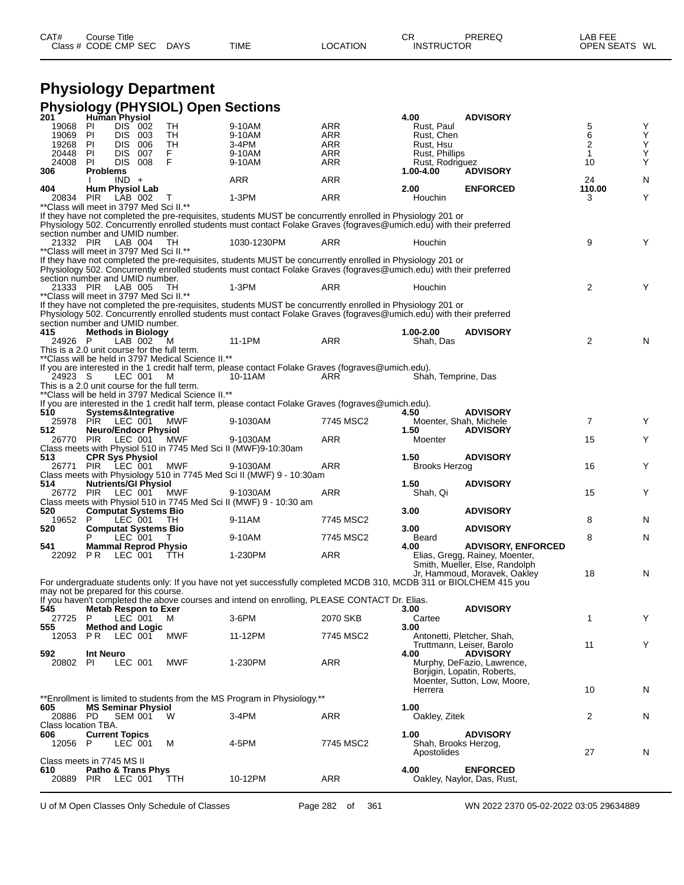#### **Physiology Department Physiology (PHYSIOL) Open Sections**

| 201                                              | Human Physiol         |                                        | <b>I</b> hysiology (Fire olde) Open dections        |                                                                                                                     |            | 4.00                                | <b>ADVISORY</b>                                         |                     |        |
|--------------------------------------------------|-----------------------|----------------------------------------|-----------------------------------------------------|---------------------------------------------------------------------------------------------------------------------|------------|-------------------------------------|---------------------------------------------------------|---------------------|--------|
| 19068                                            | PI                    | DIS 002                                | TH                                                  | 9-10AM                                                                                                              | ARR        | Rust, Paul                          |                                                         | 5                   | Υ      |
| 19069                                            | PI                    | DIS.<br>003                            | TH                                                  | 9-10AM                                                                                                              | ARR        | Rust, Chen                          |                                                         | 6                   | Υ      |
| 19268<br>20448                                   | PI<br>-PI             | DIS.<br>006<br><b>DIS</b><br>007       | TH<br>F.                                            | 3-4PM<br>9-10AM                                                                                                     | ARR<br>ARR | Rust, Hsu<br>Rust, Phillips         |                                                         | $\overline{2}$<br>1 | Υ<br>Ý |
| 24008                                            | PI                    | DIS.<br>008                            | F                                                   | 9-10AM                                                                                                              | ARR        | Rust, Rodriguez                     |                                                         | 10                  | Υ      |
| 306                                              | <b>Problems</b>       |                                        |                                                     |                                                                                                                     |            | 1.00-4.00                           | <b>ADVISORY</b>                                         |                     |        |
|                                                  |                       | $IND +$                                |                                                     | ARR                                                                                                                 | ARR        |                                     |                                                         | 24                  | N      |
| 404                                              |                       | <b>Hum Physiol Lab</b>                 |                                                     |                                                                                                                     |            | 2.00                                | <b>ENFORCED</b>                                         | 110.00              |        |
| 20834<br>**Class will meet in 3797 Med Sci II.** | <b>PIR</b>            | LAB 002                                | т                                                   | 1-3PM                                                                                                               | <b>ARR</b> | Houchin                             |                                                         | 3                   | Y      |
|                                                  |                       |                                        |                                                     | If they have not completed the pre-requisites, students MUST be concurrently enrolled in Physiology 201 or          |            |                                     |                                                         |                     |        |
|                                                  |                       |                                        |                                                     | Physiology 502. Concurrently enrolled students must contact Folake Graves (fograves@umich.edu) with their preferred |            |                                     |                                                         |                     |        |
| section number and UMID number.                  |                       |                                        |                                                     |                                                                                                                     |            |                                     |                                                         |                     |        |
| 21332 PIR                                        |                       | LAB 004                                | TH.                                                 | 1030-1230PM                                                                                                         | ARR        | Houchin                             |                                                         | 9                   | Y      |
| ** Class will meet in 3797 Med Sci II.**         |                       |                                        |                                                     | If they have not completed the pre-requisites, students MUST be concurrently enrolled in Physiology 201 or          |            |                                     |                                                         |                     |        |
|                                                  |                       |                                        |                                                     | Physiology 502. Concurrently enrolled students must contact Folake Graves (fograves@umich.edu) with their preferred |            |                                     |                                                         |                     |        |
| section number and UMID number.                  |                       |                                        |                                                     |                                                                                                                     |            |                                     |                                                         |                     |        |
| 21333 PIR                                        |                       | LAB 005                                | TН                                                  | $1-3PM$                                                                                                             | ARR        | Houchin                             |                                                         | $\overline{2}$      | Y      |
| ** Class will meet in 3797 Med Sci II.**         |                       |                                        |                                                     |                                                                                                                     |            |                                     |                                                         |                     |        |
|                                                  |                       |                                        |                                                     | If they have not completed the pre-requisites, students MUST be concurrently enrolled in Physiology 201 or          |            |                                     |                                                         |                     |        |
| section number and UMID number.                  |                       |                                        |                                                     | Physiology 502. Concurrently enrolled students must contact Folake Graves (fograves@umich.edu) with their preferred |            |                                     |                                                         |                     |        |
| 415                                              |                       | <b>Methods in Biology</b>              |                                                     |                                                                                                                     |            | 1.00-2.00                           | <b>ADVISORY</b>                                         |                     |        |
| 24926 P                                          |                       | LAB 002                                | M                                                   | 11-1PM                                                                                                              | ARR        | Shah, Das                           |                                                         | $\overline{2}$      | N      |
| This is a 2.0 unit course for the full term.     |                       |                                        |                                                     |                                                                                                                     |            |                                     |                                                         |                     |        |
|                                                  |                       |                                        | ** Class will be held in 3797 Medical Science II.** |                                                                                                                     |            |                                     |                                                         |                     |        |
| 24923 S                                          |                       | LEC 001                                | M                                                   | If you are interested in the 1 credit half term, please contact Folake Graves (fograves@umich.edu).<br>10-11AM      | ARR        | Shah, Temprine, Das                 |                                                         |                     |        |
| This is a 2.0 unit course for the full term.     |                       |                                        |                                                     |                                                                                                                     |            |                                     |                                                         |                     |        |
|                                                  |                       |                                        | **Class will be held in 3797 Medical Science II.**  |                                                                                                                     |            |                                     |                                                         |                     |        |
|                                                  |                       |                                        |                                                     | If you are interested in the 1 credit half term, please contact Folake Graves (fograves@umich.edu).                 |            |                                     |                                                         |                     |        |
| 510                                              |                       | Systems&Integrative                    |                                                     |                                                                                                                     |            | 4.50                                | <b>ADVISORY</b>                                         |                     |        |
|                                                  | 25978 PIR LEC 001     | <b>Neuro/Endocr Physiol</b>            | MWF                                                 | 9-1030AM                                                                                                            | 7745 MSC2  |                                     | Moenter, Shah, Michele                                  | $\overline{7}$      | Y      |
| 512<br>26770 PIR                                 |                       | LEC 001                                | <b>MWF</b>                                          | 9-1030AM                                                                                                            | <b>ARR</b> | 1.50<br>Moenter                     | <b>ADVISORY</b>                                         | 15                  | Y      |
|                                                  |                       |                                        |                                                     | Class meets with Physiol 510 in 7745 Med Sci II (MWF)9-10:30am                                                      |            |                                     |                                                         |                     |        |
| 513                                              |                       | <b>CPR Sys Physiol</b>                 |                                                     |                                                                                                                     |            | 1.50                                | <b>ADVISORY</b>                                         |                     |        |
|                                                  | 26771 PIR LEC 001     |                                        | <b>MWF</b>                                          | 9-1030AM                                                                                                            | ARR        | Brooks Herzog                       |                                                         | 16                  | Y      |
| 514                                              |                       |                                        |                                                     | Class meets with Physiology 510 in 7745 Med Sci II (MWF) 9 - 10:30am                                                |            |                                     |                                                         |                     |        |
| 26772 PIR                                        |                       | <b>Nutrients/GI Physiol</b><br>LEC 001 | MWF                                                 | 9-1030AM                                                                                                            | ARR        | 1.50<br>Shah, Qi                    | <b>ADVISORY</b>                                         | 15                  | Y      |
|                                                  |                       |                                        |                                                     | Class meets with Physiol 510 in 7745 Med Sci II (MWF) 9 - 10:30 am                                                  |            |                                     |                                                         |                     |        |
| 520                                              |                       | <b>Computat Systems Bio</b>            |                                                     |                                                                                                                     |            | 3.00                                | <b>ADVISORY</b>                                         |                     |        |
| 19652                                            | P                     | LEC 001                                | - TH                                                | 9-11AM                                                                                                              | 7745 MSC2  |                                     |                                                         | 8                   | N      |
| 520                                              | P                     | <b>Computat Systems Bio</b><br>LEC 001 | T                                                   | 9-10AM                                                                                                              | 7745 MSC2  | 3.00                                | <b>ADVISORY</b>                                         | 8                   | N      |
| 541                                              |                       | <b>Mammal Reprod Physio</b>            |                                                     |                                                                                                                     |            | Beard<br>4.00                       | <b>ADVISORY, ENFORCED</b>                               |                     |        |
| 22092 PR                                         |                       | LEC 001                                | TTH.                                                | 1-230PM                                                                                                             | <b>ARR</b> |                                     | Elias, Gregg, Rainey, Moenter,                          |                     |        |
|                                                  |                       |                                        |                                                     |                                                                                                                     |            |                                     | Smith, Mueller, Else, Randolph                          |                     |        |
|                                                  |                       |                                        |                                                     |                                                                                                                     |            |                                     | Jr, Hammoud, Moravek, Oakley                            | 18                  | N      |
| may not be prepared for this course.             |                       |                                        |                                                     | For undergraduate students only: If you have not yet successfully completed MCDB 310, MCDB 311 or BIOLCHEM 415 you  |            |                                     |                                                         |                     |        |
|                                                  |                       |                                        |                                                     | If you haven't completed the above courses and intend on enrolling, PLEASE CONTACT Dr. Elias.                       |            |                                     |                                                         |                     |        |
| 545                                              |                       | <b>Metab Respon to Exer</b>            |                                                     |                                                                                                                     |            | 3.00                                | <b>ADVISORY</b>                                         |                     |        |
| 27725 P                                          |                       | LEC 001                                | м                                                   | 3-6PM                                                                                                               | 2070 SKB   | Cartee                              |                                                         | 1                   | Y      |
| 555                                              |                       | <b>Method and Logic</b>                |                                                     |                                                                                                                     |            | 3.00                                |                                                         |                     |        |
| 12053                                            | P R                   | LEC 001                                | MWF                                                 | 11-12PM                                                                                                             | 7745 MSC2  |                                     | Antonetti, Pletcher, Shah,<br>Truttmann, Leiser, Barolo | 11                  | Y      |
| 592                                              | <b>Int Neuro</b>      |                                        |                                                     |                                                                                                                     |            | 4.00                                | <b>ADVISORY</b>                                         |                     |        |
| 20802 PI                                         |                       | LEC 001                                | MWF                                                 | 1-230PM                                                                                                             | ARR        |                                     | Murphy, DeFazio, Lawrence,                              |                     |        |
|                                                  |                       |                                        |                                                     |                                                                                                                     |            |                                     | Borjigin, Lopatin, Roberts,                             |                     |        |
|                                                  |                       |                                        |                                                     |                                                                                                                     |            |                                     | Moenter, Sutton, Low, Moore,                            |                     |        |
|                                                  |                       |                                        |                                                     | **Enrollment is limited to students from the MS Program in Physiology.**                                            |            | Herrera                             |                                                         | 10                  | N      |
| 605                                              |                       | <b>MS Seminar Physiol</b>              |                                                     |                                                                                                                     |            | 1.00                                |                                                         |                     |        |
| 20886 PD                                         |                       | <b>SEM 001</b>                         | - W                                                 | 3-4PM                                                                                                               | ARR        | Oakley, Zitek                       |                                                         | 2                   | N      |
| Class location TBA.                              |                       |                                        |                                                     |                                                                                                                     |            |                                     |                                                         |                     |        |
| 606                                              | <b>Current Topics</b> |                                        |                                                     |                                                                                                                     | 7745 MSC2  | 1.00                                | <b>ADVISORY</b>                                         |                     |        |
| 12056 P                                          |                       | LEC 001                                | м                                                   | 4-5PM                                                                                                               |            | Shah, Brooks Herzog,<br>Apostolides |                                                         | 27                  | N      |
| Class meets in 7745 MS II                        |                       |                                        |                                                     |                                                                                                                     |            |                                     |                                                         |                     |        |
| 610                                              |                       | Patho & Trans Phys                     |                                                     |                                                                                                                     |            | 4.00                                | <b>ENFORCED</b>                                         |                     |        |
| 20889 PIR                                        |                       | LEC 001                                | <b>TTH</b>                                          | 10-12PM                                                                                                             | ARR        |                                     | Oakley, Naylor, Das, Rust,                              |                     |        |
|                                                  |                       |                                        |                                                     |                                                                                                                     |            |                                     |                                                         |                     |        |

U of M Open Classes Only Schedule of Classes Page 282 of 361 WN 2022 2370 05-02-2022 03:05 29634889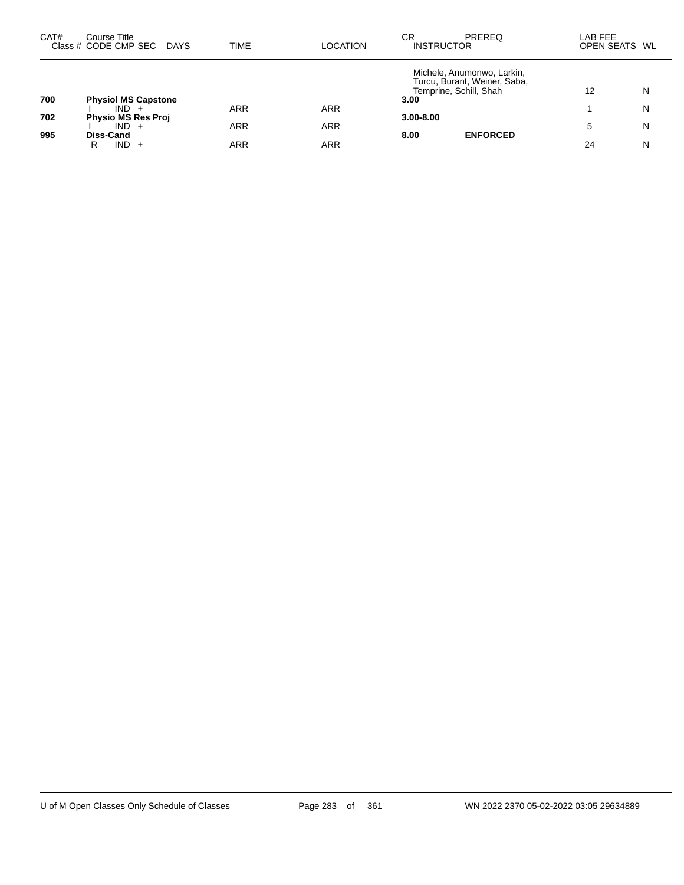| CAT# | Course Title<br>Class # CODE CMP SEC | <b>DAYS</b> | <b>TIME</b> | <b>LOCATION</b> | СR<br><b>INSTRUCTOR</b> | <b>PREREQ</b>                                                                        | LAB FEE<br>OPEN SEATS WL |   |
|------|--------------------------------------|-------------|-------------|-----------------|-------------------------|--------------------------------------------------------------------------------------|--------------------------|---|
|      |                                      |             |             |                 |                         | Michele, Anumonwo, Larkin,<br>Turcu, Burant, Weiner, Saba,<br>Temprine, Schill, Shah | 12                       | N |
| 700  | <b>Physiol MS Capstone</b>           |             |             |                 | 3.00                    |                                                                                      |                          |   |
| 702  | $IND +$                              |             | ARR         | <b>ARR</b>      | $3.00 - 8.00$           |                                                                                      |                          | N |
|      | <b>Physio MS Res Proj</b><br>$IND +$ |             | ARR         | <b>ARR</b>      |                         |                                                                                      | 5                        | N |
| 995  | Diss-Cand<br>$IND +$<br>R            |             | ARR         | <b>ARR</b>      | 8.00                    | <b>ENFORCED</b>                                                                      | 24                       | N |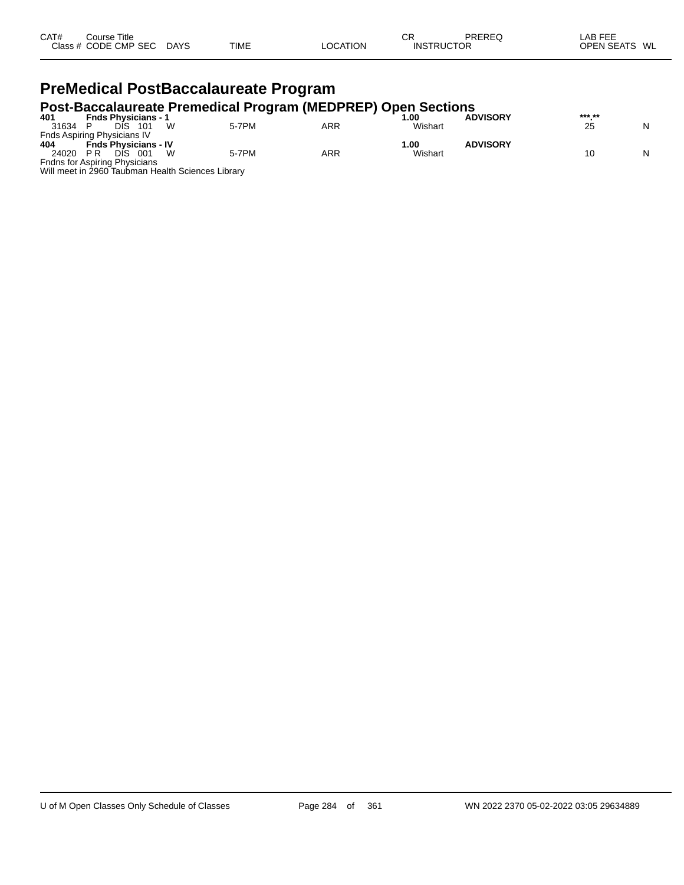| CAT# | Course Title         |             |             |          | СR                | PREREQ | <b>LAB FEE</b>          |
|------|----------------------|-------------|-------------|----------|-------------------|--------|-------------------------|
|      | Class # CODE CMP SEC | <b>DAYS</b> | <b>TIME</b> | LOCATION | <b>INSTRUCTOR</b> |        | <b>OPEN SEATS</b><br>WL |
|      |                      |             |             |          |                   |        |                         |

# **PreMedical PostBaccalaureate Program**

# **Post-Baccalaureate Premedical Program (MEDPREP) Open Sections 401 Fnds Physicians - 1 1.00 ADVISORY \*\*\*.\*\***

| 401   | <b>Fnds Physicians -</b>                          |       |     | 00.∣    | <b>ADVISORY</b> | *** ** |   |
|-------|---------------------------------------------------|-------|-----|---------|-----------------|--------|---|
| 31634 | 101<br>DIS                                        | 5-7PM | ARR | Wishart |                 | 25     | N |
|       | Fnds Aspiring Physicians IV                       |       |     |         |                 |        |   |
| 404   | <b>Fnds Physicians - IV</b>                       |       |     | 1.00    | <b>ADVISORY</b> |        |   |
| 24020 | P R<br>001<br><b>DIS</b>                          | 5-7PM | ARR | Wishart |                 |        | N |
|       | Fndns for Aspiring Physicians                     |       |     |         |                 |        |   |
|       | Will meet in 2960 Taubman Health Sciences Library |       |     |         |                 |        |   |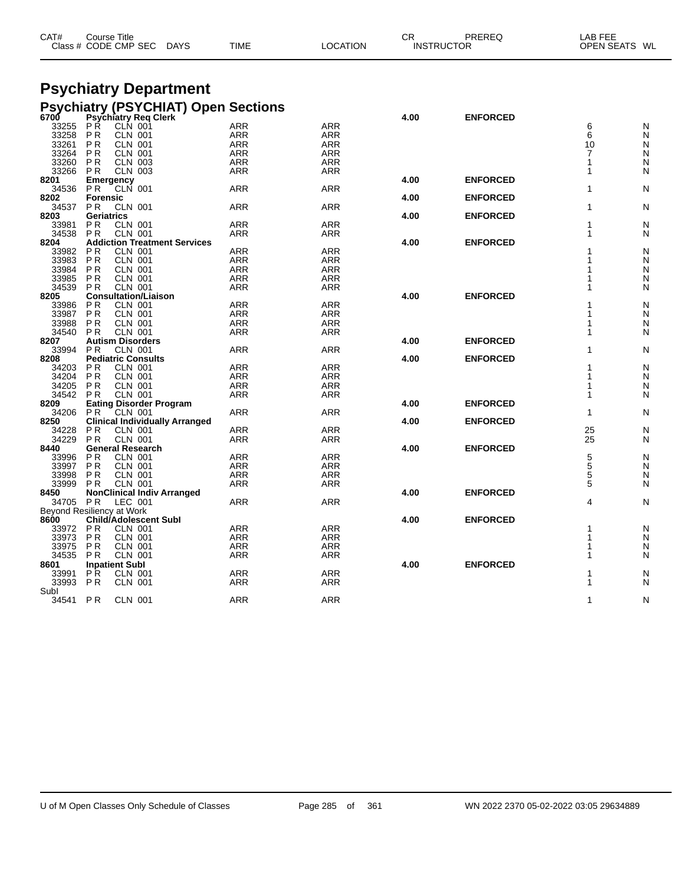| CAT#<br>Title<br>ourse:<br><b>TIME</b><br>CODE<br><b>CMP</b><br><b>SEC</b><br>Class<br><b>DAYS</b><br>ו־<br>.ON | СR<br><b>ODEDEC</b><br>ЮF<br>INS | WL<br>$\cdots$ |
|-----------------------------------------------------------------------------------------------------------------|----------------------------------|----------------|
|-----------------------------------------------------------------------------------------------------------------|----------------------------------|----------------|

# **Psychiatry Department**

|                           |                                  | <b>Psychiatry (PSYCHIAT) Open Sections</b> |                   |            |      |                 |                |        |
|---------------------------|----------------------------------|--------------------------------------------|-------------------|------------|------|-----------------|----------------|--------|
| 6700                      |                                  | <b>Psychiatry Req Clerk</b>                |                   |            | 4.00 | <b>ENFORCED</b> |                |        |
| 33255                     | РŔ                               | CLN 001                                    | <b>ARR</b>        | ARR        |      |                 | 6              | N      |
| 33258                     | P <sub>R</sub>                   | <b>CLN 001</b>                             | <b>ARR</b>        | <b>ARR</b> |      |                 | 6              | N      |
| 33261                     | P <sub>R</sub>                   | CLN 001                                    | ARR               | <b>ARR</b> |      |                 | 10             | N      |
| 33264                     | P <sub>R</sub>                   | <b>CLN 001</b>                             | ARR               | ARR        |      |                 | $\overline{7}$ | N      |
| 33260                     | P <sub>R</sub>                   | <b>CLN 003</b>                             | <b>ARR</b>        | ARR        |      |                 | 1              | N      |
| 33266                     | P <sub>R</sub>                   | <b>CLN 003</b>                             | <b>ARR</b>        | ARR        |      |                 | 1              | N      |
| 8201                      | Emergency                        |                                            |                   |            | 4.00 | <b>ENFORCED</b> |                |        |
| 34536                     | P <sub>R</sub>                   | <b>CLN 001</b>                             | <b>ARR</b>        | <b>ARR</b> |      |                 | 1              | N      |
| 8202                      | <b>Forensic</b>                  |                                            |                   |            | 4.00 | <b>ENFORCED</b> |                |        |
| 34537                     | PR.                              | <b>CLN 001</b>                             | ARR               | ARR        |      |                 | 1              | N      |
| 8203                      | <b>Geriatrics</b>                |                                            |                   |            | 4.00 | <b>ENFORCED</b> |                |        |
| 33981                     | ΡR                               | <b>CLN 001</b>                             | <b>ARR</b>        | <b>ARR</b> |      |                 | 1              | N      |
| 34538                     | P <sub>R</sub>                   | <b>CLN 001</b>                             | ARR               | ARR        |      |                 | 1              | N      |
| 8204                      |                                  | <b>Addiction Treatment Services</b>        |                   |            | 4.00 | <b>ENFORCED</b> |                |        |
| 33982                     | P <sub>R</sub>                   | <b>CLN 001</b>                             | ARR               | <b>ARR</b> |      |                 | 1              | N      |
| 33983                     | P <sub>R</sub>                   | <b>CLN 001</b>                             | <b>ARR</b>        | <b>ARR</b> |      |                 | 1              | N      |
| 33984                     | P <sub>R</sub>                   | <b>CLN 001</b>                             | <b>ARR</b>        | <b>ARR</b> |      |                 | 1              | N      |
| 33985                     | P <sub>R</sub>                   | <b>CLN 001</b>                             | <b>ARR</b>        | <b>ARR</b> |      |                 | 1              | N      |
| 34539                     | P <sub>R</sub>                   | <b>CLN 001</b>                             | <b>ARR</b>        | ARR        |      |                 | 1              | N      |
| 8205                      |                                  | <b>Consultation/Liaison</b>                |                   |            | 4.00 | <b>ENFORCED</b> |                |        |
| 33986                     | P R                              | <b>CLN 001</b>                             | ARR               | <b>ARR</b> |      |                 | 1              | N      |
| 33987                     | P <sub>R</sub>                   | <b>CLN 001</b>                             | ARR               | ARR        |      |                 | 1              | N      |
| 33988                     | P <sub>R</sub>                   | <b>CLN 001</b>                             | <b>ARR</b>        | <b>ARR</b> |      |                 | 1              | Ν      |
| 34540                     | P <sub>R</sub>                   | <b>CLN 001</b>                             | ARR               | <b>ARR</b> |      |                 | 1              | N      |
| 8207                      |                                  | <b>Autism Disorders</b>                    |                   |            | 4.00 | <b>ENFORCED</b> |                |        |
| 33994                     | P <sub>R</sub>                   | CLN 001                                    | <b>ARR</b>        | <b>ARR</b> |      |                 | 1              | Ν      |
| 8208                      |                                  | <b>Pediatric Consults</b>                  |                   |            | 4.00 | <b>ENFORCED</b> |                |        |
|                           |                                  |                                            | <b>ARR</b>        | <b>ARR</b> |      |                 | 1              |        |
| 34203<br>34204            | P R                              | <b>CLN 001</b>                             |                   |            |      |                 | 1              | N      |
|                           | P <sub>R</sub><br>P <sub>R</sub> | <b>CLN 001</b>                             | ARR               | ARR        |      |                 | 1              | N<br>N |
| 34205<br>34542            | P <sub>R</sub>                   | <b>CLN 001</b><br><b>CLN 001</b>           | ARR<br>ARR        | ARR<br>ARR |      |                 | 1              |        |
|                           |                                  |                                            |                   |            |      |                 |                | N      |
| 8209<br>34206             |                                  | <b>Eating Disorder Program</b>             | <b>ARR</b>        | <b>ARR</b> | 4.00 | <b>ENFORCED</b> | 1              | Ν      |
| 8250                      | P R                              | CLN 001                                    |                   |            | 4.00 | <b>ENFORCED</b> |                |        |
|                           |                                  | <b>Clinical Individually Arranged</b>      |                   |            |      |                 |                |        |
| 34228<br>34229            | P <sub>R</sub><br>P <sub>R</sub> | <b>CLN 001</b><br><b>CLN 001</b>           | <b>ARR</b><br>ARR | <b>ARR</b> |      |                 | 25<br>25       | N<br>N |
| 8440                      |                                  | <b>General Research</b>                    |                   | ARR        | 4.00 | <b>ENFORCED</b> |                |        |
|                           |                                  |                                            | ARR               | ARR        |      |                 |                |        |
| 33996<br>33997            | P R<br>P <sub>R</sub>            | <b>CLN 001</b><br><b>CLN 001</b>           | <b>ARR</b>        | <b>ARR</b> |      |                 | 5<br>5         | N      |
| 33998                     | P <sub>R</sub>                   | <b>CLN 001</b>                             | ARR               | <b>ARR</b> |      |                 | 5              | N<br>N |
|                           |                                  |                                            |                   |            |      |                 | 5              |        |
| 33999                     | P <sub>R</sub>                   | <b>CLN 001</b>                             | <b>ARR</b>        | <b>ARR</b> |      |                 |                | N      |
| 8450                      |                                  | <b>NonClinical Indiv Arranged</b>          |                   |            | 4.00 | <b>ENFORCED</b> |                |        |
| 34705                     | P <sub>R</sub>                   | LEC 001                                    | ARR               | <b>ARR</b> |      |                 | 4              | N      |
| Beyond Resiliency at Work |                                  |                                            |                   |            |      |                 |                |        |
| 8600                      |                                  | Child/Adolescent Subl                      |                   |            | 4.00 | <b>ENFORCED</b> |                |        |
| 33972                     | P <sub>R</sub>                   | <b>CLN 001</b>                             | <b>ARR</b>        | ARR        |      |                 | 1              | N      |
| 33973                     | <b>PR</b>                        | <b>CLN 001</b>                             | <b>ARR</b>        | <b>ARR</b> |      |                 | 1              | N      |
| 33975                     | P <sub>R</sub>                   | <b>CLN 001</b>                             | <b>ARR</b>        | <b>ARR</b> |      |                 | 1              | N      |
| 34535                     | P R                              | <b>CLN 001</b>                             | ARR               | ARR        |      |                 | 1              | N      |
| 8601                      |                                  | <b>Inpatient Subl</b>                      |                   |            | 4.00 | <b>ENFORCED</b> |                |        |
| 33991                     | PR.                              | <b>CLN 001</b>                             | <b>ARR</b>        | <b>ARR</b> |      |                 | 1              | N      |
| 33993                     | P <sub>R</sub>                   | CLN 001                                    | ARR               | ARR        |      |                 | 1              | N      |
| Subl                      |                                  |                                            |                   |            |      |                 |                |        |
| 34541                     | P <sub>R</sub>                   | <b>CLN 001</b>                             | ARR               | <b>ARR</b> |      |                 | 1              | N      |
|                           |                                  |                                            |                   |            |      |                 |                |        |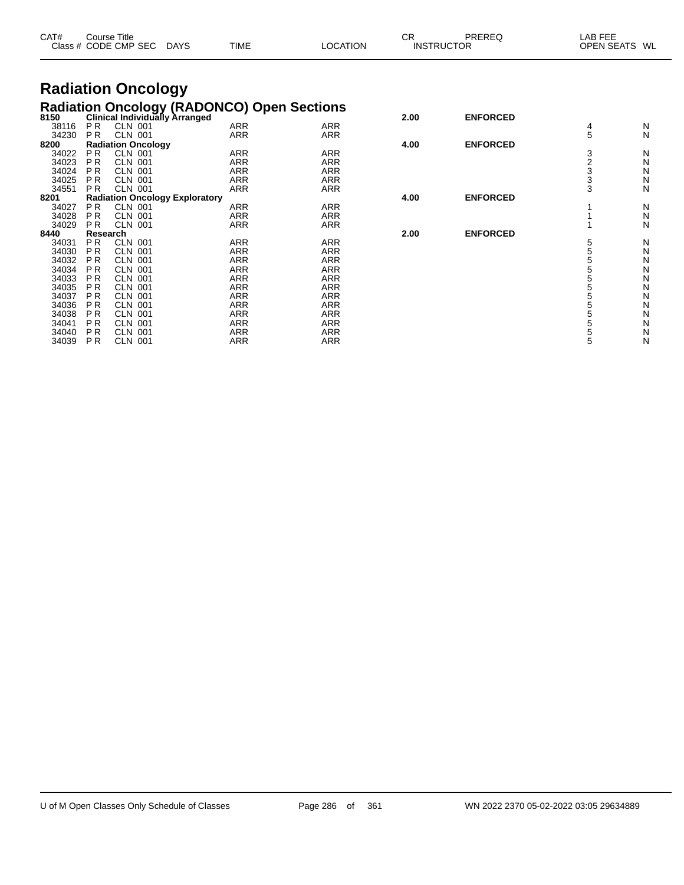| CAT#           |                        | Course Title<br>Class # CODE CMP SEC | <b>DAYS</b>                           | <b>TIME</b>              | <b>LOCATION</b>                                                                   | <b>CR</b> | PREREQ<br><b>INSTRUCTOR</b> | LAB FEE<br><b>OPEN SEATS</b> | WL           |
|----------------|------------------------|--------------------------------------|---------------------------------------|--------------------------|-----------------------------------------------------------------------------------|-----------|-----------------------------|------------------------------|--------------|
|                |                        | <b>Radiation Oncology</b>            |                                       |                          |                                                                                   |           |                             |                              |              |
|                |                        |                                      |                                       |                          |                                                                                   |           |                             |                              |              |
|                |                        |                                      |                                       |                          | Radiation Oncology (RADONCO) Open Sections<br>8150 Clinical Individually Arranged | 2.00      | <b>ENFORCED</b>             |                              |              |
| 38116<br>34230 | <b>PR</b><br><b>PR</b> | <b>CLN 001</b><br><b>CLN 001</b>     |                                       | <b>ARR</b><br><b>ARR</b> | <b>ARR</b><br><b>ARR</b>                                                          |           |                             | 4<br>5                       | N            |
| 8200           |                        | <b>Radiation Oncology</b>            |                                       |                          |                                                                                   | 4.00      | <b>ENFORCED</b>             |                              | N            |
| 34022          | <b>PR</b>              | <b>CLN 001</b>                       |                                       | <b>ARR</b>               | <b>ARR</b>                                                                        |           |                             | 3                            | N            |
| 34023          | P <sub>R</sub>         | <b>CLN 001</b>                       |                                       | <b>ARR</b>               | <b>ARR</b>                                                                        |           |                             |                              | N            |
| 34024          | P <sub>R</sub>         | <b>CLN 001</b>                       |                                       | <b>ARR</b>               | <b>ARR</b>                                                                        |           |                             | $\frac{2}{3}$                | N            |
| 34025          | <b>PR</b>              | <b>CLN 001</b>                       |                                       | <b>ARR</b>               | <b>ARR</b>                                                                        |           |                             |                              | $\mathsf{N}$ |
| 34551          | <b>PR</b>              | <b>CLN 001</b>                       |                                       | <b>ARR</b>               | <b>ARR</b>                                                                        |           |                             | 3                            | N            |
| 8201           |                        |                                      | <b>Radiation Oncology Exploratory</b> |                          |                                                                                   | 4.00      | <b>ENFORCED</b>             |                              |              |
| 34027          | <b>PR</b>              | <b>CLN 001</b>                       |                                       | <b>ARR</b>               | <b>ARR</b>                                                                        |           |                             |                              | N            |
| 34028          | <b>PR</b>              | <b>CLN 001</b>                       |                                       | <b>ARR</b>               | <b>ARR</b>                                                                        |           |                             |                              | N            |
| 34029          | <b>PR</b>              | <b>CLN 001</b>                       |                                       | <b>ARR</b>               | <b>ARR</b>                                                                        |           |                             |                              | N            |
| 8440           | Research               |                                      |                                       |                          |                                                                                   | 2.00      | <b>ENFORCED</b>             |                              |              |
| 34031          | <b>PR</b>              | <b>CLN 001</b>                       |                                       | <b>ARR</b>               | <b>ARR</b>                                                                        |           |                             | 5                            | N            |
| 34030          | P <sub>R</sub>         | <b>CLN 001</b>                       |                                       | <b>ARR</b>               | <b>ARR</b>                                                                        |           |                             | $\frac{5}{5}$                | Ν            |
| 34032          | <b>PR</b>              | <b>CLN 001</b>                       |                                       | <b>ARR</b>               | <b>ARR</b>                                                                        |           |                             |                              | Ν            |
| 34034          | <b>PR</b>              | <b>CLN 001</b>                       |                                       | <b>ARR</b>               | <b>ARR</b>                                                                        |           |                             | 5<br>5<br>5                  | Ν            |
| 34033<br>34035 | <b>PR</b><br><b>PR</b> | <b>CLN 001</b><br><b>CLN 001</b>     |                                       | <b>ARR</b><br><b>ARR</b> | <b>ARR</b><br><b>ARR</b>                                                          |           |                             |                              | N<br>Ν       |
| 34037          | <b>PR</b>              | <b>CLN 001</b>                       |                                       | <b>ARR</b>               | <b>ARR</b>                                                                        |           |                             | 5                            | N            |
| 34036          | <b>PR</b>              | <b>CLN 001</b>                       |                                       | <b>ARR</b>               | <b>ARR</b>                                                                        |           |                             | 5                            | N            |
| 34038          | P <sub>R</sub>         | <b>CLN 001</b>                       |                                       | <b>ARR</b>               | <b>ARR</b>                                                                        |           |                             | 5                            | N            |
| 34041          | P <sub>R</sub>         | <b>CLN 001</b>                       |                                       | <b>ARR</b>               | <b>ARR</b>                                                                        |           |                             | 5                            | N            |
| 34040          | P <sub>R</sub>         | <b>CLN 001</b>                       |                                       | <b>ARR</b>               | <b>ARR</b>                                                                        |           |                             | 5                            | N            |
| 34039          | <b>PR</b>              | <b>CLN 001</b>                       |                                       | <b>ARR</b>               | <b>ARR</b>                                                                        |           |                             | 5                            | N            |
|                |                        |                                      |                                       |                          |                                                                                   |           |                             |                              |              |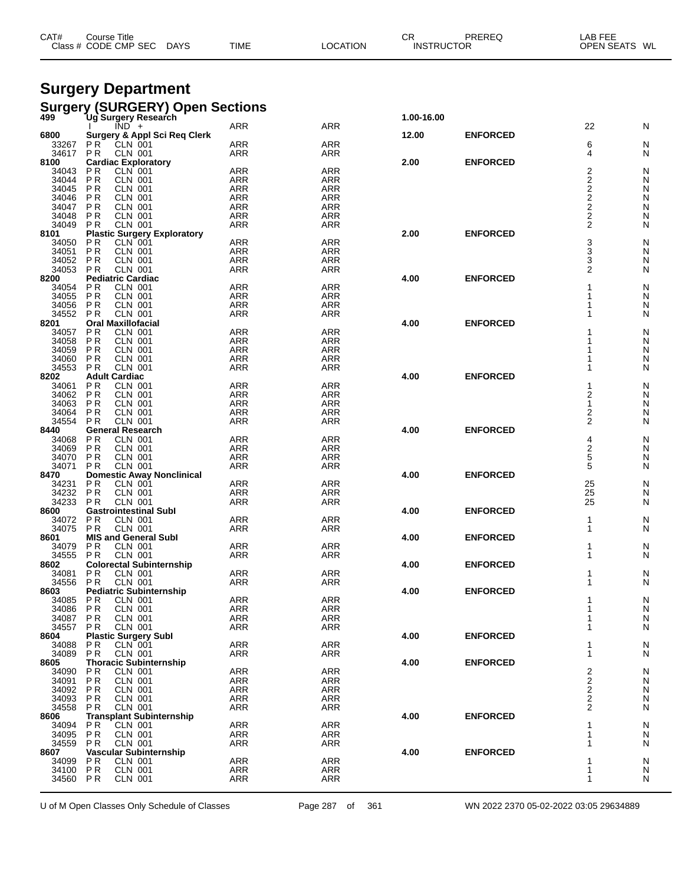| CAT# | Course Title         |             |             |          | СF                | PREREQ | LAB FEE          |
|------|----------------------|-------------|-------------|----------|-------------------|--------|------------------|
|      | Class # CODE CMP SEC | <b>DAYS</b> | <b>TIME</b> | LOCATION | <b>INSTRUCTOR</b> |        | WL<br>OPEN SEATS |
|      |                      |             |             |          |                   |        |                  |

# **Surgery Department**

|                | Surgery (SURGERY) Open Sections<br>499 Ug Surgery Research             |                          |                          |            |                 |                                           |                |
|----------------|------------------------------------------------------------------------|--------------------------|--------------------------|------------|-----------------|-------------------------------------------|----------------|
|                |                                                                        |                          |                          | 1.00-16.00 |                 |                                           |                |
|                | $\overline{IND}$ +                                                     | <b>ARR</b>               | <b>ARR</b>               |            |                 | 22                                        | N              |
| 6800<br>33267  | Surgery & Appl Sci Req Clerk<br>PR<br>CLN 001                          | <b>ARR</b>               | <b>ARR</b>               | 12.00      | <b>ENFORCED</b> | 6                                         | N              |
| 34617          | <b>CLN 001</b><br>P <sub>R</sub>                                       | <b>ARR</b>               | ARR                      |            |                 | 4                                         | N              |
| 8100           | <b>Cardiac Exploratory</b>                                             |                          |                          | 2.00       | <b>ENFORCED</b> |                                           |                |
| 34043          | <b>PR</b><br>CLN 001                                                   | <b>ARR</b>               | <b>ARR</b>               |            |                 | 2                                         | N              |
| 34044          | <b>PR</b><br><b>CLN 001</b>                                            | <b>ARR</b>               | <b>ARR</b>               |            |                 | $\overline{\mathbf{c}}$                   | N              |
| 34045          | CLN 001<br><b>PR</b>                                                   | <b>ARR</b>               | <b>ARR</b>               |            |                 | $2222$<br>$222$                           | N              |
| 34046          | P <sub>R</sub><br><b>CLN 001</b>                                       | <b>ARR</b>               | <b>ARR</b>               |            |                 |                                           | N              |
| 34047          | P <sub>R</sub><br><b>CLN 001</b>                                       | <b>ARR</b>               | <b>ARR</b>               |            |                 |                                           | N              |
| 34048          | <b>PR</b><br><b>CLN 001</b>                                            | <b>ARR</b>               | <b>ARR</b>               |            |                 |                                           | N              |
| 34049<br>8101  | <b>CLN 001</b><br>P <sub>R</sub><br><b>Plastic Surgery Exploratory</b> | <b>ARR</b>               | ARR                      | 2.00       | <b>ENFORCED</b> |                                           | N              |
| 34050          | <b>CLN 001</b><br>P R                                                  | <b>ARR</b>               | <b>ARR</b>               |            |                 |                                           | N              |
| 34051          | P <sub>R</sub><br><b>CLN 001</b>                                       | <b>ARR</b>               | <b>ARR</b>               |            |                 | $\frac{3}{3}$                             | N              |
| 34052          | P <sub>R</sub><br><b>CLN 001</b>                                       | <b>ARR</b>               | <b>ARR</b>               |            |                 | 3                                         | N              |
| 34053          | P <sub>R</sub><br><b>CLN 001</b>                                       | ARR                      | ARR                      |            |                 | $\overline{2}$                            | N              |
| 8200           | <b>Pediatric Cardiac</b>                                               |                          |                          | 4.00       | <b>ENFORCED</b> |                                           |                |
| 34054          | <b>PR</b><br><b>CLN 001</b>                                            | <b>ARR</b>               | <b>ARR</b>               |            |                 |                                           | N              |
| 34055          | <b>PR</b><br><b>CLN 001</b>                                            | <b>ARR</b>               | <b>ARR</b>               |            |                 |                                           | N              |
| 34056          | P <sub>R</sub><br><b>CLN 001</b>                                       | <b>ARR</b>               | <b>ARR</b>               |            |                 | 1                                         | N              |
| 34552          | <b>CLN 001</b><br>P <sub>R</sub>                                       | <b>ARR</b>               | <b>ARR</b>               |            |                 |                                           | N              |
| 8201<br>34057  | <b>Oral Maxillofacial</b><br><b>PR</b><br><b>CLN 001</b>               | <b>ARR</b>               | <b>ARR</b>               | 4.00       | <b>ENFORCED</b> |                                           | N              |
| 34058          | P <sub>R</sub><br><b>CLN 001</b>                                       | <b>ARR</b>               | <b>ARR</b>               |            |                 |                                           | N              |
| 34059          | <b>PR</b><br><b>CLN 001</b>                                            | <b>ARR</b>               | <b>ARR</b>               |            |                 |                                           | N              |
| 34060          | P <sub>R</sub><br><b>CLN 001</b>                                       | <b>ARR</b>               | ARR                      |            |                 |                                           | N              |
| 34553          | <b>CLN 001</b><br>P <sub>R</sub>                                       | <b>ARR</b>               | <b>ARR</b>               |            |                 |                                           | N              |
| 8202           | <b>Adult Cardiac</b>                                                   |                          |                          | 4.00       | <b>ENFORCED</b> |                                           |                |
| 34061          | P <sub>R</sub><br><b>CLN 001</b>                                       | <b>ARR</b>               | <b>ARR</b>               |            |                 | 1                                         | N              |
| 34062          | <b>PR</b><br><b>CLN 001</b>                                            | <b>ARR</b>               | <b>ARR</b>               |            |                 | 2                                         | N              |
| 34063          | <b>PR</b><br><b>CLN 001</b>                                            | <b>ARR</b>               | <b>ARR</b>               |            |                 | $\mathbf{1}$                              | N              |
| 34064<br>34554 | P <sub>R</sub><br><b>CLN 001</b><br><b>CLN 001</b><br>ΡR               | <b>ARR</b><br><b>ARR</b> | ARR<br><b>ARR</b>        |            |                 | $\overline{\mathbf{c}}$<br>$\overline{2}$ | N<br>N         |
| 8440           | <b>General Research</b>                                                |                          |                          | 4.00       | <b>ENFORCED</b> |                                           |                |
| 34068          | <b>PR</b><br><b>CLN 001</b>                                            | <b>ARR</b>               | <b>ARR</b>               |            |                 | 4                                         | N              |
| 34069          | <b>CLN 001</b><br>P <sub>R</sub>                                       | <b>ARR</b>               | <b>ARR</b>               |            |                 | 2                                         | N              |
| 34070          | CLN 001<br>P <sub>R</sub>                                              | <b>ARR</b>               | <b>ARR</b>               |            |                 | 5                                         | N              |
| 34071          | <b>CLN 001</b><br>P <sub>R</sub>                                       | ARR                      | <b>ARR</b>               |            |                 | 5                                         | N              |
| 8470           | <b>Domestic Away Nonclinical</b>                                       |                          |                          | 4.00       | <b>ENFORCED</b> |                                           |                |
| 34231          | <b>PR</b><br><b>CLN 001</b>                                            | <b>ARR</b>               | <b>ARR</b>               |            |                 | $\begin{array}{c} 25 \\ 25 \end{array}$   | N              |
| 34232<br>34233 | <b>CLN 001</b><br><b>PR</b><br><b>CLN 001</b><br>P <sub>R</sub>        | <b>ARR</b><br><b>ARR</b> | <b>ARR</b><br><b>ARR</b> |            |                 | 25                                        | N<br>N         |
| 8600           | <b>Gastrointestinal Subl</b>                                           |                          |                          | 4.00       | <b>ENFORCED</b> |                                           |                |
| 34072          | P <sub>R</sub><br><b>CLN 001</b>                                       | <b>ARR</b>               | <b>ARR</b>               |            |                 | 1                                         | N              |
| 34075          | <b>CLN 001</b><br>P <sub>R</sub>                                       | <b>ARR</b>               | ARR                      |            |                 | 1                                         | N              |
| 8601           | <b>MIS and General Subl</b>                                            |                          |                          | 4.00       | <b>ENFORCED</b> |                                           |                |
| 34079          | P <sub>R</sub><br><b>CLN 001</b>                                       | <b>ARR</b>               | <b>ARR</b>               |            |                 | 1                                         | N              |
| 34555          | CLN 001<br>P <sub>R</sub>                                              | <b>ARR</b>               | <b>ARR</b>               |            |                 |                                           | N              |
| 8602           | <b>Colorectal Subinternship</b>                                        |                          |                          | 4.00       | <b>ENFORCED</b> |                                           |                |
| 34081<br>34556 | P <sub>R</sub><br>CLN 001<br><b>CLN 001</b><br>P <sub>R</sub>          | <b>ARR</b><br><b>ARR</b> | <b>ARR</b><br><b>ARR</b> |            |                 | 1                                         | N<br>N         |
| 8603           | <b>Pediatric Subinternship</b>                                         |                          |                          | 4.00       | <b>ENFORCED</b> |                                           |                |
| 34085          | <b>CLN 001</b><br>P R                                                  | <b>ARR</b>               | <b>ARR</b>               |            |                 | 1                                         | N              |
| 34086          | P <sub>R</sub><br><b>CLN 001</b>                                       | <b>ARR</b>               | <b>ARR</b>               |            |                 | 1                                         | N              |
| 34087          | <b>PR</b><br><b>CLN 001</b>                                            | <b>ARR</b>               | <b>ARR</b>               |            |                 | 1                                         | N              |
| 34557          | P <sub>R</sub><br><b>CLN 001</b>                                       | <b>ARR</b>               | ARR                      |            |                 | 1                                         | N              |
| 8604           | <b>Plastic Surgery Subl</b>                                            |                          |                          | 4.00       | <b>ENFORCED</b> |                                           |                |
| 34088          | P <sub>R</sub><br><b>CLN 001</b>                                       | <b>ARR</b>               | ARR                      |            |                 | -1                                        | N              |
| 34089          | <b>CLN 001</b><br>P <sub>R</sub>                                       | ARR                      | ARR                      |            |                 | 1                                         | N              |
| 8605<br>34090  | <b>Thoracic Subinternship</b><br><b>CLN 001</b><br>PR                  | ARR                      | <b>ARR</b>               | 4.00       | <b>ENFORCED</b> |                                           |                |
| 34091          | P <sub>R</sub><br><b>CLN 001</b>                                       | <b>ARR</b>               | ARR                      |            |                 | $\frac{2}{2}$                             | N<br>${\sf N}$ |
| 34092          | P <sub>R</sub><br><b>CLN 001</b>                                       | <b>ARR</b>               | <b>ARR</b>               |            |                 |                                           | ${\sf N}$      |
| 34093          | <b>CLN 001</b><br>P R                                                  | <b>ARR</b>               | <b>ARR</b>               |            |                 | $\overline{\mathbf{c}}$                   | N              |
| 34558          | P <sub>R</sub><br><b>CLN 001</b>                                       | ARR                      | ARR                      |            |                 | $\overline{2}$                            | N              |
| 8606           | <b>Transplant Subinternship</b>                                        |                          |                          | 4.00       | <b>ENFORCED</b> |                                           |                |
| 34094          | P <sub>R</sub><br><b>CLN 001</b>                                       | ARR                      | <b>ARR</b>               |            |                 | -1                                        | N              |
| 34095          | P <sub>R</sub><br><b>CLN 001</b>                                       | <b>ARR</b>               | ARR                      |            |                 | 1                                         | N              |
| 34559          | <b>PR</b><br><b>CLN 001</b>                                            | <b>ARR</b>               | ARR                      |            |                 | 1                                         | N              |
| 8607           | Vascular Subinternship                                                 | <b>ARR</b>               | <b>ARR</b>               | 4.00       | <b>ENFORCED</b> | -1                                        |                |
| 34099<br>34100 | P <sub>R</sub><br><b>CLN 001</b><br>P <sub>R</sub><br><b>CLN 001</b>   | <b>ARR</b>               | <b>ARR</b>               |            |                 | 1                                         | N<br>${\sf N}$ |
| 34560          | P <sub>R</sub><br><b>CLN 001</b>                                       | <b>ARR</b>               | <b>ARR</b>               |            |                 | 1                                         | N              |
|                |                                                                        |                          |                          |            |                 |                                           |                |

U of M Open Classes Only Schedule of Classes Page 287 of 361 WN 2022 2370 05-02-2022 03:05 29634889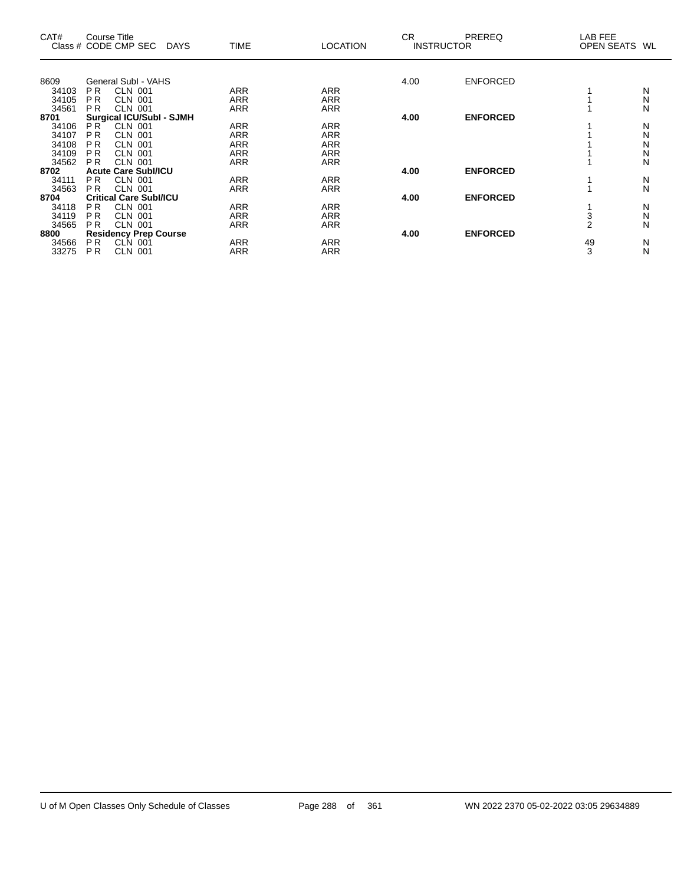| CAT#                                 |                               | Course Title<br>Class # CODE CMP SEC | DAYS | <b>TIME</b> | <b>LOCATION</b> | <b>CR</b><br><b>INSTRUCTOR</b> | <b>PREREQ</b>   | LAB FEE<br>OPEN SEATS WL |               |
|--------------------------------------|-------------------------------|--------------------------------------|------|-------------|-----------------|--------------------------------|-----------------|--------------------------|---------------|
|                                      |                               |                                      |      |             |                 |                                |                 |                          |               |
| 8609                                 |                               | General SubI - VAHS                  |      |             |                 | 4.00                           | <b>ENFORCED</b> |                          |               |
| 34103                                | P <sub>R</sub>                | <b>CLN 001</b>                       |      | <b>ARR</b>  | <b>ARR</b>      |                                |                 |                          | N             |
| 34105                                | P <sub>R</sub>                | CLN 001                              |      | ARR         | <b>ARR</b>      |                                |                 |                          | N             |
| 34561                                | P <sub>R</sub>                | <b>CLN 001</b>                       |      | ARR         | ARR             |                                |                 |                          | N             |
| 8701                                 |                               | <b>Surgical ICU/SubI - SJMH</b>      |      |             |                 | 4.00                           | <b>ENFORCED</b> |                          |               |
| 34106                                | PR <sup>1</sup>               | <b>CLN 001</b>                       |      | <b>ARR</b>  | <b>ARR</b>      |                                |                 |                          | N             |
| 34107                                | P <sub>R</sub>                | <b>CLN 001</b>                       |      | <b>ARR</b>  | <b>ARR</b>      |                                |                 |                          | N             |
| 34108                                | P <sub>R</sub>                | <b>CLN 001</b>                       |      | <b>ARR</b>  | <b>ARR</b>      |                                |                 |                          | N             |
| 34109                                | P <sub>R</sub>                | <b>CLN 001</b>                       |      | <b>ARR</b>  | <b>ARR</b>      |                                |                 |                          | N             |
| 34562                                | P <sub>R</sub>                | <b>CLN 001</b>                       |      | ARR         | <b>ARR</b>      |                                |                 |                          | N             |
| <b>Acute Care Subl/ICU</b><br>8702   |                               |                                      |      |             |                 | 4.00                           | <b>ENFORCED</b> |                          |               |
| 34111                                | P <sub>R</sub>                | <b>CLN 001</b>                       |      | <b>ARR</b>  | <b>ARR</b>      |                                |                 |                          |               |
| 34563                                | P <sub>R</sub>                | <b>CLN 001</b>                       |      | <b>ARR</b>  | <b>ARR</b>      |                                |                 |                          | $\frac{N}{N}$ |
| 8704                                 | <b>Critical Care SubI/ICU</b> |                                      |      |             |                 | 4.00                           | <b>ENFORCED</b> |                          |               |
| 34118                                | PR.                           | <b>CLN 001</b>                       |      | <b>ARR</b>  | <b>ARR</b>      |                                |                 |                          | N             |
| 34119                                | <b>PR</b>                     | <b>CLN 001</b>                       |      | <b>ARR</b>  | <b>ARR</b>      |                                |                 | 3                        | N             |
| 34565                                | P <sub>R</sub>                | <b>CLN 001</b>                       |      | ARR         | <b>ARR</b>      |                                |                 | $\mathfrak{p}$           | N             |
| <b>Residency Prep Course</b><br>8800 |                               |                                      |      |             |                 | 4.00                           | <b>ENFORCED</b> |                          |               |
| 34566                                | P <sub>R</sub>                | CLN 001                              |      | ARR         | ARR             |                                |                 | 49                       | N             |
| 33275                                | PR.                           | <b>CLN 001</b>                       |      | <b>ARR</b>  | <b>ARR</b>      |                                |                 | 3                        | N             |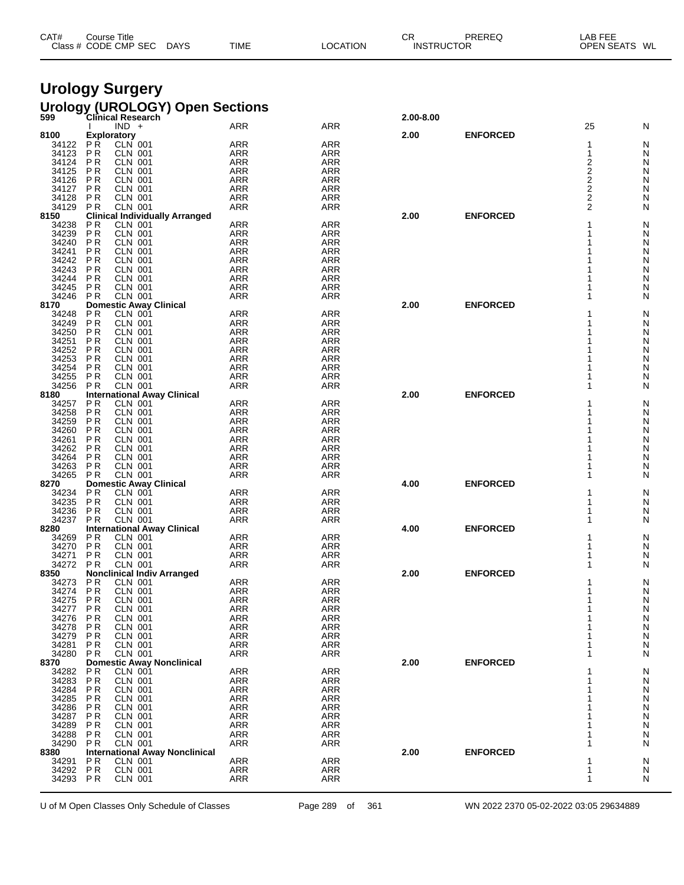| CAT# | Title<br>Course      |             |             |          | СR                | PREREQ | <b>LAB FEE</b>          |
|------|----------------------|-------------|-------------|----------|-------------------|--------|-------------------------|
|      | Class # CODE CMP SEC | <b>DAYS</b> | <b>TIME</b> | LOCATION | <b>INSTRUCTOR</b> |        | <b>OPEN SEATS</b><br>WL |
|      |                      |             |             |          |                   |        |                         |

# **Urology Surgery**

|                |                             |                                                 | Urology (UROLOGY) Open Sections<br>599 Clinical Research |                          |           |                 |                                                    |        |
|----------------|-----------------------------|-------------------------------------------------|----------------------------------------------------------|--------------------------|-----------|-----------------|----------------------------------------------------|--------|
|                |                             | $IND +$                                         | <b>ARR</b>                                               | ARR                      | 2.00-8.00 |                 | 25                                                 | N      |
| 8100           |                             | <b>Exploratory</b>                              |                                                          |                          | 2.00      | <b>ENFORCED</b> |                                                    |        |
| 34122          | PŔ                          | CLN 001                                         | <b>ARR</b>                                               | <b>ARR</b>               |           |                 | 1                                                  | N      |
| 34123          | <b>PR</b>                   | <b>CLN 001</b>                                  | <b>ARR</b>                                               | <b>ARR</b>               |           |                 | 1                                                  | N      |
| 34124          | P <sub>R</sub>              | <b>CLN 001</b><br><b>CLN 001</b>                | <b>ARR</b>                                               | ARR                      |           |                 | 2                                                  | N      |
| 34125<br>34126 | P <sub>R</sub><br><b>PR</b> | CLN 001                                         | <b>ARR</b><br><b>ARR</b>                                 | ARR<br><b>ARR</b>        |           |                 | $\overline{\mathbf{c}}$<br>$\overline{\mathbf{c}}$ | N<br>N |
| 34127          | ΡR                          | CLN 001                                         | <b>ARR</b>                                               | ARR                      |           |                 |                                                    | N      |
| 34128          | P <sub>R</sub>              | <b>CLN 001</b>                                  | <b>ARR</b>                                               | <b>ARR</b>               |           |                 | $\frac{2}{2}$                                      | N      |
| 34129          | P <sub>R</sub>              | <b>CLN 001</b>                                  | <b>ARR</b>                                               | <b>ARR</b>               |           |                 | $\overline{2}$                                     | N      |
| 8150           |                             |                                                 | <b>Clinical Individually Arranged</b>                    |                          | 2.00      | <b>ENFORCED</b> |                                                    |        |
| 34238<br>34239 | P <sub>R</sub><br><b>PR</b> | <b>CLN 001</b><br><b>CLN 001</b>                | <b>ARR</b><br><b>ARR</b>                                 | <b>ARR</b><br><b>ARR</b> |           |                 | 1                                                  | N<br>N |
| 34240          | P <sub>R</sub>              | <b>CLN 001</b>                                  | <b>ARR</b>                                               | <b>ARR</b>               |           |                 |                                                    | N      |
| 34241          | ΡR                          | <b>CLN 001</b>                                  | <b>ARR</b>                                               | <b>ARR</b>               |           |                 |                                                    | N      |
| 34242          | <b>PR</b>                   | CLN 001                                         | <b>ARR</b>                                               | <b>ARR</b>               |           |                 |                                                    | N      |
| 34243          | ΡR                          | <b>CLN 001</b>                                  | <b>ARR</b>                                               | <b>ARR</b>               |           |                 |                                                    | N      |
| 34244          | P <sub>R</sub>              | <b>CLN 001</b>                                  | <b>ARR</b>                                               | <b>ARR</b>               |           |                 |                                                    | N      |
| 34245          | P <sub>R</sub>              | <b>CLN 001</b>                                  | <b>ARR</b>                                               | <b>ARR</b>               |           |                 |                                                    | N      |
| 34246<br>8170  | P <sub>R</sub>              | <b>CLN 001</b><br><b>Domestic Away Clinical</b> | <b>ARR</b>                                               | <b>ARR</b>               | 2.00      | <b>ENFORCED</b> | 1                                                  | N      |
| 34248          | <b>PR</b>                   | <b>CLN 001</b>                                  | <b>ARR</b>                                               | <b>ARR</b>               |           |                 |                                                    | N      |
| 34249          | P <sub>R</sub>              | <b>CLN 001</b>                                  | <b>ARR</b>                                               | <b>ARR</b>               |           |                 |                                                    | N      |
| 34250          | P <sub>R</sub>              | <b>CLN 001</b>                                  | <b>ARR</b>                                               | <b>ARR</b>               |           |                 |                                                    | N      |
| 34251          | P <sub>R</sub>              | CLN 001                                         | <b>ARR</b>                                               | <b>ARR</b>               |           |                 |                                                    | N      |
| 34252          | ΡR                          | <b>CLN 001</b>                                  | <b>ARR</b>                                               | <b>ARR</b>               |           |                 |                                                    | N      |
| 34253<br>34254 | P <sub>R</sub><br><b>PR</b> | <b>CLN 001</b><br><b>CLN 001</b>                | <b>ARR</b><br><b>ARR</b>                                 | <b>ARR</b><br><b>ARR</b> |           |                 |                                                    | N<br>N |
| 34255          | P <sub>R</sub>              | <b>CLN 001</b>                                  | <b>ARR</b>                                               | <b>ARR</b>               |           |                 | 1                                                  | N      |
| 34256          | <b>PR</b>                   | <b>CLN 001</b>                                  | <b>ARR</b>                                               | ARR                      |           |                 | 1                                                  | N      |
| 8180           |                             |                                                 | <b>International Away Clinical</b>                       |                          | 2.00      | <b>ENFORCED</b> |                                                    |        |
| 34257          | ΡR                          | <b>CLN 001</b>                                  | <b>ARR</b>                                               | <b>ARR</b>               |           |                 | 1                                                  | N      |
| 34258<br>34259 | P <sub>R</sub><br><b>PR</b> | <b>CLN 001</b><br><b>CLN 001</b>                | <b>ARR</b><br><b>ARR</b>                                 | <b>ARR</b><br><b>ARR</b> |           |                 | 1                                                  | N      |
| 34260          | P R                         | CLN 001                                         | <b>ARR</b>                                               | <b>ARR</b>               |           |                 |                                                    | N<br>N |
| 34261          | P <sub>R</sub>              | <b>CLN 001</b>                                  | ARR                                                      | <b>ARR</b>               |           |                 |                                                    | N      |
| 34262          | <b>PR</b>                   | <b>CLN 001</b>                                  | <b>ARR</b>                                               | <b>ARR</b>               |           |                 |                                                    | N      |
| 34264          | ΡR                          | <b>CLN 001</b>                                  | <b>ARR</b>                                               | <b>ARR</b>               |           |                 | 1                                                  | N      |
| 34263          | P <sub>R</sub>              | <b>CLN 001</b>                                  | <b>ARR</b>                                               | <b>ARR</b>               |           |                 | 1                                                  | N      |
| 34265<br>8270  | P <sub>R</sub>              | <b>CLN 001</b><br><b>Domestic Away Clinical</b> | <b>ARR</b>                                               | <b>ARR</b>               | 4.00      | <b>ENFORCED</b> | 1                                                  | N      |
| 34234          | P <sub>R</sub>              | <b>CLN 001</b>                                  | <b>ARR</b>                                               | <b>ARR</b>               |           |                 | 1                                                  | N      |
| 34235          | <b>PR</b>                   | <b>CLN 001</b>                                  | <b>ARR</b>                                               | <b>ARR</b>               |           |                 | 1                                                  | N      |
| 34236          | P R                         | <b>CLN 001</b>                                  | <b>ARR</b>                                               | <b>ARR</b>               |           |                 | 1                                                  | N      |
| 34237          | P <sub>R</sub>              | <b>CLN 001</b>                                  | <b>ARR</b>                                               | <b>ARR</b>               |           |                 | 1                                                  | N      |
| 8280           |                             |                                                 | <b>International Away Clinical</b>                       |                          | 4.00      | <b>ENFORCED</b> |                                                    |        |
| 34269<br>34270 | ΡR<br>P <sub>R</sub>        | <b>CLN 001</b><br><b>CLN 001</b>                | <b>ARR</b><br><b>ARR</b>                                 | <b>ARR</b><br><b>ARR</b> |           |                 | 1                                                  | N<br>N |
| 34271          | ΡR                          | <b>CLN 001</b>                                  | <b>ARR</b>                                               | <b>ARR</b>               |           |                 |                                                    | N      |
| 34272          | P R                         | <b>CLN 001</b>                                  | <b>ARR</b>                                               | ARR                      |           |                 | 1                                                  | N      |
| 8350           |                             |                                                 | <b>Nonclinical Indiv Arranged</b>                        |                          | 2.00      | <b>ENFORCED</b> |                                                    |        |
| 34273          | <b>PR</b>                   | <b>CLN 001</b>                                  | <b>ARR</b>                                               | <b>ARR</b>               |           |                 |                                                    | N      |
| 34274          | P <sub>R</sub>              | <b>CLN 001</b>                                  | ARR                                                      | <b>ARR</b>               |           |                 | 1<br>1                                             | N      |
| 34275<br>34277 | PR<br><b>PR</b>             | <b>CLN 001</b><br><b>CLN 001</b>                | ARR<br><b>ARR</b>                                        | <b>ARR</b><br><b>ARR</b> |           |                 | 1                                                  | N<br>N |
| 34276          | ΡR                          | <b>CLN 001</b>                                  | <b>ARR</b>                                               | <b>ARR</b>               |           |                 | 1                                                  | N      |
| 34278          | PR                          | <b>CLN 001</b>                                  | <b>ARR</b>                                               | <b>ARR</b>               |           |                 | 1                                                  | N      |
| 34279          | P <sub>R</sub>              | <b>CLN 001</b>                                  | ARR                                                      | <b>ARR</b>               |           |                 | 1                                                  | N      |
| 34281          | ΡR                          | <b>CLN 001</b>                                  | <b>ARR</b>                                               | ARR                      |           |                 | 1                                                  | N      |
| 34280          | P <sub>R</sub>              | <b>CLN 001</b>                                  | <b>ARR</b>                                               | ARR                      |           | <b>ENFORCED</b> | 1                                                  | N      |
| 8370<br>34282  | ΡR                          | <b>CLN 001</b>                                  | <b>Domestic Away Nonclinical</b><br><b>ARR</b>           | ARR                      | 2.00      |                 | 1                                                  | N      |
| 34283          | P R                         | <b>CLN 001</b>                                  | <b>ARR</b>                                               | <b>ARR</b>               |           |                 |                                                    | N      |
| 34284          | <b>PR</b>                   | <b>CLN 001</b>                                  | ARR                                                      | <b>ARR</b>               |           |                 | 1                                                  | N      |
| 34285          | P R                         | <b>CLN 001</b>                                  | <b>ARR</b>                                               | <b>ARR</b>               |           |                 | 1                                                  | N      |
| 34286          | P <sub>R</sub>              | <b>CLN 001</b>                                  | <b>ARR</b>                                               | <b>ARR</b>               |           |                 |                                                    | N      |
| 34287          | P <sub>R</sub>              | <b>CLN 001</b>                                  | ARR                                                      | <b>ARR</b>               |           |                 |                                                    | N      |
| 34289<br>34288 | ΡR<br>PR                    | CLN 001<br><b>CLN 001</b>                       | <b>ARR</b><br><b>ARR</b>                                 | <b>ARR</b><br><b>ARR</b> |           |                 | 1<br>1                                             | N<br>N |
| 34290          | P <sub>R</sub>              | <b>CLN 001</b>                                  | <b>ARR</b>                                               | ARR                      |           |                 | 1                                                  | N      |
| 8380           |                             |                                                 | <b>International Away Nonclinical</b>                    |                          | 2.00      | <b>ENFORCED</b> |                                                    |        |
| 34291          | P <sub>R</sub>              | <b>CLN 001</b>                                  | <b>ARR</b>                                               | <b>ARR</b>               |           |                 | 1                                                  | N      |
| 34292          | P <sub>R</sub>              | <b>CLN 001</b>                                  | ARR                                                      | <b>ARR</b>               |           |                 | 1                                                  | N      |
| 34293          | P <sub>R</sub>              | <b>CLN 001</b>                                  | <b>ARR</b>                                               | ARR                      |           |                 | 1                                                  | N      |
|                |                             |                                                 |                                                          |                          |           |                 |                                                    |        |

U of M Open Classes Only Schedule of Classes Page 289 of 361 WN 2022 2370 05-02-2022 03:05 29634889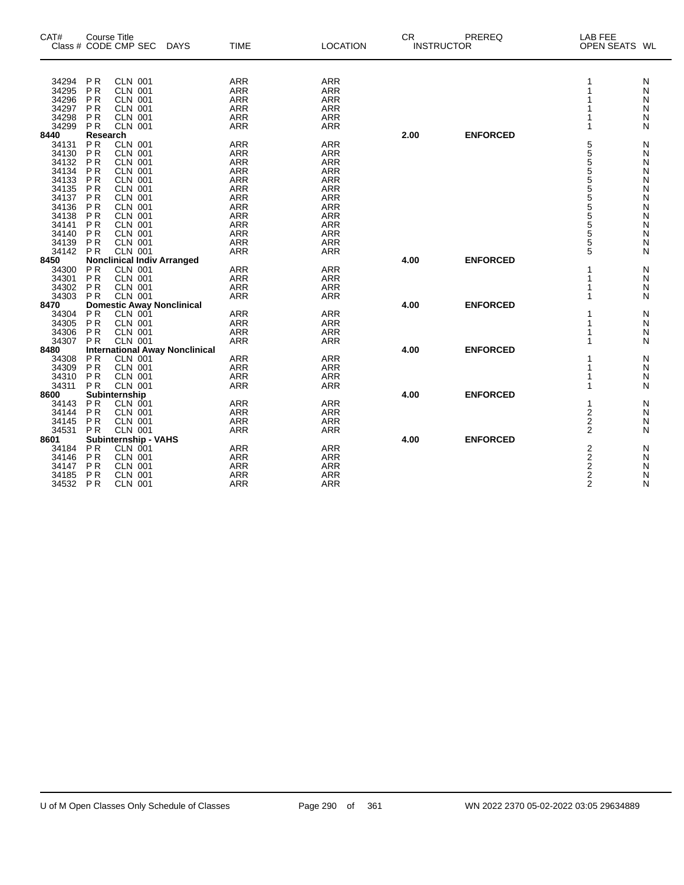| CAT#           | <b>Course Title</b><br>Class # CODE CMP SEC |                                  | <b>DAYS</b>                           | <b>TIME</b>              | <b>LOCATION</b>          | <b>CR</b> | <b>INSTRUCTOR</b> | PREREQ          | <b>LAB FEE</b><br>OPEN SEATS WL              |        |
|----------------|---------------------------------------------|----------------------------------|---------------------------------------|--------------------------|--------------------------|-----------|-------------------|-----------------|----------------------------------------------|--------|
|                |                                             |                                  |                                       |                          |                          |           |                   |                 |                                              |        |
| 34294<br>34295 | <b>PR</b><br><b>PR</b>                      | <b>CLN 001</b><br><b>CLN 001</b> |                                       | <b>ARR</b>               | <b>ARR</b>               |           |                   |                 | 1                                            | N      |
| 34296          | P <sub>R</sub>                              | <b>CLN 001</b>                   |                                       | <b>ARR</b><br><b>ARR</b> | <b>ARR</b>               |           |                   |                 |                                              | N      |
| 34297          | <b>PR</b>                                   | <b>CLN 001</b>                   |                                       | <b>ARR</b>               | <b>ARR</b><br><b>ARR</b> |           |                   |                 |                                              | N      |
| 34298          | P <sub>R</sub>                              | <b>CLN 001</b>                   |                                       | <b>ARR</b>               | <b>ARR</b>               |           |                   |                 |                                              | N<br>N |
| 34299          | P <sub>R</sub>                              | <b>CLN 001</b>                   |                                       | <b>ARR</b>               | <b>ARR</b>               |           |                   |                 |                                              | N      |
| 8440           | Research                                    |                                  |                                       |                          |                          | 2.00      |                   | <b>ENFORCED</b> |                                              |        |
| 34131          | <b>PR</b>                                   | <b>CLN 001</b>                   |                                       | <b>ARR</b>               | <b>ARR</b>               |           |                   |                 | 5                                            | Ν      |
| 34130          | <b>PR</b>                                   | <b>CLN 001</b>                   |                                       | <b>ARR</b>               | <b>ARR</b>               |           |                   |                 | 5                                            | Ν      |
| 34132          | <b>PR</b>                                   | <b>CLN 001</b>                   |                                       | <b>ARR</b>               | <b>ARR</b>               |           |                   |                 |                                              | N      |
| 34134          | P <sub>R</sub>                              | <b>CLN 001</b>                   |                                       | <b>ARR</b>               | <b>ARR</b>               |           |                   |                 |                                              | N      |
| 34133          | <b>PR</b>                                   | <b>CLN 001</b>                   |                                       | <b>ARR</b>               | <b>ARR</b>               |           |                   |                 | 5<br>5<br>5<br>5                             | Ν      |
| 34135          | <b>PR</b>                                   | <b>CLN 001</b>                   |                                       | <b>ARR</b>               | <b>ARR</b>               |           |                   |                 | 5                                            | N      |
| 34137          | P <sub>R</sub>                              | <b>CLN 001</b>                   |                                       | <b>ARR</b>               | <b>ARR</b>               |           |                   |                 |                                              | Ν      |
| 34136          | <b>PR</b>                                   | <b>CLN 001</b>                   |                                       | <b>ARR</b>               | <b>ARR</b>               |           |                   |                 |                                              | Ν      |
| 34138          | P <sub>R</sub>                              | <b>CLN 001</b>                   |                                       | <b>ARR</b>               | <b>ARR</b>               |           |                   |                 | 5<br>5<br>5<br>5                             | N      |
| 34141          | <b>PR</b>                                   | <b>CLN 001</b>                   |                                       | <b>ARR</b>               | <b>ARR</b>               |           |                   |                 |                                              | Ν      |
| 34140          | P <sub>R</sub>                              | <b>CLN 001</b>                   |                                       | <b>ARR</b>               | <b>ARR</b>               |           |                   |                 | $\frac{5}{5}$                                | N      |
| 34139          | P <sub>R</sub>                              | <b>CLN 001</b>                   |                                       | <b>ARR</b>               | <b>ARR</b>               |           |                   |                 | 5                                            | Ν      |
| 34142          | <b>PR</b>                                   | <b>CLN 001</b>                   |                                       | <b>ARR</b>               | <b>ARR</b>               |           |                   |                 | 5                                            | N      |
| 8450           | <b>Nonclinical Indiv Arranged</b>           |                                  |                                       |                          |                          | 4.00      |                   | <b>ENFORCED</b> |                                              |        |
| 34300          | P <sub>R</sub>                              | <b>CLN 001</b>                   |                                       | <b>ARR</b>               | <b>ARR</b>               |           |                   |                 |                                              | N      |
| 34301          | P <sub>R</sub>                              | <b>CLN 001</b>                   |                                       | <b>ARR</b>               | <b>ARR</b>               |           |                   |                 |                                              | N      |
| 34302          | <b>PR</b>                                   | <b>CLN 001</b>                   |                                       | ARR                      | ARR                      |           |                   |                 |                                              | N      |
| 34303          | <b>PR</b>                                   | <b>CLN 001</b>                   |                                       | <b>ARR</b>               | <b>ARR</b>               |           |                   |                 |                                              | N      |
| 8470           |                                             |                                  | <b>Domestic Away Nonclinical</b>      |                          |                          | 4.00      |                   | <b>ENFORCED</b> |                                              |        |
| 34304          | P <sub>R</sub>                              | CLN 001                          |                                       | <b>ARR</b>               | <b>ARR</b>               |           |                   |                 |                                              | N      |
| 34305          | P <sub>R</sub>                              | <b>CLN 001</b>                   |                                       | <b>ARR</b>               | <b>ARR</b>               |           |                   |                 |                                              | N      |
| 34306          | P <sub>R</sub>                              | <b>CLN 001</b>                   |                                       | <b>ARR</b>               | <b>ARR</b>               |           |                   |                 |                                              | N      |
| 34307          | <b>PR</b>                                   | CLN 001                          |                                       | <b>ARR</b>               | <b>ARR</b>               |           |                   |                 |                                              | N      |
| 8480           |                                             |                                  | <b>International Away Nonclinical</b> |                          |                          | 4.00      |                   | <b>ENFORCED</b> |                                              |        |
| 34308          | P <sub>R</sub>                              | <b>CLN 001</b>                   |                                       | <b>ARR</b>               | <b>ARR</b>               |           |                   |                 |                                              | N      |
| 34309          | <b>PR</b>                                   | <b>CLN 001</b>                   |                                       | <b>ARR</b>               | <b>ARR</b>               |           |                   |                 |                                              | N      |
| 34310          | <b>PR</b>                                   | <b>CLN 001</b>                   |                                       | <b>ARR</b>               | <b>ARR</b>               |           |                   |                 |                                              | N      |
| 34311          | <b>PR</b>                                   | <b>CLN 001</b>                   |                                       | <b>ARR</b>               | <b>ARR</b>               |           |                   |                 | 1                                            | N      |
| 8600           | Subinternship                               |                                  |                                       |                          |                          | 4.00      |                   | <b>ENFORCED</b> |                                              |        |
| 34143          | <b>PR</b>                                   | CLN 001                          |                                       | <b>ARR</b>               | <b>ARR</b>               |           |                   |                 | 1                                            | N      |
| 34144          | <b>PR</b>                                   | <b>CLN 001</b>                   |                                       | <b>ARR</b>               | <b>ARR</b>               |           |                   |                 | $\overline{2}$                               | Ν      |
| 34145          | P <sub>R</sub>                              | <b>CLN 001</b>                   |                                       | <b>ARR</b>               | <b>ARR</b>               |           |                   |                 | $\mathbf 2$                                  | Ν      |
| 34531          | <b>PR</b>                                   | <b>CLN 001</b>                   |                                       | <b>ARR</b>               | <b>ARR</b>               |           |                   |                 | $\overline{2}$                               | N      |
| 8601           | Subinternship - VAHS                        |                                  |                                       |                          |                          | 4.00      |                   | <b>ENFORCED</b> |                                              |        |
| 34184          | <b>PR</b>                                   | CLN 001                          |                                       | <b>ARR</b>               | <b>ARR</b>               |           |                   |                 |                                              | N      |
| 34146          | <b>PR</b>                                   | <b>CLN 001</b>                   |                                       | <b>ARR</b>               | <b>ARR</b>               |           |                   |                 | $\begin{array}{c}\n2 \\ 2 \\ 2\n\end{array}$ | N      |
| 34147          | <b>PR</b>                                   | <b>CLN 001</b>                   |                                       | <b>ARR</b>               | <b>ARR</b>               |           |                   |                 |                                              | N      |
| 34185          | <b>PR</b>                                   | <b>CLN 001</b>                   |                                       | <b>ARR</b>               | <b>ARR</b>               |           |                   |                 |                                              | N      |
| 34532          | PR                                          | <b>CLN 001</b>                   |                                       | <b>ARR</b>               | <b>ARR</b>               |           |                   |                 | $\overline{2}$                               | N      |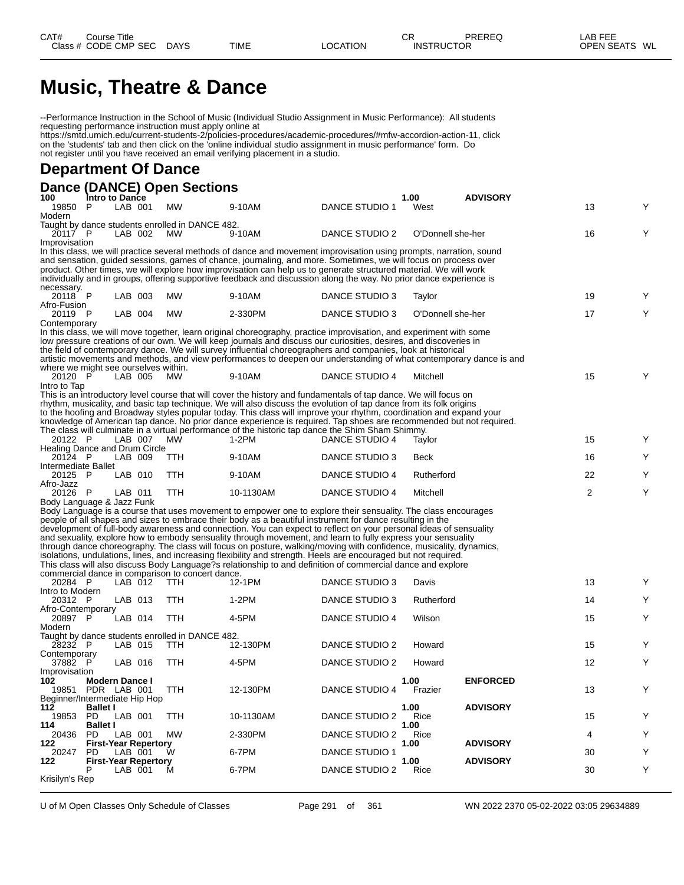# **Music, Theatre & Dance**

--Performance Instruction in the School of Music (Individual Studio Assignment in Music Performance): All students requesting performance instruction must apply online at

https://smtd.umich.edu/current-students-2/policies-procedures/academic-procedures/#mfw-accordion-action-11, click on the 'students' tab and then click on the 'online individual studio assignment in music performance' form. Do not register until you have received an email verifying placement in a studio.

## **Department Of Dance**

| Dance (DANCE) Open Sections                                 |         |                             |            |                                                                                                                                                                                                                                   |                |      |                   |                 |    |   |
|-------------------------------------------------------------|---------|-----------------------------|------------|-----------------------------------------------------------------------------------------------------------------------------------------------------------------------------------------------------------------------------------|----------------|------|-------------------|-----------------|----|---|
| 100<br>Intro to Dance<br>19850<br>P                         | LAB 001 |                             | <b>MW</b>  | 9-10AM                                                                                                                                                                                                                            | DANCE STUDIO 1 | 1.00 | West              | <b>ADVISORY</b> | 13 | Υ |
| Modern                                                      |         |                             |            |                                                                                                                                                                                                                                   |                |      |                   |                 |    |   |
| Taught by dance students enrolled in DANCE 482.<br>20117 P  | LAB 002 |                             | <b>MW</b>  | 9-10AM                                                                                                                                                                                                                            | DANCE STUDIO 2 |      | O'Donnell she-her |                 | 16 | Υ |
| Improvisation                                               |         |                             |            | In this class, we will practice several methods of dance and movement improvisation using prompts, narration, sound                                                                                                               |                |      |                   |                 |    |   |
|                                                             |         |                             |            | and sensation, guided sessions, games of chance, journaling, and more. Sometimes, we will focus on process over                                                                                                                   |                |      |                   |                 |    |   |
|                                                             |         |                             |            | product. Other times, we will explore how improvisation can help us to generate structured material. We will work                                                                                                                 |                |      |                   |                 |    |   |
|                                                             |         |                             |            | individually and in groups, offering supportive feedback and discussion along the way. No prior dance experience is                                                                                                               |                |      |                   |                 |    |   |
| necessary.<br>20118 P<br>Afro-Fusion                        | LAB 003 |                             | <b>MW</b>  | 9-10AM                                                                                                                                                                                                                            | DANCE STUDIO 3 |      | Taylor            |                 | 19 | Y |
| 20119 P                                                     | LAB 004 |                             | <b>MW</b>  | 2-330PM                                                                                                                                                                                                                           | DANCE STUDIO 3 |      | O'Donnell she-her |                 | 17 | Y |
| Contemporary                                                |         |                             |            |                                                                                                                                                                                                                                   |                |      |                   |                 |    |   |
|                                                             |         |                             |            | In this class, we will move together, learn original choreography, practice improvisation, and experiment with some                                                                                                               |                |      |                   |                 |    |   |
|                                                             |         |                             |            | low pressure creations of our own. We will keep journals and discuss our curiosities, desires, and discoveries in<br>the field of contemporary dance. We will survey influential choreographers and companies, look at historical |                |      |                   |                 |    |   |
|                                                             |         |                             |            | artistic movements and methods, and view performances to deepen our understanding of what contemporary dance is and                                                                                                               |                |      |                   |                 |    |   |
| where we might see ourselves within.                        |         |                             |            |                                                                                                                                                                                                                                   |                |      |                   |                 |    |   |
| 20120 P                                                     | LAB 005 |                             | <b>MW</b>  | 9-10AM                                                                                                                                                                                                                            | DANCE STUDIO 4 |      | Mitchell          |                 | 15 | Y |
| Intro to Tap                                                |         |                             |            | This is an introductory level course that will cover the history and fundamentals of tap dance. We will focus on                                                                                                                  |                |      |                   |                 |    |   |
|                                                             |         |                             |            | rhythm, musicality, and basic tap technique. We will also discuss the evolution of tap dance from its folk origins                                                                                                                |                |      |                   |                 |    |   |
|                                                             |         |                             |            | to the hoofing and Broadway styles popular today. This class will improve your rhythm, coordination and expand your                                                                                                               |                |      |                   |                 |    |   |
|                                                             |         |                             |            | knowledge of American tap dance. No prior dance experience is required. Tap shoes are recommended but not required.                                                                                                               |                |      |                   |                 |    |   |
| 20122 P                                                     | LAB 007 |                             | MW         | The class will culminate in a virtual performance of the historic tap dance the Shim Sham Shimmy.<br>$1-2PM$                                                                                                                      | DANCE STUDIO 4 |      |                   |                 | 15 | Y |
| Healing Dance and Drum Circle                               |         |                             |            |                                                                                                                                                                                                                                   |                |      | Taylor            |                 |    |   |
| 20124 P                                                     | LAB 009 |                             | TTH        | 9-10AM                                                                                                                                                                                                                            | DANCE STUDIO 3 |      | Beck              |                 | 16 | Y |
| Intermediate Ballet                                         |         |                             |            |                                                                                                                                                                                                                                   |                |      |                   |                 |    |   |
| 20125 P                                                     | LAB 010 |                             | TTH        | 9-10AM                                                                                                                                                                                                                            | DANCE STUDIO 4 |      | Rutherford        |                 | 22 | Υ |
| Afro-Jazz<br>20126 P                                        | LAB 011 |                             | <b>TTH</b> | 10-1130AM                                                                                                                                                                                                                         | DANCE STUDIO 4 |      | Mitchell          |                 | 2  | Υ |
| Body Language & Jazz Funk                                   |         |                             |            |                                                                                                                                                                                                                                   |                |      |                   |                 |    |   |
|                                                             |         |                             |            | Body Language is a course that uses movement to empower one to explore their sensuality. The class encourages                                                                                                                     |                |      |                   |                 |    |   |
|                                                             |         |                             |            | people of all shapes and sizes to embrace their body as a beautiful instrument for dance resulting in the<br>development of full-body awareness and connection. You can expect to reflect on your personal ideas of sensuality    |                |      |                   |                 |    |   |
|                                                             |         |                             |            | and sexuality, explore how to embody sensuality through movement, and learn to fully express your sensuality                                                                                                                      |                |      |                   |                 |    |   |
|                                                             |         |                             |            | through dance choreography. The class will focus on posture, walking/moving with confidence, musicality, dynamics,                                                                                                                |                |      |                   |                 |    |   |
|                                                             |         |                             |            | isolations, undulations, lines, and increasing flexibility and strength. Heels are encouraged but not required.                                                                                                                   |                |      |                   |                 |    |   |
|                                                             |         |                             |            | This class will also discuss Body Language?s relationship to and definition of commercial dance and explore                                                                                                                       |                |      |                   |                 |    |   |
| commercial dance in comparison to concert dance.<br>20284 P | LAB 012 |                             | TTH        | 12-1PM                                                                                                                                                                                                                            | DANCE STUDIO 3 |      | Davis             |                 | 13 | Y |
| Intro to Modern                                             |         |                             |            |                                                                                                                                                                                                                                   |                |      |                   |                 |    |   |
| 20312 P                                                     | LAB 013 |                             | <b>TTH</b> | $1-2PM$                                                                                                                                                                                                                           | DANCE STUDIO 3 |      | Rutherford        |                 | 14 | Y |
| Afro-Contemporary<br>20897 P                                |         |                             | TTH        | 4-5PM                                                                                                                                                                                                                             | DANCE STUDIO 4 |      | Wilson            |                 | 15 | Υ |
| Modern                                                      | LAB 014 |                             |            |                                                                                                                                                                                                                                   |                |      |                   |                 |    |   |
| Taught by dance students enrolled in DANCE 482.             |         |                             |            |                                                                                                                                                                                                                                   |                |      |                   |                 |    |   |
| 28232 P                                                     | LAB 015 |                             | TTH        | 12-130PM                                                                                                                                                                                                                          | DANCE STUDIO 2 |      | Howard            |                 | 15 | Y |
| Contemporary                                                |         |                             |            |                                                                                                                                                                                                                                   |                |      |                   |                 |    |   |
| 37882 P<br>Improvisation                                    | LAB 016 |                             | TTH        | 4-5PM                                                                                                                                                                                                                             | DANCE STUDIO 2 |      | Howard            |                 | 12 | Υ |
| 102<br><b>Modern Dance I</b>                                |         |                             |            |                                                                                                                                                                                                                                   |                | 1.00 |                   | <b>ENFORCED</b> |    |   |
| 19851 PDR LAB 001                                           |         |                             | <b>TTH</b> | 12-130PM                                                                                                                                                                                                                          | DANCE STUDIO 4 |      | Frazier           |                 | 13 | Y |
| Beginner/Intermediate Hip Hop                               |         |                             |            |                                                                                                                                                                                                                                   |                |      |                   |                 |    |   |
| 112<br><b>Ballet I</b><br>19853<br><b>PD</b>                | LAB 001 |                             | TTH        | 10-1130AM                                                                                                                                                                                                                         | DANCE STUDIO 2 | 1.00 | Rice              | <b>ADVISORY</b> | 15 | Υ |
| 114<br><b>Ballet I</b>                                      |         |                             |            |                                                                                                                                                                                                                                   |                | 1.00 |                   |                 |    |   |
| 20436<br><b>PD</b>                                          | LAB 001 |                             | МW         | 2-330PM                                                                                                                                                                                                                           | DANCE STUDIO 2 |      | Rice              |                 | 4  | Υ |
| 122                                                         |         | <b>First-Year Repertory</b> |            |                                                                                                                                                                                                                                   |                | 1.00 |                   | <b>ADVISORY</b> |    |   |
| PD.<br>20247<br>122                                         | LAB 001 | <b>First-Year Repertory</b> | W          | 6-7PM                                                                                                                                                                                                                             | DANCE STUDIO 1 | 1.00 |                   | <b>ADVISORY</b> | 30 | Υ |
| P                                                           | LAB 001 |                             | м          | 6-7PM                                                                                                                                                                                                                             | DANCE STUDIO 2 |      | Rice              |                 | 30 | Y |
| Krisilyn's Rep                                              |         |                             |            |                                                                                                                                                                                                                                   |                |      |                   |                 |    |   |
|                                                             |         |                             |            |                                                                                                                                                                                                                                   |                |      |                   |                 |    |   |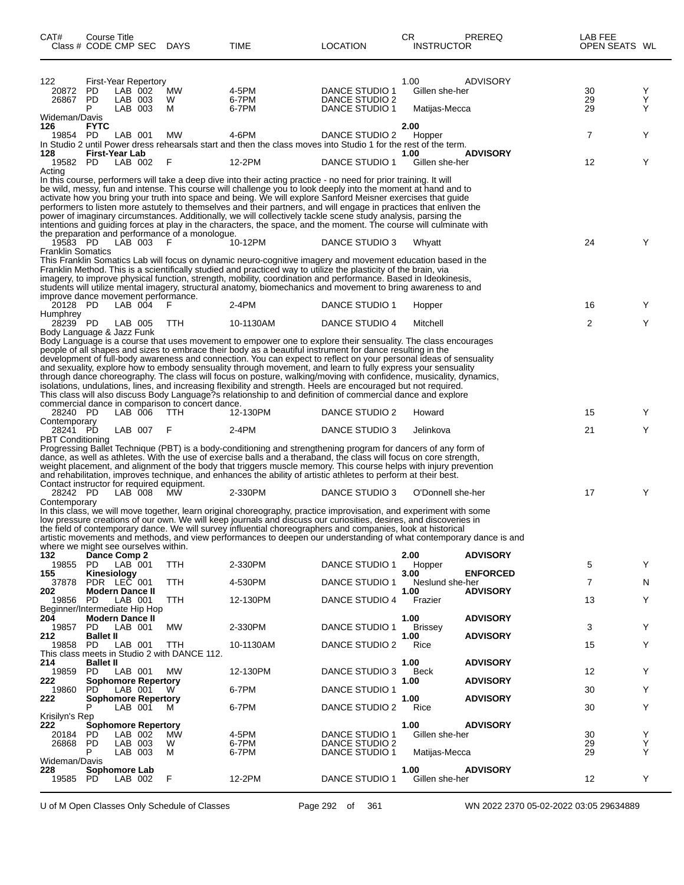| CAT#<br>Class # CODE CMP SEC                  | Course Title                            |                               |                             | <b>DAYS</b>                                                    | TIME                                                                                                                                                                                                                                                                                                                                                                                                                                                                                                                                                                                                                                                                                                                                                                                                                                | LOCATION                                           | CR.<br><b>INSTRUCTOR</b>                | <b>PREREQ</b>                      | LAB FEE<br>OPEN SEATS WL |             |
|-----------------------------------------------|-----------------------------------------|-------------------------------|-----------------------------|----------------------------------------------------------------|-------------------------------------------------------------------------------------------------------------------------------------------------------------------------------------------------------------------------------------------------------------------------------------------------------------------------------------------------------------------------------------------------------------------------------------------------------------------------------------------------------------------------------------------------------------------------------------------------------------------------------------------------------------------------------------------------------------------------------------------------------------------------------------------------------------------------------------|----------------------------------------------------|-----------------------------------------|------------------------------------|--------------------------|-------------|
| 122<br>20872<br>26867<br>Wideman/Davis        | <b>PD</b><br>PD<br>P                    | LAB 002<br>LAB 003<br>LAB 003 | <b>First-Year Repertory</b> | MW<br>W<br>м                                                   | 4-5PM<br>6-7PM<br>6-7PM                                                                                                                                                                                                                                                                                                                                                                                                                                                                                                                                                                                                                                                                                                                                                                                                             | DANCE STUDIO 1<br>DANCE STUDIO 2<br>DANCE STUDIO 1 | 1.00<br>Gillen she-her<br>Matijas-Mecca | <b>ADVISORY</b>                    | 30<br>29<br>29           | Y<br>Υ<br>Y |
| 126<br>19854 PD                               | <b>FYTC</b>                             | LAB 001                       |                             | МW                                                             | 4-6PM<br>In Studio 2 until Power dress rehearsals start and then the class moves into Studio 1 for the rest of the term.                                                                                                                                                                                                                                                                                                                                                                                                                                                                                                                                                                                                                                                                                                            | DANCE STUDIO 2                                     | 2.00<br>Hopper                          |                                    | 7                        | Y           |
| 128<br>19582 PD                               | First-Year Lab                          | LAB 002                       |                             | F                                                              | 12-2PM                                                                                                                                                                                                                                                                                                                                                                                                                                                                                                                                                                                                                                                                                                                                                                                                                              | DANCE STUDIO 1                                     | 1.00<br>Gillen she-her                  | <b>ADVISORY</b>                    | 12                       | Y           |
| Acting                                        |                                         |                               |                             | the preparation and performance of a monologue.                | In this course, performers will take a deep dive into their acting practice - no need for prior training. It will<br>be wild, messy, fun and intense. This course will challenge you to look deeply into the moment at hand and to<br>activate how you bring your truth into space and being. We will explore Sanford Meisner exercises that guide<br>performers to listen more astutely to themselves and their partners, and will engage in practices that enliven the<br>power of imaginary circumstances. Additionally, we will collectively tackle scene study analysis, parsing the<br>intentions and guiding forces at play in the characters, the space, and the moment. The course will culminate with                                                                                                                     |                                                    |                                         |                                    |                          |             |
| 19583 PD<br><b>Franklin Somatics</b>          |                                         | LAB 003                       |                             | F                                                              | 10-12PM                                                                                                                                                                                                                                                                                                                                                                                                                                                                                                                                                                                                                                                                                                                                                                                                                             | DANCE STUDIO 3                                     | Whyatt                                  |                                    | 24                       | Y           |
| improve dance movement performance.           |                                         |                               |                             |                                                                | This Franklin Somatics Lab will focus on dynamic neuro-cognitive imagery and movement education based in the<br>Franklin Method. This is a scientifically studied and practiced way to utilize the plasticity of the brain, via<br>imagery, to improve physical function, strength, mobility, coordination and performance. Based in Ideokinesis,<br>students will utilize mental imagery, structural anatomy, biomechanics and movement to bring awareness to and                                                                                                                                                                                                                                                                                                                                                                  |                                                    |                                         |                                    |                          |             |
| 20128 PD<br>Humphrey                          |                                         | $LAB$ 004                     |                             | - F                                                            | $2-4PM$                                                                                                                                                                                                                                                                                                                                                                                                                                                                                                                                                                                                                                                                                                                                                                                                                             | DANCE STUDIO 1                                     | Hopper                                  |                                    | 16                       | Y           |
| 28239 PD<br>Body Language & Jazz Funk         |                                         | LAB 005                       |                             | TTH                                                            | 10-1130AM                                                                                                                                                                                                                                                                                                                                                                                                                                                                                                                                                                                                                                                                                                                                                                                                                           | DANCE STUDIO 4                                     | Mitchell                                |                                    | 2                        | Y           |
| 28240 PD<br>Contemporary                      |                                         | LAB 006                       |                             | commercial dance in comparison to concert dance.<br><b>TTH</b> | Body Language is a course that uses movement to empower one to explore their sensuality. The class encourages<br>people of all shapes and sizes to embrace their body as a beautiful instrument for dance resulting in the<br>development of full-body awareness and connection. You can expect to reflect on your personal ideas of sensuality<br>and sexuality, explore how to embody sensuality through movement, and learn to fully express your sensuality<br>through dance choreography. The class will focus on posture, walking/moving with confidence, musicality, dynamics,<br>isolations, undulations, lines, and increasing flexibility and strength. Heels are encouraged but not required.<br>This class will also discuss Body Language?s relationship to and definition of commercial dance and explore<br>12-130PM | DANCE STUDIO 2                                     | Howard                                  |                                    | 15                       | Y           |
| 28241 PD<br>PBT Conditioning                  |                                         | LAB 007                       |                             | F                                                              | $2-4PM$                                                                                                                                                                                                                                                                                                                                                                                                                                                                                                                                                                                                                                                                                                                                                                                                                             | DANCE STUDIO 3                                     | Jelinkova                               |                                    | 21                       | Y           |
| Contact instructor for required equipment.    |                                         |                               |                             |                                                                | Progressing Ballet Technique (PBT) is a body-conditioning and strengthening program for dancers of any form of<br>dance, as well as athletes. With the use of exercise balls and a theraband, the class will focus on core strength,<br>weight placement, and alignment of the body that triggers muscle memory. This course helps with injury prevention<br>and rehabilitation, improves technique, and enhances the ability of artistic athletes to perform at their best.                                                                                                                                                                                                                                                                                                                                                        |                                                    |                                         |                                    |                          |             |
| 28242 PD<br>Contemporary                      |                                         | LAB 008                       |                             | MW                                                             | 2-330PM                                                                                                                                                                                                                                                                                                                                                                                                                                                                                                                                                                                                                                                                                                                                                                                                                             | DANCE STUDIO 3                                     | O'Donnell she-her                       |                                    | 17                       | Y           |
| where we might see ourselves within.          |                                         |                               |                             |                                                                | In this class, we will move together, learn original choreography, practice improvisation, and experiment with some<br>low pressure creations of our own. We will keep journals and discuss our curiosities, desires, and discoveries in<br>the field of contemporary dance. We will survey influential choreographers and companies, look at historical<br>artistic movements and methods, and view performances to deepen our understanding of what contemporary dance is and                                                                                                                                                                                                                                                                                                                                                     |                                                    |                                         |                                    |                          |             |
| 132<br>19855                                  | Dance Comp 2<br><b>PD</b>               | LAB 001                       |                             | TTH                                                            | 2-330PM                                                                                                                                                                                                                                                                                                                                                                                                                                                                                                                                                                                                                                                                                                                                                                                                                             | DANCE STUDIO 1                                     | 2.00<br>Hopper                          | <b>ADVISORY</b>                    | 5                        | Y           |
| 155<br>37878                                  | Kinesiology<br>PDR LEC 001              |                               |                             | TTH                                                            | 4-530PM                                                                                                                                                                                                                                                                                                                                                                                                                                                                                                                                                                                                                                                                                                                                                                                                                             | <b>DANCE STUDIO 1</b>                              | 3.00<br>Neslund she-her                 | <b>ENFORCED</b><br><b>ADVISORY</b> | $\overline{7}$           | N           |
| 202<br>19856<br>Beginner/Intermediate Hip Hop | <b>Modern Dance II</b><br><b>PD</b>     | LAB 001                       |                             | TTH                                                            | 12-130PM                                                                                                                                                                                                                                                                                                                                                                                                                                                                                                                                                                                                                                                                                                                                                                                                                            | DANCE STUDIO 4                                     | 1.00<br>Frazier                         |                                    | 13                       | Y           |
| 204<br>19857                                  | <b>Modern Dance II</b><br>PD.           | LAB 001                       |                             | МW                                                             | 2-330PM                                                                                                                                                                                                                                                                                                                                                                                                                                                                                                                                                                                                                                                                                                                                                                                                                             | DANCE STUDIO 1                                     | 1.00<br><b>Brissey</b>                  | <b>ADVISORY</b>                    | 3                        | Y           |
| 212<br>19858                                  | <b>Ballet II</b><br><b>PD</b>           | LAB 001                       |                             | TTH                                                            | 10-1130AM                                                                                                                                                                                                                                                                                                                                                                                                                                                                                                                                                                                                                                                                                                                                                                                                                           | DANCE STUDIO 2                                     | 1.00<br>Rice                            | <b>ADVISORY</b>                    | 15                       | Y           |
| 214                                           | <b>Ballet II</b>                        |                               |                             | This class meets in Studio 2 with DANCE 112.                   |                                                                                                                                                                                                                                                                                                                                                                                                                                                                                                                                                                                                                                                                                                                                                                                                                                     |                                                    | 1.00                                    | <b>ADVISORY</b>                    |                          |             |
| 19859<br>222                                  | <b>PD</b><br><b>Sophomore Repertory</b> | LAB 001                       |                             | MW                                                             | 12-130PM                                                                                                                                                                                                                                                                                                                                                                                                                                                                                                                                                                                                                                                                                                                                                                                                                            | DANCE STUDIO 3                                     | Beck<br>1.00                            | <b>ADVISORY</b>                    | 12                       | Y           |
| 19860<br>222                                  | <b>PD</b>                               | LAB 001                       | <b>Sophomore Repertory</b>  | W                                                              | 6-7PM                                                                                                                                                                                                                                                                                                                                                                                                                                                                                                                                                                                                                                                                                                                                                                                                                               | <b>DANCE STUDIO 1</b>                              | 1.00                                    | <b>ADVISORY</b>                    | 30                       | Y           |
| Krisilyn's Rep                                |                                         | LAB 001                       |                             | M                                                              | 6-7PM                                                                                                                                                                                                                                                                                                                                                                                                                                                                                                                                                                                                                                                                                                                                                                                                                               | DANCE STUDIO 2                                     | Rice                                    |                                    | 30                       | Y           |
| 222<br>20184<br>26868 PD                      | <b>Sophomore Repertory</b><br>PD<br>Р   | LAB 002<br>LAB 003<br>LAB 003 |                             | MW<br>W<br>м                                                   | 4-5PM<br>6-7PM<br>6-7PM                                                                                                                                                                                                                                                                                                                                                                                                                                                                                                                                                                                                                                                                                                                                                                                                             | DANCE STUDIO 1<br>DANCE STUDIO 2<br>DANCE STUDIO 1 | 1.00<br>Gillen she-her<br>Matijas-Mecca | <b>ADVISORY</b>                    | 30<br>29<br>29           | Y<br>Υ<br>Y |
| Wideman/Davis<br>228<br>19585                 | Sophomore Lab<br>PD                     | LAB 002                       |                             | F                                                              | 12-2PM                                                                                                                                                                                                                                                                                                                                                                                                                                                                                                                                                                                                                                                                                                                                                                                                                              | DANCE STUDIO 1                                     | 1.00<br>Gillen she-her                  | <b>ADVISORY</b>                    | 12                       | Y           |

U of M Open Classes Only Schedule of Classes Page 292 of 361 WN 2022 2370 05-02-2022 03:05 29634889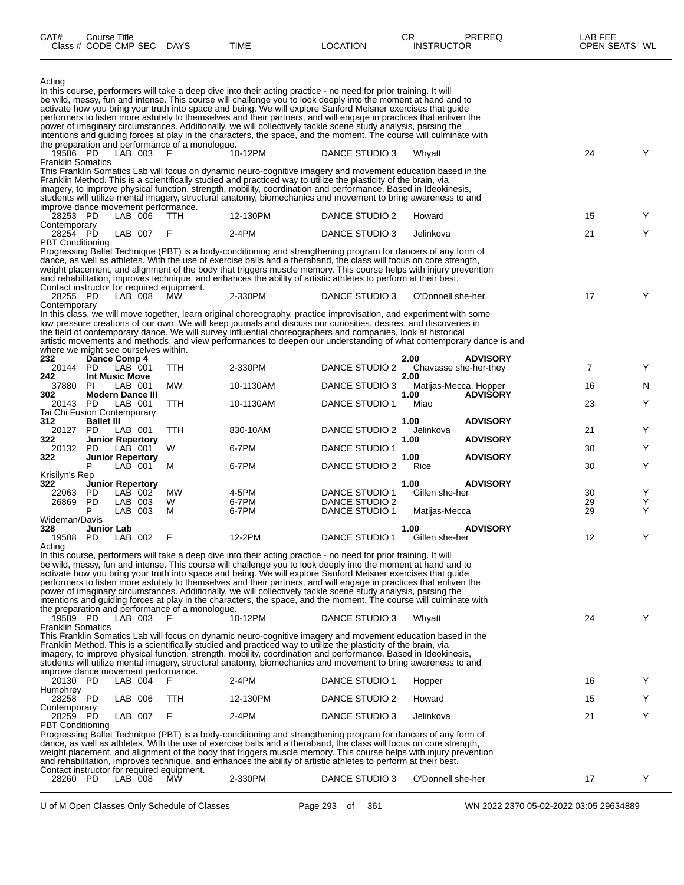| CAT#                                                            | Course Title<br>Class # CODE CMP SEC DAYS |                                    |                                                         | TIME                                                                                                                                                                                                                                                                                                                                                                                                                                                                                                                                                                                                                                                                                                                                | <b>LOCATION</b>                  | CR<br><b>INSTRUCTOR</b>       | PREREQ          | LAB FEE<br>OPEN SEATS WL |        |
|-----------------------------------------------------------------|-------------------------------------------|------------------------------------|---------------------------------------------------------|-------------------------------------------------------------------------------------------------------------------------------------------------------------------------------------------------------------------------------------------------------------------------------------------------------------------------------------------------------------------------------------------------------------------------------------------------------------------------------------------------------------------------------------------------------------------------------------------------------------------------------------------------------------------------------------------------------------------------------------|----------------------------------|-------------------------------|-----------------|--------------------------|--------|
| Acting                                                          |                                           |                                    |                                                         | In this course, performers will take a deep dive into their acting practice - no need for prior training. It will<br>be wild, messy, fun and intense. This course will challenge you to look deeply into the moment at hand and to<br>activate how you bring your truth into space and being. We will explore Sanford Meisner exercises that guide<br>performers to listen more astutely to themselves and their partners, and will engage in practices that enliven the<br>power of imaginary circumstances. Additionally, we will collectively tackle scene study analysis, parsing the<br>intentions and guiding forces at play in the characters, the space, and the moment. The course will culminate with                     |                                  |                               |                 |                          |        |
| 19586 PD                                                        |                                           | LAB 003                            | the preparation and performance of a monologue.<br>F    | 10-12PM                                                                                                                                                                                                                                                                                                                                                                                                                                                                                                                                                                                                                                                                                                                             | DANCE STUDIO 3                   | Whyatt                        |                 | 24                       | Y      |
| <b>Franklin Somatics</b>                                        |                                           |                                    |                                                         | This Franklin Somatics Lab will focus on dynamic neuro-cognitive imagery and movement education based in the<br>Franklin Method. This is a scientifically studied and practiced way to utilize the plasticity of the brain, via<br>imagery, to improve physical function, strength, mobility, coordination and performance. Based in Ideokinesis,<br>students will utilize mental imagery, structural anatomy, biomechanics and movement to bring awareness to and                                                                                                                                                                                                                                                                  |                                  |                               |                 |                          |        |
| improve dance movement performance.<br>28253 PD<br>Contemporary |                                           | LAB 006                            | <b>TTH</b>                                              | 12-130PM                                                                                                                                                                                                                                                                                                                                                                                                                                                                                                                                                                                                                                                                                                                            | DANCE STUDIO 2                   | Howard                        |                 | 15                       | Y      |
| 28254 PD<br><b>PBT Conditioning</b>                             |                                           | LAB 007                            | F                                                       | 2-4PM                                                                                                                                                                                                                                                                                                                                                                                                                                                                                                                                                                                                                                                                                                                               | DANCE STUDIO 3                   | Jelinkova                     |                 | 21                       | Y      |
| 28255 PD<br>Contemporary                                        |                                           | LAB 008                            | Contact instructor for required equipment.<br><b>MW</b> | Progressing Ballet Technique (PBT) is a body-conditioning and strengthening program for dancers of any form of<br>dance, as well as athletes. With the use of exercise balls and a theraband, the class will focus on core strength,<br>weight placement, and alignment of the body that triggers muscle memory. This course helps with injury prevention<br>and rehabilitation, improves technique, and enhances the ability of artistic athletes to perform at their best.<br>2-330PM<br>In this class, we will move together, learn original choreography, practice improvisation, and experiment with some<br>low pressure creations of our own. We will keep journals and discuss our curiosities, desires, and discoveries in | DANCE STUDIO 3                   | O'Donnell she-her             |                 | 17                       | Y      |
|                                                                 |                                           |                                    |                                                         | the field of contemporary dance. We will survey influential choreographers and companies, look at historical<br>artistic movements and methods, and view performances to deepen our understanding of what contemporary dance is and                                                                                                                                                                                                                                                                                                                                                                                                                                                                                                 |                                  |                               |                 |                          |        |
| where we might see ourselves within.<br>232                     | Dance Comp 4                              |                                    |                                                         |                                                                                                                                                                                                                                                                                                                                                                                                                                                                                                                                                                                                                                                                                                                                     |                                  | 2.00                          | <b>ADVISORY</b> |                          |        |
| 20144 PD<br>242                                                 | <b>Int Music Move</b>                     | LAB 001                            | TTH                                                     | 2-330PM                                                                                                                                                                                                                                                                                                                                                                                                                                                                                                                                                                                                                                                                                                                             | DANCE STUDIO 2                   | Chavasse she-her-they<br>2.00 |                 | 7                        | Y      |
| 37880<br>302                                                    | PL                                        | LAB 001<br><b>Modern Dance III</b> | MW                                                      | 10-1130AM                                                                                                                                                                                                                                                                                                                                                                                                                                                                                                                                                                                                                                                                                                                           | DANCE STUDIO 3                   | Matijas-Mecca, Hopper<br>1.00 | <b>ADVISORY</b> | 16                       | N.     |
| 20143 PD<br>Tai Chi Fusion Contemporary                         |                                           | LAB 001                            | TTH                                                     | 10-1130AM                                                                                                                                                                                                                                                                                                                                                                                                                                                                                                                                                                                                                                                                                                                           | DANCE STUDIO 1                   | Miao                          |                 | 23                       | Y      |
| 312<br>20127                                                    | <b>Ballet III</b><br>PD.                  | LAB 001                            | TTH                                                     | 830-10AM                                                                                                                                                                                                                                                                                                                                                                                                                                                                                                                                                                                                                                                                                                                            | DANCE STUDIO 2                   | 1.00<br>Jelinkova             | <b>ADVISORY</b> | 21                       | Y      |
| 322                                                             |                                           | <b>Junior Repertory</b><br>LAB 001 |                                                         | 6-7PM                                                                                                                                                                                                                                                                                                                                                                                                                                                                                                                                                                                                                                                                                                                               | DANCE STUDIO 1                   | 1.00                          | <b>ADVISORY</b> | 30                       | Y      |
| 20132<br>322                                                    | PD.                                       | <b>Junior Repertory</b>            | W                                                       |                                                                                                                                                                                                                                                                                                                                                                                                                                                                                                                                                                                                                                                                                                                                     |                                  | 1.00                          | <b>ADVISORY</b> |                          |        |
| Krisilyn's Rep                                                  | P                                         | LAB 001                            | м                                                       | 6-7PM                                                                                                                                                                                                                                                                                                                                                                                                                                                                                                                                                                                                                                                                                                                               | DANCE STUDIO 2                   | Rice                          |                 | 30                       | Y      |
| 322<br>22063                                                    | PD                                        | Junior Repertory<br>LAB 002        | MW                                                      | 4-5PM                                                                                                                                                                                                                                                                                                                                                                                                                                                                                                                                                                                                                                                                                                                               | DANCE STUDIO 1                   | 1.00<br>Gillen she-her        | <b>ADVISORY</b> | 30                       | Y      |
| 26869                                                           | PD<br>P                                   | LAB 003<br>LAB 003                 | W<br>м                                                  | 6-7PM<br>6-7PM                                                                                                                                                                                                                                                                                                                                                                                                                                                                                                                                                                                                                                                                                                                      | DANCE STUDIO 2<br>DANCE STUDIO 1 | Matijas-Mecca                 |                 | 29<br>29                 | Y<br>Y |
| Wideman/Davis<br>328<br>19588 PD                                | Junior Lab                                | LAB 002                            | - F                                                     | 12-2PM                                                                                                                                                                                                                                                                                                                                                                                                                                                                                                                                                                                                                                                                                                                              | DANCE STUDIO 1                   | 1.00<br>Gillen she-her        | <b>ADVISORY</b> | 12                       |        |
| Acting                                                          |                                           |                                    | the preparation and performance of a monologue.         | In this course, performers will take a deep dive into their acting practice - no need for prior training. It will<br>be wild, messy, fun and intense. This course will challenge you to look deeply into the moment at hand and to<br>activate how you bring your truth into space and being. We will explore Sanford Meisner exercises that quide<br>performers to listen more astutely to themselves and their partners, and will engage in practices that enliven the<br>power of imaginary circumstances. Additionally, we will collectively tackle scene study analysis, parsing the<br>intentions and quiding forces at play in the characters, the space, and the moment. The course will culminate with                     |                                  |                               |                 |                          |        |
| 19589 PD<br><b>Franklin Somatics</b>                            |                                           | LAB 003 F                          |                                                         | 10-12PM<br>This Franklin Somatics Lab will focus on dynamic neuro-cognitive imagery and movement education based in the<br>Franklin Method. This is a scientifically studied and practiced way to utilize the plasticity of the brain, via<br>imagery, to improve physical function, strength, mobility, coordination and performance. Based in Ideokinesis,                                                                                                                                                                                                                                                                                                                                                                        | DANCE STUDIO 3                   | Whyatt                        |                 | 24                       | Y      |
| improve dance movement performance.                             |                                           |                                    |                                                         | students will utilize mental imagery, structural anatomy, biomechanics and movement to bring awareness to and                                                                                                                                                                                                                                                                                                                                                                                                                                                                                                                                                                                                                       |                                  |                               |                 |                          |        |
| 20130 PD<br>Humphrey                                            |                                           | LAB 004                            | -F                                                      | 2-4PM                                                                                                                                                                                                                                                                                                                                                                                                                                                                                                                                                                                                                                                                                                                               | DANCE STUDIO 1                   | Hopper                        |                 | 16                       | Y      |
| 28258 PD<br>Contemporary                                        |                                           | LAB 006                            | TTH                                                     | 12-130PM                                                                                                                                                                                                                                                                                                                                                                                                                                                                                                                                                                                                                                                                                                                            | DANCE STUDIO 2                   | Howard                        |                 | 15                       | Y      |
| 28259 PD<br><b>PBT Conditioning</b>                             |                                           | LAB 007                            | F                                                       | 2-4PM                                                                                                                                                                                                                                                                                                                                                                                                                                                                                                                                                                                                                                                                                                                               | DANCE STUDIO 3                   | Jelinkova                     |                 | 21                       | Y      |
|                                                                 |                                           |                                    |                                                         | Progressing Ballet Technique (PBT) is a body-conditioning and strengthening program for dancers of any form of<br>dance, as well as athletes. With the use of exercise balls and a theraband, the class will focus on core strength,<br>weight placement, and alignment of the body that triggers muscle memory. This course helps with injury prevention<br>and rehabilitation, improves technique, and enhances the ability of artistic athletes to perform at their best.                                                                                                                                                                                                                                                        |                                  |                               |                 |                          |        |
| 28260 PD                                                        |                                           | LAB 008                            | Contact instructor for required equipment.<br><b>MW</b> | 2-330PM                                                                                                                                                                                                                                                                                                                                                                                                                                                                                                                                                                                                                                                                                                                             | DANCE STUDIO 3                   | O'Donnell she-her             |                 | 17                       | Y      |

U of M Open Classes Only Schedule of Classes Page 293 of 361 WN 2022 2370 05-02-2022 03:05 29634889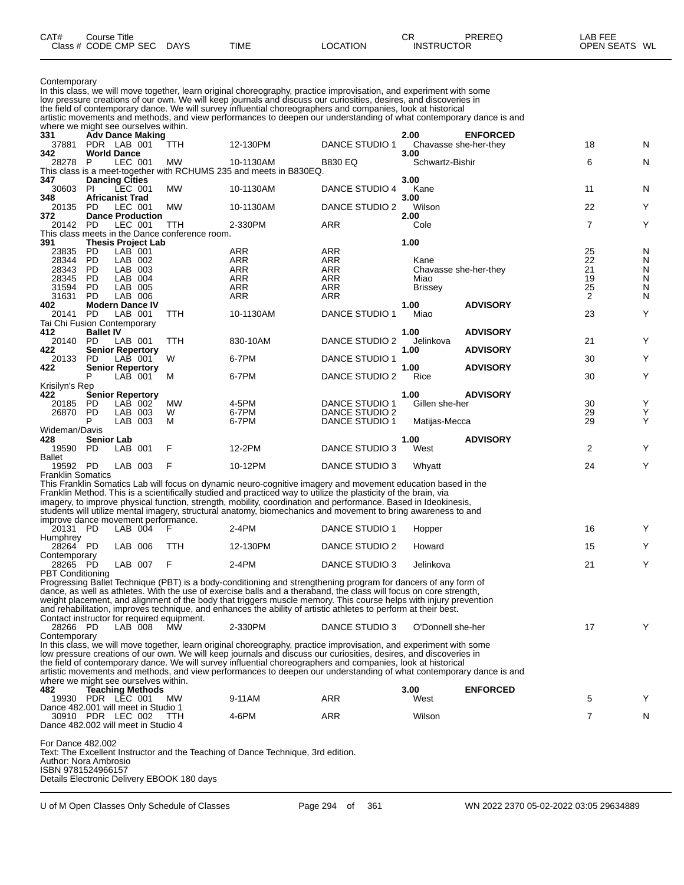| CAT#<br>Class $#$ | Course Title<br>CODE CMP<br>SEC | <b>DAYS</b> | <b>TIME</b> | LOCATION | ◠<br>◡<br><b>INSTRUCTOR</b> | PREREQ | _AB FEF<br><b>OPEN SEATS</b> | WL |
|-------------------|---------------------------------|-------------|-------------|----------|-----------------------------|--------|------------------------------|----|
|                   |                                 |             |             |          |                             |        |                              |    |

| Contemporary |  |  |
|--------------|--|--|
|--------------|--|--|

Contemporary In this class, we will move together, learn original choreography, practice improvisation, and experiment with some low pressure creations of our own. We will keep journals and discuss our curiosities, desires, and discoveries in the field of contemporary dance. We will survey influential choreographers and companies, look at historical artistic movements and methods, and view performances to deepen our understanding of what contemporary dance is and where we might see ourselves within.<br>331 **Adv Dance Making 331 Adv Dance Making 2.00 ENFORCED** 37881 PDR LAB 001 TTH 12-130PM DANCE STUDIO 1 Chavasse she-her-they 18 N **342 World Dance 3.00** 28278 P LEC 001 MW 10-1130AM B830 EQ Schwartz-Bishir 6 N This class is a meet-together with RCHUMS 235 and meets in B830EQ.<br>347 Dancing Cities **347 Dancing Cities 3.00** 30603 PI LEC 001 MW 10-1130AM DANCE STUDIO 4 Kane 11 N<br>**348 Africanist Trad** 3.**00 348 Africanist Trad 3.00** 20135 PD LEC 001 MW 10-1130AM DANCE STUDIO 2 Wilson 22 Y **372 Dance Production 2.00** 20142 PD LEC 001 TTH 2-330PM ARR Cole 7 Y This class meets in the Dance conference room.<br>391 Thesis Project Lab **391 Thesis Project Lab 1.00** 23835 PD LAB 001 ARR ARR 25 N 28344 PD LAB 002 ARR ARR Kane 22 N 28343 PD LAB 003 ARR ARR Chavasse she-her-they 21 N 28345 PD LAB 004 ARR ARR Miao 19 N 31594 PD LAB 005 ARR ARR Brissey 25 N 31631 PD LAB 006 ARR ARR 2 N **402 Modern Dance IV 1.00 ADVISORY** DANCE STUDIO 1 Miao 23 Y Tai Chi Fusion Contemporary<br>412 **Ballet IV 412 Ballet IV 1.00 ADVISORY** 20140 PD LAB 001 TTH 830-10AM DANCE STUDIO 2 Jelinkova Y<br> **Senior Repertory** 830-10AM DANCE STUDIO 2 Jelinkova ADVISORY **42 Senior Repertory**<br>20133 PD LAB 001 W 6-7PM 20133 PD LAB 001 W 6-7PM DANCE STUDIO 1 30 Y **422 Senior Repertory 1.00 ADVISORY** P DANCE STUDIO 2 Rice 30 Y Krisilyn's Rep<br>422 Se **422 Senior Repertory 1.00 ADVISORY** 20185 PD LAB 002 MW 4-5PM DANCE STUDIO 1 Gillen she-her 30<br>26870 PD LAB 003 W 6-7PM DANCE STUDIO 2 PD LAB 003 W 6-7PM DANCE STUDIO 2<br>P LAB 003 M 6-7PM DANCE STUDIO 1 Matijas-Mecca 29 **DANCE STUDIO 1** Wideman/Davis<br>428 **Senior Lab 428 Senior Lab 1.00 ADVISORY** 19590 PD LAB 001 F 12-2PM DANCE STUDIO 3 West 2 Y Ballet<br>19592 PD LAB 003 F 10-12PM DANCE STUDIO 3 Whyatt 1958 100 24 Y Franklin Somatics This Franklin Somatics Lab will focus on dynamic neuro-cognitive imagery and movement education based in the Franklin Method. This is a scientifically studied and practiced way to utilize the plasticity of the brain, via imagery, to improve physical function, strength, mobility, coordination and performance. Based in Ideokinesis, students will utilize mental imagery, structural anatomy, biomechanics and movement to bring awareness to and improve dance movement performance.<br>20131 PD LAB 004 F F 2-4PM DANCE STUDIO 1 Hopper 16 16 Y Humphrey<br>28264 PD LAB 006 TTH 12-130PM DANCE STUDIO 2 Howard 15 Y Contemporary<br>28265 PD LAB 007 F 2-4PM DANCE STUDIO 3 Jelinkova 21 Y PBT Conditioning Progressing Ballet Technique (PBT) is a body-conditioning and strengthening program for dancers of any form of dance, as well as athletes. With the use of exercise balls and a theraband, the class will focus on core strength, weight placement, and alignment of the body that triggers muscle memory. This course helps with injury prevention and rehabilitation, improves technique, and enhances the ability of artistic athletes to perform at their best. Contact instructor for required equipment.<br>28266 PD LAB 008 MW 2-330PM DANCE STUDIO 3 O'Donnell she-her 17 17 Y **Contemporary** In this class, we will move together, learn original choreography, practice improvisation, and experiment with some low pressure creations of our own. We will keep journals and discuss our curiosities, desires, and discoveries in the field of contemporary dance. We will survey influential choreographers and companies, look at historical artistic movements and methods, and view performances to deepen our understanding of what contemporary dance is and where we might see ourselves within.<br>482 **Teaching Methods 482 Teaching Methods 3.00 ENFORCED** 19930 PDR LEC 001 MW 9-11AM ARR West 5 Y Dance 482.001 will meet in Studio 1 30910 PDR LEC 002 TTH 4-6PM ARR Wilson 7 N Dance 482.002 will meet in Studio 4 For Dance 482.002

Text: The Excellent Instructor and the Teaching of Dance Technique, 3rd edition. Author: Nora Ambrosio ISBN 9781524966157 Details Electronic Delivery EBOOK 180 days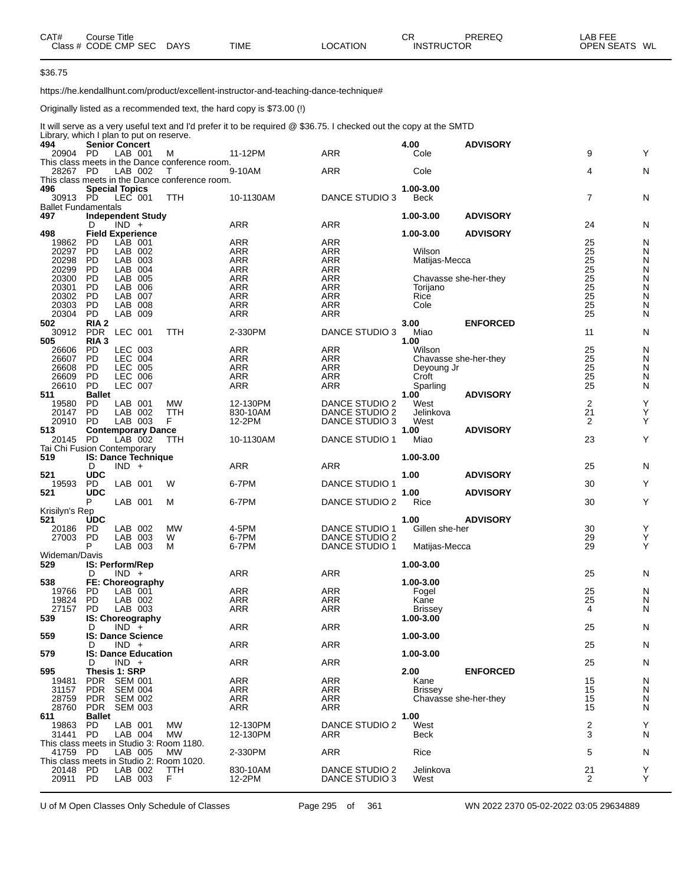| CAT# | Course Title         |             |             |                 | СR                | PREREQ | _AB FEE       |  |
|------|----------------------|-------------|-------------|-----------------|-------------------|--------|---------------|--|
|      | Class # CODE CMP SEC | <b>DAYS</b> | <b>TIME</b> | <b>LOCATION</b> | <b>INSTRUCTOR</b> |        | OPEN SEATS WL |  |

\$36.75

https://he.kendallhunt.com/product/excellent-instructor-and-teaching-dance-technique#

Originally listed as a recommended text, the hard copy is \$73.00 (!)

It will serve as a very useful text and I'd prefer it to be required @ \$36.75. I checked out the copy at the SMTD Library, which I plan to put on reserve.

| 494                                               |                   | <b>Senior Concert</b>              |                                                     |                      |                                         | 4.00                   | <b>ADVISORY</b>       |                      |        |
|---------------------------------------------------|-------------------|------------------------------------|-----------------------------------------------------|----------------------|-----------------------------------------|------------------------|-----------------------|----------------------|--------|
| 20904                                             | PD.               | LAB 001                            | м                                                   | 11-12PM              | ARR                                     | Cole                   |                       | 9                    | Y      |
| 28267 PD                                          |                   | LAB 002                            | This class meets in the Dance conference room.<br>Т | 9-10AM               | <b>ARR</b>                              | Cole                   |                       | 4                    | N      |
|                                                   |                   |                                    | This class meets in the Dance conference room.      |                      |                                         |                        |                       |                      |        |
| 496                                               |                   | <b>Special Topics</b>              |                                                     |                      |                                         | 1.00-3.00              |                       |                      |        |
| 30913 PD                                          |                   | LEC 001                            | TTH                                                 | 10-1130AM            | DANCE STUDIO 3                          | Beck                   |                       | $\overline{7}$       | N      |
| <b>Ballet Fundamentals</b>                        |                   |                                    |                                                     |                      |                                         |                        |                       |                      |        |
| 497                                               |                   | <b>Independent Study</b>           |                                                     |                      |                                         | 1.00-3.00              | <b>ADVISORY</b>       |                      |        |
| 498                                               | D                 | $IND +$<br><b>Field Experience</b> |                                                     | ARR                  | <b>ARR</b>                              | 1.00-3.00              | <b>ADVISORY</b>       | 24                   | N      |
| 19862                                             | PD                | LAB 001                            |                                                     | ARR                  | <b>ARR</b>                              |                        |                       | 25                   | N      |
| 20297                                             | PD                | LAB 002                            |                                                     | <b>ARR</b>           | <b>ARR</b>                              | Wilson                 |                       | 25                   | N      |
| 20298                                             | PD                | LAB 003                            |                                                     | <b>ARR</b>           | <b>ARR</b>                              | Matijas-Mecca          |                       | 25                   | N      |
| 20299                                             | <b>PD</b>         | LAB 004                            |                                                     | ARR                  | ARR                                     |                        |                       | 25                   | N      |
| 20300                                             | PD                | LAB 005                            |                                                     | ARR                  | <b>ARR</b>                              |                        | Chavasse she-her-they | 25<br>25             | N      |
| 20301<br>20302                                    | PD<br><b>PD</b>   | LAB 006<br>LAB 007                 |                                                     | <b>ARR</b><br>ARR    | <b>ARR</b><br><b>ARR</b>                | Torijano<br>Rice       |                       | 25                   | N<br>N |
| 20303                                             | PD                | LAB 008                            |                                                     | <b>ARR</b>           | <b>ARR</b>                              | Cole                   |                       | 25                   | N      |
| 20304                                             | PD                | LAB 009                            |                                                     | ARR                  | ARR                                     |                        |                       | 25                   | N      |
| 502                                               | RIA <sub>2</sub>  |                                    |                                                     |                      |                                         | 3.00                   | <b>ENFORCED</b>       |                      |        |
| 30912                                             | <b>PDR</b>        | LEC 001                            | ттн                                                 | 2-330PM              | DANCE STUDIO 3                          | Miao                   |                       | 11                   | N      |
| 505                                               | RIA <sub>3</sub>  |                                    |                                                     |                      |                                         | 1.00                   |                       |                      |        |
| 26606<br>26607                                    | PD<br>PD          | LEC 003<br><b>LEC 004</b>          |                                                     | ARR<br><b>ARR</b>    | <b>ARR</b><br><b>ARR</b>                | Wilson                 | Chavasse she-her-they | 25<br>25             | N<br>N |
| 26608                                             | PD                | <b>LEC 005</b>                     |                                                     | <b>ARR</b>           | ARR                                     | Deyoung Jr             |                       | 25                   | N      |
| 26609                                             | <b>PD</b>         | LEC 006                            |                                                     | ARR                  | ARR                                     | Croft                  |                       | 25                   | N      |
| 26610                                             | PD                | <b>LEC 007</b>                     |                                                     | ARR                  | <b>ARR</b>                              | Sparling               |                       | 25                   | N      |
| 511                                               | <b>Ballet</b>     |                                    |                                                     |                      |                                         | 1.00                   | <b>ADVISORY</b>       |                      |        |
| 19580                                             | <b>PD</b>         | LAB 001                            | МW                                                  | 12-130PM             | <b>DANCE STUDIO 2</b>                   | West                   |                       | 2                    | Υ      |
| 20147<br>20910                                    | PD<br>PD          | LAB 002<br>LAB 003                 | TTH<br>F                                            | 830-10AM             | <b>DANCE STUDIO 2</b><br>DANCE STUDIO 3 | Jelinkova<br>West      |                       | 21<br>2              | Υ<br>Υ |
| 513                                               |                   | <b>Contemporary Dance</b>          |                                                     | 12-2PM               |                                         | 1.00                   | <b>ADVISORY</b>       |                      |        |
| 20145                                             | <b>PD</b>         | LAB 002                            | TTH                                                 | 10-1130AM            | <b>DANCE STUDIO 1</b>                   | Miao                   |                       | 23                   | Y      |
| Tai Chi Fusion Contemporary                       |                   |                                    |                                                     |                      |                                         |                        |                       |                      |        |
| 519                                               |                   | <b>IS: Dance Technique</b>         |                                                     |                      |                                         | 1.00-3.00              |                       |                      |        |
|                                                   | D                 | $IND +$                            |                                                     | ARR                  | <b>ARR</b>                              |                        |                       | 25                   | N      |
| 521<br>19593                                      | <b>UDC</b><br>PD. | LAB 001                            | W                                                   | 6-7PM                | DANCE STUDIO 1                          | 1.00                   | <b>ADVISORY</b>       | 30                   | Y      |
| 521                                               | <b>UDC</b>        |                                    |                                                     |                      |                                         | 1.00                   | <b>ADVISORY</b>       |                      |        |
|                                                   | P                 | LAB 001                            | М                                                   | 6-7PM                | DANCE STUDIO 2                          | Rice                   |                       | 30                   | Υ      |
| Krisilyn's Rep                                    |                   |                                    |                                                     |                      |                                         |                        |                       |                      |        |
| 521                                               |                   |                                    |                                                     |                      |                                         |                        |                       |                      |        |
|                                                   | <b>UDC</b>        |                                    |                                                     |                      |                                         | 1.00                   | <b>ADVISORY</b>       |                      |        |
| 20186                                             | PD                | LAB 002                            | <b>MW</b>                                           | 4-5PM                | <b>DANCE STUDIO 1</b>                   | Gillen she-her         |                       | 30                   | Υ      |
| 27003                                             | - PD              | LAB 003                            | W                                                   | 6-7PM                | <b>DANCE STUDIO 2</b>                   |                        |                       | 29                   | Υ      |
|                                                   | P                 | LAB 003                            | М                                                   | 6-7PM                | <b>DANCE STUDIO 1</b>                   | Matijas-Mecca          |                       | 29                   | Y      |
| Wideman/Davis<br>529                              |                   |                                    |                                                     |                      |                                         | 1.00-3.00              |                       |                      |        |
|                                                   | D                 | <b>IS: Perform/Rep</b><br>$IND +$  |                                                     | ARR                  | <b>ARR</b>                              |                        |                       | 25                   | N      |
| 538                                               |                   | FE: Choreography                   |                                                     |                      |                                         | 1.00-3.00              |                       |                      |        |
| 19766                                             | PD                | LAB 001                            |                                                     | <b>ARR</b>           | <b>ARR</b>                              | Fogel                  |                       | 25                   | N      |
| 19824                                             | PD                | LAB 002                            |                                                     | <b>ARR</b>           | <b>ARR</b>                              | Kane                   |                       | 25                   | N      |
| 27157                                             | PD                | LAB 003                            |                                                     | ARR                  | ARR                                     | <b>Brissey</b>         |                       | 4                    | N      |
| 539                                               | D                 | IS: Choreography<br>$IND +$        |                                                     | ARR                  | <b>ARR</b>                              | 1.00-3.00              |                       | 25                   | N      |
| 559                                               |                   | <b>IS: Dance Science</b>           |                                                     |                      |                                         | 1.00-3.00              |                       |                      |        |
|                                                   | D                 | $IND +$                            |                                                     | ARR                  | ARR                                     |                        |                       | 25                   | N      |
| 579                                               |                   | <b>IS: Dance Education</b>         |                                                     |                      |                                         | 1.00-3.00              |                       |                      |        |
|                                                   | D                 | $IND +$                            |                                                     | ARR                  | ARR                                     |                        |                       | 25                   | N      |
| 595                                               |                   | Thesis 1: SRP                      |                                                     |                      |                                         | 2.00                   | <b>ENFORCED</b>       |                      |        |
| 19481<br>31157                                    | <b>PDR</b>        | PDR SEM 001<br>SEM 004             |                                                     | ARR<br>ARR           | ARR<br>ARR                              | Kane<br><b>Brissey</b> |                       | 15<br>15             | N<br>N |
| 28759                                             |                   | PDR SEM 002                        |                                                     | ARR                  | ARR                                     |                        | Chavasse she-her-they | 15                   | N      |
| 28760                                             |                   | PDR SEM 003                        |                                                     | ARR                  | ARR                                     |                        |                       | 15                   | N      |
| 611                                               | <b>Ballet</b>     |                                    |                                                     |                      |                                         | 1.00                   |                       |                      |        |
| 19863                                             | <b>PD</b>         | LAB 001                            | MW                                                  | 12-130PM<br>12-130PM | DANCE STUDIO 2                          | West                   |                       | 2<br>3               | Υ      |
| 31441<br>This class meets in Studio 3: Room 1180. | <b>PD</b>         | LAB 004                            | <b>MW</b>                                           |                      | ARR                                     | Beck                   |                       |                      | N      |
| 41759 PD                                          |                   | LAB 005                            | <b>MW</b>                                           | 2-330PM              | ARR                                     | Rice                   |                       | 5                    | N      |
| This class meets in Studio 2: Room 1020.          |                   |                                    |                                                     |                      |                                         |                        |                       |                      |        |
| 20148<br>20911 PD                                 | PD                | LAB 002<br>LAB 003                 | ттн<br>F.                                           | 830-10AM<br>12-2PM   | DANCE STUDIO 2<br>DANCE STUDIO 3        | Jelinkova<br>West      |                       | 21<br>$\overline{2}$ | Υ<br>Y |

U of M Open Classes Only Schedule of Classes Page 295 of 361 WN 2022 2370 05-02-2022 03:05 29634889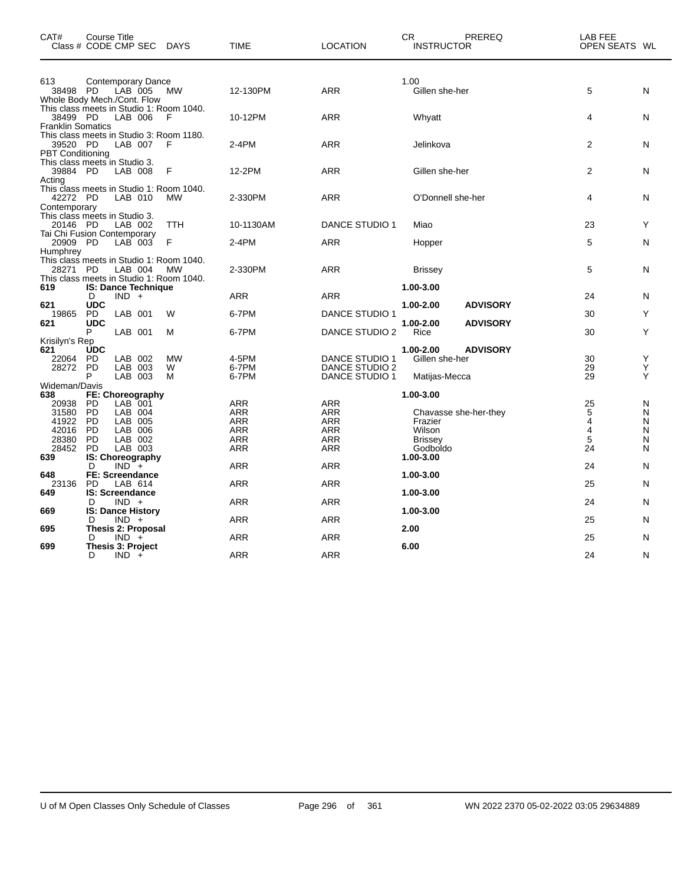| CAT#                                | <b>Course Title</b><br>Class # CODE CMP SEC DAYS    |           | <b>TIME</b>    | <b>LOCATION</b>                         | <b>CR</b><br>PREREQ<br><b>INSTRUCTOR</b> | LAB FEE<br>OPEN SEATS WL |
|-------------------------------------|-----------------------------------------------------|-----------|----------------|-----------------------------------------|------------------------------------------|--------------------------|
| 613<br>38498 PD                     | <b>Contemporary Dance</b><br>LAB 005                | MW        | 12-130PM       | ARR                                     | 1.00<br>Gillen she-her                   | 5<br>N                   |
|                                     | Whole Body Mech./Cont. Flow                         |           |                |                                         |                                          |                          |
| 38499 PD                            | This class meets in Studio 1: Room 1040.<br>LAB 006 | F         | 10-12PM        | <b>ARR</b>                              | Whyatt                                   | 4<br>N                   |
| <b>Franklin Somatics</b>            |                                                     |           |                |                                         |                                          |                          |
| 39520 PD<br><b>PBT Conditioning</b> | This class meets in Studio 3: Room 1180.<br>LAB 007 | F         | 2-4PM          | <b>ARR</b>                              | Jelinkova                                | $\overline{2}$<br>N      |
| 39884 PD<br>Acting                  | This class meets in Studio 3.<br>LAB 008            | F         | 12-2PM         | ARR                                     | Gillen she-her                           | $\overline{2}$<br>N      |
|                                     | This class meets in Studio 1: Room 1040.            |           |                |                                         |                                          |                          |
| 42272 PD<br>Contemporary            | LAB 010                                             | MW        | 2-330PM        | ARR                                     | O'Donnell she-her                        | N<br>4                   |
| 20146 PD                            | This class meets in Studio 3.<br>LAB 002            | TTH       | 10-1130AM      | DANCE STUDIO 1                          | Miao                                     | Y<br>23                  |
| 20909 PD                            | Tai Chi Fusion Contemporary<br>LAB 003              | F         | $2-4PM$        | <b>ARR</b>                              | Hopper                                   | 5<br>N                   |
| Humphrey                            |                                                     |           |                |                                         |                                          |                          |
| 28271 PD                            | This class meets in Studio 1: Room 1040.<br>LAB 004 | <b>MW</b> | 2-330PM        | ARR                                     | <b>Brissey</b>                           | 5<br>N                   |
|                                     | This class meets in Studio 1: Room 1040.            |           |                |                                         |                                          |                          |
| 619                                 | <b>IS: Dance Technique</b><br>D<br>$IND +$          |           | ARR            | ARR                                     | 1.00-3.00                                | 24<br>N                  |
| 621                                 | <b>UDC</b>                                          |           |                |                                         | 1.00-2.00<br><b>ADVISORY</b>             |                          |
| 19865<br>621                        | LAB 001<br>PD.<br><b>UDC</b>                        | W         | 6-7PM          | <b>DANCE STUDIO 1</b>                   | 1.00-2.00<br><b>ADVISORY</b>             | Y<br>30                  |
|                                     | P<br>LAB 001                                        | м         | 6-7PM          | DANCE STUDIO 2                          | Rice                                     | 30<br>Y                  |
| Krisilyn's Rep<br>621               | <b>UDC</b>                                          |           |                |                                         | 1.00-2.00<br><b>ADVISORY</b>             |                          |
| 22064                               | <b>PD</b><br>LAB 002                                | <b>MW</b> | 4-5PM          | <b>DANCE STUDIO 1</b>                   | Gillen she-her                           | 30<br>Y                  |
| 28272                               | <b>PD</b><br>LAB 003<br>LAB 003<br>P                | W<br>м    | 6-7PM<br>6-7PM | DANCE STUDIO 2<br><b>DANCE STUDIO 1</b> | Matijas-Mecca                            | 29<br>Y<br>29<br>Y       |
| Wideman/Davis                       |                                                     |           |                |                                         |                                          |                          |
| 638                                 | FE: Choreography                                    |           |                |                                         | 1.00-3.00                                |                          |
| 20938<br>31580                      | LAB 001<br>PD<br><b>PD</b><br>LAB 004               |           | ARR<br>ARR     | ARR<br>ARR                              | Chavasse she-her-they                    | 25<br>N<br>5<br>N        |
| 41922                               | <b>PD</b><br>LAB 005                                |           | ARR            | ARR                                     | Frazier                                  | 4<br>N                   |
| 42016                               | <b>PD</b><br>LAB 006                                |           | <b>ARR</b>     | <b>ARR</b>                              | Wilson                                   | 4<br>N                   |
| 28380                               | <b>PD</b><br>LAB 002                                |           | <b>ARR</b>     | <b>ARR</b>                              | <b>Brissey</b>                           | 5<br>N                   |
| 28452                               | <b>PD</b><br>LAB 003                                |           | ARR            | ARR                                     | Godboldo                                 | 24<br>N                  |
| 639                                 | IS: Choreography                                    |           |                |                                         | 1.00-3.00                                |                          |
| 648                                 | $IND^-+$<br>D<br><b>FE: Screendance</b>             |           | <b>ARR</b>     | <b>ARR</b>                              | 1.00-3.00                                | 24<br>N                  |
| 23136                               | <b>PD</b><br>LAB 614                                |           | ARR            | ARR                                     |                                          | 25<br>N                  |
| 649                                 | <b>IS: Screendance</b>                              |           |                |                                         | 1.00-3.00                                |                          |
|                                     | $IND +$<br>D                                        |           | ARR            | <b>ARR</b>                              |                                          | 24<br>N                  |
| 669                                 | <b>IS: Dance History</b><br>D<br>$IND +$            |           | <b>ARR</b>     | <b>ARR</b>                              | 1.00-3.00                                | 25<br>N                  |
| 695                                 | <b>Thesis 2: Proposal</b>                           |           |                |                                         | 2.00                                     |                          |
|                                     | D<br>$IND +$                                        |           | ARR            | <b>ARR</b>                              |                                          | 25<br>N                  |
| 699                                 | Thesis 3: Project<br>D                              |           | <b>ARR</b>     | <b>ARR</b>                              | 6.00                                     | 24<br>N                  |
|                                     | $IND +$                                             |           |                |                                         |                                          |                          |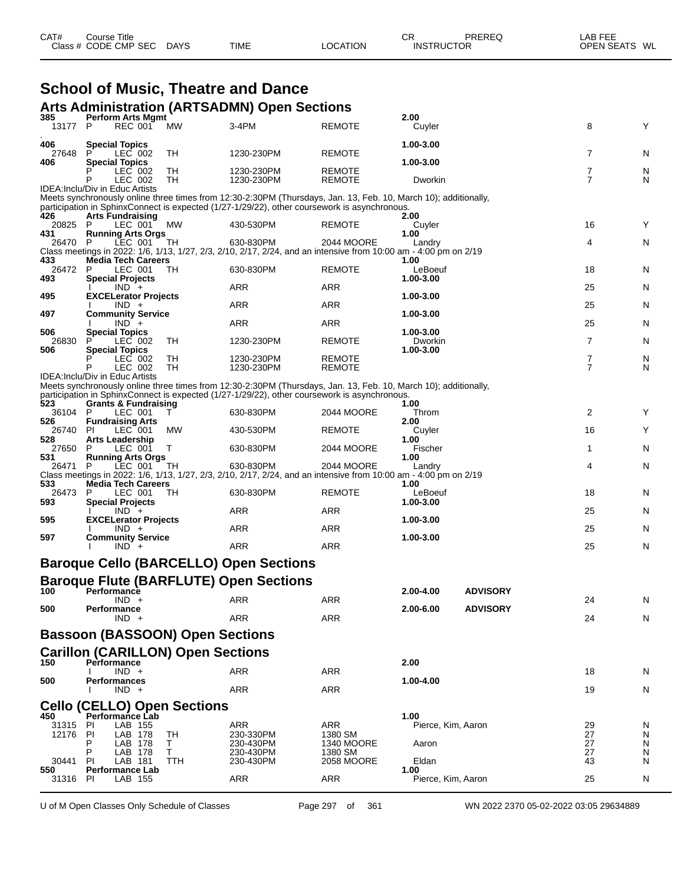| CAT# | Title<br>Course      |             |             |                 | ⌒冖<br>◡           | PREREQ | _AB FEE           |    |
|------|----------------------|-------------|-------------|-----------------|-------------------|--------|-------------------|----|
|      | Class # CODE CMP SEC | <b>DAYS</b> | <b>TIME</b> | <b>LOCATION</b> | <b>INSTRUCTOR</b> |        | <b>OPEN SEATS</b> | WL |

# **School of Music, Theatre and Dance**

|                |                                                       |           | <b>Arts Administration (ARTSADMN) Open Sections</b>                                                              |                                |                      |                 |                     |        |
|----------------|-------------------------------------------------------|-----------|------------------------------------------------------------------------------------------------------------------|--------------------------------|----------------------|-----------------|---------------------|--------|
| 385<br>13177   | <b>Perform Arts Mgmt</b><br><b>REC 001</b><br>P       | <b>MW</b> | 3-4PM                                                                                                            | <b>REMOTE</b>                  | 2.00<br>Cuyler       |                 | 8                   | Υ      |
| 406            | <b>Special Topics</b>                                 |           |                                                                                                                  |                                | 1.00-3.00            |                 |                     |        |
| 27648          | LEC 002                                               | TН        | 1230-230PM                                                                                                       | <b>REMOTE</b>                  |                      |                 | 7                   | N      |
| 406            | <b>Special Topics</b><br>LEC 002<br>LEC 002           | TН<br>TН  | 1230-230PM<br>1230-230PM                                                                                         | <b>REMOTE</b><br><b>REMOTE</b> | 1.00-3.00<br>Dworkin |                 | 7<br>$\overline{7}$ | N<br>N |
|                | IDEA: Inclu/Div in Educ Artists                       |           | Meets synchronously online three times from 12:30-2:30PM (Thursdays, Jan. 13, Feb. 10, March 10); additionally,  |                                |                      |                 |                     |        |
|                |                                                       |           | participation in SphinxConnect is expected (1/27-1/29/22), other coursework is asynchronous.                     |                                |                      |                 |                     |        |
| 426<br>20825 P | <b>Arts Fundraising</b><br>LEC 001                    | <b>MW</b> | 430-530PM                                                                                                        | <b>REMOTE</b>                  | 2.00<br>Cuyler       |                 | 16                  | Y      |
| 431<br>26470   | <b>Running Arts Orgs</b><br>LEC 001<br>P              | TН        | 630-830PM                                                                                                        | 2044 MOORE                     | 1.00<br>Landry       |                 | 4                   | N      |
|                |                                                       |           | Class meetings in 2022: 1/6, 1/13, 1/27, 2/3, 2/10, 2/17, 2/24, and an intensive from 10:00 am - 4:00 pm on 2/19 |                                |                      |                 |                     |        |
| 433<br>26472   | <b>Media Tech Careers</b><br>LEC 001<br>P             | TН        | 630-830PM                                                                                                        | <b>REMOTE</b>                  | 1.00<br>LeBoeuf      |                 | 18                  | N      |
| 493            | <b>Special Projects</b><br>$IND +$                    |           | ARR                                                                                                              | <b>ARR</b>                     | 1.00-3.00            |                 | 25                  | N      |
| 495            | <b>EXCELerator Projects</b>                           |           |                                                                                                                  |                                | 1.00-3.00            |                 |                     |        |
| 497            | $IND +$<br><b>Community Service</b>                   |           | ARR                                                                                                              | <b>ARR</b>                     | 1.00-3.00            |                 | 25                  | N      |
|                | $IND +$                                               |           | ARR                                                                                                              | ARR                            |                      |                 | 25                  | N      |
| 506<br>26830   | <b>Special Topics</b><br>LEC 002                      | TH        | 1230-230PM                                                                                                       | <b>REMOTE</b>                  | 1.00-3.00<br>Dworkin |                 | $\overline{7}$      | N      |
| 506            | <b>Special Topics</b>                                 |           |                                                                                                                  | <b>REMOTE</b>                  | 1.00-3.00            |                 |                     |        |
|                | LEC 002<br>LEC 002                                    | TН<br>TН  | 1230-230PM<br>1230-230PM                                                                                         | REMOTE                         |                      |                 | 7<br>$\overline{7}$ | N<br>N |
|                | <b>IDEA:Inclu/Div in Educ Artists</b>                 |           | Meets synchronously online three times from 12:30-2:30PM (Thursdays, Jan. 13, Feb. 10, March 10); additionally,  |                                |                      |                 |                     |        |
|                |                                                       |           | participation in SphinxConnect is expected (1/27-1/29/22), other coursework is asynchronous.                     |                                |                      |                 |                     |        |
| 523<br>36104   | <b>Grants &amp; Fundraising</b><br>P<br>LEC 001       | т         | 630-830PM                                                                                                        | 2044 MOORE                     | 1.00<br>Throm        |                 | 2                   | Υ      |
| 526            | <b>Fundraising Arts</b>                               |           |                                                                                                                  |                                | 2.00                 |                 |                     |        |
| 26740<br>528   | LEC 001<br>PI.<br><b>Arts Leadership</b>              | МW        | 430-530PM                                                                                                        | <b>REMOTE</b>                  | Cuyler<br>1.00       |                 | 16                  | Υ      |
| 27650          | LEC 001<br>P                                          | т         | 630-830PM                                                                                                        | 2044 MOORE                     | Fischer              |                 | 1                   | N      |
| 531<br>26471   | <b>Running Arts Orgs</b><br>LEC 001<br>P              | TH        | 630-830PM                                                                                                        | 2044 MOORE                     | 1.00<br>Landry       |                 | 4                   | N      |
| 533            | <b>Media Tech Careers</b>                             |           | Class meetings in 2022: 1/6, 1/13, 1/27, 2/3, 2/10, 2/17, 2/24, and an intensive from 10:00 am - 4:00 pm on 2/19 |                                | 1.00                 |                 |                     |        |
| 26473          | P<br>LEC 001                                          | TH        | 630-830PM                                                                                                        | <b>REMOTE</b>                  | LeBoeuf              |                 | 18                  | N      |
| 593            | <b>Special Projects</b><br>$IND +$                    |           | ARR                                                                                                              | ARR                            | 1.00-3.00            |                 | 25                  | N      |
| 595            | <b>EXCELerator Projects</b><br>$IND +$                |           | ARR                                                                                                              | ARR                            | 1.00-3.00            |                 | 25                  | N      |
| 597            | <b>Community Service</b>                              |           |                                                                                                                  |                                | 1.00-3.00            |                 |                     |        |
|                | $IND +$                                               |           | <b>ARR</b>                                                                                                       | <b>ARR</b>                     |                      |                 | 25                  | N      |
|                |                                                       |           | <b>Baroque Cello (BARCELLO) Open Sections</b>                                                                    |                                |                      |                 |                     |        |
|                |                                                       |           | <b>Baroque Flute (BARFLUTE) Open Sections</b>                                                                    |                                |                      |                 |                     |        |
| 100            | Performance<br>$IND +$                                |           | ARR                                                                                                              | ARR                            | 2.00-4.00            | <b>ADVISORY</b> | 24                  | N      |
| 500            | Performance                                           |           |                                                                                                                  |                                | 2.00-6.00            | <b>ADVISORY</b> |                     |        |
|                | $IND +$                                               |           | ARR                                                                                                              | ARR                            |                      |                 | 24                  | N      |
|                | <b>Bassoon (BASSOON) Open Sections</b>                |           |                                                                                                                  |                                |                      |                 |                     |        |
|                | <b>Carillon (CARILLON) Open Sections</b>              |           |                                                                                                                  |                                |                      |                 |                     |        |
| 150            | Performance<br>$IND +$                                |           | ARR                                                                                                              | ARR                            | 2.00                 |                 | 18                  | N      |
| 500            | <b>Performances</b><br>$IND +$                        |           | <b>ARR</b>                                                                                                       | <b>ARR</b>                     | 1.00-4.00            |                 | 19                  | N      |
|                |                                                       |           |                                                                                                                  |                                |                      |                 |                     |        |
| 450            | <b>Cello (CELLO) Open Sections</b><br>Performance Lab |           |                                                                                                                  |                                | 1.00                 |                 |                     |        |
| 31315          | LAB 155<br>PI                                         |           | ARR                                                                                                              | ARR                            | Pierce, Kim, Aaron   |                 | 29                  | N      |
| 12176          | LAB 178<br>PI<br>LAB 178<br>P                         | TН<br>Τ   | 230-330PM<br>230-430PM                                                                                           | 1380 SM<br>1340 MOORE          | Aaron                |                 | 27<br>27            | N<br>N |
|                | P<br>LAB 178<br>PI                                    | Т         | 230-430PM                                                                                                        | 1380 SM                        |                      |                 | 27                  | N      |
| 30441<br>550   | LAB 181<br><b>Performance Lab</b>                     | TTH       | 230-430PM                                                                                                        | 2058 MOORE                     | Eldan<br>1.00        |                 | 43                  | N      |
| 31316          | LAB 155<br><b>PI</b>                                  |           | ARR                                                                                                              | <b>ARR</b>                     | Pierce, Kim, Aaron   |                 | 25                  | N      |

U of M Open Classes Only Schedule of Classes Page 297 of 361 WN 2022 2370 05-02-2022 03:05 29634889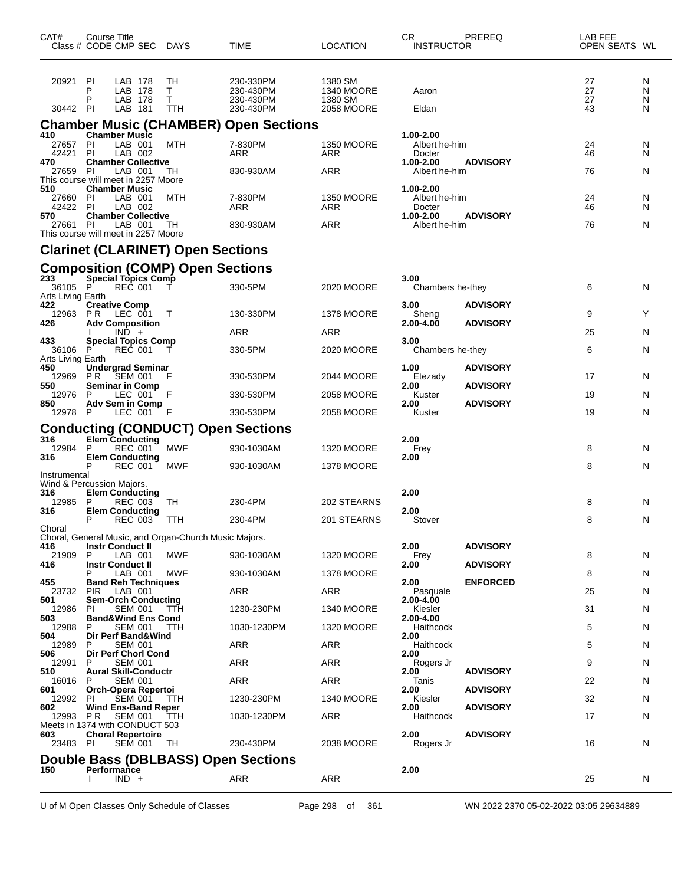| CAT#                                | Course Title<br>Class # CODE CMP SEC DAYS                                         |                      | <b>TIME</b>                                      | <b>LOCATION</b>                                | CR.<br><b>INSTRUCTOR</b>             | PREREQ                             | LAB FEE<br>OPEN SEATS WL |                  |
|-------------------------------------|-----------------------------------------------------------------------------------|----------------------|--------------------------------------------------|------------------------------------------------|--------------------------------------|------------------------------------|--------------------------|------------------|
| 20921<br>30442 PI                   | PI<br>LAB 178<br>LAB 178<br>P<br>P<br>LAB 178<br>LAB 181                          | TН<br>T.<br>Τ<br>TTH | 230-330PM<br>230-430PM<br>230-430PM<br>230-430PM | 1380 SM<br>1340 MOORE<br>1380 SM<br>2058 MOORE | Aaron<br>Eldan                       |                                    | 27<br>27<br>27<br>43     | N<br>N<br>N<br>N |
|                                     |                                                                                   |                      | <b>Chamber Music (CHAMBER) Open Sections</b>     |                                                |                                      |                                    |                          |                  |
| 410<br>27657 PI<br>42421            | <b>Chamber Music</b><br>LAB 001<br>PI<br>LAB 002                                  | MTH                  | 7-830PM<br>ARR                                   | <b>1350 MOORE</b><br><b>ARR</b>                | 1.00-2.00<br>Albert he-him<br>Docter |                                    | 24<br>46                 | N<br>N           |
| 470<br>27659                        | <b>Chamber Collective</b><br>PI<br>LAB 001<br>This course will meet in 2257 Moore | TH                   | 830-930AM                                        | ARR                                            | 1.00-2.00<br>Albert he-him           | <b>ADVISORY</b>                    | 76                       | N                |
| 510<br>27660<br>42422 PI            | <b>Chamber Music</b><br>PI<br>LAB 001<br>LAB 002                                  | MTH                  | 7-830PM<br>ARR                                   | 1350 MOORE<br>ARR                              | 1.00-2.00<br>Albert he-him<br>Docter |                                    | 24<br>46                 | N<br>N           |
| 570<br>27661 PI                     | <b>Chamber Collective</b><br>LAB 001<br>This course will meet in 2257 Moore       | TH                   | 830-930AM                                        | <b>ARR</b>                                     | 1.00-2.00<br>Albert he-him           | <b>ADVISORY</b>                    | 76                       | N                |
|                                     | <b>Clarinet (CLARINET) Open Sections</b>                                          |                      |                                                  |                                                |                                      |                                    |                          |                  |
|                                     | <b>Composition (COMP) Open Sections</b>                                           |                      |                                                  |                                                |                                      |                                    |                          |                  |
| 233<br>36105 P<br>Arts Living Earth | <b>Special Topics Comp</b><br>REC 001                                             |                      | 330-5PM                                          | 2020 MOORE                                     | 3.00<br>Chambers he-they             |                                    | 6                        | N                |
| 422<br>12963 PR<br>426              | <b>Creative Comp</b><br>LEC 001<br><b>Adv Composition</b>                         | $\top$               | 130-330PM                                        | 1378 MOORE                                     | 3.00<br>Sheng<br>2.00-4.00           | <b>ADVISORY</b><br><b>ADVISORY</b> | 9                        | Y                |
|                                     | $IND +$                                                                           |                      | ARR                                              | ARR                                            |                                      |                                    | 25                       | N                |
| 433<br>36106                        | <b>Special Topics Comp</b><br>P<br><b>REC 001</b>                                 | т                    | 330-5PM                                          | 2020 MOORE                                     | 3.00<br>Chambers he-they             |                                    | 6                        | N                |
| Arts Living Earth<br>450<br>12969   | <b>Undergrad Seminar</b><br>SEM 001<br>PR.                                        | F                    | 330-530PM                                        | 2044 MOORE                                     | 1.00<br>Etezady                      | <b>ADVISORY</b>                    | 17                       | N                |
| 550<br>12976                        | <b>Seminar in Comp</b><br>LEC 001<br>P                                            | F                    | 330-530PM                                        | 2058 MOORE                                     | 2.00<br>Kuster                       | <b>ADVISORY</b>                    | 19                       | N                |
| 850<br>12978 P                      | Adv Sem in Comp<br>LEC 001                                                        | – F                  | 330-530PM                                        | 2058 MOORE                                     | 2.00<br>Kuster                       | <b>ADVISORY</b>                    | 19                       | N                |
|                                     | <b>Conducting (CONDUCT) Open Sections</b>                                         |                      |                                                  |                                                |                                      |                                    |                          |                  |
| 316                                 | Elem Conducting                                                                   |                      |                                                  |                                                | 2.00                                 |                                    |                          |                  |
| 12984<br>316                        | P<br>REC 001<br><b>Elem Conducting</b>                                            | MWF                  | 930-1030AM                                       | <b>1320 MOORE</b>                              | Frey<br>2.00                         |                                    | 8                        | N                |
| Instrumental                        | P<br><b>REC 001</b>                                                               | MWF                  | 930-1030AM                                       | 1378 MOORE                                     |                                      |                                    | 8                        | N                |
| 316<br>12985                        | Wind & Percussion Majors.<br><b>Elem Conducting</b><br>P<br>REC 003               | TН                   | 230-4PM                                          | 202 STEARNS                                    | 2.00                                 |                                    | 8                        | N                |
| 316                                 | <b>Elem Conducting</b><br>P                                                       |                      |                                                  |                                                | 2.00                                 |                                    |                          |                  |
| Choral                              | REC 003                                                                           | TTH                  | 230-4PM                                          | 201 STEARNS                                    | Stover                               |                                    | 8                        | N                |
| 416                                 | Choral, General Music, and Organ-Church Music Majors.<br><b>Instr Conduct II</b>  |                      |                                                  |                                                | 2.00                                 | <b>ADVISORY</b>                    |                          |                  |
| 21909<br>416                        | P<br>LAB 001<br><b>Instr Conduct II</b>                                           | <b>MWF</b>           | 930-1030AM                                       | 1320 MOORE                                     | Frey<br>2.00                         | <b>ADVISORY</b>                    | 8                        | N                |
| 455                                 | LAB 001<br><b>Band Reh Techniques</b>                                             | MWF                  | 930-1030AM                                       | 1378 MOORE                                     | 2.00                                 | <b>ENFORCED</b>                    | 8                        | N                |
| 23732                               | <b>PIR</b><br>LAB 001                                                             |                      | ARR                                              | <b>ARR</b>                                     | Pasquale                             |                                    | 25                       | N                |
| 501<br>12986                        | <b>Sem-Orch Conducting</b><br><b>SEM 001</b><br>PI.                               | ттн                  | 1230-230PM                                       | 1340 MOORE                                     | 2.00-4.00<br>Kiesler                 |                                    | 31                       | N                |
| 503<br>12988                        | <b>Band&amp;Wind Ens Cond</b><br>SEM 001<br>P                                     | TTH                  | 1030-1230PM                                      | <b>1320 MOORE</b>                              | 2.00-4.00<br>Haithcock               |                                    | 5                        | N                |
| 504<br>12989                        | Dir Perf Band&Wind<br><b>SEM 001</b><br>P                                         |                      | ARR                                              | <b>ARR</b>                                     | 2.00<br>Haithcock                    |                                    | 5                        | N                |
| 506                                 | Dir Perf Chorl Cond<br>P                                                          |                      | ARR                                              | <b>ARR</b>                                     | 2.00                                 |                                    | 9                        |                  |
| 12991<br>510                        | <b>SEM 001</b><br><b>Aural Skill-Conductr</b>                                     |                      |                                                  |                                                | Rogers Jr<br>2.00                    | <b>ADVISORY</b>                    |                          | N                |
| 16016<br>601                        | <b>SEM 001</b><br>P<br>Orch-Opera Repertoi                                        |                      | ARR                                              | <b>ARR</b>                                     | Tanis<br>2.00                        | <b>ADVISORY</b>                    | 22                       | N                |
| 12992<br>602                        | <b>SEM 001</b><br><b>PI</b><br><b>Wind Ens-Band Reper</b>                         | TTH                  | 1230-230PM                                       | <b>1340 MOORE</b>                              | Kiesler<br>2.00                      | <b>ADVISORY</b>                    | 32                       | N                |
| 12993                               | <b>SEM 001</b><br>P R<br>Meets in 1374 with CONDUCT 503                           | ттн                  | 1030-1230PM                                      | <b>ARR</b>                                     | Haithcock                            |                                    | 17                       | N                |
| 603<br>23483 PI                     | <b>Choral Repertoire</b><br><b>SEM 001</b>                                        | TH                   | 230-430PM                                        | 2038 MOORE                                     | 2.00<br>Rogers Jr                    | <b>ADVISORY</b>                    | 16                       | N                |
|                                     | Double Bass (DBLBASS) Open Sections                                               |                      |                                                  |                                                |                                      |                                    |                          |                  |
| 150                                 | Performance<br>$IND +$                                                            |                      | ARR                                              | <b>ARR</b>                                     | 2.00                                 |                                    | 25                       | N                |

U of M Open Classes Only Schedule of Classes Page 298 of 361 WN 2022 2370 05-02-2022 03:05 29634889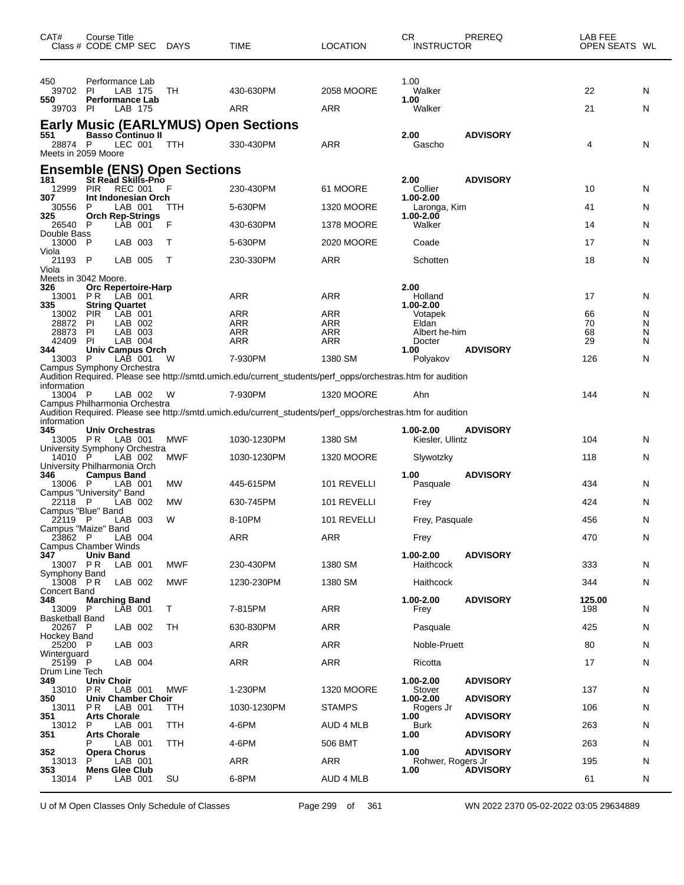| 450<br>1.00<br>Performance Lab<br>2058 MOORE<br>Walker<br>39702<br>LAB 175<br>TН<br>430-630PM<br>22<br>PI<br>N<br><b>Performance Lab</b><br>1.00<br>550<br>ARR<br><b>ARR</b><br>21<br>LAB 175<br>Walker<br>N<br>39703 PI<br><b>Early Music (EARLYMUS) Open Sections</b><br><b>Basso Continuo II</b><br>2.00<br><b>ADVISORY</b><br>551<br>330-430PM<br>ARR<br>28874 P<br>LEC 001<br>TTH<br>Gascho<br>4<br>N<br>Meets in 2059 Moore<br><b>Ensemble (ENS) Open Sections</b><br>St Read Skills-Pno<br><b>ADVISORY</b><br>181<br>2.00<br><b>REC 001</b><br>Collier<br>10<br>12999<br><b>PIR</b><br>F<br>230-430PM<br>61 MOORE<br>N<br>307<br>Int Indonesian Orch<br>1.00-2.00<br>30556<br>P<br>LAB 001<br>TTH<br>5-630PM<br><b>1320 MOORE</b><br>41<br>Laronga, Kim<br>N<br>325<br><b>Orch Rep-Strings</b><br>1.00-2.00<br>- P<br>LAB 001<br>F<br><b>1378 MOORE</b><br>Walker<br>14<br>26540<br>430-630PM<br>N<br>Double Bass<br>13000 P<br>17<br>LAB 003<br>5-630PM<br>2020 MOORE<br>Coade<br>N<br>т<br>Viola<br>21193 P<br><b>ARR</b><br>LAB 005<br>Т<br>230-330PM<br>Schotten<br>18<br>N<br>Viola<br>Meets in 3042 Moore.<br>2.00<br>326<br><b>Orc Repertoire-Harp</b><br>ARR<br>ARR<br>17<br>P R<br>LAB 001<br>Holland<br>13001<br>N<br>335<br><b>String Quartet</b><br>1.00-2.00<br><b>PIR</b><br><b>ARR</b><br>13002<br>LAB 001<br>ARR<br>66<br>Votapek<br>N<br>28872<br>ARR<br>ARR<br>70<br>PI<br>LAB 002<br>N<br>Eldan<br>28873<br>PI<br>LAB 003<br>ARR<br>ARR<br>Albert he-him<br>68<br>N<br>42409<br>LAB 004<br>ARR<br>ARR<br>29<br><b>PI</b><br>Docter<br>N<br>344<br><b>Univ Campus Orch</b><br><b>ADVISORY</b><br>1.00<br>13003 P<br>LAB 001<br>W<br>7-930PM<br>1380 SM<br>126<br>N<br>Polyakov<br>Campus Symphony Orchestra<br>Audition Required. Please see http://smtd.umich.edu/current_students/perf_opps/orchestras.htm for audition<br>information<br>13004 P<br>7-930PM<br>144<br>LAB 002<br><b>1320 MOORE</b><br>Ahn<br>N<br>W<br>Campus Philharmonia Orchestra<br>Audition Required. Please see http://smtd.umich.edu/current_students/perf_opps/orchestras.htm for audition<br>information<br>345<br>1.00-2.00<br><b>ADVISORY</b><br>Univ Orchestras<br>13005 PR<br>LAB 001<br>MWF<br>1030-1230PM<br>1380 SM<br>Kiesler, Ulintz<br>104<br>N<br>University Symphony Orchestra<br>14010 P<br>LAB 002<br>MWF<br>1030-1230PM<br><b>1320 MOORE</b><br>118<br>N<br>Slywotzky<br>University Philharmonia Orch<br>1.00<br><b>ADVISORY</b><br>346<br><b>Campus Band</b><br><b>MW</b><br>LAB 001<br>445-615PM<br>101 REVELLI<br>434<br>13006 P<br>Pasquale<br>N<br>Campus "University" Band<br>22118<br>- P<br>LAB 002<br>MW<br>630-745PM<br>101 REVELLI<br>424<br>N<br>Frey<br>Campus "Blue" Band<br>22119 P<br>LAB 003<br>W<br>8-10PM<br>101 REVELLI<br>Frey, Pasquale<br>456<br>N<br>Campus "Maize" Band<br>23862 P<br>LAB 004<br><b>ARR</b><br><b>ARR</b><br>470<br>N<br>Frey<br><b>Campus Chamber Winds</b><br>1.00-2.00<br><b>ADVISORY</b><br>347<br><b>Univ Band</b><br>13007 PR<br><b>MWF</b><br>1380 SM<br>Haithcock<br>333<br>LAB 001<br>230-430PM<br>N<br>Symphony Band<br>$13008$ PR<br>LAB 002<br><b>MWF</b><br>1380 SM<br>344<br>1230-230PM<br>Haithcock<br>N<br>Concert Band<br><b>ADVISORY</b><br>348<br><b>Marching Band</b><br>1.00-2.00<br>125.00<br>13009 P<br>LĀB 001<br>Т<br>ARR<br>7-815PM<br>Frey<br>198<br>N<br><b>Basketball Band</b><br>LAB 002<br>ARR<br>20267 P<br>TН<br>630-830PM<br>Pasquale<br>425<br>N<br>Hockey Band<br>ARR<br><b>ARR</b><br>25200 P<br>LAB 003<br>Noble-Pruett<br>80<br>N<br>Winterguard<br>25199 P<br>LAB 004<br>ARR<br><b>ARR</b><br>17<br>Ricotta<br>N<br>Drum Line Tech<br>349<br>Univ Choir<br>1.00-2.00<br><b>ADVISORY</b><br><b>MWF</b><br>1-230PM<br><b>1320 MOORE</b><br>137<br>13010<br>P R<br>LAB 001<br>Stover<br>N<br><b>Univ Chamber Choir</b><br>1.00-2.00<br><b>ADVISORY</b><br>13011<br>PR.<br>LAB 001<br>1030-1230PM<br><b>STAMPS</b><br>Rogers Jr<br>106<br>N<br>TTH<br><b>Arts Chorale</b><br>351<br>1.00<br><b>ADVISORY</b><br>LAB 001<br>4-6PM<br>13012<br>P<br>TTH<br>AUD 4 MLB<br>Burk<br>263<br>N<br>351<br>Arts Chorale<br>1.00<br><b>ADVISORY</b><br>LAB 001<br>4-6PM<br>506 BMT<br>263<br>TTH<br>N<br>352<br><b>Opera Chorus</b><br>1.00<br><b>ADVISORY</b><br>ARR<br>13013<br>P<br>LAB 001<br>ARR<br>Rohwer, Rogers Jr<br>195<br>N<br><b>ADVISORY</b><br>353<br><b>Mens Glee Club</b><br>1.00<br>SU<br>6-8PM<br>13014<br>P<br>LAB 001<br>AUD 4 MLB<br>61<br>N | CAT# | Course Title<br>Class # CODE CMP SEC | <b>DAYS</b> | TIME | <b>LOCATION</b> | CR.<br><b>INSTRUCTOR</b> | PREREQ | LAB FEE<br>OPEN SEATS WL |  |
|--------------------------------------------------------------------------------------------------------------------------------------------------------------------------------------------------------------------------------------------------------------------------------------------------------------------------------------------------------------------------------------------------------------------------------------------------------------------------------------------------------------------------------------------------------------------------------------------------------------------------------------------------------------------------------------------------------------------------------------------------------------------------------------------------------------------------------------------------------------------------------------------------------------------------------------------------------------------------------------------------------------------------------------------------------------------------------------------------------------------------------------------------------------------------------------------------------------------------------------------------------------------------------------------------------------------------------------------------------------------------------------------------------------------------------------------------------------------------------------------------------------------------------------------------------------------------------------------------------------------------------------------------------------------------------------------------------------------------------------------------------------------------------------------------------------------------------------------------------------------------------------------------------------------------------------------------------------------------------------------------------------------------------------------------------------------------------------------------------------------------------------------------------------------------------------------------------------------------------------------------------------------------------------------------------------------------------------------------------------------------------------------------------------------------------------------------------------------------------------------------------------------------------------------------------------------------------------------------------------------------------------------------------------------------------------------------------------------------------------------------------------------------------------------------------------------------------------------------------------------------------------------------------------------------------------------------------------------------------------------------------------------------------------------------------------------------------------------------------------------------------------------------------------------------------------------------------------------------------------------------------------------------------------------------------------------------------------------------------------------------------------------------------------------------------------------------------------------------------------------------------------------------------------------------------------------------------------------------------------------------------------------------------------------------------------------------------------------------------------------------------------------------------------------------------------------------------------------------------------------------------------------------------------------------------------------------------------------------------------------------------------------------------------------------------------------------------------------------------------------------------------------------------------------------------------------------------------------------------------------------------------------------------------------------------------------------------------------------------------------------------------------------------------------------------------------------------|------|--------------------------------------|-------------|------|-----------------|--------------------------|--------|--------------------------|--|
|                                                                                                                                                                                                                                                                                                                                                                                                                                                                                                                                                                                                                                                                                                                                                                                                                                                                                                                                                                                                                                                                                                                                                                                                                                                                                                                                                                                                                                                                                                                                                                                                                                                                                                                                                                                                                                                                                                                                                                                                                                                                                                                                                                                                                                                                                                                                                                                                                                                                                                                                                                                                                                                                                                                                                                                                                                                                                                                                                                                                                                                                                                                                                                                                                                                                                                                                                                                                                                                                                                                                                                                                                                                                                                                                                                                                                                                                                                                                                                                                                                                                                                                                                                                                                                                                                                                                                                                                                                                        |      |                                      |             |      |                 |                          |        |                          |  |
|                                                                                                                                                                                                                                                                                                                                                                                                                                                                                                                                                                                                                                                                                                                                                                                                                                                                                                                                                                                                                                                                                                                                                                                                                                                                                                                                                                                                                                                                                                                                                                                                                                                                                                                                                                                                                                                                                                                                                                                                                                                                                                                                                                                                                                                                                                                                                                                                                                                                                                                                                                                                                                                                                                                                                                                                                                                                                                                                                                                                                                                                                                                                                                                                                                                                                                                                                                                                                                                                                                                                                                                                                                                                                                                                                                                                                                                                                                                                                                                                                                                                                                                                                                                                                                                                                                                                                                                                                                                        |      |                                      |             |      |                 |                          |        |                          |  |
|                                                                                                                                                                                                                                                                                                                                                                                                                                                                                                                                                                                                                                                                                                                                                                                                                                                                                                                                                                                                                                                                                                                                                                                                                                                                                                                                                                                                                                                                                                                                                                                                                                                                                                                                                                                                                                                                                                                                                                                                                                                                                                                                                                                                                                                                                                                                                                                                                                                                                                                                                                                                                                                                                                                                                                                                                                                                                                                                                                                                                                                                                                                                                                                                                                                                                                                                                                                                                                                                                                                                                                                                                                                                                                                                                                                                                                                                                                                                                                                                                                                                                                                                                                                                                                                                                                                                                                                                                                                        |      |                                      |             |      |                 |                          |        |                          |  |
|                                                                                                                                                                                                                                                                                                                                                                                                                                                                                                                                                                                                                                                                                                                                                                                                                                                                                                                                                                                                                                                                                                                                                                                                                                                                                                                                                                                                                                                                                                                                                                                                                                                                                                                                                                                                                                                                                                                                                                                                                                                                                                                                                                                                                                                                                                                                                                                                                                                                                                                                                                                                                                                                                                                                                                                                                                                                                                                                                                                                                                                                                                                                                                                                                                                                                                                                                                                                                                                                                                                                                                                                                                                                                                                                                                                                                                                                                                                                                                                                                                                                                                                                                                                                                                                                                                                                                                                                                                                        |      |                                      |             |      |                 |                          |        |                          |  |
|                                                                                                                                                                                                                                                                                                                                                                                                                                                                                                                                                                                                                                                                                                                                                                                                                                                                                                                                                                                                                                                                                                                                                                                                                                                                                                                                                                                                                                                                                                                                                                                                                                                                                                                                                                                                                                                                                                                                                                                                                                                                                                                                                                                                                                                                                                                                                                                                                                                                                                                                                                                                                                                                                                                                                                                                                                                                                                                                                                                                                                                                                                                                                                                                                                                                                                                                                                                                                                                                                                                                                                                                                                                                                                                                                                                                                                                                                                                                                                                                                                                                                                                                                                                                                                                                                                                                                                                                                                                        |      |                                      |             |      |                 |                          |        |                          |  |
|                                                                                                                                                                                                                                                                                                                                                                                                                                                                                                                                                                                                                                                                                                                                                                                                                                                                                                                                                                                                                                                                                                                                                                                                                                                                                                                                                                                                                                                                                                                                                                                                                                                                                                                                                                                                                                                                                                                                                                                                                                                                                                                                                                                                                                                                                                                                                                                                                                                                                                                                                                                                                                                                                                                                                                                                                                                                                                                                                                                                                                                                                                                                                                                                                                                                                                                                                                                                                                                                                                                                                                                                                                                                                                                                                                                                                                                                                                                                                                                                                                                                                                                                                                                                                                                                                                                                                                                                                                                        |      |                                      |             |      |                 |                          |        |                          |  |
|                                                                                                                                                                                                                                                                                                                                                                                                                                                                                                                                                                                                                                                                                                                                                                                                                                                                                                                                                                                                                                                                                                                                                                                                                                                                                                                                                                                                                                                                                                                                                                                                                                                                                                                                                                                                                                                                                                                                                                                                                                                                                                                                                                                                                                                                                                                                                                                                                                                                                                                                                                                                                                                                                                                                                                                                                                                                                                                                                                                                                                                                                                                                                                                                                                                                                                                                                                                                                                                                                                                                                                                                                                                                                                                                                                                                                                                                                                                                                                                                                                                                                                                                                                                                                                                                                                                                                                                                                                                        |      |                                      |             |      |                 |                          |        |                          |  |
|                                                                                                                                                                                                                                                                                                                                                                                                                                                                                                                                                                                                                                                                                                                                                                                                                                                                                                                                                                                                                                                                                                                                                                                                                                                                                                                                                                                                                                                                                                                                                                                                                                                                                                                                                                                                                                                                                                                                                                                                                                                                                                                                                                                                                                                                                                                                                                                                                                                                                                                                                                                                                                                                                                                                                                                                                                                                                                                                                                                                                                                                                                                                                                                                                                                                                                                                                                                                                                                                                                                                                                                                                                                                                                                                                                                                                                                                                                                                                                                                                                                                                                                                                                                                                                                                                                                                                                                                                                                        |      |                                      |             |      |                 |                          |        |                          |  |
|                                                                                                                                                                                                                                                                                                                                                                                                                                                                                                                                                                                                                                                                                                                                                                                                                                                                                                                                                                                                                                                                                                                                                                                                                                                                                                                                                                                                                                                                                                                                                                                                                                                                                                                                                                                                                                                                                                                                                                                                                                                                                                                                                                                                                                                                                                                                                                                                                                                                                                                                                                                                                                                                                                                                                                                                                                                                                                                                                                                                                                                                                                                                                                                                                                                                                                                                                                                                                                                                                                                                                                                                                                                                                                                                                                                                                                                                                                                                                                                                                                                                                                                                                                                                                                                                                                                                                                                                                                                        |      |                                      |             |      |                 |                          |        |                          |  |
|                                                                                                                                                                                                                                                                                                                                                                                                                                                                                                                                                                                                                                                                                                                                                                                                                                                                                                                                                                                                                                                                                                                                                                                                                                                                                                                                                                                                                                                                                                                                                                                                                                                                                                                                                                                                                                                                                                                                                                                                                                                                                                                                                                                                                                                                                                                                                                                                                                                                                                                                                                                                                                                                                                                                                                                                                                                                                                                                                                                                                                                                                                                                                                                                                                                                                                                                                                                                                                                                                                                                                                                                                                                                                                                                                                                                                                                                                                                                                                                                                                                                                                                                                                                                                                                                                                                                                                                                                                                        |      |                                      |             |      |                 |                          |        |                          |  |
|                                                                                                                                                                                                                                                                                                                                                                                                                                                                                                                                                                                                                                                                                                                                                                                                                                                                                                                                                                                                                                                                                                                                                                                                                                                                                                                                                                                                                                                                                                                                                                                                                                                                                                                                                                                                                                                                                                                                                                                                                                                                                                                                                                                                                                                                                                                                                                                                                                                                                                                                                                                                                                                                                                                                                                                                                                                                                                                                                                                                                                                                                                                                                                                                                                                                                                                                                                                                                                                                                                                                                                                                                                                                                                                                                                                                                                                                                                                                                                                                                                                                                                                                                                                                                                                                                                                                                                                                                                                        |      |                                      |             |      |                 |                          |        |                          |  |
|                                                                                                                                                                                                                                                                                                                                                                                                                                                                                                                                                                                                                                                                                                                                                                                                                                                                                                                                                                                                                                                                                                                                                                                                                                                                                                                                                                                                                                                                                                                                                                                                                                                                                                                                                                                                                                                                                                                                                                                                                                                                                                                                                                                                                                                                                                                                                                                                                                                                                                                                                                                                                                                                                                                                                                                                                                                                                                                                                                                                                                                                                                                                                                                                                                                                                                                                                                                                                                                                                                                                                                                                                                                                                                                                                                                                                                                                                                                                                                                                                                                                                                                                                                                                                                                                                                                                                                                                                                                        |      |                                      |             |      |                 |                          |        |                          |  |
|                                                                                                                                                                                                                                                                                                                                                                                                                                                                                                                                                                                                                                                                                                                                                                                                                                                                                                                                                                                                                                                                                                                                                                                                                                                                                                                                                                                                                                                                                                                                                                                                                                                                                                                                                                                                                                                                                                                                                                                                                                                                                                                                                                                                                                                                                                                                                                                                                                                                                                                                                                                                                                                                                                                                                                                                                                                                                                                                                                                                                                                                                                                                                                                                                                                                                                                                                                                                                                                                                                                                                                                                                                                                                                                                                                                                                                                                                                                                                                                                                                                                                                                                                                                                                                                                                                                                                                                                                                                        |      |                                      |             |      |                 |                          |        |                          |  |
|                                                                                                                                                                                                                                                                                                                                                                                                                                                                                                                                                                                                                                                                                                                                                                                                                                                                                                                                                                                                                                                                                                                                                                                                                                                                                                                                                                                                                                                                                                                                                                                                                                                                                                                                                                                                                                                                                                                                                                                                                                                                                                                                                                                                                                                                                                                                                                                                                                                                                                                                                                                                                                                                                                                                                                                                                                                                                                                                                                                                                                                                                                                                                                                                                                                                                                                                                                                                                                                                                                                                                                                                                                                                                                                                                                                                                                                                                                                                                                                                                                                                                                                                                                                                                                                                                                                                                                                                                                                        |      |                                      |             |      |                 |                          |        |                          |  |
|                                                                                                                                                                                                                                                                                                                                                                                                                                                                                                                                                                                                                                                                                                                                                                                                                                                                                                                                                                                                                                                                                                                                                                                                                                                                                                                                                                                                                                                                                                                                                                                                                                                                                                                                                                                                                                                                                                                                                                                                                                                                                                                                                                                                                                                                                                                                                                                                                                                                                                                                                                                                                                                                                                                                                                                                                                                                                                                                                                                                                                                                                                                                                                                                                                                                                                                                                                                                                                                                                                                                                                                                                                                                                                                                                                                                                                                                                                                                                                                                                                                                                                                                                                                                                                                                                                                                                                                                                                                        |      |                                      |             |      |                 |                          |        |                          |  |
|                                                                                                                                                                                                                                                                                                                                                                                                                                                                                                                                                                                                                                                                                                                                                                                                                                                                                                                                                                                                                                                                                                                                                                                                                                                                                                                                                                                                                                                                                                                                                                                                                                                                                                                                                                                                                                                                                                                                                                                                                                                                                                                                                                                                                                                                                                                                                                                                                                                                                                                                                                                                                                                                                                                                                                                                                                                                                                                                                                                                                                                                                                                                                                                                                                                                                                                                                                                                                                                                                                                                                                                                                                                                                                                                                                                                                                                                                                                                                                                                                                                                                                                                                                                                                                                                                                                                                                                                                                                        |      |                                      |             |      |                 |                          |        |                          |  |
|                                                                                                                                                                                                                                                                                                                                                                                                                                                                                                                                                                                                                                                                                                                                                                                                                                                                                                                                                                                                                                                                                                                                                                                                                                                                                                                                                                                                                                                                                                                                                                                                                                                                                                                                                                                                                                                                                                                                                                                                                                                                                                                                                                                                                                                                                                                                                                                                                                                                                                                                                                                                                                                                                                                                                                                                                                                                                                                                                                                                                                                                                                                                                                                                                                                                                                                                                                                                                                                                                                                                                                                                                                                                                                                                                                                                                                                                                                                                                                                                                                                                                                                                                                                                                                                                                                                                                                                                                                                        |      |                                      |             |      |                 |                          |        |                          |  |
|                                                                                                                                                                                                                                                                                                                                                                                                                                                                                                                                                                                                                                                                                                                                                                                                                                                                                                                                                                                                                                                                                                                                                                                                                                                                                                                                                                                                                                                                                                                                                                                                                                                                                                                                                                                                                                                                                                                                                                                                                                                                                                                                                                                                                                                                                                                                                                                                                                                                                                                                                                                                                                                                                                                                                                                                                                                                                                                                                                                                                                                                                                                                                                                                                                                                                                                                                                                                                                                                                                                                                                                                                                                                                                                                                                                                                                                                                                                                                                                                                                                                                                                                                                                                                                                                                                                                                                                                                                                        |      |                                      |             |      |                 |                          |        |                          |  |
|                                                                                                                                                                                                                                                                                                                                                                                                                                                                                                                                                                                                                                                                                                                                                                                                                                                                                                                                                                                                                                                                                                                                                                                                                                                                                                                                                                                                                                                                                                                                                                                                                                                                                                                                                                                                                                                                                                                                                                                                                                                                                                                                                                                                                                                                                                                                                                                                                                                                                                                                                                                                                                                                                                                                                                                                                                                                                                                                                                                                                                                                                                                                                                                                                                                                                                                                                                                                                                                                                                                                                                                                                                                                                                                                                                                                                                                                                                                                                                                                                                                                                                                                                                                                                                                                                                                                                                                                                                                        |      |                                      |             |      |                 |                          |        |                          |  |
|                                                                                                                                                                                                                                                                                                                                                                                                                                                                                                                                                                                                                                                                                                                                                                                                                                                                                                                                                                                                                                                                                                                                                                                                                                                                                                                                                                                                                                                                                                                                                                                                                                                                                                                                                                                                                                                                                                                                                                                                                                                                                                                                                                                                                                                                                                                                                                                                                                                                                                                                                                                                                                                                                                                                                                                                                                                                                                                                                                                                                                                                                                                                                                                                                                                                                                                                                                                                                                                                                                                                                                                                                                                                                                                                                                                                                                                                                                                                                                                                                                                                                                                                                                                                                                                                                                                                                                                                                                                        |      |                                      |             |      |                 |                          |        |                          |  |
|                                                                                                                                                                                                                                                                                                                                                                                                                                                                                                                                                                                                                                                                                                                                                                                                                                                                                                                                                                                                                                                                                                                                                                                                                                                                                                                                                                                                                                                                                                                                                                                                                                                                                                                                                                                                                                                                                                                                                                                                                                                                                                                                                                                                                                                                                                                                                                                                                                                                                                                                                                                                                                                                                                                                                                                                                                                                                                                                                                                                                                                                                                                                                                                                                                                                                                                                                                                                                                                                                                                                                                                                                                                                                                                                                                                                                                                                                                                                                                                                                                                                                                                                                                                                                                                                                                                                                                                                                                                        |      |                                      |             |      |                 |                          |        |                          |  |
|                                                                                                                                                                                                                                                                                                                                                                                                                                                                                                                                                                                                                                                                                                                                                                                                                                                                                                                                                                                                                                                                                                                                                                                                                                                                                                                                                                                                                                                                                                                                                                                                                                                                                                                                                                                                                                                                                                                                                                                                                                                                                                                                                                                                                                                                                                                                                                                                                                                                                                                                                                                                                                                                                                                                                                                                                                                                                                                                                                                                                                                                                                                                                                                                                                                                                                                                                                                                                                                                                                                                                                                                                                                                                                                                                                                                                                                                                                                                                                                                                                                                                                                                                                                                                                                                                                                                                                                                                                                        |      |                                      |             |      |                 |                          |        |                          |  |
|                                                                                                                                                                                                                                                                                                                                                                                                                                                                                                                                                                                                                                                                                                                                                                                                                                                                                                                                                                                                                                                                                                                                                                                                                                                                                                                                                                                                                                                                                                                                                                                                                                                                                                                                                                                                                                                                                                                                                                                                                                                                                                                                                                                                                                                                                                                                                                                                                                                                                                                                                                                                                                                                                                                                                                                                                                                                                                                                                                                                                                                                                                                                                                                                                                                                                                                                                                                                                                                                                                                                                                                                                                                                                                                                                                                                                                                                                                                                                                                                                                                                                                                                                                                                                                                                                                                                                                                                                                                        |      |                                      |             |      |                 |                          |        |                          |  |
|                                                                                                                                                                                                                                                                                                                                                                                                                                                                                                                                                                                                                                                                                                                                                                                                                                                                                                                                                                                                                                                                                                                                                                                                                                                                                                                                                                                                                                                                                                                                                                                                                                                                                                                                                                                                                                                                                                                                                                                                                                                                                                                                                                                                                                                                                                                                                                                                                                                                                                                                                                                                                                                                                                                                                                                                                                                                                                                                                                                                                                                                                                                                                                                                                                                                                                                                                                                                                                                                                                                                                                                                                                                                                                                                                                                                                                                                                                                                                                                                                                                                                                                                                                                                                                                                                                                                                                                                                                                        |      |                                      |             |      |                 |                          |        |                          |  |
|                                                                                                                                                                                                                                                                                                                                                                                                                                                                                                                                                                                                                                                                                                                                                                                                                                                                                                                                                                                                                                                                                                                                                                                                                                                                                                                                                                                                                                                                                                                                                                                                                                                                                                                                                                                                                                                                                                                                                                                                                                                                                                                                                                                                                                                                                                                                                                                                                                                                                                                                                                                                                                                                                                                                                                                                                                                                                                                                                                                                                                                                                                                                                                                                                                                                                                                                                                                                                                                                                                                                                                                                                                                                                                                                                                                                                                                                                                                                                                                                                                                                                                                                                                                                                                                                                                                                                                                                                                                        |      |                                      |             |      |                 |                          |        |                          |  |
|                                                                                                                                                                                                                                                                                                                                                                                                                                                                                                                                                                                                                                                                                                                                                                                                                                                                                                                                                                                                                                                                                                                                                                                                                                                                                                                                                                                                                                                                                                                                                                                                                                                                                                                                                                                                                                                                                                                                                                                                                                                                                                                                                                                                                                                                                                                                                                                                                                                                                                                                                                                                                                                                                                                                                                                                                                                                                                                                                                                                                                                                                                                                                                                                                                                                                                                                                                                                                                                                                                                                                                                                                                                                                                                                                                                                                                                                                                                                                                                                                                                                                                                                                                                                                                                                                                                                                                                                                                                        |      |                                      |             |      |                 |                          |        |                          |  |
|                                                                                                                                                                                                                                                                                                                                                                                                                                                                                                                                                                                                                                                                                                                                                                                                                                                                                                                                                                                                                                                                                                                                                                                                                                                                                                                                                                                                                                                                                                                                                                                                                                                                                                                                                                                                                                                                                                                                                                                                                                                                                                                                                                                                                                                                                                                                                                                                                                                                                                                                                                                                                                                                                                                                                                                                                                                                                                                                                                                                                                                                                                                                                                                                                                                                                                                                                                                                                                                                                                                                                                                                                                                                                                                                                                                                                                                                                                                                                                                                                                                                                                                                                                                                                                                                                                                                                                                                                                                        |      |                                      |             |      |                 |                          |        |                          |  |
|                                                                                                                                                                                                                                                                                                                                                                                                                                                                                                                                                                                                                                                                                                                                                                                                                                                                                                                                                                                                                                                                                                                                                                                                                                                                                                                                                                                                                                                                                                                                                                                                                                                                                                                                                                                                                                                                                                                                                                                                                                                                                                                                                                                                                                                                                                                                                                                                                                                                                                                                                                                                                                                                                                                                                                                                                                                                                                                                                                                                                                                                                                                                                                                                                                                                                                                                                                                                                                                                                                                                                                                                                                                                                                                                                                                                                                                                                                                                                                                                                                                                                                                                                                                                                                                                                                                                                                                                                                                        |      |                                      |             |      |                 |                          |        |                          |  |
|                                                                                                                                                                                                                                                                                                                                                                                                                                                                                                                                                                                                                                                                                                                                                                                                                                                                                                                                                                                                                                                                                                                                                                                                                                                                                                                                                                                                                                                                                                                                                                                                                                                                                                                                                                                                                                                                                                                                                                                                                                                                                                                                                                                                                                                                                                                                                                                                                                                                                                                                                                                                                                                                                                                                                                                                                                                                                                                                                                                                                                                                                                                                                                                                                                                                                                                                                                                                                                                                                                                                                                                                                                                                                                                                                                                                                                                                                                                                                                                                                                                                                                                                                                                                                                                                                                                                                                                                                                                        |      |                                      |             |      |                 |                          |        |                          |  |
|                                                                                                                                                                                                                                                                                                                                                                                                                                                                                                                                                                                                                                                                                                                                                                                                                                                                                                                                                                                                                                                                                                                                                                                                                                                                                                                                                                                                                                                                                                                                                                                                                                                                                                                                                                                                                                                                                                                                                                                                                                                                                                                                                                                                                                                                                                                                                                                                                                                                                                                                                                                                                                                                                                                                                                                                                                                                                                                                                                                                                                                                                                                                                                                                                                                                                                                                                                                                                                                                                                                                                                                                                                                                                                                                                                                                                                                                                                                                                                                                                                                                                                                                                                                                                                                                                                                                                                                                                                                        |      |                                      |             |      |                 |                          |        |                          |  |
|                                                                                                                                                                                                                                                                                                                                                                                                                                                                                                                                                                                                                                                                                                                                                                                                                                                                                                                                                                                                                                                                                                                                                                                                                                                                                                                                                                                                                                                                                                                                                                                                                                                                                                                                                                                                                                                                                                                                                                                                                                                                                                                                                                                                                                                                                                                                                                                                                                                                                                                                                                                                                                                                                                                                                                                                                                                                                                                                                                                                                                                                                                                                                                                                                                                                                                                                                                                                                                                                                                                                                                                                                                                                                                                                                                                                                                                                                                                                                                                                                                                                                                                                                                                                                                                                                                                                                                                                                                                        |      |                                      |             |      |                 |                          |        |                          |  |
|                                                                                                                                                                                                                                                                                                                                                                                                                                                                                                                                                                                                                                                                                                                                                                                                                                                                                                                                                                                                                                                                                                                                                                                                                                                                                                                                                                                                                                                                                                                                                                                                                                                                                                                                                                                                                                                                                                                                                                                                                                                                                                                                                                                                                                                                                                                                                                                                                                                                                                                                                                                                                                                                                                                                                                                                                                                                                                                                                                                                                                                                                                                                                                                                                                                                                                                                                                                                                                                                                                                                                                                                                                                                                                                                                                                                                                                                                                                                                                                                                                                                                                                                                                                                                                                                                                                                                                                                                                                        |      |                                      |             |      |                 |                          |        |                          |  |
|                                                                                                                                                                                                                                                                                                                                                                                                                                                                                                                                                                                                                                                                                                                                                                                                                                                                                                                                                                                                                                                                                                                                                                                                                                                                                                                                                                                                                                                                                                                                                                                                                                                                                                                                                                                                                                                                                                                                                                                                                                                                                                                                                                                                                                                                                                                                                                                                                                                                                                                                                                                                                                                                                                                                                                                                                                                                                                                                                                                                                                                                                                                                                                                                                                                                                                                                                                                                                                                                                                                                                                                                                                                                                                                                                                                                                                                                                                                                                                                                                                                                                                                                                                                                                                                                                                                                                                                                                                                        |      |                                      |             |      |                 |                          |        |                          |  |
|                                                                                                                                                                                                                                                                                                                                                                                                                                                                                                                                                                                                                                                                                                                                                                                                                                                                                                                                                                                                                                                                                                                                                                                                                                                                                                                                                                                                                                                                                                                                                                                                                                                                                                                                                                                                                                                                                                                                                                                                                                                                                                                                                                                                                                                                                                                                                                                                                                                                                                                                                                                                                                                                                                                                                                                                                                                                                                                                                                                                                                                                                                                                                                                                                                                                                                                                                                                                                                                                                                                                                                                                                                                                                                                                                                                                                                                                                                                                                                                                                                                                                                                                                                                                                                                                                                                                                                                                                                                        |      |                                      |             |      |                 |                          |        |                          |  |
|                                                                                                                                                                                                                                                                                                                                                                                                                                                                                                                                                                                                                                                                                                                                                                                                                                                                                                                                                                                                                                                                                                                                                                                                                                                                                                                                                                                                                                                                                                                                                                                                                                                                                                                                                                                                                                                                                                                                                                                                                                                                                                                                                                                                                                                                                                                                                                                                                                                                                                                                                                                                                                                                                                                                                                                                                                                                                                                                                                                                                                                                                                                                                                                                                                                                                                                                                                                                                                                                                                                                                                                                                                                                                                                                                                                                                                                                                                                                                                                                                                                                                                                                                                                                                                                                                                                                                                                                                                                        | 350  |                                      |             |      |                 |                          |        |                          |  |
|                                                                                                                                                                                                                                                                                                                                                                                                                                                                                                                                                                                                                                                                                                                                                                                                                                                                                                                                                                                                                                                                                                                                                                                                                                                                                                                                                                                                                                                                                                                                                                                                                                                                                                                                                                                                                                                                                                                                                                                                                                                                                                                                                                                                                                                                                                                                                                                                                                                                                                                                                                                                                                                                                                                                                                                                                                                                                                                                                                                                                                                                                                                                                                                                                                                                                                                                                                                                                                                                                                                                                                                                                                                                                                                                                                                                                                                                                                                                                                                                                                                                                                                                                                                                                                                                                                                                                                                                                                                        |      |                                      |             |      |                 |                          |        |                          |  |
|                                                                                                                                                                                                                                                                                                                                                                                                                                                                                                                                                                                                                                                                                                                                                                                                                                                                                                                                                                                                                                                                                                                                                                                                                                                                                                                                                                                                                                                                                                                                                                                                                                                                                                                                                                                                                                                                                                                                                                                                                                                                                                                                                                                                                                                                                                                                                                                                                                                                                                                                                                                                                                                                                                                                                                                                                                                                                                                                                                                                                                                                                                                                                                                                                                                                                                                                                                                                                                                                                                                                                                                                                                                                                                                                                                                                                                                                                                                                                                                                                                                                                                                                                                                                                                                                                                                                                                                                                                                        |      |                                      |             |      |                 |                          |        |                          |  |
|                                                                                                                                                                                                                                                                                                                                                                                                                                                                                                                                                                                                                                                                                                                                                                                                                                                                                                                                                                                                                                                                                                                                                                                                                                                                                                                                                                                                                                                                                                                                                                                                                                                                                                                                                                                                                                                                                                                                                                                                                                                                                                                                                                                                                                                                                                                                                                                                                                                                                                                                                                                                                                                                                                                                                                                                                                                                                                                                                                                                                                                                                                                                                                                                                                                                                                                                                                                                                                                                                                                                                                                                                                                                                                                                                                                                                                                                                                                                                                                                                                                                                                                                                                                                                                                                                                                                                                                                                                                        |      |                                      |             |      |                 |                          |        |                          |  |
|                                                                                                                                                                                                                                                                                                                                                                                                                                                                                                                                                                                                                                                                                                                                                                                                                                                                                                                                                                                                                                                                                                                                                                                                                                                                                                                                                                                                                                                                                                                                                                                                                                                                                                                                                                                                                                                                                                                                                                                                                                                                                                                                                                                                                                                                                                                                                                                                                                                                                                                                                                                                                                                                                                                                                                                                                                                                                                                                                                                                                                                                                                                                                                                                                                                                                                                                                                                                                                                                                                                                                                                                                                                                                                                                                                                                                                                                                                                                                                                                                                                                                                                                                                                                                                                                                                                                                                                                                                                        |      |                                      |             |      |                 |                          |        |                          |  |
|                                                                                                                                                                                                                                                                                                                                                                                                                                                                                                                                                                                                                                                                                                                                                                                                                                                                                                                                                                                                                                                                                                                                                                                                                                                                                                                                                                                                                                                                                                                                                                                                                                                                                                                                                                                                                                                                                                                                                                                                                                                                                                                                                                                                                                                                                                                                                                                                                                                                                                                                                                                                                                                                                                                                                                                                                                                                                                                                                                                                                                                                                                                                                                                                                                                                                                                                                                                                                                                                                                                                                                                                                                                                                                                                                                                                                                                                                                                                                                                                                                                                                                                                                                                                                                                                                                                                                                                                                                                        |      |                                      |             |      |                 |                          |        |                          |  |

U of M Open Classes Only Schedule of Classes Page 299 of 361 WN 2022 2370 05-02-2022 03:05 29634889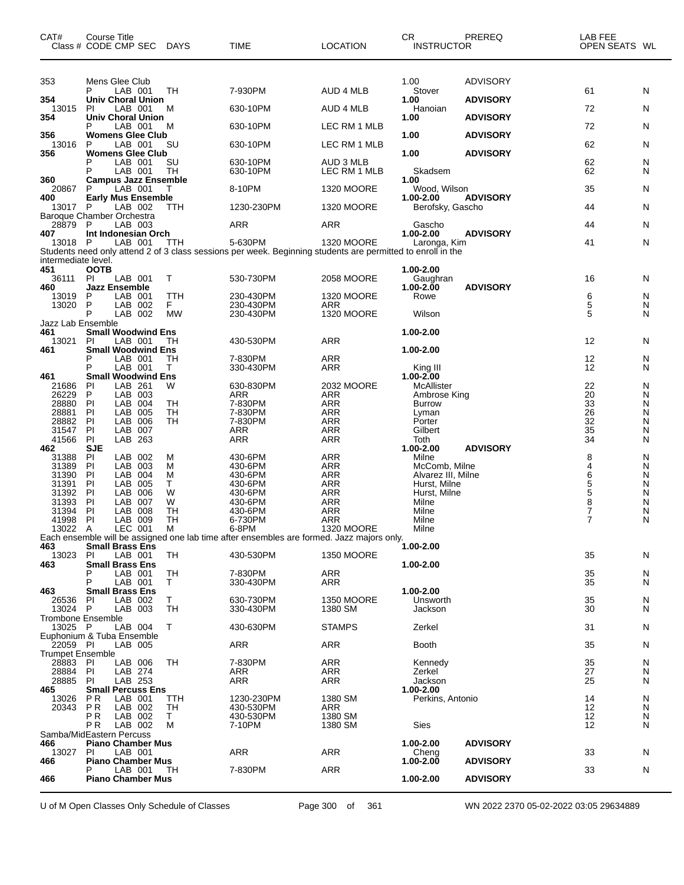| CAT#                                | Course Title<br>Class # CODE CMP SEC        | DAYS            | <b>TIME</b>                                                                                                            | <b>LOCATION</b>              | CR.<br><b>INSTRUCTOR</b>            | PREREQ          | LAB FEE<br>OPEN SEATS WL |        |
|-------------------------------------|---------------------------------------------|-----------------|------------------------------------------------------------------------------------------------------------------------|------------------------------|-------------------------------------|-----------------|--------------------------|--------|
| 353                                 | Mens Glee Club                              |                 |                                                                                                                        |                              | 1.00                                | <b>ADVISORY</b> |                          |        |
|                                     | LAB 001<br>Р                                | TH              | 7-930PM                                                                                                                | AUD 4 MLB                    | Stover<br>1.00                      | <b>ADVISORY</b> | 61                       | N      |
| 354<br>13015                        | Univ Choral Union<br>LAB 001<br>PI          | М               | 630-10PM                                                                                                               | AUD 4 MLB                    | Hanoian                             |                 | 72                       | N      |
| 354                                 | <b>Univ Choral Union</b><br>LAB 001<br>P    | м               | 630-10PM                                                                                                               | LEC RM 1 MLB                 | 1.00                                | <b>ADVISORY</b> | 72                       | N      |
| 356<br>13016                        | <b>Womens Glee Club</b><br>LAB 001<br>P     | SU              | 630-10PM                                                                                                               | LEC RM 1 MLB                 | 1.00                                | <b>ADVISORY</b> | 62                       | N      |
| 356                                 | <b>Womens Glee Club</b>                     |                 |                                                                                                                        |                              | 1.00                                | <b>ADVISORY</b> |                          |        |
|                                     | LAB 001<br>LAB 001<br>P                     | SU<br>TН        | 630-10PM<br>630-10PM                                                                                                   | AUD 3 MLB<br>LEC RM 1 MLB    | Skadsem                             |                 | 62<br>62                 | N<br>N |
| 360<br>20867                        | <b>Campus Jazz Ensemble</b><br>LAB 001      | т               | 8-10PM                                                                                                                 | <b>1320 MOORE</b>            | 1.00<br>Wood, Wilson                |                 | 35                       | N      |
| 400<br>13017                        | <b>Early Mus Ensemble</b><br>LAB 002<br>P   | TTH             | 1230-230PM                                                                                                             | <b>1320 MOORE</b>            | 1.00-2.00<br>Berofsky, Gascho       | <b>ADVISORY</b> | 44                       | N      |
|                                     | Baroque Chamber Orchestra                   |                 |                                                                                                                        |                              |                                     |                 |                          |        |
| 28879<br>407                        | P<br>LAB 003<br>Int Indonesian Orch         |                 | <b>ARR</b>                                                                                                             | ARR                          | Gascho<br>1.00-2.00                 | <b>ADVISORY</b> | 44                       | N      |
| 13018                               | LAB 001<br>P                                | TTH             | 5-630PM<br>Students need only attend 2 of 3 class sessions per week. Beginning students are permitted to enroll in the | <b>1320 MOORE</b>            | Laronga, Kim                        |                 | 41                       | N      |
| intermediate level.                 |                                             |                 |                                                                                                                        |                              |                                     |                 |                          |        |
| 451<br>36111                        | <b>OOTB</b><br><b>PI</b><br>LAB 001         | т               | 530-730PM                                                                                                              | 2058 MOORE                   | 1.00-2.00<br>Gaughran               |                 | 16                       | N      |
| 460<br>13019                        | <b>Jazz Ensemble</b><br>LAB 001<br>P        | TTH             | 230-430PM                                                                                                              | <b>1320 MOORE</b>            | 1.00-2.00<br>Rowe                   | <b>ADVISORY</b> | 6                        | N      |
| 13020                               | P<br>LAB 002<br>P                           | F.              | 230-430PM                                                                                                              | ARR<br>1320 MOORE            |                                     |                 | 5<br>5                   | N      |
| Jazz Lab Ensemble                   | LAB 002                                     | <b>MW</b>       | 230-430PM                                                                                                              |                              | Wilson                              |                 |                          | N      |
| 461<br>13021                        | <b>Small Woodwind Ens</b><br>LAB 001<br>PI. | TН              | 430-530PM                                                                                                              | <b>ARR</b>                   | 1.00-2.00                           |                 | 12                       | N      |
| 461                                 | <b>Small Woodwind Ens</b><br>LAB 001<br>P   | TН              | 7-830PM                                                                                                                | <b>ARR</b>                   | 1.00-2.00                           |                 | 12                       | N      |
|                                     | P<br>LAB 001                                | T.              | 330-430PM                                                                                                              | ARR                          | King III                            |                 | 12                       | N      |
| 461<br>21686                        | <b>Small Woodwind Ens</b><br>LAB 261<br>PI  | W               | 630-830PM                                                                                                              | 2032 MOORE                   | 1.00-2.00<br>McAllister             |                 | 22                       | N      |
| 26229<br>28880                      | P<br>LAB 003<br>PI<br>LAB 004               | TН              | <b>ARR</b><br>7-830PM                                                                                                  | <b>ARR</b><br><b>ARR</b>     | Ambrose King<br><b>Burrow</b>       |                 | 20<br>33                 | N<br>N |
| 28881                               | PI<br>LAB<br>005                            | TН              | 7-830PM                                                                                                                | <b>ARR</b>                   | Lyman                               |                 | 26                       | N      |
| 28882<br>31547                      | LAB<br>PI<br>006<br>PI<br>LAB 007           | TН              | 7-830PM<br>ARR                                                                                                         | <b>ARR</b><br><b>ARR</b>     | Porter<br>Gilbert                   |                 | 32<br>35                 | N<br>N |
| 41566<br>462                        | PI<br>LAB 263<br><b>SJE</b>                 |                 | <b>ARR</b>                                                                                                             | <b>ARR</b>                   | Toth<br>1.00-2.00                   | <b>ADVISORY</b> | 34                       | N      |
| 31388                               | LAB 002<br>PI                               | M               | 430-6PM                                                                                                                | <b>ARR</b>                   | Milne                               |                 | 8                        | N      |
| 31389<br>31390                      | PI<br>LAB 003<br>LAB<br>PI<br>004           | м<br>M          | 430-6PM<br>430-6PM                                                                                                     | <b>ARR</b><br><b>ARR</b>     | McComb, Milne<br>Alvarez III, Milne |                 | 4<br>6                   | N<br>N |
| 31391                               | PI<br>LAB<br>005<br>PI<br>LAB<br>006        | т<br>W          | 430-6PM<br>430-6PM                                                                                                     | ARR<br><b>ARR</b>            | Hurst, Milne                        |                 | 5<br>5                   | N<br>N |
| 31392<br>31393                      | PI<br>LAB<br>007                            | W               | 430-6PM                                                                                                                | <b>ARR</b>                   | Hurst, Milne<br>Milne               |                 | 8                        | N      |
| 31394<br>41998                      | PI<br>LAB 008<br>PI<br>LAB 009              | <b>TH</b><br>TН | 430-6PM<br>6-730PM                                                                                                     | <b>ARR</b><br><b>ARR</b>     | Milne<br>Milne                      |                 | 7<br>7                   | N<br>N |
| 13022 A                             | LEC 001                                     | M               | 6-8PM                                                                                                                  | <b>1320 MOORE</b>            | Milne                               |                 |                          |        |
| 463                                 | <b>Small Brass Ens</b>                      |                 | Each ensemble will be assigned one lab time after ensembles are formed. Jazz majors only.                              |                              | 1.00-2.00                           |                 |                          |        |
| 13023<br>463                        | LAB 001<br>PI.<br><b>Small Brass Ens</b>    | TН              | 430-530PM                                                                                                              | 1350 MOORE                   | 1.00-2.00                           |                 | 35                       | N      |
|                                     | LAB 001                                     | TН              | 7-830PM                                                                                                                | ARR                          |                                     |                 | 35                       | N      |
| 463                                 | LAB 001<br><b>Small Brass Ens</b>           | T.              | 330-430PM                                                                                                              | ARR                          | 1.00-2.00                           |                 | 35                       | N      |
| 26536<br>13024                      | LAB 002<br>PI<br>LAB 003<br>P               | Т<br>TН         | 630-730PM<br>330-430PM                                                                                                 | <b>1350 MOORE</b><br>1380 SM | Unsworth<br>Jackson                 |                 | 35<br>30                 | N<br>N |
| <b>Trombone Ensemble</b>            |                                             |                 |                                                                                                                        |                              |                                     |                 |                          |        |
| 13025 P                             | LAB 004<br>Euphonium & Tuba Ensemble        | Τ               | 430-630PM                                                                                                              | <b>STAMPS</b>                | Zerkel                              |                 | 31                       | N      |
| 22059 PI<br><b>Trumpet Ensemble</b> | LAB 005                                     |                 | ARR                                                                                                                    | ARR                          | Booth                               |                 | 35                       | N      |
| 28883 PI                            | LAB 006                                     | TН              | 7-830PM                                                                                                                | ARR                          | Kennedy                             |                 | 35                       | N      |
| 28884<br>28885                      | LAB 274<br>PI<br>LAB 253<br>PI              |                 | ARR<br><b>ARR</b>                                                                                                      | ARR<br>ARR                   | Zerkel<br>Jackson                   |                 | 27<br>25                 | N<br>N |
| 465<br>13026                        | <b>Small Percuss Ens</b><br>LAB 001<br>P R  | ттн             | 1230-230PM                                                                                                             | 1380 SM                      | 1.00-2.00<br>Perkins, Antonio       |                 | 14                       | N      |
| 20343                               | <b>PR</b><br>LAB 002                        | TН              | 430-530PM                                                                                                              | ARR                          |                                     |                 | 12                       | N      |
|                                     | ΡR<br>LAB 002<br>ΡR<br>LAB 002              | T.<br>М         | 430-530PM<br>7-10PM                                                                                                    | 1380 SM<br>1380 SM           | Sies                                |                 | 12<br>12                 | N<br>N |
|                                     | Samba/MidEastern Percuss                    |                 |                                                                                                                        |                              |                                     |                 |                          |        |
| 466<br>13027                        | <b>Piano Chamber Mus</b><br>ΡI<br>LAB 001   |                 | ARR                                                                                                                    | ARR                          | 1.00-2.00<br>Cheng                  | <b>ADVISORY</b> | 33                       | N      |
| 466                                 | <b>Piano Chamber Mus</b><br>LAB 001         | TН              | 7-830PM                                                                                                                | ARR                          | $1.00 - 2.00$                       | <b>ADVISORY</b> | 33                       | N      |
| 466                                 | <b>Piano Chamber Mus</b>                    |                 |                                                                                                                        |                              | 1.00-2.00                           | <b>ADVISORY</b> |                          |        |

U of M Open Classes Only Schedule of Classes Page 300 of 361 WN 2022 2370 05-02-2022 03:05 29634889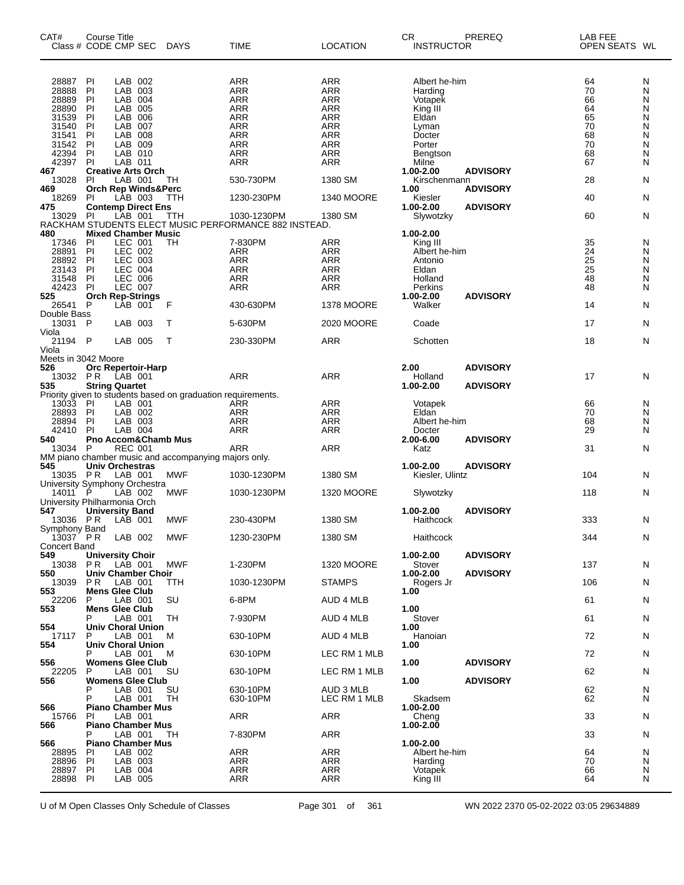| CAT#<br>Class # CODE CMP SEC  | <b>Course Title</b>     |                    |                                | <b>DAYS</b>                                                  | <b>TIME</b>                                           | <b>LOCATION</b>          | CR.<br>INSTRUCTOR        | PREREQ          | LAB FEE<br>OPEN SEATS WL |        |
|-------------------------------|-------------------------|--------------------|--------------------------------|--------------------------------------------------------------|-------------------------------------------------------|--------------------------|--------------------------|-----------------|--------------------------|--------|
| 28887                         | PI                      | LAB 002            |                                |                                                              | ARR                                                   | <b>ARR</b>               | Albert he-him            |                 | 64                       | N      |
| 28888<br>28889                | PI<br>PI                | LAB<br>LAB         | 003<br>004                     |                                                              | ARR<br><b>ARR</b>                                     | <b>ARR</b><br><b>ARR</b> | Harding<br>Votapek       |                 | 70<br>66                 | N<br>N |
| 28890                         | PI                      | LAB                | 005                            |                                                              | <b>ARR</b>                                            | <b>ARR</b>               | King III                 |                 | 64                       | N      |
| 31539                         | ΡI                      | LAB                | 006                            |                                                              | ARR                                                   | <b>ARR</b>               | Eldan                    |                 | 65                       | N      |
| 31540                         | PI                      | LAB                | 007                            |                                                              | <b>ARR</b>                                            | <b>ARR</b>               | Lyman                    |                 | 70                       | N      |
| 31541                         | PI                      | LAB                | 008                            |                                                              | <b>ARR</b>                                            | <b>ARR</b>               | Docter                   |                 | 68                       | N      |
| 31542<br>42394                | ΡI<br>PI                | LAB<br>LAB 010     | 009                            |                                                              | <b>ARR</b><br><b>ARR</b>                              | <b>ARR</b><br><b>ARR</b> | Porter                   |                 | 70<br>68                 | N<br>N |
| 42397                         | PI                      | LAB 011            |                                |                                                              | <b>ARR</b>                                            | <b>ARR</b>               | Bengtson<br>Milne        |                 | 67                       | N      |
| 467                           |                         |                    | <b>Creative Arts Orch</b>      |                                                              |                                                       |                          | 1.00-2.00                | <b>ADVISORY</b> |                          |        |
| 13028                         | PI                      | LAB 001            |                                | TН                                                           | 530-730PM                                             | 1380 SM                  | Kirschenmann             |                 | 28                       | N      |
| 469                           |                         |                    | <b>Orch Rep Winds&amp;Perc</b> |                                                              |                                                       |                          | 1.00                     | <b>ADVISORY</b> |                          |        |
| 18269                         | PI                      | LAB 003            |                                | TTH                                                          | 1230-230PM                                            | <b>1340 MOORE</b>        | Kiesler                  |                 | 40                       | N      |
| 475<br>13029                  | PI                      | LAB 001            | <b>Contemp Direct Ens</b>      | TTH                                                          | 1030-1230PM                                           | 1380 SM                  | 1.00-2.00<br>Slywotzky   | <b>ADVISORY</b> | 60                       | Ν      |
|                               |                         |                    |                                |                                                              | RACKHAM STUDENTS ELECT MUSIC PERFORMANCE 882 INSTEAD. |                          |                          |                 |                          |        |
| 480                           |                         |                    | <b>Mixed Chamber Music</b>     |                                                              |                                                       |                          | 1.00-2.00                |                 |                          |        |
| 17346                         | PI                      | LEC 001            |                                | TН                                                           | 7-830PM                                               | ARR                      | King III                 |                 | 35                       | N      |
| 28891                         | PI                      | LEC 002            |                                |                                                              | ARR                                                   | <b>ARR</b>               | Albert he-him            |                 | 24                       | N      |
| 28892                         | PI                      | LEC 003            |                                |                                                              | <b>ARR</b><br><b>ARR</b>                              | ARR                      | Antonio                  |                 | 25                       | N      |
| 23143<br>31548                | PI<br>PI                | LEC 004<br>LEC 006 |                                |                                                              | ARR                                                   | <b>ARR</b><br><b>ARR</b> | Eldan<br>Holland         |                 | 25<br>48                 | N<br>N |
| 42423                         | PI                      | <b>LEC 007</b>     |                                |                                                              | <b>ARR</b>                                            | <b>ARR</b>               | Perkins                  |                 | 48                       | N      |
| 525                           | <b>Orch Rep-Strings</b> |                    |                                |                                                              |                                                       |                          | 1.00-2.00                | <b>ADVISORY</b> |                          |        |
| 26541 P                       |                         | LAB 001            |                                | F                                                            | 430-630PM                                             | <b>1378 MOORE</b>        | Walker                   |                 | 14                       | N      |
| Double Bass                   |                         |                    |                                |                                                              |                                                       |                          |                          |                 |                          |        |
| 13031 P                       |                         | LAB 003            |                                | т                                                            | 5-630PM                                               | 2020 MOORE               | Coade                    |                 | 17                       | N      |
| Viola<br>21194 P              |                         | LAB 005            |                                | $\top$                                                       | 230-330PM                                             | <b>ARR</b>               | Schotten                 |                 | 18                       | N      |
| Viola                         |                         |                    |                                |                                                              |                                                       |                          |                          |                 |                          |        |
| Meets in 3042 Moore           |                         |                    |                                |                                                              |                                                       |                          |                          |                 |                          |        |
| 526                           |                         |                    | <b>Orc Repertoir-Harp</b>      |                                                              |                                                       |                          | 2.00                     | <b>ADVISORY</b> |                          |        |
| 13032 PR                      |                         | LAB 001            |                                |                                                              | ARR                                                   | ARR                      | Holland                  |                 | 17                       | N      |
| 535                           | <b>String Quartet</b>   |                    |                                | Priority given to students based on graduation requirements. |                                                       |                          | 1.00-2.00                | <b>ADVISORY</b> |                          |        |
| 13033 PI                      |                         | LAB 001            |                                |                                                              | ARR                                                   | ARR                      | Votapek                  |                 | 66                       | N      |
| 28893 PI                      |                         | LAB 002            |                                |                                                              | ARR                                                   | <b>ARR</b>               | Eldan                    |                 | 70                       | N      |
| 28894                         | PI                      | LAB 003            |                                |                                                              | <b>ARR</b>                                            | <b>ARR</b>               | Albert he-him            |                 | 68                       | N      |
| 42410                         | PI                      | LAB 004            |                                |                                                              | <b>ARR</b>                                            | <b>ARR</b>               | Docter                   |                 | 29                       | N      |
| 540                           |                         |                    |                                | <b>Pno Accom&amp;Chamb Mus</b>                               |                                                       |                          | 2.00-6.00                | <b>ADVISORY</b> |                          |        |
| 13034                         | - P                     | <b>REC 001</b>     |                                |                                                              | ARR                                                   | <b>ARR</b>               | Katz                     |                 | 31                       | N      |
| 545                           | Univ Orchestras         |                    |                                | MM piano chamber music and accompanying majors only.         |                                                       |                          | 1.00-2.00                | <b>ADVISORY</b> |                          |        |
| 13035 PR                      |                         | LAB 001            |                                | <b>MWF</b>                                                   | 1030-1230PM                                           | 1380 SM                  | Kiesler, Ulintz          |                 | 104                      | N      |
| University Symphony Orchestra |                         |                    |                                |                                                              |                                                       |                          |                          |                 |                          |        |
| 14011                         | P                       | LAB 002            |                                | <b>MWF</b>                                                   | 1030-1230PM                                           | <b>1320 MOORE</b>        | Slywotzky                |                 | 118                      | N      |
| University Philharmonia Orch  |                         |                    |                                |                                                              |                                                       |                          |                          |                 |                          |        |
| 547<br>13036 PR               | <b>University Band</b>  | LAB 001            |                                | MWF                                                          | 230-430PM                                             | 1380 SM                  | 1.00-2.00<br>Haithcock   | <b>ADVISORY</b> | 333                      | N      |
| Symphony Band                 |                         |                    |                                |                                                              |                                                       |                          |                          |                 |                          |        |
| 13037 PR LAB 002              |                         |                    |                                | <b>MWF</b>                                                   | 1230-230PM                                            | 1380 SM                  | Haithcock                |                 | 344                      | Ν      |
| Concert Band                  |                         |                    |                                |                                                              |                                                       |                          |                          |                 |                          |        |
| 549                           | <b>University Choir</b> |                    |                                |                                                              |                                                       |                          | 1.00-2.00                | <b>ADVISORY</b> |                          |        |
| 13038<br>550                  | P R                     | LAB 001            | Univ Chamber Choir             | MWF                                                          | 1-230PM                                               | 1320 MOORE               | Stover<br>1.00-2.00      | <b>ADVISORY</b> | 137                      | N      |
| 13039                         | P R                     | LAB 001            |                                | TTH                                                          | 1030-1230PM                                           | <b>STAMPS</b>            | Rogers Jr                |                 | 106                      | N      |
| 553                           | <b>Mens Glee Club</b>   |                    |                                |                                                              |                                                       |                          | 1.00                     |                 |                          |        |
| 22206                         | P                       | LAB 001            |                                | SU                                                           | 6-8PM                                                 | AUD 4 MLB                |                          |                 | 61                       | N      |
| 553                           | <b>Mens Glee Club</b>   |                    |                                |                                                              |                                                       |                          | 1.00                     |                 |                          |        |
|                               | P                       | LAB 001            |                                | TН                                                           | 7-930PM                                               | AUD 4 MLB                | Stover                   |                 | 61                       | N      |
| 554<br>17117                  | P                       | LAB 001            | <b>Univ Choral Union</b>       | м                                                            | 630-10PM                                              | AUD 4 MLB                | 1.00<br>Hanoian          |                 | 72                       | N      |
| 554                           |                         |                    | <b>Univ Choral Union</b>       |                                                              |                                                       |                          | 1.00                     |                 |                          |        |
|                               | P                       | LAB 001            |                                | м                                                            | 630-10PM                                              | LEC RM 1 MLB             |                          |                 | 72                       | N      |
| 556                           |                         |                    | <b>Womens Glee Club</b>        |                                                              |                                                       |                          | 1.00                     | <b>ADVISORY</b> |                          |        |
| 22205                         | P                       | LAB 001            |                                | SU                                                           | 630-10PM                                              | LEC RM 1 MLB             |                          |                 | 62                       | N      |
| 556                           |                         |                    | <b>Womens Glee Club</b>        |                                                              |                                                       |                          | 1.00                     | <b>ADVISORY</b> |                          |        |
|                               | P<br>P                  | LAB 001            |                                | SU                                                           | 630-10PM                                              | AUD 3 MLB                |                          |                 | 62                       | N      |
| 566                           |                         | LAB 001            | <b>Piano Chamber Mus</b>       | TН                                                           | 630-10PM                                              | LEC RM 1 MLB             | Skadsem<br>1.00-2.00     |                 | 62                       | N      |
| 15766                         | PI                      | LAB 001            |                                |                                                              | ARR                                                   | ARR                      | Cheng                    |                 | 33                       | N      |
| 566                           |                         |                    | <b>Piano Chamber Mus</b>       |                                                              |                                                       |                          | 1.00-2.00                |                 |                          |        |
|                               | P                       | LAB 001            |                                | TH                                                           | 7-830PM                                               | ARR                      |                          |                 | 33                       | N      |
| 566                           |                         |                    | <b>Piano Chamber Mus</b>       |                                                              |                                                       |                          | 1.00-2.00                |                 |                          |        |
| 28895<br>28896                | PI.<br>ΡI               | LAB 002<br>LAB 003 |                                |                                                              | ARR<br>ARR                                            | ARR<br>ARR               | Albert he-him<br>Harding |                 | 64<br>70                 | N<br>N |
| 28897                         | PI                      | LAB 004            |                                |                                                              | <b>ARR</b>                                            | ARR                      | Votapek                  |                 | 66                       | N      |
| 28898                         | PI                      | LAB 005            |                                |                                                              | ARR                                                   | ARR                      | King III                 |                 | 64                       | N      |
|                               |                         |                    |                                |                                                              |                                                       |                          |                          |                 |                          |        |

U of M Open Classes Only Schedule of Classes Page 301 of 361 WN 2022 2370 05-02-2022 03:05 29634889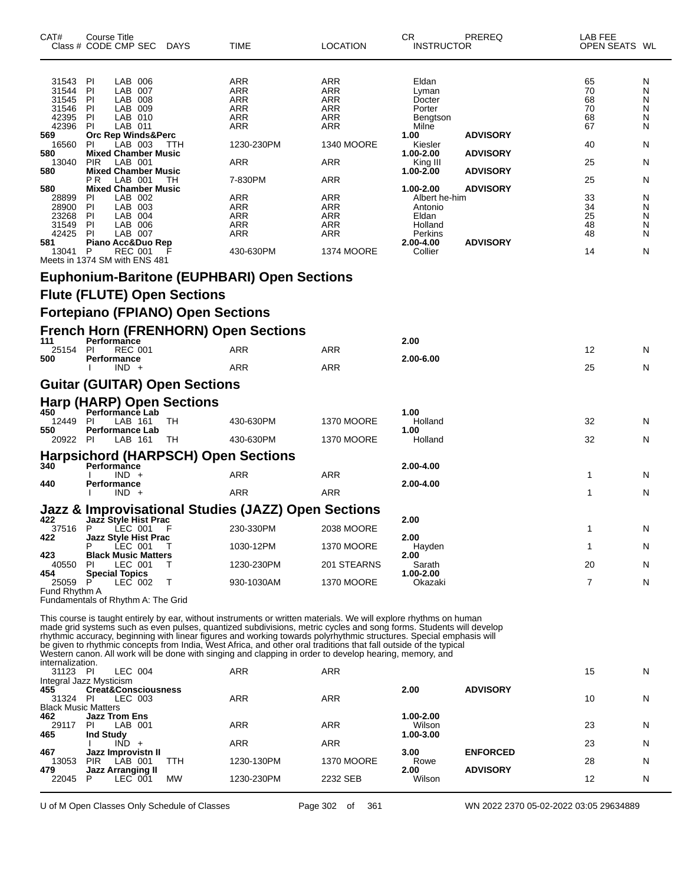| CAT#                                               | Course Title<br>Class # CODE CMP SEC DAYS                                                          |            | TIME                                                                                                                                                                                                                                                                                                                                                                                                                                                                                                                                                                                           | LOCATION                               | CR<br><b>INSTRUCTOR</b>                                 | PREREQ          | LAB FEE<br>OPEN SEATS WL         |                            |
|----------------------------------------------------|----------------------------------------------------------------------------------------------------|------------|------------------------------------------------------------------------------------------------------------------------------------------------------------------------------------------------------------------------------------------------------------------------------------------------------------------------------------------------------------------------------------------------------------------------------------------------------------------------------------------------------------------------------------------------------------------------------------------------|----------------------------------------|---------------------------------------------------------|-----------------|----------------------------------|----------------------------|
| 31543<br>31544<br>31545<br>31546<br>42395<br>42396 | LAB 006<br>PI<br>PI<br>LAB 007<br>PI<br>LAB 008<br>PI<br>LAB 009<br>PI<br>LAB 010<br>ΡI<br>LAB 011 |            | ARR<br>ARR<br><b>ARR</b><br>ARR<br>ARR<br>ARR                                                                                                                                                                                                                                                                                                                                                                                                                                                                                                                                                  | ARR<br>ARR<br>ARR<br>ARR<br>ARR<br>ARR | Eldan<br>Lyman<br>Docter<br>Porter<br>Bengtson<br>Milne |                 | 65<br>70<br>68<br>70<br>68<br>67 | N<br>N<br>N<br>N<br>N<br>N |
| 569<br>16560<br>580                                | Orc Rep Winds&Perc<br>PI<br>LAB 003                                                                | ттн        | 1230-230PM                                                                                                                                                                                                                                                                                                                                                                                                                                                                                                                                                                                     | <b>1340 MOORE</b>                      | 1.00<br>Kiesler                                         | <b>ADVISORY</b> | 40                               | N                          |
| 13040                                              | <b>Mixed Chamber Music</b><br><b>PIR</b><br>LAB 001                                                |            | ARR                                                                                                                                                                                                                                                                                                                                                                                                                                                                                                                                                                                            | ARR                                    | 1.00-2.00<br>King III                                   | <b>ADVISORY</b> | 25                               | N                          |
| 580                                                | <b>Mixed Chamber Music</b><br>LAB 001<br>P R                                                       | TН         | 7-830PM                                                                                                                                                                                                                                                                                                                                                                                                                                                                                                                                                                                        | ARR                                    | 1.00-2.00                                               | <b>ADVISORY</b> | 25                               | N                          |
| 580<br>28899                                       | <b>Mixed Chamber Music</b><br>PI<br>LAB 002                                                        |            | ARR                                                                                                                                                                                                                                                                                                                                                                                                                                                                                                                                                                                            | ARR                                    | 1.00-2.00<br>Albert he-him                              | <b>ADVISORY</b> | 33                               | N                          |
| 28900<br>23268                                     | PI<br>LAB 003<br>PI<br>LAB 004                                                                     |            | <b>ARR</b><br>ARR                                                                                                                                                                                                                                                                                                                                                                                                                                                                                                                                                                              | ARR<br>ARR                             | Antonio<br>Eldan                                        |                 | 34<br>25                         | N<br>N                     |
| 31549                                              | PI<br>LAB 006                                                                                      |            | ARR                                                                                                                                                                                                                                                                                                                                                                                                                                                                                                                                                                                            | ARR                                    | Holland                                                 |                 | 48                               | N                          |
| 42425<br>581                                       | <b>PI</b><br>LAB 007<br>Piano Acc&Duo Rep                                                          |            | ARR                                                                                                                                                                                                                                                                                                                                                                                                                                                                                                                                                                                            | ARR                                    | Perkins<br>2.00-4.00                                    | <b>ADVISORY</b> | 48                               | N                          |
| 13041                                              | P<br>REC 001<br>Meets in 1374 SM with ENS 481                                                      |            | 430-630PM                                                                                                                                                                                                                                                                                                                                                                                                                                                                                                                                                                                      | <b>1374 MOORE</b>                      | Collier                                                 |                 | 14                               | N                          |
|                                                    |                                                                                                    |            | <b>Euphonium-Baritone (EUPHBARI) Open Sections</b>                                                                                                                                                                                                                                                                                                                                                                                                                                                                                                                                             |                                        |                                                         |                 |                                  |                            |
|                                                    | <b>Flute (FLUTE) Open Sections</b>                                                                 |            |                                                                                                                                                                                                                                                                                                                                                                                                                                                                                                                                                                                                |                                        |                                                         |                 |                                  |                            |
|                                                    | <b>Fortepiano (FPIANO) Open Sections</b>                                                           |            |                                                                                                                                                                                                                                                                                                                                                                                                                                                                                                                                                                                                |                                        |                                                         |                 |                                  |                            |
|                                                    | <b>French Horn (FRENHORN) Open Sections</b>                                                        |            |                                                                                                                                                                                                                                                                                                                                                                                                                                                                                                                                                                                                |                                        |                                                         |                 |                                  |                            |
| 111<br>25154                                       | Performance<br><b>REC 001</b><br>PI                                                                |            | ARR                                                                                                                                                                                                                                                                                                                                                                                                                                                                                                                                                                                            | ARR                                    | 2.00                                                    |                 | 12                               | N                          |
| 500                                                | Performance                                                                                        |            |                                                                                                                                                                                                                                                                                                                                                                                                                                                                                                                                                                                                | ARR                                    | 2.00-6.00                                               |                 | 25                               |                            |
|                                                    | $IND +$<br><b>Guitar (GUITAR) Open Sections</b>                                                    |            | ARR                                                                                                                                                                                                                                                                                                                                                                                                                                                                                                                                                                                            |                                        |                                                         |                 |                                  | N                          |
|                                                    |                                                                                                    |            |                                                                                                                                                                                                                                                                                                                                                                                                                                                                                                                                                                                                |                                        |                                                         |                 |                                  |                            |
| 450                                                | Harp (HARP) Open Sections<br>Performance Lab                                                       |            |                                                                                                                                                                                                                                                                                                                                                                                                                                                                                                                                                                                                |                                        | 1.00                                                    |                 |                                  |                            |
| 12449<br>550                                       | PI<br>LAB 161<br><b>Performance Lab</b>                                                            | TH         | 430-630PM                                                                                                                                                                                                                                                                                                                                                                                                                                                                                                                                                                                      | <b>1370 MOORE</b>                      | Holland<br>1.00                                         |                 | 32                               | N                          |
| 20922 PI                                           | LAB 161                                                                                            | TH.        | 430-630PM                                                                                                                                                                                                                                                                                                                                                                                                                                                                                                                                                                                      | <b>1370 MOORE</b>                      | Holland                                                 |                 | 32                               | N                          |
| 340                                                | <b>Harpsichord (HARPSCH) Open Sections</b><br>Performance                                          |            |                                                                                                                                                                                                                                                                                                                                                                                                                                                                                                                                                                                                |                                        | 2.00-4.00                                               |                 |                                  |                            |
|                                                    | $IND +$                                                                                            |            | ARR                                                                                                                                                                                                                                                                                                                                                                                                                                                                                                                                                                                            | ARR                                    |                                                         |                 | 1                                | N                          |
| 440                                                | Performance<br>$IND +$                                                                             |            | ARR                                                                                                                                                                                                                                                                                                                                                                                                                                                                                                                                                                                            | ARR                                    | 2.00-4.00                                               |                 | 1                                | N                          |
|                                                    |                                                                                                    |            | Jazz & Improvisational Studies (JAZZ) Open Sections                                                                                                                                                                                                                                                                                                                                                                                                                                                                                                                                            |                                        |                                                         |                 |                                  |                            |
| 422<br>37516 P                                     | Jazz Style Hist Prac<br>ĹEC 001                                                                    |            | 230-330PM                                                                                                                                                                                                                                                                                                                                                                                                                                                                                                                                                                                      | 2038 MOORE                             | 2.00                                                    |                 |                                  |                            |
| 422                                                | <b>Jazz Style Hist Prac</b><br>P<br>LEC 001                                                        |            | 1030-12PM                                                                                                                                                                                                                                                                                                                                                                                                                                                                                                                                                                                      | <b>1370 MOORE</b>                      | 2.00<br>Hayden                                          |                 | 1                                | N                          |
| 423<br>40550                                       | <b>Black Music Matters</b>                                                                         |            |                                                                                                                                                                                                                                                                                                                                                                                                                                                                                                                                                                                                |                                        | 2.00                                                    |                 | 20                               |                            |
| 454                                                | LEC 001<br>ΡI<br><b>Special Topics</b>                                                             | Т          | 1230-230PM                                                                                                                                                                                                                                                                                                                                                                                                                                                                                                                                                                                     | 201 STEARNS                            | Sarath<br>1.00-2.00                                     |                 |                                  | N                          |
| 25059<br>Fund Rhythm A                             | LEC 002<br>P                                                                                       | Т          | 930-1030AM                                                                                                                                                                                                                                                                                                                                                                                                                                                                                                                                                                                     | <b>1370 MOORE</b>                      | Okazaki                                                 |                 | $\overline{7}$                   | N                          |
| internalization.                                   | Fundamentals of Rhythm A: The Grid                                                                 |            | This course is taught entirely by ear, without instruments or written materials. We will explore rhythms on human<br>made grid systems such as even pulses, quantized subdivisions, metric cycles and song forms. Students will develop<br>rhythmic accuracy, beginning with linear figures and working towards polyrhythmic structures. Special emphasis will<br>be given to rhythmic concepts from India, West Africa, and other oral traditions that fall outside of the typical<br>Western canon. All work will be done with singing and clapping in order to develop hearing, memory, and |                                        |                                                         |                 |                                  |                            |
| 31123 PI                                           | LEC 004                                                                                            |            | <b>ARR</b>                                                                                                                                                                                                                                                                                                                                                                                                                                                                                                                                                                                     | ARR                                    |                                                         |                 | 15                               | N                          |
| 455<br>31324 PI<br><b>Black Music Matters</b>      | Integral Jazz Mysticism<br><b>Creat&amp;Consciousness</b><br>LEC 003                               |            | ARR                                                                                                                                                                                                                                                                                                                                                                                                                                                                                                                                                                                            | ARR                                    | 2.00                                                    | <b>ADVISORY</b> | 10                               | N                          |
| 462                                                | <b>Jazz Trom Ens</b>                                                                               |            |                                                                                                                                                                                                                                                                                                                                                                                                                                                                                                                                                                                                |                                        | 1.00-2.00                                               |                 |                                  |                            |
| 29117<br>465                                       | PI.<br>LAB 001<br><b>Ind Study</b>                                                                 |            | <b>ARR</b>                                                                                                                                                                                                                                                                                                                                                                                                                                                                                                                                                                                     | <b>ARR</b>                             | Wilson<br>1.00-3.00                                     |                 | 23                               | N                          |
| 467                                                | $IND +$<br>Jazz Improvistn II                                                                      |            | ARR                                                                                                                                                                                                                                                                                                                                                                                                                                                                                                                                                                                            | <b>ARR</b>                             | 3.00                                                    | <b>ENFORCED</b> | 23                               | N                          |
| 13053<br>479                                       | <b>PIR</b><br>LAB 001                                                                              | <b>TTH</b> | 1230-130PM                                                                                                                                                                                                                                                                                                                                                                                                                                                                                                                                                                                     | <b>1370 MOORE</b>                      | Rowe                                                    | <b>ADVISORY</b> | 28                               | N                          |
| 22045                                              | Jazz Arranging II<br>LEC 001<br>P                                                                  | МW         | 1230-230PM                                                                                                                                                                                                                                                                                                                                                                                                                                                                                                                                                                                     | 2232 SEB                               | 2.00<br>Wilson                                          |                 | 12                               | N                          |

U of M Open Classes Only Schedule of Classes Page 302 of 361 WN 2022 2370 05-02-2022 03:05 29634889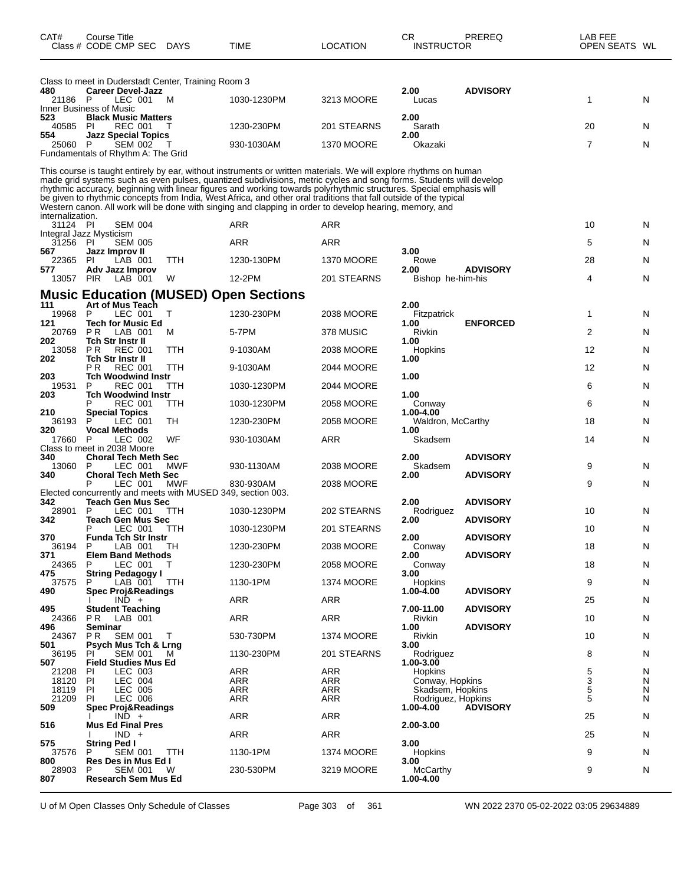| CAT#             | Course Title<br>Class # CODE CMP SEC                                             | <b>DAYS</b> | TIME                                                                                                                                                                                                                                                                                                                                                                                                                                                                                                                                                                                           | <b>LOCATION</b>   | <b>CR</b><br><b>INSTRUCTOR</b>      | PREREQ          | LAB FEE<br>OPEN SEATS WL |        |
|------------------|----------------------------------------------------------------------------------|-------------|------------------------------------------------------------------------------------------------------------------------------------------------------------------------------------------------------------------------------------------------------------------------------------------------------------------------------------------------------------------------------------------------------------------------------------------------------------------------------------------------------------------------------------------------------------------------------------------------|-------------------|-------------------------------------|-----------------|--------------------------|--------|
|                  | Class to meet in Duderstadt Center, Training Room 3                              |             |                                                                                                                                                                                                                                                                                                                                                                                                                                                                                                                                                                                                |                   |                                     |                 |                          |        |
| 480<br>21186 P   | <b>Career Devel-Jazz</b><br>LEC 001<br>Inner Business of Music                   | M           | 1030-1230PM                                                                                                                                                                                                                                                                                                                                                                                                                                                                                                                                                                                    | 3213 MOORE        | 2.00<br>Lucas                       | <b>ADVISORY</b> | 1                        | N      |
| 523<br>40585     | <b>Black Music Matters</b><br>REC 001<br>-PI                                     |             | 1230-230PM                                                                                                                                                                                                                                                                                                                                                                                                                                                                                                                                                                                     | 201 STEARNS       | 2.00<br>Sarath                      |                 | 20                       | N      |
| 554<br>25060     | <b>Jazz Special Topics</b><br>P<br>SEM 002<br>Fundamentals of Rhythm A: The Grid | T           | 930-1030AM                                                                                                                                                                                                                                                                                                                                                                                                                                                                                                                                                                                     | <b>1370 MOORE</b> | 2.00<br>Okazaki                     |                 | 7                        | N      |
| internalization. |                                                                                  |             | This course is taught entirely by ear, without instruments or written materials. We will explore rhythms on human<br>made grid systems such as even pulses, quantized subdivisions, metric cycles and song forms. Students will develop<br>rhythmic accuracy, beginning with linear figures and working towards polyrhythmic structures. Special emphasis will<br>be given to rhythmic concepts from India, West Africa, and other oral traditions that fall outside of the typical<br>Western canon. All work will be done with singing and clapping in order to develop hearing, memory, and |                   |                                     |                 |                          |        |
| 31124 PI         | <b>SEM 004</b><br>Integral Jazz Mysticism                                        |             | ARR                                                                                                                                                                                                                                                                                                                                                                                                                                                                                                                                                                                            | ARR               |                                     |                 | 10                       | N      |
| 31256            | PI<br><b>SEM 005</b>                                                             |             | ARR                                                                                                                                                                                                                                                                                                                                                                                                                                                                                                                                                                                            | <b>ARR</b>        |                                     |                 | 5                        | N      |
| 567<br>22365     | Jazz Improv II<br>LAB 001<br><b>PI</b>                                           | TTH         | 1230-130PM                                                                                                                                                                                                                                                                                                                                                                                                                                                                                                                                                                                     | <b>1370 MOORE</b> | 3.00<br>Rowe                        |                 | 28                       | N      |
| 577<br>13057     | Adv Jazz Improv<br><b>PIR</b><br>LAB 001                                         | W           | 12-2PM                                                                                                                                                                                                                                                                                                                                                                                                                                                                                                                                                                                         | 201 STEARNS       | 2.00<br>Bishop he-him-his           | <b>ADVISORY</b> | 4                        | N      |
|                  |                                                                                  |             | <b>Music Education (MUSED) Open Sections</b>                                                                                                                                                                                                                                                                                                                                                                                                                                                                                                                                                   |                   |                                     |                 |                          |        |
| 111<br>19968     | Art of Mus Teach<br>P<br>LEC 001                                                 | Т           | 1230-230PM                                                                                                                                                                                                                                                                                                                                                                                                                                                                                                                                                                                     | 2038 MOORE        | 2.00<br>Fitzpatrick                 |                 | 1                        | N      |
| 121<br>20769     | Tech for Music Ed<br>P <sub>R</sub><br>LAB 001                                   | M           | 5-7PM                                                                                                                                                                                                                                                                                                                                                                                                                                                                                                                                                                                          | 378 MUSIC         | 1.00<br>Rivkin                      | <b>ENFORCED</b> | 2                        | N      |
| 202<br>13058     | Tch Str Instr II<br><b>PR</b><br><b>REC 001</b>                                  | <b>TTH</b>  | 9-1030AM                                                                                                                                                                                                                                                                                                                                                                                                                                                                                                                                                                                       | 2038 MOORE        | 1.00<br>Hopkins                     |                 | 12                       | N      |
| 202              | Tch Str Instr II<br><b>REC 001</b><br>P R                                        | TTH         | 9-1030AM                                                                                                                                                                                                                                                                                                                                                                                                                                                                                                                                                                                       | 2044 MOORE        | 1.00                                |                 | 12                       | N      |
| 203<br>19531     | Tch Woodwind Instr<br><b>REC 001</b><br>P                                        | TTH         | 1030-1230PM                                                                                                                                                                                                                                                                                                                                                                                                                                                                                                                                                                                    | 2044 MOORE        | 1.00                                |                 | 6                        | N      |
| 203              | Tch Woodwind Instr<br><b>REC 001</b><br>P                                        | TTH         | 1030-1230PM                                                                                                                                                                                                                                                                                                                                                                                                                                                                                                                                                                                    | 2058 MOORE        | 1.00<br>Conway                      |                 | 6                        | N      |
| 210<br>36193     | <b>Special Topics</b><br>LEC 001<br>P                                            | TН          | 1230-230PM                                                                                                                                                                                                                                                                                                                                                                                                                                                                                                                                                                                     | 2058 MOORE        | 1.00-4.00<br>Waldron, McCarthy      |                 | 18                       | N      |
| 320<br>17660     | <b>Vocal Methods</b><br>LEC 002<br>P                                             | WF          | 930-1030AM                                                                                                                                                                                                                                                                                                                                                                                                                                                                                                                                                                                     | ARR               | 1.00<br>Skadsem                     |                 | 14                       | N      |
|                  | Class to meet in 2038 Moore                                                      |             |                                                                                                                                                                                                                                                                                                                                                                                                                                                                                                                                                                                                |                   |                                     |                 |                          |        |
| 340<br>13060     | <b>Choral Tech Meth Sec</b><br>P<br>LEC 001                                      | MWF         | 930-1130AM                                                                                                                                                                                                                                                                                                                                                                                                                                                                                                                                                                                     | 2038 MOORE        | 2.00<br>Skadsem                     | <b>ADVISORY</b> | 9                        | N      |
| 340              | <b>Choral Tech Meth Sec</b><br>Р<br>LEC 001                                      | MWF         | 830-930AM                                                                                                                                                                                                                                                                                                                                                                                                                                                                                                                                                                                      | 2038 MOORE        | 2.00                                | <b>ADVISORY</b> | 9                        | N      |
| 342              | Elected concurrently and meets with MUSED 349, section 003.<br>Teach Gen Mus Sec |             |                                                                                                                                                                                                                                                                                                                                                                                                                                                                                                                                                                                                |                   | 2.00                                | <b>ADVISORY</b> |                          |        |
| 28901<br>342     | P<br>LEC 001<br>Teach Gen Mus Sec                                                | TTH         | 1030-1230PM                                                                                                                                                                                                                                                                                                                                                                                                                                                                                                                                                                                    | 202 STEARNS       | Rodriguez<br>2.00                   | <b>ADVISORY</b> | 10                       | N      |
| 370              | P<br>LEC 001<br><b>Funda Tch Str Instr</b>                                       | ттн         | 1030-1230PM                                                                                                                                                                                                                                                                                                                                                                                                                                                                                                                                                                                    | 201 STEARNS       | 2.00                                | <b>ADVISORY</b> | 10                       | N      |
| 36194<br>371     | LAB 001<br>P<br><b>Elem Band Methods</b>                                         | TН          | 1230-230PM                                                                                                                                                                                                                                                                                                                                                                                                                                                                                                                                                                                     | 2038 MOORE        | Conway<br>2.00                      | <b>ADVISORY</b> | 18                       | N      |
| 24365<br>475     | LEC 001<br>P<br><b>String Pedagogy I</b>                                         | т           | 1230-230PM                                                                                                                                                                                                                                                                                                                                                                                                                                                                                                                                                                                     | <b>2058 MOORE</b> | Conway<br>3.00                      |                 | 18                       | N      |
| 37575<br>490     | LAB 001<br>P<br><b>Spec Proj&amp;Readings</b>                                    | TTH         | 1130-1PM                                                                                                                                                                                                                                                                                                                                                                                                                                                                                                                                                                                       | <b>1374 MOORE</b> | <b>Hopkins</b><br>1.00-4.00         | <b>ADVISORY</b> | 9                        | N      |
|                  | $IND +$                                                                          |             | ARR                                                                                                                                                                                                                                                                                                                                                                                                                                                                                                                                                                                            | ARR               |                                     |                 | 25                       | N      |
| 495<br>24366     | Student Teaching<br>P <sub>R</sub><br>LAB 001                                    |             | ARR                                                                                                                                                                                                                                                                                                                                                                                                                                                                                                                                                                                            | <b>ARR</b>        | 7.00-11.00<br>Rivkin                | <b>ADVISORY</b> | 10                       | N      |
| 496<br>24367     | Seminar<br>P R<br><b>SEM 001</b>                                                 | T           | 530-730PM                                                                                                                                                                                                                                                                                                                                                                                                                                                                                                                                                                                      | <b>1374 MOORE</b> | 1.00<br>Rivkin                      | <b>ADVISORY</b> | 10                       | N      |
| 501<br>36195     | <b>Psych Mus Tch &amp; Lrng</b><br><b>SEM 001</b><br><b>PI</b>                   | M           | 1130-230PM                                                                                                                                                                                                                                                                                                                                                                                                                                                                                                                                                                                     | 201 STEARNS       | 3.00<br>Rodriguez                   |                 | 8                        | N      |
| 507<br>21208     | <b>Field Studies Mus Ed</b><br>LEC 003<br><b>PI</b>                              |             | <b>ARR</b>                                                                                                                                                                                                                                                                                                                                                                                                                                                                                                                                                                                     | ARR               | 1.00-3.00<br>Hopkins                |                 | 5                        | N      |
| 18120<br>18119   | <b>LEC 004</b><br>PI<br>PI.<br>LEC 005                                           |             | ARR<br>ARR                                                                                                                                                                                                                                                                                                                                                                                                                                                                                                                                                                                     | ARR<br>ARR        | Conway, Hopkins<br>Skadsem, Hopkins |                 | 3<br>5                   | N<br>N |
| 21209<br>509     | LEC 006<br><b>PI</b><br><b>Spec Proj&amp;Readings</b>                            |             | ARR                                                                                                                                                                                                                                                                                                                                                                                                                                                                                                                                                                                            | ARR               | Rodriguez, Hopkins<br>1.00-4.00     | <b>ADVISORY</b> | 5                        | N      |
| 516              | $IND +$<br><b>Mus Ed Final Pres</b>                                              |             | ARR                                                                                                                                                                                                                                                                                                                                                                                                                                                                                                                                                                                            | ARR               | 2.00-3.00                           |                 | 25                       | N      |
|                  | $IND +$                                                                          |             | ARR                                                                                                                                                                                                                                                                                                                                                                                                                                                                                                                                                                                            | ARR               |                                     |                 | 25                       | N      |
| 575<br>37576     | <b>String Ped I</b><br>P<br>SEM 001                                              | <b>TTH</b>  | 1130-1PM                                                                                                                                                                                                                                                                                                                                                                                                                                                                                                                                                                                       | <b>1374 MOORE</b> | 3.00<br>Hopkins                     |                 | 9                        | N      |
| 800<br>28903     | Res Des in Mus Ed I<br><b>SEM 001</b><br>P                                       | W           | 230-530PM                                                                                                                                                                                                                                                                                                                                                                                                                                                                                                                                                                                      | 3219 MOORE        | 3.00<br>McCarthy                    |                 | 9                        | N      |
| 807              | <b>Research Sem Mus Ed</b>                                                       |             |                                                                                                                                                                                                                                                                                                                                                                                                                                                                                                                                                                                                |                   | 1.00-4.00                           |                 |                          |        |

U of M Open Classes Only Schedule of Classes Page 303 of 361 WN 2022 2370 05-02-2022 03:05 29634889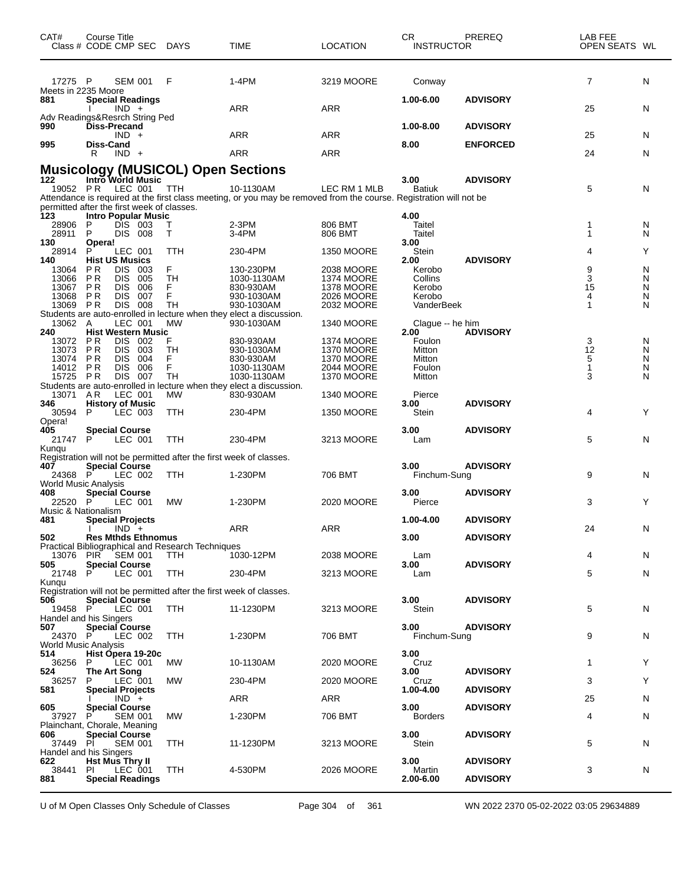| CAT#                                          | Course Title<br>Class # CODE CMP SEC DAYS                                                                                                                                                                    |                                       | TIME                                                                                                                            | LOCATION                                                                  | CR.<br><b>INSTRUCTOR</b>                            | PREREQ                             | LAB FEE<br>OPEN SEATS WL     |                       |
|-----------------------------------------------|--------------------------------------------------------------------------------------------------------------------------------------------------------------------------------------------------------------|---------------------------------------|---------------------------------------------------------------------------------------------------------------------------------|---------------------------------------------------------------------------|-----------------------------------------------------|------------------------------------|------------------------------|-----------------------|
| 17275 P<br>Meets in 2235 Moore                | SEM 001                                                                                                                                                                                                      | F                                     | 1-4PM                                                                                                                           | 3219 MOORE                                                                | Conway                                              |                                    | 7                            | N                     |
| 881                                           | <b>Special Readings</b><br>IND +<br>Adv Readings&Resrch String Ped                                                                                                                                           |                                       | ARR                                                                                                                             | ARR                                                                       | 1.00-6.00                                           | <b>ADVISORY</b>                    | 25                           | N                     |
| 990                                           | Diss-Precand<br>$IND +$                                                                                                                                                                                      |                                       | ARR                                                                                                                             | ARR                                                                       | 1.00-8.00                                           | <b>ADVISORY</b>                    | 25                           | N                     |
| 995                                           | <b>Diss-Cand</b><br>R<br>$IND +$                                                                                                                                                                             |                                       | <b>ARR</b>                                                                                                                      | ARR                                                                       | 8.00                                                | <b>ENFORCED</b>                    | 24                           | N                     |
|                                               | <b>Musicology (MUSICOL) Open Sections</b>                                                                                                                                                                    |                                       |                                                                                                                                 |                                                                           |                                                     |                                    |                              |                       |
| 122<br>19052 PR                               | Intro World Music<br>LEC 001<br>permitted after the first week of classes.                                                                                                                                   | TTH                                   | 10-1130AM<br>Attendance is required at the first class meeting, or you may be removed from the course. Registration will not be | LEC RM 1 MLB                                                              | 3.00<br><b>Batiuk</b>                               | <b>ADVISORY</b>                    | 5                            | N                     |
| 123<br>28906<br>28911                         | <b>Intro Popular Music</b><br>P<br>DIS 003<br>P<br><b>DIS 008</b>                                                                                                                                            | Т<br>т                                | 2-3PM<br>3-4PM                                                                                                                  | 806 BMT<br>806 BMT                                                        | 4.00<br>Taitel<br>Taitel<br>3.00                    |                                    | 1<br>1                       | N<br>N                |
| 130<br>28914<br>140                           | Opera!<br>P<br>LEC 001<br><b>Hist US Musics</b>                                                                                                                                                              | TTH                                   | 230-4PM                                                                                                                         | <b>1350 MOORE</b>                                                         | Stein<br>2.00                                       | <b>ADVISORY</b>                    | 4                            | Υ                     |
| 13064<br>13066<br>13067<br>13068<br>13069 PR  | ΡR<br>DIS.<br>003<br>P <sub>R</sub><br><b>DIS</b><br>005<br>P R<br><b>DIS</b><br>006<br><b>DIS</b><br>P R<br>007<br><b>DIS</b><br>008<br>Students are auto-enrolled in lecture when they elect a discussion. | F<br><b>TH</b><br>F<br>F<br><b>TH</b> | 130-230PM<br>1030-1130AM<br>830-930AM<br>930-1030AM<br>930-1030AM                                                               | 2038 MOORE<br>1374 MOORE<br><b>1378 MOORE</b><br>2026 MOORE<br>2032 MOORE | Kerobo<br>Collins<br>Kerobo<br>Kerobo<br>VanderBeek |                                    | 9<br>3<br>15<br>4<br>1       | N<br>N<br>N<br>N<br>N |
| 13062 A<br>240<br>13072                       | LEC 001<br><b>Hist Western Music</b><br><b>DIS</b><br>P R<br>002                                                                                                                                             | <b>MW</b><br>F                        | 930-1030AM<br>830-930AM                                                                                                         | <b>1340 MOORE</b><br>1374 MOORE                                           | Clague -- he him<br>2.00<br>Foulon                  | <b>ADVISORY</b>                    | 3                            | N                     |
| 13073<br>13074<br>14012 PR<br>15725 PR        | P <sub>R</sub><br><b>DIS</b><br>003<br>P R<br><b>DIS</b><br>004<br><b>DIS</b><br>006<br><b>DIS</b><br>007<br>Students are auto-enrolled in lecture when they elect a discussion.                             | TH<br>F<br>F<br>TН                    | 930-1030AM<br>830-930AM<br>1030-1130AM<br>1030-1130AM                                                                           | <b>1370 MOORE</b><br><b>1370 MOORE</b><br>2044 MOORE<br><b>1370 MOORE</b> | Mitton<br>Mitton<br>Foulon<br>Mitton                |                                    | 12<br>5<br>$\mathbf{1}$<br>3 | N<br>N<br>N<br>N      |
| 13071<br>346<br>30594<br>Opera!               | AR<br>LEC 001<br><b>History of Music</b><br>P<br>LEC 003                                                                                                                                                     | MW<br>TTH                             | 830-930AM<br>230-4PM                                                                                                            | <b>1340 MOORE</b><br><b>1350 MOORE</b>                                    | Pierce<br>3.00<br>Stein                             | <b>ADVISORY</b>                    | 4                            | Y                     |
| 405<br>21747                                  | <b>Special Course</b><br>P<br>LEC 001                                                                                                                                                                        | TTH                                   | 230-4PM                                                                                                                         | 3213 MOORE                                                                | 3.00<br>Lam                                         | <b>ADVISORY</b>                    | 5                            | N                     |
| Kunqu<br>407                                  | Registration will not be permitted after the first week of classes.<br><b>Special Course</b>                                                                                                                 |                                       |                                                                                                                                 |                                                                           | 3.00                                                | <b>ADVISORY</b>                    |                              |                       |
| 24368<br>World Music Analysis                 | LEC 002<br>-P                                                                                                                                                                                                | TTH                                   | 1-230PM                                                                                                                         | 706 BMT                                                                   | Finchum-Sung                                        |                                    | 9                            | N                     |
| 408<br>22520<br>Music & Nationalism           | <b>Special Course</b><br>P<br>LEC 001                                                                                                                                                                        | МW                                    | 1-230PM                                                                                                                         | 2020 MOORE                                                                | 3.00<br>Pierce                                      | <b>ADVISORY</b>                    | 3                            | Y                     |
| 481                                           | <b>Special Projects</b><br>$IND +$                                                                                                                                                                           |                                       | ARR                                                                                                                             | ARR                                                                       | 1.00-4.00                                           | <b>ADVISORY</b>                    | 24                           | N                     |
| 502                                           | <b>Res Mthds Ethnomus</b><br>Practical Bibliographical and Research Techniques                                                                                                                               |                                       |                                                                                                                                 |                                                                           | 3.00                                                | <b>ADVISORY</b>                    |                              |                       |
| 505                                           | 13076 PIR SEM 001<br><b>Special Course</b>                                                                                                                                                                   | TTH                                   | 1030-12PM                                                                                                                       | 2038 MOORE                                                                | Lam<br>3.00                                         | <b>ADVISORY</b>                    | 4                            | N                     |
| 21748<br>Kungu                                | P.<br>LEC 001                                                                                                                                                                                                | TTH                                   | 230-4PM                                                                                                                         | 3213 MOORE                                                                | Lam                                                 |                                    | 5                            | N                     |
| 506<br>19458 P                                | Registration will not be permitted after the first week of classes.<br><b>Special Course</b><br>LEC 001<br>Handel and his Singers                                                                            | TTH                                   | 11-1230PM                                                                                                                       | 3213 MOORE                                                                | 3.00<br>Stein                                       | <b>ADVISORY</b>                    | 5                            | N                     |
| 507<br>24370 P<br><b>World Music Analysis</b> | <b>Special Course</b><br>LEC 002                                                                                                                                                                             | TTH                                   | 1-230PM                                                                                                                         | 706 BMT                                                                   | 3.00<br>Finchum-Sung                                | <b>ADVISORY</b>                    | 9                            | N                     |
| 514<br>36256<br>524                           | Hist Opera 19-20c<br>P<br>LEC 001<br><b>The Art Song</b>                                                                                                                                                     | МW                                    | 10-1130AM                                                                                                                       | 2020 MOORE                                                                | 3.00<br>Cruz<br>3.00                                | <b>ADVISORY</b>                    | 1                            | Y                     |
| 36257<br>581                                  | LEC 001<br>P<br><b>Special Projects</b>                                                                                                                                                                      | МW                                    | 230-4PM                                                                                                                         | 2020 MOORE                                                                | Cruz<br>1.00-4.00                                   | <b>ADVISORY</b>                    | 3                            | Y                     |
| 605                                           | $IND +$<br><b>Special Course</b>                                                                                                                                                                             |                                       | ARR                                                                                                                             | ARR                                                                       | 3.00                                                | <b>ADVISORY</b>                    | 25                           | N                     |
| 37927                                         | P<br><b>SEM 001</b><br>Plainchant, Chorale, Meaning                                                                                                                                                          | МW                                    | 1-230PM                                                                                                                         | 706 BMT                                                                   | <b>Borders</b>                                      |                                    | 4                            | N                     |
| 606<br>37449 PI                               | <b>Special Course</b><br><b>SEM 001</b><br>Handel and his Singers                                                                                                                                            | TTH                                   | 11-1230PM                                                                                                                       | 3213 MOORE                                                                | 3.00<br>Stein                                       | <b>ADVISORY</b>                    | 5                            | N                     |
| 622<br>38441<br>881                           | <b>Hst Mus Thry II</b><br>LEC 001<br>PL<br><b>Special Readings</b>                                                                                                                                           | TTH                                   | 4-530PM                                                                                                                         | <b>2026 MOORE</b>                                                         | 3.00<br>Martin<br>2.00-6.00                         | <b>ADVISORY</b><br><b>ADVISORY</b> | 3                            | N                     |

U of M Open Classes Only Schedule of Classes Page 304 of 361 WN 2022 2370 05-02-2022 03:05 29634889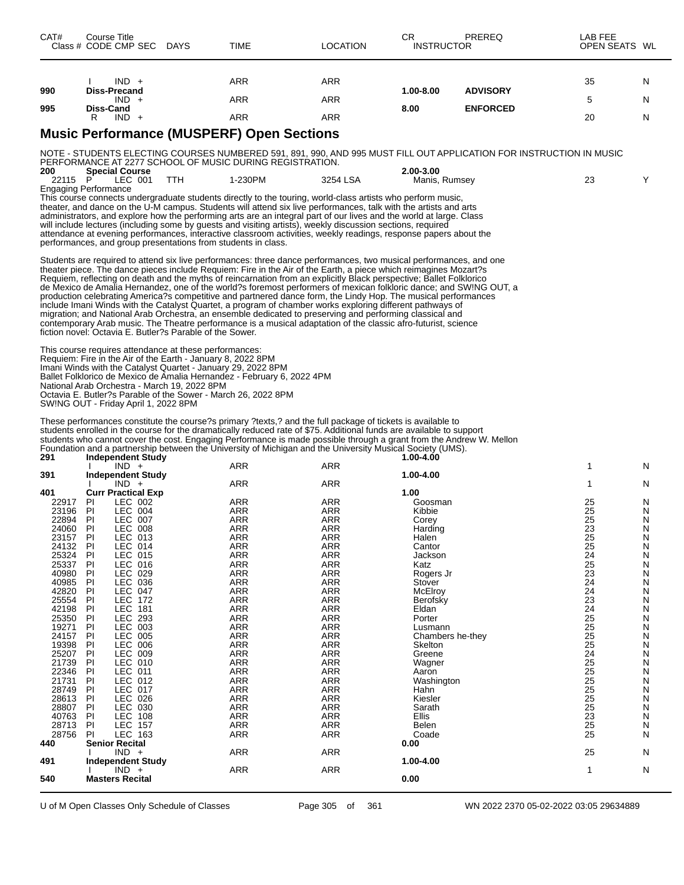| CAT#                        | Course Title                     | Class # CODE CMP SEC DAYS            |                                                                                                                                                                                                                                       | <b>TIME</b>                                                                                                                                                                                                                                                                                                                                                                                                                                                                                                                                                                                                                                                                                                                                                                                                                                                                                                                                      | <b>LOCATION</b>          | CR<br><b>INSTRUCTOR</b>    | PREREQ                                                                                                              | LAB FEE<br>OPEN SEATS WL    |        |
|-----------------------------|----------------------------------|--------------------------------------|---------------------------------------------------------------------------------------------------------------------------------------------------------------------------------------------------------------------------------------|--------------------------------------------------------------------------------------------------------------------------------------------------------------------------------------------------------------------------------------------------------------------------------------------------------------------------------------------------------------------------------------------------------------------------------------------------------------------------------------------------------------------------------------------------------------------------------------------------------------------------------------------------------------------------------------------------------------------------------------------------------------------------------------------------------------------------------------------------------------------------------------------------------------------------------------------------|--------------------------|----------------------------|---------------------------------------------------------------------------------------------------------------------|-----------------------------|--------|
|                             |                                  | $IND +$                              |                                                                                                                                                                                                                                       | <b>ARR</b>                                                                                                                                                                                                                                                                                                                                                                                                                                                                                                                                                                                                                                                                                                                                                                                                                                                                                                                                       | ARR                      |                            |                                                                                                                     | 35                          | N      |
| 990                         | Diss-Precand                     | $IND +$                              |                                                                                                                                                                                                                                       | <b>ARR</b>                                                                                                                                                                                                                                                                                                                                                                                                                                                                                                                                                                                                                                                                                                                                                                                                                                                                                                                                       | ARR                      | 1.00-8.00                  | <b>ADVISORY</b>                                                                                                     | 5                           | N      |
| 995                         | Diss-Cand<br>R.                  | $IND +$                              |                                                                                                                                                                                                                                       | <b>ARR</b>                                                                                                                                                                                                                                                                                                                                                                                                                                                                                                                                                                                                                                                                                                                                                                                                                                                                                                                                       | ARR                      | 8.00                       | <b>ENFORCED</b>                                                                                                     | 20                          | N      |
|                             |                                  |                                      |                                                                                                                                                                                                                                       | <b>Music Performance (MUSPERF) Open Sections</b>                                                                                                                                                                                                                                                                                                                                                                                                                                                                                                                                                                                                                                                                                                                                                                                                                                                                                                 |                          |                            |                                                                                                                     |                             |        |
|                             |                                  |                                      |                                                                                                                                                                                                                                       |                                                                                                                                                                                                                                                                                                                                                                                                                                                                                                                                                                                                                                                                                                                                                                                                                                                                                                                                                  |                          |                            |                                                                                                                     |                             |        |
|                             |                                  |                                      |                                                                                                                                                                                                                                       | PERFORMANCE AT 2277 SCHOOL OF MUSIC DURING REGISTRATION.                                                                                                                                                                                                                                                                                                                                                                                                                                                                                                                                                                                                                                                                                                                                                                                                                                                                                         |                          |                            | NOTE - STUDENTS ELECTING COURSES NUMBERED 591, 891, 990, AND 995 MUST FILL OUT APPLICATION FOR INSTRUCTION IN MUSIC |                             |        |
| 200<br>22115                | $\mathsf{P}$                     | <b>Special Course</b><br>LEC 001     | <b>TTH</b>                                                                                                                                                                                                                            | 1-230PM                                                                                                                                                                                                                                                                                                                                                                                                                                                                                                                                                                                                                                                                                                                                                                                                                                                                                                                                          | 3254 LSA                 | 2.00-3.00<br>Manis, Rumsey |                                                                                                                     | 23                          | Y      |
| <b>Engaging Performance</b> |                                  |                                      | performances, and group presentations from students in class.                                                                                                                                                                         | This course connects undergraduate students directly to the touring, world-class artists who perform music,<br>theater, and dance on the U-M campus. Students will attend six live performances, talk with the artists and arts<br>administrators, and explore how the performing arts are an integral part of our lives and the world at large. Class<br>will include lectures (including some by guests and visiting artists), weekly discussion sections, required<br>attendance at evening performances, interactive classroom activities, weekly readings, response papers about the                                                                                                                                                                                                                                                                                                                                                        |                          |                            |                                                                                                                     |                             |        |
|                             |                                  |                                      | fiction novel: Octavia E. Butler?s Parable of the Sower.                                                                                                                                                                              | Students are required to attend six live performances: three dance performances, two musical performances, and one<br>theater piece. The dance pieces include Requiem: Fire in the Air of the Earth, a piece which reimagines Mozart?s<br>Requiem, reflecting on death and the myths of reincarnation from an explicitly Black perspective; Ballet Folklorico<br>de Mexico de Amalia Hernandez, one of the world?s foremost performers of mexican folkloric dance; and SW!NG OUT, a<br>production celebrating America?s competitive and partnered dance form, the Lindy Hop. The musical performances<br>include Imani Winds with the Catalyst Quartet, a program of chamber works exploring different pathways of<br>migration; and National Arab Orchestra, an ensemble dedicated to preserving and performing classical and<br>contemporary Arab music. The Theatre performance is a musical adaptation of the classic afro-futurist, science |                          |                            |                                                                                                                     |                             |        |
|                             |                                  | SWING OUT - Friday April 1, 2022 8PM | This course requires attendance at these performances:<br>Requiem: Fire in the Air of the Earth - January 8, 2022 8PM<br>Imani Winds with the Catalyst Quartet - January 29, 2022 8PM<br>National Arab Orchestra - March 19, 2022 8PM | Ballet Folklorico de Mexico de Amalia Hernandez - February 6, 2022 4PM<br>Octavia E. Butler?s Parable of the Sower - March 26, 2022 8PM<br>These performances constitute the course?s primary ?texts,? and the full package of tickets is available to<br>students enrolled in the course for the dramatically reduced rate of \$75. Additional funds are available to support<br>students who cannot cover the cost. Engaging Performance is made possible through a grant from the Andrew W. Mellon                                                                                                                                                                                                                                                                                                                                                                                                                                            |                          |                            |                                                                                                                     |                             |        |
| 291                         |                                  | <b>Independent Study</b>             |                                                                                                                                                                                                                                       | Foundation and a partnership between the University of Michigan and the University Musical Society (UMS).                                                                                                                                                                                                                                                                                                                                                                                                                                                                                                                                                                                                                                                                                                                                                                                                                                        |                          | 1.00-4.00                  |                                                                                                                     |                             |        |
|                             |                                  | $IND +$                              |                                                                                                                                                                                                                                       | ARR                                                                                                                                                                                                                                                                                                                                                                                                                                                                                                                                                                                                                                                                                                                                                                                                                                                                                                                                              | ARR                      |                            |                                                                                                                     | 1                           | N      |
| 391                         |                                  | <b>Independent Study</b><br>$IND +$  |                                                                                                                                                                                                                                       | ARR                                                                                                                                                                                                                                                                                                                                                                                                                                                                                                                                                                                                                                                                                                                                                                                                                                                                                                                                              | ARR                      | 1.00-4.00                  |                                                                                                                     | 1                           | N      |
| 401<br>22917                | PI.                              | <b>Curr Practical Exp</b><br>LEC 002 |                                                                                                                                                                                                                                       | ARR                                                                                                                                                                                                                                                                                                                                                                                                                                                                                                                                                                                                                                                                                                                                                                                                                                                                                                                                              | ARR                      | 1.00<br>Goosman            |                                                                                                                     | 25                          | N      |
| 23196 PI                    |                                  | LEC 004                              |                                                                                                                                                                                                                                       | <b>ARR</b>                                                                                                                                                                                                                                                                                                                                                                                                                                                                                                                                                                                                                                                                                                                                                                                                                                                                                                                                       | ARR                      | Kibbie                     |                                                                                                                     | 25                          | N      |
| 22894                       | <b>PI</b>                        | LEC 007                              |                                                                                                                                                                                                                                       | ARR                                                                                                                                                                                                                                                                                                                                                                                                                                                                                                                                                                                                                                                                                                                                                                                                                                                                                                                                              | ARR                      | Corev                      |                                                                                                                     | 25                          | N      |
| 24060<br>23157              | P <sub>1</sub><br>P <sub>1</sub> | LEC 008<br>LEC 013                   |                                                                                                                                                                                                                                       | <b>ARR</b><br>ARR                                                                                                                                                                                                                                                                                                                                                                                                                                                                                                                                                                                                                                                                                                                                                                                                                                                                                                                                | ARR<br><b>ARR</b>        | Harding<br>Halen           |                                                                                                                     | $\frac{23}{25}$             | N<br>N |
| 24132                       | P                                | LEC 014                              |                                                                                                                                                                                                                                       | <b>ARR</b>                                                                                                                                                                                                                                                                                                                                                                                                                                                                                                                                                                                                                                                                                                                                                                                                                                                                                                                                       | <b>ARR</b>               | Cantor                     |                                                                                                                     | $\overline{25}$             | Ν      |
| 25324                       | PI                               | LEC 015                              |                                                                                                                                                                                                                                       | ARR                                                                                                                                                                                                                                                                                                                                                                                                                                                                                                                                                                                                                                                                                                                                                                                                                                                                                                                                              | ARR                      | Jackson                    |                                                                                                                     | $\overline{24}$             | N      |
| 25337<br>40980              | P<br>P                           | LEC 016<br>LEC 029                   |                                                                                                                                                                                                                                       | ARR<br>ARR                                                                                                                                                                                                                                                                                                                                                                                                                                                                                                                                                                                                                                                                                                                                                                                                                                                                                                                                       | ARR<br><b>ARR</b>        | Katz<br>Rogers Jr          |                                                                                                                     |                             | N<br>Ν |
| 40985                       | PI                               | LEC 036                              |                                                                                                                                                                                                                                       | ARR                                                                                                                                                                                                                                                                                                                                                                                                                                                                                                                                                                                                                                                                                                                                                                                                                                                                                                                                              | ARR                      | Stover                     |                                                                                                                     | $\frac{25}{23}$<br>23<br>24 | N      |
| 42820                       | PI                               | LEC 047                              |                                                                                                                                                                                                                                       | ARR                                                                                                                                                                                                                                                                                                                                                                                                                                                                                                                                                                                                                                                                                                                                                                                                                                                                                                                                              | ARR                      | McElroy                    |                                                                                                                     | 24                          | N      |
| 25554                       | P<br>PI                          | <b>LEC 172</b><br>LEC 181            |                                                                                                                                                                                                                                       | ARR                                                                                                                                                                                                                                                                                                                                                                                                                                                                                                                                                                                                                                                                                                                                                                                                                                                                                                                                              | <b>ARR</b>               | Berofsky                   |                                                                                                                     | $\frac{23}{24}$             | Ν      |
| 42198                       | P                                | LEC 293                              |                                                                                                                                                                                                                                       | ARR<br>ARR                                                                                                                                                                                                                                                                                                                                                                                                                                                                                                                                                                                                                                                                                                                                                                                                                                                                                                                                       | ARR<br><b>ARR</b>        | Eldan<br>Porter            |                                                                                                                     | 25                          | N<br>N |
| 25350<br>19271              | PI                               | LEC 003                              |                                                                                                                                                                                                                                       | <b>ARR</b>                                                                                                                                                                                                                                                                                                                                                                                                                                                                                                                                                                                                                                                                                                                                                                                                                                                                                                                                       | <b>ARR</b>               | Lusmann                    |                                                                                                                     | $\frac{25}{25}$             | Ν      |
| 24157                       | PI                               | <b>LEC 005</b>                       |                                                                                                                                                                                                                                       | ARR                                                                                                                                                                                                                                                                                                                                                                                                                                                                                                                                                                                                                                                                                                                                                                                                                                                                                                                                              | ARR                      | Chambers he-they           |                                                                                                                     |                             | N      |
|                             | P<br>PI                          | <b>LEC 006</b><br>LEC 009            |                                                                                                                                                                                                                                       | ARR<br>ARR                                                                                                                                                                                                                                                                                                                                                                                                                                                                                                                                                                                                                                                                                                                                                                                                                                                                                                                                       | <b>ARR</b><br><b>ARR</b> | Skelton<br>Greene          |                                                                                                                     |                             | Ν<br>Ν |
| 19398<br>25207<br>21739     | PI                               | LEC 010                              |                                                                                                                                                                                                                                       | ARR                                                                                                                                                                                                                                                                                                                                                                                                                                                                                                                                                                                                                                                                                                                                                                                                                                                                                                                                              | ARR                      | Wagner                     |                                                                                                                     | $\frac{25}{24}$<br>24<br>25 | N      |
| 22346                       | PI                               | LEC 011                              |                                                                                                                                                                                                                                       | ARR                                                                                                                                                                                                                                                                                                                                                                                                                                                                                                                                                                                                                                                                                                                                                                                                                                                                                                                                              | ARR                      | Aaron                      |                                                                                                                     | 25                          | N      |
| 21731                       | PI                               | LEC 012                              |                                                                                                                                                                                                                                       | <b>ARR</b>                                                                                                                                                                                                                                                                                                                                                                                                                                                                                                                                                                                                                                                                                                                                                                                                                                                                                                                                       | <b>ARR</b>               | Washington                 |                                                                                                                     | $\overline{25}$             | Ν      |
| 28749<br>28613              | PI<br>P                          | LEC 017<br>LEC 026                   |                                                                                                                                                                                                                                       | ARR<br>ARR                                                                                                                                                                                                                                                                                                                                                                                                                                                                                                                                                                                                                                                                                                                                                                                                                                                                                                                                       | ARR<br><b>ARR</b>        | Hahn<br>Kiesler            |                                                                                                                     | $\overline{25}$             | N<br>N |
| 28807                       | PI                               | LEC 030                              |                                                                                                                                                                                                                                       | ARR                                                                                                                                                                                                                                                                                                                                                                                                                                                                                                                                                                                                                                                                                                                                                                                                                                                                                                                                              | <b>ARR</b>               | Sarath                     |                                                                                                                     | $\frac{25}{25}$<br>25<br>23 | N      |
| 40763                       | PI                               | <b>LEC 108</b>                       |                                                                                                                                                                                                                                       | ARR                                                                                                                                                                                                                                                                                                                                                                                                                                                                                                                                                                                                                                                                                                                                                                                                                                                                                                                                              | ARR                      | Ellis                      |                                                                                                                     |                             | N      |
| 28713                       | PI<br>P                          | <b>LEC 157</b>                       |                                                                                                                                                                                                                                       | ARR<br><b>ARR</b>                                                                                                                                                                                                                                                                                                                                                                                                                                                                                                                                                                                                                                                                                                                                                                                                                                                                                                                                | <b>ARR</b>               | Belen                      |                                                                                                                     | $\frac{25}{25}$             | N      |
| 28756<br>440.               |                                  | LEC 163<br><b>Senior Recital</b>     |                                                                                                                                                                                                                                       |                                                                                                                                                                                                                                                                                                                                                                                                                                                                                                                                                                                                                                                                                                                                                                                                                                                                                                                                                  | <b>ARR</b>               | Coade<br>0.00              |                                                                                                                     |                             | N      |

**440 Senior Recital 0.00**

**540 Masters Recital 0.00**

**491 Independent Study 1.00-4.00**<br> **1.00-4.00**<br> **1.00-4.00** 

I IND + ARR ARR 25 N

I IND + ARR ARR ARR 1 N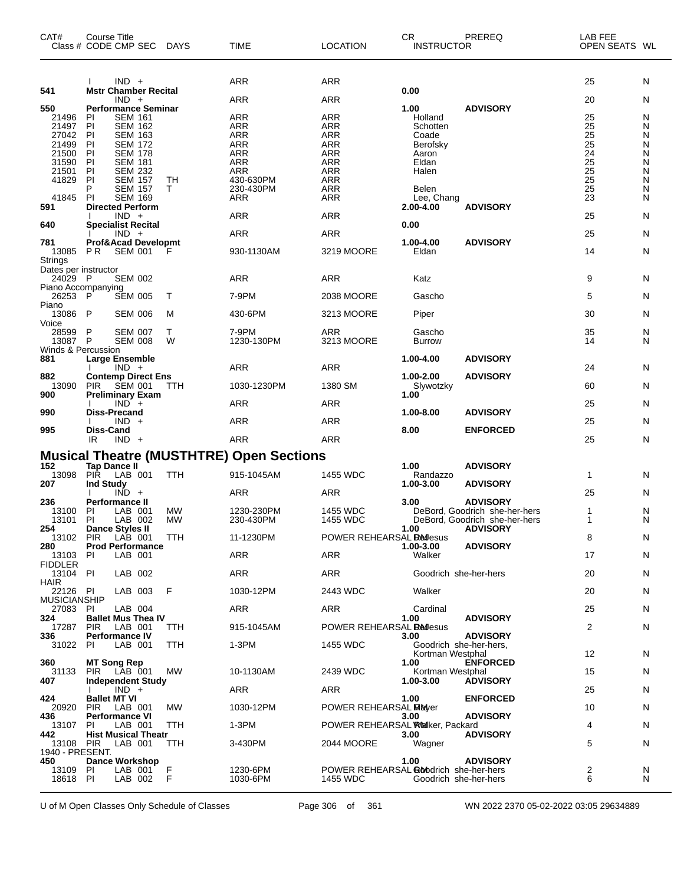| CAT#                            | <b>Course Title</b>       | Class # CODE CMP SEC                                                   | DAYS       | <b>TIME</b>                                     | <b>LOCATION</b>                                            | CR.<br><b>INSTRUCTOR</b> | PREREQ                                           | LAB FEE<br>OPEN SEATS WL |        |
|---------------------------------|---------------------------|------------------------------------------------------------------------|------------|-------------------------------------------------|------------------------------------------------------------|--------------------------|--------------------------------------------------|--------------------------|--------|
| 541                             |                           | $IND +$<br><b>Mstr Chamber Recital</b>                                 |            | ARR                                             | <b>ARR</b>                                                 | 0.00                     |                                                  | 25                       | N      |
| 550                             |                           | $IND +$<br><b>Performance Seminar</b>                                  |            | ARR                                             | ARR                                                        | 1.00                     | <b>ADVISORY</b>                                  | 20                       | N      |
| 21496                           | ΡI                        | <b>SEM 161</b>                                                         |            | ARR                                             | ARR                                                        | Holland                  |                                                  |                          | N      |
| 21497                           | PI                        | <b>SEM 162</b>                                                         |            | ARR                                             | <b>ARR</b>                                                 | Schotten                 |                                                  | $\frac{25}{25}$          | N      |
| 27042                           | PI                        | <b>SEM 163</b>                                                         |            | <b>ARR</b>                                      | <b>ARR</b>                                                 | Coade                    |                                                  | 25                       | N      |
| 21499<br>21500                  | PI<br>PI                  | <b>SEM 172</b><br><b>SEM 178</b>                                       |            | <b>ARR</b><br><b>ARR</b>                        | <b>ARR</b><br><b>ARR</b>                                   | Berofsky<br>Aaron        |                                                  | $\frac{25}{24}$          | Ν<br>Ν |
| 31590                           | PI                        | <b>SEM 181</b>                                                         |            | <b>ARR</b>                                      | <b>ARR</b>                                                 | Eldan                    |                                                  | 25                       | Ν      |
| 21501                           | PI                        | <b>SEM 232</b>                                                         |            | ARR                                             | <b>ARR</b>                                                 | Halen                    |                                                  | $\frac{25}{25}$          | N      |
| 41829                           | PI                        | <b>SEM 157</b>                                                         | TН         | 430-630PM                                       | <b>ARR</b>                                                 |                          |                                                  |                          | Ν      |
| 41845                           | P<br>PI                   | <b>SEM 157</b><br><b>SEM 169</b>                                       | т          | 230-430PM<br>ARR                                | <b>ARR</b><br>ARR                                          | Belen<br>Lee, Chang      |                                                  | 25<br>23                 | Ν<br>N |
| 591                             |                           | <b>Directed Perform</b>                                                |            |                                                 |                                                            | 2.00-4.00                | <b>ADVISORY</b>                                  |                          |        |
|                                 |                           | $IND +$                                                                |            | ARR                                             | <b>ARR</b>                                                 |                          |                                                  | 25                       | N      |
| 640<br>781                      |                           | <b>Specialist Recital</b><br>$IND +$<br><b>Prof&amp;Acad Developmt</b> |            | ARR                                             | ARR                                                        | 0.00<br>1.00-4.00        | <b>ADVISORY</b>                                  | 25                       | N      |
| 13085                           | P R                       | <b>SEM 001</b>                                                         | F          | 930-1130AM                                      | 3219 MOORE                                                 | Eldan                    |                                                  | 14                       | N      |
| <b>Strings</b>                  |                           |                                                                        |            |                                                 |                                                            |                          |                                                  |                          |        |
| Dates per instructor<br>24029   | - P                       | <b>SEM 002</b>                                                         |            | ARR                                             | ARR                                                        | Katz                     |                                                  | 9                        | N      |
| Piano Accompanying              |                           |                                                                        |            |                                                 |                                                            |                          |                                                  |                          |        |
| 26253                           | - P                       | <b>SEM 005</b>                                                         | Т          | 7-9PM                                           | 2038 MOORE                                                 | Gascho                   |                                                  | 5                        | N      |
| Piano<br>13086 P                |                           | <b>SEM 006</b>                                                         | М          | 430-6PM                                         | 3213 MOORE                                                 | Piper                    |                                                  | 30                       | N      |
| Voice                           |                           |                                                                        |            |                                                 |                                                            |                          |                                                  |                          |        |
| 28599<br>13087                  | P<br>P                    | <b>SEM 007</b><br><b>SEM 008</b>                                       | т<br>W     | 7-9PM<br>1230-130PM                             | ARR<br>3213 MOORE                                          | Gascho<br><b>Burrow</b>  |                                                  | 35<br>14                 | N<br>N |
| Winds & Percussion              |                           |                                                                        |            |                                                 |                                                            |                          |                                                  |                          |        |
| 881                             |                           | Large Ensemble<br>$IND +$                                              |            | <b>ARR</b>                                      | ARR                                                        | 1.00-4.00                | <b>ADVISORY</b>                                  | 24                       | N      |
| 882                             |                           | <b>Contemp Direct Ens</b>                                              |            |                                                 |                                                            | 1.00-2.00                | <b>ADVISORY</b>                                  |                          |        |
| 13090<br>900                    | <b>PIR</b>                | <b>SEM 001</b><br><b>Preliminary Exam</b>                              | ттн        | 1030-1230PM                                     | 1380 SM                                                    | Slywotzky<br>1.00        |                                                  | 60                       | N      |
|                                 |                           | $IND +$                                                                |            | ARR                                             | <b>ARR</b>                                                 |                          |                                                  | 25                       | N      |
| 990                             | Diss-Precand              | $IND +$                                                                |            | <b>ARR</b>                                      | ARR                                                        | 1.00-8.00                | <b>ADVISORY</b>                                  | 25                       | N      |
| 995                             | Diss-Cand<br>IR           | $IND +$                                                                |            | ARR                                             | ARR                                                        | 8.00                     | <b>ENFORCED</b>                                  | 25                       | N      |
|                                 |                           |                                                                        |            | <b>Musical Theatre (MUSTHTRE) Open Sections</b> |                                                            |                          |                                                  |                          |        |
| 152                             | <b>Tap Dance II</b>       |                                                                        |            |                                                 |                                                            | 1.00                     | <b>ADVISORY</b>                                  |                          |        |
| 13098                           | <b>PIR</b>                | LAB 001                                                                | <b>TTH</b> | 915-1045AM                                      | 1455 WDC                                                   | Randazzo                 |                                                  | 1                        | N      |
| 207                             | <b>Ind Study</b>          | $IND +$                                                                |            | ARR                                             | ARR                                                        | 1.00-3.00                | <b>ADVISORY</b>                                  | 25                       | N      |
| 236                             | Performance II            |                                                                        |            |                                                 |                                                            | 3.00                     | <b>ADVISORY</b>                                  |                          |        |
| 13100                           | ΡI                        | LAB 001                                                                | <b>MW</b>  | 1230-230PM                                      | 1455 WDC                                                   |                          | DeBord, Goodrich she-her-hers                    | 1                        | N      |
| 13101<br>254                    | ΡI                        | LAB 002<br><b>Dance Styles II</b>                                      | <b>MW</b>  | 230-430PM                                       | 1455 WDC                                                   | 1.00                     | DeBord, Goodrich she-her-hers<br><b>ADVISORY</b> | 1                        | N      |
| 13102 PIR                       |                           | LAB 001                                                                | TTH        | 11-1230PM                                       | POWER REHEARSAL <b>Redesus</b>                             |                          |                                                  | 8                        | N      |
| 280                             |                           | <b>Prod Performance</b>                                                |            |                                                 |                                                            | 1.00-3.00<br>Walker      | <b>ADVISORY</b>                                  |                          |        |
| 13103<br><b>FIDDLER</b>         | PI                        | LAB 001                                                                |            | <b>ARR</b>                                      | <b>ARR</b>                                                 |                          |                                                  | 17                       | N      |
| 13104 PI                        |                           | LAB 002                                                                |            | ARR                                             | ARR                                                        | Goodrich she-her-hers    |                                                  | 20                       | N      |
| <b>HAIR</b>                     |                           |                                                                        |            |                                                 |                                                            |                          |                                                  |                          |        |
| 22126 PI<br><b>MUSICIANSHIP</b> |                           | LAB 003                                                                | F          | 1030-12PM                                       | 2443 WDC                                                   | Walker                   |                                                  | 20                       | N      |
| 27083                           | PI                        | LAB 004                                                                |            | ARR                                             | ARR                                                        | Cardinal                 |                                                  | 25                       | N      |
| 324                             | <b>PIR</b>                | <b>Ballet Mus Thea IV</b><br>LAB 001                                   | TTH        | 915-1045AM                                      | POWER REHEARSAL <b>Redesus</b>                             | 1.00                     | <b>ADVISORY</b>                                  | 2                        | N      |
| 17287<br>336                    |                           | <b>Performance IV</b>                                                  |            |                                                 |                                                            | 3.00                     | <b>ADVISORY</b>                                  |                          |        |
| 31022                           | PI                        | LAB 001                                                                | TTH        | 1-3PM                                           | 1455 WDC                                                   | Goodrich she-her-hers,   |                                                  |                          |        |
| 360                             | <b>MT Song Rep</b>        |                                                                        |            |                                                 |                                                            | Kortman Westphal<br>1.00 | <b>ENFORCED</b>                                  | 12                       | N      |
| 31133                           |                           | PIR LAB 001                                                            | МW         | 10-1130AM                                       | 2439 WDC                                                   | Kortman Westphal         |                                                  | 15                       | N      |
| 407                             |                           | <b>Independent Study</b>                                               |            |                                                 |                                                            | 1.00-3.00                | <b>ADVISORY</b>                                  |                          |        |
| 424                             | I.<br><b>Ballet MT VI</b> | $IND +$                                                                |            | ARR                                             | ARR                                                        | 1.00                     | <b>ENFORCED</b>                                  | 25                       | N      |
| 20920                           | <b>PIR</b>                | LAB 001                                                                | МW         | 1030-12PM                                       | POWER REHEARSAL MEMover                                    |                          |                                                  | 10                       | N      |
| 436<br>13107                    | PI                        | <b>Performance VI</b><br>LAB 001                                       | TTH        | 1-3PM                                           | POWER REHEARSAL Walker, Packard                            | 3.00                     | <b>ADVISORY</b>                                  | 4                        | N      |
| 442                             |                           | <b>Hist Musical Theatr</b>                                             |            |                                                 |                                                            | 3.00                     | <b>ADVISORY</b>                                  |                          |        |
| 13108 PIR<br>1940 - PRESENT.    |                           | LAB 001                                                                | TTH        | 3-430PM                                         | 2044 MOORE                                                 | Wagner                   |                                                  | 5                        | N      |
| 450                             |                           | <b>Dance Workshop</b>                                                  |            |                                                 |                                                            | 1.00                     | <b>ADVISORY</b>                                  |                          |        |
| 13109<br>18618                  | PI<br>PI                  | LAB 001<br>LAB 002                                                     | F<br>F     | 1230-6PM<br>1030-6PM                            | POWER REHEARSAL <b>Go</b> rodrich she-her-hers<br>1455 WDC | Goodrich she-her-hers    |                                                  | 2<br>6                   | N<br>N |
|                                 |                           |                                                                        |            |                                                 |                                                            |                          |                                                  |                          |        |

U of M Open Classes Only Schedule of Classes Page 306 of 361 WN 2022 2370 05-02-2022 03:05 29634889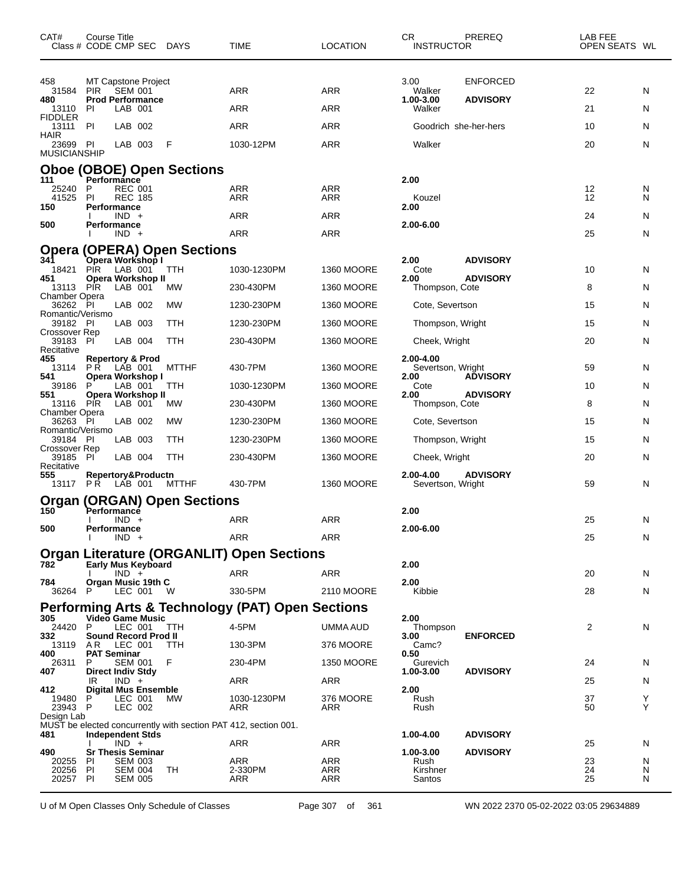| CAT#<br>Class # CODE CMP SEC DAYS       | Course Title                  |                                  |                                                |                                    | TIME                                                            | <b>LOCATION</b>   | CR<br><b>INSTRUCTOR</b>        | PREREQ                             | LAB FEE<br>OPEN SEATS WL |        |
|-----------------------------------------|-------------------------------|----------------------------------|------------------------------------------------|------------------------------------|-----------------------------------------------------------------|-------------------|--------------------------------|------------------------------------|--------------------------|--------|
| 458<br>31584<br>480                     | <b>PIR</b>                    | <b>SEM 001</b>                   | MT Capstone Project<br><b>Prod Performance</b> |                                    | ARR                                                             | ARR               | 3.00<br>Walker<br>1.00-3.00    | <b>ENFORCED</b><br><b>ADVISORY</b> | 22                       | N      |
| 13110<br><b>FIDDLER</b>                 | ΡI                            | LAB 001                          |                                                |                                    | ARR                                                             | <b>ARR</b>        | Walker                         |                                    | 21                       | N      |
| 13111<br>HAIR                           | -PI                           | LAB 002                          |                                                |                                    | ARR                                                             | <b>ARR</b>        | Goodrich she-her-hers          |                                    | 10                       | N      |
| 23699 PI<br><b>MUSICIANSHIP</b>         |                               | LAB 003                          |                                                | F                                  | 1030-12PM                                                       | ARR               | Walker                         |                                    | 20                       | N      |
|                                         |                               |                                  |                                                | <b>Oboe (OBOE) Open Sections</b>   |                                                                 |                   |                                |                                    |                          |        |
| 111<br>25240                            | Performánce<br>P              | <b>REC 001</b>                   |                                                |                                    | ARR                                                             | ARR               | 2.00                           |                                    | 12                       | N      |
| 41525<br>150                            | PI<br>Performance             | <b>REC 185</b>                   |                                                |                                    | ARR                                                             | ARR               | Kouzel<br>2.00                 |                                    | 12                       | N      |
| 500                                     | Performance                   | $IND +$                          |                                                |                                    | ARR                                                             | ARR               | 2.00-6.00                      |                                    | 24                       | N.     |
|                                         |                               | $IND +$                          |                                                |                                    | ARR                                                             | <b>ARR</b>        |                                |                                    | 25                       | N      |
| 341                                     |                               |                                  | Opera Workshop I                               | <b>Opera (OPERA) Open Sections</b> |                                                                 |                   | 2.00                           |                                    |                          |        |
| 18421                                   | <b>PIR</b>                    | LAB 001                          |                                                | TTH                                | 1030-1230PM                                                     | <b>1360 MOORE</b> | Cote                           | <b>ADVISORY</b>                    | 10                       | N      |
| 451<br>13113 PIR                        |                               | LAB 001                          | Opera Workshop II                              | MW                                 | 230-430PM                                                       | <b>1360 MOORE</b> | 2.00<br>Thompson, Cote         | <b>ADVISORY</b>                    | 8                        | N      |
| Chamber Opera<br>36262 PI               |                               | LAB 002                          |                                                | <b>MW</b>                          | 1230-230PM                                                      | <b>1360 MOORE</b> | Cote, Severtson                |                                    | 15                       | N      |
| Romantic/Verismo<br>39182 PI            |                               | LAB 003                          |                                                | TTH                                | 1230-230PM                                                      | <b>1360 MOORE</b> | Thompson, Wright               |                                    | 15                       | N.     |
| Crossover Rep<br>39183                  | -PI                           | LAB 004                          |                                                | TTH                                | 230-430PM                                                       | <b>1360 MOORE</b> | Cheek, Wright                  |                                    | 20                       | N      |
| Recitative<br>455                       | <b>Repertory &amp; Prod</b>   |                                  |                                                |                                    |                                                                 |                   | 2.00-4.00                      |                                    |                          |        |
| 13114<br>541                            | P R                           | LAB 001                          | Opera Workshop I                               | <b>MTTHF</b>                       | 430-7PM                                                         | <b>1360 MOORE</b> | Severtson, Wright<br>2.00      | <b>ADVISORY</b>                    | 59                       | N.     |
| 39186<br>551                            | P                             | LAB 001                          | Opera Workshop II                              | TTH                                | 1030-1230PM                                                     | <b>1360 MOORE</b> | Cote<br>2.00                   | <b>ADVISORY</b>                    | 10                       | N      |
| 13116 PIR<br>Chamber Opera              |                               | LAB 001                          |                                                | МW                                 | 230-430PM                                                       | <b>1360 MOORE</b> | Thompson, Cote                 |                                    | 8                        | N      |
| 36263 PI<br>Romantic/Verismo            |                               | LAB 002                          |                                                | MW                                 | 1230-230PM                                                      | <b>1360 MOORE</b> | Cote, Severtson                |                                    | 15                       | N      |
| 39184 PI                                |                               | LAB 003                          |                                                | TTH                                | 1230-230PM                                                      | <b>1360 MOORE</b> | Thompson, Wright               |                                    | 15                       | N      |
| Crossover Rep<br>39185 PI<br>Recitative |                               | LAB 004                          |                                                | <b>TTH</b>                         | 230-430PM                                                       | <b>1360 MOORE</b> | Cheek, Wright                  |                                    | 20                       | N      |
| 555<br>13117 PR                         |                               | LAB 001                          | Repertory&Productn                             | <b>MTTHF</b>                       | 430-7PM                                                         | <b>1360 MOORE</b> | 2.00-4.00<br>Severtson, Wright | <b>ADVISORY</b>                    | 59                       | N      |
|                                         |                               |                                  |                                                | <b>Organ (ORGAN) Open Sections</b> |                                                                 |                   |                                |                                    |                          |        |
| 150                                     | Performance<br>Ι.             | $IND +$                          |                                                |                                    | ARR                                                             | <b>ARR</b>        | 2.00                           |                                    | 25                       | N      |
| 500                                     | Performance                   | $IND +$                          |                                                |                                    | <b>ARR</b>                                                      | ARR               | 2.00-6.00                      |                                    | 25                       | N      |
|                                         |                               |                                  |                                                |                                    | <b>Organ Literature (ORGANLIT) Open Sections</b>                |                   |                                |                                    |                          |        |
| 782                                     |                               | $IND +$                          | <b>Early Mus Keyboard</b>                      |                                    | ARR                                                             | <b>ARR</b>        | 2.00                           |                                    | 20                       | N      |
| 784<br>36264 P                          |                               | LEC 001                          | Organ Music 19th C                             | W                                  | 330-5PM                                                         | 2110 MOORE        | 2.00<br>Kibbie                 |                                    | 28                       | N.     |
|                                         |                               |                                  |                                                |                                    | <b>Performing Arts &amp; Technology (PAT) Open Sections</b>     |                   |                                |                                    |                          |        |
| 305<br>24420                            | P                             |                                  | Video Game Music<br>LEC 001                    | TTH                                | 4-5PM                                                           | UMMA AUD          | 2.00<br>Thompson               |                                    | 2                        | N      |
| 332                                     |                               |                                  | Sound Record Prod II                           |                                    |                                                                 |                   | 3.00                           | <b>ENFORCED</b>                    |                          |        |
| 13119<br>400                            | A R<br><b>PAT Seminar</b>     | LEC 001                          |                                                | <b>TTH</b>                         | 130-3PM                                                         | 376 MOORE         | Camc?<br>0.50                  |                                    |                          |        |
| 26311<br>407                            | P<br><b>Direct Indiv Stdy</b> | <b>SEM 001</b>                   |                                                | F                                  | 230-4PM                                                         | 1350 MOORE        | Gurevich<br>1.00-3.00          | <b>ADVISORY</b>                    | 24                       | N      |
| 412                                     | IR.                           | $IND +$                          | <b>Digital Mus Ensemble</b>                    |                                    | ARR                                                             | ARR               | 2.00                           |                                    | 25                       | N      |
| 19480 P<br>23943 P                      |                               | LEC 001<br>LEC 002               |                                                | МW                                 | 1030-1230PM<br>ARR                                              | 376 MOORE<br>ARR  | Rush<br>Rush                   |                                    | 37<br>50                 | Y<br>Υ |
| Design Lab                              |                               |                                  |                                                |                                    | MUST be elected concurrently with section PAT 412, section 001. |                   |                                |                                    |                          |        |
| 481                                     | <b>Independent Stds</b>       | $IND +$                          |                                                |                                    | ARR                                                             | ARR               | 1.00-4.00                      | <b>ADVISORY</b>                    | 25                       | N      |
| 490<br>20255                            | <b>PI</b>                     | <b>SEM 003</b>                   | <b>Sr Thesis Seminar</b>                       |                                    | ARR                                                             | ARR               | 1.00-3.00<br>Rush              | <b>ADVISORY</b>                    | 23                       | N      |
| 20256<br>20257 PI                       | PI                            | <b>SEM 004</b><br><b>SEM 005</b> |                                                | TH                                 | 2-330PM<br>ARR                                                  | ARR<br>ARR        | Kirshner<br>Santos             |                                    | 24<br>25                 | N<br>N |

U of M Open Classes Only Schedule of Classes Page 307 of 361 WN 2022 2370 05-02-2022 03:05 29634889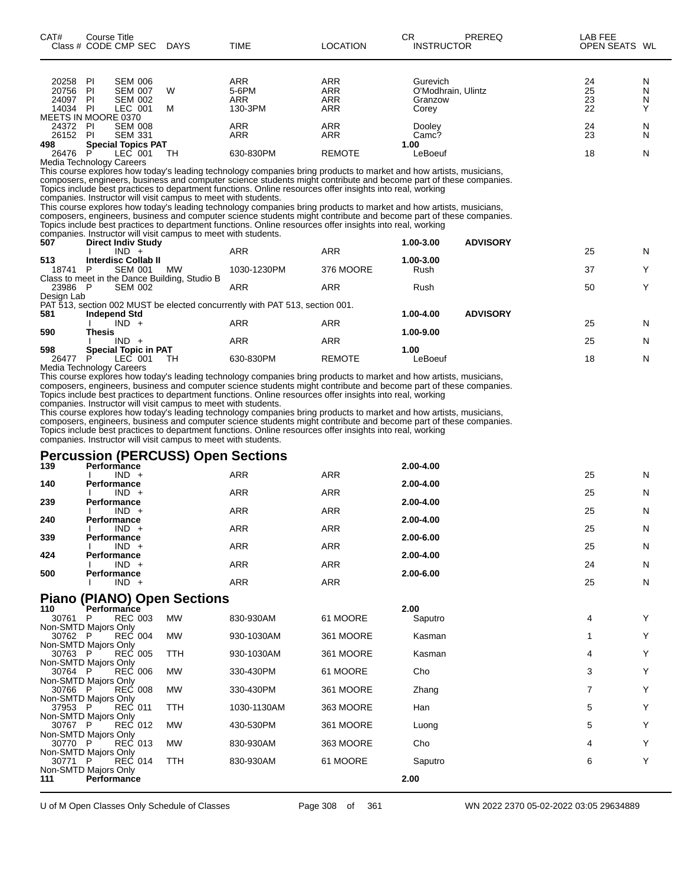| CAT#<br>Class # CODE CMP SEC | <b>Course Title</b>         |                | <b>DAYS</b>                                                    | TIME                                                                                                               | <b>LOCATION</b> | <b>CR</b> | <b>INSTRUCTOR</b>  | PREREQ          | LAB FEE<br>OPEN SEATS WL |   |
|------------------------------|-----------------------------|----------------|----------------------------------------------------------------|--------------------------------------------------------------------------------------------------------------------|-----------------|-----------|--------------------|-----------------|--------------------------|---|
|                              |                             |                |                                                                |                                                                                                                    |                 |           |                    |                 |                          |   |
| 20258                        | - PI                        | <b>SEM 006</b> |                                                                | <b>ARR</b>                                                                                                         | <b>ARR</b>      |           | Gurevich           |                 | 24                       | N |
| 20756                        | -PI                         | <b>SEM 007</b> | W                                                              | 5-6PM                                                                                                              | <b>ARR</b>      |           | O'Modhrain, Ulintz |                 | 25                       | N |
| 24097                        | <b>PI</b>                   | <b>SEM 002</b> |                                                                | <b>ARR</b>                                                                                                         | <b>ARR</b>      |           | Granzow            |                 | 23                       | N |
| 14034 PI                     |                             | LEC 001        | м                                                              | 130-3PM                                                                                                            | <b>ARR</b>      | Corey     |                    |                 | 22                       | Υ |
| MEETS IN MOORE 0370          |                             |                |                                                                |                                                                                                                    |                 |           |                    |                 |                          |   |
| 24372 PI                     |                             | <b>SEM 008</b> |                                                                | <b>ARR</b>                                                                                                         | <b>ARR</b>      | Dooley    |                    |                 | 24                       | N |
| 26152                        | - PI                        | <b>SEM 331</b> |                                                                | <b>ARR</b>                                                                                                         | <b>ARR</b>      | Camc?     |                    |                 | 23                       | N |
| 498                          | <b>Special Topics PAT</b>   |                |                                                                |                                                                                                                    |                 | 1.00      |                    |                 |                          |   |
| 26476                        | P                           | LEC 001        | TH                                                             | 630-830PM                                                                                                          | <b>REMOTE</b>   | LeBoeuf   |                    |                 | 18                       | N |
| Media Technology Careers     |                             |                |                                                                |                                                                                                                    |                 |           |                    |                 |                          |   |
|                              |                             |                |                                                                | This course explores how today's leading technology companies bring products to market and how artists, musicians, |                 |           |                    |                 |                          |   |
|                              |                             |                |                                                                | composers, engineers, business and computer science students might contribute and become part of these companies.  |                 |           |                    |                 |                          |   |
|                              |                             |                |                                                                | Topics include best practices to department functions. Online resources offer insights into real, working          |                 |           |                    |                 |                          |   |
|                              |                             |                | companies. Instructor will visit campus to meet with students. |                                                                                                                    |                 |           |                    |                 |                          |   |
|                              |                             |                |                                                                | This course explores how today's leading technology companies bring products to market and how artists, musicians, |                 |           |                    |                 |                          |   |
|                              |                             |                |                                                                | composers, engineers, business and computer science students might contribute and become part of these companies.  |                 |           |                    |                 |                          |   |
|                              |                             |                |                                                                | Topics include best practices to department functions. Online resources offer insights into real, working          |                 |           |                    |                 |                          |   |
|                              |                             |                | companies. Instructor will visit campus to meet with students. |                                                                                                                    |                 |           |                    |                 |                          |   |
| 507                          | <b>Direct Indiv Study</b>   |                |                                                                |                                                                                                                    |                 | 1.00-3.00 |                    | <b>ADVISORY</b> |                          |   |
|                              |                             | $IND +$        |                                                                | <b>ARR</b>                                                                                                         | <b>ARR</b>      |           |                    |                 | 25                       | N |
| 513                          | <b>Interdisc Collab II</b>  |                |                                                                |                                                                                                                    |                 | 1.00-3.00 |                    |                 |                          |   |
| 18741 P                      |                             | <b>SEM 001</b> | MW                                                             | 1030-1230PM                                                                                                        | 376 MOORE       | Rush      |                    |                 | 37                       | Υ |
|                              |                             |                | Class to meet in the Dance Building, Studio B                  |                                                                                                                    |                 |           |                    |                 |                          |   |
| 23986 P                      |                             | <b>SEM 002</b> |                                                                | <b>ARR</b>                                                                                                         | ARR             | Rush      |                    |                 | 50                       | Υ |
| Design Lab                   |                             |                |                                                                |                                                                                                                    |                 |           |                    |                 |                          |   |
|                              |                             |                |                                                                | PAT 513, section 002 MUST be elected concurrently with PAT 513, section 001.                                       |                 |           |                    |                 |                          |   |
| 581                          | <b>Independ Std</b>         |                |                                                                |                                                                                                                    |                 | 1.00-4.00 |                    | <b>ADVISORY</b> |                          |   |
|                              |                             | $IND +$        |                                                                | <b>ARR</b>                                                                                                         | <b>ARR</b>      |           |                    |                 | 25                       | N |
| 590                          | Thesis                      |                |                                                                |                                                                                                                    |                 | 1.00-9.00 |                    |                 |                          |   |
|                              |                             | $IND +$        |                                                                | <b>ARR</b>                                                                                                         | <b>ARR</b>      |           |                    |                 | 25                       | N |
| 598                          | <b>Special Topic in PAT</b> |                |                                                                |                                                                                                                    |                 | 1.00      |                    |                 |                          |   |
| 26477                        | P                           | LEC 001        | TH                                                             | 630-830PM                                                                                                          | <b>REMOTE</b>   | LeBoeuf   |                    |                 | 18                       | N |
| Media Technology Careers     |                             |                |                                                                |                                                                                                                    |                 |           |                    |                 |                          |   |
|                              |                             |                |                                                                | This course explores how today's leading technology companies bring products to market and how artists, musicians, |                 |           |                    |                 |                          |   |
|                              |                             |                |                                                                | composers, engineers, business and computer science students might contribute and become part of these companies.  |                 |           |                    |                 |                          |   |
|                              |                             |                |                                                                | Topics include best practices to department functions. Online resources offer insights into real, working          |                 |           |                    |                 |                          |   |

companies. Instructor will visit campus to meet with students.

This course explores how today's leading technology companies bring products to market and how artists, musicians, composers, engineers, business and computer science students might contribute and become part of these companies.

Topics include best practices to department functions. Online resources offer insights into real, working

companies. Instructor will visit campus to meet with students.

#### **Percussion (PERCUSS) Open Sections**

| 139 | Performance        | . .        |            | 2.00-4.00 |    |   |
|-----|--------------------|------------|------------|-----------|----|---|
|     | $IND +$            | <b>ARR</b> | <b>ARR</b> |           | 25 | N |
| 140 | Performance        |            |            | 2.00-4.00 |    |   |
|     | $IND +$            | <b>ARR</b> | <b>ARR</b> |           | 25 | N |
| 239 | Performance        |            |            | 2.00-4.00 |    |   |
|     | $IND +$            | <b>ARR</b> | <b>ARR</b> |           | 25 | N |
| 240 | Performance        |            |            | 2.00-4.00 |    |   |
|     | $IND +$            | <b>ARR</b> | <b>ARR</b> |           | 25 | N |
| 339 | <b>Performance</b> |            |            | 2.00-6.00 |    |   |
|     | $IND +$            | <b>ARR</b> | <b>ARR</b> |           | 25 | N |
| 424 | Performance        |            |            | 2.00-4.00 |    |   |
|     | $IND +$            | <b>ARR</b> | <b>ARR</b> |           | 24 | N |
| 500 | Performance        |            |            | 2.00-6.00 |    |   |
|     | $IND +$            | <b>ARR</b> | <b>ARR</b> |           | 25 | N |
|     |                    |            |            |           |    |   |

#### **Piano (PIANO) Open Sections**

| 110<br>Performance           |            |             |           | 2.00    |   |  |
|------------------------------|------------|-------------|-----------|---------|---|--|
| <b>REC 003</b><br>30761<br>P | <b>MW</b>  | 830-930AM   | 61 MOORE  | Saputro | 4 |  |
| Non-SMTD Majors Only         |            |             |           |         |   |  |
| 30762 P<br><b>REC 004</b>    | <b>MW</b>  | 930-1030AM  | 361 MOORE | Kasman  |   |  |
| Non-SMTD Majors Only         |            |             |           |         |   |  |
| 30763 P<br><b>REC 005</b>    | TTH        | 930-1030AM  | 361 MOORE | Kasman  | 4 |  |
| Non-SMTD Majors Only         |            |             |           |         |   |  |
| <b>REC 006</b><br>30764 P    | <b>MW</b>  | 330-430PM   | 61 MOORE  | Cho     | 3 |  |
| Non-SMTD Majors Only         |            |             |           |         |   |  |
| <b>REC 008</b><br>30766 P    | <b>MW</b>  | 330-430PM   | 361 MOORE | Zhang   |   |  |
| Non-SMTD Majors Only         |            |             |           |         |   |  |
| 37953 P<br>REC 011           | TTH        | 1030-1130AM | 363 MOORE | Han     | 5 |  |
| Non-SMTD Majors Only         |            |             |           |         |   |  |
| <b>REC 012</b><br>30767 P    | <b>MW</b>  | 430-530PM   | 361 MOORE | Luong   | 5 |  |
| Non-SMTD Majors Only         |            |             |           |         |   |  |
| 30770 P<br><b>REC 013</b>    | <b>MW</b>  | 830-930AM   | 363 MOORE | Cho     | 4 |  |
| Non-SMTD Majors Only         |            |             |           |         |   |  |
| <b>REC 014</b><br>30771 P    | <b>TTH</b> | 830-930AM   | 61 MOORE  | Saputro | 6 |  |
| Non-SMTD Majors Only         |            |             |           |         |   |  |
| <b>Performance</b><br>111    |            |             |           | 2.00    |   |  |
|                              |            |             |           |         |   |  |

U of M Open Classes Only Schedule of Classes Page 308 of 361 WN 2022 2370 05-02-2022 03:05 29634889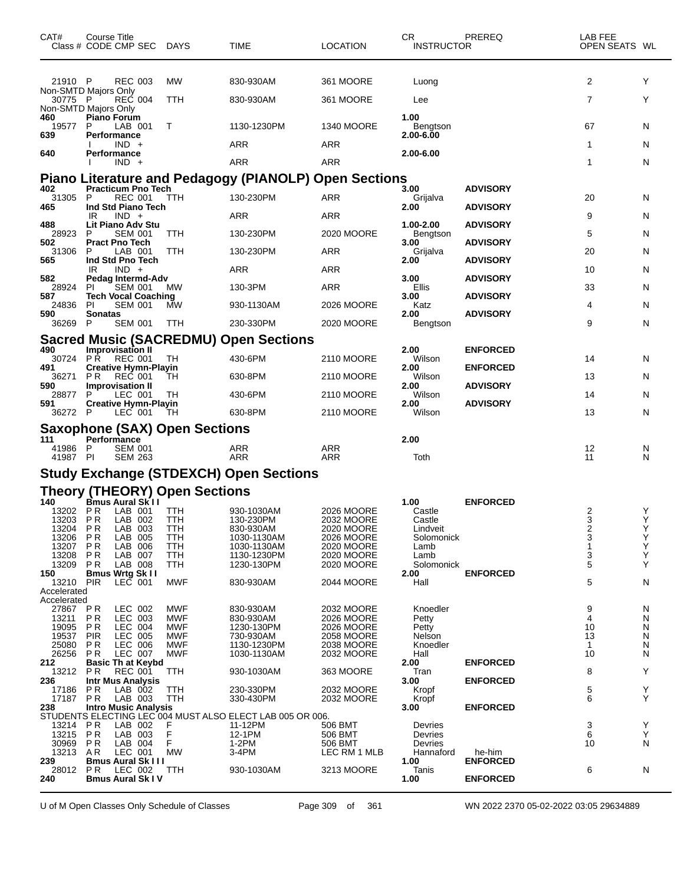| CAT#                    | Course Title<br>Class # CODE CMP SEC DAYS                    |                          | <b>TIME</b>                                                  | <b>LOCATION</b>          | CR<br><b>INSTRUCTOR</b> | PREREQ          | LAB FEE<br>OPEN SEATS WL |        |
|-------------------------|--------------------------------------------------------------|--------------------------|--------------------------------------------------------------|--------------------------|-------------------------|-----------------|--------------------------|--------|
| 21910 P                 | <b>REC 003</b>                                               | МW                       | 830-930AM                                                    | 361 MOORE                | Luong                   |                 | 2                        | Y      |
| 30775 P                 | Non-SMTD Majors Only<br><b>REC 004</b>                       | TTH                      | 830-930AM                                                    | 361 MOORE                | Lee                     |                 | 7                        | Y      |
| 460                     | Non-SMTD Majors Only<br><b>Piano Forum</b>                   |                          |                                                              |                          | 1.00                    |                 |                          |        |
| 19577<br>639            | P<br>LAB 001<br>Performance                                  | Т                        | 1130-1230PM                                                  | <b>1340 MOORE</b>        | Bengtson<br>2.00-6.00   |                 | 67                       | N      |
|                         | $IND +$                                                      |                          | ARR                                                          | ARR                      |                         |                 | 1                        | N      |
| 640                     | <b>Performance</b><br>$IND +$                                |                          | <b>ARR</b>                                                   | <b>ARR</b>               | 2.00-6.00               |                 | 1                        | N      |
|                         |                                                              |                          | <b>Piano Literature and Pedagogy (PIANOLP) Open Sections</b> |                          |                         |                 |                          |        |
| 402<br>31305            | <b>Practicum Pno Tech</b><br><b>REC 001</b><br>P             | TTH                      | 130-230PM                                                    | <b>ARR</b>               | 3.00<br>Grijalva        | <b>ADVISORY</b> | 20                       | N      |
| 465                     | Ind Std Piano Tech<br>$IND +$<br>IR.                         |                          | ARR                                                          | <b>ARR</b>               | 2.00                    | <b>ADVISORY</b> | 9                        | N      |
| 488                     | Lit Piano Adv Stu                                            |                          |                                                              |                          | 1.00-2.00               | <b>ADVISORY</b> |                          |        |
| 28923<br>502            | <b>SEM 001</b><br>P<br><b>Pract Pno Tech</b>                 | TTH                      | 130-230PM                                                    | 2020 MOORE               | Bengtson<br>3.00        | <b>ADVISORY</b> | 5                        | N      |
| 31306<br>565            | LAB 001<br>P<br>Ind Std Pno Tech                             | TTH                      | 130-230PM                                                    | ARR                      | Grijalva<br>2.00        | <b>ADVISORY</b> | 20                       | N      |
| 582                     | $IND +$<br>IR<br>Pedag Intermd-Adv                           |                          | ARR                                                          | <b>ARR</b>               | 3.00                    | <b>ADVISORY</b> | 10                       | N      |
| 28924<br>587            | <b>SEM 001</b><br>PI.<br><b>Tech Vocal Coaching</b>          | МW                       | 130-3PM                                                      | <b>ARR</b>               | Ellis<br>3.00           | <b>ADVISORY</b> | 33                       | N      |
| 24836                   | PI<br><b>SEM 001</b><br><b>Sonatas</b>                       | MW                       | 930-1130AM                                                   | 2026 MOORE               | Katz                    |                 | 4                        | N      |
| 590<br>36269            | <b>SEM 001</b><br>-P                                         | TTH                      | 230-330PM                                                    | 2020 MOORE               | 2.00<br>Bengtson        | <b>ADVISORY</b> | 9                        | N      |
|                         |                                                              |                          | <b>Sacred Music (SACREDMU) Open Sections</b>                 |                          |                         |                 |                          |        |
| 490<br>30724            | <b>Improvisation II</b><br>PŘ<br>REC 001                     | ТH                       | 430-6PM                                                      | 2110 MOORE               | 2.00<br>Wilson          | <b>ENFORCED</b> | 14                       | N      |
| 491<br>36271            | <b>Creative Hymn-Playin</b><br>P R<br>REC 001                | TН                       | 630-8PM                                                      | 2110 MOORE               | 2.00<br>Wilson          | <b>ENFORCED</b> | 13                       | N      |
| 590<br>28877            | <b>Improvisation II</b><br>LEC 001<br>P                      | TН                       | 430-6PM                                                      | 2110 MOORE               | 2.00<br>Wilson          | <b>ADVISORY</b> | 14                       | N      |
| 591<br>36272 P          | <b>Creative Hymn-Playin</b><br>LEC 001                       | TH                       | 630-8PM                                                      | 2110 MOORE               | 2.00<br>Wilson          | <b>ADVISORY</b> | 13                       | N      |
|                         | <b>Saxophone (SAX) Open Sections</b>                         |                          |                                                              |                          |                         |                 |                          |        |
| 111                     | Performance                                                  |                          |                                                              |                          | 2.00                    |                 |                          |        |
| 41986 P<br>41987 PI     | <b>SEM 001</b><br><b>SEM 263</b>                             |                          | ARR<br><b>ARR</b>                                            | <b>ARR</b><br><b>ARR</b> | Toth                    |                 | 12<br>11                 | N<br>N |
|                         |                                                              |                          | <b>Study Exchange (STDEXCH) Open Sections</b>                |                          |                         |                 |                          |        |
|                         | Theory (THEORY) Open Sections<br>140 Bmus Aural Sk II        |                          |                                                              |                          |                         |                 |                          |        |
| 13202                   | LAB 001<br>P R                                               | TTH                      | 930-1030AM                                                   | 2026 MOORE               | 1.00<br>Castle          | <b>ENFORCED</b> | 2                        | Y      |
| 13203 PR<br>13204 PR    | LAB 002<br>LAB 003                                           | TTH<br>TTH               | 130-230PM<br>830-930AM                                       | 2032 MOORE<br>2020 MOORE | Castle<br>Lindveit      |                 | 3<br>2                   | Y<br>Y |
| 13206 PR                | LAB 005                                                      | TTH                      | 1030-1130AM                                                  | 2026 MOORE               | Solomonick              |                 | 3                        | Υ      |
| 13207<br>13208          | P R<br>LAB 006<br>LAB 007<br>P R                             | TTH<br>TTH               | 1030-1130AM<br>1130-1230PM                                   | 2020 MOORE<br>2020 MOORE | Lamb<br>Lamb            |                 | 1<br>3                   | Υ<br>Y |
| 13209<br>150            | P <sub>R</sub><br>LAB 008<br><b>Bmus Wrtg Sk II</b>          | TTH                      | 1230-130PM                                                   | 2020 MOORE               | Solomonick<br>2.00      | <b>ENFORCED</b> | 5                        | Υ      |
| 13210<br>Accelerated    | PIR<br>LEC 001                                               | MWF                      | 830-930AM                                                    | 2044 MOORE               | Hall                    |                 | 5                        | N      |
| Accelerated<br>27867 PR | LEC 002                                                      | MWF                      | 830-930AM                                                    | 2032 MOORE               | Knoedler                |                 | 9                        | N      |
| 13211                   | <b>PR</b><br>LEC 003                                         | <b>MWF</b>               | 830-930AM                                                    | 2026 MOORE               | Petty                   |                 | 4                        | N      |
| 19095<br>19537          | LEC 004<br>P R<br><b>PIR</b><br>LEC 005                      | <b>MWF</b><br>MWF        | 1230-130PM<br>730-930AM                                      | 2026 MOORE<br>2058 MOORE | Petty<br>Nelson         |                 | 10<br>13                 | N<br>N |
| 25080<br>26256          | P <sub>R</sub><br>LEC 006<br>LEC 007<br>P R                  | <b>MWF</b><br><b>MWF</b> | 1130-1230PM<br>1030-1130AM                                   | 2038 MOORE<br>2032 MOORE | Knoedler<br>Hall        |                 | $\mathbf{1}$<br>10       | N<br>N |
| 212<br>13212            | <b>Basic Th at Keybd</b><br>P <sub>R</sub><br><b>REC 001</b> | TTH                      | 930-1030AM                                                   | 363 MOORE                | 2.00<br>Tran            | <b>ENFORCED</b> | 8                        | Y      |
| 236<br>17186            | <b>Intr Mus Analysis</b><br>P R<br>LAB 002                   | TTH                      | 230-330PM                                                    | 2032 MOORE               | 3.00<br>Kropf           | <b>ENFORCED</b> | 5                        | Y      |
| 17187                   | P R<br>LAB 003                                               | TTH                      | 330-430PM                                                    | 2032 MOORE               | Kropf                   |                 | 6                        | Y      |
| 238                     | <b>Intro Music Analysis</b>                                  |                          | STUDENTS ELECTING LEC 004 MUST ALSO ELECT LAB 005 OR 006.    |                          | 3.00                    | <b>ENFORCED</b> |                          |        |
| 13214<br>13215          | LAB 002<br>P R<br>PR<br>LAB 003                              | F<br>F                   | 11-12PM<br>12-1PM                                            | 506 BMT<br>506 BMT       | Devries<br>Devries      |                 | 3<br>6                   | Y<br>Y |
| 30969<br>13213          | LAB 004<br>P R<br>AR.<br>LEC 001                             | F.<br><b>MW</b>          | 1-2PM<br>3-4PM                                               | 506 BMT<br>LEC RM 1 MLB  | Devries<br>Hannaford    | he-him          | 10                       | N      |
| 239<br>28012            | <b>Bmus Aural Sk III</b><br>PR.<br>LEC 002                   | TTH                      | 930-1030AM                                                   | 3213 MOORE               | 1.00<br>Tanis           | <b>ENFORCED</b> | 6                        | N      |
| 240                     | <b>Bmus Aural Sk IV</b>                                      |                          |                                                              |                          | 1.00                    | <b>ENFORCED</b> |                          |        |

U of M Open Classes Only Schedule of Classes Page 309 of 361 WN 2022 2370 05-02-2022 03:05 29634889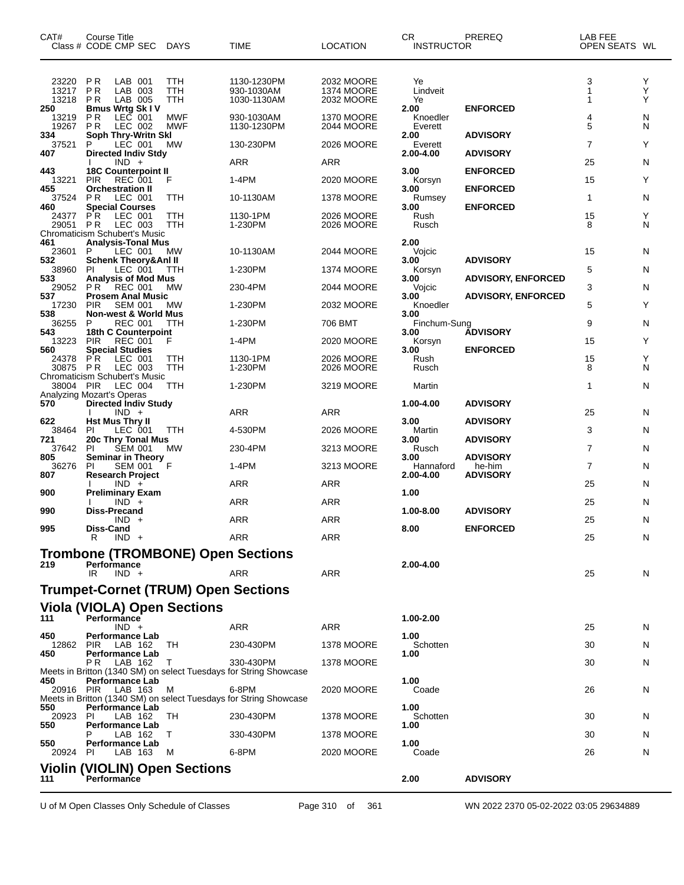| CAT#                    | Course Title<br>Class # CODE CMP SEC                                           | DAYS              | <b>TIME</b>                                                                    | <b>LOCATION</b>                               | CR<br><b>INSTRUCTOR</b>     | PREREQ                    | LAB FEE<br>OPEN SEATS WL |             |
|-------------------------|--------------------------------------------------------------------------------|-------------------|--------------------------------------------------------------------------------|-----------------------------------------------|-----------------------------|---------------------------|--------------------------|-------------|
| 23220<br>13217<br>13218 | P <sub>R</sub><br>LAB 001<br>P <sub>R</sub><br>LAB 003<br><b>PR</b><br>LAB 005 | TTH<br>TTH<br>TTH | 1130-1230PM<br>930-1030AM<br>1030-1130AM                                       | 2032 MOORE<br><b>1374 MOORE</b><br>2032 MOORE | Ye<br>Lindveit<br>Ye        |                           | 3<br>1<br>1              | Y<br>Υ<br>Y |
| 250<br>13219<br>19267   | <b>Bmus Wrtg Sk IV</b><br>P R<br>LEC 001<br>PR.<br>LEC 002                     | MWF<br><b>MWF</b> | 930-1030AM<br>1130-1230PM                                                      | <b>1370 MOORE</b><br>2044 MOORE               | 2.00<br>Knoedler<br>Everett | <b>ENFORCED</b>           | 4<br>5                   | N<br>N      |
| 334<br>37521            | Soph Thry-Writn Skl<br>LEC 001<br>P                                            | МW                | 130-230PM                                                                      | 2026 MOORE                                    | 2.00<br>Everett             | <b>ADVISORY</b>           | 7                        | Υ           |
| 407                     | <b>Directed Indiv Stdy</b><br>$IND +$                                          |                   | ARR                                                                            | ARR                                           | 2.00-4.00                   | <b>ADVISORY</b>           | 25                       | N           |
| 443<br>13221            | <b>18C Counterpoint II</b><br><b>PIR</b><br><b>REC 001</b>                     | F                 | $1-4PM$                                                                        | 2020 MOORE                                    | 3.00<br>Korsyn              | <b>ENFORCED</b>           | 15                       | Y           |
| 455<br>37524            | <b>Orchestration II</b><br>P R<br>LEC 001                                      | TTH               | 10-1130AM                                                                      | 1378 MOORE                                    | 3.00<br>Rumsey              | <b>ENFORCED</b>           | 1                        | N           |
| 460<br>24377            | <b>Special Courses</b><br>P R<br>LEC 001                                       | TTH               | 1130-1PM                                                                       | 2026 MOORE                                    | 3.00<br>Rush                | <b>ENFORCED</b>           | 15                       | Υ           |
| 29051                   | LEC 003<br>P R<br><b>Chromaticism Schubert's Music</b>                         | TTH               | 1-230PM                                                                        | 2026 MOORE                                    | Rusch                       |                           | 8                        | N           |
| 461<br>23601            | <b>Analysis-Tonal Mus</b><br>LEC 001<br>P                                      | МW                | 10-1130AM                                                                      | 2044 MOORE                                    | 2.00<br>Vojcic              |                           | 15                       | N           |
| 532<br>38960            | <b>Schenk Theory&amp;Anl II</b><br>LEC 001<br>ΡI                               | TTH               | 1-230PM                                                                        | <b>1374 MOORE</b>                             | 3.00<br>Korsyn              | <b>ADVISORY</b>           | 5                        | N           |
| 533<br>29052            | <b>Analysis of Mod Mus</b><br><b>REC 001</b><br>P R                            | MW                | 230-4PM                                                                        | 2044 MOORE                                    | 3.00<br>Vojcic              | <b>ADVISORY, ENFORCED</b> | 3                        | N           |
| 537<br>17230            | <b>Prosem Anal Music</b><br><b>PIR</b><br><b>SEM 001</b>                       | MW                | 1-230PM                                                                        | 2032 MOORE                                    | 3.00<br>Knoedler            | <b>ADVISORY, ENFORCED</b> | 5                        | Υ           |
| 538<br>36255            | <b>Non-west &amp; World Mus</b><br><b>REC 001</b><br>P                         | TTH               | 1-230PM                                                                        | 706 BMT                                       | 3.00<br>Finchum-Sung        |                           | 9                        | N           |
| 543<br>13223            | 18th C Counterpoint<br><b>REC 001</b><br><b>PIR</b>                            | F                 | $1-4PM$                                                                        | 2020 MOORE                                    | 3.00<br>Korsyn              | <b>ÁDVISORY</b>           | 15                       | Y           |
| 560<br>24378            | <b>Special Studies</b><br>P R<br>LEC 001                                       | TTH               | 1130-1PM                                                                       | 2026 MOORE                                    | 3.00<br>Rush                | <b>ENFORCED</b>           | 15                       | Υ           |
| 30875                   | <b>PR</b><br>LEC 003<br><b>Chromaticism Schubert's Music</b>                   | <b>TTH</b>        | 1-230PM                                                                        | 2026 MOORE                                    | Rusch                       |                           | 8                        | N           |
| 38004                   | <b>PIR</b><br>LEC 004                                                          | TTH               | 1-230PM                                                                        | 3219 MOORE                                    | Martin                      |                           | 1                        | N           |
| 570                     | Analyzing Mozart's Operas<br><b>Directed Indiv Study</b><br>$IND +$            |                   | ARR                                                                            | ARR                                           | 1.00-4.00                   | <b>ADVISORY</b>           | 25                       | N           |
| 622                     | <b>Hst Mus Thry II</b>                                                         |                   |                                                                                |                                               | 3.00                        | <b>ADVISORY</b>           |                          |             |
| 38464<br>721            | LEC 001<br>ΡI<br>20c Thry Tonal Mus                                            | TTH               | 4-530PM                                                                        | 2026 MOORE                                    | Martin<br>3.00              | <b>ADVISORY</b>           | 3                        | N           |
| 37642<br>805            | PI<br><b>SEM 001</b><br><b>Seminar in Theory</b>                               | МW                | 230-4PM                                                                        | 3213 MOORE                                    | Rusch<br>3.00               | <b>ADVISORY</b>           | 7                        | N           |
| 36276<br>807            | <b>SEM 001</b><br>PI.<br><b>Research Project</b>                               | F                 | 1-4PM                                                                          | 3213 MOORE                                    | Hannaford<br>2.00-4.00      | he-him<br><b>ADVISORY</b> | 7                        | N           |
| 900                     | $IND +$<br><b>Preliminary Exam</b>                                             |                   | ARR                                                                            | <b>ARR</b>                                    | 1.00                        |                           | 25                       | N           |
| 990                     | $IND +$<br><b>Diss-Precand</b>                                                 |                   | ARR                                                                            | ARR                                           | 1.00-8.00                   | <b>ADVISORY</b>           | 25                       | N           |
| 995                     | $IND +$<br>Diss-Cand                                                           |                   | ARR                                                                            | <b>ARR</b>                                    | 8.00                        | <b>ENFORCED</b>           | 25                       | N           |
|                         | R<br>$IND +$                                                                   |                   | <b>ARR</b>                                                                     | ARR                                           |                             |                           | 25                       | N           |
| 219                     | <b>Trombone (TROMBONE) Open Sections</b><br>Performance                        |                   |                                                                                |                                               | 2.00-4.00                   |                           |                          |             |
|                         | IR<br>IND +                                                                    |                   | ARR                                                                            | ARR                                           |                             |                           | 25                       | N           |
|                         | <b>Trumpet-Cornet (TRUM) Open Sections</b>                                     |                   |                                                                                |                                               |                             |                           |                          |             |
| 111                     | Viola (VIOLA) Open Sections<br><b>Performance</b>                              |                   |                                                                                |                                               | 1.00-2.00                   |                           |                          |             |
| 450                     | $IND +$<br><b>Performance Lab</b>                                              |                   | ARR                                                                            | ARR                                           | 1.00                        |                           | 25                       | N           |
| 12862<br>450            | <b>PIR</b><br>LAB 162<br><b>Performance Lab</b>                                | TH                | 230-430PM                                                                      | 1378 MOORE                                    | Schotten<br>1.00            |                           | 30                       | N           |
|                         | P R<br>LAB 162                                                                 | $\mathbf{L}$      | 330-430PM<br>Meets in Britton (1340 SM) on select Tuesdays for String Showcase | <b>1378 MOORE</b>                             |                             |                           | 30                       | N           |
| 450<br>20916 PIR        | <b>Performance Lab</b><br>LAB 163                                              | м                 | 6-8PM                                                                          | 2020 MOORE                                    | 1.00<br>Coade               |                           | 26                       | N           |
| 550                     | <b>Performance Lab</b>                                                         |                   | Meets in Britton (1340 SM) on select Tuesdays for String Showcase              |                                               | 1.00                        |                           |                          |             |
| 20923<br>550            | PI.<br>LAB 162<br><b>Performance Lab</b>                                       | TН                | 230-430PM                                                                      | 1378 MOORE                                    | Schotten<br>1.00            |                           | 30                       | N           |
| 550                     | LAB 162<br>Performance Lab                                                     | T                 | 330-430PM                                                                      | 1378 MOORE                                    | 1.00                        |                           | 30                       | N           |
| 20924                   | PI.<br>LAB 163                                                                 | M                 | 6-8PM                                                                          | 2020 MOORE                                    | Coade                       |                           | 26                       | N           |
| 111                     | <b>Violin (VIOLIN) Open Sections</b><br>Performance                            |                   |                                                                                |                                               | 2.00                        | <b>ADVISORY</b>           |                          |             |

U of M Open Classes Only Schedule of Classes Page 310 of 361 WN 2022 2370 05-02-2022 03:05 29634889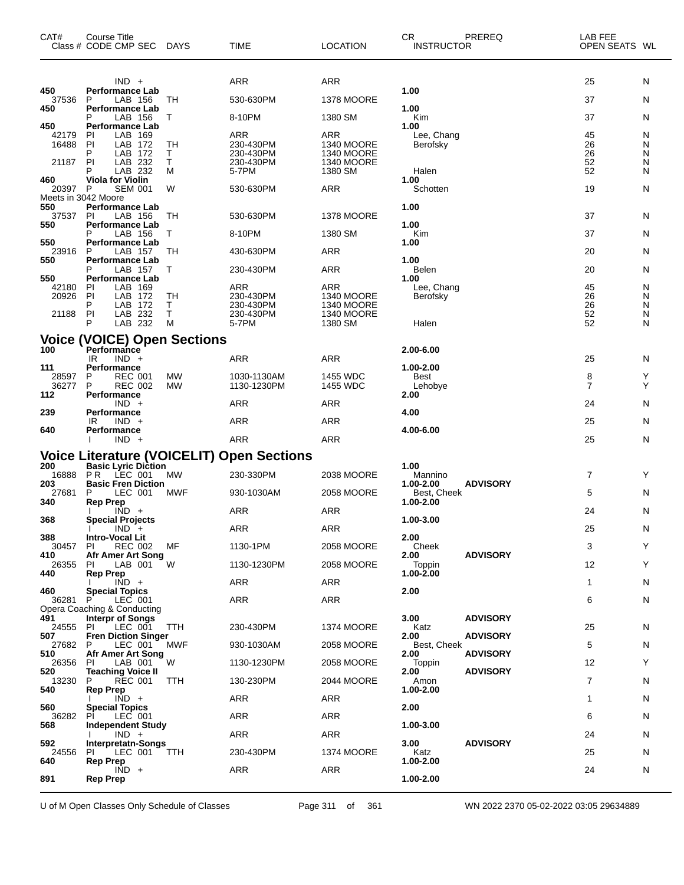| CAT#                           | Course Title<br>Class # CODE CMP SEC                                                                         | <b>DAYS</b>              | <b>TIME</b>                                         | <b>LOCATION</b>                                                               | CR.<br><b>INSTRUCTOR</b>                | PREREQ          | LAB FEE<br>OPEN SEATS WL   |                       |
|--------------------------------|--------------------------------------------------------------------------------------------------------------|--------------------------|-----------------------------------------------------|-------------------------------------------------------------------------------|-----------------------------------------|-----------------|----------------------------|-----------------------|
| 450                            | $IND +$<br><b>Performance Lab</b>                                                                            |                          | ARR                                                 | <b>ARR</b>                                                                    | 1.00                                    |                 | 25                         | N                     |
| 37536<br>450                   | LAB 156<br>P<br>Performance Lab                                                                              | TН                       | 530-630PM                                           | 1378 MOORE                                                                    | 1.00                                    |                 | 37                         | N                     |
| 450                            | Р<br>LAB 156<br><b>Performance Lab</b>                                                                       | Т                        | 8-10PM                                              | 1380 SM                                                                       | Kim<br>1.00                             |                 | 37                         | N                     |
| 42179<br>16488<br>21187        | LAB 169<br>PI<br>PI<br>LAB<br>172<br>P<br>LAB<br>172<br>LAB 232<br>PI                                        | TН<br>т<br>Τ             | ARR<br>230-430PM<br>230-430PM<br>230-430PM          | ARR<br><b>1340 MOORE</b><br>1340 MOORE<br><b>1340 MOORE</b>                   | Lee, Chang<br>Berofsky                  |                 | 45<br>26<br>26<br>52       | N<br>N<br>N<br>N      |
| 460                            | LAB 232<br><b>Viola for Violin</b>                                                                           | M                        | 5-7PM                                               | 1380 SM                                                                       | Halen<br>1.00                           |                 | 52                         | N                     |
| 20397 P<br>Meets in 3042 Moore | <b>SEM 001</b>                                                                                               | W                        | 530-630PM                                           | <b>ARR</b>                                                                    | Schotten                                |                 | 19                         | N                     |
| 550<br>37537<br>550            | Performance Lab<br>PI<br>LAB 156<br><b>Performance Lab</b>                                                   | TН                       | 530-630PM                                           | 1378 MOORE                                                                    | 1.00<br>1.00                            |                 | 37                         | N                     |
| 550                            | LAB 156<br>Performance Lab                                                                                   | Т                        | 8-10PM                                              | 1380 SM                                                                       | Kim<br>1.00                             |                 | 37                         | N                     |
| 23916<br>550                   | P<br>LAB 157                                                                                                 | TН                       | 430-630PM                                           | ARR                                                                           | 1.00                                    |                 | 20                         | N                     |
|                                | <b>Performance Lab</b><br>LAB 157                                                                            | Т                        | 230-430PM                                           | <b>ARR</b>                                                                    | Belen                                   |                 | 20                         | N                     |
| 550<br>42180<br>20926<br>21188 | Performance Lab<br>LAB 169<br><b>PI</b><br>PI<br>LAB 172<br>P<br>LAB<br>172<br>LAB 232<br>PI<br>LAB 232<br>P | <b>TH</b><br>т<br>Τ<br>M | ARR<br>230-430PM<br>230-430PM<br>230-430PM<br>5-7PM | <b>ARR</b><br><b>1340 MOORE</b><br><b>1340 MOORE</b><br>1340 MOORE<br>1380 SM | 1.00<br>Lee, Chang<br>Berofsky<br>Halen |                 | 45<br>26<br>26<br>52<br>52 | N<br>N<br>N<br>N<br>N |
|                                | <b>Voice (VOICE) Open Sections</b>                                                                           |                          |                                                     |                                                                               |                                         |                 |                            |                       |
| 100                            | Performance<br>$IND +$<br>IR                                                                                 |                          | ARR                                                 | ARR                                                                           | 2.00-6.00                               |                 | 25                         | N                     |
| 111<br>28597                   | Performance<br>P<br><b>REC 001</b>                                                                           | MW                       | 1030-1130AM                                         | 1455 WDC                                                                      | 1.00-2.00<br>Best                       |                 | 8                          | Y                     |
| 36277<br>112                   | P<br><b>REC 002</b><br>Performance                                                                           | <b>MW</b>                | 1130-1230PM                                         | 1455 WDC                                                                      | Lehobye<br>2.00                         |                 | 7                          | Υ                     |
| 239                            | $IND +$<br>Performance                                                                                       |                          | <b>ARR</b>                                          | <b>ARR</b>                                                                    | 4.00                                    |                 | 24                         | N                     |
| 640                            | IR<br>$IND +$<br>Performance                                                                                 |                          | <b>ARR</b>                                          | <b>ARR</b>                                                                    | 4.00-6.00                               |                 | 25                         | N                     |
|                                | $IND +$                                                                                                      |                          | <b>ARR</b>                                          | ARR                                                                           |                                         |                 | 25                         | N                     |
| 200                            | <b>Basic Lyric Diction</b>                                                                                   |                          | <b>Voice Literature (VOICELIT) Open Sections</b>    |                                                                               | 1.00                                    |                 |                            |                       |
| 16888<br>203                   | <b>PR</b><br>LEC 001<br><b>Basic Fren Diction</b>                                                            | MW                       | 230-330PM                                           | 2038 MOORE                                                                    | Mannino<br>1.00-2.00                    | <b>ADVISORY</b> | 7                          | Y                     |
| 27681<br>340                   | P<br>LEC 001<br><b>Rep Prep</b>                                                                              | MWF                      | 930-1030AM                                          | 2058 MOORE                                                                    | Best, Cheek<br>1.00-2.00                |                 | 5                          | N                     |
| 368                            | $IND +$<br><b>Special Projects</b>                                                                           |                          | ARR                                                 | ARR                                                                           | 1.00-3.00                               |                 | 24                         | N                     |
| 388                            | $IND +$<br><b>Intro-Vocal Lit</b>                                                                            |                          | ARR                                                 | <b>ARR</b>                                                                    | 2.00                                    |                 | 25                         | N                     |
| 30457<br>410                   | <b>REC 002</b><br>PI<br>Afr Amer Art Song                                                                    | МF                       | 1130-1PM                                            | 2058 MOORE                                                                    | Cheek<br>2.00                           | <b>ADVISORY</b> | 3                          | Y                     |
| 26355<br>440                   | LAB 001<br>PI.<br><b>Rep Prep</b>                                                                            | W                        | 1130-1230PM                                         | <b>2058 MOORE</b>                                                             | Toppin<br>1.00-2.00                     |                 | 12                         | Y                     |
|                                | $IND +$                                                                                                      |                          | ARR                                                 | ARR                                                                           |                                         |                 | 1                          | N                     |
| 460<br>36281                   | <b>Special Topics</b><br>P<br>LEC 001                                                                        |                          | ARR                                                 | ARR                                                                           | 2.00                                    |                 | 6                          | N                     |
| 491                            | Opera Coaching & Conducting<br><b>Interpr of Songs</b>                                                       |                          |                                                     |                                                                               | 3.00                                    | <b>ADVISORY</b> |                            |                       |
| 24555<br>507                   | LEC 001<br>PI.<br><b>Fren Diction Singer</b>                                                                 | <b>TTH</b>               | 230-430PM                                           | <b>1374 MOORE</b>                                                             | Katz<br>2.00                            | <b>ADVISORY</b> | 25                         | N                     |
| 27682<br>510                   | LEC 001<br>P<br>Afr Amer Art Song                                                                            | MWF                      | 930-1030AM                                          | 2058 MOORE                                                                    | Best, Cheek<br>2.00                     | <b>ADVISORY</b> | 5                          | N                     |
| 26356<br>520                   | LAB 001<br>PI.<br>Teaching Voice II                                                                          | W                        | 1130-1230PM                                         | 2058 MOORE                                                                    | Toppin<br>2.00                          | <b>ADVISORY</b> | 12                         | Y                     |
| 13230<br>540                   | P<br><b>REC 001</b><br>Rep Prep                                                                              | TTH                      | 130-230PM                                           | 2044 MOORE                                                                    | Amon<br>1.00-2.00                       |                 | $\overline{7}$             | N                     |
| 560                            | $IND +$<br><b>Special Topics</b>                                                                             |                          | ARR                                                 | ARR                                                                           | 2.00                                    |                 | 1                          | N                     |
| 36282<br>568                   | LEC 001<br>PI<br><b>Independent Study</b>                                                                    |                          | ARR                                                 | ARR                                                                           | 1.00-3.00                               |                 | 6                          | N                     |
| 592                            | $IND +$                                                                                                      |                          | ARR                                                 | ARR                                                                           | 3.00                                    | <b>ADVISORY</b> | 24                         | N                     |
| 24556                          | Interpretatn-Songs<br>LEC 001<br>PI.                                                                         | <b>TTH</b>               | 230-430PM                                           | <b>1374 MOORE</b>                                                             | Katz                                    |                 | 25                         | N                     |
| 640                            | Rep Prep<br>$\overline{IND}$ +                                                                               |                          | ARR                                                 | ARR                                                                           | 1.00-2.00                               |                 | 24                         | N                     |
| 891                            | <b>Rep Prep</b>                                                                                              |                          |                                                     |                                                                               | 1.00-2.00                               |                 |                            |                       |

U of M Open Classes Only Schedule of Classes Page 311 of 361 WN 2022 2370 05-02-2022 03:05 29634889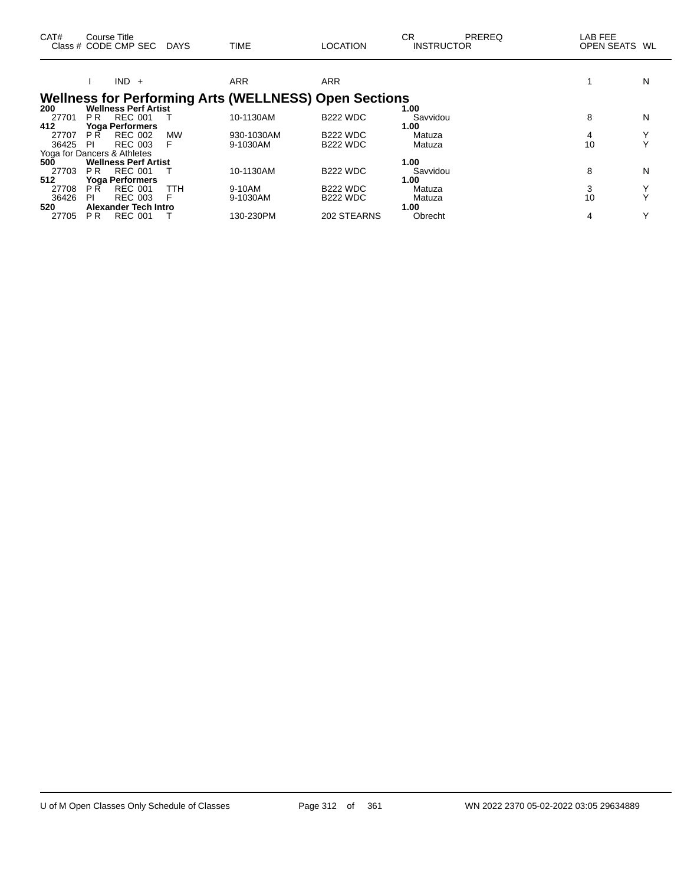| CAT#                        |                | Course Title<br>Class # CODE CMP SEC DAYS |     | <b>TIME</b>                                                  | <b>LOCATION</b> | СR<br>PREREQ<br><b>INSTRUCTOR</b> | LAB FEE<br>OPEN SEATS WL |              |
|-----------------------------|----------------|-------------------------------------------|-----|--------------------------------------------------------------|-----------------|-----------------------------------|--------------------------|--------------|
|                             |                | $IND +$                                   |     | <b>ARR</b>                                                   | <b>ARR</b>      |                                   |                          | N            |
|                             |                |                                           |     | <b>Wellness for Performing Arts (WELLNESS) Open Sections</b> |                 |                                   |                          |              |
| 200                         |                | <b>Wellness Perf Artist</b>               |     |                                                              |                 | 1.00                              |                          |              |
| 27701                       | PR.            | <b>REC 001</b>                            |     | 10-1130AM                                                    | <b>B222 WDC</b> | Savvidou                          | 8                        | N            |
| 412                         |                | <b>Yoga Performers</b>                    |     |                                                              |                 | 1.00                              |                          |              |
| 27707                       | P <sub>R</sub> | <b>REC 002</b>                            | МW  | 930-1030AM                                                   | <b>B222 WDC</b> | Matuza                            | 4                        |              |
| 36425                       | -PI            | REC 003                                   |     | 9-1030AM                                                     | <b>B222 WDC</b> | Matuza                            | 10                       | $\checkmark$ |
| Yoga for Dancers & Athletes |                |                                           |     |                                                              |                 |                                   |                          |              |
| 500                         |                | <b>Wellness Perf Artist</b>               |     |                                                              |                 | 1.00                              |                          |              |
| 27703                       | PR.            | <b>REC 001</b>                            |     | 10-1130AM                                                    | <b>B222 WDC</b> | Savvidou                          | 8                        | N            |
| 512                         |                | <b>Yoga Performers</b>                    |     |                                                              |                 | 1.00                              |                          |              |
| 27708                       | PR.            | <b>REC 001</b>                            | TTH | 9-10AM                                                       | <b>B222 WDC</b> | Matuza                            | 3                        | $\checkmark$ |
| 36426                       | PI             | <b>REC 003</b>                            |     | 9-1030AM                                                     | <b>B222 WDC</b> | Matuza                            | 10                       |              |
| 520                         |                | <b>Alexander Tech Intro</b>               |     |                                                              |                 | 1.00                              |                          |              |
| 27705                       | P <sub>R</sub> | <b>REC 001</b>                            |     | 130-230PM                                                    | 202 STEARNS     | Obrecht                           | 4                        |              |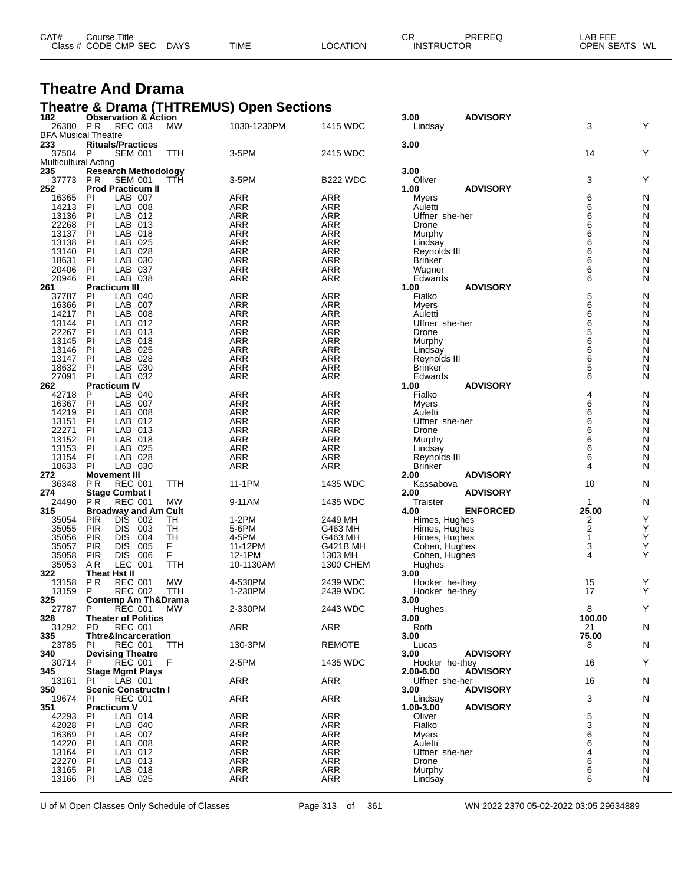| CAT# | Title<br>Course      |             |             |          | СR                | PREREQ | $\lambda$ $\Gamma$ $\Gamma$ $\Gamma$<br>LAB I<br>---- |
|------|----------------------|-------------|-------------|----------|-------------------|--------|-------------------------------------------------------|
|      | Class # CODE CMP SEC | <b>DAYS</b> | <b>TIME</b> | LOCATION | <b>INSTRUCTOR</b> |        | <b>OPEN SEATS</b><br>WL                               |
|      |                      |             |             |          |                   |        |                                                       |

#### **Theatre And Drama**

## **Theatre & Drama (THTREMUS) Open Sections 182 Observation & Action 3.00 ADVISORY**

| 182                                    | <b>Observation &amp; Action</b>                                        |                   |                          | 3.00<br><b>ADVISORY</b>        |                | Y      |
|----------------------------------------|------------------------------------------------------------------------|-------------------|--------------------------|--------------------------------|----------------|--------|
| 26380 PR<br><b>BFA Musical Theatre</b> | <b>REC 003</b><br>MW                                                   | 1030-1230PM       | 1415 WDC                 | Lindsay                        | 3              |        |
| 233                                    | <b>Rituals/Practices</b>                                               |                   |                          | 3.00                           |                |        |
| 37504 P                                | <b>SEM 001</b><br>TTH                                                  | 3-5PM             | 2415 WDC                 |                                | 14             | Y      |
| <b>Multicultural Acting</b>            |                                                                        |                   |                          |                                |                |        |
| 235                                    | <b>Research Methodology</b>                                            |                   |                          | 3.00                           |                |        |
| 37773                                  | <b>PR</b><br><b>SEM 001</b><br>TTH                                     | 3-5PM             | <b>B222 WDC</b>          | Oliver                         | 3              | Y      |
| 252                                    | <b>Prod Practicum II</b>                                               |                   |                          | <b>ADVISORY</b><br>1.00        |                |        |
| 16365                                  | PI<br>LAB 007                                                          | ARR               | <b>ARR</b>               | Myers                          | 6              | N      |
| 14213                                  | PI<br>LAB<br>008                                                       | ARR               | <b>ARR</b>               | Auletti                        | 6              | N      |
| 13136                                  | LAB<br>PI<br>012                                                       | <b>ARR</b>        | <b>ARR</b>               | Uffner she-her                 | 6              | N      |
| 22268                                  | PI<br>LAB<br>013                                                       | ARR               | ARR                      | Drone                          | 6              | N      |
| 13137                                  | PI<br>LAB<br>018                                                       | ARR               | <b>ARR</b>               | Murphy                         | 6              | N      |
| 13138                                  | PI<br>LAB<br>025                                                       | <b>ARR</b>        | <b>ARR</b>               | Lindsay                        | 6              | N      |
| 13140                                  | PI<br>LAB<br>028                                                       | ARR               | <b>ARR</b>               | Reynolds III                   | 6<br>6         | N      |
| 18631<br>20406                         | PI<br>LAB<br>030<br>PI<br>LAB 037                                      | ARR<br><b>ARR</b> | <b>ARR</b><br><b>ARR</b> | <b>Brinker</b>                 | 6              | N<br>N |
| 20946                                  | PI<br>LAB 038                                                          | ARR               | ARR                      | Wagner<br>Edwards              | 6              | N      |
| 261                                    | <b>Practicum III</b>                                                   |                   |                          | <b>ADVISORY</b><br>1.00        |                |        |
| 37787                                  | LAB 040<br>PI                                                          | <b>ARR</b>        | <b>ARR</b>               | Fialko                         | 5              | N      |
| 16366                                  | PI<br>LAB<br>007                                                       | ARR               | ARR                      | Myers                          | 6              | N      |
| 14217                                  | PI<br>LAB<br>008                                                       | ARR               | <b>ARR</b>               | Auletti                        | 6              | N      |
| 13144                                  | LAB<br>PI<br>012                                                       | <b>ARR</b>        | <b>ARR</b>               | Uffner she-her                 | 6              | N      |
| 22267                                  | PI<br>LAB<br>013                                                       | ARR               | ARR                      | Drone                          | 5              | N      |
| 13145                                  | PI<br>LAB<br>018                                                       | ARR               | <b>ARR</b>               | Murphy                         | 6              | N      |
| 13146                                  | PI<br>LAB<br>025                                                       | <b>ARR</b>        | <b>ARR</b>               | Lindsay                        | 6              | N      |
| 13147                                  | PI<br>LAB<br>028                                                       | ARR               | <b>ARR</b>               | Reynolds III                   | 6              | N      |
| 18632                                  | PI<br>LAB<br>030                                                       | <b>ARR</b>        | <b>ARR</b>               | <b>Brinker</b>                 | 5              | N      |
| 27091                                  | PI<br>LAB 032                                                          | <b>ARR</b>        | <b>ARR</b>               | Edwards                        | 6              | N      |
| 262                                    | <b>Practicum IV</b>                                                    |                   |                          | <b>ADVISORY</b><br>1.00        |                |        |
| 42718                                  | P<br>LAB 040                                                           | ARR               | <b>ARR</b>               | Fialko                         | 4              | N      |
| 16367<br>14219                         | PI<br>LAB<br>007                                                       | <b>ARR</b>        | <b>ARR</b>               | <b>Myers</b>                   | 6<br>6         | N<br>N |
| 13151                                  | PI<br>LAB<br>008<br>PI<br>LAB<br>012                                   | ARR<br>ARR        | ARR<br><b>ARR</b>        | Auletti<br>Uffner she-her      | 6              | N      |
| 22271                                  | PI<br>LAB<br>013                                                       | <b>ARR</b>        | <b>ARR</b>               | Drone                          | 6              | N      |
| 13152                                  | PI<br>LAB<br>018                                                       | ARR               | <b>ARR</b>               | Murphy                         | 6              | N      |
| 13153                                  | PI<br>LAB<br>025                                                       | ARR               | <b>ARR</b>               | Lindsay                        | 6              | N      |
| 13154                                  | PI<br>LAB 028                                                          | <b>ARR</b>        | <b>ARR</b>               | Reynolds III                   | 6              | N      |
| 18633                                  | PI<br>LAB 030                                                          | <b>ARR</b>        | <b>ARR</b>               | Brinker                        | 4              | N      |
| 272                                    | <b>Movement III</b>                                                    |                   |                          | <b>ADVISORY</b><br>2.00        |                |        |
| 36348                                  | P <sub>R</sub><br><b>REC 001</b><br>TTH                                | 11-1PM            | 1435 WDC                 | Kassabova                      | 10             | N      |
| 274                                    | <b>Stage Combat I</b>                                                  |                   |                          | <b>ADVISORY</b><br>2.00        |                |        |
| 24490                                  | P <sub>R</sub><br><b>REC 001</b><br>МW                                 | 9-11AM            | 1435 WDC                 | Traister                       | -1             | N      |
| 315                                    | <b>Broadway and Am Cult</b>                                            |                   |                          | <b>ENFORCED</b><br>4.00        | 25.00          |        |
| 35054                                  | PIR<br><b>DIS</b><br>002<br>TН                                         | 1-2PM             | 2449 MH                  | Himes, Hughes                  | 2              | Υ      |
| 35055                                  | <b>PIR</b><br>TH<br><b>DIS</b><br>003                                  | 5-6PM             | G463 MH                  | Himes, Hughes                  | $\overline{2}$ | Y      |
| 35056<br>35057                         | <b>PIR</b><br>TН<br>DIS<br>004<br>F<br><b>PIR</b><br><b>DIS</b><br>005 | 4-5PM<br>11-12PM  | G463 MH<br>G421B MH      | Himes, Hughes                  | 1<br>3         | Υ<br>Υ |
| 35058                                  | F<br><b>PIR</b><br><b>DIS</b><br>006                                   | 12-1PM            | 1303 MH                  | Cohen, Hughes<br>Cohen, Hughes | 4              | Y      |
| 35053                                  | AR<br>LEC 001<br>TTH                                                   | 10-1130AM         | 1300 CHEM                | Hughes                         |                |        |
| 322                                    | Theat Hst II                                                           |                   |                          | 3.00                           |                |        |
| 13158                                  | <b>PR</b><br><b>REC 001</b><br>MW                                      | 4-530PM           | 2439 WDC                 | Hooker he-they                 | 15             | Y      |
| 13159                                  | P<br><b>REC 002</b><br><b>TTH</b>                                      | 1-230PM           | 2439 WDC                 | Hooker he-they                 | 17             | Υ      |
| 325                                    | <b>Contemp Am Th&amp;Drama</b>                                         |                   |                          | 3.00                           |                |        |
| 27787                                  | P<br><b>REC 001</b><br>МW                                              | 2-330PM           | 2443 WDC                 | Hughes                         | 8              | Υ      |
| 328                                    | <b>Theater of Politics</b>                                             |                   |                          | 3.00                           | 100.00         |        |
| 31292 PD                               | <b>REC 001</b>                                                         | ARR               | <b>ARR</b>               | Roth                           | 21             | N      |
| 335                                    | <b>Thtre&amp;Incarceration</b>                                         |                   |                          | 3.00                           | 75.00          |        |
| 23785<br>340                           | PI<br>REC 001<br><b>TTH</b>                                            | 130-3PM           | REMOTE                   | Lucas<br><b>ADVISORY</b>       | 8              | N      |
| 30714                                  | <b>Devising Theatre</b><br><b>REC 001</b><br>P<br>- F                  | 2-5PM             | 1435 WDC                 | 3.00<br>Hooker he-they         | 16             | Y      |
| 345                                    | <b>Stage Mgmt Plays</b>                                                |                   |                          | <b>ADVISORY</b><br>2.00-6.00   |                |        |
| 13161                                  | PI<br>LAB 001                                                          | ARR               | <b>ARR</b>               | Uffner she-her                 | 16             | N      |
| 350                                    | <b>Scenic Constructn I</b>                                             |                   |                          | 3.00<br><b>ADVISORY</b>        |                |        |
| 19674                                  | <b>REC 001</b><br>PI                                                   | ARR               | <b>ARR</b>               | Lindsay                        | 3              | N      |
| 351                                    | <b>Practicum V</b>                                                     |                   |                          | 1.00-3.00<br><b>ADVISORY</b>   |                |        |
| 42293                                  | LAB 014<br>ΡI                                                          | <b>ARR</b>        | <b>ARR</b>               | Oliver                         | 5              | N      |
| 42028                                  | PI<br>LAB 040                                                          | <b>ARR</b>        | <b>ARR</b>               | Fialko                         | 3              | N      |
| 16369                                  | ΡI<br>LAB 007                                                          | ARR               | ARR                      | Myers                          | 6              | N      |
| 14220                                  | LAB 008<br>PI                                                          | <b>ARR</b>        | ARR                      | Auletti                        | 6              | N      |
| 13164                                  | PI<br>LAB 012                                                          | <b>ARR</b>        | <b>ARR</b>               | Uffner she-her                 | 4              | N      |
| 22270                                  | PI<br>LAB 013<br>PI<br>LAB 018                                         | <b>ARR</b>        | ARR                      | Drone                          | 6              | N      |
| 13165<br>13166 PI                      | LAB 025                                                                | <b>ARR</b><br>ARR | ARR<br><b>ARR</b>        | Murphy<br>Lindsay              | 6<br>6         | N<br>N |
|                                        |                                                                        |                   |                          |                                |                |        |

U of M Open Classes Only Schedule of Classes Page 313 of 361 WN 2022 2370 05-02-2022 03:05 29634889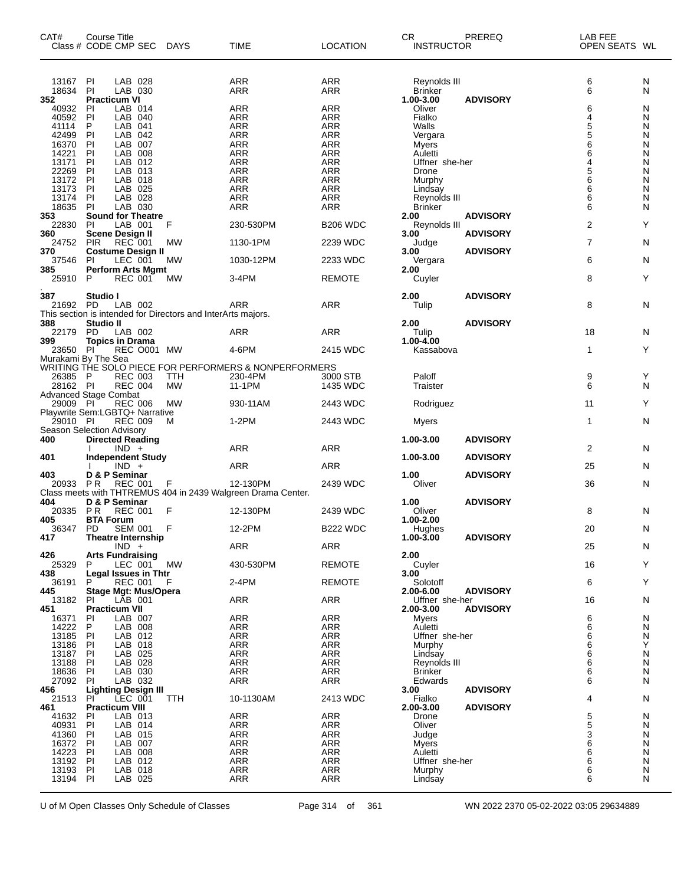| CAT#              | Course Title<br>Class # CODE CMP SEC                         | <b>DAYS</b>      | <b>TIME</b>                                                  | <b>LOCATION</b>      | CR.<br><b>INSTRUCTOR</b>       | PREREQ          | LAB FEE<br>OPEN SEATS WL |        |
|-------------------|--------------------------------------------------------------|------------------|--------------------------------------------------------------|----------------------|--------------------------------|-----------------|--------------------------|--------|
| 13167<br>18634    | LAB 028<br>PI<br>LAB 030<br>PI                               |                  | ARR<br>ARR                                                   | ARR<br>ARR           | Reynolds III<br><b>Brinker</b> |                 | 6<br>6                   | N<br>N |
| 352               | <b>Practicum VI</b>                                          |                  |                                                              |                      | 1.00-3.00                      | <b>ADVISORY</b> |                          |        |
| 40932             | LAB 014<br>PI                                                |                  | ARR                                                          | <b>ARR</b>           | Oliver                         |                 | 6                        | N      |
| 40592             | PI<br>LAB 040                                                |                  | <b>ARR</b>                                                   | ARR                  | Fialko                         |                 | 4                        | N      |
| 41114<br>42499    | LAB 041<br>P<br>PI<br>LAB 042                                |                  | <b>ARR</b><br><b>ARR</b>                                     | ARR<br><b>ARR</b>    | Walls                          |                 | 5<br>5                   | N<br>N |
| 16370             | PI<br>LAB<br>007                                             |                  | ARR                                                          | ARR                  | Vergara<br><b>Myers</b>        |                 | 6                        | N      |
| 14221             | LAB 008<br>PI                                                |                  | <b>ARR</b>                                                   | <b>ARR</b>           | Auletti                        |                 | 6                        | N      |
| 13171             | PI<br>LAB 012                                                |                  | <b>ARR</b>                                                   | <b>ARR</b>           | Uffner she-her                 |                 | 4                        | N      |
| 22269             | PI<br>LAB 013                                                |                  | ARR                                                          | <b>ARR</b>           | Drone                          |                 | 5                        | N      |
| 13172             | PI<br>LAB 018                                                |                  | <b>ARR</b>                                                   | <b>ARR</b>           | Murphy                         |                 | $\overline{6}$           | N      |
| 13173             | PI<br>LAB 025                                                |                  | <b>ARR</b>                                                   | <b>ARR</b>           | Lindsay                        |                 | $\overline{6}$           | N      |
| 13174             | PI<br>LAB 028                                                |                  | <b>ARR</b>                                                   | ARR                  | Reynolds III                   |                 | 6<br>6                   | N      |
| 18635<br>353      | -PI<br>LAB 030<br><b>Sound for Theatre</b>                   |                  | ARR                                                          | ARR                  | <b>Brinker</b><br>2.00         | <b>ADVISORY</b> |                          | N      |
| 22830             | PI<br>LAB 001                                                | F                | 230-530PM                                                    | <b>B206 WDC</b>      | Reynolds III                   |                 | 2                        | Υ      |
| 360               | <b>Scene Design II</b>                                       |                  |                                                              |                      | 3.00                           | <b>ADVISORY</b> |                          |        |
| 24752             | <b>PIR</b><br><b>REC 001</b>                                 | МW               | 1130-1PM                                                     | 2239 WDC             | Judge                          |                 | $\overline{7}$           | N      |
| 370               | <b>Costume Design II</b>                                     |                  |                                                              |                      | 3.00                           | <b>ADVISORY</b> |                          |        |
| 37546             | LEC 001<br>PI.                                               | МW               | 1030-12PM                                                    | 2233 WDC             | Vergara                        |                 | 6                        | N      |
| 385               | <b>Perform Arts Mgmt</b>                                     |                  |                                                              |                      | 2.00                           |                 |                          |        |
| 25910             | <b>REC 001</b><br>P                                          | <b>MW</b>        | 3-4PM                                                        | <b>REMOTE</b>        | Cuyler                         |                 | 8                        | Y      |
|                   |                                                              |                  |                                                              |                      |                                |                 |                          |        |
| 387<br>21692 PD   | Studio I<br>LAB 002                                          |                  | ARR                                                          | <b>ARR</b>           | 2.00<br>Tulip                  | <b>ADVISORY</b> | 8                        | N      |
|                   | This section is intended for Directors and InterArts majors. |                  |                                                              |                      |                                |                 |                          |        |
| 388               | Studio II                                                    |                  |                                                              |                      | 2.00                           | <b>ADVISORY</b> |                          |        |
| 22179             | <b>PD</b><br>LAB 002                                         |                  | ARR                                                          | ARR                  | Tulip                          |                 | 18                       | N      |
| 399               | <b>Topics in Drama</b>                                       |                  |                                                              |                      | $1.00 - 4.00$                  |                 |                          |        |
| 23650 PI          | <b>REC 0001 MW</b>                                           |                  | 4-6PM                                                        | 2415 WDC             | Kassabova                      |                 | $\mathbf{1}$             | Y      |
|                   | Murakami By The Sea                                          |                  |                                                              |                      |                                |                 |                          |        |
|                   |                                                              |                  | WRITING THE SOLO PIECE FOR PERFORMERS & NONPERFORMERS        |                      |                                |                 |                          |        |
| 26385<br>28162 PI | - P<br><b>REC 003</b><br><b>REC 004</b>                      | TTH<br><b>MW</b> | 230-4PM<br>11-1PM                                            | 3000 STB<br>1435 WDC | Paloff<br>Traister             |                 | 9<br>6                   | Y<br>N |
|                   | <b>Advanced Stage Combat</b>                                 |                  |                                                              |                      |                                |                 |                          |        |
| 29009 PI          | <b>REC 006</b>                                               | МW               | 930-11AM                                                     | 2443 WDC             | Rodriguez                      |                 | 11                       | Y      |
|                   | Playwrite Sem:LGBTQ+ Narrative                               |                  |                                                              |                      |                                |                 |                          |        |
| 29010 PI          | <b>REC 009</b>                                               | M                | $1-2PM$                                                      | 2443 WDC             | Myers                          |                 | $\mathbf{1}$             | N      |
|                   | Season Selection Advisory                                    |                  |                                                              |                      |                                |                 |                          |        |
| 400               | <b>Directed Reading</b>                                      |                  |                                                              |                      | 1.00-3.00                      | <b>ADVISORY</b> |                          |        |
|                   | $IND +$                                                      |                  | <b>ARR</b>                                                   | ARR                  |                                |                 | 2                        | N      |
| 401               | <b>Independent Study</b>                                     |                  | <b>ARR</b>                                                   | ARR                  | 1.00-3.00                      | <b>ADVISORY</b> | 25                       | N      |
| 403               | $IND +$<br>D & P Seminar                                     |                  |                                                              |                      | 1.00                           | <b>ADVISORY</b> |                          |        |
| 20933             | PR<br><b>REC 001</b>                                         | F                | 12-130PM                                                     | 2439 WDC             | Oliver                         |                 | 36                       | N      |
|                   |                                                              |                  | Class meets with THTREMUS 404 in 2439 Walgreen Drama Center. |                      |                                |                 |                          |        |
| 404               | D & P Seminar                                                |                  |                                                              |                      | 1.00                           | <b>ADVISORY</b> |                          |        |
| 20335 PR          | <b>REC 001</b>                                               | F                | 12-130PM                                                     | 2439 WDC             | Oliver                         |                 | 8                        | N      |
| 405               | <b>BTA Forum</b>                                             |                  |                                                              |                      | 1.00-2.00                      |                 |                          |        |
| 36347 PD          | <b>SEM 001</b>                                               | F                | 12-2PM                                                       | <b>B222 WDC</b>      | Hughes                         |                 | 20                       | N      |
| 417               | <b>Theatre Internship</b>                                    |                  |                                                              |                      | $1.00 - 3.00$                  | <b>ADVISORY</b> |                          |        |
| 426               | $IND +$<br><b>Arts Fundraising</b>                           |                  | ARR                                                          | ARR                  | 2.00                           |                 | 25                       | N      |
| 25329             | LEC 001 MW<br>P                                              |                  | 430-530PM                                                    | <b>REMOTE</b>        | Cuyler                         |                 | 16                       | Y      |
| 438               | Legal Issues in Thtr                                         |                  |                                                              |                      | 3.00                           |                 |                          |        |
| 36191             | REC 001<br>P                                                 | F                | 2-4PM                                                        | <b>REMOTE</b>        | Solotoff                       |                 | 6                        | Y      |
| 445               | Stage Mgt: Mus/Opera                                         |                  |                                                              |                      | 2.00-6.00                      | <b>ADVISORY</b> |                          |        |
| 13182 PI          | LĀB 001                                                      |                  | ARR                                                          | ARR                  | Uffner she-her                 |                 | 16                       | N      |
| 451               | <b>Practicum VII</b>                                         |                  |                                                              |                      | 2.00-3.00                      | <b>ADVISORY</b> |                          |        |
| 16371<br>14222    | LAB 007<br>PI<br>P<br>LAB 008                                |                  | <b>ARR</b><br>ARR                                            | ARR<br>ARR           | Myers<br>Auletti               |                 | 6<br>6                   | N<br>N |
| 13185             | PI<br>LAB 012                                                |                  | ARR                                                          | ARR                  | Uffner she-her                 |                 | 6                        | N      |
| 13186             | -PI<br>LAB 018                                               |                  | ARR                                                          | ARR                  | Murphy                         |                 | 6                        | Y      |
| 13187             | PI<br>LAB 025                                                |                  | <b>ARR</b>                                                   | ARR                  | Lindsay                        |                 | 6                        | N      |
| 13188             | PI<br>LAB 028                                                |                  | <b>ARR</b>                                                   | ARR                  | Reynolds III                   |                 | 6                        | N      |
| 18636             | PI<br>LAB 030                                                |                  | <b>ARR</b>                                                   | ARR                  | <b>Brinker</b>                 |                 | 6                        | N      |
| 27092 PI          | LAB 032                                                      |                  | <b>ARR</b>                                                   | ARR                  | Edwards                        |                 | 6                        | N      |
| 456               | <b>Lighting Design III</b>                                   |                  |                                                              |                      | 3.00                           | <b>ADVISORY</b> |                          |        |
| 21513<br>461      | LEC 001<br>PI<br><b>Practicum VIII</b>                       | TTH              | 10-1130AM                                                    | 2413 WDC             | Fialko<br>2.00-3.00            | <b>ADVISORY</b> | 4                        | N      |
| 41632             | LAB 013<br><b>PI</b>                                         |                  | <b>ARR</b>                                                   | ARR                  | Drone                          |                 | 5                        | N      |
| 40931             | PI<br>LAB 014                                                |                  | <b>ARR</b>                                                   | ARR                  | Oliver                         |                 |                          | N      |
| 41360             | PI<br>LAB 015                                                |                  | ARR                                                          | ARR                  | Judge                          |                 | $\frac{5}{3}$            | N      |
| 16372             | PI<br>LAB 007                                                |                  | <b>ARR</b>                                                   | ARR                  | Myers                          |                 | 6                        | N      |
| 14223             | PI<br>LAB 008                                                |                  | <b>ARR</b>                                                   | ARR                  | Auletti                        |                 | 6                        | N      |
| 13192             | PI<br>LAB 012                                                |                  | <b>ARR</b>                                                   | ARR                  | Uffner she-her                 |                 | 6                        | N      |
| 13193             | -PI<br>LAB 018                                               |                  | <b>ARR</b>                                                   | ARR                  | Murphy                         |                 | 6                        | N      |
| 13194 PI          | LAB 025                                                      |                  | <b>ARR</b>                                                   | <b>ARR</b>           | Lindsay                        |                 | 6                        | N      |

U of M Open Classes Only Schedule of Classes Page 314 of 361 WN 2022 2370 05-02-2022 03:05 29634889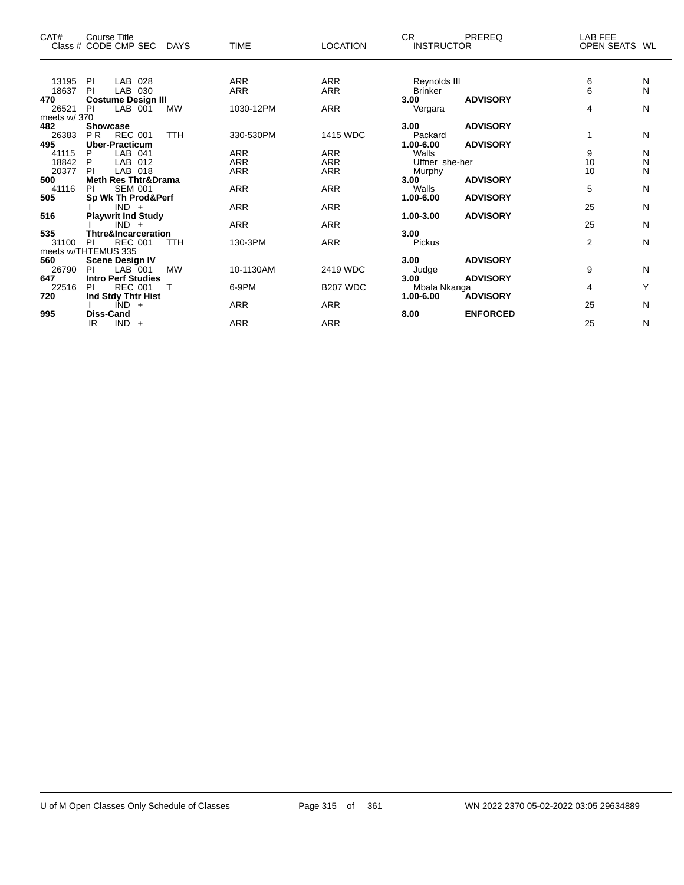| CAT#         | <b>Course Title</b><br>Class # CODE CMP SEC<br><b>DAYS</b> | <b>TIME</b> | <b>LOCATION</b> | CR.<br>PREREQ<br><b>INSTRUCTOR</b>      | LAB FEE<br><b>OPEN SEATS</b> | WL |
|--------------|------------------------------------------------------------|-------------|-----------------|-----------------------------------------|------------------------------|----|
|              |                                                            |             |                 |                                         |                              |    |
| 13195        | <b>PI</b><br>LAB 028                                       | <b>ARR</b>  | <b>ARR</b>      | Reynolds III                            | $\frac{6}{6}$<br>N           |    |
| 18637        | PI<br>LAB 030                                              | <b>ARR</b>  | <b>ARR</b>      | Brinker                                 | N                            |    |
| 470          | <b>Costume Design III</b><br>PI                            |             |                 | <b>ADVISORY</b><br>3.00                 |                              |    |
| 26521        | LAB 001<br><b>MW</b>                                       | 1030-12PM   | <b>ARR</b>      | Vergara                                 | 4<br>N                       |    |
| meets w/370  | <b>Showcase</b>                                            |             |                 |                                         |                              |    |
| 482          |                                                            |             |                 | <b>ADVISORY</b><br>3.00                 | 1                            |    |
| 26383<br>495 | <b>REC 001</b><br><b>PR</b><br><b>TTH</b>                  | 330-530PM   | 1415 WDC        | Packard<br><b>ADVISORY</b><br>1.00-6.00 | N                            |    |
| 41115        | <b>Uber-Practicum</b><br>LAB 041<br>P                      | <b>ARR</b>  | <b>ARR</b>      | Walls                                   | 9                            |    |
| 18842        | P<br>LAB 012                                               | <b>ARR</b>  | <b>ARR</b>      | Uffner she-her                          | N<br>10<br>N                 |    |
| 20377        | LAB 018<br>PI                                              | <b>ARR</b>  | <b>ARR</b>      |                                         | 10<br>N                      |    |
| 500          | <b>Meth Res Thtr&amp;Drama</b>                             |             |                 | Murphy<br><b>ADVISORY</b><br>3.00       |                              |    |
| 41116        | <b>SEM 001</b><br><b>PI</b>                                | <b>ARR</b>  | <b>ARR</b>      | Walls                                   | 5<br>N                       |    |
| 505          | Sp Wk Th Prod&Perf                                         |             |                 | <b>ADVISORY</b><br>1.00-6.00            |                              |    |
|              | $IND +$                                                    | <b>ARR</b>  | <b>ARR</b>      |                                         | 25<br>N                      |    |
| 516          | <b>Playwrit Ind Study</b>                                  |             |                 | <b>ADVISORY</b><br>1.00-3.00            |                              |    |
|              | $IND +$                                                    | <b>ARR</b>  | <b>ARR</b>      |                                         | 25<br>N                      |    |
| 535          | <b>Thtre&amp;Incarceration</b>                             |             |                 | 3.00                                    |                              |    |
| 31100        | <b>REC 001</b><br><b>TTH</b><br><b>PI</b>                  | 130-3PM     | <b>ARR</b>      | Pickus                                  | $\overline{2}$<br>N          |    |
|              | meets w/THTEMUS 335                                        |             |                 |                                         |                              |    |
| 560          | <b>Scene Design IV</b>                                     |             |                 | <b>ADVISORY</b><br>3.00                 |                              |    |
| 26790        | LAB 001<br><b>MW</b><br>PI                                 | 10-1130AM   | 2419 WDC        | Judge                                   | 9<br>N                       |    |
| 647          | <b>Intro Perf Studies</b>                                  |             |                 | <b>ADVISORY</b><br>3.00                 |                              |    |
| 22516        | <b>REC 001</b><br><b>PI</b>                                | 6-9PM       | <b>B207 WDC</b> | Mbala Nkanga                            | 4<br>Υ                       |    |
| 720          | Ind Stdy Thtr Hist                                         |             |                 | <b>ADVISORY</b><br>$1.00 - 6.00$        |                              |    |
|              | IND -<br>$+$                                               | <b>ARR</b>  | <b>ARR</b>      |                                         | 25<br>N                      |    |
| 995          | <b>Diss-Cand</b>                                           |             |                 | 8.00<br><b>ENFORCED</b>                 |                              |    |
|              | IR.<br>IND -<br>$+$                                        | <b>ARR</b>  | <b>ARR</b>      |                                         | 25<br>N                      |    |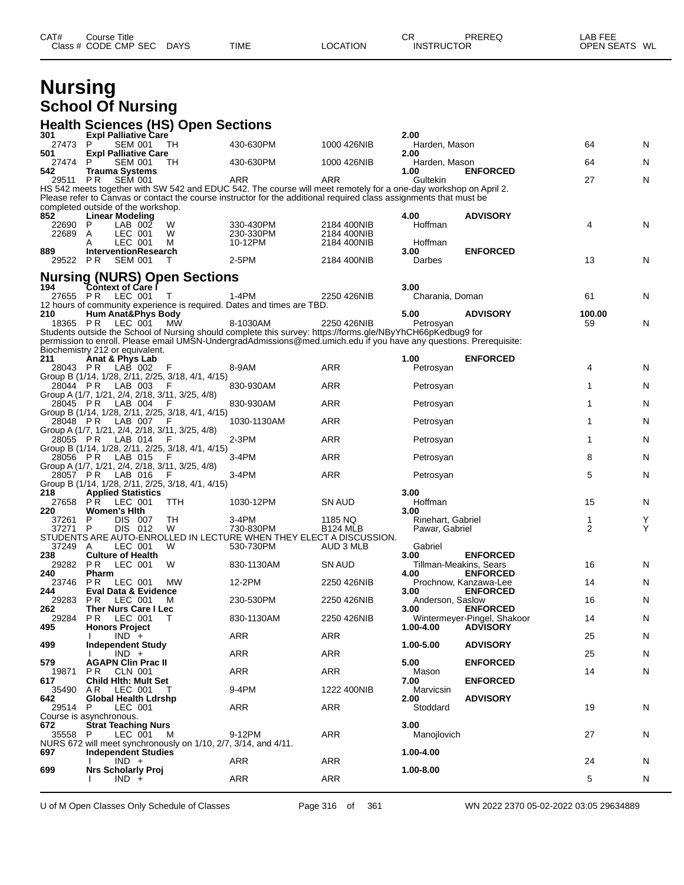## **Nursing School Of Nursing**

|                 | <b>Health Sciences (HS) Open Sections</b>                                      |              |                                                                                                                                                                                                                                   |                            |                                |                                                |                |   |
|-----------------|--------------------------------------------------------------------------------|--------------|-----------------------------------------------------------------------------------------------------------------------------------------------------------------------------------------------------------------------------------|----------------------------|--------------------------------|------------------------------------------------|----------------|---|
| 301<br>27473    | <b>Expl Palliative Care</b><br>P<br>SEM 001                                    | TH           | 430-630PM                                                                                                                                                                                                                         | 1000 426NIB                | 2.00<br>Harden, Mason          |                                                | 64             | N |
| 501             | <b>Expl Palliative Care</b><br>P                                               |              | 430-630PM                                                                                                                                                                                                                         |                            | 2.00                           |                                                |                |   |
| 27474<br>542    | SEM 001<br>Trauma Systems                                                      | TН           |                                                                                                                                                                                                                                   | 1000 426NIB                | Harden, Mason<br>1.00          | <b>ENFORCED</b>                                | 64             | N |
| 29511           | <b>SEM 001</b><br>PR.                                                          |              | ARR<br>HS 542 meets together with SW 542 and EDUC 542. The course will meet remotely for a one-day workshop on April 2.                                                                                                           | ARR                        | Gultekin                       |                                                | 27             | N |
|                 |                                                                                |              | Please refer to Canvas or contact the course instructor for the additional required class assignments that must be                                                                                                                |                            |                                |                                                |                |   |
| 852             | completed outside of the workshop.<br><b>Linear Modeling</b>                   |              |                                                                                                                                                                                                                                   |                            | 4.00                           | <b>ADVISORY</b>                                |                |   |
| 22690           | - P<br>LAB 002                                                                 | W            | 330-430PM                                                                                                                                                                                                                         | 2184 400NIB                | Hoffman                        |                                                | 4              | Ν |
| 22689           | A<br>LEC 001<br>LEC 001<br>A                                                   | W<br>M       | 230-330PM<br>10-12PM                                                                                                                                                                                                              | 2184 400NIB<br>2184 400NIB | Hoffman                        |                                                |                |   |
| 889             | <b>InterventionResearch</b>                                                    |              |                                                                                                                                                                                                                                   |                            | 3.00                           | <b>ENFORCED</b>                                |                |   |
| 29522           | P R<br><b>SEM 001</b>                                                          | T.           | 2-5PM                                                                                                                                                                                                                             | 2184 400NIB                | Darbes                         |                                                | 13             | Ν |
| 194             | <b>Nursing (NURS) Open Sections</b><br><b>Context of Care I</b>                |              |                                                                                                                                                                                                                                   |                            | 3.00                           |                                                |                |   |
|                 | 27655 PR LEC 001                                                               | $\mathsf{T}$ | 1-4PM                                                                                                                                                                                                                             | 2250 426NIB                | Charania, Doman                |                                                | 61             | Ν |
| 210             | Hum Anat&Phys Body                                                             |              | 12 hours of community experience is required. Dates and times are TBD.                                                                                                                                                            |                            | 5.00                           | <b>ADVISORY</b>                                | 100.00         |   |
|                 | 18365 PR LEC 001 MW                                                            |              | 8-1030AM                                                                                                                                                                                                                          | 2250 426NIB                | Petrosyan                      |                                                | 59             | N |
|                 |                                                                                |              | Students outside the School of Nursing should complete this survey: https://forms.gle/NByYhCH66pKedbug9 for<br>permission to enroll. Please email UMSN-UndergradAdmissions@med.umich.edu if you have any questions. Prerequisite: |                            |                                |                                                |                |   |
|                 | Biochemistry 212 or equivalent.                                                |              |                                                                                                                                                                                                                                   |                            |                                |                                                |                |   |
| 211<br>28043 PR | Anat & Phys Lab<br>LAB 002                                                     |              | 8-9AM                                                                                                                                                                                                                             | ARR                        | 1.00<br>Petrosyan              | <b>ENFORCED</b>                                | 4              | N |
|                 | Group B (1/14, 1/28, 2/11, 2/25, 3/18, 4/1, 4/15)                              |              |                                                                                                                                                                                                                                   |                            |                                |                                                |                |   |
|                 | 28044 PR LAB 003<br>Group A (1/7, 1/21, 2/4, 2/18, 3/11, 3/25, 4/8)            | - F          | 830-930AM                                                                                                                                                                                                                         | ARR                        | Petrosyan                      |                                                | 1              | Ν |
|                 | 28045 PR LAB 004                                                               | - F          | 830-930AM                                                                                                                                                                                                                         | <b>ARR</b>                 | Petrosyan                      |                                                | 1              | Ν |
| 28048 PR        | Group B (1/14, 1/28, 2/11, 2/25, 3/18, 4/1, 4/15)<br>LAB 007                   | F            | 1030-1130AM                                                                                                                                                                                                                       | ARR                        | Petrosyan                      |                                                | 1              | N |
|                 | Group A (1/7, 1/21, 2/4, 2/18, 3/11, 3/25, 4/8)<br>LAB 014                     | - F          | 2-3PM                                                                                                                                                                                                                             | ARR                        | Petrosyan                      |                                                | 1              | N |
| 28055 PR        | Group B (1/14, 1/28, 2/11, 2/25, 3/18, 4/1, 4/15)                              |              |                                                                                                                                                                                                                                   |                            |                                |                                                |                |   |
|                 | 28056 PR LAB 015<br>Group A (1/7, 1/21, 2/4, 2/18, 3/11, 3/25, 4/8)            | - F          | 3-4PM                                                                                                                                                                                                                             | <b>ARR</b>                 | Petrosyan                      |                                                | 8              | N |
| 28057 PR        | LAB 016                                                                        |              | 3-4PM                                                                                                                                                                                                                             | ARR                        | Petrosyan                      |                                                | 5              | N |
| 218             | Group B (1/14, 1/28, 2/11, 2/25, 3/18, 4/1, 4/15)<br><b>Applied Statistics</b> |              |                                                                                                                                                                                                                                   |                            | 3.00                           |                                                |                |   |
| 27658           | <b>PR LEC 001</b>                                                              | TTH          | 1030-12PM                                                                                                                                                                                                                         | SN AUD                     | Hoffman                        |                                                | 15             | N |
| 220<br>37261    | <b>Women's Hith</b><br>P<br>DIS 007                                            | TН           | 3-4PM                                                                                                                                                                                                                             | 1185 NQ                    | 3.00<br>Rinehart, Gabriel      |                                                | 1              | Y |
| 37271           | P<br>DIS 012                                                                   | W            | 730-830PM<br>STUDENTS ARE AUTO-ENROLLED IN LECTURE WHEN THEY ELECT A DISCUSSION.                                                                                                                                                  | <b>B124 MLB</b>            | Pawar, Gabriel                 |                                                | $\overline{2}$ | Y |
| 37249           | LEC 001<br>A                                                                   | W            | 530-730PM                                                                                                                                                                                                                         | AUD 3 MLB                  | Gabriel                        |                                                |                |   |
| 238<br>29282    | <b>Culture of Health</b><br>P R<br>LEC 001                                     | W            | 830-1130AM                                                                                                                                                                                                                        |                            | 3.00                           | <b>ENFORCED</b>                                | 16             |   |
| 240             | Pharm                                                                          |              |                                                                                                                                                                                                                                   | SN AUD                     | Tillman-Meakins, Sears<br>4.00 | <b>ENFORCED</b>                                |                | N |
| 23746<br>244    | P <sub>R</sub><br>LEC 001<br><b>Eval Data &amp; Evidence</b>                   | МW           | 12-2PM                                                                                                                                                                                                                            | 2250 426NIB                | 3.00                           | Prochnow, Kanzawa-Lee<br><b>ENFORCED</b>       | 14             | N |
| 29283           | P R<br>LEC 001                                                                 | M            | 230-530PM                                                                                                                                                                                                                         | 2250 426NIB                | Anderson, Saslow               |                                                | 16             | N |
| 262<br>29284    | Ther Nurs Care I Lec<br><b>PR LEC 001</b>                                      | $\top$       | 830-1130AM                                                                                                                                                                                                                        | 2250 426NIB                | 3.00                           | <b>ENFORCED</b><br>Wintermeyer-Pingel, Shakoor | 14             | Ν |
| 495             | <b>Honors Project</b>                                                          |              |                                                                                                                                                                                                                                   |                            | 1.00-4.00                      | <b>ADVISORY</b>                                |                |   |
| 499             | $IND +$<br><b>Independent Study</b>                                            |              | ARR                                                                                                                                                                                                                               | <b>ARR</b>                 | 1.00-5.00                      | <b>ADVISORY</b>                                | 25             | N |
| 579             | $IND +$<br><b>AGAPN Clin Prac II</b>                                           |              | <b>ARR</b>                                                                                                                                                                                                                        | <b>ARR</b>                 | 5.00                           | <b>ENFORCED</b>                                | 25             | Ν |
| 19871           | P R<br>CLN 001                                                                 |              | ARR                                                                                                                                                                                                                               | <b>ARR</b>                 | Mason                          |                                                | 14             | Ν |
| 617<br>35490    | <b>Child Hith: Mult Set</b><br>LEC 001<br>AR.                                  |              | 9-4PM                                                                                                                                                                                                                             | 1222 400NIB                | 7.00<br>Marvicsin              | <b>ENFORCED</b>                                |                |   |
| 642             | Global Health Ldrshp                                                           |              |                                                                                                                                                                                                                                   |                            | 2.00                           | <b>ADVISORY</b>                                |                |   |
| 29514           | P<br>LEC 001<br>Course is asynchronous.                                        |              | <b>ARR</b>                                                                                                                                                                                                                        | <b>ARR</b>                 | Stoddard                       |                                                | 19             | Ν |
| 672             | <b>Strat Teaching Nurs</b>                                                     |              |                                                                                                                                                                                                                                   |                            | 3.00                           |                                                |                |   |
| 35558           | LEC 001<br>P<br>NURS 672 will meet synchronously on 1/10, 2/7, 3/14, and 4/11. | M            | 9-12PM                                                                                                                                                                                                                            | <b>ARR</b>                 | Manojlovich                    |                                                | 27             | Ν |
| 697             | <b>Independent Studies</b><br>$IND +$                                          |              | ARR                                                                                                                                                                                                                               | <b>ARR</b>                 | 1.00-4.00                      |                                                | 24             | Ν |
| 699             | <b>Nrs Scholarly Proj</b>                                                      |              |                                                                                                                                                                                                                                   |                            | 1.00-8.00                      |                                                |                |   |
|                 | $IND +$                                                                        |              | ARR                                                                                                                                                                                                                               | <b>ARR</b>                 |                                |                                                | 5              | N |

U of M Open Classes Only Schedule of Classes Page 316 of 361 WN 2022 2370 05-02-2022 03:05 29634889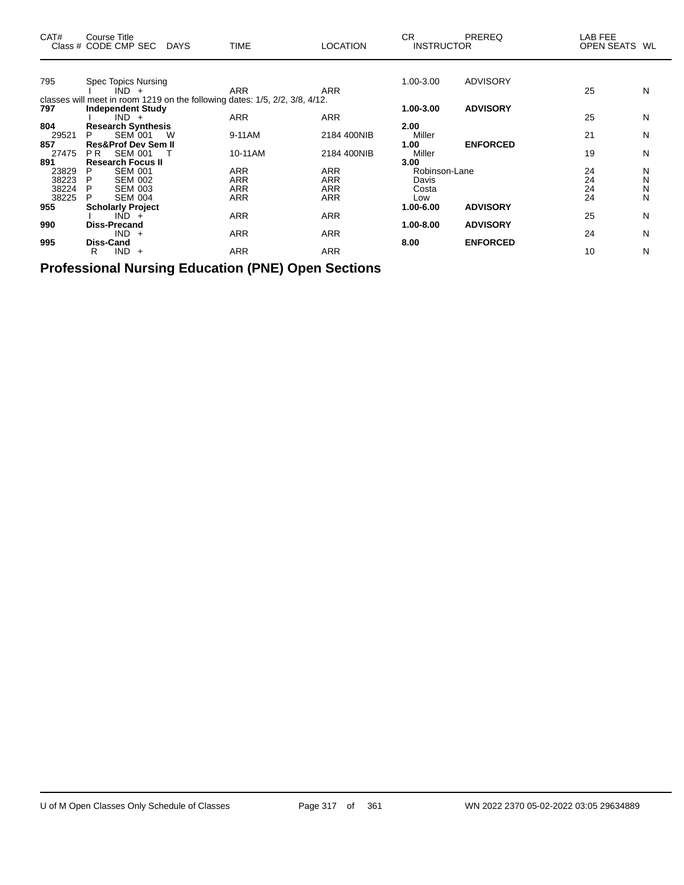| CAT#         | Course Title<br>Class # CODE CMP SEC DAYS              |   | TIME                                                                        | <b>LOCATION</b> | CR.<br><b>INSTRUCTOR</b> | <b>PREREQ</b>   | LAB FEE<br>OPEN SEATS WL |   |
|--------------|--------------------------------------------------------|---|-----------------------------------------------------------------------------|-----------------|--------------------------|-----------------|--------------------------|---|
|              |                                                        |   |                                                                             |                 |                          |                 |                          |   |
| 795          | Spec Topics Nursing<br>$IND +$                         |   | <b>ARR</b>                                                                  | <b>ARR</b>      | 1.00-3.00                | <b>ADVISORY</b> | 25                       | N |
|              |                                                        |   | classes will meet in room 1219 on the following dates: 1/5, 2/2, 3/8, 4/12. |                 |                          |                 |                          |   |
| 797          | <b>Independent Study</b>                               |   |                                                                             |                 | 1.00-3.00                | <b>ADVISORY</b> |                          |   |
|              | $IND +$                                                |   | <b>ARR</b>                                                                  | <b>ARR</b>      |                          |                 | 25                       | N |
| 804          | <b>Research Synthesis</b>                              |   |                                                                             |                 | 2.00                     |                 |                          |   |
| 29521        | <b>SEM 001</b><br>P                                    | W | 9-11AM                                                                      | 2184 400NIB     | Miller                   |                 | 21                       | N |
| 857<br>27475 | <b>Res&amp;Prof Dev Sem II</b><br><b>SEM 001</b><br>PR |   | 10-11AM                                                                     | 2184 400NIB     | 1.00<br>Miller           | <b>ENFORCED</b> | 19                       | N |
| 891          | <b>Research Focus II</b>                               |   |                                                                             |                 | 3.00                     |                 |                          |   |
| 23829        | <b>SEM 001</b><br>P                                    |   | <b>ARR</b>                                                                  | <b>ARR</b>      | Robinson-Lane            |                 | 24                       | N |
| 38223        | <b>SEM 002</b><br>P                                    |   | <b>ARR</b>                                                                  | <b>ARR</b>      | Davis                    |                 | 24                       | N |
| 38224        | P<br><b>SEM 003</b>                                    |   | <b>ARR</b>                                                                  | <b>ARR</b>      | Costa                    |                 | 24                       | N |
| 38225        | <b>SEM 004</b><br>P                                    |   | ARR                                                                         | <b>ARR</b>      | Low                      |                 | 24                       | N |
| 955          | <b>Scholarly Project</b>                               |   |                                                                             |                 | 1.00-6.00                | <b>ADVISORY</b> |                          |   |
|              | $IND +$                                                |   | ARR                                                                         | <b>ARR</b>      |                          |                 | 25                       | N |
| 990          | <b>Diss-Precand</b><br>$IND +$                         |   | <b>ARR</b>                                                                  | <b>ARR</b>      | 1.00-8.00                | <b>ADVISORY</b> | 24                       | N |
| 995          | <b>Diss-Cand</b>                                       |   |                                                                             |                 | 8.00                     | <b>ENFORCED</b> |                          |   |
|              | $IND +$<br>R                                           |   | <b>ARR</b>                                                                  | <b>ARR</b>      |                          |                 | 10                       | N |

**Professional Nursing Education (PNE) Open Sections**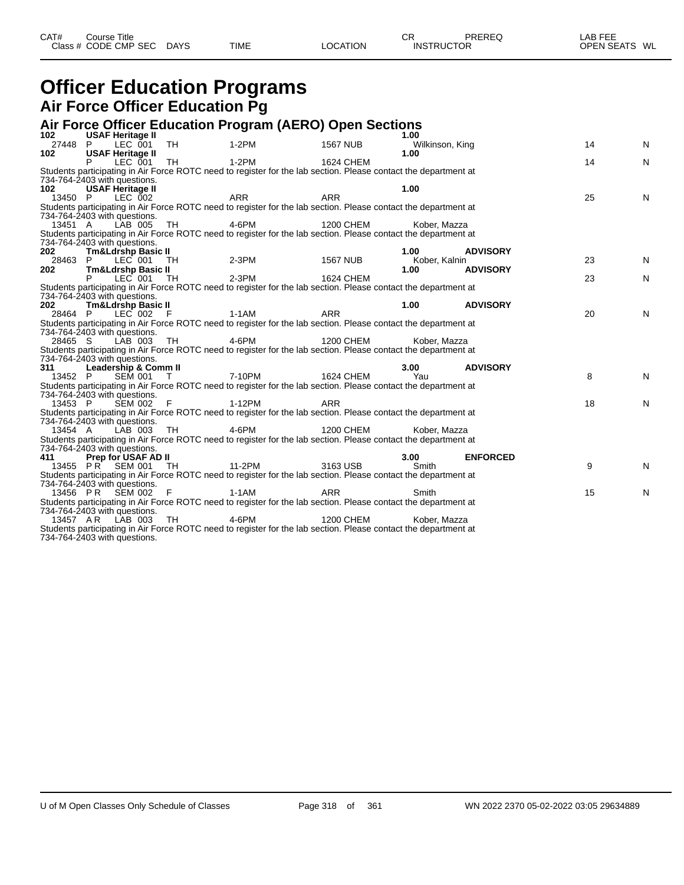| CAT#<br>Class | Title<br>Course '<br>CODE CMP,<br><b>SEC</b> | <b>DAYS</b> | <b>TIME</b> | <b>OCATION</b> | СR<br>INS <sup>:</sup><br><b>UCTOR</b> | DDEDEC | ---<br>ΔR<br>---<br>-n<br><b>OPEN SEATS</b><br>WL |
|---------------|----------------------------------------------|-------------|-------------|----------------|----------------------------------------|--------|---------------------------------------------------|
|               |                                              |             |             |                |                                        |        |                                                   |

### **Officer Education Programs Air Force Officer Education Pg**

#### **Air Force Officer Education Program (AERO) Open Sections**

| 102                          | <b>USAF Heritage II</b>       |               |                                                                                                                 |                 | 1.00            |                 |    |           |
|------------------------------|-------------------------------|---------------|-----------------------------------------------------------------------------------------------------------------|-----------------|-----------------|-----------------|----|-----------|
| 27448 P                      | LEC 001 TH                    |               | 1-2PM                                                                                                           | <b>1567 NUB</b> | Wilkinson, King |                 | 14 | N         |
| 102                          | <b>USAF Heritage II</b>       |               |                                                                                                                 |                 | 1.00            |                 |    |           |
|                              | LEC 001                       | TH<br>$1-2PM$ |                                                                                                                 | 1624 CHEM       |                 |                 | 14 | ${\sf N}$ |
|                              |                               |               | Students participating in Air Force ROTC need to register for the lab section. Please contact the department at |                 |                 |                 |    |           |
|                              | 734-764-2403 with questions.  |               |                                                                                                                 |                 |                 |                 |    |           |
| 102                          | <b>USAF Heritage II</b>       |               |                                                                                                                 |                 | 1.00            |                 |    |           |
| 13450 P                      | LEC 002                       |               | ARR                                                                                                             | <b>ARR</b>      |                 |                 | 25 | N         |
|                              |                               |               | Students participating in Air Force ROTC need to register for the lab section. Please contact the department at |                 |                 |                 |    |           |
|                              | 734-764-2403 with questions.  |               |                                                                                                                 |                 |                 |                 |    |           |
| 13451 A                      | LAB 005                       | TH            | 4-6PM                                                                                                           | 1200 CHEM       | Kober, Mazza    |                 |    |           |
|                              |                               |               | Students participating in Air Force ROTC need to register for the lab section. Please contact the department at |                 |                 |                 |    |           |
|                              | 734-764-2403 with questions.  |               |                                                                                                                 |                 |                 |                 |    |           |
| 202                          | <b>Tm&amp;Ldrshp Basic II</b> |               |                                                                                                                 |                 | 1.00            | <b>ADVISORY</b> |    |           |
| 28463 P                      | LEC 001 TH                    |               | 2-3PM 1567 NUB                                                                                                  |                 | Kober, Kalnin   |                 | 23 | N         |
| 202                          | <b>Tm&amp;Ldrshp Basic II</b> |               |                                                                                                                 |                 | 1.00            | <b>ADVISORY</b> |    |           |
|                              | LEC 001 TH                    | 2-3PM         |                                                                                                                 | 1624 CHEM       |                 |                 | 23 | N         |
|                              |                               |               | Students participating in Air Force ROTC need to register for the lab section. Please contact the department at |                 |                 |                 |    |           |
| 734-764-2403 with questions. |                               |               |                                                                                                                 |                 |                 |                 |    |           |
| 202                          | <b>Tm&amp;Ldrshp Basic II</b> |               |                                                                                                                 |                 | 1.00            | <b>ADVISORY</b> |    |           |
| 28464 P                      | LEC 002 F                     |               | 1-1AM                                                                                                           | <b>ARR</b>      |                 |                 | 20 | N         |
|                              |                               |               | Students participating in Air Force ROTC need to register for the lab section. Please contact the department at |                 |                 |                 |    |           |
|                              | 734-764-2403 with questions.  |               |                                                                                                                 |                 |                 |                 |    |           |
| 28465 S                      | $LAB$ 003 TH                  |               | $4-6$ PM                                                                                                        | 1200 CHEM       | Kober, Mazza    |                 |    |           |
|                              |                               |               | Students participating in Air Force ROTC need to register for the lab section. Please contact the department at |                 |                 |                 |    |           |
|                              | 734-764-2403 with questions.  |               |                                                                                                                 |                 |                 |                 |    |           |
| 311                          | Leadership & Comm II          |               |                                                                                                                 |                 | 3.00            | <b>ADVISORY</b> |    |           |
| 13452 P                      | SEM 001 T                     | 7-10PM        |                                                                                                                 | 1624 CHEM       | Yau             |                 | 8  | N         |
|                              |                               |               | Students participating in Air Force ROTC need to register for the lab section. Please contact the department at |                 |                 |                 |    |           |
|                              | 734-764-2403 with questions.  |               |                                                                                                                 |                 |                 |                 |    |           |
| 13453 P                      | SEM 002 F                     |               | 1-12PM                                                                                                          | ARR             |                 |                 | 18 | N         |
|                              |                               |               | Students participating in Air Force ROTC need to register for the lab section. Please contact the department at |                 |                 |                 |    |           |
|                              | 734-764-2403 with questions.  |               |                                                                                                                 |                 |                 |                 |    |           |
| 13454 A                      | LAB 003 TH                    |               | 4-6PM                                                                                                           | 1200 CHEM       | Kober, Mazza    |                 |    |           |
|                              |                               |               | Students participating in Air Force ROTC need to register for the lab section. Please contact the department at |                 |                 |                 |    |           |
| 734-764-2403 with questions. |                               |               |                                                                                                                 |                 |                 |                 |    |           |
| 411                          | <b>Prep for USAF AD II</b>    |               |                                                                                                                 |                 | 3.00            | <b>ENFORCED</b> |    |           |
|                              | 13455 PR SEM 001 TH           |               | 11-2PM                                                                                                          | 3163 USB        | Smith           |                 | 9  | N         |
|                              |                               |               | Students participating in Air Force ROTC need to register for the lab section. Please contact the department at |                 |                 |                 |    |           |
|                              | 734-764-2403 with questions.  |               |                                                                                                                 |                 |                 |                 |    |           |
|                              | 13456 PR SEM 002 F            |               | 1-1AM                                                                                                           | <b>ARR</b>      | Smith           |                 | 15 | N         |
|                              |                               |               | Students participating in Air Force ROTC need to register for the lab section. Please contact the department at |                 |                 |                 |    |           |
|                              | 734-764-2403 with questions.  |               |                                                                                                                 |                 |                 |                 |    |           |
|                              | 13457 AR LAB 003              | TH            | $4-6PM$                                                                                                         | 1200 CHEM       | Kober, Mazza    |                 |    |           |
|                              |                               |               | Students participating in Air Force ROTC need to register for the lab section. Please contact the department at |                 |                 |                 |    |           |
| 734-764-2403 with questions. |                               |               |                                                                                                                 |                 |                 |                 |    |           |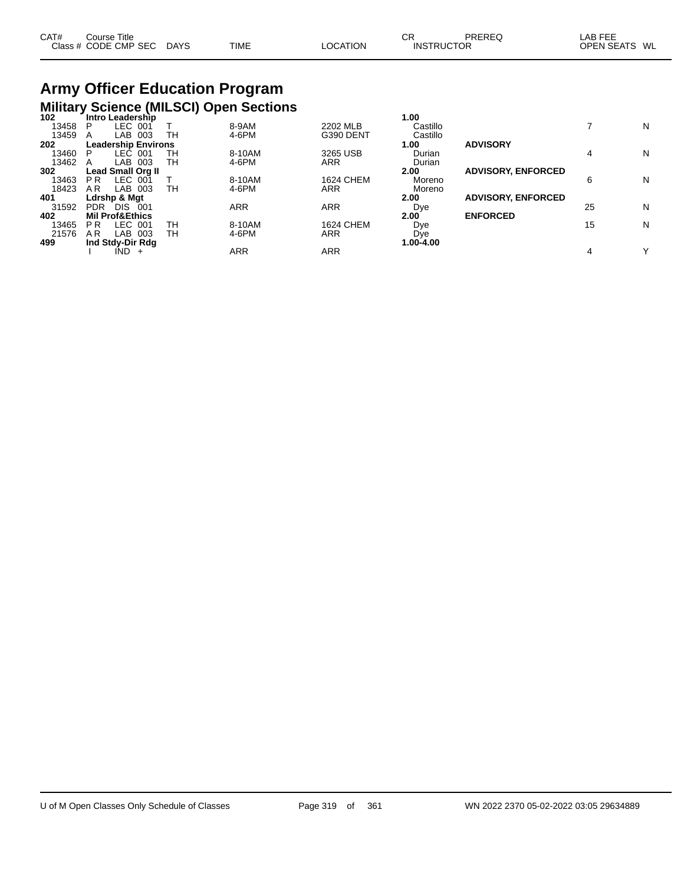| CAT# | Course Title         |             |             |          | СF                | PREREQ | LAB FEE                 |
|------|----------------------|-------------|-------------|----------|-------------------|--------|-------------------------|
|      | Class # CODE CMP SEC | <b>DAYS</b> | <b>TIME</b> | LOCATION | <b>INSTRUCTOR</b> |        | <b>OPEN SEATS</b><br>WL |

# **Army Officer Education Program Military Science (MILSCI) Open Sections 102 Intro Leadership 1.00**

| 102   | <b>Intro Leagership</b>          |    |        |                  | 1.UU      |                           |    |   |
|-------|----------------------------------|----|--------|------------------|-----------|---------------------------|----|---|
| 13458 | LEC 001<br>P                     |    | 8-9AM  | 2202 MLB         | Castillo  |                           |    | N |
| 13459 | 003<br>LAB<br>A                  | TН | 4-6PM  | G390 DENT        | Castillo  |                           |    |   |
| 202   | <b>Leadership Environs</b>       |    |        |                  | 1.00      | <b>ADVISORY</b>           |    |   |
| 13460 | LEC 001<br>P                     | тн | 8-10AM | 3265 USB         | Durian    |                           | 4  | N |
| 13462 | 003<br>LAB.<br>A                 | TН | 4-6PM  | <b>ARR</b>       | Durian    |                           |    |   |
| 302   | <b>Lead Small Org II</b>         |    |        |                  | 2.00      | <b>ADVISORY, ENFORCED</b> |    |   |
| 13463 | LEC 001<br>P <sub>R</sub>        |    | 8-10AM | <b>1624 CHEM</b> | Moreno    |                           | 6  | N |
| 18423 | A R<br>LAB 003                   | TН | 4-6PM  | <b>ARR</b>       | Moreno    |                           |    |   |
| 401   | Ldrshp & Mat                     |    |        |                  | 2.00      | <b>ADVISORY, ENFORCED</b> |    |   |
| 31592 | <b>DIS</b><br><b>PDR</b><br>-001 |    | ARR    | ARR              | Dye       |                           | 25 | N |
| 402   | <b>Mil Prof&amp;Ethics</b>       |    |        |                  | 2.00      | <b>ENFORCED</b>           |    |   |
| 13465 | LEC 001<br>P R                   | TН | 8-10AM | <b>1624 CHEM</b> | Dye       |                           | 15 | N |
| 21576 | 003<br>A R<br>LAB                | TН | 4-6PM  | <b>ARR</b>       | Dye       |                           |    |   |
| 499   | Ind Stdy-Dir Rdg                 |    |        |                  | 1.00-4.00 |                           |    |   |
|       | IND.<br>$\div$                   |    | ARR    | ARR              |           |                           | 4  | v |
|       |                                  |    |        |                  |           |                           |    |   |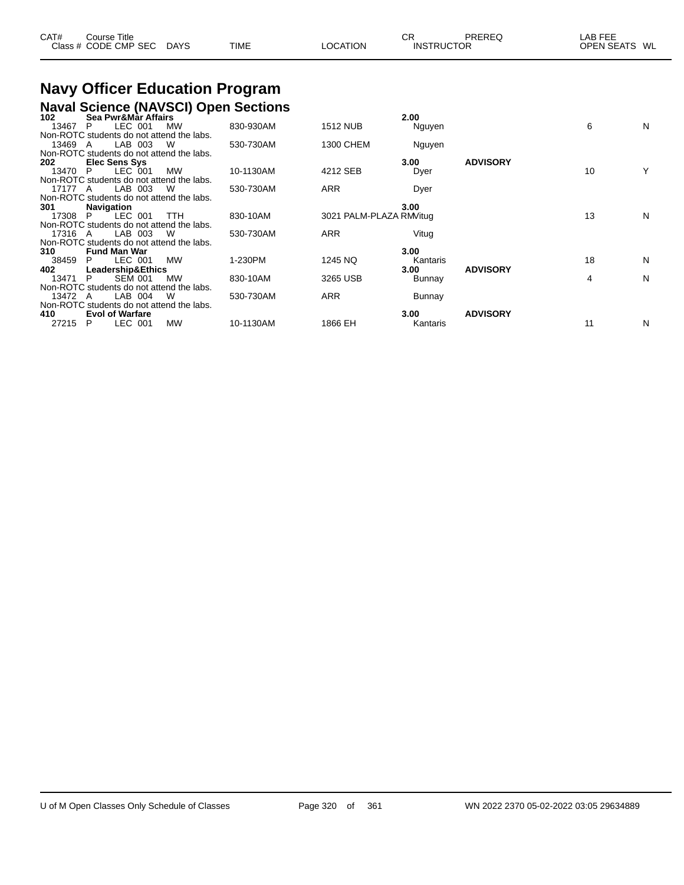| CAT# | ourse Titleٽ         |             |      |                 | СF                | PREREC | _AB FEE           |    |
|------|----------------------|-------------|------|-----------------|-------------------|--------|-------------------|----|
|      | Class # CODE CMP SEC | <b>DAYS</b> | TIME | <b>LOCATION</b> | <b>INSTRUCTOR</b> |        | <b>OPEN SEATS</b> | WL |

# **Navy Officer Education Program**

## **Naval Science (NAVSCI) Open Sections 102 Sea Pwr&Mar Affairs 2.00**

| 102     | Sea Pwr&Mar Affairs                       |           |           |                         | 2.00     |                 |    |   |
|---------|-------------------------------------------|-----------|-----------|-------------------------|----------|-----------------|----|---|
| 13467   | LEC 001<br>P                              | <b>MW</b> | 830-930AM | <b>1512 NUB</b>         | Nguyen   |                 | 6  | N |
|         | Non-ROTC students do not attend the labs. |           |           |                         |          |                 |    |   |
| 13469 A | LAB 003                                   | W         | 530-730AM | 1300 CHEM               | Nguyen   |                 |    |   |
|         | Non-ROTC students do not attend the labs. |           |           |                         |          |                 |    |   |
| 202     | Elec Sens Sys                             |           |           |                         | 3.00     | <b>ADVISORY</b> |    |   |
| 13470   | LEC 001<br>P                              | MW        | 10-1130AM | 4212 SEB                | Dyer     |                 | 10 |   |
|         | Non-ROTC students do not attend the labs. |           |           |                         |          |                 |    |   |
| 17177 A | LAB 003                                   | W         | 530-730AM | ARR                     | Dyer     |                 |    |   |
|         | Non-ROTC students do not attend the labs. |           |           |                         |          |                 |    |   |
| 301     | <b>Navigation</b>                         |           |           |                         | 3.00     |                 |    |   |
| 17308   | LEC 001<br>P.                             | TTH       | 830-10AM  | 3021 PALM-PLAZA RM/itug |          |                 | 13 | N |
|         | Non-ROTC students do not attend the labs. |           |           |                         |          |                 |    |   |
| 17316 A | LAB 003                                   | W         | 530-730AM | ARR                     | Vitug    |                 |    |   |
|         | Non-ROTC students do not attend the labs. |           |           |                         |          |                 |    |   |
| 310     | <b>Fund Man War</b>                       |           |           |                         | 3.00     |                 |    |   |
| 38459   | LEC 001<br>P.                             | MW        | 1-230PM   | 1245 NQ                 | Kantaris |                 | 18 | N |
| 402     | <b>Leadership&amp;Ethics</b>              |           |           |                         | 3.00     | <b>ADVISORY</b> |    |   |
| 13471   | <b>SEM 001</b><br>P                       | <b>MW</b> | 830-10AM  | 3265 USB                | Bunnay   |                 | 4  | N |
|         | Non-ROTC students do not attend the labs. |           |           |                         |          |                 |    |   |
| 13472 A | LAB 004                                   | W         | 530-730AM | <b>ARR</b>              | Bunnay   |                 |    |   |
|         | Non-ROTC students do not attend the labs. |           |           |                         |          |                 |    |   |
| 410     | <b>Evol of Warfare</b>                    |           |           |                         | 3.00     | <b>ADVISORY</b> |    |   |
| 27215   | LEC 001<br>P                              | MW        | 10-1130AM | 1866 EH                 | Kantaris |                 | 11 | N |
|         |                                           |           |           |                         |          |                 |    |   |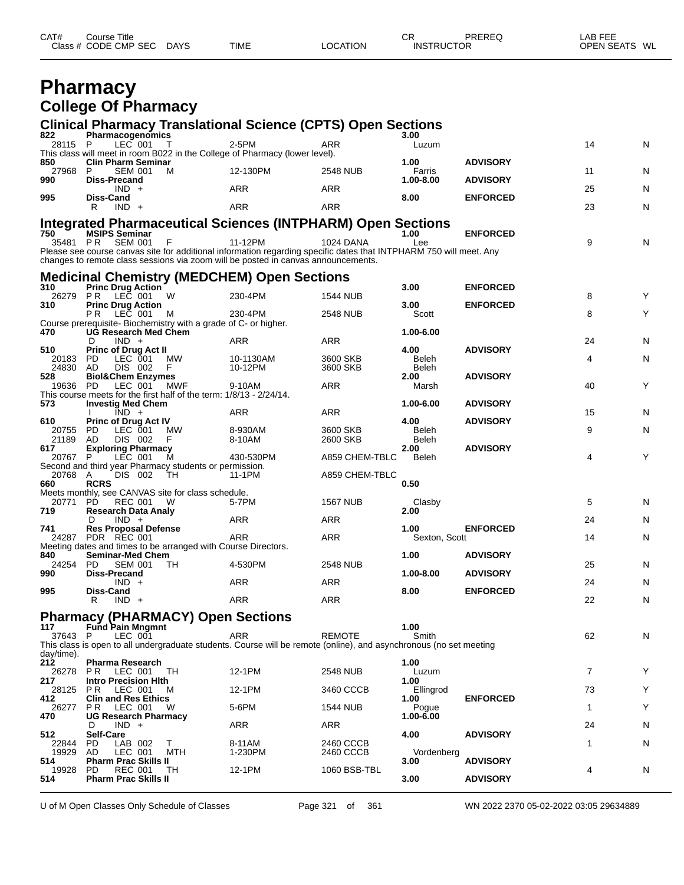| <b>CODE CMP SEC</b><br><b>TIME</b><br><b>DAYS</b><br>LOCATION<br><b>INSTRUCTOR</b><br><b>OPEN SEATS</b><br>Class $#$ | CAT#<br>СR<br>PREREQ<br>Course Title | LAB FEE<br>WL |
|----------------------------------------------------------------------------------------------------------------------|--------------------------------------|---------------|
|----------------------------------------------------------------------------------------------------------------------|--------------------------------------|---------------|

### **Pharmacy College Of Pharmacy**

| <b>Clinical Pharmacy Translational Science (CPTS) Open Sections</b> |  |
|---------------------------------------------------------------------|--|
|                                                                     |  |

| 822               | an mannavy manoiational colonico (ch<br>Pharmacogenomics                                                                                    |            |                      |                      | 3.00                |                 |         |
|-------------------|---------------------------------------------------------------------------------------------------------------------------------------------|------------|----------------------|----------------------|---------------------|-----------------|---------|
| 28115 P           | $LEC$ 001 T                                                                                                                                 |            | 2-5PM                | ARR                  | Luzum               |                 | 14<br>N |
| 850               | This class will meet in room B022 in the College of Pharmacy (lower level).<br><b>Clin Pharm Seminar</b>                                    |            |                      |                      | 1.00                | <b>ADVISORY</b> |         |
| 27968 P<br>990    | SEM 001<br>M<br>Diss-Precand                                                                                                                |            | 12-130PM             | 2548 NUB             | Farris<br>1.00-8.00 | <b>ADVISORY</b> | 11<br>N |
| 995               | $IND +$<br>Diss-Cand                                                                                                                        |            | <b>ARR</b>           | ARR                  | 8.00                | <b>ENFORCED</b> | 25<br>N |
|                   | $IND +$<br>R.                                                                                                                               |            | <b>ARR</b>           | ARR                  |                     |                 | 23<br>N |
|                   | <b>Integrated Pharmaceutical Sciences (INTPHARM) Open Sections</b>                                                                          |            |                      |                      |                     |                 |         |
| 750               | <b>MSIPS Seminar</b>                                                                                                                        |            |                      |                      | 1.00                | <b>ENFORCED</b> |         |
|                   | 35481 PR SEM 001<br>F<br>Please see course canvas site for additional information regarding specific dates that INTPHARM 750 will meet. Any |            | 11-12PM              | 1024 DANA            | Lee                 |                 | 9<br>N  |
|                   | changes to remote class sessions via zoom will be posted in canvas announcements.                                                           |            |                      |                      |                     |                 |         |
|                   | <b>Medicinal Chemistry (MEDCHEM) Open Sections</b>                                                                                          |            |                      |                      |                     |                 |         |
| 310               | <b>Princ Drug Action</b>                                                                                                                    |            |                      |                      | 3.00                | <b>ENFORCED</b> |         |
| 310               | 26279 PR LEC 001<br>W<br><b>Princ Drug Action</b>                                                                                           |            | 230-4PM              | 1544 NUB             | 3.00                | <b>ENFORCED</b> | Y<br>8  |
|                   | LEC 001<br>PR.<br>M                                                                                                                         |            | 230-4PM              | 2548 NUB             | Scott               |                 | 8<br>Y  |
| 470               | Course prerequisite-Biochemistry with a grade of C- or higher.                                                                              |            |                      |                      | 1.00-6.00           |                 |         |
|                   | <b>UG Research Med Chem</b><br>$IND +$<br>D                                                                                                 |            | ARR                  | ARR                  |                     |                 | 24<br>N |
| 510               | <b>Princ of Drug Act II</b>                                                                                                                 |            |                      |                      | 4.00                | <b>ADVISORY</b> |         |
| 20183 PD<br>24830 | LEC 001<br><b>MW</b><br>AD<br>DIS 002<br>F.                                                                                                 |            | 10-1130AM<br>10-12PM | 3600 SKB<br>3600 SKB | Beleh<br>Beleh      |                 | 4<br>N  |
| 528               | <b>Biol&amp;Chem Enzymes</b>                                                                                                                |            |                      |                      | 2.00                | <b>ADVISORY</b> |         |
| 19636 PD          | LEC 001 MWF                                                                                                                                 |            | 9-10AM               | ARR                  | Marsh               |                 | 40<br>Υ |
| 573               | This course meets for the first half of the term: 1/8/13 - 2/24/14.<br><b>Investig Med Chem</b>                                             |            |                      |                      | 1.00-6.00           | <b>ADVISORY</b> |         |
|                   | $\overline{IND}$ +                                                                                                                          |            | ARR                  | <b>ARR</b>           |                     |                 | 15<br>N |
| 610<br>20755      | <b>Princ of Drug Act IV</b><br>PD<br>LEC 001<br>МW                                                                                          |            | 8-930AM              | 3600 SKB             | 4.00<br>Beleh       | <b>ADVISORY</b> | 9<br>N  |
| 21189             | DIS 002<br>F<br>AD.                                                                                                                         |            | 8-10AM               | 2600 SKB             | Beleh               |                 |         |
| 617               | <b>Exploring Pharmacy</b>                                                                                                                   |            |                      |                      | 2.00                | <b>ADVISORY</b> | 4<br>Υ  |
| 20767 P           | LEC 001<br>м<br>Second and third year Pharmacy students or permission.                                                                      |            | 430-530PM            | A859 CHEM-TBLC       | Beleh               |                 |         |
| 20768 A           | DIS 002<br>TH                                                                                                                               |            | 11-1PM               | A859 CHEM-TBLC       |                     |                 |         |
| 660               | <b>RCRS</b><br>Meets monthly, see CANVAS site for class schedule.                                                                           |            |                      |                      | 0.50                |                 |         |
| 20771 PD          | REC 001 W                                                                                                                                   |            | 5-7PM                | <b>1567 NUB</b>      | Clasby              |                 | 5<br>N  |
| 719               | <b>Research Data Analy</b><br>$IND +$<br>D                                                                                                  |            | <b>ARR</b>           | <b>ARR</b>           | 2.00                |                 | 24<br>N |
| 741               | <b>Res Proposal Defense</b>                                                                                                                 |            |                      |                      | 1.00                | <b>ENFORCED</b> |         |
|                   | 24287 PDR REC 001                                                                                                                           |            | <b>ARR</b>           | ARR                  | Sexton, Scott       |                 | 14<br>N |
| 840               | Meeting dates and times to be arranged with Course Directors.<br><b>Seminar-Med Chem</b>                                                    |            |                      |                      | 1.00                | <b>ADVISORY</b> |         |
| 24254             | PD.<br><b>SEM 001</b><br>TН                                                                                                                 |            | 4-530PM              | <b>2548 NUB</b>      |                     |                 | 25<br>N |
| 990               | <b>Diss-Precand</b><br>$IND +$                                                                                                              |            | ARR                  | ARR                  | 1.00-8.00           | <b>ADVISORY</b> | 24<br>N |
| 995               | Diss-Cand                                                                                                                                   |            |                      |                      | 8.00                | <b>ENFORCED</b> |         |
|                   | R.<br>$IND +$                                                                                                                               |            | <b>ARR</b>           | <b>ARR</b>           |                     |                 | 22<br>N |
|                   | <b>Pharmacy (PHARMACY) Open Sections</b>                                                                                                    |            |                      |                      |                     |                 |         |
| 117<br>37643 P    | <b>Fund Pain Mngmnt</b><br>LEC 001                                                                                                          |            | ARR                  | <b>REMOTE</b>        | 1.00<br>Smith       |                 | 62<br>N |
|                   | This class is open to all undergraduate students. Course will be remote (online), and asynchronous (no set meeting                          |            |                      |                      |                     |                 |         |
| day/time).        |                                                                                                                                             |            |                      |                      |                     |                 |         |
| 212<br>26278      | <b>Pharma Research</b><br>LEC 001<br>TH<br>PR.                                                                                              |            | 12-1PM               | 2548 NUB             | 1.00<br>Luzum       |                 | Y<br>7  |
| 217               | <b>Intro Precision Hith</b>                                                                                                                 |            |                      |                      | 1.00                |                 |         |
| 28125<br>412      | LEC 001<br>PR.<br>м<br><b>Clin and Res Ethics</b>                                                                                           |            | 12-1PM               | 3460 CCCB            | Ellingrod<br>1.00   | <b>ENFORCED</b> | 73<br>Υ |
| 26277             | PR.<br>LEC 001<br>W                                                                                                                         |            | 5-6PM                | 1544 NUB             | Pogue               |                 | Υ<br>1  |
| 470               | <b>UG Research Pharmacy</b><br>$IND +$<br>D                                                                                                 |            | ARR                  | ARR                  | 1.00-6.00           |                 | 24<br>N |
| 512               | <b>Self-Care</b>                                                                                                                            |            |                      |                      | 4.00                | <b>ADVISORY</b> |         |
| 22844<br>19929    | PD<br>LAB 002<br>Т<br>AD<br>LEC 001                                                                                                         | <b>MTH</b> | 8-11AM               | 2460 CCCB            |                     |                 | N<br>1  |
| 514               | <b>Pharm Prac Skills II</b>                                                                                                                 |            | 1-230PM              | 2460 CCCB            | Vordenberg<br>3.00  | <b>ADVISORY</b> |         |
| 19928             | REC 001<br>TH<br>PD.                                                                                                                        |            | 12-1PM               | 1060 BSB-TBL         |                     |                 | 4<br>N  |
| 514               | <b>Pharm Prac Skills II</b>                                                                                                                 |            |                      |                      | 3.00                | <b>ADVISORY</b> |         |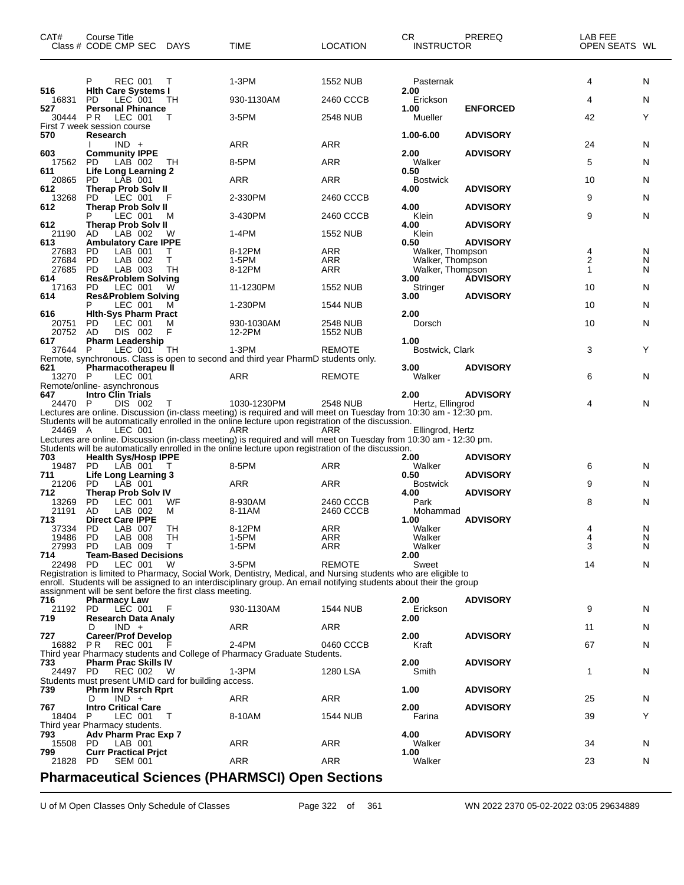| CAT#            | Course Title<br>Class # CODE CMP SEC                                           | DAYS   | TIME                                                                                                                             | <b>LOCATION</b> | CR<br><b>INSTRUCTOR</b>  | PREREQ          | LAB FEE<br>OPEN SEATS WL |        |
|-----------------|--------------------------------------------------------------------------------|--------|----------------------------------------------------------------------------------------------------------------------------------|-----------------|--------------------------|-----------------|--------------------------|--------|
|                 | REC 001<br>P                                                                   | $\top$ | 1-3PM                                                                                                                            | <b>1552 NUB</b> | Pasternak                |                 | 4                        | N      |
| 516<br>16831    | <b>Hith Care Systems I</b><br>LEC 001<br>PD.                                   | TН     | 930-1130AM                                                                                                                       | 2460 CCCB       | 2.00<br>Erickson         |                 | 4                        | N      |
| 527<br>30444 PR | <b>Personal Phinance</b><br>LEC 001                                            | т      | 3-5PM                                                                                                                            | 2548 NUB        | 1.00<br>Mueller          | <b>ENFORCED</b> | 42                       | Υ      |
| 570             | First 7 week session course<br>Research                                        |        |                                                                                                                                  |                 | 1.00-6.00                | <b>ADVISORY</b> |                          |        |
|                 | $IND +$                                                                        |        | <b>ARR</b>                                                                                                                       | ARR             |                          |                 | 24                       | N      |
| 603<br>17562    | <b>Community IPPE</b><br><b>PD</b><br>LAB 002                                  | TH T   | 8-5PM                                                                                                                            | <b>ARR</b>      | 2.00<br>Walker           | <b>ADVISORY</b> | 5                        | N      |
| 611<br>20865    | <b>Life Long Learning 2</b><br>LÁB 001<br>PD.                                  |        | ARR                                                                                                                              | <b>ARR</b>      | 0.50<br><b>Bostwick</b>  |                 | 10                       | N      |
| 612<br>13268    | <b>Therap Prob Solv II</b><br><b>PD</b><br>LEC 001                             | F      | 2-330PM                                                                                                                          | 2460 CCCB       | 4.00                     | <b>ADVISORY</b> | 9                        | N      |
| 612             | Therap Prob Solv II<br>P<br>LEC 001                                            | м      | 3-430PM                                                                                                                          | 2460 CCCB       | 4.00<br>Klein            | <b>ADVISORY</b> | 9                        | N      |
| 612<br>21190    | <b>Therap Prob Solv II</b><br>LAB 002<br>AD.                                   | W      | 1-4PM                                                                                                                            | <b>1552 NUB</b> | 4.00<br>Klein            | <b>ADVISORY</b> |                          |        |
| 613             | <b>Ambulatory Care IPPE</b>                                                    | т      | 8-12PM                                                                                                                           | <b>ARR</b>      | 0.50<br>Walker, Thompson | <b>ADVISORY</b> |                          |        |
| 27683<br>27684  | PD<br>LAB 001<br><b>PD</b><br>LAB 002                                          | т      | 1-5PM                                                                                                                            | <b>ARR</b>      | Walker, Thompson         |                 | 4<br>2                   | N<br>N |
| 27685           | <b>PD</b><br>LAB 003                                                           | TH     | 8-12PM                                                                                                                           | <b>ARR</b>      | Walker, Thompson         |                 | 1                        | N      |
| 614<br>17163    | <b>Res&amp;Problem Solving</b><br>LEC 001<br>PD.                               | w      | 11-1230PM                                                                                                                        | <b>1552 NUB</b> | 3.00<br>Stringer         | <b>ADVISORY</b> | 10                       | N      |
| 614             | <b>Res&amp;Problem Solving</b>                                                 |        |                                                                                                                                  |                 | 3.00                     | <b>ADVISORY</b> |                          |        |
| 616             | P<br>LEC 001<br><b>Hith-Sys Pharm Pract</b>                                    | м      | 1-230PM                                                                                                                          | 1544 NUB        | 2.00                     |                 | 10                       | N      |
| 20751           | <b>PD</b><br>LEC 001                                                           | м      | 930-1030AM                                                                                                                       | 2548 NUB        | Dorsch                   |                 | 10                       | N      |
| 20752           | DIS 002<br>AD                                                                  | F      | 12-2PM                                                                                                                           | <b>1552 NUB</b> |                          |                 |                          |        |
| 617<br>37644 P  | <b>Pharm Leadership</b><br>LEC 001                                             | TН     | 1-3PM                                                                                                                            | REMOTE          | 1.00<br>Bostwick, Clark  |                 | 3                        | Y      |
|                 |                                                                                |        | Remote, synchronous. Class is open to second and third year PharmD students only.                                                |                 |                          |                 |                          |        |
| 621<br>13270 P  | <b>Pharmacotherapeu II</b><br>LEC 001                                          |        | ARR                                                                                                                              | <b>REMOTE</b>   | 3.00<br>Walker           | <b>ADVISORY</b> | 6                        | N      |
|                 | Remote/online- asynchronous                                                    |        |                                                                                                                                  |                 |                          |                 |                          |        |
| 647             | <b>Intro Clin Trials</b>                                                       |        |                                                                                                                                  |                 | 2.00                     | <b>ADVISORY</b> |                          |        |
| 24470 P         | DIS 002                                                                        |        | 1030-1230PM<br>Lectures are online. Discussion (in-class meeting) is required and will meet on Tuesday from 10:30 am - 12:30 pm. | 2548 NUB        | Hertz, Ellingrod         |                 | 4                        | N      |
|                 |                                                                                |        | Students will be automatically enrolled in the online lecture upon registration of the discussion.                               |                 |                          |                 |                          |        |
| 24469 A         | LEC 001                                                                        |        | ARR<br>Lectures are online. Discussion (in-class meeting) is required and will meet on Tuesday from 10:30 am - 12:30 pm.         | ARR             | Ellingrod, Hertz         |                 |                          |        |
|                 |                                                                                |        | Students will be automatically enrolled in the online lecture upon registration of the discussion.                               |                 |                          |                 |                          |        |
| 703<br>19487    | <b>Health Sys/Hosp IPPE</b><br>PD.<br>LAB 001                                  |        | 8-5PM                                                                                                                            | <b>ARR</b>      | 2.00<br>Walker           | <b>ADVISORY</b> | 6                        | N      |
| 711             | <b>Life Long Learning 3</b>                                                    |        |                                                                                                                                  |                 | 0.50                     | <b>ADVISORY</b> |                          |        |
| 21206           | PD.<br>LAB 001                                                                 |        | ARR                                                                                                                              | ARR             | <b>Bostwick</b>          |                 | 9                        | N      |
| 712<br>13269    | <b>Therap Prob Solv IV</b><br>PD<br>LEC 001                                    | WF     | 8-930AM                                                                                                                          | 2460 CCCB       | 4.00<br>Park             | <b>ADVISORY</b> | 8                        | N      |
| 21191           | AD<br>LAB 002                                                                  | м      | 8-11AM                                                                                                                           | 2460 CCCB       | Mohammad                 |                 |                          |        |
| 713<br>37334 PD | <b>Direct Care IPPE</b>                                                        | TH     | 8-12PM                                                                                                                           | ARR             | 1.00<br>Walker           | <b>ADVISORY</b> |                          |        |
| 19486           | LAB 007<br>PD<br>LAB 008                                                       | TН     | 1-5PM                                                                                                                            | ARR             | Walker                   |                 | 4<br>4                   | N<br>N |
| 27993           | LAB 009<br><b>PD</b>                                                           | T.     | 1-5PM                                                                                                                            | ARR             | Walker                   |                 | 3                        | N      |
| 714<br>22498    | <b>Team-Based Decisions</b><br>PD<br>LEC 001                                   | W      | 3-5PM                                                                                                                            | <b>REMOTE</b>   | 2.00<br>Sweet            |                 | 14                       | N      |
|                 |                                                                                |        | Registration is limited to Pharmacy, Social Work, Dentistry, Medical, and Nursing students who are eligible to                   |                 |                          |                 |                          |        |
|                 |                                                                                |        | enroll. Students will be assigned to an interdisciplinary group. An email notifying students about their the group               |                 |                          |                 |                          |        |
| 716             | assignment will be sent before the first class meeting.<br><b>Pharmacy Law</b> |        |                                                                                                                                  |                 | 2.00                     | <b>ADVISORY</b> |                          |        |
| 21192           | LEC 001<br>PD.                                                                 |        | 930-1130AM                                                                                                                       | 1544 NUB        | Erickson                 |                 | 9                        | N      |
| 719             | <b>Research Data Analy</b>                                                     |        |                                                                                                                                  |                 | 2.00                     |                 |                          |        |
| 727             | $IND +$<br>D<br><b>Career/Prof Develop</b>                                     |        | ARR                                                                                                                              | ARR             | 2.00                     | <b>ADVISORY</b> | 11                       | N      |
| 16882 PR        | REC 001                                                                        |        | 2-4PM                                                                                                                            | 0460 CCCB       | Kraft                    |                 | 67                       | N      |
| 733             | <b>Pharm Prac Skills IV</b>                                                    |        | Third year Pharmacy students and College of Pharmacy Graduate Students.                                                          |                 | 2.00                     | <b>ADVISORY</b> |                          |        |
| 24497 PD        | <b>REC 002</b>                                                                 | - W    | 1-3PM                                                                                                                            | 1280 LSA        | Smith                    |                 | 1                        | N      |
|                 | Students must present UMID card for building access.                           |        |                                                                                                                                  |                 |                          |                 |                          |        |
| 739             | <b>Phrm Inv Rsrch Rprt</b><br>$IND +$<br>D                                     |        | ARR                                                                                                                              | <b>ARR</b>      | 1.00                     | <b>ADVISORY</b> | 25                       | N      |
| 767             | <b>Intro Critical Care</b>                                                     |        |                                                                                                                                  |                 | 2.00                     | <b>ADVISORY</b> |                          |        |
| 18404           | P<br>LEC 001                                                                   | T      | 8-10AM                                                                                                                           | 1544 NUB        | Farina                   |                 | 39                       | Y      |
| 793             | Third year Pharmacy students.<br>Adv Pharm Prac Exp 7                          |        |                                                                                                                                  |                 | 4.00                     | <b>ADVISORY</b> |                          |        |
| 15508           | LAB 001<br>-PD                                                                 |        | ARR                                                                                                                              | <b>ARR</b>      | Walker                   |                 | 34                       | N      |
| 799<br>21828    | <b>Curr Practical Prict</b><br>PD<br><b>SEM 001</b>                            |        | ARR                                                                                                                              | ARR             | 1.00<br>Walker           |                 | 23                       | N      |
|                 |                                                                                |        |                                                                                                                                  |                 |                          |                 |                          |        |
|                 |                                                                                |        | <b>Pharmaceutical Sciences (PHARMSCI) Open Sections</b>                                                                          |                 |                          |                 |                          |        |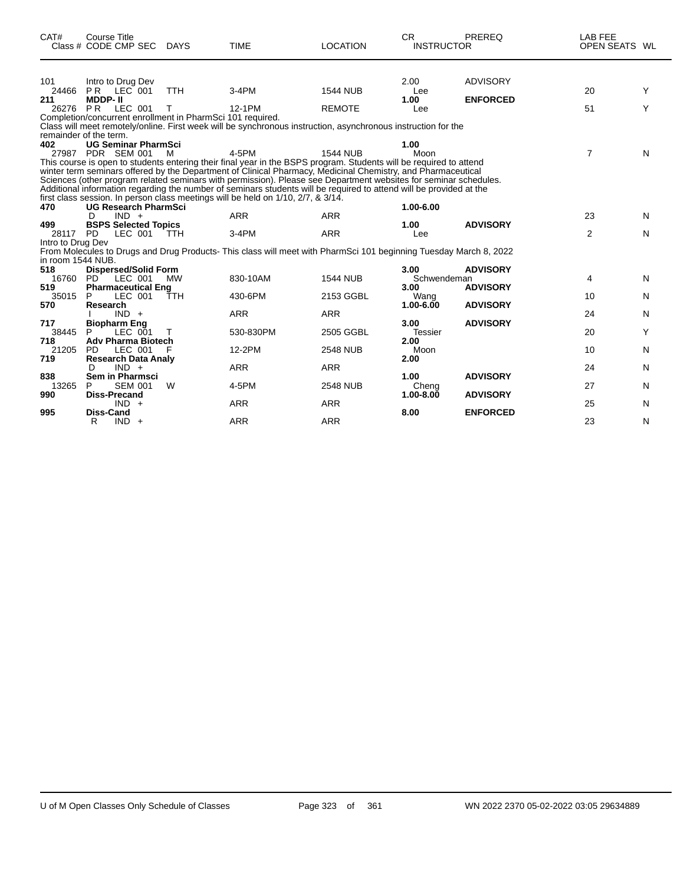| CAT#                                     | <b>Course Title</b><br>Class # CODE CMP SEC                                            | DAYS       | <b>TIME</b>                                                                                                                                                                                                                                                                                                                                                                                                                                                                            | <b>LOCATION</b>               | <b>CR</b><br><b>INSTRUCTOR</b> | <b>PREREQ</b>                      | LAB FEE<br>OPEN SEATS WL |        |
|------------------------------------------|----------------------------------------------------------------------------------------|------------|----------------------------------------------------------------------------------------------------------------------------------------------------------------------------------------------------------------------------------------------------------------------------------------------------------------------------------------------------------------------------------------------------------------------------------------------------------------------------------------|-------------------------------|--------------------------------|------------------------------------|--------------------------|--------|
| 101<br>24466<br>211                      | Intro to Drug Dev<br>PR LEC 001<br><b>MDDP-II</b>                                      | <b>TTH</b> | $3-4PM$                                                                                                                                                                                                                                                                                                                                                                                                                                                                                | <b>1544 NUB</b>               | 2.00<br>Lee<br>1.00            | <b>ADVISORY</b><br><b>ENFORCED</b> | 20                       | Y      |
| 26276                                    | <b>PR</b><br>LEC 001<br>Completion/concurrent enrollment in PharmSci 101 required.     | т          | 12-1PM<br>Class will meet remotely/online. First week will be synchronous instruction, asynchronous instruction for the                                                                                                                                                                                                                                                                                                                                                                | <b>REMOTE</b>                 | Lee                            |                                    | 51                       | Y      |
| 402                                      | remainder of the term.<br><b>UG Seminar PharmSci</b><br>27987 PDR SEM 001              | м          | 4-5PM<br>This course is open to students entering their final year in the BSPS program. Students will be required to attend<br>winter term seminars offered by the Department of Clinical Pharmacy, Medicinal Chemistry, and Pharmaceutical<br>Sciences (other program related seminars with permission). Please see Department websites for seminar schedules.<br>Additional information regarding the number of seminars students will be required to attend will be provided at the | <b>1544 NUB</b>               | 1.00<br>Moon                   |                                    | $\overline{7}$           | N      |
| 470<br>499                               | <b>UG Research PharmSci</b><br>$IND +$<br>D<br><b>BSPS Selected Topics</b>             |            | first class session. In person class meetings will be held on 1/10, 2/7, & 3/14.<br><b>ARR</b>                                                                                                                                                                                                                                                                                                                                                                                         | <b>ARR</b>                    | 1.00-6.00<br>1.00              | <b>ADVISORY</b>                    | 23                       | N      |
| 28117<br>Intro to Drug Dev               | <b>PD</b><br>LEC 001                                                                   | <b>TTH</b> | $3-4PM$<br>From Molecules to Drugs and Drug Products-This class will meet with PharmSci 101 beginning Tuesday March 8, 2022                                                                                                                                                                                                                                                                                                                                                            | <b>ARR</b>                    | Lee                            |                                    | 2                        | N      |
| in room 1544 NUB.<br>518<br>16760<br>519 | <b>Dispersed/Solid Form</b><br>PD <sup>-</sup><br>LEC 001<br><b>Pharmaceutical Eng</b> | <b>MW</b>  | 830-10AM                                                                                                                                                                                                                                                                                                                                                                                                                                                                               | <b>1544 NUB</b>               | 3.00<br>Schwendeman<br>3.00    | <b>ADVISORY</b><br><b>ADVISORY</b> | 4                        | N      |
| 35015<br>570                             | P<br>LEC 001<br>Research<br>$IND +$                                                    | TTH        | 430-6PM<br><b>ARR</b>                                                                                                                                                                                                                                                                                                                                                                                                                                                                  | 2153 GGBL<br><b>ARR</b>       | Wang<br>$1.00 - 6.00$          | <b>ADVISORY</b>                    | 10<br>24                 | N<br>N |
| 717<br>38445<br>718                      | <b>Biopharm Eng</b><br>P<br>LEC 001<br><b>Adv Pharma Biotech</b>                       | т          | 530-830PM                                                                                                                                                                                                                                                                                                                                                                                                                                                                              | 2505 GGBL                     | 3.00<br><b>Tessier</b><br>2.00 | <b>ADVISORY</b>                    | 20                       | Y      |
| 21205<br>719<br>838                      | PD.<br>LEC 001<br><b>Research Data Analy</b><br>$IND +$<br>D<br><b>Sem in Pharmsci</b> |            | 12-2PM<br><b>ARR</b>                                                                                                                                                                                                                                                                                                                                                                                                                                                                   | <b>2548 NUB</b><br><b>ARR</b> | Moon<br>2.00<br>1.00           | <b>ADVISORY</b>                    | 10<br>24                 | N<br>N |
| 13265<br>990                             | P<br><b>SEM 001</b><br><b>Diss-Precand</b><br>$IND +$                                  | W          | 4-5PM<br><b>ARR</b>                                                                                                                                                                                                                                                                                                                                                                                                                                                                    | <b>2548 NUB</b><br><b>ARR</b> | Cheng<br>$1.00 - 8.00$         | <b>ADVISORY</b>                    | 27<br>25                 | N<br>N |
| 995                                      | <b>Diss-Cand</b><br>R<br>$IND +$                                                       |            | <b>ARR</b>                                                                                                                                                                                                                                                                                                                                                                                                                                                                             | <b>ARR</b>                    | 8.00                           | <b>ENFORCED</b>                    | 23                       | N      |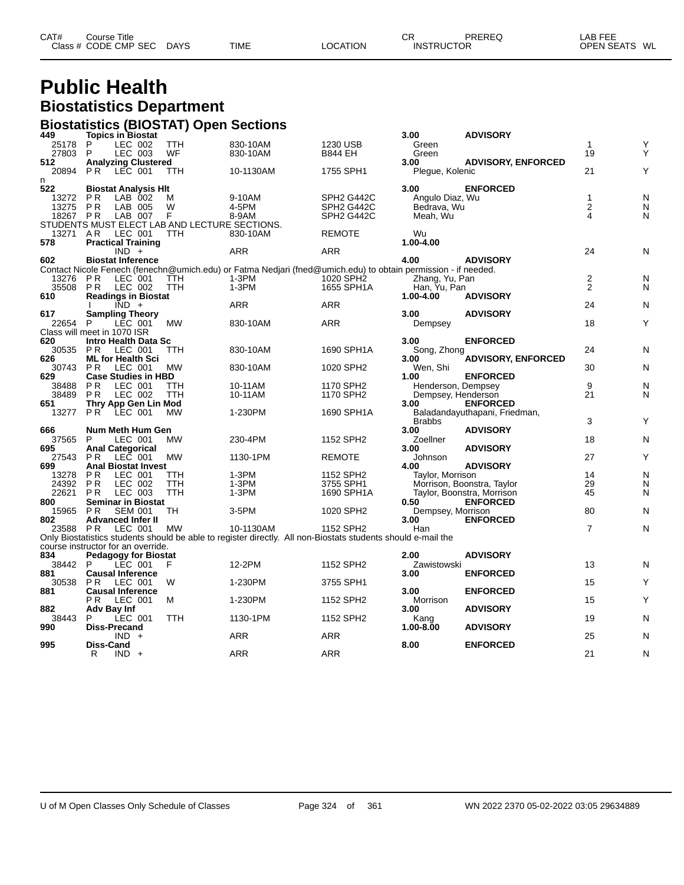| CAT# | Course Title         |             |             |                 | СF | PREREQ            | LAB FEE       |
|------|----------------------|-------------|-------------|-----------------|----|-------------------|---------------|
|      | Class # CODE CMP SEC | <b>DAYS</b> | <b>TIME</b> | <b>LOCATION</b> |    | <b>INSTRUCTOR</b> | OPEN SEATS WL |
|      |                      |             |             |                 |    |                   |               |

## **Public Health Biostatistics Department**

| <b>Biostatistics (BIOSTAT) Open Sections</b> |                                                         |            |                                                                                                               |                                     |                    |                               |                  |        |
|----------------------------------------------|---------------------------------------------------------|------------|---------------------------------------------------------------------------------------------------------------|-------------------------------------|--------------------|-------------------------------|------------------|--------|
| 449                                          | <b>Topics in Biostat</b>                                |            |                                                                                                               |                                     | 3.00               | <b>ADVISORY</b>               |                  |        |
| 25178                                        | P<br>LEC 002                                            | <b>TTH</b> | 830-10AM                                                                                                      | 1230 USB                            | Green              |                               | $\mathbf{1}$     | Υ<br>Υ |
| 27803<br>512                                 | LEC 003<br>P                                            | WF         | 830-10AM                                                                                                      | <b>B844 EH</b>                      | Green<br>3.00      | <b>ADVISORY, ENFORCED</b>     | 19               |        |
| 20894                                        | <b>Analyzing Clustered</b><br>P <sub>R</sub><br>LEC 001 | <b>TTH</b> | 10-1130AM                                                                                                     | 1755 SPH1                           | Pleque, Kolenic    |                               | 21               | Υ      |
| n                                            |                                                         |            |                                                                                                               |                                     |                    |                               |                  |        |
| 522                                          | <b>Biostat Analysis HIt</b>                             |            |                                                                                                               |                                     | 3.00               | <b>ENFORCED</b>               |                  |        |
| 13272                                        | P <sub>R</sub><br>LAB 002                               | м          | 9-10AM                                                                                                        | SPH <sub>2</sub> G442C              | Angulo Diaz, Wu    |                               | $\mathbf{1}$     | N      |
| 13275                                        | <b>PR</b><br>LAB 005                                    | W          | 4-5PM                                                                                                         | SPH2 G442C                          | Bedrava, Wu        |                               | $\boldsymbol{2}$ | N      |
| 18267 PR                                     | LAB 007                                                 | F          | 8-9AM                                                                                                         | SPH <sub>2</sub> G <sub>442</sub> C | Meah, Wu           |                               | 4                | N      |
|                                              | STUDENTS MUST ELECT LAB AND LECTURE SECTIONS.           |            |                                                                                                               |                                     |                    |                               |                  |        |
| 13271                                        | LEC 001<br>A R                                          | <b>TTH</b> | 830-10AM                                                                                                      | <b>REMOTE</b>                       | Wu                 |                               |                  |        |
| 578                                          | <b>Practical Training</b>                               |            | <b>ARR</b>                                                                                                    |                                     | 1.00-4.00          |                               | 24               |        |
| 602                                          | $IND +$<br><b>Biostat Inference</b>                     |            |                                                                                                               | ARR                                 | 4.00               | <b>ADVISORY</b>               |                  | N      |
|                                              |                                                         |            | Contact Nicole Fenech (fenechn@umich.edu) or Fatma Nedjari (fned@umich.edu) to obtain permission - if needed. |                                     |                    |                               |                  |        |
| 13276                                        | $LEC$ 001<br>PR                                         | TTH        | $1-3PM$                                                                                                       | 1020 SPH <sub>2</sub>               | Zhang, Yu, Pan     |                               | $\boldsymbol{2}$ | N      |
| 35508                                        | LEC 002<br>P R                                          | TTH        | $1-3PM$                                                                                                       | 1655 SPH1A                          | Han, Yu, Pan       |                               | 2                | N      |
| 610                                          | <b>Readings in Biostat</b>                              |            |                                                                                                               |                                     | 1.00-4.00          | <b>ADVISORY</b>               |                  |        |
|                                              | $\overline{IND}$ +                                      |            | ARR                                                                                                           | <b>ARR</b>                          |                    |                               | 24               | N      |
| 617                                          | <b>Sampling Theory</b>                                  |            |                                                                                                               |                                     | 3.00               | <b>ADVISORY</b>               |                  |        |
| 22654                                        | LEC 001<br>P                                            | <b>MW</b>  | 830-10AM                                                                                                      | ARR                                 | Dempsey            |                               | 18               | Υ      |
|                                              | Class will meet in 1070 ISR                             |            |                                                                                                               |                                     |                    |                               |                  |        |
| 620                                          | Intro Health Data Sc                                    |            |                                                                                                               |                                     | 3.00               | <b>ENFORCED</b>               |                  |        |
| 30535                                        | <b>PR LEC 001</b>                                       | <b>TTH</b> | 830-10AM                                                                                                      | 1690 SPH1A                          | Song, Zhong        |                               | 24               | N      |
| 626<br>30743                                 | <b>ML for Health Sci</b><br>LEC 001<br>P R              | <b>MW</b>  | 830-10AM                                                                                                      | 1020 SPH2                           | 3.00<br>Wen, Shi   | <b>ADVISORY, ENFORCED</b>     | 30               | N      |
| 629                                          | <b>Case Studies in HBD</b>                              |            |                                                                                                               |                                     | 1.00               | <b>ENFORCED</b>               |                  |        |
| 38488                                        | P <sub>R</sub><br>LEC 001                               | <b>TTH</b> | 10-11AM                                                                                                       | 1170 SPH2                           | Henderson, Dempsey |                               | 9                | N      |
| 38489                                        | LEC 002<br>P <sub>R</sub>                               | TTH        | 10-11AM                                                                                                       | 1170 SPH2                           | Dempsey, Henderson |                               | 21               | N      |
| 651                                          | Thry App Gen Lin Mod                                    |            |                                                                                                               |                                     | 3.00               | <b>ENFORCED</b>               |                  |        |
| 13277                                        | LEC 001<br>PR.                                          | MW         | 1-230PM                                                                                                       | 1690 SPH1A                          |                    | Baladandayuthapani, Friedman, |                  |        |
|                                              |                                                         |            |                                                                                                               |                                     | <b>Brabbs</b>      |                               | 3                | Υ      |
| 666                                          | Num Meth Hum Gen                                        |            |                                                                                                               |                                     | 3.00               | <b>ADVISORY</b>               |                  |        |
| 37565                                        | LEC 001<br>P                                            | <b>MW</b>  | 230-4PM                                                                                                       | 1152 SPH2                           | Zoellner           |                               | 18               | N      |
| 695                                          | <b>Anal Categorical</b>                                 |            |                                                                                                               |                                     | 3.00               | <b>ADVISORY</b>               |                  |        |
| 27543<br>699                                 | LEC 001<br>P R<br><b>Anal Biostat Invest</b>            | <b>MW</b>  | 1130-1PM                                                                                                      | <b>REMOTE</b>                       | Johnson<br>4.00    | <b>ADVISORY</b>               | 27               | Υ      |
| 13278                                        | P R<br>LEC 001                                          | TTH        | 1-3PM                                                                                                         | 1152 SPH2                           | Taylor, Morrison   |                               | 14               | N      |
| 24392                                        | <b>PR</b><br>LEC 002                                    | TTH        | 1-3PM                                                                                                         | 3755 SPH1                           |                    | Morrison, Boonstra, Taylor    | 29               | N      |
| 22621                                        | LEC 003<br>P <sub>R</sub>                               | <b>TTH</b> | $1-3PM$                                                                                                       | 1690 SPH1A                          |                    | Taylor, Boonstra, Morrison    | 45               | N      |
| 800                                          | <b>Seminar in Biostat</b>                               |            |                                                                                                               |                                     | 0.50               | <b>ENFORCED</b>               |                  |        |
| 15965                                        | <b>PR</b><br><b>SEM 001</b>                             | TH         | 3-5PM                                                                                                         | 1020 SPH2                           | Dempsey, Morrison  |                               | 80               | N      |
| 802                                          | <b>Advanced Infer II</b>                                |            |                                                                                                               |                                     | 3.00               | <b>ENFORCED</b>               |                  |        |
| 23588 PR                                     | LEC 001                                                 | MW         | 10-1130AM                                                                                                     | 1152 SPH2                           | Han                |                               | $\overline{7}$   | N      |
|                                              |                                                         |            | Only Biostatistics students should be able to register directly. All non-Biostats students should e-mail the  |                                     |                    |                               |                  |        |
| 834                                          | course instructor for an override.                      |            |                                                                                                               |                                     | 2.00               | <b>ADVISORY</b>               |                  |        |
| 38442 P                                      | <b>Pedagogy for Biostat</b><br>LEC 001                  | F          | 12-2PM                                                                                                        | 1152 SPH2                           | Zawistowski        |                               | 13               | N      |
| 881                                          | <b>Causal Inference</b>                                 |            |                                                                                                               |                                     | 3.00               | <b>ENFORCED</b>               |                  |        |
| 30538                                        | PR<br>LEC 001                                           | W          | 1-230PM                                                                                                       | 3755 SPH1                           |                    |                               | 15               | Υ      |
| 881                                          | <b>Causal Inference</b>                                 |            |                                                                                                               |                                     | 3.00               | <b>ENFORCED</b>               |                  |        |
|                                              | LEC 001<br>PR.                                          | м          | 1-230PM                                                                                                       | 1152 SPH2                           | Morrison           |                               | 15               | Y      |
| 882                                          | Adv Bay Inf                                             |            |                                                                                                               |                                     | 3.00               | <b>ADVISORY</b>               |                  |        |
| 38443                                        | LEC 001<br>P                                            | <b>TTH</b> | 1130-1PM                                                                                                      | 1152 SPH2                           | Kang               |                               | 19               | N      |
| 990                                          | <b>Diss-Precand</b>                                     |            |                                                                                                               |                                     | 1.00-8.00          | <b>ADVISORY</b>               |                  |        |
|                                              | $IND +$                                                 |            | ARR                                                                                                           | ARR                                 |                    |                               | 25               | N      |
| 995                                          | Diss-Cand                                               |            | ARR                                                                                                           | <b>ARR</b>                          | 8.00               | <b>ENFORCED</b>               | 21               |        |
|                                              | $IND +$<br>R                                            |            |                                                                                                               |                                     |                    |                               |                  | N      |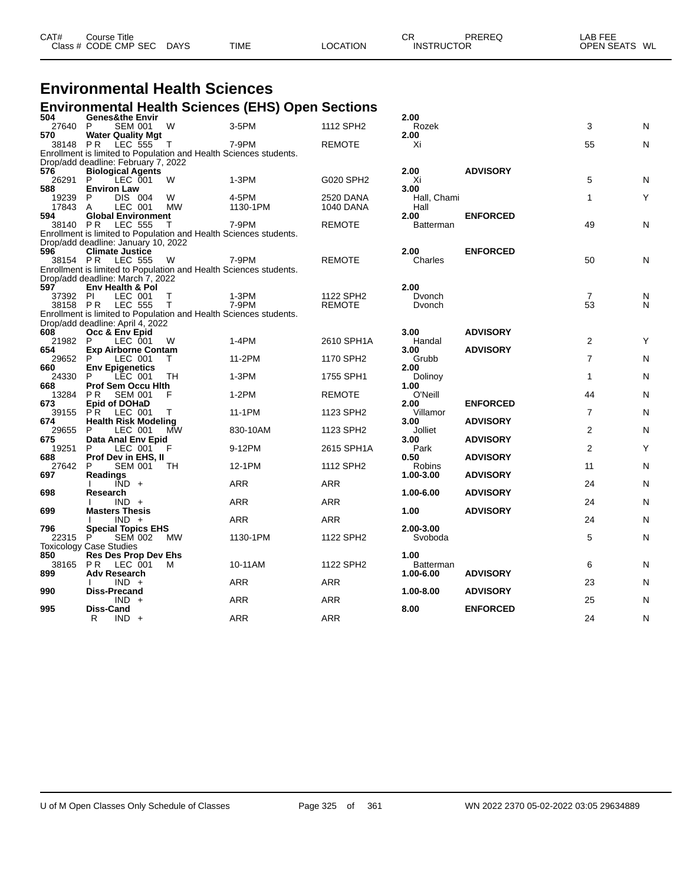| Class # CODE CMP SEC<br><b>OPEN SEATS</b><br><b>DAYS</b><br><b>TIME</b><br>LOCATION<br><b>INSTRUCTOR</b> | CAT# | Course Title |  | СR | PREREQ | LAB FEE |    |
|----------------------------------------------------------------------------------------------------------|------|--------------|--|----|--------|---------|----|
|                                                                                                          |      |              |  |    |        |         | WL |

# **Environmental Health Sciences**

#### **Environmental Health Sciences (EHS) Open Sections**

| 504          | <b>Genes&amp;the Envir</b>                                        |              |            |                       | 2.00            |                 |                |              |
|--------------|-------------------------------------------------------------------|--------------|------------|-----------------------|-----------------|-----------------|----------------|--------------|
| 27640        | <b>SEM 001</b><br>P                                               | W            | 3-5PM      | 1112 SPH2             | Rozek           |                 | 3              | N            |
| 570          | <b>Water Quality Mgt</b>                                          |              |            |                       | 2.00            |                 |                |              |
| 38148 PR     | LEC 555                                                           | $\top$       | 7-9PM      | <b>REMOTE</b>         | Xi              |                 | 55             | N            |
|              | Enrollment is limited to Population and Health Sciences students. |              |            |                       |                 |                 |                |              |
| 576          | Drop/add deadline: February 7, 2022                               |              |            |                       | 2.00            | <b>ADVISORY</b> |                |              |
| 26291        | <b>Biological Agents</b><br>P<br>LEC 001                          | w            | 1-3PM      | G020 SPH2             | Xi              |                 | 5              | N            |
| 588          | <b>Environ Law</b>                                                |              |            |                       | 3.00            |                 |                |              |
| 19239        | <b>DIS 004</b><br>P                                               | W            | 4-5PM      | <b>2520 DANA</b>      | Hall, Chami     |                 | $\mathbf{1}$   | Y            |
| 17843        | LEC 001<br>A                                                      | <b>MW</b>    | 1130-1PM   | 1040 DANA             | Hall            |                 |                |              |
| 594          | <b>Global Environment</b>                                         |              |            |                       | 2.00            | <b>ENFORCED</b> |                |              |
| 38140 PR     | LEC 555                                                           | Т            | 7-9PM      | <b>REMOTE</b>         | Batterman       |                 | 49             | N            |
|              | Enrollment is limited to Population and Health Sciences students. |              |            |                       |                 |                 |                |              |
|              | Drop/add deadline: January 10, 2022                               |              |            |                       |                 |                 |                |              |
| 596          | <b>Climate Justice</b>                                            |              |            |                       | 2.00            | <b>ENFORCED</b> |                |              |
| 38154 PR     | <b>LEC 555</b>                                                    | W            | 7-9PM      | <b>REMOTE</b>         | Charles         |                 | 50             | N            |
|              | Enrollment is limited to Population and Health Sciences students. |              |            |                       |                 |                 |                |              |
| 597          | Drop/add deadline: March 7, 2022<br><b>Env Health &amp; Pol</b>   |              |            |                       | 2.00            |                 |                |              |
| 37392        | LEC 001<br>PI.                                                    | т            | 1-3PM      | 1122 SPH2             | Dvonch          |                 | $\overline{7}$ | N            |
| 38158 PR     | <b>LEC 555</b>                                                    | $\mathsf{T}$ | 7-9PM      | <b>REMOTE</b>         | Dvonch          |                 | 53             | N            |
|              | Enrollment is limited to Population and Health Sciences students. |              |            |                       |                 |                 |                |              |
|              | Drop/add deadline: April 4, 2022                                  |              |            |                       |                 |                 |                |              |
| 608          | Occ & Env Epid                                                    |              |            |                       | 3.00            | <b>ADVISORY</b> |                |              |
| 21982        | P<br>LEC 001                                                      | W            | $1-4PM$    | 2610 SPH1A            | Handal          |                 | 2              | Y            |
| 654          | <b>Exp Airborne Contam</b>                                        |              |            |                       | 3.00            | <b>ADVISORY</b> |                |              |
| 29652        | P<br>LEC 001                                                      | T            | 11-2PM     | 1170 SPH2             | Grubb           |                 | $\overline{7}$ | N            |
| 660          | <b>Env Epigenetics</b>                                            |              |            |                       | 2.00            |                 |                |              |
| 24330        | LEC 001<br>P                                                      | TH           | $1-3PM$    | 1755 SPH1             | Dolinoy         |                 | $\mathbf{1}$   | N            |
| 668<br>13284 | <b>Prof Sem Occu Hith</b><br><b>SEM 001</b><br>P <sub>R</sub>     | F            | $1-2PM$    | <b>REMOTE</b>         | 1.00<br>O'Neill |                 | 44             | N            |
| 673          | <b>Epid of DOHaD</b>                                              |              |            |                       | 2.00            | <b>ENFORCED</b> |                |              |
| 39155        | LEC 001<br>P <sub>R</sub>                                         | Т            | 11-1PM     | 1123 SPH2             | Villamor        |                 | $\overline{7}$ | N            |
| 674          | <b>Health Risk Modeling</b>                                       |              |            |                       | 3.00            | <b>ADVISORY</b> |                |              |
| 29655        | P<br>LEC 001                                                      | <b>MW</b>    | 830-10AM   | 1123 SPH2             | Jolliet         |                 | 2              | N            |
| 675          | Data Anal Env Epid                                                |              |            |                       | 3.00            | <b>ADVISORY</b> |                |              |
| 19251        | LEC 001<br>P                                                      | F            | 9-12PM     | 2615 SPH1A            | Park            |                 | 2              | Υ            |
| 688          | Prof Dev in EHS, II                                               |              |            |                       | 0.50            | <b>ADVISORY</b> |                |              |
| 27642        | P<br><b>SEM 001</b>                                               | TH           | 12-1PM     | 1112 SPH <sub>2</sub> | <b>Robins</b>   |                 | 11             | $\mathsf{N}$ |
| 697          | <b>Readings</b>                                                   |              |            |                       | 1.00-3.00       | <b>ADVISORY</b> |                |              |
| 698          | $IND +$                                                           |              | ARR        | ARR                   | 1.00-6.00       | <b>ADVISORY</b> | 24             | N            |
|              | Research<br>$IND +$                                               |              | <b>ARR</b> | <b>ARR</b>            |                 |                 | 24             | N            |
| 699          | <b>Masters Thesis</b>                                             |              |            |                       | 1.00            | <b>ADVISORY</b> |                |              |
|              | $IND +$                                                           |              | <b>ARR</b> | ARR                   |                 |                 | 24             | N            |
| 796          | <b>Special Topics EHS</b>                                         |              |            |                       | 2.00-3.00       |                 |                |              |
| 22315        | P<br><b>SEM 002</b>                                               | MW           | 1130-1PM   | 1122 SPH2             | Svoboda         |                 | 5              | N            |
|              | <b>Toxicology Case Studies</b>                                    |              |            |                       |                 |                 |                |              |
| 850          | <b>Res Des Prop Dev Ehs</b>                                       |              |            |                       | 1.00            |                 |                |              |
| 38165        | <b>PR</b><br>LEC 001                                              | м            | 10-11AM    | 1122 SPH2             | Batterman       |                 | 6              | N            |
| 899          | <b>Adv Research</b>                                               |              |            |                       | 1.00-6.00       | <b>ADVISORY</b> |                |              |
|              | $IND +$                                                           |              | ARR        | ARR                   |                 |                 | 23             | N            |
| 990          | <b>Diss-Precand</b><br>$IND +$                                    |              | ARR        | ARR                   | 1.00-8.00       | <b>ADVISORY</b> | 25             | N            |
| 995          | Diss-Cand                                                         |              |            |                       | 8.00            | <b>ENFORCED</b> |                |              |
|              | R<br>$IND +$                                                      |              | <b>ARR</b> | <b>ARR</b>            |                 |                 | 24             | N            |
|              |                                                                   |              |            |                       |                 |                 |                |              |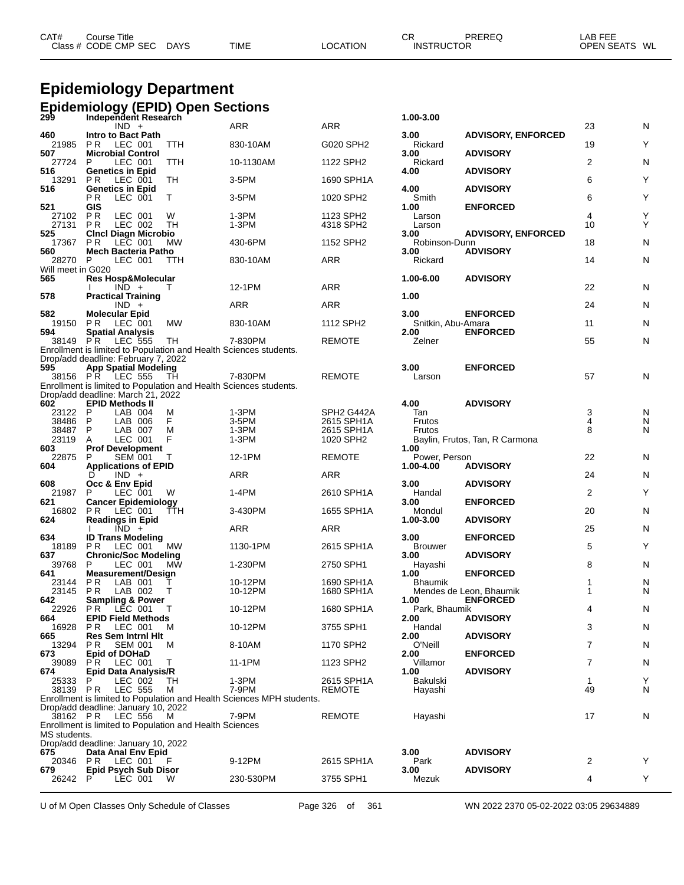| CAT# | Course Title         |             |             |                 | СR                | PREREQ | _AB FEE       |  |
|------|----------------------|-------------|-------------|-----------------|-------------------|--------|---------------|--|
|      | Class # CODE CMP SEC | <b>DAYS</b> | <b>TIME</b> | <b>LOCATION</b> | <b>INSTRUCTOR</b> |        | OPEN SEATS WL |  |
|      |                      |             |             |                 |                   |        |               |  |

#### **Epidemiology Department Epidemiology (EPID) Open Sections**

|                   | 299 Independent Research<br>Independent Research                                                         |            |                                                                       |                         | 1.00-3.00                  |                                            |                |        |
|-------------------|----------------------------------------------------------------------------------------------------------|------------|-----------------------------------------------------------------------|-------------------------|----------------------------|--------------------------------------------|----------------|--------|
| 460               | $IND +$<br>Intro to Bact Path                                                                            |            | ARR                                                                   | <b>ARR</b>              | 3.00                       | <b>ADVISORY, ENFORCED</b>                  | 23             | Ν      |
| 21985<br>507      | P R<br>LEC 001<br><b>Microbial Control</b>                                                               | <b>TTH</b> | 830-10AM                                                              | G020 SPH2               | Rickard<br>3.00            | <b>ADVISORY</b>                            | 19             | Y      |
| 27724<br>516      | P<br>LEC 001<br><b>Genetics in Epid</b>                                                                  | TTH        | 10-1130AM                                                             | 1122 SPH2               | Rickard<br>4.00            | <b>ADVISORY</b>                            | $\overline{2}$ | Ν      |
| 13291<br>516      | P R<br>LEC 001<br><b>Genetics in Epid</b>                                                                | TH         | $3-5$ PM                                                              | 1690 SPH1A              | 4.00                       | <b>ADVISORY</b>                            | 6              | Y      |
| 521               | LEC 001<br>P R<br>GIS                                                                                    | T.         | $3-5$ PM                                                              | 1020 SPH2               | Smith<br>1.00              | <b>ENFORCED</b>                            | 6              | Y      |
| 27102<br>27131    | P <sub>R</sub><br>LEC 001<br>P R<br>LEC 002                                                              | W<br>TН    | 1-3PM<br>1-3PM                                                        | 1123 SPH2<br>4318 SPH2  | Larson<br>Larson           |                                            | 4<br>10        | Y<br>Y |
| 525<br>17367      | <b>Cinci Diagn Microbio</b><br>PR.<br>LEC 001                                                            | MW         | 430-6PM                                                               | 1152 SPH2               | 3.00<br>Robinson-Dunn      | <b>ADVISORY, ENFORCED</b>                  | 18             | N      |
| 560<br>28270 P    | Mech Bacteria Patho<br>LEC 001                                                                           | TTH        | 830-10AM                                                              | ARR                     | 3.00<br>Rickard            | <b>ADVISORY</b>                            | 14             | N      |
| Will meet in G020 |                                                                                                          |            |                                                                       |                         |                            |                                            |                |        |
| 565               | <b>Res Hosp&amp;Molecular</b><br>$IND +$                                                                 | T          | 12-1PM                                                                | ARR                     | 1.00-6.00                  | <b>ADVISORY</b>                            | 22             | N      |
| 578               | <b>Practical Training</b><br>$IND +$                                                                     |            | ARR                                                                   | ARR                     | 1.00                       |                                            | 24             | N      |
| 582<br>19150      | <b>Molecular Epid</b><br><b>PR LEC 001</b>                                                               | МW         | 830-10AM                                                              | 1112 SPH2               | 3.00<br>Snitkin, Abu-Amara | <b>ENFORCED</b>                            | 11             | N      |
| 594<br>38149 PR   | <b>Spatial Analysis</b><br><b>LEC 555</b>                                                                | TH         | 7-830PM                                                               | <b>REMOTE</b>           | 2.00<br>Zelner             | <b>ENFORCED</b>                            | 55             | N      |
|                   | Enrollment is limited to Population and Health Sciences students.<br>Drop/add deadline: February 7, 2022 |            |                                                                       |                         |                            |                                            |                |        |
| 595               | <b>App Spatial Modeling</b>                                                                              |            |                                                                       |                         | 3.00                       | <b>ENFORCED</b>                            |                |        |
|                   | 38156 P.R LEC 555                                                                                        | TH         | 7-830PM                                                               | <b>REMOTE</b>           | Larson                     |                                            | 57             | N      |
|                   | Enrollment is limited to Population and Health Sciences students.<br>Drop/add deadline: March 21, 2022   |            |                                                                       |                         |                            |                                            |                |        |
| 602               | <b>EPID Methods II</b>                                                                                   |            |                                                                       |                         | 4.00                       | <b>ADVISORY</b>                            |                |        |
| 23122 P           | LAB 004                                                                                                  | M          | $1-3PM$                                                               | SPH <sub>2</sub> G442A  | Tan                        |                                            | 3              | Ν      |
| 38486             | $\mathsf{P}$<br>LAB 006                                                                                  | F          | 3-5PM                                                                 | 2615 SPH1A              | Frutos                     |                                            | 4              | N      |
| 38487<br>23119    | P<br>LAB 007<br>LEC 001<br>A                                                                             | M<br>F     | $1-3PM$<br>1-3PM                                                      | 2615 SPH1A<br>1020 SPH2 | Frutos                     | Baylin, Frutos, Tan, R Carmona             | 8              | N      |
| 603               | <b>Prof Development</b>                                                                                  |            |                                                                       |                         | 1.00                       |                                            |                |        |
| 22875<br>604      | P<br><b>SEM 001</b><br><b>Applications of EPID</b>                                                       |            | 12-1PM                                                                | <b>REMOTE</b>           | Power, Person<br>1.00-4.00 | <b>ADVISORY</b>                            | 22             | N      |
| 608               | $IND +$<br>D                                                                                             |            | ARR                                                                   | ARR                     | 3.00                       | <b>ADVISORY</b>                            | 24             | N      |
| 21987<br>621      | Occ & Env Epid<br>P<br>LEC 001<br><b>Cancer Epidemiology</b>                                             | W          | 1-4PM                                                                 | 2610 SPH1A              | Handal<br>3.00             | <b>ENFORCED</b>                            | 2              | Y      |
| 16802<br>624      | PR<br>LEC 001<br><b>Readings in Epid</b>                                                                 | TTH        | 3-430PM                                                               | 1655 SPH1A              | Mondul<br>1.00-3.00        | <b>ADVISORY</b>                            | 20             | N      |
| 634               | $\overline{IND}$ +<br><b>ID Trans Modeling</b>                                                           |            | ARR                                                                   | ARR                     | 3.00                       | <b>ENFORCED</b>                            | 25             | N      |
| 18189<br>637      | PR.<br>LEC 001<br><b>Chronic/Soc Modeling</b>                                                            | <b>MW</b>  | 1130-1PM                                                              | 2615 SPH1A              | <b>Brouwer</b><br>3.00     | <b>ADVISORY</b>                            | 5              | Y      |
| 39768<br>641      | P<br>LEC 001<br><b>Measurement/Design</b>                                                                | <b>MW</b>  | 1-230PM                                                               | 2750 SPH1               | Hayashi<br>1.00            | <b>ENFORCED</b>                            | 8              | N      |
| 23144             | P R<br>LAB 001                                                                                           |            | 10-12PM                                                               | 1690 SPH1A              | <b>Bhaumik</b>             |                                            | 1              | N      |
| 23145<br>642      | P R<br>LAB 002<br><b>Sampling &amp; Power</b>                                                            | T          | 10-12PM                                                               | 1680 SPH1A              | 1.00                       | Mendes de Leon, Bhaumik<br><b>ENFORCED</b> | 1              | N      |
| 22926<br>664      | PR LEC 001 T<br><b>EPID Field Methods</b>                                                                |            | 10-12PM                                                               | 1680 SPH1A              | Park, Bhaumik<br>2.00      | <b>ADVISORY</b>                            | 4              | N      |
| 16928<br>665      | LEC 001<br>PR.<br><b>Res Sem Intrnl Hit</b>                                                              | M          | 10-12PM                                                               | 3755 SPH1               | Handal<br>2.00             | <b>ADVISORY</b>                            | 3              | N      |
| 13294<br>673      | P R<br><b>SEM 001</b><br><b>Epid of DOHaD</b>                                                            | M          | 8-10AM                                                                | 1170 SPH2               | O'Neill<br>2.00            | <b>ENFORCED</b>                            | 7              | Ν      |
| 39089<br>674      | LEC 001<br>P R<br>Epid Data Analysis/R                                                                   | T.         | 11-1PM                                                                | 1123 SPH2               | Villamor<br>1.00           | <b>ADVISORY</b>                            | 7              | Ν      |
| 25333             | P<br>LEC 002                                                                                             | TН         | 1-3PM                                                                 | 2615 SPH1A              | Bakulski                   |                                            | 1              | Y      |
| 38139 PR          | <b>LEC 555</b>                                                                                           | M          | 7-9PM                                                                 | <b>REMOTE</b>           | Hayashi                    |                                            | 49             | Ν      |
|                   | Drop/add deadline: January 10, 2022                                                                      |            | Enrollment is limited to Population and Health Sciences MPH students. |                         |                            |                                            |                |        |
| 38162 PR          | LEC 556                                                                                                  | M          | 7-9PM                                                                 | REMOTE                  | Hayashi                    |                                            | 17             | Ν      |
| MS students.      | Enrollment is limited to Population and Health Sciences                                                  |            |                                                                       |                         |                            |                                            |                |        |
|                   | Drop/add deadline: January 10, 2022                                                                      |            |                                                                       |                         |                            |                                            |                |        |
| 675               | Data Anal Env Epid<br>20346 PR LEC 001                                                                   | - F        | 9-12PM                                                                | 2615 SPH1A              | 3.00<br>Park               | <b>ADVISORY</b>                            | 2              | Y      |
| 679               | <b>Epid Psych Sub Disor</b>                                                                              |            |                                                                       |                         | 3.00                       | <b>ADVISORY</b>                            |                |        |
| 26242             | LEC 001<br>P.                                                                                            | W          | 230-530PM                                                             | 3755 SPH1               | Mezuk                      |                                            | 4              | Y      |

U of M Open Classes Only Schedule of Classes Page 326 of 361 WN 2022 2370 05-02-2022 03:05 29634889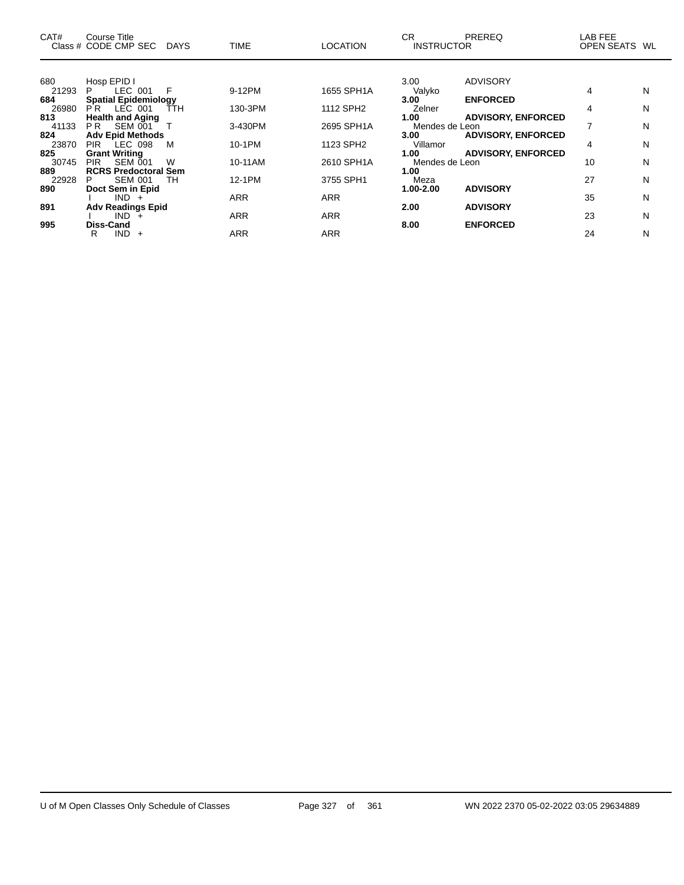| CAT#  | Course Title<br>Class # CODE CMP SEC | <b>DAYS</b> | <b>TIME</b> | <b>LOCATION</b> | CR.<br><b>INSTRUCTOR</b> | <b>PREREQ</b>             | LAB FEE<br>OPEN SEATS WL |   |
|-------|--------------------------------------|-------------|-------------|-----------------|--------------------------|---------------------------|--------------------------|---|
|       |                                      |             |             |                 |                          |                           |                          |   |
| 680   | Hosp EPID I                          |             |             |                 | 3.00                     | ADVISORY                  |                          |   |
| 21293 | LEC 001<br>P.                        | F           | 9-12PM      | 1655 SPH1A      | Valyko                   |                           | 4                        | N |
| 684   | <b>Spatial Epidemiology</b>          |             |             |                 | 3.00                     | <b>ENFORCED</b>           |                          |   |
| 26980 | <b>PR LEC 001</b>                    | <b>TTH</b>  | 130-3PM     | 1112 SPH2       | Zelner                   |                           | 4                        | N |
| 813   | <b>Health and Aging</b>              |             |             |                 | 1.00                     | <b>ADVISORY, ENFORCED</b> |                          |   |
| 41133 | PR.<br>SEM 001                       |             | 3-430PM     | 2695 SPH1A      | Mendes de Leon           |                           |                          | N |
| 824   | <b>Adv Epid Methods</b>              |             |             |                 | 3.00 <sub>1</sub>        | <b>ADVISORY, ENFORCED</b> |                          |   |
| 23870 | PIR LEC 098                          | м           | 10-1PM      | 1123 SPH2       | Villamor                 |                           | 4                        | N |
| 825   | <b>Grant Writing</b>                 |             |             |                 | 1.00                     | <b>ADVISORY, ENFORCED</b> |                          |   |
| 30745 | SEM 001<br>PIR.                      | W           | 10-11AM     | 2610 SPH1A      | Mendes de Leon           |                           | 10                       | N |
| 889   | <b>RCRS Predoctoral Sem</b>          |             |             |                 | 1.00                     |                           |                          |   |
| 22928 | <b>SEM 001</b><br>P.                 | TH          | 12-1PM      | 3755 SPH1       | Meza                     |                           | 27                       | N |
| 890   | Doct Sem in Epid                     |             |             |                 | 1.00-2.00                | <b>ADVISORY</b>           |                          |   |
|       | $IND +$                              |             | <b>ARR</b>  | <b>ARR</b>      |                          |                           | 35                       | N |
| 891   | <b>Adv Readings Epid</b>             |             |             |                 | 2.00                     | <b>ADVISORY</b>           |                          |   |
|       | IND.<br>$+$                          |             | <b>ARR</b>  | <b>ARR</b>      |                          |                           | 23                       | N |
| 995   | <b>Diss-Cand</b>                     |             |             |                 | 8.00                     | <b>ENFORCED</b>           |                          |   |
|       | IND.<br>R<br>$\div$                  |             | <b>ARR</b>  | <b>ARR</b>      |                          |                           | 24                       | N |

 $\overline{\phantom{0}}$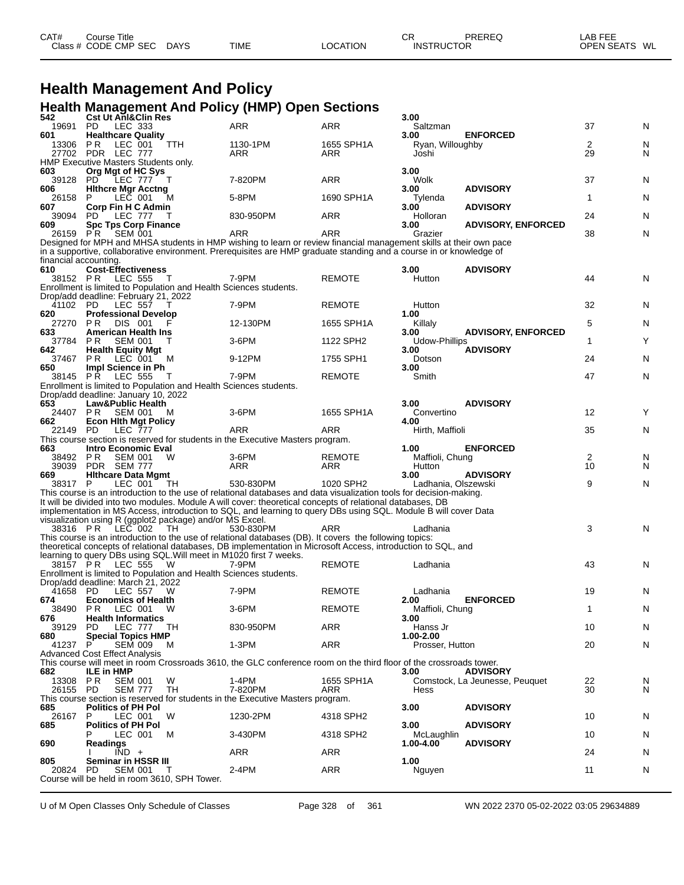| CAT# | ourse Titleٽ         |             |             |          | СR                | PREREQ | LAB FEE       |
|------|----------------------|-------------|-------------|----------|-------------------|--------|---------------|
|      | Class # CODE CMP SEC | <b>DAYS</b> | <b>TIME</b> | LOCATION | <b>INSTRUCTOR</b> |        | OPEN SEATS WL |

### **Health Management And Policy Health Management And Policy (HMP) Open Sections**

| 542                          | <br><b>Cst Ut AnI&amp;Clin Res</b>                                                    |        |                                                                                                                     |                   | 3.00                      |                                |                      |        |
|------------------------------|---------------------------------------------------------------------------------------|--------|---------------------------------------------------------------------------------------------------------------------|-------------------|---------------------------|--------------------------------|----------------------|--------|
| 19691                        | PD.<br>LEC 333                                                                        |        | ARR                                                                                                                 | ARR               | Saltzman                  |                                | 37                   | N      |
| 601                          | <b>Healthcare Quality</b>                                                             |        |                                                                                                                     |                   | 3.00                      | <b>ENFORCED</b>                |                      |        |
| 13306                        | P R<br>LEC 001<br>27702 PDR LEC 777                                                   | TTH    | 1130-1PM<br>ARR                                                                                                     | 1655 SPH1A<br>ARR | Ryan, Willoughby<br>Joshi |                                | $\overline{2}$<br>29 | N<br>N |
|                              | HMP Executive Masters Students only.                                                  |        |                                                                                                                     |                   |                           |                                |                      |        |
| 603                          | Org Mgt of HC Sys                                                                     |        |                                                                                                                     |                   | 3.00                      |                                |                      |        |
| 39128 PD                     | <b>LEC 777</b>                                                                        | $\top$ | 7-820PM                                                                                                             | ARR               | Wolk                      |                                | 37                   | N      |
| 606                          | <b>Hithcre Mgr Acctng</b>                                                             |        |                                                                                                                     |                   | 3.00                      | <b>ADVISORY</b>                |                      |        |
| 26158<br>607                 | LEC 001<br>P                                                                          | м      | 5-8PM                                                                                                               | 1690 SPH1A        | Tylenda                   | <b>ADVISORY</b>                | 1                    | N      |
| 39094                        | Corp Fin H C Admin<br>PD.<br>LEC 777                                                  | T      | 830-950PM                                                                                                           | ARR               | 3.00<br>Holloran          |                                | 24                   | N      |
| 609                          | <b>Spc Tps Corp Finance</b>                                                           |        |                                                                                                                     |                   | 3.00                      | <b>ADVISORY, ENFORCED</b>      |                      |        |
| 26159 PR                     | SEM 001                                                                               |        | ARR                                                                                                                 | ARR               | Grazier                   |                                | 38                   | N      |
|                              |                                                                                       |        | Designed for MPH and MHSA students in HMP wishing to learn or review financial management skills at their own pace  |                   |                           |                                |                      |        |
|                              |                                                                                       |        | in a supportive, collaborative environment. Prerequisites are HMP graduate standing and a course in or knowledge of |                   |                           |                                |                      |        |
| financial accounting.<br>610 | <b>Cost-Effectiveness</b>                                                             |        |                                                                                                                     |                   | 3.00                      | <b>ADVISORY</b>                |                      |        |
|                              | 38152 PR LEC 555                                                                      | $\top$ | 7-9PM                                                                                                               | <b>REMOTE</b>     | Hutton                    |                                | 44                   | N      |
|                              | Enrollment is limited to Population and Health Sciences students.                     |        |                                                                                                                     |                   |                           |                                |                      |        |
|                              | Drop/add deadline: February 21, 2022                                                  |        |                                                                                                                     |                   |                           |                                |                      |        |
| 41102 PD                     | LEC 557                                                                               |        | 7-9PM                                                                                                               | <b>REMOTE</b>     | Hutton                    |                                | 32                   | N      |
| 620                          | <b>Professional Develop</b>                                                           |        |                                                                                                                     | 1655 SPH1A        | 1.00                      |                                |                      |        |
| 27270<br>633                 | P R<br>DIS 001<br><b>American Health Ins</b>                                          |        | 12-130PM                                                                                                            |                   | Killaly<br>3.00           | <b>ADVISORY, ENFORCED</b>      | 5                    | N      |
| 37784                        | P R<br>SEM 001                                                                        | Τ      | 3-6PM                                                                                                               | 1122 SPH2         | Udow-Phillips             |                                | $\mathbf{1}$         | Y      |
| 642                          | <b>Health Equity Mgt</b>                                                              |        |                                                                                                                     |                   | 3.00                      | <b>ADVISORY</b>                |                      |        |
| 37467                        | P R<br>LEC 001                                                                        | м      | 9-12PM                                                                                                              | 1755 SPH1         | Dotson                    |                                | 24                   | N      |
| 650                          | Impl Science in Ph                                                                    |        |                                                                                                                     |                   | 3.00                      |                                |                      |        |
|                              | 38145 PR LEC 555<br>Enrollment is limited to Population and Health Sciences students. | $\top$ | 7-9PM                                                                                                               | <b>REMOTE</b>     | Smith                     |                                | 47                   | N      |
|                              | Drop/add deadline: January 10, 2022                                                   |        |                                                                                                                     |                   |                           |                                |                      |        |
| 653                          | <b>Law&amp;Public Health</b>                                                          |        |                                                                                                                     |                   | 3.00                      | <b>ADVISORY</b>                |                      |        |
| 24407                        | P R<br><b>SEM 001</b>                                                                 | м      | 3-6PM                                                                                                               | 1655 SPH1A        | Convertino                |                                | 12                   | Y      |
| 662                          | <b>Econ Hith Mgt Policy</b>                                                           |        |                                                                                                                     |                   | 4.00                      |                                |                      |        |
| 22149 PD                     | <b>LEC 777</b>                                                                        |        | ARR<br>This course section is reserved for students in the Executive Masters program.                               | ARR               | Hirth, Maffioli           |                                | 35                   | N      |
| 663                          | <b>Intro Economic Eval</b>                                                            |        |                                                                                                                     |                   | 1.00                      | <b>ENFORCED</b>                |                      |        |
| 38492 PR                     | <b>SEM 001</b>                                                                        | W      | 3-6PM                                                                                                               | <b>REMOTE</b>     | Maffioli, Chung           |                                | $\overline{c}$       | N      |
| 39039                        | PDR SEM 777                                                                           |        | ARR                                                                                                                 |                   |                           |                                |                      |        |
|                              |                                                                                       |        |                                                                                                                     | ARR               | Hutton                    |                                | 10                   | N      |
| 669                          | <b>Hithcare Data Mgmt</b>                                                             |        |                                                                                                                     |                   | 3.00                      | <b>ADVISORY</b>                |                      |        |
| 38317 P                      | LEC 001                                                                               | TH.    | 530-830PM                                                                                                           | 1020 SPH2         | Ladhania, Olszewski       |                                | 9                    | N      |
|                              |                                                                                       |        | This course is an introduction to the use of relational databases and data visualization tools for decision-making. |                   |                           |                                |                      |        |
|                              |                                                                                       |        | It will be divided into two modules. Module A will cover: theoretical concepts of relational databases, DB          |                   |                           |                                |                      |        |
|                              |                                                                                       |        | implementation in MS Access, introduction to SQL, and learning to query DBs using SQL. Module B will cover Data     |                   |                           |                                |                      |        |
| 38316 PR                     | visualization using R (ggplot2 package) and/or MS Excel.<br><b>LEC</b> 002            | TH     | 530-830PM                                                                                                           | ARR               | Ladhania                  |                                | 3                    | N      |
|                              |                                                                                       |        | This course is an introduction to the use of relational databases (DB). It covers the following topics:             |                   |                           |                                |                      |        |
|                              |                                                                                       |        | theoretical concepts of relational databases, DB implementation in Microsoft Access, introduction to SQL, and       |                   |                           |                                |                      |        |
|                              | learning to query DBs using SQL. Will meet in M1020 first 7 weeks.                    | - W    |                                                                                                                     |                   |                           |                                |                      |        |
|                              | 38157 PR LEC 555<br>Enrollment is limited to Population and Health Sciences students. |        | 7-9PM                                                                                                               | <b>REMOTE</b>     | Ladhania                  |                                | 43                   | N      |
|                              | Drop/add deadline: March 21, 2022                                                     |        |                                                                                                                     |                   |                           |                                |                      |        |
| 41658 PD                     | LEC 557                                                                               | w      | 7-9PM                                                                                                               | <b>REMOTE</b>     | Ladhania                  |                                | 19                   | N      |
| 674                          | <b>Economics of Health</b>                                                            |        |                                                                                                                     |                   | 2.00                      | <b>ENFORCED</b>                |                      |        |
| 38490 PR                     | LEC 001                                                                               | W      | 3-6PM                                                                                                               | <b>REMOTE</b>     | Maffioli, Chung           |                                | 1                    | N      |
| 676<br>39129                 | <b>Health Informatics</b><br>PD.<br>LEC 777 TH                                        |        | 830-950PM                                                                                                           | ARR               | 3.00<br>Hanss Jr          |                                | 10                   | N      |
| 680                          | <b>Special Topics HMP</b>                                                             |        |                                                                                                                     |                   | 1.00-2.00                 |                                |                      |        |
| 41237                        | P<br><b>SEM 009</b>                                                                   | м      | 1-3PM                                                                                                               | ARR               | Prosser, Hutton           |                                | 20                   | N      |
|                              | <b>Advanced Cost Effect Analysis</b>                                                  |        |                                                                                                                     |                   |                           |                                |                      |        |
|                              |                                                                                       |        | This course will meet in room Crossroads 3610, the GLC conference room on the third floor of the crossroads tower.  |                   |                           |                                |                      |        |
| 682                          | <b>ILE in HMP</b><br>P R                                                              | W      | 1-4PM                                                                                                               | 1655 SPH1A        | 3.00                      | <b>ADVISORY</b>                | 22                   |        |
| 13308<br>26155 PD            | <b>SEM 001</b><br><b>SEM 777</b>                                                      | TН     | 7-820PM                                                                                                             | ARR               | Hess                      | Comstock, La Jeunesse, Peuquet | 30                   | N<br>N |
|                              |                                                                                       |        | This course section is reserved for students in the Executive Masters program.                                      |                   |                           |                                |                      |        |
| 685                          | <b>Politics of PH Pol</b>                                                             |        |                                                                                                                     |                   | 3.00                      | <b>ADVISORY</b>                |                      |        |
| 26167                        | P<br>LEC 001                                                                          | W      | 1230-2PM                                                                                                            | 4318 SPH2         |                           |                                | 10                   | N      |
| 685                          | <b>Politics of PH Pol</b><br>LEC 001                                                  | M      | 3-430PM                                                                                                             | 4318 SPH2         | 3.00<br>McLaughlin        | <b>ADVISORY</b>                | 10                   | N      |
| 690                          | Readings                                                                              |        |                                                                                                                     |                   | 1.00-4.00                 | <b>ADVISORY</b>                |                      |        |
|                              | $IND +$                                                                               |        | ARR                                                                                                                 | ARR               |                           |                                | 24                   | N      |
| 805                          | Seminar in HSSR III                                                                   |        |                                                                                                                     |                   | 1.00                      |                                |                      |        |
| 20824                        | PD.<br><b>SEM 001</b><br>Course will be held in room 3610, SPH Tower.                 | Т      | 2-4PM                                                                                                               | ARR               | Nguyen                    |                                | 11                   | N      |

U of M Open Classes Only Schedule of Classes Page 328 of 361 WN 2022 2370 05-02-2022 03:05 29634889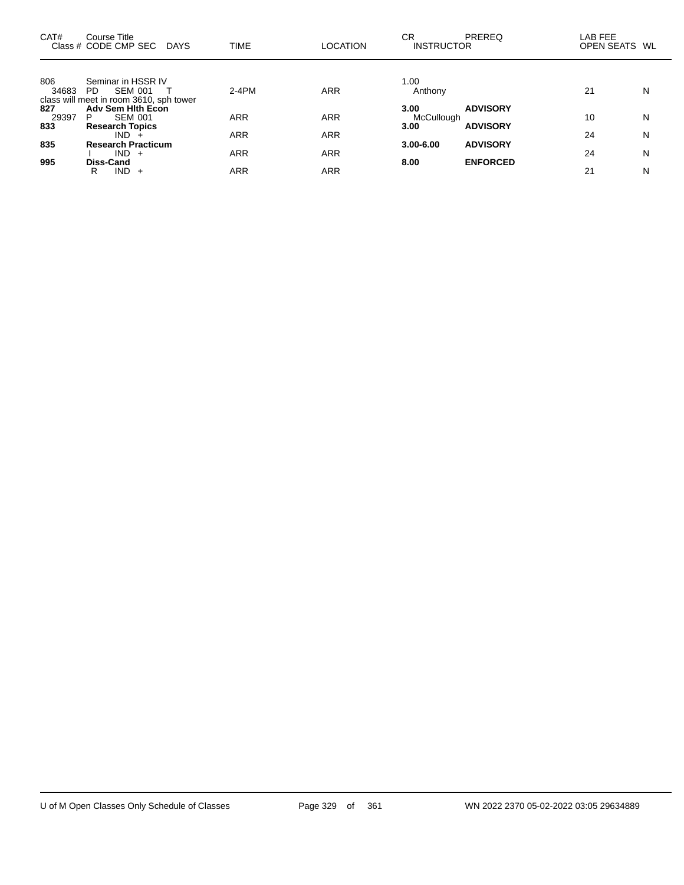| CAT#         | Course Title<br>Class # CODE CMP SEC DAYS     | <b>TIME</b> | <b>LOCATION</b> | СR<br><b>PREREQ</b><br><b>INSTRUCTOR</b> | LAB FEE<br>OPEN SEATS WL |   |
|--------------|-----------------------------------------------|-------------|-----------------|------------------------------------------|--------------------------|---|
| 806          | Seminar in HSSR IV                            |             |                 | 1.00                                     |                          |   |
| 34683        | <b>SEM 001</b><br>PD.                         | 2-4PM       | <b>ARR</b>      | Anthony                                  | 21                       | N |
|              | class will meet in room 3610, sph tower       |             |                 |                                          |                          |   |
| 827          | <b>Adv Sem Hith Econ</b>                      |             |                 | <b>ADVISORY</b><br>3.00                  |                          |   |
| 29397<br>833 | <b>SEM 001</b><br>P<br><b>Research Topics</b> | ARR         | ARR             | McCullough<br><b>ADVISORY</b><br>3.00    | 10                       | N |
|              | $IND +$                                       | ARR         | <b>ARR</b>      |                                          | 24                       | N |
| 835          | <b>Research Practicum</b>                     |             |                 | <b>ADVISORY</b><br>$3.00 - 6.00$         |                          |   |
|              | $IND +$                                       | ARR         | <b>ARR</b>      |                                          | 24                       | N |
| 995          | Diss-Cand                                     |             |                 | <b>ENFORCED</b><br>8.00                  |                          |   |
|              | $IND +$<br>R                                  | ARR         | ARR             |                                          | 21                       | N |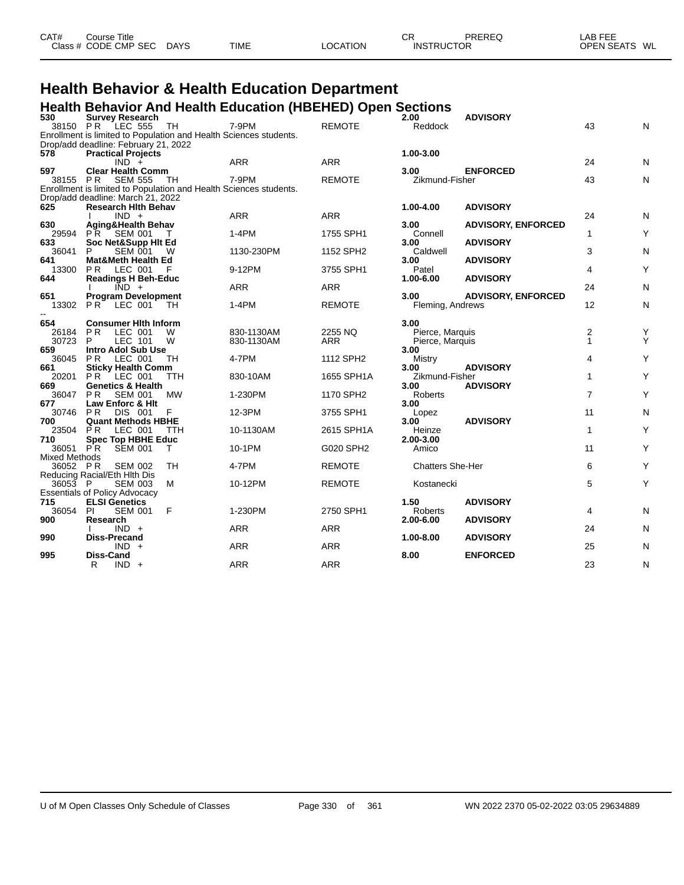| CAT# | Course Title         |             |             |          | СF                | PREREQ | LAB FEE       |
|------|----------------------|-------------|-------------|----------|-------------------|--------|---------------|
|      | Class # CODE CMP SEC | <b>DAYS</b> | <b>TIME</b> | LOCATION | <b>INSTRUCTOR</b> |        | OPEN SEATS WL |
|      |                      |             |             |          |                   |        |               |

### **Health Behavior & Health Education Department Health Behavior And Health Education (HBEHED) Open Sections**

| 530                  | <b>Survey Research</b>                                                                                    |            |            |               | 2.00                    | <b>ADVISORY</b>           |                |   |
|----------------------|-----------------------------------------------------------------------------------------------------------|------------|------------|---------------|-------------------------|---------------------------|----------------|---|
| 38150 PR             | LEC 555                                                                                                   | TH         | 7-9PM      | <b>REMOTE</b> | Reddock                 |                           | 43             | N |
|                      | Enrollment is limited to Population and Health Sciences students.<br>Drop/add deadline: February 21, 2022 |            |            |               |                         |                           |                |   |
| 578                  | <b>Practical Projects</b>                                                                                 |            |            |               | 1.00-3.00               |                           |                |   |
|                      | $IND +$                                                                                                   |            | <b>ARR</b> | <b>ARR</b>    |                         |                           | 24             | N |
| 597                  | <b>Clear Health Comm</b>                                                                                  |            |            |               | 3.00                    | <b>ENFORCED</b>           |                |   |
| 38155 PR             | <b>SEM 555</b>                                                                                            | TH         | 7-9PM      | <b>REMOTE</b> | Zikmund-Fisher          |                           | 43             | N |
|                      | Enrollment is limited to Population and Health Sciences students.                                         |            |            |               |                         |                           |                |   |
| 625                  | Drop/add deadline: March 21, 2022<br><b>Research Hith Behav</b>                                           |            |            |               | 1.00-4.00               | <b>ADVISORY</b>           |                |   |
|                      | $IND +$                                                                                                   |            | <b>ARR</b> | <b>ARR</b>    |                         |                           | 24             | N |
| 630                  | Aging&Health Behav                                                                                        |            |            |               | 3.00                    | <b>ADVISORY, ENFORCED</b> |                |   |
| 29594                | <b>PR</b> SEM 001                                                                                         | $\top$     | $1-4PM$    | 1755 SPH1     | Connell                 |                           | $\mathbf{1}$   | Y |
| 633                  | Soc Net&Supp HIt Ed                                                                                       |            |            |               | 3.00                    | <b>ADVISORY</b>           |                |   |
| 36041                | <b>SEM 001</b><br>P                                                                                       | W          | 1130-230PM | 1152 SPH2     | Caldwell                |                           | 3              | N |
| 641                  | Mat&Meth Health Ed                                                                                        |            |            |               | 3.00                    | <b>ADVISORY</b>           |                |   |
| 13300                | <b>PR LEC 001</b>                                                                                         |            | 9-12PM     | 3755 SPH1     | Patel                   |                           | 4              | Υ |
| 644                  | <b>Readings H Beh-Educ</b><br>$\overline{IND}$ +                                                          |            | <b>ARR</b> | <b>ARR</b>    | 1.00-6.00               | <b>ADVISORY</b>           | 24             | N |
| 651                  | <b>Program Development</b>                                                                                |            |            |               | 3.00                    | <b>ADVISORY, ENFORCED</b> |                |   |
|                      | 13302 PR LEC 001                                                                                          | TH         | $1-4PM$    | <b>REMOTE</b> | Fleming, Andrews        |                           | 12             | N |
|                      |                                                                                                           |            |            |               |                         |                           |                |   |
| 654                  | <b>Consumer Hith Inform</b>                                                                               |            |            |               | 3.00                    |                           |                |   |
| 26184                | LEC 001<br>P R                                                                                            | W          | 830-1130AM | 2255 NQ       | Pierce, Marquis         |                           | $\overline{2}$ | Υ |
| 30723                | LEC 101<br>P                                                                                              | W          | 830-1130AM | ARR           | Pierce, Marquis         |                           | 1              | Υ |
| 659<br>36045         | <b>Intro Adol Sub Use</b><br>PR<br>LEC 001                                                                | TH.        | 4-7PM      | 1112 SPH2     | 3.00                    |                           | 4              | Υ |
| 661                  | <b>Sticky Health Comm</b>                                                                                 |            |            |               | Mistry<br>3.00          | <b>ADVISORY</b>           |                |   |
| 20201                | PR.<br>LEC 001                                                                                            | TTH        | 830-10AM   | 1655 SPH1A    | Zikmund-Fisher          |                           | $\mathbf{1}$   | Υ |
| 669                  | <b>Genetics &amp; Health</b>                                                                              |            |            |               | 3.00                    | <b>ADVISORY</b>           |                |   |
| 36047                | PR.<br><b>SEM 001</b>                                                                                     | <b>MW</b>  | 1-230PM    | 1170 SPH2     | Roberts                 |                           | $\overline{7}$ | Y |
| 677                  | <b>Law Enforc &amp; Hit</b>                                                                               |            |            |               | 3.00                    |                           |                |   |
| 30746                | DIS 001<br>PR.                                                                                            | F          | 12-3PM     | 3755 SPH1     | Lopez                   |                           | 11             | N |
| 700                  | <b>Quant Methods HBHE</b>                                                                                 |            |            |               | 3.00                    | <b>ADVISORY</b>           | $\mathbf{1}$   | Υ |
| 23504<br>710         | LEC 001<br>PR.<br><b>Spec Top HBHE Educ</b>                                                               | <b>TTH</b> | 10-1130AM  | 2615 SPH1A    | Heinze<br>2.00-3.00     |                           |                |   |
| 36051                | <b>SEM 001</b><br>P R                                                                                     |            | 10-1PM     | G020 SPH2     | Amico                   |                           | 11             | Y |
| <b>Mixed Methods</b> |                                                                                                           |            |            |               |                         |                           |                |   |
| 36052 PR             | <b>SEM 002</b>                                                                                            | TH         | 4-7PM      | <b>REMOTE</b> | <b>Chatters She-Her</b> |                           | 6              | Y |
|                      | Reducing Racial/Eth Hith Dis                                                                              |            |            |               |                         |                           |                |   |
| 36053 P              | <b>SEM 003</b>                                                                                            | M          | 10-12PM    | <b>REMOTE</b> | Kostanecki              |                           | 5              | Y |
|                      | <b>Essentials of Policy Advocacy</b>                                                                      |            |            |               |                         |                           |                |   |
| 715<br>36054         | <b>ELSI Genetics</b><br>PI<br><b>SEM 001</b>                                                              | F          | 1-230PM    | 2750 SPH1     | 1.50<br>Roberts         | <b>ADVISORY</b>           | 4              | N |
| 900                  | Research                                                                                                  |            |            |               | 2.00-6.00               | <b>ADVISORY</b>           |                |   |
|                      | $IND +$                                                                                                   |            | <b>ARR</b> | <b>ARR</b>    |                         |                           | 24             | N |
| 990                  | Diss-Precand                                                                                              |            |            |               | 1.00-8.00               | <b>ADVISORY</b>           |                |   |
|                      | $IND +$                                                                                                   |            | <b>ARR</b> | <b>ARR</b>    |                         |                           | 25             | N |
| 995                  | Diss-Cand                                                                                                 |            |            |               | 8.00                    | <b>ENFORCED</b>           |                |   |
|                      | R<br>$IND +$                                                                                              |            | <b>ARR</b> | <b>ARR</b>    |                         |                           | 23             | N |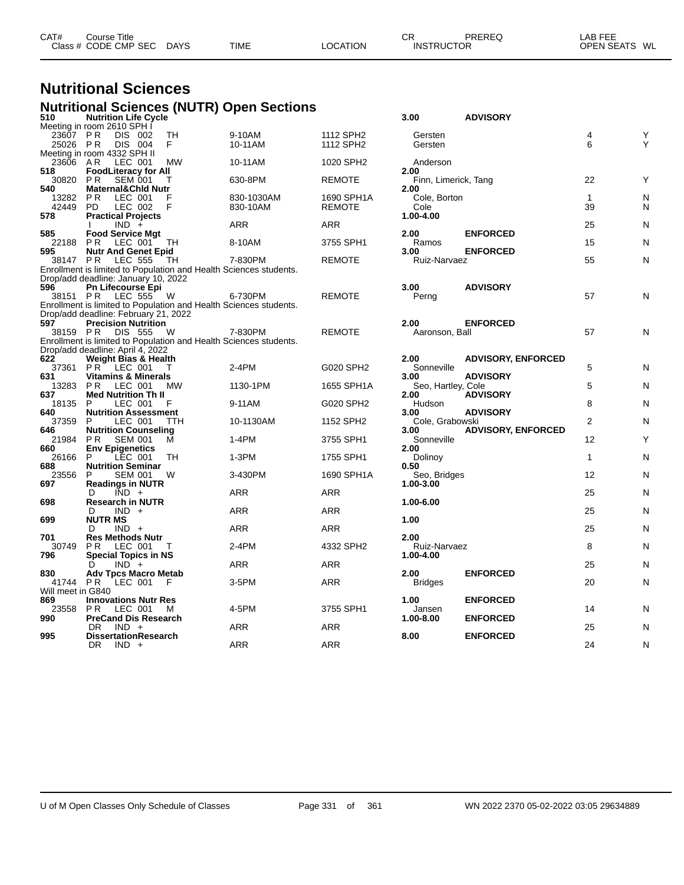| CAT# | Course Title         |             |             |          | СR                | PREREQ | LAB FEE       |  |
|------|----------------------|-------------|-------------|----------|-------------------|--------|---------------|--|
|      | Class # CODE CMP SEC | <b>DAYS</b> | <b>TIME</b> | LOCATION | <b>INSTRUCTOR</b> |        | OPEN SEATS WL |  |
|      |                      |             |             |          |                   |        |               |  |

### **Nutritional Sciences Nutritional Sciences (NUTR) Open Sections**

| 510               | <u> 81191 881811888</u><br><b>Nutrition Life Cycle</b>                       | .          |            |               | 3.00                   | <b>ADVISORY</b>           |                |   |
|-------------------|------------------------------------------------------------------------------|------------|------------|---------------|------------------------|---------------------------|----------------|---|
|                   | Meeting in room 2610 SPH I                                                   |            |            |               |                        |                           |                |   |
| 23607             | <b>PR</b><br>DIS 002                                                         | TH         | 9-10AM     | 1112 SPH2     | Gersten                |                           | 4              | Y |
| 25026 PR          | DIS 004                                                                      | F.         | 10-11AM    | 1112 SPH2     | Gersten                |                           | 6              | Y |
|                   | Meeting in room 4332 SPH II                                                  |            |            |               |                        |                           |                |   |
| 23606 AR<br>518   | LEC 001<br><b>FoodLiteracy for All</b>                                       | MW         | 10-11AM    | 1020 SPH2     | Anderson<br>2.00       |                           |                |   |
| 30820             | P R<br><b>SEM 001</b>                                                        | Τ          | 630-8PM    | REMOTE        | Finn, Limerick, Tang   |                           | 22             | Y |
| 540               | <b>Maternal&amp;Chid Nutr</b>                                                |            |            |               | 2.00                   |                           |                |   |
| 13282             | <b>PR</b><br>LEC 001                                                         |            | 830-1030AM | 1690 SPH1A    | Cole, Borton           |                           | $\mathbf{1}$   | N |
| 42449             | LEC 002<br>PD.                                                               | F          | 830-10AM   | <b>REMOTE</b> | Cole                   |                           | 39             | N |
| 578               | <b>Practical Projects</b>                                                    |            |            |               | 1.00-4.00              |                           |                |   |
|                   | $IND +$                                                                      |            | ARR        | <b>ARR</b>    |                        |                           | 25             | N |
| 585               | <b>Food Service Mgt</b>                                                      |            |            |               | 2.00                   | <b>ENFORCED</b>           |                |   |
| 22188             | P <sub>R</sub><br>LEC 001                                                    | TH         | 8-10AM     | 3755 SPH1     | Ramos                  |                           | 15             | N |
| 595               | <b>Nutr And Genet Epid</b>                                                   |            |            |               | 3.00                   | <b>ENFORCED</b>           |                |   |
| 38147 PR          | LEC 555<br>Enrollment is limited to Population and Health Sciences students. | TH         | 7-830PM    | <b>REMOTE</b> | Ruiz-Narvaez           |                           | 55             | N |
|                   | Drop/add deadline: January 10, 2022                                          |            |            |               |                        |                           |                |   |
| 596               | Pn Lifecourse Epi                                                            |            |            |               | 3.00                   | <b>ADVISORY</b>           |                |   |
|                   | 38151 PR LEC 555                                                             | - W        | 6-730PM    | <b>REMOTE</b> | Perng                  |                           | 57             | N |
|                   | Enrollment is limited to Population and Health Sciences students.            |            |            |               |                        |                           |                |   |
|                   | Drop/add deadline: February 21, 2022                                         |            |            |               |                        |                           |                |   |
| 597               | <b>Precision Nutrition</b>                                                   |            |            |               | 2.00                   | <b>ENFORCED</b>           |                |   |
|                   | 38159 PR DIS 555                                                             | W          | 7-830PM    | <b>REMOTE</b> | Aaronson, Ball         |                           | 57             | N |
|                   | Enrollment is limited to Population and Health Sciences students.            |            |            |               |                        |                           |                |   |
|                   | Drop/add deadline: April 4, 2022                                             |            |            |               |                        |                           |                |   |
| 622               | <b>Weight Bias &amp; Health</b>                                              |            |            |               | 2.00                   | <b>ADVISORY, ENFORCED</b> | 5              |   |
| 37361<br>631      | $PR$ <sup>-</sup><br>LEC 001<br><b>Vitamins &amp; Minerals</b>               | т          | 2-4PM      | G020 SPH2     | Sonneville<br>3.00     | <b>ADVISORY</b>           |                | N |
| 13283             | PR.<br>LEC 001                                                               | <b>MW</b>  | 1130-1PM   | 1655 SPH1A    | Seo, Hartley, Cole     |                           | 5              | N |
| 637               | <b>Med Nutrition Th II</b>                                                   |            |            |               | 2.00                   | <b>ADVISORY</b>           |                |   |
| 18135             | P<br>LEC 001                                                                 | F          | 9-11AM     | G020 SPH2     | Hudson                 |                           | 8              | N |
| 640               | <b>Nutrition Assessment</b>                                                  |            |            |               | 3.00                   | <b>ADVISORY</b>           |                |   |
| 37359             | LEC 001<br>P                                                                 | <b>TTH</b> | 10-1130AM  | 1152 SPH2     | Cole, Grabowski        |                           | $\overline{2}$ | N |
| 646               | <b>Nutrition Counseling</b>                                                  |            |            |               | 3.00                   | <b>ADVISORY, ENFORCED</b> |                |   |
| 21984             | PR.<br>SEM 001                                                               | М          | 1-4PM      | 3755 SPH1     | Sonneville             |                           | 12             | Y |
| 660               | <b>Env Epigenetics</b>                                                       |            |            |               | 2.00                   |                           |                |   |
| 26166             | LEC 001<br>P                                                                 | TH         | 1-3PM      | 1755 SPH1     | Dolinoy                |                           | $\mathbf{1}$   | N |
| 688<br>23556      | <b>Nutrition Seminar</b><br><b>SEM 001</b><br>P                              | W          | 3-430PM    | 1690 SPH1A    | 0.50<br>Seo, Bridges   |                           | 12             | N |
| 697               | <b>Readings in NUTR</b>                                                      |            |            |               | 1.00-3.00              |                           |                |   |
|                   | $\overline{IND}$ +<br>D                                                      |            | <b>ARR</b> | <b>ARR</b>    |                        |                           | 25             | N |
| 698               | <b>Research in NUTR</b>                                                      |            |            |               | 1.00-6.00              |                           |                |   |
|                   | D<br>$IND +$                                                                 |            | ARR        | <b>ARR</b>    |                        |                           | 25             | N |
| 699               | <b>NUTR MS</b>                                                               |            |            |               | 1.00                   |                           |                |   |
|                   | D<br>$IND +$                                                                 |            | ARR        | <b>ARR</b>    |                        |                           | 25             | N |
| 701               | <b>Res Methods Nutr</b>                                                      |            |            |               | 2.00                   |                           |                |   |
| 30749             | <b>PR</b><br>LEC 001                                                         | т          | 2-4PM      | 4332 SPH2     | Ruiz-Narvaez           |                           | 8              | N |
| 796               | <b>Special Topics in NS</b>                                                  |            |            |               | 1.00-4.00              |                           |                |   |
|                   | $IND +$<br>D                                                                 |            | ARR        | <b>ARR</b>    |                        |                           | 25             | N |
| 830<br>41744 PR   | <b>Adv Tpcs Macro Metab</b><br>LEC 001                                       | -F         | 3-5PM      | ARR           | 2.00<br><b>Bridges</b> | <b>ENFORCED</b>           | 20             | N |
| Will meet in G840 |                                                                              |            |            |               |                        |                           |                |   |
| 869               | <b>Innovations Nutr Res</b>                                                  |            |            |               | 1.00                   | <b>ENFORCED</b>           |                |   |
| 23558             | <b>PR LEC 001</b>                                                            | м          | 4-5PM      | 3755 SPH1     | Jansen                 |                           | 14             | N |
| 990               | <b>PreCand Dis Research</b>                                                  |            |            |               | 1.00-8.00              | <b>ENFORCED</b>           |                |   |
|                   | $IND +$<br>DR.                                                               |            | ARR        | <b>ARR</b>    |                        |                           | 25             | N |
| 995               | <b>DissertationResearch</b>                                                  |            |            |               | 8.00                   | <b>ENFORCED</b>           |                |   |
|                   | <b>DR</b><br>$IND +$                                                         |            | <b>ARR</b> | <b>ARR</b>    |                        |                           | 24             | N |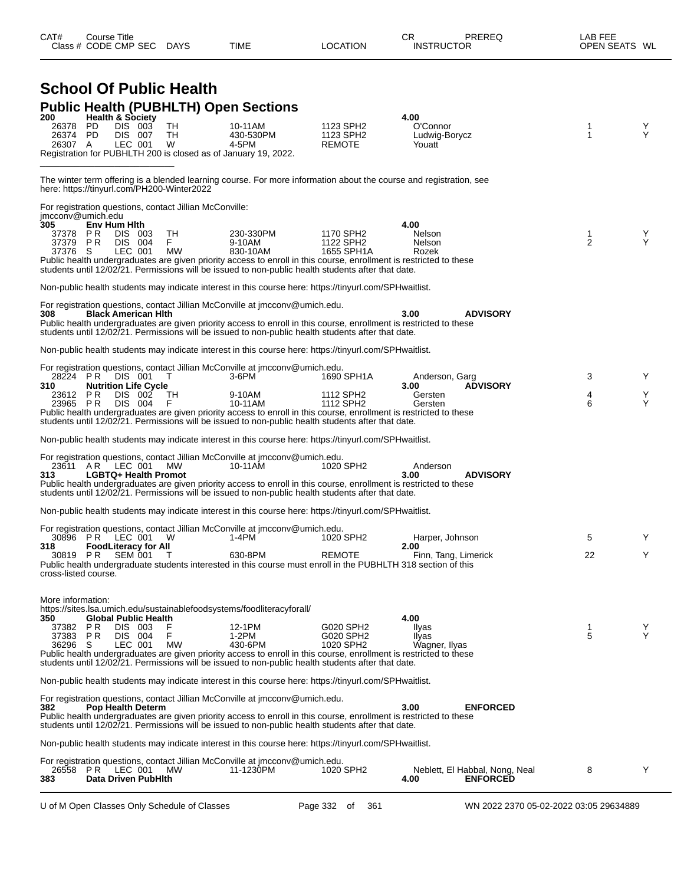|                          | Class # CODE CMP SEC |              |                                        | DAYS                                                    | TIME                                                                                                                                                                                                                     | <b>LOCATION</b>                    | <b>INSTRUCTOR</b>                                                                                                  | OPEN SEATS WL       |        |
|--------------------------|----------------------|--------------|----------------------------------------|---------------------------------------------------------|--------------------------------------------------------------------------------------------------------------------------------------------------------------------------------------------------------------------------|------------------------------------|--------------------------------------------------------------------------------------------------------------------|---------------------|--------|
|                          |                      |              |                                        |                                                         |                                                                                                                                                                                                                          |                                    |                                                                                                                    |                     |        |
|                          |                      |              |                                        | <b>School Of Public Health</b>                          |                                                                                                                                                                                                                          |                                    |                                                                                                                    |                     |        |
|                          |                      |              |                                        |                                                         | <b>Public Health (PUBHLTH) Open Sections</b>                                                                                                                                                                             |                                    |                                                                                                                    |                     |        |
| 200<br>26378             | <b>PD</b>            |              | <b>Health &amp; Society</b><br>DIS 003 | TН                                                      | 10-11AM                                                                                                                                                                                                                  | 1123 SPH2                          | 4.00<br>O'Connor                                                                                                   | 1                   | Y      |
| 26374 PD<br>26307 A      |                      |              | <b>DIS 007</b><br>LEC 001              | TН<br>W                                                 | 430-530PM<br>4-5PM                                                                                                                                                                                                       | 1123 SPH2<br><b>REMOTE</b>         | Ludwig-Borycz<br>Youatt                                                                                            | 1                   | Y      |
|                          |                      |              |                                        |                                                         | Registration for PUBHLTH 200 is closed as of January 19, 2022.                                                                                                                                                           |                                    |                                                                                                                    |                     |        |
|                          |                      |              |                                        | here: https://tinyurl.com/PH200-Winter2022              |                                                                                                                                                                                                                          |                                    | The winter term offering is a blended learning course. For more information about the course and registration, see |                     |        |
|                          |                      |              |                                        | For registration questions, contact Jillian McConville: |                                                                                                                                                                                                                          |                                    |                                                                                                                    |                     |        |
| imcconv@umich.edu<br>305 |                      | Env Hum Hith |                                        |                                                         |                                                                                                                                                                                                                          |                                    | 4.00                                                                                                               |                     |        |
| 37378                    | P R<br>37379 PR      |              | DIS 003<br><b>DIS 004</b>              | TН<br>F.                                                | 230-330PM<br>9-10AM                                                                                                                                                                                                      | 1170 SPH2<br>1122 SPH2             | Nelson<br>Nelson                                                                                                   | 1<br>$\overline{2}$ | Y<br>Y |
| 37376 S                  |                      |              | LEC 001                                | <b>MW</b>                                               | 830-10AM<br>Public health undergraduates are given priority access to enroll in this course, enrollment is restricted to these                                                                                           | 1655 SPH1A                         | Rozek                                                                                                              |                     |        |
|                          |                      |              |                                        |                                                         | students until 12/02/21. Permissions will be issued to non-public health students after that date.                                                                                                                       |                                    |                                                                                                                    |                     |        |
|                          |                      |              |                                        |                                                         | Non-public health students may indicate interest in this course here: https://tinyurl.com/SPHwaitlist.                                                                                                                   |                                    |                                                                                                                    |                     |        |
|                          |                      |              |                                        |                                                         | For registration questions, contact Jillian McConville at jmcconv@umich.edu.                                                                                                                                             |                                    |                                                                                                                    |                     |        |
| 308                      |                      |              | <b>Black American Hith</b>             |                                                         | Public health undergraduates are given priority access to enroll in this course, enrollment is restricted to these<br>students until 12/02/21. Permissions will be issued to non-public health students after that date. |                                    | 3.00<br><b>ADVISORY</b>                                                                                            |                     |        |
|                          |                      |              |                                        |                                                         | Non-public health students may indicate interest in this course here: https://tinyurl.com/SPHwaitlist.                                                                                                                   |                                    |                                                                                                                    |                     |        |
|                          |                      |              |                                        |                                                         | For registration questions, contact Jillian McConville at jmcconv@umich.edu.                                                                                                                                             |                                    |                                                                                                                    |                     |        |
| 310                      | 28224 PR             |              | DIS 001<br><b>Nutrition Life Cycle</b> | T                                                       | 3-6PM                                                                                                                                                                                                                    | 1690 SPH1A                         | Anderson, Garg<br><b>ADVISORY</b><br>3.00                                                                          | 3                   | Y      |
|                          | 23612 PR<br>23965 PR |              | DIS 002<br><b>DIS 004</b>              | ТH<br>F                                                 | 9-10AM<br>10-11AM                                                                                                                                                                                                        | 1112 SPH2<br>1112 SPH <sub>2</sub> | Gersten<br>Gersten                                                                                                 | 4<br>6              | Y<br>Υ |
|                          |                      |              |                                        |                                                         | Public health undergraduates are given priority access to enroll in this course, enrollment is restricted to these<br>students until 12/02/21. Permissions will be issued to non-public health students after that date. |                                    |                                                                                                                    |                     |        |
|                          |                      |              |                                        |                                                         | Non-public health students may indicate interest in this course here: https://tinyurl.com/SPHwaitlist.                                                                                                                   |                                    |                                                                                                                    |                     |        |
|                          |                      |              |                                        |                                                         | For registration questions, contact Jillian McConville at jmcconv@umich.edu.                                                                                                                                             |                                    |                                                                                                                    |                     |        |
| 313                      | 23611 AR             |              | LEC 001<br><b>LGBTQ+ Health Promot</b> | <b>MW</b>                                               | 10-11AM                                                                                                                                                                                                                  | 1020 SPH2                          | Anderson<br><b>ADVISORY</b><br>3.00                                                                                |                     |        |
|                          |                      |              |                                        |                                                         | Public health undergraduates are given priority access to enroll in this course, enrollment is restricted to these                                                                                                       |                                    |                                                                                                                    |                     |        |
|                          |                      |              |                                        |                                                         | students until 12/02/21. Permissions will be issued to non-public health students after that date.                                                                                                                       |                                    |                                                                                                                    |                     |        |
|                          |                      |              |                                        |                                                         | Non-public health students may indicate interest in this course here: https://tinyurl.com/SPHwaitlist.                                                                                                                   |                                    |                                                                                                                    |                     |        |
|                          |                      |              | 30896 PR LEC 001 W                     |                                                         | For registration questions, contact Jillian McConville at jmcconv@umich.edu.<br>1-4PM                                                                                                                                    | 1020 SPH2                          | Harper, Johnson                                                                                                    | 5                   | Y      |
| 318                      | 30819 PR             |              | <b>FoodLiteracy for All</b><br>SEM 001 | Т                                                       | 630-8PM                                                                                                                                                                                                                  | <b>REMOTE</b>                      | 2.00<br>Finn, Tang, Limerick                                                                                       | 22                  | Y      |
| cross-listed course.     |                      |              |                                        |                                                         | Public health undergraduate students interested in this course must enroll in the PUBHLTH 318 section of this                                                                                                            |                                    |                                                                                                                    |                     |        |
|                          |                      |              |                                        |                                                         |                                                                                                                                                                                                                          |                                    |                                                                                                                    |                     |        |
| More information:        |                      |              |                                        |                                                         | https://sites.lsa.umich.edu/sustainablefoodsystems/foodliteracyforall/                                                                                                                                                   |                                    |                                                                                                                    |                     |        |
| 350                      |                      |              | Global Public Health                   |                                                         |                                                                                                                                                                                                                          |                                    | 4.00                                                                                                               |                     |        |
| 37382                    | P R<br>37383 PR      |              | DIS 003<br>DIS 004                     | F                                                       | 12-1PM<br>1-2PM                                                                                                                                                                                                          | G020 SPH2<br>G020 SPH2             | Ilyas<br>Ilyas                                                                                                     | 1<br>5              | Y<br>Y |
| 36296 S                  |                      |              | LEC 001                                | <b>MW</b>                                               | 430-6PM<br>Public health undergraduates are given priority access to enroll in this course, enrollment is restricted to these                                                                                            | 1020 SPH2                          | Wagner, Ilyas                                                                                                      |                     |        |
|                          |                      |              |                                        |                                                         | students until 12/02/21. Permissions will be issued to non-public health students after that date.                                                                                                                       |                                    |                                                                                                                    |                     |        |
|                          |                      |              |                                        |                                                         | Non-public health students may indicate interest in this course here: https://tinyurl.com/SPHwaitlist.                                                                                                                   |                                    |                                                                                                                    |                     |        |
|                          |                      |              |                                        |                                                         | For registration questions, contact Jillian McConville at jmcconv@umich.edu.                                                                                                                                             |                                    | 3.00                                                                                                               |                     |        |
| 382                      |                      |              | <b>Pop Health Determ</b>               |                                                         | Public health undergraduates are given priority access to enroll in this course, enrollment is restricted to these                                                                                                       |                                    | <b>ENFORCED</b>                                                                                                    |                     |        |
|                          |                      |              |                                        |                                                         | students until 12/02/21. Permissions will be issued to non-public health students after that date.                                                                                                                       |                                    |                                                                                                                    |                     |        |
|                          |                      |              |                                        |                                                         | Non-public health students may indicate interest in this course here: https://tinyurl.com/SPHwaitlist.                                                                                                                   |                                    |                                                                                                                    |                     |        |
|                          | 26558 PR LEC 001     |              |                                        | <b>MW</b>                                               | For registration questions, contact Jillian McConville at jmcconv@umich.edu.<br>11-1230PM                                                                                                                                | 1020 SPH2                          | Neblett, El Habbal, Nong, Neal                                                                                     | 8                   | Y      |
| 383                      |                      |              | Data Driven PubHlth                    |                                                         |                                                                                                                                                                                                                          |                                    | 4.00<br><b>ENFORCED</b>                                                                                            |                     |        |
|                          |                      |              |                                        |                                                         |                                                                                                                                                                                                                          |                                    |                                                                                                                    |                     |        |

CAT# Course Title Case CR PREREQ LAB FEE

U of M Open Classes Only Schedule of Classes Page 332 of 361 WN 2022 2370 05-02-2022 03:05 29634889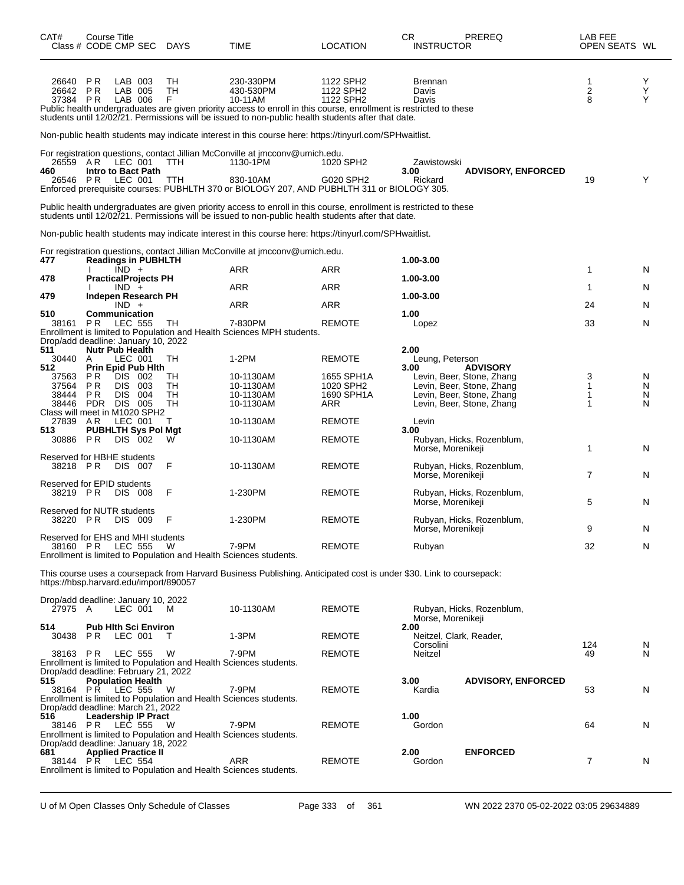| CAT#<br>Class # CODE CMP SEC DAYS                     | <b>Course Title</b>         |                    |                                       |                | TIME                                                                                                                                                                                                                                                          | <b>LOCATION</b>                     | <b>CR</b><br><b>INSTRUCTOR</b>  | PREREQ                                                                              | LAB FEE<br>OPEN SEATS WL |             |
|-------------------------------------------------------|-----------------------------|--------------------|---------------------------------------|----------------|---------------------------------------------------------------------------------------------------------------------------------------------------------------------------------------------------------------------------------------------------------------|-------------------------------------|---------------------------------|-------------------------------------------------------------------------------------|--------------------------|-------------|
| 26640<br>26642<br>37384 PR                            | <b>PR</b><br>P <sub>R</sub> |                    | LAB 003<br>LAB 005<br>LAB 006         | TН<br>TН<br>F  | 230-330PM<br>430-530PM<br>10-11AM<br>Public health undergraduates are given priority access to enroll in this course, enrollment is restricted to these<br>students until 12/02/21. Permissions will be issued to non-public health students after that date. | 1122 SPH2<br>1122 SPH2<br>1122 SPH2 | Brennan<br>Davis<br>Davis       |                                                                                     | 1<br>$\mathbf 2$<br>8    | Υ<br>Ý<br>Y |
|                                                       |                             |                    |                                       |                | Non-public health students may indicate interest in this course here: https://tinyurl.com/SPHwaitlist.                                                                                                                                                        |                                     |                                 |                                                                                     |                          |             |
| 26559<br>460<br>26546                                 | AR<br>PR.                   | LEC 001            | LEC 001<br>Intro to Bact Path         | TTH<br>TTH     | For registration questions, contact Jillian McConville at jmcconv@umich.edu.<br>1130-1PM<br>830-10AM<br>Enforced prerequisite courses: PUBHLTH 370 or BIOLOGY 207, AND PUBHLTH 311 or BIOLOGY 305.                                                            | 1020 SPH2<br>G020 SPH2              | Zawistowski<br>3.00<br>Rickard  | <b>ADVISORY, ENFORCED</b>                                                           | 19                       | Y           |
|                                                       |                             |                    |                                       |                | Public health undergraduates are given priority access to enroll in this course, enrollment is restricted to these<br>students until 12/02/21. Permissions will be issued to non-public health students after that date.                                      |                                     |                                 |                                                                                     |                          |             |
|                                                       |                             |                    |                                       |                | Non-public health students may indicate interest in this course here: https://tinyurl.com/SPHwaitlist.                                                                                                                                                        |                                     |                                 |                                                                                     |                          |             |
| 477                                                   |                             |                    | <b>Readings in PUBHLTH</b>            |                | For registration questions, contact Jillian McConville at imcconv@umich.edu.                                                                                                                                                                                  |                                     | 1.00-3.00                       |                                                                                     |                          |             |
| 478                                                   |                             | $IND +$            | <b>PracticalProjects PH</b>           |                | ARR                                                                                                                                                                                                                                                           | <b>ARR</b>                          | 1.00-3.00                       |                                                                                     | 1                        | N           |
| 479                                                   |                             | $IND +$            | Indepen Research PH                   |                | <b>ARR</b>                                                                                                                                                                                                                                                    | <b>ARR</b>                          | 1.00-3.00                       |                                                                                     | 1                        | N           |
| 510                                                   | Communication               | $IND +$            |                                       |                | <b>ARR</b>                                                                                                                                                                                                                                                    | <b>ARR</b>                          | 1.00                            |                                                                                     | 24                       | N           |
| 38161 PR                                              |                             | LEC 555            |                                       | TH             | 7-830PM<br>Enrollment is limited to Population and Health Sciences MPH students.                                                                                                                                                                              | <b>REMOTE</b>                       | Lopez                           |                                                                                     | 33                       | N           |
| Drop/add deadline: January 10, 2022<br>511<br>30440   | <b>Nutr Pub Health</b><br>A |                    | LEC 001                               | TН             | $1-2PM$                                                                                                                                                                                                                                                       | <b>REMOTE</b>                       | 2.00<br>Leung, Peterson         |                                                                                     |                          |             |
| 512<br>37563                                          | P R                         |                    | <b>Prin Epid Pub Hith</b><br>DIS 002  | TН             | 10-1130AM                                                                                                                                                                                                                                                     | 1655 SPH1A                          | 3.00                            | <b>ADVISORY</b><br>Levin, Beer, Stone, Zhang                                        | 3                        | N           |
| 37564<br>38444<br>38446 PDR DIS                       | P R<br>PR.                  | DIS.<br><b>DIS</b> | 003<br>004<br>005                     | TН<br>TН<br>TH | 10-1130AM<br>10-1130AM<br>10-1130AM                                                                                                                                                                                                                           | 1020 SPH2<br>1690 SPH1A<br>ARR      |                                 | Levin, Beer, Stone, Zhang<br>Levin, Beer, Stone, Zhang<br>Levin, Beer, Stone, Zhang | 1<br>1<br>1              | N<br>N<br>N |
| Class will meet in M1020 SPH2<br>27839                | AR.                         |                    | LEC 001                               | т              | 10-1130AM                                                                                                                                                                                                                                                     | <b>REMOTE</b>                       | Levin                           |                                                                                     |                          |             |
| 513<br>30886                                          | P R                         |                    | <b>PUBHLTH Sys Pol Mgt</b><br>DIS 002 | W              | 10-1130AM                                                                                                                                                                                                                                                     | <b>REMOTE</b>                       | 3.00<br>Morse, Morenikeji       | Rubyan, Hicks, Rozenblum,                                                           | $\mathbf{1}$             | N           |
| Reserved for HBHE students<br>38218 PR                |                             |                    | DIS 007                               | F              | 10-1130AM                                                                                                                                                                                                                                                     | <b>REMOTE</b>                       | Morse, Morenikeji               | Rubyan, Hicks, Rozenblum,                                                           | $\overline{7}$           | N           |
| Reserved for EPID students<br>38219 PR                |                             |                    | DIS 008                               | F              | 1-230PM                                                                                                                                                                                                                                                       | <b>REMOTE</b>                       | Morse, Morenikeji               | Rubyan, Hicks, Rozenblum,                                                           | 5                        | N           |
| Reserved for NUTR students<br>38220 PR                |                             |                    | DIS 009                               | F              | 1-230PM                                                                                                                                                                                                                                                       | <b>REMOTE</b>                       | Morse, Morenikeji               | Rubyan, Hicks, Rozenblum,                                                           | 9                        | N           |
| Reserved for EHS and MHI students<br>38160 PR LEC 555 |                             |                    |                                       | W              | 7-9PM<br>Enrollment is limited to Population and Health Sciences students.                                                                                                                                                                                    | <b>REMOTE</b>                       | Rubyan                          |                                                                                     | 32                       | N           |
| https://hbsp.harvard.edu/import/890057                |                             |                    |                                       |                | This course uses a coursepack from Harvard Business Publishing. Anticipated cost is under \$30. Link to coursepack:                                                                                                                                           |                                     |                                 |                                                                                     |                          |             |
| Drop/add deadline: January 10, 2022<br>27975 A        |                             |                    | LEC 001                               | M              | 10-1130AM                                                                                                                                                                                                                                                     | <b>REMOTE</b>                       | Morse, Morenikeji               | Rubyan, Hicks, Rozenblum,                                                           |                          |             |
| 514<br>30438                                          | PR.                         | LEC 001            | <b>Pub Hith Sci Environ</b>           | т              | 1-3PM                                                                                                                                                                                                                                                         | <b>REMOTE</b>                       | 2.00<br>Neitzel, Clark, Reader, |                                                                                     |                          |             |
| 38163 PR                                              |                             |                    | LEC 555                               | W              | 7-9PM                                                                                                                                                                                                                                                         | <b>REMOTE</b>                       | Corsolini<br>Neitzel            |                                                                                     | 124<br>49                | N<br>N      |
| Drop/add deadline: February 21, 2022<br>515           |                             |                    | <b>Population Health</b>              |                | Enrollment is limited to Population and Health Sciences students.                                                                                                                                                                                             |                                     | 3.00                            | <b>ADVISORY, ENFORCED</b>                                                           |                          |             |
| 38164 PR LEC 555<br>Drop/add deadline: March 21, 2022 |                             |                    |                                       | - W            | 7-9PM<br>Enrollment is limited to Population and Health Sciences students.                                                                                                                                                                                    | <b>REMOTE</b>                       | Kardia                          |                                                                                     | 53                       | N           |
| 516<br>38146 PR                                       |                             |                    | <b>Leadership IP Pract</b><br>LEC 555 | W              | 7-9PM                                                                                                                                                                                                                                                         | <b>REMOTE</b>                       | 1.00<br>Gordon                  |                                                                                     | 64                       | N           |
| Drop/add deadline: January 18, 2022<br>681            |                             |                    | <b>Applied Practice II</b>            |                | Enrollment is limited to Population and Health Sciences students.                                                                                                                                                                                             |                                     | 2.00                            | <b>ENFORCED</b>                                                                     |                          |             |
| 38144 PR LEC 554                                      |                             |                    |                                       |                | ARR<br>Enrollment is limited to Population and Health Sciences students.                                                                                                                                                                                      | <b>REMOTE</b>                       | Gordon                          |                                                                                     | 7                        | N           |

U of M Open Classes Only Schedule of Classes Page 333 of 361 WN 2022 2370 05-02-2022 03:05 29634889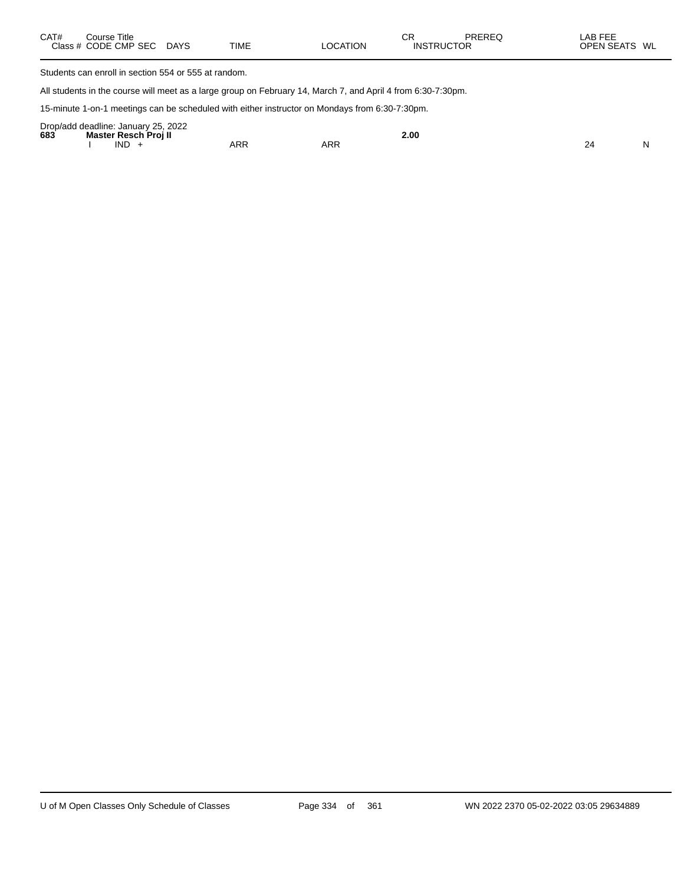| CAT# | Course Title<br>Class # CODE CMP SEC | <b>DAYS</b> | <b>TIME</b> | <b>LOCATION</b> | СR<br><b>INSTRUCTOR</b> | PREREQ | LAB FEE<br><b>OPEN SEATS</b><br>WL |
|------|--------------------------------------|-------------|-------------|-----------------|-------------------------|--------|------------------------------------|
|      |                                      |             |             |                 |                         |        |                                    |

Students can enroll in section 554 or 555 at random.

All students in the course will meet as a large group on February 14, March 7, and April 4 from 6:30-7:30pm.

15-minute 1-on-1 meetings can be scheduled with either instructor on Mondays from 6:30-7:30pm.

|     | Drop/add deadline: January 25, 2022 |     |     |             |    |
|-----|-------------------------------------|-----|-----|-------------|----|
| 683 | Master Resch Proill                 |     |     | 2.00<br>. . |    |
|     | <b>IND</b>                          | ARR | ARR |             | NL |
|     |                                     |     |     |             |    |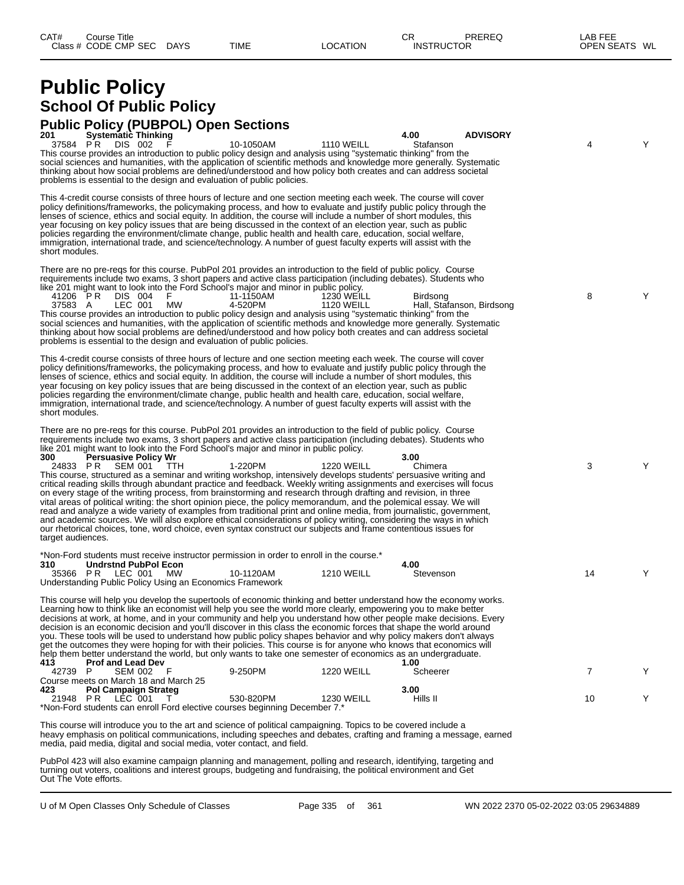# **Public Policy School Of Public Policy**

## **Public Policy (PUBPOL) Open Sections**

| <b>Systematic Thinking</b><br>201<br>37584 PR<br>DIS 002<br>This course provides an introduction to public policy design and analysis using "systematic thinking" from the<br>social sciences and humanities, with the application of scientific methods and knowledge more generally. Systematic<br>thinking about how social problems are defined/understood and how policy both creates and can address societal<br>problems is essential to the design and evaluation of public policies.                                                                                                                                                                                                                                                                                                                                                                                                                                                                                                                                                                                                                                                                                                                                                                                 | 10-1050AM            | <b>1110 WEILL</b>                      | 4.00<br>Stafanson | <b>ADVISORY</b>           | 4              | Υ |
|-------------------------------------------------------------------------------------------------------------------------------------------------------------------------------------------------------------------------------------------------------------------------------------------------------------------------------------------------------------------------------------------------------------------------------------------------------------------------------------------------------------------------------------------------------------------------------------------------------------------------------------------------------------------------------------------------------------------------------------------------------------------------------------------------------------------------------------------------------------------------------------------------------------------------------------------------------------------------------------------------------------------------------------------------------------------------------------------------------------------------------------------------------------------------------------------------------------------------------------------------------------------------------|----------------------|----------------------------------------|-------------------|---------------------------|----------------|---|
| This 4-credit course consists of three hours of lecture and one section meeting each week. The course will cover<br>policy definitions/frameworks, the policymaking process, and how to evaluate and justify public policy through the<br>lenses of science, ethics and social equity. In addition, the course will include a number of short modules, this<br>year focusing on key policy issues that are being discussed in the context of an election year, such as public<br>policies regarding the environment/climate change, public health and health care, education, social welfare,<br>immigration, international trade, and science/technology. A number of guest faculty experts will assist with the<br>short modules.                                                                                                                                                                                                                                                                                                                                                                                                                                                                                                                                           |                      |                                        |                   |                           |                |   |
| There are no pre-reqs for this course. PubPol 201 provides an introduction to the field of public policy. Course<br>requirements include two exams, 3 short papers and active class participation (including debates). Students who<br>like 201 might want to look into the Ford School's major and minor in public policy.<br>41206 PR<br>DIS 004<br>LEC 001<br>MW<br>37583 A<br>This course provides an introduction to public policy design and analysis using "systematic thinking" from the<br>social sciences and humanities, with the application of scientific methods and knowledge more generally. Systematic<br>thinking about how social problems are defined/understood and how policy both creates and can address societal<br>problems is essential to the design and evaluation of public policies.                                                                                                                                                                                                                                                                                                                                                                                                                                                           | 11-1150AM<br>4-520PM | <b>1230 WEILL</b><br><b>1120 WEILL</b> | Birdsong          | Hall, Stafanson, Birdsong | 8              | Y |
| This 4-credit course consists of three hours of lecture and one section meeting each week. The course will cover<br>policy definitions/frameworks, the policymaking process, and how to evaluate and justify public policy through the<br>lenses of science, ethics and social equity. In addition, the course will include a number of short modules, this<br>year focusing on key policy issues that are being discussed in the context of an election year, such as public<br>policies regarding the environment/climate change, public health and health care, education, social welfare,<br>immigration, international trade, and science/technology. A number of guest faculty experts will assist with the<br>short modules.                                                                                                                                                                                                                                                                                                                                                                                                                                                                                                                                           |                      |                                        |                   |                           |                |   |
| There are no pre-regs for this course. PubPol 201 provides an introduction to the field of public policy. Course<br>requirements include two exams, 3 short papers and active class participation (including debates). Students who<br>like 201 might want to look into the Ford School's major and minor in public policy.<br>300<br><b>Persuasive Policy Wr</b><br>24833 PR<br>SEM 001<br><b>TTH</b><br>This course, structured as a seminar and writing workshop, intensively develops students' persuasive writing and<br>critical reading skills through abundant practice and feedback. Weekly writing assignments and exercises will focus<br>on every stage of the writing process, from brainstorming and research through drafting and revision, in three<br>vital areas of political writing: the short opinion piece, the policy memorandum, and the polemical essay. We will<br>read and analyze a wide variety of examples from traditional print and online media, from journalistic, government,<br>and academic sources. We will also explore ethical considerations of policy writing, considering the ways in which<br>our rhetorical choices, tone, word choice, even syntax construct our subjects and frame contentious issues for<br>target audiences. | 1-220PM              | <b>1220 WEILL</b>                      | 3.00<br>Chimera   |                           | 3              | Y |
| *Non-Ford students must receive instructor permission in order to enroll in the course.*<br>310<br><b>Undrstnd PubPol Econ</b><br>35366 PR LEC 001 MW<br>Understanding Public Policy Using an Economics Framework                                                                                                                                                                                                                                                                                                                                                                                                                                                                                                                                                                                                                                                                                                                                                                                                                                                                                                                                                                                                                                                             | 10-1120AM            | <b>1210 WEILL</b>                      | 4.00<br>Stevenson |                           | 14             | Y |
| This course will help you develop the supertools of economic thinking and better understand how the economy works.<br>Learning how to think like an economist will help you see the world more clearly, empowering you to make better<br>decisions at work, at home, and in your community and help you understand how other people make decisions. Every<br>decision is an economic decision and you'll discover in this class the economic forces that shape the world around<br>you. These tools will be used to understand how public policy shapes behavior and why policy makers don't always<br>get the outcomes they were hoping for with their policies. This course is for anyone who knows that economics will<br>help them better understand the world, but only wants to take one semester of economics as an undergraduate.<br><b>Prof and Lead Dev</b><br>413                                                                                                                                                                                                                                                                                                                                                                                                  |                      |                                        | 1.00              |                           |                |   |
| 42739 P<br>SEM 002 F<br>Course meets on March 18 and March 25                                                                                                                                                                                                                                                                                                                                                                                                                                                                                                                                                                                                                                                                                                                                                                                                                                                                                                                                                                                                                                                                                                                                                                                                                 | 9-250PM              | <b>1220 WEILL</b>                      | Scheerer          |                           | $\overline{7}$ | Y |
| <b>Pol Campaign Strateg</b><br>423<br>21948 PR LEC 001<br>$\top$<br>*Non-Ford students can enroll Ford elective courses beginning December 7.*                                                                                                                                                                                                                                                                                                                                                                                                                                                                                                                                                                                                                                                                                                                                                                                                                                                                                                                                                                                                                                                                                                                                | 530-820PM            | 1230 WEILL                             | 3.00<br>Hills II  |                           | 10             | Y |

This course will introduce you to the art and science of political campaigning. Topics to be covered include a heavy emphasis on political communications, including speeches and debates, crafting and framing a message, earned media, paid media, digital and social media, voter contact, and field.

PubPol 423 will also examine campaign planning and management, polling and research, identifying, targeting and turning out voters, coalitions and interest groups, budgeting and fundraising, the political environment and Get Out The Vote efforts.

U of M Open Classes Only Schedule of Classes Page 335 of 361 WN 2022 2370 05-02-2022 03:05 29634889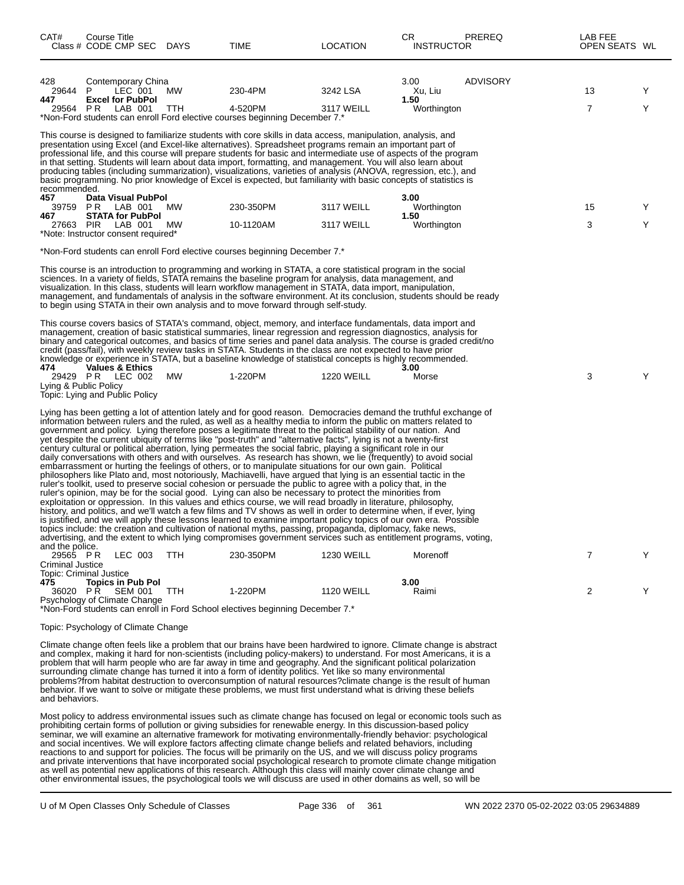| CAT#                                            | Course Title<br>Class # CODE CMP SEC DAYS                                                                   |                    |           | TIME                                                                                                                                                                                                                                                                                                                                                                                                                                                                                                                                                                                                                                                                                                                                                                                                                                                                                                                                                                                                                                                                                                                                                                                                                                                                                                                                                                                                                                                                                                                                                                                                                                                                                                                                                                    | <b>LOCATION</b>        | CR<br><b>INSTRUCTOR</b>                | PREREQ   | LAB FEE<br>OPEN SEATS WL |        |
|-------------------------------------------------|-------------------------------------------------------------------------------------------------------------|--------------------|-----------|-------------------------------------------------------------------------------------------------------------------------------------------------------------------------------------------------------------------------------------------------------------------------------------------------------------------------------------------------------------------------------------------------------------------------------------------------------------------------------------------------------------------------------------------------------------------------------------------------------------------------------------------------------------------------------------------------------------------------------------------------------------------------------------------------------------------------------------------------------------------------------------------------------------------------------------------------------------------------------------------------------------------------------------------------------------------------------------------------------------------------------------------------------------------------------------------------------------------------------------------------------------------------------------------------------------------------------------------------------------------------------------------------------------------------------------------------------------------------------------------------------------------------------------------------------------------------------------------------------------------------------------------------------------------------------------------------------------------------------------------------------------------------|------------------------|----------------------------------------|----------|--------------------------|--------|
| 428<br>29644<br>447<br>29564 PR                 | Contemporary China<br>P<br><b>Excel for PubPol</b>                                                          | LEC 001<br>LAB 001 | МW<br>TTH | 230-4PM<br>4-520PM<br>*Non-Ford students can enroll Ford elective courses beginning December 7.*                                                                                                                                                                                                                                                                                                                                                                                                                                                                                                                                                                                                                                                                                                                                                                                                                                                                                                                                                                                                                                                                                                                                                                                                                                                                                                                                                                                                                                                                                                                                                                                                                                                                        | 3242 LSA<br>3117 WEILL | 3.00<br>Xu, Liu<br>1.50<br>Worthington | ADVISORY | 13<br>$\overline{7}$     | Y<br>Υ |
| recommended.                                    |                                                                                                             |                    |           | This course is designed to familiarize students with core skills in data access, manipulation, analysis, and<br>presentation using Excel (and Excel-like alternatives). Spreadsheet programs remain an important part of<br>professional life, and this course will prepare students for basic and intermediate use of aspects of the program<br>in that setting. Students will learn about data import, formatting, and management. You will also learn about<br>producing tables (including summarization), visualizations, varieties of analysis (ANOVA, regression, etc.), and<br>basic programming. No prior knowledge of Excel is expected, but familiarity with basic concepts of statistics is                                                                                                                                                                                                                                                                                                                                                                                                                                                                                                                                                                                                                                                                                                                                                                                                                                                                                                                                                                                                                                                                  |                        |                                        |          |                          |        |
| 457                                             | Data Visual PubPol<br>39759 PR LAB 001                                                                      |                    | <b>MW</b> | 230-350PM                                                                                                                                                                                                                                                                                                                                                                                                                                                                                                                                                                                                                                                                                                                                                                                                                                                                                                                                                                                                                                                                                                                                                                                                                                                                                                                                                                                                                                                                                                                                                                                                                                                                                                                                                               | 3117 WEILL             | 3.00<br>Worthington                    |          | 15                       | Y      |
| 467<br>27663 PIR                                | <b>STATA for PubPol</b><br>LAB 001<br>*Note: Instructor consent required*                                   |                    | МW        | 10-1120AM                                                                                                                                                                                                                                                                                                                                                                                                                                                                                                                                                                                                                                                                                                                                                                                                                                                                                                                                                                                                                                                                                                                                                                                                                                                                                                                                                                                                                                                                                                                                                                                                                                                                                                                                                               | 3117 WEILL             | 1.50<br>Worthington                    |          | 3                        | Y      |
|                                                 |                                                                                                             |                    |           | *Non-Ford students can enroll Ford elective courses beginning December 7.*                                                                                                                                                                                                                                                                                                                                                                                                                                                                                                                                                                                                                                                                                                                                                                                                                                                                                                                                                                                                                                                                                                                                                                                                                                                                                                                                                                                                                                                                                                                                                                                                                                                                                              |                        |                                        |          |                          |        |
|                                                 |                                                                                                             |                    |           | This course is an introduction to programming and working in STATA, a core statistical program in the social<br>sciences. In a variety of fields, STATA remains the baseline program for analysis, data management, and<br>visualization. In this class, students will learn workflow management in STATA, data import, manipulation,<br>management, and fundamentals of analysis in the software environment. At its conclusion, students should be ready<br>to begin using STATA in their own analysis and to move forward through self-study.                                                                                                                                                                                                                                                                                                                                                                                                                                                                                                                                                                                                                                                                                                                                                                                                                                                                                                                                                                                                                                                                                                                                                                                                                        |                        |                                        |          |                          |        |
| 474<br>Lying & Public Policy                    | <b>Values &amp; Ethics</b><br>29429 PR LEC 002<br>Topic: Lying and Public Policy                            |                    | MW        | This course covers basics of STATA's command, object, memory, and interface fundamentals, data import and<br>management, creation of basic statistical summaries, linear regression and regression diagnostics, analysis for<br>binary and categorical outcomes, and basics of time series and panel data analysis. The course is graded credit/no<br>credit (pass/fail), with weekly review tasks in STATA. Students in the class are not expected to have prior<br>knowledge or experience in STATA, but a baseline knowledge of statistical concepts is highly recommended.<br>1-220PM                                                                                                                                                                                                                                                                                                                                                                                                                                                                                                                                                                                                                                                                                                                                                                                                                                                                                                                                                                                                                                                                                                                                                                               | <b>1220 WEILL</b>      | 3.00<br>Morse                          |          | 3                        | Υ      |
|                                                 |                                                                                                             |                    |           | Lying has been getting a lot of attention lately and for good reason. Democracies demand the truthful exchange of<br>information between rulers and the ruled, as well as a healthy media to inform the public on matters related to<br>government and policy. Lying therefore poses a legitimate threat to the political stability of our nation. And<br>yet despite the current ubiquity of terms like "post-truth" and "alternative facts", lying is not a twenty-first<br>century cultural or political aberration, lying permeates the social fabric, playing a significant role in our<br>daily conversations with others and with ourselves. As research has shown, we lie (frequently) to avoid social<br>embarrassment or hurting the feelings of others, or to manipulate situations for our own gain. Political<br>philosophers like Plato and, most notoriously, Machiavelli, have argued that lying is an essential tactic in the<br>ruler's toolkit, used to preserve social cohesion or persuade the public to agree with a policy that, in the<br>ruler's opinion, may be for the social good. Lying can also be necessary to protect the minorities from<br>exploitation or oppression. In this values and ethics course, we will read broadly in literature, philosophy,<br>history, and politics, and we'll watch a few films and TV shows as well in order to determine when, if ever, lying<br>is justified, and we will apply these lessons learned to examine important policy topics of our own era. Possible<br>topics include: the creation and cultivation of national myths, passing, propaganda, diplomacy, fake news,<br>advertising, and the extent to which lying compromises government services such as entitlement programs, voting, |                        |                                        |          |                          |        |
| and the police.<br>29565 PR<br>Criminal Justice |                                                                                                             | LEC 003            | TTH       | 230-350PM                                                                                                                                                                                                                                                                                                                                                                                                                                                                                                                                                                                                                                                                                                                                                                                                                                                                                                                                                                                                                                                                                                                                                                                                                                                                                                                                                                                                                                                                                                                                                                                                                                                                                                                                                               | <b>1230 WEILL</b>      | Morenoff                               |          | 7                        | Y      |
| 475                                             | Topic: Criminal Justice<br><b>Topics in Pub Pol</b><br>36020 PR SEM 001 TTH<br>Psychology of Climate Change |                    |           | 1-220PM<br>*Non-Ford students can enroll in Ford School electives beginning December 7.*                                                                                                                                                                                                                                                                                                                                                                                                                                                                                                                                                                                                                                                                                                                                                                                                                                                                                                                                                                                                                                                                                                                                                                                                                                                                                                                                                                                                                                                                                                                                                                                                                                                                                | <b>1120 WEILL</b>      | 3.00<br>Raimi                          |          | 2                        | Y      |
|                                                 | Topic: Psychology of Climate Change                                                                         |                    |           |                                                                                                                                                                                                                                                                                                                                                                                                                                                                                                                                                                                                                                                                                                                                                                                                                                                                                                                                                                                                                                                                                                                                                                                                                                                                                                                                                                                                                                                                                                                                                                                                                                                                                                                                                                         |                        |                                        |          |                          |        |
| and behaviors.                                  |                                                                                                             |                    |           | Climate change often feels like a problem that our brains have been hardwired to ignore. Climate change is abstract<br>and complex, making it hard for non-scientists (including policy-makers) to understand. For most Americans, it is a<br>problem that will harm people who are far away in time and geography. And the significant political polarization<br>surrounding climate change has turned it into a form of identity politics. Yet like so many environmental<br>problems?from habitat destruction to overconsumption of natural resources?climate change is the result of human<br>behavior. If we want to solve or mitigate these problems, we must first understand what is driving these beliefs                                                                                                                                                                                                                                                                                                                                                                                                                                                                                                                                                                                                                                                                                                                                                                                                                                                                                                                                                                                                                                                      |                        |                                        |          |                          |        |
|                                                 |                                                                                                             |                    |           | Most policy to address environmental issues such as climate change has focused on legal or economic tools such as<br>prohibiting certain forms of pollution or giving subsidies for renewable energy. In this discussion-based policy<br>seminar, we will examine an alternative framework for motivating environmentally-friendly behavior: psychological<br>and social incentives. We will explore factors affecting climate change beliefs and related behaviors, including<br>reactions to and support for policies. The focus will be primarily on the US, and we will discuss policy programs<br>and private interventions that have incorporated social psychological research to promote climate change mitigation<br>as well as potential new applications of this research. Although this class will mainly cover climate change and<br>other environmental issues, the psychological tools we will discuss are used in other domains as well, so will be                                                                                                                                                                                                                                                                                                                                                                                                                                                                                                                                                                                                                                                                                                                                                                                                     |                        |                                        |          |                          |        |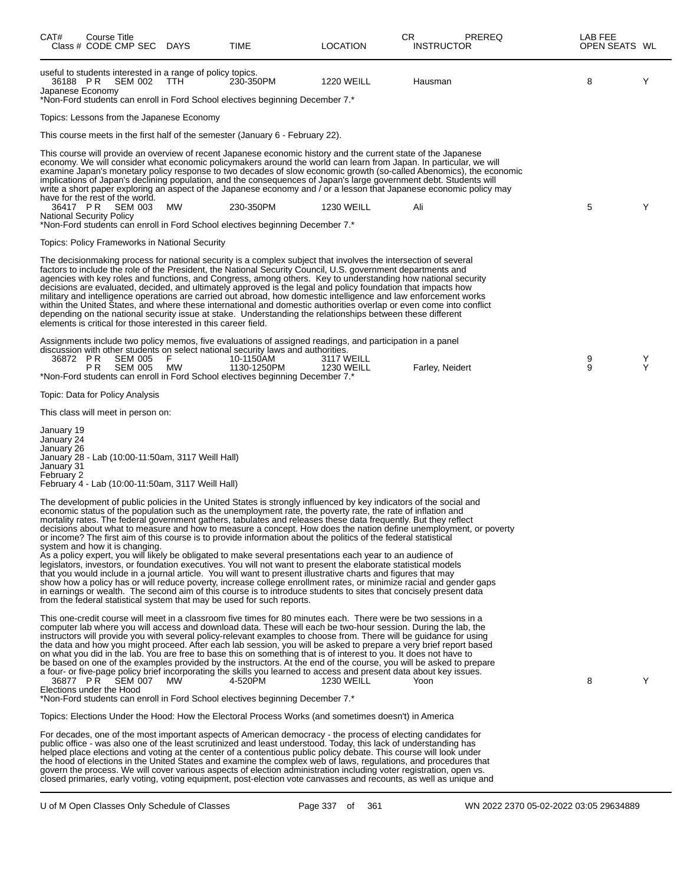| CAT#                                                               | Course Title<br>Class # CODE CMP SEC DAYS    |                                                                                                        | TIME                                                                                                                                                                                                                                                                                                                                                                                                                                                                                                                                                                                                                                                                                                                                                                                                                                                                                                                                                                                                                                                                                                                                                                                                                                                                    | LOCATION                        | СR<br><b>INSTRUCTOR</b> | PREREQ | LAB FEE<br>OPEN SEATS WL |        |
|--------------------------------------------------------------------|----------------------------------------------|--------------------------------------------------------------------------------------------------------|-------------------------------------------------------------------------------------------------------------------------------------------------------------------------------------------------------------------------------------------------------------------------------------------------------------------------------------------------------------------------------------------------------------------------------------------------------------------------------------------------------------------------------------------------------------------------------------------------------------------------------------------------------------------------------------------------------------------------------------------------------------------------------------------------------------------------------------------------------------------------------------------------------------------------------------------------------------------------------------------------------------------------------------------------------------------------------------------------------------------------------------------------------------------------------------------------------------------------------------------------------------------------|---------------------------------|-------------------------|--------|--------------------------|--------|
| 36188 PR<br>Japanese Economy                                       | SEM 002                                      | useful to students interested in a range of policy topics.<br>TTH.                                     | 230-350PM<br>*Non-Ford students can enroll in Ford School electives beginning December 7.*                                                                                                                                                                                                                                                                                                                                                                                                                                                                                                                                                                                                                                                                                                                                                                                                                                                                                                                                                                                                                                                                                                                                                                              | <b>1220 WEILL</b>               | Hausman                 |        | 8                        | Υ      |
|                                                                    |                                              | Topics: Lessons from the Japanese Economy                                                              |                                                                                                                                                                                                                                                                                                                                                                                                                                                                                                                                                                                                                                                                                                                                                                                                                                                                                                                                                                                                                                                                                                                                                                                                                                                                         |                                 |                         |        |                          |        |
|                                                                    |                                              |                                                                                                        | This course meets in the first half of the semester (January 6 - February 22).                                                                                                                                                                                                                                                                                                                                                                                                                                                                                                                                                                                                                                                                                                                                                                                                                                                                                                                                                                                                                                                                                                                                                                                          |                                 |                         |        |                          |        |
|                                                                    | have for the rest of the world.              |                                                                                                        | This course will provide an overview of recent Japanese economic history and the current state of the Japanese<br>economy. We will consider what economic policymakers around the world can learn from Japan. In particular, we will<br>examine Japan's monetary policy response to two decades of slow economic growth (so-called Abenomics), the economic<br>implications of Japan's declining population, and the consequences of Japan's large government debt. Students will<br>write a short paper exploring an aspect of the Japanese economy and / or a lesson that Japanese economic policy may                                                                                                                                                                                                                                                                                                                                                                                                                                                                                                                                                                                                                                                                |                                 |                         |        |                          |        |
| 36417 PR                                                           | SEM 003<br><b>National Security Policy</b>   | МW                                                                                                     | 230-350PM                                                                                                                                                                                                                                                                                                                                                                                                                                                                                                                                                                                                                                                                                                                                                                                                                                                                                                                                                                                                                                                                                                                                                                                                                                                               | <b>1230 WEILL</b>               | Ali                     |        | 5                        | Y      |
|                                                                    |                                              |                                                                                                        | *Non-Ford students can enroll in Ford School electives beginning December 7.*                                                                                                                                                                                                                                                                                                                                                                                                                                                                                                                                                                                                                                                                                                                                                                                                                                                                                                                                                                                                                                                                                                                                                                                           |                                 |                         |        |                          |        |
|                                                                    |                                              | Topics: Policy Frameworks in National Security                                                         |                                                                                                                                                                                                                                                                                                                                                                                                                                                                                                                                                                                                                                                                                                                                                                                                                                                                                                                                                                                                                                                                                                                                                                                                                                                                         |                                 |                         |        |                          |        |
|                                                                    |                                              | elements is critical for those interested in this career field.                                        | The decisionmaking process for national security is a complex subject that involves the intersection of several<br>factors to include the role of the President, the National Security Council, U.S. government departments and<br>agencies with key roles and functions, and Congress, among others. Key to understanding how national security<br>decisions are evaluated, decided, and ultimately approved is the legal and policy foundation that impacts how<br>military and intelligence operations are carried out abroad, how domestic intelligence and law enforcement works<br>within the United States, and where these international and domestic authorities overlap or even come into conflict<br>depending on the national security issue at stake. Understanding the relationships between these different                                                                                                                                                                                                                                                                                                                                                                                                                                              |                                 |                         |        |                          |        |
| 36872 PR                                                           | <b>SEM 005</b><br>P R<br><b>SEM 005</b>      | F<br>МW                                                                                                | Assignments include two policy memos, five evaluations of assigned readings, and participation in a panel<br>discussion with other students on select national security laws and authorities.<br>10-1150AM<br>1130-1250PM                                                                                                                                                                                                                                                                                                                                                                                                                                                                                                                                                                                                                                                                                                                                                                                                                                                                                                                                                                                                                                               | 3117 WEILL<br><b>1230 WEILL</b> | Farley, Neidert         |        | $\frac{9}{9}$            | Y<br>Υ |
|                                                                    |                                              |                                                                                                        | *Non-Ford students can enroll in Ford School electives beginning December 7.*                                                                                                                                                                                                                                                                                                                                                                                                                                                                                                                                                                                                                                                                                                                                                                                                                                                                                                                                                                                                                                                                                                                                                                                           |                                 |                         |        |                          |        |
|                                                                    | Topic: Data for Policy Analysis              |                                                                                                        |                                                                                                                                                                                                                                                                                                                                                                                                                                                                                                                                                                                                                                                                                                                                                                                                                                                                                                                                                                                                                                                                                                                                                                                                                                                                         |                                 |                         |        |                          |        |
|                                                                    | This class will meet in person on:           |                                                                                                        |                                                                                                                                                                                                                                                                                                                                                                                                                                                                                                                                                                                                                                                                                                                                                                                                                                                                                                                                                                                                                                                                                                                                                                                                                                                                         |                                 |                         |        |                          |        |
| January 19<br>January 24<br>January 26<br>January 31<br>February 2 |                                              | January 28 - Lab (10:00-11:50am, 3117 Weill Hall)<br>February 4 - Lab (10:00-11:50am, 3117 Weill Hall) |                                                                                                                                                                                                                                                                                                                                                                                                                                                                                                                                                                                                                                                                                                                                                                                                                                                                                                                                                                                                                                                                                                                                                                                                                                                                         |                                 |                         |        |                          |        |
|                                                                    | system and how it is changing.               |                                                                                                        | The development of public policies in the United States is strongly influenced by key indicators of the social and<br>economic status of the population such as the unemployment rate, the poverty rate, the rate of inflation and<br>mortality rates. The federal government gathers, tabulates and releases these data frequently. But they reflect<br>decisions about what to measure and how to measure a concept. How does the nation define unemployment, or poverty<br>or income? The first aim of this course is to provide information about the politics of the federal statistical<br>As a policy expert, you will likely be obligated to make several presentations each year to an audience of<br>legislators, investors, or foundation executives. You will not want to present the elaborate statistical models<br>that you would include in a journal article. You will want to present illustrative charts and figures that may<br>show how a policy has or will reduce poverty, increase college enrollment rates, or minimize racial and gender gaps<br>in earnings or wealth. The second aim of this course is to introduce students to sites that concisely present data<br>from the federal statistical system that may be used for such reports. |                                 |                         |        |                          |        |
|                                                                    | 36877 PR SEM 007<br>Elections under the Hood | MW.                                                                                                    | This one-credit course will meet in a classroom five times for 80 minutes each. There were be two sessions in a<br>computer lab where you will access and download data. These will each be two-hour session. During the lab, the<br>instructors will provide you with several policy-relevant examples to choose from. There will be guidance for using<br>the data and how you might proceed. After each lab session, you will be asked to prepare a very brief report based<br>on what you did in the lab. You are free to base this on something that is of interest to you. It does not have to<br>be based on one of the examples provided by the instructors. At the end of the course, you will be asked to prepare<br>a four- or five-page policy brief incorporating the skills you learned to access and present data about key issues.<br>4-520PM<br>*Non-Ford students can enroll in Ford School electives beginning December 7.*                                                                                                                                                                                                                                                                                                                          | <b>1230 WEILL</b>               | Yoon                    |        | 8                        | Υ      |
|                                                                    |                                              |                                                                                                        | Topics: Elections Under the Hood: How the Electoral Process Works (and sometimes doesn't) in America                                                                                                                                                                                                                                                                                                                                                                                                                                                                                                                                                                                                                                                                                                                                                                                                                                                                                                                                                                                                                                                                                                                                                                    |                                 |                         |        |                          |        |
|                                                                    |                                              |                                                                                                        | For decades, one of the most important aspects of American democracy - the process of electing candidates for<br>public office - was also one of the least scrutinized and least understood. Today, this lack of understanding has<br>helped place elections and voting at the center of a contentious public policy debate. This course will look under<br>the hood of elections in the United States and examine the complex web of laws, regulations, and procedures that<br>govern the process. We will cover various aspects of election administration including voter registration, open vs.<br>closed primaries, early voting, voting equipment, post-election vote canvasses and recounts, as well as unique and                                                                                                                                                                                                                                                                                                                                                                                                                                                                                                                                               |                                 |                         |        |                          |        |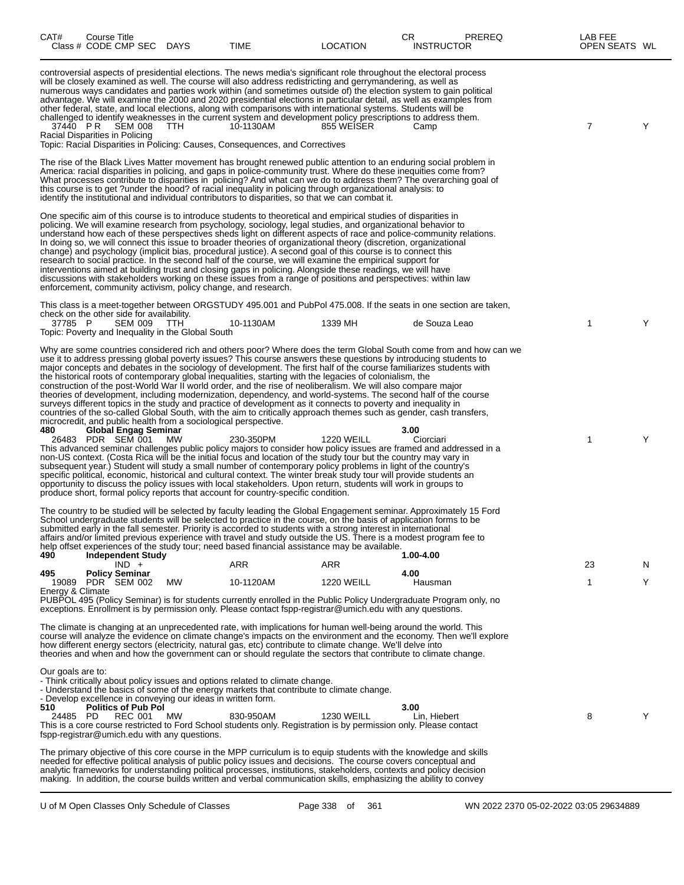| CAT#                                                 | <b>Course Title</b> | Class # CODE CMP SEC DAYS                        |                                                   | TIME                                                                                                                                                       | <b>LOCATION</b>                                                                                                                                                                                                                                                                                                                                                                                                                                                                                                                                                                                                                                                                                                                                                                                                                                                                                                                                    | CR<br><b>INSTRUCTOR</b> | PREREQ | LAB FEE<br>OPEN SEATS WL |    |
|------------------------------------------------------|---------------------|--------------------------------------------------|---------------------------------------------------|------------------------------------------------------------------------------------------------------------------------------------------------------------|----------------------------------------------------------------------------------------------------------------------------------------------------------------------------------------------------------------------------------------------------------------------------------------------------------------------------------------------------------------------------------------------------------------------------------------------------------------------------------------------------------------------------------------------------------------------------------------------------------------------------------------------------------------------------------------------------------------------------------------------------------------------------------------------------------------------------------------------------------------------------------------------------------------------------------------------------|-------------------------|--------|--------------------------|----|
| 37440 PR<br>Racial Disparities in Policing           |                     | SEM 008                                          | TTH.                                              | 10-1130AM<br>Topic: Racial Disparities in Policing: Causes, Consequences, and Correctives                                                                  | controversial aspects of presidential elections. The news media's significant role throughout the electoral process<br>will be closely examined as well. The course will also address redistricting and gerrymandering, as well as<br>numerous ways candidates and parties work within (and sometimes outside of) the election system to gain political<br>advantage. We will examine the 2000 and 2020 presidential elections in particular detail, as well as examples from<br>other federal, state, and local elections, along with comparisons with international systems. Students will be<br>challenged to identify weaknesses in the current system and development policy prescriptions to address them.<br>855 WEISER                                                                                                                                                                                                                     | Camp                    |        | 7                        | Y  |
|                                                      |                     |                                                  |                                                   |                                                                                                                                                            | The rise of the Black Lives Matter movement has brought renewed public attention to an enduring social problem in<br>America: racial disparities in policing, and gaps in police-community trust. Where do these inequities come from?<br>What processes contribute to disparities in policing? And what can we do to address them? The overarching goal of<br>this course is to get ?under the hood? of racial inequality in policing through organizational analysis: to<br>identify the institutional and individual contributors to disparities, so that we can combat it.                                                                                                                                                                                                                                                                                                                                                                     |                         |        |                          |    |
|                                                      |                     |                                                  |                                                   | enforcement, community activism, policy change, and research.                                                                                              | One specific aim of this course is to introduce students to theoretical and empirical studies of disparities in<br>policing. We will examine research from psychology, sociology, legal studies, and organizational behavior to<br>understand how each of these perspectives sheds light on different aspects of race and police-community relations.<br>In doing so, we will connect this issue to broader theories of organizational theory (discretion, organizational<br>change) and psychology (implicit bias, procedural justice). A second goal of this course is to connect this<br>research to social practice. In the second half of the course, we will examine the empirical support for<br>interventions aimed at building trust and closing gaps in policing. Alongside these readings, we will have<br>discussions with stakeholders working on these issues from a range of positions and perspectives: within law                 |                         |        |                          |    |
| check on the other side for availability.<br>37785 P |                     | SEM 009 TTH                                      | Topic: Poverty and Inequality in the Global South | 10-1130AM                                                                                                                                                  | This class is a meet-together between ORGSTUDY 495.001 and PubPol 475.008. If the seats in one section are taken,<br>1339 MH                                                                                                                                                                                                                                                                                                                                                                                                                                                                                                                                                                                                                                                                                                                                                                                                                       | de Souza Leao           |        | $\mathbf{1}$             | Y  |
|                                                      |                     |                                                  |                                                   | microcredit, and public health from a sociological perspective.                                                                                            | Why are some countries considered rich and others poor? Where does the term Global South come from and how can we<br>use it to address pressing global poverty issues? This course answers these questions by introducing students to<br>major concepts and debates in the sociology of development. The first half of the course familiarizes students with<br>the historical roots of contemporary global inequalities, starting with the legacies of colonialism, the<br>construction of the post-World War II world order, and the rise of neoliberalism. We will also compare major<br>theories of development, including modernization, dependency, and world-systems. The second half of the course<br>surveys different topics in the study and practice of development as it connects to poverty and inequality in<br>countries of the so-called Global South, with the aim to critically approach themes such as gender, cash transfers, |                         |        |                          |    |
| 480                                                  |                     | <b>Global Engag Seminar</b><br>26483 PDR SEM 001 | <b>MW</b>                                         | 230-350PM<br>produce short, formal policy reports that account for country-specific condition.                                                             | 1220 WEILL<br>This advanced seminar challenges public policy majors to consider how policy issues are framed and addressed in a<br>non-US context. (Costa Rica will be the initial focus and location of the study tour but the country may vary in<br>subsequent year.) Student will study a small number of contemporary policy problems in light of the country's<br>specific political, economic, historical and cultural context. The winter break study tour will provide students an<br>opportunity to discuss the policy issues with local stakeholders. Upon return, students will work in groups to                                                                                                                                                                                                                                                                                                                                      | 3.00<br>Ciorciari       |        | 1                        | Y  |
| 490                                                  |                     | <b>Independent Study</b>                         |                                                   |                                                                                                                                                            | The country to be studied will be selected by faculty leading the Global Engagement seminar. Approximately 15 Ford<br>School undergraduate students will be selected to practice in the course, on the basis of application forms to be<br>submitted early in the fall semester. Priority is accorded to students with a strong interest in international<br>affairs and/or limited previous experience with travel and study outside the US. There is a modest program fee to<br>help offset experiences of the study tour; need based financial assistance may be available.                                                                                                                                                                                                                                                                                                                                                                     | 1.00-4.00               |        |                          |    |
|                                                      |                     | $IND +$                                          |                                                   | ARR                                                                                                                                                        | ARR                                                                                                                                                                                                                                                                                                                                                                                                                                                                                                                                                                                                                                                                                                                                                                                                                                                                                                                                                |                         |        | 23                       | N. |
| 495<br>Energy & Climate                              |                     | <b>Policy Seminar</b><br>19089 PDR SEM 002       | МW                                                | 10-1120AM                                                                                                                                                  | <b>1220 WEILL</b><br>PUBPOL 495 (Policy Seminar) is for students currently enrolled in the Public Policy Undergraduate Program only, no<br>exceptions. Enrollment is by permission only. Please contact fspp-registrar@umich.edu with any questions.                                                                                                                                                                                                                                                                                                                                                                                                                                                                                                                                                                                                                                                                                               | 4.00<br>Hausman         |        | 1                        | Y  |
|                                                      |                     |                                                  |                                                   |                                                                                                                                                            | The climate is changing at an unprecedented rate, with implications for human well-being around the world. This<br>course will analyze the evidence on climate change's impacts on the environment and the economy. Then we'll explore<br>how different energy sectors (electricity, natural gas, etc) contribute to climate change. We'll delve into<br>theories and when and how the government can or should regulate the sectors that contribute to climate change.                                                                                                                                                                                                                                                                                                                                                                                                                                                                            |                         |        |                          |    |
| Our goals are to:<br>510<br>24485 PD                 |                     | <b>Politics of Pub Pol</b><br><b>REC 001</b>     | <b>MW</b>                                         | - Think critically about policy issues and options related to climate change.<br>- Develop excellence in conveying our ideas in written form.<br>830-950AM | - Understand the basics of some of the energy markets that contribute to climate change.<br>1230 WEILL                                                                                                                                                                                                                                                                                                                                                                                                                                                                                                                                                                                                                                                                                                                                                                                                                                             | 3.00<br>Lin, Hiebert    |        | 8                        | Y  |
|                                                      |                     |                                                  | fspp-registrar@umich.edu with any questions.      |                                                                                                                                                            | This is a core course restricted to Ford School students only. Registration is by permission only. Please contact                                                                                                                                                                                                                                                                                                                                                                                                                                                                                                                                                                                                                                                                                                                                                                                                                                  |                         |        |                          |    |
|                                                      |                     |                                                  |                                                   |                                                                                                                                                            | The primary objective of this core course in the MPP curriculum is to equip students with the knowledge and skills<br>needed for effective political analysis of public policy issues and decisions. The course covers conceptual and<br>analytic frameworks for understanding political processes, institutions, stakeholders, contexts and policy decision<br>making. In addition, the course builds written and verbal communication skills, emphasizing the ability to convey                                                                                                                                                                                                                                                                                                                                                                                                                                                                  |                         |        |                          |    |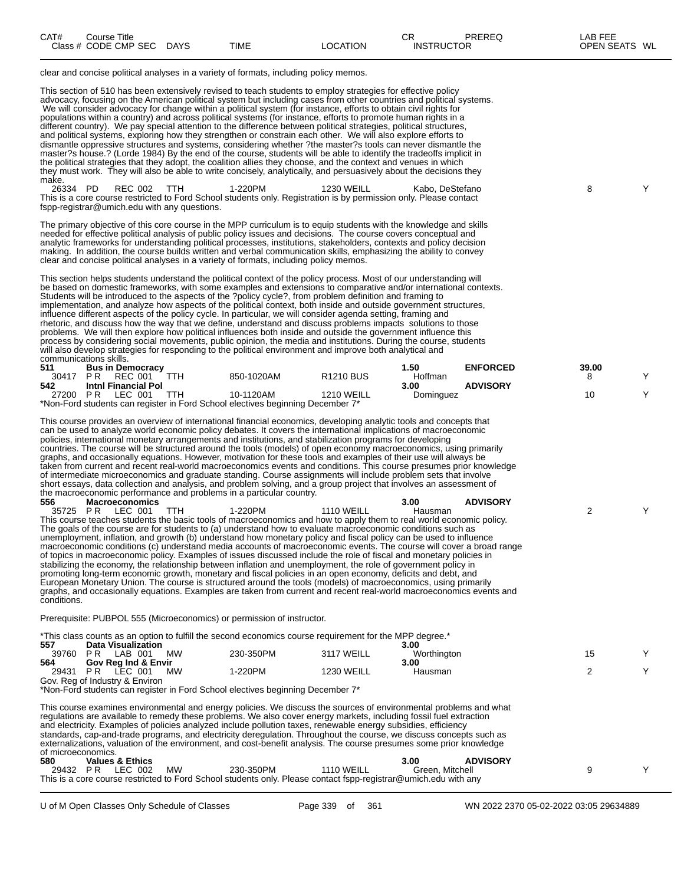| CAT#<br>Title<br>Course |                       |      |                | ⌒冖<br>◡⊓          | PREREC<br>טשושו | 5.0.000<br>AB.<br>----  |
|-------------------------|-----------------------|------|----------------|-------------------|-----------------|-------------------------|
| Class # CODE CMP SEC    | <b>DAYS</b><br>$\sim$ | TIME | <b>OCATION</b> | <b>INSTRUCTOR</b> |                 | WL<br><b>OPEN SEATS</b> |

clear and concise political analyses in a variety of formats, including policy memos.

This section of 510 has been extensively revised to teach students to employ strategies for effective policy advocacy, focusing on the American political system but including cases from other countries and political systems. We will consider advocacy for change within a political system (for instance, efforts to obtain civil rights for populations within a country) and across political systems (for instance, efforts to promote human rights in a different country). We pay special attention to the difference between political strategies, political structures, and political systems, exploring how they strengthen or constrain each other. We will also explore efforts to dismantle oppressive structures and systems, considering whether ?the master?s tools can never dismantle the master?s house.? (Lorde 1984) By the end of the course, students will be able to identify the tradeoffs implicit in the political strategies that they adopt, the coalition allies they choose, and the context and venues in which they must work. They will also be able to write concisely, analytically, and persuasively about the decisions they make.<br>26334 PD

26334 PD REC 002 TTH 1-220PM 1230 WEILL Kabo, DeStefano Y This is a core course restricted to Ford School students only. Registration is by permission only. Please contact fspp-registrar@umich.edu with any questions.

The primary objective of this core course in the MPP curriculum is to equip students with the knowledge and skills needed for effective political analysis of public policy issues and decisions. The course covers conceptual and analytic frameworks for understanding political processes, institutions, stakeholders, contexts and policy decision making. In addition, the course builds written and verbal communication skills, emphasizing the ability to convey clear and concise political analyses in a variety of formats, including policy memos.

This section helps students understand the political context of the policy process. Most of our understanding will be based on domestic frameworks, with some examples and extensions to comparative and/or international contexts. Students will be introduced to the aspects of the ?policy cycle?, from problem definition and framing to implementation, and analyze how aspects of the political context, both inside and outside government structures, influence different aspects of the policy cycle. In particular, we will consider agenda setting, framing and rhetoric, and discuss how the way that we define, understand and discuss problems impacts solutions to those problems. We will then explore how political influences both inside and outside the government influence this process by considering social movements, public opinion, the media and institutions. During the course, students will also develop strategies for responding to the political environment and improve both analytical and communications skills.

| 511   | <b>Bus in Democracy</b>    |     |                                                                                |                   | .50 <sub>1</sub> | <b>ENFORCED</b> | 39.00 |  |
|-------|----------------------------|-----|--------------------------------------------------------------------------------|-------------------|------------------|-----------------|-------|--|
| 30417 | REC 001<br>PR              |     | 850-1020AM                                                                     | <b>R1210 BUS</b>  | Hoffman          |                 |       |  |
| 542   | <b>Intni Financial Pol</b> |     |                                                                                |                   | 3.00             | <b>ADVISORY</b> |       |  |
| 27200 | LEC 001<br>PR              | TTH | 10-1120AM                                                                      | <b>1210 WEILL</b> | Dominguez        |                 | 10    |  |
|       |                            |     | *Non-Ford students can register in Ford School electives beginning December 7* |                   |                  |                 |       |  |

This course provides an overview of international financial economics, developing analytic tools and concepts that can be used to analyze world economic policy debates. It covers the international implications of macroeconomic policies, international monetary arrangements and institutions, and stabilization programs for developing countries. The course will be structured around the tools (models) of open economy macroeconomics, using primarily graphs, and occasionally equations. However, motivation for these tools and examples of their use will always be taken from current and recent real-world macroeconomics events and conditions. This course presumes prior knowledge of intermediate microeconomics and graduate standing. Course assignments will include problem sets that involve short essays, data collection and analysis, and problem solving, and a group project that involves an assessment of the macroeconomic performance and problems in a particular country.<br>556 Macroeconomics **556 Macroeconomics 3.00 ADVISORY** 35725 P R LEC 001 TTH 1-220PM 1110 WEILL Hausman 2 Y

This course teaches students the basic tools of macroeconomics and how to apply them to real world economic policy. The goals of the course are for students to (a) understand how to evaluate macroeconomic conditions such as unemployment, inflation, and growth (b) understand how monetary policy and fiscal policy can be used to influence macroeconomic conditions (c) understand media accounts of macroeconomic events. The course will cover a broad range of topics in macroeconomic policy. Examples of issues discussed include the role of fiscal and monetary policies in stabilizing the economy, the relationship between inflation and unemployment, the role of government policy in promoting long-term economic growth, monetary and fiscal policies in an open economy, deficits and debt, and European Monetary Union. The course is structured around the tools (models) of macroeconomics, using primarily graphs, and occasionally equations. Examples are taken from current and recent real-world macroeconomics events and conditions.

Prerequisite: PUBPOL 555 (Microeconomics) or permission of instructor.

|                    |                                |    |                                                                                | *This class counts as an option to fulfill the second economics course requirement for the MPP degree.*             |             |                 |    |  |
|--------------------|--------------------------------|----|--------------------------------------------------------------------------------|---------------------------------------------------------------------------------------------------------------------|-------------|-----------------|----|--|
| 557.               | <b>Data Visualization</b>      |    |                                                                                |                                                                                                                     | 3.00        |                 |    |  |
| 39760 PR           | LAB 001                        | МW | 230-350PM                                                                      | 3117 WEILL                                                                                                          | Worthington |                 | 15 |  |
| 564                | Gov Reg Ind & Envir            |    |                                                                                |                                                                                                                     | 3.00        |                 |    |  |
|                    | 29431 PR LEC 001               | МW | 1-220PM                                                                        | <b>1230 WEILL</b>                                                                                                   | Hausman     |                 |    |  |
|                    | Gov. Reg of Industry & Environ |    |                                                                                |                                                                                                                     |             |                 |    |  |
|                    |                                |    | *Non-Ford students can register in Ford School electives beginning December 7* |                                                                                                                     |             |                 |    |  |
|                    |                                |    |                                                                                |                                                                                                                     |             |                 |    |  |
|                    |                                |    |                                                                                | This course examines environmental and energy policies. We discuss the sources of environmental problems and what   |             |                 |    |  |
|                    |                                |    |                                                                                | regulations are available to remedy these problems. We also cover energy markets, including fossil fuel extraction  |             |                 |    |  |
|                    |                                |    |                                                                                | and electricity. Examples of policies analyzed include pollution taxes, renewable energy subsidies, efficiency      |             |                 |    |  |
|                    |                                |    |                                                                                | standards, cap-and-trade programs, and electricity deregulation. Throughout the course, we discuss concepts such as |             |                 |    |  |
|                    |                                |    |                                                                                | externalizations, valuation of the environment, and cost-benefit analysis. The course presumes some prior knowledge |             |                 |    |  |
| of microeconomics. |                                |    |                                                                                |                                                                                                                     |             |                 |    |  |
| 580.               | <b>Values &amp; Ethics</b>     |    |                                                                                |                                                                                                                     | 3.00        | <b>ADVISORY</b> |    |  |
|                    |                                |    |                                                                                |                                                                                                                     |             |                 |    |  |

29432 P R LEC 002 MW 230-350PM 1110 WEILL Green, Mitchell Y This is a core course restricted to Ford School students only. Please contact fspp-registrar@umich.edu with any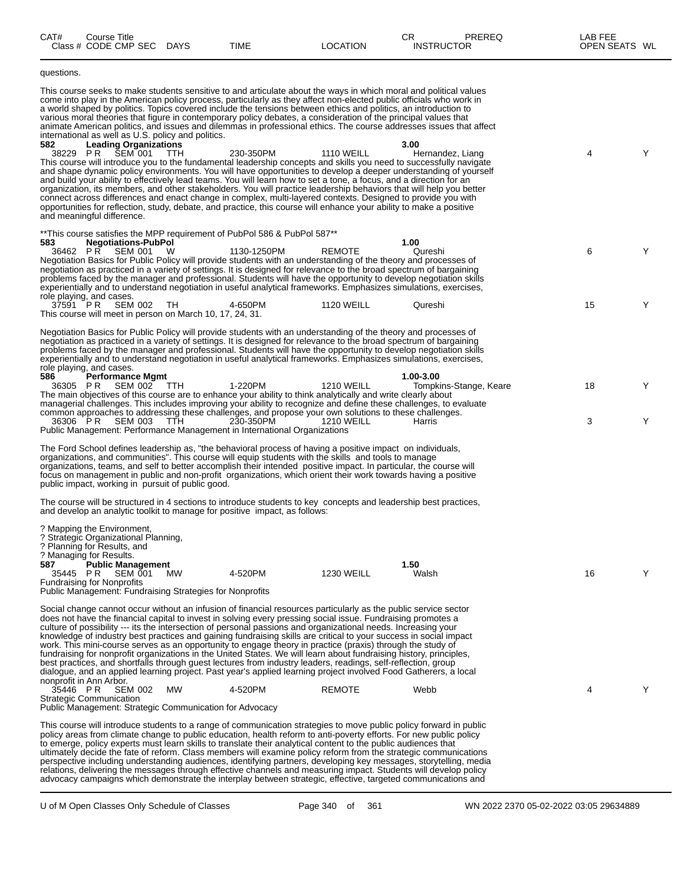| CAT#            | Course Title<br>Class # CODE CMP SEC DAYS                                                                                                                                                                                                                                        |            | <b>TIME</b>                                                                                                                                                                                                                                                                                                                                                                                                                                                                                                                                                                                                                                                                                                                                                                                                                                                                                                                                                                                                                                                                                            | <b>LOCATION</b>                        | CR<br><b>PREREQ</b><br><b>INSTRUCTOR</b>                                                                                                                                                                                                                           | LAB FEE<br>OPEN SEATS WL |        |
|-----------------|----------------------------------------------------------------------------------------------------------------------------------------------------------------------------------------------------------------------------------------------------------------------------------|------------|--------------------------------------------------------------------------------------------------------------------------------------------------------------------------------------------------------------------------------------------------------------------------------------------------------------------------------------------------------------------------------------------------------------------------------------------------------------------------------------------------------------------------------------------------------------------------------------------------------------------------------------------------------------------------------------------------------------------------------------------------------------------------------------------------------------------------------------------------------------------------------------------------------------------------------------------------------------------------------------------------------------------------------------------------------------------------------------------------------|----------------------------------------|--------------------------------------------------------------------------------------------------------------------------------------------------------------------------------------------------------------------------------------------------------------------|--------------------------|--------|
| questions.      |                                                                                                                                                                                                                                                                                  |            |                                                                                                                                                                                                                                                                                                                                                                                                                                                                                                                                                                                                                                                                                                                                                                                                                                                                                                                                                                                                                                                                                                        |                                        |                                                                                                                                                                                                                                                                    |                          |        |
| 582             | international as well as U.S. policy and politics.<br><b>Leading Organizations</b><br>38229 PR ŠEM 001<br>and meaningful difference.                                                                                                                                             | <b>TTH</b> | This course seeks to make students sensitive to and articulate about the ways in which moral and political values<br>come into play in the American policy process, particularly as they affect non-elected public officials who work in<br>a world shaped by politics. Topics covered include the tensions between ethics and politics, an introduction to<br>various moral theories that figure in contemporary policy debates, a consideration of the principal values that<br>230-350PM<br>This course will introduce you to the fundamental leadership concepts and skills you need to successfully navigate<br>and build your ability to effectively lead teams. You will learn how to set a tone, a focus, and a direction for an<br>organization, its members, and other stakeholders. You will practice leadership behaviors that will help you better<br>connect across differences and enact change in complex, multi-layered contexts. Designed to provide you with<br>opportunities for reflection, study, debate, and practice, this course will enhance your ability to make a positive | <b>1110 WEILL</b>                      | animate American politics, and issues and dilemmas in professional ethics. The course addresses issues that affect<br>3.00<br>Hernandez, Liang<br>and shape dynamic policy environments. You will have opportunities to develop a deeper understanding of yourself | 4                        | Y      |
| 583             | <b>Negotiations-PubPol</b><br>SEM 001<br>36462 PR<br>role playing, and cases.                                                                                                                                                                                                    | W          | **This course satisfies the MPP requirement of PubPol 586 & PubPol 587**<br>1130-1250PM<br>Negotiation Basics for Public Policy will provide students with an understanding of the theory and processes of<br>negotiation as practiced in a variety of settings. It is designed for relevance to the broad spectrum of bargaining<br>problems faced by the manager and professional. Students will have the opportunity to develop negotiation skills<br>experientially and to understand negotiation in useful analytical frameworks. Emphasizes simulations, exercises,                                                                                                                                                                                                                                                                                                                                                                                                                                                                                                                              | <b>REMOTE</b>                          | 1.00<br>Qureshi                                                                                                                                                                                                                                                    | 6                        | Y      |
|                 | 37591 PR SEM 002<br>This course will meet in person on March 10, 17, 24, 31.                                                                                                                                                                                                     | TH.        | 4-650PM                                                                                                                                                                                                                                                                                                                                                                                                                                                                                                                                                                                                                                                                                                                                                                                                                                                                                                                                                                                                                                                                                                | <b>1120 WEILL</b>                      | Qureshi                                                                                                                                                                                                                                                            | 15                       | Y      |
| 586<br>36305 PR | role playing, and cases.<br><b>Performance Mgmt</b><br>SEM 002 TTH<br>36306 PR SEM 003                                                                                                                                                                                           | TTH        | Negotiation Basics for Public Policy will provide students with an understanding of the theory and processes of<br>negotiation as practiced in a variety of settings. It is designed for relevance to the broad spectrum of bargaining<br>problems faced by the manager and professional. Students will have the opportunity to develop negotiation skills<br>experientially and to understand negotiation in useful analytical frameworks. Emphasizes simulations, exercises,<br>1-220PM<br>The main objectives of this course are to enhance your ability to think analytically and write clearly about<br>managerial challenges. This includes improving your ability to recognize and define these challenges, to evaluate<br>common approaches to addressing these challenges, and propose your own solutions to these challenges.<br>230-350PM<br>Public Management: Performance Management in International Organizations                                                                                                                                                                       | <b>1210 WEILL</b><br><b>1210 WEILL</b> | 1.00-3.00<br>Tompkins-Stange, Keare<br>Harris                                                                                                                                                                                                                      | 18<br>3                  | Y<br>Y |
|                 | public impact, working in pursuit of public good.                                                                                                                                                                                                                                |            | The Ford School defines leadership as, "the behavioral process of having a positive impact on individuals,<br>organizations, and communities". This course will equip students with the skills and tools to manage<br>organizations, teams, and self to better accomplish their intended positive impact. In particular, the course will<br>focus on management in public and non-profit organizations, which orient their work towards having a positive                                                                                                                                                                                                                                                                                                                                                                                                                                                                                                                                                                                                                                              |                                        |                                                                                                                                                                                                                                                                    |                          |        |
|                 |                                                                                                                                                                                                                                                                                  |            | The course will be structured in 4 sections to introduce students to key concepts and leadership best practices,<br>and develop an analytic toolkit to manage for positive impact, as follows:                                                                                                                                                                                                                                                                                                                                                                                                                                                                                                                                                                                                                                                                                                                                                                                                                                                                                                         |                                        |                                                                                                                                                                                                                                                                    |                          |        |
| 587             | ? Mapping the Environment,<br>? Strategic Organizational Planning,<br>? Planning for Results, and<br>? Managing for Results.<br><b>Public Management</b><br>35445 PR<br>SEM 001<br><b>Fundraising for Nonprofits</b><br>Public Management: Fundraising Strategies for Nonprofits | MW         | 4-520PM                                                                                                                                                                                                                                                                                                                                                                                                                                                                                                                                                                                                                                                                                                                                                                                                                                                                                                                                                                                                                                                                                                | <b>1230 WEILL</b>                      | 1.50<br>Walsh                                                                                                                                                                                                                                                      | 16                       | Y      |
|                 | nonprofit in Ann Arbor.                                                                                                                                                                                                                                                          |            | Social change cannot occur without an infusion of financial resources particularly as the public service sector<br>does not have the financial capital to invest in solving every pressing social issue. Fundraising promotes a<br>culture of possibility --- its the intersection of personal passions and organizational needs. Increasing your<br>knowledge of industry best practices and gaining fundraising skills are critical to your success in social impact<br>work. This mini-course serves as an opportunity to engage theory in practice (praxis) through the study of<br>fundraising for nonprofit organizations in the United States. We will learn about fundraising history, principles,<br>best practices, and shortfalls through quest lectures from industry leaders, readings, self-reflection, group<br>dialogue, and an applied learning project. Past year's applied learning project involved Food Gatherers, a local                                                                                                                                                        |                                        |                                                                                                                                                                                                                                                                    |                          |        |
| 35446 PR        | <b>SEM 002</b><br><b>Strategic Communication</b>                                                                                                                                                                                                                                 | MW         | 4-520PM                                                                                                                                                                                                                                                                                                                                                                                                                                                                                                                                                                                                                                                                                                                                                                                                                                                                                                                                                                                                                                                                                                | <b>REMOTE</b>                          | Webb                                                                                                                                                                                                                                                               | 4                        | Y      |
|                 | <b>Public Management: Strategic Communication for Advocacy</b>                                                                                                                                                                                                                   |            | This course will introduce students to a range of communication strategies to move public policy forward in public<br>policy areas from climate change to public education, health reform to anti-poverty efforts. For new public policy<br>to emerge, policy experts must learn skills to translate their analytical content to the public audiences that<br>ultimately decide the fate of reform. Class members will examine policy reform from the strategic communications<br>perspective including understanding audiences, identifying partners, developing key messages, storytelling, media<br>relations, delivering the messages through effective channels and measuring impact. Students will develop policy<br>advocacy campaigns which demonstrate the interplay between strategic, effective, targeted communications and                                                                                                                                                                                                                                                                |                                        |                                                                                                                                                                                                                                                                    |                          |        |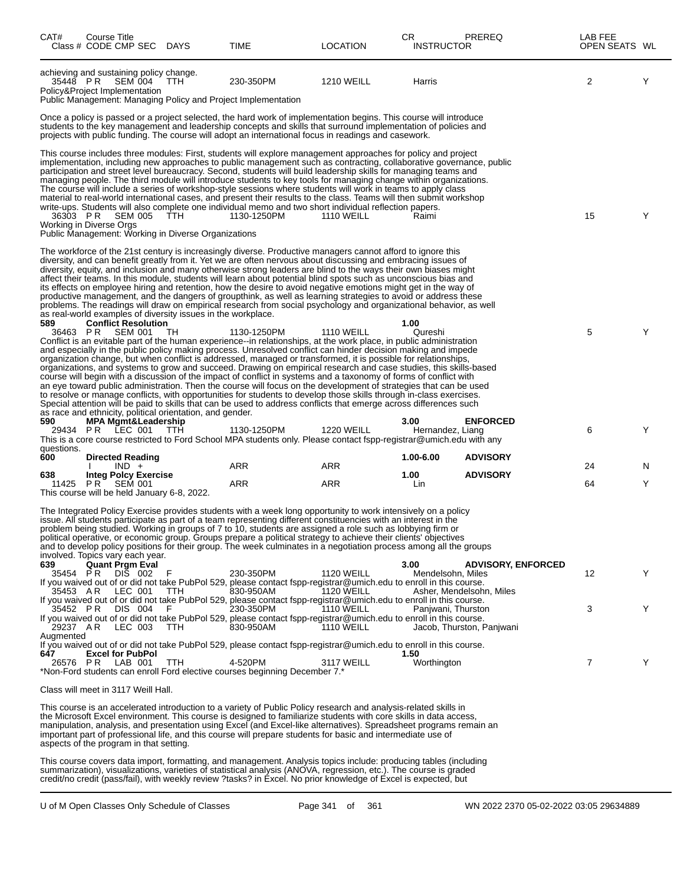| CAT#              | Course Title<br>Class # CODE CMP SEC DAYS                                                          |            | TIME                                                                                                                                                                                                                                                                                                                                                                                                                                                                                                                                                                                                                                                                                                                                                                                                                                                                                                                                                                              | <b>LOCATION</b>                        | CR.<br><b>INSTRUCTOR</b>  | PREREQ                    | LAB FEE<br>OPEN SEATS WL |   |
|-------------------|----------------------------------------------------------------------------------------------------|------------|-----------------------------------------------------------------------------------------------------------------------------------------------------------------------------------------------------------------------------------------------------------------------------------------------------------------------------------------------------------------------------------------------------------------------------------------------------------------------------------------------------------------------------------------------------------------------------------------------------------------------------------------------------------------------------------------------------------------------------------------------------------------------------------------------------------------------------------------------------------------------------------------------------------------------------------------------------------------------------------|----------------------------------------|---------------------------|---------------------------|--------------------------|---|
| 35448 PR          | achieving and sustaining policy change.<br>SEM 004<br>Policy&Project Implementation                | TTH.       | 230-350PM<br>Public Management: Managing Policy and Project Implementation                                                                                                                                                                                                                                                                                                                                                                                                                                                                                                                                                                                                                                                                                                                                                                                                                                                                                                        | <b>1210 WEILL</b>                      | Harris                    |                           | 2                        | Y |
|                   |                                                                                                    |            | Once a policy is passed or a project selected, the hard work of implementation begins. This course will introduce<br>students to the key management and leadership concepts and skills that surround implementation of policies and<br>projects with public funding. The course will adopt an international focus in readings and casework.                                                                                                                                                                                                                                                                                                                                                                                                                                                                                                                                                                                                                                       |                                        |                           |                           |                          |   |
|                   | 36303 PR SEM 005<br>Working in Diverse Orgs<br>Public Management: Working in Diverse Organizations | <b>TTH</b> | This course includes three modules: First, students will explore management approaches for policy and project<br>implementation, including new approaches to public management such as contracting, collaborative governance, public<br>participation and street level bureaucracy. Second, students will build leadership skills for managing teams and<br>managing people. The third module will introduce students to key tools for managing change within organizations.<br>The course will include a series of workshop-style sessions where students will work in teams to apply class<br>material to real-world international cases, and present their results to the class. Teams will then submit workshop<br>write-ups. Students will also complete one individual memo and two short individual reflection papers.<br>1130-1250PM                                                                                                                                      | <b>1110 WEILL</b>                      | Raimi                     |                           | 15                       | Y |
|                   | as real-world examples of diversity issues in the workplace.                                       |            | The workforce of the 21st century is increasingly diverse. Productive managers cannot afford to ignore this<br>diversity, and can benefit greatly from it. Yet we are often nervous about discussing and embracing issues of<br>diversity, equity, and inclusion and many otherwise strong leaders are blind to the ways their own biases might<br>affect their teams. In this module, students will learn about potential blind spots such as unconscious bias and<br>its effects on employee hiring and retention, how the desire to avoid negative emotions might get in the way of<br>productive management, and the dangers of groupthink, as well as learning strategies to avoid or address these<br>problems. The readings will draw on empirical research from social psychology and organizational behavior, as well                                                                                                                                                    |                                        |                           |                           |                          |   |
| 589<br>36463 PR   | <b>Conflict Resolution</b><br>SEM 001<br>as race and ethnicity, political orientation, and gender. | TH         | 1130-1250PM<br>Conflict is an evitable part of the human experience--in relationships, at the work place, in public administration<br>and especially in the public policy making process. Unresolved conflict can hinder decision making and impede<br>organization change, but when conflict is addressed, managed or transformed, it is possible for relationships,<br>organizations, and systems to grow and succeed. Drawing on empirical research and case studies, this skills-based<br>course will begin with a discussion of the impact of conflict in systems and a taxonomy of forms of conflict with<br>an eye toward public administration. Then the course will focus on the development of strategies that can be used<br>to resolve or manage conflicts, with opportunities for students to develop those skills through in-class exercises.<br>Special attention will be paid to skills that can be used to address conflicts that emerge across differences such | <b>1110 WEILL</b>                      | 1.00<br>Qureshi           |                           | 5                        | Y |
| 590<br>questions. | <b>MPA Mgmt&amp;Leadership</b><br>29434 PR LEC 001                                                 | - ттн      | 1130-1250PM<br>This is a core course restricted to Ford School MPA students only. Please contact fspp-registrar@umich.edu with any                                                                                                                                                                                                                                                                                                                                                                                                                                                                                                                                                                                                                                                                                                                                                                                                                                                | <b>1220 WEILL</b>                      | 3.00<br>Hernandez, Liang  | <b>ENFORCED</b>           | 6                        | Y |
| 600               | <b>Directed Reading</b><br>$IND +$                                                                 |            | ARR                                                                                                                                                                                                                                                                                                                                                                                                                                                                                                                                                                                                                                                                                                                                                                                                                                                                                                                                                                               | ARR                                    | 1.00-6.00                 | <b>ADVISORY</b>           | 24                       | N |
| 638               | <b>Integ Polcy Exercise</b><br>11425 PR SEM 001                                                    |            | ARR                                                                                                                                                                                                                                                                                                                                                                                                                                                                                                                                                                                                                                                                                                                                                                                                                                                                                                                                                                               | ARR                                    | 1.00<br>Lin               | <b>ADVISORY</b>           | 64                       | Y |
|                   | This course will be held January 6-8, 2022.<br>involved. Topics vary each year.                    |            | The Integrated Policy Exercise provides students with a week long opportunity to work intensively on a policy<br>issue. All students participate as part of a team representing different constituencies with an interest in the<br>problem being studied. Working in groups of 7 to 10, students are assigned a role such as lobbying firm or<br>political operative, or economic group. Groups prepare a political strategy to achieve their clients' objectives<br>and to develop policy positions for their group. The week culminates in a negotiation process among all the groups                                                                                                                                                                                                                                                                                                                                                                                          |                                        |                           |                           |                          |   |
| 639<br>35454 PR   | <b>Quant Pram Eval</b><br>DIS 002                                                                  |            | 230-350PM<br>If you waived out of or did not take PubPol 529, please contact fspp-registrar@umich.edu to enroll in this course.                                                                                                                                                                                                                                                                                                                                                                                                                                                                                                                                                                                                                                                                                                                                                                                                                                                   | <b>1120 WEILL</b>                      | 3.00<br>Mendelsohn, Miles | <b>ADVISORY, ENFORCED</b> | 12                       | Y |
| 35453 AR          | LEC 001                                                                                            | TTH.       | 830-950AM<br>If you waived out of or did not take PubPol 529, please contact fspp-registrar@umich.edu to enroll in this course.                                                                                                                                                                                                                                                                                                                                                                                                                                                                                                                                                                                                                                                                                                                                                                                                                                                   | <b>1120 WEILL</b>                      |                           | Asher, Mendelsohn, Miles  |                          |   |
| 29237 AR          | 35452 PR DIS 004<br>LEC 003                                                                        | F<br>TTH   | 230-350PM<br>If you waived out of or did not take PubPol 529, please contact fspp-registrar@umich.edu to enroll in this course.<br>830-950AM                                                                                                                                                                                                                                                                                                                                                                                                                                                                                                                                                                                                                                                                                                                                                                                                                                      | <b>1110 WEILL</b><br><b>1110 WEILL</b> | Panjwani, Thurston        | Jacob, Thurston, Panjwani | 3                        | Y |
| Augmented         | <b>Excel for PubPol</b>                                                                            |            | If you waived out of or did not take PubPol 529, please contact fspp-registrar@umich.edu to enroll in this course.                                                                                                                                                                                                                                                                                                                                                                                                                                                                                                                                                                                                                                                                                                                                                                                                                                                                |                                        |                           |                           |                          |   |
| 647               | 26576 PR LAB 001                                                                                   | TTH        | 4-520PM<br>*Non-Ford students can enroll Ford elective courses beginning December 7.*                                                                                                                                                                                                                                                                                                                                                                                                                                                                                                                                                                                                                                                                                                                                                                                                                                                                                             | 3117 WEILL                             | 1.50<br>Worthington       |                           | 7                        | Y |
|                   | Class will meet in 3117 Weill Hall.                                                                |            |                                                                                                                                                                                                                                                                                                                                                                                                                                                                                                                                                                                                                                                                                                                                                                                                                                                                                                                                                                                   |                                        |                           |                           |                          |   |
|                   | aspects of the program in that setting.                                                            |            | This course is an accelerated introduction to a variety of Public Policy research and analysis-related skills in<br>the Microsoft Excel environment. This course is designed to familiarize students with core skills in data access,<br>manipulation, analysis, and presentation using Excel (and Excel-like alternatives). Spreadsheet programs remain an<br>important part of professional life, and this course will prepare students for basic and intermediate use of<br>This course covers data import formatting and management Analysis topics include: producing tables (including                                                                                                                                                                                                                                                                                                                                                                                      |                                        |                           |                           |                          |   |

This course covers data import, formatting, and management. Analysis topics include: producing tables (including summarization), visualizations, varieties of statistical analysis (ANOVA, regression, etc.). The course is graded credit/no credit (pass/fail), with weekly review ?tasks? in Excel. No prior knowledge of Excel is expected, but

U of M Open Classes Only Schedule of Classes Page 341 of 361 WN 2022 2370 05-02-2022 03:05 29634889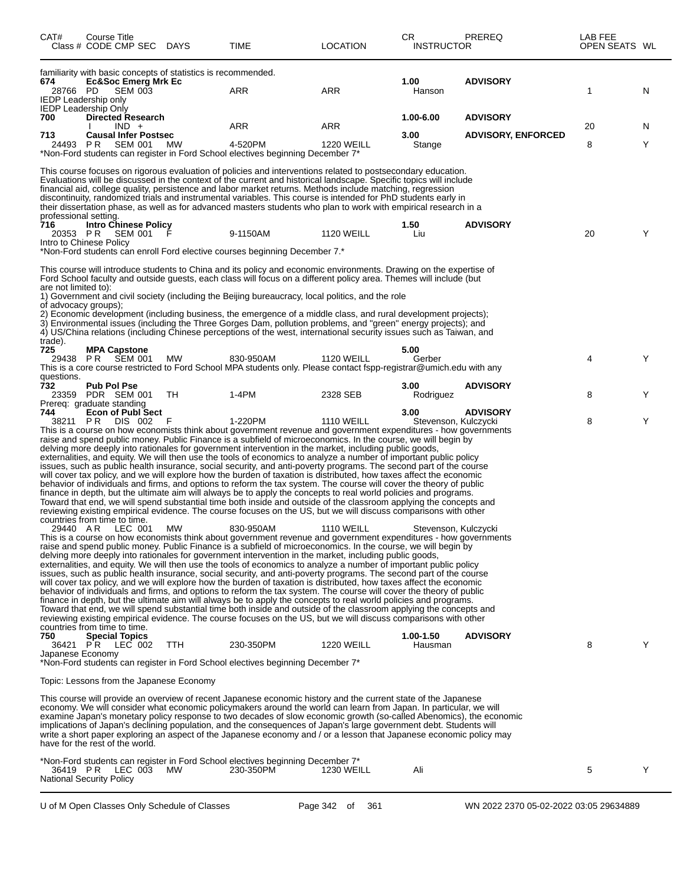| CAT#                                         | Course Title<br>Class # CODE CMP SEC                                                             |                | <b>DAYS</b>                                                   | TIME                                                                                                                                                                                                                                                                                                                                                                                                                                                                                                                                                                                                                                                                                                                                                                                                                                                                                                                                                                                                                                                                                                                                                                                                                       | <b>LOCATION</b>                        | CR.<br><b>INSTRUCTOR</b>                     | <b>PREREQ</b>             | LAB FEE<br>OPEN SEATS WL |   |
|----------------------------------------------|--------------------------------------------------------------------------------------------------|----------------|---------------------------------------------------------------|----------------------------------------------------------------------------------------------------------------------------------------------------------------------------------------------------------------------------------------------------------------------------------------------------------------------------------------------------------------------------------------------------------------------------------------------------------------------------------------------------------------------------------------------------------------------------------------------------------------------------------------------------------------------------------------------------------------------------------------------------------------------------------------------------------------------------------------------------------------------------------------------------------------------------------------------------------------------------------------------------------------------------------------------------------------------------------------------------------------------------------------------------------------------------------------------------------------------------|----------------------------------------|----------------------------------------------|---------------------------|--------------------------|---|
| 674<br>28766 PD                              | <b>Ec&amp;Soc Emerg Mrk Ec</b><br><b>IEDP Leadership only</b><br><b>IEDP Leadership Only</b>     | <b>SEM 003</b> | familiarity with basic concepts of statistics is recommended. | ARR                                                                                                                                                                                                                                                                                                                                                                                                                                                                                                                                                                                                                                                                                                                                                                                                                                                                                                                                                                                                                                                                                                                                                                                                                        | <b>ARR</b>                             | 1.00<br>Hanson                               | <b>ADVISORY</b>           | 1                        | N |
| 700                                          | <b>Directed Research</b><br>$IND +$                                                              |                |                                                               | ARR                                                                                                                                                                                                                                                                                                                                                                                                                                                                                                                                                                                                                                                                                                                                                                                                                                                                                                                                                                                                                                                                                                                                                                                                                        | ARR                                    | 1.00-6.00                                    | <b>ADVISORY</b>           | 20                       | N |
| 713<br>24493 PR                              | <b>Causal Infer Postsec</b><br>SEM 001                                                           |                | MW.                                                           | 4-520PM<br>*Non-Ford students can register in Ford School electives beginning December 7*                                                                                                                                                                                                                                                                                                                                                                                                                                                                                                                                                                                                                                                                                                                                                                                                                                                                                                                                                                                                                                                                                                                                  | <b>1220 WEILL</b>                      | 3.00<br>Stange                               | <b>ADVISORY, ENFORCED</b> | 8                        | Y |
| professional setting.<br>716<br>20353 PR     | <b>Intro Chinese Policy</b><br>SEM 001<br>Intro to Chinese Policy                                |                |                                                               | This course focuses on rigorous evaluation of policies and interventions related to postsecondary education.<br>Evaluations will be discussed in the context of the current and historical landscape. Specific topics will include<br>financial aid, college quality, persistence and labor market returns. Methods include matching, regression<br>discontinuity, randomized trials and instrumental variables. This course is intended for PhD students early in<br>their dissertation phase, as well as for advanced masters students who plan to work with empirical research in a<br>9-1150AM<br>*Non-Ford students can enroll Ford elective courses beginning December 7.*                                                                                                                                                                                                                                                                                                                                                                                                                                                                                                                                           | <b>1120 WEILL</b>                      | 1.50<br>Liu                                  | <b>ADVISORY</b>           | 20                       | Y |
| are not limited to):<br>of advocacy groups); |                                                                                                  |                |                                                               | This course will introduce students to China and its policy and economic environments. Drawing on the expertise of<br>Ford School faculty and outside guests, each class will focus on a different policy area. Themes will include (but<br>1) Government and civil society (including the Beijing bureaucracy, local politics, and the role<br>2) Economic development (including business, the emergence of a middle class, and rural development projects);<br>3) Environmental issues (including the Three Gorges Dam, pollution problems, and "green" energy projects); and<br>4) US/China relations (including Chinese perceptions of the west, international security issues such as Taiwan, and                                                                                                                                                                                                                                                                                                                                                                                                                                                                                                                    |                                        |                                              |                           |                          |   |
| trade).<br>725                               | <b>MPA Capstone</b><br>29438 PR SEM 001                                                          |                | МW                                                            | 830-950AM<br>This is a core course restricted to Ford School MPA students only. Please contact fspp-registrar@umich.edu with any                                                                                                                                                                                                                                                                                                                                                                                                                                                                                                                                                                                                                                                                                                                                                                                                                                                                                                                                                                                                                                                                                           | <b>1120 WEILL</b>                      | 5.00<br>Gerber                               |                           | 4                        | Y |
| questions.<br>732                            | <b>Pub Pol Pse</b><br>23359 PDR SEM 001                                                          |                | TН                                                            | 1-4PM                                                                                                                                                                                                                                                                                                                                                                                                                                                                                                                                                                                                                                                                                                                                                                                                                                                                                                                                                                                                                                                                                                                                                                                                                      | 2328 SEB                               | 3.00<br>Rodriguez                            | <b>ADVISORY</b>           | 8                        | Y |
| 744<br>38211 PR                              | Prereg: graduate standing<br><b>Econ of Publ Sect</b><br>countries from time to time.            | DIS 002        | F                                                             | 1-220PM<br>This is a course on how economists think about government revenue and government expenditures - how governments<br>raise and spend public money. Public Finance is a subfield of microeconomics. In the course, we will begin by<br>delving more deeply into rationales for government intervention in the market, including public goods,<br>externalities, and equity. We will then use the tools of economics to analyze a number of important public policy<br>issues, such as public health insurance, social security, and anti-poverty programs. The second part of the course<br>will cover tax policy, and we will explore how the burden of taxation is distributed, how taxes affect the economic<br>behavior of individuals and firms, and options to reform the tax system. The course will cover the theory of public<br>finance in depth, but the ultimate aim will always be to apply the concepts to real world policies and programs.<br>Toward that end, we will spend substantial time both inside and outside of the classroom applying the concepts and<br>reviewing existing empirical evidence. The course focuses on the US, but we will discuss comparisons with other                | <b>1110 WEILL</b>                      | 3.00<br>Stevenson, Kulczycki                 | <b>ADVISORY</b>           | 8                        | Y |
| 750<br>Japanese Economy                      | 29440 AR LEC 001 MW<br>countries from time to time.<br><b>Special Topics</b><br>36421 PR LEC 002 |                | - ттн                                                         | 830-950AM<br>This is a course on how economists think about government revenue and government expenditures - how governments<br>raise and spend public money. Public Finance is a subfield of microeconomics. In the course, we will begin by<br>delving more deeply into rationales for government intervention in the market, including public goods,<br>externalities, and equity. We will then use the tools of economics to analyze a number of important public policy<br>issues, such as public health insurance, social security, and anti-poverty programs. The second part of the course<br>will cover tax policy, and we will explore how the burden of taxation is distributed, how taxes affect the economic<br>behavior of individuals and firms, and options to reform the tax system. The course will cover the theory of public<br>finance in depth, but the ultimate aim will always be to apply the concepts to real world policies and programs.<br>Toward that end, we will spend substantial time both inside and outside of the classroom applying the concepts and<br>reviewing existing empirical evidence. The course focuses on the US, but we will discuss comparisons with other<br>230-350PM | <b>1110 WEILL</b><br><b>1220 WEILL</b> | Stevenson, Kulczycki<br>1.00-1.50<br>Hausman | <b>ADVISORY</b>           | 8                        | Y |
|                                              | have for the rest of the world.                                                                  |                | Topic: Lessons from the Japanese Economy                      | *Non-Ford students can register in Ford School electives beginning December 7*<br>This course will provide an overview of recent Japanese economic history and the current state of the Japanese<br>economy. We will consider what economic policymakers around the world can learn from Japan. In particular, we will<br>examine Japan's monetary policy response to two decades of slow economic growth (so-called Abenomics), the economic<br>implications of Japan's declining population, and the consequences of Japan's large government debt. Students will<br>write a short paper exploring an aspect of the Japanese economy and / or a lesson that Japanese economic policy may                                                                                                                                                                                                                                                                                                                                                                                                                                                                                                                                 |                                        |                                              |                           |                          |   |
|                                              | 36419 PR LEC 003<br><b>National Security Policy</b>                                              |                | MW                                                            | *Non-Ford students can register in Ford School electives beginning December 7*<br>230-350PM                                                                                                                                                                                                                                                                                                                                                                                                                                                                                                                                                                                                                                                                                                                                                                                                                                                                                                                                                                                                                                                                                                                                | <b>1230 WEILL</b>                      | Ali                                          |                           | 5                        | Y |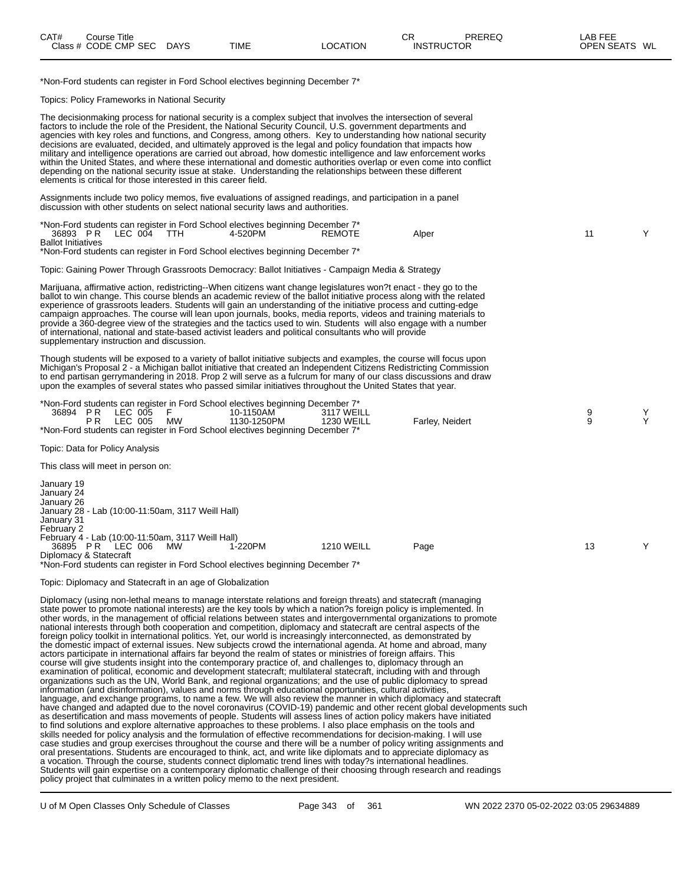\*Non-Ford students can register in Ford School electives beginning December 7\*

Topics: Policy Frameworks in National Security

| The decisionmaking process for national security is a complex subject that involves the intersection of several<br>factors to include the role of the President, the National Security Council, U.S. government departments and<br>agencies with key roles and functions, and Congress, among others. Key to understanding how national security<br>decisions are evaluated, decided, and ultimately approved is the legal and policy foundation that impacts how<br>military and intelligence operations are carried out abroad, how domestic intelligence and law enforcement works<br>within the United States, and where these international and domestic authorities overlap or even come into conflict<br>depending on the national security issue at stake. Understanding the relationships between these different<br>elements is critical for those interested in this career field.                                                                                                                                                                                                                                                                                                                                                                                                                                                                                                                                                                                                                                                                                                                                                                                                                                                                                                                                                                                                                                                                                                                                                                                                                                                                                                                                                                                                                                                                                                                                                                                                      |        |        |
|----------------------------------------------------------------------------------------------------------------------------------------------------------------------------------------------------------------------------------------------------------------------------------------------------------------------------------------------------------------------------------------------------------------------------------------------------------------------------------------------------------------------------------------------------------------------------------------------------------------------------------------------------------------------------------------------------------------------------------------------------------------------------------------------------------------------------------------------------------------------------------------------------------------------------------------------------------------------------------------------------------------------------------------------------------------------------------------------------------------------------------------------------------------------------------------------------------------------------------------------------------------------------------------------------------------------------------------------------------------------------------------------------------------------------------------------------------------------------------------------------------------------------------------------------------------------------------------------------------------------------------------------------------------------------------------------------------------------------------------------------------------------------------------------------------------------------------------------------------------------------------------------------------------------------------------------------------------------------------------------------------------------------------------------------------------------------------------------------------------------------------------------------------------------------------------------------------------------------------------------------------------------------------------------------------------------------------------------------------------------------------------------------------------------------------------------------------------------------------------------------|--------|--------|
| Assignments include two policy memos, five evaluations of assigned readings, and participation in a panel<br>discussion with other students on select national security laws and authorities.                                                                                                                                                                                                                                                                                                                                                                                                                                                                                                                                                                                                                                                                                                                                                                                                                                                                                                                                                                                                                                                                                                                                                                                                                                                                                                                                                                                                                                                                                                                                                                                                                                                                                                                                                                                                                                                                                                                                                                                                                                                                                                                                                                                                                                                                                                      |        |        |
| *Non-Ford students can register in Ford School electives beginning December 7*<br>36893 PR<br>LEC 004<br>TTH<br>4-520PM<br><b>REMOTE</b><br>Alper<br><b>Ballot Initiatives</b><br>*Non-Ford students can register in Ford School electives beginning December 7*                                                                                                                                                                                                                                                                                                                                                                                                                                                                                                                                                                                                                                                                                                                                                                                                                                                                                                                                                                                                                                                                                                                                                                                                                                                                                                                                                                                                                                                                                                                                                                                                                                                                                                                                                                                                                                                                                                                                                                                                                                                                                                                                                                                                                                   | 11     | Υ      |
| Topic: Gaining Power Through Grassroots Democracy: Ballot Initiatives - Campaign Media & Strategy                                                                                                                                                                                                                                                                                                                                                                                                                                                                                                                                                                                                                                                                                                                                                                                                                                                                                                                                                                                                                                                                                                                                                                                                                                                                                                                                                                                                                                                                                                                                                                                                                                                                                                                                                                                                                                                                                                                                                                                                                                                                                                                                                                                                                                                                                                                                                                                                  |        |        |
| Marijuana, affirmative action, redistricting--When citizens want change legislatures won?t enact - they go to the<br>ballot to win change. This course blends an academic review of the ballot initiative process along with the related<br>experience of grassroots leaders. Students will gain an understanding of the initiative process and cutting-edge<br>campaign approaches. The course will lean upon journals, books, media reports, videos and training materials to<br>provide a 360-degree view of the strategies and the tactics used to win. Students will also engage with a number<br>of international, national and state-based activist leaders and political consultants who will provide<br>supplementary instruction and discussion.                                                                                                                                                                                                                                                                                                                                                                                                                                                                                                                                                                                                                                                                                                                                                                                                                                                                                                                                                                                                                                                                                                                                                                                                                                                                                                                                                                                                                                                                                                                                                                                                                                                                                                                                         |        |        |
| Though students will be exposed to a variety of ballot initiative subjects and examples, the course will focus upon<br>Michigan's Proposal 2 - a Michigan ballot initiative that created an Independent Citizens Redistricting Commission<br>to end partisan gerrymandering in 2018. Prop 2 will serve as a fulcrum for many of our class discussions and draw<br>upon the examples of several states who passed similar initiatives throughout the United States that year.                                                                                                                                                                                                                                                                                                                                                                                                                                                                                                                                                                                                                                                                                                                                                                                                                                                                                                                                                                                                                                                                                                                                                                                                                                                                                                                                                                                                                                                                                                                                                                                                                                                                                                                                                                                                                                                                                                                                                                                                                       |        |        |
| *Non-Ford students can register in Ford School electives beginning December 7*<br>36894 PR<br>LEC 005<br>10-1150AM<br>3117 WEILL<br>- F -<br>LEC 005<br>PR.<br>1130-1250PM<br>Farley, Neidert<br>MW<br><b>1230 WEILL</b><br>*Non-Ford students can register in Ford School electives beginning December 7*                                                                                                                                                                                                                                                                                                                                                                                                                                                                                                                                                                                                                                                                                                                                                                                                                                                                                                                                                                                                                                                                                                                                                                                                                                                                                                                                                                                                                                                                                                                                                                                                                                                                                                                                                                                                                                                                                                                                                                                                                                                                                                                                                                                         | 9<br>9 | Y<br>Υ |
| Topic: Data for Policy Analysis                                                                                                                                                                                                                                                                                                                                                                                                                                                                                                                                                                                                                                                                                                                                                                                                                                                                                                                                                                                                                                                                                                                                                                                                                                                                                                                                                                                                                                                                                                                                                                                                                                                                                                                                                                                                                                                                                                                                                                                                                                                                                                                                                                                                                                                                                                                                                                                                                                                                    |        |        |
| This class will meet in person on:                                                                                                                                                                                                                                                                                                                                                                                                                                                                                                                                                                                                                                                                                                                                                                                                                                                                                                                                                                                                                                                                                                                                                                                                                                                                                                                                                                                                                                                                                                                                                                                                                                                                                                                                                                                                                                                                                                                                                                                                                                                                                                                                                                                                                                                                                                                                                                                                                                                                 |        |        |
| January 19<br>January 24<br>January 26<br>January 28 - Lab (10:00-11:50am, 3117 Weill Hall)<br>January 31<br>February 2<br>February 4 - Lab (10:00-11:50am, 3117 Weill Hall)<br>36895 PR LEC 006<br>1-220PM<br><b>1210 WEILL</b><br>Page<br>MW<br>Diplomacy & Statecraft<br>*Non-Ford students can register in Ford School electives beginning December 7*                                                                                                                                                                                                                                                                                                                                                                                                                                                                                                                                                                                                                                                                                                                                                                                                                                                                                                                                                                                                                                                                                                                                                                                                                                                                                                                                                                                                                                                                                                                                                                                                                                                                                                                                                                                                                                                                                                                                                                                                                                                                                                                                         | 13     | Υ      |
| Topic: Diplomacy and Statecraft in an age of Globalization                                                                                                                                                                                                                                                                                                                                                                                                                                                                                                                                                                                                                                                                                                                                                                                                                                                                                                                                                                                                                                                                                                                                                                                                                                                                                                                                                                                                                                                                                                                                                                                                                                                                                                                                                                                                                                                                                                                                                                                                                                                                                                                                                                                                                                                                                                                                                                                                                                         |        |        |
| Diplomacy (using non-lethal means to manage interstate relations and foreign threats) and statecraft (managing<br>state power to promote national interests) are the key tools by which a nation?s foreign policy is implemented. In<br>other words, in the management of official relations between states and intergovernmental organizations to promote<br>national interests through both cooperation and competition, diplomacy and statecraft are central aspects of the<br>foreign policy toolkit in international politics. Yet, our world is increasingly interconnected, as demonstrated by<br>the domestic impact of external issues. New subjects crowd the international agenda. At home and abroad, many<br>actors participate in international affairs far beyond the realm of states or ministries of foreign affairs. This<br>course will give students insight into the contemporary practice of, and challenges to, diplomacy through an<br>examination of political, economic and development statecraft; multilateral statecraft, including with and through<br>organizations such as the UN, World Bank, and regional organizations; and the use of public diplomacy to spread<br>information (and disinformation), values and norms through educational opportunities, cultural activities,<br>language, and exchange programs, to name a few. We will also review the manner in which diplomacy and statecraft<br>have changed and adapted due to the novel coronavirus (COVID-19) pandemic and other recent global developments such<br>as desertification and mass movements of people. Students will assess lines of action policy makers have initiated<br>to find solutions and explore alternative approaches to these problems. I also place emphasis on the tools and<br>skills needed for policy analysis and the formulation of effective recommendations for decision-making. I will use<br>case studies and group exercises throughout the course and there will be a number of policy writing assignments and<br>oral presentations. Students are encouraged to think, act, and write like diplomats and to appreciate diplomacy as<br>a vocation. Through the course, students connect diplomatic trend lines with today?s international headlines.<br>Students will gain expertise on a contemporary diplomatic challenge of their choosing through research and readings<br>policy project that culminates in a written policy memo to the next president. |        |        |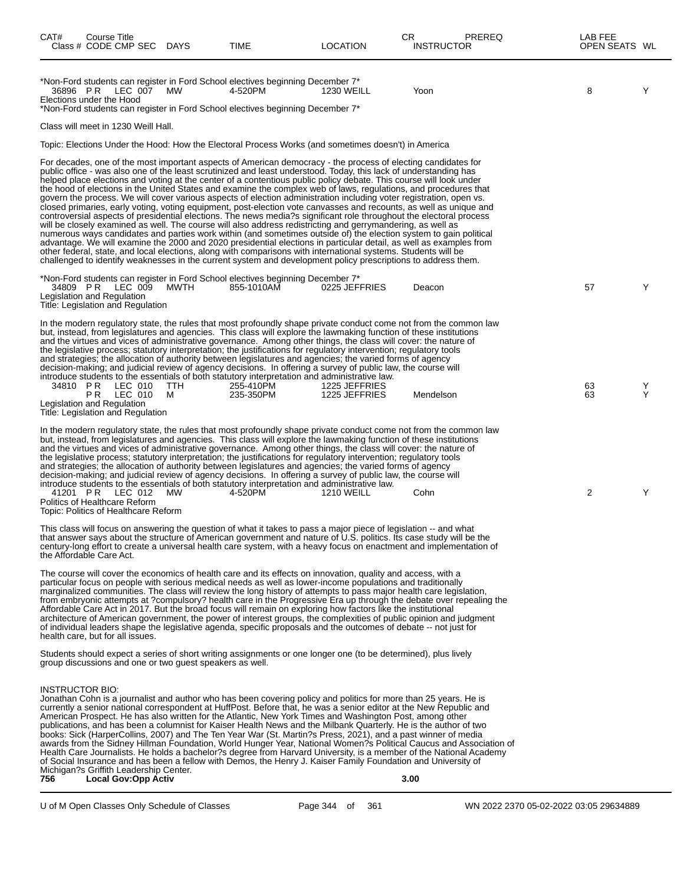| CAT#                   | Course Title<br>Class # CODE CMP SEC DAYS                                                 |          | TIME                                                                                                                                                                                                                                                                                                                                                                                                                                                                                                                                                                                                                                                                                                                                                                                                                                                                                                                                                                                                                                                                                                                                                                                                                                                                                                                                                                                                                                          | <b>LOCATION</b>                | CR     | <b>PREREQ</b><br><b>INSTRUCTOR</b> | LAB FEE<br>OPEN SEATS WL |        |
|------------------------|-------------------------------------------------------------------------------------------|----------|-----------------------------------------------------------------------------------------------------------------------------------------------------------------------------------------------------------------------------------------------------------------------------------------------------------------------------------------------------------------------------------------------------------------------------------------------------------------------------------------------------------------------------------------------------------------------------------------------------------------------------------------------------------------------------------------------------------------------------------------------------------------------------------------------------------------------------------------------------------------------------------------------------------------------------------------------------------------------------------------------------------------------------------------------------------------------------------------------------------------------------------------------------------------------------------------------------------------------------------------------------------------------------------------------------------------------------------------------------------------------------------------------------------------------------------------------|--------------------------------|--------|------------------------------------|--------------------------|--------|
|                        | 36896 PR LEC 007 MW<br>Elections under the Hood                                           |          | *Non-Ford students can register in Ford School electives beginning December 7*<br>4-520PM<br>*Non-Ford students can register in Ford School electives beginning December 7*                                                                                                                                                                                                                                                                                                                                                                                                                                                                                                                                                                                                                                                                                                                                                                                                                                                                                                                                                                                                                                                                                                                                                                                                                                                                   | <b>1230 WEILL</b>              | Yoon   |                                    | 8                        | Y      |
|                        | Class will meet in 1230 Weill Hall.                                                       |          |                                                                                                                                                                                                                                                                                                                                                                                                                                                                                                                                                                                                                                                                                                                                                                                                                                                                                                                                                                                                                                                                                                                                                                                                                                                                                                                                                                                                                                               |                                |        |                                    |                          |        |
|                        |                                                                                           |          | Topic: Elections Under the Hood: How the Electoral Process Works (and sometimes doesn't) in America                                                                                                                                                                                                                                                                                                                                                                                                                                                                                                                                                                                                                                                                                                                                                                                                                                                                                                                                                                                                                                                                                                                                                                                                                                                                                                                                           |                                |        |                                    |                          |        |
|                        |                                                                                           |          | For decades, one of the most important aspects of American democracy - the process of electing candidates for<br>public office - was also one of the least scrutinized and least understood. Today, this lack of understanding has<br>helped place elections and voting at the center of a contentious public policy debate. This course will look under<br>the hood of elections in the United States and examine the complex web of laws, regulations, and procedures that<br>govern the process. We will cover various aspects of election administration including voter registration, open vs.<br>closed primaries, early voting, voting equipment, post-election vote canvasses and recounts, as well as unique and<br>controversial aspects of presidential elections. The news media?s significant role throughout the electoral process<br>will be closely examined as well. The course will also address redistricting and gerrymandering, as well as<br>numerous ways candidates and parties work within (and sometimes outside of) the election system to gain political<br>advantage. We will examine the 2000 and 2020 presidential elections in particular detail, as well as examples from<br>other federal, state, and local elections, along with comparisons with international systems. Students will be<br>challenged to identify weaknesses in the current system and development policy prescriptions to address them. |                                |        |                                    |                          |        |
|                        | 34809 PR LEC 009 MWTH<br>Legislation and Regulation<br>Title: Legislation and Regulation  |          | *Non-Ford students can register in Ford School electives beginning December 7*<br>855-1010AM                                                                                                                                                                                                                                                                                                                                                                                                                                                                                                                                                                                                                                                                                                                                                                                                                                                                                                                                                                                                                                                                                                                                                                                                                                                                                                                                                  | 0225 JEFFRIES                  | Deacon |                                    | 57                       | Y      |
|                        | 34810 PR LEC 010                                                                          |          | In the modern regulatory state, the rules that most profoundly shape private conduct come not from the common law<br>but, instead, from legislatures and agencies. This class will explore the lawmaking function of these institutions<br>and the virtues and vices of administrative governance. Among other things, the class will cover: the nature of<br>the legislative process; statutory interpretation; the justifications for regulatory intervention; regulatory tools<br>and strategies; the allocation of authority between legislatures and agencies; the varied forms of agency<br>decision-making; and judicial review of agency decisions. In offering a survey of public law, the course will<br>introduce students to the essentials of both statutory interpretation and administrative law.                                                                                                                                                                                                                                                                                                                                                                                                                                                                                                                                                                                                                              |                                |        |                                    |                          |        |
|                        | <b>PR LEC 010</b><br>Legislation and Regulation<br>Title: Legislation and Regulation      | TTH<br>M | 255-410PM<br>235-350PM                                                                                                                                                                                                                                                                                                                                                                                                                                                                                                                                                                                                                                                                                                                                                                                                                                                                                                                                                                                                                                                                                                                                                                                                                                                                                                                                                                                                                        | 1225 JEFFRIES<br>1225 JEFFRIES |        | Mendelson                          | 63<br>63                 | Y<br>Y |
|                        | 41201 PR LEC 012<br>Politics of Healthcare Reform<br>Topic: Politics of Healthcare Reform | MW       | In the modern regulatory state, the rules that most profoundly shape private conduct come not from the common law<br>but, instead, from legislatures and agencies. This class will explore the lawmaking function of these institutions<br>and the virtues and vices of administrative governance. Among other things, the class will cover: the nature of<br>the legislative process; statutory interpretation; the justifications for regulatory intervention; regulatory tools<br>and strategies; the allocation of authority between legislatures and agencies; the varied forms of agency<br>decision-making; and judicial review of agency decisions. In offering a survey of public law, the course will<br>introduce students to the essentials of both statutory interpretation and administrative law.<br>4-520PM                                                                                                                                                                                                                                                                                                                                                                                                                                                                                                                                                                                                                   | <b>1210 WEILL</b>              | Cohn   |                                    | 2                        | Y      |
|                        | the Affordable Care Act.                                                                  |          | This class will focus on answering the question of what it takes to pass a major piece of legislation -- and what<br>that answer says about the structure of American government and nature of U.S. politics. Its case study will be the<br>century-long effort to create a universal health care system, with a heavy focus on enactment and implementation of                                                                                                                                                                                                                                                                                                                                                                                                                                                                                                                                                                                                                                                                                                                                                                                                                                                                                                                                                                                                                                                                               |                                |        |                                    |                          |        |
|                        | health care, but for all issues.                                                          |          | The course will cover the economics of health care and its effects on innovation, quality and access, with a<br>particular focus on people with serious medical needs as well as lower-income populations and traditionally<br>marginalized communities. The class will review the long history of attempts to pass major health care legislation,<br>from embryonic attempts at ?compulsory? health care in the Progressive Era up through the debate over repealing the<br>Affordable Care Act in 2017. But the broad focus will remain on exploring how factors like the institutional<br>architecture of American government, the power of interest groups, the complexities of public opinion and judgment<br>of individual leaders shape the legislative agenda, specific proposals and the outcomes of debate -- not just for                                                                                                                                                                                                                                                                                                                                                                                                                                                                                                                                                                                                          |                                |        |                                    |                          |        |
|                        | group discussions and one or two quest speakers as well.                                  |          | Students should expect a series of short writing assignments or one longer one (to be determined), plus lively                                                                                                                                                                                                                                                                                                                                                                                                                                                                                                                                                                                                                                                                                                                                                                                                                                                                                                                                                                                                                                                                                                                                                                                                                                                                                                                                |                                |        |                                    |                          |        |
| INSTRUCTOR BIO:<br>756 | Michigan?s Griffith Leadership Center.<br><b>Local Gov:Opp Activ</b>                      |          | Jonathan Cohn is a journalist and author who has been covering policy and politics for more than 25 years. He is<br>currently a senior national correspondent at HuffPost. Before that, he was a senior editor at the New Republic and<br>American Prospect. He has also written for the Atlantic, New York Times and Washington Post, among other<br>publications, and has been a columnist for Kaiser Health News and the Milbank Quarterly. He is the author of two<br>books: Sick (HarperCollins, 2007) and The Ten Year War (St. Martin?s Press, 2021), and a past winner of media<br>awards from the Sidney Hillman Foundation, World Hunger Year, National Women?s Political Caucus and Association of<br>Health Care Journalists. He holds a bachelor?s degree from Harvard University, is a member of the National Academy<br>of Social Insurance and has been a fellow with Demos, the Henry J. Kaiser Family Foundation and University of                                                                                                                                                                                                                                                                                                                                                                                                                                                                                          |                                | 3.00   |                                    |                          |        |
|                        |                                                                                           |          |                                                                                                                                                                                                                                                                                                                                                                                                                                                                                                                                                                                                                                                                                                                                                                                                                                                                                                                                                                                                                                                                                                                                                                                                                                                                                                                                                                                                                                               |                                |        |                                    |                          |        |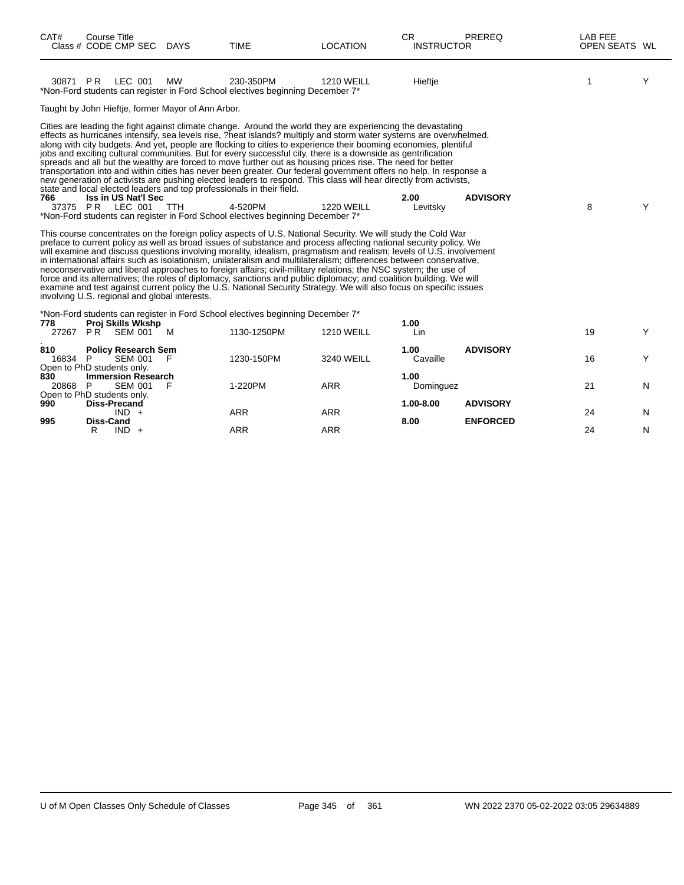| CAT#           | <b>Course Title</b><br>Class # CODE CMP SEC DAYS                                                                                                                             |           | <b>TIME</b>                                                                                                                                                                                                                                                                                                                                                                                                                                                                                                                                                                                                                                                                                                                                                                                                                                                                                                                                                                                                                                                                                                                                                                                                                                                                                                                                                                                                                                                                                                                                                                                                                                                                                                                                                                    | <b>LOCATION</b>   | <b>CR</b><br><b>INSTRUCTOR</b> | PREREQ          | <b>LAB FEE</b><br>OPEN SEATS WL |   |
|----------------|------------------------------------------------------------------------------------------------------------------------------------------------------------------------------|-----------|--------------------------------------------------------------------------------------------------------------------------------------------------------------------------------------------------------------------------------------------------------------------------------------------------------------------------------------------------------------------------------------------------------------------------------------------------------------------------------------------------------------------------------------------------------------------------------------------------------------------------------------------------------------------------------------------------------------------------------------------------------------------------------------------------------------------------------------------------------------------------------------------------------------------------------------------------------------------------------------------------------------------------------------------------------------------------------------------------------------------------------------------------------------------------------------------------------------------------------------------------------------------------------------------------------------------------------------------------------------------------------------------------------------------------------------------------------------------------------------------------------------------------------------------------------------------------------------------------------------------------------------------------------------------------------------------------------------------------------------------------------------------------------|-------------------|--------------------------------|-----------------|---------------------------------|---|
| 30871 PR       | LEC 001                                                                                                                                                                      | <b>MW</b> | 230-350PM<br>*Non-Ford students can register in Ford School electives beginning December 7*                                                                                                                                                                                                                                                                                                                                                                                                                                                                                                                                                                                                                                                                                                                                                                                                                                                                                                                                                                                                                                                                                                                                                                                                                                                                                                                                                                                                                                                                                                                                                                                                                                                                                    | <b>1210 WEILL</b> | Hieftje                        |                 | 1                               | Y |
|                | Taught by John Hieftje, former Mayor of Ann Arbor.                                                                                                                           |           |                                                                                                                                                                                                                                                                                                                                                                                                                                                                                                                                                                                                                                                                                                                                                                                                                                                                                                                                                                                                                                                                                                                                                                                                                                                                                                                                                                                                                                                                                                                                                                                                                                                                                                                                                                                |                   |                                |                 |                                 |   |
| 766            | state and local elected leaders and top professionals in their field.<br><b>Iss in US Nat'l Sec</b><br>37375 PR LEC 001 TTH<br>involving U.S. regional and global interests. |           | Cities are leading the fight against climate change. Around the world they are experiencing the devastating<br>effects as hurricanes intensify, sea levels rise, ?heat islands? multiply and storm water systems are overwhelmed,<br>along with city budgets. And yet, people are flocking to cities to experience their booming economies, plentiful<br>jobs and exciting cultural communities. But for every successful city, there is a downside as gentrification<br>spreads and all but the wealthy are forced to move further out as housing prices rise. The need for better<br>transportation into and within cities has never been greater. Our federal government offers no help. In response a<br>new generation of activists are pushing elected leaders to respond. This class will hear directly from activists,<br>4-520PM<br>*Non-Ford students can register in Ford School electives beginning December 7*<br>This course concentrates on the foreign policy aspects of U.S. National Security. We will study the Cold War<br>preface to current policy as well as broad issues of substance and process affecting national security policy. We<br>will examine and discuss questions involving morality, idealism, pragmatism and realism; levels of U.S. involvement<br>in international affairs such as isolationism, unilateralism and multilateralism; differences between conservative,<br>neoconservative and liberal approaches to foreign affairs; civil-military relations; the NSC system; the use of<br>force and its alternatives; the roles of diplomacy, sanctions and public diplomacy; and coalition building. We will<br>examine and test against current policy the U.S. National Security Strategy. We will also focus on specific issues | <b>1220 WEILL</b> | 2.00<br>Levitsky               | <b>ADVISORY</b> | 8                               | Y |
| 778            | Proj Skills Wkshp                                                                                                                                                            |           | *Non-Ford students can register in Ford School electives beginning December 7*                                                                                                                                                                                                                                                                                                                                                                                                                                                                                                                                                                                                                                                                                                                                                                                                                                                                                                                                                                                                                                                                                                                                                                                                                                                                                                                                                                                                                                                                                                                                                                                                                                                                                                 |                   | 1.00                           |                 |                                 |   |
|                | 27267 PR SEM 001                                                                                                                                                             | M         | 1130-1250PM                                                                                                                                                                                                                                                                                                                                                                                                                                                                                                                                                                                                                                                                                                                                                                                                                                                                                                                                                                                                                                                                                                                                                                                                                                                                                                                                                                                                                                                                                                                                                                                                                                                                                                                                                                    | <b>1210 WEILL</b> | Lin                            |                 | 19                              | Y |
| 810<br>16834 P | <b>Policy Research Sem</b><br><b>SEM 001</b><br>Open to PhD students only.                                                                                                   | F         | 1230-150PM                                                                                                                                                                                                                                                                                                                                                                                                                                                                                                                                                                                                                                                                                                                                                                                                                                                                                                                                                                                                                                                                                                                                                                                                                                                                                                                                                                                                                                                                                                                                                                                                                                                                                                                                                                     | <b>3240 WEILL</b> | 1.00<br>Cavaille               | <b>ADVISORY</b> | 16                              | Y |
| 830<br>20868 P | <b>Immersion Research</b><br><b>SEM 001</b><br>Open to PhD students only.                                                                                                    | F         | 1-220PM                                                                                                                                                                                                                                                                                                                                                                                                                                                                                                                                                                                                                                                                                                                                                                                                                                                                                                                                                                                                                                                                                                                                                                                                                                                                                                                                                                                                                                                                                                                                                                                                                                                                                                                                                                        | <b>ARR</b>        | 1.00<br>Dominguez              |                 | 21                              | N |
| 990            | <b>Diss-Precand</b><br>$IND +$                                                                                                                                               |           | <b>ARR</b>                                                                                                                                                                                                                                                                                                                                                                                                                                                                                                                                                                                                                                                                                                                                                                                                                                                                                                                                                                                                                                                                                                                                                                                                                                                                                                                                                                                                                                                                                                                                                                                                                                                                                                                                                                     | <b>ARR</b>        | 1.00-8.00                      | <b>ADVISORY</b> | 24                              | N |
| 995            | <b>Diss-Cand</b><br>R<br>$IND +$                                                                                                                                             |           | <b>ARR</b>                                                                                                                                                                                                                                                                                                                                                                                                                                                                                                                                                                                                                                                                                                                                                                                                                                                                                                                                                                                                                                                                                                                                                                                                                                                                                                                                                                                                                                                                                                                                                                                                                                                                                                                                                                     | <b>ARR</b>        | 8.00                           | <b>ENFORCED</b> | 24                              | N |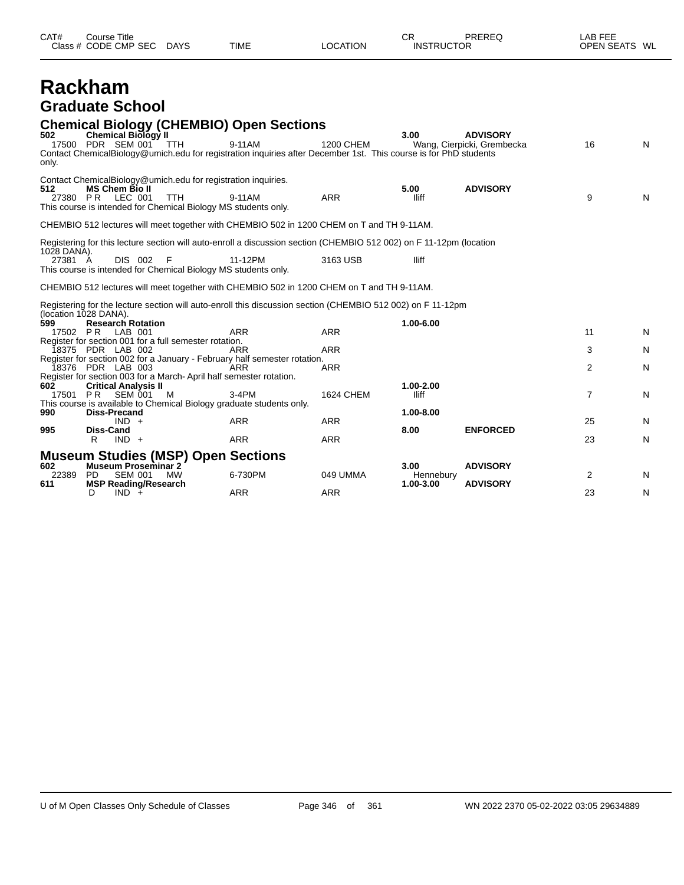| CAT#<br>Course Title<br>CODE CMP<br>SEC<br><b>DAYS</b><br><b>TIME</b><br>Class $#$ | _OCA <sup>-</sup><br><b>`TION</b> | ⌒冖<br>PREREQ<br>◡<br><b>INSTRUCTOR</b> | $\lambda$ $\Gamma$ $\Gamma$ $\Gamma$<br>AВ<br>---<br>WL<br>OPEN SEA |
|------------------------------------------------------------------------------------|-----------------------------------|----------------------------------------|---------------------------------------------------------------------|
|------------------------------------------------------------------------------------|-----------------------------------|----------------------------------------|---------------------------------------------------------------------|

# **Rackham Graduate School**

## **Chemical Biology (CHEMBIO) Open Sections**

| 502<br>only.           | Chemical Biology II<br>17500 PDR SEM 001 TTH<br>Contact ChemicalBiology@umich.edu for registration inquiries after December 1st. This course is for PhD students                                   | 9-11AM     | 1200 CHEM        | 3.00                           | <b>ADVISORY</b><br>Wang, Cierpicki, Grembecka | 16 | N |
|------------------------|----------------------------------------------------------------------------------------------------------------------------------------------------------------------------------------------------|------------|------------------|--------------------------------|-----------------------------------------------|----|---|
| 512                    | Contact ChemicalBiology@umich.edu for registration inquiries.<br><b>MS Chem Bio II</b><br>27380 PR LEC 001<br><b>TTH</b><br>This course is intended for Chemical Biology MS students only.         | 9-11AM     | <b>ARR</b>       | 5.00<br>lliff                  | <b>ADVISORY</b>                               | 9  | N |
|                        | CHEMBIO 512 lectures will meet together with CHEMBIO 502 in 1200 CHEM on T and TH 9-11AM.                                                                                                          |            |                  |                                |                                               |    |   |
|                        | Registering for this lecture section will auto-enroll a discussion section (CHEMBIO 512 002) on F 11-12pm (location                                                                                |            |                  |                                |                                               |    |   |
| 1028 DANA).<br>27381 A | <b>DIS 002</b><br>F<br>This course is intended for Chemical Biology MS students only.                                                                                                              | 11-12PM    | 3163 USB         | lliff                          |                                               |    |   |
|                        | CHEMBIO 512 lectures will meet together with CHEMBIO 502 in 1200 CHEM on T and TH 9-11AM.                                                                                                          |            |                  |                                |                                               |    |   |
|                        | Registering for the lecture section will auto-enroll this discussion section (CHEMBIO 512 002) on F 11-12pm                                                                                        |            |                  |                                |                                               |    |   |
| 599<br>17502 PR        | (location 1028 DANA).<br><b>Research Rotation</b><br>LAB 001                                                                                                                                       | <b>ARR</b> | <b>ARR</b>       | 1.00-6.00                      |                                               | 11 | N |
|                        | Register for section 001 for a full semester rotation.<br>18375 PDR LAB 002                                                                                                                        | ARR        | <b>ARR</b>       |                                |                                               | 3  | N |
|                        | Register for section 002 for a January - February half semester rotation.<br>18376 PDR LAB 003                                                                                                     | ARR        | <b>ARR</b>       |                                |                                               | 2  | N |
| 602                    | Register for section 003 for a March-April half semester rotation.<br><b>Critical Analysis II</b><br>17501 PR SEM 001<br>M<br>This course is available to Chemical Biology graduate students only. | $3-4PM$    | <b>1624 CHEM</b> | 1.00-2.00<br>lliff             |                                               | 7  | N |
| 990                    | <b>Diss-Precand</b><br>$IND +$                                                                                                                                                                     | <b>ARR</b> | <b>ARR</b>       | 1.00-8.00                      |                                               | 25 | N |
| 995                    | <b>Diss-Cand</b><br>$IND +$<br>R                                                                                                                                                                   | <b>ARR</b> | <b>ARR</b>       | 8.00                           | <b>ENFORCED</b>                               | 23 | N |
|                        | <b>Museum Studies (MSP) Open Sections</b>                                                                                                                                                          |            |                  |                                |                                               |    |   |
| 602<br>22389<br>611    | <b>Museum Proseminar 2</b><br><b>SEM 001</b><br><b>PD</b><br>MW<br><b>MSP Reading/Research</b>                                                                                                     | 6-730PM    | 049 UMMA         | 3.00<br>Hennebury<br>1.00-3.00 | <b>ADVISORY</b><br><b>ADVISORY</b>            | 2  | N |
|                        | D<br>$IND +$                                                                                                                                                                                       | <b>ARR</b> | <b>ARR</b>       |                                |                                               | 23 | N |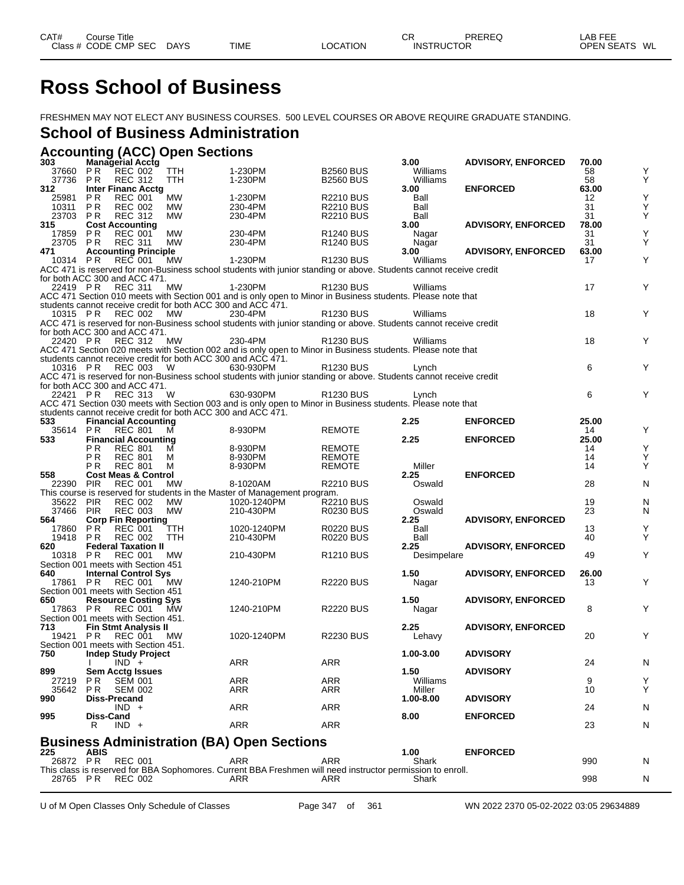# **Ross School of Business**

FRESHMEN MAY NOT ELECT ANY BUSINESS COURSES. 500 LEVEL COURSES OR ABOVE REQUIRE GRADUATE STANDING.

### **School of Business Administration**

**Accounting (ACC) Open Sections**

| 303       |                | Managerial Acctg                    |            |                                                                                                                    |                       | 3.00        | <b>ADVISORY, ENFORCED</b> | 70.00 |   |
|-----------|----------------|-------------------------------------|------------|--------------------------------------------------------------------------------------------------------------------|-----------------------|-------------|---------------------------|-------|---|
| 37660     | P <sub>R</sub> | <b>REC 002</b>                      | TTH        | 1-230PM                                                                                                            | <b>B2560 BUS</b>      | Williams    |                           | 58    | Υ |
| 37736     | P R            | <b>REC 312</b>                      | TTH        | 1-230PM                                                                                                            | <b>B2560 BUS</b>      | Williams    |                           | 58    | Υ |
| 312       |                | <b>Inter Financ Acctg</b>           |            |                                                                                                                    |                       | 3.00        | <b>ENFORCED</b>           | 63.00 |   |
| 25981     | P R            | <b>REC 001</b>                      | <b>MW</b>  | 1-230PM                                                                                                            | <b>R2210 BUS</b>      | Ball        |                           | 12    | Υ |
| 10311     | P R            | <b>REC 002</b>                      | МW         | 230-4PM                                                                                                            | R2210 BUS             | Ball        |                           | 31    | Υ |
| 23703     | P <sub>R</sub> | <b>REC 312</b>                      | MW         | 230-4PM                                                                                                            | <b>R2210 BUS</b>      | Ball        |                           | 31    | Υ |
| 315       |                | <b>Cost Accounting</b>              |            |                                                                                                                    |                       | 3.00        | <b>ADVISORY, ENFORCED</b> | 78.00 |   |
| 17859     | P R            | <b>REC 001</b>                      | <b>MW</b>  | 230-4PM                                                                                                            | R <sub>1240</sub> BUS | Nagar       |                           | 31    | Υ |
| 23705     | <b>PR</b>      | <b>REC 311</b>                      | MW         | 230-4PM                                                                                                            | R <sub>1240</sub> BUS | Nagar       |                           | 31    | Υ |
| 471       |                | <b>Accounting Principle</b>         |            |                                                                                                                    |                       | 3.00        | <b>ADVISORY, ENFORCED</b> | 63.00 |   |
| 10314     | P <sub>R</sub> | <b>REC 001</b>                      | MW         | 1-230PM                                                                                                            | <b>R1230 BUS</b>      | Williams    |                           | 17    | Υ |
|           |                |                                     |            | ACC 471 is reserved for non-Business school students with junior standing or above. Students cannot receive credit |                       |             |                           |       |   |
|           |                | for both ACC 300 and ACC 471.       |            |                                                                                                                    |                       |             |                           |       |   |
|           |                |                                     |            |                                                                                                                    |                       |             |                           | 17    | Y |
| 22419 PR  |                | <b>REC 311</b>                      | MW         | 1-230PM                                                                                                            | R <sub>1230</sub> BUS | Williams    |                           |       |   |
|           |                |                                     |            | ACC 471 Section 010 meets with Section 001 and is only open to Minor in Business students. Please note that        |                       |             |                           |       |   |
|           |                |                                     |            | students cannot receive credit for both ACC 300 and ACC 471.                                                       |                       |             |                           |       |   |
| 10315 PR  |                | <b>REC 002</b>                      | МW         | 230-4PM                                                                                                            | R <sub>1230</sub> BUS | Williams    |                           | 18    | Y |
|           |                |                                     |            | ACC 471 is reserved for non-Business school students with junior standing or above. Students cannot receive credit |                       |             |                           |       |   |
|           |                | for both ACC 300 and ACC 471.       |            |                                                                                                                    |                       |             |                           |       |   |
| 22420 PR  |                | <b>REC 312</b>                      | МW         | 230-4PM                                                                                                            | R <sub>1230</sub> BUS | Williams    |                           | 18    | Y |
|           |                |                                     |            | ACC 471 Section 020 meets with Section 002 and is only open to Minor in Business students. Please note that        |                       |             |                           |       |   |
|           |                |                                     |            | students cannot receive credit for both ACC 300 and ACC 471.                                                       |                       |             |                           |       |   |
| 10316 PR  |                | <b>REC 003</b>                      | W          | 630-930PM                                                                                                          | R <sub>1230</sub> BUS | Lynch       |                           | 6     | Y |
|           |                |                                     |            | ACC 471 is reserved for non-Business school students with junior standing or above. Students cannot receive credit |                       |             |                           |       |   |
|           |                | for both ACC 300 and ACC 471.       |            |                                                                                                                    |                       |             |                           |       |   |
| 22421 PR  |                | <b>REC 313</b>                      | - W        | 630-930PM                                                                                                          | R <sub>1230</sub> BUS | Lynch       |                           | 6     | Y |
|           |                |                                     |            | ACC 471 Section 030 meets with Section 003 and is only open to Minor in Business students. Please note that        |                       |             |                           |       |   |
|           |                |                                     |            | students cannot receive credit for both ACC 300 and ACC 471.                                                       |                       |             |                           |       |   |
| 533       |                |                                     |            |                                                                                                                    |                       | 2.25        | <b>ENFORCED</b>           | 25.00 |   |
|           | <b>PR</b>      | <b>Financial Accounting</b>         |            | 8-930PM                                                                                                            |                       |             |                           |       | Y |
| 35614     |                | <b>REC 801</b>                      | м          |                                                                                                                    | <b>REMOTE</b>         |             |                           | 14    |   |
| 533       |                | <b>Financial Accounting</b>         |            |                                                                                                                    |                       | 2.25        | <b>ENFORCED</b>           | 25.00 |   |
|           | РR             | <b>REC 801</b>                      | м          | 8-930PM                                                                                                            | REMOTE                |             |                           | 14    | Υ |
|           | P R            | <b>REC 801</b>                      | М          | 8-930PM                                                                                                            | <b>REMOTE</b>         |             |                           | 14    | Υ |
|           | P R            | <b>REC 801</b>                      | м          | 8-930PM                                                                                                            | <b>REMOTE</b>         | Miller      |                           | 14    | Υ |
| 558       |                | <b>Cost Meas &amp; Control</b>      |            |                                                                                                                    |                       | 2.25        | <b>ENFORCED</b>           |       |   |
| 22390 PIR |                | <b>REC 001</b>                      | MW         | 8-1020AM                                                                                                           | <b>R2210 BUS</b>      | Oswald      |                           | 28    | N |
|           |                |                                     |            | This course is reserved for students in the Master of Management program.                                          |                       |             |                           |       |   |
| 35622     | <b>PIR</b>     | <b>REC 002</b>                      | МW         | 1020-1240PM                                                                                                        | <b>R2210 BUS</b>      | Oswald      |                           | 19    | N |
| 37466     | <b>PIR</b>     | <b>REC 003</b>                      | <b>MW</b>  | 210-430PM                                                                                                          | <b>R0230 BUS</b>      | Oswald      |                           | 23    | N |
| 564       |                | <b>Corp Fin Reporting</b>           |            |                                                                                                                    |                       | 2.25        | <b>ADVISORY, ENFORCED</b> |       |   |
| 17860     | P R            |                                     |            |                                                                                                                    |                       |             |                           |       | Υ |
| 19418     |                | <b>REC 001</b>                      | ттн        | 1020-1240PM                                                                                                        | <b>R0220 BUS</b>      | Ball        |                           | 13    |   |
| 620       |                |                                     |            |                                                                                                                    |                       |             |                           |       |   |
|           | P <sub>R</sub> | <b>REC 002</b>                      | <b>TTH</b> | 210-430PM                                                                                                          | <b>R0220 BUS</b>      | Ball        |                           | 40    | Y |
|           |                | <b>Federal Taxation II</b>          |            |                                                                                                                    |                       | 2.25        | <b>ADVISORY, ENFORCED</b> |       |   |
| 10318     | P R            | <b>REC 001</b>                      | MW         | 210-430PM                                                                                                          | R <sub>1210</sub> BUS | Desimpelare |                           | 49    | Υ |
|           |                | Section 001 meets with Section 451  |            |                                                                                                                    |                       |             |                           |       |   |
| 640       |                | <b>Internal Control Sys</b>         |            |                                                                                                                    |                       | 1.50        | <b>ADVISORY, ENFORCED</b> | 26.00 |   |
| 17861     | P R            | REC 001                             | MW.        | 1240-210PM                                                                                                         | <b>R2220 BUS</b>      | Nagar       |                           | 13    | Υ |
|           |                | Section 001 meets with Section 451  |            |                                                                                                                    |                       |             |                           |       |   |
| 650       |                | <b>Resource Costing Sys</b>         |            |                                                                                                                    |                       | 1.50        | <b>ADVISORY, ENFORCED</b> |       |   |
| 17863 PR  |                | <b>REC 001</b>                      | <b>MW</b>  | 1240-210PM                                                                                                         | <b>R2220 BUS</b>      | Nagar       |                           | 8     | Υ |
|           |                | Section 001 meets with Section 451. |            |                                                                                                                    |                       |             |                           |       |   |
| 713       |                | <b>Fin Stmt Analysis II</b>         |            |                                                                                                                    |                       | 2.25        | <b>ADVISORY, ENFORCED</b> |       |   |
| 19421     | P R            | REC 001                             | <b>MW</b>  | 1020-1240PM                                                                                                        | <b>R2230 BUS</b>      | Lehavy      |                           | 20    | Υ |
|           |                | Section 001 meets with Section 451. |            |                                                                                                                    |                       |             |                           |       |   |
| 750       |                | <b>Indep Study Project</b>          |            |                                                                                                                    |                       | 1.00-3.00   | <b>ADVISORY</b>           |       |   |
|           |                | $IND +$                             |            | <b>ARR</b>                                                                                                         | ARR                   |             |                           | 24    | N |
| 899       |                | <b>Sem Acctg Issues</b>             |            |                                                                                                                    |                       | 1.50        | <b>ADVISORY</b>           |       |   |
| 27219     | <b>PR</b>      | <b>SEM 001</b>                      |            | ARR                                                                                                                | <b>ARR</b>            | Williams    |                           | 9     | Υ |
| 35642     | P R            | <b>SEM 002</b>                      |            | ARR                                                                                                                | ARR                   | Miller      |                           | 10    | Υ |
| 990       |                | <b>Diss-Precand</b>                 |            |                                                                                                                    |                       | 1.00-8.00   | <b>ADVISORY</b>           |       |   |
|           |                |                                     |            |                                                                                                                    |                       |             |                           |       |   |
| 995       | Diss-Cand      | $IND +$                             |            | ARR                                                                                                                | <b>ARR</b>            | 8.00        | <b>ENFORCED</b>           | 24    | N |
|           | R.             | $IND +$                             |            | ARR                                                                                                                | ARR                   |             |                           |       |   |
|           |                |                                     |            |                                                                                                                    |                       |             |                           | 23    | N |
|           |                |                                     |            |                                                                                                                    |                       |             |                           |       |   |
|           |                |                                     |            | <b>Business Administration (BA) Open Sections</b>                                                                  |                       |             |                           |       |   |
| 225       | <b>ABIS</b>    |                                     |            |                                                                                                                    |                       | 1.00        | <b>ENFORCED</b>           |       |   |
| 26872 PR  |                | <b>REC 001</b>                      |            | ARR                                                                                                                | ARR                   | Shark       |                           | 990   | N |
| 28765 PR  |                | <b>REC 002</b>                      |            | This class is reserved for BBA Sophomores. Current BBA Freshmen will need instructor permission to enroll.<br>ARR  | ARR                   | Shark       |                           | 998   | N |

U of M Open Classes Only Schedule of Classes Page 347 of 361 WN 2022 2370 05-02-2022 03:05 29634889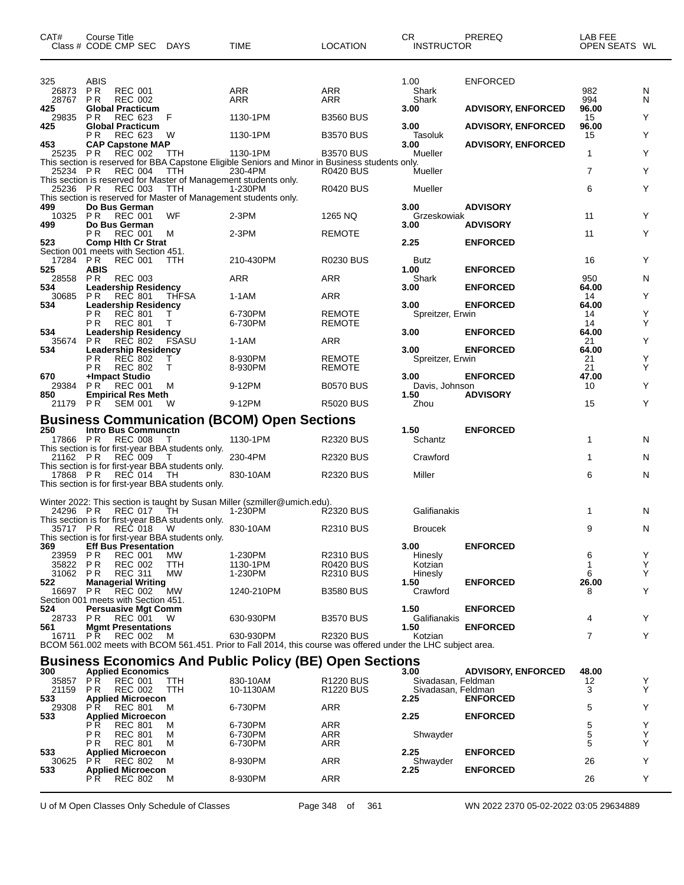| CAT#                     | <b>Course Title</b><br>Class # CODE CMP SEC DAYS                                                          |                  | <b>TIME</b>                                                                                                                | <b>LOCATION</b>                                | CR.<br><b>INSTRUCTOR</b>                 | PREREQ                    | LAB FEE<br>OPEN SEATS WL |        |
|--------------------------|-----------------------------------------------------------------------------------------------------------|------------------|----------------------------------------------------------------------------------------------------------------------------|------------------------------------------------|------------------------------------------|---------------------------|--------------------------|--------|
| 325<br>26873<br>28767 PR | ABIS<br>PR.<br><b>REC 001</b><br><b>REC 002</b>                                                           |                  | ARR<br>ARR                                                                                                                 | <b>ARR</b><br>ARR                              | 1.00<br>Shark<br>Shark                   | <b>ENFORCED</b>           | 982<br>994               | N<br>N |
| 425<br>29835             | <b>Global Practicum</b><br>P R<br>REC 623                                                                 | F                | 1130-1PM                                                                                                                   | <b>B3560 BUS</b>                               | 3.00                                     | <b>ADVISORY, ENFORCED</b> | 96.00<br>15              | Y      |
| 425                      | <b>Global Practicum</b><br>PR.<br>REC 623                                                                 | W                | 1130-1PM                                                                                                                   | <b>B3570 BUS</b>                               | 3.00<br>Tasoluk                          | <b>ADVISORY, ENFORCED</b> | 96.00<br>15              | Υ      |
| 453<br>25235 PR          | <b>CAP Capstone MAP</b><br><b>REC 002</b>                                                                 | TTH              | 1130-1PM                                                                                                                   | <b>B3570 BUS</b>                               | 3.00<br>Mueller                          | <b>ADVISORY, ENFORCED</b> | 1                        | Y      |
| 25234 PR                 | <b>REC 004</b><br>This section is reserved for Master of Management students only.                        | TTH              | This section is reserved for BBA Capstone Eligible Seniors and Minor in Business students only.<br>230-4PM                 | <b>R0420 BUS</b>                               | Mueller                                  |                           | $\overline{7}$           | Y      |
|                          | 25236 PR REC 003<br>This section is reserved for Master of Management students only.                      | TTH              | 1-230PM                                                                                                                    | <b>R0420 BUS</b>                               | Mueller                                  |                           | 6                        | Y      |
| 499                      | Do Bus German<br>10325 PR REC 001                                                                         | <b>WF</b>        | 2-3PM                                                                                                                      | 1265 NQ                                        | 3.00<br>Grzeskowiak                      | <b>ADVISORY</b>           | 11                       | Y      |
| 499                      | Do Bus German<br><b>REC 001</b><br>P R                                                                    | M                | $2-3PM$                                                                                                                    | <b>REMOTE</b>                                  | 3.00                                     | <b>ADVISORY</b>           | 11                       | Y      |
| 523<br>17284 PR          | <b>Comp Hith Cr Strat</b><br>Section 001 meets with Section 451.<br><b>REC 001</b>                        | <b>TTH</b>       | 210-430PM                                                                                                                  | <b>R0230 BUS</b>                               | 2.25<br><b>Butz</b>                      | <b>ENFORCED</b>           | 16                       | Y      |
| 525<br>28558             | <b>ABIS</b><br>PR.<br><b>REC 003</b>                                                                      |                  | ARR                                                                                                                        | <b>ARR</b>                                     | 1.00<br>Shark                            | <b>ENFORCED</b>           | 950                      | N      |
| 534<br>30685             | <b>Leadership Residency</b><br>PR.<br>REC 801                                                             | <b>THFSA</b>     | 1-1AM                                                                                                                      | ARR                                            | 3.00                                     | <b>ENFORCED</b>           | 64.00<br>14              | Υ      |
| 534                      | <b>Leadership Residency</b><br>P <sub>R</sub><br><b>REC 801</b>                                           | T.               | 6-730PM                                                                                                                    | <b>REMOTE</b>                                  | 3.00<br>Spreitzer, Erwin                 | <b>ENFORCED</b>           | 64.00<br>14              | Υ      |
| 534                      | P R<br><b>REC 801</b><br><b>Leadership Residency</b>                                                      | Т                | 6-730PM                                                                                                                    | <b>REMOTE</b>                                  | 3.00                                     | <b>ENFORCED</b>           | 14<br>64.00              | Y      |
| 35674<br>534             | P <sub>R</sub><br>REC 802<br><b>Leadership Residency</b><br>P R<br><b>REC 802</b>                         | FSASU            | 1-1AM                                                                                                                      | ARR                                            | 3.00                                     | <b>ENFORCED</b>           | 21<br>64.00              | Υ      |
| 670                      | <b>REC 802</b><br>P R<br>+Impact Studio                                                                   | Τ<br>т           | 8-930PM<br>8-930PM                                                                                                         | <b>REMOTE</b><br><b>REMOTE</b>                 | Spreitzer, Erwin<br>3.00                 | <b>ENFORCED</b>           | 21<br>21<br>47.00        | Y<br>Υ |
| 29384<br>850             | <b>REC 001</b><br>PR.<br><b>Empirical Res Meth</b>                                                        | м                | 9-12PM                                                                                                                     | <b>B0570 BUS</b>                               | Davis, Johnson<br>1.50                   | <b>ADVISORY</b>           | 10                       | Y      |
|                          | 21179 PR SEM 001                                                                                          | W                | 9-12PM                                                                                                                     | <b>R5020 BUS</b>                               | Zhou                                     |                           | 15                       | Y      |
| 250                      | <b>Intro Bus Communctn</b>                                                                                |                  | <b>Business Communication (BCOM) Open Sections</b>                                                                         |                                                | 1.50                                     | <b>ENFORCED</b>           |                          |        |
| 17866 PR                 | <b>REC 008</b><br>This section is for first-year BBA students only.<br>21162 PR REC 009                   | т<br>$\top$      | 1130-1PM<br>230-4PM                                                                                                        | <b>R2320 BUS</b><br><b>R2320 BUS</b>           | Schantz<br>Crawford                      |                           | 1<br>1                   | N<br>N |
| 17868 PR                 | This section is for first-year BBA students only.<br>REĆ 014                                              | TH               | 830-10AM                                                                                                                   | <b>R2320 BUS</b>                               | Miller                                   |                           | 6                        | N      |
|                          | This section is for first-year BBA students only.                                                         |                  |                                                                                                                            |                                                |                                          |                           |                          |        |
|                          | 24296 PR REC 017 TH                                                                                       |                  | Winter 2022: This section is taught by Susan Miller (szmiller@umich.edu).<br>1-230PM                                       | <b>R2320 BUS</b>                               | Galifianakis                             |                           | 1                        | N      |
|                          | This section is for first-year BBA students only.<br>35717 PR REC 018 W                                   |                  | 830-10AM                                                                                                                   | <b>R2310 BUS</b>                               | <b>Broucek</b>                           |                           | 9                        | N      |
| 369<br>23959             | This section is for first-year BBA students only.<br><b>Eff Bus Presentation</b><br>P R<br><b>REC 001</b> | МW               | 1-230PM                                                                                                                    | <b>R2310 BUS</b>                               | 3.00<br>Hinesly                          | <b>ENFORCED</b>           | 6                        | Y      |
| 35822<br>31062 PR        | PR<br><b>REC 002</b><br><b>REC 311</b>                                                                    | TTH<br><b>MW</b> | 1130-1PM<br>1-230PM                                                                                                        | R0420 BUS<br><b>R2310 BUS</b>                  | Kotzian<br>Hinesly                       |                           | 1<br>6                   | Υ<br>Y |
| 522<br>16697             | <b>Managerial Writing</b><br>PR.<br>REC 002                                                               | MW               | 1240-210PM                                                                                                                 | <b>B3580 BUS</b>                               | 1.50<br>Crawford                         | <b>ENFORCED</b>           | 26.00<br>8               | Y      |
| 524                      | Section 001 meets with Section 451.<br><b>Persuasive Mgt Comm</b>                                         |                  |                                                                                                                            |                                                | 1.50                                     | <b>ENFORCED</b>           |                          |        |
| 28733<br>561             | PR.<br>REC 001<br><b>Mgmt Presentations</b>                                                               | W                | 630-930PM                                                                                                                  | <b>B3570 BUS</b>                               | Galifianakis<br>1.50                     | <b>ENFORCED</b>           | 4                        | Y      |
| 16711 PR                 | <b>REC 002</b>                                                                                            | м                | 630-930PM<br>BCOM 561.002 meets with BCOM 561.451. Prior to Fall 2014, this course was offered under the LHC subject area. | <b>R2320 BUS</b>                               | Kotzian                                  |                           | 7                        | Y      |
| 300                      | <b>Applied Economics</b>                                                                                  |                  | <b>Business Economics And Public Policy (BE) Open Sections</b>                                                             |                                                | 3.00                                     | <b>ADVISORY, ENFORCED</b> | 48.00                    |        |
| 35857<br>21159           | <b>PR</b><br><b>REC 001</b><br><b>REC 002</b><br>P R                                                      | TTH<br>TTH       | 830-10AM<br>10-1130AM                                                                                                      | R <sub>1220</sub> BUS<br>R <sub>1220</sub> BUS | Sivadasan, Feldman<br>Sivadasan, Feldman |                           | 12<br>3                  | Y<br>Υ |
| 533<br>29308             | <b>Applied Microecon</b><br>PR.<br><b>REC 801</b>                                                         | м                | 6-730PM                                                                                                                    | <b>ARR</b>                                     | 2.25                                     | <b>ENFORCED</b>           | 5                        | Υ      |
| 533                      | <b>Applied Microecon</b><br>P R<br><b>REC 801</b>                                                         | M                | 6-730PM                                                                                                                    | <b>ARR</b>                                     | 2.25                                     | <b>ENFORCED</b>           | 5                        | Υ      |
| 533                      | P <sub>R</sub><br><b>REC 801</b><br>P R<br><b>REC 801</b><br><b>Applied Microecon</b>                     | М<br>м           | 6-730PM<br>6-730PM                                                                                                         | <b>ARR</b><br>ARR                              | Shwayder<br>2.25                         | <b>ENFORCED</b>           | 5<br>5                   | Υ<br>Υ |
| 30625<br>533             | P R<br><b>REC 802</b><br><b>Applied Microecon</b>                                                         | м                | 8-930PM                                                                                                                    | <b>ARR</b>                                     | Shwayder<br>2.25                         | <b>ENFORCED</b>           | 26                       | Y      |
|                          | REC 802<br>P R                                                                                            | M                | 8-930PM                                                                                                                    | ARR                                            |                                          |                           | 26                       | Y      |

U of M Open Classes Only Schedule of Classes Page 348 of 361 WN 2022 2370 05-02-2022 03:05 29634889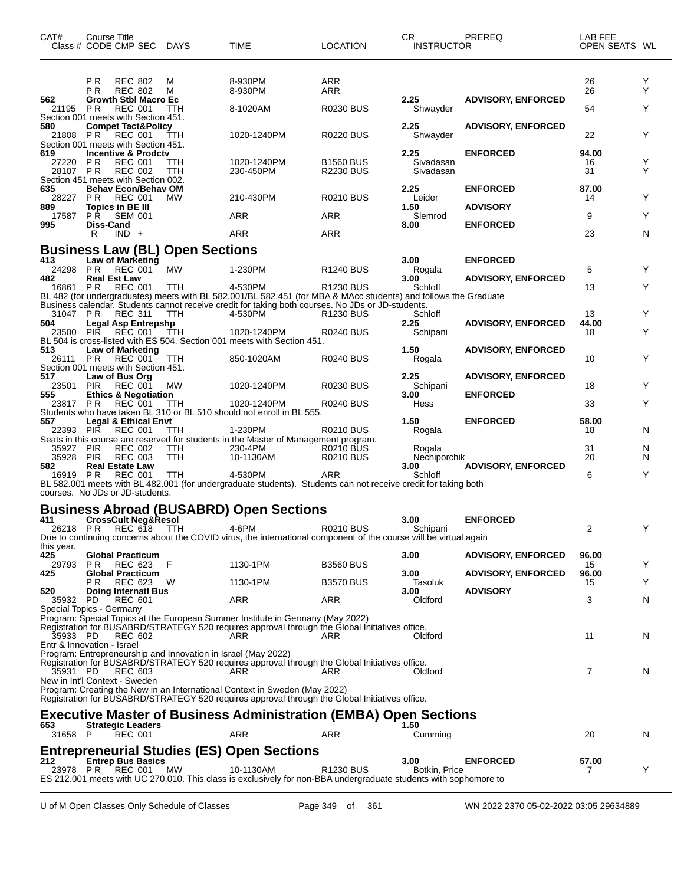| CAT#                                   | Course Title               | Class # CODE CMP SEC DAYS                                                                      |                                                               | <b>TIME</b>                                                                                                                                                                             | <b>LOCATION</b>                      | CR.<br><b>INSTRUCTOR</b>        | <b>PREREQ</b>                                | LAB FEE<br>OPEN SEATS WL |        |
|----------------------------------------|----------------------------|------------------------------------------------------------------------------------------------|---------------------------------------------------------------|-----------------------------------------------------------------------------------------------------------------------------------------------------------------------------------------|--------------------------------------|---------------------------------|----------------------------------------------|--------------------------|--------|
|                                        | РR<br>ΡR                   | <b>REC 802</b><br><b>REC 802</b>                                                               | M<br>M                                                        | 8-930PM<br>8-930PM                                                                                                                                                                      | ARR<br>ARR                           |                                 |                                              | 26<br>26                 | Y<br>Y |
| 562<br>21195 PR                        |                            | <b>Growth Stbl Macro Ec</b><br><b>REC 001</b>                                                  | TTH                                                           | 8-1020AM                                                                                                                                                                                | <b>R0230 BUS</b>                     | 2.25<br>Shwayder                | <b>ADVISORY, ENFORCED</b>                    | 54                       | Y      |
| 580<br>21808 PR                        |                            | Section 001 meets with Section 451.<br><b>Compet Tact&amp;Policy</b><br><b>REC 001</b>         | TTH                                                           | 1020-1240PM                                                                                                                                                                             | <b>R0220 BUS</b>                     | 2.25<br>Shwayder                | <b>ADVISORY, ENFORCED</b>                    | 22                       | Y      |
| 619<br>27220 PR<br>28107 PR            |                            | Section 001 meets with Section 451.<br>Incentive & Prodctv<br><b>REC 001</b><br><b>REC 002</b> | TTH<br>TTH                                                    | 1020-1240PM<br>230-450PM                                                                                                                                                                | <b>B1560 BUS</b><br><b>R2230 BUS</b> | 2.25<br>Sivadasan<br>Sivadasan  | <b>ENFORCED</b>                              | 94.00<br>16<br>31        | Y<br>Y |
| 635<br>28227                           | PR.                        | Section 451 meets with Section 002.<br><b>Behav Econ/Behav OM</b><br><b>REC 001</b>            | <b>MW</b>                                                     | 210-430PM                                                                                                                                                                               | <b>R0210 BUS</b>                     | 2.25<br>Leider                  | <b>ENFORCED</b>                              | 87.00<br>14              | Y      |
| 889<br>17587                           | PR.                        | Topics in BE III<br><b>SEM 001</b>                                                             |                                                               | ARR                                                                                                                                                                                     | ARR                                  | 1.50<br>Slemrod                 | <b>ADVISORY</b>                              | 9                        | Y      |
| 995                                    | <b>Diss-Cand</b><br>R      | $IND +$                                                                                        |                                                               | ARR                                                                                                                                                                                     | ARR                                  | 8.00                            | <b>ENFORCED</b>                              | 23                       | N      |
|                                        |                            |                                                                                                | <b>Business Law (BL) Open Sections</b>                        |                                                                                                                                                                                         |                                      |                                 |                                              |                          |        |
| 413<br>24298 PR                        |                            | Law of Marketing<br><b>REC 001</b>                                                             | MW                                                            | 1-230PM                                                                                                                                                                                 | R <sub>1240</sub> BUS                | 3.00<br>Rogala                  | <b>ENFORCED</b>                              | 5                        | Y      |
| 482<br>16861                           | <b>Real Est Law</b><br>P R | <b>REC 001</b>                                                                                 | TTH                                                           | 4-530PM<br>BL 482 (for undergraduates) meets with BL 582.001/BL 582.451 (for MBA & MAcc students) and follows the Graduate                                                              | R <sub>1230</sub> BUS                | 3.00<br>Schloff                 | <b>ADVISORY, ENFORCED</b>                    | 13                       | Y      |
| 31047 PR                               |                            | <b>REC 311</b>                                                                                 | TTH                                                           | Business calendar. Students cannot receive credit for taking both courses. No JDs or JD-students.<br>4-530PM                                                                            | R <sub>1230</sub> BUS                | Schloff                         |                                              | 13                       | Y      |
| 504<br>23500                           |                            | Legal Asp Entrepshp<br>PIR REC 001                                                             | TTH.                                                          | 1020-1240PM<br>BL 504 is cross-listed with ES 504. Section 001 meets with Section 451.                                                                                                  | <b>R0240 BUS</b>                     | 2.25<br>Schipani                | <b>ADVISORY, ENFORCED</b>                    | 44.00<br>18              | Y      |
| 513<br>26111 PR                        |                            | <b>Law of Marketing</b><br>REC 001<br>Section 001 meets with Section 451.                      | TTH                                                           | 850-1020AM                                                                                                                                                                              | <b>R0240 BUS</b>                     | 1.50<br>Rogala                  | <b>ADVISORY, ENFORCED</b>                    | 10                       | Y      |
| 517<br>23501<br>555                    | <b>PIR</b>                 | Law of Bus Org<br><b>REC 001</b><br><b>Ethics &amp; Negotiation</b>                            | МW                                                            | 1020-1240PM                                                                                                                                                                             | <b>R0230 BUS</b>                     | 2.25<br>Schipani<br>3.00        | <b>ADVISORY, ENFORCED</b><br><b>ENFORCED</b> | 18                       | Y      |
| 23817 PR                               |                            | <b>REC 001</b>                                                                                 | <b>TTH</b>                                                    | 1020-1240PM                                                                                                                                                                             | R0240 BUS                            | Hess                            |                                              | 33                       | Y      |
| 557<br>22393 PIR                       |                            | <b>Legal &amp; Ethical Envt</b><br><b>REC 001</b>                                              | TTH                                                           | Students who have taken BL 310 or BL 510 should not enroll in BL 555.<br>1-230PM                                                                                                        | R0210 BUS                            | 1.50<br>Rogala                  | <b>ENFORCED</b>                              | 58.00<br>18              | N      |
| 35927                                  | <b>PIR</b>                 | REC 002                                                                                        | <b>TTH</b>                                                    | Seats in this course are reserved for students in the Master of Management program.<br>230-4PM                                                                                          | R0210 BUS                            | Rogala                          |                                              | 31                       | N      |
| 35928<br>582<br>16919 PR               | <b>PIR</b>                 | <b>REC 003</b><br><b>Real Estate Law</b><br>REC 001                                            | <b>TTH</b><br>TTH                                             | 10-1130AM<br>4-530PM                                                                                                                                                                    | <b>R0210 BUS</b><br><b>ARR</b>       | Nechiporchik<br>3.00<br>Schloff | <b>ADVISORY, ENFORCED</b>                    | 20<br>6                  | N<br>Y |
| courses. No JDs or JD-students.        |                            |                                                                                                |                                                               | BL 582.001 meets with BL 482.001 (for undergraduate students). Students can not receive credit for taking both                                                                          |                                      |                                 |                                              |                          |        |
|                                        |                            |                                                                                                |                                                               | <b>Business Abroad (BUSABRD) Open Sections</b>                                                                                                                                          |                                      |                                 |                                              |                          |        |
| 411<br>this year.                      |                            | <b>CrossCult Neg&amp;Resol</b><br>26218 PR REC 618 TTH                                         |                                                               | 4-6PM<br>Due to continuing concerns about the COVID virus, the international component of the course will be virtual again                                                              | <b>R0210 BUS</b>                     | 3.00<br>Schipani                | <b>ENFORCED</b>                              | 2                        |        |
| 425<br>29793                           | P R                        | <b>Global Practicum</b><br>REC 623                                                             | - F                                                           | 1130-1PM                                                                                                                                                                                | <b>B3560 BUS</b>                     | 3.00                            | <b>ADVISORY, ENFORCED</b>                    | 96.00<br>15              | Y      |
| 425                                    | P R                        | <b>Global Practicum</b><br>REC 623                                                             | W                                                             | 1130-1PM                                                                                                                                                                                | <b>B3570 BUS</b>                     | 3.00<br><b>Tasoluk</b>          | <b>ADVISORY, ENFORCED</b>                    | 96.00<br>15              | Y      |
| 520<br>35932                           | PD.                        | <b>Doing Internati Bus</b><br><b>REC 601</b>                                                   |                                                               | ARR                                                                                                                                                                                     | ARR                                  | 3.00<br>Oldford                 | <b>ADVISORY</b>                              | 3                        | N      |
| Special Topics - Germany<br>35933 PD   |                            | <b>REC 602</b>                                                                                 |                                                               | Program: Special Topics at the European Summer Institute in Germany (May 2022)<br>Registration for BUSABRD/STRATEGY 520 requires approval through the Global Initiatives office.<br>ARR | ARR                                  | Oldford                         |                                              | 11                       | N      |
| Entr & Innovation - Israel<br>35931 PD |                            | <b>REC 603</b>                                                                                 | Program: Entrepreneurship and Innovation in Israel (May 2022) | Registration for BUSABRD/STRATEGY 520 requires approval through the Global Initiatives office.<br>ARR                                                                                   | ARR                                  | Oldford                         |                                              | $\overline{7}$           | N      |
| New in Int'l Context - Sweden          |                            |                                                                                                |                                                               | Program: Creating the New in an International Context in Sweden (May 2022)<br>Registration for BUSABRD/STRATEGY 520 requires approval through the Global Initiatives office.            |                                      |                                 |                                              |                          |        |
| 653<br>31658 P                         |                            | <b>Strategic Leaders</b><br><b>REC 001</b>                                                     |                                                               | <b>Executive Master of Business Administration (EMBA) Open Sections</b><br>ARR                                                                                                          | ARR                                  | 1.50<br>Cumming                 |                                              | 20                       | N      |
|                                        |                            |                                                                                                |                                                               | <b>Entrepreneurial Studies (ES) Open Sections</b>                                                                                                                                       |                                      |                                 |                                              |                          |        |
| 212                                    |                            | <b>Entrep Bus Basics</b><br>23978 PR REC 001                                                   | МW                                                            | 10-1130AM<br>ES 212.001 meets with UC 270.010. This class is exclusively for non-BBA undergraduate students with sophomore to                                                           | R <sub>1230</sub> BUS                | 3.00<br>Botkin, Price           | <b>ENFORCED</b>                              | 57.00<br>7               | Y      |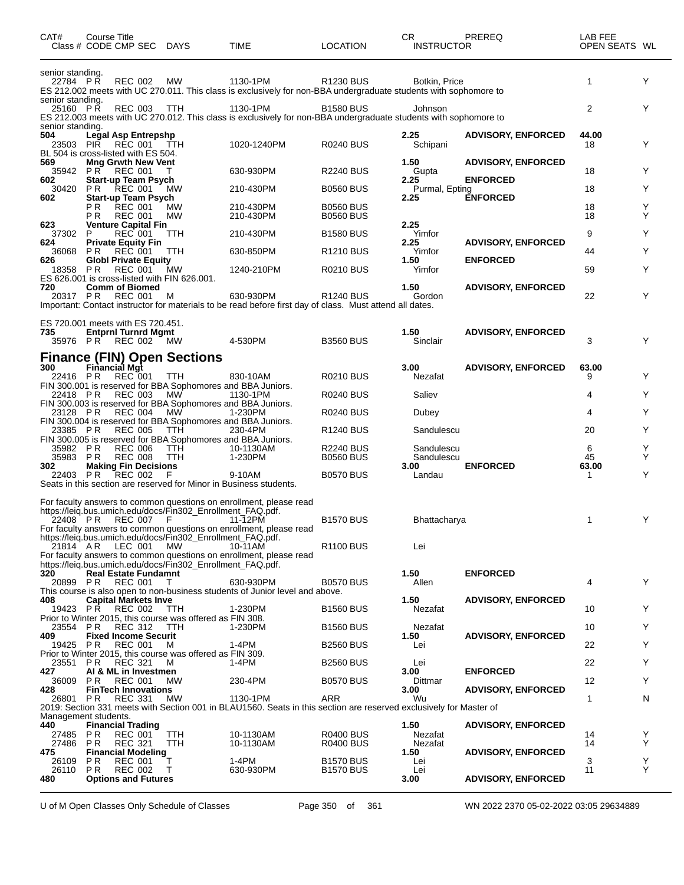| CAT#                                             | Course Title | Class # CODE CMP SEC DAYS                                                              |                                                                                                                                | TIME                                                                                                                                                                                                                                 | <b>LOCATION</b>                           | CR.<br><b>INSTRUCTOR</b> | <b>PREREQ</b>             | LAB FEE<br>OPEN SEATS WL |        |
|--------------------------------------------------|--------------|----------------------------------------------------------------------------------------|--------------------------------------------------------------------------------------------------------------------------------|--------------------------------------------------------------------------------------------------------------------------------------------------------------------------------------------------------------------------------------|-------------------------------------------|--------------------------|---------------------------|--------------------------|--------|
| senior standing.<br>22784 PR<br>senior standing. |              | <b>REC 002</b>                                                                         | МW                                                                                                                             | 1130-1PM<br>ES 212.002 meets with UC 270.011. This class is exclusively for non-BBA undergraduate students with sophomore to                                                                                                         | R <sub>1230</sub> BUS                     | Botkin, Price            |                           | $\mathbf{1}$             | Y      |
| 25160 PR                                         |              | <b>REC 003</b>                                                                         | TTH                                                                                                                            | 1130-1PM<br>ES 212.003 meets with UC 270.012. This class is exclusively for non-BBA undergraduate students with sophomore to                                                                                                         | <b>B1580 BUS</b>                          | Johnson                  |                           | $\overline{2}$           | Y      |
| senior standing.<br>504<br>23503                 |              | Legal Asp Entrepshp<br>PIR REC 001 TTH<br>BL 504 is cross-listed with ES 504.          |                                                                                                                                | 1020-1240PM                                                                                                                                                                                                                          | <b>R0240 BUS</b>                          | 2.25<br>Schipani         | <b>ADVISORY, ENFORCED</b> | 44.00<br>18              | Y      |
| 569<br>35942                                     | PR —         | <b>Mng Grwth New Vent</b><br><b>REC 001</b>                                            |                                                                                                                                | 630-930PM                                                                                                                                                                                                                            | <b>R2240 BUS</b>                          | 1.50<br>Gupta            | <b>ADVISORY, ENFORCED</b> | 18                       | Y      |
| 602<br>30420                                     | P R          | <b>Start-up Team Psych</b><br><b>REC 001</b>                                           | <b>MW</b>                                                                                                                      | 210-430PM                                                                                                                                                                                                                            | <b>B0560 BUS</b>                          | 2.25<br>Purmal, Epting   | <b>ENFORCED</b>           | 18                       | Y      |
| 602                                              | РR<br>P R    | <b>Start-up Team Psych</b><br><b>REC 001</b><br><b>REC 001</b>                         | MW<br><b>MW</b>                                                                                                                | 210-430PM<br>210-430PM                                                                                                                                                                                                               | <b>B0560 BUS</b><br><b>B0560 BUS</b>      | 2.25                     | <b>ENFORCED</b>           | 18<br>18                 | Y<br>Y |
| 623                                              |              | <b>Venture Capital Fin</b>                                                             |                                                                                                                                |                                                                                                                                                                                                                                      |                                           | 2.25                     |                           |                          |        |
| 37302<br>624                                     | P            | <b>REC</b> 001<br><b>Private Equity Fin</b>                                            | TTH                                                                                                                            | 210-430PM                                                                                                                                                                                                                            | <b>B1580 BUS</b>                          | Yimfor<br>2.25           | <b>ADVISORY, ENFORCED</b> | 9                        | Y      |
| 36068<br>626                                     | <b>PR</b>    | <b>REC 001</b><br><b>Globl Private Equity</b>                                          | TTH                                                                                                                            | 630-850PM                                                                                                                                                                                                                            | R <sub>1210</sub> BUS                     | Yimfor<br>1.50           | <b>ENFORCED</b>           | 44                       | Y      |
| 18358 PR                                         |              | <b>REC 001</b>                                                                         | МW<br>ES 626.001 is cross-listed with FIN 626.001.                                                                             | 1240-210PM                                                                                                                                                                                                                           | <b>R0210 BUS</b>                          | Yimfor                   |                           | 59                       | Y      |
| 720<br>20317 PR                                  |              | <b>Comm of Biomed</b><br><b>REC 001</b>                                                | M                                                                                                                              | 630-930PM<br>Important: Contact instructor for materials to be read before first day of class. Must attend all dates.                                                                                                                | R <sub>1240</sub> BUS                     | 1.50<br>Gordon           | <b>ADVISORY, ENFORCED</b> | 22                       | Y      |
| 735                                              |              | ES 720.001 meets with ES 720.451.<br><b>Entprnl Turnrd Mgmt</b><br>35976 PR REC 002 MW |                                                                                                                                | 4-530PM                                                                                                                                                                                                                              | <b>B3560 BUS</b>                          | 1.50<br>Sinclair         | <b>ADVISORY, ENFORCED</b> | 3                        | Y      |
| 300<br>22416 PR                                  |              | Financial Mgt<br><b>REC 001</b>                                                        | <b>Finance (FIN) Open Sections</b><br>TTH                                                                                      | 830-10AM                                                                                                                                                                                                                             | <b>R0210 BUS</b>                          | 3.00<br>Nezafat          | <b>ADVISORY, ENFORCED</b> | 63.00<br>9               | Y      |
| 22418 PR                                         |              | <b>REC 003</b>                                                                         | МW                                                                                                                             | FIN 300.001 is reserved for BBA Sophomores and BBA Juniors.<br>1130-1PM                                                                                                                                                              | <b>R0240 BUS</b>                          | Saliev                   |                           | 4                        | Y      |
|                                                  |              |                                                                                        |                                                                                                                                | FIN 300.003 is reserved for BBA Sophomores and BBA Juniors.                                                                                                                                                                          |                                           |                          |                           |                          |        |
| 23128 PR                                         |              | REC 004                                                                                | МW                                                                                                                             | 1-230PM<br>FIN 300.004 is reserved for BBA Sophomores and BBA Juniors.                                                                                                                                                               | <b>R0240 BUS</b>                          | Dubey                    |                           | 4                        | Y      |
| 23385 PR                                         |              | <b>REC 005</b>                                                                         | TTH                                                                                                                            | 230-4PM<br>FIN 300.005 is reserved for BBA Sophomores and BBA Juniors.                                                                                                                                                               | R <sub>1240</sub> BUS                     | Sandulescu               |                           | 20                       | Y      |
| 35982<br>35983                                   | P R<br>P R   | <b>REC 006</b><br><b>REC 008</b>                                                       | TTH<br>TTH                                                                                                                     | 10-1130AM<br>1-230PM                                                                                                                                                                                                                 | <b>R2240 BUS</b><br><b>B0560 BUS</b>      | Sandulescu<br>Sandulescu |                           | 6<br>45                  | Y<br>Y |
| 302<br>22403 PR                                  |              | <b>Making Fin Decisions</b><br><b>REC 002</b>                                          | F                                                                                                                              | 9-10AM<br>Seats in this section are reserved for Minor in Business students.                                                                                                                                                         | <b>B0570 BUS</b>                          | 3.00<br>Landau           | <b>ENFORCED</b>           | 63.00<br>1               | Y      |
| 21814 AR                                         |              | 22408 PR REC 007 F<br>LEC 001                                                          | https://leig.bus.umich.edu/docs/Fin302_Enrollment_FAQ.pdf.<br>https://leig.bus.umich.edu/docs/Fin302_Enrollment_FAQ.pdf.<br>МW | For faculty answers to common questions on enrollment, please read<br>11-12PM<br>For faculty answers to common questions on enrollment, please read<br>10-11AM<br>For faculty answers to common questions on enrollment, please read | <b>B1570 BUS</b><br>R <sub>1100</sub> BUS | Bhattacharya<br>Lei      |                           | 1                        | Υ      |
| 320<br>20899 PR                                  |              | <b>Real Estate Fundamnt</b><br><b>REC 001</b>                                          | https://leig.bus.umich.edu/docs/Fin302_Enrollment_FAQ.pdf.<br>T                                                                | 630-930PM<br>This course is also open to non-business students of Junior level and above.                                                                                                                                            | <b>B0570 BUS</b>                          | 1.50<br>Allen            | <b>ENFORCED</b>           | 4                        | Y      |
| 408<br>19423 PR                                  |              | <b>Capital Markets Inve</b><br><b>REC 002</b>                                          | TTH                                                                                                                            | 1-230PM                                                                                                                                                                                                                              | <b>B1560 BUS</b>                          | 1.50<br>Nezafat          | <b>ADVISORY, ENFORCED</b> | 10                       | Y      |
|                                                  |              | 23554 PR REC 312                                                                       | Prior to Winter 2015, this course was offered as FIN 308.<br>TTH                                                               | 1-230PM                                                                                                                                                                                                                              | <b>B1560 BUS</b>                          | Nezafat                  |                           | 10                       | Y      |
| 409<br>19425                                     | PR.          | <b>Fixed Income Securit</b><br><b>REC 001</b>                                          | M                                                                                                                              | 1-4PM                                                                                                                                                                                                                                | <b>B2560 BUS</b>                          | 1.50<br>Lei              | <b>ADVISORY, ENFORCED</b> | 22                       | Y      |
|                                                  |              |                                                                                        | Prior to Winter 2015, this course was offered as FIN 309.                                                                      |                                                                                                                                                                                                                                      |                                           |                          |                           |                          |        |
| 23551 PR<br>427                                  |              | <b>REC 321</b><br>AI & ML in Investmen                                                 | M                                                                                                                              | 1-4PM                                                                                                                                                                                                                                | <b>B2560 BUS</b>                          | Lei<br>3.00              | <b>ENFORCED</b>           | 22                       | Y      |
| 36009<br>428                                     | P R          | <b>REC 001</b><br><b>FinTech Innovations</b>                                           | MW                                                                                                                             | 230-4PM                                                                                                                                                                                                                              | <b>B0570 BUS</b>                          | Dittmar<br>3.00          | <b>ADVISORY, ENFORCED</b> | 12                       | Y      |
| 26801 PR                                         |              | <b>REC 331</b>                                                                         | MW                                                                                                                             | 1130-1PM<br>2019: Section 331 meets with Section 001 in BLAU1560. Seats in this section are reserved exclusively for Master of                                                                                                       | ARR                                       | Wu                       |                           | $\mathbf{1}$             | N      |
| Management students.                             |              |                                                                                        |                                                                                                                                |                                                                                                                                                                                                                                      |                                           |                          |                           |                          |        |
| 440<br>27485                                     | P R          | <b>Financial Trading</b><br><b>REC 001</b>                                             | TTH                                                                                                                            | 10-1130AM                                                                                                                                                                                                                            | <b>R0400 BUS</b>                          | 1.50<br>Nezafat          | <b>ADVISORY, ENFORCED</b> | 14                       | Y      |
| 27486 PR<br>475                                  |              | <b>REC 321</b><br><b>Financial Modeling</b>                                            | TTH                                                                                                                            | 10-1130AM                                                                                                                                                                                                                            | <b>R0400 BUS</b>                          | Nezafat<br>1.50          | <b>ADVISORY, ENFORCED</b> | 14                       | Y      |
| 26109<br>26110 PR                                | P R          | <b>REC 001</b><br><b>REC 002</b>                                                       | т<br>T                                                                                                                         | 1-4PM<br>630-930PM                                                                                                                                                                                                                   | <b>B1570 BUS</b><br><b>B1570 BUS</b>      | Lei<br>Lei               |                           | 3<br>11                  | Y<br>Υ |
| 480                                              |              | <b>Options and Futures</b>                                                             |                                                                                                                                |                                                                                                                                                                                                                                      |                                           | 3.00                     | <b>ADVISORY, ENFORCED</b> |                          |        |

U of M Open Classes Only Schedule of Classes Page 350 of 361 WN 2022 2370 05-02-2022 03:05 29634889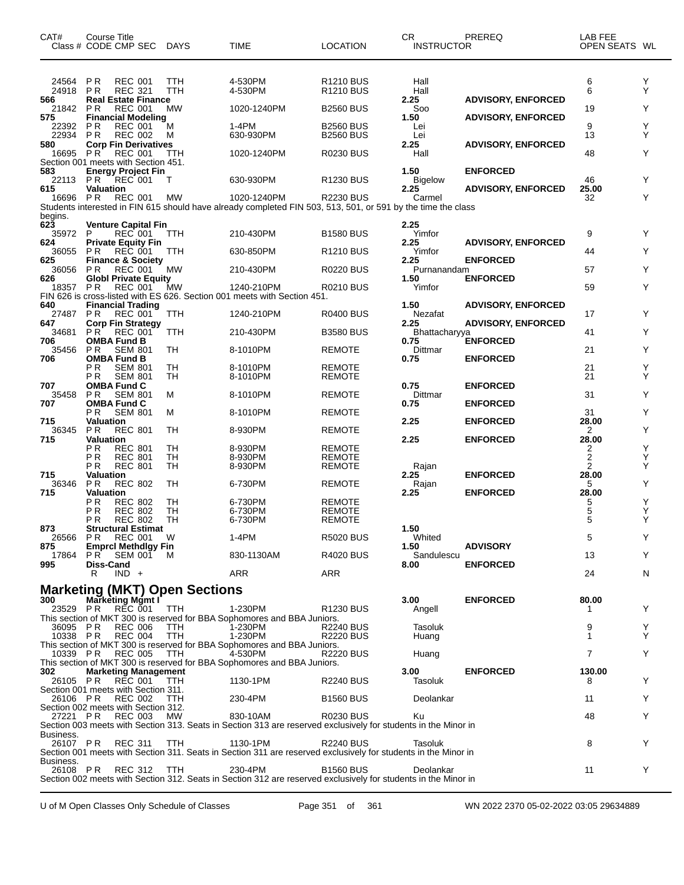| CAT#<br>Class # CODE CMP SEC                        | Course Title                                  |                                  |         | DAYS        | TIME                                                                                                                       | <b>LOCATION</b>                           | CR<br><b>INSTRUCTOR</b> | PREREQ                    | LAB FEE<br>OPEN SEATS WL |        |
|-----------------------------------------------------|-----------------------------------------------|----------------------------------|---------|-------------|----------------------------------------------------------------------------------------------------------------------------|-------------------------------------------|-------------------------|---------------------------|--------------------------|--------|
| 24564<br>24918<br>566                               | P R<br>P R<br><b>Real Estate Finance</b>      | <b>REC 001</b><br><b>REC 321</b> |         | TTH<br>TTH  | 4-530PM<br>4-530PM                                                                                                         | R <sub>1210</sub> BUS<br><b>R1210 BUS</b> | Hall<br>Hall<br>2.25    | <b>ADVISORY, ENFORCED</b> | 6<br>6                   | Y<br>Y |
| 21842<br>575                                        | P <sub>R</sub><br><b>Financial Modeling</b>   | <b>REC 001</b>                   |         | MW          | 1020-1240PM                                                                                                                | <b>B2560 BUS</b>                          | Soo<br>1.50             | <b>ADVISORY, ENFORCED</b> | 19                       | Y      |
| 22392<br>22934                                      | P R<br>P R                                    | <b>REC 001</b><br><b>REC 002</b> |         | M<br>м      | 1-4PM<br>630-930PM                                                                                                         | <b>B2560 BUS</b><br><b>B2560 BUS</b>      | Lei<br>Lei              |                           | 9<br>13                  | Υ<br>Y |
| 580<br>16695 PR                                     | <b>Corp Fin Derivatives</b>                   | <b>REC 001</b>                   |         | TTH         | 1020-1240PM                                                                                                                | <b>R0230 BUS</b>                          | 2.25<br>Hall            | <b>ADVISORY, ENFORCED</b> | 48                       | Υ      |
| Section 001 meets with Section 451.<br>583<br>22113 | <b>Energy Project Fin</b><br>PR.              | REC 001                          |         | T           | 630-930PM                                                                                                                  | R <sub>1230</sub> BUS                     | 1.50<br>Bigelow         | <b>ENFORCED</b>           | 46                       | Υ      |
| 615<br>16696 PR                                     | Valuation                                     | <b>REC 001</b>                   |         | МW          | 1020-1240PM                                                                                                                | <b>R2230 BUS</b>                          | 2.25<br>Carmel          | <b>ADVISORY, ENFORCED</b> | 25.00<br>32              | Y      |
| begins.                                             |                                               |                                  |         |             | Students interested in FIN 615 should have already completed FIN 503, 513, 501, or 591 by the time the class               |                                           |                         |                           |                          |        |
| 623<br>35972                                        | <b>Venture Capital Fin</b><br>P               | <b>REC 001</b>                   |         | TTH         | 210-430PM                                                                                                                  | <b>B1580 BUS</b>                          | 2.25<br>Yimfor          |                           | 9                        | Y      |
| 624<br>36055                                        | <b>Private Equity Fin</b><br>P R              | REC 001                          |         | TTH         | 630-850PM                                                                                                                  | R <sub>1210</sub> BUS                     | 2.25<br>Yimfor          | <b>ADVISORY, ENFORCED</b> | 44                       | Y      |
| 625<br>36056                                        | <b>Finance &amp; Society</b><br>P R           | <b>REC 001</b>                   |         | МW          | 210-430PM                                                                                                                  | <b>R0220 BUS</b>                          | 2.25<br>Purnanandam     | <b>ENFORCED</b>           | 57                       | Y      |
| 626<br>18357                                        | <b>Globl Private Equity</b><br>P <sub>R</sub> | <b>REC 001</b>                   |         | MW          | 1240-210PM                                                                                                                 | <b>R0210 BUS</b>                          | 1.50<br>Yimfor          | <b>ENFORCED</b>           | 59                       | Y      |
| 640<br>27487                                        | <b>Financial Trading</b><br>P R               | <b>REC 001</b>                   |         | TTH         | FIN 626 is cross-listed with ES 626. Section 001 meets with Section 451.<br>1240-210PM                                     | <b>R0400 BUS</b>                          | 1.50<br>Nezafat         | <b>ADVISORY, ENFORCED</b> | 17                       | Y      |
| 647<br>34681                                        | <b>Corp Fin Strategy</b><br>PR                | <b>REC 001</b>                   |         | TTH         | 210-430PM                                                                                                                  | <b>B3580 BUS</b>                          | 2.25<br>Bhattacharyya   | <b>ADVISORY, ENFORCED</b> | 41                       | Y      |
| 706<br>35456                                        | <b>OMBA Fund B</b><br>P <sub>R</sub>          | <b>SEM 801</b>                   |         | TН          | 8-1010PM                                                                                                                   | <b>REMOTE</b>                             | 0.75<br>Dittmar         | <b>ENFORCED</b>           | 21                       | Y      |
| 706                                                 | OMBA Fund B<br>РR                             | <b>SEM 801</b>                   |         | TН          | 8-1010PM                                                                                                                   | <b>REMOTE</b>                             | 0.75                    | <b>ENFORCED</b>           | 21                       | Υ      |
| 707                                                 | P <sub>R</sub><br><b>OMBA Fund C</b>          | <b>SEM 801</b>                   |         | TН          | 8-1010PM                                                                                                                   | <b>REMOTE</b>                             | 0.75                    | <b>ENFORCED</b>           | 21                       | Y      |
| 35458<br>707                                        | P R<br><b>OMBA Fund C</b>                     | <b>SEM 801</b>                   |         | м           | 8-1010PM                                                                                                                   | <b>REMOTE</b>                             | Dittmar<br>0.75         | <b>ENFORCED</b>           | 31                       | Υ      |
| 715                                                 | РR<br><b>Valuation</b>                        | <b>SEM 801</b>                   |         | м           | 8-1010PM                                                                                                                   | <b>REMOTE</b>                             | 2.25                    | <b>ENFORCED</b>           | 31<br>28.00              | Y      |
| 36345<br>715                                        | <b>PR</b><br>Valuation                        | <b>REC 801</b>                   |         | TН          | 8-930PM                                                                                                                    | <b>REMOTE</b>                             | 2.25                    | <b>ENFORCED</b>           | 2<br>28.00               | Υ      |
|                                                     | ΡR<br>ΡR                                      | <b>REC 801</b><br><b>REC 801</b> |         | TН<br>TН    | 8-930PM<br>8-930PM                                                                                                         | <b>REMOTE</b><br><b>REMOTE</b>            |                         |                           | 2<br>2                   | Υ<br>Y |
| 715                                                 | ΡR<br><b>Valuation</b>                        | <b>REC 801</b>                   |         | TН          | 8-930PM                                                                                                                    | <b>REMOTE</b>                             | Rajan<br>2.25           | <b>ENFORCED</b>           | 2<br>28.00               | Y      |
| 36346<br>715                                        | <b>PR</b><br>Valuation                        | <b>REC 802</b>                   |         | TН          | 6-730PM                                                                                                                    | <b>REMOTE</b>                             | Rajan<br>2.25           | <b>ENFORCED</b>           | 5<br>28.00               | Υ      |
|                                                     | ΡR<br>ΡR                                      | <b>REC 802</b><br><b>REC 802</b> |         | TН<br>TН    | 6-730PM<br>6-730PM                                                                                                         | REMOTE<br><b>REMOTE</b>                   |                         |                           | 5<br>5                   | Υ<br>Y |
| 873                                                 | ΡR<br><b>Structural Estimat</b>               | <b>REC 802</b>                   |         | <b>TH</b>   | 6-730PM                                                                                                                    | <b>REMOTE</b>                             | 1.50                    |                           | 5                        | Υ      |
| 26566 PR REC 001<br>875                             | <b>EmprcI Methdlgy Fin</b>                    |                                  |         | <b>W</b>    | 1-4PM                                                                                                                      | <b>R5020 BUS</b>                          | Whited<br>1.50          | <b>ADVISORY</b>           | 5                        | Y      |
| 17864<br>995                                        | P R<br><b>Diss-Cand</b>                       | <b>SEM 001</b>                   |         | M           | 830-1130AM                                                                                                                 | <b>R4020 BUS</b>                          | Sandulescu<br>8.00      | <b>ENFORCED</b>           | 13                       | Y      |
|                                                     | R                                             | $IND +$                          |         |             | ARR                                                                                                                        | ARR                                       |                         |                           | 24                       | N      |
| <b>Marketing (MKT) Open Sections</b><br>300         | Marketing Mgmt I                              |                                  |         |             |                                                                                                                            |                                           | 3.00                    | <b>ENFORCED</b>           | 80.00                    |        |
| 23529 PR                                            |                                               | REC 001                          |         | TTH         | 1-230PM<br>This section of MKT 300 is reserved for BBA Sophomores and BBA Juniors.                                         | R <sub>1230</sub> BUS                     | Angell                  |                           | -1                       | Y      |
| 36095 PR<br>10338 PR                                |                                               | <b>REC 006</b><br><b>REC 004</b> |         | TTH.<br>TTH | 1-230PM<br>1-230PM                                                                                                         | <b>R2240 BUS</b><br><b>R2220 BUS</b>      | Tasoluk<br>Huang        |                           | 9<br>1                   | Y<br>Y |
| 10339 PR                                            |                                               | <b>REC 005</b>                   |         | TTH         | This section of MKT 300 is reserved for BBA Sophomores and BBA Juniors.<br>4-530PM                                         | <b>R2220 BUS</b>                          | Huang                   |                           | $\overline{7}$           | Y      |
| 302                                                 | <b>Marketing Management</b>                   |                                  |         |             | This section of MKT 300 is reserved for BBA Sophomores and BBA Juniors.                                                    |                                           | 3.00                    | <b>ENFORCED</b>           | 130.00                   |        |
| 26105 PR<br>Section 001 meets with Section 311.     |                                               | REC 001                          |         | -TTH        | 1130-1PM                                                                                                                   | <b>R2240 BUS</b>                          | Tasoluk                 |                           | 8                        | Y      |
| 26106 PR<br>Section 002 meets with Section 312.     |                                               | <b>REC 002</b>                   |         | <b>TTH</b>  | 230-4PM                                                                                                                    | <b>B1560 BUS</b>                          | Deolankar               |                           | 11                       | Y      |
| 27221 PR                                            |                                               | REC 003                          |         | <b>MW</b>   | 830-10AM<br>Section 003 meets with Section 313. Seats in Section 313 are reserved exclusively for students in the Minor in | <b>R0230 BUS</b>                          | Ku                      |                           | 48                       | Y      |
| Business.<br>26107 PR                               |                                               | <b>REC 311</b>                   |         | <b>TTH</b>  | 1130-1PM                                                                                                                   | <b>R2240 BUS</b>                          | Tasoluk                 |                           | 8                        | Y      |
| Business.                                           |                                               |                                  |         |             | Section 001 meets with Section 311. Seats in Section 311 are reserved exclusively for students in the Minor in             |                                           |                         |                           |                          |        |
| 26108 PR                                            |                                               |                                  | REC 312 | TTH         | 230-4PM<br>Section 002 meets with Section 312. Seats in Section 312 are reserved exclusively for students in the Minor in  | <b>B1560 BUS</b>                          | Deolankar               |                           | 11                       | Y      |

U of M Open Classes Only Schedule of Classes Page 351 of 361 WN 2022 2370 05-02-2022 03:05 29634889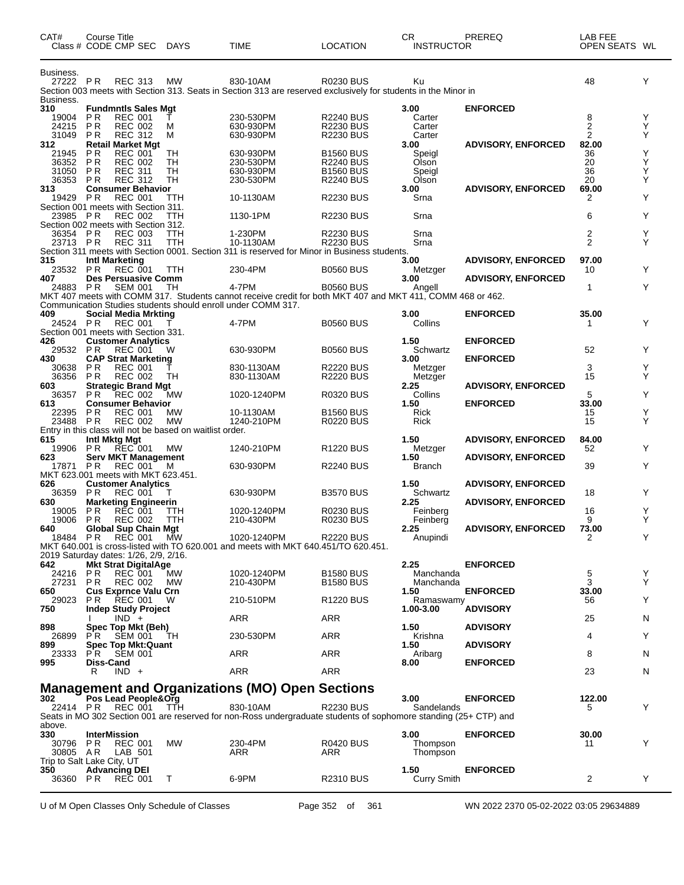| CAT#                                          | Course Title                 | Class # CODE CMP SEC                                                        | <b>DAYS</b>                                              | <b>TIME</b>                                                                                                                  | <b>LOCATION</b>                                          | CR.<br><b>INSTRUCTOR</b>         | PREREQ                                       | LAB FEE<br>OPEN SEATS WL |             |
|-----------------------------------------------|------------------------------|-----------------------------------------------------------------------------|----------------------------------------------------------|------------------------------------------------------------------------------------------------------------------------------|----------------------------------------------------------|----------------------------------|----------------------------------------------|--------------------------|-------------|
| Business.<br>27222 PR                         |                              | <b>REC 313</b>                                                              | <b>MW</b>                                                | 830-10AM<br>Section 003 meets with Section 313. Seats in Section 313 are reserved exclusively for students in the Minor in   | <b>R0230 BUS</b>                                         | Ku                               |                                              | 48                       | Y           |
| Business.<br>310<br>19004                     | P R                          | <b>Fundmntls Sales Mgt</b><br><b>REC 001</b>                                |                                                          | 230-530PM                                                                                                                    | <b>R2240 BUS</b>                                         | 3.00<br>Carter                   | <b>ENFORCED</b>                              | 8                        | Y           |
| 24215<br>31049                                | <b>PR</b><br><b>PR</b>       | <b>REC 002</b><br><b>REC 312</b>                                            | м<br>м                                                   | 630-930PM<br>630-930PM                                                                                                       | <b>R2230 BUS</b><br><b>R2230 BUS</b>                     | Carter<br>Carter                 |                                              | 2<br>2                   | Υ<br>Y      |
| 312<br>21945                                  | P R                          | <b>Retail Market Mgt</b><br><b>REC 001</b>                                  | TН                                                       | 630-930PM                                                                                                                    | <b>B1560 BUS</b>                                         | 3.00<br>Speigl                   | <b>ADVISORY, ENFORCED</b>                    | 82.00<br>36              | Υ           |
| 36352<br>31050<br>36353                       | P <sub>R</sub><br>P R<br>P R | <b>REC 002</b><br><b>REC 311</b><br><b>REC 312</b>                          | TН<br>TН<br>TН                                           | 230-530PM<br>630-930PM<br>230-530PM                                                                                          | <b>R2240 BUS</b><br><b>B1560 BUS</b><br><b>R2240 BUS</b> | Olson<br>Speigl<br>Olson         |                                              | 20<br>36<br>20           | Υ<br>Υ<br>Υ |
| 313<br>19429 PR                               |                              | <b>Consumer Behavior</b><br><b>REC 001</b>                                  | ттн                                                      | 10-1130AM                                                                                                                    | <b>R2230 BUS</b>                                         | 3.00<br>Srna                     | <b>ADVISORY, ENFORCED</b>                    | 69.00<br>2               | Υ           |
| 23985 PR                                      |                              | Section 001 meets with Section 311.<br><b>REC 002</b>                       | TTH                                                      | 1130-1PM                                                                                                                     | <b>R2230 BUS</b>                                         | Srna                             |                                              | 6                        | Υ           |
| 36354 PR<br>23713 PR                          |                              | Section 002 meets with Section 312.<br><b>REC 003</b><br><b>REC 311</b>     | TTH<br>TTH                                               | 1-230PM<br>10-1130AM                                                                                                         | <b>R2230 BUS</b><br><b>R2230 BUS</b>                     | Srna<br>Srna                     |                                              | 2<br>$\overline{2}$      | Y<br>Y      |
| 315                                           |                              | Intl Marketing                                                              |                                                          | Section 311 meets with Section 0001. Section 311 is reserved for Minor in Business students.                                 |                                                          | 3.00                             | <b>ADVISORY, ENFORCED</b>                    | 97.00                    |             |
| 23532<br>407                                  | P R                          | <b>REC 001</b><br><b>Des Persuasive Comm</b>                                | TTH                                                      | 230-4PM                                                                                                                      | <b>B0560 BUS</b>                                         | Metzger<br>3.00                  | <b>ADVISORY, ENFORCED</b>                    | 10                       | Υ           |
| 24883 PR                                      |                              | <b>SEM 001</b>                                                              | TН                                                       | 4-7PM<br>MKT 407 meets with COMM 317. Students cannot receive credit for both MKT 407 and MKT 411, COMM 468 or 462.          | <b>B0560 BUS</b>                                         | Angell                           |                                              | 1                        | Y           |
| 409<br>24524 PR                               |                              | Social Media Mrkting<br><b>REC 001</b>                                      |                                                          | Communication Studies students should enroll under COMM 317.<br>4-7PM                                                        | <b>B0560 BUS</b>                                         | 3.00<br>Collins                  | <b>ENFORCED</b>                              | 35.00<br>1               | Υ           |
| 426                                           |                              | Section 001 meets with Section 331.<br><b>Customer Analytics</b>            |                                                          |                                                                                                                              |                                                          | 1.50                             | <b>ENFORCED</b>                              |                          |             |
| 29532 PR<br>430                               |                              | <b>REC 001</b><br><b>CAP Strat Marketing</b>                                | W                                                        | 630-930PM                                                                                                                    | <b>B0560 BUS</b>                                         | Schwartz<br>3.00                 | <b>ENFORCED</b>                              | 52                       | Y           |
| 30638<br>36356<br>603                         | P R<br>P R                   | <b>REC 001</b><br><b>REC 002</b><br><b>Strategic Brand Mgt</b>              | TН                                                       | 830-1130AM<br>830-1130AM                                                                                                     | <b>R2220 BUS</b><br><b>R2220 BUS</b>                     | Metzger<br>Metzger<br>2.25       |                                              | 3<br>15                  | Y<br>Y      |
| 36357<br>613                                  | P R                          | <b>REC 002</b><br><b>Consumer Behavior</b>                                  | MW                                                       | 1020-1240PM                                                                                                                  | <b>R0320 BUS</b>                                         | Collins<br>1.50                  | <b>ADVISORY, ENFORCED</b><br><b>ENFORCED</b> | 5<br>33.00               | Y           |
| 22395<br>23488                                | P R<br>P R                   | <b>REC 001</b><br><b>REC 002</b>                                            | МW<br><b>MW</b>                                          | 10-1130AM<br>1240-210PM                                                                                                      | <b>B1560 BUS</b><br><b>R0220 BUS</b>                     | Rick<br>Rick                     |                                              | 15<br>15                 | Υ<br>Υ      |
| 615                                           |                              | Intl Mktg Mgt                                                               | Entry in this class will not be based on waitlist order. |                                                                                                                              |                                                          | 1.50                             | <b>ADVISORY, ENFORCED</b>                    | 84.00                    |             |
| 19906<br>623<br>17871                         | P R<br>P R                   | <b>REC</b> 001<br><b>Serv MKT Management</b><br><b>REC 001</b>              | <b>MW</b><br>M                                           | 1240-210PM<br>630-930PM                                                                                                      | R <sub>1220</sub> BUS<br><b>R2240 BUS</b>                | Metzger<br>1.50<br><b>Branch</b> | <b>ADVISORY, ENFORCED</b>                    | 52<br>39                 | Y<br>Y      |
| 626                                           |                              | MKT 623.001 meets with MKT 623.451.<br><b>Customer Analytics</b>            |                                                          |                                                                                                                              |                                                          | 1.50                             | <b>ADVISORY, ENFORCED</b>                    |                          |             |
| 36359<br>630                                  | P R                          | <b>REC 001</b><br><b>Marketing Engineerin</b>                               |                                                          | 630-930PM                                                                                                                    | <b>B3570 BUS</b>                                         | Schwartz<br>2.25                 | <b>ADVISORY, ENFORCED</b>                    | 18                       | Y           |
| 19005<br>19006<br>640                         | P R<br>P R                   | <b>REC 001</b><br><b>REC 002</b>                                            | TTH<br>TTH                                               | 1020-1240PM<br>210-430PM                                                                                                     | R0230 BUS<br><b>R0230 BUS</b>                            | Feinberg<br>Feinberg<br>2.25     |                                              | 16<br>9<br>73.00         | Y<br>Y      |
|                                               |                              | <b>Global Sup Chain Mgt</b><br>18484 PR REC 001 MW                          |                                                          | 1020-1240PM<br>MKT 640.001 is cross-listed with TO 620.001 and meets with MKT 640.451/TO 620.451.                            | <b>R2220 BUS</b>                                         | Anupindi                         | <b>ADVISORY, ENFORCED</b>                    | 2                        | Y           |
| 642                                           |                              | 2019 Saturday dates: 1/26, 2/9, 2/16.<br><b>Mkt Strat DigitalAge</b>        |                                                          |                                                                                                                              |                                                          | 2.25                             | <b>ENFORCED</b>                              |                          |             |
| 24216 PR<br>27231                             | PR.                          | REC 001<br><b>REC 002</b>                                                   | МW<br>МW                                                 | 1020-1240PM<br>210-430PM                                                                                                     | <b>B1580 BUS</b><br><b>B1580 BUS</b>                     | Manchanda<br>Manchanda           |                                              | 5<br>3                   | Y<br>Y      |
| 650<br>29023<br>750                           | P R                          | <b>Cus Exprnce Valu Crn</b><br><b>REC 001</b><br><b>Indep Study Project</b> | W                                                        | 210-510PM                                                                                                                    | R <sub>1220</sub> BUS                                    | 1.50<br>Ramaswamy<br>1.00-3.00   | <b>ENFORCED</b><br><b>ADVISORY</b>           | 33.00<br>56              | Y           |
| 898                                           |                              | $IND +$<br>Spec Top Mkt (Beh)                                               |                                                          | ARR                                                                                                                          | ARR                                                      | 1.50                             | <b>ADVISORY</b>                              | 25                       | N           |
| 26899<br>899                                  |                              | PR SEM 001<br><b>Spec Top Mkt:Quant</b>                                     | TH                                                       | 230-530PM                                                                                                                    | ARR                                                      | Krishna<br>1.50                  | <b>ADVISORY</b>                              | 4                        | Y           |
| 23333<br>995                                  | Diss-Cand                    | <b>PR SEM 001</b><br>$IND +$                                                |                                                          | ARR<br>ARR                                                                                                                   | ARR<br>ARR                                               | Aribarg<br>8.00                  | <b>ENFORCED</b>                              | 8<br>23                  | N           |
|                                               | R                            |                                                                             |                                                          | <b>Management and Organizations (MO) Open Sections</b>                                                                       |                                                          |                                  |                                              |                          | N           |
| 302<br>22414 PR                               |                              | Pos Lead People&Org<br>REC 001                                              | TTH                                                      | 830-10AM<br>Seats in MO 302 Section 001 are reserved for non-Ross undergraduate students of sophomore standing (25+ CTP) and | <b>R2230 BUS</b>                                         | 3.00<br>Sandelands               | <b>ENFORCED</b>                              | 122.00<br>5              | Y           |
| above.<br>330<br>30796 PR<br>30805 AR         |                              | <b>InterMission</b><br><b>REC 001</b><br>LAB 501                            | МW                                                       | 230-4PM<br>ARR                                                                                                               | <b>R0420 BUS</b><br>ARR                                  | 3.00<br>Thompson<br>Thompson     | <b>ENFORCED</b>                              | 30.00<br>11              | Y           |
| Trip to Salt Lake City, UT<br>350<br>36360 PR |                              | <b>Advancing DEI</b><br><b>REC 001</b>                                      | T                                                        | 6-9PM                                                                                                                        | <b>R2310 BUS</b>                                         | 1.50<br><b>Curry Smith</b>       | <b>ENFORCED</b>                              | 2                        | Y           |

U of M Open Classes Only Schedule of Classes Page 352 of 361 WN 2022 2370 05-02-2022 03:05 29634889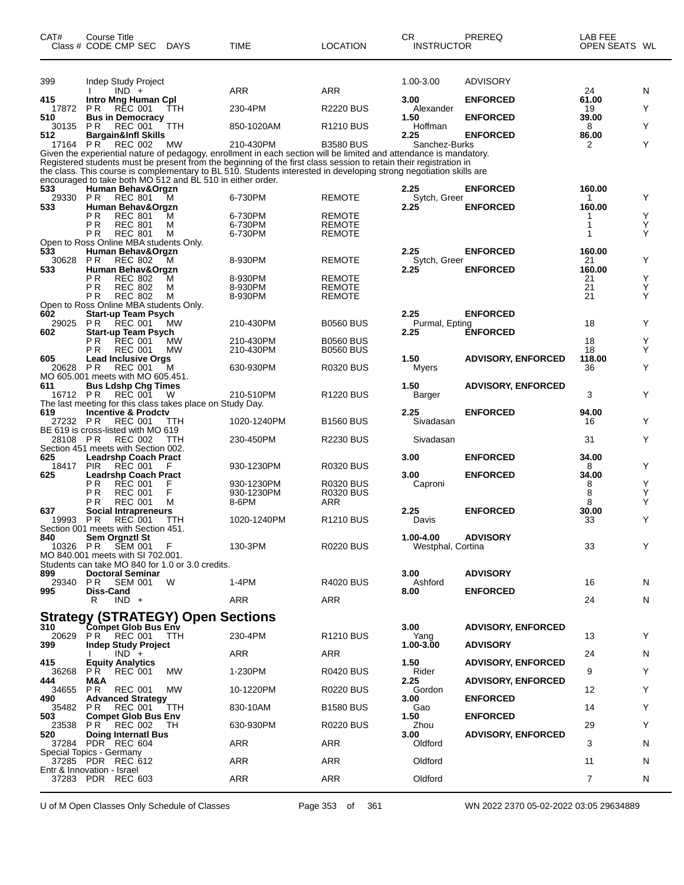| CAT#            | <b>Course Title</b><br>Class # CODE CMP SEC                                 | <b>DAYS</b> | TIME                                                                                                                                                                                                                                    | <b>LOCATION</b>         | CR.<br><b>INSTRUCTOR</b>       | PREREQ                    | LAB FEE<br>OPEN SEATS WL |        |
|-----------------|-----------------------------------------------------------------------------|-------------|-----------------------------------------------------------------------------------------------------------------------------------------------------------------------------------------------------------------------------------------|-------------------------|--------------------------------|---------------------------|--------------------------|--------|
| 399             | Indep Study Project                                                         |             |                                                                                                                                                                                                                                         |                         | 1.00-3.00                      | <b>ADVISORY</b>           |                          |        |
| 415             | $IND +$<br>Intro Mng Human Cpl                                              |             | ARR                                                                                                                                                                                                                                     | <b>ARR</b>              | 3.00                           | <b>ENFORCED</b>           | 24<br>61.00              | N      |
| 17872           | P <sub>R</sub><br><b>REC 001</b>                                            | TTH         | 230-4PM                                                                                                                                                                                                                                 | <b>R2220 BUS</b>        | Alexander                      |                           | 19                       | Y      |
| 510<br>30135    | <b>Bus in Democracy</b><br>P R<br><b>REC 001</b>                            | ттн         | 850-1020AM                                                                                                                                                                                                                              | R1210 BUS               | 1.50<br>Hoffman                | <b>ENFORCED</b>           | 39.00<br>8               | Υ      |
| 512             | <b>Bargain&amp;Infl Skills</b>                                              |             |                                                                                                                                                                                                                                         |                         | 2.25                           | <b>ENFORCED</b>           | 86.00                    |        |
| 17164 PR        | <b>REC 002</b>                                                              | MW          | 210-430PM<br>Given the experiential nature of pedagogy, enrollment in each section will be limited and attendance is mandatory.                                                                                                         | <b>B3580 BUS</b>        | Sanchez-Burks                  |                           | 2                        | Υ      |
|                 | encouraged to take both MO 512 and BL 510 in either order.                  |             | Registered students must be present from the beginning of the first class session to retain their registration in<br>the class. This course is complementary to BL 510. Students interested in developing strong negotiation skills are |                         |                                |                           |                          |        |
| 533<br>29330    | Human Behav&Orgzn<br><b>PR</b><br><b>REC 801</b>                            | м           | 6-730PM                                                                                                                                                                                                                                 | REMOTE                  | 2.25<br>Sytch, Greer           | <b>ENFORCED</b>           | 160.00<br>1              | Y      |
| 533             | Human Behav&Orgzn<br>P R<br><b>REC 801</b>                                  | м           | 6-730PM                                                                                                                                                                                                                                 | <b>REMOTE</b>           | 2.25                           | <b>ENFORCED</b>           | 160.00<br>1              | Υ      |
|                 | P <sub>R</sub><br><b>REC 801</b>                                            | м           | 6-730PM                                                                                                                                                                                                                                 | REMOTE                  |                                |                           | 1                        | Υ      |
|                 | P R<br><b>REC 801</b><br>Open to Ross Online MBA students Only.             | М           | 6-730PM                                                                                                                                                                                                                                 | REMOTE                  |                                |                           | 1                        | Υ      |
| 533             | Human Behav&Orgzn                                                           |             |                                                                                                                                                                                                                                         |                         | 2.25                           | <b>ENFORCED</b>           | 160.00                   |        |
| 30628<br>533    | P R<br>REC 802<br>Human Behav&Orgzn                                         | м           | 8-930PM                                                                                                                                                                                                                                 | <b>REMOTE</b>           | Sytch, Greer<br>2.25           | <b>ENFORCED</b>           | 21<br>160.00             | Υ      |
|                 | ΡR<br><b>REC 802</b>                                                        | м           | 8-930PM<br>8-930PM                                                                                                                                                                                                                      | <b>REMOTE</b>           |                                |                           | 21                       | Υ<br>Υ |
|                 | ΡR<br><b>REC 802</b><br>P R<br><b>REC 802</b>                               | М<br>М      | 8-930PM                                                                                                                                                                                                                                 | REMOTE<br><b>REMOTE</b> |                                |                           | 21<br>21                 | Υ      |
|                 | Open to Ross Online MBA students Only.                                      |             |                                                                                                                                                                                                                                         |                         | 2.25                           | <b>ENFORCED</b>           |                          |        |
| 602<br>29025 PR | <b>Start-up Team Psych</b><br><b>REC 001</b>                                | MW          | 210-430PM                                                                                                                                                                                                                               | <b>B0560 BUS</b>        | Purmal, Epting                 |                           | 18                       | Y      |
| 602             | <b>Start-up Team Psych</b><br>ΡR<br><b>REC 001</b>                          | <b>MW</b>   | 210-430PM                                                                                                                                                                                                                               | <b>B0560 BUS</b>        | 2.25                           | <b>ENFORCED</b>           | 18                       | Y      |
|                 | P R<br><b>REC 001</b>                                                       | <b>MW</b>   | 210-430PM                                                                                                                                                                                                                               | <b>B0560 BUS</b>        |                                |                           | 18                       | Y      |
| 605<br>20628 PR | <b>Lead Inclusive Orgs</b><br>REC 001                                       | М           | 630-930PM                                                                                                                                                                                                                               | R0320 BUS               | 1.50<br>Myers                  | <b>ADVISORY, ENFORCED</b> | 118.00<br>36             | Υ      |
|                 | MO 605.001 meets with MO 605.451.                                           |             |                                                                                                                                                                                                                                         |                         |                                |                           |                          |        |
| 611<br>16712 PR | <b>Bus Ldshp Chg Times</b><br><b>REC 001</b>                                | W           | 210-510PM                                                                                                                                                                                                                               | <b>R1220 BUS</b>        | 1.50<br>Barger                 | <b>ADVISORY, ENFORCED</b> | 3                        | Υ      |
|                 | The last meeting for this class takes place on Study Day.                   |             |                                                                                                                                                                                                                                         |                         |                                |                           |                          |        |
| 619<br>27232 PR | <b>Incentive &amp; Prodctv</b><br>REC 001                                   | TTH         | 1020-1240PM                                                                                                                                                                                                                             | <b>B1560 BUS</b>        | 2.25<br>Sivadasan              | <b>ENFORCED</b>           | 94.00<br>16              | Y      |
|                 | BE 619 is cross-listed with MO 619                                          |             |                                                                                                                                                                                                                                         |                         |                                |                           |                          |        |
| 28108 PR        | <b>REC 002</b><br>Section 451 meets with Section 002.                       | <b>TTH</b>  | 230-450PM                                                                                                                                                                                                                               | <b>R2230 BUS</b>        | Sivadasan                      |                           | 31                       | Υ      |
| 625             | <b>Leadrshp Coach Pract</b>                                                 |             |                                                                                                                                                                                                                                         |                         | 3.00                           | <b>ENFORCED</b>           | 34.00                    |        |
| 18417<br>625    | <b>REC 001</b><br><b>PIR</b><br><b>Leadrshp Coach Pract</b>                 |             | 930-1230PM                                                                                                                                                                                                                              | <b>R0320 BUS</b>        | 3.00                           | <b>ENFORCED</b>           | 8<br>34.00               | Y      |
|                 | ΡR<br><b>REC 001</b><br>ΡR<br><b>REC 001</b>                                | F<br>F      | 930-1230PM<br>930-1230PM                                                                                                                                                                                                                | R0320 BUS<br>R0320 BUS  | Caproni                        |                           | 8<br>8                   | Υ<br>Υ |
|                 | P R<br><b>REC 001</b>                                                       | М           | 8-6PM                                                                                                                                                                                                                                   | ARR                     |                                |                           | 8                        | Υ      |
| 637<br>19993 PR | Social Intrapreneurs<br>REC 001                                             | TTH         | 1020-1240PM                                                                                                                                                                                                                             | R1210 BUS               | 2.25<br>Davis                  | <b>ENFORCED</b>           | 30.00<br>33              | Υ      |
|                 | Section 001 meets with Section 451.                                         |             |                                                                                                                                                                                                                                         |                         |                                |                           |                          |        |
| 840<br>10326 PR | Sem Orgnztl St<br><b>SEM 001</b>                                            | F           | 130-3PM                                                                                                                                                                                                                                 | R0220 BUS               | 1.00-4.00<br>Westphal, Cortina | <b>ADVISORY</b>           | 33                       | Y      |
|                 | MO 840.001 meets with SI 702.001.                                           |             |                                                                                                                                                                                                                                         |                         |                                |                           |                          |        |
| 899             | Students can take MO 840 for 1.0 or 3.0 credits.<br><b>Doctoral Seminar</b> |             |                                                                                                                                                                                                                                         |                         | 3.00                           | <b>ADVISORY</b>           |                          |        |
| 29340           | PR.<br>SEM 001                                                              | W           | 1-4PM                                                                                                                                                                                                                                   | R4020 BUS               | Ashford                        |                           | 16                       | N      |
| 995             | <b>Diss-Cand</b><br>$IND +$<br>R                                            |             | ARR                                                                                                                                                                                                                                     | <b>ARR</b>              | 8.00                           | <b>ENFORCED</b>           | 24                       | N      |
|                 |                                                                             |             |                                                                                                                                                                                                                                         |                         |                                |                           |                          |        |
|                 | Strategy (STRATEGY) Open Sections<br>310 Compet Glob Bus Env                |             |                                                                                                                                                                                                                                         |                         | 3.00                           | <b>ADVISORY, ENFORCED</b> |                          |        |
| 399             | 20629 PR REC 001<br><b>Indep Study Project</b>                              | TTH         | 230-4PM                                                                                                                                                                                                                                 | R1210 BUS               | Yang<br>1.00-3.00              | <b>ADVISORY</b>           | 13                       | Y      |
|                 | $IND +$                                                                     |             | ARR                                                                                                                                                                                                                                     | <b>ARR</b>              |                                |                           | 24                       | N      |
| 415<br>36268    | <b>Equity Analytics</b><br>P R<br><b>REC 001</b>                            | MW          | 1-230PM                                                                                                                                                                                                                                 | R0420 BUS               | 1.50<br>Rider                  | <b>ADVISORY, ENFORCED</b> | 9                        | Y      |
| 444             | M&A                                                                         |             |                                                                                                                                                                                                                                         |                         | 2.25                           | <b>ADVISORY, ENFORCED</b> |                          |        |
| 34655<br>490    | P R<br><b>REC 001</b><br><b>Advanced Strategy</b>                           | MW          | 10-1220PM                                                                                                                                                                                                                               | R0220 BUS               | Gordon<br>3.00                 | <b>ENFORCED</b>           | 12                       | Y      |
| 35482<br>503    | <b>REC 001</b><br>P R<br><b>Compet Glob Bus Env</b>                         | TTH         | 830-10AM                                                                                                                                                                                                                                | <b>B1580 BUS</b>        | Gao<br>1.50                    | <b>ENFORCED</b>           | 14                       | Y      |
| 23538           | PR.<br>REC 002                                                              | ТH          | 630-930PM                                                                                                                                                                                                                               | R0220 BUS               | Zhou                           |                           | 29                       | Y      |
| 520             | <b>Doing Internati Bus</b><br>37284 PDR REC 604                             |             | ARR                                                                                                                                                                                                                                     | <b>ARR</b>              | 3.00<br>Oldford                | <b>ADVISORY, ENFORCED</b> | 3                        | N      |
|                 | Special Topics - Germany                                                    |             |                                                                                                                                                                                                                                         |                         |                                |                           |                          |        |
|                 | 37285 PDR REC 612<br>Entr & Innovation - Israel                             |             | ARR                                                                                                                                                                                                                                     | <b>ARR</b>              | Oldford                        |                           | 11                       | N      |
|                 | 37283 PDR REC 603                                                           |             | ARR                                                                                                                                                                                                                                     | <b>ARR</b>              | Oldford                        |                           | 7                        | N      |

U of M Open Classes Only Schedule of Classes Page 353 of 361 WN 2022 2370 05-02-2022 03:05 29634889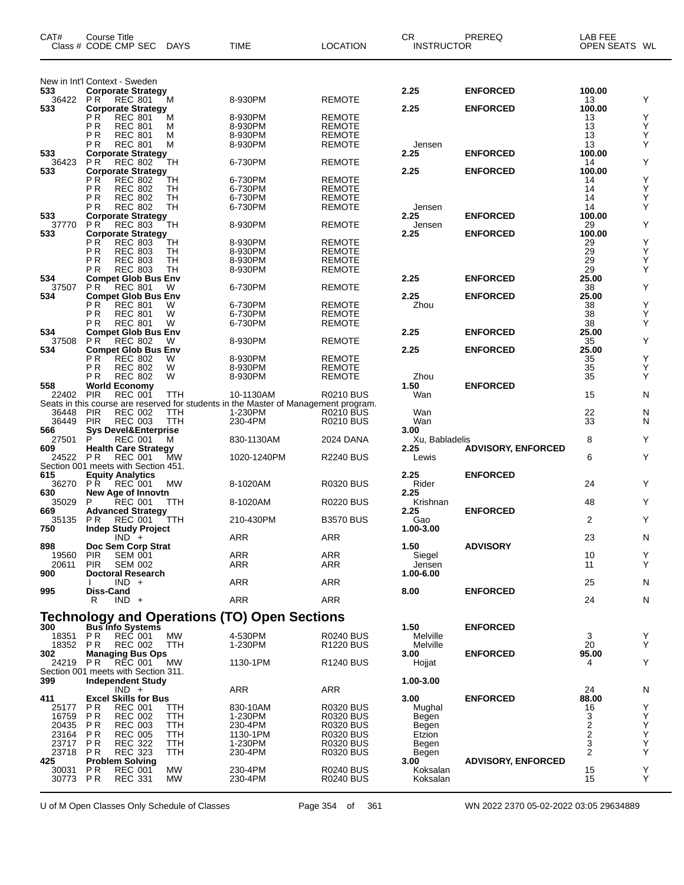| CAT#                                         | Course Title<br>Class # CODE CMP SEC |                                              | <b>DAYS</b>              | TIME                                                                                | <b>LOCATION</b>                      | CR.<br><b>INSTRUCTOR</b> | PREREQ                    | LAB FEE<br>OPEN SEATS WL |        |
|----------------------------------------------|--------------------------------------|----------------------------------------------|--------------------------|-------------------------------------------------------------------------------------|--------------------------------------|--------------------------|---------------------------|--------------------------|--------|
| New in Int'l Context - Sweden                |                                      |                                              |                          |                                                                                     |                                      |                          |                           |                          |        |
| 533                                          |                                      | <b>Corporate Strategy</b>                    |                          |                                                                                     |                                      | 2.25                     | <b>ENFORCED</b>           | 100.00                   |        |
| 36422<br>533                                 | <b>PR</b>                            | <b>REC 801</b><br><b>Corporate Strategy</b>  | M                        | 8-930PM                                                                             | <b>REMOTE</b>                        | 2.25                     | <b>ENFORCED</b>           | 13<br>100.00             | Y      |
|                                              | РR                                   | <b>REC 801</b>                               | М                        | 8-930PM                                                                             | <b>REMOTE</b>                        |                          |                           | 13                       | Υ      |
|                                              | ΡR                                   | <b>REC 801</b>                               | M                        | 8-930PM                                                                             | <b>REMOTE</b>                        |                          |                           | 13                       | Y      |
|                                              | ΡR<br>РR                             | <b>REC 801</b><br><b>REC 801</b>             | M<br>М                   | 8-930PM<br>8-930PM                                                                  | <b>REMOTE</b><br><b>REMOTE</b>       | Jensen                   |                           | 13<br>13                 | Υ<br>Y |
| 533                                          |                                      | <b>Corporate Strategy</b>                    |                          |                                                                                     |                                      | 2.25                     | <b>ENFORCED</b>           | 100.00                   |        |
| 36423                                        | ΡR                                   | <b>REC 802</b>                               | TН                       | 6-730PM                                                                             | <b>REMOTE</b>                        |                          |                           | 14                       | Υ      |
| 533                                          | РR                                   | <b>Corporate Strategy</b><br><b>REC 802</b>  |                          |                                                                                     |                                      | 2.25                     | <b>ENFORCED</b>           | 100.00<br>14             | Υ      |
|                                              | ΡR                                   | <b>REC 802</b>                               | TН<br>TН                 | 6-730PM<br>6-730PM                                                                  | <b>REMOTE</b><br><b>REMOTE</b>       |                          |                           | 14                       | Υ      |
|                                              | РR                                   | <b>REC 802</b>                               | TН                       | 6-730PM                                                                             | <b>REMOTE</b>                        |                          |                           | 14                       | Υ      |
|                                              | ΡR                                   | <b>REC 802</b>                               | TН                       | 6-730PM                                                                             | REMOTE                               | Jensen                   |                           | 14                       | Y      |
| 533<br>37770                                 | ΡR                                   | <b>Corporate Strategy</b><br><b>REC 803</b>  | TН                       | 8-930PM                                                                             | <b>REMOTE</b>                        | 2.25<br>Jensen           | <b>ENFORCED</b>           | 100.00<br>29             | Y      |
| 533                                          |                                      | <b>Corporate Strategy</b>                    |                          |                                                                                     |                                      | 2.25                     | <b>ENFORCED</b>           | 100.00                   |        |
|                                              | РR                                   | <b>REC 803</b>                               | TН                       | 8-930PM                                                                             | <b>REMOTE</b>                        |                          |                           | 29                       | Υ      |
|                                              | РR<br>ΡR                             | <b>REC 803</b><br><b>REC 803</b>             | TН<br>TН                 | 8-930PM<br>8-930PM                                                                  | <b>REMOTE</b><br><b>REMOTE</b>       |                          |                           | 29<br>29                 | Υ<br>Υ |
|                                              | РR                                   | <b>REC 803</b>                               | TН                       | 8-930PM                                                                             | <b>REMOTE</b>                        |                          |                           | 29                       | Y      |
| 534                                          |                                      | <b>Compet Glob Bus Env</b>                   |                          |                                                                                     |                                      | 2.25                     | <b>ENFORCED</b>           | 25.00                    |        |
| 37507                                        | <b>PR</b>                            | <b>REC 801</b>                               | W                        | 6-730PM                                                                             | <b>REMOTE</b>                        |                          |                           | 38                       | Υ      |
| 534                                          | РR                                   | <b>Compet Glob Bus Env</b><br><b>REC 801</b> | W                        | 6-730PM                                                                             | <b>REMOTE</b>                        | 2.25<br>Zhou             | <b>ENFORCED</b>           | 25.00<br>38              | Υ      |
|                                              | ΡR                                   | <b>REC 801</b>                               | W                        | 6-730PM                                                                             | <b>REMOTE</b>                        |                          |                           | 38                       | Υ      |
|                                              | РR                                   | <b>REC 801</b>                               | W                        | 6-730PM                                                                             | <b>REMOTE</b>                        |                          |                           | 38                       | Υ      |
| 534<br>37508                                 | <b>PR</b>                            | <b>Compet Glob Bus Env</b><br><b>REC 802</b> | W                        | 8-930PM                                                                             | <b>REMOTE</b>                        | 2.25                     | <b>ENFORCED</b>           | 25.00<br>35              | Υ      |
| 534                                          |                                      | <b>Compet Glob Bus Env</b>                   |                          |                                                                                     |                                      | 2.25                     | <b>ENFORCED</b>           | 25.00                    |        |
|                                              | РR                                   | <b>REC 802</b>                               | W                        | 8-930PM                                                                             | <b>REMOTE</b>                        |                          |                           | 35                       | Υ      |
|                                              | ΡR                                   | <b>REC 802</b>                               | W                        | 8-930PM                                                                             | <b>REMOTE</b>                        |                          |                           | 35                       | Υ      |
| 558                                          | РR<br>World Economy                  | <b>REC 802</b>                               | W                        | 8-930PM                                                                             | <b>REMOTE</b>                        | Zhou<br>1.50             | <b>ENFORCED</b>           | 35                       | Y      |
| 22402                                        | <b>PIR</b>                           | <b>REC 001</b>                               | TTH                      | 10-1130AM                                                                           | <b>R0210 BUS</b>                     | Wan                      |                           | 15                       | N      |
|                                              |                                      |                                              |                          | Seats in this course are reserved for students in the Master of Management program. |                                      |                          |                           |                          |        |
| 36448<br>36449                               | <b>PIR</b><br><b>PIR</b>             | <b>REC 002</b><br><b>REC 003</b>             | TTH<br><b>TTH</b>        | 1-230PM<br>230-4PM                                                                  | <b>R0210 BUS</b><br><b>R0210 BUS</b> | Wan<br>Wan               |                           | 22<br>33                 | N<br>N |
| 566                                          |                                      | <b>Sys Devel&amp;Enterprise</b>              |                          |                                                                                     |                                      | 3.00                     |                           |                          |        |
| 27501                                        | P                                    | <b>REC 001</b>                               | M                        | 830-1130AM                                                                          | 2024 DANA                            | Xu, Babladelis           |                           | 8                        | Y      |
| 609                                          |                                      | <b>Health Care Strategy</b>                  |                          |                                                                                     |                                      | 2.25                     | <b>ADVISORY, ENFORCED</b> | 6                        | Y      |
| 24522<br>Section 001 meets with Section 451. | P R                                  | <b>REC 001</b>                               | MW                       | 1020-1240PM                                                                         | <b>R2240 BUS</b>                     | Lewis                    |                           |                          |        |
| 615                                          | <b>Equity Analytics</b>              |                                              |                          |                                                                                     |                                      | 2.25                     | <b>ENFORCED</b>           |                          |        |
| 36270                                        | P R                                  | <b>REC 001</b>                               | MW                       | 8-1020AM                                                                            | <b>R0320 BUS</b>                     | Rider                    |                           | 24                       | Y      |
| 630<br>35029                                 | P                                    | New Age of Innovtn<br><b>REC 001</b>         | TТH                      | 8-1020AM                                                                            | <b>R0220 BUS</b>                     | 2.25<br>Krishnan         |                           | 48                       | Y      |
| 669                                          |                                      | <b>Advanced Strategy</b>                     |                          |                                                                                     |                                      | 2.25                     | <b>ENFORCED</b>           |                          |        |
| 35135                                        | P R                                  | <b>REC 001</b>                               | TTH                      | 210-430PM                                                                           | <b>B3570 BUS</b>                     | Gao                      |                           | 2                        | Y      |
| 750                                          |                                      | <b>Indep Study Project</b><br>$IND +$        |                          | <b>ARR</b>                                                                          | <b>ARR</b>                           | 1.00-3.00                |                           | 23                       | N      |
| 898                                          |                                      | Doc Sem Corp Strat                           |                          |                                                                                     |                                      | 1.50                     | <b>ADVISORY</b>           |                          |        |
| 19560                                        | <b>PIR</b>                           | <b>SEM 001</b>                               |                          | <b>ARR</b>                                                                          | <b>ARR</b>                           | Siegel                   |                           | 10                       | Y      |
| 20611                                        | <b>PIR</b>                           | <b>SEM 002</b>                               |                          | ARR                                                                                 | ARR                                  | Jensen                   |                           | 11                       | Y      |
| 900                                          |                                      | <b>Doctoral Research</b><br>$IND +$          |                          | <b>ARR</b>                                                                          | ARR                                  | 1.00-6.00                |                           | 25                       | N      |
| 995                                          | Diss-Cand                            |                                              |                          |                                                                                     |                                      | 8.00                     | <b>ENFORCED</b>           |                          |        |
|                                              | R                                    | $IND +$                                      |                          | ARR                                                                                 | <b>ARR</b>                           |                          |                           | 24                       | N      |
|                                              |                                      |                                              |                          | Technology and Operations (TO) Open Sections                                        |                                      |                          |                           |                          |        |
| 300                                          | <b>Bus Info Systems</b>              |                                              |                          |                                                                                     |                                      | 1.50                     | <b>ENFORCED</b>           |                          |        |
| 18351                                        | P R                                  | REC 001                                      | <b>MW</b>                | 4-530PM                                                                             | <b>R0240 BUS</b>                     | Melville                 |                           | 3                        | Y      |
| 18352 PR<br>302                              |                                      | <b>REC 002</b><br><b>Managing Bus Ops</b>    | TTH                      | 1-230PM                                                                             | R <sub>1220</sub> BUS                | Melville<br>3.00         | <b>ENFORCED</b>           | 20<br>95.00              | Y      |
| 24219                                        | P R                                  | REC 001                                      | MW                       | 1130-1PM                                                                            | R1240 BUS                            | Hojjat                   |                           | 4                        | Y      |
| Section 001 meets with Section 311.          |                                      |                                              |                          |                                                                                     |                                      |                          |                           |                          |        |
| 399                                          |                                      | <b>Independent Study</b>                     |                          |                                                                                     |                                      | 1.00-3.00                |                           |                          |        |
| 411                                          |                                      | $IND +$<br><b>Excel Skills for Bus</b>       |                          | <b>ARR</b>                                                                          | ARR                                  | 3.00                     | <b>ENFORCED</b>           | 24<br>88.00              | N      |
| 25177                                        | P R                                  | <b>REC 001</b>                               | TTH                      | 830-10AM                                                                            | R0320 BUS                            | Mughal                   |                           | 16                       | Y      |
| 16759                                        | P R                                  | <b>REC 002</b>                               | TTH                      | 1-230PM                                                                             | R0320 BUS                            | Begen                    |                           | 3                        | Υ      |
| 20435<br>23164                               | P R<br>P R                           | <b>REC 003</b><br><b>REC 005</b>             | <b>TTH</b><br><b>TTH</b> | 230-4PM<br>1130-1PM                                                                 | <b>R0320 BUS</b><br><b>R0320 BUS</b> | Begen<br>Etzion          |                           | 2<br>2                   | Υ<br>Υ |
| 23717                                        | P R                                  | <b>REC 322</b>                               | TTH                      | 1-230PM                                                                             | R0320 BUS                            | Begen                    |                           | 3                        | Υ      |
| 23718                                        | P R                                  | <b>REC 323</b>                               | TTH                      | 230-4PM                                                                             | R0320 BUS                            | Begen                    |                           | $\overline{2}$           | Y      |
| 425                                          | <b>Problem Solving</b>               |                                              |                          |                                                                                     |                                      | 3.00                     | <b>ADVISORY, ENFORCED</b> |                          |        |
| 30031<br>30773                               | P R<br>PR                            | REC 001<br><b>REC 331</b>                    | МW<br>МW                 | 230-4PM<br>230-4PM                                                                  | R0240 BUS<br><b>R0240 BUS</b>        | Koksalan<br>Koksalan     |                           | 15<br>15                 | Y<br>Y |
|                                              |                                      |                                              |                          |                                                                                     |                                      |                          |                           |                          |        |

U of M Open Classes Only Schedule of Classes Page 354 of 361 WN 2022 2370 05-02-2022 03:05 29634889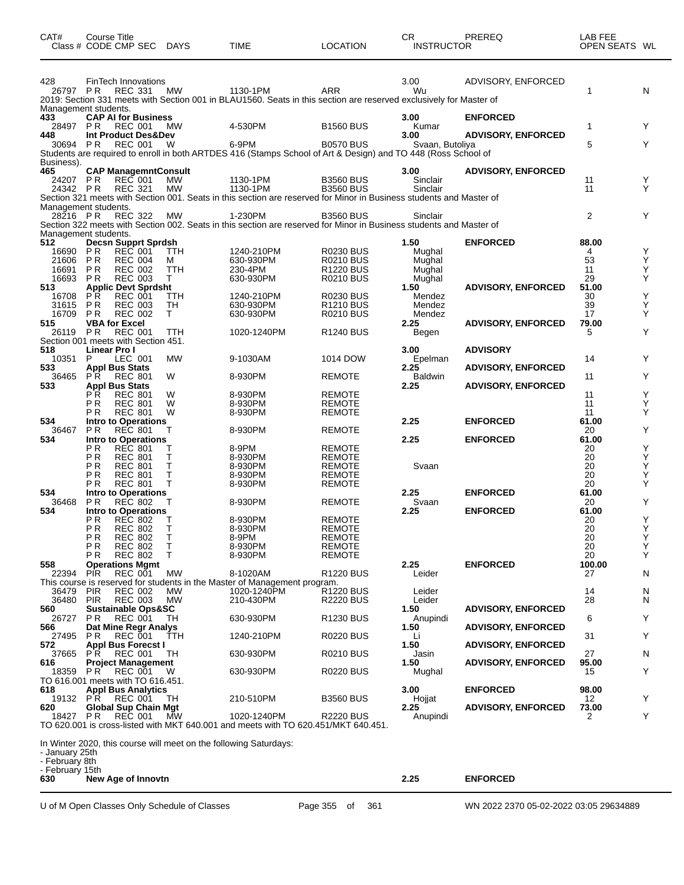| CAT#                              | Course Title<br>Class # CODE CMP SEC               |                                  | <b>DAYS</b>     | <b>TIME</b>                                                                                                                     | <b>LOCATION</b>                      | CR.<br><b>INSTRUCTOR</b> | PREREQ                    | LAB FEE<br>OPEN SEATS WL |        |
|-----------------------------------|----------------------------------------------------|----------------------------------|-----------------|---------------------------------------------------------------------------------------------------------------------------------|--------------------------------------|--------------------------|---------------------------|--------------------------|--------|
| 428                               | FinTech Innovations                                |                                  |                 |                                                                                                                                 |                                      | 3.00                     | ADVISORY, ENFORCED        |                          |        |
| 26797 PR                          |                                                    | <b>REC 331</b>                   | MW              | 1130-1PM<br>2019: Section 331 meets with Section 001 in BLAU1560. Seats in this section are reserved exclusively for Master of  | ARR                                  | Wu                       |                           | 1                        | N      |
| 433                               | Management students.<br><b>CAP AI for Business</b> |                                  |                 |                                                                                                                                 |                                      | 3.00                     | <b>ENFORCED</b>           |                          |        |
| 28497<br>448                      | <b>PR</b><br>Int Product Des&Dev                   | <b>REC 001</b>                   | MW              | 4-530PM                                                                                                                         | <b>B1560 BUS</b>                     | Kumar<br>3.00            | <b>ADVISORY, ENFORCED</b> | 1                        | Y      |
| 30694 PR                          |                                                    | <b>REC 001</b>                   | W               | 6-9PM<br>Students are required to enroll in both ARTDES 416 (Stamps School of Art & Design) and TO 448 (Ross School of          | <b>B0570 BUS</b>                     | Svaan, Butoliya          |                           | 5                        | Υ      |
| Business).<br>465                 | <b>CAP ManagemntConsult</b>                        |                                  |                 |                                                                                                                                 |                                      | 3.00                     | <b>ADVISORY, ENFORCED</b> |                          |        |
| 24207                             | P R                                                | <b>REC 001</b>                   | <b>MW</b>       | 1130-1PM                                                                                                                        | <b>B3560 BUS</b>                     | Sinclair                 |                           | 11                       | Y      |
| 24342 PR                          |                                                    | <b>REC 321</b>                   | <b>MW</b>       | 1130-1PM<br>Section 321 meets with Section 001. Seats in this section are reserved for Minor in Business students and Master of | <b>B3560 BUS</b>                     | Sinclair                 |                           | 11                       | Υ      |
| 28216 PR                          | Management students.                               | <b>REC 322</b>                   | <b>MW</b>       | 1-230PM                                                                                                                         | <b>B3560 BUS</b>                     | Sinclair                 |                           | 2                        | Y      |
|                                   | Management students.                               |                                  |                 | Section 322 meets with Section 002. Seats in this section are reserved for Minor in Business students and Master of             |                                      |                          |                           |                          |        |
| 512<br>16690                      | <b>Decsn Supprt Sprdsh</b><br>P <sub>R</sub>       | <b>REC 001</b>                   | <b>TTH</b>      | 1240-210PM                                                                                                                      | <b>R0230 BUS</b>                     | 1.50<br>Mughal           | <b>ENFORCED</b>           | 88.00<br>4               | Υ      |
| 21606                             | <b>PR</b>                                          | <b>REC 004</b>                   | м               | 630-930PM                                                                                                                       | <b>R0210 BUS</b>                     | Mughal                   |                           | 53                       | Υ      |
| 16691<br>16693                    | P <sub>R</sub><br><b>PR</b>                        | <b>REC 002</b><br><b>REC 003</b> | TTH<br>Т        | 230-4PM<br>630-930PM                                                                                                            | <b>R1220 BUS</b><br><b>R0210 BUS</b> | Mughal<br>Mughal         |                           | 11<br>29                 | Υ<br>Υ |
| 513<br>16708                      | <b>Applic Devt Sprdsht</b><br>P R                  | <b>REC 001</b>                   | TTH             | 1240-210PM                                                                                                                      | <b>R0230 BUS</b>                     | 1.50<br>Mendez           | <b>ADVISORY, ENFORCED</b> | 51.00<br>30              | Υ      |
| 31615                             | P <sub>R</sub>                                     | <b>REC 003</b>                   | TН              | 630-930PM                                                                                                                       | <b>R1210 BUS</b>                     | Mendez                   |                           | 39                       | Υ      |
| 16709<br>515                      | P R<br><b>VBA for Excel</b>                        | <b>REC 002</b>                   | T.              | 630-930PM                                                                                                                       | <b>R0210 BUS</b>                     | Mendez<br>2.25           | <b>ADVISORY, ENFORCED</b> | 17<br>79.00              | Υ      |
| 26119 PR                          | Section 001 meets with Section 451.                | <b>REC 001</b>                   | TTH             | 1020-1240PM                                                                                                                     | <b>R1240 BUS</b>                     | Begen                    |                           | 5                        | Υ      |
| 518<br>10351                      | Linear Pro I<br>P                                  | LEC 001                          | <b>MW</b>       | 9-1030AM                                                                                                                        | 1014 DOW                             | 3.00<br>Epelman          | <b>ADVISORY</b>           | 14                       | Y      |
| 533                               | <b>Appl Bus Stats</b>                              |                                  |                 |                                                                                                                                 |                                      | 2.25                     | <b>ADVISORY, ENFORCED</b> |                          |        |
| 36465<br>533                      | P <sub>R</sub><br><b>Appl Bus Stats</b>            | <b>REC 801</b>                   | W               | 8-930PM                                                                                                                         | <b>REMOTE</b>                        | Baldwin<br>2.25          | <b>ADVISORY, ENFORCED</b> | 11                       | Y      |
|                                   | ΡR<br>РR                                           | <b>REC 801</b><br><b>REC 801</b> | W<br>W          | 8-930PM<br>8-930PM                                                                                                              | <b>REMOTE</b><br><b>REMOTE</b>       |                          |                           | 11<br>11                 | Υ<br>Υ |
| 534                               | ΡR<br>Intro to Operations                          | <b>REC 801</b>                   | W               | 8-930PM                                                                                                                         | <b>REMOTE</b>                        | 2.25                     | <b>ENFORCED</b>           | 11<br>61.00              | Y      |
| 36467                             | ΡR                                                 | <b>REC 801</b>                   | т               | 8-930PM                                                                                                                         | <b>REMOTE</b>                        |                          |                           | 20                       | Υ      |
| 534                               | Intro to Operations<br>РR                          | <b>REC 801</b>                   | Т               | 8-9PM                                                                                                                           | <b>REMOTE</b>                        | 2.25                     | <b>ENFORCED</b>           | 61.00<br>20              | Υ      |
|                                   | ΡR<br>ΡR                                           | <b>REC 801</b><br><b>REC 801</b> | Τ<br>т          | 8-930PM<br>8-930PM                                                                                                              | <b>REMOTE</b><br><b>REMOTE</b>       | Svaan                    |                           | 20<br>20                 | Υ<br>Υ |
|                                   | ΡR                                                 | <b>REC 801</b>                   | Т               | 8-930PM                                                                                                                         | <b>REMOTE</b>                        |                          |                           | 20                       | Υ      |
| 534                               | ΡR<br><b>Intro to Operations</b>                   | <b>REC 801</b>                   | T               | 8-930PM                                                                                                                         | <b>REMOTE</b>                        | 2.25                     | <b>ENFORCED</b>           | 20<br>61.00              | Υ      |
| 36468<br>534                      | P R<br><b>Intro to Operations</b>                  | <b>REC 802</b>                   | Т               | 8-930PM                                                                                                                         | <b>REMOTE</b>                        | Svaan<br>2.25            | <b>ENFORCED</b>           | 20<br>61.00              | Υ      |
|                                   | ΡR                                                 | <b>REC 802</b>                   | Т<br>т          | 8-930PM                                                                                                                         | <b>REMOTE</b><br><b>REMOTE</b>       |                          |                           | 20                       | Υ<br>Y |
|                                   | ΡR<br>P R                                          | <b>REC 802</b><br><b>REC 802</b> | Т               | 8-930PM<br>8-9PM                                                                                                                | <b>REMOTE</b>                        |                          |                           | 20<br>20                 | Y      |
|                                   | PR<br>ΡR                                           | <b>REC 802</b><br><b>REC 802</b> | Т<br>т          | 8-930PM<br>8-930PM                                                                                                              | <b>REMOTE</b><br><b>REMOTE</b>       |                          |                           | 20<br>20                 | Υ<br>Y |
| 558<br>22394                      | <b>Operations Mgmt</b><br><b>PIR</b>               | <b>REC 001</b>                   | МW              | 8-1020AM                                                                                                                        | R <sub>1220</sub> BUS                | 2.25<br>Leider           | <b>ENFORCED</b>           | 100.00<br>27             | N      |
|                                   |                                                    |                                  |                 | This course is reserved for students in the Master of Management program.                                                       |                                      |                          |                           |                          |        |
| 36479<br>36480                    | <b>PIR</b><br><b>PIR</b>                           | <b>REC 002</b><br><b>REC 003</b> | МW<br><b>MW</b> | 1020-1240PM<br>210-430PM                                                                                                        | R1220 BUS<br><b>R2220 BUS</b>        | Leider<br>Leider         |                           | 14<br>28                 | N<br>N |
| 560<br>26727                      | <b>Sustainable Ops&amp;SC</b><br>P R               | <b>REC 001</b>                   | TН              | 630-930PM                                                                                                                       | R <sub>1230</sub> BUS                | 1.50<br>Anupindi         | <b>ADVISORY, ENFORCED</b> | 6                        | Y      |
| 566<br>27495                      | Dat Mine Regr Analys<br>P R                        | <b>REC 001</b>                   | TTH             | 1240-210PM                                                                                                                      | <b>R0220 BUS</b>                     | 1.50<br>Li               | <b>ADVISORY, ENFORCED</b> | 31                       | Y      |
| 572                               | <b>Appl Bus Forecst I</b>                          |                                  |                 |                                                                                                                                 |                                      | 1.50                     | <b>ADVISORY, ENFORCED</b> |                          |        |
| 37665<br>616                      | PR.<br><b>Project Management</b>                   | <b>REC 001</b>                   | TН              | 630-930PM                                                                                                                       | <b>R0210 BUS</b>                     | Jasin<br>1.50            | <b>ADVISORY, ENFORCED</b> | 27<br>95.00              | N      |
| 18359                             | PR.<br>TO 616.001 meets with TO 616.451.           | <b>REC 001</b>                   | W               | 630-930PM                                                                                                                       | <b>R0220 BUS</b>                     | Mughal                   |                           | 15                       | Y      |
| 618<br>19132 PR                   | <b>Appl Bus Analytics</b>                          | <b>REC 001</b>                   | TН              | 210-510PM                                                                                                                       | B3560 BUS                            | 3.00<br>Hojjat           | <b>ENFORCED</b>           | 98.00<br>12              | Y      |
| 620                               | <b>Global Sup Chain Mgt</b>                        |                                  |                 |                                                                                                                                 |                                      | 2.25                     | <b>ADVISORY, ENFORCED</b> | 73.00                    | Y      |
| 18427                             | P R                                                | <b>REC 001</b>                   | MW              | 1020-1240PM<br>TO 620.001 is cross-listed with MKT 640.001 and meets with TO 620.451/MKT 640.451.                               | <b>R2220 BUS</b>                     | Anupindi                 |                           | 2                        |        |
| - January 25th                    |                                                    |                                  |                 | In Winter 2020, this course will meet on the following Saturdays:                                                               |                                      |                          |                           |                          |        |
| - February 8th<br>- February 15th |                                                    |                                  |                 |                                                                                                                                 |                                      |                          |                           |                          |        |
| 630                               | New Age of Innovtn                                 |                                  |                 |                                                                                                                                 |                                      | 2.25                     | <b>ENFORCED</b>           |                          |        |

U of M Open Classes Only Schedule of Classes Page 355 of 361 WN 2022 2370 05-02-2022 03:05 29634889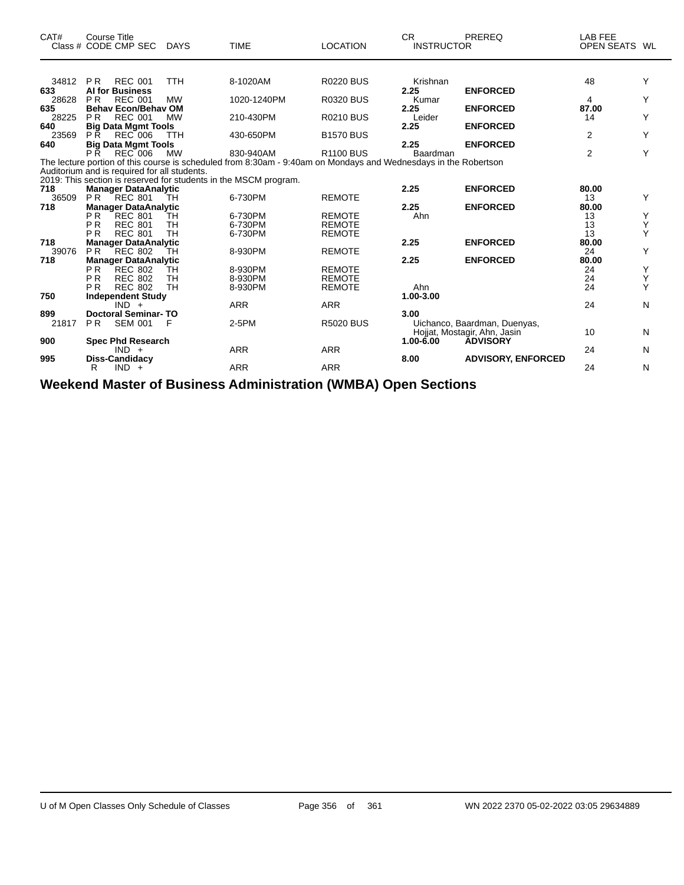| CAT#         | <b>Course Title</b><br>Class # CODE CMP SEC      | <b>DAYS</b> | <b>TIME</b>                                                                                                     | <b>LOCATION</b>  | <b>CR</b><br><b>INSTRUCTOR</b> | <b>PREREQ</b>                                                | LAB FEE<br>OPEN SEATS WL |   |
|--------------|--------------------------------------------------|-------------|-----------------------------------------------------------------------------------------------------------------|------------------|--------------------------------|--------------------------------------------------------------|--------------------------|---|
| 34812 PR     | <b>REC 001</b>                                   | <b>TTH</b>  | 8-1020AM                                                                                                        | <b>R0220 BUS</b> | Krishnan                       |                                                              | 48                       | Y |
| 633          | <b>AI for Business</b>                           |             |                                                                                                                 |                  | 2.25                           | <b>ENFORCED</b>                                              |                          |   |
| 28628        | <b>PR</b><br><b>REC 001</b>                      | <b>MW</b>   | 1020-1240PM                                                                                                     | <b>R0320 BUS</b> | Kumar                          |                                                              | 4                        | Y |
| 635          | <b>Behav Econ/Behav OM</b>                       |             |                                                                                                                 |                  | 2.25                           | <b>ENFORCED</b>                                              | 87.00                    |   |
| 28225        | <b>REC 001</b><br><b>PR</b>                      | <b>MW</b>   | 210-430PM                                                                                                       | <b>R0210 BUS</b> | Leider                         |                                                              | 14                       | Y |
| 640          | <b>Big Data Mgmt Tools</b>                       |             |                                                                                                                 |                  | 2.25                           | <b>ENFORCED</b>                                              |                          |   |
| 23569        | P <sub>R</sub><br><b>REC 006</b>                 | <b>TTH</b>  | 430-650PM                                                                                                       | <b>B1570 BUS</b> |                                |                                                              | 2                        | Y |
| 640          | <b>Big Data Mgmt Tools</b>                       |             |                                                                                                                 |                  | 2.25                           | <b>ENFORCED</b>                                              |                          |   |
|              | <b>P</b> R<br><b>REC</b> 006                     | <b>MW</b>   | 830-940AM                                                                                                       | <b>R1100 BUS</b> | Baardman                       |                                                              | $\overline{2}$           | Υ |
|              |                                                  |             | The lecture portion of this course is scheduled from 8:30am - 9:40am on Mondays and Wednesdays in the Robertson |                  |                                |                                                              |                          |   |
|              | Auditorium and is required for all students.     |             |                                                                                                                 |                  |                                |                                                              |                          |   |
|              |                                                  |             | 2019: This section is reserved for students in the MSCM program.                                                |                  |                                |                                                              |                          |   |
| 718<br>36509 | <b>Manager DataAnalytic</b><br><b>PR</b> REC 801 | TН          | 6-730PM                                                                                                         | <b>REMOTE</b>    | 2.25                           | <b>ENFORCED</b>                                              | 80.00<br>13              | Y |
| 718          | <b>Manager DataAnalytic</b>                      |             |                                                                                                                 |                  | 2.25                           | <b>ENFORCED</b>                                              | 80.00                    |   |
|              | PR.<br><b>REC 801</b>                            | TH          | 6-730PM                                                                                                         | <b>REMOTE</b>    | Ahn                            |                                                              | 13                       | Υ |
|              | <b>PR</b><br><b>REC 801</b>                      | <b>TH</b>   | 6-730PM                                                                                                         | <b>REMOTE</b>    |                                |                                                              | 13                       | Υ |
|              | P <sub>R</sub><br><b>REC 801</b>                 | <b>TH</b>   | 6-730PM                                                                                                         | <b>REMOTE</b>    |                                |                                                              | 13                       | Υ |
| 718          | <b>Manager DataAnalytic</b>                      |             |                                                                                                                 |                  | 2.25                           | <b>ENFORCED</b>                                              | 80.00                    |   |
| 39076        | PR.<br><b>REC 802</b>                            | тн          | 8-930PM                                                                                                         | <b>REMOTE</b>    |                                |                                                              | 24                       | Y |
| 718          | <b>Manager DataAnalytic</b>                      |             |                                                                                                                 |                  | 2.25                           | <b>ENFORCED</b>                                              | 80.00                    |   |
|              | P <sub>R</sub><br><b>REC 802</b>                 | тн          | 8-930PM                                                                                                         | <b>REMOTE</b>    |                                |                                                              | 24                       | Y |
|              | <b>PR</b><br><b>REC 802</b>                      | <b>TH</b>   | 8-930PM                                                                                                         | <b>REMOTE</b>    |                                |                                                              | 24                       | Y |
|              | P <sub>R</sub><br><b>REC 802</b>                 | <b>TH</b>   | 8-930PM                                                                                                         | <b>REMOTE</b>    | Ahn                            |                                                              | 24                       | Υ |
| 750          | <b>Independent Study</b>                         |             |                                                                                                                 |                  | 1.00-3.00                      |                                                              |                          |   |
|              | $IND +$                                          |             | <b>ARR</b>                                                                                                      | <b>ARR</b>       |                                |                                                              | 24                       | N |
| 899          | <b>Doctoral Seminar-TO</b>                       |             |                                                                                                                 |                  | 3.00                           |                                                              |                          |   |
| 21817        | <b>SEM 001</b><br>P <sub>R</sub>                 | F           | $2-5PM$                                                                                                         | <b>R5020 BUS</b> |                                | Uichanco, Baardman, Duenyas,<br>Hojjat, Mostagir, Ahn, Jasin | 10                       | N |
| 900          | <b>Spec Phd Research</b>                         |             |                                                                                                                 |                  | $1.00 - 6.00$                  | <b>ADVISORY</b>                                              |                          |   |
|              | $IND +$                                          |             | <b>ARR</b>                                                                                                      | <b>ARR</b>       |                                |                                                              | 24                       | N |
| 995          | Diss-Candidacy                                   |             |                                                                                                                 |                  | 8.00                           | <b>ADVISORY, ENFORCED</b>                                    |                          |   |
|              | $IND +$<br>R                                     |             | <b>ARR</b>                                                                                                      | <b>ARR</b>       |                                |                                                              | 24                       | N |
|              |                                                  |             |                                                                                                                 |                  |                                |                                                              |                          |   |

**Weekend Master of Business Administration (WMBA) Open Sections**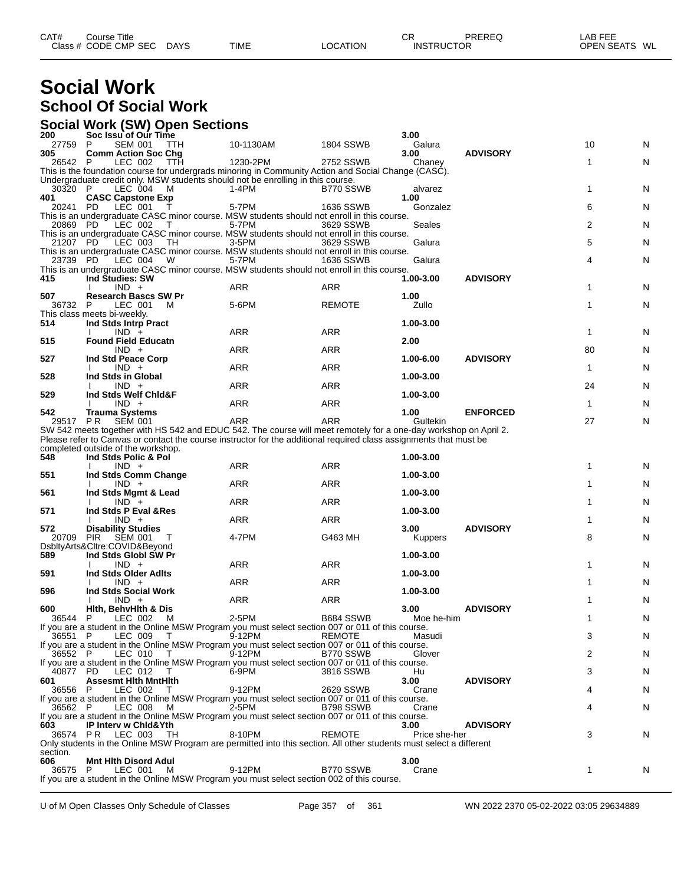# **Social Work School Of Social Work**

#### **Social Work (SW) Open Sections**

| 200             | Soc Issu of Our Time                                                                                                                                                                                                                   |            |                  | 3.00               |                 |              |   |
|-----------------|----------------------------------------------------------------------------------------------------------------------------------------------------------------------------------------------------------------------------------------|------------|------------------|--------------------|-----------------|--------------|---|
| 27759           | <b>SEM 001</b><br>P<br>TTH                                                                                                                                                                                                             | 10-1130AM  | <b>1804 SSWB</b> | Galura             |                 | 10           | N |
| 305<br>26542 P  | <b>Comm Action Soc Chg</b><br>LEC 002<br>ттн                                                                                                                                                                                           | 1230-2PM   | 2752 SSWB        | 3.00<br>Chaney     | <b>ADVISORY</b> | 1            | N |
|                 | This is the foundation course for undergrads minoring in Community Action and Social Change (CASC).                                                                                                                                    |            |                  |                    |                 |              |   |
|                 | Undergraduate credit only. MSW students should not be enrolling in this course.                                                                                                                                                        |            |                  |                    |                 |              |   |
| 30320 P<br>401  | LEC 004 M<br><b>CASC Capstone Exp</b>                                                                                                                                                                                                  | $1-4PM$    | B770 SSWB        | alvarez<br>1.00    |                 | 1            | N |
| 20241 PD        | LEC 001                                                                                                                                                                                                                                | 5-7PM      | 1636 SSWB        | Gonzalez           |                 | 6            | N |
|                 | This is an undergraduate CASC minor course. MSW students should not enroll in this course.                                                                                                                                             |            |                  |                    |                 |              |   |
| 20869 PD        | LEC 002<br>$\top$<br>This is an undergraduate CASC minor course. MSW students should not enroll in this course.                                                                                                                        | 5-7PM      | 3629 SSWB        | Seales             |                 | 2            | N |
| 21207 PD        | LEC 003<br>TH                                                                                                                                                                                                                          | 3-5PM      | 3629 SSWB        | Galura             |                 | 5            | N |
|                 | This is an undergraduate CASC minor course. MSW students should not enroll in this course.                                                                                                                                             |            |                  |                    |                 |              |   |
| 23739 PD        | LEC 004<br>W<br>This is an undergraduate CASC minor course. MSW students should not enroll in this course.                                                                                                                             | 5-7PM      | 1636 SSWB        | Galura             |                 | 4            | N |
| 415             | Ind Studies: SW                                                                                                                                                                                                                        |            |                  | 1.00-3.00          | <b>ADVISORY</b> |              |   |
|                 | $IND +$                                                                                                                                                                                                                                | <b>ARR</b> | ARR              |                    |                 | 1            | N |
| 507<br>36732 P  | <b>Research Bascs SW Pr</b><br>LEC 001<br>M                                                                                                                                                                                            | 5-6PM      | <b>REMOTE</b>    | 1.00<br>Zullo      |                 | 1            | N |
|                 | This class meets bi-weekly.                                                                                                                                                                                                            |            |                  |                    |                 |              |   |
| 514             | Ind Stds Intrp Pract                                                                                                                                                                                                                   |            |                  | 1.00-3.00          |                 |              |   |
| 515             | $IND +$<br><b>Found Field Educatn</b>                                                                                                                                                                                                  | ARR        | <b>ARR</b>       | 2.00               |                 | 1            | N |
|                 | $IND +$                                                                                                                                                                                                                                | ARR        | ARR              |                    |                 | 80           | N |
| 527             | Ind Std Peace Corp                                                                                                                                                                                                                     | <b>ARR</b> | ARR              | 1.00-6.00          | <b>ADVISORY</b> | $\mathbf 1$  |   |
| 528             | $IND +$<br>$\mathbf{I}$<br>Ind Stds in Global                                                                                                                                                                                          |            |                  | 1.00-3.00          |                 |              | N |
|                 | $IND +$                                                                                                                                                                                                                                | <b>ARR</b> | <b>ARR</b>       |                    |                 | 24           | N |
| 529             | Ind Stds Welf Chid&F                                                                                                                                                                                                                   |            |                  | 1.00-3.00          |                 | $\mathbf{1}$ |   |
| 542             | $IND +$<br>Trauma Systems                                                                                                                                                                                                              | ARR        | ARR              | 1.00               | <b>ENFORCED</b> |              | N |
| 29517 PR        | <b>SEM 001</b>                                                                                                                                                                                                                         | ARR        | ARR              | Gultekin           |                 | 27           | N |
|                 | SW 542 meets together with HS 542 and EDUC 542. The course will meet remotely for a one-day workshop on April 2.<br>Please refer to Canvas or contact the course instructor for the additional required class assignments that must be |            |                  |                    |                 |              |   |
|                 | completed outside of the workshop.                                                                                                                                                                                                     |            |                  |                    |                 |              |   |
| 548             | Ind Stds Polic & Pol                                                                                                                                                                                                                   |            |                  | 1.00-3.00          |                 |              |   |
|                 | $IND +$                                                                                                                                                                                                                                | ARR        | ARR              |                    |                 | 1            | N |
| 551             | Ind Stds Comm Change<br>$IND +$                                                                                                                                                                                                        | ARR        | ARR              | 1.00-3.00          |                 | 1            | N |
| 561             | Ind Stds Mgmt & Lead                                                                                                                                                                                                                   |            |                  | 1.00-3.00          |                 |              |   |
|                 | $IND +$<br>Ind Stds P Eval & Res                                                                                                                                                                                                       | <b>ARR</b> | ARR              | 1.00-3.00          |                 | 1            | N |
| 571             | $IND +$                                                                                                                                                                                                                                | ARR        | <b>ARR</b>       |                    |                 | 1            | N |
| 572             | <b>Disability Studies</b>                                                                                                                                                                                                              |            |                  | 3.00               | <b>ADVISORY</b> |              |   |
| 20709           | <b>PIR</b><br><b>SEM 001</b><br>T<br>DsbltyArts&Cltre:COVID&Beyond                                                                                                                                                                     | 4-7PM      | G463 MH          | <b>Kuppers</b>     |                 | 8            | N |
| 589             | Ind Stds Globl SW Pr                                                                                                                                                                                                                   |            |                  | 1.00-3.00          |                 |              |   |
|                 | $IND +$                                                                                                                                                                                                                                | ARR        | ARR              |                    |                 | 1            | N |
| 591             | Ind Stds Older Adlts<br>$IND +$                                                                                                                                                                                                        | <b>ARR</b> | ARR              | 1.00-3.00          |                 | 1            | N |
| 596             | <b>Ind Stds Social Work</b>                                                                                                                                                                                                            |            |                  | 1.00-3.00          |                 |              |   |
|                 | $IND +$                                                                                                                                                                                                                                | <b>ARR</b> | <b>ARR</b>       |                    |                 | 1            | N |
| 600<br>36544    | Hith, BehvHith & Dis<br>LEC 002<br>- M<br>P                                                                                                                                                                                            | 2-5PM      | <b>B684 SSWB</b> | 3.00<br>Moe he-him | <b>ADVISORY</b> | 1            | N |
|                 | If you are a student in the Online MSW Program you must select section 007 or 011 of this course.                                                                                                                                      |            |                  |                    |                 |              |   |
| 36551 P         | LEC 009<br>$\top$                                                                                                                                                                                                                      | 9-12PM     | <b>REMOTE</b>    | Masudi             |                 | 3            | N |
| 36552 P         | If you are a student in the Online MSW Program you must select section 007 or 011 of this course.<br>LEC 010<br>T                                                                                                                      | 9-12PM     | B770 SSWB        | Glover             |                 | 2            | N |
|                 | If you are a student in the Online MSW Program you must select section 007 or 011 of this course.                                                                                                                                      |            |                  |                    |                 |              |   |
| 40877 PD        | LEC 012<br>$\top$                                                                                                                                                                                                                      | 6-9PM      | 3816 SSWB        | Hu                 |                 | 3            | N |
| 601<br>36556 P  | <b>Assesmt Hith MntHith</b><br>LEC 002<br>$\top$                                                                                                                                                                                       | 9-12PM     | 2629 SSWB        | 3.00<br>Crane      | <b>ADVISORY</b> | 4            | N |
|                 | If you are a student in the Online MSW Program you must select section 007 or 011 of this course.                                                                                                                                      |            |                  |                    |                 |              |   |
| 36562 P         | LEC 008<br>M                                                                                                                                                                                                                           | 2-5PM      | B798 SSWB        | Crane              |                 | 4            | N |
| 603             | If you are a student in the Online MSW Program you must select section 007 or 011 of this course.<br><b>IP Interv w Chid&amp;Yth</b>                                                                                                   |            |                  | 3.00               | <b>ADVISORY</b> |              |   |
| 36574 PR        | LEC 003<br>- TH                                                                                                                                                                                                                        | 8-10PM     | <b>REMOTE</b>    | Price she-her      |                 | 3            | N |
|                 | Only students in the Online MSW Program are permitted into this section. All other students must select a different                                                                                                                    |            |                  |                    |                 |              |   |
| section.<br>606 | Mnt Hith Disord Adul                                                                                                                                                                                                                   |            |                  | 3.00               |                 |              |   |
| 36575 P         | LEC 001<br>M                                                                                                                                                                                                                           | 9-12PM     | B770 SSWB        | Crane              |                 | 1            | N |
|                 | If you are a student in the Online MSW Program you must select section 002 of this course.                                                                                                                                             |            |                  |                    |                 |              |   |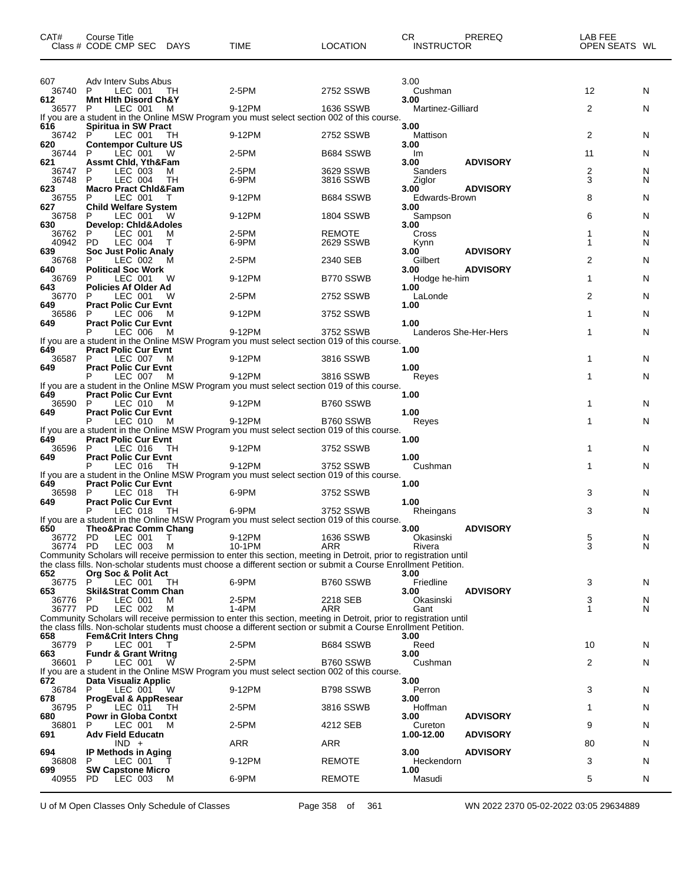| CAT#                        | Course Title<br>Class # CODE CMP SEC DAYS                                      |         | <b>TIME</b>                                                                                                                                                                                                                                            | <b>LOCATION</b>        | CR.<br><b>INSTRUCTOR</b>              | PREREQ          | LAB FEE<br>OPEN SEATS WL |        |
|-----------------------------|--------------------------------------------------------------------------------|---------|--------------------------------------------------------------------------------------------------------------------------------------------------------------------------------------------------------------------------------------------------------|------------------------|---------------------------------------|-----------------|--------------------------|--------|
| 607<br>36740                | Adv Interv Subs Abus<br>LEC 001<br>P                                           | TH      | 2-5PM                                                                                                                                                                                                                                                  | 2752 SSWB              | 3.00<br>Cushman                       |                 | 12                       | N      |
| 612<br>36577 P              | <b>Mnt Hith Disord Ch&amp;Y</b><br>LEC 001                                     | M       | 9-12PM<br>If you are a student in the Online MSW Program you must select section 002 of this course.                                                                                                                                                   | 1636 SSWB              | 3.00<br>Martinez-Gilliard             |                 | 2                        | N      |
| 616<br>36742                | <b>Spiritua in SW Pract</b><br>P<br>LEC 001                                    | TH      | 9-12PM                                                                                                                                                                                                                                                 | 2752 SSWB              | 3.00<br>Mattison                      |                 | 2                        | N      |
| 620<br>36744<br>621         | <b>Contempor Culture US</b><br>LEC 001<br>P<br><b>Assmt Chid, Yth&amp;Fam</b>  | W       | 2-5PM                                                                                                                                                                                                                                                  | B684 SSWB              | 3.00<br>Im<br>3.00                    | <b>ADVISORY</b> | 11                       | N      |
| 36747<br>36748              | LEC 003<br>P<br>LEC 004<br>P                                                   | м<br>TH | 2-5PM<br>6-9PM                                                                                                                                                                                                                                         | 3629 SSWB<br>3816 SSWB | Sanders<br>Ziglor                     |                 | 2<br>3                   | N<br>N |
| 623<br>36755<br>627         | <b>Macro Pract Chid&amp;Fam</b><br>LEC 001<br>P<br><b>Child Welfare System</b> |         | 9-12PM                                                                                                                                                                                                                                                 | B684 SSWB              | 3.00<br>Edwards-Brown<br>3.00         | <b>ADVISORY</b> | 8                        | N      |
| 36758<br>630                | P<br>LEC 001 W<br><b>Develop: Chid&amp;Adoles</b>                              |         | 9-12PM                                                                                                                                                                                                                                                 | <b>1804 SSWB</b>       | Sampson<br>3.00                       |                 | 6                        | N      |
| 36762<br>40942<br>639       | P<br>LEC 001<br><b>PD</b><br>LEC 004<br><b>Soc Just Polic Analy</b>            | м<br>т  | 2-5PM<br>6-9PM                                                                                                                                                                                                                                         | REMOTE<br>2629 SSWB    | Cross<br>Kynn<br>3.00                 | <b>ADVISORY</b> | 1                        | N<br>N |
| 36768<br>640                | P<br>LEC 002<br><b>Political Soc Work</b>                                      | м       | $2-5PM$                                                                                                                                                                                                                                                | 2340 SEB               | Gilbert<br>3.00                       | <b>ADVISORY</b> | 2                        | N      |
| 36769<br>643<br>36770       | LEC 001<br>P<br><b>Policies Af Older Ad</b><br>LEC 001<br>P                    | W<br>W  | 9-12PM<br>$2-5PM$                                                                                                                                                                                                                                      | B770 SSWB<br>2752 SSWB | Hodge he-him<br>1.00<br>LaLonde       |                 | 1<br>2                   | N<br>N |
| 649<br>36586                | <b>Pract Polic Cur Evnt</b><br>LEC 006<br>P                                    | м       | 9-12PM                                                                                                                                                                                                                                                 | 3752 SSWB              | 1.00                                  |                 | 1                        | N      |
| 649<br>649                  | <b>Pract Polic Cur Evnt</b><br>LEC 006<br>P<br><b>Pract Polic Cur Evnt</b>     | M       | 9-12PM<br>If you are a student in the Online MSW Program you must select section 019 of this course.                                                                                                                                                   | 3752 SSWB              | 1.00<br>Landeros She-Her-Hers<br>1.00 |                 | 1                        | N      |
| 36587<br>649                | LEC 007<br>P<br><b>Pract Polic Cur Evnt</b>                                    | м       | 9-12PM                                                                                                                                                                                                                                                 | 3816 SSWB              | 1.00                                  |                 | 1                        | N      |
|                             | LEC 007 M<br>P                                                                 |         | 9-12PM<br>If you are a student in the Online MSW Program you must select section 019 of this course.                                                                                                                                                   | 3816 SSWB              | Reyes                                 |                 | 1                        | N      |
| 649<br>36590<br>649         | <b>Pract Polic Cur Evnt</b><br>P<br>LEC 010<br><b>Pract Polic Cur Evnt</b>     | M       | 9-12PM                                                                                                                                                                                                                                                 | B760 SSWB              | 1.00<br>1.00                          |                 | 1                        | N      |
|                             | LEC 010<br>P                                                                   | M       | 9-12PM<br>If you are a student in the Online MSW Program you must select section 019 of this course.                                                                                                                                                   | B760 SSWB              | Reyes                                 |                 | 1                        | N      |
| 649<br>36596<br>649         | <b>Pract Polic Cur Evnt</b><br>LEC 016<br>-P<br><b>Pract Polic Cur Evnt</b>    | TH      | 9-12PM                                                                                                                                                                                                                                                 | 3752 SSWB              | 1.00<br>1.00                          |                 | 1                        | N      |
|                             | LEC 016                                                                        | TH      | 9-12PM<br>If you are a student in the Online MSW Program you must select section 019 of this course.                                                                                                                                                   | 3752 SSWB              | Cushman                               |                 | 1                        | N      |
| 649<br>36598<br>649         | <b>Pract Polic Cur Evnt</b><br>P<br>LEC 018<br><b>Pract Polic Cur Evnt</b>     | TH      | 6-9PM                                                                                                                                                                                                                                                  | 3752 SSWB              | 1.00<br>1.00                          |                 | 3                        | N      |
|                             | LEC 018 TH<br>P                                                                |         | 6-9PM<br>If you are a student in the Online MSW Program you must select section 019 of this course.                                                                                                                                                    | 3752 SSWB              | Rheingans                             |                 | 3                        | N      |
| 650<br>36772 PD<br>36774 PD | Theo&Prac Comm Chang<br>LEC 001<br>LEC 003                                     | T<br>М  | 9-12PM<br>10-1PM<br>Community Scholars will receive permission to enter this section, meeting in Detroit, prior to registration until<br>the class fills. Non-scholar students must choose a different section or submit a Course Enrollment Petition. | 1636 SSWB<br>ARR       | 3.00<br>Okasinski<br>Rivera           | <b>ADVISORY</b> | 5<br>3                   | N<br>N |
| 652<br>36775                | <b>Org Soc &amp; Polit Act</b><br>P<br>LEC 001                                 | TH      | 6-9PM                                                                                                                                                                                                                                                  | B760 SSWB              | 3.00<br>Friedline                     |                 | 3                        | N      |
| 653<br>36776<br>36777 PD    | <b>Skil&amp;Strat Comm Chan</b><br>LEC 001<br>P<br>LEC 002                     | м<br>м  | 2-5PM<br>1-4PM                                                                                                                                                                                                                                         | 2218 SEB<br>ARR        | 3.00<br>Okasinski<br>Gant             | <b>ADVISORY</b> | 3<br>1                   | N<br>N |
| 658                         | <b>Fem&amp;Crit Inters Chng</b>                                                |         | Community Scholars will receive permission to enter this section, meeting in Detroit, prior to registration until<br>the class fills. Non-scholar students must choose a different section or submit a Course Enrollment Petition.                     |                        |                                       |                 |                          |        |
| 36779<br>663                | LEC 001<br>P<br><b>Fundr &amp; Grant Writng</b>                                | T       | 2-5PM                                                                                                                                                                                                                                                  | <b>B684 SSWB</b>       | 3.00<br>Reed<br>3.00                  |                 | 10                       | N      |
| 36601                       | LEC 001<br>P                                                                   | W       | 2-5PM<br>If you are a student in the Online MSW Program you must select section 002 of this course.                                                                                                                                                    | B760 SSWB              | Cushman                               |                 | 2                        | N      |
| 672<br>36784<br>678         | Data Visualiz Applic<br>LEC 001<br>P<br><b>ProgEval &amp; AppResear</b>        | - W     | 9-12PM                                                                                                                                                                                                                                                 | B798 SSWB              | 3.00<br>Perron<br>3.00                |                 | 3                        | N      |
| 36795<br>680                | LEC 011<br>P<br><b>Powr in Globa Contxt</b>                                    | TH      | 2-5PM                                                                                                                                                                                                                                                  | 3816 SSWB              | Hoffman<br>3.00                       | <b>ADVISORY</b> | 1                        | N      |
| 36801<br>691                | LEC 001<br>P<br><b>Adv Field Educatn</b><br>$IND +$                            | м       | $2-5PM$<br>ARR                                                                                                                                                                                                                                         | 4212 SEB<br><b>ARR</b> | Cureton<br>1.00-12.00                 | <b>ADVISORY</b> | 9<br>80                  | N<br>N |
| 694<br>36808                | <b>IP Methods in Aging</b><br>LEC 001<br>P                                     |         | 9-12PM                                                                                                                                                                                                                                                 | <b>REMOTE</b>          | 3.00<br>Heckendorn                    | <b>ADVISORY</b> | 3                        | N      |
| 699<br>40955                | <b>SW Capstone Micro</b><br>PD.<br>LEC 003                                     | м       | 6-9PM                                                                                                                                                                                                                                                  | <b>REMOTE</b>          | 1.00<br>Masudi                        |                 | 5                        | N      |

U of M Open Classes Only Schedule of Classes Page 358 of 361 WN 2022 2370 05-02-2022 03:05 29634889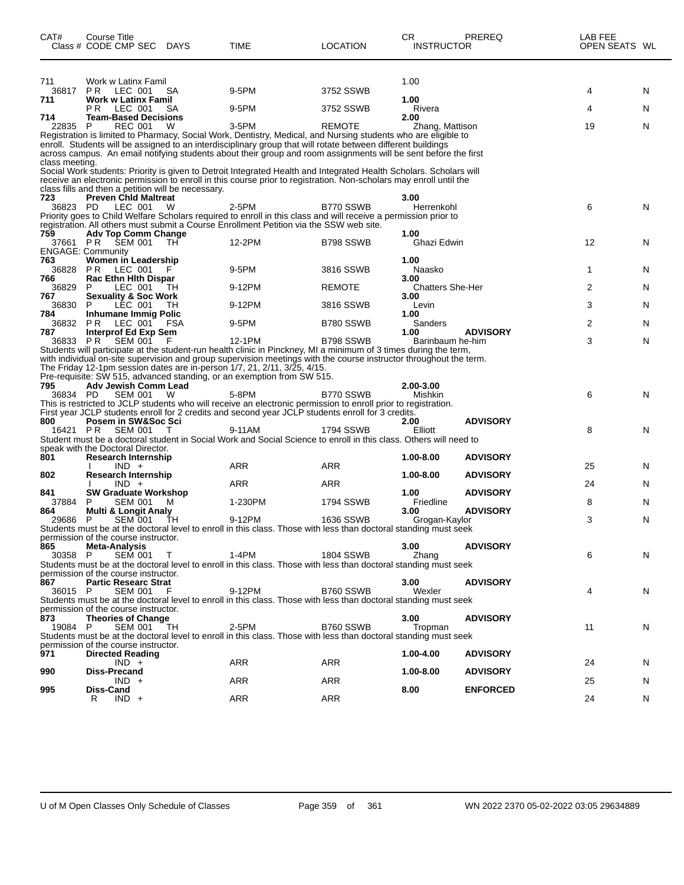| CAT#            | Course Title<br>Class # CODE CMP SEC DAYS                         |      | TIME                                                                                                                                                                                                                                                                                                                                                                                         | LOCATION         | СR<br><b>INSTRUCTOR</b>         | PREREQ          | LAB FEE<br>OPEN SEATS WL |   |
|-----------------|-------------------------------------------------------------------|------|----------------------------------------------------------------------------------------------------------------------------------------------------------------------------------------------------------------------------------------------------------------------------------------------------------------------------------------------------------------------------------------------|------------------|---------------------------------|-----------------|--------------------------|---|
| 711             | Work w Latinx Famil                                               |      |                                                                                                                                                                                                                                                                                                                                                                                              |                  | 1.00                            |                 |                          |   |
| 36817<br>711    | <b>PR LEC 001</b><br><b>Work w Latinx Famil</b>                   | SA   | 9-5PM                                                                                                                                                                                                                                                                                                                                                                                        | 3752 SSWB        | 1.00                            |                 | 4                        | N |
|                 | PR LEC 001                                                        | SA   | 9-5PM                                                                                                                                                                                                                                                                                                                                                                                        | 3752 SSWB        | Rivera                          |                 | 4                        | N |
| 714<br>22835    | <b>Team-Based Decisions</b><br><b>REC 001</b><br>P                | W    | $3-5$ PM                                                                                                                                                                                                                                                                                                                                                                                     | <b>REMOTE</b>    | 2.00<br>Zhang, Mattison         |                 | 19                       | N |
| class meeting.  |                                                                   |      | Registration is limited to Pharmacy, Social Work, Dentistry, Medical, and Nursing students who are eligible to<br>enroll. Students will be assigned to an interdisciplinary group that will rotate between different buildings<br>across campus. An email notifying students about their group and room assignments will be sent before the first                                            |                  |                                 |                 |                          |   |
|                 | class fills and then a petition will be necessary.                |      | Social Work students: Priority is given to Detroit Integrated Health and Integrated Health Scholars. Scholars will<br>receive an electronic permission to enroll in this course prior to registration. Non-scholars may enroll until the                                                                                                                                                     |                  |                                 |                 |                          |   |
| 723<br>36823 PD | <b>Preven Chid Maltreat</b><br>LEC 001                            | W    | 2-5PM                                                                                                                                                                                                                                                                                                                                                                                        | B770 SSWB        | 3.00<br>Herrenkohl              |                 | 6                        | N |
|                 |                                                                   |      | Priority goes to Child Welfare Scholars required to enroll in this class and will receive a permission prior to<br>registration. All others must submit a Course Enrollment Petition via the SSW web site.                                                                                                                                                                                   |                  |                                 |                 |                          |   |
| 759             | <b>Adv Top Comm Change</b>                                        |      |                                                                                                                                                                                                                                                                                                                                                                                              |                  | 1.00                            |                 |                          |   |
|                 | 37661 PR SEM 001<br><b>ENGAGE: Community</b>                      | TH.  | 12-2PM                                                                                                                                                                                                                                                                                                                                                                                       | B798 SSWB        | Ghazi Edwin                     |                 | 12                       | N |
| 763             | Women in Leadership<br>36828 PR LEC 001                           | F    | 9-5PM                                                                                                                                                                                                                                                                                                                                                                                        | 3816 SSWB        | 1.00<br>Naasko                  |                 | $\mathbf{1}$             | N |
| 766             | <b>Rac Ethn Hith Dispar</b>                                       |      |                                                                                                                                                                                                                                                                                                                                                                                              |                  | 3.00                            |                 |                          |   |
| 36829<br>767    | LEC 001<br>P.<br><b>Sexuality &amp; Soc Work</b>                  | TH   | 9-12PM                                                                                                                                                                                                                                                                                                                                                                                       | REMOTE           | <b>Chatters She-Her</b><br>3.00 |                 | 2                        | N |
| 36830           | LEC 001<br>P                                                      | TH   | 9-12PM                                                                                                                                                                                                                                                                                                                                                                                       | 3816 SSWB        | Levin                           |                 | 3                        | N |
| 784<br>36832    | <b>Inhumane Immig Polic</b><br>PR LEC 001                         | FSA  | 9-5PM                                                                                                                                                                                                                                                                                                                                                                                        | B780 SSWB        | 1.00<br><b>Sanders</b>          |                 | 2                        | N |
| 787<br>36833    | <b>Interprof Ed Exp Sem</b><br>PR SEM 001                         | - F  | 12-1PM                                                                                                                                                                                                                                                                                                                                                                                       | B798 SSWB        | 1.00<br>Barinbaum he-him        | <b>ADVISORY</b> | 3                        | N |
|                 |                                                                   |      | Students will participate at the student-run health clinic in Pinckney, MI a minimum of 3 times during the term,<br>with individual on-site supervision and group supervision meetings with the course instructor throughout the term.<br>The Friday 12-1pm session dates are in-person 1/7, 21, 2/11, 3/25, 4/15.<br>Pre-requisite: SW 515, advanced standing, or an exemption from SW 515. |                  |                                 |                 |                          |   |
| 795<br>36834 PD | <b>Adv Jewish Comm Lead</b><br>SEM 001                            | W    | 5-8PM<br>This is restricted to JCLP students who will receive an electronic permission to enroll prior to registration.                                                                                                                                                                                                                                                                      | B770 SSWB        | 2.00-3.00<br>Mishkin            |                 | 6                        | N |
| 800             | Posem in SW&Soc Sci                                               |      | First year JCLP students enroll for 2 credits and second year JCLP students enroll for 3 credits.                                                                                                                                                                                                                                                                                            |                  | 2.00                            | <b>ADVISORY</b> |                          |   |
| 16421 PR        | SEM 001                                                           | T    | 9-11AM<br>Student must be a doctoral student in Social Work and Social Science to enroll in this class. Others will need to                                                                                                                                                                                                                                                                  | 1794 SSWB        | Elliott                         |                 | 8                        | N |
| 801             | speak with the Doctoral Director.<br><b>Research Internship</b>   |      |                                                                                                                                                                                                                                                                                                                                                                                              |                  | 1.00-8.00                       | <b>ADVISORY</b> |                          |   |
| 802             | $IND +$<br><b>Research Internship</b>                             |      | ARR                                                                                                                                                                                                                                                                                                                                                                                          | ARR              | 1.00-8.00                       | <b>ADVISORY</b> | 25                       | N |
|                 | $IND +$                                                           |      | <b>ARR</b>                                                                                                                                                                                                                                                                                                                                                                                   | ARR              |                                 |                 | 24                       | N |
| 841<br>37884    | <b>SW Graduate Workshop</b><br>SEM 001<br>P                       | M    | 1-230PM                                                                                                                                                                                                                                                                                                                                                                                      | 1794 SSWB        | 1.00<br>Friedline               | <b>ADVISORY</b> | 8                        | N |
| 864             | <b>Multi &amp; Longit Analy</b>                                   |      |                                                                                                                                                                                                                                                                                                                                                                                              |                  | 3.00                            | <b>ADVISORY</b> |                          |   |
| 29686 P         | SEM 001                                                           | - TH | 9-12PM<br>Students must be at the doctoral level to enroll in this class. Those with less than doctoral standing must seek                                                                                                                                                                                                                                                                   | 1636 SSWB        | Grogan-Kaylor                   |                 | 3                        | N |
| 865             | permission of the course instructor.<br>Meta-Analysis             |      |                                                                                                                                                                                                                                                                                                                                                                                              |                  | 3.00                            | <b>ADVISORY</b> |                          |   |
| 30358           | <b>SEM 001</b><br>P                                               | T    | 1-4PM                                                                                                                                                                                                                                                                                                                                                                                        | <b>1804 SSWB</b> | Zhang                           |                 | 6                        | N |
|                 | permission of the course instructor.                              |      | Students must be at the doctoral level to enroll in this class. Those with less than doctoral standing must seek                                                                                                                                                                                                                                                                             |                  |                                 |                 |                          |   |
| 867             | <b>Partic Researc Strat</b>                                       |      |                                                                                                                                                                                                                                                                                                                                                                                              |                  | 3.00                            | <b>ADVISORY</b> |                          |   |
| 36015 P         | <b>SEM 001</b>                                                    | F    | 9-12PM<br>Students must be at the doctoral level to enroll in this class. Those with less than doctoral standing must seek                                                                                                                                                                                                                                                                   | B760 SSWB        | Wexler                          |                 | 4                        | N |
|                 | permission of the course instructor.<br><b>Theories of Change</b> |      |                                                                                                                                                                                                                                                                                                                                                                                              |                  | 3.00                            | <b>ADVISORY</b> |                          |   |
| 873<br>19084 P  | <b>SEM 001</b>                                                    | TH.  | 2-5PM                                                                                                                                                                                                                                                                                                                                                                                        | B760 SSWB        | Tropman                         |                 | 11                       | N |
|                 | permission of the course instructor.                              |      | Students must be at the doctoral level to enroll in this class. Those with less than doctoral standing must seek                                                                                                                                                                                                                                                                             |                  |                                 |                 |                          |   |
| 971             | <b>Directed Reading</b>                                           |      |                                                                                                                                                                                                                                                                                                                                                                                              |                  | 1.00-4.00                       | <b>ADVISORY</b> |                          |   |
| 990             | $IND +$<br><b>Diss-Precand</b>                                    |      | ARR                                                                                                                                                                                                                                                                                                                                                                                          | ARR              | 1.00-8.00                       | <b>ADVISORY</b> | 24                       | N |
| 995             | $IND +$<br>Diss-Cand                                              |      | ARR                                                                                                                                                                                                                                                                                                                                                                                          | ARR              | 8.00                            | <b>ENFORCED</b> | 25                       | N |
|                 | $IND +$<br>R                                                      |      | ARR                                                                                                                                                                                                                                                                                                                                                                                          | <b>ARR</b>       |                                 |                 | 24                       | N |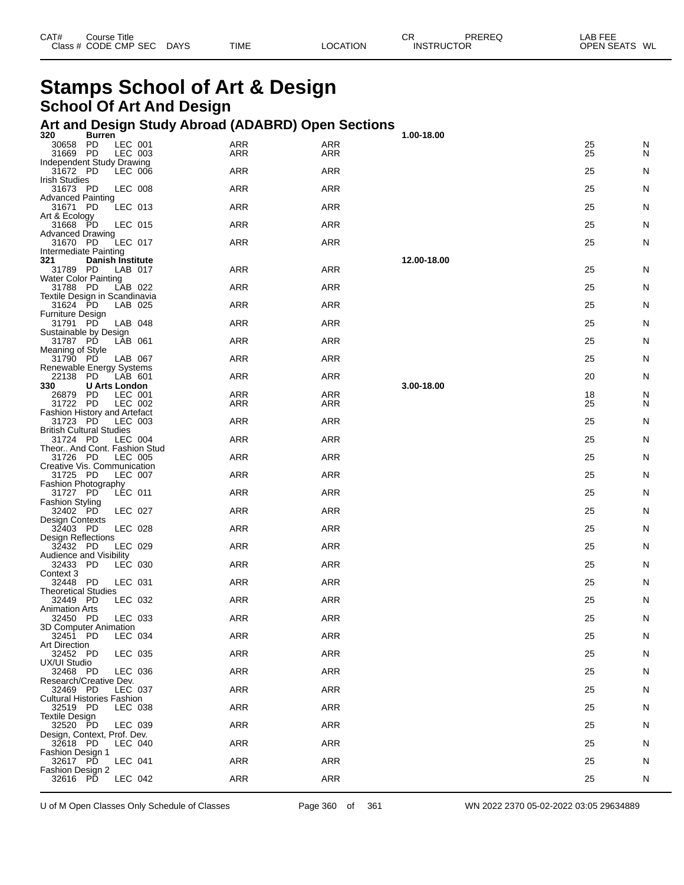| CAT# | ourse Titleٽ         |             |             |                 | rг<br>◡┍          | PREREQ | _AB FEE           |    |
|------|----------------------|-------------|-------------|-----------------|-------------------|--------|-------------------|----|
|      | Class # CODE CMP SEC | <b>DAYS</b> | <b>TIME</b> | <b>_OCATION</b> | <b>INSTRUCTOR</b> |        | <b>OPEN SEATS</b> | WL |

# **Stamps School of Art & Design School Of Art And Design**

#### **Art and Design Study Abroad (ADABRD) Open Sections**

| 320<br>Burren                                           |            |            | 1.00-18.00  |    |   |
|---------------------------------------------------------|------------|------------|-------------|----|---|
| 30658 PD<br>LEC 001                                     | ARR        | <b>ARR</b> |             | 25 | N |
| 31669 PD<br>LEC 003                                     | ARR        | ARR        |             | 25 | N |
| Independent Study Drawing<br>31672 PD<br>LEC 006        | ARR        | <b>ARR</b> |             | 25 | N |
| <b>Irish Studies</b>                                    |            |            |             |    |   |
| 31673 PD<br>LEC 008                                     | ARR        | ARR        |             | 25 | N |
| <b>Advanced Painting</b><br>LEC 013                     | <b>ARR</b> | <b>ARR</b> |             | 25 |   |
| 31671 PD<br>Art & Ecology                               |            |            |             |    | N |
| 31668 PD<br>LEC 015                                     | ARR        | <b>ARR</b> |             | 25 | N |
| <b>Advanced Drawing</b>                                 |            |            |             |    |   |
| 31670 PD<br>LEC 017<br>Intermediate Painting            | ARR        | <b>ARR</b> |             | 25 | N |
| 321<br><b>Danish Institute</b>                          |            |            | 12.00-18.00 |    |   |
| 31789 PD<br>LAB 017                                     | ARR        | ARR        |             | 25 | N |
| Water Color Painting                                    |            |            |             |    |   |
| 31788 PD<br>LAB 022<br>Textile Design in Scandinavia    | <b>ARR</b> | <b>ARR</b> |             | 25 | N |
| 31624 PD<br>LAB 025                                     | ARR        | <b>ARR</b> |             | 25 | N |
| Furniture Design                                        |            |            |             |    |   |
| 31791 PD<br>LAB 048                                     | ARR        | <b>ARR</b> |             | 25 | N |
| Sustainable by Design<br>31787 PD<br>LAB 061            | <b>ARR</b> | <b>ARR</b> |             | 25 | N |
| Meaning of Style                                        |            |            |             |    |   |
| 31790 PD<br>LAB 067                                     | <b>ARR</b> | <b>ARR</b> |             | 25 | N |
| Renewable Energy Systems                                |            |            |             |    |   |
| 22138<br>- PD<br>LAB 601<br>330<br><b>U Arts London</b> | ARR        | ARR        | 3.00-18.00  | 20 | N |
| 26879 PD<br>LEC 001                                     | <b>ARR</b> | <b>ARR</b> |             | 18 | N |
| 31722 PD<br>LEC 002                                     | ARR        | ARR        |             | 25 | N |
| <b>Fashion History and Artefact</b>                     |            |            |             |    |   |
| 31723 PD<br>LEC 003<br><b>British Cultural Studies</b>  | <b>ARR</b> | <b>ARR</b> |             | 25 | N |
| 31724 PD<br>LEC 004                                     | ARR        | <b>ARR</b> |             | 25 | N |
| Theor And Cont. Fashion Stud                            |            |            |             |    |   |
| 31726 PD<br>LEC 005                                     | ARR        | <b>ARR</b> |             | 25 | N |
| Creative Vis. Communication<br>31725 PD<br>LEC 007      | <b>ARR</b> | <b>ARR</b> |             | 25 | N |
| Fashion Photography                                     |            |            |             |    |   |
| 31727 PD<br>LEC 011                                     | ARR        | <b>ARR</b> |             | 25 | N |
| <b>Fashion Styling</b>                                  |            |            |             |    |   |
| 32402 PD<br>LEC 027<br>Design Contexts                  | ARR        | ARR        |             | 25 | N |
| LEC 028<br>32403 PD                                     | <b>ARR</b> | <b>ARR</b> |             | 25 | N |
| Design Reflections                                      |            |            |             |    |   |
| 32432 PD<br>LEC 029<br>Audience and Visibility          | ARR        | <b>ARR</b> |             | 25 | N |
| 32433 PD<br>LEC 030                                     | ARR        | ARR        |             | 25 | N |
| Context 3                                               |            |            |             |    |   |
| 32448 PD<br>LEC 031                                     | <b>ARR</b> | <b>ARR</b> |             | 25 | N |
| <b>Theoretical Studies</b><br>32449 PD<br>LEC 032       | ARR        | ARR        |             | 25 | N |
| <b>Animation Arts</b>                                   |            |            |             |    |   |
| 32450 PD<br>LEC 033                                     | ARR        | ARR        |             | 25 | N |
| 3D Computer Animation                                   |            |            |             |    |   |
| 32451 PD<br>LEC 034<br>Art Direction                    | ARR        | ARR        |             | 25 | N |
| 32452 PD<br>LEC 035                                     | <b>ARR</b> | ARR        |             | 25 | N |
| UX/UI Studio                                            |            |            |             |    |   |
| 32468 PD<br>LEC 036                                     | <b>ARR</b> | <b>ARR</b> |             | 25 | N |
| Research/Creative Dev.<br>32469 PD<br>LEC 037           | <b>ARR</b> | <b>ARR</b> |             | 25 | N |
| <b>Cultural Histories Fashion</b>                       |            |            |             |    |   |
| 32519 PD<br>LEC 038                                     | <b>ARR</b> | ARR        |             | 25 | N |
| <b>Textile Design</b>                                   |            |            |             |    |   |
| 32520 PD<br>LEC 039<br>Design, Context, Prof. Dev.      | <b>ARR</b> | <b>ARR</b> |             | 25 | N |
| 32618 PD<br>LEC 040                                     | <b>ARR</b> | <b>ARR</b> |             | 25 | N |
| Fashion Design 1                                        |            |            |             |    |   |
| 32617 PD<br>LEC 041                                     | <b>ARR</b> | ARR        |             | 25 | N |
| Fashion Design 2<br>32616 PD<br>LEC 042                 | <b>ARR</b> | ARR        |             | 25 | N |
|                                                         |            |            |             |    |   |

U of M Open Classes Only Schedule of Classes Page 360 of 361 WN 2022 2370 05-02-2022 03:05 29634889